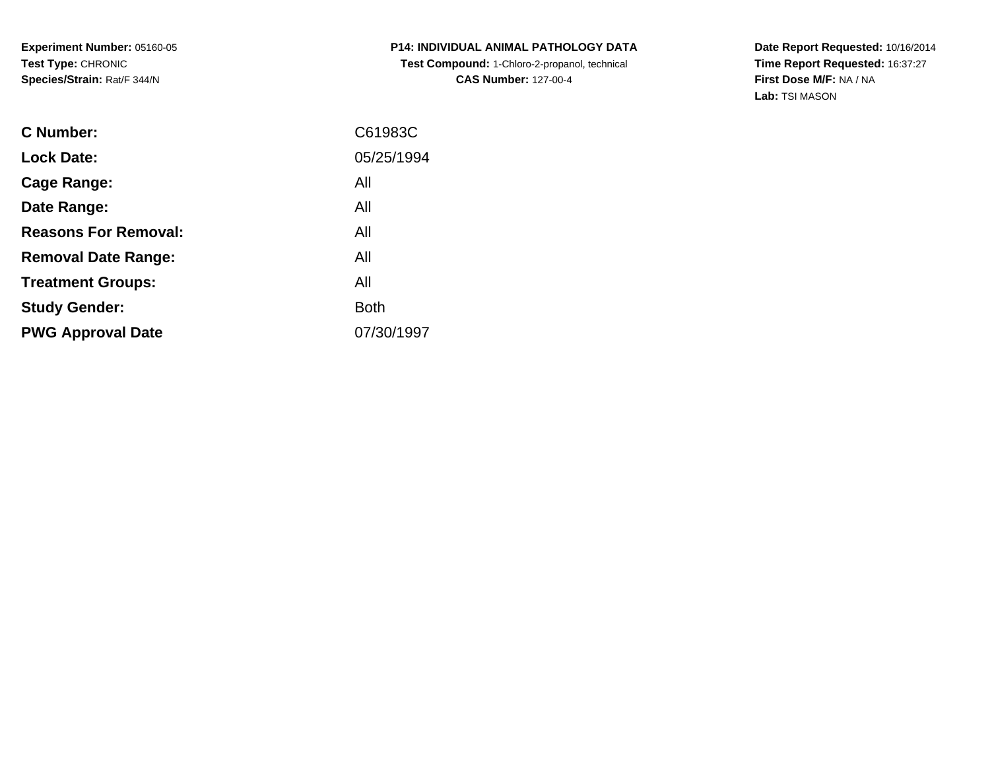**P14: INDIVIDUAL ANIMAL PATHOLOGY DATA Test Compound:** 1-Chloro-2-propanol, technical **CAS Number:** 127-00-4

| C61983C     |
|-------------|
| 05/25/1994  |
| All         |
| All         |
| All         |
| All         |
| All         |
| <b>Both</b> |
| 07/30/1997  |
|             |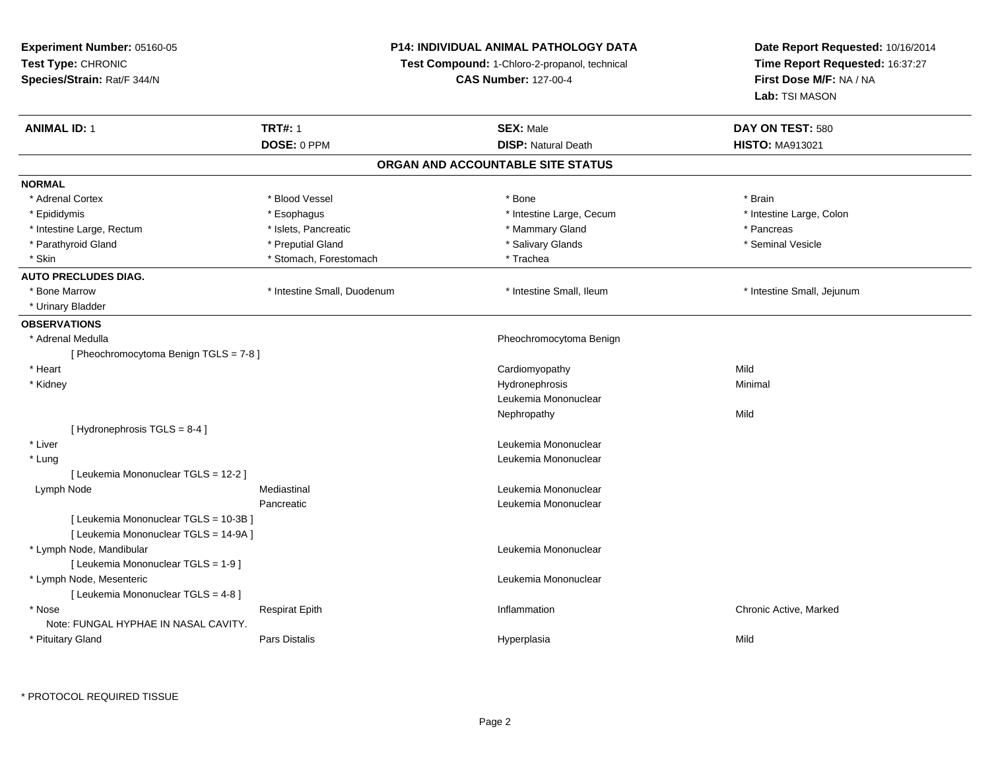**Experiment Number:** 05160-05**Test Type:** CHRONIC **Species/Strain:** Rat/F 344/N**P14: INDIVIDUAL ANIMAL PATHOLOGY DATATest Compound:** 1-Chloro-2-propanol, technical **CAS Number:** 127-00-4**Date Report Requested:** 10/16/2014**Time Report Requested:** 16:37:27**First Dose M/F:** NA / NA**Lab:** TSI MASON**ANIMAL ID:** 1**TRT#:** 1 **SEX:** Male **DAY ON TEST:** 580 **DOSE:** 0 PPM**DISP:** Natural Death **HISTO:** MA913021 **ORGAN AND ACCOUNTABLE SITE STATUSNORMAL**\* Adrenal Cortex \* Adrenal Cortex \* Blood Vessel \* Bone \* Brain\* Intestine Large, Colon \* Epididymis \* Esophagus \* Esophagus \* Esophagus \* 11testine Large, Cecum \* Intestine Large, Rectum \* The recture \* Islets, Pancreatic \* The \* Mammary Gland \* The \* Pancreas \* Pancreas \* Seminal Vesicle \* Parathyroid Gland \* \* Annual Cland \* \* Preputial Gland \* \* \* Salivary Glands \* \* Salivary Glands \* \* Seminal Vesicle \* Skin \* Nicolae \* Stomach, Forestomach \* Trachea \* Trachea **AUTO PRECLUDES DIAG.** \* Bone Marrow \* Intestine Small, Duodenum \* Intestine Small, Ileum \* Intestine Small, Jejunum \* Urinary Bladder**OBSERVATIONS** \* Adrenal Medulla Pheochromocytoma Benign [ Pheochromocytoma Benign TGLS = 7-8 ] \* Heart Cardiomyopathyy Mild Minimal \* Kidneyy the control of the control of the control of the control of the control of the control of the control of the control of the control of the control of the control of the control of the control of the control of the contro Leukemia MononuclearNephropathyy Mild [ Hydronephrosis TGLS = 8-4 ] \* Liver Leukemia Mononuclear \* Lung Leukemia Mononuclear [ Leukemia Mononuclear TGLS = 12-2 ] Lymph Node Mediastinal Leukemia Mononuclear Pancreatic Leukemia Mononuclear [ Leukemia Mononuclear TGLS = 10-3B ][ Leukemia Mononuclear TGLS = 14-9A ] \* Lymph Node, Mandibular Leukemia Mononuclear [ Leukemia Mononuclear TGLS = 1-9 ] \* Lymph Node, Mesenteric Leukemia Mononuclear [ Leukemia Mononuclear TGLS = 4-8 ] \* Nosee and the second of the series of the series of the control of the series of the chronic Active, Marked and the Respirat Epith Inflammation Chronic Active, Marked and the series of the series of the series of the series of Note: FUNGAL HYPHAE IN NASAL CAVITY. \* Pituitary GlandPars Distalis Hyperplasia Mild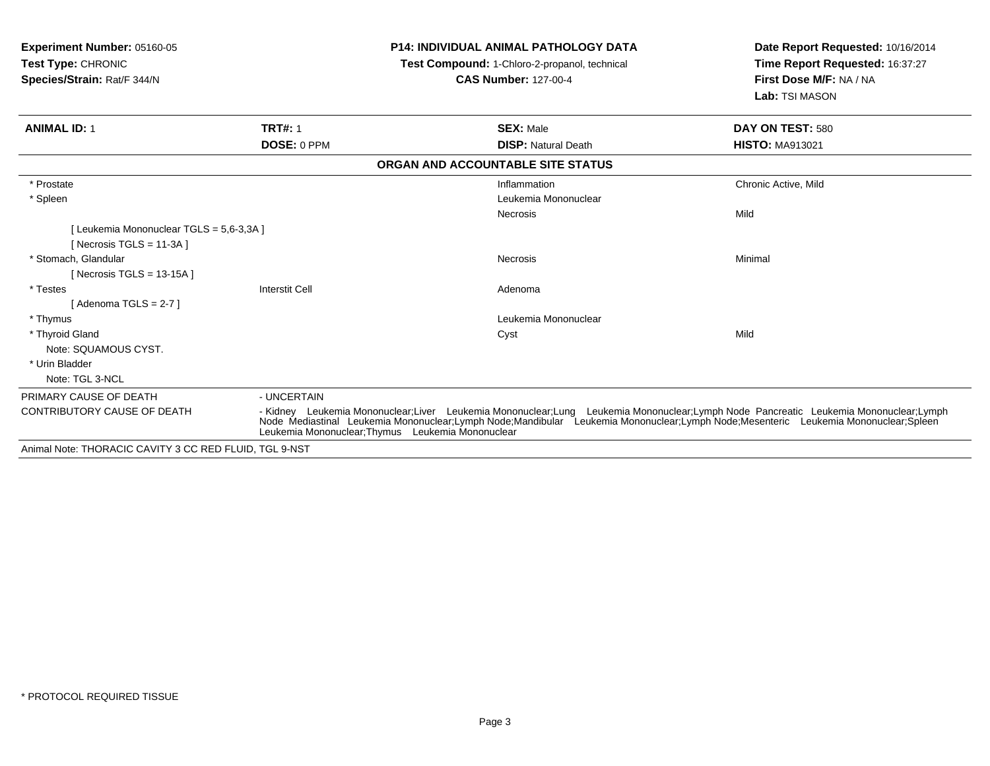| <b>Experiment Number: 05160-05</b><br><b>Test Type: CHRONIC</b> |                       | <b>P14: INDIVIDUAL ANIMAL PATHOLOGY DATA</b><br>Test Compound: 1-Chloro-2-propanol, technical                                                                                                                                                                                                                                  | Date Report Requested: 10/16/2014<br>Time Report Requested: 16:37:27 |
|-----------------------------------------------------------------|-----------------------|--------------------------------------------------------------------------------------------------------------------------------------------------------------------------------------------------------------------------------------------------------------------------------------------------------------------------------|----------------------------------------------------------------------|
| Species/Strain: Rat/F 344/N                                     |                       | <b>CAS Number: 127-00-4</b>                                                                                                                                                                                                                                                                                                    | First Dose M/F: NA / NA<br>Lab: TSI MASON                            |
| <b>ANIMAL ID: 1</b>                                             | <b>TRT#: 1</b>        | <b>SEX: Male</b>                                                                                                                                                                                                                                                                                                               | DAY ON TEST: 580                                                     |
|                                                                 | DOSE: 0 PPM           | <b>DISP: Natural Death</b>                                                                                                                                                                                                                                                                                                     | <b>HISTO: MA913021</b>                                               |
|                                                                 |                       | ORGAN AND ACCOUNTABLE SITE STATUS                                                                                                                                                                                                                                                                                              |                                                                      |
| * Prostate                                                      |                       | Inflammation                                                                                                                                                                                                                                                                                                                   | Chronic Active, Mild                                                 |
| * Spleen                                                        |                       | Leukemia Mononuclear                                                                                                                                                                                                                                                                                                           |                                                                      |
|                                                                 |                       | Necrosis                                                                                                                                                                                                                                                                                                                       | Mild                                                                 |
| [Leukemia Mononuclear TGLS = 5.6-3.3A]                          |                       |                                                                                                                                                                                                                                                                                                                                |                                                                      |
| [ Necrosis TGLS = $11-3A$ ]                                     |                       |                                                                                                                                                                                                                                                                                                                                |                                                                      |
| * Stomach, Glandular                                            |                       | Necrosis                                                                                                                                                                                                                                                                                                                       | Minimal                                                              |
| [Necrosis TGLS = $13-15A$ ]                                     |                       |                                                                                                                                                                                                                                                                                                                                |                                                                      |
| * Testes                                                        | <b>Interstit Cell</b> | Adenoma                                                                                                                                                                                                                                                                                                                        |                                                                      |
| [Adenoma TGLS = 2-7]                                            |                       |                                                                                                                                                                                                                                                                                                                                |                                                                      |
| * Thymus                                                        |                       | Leukemia Mononuclear                                                                                                                                                                                                                                                                                                           |                                                                      |
| * Thyroid Gland                                                 |                       | Cyst                                                                                                                                                                                                                                                                                                                           | Mild                                                                 |
| Note: SQUAMOUS CYST.                                            |                       |                                                                                                                                                                                                                                                                                                                                |                                                                      |
| * Urin Bladder                                                  |                       |                                                                                                                                                                                                                                                                                                                                |                                                                      |
| Note: TGL 3-NCL                                                 |                       |                                                                                                                                                                                                                                                                                                                                |                                                                      |
| PRIMARY CAUSE OF DEATH                                          | - UNCERTAIN           |                                                                                                                                                                                                                                                                                                                                |                                                                      |
| <b>CONTRIBUTORY CAUSE OF DEATH</b>                              |                       | - Kidney Leukemia Mononuclear;Liver Leukemia Mononuclear;Lung Leukemia Mononuclear;Lymph Node Pancreatic Leukemia Mononuclear;Lymph<br>Node Mediastinal Leukemia Mononuclear;Lymph Node;Mandibular Leukemia Mononuclear;Lymph Node;Mesenteric Leukemia Mononuclear;Spleen<br>Leukemia Mononuclear; Thymus Leukemia Mononuclear |                                                                      |
| Animal Note: THORACIC CANITY 3 CC RED ELLUD TCL 0 NST           |                       |                                                                                                                                                                                                                                                                                                                                |                                                                      |

Animal Note: THORACIC CAVITY 3 CC RED FLUID, TGL 9-NST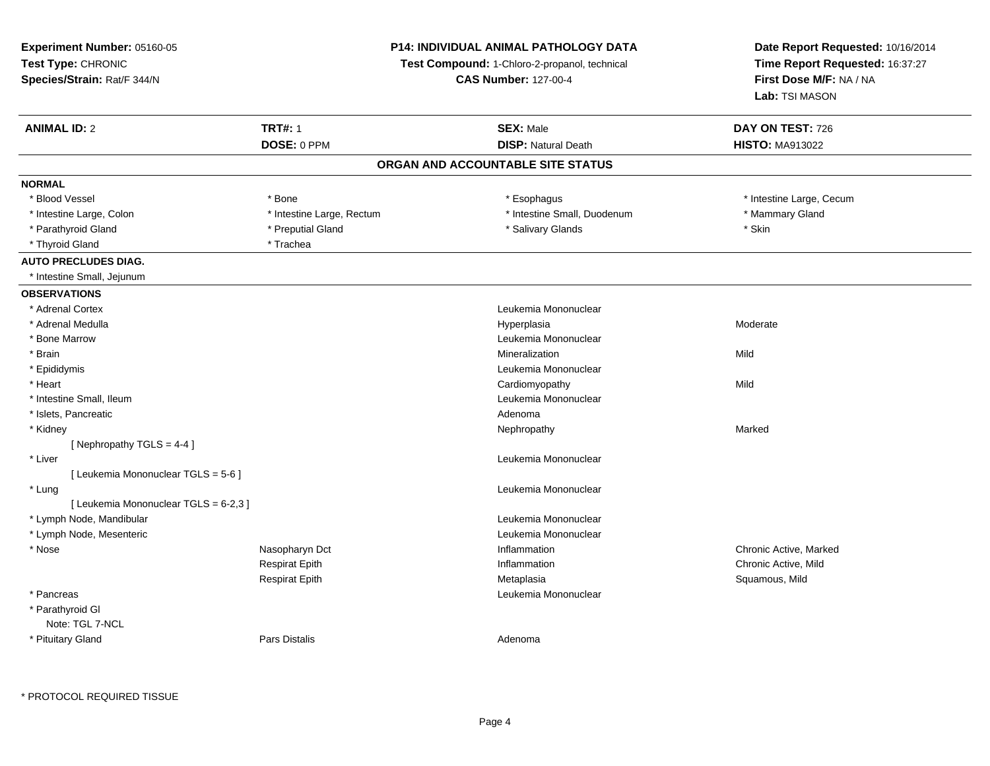**Experiment Number:** 05160-05**Test Type:** CHRONIC **Species/Strain:** Rat/F 344/N**P14: INDIVIDUAL ANIMAL PATHOLOGY DATATest Compound:** 1-Chloro-2-propanol, technical **CAS Number:** 127-00-4**Date Report Requested:** 10/16/2014**Time Report Requested:** 16:37:27**First Dose M/F:** NA / NA**Lab:** TSI MASON**ANIMAL ID:** 2 **TRT#:** <sup>1</sup> **SEX:** Male **DAY ON TEST:** <sup>726</sup> **DOSE:** 0 PPM**DISP:** Natural Death **HISTO:** MA913022 **ORGAN AND ACCOUNTABLE SITE STATUSNORMAL**\* Blood Vessel \* Bone \* Esophagus \* Esophagus \* The strain \* Intestine Large, Cecum \* Intestine Large, Colon \* Thestine Large, Thestine Large, Rectum \* Intestine Small, Duodenum \* Mammary Gland \* Parathyroid Gland \* \* **And a struck of the struck of the struck of the struck of Salivary Glands** \* Skin \* Skin \* Thyroid Gland \* Trachea**AUTO PRECLUDES DIAG.** \* Intestine Small, Jejunum**OBSERVATIONS** \* Adrenal Cortex Leukemia Mononuclear \* Adrenal Medullaa and the controller of the controller of the controller of the Hyperplasia and the Moderate Moderate of the Moderate  $\sim$  Moderate  $\sim$  Moderate  $\sim$  Moderate  $\sim$  Moderate  $\sim$  Moderate  $\sim$  Moderate  $\sim$  Moderate  $\sim$  M \* Bone Marrow Leukemia Mononuclear \* Brainn and the control of the control of the control of the control of the control of the control of the control of the control of the control of the control of the control of the control of the control of the control of the co \* Epididymis Leukemia Mononuclear \* Heart Cardiomyopathyy Mild \* Intestine Small, Ileum Leukemia Mononuclear \* Islets, Pancreaticc and the contract of the contract of the contract of the contract of the contract of the contract of the contract of the contract of the contract of the contract of the contract of the contract of the contract of the cont Nephropathy \* Kidneyy the controller of the controller of the controller of the Marked Marked of the Marked Marked of the Marked o [ Nephropathy TGLS = 4-4 ] \* Liver Leukemia Mononuclear [ Leukemia Mononuclear TGLS = 5-6 ] \* Lungg and the set of the set of the set of the set of the set of the set of the set of the set of the set of the s [ Leukemia Mononuclear TGLS = 6-2,3 ] \* Lymph Node, Mandibular Leukemia Mononuclear \* Lymph Node, Mesenteric Leukemia Mononuclear \* Nose Nasopharyn Dct Inflammation Chronic Active, Marked Respirat Epithh **Inflammation** Chronic Active, Mild and The Inflammation Chronic Active, Mild and The Inflammation Chronic Active, Mild and The Inflammation Chronic Active, Mild and The Inflammation Chronic Active, Mild and The Inflamma Respirat Epith Metaplasia Squamous, Mild \* Pancreas Leukemia Mononuclear \* Parathyroid GlNote: TGL 7-NCL \* Pituitary Glandd and the set of Pars Distalis and the Second Adenomal Adenomal Second Second Pars Distallis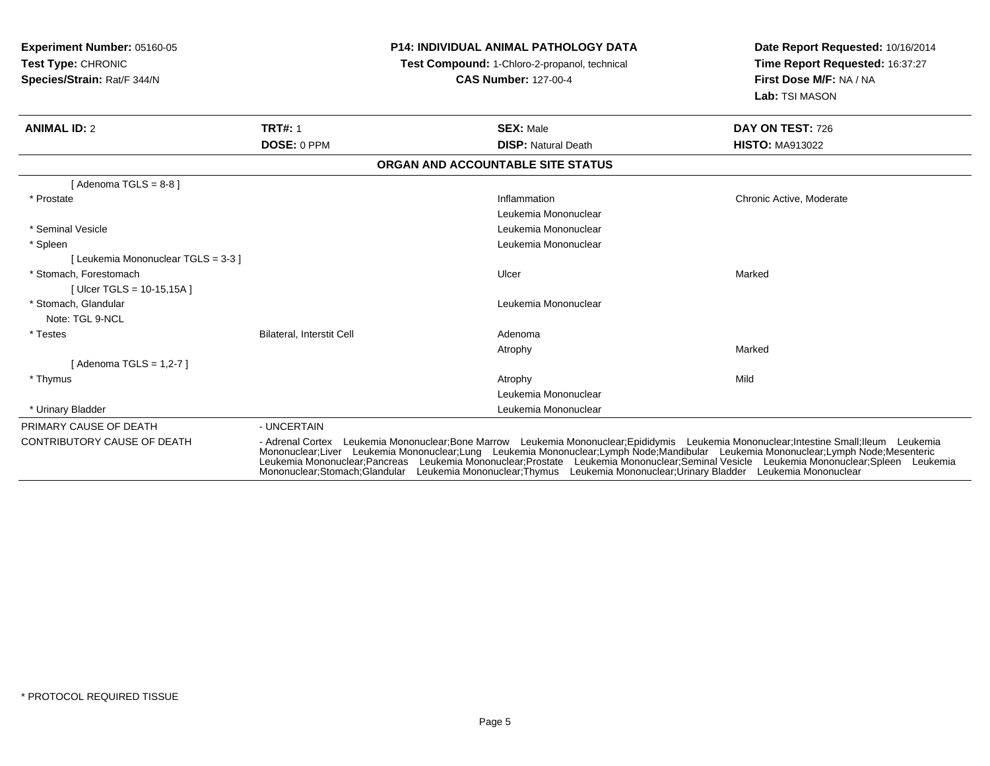| <b>Experiment Number: 05160-05</b><br>Test Type: CHRONIC<br>Species/Strain: Rat/F 344/N |                           | <b>P14: INDIVIDUAL ANIMAL PATHOLOGY DATA</b><br>Test Compound: 1-Chloro-2-propanol, technical<br><b>CAS Number: 127-00-4</b>                                                                                                                                                                                                                                                                                                                                                                                                               | Date Report Requested: 10/16/2014<br>Time Report Requested: 16:37:27<br>First Dose M/F: NA / NA<br>Lab: TSI MASON |  |
|-----------------------------------------------------------------------------------------|---------------------------|--------------------------------------------------------------------------------------------------------------------------------------------------------------------------------------------------------------------------------------------------------------------------------------------------------------------------------------------------------------------------------------------------------------------------------------------------------------------------------------------------------------------------------------------|-------------------------------------------------------------------------------------------------------------------|--|
| <b>ANIMAL ID: 2</b>                                                                     | <b>TRT#: 1</b>            | <b>SEX: Male</b>                                                                                                                                                                                                                                                                                                                                                                                                                                                                                                                           | DAY ON TEST: 726                                                                                                  |  |
|                                                                                         | DOSE: 0 PPM               | <b>DISP: Natural Death</b>                                                                                                                                                                                                                                                                                                                                                                                                                                                                                                                 | <b>HISTO: MA913022</b>                                                                                            |  |
|                                                                                         |                           | ORGAN AND ACCOUNTABLE SITE STATUS                                                                                                                                                                                                                                                                                                                                                                                                                                                                                                          |                                                                                                                   |  |
| [Adenoma TGLS = $8-8$ ]                                                                 |                           |                                                                                                                                                                                                                                                                                                                                                                                                                                                                                                                                            |                                                                                                                   |  |
| * Prostate                                                                              |                           | Inflammation                                                                                                                                                                                                                                                                                                                                                                                                                                                                                                                               | Chronic Active, Moderate                                                                                          |  |
|                                                                                         |                           | Leukemia Mononuclear                                                                                                                                                                                                                                                                                                                                                                                                                                                                                                                       |                                                                                                                   |  |
| * Seminal Vesicle                                                                       |                           | Leukemia Mononuclear                                                                                                                                                                                                                                                                                                                                                                                                                                                                                                                       |                                                                                                                   |  |
| * Spleen                                                                                |                           | Leukemia Mononuclear                                                                                                                                                                                                                                                                                                                                                                                                                                                                                                                       |                                                                                                                   |  |
| [ Leukemia Mononuclear TGLS = 3-3 ]                                                     |                           |                                                                                                                                                                                                                                                                                                                                                                                                                                                                                                                                            |                                                                                                                   |  |
| * Stomach. Forestomach                                                                  |                           | Ulcer                                                                                                                                                                                                                                                                                                                                                                                                                                                                                                                                      | Marked                                                                                                            |  |
| [ Ulcer TGLS = $10-15,15A$ ]                                                            |                           |                                                                                                                                                                                                                                                                                                                                                                                                                                                                                                                                            |                                                                                                                   |  |
| * Stomach. Glandular                                                                    |                           | Leukemia Mononuclear                                                                                                                                                                                                                                                                                                                                                                                                                                                                                                                       |                                                                                                                   |  |
| Note: TGL 9-NCL                                                                         |                           |                                                                                                                                                                                                                                                                                                                                                                                                                                                                                                                                            |                                                                                                                   |  |
| * Testes                                                                                | Bilateral, Interstit Cell | Adenoma                                                                                                                                                                                                                                                                                                                                                                                                                                                                                                                                    |                                                                                                                   |  |
|                                                                                         |                           | Atrophy                                                                                                                                                                                                                                                                                                                                                                                                                                                                                                                                    | Marked                                                                                                            |  |
| [Adenoma TGLS = $1,2-7$ ]                                                               |                           |                                                                                                                                                                                                                                                                                                                                                                                                                                                                                                                                            |                                                                                                                   |  |
| * Thymus                                                                                |                           | Atrophy                                                                                                                                                                                                                                                                                                                                                                                                                                                                                                                                    | Mild                                                                                                              |  |
|                                                                                         |                           | Leukemia Mononuclear                                                                                                                                                                                                                                                                                                                                                                                                                                                                                                                       |                                                                                                                   |  |
| * Urinary Bladder                                                                       |                           | Leukemia Mononuclear                                                                                                                                                                                                                                                                                                                                                                                                                                                                                                                       |                                                                                                                   |  |
| PRIMARY CAUSE OF DEATH                                                                  | - UNCERTAIN               |                                                                                                                                                                                                                                                                                                                                                                                                                                                                                                                                            |                                                                                                                   |  |
| <b>CONTRIBUTORY CAUSE OF DEATH</b>                                                      |                           | - Adrenal Cortex Leukemia Mononuclear;Bone Marrow Leukemia Mononuclear;Epididymis Leukemia Mononuclear;Intestine Small;Ileum Leukemia<br>Mononuclear;Liver Leukemia Mononuclear;Lung Leukemia Mononuclear;Lymph Node;Mandibular Leukemia Mononuclear;Lymph Node;Mesenteric<br>Leukemia Mononuclear:Pancreas Leukemia Mononuclear:Prostate Leukemia Mononuclear:Seminal Vesicle Leukemia Mononuclear:Spleen Leukemia<br>Mononuclear;Stomach;Glandular Leukemia Mononuclear;Thymus Leukemia Mononuclear;Urinary Bladder Leukemia Mononuclear |                                                                                                                   |  |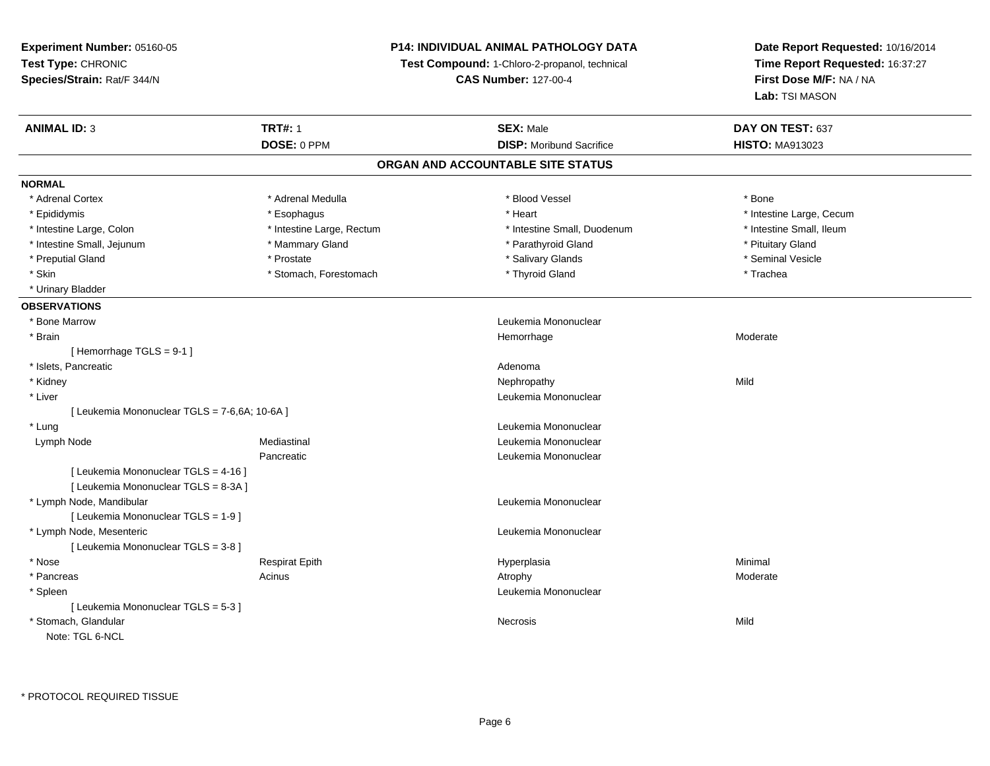**Experiment Number:** 05160-05**Test Type:** CHRONIC **Species/Strain:** Rat/F 344/N**P14: INDIVIDUAL ANIMAL PATHOLOGY DATATest Compound:** 1-Chloro-2-propanol, technical **CAS Number:** 127-00-4**Date Report Requested:** 10/16/2014**Time Report Requested:** 16:37:27**First Dose M/F:** NA / NA**Lab:** TSI MASON**ANIMAL ID:** 3**TRT#:** 1 **SEX:** Male **DAY ON TEST:** 637 **DOSE:** 0 PPM**DISP:** Moribund Sacrifice **HISTO:** MA913023 **ORGAN AND ACCOUNTABLE SITE STATUSNORMAL**\* Adrenal Cortex \* Adrenal Medulla \* Adrenal Medulla \* Blood Vessel \* Bood Vessel \* Bone \* Bone \* Bone \* Bone \* Bone \* Bone \* Bone \* Bone \* Bone \* Bone \* Bone \* Bone \* Bone \* Bone \* Bone \* Bone \* Bone \* Bone \* Bone \* Bone \* Bone \* Bone \* \* \* Epididymis **Account 19 and 19 and 19 and 19 and 19 and 19 and 19 and 19 and 19 and 19 and 19 and 19 and 19 and 19 and 19 and 19 and 19 and 19 and 19 and 19 and 19 and 19 and 19 and 19 and 19 and 19 and 19 and 19 and 19 a** \* Intestine Small, Ileum \* Intestine Large, Colon \* Intestine Large, Rectum \* Intestine Small, Duodenum \* Intestine Small, Duodenum \* Intestine Small, Jejunum \* \* The matter of the Mammary Gland \* Mammary Gland \* Parathyroid Gland \* Pituitary Gland \* Pituitary Gland \* Seminal Vesicle \* Preputial Gland \* \* Annual vesicle \* \* Prostate \* \* Salivary Glands \* \* Salivary Glands \* \* Seminal Vesicle \* \* Skin \* Stomach, Forestomach \* Thyroid Gland \* Thyroid Stand \* Trachea \* Urinary Bladder**OBSERVATIONS** \* Bone Marrow Leukemia Mononuclear \* Brainhemorrhage and the morrhage of the morrhage of the Moderate Moderate  $\sim$  Moderate  $\sim$  Moderate  $\sim$ [ Hemorrhage TGLS = 9-1 ] \* Islets, Pancreaticc and the contract of the contract of the contract of the contract of the contract of the contract of the contract of the contract of the contract of the contract of the contract of the contract of the contract of the cont Nephropathy \* Kidneyy the control of the control of the control of the control of the control of the control of the control of the control of the control of the control of the control of the control of the control of the control of the contro \* Liver Leukemia Mononuclear [ Leukemia Mononuclear TGLS = 7-6,6A; 10-6A ] \* Lung Leukemia Mononuclear Lymph Node Mediastinal Leukemia Mononuclear **Pancreatic**  Leukemia Mononuclear [ Leukemia Mononuclear TGLS = 4-16 ][ Leukemia Mononuclear TGLS = 8-3A ] \* Lymph Node, Mandibular Leukemia Mononuclear [ Leukemia Mononuclear TGLS = 1-9 ] \* Lymph Node, Mesenteric Leukemia Mononuclear [ Leukemia Mononuclear TGLS = 3-8 ] \* Nose Respirat Epith Hyperplasia Minimal \* Pancreass and the contract of the Acinus and the Acinus and the Atrophy and the Moderate Moderate  $\sim$  Moderate  $\sim$  Moderate  $\sim$  Moderate  $\sim$  Moderate  $\sim$  Moderate  $\sim$  Moderate  $\sim$  Moderate  $\sim$  Moderate  $\sim$  Moderate  $\sim$  M \* Spleen Leukemia Mononuclear [ Leukemia Mononuclear TGLS = 5-3 ] \* Stomach, Glandularr and the contract of the contract of the contract of the contract of the contract of the contract of the contract of the contract of the contract of the contract of the contract of the contract of the contract of the cont s Mild Note: TGL 6-NCL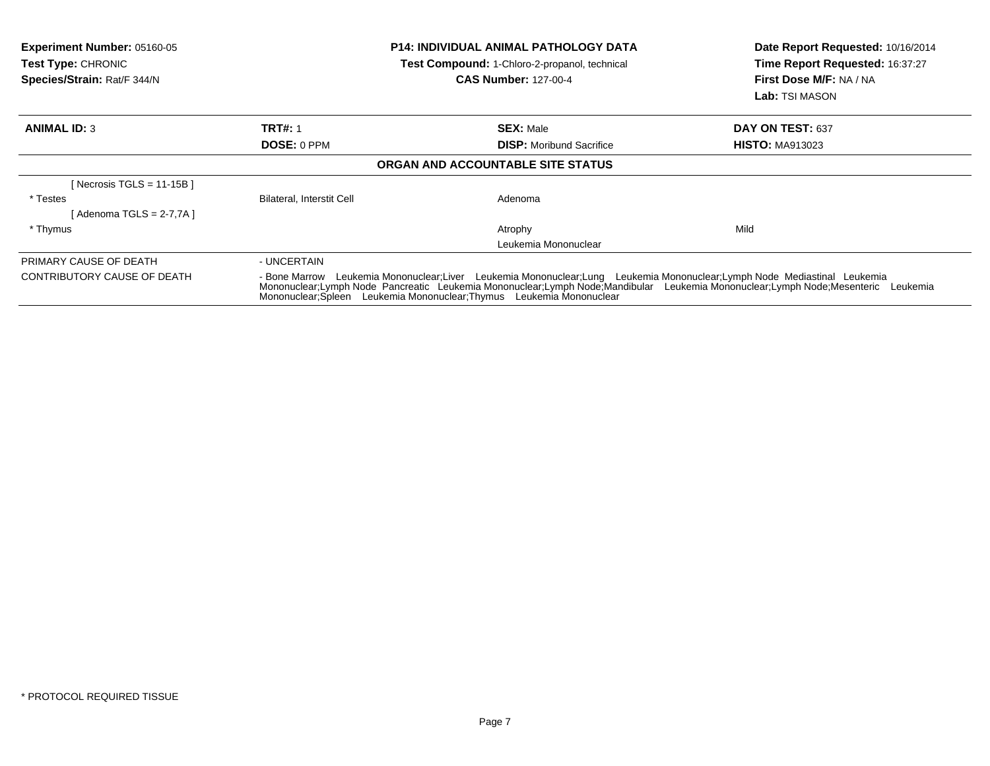| <b>Experiment Number: 05160-05</b><br><b>Test Type: CHRONIC</b><br>Species/Strain: Rat/F 344/N |                           | <b>P14: INDIVIDUAL ANIMAL PATHOLOGY DATA</b><br><b>Test Compound: 1-Chloro-2-propanol, technical</b><br><b>CAS Number: 127-00-4</b>                                                                                                                                                                                                     | Date Report Requested: 10/16/2014<br>Time Report Requested: 16:37:27<br>First Dose M/F: NA / NA<br><b>Lab:</b> TSI MASON |
|------------------------------------------------------------------------------------------------|---------------------------|-----------------------------------------------------------------------------------------------------------------------------------------------------------------------------------------------------------------------------------------------------------------------------------------------------------------------------------------|--------------------------------------------------------------------------------------------------------------------------|
| <b>ANIMAL ID: 3</b>                                                                            | <b>TRT#: 1</b>            | <b>SEX: Male</b>                                                                                                                                                                                                                                                                                                                        | DAY ON TEST: 637                                                                                                         |
|                                                                                                | <b>DOSE: 0 PPM</b>        | <b>DISP:</b> Moribund Sacrifice                                                                                                                                                                                                                                                                                                         | <b>HISTO: MA913023</b>                                                                                                   |
|                                                                                                |                           | <b>ORGAN AND ACCOUNTABLE SITE STATUS</b>                                                                                                                                                                                                                                                                                                |                                                                                                                          |
| [Necrosis TGLS = 11-15B]                                                                       |                           |                                                                                                                                                                                                                                                                                                                                         |                                                                                                                          |
| * Testes                                                                                       | Bilateral, Interstit Cell | Adenoma                                                                                                                                                                                                                                                                                                                                 |                                                                                                                          |
| [ Adenoma TGLS = 2-7,7A ]                                                                      |                           |                                                                                                                                                                                                                                                                                                                                         |                                                                                                                          |
| * Thymus                                                                                       |                           | Atrophy                                                                                                                                                                                                                                                                                                                                 | Mild                                                                                                                     |
|                                                                                                |                           | Leukemia Mononuclear                                                                                                                                                                                                                                                                                                                    |                                                                                                                          |
| PRIMARY CAUSE OF DEATH                                                                         | - UNCERTAIN               |                                                                                                                                                                                                                                                                                                                                         |                                                                                                                          |
| CONTRIBUTORY CAUSE OF DEATH                                                                    |                           | - Bone Marrow Leukemia Mononuclear; Liver Leukemia Mononuclear; Lung Leukemia Mononuclear; Lymph Node Mediastinal Leukemia<br>Mononuclear;Lymph Node Pancreatic Leukemia Mononuclear;Lymph Node;Mandibular Leukemia Mononuclear;Lymph Node;Mesenteric Leukemia<br>Mononuclear: Spleen Leukemia Mononuclear: Thymus Leukemia Mononuclear |                                                                                                                          |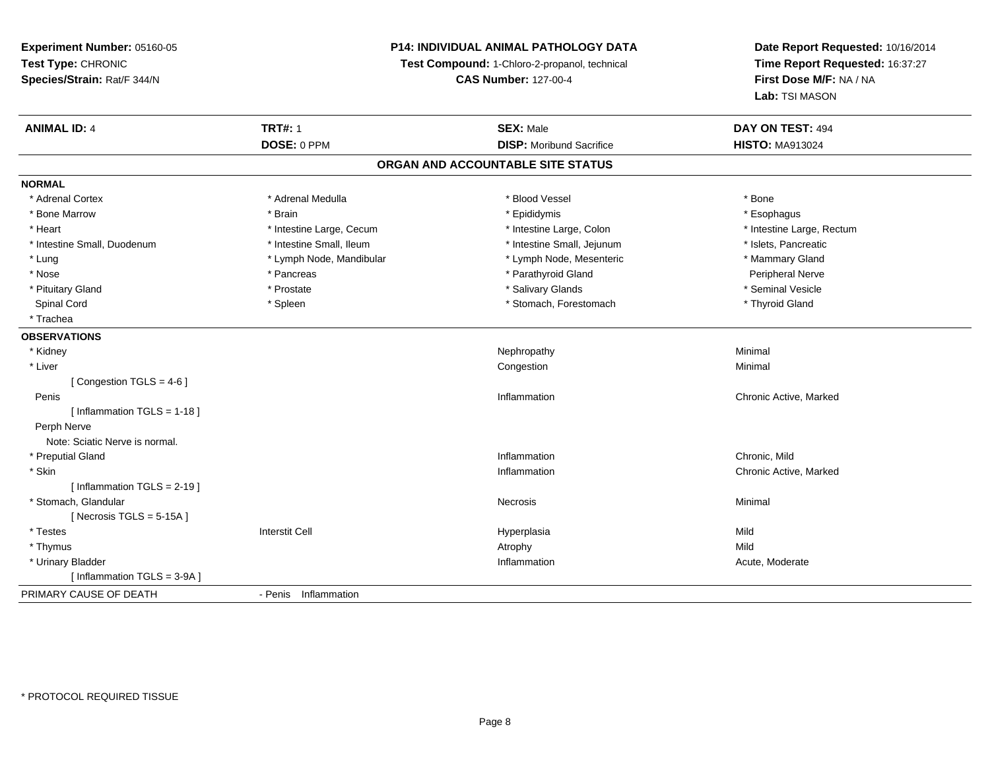# **P14: INDIVIDUAL ANIMAL PATHOLOGY DATA**

**Test Compound:** 1-Chloro-2-propanol, technical

**CAS Number:** 127-00-4

| <b>ANIMAL ID: 4</b>            | <b>TRT#: 1</b>           | <b>SEX: Male</b>                  | DAY ON TEST: 494          |  |
|--------------------------------|--------------------------|-----------------------------------|---------------------------|--|
|                                | DOSE: 0 PPM              | <b>DISP:</b> Moribund Sacrifice   | <b>HISTO: MA913024</b>    |  |
|                                |                          | ORGAN AND ACCOUNTABLE SITE STATUS |                           |  |
| <b>NORMAL</b>                  |                          |                                   |                           |  |
| * Adrenal Cortex               | * Adrenal Medulla        | * Blood Vessel                    | * Bone                    |  |
| * Bone Marrow                  | * Brain                  | * Epididymis                      | * Esophagus               |  |
| * Heart                        | * Intestine Large, Cecum | * Intestine Large, Colon          | * Intestine Large, Rectum |  |
| * Intestine Small, Duodenum    | * Intestine Small, Ileum | * Intestine Small, Jejunum        | * Islets, Pancreatic      |  |
| * Lung                         | * Lymph Node, Mandibular | * Lymph Node, Mesenteric          | * Mammary Gland           |  |
| * Nose                         | * Pancreas               | * Parathyroid Gland               | <b>Peripheral Nerve</b>   |  |
| * Pituitary Gland              | * Prostate               | * Salivary Glands                 | * Seminal Vesicle         |  |
| Spinal Cord                    | * Spleen                 | * Stomach, Forestomach            | * Thyroid Gland           |  |
| * Trachea                      |                          |                                   |                           |  |
| <b>OBSERVATIONS</b>            |                          |                                   |                           |  |
| * Kidney                       |                          | Nephropathy                       | Minimal                   |  |
| * Liver                        |                          | Congestion                        | Minimal                   |  |
| [Congestion TGLS = 4-6]        |                          |                                   |                           |  |
| Penis                          |                          | Inflammation                      | Chronic Active, Marked    |  |
| [Inflammation TGLS = 1-18]     |                          |                                   |                           |  |
| Perph Nerve                    |                          |                                   |                           |  |
| Note: Sciatic Nerve is normal. |                          |                                   |                           |  |
| * Preputial Gland              |                          | Inflammation                      | Chronic, Mild             |  |
| * Skin                         |                          | Inflammation                      | Chronic Active, Marked    |  |
| [ Inflammation TGLS = 2-19 ]   |                          |                                   |                           |  |
| * Stomach, Glandular           |                          | Necrosis                          | Minimal                   |  |
| [Necrosis TGLS = $5-15A$ ]     |                          |                                   |                           |  |
| * Testes                       | <b>Interstit Cell</b>    | Hyperplasia                       | Mild                      |  |
| * Thymus                       |                          | Atrophy                           | Mild                      |  |
| * Urinary Bladder              |                          | Inflammation                      | Acute, Moderate           |  |
| [Inflammation TGLS = $3-9A$ ]  |                          |                                   |                           |  |
| PRIMARY CAUSE OF DEATH         | - Penis Inflammation     |                                   |                           |  |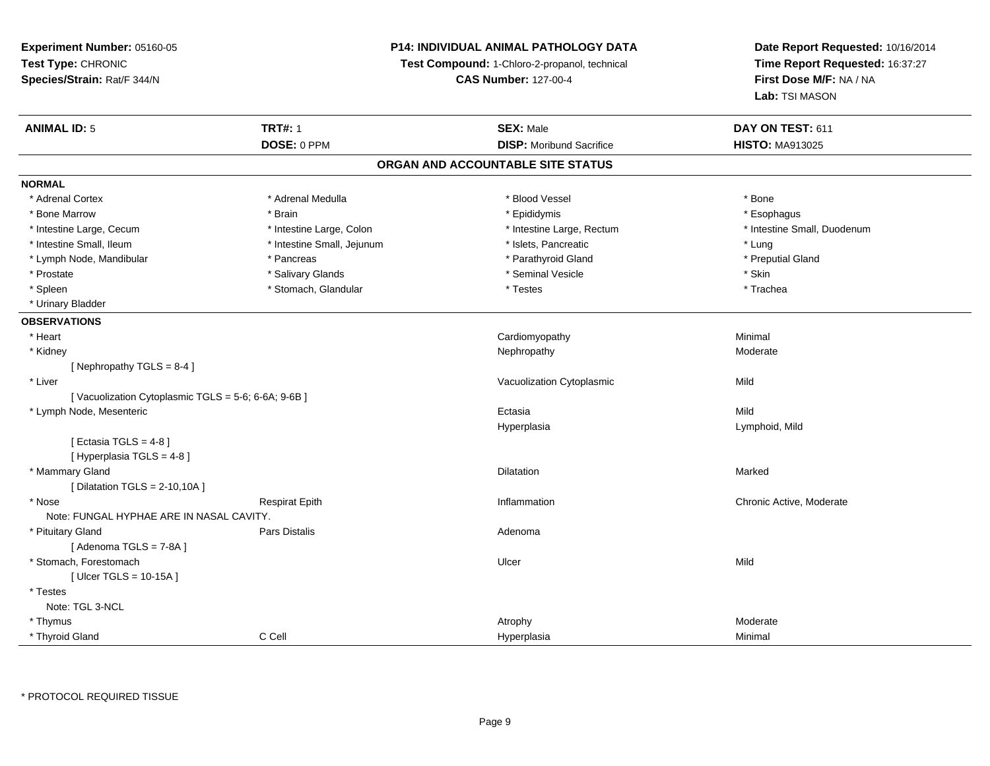# **P14: INDIVIDUAL ANIMAL PATHOLOGY DATA**

**Test Compound:** 1-Chloro-2-propanol, technical

**CAS Number:** 127-00-4

**Date Report Requested:** 10/16/2014**Time Report Requested:** 16:37:27**First Dose M/F:** NA / NA**Lab:** TSI MASON

| <b>ANIMAL ID: 5</b>                                | <b>TRT#: 1</b>             | <b>SEX: Male</b>                  | DAY ON TEST: 611            |
|----------------------------------------------------|----------------------------|-----------------------------------|-----------------------------|
|                                                    | DOSE: 0 PPM                | <b>DISP:</b> Moribund Sacrifice   | <b>HISTO: MA913025</b>      |
|                                                    |                            | ORGAN AND ACCOUNTABLE SITE STATUS |                             |
| <b>NORMAL</b>                                      |                            |                                   |                             |
| * Adrenal Cortex                                   | * Adrenal Medulla          | * Blood Vessel                    | * Bone                      |
| * Bone Marrow                                      | * Brain                    | * Epididymis                      | * Esophagus                 |
| * Intestine Large, Cecum                           | * Intestine Large, Colon   | * Intestine Large, Rectum         | * Intestine Small, Duodenum |
| * Intestine Small, Ileum                           | * Intestine Small, Jejunum | * Islets, Pancreatic              | * Lung                      |
| * Lymph Node, Mandibular                           | * Pancreas                 | * Parathyroid Gland               | * Preputial Gland           |
| * Prostate                                         | * Salivary Glands          | * Seminal Vesicle                 | * Skin                      |
| * Spleen                                           | * Stomach, Glandular       | * Testes                          | * Trachea                   |
| * Urinary Bladder                                  |                            |                                   |                             |
| <b>OBSERVATIONS</b>                                |                            |                                   |                             |
| * Heart                                            |                            | Cardiomyopathy                    | Minimal                     |
| * Kidney                                           |                            | Nephropathy                       | Moderate                    |
| [Nephropathy TGLS = 8-4]                           |                            |                                   |                             |
| * Liver                                            |                            | Vacuolization Cytoplasmic         | Mild                        |
| [Vacuolization Cytoplasmic TGLS = 5-6; 6-6A; 9-6B] |                            |                                   |                             |
| * Lymph Node, Mesenteric                           |                            | Ectasia                           | Mild                        |
|                                                    |                            | Hyperplasia                       | Lymphoid, Mild              |
| [ Ectasia TGLS = $4-8$ ]                           |                            |                                   |                             |
| [ Hyperplasia TGLS = 4-8 ]                         |                            |                                   |                             |
| * Mammary Gland                                    |                            | <b>Dilatation</b>                 | Marked                      |
| [ Dilatation TGLS = $2-10,10A$ ]                   |                            |                                   |                             |
| * Nose                                             | <b>Respirat Epith</b>      | Inflammation                      | Chronic Active, Moderate    |
| Note: FUNGAL HYPHAE ARE IN NASAL CAVITY.           |                            |                                   |                             |
| * Pituitary Gland                                  | <b>Pars Distalis</b>       | Adenoma                           |                             |
| [Adenoma TGLS = 7-8A]                              |                            |                                   |                             |
| * Stomach, Forestomach                             |                            | Ulcer                             | Mild                        |
| [ Ulcer TGLS = 10-15A ]                            |                            |                                   |                             |
| * Testes                                           |                            |                                   |                             |
| Note: TGL 3-NCL                                    |                            |                                   |                             |
| * Thymus                                           |                            | Atrophy                           | Moderate                    |
| * Thyroid Gland                                    | C Cell                     | Hyperplasia                       | Minimal                     |

\* PROTOCOL REQUIRED TISSUE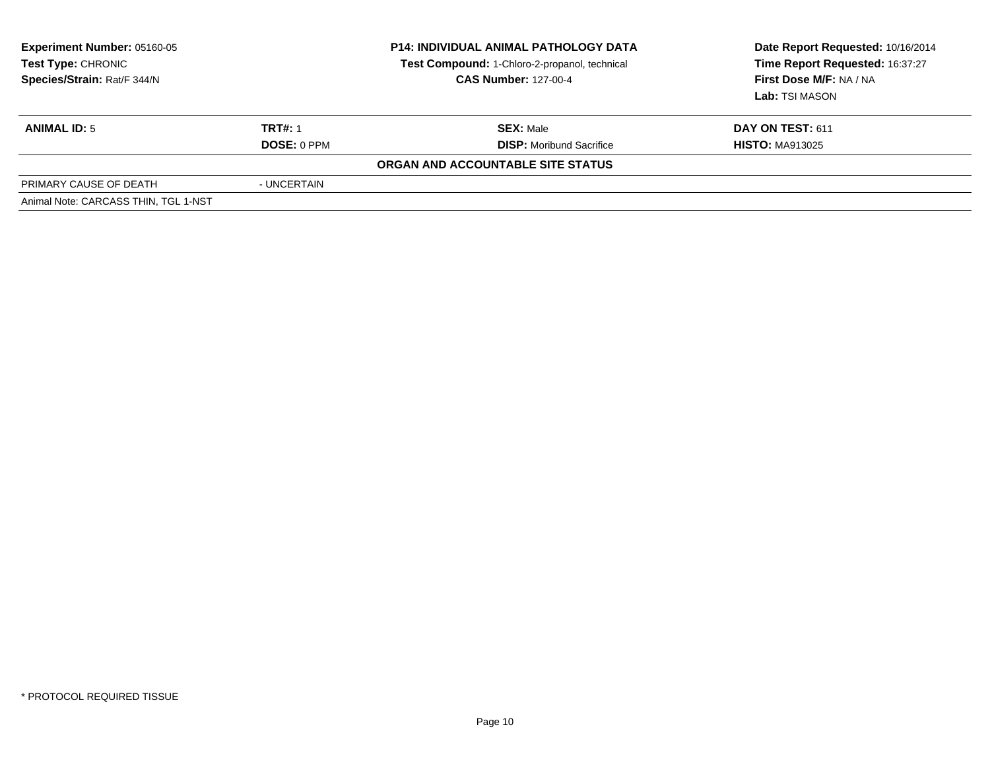| <b>Experiment Number: 05160-05</b><br>Test Type: CHRONIC<br>Species/Strain: Rat/F 344/N |                | <b>P14: INDIVIDUAL ANIMAL PATHOLOGY DATA</b><br>Test Compound: 1-Chloro-2-propanol, technical<br><b>CAS Number: 127-00-4</b> | Date Report Requested: 10/16/2014<br>Time Report Requested: 16:37:27<br>First Dose M/F: NA / NA<br>Lab: TSI MASON |
|-----------------------------------------------------------------------------------------|----------------|------------------------------------------------------------------------------------------------------------------------------|-------------------------------------------------------------------------------------------------------------------|
| <b>ANIMAL ID: 5</b>                                                                     | <b>TRT#: 1</b> | <b>SEX: Male</b>                                                                                                             | <b>DAY ON TEST: 611</b>                                                                                           |
|                                                                                         | DOSE: 0 PPM    | <b>DISP:</b> Moribund Sacrifice                                                                                              | <b>HISTO: MA913025</b>                                                                                            |
|                                                                                         |                | ORGAN AND ACCOUNTABLE SITE STATUS                                                                                            |                                                                                                                   |
| PRIMARY CAUSE OF DEATH                                                                  | - UNCERTAIN    |                                                                                                                              |                                                                                                                   |
| Animal Note: CARCASS THIN, TGL 1-NST                                                    |                |                                                                                                                              |                                                                                                                   |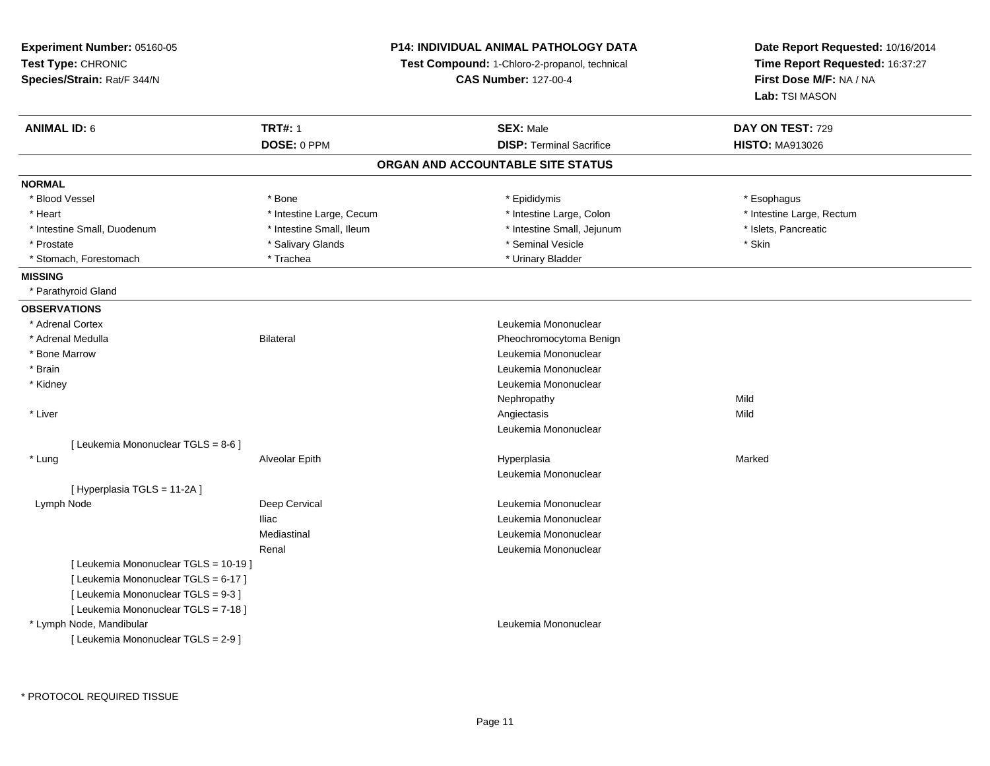**Experiment Number:** 05160-05**Test Type:** CHRONIC **Species/Strain:** Rat/F 344/N**P14: INDIVIDUAL ANIMAL PATHOLOGY DATATest Compound:** 1-Chloro-2-propanol, technical **CAS Number:** 127-00-4**Date Report Requested:** 10/16/2014**Time Report Requested:** 16:37:27**First Dose M/F:** NA / NA**Lab:** TSI MASON**ANIMAL ID:** 6**TRT#:** 1 **SEX:** Male **DAY ON TEST:** 729 **DOSE:** 0 PPM**DISP:** Terminal Sacrifice **HISTO:** MA913026 **ORGAN AND ACCOUNTABLE SITE STATUSNORMAL**\* Blood Vessel \* Blood Vessel \* \* Expression \* \* Bone \* \* Bone \* \* Epididymis \* \* Epididymis \* \* Expression \* Esophagus \* Esophagus \* Heart Thestine Large, Cecum Thestine Large, Cecum Assessment Carge, Colon Thestine Large, Rectum \* Intestine Large, Rectum \* Intestine Large, Rectum \* Intestine Small, Duodenum \* Intestine Small, Ileum \* Intestine Small, Intestine Small, Jejunum \* Islets, Pancreatic \* Prostate \* \* Salivary Glands \* \* Salivary Glands \* \* Seminal Vesicle \* \* \* Seminal Yestrich \* \* Skin \* \* Skin \* Stomach, Forestomach \* Trachea \* Urinary Bladder**MISSING** \* Parathyroid Gland**OBSERVATIONS** \* Adrenal Cortex Leukemia Mononuclear \* Adrenal MedullaBilateral **Pheochromocytoma Benign**  \* Bone Marrow Leukemia Mononuclear \* Brain Leukemia Mononuclear \* Kidney Leukemia Mononuclear Nephropathyy Mild **Mild**  \* Liverr and the contract of the contract of the contract of the contract of the contract of the contract of the contract of the contract of the contract of the contract of the contract of the contract of the contract of the cont s Mild Leukemia Mononuclear[ Leukemia Mononuclear TGLS = 8-6 ] \* Lung Alveolar Epith Hyperplasia Marked Leukemia Mononuclear[ Hyperplasia TGLS = 11-2A ] Lymph NodeDeep Cervical **Leukemia Mononuclear** Iliac Leukemia Mononuclear Mediastinal Leukemia MononuclearRenal Leukemia Mononuclear[ Leukemia Mononuclear TGLS = 10-19 ][ Leukemia Mononuclear TGLS = 6-17 ][ Leukemia Mononuclear TGLS = 9-3 ][ Leukemia Mononuclear TGLS = 7-18 ] \* Lymph Node, Mandibular Leukemia Mononuclear [ Leukemia Mononuclear TGLS = 2-9 ]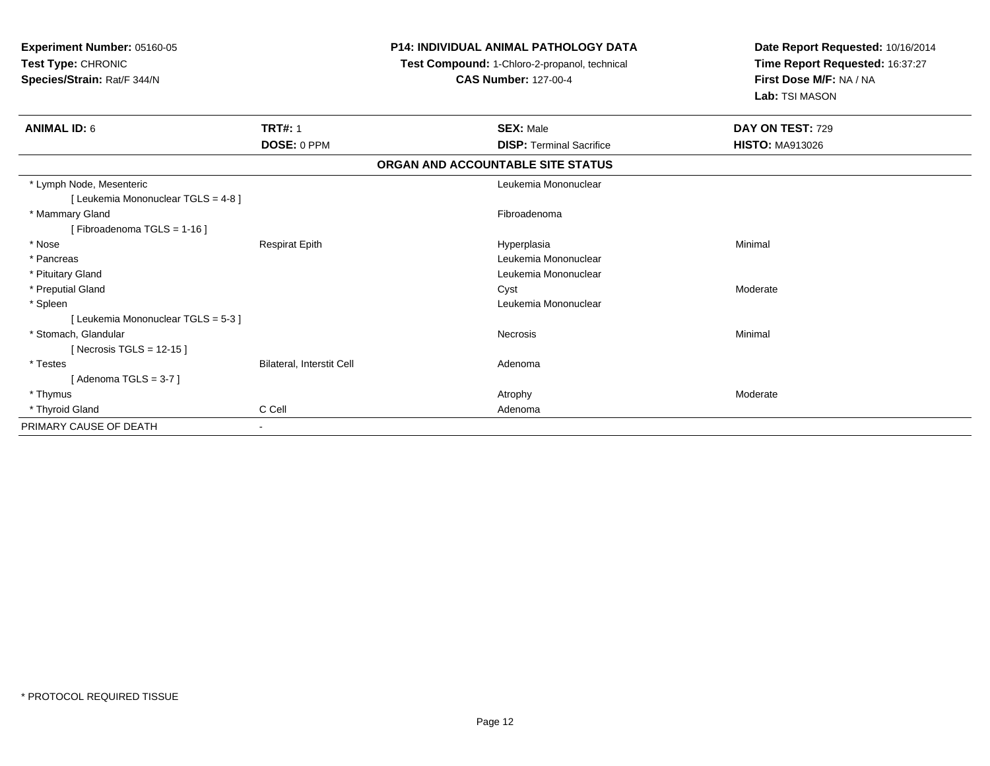**Experiment Number:** 05160-05**Test Type:** CHRONIC **Species/Strain:** Rat/F 344/N**P14: INDIVIDUAL ANIMAL PATHOLOGY DATATest Compound:** 1-Chloro-2-propanol, technical **CAS Number:** 127-00-4**Date Report Requested:** 10/16/2014**Time Report Requested:** 16:37:27**First Dose M/F:** NA / NA**Lab:** TSI MASON**ANIMAL ID:** 6**TRT#:** 1 **SEX:** Male **DAY ON TEST:** 729 **DOSE:** 0 PPM**DISP:** Terminal Sacrifice **HISTO:** MA913026 **ORGAN AND ACCOUNTABLE SITE STATUS** \* Lymph Node, Mesenteric Leukemia Mononuclear [ Leukemia Mononuclear TGLS = 4-8 ] \* Mammary Glandd **Executive Contract of Contract Contract Contract Contract Contract Contract Contract Contract Contract Contract Contract Contract Contract Contract Contract Contract Contract Contract Contract Contract Contract Contract** [ Fibroadenoma TGLS = 1-16 ] \* Nose Respirat Epith Hyperplasia Minimal \* Pancreas Leukemia Mononuclear \* Pituitary Gland Leukemia Mononuclear \* Preputial Glandd and the control of the control of the control of the control of the control of the control of the control of the control of the control of the control of the control of the control of the control of the control of the co \* Spleen Leukemia Mononuclear [ Leukemia Mononuclear TGLS = 5-3 ] \* Stomach, Glandularr **Necrosis**  Minimal [ Necrosis TGLS = 12-15 ] \* TestesBilateral, Interstit Cell **Adenoma** [ Adenoma TGLS = 3-7 ] \* Thymuss the contract of the contract of the contract of the contract of the contract of the contract of the contract of  $\lambda$  \* Thyroid Glandd C Cell C Cell Adenoma PRIMARY CAUSE OF DEATH-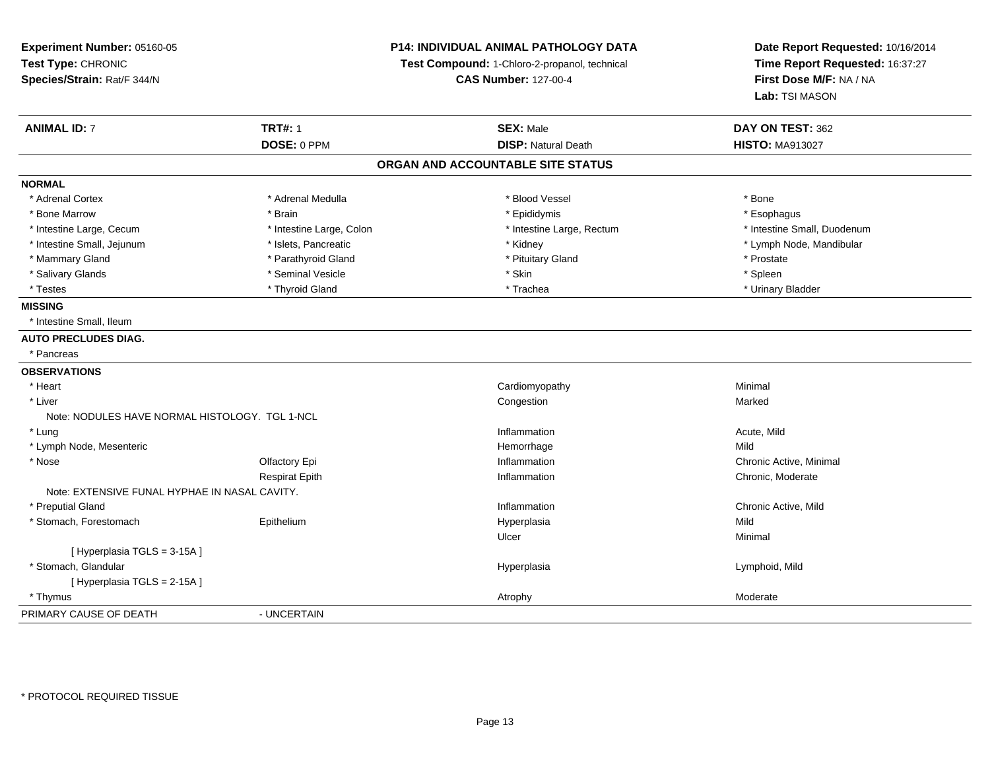**Experiment Number:** 05160-05**Test Type:** CHRONIC **Species/Strain:** Rat/F 344/N**P14: INDIVIDUAL ANIMAL PATHOLOGY DATATest Compound:** 1-Chloro-2-propanol, technical **CAS Number:** 127-00-4**Date Report Requested:** 10/16/2014**Time Report Requested:** 16:37:27**First Dose M/F:** NA / NA**Lab:** TSI MASON**ANIMAL ID:** 7**TRT#:** 1 **SEX:** Male **DAY ON TEST:** 362 **DOSE:** 0 PPM**DISP:** Natural Death **HISTO:** MA913027 **ORGAN AND ACCOUNTABLE SITE STATUSNORMAL**\* Adrenal Cortex \* Adrenal Cortex \* \* Adrenal Medulla \* \* Adrenal Medulla \* \* Blood Vessel \* \* Brood Vessel \* \* Bone \* Esophagus \* Bone Marrow \* Brain \* Epididymis \* Esophagus \* Intestine Small, Duodenum \* Intestine Large, Cecum \* Intestine Large, Colon \* Intestine Small, Publishers, Rectum \* Intestine Small, Duodenum \* Intestine Small, Jejunum \* Islets, Pancreatic \* Kidney \* Lymph Node, Mandibular\* Mammary Gland \* Parathyroid Gland \* Parathyroid Gland \* Prostate \* Prostate \* Prostate \* Prostate \* Spleen \* Salivary Glands \* \* \* Sheen \* Seminal Vesicle \* \* \* Stan \* \* Skin \* \* Skin \* \* Spleen \* \* Spleen \* \* Spleen \* \* Urinary Bladder \* Testes \* \* Thyroid Gland \* \* Thyroid Gland \* \* Trachea \* \* Trachea \* \* \* Trachea \* Urinary Bladder \* \* Urinary Bladder \* \* Urinary Bladder \* \* Urinary Bladder \* \* Urinary Bladder \* \* Urinary Bladder \* \* Urinary Bladder \* **MISSING** \* Intestine Small, Ileum **AUTO PRECLUDES DIAG.** \* Pancreas**OBSERVATIONS** \* Heart Cardiomyopathy Minimal \* Liverr and the congression of the congression of the congression of the congression of the congression of the congression n **Marked** Note: NODULES HAVE NORMAL HISTOLOGY. TGL 1-NCL \* Lungg and the state of the state of the state of the state of the state of the state of the state of the state of the state of the state of the state of the state of the state of the state of the state of the state of the stat \* Lymph Node, Mesentericc **Example 2018 Hemorrhage** e Mild \* Nosee and the Colfactory Epi Inflammation Chronic Active, Minimal Chronic Active, Minimal Chronic Active, Minimal Chronic Active, Minimal Chronic Active, Minimal Chronic Active, Minimal Chronic Active, Minimal Chronic Active, Respirat Epithh **Inflammation** Chronic, Moderate Chronic, Moderate Chronic, Moderate Chronic, Moderate Chronic, Moderate Chronic Note: EXTENSIVE FUNAL HYPHAE IN NASAL CAVITY. \* Preputial Glandd the contraction of the contraction of the contraction of the contraction of the chronic Active, Mild and the contraction of the contraction of  $\alpha$  chronic Active, Mild and the contraction of the contraction of the contr \* Stomach, Forestomach Epithelium Hyperplasia Mild Ulcerr **Minimal** [ Hyperplasia TGLS = 3-15A ] \* Stomach, Glandularr and the state of the state of the state of the state of the state of the Hyperplasia Lymphoid, Mild [ Hyperplasia TGLS = 2-15A ] \* Thymuss the contract of the contract of the contract of the contract of the contract of the contract of the contract of  $\lambda$ PRIMARY CAUSE OF DEATH- UNCERTAIN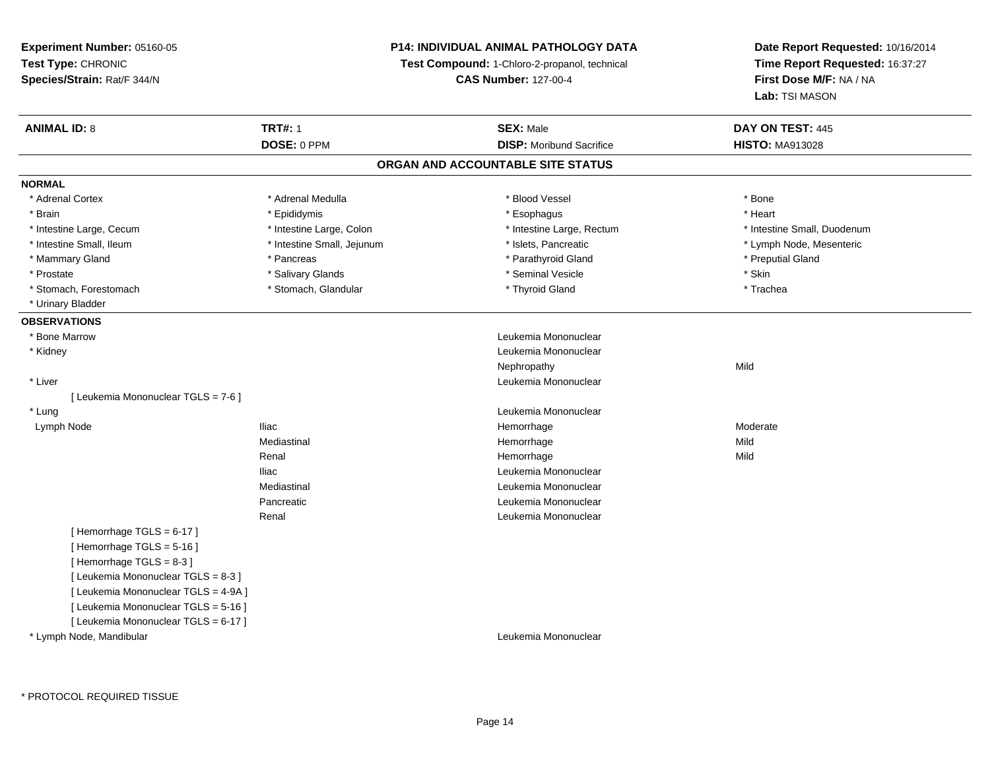# **P14: INDIVIDUAL ANIMAL PATHOLOGY DATA**

**Test Compound:** 1-Chloro-2-propanol, technical

**CAS Number:** 127-00-4

| <b>ANIMAL ID: 8</b>                  | <b>TRT#: 1</b>             | <b>SEX: Male</b>                  | DAY ON TEST: 445            |
|--------------------------------------|----------------------------|-----------------------------------|-----------------------------|
|                                      | DOSE: 0 PPM                | <b>DISP: Moribund Sacrifice</b>   | <b>HISTO: MA913028</b>      |
|                                      |                            | ORGAN AND ACCOUNTABLE SITE STATUS |                             |
| <b>NORMAL</b>                        |                            |                                   |                             |
| * Adrenal Cortex                     | * Adrenal Medulla          | * Blood Vessel                    | * Bone                      |
| * Brain                              | * Epididymis               | * Esophagus                       | * Heart                     |
| * Intestine Large, Cecum             | * Intestine Large, Colon   | * Intestine Large, Rectum         | * Intestine Small, Duodenum |
| * Intestine Small, Ileum             | * Intestine Small, Jejunum | * Islets, Pancreatic              | * Lymph Node, Mesenteric    |
| * Mammary Gland                      | * Pancreas                 | * Parathyroid Gland               | * Preputial Gland           |
| * Prostate                           | * Salivary Glands          | * Seminal Vesicle                 | * Skin                      |
| * Stomach, Forestomach               | * Stomach, Glandular       | * Thyroid Gland                   | * Trachea                   |
| * Urinary Bladder                    |                            |                                   |                             |
| <b>OBSERVATIONS</b>                  |                            |                                   |                             |
| * Bone Marrow                        |                            | Leukemia Mononuclear              |                             |
| * Kidney                             |                            | Leukemia Mononuclear              |                             |
|                                      |                            | Nephropathy                       | Mild                        |
| * Liver                              |                            | Leukemia Mononuclear              |                             |
| [ Leukemia Mononuclear TGLS = 7-6 ]  |                            |                                   |                             |
| * Lung                               |                            | Leukemia Mononuclear              |                             |
| Lymph Node                           | <b>Iliac</b>               | Hemorrhage                        | Moderate                    |
|                                      | Mediastinal                | Hemorrhage                        | Mild                        |
|                                      | Renal                      | Hemorrhage                        | Mild                        |
|                                      | <b>Iliac</b>               | Leukemia Mononuclear              |                             |
|                                      | Mediastinal                | Leukemia Mononuclear              |                             |
|                                      | Pancreatic                 | Leukemia Mononuclear              |                             |
|                                      | Renal                      | Leukemia Mononuclear              |                             |
| [Hemorrhage TGLS = 6-17]             |                            |                                   |                             |
| [Hemorrhage TGLS = 5-16]             |                            |                                   |                             |
| [Hemorrhage TGLS = 8-3]              |                            |                                   |                             |
| [ Leukemia Mononuclear TGLS = 8-3 ]  |                            |                                   |                             |
| [ Leukemia Mononuclear TGLS = 4-9A ] |                            |                                   |                             |
| [ Leukemia Mononuclear TGLS = 5-16 ] |                            |                                   |                             |
| [ Leukemia Mononuclear TGLS = 6-17 ] |                            |                                   |                             |
| * Lymph Node, Mandibular             |                            | Leukemia Mononuclear              |                             |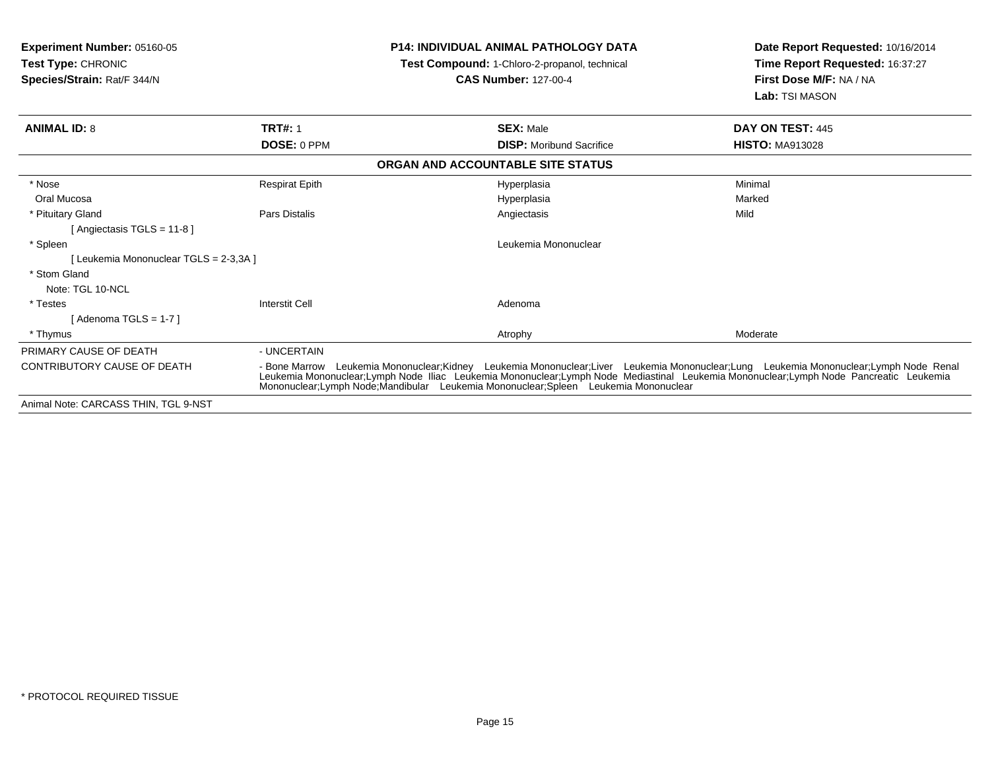| <b>Experiment Number: 05160-05</b><br>Test Type: CHRONIC<br>Species/Strain: Rat/F 344/N |                       | <b>P14: INDIVIDUAL ANIMAL PATHOLOGY DATA</b><br>Test Compound: 1-Chloro-2-propanol, technical<br><b>CAS Number: 127-00-4</b>                                                                                                                                                                                                                             | Date Report Requested: 10/16/2014<br>Time Report Requested: 16:37:27<br>First Dose M/F: NA / NA<br>Lab: TSI MASON |
|-----------------------------------------------------------------------------------------|-----------------------|----------------------------------------------------------------------------------------------------------------------------------------------------------------------------------------------------------------------------------------------------------------------------------------------------------------------------------------------------------|-------------------------------------------------------------------------------------------------------------------|
| <b>ANIMAL ID: 8</b>                                                                     | <b>TRT#: 1</b>        | <b>SEX: Male</b>                                                                                                                                                                                                                                                                                                                                         | DAY ON TEST: 445                                                                                                  |
|                                                                                         | DOSE: 0 PPM           | <b>DISP:</b> Moribund Sacrifice                                                                                                                                                                                                                                                                                                                          | <b>HISTO: MA913028</b>                                                                                            |
|                                                                                         |                       | ORGAN AND ACCOUNTABLE SITE STATUS                                                                                                                                                                                                                                                                                                                        |                                                                                                                   |
| * Nose                                                                                  | <b>Respirat Epith</b> | Hyperplasia                                                                                                                                                                                                                                                                                                                                              | Minimal                                                                                                           |
| Oral Mucosa                                                                             |                       | Hyperplasia                                                                                                                                                                                                                                                                                                                                              | Marked                                                                                                            |
| * Pituitary Gland                                                                       | Pars Distalis         | Angiectasis                                                                                                                                                                                                                                                                                                                                              | Mild                                                                                                              |
| [Angiectasis TGLS = 11-8]                                                               |                       |                                                                                                                                                                                                                                                                                                                                                          |                                                                                                                   |
| * Spleen                                                                                |                       | Leukemia Mononuclear                                                                                                                                                                                                                                                                                                                                     |                                                                                                                   |
| [ Leukemia Mononuclear TGLS = 2-3,3A ]                                                  |                       |                                                                                                                                                                                                                                                                                                                                                          |                                                                                                                   |
| * Stom Gland                                                                            |                       |                                                                                                                                                                                                                                                                                                                                                          |                                                                                                                   |
| Note: TGL 10-NCL                                                                        |                       |                                                                                                                                                                                                                                                                                                                                                          |                                                                                                                   |
| * Testes                                                                                | <b>Interstit Cell</b> | Adenoma                                                                                                                                                                                                                                                                                                                                                  |                                                                                                                   |
| [Adenoma TGLS = 1-7]                                                                    |                       |                                                                                                                                                                                                                                                                                                                                                          |                                                                                                                   |
| * Thymus                                                                                |                       | Atrophy                                                                                                                                                                                                                                                                                                                                                  | Moderate                                                                                                          |
| PRIMARY CAUSE OF DEATH                                                                  | - UNCERTAIN           |                                                                                                                                                                                                                                                                                                                                                          |                                                                                                                   |
| CONTRIBUTORY CAUSE OF DEATH                                                             | - Bone Marrow         | Leukemia Mononuclear;Kidney Leukemia Mononuclear;Liver Leukemia Mononuclear;Lung Leukemia Mononuclear;Lymph Node Renal<br>Leukemia Mononuclear;Lymph Node Iliac Leukemia Mononuclear;Lymph Node Mediastinal Leukemia Mononuclear;Lymph Node Pancreatic Leukemia<br>Mononuclear: Lymph Node: Mandibular Leukemia Mononuclear: Spleen Leukemia Mononuclear |                                                                                                                   |
| Animal Note: CARCASS THIN, TGL 9-NST                                                    |                       |                                                                                                                                                                                                                                                                                                                                                          |                                                                                                                   |
|                                                                                         |                       |                                                                                                                                                                                                                                                                                                                                                          |                                                                                                                   |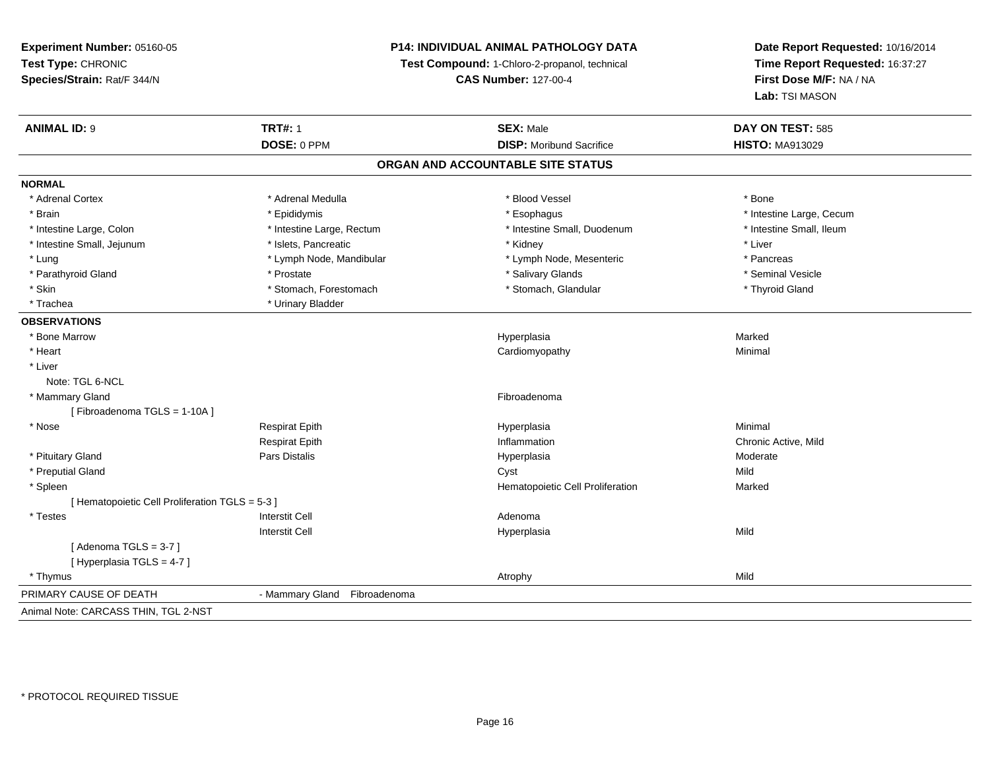# **P14: INDIVIDUAL ANIMAL PATHOLOGY DATA**

**Test Compound:** 1-Chloro-2-propanol, technical

**CAS Number:** 127-00-4

| <b>ANIMAL ID: 9</b>                             | <b>TRT#: 1</b>               | <b>SEX: Male</b>                  | DAY ON TEST: 585         |  |
|-------------------------------------------------|------------------------------|-----------------------------------|--------------------------|--|
|                                                 | DOSE: 0 PPM                  | <b>DISP:</b> Moribund Sacrifice   | <b>HISTO: MA913029</b>   |  |
|                                                 |                              | ORGAN AND ACCOUNTABLE SITE STATUS |                          |  |
| <b>NORMAL</b>                                   |                              |                                   |                          |  |
| * Adrenal Cortex                                | * Adrenal Medulla            | * Blood Vessel                    | * Bone                   |  |
| * Brain                                         | * Epididymis                 | * Esophagus                       | * Intestine Large, Cecum |  |
| * Intestine Large, Colon                        | * Intestine Large, Rectum    | * Intestine Small, Duodenum       | * Intestine Small, Ileum |  |
| * Intestine Small, Jejunum                      | * Islets, Pancreatic         | * Kidney                          | * Liver                  |  |
| * Lung                                          | * Lymph Node, Mandibular     | * Lymph Node, Mesenteric          | * Pancreas               |  |
| * Parathyroid Gland                             | * Prostate                   | * Salivary Glands                 | * Seminal Vesicle        |  |
| * Skin                                          | * Stomach, Forestomach       | * Stomach, Glandular              | * Thyroid Gland          |  |
| * Trachea                                       | * Urinary Bladder            |                                   |                          |  |
| <b>OBSERVATIONS</b>                             |                              |                                   |                          |  |
| * Bone Marrow                                   |                              | Hyperplasia                       | Marked                   |  |
| * Heart                                         |                              | Cardiomyopathy                    | Minimal                  |  |
| * Liver                                         |                              |                                   |                          |  |
| Note: TGL 6-NCL                                 |                              |                                   |                          |  |
| * Mammary Gland                                 |                              | Fibroadenoma                      |                          |  |
| [Fibroadenoma TGLS = 1-10A]                     |                              |                                   |                          |  |
| * Nose                                          | <b>Respirat Epith</b>        | Hyperplasia                       | Minimal                  |  |
|                                                 | <b>Respirat Epith</b>        | Inflammation                      | Chronic Active, Mild     |  |
| * Pituitary Gland                               | Pars Distalis                | Hyperplasia                       | Moderate                 |  |
| * Preputial Gland                               |                              | Cyst                              | Mild                     |  |
| * Spleen                                        |                              | Hematopoietic Cell Proliferation  | Marked                   |  |
| [ Hematopoietic Cell Proliferation TGLS = 5-3 ] |                              |                                   |                          |  |
| $*$ Testes                                      | <b>Interstit Cell</b>        | Adenoma                           |                          |  |
|                                                 | <b>Interstit Cell</b>        | Hyperplasia                       | Mild                     |  |
| [Adenoma TGLS = $3-7$ ]                         |                              |                                   |                          |  |
| [Hyperplasia TGLS = 4-7]                        |                              |                                   |                          |  |
| * Thymus                                        |                              | Atrophy                           | Mild                     |  |
| PRIMARY CAUSE OF DEATH                          | - Mammary Gland Fibroadenoma |                                   |                          |  |
| Animal Note: CARCASS THIN, TGL 2-NST            |                              |                                   |                          |  |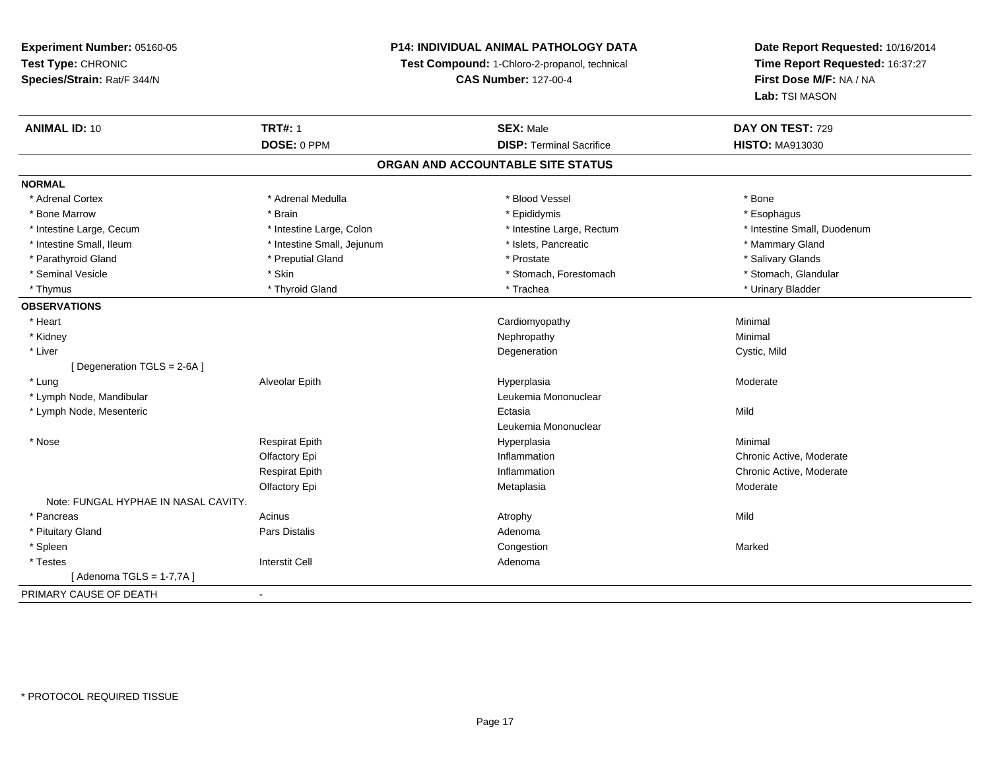# **P14: INDIVIDUAL ANIMAL PATHOLOGY DATA**

**Test Compound:** 1-Chloro-2-propanol, technical

**CAS Number:** 127-00-4

| <b>ANIMAL ID: 10</b>                 | <b>TRT#: 1</b>             | <b>SEX: Male</b>                  | DAY ON TEST: 729            |
|--------------------------------------|----------------------------|-----------------------------------|-----------------------------|
|                                      | DOSE: 0 PPM                | <b>DISP: Terminal Sacrifice</b>   | <b>HISTO: MA913030</b>      |
|                                      |                            | ORGAN AND ACCOUNTABLE SITE STATUS |                             |
| <b>NORMAL</b>                        |                            |                                   |                             |
| * Adrenal Cortex                     | * Adrenal Medulla          | * Blood Vessel                    | * Bone                      |
| * Bone Marrow                        | * Brain                    | * Epididymis                      | * Esophagus                 |
| * Intestine Large, Cecum             | * Intestine Large, Colon   | * Intestine Large, Rectum         | * Intestine Small, Duodenum |
| * Intestine Small, Ileum             | * Intestine Small, Jejunum | * Islets, Pancreatic              | * Mammary Gland             |
| * Parathyroid Gland                  | * Preputial Gland          | * Prostate                        | * Salivary Glands           |
| * Seminal Vesicle                    | * Skin                     | * Stomach, Forestomach            | * Stomach, Glandular        |
| * Thymus                             | * Thyroid Gland            | * Trachea                         | * Urinary Bladder           |
| <b>OBSERVATIONS</b>                  |                            |                                   |                             |
| * Heart                              |                            | Cardiomyopathy                    | Minimal                     |
| * Kidney                             |                            | Nephropathy                       | Minimal                     |
| * Liver                              |                            | Degeneration                      | Cystic, Mild                |
| [ Degeneration TGLS = 2-6A ]         |                            |                                   |                             |
| * Lung                               | Alveolar Epith             | Hyperplasia                       | Moderate                    |
| * Lymph Node, Mandibular             |                            | Leukemia Mononuclear              |                             |
| * Lymph Node, Mesenteric             |                            | Ectasia                           | Mild                        |
|                                      |                            | Leukemia Mononuclear              |                             |
| * Nose                               | <b>Respirat Epith</b>      | Hyperplasia                       | Minimal                     |
|                                      | Olfactory Epi              | Inflammation                      | Chronic Active, Moderate    |
|                                      | <b>Respirat Epith</b>      | Inflammation                      | Chronic Active, Moderate    |
|                                      | Olfactory Epi              | Metaplasia                        | Moderate                    |
| Note: FUNGAL HYPHAE IN NASAL CAVITY. |                            |                                   |                             |
| * Pancreas                           | Acinus                     | Atrophy                           | Mild                        |
| * Pituitary Gland                    | Pars Distalis              | Adenoma                           |                             |
| * Spleen                             |                            | Congestion                        | Marked                      |
| * Testes                             | <b>Interstit Cell</b>      | Adenoma                           |                             |
| [Adenoma TGLS = 1-7,7A ]             |                            |                                   |                             |
| PRIMARY CAUSE OF DEATH               | $\sim$                     |                                   |                             |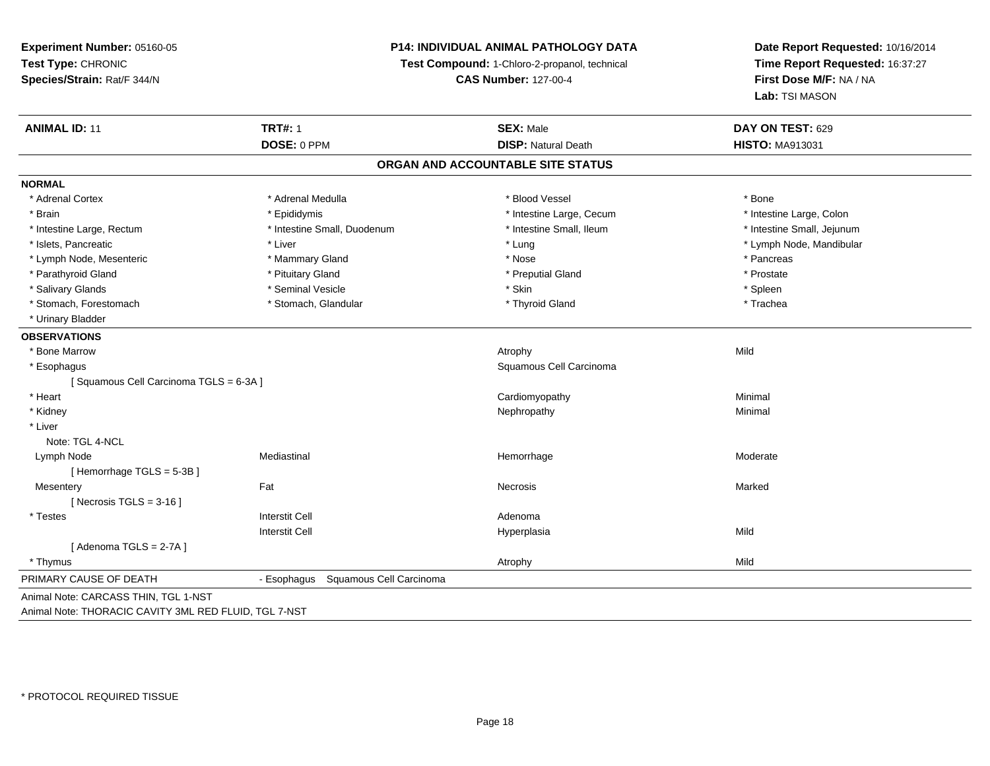# **P14: INDIVIDUAL ANIMAL PATHOLOGY DATA**

**Test Compound:** 1-Chloro-2-propanol, technical

**CAS Number:** 127-00-4

| <b>ANIMAL ID: 11</b>                                  | <b>TRT#: 1</b>                      | <b>SEX: Male</b>                  | DAY ON TEST: 629           |
|-------------------------------------------------------|-------------------------------------|-----------------------------------|----------------------------|
|                                                       | DOSE: 0 PPM                         | <b>DISP: Natural Death</b>        | <b>HISTO: MA913031</b>     |
|                                                       |                                     | ORGAN AND ACCOUNTABLE SITE STATUS |                            |
| <b>NORMAL</b>                                         |                                     |                                   |                            |
| * Adrenal Cortex                                      | * Adrenal Medulla                   | * Blood Vessel                    | * Bone                     |
| * Brain                                               | * Epididymis                        | * Intestine Large, Cecum          | * Intestine Large, Colon   |
| * Intestine Large, Rectum                             | * Intestine Small, Duodenum         | * Intestine Small, Ileum          | * Intestine Small, Jejunum |
| * Islets, Pancreatic                                  | * Liver                             | * Lung                            | * Lymph Node, Mandibular   |
| * Lymph Node, Mesenteric                              | * Mammary Gland                     | * Nose                            | * Pancreas                 |
| * Parathyroid Gland                                   | * Pituitary Gland                   | * Preputial Gland                 | * Prostate                 |
| * Salivary Glands                                     | * Seminal Vesicle                   | * Skin                            | * Spleen                   |
| * Stomach, Forestomach                                | * Stomach, Glandular                | * Thyroid Gland                   | * Trachea                  |
| * Urinary Bladder                                     |                                     |                                   |                            |
| <b>OBSERVATIONS</b>                                   |                                     |                                   |                            |
| * Bone Marrow                                         |                                     | Atrophy                           | Mild                       |
| * Esophagus                                           |                                     | Squamous Cell Carcinoma           |                            |
| [Squamous Cell Carcinoma TGLS = 6-3A]                 |                                     |                                   |                            |
| * Heart                                               |                                     | Cardiomyopathy                    | Minimal                    |
| * Kidney                                              |                                     | Nephropathy                       | Minimal                    |
| * Liver                                               |                                     |                                   |                            |
| Note: TGL 4-NCL                                       |                                     |                                   |                            |
| Lymph Node                                            | Mediastinal                         | Hemorrhage                        | Moderate                   |
| [Hemorrhage TGLS = 5-3B]                              |                                     |                                   |                            |
| Mesentery                                             | Fat                                 | Necrosis                          | Marked                     |
| [Necrosis TGLS = $3-16$ ]                             |                                     |                                   |                            |
| * Testes                                              | <b>Interstit Cell</b>               | Adenoma                           |                            |
|                                                       | <b>Interstit Cell</b>               | Hyperplasia                       | Mild                       |
| [Adenoma TGLS = $2-7A$ ]                              |                                     |                                   |                            |
| * Thymus                                              |                                     | Atrophy                           | Mild                       |
| PRIMARY CAUSE OF DEATH                                | - Esophagus Squamous Cell Carcinoma |                                   |                            |
| Animal Note: CARCASS THIN, TGL 1-NST                  |                                     |                                   |                            |
| Animal Note: THORACIC CAVITY 3ML RED FLUID, TGL 7-NST |                                     |                                   |                            |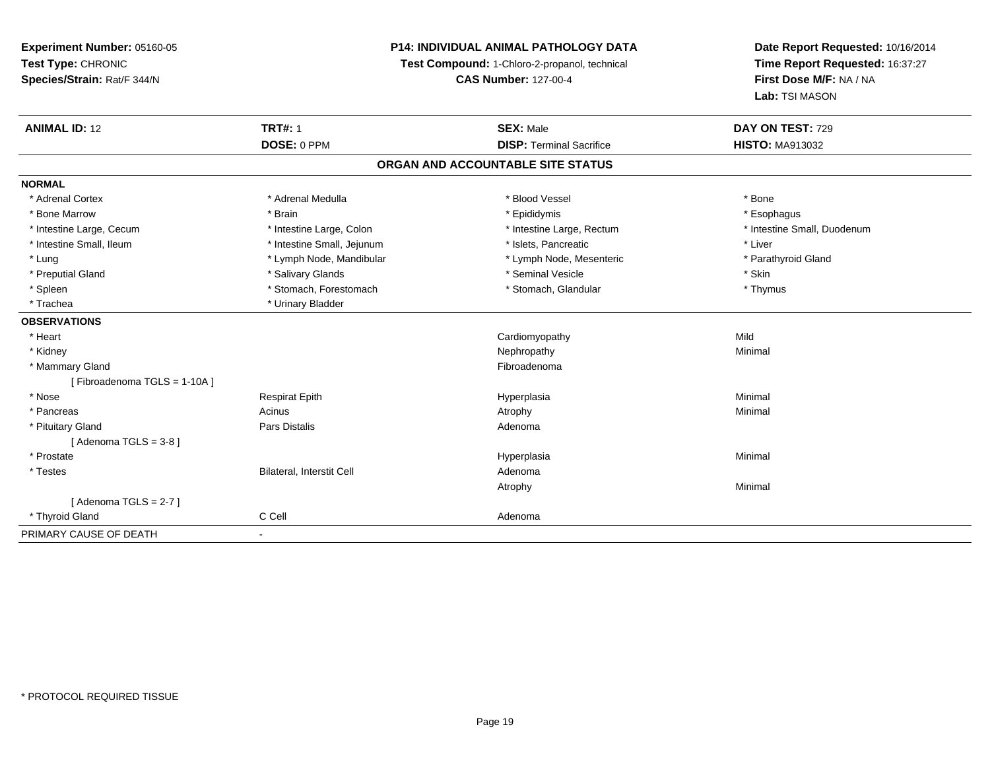# **P14: INDIVIDUAL ANIMAL PATHOLOGY DATA**

**Test Compound:** 1-Chloro-2-propanol, technical

**CAS Number:** 127-00-4

| <b>ANIMAL ID: 12</b>        | <b>TRT#: 1</b>                   | <b>SEX: Male</b>                  | DAY ON TEST: 729            |  |
|-----------------------------|----------------------------------|-----------------------------------|-----------------------------|--|
|                             | DOSE: 0 PPM                      | <b>DISP: Terminal Sacrifice</b>   | <b>HISTO: MA913032</b>      |  |
|                             |                                  | ORGAN AND ACCOUNTABLE SITE STATUS |                             |  |
| <b>NORMAL</b>               |                                  |                                   |                             |  |
| * Adrenal Cortex            | * Adrenal Medulla                | * Blood Vessel                    | * Bone                      |  |
| * Bone Marrow               | * Brain                          | * Epididymis                      | * Esophagus                 |  |
| * Intestine Large, Cecum    | * Intestine Large, Colon         | * Intestine Large, Rectum         | * Intestine Small, Duodenum |  |
| * Intestine Small, Ileum    | * Intestine Small, Jejunum       | * Islets, Pancreatic              | * Liver                     |  |
| * Lung                      | * Lymph Node, Mandibular         | * Lymph Node, Mesenteric          | * Parathyroid Gland         |  |
| * Preputial Gland           | * Salivary Glands                | * Seminal Vesicle                 | * Skin                      |  |
| * Spleen                    | * Stomach, Forestomach           | * Stomach, Glandular              | * Thymus                    |  |
| * Trachea                   | * Urinary Bladder                |                                   |                             |  |
| <b>OBSERVATIONS</b>         |                                  |                                   |                             |  |
| * Heart                     |                                  | Cardiomyopathy                    | Mild                        |  |
| * Kidney                    |                                  | Nephropathy                       | Minimal                     |  |
| * Mammary Gland             |                                  | Fibroadenoma                      |                             |  |
| [Fibroadenoma TGLS = 1-10A] |                                  |                                   |                             |  |
| * Nose                      | <b>Respirat Epith</b>            | Hyperplasia                       | Minimal                     |  |
| * Pancreas                  | Acinus                           | Atrophy                           | Minimal                     |  |
| * Pituitary Gland           | <b>Pars Distalis</b>             | Adenoma                           |                             |  |
| [Adenoma TGLS = $3-8$ ]     |                                  |                                   |                             |  |
| * Prostate                  |                                  | Hyperplasia                       | Minimal                     |  |
| * Testes                    | <b>Bilateral, Interstit Cell</b> | Adenoma                           |                             |  |
|                             |                                  | Atrophy                           | Minimal                     |  |
| [Adenoma TGLS = $2-7$ ]     |                                  |                                   |                             |  |
| * Thyroid Gland             | C Cell                           | Adenoma                           |                             |  |
| PRIMARY CAUSE OF DEATH      |                                  |                                   |                             |  |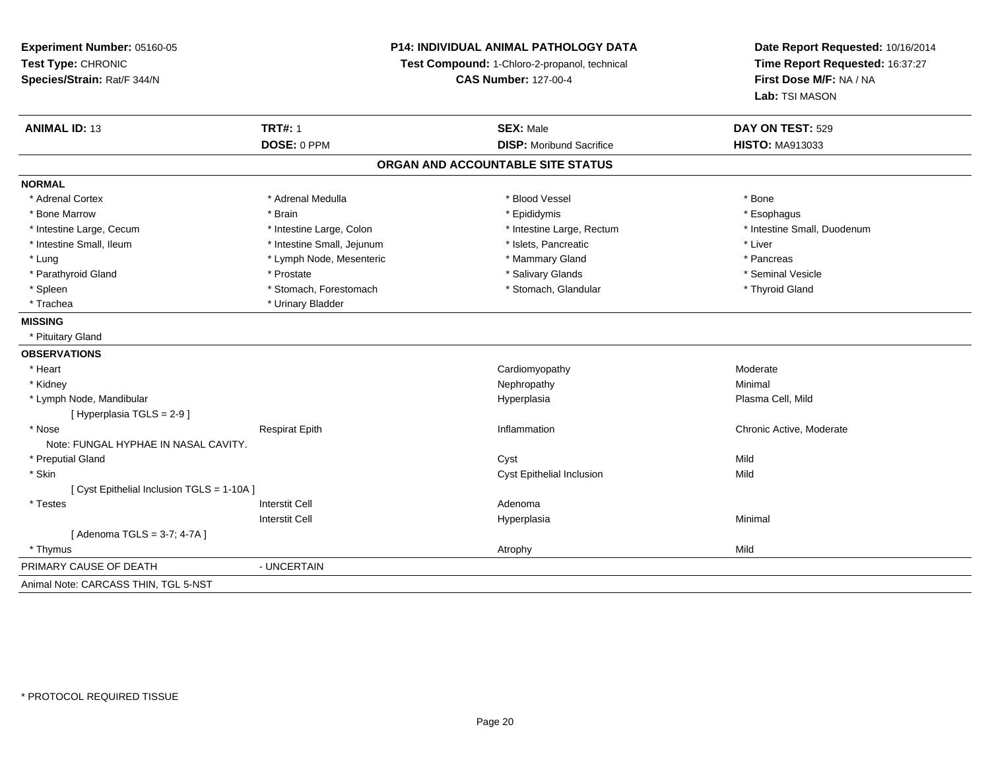**Experiment Number:** 05160-05**Test Type:** CHRONIC **Species/Strain:** Rat/F 344/N**P14: INDIVIDUAL ANIMAL PATHOLOGY DATATest Compound:** 1-Chloro-2-propanol, technical **CAS Number:** 127-00-4**Date Report Requested:** 10/16/2014**Time Report Requested:** 16:37:27**First Dose M/F:** NA / NA**Lab:** TSI MASON**ANIMAL ID:** 13**TRT#:** 1 **SEX:** Male **DAY ON TEST:** 529 **DOSE:** 0 PPM**DISP:** Moribund Sacrifice **HISTO:** MA913033 **ORGAN AND ACCOUNTABLE SITE STATUSNORMAL**\* Adrenal Cortex \* Adrenal Cortex \* \* Adrenal Medulla \* \* Adrenal Medulla \* \* Blood Vessel \* \* Brood Vessel \* \* Bone \* Esophagus \* Bone Marrow \* Brain \* Epididymis \* Esophagus \* Intestine Small, Duodenum \* Intestine Large, Cecum \* Intestine Large, Colon \* Intestine Small, Number 2014, Number 2016, Number 2016, Number 2016 \* Intestine Small, Ileum \* Intestine Small, Jejunum \* Islets, Pancreatic \* Liver\* Lung \* Lymph Node, Mesenteric \* Mammary Gland \* Mammary Gland \* Pancreas \* Pancreas \* Seminal Vesicle \* Parathyroid Gland \* \* \* Prostate \* \* Prostate \* \* Salivary Glands \* \* Salivary Glands \* \* Seminal Vesicle \* Spleen \* Stomach, Forestomach \* Stomach \* Stomach, Glandular \* Stomach, Glandular \* Thyroid Gland \* Trachea \* Urinary Bladder**MISSING** \* Pituitary Gland**OBSERVATIONS** \* Heart CardiomyopathyModerate<br>Minimal \* Kidneyy the control of the control of the control of the control of the control of the control of the control of the control of the control of the control of the control of the control of the control of the control of the contro \* Lymph Node, Mandibular Hyperplasia Plasma Cell, Mild [ Hyperplasia TGLS = 2-9 ] \* Nosee inflammation Chronic Active, Moderate Respirat Epith Inflammation Chronic Active, Moderate Chronic Active, Moderate Note: FUNGAL HYPHAE IN NASAL CAVITY. \* Preputial Glandd and the control of the control of the control of the control of the control of the control of the control of the control of the control of the control of the control of the control of the control of the control of the co \* Skinn and the control of the control of the control of the control of the control of the control of the control of  $C$ yst Epithelial Inclusion Mild [ Cyst Epithelial Inclusion TGLS = 1-10A ] \* Testess and the contractive contractive contractive contractive contractive contractive contractive contractive contractive contractive contractive contractive contractive contractive contractive contractive contractive contract I and the contract of the Hyperplasia Interstit Cella **Minimal** [ Adenoma TGLS = 3-7; 4-7A ] \* Thymuss and the control of the control of the control of the control of the control of the control of the control of the control of the control of the control of the control of the control of the control of the control of the co PRIMARY CAUSE OF DEATH - UNCERTAIN Animal Note: CARCASS THIN, TGL 5-NST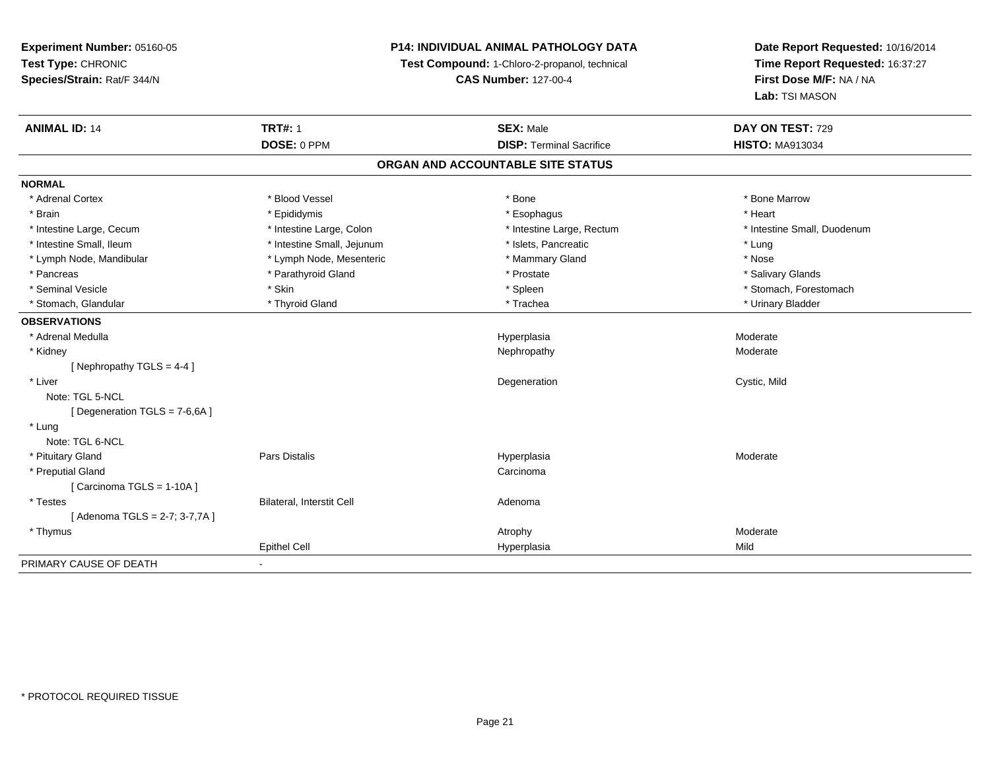# **P14: INDIVIDUAL ANIMAL PATHOLOGY DATA**

**Test Compound:** 1-Chloro-2-propanol, technical

**CAS Number:** 127-00-4

| <b>ANIMAL ID: 14</b>         | <b>TRT#: 1</b>             | <b>SEX: Male</b>                  | DAY ON TEST: 729            |
|------------------------------|----------------------------|-----------------------------------|-----------------------------|
|                              | DOSE: 0 PPM                | <b>DISP: Terminal Sacrifice</b>   | <b>HISTO: MA913034</b>      |
|                              |                            | ORGAN AND ACCOUNTABLE SITE STATUS |                             |
| <b>NORMAL</b>                |                            |                                   |                             |
| * Adrenal Cortex             | * Blood Vessel             | * Bone                            | * Bone Marrow               |
| * Brain                      | * Epididymis               | * Esophagus                       | * Heart                     |
| * Intestine Large, Cecum     | * Intestine Large, Colon   | * Intestine Large, Rectum         | * Intestine Small, Duodenum |
| * Intestine Small, Ileum     | * Intestine Small, Jejunum | * Islets, Pancreatic              | * Lung                      |
| * Lymph Node, Mandibular     | * Lymph Node, Mesenteric   | * Mammary Gland                   | * Nose                      |
| * Pancreas                   | * Parathyroid Gland        | * Prostate                        | * Salivary Glands           |
| * Seminal Vesicle            | * Skin                     | * Spleen                          | * Stomach, Forestomach      |
| * Stomach, Glandular         | * Thyroid Gland            | * Trachea                         | * Urinary Bladder           |
| <b>OBSERVATIONS</b>          |                            |                                   |                             |
| * Adrenal Medulla            |                            | Hyperplasia                       | Moderate                    |
| * Kidney                     |                            | Nephropathy                       | Moderate                    |
| [Nephropathy TGLS = 4-4]     |                            |                                   |                             |
| * Liver                      |                            | Degeneration                      | Cystic, Mild                |
| Note: TGL 5-NCL              |                            |                                   |                             |
| [Degeneration TGLS = 7-6,6A] |                            |                                   |                             |
| * Lung                       |                            |                                   |                             |
| Note: TGL 6-NCL              |                            |                                   |                             |
| * Pituitary Gland            | Pars Distalis              | Hyperplasia                       | Moderate                    |
| * Preputial Gland            |                            | Carcinoma                         |                             |
| [ Carcinoma TGLS = 1-10A ]   |                            |                                   |                             |
| * Testes                     | Bilateral, Interstit Cell  | Adenoma                           |                             |
| [Adenoma TGLS = 2-7; 3-7,7A] |                            |                                   |                             |
| * Thymus                     |                            | Atrophy                           | Moderate                    |
|                              | <b>Epithel Cell</b>        | Hyperplasia                       | Mild                        |
| PRIMARY CAUSE OF DEATH       | $\blacksquare$             |                                   |                             |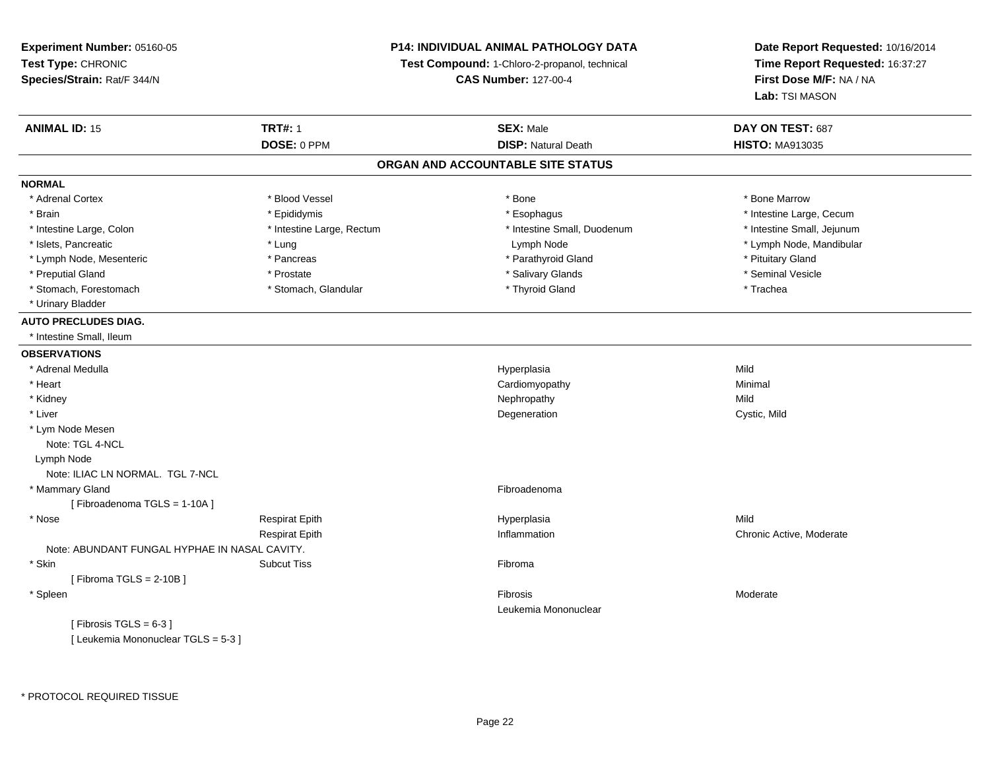**Experiment Number:** 05160-05**Test Type:** CHRONIC **Species/Strain:** Rat/F 344/N**ANIMAL ID:** 15**DOSE:** 0 PPM

**Time Report Requested:** 16:37:27**First Dose M/F:** NA / NA**Lab:** TSI MASON

**Date Report Requested:** 10/16/2014

| <b>ANIMAL ID: 15</b>                          | <b>TRT#: 1</b>            | <b>SEX: Male</b>                  | DAY ON TEST: 687           |
|-----------------------------------------------|---------------------------|-----------------------------------|----------------------------|
|                                               | DOSE: 0 PPM               | <b>DISP: Natural Death</b>        | <b>HISTO: MA913035</b>     |
|                                               |                           | ORGAN AND ACCOUNTABLE SITE STATUS |                            |
| <b>NORMAL</b>                                 |                           |                                   |                            |
| * Adrenal Cortex                              | * Blood Vessel            | * Bone                            | * Bone Marrow              |
| * Brain                                       | * Epididymis              | * Esophagus                       | * Intestine Large, Cecum   |
| * Intestine Large, Colon                      | * Intestine Large, Rectum | * Intestine Small, Duodenum       | * Intestine Small, Jejunum |
| * Islets, Pancreatic                          | * Lung                    | Lymph Node                        | * Lymph Node, Mandibular   |
| * Lymph Node, Mesenteric                      | * Pancreas                | * Parathyroid Gland               | * Pituitary Gland          |
| * Preputial Gland                             | * Prostate                | * Salivary Glands                 | * Seminal Vesicle          |
| * Stomach, Forestomach                        | * Stomach, Glandular      | * Thyroid Gland                   | * Trachea                  |
| * Urinary Bladder                             |                           |                                   |                            |
| <b>AUTO PRECLUDES DIAG.</b>                   |                           |                                   |                            |
| * Intestine Small. Ileum                      |                           |                                   |                            |
| <b>OBSERVATIONS</b>                           |                           |                                   |                            |
| * Adrenal Medulla                             |                           | Hyperplasia                       | Mild                       |
| * Heart                                       |                           | Cardiomyopathy                    | Minimal                    |
| * Kidney                                      |                           | Nephropathy                       | Mild                       |
| * Liver                                       |                           | Degeneration                      | Cystic, Mild               |
| * Lym Node Mesen                              |                           |                                   |                            |
| Note: TGL 4-NCL                               |                           |                                   |                            |
| Lymph Node                                    |                           |                                   |                            |
| Note: ILIAC LN NORMAL. TGL 7-NCL              |                           |                                   |                            |
| * Mammary Gland                               |                           | Fibroadenoma                      |                            |
| [Fibroadenoma TGLS = 1-10A]                   |                           |                                   |                            |
| * Nose                                        | <b>Respirat Epith</b>     | Hyperplasia                       | Mild                       |
|                                               | <b>Respirat Epith</b>     | Inflammation                      | Chronic Active, Moderate   |
| Note: ABUNDANT FUNGAL HYPHAE IN NASAL CAVITY. |                           |                                   |                            |
| * Skin                                        | <b>Subcut Tiss</b>        | Fibroma                           |                            |
| [Fibroma TGLS = $2-10B$ ]                     |                           |                                   |                            |
| * Spleen                                      |                           | Fibrosis                          | Moderate                   |
|                                               |                           | Leukemia Mononuclear              |                            |
| [Fibrosis TGLS = $6-3$ ]                      |                           |                                   |                            |
| [ Leukemia Mononuclear TGLS = 5-3 ]           |                           |                                   |                            |

**P14: INDIVIDUAL ANIMAL PATHOLOGY DATA Test Compound:** 1-Chloro-2-propanol, technical **CAS Number:** 127-00-4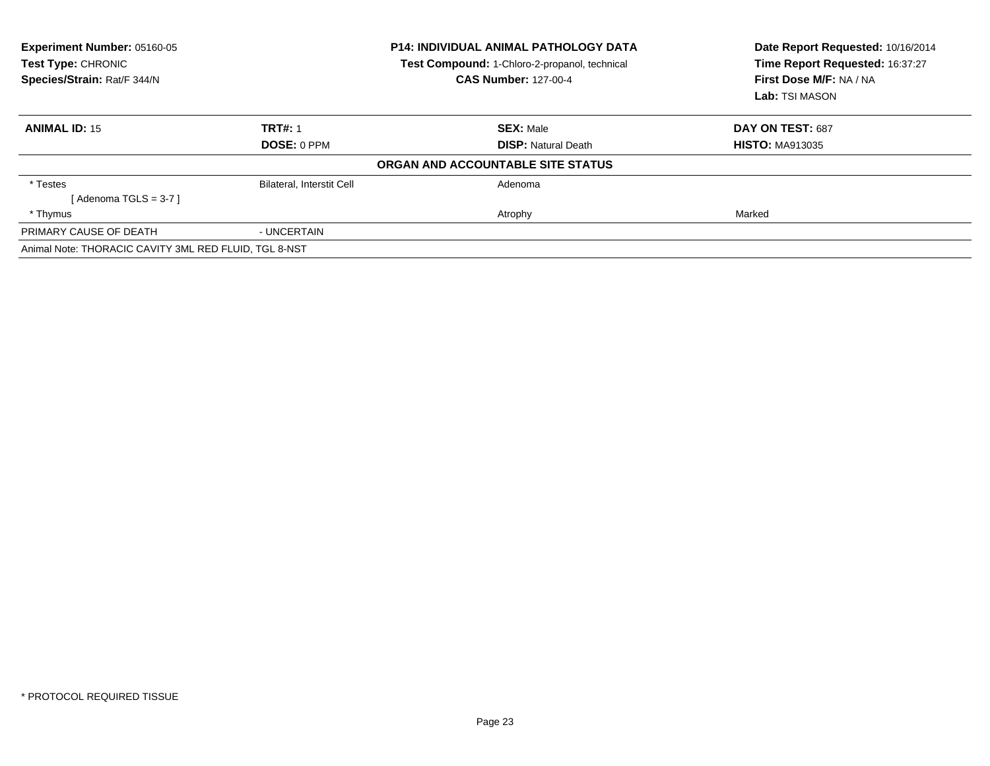| <b>Experiment Number: 05160-05</b><br>Test Type: CHRONIC<br>Species/Strain: Rat/F 344/N | <b>P14: INDIVIDUAL ANIMAL PATHOLOGY DATA</b><br>Test Compound: 1-Chloro-2-propanol, technical<br><b>CAS Number: 127-00-4</b> |                                   | Date Report Requested: 10/16/2014<br>Time Report Requested: 16:37:27<br>First Dose M/F: NA / NA<br>Lab: TSI MASON |  |
|-----------------------------------------------------------------------------------------|------------------------------------------------------------------------------------------------------------------------------|-----------------------------------|-------------------------------------------------------------------------------------------------------------------|--|
| <b>ANIMAL ID: 15</b>                                                                    | <b>TRT#: 1</b>                                                                                                               | <b>SEX: Male</b>                  | DAY ON TEST: 687                                                                                                  |  |
|                                                                                         | DOSE: 0 PPM                                                                                                                  | <b>DISP:</b> Natural Death        | <b>HISTO: MA913035</b>                                                                                            |  |
|                                                                                         |                                                                                                                              | ORGAN AND ACCOUNTABLE SITE STATUS |                                                                                                                   |  |
| * Testes                                                                                | Bilateral, Interstit Cell                                                                                                    | Adenoma                           |                                                                                                                   |  |
| [Adenoma TGLS = $3-7$ ]                                                                 |                                                                                                                              |                                   |                                                                                                                   |  |
| * Thymus                                                                                |                                                                                                                              | Atrophy                           | Marked                                                                                                            |  |
| PRIMARY CAUSE OF DEATH                                                                  | - UNCERTAIN                                                                                                                  |                                   |                                                                                                                   |  |
| Animal Note: THORACIC CAVITY 3ML RED FLUID, TGL 8-NST                                   |                                                                                                                              |                                   |                                                                                                                   |  |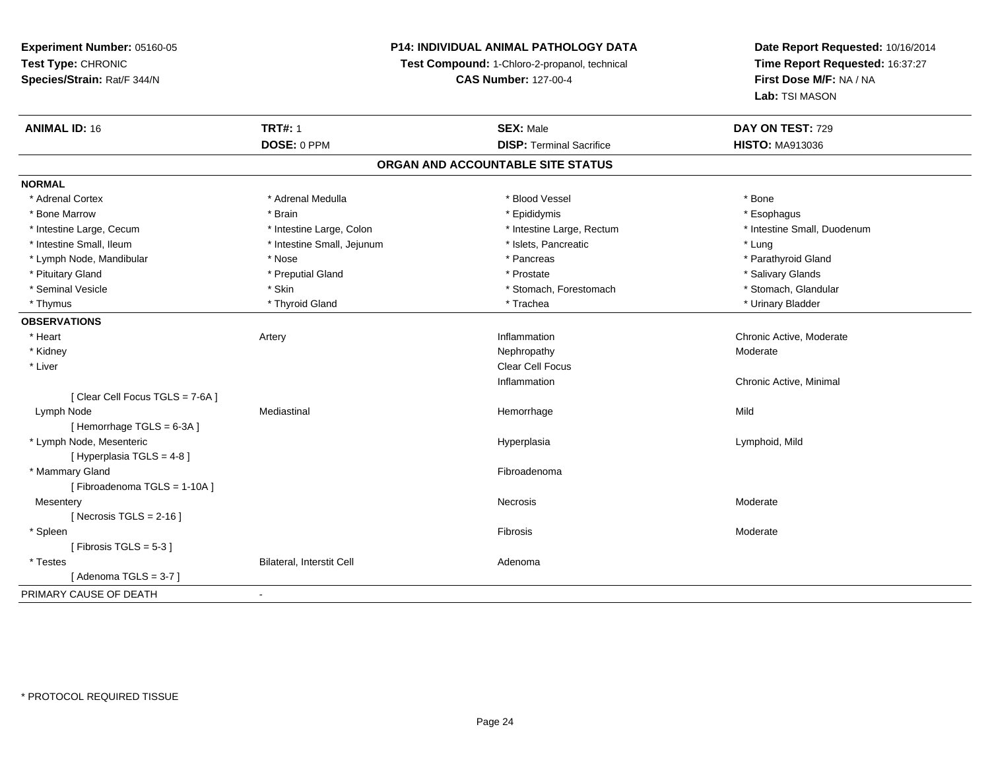# **P14: INDIVIDUAL ANIMAL PATHOLOGY DATA**

**Test Compound:** 1-Chloro-2-propanol, technical

**CAS Number:** 127-00-4

| <b>ANIMAL ID: 16</b>             | <b>TRT#: 1</b>             | <b>SEX: Male</b>                  | DAY ON TEST: 729            |  |
|----------------------------------|----------------------------|-----------------------------------|-----------------------------|--|
|                                  | DOSE: 0 PPM                | <b>DISP: Terminal Sacrifice</b>   | <b>HISTO: MA913036</b>      |  |
|                                  |                            | ORGAN AND ACCOUNTABLE SITE STATUS |                             |  |
| <b>NORMAL</b>                    |                            |                                   |                             |  |
| * Adrenal Cortex                 | * Adrenal Medulla          | * Blood Vessel                    | * Bone                      |  |
| * Bone Marrow                    | * Brain                    | * Epididymis                      | * Esophagus                 |  |
| * Intestine Large, Cecum         | * Intestine Large, Colon   | * Intestine Large, Rectum         | * Intestine Small, Duodenum |  |
| * Intestine Small, Ileum         | * Intestine Small, Jejunum | * Islets, Pancreatic              | * Lung                      |  |
| * Lymph Node, Mandibular         | * Nose                     | * Pancreas                        | * Parathyroid Gland         |  |
| * Pituitary Gland                | * Preputial Gland          | * Prostate                        | * Salivary Glands           |  |
| * Seminal Vesicle                | * Skin                     | * Stomach, Forestomach            | * Stomach, Glandular        |  |
| * Thymus                         | * Thyroid Gland            | * Trachea                         | * Urinary Bladder           |  |
| <b>OBSERVATIONS</b>              |                            |                                   |                             |  |
| * Heart                          | Artery                     | Inflammation                      | Chronic Active, Moderate    |  |
| * Kidney                         |                            | Nephropathy                       | Moderate                    |  |
| * Liver                          |                            | Clear Cell Focus                  |                             |  |
|                                  |                            | Inflammation                      | Chronic Active, Minimal     |  |
| [ Clear Cell Focus TGLS = 7-6A ] |                            |                                   |                             |  |
| Lymph Node                       | Mediastinal                | Hemorrhage                        | Mild                        |  |
| [Hemorrhage TGLS = 6-3A]         |                            |                                   |                             |  |
| * Lymph Node, Mesenteric         |                            | Hyperplasia                       | Lymphoid, Mild              |  |
| [Hyperplasia TGLS = 4-8]         |                            |                                   |                             |  |
| * Mammary Gland                  |                            | Fibroadenoma                      |                             |  |
| [Fibroadenoma TGLS = 1-10A]      |                            |                                   |                             |  |
| Mesentery                        |                            | Necrosis                          | Moderate                    |  |
| [Necrosis TGLS = $2-16$ ]        |                            |                                   |                             |  |
| * Spleen                         |                            | Fibrosis                          | Moderate                    |  |
| [Fibrosis TGLS = $5-3$ ]         |                            |                                   |                             |  |
| * Testes                         | Bilateral, Interstit Cell  | Adenoma                           |                             |  |
| [Adenoma TGLS = $3-7$ ]          |                            |                                   |                             |  |
| PRIMARY CAUSE OF DEATH           | $\blacksquare$             |                                   |                             |  |
|                                  |                            |                                   |                             |  |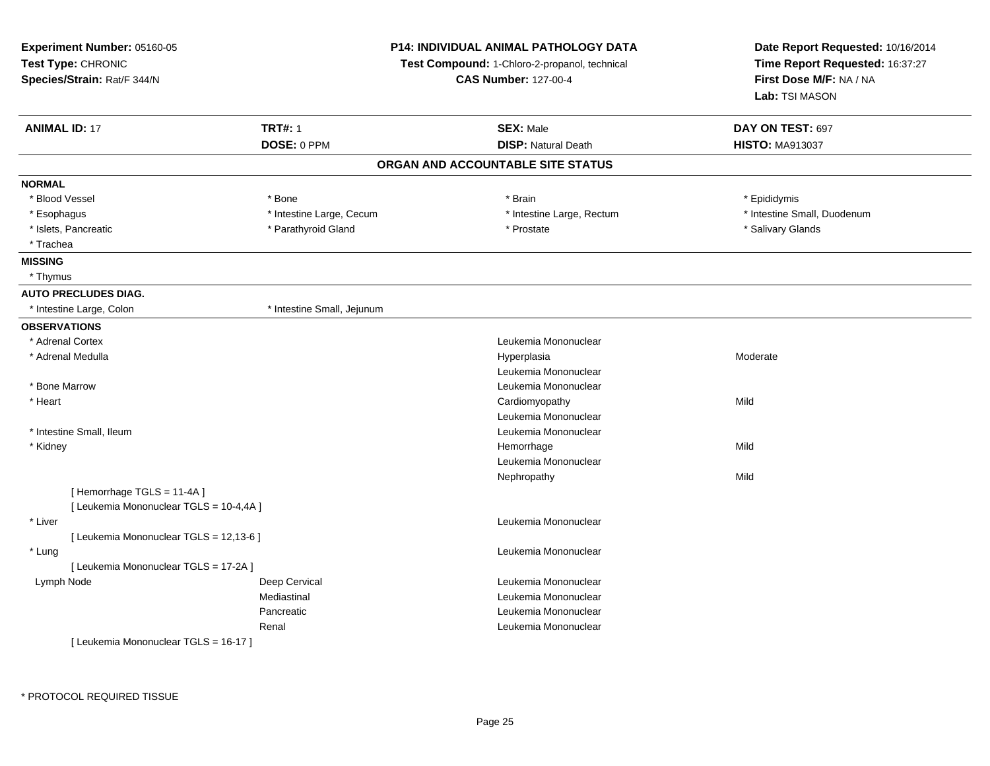| Experiment Number: 05160-05<br>Test Type: CHRONIC<br>Species/Strain: Rat/F 344/N |                            | <b>P14: INDIVIDUAL ANIMAL PATHOLOGY DATA</b><br>Test Compound: 1-Chloro-2-propanol, technical<br><b>CAS Number: 127-00-4</b> | Date Report Requested: 10/16/2014<br>Time Report Requested: 16:37:27<br>First Dose M/F: NA / NA<br>Lab: TSI MASON |
|----------------------------------------------------------------------------------|----------------------------|------------------------------------------------------------------------------------------------------------------------------|-------------------------------------------------------------------------------------------------------------------|
| <b>ANIMAL ID: 17</b>                                                             | <b>TRT#: 1</b>             | <b>SEX: Male</b>                                                                                                             | DAY ON TEST: 697                                                                                                  |
|                                                                                  | DOSE: 0 PPM                | <b>DISP: Natural Death</b>                                                                                                   | <b>HISTO: MA913037</b>                                                                                            |
|                                                                                  |                            | ORGAN AND ACCOUNTABLE SITE STATUS                                                                                            |                                                                                                                   |
| <b>NORMAL</b>                                                                    |                            |                                                                                                                              |                                                                                                                   |
| * Blood Vessel                                                                   | * Bone                     | * Brain                                                                                                                      | * Epididymis                                                                                                      |
| * Esophagus                                                                      | * Intestine Large, Cecum   | * Intestine Large, Rectum                                                                                                    | * Intestine Small, Duodenum                                                                                       |
| * Islets, Pancreatic                                                             | * Parathyroid Gland        | * Prostate                                                                                                                   | * Salivary Glands                                                                                                 |
| * Trachea                                                                        |                            |                                                                                                                              |                                                                                                                   |
| <b>MISSING</b>                                                                   |                            |                                                                                                                              |                                                                                                                   |
| * Thymus                                                                         |                            |                                                                                                                              |                                                                                                                   |
| <b>AUTO PRECLUDES DIAG.</b>                                                      |                            |                                                                                                                              |                                                                                                                   |
| * Intestine Large, Colon                                                         | * Intestine Small, Jejunum |                                                                                                                              |                                                                                                                   |
| <b>OBSERVATIONS</b>                                                              |                            |                                                                                                                              |                                                                                                                   |
| * Adrenal Cortex                                                                 |                            | Leukemia Mononuclear                                                                                                         |                                                                                                                   |
| * Adrenal Medulla                                                                |                            | Hyperplasia                                                                                                                  | Moderate                                                                                                          |
|                                                                                  |                            | Leukemia Mononuclear                                                                                                         |                                                                                                                   |
| * Bone Marrow                                                                    |                            | Leukemia Mononuclear                                                                                                         |                                                                                                                   |
| * Heart                                                                          |                            | Cardiomyopathy                                                                                                               | Mild                                                                                                              |
|                                                                                  |                            | Leukemia Mononuclear                                                                                                         |                                                                                                                   |
| * Intestine Small, Ileum                                                         |                            | Leukemia Mononuclear                                                                                                         |                                                                                                                   |
| * Kidney                                                                         |                            | Hemorrhage                                                                                                                   | Mild                                                                                                              |
|                                                                                  |                            | Leukemia Mononuclear                                                                                                         |                                                                                                                   |
|                                                                                  |                            | Nephropathy                                                                                                                  | Mild                                                                                                              |
| [Hemorrhage TGLS = 11-4A]                                                        |                            |                                                                                                                              |                                                                                                                   |
| [ Leukemia Mononuclear TGLS = 10-4,4A ]                                          |                            |                                                                                                                              |                                                                                                                   |
| * Liver                                                                          |                            | Leukemia Mononuclear                                                                                                         |                                                                                                                   |
| [ Leukemia Mononuclear TGLS = 12,13-6 ]                                          |                            |                                                                                                                              |                                                                                                                   |
| * Lung                                                                           |                            | Leukemia Mononuclear                                                                                                         |                                                                                                                   |
| [ Leukemia Mononuclear TGLS = 17-2A ]                                            |                            |                                                                                                                              |                                                                                                                   |
| Lymph Node                                                                       | Deep Cervical              | Leukemia Mononuclear                                                                                                         |                                                                                                                   |
|                                                                                  | Mediastinal                | Leukemia Mononuclear                                                                                                         |                                                                                                                   |
|                                                                                  | Pancreatic                 | Leukemia Mononuclear                                                                                                         |                                                                                                                   |
|                                                                                  | Renal                      | Leukemia Mononuclear                                                                                                         |                                                                                                                   |
| [Leukemia Mononuclear TGLS = 16-17]                                              |                            |                                                                                                                              |                                                                                                                   |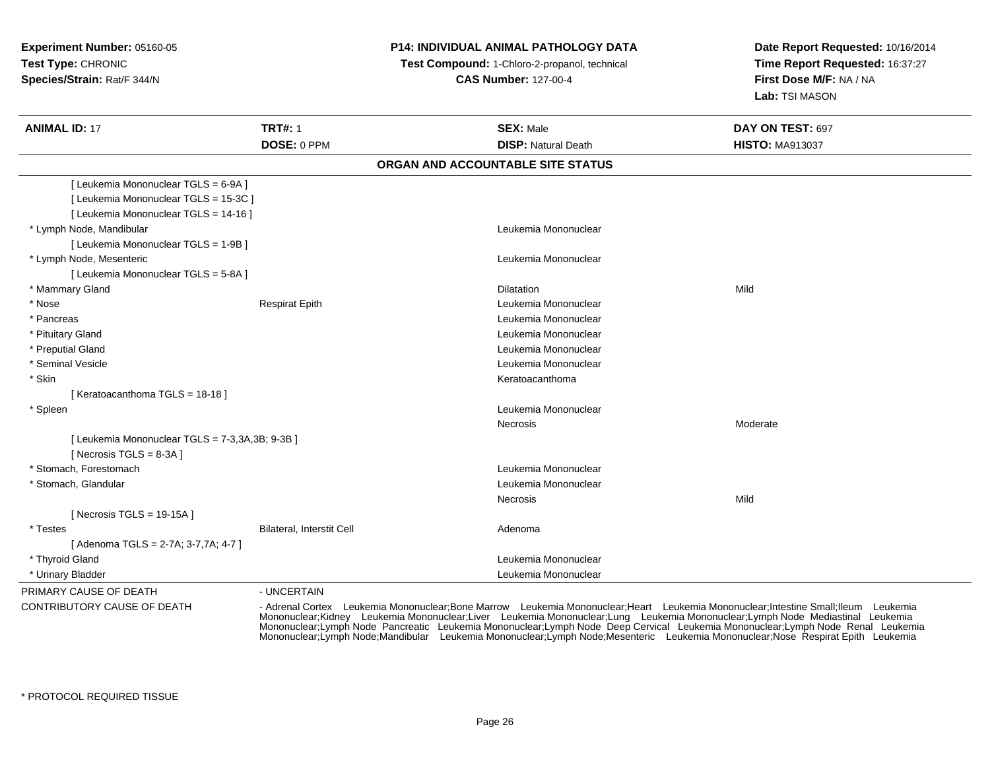## **P14: INDIVIDUAL ANIMAL PATHOLOGY DATA**

 **Test Compound:** 1-Chloro-2-propanol, technical **CAS Number:** 127-00-4

**Date Report Requested:** 10/16/2014**Time Report Requested:** 16:37:27**First Dose M/F:** NA / NA**Lab:** TSI MASON

| <b>ANIMAL ID: 17</b>                            | <b>TRT#: 1</b>            | <b>SEX: Male</b>                  | DAY ON TEST: 697       |
|-------------------------------------------------|---------------------------|-----------------------------------|------------------------|
|                                                 | DOSE: 0 PPM               | <b>DISP: Natural Death</b>        | <b>HISTO: MA913037</b> |
|                                                 |                           | ORGAN AND ACCOUNTABLE SITE STATUS |                        |
| [ Leukemia Mononuclear TGLS = 6-9A ]            |                           |                                   |                        |
| [ Leukemia Mononuclear TGLS = 15-3C ]           |                           |                                   |                        |
| [ Leukemia Mononuclear TGLS = 14-16 ]           |                           |                                   |                        |
| * Lymph Node, Mandibular                        |                           | Leukemia Mononuclear              |                        |
| [ Leukemia Mononuclear TGLS = 1-9B ]            |                           |                                   |                        |
| * Lymph Node, Mesenteric                        |                           | Leukemia Mononuclear              |                        |
| [ Leukemia Mononuclear TGLS = 5-8A ]            |                           |                                   |                        |
| * Mammary Gland                                 |                           | <b>Dilatation</b>                 | Mild                   |
| * Nose                                          | <b>Respirat Epith</b>     | Leukemia Mononuclear              |                        |
| * Pancreas                                      |                           | Leukemia Mononuclear              |                        |
| * Pituitary Gland                               |                           | Leukemia Mononuclear              |                        |
| * Preputial Gland                               |                           | Leukemia Mononuclear              |                        |
| * Seminal Vesicle                               |                           | Leukemia Mononuclear              |                        |
| * Skin                                          |                           | Keratoacanthoma                   |                        |
| [Keratoacanthoma TGLS = 18-18]                  |                           |                                   |                        |
| * Spleen                                        |                           | Leukemia Mononuclear              |                        |
|                                                 |                           | Necrosis                          | Moderate               |
| [ Leukemia Mononuclear TGLS = 7-3,3A,3B; 9-3B ] |                           |                                   |                        |
| [ Necrosis $TGLS = 8-3A$ ]                      |                           |                                   |                        |
| * Stomach, Forestomach                          |                           | Leukemia Mononuclear              |                        |
| * Stomach, Glandular                            |                           | Leukemia Mononuclear              |                        |
|                                                 |                           | Necrosis                          | Mild                   |
| [ Necrosis TGLS = $19-15A$ ]                    |                           |                                   |                        |
| * Testes                                        | Bilateral, Interstit Cell | Adenoma                           |                        |
| [Adenoma TGLS = 2-7A; 3-7,7A; 4-7]              |                           |                                   |                        |
| * Thyroid Gland                                 |                           | Leukemia Mononuclear              |                        |
| * Urinary Bladder                               |                           | Leukemia Mononuclear              |                        |
| PRIMARY CAUSE OF DEATH                          | - UNCERTAIN               |                                   |                        |

CONTRIBUTORY CAUSE OF DEATH

- Adrenal Cortex Leukemia Mononuclear;Bone Marrow Leukemia Mononuclear;Heart Leukemia Mononuclear;Intestine Small;Ileum Leukemia<br>Mononuclear;Kidney Leukemia Mononuclear;Lumer Leukemia Mononuclear;Lumg Leukemi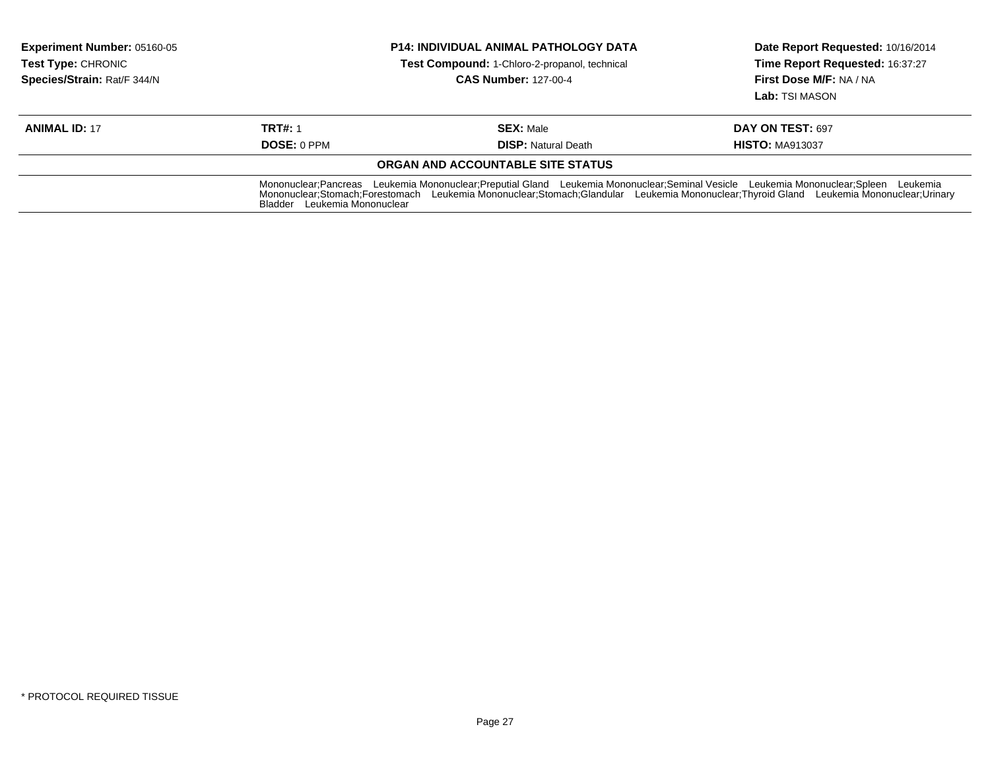| <b>Experiment Number: 05160-05</b><br><b>Test Type: CHRONIC</b><br>Species/Strain: Rat/F 344/N | <b>P14: INDIVIDUAL ANIMAL PATHOLOGY DATA</b><br><b>Test Compound: 1-Chloro-2-propanol, technical</b><br><b>CAS Number: 127-00-4</b> |                                                                                                                                                                                                                                                                               | Date Report Requested: 10/16/2014<br>Time Report Requested: 16:37:27<br>First Dose M/F: NA / NA<br>Lab: TSI MASON |
|------------------------------------------------------------------------------------------------|-------------------------------------------------------------------------------------------------------------------------------------|-------------------------------------------------------------------------------------------------------------------------------------------------------------------------------------------------------------------------------------------------------------------------------|-------------------------------------------------------------------------------------------------------------------|
| <b>ANIMAL ID: 17</b>                                                                           | <b>TRT#: 1</b>                                                                                                                      | <b>SEX: Male</b>                                                                                                                                                                                                                                                              | DAY ON TEST: 697                                                                                                  |
|                                                                                                | <b>DOSE: 0 PPM</b>                                                                                                                  | <b>DISP:</b> Natural Death                                                                                                                                                                                                                                                    | <b>HISTO: MA913037</b>                                                                                            |
|                                                                                                |                                                                                                                                     | ORGAN AND ACCOUNTABLE SITE STATUS                                                                                                                                                                                                                                             |                                                                                                                   |
|                                                                                                | Bladder Leukemia Mononuclear                                                                                                        | Mononuclear;Pancreas Leukemia Mononuclear;Preputial Gland Leukemia Mononuclear;Seminal Vesicle Leukemia Mononuclear;Spleen Leukemia<br>Mononuclear;Stomach;Forestomach Leukemia Mononuclear;Stomach;Glandular Leukemia Mononuclear;Thyroid Gland Leukemia Mononuclear;Urinary |                                                                                                                   |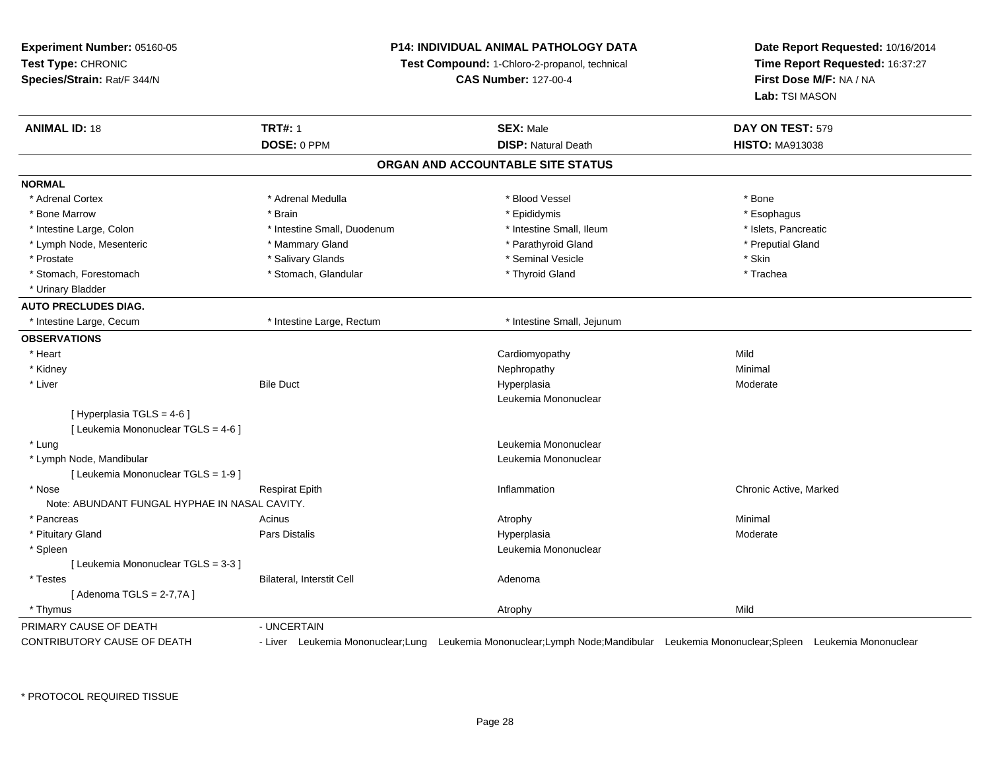**Experiment Number:** 05160-05**Test Type:** CHRONIC **Species/Strain:** Rat/F 344/N**P14: INDIVIDUAL ANIMAL PATHOLOGY DATATest Compound:** 1-Chloro-2-propanol, technical **CAS Number:** 127-00-4**Date Report Requested:** 10/16/2014**Time Report Requested:** 16:37:27**First Dose M/F:** NA / NA**Lab:** TSI MASON**ANIMAL ID:** 18**TRT#:** 1 **SEX:** Male **DAY ON TEST:** 579 **DOSE:** 0 PPM**DISP:** Natural Death **HISTO:** MA913038 **ORGAN AND ACCOUNTABLE SITE STATUSNORMAL**\* Adrenal Cortex \* Adrenal Cortex \* \* Adrenal Medulla \* \* Adrenal Medulla \* \* Blood Vessel \* \* Brood Vessel \* \* Bone \* Esophagus \* Bone Marrow \* Brain \* Epididymis \* Esophagus \* Islets. Pancreatic \* Intestine Large, Colon \* Intestine Small, Duodenum \* Intestine Small, Puodenum \* 1ntestine Small, Ileum \* Lymph Node, Mesenteric \* The matter of the Mammary Gland \* Mammary Gland \* Parathyroid Gland \* Preputial Gland \* Preputial Gland \* Prostate \* \* Salivary Glands \* \* Salivary Glands \* \* Seminal Vesicle \* \* \* Seminal Yestrich \* \* Skin \* \* Skin \* Trachea \* Stomach, Forestomach \* Thyroid Gland \* Stomach, Glandular \* Thyroid Gland \* Thyroid Gland \* Urinary Bladder**AUTO PRECLUDES DIAG.** \* Intestine Large, Cecum \* Intestine Large, Rectum \* Intestine Small, Jejunum**OBSERVATIONS** \* Heart Cardiomyopathyy Mild Minimal \* Kidneyy the control of the control of the control of the control of the control of the control of the control of the control of the control of the control of the control of the control of the control of the control of the contro \* Liver Bile Duct Hyperplasiaa **Moderate** Leukemia Mononuclear $[$  Hyperplasia TGLS = 4-6  $]$ [ Leukemia Mononuclear TGLS = 4-6 ] \* Lung Leukemia Mononuclear \* Lymph Node, Mandibular Leukemia Mononuclear [ Leukemia Mononuclear TGLS = 1-9 ] \* Nosee and the second of the series of the series of the control of the series of the chronic Active, Marked and the Respirat Epith Inflammation Chronic Active, Marked and the series of the series of the series of the series of Note: ABUNDANT FUNGAL HYPHAE IN NASAL CAVITY. \* Pancreass the control of the control of the control of the control of the control of the control of the control of the control of the control of the control of the control of the control of the control of the control of the contro \* Pituitary Gland Pars Distalis Hyperplasia Moderate \* Spleenn and the control of the control of the control of the control of the control of the control of the control of the control of the control of the control of the control of the control of the control of the control of the co [ Leukemia Mononuclear TGLS = 3-3 ] \* TestesBilateral, Interstit Cell **Adenoma** Adenoma  $[$  Adenoma TGLS = 2-7,7A  $]$  \* Thymuss and the control of the control of the control of the control of the control of the control of the control of the control of the control of the control of the control of the control of the control of the control of the co PRIMARY CAUSE OF DEATH - UNCERTAIN CONTRIBUTORY CAUSE OF DEATH- Liver Leukemia Mononuclear;Lung Leukemia Mononuclear;Lymph Node;Mandibular Leukemia Mononuclear;Spleen Leukemia Mononuclear

\* PROTOCOL REQUIRED TISSUE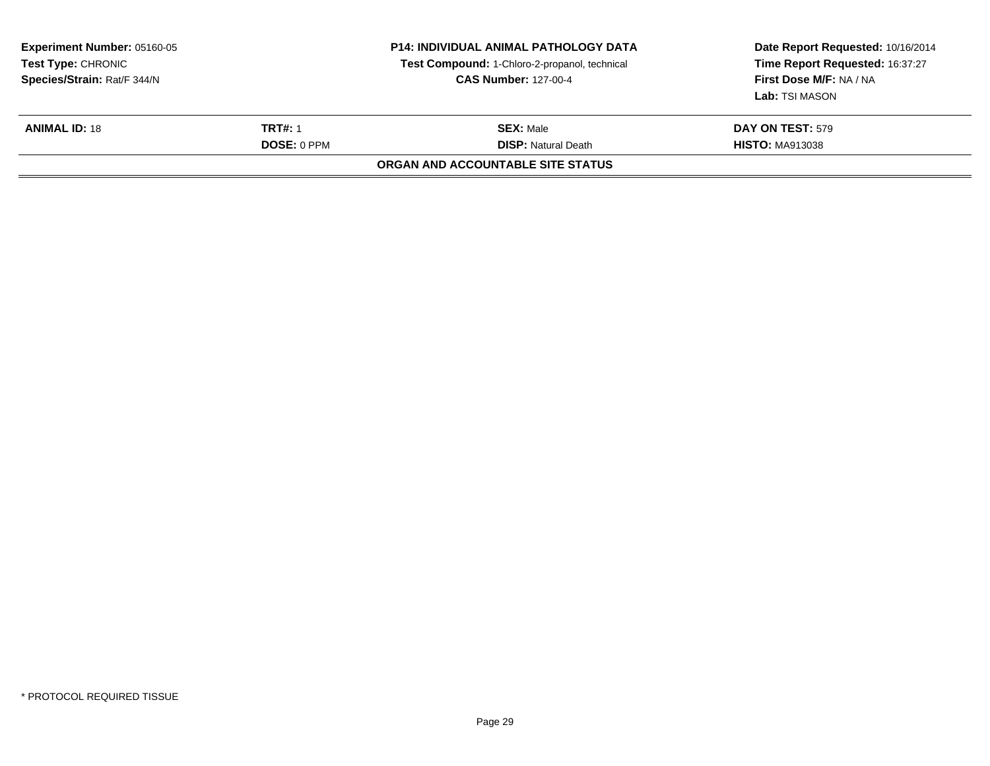| <b>Experiment Number: 05160-05</b><br>Test Type: CHRONIC<br>Species/Strain: Rat/F 344/N |                                      | <b>P14: INDIVIDUAL ANIMAL PATHOLOGY DATA</b><br>Test Compound: 1-Chloro-2-propanol, technical<br><b>CAS Number: 127-00-4</b> | Date Report Requested: 10/16/2014<br>Time Report Requested: 16:37:27<br>First Dose M/F: NA / NA<br><b>Lab:</b> TSI MASON |
|-----------------------------------------------------------------------------------------|--------------------------------------|------------------------------------------------------------------------------------------------------------------------------|--------------------------------------------------------------------------------------------------------------------------|
| <b>ANIMAL ID: 18</b>                                                                    | <b>TRT#: 1</b><br><b>DOSE: 0 PPM</b> | <b>SEX: Male</b><br><b>DISP:</b> Natural Death                                                                               | <b>DAY ON TEST: 579</b><br><b>HISTO: MA913038</b>                                                                        |
|                                                                                         |                                      | ORGAN AND ACCOUNTABLE SITE STATUS                                                                                            |                                                                                                                          |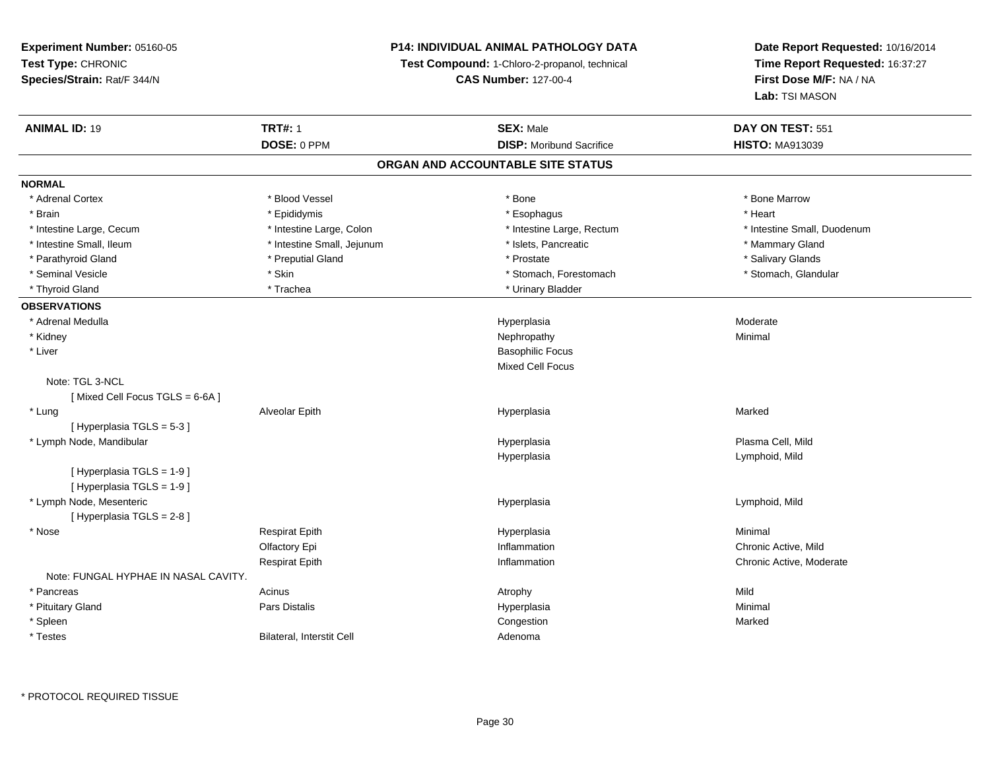# **P14: INDIVIDUAL ANIMAL PATHOLOGY DATA**

**Test Compound:** 1-Chloro-2-propanol, technical

**CAS Number:** 127-00-4

| <b>ANIMAL ID: 19</b>                 | <b>TRT#: 1</b>             | <b>SEX: Male</b>                  | DAY ON TEST: 551            |
|--------------------------------------|----------------------------|-----------------------------------|-----------------------------|
|                                      | DOSE: 0 PPM                | <b>DISP:</b> Moribund Sacrifice   | <b>HISTO: MA913039</b>      |
|                                      |                            | ORGAN AND ACCOUNTABLE SITE STATUS |                             |
| <b>NORMAL</b>                        |                            |                                   |                             |
| * Adrenal Cortex                     | * Blood Vessel             | * Bone                            | * Bone Marrow               |
| * Brain                              | * Epididymis               | * Esophagus                       | * Heart                     |
| * Intestine Large, Cecum             | * Intestine Large, Colon   | * Intestine Large, Rectum         | * Intestine Small, Duodenum |
| * Intestine Small, Ileum             | * Intestine Small, Jejunum | * Islets, Pancreatic              | * Mammary Gland             |
| * Parathyroid Gland                  | * Preputial Gland          | * Prostate                        | * Salivary Glands           |
| * Seminal Vesicle                    | * Skin                     | * Stomach, Forestomach            | * Stomach, Glandular        |
| * Thyroid Gland                      | * Trachea                  | * Urinary Bladder                 |                             |
| <b>OBSERVATIONS</b>                  |                            |                                   |                             |
| * Adrenal Medulla                    |                            | Hyperplasia                       | Moderate                    |
| * Kidney                             |                            | Nephropathy                       | Minimal                     |
| * Liver                              |                            | <b>Basophilic Focus</b>           |                             |
|                                      |                            | Mixed Cell Focus                  |                             |
| Note: TGL 3-NCL                      |                            |                                   |                             |
| [Mixed Cell Focus TGLS = 6-6A]       |                            |                                   |                             |
| * Lung                               | Alveolar Epith             | Hyperplasia                       | Marked                      |
| [Hyperplasia TGLS = 5-3]             |                            |                                   |                             |
| * Lymph Node, Mandibular             |                            | Hyperplasia                       | Plasma Cell, Mild           |
|                                      |                            | Hyperplasia                       | Lymphoid, Mild              |
| [ Hyperplasia TGLS = 1-9 ]           |                            |                                   |                             |
| [ Hyperplasia TGLS = 1-9]            |                            |                                   |                             |
| * Lymph Node, Mesenteric             |                            | Hyperplasia                       | Lymphoid, Mild              |
| [ Hyperplasia TGLS = 2-8 ]           |                            |                                   |                             |
| * Nose                               | <b>Respirat Epith</b>      | Hyperplasia                       | Minimal                     |
|                                      | Olfactory Epi              | Inflammation                      | Chronic Active, Mild        |
|                                      | <b>Respirat Epith</b>      | Inflammation                      | Chronic Active, Moderate    |
| Note: FUNGAL HYPHAE IN NASAL CAVITY. |                            |                                   |                             |
| * Pancreas                           | Acinus                     | Atrophy                           | Mild                        |
| * Pituitary Gland                    | Pars Distalis              | Hyperplasia                       | Minimal                     |
| * Spleen                             |                            | Congestion                        | Marked                      |
| * Testes                             | Bilateral, Interstit Cell  | Adenoma                           |                             |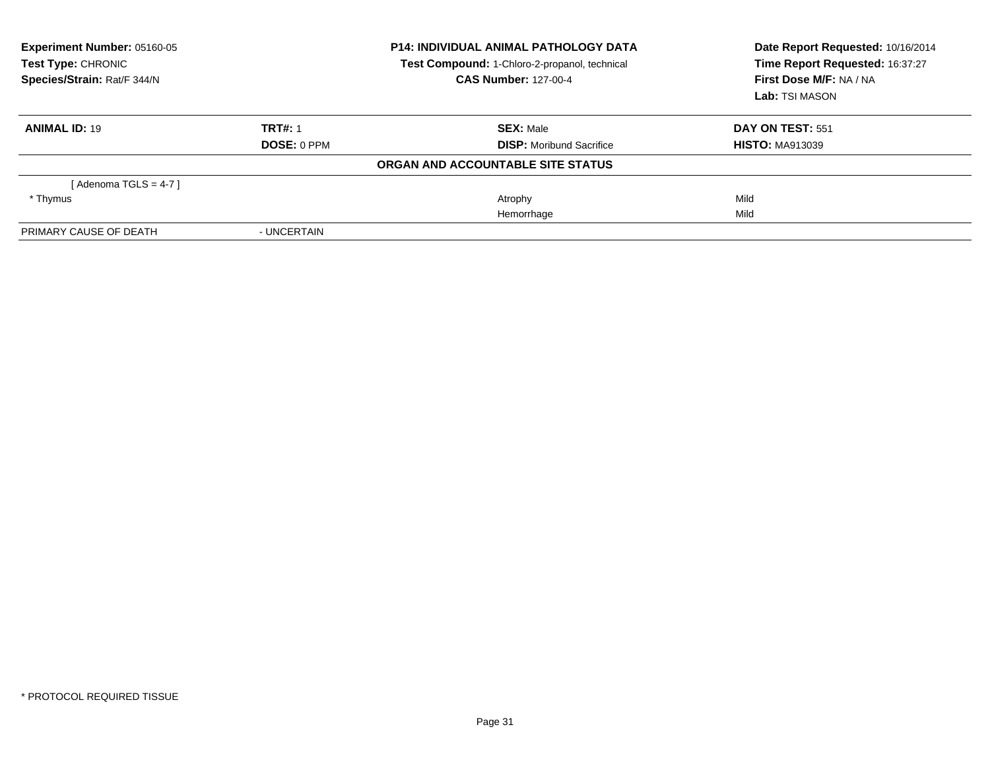| Experiment Number: 05160-05<br>Test Type: CHRONIC<br>Species/Strain: Rat/F 344/N |                    | <b>P14: INDIVIDUAL ANIMAL PATHOLOGY DATA</b><br>Test Compound: 1-Chloro-2-propanol, technical<br><b>CAS Number: 127-00-4</b> | Date Report Requested: 10/16/2014<br>Time Report Requested: 16:37:27<br>First Dose M/F: NA / NA |  |
|----------------------------------------------------------------------------------|--------------------|------------------------------------------------------------------------------------------------------------------------------|-------------------------------------------------------------------------------------------------|--|
|                                                                                  |                    |                                                                                                                              | Lab: TSI MASON                                                                                  |  |
| <b>ANIMAL ID: 19</b>                                                             | <b>TRT#: 1</b>     | <b>SEX: Male</b>                                                                                                             | DAY ON TEST: 551                                                                                |  |
|                                                                                  | <b>DOSE: 0 PPM</b> | <b>DISP:</b> Moribund Sacrifice                                                                                              | <b>HISTO: MA913039</b>                                                                          |  |
|                                                                                  |                    | ORGAN AND ACCOUNTABLE SITE STATUS                                                                                            |                                                                                                 |  |
| [Adenoma TGLS = $4-7$ ]                                                          |                    |                                                                                                                              |                                                                                                 |  |
| * Thymus                                                                         |                    | Atrophy                                                                                                                      | Mild                                                                                            |  |
|                                                                                  |                    | Hemorrhage                                                                                                                   | Mild                                                                                            |  |
| PRIMARY CAUSE OF DEATH                                                           | - UNCERTAIN        |                                                                                                                              |                                                                                                 |  |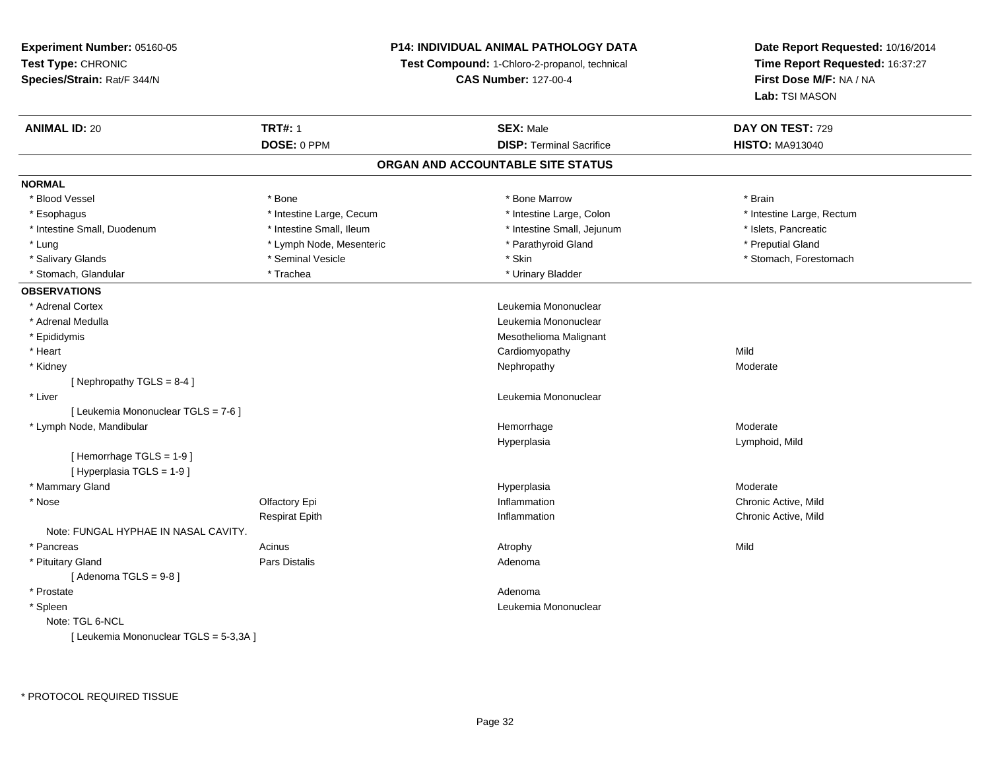# **P14: INDIVIDUAL ANIMAL PATHOLOGY DATA**

**Test Compound:** 1-Chloro-2-propanol, technical

**CAS Number:** 127-00-4

| <b>ANIMAL ID: 20</b>                   | <b>TRT#: 1</b>           | <b>SEX: Male</b>                  | DAY ON TEST: 729          |
|----------------------------------------|--------------------------|-----------------------------------|---------------------------|
|                                        | DOSE: 0 PPM              | <b>DISP: Terminal Sacrifice</b>   | <b>HISTO: MA913040</b>    |
|                                        |                          | ORGAN AND ACCOUNTABLE SITE STATUS |                           |
| <b>NORMAL</b>                          |                          |                                   |                           |
| * Blood Vessel                         | * Bone                   | * Bone Marrow                     | * Brain                   |
| * Esophagus                            | * Intestine Large, Cecum | * Intestine Large, Colon          | * Intestine Large, Rectum |
| * Intestine Small, Duodenum            | * Intestine Small, Ileum | * Intestine Small, Jejunum        | * Islets, Pancreatic      |
| * Lung                                 | * Lymph Node, Mesenteric | * Parathyroid Gland               | * Preputial Gland         |
| * Salivary Glands                      | * Seminal Vesicle        | * Skin                            | * Stomach, Forestomach    |
| * Stomach, Glandular                   | * Trachea                | * Urinary Bladder                 |                           |
| <b>OBSERVATIONS</b>                    |                          |                                   |                           |
| * Adrenal Cortex                       |                          | Leukemia Mononuclear              |                           |
| * Adrenal Medulla                      |                          | Leukemia Mononuclear              |                           |
| * Epididymis                           |                          | Mesothelioma Malignant            |                           |
| * Heart                                |                          | Cardiomyopathy                    | Mild                      |
| * Kidney                               |                          | Nephropathy                       | Moderate                  |
| [Nephropathy TGLS = $8-4$ ]            |                          |                                   |                           |
| * Liver                                |                          | Leukemia Mononuclear              |                           |
| [ Leukemia Mononuclear TGLS = 7-6 ]    |                          |                                   |                           |
| * Lymph Node, Mandibular               |                          | Hemorrhage                        | Moderate                  |
|                                        |                          | Hyperplasia                       | Lymphoid, Mild            |
| [Hemorrhage TGLS = $1-9$ ]             |                          |                                   |                           |
| [ Hyperplasia TGLS = 1-9 ]             |                          |                                   |                           |
| * Mammary Gland                        |                          | Hyperplasia                       | Moderate                  |
| * Nose                                 | Olfactory Epi            | Inflammation                      | Chronic Active, Mild      |
|                                        | <b>Respirat Epith</b>    | Inflammation                      | Chronic Active, Mild      |
| Note: FUNGAL HYPHAE IN NASAL CAVITY.   |                          |                                   |                           |
| * Pancreas                             | Acinus                   | Atrophy                           | Mild                      |
| * Pituitary Gland                      | Pars Distalis            | Adenoma                           |                           |
| [Adenoma TGLS = $9-8$ ]                |                          |                                   |                           |
| * Prostate                             |                          | Adenoma                           |                           |
| * Spleen                               |                          | Leukemia Mononuclear              |                           |
| Note: TGL 6-NCL                        |                          |                                   |                           |
| [ Leukemia Mononuclear TGLS = 5-3,3A ] |                          |                                   |                           |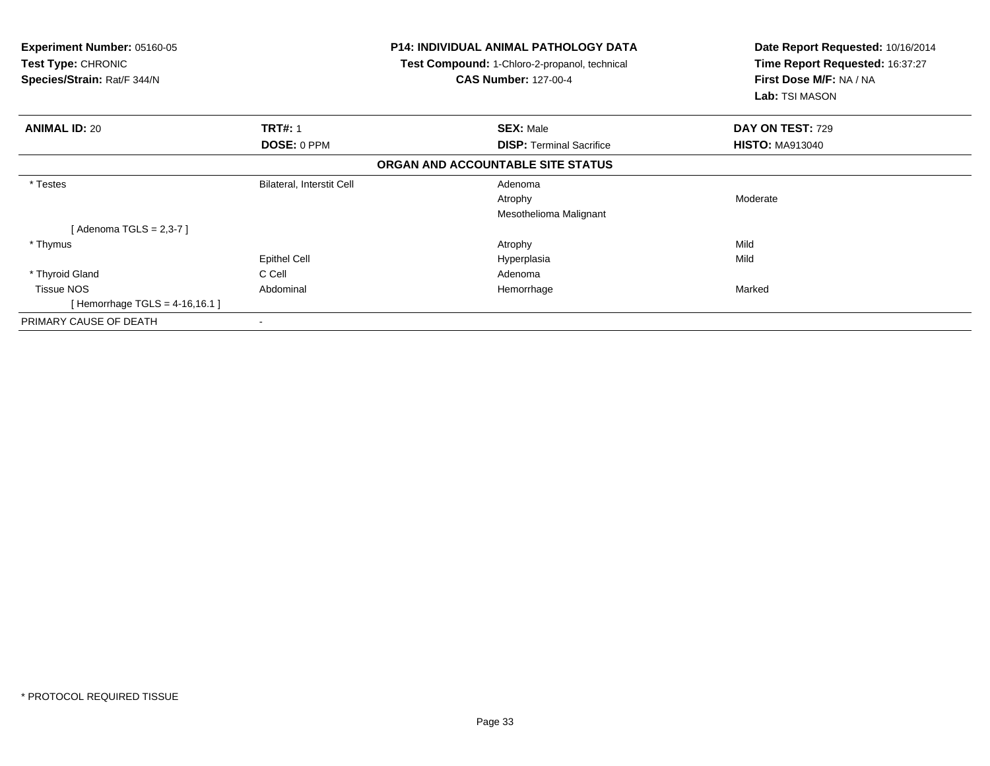| <b>Experiment Number: 05160-05</b><br><b>Test Type: CHRONIC</b><br>Species/Strain: Rat/F 344/N |                           | P14: INDIVIDUAL ANIMAL PATHOLOGY DATA<br>Test Compound: 1-Chloro-2-propanol, technical<br><b>CAS Number: 127-00-4</b> | Date Report Requested: 10/16/2014<br>Time Report Requested: 16:37:27<br>First Dose M/F: NA / NA<br>Lab: TSI MASON |
|------------------------------------------------------------------------------------------------|---------------------------|-----------------------------------------------------------------------------------------------------------------------|-------------------------------------------------------------------------------------------------------------------|
| <b>ANIMAL ID: 20</b>                                                                           | <b>TRT#: 1</b>            | <b>SEX: Male</b>                                                                                                      | DAY ON TEST: 729                                                                                                  |
|                                                                                                | DOSE: 0 PPM               | <b>DISP: Terminal Sacrifice</b>                                                                                       | <b>HISTO: MA913040</b>                                                                                            |
|                                                                                                |                           | ORGAN AND ACCOUNTABLE SITE STATUS                                                                                     |                                                                                                                   |
| * Testes                                                                                       | Bilateral, Interstit Cell | Adenoma                                                                                                               |                                                                                                                   |
|                                                                                                |                           | Atrophy                                                                                                               | Moderate                                                                                                          |
|                                                                                                |                           | Mesothelioma Malignant                                                                                                |                                                                                                                   |
| [Adenoma TGLS = $2,3-7$ ]                                                                      |                           |                                                                                                                       |                                                                                                                   |
| * Thymus                                                                                       |                           | Atrophy                                                                                                               | Mild                                                                                                              |
|                                                                                                | <b>Epithel Cell</b>       | Hyperplasia                                                                                                           | Mild                                                                                                              |
| * Thyroid Gland                                                                                | C Cell                    | Adenoma                                                                                                               |                                                                                                                   |
| <b>Tissue NOS</b>                                                                              | Abdominal                 | Hemorrhage                                                                                                            | Marked                                                                                                            |
| [Hemorrhage TGLS = $4-16,16.1$ ]                                                               |                           |                                                                                                                       |                                                                                                                   |
| PRIMARY CAUSE OF DEATH                                                                         |                           |                                                                                                                       |                                                                                                                   |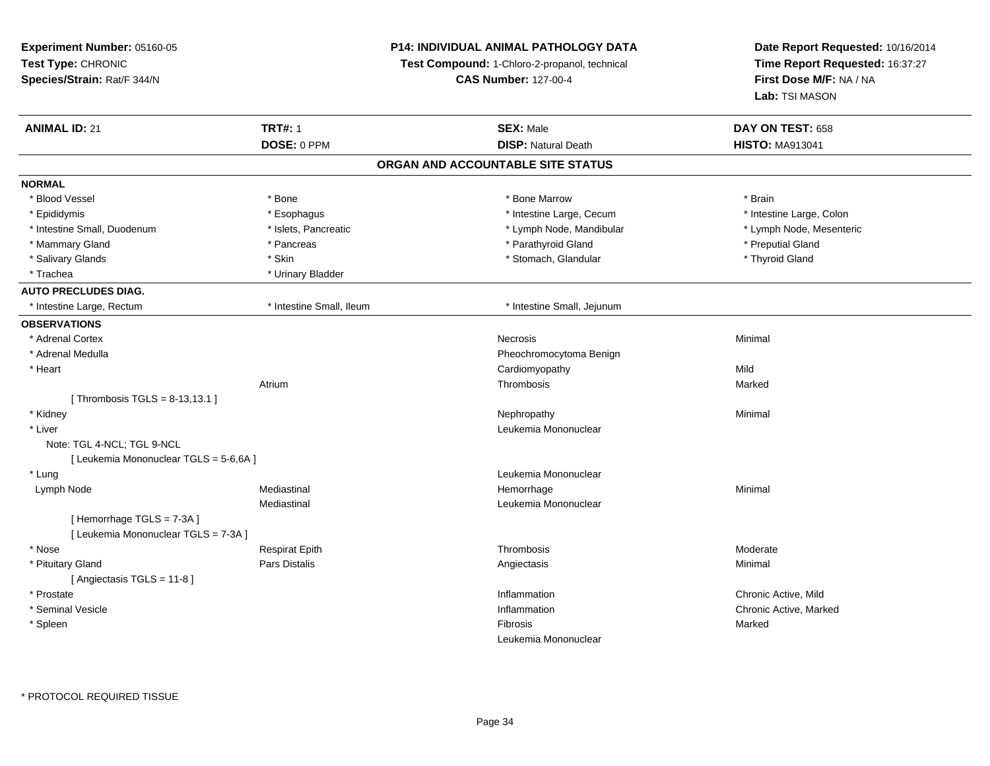**Experiment Number:** 05160-05**Test Type:** CHRONIC **Species/Strain:** Rat/F 344/N**P14: INDIVIDUAL ANIMAL PATHOLOGY DATATest Compound:** 1-Chloro-2-propanol, technical **CAS Number:** 127-00-4**Date Report Requested:** 10/16/2014**Time Report Requested:** 16:37:27**First Dose M/F:** NA / NA**Lab:** TSI MASON**ANIMAL ID:** 21 **TRT#:** <sup>1</sup> **SEX:** Male **DAY ON TEST:** <sup>658</sup> **DOSE:** 0 PPM**DISP:** Natural Death **HISTO:** MA913041 **ORGAN AND ACCOUNTABLE SITE STATUSNORMAL**\* Blood Vessel \* Blood Vessel \* \* Annual \* Bone \* \* Bone \* \* Bone \* \* Bone Marrow \* \* Bone Marrow \* \* Brain \* Brain \* Brain \* \* Intestine Large, Colon \* Epididymis \* Intestine Large, Cecum \* Esophagus \* Intestine Large, Cecum \* Intestine Large, Cecum \* Lymph Node, Mesenteric \* Intestine Small, Duodenum **\* Western and The Americ 19th Americ** \* Lymph Node, Mandibular \* Lymph Node, Mandibular \* Mammary Gland \* \* American \* Pancreas \* Pancreas \* \* Parathyroid Gland \* Parathyroid Gland \* \* Preputial Gland \* \* Preputial Gland \* \* Preputial Gland \* \* Preputial Gland \* \* Preputial Gland \* \* Preputial Gland \* \* Prepu \* Thyroid Gland \* Salivary Glands \* Stomach, Glandular \* Skin \* Skin \* Stomach, Glandular \* Stomach, Glandular \* Thyroid Glandular \* Stomach, Glandular \* Stomach, Glandular \* Stomach, Glandular \* Stomach, Glandular \* Stomach, Glandular \* \* Trachea \* Urinary Bladder**AUTO PRECLUDES DIAG.** \* Intestine Large, Rectum \* Intestine Small, Ileum \* Intestine Small, Jejunum**OBSERVATIONS** \* Adrenal Cortexx and the contract of the contract of the contract of the contract of the contract of the contract of the contract of the contract of the contract of the contract of the contract of the contract of the contract of the cont \* Adrenal Medulla Pheochromocytoma Benign \* Heart Cardiomyopathyy Mild Marked Atriumm and the controller of the Thrombosis and the controller of the Marked Marked Street and the Marked Street and The Marked Street and the Marked Street and the Marked Street and the Marked Street and the Marked Street and [ Thrombosis  $TGLS = 8-13,13.1$  ] \* Kidneyy the control of the control of the control of the control of the control of the control of the control of the control of the control of the control of the control of the control of the control of the control of the contro \* Liver Leukemia Mononuclear Note: TGL 4-NCL; TGL 9-NCL[ Leukemia Mononuclear TGLS = 5-6,6A ] \* LungLeukemia Mononuclear<br>
Mediastinal<br>
Mediastinal<br>
Mediastinal Lymph Node Mediastinal Hemorrhage Minimal Mediastinal Leukemia Mononuclear[ Hemorrhage TGLS = 7-3A ] [ Leukemia Mononuclear TGLS = 7-3A ] \* Nose Respirat Epith Thrombosis Moderate \* Pituitary Gland Pars Distalis Angiectasis Minimal [ Angiectasis TGLS = 11-8 ] \* Prostatee the contractive of the contraction of the contraction of the contraction of the chronic Active, Mild \* Seminal Vesiclee the contraction of the chronic Active, Marked (1990) and the chronic Active, Marked (1990) and the chronic Active, Marked (1990) and the chronic Active, Marked (1990) and the chronic Active, Marked (1990) and the chronic \* Spleenn and the control of the control of the control of the control of the control of the control of the control of the control of the control of the control of the control of the control of the control of the control of the co Leukemia Mononuclear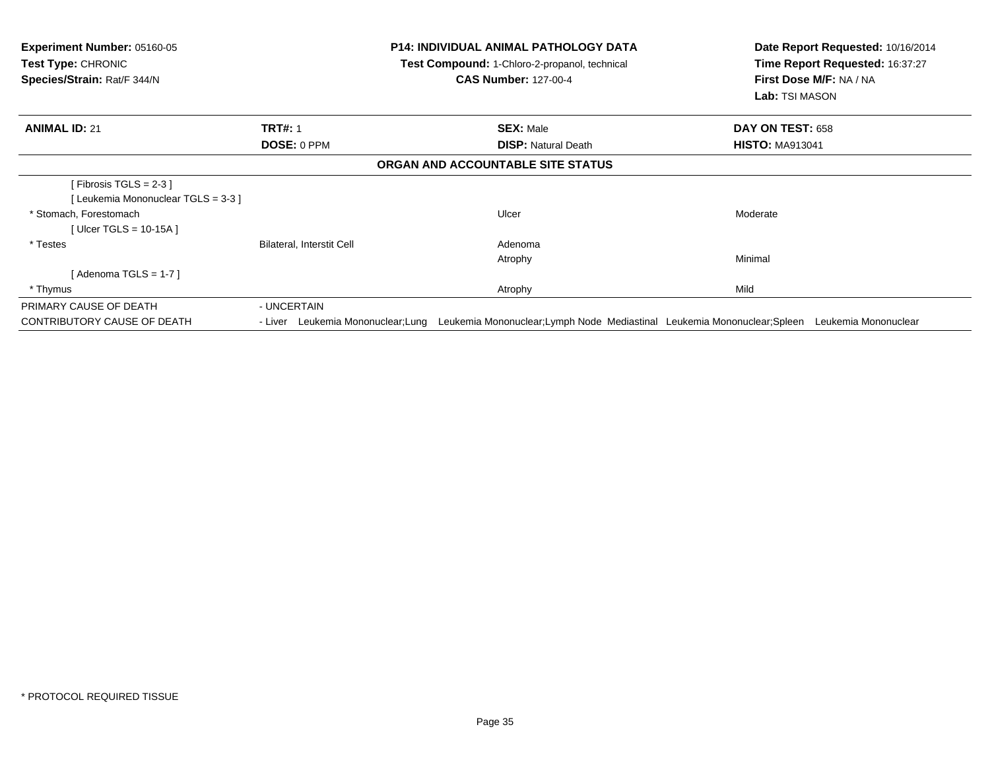| <b>Experiment Number: 05160-05</b><br><b>Test Type: CHRONIC</b><br>Species/Strain: Rat/F 344/N |                           | <b>P14: INDIVIDUAL ANIMAL PATHOLOGY DATA</b><br>Test Compound: 1-Chloro-2-propanol, technical<br><b>CAS Number: 127-00-4</b> | Date Report Requested: 10/16/2014<br>Time Report Requested: 16:37:27<br>First Dose M/F: NA / NA<br>Lab: TSI MASON              |
|------------------------------------------------------------------------------------------------|---------------------------|------------------------------------------------------------------------------------------------------------------------------|--------------------------------------------------------------------------------------------------------------------------------|
| <b>ANIMAL ID: 21</b>                                                                           | <b>TRT#: 1</b>            | <b>SEX: Male</b>                                                                                                             | DAY ON TEST: 658                                                                                                               |
|                                                                                                | <b>DOSE: 0 PPM</b>        | <b>DISP: Natural Death</b>                                                                                                   | <b>HISTO: MA913041</b>                                                                                                         |
|                                                                                                |                           | ORGAN AND ACCOUNTABLE SITE STATUS                                                                                            |                                                                                                                                |
| [Fibrosis TGLS = $2-3$ ]<br>[Leukemia Mononuclear TGLS = 3-3]                                  |                           |                                                                                                                              |                                                                                                                                |
| * Stomach, Forestomach                                                                         |                           | Ulcer                                                                                                                        | Moderate                                                                                                                       |
| [ Ulcer TGLS = $10-15A$ ]                                                                      |                           |                                                                                                                              |                                                                                                                                |
| * Testes                                                                                       | Bilateral, Interstit Cell | Adenoma<br>Atrophy                                                                                                           | Minimal                                                                                                                        |
| [Adenoma TGLS = $1-7$ ]                                                                        |                           |                                                                                                                              |                                                                                                                                |
| * Thymus                                                                                       |                           | Atrophy                                                                                                                      | Mild                                                                                                                           |
| PRIMARY CAUSE OF DEATH                                                                         | - UNCERTAIN               |                                                                                                                              |                                                                                                                                |
| CONTRIBUTORY CAUSE OF DEATH                                                                    |                           |                                                                                                                              | - Liver Leukemia Mononuclear;Lung Leukemia Mononuclear;Lymph Node Mediastinal Leukemia Mononuclear;Spleen Leukemia Mononuclear |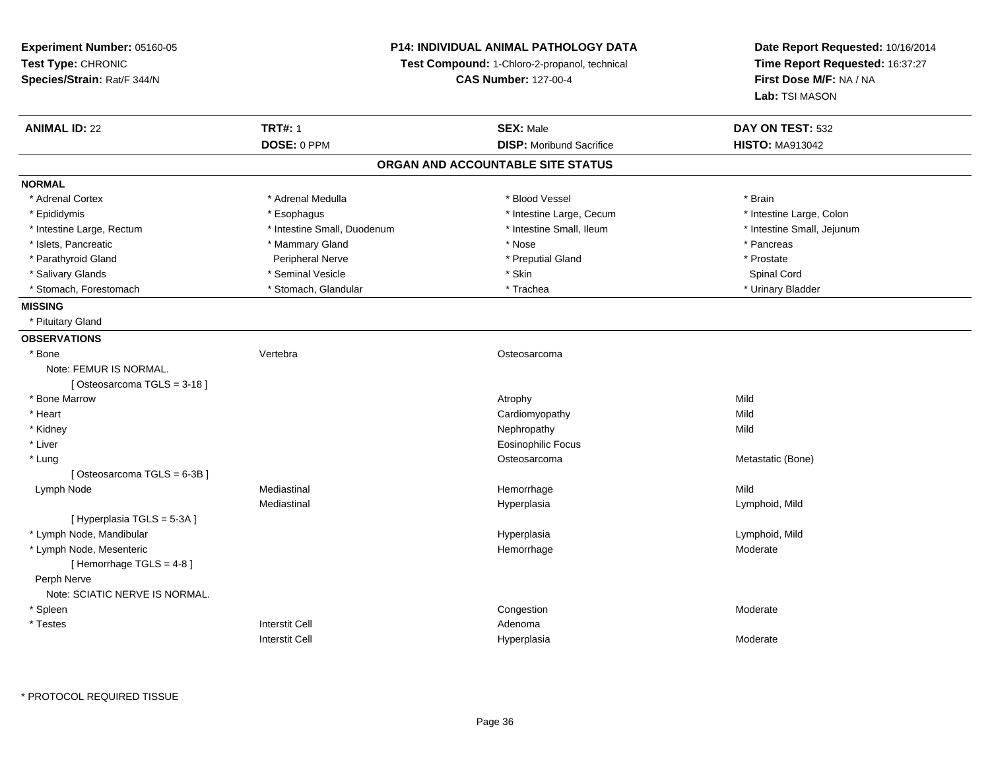**Experiment Number:** 05160-05**Test Type:** CHRONIC **Species/Strain:** Rat/F 344/N**P14: INDIVIDUAL ANIMAL PATHOLOGY DATATest Compound:** 1-Chloro-2-propanol, technical **CAS Number:** 127-00-4**Date Report Requested:** 10/16/2014**Time Report Requested:** 16:37:27**First Dose M/F:** NA / NA**Lab:** TSI MASON**ANIMAL ID:** 22 **TRT#:** <sup>1</sup> **SEX:** Male **DAY ON TEST:** <sup>532</sup> **DOSE:** 0 PPM**DISP:** Moribund Sacrifice **HISTO:** MA913042 **ORGAN AND ACCOUNTABLE SITE STATUSNORMAL**\* Adrenal Cortex \* Adrenal Medulla \* Adrenal Medulla \* Blood Vessel \* Brain \* Brain \* Brain \* Brain \* Brain \* Brain \* Brain \* Brain \* Brain \* Brain \* Brain \* Brain \* Brain \* Brain \* Brain \* Brain \* Brain \* Brain \* Brain \* Brain \* Brain \* B \* Intestine Large, Colon \* Epididymis \* Esophagus \* Esophagus \* Esophagus \* 11testine Large, Cecum \* Intestine Large, Rectum \* Thestine Small, Duodenum \* Number of the small, Ileum \* Intestine Small, Jejunum \* Intestine Small, Jejunum \* Islets, Pancreatic \* \* \* Mammary Gland \* \* Mammary Gland \* \* Nose \* \* Pancreas \* Pancreas \* Pancreas \* \* Pancreas \* Prostate \* Parathyroid Gland example and a peripheral Nerve the example of the example of the Peripheral Nerve the example of the example of the example of the example of the example of the example of the example of the example of Spinal Cord \* Salivary Glands \* \* Seminal Vesicle \* \* Seminal Vesicle \* \* Skin \* \* Skin \* \* Spinal Cord \* Spinal Cord \* Spinal Cord \* Spinal Cord \* Spinal Cord \* Spinal Cord \* \* Spinal Cord \* \* Spinal Cord \* \* Spinal Cord \* \* \* \* \* \* \* Urinary Bladder \* Stomach, Forestomach \* North and \* Stomach, Glandular \* Trachea \* Trachea **MISSING** \* Pituitary Gland**OBSERVATIONS** \* Bone Vertebra Osteosarcoma Note: FEMUR IS NORMAL.[ Osteosarcoma TGLS = 3-18 ] \* Bone Marroww the contract of the contract of the contract of the contract of the contract of the contract of the contract of the contract of the contract of the contract of the contract of the contract of the contract of the contract \* Heart Cardiomyopathyy Mild Mild \* Kidneyy the controller of the controller of the controller of the controller of the controller of the controller of the controller of the controller of the controller of the controller of the controller of the controller of the \* Liver Eosinophilic Focus \* Lungordination of the control of the control of the control of the control of the control of the control of the control of the control of the control of the control of the control of the control of the control of the control o [ Osteosarcoma TGLS = 6-3B ] Lymph Nodee the mediastinal the settlement of the Mild of the Mild of the Mild of the Mild of the Mild of the Mild of the Mild of the Mild of the Mild of the Mild of the Mild of the Mild of the Mild of the Mild of the Mild of the Mi Mediastinal Hyperplasia Lymphoid, Mild [ Hyperplasia TGLS = 5-3A ] \* Lymph Node, Mandibular HyperplasiaHyperplasia and the control of the control of the control of the control of the control of the control of the c<br>
Control of the control of the control of the control of the control of the control of the control of the cont \* Lymph Node, Mesentericc **Example 2018 Hemorrhage** e Moderate [ Hemorrhage TGLS = 4-8 ] Perph Nerve Note: SCIATIC NERVE IS NORMAL. \* Spleenn and the congression of the congression of the congression of the congression of the congression of the congression  $\mathsf{M}$ oderate \* Testess and the state of the state of the state of the state of the state of the state of the state of the state of the state of the state of the state of the state of the state of the state of the state of the state of the stat I and the contract of the Hyperplasia Interstit Cella **Moderate**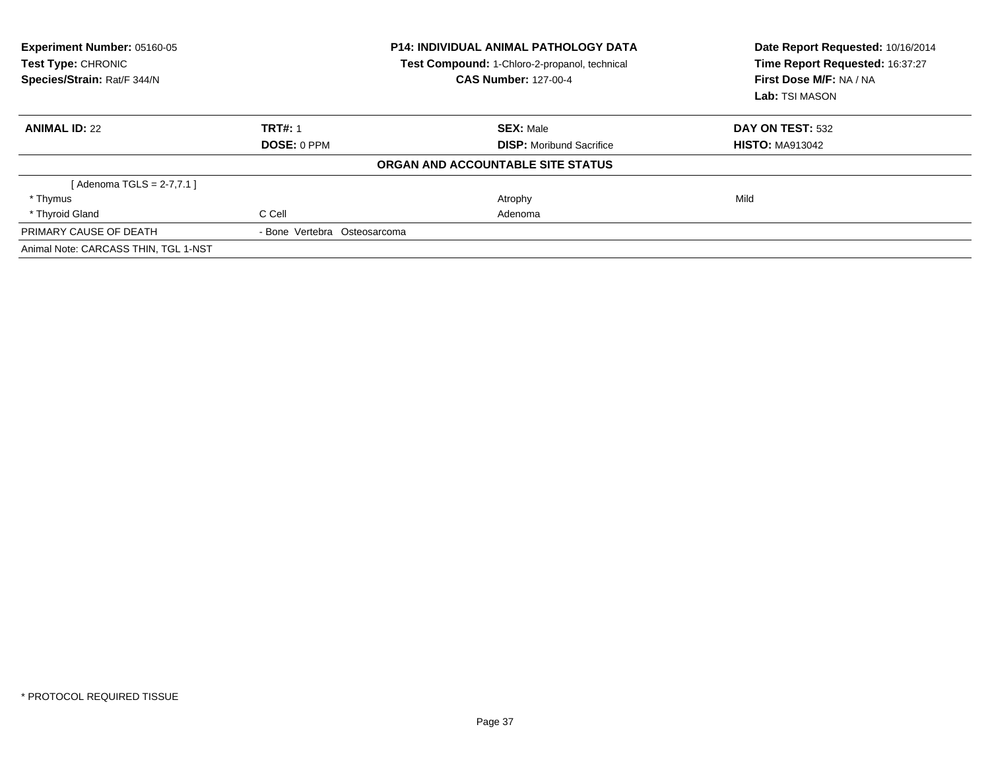| Experiment Number: 05160-05<br><b>Test Type: CHRONIC</b><br>Species/Strain: Rat/F 344/N |                              | <b>P14: INDIVIDUAL ANIMAL PATHOLOGY DATA</b><br>Test Compound: 1-Chloro-2-propanol, technical<br><b>CAS Number: 127-00-4</b> | Date Report Requested: 10/16/2014<br>Time Report Requested: 16:37:27<br>First Dose M/F: NA / NA<br>Lab: TSI MASON |  |
|-----------------------------------------------------------------------------------------|------------------------------|------------------------------------------------------------------------------------------------------------------------------|-------------------------------------------------------------------------------------------------------------------|--|
| <b>ANIMAL ID: 22</b>                                                                    | <b>TRT#: 1</b>               | <b>SEX: Male</b>                                                                                                             | DAY ON TEST: 532                                                                                                  |  |
|                                                                                         | DOSE: 0 PPM                  | <b>DISP:</b> Moribund Sacrifice                                                                                              | <b>HISTO: MA913042</b>                                                                                            |  |
|                                                                                         |                              | ORGAN AND ACCOUNTABLE SITE STATUS                                                                                            |                                                                                                                   |  |
| [ Adenoma TGLS = 2-7,7.1 ]                                                              |                              |                                                                                                                              |                                                                                                                   |  |
| * Thymus                                                                                |                              | Atrophy                                                                                                                      | Mild                                                                                                              |  |
| * Thyroid Gland                                                                         | C Cell                       | Adenoma                                                                                                                      |                                                                                                                   |  |
| PRIMARY CAUSE OF DEATH                                                                  | - Bone Vertebra Osteosarcoma |                                                                                                                              |                                                                                                                   |  |
| Animal Note: CARCASS THIN, TGL 1-NST                                                    |                              |                                                                                                                              |                                                                                                                   |  |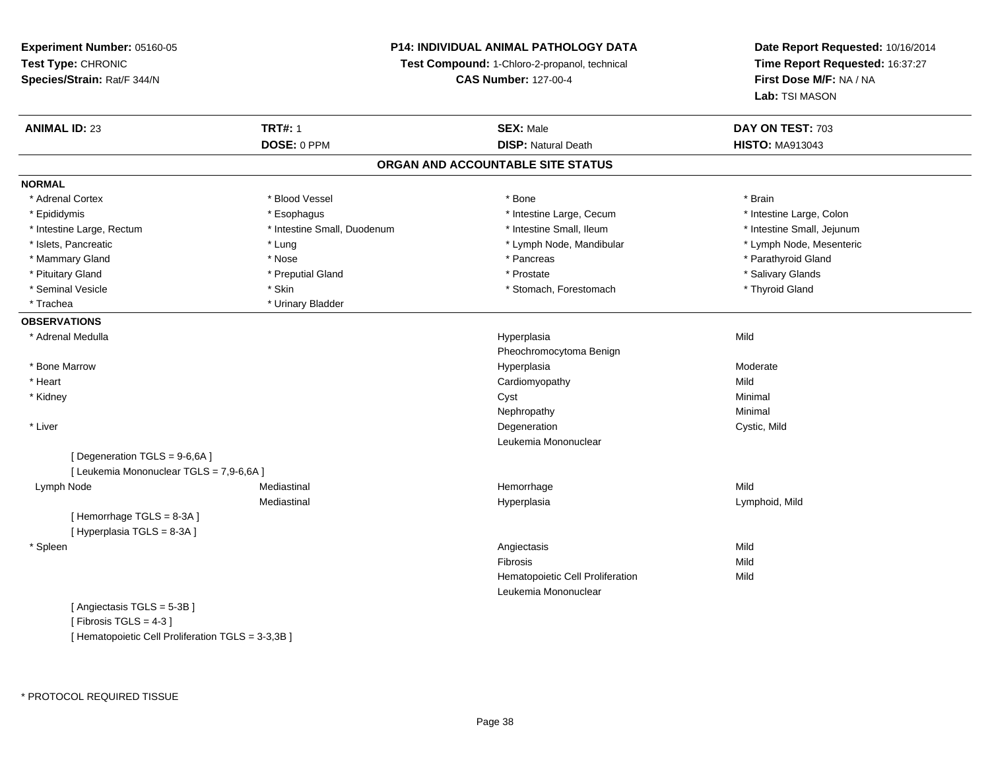## **P14: INDIVIDUAL ANIMAL PATHOLOGY DATA**

**Test Compound:** 1-Chloro-2-propanol, technical

**CAS Number:** 127-00-4

**Date Report Requested:** 10/16/2014**Time Report Requested:** 16:37:27**First Dose M/F:** NA / NA**Lab:** TSI MASON

| <b>ANIMAL ID: 23</b>                     | <b>TRT#: 1</b>              | <b>SEX: Male</b>                  | DAY ON TEST: 703           |
|------------------------------------------|-----------------------------|-----------------------------------|----------------------------|
|                                          | DOSE: 0 PPM                 | <b>DISP: Natural Death</b>        | <b>HISTO: MA913043</b>     |
|                                          |                             | ORGAN AND ACCOUNTABLE SITE STATUS |                            |
| <b>NORMAL</b>                            |                             |                                   |                            |
| * Adrenal Cortex                         | * Blood Vessel              | * Bone                            | * Brain                    |
| * Epididymis                             | * Esophagus                 | * Intestine Large, Cecum          | * Intestine Large, Colon   |
| * Intestine Large, Rectum                | * Intestine Small, Duodenum | * Intestine Small, Ileum          | * Intestine Small, Jejunum |
| * Islets, Pancreatic                     | * Lung                      | * Lymph Node, Mandibular          | * Lymph Node, Mesenteric   |
| * Mammary Gland                          | * Nose                      | * Pancreas                        | * Parathyroid Gland        |
| * Pituitary Gland                        | * Preputial Gland           | * Prostate                        | * Salivary Glands          |
| * Seminal Vesicle                        | * Skin                      | * Stomach, Forestomach            | * Thyroid Gland            |
| * Trachea                                | * Urinary Bladder           |                                   |                            |
| <b>OBSERVATIONS</b>                      |                             |                                   |                            |
| * Adrenal Medulla                        |                             | Hyperplasia                       | Mild                       |
|                                          |                             | Pheochromocytoma Benign           |                            |
| * Bone Marrow                            |                             | Hyperplasia                       | Moderate                   |
| * Heart                                  |                             | Cardiomyopathy                    | Mild                       |
| * Kidney                                 |                             | Cyst                              | Minimal                    |
|                                          |                             | Nephropathy                       | Minimal                    |
| * Liver                                  |                             | Degeneration                      | Cystic, Mild               |
|                                          |                             | Leukemia Mononuclear              |                            |
| [Degeneration TGLS = 9-6,6A]             |                             |                                   |                            |
| [ Leukemia Mononuclear TGLS = 7,9-6,6A ] |                             |                                   |                            |
| Lymph Node                               | Mediastinal                 | Hemorrhage                        | Mild                       |
|                                          | Mediastinal                 | Hyperplasia                       | Lymphoid, Mild             |
| [Hemorrhage TGLS = 8-3A]                 |                             |                                   |                            |
| [Hyperplasia TGLS = 8-3A]                |                             |                                   |                            |
| * Spleen                                 |                             | Angiectasis                       | Mild                       |
|                                          |                             | Fibrosis                          | Mild                       |
|                                          |                             | Hematopoietic Cell Proliferation  | Mild                       |
|                                          |                             | Leukemia Mononuclear              |                            |
| [Angiectasis TGLS = 5-3B]                |                             |                                   |                            |
| [Fibrosis TGLS = $4-3$ ]                 |                             |                                   |                            |

[ Hematopoietic Cell Proliferation TGLS = 3-3,3B ]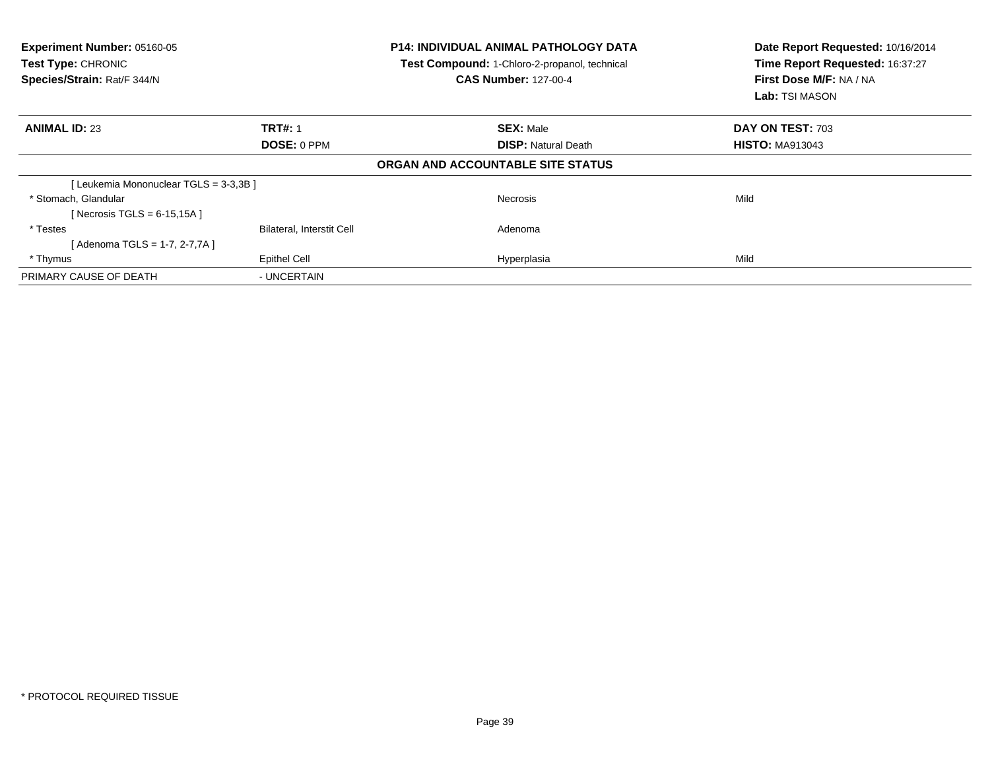| Experiment Number: 05160-05<br><b>Test Type: CHRONIC</b><br>Species/Strain: Rat/F 344/N |                                  | <b>P14: INDIVIDUAL ANIMAL PATHOLOGY DATA</b><br>Test Compound: 1-Chloro-2-propanol, technical<br><b>CAS Number: 127-00-4</b> | Date Report Requested: 10/16/2014<br>Time Report Requested: 16:37:27<br>First Dose M/F: NA / NA<br><b>Lab:</b> TSI MASON |  |
|-----------------------------------------------------------------------------------------|----------------------------------|------------------------------------------------------------------------------------------------------------------------------|--------------------------------------------------------------------------------------------------------------------------|--|
| <b>ANIMAL ID: 23</b>                                                                    | <b>TRT#: 1</b>                   | <b>SEX: Male</b>                                                                                                             | DAY ON TEST: 703                                                                                                         |  |
|                                                                                         | <b>DOSE: 0 PPM</b>               | <b>DISP: Natural Death</b>                                                                                                   | <b>HISTO: MA913043</b>                                                                                                   |  |
|                                                                                         |                                  | ORGAN AND ACCOUNTABLE SITE STATUS                                                                                            |                                                                                                                          |  |
| [Leukemia Mononuclear TGLS = 3-3,3B]                                                    |                                  |                                                                                                                              |                                                                                                                          |  |
| * Stomach, Glandular                                                                    |                                  | <b>Necrosis</b>                                                                                                              | Mild                                                                                                                     |  |
| [ Necrosis TGLS = $6-15,15A$ ]                                                          |                                  |                                                                                                                              |                                                                                                                          |  |
| * Testes                                                                                | <b>Bilateral, Interstit Cell</b> | Adenoma                                                                                                                      |                                                                                                                          |  |
| [ Adenoma TGLS = 1-7, 2-7,7A ]                                                          |                                  |                                                                                                                              |                                                                                                                          |  |
| * Thymus                                                                                | Epithel Cell                     | Hyperplasia                                                                                                                  | Mild                                                                                                                     |  |
| PRIMARY CAUSE OF DEATH                                                                  | - UNCERTAIN                      |                                                                                                                              |                                                                                                                          |  |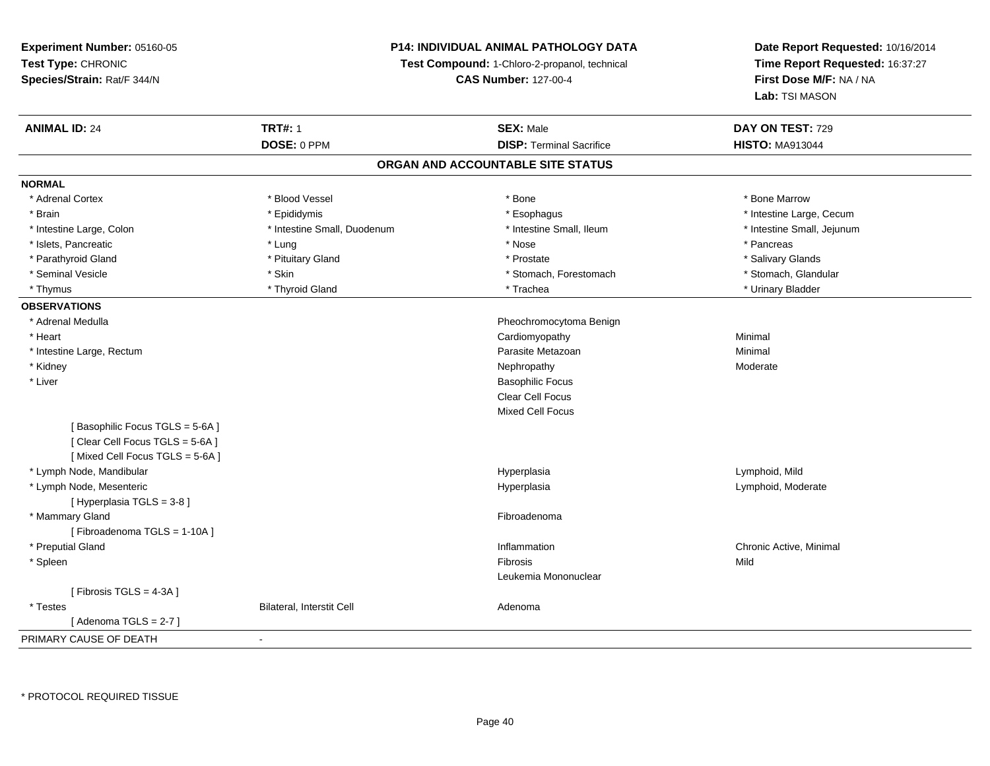## **P14: INDIVIDUAL ANIMAL PATHOLOGY DATA**

**Test Compound:** 1-Chloro-2-propanol, technical

**CAS Number:** 127-00-4

| <b>ANIMAL ID: 24</b>           | <b>TRT#: 1</b>                   | <b>SEX: Male</b>                  | DAY ON TEST: 729           |
|--------------------------------|----------------------------------|-----------------------------------|----------------------------|
|                                | DOSE: 0 PPM                      | <b>DISP: Terminal Sacrifice</b>   | <b>HISTO: MA913044</b>     |
|                                |                                  | ORGAN AND ACCOUNTABLE SITE STATUS |                            |
| <b>NORMAL</b>                  |                                  |                                   |                            |
| * Adrenal Cortex               | * Blood Vessel                   | * Bone                            | * Bone Marrow              |
| * Brain                        | * Epididymis                     | * Esophagus                       | * Intestine Large, Cecum   |
| * Intestine Large, Colon       | * Intestine Small, Duodenum      | * Intestine Small, Ileum          | * Intestine Small, Jejunum |
| * Islets, Pancreatic           | * Lung                           | * Nose                            | * Pancreas                 |
| * Parathyroid Gland            | * Pituitary Gland                | * Prostate                        | * Salivary Glands          |
| * Seminal Vesicle              | * Skin                           | * Stomach, Forestomach            | * Stomach, Glandular       |
| * Thymus                       | * Thyroid Gland                  | * Trachea                         | * Urinary Bladder          |
| <b>OBSERVATIONS</b>            |                                  |                                   |                            |
| * Adrenal Medulla              |                                  | Pheochromocytoma Benign           |                            |
| * Heart                        |                                  | Cardiomyopathy                    | Minimal                    |
| * Intestine Large, Rectum      |                                  | Parasite Metazoan                 | Minimal                    |
| * Kidney                       |                                  | Nephropathy                       | Moderate                   |
| * Liver                        |                                  | <b>Basophilic Focus</b>           |                            |
|                                |                                  | Clear Cell Focus                  |                            |
|                                |                                  | <b>Mixed Cell Focus</b>           |                            |
| [Basophilic Focus TGLS = 5-6A] |                                  |                                   |                            |
| [Clear Cell Focus TGLS = 5-6A] |                                  |                                   |                            |
| [Mixed Cell Focus TGLS = 5-6A] |                                  |                                   |                            |
| * Lymph Node, Mandibular       |                                  | Hyperplasia                       | Lymphoid, Mild             |
| * Lymph Node, Mesenteric       |                                  | Hyperplasia                       | Lymphoid, Moderate         |
| [Hyperplasia TGLS = 3-8]       |                                  |                                   |                            |
| * Mammary Gland                |                                  | Fibroadenoma                      |                            |
| [Fibroadenoma TGLS = 1-10A]    |                                  |                                   |                            |
| * Preputial Gland              |                                  | Inflammation                      | Chronic Active, Minimal    |
| * Spleen                       |                                  | Fibrosis                          | Mild                       |
|                                |                                  | Leukemia Mononuclear              |                            |
| [Fibrosis TGLS = 4-3A]         |                                  |                                   |                            |
| * Testes                       | <b>Bilateral, Interstit Cell</b> | Adenoma                           |                            |
| [Adenoma TGLS = $2-7$ ]        |                                  |                                   |                            |
| PRIMARY CAUSE OF DEATH         | $\blacksquare$                   |                                   |                            |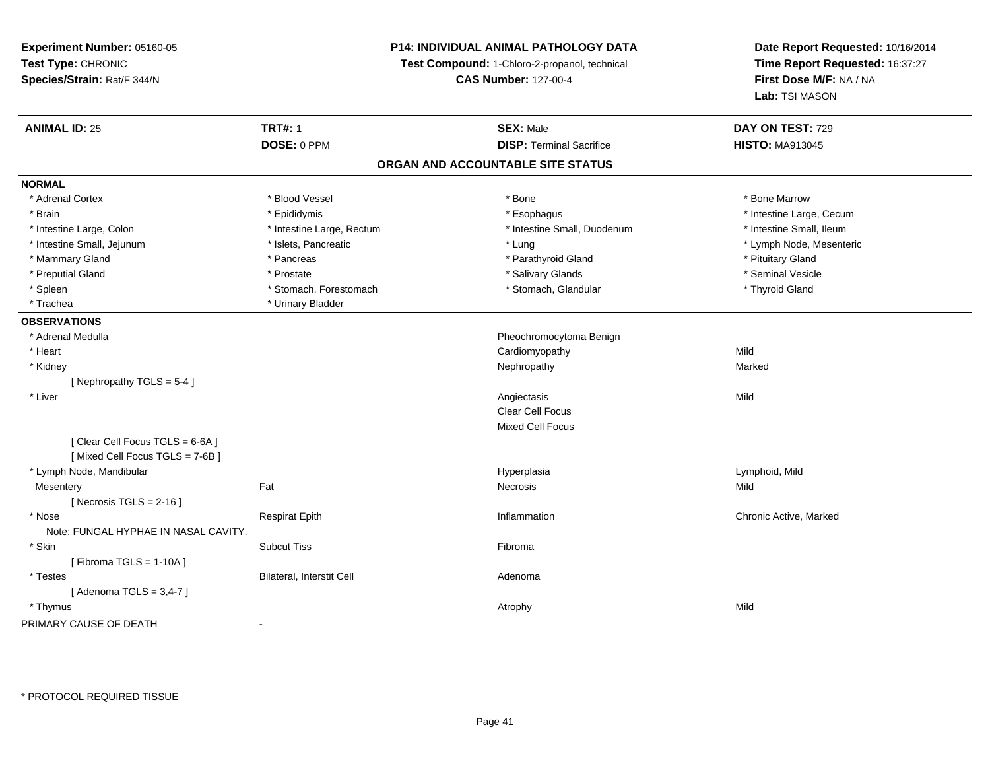## **P14: INDIVIDUAL ANIMAL PATHOLOGY DATA**

**Test Compound:** 1-Chloro-2-propanol, technical

**CAS Number:** 127-00-4

| <b>ANIMAL ID: 25</b>                 | <b>TRT#: 1</b>            | <b>SEX: Male</b>                  | DAY ON TEST: 729         |  |
|--------------------------------------|---------------------------|-----------------------------------|--------------------------|--|
|                                      | DOSE: 0 PPM               | <b>DISP: Terminal Sacrifice</b>   | <b>HISTO: MA913045</b>   |  |
|                                      |                           | ORGAN AND ACCOUNTABLE SITE STATUS |                          |  |
| <b>NORMAL</b>                        |                           |                                   |                          |  |
| * Adrenal Cortex                     | * Blood Vessel            | * Bone                            | * Bone Marrow            |  |
| * Brain                              | * Epididymis              | * Esophagus                       | * Intestine Large, Cecum |  |
| * Intestine Large, Colon             | * Intestine Large, Rectum | * Intestine Small, Duodenum       | * Intestine Small, Ileum |  |
| * Intestine Small, Jejunum           | * Islets, Pancreatic      | * Lung                            | * Lymph Node, Mesenteric |  |
| * Mammary Gland                      | * Pancreas                | * Parathyroid Gland               | * Pituitary Gland        |  |
| * Preputial Gland                    | * Prostate                | * Salivary Glands                 | * Seminal Vesicle        |  |
| * Spleen                             | * Stomach, Forestomach    | * Stomach, Glandular              | * Thyroid Gland          |  |
| * Trachea                            | * Urinary Bladder         |                                   |                          |  |
| <b>OBSERVATIONS</b>                  |                           |                                   |                          |  |
| * Adrenal Medulla                    |                           | Pheochromocytoma Benign           |                          |  |
| * Heart                              |                           | Cardiomyopathy                    | Mild                     |  |
| * Kidney                             |                           | Nephropathy                       | Marked                   |  |
| [Nephropathy TGLS = 5-4]             |                           |                                   |                          |  |
| * Liver                              |                           | Angiectasis                       | Mild                     |  |
|                                      |                           | Clear Cell Focus                  |                          |  |
|                                      |                           | <b>Mixed Cell Focus</b>           |                          |  |
| [Clear Cell Focus TGLS = 6-6A]       |                           |                                   |                          |  |
| [Mixed Cell Focus TGLS = 7-6B]       |                           |                                   |                          |  |
| * Lymph Node, Mandibular             |                           | Hyperplasia                       | Lymphoid, Mild           |  |
| Mesentery                            | Fat                       | Necrosis                          | Mild                     |  |
| [ Necrosis TGLS = $2-16$ ]           |                           |                                   |                          |  |
| * Nose                               | <b>Respirat Epith</b>     | Inflammation                      | Chronic Active, Marked   |  |
| Note: FUNGAL HYPHAE IN NASAL CAVITY. |                           |                                   |                          |  |
| * Skin                               | <b>Subcut Tiss</b>        | Fibroma                           |                          |  |
| [Fibroma TGLS = 1-10A]               |                           |                                   |                          |  |
| * Testes                             | Bilateral, Interstit Cell | Adenoma                           |                          |  |
| [Adenoma TGLS = $3,4-7$ ]            |                           |                                   |                          |  |
| * Thymus                             |                           | Atrophy                           | Mild                     |  |
| PRIMARY CAUSE OF DEATH               | $\blacksquare$            |                                   |                          |  |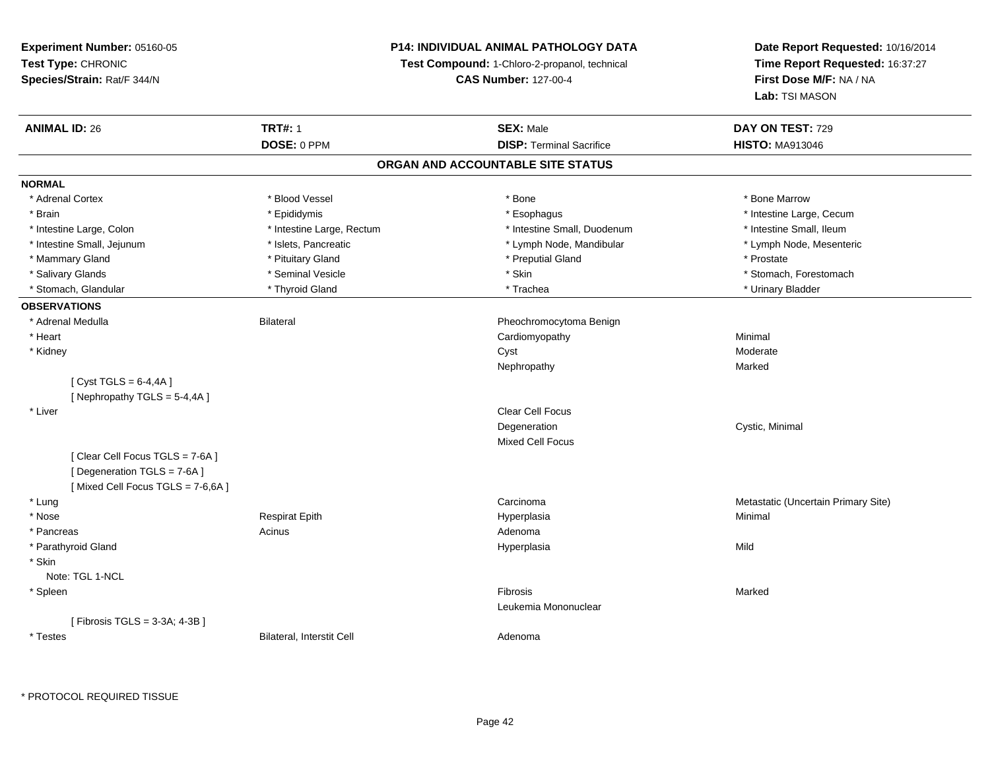## **P14: INDIVIDUAL ANIMAL PATHOLOGY DATA**

**Test Compound:** 1-Chloro-2-propanol, technical

**CAS Number:** 127-00-4

| <b>ANIMAL ID: 26</b>             | <b>TRT#: 1</b>            | <b>SEX: Male</b>                  | DAY ON TEST: 729                    |
|----------------------------------|---------------------------|-----------------------------------|-------------------------------------|
|                                  | DOSE: 0 PPM               | <b>DISP: Terminal Sacrifice</b>   | <b>HISTO: MA913046</b>              |
|                                  |                           | ORGAN AND ACCOUNTABLE SITE STATUS |                                     |
| <b>NORMAL</b>                    |                           |                                   |                                     |
| * Adrenal Cortex                 | * Blood Vessel            | * Bone                            | * Bone Marrow                       |
| * Brain                          | * Epididymis              | * Esophagus                       | * Intestine Large, Cecum            |
| * Intestine Large, Colon         | * Intestine Large, Rectum | * Intestine Small, Duodenum       | * Intestine Small, Ileum            |
| * Intestine Small, Jejunum       | * Islets, Pancreatic      | * Lymph Node, Mandibular          | * Lymph Node, Mesenteric            |
| * Mammary Gland                  | * Pituitary Gland         | * Preputial Gland                 | * Prostate                          |
| * Salivary Glands                | * Seminal Vesicle         | * Skin                            | * Stomach, Forestomach              |
| * Stomach, Glandular             | * Thyroid Gland           | * Trachea                         | * Urinary Bladder                   |
| <b>OBSERVATIONS</b>              |                           |                                   |                                     |
| * Adrenal Medulla                | <b>Bilateral</b>          | Pheochromocytoma Benign           |                                     |
| * Heart                          |                           | Cardiomyopathy                    | Minimal                             |
| * Kidney                         |                           | Cyst                              | Moderate                            |
|                                  |                           | Nephropathy                       | Marked                              |
| [Cyst TGLS = $6-4,4A$ ]          |                           |                                   |                                     |
| [Nephropathy TGLS = 5-4,4A]      |                           |                                   |                                     |
| * Liver                          |                           | Clear Cell Focus                  |                                     |
|                                  |                           | Degeneration                      | Cystic, Minimal                     |
|                                  |                           | <b>Mixed Cell Focus</b>           |                                     |
| [Clear Cell Focus TGLS = 7-6A]   |                           |                                   |                                     |
| [Degeneration TGLS = 7-6A]       |                           |                                   |                                     |
| [Mixed Cell Focus TGLS = 7-6,6A] |                           |                                   |                                     |
| * Lung                           |                           | Carcinoma                         | Metastatic (Uncertain Primary Site) |
| * Nose                           | <b>Respirat Epith</b>     | Hyperplasia                       | Minimal                             |
| * Pancreas                       | Acinus                    | Adenoma                           |                                     |
| * Parathyroid Gland              |                           | Hyperplasia                       | Mild                                |
| * Skin                           |                           |                                   |                                     |
| Note: TGL 1-NCL                  |                           |                                   |                                     |
| * Spleen                         |                           | Fibrosis                          | Marked                              |
|                                  |                           | Leukemia Mononuclear              |                                     |
| [ Fibrosis TGLS = 3-3A; 4-3B ]   |                           |                                   |                                     |
| * Testes                         | Bilateral, Interstit Cell | Adenoma                           |                                     |
|                                  |                           |                                   |                                     |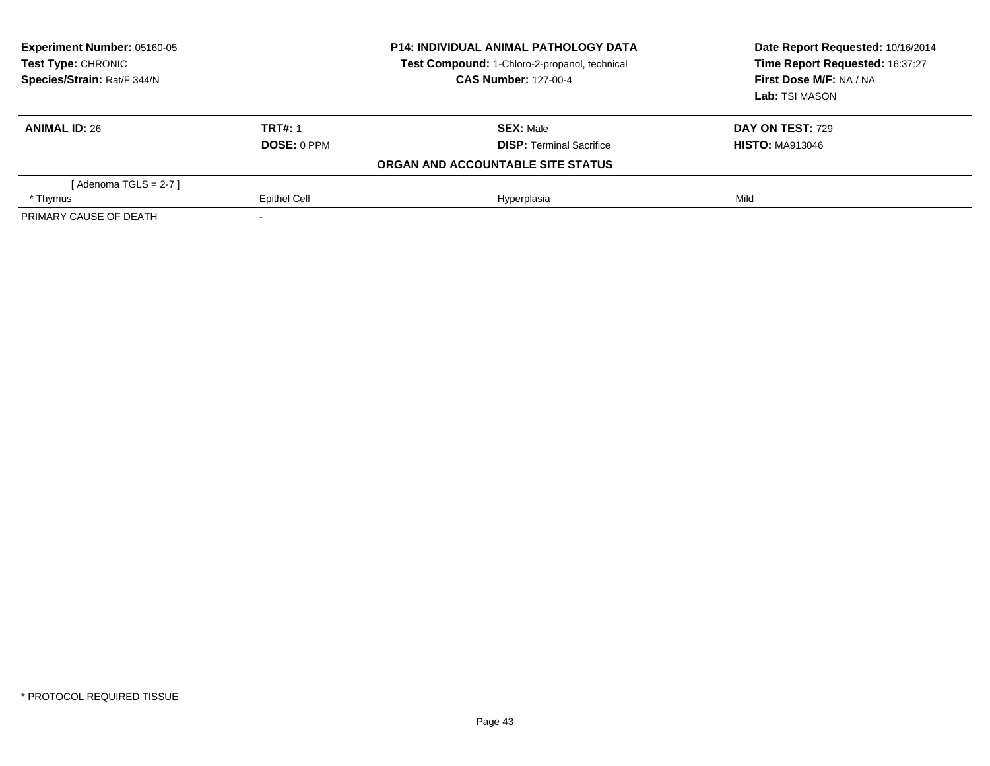| Experiment Number: 05160-05<br>Test Type: CHRONIC<br>Species/Strain: Rat/F 344/N |                    | <b>P14: INDIVIDUAL ANIMAL PATHOLOGY DATA</b><br>Test Compound: 1-Chloro-2-propanol, technical<br><b>CAS Number: 127-00-4</b> | Date Report Requested: 10/16/2014<br>Time Report Requested: 16:37:27<br>First Dose M/F: NA / NA<br>Lab: TSI MASON |  |
|----------------------------------------------------------------------------------|--------------------|------------------------------------------------------------------------------------------------------------------------------|-------------------------------------------------------------------------------------------------------------------|--|
| <b>ANIMAL ID: 26</b>                                                             | <b>TRT#: 1</b>     | <b>SEX: Male</b>                                                                                                             | <b>DAY ON TEST: 729</b>                                                                                           |  |
|                                                                                  | <b>DOSE: 0 PPM</b> | <b>DISP:</b> Terminal Sacrifice                                                                                              | <b>HISTO: MA913046</b>                                                                                            |  |
|                                                                                  |                    | ORGAN AND ACCOUNTABLE SITE STATUS                                                                                            |                                                                                                                   |  |
| [ Adenoma TGLS = 2-7 ]                                                           |                    |                                                                                                                              |                                                                                                                   |  |
| * Thymus                                                                         | Epithel Cell       | Hyperplasia                                                                                                                  | Mild                                                                                                              |  |
| PRIMARY CAUSE OF DEATH                                                           |                    |                                                                                                                              |                                                                                                                   |  |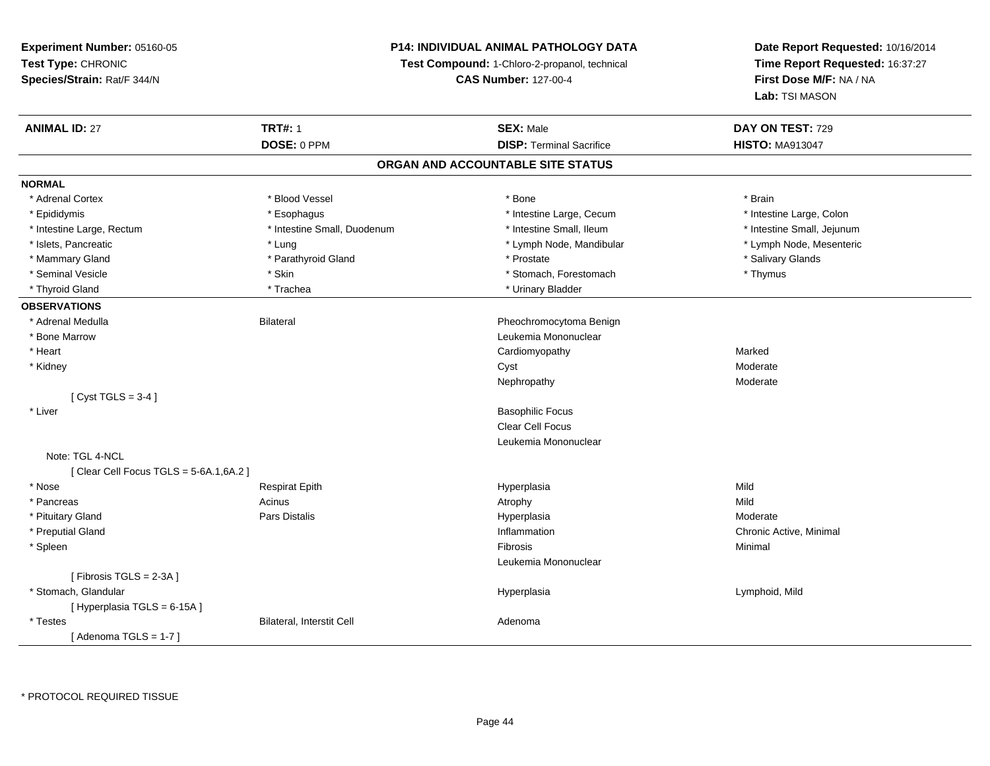## **P14: INDIVIDUAL ANIMAL PATHOLOGY DATA**

**Test Compound:** 1-Chloro-2-propanol, technical

**CAS Number:** 127-00-4

| DOSE: 0 PPM<br><b>HISTO: MA913047</b><br><b>DISP: Terminal Sacrifice</b><br>ORGAN AND ACCOUNTABLE SITE STATUS<br><b>NORMAL</b> |  |
|--------------------------------------------------------------------------------------------------------------------------------|--|
|                                                                                                                                |  |
|                                                                                                                                |  |
|                                                                                                                                |  |
| * Adrenal Cortex<br>* Blood Vessel<br>* Bone<br>* Brain                                                                        |  |
| * Epididymis<br>* Esophagus<br>* Intestine Large, Cecum<br>* Intestine Large, Colon                                            |  |
| * Intestine Small, Duodenum<br>* Intestine Small, Ileum<br>* Intestine Small, Jejunum<br>* Intestine Large, Rectum             |  |
| * Islets, Pancreatic<br>* Lymph Node, Mandibular<br>* Lymph Node, Mesenteric<br>* Lung                                         |  |
| * Salivary Glands<br>* Mammary Gland<br>* Parathyroid Gland<br>* Prostate                                                      |  |
| * Thymus<br>* Seminal Vesicle<br>* Skin<br>* Stomach, Forestomach                                                              |  |
| * Thyroid Gland<br>* Trachea<br>* Urinary Bladder                                                                              |  |
| <b>OBSERVATIONS</b>                                                                                                            |  |
| * Adrenal Medulla<br><b>Bilateral</b><br>Pheochromocytoma Benign                                                               |  |
| * Bone Marrow<br>Leukemia Mononuclear                                                                                          |  |
| * Heart<br>Cardiomyopathy<br>Marked                                                                                            |  |
| Moderate<br>* Kidney<br>Cyst                                                                                                   |  |
| Moderate<br>Nephropathy                                                                                                        |  |
| [Cyst TGLS = $3-4$ ]                                                                                                           |  |
| * Liver<br><b>Basophilic Focus</b>                                                                                             |  |
| Clear Cell Focus                                                                                                               |  |
| Leukemia Mononuclear                                                                                                           |  |
| Note: TGL 4-NCL                                                                                                                |  |
| [ Clear Cell Focus TGLS = 5-6A.1,6A.2 ]                                                                                        |  |
| * Nose<br>Mild<br><b>Respirat Epith</b><br>Hyperplasia                                                                         |  |
| * Pancreas<br>Acinus<br>Mild<br>Atrophy                                                                                        |  |
| * Pituitary Gland<br>Pars Distalis<br>Hyperplasia<br>Moderate                                                                  |  |
| * Preputial Gland<br>Inflammation<br>Chronic Active, Minimal                                                                   |  |
| * Spleen<br>Fibrosis<br>Minimal                                                                                                |  |
| Leukemia Mononuclear                                                                                                           |  |
| [Fibrosis TGLS = 2-3A]                                                                                                         |  |
| * Stomach, Glandular<br>Lymphoid, Mild<br>Hyperplasia                                                                          |  |
| [Hyperplasia TGLS = 6-15A]                                                                                                     |  |
| * Testes<br>Bilateral, Interstit Cell<br>Adenoma                                                                               |  |
| [Adenoma TGLS = $1-7$ ]                                                                                                        |  |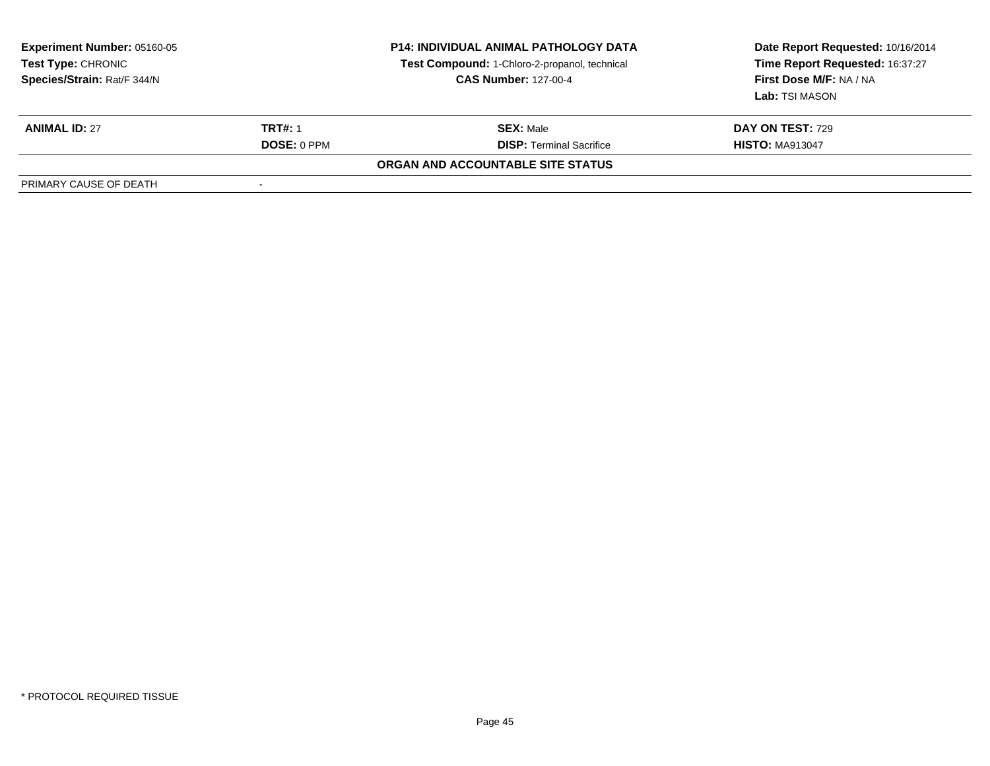| <b>Experiment Number: 05160-05</b><br>Test Type: CHRONIC<br>Species/Strain: Rat/F 344/N |                    | <b>P14: INDIVIDUAL ANIMAL PATHOLOGY DATA</b><br>Test Compound: 1-Chloro-2-propanol, technical<br><b>CAS Number: 127-00-4</b> | Date Report Requested: 10/16/2014<br>Time Report Requested: 16:37:27<br>First Dose M/F: NA / NA<br>Lab: TSI MASON |  |
|-----------------------------------------------------------------------------------------|--------------------|------------------------------------------------------------------------------------------------------------------------------|-------------------------------------------------------------------------------------------------------------------|--|
| <b>ANIMAL ID: 27</b>                                                                    | <b>TRT#: 1</b>     | <b>SEX: Male</b>                                                                                                             | <b>DAY ON TEST: 729</b>                                                                                           |  |
|                                                                                         | <b>DOSE: 0 PPM</b> | <b>DISP:</b> Terminal Sacrifice                                                                                              | <b>HISTO: MA913047</b>                                                                                            |  |
|                                                                                         |                    | ORGAN AND ACCOUNTABLE SITE STATUS                                                                                            |                                                                                                                   |  |
| PRIMARY CAUSE OF DEATH                                                                  |                    |                                                                                                                              |                                                                                                                   |  |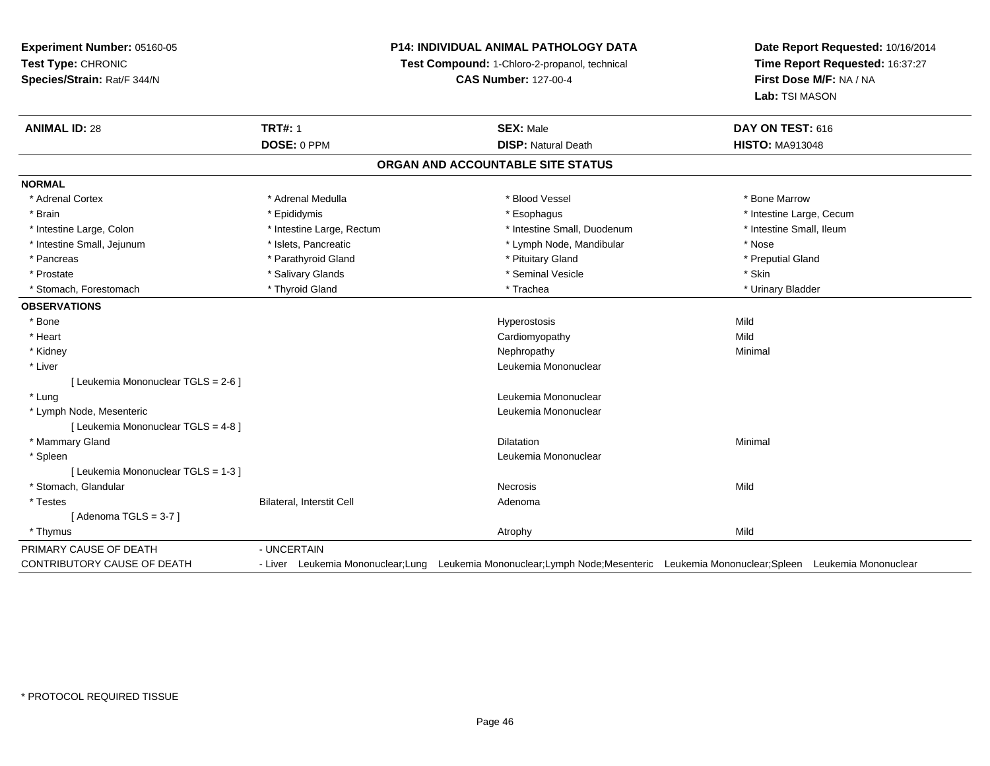## **P14: INDIVIDUAL ANIMAL PATHOLOGY DATA**

**Test Compound:** 1-Chloro-2-propanol, technical

**CAS Number:** 127-00-4

| <b>ANIMAL ID: 28</b>                | <b>TRT#: 1</b>                   | <b>SEX: Male</b>                                                                                                              | DAY ON TEST: 616         |  |
|-------------------------------------|----------------------------------|-------------------------------------------------------------------------------------------------------------------------------|--------------------------|--|
|                                     | DOSE: 0 PPM                      | <b>DISP: Natural Death</b>                                                                                                    | <b>HISTO: MA913048</b>   |  |
|                                     |                                  | ORGAN AND ACCOUNTABLE SITE STATUS                                                                                             |                          |  |
| <b>NORMAL</b>                       |                                  |                                                                                                                               |                          |  |
| * Adrenal Cortex                    | * Adrenal Medulla                | * Blood Vessel                                                                                                                | * Bone Marrow            |  |
| * Brain                             | * Epididymis                     | * Esophagus                                                                                                                   | * Intestine Large, Cecum |  |
| * Intestine Large, Colon            | * Intestine Large, Rectum        | * Intestine Small, Duodenum                                                                                                   | * Intestine Small, Ileum |  |
| * Intestine Small, Jejunum          | * Islets, Pancreatic             | * Lymph Node, Mandibular                                                                                                      | * Nose                   |  |
| * Pancreas                          | * Parathyroid Gland              | * Pituitary Gland                                                                                                             | * Preputial Gland        |  |
| * Prostate                          | * Salivary Glands                | * Seminal Vesicle                                                                                                             | * Skin                   |  |
| * Stomach, Forestomach              | * Thyroid Gland                  | * Trachea                                                                                                                     | * Urinary Bladder        |  |
| <b>OBSERVATIONS</b>                 |                                  |                                                                                                                               |                          |  |
| * Bone                              |                                  | Hyperostosis                                                                                                                  | Mild                     |  |
| * Heart                             |                                  | Cardiomyopathy                                                                                                                | Mild                     |  |
| * Kidney                            |                                  | Nephropathy                                                                                                                   | Minimal                  |  |
| * Liver                             |                                  | Leukemia Mononuclear                                                                                                          |                          |  |
| [ Leukemia Mononuclear TGLS = 2-6 ] |                                  |                                                                                                                               |                          |  |
| * Lung                              |                                  | Leukemia Mononuclear                                                                                                          |                          |  |
| * Lymph Node, Mesenteric            |                                  | Leukemia Mononuclear                                                                                                          |                          |  |
| [ Leukemia Mononuclear TGLS = 4-8 ] |                                  |                                                                                                                               |                          |  |
| * Mammary Gland                     |                                  | <b>Dilatation</b>                                                                                                             | Minimal                  |  |
| * Spleen                            |                                  | Leukemia Mononuclear                                                                                                          |                          |  |
| [ Leukemia Mononuclear TGLS = 1-3 ] |                                  |                                                                                                                               |                          |  |
| * Stomach, Glandular                |                                  | <b>Necrosis</b>                                                                                                               | Mild                     |  |
| * Testes                            | <b>Bilateral, Interstit Cell</b> | Adenoma                                                                                                                       |                          |  |
| [Adenoma TGLS = $3-7$ ]             |                                  |                                                                                                                               |                          |  |
| * Thymus                            |                                  | Atrophy                                                                                                                       | Mild                     |  |
| PRIMARY CAUSE OF DEATH              | - UNCERTAIN                      |                                                                                                                               |                          |  |
| <b>CONTRIBUTORY CAUSE OF DEATH</b>  |                                  | - Liver Leukemia Mononuclear;Lung Leukemia Mononuclear;Lymph Node;Mesenteric Leukemia Mononuclear;Spleen Leukemia Mononuclear |                          |  |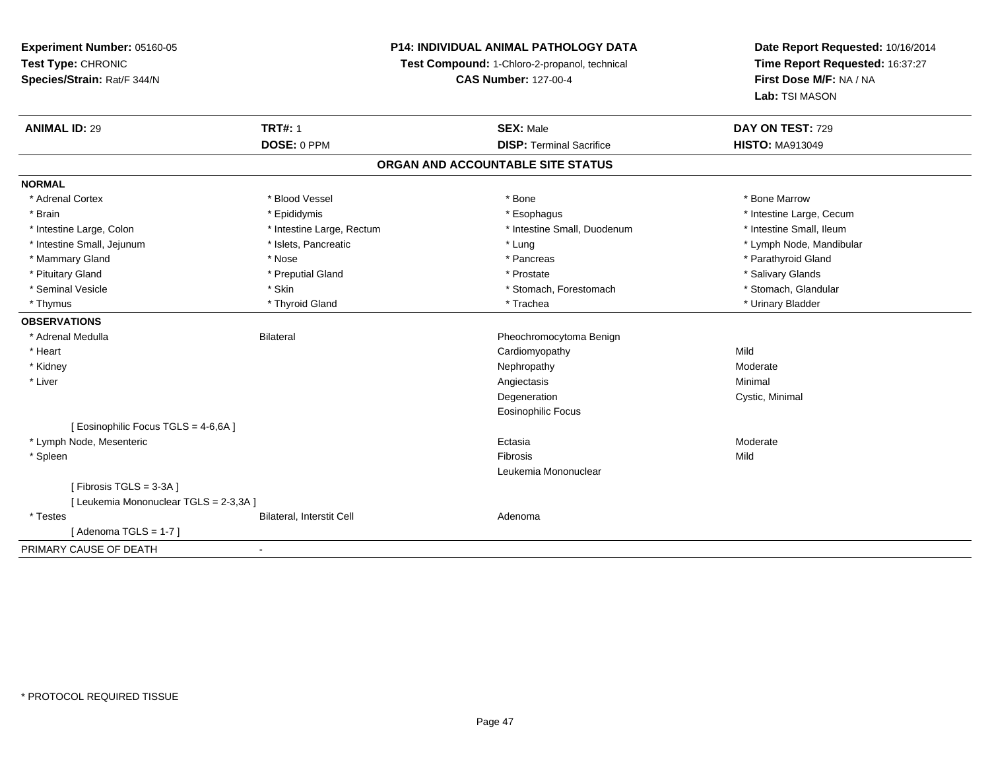## **P14: INDIVIDUAL ANIMAL PATHOLOGY DATA**

**Test Compound:** 1-Chloro-2-propanol, technical

**CAS Number:** 127-00-4

| <b>ANIMAL ID: 29</b>                   | <b>TRT#: 1</b>            | <b>SEX: Male</b>                  | DAY ON TEST: 729         |
|----------------------------------------|---------------------------|-----------------------------------|--------------------------|
|                                        | DOSE: 0 PPM               | <b>DISP: Terminal Sacrifice</b>   | <b>HISTO: MA913049</b>   |
|                                        |                           | ORGAN AND ACCOUNTABLE SITE STATUS |                          |
| <b>NORMAL</b>                          |                           |                                   |                          |
| * Adrenal Cortex                       | * Blood Vessel            | * Bone                            | * Bone Marrow            |
| * Brain                                | * Epididymis              | * Esophagus                       | * Intestine Large, Cecum |
| * Intestine Large, Colon               | * Intestine Large, Rectum | * Intestine Small, Duodenum       | * Intestine Small, Ileum |
| * Intestine Small, Jejunum             | * Islets, Pancreatic      | * Lung                            | * Lymph Node, Mandibular |
| * Mammary Gland                        | * Nose                    | * Pancreas                        | * Parathyroid Gland      |
| * Pituitary Gland                      | * Preputial Gland         | * Prostate                        | * Salivary Glands        |
| * Seminal Vesicle                      | * Skin                    | * Stomach, Forestomach            | * Stomach, Glandular     |
| * Thymus                               | * Thyroid Gland           | * Trachea                         | * Urinary Bladder        |
| <b>OBSERVATIONS</b>                    |                           |                                   |                          |
| * Adrenal Medulla                      | <b>Bilateral</b>          | Pheochromocytoma Benign           |                          |
| * Heart                                |                           | Cardiomyopathy                    | Mild                     |
| * Kidney                               |                           | Nephropathy                       | Moderate                 |
| * Liver                                |                           | Angiectasis                       | Minimal                  |
|                                        |                           | Degeneration                      | Cystic, Minimal          |
|                                        |                           | <b>Eosinophilic Focus</b>         |                          |
| [ Eosinophilic Focus TGLS = 4-6,6A ]   |                           |                                   |                          |
| * Lymph Node, Mesenteric               |                           | Ectasia                           | Moderate                 |
| * Spleen                               |                           | Fibrosis                          | Mild                     |
|                                        |                           | Leukemia Mononuclear              |                          |
| [Fibrosis TGLS = 3-3A]                 |                           |                                   |                          |
| [ Leukemia Mononuclear TGLS = 2-3,3A ] |                           |                                   |                          |
| * Testes                               | Bilateral, Interstit Cell | Adenoma                           |                          |
| [Adenoma TGLS = $1-7$ ]                |                           |                                   |                          |
| PRIMARY CAUSE OF DEATH                 | $\blacksquare$            |                                   |                          |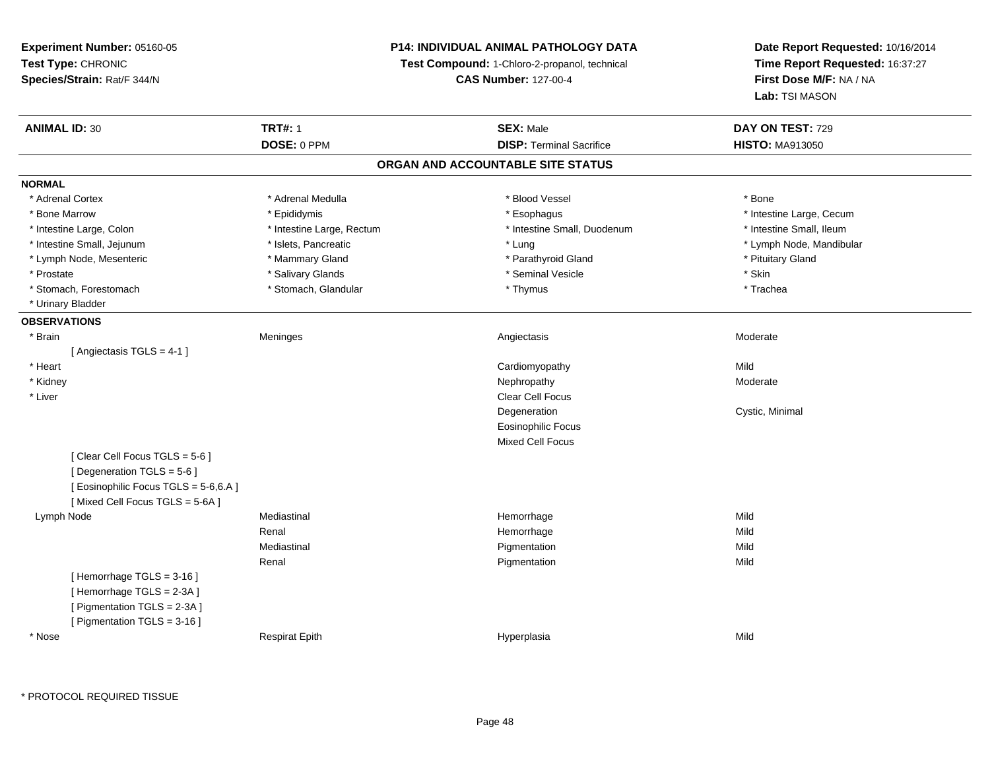## **P14: INDIVIDUAL ANIMAL PATHOLOGY DATA**

**Test Compound:** 1-Chloro-2-propanol, technical

**CAS Number:** 127-00-4

| <b>ANIMAL ID: 30</b>                | <b>TRT#: 1</b>            | <b>SEX: Male</b>                  | DAY ON TEST: 729         |  |
|-------------------------------------|---------------------------|-----------------------------------|--------------------------|--|
|                                     | DOSE: 0 PPM               | <b>DISP: Terminal Sacrifice</b>   | <b>HISTO: MA913050</b>   |  |
|                                     |                           | ORGAN AND ACCOUNTABLE SITE STATUS |                          |  |
| <b>NORMAL</b>                       |                           |                                   |                          |  |
| * Adrenal Cortex                    | * Adrenal Medulla         | * Blood Vessel                    | * Bone                   |  |
| * Bone Marrow                       | * Epididymis              | * Esophagus                       | * Intestine Large, Cecum |  |
| * Intestine Large, Colon            | * Intestine Large, Rectum | * Intestine Small, Duodenum       | * Intestine Small, Ileum |  |
| * Intestine Small, Jejunum          | * Islets, Pancreatic      | * Lung                            | * Lymph Node, Mandibular |  |
| * Lymph Node, Mesenteric            | * Mammary Gland           | * Parathyroid Gland               | * Pituitary Gland        |  |
| * Prostate                          | * Salivary Glands         | * Seminal Vesicle                 | * Skin                   |  |
| * Stomach, Forestomach              | * Stomach, Glandular      | * Thymus                          | * Trachea                |  |
| * Urinary Bladder                   |                           |                                   |                          |  |
| <b>OBSERVATIONS</b>                 |                           |                                   |                          |  |
| * Brain                             | Meninges                  | Angiectasis                       | Moderate                 |  |
| [Angiectasis TGLS = 4-1]            |                           |                                   |                          |  |
| * Heart                             |                           | Cardiomyopathy                    | Mild                     |  |
| * Kidney                            |                           | Nephropathy                       | Moderate                 |  |
| * Liver                             |                           | Clear Cell Focus                  |                          |  |
|                                     |                           | Degeneration                      | Cystic, Minimal          |  |
|                                     |                           | <b>Eosinophilic Focus</b>         |                          |  |
|                                     |                           | <b>Mixed Cell Focus</b>           |                          |  |
| [Clear Cell Focus TGLS = 5-6]       |                           |                                   |                          |  |
| [Degeneration TGLS = 5-6]           |                           |                                   |                          |  |
| [Eosinophilic Focus TGLS = 5-6,6.A] |                           |                                   |                          |  |
| [Mixed Cell Focus TGLS = 5-6A]      |                           |                                   |                          |  |
| Lymph Node                          | Mediastinal               | Hemorrhage                        | Mild                     |  |
|                                     | Renal                     | Hemorrhage                        | Mild                     |  |
|                                     | Mediastinal               | Pigmentation                      | Mild                     |  |
|                                     | Renal                     | Pigmentation                      | Mild                     |  |
| [Hemorrhage TGLS = 3-16]            |                           |                                   |                          |  |
| [Hemorrhage TGLS = 2-3A]            |                           |                                   |                          |  |
| [ Pigmentation TGLS = 2-3A ]        |                           |                                   |                          |  |
| [ Pigmentation TGLS = 3-16 ]        |                           |                                   |                          |  |
| * Nose                              | <b>Respirat Epith</b>     | Hyperplasia                       | Mild                     |  |
|                                     |                           |                                   |                          |  |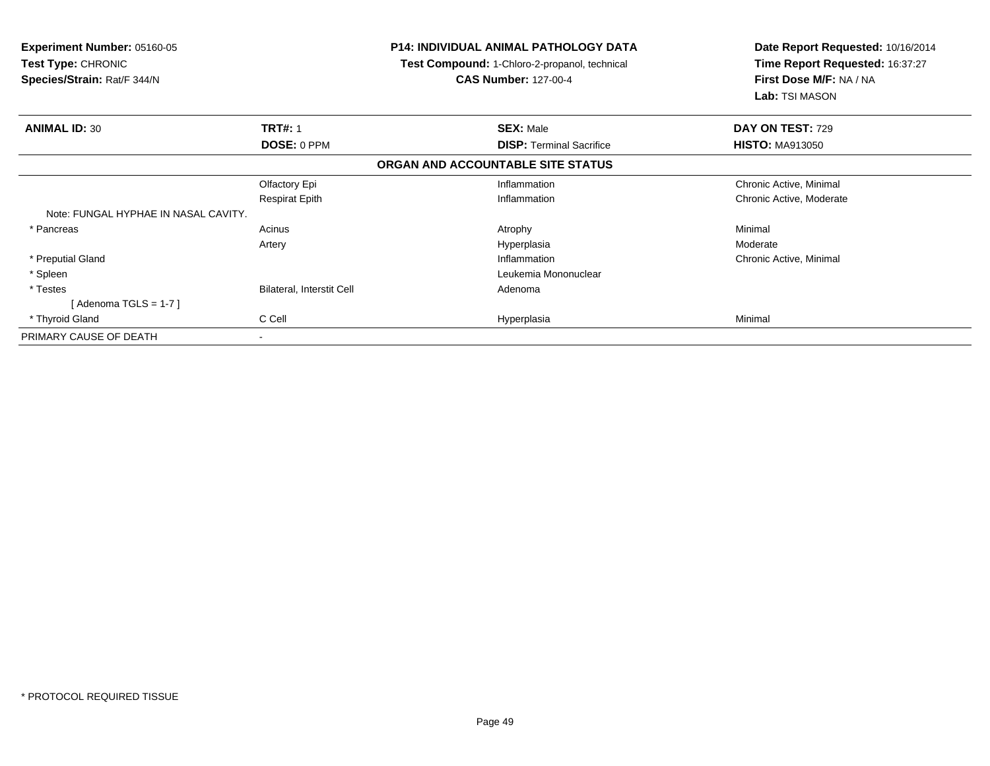| <b>Experiment Number: 05160-05</b><br><b>Test Type: CHRONIC</b><br>Species/Strain: Rat/F 344/N |                           | <b>P14: INDIVIDUAL ANIMAL PATHOLOGY DATA</b><br>Test Compound: 1-Chloro-2-propanol, technical<br><b>CAS Number: 127-00-4</b> | Date Report Requested: 10/16/2014<br>Time Report Requested: 16:37:27<br>First Dose M/F: NA / NA<br>Lab: TSI MASON |  |
|------------------------------------------------------------------------------------------------|---------------------------|------------------------------------------------------------------------------------------------------------------------------|-------------------------------------------------------------------------------------------------------------------|--|
| <b>ANIMAL ID: 30</b>                                                                           | <b>TRT#: 1</b>            | <b>SEX: Male</b>                                                                                                             | DAY ON TEST: 729                                                                                                  |  |
|                                                                                                | <b>DOSE: 0 PPM</b>        | <b>DISP: Terminal Sacrifice</b>                                                                                              | <b>HISTO: MA913050</b>                                                                                            |  |
|                                                                                                |                           | ORGAN AND ACCOUNTABLE SITE STATUS                                                                                            |                                                                                                                   |  |
|                                                                                                | Olfactory Epi             | Inflammation                                                                                                                 | Chronic Active, Minimal                                                                                           |  |
|                                                                                                | <b>Respirat Epith</b>     | Inflammation                                                                                                                 | Chronic Active, Moderate                                                                                          |  |
| Note: FUNGAL HYPHAE IN NASAL CAVITY.                                                           |                           |                                                                                                                              |                                                                                                                   |  |
| * Pancreas                                                                                     | Acinus                    | Atrophy                                                                                                                      | Minimal                                                                                                           |  |
|                                                                                                | Artery                    | Hyperplasia                                                                                                                  | Moderate                                                                                                          |  |
| * Preputial Gland                                                                              |                           | Inflammation                                                                                                                 | Chronic Active, Minimal                                                                                           |  |
| * Spleen                                                                                       |                           | Leukemia Mononuclear                                                                                                         |                                                                                                                   |  |
| * Testes                                                                                       | Bilateral, Interstit Cell | Adenoma                                                                                                                      |                                                                                                                   |  |
| [Adenoma TGLS = $1-7$ ]                                                                        |                           |                                                                                                                              |                                                                                                                   |  |
| * Thyroid Gland                                                                                | C Cell                    | Hyperplasia                                                                                                                  | Minimal                                                                                                           |  |
| PRIMARY CAUSE OF DEATH                                                                         | $\overline{\phantom{a}}$  |                                                                                                                              |                                                                                                                   |  |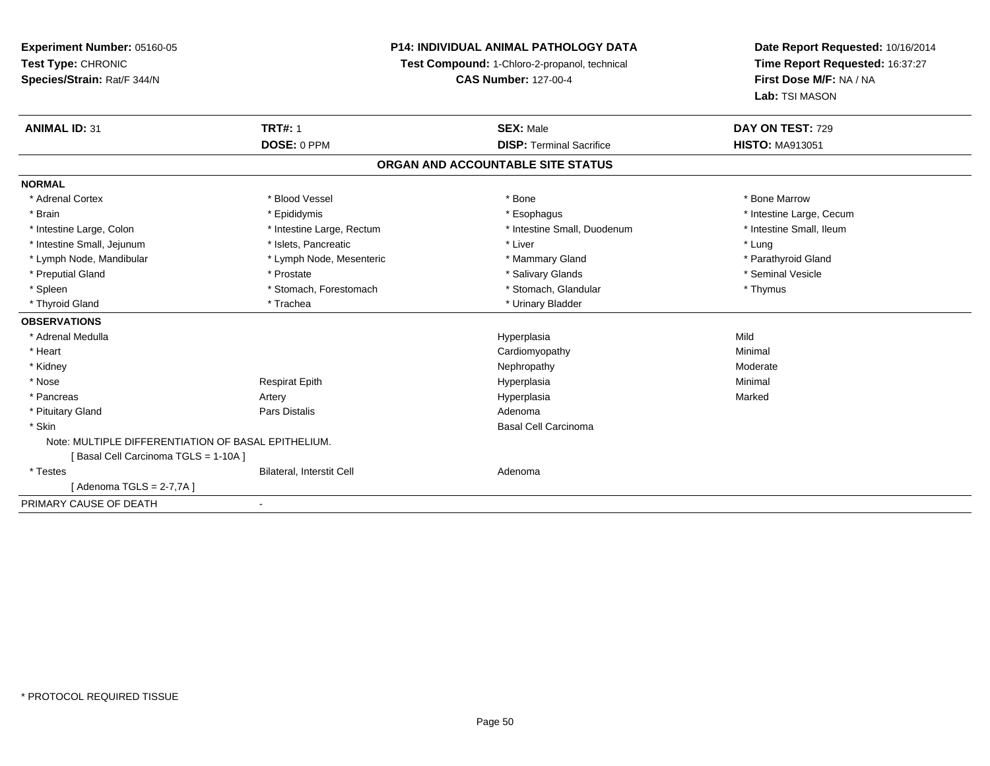**Experiment Number:** 05160-05**Test Type:** CHRONIC **Species/Strain:** Rat/F 344/N**P14: INDIVIDUAL ANIMAL PATHOLOGY DATATest Compound:** 1-Chloro-2-propanol, technical **CAS Number:** 127-00-4**Date Report Requested:** 10/16/2014**Time Report Requested:** 16:37:27**First Dose M/F:** NA / NA**Lab:** TSI MASON**ANIMAL ID:** 31**TRT#:** 1 **SEX:** Male **DAY ON TEST:** 729 **DOSE:** 0 PPM**DISP:** Terminal Sacrifice **HISTO:** MA913051 **ORGAN AND ACCOUNTABLE SITE STATUSNORMAL**\* Adrenal Cortex \* Adrenal Cortex \* \* Attachers \* Blood Vessel \* \* Bone \* \* \* Bone \* \* Bone \* \* Bone \* Bone Marrow \* Bone Marrow \* Brain \* Explorer \* Epididymis \* \* Epididymis \* \* Esophagus \* Esophagus \* \* Esophagus \* Intestine Large, Cecum \* \* Intestine Large, Cecum \* Intestine Small. Ileum \* Intestine Large, Colon \* Intestine Large, Rectum \* Intestine Small, Duodenum \* Intestine Small, Duodenum \* Intestine Small, Jejunum \* 1997 \* The state of the state of the state of the state of the state of the state  $*$  Lung \* Parathyroid Gland \* Lymph Node, Mandibular \* Lymph Node, Mesenteric \* Mammary Gland \* Mammary Gland \* Preputial Gland \* \* Annual vesicle \* \* Prostate \* \* Salivary Glands \* \* Salivary Glands \* \* Seminal Vesicle \* \* Spleen \* Stomach, Forestomach \* Stomach \* Stomach, Glandular \* Stomach, Glandular \* Thymus \* Thyroid Gland \* Trachea \* Trachea \* Trachea \* Urinary Bladder **OBSERVATIONS** \* Adrenal Medulla Hyperplasia Mild \* Heart Cardiomyopathy Minimal \* Kidneyy which is a state of the control of the Moderate of the Moderate of the Moderate of the Moderate of the Moderate of the Moderate of the Moderate of the Moderate of the Moderate of the Moderate of the Moderate of the Moder \* Nose Respirat Epith Hyperplasia Minimal \* Pancreas Artery Hyperplasiaa and a study of the state of the Marked \* Pituitary Glandd and the contract of Pars Distalis and the contract of Adenoma and Adenoma and the Adenoma and the Adenoma and  $\lambda$  \* Skin Basal Cell Carcinoma Note: MULTIPLE DIFFERENTIATION OF BASAL EPITHELIUM.[ Basal Cell Carcinoma TGLS = 1-10A ] \* TestesBilateral, Interstit Cell **Adenoma** Adenoma [ Adenoma TGLS = 2-7,7A ]PRIMARY CAUSE OF DEATH-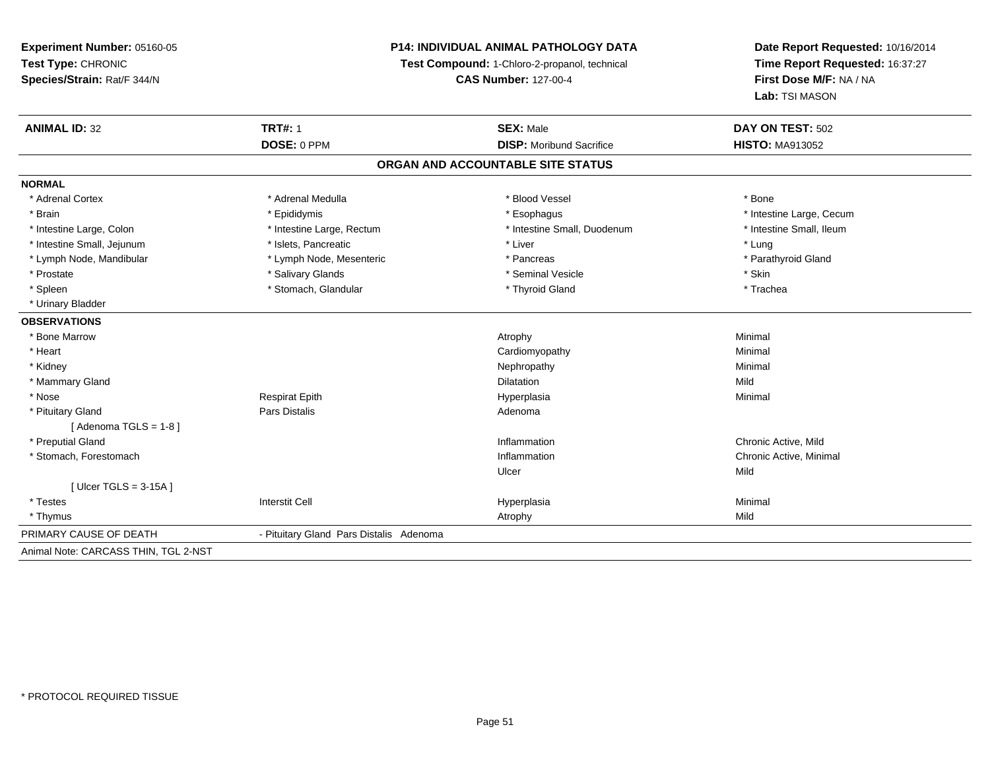## **P14: INDIVIDUAL ANIMAL PATHOLOGY DATA**

**Test Compound:** 1-Chloro-2-propanol, technical

**CAS Number:** 127-00-4

| <b>ANIMAL ID: 32</b>                 | <b>TRT#: 1</b>                          | <b>SEX: Male</b>                | DAY ON TEST: 502         |  |  |  |  |
|--------------------------------------|-----------------------------------------|---------------------------------|--------------------------|--|--|--|--|
|                                      | DOSE: 0 PPM                             | <b>DISP:</b> Moribund Sacrifice | <b>HISTO: MA913052</b>   |  |  |  |  |
| ORGAN AND ACCOUNTABLE SITE STATUS    |                                         |                                 |                          |  |  |  |  |
| <b>NORMAL</b>                        |                                         |                                 |                          |  |  |  |  |
| * Adrenal Cortex                     | * Adrenal Medulla                       | * Blood Vessel                  | * Bone                   |  |  |  |  |
| * Brain                              | * Epididymis                            | * Esophagus                     | * Intestine Large, Cecum |  |  |  |  |
| * Intestine Large, Colon             | * Intestine Large, Rectum               | * Intestine Small, Duodenum     | * Intestine Small, Ileum |  |  |  |  |
| * Intestine Small, Jejunum           | * Islets, Pancreatic                    | * Liver                         | * Lung                   |  |  |  |  |
| * Lymph Node, Mandibular             | * Lymph Node, Mesenteric                | * Pancreas                      | * Parathyroid Gland      |  |  |  |  |
| * Prostate                           | * Salivary Glands                       | * Seminal Vesicle               | * Skin                   |  |  |  |  |
| * Spleen                             | * Stomach, Glandular                    | * Thyroid Gland                 | * Trachea                |  |  |  |  |
| * Urinary Bladder                    |                                         |                                 |                          |  |  |  |  |
| <b>OBSERVATIONS</b>                  |                                         |                                 |                          |  |  |  |  |
| * Bone Marrow                        |                                         | Atrophy                         | Minimal                  |  |  |  |  |
| * Heart                              |                                         | Cardiomyopathy                  | Minimal                  |  |  |  |  |
| * Kidney                             |                                         | Nephropathy                     | Minimal                  |  |  |  |  |
| * Mammary Gland                      |                                         | <b>Dilatation</b>               | Mild                     |  |  |  |  |
| * Nose                               | <b>Respirat Epith</b>                   | Hyperplasia                     | Minimal                  |  |  |  |  |
| * Pituitary Gland                    | <b>Pars Distalis</b>                    | Adenoma                         |                          |  |  |  |  |
| [Adenoma TGLS = $1-8$ ]              |                                         |                                 |                          |  |  |  |  |
| * Preputial Gland                    |                                         | Inflammation                    | Chronic Active, Mild     |  |  |  |  |
| * Stomach, Forestomach               |                                         | Inflammation                    | Chronic Active, Minimal  |  |  |  |  |
|                                      |                                         | Ulcer                           | Mild                     |  |  |  |  |
| [ $Ulec$ TGLS = 3-15A ]              |                                         |                                 |                          |  |  |  |  |
| * Testes                             | <b>Interstit Cell</b>                   | Hyperplasia                     | Minimal                  |  |  |  |  |
| * Thymus                             |                                         | Atrophy                         | Mild                     |  |  |  |  |
| PRIMARY CAUSE OF DEATH               | - Pituitary Gland Pars Distalis Adenoma |                                 |                          |  |  |  |  |
| Animal Note: CARCASS THIN, TGL 2-NST |                                         |                                 |                          |  |  |  |  |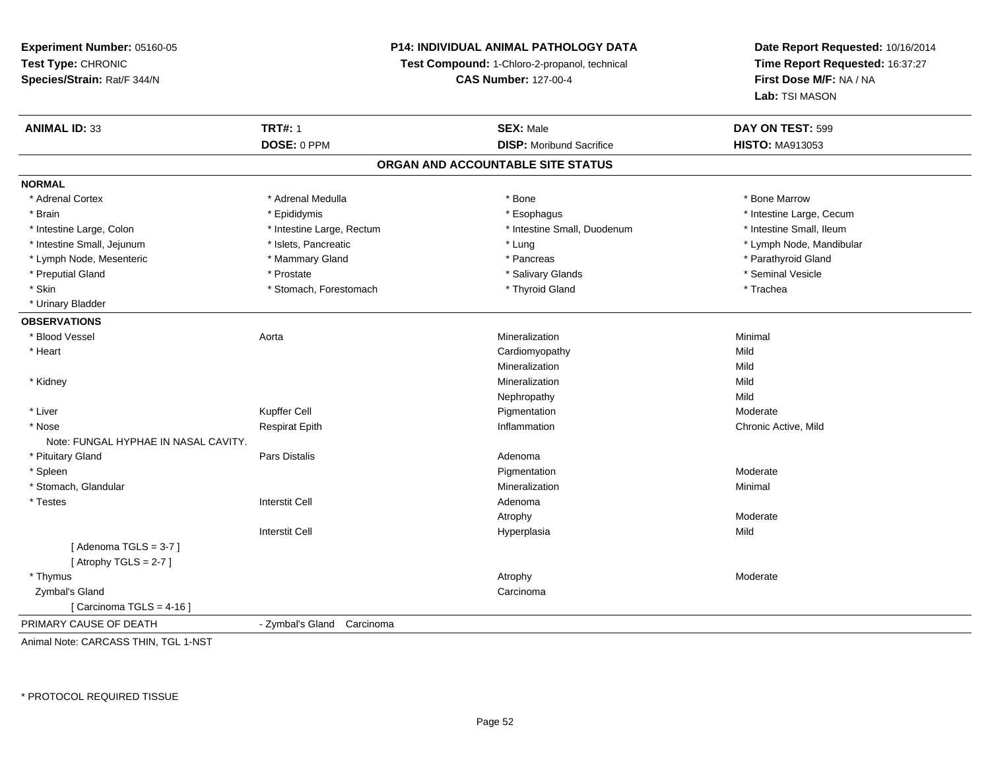## **P14: INDIVIDUAL ANIMAL PATHOLOGY DATA**

**Test Compound:** 1-Chloro-2-propanol, technical

**CAS Number:** 127-00-4

**Date Report Requested:** 10/16/2014**Time Report Requested:** 16:37:27**First Dose M/F:** NA / NA**Lab:** TSI MASON

| <b>ANIMAL ID: 33</b>                 | <b>TRT#: 1</b>             | <b>SEX: Male</b>                | DAY ON TEST: 599         |  |  |  |  |
|--------------------------------------|----------------------------|---------------------------------|--------------------------|--|--|--|--|
|                                      | DOSE: 0 PPM                | <b>DISP: Moribund Sacrifice</b> | <b>HISTO: MA913053</b>   |  |  |  |  |
| ORGAN AND ACCOUNTABLE SITE STATUS    |                            |                                 |                          |  |  |  |  |
| <b>NORMAL</b>                        |                            |                                 |                          |  |  |  |  |
| * Adrenal Cortex                     | * Adrenal Medulla          | * Bone                          | * Bone Marrow            |  |  |  |  |
| * Brain                              | * Epididymis               | * Esophagus                     | * Intestine Large, Cecum |  |  |  |  |
| * Intestine Large, Colon             | * Intestine Large, Rectum  | * Intestine Small, Duodenum     | * Intestine Small, Ileum |  |  |  |  |
| * Intestine Small, Jejunum           | * Islets, Pancreatic       | * Lung                          | * Lymph Node, Mandibular |  |  |  |  |
| * Lymph Node, Mesenteric             | * Mammary Gland            | * Pancreas                      | * Parathyroid Gland      |  |  |  |  |
| * Preputial Gland                    | * Prostate                 | * Salivary Glands               | * Seminal Vesicle        |  |  |  |  |
| * Skin                               | * Stomach, Forestomach     | * Thyroid Gland                 | * Trachea                |  |  |  |  |
| * Urinary Bladder                    |                            |                                 |                          |  |  |  |  |
| <b>OBSERVATIONS</b>                  |                            |                                 |                          |  |  |  |  |
| * Blood Vessel                       | Aorta                      | Mineralization                  | Minimal                  |  |  |  |  |
| * Heart                              |                            | Cardiomyopathy                  | Mild                     |  |  |  |  |
|                                      |                            | Mineralization                  | Mild                     |  |  |  |  |
| * Kidney                             |                            | Mineralization                  | Mild                     |  |  |  |  |
|                                      |                            | Nephropathy                     | Mild                     |  |  |  |  |
| * Liver                              | Kupffer Cell               | Pigmentation                    | Moderate                 |  |  |  |  |
| * Nose                               | <b>Respirat Epith</b>      | Inflammation                    | Chronic Active, Mild     |  |  |  |  |
| Note: FUNGAL HYPHAE IN NASAL CAVITY. |                            |                                 |                          |  |  |  |  |
| * Pituitary Gland                    | Pars Distalis              | Adenoma                         |                          |  |  |  |  |
| * Spleen                             |                            | Pigmentation                    | Moderate                 |  |  |  |  |
| * Stomach, Glandular                 |                            | Mineralization                  | Minimal                  |  |  |  |  |
| * Testes                             | <b>Interstit Cell</b>      | Adenoma                         |                          |  |  |  |  |
|                                      |                            | Atrophy                         | Moderate                 |  |  |  |  |
|                                      | <b>Interstit Cell</b>      | Hyperplasia                     | Mild                     |  |  |  |  |
| [Adenoma TGLS = $3-7$ ]              |                            |                                 |                          |  |  |  |  |
| [Atrophy TGLS = $2-7$ ]              |                            |                                 |                          |  |  |  |  |
| * Thymus                             |                            | Atrophy                         | Moderate                 |  |  |  |  |
| Zymbal's Gland                       |                            | Carcinoma                       |                          |  |  |  |  |
| [Carcinoma TGLS = $4-16$ ]           |                            |                                 |                          |  |  |  |  |
| PRIMARY CAUSE OF DEATH               | - Zymbal's Gland Carcinoma |                                 |                          |  |  |  |  |

Animal Note: CARCASS THIN, TGL 1-NST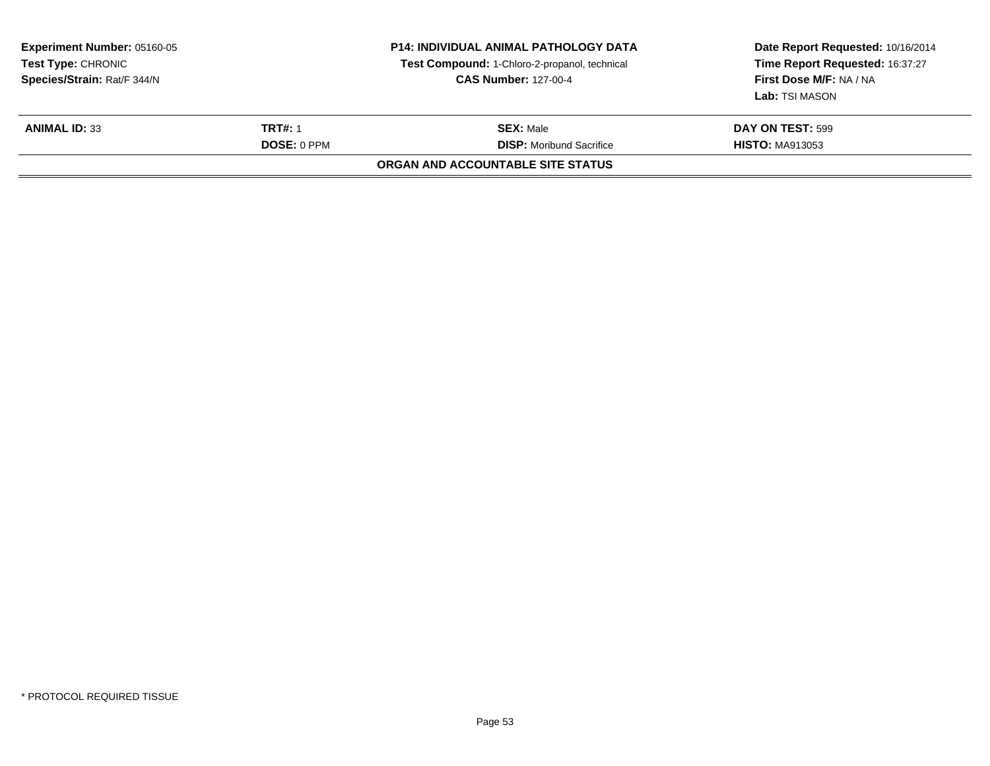| <b>Experiment Number: 05160-05</b><br>Test Type: CHRONIC<br>Species/Strain: Rat/F 344/N |                    | <b>P14: INDIVIDUAL ANIMAL PATHOLOGY DATA</b><br>Test Compound: 1-Chloro-2-propanol, technical<br><b>CAS Number: 127-00-4</b> | Date Report Requested: 10/16/2014<br>Time Report Requested: 16:37:27<br><b>First Dose M/F: NA / NA</b><br><b>Lab: TSI MASON</b> |
|-----------------------------------------------------------------------------------------|--------------------|------------------------------------------------------------------------------------------------------------------------------|---------------------------------------------------------------------------------------------------------------------------------|
| <b>ANIMAL ID: 33</b>                                                                    | <b>TRT#: 1</b>     | <b>SEX: Male</b>                                                                                                             | DAY ON TEST: 599                                                                                                                |
|                                                                                         | <b>DOSE: 0 PPM</b> | <b>DISP:</b> Moribund Sacrifice<br>ORGAN AND ACCOUNTABLE SITE STATUS                                                         | <b>HISTO: MA913053</b>                                                                                                          |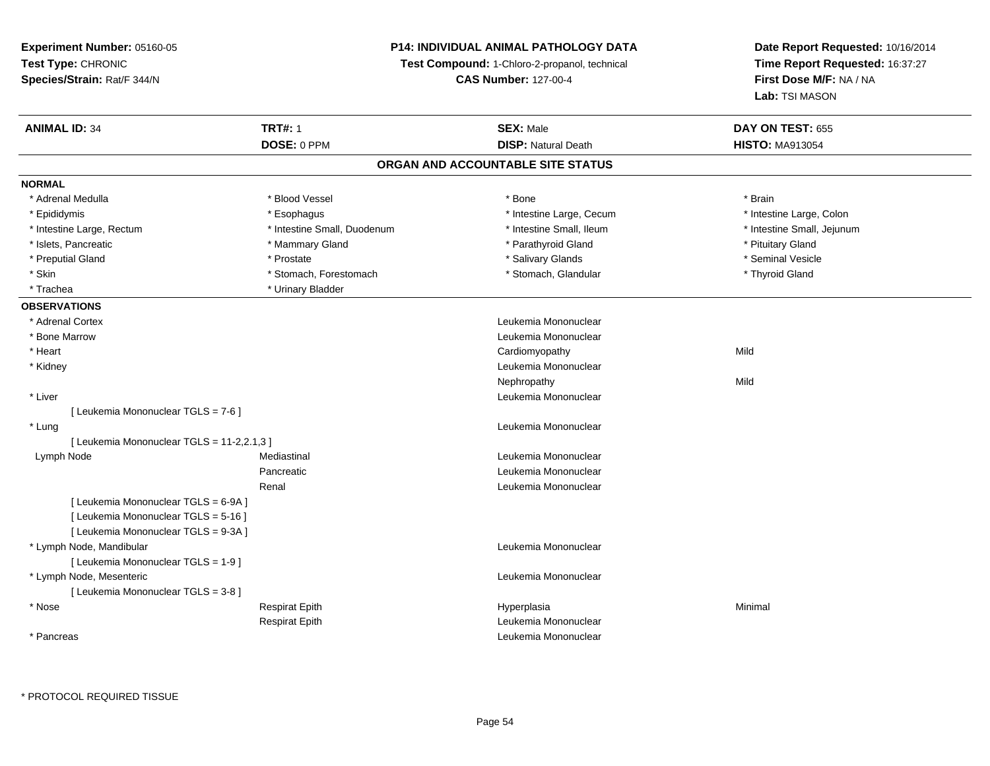## **P14: INDIVIDUAL ANIMAL PATHOLOGY DATA**

**Test Compound:** 1-Chloro-2-propanol, technical

**CAS Number:** 127-00-4

| <b>ANIMAL ID: 34</b>                       | <b>TRT#: 1</b>              | <b>SEX: Male</b>                  | <b>DAY ON TEST: 655</b>    |
|--------------------------------------------|-----------------------------|-----------------------------------|----------------------------|
|                                            | DOSE: 0 PPM                 | <b>DISP: Natural Death</b>        | <b>HISTO: MA913054</b>     |
|                                            |                             | ORGAN AND ACCOUNTABLE SITE STATUS |                            |
| <b>NORMAL</b>                              |                             |                                   |                            |
| * Adrenal Medulla                          | * Blood Vessel              | * Bone                            | * Brain                    |
| * Epididymis                               | * Esophagus                 | * Intestine Large, Cecum          | * Intestine Large, Colon   |
| * Intestine Large, Rectum                  | * Intestine Small, Duodenum | * Intestine Small, Ileum          | * Intestine Small, Jejunum |
| * Islets, Pancreatic                       | * Mammary Gland             | * Parathyroid Gland               | * Pituitary Gland          |
| * Preputial Gland                          | * Prostate                  | * Salivary Glands                 | * Seminal Vesicle          |
| * Skin                                     | * Stomach, Forestomach      | * Stomach, Glandular              | * Thyroid Gland            |
| * Trachea                                  | * Urinary Bladder           |                                   |                            |
| <b>OBSERVATIONS</b>                        |                             |                                   |                            |
| * Adrenal Cortex                           |                             | Leukemia Mononuclear              |                            |
| * Bone Marrow                              |                             | Leukemia Mononuclear              |                            |
| * Heart                                    |                             | Cardiomyopathy                    | Mild                       |
| * Kidney                                   |                             | Leukemia Mononuclear              |                            |
|                                            |                             | Nephropathy                       | Mild                       |
| * Liver                                    |                             | Leukemia Mononuclear              |                            |
| [ Leukemia Mononuclear TGLS = 7-6 ]        |                             |                                   |                            |
| * Lung                                     |                             | Leukemia Mononuclear              |                            |
| [ Leukemia Mononuclear TGLS = 11-2,2.1,3 ] |                             |                                   |                            |
| Lymph Node                                 | Mediastinal                 | Leukemia Mononuclear              |                            |
|                                            | Pancreatic                  | Leukemia Mononuclear              |                            |
|                                            | Renal                       | Leukemia Mononuclear              |                            |
| [ Leukemia Mononuclear TGLS = 6-9A ]       |                             |                                   |                            |
| [ Leukemia Mononuclear TGLS = 5-16 ]       |                             |                                   |                            |
| [ Leukemia Mononuclear TGLS = 9-3A ]       |                             |                                   |                            |
| * Lymph Node, Mandibular                   |                             | Leukemia Mononuclear              |                            |
| [ Leukemia Mononuclear TGLS = 1-9 ]        |                             |                                   |                            |
| * Lymph Node, Mesenteric                   |                             | Leukemia Mononuclear              |                            |
| [ Leukemia Mononuclear TGLS = 3-8 ]        |                             |                                   |                            |
| * Nose                                     | <b>Respirat Epith</b>       | Hyperplasia                       | Minimal                    |
|                                            | <b>Respirat Epith</b>       | Leukemia Mononuclear              |                            |
| * Pancreas                                 |                             | Leukemia Mononuclear              |                            |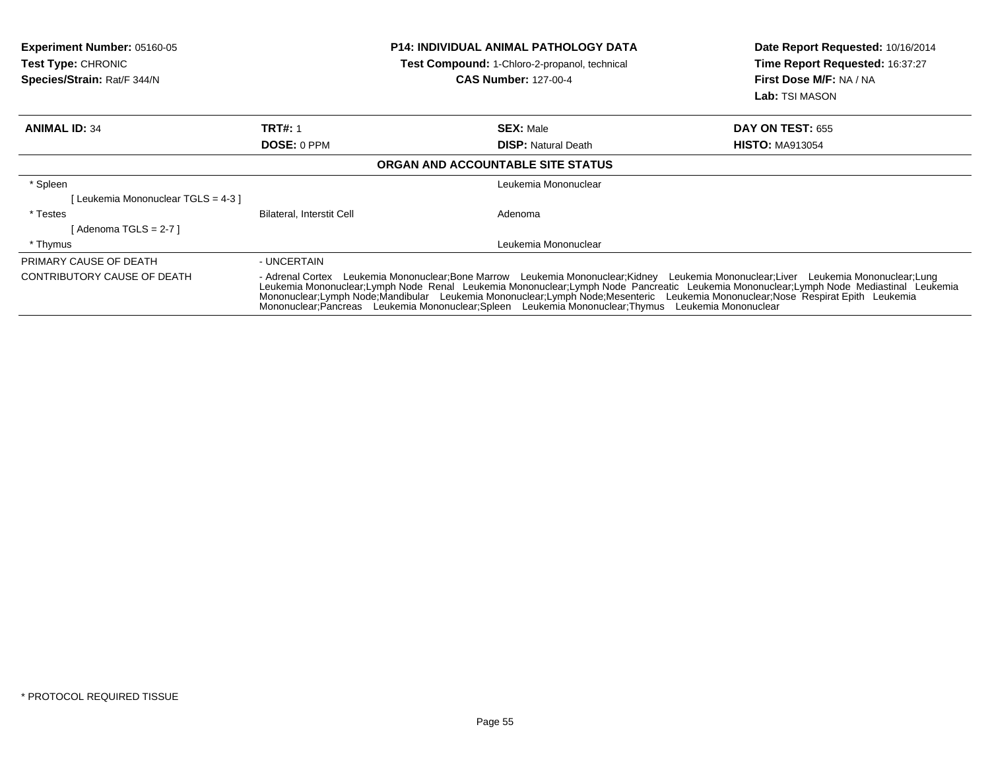| <b>Experiment Number: 05160-05</b><br><b>Test Type: CHRONIC</b><br>Species/Strain: Rat/F 344/N | <b>P14: INDIVIDUAL ANIMAL PATHOLOGY DATA</b><br>Test Compound: 1-Chloro-2-propanol, technical<br><b>CAS Number: 127-00-4</b>                                                                                                                                                                                                                                                                                                                                                                                          |                                   | Date Report Requested: 10/16/2014<br><b>Time Report Requested: 16:37:27</b><br><b>First Dose M/F: NA / NA</b><br>Lab: TSI MASON |
|------------------------------------------------------------------------------------------------|-----------------------------------------------------------------------------------------------------------------------------------------------------------------------------------------------------------------------------------------------------------------------------------------------------------------------------------------------------------------------------------------------------------------------------------------------------------------------------------------------------------------------|-----------------------------------|---------------------------------------------------------------------------------------------------------------------------------|
| <b>ANIMAL ID: 34</b>                                                                           | <b>TRT#: 1</b>                                                                                                                                                                                                                                                                                                                                                                                                                                                                                                        | <b>SEX: Male</b>                  | <b>DAY ON TEST: 655</b>                                                                                                         |
|                                                                                                | DOSE: 0 PPM                                                                                                                                                                                                                                                                                                                                                                                                                                                                                                           | <b>DISP:</b> Natural Death        | <b>HISTO: MA913054</b>                                                                                                          |
|                                                                                                |                                                                                                                                                                                                                                                                                                                                                                                                                                                                                                                       | ORGAN AND ACCOUNTABLE SITE STATUS |                                                                                                                                 |
| * Spleen                                                                                       |                                                                                                                                                                                                                                                                                                                                                                                                                                                                                                                       | Leukemia Mononuclear              |                                                                                                                                 |
| [Leukemia Mononuclear TGLS = 4-3 ]                                                             |                                                                                                                                                                                                                                                                                                                                                                                                                                                                                                                       |                                   |                                                                                                                                 |
| * Testes                                                                                       | Bilateral, Interstit Cell                                                                                                                                                                                                                                                                                                                                                                                                                                                                                             | Adenoma                           |                                                                                                                                 |
| [ Adenoma TGLS = 2-7 ]                                                                         |                                                                                                                                                                                                                                                                                                                                                                                                                                                                                                                       |                                   |                                                                                                                                 |
| * Thymus                                                                                       |                                                                                                                                                                                                                                                                                                                                                                                                                                                                                                                       | Leukemia Mononuclear              |                                                                                                                                 |
| PRIMARY CAUSE OF DEATH                                                                         | - UNCERTAIN                                                                                                                                                                                                                                                                                                                                                                                                                                                                                                           |                                   |                                                                                                                                 |
| CONTRIBUTORY CAUSE OF DEATH                                                                    | - Adrenal Cortex Leukemia Mononuclear;Bone Marrow Leukemia Mononuclear;Kidney Leukemia Mononuclear;Liver Leukemia Mononuclear;Lung<br>Leukemia Mononuclear;Lymph Node Renal Leukemia Mononuclear;Lymph Node Pancreatic Leukemia Mononuclear;Lymph Node Mediastinal Leukemia<br>Mononuclear:Lymph Node:Mandibular Leukemia Mononuclear:Lymph Node:Mesenteric Leukemia Mononuclear:Nose Respirat Epith Leukemia<br>Mononuclear: Pancreas Leukemia Mononuclear: Spleen Leukemia Mononuclear: Thymus Leukemia Mononuclear |                                   |                                                                                                                                 |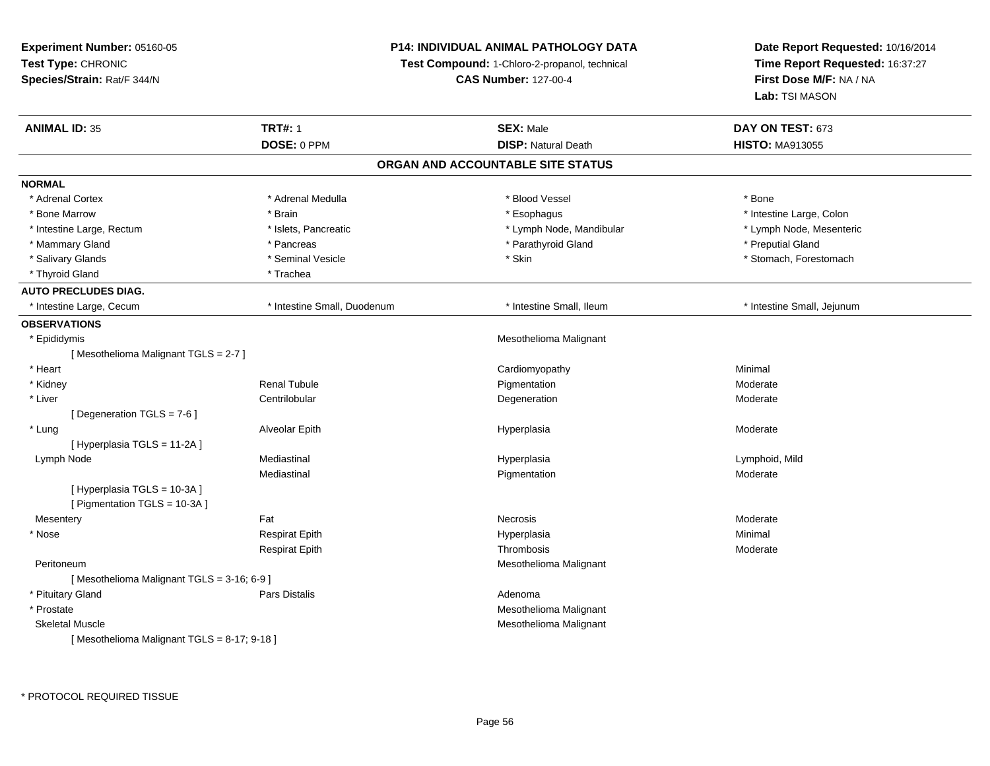## **P14: INDIVIDUAL ANIMAL PATHOLOGY DATA**

**Test Compound:** 1-Chloro-2-propanol, technical

**CAS Number:** 127-00-4

| <b>ANIMAL ID: 35</b>                       | <b>TRT#: 1</b>              | <b>SEX: Male</b>                  | DAY ON TEST: 673           |
|--------------------------------------------|-----------------------------|-----------------------------------|----------------------------|
|                                            | DOSE: 0 PPM                 | <b>DISP: Natural Death</b>        | <b>HISTO: MA913055</b>     |
|                                            |                             | ORGAN AND ACCOUNTABLE SITE STATUS |                            |
| <b>NORMAL</b>                              |                             |                                   |                            |
| * Adrenal Cortex                           | * Adrenal Medulla           | * Blood Vessel                    | * Bone                     |
| * Bone Marrow                              | * Brain                     | * Esophagus                       | * Intestine Large, Colon   |
| * Intestine Large, Rectum                  | * Islets, Pancreatic        | * Lymph Node, Mandibular          | * Lymph Node, Mesenteric   |
| * Mammary Gland                            | * Pancreas                  | * Parathyroid Gland               | * Preputial Gland          |
| * Salivary Glands                          | * Seminal Vesicle           | * Skin                            | * Stomach, Forestomach     |
| * Thyroid Gland                            | * Trachea                   |                                   |                            |
| <b>AUTO PRECLUDES DIAG.</b>                |                             |                                   |                            |
| * Intestine Large, Cecum                   | * Intestine Small, Duodenum | * Intestine Small, Ileum          | * Intestine Small, Jejunum |
| <b>OBSERVATIONS</b>                        |                             |                                   |                            |
| * Epididymis                               |                             | Mesothelioma Malignant            |                            |
| [Mesothelioma Malignant TGLS = 2-7]        |                             |                                   |                            |
| * Heart                                    |                             | Cardiomyopathy                    | Minimal                    |
| * Kidney                                   | <b>Renal Tubule</b>         | Pigmentation                      | Moderate                   |
| * Liver                                    | Centrilobular               | Degeneration                      | Moderate                   |
| [ Degeneration TGLS = 7-6 ]                |                             |                                   |                            |
| * Lung                                     | Alveolar Epith              | Hyperplasia                       | Moderate                   |
| [Hyperplasia TGLS = 11-2A]                 |                             |                                   |                            |
| Lymph Node                                 | Mediastinal                 | Hyperplasia                       | Lymphoid, Mild             |
|                                            | Mediastinal                 | Pigmentation                      | Moderate                   |
| [Hyperplasia TGLS = 10-3A]                 |                             |                                   |                            |
| [ Pigmentation TGLS = 10-3A ]              |                             |                                   |                            |
| Mesentery                                  | Fat                         | Necrosis                          | Moderate                   |
| * Nose                                     | <b>Respirat Epith</b>       | Hyperplasia                       | Minimal                    |
|                                            | <b>Respirat Epith</b>       | Thrombosis                        | Moderate                   |
| Peritoneum                                 |                             | Mesothelioma Malignant            |                            |
| [Mesothelioma Malignant TGLS = 3-16; 6-9]  |                             |                                   |                            |
| * Pituitary Gland                          | Pars Distalis               | Adenoma                           |                            |
| * Prostate                                 |                             | Mesothelioma Malignant            |                            |
| <b>Skeletal Muscle</b>                     |                             | Mesothelioma Malignant            |                            |
| [Mesothelioma Malignant TGLS = 8-17; 9-18] |                             |                                   |                            |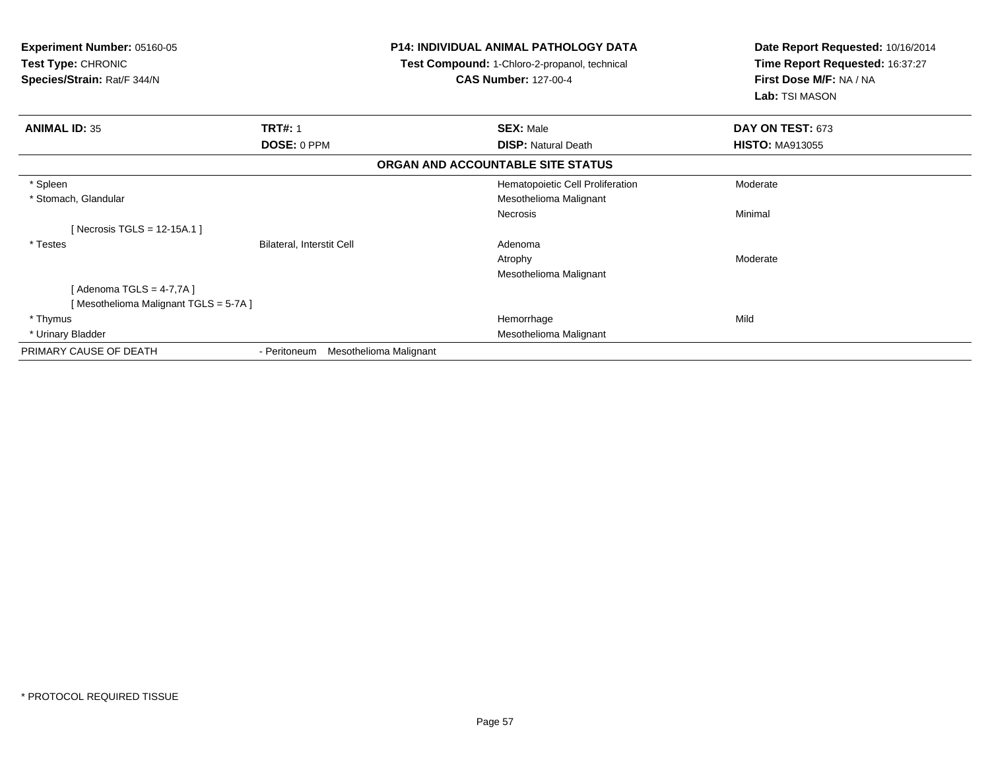| <b>Experiment Number: 05160-05</b><br>Test Type: CHRONIC<br>Species/Strain: Rat/F 344/N |                                        | <b>P14: INDIVIDUAL ANIMAL PATHOLOGY DATA</b><br>Test Compound: 1-Chloro-2-propanol, technical<br><b>CAS Number: 127-00-4</b> | Date Report Requested: 10/16/2014<br>Time Report Requested: 16:37:27<br>First Dose M/F: NA / NA<br>Lab: TSI MASON |
|-----------------------------------------------------------------------------------------|----------------------------------------|------------------------------------------------------------------------------------------------------------------------------|-------------------------------------------------------------------------------------------------------------------|
| <b>ANIMAL ID: 35</b>                                                                    | <b>TRT#: 1</b>                         | <b>SEX: Male</b>                                                                                                             | DAY ON TEST: 673                                                                                                  |
|                                                                                         | DOSE: 0 PPM                            | <b>DISP: Natural Death</b>                                                                                                   | <b>HISTO: MA913055</b>                                                                                            |
|                                                                                         |                                        | ORGAN AND ACCOUNTABLE SITE STATUS                                                                                            |                                                                                                                   |
| * Spleen                                                                                |                                        | Hematopoietic Cell Proliferation                                                                                             | Moderate                                                                                                          |
| * Stomach, Glandular                                                                    |                                        | Mesothelioma Malignant                                                                                                       |                                                                                                                   |
|                                                                                         |                                        | <b>Necrosis</b>                                                                                                              | Minimal                                                                                                           |
| [Necrosis TGLS = $12-15A.1$ ]                                                           |                                        |                                                                                                                              |                                                                                                                   |
| * Testes                                                                                | Bilateral, Interstit Cell              | Adenoma                                                                                                                      |                                                                                                                   |
|                                                                                         |                                        | Atrophy                                                                                                                      | Moderate                                                                                                          |
|                                                                                         |                                        | Mesothelioma Malignant                                                                                                       |                                                                                                                   |
| Adenoma TGLS = 4-7,7A ]                                                                 |                                        |                                                                                                                              |                                                                                                                   |
| [Mesothelioma Malignant TGLS = 5-7A]                                                    |                                        |                                                                                                                              |                                                                                                                   |
| * Thymus                                                                                |                                        | Hemorrhage                                                                                                                   | Mild                                                                                                              |
| * Urinary Bladder                                                                       |                                        | Mesothelioma Malignant                                                                                                       |                                                                                                                   |
| PRIMARY CAUSE OF DEATH                                                                  | Mesothelioma Malignant<br>- Peritoneum |                                                                                                                              |                                                                                                                   |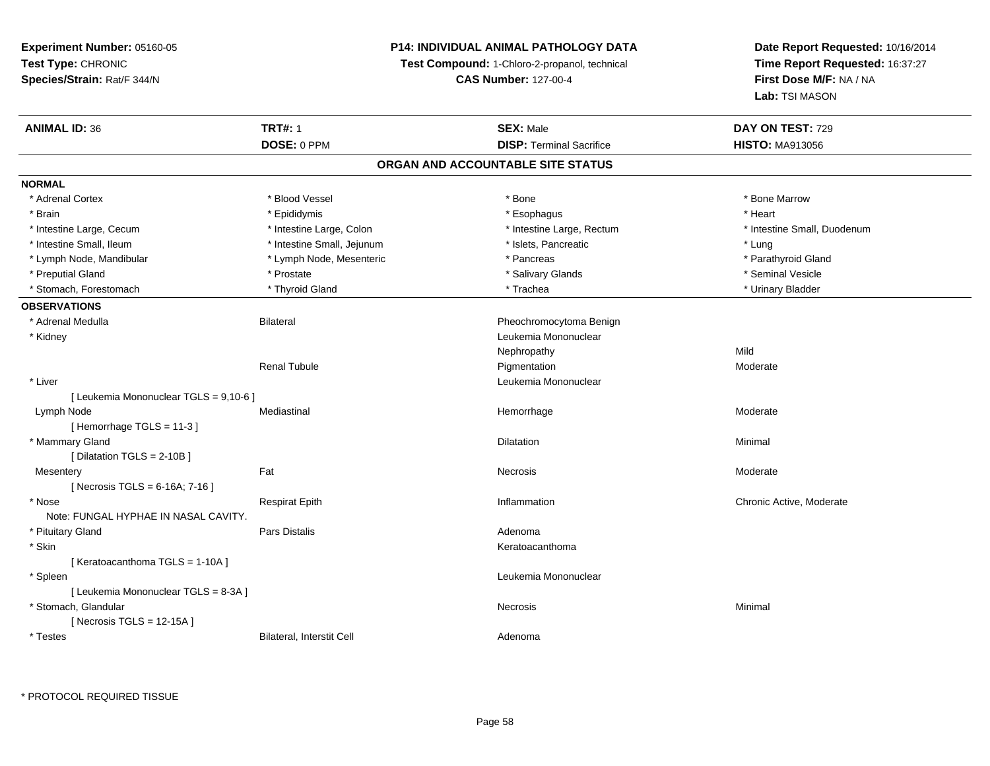## **P14: INDIVIDUAL ANIMAL PATHOLOGY DATA**

**Test Compound:** 1-Chloro-2-propanol, technical

**CAS Number:** 127-00-4

**Date Report Requested:** 10/16/2014**Time Report Requested:** 16:37:27**First Dose M/F:** NA / NA**Lab:** TSI MASON

| <b>ANIMAL ID: 36</b>                   | <b>TRT#: 1</b><br><b>SEX: Male</b> |                                   | DAY ON TEST: 729            |
|----------------------------------------|------------------------------------|-----------------------------------|-----------------------------|
|                                        | DOSE: 0 PPM                        | <b>DISP: Terminal Sacrifice</b>   | <b>HISTO: MA913056</b>      |
|                                        |                                    | ORGAN AND ACCOUNTABLE SITE STATUS |                             |
| <b>NORMAL</b>                          |                                    |                                   |                             |
| * Adrenal Cortex                       | * Blood Vessel                     | * Bone                            | * Bone Marrow               |
| * Brain                                | * Epididymis                       | * Esophagus                       | * Heart                     |
| * Intestine Large, Cecum               | * Intestine Large, Colon           | * Intestine Large, Rectum         | * Intestine Small, Duodenum |
| * Intestine Small, Ileum               | * Intestine Small, Jejunum         | * Islets, Pancreatic              | * Lung                      |
| * Lymph Node, Mandibular               | * Lymph Node, Mesenteric           | * Pancreas                        | * Parathyroid Gland         |
| * Preputial Gland                      | * Prostate                         | * Salivary Glands                 | * Seminal Vesicle           |
| * Stomach, Forestomach                 | * Thyroid Gland                    | * Trachea                         | * Urinary Bladder           |
| <b>OBSERVATIONS</b>                    |                                    |                                   |                             |
| * Adrenal Medulla                      | <b>Bilateral</b>                   | Pheochromocytoma Benign           |                             |
| * Kidney                               |                                    | Leukemia Mononuclear              |                             |
|                                        |                                    | Nephropathy                       | Mild                        |
|                                        | <b>Renal Tubule</b>                | Pigmentation                      | Moderate                    |
| * Liver                                |                                    | Leukemia Mononuclear              |                             |
| [ Leukemia Mononuclear TGLS = 9,10-6 ] |                                    |                                   |                             |
| Lymph Node                             | Mediastinal                        | Hemorrhage                        | Moderate                    |
| [Hemorrhage TGLS = 11-3]               |                                    |                                   |                             |
| * Mammary Gland                        |                                    | <b>Dilatation</b>                 | Minimal                     |
| [ Dilatation TGLS = 2-10B ]            |                                    |                                   |                             |
| Mesentery                              | Fat                                | Necrosis                          | Moderate                    |
| [Necrosis TGLS = $6-16A$ ; 7-16]       |                                    |                                   |                             |
| * Nose                                 | <b>Respirat Epith</b>              | Inflammation                      | Chronic Active, Moderate    |
| Note: FUNGAL HYPHAE IN NASAL CAVITY.   |                                    |                                   |                             |
| * Pituitary Gland                      | <b>Pars Distalis</b>               | Adenoma                           |                             |
| * Skin                                 |                                    | Keratoacanthoma                   |                             |
| [Keratoacanthoma TGLS = 1-10A]         |                                    |                                   |                             |
| * Spleen                               |                                    | Leukemia Mononuclear              |                             |
| [ Leukemia Mononuclear TGLS = 8-3A ]   |                                    |                                   |                             |
| * Stomach, Glandular                   |                                    | Necrosis                          | Minimal                     |
| [Necrosis TGLS = $12-15A$ ]            |                                    |                                   |                             |
| * Testes                               | Bilateral, Interstit Cell          | Adenoma                           |                             |
|                                        |                                    |                                   |                             |

\* PROTOCOL REQUIRED TISSUE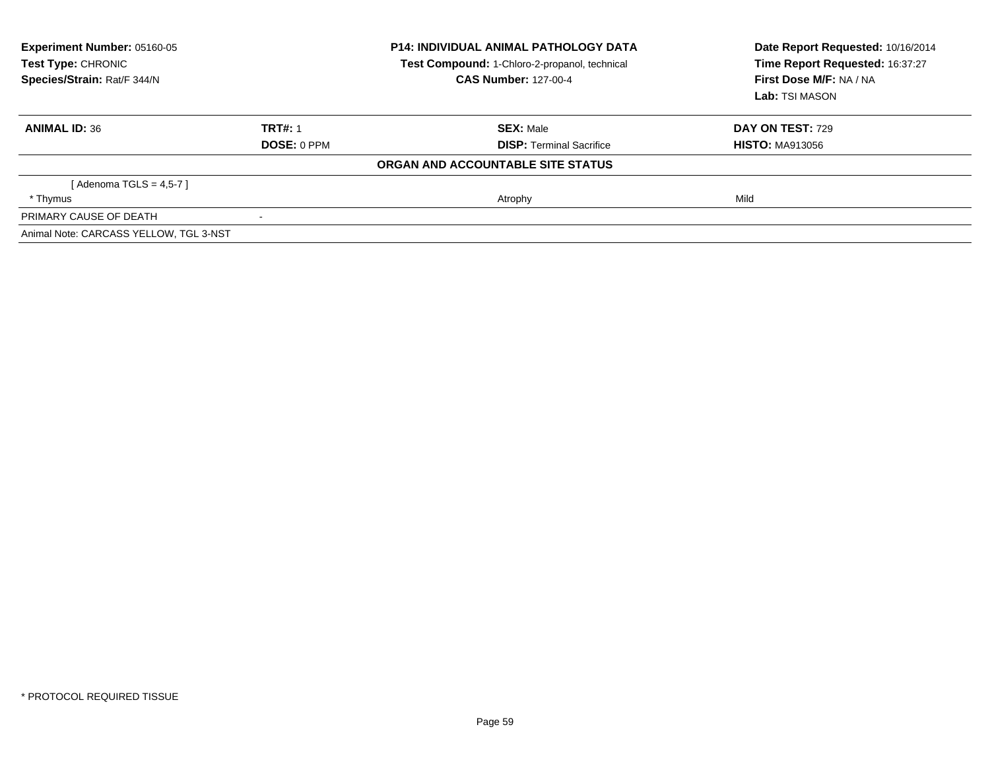| <b>Experiment Number: 05160-05</b><br>Test Type: CHRONIC<br>Test Compound: 1-Chloro-2-propanol, technical<br>Species/Strain: Rat/F 344/N<br><b>CAS Number: 127-00-4</b> |                | <b>P14: INDIVIDUAL ANIMAL PATHOLOGY DATA</b> | Date Report Requested: 10/16/2014<br>Time Report Requested: 16:37:27<br>First Dose M/F: NA / NA<br>Lab: TSI MASON |
|-------------------------------------------------------------------------------------------------------------------------------------------------------------------------|----------------|----------------------------------------------|-------------------------------------------------------------------------------------------------------------------|
| <b>ANIMAL ID: 36</b>                                                                                                                                                    | <b>TRT#: 1</b> | <b>SEX: Male</b>                             | <b>DAY ON TEST: 729</b>                                                                                           |
|                                                                                                                                                                         | DOSE: 0 PPM    | <b>DISP:</b> Terminal Sacrifice              | <b>HISTO: MA913056</b>                                                                                            |
|                                                                                                                                                                         |                | ORGAN AND ACCOUNTABLE SITE STATUS            |                                                                                                                   |
| [Adenoma TGLS = $4.5 - 7$ ]                                                                                                                                             |                |                                              |                                                                                                                   |
| * Thymus                                                                                                                                                                |                | Atrophy                                      | Mild                                                                                                              |
| PRIMARY CAUSE OF DEATH                                                                                                                                                  |                |                                              |                                                                                                                   |
| Animal Note: CARCASS YELLOW, TGL 3-NST                                                                                                                                  |                |                                              |                                                                                                                   |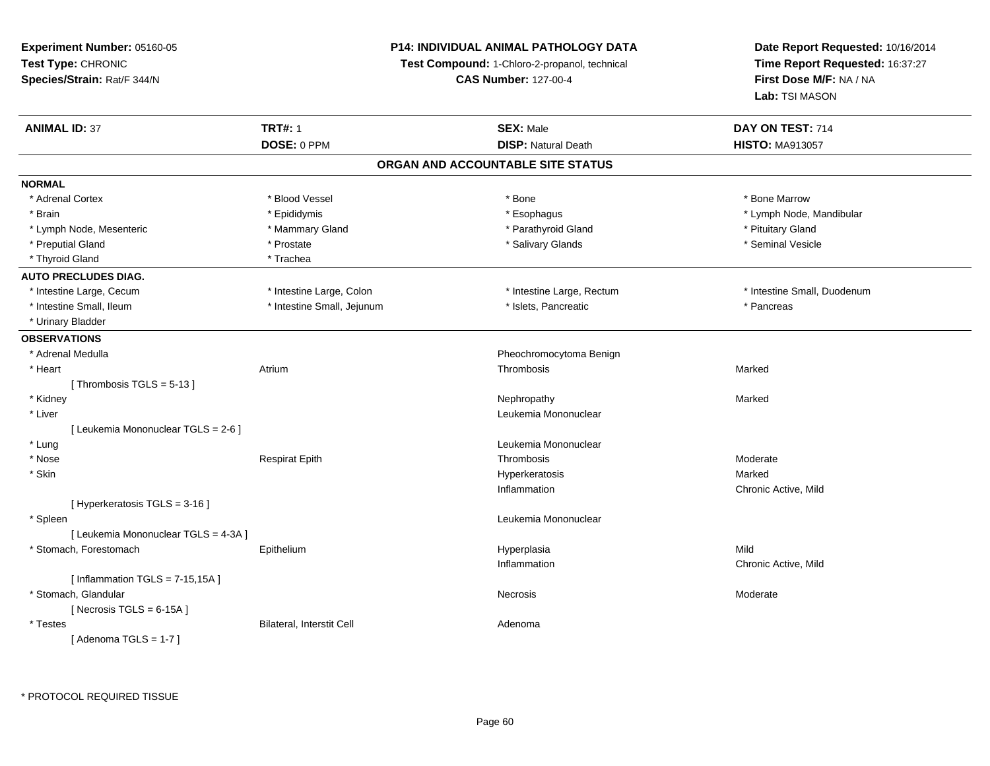## **P14: INDIVIDUAL ANIMAL PATHOLOGY DATA**

**Test Compound:** 1-Chloro-2-propanol, technical

**CAS Number:** 127-00-4

| DOSE: 0 PPM<br><b>DISP: Natural Death</b><br><b>HISTO: MA913057</b><br>ORGAN AND ACCOUNTABLE SITE STATUS<br><b>NORMAL</b><br>* Adrenal Cortex<br>* Blood Vessel<br>* Bone<br>* Bone Marrow<br>* Epididymis<br>* Esophagus<br>* Lymph Node, Mandibular<br>* Brain<br>* Mammary Gland<br>* Parathyroid Gland<br>* Pituitary Gland<br>* Lymph Node, Mesenteric<br>* Salivary Glands<br>* Seminal Vesicle<br>* Preputial Gland<br>* Prostate<br>* Thyroid Gland<br>* Trachea<br><b>AUTO PRECLUDES DIAG.</b><br>* Intestine Large, Colon<br>* Intestine Large, Rectum<br>* Intestine Small, Duodenum<br>* Intestine Large, Cecum<br>* Intestine Small, Ileum<br>* Intestine Small, Jejunum<br>* Islets, Pancreatic<br>* Pancreas<br>* Urinary Bladder<br><b>OBSERVATIONS</b><br>* Adrenal Medulla<br>Pheochromocytoma Benign<br>Thrombosis<br>* Heart<br>Atrium<br>Marked<br>[Thrombosis TGLS = $5-13$ ]<br>* Kidney<br>Nephropathy<br>Marked<br>Leukemia Mononuclear<br>* Liver<br>[ Leukemia Mononuclear TGLS = 2-6 ]<br>* Lung<br>Leukemia Mononuclear<br>* Nose<br><b>Respirat Epith</b><br>Thrombosis<br>Moderate<br>* Skin<br>Marked<br>Hyperkeratosis<br>Inflammation<br>Chronic Active, Mild<br>[ Hyperkeratosis TGLS = 3-16 ]<br>Leukemia Mononuclear<br>* Spleen<br>[ Leukemia Mononuclear TGLS = 4-3A ]<br>* Stomach, Forestomach<br>Mild<br>Hyperplasia<br>Epithelium<br>Inflammation<br>Chronic Active, Mild<br>[Inflammation TGLS = $7-15,15A$ ]<br>* Stomach, Glandular<br>Moderate<br><b>Necrosis</b> | <b>ANIMAL ID: 37</b> | <b>TRT#: 1</b> | <b>SEX: Male</b> | DAY ON TEST: 714 |  |  |  |
|------------------------------------------------------------------------------------------------------------------------------------------------------------------------------------------------------------------------------------------------------------------------------------------------------------------------------------------------------------------------------------------------------------------------------------------------------------------------------------------------------------------------------------------------------------------------------------------------------------------------------------------------------------------------------------------------------------------------------------------------------------------------------------------------------------------------------------------------------------------------------------------------------------------------------------------------------------------------------------------------------------------------------------------------------------------------------------------------------------------------------------------------------------------------------------------------------------------------------------------------------------------------------------------------------------------------------------------------------------------------------------------------------------------------------------------------------------------------------------------------------------------|----------------------|----------------|------------------|------------------|--|--|--|
|                                                                                                                                                                                                                                                                                                                                                                                                                                                                                                                                                                                                                                                                                                                                                                                                                                                                                                                                                                                                                                                                                                                                                                                                                                                                                                                                                                                                                                                                                                                  |                      |                |                  |                  |  |  |  |
|                                                                                                                                                                                                                                                                                                                                                                                                                                                                                                                                                                                                                                                                                                                                                                                                                                                                                                                                                                                                                                                                                                                                                                                                                                                                                                                                                                                                                                                                                                                  |                      |                |                  |                  |  |  |  |
|                                                                                                                                                                                                                                                                                                                                                                                                                                                                                                                                                                                                                                                                                                                                                                                                                                                                                                                                                                                                                                                                                                                                                                                                                                                                                                                                                                                                                                                                                                                  |                      |                |                  |                  |  |  |  |
|                                                                                                                                                                                                                                                                                                                                                                                                                                                                                                                                                                                                                                                                                                                                                                                                                                                                                                                                                                                                                                                                                                                                                                                                                                                                                                                                                                                                                                                                                                                  |                      |                |                  |                  |  |  |  |
|                                                                                                                                                                                                                                                                                                                                                                                                                                                                                                                                                                                                                                                                                                                                                                                                                                                                                                                                                                                                                                                                                                                                                                                                                                                                                                                                                                                                                                                                                                                  |                      |                |                  |                  |  |  |  |
|                                                                                                                                                                                                                                                                                                                                                                                                                                                                                                                                                                                                                                                                                                                                                                                                                                                                                                                                                                                                                                                                                                                                                                                                                                                                                                                                                                                                                                                                                                                  |                      |                |                  |                  |  |  |  |
|                                                                                                                                                                                                                                                                                                                                                                                                                                                                                                                                                                                                                                                                                                                                                                                                                                                                                                                                                                                                                                                                                                                                                                                                                                                                                                                                                                                                                                                                                                                  |                      |                |                  |                  |  |  |  |
|                                                                                                                                                                                                                                                                                                                                                                                                                                                                                                                                                                                                                                                                                                                                                                                                                                                                                                                                                                                                                                                                                                                                                                                                                                                                                                                                                                                                                                                                                                                  |                      |                |                  |                  |  |  |  |
|                                                                                                                                                                                                                                                                                                                                                                                                                                                                                                                                                                                                                                                                                                                                                                                                                                                                                                                                                                                                                                                                                                                                                                                                                                                                                                                                                                                                                                                                                                                  |                      |                |                  |                  |  |  |  |
|                                                                                                                                                                                                                                                                                                                                                                                                                                                                                                                                                                                                                                                                                                                                                                                                                                                                                                                                                                                                                                                                                                                                                                                                                                                                                                                                                                                                                                                                                                                  |                      |                |                  |                  |  |  |  |
|                                                                                                                                                                                                                                                                                                                                                                                                                                                                                                                                                                                                                                                                                                                                                                                                                                                                                                                                                                                                                                                                                                                                                                                                                                                                                                                                                                                                                                                                                                                  |                      |                |                  |                  |  |  |  |
|                                                                                                                                                                                                                                                                                                                                                                                                                                                                                                                                                                                                                                                                                                                                                                                                                                                                                                                                                                                                                                                                                                                                                                                                                                                                                                                                                                                                                                                                                                                  |                      |                |                  |                  |  |  |  |
|                                                                                                                                                                                                                                                                                                                                                                                                                                                                                                                                                                                                                                                                                                                                                                                                                                                                                                                                                                                                                                                                                                                                                                                                                                                                                                                                                                                                                                                                                                                  |                      |                |                  |                  |  |  |  |
|                                                                                                                                                                                                                                                                                                                                                                                                                                                                                                                                                                                                                                                                                                                                                                                                                                                                                                                                                                                                                                                                                                                                                                                                                                                                                                                                                                                                                                                                                                                  |                      |                |                  |                  |  |  |  |
|                                                                                                                                                                                                                                                                                                                                                                                                                                                                                                                                                                                                                                                                                                                                                                                                                                                                                                                                                                                                                                                                                                                                                                                                                                                                                                                                                                                                                                                                                                                  |                      |                |                  |                  |  |  |  |
|                                                                                                                                                                                                                                                                                                                                                                                                                                                                                                                                                                                                                                                                                                                                                                                                                                                                                                                                                                                                                                                                                                                                                                                                                                                                                                                                                                                                                                                                                                                  |                      |                |                  |                  |  |  |  |
|                                                                                                                                                                                                                                                                                                                                                                                                                                                                                                                                                                                                                                                                                                                                                                                                                                                                                                                                                                                                                                                                                                                                                                                                                                                                                                                                                                                                                                                                                                                  |                      |                |                  |                  |  |  |  |
|                                                                                                                                                                                                                                                                                                                                                                                                                                                                                                                                                                                                                                                                                                                                                                                                                                                                                                                                                                                                                                                                                                                                                                                                                                                                                                                                                                                                                                                                                                                  |                      |                |                  |                  |  |  |  |
|                                                                                                                                                                                                                                                                                                                                                                                                                                                                                                                                                                                                                                                                                                                                                                                                                                                                                                                                                                                                                                                                                                                                                                                                                                                                                                                                                                                                                                                                                                                  |                      |                |                  |                  |  |  |  |
|                                                                                                                                                                                                                                                                                                                                                                                                                                                                                                                                                                                                                                                                                                                                                                                                                                                                                                                                                                                                                                                                                                                                                                                                                                                                                                                                                                                                                                                                                                                  |                      |                |                  |                  |  |  |  |
|                                                                                                                                                                                                                                                                                                                                                                                                                                                                                                                                                                                                                                                                                                                                                                                                                                                                                                                                                                                                                                                                                                                                                                                                                                                                                                                                                                                                                                                                                                                  |                      |                |                  |                  |  |  |  |
|                                                                                                                                                                                                                                                                                                                                                                                                                                                                                                                                                                                                                                                                                                                                                                                                                                                                                                                                                                                                                                                                                                                                                                                                                                                                                                                                                                                                                                                                                                                  |                      |                |                  |                  |  |  |  |
|                                                                                                                                                                                                                                                                                                                                                                                                                                                                                                                                                                                                                                                                                                                                                                                                                                                                                                                                                                                                                                                                                                                                                                                                                                                                                                                                                                                                                                                                                                                  |                      |                |                  |                  |  |  |  |
|                                                                                                                                                                                                                                                                                                                                                                                                                                                                                                                                                                                                                                                                                                                                                                                                                                                                                                                                                                                                                                                                                                                                                                                                                                                                                                                                                                                                                                                                                                                  |                      |                |                  |                  |  |  |  |
|                                                                                                                                                                                                                                                                                                                                                                                                                                                                                                                                                                                                                                                                                                                                                                                                                                                                                                                                                                                                                                                                                                                                                                                                                                                                                                                                                                                                                                                                                                                  |                      |                |                  |                  |  |  |  |
|                                                                                                                                                                                                                                                                                                                                                                                                                                                                                                                                                                                                                                                                                                                                                                                                                                                                                                                                                                                                                                                                                                                                                                                                                                                                                                                                                                                                                                                                                                                  |                      |                |                  |                  |  |  |  |
|                                                                                                                                                                                                                                                                                                                                                                                                                                                                                                                                                                                                                                                                                                                                                                                                                                                                                                                                                                                                                                                                                                                                                                                                                                                                                                                                                                                                                                                                                                                  |                      |                |                  |                  |  |  |  |
|                                                                                                                                                                                                                                                                                                                                                                                                                                                                                                                                                                                                                                                                                                                                                                                                                                                                                                                                                                                                                                                                                                                                                                                                                                                                                                                                                                                                                                                                                                                  |                      |                |                  |                  |  |  |  |
|                                                                                                                                                                                                                                                                                                                                                                                                                                                                                                                                                                                                                                                                                                                                                                                                                                                                                                                                                                                                                                                                                                                                                                                                                                                                                                                                                                                                                                                                                                                  |                      |                |                  |                  |  |  |  |
|                                                                                                                                                                                                                                                                                                                                                                                                                                                                                                                                                                                                                                                                                                                                                                                                                                                                                                                                                                                                                                                                                                                                                                                                                                                                                                                                                                                                                                                                                                                  |                      |                |                  |                  |  |  |  |
| [Necrosis TGLS = $6-15A$ ]                                                                                                                                                                                                                                                                                                                                                                                                                                                                                                                                                                                                                                                                                                                                                                                                                                                                                                                                                                                                                                                                                                                                                                                                                                                                                                                                                                                                                                                                                       |                      |                |                  |                  |  |  |  |
| * Testes<br><b>Bilateral, Interstit Cell</b><br>Adenoma                                                                                                                                                                                                                                                                                                                                                                                                                                                                                                                                                                                                                                                                                                                                                                                                                                                                                                                                                                                                                                                                                                                                                                                                                                                                                                                                                                                                                                                          |                      |                |                  |                  |  |  |  |
| [Adenoma TGLS = $1-7$ ]                                                                                                                                                                                                                                                                                                                                                                                                                                                                                                                                                                                                                                                                                                                                                                                                                                                                                                                                                                                                                                                                                                                                                                                                                                                                                                                                                                                                                                                                                          |                      |                |                  |                  |  |  |  |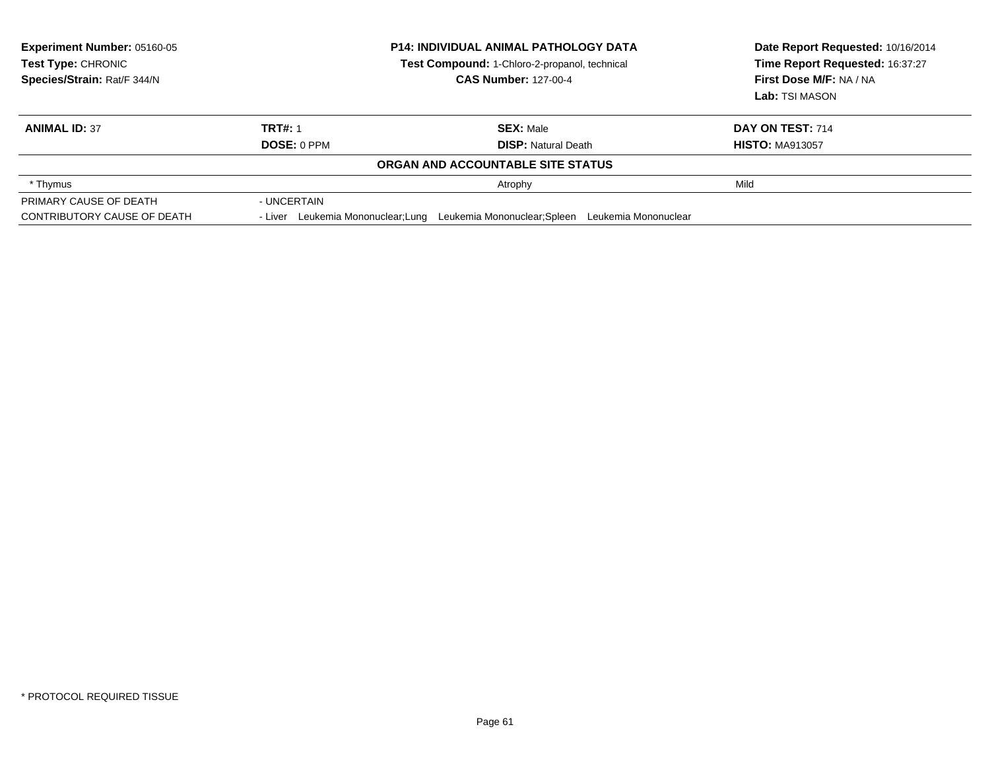| Experiment Number: 05160-05<br><b>Test Type: CHRONIC</b><br>Species/Strain: Rat/F 344/N |                                    | <b>P14: INDIVIDUAL ANIMAL PATHOLOGY DATA</b><br>Test Compound: 1-Chloro-2-propanol, technical<br><b>CAS Number: 127-00-4</b> | Date Report Requested: 10/16/2014<br>Time Report Requested: 16:37:27<br>First Dose M/F: NA / NA<br>Lab: TSI MASON |
|-----------------------------------------------------------------------------------------|------------------------------------|------------------------------------------------------------------------------------------------------------------------------|-------------------------------------------------------------------------------------------------------------------|
| <b>ANIMAL ID: 37</b>                                                                    | <b>TRT#: 1</b><br>DOSE: 0 PPM      | <b>SEX: Male</b><br><b>DISP:</b> Natural Death                                                                               | DAY ON TEST: 714<br><b>HISTO: MA913057</b>                                                                        |
|                                                                                         |                                    | ORGAN AND ACCOUNTABLE SITE STATUS                                                                                            |                                                                                                                   |
| * Thymus                                                                                |                                    | Atrophy                                                                                                                      | Mild                                                                                                              |
| PRIMARY CAUSE OF DEATH                                                                  | - UNCERTAIN                        |                                                                                                                              |                                                                                                                   |
| CONTRIBUTORY CAUSE OF DEATH                                                             | - Liver Leukemia Mononuclear; Lung | Leukemia Mononuclear; Spleen Leukemia Mononuclear                                                                            |                                                                                                                   |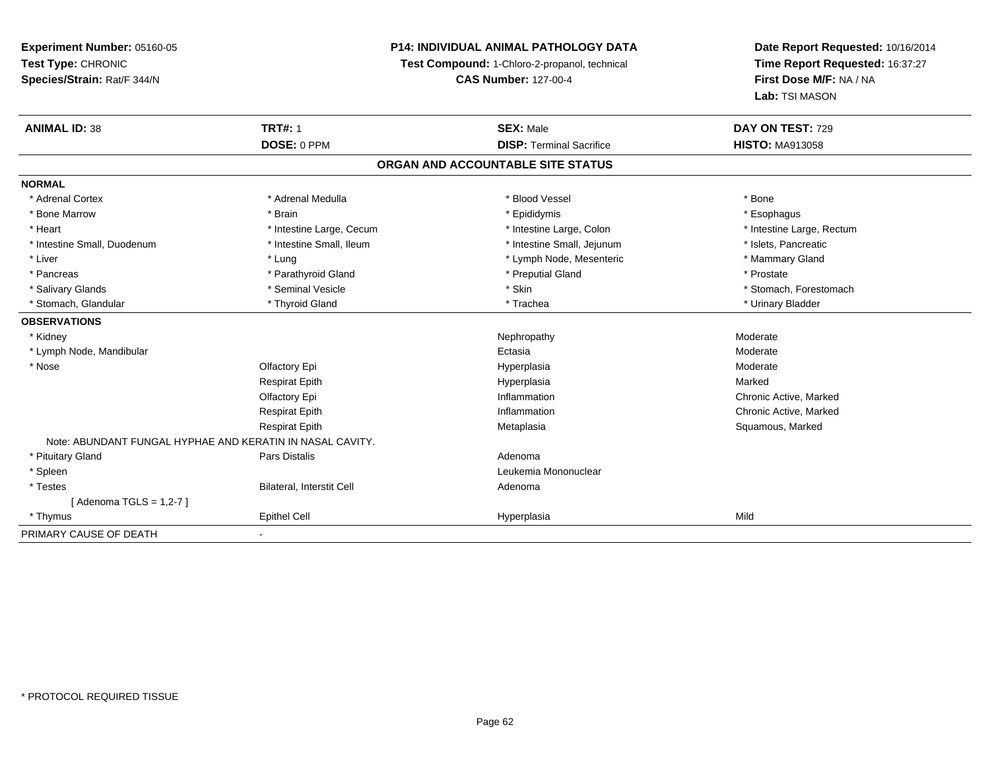## **P14: INDIVIDUAL ANIMAL PATHOLOGY DATA**

**Test Compound:** 1-Chloro-2-propanol, technical

**CAS Number:** 127-00-4

| <b>ANIMAL ID: 38</b>                                      | <b>TRT#: 1</b>            | <b>SEX: Male</b>                | DAY ON TEST: 729          |  |  |
|-----------------------------------------------------------|---------------------------|---------------------------------|---------------------------|--|--|
|                                                           | DOSE: 0 PPM               | <b>DISP: Terminal Sacrifice</b> | <b>HISTO: MA913058</b>    |  |  |
| ORGAN AND ACCOUNTABLE SITE STATUS                         |                           |                                 |                           |  |  |
| <b>NORMAL</b>                                             |                           |                                 |                           |  |  |
| * Adrenal Cortex                                          | * Adrenal Medulla         | * Blood Vessel                  | * Bone                    |  |  |
| * Bone Marrow                                             | * Brain                   | * Epididymis                    | * Esophagus               |  |  |
| * Heart                                                   | * Intestine Large, Cecum  | * Intestine Large, Colon        | * Intestine Large, Rectum |  |  |
| * Intestine Small, Duodenum                               | * Intestine Small, Ileum  | * Intestine Small, Jejunum      | * Islets, Pancreatic      |  |  |
| * Liver                                                   | * Lung                    | * Lymph Node, Mesenteric        | * Mammary Gland           |  |  |
| * Pancreas                                                | * Parathyroid Gland       | * Preputial Gland               | * Prostate                |  |  |
| * Salivary Glands                                         | * Seminal Vesicle         | * Skin                          | * Stomach, Forestomach    |  |  |
| * Stomach, Glandular                                      | * Thyroid Gland           | * Trachea                       | * Urinary Bladder         |  |  |
| <b>OBSERVATIONS</b>                                       |                           |                                 |                           |  |  |
| * Kidney                                                  |                           | Nephropathy                     | Moderate                  |  |  |
| * Lymph Node, Mandibular                                  |                           | Ectasia                         | Moderate                  |  |  |
| * Nose                                                    | Olfactory Epi             | Hyperplasia                     | Moderate                  |  |  |
|                                                           | <b>Respirat Epith</b>     | Hyperplasia                     | Marked                    |  |  |
|                                                           | Olfactory Epi             | Inflammation                    | Chronic Active, Marked    |  |  |
|                                                           | <b>Respirat Epith</b>     | Inflammation                    | Chronic Active, Marked    |  |  |
|                                                           | <b>Respirat Epith</b>     | Metaplasia                      | Squamous, Marked          |  |  |
| Note: ABUNDANT FUNGAL HYPHAE AND KERATIN IN NASAL CAVITY. |                           |                                 |                           |  |  |
| * Pituitary Gland                                         | Pars Distalis             | Adenoma                         |                           |  |  |
| * Spleen                                                  |                           | Leukemia Mononuclear            |                           |  |  |
| * Testes                                                  | Bilateral, Interstit Cell | Adenoma                         |                           |  |  |
| [Adenoma TGLS = $1,2-7$ ]                                 |                           |                                 |                           |  |  |
| * Thymus                                                  | <b>Epithel Cell</b>       | Hyperplasia                     | Mild                      |  |  |
| PRIMARY CAUSE OF DEATH                                    | $\overline{\phantom{a}}$  |                                 |                           |  |  |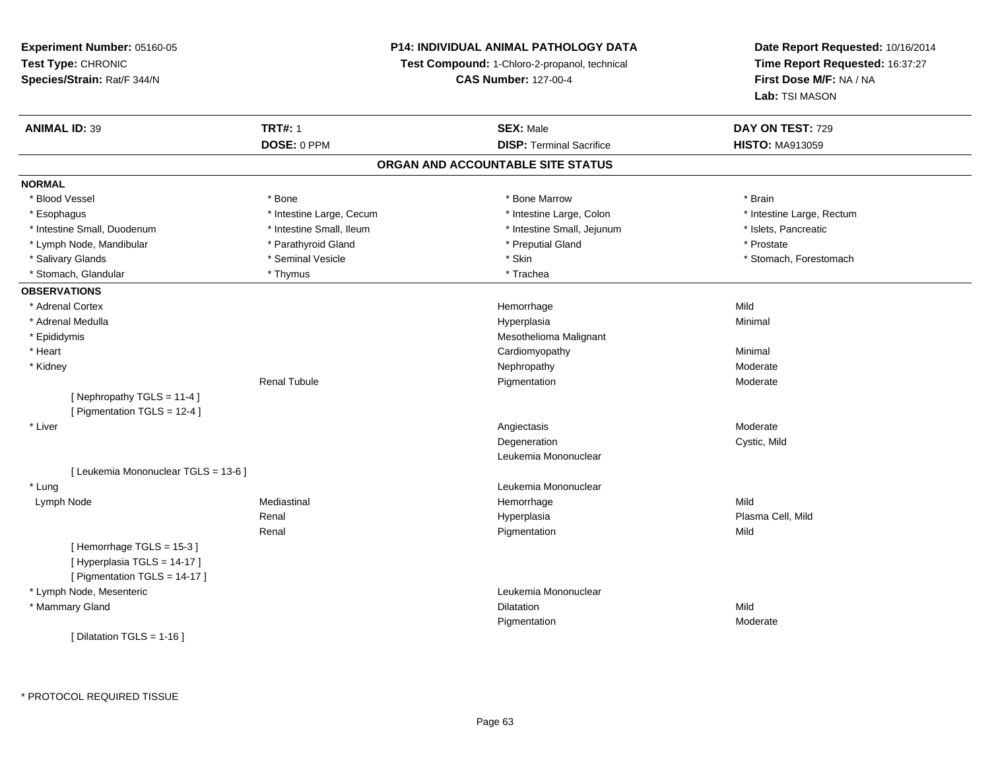## **P14: INDIVIDUAL ANIMAL PATHOLOGY DATA**

**Test Compound:** 1-Chloro-2-propanol, technical

**CAS Number:** 127-00-4

| DOSE: 0 PPM<br><b>DISP: Terminal Sacrifice</b><br>ORGAN AND ACCOUNTABLE SITE STATUS<br><b>NORMAL</b><br>* Blood Vessel<br>* Bone<br>* Bone Marrow<br>* Esophagus<br>* Intestine Large, Cecum<br>* Intestine Large, Colon<br>* Intestine Small, Duodenum<br>* Intestine Small, Ileum<br>* Intestine Small, Jejunum<br>* Parathyroid Gland<br>* Preputial Gland<br>* Lymph Node, Mandibular<br>* Seminal Vesicle<br>* Skin<br>* Salivary Glands<br>* Stomach, Glandular<br>* Thymus<br>* Trachea<br><b>OBSERVATIONS</b><br>* Adrenal Cortex<br>Mild<br>Hemorrhage<br>* Adrenal Medulla<br>Hyperplasia<br>Minimal<br>Mesothelioma Malignant<br>* Epididymis<br>* Heart<br>Cardiomyopathy<br>Minimal<br>* Kidney<br>Nephropathy<br><b>Renal Tubule</b><br>Pigmentation<br>[Nephropathy TGLS = 11-4]<br>[ Pigmentation TGLS = 12-4 ]<br>* Liver<br>Angiectasis<br>Degeneration<br>Leukemia Mononuclear<br>[ Leukemia Mononuclear TGLS = 13-6 ]<br>Leukemia Mononuclear<br>* Lung<br>Mild<br>Mediastinal<br>Hemorrhage<br>Lymph Node<br>Renal<br>Hyperplasia<br>Renal<br>Pigmentation<br>Mild<br>[Hemorrhage TGLS = 15-3]<br>[Hyperplasia TGLS = 14-17]<br>[ Pigmentation TGLS = 14-17 ]<br>* Lymph Node, Mesenteric<br>Leukemia Mononuclear | DAY ON TEST: 729          | <b>SEX: Male</b>  | <b>TRT#: 1</b> | <b>ANIMAL ID: 39</b> |
|----------------------------------------------------------------------------------------------------------------------------------------------------------------------------------------------------------------------------------------------------------------------------------------------------------------------------------------------------------------------------------------------------------------------------------------------------------------------------------------------------------------------------------------------------------------------------------------------------------------------------------------------------------------------------------------------------------------------------------------------------------------------------------------------------------------------------------------------------------------------------------------------------------------------------------------------------------------------------------------------------------------------------------------------------------------------------------------------------------------------------------------------------------------------------------------------------------------------------------------|---------------------------|-------------------|----------------|----------------------|
|                                                                                                                                                                                                                                                                                                                                                                                                                                                                                                                                                                                                                                                                                                                                                                                                                                                                                                                                                                                                                                                                                                                                                                                                                                        | <b>HISTO: MA913059</b>    |                   |                |                      |
|                                                                                                                                                                                                                                                                                                                                                                                                                                                                                                                                                                                                                                                                                                                                                                                                                                                                                                                                                                                                                                                                                                                                                                                                                                        |                           |                   |                |                      |
|                                                                                                                                                                                                                                                                                                                                                                                                                                                                                                                                                                                                                                                                                                                                                                                                                                                                                                                                                                                                                                                                                                                                                                                                                                        |                           |                   |                |                      |
|                                                                                                                                                                                                                                                                                                                                                                                                                                                                                                                                                                                                                                                                                                                                                                                                                                                                                                                                                                                                                                                                                                                                                                                                                                        | * Brain                   |                   |                |                      |
|                                                                                                                                                                                                                                                                                                                                                                                                                                                                                                                                                                                                                                                                                                                                                                                                                                                                                                                                                                                                                                                                                                                                                                                                                                        | * Intestine Large, Rectum |                   |                |                      |
|                                                                                                                                                                                                                                                                                                                                                                                                                                                                                                                                                                                                                                                                                                                                                                                                                                                                                                                                                                                                                                                                                                                                                                                                                                        | * Islets, Pancreatic      |                   |                |                      |
|                                                                                                                                                                                                                                                                                                                                                                                                                                                                                                                                                                                                                                                                                                                                                                                                                                                                                                                                                                                                                                                                                                                                                                                                                                        | * Prostate                |                   |                |                      |
|                                                                                                                                                                                                                                                                                                                                                                                                                                                                                                                                                                                                                                                                                                                                                                                                                                                                                                                                                                                                                                                                                                                                                                                                                                        | * Stomach, Forestomach    |                   |                |                      |
|                                                                                                                                                                                                                                                                                                                                                                                                                                                                                                                                                                                                                                                                                                                                                                                                                                                                                                                                                                                                                                                                                                                                                                                                                                        |                           |                   |                |                      |
|                                                                                                                                                                                                                                                                                                                                                                                                                                                                                                                                                                                                                                                                                                                                                                                                                                                                                                                                                                                                                                                                                                                                                                                                                                        |                           |                   |                |                      |
|                                                                                                                                                                                                                                                                                                                                                                                                                                                                                                                                                                                                                                                                                                                                                                                                                                                                                                                                                                                                                                                                                                                                                                                                                                        |                           |                   |                |                      |
|                                                                                                                                                                                                                                                                                                                                                                                                                                                                                                                                                                                                                                                                                                                                                                                                                                                                                                                                                                                                                                                                                                                                                                                                                                        |                           |                   |                |                      |
|                                                                                                                                                                                                                                                                                                                                                                                                                                                                                                                                                                                                                                                                                                                                                                                                                                                                                                                                                                                                                                                                                                                                                                                                                                        |                           |                   |                |                      |
|                                                                                                                                                                                                                                                                                                                                                                                                                                                                                                                                                                                                                                                                                                                                                                                                                                                                                                                                                                                                                                                                                                                                                                                                                                        |                           |                   |                |                      |
|                                                                                                                                                                                                                                                                                                                                                                                                                                                                                                                                                                                                                                                                                                                                                                                                                                                                                                                                                                                                                                                                                                                                                                                                                                        | Moderate                  |                   |                |                      |
|                                                                                                                                                                                                                                                                                                                                                                                                                                                                                                                                                                                                                                                                                                                                                                                                                                                                                                                                                                                                                                                                                                                                                                                                                                        | Moderate                  |                   |                |                      |
|                                                                                                                                                                                                                                                                                                                                                                                                                                                                                                                                                                                                                                                                                                                                                                                                                                                                                                                                                                                                                                                                                                                                                                                                                                        |                           |                   |                |                      |
|                                                                                                                                                                                                                                                                                                                                                                                                                                                                                                                                                                                                                                                                                                                                                                                                                                                                                                                                                                                                                                                                                                                                                                                                                                        |                           |                   |                |                      |
|                                                                                                                                                                                                                                                                                                                                                                                                                                                                                                                                                                                                                                                                                                                                                                                                                                                                                                                                                                                                                                                                                                                                                                                                                                        | Moderate                  |                   |                |                      |
|                                                                                                                                                                                                                                                                                                                                                                                                                                                                                                                                                                                                                                                                                                                                                                                                                                                                                                                                                                                                                                                                                                                                                                                                                                        | Cystic, Mild              |                   |                |                      |
|                                                                                                                                                                                                                                                                                                                                                                                                                                                                                                                                                                                                                                                                                                                                                                                                                                                                                                                                                                                                                                                                                                                                                                                                                                        |                           |                   |                |                      |
|                                                                                                                                                                                                                                                                                                                                                                                                                                                                                                                                                                                                                                                                                                                                                                                                                                                                                                                                                                                                                                                                                                                                                                                                                                        |                           |                   |                |                      |
|                                                                                                                                                                                                                                                                                                                                                                                                                                                                                                                                                                                                                                                                                                                                                                                                                                                                                                                                                                                                                                                                                                                                                                                                                                        |                           |                   |                |                      |
|                                                                                                                                                                                                                                                                                                                                                                                                                                                                                                                                                                                                                                                                                                                                                                                                                                                                                                                                                                                                                                                                                                                                                                                                                                        |                           |                   |                |                      |
|                                                                                                                                                                                                                                                                                                                                                                                                                                                                                                                                                                                                                                                                                                                                                                                                                                                                                                                                                                                                                                                                                                                                                                                                                                        | Plasma Cell, Mild         |                   |                |                      |
|                                                                                                                                                                                                                                                                                                                                                                                                                                                                                                                                                                                                                                                                                                                                                                                                                                                                                                                                                                                                                                                                                                                                                                                                                                        |                           |                   |                |                      |
|                                                                                                                                                                                                                                                                                                                                                                                                                                                                                                                                                                                                                                                                                                                                                                                                                                                                                                                                                                                                                                                                                                                                                                                                                                        |                           |                   |                |                      |
|                                                                                                                                                                                                                                                                                                                                                                                                                                                                                                                                                                                                                                                                                                                                                                                                                                                                                                                                                                                                                                                                                                                                                                                                                                        |                           |                   |                |                      |
|                                                                                                                                                                                                                                                                                                                                                                                                                                                                                                                                                                                                                                                                                                                                                                                                                                                                                                                                                                                                                                                                                                                                                                                                                                        |                           |                   |                |                      |
|                                                                                                                                                                                                                                                                                                                                                                                                                                                                                                                                                                                                                                                                                                                                                                                                                                                                                                                                                                                                                                                                                                                                                                                                                                        |                           |                   |                |                      |
|                                                                                                                                                                                                                                                                                                                                                                                                                                                                                                                                                                                                                                                                                                                                                                                                                                                                                                                                                                                                                                                                                                                                                                                                                                        | Mild                      | <b>Dilatation</b> |                | * Mammary Gland      |
| Pigmentation                                                                                                                                                                                                                                                                                                                                                                                                                                                                                                                                                                                                                                                                                                                                                                                                                                                                                                                                                                                                                                                                                                                                                                                                                           | Moderate                  |                   |                |                      |
| [ Dilatation TGLS = 1-16 ]                                                                                                                                                                                                                                                                                                                                                                                                                                                                                                                                                                                                                                                                                                                                                                                                                                                                                                                                                                                                                                                                                                                                                                                                             |                           |                   |                |                      |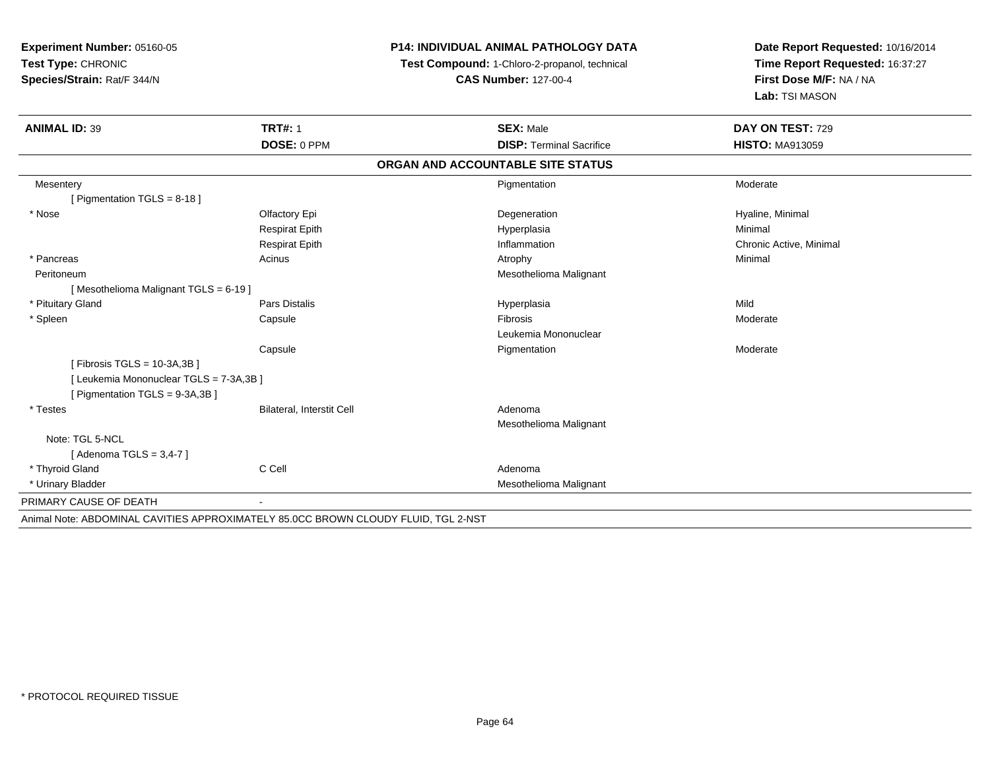**Experiment Number:** 05160-05**Test Type:** CHRONIC **Species/Strain:** Rat/F 344/N**P14: INDIVIDUAL ANIMAL PATHOLOGY DATATest Compound:** 1-Chloro-2-propanol, technical **CAS Number:** 127-00-4**Date Report Requested:** 10/16/2014**Time Report Requested:** 16:37:27**First Dose M/F:** NA / NA**Lab:** TSI MASON**ANIMAL ID:** 39 **TRT#:** <sup>1</sup> **SEX:** Male **DAY ON TEST:** <sup>729</sup> **DOSE:** 0 PPM**DISP:** Terminal Sacrifice **HISTO:** MA913059 **ORGAN AND ACCOUNTABLE SITE STATUSMesentery** y the control of the control of the control of the control of the control of the control of the control of the control of the control of the control of the control of the control of the control of the control of the contro n Moderate [ Pigmentation TGLS = 8-18 ] \* Nosee and the Cole of Equation of the Cole of the Cole of the Cole of the Cole of the Cole of the Cole of the Cole o<br>Begeneration of the Cole of the Cole of the Cole of the Cole of the Cole of the Cole of the Cole of the Cole Respirat Epithh anns an t-Imperplasia anns an t-Imperplasia anns an t-Imperplasia anns an t-Imperplasia anns an t-Imperplasi<br>Iomraidhean Respirat Epith Inflammation Chronic Active, Minimal \* Pancreass the control of the control of the control of the control of the control of the control of the control of the control of the control of the control of the control of the control of the control of the control of the contro Peritoneum Mesothelioma Malignant [ Mesothelioma Malignant TGLS = 6-19 ] \* Pituitary Gland Pars Distalis Hyperplasia Mild \* Spleenn and the Capsule Constant Constant of the Constant of the Constant of Telecommunic Constant Constant of Telecommunic Constant Constant Constant Constant Constant Constant Constant Constant Constant Constant Constant Const Leukemia Mononuclear**Capsule** e medical control of the Pigmentation and the Moderate Moderate of the Moderate of the Moderate of the Moderate of the Moderate of the Moderate of the Moderate of the Moderate of the Moderate of the Moderate of the Moderat [ Fibrosis TGLS = 10-3A,3B ][ Leukemia Mononuclear TGLS = 7-3A,3B ][ Pigmentation TGLS = 9-3A,3B ] \* TestesBilateral, Interstit Cell **Adenoma**  Mesothelioma MalignantNote: TGL 5-NCL[ Adenoma  $TGLS = 3,4-7$  ] \* Thyroid Glandd C Cell C Cell C Cell Adenoma \* Urinary Bladder Mesothelioma Malignant PRIMARY CAUSE OF DEATH - Animal Note: ABDOMINAL CAVITIES APPROXIMATELY 85.0CC BROWN CLOUDY FLUID, TGL 2-NST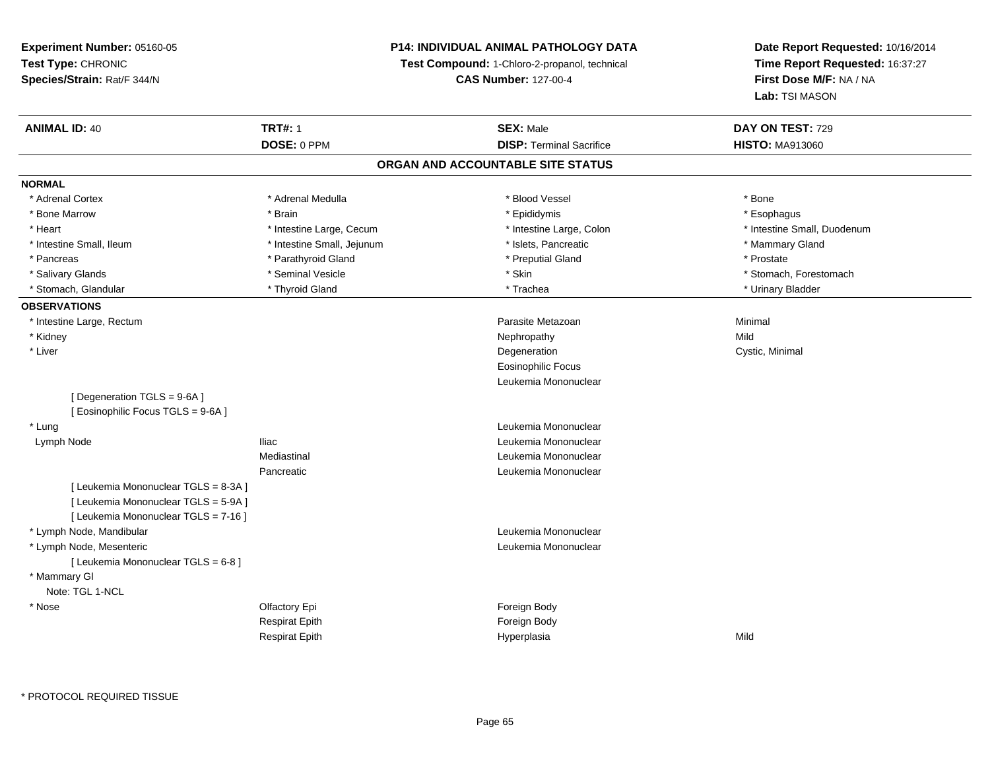## **P14: INDIVIDUAL ANIMAL PATHOLOGY DATA**

**Test Compound:** 1-Chloro-2-propanol, technical

**CAS Number:** 127-00-4

| <b>ANIMAL ID: 40</b>                 | <b>TRT#: 1</b><br>DOSE: 0 PPM | <b>SEX: Male</b><br><b>DISP: Terminal Sacrifice</b> | DAY ON TEST: 729<br><b>HISTO: MA913060</b> |
|--------------------------------------|-------------------------------|-----------------------------------------------------|--------------------------------------------|
|                                      |                               | ORGAN AND ACCOUNTABLE SITE STATUS                   |                                            |
|                                      |                               |                                                     |                                            |
| <b>NORMAL</b>                        |                               |                                                     |                                            |
| * Adrenal Cortex                     | * Adrenal Medulla             | * Blood Vessel                                      | * Bone                                     |
| * Bone Marrow                        | * Brain                       | * Epididymis                                        | * Esophagus                                |
| * Heart                              | * Intestine Large, Cecum      | * Intestine Large, Colon                            | * Intestine Small, Duodenum                |
| * Intestine Small, Ileum             | * Intestine Small, Jejunum    | * Islets, Pancreatic                                | * Mammary Gland                            |
| * Pancreas                           | * Parathyroid Gland           | * Preputial Gland                                   | * Prostate                                 |
| * Salivary Glands                    | * Seminal Vesicle             | * Skin                                              | * Stomach, Forestomach                     |
| * Stomach, Glandular                 | * Thyroid Gland               | * Trachea                                           | * Urinary Bladder                          |
| <b>OBSERVATIONS</b>                  |                               |                                                     |                                            |
| * Intestine Large, Rectum            |                               | Parasite Metazoan                                   | Minimal                                    |
| * Kidney                             |                               | Nephropathy                                         | Mild                                       |
| * Liver                              |                               | Degeneration                                        | Cystic, Minimal                            |
|                                      |                               | <b>Eosinophilic Focus</b>                           |                                            |
|                                      |                               | Leukemia Mononuclear                                |                                            |
| [ Degeneration TGLS = 9-6A ]         |                               |                                                     |                                            |
| [ Eosinophilic Focus TGLS = 9-6A]    |                               |                                                     |                                            |
| * Lung                               |                               | Leukemia Mononuclear                                |                                            |
| Lymph Node                           | <b>Iliac</b>                  | Leukemia Mononuclear                                |                                            |
|                                      | Mediastinal                   | Leukemia Mononuclear                                |                                            |
|                                      | Pancreatic                    | Leukemia Mononuclear                                |                                            |
| [ Leukemia Mononuclear TGLS = 8-3A ] |                               |                                                     |                                            |
| [ Leukemia Mononuclear TGLS = 5-9A ] |                               |                                                     |                                            |
| [ Leukemia Mononuclear TGLS = 7-16 ] |                               |                                                     |                                            |
| * Lymph Node, Mandibular             |                               | Leukemia Mononuclear                                |                                            |
| * Lymph Node, Mesenteric             |                               | Leukemia Mononuclear                                |                                            |
| [ Leukemia Mononuclear TGLS = 6-8 ]  |                               |                                                     |                                            |
| * Mammary GI                         |                               |                                                     |                                            |
| Note: TGL 1-NCL                      |                               |                                                     |                                            |
| * Nose                               | Olfactory Epi                 | Foreign Body                                        |                                            |
|                                      | Respirat Epith                | Foreign Body                                        |                                            |
|                                      | <b>Respirat Epith</b>         | Hyperplasia                                         | Mild                                       |
|                                      |                               |                                                     |                                            |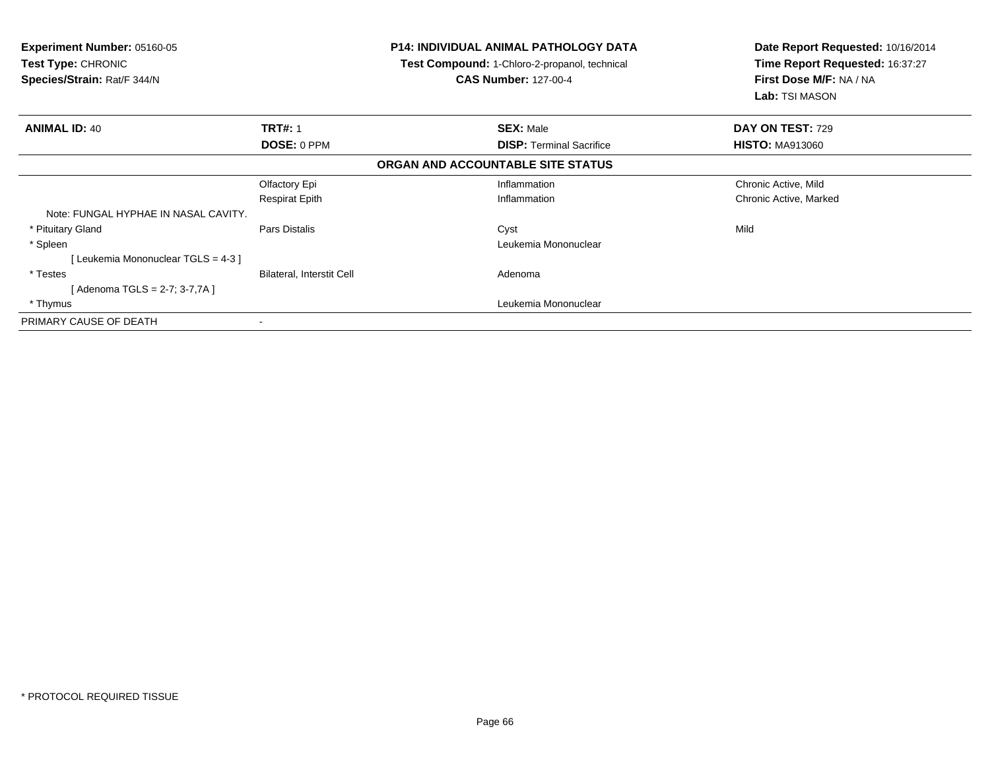| <b>P14: INDIVIDUAL ANIMAL PATHOLOGY DATA</b><br><b>Experiment Number: 05160-05</b><br>Test Compound: 1-Chloro-2-propanol, technical<br><b>Test Type: CHRONIC</b><br>Species/Strain: Rat/F 344/N<br><b>CAS Number: 127-00-4</b> |                           | Date Report Requested: 10/16/2014<br>Time Report Requested: 16:37:27<br>First Dose M/F: NA / NA<br>Lab: TSI MASON |                        |
|--------------------------------------------------------------------------------------------------------------------------------------------------------------------------------------------------------------------------------|---------------------------|-------------------------------------------------------------------------------------------------------------------|------------------------|
| <b>ANIMAL ID: 40</b>                                                                                                                                                                                                           | <b>TRT#: 1</b>            | <b>SEX: Male</b>                                                                                                  | DAY ON TEST: 729       |
|                                                                                                                                                                                                                                | DOSE: 0 PPM               | <b>DISP:</b> Terminal Sacrifice                                                                                   | <b>HISTO: MA913060</b> |
|                                                                                                                                                                                                                                |                           | ORGAN AND ACCOUNTABLE SITE STATUS                                                                                 |                        |
|                                                                                                                                                                                                                                | Olfactory Epi             | Inflammation                                                                                                      | Chronic Active, Mild   |
|                                                                                                                                                                                                                                | <b>Respirat Epith</b>     | Inflammation                                                                                                      | Chronic Active, Marked |
| Note: FUNGAL HYPHAE IN NASAL CAVITY.                                                                                                                                                                                           |                           |                                                                                                                   |                        |
| * Pituitary Gland                                                                                                                                                                                                              | Pars Distalis             | Cyst                                                                                                              | Mild                   |
| * Spleen                                                                                                                                                                                                                       |                           | Leukemia Mononuclear                                                                                              |                        |
| Leukemia Mononuclear TGLS = 4-3 ]                                                                                                                                                                                              |                           |                                                                                                                   |                        |
| * Testes                                                                                                                                                                                                                       | Bilateral, Interstit Cell | Adenoma                                                                                                           |                        |
| [Adenoma TGLS = 2-7; 3-7,7A]                                                                                                                                                                                                   |                           |                                                                                                                   |                        |
| * Thymus                                                                                                                                                                                                                       |                           | Leukemia Mononuclear                                                                                              |                        |
| PRIMARY CAUSE OF DEATH                                                                                                                                                                                                         |                           |                                                                                                                   |                        |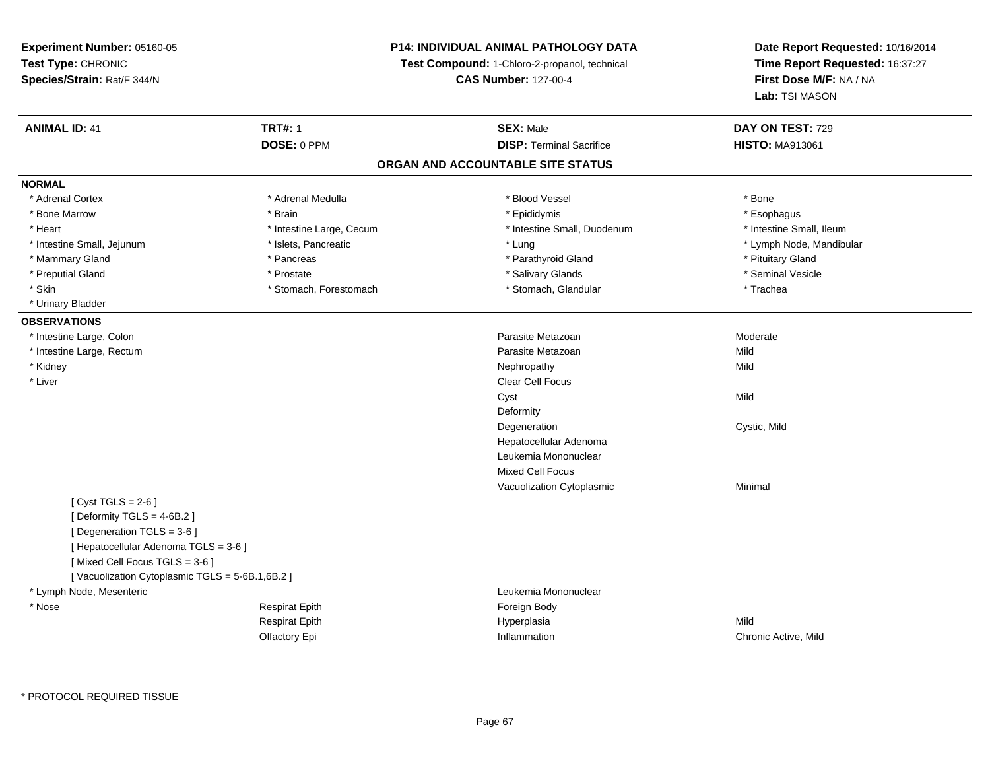## **P14: INDIVIDUAL ANIMAL PATHOLOGY DATA**

**Test Compound:** 1-Chloro-2-propanol, technical

**CAS Number:** 127-00-4

**Date Report Requested:** 10/16/2014**Time Report Requested:** 16:37:27**First Dose M/F:** NA / NA**Lab:** TSI MASON

| <b>ANIMAL ID: 41</b>                           | <b>TRT#: 1</b>           | <b>SEX: Male</b>                  | DAY ON TEST: 729         |
|------------------------------------------------|--------------------------|-----------------------------------|--------------------------|
|                                                | DOSE: 0 PPM              | <b>DISP: Terminal Sacrifice</b>   | <b>HISTO: MA913061</b>   |
|                                                |                          | ORGAN AND ACCOUNTABLE SITE STATUS |                          |
| <b>NORMAL</b>                                  |                          |                                   |                          |
| * Adrenal Cortex                               | * Adrenal Medulla        | * Blood Vessel                    | * Bone                   |
| * Bone Marrow                                  | * Brain                  | * Epididymis                      | * Esophagus              |
| * Heart                                        | * Intestine Large, Cecum | * Intestine Small, Duodenum       | * Intestine Small, Ileum |
| * Intestine Small, Jejunum                     | * Islets, Pancreatic     | * Lung                            | * Lymph Node, Mandibular |
| * Mammary Gland                                | * Pancreas               | * Parathyroid Gland               | * Pituitary Gland        |
| * Preputial Gland                              | * Prostate               | * Salivary Glands                 | * Seminal Vesicle        |
| * Skin                                         | * Stomach, Forestomach   | * Stomach, Glandular              | * Trachea                |
| * Urinary Bladder                              |                          |                                   |                          |
| <b>OBSERVATIONS</b>                            |                          |                                   |                          |
| * Intestine Large, Colon                       |                          | Parasite Metazoan                 | Moderate                 |
| * Intestine Large, Rectum                      |                          | Parasite Metazoan                 | Mild                     |
| * Kidney                                       |                          | Nephropathy                       | Mild                     |
| * Liver                                        |                          | <b>Clear Cell Focus</b>           |                          |
|                                                |                          | Cyst                              | Mild                     |
|                                                |                          | Deformity                         |                          |
|                                                |                          | Degeneration                      | Cystic, Mild             |
|                                                |                          | Hepatocellular Adenoma            |                          |
|                                                |                          | Leukemia Mononuclear              |                          |
|                                                |                          | <b>Mixed Cell Focus</b>           |                          |
|                                                |                          | Vacuolization Cytoplasmic         | Minimal                  |
| [Cyst TGLS = $2-6$ ]                           |                          |                                   |                          |
| [Deformity TGLS = $4-6B.2$ ]                   |                          |                                   |                          |
| [Degeneration TGLS = 3-6]                      |                          |                                   |                          |
| [ Hepatocellular Adenoma TGLS = 3-6 ]          |                          |                                   |                          |
| [Mixed Cell Focus TGLS = 3-6]                  |                          |                                   |                          |
| [Vacuolization Cytoplasmic TGLS = 5-6B.1,6B.2] |                          |                                   |                          |
| * Lymph Node, Mesenteric                       |                          | Leukemia Mononuclear              |                          |
| * Nose                                         | <b>Respirat Epith</b>    | Foreign Body                      |                          |
|                                                | <b>Respirat Epith</b>    | Hyperplasia                       | Mild                     |
|                                                | Olfactory Epi            | Inflammation                      | Chronic Active, Mild     |
|                                                |                          |                                   |                          |

\* PROTOCOL REQUIRED TISSUE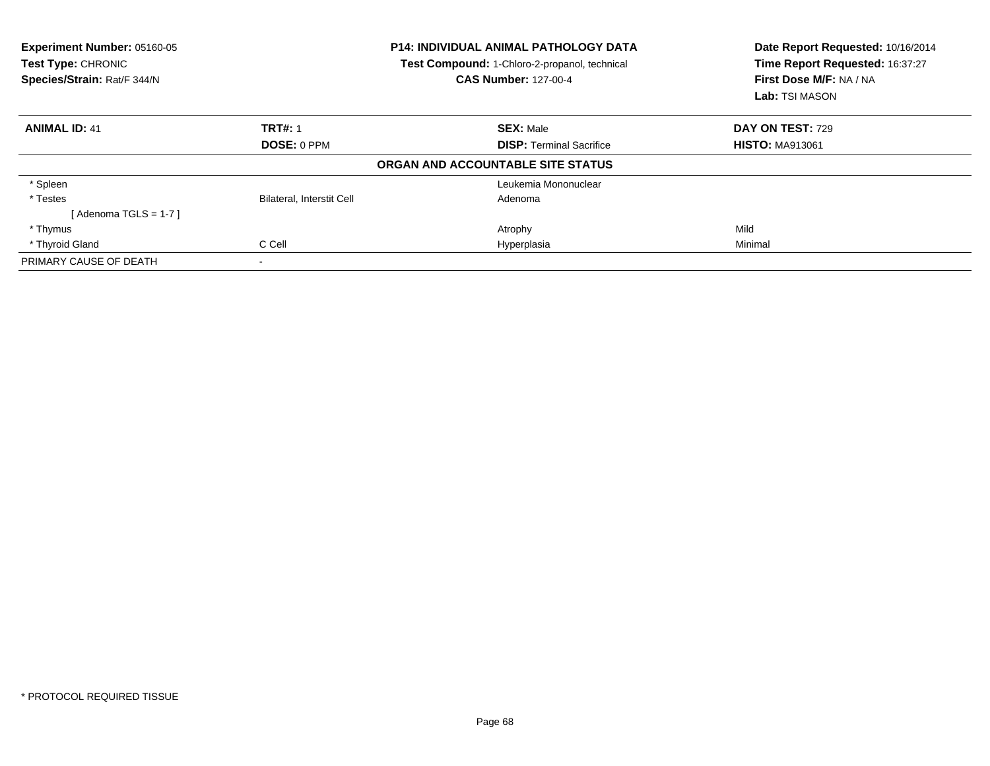| Experiment Number: 05160-05<br>Test Type: CHRONIC<br>Species/Strain: Rat/F 344/N |                                  | <b>P14: INDIVIDUAL ANIMAL PATHOLOGY DATA</b><br>Test Compound: 1-Chloro-2-propanol, technical<br><b>CAS Number: 127-00-4</b> | Date Report Requested: 10/16/2014<br>Time Report Requested: 16:37:27<br>First Dose M/F: NA / NA<br>Lab: TSI MASON |
|----------------------------------------------------------------------------------|----------------------------------|------------------------------------------------------------------------------------------------------------------------------|-------------------------------------------------------------------------------------------------------------------|
| <b>ANIMAL ID: 41</b>                                                             | <b>TRT#: 1</b>                   | <b>SEX: Male</b>                                                                                                             | <b>DAY ON TEST: 729</b>                                                                                           |
|                                                                                  | DOSE: 0 PPM                      | <b>DISP:</b> Terminal Sacrifice                                                                                              | <b>HISTO: MA913061</b>                                                                                            |
|                                                                                  |                                  | ORGAN AND ACCOUNTABLE SITE STATUS                                                                                            |                                                                                                                   |
| * Spleen                                                                         |                                  | Leukemia Mononuclear                                                                                                         |                                                                                                                   |
| * Testes                                                                         | <b>Bilateral, Interstit Cell</b> | Adenoma                                                                                                                      |                                                                                                                   |
| [Adenoma TGLS = $1-7$ ]                                                          |                                  |                                                                                                                              |                                                                                                                   |
| * Thymus                                                                         |                                  | Atrophy                                                                                                                      | Mild                                                                                                              |
| * Thyroid Gland                                                                  | C Cell                           | Hyperplasia                                                                                                                  | Minimal                                                                                                           |
| PRIMARY CAUSE OF DEATH                                                           | $\overline{\phantom{a}}$         |                                                                                                                              |                                                                                                                   |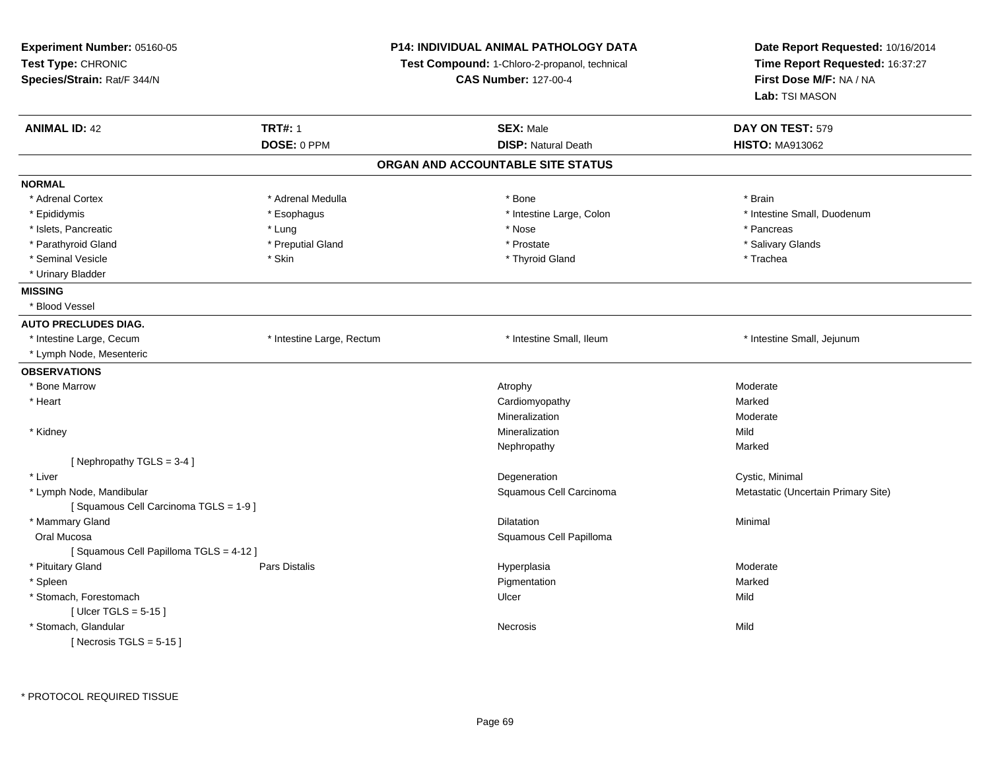| Experiment Number: 05160-05<br>Test Type: CHRONIC<br>Species/Strain: Rat/F 344/N |                           | <b>P14: INDIVIDUAL ANIMAL PATHOLOGY DATA</b><br>Test Compound: 1-Chloro-2-propanol, technical<br><b>CAS Number: 127-00-4</b> | Date Report Requested: 10/16/2014<br>Time Report Requested: 16:37:27<br>First Dose M/F: NA / NA<br>Lab: TSI MASON |
|----------------------------------------------------------------------------------|---------------------------|------------------------------------------------------------------------------------------------------------------------------|-------------------------------------------------------------------------------------------------------------------|
| <b>ANIMAL ID: 42</b>                                                             | <b>TRT#: 1</b>            | <b>SEX: Male</b>                                                                                                             | DAY ON TEST: 579                                                                                                  |
|                                                                                  | DOSE: 0 PPM               | <b>DISP: Natural Death</b>                                                                                                   | <b>HISTO: MA913062</b>                                                                                            |
|                                                                                  |                           | ORGAN AND ACCOUNTABLE SITE STATUS                                                                                            |                                                                                                                   |
| <b>NORMAL</b>                                                                    |                           |                                                                                                                              |                                                                                                                   |
| * Adrenal Cortex                                                                 | * Adrenal Medulla         | * Bone                                                                                                                       | * Brain                                                                                                           |
| * Epididymis                                                                     | * Esophagus               | * Intestine Large, Colon                                                                                                     | * Intestine Small, Duodenum                                                                                       |
| * Islets, Pancreatic                                                             | * Lung                    | * Nose                                                                                                                       | * Pancreas                                                                                                        |
| * Parathyroid Gland                                                              | * Preputial Gland         | * Prostate                                                                                                                   | * Salivary Glands                                                                                                 |
| * Seminal Vesicle                                                                | * Skin                    | * Thyroid Gland                                                                                                              | * Trachea                                                                                                         |
| * Urinary Bladder                                                                |                           |                                                                                                                              |                                                                                                                   |
| <b>MISSING</b>                                                                   |                           |                                                                                                                              |                                                                                                                   |
| * Blood Vessel                                                                   |                           |                                                                                                                              |                                                                                                                   |
| <b>AUTO PRECLUDES DIAG.</b>                                                      |                           |                                                                                                                              |                                                                                                                   |
| * Intestine Large, Cecum                                                         | * Intestine Large, Rectum | * Intestine Small, Ileum                                                                                                     | * Intestine Small, Jejunum                                                                                        |
| * Lymph Node, Mesenteric                                                         |                           |                                                                                                                              |                                                                                                                   |
| <b>OBSERVATIONS</b>                                                              |                           |                                                                                                                              |                                                                                                                   |
| * Bone Marrow                                                                    |                           | Atrophy                                                                                                                      | Moderate                                                                                                          |
| * Heart                                                                          |                           | Cardiomyopathy                                                                                                               | Marked                                                                                                            |
|                                                                                  |                           | Mineralization                                                                                                               | Moderate                                                                                                          |
| * Kidney                                                                         |                           | Mineralization                                                                                                               | Mild                                                                                                              |
|                                                                                  |                           | Nephropathy                                                                                                                  | Marked                                                                                                            |
| [Nephropathy TGLS = 3-4]                                                         |                           |                                                                                                                              |                                                                                                                   |
| * Liver                                                                          |                           | Degeneration                                                                                                                 | Cystic, Minimal                                                                                                   |
| * Lymph Node, Mandibular                                                         |                           | Squamous Cell Carcinoma                                                                                                      | Metastatic (Uncertain Primary Site)                                                                               |
| [Squamous Cell Carcinoma TGLS = 1-9]                                             |                           |                                                                                                                              |                                                                                                                   |
| * Mammary Gland                                                                  |                           | Dilatation                                                                                                                   | Minimal                                                                                                           |
| Oral Mucosa                                                                      |                           | Squamous Cell Papilloma                                                                                                      |                                                                                                                   |
| [Squamous Cell Papilloma TGLS = 4-12]                                            |                           |                                                                                                                              |                                                                                                                   |
| * Pituitary Gland                                                                | Pars Distalis             | Hyperplasia                                                                                                                  | Moderate                                                                                                          |
| * Spleen                                                                         |                           | Pigmentation                                                                                                                 | Marked                                                                                                            |
| * Stomach, Forestomach                                                           |                           | Ulcer                                                                                                                        | Mild                                                                                                              |
| [ Ulcer TGLS = $5-15$ ]                                                          |                           |                                                                                                                              |                                                                                                                   |
| * Stomach, Glandular                                                             |                           | Necrosis                                                                                                                     | Mild                                                                                                              |
| [Necrosis TGLS = $5-15$ ]                                                        |                           |                                                                                                                              |                                                                                                                   |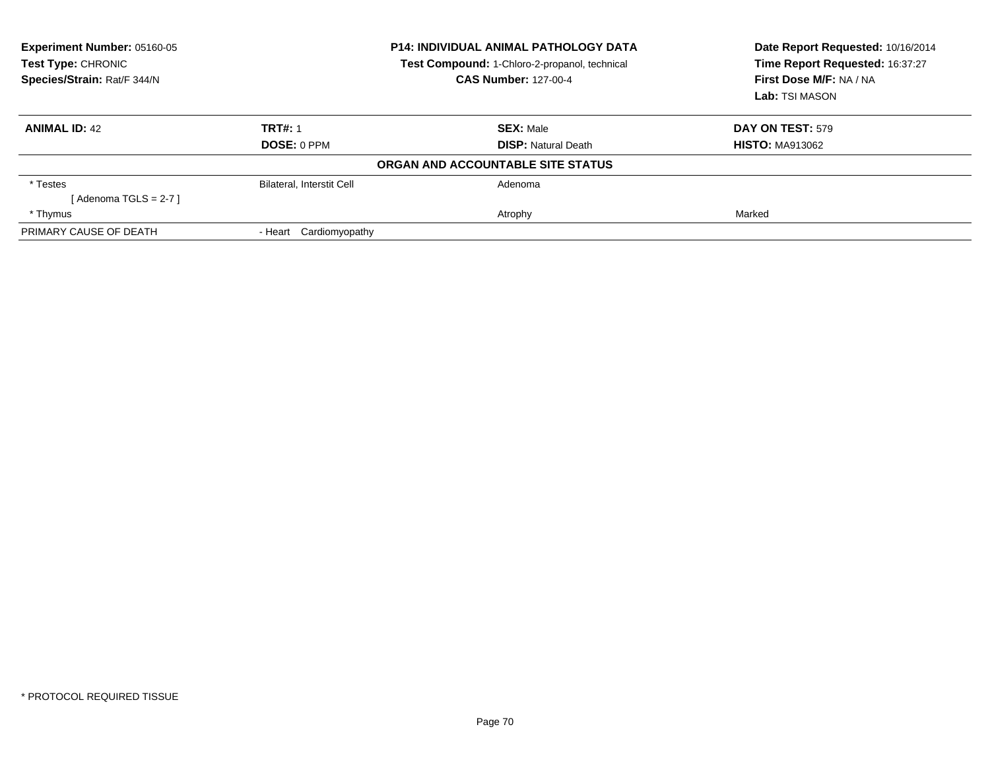| Experiment Number: 05160-05<br>Test Type: CHRONIC<br>Species/Strain: Rat/F 344/N | <b>P14: INDIVIDUAL ANIMAL PATHOLOGY DATA</b><br>Test Compound: 1-Chloro-2-propanol, technical<br><b>CAS Number: 127-00-4</b> |                                   | Date Report Requested: 10/16/2014<br>Time Report Requested: 16:37:27<br>First Dose M/F: NA / NA<br>Lab: TSI MASON |
|----------------------------------------------------------------------------------|------------------------------------------------------------------------------------------------------------------------------|-----------------------------------|-------------------------------------------------------------------------------------------------------------------|
| <b>ANIMAL ID: 42</b>                                                             | <b>TRT#: 1</b>                                                                                                               | <b>SEX: Male</b>                  | <b>DAY ON TEST: 579</b>                                                                                           |
|                                                                                  | DOSE: 0 PPM                                                                                                                  | <b>DISP: Natural Death</b>        | <b>HISTO: MA913062</b>                                                                                            |
|                                                                                  |                                                                                                                              | ORGAN AND ACCOUNTABLE SITE STATUS |                                                                                                                   |
| * Testes                                                                         | <b>Bilateral, Interstit Cell</b>                                                                                             | Adenoma                           |                                                                                                                   |
| [ Adenoma TGLS = 2-7 ]                                                           |                                                                                                                              |                                   |                                                                                                                   |
| * Thymus                                                                         |                                                                                                                              | Atrophy                           | Marked                                                                                                            |
| PRIMARY CAUSE OF DEATH                                                           | - Heart Cardiomyopathy                                                                                                       |                                   |                                                                                                                   |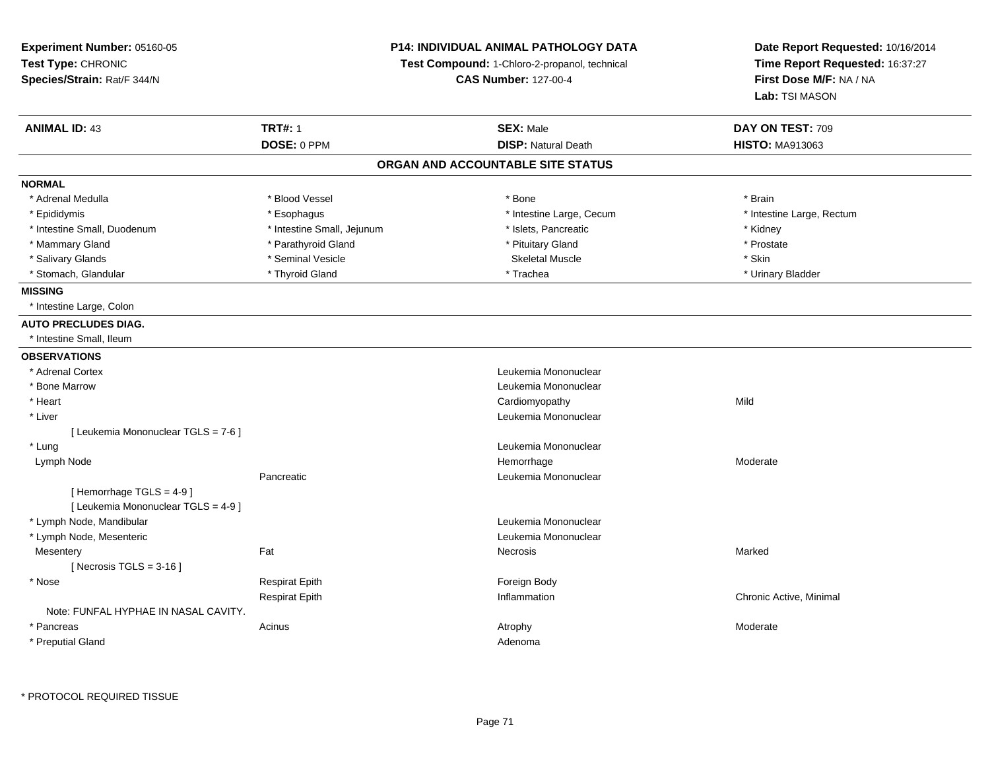| Experiment Number: 05160-05<br>Test Type: CHRONIC<br>Species/Strain: Rat/F 344/N | <b>P14: INDIVIDUAL ANIMAL PATHOLOGY DATA</b><br>Test Compound: 1-Chloro-2-propanol, technical<br><b>CAS Number: 127-00-4</b> |                                   | Date Report Requested: 10/16/2014<br>Time Report Requested: 16:37:27<br>First Dose M/F: NA / NA<br>Lab: TSI MASON |  |
|----------------------------------------------------------------------------------|------------------------------------------------------------------------------------------------------------------------------|-----------------------------------|-------------------------------------------------------------------------------------------------------------------|--|
| <b>ANIMAL ID: 43</b>                                                             | <b>TRT#: 1</b>                                                                                                               | <b>SEX: Male</b>                  | DAY ON TEST: 709                                                                                                  |  |
|                                                                                  | DOSE: 0 PPM                                                                                                                  | <b>DISP: Natural Death</b>        | <b>HISTO: MA913063</b>                                                                                            |  |
|                                                                                  |                                                                                                                              | ORGAN AND ACCOUNTABLE SITE STATUS |                                                                                                                   |  |
| <b>NORMAL</b>                                                                    |                                                                                                                              |                                   |                                                                                                                   |  |
| * Adrenal Medulla                                                                | * Blood Vessel                                                                                                               | * Bone                            | * Brain                                                                                                           |  |
| * Epididymis                                                                     | * Esophagus                                                                                                                  | * Intestine Large, Cecum          | * Intestine Large, Rectum                                                                                         |  |
| * Intestine Small, Duodenum                                                      | * Intestine Small, Jejunum                                                                                                   | * Islets, Pancreatic              | * Kidney                                                                                                          |  |
| * Mammary Gland                                                                  | * Parathyroid Gland                                                                                                          | * Pituitary Gland                 | * Prostate                                                                                                        |  |
| * Salivary Glands                                                                | * Seminal Vesicle                                                                                                            | <b>Skeletal Muscle</b>            | * Skin                                                                                                            |  |
| * Stomach, Glandular                                                             | * Thyroid Gland                                                                                                              | * Trachea                         | * Urinary Bladder                                                                                                 |  |
| <b>MISSING</b>                                                                   |                                                                                                                              |                                   |                                                                                                                   |  |
| * Intestine Large, Colon                                                         |                                                                                                                              |                                   |                                                                                                                   |  |
| <b>AUTO PRECLUDES DIAG.</b>                                                      |                                                                                                                              |                                   |                                                                                                                   |  |
| * Intestine Small, Ileum                                                         |                                                                                                                              |                                   |                                                                                                                   |  |
| <b>OBSERVATIONS</b>                                                              |                                                                                                                              |                                   |                                                                                                                   |  |
| * Adrenal Cortex                                                                 |                                                                                                                              | Leukemia Mononuclear              |                                                                                                                   |  |
| * Bone Marrow                                                                    |                                                                                                                              | Leukemia Mononuclear              |                                                                                                                   |  |
| * Heart                                                                          |                                                                                                                              | Cardiomyopathy                    | Mild                                                                                                              |  |
| * Liver                                                                          |                                                                                                                              | Leukemia Mononuclear              |                                                                                                                   |  |
| [ Leukemia Mononuclear TGLS = 7-6 ]                                              |                                                                                                                              |                                   |                                                                                                                   |  |
| * Lung                                                                           |                                                                                                                              | Leukemia Mononuclear              |                                                                                                                   |  |
| Lymph Node                                                                       |                                                                                                                              | Hemorrhage                        | Moderate                                                                                                          |  |
| [Hemorrhage TGLS = 4-9]<br>[ Leukemia Mononuclear TGLS = 4-9 ]                   | Pancreatic                                                                                                                   | Leukemia Mononuclear              |                                                                                                                   |  |
| * Lymph Node, Mandibular                                                         |                                                                                                                              | Leukemia Mononuclear              |                                                                                                                   |  |
| * Lymph Node, Mesenteric                                                         |                                                                                                                              | Leukemia Mononuclear              |                                                                                                                   |  |
| Mesentery                                                                        | Fat                                                                                                                          | Necrosis                          | Marked                                                                                                            |  |
| [Necrosis TGLS = $3-16$ ]                                                        |                                                                                                                              |                                   |                                                                                                                   |  |
| * Nose                                                                           | <b>Respirat Epith</b>                                                                                                        | Foreign Body                      |                                                                                                                   |  |
|                                                                                  | <b>Respirat Epith</b>                                                                                                        | Inflammation                      | Chronic Active, Minimal                                                                                           |  |
| Note: FUNFAL HYPHAE IN NASAL CAVITY.                                             |                                                                                                                              |                                   |                                                                                                                   |  |
| * Pancreas                                                                       | Acinus                                                                                                                       | Atrophy                           | Moderate                                                                                                          |  |
| * Preputial Gland                                                                |                                                                                                                              | Adenoma                           |                                                                                                                   |  |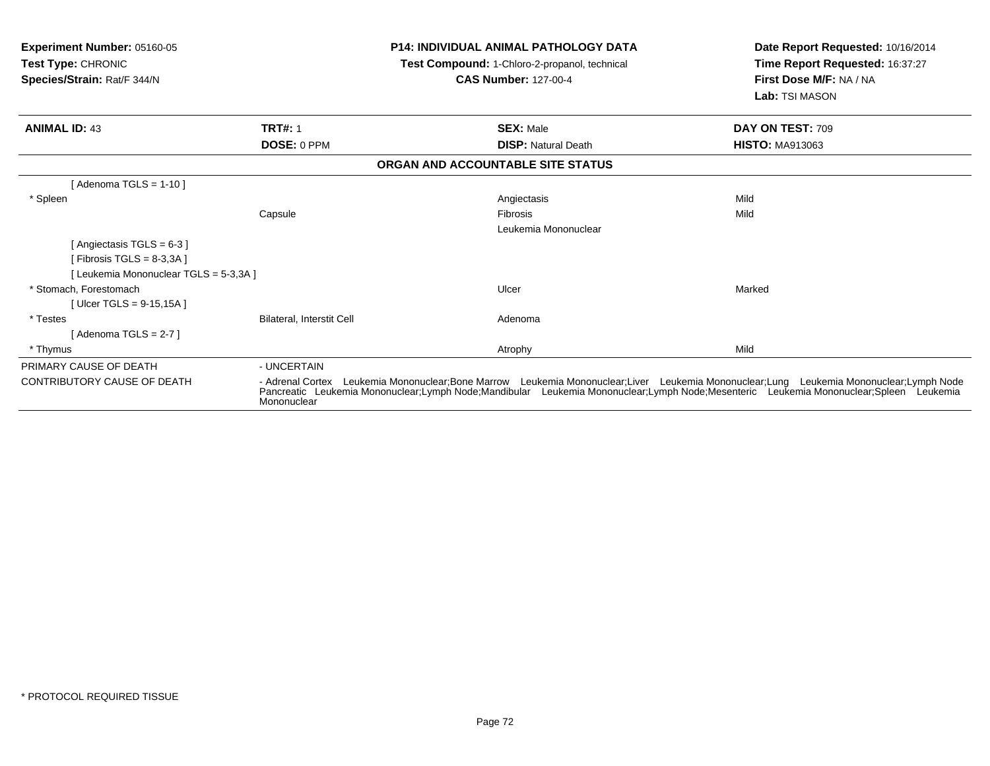| Experiment Number: 05160-05<br>Test Type: CHRONIC<br>Species/Strain: Rat/F 344/N |                           | <b>P14: INDIVIDUAL ANIMAL PATHOLOGY DATA</b><br>Test Compound: 1-Chloro-2-propanol, technical<br><b>CAS Number: 127-00-4</b>                                                                                                                                                    | Date Report Requested: 10/16/2014<br>Time Report Requested: 16:37:27<br>First Dose M/F: NA / NA<br>Lab: TSI MASON |
|----------------------------------------------------------------------------------|---------------------------|---------------------------------------------------------------------------------------------------------------------------------------------------------------------------------------------------------------------------------------------------------------------------------|-------------------------------------------------------------------------------------------------------------------|
| <b>ANIMAL ID: 43</b>                                                             | <b>TRT#: 1</b>            | <b>SEX: Male</b>                                                                                                                                                                                                                                                                | DAY ON TEST: 709                                                                                                  |
|                                                                                  | DOSE: 0 PPM               | <b>DISP: Natural Death</b>                                                                                                                                                                                                                                                      | <b>HISTO: MA913063</b>                                                                                            |
|                                                                                  |                           | ORGAN AND ACCOUNTABLE SITE STATUS                                                                                                                                                                                                                                               |                                                                                                                   |
| [Adenoma TGLS = $1-10$ ]                                                         |                           |                                                                                                                                                                                                                                                                                 |                                                                                                                   |
| * Spleen                                                                         |                           | Angiectasis                                                                                                                                                                                                                                                                     | Mild                                                                                                              |
|                                                                                  | Capsule                   | Fibrosis                                                                                                                                                                                                                                                                        | Mild                                                                                                              |
|                                                                                  |                           | Leukemia Mononuclear                                                                                                                                                                                                                                                            |                                                                                                                   |
| [Angiectasis TGLS = 6-3]                                                         |                           |                                                                                                                                                                                                                                                                                 |                                                                                                                   |
| [ Fibrosis TGLS = $8-3,3A$ ]                                                     |                           |                                                                                                                                                                                                                                                                                 |                                                                                                                   |
| [ Leukemia Mononuclear TGLS = 5-3,3A ]                                           |                           |                                                                                                                                                                                                                                                                                 |                                                                                                                   |
| * Stomach. Forestomach                                                           |                           | Ulcer                                                                                                                                                                                                                                                                           | Marked                                                                                                            |
| [Ulcer TGLS = $9-15,15A$ ]                                                       |                           |                                                                                                                                                                                                                                                                                 |                                                                                                                   |
| * Testes                                                                         | Bilateral, Interstit Cell | Adenoma                                                                                                                                                                                                                                                                         |                                                                                                                   |
| [Adenoma TGLS = $2-7$ ]                                                          |                           |                                                                                                                                                                                                                                                                                 |                                                                                                                   |
| * Thymus                                                                         |                           | Atrophy                                                                                                                                                                                                                                                                         | Mild                                                                                                              |
| PRIMARY CAUSE OF DEATH                                                           | - UNCERTAIN               |                                                                                                                                                                                                                                                                                 |                                                                                                                   |
| CONTRIBUTORY CAUSE OF DEATH                                                      | Mononuclear               | - Adrenal Cortex Leukemia Mononuclear;Bone Marrow Leukemia Mononuclear;Liver Leukemia Mononuclear;Lung Leukemia Mononuclear;Lymph Node<br>Pancreatic Leukemia Mononuclear;Lymph Node;Mandibular Leukemia Mononuclear;Lymph Node;Mesenteric Leukemia Mononuclear;Spleen Leukemia |                                                                                                                   |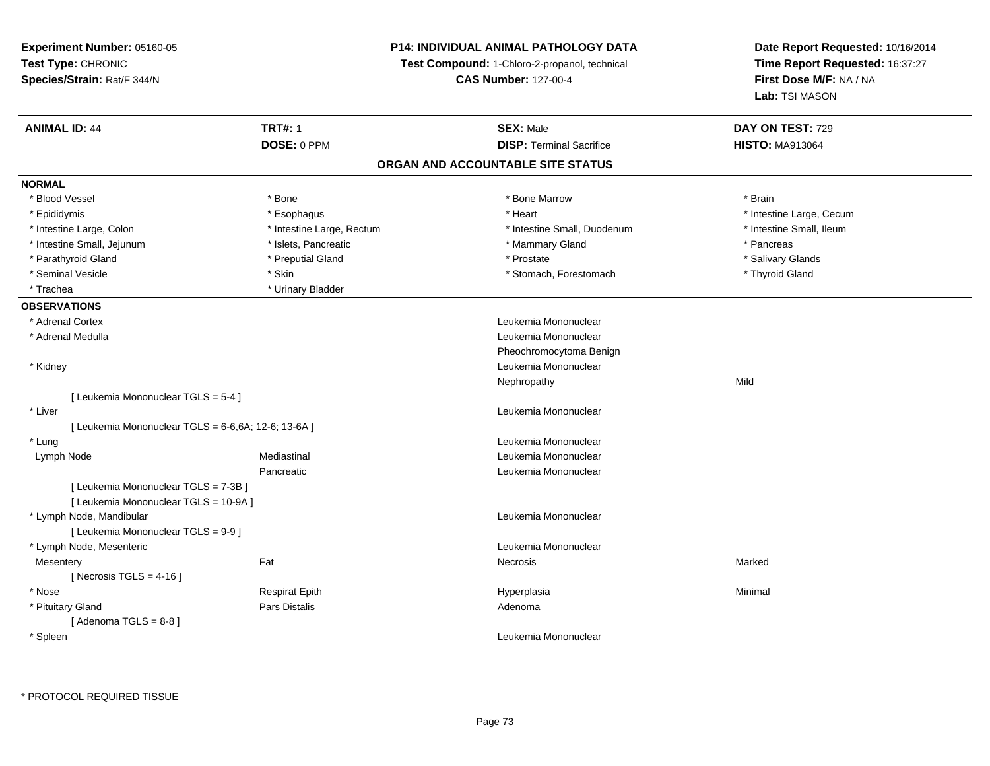**Experiment Number:** 05160-05**Test Type:** CHRONIC **Species/Strain:** Rat/F 344/N**P14: INDIVIDUAL ANIMAL PATHOLOGY DATATest Compound:** 1-Chloro-2-propanol, technical **CAS Number:** 127-00-4**Date Report Requested:** 10/16/2014**Time Report Requested:** 16:37:27**First Dose M/F:** NA / NA**Lab:** TSI MASON**ANIMAL ID:** 44**TRT#:** 1 **SEX:** Male **DAY ON TEST:** 729 **DOSE:** 0 PPM**DISP:** Terminal Sacrifice **HISTO:** MA913064 **ORGAN AND ACCOUNTABLE SITE STATUSNORMAL**\* Blood Vessel \* Blood Vessel \* \* Annual \* Bone \* \* Bone \* \* Bone \* \* Bone Marrow \* \* Bone Marrow \* \* Brain \* Brain \* Brain \* \* Epididymis **Account 19 and 19 and 19 and 19 and 19 and 19 and 19 and 19 and 19 and 19 and 19 and 19 and 19 and 19 and 19 and 19 and 19 and 19 and 19 and 19 and 19 and 19 and 19 and 19 and 19 and 19 and 19 and 19 and 19 a** \* Intestine Small. Ileum \* Intestine Large, Colon \* Intestine Large, Rectum \* Intestine Small, Duodenum \* Intestine Small, Duodenum \* Intestine Small, Jejunum \* The research of the state of the state of the state of the state of the state of the state of the state of the state of the state of the state of the state of the state of the state of the stat \* Salivary Glands \* Parathyroid Gland \* \* \* Preputial Gland \* \* Preputial Gland \* \* Prostate \* \* Salivary Glands \* Salivary Glands \* Seminal Vesicle \* Thyroid Gland \* \* Skin \* \* Skin \* Stomach \* Stomach, Forestomach \* \* Thyroid Gland \* Thyroid Gland \* Trachea **\*** Urinary Bladder **OBSERVATIONS** \* Adrenal Cortex Leukemia Mononuclear \* Adrenal Medulla Leukemia Mononuclear Pheochromocytoma Benign \* Kidney Leukemia Mononuclear Nephropathyy Mild [ Leukemia Mononuclear TGLS = 5-4 ] \* Liver Leukemia Mononuclear [ Leukemia Mononuclear TGLS = 6-6,6A; 12-6; 13-6A ] \* Lung Leukemia Mononuclear Lymph Node Mediastinal Leukemia Mononuclear Pancreatic Leukemia Mononuclear [ Leukemia Mononuclear TGLS = 7-3B ][ Leukemia Mononuclear TGLS = 10-9A ] \* Lymph Node, Mandibular Leukemia Mononuclear [ Leukemia Mononuclear TGLS = 9-9 ] \* Lymph Node, Mesenteric Leukemia Mononuclear Mesenteryy the control of the Marked States of the Marked States of the Marked States of the Marked States of the Marked States of the Marked States of the Marked States of the Marked States of the Marked States of the Marked State  $[$  Necrosis TGLS = 4-16  $]$  \* Nose Respirat Epith Hyperplasia Minimal \* Pituitary Glandd and the contract of Pars Distalis and the contract of Adenoma and Adenoma and the Adenoma and the Adenoma and  $\lambda$  $[$  Adenoma TGLS = 8-8  $]$  \* SpleenLeukemia Mononuclear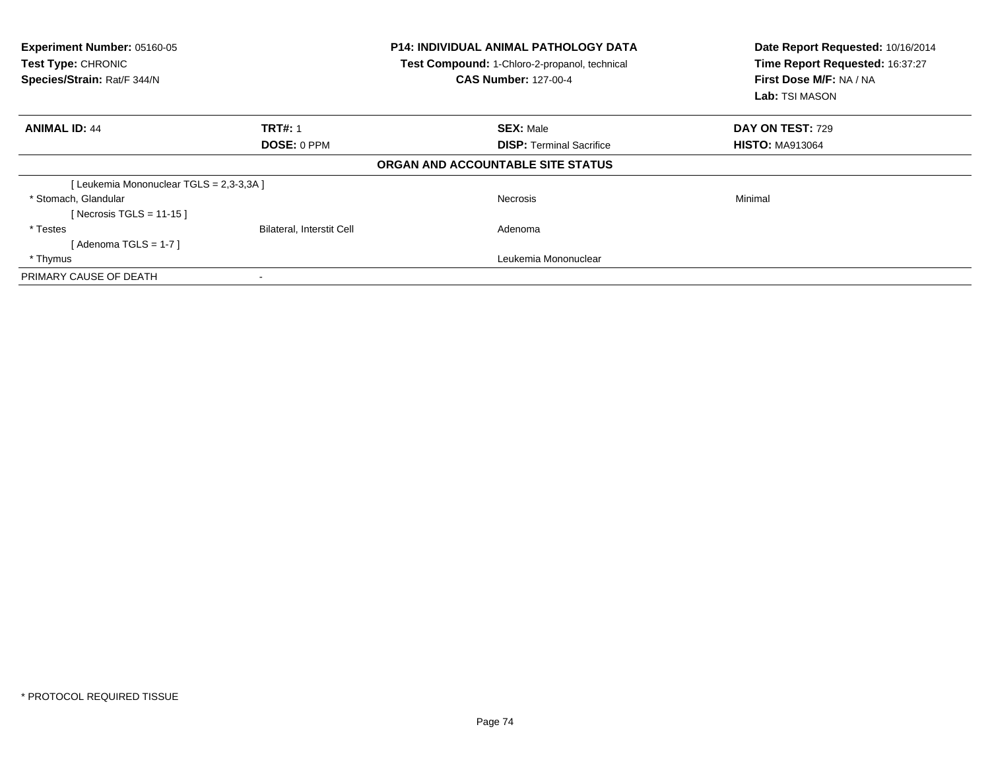| Experiment Number: 05160-05<br><b>Test Type: CHRONIC</b><br>Species/Strain: Rat/F 344/N |                                  | <b>P14: INDIVIDUAL ANIMAL PATHOLOGY DATA</b><br>Test Compound: 1-Chloro-2-propanol, technical<br><b>CAS Number: 127-00-4</b> | Date Report Requested: 10/16/2014<br>Time Report Requested: 16:37:27<br>First Dose M/F: NA / NA<br><b>Lab:</b> TSI MASON |  |
|-----------------------------------------------------------------------------------------|----------------------------------|------------------------------------------------------------------------------------------------------------------------------|--------------------------------------------------------------------------------------------------------------------------|--|
| <b>ANIMAL ID: 44</b>                                                                    | <b>TRT#: 1</b>                   | <b>SEX: Male</b>                                                                                                             | DAY ON TEST: 729                                                                                                         |  |
|                                                                                         | DOSE: 0 PPM                      | <b>DISP:</b> Terminal Sacrifice                                                                                              | <b>HISTO: MA913064</b>                                                                                                   |  |
|                                                                                         |                                  | ORGAN AND ACCOUNTABLE SITE STATUS                                                                                            |                                                                                                                          |  |
| [Leukemia Mononuclear TGLS = 2,3-3,3A ]                                                 |                                  |                                                                                                                              |                                                                                                                          |  |
| * Stomach, Glandular<br>[Necrosis TGLS = 11-15]                                         |                                  | <b>Necrosis</b>                                                                                                              | Minimal                                                                                                                  |  |
| * Testes<br>[ Adenoma TGLS = 1-7 ]                                                      | <b>Bilateral, Interstit Cell</b> | Adenoma                                                                                                                      |                                                                                                                          |  |
| * Thymus                                                                                |                                  | Leukemia Mononuclear                                                                                                         |                                                                                                                          |  |
| PRIMARY CAUSE OF DEATH                                                                  |                                  |                                                                                                                              |                                                                                                                          |  |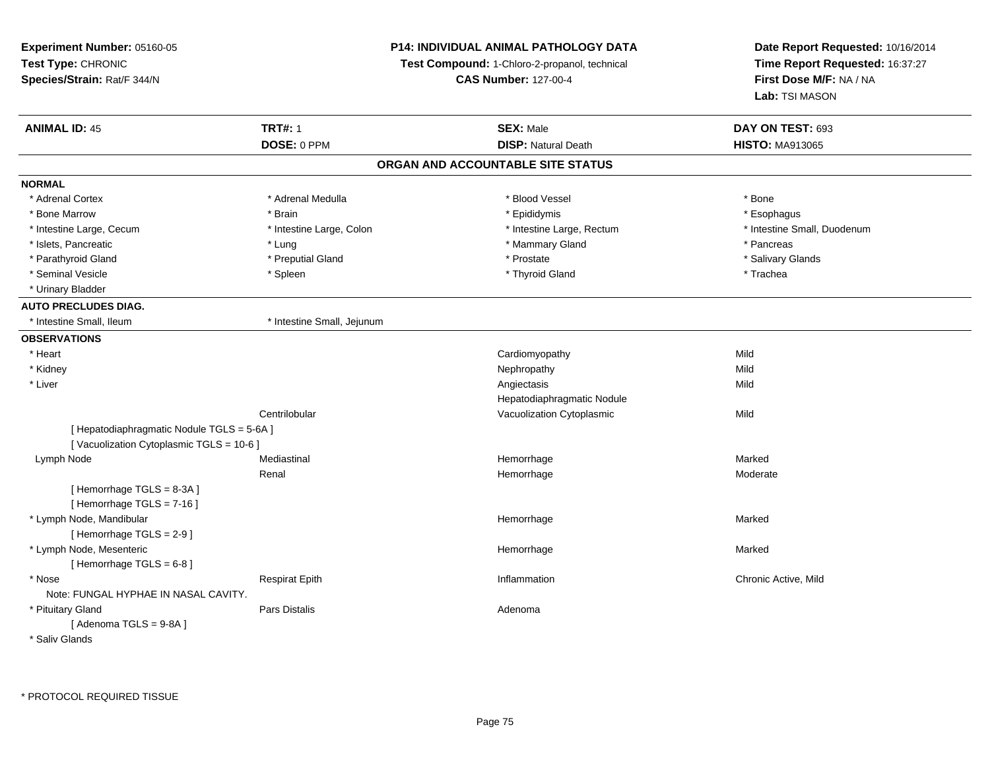**Experiment Number:** 05160-05**Test Type:** CHRONIC **Species/Strain:** Rat/F 344/N**P14: INDIVIDUAL ANIMAL PATHOLOGY DATATest Compound:** 1-Chloro-2-propanol, technical **CAS Number:** 127-00-4**Date Report Requested:** 10/16/2014**Time Report Requested:** 16:37:27**First Dose M/F:** NA / NA**Lab:** TSI MASON**ANIMAL ID:** 45**TRT#:** 1 **SEX:** Male **DAY ON TEST:** 693 **DOSE:** 0 PPM**DISP:** Natural Death **HISTO:** MA913065 **ORGAN AND ACCOUNTABLE SITE STATUSNORMAL**\* Adrenal Cortex \* Adrenal Cortex \* \* Adrenal Medulla \* \* Adrenal Medulla \* \* Blood Vessel \* \* Brood Vessel \* \* Bone \* Esophagus \* Bone Marrow \* Brain \* Epididymis \* Esophagus \* Intestine Small, Duodenum \* Intestine Large, Cecum \* Intestine Large, Colon \* Intestine Small, Number 2016, Rectum \* Intestine Small, Duodenum \* Islets, Pancreatic \* \* The matrix of the state of the state of the state of the state of the state of the state of the state of the state of the state of the state of the state of the state of the state of the state of t \* Salivary Glands \* Parathyroid Gland \* \* \* Preputial Gland \* \* Preputial Gland \* \* Prostate \* \* Salivary Glands \* Salivary Glands \* Seminal Vesicle \* \* \* Spleen \* \* Spleen \* \* Thyroid Gland \* Thomas \* The \* Trachea \* Urinary Bladder**AUTO PRECLUDES DIAG.**\* Intestine Small, Ileum \* 11testine Small, Jejunum **OBSERVATIONS** \* Heart Cardiomyopathyy Mild Mild \* Kidneyy the controller of the controller of the controller of the controller of the controller of the controller of the controller of the controller of the controller of the controller of the controller of the controller of the **Mild**  \* Liverr and the contract of the contract of the contract of the contract of the contract of the contract of the contract of the contract of the contract of the contract of the contract of the contract of the contract of the cont s Mild Hepatodiaphragmatic NoduleCentrilobular Vacuolization Cytoplasmicc Mild [ Hepatodiaphragmatic Nodule TGLS = 5-6A ][ Vacuolization Cytoplasmic TGLS = 10-6 ] Lymph Nodee the mediastinal the manufacture of the Marked Marked School and Marked Marked School and Marked Marked School Renal Hemorrhage Moderate [ Hemorrhage TGLS = 8-3A ][ Hemorrhage TGLS = 7-16 ] \* Lymph Node, Mandibular Hemorrhagee Marked Marked [ Hemorrhage TGLS = 2-9 ] \* Lymph Node, Mesentericc **Example 2018 Hemorrhage** e Marked Marked  $[$  Hemorrhage TGLS = 6-8  $]$  \* Nosee and the second of the series of the series of the control of the series of the series of the chronic Active, Mild Note: FUNGAL HYPHAE IN NASAL CAVITY. \* Pituitary Glandd and the set of Pars Distalis and the Second Adenomal Adenomal Second Second Pars Distallis [ Adenoma TGLS = 9-8A ]\* Saliv Glands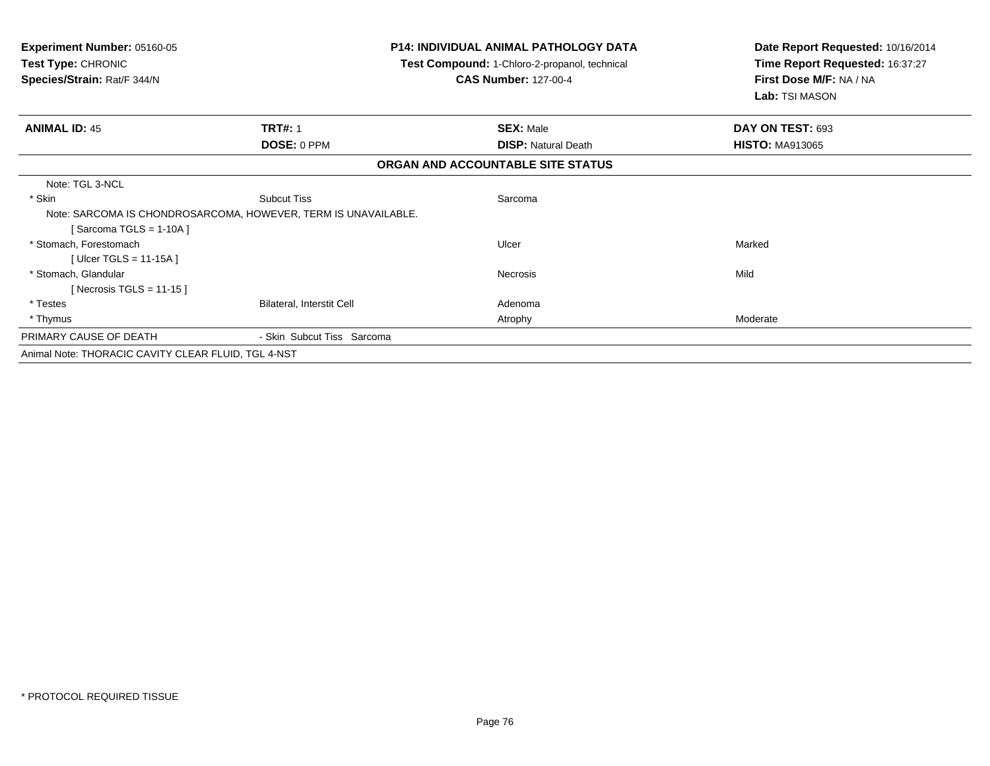| <b>Experiment Number: 05160-05</b><br>Test Type: CHRONIC<br>Species/Strain: Rat/F 344/N |                                  | <b>P14: INDIVIDUAL ANIMAL PATHOLOGY DATA</b><br>Test Compound: 1-Chloro-2-propanol, technical<br><b>CAS Number: 127-00-4</b> | Date Report Requested: 10/16/2014<br>Time Report Requested: 16:37:27<br>First Dose M/F: NA / NA<br>Lab: TSI MASON |
|-----------------------------------------------------------------------------------------|----------------------------------|------------------------------------------------------------------------------------------------------------------------------|-------------------------------------------------------------------------------------------------------------------|
| <b>ANIMAL ID: 45</b>                                                                    | <b>TRT#: 1</b>                   | <b>SEX: Male</b>                                                                                                             | DAY ON TEST: 693                                                                                                  |
|                                                                                         | DOSE: 0 PPM                      | <b>DISP: Natural Death</b>                                                                                                   | <b>HISTO: MA913065</b>                                                                                            |
|                                                                                         |                                  | ORGAN AND ACCOUNTABLE SITE STATUS                                                                                            |                                                                                                                   |
| Note: TGL 3-NCL                                                                         |                                  |                                                                                                                              |                                                                                                                   |
| * Skin                                                                                  | <b>Subcut Tiss</b>               | Sarcoma                                                                                                                      |                                                                                                                   |
| Note: SARCOMA IS CHONDROSARCOMA, HOWEVER, TERM IS UNAVAILABLE.                          |                                  |                                                                                                                              |                                                                                                                   |
| [Sarcoma TGLS = 1-10A ]                                                                 |                                  |                                                                                                                              |                                                                                                                   |
| * Stomach, Forestomach                                                                  |                                  | Ulcer                                                                                                                        | Marked                                                                                                            |
| [Ulcer TGLS = $11-15A$ ]                                                                |                                  |                                                                                                                              |                                                                                                                   |
| * Stomach, Glandular                                                                    |                                  | Necrosis                                                                                                                     | Mild                                                                                                              |
| [Necrosis TGLS = 11-15]                                                                 |                                  |                                                                                                                              |                                                                                                                   |
| * Testes                                                                                | <b>Bilateral, Interstit Cell</b> | Adenoma                                                                                                                      |                                                                                                                   |
| * Thymus                                                                                |                                  | Atrophy                                                                                                                      | Moderate                                                                                                          |
| PRIMARY CAUSE OF DEATH                                                                  | - Skin Subcut Tiss Sarcoma       |                                                                                                                              |                                                                                                                   |
| Animal Note: THORACIC CAVITY CLEAR FLUID, TGL 4-NST                                     |                                  |                                                                                                                              |                                                                                                                   |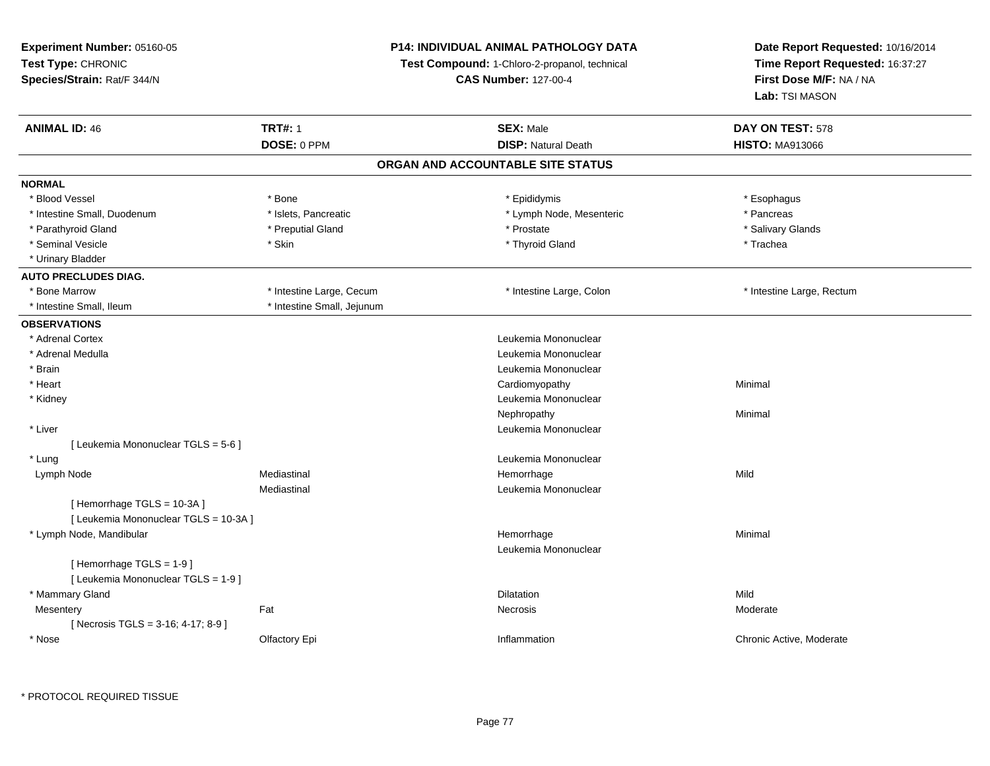**Experiment Number:** 05160-05**Test Type:** CHRONIC **Species/Strain:** Rat/F 344/N**P14: INDIVIDUAL ANIMAL PATHOLOGY DATATest Compound:** 1-Chloro-2-propanol, technical **CAS Number:** 127-00-4**Date Report Requested:** 10/16/2014**Time Report Requested:** 16:37:27**First Dose M/F:** NA / NA**Lab:** TSI MASON**ANIMAL ID:** 46**6 TRT#:** 1 **TRT#:** 1 **SEX:** Male **SEX:** Male **DAY ON TEST:** 578 **DOSE:** 0 PPM**DISP:** Natural Death **HISTO:** MA913066 **ORGAN AND ACCOUNTABLE SITE STATUSNORMAL**\* Blood Vessel \* Blood Vessel \* \* Expression \* \* Bone \* \* Bone \* \* Epididymis \* \* Epididymis \* \* Expression \* Esophagus \* Esophagus \* Intestine Small, Duodenum \* The metal was a strategies of the strategies of the strategies of the strategies of the strategies of the strategies of the strategies of the strategies of the strategies of the strategies of \* Salivary Glands \* Parathyroid Gland \* \* \* Preputial Gland \* \* Preputial Gland \* \* Prostate \* \* Salivary Glands \* Salivary Glands \* Seminal Vesicle \* \* \* Stin \* \* Skin \* \* Thyroid Gland \* Thyroid Gland \* Trachea \* Urinary Bladder**AUTO PRECLUDES DIAG.**\* Bone Marrow \* Thestine Large, Cecum \* Intestine Large, Cecum \* Intestine Large, Colon \* \* Intestine Large, Rectum \* Intestine Small, Ileum \* \* Intestine Small, Jejunum **OBSERVATIONS** \* Adrenal Cortex Leukemia Mononuclear \* Adrenal Medulla Leukemia Mononuclear \* Brain Leukemia Mononuclear \* Heart Cardiomyopathy Minimal \* Kidney Leukemia Mononuclear Nephropathyy the contract of the Minimal Minimal Section 1996 and the contract of the Minimal Section 1997 and the contract of the contract of the contract of the contract of the contract of the contract of the contract of the contra \* Liver Leukemia Mononuclear [ Leukemia Mononuclear TGLS = 5-6 ] \* LungLeukemia Mononuclear<br>
Hemorrhage<br>
Hemorrhage Lymph Nodee the mediastinal the settlement of the Mild of the Mild of the Mild of the Mild of the Mild of the Mild of the Mild of the Mild of the Mild of the Mild of the Mild of the Mild of the Mild of the Mild of the Mild of the Mi Mediastinal Leukemia Mononuclear[ Hemorrhage TGLS = 10-3A ][ Leukemia Mononuclear TGLS = 10-3A ] \* Lymph Node, Mandibular Hemorrhagee Minimal Leukemia Mononuclear[ Hemorrhage TGLS = 1-9 ][ Leukemia Mononuclear TGLS = 1-9 ] \* Mammary Glandd and the control of the control of the control of the control of the control of the control of the control of the control of the control of the control of the control of the control of the control of the control of the co **Mesentery** y the control of the set of the control of the Moderate of the Moderate of the Moderate of the Moderate of the Moderate of the Moderate of the Moderate of the Moderate of the Moderate of the Moderate of the Moderate of the  $[$  Necrosis TGLS = 3-16; 4-17; 8-9 ] \* Nosee who contact the Chronic Active, Moderate Chronic Active, Moderate Chronic Active, Moderate Chronic Active, Moderate

\* PROTOCOL REQUIRED TISSUE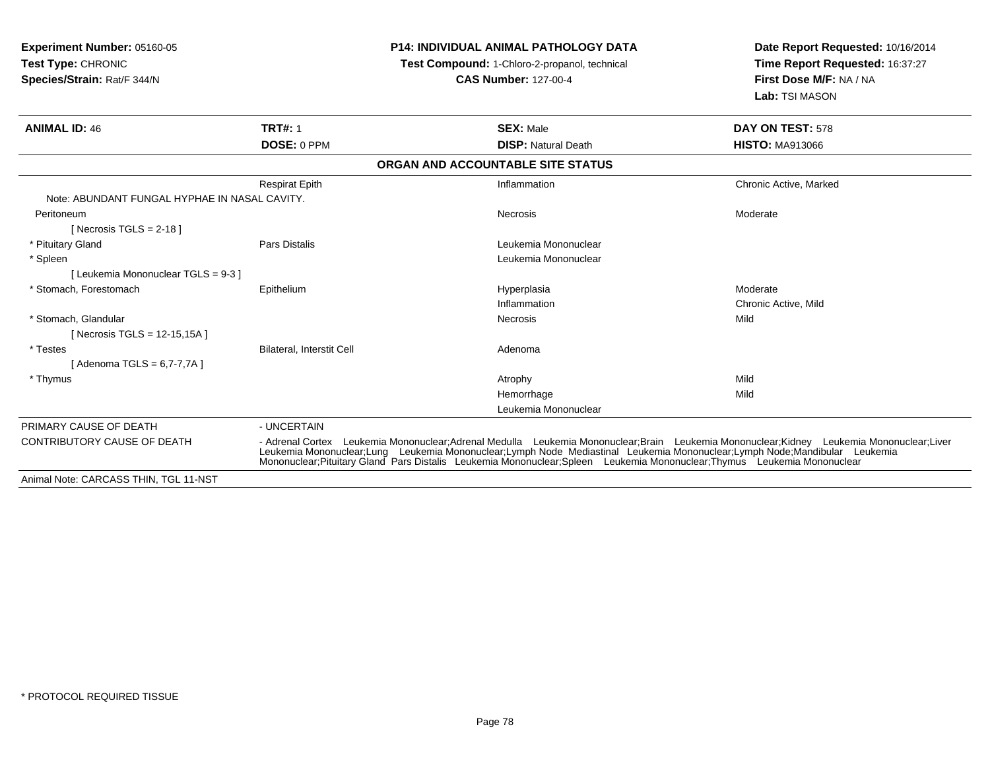| <b>Experiment Number: 05160-05</b><br><b>Test Type: CHRONIC</b><br>Species/Strain: Rat/F 344/N |                                                                                                                                                                                                                                                                                                                                                                                                | <b>P14: INDIVIDUAL ANIMAL PATHOLOGY DATA</b><br>Test Compound: 1-Chloro-2-propanol, technical<br><b>CAS Number: 127-00-4</b> | Date Report Requested: 10/16/2014<br>Time Report Requested: 16:37:27<br>First Dose M/F: NA / NA |  |
|------------------------------------------------------------------------------------------------|------------------------------------------------------------------------------------------------------------------------------------------------------------------------------------------------------------------------------------------------------------------------------------------------------------------------------------------------------------------------------------------------|------------------------------------------------------------------------------------------------------------------------------|-------------------------------------------------------------------------------------------------|--|
|                                                                                                |                                                                                                                                                                                                                                                                                                                                                                                                |                                                                                                                              | Lab: TSI MASON                                                                                  |  |
| <b>ANIMAL ID: 46</b>                                                                           | <b>TRT#: 1</b>                                                                                                                                                                                                                                                                                                                                                                                 | <b>SEX: Male</b>                                                                                                             | DAY ON TEST: 578                                                                                |  |
|                                                                                                | DOSE: 0 PPM                                                                                                                                                                                                                                                                                                                                                                                    | <b>DISP: Natural Death</b>                                                                                                   | <b>HISTO: MA913066</b>                                                                          |  |
|                                                                                                |                                                                                                                                                                                                                                                                                                                                                                                                | ORGAN AND ACCOUNTABLE SITE STATUS                                                                                            |                                                                                                 |  |
|                                                                                                | <b>Respirat Epith</b>                                                                                                                                                                                                                                                                                                                                                                          | Inflammation                                                                                                                 | Chronic Active, Marked                                                                          |  |
| Note: ABUNDANT FUNGAL HYPHAE IN NASAL CAVITY.                                                  |                                                                                                                                                                                                                                                                                                                                                                                                |                                                                                                                              |                                                                                                 |  |
| Peritoneum                                                                                     |                                                                                                                                                                                                                                                                                                                                                                                                | <b>Necrosis</b>                                                                                                              | Moderate                                                                                        |  |
| [Necrosis TGLS = $2-18$ ]                                                                      |                                                                                                                                                                                                                                                                                                                                                                                                |                                                                                                                              |                                                                                                 |  |
| * Pituitary Gland                                                                              | Pars Distalis                                                                                                                                                                                                                                                                                                                                                                                  | Leukemia Mononuclear                                                                                                         |                                                                                                 |  |
| * Spleen                                                                                       |                                                                                                                                                                                                                                                                                                                                                                                                | Leukemia Mononuclear                                                                                                         |                                                                                                 |  |
| [Leukemia Mononuclear TGLS = 9-3]                                                              |                                                                                                                                                                                                                                                                                                                                                                                                |                                                                                                                              |                                                                                                 |  |
| * Stomach, Forestomach                                                                         | Epithelium                                                                                                                                                                                                                                                                                                                                                                                     | Hyperplasia                                                                                                                  | Moderate                                                                                        |  |
|                                                                                                |                                                                                                                                                                                                                                                                                                                                                                                                | Inflammation                                                                                                                 | Chronic Active, Mild                                                                            |  |
| * Stomach, Glandular                                                                           |                                                                                                                                                                                                                                                                                                                                                                                                | <b>Necrosis</b>                                                                                                              | Mild                                                                                            |  |
| [Necrosis TGLS = 12-15,15A]                                                                    |                                                                                                                                                                                                                                                                                                                                                                                                |                                                                                                                              |                                                                                                 |  |
| * Testes                                                                                       | Bilateral, Interstit Cell                                                                                                                                                                                                                                                                                                                                                                      | Adenoma                                                                                                                      |                                                                                                 |  |
| [ Adenoma TGLS = 6,7-7,7A ]                                                                    |                                                                                                                                                                                                                                                                                                                                                                                                |                                                                                                                              |                                                                                                 |  |
| * Thymus                                                                                       |                                                                                                                                                                                                                                                                                                                                                                                                | Atrophy                                                                                                                      | Mild                                                                                            |  |
|                                                                                                |                                                                                                                                                                                                                                                                                                                                                                                                | Hemorrhage                                                                                                                   | Mild                                                                                            |  |
|                                                                                                |                                                                                                                                                                                                                                                                                                                                                                                                | Leukemia Mononuclear                                                                                                         |                                                                                                 |  |
| PRIMARY CAUSE OF DEATH                                                                         | - UNCERTAIN                                                                                                                                                                                                                                                                                                                                                                                    |                                                                                                                              |                                                                                                 |  |
| <b>CONTRIBUTORY CAUSE OF DEATH</b>                                                             | - Adrenal Cortex Leukemia Mononuclear;Adrenal Medulla Leukemia Mononuclear;Brain Leukemia Mononuclear;Kidney Leukemia Mononuclear;Liver<br>Leukemia Mononuclear;Lung Leukemia Mononuclear;Lymph Node Mediastinal Leukemia Mononuclear;Lymph Node;Mandibular Leukemia<br>Mononuclear:Pituitary Gland Pars Distalis Leukemia Mononuclear:Spleen Leukemia Mononuclear:Thymus Leukemia Mononuclear |                                                                                                                              |                                                                                                 |  |
| Animal Note: CARCASS THIN, TGL 11-NST                                                          |                                                                                                                                                                                                                                                                                                                                                                                                |                                                                                                                              |                                                                                                 |  |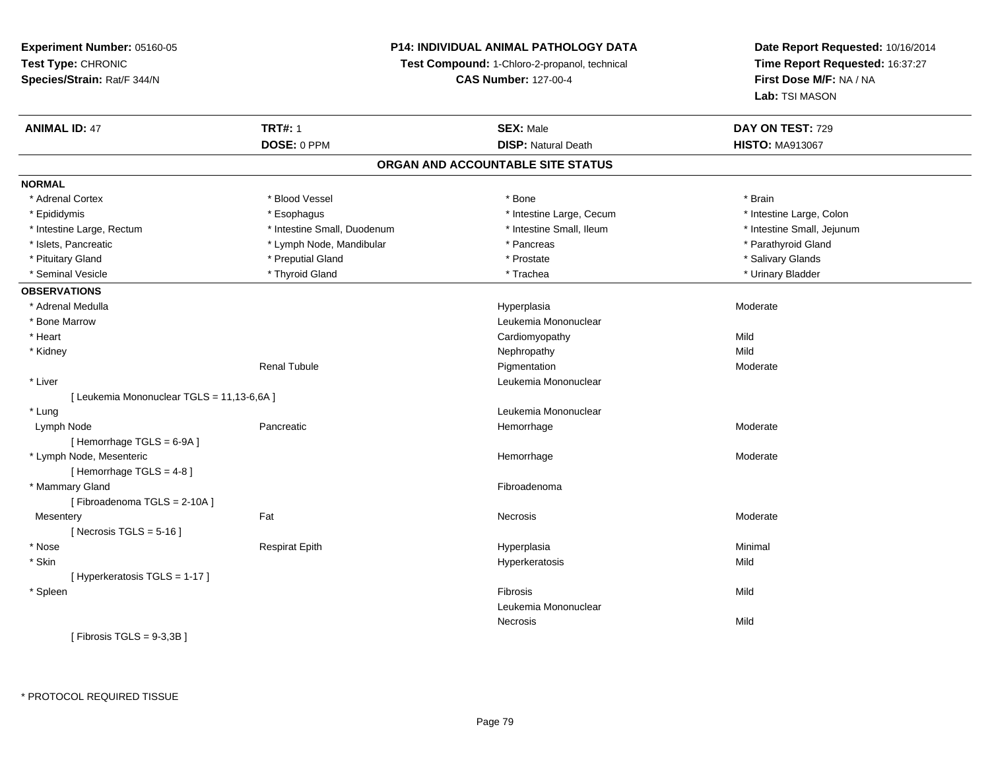#### **P14: INDIVIDUAL ANIMAL PATHOLOGY DATA**

**Test Compound:** 1-Chloro-2-propanol, technical

**CAS Number:** 127-00-4

| <b>ANIMAL ID: 47</b>                       | <b>TRT#: 1</b>              | <b>SEX: Male</b>                  | DAY ON TEST: 729           |  |
|--------------------------------------------|-----------------------------|-----------------------------------|----------------------------|--|
|                                            | DOSE: 0 PPM                 | <b>DISP: Natural Death</b>        | <b>HISTO: MA913067</b>     |  |
|                                            |                             | ORGAN AND ACCOUNTABLE SITE STATUS |                            |  |
| <b>NORMAL</b>                              |                             |                                   |                            |  |
| * Adrenal Cortex                           | * Blood Vessel              | * Bone                            | * Brain                    |  |
| * Epididymis                               | * Esophagus                 | * Intestine Large, Cecum          | * Intestine Large, Colon   |  |
| * Intestine Large, Rectum                  | * Intestine Small, Duodenum | * Intestine Small, Ileum          | * Intestine Small, Jejunum |  |
| * Islets, Pancreatic                       | * Lymph Node, Mandibular    | * Pancreas                        | * Parathyroid Gland        |  |
| * Pituitary Gland                          | * Preputial Gland           | * Prostate                        | * Salivary Glands          |  |
| * Seminal Vesicle                          | * Thyroid Gland             | * Trachea                         | * Urinary Bladder          |  |
| <b>OBSERVATIONS</b>                        |                             |                                   |                            |  |
| * Adrenal Medulla                          |                             | Hyperplasia                       | Moderate                   |  |
| * Bone Marrow                              |                             | Leukemia Mononuclear              |                            |  |
| * Heart                                    |                             | Cardiomyopathy                    | Mild                       |  |
| * Kidney                                   |                             | Nephropathy                       | Mild                       |  |
|                                            | <b>Renal Tubule</b>         | Pigmentation                      | Moderate                   |  |
| * Liver                                    |                             | Leukemia Mononuclear              |                            |  |
| [ Leukemia Mononuclear TGLS = 11,13-6,6A ] |                             |                                   |                            |  |
| * Lung                                     |                             | Leukemia Mononuclear              |                            |  |
| Lymph Node                                 | Pancreatic                  | Hemorrhage                        | Moderate                   |  |
| [Hemorrhage TGLS = 6-9A]                   |                             |                                   |                            |  |
| * Lymph Node, Mesenteric                   |                             | Hemorrhage                        | Moderate                   |  |
| [Hemorrhage TGLS = 4-8]                    |                             |                                   |                            |  |
| * Mammary Gland                            |                             | Fibroadenoma                      |                            |  |
| [Fibroadenoma TGLS = 2-10A]                |                             |                                   |                            |  |
| Mesentery                                  | Fat                         | Necrosis                          | Moderate                   |  |
| [Necrosis TGLS = $5-16$ ]                  |                             |                                   |                            |  |
| * Nose                                     | <b>Respirat Epith</b>       | Hyperplasia                       | Minimal                    |  |
| * Skin                                     |                             | Hyperkeratosis                    | Mild                       |  |
| [Hyperkeratosis TGLS = 1-17]               |                             |                                   |                            |  |
| * Spleen                                   |                             | Fibrosis                          | Mild                       |  |
|                                            |                             | Leukemia Mononuclear              |                            |  |
|                                            |                             | Necrosis                          | Mild                       |  |
| [Fibrosis TGLS = 9-3,3B]                   |                             |                                   |                            |  |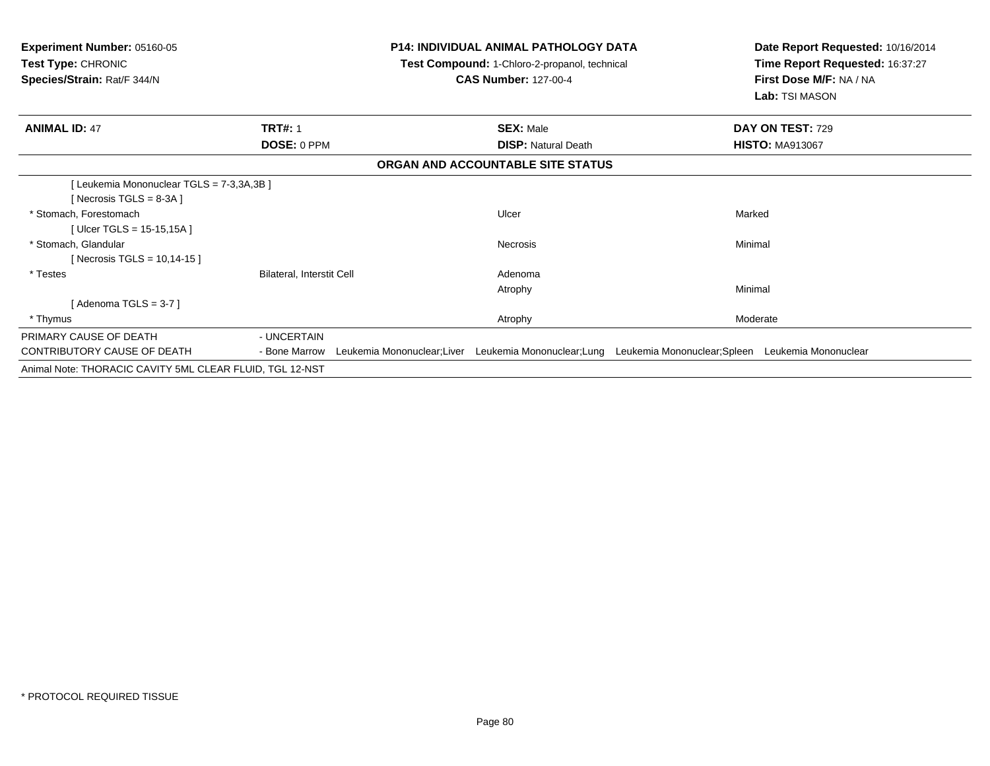| <b>Experiment Number: 05160-05</b><br>Test Type: CHRONIC<br>Species/Strain: Rat/F 344/N |                           |                            | <b>P14: INDIVIDUAL ANIMAL PATHOLOGY DATA</b><br>Test Compound: 1-Chloro-2-propanol, technical<br><b>CAS Number: 127-00-4</b> |                                                                            | Date Report Requested: 10/16/2014<br>Time Report Requested: 16:37:27<br>First Dose M/F: NA / NA<br>Lab: TSI MASON |
|-----------------------------------------------------------------------------------------|---------------------------|----------------------------|------------------------------------------------------------------------------------------------------------------------------|----------------------------------------------------------------------------|-------------------------------------------------------------------------------------------------------------------|
| <b>ANIMAL ID: 47</b>                                                                    | <b>TRT#: 1</b>            |                            | <b>SEX: Male</b>                                                                                                             |                                                                            | DAY ON TEST: 729                                                                                                  |
|                                                                                         | DOSE: 0 PPM               |                            | <b>DISP: Natural Death</b>                                                                                                   |                                                                            | <b>HISTO: MA913067</b>                                                                                            |
|                                                                                         |                           |                            | ORGAN AND ACCOUNTABLE SITE STATUS                                                                                            |                                                                            |                                                                                                                   |
| [Leukemia Mononuclear TGLS = 7-3,3A,3B]                                                 |                           |                            |                                                                                                                              |                                                                            |                                                                                                                   |
| [Necrosis TGLS = 8-3A]                                                                  |                           |                            |                                                                                                                              |                                                                            |                                                                                                                   |
| * Stomach, Forestomach                                                                  |                           |                            | Ulcer                                                                                                                        | Marked                                                                     |                                                                                                                   |
| [Ulcer TGLS = 15-15,15A]                                                                |                           |                            |                                                                                                                              |                                                                            |                                                                                                                   |
| * Stomach, Glandular                                                                    |                           |                            | Necrosis                                                                                                                     | Minimal                                                                    |                                                                                                                   |
| [ Necrosis TGLS = $10,14-15$ ]                                                          |                           |                            |                                                                                                                              |                                                                            |                                                                                                                   |
| * Testes                                                                                | Bilateral, Interstit Cell |                            | Adenoma                                                                                                                      |                                                                            |                                                                                                                   |
|                                                                                         |                           |                            | Atrophy                                                                                                                      | Minimal                                                                    |                                                                                                                   |
| [Adenoma TGLS = $3-7$ ]                                                                 |                           |                            |                                                                                                                              |                                                                            |                                                                                                                   |
| * Thymus                                                                                |                           |                            | Atrophy                                                                                                                      |                                                                            | Moderate                                                                                                          |
| PRIMARY CAUSE OF DEATH                                                                  | - UNCERTAIN               |                            |                                                                                                                              |                                                                            |                                                                                                                   |
| CONTRIBUTORY CAUSE OF DEATH                                                             | - Bone Marrow             | Leukemia Mononuclear;Liver |                                                                                                                              | Leukemia Mononuclear;Lung Leukemia Mononuclear;Spleen Leukemia Mononuclear |                                                                                                                   |
| Animal Note: THORACIC CAVITY 5ML CLEAR FLUID, TGL 12-NST                                |                           |                            |                                                                                                                              |                                                                            |                                                                                                                   |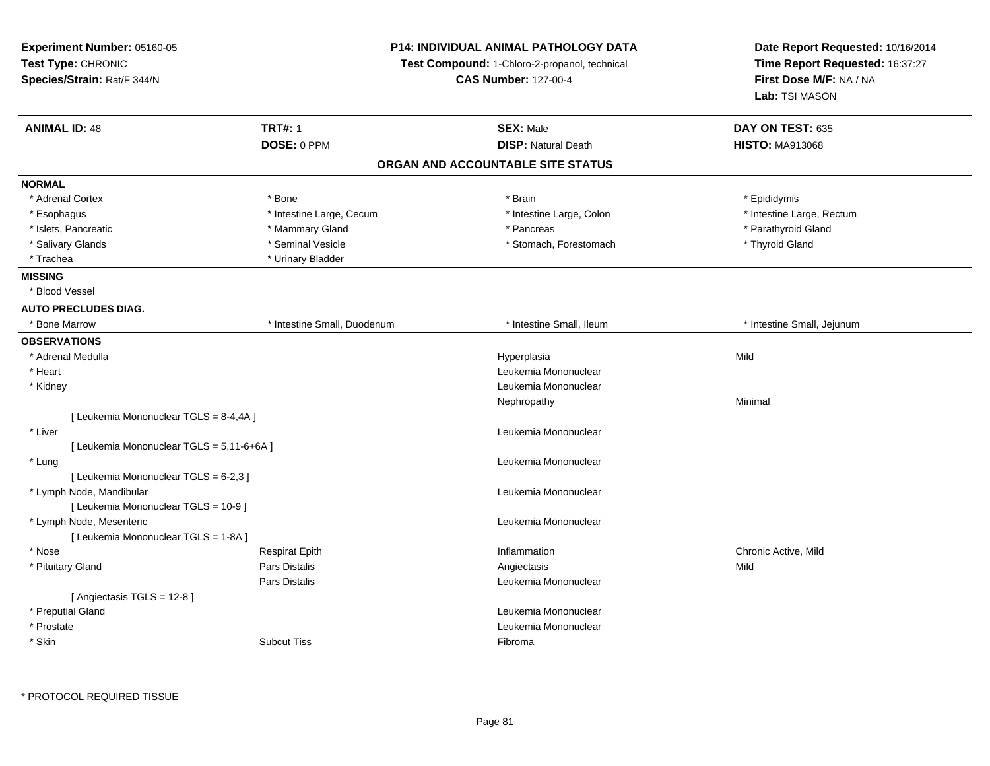| Experiment Number: 05160-05              |                             | <b>P14: INDIVIDUAL ANIMAL PATHOLOGY DATA</b>  | Date Report Requested: 10/16/2014 |  |
|------------------------------------------|-----------------------------|-----------------------------------------------|-----------------------------------|--|
| Test Type: CHRONIC                       |                             | Test Compound: 1-Chloro-2-propanol, technical | Time Report Requested: 16:37:27   |  |
| Species/Strain: Rat/F 344/N              |                             | <b>CAS Number: 127-00-4</b>                   | First Dose M/F: NA / NA           |  |
|                                          |                             |                                               | Lab: TSI MASON                    |  |
| <b>ANIMAL ID: 48</b>                     | <b>TRT#: 1</b>              | <b>SEX: Male</b>                              | DAY ON TEST: 635                  |  |
|                                          | DOSE: 0 PPM                 | <b>DISP: Natural Death</b>                    | <b>HISTO: MA913068</b>            |  |
|                                          |                             | ORGAN AND ACCOUNTABLE SITE STATUS             |                                   |  |
| <b>NORMAL</b>                            |                             |                                               |                                   |  |
| * Adrenal Cortex                         | * Bone                      | * Brain                                       | * Epididymis                      |  |
| * Esophagus                              | * Intestine Large, Cecum    | * Intestine Large, Colon                      | * Intestine Large, Rectum         |  |
| * Islets, Pancreatic                     | * Mammary Gland             | * Pancreas                                    | * Parathyroid Gland               |  |
| * Salivary Glands                        | * Seminal Vesicle           | * Stomach, Forestomach                        | * Thyroid Gland                   |  |
| * Trachea                                | * Urinary Bladder           |                                               |                                   |  |
| <b>MISSING</b>                           |                             |                                               |                                   |  |
| * Blood Vessel                           |                             |                                               |                                   |  |
| <b>AUTO PRECLUDES DIAG.</b>              |                             |                                               |                                   |  |
| * Bone Marrow                            | * Intestine Small, Duodenum | * Intestine Small, Ileum                      | * Intestine Small, Jejunum        |  |
| <b>OBSERVATIONS</b>                      |                             |                                               |                                   |  |
| * Adrenal Medulla                        |                             | Hyperplasia                                   | Mild                              |  |
| * Heart                                  |                             | Leukemia Mononuclear                          |                                   |  |
| * Kidney                                 |                             | Leukemia Mononuclear                          |                                   |  |
|                                          |                             | Nephropathy                                   | Minimal                           |  |
| [ Leukemia Mononuclear TGLS = 8-4,4A ]   |                             |                                               |                                   |  |
| * Liver                                  |                             | Leukemia Mononuclear                          |                                   |  |
| [ Leukemia Mononuclear TGLS = 5,11-6+6A] |                             |                                               |                                   |  |
| * Lung                                   |                             | Leukemia Mononuclear                          |                                   |  |
| [ Leukemia Mononuclear TGLS = 6-2,3 ]    |                             |                                               |                                   |  |
| * Lymph Node, Mandibular                 |                             | Leukemia Mononuclear                          |                                   |  |
| [ Leukemia Mononuclear TGLS = 10-9 ]     |                             |                                               |                                   |  |
| * Lymph Node, Mesenteric                 |                             | Leukemia Mononuclear                          |                                   |  |
| [ Leukemia Mononuclear TGLS = 1-8A ]     |                             |                                               |                                   |  |
| * Nose                                   | <b>Respirat Epith</b>       | Inflammation                                  | Chronic Active, Mild              |  |
| * Pituitary Gland                        | Pars Distalis               | Angiectasis                                   | Mild                              |  |
|                                          | Pars Distalis               | Leukemia Mononuclear                          |                                   |  |
| [Angiectasis TGLS = 12-8]                |                             |                                               |                                   |  |
| * Preputial Gland                        |                             | Leukemia Mononuclear                          |                                   |  |
| * Prostate                               |                             | Leukemia Mononuclear                          |                                   |  |
| * Skin                                   | <b>Subcut Tiss</b>          | Fibroma                                       |                                   |  |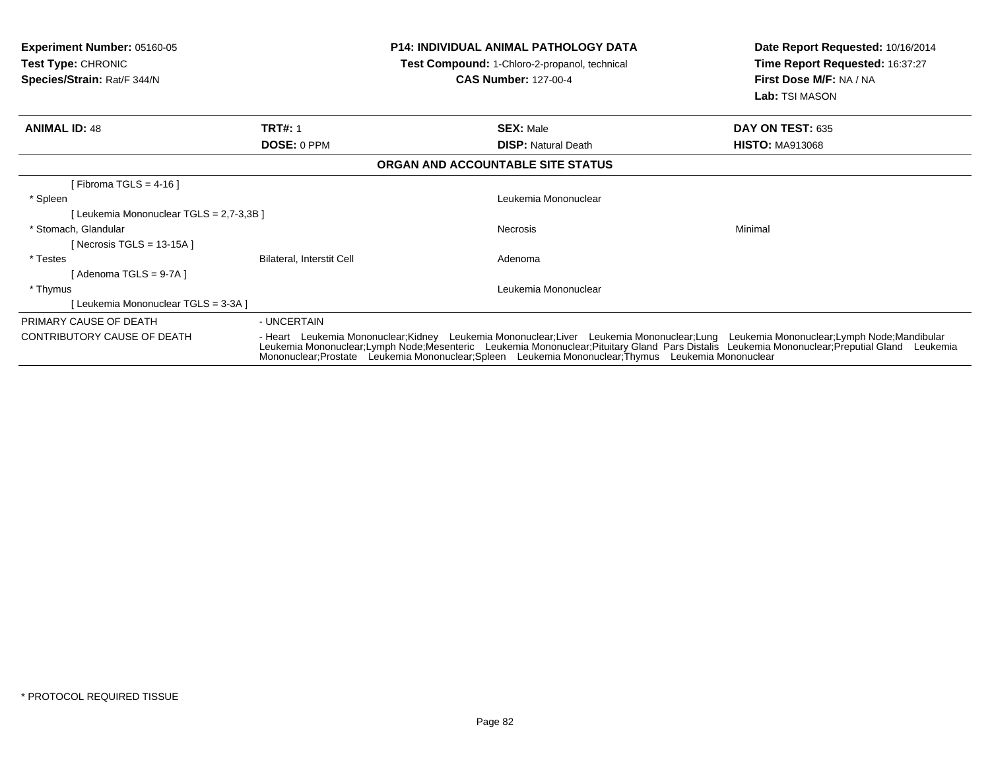| <b>Experiment Number: 05160-05</b><br><b>Test Type: CHRONIC</b><br>Species/Strain: Rat/F 344/N |                           | <b>P14: INDIVIDUAL ANIMAL PATHOLOGY DATA</b><br><b>Test Compound:</b> 1-Chloro-2-propanol, technical<br><b>CAS Number: 127-00-4</b>                                                                                                                                                                                                                                                        | Date Report Requested: 10/16/2014<br>Time Report Requested: 16:37:27<br>First Dose M/F: NA / NA<br><b>Lab: TSI MASON</b> |
|------------------------------------------------------------------------------------------------|---------------------------|--------------------------------------------------------------------------------------------------------------------------------------------------------------------------------------------------------------------------------------------------------------------------------------------------------------------------------------------------------------------------------------------|--------------------------------------------------------------------------------------------------------------------------|
| <b>ANIMAL ID: 48</b>                                                                           | <b>TRT#: 1</b>            | <b>SEX: Male</b>                                                                                                                                                                                                                                                                                                                                                                           | DAY ON TEST: 635                                                                                                         |
|                                                                                                | DOSE: 0 PPM               | <b>DISP: Natural Death</b>                                                                                                                                                                                                                                                                                                                                                                 | <b>HISTO: MA913068</b>                                                                                                   |
|                                                                                                |                           | ORGAN AND ACCOUNTABLE SITE STATUS                                                                                                                                                                                                                                                                                                                                                          |                                                                                                                          |
| [Fibroma TGLS = $4-16$ ]                                                                       |                           |                                                                                                                                                                                                                                                                                                                                                                                            |                                                                                                                          |
| * Spleen                                                                                       |                           | Leukemia Mononuclear                                                                                                                                                                                                                                                                                                                                                                       |                                                                                                                          |
| [Leukemia Mononuclear TGLS = 2,7-3,3B]                                                         |                           |                                                                                                                                                                                                                                                                                                                                                                                            |                                                                                                                          |
| * Stomach, Glandular                                                                           |                           | <b>Necrosis</b>                                                                                                                                                                                                                                                                                                                                                                            | Minimal                                                                                                                  |
| [Necrosis TGLS = 13-15A]                                                                       |                           |                                                                                                                                                                                                                                                                                                                                                                                            |                                                                                                                          |
| * Testes                                                                                       | Bilateral, Interstit Cell | Adenoma                                                                                                                                                                                                                                                                                                                                                                                    |                                                                                                                          |
| [ Adenoma TGLS = 9-7A ]                                                                        |                           |                                                                                                                                                                                                                                                                                                                                                                                            |                                                                                                                          |
| * Thymus                                                                                       |                           | Leukemia Mononuclear                                                                                                                                                                                                                                                                                                                                                                       |                                                                                                                          |
| [Leukemia Mononuclear TGLS = 3-3A]                                                             |                           |                                                                                                                                                                                                                                                                                                                                                                                            |                                                                                                                          |
| PRIMARY CAUSE OF DEATH                                                                         | - UNCERTAIN               |                                                                                                                                                                                                                                                                                                                                                                                            |                                                                                                                          |
| CONTRIBUTORY CAUSE OF DEATH                                                                    |                           | - Heart Leukemia Mononuclear;Kidney Leukemia Mononuclear;Liver Leukemia Mononuclear;Lung Leukemia Mononuclear;Lymph Node;Mandibular<br>Leukemia Mononuclear;Lymph Node;Mesenteric Leukemia Mononuclear;Pituitary Gland Pars Distalis Leukemia Mononuclear;Preputial Gland Leukemia<br>Mononuclear; Prostate Leukemia Mononuclear; Spleen Leukemia Mononuclear; Thymus Leukemia Mononuclear |                                                                                                                          |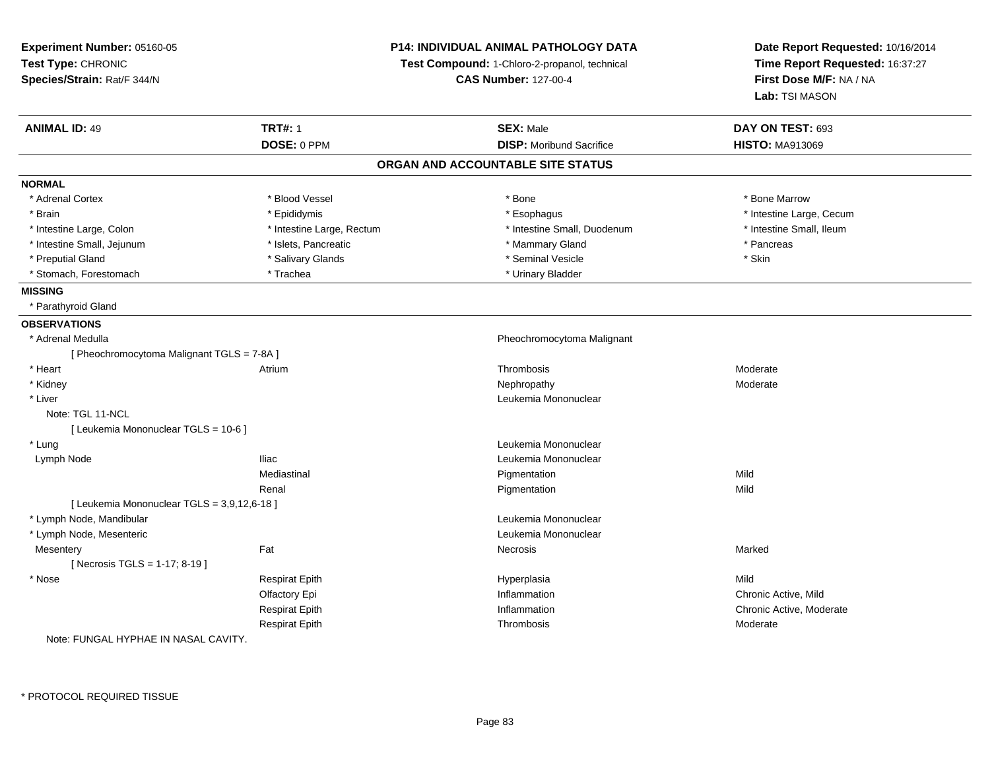| <b>ANIMAL ID: 49</b><br><b>TRT#: 1</b><br><b>SEX: Male</b><br>DAY ON TEST: 693<br>DOSE: 0 PPM<br><b>DISP:</b> Moribund Sacrifice<br><b>HISTO: MA913069</b><br>ORGAN AND ACCOUNTABLE SITE STATUS<br><b>NORMAL</b><br>* Adrenal Cortex<br>* Blood Vessel<br>* Bone<br>* Bone Marrow<br>* Brain<br>* Epididymis<br>* Esophagus<br>* Intestine Large, Cecum<br>* Intestine Large, Rectum<br>* Intestine Small, Duodenum<br>* Intestine Small, Ileum<br>* Intestine Large, Colon<br>* Pancreas<br>* Intestine Small, Jejunum<br>* Islets, Pancreatic<br>* Mammary Gland<br>* Preputial Gland<br>* Salivary Glands<br>* Seminal Vesicle<br>* Skin<br>* Stomach, Forestomach<br>* Trachea<br>* Urinary Bladder<br><b>MISSING</b><br>* Parathyroid Gland<br><b>OBSERVATIONS</b><br>* Adrenal Medulla<br>Pheochromocytoma Malignant<br>[ Pheochromocytoma Malignant TGLS = 7-8A ]<br>* Heart<br>Moderate<br>Atrium<br>Thrombosis<br>* Kidney<br>Moderate<br>Nephropathy<br>Leukemia Mononuclear<br>* Liver<br>Note: TGL 11-NCL<br>[ Leukemia Mononuclear TGLS = 10-6 ]<br>* Lung<br>Leukemia Mononuclear<br><b>Iliac</b><br>Leukemia Mononuclear<br>Lymph Node<br>Mediastinal<br>Mild<br>Pigmentation<br>Mild<br>Renal<br>Pigmentation<br>[ Leukemia Mononuclear TGLS = 3,9,12,6-18 ]<br>* Lymph Node, Mandibular<br>Leukemia Mononuclear<br>* Lymph Node, Mesenteric<br>Leukemia Mononuclear<br>Fat<br>Marked<br>Mesentery<br>Necrosis<br>[Necrosis TGLS = 1-17; 8-19]<br>* Nose<br><b>Respirat Epith</b><br>Mild<br>Hyperplasia<br>Inflammation<br>Chronic Active, Mild<br>Olfactory Epi<br>Respirat Epith<br>Inflammation<br>Chronic Active, Moderate<br>Respirat Epith<br>Thrombosis<br>Moderate | Experiment Number: 05160-05<br>Test Type: CHRONIC<br>Species/Strain: Rat/F 344/N | <b>P14: INDIVIDUAL ANIMAL PATHOLOGY DATA</b><br>Test Compound: 1-Chloro-2-propanol, technical<br><b>CAS Number: 127-00-4</b> |  | Date Report Requested: 10/16/2014<br>Time Report Requested: 16:37:27<br>First Dose M/F: NA / NA<br>Lab: TSI MASON |
|---------------------------------------------------------------------------------------------------------------------------------------------------------------------------------------------------------------------------------------------------------------------------------------------------------------------------------------------------------------------------------------------------------------------------------------------------------------------------------------------------------------------------------------------------------------------------------------------------------------------------------------------------------------------------------------------------------------------------------------------------------------------------------------------------------------------------------------------------------------------------------------------------------------------------------------------------------------------------------------------------------------------------------------------------------------------------------------------------------------------------------------------------------------------------------------------------------------------------------------------------------------------------------------------------------------------------------------------------------------------------------------------------------------------------------------------------------------------------------------------------------------------------------------------------------------------------------------------------------------------------------------------------------------------------------------------|----------------------------------------------------------------------------------|------------------------------------------------------------------------------------------------------------------------------|--|-------------------------------------------------------------------------------------------------------------------|
|                                                                                                                                                                                                                                                                                                                                                                                                                                                                                                                                                                                                                                                                                                                                                                                                                                                                                                                                                                                                                                                                                                                                                                                                                                                                                                                                                                                                                                                                                                                                                                                                                                                                                             |                                                                                  |                                                                                                                              |  |                                                                                                                   |
|                                                                                                                                                                                                                                                                                                                                                                                                                                                                                                                                                                                                                                                                                                                                                                                                                                                                                                                                                                                                                                                                                                                                                                                                                                                                                                                                                                                                                                                                                                                                                                                                                                                                                             |                                                                                  |                                                                                                                              |  |                                                                                                                   |
|                                                                                                                                                                                                                                                                                                                                                                                                                                                                                                                                                                                                                                                                                                                                                                                                                                                                                                                                                                                                                                                                                                                                                                                                                                                                                                                                                                                                                                                                                                                                                                                                                                                                                             |                                                                                  |                                                                                                                              |  |                                                                                                                   |
|                                                                                                                                                                                                                                                                                                                                                                                                                                                                                                                                                                                                                                                                                                                                                                                                                                                                                                                                                                                                                                                                                                                                                                                                                                                                                                                                                                                                                                                                                                                                                                                                                                                                                             |                                                                                  |                                                                                                                              |  |                                                                                                                   |
|                                                                                                                                                                                                                                                                                                                                                                                                                                                                                                                                                                                                                                                                                                                                                                                                                                                                                                                                                                                                                                                                                                                                                                                                                                                                                                                                                                                                                                                                                                                                                                                                                                                                                             |                                                                                  |                                                                                                                              |  |                                                                                                                   |
|                                                                                                                                                                                                                                                                                                                                                                                                                                                                                                                                                                                                                                                                                                                                                                                                                                                                                                                                                                                                                                                                                                                                                                                                                                                                                                                                                                                                                                                                                                                                                                                                                                                                                             |                                                                                  |                                                                                                                              |  |                                                                                                                   |
|                                                                                                                                                                                                                                                                                                                                                                                                                                                                                                                                                                                                                                                                                                                                                                                                                                                                                                                                                                                                                                                                                                                                                                                                                                                                                                                                                                                                                                                                                                                                                                                                                                                                                             |                                                                                  |                                                                                                                              |  |                                                                                                                   |
|                                                                                                                                                                                                                                                                                                                                                                                                                                                                                                                                                                                                                                                                                                                                                                                                                                                                                                                                                                                                                                                                                                                                                                                                                                                                                                                                                                                                                                                                                                                                                                                                                                                                                             |                                                                                  |                                                                                                                              |  |                                                                                                                   |
|                                                                                                                                                                                                                                                                                                                                                                                                                                                                                                                                                                                                                                                                                                                                                                                                                                                                                                                                                                                                                                                                                                                                                                                                                                                                                                                                                                                                                                                                                                                                                                                                                                                                                             |                                                                                  |                                                                                                                              |  |                                                                                                                   |
|                                                                                                                                                                                                                                                                                                                                                                                                                                                                                                                                                                                                                                                                                                                                                                                                                                                                                                                                                                                                                                                                                                                                                                                                                                                                                                                                                                                                                                                                                                                                                                                                                                                                                             |                                                                                  |                                                                                                                              |  |                                                                                                                   |
|                                                                                                                                                                                                                                                                                                                                                                                                                                                                                                                                                                                                                                                                                                                                                                                                                                                                                                                                                                                                                                                                                                                                                                                                                                                                                                                                                                                                                                                                                                                                                                                                                                                                                             |                                                                                  |                                                                                                                              |  |                                                                                                                   |
|                                                                                                                                                                                                                                                                                                                                                                                                                                                                                                                                                                                                                                                                                                                                                                                                                                                                                                                                                                                                                                                                                                                                                                                                                                                                                                                                                                                                                                                                                                                                                                                                                                                                                             |                                                                                  |                                                                                                                              |  |                                                                                                                   |
|                                                                                                                                                                                                                                                                                                                                                                                                                                                                                                                                                                                                                                                                                                                                                                                                                                                                                                                                                                                                                                                                                                                                                                                                                                                                                                                                                                                                                                                                                                                                                                                                                                                                                             |                                                                                  |                                                                                                                              |  |                                                                                                                   |
|                                                                                                                                                                                                                                                                                                                                                                                                                                                                                                                                                                                                                                                                                                                                                                                                                                                                                                                                                                                                                                                                                                                                                                                                                                                                                                                                                                                                                                                                                                                                                                                                                                                                                             |                                                                                  |                                                                                                                              |  |                                                                                                                   |
|                                                                                                                                                                                                                                                                                                                                                                                                                                                                                                                                                                                                                                                                                                                                                                                                                                                                                                                                                                                                                                                                                                                                                                                                                                                                                                                                                                                                                                                                                                                                                                                                                                                                                             |                                                                                  |                                                                                                                              |  |                                                                                                                   |
|                                                                                                                                                                                                                                                                                                                                                                                                                                                                                                                                                                                                                                                                                                                                                                                                                                                                                                                                                                                                                                                                                                                                                                                                                                                                                                                                                                                                                                                                                                                                                                                                                                                                                             |                                                                                  |                                                                                                                              |  |                                                                                                                   |
|                                                                                                                                                                                                                                                                                                                                                                                                                                                                                                                                                                                                                                                                                                                                                                                                                                                                                                                                                                                                                                                                                                                                                                                                                                                                                                                                                                                                                                                                                                                                                                                                                                                                                             |                                                                                  |                                                                                                                              |  |                                                                                                                   |
|                                                                                                                                                                                                                                                                                                                                                                                                                                                                                                                                                                                                                                                                                                                                                                                                                                                                                                                                                                                                                                                                                                                                                                                                                                                                                                                                                                                                                                                                                                                                                                                                                                                                                             |                                                                                  |                                                                                                                              |  |                                                                                                                   |
|                                                                                                                                                                                                                                                                                                                                                                                                                                                                                                                                                                                                                                                                                                                                                                                                                                                                                                                                                                                                                                                                                                                                                                                                                                                                                                                                                                                                                                                                                                                                                                                                                                                                                             |                                                                                  |                                                                                                                              |  |                                                                                                                   |
|                                                                                                                                                                                                                                                                                                                                                                                                                                                                                                                                                                                                                                                                                                                                                                                                                                                                                                                                                                                                                                                                                                                                                                                                                                                                                                                                                                                                                                                                                                                                                                                                                                                                                             |                                                                                  |                                                                                                                              |  |                                                                                                                   |
|                                                                                                                                                                                                                                                                                                                                                                                                                                                                                                                                                                                                                                                                                                                                                                                                                                                                                                                                                                                                                                                                                                                                                                                                                                                                                                                                                                                                                                                                                                                                                                                                                                                                                             |                                                                                  |                                                                                                                              |  |                                                                                                                   |
|                                                                                                                                                                                                                                                                                                                                                                                                                                                                                                                                                                                                                                                                                                                                                                                                                                                                                                                                                                                                                                                                                                                                                                                                                                                                                                                                                                                                                                                                                                                                                                                                                                                                                             |                                                                                  |                                                                                                                              |  |                                                                                                                   |
|                                                                                                                                                                                                                                                                                                                                                                                                                                                                                                                                                                                                                                                                                                                                                                                                                                                                                                                                                                                                                                                                                                                                                                                                                                                                                                                                                                                                                                                                                                                                                                                                                                                                                             |                                                                                  |                                                                                                                              |  |                                                                                                                   |
|                                                                                                                                                                                                                                                                                                                                                                                                                                                                                                                                                                                                                                                                                                                                                                                                                                                                                                                                                                                                                                                                                                                                                                                                                                                                                                                                                                                                                                                                                                                                                                                                                                                                                             |                                                                                  |                                                                                                                              |  |                                                                                                                   |
|                                                                                                                                                                                                                                                                                                                                                                                                                                                                                                                                                                                                                                                                                                                                                                                                                                                                                                                                                                                                                                                                                                                                                                                                                                                                                                                                                                                                                                                                                                                                                                                                                                                                                             |                                                                                  |                                                                                                                              |  |                                                                                                                   |
|                                                                                                                                                                                                                                                                                                                                                                                                                                                                                                                                                                                                                                                                                                                                                                                                                                                                                                                                                                                                                                                                                                                                                                                                                                                                                                                                                                                                                                                                                                                                                                                                                                                                                             |                                                                                  |                                                                                                                              |  |                                                                                                                   |
|                                                                                                                                                                                                                                                                                                                                                                                                                                                                                                                                                                                                                                                                                                                                                                                                                                                                                                                                                                                                                                                                                                                                                                                                                                                                                                                                                                                                                                                                                                                                                                                                                                                                                             |                                                                                  |                                                                                                                              |  |                                                                                                                   |
|                                                                                                                                                                                                                                                                                                                                                                                                                                                                                                                                                                                                                                                                                                                                                                                                                                                                                                                                                                                                                                                                                                                                                                                                                                                                                                                                                                                                                                                                                                                                                                                                                                                                                             |                                                                                  |                                                                                                                              |  |                                                                                                                   |
|                                                                                                                                                                                                                                                                                                                                                                                                                                                                                                                                                                                                                                                                                                                                                                                                                                                                                                                                                                                                                                                                                                                                                                                                                                                                                                                                                                                                                                                                                                                                                                                                                                                                                             |                                                                                  |                                                                                                                              |  |                                                                                                                   |
|                                                                                                                                                                                                                                                                                                                                                                                                                                                                                                                                                                                                                                                                                                                                                                                                                                                                                                                                                                                                                                                                                                                                                                                                                                                                                                                                                                                                                                                                                                                                                                                                                                                                                             |                                                                                  |                                                                                                                              |  |                                                                                                                   |
|                                                                                                                                                                                                                                                                                                                                                                                                                                                                                                                                                                                                                                                                                                                                                                                                                                                                                                                                                                                                                                                                                                                                                                                                                                                                                                                                                                                                                                                                                                                                                                                                                                                                                             |                                                                                  |                                                                                                                              |  |                                                                                                                   |
|                                                                                                                                                                                                                                                                                                                                                                                                                                                                                                                                                                                                                                                                                                                                                                                                                                                                                                                                                                                                                                                                                                                                                                                                                                                                                                                                                                                                                                                                                                                                                                                                                                                                                             |                                                                                  |                                                                                                                              |  |                                                                                                                   |
| Note: FUNGAL HYPHAE IN NASAL CAVITY.                                                                                                                                                                                                                                                                                                                                                                                                                                                                                                                                                                                                                                                                                                                                                                                                                                                                                                                                                                                                                                                                                                                                                                                                                                                                                                                                                                                                                                                                                                                                                                                                                                                        |                                                                                  |                                                                                                                              |  |                                                                                                                   |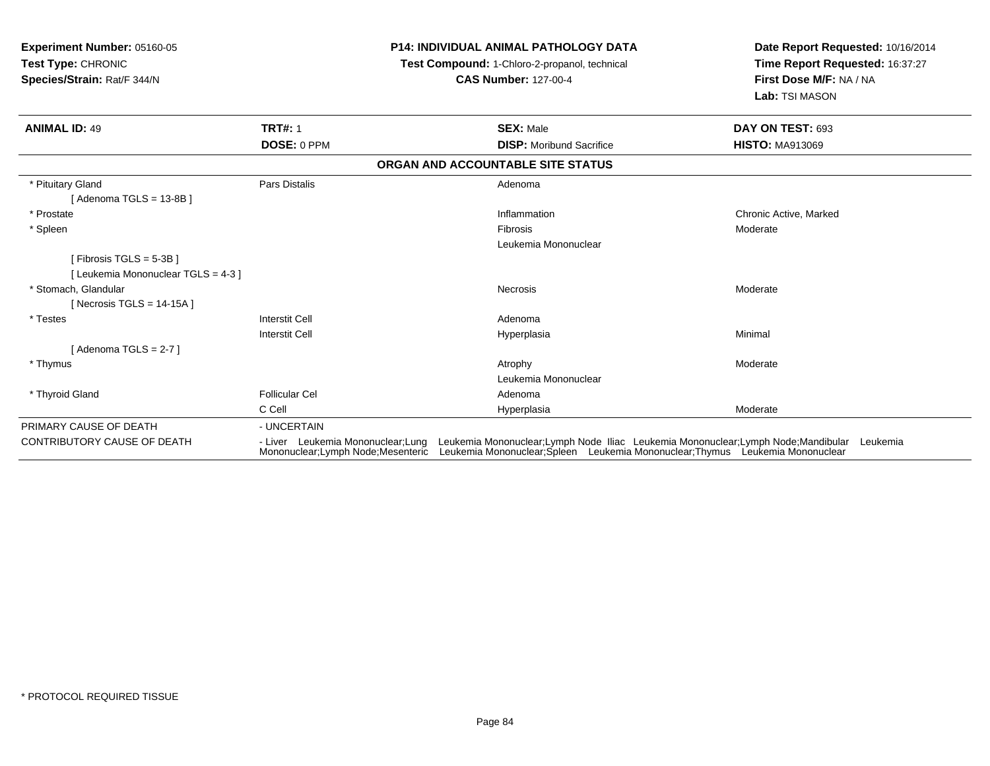| <b>Experiment Number: 05160-05</b><br><b>Test Type: CHRONIC</b><br>Species/Strain: Rat/F 344/N |                                                                           | <b>P14: INDIVIDUAL ANIMAL PATHOLOGY DATA</b><br><b>Test Compound: 1-Chloro-2-propanol, technical</b><br><b>CAS Number: 127-00-4</b>                                            | Date Report Requested: 10/16/2014<br>Time Report Requested: 16:37:27<br>First Dose M/F: NA / NA<br>Lab: TSI MASON |  |
|------------------------------------------------------------------------------------------------|---------------------------------------------------------------------------|--------------------------------------------------------------------------------------------------------------------------------------------------------------------------------|-------------------------------------------------------------------------------------------------------------------|--|
| <b>ANIMAL ID: 49</b>                                                                           | <b>TRT#: 1</b>                                                            | <b>SEX: Male</b>                                                                                                                                                               | DAY ON TEST: 693                                                                                                  |  |
|                                                                                                | DOSE: 0 PPM                                                               | <b>DISP:</b> Moribund Sacrifice                                                                                                                                                | <b>HISTO: MA913069</b>                                                                                            |  |
|                                                                                                |                                                                           | ORGAN AND ACCOUNTABLE SITE STATUS                                                                                                                                              |                                                                                                                   |  |
| * Pituitary Gland<br>[ Adenoma TGLS = 13-8B ]                                                  | Pars Distalis                                                             | Adenoma                                                                                                                                                                        |                                                                                                                   |  |
| * Prostate                                                                                     |                                                                           | Inflammation                                                                                                                                                                   | Chronic Active, Marked                                                                                            |  |
| * Spleen                                                                                       |                                                                           | Fibrosis                                                                                                                                                                       | Moderate                                                                                                          |  |
|                                                                                                |                                                                           | Leukemia Mononuclear                                                                                                                                                           |                                                                                                                   |  |
| [Fibrosis TGLS = 5-3B]                                                                         |                                                                           |                                                                                                                                                                                |                                                                                                                   |  |
| [Leukemia Mononuclear TGLS = 4-3]                                                              |                                                                           |                                                                                                                                                                                |                                                                                                                   |  |
| * Stomach. Glandular                                                                           |                                                                           | Necrosis                                                                                                                                                                       | Moderate                                                                                                          |  |
| [Necrosis TGLS = $14-15A$ ]                                                                    |                                                                           |                                                                                                                                                                                |                                                                                                                   |  |
| * Testes                                                                                       | <b>Interstit Cell</b>                                                     | Adenoma                                                                                                                                                                        |                                                                                                                   |  |
|                                                                                                | <b>Interstit Cell</b>                                                     | Hyperplasia                                                                                                                                                                    | Minimal                                                                                                           |  |
| [Adenoma TGLS = 2-7 ]                                                                          |                                                                           |                                                                                                                                                                                |                                                                                                                   |  |
| * Thymus                                                                                       |                                                                           | Atrophy                                                                                                                                                                        | Moderate                                                                                                          |  |
|                                                                                                |                                                                           | Leukemia Mononuclear                                                                                                                                                           |                                                                                                                   |  |
| * Thyroid Gland                                                                                | <b>Follicular Cel</b>                                                     | Adenoma                                                                                                                                                                        |                                                                                                                   |  |
|                                                                                                | C Cell                                                                    | Hyperplasia                                                                                                                                                                    | Moderate                                                                                                          |  |
| PRIMARY CAUSE OF DEATH                                                                         | - UNCERTAIN                                                               |                                                                                                                                                                                |                                                                                                                   |  |
| <b>CONTRIBUTORY CAUSE OF DEATH</b>                                                             | - Liver Leukemia Mononuclear; Lung<br>Mononuclear: Lymph Node: Mesenteric | Leukemia Mononuclear; Lymph Node Iliac Leukemia Mononuclear; Lymph Node; Mandibular Leukemia<br>Leukemia Mononuclear; Spleen Leukemia Mononuclear; Thymus Leukemia Mononuclear |                                                                                                                   |  |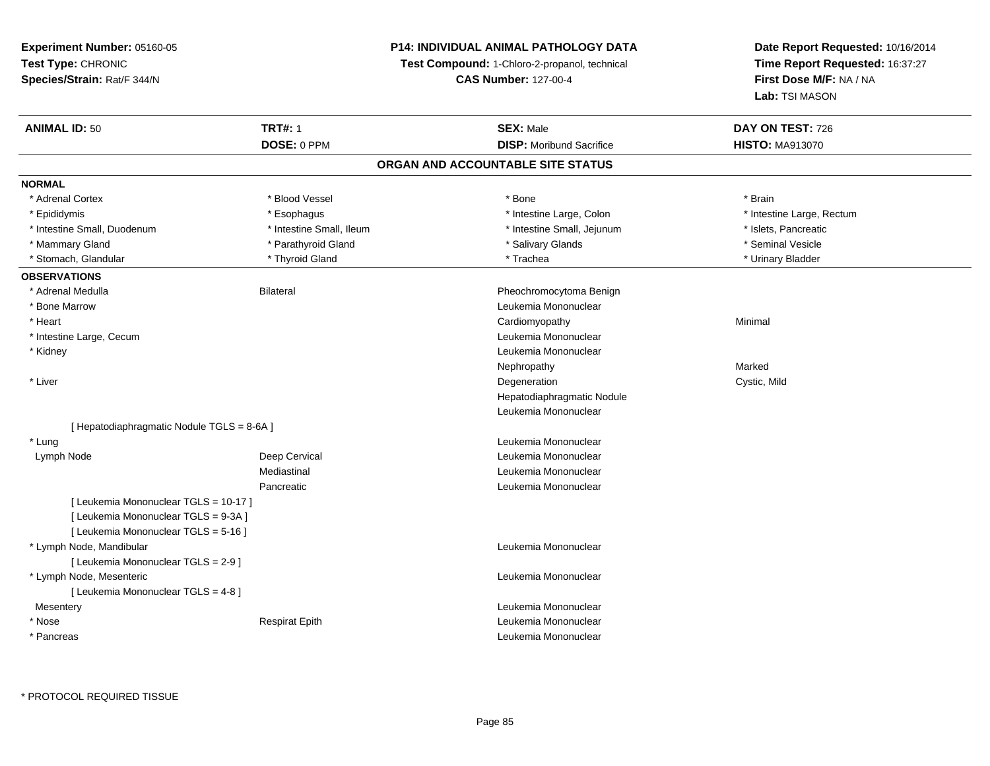#### **P14: INDIVIDUAL ANIMAL PATHOLOGY DATA**

**Test Compound:** 1-Chloro-2-propanol, technical

**CAS Number:** 127-00-4

| <b>ANIMAL ID: 50</b>                       | <b>TRT#: 1</b>           | <b>SEX: Male</b>                  | DAY ON TEST: 726          |  |
|--------------------------------------------|--------------------------|-----------------------------------|---------------------------|--|
|                                            | DOSE: 0 PPM              | <b>DISP:</b> Moribund Sacrifice   | <b>HISTO: MA913070</b>    |  |
|                                            |                          | ORGAN AND ACCOUNTABLE SITE STATUS |                           |  |
| <b>NORMAL</b>                              |                          |                                   |                           |  |
| * Adrenal Cortex                           | * Blood Vessel           | * Bone                            | * Brain                   |  |
| * Epididymis                               | * Esophagus              | * Intestine Large, Colon          | * Intestine Large, Rectum |  |
| * Intestine Small, Duodenum                | * Intestine Small, Ileum | * Intestine Small, Jejunum        | * Islets, Pancreatic      |  |
| * Mammary Gland                            | * Parathyroid Gland      | * Salivary Glands                 | * Seminal Vesicle         |  |
| * Stomach, Glandular                       | * Thyroid Gland          | * Trachea                         | * Urinary Bladder         |  |
| <b>OBSERVATIONS</b>                        |                          |                                   |                           |  |
| * Adrenal Medulla                          | <b>Bilateral</b>         | Pheochromocytoma Benign           |                           |  |
| * Bone Marrow                              |                          | Leukemia Mononuclear              |                           |  |
| * Heart                                    |                          | Cardiomyopathy                    | Minimal                   |  |
| * Intestine Large, Cecum                   |                          | Leukemia Mononuclear              |                           |  |
| * Kidney                                   |                          | Leukemia Mononuclear              |                           |  |
|                                            |                          | Nephropathy                       | Marked                    |  |
| * Liver                                    |                          | Degeneration                      | Cystic, Mild              |  |
|                                            |                          | Hepatodiaphragmatic Nodule        |                           |  |
|                                            |                          | Leukemia Mononuclear              |                           |  |
| [ Hepatodiaphragmatic Nodule TGLS = 8-6A ] |                          |                                   |                           |  |
| * Lung                                     |                          | Leukemia Mononuclear              |                           |  |
| Lymph Node                                 | Deep Cervical            | Leukemia Mononuclear              |                           |  |
|                                            | Mediastinal              | Leukemia Mononuclear              |                           |  |
|                                            | Pancreatic               | Leukemia Mononuclear              |                           |  |
| [ Leukemia Mononuclear TGLS = 10-17 ]      |                          |                                   |                           |  |
| [ Leukemia Mononuclear TGLS = 9-3A ]       |                          |                                   |                           |  |
| [ Leukemia Mononuclear TGLS = 5-16 ]       |                          |                                   |                           |  |
| * Lymph Node, Mandibular                   |                          | Leukemia Mononuclear              |                           |  |
| [ Leukemia Mononuclear TGLS = 2-9 ]        |                          |                                   |                           |  |
| * Lymph Node, Mesenteric                   |                          | Leukemia Mononuclear              |                           |  |
| [ Leukemia Mononuclear TGLS = 4-8 ]        |                          |                                   |                           |  |
| Mesentery                                  |                          | Leukemia Mononuclear              |                           |  |
| * Nose                                     | <b>Respirat Epith</b>    | Leukemia Mononuclear              |                           |  |
| * Pancreas                                 |                          | Leukemia Mononuclear              |                           |  |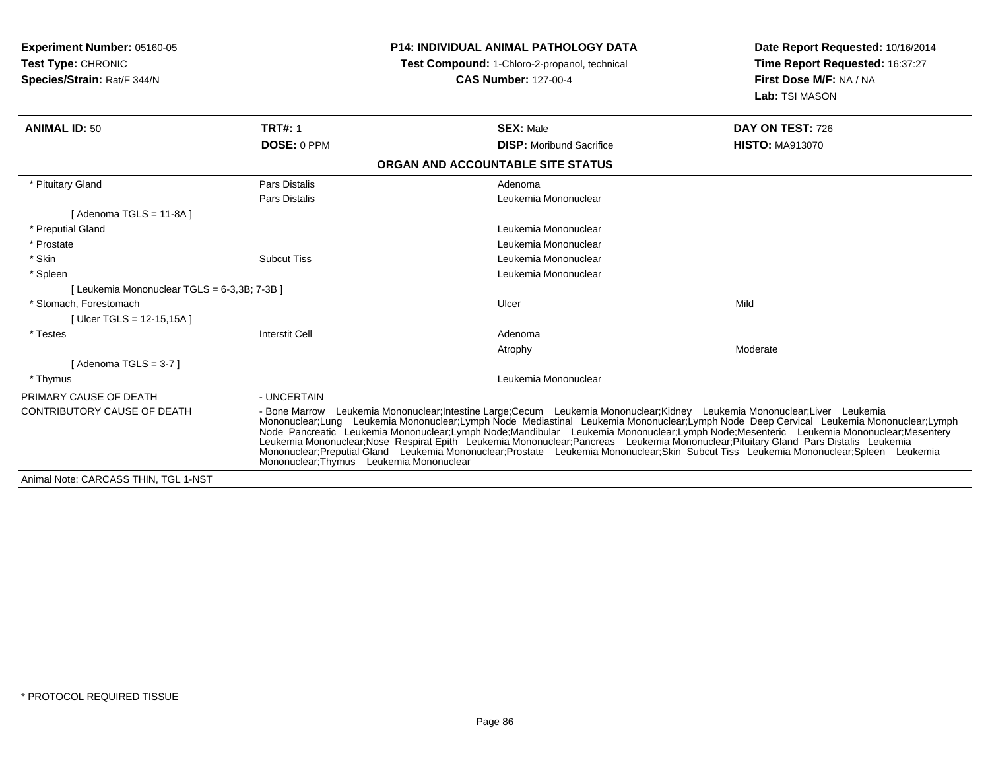| <b>Experiment Number: 05160-05</b><br><b>Test Type: CHRONIC</b><br>Species/Strain: Rat/F 344/N |                       | <b>P14: INDIVIDUAL ANIMAL PATHOLOGY DATA</b><br><b>Test Compound: 1-Chloro-2-propanol, technical</b><br><b>CAS Number: 127-00-4</b>                                                                                                                                                                                                                                                                                                                                                                                                                                                                                                                                                                                                 | Date Report Requested: 10/16/2014<br>Time Report Requested: 16:37:27<br>First Dose M/F: NA / NA<br>Lab: TSI MASON |  |  |
|------------------------------------------------------------------------------------------------|-----------------------|-------------------------------------------------------------------------------------------------------------------------------------------------------------------------------------------------------------------------------------------------------------------------------------------------------------------------------------------------------------------------------------------------------------------------------------------------------------------------------------------------------------------------------------------------------------------------------------------------------------------------------------------------------------------------------------------------------------------------------------|-------------------------------------------------------------------------------------------------------------------|--|--|
| <b>ANIMAL ID: 50</b>                                                                           | <b>TRT#: 1</b>        | <b>SEX: Male</b>                                                                                                                                                                                                                                                                                                                                                                                                                                                                                                                                                                                                                                                                                                                    | DAY ON TEST: 726                                                                                                  |  |  |
|                                                                                                | DOSE: 0 PPM           | <b>DISP: Moribund Sacrifice</b>                                                                                                                                                                                                                                                                                                                                                                                                                                                                                                                                                                                                                                                                                                     | <b>HISTO: MA913070</b>                                                                                            |  |  |
|                                                                                                |                       | ORGAN AND ACCOUNTABLE SITE STATUS                                                                                                                                                                                                                                                                                                                                                                                                                                                                                                                                                                                                                                                                                                   |                                                                                                                   |  |  |
| * Pituitary Gland                                                                              | Pars Distalis         | Adenoma                                                                                                                                                                                                                                                                                                                                                                                                                                                                                                                                                                                                                                                                                                                             |                                                                                                                   |  |  |
|                                                                                                | Pars Distalis         | Leukemia Mononuclear                                                                                                                                                                                                                                                                                                                                                                                                                                                                                                                                                                                                                                                                                                                |                                                                                                                   |  |  |
| [Adenoma TGLS = 11-8A]                                                                         |                       |                                                                                                                                                                                                                                                                                                                                                                                                                                                                                                                                                                                                                                                                                                                                     |                                                                                                                   |  |  |
| * Preputial Gland                                                                              |                       | Leukemia Mononuclear                                                                                                                                                                                                                                                                                                                                                                                                                                                                                                                                                                                                                                                                                                                |                                                                                                                   |  |  |
| * Prostate                                                                                     |                       | Leukemia Mononuclear                                                                                                                                                                                                                                                                                                                                                                                                                                                                                                                                                                                                                                                                                                                |                                                                                                                   |  |  |
| * Skin                                                                                         | <b>Subcut Tiss</b>    | Leukemia Mononuclear                                                                                                                                                                                                                                                                                                                                                                                                                                                                                                                                                                                                                                                                                                                |                                                                                                                   |  |  |
| * Spleen                                                                                       |                       | Leukemia Mononuclear                                                                                                                                                                                                                                                                                                                                                                                                                                                                                                                                                                                                                                                                                                                |                                                                                                                   |  |  |
| [ Leukemia Mononuclear TGLS = 6-3,3B; 7-3B ]                                                   |                       |                                                                                                                                                                                                                                                                                                                                                                                                                                                                                                                                                                                                                                                                                                                                     |                                                                                                                   |  |  |
| * Stomach. Forestomach                                                                         |                       | Ulcer                                                                                                                                                                                                                                                                                                                                                                                                                                                                                                                                                                                                                                                                                                                               | Mild                                                                                                              |  |  |
| [ Ulcer TGLS = $12-15,15A$ ]                                                                   |                       |                                                                                                                                                                                                                                                                                                                                                                                                                                                                                                                                                                                                                                                                                                                                     |                                                                                                                   |  |  |
| * Testes                                                                                       | <b>Interstit Cell</b> | Adenoma                                                                                                                                                                                                                                                                                                                                                                                                                                                                                                                                                                                                                                                                                                                             |                                                                                                                   |  |  |
|                                                                                                |                       | Atrophy                                                                                                                                                                                                                                                                                                                                                                                                                                                                                                                                                                                                                                                                                                                             | Moderate                                                                                                          |  |  |
| [Adenoma TGLS = $3-7$ ]                                                                        |                       |                                                                                                                                                                                                                                                                                                                                                                                                                                                                                                                                                                                                                                                                                                                                     |                                                                                                                   |  |  |
| * Thymus                                                                                       |                       | Leukemia Mononuclear                                                                                                                                                                                                                                                                                                                                                                                                                                                                                                                                                                                                                                                                                                                |                                                                                                                   |  |  |
| PRIMARY CAUSE OF DEATH                                                                         | - UNCERTAIN           |                                                                                                                                                                                                                                                                                                                                                                                                                                                                                                                                                                                                                                                                                                                                     |                                                                                                                   |  |  |
| CONTRIBUTORY CAUSE OF DEATH                                                                    |                       | - Bone Marrow Leukemia Mononuclear;Intestine Large;Cecum Leukemia Mononuclear;Kidney Leukemia Mononuclear;Liver Leukemia<br>Mononuclear;Lung Leukemia Mononuclear;Lymph Node Mediastinal Leukemia Mononuclear;Lymph Node Deep Cervical Leukemia Mononuclear;Lymph<br>Node Pancreatic Leukemia Mononuclear;Lymph Node;Mandibular Leukemia Mononuclear;Lymph Node;Mesenteric Leukemia Mononuclear;Mesentery<br>Leukemia Mononuclear;Nose Respirat Epith Leukemia Mononuclear;Pancreas Leukemia Mononuclear;Pituitary Gland Pars Distalis Leukemia<br>Mononuclear;Preputial Gland Leukemia Mononuclear;Prostate Leukemia Mononuclear;Skin Subcut Tiss Leukemia Mononuclear;Spleen Leukemia<br>Mononuclear: Thymus Leukemia Mononuclear |                                                                                                                   |  |  |
| Animal Note: CARCASS THIN, TGL 1-NST                                                           |                       |                                                                                                                                                                                                                                                                                                                                                                                                                                                                                                                                                                                                                                                                                                                                     |                                                                                                                   |  |  |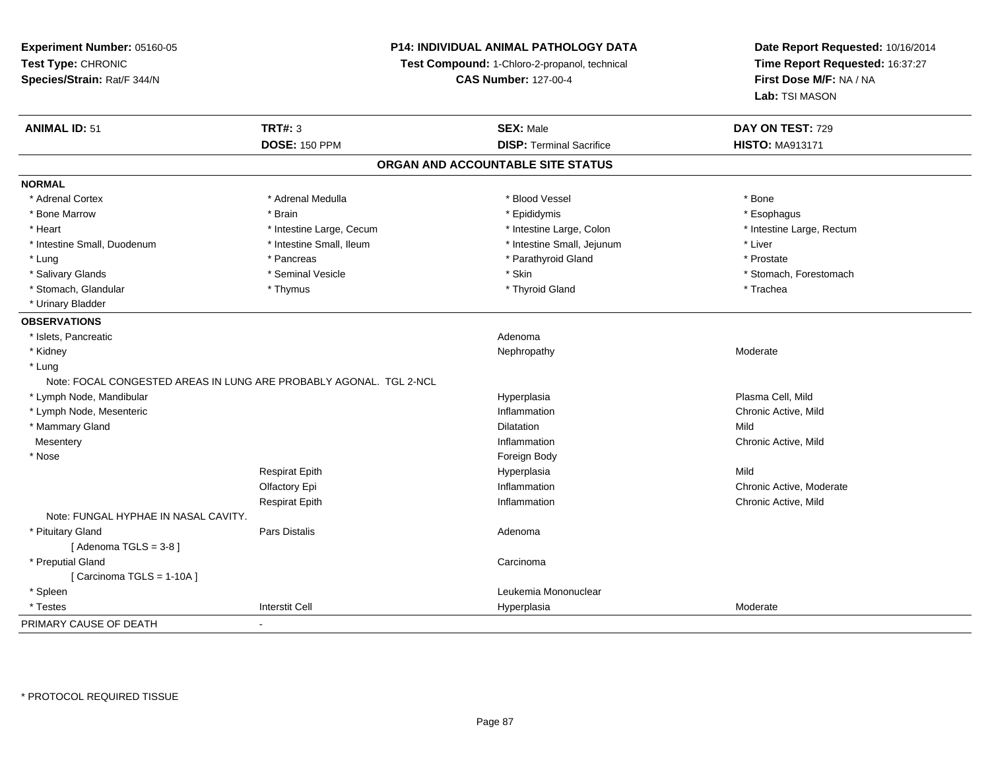#### **P14: INDIVIDUAL ANIMAL PATHOLOGY DATA**

**Test Compound:** 1-Chloro-2-propanol, technical

**CAS Number:** 127-00-4

| <b>ANIMAL ID: 51</b>                                               | <b>TRT#: 3</b>                    | <b>SEX: Male</b>                | DAY ON TEST: 729          |  |  |  |  |
|--------------------------------------------------------------------|-----------------------------------|---------------------------------|---------------------------|--|--|--|--|
|                                                                    | <b>DOSE: 150 PPM</b>              | <b>DISP: Terminal Sacrifice</b> | <b>HISTO: MA913171</b>    |  |  |  |  |
|                                                                    | ORGAN AND ACCOUNTABLE SITE STATUS |                                 |                           |  |  |  |  |
| <b>NORMAL</b>                                                      |                                   |                                 |                           |  |  |  |  |
| * Adrenal Cortex                                                   | * Adrenal Medulla                 | * Blood Vessel                  | * Bone                    |  |  |  |  |
| * Bone Marrow                                                      | * Brain                           | * Epididymis                    | * Esophagus               |  |  |  |  |
| * Heart                                                            | * Intestine Large, Cecum          | * Intestine Large, Colon        | * Intestine Large, Rectum |  |  |  |  |
| * Intestine Small, Duodenum                                        | * Intestine Small, Ileum          | * Intestine Small, Jejunum      | * Liver                   |  |  |  |  |
| * Lung                                                             | * Pancreas                        | * Parathyroid Gland             | * Prostate                |  |  |  |  |
| * Salivary Glands                                                  | * Seminal Vesicle                 | * Skin                          | * Stomach, Forestomach    |  |  |  |  |
| * Stomach, Glandular                                               | * Thymus                          | * Thyroid Gland                 | * Trachea                 |  |  |  |  |
| * Urinary Bladder                                                  |                                   |                                 |                           |  |  |  |  |
| <b>OBSERVATIONS</b>                                                |                                   |                                 |                           |  |  |  |  |
| * Islets, Pancreatic                                               |                                   | Adenoma                         |                           |  |  |  |  |
| * Kidney                                                           |                                   | Nephropathy                     | Moderate                  |  |  |  |  |
| * Lung                                                             |                                   |                                 |                           |  |  |  |  |
| Note: FOCAL CONGESTED AREAS IN LUNG ARE PROBABLY AGONAL. TGL 2-NCL |                                   |                                 |                           |  |  |  |  |
| * Lymph Node, Mandibular                                           |                                   | Hyperplasia                     | Plasma Cell, Mild         |  |  |  |  |
| * Lymph Node, Mesenteric                                           |                                   | Inflammation                    | Chronic Active, Mild      |  |  |  |  |
| * Mammary Gland                                                    |                                   | <b>Dilatation</b>               | Mild                      |  |  |  |  |
| Mesentery                                                          |                                   | Inflammation                    | Chronic Active, Mild      |  |  |  |  |
| * Nose                                                             |                                   | Foreign Body                    |                           |  |  |  |  |
|                                                                    | <b>Respirat Epith</b>             | Hyperplasia                     | Mild                      |  |  |  |  |
|                                                                    | Olfactory Epi                     | Inflammation                    | Chronic Active, Moderate  |  |  |  |  |
|                                                                    | <b>Respirat Epith</b>             | Inflammation                    | Chronic Active, Mild      |  |  |  |  |
| Note: FUNGAL HYPHAE IN NASAL CAVITY.                               |                                   |                                 |                           |  |  |  |  |
| * Pituitary Gland                                                  | Pars Distalis                     | Adenoma                         |                           |  |  |  |  |
| [Adenoma TGLS = $3-8$ ]                                            |                                   |                                 |                           |  |  |  |  |
| * Preputial Gland                                                  |                                   | Carcinoma                       |                           |  |  |  |  |
| [Carcinoma TGLS = 1-10A]                                           |                                   |                                 |                           |  |  |  |  |
| * Spleen                                                           |                                   | Leukemia Mononuclear            |                           |  |  |  |  |
| * Testes                                                           | <b>Interstit Cell</b>             | Hyperplasia                     | Moderate                  |  |  |  |  |
| PRIMARY CAUSE OF DEATH                                             | $\blacksquare$                    |                                 |                           |  |  |  |  |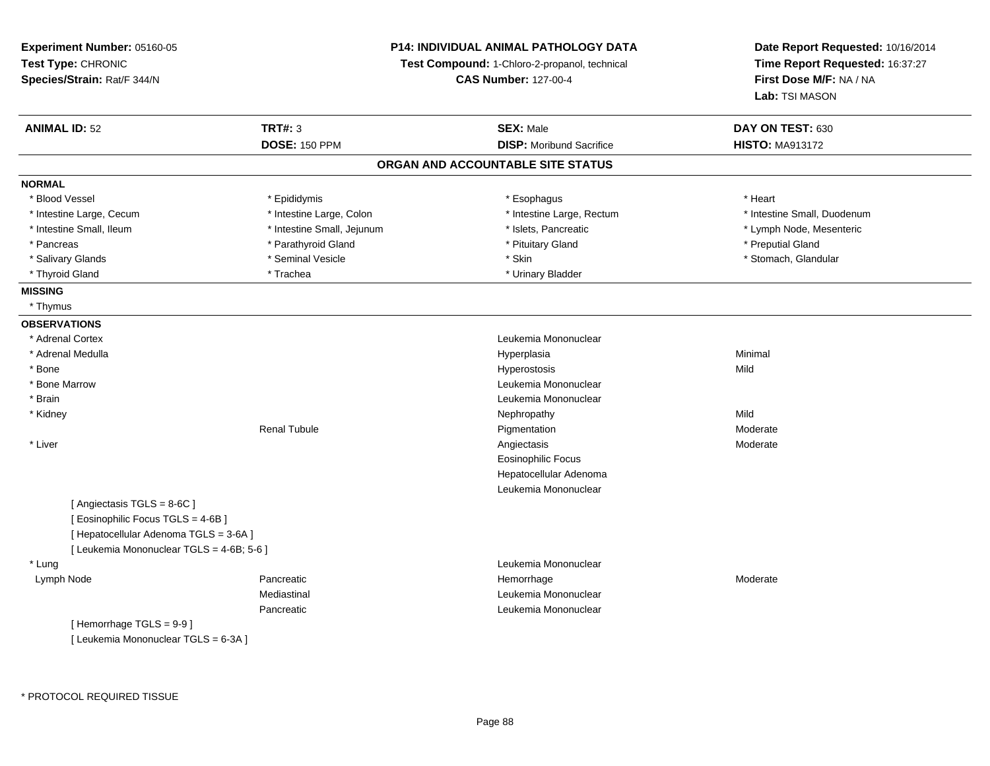| Experiment Number: 05160-05               |                            | P14: INDIVIDUAL ANIMAL PATHOLOGY DATA         | Date Report Requested: 10/16/2014<br>Time Report Requested: 16:37:27<br>First Dose M/F: NA / NA |  |
|-------------------------------------------|----------------------------|-----------------------------------------------|-------------------------------------------------------------------------------------------------|--|
| Test Type: CHRONIC                        |                            | Test Compound: 1-Chloro-2-propanol, technical |                                                                                                 |  |
| Species/Strain: Rat/F 344/N               |                            | <b>CAS Number: 127-00-4</b>                   |                                                                                                 |  |
|                                           |                            |                                               | Lab: TSI MASON                                                                                  |  |
| <b>ANIMAL ID: 52</b>                      | <b>TRT#: 3</b>             | <b>SEX: Male</b>                              | DAY ON TEST: 630                                                                                |  |
|                                           | <b>DOSE: 150 PPM</b>       | <b>DISP:</b> Moribund Sacrifice               | <b>HISTO: MA913172</b>                                                                          |  |
|                                           |                            | ORGAN AND ACCOUNTABLE SITE STATUS             |                                                                                                 |  |
| <b>NORMAL</b>                             |                            |                                               |                                                                                                 |  |
| * Blood Vessel                            | * Epididymis               | * Esophagus                                   | * Heart                                                                                         |  |
| * Intestine Large, Cecum                  | * Intestine Large, Colon   | * Intestine Large, Rectum                     | * Intestine Small, Duodenum                                                                     |  |
| * Intestine Small, Ileum                  | * Intestine Small, Jejunum | * Islets, Pancreatic                          | * Lymph Node, Mesenteric                                                                        |  |
| * Pancreas                                | * Parathyroid Gland        | * Pituitary Gland                             | * Preputial Gland                                                                               |  |
| * Salivary Glands                         | * Seminal Vesicle          | * Skin                                        | * Stomach, Glandular                                                                            |  |
| * Thyroid Gland                           | * Trachea                  | * Urinary Bladder                             |                                                                                                 |  |
| <b>MISSING</b>                            |                            |                                               |                                                                                                 |  |
| * Thymus                                  |                            |                                               |                                                                                                 |  |
| <b>OBSERVATIONS</b>                       |                            |                                               |                                                                                                 |  |
| * Adrenal Cortex                          |                            | Leukemia Mononuclear                          |                                                                                                 |  |
| * Adrenal Medulla                         |                            | Hyperplasia                                   | Minimal                                                                                         |  |
| * Bone                                    |                            | Hyperostosis                                  | Mild                                                                                            |  |
| * Bone Marrow                             |                            | Leukemia Mononuclear                          |                                                                                                 |  |
| * Brain                                   |                            | Leukemia Mononuclear                          |                                                                                                 |  |
| * Kidney                                  |                            | Nephropathy                                   | Mild                                                                                            |  |
|                                           | <b>Renal Tubule</b>        | Pigmentation                                  | Moderate                                                                                        |  |
| * Liver                                   |                            | Angiectasis                                   | Moderate                                                                                        |  |
|                                           |                            | <b>Eosinophilic Focus</b>                     |                                                                                                 |  |
|                                           |                            | Hepatocellular Adenoma                        |                                                                                                 |  |
|                                           |                            | Leukemia Mononuclear                          |                                                                                                 |  |
| [Angiectasis TGLS = 8-6C]                 |                            |                                               |                                                                                                 |  |
| [ Eosinophilic Focus TGLS = 4-6B]         |                            |                                               |                                                                                                 |  |
| [ Hepatocellular Adenoma TGLS = 3-6A ]    |                            |                                               |                                                                                                 |  |
| [ Leukemia Mononuclear TGLS = 4-6B; 5-6 ] |                            |                                               |                                                                                                 |  |
| * Lung                                    |                            | Leukemia Mononuclear                          |                                                                                                 |  |
| Lymph Node                                | Pancreatic                 | Hemorrhage                                    | Moderate                                                                                        |  |
|                                           | Mediastinal                | Leukemia Mononuclear                          |                                                                                                 |  |
|                                           | Pancreatic                 | Leukemia Mononuclear                          |                                                                                                 |  |
| [Hemorrhage TGLS = 9-9]                   |                            |                                               |                                                                                                 |  |
| [ Leukemia Mononuclear TGLS = 6-3A ]      |                            |                                               |                                                                                                 |  |
|                                           |                            |                                               |                                                                                                 |  |
|                                           |                            |                                               |                                                                                                 |  |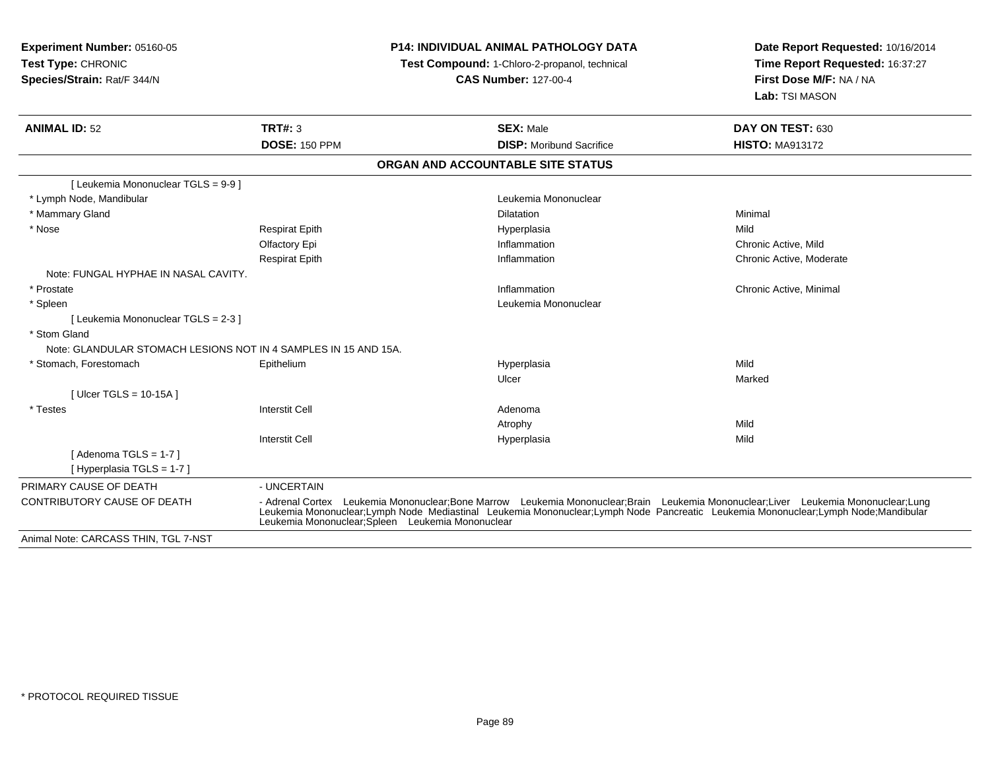**Experiment Number:** 05160-05**Test Type:** CHRONIC **Species/Strain:** Rat/F 344/N**P14: INDIVIDUAL ANIMAL PATHOLOGY DATATest Compound:** 1-Chloro-2-propanol, technical **CAS Number:** 127-00-4**Date Report Requested:** 10/16/2014**Time Report Requested:** 16:37:27**First Dose M/F:** NA / NA**Lab:** TSI MASON**ANIMAL ID:** 52 **TRT#:** <sup>3</sup> **SEX:** Male **DAY ON TEST:** <sup>630</sup> **DOSE:** 150 PPM**DISP:** Moribund Sacrifice **HISTO:** MA913172 **ORGAN AND ACCOUNTABLE SITE STATUS**[ Leukemia Mononuclear TGLS = 9-9 ] \* Lymph Node, Mandibular Leukemia Mononuclear \* Mammary Glandd and the control of the control of the control of the control of the control of the control of the control of the control of the control of the control of the control of the control of the control of the control of the co \* Nose Respirat Epith Hyperplasia Mild Olfactory Epi Inflammation Chronic Active, Mild Respirat Epith Inflammation Chronic Active, Moderate Note: FUNGAL HYPHAE IN NASAL CAVITY. \* Prostatee inflammation inflammation in the control of the chronic Active, Minimal by the chronic Active, Minimal by the chronic Active, Minimal by the chronic Active, Minimal by the chronic Active, Minimal by the chronic Active, M \* Spleenn and the control of the control of the control of the control of the control of the control of the control of the control of the control of the control of the control of the control of the control of the control of the co [ Leukemia Mononuclear TGLS = 2-3 ] \* Stom Gland Note: GLANDULAR STOMACH LESIONS NOT IN 4 SAMPLES IN 15 AND 15A. \* Stomach, Forestomach Epithelium Hyperplasia Mild Ulcerr **Marked** [ Ulcer TGLS = 10-15A ] \* Testess and the contract of the contract of the contract of the contract of the contract of the contract of the contract of  $\mathbb{R}^n$ Atrophyy and the contract of the Mild Mild Interstit Cell Hyperplasiaa Mild  $[$  Adenoma TGLS = 1-7  $]$ [ Hyperplasia TGLS = 1-7 ]PRIMARY CAUSE OF DEATH - UNCERTAIN CONTRIBUTORY CAUSE OF DEATH - Adrenal Cortex Leukemia Mononuclear;Bone Marrow Leukemia Mononuclear;Brain Leukemia Mononuclear;Liver Leukemia Mononuclear;Lung Leukemia Mononuclear;Lymph Node Mediastinal Leukemia Mononuclear;Lymph Node Pancreatic Leukemia Mononuclear;Lymph Node;MandibularLeukemia Mononuclear;Spleen Leukemia Mononuclear Animal Note: CARCASS THIN, TGL 7-NST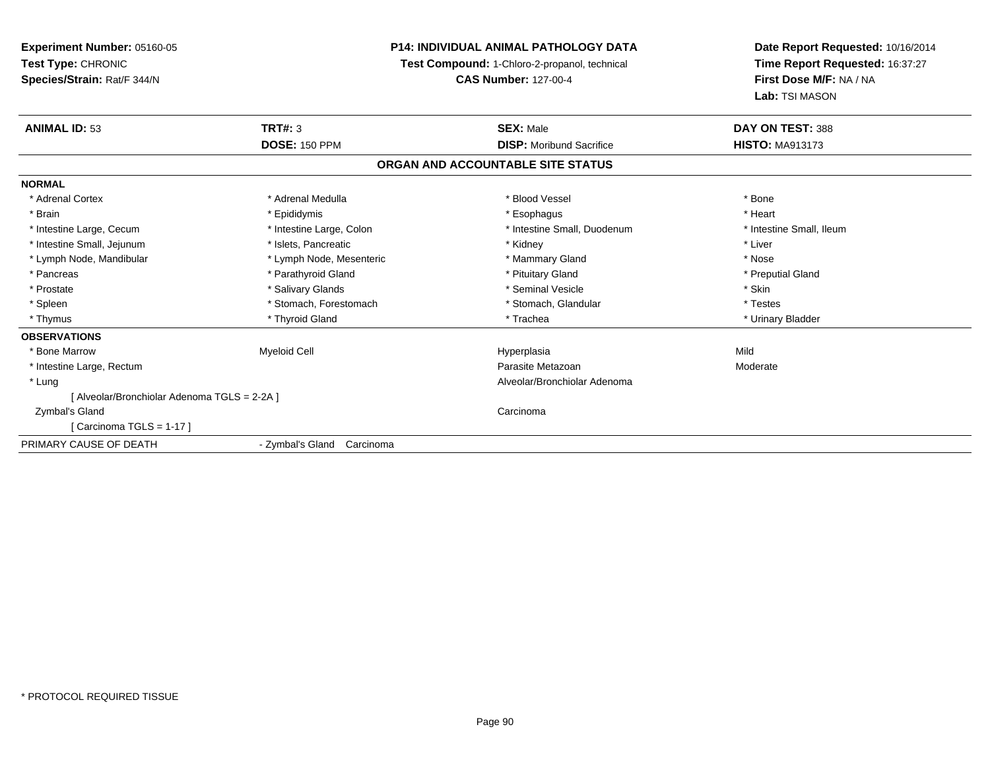**Experiment Number:** 05160-05**Test Type:** CHRONIC **Species/Strain:** Rat/F 344/N**P14: INDIVIDUAL ANIMAL PATHOLOGY DATATest Compound:** 1-Chloro-2-propanol, technical **CAS Number:** 127-00-4**Date Report Requested:** 10/16/2014**Time Report Requested:** 16:37:27**First Dose M/F:** NA / NA**Lab:** TSI MASON**ANIMAL ID:** 53 **TRT#:** <sup>3</sup> **SEX:** Male **DAY ON TEST:** <sup>388</sup> **DOSE:** 150 PPM**DISP:** Moribund Sacrifice **HISTO:** MA913173 **ORGAN AND ACCOUNTABLE SITE STATUSNORMAL**\* Adrenal Cortex \* Adrenal Medulla \* Adrenal Medulla \* Blood Vessel \* Bood Vessel \* Bone \* Bone \* Bone \* Bone \* Bone \* Bone \* Bone \* Bone \* Bone \* Bone \* Bone \* Bone \* Bone \* Bone \* Bone \* Bone \* Bone \* Bone \* Bone \* Bone \* Bone \* Bone \* \* \* Heart \* Brain \* \* Esophagus \* \* Esophagus \* \* Esophagus \* \* Esophagus \* \* Esophagus \* Heart \* Heart \* Heart \* Heart \* Intestine Large, Cecum \* Intestine Large, Calon \* Intestine Small, Duodenum \* Intestine Small, Ileum \* Intestine Small, Ileum \* Intestine Small, Jejunum \* 1992 \* The state of the state of the state of the state of the state of the state of the state of the state of the state of the state of the state of the state of the state of the state of the \* Lymph Node, Mandibular \* The state of the state of the second temperature and the state of the state of the state of the state of the state of the state of the state of the state of the state of the state of the state of \* Preputial Gland \* Pancreas \* \* Parathyroid Gland \* \* Parathyroid Gland \* \* Pituitary Gland \* \* Preputial Gland \* \* Preputial Gland \* Prostate \* \* Salivary Glands \* \* Salivary Glands \* \* Seminal Vesicle \* \* \* Seminal Yestrich \* \* Skin \* \* Skin \* Testes \* Spleen \* Stomach, Forestomach \* Stomach, Spleen \* Stomach, Glandular \* Testestess \* Stomach, Glandular \* Urinary Bladder \* Thymus \* Thyroid Gland \* Trachea \* Urinary Bladder \* **OBSERVATIONS** \* Bone Marroww the matter of the Myeloid Cell the contract of the Hyperplasia Mild Hyperplasia Mild Mild Mild Shane Mild Shane Mild Shane Mild Shane Mild Shane Mild Shane Mild Shane Mild Shane Mild Shane Mild Shane Mild Shane Mild Shan \* Intestine Large, Rectumm and the contract of the contract of the contract of the contract of the contract of the contract of the contract of the contract of the contract of the contract of the contract of the contract of the contract of the cont \* Lung Alveolar/Bronchiolar Adenoma [ Alveolar/Bronchiolar Adenoma TGLS = 2-2A ] Zymbal's Glandd<sub>d</sub> Carcinoma [ Carcinoma TGLS = 1-17 ]PRIMARY CAUSE OF DEATH- Zymbal's Gland Carcinoma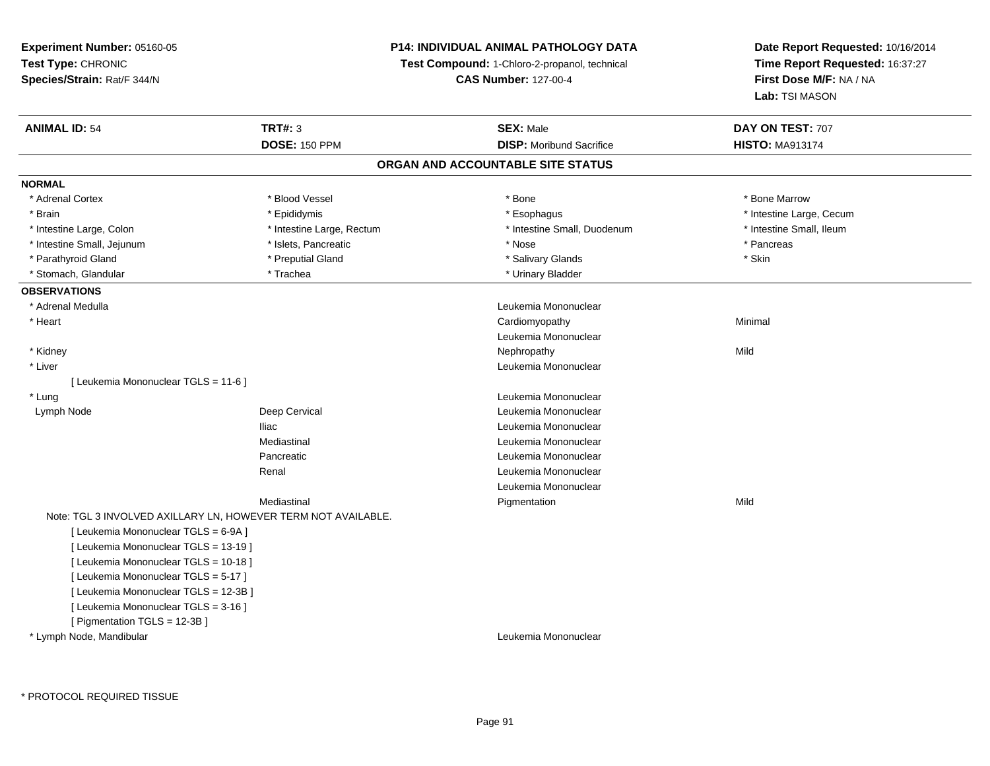#### **P14: INDIVIDUAL ANIMAL PATHOLOGY DATA**

**Test Compound:** 1-Chloro-2-propanol, technical

**CAS Number:** 127-00-4

| <b>ANIMAL ID: 54</b>                  | <b>TRT#: 3</b>                                                | <b>SEX: Male</b>                  | DAY ON TEST: 707         |
|---------------------------------------|---------------------------------------------------------------|-----------------------------------|--------------------------|
|                                       | <b>DOSE: 150 PPM</b>                                          | <b>DISP:</b> Moribund Sacrifice   | <b>HISTO: MA913174</b>   |
|                                       |                                                               | ORGAN AND ACCOUNTABLE SITE STATUS |                          |
| <b>NORMAL</b>                         |                                                               |                                   |                          |
| * Adrenal Cortex                      | * Blood Vessel                                                | * Bone                            | * Bone Marrow            |
| * Brain                               | * Epididymis                                                  | * Esophagus                       | * Intestine Large, Cecum |
| * Intestine Large, Colon              | * Intestine Large, Rectum                                     | * Intestine Small, Duodenum       | * Intestine Small, Ileum |
| * Intestine Small, Jejunum            | * Islets, Pancreatic                                          | * Nose                            | * Pancreas               |
| * Parathyroid Gland                   | * Preputial Gland                                             | * Salivary Glands                 | * Skin                   |
| * Stomach, Glandular                  | * Trachea                                                     | * Urinary Bladder                 |                          |
| <b>OBSERVATIONS</b>                   |                                                               |                                   |                          |
| * Adrenal Medulla                     |                                                               | Leukemia Mononuclear              |                          |
| * Heart                               |                                                               | Cardiomyopathy                    | Minimal                  |
|                                       |                                                               | Leukemia Mononuclear              |                          |
| * Kidney                              |                                                               | Nephropathy                       | Mild                     |
| * Liver                               |                                                               | Leukemia Mononuclear              |                          |
| [ Leukemia Mononuclear TGLS = 11-6 ]  |                                                               |                                   |                          |
| * Lung                                |                                                               | Leukemia Mononuclear              |                          |
| Lymph Node                            | Deep Cervical                                                 | Leukemia Mononuclear              |                          |
|                                       | <b>Iliac</b>                                                  | Leukemia Mononuclear              |                          |
|                                       | Mediastinal                                                   | Leukemia Mononuclear              |                          |
|                                       | Pancreatic                                                    | Leukemia Mononuclear              |                          |
|                                       | Renal                                                         | Leukemia Mononuclear              |                          |
|                                       |                                                               | Leukemia Mononuclear              |                          |
|                                       | Mediastinal                                                   | Pigmentation                      | Mild                     |
|                                       | Note: TGL 3 INVOLVED AXILLARY LN, HOWEVER TERM NOT AVAILABLE. |                                   |                          |
| [ Leukemia Mononuclear TGLS = 6-9A ]  |                                                               |                                   |                          |
| [ Leukemia Mononuclear TGLS = 13-19 ] |                                                               |                                   |                          |
| [ Leukemia Mononuclear TGLS = 10-18 ] |                                                               |                                   |                          |
| [ Leukemia Mononuclear TGLS = 5-17 ]  |                                                               |                                   |                          |
| [ Leukemia Mononuclear TGLS = 12-3B ] |                                                               |                                   |                          |
| [ Leukemia Mononuclear TGLS = 3-16 ]  |                                                               |                                   |                          |
| [ Pigmentation TGLS = 12-3B ]         |                                                               |                                   |                          |
| * Lymph Node, Mandibular              |                                                               | Leukemia Mononuclear              |                          |
|                                       |                                                               |                                   |                          |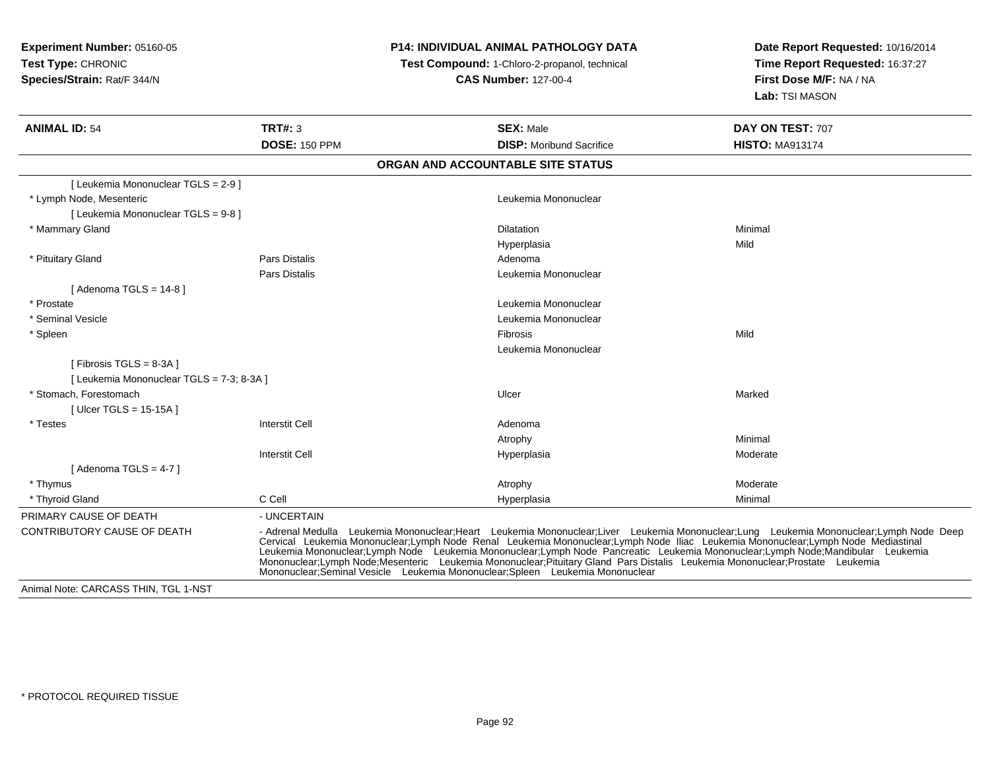### **P14: INDIVIDUAL ANIMAL PATHOLOGY DATA**

 **Test Compound:** 1-Chloro-2-propanol, technical **CAS Number:** 127-00-4

| <b>ANIMAL ID: 54</b>                      | <b>TRT#: 3</b>                                                               | <b>SEX: Male</b>                                                                                                                                                                                                                                                                                                                                                                                  | DAY ON TEST: 707                                                                                                                       |
|-------------------------------------------|------------------------------------------------------------------------------|---------------------------------------------------------------------------------------------------------------------------------------------------------------------------------------------------------------------------------------------------------------------------------------------------------------------------------------------------------------------------------------------------|----------------------------------------------------------------------------------------------------------------------------------------|
|                                           | <b>DOSE: 150 PPM</b>                                                         | <b>DISP:</b> Moribund Sacrifice                                                                                                                                                                                                                                                                                                                                                                   | <b>HISTO: MA913174</b>                                                                                                                 |
|                                           |                                                                              | ORGAN AND ACCOUNTABLE SITE STATUS                                                                                                                                                                                                                                                                                                                                                                 |                                                                                                                                        |
| [ Leukemia Mononuclear TGLS = 2-9 ]       |                                                                              |                                                                                                                                                                                                                                                                                                                                                                                                   |                                                                                                                                        |
| * Lymph Node, Mesenteric                  |                                                                              | Leukemia Mononuclear                                                                                                                                                                                                                                                                                                                                                                              |                                                                                                                                        |
| [ Leukemia Mononuclear TGLS = 9-8 ]       |                                                                              |                                                                                                                                                                                                                                                                                                                                                                                                   |                                                                                                                                        |
| * Mammary Gland                           |                                                                              | <b>Dilatation</b>                                                                                                                                                                                                                                                                                                                                                                                 | Minimal                                                                                                                                |
|                                           |                                                                              | Hyperplasia                                                                                                                                                                                                                                                                                                                                                                                       | Mild                                                                                                                                   |
| * Pituitary Gland                         | <b>Pars Distalis</b>                                                         | Adenoma                                                                                                                                                                                                                                                                                                                                                                                           |                                                                                                                                        |
|                                           | <b>Pars Distalis</b>                                                         | Leukemia Mononuclear                                                                                                                                                                                                                                                                                                                                                                              |                                                                                                                                        |
| [Adenoma TGLS = $14-8$ ]                  |                                                                              |                                                                                                                                                                                                                                                                                                                                                                                                   |                                                                                                                                        |
| * Prostate                                |                                                                              | Leukemia Mononuclear                                                                                                                                                                                                                                                                                                                                                                              |                                                                                                                                        |
| * Seminal Vesicle                         |                                                                              | Leukemia Mononuclear                                                                                                                                                                                                                                                                                                                                                                              |                                                                                                                                        |
| * Spleen                                  |                                                                              | <b>Fibrosis</b>                                                                                                                                                                                                                                                                                                                                                                                   | Mild                                                                                                                                   |
|                                           |                                                                              | Leukemia Mononuclear                                                                                                                                                                                                                                                                                                                                                                              |                                                                                                                                        |
| [ Fibrosis TGLS = $8-3A$ ]                |                                                                              |                                                                                                                                                                                                                                                                                                                                                                                                   |                                                                                                                                        |
| [ Leukemia Mononuclear TGLS = 7-3; 8-3A ] |                                                                              |                                                                                                                                                                                                                                                                                                                                                                                                   |                                                                                                                                        |
| * Stomach. Forestomach                    |                                                                              | Ulcer                                                                                                                                                                                                                                                                                                                                                                                             | Marked                                                                                                                                 |
| [ Ulcer TGLS = 15-15A ]                   |                                                                              |                                                                                                                                                                                                                                                                                                                                                                                                   |                                                                                                                                        |
| * Testes                                  | <b>Interstit Cell</b>                                                        | Adenoma                                                                                                                                                                                                                                                                                                                                                                                           |                                                                                                                                        |
|                                           |                                                                              | Atrophy                                                                                                                                                                                                                                                                                                                                                                                           | Minimal                                                                                                                                |
|                                           | <b>Interstit Cell</b>                                                        | Hyperplasia                                                                                                                                                                                                                                                                                                                                                                                       | Moderate                                                                                                                               |
| [Adenoma TGLS = $4-7$ ]                   |                                                                              |                                                                                                                                                                                                                                                                                                                                                                                                   |                                                                                                                                        |
| * Thymus                                  |                                                                              | Atrophy                                                                                                                                                                                                                                                                                                                                                                                           | Moderate                                                                                                                               |
| * Thyroid Gland                           | C Cell                                                                       | Hyperplasia                                                                                                                                                                                                                                                                                                                                                                                       | Minimal                                                                                                                                |
| PRIMARY CAUSE OF DEATH                    | - UNCERTAIN                                                                  |                                                                                                                                                                                                                                                                                                                                                                                                   |                                                                                                                                        |
| <b>CONTRIBUTORY CAUSE OF DEATH</b>        | Mononuclear;Seminal Vesicle Leukemia Mononuclear;Spleen Leukemia Mononuclear | Cervical Leukemia Mononuclear;Lymph Node Renal Leukemia Mononuclear;Lymph Node Iliac Leukemia Mononuclear;Lymph Node Mediastinal<br>Leukemia Mononuclear:Lymph Node Leukemia Mononuclear:Lymph Node Pancreatic Leukemia Mononuclear:Lymph Node:Mandibular Leukemia<br>Mononuclear;Lymph Node;Mesenteric Leukemia Mononuclear;Pituitary Gland Pars Distalis Leukemia Mononuclear;Prostate Leukemia | - Adrenal Medulla Leukemia Mononuclear;Heart Leukemia Mononuclear;Liver Leukemia Mononuclear;Lung Leukemia Mononuclear;Lymph Node Deep |
| Animal Note: CARCASS THIN, TGL 1-NST      |                                                                              |                                                                                                                                                                                                                                                                                                                                                                                                   |                                                                                                                                        |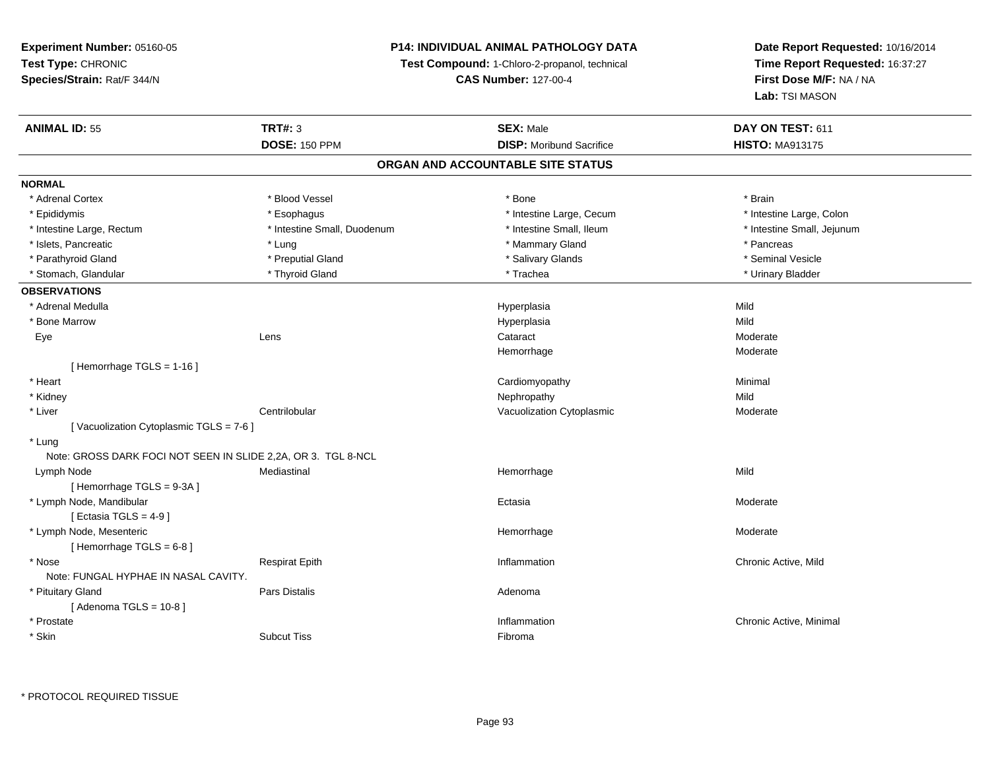#### **P14: INDIVIDUAL ANIMAL PATHOLOGY DATA**

**Test Compound:** 1-Chloro-2-propanol, technical

**CAS Number:** 127-00-4

**Date Report Requested:** 10/16/2014**Time Report Requested:** 16:37:27**First Dose M/F:** NA / NA**Lab:** TSI MASON

| <b>ANIMAL ID: 55</b>                                          | <b>TRT#: 3</b>              | <b>SEX: Male</b>                  | DAY ON TEST: 611           |  |
|---------------------------------------------------------------|-----------------------------|-----------------------------------|----------------------------|--|
|                                                               | <b>DOSE: 150 PPM</b>        | <b>DISP:</b> Moribund Sacrifice   | <b>HISTO: MA913175</b>     |  |
|                                                               |                             | ORGAN AND ACCOUNTABLE SITE STATUS |                            |  |
| <b>NORMAL</b>                                                 |                             |                                   |                            |  |
| * Adrenal Cortex                                              | * Blood Vessel              | * Bone                            | * Brain                    |  |
| * Epididymis                                                  | * Esophagus                 | * Intestine Large, Cecum          | * Intestine Large, Colon   |  |
| * Intestine Large, Rectum                                     | * Intestine Small, Duodenum | * Intestine Small, Ileum          | * Intestine Small, Jejunum |  |
| * Islets, Pancreatic                                          | * Lung                      | * Mammary Gland                   | * Pancreas                 |  |
| * Parathyroid Gland                                           | * Preputial Gland           | * Salivary Glands                 | * Seminal Vesicle          |  |
| * Stomach, Glandular                                          | * Thyroid Gland             | * Trachea                         | * Urinary Bladder          |  |
| <b>OBSERVATIONS</b>                                           |                             |                                   |                            |  |
| * Adrenal Medulla                                             |                             | Hyperplasia                       | Mild                       |  |
| * Bone Marrow                                                 |                             | Hyperplasia                       | Mild                       |  |
| Eye                                                           | Lens                        | Cataract                          | Moderate                   |  |
|                                                               |                             | Hemorrhage                        | Moderate                   |  |
| [Hemorrhage TGLS = 1-16]                                      |                             |                                   |                            |  |
| * Heart                                                       |                             | Cardiomyopathy                    | Minimal                    |  |
| * Kidney                                                      |                             | Nephropathy                       | Mild                       |  |
| * Liver                                                       | Centrilobular               | Vacuolization Cytoplasmic         | Moderate                   |  |
| [Vacuolization Cytoplasmic TGLS = 7-6]                        |                             |                                   |                            |  |
| * Lung                                                        |                             |                                   |                            |  |
| Note: GROSS DARK FOCI NOT SEEN IN SLIDE 2,2A, OR 3. TGL 8-NCL |                             |                                   |                            |  |
| Lymph Node                                                    | Mediastinal                 | Hemorrhage                        | Mild                       |  |
| [Hemorrhage TGLS = 9-3A]                                      |                             |                                   |                            |  |
| * Lymph Node, Mandibular                                      |                             | Ectasia                           | Moderate                   |  |
| [ Ectasia TGLS = $4-9$ ]                                      |                             |                                   |                            |  |
| * Lymph Node, Mesenteric                                      |                             | Hemorrhage                        | Moderate                   |  |
| [Hemorrhage TGLS = 6-8]                                       |                             |                                   |                            |  |
| * Nose                                                        | <b>Respirat Epith</b>       | Inflammation                      | Chronic Active, Mild       |  |
| Note: FUNGAL HYPHAE IN NASAL CAVITY.                          |                             |                                   |                            |  |
| * Pituitary Gland                                             | Pars Distalis               | Adenoma                           |                            |  |
| [Adenoma TGLS = $10-8$ ]                                      |                             |                                   |                            |  |
| * Prostate                                                    |                             | Inflammation                      | Chronic Active, Minimal    |  |
| * Skin                                                        | <b>Subcut Tiss</b>          | Fibroma                           |                            |  |

\* PROTOCOL REQUIRED TISSUE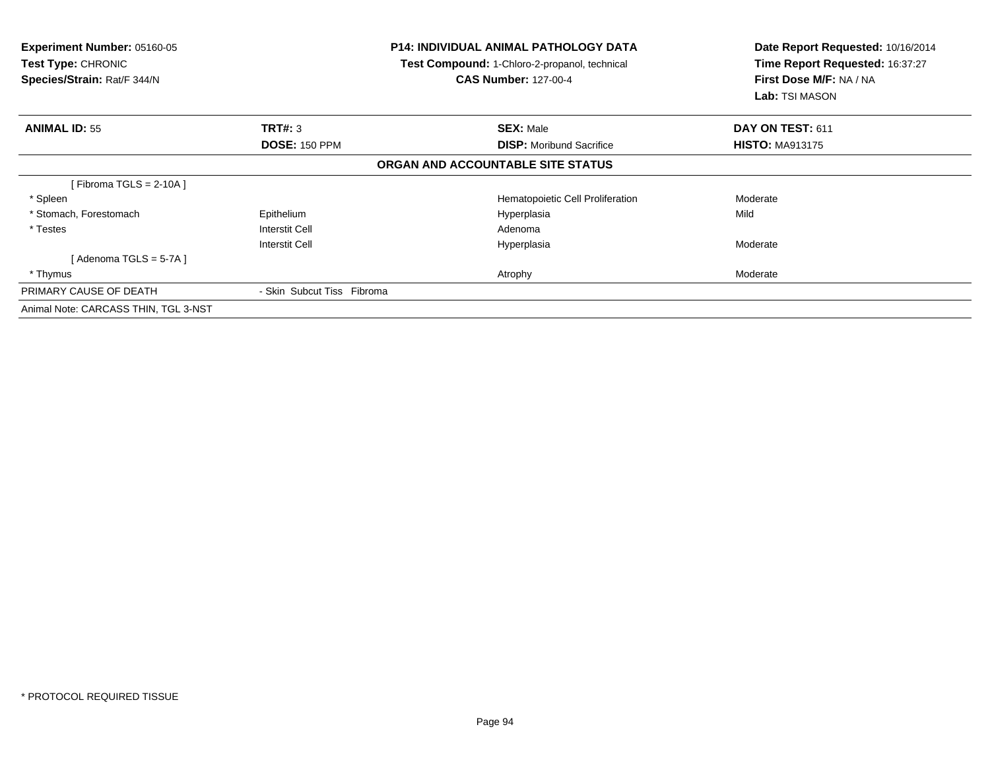| <b>Experiment Number: 05160-05</b><br>Test Type: CHRONIC<br>Species/Strain: Rat/F 344/N |                            | <b>P14: INDIVIDUAL ANIMAL PATHOLOGY DATA</b><br>Test Compound: 1-Chloro-2-propanol, technical<br><b>CAS Number: 127-00-4</b> | Date Report Requested: 10/16/2014<br>Time Report Requested: 16:37:27<br>First Dose M/F: NA / NA<br><b>Lab:</b> TSI MASON |
|-----------------------------------------------------------------------------------------|----------------------------|------------------------------------------------------------------------------------------------------------------------------|--------------------------------------------------------------------------------------------------------------------------|
| <b>ANIMAL ID: 55</b>                                                                    | TRT#: 3                    | <b>SEX: Male</b>                                                                                                             | DAY ON TEST: 611                                                                                                         |
|                                                                                         | <b>DOSE: 150 PPM</b>       | <b>DISP:</b> Moribund Sacrifice                                                                                              | <b>HISTO: MA913175</b>                                                                                                   |
|                                                                                         |                            | ORGAN AND ACCOUNTABLE SITE STATUS                                                                                            |                                                                                                                          |
| [Fibroma TGLS = $2-10A$ ]                                                               |                            |                                                                                                                              |                                                                                                                          |
| * Spleen                                                                                |                            | Hematopoietic Cell Proliferation                                                                                             | Moderate                                                                                                                 |
| * Stomach, Forestomach                                                                  | Epithelium                 | Hyperplasia                                                                                                                  | Mild                                                                                                                     |
| * Testes                                                                                | Interstit Cell             | Adenoma                                                                                                                      |                                                                                                                          |
|                                                                                         | Interstit Cell             | Hyperplasia                                                                                                                  | Moderate                                                                                                                 |
| [Adenoma TGLS = $5-7A$ ]                                                                |                            |                                                                                                                              |                                                                                                                          |
| * Thymus                                                                                |                            | Atrophy                                                                                                                      | Moderate                                                                                                                 |
| PRIMARY CAUSE OF DEATH                                                                  | - Skin Subcut Tiss Fibroma |                                                                                                                              |                                                                                                                          |
| Animal Note: CARCASS THIN, TGL 3-NST                                                    |                            |                                                                                                                              |                                                                                                                          |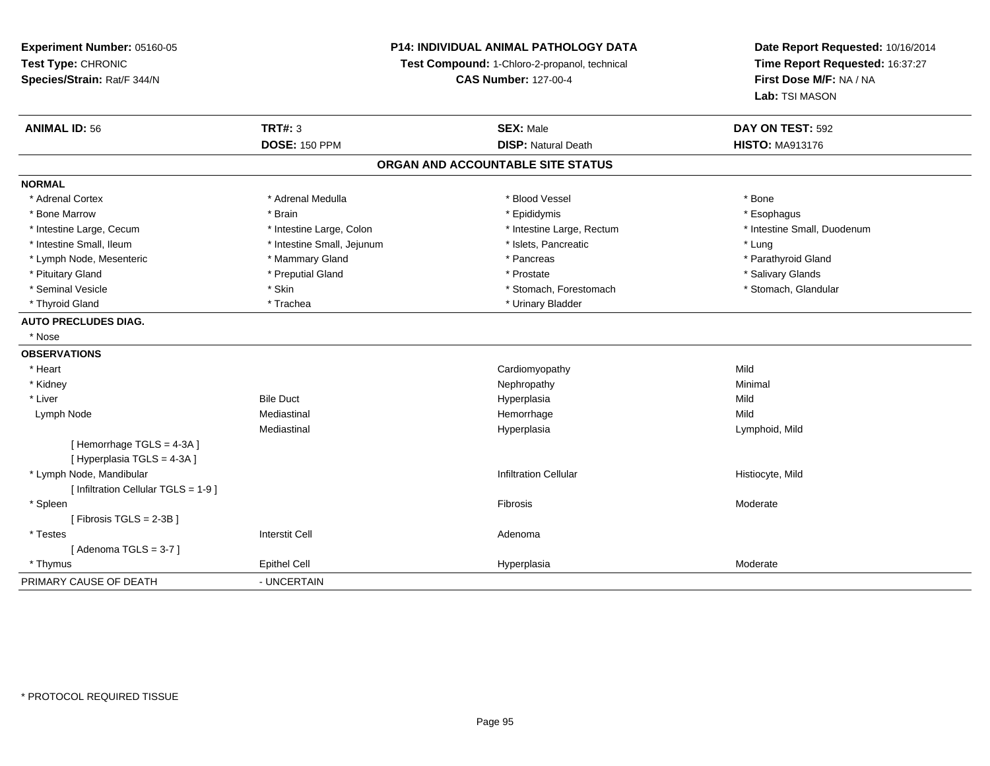#### **P14: INDIVIDUAL ANIMAL PATHOLOGY DATA**

**Test Compound:** 1-Chloro-2-propanol, technical

**CAS Number:** 127-00-4

| <b>ANIMAL ID: 56</b>                                  | <b>TRT#: 3</b>             | <b>SEX: Male</b>                  | DAY ON TEST: 592            |
|-------------------------------------------------------|----------------------------|-----------------------------------|-----------------------------|
|                                                       | <b>DOSE: 150 PPM</b>       | <b>DISP: Natural Death</b>        | <b>HISTO: MA913176</b>      |
|                                                       |                            | ORGAN AND ACCOUNTABLE SITE STATUS |                             |
| <b>NORMAL</b>                                         |                            |                                   |                             |
| * Adrenal Cortex                                      | * Adrenal Medulla          | * Blood Vessel                    | * Bone                      |
| * Bone Marrow                                         | * Brain                    | * Epididymis                      | * Esophagus                 |
| * Intestine Large, Cecum                              | * Intestine Large, Colon   | * Intestine Large, Rectum         | * Intestine Small, Duodenum |
| * Intestine Small, Ileum                              | * Intestine Small, Jejunum | * Islets, Pancreatic              | * Lung                      |
| * Lymph Node, Mesenteric                              | * Mammary Gland            | * Pancreas                        | * Parathyroid Gland         |
| * Pituitary Gland                                     | * Preputial Gland          | * Prostate                        | * Salivary Glands           |
| * Seminal Vesicle                                     | * Skin                     | * Stomach, Forestomach            | * Stomach, Glandular        |
| * Thyroid Gland                                       | * Trachea                  | * Urinary Bladder                 |                             |
| <b>AUTO PRECLUDES DIAG.</b>                           |                            |                                   |                             |
| * Nose                                                |                            |                                   |                             |
| <b>OBSERVATIONS</b>                                   |                            |                                   |                             |
| * Heart                                               |                            | Cardiomyopathy                    | Mild                        |
| * Kidney                                              |                            | Nephropathy                       | Minimal                     |
| * Liver                                               | <b>Bile Duct</b>           | Hyperplasia                       | Mild                        |
| Lymph Node                                            | Mediastinal                | Hemorrhage                        | Mild                        |
|                                                       | Mediastinal                | Hyperplasia                       | Lymphoid, Mild              |
| [Hemorrhage TGLS = 4-3A]<br>[Hyperplasia TGLS = 4-3A] |                            |                                   |                             |
| * Lymph Node, Mandibular                              |                            | <b>Infiltration Cellular</b>      | Histiocyte, Mild            |
| [ Infiltration Cellular TGLS = 1-9 ]                  |                            |                                   |                             |
| * Spleen                                              |                            | Fibrosis                          | Moderate                    |
| [Fibrosis TGLS = $2-3B$ ]                             |                            |                                   |                             |
| * Testes                                              | <b>Interstit Cell</b>      | Adenoma                           |                             |
| [Adenoma TGLS = $3-7$ ]                               |                            |                                   |                             |
| * Thymus                                              | <b>Epithel Cell</b>        | Hyperplasia                       | Moderate                    |
| PRIMARY CAUSE OF DEATH                                | - UNCERTAIN                |                                   |                             |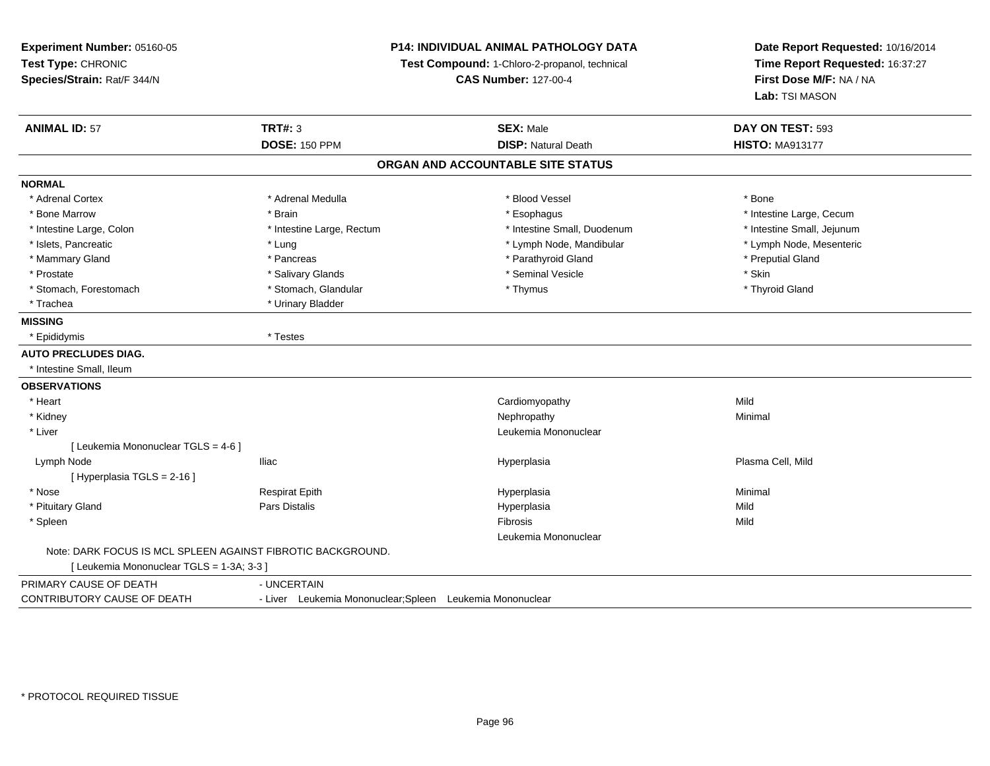**Experiment Number:** 05160-05**Test Type:** CHRONIC **Species/Strain:** Rat/F 344/N**P14: INDIVIDUAL ANIMAL PATHOLOGY DATATest Compound:** 1-Chloro-2-propanol, technical **CAS Number:** 127-00-4**Date Report Requested:** 10/16/2014**Time Report Requested:** 16:37:27**First Dose M/F:** NA / NA**Lab:** TSI MASON**ANIMAL ID:** 57**TRT#:** 3 **SEX:** Male **DAY ON TEST:** 593 **DOSE:** 150 PPM**DISP:** Natural Death **HISTO:** MA913177 **ORGAN AND ACCOUNTABLE SITE STATUSNORMAL**\* Adrenal Cortex \* Adrenal Cortex \* \* Adrenal Medulla \* \* Adrenal Medulla \* \* Blood Vessel \* \* Brood Vessel \* \* Bone \* Bone Marrow \* The Large, Cecum \* Brain \* Esophagus \* Esophagus \* Esophagus \* Intestine Large, Cecum \* Intestine Large, Cecum \* Intestine Large, Colon \* Intestine Large, Rectum \* Intestine Small, Duodenum \* Intestine Small, Jejunum\* Lymph Node, Mesenteric \* Islets, Pancreatic **\* Lung \* Lung \* Lung \* Lymph Node, Mandibular \*** Lymph Node, Mandibular \* Mammary Gland \* \* American \* Pancreas \* Pancreas \* \* Parathyroid Gland \* Parathyroid Gland \* \* Preputial Gland \* \* Preputial Gland \* \* Preputial Gland \* \* Preputial Gland \* \* Preputial Gland \* \* Preputial Gland \* \* Prepu \* Prostate \* \* Salivary Glands \* \* Salivary Glands \* \* Seminal Vesicle \* \* \* Seminal Yestrich \* \* Skin \* \* Skin \* Thyroid Gland \* Stomach, Forestomach \* Thymus \* Stomach, Glandular \* Thymus \* Thymus \* Thymus \* Thymus \* Thymus \* Thymus \* Thymus \* Thymus \* Thymus \* Thymus \* Thymus \* Thymus \* Thymus \* Thymus \* Thymus \* Thymus \* Thymus \* Thymus \* Thymu \* Trachea \* Urinary Bladder**MISSING** \* Epididymis \* Testes**AUTO PRECLUDES DIAG.** \* Intestine Small, Ileum**OBSERVATIONS** \* Heart Cardiomyopathyy Mild Minimal \* Kidneyy the control of the control of the control of the control of the control of the control of the control of the control of the control of the control of the control of the control of the control of the control of the contro \* Liver Leukemia Mononuclear [ Leukemia Mononuclear TGLS = 4-6 ] Lymph Node Iliac Hyperplasia Plasma Cell, Mild [ Hyperplasia TGLS = 2-16 ] \* Nose Respirat Epith Hyperplasia Minimal \* Pituitary Gland Pars Distalis Hyperplasia Mild \* Spleenn and the control of the control of the control of the control of the control of the control of the control of the control of the control of the control of the control of the control of the control of the control of the co Leukemia MononuclearNote: DARK FOCUS IS MCL SPLEEN AGAINST FIBROTIC BACKGROUND.[ Leukemia Mononuclear TGLS = 1-3A; 3-3 ]PRIMARY CAUSE OF DEATH - UNCERTAIN CONTRIBUTORY CAUSE OF DEATH- Liver Leukemia Mononuclear;Spleen Leukemia Mononuclear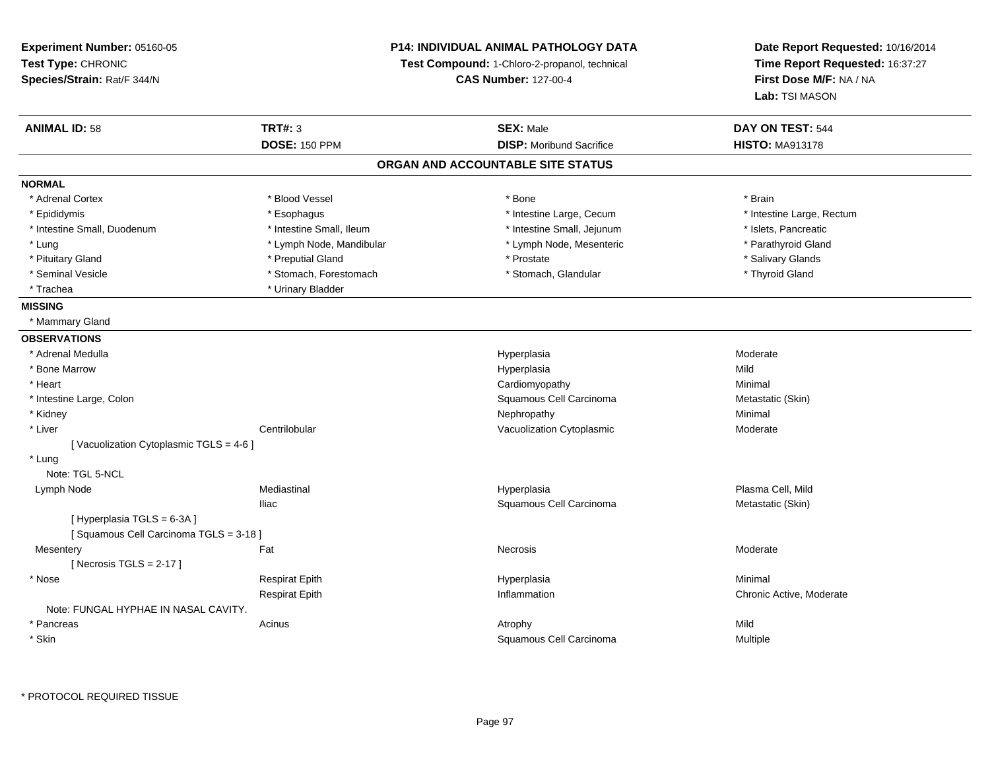**Experiment Number:** 05160-05**Test Type:** CHRONIC **Species/Strain:** Rat/F 344/N**P14: INDIVIDUAL ANIMAL PATHOLOGY DATATest Compound:** 1-Chloro-2-propanol, technical **CAS Number:** 127-00-4**Date Report Requested:** 10/16/2014**Time Report Requested:** 16:37:27**First Dose M/F:** NA / NA**Lab:** TSI MASON**ANIMAL ID:** 58**TRT#:** 3 **SEX:** Male **DAY ON TEST:** 544 **DOSE:** 150 PPM**DISP:** Moribund Sacrifice **HISTO:** MA913178 **ORGAN AND ACCOUNTABLE SITE STATUSNORMAL**\* Adrenal Cortex \* Adrenal Cortex \* Blood Vessel \* Bone \* Brain\* Intestine Large, Rectum \* Epididymis \* Esophagus \* Esophagus \* Esophagus \* 11testine Large, Cecum \* Intestine Small, Duodenum \* Intestine Small, Ileum \* Intestine Small, Jejunum \* Islets, Pancreatic\* Parathyroid Gland \* Lung \* Lymph Node, Mandibular \* Parathyroid \* Lymph Node, Mesenteric \* Parathyroid Clandibular \* Parathyroid \* Parathyroid \* Parathyroid \* Parathyroid \* Parathyroid \* Parathyroid \* Parathyroid \* Parathyroid \* Parathyroid \* Pituitary Gland \* \* Then the state \* Preputial Gland \* Prosection \* Prostate \* \* Salivary Glands \* Salivary Glands \* Salivary Glands \* Salivary Glands \* Salivary Glands \* Salivary Glands \* Salivary Glands \* Salivary Glan \* Seminal Vesicle \* Thyroid Gland \* Stomach, Forestomach \* November 2014 \* Stomach, Glandular \* Thyroid Gland \* Trachea **\*** Urinary Bladder **MISSING** \* Mammary Gland**OBSERVATIONS** \* Adrenal Medullaa and the controller of the controller of the controller of the Hyperplasia and the Moderate Moderate of the Moderate  $\sim$  Moderate  $\sim$  Moderate  $\sim$  Moderate  $\sim$  Moderate  $\sim$  Moderate  $\sim$  Moderate  $\sim$  Moderate  $\sim$  M \* Bone Marroww which is a state of the state of the Hyperplasia Mild Mild and the Mild Mild State of the Mild State of the Mild State of the Mild State of the State of the Mild State of the State of the State of the State of the State \* Heart Cardiomyopathy Minimal \* Intestine Large, ColonSquamous Cell Carcinoma<br>
Nephropathy Metastatic (Skin)<br>
Minimal \* Kidneyy the control of the control of the control of the control of the control of the control of the control of the control of the control of the control of the control of the control of the control of the control of the contro \* Liver Centrilobular Vacuolization Cytoplasmic Moderate[ Vacuolization Cytoplasmic TGLS = 4-6 ] \* Lung Note: TGL 5-NCL Lymph Node Mediastinal Hyperplasia Plasma Cell, Mild Iliac Squamous Cell Carcinoma Metastatic (Skin) [ Hyperplasia TGLS = 6-3A ] [ Squamous Cell Carcinoma TGLS = 3-18 ]**Mesentery** y the control of the set of the control of the Moderate of the Moderate of the Moderate of the Moderate of the Moderate of the Moderate of the Moderate of the Moderate of the Moderate of the Moderate of the Moderate of the  $[$  Necrosis TGLS = 2-17  $]$  \* Nose Respirat Epith Hyperplasia Minimal Respirat Epith Inflammation Chronic Active, Moderate Note: FUNGAL HYPHAE IN NASAL CAVITY. \* Pancreass the contract of the contract of the contract of the contract of the contract of the contract of the contract of the contract of the contract of the contract of the contract of the contract of the contract of the contract Multiple \* SkinSquamous Cell Carcinoma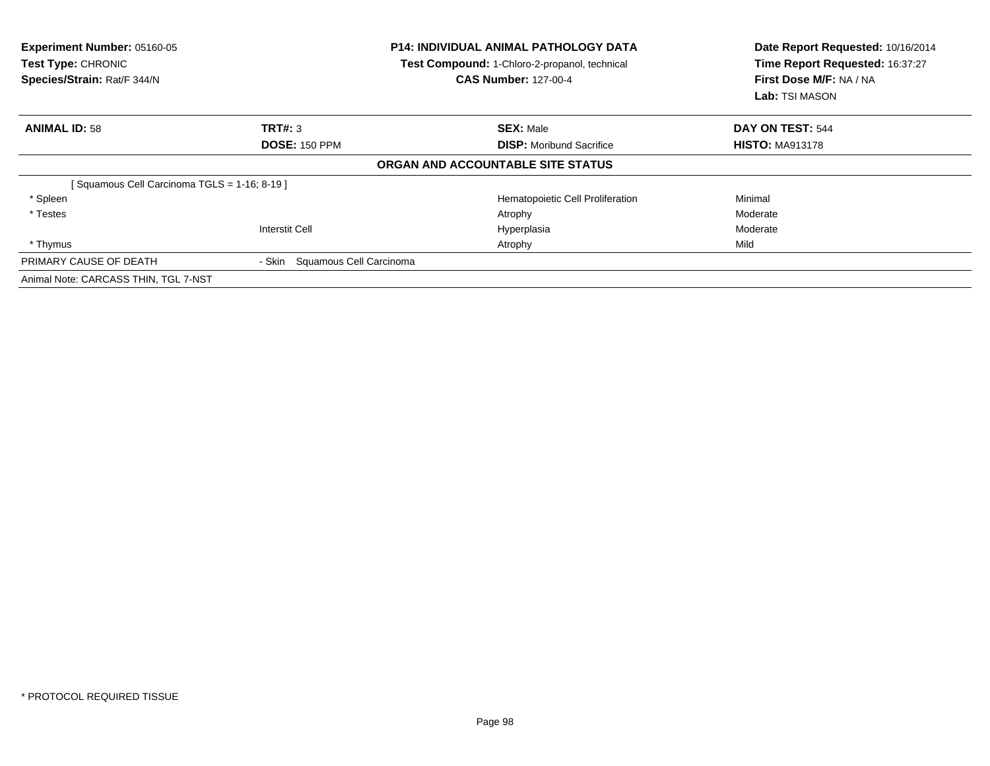| Experiment Number: 05160-05<br><b>Test Type: CHRONIC</b><br>Species/Strain: Rat/F 344/N |                                | <b>P14: INDIVIDUAL ANIMAL PATHOLOGY DATA</b><br>Test Compound: 1-Chloro-2-propanol, technical<br><b>CAS Number: 127-00-4</b> | Date Report Requested: 10/16/2014<br>Time Report Requested: 16:37:27<br>First Dose M/F: NA / NA<br><b>Lab:</b> TSI MASON |
|-----------------------------------------------------------------------------------------|--------------------------------|------------------------------------------------------------------------------------------------------------------------------|--------------------------------------------------------------------------------------------------------------------------|
| <b>ANIMAL ID: 58</b>                                                                    | TRT#: 3                        | <b>SEX: Male</b>                                                                                                             | DAY ON TEST: 544                                                                                                         |
|                                                                                         | <b>DOSE: 150 PPM</b>           | <b>DISP:</b> Moribund Sacrifice                                                                                              | <b>HISTO: MA913178</b>                                                                                                   |
|                                                                                         |                                | ORGAN AND ACCOUNTABLE SITE STATUS                                                                                            |                                                                                                                          |
| [Squamous Cell Carcinoma TGLS = 1-16; 8-19]                                             |                                |                                                                                                                              |                                                                                                                          |
| * Spleen                                                                                |                                | Hematopoietic Cell Proliferation                                                                                             | Minimal                                                                                                                  |
| * Testes                                                                                |                                | Atrophy                                                                                                                      | Moderate                                                                                                                 |
|                                                                                         | <b>Interstit Cell</b>          | Hyperplasia                                                                                                                  | Moderate                                                                                                                 |
| * Thymus                                                                                |                                | Atrophy                                                                                                                      | Mild                                                                                                                     |
| PRIMARY CAUSE OF DEATH                                                                  | - Skin Squamous Cell Carcinoma |                                                                                                                              |                                                                                                                          |
| Animal Note: CARCASS THIN, TGL 7-NST                                                    |                                |                                                                                                                              |                                                                                                                          |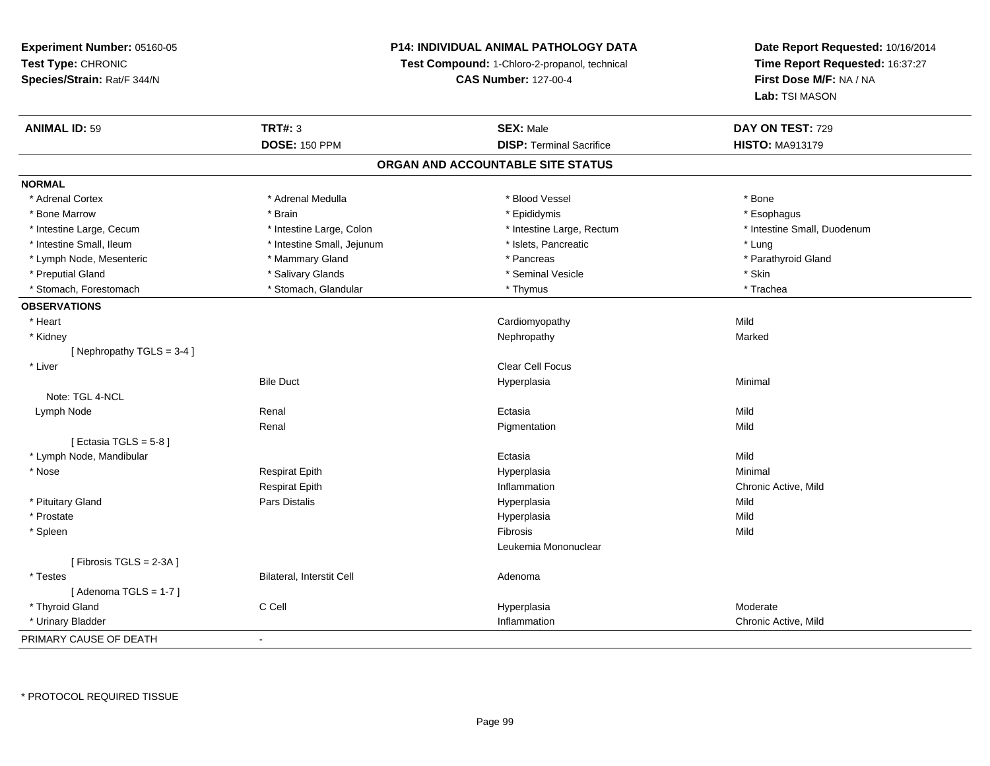#### **P14: INDIVIDUAL ANIMAL PATHOLOGY DATA**

**Test Compound:** 1-Chloro-2-propanol, technical

**CAS Number:** 127-00-4

| <b>ANIMAL ID: 59</b>      | <b>TRT#: 3</b>             | <b>SEX: Male</b>                  | DAY ON TEST: 729            |
|---------------------------|----------------------------|-----------------------------------|-----------------------------|
|                           | <b>DOSE: 150 PPM</b>       | <b>DISP: Terminal Sacrifice</b>   | <b>HISTO: MA913179</b>      |
|                           |                            | ORGAN AND ACCOUNTABLE SITE STATUS |                             |
| <b>NORMAL</b>             |                            |                                   |                             |
| * Adrenal Cortex          | * Adrenal Medulla          | * Blood Vessel                    | * Bone                      |
| * Bone Marrow             | * Brain                    | * Epididymis                      | * Esophagus                 |
| * Intestine Large, Cecum  | * Intestine Large, Colon   | * Intestine Large, Rectum         | * Intestine Small, Duodenum |
| * Intestine Small, Ileum  | * Intestine Small, Jejunum | * Islets, Pancreatic              | * Lung                      |
| * Lymph Node, Mesenteric  | * Mammary Gland            | * Pancreas                        | * Parathyroid Gland         |
| * Preputial Gland         | * Salivary Glands          | * Seminal Vesicle                 | * Skin                      |
| * Stomach, Forestomach    | * Stomach, Glandular       | * Thymus                          | * Trachea                   |
| <b>OBSERVATIONS</b>       |                            |                                   |                             |
| * Heart                   |                            | Cardiomyopathy                    | Mild                        |
| * Kidney                  |                            | Nephropathy                       | Marked                      |
| [Nephropathy TGLS = 3-4]  |                            |                                   |                             |
| * Liver                   |                            | Clear Cell Focus                  |                             |
|                           | <b>Bile Duct</b>           | Hyperplasia                       | Minimal                     |
| Note: TGL 4-NCL           |                            |                                   |                             |
| Lymph Node                | Renal                      | Ectasia                           | Mild                        |
|                           | Renal                      | Pigmentation                      | Mild                        |
| [ Ectasia TGLS = $5-8$ ]  |                            |                                   |                             |
| * Lymph Node, Mandibular  |                            | Ectasia                           | Mild                        |
| * Nose                    | <b>Respirat Epith</b>      | Hyperplasia                       | Minimal                     |
|                           | <b>Respirat Epith</b>      | Inflammation                      | Chronic Active, Mild        |
| * Pituitary Gland         | Pars Distalis              | Hyperplasia                       | Mild                        |
| * Prostate                |                            | Hyperplasia                       | Mild                        |
| * Spleen                  |                            | Fibrosis                          | Mild                        |
|                           |                            | Leukemia Mononuclear              |                             |
| [Fibrosis TGLS = $2-3A$ ] |                            |                                   |                             |
| * Testes                  | Bilateral, Interstit Cell  | Adenoma                           |                             |
| [Adenoma TGLS = $1-7$ ]   |                            |                                   |                             |
| * Thyroid Gland           | C Cell                     | Hyperplasia                       | Moderate                    |
| * Urinary Bladder         |                            | Inflammation                      | Chronic Active, Mild        |
| PRIMARY CAUSE OF DEATH    | $\blacksquare$             |                                   |                             |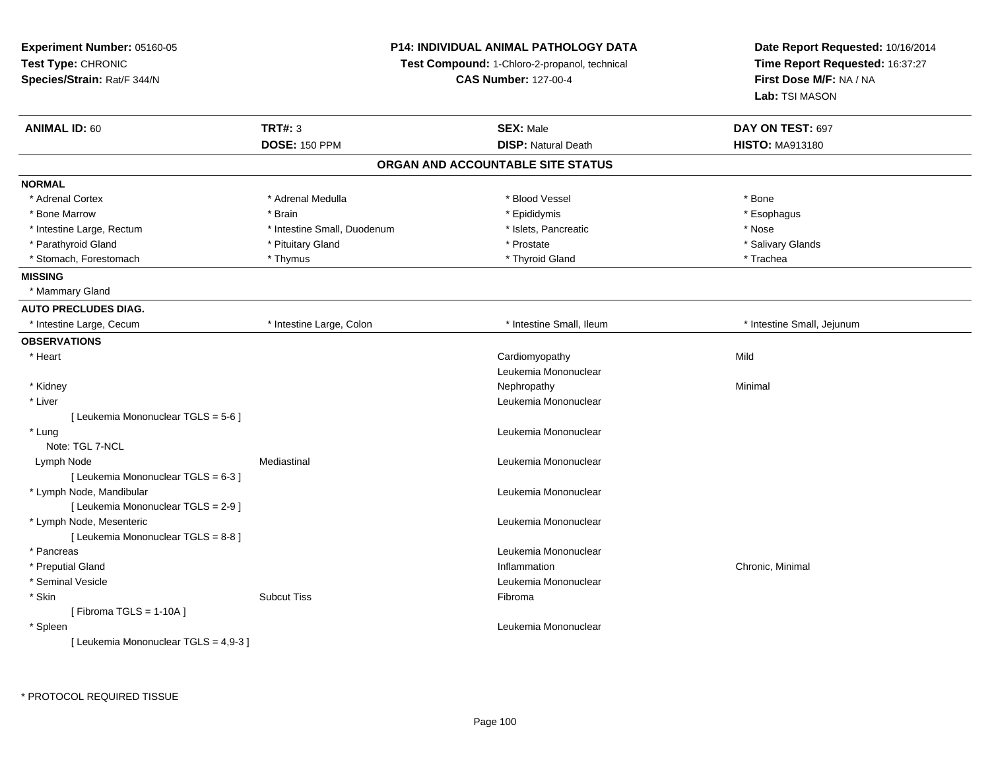**Experiment Number:** 05160-05**Test Type:** CHRONIC **Species/Strain:** Rat/F 344/N**P14: INDIVIDUAL ANIMAL PATHOLOGY DATATest Compound:** 1-Chloro-2-propanol, technical **CAS Number:** 127-00-4**Date Report Requested:** 10/16/2014**Time Report Requested:** 16:37:27**First Dose M/F:** NA / NA**Lab:** TSI MASON**ANIMAL ID:** 60**TRT#:** 3 **SEX:** Male **DAY ON TEST:** 697 **DOSE:** 150 PPM**DISP:** Natural Death **HISTO:** MA913180 **ORGAN AND ACCOUNTABLE SITE STATUSNORMAL**\* Adrenal Cortex \* Adrenal Medulla \* Adrenal Medulla \* Blood Vessel \* Bood Vessel \* Bone \* Bone \* Bone \* Bone \* Bone \* Bone \* Bone \* Bone \* Bone \* Bone \* Bone \* Bone \* Bone \* Bone \* Bone \* Bone \* Bone \* Bone \* Bone \* Bone \* Bone \* Bone \* \* \* Esophagus \* Bone Marrow \* Brain \* Epididymis \* Esophagus \* Intestine Large, Rectum \* Thestine Small, Duodenum \* Nose \* Intestine Small, Duodenum \* Islets, Pancreatic \* Nose \* Salivary Glands \* Parathyroid Gland \* \* \* Pituitary Gland \* \* Prostate \* \* Prostate \* \* Salivary Glands \* Salivary Glands \* Salivary Glands \* Salivary Glands \* Salivary Glands \* Salivary Glands \* Salivary Glands \* Salivary Glands \* Saliva \* Stomach, Forestomach \* Trachea \* Thymus \* Thymus \* Thyroid Gland \* Thyroid Gland \* Trachea \* Trachea **MISSING** \* Mammary Gland**AUTO PRECLUDES DIAG.** \* Intestine Large, Cecum \* Intestine Large, Colon \* Intestine Small, Ileum \* Intestine Small, Jejunum**OBSERVATIONS** \* Heart Cardiomyopathyy Mild Leukemia Mononuclear \* Kidneyy the control of the control of the control of the control of the control of the control of the control of the control of the control of the control of the control of the control of the control of the control of the contro \* Liver Leukemia Mononuclear [ Leukemia Mononuclear TGLS = 5-6 ] \* Lungg and the set of the set of the set of the set of the set of the set of the set of the set of the set of the s Note: TGL 7-NCL Lymph NodeMediastinal **Mediastinal** Leukemia Mononuclear [ Leukemia Mononuclear TGLS = 6-3 ] \* Lymph Node, Mandibular Leukemia Mononuclear [ Leukemia Mononuclear TGLS = 2-9 ] \* Lymph Node, Mesenteric Leukemia Mononuclear [ Leukemia Mononuclear TGLS = 8-8 ] \* Pancreas Leukemia Mononuclear \* Preputial Glandd is a controller controller that the controller controller controller the controller controller chronic, Minimal d Chronic, Minimal d Chronic, Minimal d Chronic, Minimal d Superintensity of the controller controller contr \* Seminal Vesicle Leukemia Mononuclear \* Skinn and the subcut Tiss the set of the Subcut Tiss of the Subcut Tiss of the Subcut Tiss of the Subcut Tiss of the Subcut Tiss of the Subcut Tiss of the Subcut Tiss of the Subcut Tiss of the Subcut Tiss of the Subcut Tiss of [ Fibroma TGLS = 1-10A ] \* Spleen Leukemia Mononuclear [ Leukemia Mononuclear TGLS = 4,9-3 ]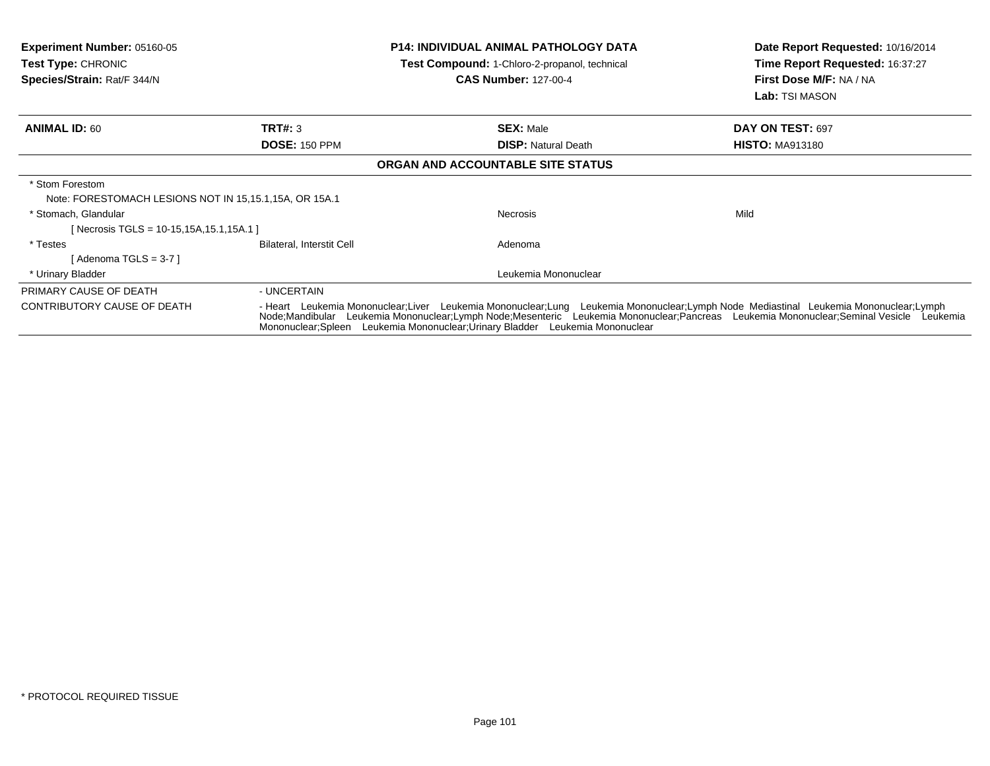| <b>Experiment Number: 05160-05</b><br><b>Test Type: CHRONIC</b><br>Species/Strain: Rat/F 344/N |                                                                                                                                                                                                                                                                                                                                                                 | <b>P14: INDIVIDUAL ANIMAL PATHOLOGY DATA</b><br>Test Compound: 1-Chloro-2-propanol, technical<br><b>CAS Number: 127-00-4</b> | Date Report Requested: 10/16/2014<br><b>Time Report Requested: 16:37:27</b><br>First Dose M/F: NA / NA<br><b>Lab:</b> TSI MASON |
|------------------------------------------------------------------------------------------------|-----------------------------------------------------------------------------------------------------------------------------------------------------------------------------------------------------------------------------------------------------------------------------------------------------------------------------------------------------------------|------------------------------------------------------------------------------------------------------------------------------|---------------------------------------------------------------------------------------------------------------------------------|
| <b>ANIMAL ID: 60</b>                                                                           | TRT#: 3                                                                                                                                                                                                                                                                                                                                                         | <b>SEX: Male</b>                                                                                                             | DAY ON TEST: 697                                                                                                                |
|                                                                                                | <b>DOSE: 150 PPM</b>                                                                                                                                                                                                                                                                                                                                            | <b>DISP: Natural Death</b>                                                                                                   | <b>HISTO: MA913180</b>                                                                                                          |
|                                                                                                |                                                                                                                                                                                                                                                                                                                                                                 | ORGAN AND ACCOUNTABLE SITE STATUS                                                                                            |                                                                                                                                 |
| * Stom Forestom<br>Note: FORESTOMACH LESIONS NOT IN 15,15.1,15A, OR 15A.1                      |                                                                                                                                                                                                                                                                                                                                                                 |                                                                                                                              |                                                                                                                                 |
| * Stomach, Glandular<br>[Necrosis TGLS = 10-15,15A,15.1,15A.1]                                 |                                                                                                                                                                                                                                                                                                                                                                 | Necrosis                                                                                                                     | Mild                                                                                                                            |
| * Testes<br>[Adenoma TGLS = $3-7$ ]                                                            | <b>Bilateral, Interstit Cell</b>                                                                                                                                                                                                                                                                                                                                | Adenoma                                                                                                                      |                                                                                                                                 |
| * Urinary Bladder                                                                              |                                                                                                                                                                                                                                                                                                                                                                 | Leukemia Mononuclear                                                                                                         |                                                                                                                                 |
| PRIMARY CAUSE OF DEATH                                                                         | - UNCERTAIN                                                                                                                                                                                                                                                                                                                                                     |                                                                                                                              |                                                                                                                                 |
| CONTRIBUTORY CAUSE OF DEATH                                                                    | - Heart Leukemia Mononuclear;Liver Leukemia Mononuclear;Lung Leukemia Mononuclear;Lymph Node Mediastinal Leukemia Mononuclear;Lymph<br>Node;Mandibular Leukemia Mononuclear;Lymph Node;Mesenteric Leukemia Mononuclear;Pancreas Leukemia Mononuclear;Seminal Vesicle Leukemia<br>Mononuclear; Spleen Leukemia Mononuclear; Urinary Bladder Leukemia Mononuclear |                                                                                                                              |                                                                                                                                 |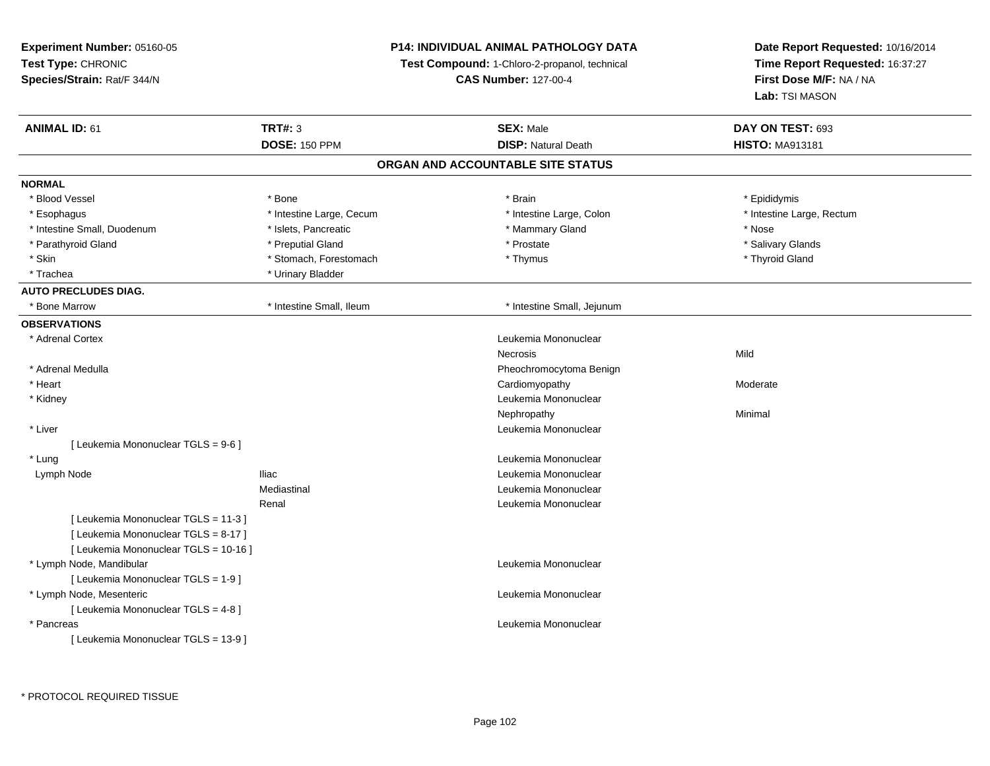| Experiment Number: 05160-05           | P14: INDIVIDUAL ANIMAL PATHOLOGY DATA<br>Test Compound: 1-Chloro-2-propanol, technical<br><b>CAS Number: 127-00-4</b> |                                   | Date Report Requested: 10/16/2014 |  |
|---------------------------------------|-----------------------------------------------------------------------------------------------------------------------|-----------------------------------|-----------------------------------|--|
| Test Type: CHRONIC                    |                                                                                                                       |                                   | Time Report Requested: 16:37:27   |  |
| Species/Strain: Rat/F 344/N           |                                                                                                                       |                                   | First Dose M/F: NA / NA           |  |
|                                       |                                                                                                                       |                                   | Lab: TSI MASON                    |  |
| <b>ANIMAL ID: 61</b>                  | <b>TRT#: 3</b>                                                                                                        | <b>SEX: Male</b>                  | DAY ON TEST: 693                  |  |
|                                       | <b>DOSE: 150 PPM</b>                                                                                                  | <b>DISP: Natural Death</b>        | <b>HISTO: MA913181</b>            |  |
|                                       |                                                                                                                       | ORGAN AND ACCOUNTABLE SITE STATUS |                                   |  |
| <b>NORMAL</b>                         |                                                                                                                       |                                   |                                   |  |
| * Blood Vessel                        | * Bone                                                                                                                | * Brain                           | * Epididymis                      |  |
| * Esophagus                           | * Intestine Large, Cecum                                                                                              | * Intestine Large, Colon          | * Intestine Large, Rectum         |  |
| * Intestine Small, Duodenum           | * Islets, Pancreatic                                                                                                  | * Mammary Gland                   | * Nose                            |  |
| * Parathyroid Gland                   | * Preputial Gland                                                                                                     | * Prostate                        | * Salivary Glands                 |  |
| * Skin                                | * Stomach, Forestomach                                                                                                | * Thymus                          | * Thyroid Gland                   |  |
| * Trachea                             | * Urinary Bladder                                                                                                     |                                   |                                   |  |
| <b>AUTO PRECLUDES DIAG.</b>           |                                                                                                                       |                                   |                                   |  |
| * Bone Marrow                         | * Intestine Small, Ileum                                                                                              | * Intestine Small, Jejunum        |                                   |  |
| <b>OBSERVATIONS</b>                   |                                                                                                                       |                                   |                                   |  |
| * Adrenal Cortex                      |                                                                                                                       | Leukemia Mononuclear              |                                   |  |
|                                       |                                                                                                                       | <b>Necrosis</b>                   | Mild                              |  |
| * Adrenal Medulla                     |                                                                                                                       | Pheochromocytoma Benign           |                                   |  |
| * Heart                               |                                                                                                                       | Cardiomyopathy                    | Moderate                          |  |
| * Kidney                              |                                                                                                                       | Leukemia Mononuclear              |                                   |  |
|                                       |                                                                                                                       | Nephropathy                       | Minimal                           |  |
| * Liver                               |                                                                                                                       | Leukemia Mononuclear              |                                   |  |
| [ Leukemia Mononuclear TGLS = 9-6 ]   |                                                                                                                       |                                   |                                   |  |
| * Lung                                |                                                                                                                       | Leukemia Mononuclear              |                                   |  |
| Lymph Node                            | <b>Iliac</b>                                                                                                          | Leukemia Mononuclear              |                                   |  |
|                                       | Mediastinal                                                                                                           | Leukemia Mononuclear              |                                   |  |
|                                       | Renal                                                                                                                 | Leukemia Mononuclear              |                                   |  |
| [ Leukemia Mononuclear TGLS = 11-3 ]  |                                                                                                                       |                                   |                                   |  |
| [ Leukemia Mononuclear TGLS = 8-17 ]  |                                                                                                                       |                                   |                                   |  |
| [ Leukemia Mononuclear TGLS = 10-16 ] |                                                                                                                       |                                   |                                   |  |
| * Lymph Node, Mandibular              |                                                                                                                       | Leukemia Mononuclear              |                                   |  |
| [ Leukemia Mononuclear TGLS = 1-9 ]   |                                                                                                                       |                                   |                                   |  |
| * Lymph Node, Mesenteric              |                                                                                                                       | Leukemia Mononuclear              |                                   |  |
| [ Leukemia Mononuclear TGLS = 4-8 ]   |                                                                                                                       |                                   |                                   |  |
| * Pancreas                            |                                                                                                                       | Leukemia Mononuclear              |                                   |  |
| [ Leukemia Mononuclear TGLS = 13-9 ]  |                                                                                                                       |                                   |                                   |  |
|                                       |                                                                                                                       |                                   |                                   |  |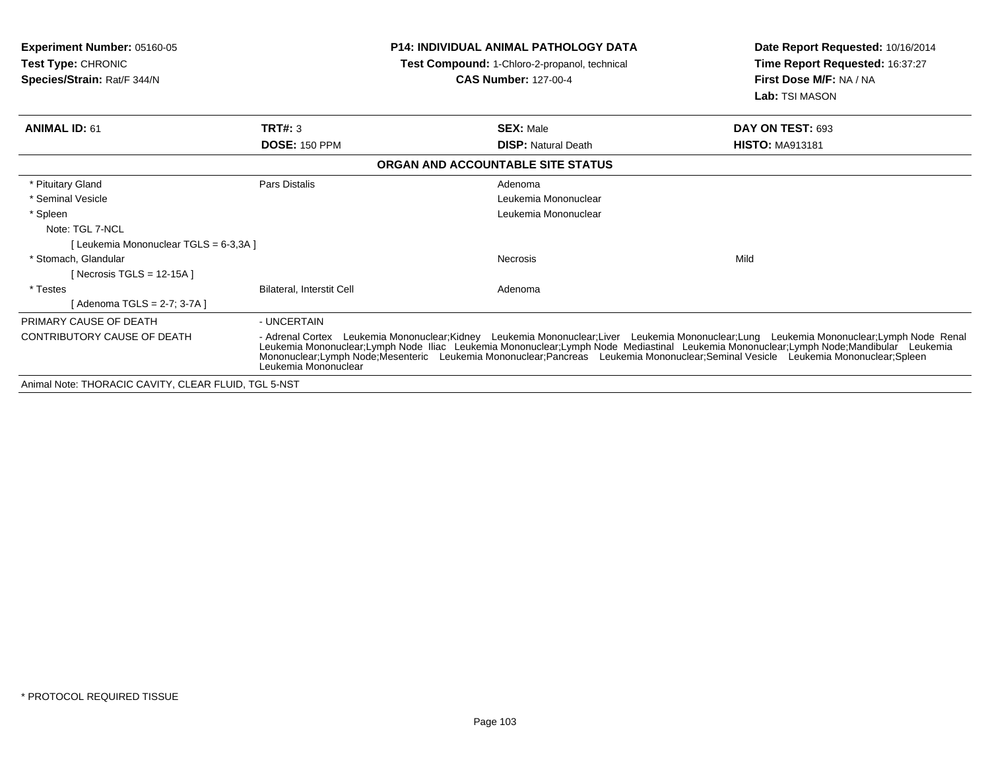| <b>Experiment Number: 05160-05</b><br><b>Test Type: CHRONIC</b><br>Species/Strain: Rat/F 344/N |                           | <b>P14: INDIVIDUAL ANIMAL PATHOLOGY DATA</b><br>Test Compound: 1-Chloro-2-propanol, technical<br><b>CAS Number: 127-00-4</b>     | Date Report Requested: 10/16/2014<br>Time Report Requested: 16:37:27<br>First Dose M/F: NA / NA<br>Lab: TSI MASON                                                                                                                 |
|------------------------------------------------------------------------------------------------|---------------------------|----------------------------------------------------------------------------------------------------------------------------------|-----------------------------------------------------------------------------------------------------------------------------------------------------------------------------------------------------------------------------------|
| <b>ANIMAL ID: 61</b>                                                                           | TRT#: 3                   | <b>SEX: Male</b>                                                                                                                 | DAY ON TEST: 693                                                                                                                                                                                                                  |
|                                                                                                | <b>DOSE: 150 PPM</b>      | <b>DISP: Natural Death</b>                                                                                                       | <b>HISTO: MA913181</b>                                                                                                                                                                                                            |
|                                                                                                |                           | ORGAN AND ACCOUNTABLE SITE STATUS                                                                                                |                                                                                                                                                                                                                                   |
| * Pituitary Gland                                                                              | Pars Distalis             | Adenoma                                                                                                                          |                                                                                                                                                                                                                                   |
| * Seminal Vesicle                                                                              |                           | Leukemia Mononuclear                                                                                                             |                                                                                                                                                                                                                                   |
| * Spleen                                                                                       |                           | Leukemia Mononuclear                                                                                                             |                                                                                                                                                                                                                                   |
| Note: TGL 7-NCL                                                                                |                           |                                                                                                                                  |                                                                                                                                                                                                                                   |
| [Leukemia Mononuclear TGLS = 6-3,3A]                                                           |                           |                                                                                                                                  |                                                                                                                                                                                                                                   |
| * Stomach. Glandular                                                                           |                           | <b>Necrosis</b>                                                                                                                  | Mild                                                                                                                                                                                                                              |
| [ Necrosis TGLS = 12-15A ]                                                                     |                           |                                                                                                                                  |                                                                                                                                                                                                                                   |
| * Testes                                                                                       | Bilateral, Interstit Cell | Adenoma                                                                                                                          |                                                                                                                                                                                                                                   |
| [Adenoma TGLS = 2-7; 3-7A]                                                                     |                           |                                                                                                                                  |                                                                                                                                                                                                                                   |
| PRIMARY CAUSE OF DEATH                                                                         | - UNCERTAIN               |                                                                                                                                  |                                                                                                                                                                                                                                   |
| <b>CONTRIBUTORY CAUSE OF DEATH</b>                                                             | Leukemia Mononuclear      | Mononuclear;Lymph Node;Mesenteric Leukemia Mononuclear;Pancreas Leukemia Mononuclear;Seminal Vesicle Leukemia Mononuclear;Spleen | - Adrenal Cortex Leukemia Mononuclear;Kidney Leukemia Mononuclear;Liver Leukemia Mononuclear;Lung Leukemia Mononuclear;Lymph Node Renal<br>Leukemia Mononuclear;Lymph Node Iliac Leukemia Mononuclear;Lymph Node Mediastinal Leuk |
| Animal Note: THORACIC CAVITY, CLEAR FLUID, TGL 5-NST                                           |                           |                                                                                                                                  |                                                                                                                                                                                                                                   |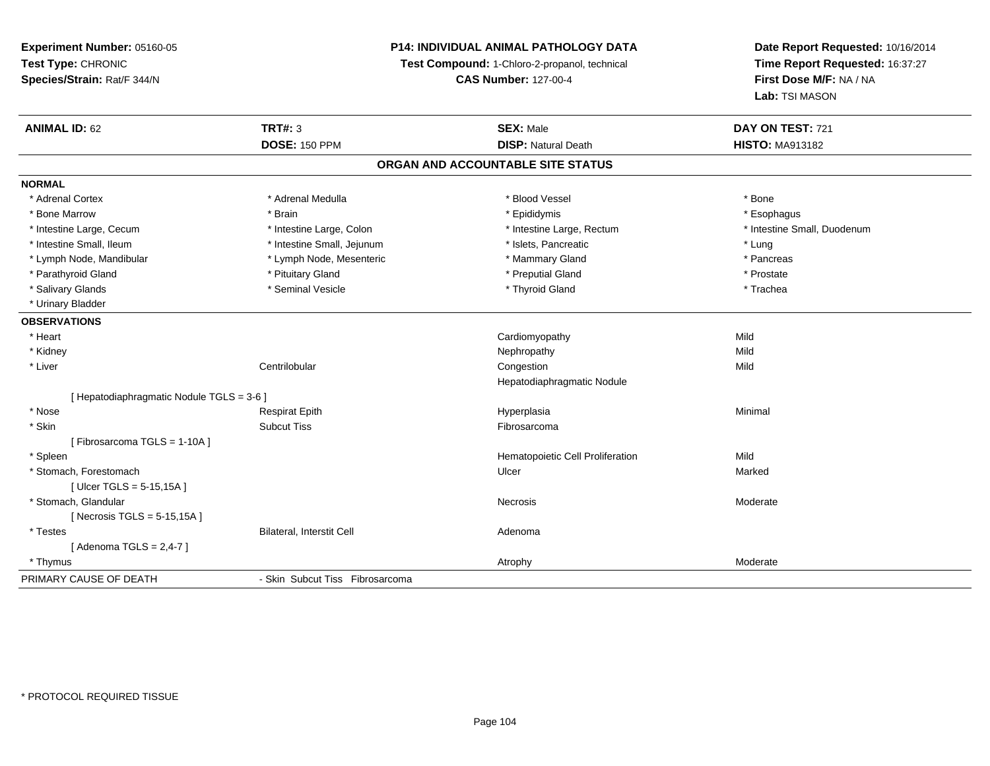#### **P14: INDIVIDUAL ANIMAL PATHOLOGY DATA**

**Test Compound:** 1-Chloro-2-propanol, technical

**CAS Number:** 127-00-4

| <b>ANIMAL ID: 62</b>                      | <b>TRT#: 3</b>                  | <b>SEX: Male</b>                  | DAY ON TEST: 721            |
|-------------------------------------------|---------------------------------|-----------------------------------|-----------------------------|
|                                           | <b>DOSE: 150 PPM</b>            | <b>DISP: Natural Death</b>        | <b>HISTO: MA913182</b>      |
|                                           |                                 | ORGAN AND ACCOUNTABLE SITE STATUS |                             |
| <b>NORMAL</b>                             |                                 |                                   |                             |
| * Adrenal Cortex                          | * Adrenal Medulla               | * Blood Vessel                    | * Bone                      |
| * Bone Marrow                             | * Brain                         | * Epididymis                      | * Esophagus                 |
| * Intestine Large, Cecum                  | * Intestine Large, Colon        | * Intestine Large, Rectum         | * Intestine Small, Duodenum |
| * Intestine Small, Ileum                  | * Intestine Small, Jejunum      | * Islets, Pancreatic              | * Lung                      |
| * Lymph Node, Mandibular                  | * Lymph Node, Mesenteric        | * Mammary Gland                   | * Pancreas                  |
| * Parathyroid Gland                       | * Pituitary Gland               | * Preputial Gland                 | * Prostate                  |
| * Salivary Glands                         | * Seminal Vesicle               | * Thyroid Gland                   | * Trachea                   |
| * Urinary Bladder                         |                                 |                                   |                             |
| <b>OBSERVATIONS</b>                       |                                 |                                   |                             |
| * Heart                                   |                                 | Cardiomyopathy                    | Mild                        |
| * Kidney                                  |                                 | Nephropathy                       | Mild                        |
| * Liver                                   | Centrilobular                   | Congestion                        | Mild                        |
|                                           |                                 | Hepatodiaphragmatic Nodule        |                             |
| [ Hepatodiaphragmatic Nodule TGLS = 3-6 ] |                                 |                                   |                             |
| * Nose                                    | <b>Respirat Epith</b>           | Hyperplasia                       | Minimal                     |
| * Skin                                    | <b>Subcut Tiss</b>              | Fibrosarcoma                      |                             |
| [Fibrosarcoma TGLS = 1-10A]               |                                 |                                   |                             |
| * Spleen                                  |                                 | Hematopoietic Cell Proliferation  | Mild                        |
| * Stomach, Forestomach                    |                                 | Ulcer                             | Marked                      |
| [ Ulcer TGLS = 5-15,15A ]                 |                                 |                                   |                             |
| * Stomach, Glandular                      |                                 | Necrosis                          | Moderate                    |
| [Necrosis TGLS = $5-15,15A$ ]             |                                 |                                   |                             |
| * Testes                                  | Bilateral, Interstit Cell       | Adenoma                           |                             |
| [Adenoma TGLS = $2,4-7$ ]                 |                                 |                                   |                             |
| * Thymus                                  |                                 | Atrophy                           | Moderate                    |
| PRIMARY CAUSE OF DEATH                    | - Skin Subcut Tiss Fibrosarcoma |                                   |                             |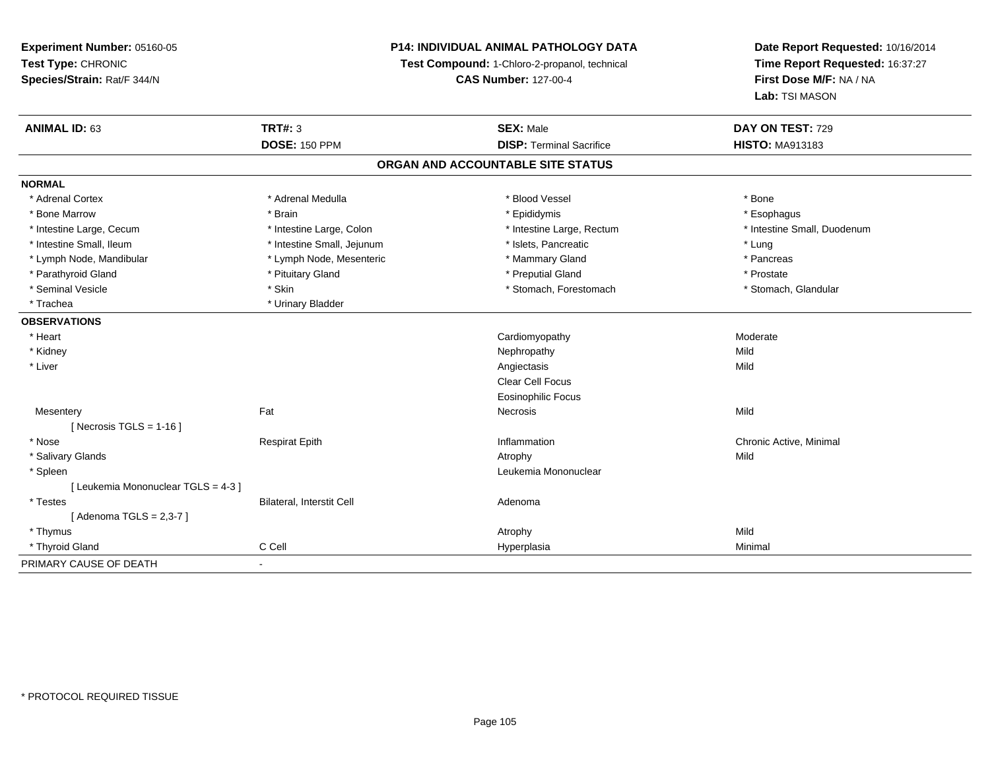#### **P14: INDIVIDUAL ANIMAL PATHOLOGY DATA**

**Test Compound:** 1-Chloro-2-propanol, technical

**CAS Number:** 127-00-4

| <b>ANIMAL ID: 63</b>                | <b>TRT#: 3</b>             | <b>SEX: Male</b>                | DAY ON TEST: 729            |  |  |  |  |
|-------------------------------------|----------------------------|---------------------------------|-----------------------------|--|--|--|--|
|                                     | <b>DOSE: 150 PPM</b>       | <b>DISP: Terminal Sacrifice</b> | <b>HISTO: MA913183</b>      |  |  |  |  |
| ORGAN AND ACCOUNTABLE SITE STATUS   |                            |                                 |                             |  |  |  |  |
| <b>NORMAL</b>                       |                            |                                 |                             |  |  |  |  |
| * Adrenal Cortex                    | * Adrenal Medulla          | * Blood Vessel                  | * Bone                      |  |  |  |  |
| * Bone Marrow                       | * Brain                    | * Epididymis                    | * Esophagus                 |  |  |  |  |
| * Intestine Large, Cecum            | * Intestine Large, Colon   | * Intestine Large, Rectum       | * Intestine Small, Duodenum |  |  |  |  |
| * Intestine Small, Ileum            | * Intestine Small, Jejunum | * Islets, Pancreatic            | * Lung                      |  |  |  |  |
| * Lymph Node, Mandibular            | * Lymph Node, Mesenteric   | * Mammary Gland                 | * Pancreas                  |  |  |  |  |
| * Parathyroid Gland                 | * Pituitary Gland          | * Preputial Gland               | * Prostate                  |  |  |  |  |
| * Seminal Vesicle                   | * Skin                     | * Stomach, Forestomach          | * Stomach, Glandular        |  |  |  |  |
| * Trachea                           | * Urinary Bladder          |                                 |                             |  |  |  |  |
| <b>OBSERVATIONS</b>                 |                            |                                 |                             |  |  |  |  |
| * Heart                             |                            | Cardiomyopathy                  | Moderate                    |  |  |  |  |
| * Kidney                            |                            | Nephropathy                     | Mild                        |  |  |  |  |
| * Liver                             |                            | Angiectasis                     | Mild                        |  |  |  |  |
|                                     |                            | Clear Cell Focus                |                             |  |  |  |  |
|                                     |                            | <b>Eosinophilic Focus</b>       |                             |  |  |  |  |
| Mesentery                           | Fat                        | Necrosis                        | Mild                        |  |  |  |  |
| [ Necrosis TGLS = $1-16$ ]          |                            |                                 |                             |  |  |  |  |
| * Nose                              | <b>Respirat Epith</b>      | Inflammation                    | Chronic Active, Minimal     |  |  |  |  |
| * Salivary Glands                   |                            | Atrophy                         | Mild                        |  |  |  |  |
| * Spleen                            |                            | Leukemia Mononuclear            |                             |  |  |  |  |
| [ Leukemia Mononuclear TGLS = 4-3 ] |                            |                                 |                             |  |  |  |  |
| * Testes                            | Bilateral, Interstit Cell  | Adenoma                         |                             |  |  |  |  |
| [Adenoma TGLS = 2,3-7]              |                            |                                 |                             |  |  |  |  |
| * Thymus                            |                            | Atrophy                         | Mild                        |  |  |  |  |
| * Thyroid Gland                     | C Cell                     | Hyperplasia                     | Minimal                     |  |  |  |  |
| PRIMARY CAUSE OF DEATH              | $\sim$                     |                                 |                             |  |  |  |  |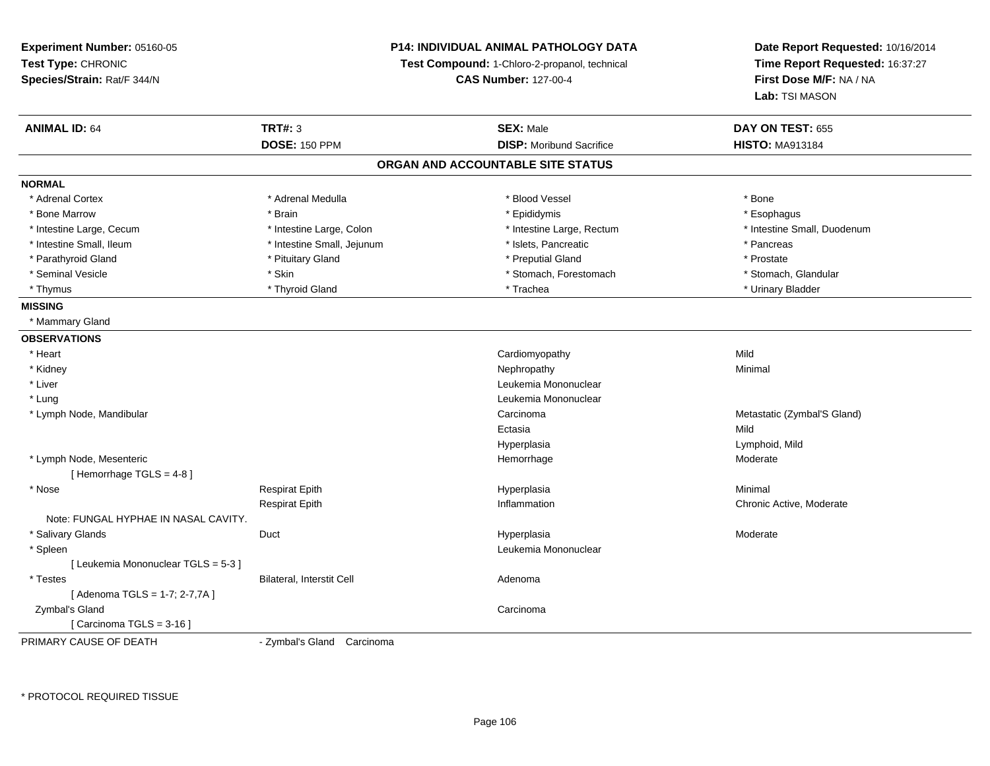**Experiment Number:** 05160-05**Test Type:** CHRONIC **Species/Strain:** Rat/F 344/N**P14: INDIVIDUAL ANIMAL PATHOLOGY DATATest Compound:** 1-Chloro-2-propanol, technical **CAS Number:** 127-00-4**Date Report Requested:** 10/16/2014**Time Report Requested:** 16:37:27**First Dose M/F:** NA / NA**Lab:** TSI MASON**ANIMAL ID:** 64 **TRT#:** <sup>3</sup> **SEX:** Male **DAY ON TEST:** <sup>655</sup> **DOSE:** 150 PPM**DISP:** Moribund Sacrifice **HISTO:** MA913184 **ORGAN AND ACCOUNTABLE SITE STATUSNORMAL**\* Adrenal Cortex \* Adrenal Cortex \* \* Adrenal Medulla \* \* Adrenal Medulla \* \* Blood Vessel \* \* Brood Vessel \* \* Bone \* Esophagus \* Bone Marrow \* Brain \* Epididymis \* Esophagus \* Intestine Small, Duodenum \* Intestine Large, Cecum \* Intestine Large, Colon \* Intestine Sarge, Rectum \* Intestine Large, Rectum \* Intestine Small, Ileum \* Thestine Small, Jejunum \* Network \* Islets, Pancreatic \* Pancreas \* Pancreas \* Prostate \* Parathyroid Gland \* **All and \* Pituitary Gland \* Prostate and \* Preputial Gland** \* Preputial Gland \* Stomach, Glandular \* Seminal Vesicle \* Skin \* Skin \* Skin \* Stomach, Forestomach \* Stomach, Forestomach \* Thymus \* Thyroid Gland \* Trachea \* Urinary Bladder \* **MISSING** \* Mammary Gland**OBSERVATIONS** \* Heart Cardiomyopathyy Mild Minimal \* Kidneyy the control of the control of the control of the control of the control of the control of the control of the control of the control of the control of the control of the control of the control of the control of the contro \* Liver Leukemia Mononuclear \* LungLeukemia Mononuclear<br>Carcinoma \* Lymph Node, Mandibularr and the contract of the contract of the contract of the contract of the contract of the contract of the contract of the contract of the contract of the contract of the contract of the contract of the contract of the cont Metastatic (Zymbal'S Gland) Ectasiaa **Mild** Hyperplasia Lymphoid, Mild \* Lymph Node, Mesenteric Hemorrhage Moderate [ Hemorrhage TGLS = 4-8 ] \* Nose Respirat Epith Hyperplasia Minimal Respirat Epith Inflammation Chronic Active, Moderate Note: FUNGAL HYPHAE IN NASAL CAVITY. \* Salivary Glands Duct Hyperplasiaa **Moderate**  \* Spleenn and the control of the control of the control of the control of the control of the control of the control of the control of the control of the control of the control of the control of the control of the control of the co [ Leukemia Mononuclear TGLS = 5-3 ] \* TestesBilateral, Interstit Cell **Adenoma** Adenoma [ Adenoma TGLS = 1-7; 2-7,7A ] Zymbal's Glandd<sub>d</sub> Carcinoma [ Carcinoma TGLS = 3-16 ]PRIMARY CAUSE OF DEATH- Zymbal's Gland Carcinoma

\* PROTOCOL REQUIRED TISSUE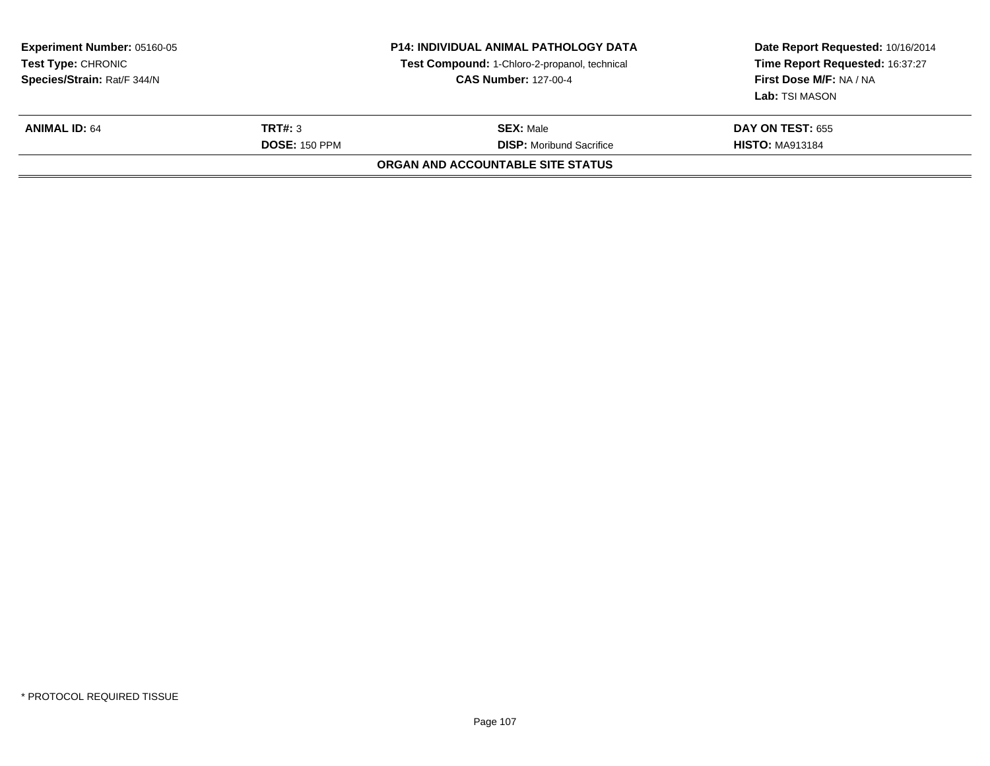| <b>Experiment Number: 05160-05</b><br><b>Test Type: CHRONIC</b><br>Species/Strain: Rat/F 344/N |                                 | <b>P14: INDIVIDUAL ANIMAL PATHOLOGY DATA</b><br>Test Compound: 1-Chloro-2-propanol, technical<br><b>CAS Number: 127-00-4</b> | Date Report Requested: 10/16/2014<br>Time Report Requested: 16:37:27<br>First Dose M/F: NA / NA<br><b>Lab:</b> TSI MASON |  |  |  |  |
|------------------------------------------------------------------------------------------------|---------------------------------|------------------------------------------------------------------------------------------------------------------------------|--------------------------------------------------------------------------------------------------------------------------|--|--|--|--|
| <b>ANIMAL ID: 64</b>                                                                           | TRT#: 3<br><b>DOSE: 150 PPM</b> | <b>SEX: Male</b><br><b>DISP:</b> Moribund Sacrifice                                                                          | <b>DAY ON TEST: 655</b><br><b>HISTO: MA913184</b>                                                                        |  |  |  |  |
| <b>ORGAN AND ACCOUNTABLE SITE STATUS</b>                                                       |                                 |                                                                                                                              |                                                                                                                          |  |  |  |  |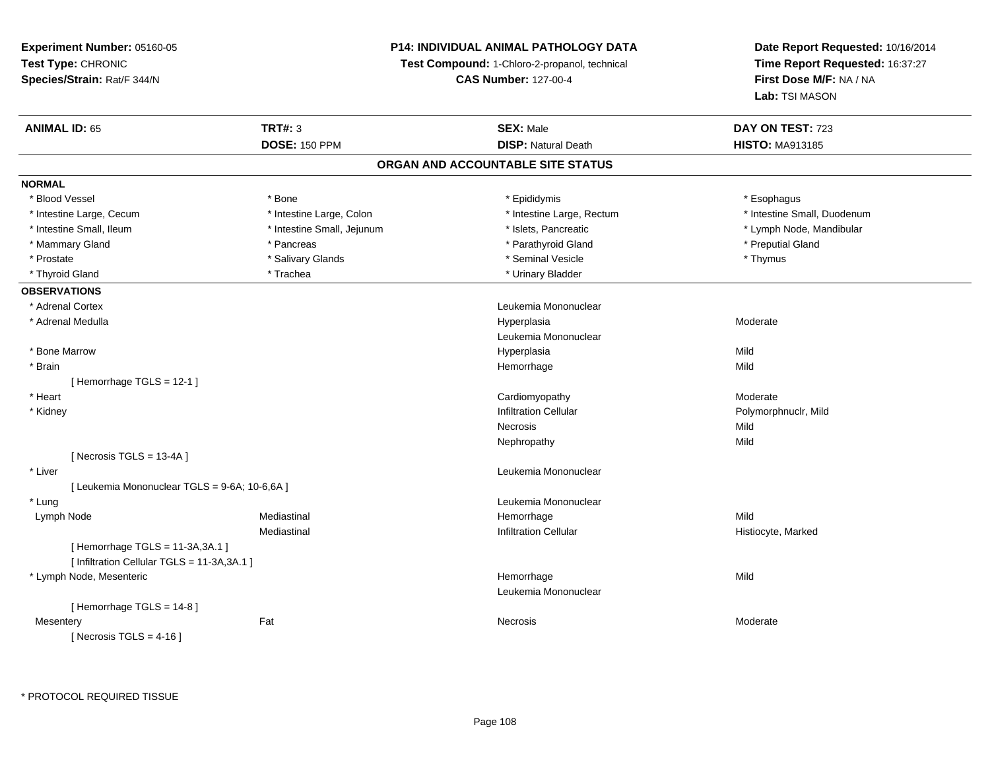#### **P14: INDIVIDUAL ANIMAL PATHOLOGY DATA**

**Test Compound:** 1-Chloro-2-propanol, technical

**CAS Number:** 127-00-4

| <b>ANIMAL ID: 65</b>                          | <b>TRT#: 3</b>             | <b>SEX: Male</b>                  | DAY ON TEST: 723            |  |
|-----------------------------------------------|----------------------------|-----------------------------------|-----------------------------|--|
|                                               | <b>DOSE: 150 PPM</b>       | <b>DISP: Natural Death</b>        | <b>HISTO: MA913185</b>      |  |
|                                               |                            | ORGAN AND ACCOUNTABLE SITE STATUS |                             |  |
| <b>NORMAL</b>                                 |                            |                                   |                             |  |
| * Blood Vessel                                | * Bone                     | * Epididymis                      | * Esophagus                 |  |
| * Intestine Large, Cecum                      | * Intestine Large, Colon   | * Intestine Large, Rectum         | * Intestine Small, Duodenum |  |
| * Intestine Small, Ileum                      | * Intestine Small, Jejunum | * Islets, Pancreatic              | * Lymph Node, Mandibular    |  |
| * Mammary Gland                               | * Pancreas                 | * Parathyroid Gland               | * Preputial Gland           |  |
| * Prostate                                    | * Salivary Glands          | * Seminal Vesicle                 | * Thymus                    |  |
| * Thyroid Gland                               | * Trachea                  | * Urinary Bladder                 |                             |  |
| <b>OBSERVATIONS</b>                           |                            |                                   |                             |  |
| * Adrenal Cortex                              |                            | Leukemia Mononuclear              |                             |  |
| * Adrenal Medulla                             |                            | Hyperplasia                       | Moderate                    |  |
|                                               |                            | Leukemia Mononuclear              |                             |  |
| * Bone Marrow                                 |                            | Hyperplasia                       | Mild                        |  |
| * Brain                                       |                            | Hemorrhage                        | Mild                        |  |
| [Hemorrhage TGLS = $12-1$ ]                   |                            |                                   |                             |  |
| * Heart                                       |                            | Cardiomyopathy                    | Moderate                    |  |
| * Kidney                                      |                            | <b>Infiltration Cellular</b>      | Polymorphnuclr, Mild        |  |
|                                               |                            | <b>Necrosis</b>                   | Mild                        |  |
|                                               |                            | Nephropathy                       | Mild                        |  |
| [Necrosis TGLS = $13-4A$ ]                    |                            |                                   |                             |  |
| * Liver                                       |                            | Leukemia Mononuclear              |                             |  |
| [ Leukemia Mononuclear TGLS = 9-6A; 10-6,6A ] |                            |                                   |                             |  |
| * Lung                                        |                            | Leukemia Mononuclear              |                             |  |
| Lymph Node                                    | Mediastinal                | Hemorrhage                        | Mild                        |  |
|                                               | Mediastinal                | <b>Infiltration Cellular</b>      | Histiocyte, Marked          |  |
| [Hemorrhage TGLS = 11-3A, 3A.1]               |                            |                                   |                             |  |
| [ Infiltration Cellular TGLS = 11-3A, 3A.1 ]  |                            |                                   |                             |  |
| * Lymph Node, Mesenteric                      |                            | Hemorrhage                        | Mild                        |  |
|                                               |                            | Leukemia Mononuclear              |                             |  |
| [Hemorrhage TGLS = 14-8]                      |                            |                                   |                             |  |
| Mesentery                                     | Fat                        | Necrosis                          | Moderate                    |  |
| [Necrosis TGLS = $4-16$ ]                     |                            |                                   |                             |  |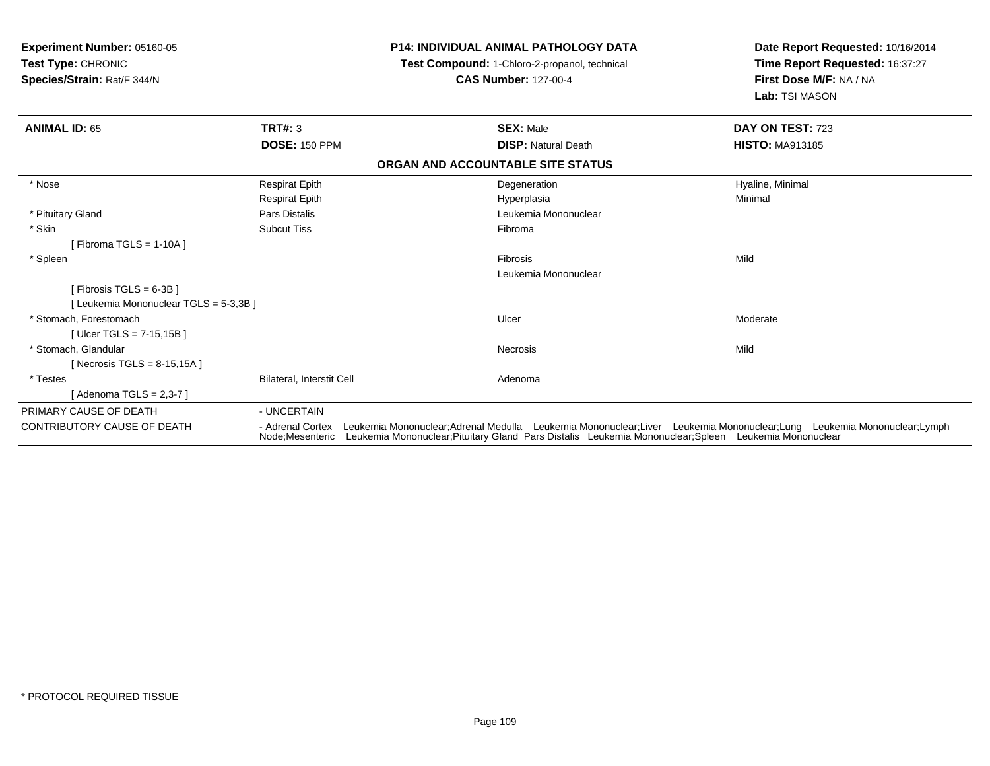| Experiment Number: 05160-05<br>Test Type: CHRONIC |                                  | <b>P14: INDIVIDUAL ANIMAL PATHOLOGY DATA</b>                                                                                                                                                                                                   | Date Report Requested: 10/16/2014 |
|---------------------------------------------------|----------------------------------|------------------------------------------------------------------------------------------------------------------------------------------------------------------------------------------------------------------------------------------------|-----------------------------------|
|                                                   |                                  | Test Compound: 1-Chloro-2-propanol, technical                                                                                                                                                                                                  | Time Report Requested: 16:37:27   |
| Species/Strain: Rat/F 344/N                       |                                  | <b>CAS Number: 127-00-4</b>                                                                                                                                                                                                                    | First Dose M/F: NA / NA           |
|                                                   |                                  |                                                                                                                                                                                                                                                | Lab: TSI MASON                    |
| <b>ANIMAL ID: 65</b>                              | <b>TRT#: 3</b>                   | <b>SEX: Male</b>                                                                                                                                                                                                                               | DAY ON TEST: 723                  |
|                                                   | <b>DOSE: 150 PPM</b>             | <b>DISP: Natural Death</b>                                                                                                                                                                                                                     | <b>HISTO: MA913185</b>            |
|                                                   |                                  | ORGAN AND ACCOUNTABLE SITE STATUS                                                                                                                                                                                                              |                                   |
| * Nose                                            | <b>Respirat Epith</b>            | Degeneration                                                                                                                                                                                                                                   | Hyaline, Minimal                  |
|                                                   | <b>Respirat Epith</b>            | Hyperplasia                                                                                                                                                                                                                                    | Minimal                           |
| * Pituitary Gland                                 | Pars Distalis                    | Leukemia Mononuclear                                                                                                                                                                                                                           |                                   |
| * Skin                                            | <b>Subcut Tiss</b>               | Fibroma                                                                                                                                                                                                                                        |                                   |
| [Fibroma TGLS = $1-10A$ ]                         |                                  |                                                                                                                                                                                                                                                |                                   |
| * Spleen                                          |                                  | Fibrosis                                                                                                                                                                                                                                       | Mild                              |
|                                                   |                                  | Leukemia Mononuclear                                                                                                                                                                                                                           |                                   |
| [Fibrosis TGLS = $6-3B$ ]                         |                                  |                                                                                                                                                                                                                                                |                                   |
| [ Leukemia Mononuclear TGLS = 5-3,3B ]            |                                  |                                                                                                                                                                                                                                                |                                   |
| * Stomach. Forestomach                            |                                  | Ulcer                                                                                                                                                                                                                                          | Moderate                          |
| [ Ulcer TGLS = $7-15,15B$ ]                       |                                  |                                                                                                                                                                                                                                                |                                   |
| * Stomach, Glandular                              |                                  | Necrosis                                                                                                                                                                                                                                       | Mild                              |
| [ Necrosis TGLS = $8-15,15A$ ]                    |                                  |                                                                                                                                                                                                                                                |                                   |
| * Testes                                          | <b>Bilateral, Interstit Cell</b> | Adenoma                                                                                                                                                                                                                                        |                                   |
| [Adenoma TGLS = $2,3-7$ ]                         |                                  |                                                                                                                                                                                                                                                |                                   |
| PRIMARY CAUSE OF DEATH                            | - UNCERTAIN                      |                                                                                                                                                                                                                                                |                                   |
| CONTRIBUTORY CAUSE OF DEATH                       | - Adrenal Cortex                 | Leukemia Mononuclear;Adrenal Medulla Leukemia Mononuclear;Liver Leukemia Mononuclear;Lung Leukemia Mononuclear;Lymph<br>Node; Mesenteric Leukemia Mononuclear; Pituitary Gland Pars Distalis Leukemia Mononuclear; Spleen Leukemia Mononuclear |                                   |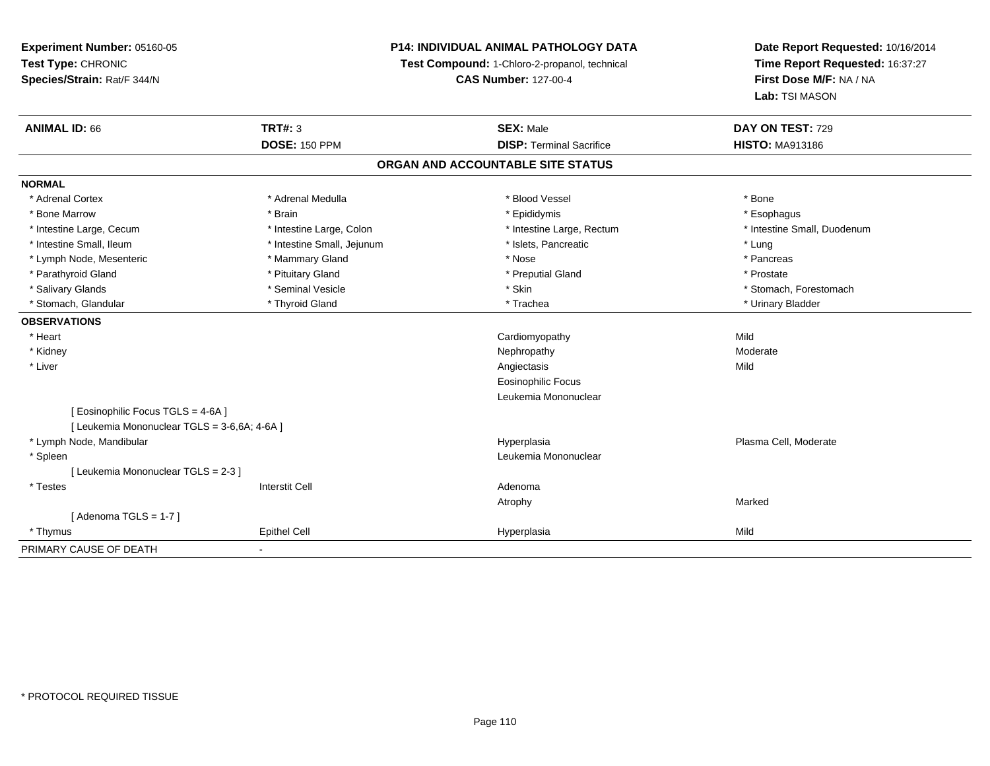## **P14: INDIVIDUAL ANIMAL PATHOLOGY DATA**

**Test Compound:** 1-Chloro-2-propanol, technical

**CAS Number:** 127-00-4

| <b>ANIMAL ID: 66</b>                         | <b>TRT#: 3</b>             | <b>SEX: Male</b>                  | DAY ON TEST: 729            |  |
|----------------------------------------------|----------------------------|-----------------------------------|-----------------------------|--|
|                                              | <b>DOSE: 150 PPM</b>       | <b>DISP: Terminal Sacrifice</b>   | <b>HISTO: MA913186</b>      |  |
|                                              |                            | ORGAN AND ACCOUNTABLE SITE STATUS |                             |  |
| <b>NORMAL</b>                                |                            |                                   |                             |  |
| * Adrenal Cortex                             | * Adrenal Medulla          | * Blood Vessel                    | * Bone                      |  |
| * Bone Marrow                                | * Brain                    | * Epididymis                      | * Esophagus                 |  |
| * Intestine Large, Cecum                     | * Intestine Large, Colon   | * Intestine Large, Rectum         | * Intestine Small, Duodenum |  |
| * Intestine Small, Ileum                     | * Intestine Small, Jejunum | * Islets, Pancreatic              | * Lung                      |  |
| * Lymph Node, Mesenteric                     | * Mammary Gland            | * Nose                            | * Pancreas                  |  |
| * Parathyroid Gland                          | * Pituitary Gland          | * Preputial Gland                 | * Prostate                  |  |
| * Salivary Glands                            | * Seminal Vesicle          | * Skin                            | * Stomach, Forestomach      |  |
| * Stomach, Glandular                         | * Thyroid Gland            | * Trachea                         | * Urinary Bladder           |  |
| <b>OBSERVATIONS</b>                          |                            |                                   |                             |  |
| * Heart                                      |                            | Cardiomyopathy                    | Mild                        |  |
| * Kidney                                     |                            | Nephropathy                       | Moderate                    |  |
| * Liver                                      |                            | Angiectasis                       | Mild                        |  |
|                                              |                            | <b>Eosinophilic Focus</b>         |                             |  |
|                                              |                            | Leukemia Mononuclear              |                             |  |
| [ Eosinophilic Focus TGLS = 4-6A ]           |                            |                                   |                             |  |
| [ Leukemia Mononuclear TGLS = 3-6,6A; 4-6A ] |                            |                                   |                             |  |
| * Lymph Node, Mandibular                     |                            | Hyperplasia                       | Plasma Cell, Moderate       |  |
| * Spleen                                     |                            | Leukemia Mononuclear              |                             |  |
| [Leukemia Mononuclear TGLS = 2-3]            |                            |                                   |                             |  |
| * Testes                                     | <b>Interstit Cell</b>      | Adenoma                           |                             |  |
|                                              |                            | Atrophy                           | Marked                      |  |
| [Adenoma TGLS = $1-7$ ]                      |                            |                                   |                             |  |
| * Thymus                                     | <b>Epithel Cell</b>        | Hyperplasia                       | Mild                        |  |
| PRIMARY CAUSE OF DEATH                       |                            |                                   |                             |  |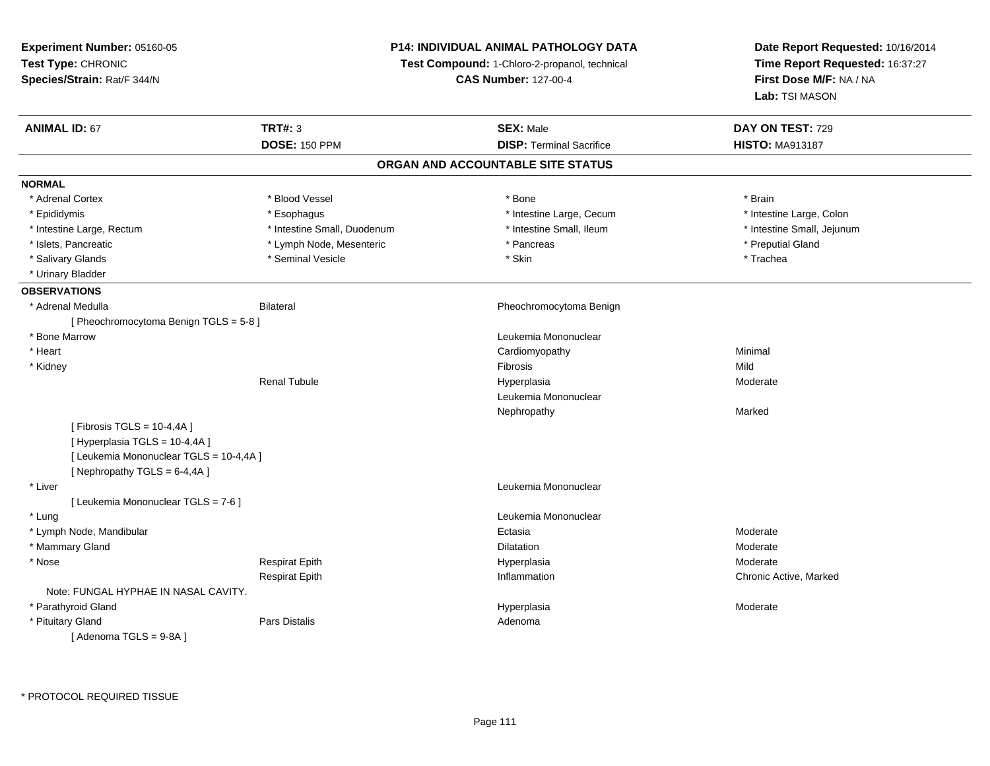**Experiment Number:** 05160-05**Test Type:** CHRONIC **Species/Strain:** Rat/F 344/N**P14: INDIVIDUAL ANIMAL PATHOLOGY DATATest Compound:** 1-Chloro-2-propanol, technical **CAS Number:** 127-00-4**Date Report Requested:** 10/16/2014**Time Report Requested:** 16:37:27**First Dose M/F:** NA / NA**Lab:** TSI MASON**ANIMAL ID:** 67**TRT#:** 3 **SEX:** Male **DAY ON TEST:** 729 **DOSE:** 150 PPM**DISP:** Terminal Sacrifice **HISTO:** MA913187 **ORGAN AND ACCOUNTABLE SITE STATUSNORMAL**\* Adrenal Cortex \* Adrenal Cortex \* Blood Vessel \* Bone \* Brain\* Intestine Large, Colon \* Epididymis \* Esophagus \* Esophagus \* Esophagus \* 11testine Large, Cecum \* Intestine Large, Rectum \* Thestine Small, Duodenum \* Number of the small, Ileum \* Intestine Small, Jejunum \* Intestine Small, Jejunum \* Islets, Pancreatic \* The puting of the Lymph Node, Mesenteric \* The part of the second part of the second temperature \* Preputial Gland \* Salivary Glands \* \* Strong \* Seminal Vesicle \* \* \* \* \* \* \* \* \* Skin \* \* \* \* \* \* \* \* \* \* \* \* \* \* \* Trachea \* Urinary Bladder**OBSERVATIONS** \* Adrenal MedullaBilateral **Pheochromocytoma Benign** [ Pheochromocytoma Benign TGLS = 5-8 ] \* Bone Marrow Leukemia Mononuclear \* Heart Cardiomyopathy Minimal \* Kidneyy and the control of the control of the control of the control of the control of the control of the control of the control of the control of the control of the control of the control of the control of the control of the co Moderate Renal Tubulee and the Hyperplasia Moderate Moderate and the Hyperplasia  $\mathsf{M}\mathsf{N}\mathsf{d}$ Leukemia MononuclearNephropathyy and the contract of the Marked [ Fibrosis TGLS = 10-4,4A ] $[$  Hyperplasia TGLS = 10-4,4A  $]$ [ Leukemia Mononuclear TGLS = 10-4,4A ][ Nephropathy  $TGLS = 6-4,4A$  ] \* Liver Leukemia Mononuclear [ Leukemia Mononuclear TGLS = 7-6 ] \* Lung Leukemia Mononuclear \* Lymph Node, Mandibularr and the contract of the contract of the contract of the contract of the contract of the contract of the contract of the contract of the contract of the contract of the contract of the contract of the contract of the cont a and the contract of the Moderate \* Mammary Glandd and the control of the control of the control of the Dilatation and the control of the Moderate of the control of the control of the control of the control of the control of the control of the control of the control of t \* Nose Respirat Epith Hyperplasia Moderate Respirat Epith Inflammation Chronic Active, Marked Note: FUNGAL HYPHAE IN NASAL CAVITY. \* Parathyroid Glandd and the set of the set of the set of the Hyperplasia Moderate and the Moderate  $\sim$  Moderate  $\sim$  \* Pituitary Glandd and the contract of Pars Distalis and the contract of Adenoma and Adenoma and the Adenoma and the Adenoma and  $\lambda$  $[$  Adenoma TGLS = 9-8A  $]$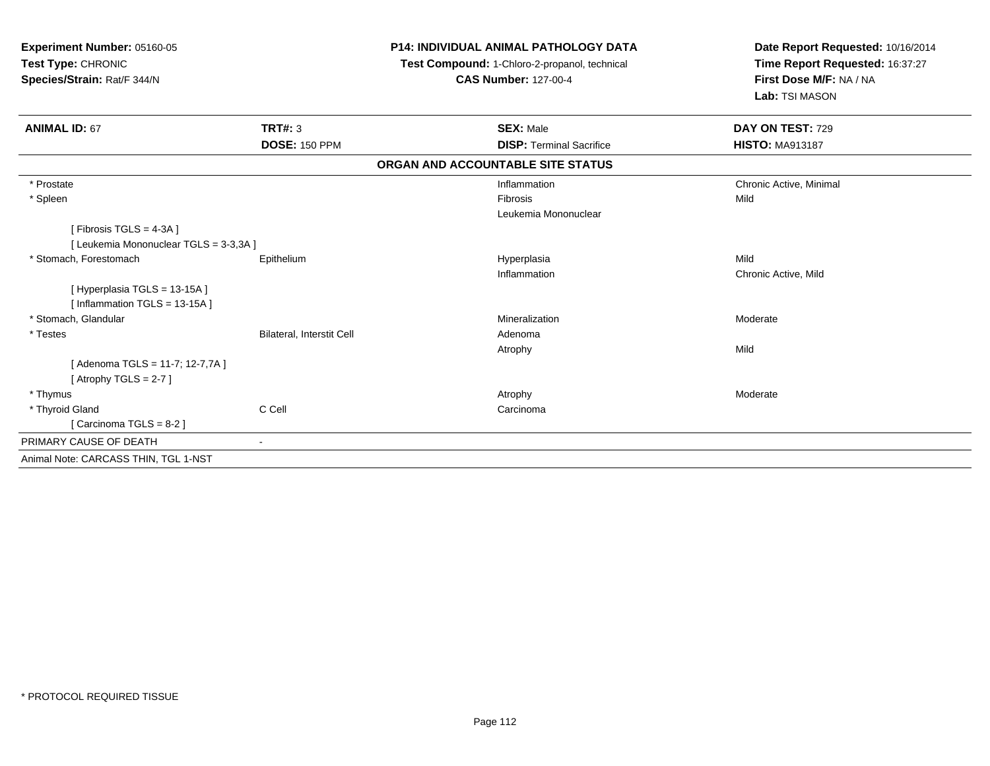| <b>Experiment Number: 05160-05</b><br>Test Type: CHRONIC<br>Species/Strain: Rat/F 344/N |                                  | <b>P14: INDIVIDUAL ANIMAL PATHOLOGY DATA</b><br>Test Compound: 1-Chloro-2-propanol, technical<br><b>CAS Number: 127-00-4</b> | Date Report Requested: 10/16/2014<br>Time Report Requested: 16:37:27<br>First Dose M/F: NA / NA<br>Lab: TSI MASON |  |
|-----------------------------------------------------------------------------------------|----------------------------------|------------------------------------------------------------------------------------------------------------------------------|-------------------------------------------------------------------------------------------------------------------|--|
| <b>ANIMAL ID: 67</b>                                                                    | TRT#: 3                          | <b>SEX: Male</b>                                                                                                             | DAY ON TEST: 729                                                                                                  |  |
|                                                                                         | <b>DOSE: 150 PPM</b>             | <b>DISP: Terminal Sacrifice</b>                                                                                              | <b>HISTO: MA913187</b>                                                                                            |  |
|                                                                                         |                                  | ORGAN AND ACCOUNTABLE SITE STATUS                                                                                            |                                                                                                                   |  |
| * Prostate                                                                              |                                  | Inflammation                                                                                                                 | Chronic Active, Minimal                                                                                           |  |
| * Spleen                                                                                |                                  | Fibrosis                                                                                                                     | Mild                                                                                                              |  |
|                                                                                         |                                  | Leukemia Mononuclear                                                                                                         |                                                                                                                   |  |
| [Fibrosis TGLS = 4-3A]                                                                  |                                  |                                                                                                                              |                                                                                                                   |  |
| [ Leukemia Mononuclear TGLS = 3-3,3A ]                                                  |                                  |                                                                                                                              |                                                                                                                   |  |
| * Stomach, Forestomach                                                                  | Epithelium                       | Hyperplasia                                                                                                                  | Mild                                                                                                              |  |
| [Hyperplasia TGLS = 13-15A]                                                             |                                  | Inflammation                                                                                                                 | Chronic Active, Mild                                                                                              |  |
| [ Inflammation TGLS = 13-15A ]                                                          |                                  |                                                                                                                              |                                                                                                                   |  |
| * Stomach, Glandular                                                                    |                                  | Mineralization                                                                                                               | Moderate                                                                                                          |  |
| * Testes                                                                                | <b>Bilateral, Interstit Cell</b> | Adenoma                                                                                                                      |                                                                                                                   |  |
|                                                                                         |                                  | Atrophy                                                                                                                      | Mild                                                                                                              |  |
| [Adenoma TGLS = 11-7; 12-7,7A]<br>[Atrophy TGLS = $2-7$ ]                               |                                  |                                                                                                                              |                                                                                                                   |  |
| * Thymus                                                                                |                                  | Atrophy                                                                                                                      | Moderate                                                                                                          |  |
| * Thyroid Gland                                                                         | C Cell                           | Carcinoma                                                                                                                    |                                                                                                                   |  |
| [Carcinoma TGLS = 8-2]                                                                  |                                  |                                                                                                                              |                                                                                                                   |  |
| PRIMARY CAUSE OF DEATH                                                                  | $\blacksquare$                   |                                                                                                                              |                                                                                                                   |  |
|                                                                                         |                                  |                                                                                                                              |                                                                                                                   |  |
| Animal Note: CARCASS THIN, TGL 1-NST                                                    |                                  |                                                                                                                              |                                                                                                                   |  |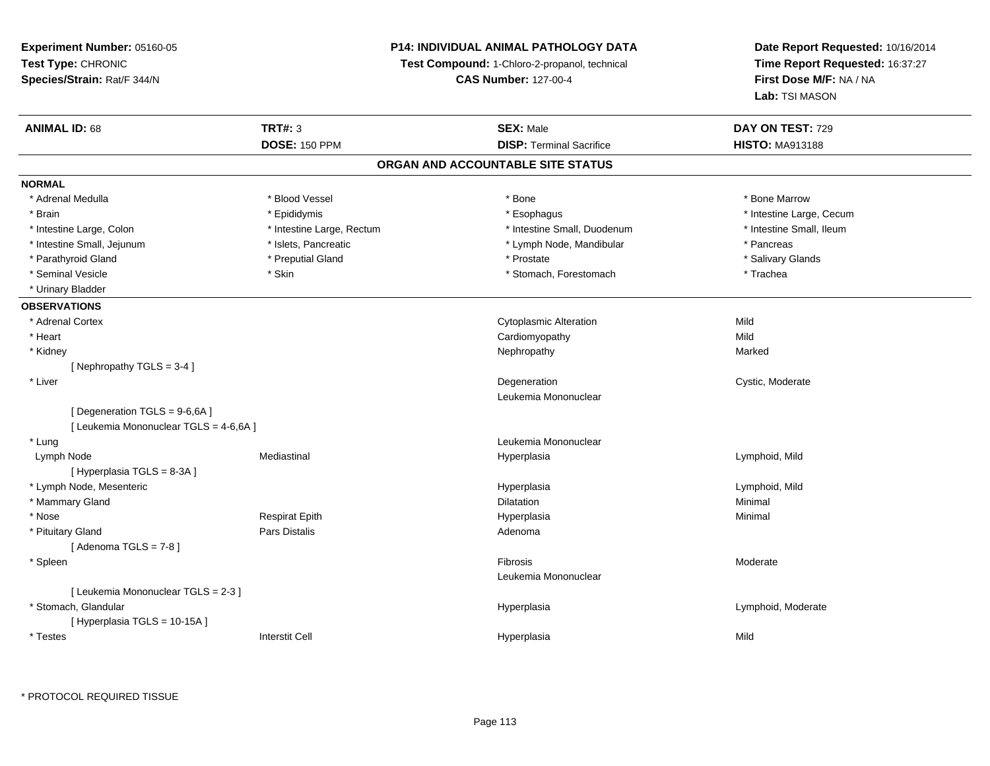## **P14: INDIVIDUAL ANIMAL PATHOLOGY DATA**

**Test Compound:** 1-Chloro-2-propanol, technical

**CAS Number:** 127-00-4

| <b>ANIMAL ID: 68</b>                  | <b>TRT#: 3</b>            | <b>SEX: Male</b>                  | DAY ON TEST: 729         |  |
|---------------------------------------|---------------------------|-----------------------------------|--------------------------|--|
|                                       | <b>DOSE: 150 PPM</b>      | <b>DISP: Terminal Sacrifice</b>   | <b>HISTO: MA913188</b>   |  |
|                                       |                           | ORGAN AND ACCOUNTABLE SITE STATUS |                          |  |
| <b>NORMAL</b>                         |                           |                                   |                          |  |
| * Adrenal Medulla                     | * Blood Vessel            | * Bone                            | * Bone Marrow            |  |
| * Brain                               | * Epididymis              | * Esophagus                       | * Intestine Large, Cecum |  |
| * Intestine Large, Colon              | * Intestine Large, Rectum | * Intestine Small, Duodenum       | * Intestine Small, Ileum |  |
| * Intestine Small, Jejunum            | * Islets, Pancreatic      | * Lymph Node, Mandibular          | * Pancreas               |  |
| * Parathyroid Gland                   | * Preputial Gland         | * Prostate                        | * Salivary Glands        |  |
| * Seminal Vesicle                     | * Skin                    | * Stomach, Forestomach            | * Trachea                |  |
| * Urinary Bladder                     |                           |                                   |                          |  |
| <b>OBSERVATIONS</b>                   |                           |                                   |                          |  |
| * Adrenal Cortex                      |                           | <b>Cytoplasmic Alteration</b>     | Mild                     |  |
| * Heart                               |                           | Cardiomyopathy                    | Mild                     |  |
| * Kidney                              |                           | Nephropathy                       | Marked                   |  |
| [Nephropathy TGLS = 3-4]              |                           |                                   |                          |  |
| * Liver                               |                           | Degeneration                      | Cystic, Moderate         |  |
|                                       |                           | Leukemia Mononuclear              |                          |  |
| [Degeneration TGLS = 9-6,6A]          |                           |                                   |                          |  |
| [ Leukemia Mononuclear TGLS = 4-6,6A] |                           |                                   |                          |  |
| * Lung                                |                           | Leukemia Mononuclear              |                          |  |
| Lymph Node                            | Mediastinal               | Hyperplasia                       | Lymphoid, Mild           |  |
| [Hyperplasia TGLS = 8-3A]             |                           |                                   |                          |  |
| * Lymph Node, Mesenteric              |                           | Hyperplasia                       | Lymphoid, Mild           |  |
| * Mammary Gland                       |                           | <b>Dilatation</b>                 | Minimal                  |  |
| * Nose                                | <b>Respirat Epith</b>     | Hyperplasia                       | Minimal                  |  |
| * Pituitary Gland                     | <b>Pars Distalis</b>      | Adenoma                           |                          |  |
| [Adenoma TGLS = $7-8$ ]               |                           |                                   |                          |  |
| * Spleen                              |                           | Fibrosis                          | Moderate                 |  |
|                                       |                           | Leukemia Mononuclear              |                          |  |
| [ Leukemia Mononuclear TGLS = 2-3 ]   |                           |                                   |                          |  |
| * Stomach, Glandular                  |                           | Hyperplasia                       | Lymphoid, Moderate       |  |
| [Hyperplasia TGLS = 10-15A]           |                           |                                   |                          |  |
| * Testes                              | <b>Interstit Cell</b>     | Hyperplasia                       | Mild                     |  |
|                                       |                           |                                   |                          |  |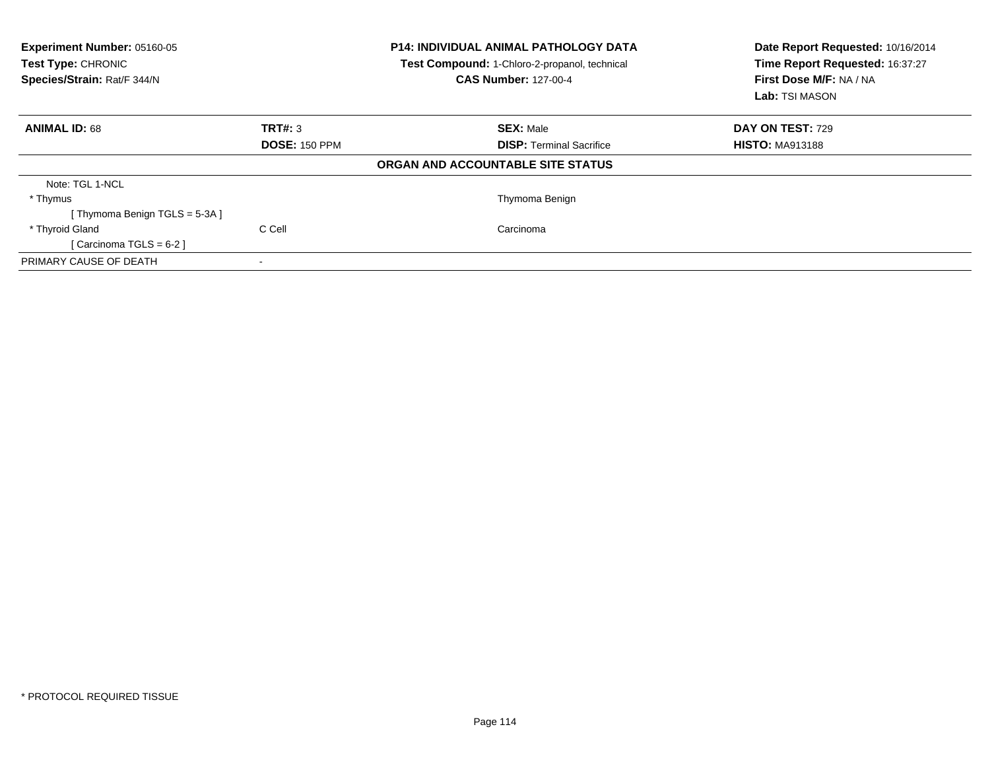| Experiment Number: 05160-05<br>Test Type: CHRONIC<br>Species/Strain: Rat/F 344/N |                      | <b>P14: INDIVIDUAL ANIMAL PATHOLOGY DATA</b><br>Test Compound: 1-Chloro-2-propanol, technical<br><b>CAS Number: 127-00-4</b> | Date Report Requested: 10/16/2014<br>Time Report Requested: 16:37:27<br>First Dose M/F: NA / NA<br>Lab: TSI MASON |  |
|----------------------------------------------------------------------------------|----------------------|------------------------------------------------------------------------------------------------------------------------------|-------------------------------------------------------------------------------------------------------------------|--|
| <b>ANIMAL ID: 68</b>                                                             | TRT#: 3              | <b>SEX: Male</b>                                                                                                             | DAY ON TEST: 729                                                                                                  |  |
|                                                                                  | <b>DOSE: 150 PPM</b> | <b>DISP:</b> Terminal Sacrifice                                                                                              | <b>HISTO: MA913188</b>                                                                                            |  |
|                                                                                  |                      | ORGAN AND ACCOUNTABLE SITE STATUS                                                                                            |                                                                                                                   |  |
| Note: TGL 1-NCL                                                                  |                      |                                                                                                                              |                                                                                                                   |  |
| * Thymus                                                                         |                      | Thymoma Benign                                                                                                               |                                                                                                                   |  |
| Thymoma Benign TGLS = 5-3A ]                                                     |                      |                                                                                                                              |                                                                                                                   |  |
| * Thyroid Gland                                                                  | C Cell               | Carcinoma                                                                                                                    |                                                                                                                   |  |
| [Carcinoma TGLS = $6-2$ ]                                                        |                      |                                                                                                                              |                                                                                                                   |  |
| PRIMARY CAUSE OF DEATH                                                           |                      |                                                                                                                              |                                                                                                                   |  |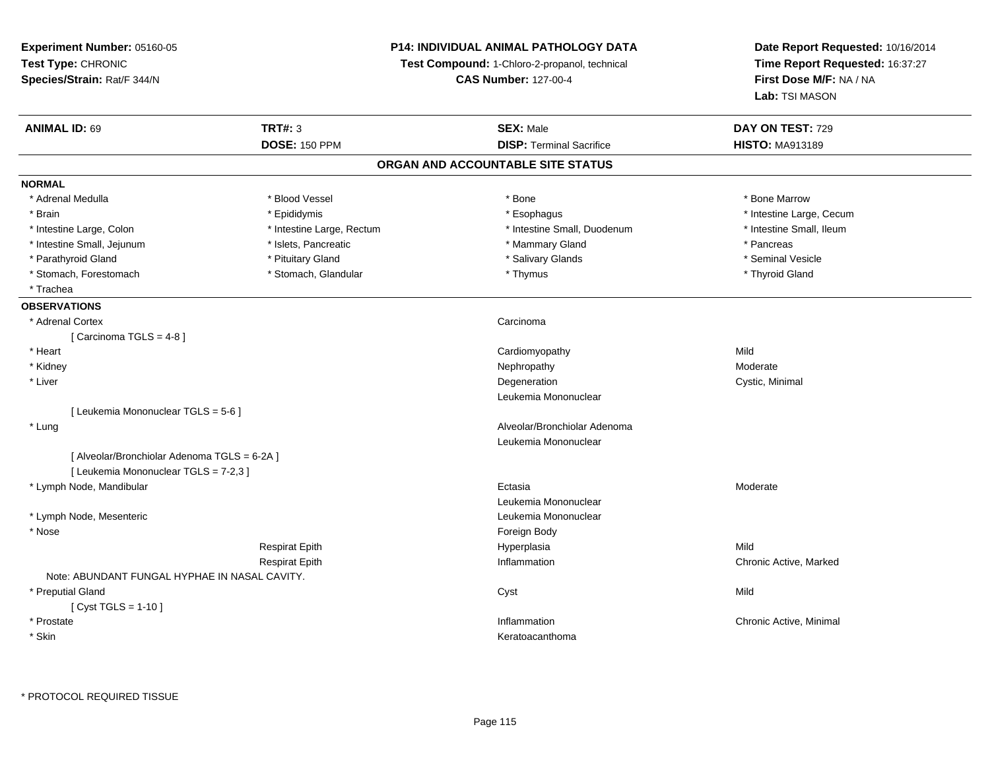**Experiment Number:** 05160-05**Test Type:** CHRONIC **Species/Strain:** Rat/F 344/N**P14: INDIVIDUAL ANIMAL PATHOLOGY DATATest Compound:** 1-Chloro-2-propanol, technical **CAS Number:** 127-00-4**Date Report Requested:** 10/16/2014**Time Report Requested:** 16:37:27**First Dose M/F:** NA / NA**Lab:** TSI MASON**ANIMAL ID:** 69 **TRT#:** <sup>3</sup> **SEX:** Male **DAY ON TEST:** <sup>729</sup> **DOSE:** 150 PPM**DISP:** Terminal Sacrifice **HISTO:** MA913189 **ORGAN AND ACCOUNTABLE SITE STATUSNORMAL**\* Adrenal Medulla \* \* \* Blood Vessel \* \* \* Bone Marrow \* \* Bone Marrow \* \* Bone Marrow \* Brain \* Explorer \* Epididymis \* \* Epididymis \* \* Esophagus \* Esophagus \* \* Esophagus \* Intestine Large, Cecum \* \* Intestine Large, Cecum \* Intestine Small. Ileum \* Intestine Large, Colon \* Intestine Large, Rectum \* Intestine Small, Duodenum \* Intestine Small, Duodenum \* Intestine Small, Jejunum \* The research of the state of the state of the state of the state of the state of the state of the state of the state of the state of the state of the state of the state of the state of the stat \* Seminal Vesicle \* Parathyroid Gland \* \* \* Animal Vesicle \* \* Pituitary Gland \* \* \* \* Salivary Glands \* \* Seminal Vesicle \* \* Seminal Vesicle \* Stomach, Forestomach \* Thyroid Gland \* Stomach, Glandular \* Thymus \* Thymus \* Thyroid Gland \* Thyroid Gland \* Trachea**OBSERVATIONS** \* Adrenal Cortexx Carcinoma [ Carcinoma TGLS = 4-8 ] \* Heart Cardiomyopathyy Mild Moderate \* Kidneyy which is a state of the control of the Moderate of the Moderate of the Moderate of the Moderate of the Moderate of the Moderate of the Moderate of the Moderate of the Moderate of the Moderate of the Moderate of the Moder n Cystic, Minimal \* Liverr and the control of the control of the control of the control of the control of the control of the control of Leukemia Mononuclear[ Leukemia Mononuclear TGLS = 5-6 ] \* Lung Alveolar/Bronchiolar Adenoma Leukemia Mononuclear[ Alveolar/Bronchiolar Adenoma TGLS = 6-2A ][ Leukemia Mononuclear TGLS = 7-2,3 ] \* Lymph Node, Mandibularr and the contract of the contract of the contract of the contract of the contract of the contract of the contract of the contract of the contract of the contract of the contract of the contract of the contract of the cont Ectasia Moderate Leukemia Mononuclear \* Lymph Node, Mesenteric Leukemia Mononuclear \* Nosee and the state of the state of the state of the state of the state of the state of the state of the state of the state of the state of the state of the state of the state of the state of the state of the state of the stat Respirat Epith Hyperplasia Mild Respirat Epith Inflammation Chronic Active, Marked Note: ABUNDANT FUNGAL HYPHAE IN NASAL CAVITY. \* Preputial Glandd and the control of the control of the control of the control of the control of the control of the control of the control of the control of the control of the control of the control of the control of the control of the co [ Cyst TGLS = 1-10 ] \* Prostatee the contraction of the chronic Active, Minimal and the chronic Active, Minimal and the chronic Active, Minimal and the chronic Active, Minimal and the chronic Active, Minimal and the chronic Active, Minimal and the chron \* Skinn anns an t-ainmeile anns an t-ainmeile anns an t-ainmeile anns an t-ainmeile anns an t-ainmeile anns an t-ainm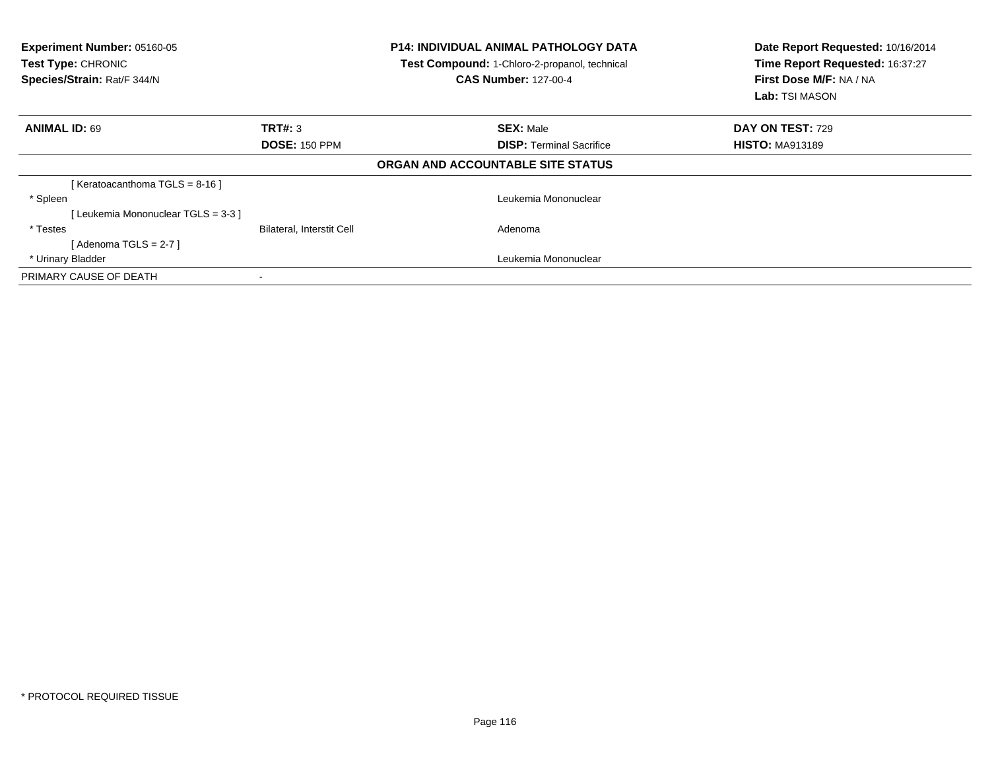| Experiment Number: 05160-05<br><b>Test Type: CHRONIC</b><br>Species/Strain: Rat/F 344/N |                           | <b>P14: INDIVIDUAL ANIMAL PATHOLOGY DATA</b><br>Test Compound: 1-Chloro-2-propanol, technical<br><b>CAS Number: 127-00-4</b> | Date Report Requested: 10/16/2014<br>Time Report Requested: 16:37:27<br>First Dose M/F: NA / NA<br>Lab: TSI MASON |  |
|-----------------------------------------------------------------------------------------|---------------------------|------------------------------------------------------------------------------------------------------------------------------|-------------------------------------------------------------------------------------------------------------------|--|
| <b>ANIMAL ID: 69</b>                                                                    | TRT#: 3                   | <b>SEX: Male</b>                                                                                                             | DAY ON TEST: 729                                                                                                  |  |
|                                                                                         | <b>DOSE: 150 PPM</b>      | <b>DISP:</b> Terminal Sacrifice                                                                                              | <b>HISTO: MA913189</b>                                                                                            |  |
|                                                                                         |                           | ORGAN AND ACCOUNTABLE SITE STATUS                                                                                            |                                                                                                                   |  |
| [ Keratoacanthoma TGLS = 8-16 ]                                                         |                           |                                                                                                                              |                                                                                                                   |  |
| * Spleen                                                                                |                           | Leukemia Mononuclear                                                                                                         |                                                                                                                   |  |
| [Leukemia Mononuclear TGLS = 3-3]                                                       |                           |                                                                                                                              |                                                                                                                   |  |
| * Testes                                                                                | Bilateral, Interstit Cell | Adenoma                                                                                                                      |                                                                                                                   |  |
| [Adenoma TGLS = 2-7 ]                                                                   |                           |                                                                                                                              |                                                                                                                   |  |
| * Urinary Bladder                                                                       |                           | Leukemia Mononuclear                                                                                                         |                                                                                                                   |  |
| PRIMARY CAUSE OF DEATH                                                                  |                           |                                                                                                                              |                                                                                                                   |  |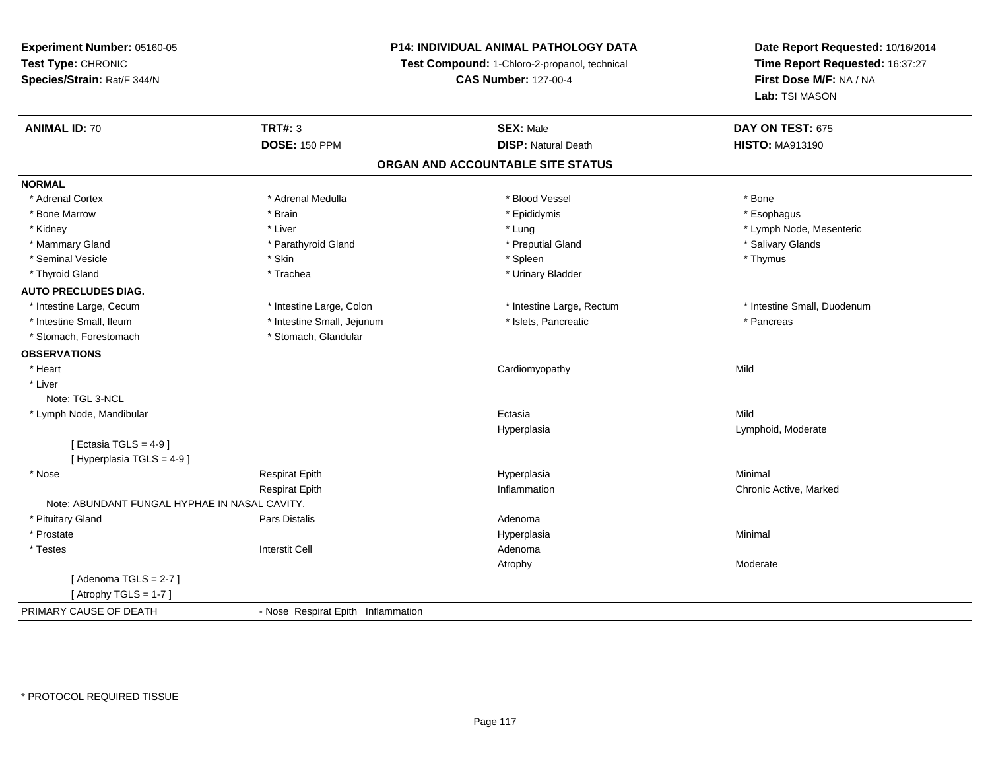## **P14: INDIVIDUAL ANIMAL PATHOLOGY DATA**

**Test Compound:** 1-Chloro-2-propanol, technical

| <b>ANIMAL ID: 70</b>                          | <b>TRT#: 3</b>                     | <b>SEX: Male</b>                  | DAY ON TEST: 675            |  |
|-----------------------------------------------|------------------------------------|-----------------------------------|-----------------------------|--|
|                                               | <b>DOSE: 150 PPM</b>               | <b>DISP: Natural Death</b>        | <b>HISTO: MA913190</b>      |  |
|                                               |                                    | ORGAN AND ACCOUNTABLE SITE STATUS |                             |  |
| <b>NORMAL</b>                                 |                                    |                                   |                             |  |
| * Adrenal Cortex                              | * Adrenal Medulla                  | * Blood Vessel                    | * Bone                      |  |
| * Bone Marrow                                 | * Brain                            | * Epididymis                      | * Esophagus                 |  |
| * Kidney                                      | * Liver                            | * Lung                            | * Lymph Node, Mesenteric    |  |
| * Mammary Gland                               | * Parathyroid Gland                | * Preputial Gland                 | * Salivary Glands           |  |
| * Seminal Vesicle                             | * Skin                             | * Spleen                          | * Thymus                    |  |
| * Thyroid Gland                               | * Trachea                          | * Urinary Bladder                 |                             |  |
| <b>AUTO PRECLUDES DIAG.</b>                   |                                    |                                   |                             |  |
| * Intestine Large, Cecum                      | * Intestine Large, Colon           | * Intestine Large, Rectum         | * Intestine Small, Duodenum |  |
| * Intestine Small, Ileum                      | * Intestine Small, Jejunum         | * Islets, Pancreatic              | * Pancreas                  |  |
| * Stomach, Forestomach                        | * Stomach, Glandular               |                                   |                             |  |
| <b>OBSERVATIONS</b>                           |                                    |                                   |                             |  |
| * Heart                                       |                                    | Cardiomyopathy                    | Mild                        |  |
| * Liver                                       |                                    |                                   |                             |  |
| Note: TGL 3-NCL                               |                                    |                                   |                             |  |
| * Lymph Node, Mandibular                      |                                    | Ectasia                           | Mild                        |  |
|                                               |                                    | Hyperplasia                       | Lymphoid, Moderate          |  |
| [ Ectasia TGLS = $4-9$ ]                      |                                    |                                   |                             |  |
| [Hyperplasia TGLS = 4-9]                      |                                    |                                   |                             |  |
| * Nose                                        | <b>Respirat Epith</b>              | Hyperplasia                       | Minimal                     |  |
|                                               | <b>Respirat Epith</b>              | Inflammation                      | Chronic Active, Marked      |  |
| Note: ABUNDANT FUNGAL HYPHAE IN NASAL CAVITY. |                                    |                                   |                             |  |
| * Pituitary Gland                             | Pars Distalis                      | Adenoma                           |                             |  |
| * Prostate                                    |                                    | Hyperplasia                       | Minimal                     |  |
| * Testes                                      | <b>Interstit Cell</b>              | Adenoma                           |                             |  |
|                                               |                                    | Atrophy                           | Moderate                    |  |
| [Adenoma TGLS = $2-7$ ]                       |                                    |                                   |                             |  |
| [Atrophy TGLS = $1-7$ ]                       |                                    |                                   |                             |  |
| PRIMARY CAUSE OF DEATH                        | - Nose Respirat Epith Inflammation |                                   |                             |  |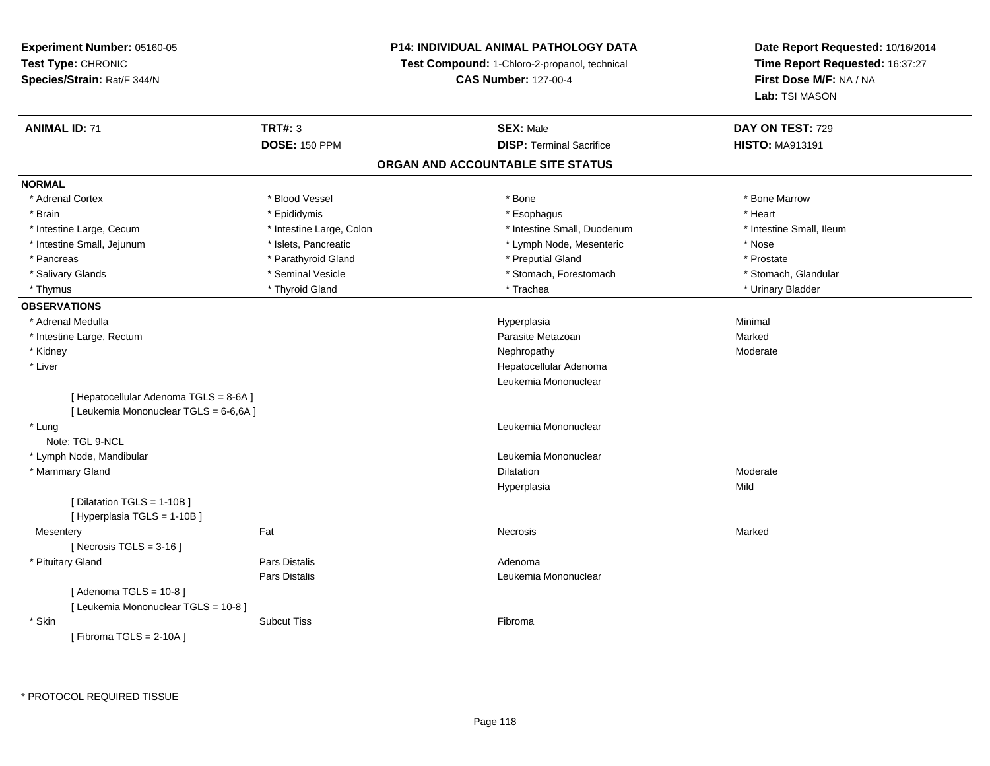## **P14: INDIVIDUAL ANIMAL PATHOLOGY DATA**

**Test Compound:** 1-Chloro-2-propanol, technical

**CAS Number:** 127-00-4

| <b>ANIMAL ID: 71</b>                   | <b>TRT#: 3</b>           | <b>SEX: Male</b>                  | DAY ON TEST: 729         |
|----------------------------------------|--------------------------|-----------------------------------|--------------------------|
|                                        | <b>DOSE: 150 PPM</b>     | <b>DISP: Terminal Sacrifice</b>   | <b>HISTO: MA913191</b>   |
|                                        |                          | ORGAN AND ACCOUNTABLE SITE STATUS |                          |
| <b>NORMAL</b>                          |                          |                                   |                          |
| * Adrenal Cortex                       | * Blood Vessel           | * Bone                            | * Bone Marrow            |
| * Brain                                | * Epididymis             | * Esophagus                       | * Heart                  |
| * Intestine Large, Cecum               | * Intestine Large, Colon | * Intestine Small, Duodenum       | * Intestine Small, Ileum |
| * Intestine Small, Jejunum             | * Islets, Pancreatic     | * Lymph Node, Mesenteric          | * Nose                   |
| * Pancreas                             | * Parathyroid Gland      | * Preputial Gland                 | * Prostate               |
| * Salivary Glands                      | * Seminal Vesicle        | * Stomach, Forestomach            | * Stomach, Glandular     |
| * Thymus                               | * Thyroid Gland          | * Trachea                         | * Urinary Bladder        |
| <b>OBSERVATIONS</b>                    |                          |                                   |                          |
| * Adrenal Medulla                      |                          | Hyperplasia                       | Minimal                  |
| * Intestine Large, Rectum              |                          | Parasite Metazoan                 | Marked                   |
| * Kidney                               |                          | Nephropathy                       | Moderate                 |
| * Liver                                |                          | Hepatocellular Adenoma            |                          |
|                                        |                          | Leukemia Mononuclear              |                          |
| [ Hepatocellular Adenoma TGLS = 8-6A ] |                          |                                   |                          |
| [ Leukemia Mononuclear TGLS = 6-6,6A ] |                          |                                   |                          |
| * Lung                                 |                          | Leukemia Mononuclear              |                          |
| Note: TGL 9-NCL                        |                          |                                   |                          |
| * Lymph Node, Mandibular               |                          | Leukemia Mononuclear              |                          |
| * Mammary Gland                        |                          | <b>Dilatation</b>                 | Moderate                 |
|                                        |                          | Hyperplasia                       | Mild                     |
| [ Dilatation TGLS = 1-10B]             |                          |                                   |                          |
| [Hyperplasia TGLS = 1-10B]             |                          |                                   |                          |
| Mesentery                              | Fat                      | Necrosis                          | Marked                   |
| [Necrosis $TGLS = 3-16$ ]              |                          |                                   |                          |
| * Pituitary Gland                      | <b>Pars Distalis</b>     | Adenoma                           |                          |
|                                        | Pars Distalis            | Leukemia Mononuclear              |                          |
| [Adenoma TGLS = $10-8$ ]               |                          |                                   |                          |
| [ Leukemia Mononuclear TGLS = 10-8 ]   |                          |                                   |                          |
| * Skin                                 | <b>Subcut Tiss</b>       | Fibroma                           |                          |
| [Fibroma TGLS = $2-10A$ ]              |                          |                                   |                          |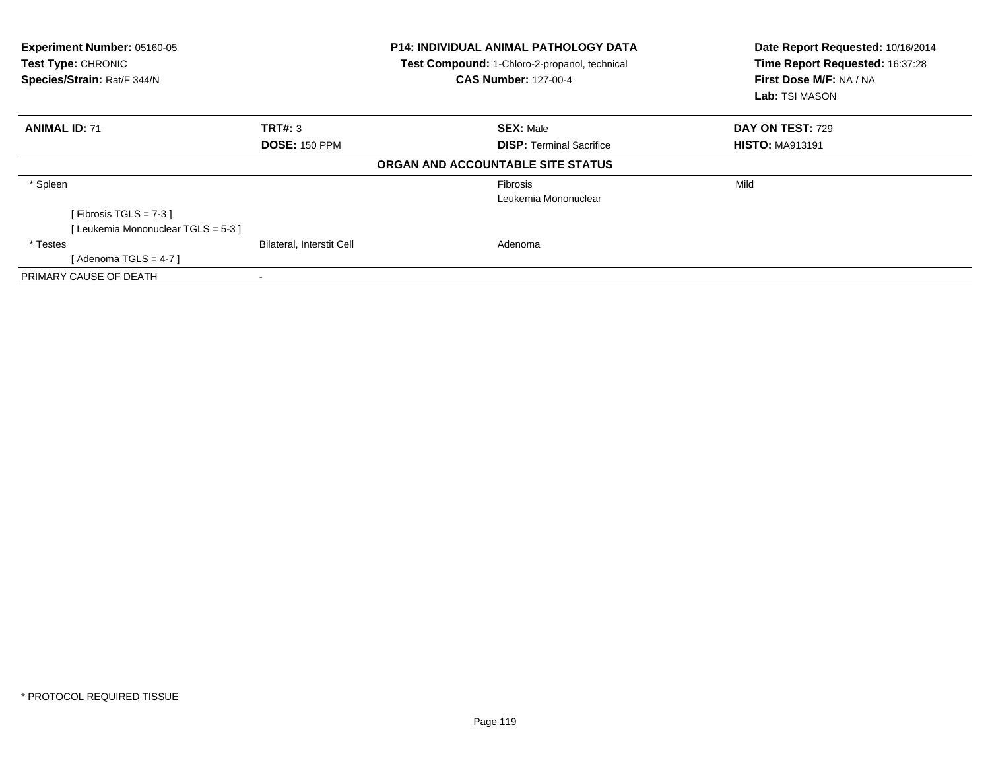| Experiment Number: 05160-05<br><b>Test Type: CHRONIC</b><br>Species/Strain: Rat/F 344/N |                           | <b>P14: INDIVIDUAL ANIMAL PATHOLOGY DATA</b><br>Test Compound: 1-Chloro-2-propanol, technical<br><b>CAS Number: 127-00-4</b> | Date Report Requested: 10/16/2014<br>Time Report Requested: 16:37:28<br>First Dose M/F: NA / NA<br>Lab: TSI MASON |  |
|-----------------------------------------------------------------------------------------|---------------------------|------------------------------------------------------------------------------------------------------------------------------|-------------------------------------------------------------------------------------------------------------------|--|
| <b>ANIMAL ID: 71</b>                                                                    | TRT#: 3                   | <b>SEX: Male</b>                                                                                                             | DAY ON TEST: 729                                                                                                  |  |
|                                                                                         | <b>DOSE: 150 PPM</b>      | <b>DISP: Terminal Sacrifice</b>                                                                                              | <b>HISTO: MA913191</b>                                                                                            |  |
|                                                                                         |                           | ORGAN AND ACCOUNTABLE SITE STATUS                                                                                            |                                                                                                                   |  |
| * Spleen                                                                                |                           | <b>Fibrosis</b>                                                                                                              | Mild                                                                                                              |  |
|                                                                                         |                           | Leukemia Mononuclear                                                                                                         |                                                                                                                   |  |
| [ Fibrosis TGLS = $7-3$ ]                                                               |                           |                                                                                                                              |                                                                                                                   |  |
| [Leukemia Mononuclear TGLS = 5-3]                                                       |                           |                                                                                                                              |                                                                                                                   |  |
| * Testes                                                                                | Bilateral, Interstit Cell | Adenoma                                                                                                                      |                                                                                                                   |  |
| [ Adenoma TGLS = 4-7 ]                                                                  |                           |                                                                                                                              |                                                                                                                   |  |
| PRIMARY CAUSE OF DEATH                                                                  |                           |                                                                                                                              |                                                                                                                   |  |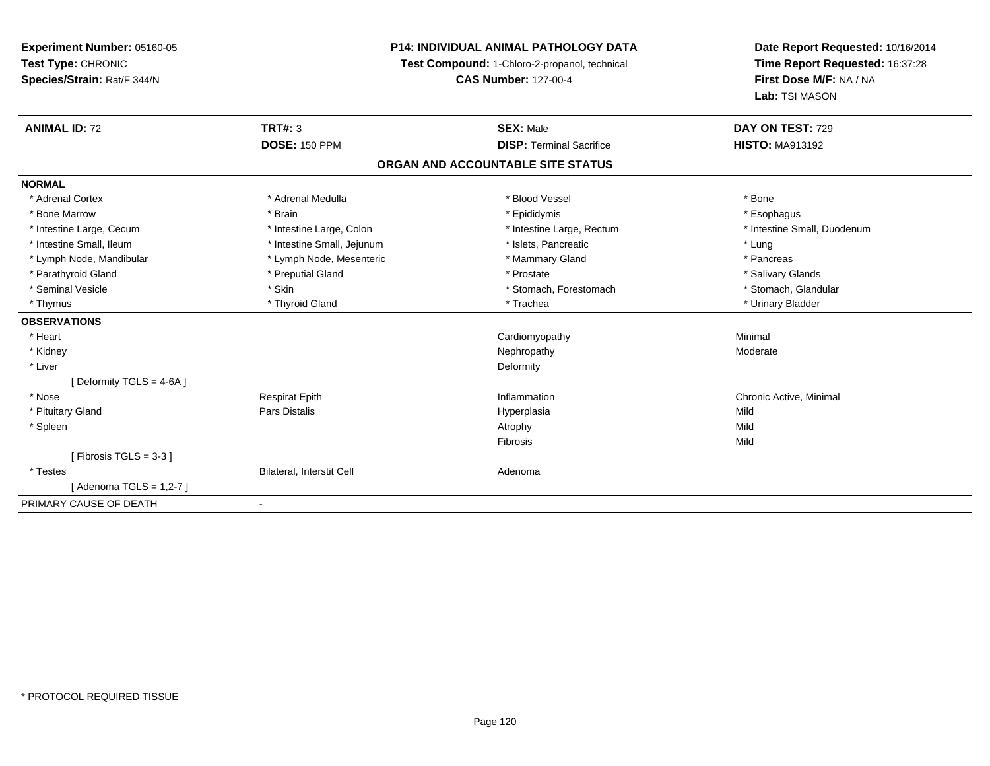## **P14: INDIVIDUAL ANIMAL PATHOLOGY DATA**

**Test Compound:** 1-Chloro-2-propanol, technical

**CAS Number:** 127-00-4

| <b>ANIMAL ID: 72</b>     | <b>TRT#: 3</b>             | <b>SEX: Male</b>                  | DAY ON TEST: 729            |
|--------------------------|----------------------------|-----------------------------------|-----------------------------|
|                          | <b>DOSE: 150 PPM</b>       | <b>DISP: Terminal Sacrifice</b>   | <b>HISTO: MA913192</b>      |
|                          |                            | ORGAN AND ACCOUNTABLE SITE STATUS |                             |
| <b>NORMAL</b>            |                            |                                   |                             |
| * Adrenal Cortex         | * Adrenal Medulla          | * Blood Vessel                    | * Bone                      |
| * Bone Marrow            | * Brain                    | * Epididymis                      | * Esophagus                 |
| * Intestine Large, Cecum | * Intestine Large, Colon   | * Intestine Large, Rectum         | * Intestine Small, Duodenum |
| * Intestine Small, Ileum | * Intestine Small, Jejunum | * Islets, Pancreatic              | * Lung                      |
| * Lymph Node, Mandibular | * Lymph Node, Mesenteric   | * Mammary Gland                   | * Pancreas                  |
| * Parathyroid Gland      | * Preputial Gland          | * Prostate                        | * Salivary Glands           |
| * Seminal Vesicle        | * Skin                     | * Stomach, Forestomach            | * Stomach, Glandular        |
| * Thymus                 | * Thyroid Gland            | * Trachea                         | * Urinary Bladder           |
| <b>OBSERVATIONS</b>      |                            |                                   |                             |
| * Heart                  |                            | Cardiomyopathy                    | Minimal                     |
| * Kidney                 |                            | Nephropathy                       | Moderate                    |
| * Liver                  |                            | Deformity                         |                             |
| [Deformity TGLS = 4-6A ] |                            |                                   |                             |
| * Nose                   | <b>Respirat Epith</b>      | Inflammation                      | Chronic Active, Minimal     |
| * Pituitary Gland        | Pars Distalis              | Hyperplasia                       | Mild                        |
| * Spleen                 |                            | Atrophy                           | Mild                        |
|                          |                            | Fibrosis                          | Mild                        |
| [Fibrosis TGLS = $3-3$ ] |                            |                                   |                             |
| * Testes                 | Bilateral, Interstit Cell  | Adenoma                           |                             |
| [Adenoma TGLS = 1,2-7]   |                            |                                   |                             |
| PRIMARY CAUSE OF DEATH   | $\blacksquare$             |                                   |                             |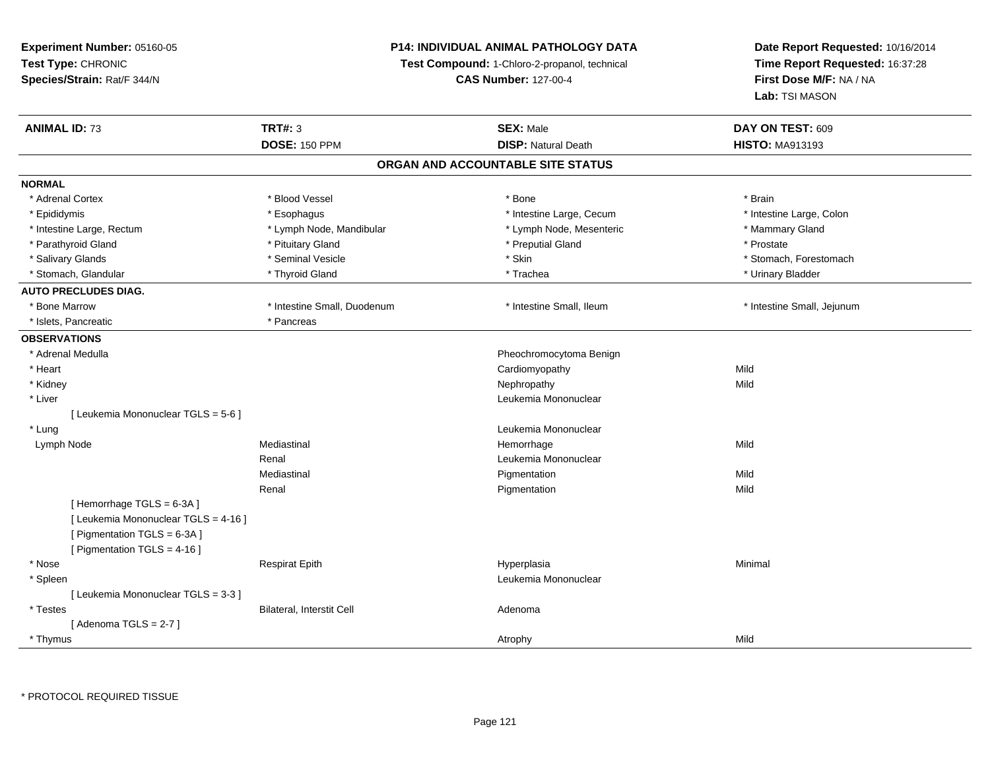## **P14: INDIVIDUAL ANIMAL PATHOLOGY DATA**

**Test Compound:** 1-Chloro-2-propanol, technical

**CAS Number:** 127-00-4

| <b>ANIMAL ID: 73</b>                 | <b>TRT#: 3</b>              | <b>SEX: Male</b>                  | DAY ON TEST: 609           |
|--------------------------------------|-----------------------------|-----------------------------------|----------------------------|
|                                      | <b>DOSE: 150 PPM</b>        | <b>DISP: Natural Death</b>        | <b>HISTO: MA913193</b>     |
|                                      |                             | ORGAN AND ACCOUNTABLE SITE STATUS |                            |
| <b>NORMAL</b>                        |                             |                                   |                            |
| * Adrenal Cortex                     | * Blood Vessel              | * Bone                            | * Brain                    |
| * Epididymis                         | * Esophagus                 | * Intestine Large, Cecum          | * Intestine Large, Colon   |
| * Intestine Large, Rectum            | * Lymph Node, Mandibular    | * Lymph Node, Mesenteric          | * Mammary Gland            |
| * Parathyroid Gland                  | * Pituitary Gland           | * Preputial Gland                 | * Prostate                 |
| * Salivary Glands                    | * Seminal Vesicle           | * Skin                            | * Stomach, Forestomach     |
| * Stomach, Glandular                 | * Thyroid Gland             | * Trachea                         | * Urinary Bladder          |
| <b>AUTO PRECLUDES DIAG.</b>          |                             |                                   |                            |
| * Bone Marrow                        | * Intestine Small, Duodenum | * Intestine Small, Ileum          | * Intestine Small, Jejunum |
| * Islets, Pancreatic                 | * Pancreas                  |                                   |                            |
| <b>OBSERVATIONS</b>                  |                             |                                   |                            |
| * Adrenal Medulla                    |                             | Pheochromocytoma Benign           |                            |
| * Heart                              |                             | Cardiomyopathy                    | Mild                       |
| * Kidney                             |                             | Nephropathy                       | Mild                       |
| * Liver                              |                             | Leukemia Mononuclear              |                            |
| [ Leukemia Mononuclear TGLS = 5-6 ]  |                             |                                   |                            |
| * Lung                               |                             | Leukemia Mononuclear              |                            |
| Lymph Node                           | Mediastinal                 | Hemorrhage                        | Mild                       |
|                                      | Renal                       | Leukemia Mononuclear              |                            |
|                                      | Mediastinal                 | Pigmentation                      | Mild                       |
|                                      | Renal                       | Pigmentation                      | Mild                       |
| [Hemorrhage TGLS = 6-3A]             |                             |                                   |                            |
| [ Leukemia Mononuclear TGLS = 4-16 ] |                             |                                   |                            |
| [ Pigmentation TGLS = 6-3A ]         |                             |                                   |                            |
| [ Pigmentation TGLS = 4-16 ]         |                             |                                   |                            |
| * Nose                               | <b>Respirat Epith</b>       | Hyperplasia                       | Minimal                    |
| * Spleen                             |                             | Leukemia Mononuclear              |                            |
| [Leukemia Mononuclear TGLS = 3-3]    |                             |                                   |                            |
| * Testes                             | Bilateral, Interstit Cell   | Adenoma                           |                            |
| [Adenoma TGLS = $2-7$ ]              |                             |                                   |                            |
| * Thymus                             |                             | Atrophy                           | Mild                       |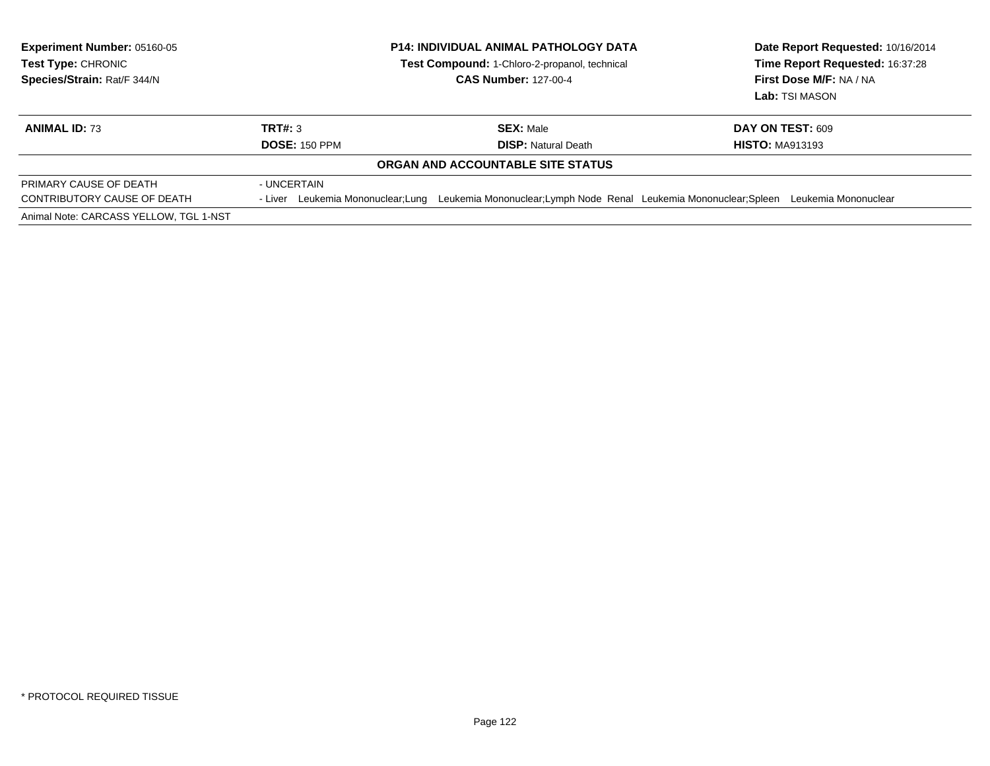| <b>Experiment Number: 05160-05</b><br><b>Test Type: CHRONIC</b><br>Species/Strain: Rat/F 344/N  |                                 | <b>P14: INDIVIDUAL ANIMAL PATHOLOGY DATA</b><br><b>Test Compound: 1-Chloro-2-propanol, technical</b><br><b>CAS Number: 127-00-4</b> |  | Date Report Requested: 10/16/2014<br>Time Report Requested: 16:37:28<br>First Dose M/F: NA / NA<br>Lab: TSI MASON |  |
|-------------------------------------------------------------------------------------------------|---------------------------------|-------------------------------------------------------------------------------------------------------------------------------------|--|-------------------------------------------------------------------------------------------------------------------|--|
| <b>ANIMAL ID: 73</b>                                                                            | TRT#: 3<br><b>DOSE: 150 PPM</b> | <b>SEX: Male</b><br><b>DISP: Natural Death</b>                                                                                      |  | <b>DAY ON TEST: 609</b><br><b>HISTO: MA913193</b>                                                                 |  |
|                                                                                                 |                                 | ORGAN AND ACCOUNTABLE SITE STATUS                                                                                                   |  |                                                                                                                   |  |
| PRIMARY CAUSE OF DEATH<br>CONTRIBUTORY CAUSE OF DEATH<br>Animal Note: CARCASS YELLOW, TGL 1-NST | - UNCERTAIN                     | - Liver Leukemia Mononuclear; Lung Leukemia Mononuclear; Lymph Node Renal Leukemia Mononuclear; Spleen                              |  | Leukemia Mononuclear                                                                                              |  |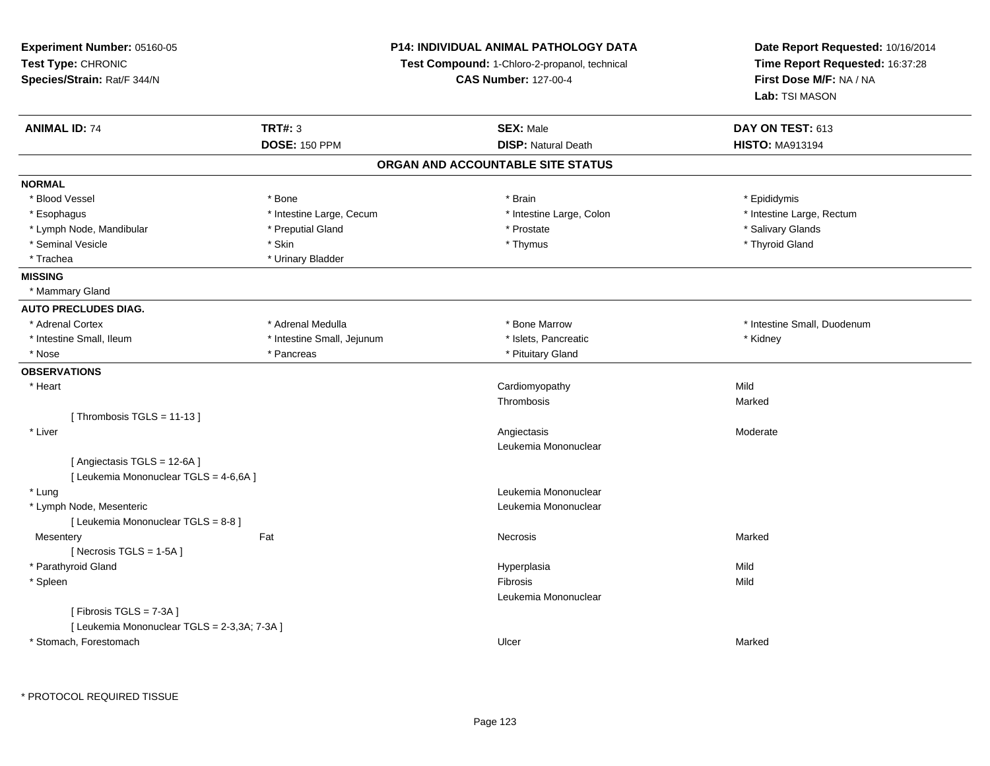| Experiment Number: 05160-05                  |                             | P14: INDIVIDUAL ANIMAL PATHOLOGY DATA         | Date Report Requested: 10/16/2014 |  |
|----------------------------------------------|-----------------------------|-----------------------------------------------|-----------------------------------|--|
| Test Type: CHRONIC                           |                             | Test Compound: 1-Chloro-2-propanol, technical | Time Report Requested: 16:37:28   |  |
| Species/Strain: Rat/F 344/N                  | <b>CAS Number: 127-00-4</b> |                                               | First Dose M/F: NA / NA           |  |
|                                              |                             |                                               | Lab: TSI MASON                    |  |
| <b>ANIMAL ID: 74</b>                         | <b>TRT#: 3</b>              | <b>SEX: Male</b>                              | DAY ON TEST: 613                  |  |
|                                              | <b>DOSE: 150 PPM</b>        | <b>DISP: Natural Death</b>                    | <b>HISTO: MA913194</b>            |  |
|                                              |                             | ORGAN AND ACCOUNTABLE SITE STATUS             |                                   |  |
| <b>NORMAL</b>                                |                             |                                               |                                   |  |
| * Blood Vessel                               | * Bone                      | * Brain                                       | * Epididymis                      |  |
| * Esophagus                                  | * Intestine Large, Cecum    | * Intestine Large, Colon                      | * Intestine Large, Rectum         |  |
| * Lymph Node, Mandibular                     | * Preputial Gland           | * Prostate                                    | * Salivary Glands                 |  |
| * Seminal Vesicle                            | * Skin                      | * Thymus                                      | * Thyroid Gland                   |  |
| * Trachea                                    | * Urinary Bladder           |                                               |                                   |  |
| <b>MISSING</b>                               |                             |                                               |                                   |  |
| * Mammary Gland                              |                             |                                               |                                   |  |
| <b>AUTO PRECLUDES DIAG.</b>                  |                             |                                               |                                   |  |
| * Adrenal Cortex                             | * Adrenal Medulla           | * Bone Marrow                                 | * Intestine Small, Duodenum       |  |
| * Intestine Small, Ileum                     | * Intestine Small, Jejunum  | * Islets, Pancreatic                          | * Kidney                          |  |
| * Nose                                       | * Pancreas                  | * Pituitary Gland                             |                                   |  |
| <b>OBSERVATIONS</b>                          |                             |                                               |                                   |  |
| * Heart                                      |                             | Cardiomyopathy                                | Mild                              |  |
|                                              |                             | Thrombosis                                    | Marked                            |  |
| [Thrombosis TGLS = $11-13$ ]                 |                             |                                               |                                   |  |
| * Liver                                      |                             | Angiectasis                                   | Moderate                          |  |
|                                              |                             | Leukemia Mononuclear                          |                                   |  |
| [Angiectasis TGLS = 12-6A]                   |                             |                                               |                                   |  |
| [ Leukemia Mononuclear TGLS = 4-6,6A ]       |                             |                                               |                                   |  |
| * Lung                                       |                             | Leukemia Mononuclear                          |                                   |  |
| * Lymph Node, Mesenteric                     |                             | Leukemia Mononuclear                          |                                   |  |
| [ Leukemia Mononuclear TGLS = 8-8 ]          |                             |                                               |                                   |  |
| Mesentery                                    | Fat                         | Necrosis                                      | Marked                            |  |
| [Necrosis $TGLS = 1-5A$ ]                    |                             |                                               |                                   |  |
| * Parathyroid Gland                          |                             | Hyperplasia                                   | Mild                              |  |
| * Spleen                                     |                             | Fibrosis                                      | Mild                              |  |
|                                              |                             | Leukemia Mononuclear                          |                                   |  |
| [Fibrosis TGLS = 7-3A]                       |                             |                                               |                                   |  |
| [ Leukemia Mononuclear TGLS = 2-3,3A; 7-3A ] |                             |                                               |                                   |  |
| * Stomach, Forestomach                       |                             | Ulcer                                         | Marked                            |  |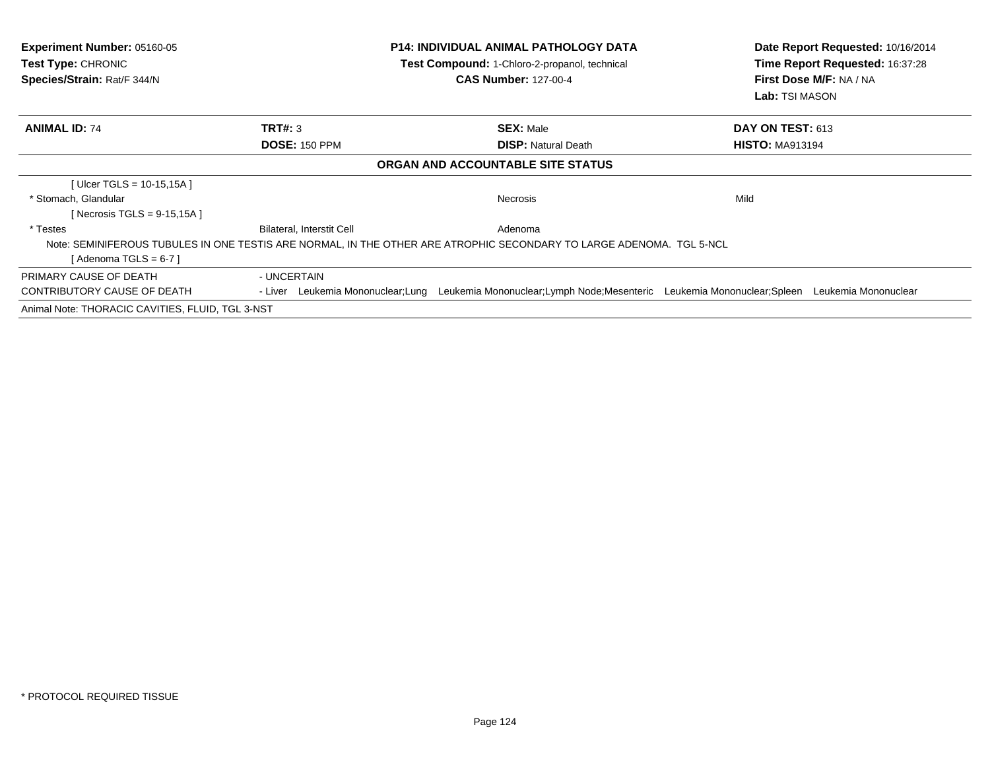| <b>Experiment Number: 05160-05</b><br>Test Type: CHRONIC<br>Species/Strain: Rat/F 344/N |                           | <b>P14: INDIVIDUAL ANIMAL PATHOLOGY DATA</b><br>Test Compound: 1-Chloro-2-propanol, technical<br><b>CAS Number: 127-00-4</b>  | Date Report Requested: 10/16/2014<br>Time Report Requested: 16:37:28<br>First Dose M/F: NA / NA<br>Lab: TSI MASON |  |
|-----------------------------------------------------------------------------------------|---------------------------|-------------------------------------------------------------------------------------------------------------------------------|-------------------------------------------------------------------------------------------------------------------|--|
| <b>ANIMAL ID: 74</b>                                                                    | <b>TRT#: 3</b>            | <b>SEX: Male</b>                                                                                                              | DAY ON TEST: 613                                                                                                  |  |
|                                                                                         | <b>DOSE: 150 PPM</b>      | <b>DISP:</b> Natural Death                                                                                                    | <b>HISTO: MA913194</b>                                                                                            |  |
|                                                                                         |                           | ORGAN AND ACCOUNTABLE SITE STATUS                                                                                             |                                                                                                                   |  |
| [ $Ulcer TGLS = 10-15,15A$ ]                                                            |                           |                                                                                                                               |                                                                                                                   |  |
| * Stomach, Glandular                                                                    |                           | <b>Necrosis</b>                                                                                                               | Mild                                                                                                              |  |
| [Necrosis TGLS = $9-15,15A$ ]                                                           |                           |                                                                                                                               |                                                                                                                   |  |
| * Testes                                                                                | Bilateral, Interstit Cell | Adenoma                                                                                                                       |                                                                                                                   |  |
|                                                                                         |                           | Note: SEMINIFEROUS TUBULES IN ONE TESTIS ARE NORMAL, IN THE OTHER ARE ATROPHIC SECONDARY TO LARGE ADENOMA. TGL 5-NCL          |                                                                                                                   |  |
| [ Adenoma TGLS = 6-7 ]                                                                  |                           |                                                                                                                               |                                                                                                                   |  |
| PRIMARY CAUSE OF DEATH                                                                  | - UNCERTAIN               |                                                                                                                               |                                                                                                                   |  |
| CONTRIBUTORY CAUSE OF DEATH                                                             |                           | - Liver Leukemia Mononuclear;Lung Leukemia Mononuclear;Lymph Node;Mesenteric Leukemia Mononuclear;Spleen Leukemia Mononuclear |                                                                                                                   |  |
| Animal Note: THORACIC CAVITIES, FLUID, TGL 3-NST                                        |                           |                                                                                                                               |                                                                                                                   |  |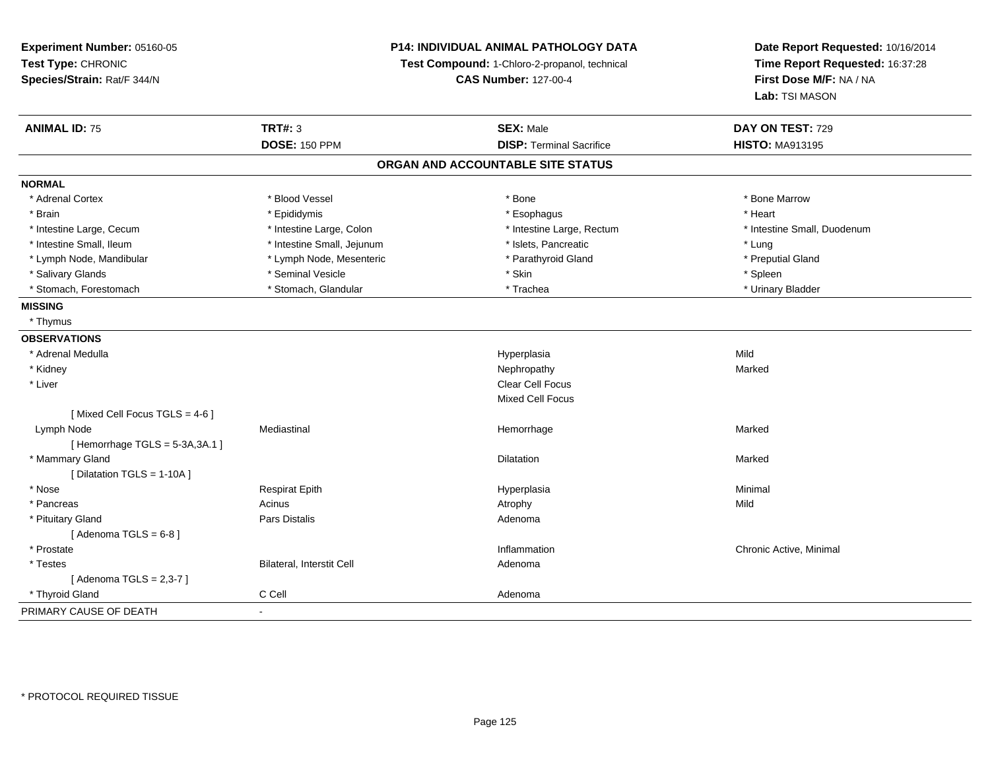| Experiment Number: 05160-05<br>Test Type: CHRONIC<br>Species/Strain: Rat/F 344/N |                            | P14: INDIVIDUAL ANIMAL PATHOLOGY DATA<br>Test Compound: 1-Chloro-2-propanol, technical<br><b>CAS Number: 127-00-4</b> | Date Report Requested: 10/16/2014<br>Time Report Requested: 16:37:28<br>First Dose M/F: NA / NA<br>Lab: TSI MASON |
|----------------------------------------------------------------------------------|----------------------------|-----------------------------------------------------------------------------------------------------------------------|-------------------------------------------------------------------------------------------------------------------|
| <b>ANIMAL ID: 75</b>                                                             | <b>TRT#: 3</b>             | <b>SEX: Male</b>                                                                                                      | DAY ON TEST: 729                                                                                                  |
|                                                                                  | <b>DOSE: 150 PPM</b>       | <b>DISP: Terminal Sacrifice</b>                                                                                       | <b>HISTO: MA913195</b>                                                                                            |
|                                                                                  |                            | ORGAN AND ACCOUNTABLE SITE STATUS                                                                                     |                                                                                                                   |
| <b>NORMAL</b>                                                                    |                            |                                                                                                                       |                                                                                                                   |
| * Adrenal Cortex                                                                 | * Blood Vessel             | * Bone                                                                                                                | * Bone Marrow                                                                                                     |
| * Brain                                                                          | * Epididymis               | * Esophagus                                                                                                           | * Heart                                                                                                           |
| * Intestine Large, Cecum                                                         | * Intestine Large, Colon   | * Intestine Large, Rectum                                                                                             | * Intestine Small, Duodenum                                                                                       |
| * Intestine Small, Ileum                                                         | * Intestine Small, Jejunum | * Islets, Pancreatic                                                                                                  | * Lung                                                                                                            |
| * Lymph Node, Mandibular                                                         | * Lymph Node, Mesenteric   | * Parathyroid Gland                                                                                                   | * Preputial Gland                                                                                                 |
| * Salivary Glands                                                                | * Seminal Vesicle          | * Skin                                                                                                                | * Spleen                                                                                                          |
| * Stomach, Forestomach                                                           | * Stomach, Glandular       | * Trachea                                                                                                             | * Urinary Bladder                                                                                                 |
| <b>MISSING</b>                                                                   |                            |                                                                                                                       |                                                                                                                   |
| * Thymus                                                                         |                            |                                                                                                                       |                                                                                                                   |
| <b>OBSERVATIONS</b>                                                              |                            |                                                                                                                       |                                                                                                                   |
| * Adrenal Medulla                                                                |                            | Hyperplasia                                                                                                           | Mild                                                                                                              |
| * Kidney                                                                         |                            | Nephropathy                                                                                                           | Marked                                                                                                            |
| * Liver                                                                          |                            | Clear Cell Focus                                                                                                      |                                                                                                                   |
|                                                                                  |                            | <b>Mixed Cell Focus</b>                                                                                               |                                                                                                                   |
| [Mixed Cell Focus TGLS = 4-6]                                                    |                            |                                                                                                                       |                                                                                                                   |
| Lymph Node                                                                       | Mediastinal                | Hemorrhage                                                                                                            | Marked                                                                                                            |
| [Hemorrhage TGLS = 5-3A, 3A.1]                                                   |                            |                                                                                                                       |                                                                                                                   |
| * Mammary Gland                                                                  |                            | Dilatation                                                                                                            | Marked                                                                                                            |
| [Dilatation TGLS = 1-10A]                                                        |                            |                                                                                                                       |                                                                                                                   |
| * Nose                                                                           | <b>Respirat Epith</b>      | Hyperplasia                                                                                                           | Minimal                                                                                                           |
| * Pancreas                                                                       | Acinus                     | Atrophy                                                                                                               | Mild                                                                                                              |
| * Pituitary Gland                                                                | Pars Distalis              | Adenoma                                                                                                               |                                                                                                                   |
| [Adenoma TGLS = $6-8$ ]                                                          |                            |                                                                                                                       |                                                                                                                   |
| * Prostate                                                                       |                            | Inflammation                                                                                                          | Chronic Active, Minimal                                                                                           |
| * Testes                                                                         | Bilateral, Interstit Cell  | Adenoma                                                                                                               |                                                                                                                   |
| [ Adenoma TGLS = 2,3-7 ]                                                         |                            |                                                                                                                       |                                                                                                                   |
| * Thyroid Gland                                                                  | C Cell                     | Adenoma                                                                                                               |                                                                                                                   |
| PRIMARY CAUSE OF DEATH                                                           | $\overline{a}$             |                                                                                                                       |                                                                                                                   |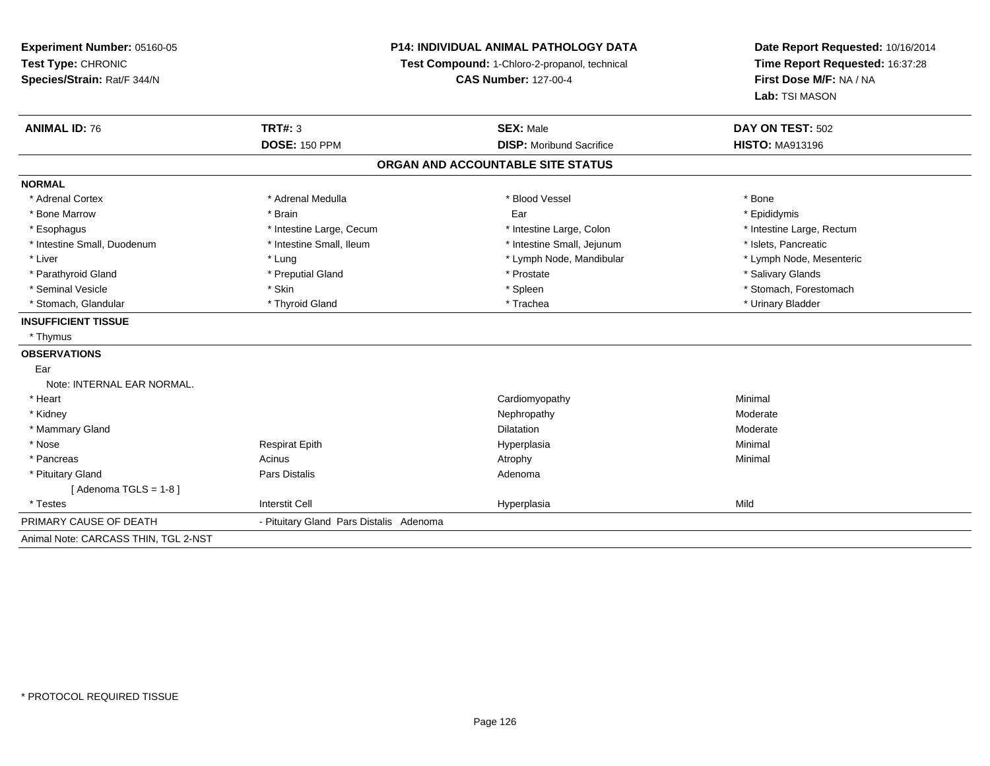## **P14: INDIVIDUAL ANIMAL PATHOLOGY DATA**

**Test Compound:** 1-Chloro-2-propanol, technical

**CAS Number:** 127-00-4

| <b>ANIMAL ID: 76</b>                 | <b>TRT#: 3</b>                          | <b>SEX: Male</b>                  | DAY ON TEST: 502          |
|--------------------------------------|-----------------------------------------|-----------------------------------|---------------------------|
|                                      | <b>DOSE: 150 PPM</b>                    | <b>DISP:</b> Moribund Sacrifice   | <b>HISTO: MA913196</b>    |
|                                      |                                         | ORGAN AND ACCOUNTABLE SITE STATUS |                           |
| <b>NORMAL</b>                        |                                         |                                   |                           |
| * Adrenal Cortex                     | * Adrenal Medulla                       | * Blood Vessel                    | * Bone                    |
| * Bone Marrow                        | * Brain                                 | Ear                               | * Epididymis              |
| * Esophagus                          | * Intestine Large, Cecum                | * Intestine Large, Colon          | * Intestine Large, Rectum |
| * Intestine Small, Duodenum          | * Intestine Small, Ileum                | * Intestine Small, Jejunum        | * Islets, Pancreatic      |
| * Liver                              | * Lung                                  | * Lymph Node, Mandibular          | * Lymph Node, Mesenteric  |
| * Parathyroid Gland                  | * Preputial Gland                       | * Prostate                        | * Salivary Glands         |
| * Seminal Vesicle                    | * Skin                                  | * Spleen                          | * Stomach, Forestomach    |
| * Stomach, Glandular                 | * Thyroid Gland                         | * Trachea                         | * Urinary Bladder         |
| <b>INSUFFICIENT TISSUE</b>           |                                         |                                   |                           |
| * Thymus                             |                                         |                                   |                           |
| <b>OBSERVATIONS</b>                  |                                         |                                   |                           |
| Ear                                  |                                         |                                   |                           |
| Note: INTERNAL EAR NORMAL.           |                                         |                                   |                           |
| * Heart                              |                                         | Cardiomyopathy                    | Minimal                   |
| * Kidney                             |                                         | Nephropathy                       | Moderate                  |
| * Mammary Gland                      |                                         | Dilatation                        | Moderate                  |
| * Nose                               | <b>Respirat Epith</b>                   | Hyperplasia                       | Minimal                   |
| * Pancreas                           | Acinus                                  | Atrophy                           | Minimal                   |
| * Pituitary Gland                    | <b>Pars Distalis</b>                    | Adenoma                           |                           |
| [Adenoma TGLS = $1-8$ ]              |                                         |                                   |                           |
| * Testes                             | <b>Interstit Cell</b>                   | Hyperplasia                       | Mild                      |
| PRIMARY CAUSE OF DEATH               | - Pituitary Gland Pars Distalis Adenoma |                                   |                           |
| Animal Note: CARCASS THIN, TGL 2-NST |                                         |                                   |                           |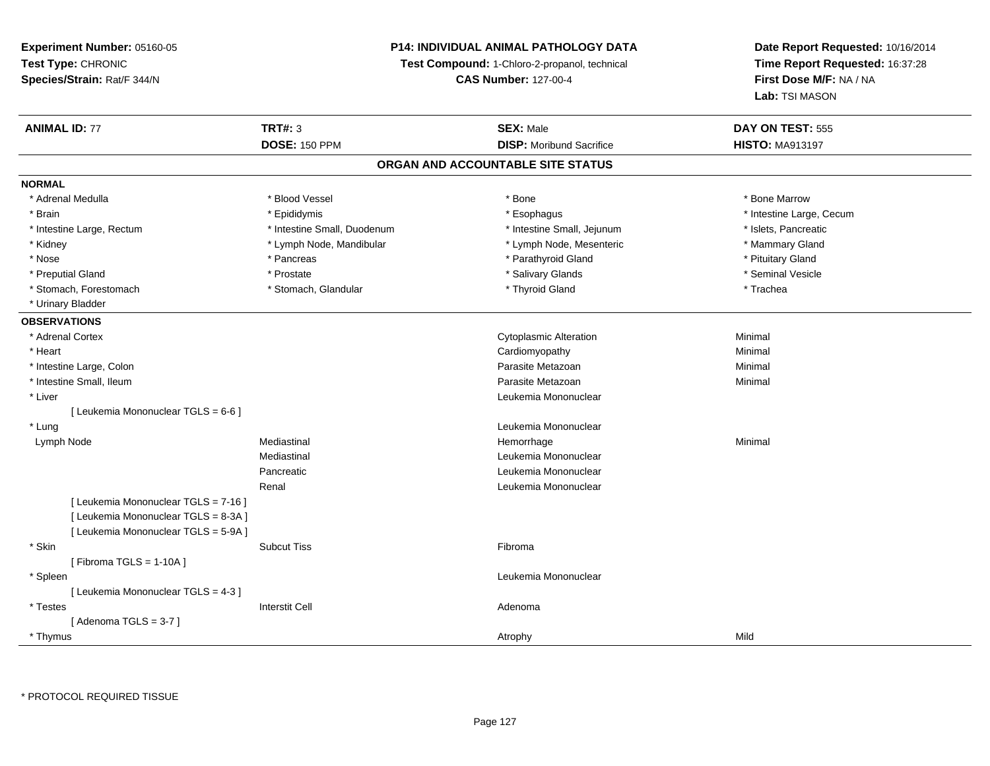## **P14: INDIVIDUAL ANIMAL PATHOLOGY DATA**

**Test Compound:** 1-Chloro-2-propanol, technical

**CAS Number:** 127-00-4

| <b>ANIMAL ID: 77</b>                 | <b>TRT#: 3</b>              | <b>SEX: Male</b>                  | DAY ON TEST: 555         |  |
|--------------------------------------|-----------------------------|-----------------------------------|--------------------------|--|
|                                      | <b>DOSE: 150 PPM</b>        | <b>DISP:</b> Moribund Sacrifice   | <b>HISTO: MA913197</b>   |  |
|                                      |                             | ORGAN AND ACCOUNTABLE SITE STATUS |                          |  |
| <b>NORMAL</b>                        |                             |                                   |                          |  |
| * Adrenal Medulla                    | * Blood Vessel              | * Bone                            | * Bone Marrow            |  |
| * Brain                              | * Epididymis                | * Esophagus                       | * Intestine Large, Cecum |  |
| * Intestine Large, Rectum            | * Intestine Small, Duodenum | * Intestine Small, Jejunum        | * Islets, Pancreatic     |  |
| * Kidney                             | * Lymph Node, Mandibular    | * Lymph Node, Mesenteric          | * Mammary Gland          |  |
| * Nose                               | * Pancreas                  | * Parathyroid Gland               | * Pituitary Gland        |  |
| * Preputial Gland                    | * Prostate                  | * Salivary Glands                 | * Seminal Vesicle        |  |
| * Stomach, Forestomach               | * Stomach, Glandular        | * Thyroid Gland                   | * Trachea                |  |
| * Urinary Bladder                    |                             |                                   |                          |  |
| <b>OBSERVATIONS</b>                  |                             |                                   |                          |  |
| * Adrenal Cortex                     |                             | <b>Cytoplasmic Alteration</b>     | Minimal                  |  |
| * Heart                              |                             | Cardiomyopathy                    | Minimal                  |  |
| * Intestine Large, Colon             |                             | Parasite Metazoan                 | Minimal                  |  |
| * Intestine Small, Ileum             |                             | Parasite Metazoan                 | Minimal                  |  |
| * Liver                              |                             | Leukemia Mononuclear              |                          |  |
| [ Leukemia Mononuclear TGLS = 6-6 ]  |                             |                                   |                          |  |
| * Lung                               |                             | Leukemia Mononuclear              |                          |  |
| Lymph Node                           | Mediastinal                 | Hemorrhage                        | Minimal                  |  |
|                                      | Mediastinal                 | Leukemia Mononuclear              |                          |  |
|                                      | Pancreatic                  | Leukemia Mononuclear              |                          |  |
|                                      | Renal                       | Leukemia Mononuclear              |                          |  |
| [ Leukemia Mononuclear TGLS = 7-16 ] |                             |                                   |                          |  |
| [ Leukemia Mononuclear TGLS = 8-3A ] |                             |                                   |                          |  |
| [ Leukemia Mononuclear TGLS = 5-9A ] |                             |                                   |                          |  |
| * Skin                               | <b>Subcut Tiss</b>          | Fibroma                           |                          |  |
| [Fibroma TGLS = $1-10A$ ]            |                             |                                   |                          |  |
| * Spleen                             |                             | Leukemia Mononuclear              |                          |  |
| [ Leukemia Mononuclear TGLS = 4-3 ]  |                             |                                   |                          |  |
| * Testes                             | <b>Interstit Cell</b>       | Adenoma                           |                          |  |
| [Adenoma TGLS = $3-7$ ]              |                             |                                   |                          |  |
| * Thymus                             |                             | Atrophy                           | Mild                     |  |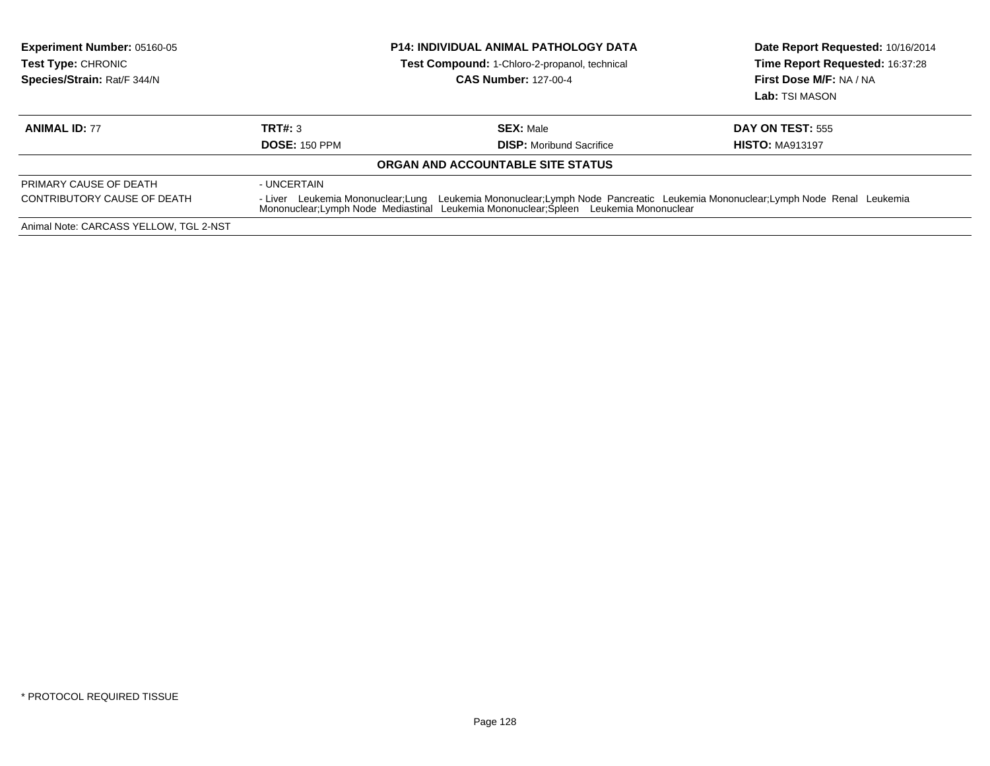| <b>Experiment Number: 05160-05</b><br><b>Test Type: CHRONIC</b><br>Species/Strain: Rat/F 344/N |                      | <b>P14: INDIVIDUAL ANIMAL PATHOLOGY DATA</b><br>Test Compound: 1-Chloro-2-propanol, technical<br><b>CAS Number: 127-00-4</b>                                                                                       | Date Report Requested: 10/16/2014<br>Time Report Requested: 16:37:28<br>First Dose M/F: NA / NA<br>Lab: TSI MASON |
|------------------------------------------------------------------------------------------------|----------------------|--------------------------------------------------------------------------------------------------------------------------------------------------------------------------------------------------------------------|-------------------------------------------------------------------------------------------------------------------|
| <b>ANIMAL ID: 77</b>                                                                           | TRT#: 3              | <b>SEX: Male</b>                                                                                                                                                                                                   | <b>DAY ON TEST: 555</b>                                                                                           |
|                                                                                                | <b>DOSE: 150 PPM</b> | <b>DISP:</b> Moribund Sacrifice                                                                                                                                                                                    | <b>HISTO: MA913197</b>                                                                                            |
|                                                                                                |                      | ORGAN AND ACCOUNTABLE SITE STATUS                                                                                                                                                                                  |                                                                                                                   |
| PRIMARY CAUSE OF DEATH                                                                         | - UNCERTAIN          |                                                                                                                                                                                                                    |                                                                                                                   |
| CONTRIBUTORY CAUSE OF DEATH                                                                    |                      | - Liver Leukemia Mononuclear;Lung Leukemia Mononuclear;Lymph Node Pancreatic Leukemia Mononuclear;Lymph Node Renal Leukemia<br>Mononuclear;Lymph Node Mediastinal Leukemia Mononuclear;Spleen Leukemia Mononuclear |                                                                                                                   |
| Animal Note: CARCASS YELLOW, TGL 2-NST                                                         |                      |                                                                                                                                                                                                                    |                                                                                                                   |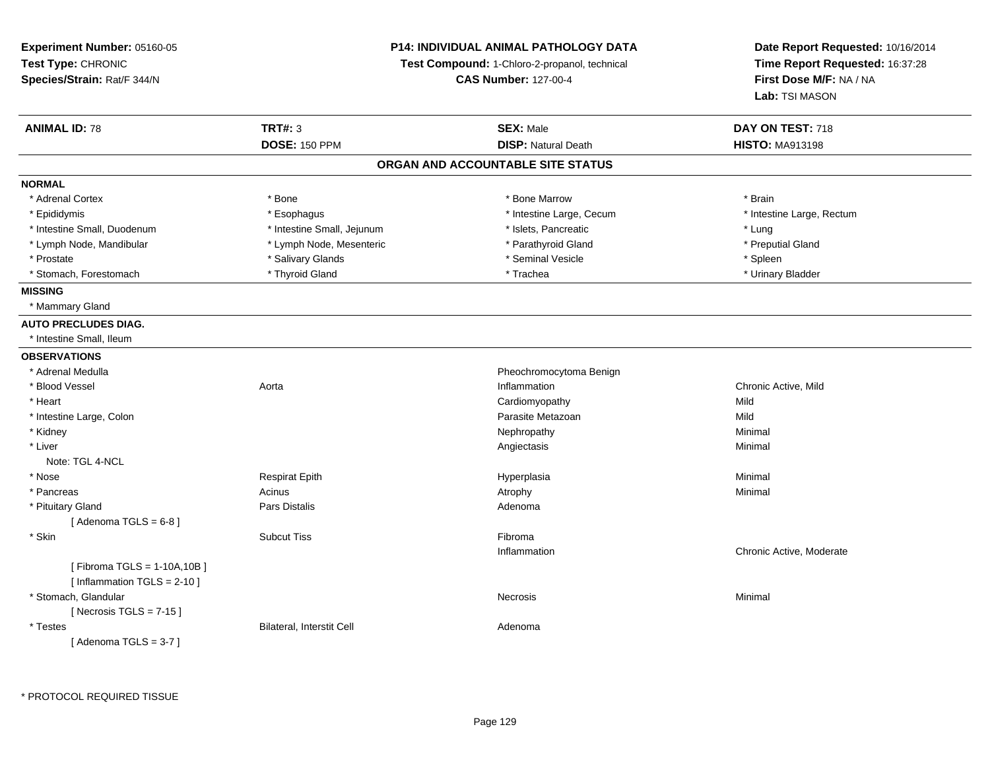| Experiment Number: 05160-05   |                                                                              | P14: INDIVIDUAL ANIMAL PATHOLOGY DATA | Date Report Requested: 10/16/2014                          |
|-------------------------------|------------------------------------------------------------------------------|---------------------------------------|------------------------------------------------------------|
| Test Type: CHRONIC            | Test Compound: 1-Chloro-2-propanol, technical<br><b>CAS Number: 127-00-4</b> |                                       | Time Report Requested: 16:37:28<br>First Dose M/F: NA / NA |
| Species/Strain: Rat/F 344/N   |                                                                              |                                       |                                                            |
|                               |                                                                              |                                       | Lab: TSI MASON                                             |
| <b>ANIMAL ID: 78</b>          | <b>TRT#: 3</b>                                                               | <b>SEX: Male</b>                      | DAY ON TEST: 718                                           |
|                               | <b>DOSE: 150 PPM</b>                                                         | <b>DISP: Natural Death</b>            | <b>HISTO: MA913198</b>                                     |
|                               |                                                                              | ORGAN AND ACCOUNTABLE SITE STATUS     |                                                            |
| <b>NORMAL</b>                 |                                                                              |                                       |                                                            |
| * Adrenal Cortex              | * Bone                                                                       | * Bone Marrow                         | * Brain                                                    |
| * Epididymis                  | * Esophagus                                                                  | * Intestine Large, Cecum              | * Intestine Large, Rectum                                  |
| * Intestine Small, Duodenum   | * Intestine Small, Jejunum                                                   | * Islets, Pancreatic                  | * Lung                                                     |
| * Lymph Node, Mandibular      | * Lymph Node, Mesenteric                                                     | * Parathyroid Gland                   | * Preputial Gland                                          |
| * Prostate                    | * Salivary Glands                                                            | * Seminal Vesicle                     | * Spleen                                                   |
| * Stomach, Forestomach        | * Thyroid Gland                                                              | * Trachea                             | * Urinary Bladder                                          |
| <b>MISSING</b>                |                                                                              |                                       |                                                            |
| * Mammary Gland               |                                                                              |                                       |                                                            |
| <b>AUTO PRECLUDES DIAG.</b>   |                                                                              |                                       |                                                            |
| * Intestine Small, Ileum      |                                                                              |                                       |                                                            |
| <b>OBSERVATIONS</b>           |                                                                              |                                       |                                                            |
| * Adrenal Medulla             |                                                                              | Pheochromocytoma Benign               |                                                            |
| * Blood Vessel                | Aorta                                                                        | Inflammation                          | Chronic Active, Mild                                       |
| * Heart                       |                                                                              | Cardiomyopathy                        | Mild                                                       |
| * Intestine Large, Colon      |                                                                              | Parasite Metazoan                     | Mild                                                       |
| * Kidney                      |                                                                              | Nephropathy                           | Minimal                                                    |
| * Liver                       |                                                                              | Angiectasis                           | Minimal                                                    |
| Note: TGL 4-NCL               |                                                                              |                                       |                                                            |
| * Nose                        | <b>Respirat Epith</b>                                                        | Hyperplasia                           | Minimal                                                    |
| * Pancreas                    | Acinus                                                                       | Atrophy                               | Minimal                                                    |
| * Pituitary Gland             | Pars Distalis                                                                | Adenoma                               |                                                            |
| [Adenoma TGLS = $6-8$ ]       |                                                                              |                                       |                                                            |
| * Skin                        | <b>Subcut Tiss</b>                                                           | Fibroma                               |                                                            |
|                               |                                                                              | Inflammation                          | Chronic Active, Moderate                                   |
| [Fibroma TGLS = 1-10A, 10B]   |                                                                              |                                       |                                                            |
| [Inflammation TGLS = $2-10$ ] |                                                                              |                                       |                                                            |
| * Stomach, Glandular          |                                                                              | Necrosis                              | Minimal                                                    |
| [Necrosis TGLS = $7-15$ ]     |                                                                              |                                       |                                                            |
| * Testes                      | Bilateral, Interstit Cell                                                    | Adenoma                               |                                                            |
| [Adenoma TGLS = $3-7$ ]       |                                                                              |                                       |                                                            |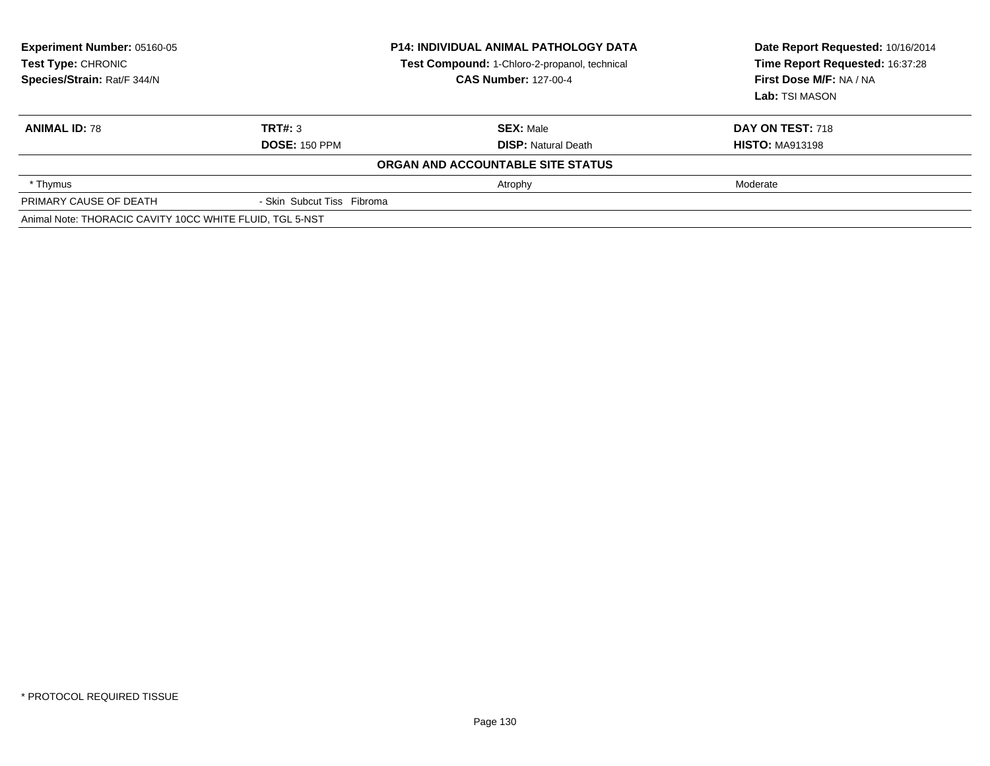| Experiment Number: 05160-05<br>Test Type: CHRONIC<br>Species/Strain: Rat/F 344/N |                            | <b>P14: INDIVIDUAL ANIMAL PATHOLOGY DATA</b><br>Test Compound: 1-Chloro-2-propanol, technical<br><b>CAS Number: 127-00-4</b> | Date Report Requested: 10/16/2014<br>Time Report Requested: 16:37:28<br>First Dose M/F: NA / NA<br>Lab: TSI MASON |  |
|----------------------------------------------------------------------------------|----------------------------|------------------------------------------------------------------------------------------------------------------------------|-------------------------------------------------------------------------------------------------------------------|--|
| <b>ANIMAL ID: 78</b>                                                             | TRT#: 3                    | <b>SEX: Male</b>                                                                                                             | <b>DAY ON TEST: 718</b>                                                                                           |  |
|                                                                                  | <b>DOSE: 150 PPM</b>       | <b>DISP: Natural Death</b>                                                                                                   | <b>HISTO: MA913198</b>                                                                                            |  |
|                                                                                  |                            | ORGAN AND ACCOUNTABLE SITE STATUS                                                                                            |                                                                                                                   |  |
| * Thymus                                                                         |                            | Atrophy                                                                                                                      | Moderate                                                                                                          |  |
| PRIMARY CAUSE OF DEATH                                                           | - Skin Subcut Tiss Fibroma |                                                                                                                              |                                                                                                                   |  |
| Animal Note: THORACIC CAVITY 10CC WHITE FLUID, TGL 5-NST                         |                            |                                                                                                                              |                                                                                                                   |  |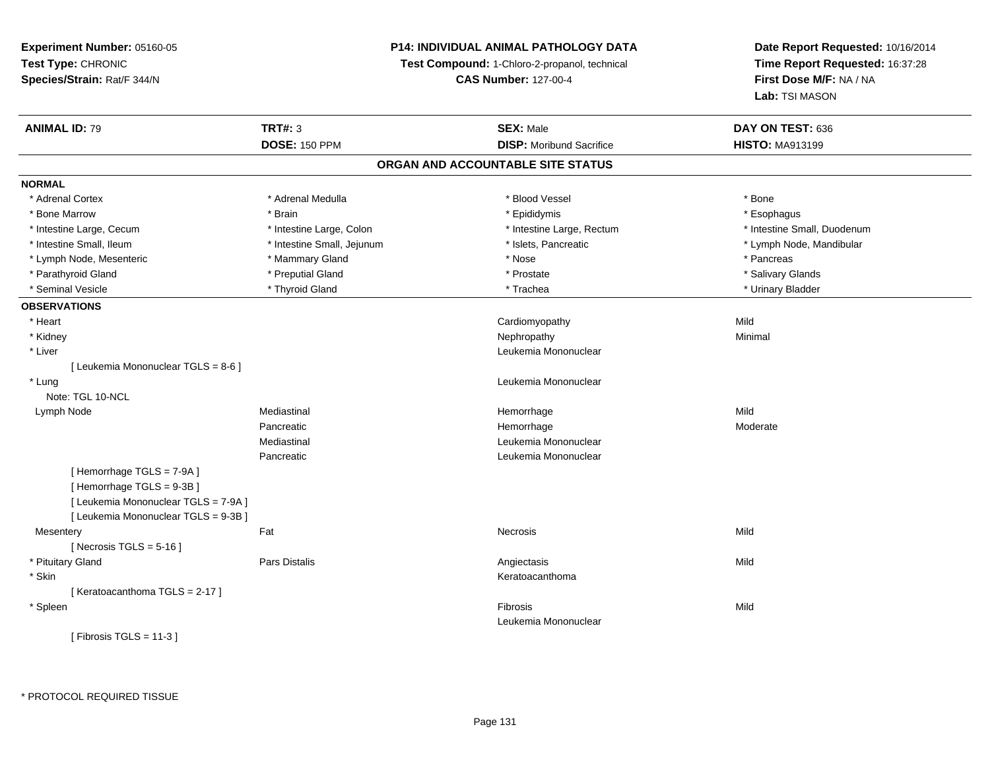## **P14: INDIVIDUAL ANIMAL PATHOLOGY DATA**

**Test Compound:** 1-Chloro-2-propanol, technical

**CAS Number:** 127-00-4

| <b>ANIMAL ID: 79</b>                 | <b>TRT#: 3</b><br><b>DOSE: 150 PPM</b> | <b>SEX: Male</b><br><b>DISP: Moribund Sacrifice</b> | DAY ON TEST: 636<br><b>HISTO: MA913199</b> |
|--------------------------------------|----------------------------------------|-----------------------------------------------------|--------------------------------------------|
|                                      |                                        | ORGAN AND ACCOUNTABLE SITE STATUS                   |                                            |
| <b>NORMAL</b>                        |                                        |                                                     |                                            |
| * Adrenal Cortex                     | * Adrenal Medulla                      | * Blood Vessel                                      | * Bone                                     |
| * Bone Marrow                        | * Brain                                | * Epididymis                                        | * Esophagus                                |
| * Intestine Large, Cecum             | * Intestine Large, Colon               | * Intestine Large, Rectum                           | * Intestine Small, Duodenum                |
| * Intestine Small, Ileum             | * Intestine Small, Jejunum             | * Islets, Pancreatic                                | * Lymph Node, Mandibular                   |
| * Lymph Node, Mesenteric             | * Mammary Gland                        | * Nose                                              | * Pancreas                                 |
| * Parathyroid Gland                  | * Preputial Gland                      | * Prostate                                          | * Salivary Glands                          |
| * Seminal Vesicle                    | * Thyroid Gland                        | * Trachea                                           | * Urinary Bladder                          |
|                                      |                                        |                                                     |                                            |
| <b>OBSERVATIONS</b>                  |                                        |                                                     |                                            |
| * Heart                              |                                        | Cardiomyopathy                                      | Mild                                       |
| * Kidney                             |                                        | Nephropathy                                         | Minimal                                    |
| * Liver                              |                                        | Leukemia Mononuclear                                |                                            |
| [ Leukemia Mononuclear TGLS = 8-6 ]  |                                        |                                                     |                                            |
| * Lung                               |                                        | Leukemia Mononuclear                                |                                            |
| Note: TGL 10-NCL                     |                                        |                                                     |                                            |
| Lymph Node                           | Mediastinal                            | Hemorrhage                                          | Mild                                       |
|                                      | Pancreatic                             | Hemorrhage                                          | Moderate                                   |
|                                      | Mediastinal                            | Leukemia Mononuclear                                |                                            |
|                                      | Pancreatic                             | Leukemia Mononuclear                                |                                            |
| [Hemorrhage TGLS = 7-9A]             |                                        |                                                     |                                            |
| [Hemorrhage TGLS = 9-3B]             |                                        |                                                     |                                            |
| [ Leukemia Mononuclear TGLS = 7-9A ] |                                        |                                                     |                                            |
| [ Leukemia Mononuclear TGLS = 9-3B ] |                                        |                                                     |                                            |
| Mesentery                            | Fat                                    | Necrosis                                            | Mild                                       |
| [Necrosis TGLS = $5-16$ ]            |                                        |                                                     |                                            |
| * Pituitary Gland                    | Pars Distalis                          | Angiectasis                                         | Mild                                       |
| * Skin                               |                                        | Keratoacanthoma                                     |                                            |
| [Keratoacanthoma TGLS = 2-17]        |                                        |                                                     |                                            |
| * Spleen                             |                                        | Fibrosis                                            | Mild                                       |
|                                      |                                        | Leukemia Mononuclear                                |                                            |
| [Fibrosis TGLS = $11-3$ ]            |                                        |                                                     |                                            |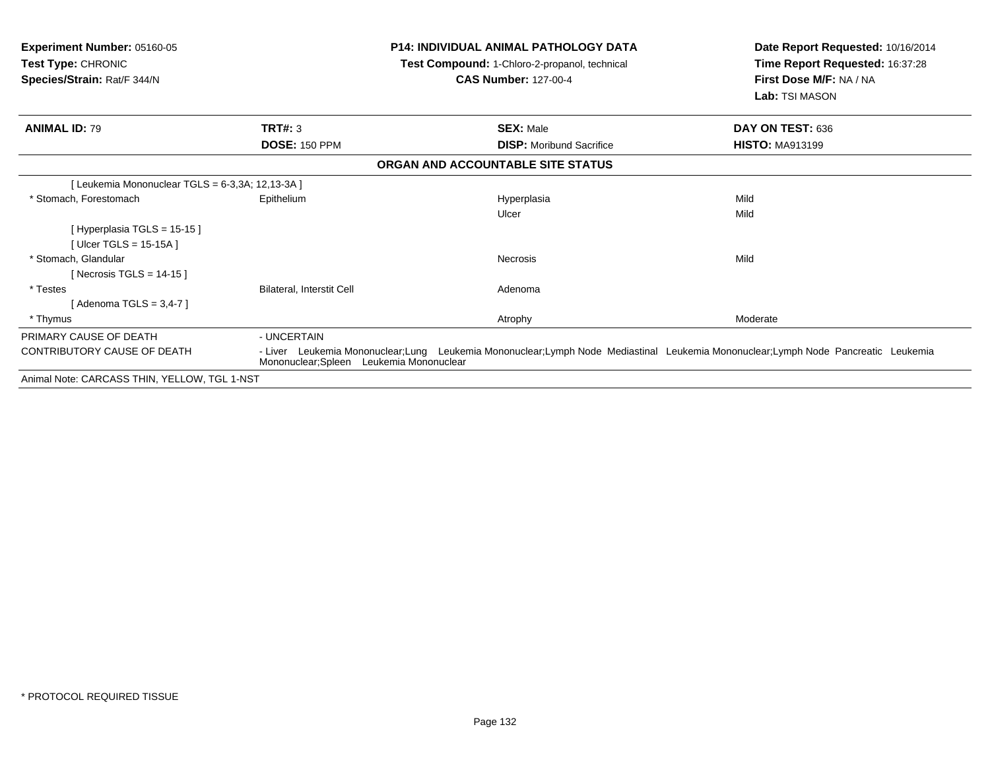| <b>Experiment Number: 05160-05</b><br><b>Test Type: CHRONIC</b> |                                          | <b>P14: INDIVIDUAL ANIMAL PATHOLOGY DATA</b><br>Test Compound: 1-Chloro-2-propanol, technical<br><b>CAS Number: 127-00-4</b>      | Date Report Requested: 10/16/2014<br>Time Report Requested: 16:37:28<br>First Dose M/F: NA / NA |
|-----------------------------------------------------------------|------------------------------------------|-----------------------------------------------------------------------------------------------------------------------------------|-------------------------------------------------------------------------------------------------|
| Species/Strain: Rat/F 344/N                                     |                                          |                                                                                                                                   | Lab: TSI MASON                                                                                  |
| <b>ANIMAL ID: 79</b>                                            | TRT#: 3                                  | <b>SEX: Male</b>                                                                                                                  | DAY ON TEST: 636                                                                                |
|                                                                 | <b>DOSE: 150 PPM</b>                     | <b>DISP:</b> Moribund Sacrifice                                                                                                   | <b>HISTO: MA913199</b>                                                                          |
|                                                                 |                                          | ORGAN AND ACCOUNTABLE SITE STATUS                                                                                                 |                                                                                                 |
| [Leukemia Mononuclear TGLS = 6-3,3A; 12,13-3A ]                 |                                          |                                                                                                                                   |                                                                                                 |
| * Stomach, Forestomach                                          | Epithelium                               | Hyperplasia                                                                                                                       | Mild                                                                                            |
|                                                                 |                                          | Ulcer                                                                                                                             | Mild                                                                                            |
| [Hyperplasia TGLS = 15-15]                                      |                                          |                                                                                                                                   |                                                                                                 |
| [Ulcer TGLS = $15-15A$ ]                                        |                                          |                                                                                                                                   |                                                                                                 |
| * Stomach, Glandular                                            |                                          | <b>Necrosis</b>                                                                                                                   | Mild                                                                                            |
| [Necrosis TGLS = $14-15$ ]                                      |                                          |                                                                                                                                   |                                                                                                 |
| * Testes                                                        | Bilateral, Interstit Cell                | Adenoma                                                                                                                           |                                                                                                 |
| [Adenoma TGLS = $3,4$ -7]                                       |                                          |                                                                                                                                   |                                                                                                 |
| * Thymus                                                        |                                          | Atrophy                                                                                                                           | Moderate                                                                                        |
| PRIMARY CAUSE OF DEATH                                          | - UNCERTAIN                              |                                                                                                                                   |                                                                                                 |
| <b>CONTRIBUTORY CAUSE OF DEATH</b>                              | Mononuclear; Spleen Leukemia Mononuclear | - Liver Leukemia Mononuclear;Lung Leukemia Mononuclear;Lymph Node Mediastinal Leukemia Mononuclear;Lymph Node Pancreatic Leukemia |                                                                                                 |
| Animal Note: CARCASS THIN, YELLOW, TGL 1-NST                    |                                          |                                                                                                                                   |                                                                                                 |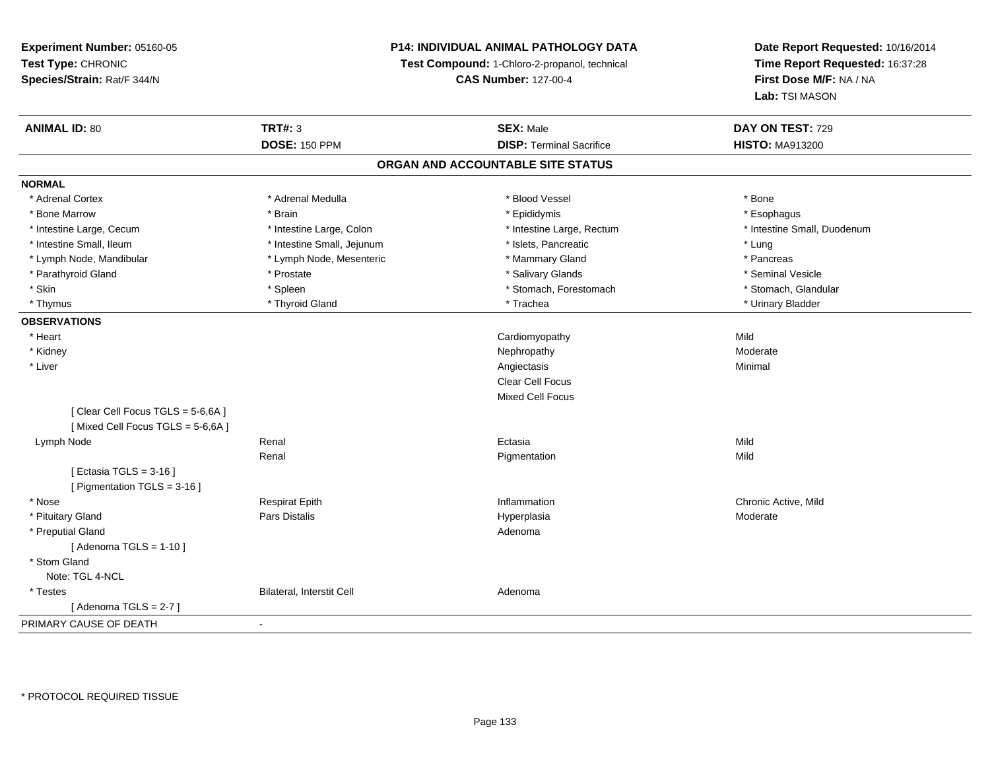## **P14: INDIVIDUAL ANIMAL PATHOLOGY DATA**

**Test Compound:** 1-Chloro-2-propanol, technical

**CAS Number:** 127-00-4

| <b>ANIMAL ID: 80</b>             | <b>TRT#: 3</b>             | <b>SEX: Male</b>                  | DAY ON TEST: 729            |
|----------------------------------|----------------------------|-----------------------------------|-----------------------------|
|                                  | <b>DOSE: 150 PPM</b>       | <b>DISP: Terminal Sacrifice</b>   | <b>HISTO: MA913200</b>      |
|                                  |                            | ORGAN AND ACCOUNTABLE SITE STATUS |                             |
| <b>NORMAL</b>                    |                            |                                   |                             |
| * Adrenal Cortex                 | * Adrenal Medulla          | * Blood Vessel                    | * Bone                      |
| * Bone Marrow                    | * Brain                    | * Epididymis                      | * Esophagus                 |
| * Intestine Large, Cecum         | * Intestine Large, Colon   | * Intestine Large, Rectum         | * Intestine Small, Duodenum |
| * Intestine Small, Ileum         | * Intestine Small, Jejunum | * Islets, Pancreatic              | * Lung                      |
| * Lymph Node, Mandibular         | * Lymph Node, Mesenteric   | * Mammary Gland                   | * Pancreas                  |
| * Parathyroid Gland              | * Prostate                 | * Salivary Glands                 | * Seminal Vesicle           |
| * Skin                           | * Spleen                   | * Stomach, Forestomach            | * Stomach, Glandular        |
| * Thymus                         | * Thyroid Gland            | * Trachea                         | * Urinary Bladder           |
| <b>OBSERVATIONS</b>              |                            |                                   |                             |
| * Heart                          |                            | Cardiomyopathy                    | Mild                        |
| * Kidney                         |                            | Nephropathy                       | Moderate                    |
| * Liver                          |                            | Angiectasis                       | Minimal                     |
|                                  |                            | Clear Cell Focus                  |                             |
|                                  |                            | <b>Mixed Cell Focus</b>           |                             |
| [Clear Cell Focus TGLS = 5-6,6A] |                            |                                   |                             |
| [Mixed Cell Focus TGLS = 5-6,6A] |                            |                                   |                             |
| Lymph Node                       | Renal                      | Ectasia                           | Mild                        |
|                                  | Renal                      | Pigmentation                      | Mild                        |
| [ Ectasia TGLS = 3-16 ]          |                            |                                   |                             |
| [ Pigmentation TGLS = 3-16 ]     |                            |                                   |                             |
| * Nose                           | <b>Respirat Epith</b>      | Inflammation                      | Chronic Active, Mild        |
| * Pituitary Gland                | Pars Distalis              | Hyperplasia                       | Moderate                    |
| * Preputial Gland                |                            | Adenoma                           |                             |
| [Adenoma TGLS = $1-10$ ]         |                            |                                   |                             |
| * Stom Gland                     |                            |                                   |                             |
| Note: TGL 4-NCL                  |                            |                                   |                             |
| * Testes                         | Bilateral, Interstit Cell  | Adenoma                           |                             |
| [Adenoma TGLS = $2-7$ ]          |                            |                                   |                             |
| PRIMARY CAUSE OF DEATH           | $\blacksquare$             |                                   |                             |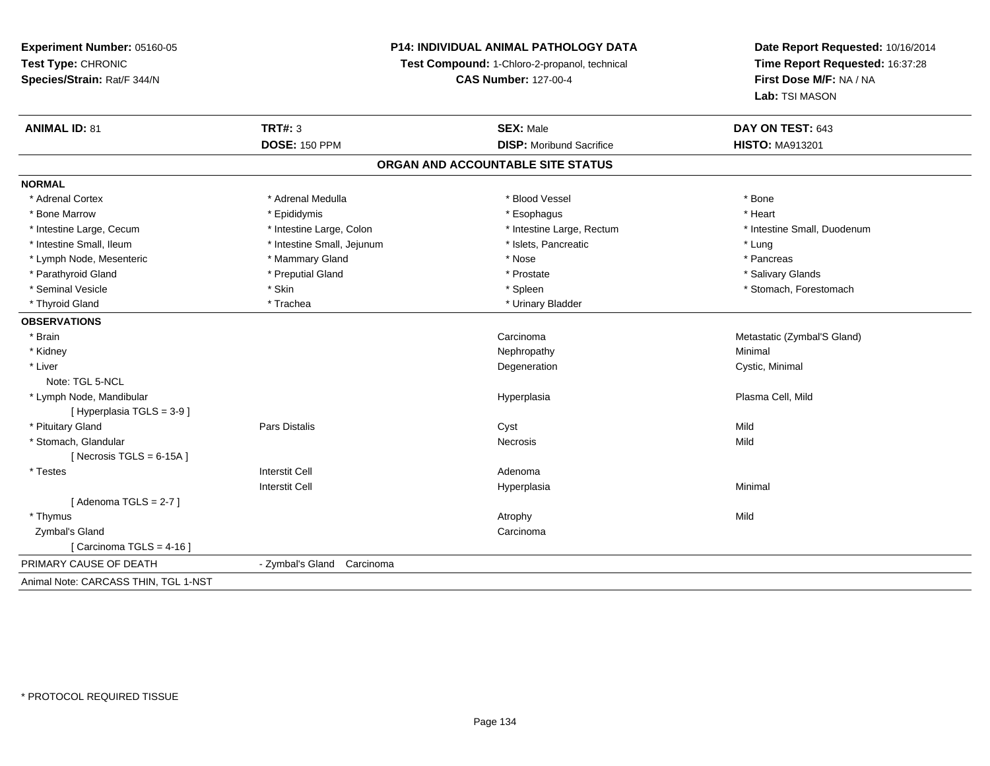## **P14: INDIVIDUAL ANIMAL PATHOLOGY DATA**

**Test Compound:** 1-Chloro-2-propanol, technical

**CAS Number:** 127-00-4

| <b>ANIMAL ID: 81</b>                 | <b>TRT#: 3</b>             | <b>SEX: Male</b>                  | DAY ON TEST: 643            |  |
|--------------------------------------|----------------------------|-----------------------------------|-----------------------------|--|
|                                      | <b>DOSE: 150 PPM</b>       | <b>DISP:</b> Moribund Sacrifice   | <b>HISTO: MA913201</b>      |  |
|                                      |                            | ORGAN AND ACCOUNTABLE SITE STATUS |                             |  |
| <b>NORMAL</b>                        |                            |                                   |                             |  |
| * Adrenal Cortex                     | * Adrenal Medulla          | * Blood Vessel                    | * Bone                      |  |
| * Bone Marrow                        | * Epididymis               | * Esophagus                       | * Heart                     |  |
| * Intestine Large, Cecum             | * Intestine Large, Colon   | * Intestine Large, Rectum         | * Intestine Small, Duodenum |  |
| * Intestine Small, Ileum             | * Intestine Small, Jejunum | * Islets, Pancreatic              | * Lung                      |  |
| * Lymph Node, Mesenteric             | * Mammary Gland            | * Nose                            | * Pancreas                  |  |
| * Parathyroid Gland                  | * Preputial Gland          | * Prostate                        | * Salivary Glands           |  |
| * Seminal Vesicle                    | * Skin                     | * Spleen                          | * Stomach, Forestomach      |  |
| * Thyroid Gland                      | * Trachea                  | * Urinary Bladder                 |                             |  |
| <b>OBSERVATIONS</b>                  |                            |                                   |                             |  |
| * Brain                              |                            | Carcinoma                         | Metastatic (Zymbal'S Gland) |  |
| * Kidney                             |                            | Nephropathy                       | Minimal                     |  |
| * Liver                              |                            | Degeneration                      | Cystic, Minimal             |  |
| Note: TGL 5-NCL                      |                            |                                   |                             |  |
| * Lymph Node, Mandibular             |                            | Hyperplasia                       | Plasma Cell, Mild           |  |
| [Hyperplasia TGLS = 3-9]             |                            |                                   |                             |  |
| * Pituitary Gland                    | <b>Pars Distalis</b>       | Cyst                              | Mild                        |  |
| * Stomach, Glandular                 |                            | <b>Necrosis</b>                   | Mild                        |  |
| [ Necrosis TGLS = $6-15A$ ]          |                            |                                   |                             |  |
| * Testes                             | <b>Interstit Cell</b>      | Adenoma                           |                             |  |
|                                      | <b>Interstit Cell</b>      | Hyperplasia                       | Minimal                     |  |
| [Adenoma TGLS = $2-7$ ]              |                            |                                   |                             |  |
| * Thymus                             |                            | Atrophy                           | Mild                        |  |
| Zymbal's Gland                       |                            | Carcinoma                         |                             |  |
| [Carcinoma TGLS = $4-16$ ]           |                            |                                   |                             |  |
| PRIMARY CAUSE OF DEATH               | - Zymbal's Gland Carcinoma |                                   |                             |  |
| Animal Note: CARCASS THIN, TGL 1-NST |                            |                                   |                             |  |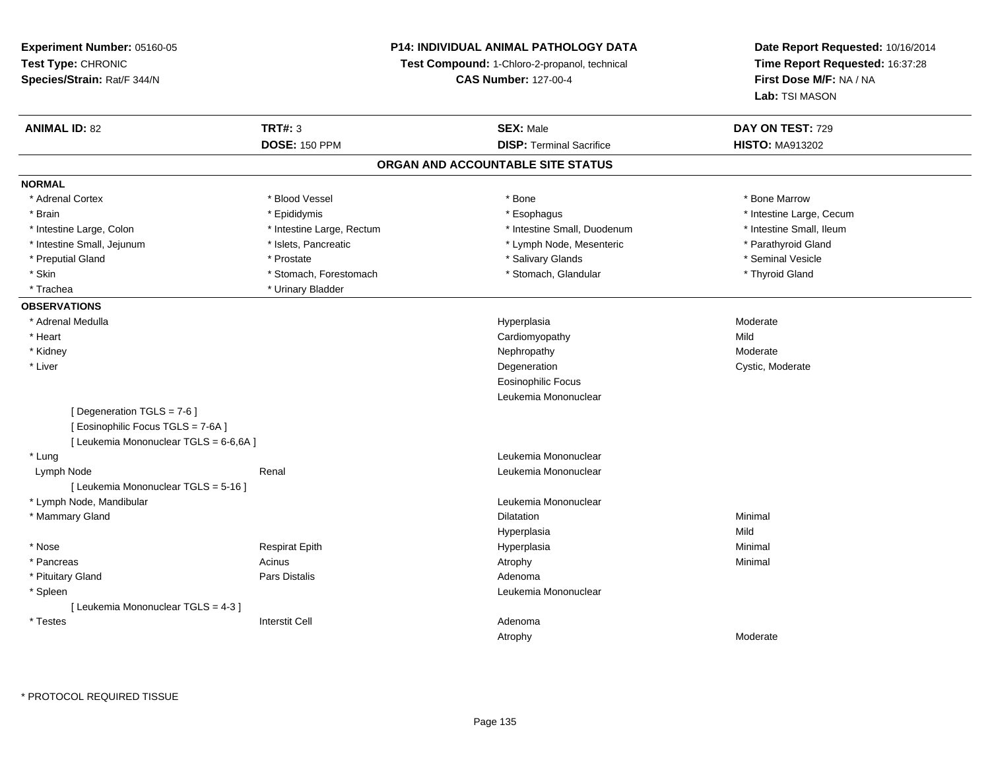**Experiment Number:** 05160-05**Test Type:** CHRONIC **Species/Strain:** Rat/F 344/N**P14: INDIVIDUAL ANIMAL PATHOLOGY DATATest Compound:** 1-Chloro-2-propanol, technical **CAS Number:** 127-00-4**Date Report Requested:** 10/16/2014**Time Report Requested:** 16:37:28**First Dose M/F:** NA / NA**Lab:** TSI MASON**ANIMAL ID:** 82 **TRT#:** <sup>3</sup> **SEX:** Male **DAY ON TEST:** <sup>729</sup> **DOSE:** 150 PPM**DISP:** Terminal Sacrifice **HISTO:** MA913202 **ORGAN AND ACCOUNTABLE SITE STATUSNORMAL**\* Adrenal Cortex \* Adrenal Cortex \* \* Attachers \* Blood Vessel \* \* Bone \* \* \* Bone \* \* Bone \* \* Bone \* Bone Marrow \* Bone Marrow \* Brain \* Explorer \* Epididymis \* \* Epididymis \* \* Esophagus \* Esophagus \* \* Esophagus \* Intestine Large, Cecum \* \* Intestine Large, Cecum \* Intestine Small, Ileum \* Intestine Large, Colon \* Intestine Large, Rectum \* Intestine Small, Duodenum \* Intestine Small, Duodenum \* Intestine Small, Jejunum \* The Theory of the Small, Jejunum \* 1916 (September 1916) \* September 1916 \* Parathyroid Gland \* Preputial Gland \* \* Annual vesicle \* \* Prostate \* \* Salivary Glands \* \* Salivary Glands \* \* Seminal Vesicle \* \* Skin \* Stomach, Forestomach \* Stomach \* Stomach, Glandular \* Thyroid Gland \* Thyroid Gland \* Trachea **\*** Urinary Bladder **OBSERVATIONS** \* Adrenal Medullaa and the state of the state of the state of the Hyperplasia and the Moderate of the Moderate of the Shane and T \* Heart Cardiomyopathyy Mild Moderate \* Kidneyy which is a state of the control of the Moderate of the Moderate of the Moderate of the Moderate of the Moderate of the Moderate of the Moderate of the Moderate of the Moderate of the Moderate of the Moderate of the Moder n Cystic, Moderate \* Liver DegenerationEosinophilic Focus Leukemia Mononuclear[ Degeneration TGLS = 7-6 ][ Eosinophilic Focus TGLS = 7-6A ][ Leukemia Mononuclear TGLS = 6-6,6A ] \* Lung Leukemia Mononuclear Lymph NodeRenal **Renal** Renal Leukemia Mononuclear [ Leukemia Mononuclear TGLS = 5-16 ] \* Lymph Node, Mandibular Leukemia Mononuclear \* Mammary Glandd and the control of the control of the control of the control of the control of the control of the control of the control of the control of the control of the control of the control of the control of the control of the co Hyperplasiaa Mild \* Nose Respirat Epith Hyperplasia Minimal \* Pancreass the control of the control of the control of the control of the control of the control of the control of the control of the control of the control of the control of the control of the control of the control of the contro \* Pituitary Glandd and the contract of Pars Distalis and the contract of Adenoma and Adenoma and the Adenoma and the Adenoma and  $\lambda$  \* Spleen Leukemia Mononuclear [ Leukemia Mononuclear TGLS = 4-3 ] \* Testes Interstit Cell AdenomaAtrophyModerate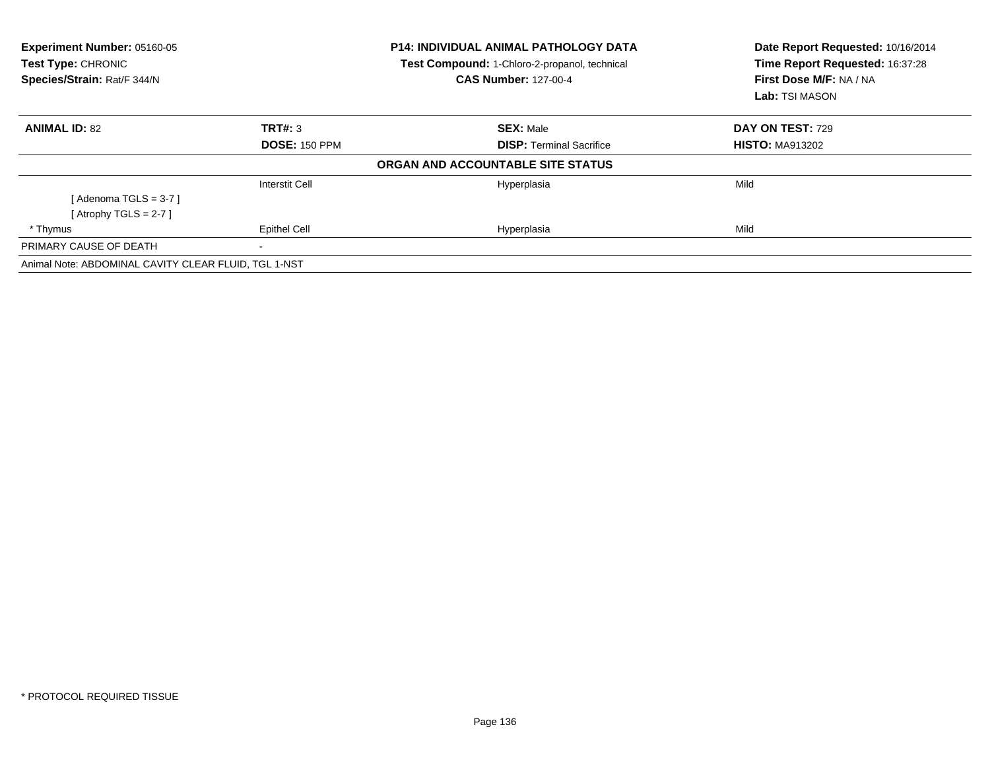| Experiment Number: 05160-05<br>Test Type: CHRONIC    |                       | <b>P14: INDIVIDUAL ANIMAL PATHOLOGY DATA</b><br>Test Compound: 1-Chloro-2-propanol, technical | Date Report Requested: 10/16/2014<br>Time Report Requested: 16:37:28 |  |
|------------------------------------------------------|-----------------------|-----------------------------------------------------------------------------------------------|----------------------------------------------------------------------|--|
| Species/Strain: Rat/F 344/N                          |                       | <b>CAS Number: 127-00-4</b>                                                                   | First Dose M/F: NA / NA                                              |  |
|                                                      |                       |                                                                                               | <b>Lab:</b> TSI MASON                                                |  |
| <b>ANIMAL ID: 82</b>                                 | TRT#: 3               | <b>SEX: Male</b>                                                                              | <b>DAY ON TEST: 729</b>                                              |  |
|                                                      | <b>DOSE: 150 PPM</b>  | <b>DISP:</b> Terminal Sacrifice                                                               | <b>HISTO: MA913202</b>                                               |  |
|                                                      |                       | ORGAN AND ACCOUNTABLE SITE STATUS                                                             |                                                                      |  |
|                                                      | <b>Interstit Cell</b> | Hyperplasia                                                                                   | Mild                                                                 |  |
| [Adenoma TGLS = $3-7$ ]                              |                       |                                                                                               |                                                                      |  |
| [Atrophy TGLS = 2-7 ]                                |                       |                                                                                               |                                                                      |  |
| * Thymus                                             | <b>Epithel Cell</b>   | Hyperplasia                                                                                   | Mild                                                                 |  |
| PRIMARY CAUSE OF DEATH                               | $\,$                  |                                                                                               |                                                                      |  |
| Animal Note: ABDOMINAL CAVITY CLEAR FLUID, TGL 1-NST |                       |                                                                                               |                                                                      |  |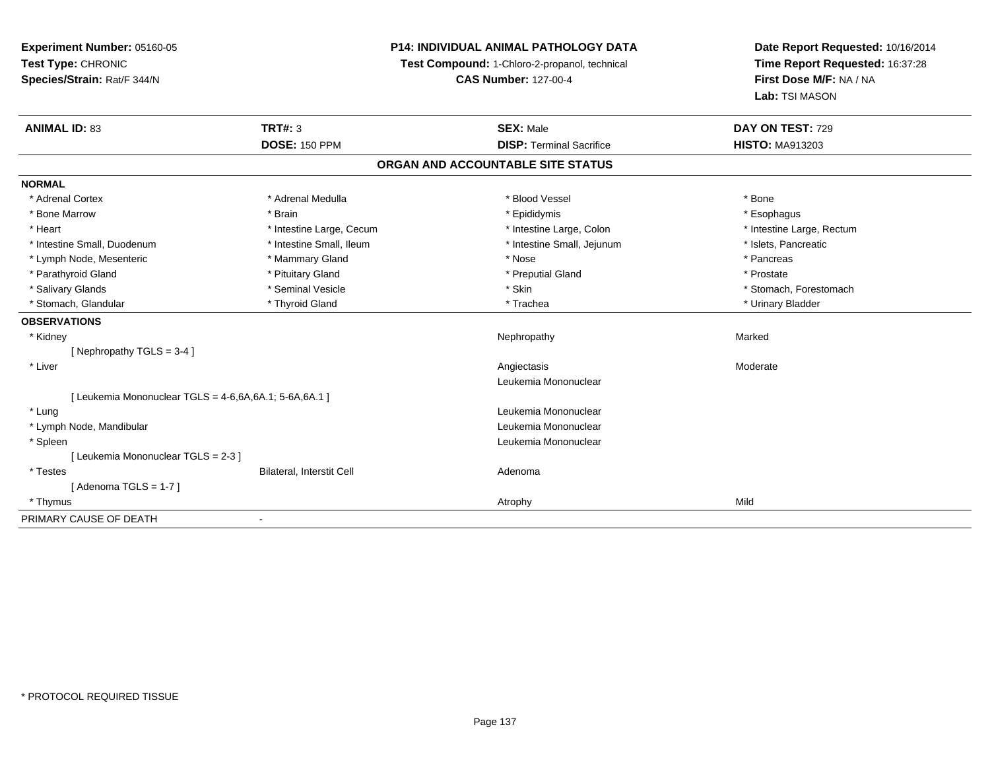## **P14: INDIVIDUAL ANIMAL PATHOLOGY DATA**

**Test Compound:** 1-Chloro-2-propanol, technical

**CAS Number:** 127-00-4

| <b>ANIMAL ID: 83</b>                                  | <b>TRT#: 3</b>                   | <b>SEX: Male</b>                  | DAY ON TEST: 729          |
|-------------------------------------------------------|----------------------------------|-----------------------------------|---------------------------|
|                                                       | <b>DOSE: 150 PPM</b>             | <b>DISP: Terminal Sacrifice</b>   | <b>HISTO: MA913203</b>    |
|                                                       |                                  | ORGAN AND ACCOUNTABLE SITE STATUS |                           |
| <b>NORMAL</b>                                         |                                  |                                   |                           |
| * Adrenal Cortex                                      | * Adrenal Medulla                | * Blood Vessel                    | * Bone                    |
| * Bone Marrow                                         | * Brain                          | * Epididymis                      | * Esophagus               |
| * Heart                                               | * Intestine Large, Cecum         | * Intestine Large, Colon          | * Intestine Large, Rectum |
| * Intestine Small, Duodenum                           | * Intestine Small, Ileum         | * Intestine Small, Jejunum        | * Islets, Pancreatic      |
| * Lymph Node, Mesenteric                              | * Mammary Gland                  | * Nose                            | * Pancreas                |
| * Parathyroid Gland                                   | * Pituitary Gland                | * Preputial Gland                 | * Prostate                |
| * Salivary Glands                                     | * Seminal Vesicle                | * Skin                            | * Stomach, Forestomach    |
| * Stomach, Glandular                                  | * Thyroid Gland                  | * Trachea                         | * Urinary Bladder         |
| <b>OBSERVATIONS</b>                                   |                                  |                                   |                           |
| * Kidney                                              |                                  | Nephropathy                       | Marked                    |
| [Nephropathy TGLS = $3-4$ ]                           |                                  |                                   |                           |
| * Liver                                               |                                  | Angiectasis                       | Moderate                  |
|                                                       |                                  | Leukemia Mononuclear              |                           |
| [ Leukemia Mononuclear TGLS = 4-6,6A,6A.1; 5-6A,6A.1] |                                  |                                   |                           |
| * Lung                                                |                                  | Leukemia Mononuclear              |                           |
| * Lymph Node, Mandibular                              |                                  | Leukemia Mononuclear              |                           |
| * Spleen                                              |                                  | Leukemia Mononuclear              |                           |
| [Leukemia Mononuclear TGLS = 2-3]                     |                                  |                                   |                           |
| * Testes                                              | <b>Bilateral, Interstit Cell</b> | Adenoma                           |                           |
| [Adenoma TGLS = $1-7$ ]                               |                                  |                                   |                           |
| * Thymus                                              |                                  | Atrophy                           | Mild                      |
| PRIMARY CAUSE OF DEATH                                |                                  |                                   |                           |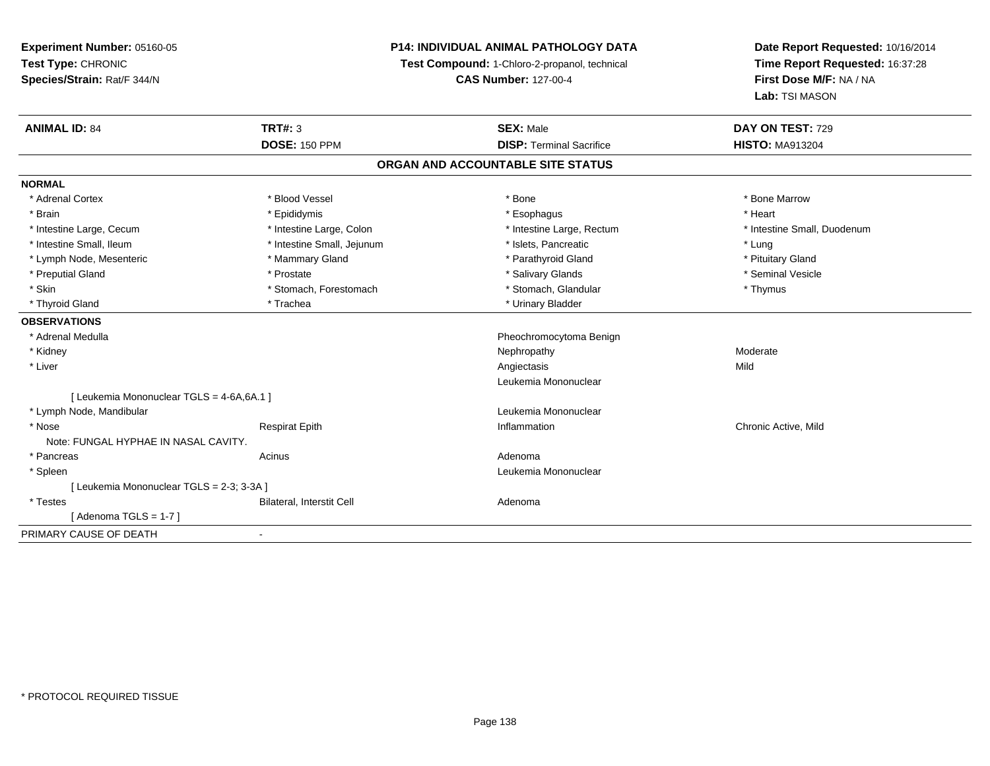**Experiment Number:** 05160-05**Test Type:** CHRONIC **Species/Strain:** Rat/F 344/N**P14: INDIVIDUAL ANIMAL PATHOLOGY DATATest Compound:** 1-Chloro-2-propanol, technical **CAS Number:** 127-00-4**Date Report Requested:** 10/16/2014**Time Report Requested:** 16:37:28**First Dose M/F:** NA / NA**Lab:** TSI MASON**ANIMAL ID:** 84**TRT#:** 3 **SEX:** Male **DAY ON TEST:** 729 **DOSE:** 150 PPM**DISP:** Terminal Sacrifice **HISTO:** MA913204 **ORGAN AND ACCOUNTABLE SITE STATUSNORMAL**\* Adrenal Cortex \* Adrenal Cortex \* \* Attachers \* Blood Vessel \* \* Bone \* \* \* Bone \* \* Bone \* \* Bone \* Bone Marrow \* Bone Marrow \* Brain \* \* Esophagus \* \* Esophagus \* \* Esophagus \* \* Esophagus \* \* Esophagus \* Heart \* Heart \* Heart \* Heart \* Intestine Large, Cecum \* Intestine Large, Colon \* Intestine Large, Rectum \* Intestine Small, Duodenum\* Intestine Small, Ileum \* https://www.fatheratic \* Lung \* Intestine Small, Jejunum \* Islets, Pancreatic \* Lung \* Lung \* Pituitary Gland \* Lymph Node, Mesenteric \* Mammary Gland \* Mammary Gland \* Parathyroid Gland \* Parathyroid Gland \* Seminal Vesicle \* Preputial Gland \* \* Annual vesicle \* \* Prostate \* \* Salivary Glands \* \* Salivary Glands \* \* Seminal Vesicle \* \* Skin \* Stomach, Forestomach \* Stomach \* Stomach, Glandular \* Thymus \* Thymus \* Thyroid Gland \* Trachea \* Trachea \* Trachea \* Urinary Bladder **OBSERVATIONS** \* Adrenal Medulla Pheochromocytoma Benign \* Kidneyy which is a state of the control of the Moderate of the Moderate of the Moderate of the Moderate of the Moderate of the Moderate of the Moderate of the Moderate of the Moderate of the Moderate of the Moderate of the Moder \* Liverr and the contract of the contract of the contract of the contract of the contract of the contract of the contract of the contract of the contract of the contract of the contract of the contract of the contract of the cont s Mild Leukemia Mononuclear[ Leukemia Mononuclear TGLS = 4-6A,6A.1 ] \* Lymph Node, Mandibular Leukemia Mononuclear \* Nose Respirat Epith Inflammation Chronic Active, Mild Note: FUNGAL HYPHAE IN NASAL CAVITY. \* Pancreas Acinus Adenoma Leukemia Mononuclear \* Spleen[ Leukemia Mononuclear TGLS = 2-3; 3-3A ] \* TestesBilateral, Interstit Cell **Adenoma** Adenoma

 $[$  Adenoma TGLS = 1-7  $]$ PRIMARY CAUSE OF DEATH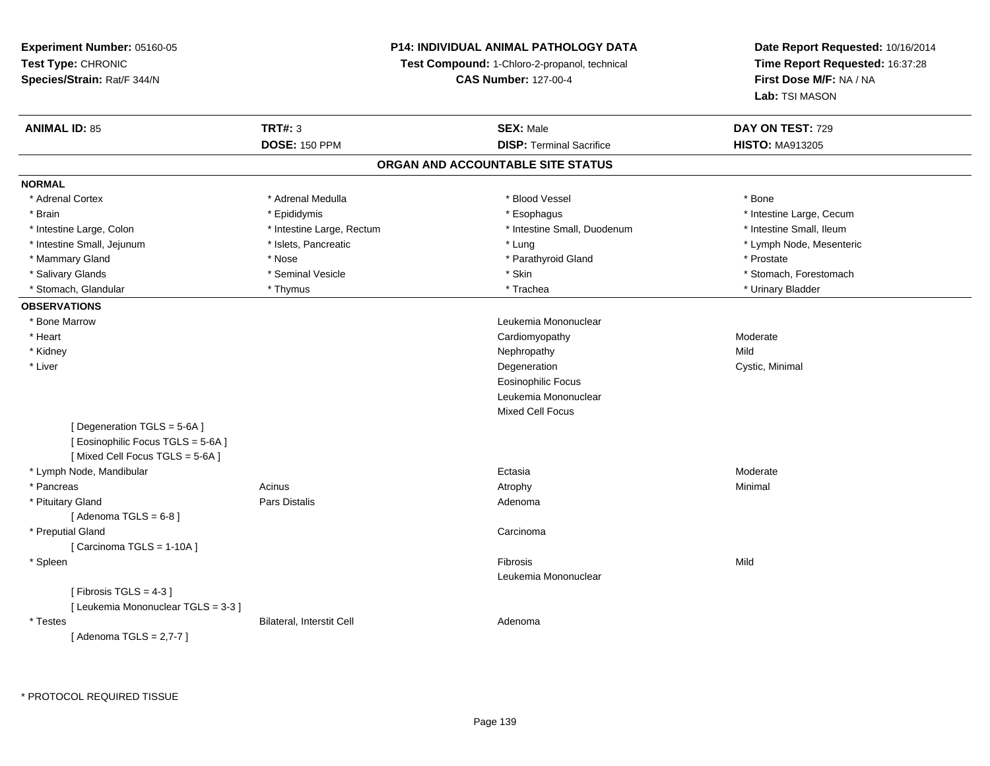## **P14: INDIVIDUAL ANIMAL PATHOLOGY DATA**

**Test Compound:** 1-Chloro-2-propanol, technical

**CAS Number:** 127-00-4

# **Date Report Requested:** 10/16/2014**Time Report Requested:** 16:37:28**First Dose M/F:** NA / NA**Lab:** TSI MASON

| <b>DOSE: 150 PPM</b><br><b>DISP: Terminal Sacrifice</b><br><b>HISTO: MA913205</b><br>ORGAN AND ACCOUNTABLE SITE STATUS<br>* Adrenal Cortex<br>* Adrenal Medulla<br>* Blood Vessel<br>* Bone<br>* Intestine Large, Cecum<br>* Brain<br>* Epididymis<br>* Esophagus<br>* Intestine Large, Colon<br>* Intestine Large, Rectum<br>* Intestine Small, Duodenum<br>* Intestine Small, Ileum<br>* Intestine Small, Jejunum<br>* Islets, Pancreatic<br>* Lung<br>* Lymph Node, Mesenteric<br>* Mammary Gland<br>* Nose<br>* Parathyroid Gland<br>* Prostate<br>* Seminal Vesicle<br>* Skin<br>* Stomach, Forestomach<br>* Salivary Glands<br>* Stomach, Glandular<br>* Trachea<br>* Urinary Bladder<br>* Thymus<br>* Bone Marrow<br>Leukemia Mononuclear<br>* Heart<br>Cardiomyopathy<br>Moderate<br>Mild<br>* Kidney<br>Nephropathy<br>* Liver<br>Degeneration<br>Cystic, Minimal<br><b>Eosinophilic Focus</b><br>Leukemia Mononuclear<br><b>Mixed Cell Focus</b><br>[Degeneration TGLS = 5-6A]<br>[ Eosinophilic Focus TGLS = 5-6A ]<br>[Mixed Cell Focus TGLS = 5-6A]<br>* Lymph Node, Mandibular<br>Moderate<br>Ectasia<br>* Pancreas<br>Acinus<br>Minimal<br>Atrophy<br>* Pituitary Gland<br><b>Pars Distalis</b><br>Adenoma<br>[Adenoma TGLS = $6-8$ ]<br>* Preputial Gland<br>Carcinoma<br>[ Carcinoma TGLS = 1-10A ]<br>Mild<br>* Spleen<br>Fibrosis<br>Leukemia Mononuclear<br>[Fibrosis TGLS = $4-3$ ]<br>[ Leukemia Mononuclear TGLS = 3-3 ]<br>* Testes<br>Bilateral, Interstit Cell<br>Adenoma<br>[ Adenoma TGLS = 2,7-7 ] | <b>ANIMAL ID: 85</b> | <b>TRT#: 3</b> | <b>SEX: Male</b> | DAY ON TEST: 729 |
|---------------------------------------------------------------------------------------------------------------------------------------------------------------------------------------------------------------------------------------------------------------------------------------------------------------------------------------------------------------------------------------------------------------------------------------------------------------------------------------------------------------------------------------------------------------------------------------------------------------------------------------------------------------------------------------------------------------------------------------------------------------------------------------------------------------------------------------------------------------------------------------------------------------------------------------------------------------------------------------------------------------------------------------------------------------------------------------------------------------------------------------------------------------------------------------------------------------------------------------------------------------------------------------------------------------------------------------------------------------------------------------------------------------------------------------------------------------------------------------------------------------------------------|----------------------|----------------|------------------|------------------|
|                                                                                                                                                                                                                                                                                                                                                                                                                                                                                                                                                                                                                                                                                                                                                                                                                                                                                                                                                                                                                                                                                                                                                                                                                                                                                                                                                                                                                                                                                                                                 |                      |                |                  |                  |
|                                                                                                                                                                                                                                                                                                                                                                                                                                                                                                                                                                                                                                                                                                                                                                                                                                                                                                                                                                                                                                                                                                                                                                                                                                                                                                                                                                                                                                                                                                                                 |                      |                |                  |                  |
|                                                                                                                                                                                                                                                                                                                                                                                                                                                                                                                                                                                                                                                                                                                                                                                                                                                                                                                                                                                                                                                                                                                                                                                                                                                                                                                                                                                                                                                                                                                                 | <b>NORMAL</b>        |                |                  |                  |
|                                                                                                                                                                                                                                                                                                                                                                                                                                                                                                                                                                                                                                                                                                                                                                                                                                                                                                                                                                                                                                                                                                                                                                                                                                                                                                                                                                                                                                                                                                                                 |                      |                |                  |                  |
|                                                                                                                                                                                                                                                                                                                                                                                                                                                                                                                                                                                                                                                                                                                                                                                                                                                                                                                                                                                                                                                                                                                                                                                                                                                                                                                                                                                                                                                                                                                                 |                      |                |                  |                  |
|                                                                                                                                                                                                                                                                                                                                                                                                                                                                                                                                                                                                                                                                                                                                                                                                                                                                                                                                                                                                                                                                                                                                                                                                                                                                                                                                                                                                                                                                                                                                 |                      |                |                  |                  |
|                                                                                                                                                                                                                                                                                                                                                                                                                                                                                                                                                                                                                                                                                                                                                                                                                                                                                                                                                                                                                                                                                                                                                                                                                                                                                                                                                                                                                                                                                                                                 |                      |                |                  |                  |
|                                                                                                                                                                                                                                                                                                                                                                                                                                                                                                                                                                                                                                                                                                                                                                                                                                                                                                                                                                                                                                                                                                                                                                                                                                                                                                                                                                                                                                                                                                                                 |                      |                |                  |                  |
|                                                                                                                                                                                                                                                                                                                                                                                                                                                                                                                                                                                                                                                                                                                                                                                                                                                                                                                                                                                                                                                                                                                                                                                                                                                                                                                                                                                                                                                                                                                                 |                      |                |                  |                  |
|                                                                                                                                                                                                                                                                                                                                                                                                                                                                                                                                                                                                                                                                                                                                                                                                                                                                                                                                                                                                                                                                                                                                                                                                                                                                                                                                                                                                                                                                                                                                 |                      |                |                  |                  |
|                                                                                                                                                                                                                                                                                                                                                                                                                                                                                                                                                                                                                                                                                                                                                                                                                                                                                                                                                                                                                                                                                                                                                                                                                                                                                                                                                                                                                                                                                                                                 | <b>OBSERVATIONS</b>  |                |                  |                  |
|                                                                                                                                                                                                                                                                                                                                                                                                                                                                                                                                                                                                                                                                                                                                                                                                                                                                                                                                                                                                                                                                                                                                                                                                                                                                                                                                                                                                                                                                                                                                 |                      |                |                  |                  |
|                                                                                                                                                                                                                                                                                                                                                                                                                                                                                                                                                                                                                                                                                                                                                                                                                                                                                                                                                                                                                                                                                                                                                                                                                                                                                                                                                                                                                                                                                                                                 |                      |                |                  |                  |
|                                                                                                                                                                                                                                                                                                                                                                                                                                                                                                                                                                                                                                                                                                                                                                                                                                                                                                                                                                                                                                                                                                                                                                                                                                                                                                                                                                                                                                                                                                                                 |                      |                |                  |                  |
|                                                                                                                                                                                                                                                                                                                                                                                                                                                                                                                                                                                                                                                                                                                                                                                                                                                                                                                                                                                                                                                                                                                                                                                                                                                                                                                                                                                                                                                                                                                                 |                      |                |                  |                  |
|                                                                                                                                                                                                                                                                                                                                                                                                                                                                                                                                                                                                                                                                                                                                                                                                                                                                                                                                                                                                                                                                                                                                                                                                                                                                                                                                                                                                                                                                                                                                 |                      |                |                  |                  |
|                                                                                                                                                                                                                                                                                                                                                                                                                                                                                                                                                                                                                                                                                                                                                                                                                                                                                                                                                                                                                                                                                                                                                                                                                                                                                                                                                                                                                                                                                                                                 |                      |                |                  |                  |
|                                                                                                                                                                                                                                                                                                                                                                                                                                                                                                                                                                                                                                                                                                                                                                                                                                                                                                                                                                                                                                                                                                                                                                                                                                                                                                                                                                                                                                                                                                                                 |                      |                |                  |                  |
|                                                                                                                                                                                                                                                                                                                                                                                                                                                                                                                                                                                                                                                                                                                                                                                                                                                                                                                                                                                                                                                                                                                                                                                                                                                                                                                                                                                                                                                                                                                                 |                      |                |                  |                  |
|                                                                                                                                                                                                                                                                                                                                                                                                                                                                                                                                                                                                                                                                                                                                                                                                                                                                                                                                                                                                                                                                                                                                                                                                                                                                                                                                                                                                                                                                                                                                 |                      |                |                  |                  |
|                                                                                                                                                                                                                                                                                                                                                                                                                                                                                                                                                                                                                                                                                                                                                                                                                                                                                                                                                                                                                                                                                                                                                                                                                                                                                                                                                                                                                                                                                                                                 |                      |                |                  |                  |
|                                                                                                                                                                                                                                                                                                                                                                                                                                                                                                                                                                                                                                                                                                                                                                                                                                                                                                                                                                                                                                                                                                                                                                                                                                                                                                                                                                                                                                                                                                                                 |                      |                |                  |                  |
|                                                                                                                                                                                                                                                                                                                                                                                                                                                                                                                                                                                                                                                                                                                                                                                                                                                                                                                                                                                                                                                                                                                                                                                                                                                                                                                                                                                                                                                                                                                                 |                      |                |                  |                  |
|                                                                                                                                                                                                                                                                                                                                                                                                                                                                                                                                                                                                                                                                                                                                                                                                                                                                                                                                                                                                                                                                                                                                                                                                                                                                                                                                                                                                                                                                                                                                 |                      |                |                  |                  |
|                                                                                                                                                                                                                                                                                                                                                                                                                                                                                                                                                                                                                                                                                                                                                                                                                                                                                                                                                                                                                                                                                                                                                                                                                                                                                                                                                                                                                                                                                                                                 |                      |                |                  |                  |
|                                                                                                                                                                                                                                                                                                                                                                                                                                                                                                                                                                                                                                                                                                                                                                                                                                                                                                                                                                                                                                                                                                                                                                                                                                                                                                                                                                                                                                                                                                                                 |                      |                |                  |                  |
|                                                                                                                                                                                                                                                                                                                                                                                                                                                                                                                                                                                                                                                                                                                                                                                                                                                                                                                                                                                                                                                                                                                                                                                                                                                                                                                                                                                                                                                                                                                                 |                      |                |                  |                  |
|                                                                                                                                                                                                                                                                                                                                                                                                                                                                                                                                                                                                                                                                                                                                                                                                                                                                                                                                                                                                                                                                                                                                                                                                                                                                                                                                                                                                                                                                                                                                 |                      |                |                  |                  |
|                                                                                                                                                                                                                                                                                                                                                                                                                                                                                                                                                                                                                                                                                                                                                                                                                                                                                                                                                                                                                                                                                                                                                                                                                                                                                                                                                                                                                                                                                                                                 |                      |                |                  |                  |
|                                                                                                                                                                                                                                                                                                                                                                                                                                                                                                                                                                                                                                                                                                                                                                                                                                                                                                                                                                                                                                                                                                                                                                                                                                                                                                                                                                                                                                                                                                                                 |                      |                |                  |                  |
|                                                                                                                                                                                                                                                                                                                                                                                                                                                                                                                                                                                                                                                                                                                                                                                                                                                                                                                                                                                                                                                                                                                                                                                                                                                                                                                                                                                                                                                                                                                                 |                      |                |                  |                  |
|                                                                                                                                                                                                                                                                                                                                                                                                                                                                                                                                                                                                                                                                                                                                                                                                                                                                                                                                                                                                                                                                                                                                                                                                                                                                                                                                                                                                                                                                                                                                 |                      |                |                  |                  |
|                                                                                                                                                                                                                                                                                                                                                                                                                                                                                                                                                                                                                                                                                                                                                                                                                                                                                                                                                                                                                                                                                                                                                                                                                                                                                                                                                                                                                                                                                                                                 |                      |                |                  |                  |

\* PROTOCOL REQUIRED TISSUE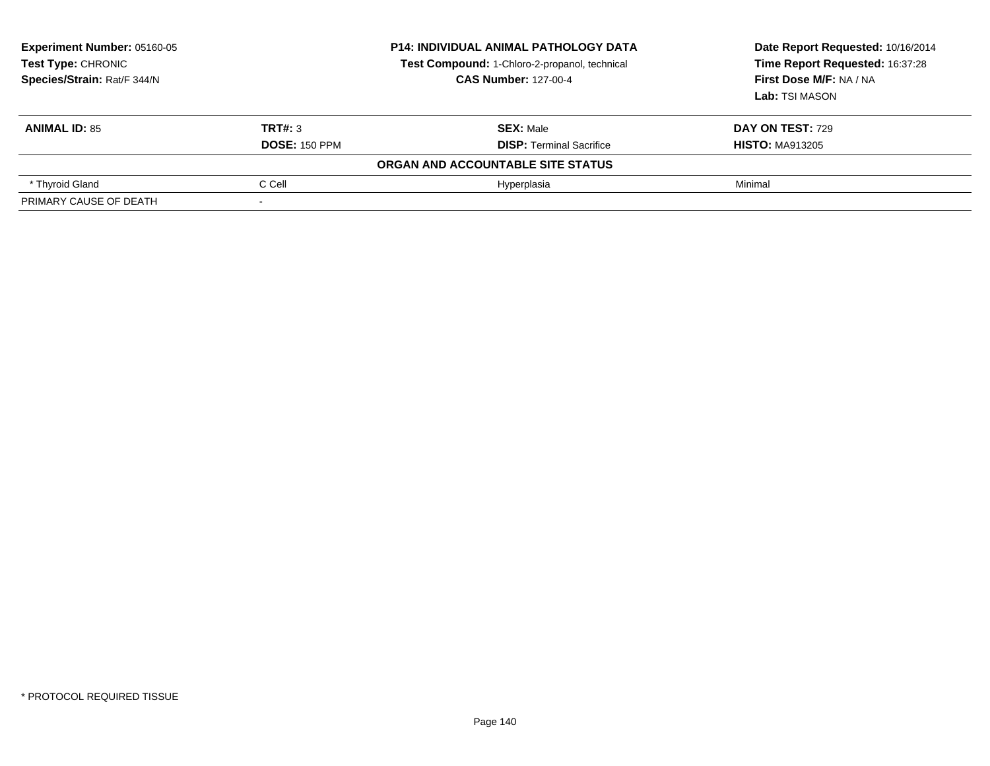| Experiment Number: 05160-05<br>Test Type: CHRONIC<br>Species/Strain: Rat/F 344/N |                      | <b>P14: INDIVIDUAL ANIMAL PATHOLOGY DATA</b><br>Test Compound: 1-Chloro-2-propanol, technical<br><b>CAS Number: 127-00-4</b> | Date Report Requested: 10/16/2014<br>Time Report Requested: 16:37:28<br>First Dose M/F: NA / NA<br>Lab: TSI MASON |
|----------------------------------------------------------------------------------|----------------------|------------------------------------------------------------------------------------------------------------------------------|-------------------------------------------------------------------------------------------------------------------|
| <b>ANIMAL ID: 85</b>                                                             | TRT#: 3              | <b>SEX: Male</b>                                                                                                             | <b>DAY ON TEST: 729</b>                                                                                           |
|                                                                                  | <b>DOSE: 150 PPM</b> | <b>DISP:</b> Terminal Sacrifice                                                                                              | <b>HISTO: MA913205</b>                                                                                            |
|                                                                                  |                      | ORGAN AND ACCOUNTABLE SITE STATUS                                                                                            |                                                                                                                   |
| * Thyroid Gland                                                                  | C Cell               | Hyperplasia                                                                                                                  | Minimal                                                                                                           |
| PRIMARY CAUSE OF DEATH                                                           |                      |                                                                                                                              |                                                                                                                   |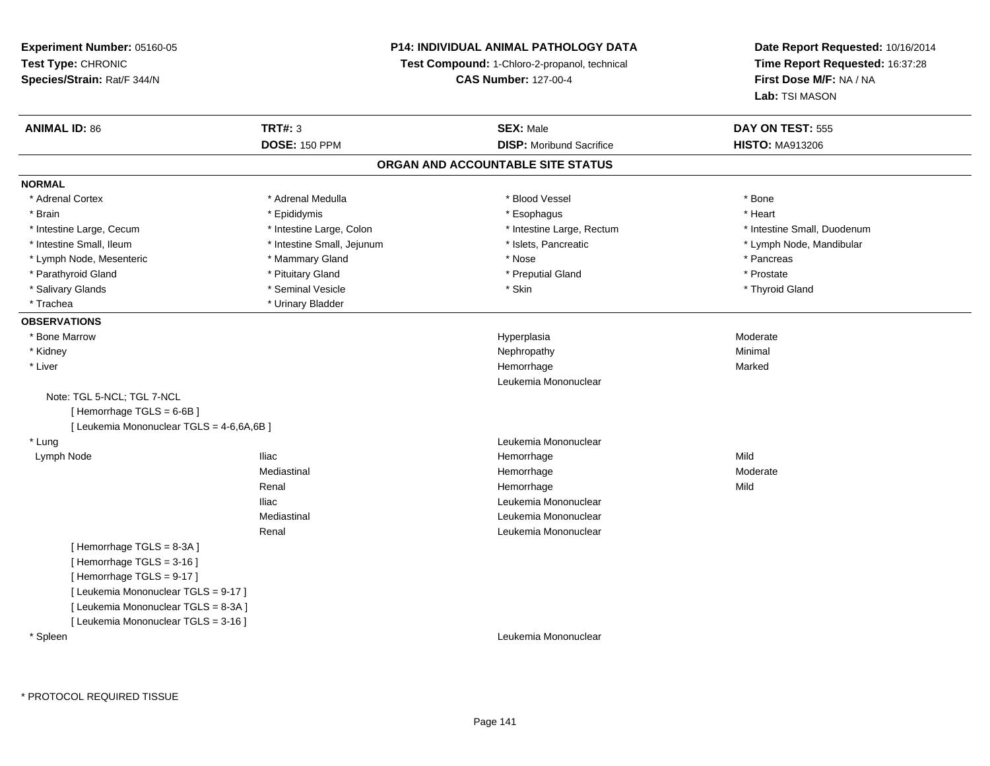## **P14: INDIVIDUAL ANIMAL PATHOLOGY DATA**

**Test Compound:** 1-Chloro-2-propanol, technical

**CAS Number:** 127-00-4

| <b>ANIMAL ID: 86</b>                      | <b>TRT#: 3</b>             | <b>SEX: Male</b>                  | DAY ON TEST: 555            |
|-------------------------------------------|----------------------------|-----------------------------------|-----------------------------|
|                                           | <b>DOSE: 150 PPM</b>       | <b>DISP:</b> Moribund Sacrifice   | <b>HISTO: MA913206</b>      |
|                                           |                            | ORGAN AND ACCOUNTABLE SITE STATUS |                             |
| <b>NORMAL</b>                             |                            |                                   |                             |
| * Adrenal Cortex                          | * Adrenal Medulla          | * Blood Vessel                    | * Bone                      |
| * Brain                                   | * Epididymis               | * Esophagus                       | * Heart                     |
| * Intestine Large, Cecum                  | * Intestine Large, Colon   | * Intestine Large, Rectum         | * Intestine Small, Duodenum |
| * Intestine Small, Ileum                  | * Intestine Small, Jejunum | * Islets, Pancreatic              | * Lymph Node, Mandibular    |
| * Lymph Node, Mesenteric                  | * Mammary Gland            | * Nose                            | * Pancreas                  |
| * Parathyroid Gland                       | * Pituitary Gland          | * Preputial Gland                 | * Prostate                  |
| * Salivary Glands                         | * Seminal Vesicle          | * Skin                            | * Thyroid Gland             |
| * Trachea                                 | * Urinary Bladder          |                                   |                             |
| <b>OBSERVATIONS</b>                       |                            |                                   |                             |
| * Bone Marrow                             |                            | Hyperplasia                       | Moderate                    |
| * Kidney                                  |                            | Nephropathy                       | Minimal                     |
| * Liver                                   |                            | Hemorrhage                        | Marked                      |
|                                           |                            | Leukemia Mononuclear              |                             |
| Note: TGL 5-NCL; TGL 7-NCL                |                            |                                   |                             |
| [Hemorrhage TGLS = 6-6B]                  |                            |                                   |                             |
| [ Leukemia Mononuclear TGLS = 4-6,6A,6B ] |                            |                                   |                             |
| * Lung                                    |                            | Leukemia Mononuclear              |                             |
| Lymph Node                                | <b>Iliac</b>               | Hemorrhage                        | Mild                        |
|                                           | Mediastinal                | Hemorrhage                        | Moderate                    |
|                                           | Renal                      | Hemorrhage                        | Mild                        |
|                                           | <b>Iliac</b>               | Leukemia Mononuclear              |                             |
|                                           | Mediastinal                | Leukemia Mononuclear              |                             |
|                                           | Renal                      | Leukemia Mononuclear              |                             |
| [Hemorrhage TGLS = 8-3A]                  |                            |                                   |                             |
| [Hemorrhage TGLS = 3-16]                  |                            |                                   |                             |
| [Hemorrhage TGLS = 9-17]                  |                            |                                   |                             |
| [ Leukemia Mononuclear TGLS = 9-17 ]      |                            |                                   |                             |
| [ Leukemia Mononuclear TGLS = 8-3A ]      |                            |                                   |                             |
| [ Leukemia Mononuclear TGLS = 3-16 ]      |                            |                                   |                             |
| * Spleen                                  |                            | Leukemia Mononuclear              |                             |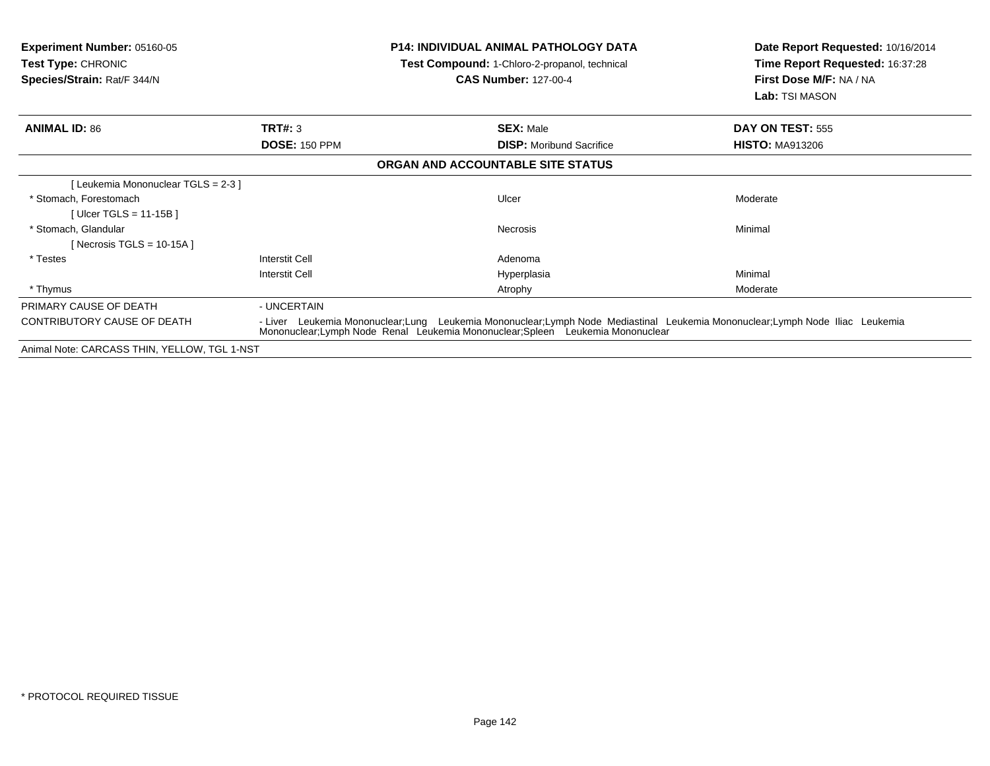| <b>Experiment Number: 05160-05</b><br>Test Type: CHRONIC<br>Species/Strain: Rat/F 344/N |                                                                                                                                                                                                                 | <b>P14: INDIVIDUAL ANIMAL PATHOLOGY DATA</b><br>Test Compound: 1-Chloro-2-propanol, technical<br><b>CAS Number: 127-00-4</b> | Date Report Requested: 10/16/2014<br>Time Report Requested: 16:37:28<br>First Dose M/F: NA / NA<br>Lab: TSI MASON |
|-----------------------------------------------------------------------------------------|-----------------------------------------------------------------------------------------------------------------------------------------------------------------------------------------------------------------|------------------------------------------------------------------------------------------------------------------------------|-------------------------------------------------------------------------------------------------------------------|
| <b>ANIMAL ID: 86</b>                                                                    | TRT#: 3                                                                                                                                                                                                         | <b>SEX: Male</b>                                                                                                             | DAY ON TEST: 555                                                                                                  |
|                                                                                         | <b>DOSE: 150 PPM</b>                                                                                                                                                                                            | <b>DISP:</b> Moribund Sacrifice                                                                                              | <b>HISTO: MA913206</b>                                                                                            |
|                                                                                         |                                                                                                                                                                                                                 | ORGAN AND ACCOUNTABLE SITE STATUS                                                                                            |                                                                                                                   |
| [Leukemia Mononuclear TGLS = 2-3 ]                                                      |                                                                                                                                                                                                                 |                                                                                                                              |                                                                                                                   |
| * Stomach. Forestomach                                                                  |                                                                                                                                                                                                                 | Ulcer                                                                                                                        | Moderate                                                                                                          |
| [Ulcer TGLS = 11-15B]                                                                   |                                                                                                                                                                                                                 |                                                                                                                              |                                                                                                                   |
| * Stomach, Glandular                                                                    |                                                                                                                                                                                                                 | Necrosis                                                                                                                     | Minimal                                                                                                           |
| [Necrosis TGLS = $10-15A$ ]                                                             |                                                                                                                                                                                                                 |                                                                                                                              |                                                                                                                   |
| * Testes                                                                                | <b>Interstit Cell</b>                                                                                                                                                                                           | Adenoma                                                                                                                      |                                                                                                                   |
|                                                                                         | Interstit Cell                                                                                                                                                                                                  | Hyperplasia                                                                                                                  | Minimal                                                                                                           |
| * Thymus                                                                                |                                                                                                                                                                                                                 | Atrophy                                                                                                                      | Moderate                                                                                                          |
| PRIMARY CAUSE OF DEATH                                                                  | - UNCERTAIN                                                                                                                                                                                                     |                                                                                                                              |                                                                                                                   |
| <b>CONTRIBUTORY CAUSE OF DEATH</b>                                                      | - Liver Leukemia Mononuclear;Lung Leukemia Mononuclear;Lymph Node Mediastinal Leukemia Mononuclear;Lymph Node Iliac Leukemia<br>Mononuclear; Lymph Node Renal Leukemia Mononuclear; Spleen Leukemia Mononuclear |                                                                                                                              |                                                                                                                   |
| Animal Note: CARCASS THIN, YELLOW, TGL 1-NST                                            |                                                                                                                                                                                                                 |                                                                                                                              |                                                                                                                   |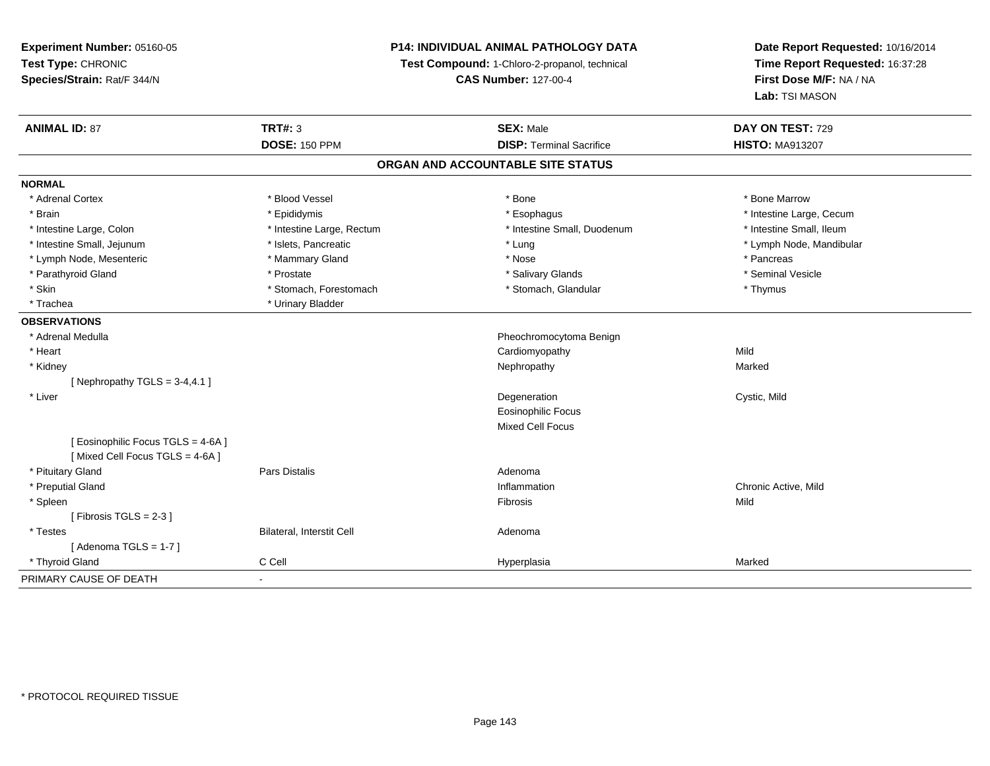**Experiment Number:** 05160-05**Test Type:** CHRONIC **Species/Strain:** Rat/F 344/N**P14: INDIVIDUAL ANIMAL PATHOLOGY DATATest Compound:** 1-Chloro-2-propanol, technical **CAS Number:** 127-00-4**Date Report Requested:** 10/16/2014**Time Report Requested:** 16:37:28**First Dose M/F:** NA / NA**Lab:** TSI MASON**ANIMAL ID:** 87**TRT#:** 3 **SEX:** Male **DAY ON TEST:** 729 **DOSE:** 150 PPM**DISP:** Terminal Sacrifice **HISTO:** MA913207 **ORGAN AND ACCOUNTABLE SITE STATUSNORMAL**\* Adrenal Cortex \* Adrenal Cortex \* \* Attachers \* Blood Vessel \* \* Bone \* \* \* Bone \* \* Bone \* \* Bone \* Bone Marrow \* Bone Marrow \* Brain \* Explorer \* Epididymis \* \* Epididymis \* \* Esophagus \* Esophagus \* \* Esophagus \* Intestine Large, Cecum \* \* Intestine Large, Cecum \* Intestine Small. Ileum \* Intestine Large, Colon \* Intestine Large, Rectum \* Intestine Small, Duodenum \* Intestine Small, Duodenum \* Intestine Small, Jejunum \* \* \* https://www.fat.com/setter/educition/setter/filesophysics.com/setter/filesophysics.com/setter/filesophysics.com/setter/filesophysics.com/setter/filesophysics.com/setter/filesophysics.com/se \* Lymph Node, Mesenteric \* \* The mannery Gland \* Mammary Gland \* Nose \* Nose \* \* Pancreas \* Pancreas \* Pancreas \* Seminal Vesicle \* Parathyroid Gland \* November 2008 \* Prostate \* Salivary Glands \* Salivary Glands \* Salivary Glands \* Seminal Vesicle \* Skin \* Stomach, Forestomach \* Stomach \* Stomach, Glandular \* Thymus \* Thymus \* Trachea \* Urinary Bladder**OBSERVATIONS** \* Adrenal Medulla Pheochromocytoma Benign \* Heart Cardiomyopathyy Mild Marked \* Kidneyy the control of the control of the control of the control of the control of the control of the control of the control of the control of the control of the control of the control of the control of the control of the contro [ Nephropathy  $TGLS = 3-4, 4.1$  ] \* Liver Degeneration Cystic, Mild Eosinophilic FocusMixed Cell Focus[ Eosinophilic Focus TGLS = 4-6A ][ Mixed Cell Focus TGLS = 4-6A ] \* Pituitary Glandd and the contract of Pars Distalis and the contract of Adenoma and Adenoma and the Adenoma and the Adenoma and  $\lambda$  \* Preputial Glandd the contraction of the contraction of the contraction of the contraction of the chronic Active, Mild and the contraction of the contraction of  $\alpha$  chronic Active, Mild and the contraction of the contraction of the contr \* Spleenn and the control of the control of the control of the control of the control of the control of the control of the control of the control of the control of the control of the control of the control of the control of the co  $[$  Fibrosis TGLS = 2-3  $]$  \* TestesBilateral, Interstit Cell **Adenoma** Adenoma  $[$  Adenoma TGLS = 1-7  $]$  \* Thyroid Gland C Cell Hyperplasia Marked PRIMARY CAUSE OF DEATH-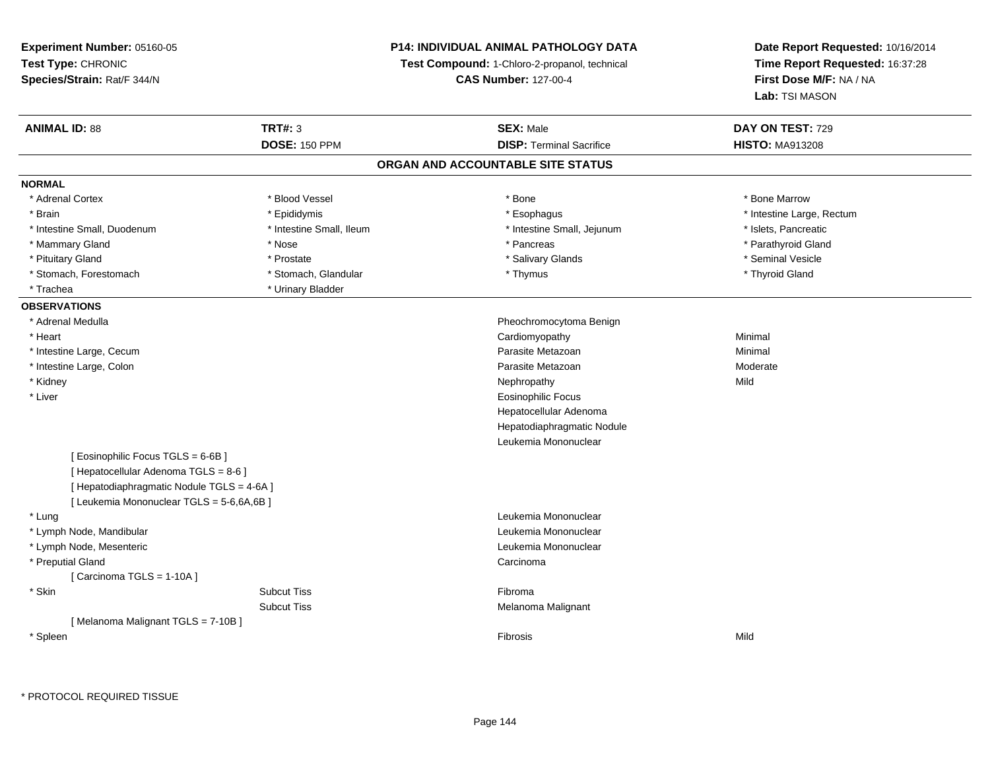**Experiment Number:** 05160-05**Test Type:** CHRONIC **Species/Strain:** Rat/F 344/N**P14: INDIVIDUAL ANIMAL PATHOLOGY DATATest Compound:** 1-Chloro-2-propanol, technical **CAS Number:** 127-00-4**Date Report Requested:** 10/16/2014**Time Report Requested:** 16:37:28**First Dose M/F:** NA / NA**Lab:** TSI MASON**ANIMAL ID:** 88**TRT#:** 3 **SEX:** Male **DAY ON TEST:** 729 **DOSE:** 150 PPM**DISP:** Terminal Sacrifice **HISTO:** MA913208 **ORGAN AND ACCOUNTABLE SITE STATUSNORMAL**\* Adrenal Cortex \* Adrenal Cortex \* \* Attachers \* Blood Vessel \* \* Bone \* \* \* Bone \* \* Bone \* \* Bone \* Bone Marrow \* Bone Marrow \* Brain \* Alternative of the state of the state of the state of the state of the state of the state of the state of the state of the state of the state of the state of the state of the state of the state of the state of th \* Intestine Small, Duodenum \* Intestine Small, Ileum \* Intestine Small, Jejunum \* Islets, Pancreatic\* Parathyroid Gland \* Mammary Gland \* \* Nose \* \* Nose \* \* Pancreas \* Pancreas \* \* Pancreas \* \* Pancreas \* \* Pancreas \* \* Parathyroid Gland \* Pituitary Gland \* \* \* \* Prostate \* \* Prostate \* \* Salivary Glands \* \* Salivary Glands \* \* Seminal Vesicle \* Stomach, Forestomach \* Thyroid Gland \* Stomach, Glandular \* Thymus \* Thymus \* Thyroid Gland \* Thyroid Gland \* Trachea **\*** Urinary Bladder **OBSERVATIONS** \* Adrenal Medulla Pheochromocytoma Benign \* Heart Cardiomyopathy Minimal \* Intestine Large, Cecumm and the contract of the contract of the contract of the contract of the contract of the contract of the contract of the contract of the contract of the contract of the contract of the contract of the contract of the cont \* Intestine Large, Colonn and a state of the control of the control of the control of the Parasite Metazoan and the control of the Moderate \* Kidneyy the control of the control of the control of the control of the control of the control of the control of the control of the control of the control of the control of the control of the control of the control of the contro \* Liver Eosinophilic Focus Hepatocellular Adenoma Hepatodiaphragmatic NoduleLeukemia Mononuclear[ Eosinophilic Focus TGLS = 6-6B ][ Hepatocellular Adenoma TGLS = 8-6 ][ Hepatodiaphragmatic Nodule TGLS = 4-6A ][ Leukemia Mononuclear TGLS = 5-6,6A,6B ] \* Lung Leukemia Mononuclear \* Lymph Node, Mandibular Leukemia Mononuclear \* Lymph Node, Mesenteric Leukemia Mononuclear \* Preputial Glandd<sub>d</sub> Carcinoma  $[$  Carcinoma TGLS = 1-10A  $]$  \* Skinn and the subset of the Subcut Tiss of the Subset of the Subset of the Subset of the Subset of the Subset of t Subcut Tiss Melanoma Malignant [ Melanoma Malignant TGLS = 7-10B ] \* Spleenn and the control of the control of the control of the control of the control of the control of the control of the control of the control of the control of the control of the control of the control of the control of the co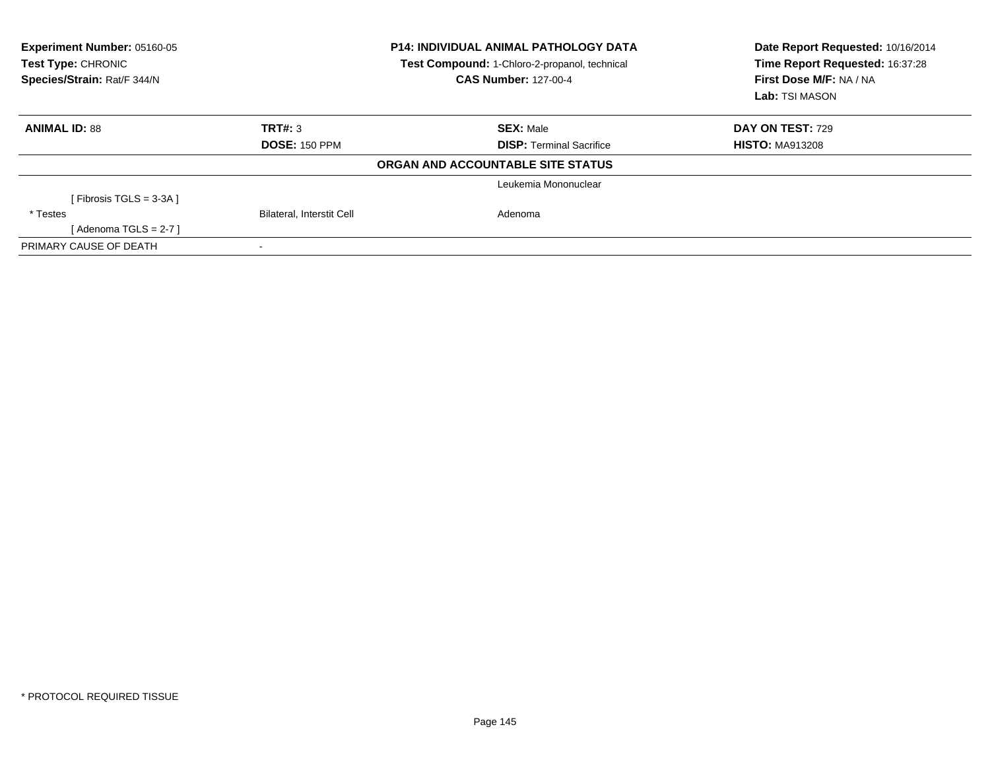| Experiment Number: 05160-05<br>Test Type: CHRONIC<br>Species/Strain: Rat/F 344/N |                                  | <b>P14: INDIVIDUAL ANIMAL PATHOLOGY DATA</b><br>Test Compound: 1-Chloro-2-propanol, technical<br><b>CAS Number: 127-00-4</b> | Date Report Requested: 10/16/2014<br>Time Report Requested: 16:37:28<br>First Dose M/F: NA / NA<br>Lab: TSI MASON |
|----------------------------------------------------------------------------------|----------------------------------|------------------------------------------------------------------------------------------------------------------------------|-------------------------------------------------------------------------------------------------------------------|
| <b>ANIMAL ID: 88</b>                                                             | TRT#: 3                          | <b>SEX: Male</b>                                                                                                             | <b>DAY ON TEST: 729</b>                                                                                           |
|                                                                                  | <b>DOSE: 150 PPM</b>             | <b>DISP:</b> Terminal Sacrifice                                                                                              | <b>HISTO: MA913208</b>                                                                                            |
|                                                                                  |                                  | ORGAN AND ACCOUNTABLE SITE STATUS                                                                                            |                                                                                                                   |
|                                                                                  |                                  | Leukemia Mononuclear                                                                                                         |                                                                                                                   |
| [ Fibrosis TGLS = $3-3A$ ]                                                       |                                  |                                                                                                                              |                                                                                                                   |
| * Testes                                                                         | <b>Bilateral, Interstit Cell</b> | Adenoma                                                                                                                      |                                                                                                                   |
| [ Adenoma TGLS = 2-7 ]                                                           |                                  |                                                                                                                              |                                                                                                                   |
| PRIMARY CAUSE OF DEATH                                                           |                                  |                                                                                                                              |                                                                                                                   |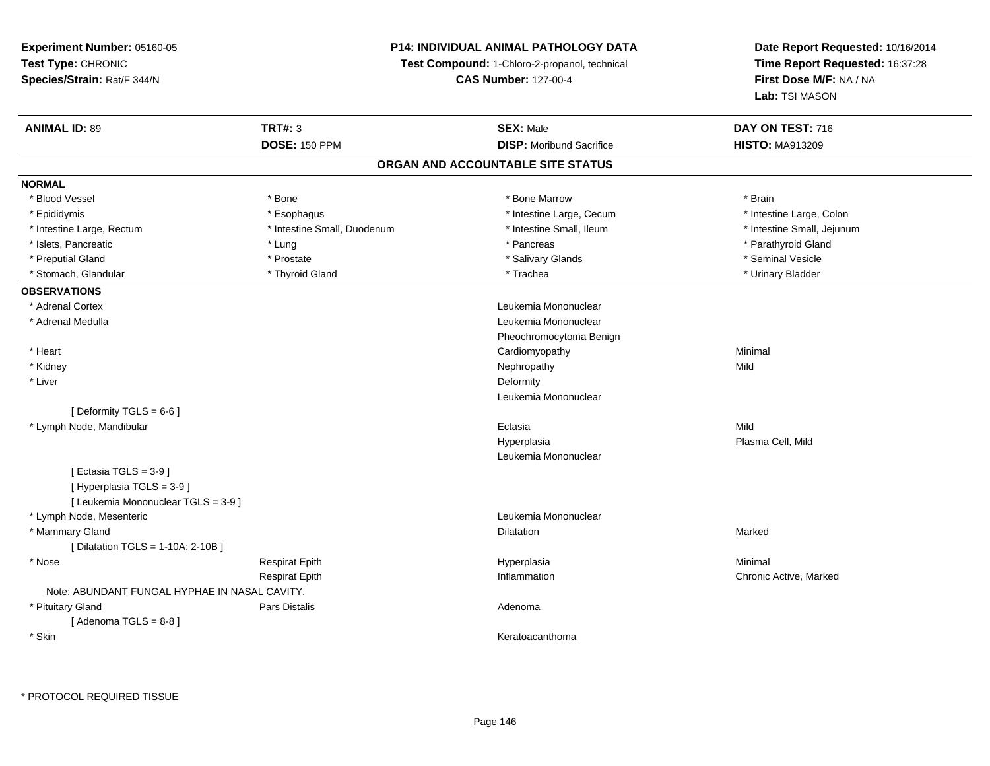## **P14: INDIVIDUAL ANIMAL PATHOLOGY DATA**

**Test Compound:** 1-Chloro-2-propanol, technical

**CAS Number:** 127-00-4

| <b>ANIMAL ID: 89</b>                          | <b>TRT#: 3</b>              | <b>SEX: Male</b>                | DAY ON TEST: 716           |  |  |  |  |
|-----------------------------------------------|-----------------------------|---------------------------------|----------------------------|--|--|--|--|
|                                               | <b>DOSE: 150 PPM</b>        | <b>DISP:</b> Moribund Sacrifice | <b>HISTO: MA913209</b>     |  |  |  |  |
| ORGAN AND ACCOUNTABLE SITE STATUS             |                             |                                 |                            |  |  |  |  |
| <b>NORMAL</b>                                 |                             |                                 |                            |  |  |  |  |
| * Blood Vessel                                | * Bone                      | * Bone Marrow                   | * Brain                    |  |  |  |  |
| * Epididymis                                  | * Esophagus                 | * Intestine Large, Cecum        | * Intestine Large, Colon   |  |  |  |  |
| * Intestine Large, Rectum                     | * Intestine Small, Duodenum | * Intestine Small, Ileum        | * Intestine Small, Jejunum |  |  |  |  |
| * Islets, Pancreatic                          | * Lung                      | * Pancreas                      | * Parathyroid Gland        |  |  |  |  |
| * Preputial Gland                             | * Prostate                  | * Salivary Glands               | * Seminal Vesicle          |  |  |  |  |
| * Stomach, Glandular                          | * Thyroid Gland             | * Trachea                       | * Urinary Bladder          |  |  |  |  |
| <b>OBSERVATIONS</b>                           |                             |                                 |                            |  |  |  |  |
| * Adrenal Cortex                              |                             | Leukemia Mononuclear            |                            |  |  |  |  |
| * Adrenal Medulla                             |                             | Leukemia Mononuclear            |                            |  |  |  |  |
|                                               |                             | Pheochromocytoma Benign         |                            |  |  |  |  |
| * Heart                                       |                             | Cardiomyopathy                  | Minimal                    |  |  |  |  |
| * Kidney                                      |                             | Nephropathy                     | Mild                       |  |  |  |  |
| * Liver                                       |                             | Deformity                       |                            |  |  |  |  |
|                                               |                             | Leukemia Mononuclear            |                            |  |  |  |  |
| [ Deformity TGLS = $6-6$ ]                    |                             |                                 |                            |  |  |  |  |
| * Lymph Node, Mandibular                      |                             | Ectasia                         | Mild                       |  |  |  |  |
|                                               |                             | Hyperplasia                     | Plasma Cell, Mild          |  |  |  |  |
|                                               |                             | Leukemia Mononuclear            |                            |  |  |  |  |
| [Ectasia TGLS = $3-9$ ]                       |                             |                                 |                            |  |  |  |  |
| [Hyperplasia TGLS = 3-9]                      |                             |                                 |                            |  |  |  |  |
| [ Leukemia Mononuclear TGLS = 3-9 ]           |                             |                                 |                            |  |  |  |  |
| * Lymph Node, Mesenteric                      |                             | Leukemia Mononuclear            |                            |  |  |  |  |
| * Mammary Gland                               |                             | Dilatation                      | Marked                     |  |  |  |  |
| [ Dilatation TGLS = 1-10A; 2-10B ]            |                             |                                 |                            |  |  |  |  |
| * Nose                                        | <b>Respirat Epith</b>       | Hyperplasia                     | Minimal                    |  |  |  |  |
|                                               | <b>Respirat Epith</b>       | Inflammation                    | Chronic Active, Marked     |  |  |  |  |
| Note: ABUNDANT FUNGAL HYPHAE IN NASAL CAVITY. |                             |                                 |                            |  |  |  |  |
| * Pituitary Gland                             | <b>Pars Distalis</b>        | Adenoma                         |                            |  |  |  |  |
| [Adenoma TGLS = $8-8$ ]                       |                             |                                 |                            |  |  |  |  |
| * Skin                                        |                             | Keratoacanthoma                 |                            |  |  |  |  |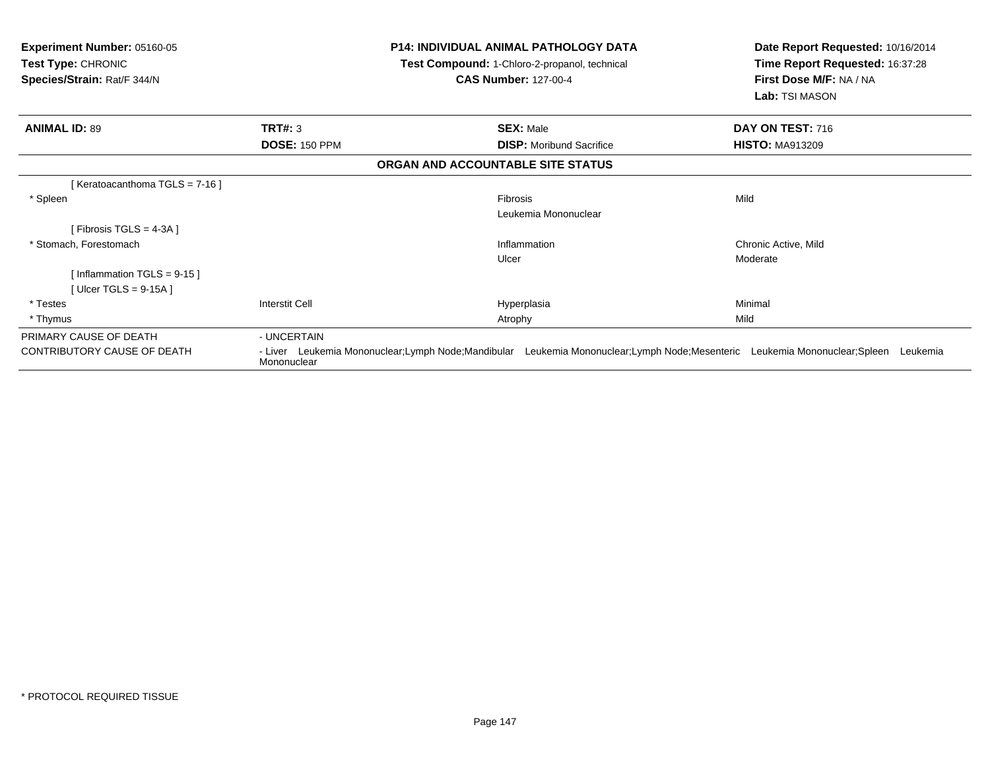| <b>Experiment Number: 05160-05</b><br>Test Type: CHRONIC<br>Species/Strain: Rat/F 344/N |                      | <b>P14: INDIVIDUAL ANIMAL PATHOLOGY DATA</b><br>Test Compound: 1-Chloro-2-propanol, technical<br><b>CAS Number: 127-00-4</b> | Date Report Requested: 10/16/2014<br>Time Report Requested: 16:37:28<br>First Dose M/F: NA / NA<br>Lab: TSI MASON |
|-----------------------------------------------------------------------------------------|----------------------|------------------------------------------------------------------------------------------------------------------------------|-------------------------------------------------------------------------------------------------------------------|
| <b>ANIMAL ID: 89</b>                                                                    | TRT#: 3              | <b>SEX: Male</b>                                                                                                             | DAY ON TEST: 716                                                                                                  |
|                                                                                         | <b>DOSE: 150 PPM</b> | <b>DISP:</b> Moribund Sacrifice                                                                                              | <b>HISTO: MA913209</b>                                                                                            |
|                                                                                         |                      | ORGAN AND ACCOUNTABLE SITE STATUS                                                                                            |                                                                                                                   |
| [ Keratoacanthoma TGLS = 7-16 ]                                                         |                      |                                                                                                                              |                                                                                                                   |
| * Spleen                                                                                |                      | Fibrosis                                                                                                                     | Mild                                                                                                              |
|                                                                                         |                      | Leukemia Mononuclear                                                                                                         |                                                                                                                   |
| [Fibrosis TGLS = 4-3A]                                                                  |                      |                                                                                                                              |                                                                                                                   |
| * Stomach, Forestomach                                                                  |                      | Inflammation                                                                                                                 | Chronic Active, Mild                                                                                              |
|                                                                                         |                      | Ulcer                                                                                                                        | Moderate                                                                                                          |
| [Inflammation TGLS = $9-15$ ]                                                           |                      |                                                                                                                              |                                                                                                                   |
| [ Ulcer TGLS = $9-15A$ ]                                                                |                      |                                                                                                                              |                                                                                                                   |
| * Testes                                                                                | Interstit Cell       | Hyperplasia                                                                                                                  | Minimal                                                                                                           |
| * Thymus                                                                                |                      | Atrophy                                                                                                                      | Mild                                                                                                              |
| PRIMARY CAUSE OF DEATH                                                                  | - UNCERTAIN          |                                                                                                                              |                                                                                                                   |
| CONTRIBUTORY CAUSE OF DEATH                                                             | Mononuclear          | - Liver Leukemia Mononuclear;Lymph Node;Mandibular Leukemia Mononuclear;Lymph Node;Mesenteric Leukemia Mononuclear;Spleen    | Leukemia                                                                                                          |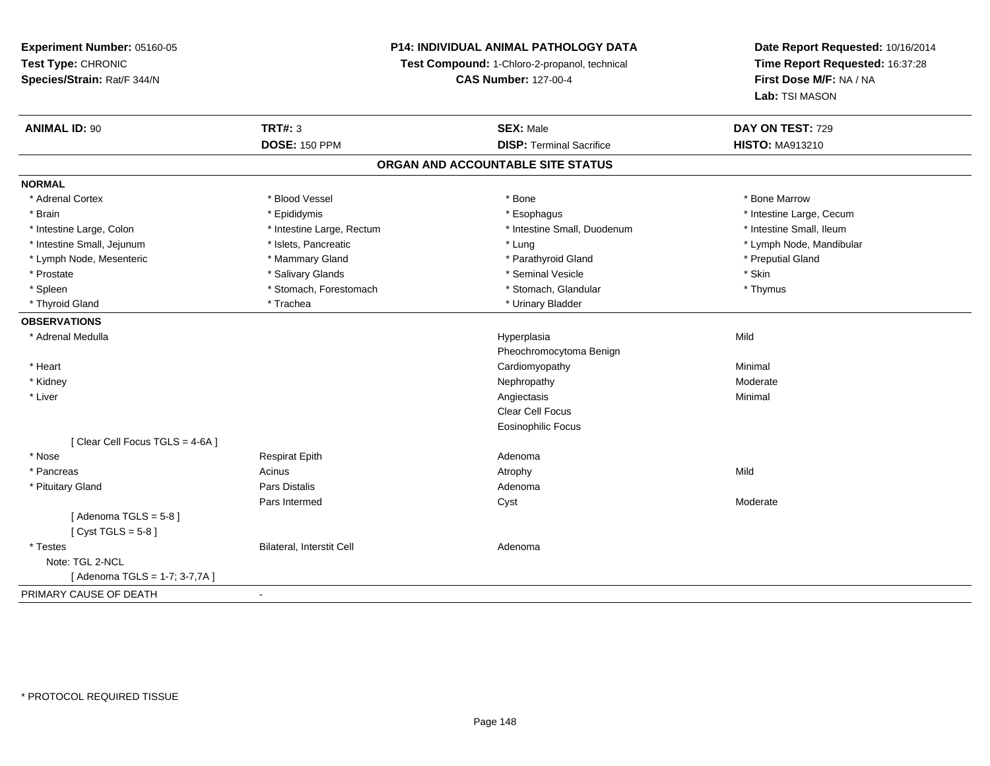## **P14: INDIVIDUAL ANIMAL PATHOLOGY DATA**

**Test Compound:** 1-Chloro-2-propanol, technical

**CAS Number:** 127-00-4

| <b>ANIMAL ID: 90</b>           | <b>TRT#: 3</b>            | <b>SEX: Male</b>                  | DAY ON TEST: 729         |
|--------------------------------|---------------------------|-----------------------------------|--------------------------|
|                                | <b>DOSE: 150 PPM</b>      | <b>DISP: Terminal Sacrifice</b>   | <b>HISTO: MA913210</b>   |
|                                |                           | ORGAN AND ACCOUNTABLE SITE STATUS |                          |
| <b>NORMAL</b>                  |                           |                                   |                          |
| * Adrenal Cortex               | * Blood Vessel            | * Bone                            | * Bone Marrow            |
| * Brain                        | * Epididymis              | * Esophagus                       | * Intestine Large, Cecum |
| * Intestine Large, Colon       | * Intestine Large, Rectum | * Intestine Small, Duodenum       | * Intestine Small, Ileum |
| * Intestine Small, Jejunum     | * Islets, Pancreatic      | * Lung                            | * Lymph Node, Mandibular |
| * Lymph Node, Mesenteric       | * Mammary Gland           | * Parathyroid Gland               | * Preputial Gland        |
| * Prostate                     | * Salivary Glands         | * Seminal Vesicle                 | * Skin                   |
| * Spleen                       | * Stomach, Forestomach    | * Stomach, Glandular              | * Thymus                 |
| * Thyroid Gland                | * Trachea                 | * Urinary Bladder                 |                          |
| <b>OBSERVATIONS</b>            |                           |                                   |                          |
| * Adrenal Medulla              |                           | Hyperplasia                       | Mild                     |
|                                |                           | Pheochromocytoma Benign           |                          |
| * Heart                        |                           | Cardiomyopathy                    | Minimal                  |
| * Kidney                       |                           | Nephropathy                       | Moderate                 |
| * Liver                        |                           | Angiectasis                       | Minimal                  |
|                                |                           | <b>Clear Cell Focus</b>           |                          |
|                                |                           | <b>Eosinophilic Focus</b>         |                          |
| [Clear Cell Focus TGLS = 4-6A] |                           |                                   |                          |
| * Nose                         | <b>Respirat Epith</b>     | Adenoma                           |                          |
| * Pancreas                     | Acinus                    | Atrophy                           | Mild                     |
| * Pituitary Gland              | <b>Pars Distalis</b>      | Adenoma                           |                          |
|                                | Pars Intermed             | Cyst                              | Moderate                 |
| [Adenoma TGLS = $5-8$ ]        |                           |                                   |                          |
| [Cyst TGLS = $5-8$ ]           |                           |                                   |                          |
| * Testes                       | Bilateral, Interstit Cell | Adenoma                           |                          |
| Note: TGL 2-NCL                |                           |                                   |                          |
| [Adenoma TGLS = 1-7; 3-7,7A]   |                           |                                   |                          |
| PRIMARY CAUSE OF DEATH         | $\blacksquare$            |                                   |                          |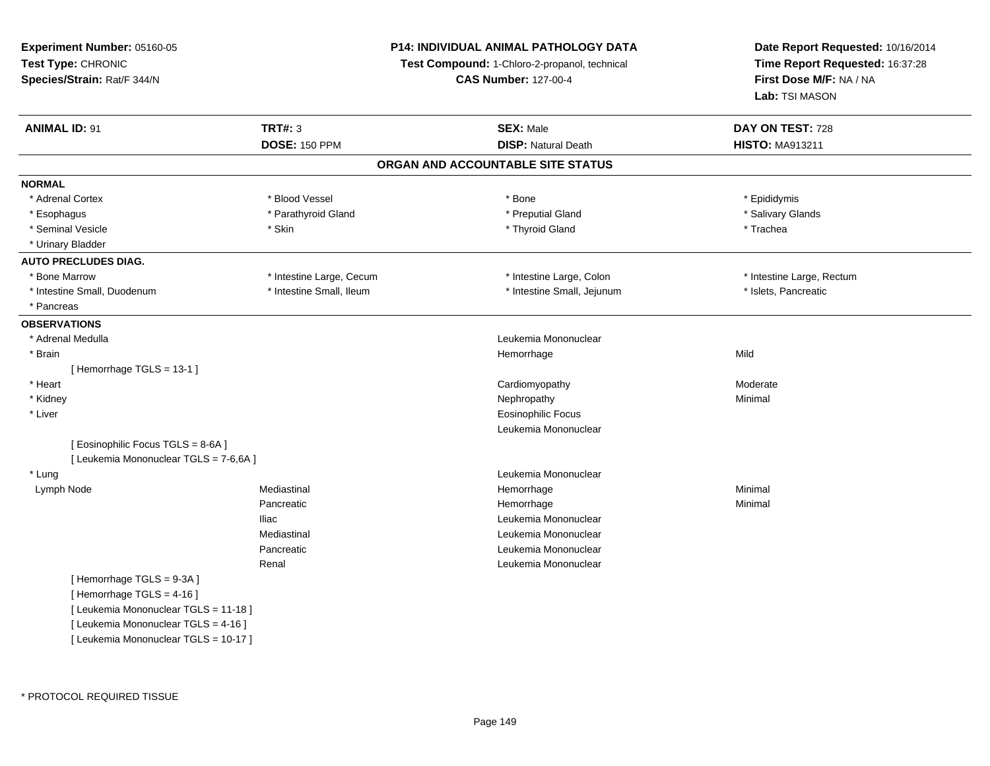**Experiment Number:** 05160-05**Test Type:** CHRONIC **Species/Strain:** Rat/F 344/N**P14: INDIVIDUAL ANIMAL PATHOLOGY DATATest Compound:** 1-Chloro-2-propanol, technical **CAS Number:** 127-00-4**Date Report Requested:** 10/16/2014**Time Report Requested:** 16:37:28**First Dose M/F:** NA / NA**Lab:** TSI MASON**ANIMAL ID:** 91 **TRT#:** <sup>3</sup> **SEX:** Male **DAY ON TEST:** <sup>728</sup> **DOSE:** 150 PPM**DISP:** Natural Death **HISTO:** MA913211 **ORGAN AND ACCOUNTABLE SITE STATUSNORMAL**\* Adrenal Cortex \* Adrenal Cortex \* Blood Vessel \* Bone \* Epididymis\* Salivary Glands \* Esophagus \* \* Annum \* Parathyroid Gland \* \* Parathyroid Gland \* \* Preputial Gland \* \* Salivary Glands \* Salivary Glands \* Salivary Glands \* Salivary Glands \* Salivary Glands \* Salivary Glands \* Salivary Glands \* Salivary \* Seminal Vesicle \* \* \* Stin \* \* Skin \* \* Thyroid Gland \* Thyroid Gland \* Trachea \* Urinary Bladder**AUTO PRECLUDES DIAG.**\* Bone Marrow \* Thestine Large, Cecum \* Intestine Large, Cecum \* Intestine Large, Colon \* \* Intestine Large, Rectum \* Intestine Small, Duodenum \* Intestine Small, Ileum \* Intestine Small, Ileum \* Intestine Small, Jejunum \* Islets, Pancreatic \* Pancreas **OBSERVATIONS** \* Adrenal MedullaLeukemia Mononuclear<br>Hemorrhage \* Brainn and the state of the state of the state of the state of the Middle State of the Middle State of the Middle St [ Hemorrhage TGLS = 13-1 ] \* Heart Cardiomyopathyy Moderate \* Kidneyy the control of the control of the control of the control of the control of the control of the control of the control of the control of the control of the control of the control of the control of the control of the contro \* Liver Eosinophilic Focus Leukemia Mononuclear[ Eosinophilic Focus TGLS = 8-6A ][ Leukemia Mononuclear TGLS = 7-6,6A ] \* LungLeukemia Mononuclear<br>
Mediastinal<br>
Hemorrhage Lymph Node Mediastinal Hemorrhage Minimal Pancreatic Hemorrhagee Minimal Iliac Leukemia Mononuclear Mediastinal Leukemia MononuclearPancreatic Leukemia Mononuclear Renal Leukemia Mononuclear[ Hemorrhage TGLS = 9-3A ] [ Hemorrhage TGLS = 4-16 ][ Leukemia Mononuclear TGLS = 11-18 ][ Leukemia Mononuclear TGLS = 4-16 ][ Leukemia Mononuclear TGLS = 10-17 ]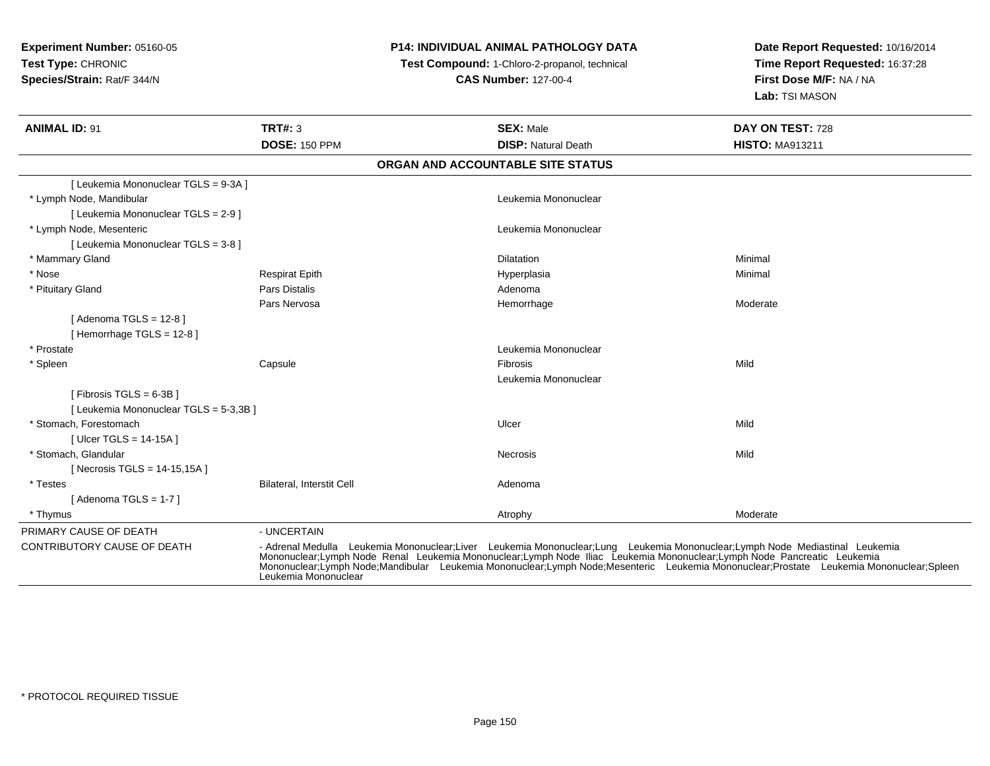## **P14: INDIVIDUAL ANIMAL PATHOLOGY DATA**

**Test Compound:** 1-Chloro-2-propanol, technical

**CAS Number:** 127-00-4

| <b>ANIMAL ID: 91</b>                   | <b>TRT#: 3</b><br><b>DOSE: 150 PPM</b> | <b>SEX: Male</b><br><b>DISP: Natural Death</b>                                                                                                                                                                                                                                                                                                                                                  | DAY ON TEST: 728<br><b>HISTO: MA913211</b> |
|----------------------------------------|----------------------------------------|-------------------------------------------------------------------------------------------------------------------------------------------------------------------------------------------------------------------------------------------------------------------------------------------------------------------------------------------------------------------------------------------------|--------------------------------------------|
|                                        |                                        | ORGAN AND ACCOUNTABLE SITE STATUS                                                                                                                                                                                                                                                                                                                                                               |                                            |
| [ Leukemia Mononuclear TGLS = 9-3A ]   |                                        |                                                                                                                                                                                                                                                                                                                                                                                                 |                                            |
| * Lymph Node, Mandibular               |                                        | Leukemia Mononuclear                                                                                                                                                                                                                                                                                                                                                                            |                                            |
| [ Leukemia Mononuclear TGLS = 2-9 ]    |                                        |                                                                                                                                                                                                                                                                                                                                                                                                 |                                            |
| * Lymph Node, Mesenteric               |                                        | Leukemia Mononuclear                                                                                                                                                                                                                                                                                                                                                                            |                                            |
| [ Leukemia Mononuclear TGLS = 3-8 ]    |                                        |                                                                                                                                                                                                                                                                                                                                                                                                 |                                            |
| * Mammary Gland                        |                                        | Dilatation                                                                                                                                                                                                                                                                                                                                                                                      | Minimal                                    |
| * Nose                                 | <b>Respirat Epith</b>                  | Hyperplasia                                                                                                                                                                                                                                                                                                                                                                                     | Minimal                                    |
| * Pituitary Gland                      | Pars Distalis                          | Adenoma                                                                                                                                                                                                                                                                                                                                                                                         |                                            |
|                                        | Pars Nervosa                           | Hemorrhage                                                                                                                                                                                                                                                                                                                                                                                      | Moderate                                   |
| [Adenoma TGLS = $12-8$ ]               |                                        |                                                                                                                                                                                                                                                                                                                                                                                                 |                                            |
| [Hemorrhage TGLS = 12-8]               |                                        |                                                                                                                                                                                                                                                                                                                                                                                                 |                                            |
| * Prostate                             |                                        | Leukemia Mononuclear                                                                                                                                                                                                                                                                                                                                                                            |                                            |
| * Spleen                               | Capsule                                | Fibrosis                                                                                                                                                                                                                                                                                                                                                                                        | Mild                                       |
|                                        |                                        | Leukemia Mononuclear                                                                                                                                                                                                                                                                                                                                                                            |                                            |
| [Fibrosis TGLS = $6-3B$ ]              |                                        |                                                                                                                                                                                                                                                                                                                                                                                                 |                                            |
| [ Leukemia Mononuclear TGLS = 5-3,3B ] |                                        |                                                                                                                                                                                                                                                                                                                                                                                                 |                                            |
| * Stomach, Forestomach                 |                                        | Ulcer                                                                                                                                                                                                                                                                                                                                                                                           | Mild                                       |
| [ Ulcer TGLS = $14-15A$ ]              |                                        |                                                                                                                                                                                                                                                                                                                                                                                                 |                                            |
| * Stomach, Glandular                   |                                        | Necrosis                                                                                                                                                                                                                                                                                                                                                                                        | Mild                                       |
| [Necrosis TGLS = 14-15,15A]            |                                        |                                                                                                                                                                                                                                                                                                                                                                                                 |                                            |
| * Testes                               | Bilateral, Interstit Cell              | Adenoma                                                                                                                                                                                                                                                                                                                                                                                         |                                            |
| [Adenoma TGLS = $1-7$ ]                |                                        |                                                                                                                                                                                                                                                                                                                                                                                                 |                                            |
| * Thymus                               |                                        | Atrophy                                                                                                                                                                                                                                                                                                                                                                                         | Moderate                                   |
| PRIMARY CAUSE OF DEATH                 | - UNCERTAIN                            |                                                                                                                                                                                                                                                                                                                                                                                                 |                                            |
| <b>CONTRIBUTORY CAUSE OF DEATH</b>     | Leukemia Mononuclear                   | - Adrenal Medulla Leukemia Mononuclear;Liver Leukemia Mononuclear;Lung Leukemia Mononuclear;Lymph Node Mediastinal Leukemia<br>Mononuclear;Lymph Node Renal Leukemia Mononuclear;Lymph Node Iliac Leukemia Mononuclear;Lymph Node Pancreatic Leukemia<br>Mononuclear;Lymph Node;Mandibular Leukemia Mononuclear;Lymph Node;Mesenteric Leukemia Mononuclear;Prostate Leukemia Mononuclear;Spleen |                                            |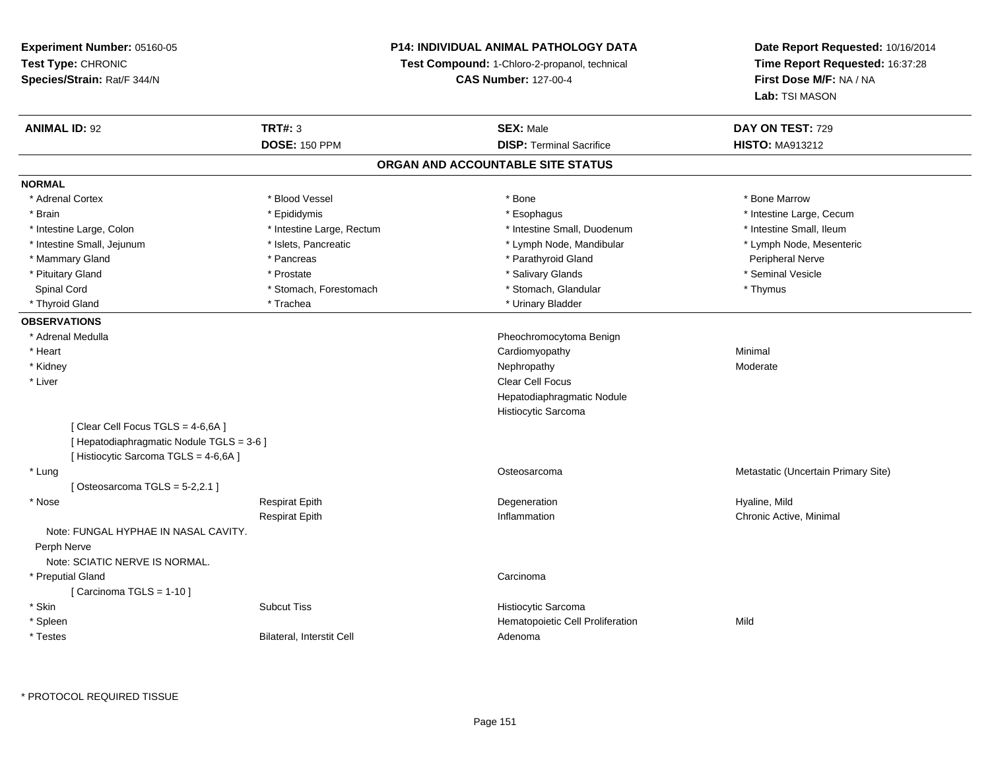## **P14: INDIVIDUAL ANIMAL PATHOLOGY DATA**

**Test Compound:** 1-Chloro-2-propanol, technical

**CAS Number:** 127-00-4

| <b>ANIMAL ID: 92</b>                      | <b>TRT#: 3</b>            | <b>SEX: Male</b>                  | DAY ON TEST: 729                    |
|-------------------------------------------|---------------------------|-----------------------------------|-------------------------------------|
|                                           | <b>DOSE: 150 PPM</b>      | <b>DISP: Terminal Sacrifice</b>   | <b>HISTO: MA913212</b>              |
|                                           |                           | ORGAN AND ACCOUNTABLE SITE STATUS |                                     |
| <b>NORMAL</b>                             |                           |                                   |                                     |
| * Adrenal Cortex                          | * Blood Vessel            | * Bone                            | * Bone Marrow                       |
| * Brain                                   | * Epididymis              | * Esophagus                       | * Intestine Large, Cecum            |
| * Intestine Large, Colon                  | * Intestine Large, Rectum | * Intestine Small, Duodenum       | * Intestine Small, Ileum            |
| * Intestine Small, Jejunum                | * Islets, Pancreatic      | * Lymph Node, Mandibular          | * Lymph Node, Mesenteric            |
| * Mammary Gland                           | * Pancreas                | * Parathyroid Gland               | Peripheral Nerve                    |
| * Pituitary Gland                         | * Prostate                | * Salivary Glands                 | * Seminal Vesicle                   |
| Spinal Cord                               | * Stomach, Forestomach    | * Stomach, Glandular              | * Thymus                            |
| * Thyroid Gland                           | * Trachea                 | * Urinary Bladder                 |                                     |
| <b>OBSERVATIONS</b>                       |                           |                                   |                                     |
| * Adrenal Medulla                         |                           | Pheochromocytoma Benign           |                                     |
| * Heart                                   |                           | Cardiomyopathy                    | Minimal                             |
| * Kidney                                  |                           | Nephropathy                       | Moderate                            |
| * Liver                                   |                           | Clear Cell Focus                  |                                     |
|                                           |                           | Hepatodiaphragmatic Nodule        |                                     |
|                                           |                           | Histiocytic Sarcoma               |                                     |
| [Clear Cell Focus TGLS = 4-6,6A]          |                           |                                   |                                     |
| [ Hepatodiaphragmatic Nodule TGLS = 3-6 ] |                           |                                   |                                     |
| [ Histiocytic Sarcoma TGLS = 4-6,6A ]     |                           |                                   |                                     |
| * Lung                                    |                           | Osteosarcoma                      | Metastatic (Uncertain Primary Site) |
| [Osteosarcoma TGLS = $5-2,2.1$ ]          |                           |                                   |                                     |
| * Nose                                    | <b>Respirat Epith</b>     | Degeneration                      | Hyaline, Mild                       |
|                                           | <b>Respirat Epith</b>     | Inflammation                      | Chronic Active, Minimal             |
| Note: FUNGAL HYPHAE IN NASAL CAVITY.      |                           |                                   |                                     |
| Perph Nerve                               |                           |                                   |                                     |
| Note: SCIATIC NERVE IS NORMAL.            |                           |                                   |                                     |
| * Preputial Gland                         |                           | Carcinoma                         |                                     |
| [Carcinoma TGLS = $1-10$ ]                |                           |                                   |                                     |
| * Skin                                    | <b>Subcut Tiss</b>        | Histiocytic Sarcoma               |                                     |
| * Spleen                                  |                           | Hematopoietic Cell Proliferation  | Mild                                |
| * Testes                                  | Bilateral, Interstit Cell | Adenoma                           |                                     |
|                                           |                           |                                   |                                     |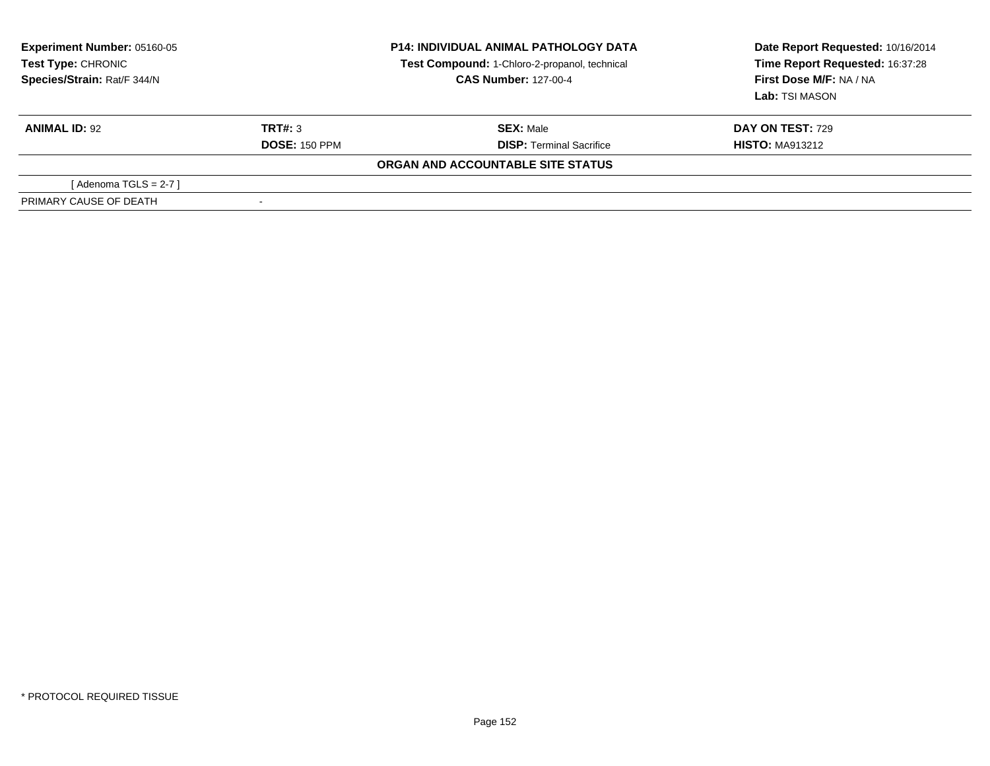| <b>Experiment Number: 05160-05</b><br>Test Type: CHRONIC<br>Species/Strain: Rat/F 344/N |                      | <b>P14: INDIVIDUAL ANIMAL PATHOLOGY DATA</b><br>Test Compound: 1-Chloro-2-propanol, technical<br><b>CAS Number: 127-00-4</b> | Date Report Requested: 10/16/2014<br>Time Report Requested: 16:37:28<br>First Dose M/F: NA / NA<br>Lab: TSI MASON |
|-----------------------------------------------------------------------------------------|----------------------|------------------------------------------------------------------------------------------------------------------------------|-------------------------------------------------------------------------------------------------------------------|
| <b>ANIMAL ID: 92</b>                                                                    | TRT#: 3              | <b>SEX:</b> Male                                                                                                             | <b>DAY ON TEST: 729</b>                                                                                           |
|                                                                                         | <b>DOSE: 150 PPM</b> | <b>DISP: Terminal Sacrifice</b>                                                                                              | <b>HISTO: MA913212</b>                                                                                            |
|                                                                                         |                      | ORGAN AND ACCOUNTABLE SITE STATUS                                                                                            |                                                                                                                   |
| [Adenoma TGLS = $2-7$ ]                                                                 |                      |                                                                                                                              |                                                                                                                   |
| PRIMARY CAUSE OF DEATH                                                                  |                      |                                                                                                                              |                                                                                                                   |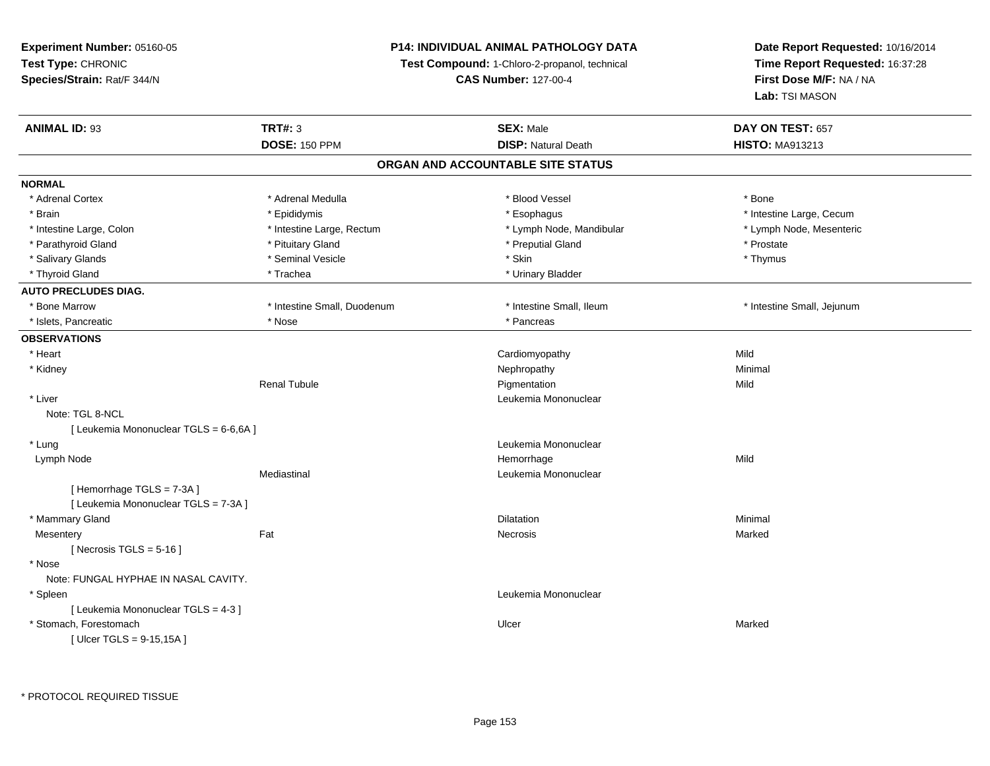## **P14: INDIVIDUAL ANIMAL PATHOLOGY DATA**

**Test Compound:** 1-Chloro-2-propanol, technical

**CAS Number:** 127-00-4

**Date Report Requested:** 10/16/2014**Time Report Requested:** 16:37:28**First Dose M/F:** NA / NA**Lab:** TSI MASON

| <b>ANIMAL ID: 93</b>                   | <b>TRT#: 3</b>              | <b>SEX: Male</b>                  | DAY ON TEST: 657           |  |
|----------------------------------------|-----------------------------|-----------------------------------|----------------------------|--|
|                                        | <b>DOSE: 150 PPM</b>        | <b>DISP: Natural Death</b>        | <b>HISTO: MA913213</b>     |  |
|                                        |                             | ORGAN AND ACCOUNTABLE SITE STATUS |                            |  |
| <b>NORMAL</b>                          |                             |                                   |                            |  |
| * Adrenal Cortex                       | * Adrenal Medulla           | * Blood Vessel                    | * Bone                     |  |
| * Brain                                | * Epididymis                | * Esophagus                       | * Intestine Large, Cecum   |  |
| * Intestine Large, Colon               | * Intestine Large, Rectum   | * Lymph Node, Mandibular          | * Lymph Node, Mesenteric   |  |
| * Parathyroid Gland                    | * Pituitary Gland           | * Preputial Gland                 | * Prostate                 |  |
| * Salivary Glands                      | * Seminal Vesicle           | * Skin                            | * Thymus                   |  |
| * Thyroid Gland                        | * Trachea                   | * Urinary Bladder                 |                            |  |
| <b>AUTO PRECLUDES DIAG.</b>            |                             |                                   |                            |  |
| * Bone Marrow                          | * Intestine Small, Duodenum | * Intestine Small, Ileum          | * Intestine Small, Jejunum |  |
| * Islets, Pancreatic                   | * Nose                      | * Pancreas                        |                            |  |
| <b>OBSERVATIONS</b>                    |                             |                                   |                            |  |
| * Heart                                |                             | Cardiomyopathy                    | Mild                       |  |
| * Kidney                               |                             | Nephropathy                       | Minimal                    |  |
|                                        | <b>Renal Tubule</b>         | Pigmentation                      | Mild                       |  |
| * Liver                                |                             | Leukemia Mononuclear              |                            |  |
| Note: TGL 8-NCL                        |                             |                                   |                            |  |
| [ Leukemia Mononuclear TGLS = 6-6,6A ] |                             |                                   |                            |  |
| * Lung                                 |                             | Leukemia Mononuclear              |                            |  |
| Lymph Node                             |                             | Hemorrhage                        | Mild                       |  |
|                                        | Mediastinal                 | Leukemia Mononuclear              |                            |  |
| [Hemorrhage TGLS = 7-3A]               |                             |                                   |                            |  |
| [ Leukemia Mononuclear TGLS = 7-3A ]   |                             |                                   |                            |  |
| * Mammary Gland                        |                             | <b>Dilatation</b>                 | Minimal                    |  |
| Mesentery                              | Fat                         | <b>Necrosis</b>                   | Marked                     |  |
| [ Necrosis TGLS = $5-16$ ]             |                             |                                   |                            |  |
| * Nose                                 |                             |                                   |                            |  |
| Note: FUNGAL HYPHAE IN NASAL CAVITY.   |                             |                                   |                            |  |
| * Spleen                               |                             | Leukemia Mononuclear              |                            |  |
| [ Leukemia Mononuclear TGLS = 4-3 ]    |                             |                                   |                            |  |
| * Stomach, Forestomach                 |                             | Ulcer                             | Marked                     |  |
| [ $Uicer TGLS = 9-15,15A$ ]            |                             |                                   |                            |  |

\* PROTOCOL REQUIRED TISSUE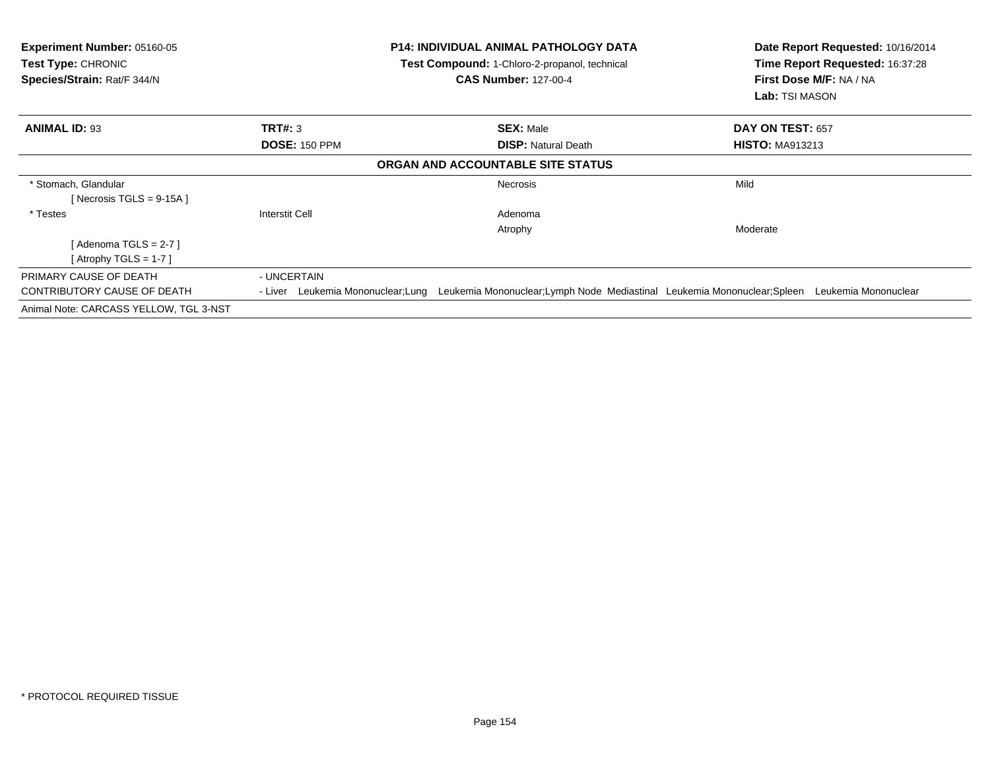| <b>Experiment Number: 05160-05</b><br><b>Test Type: CHRONIC</b><br>Species/Strain: Rat/F 344/N |                                    | <b>P14: INDIVIDUAL ANIMAL PATHOLOGY DATA</b><br>Test Compound: 1-Chloro-2-propanol, technical<br><b>CAS Number: 127-00-4</b> | Date Report Requested: 10/16/2014<br>Time Report Requested: 16:37:28<br>First Dose M/F: NA / NA<br>Lab: TSI MASON |  |
|------------------------------------------------------------------------------------------------|------------------------------------|------------------------------------------------------------------------------------------------------------------------------|-------------------------------------------------------------------------------------------------------------------|--|
| <b>ANIMAL ID: 93</b>                                                                           | <b>TRT#: 3</b>                     | <b>SEX: Male</b>                                                                                                             | DAY ON TEST: 657                                                                                                  |  |
|                                                                                                | <b>DOSE: 150 PPM</b>               | <b>DISP: Natural Death</b>                                                                                                   | <b>HISTO: MA913213</b>                                                                                            |  |
|                                                                                                |                                    | ORGAN AND ACCOUNTABLE SITE STATUS                                                                                            |                                                                                                                   |  |
| * Stomach, Glandular<br>[Necrosis TGLS = $9-15A$ ]                                             |                                    | <b>Necrosis</b>                                                                                                              | Mild                                                                                                              |  |
| * Testes                                                                                       | Interstit Cell                     | Adenoma                                                                                                                      |                                                                                                                   |  |
|                                                                                                |                                    | Atrophy                                                                                                                      | Moderate                                                                                                          |  |
| [ Adenoma TGLS = 2-7 ]                                                                         |                                    |                                                                                                                              |                                                                                                                   |  |
| [Atrophy TGLS = 1-7 ]                                                                          |                                    |                                                                                                                              |                                                                                                                   |  |
| PRIMARY CAUSE OF DEATH                                                                         | - UNCERTAIN                        |                                                                                                                              |                                                                                                                   |  |
| CONTRIBUTORY CAUSE OF DEATH                                                                    | - Liver Leukemia Mononuclear; Lung | Leukemia Mononuclear; Lymph Node Mediastinal Leukemia Mononuclear; Spleen                                                    | Leukemia Mononuclear                                                                                              |  |
| Animal Note: CARCASS YELLOW, TGL 3-NST                                                         |                                    |                                                                                                                              |                                                                                                                   |  |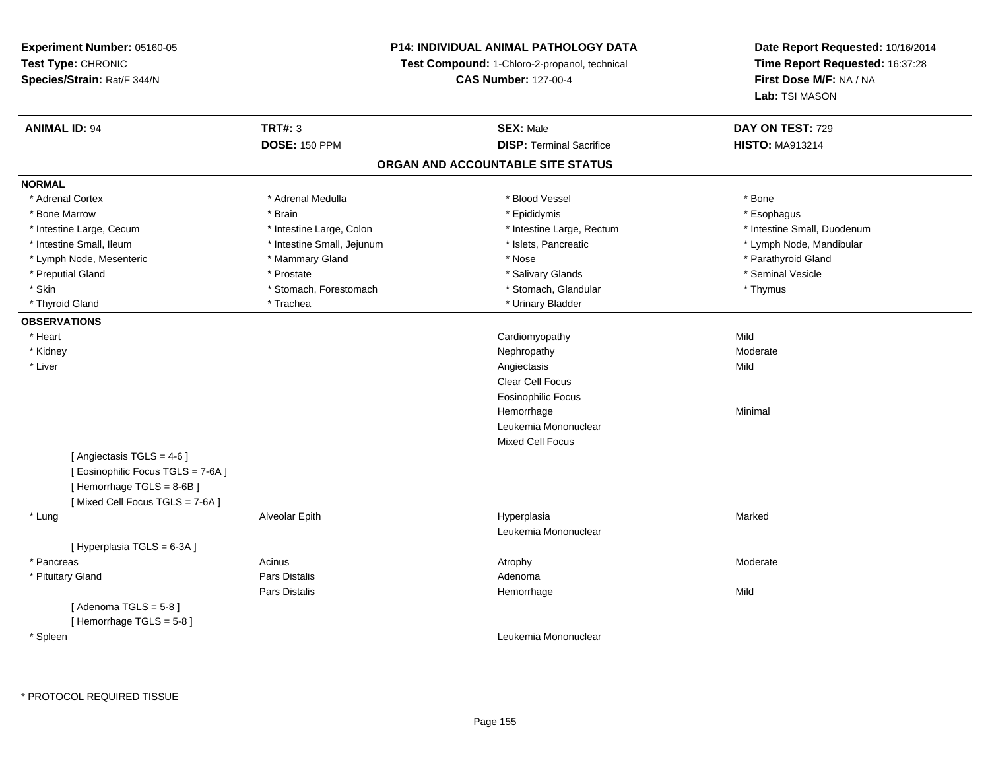## **P14: INDIVIDUAL ANIMAL PATHOLOGY DATA**

**Test Compound:** 1-Chloro-2-propanol, technical

**CAS Number:** 127-00-4

| <b>ANIMAL ID: 94</b>              | <b>TRT#: 3</b>             | <b>SEX: Male</b>                  | DAY ON TEST: 729            |
|-----------------------------------|----------------------------|-----------------------------------|-----------------------------|
|                                   | <b>DOSE: 150 PPM</b>       | <b>DISP: Terminal Sacrifice</b>   | <b>HISTO: MA913214</b>      |
|                                   |                            | ORGAN AND ACCOUNTABLE SITE STATUS |                             |
| <b>NORMAL</b>                     |                            |                                   |                             |
| * Adrenal Cortex                  | * Adrenal Medulla          | * Blood Vessel                    | * Bone                      |
| * Bone Marrow                     | * Brain                    | * Epididymis                      | * Esophagus                 |
| * Intestine Large, Cecum          | * Intestine Large, Colon   | * Intestine Large, Rectum         | * Intestine Small, Duodenum |
| * Intestine Small, Ileum          | * Intestine Small, Jejunum | * Islets, Pancreatic              | * Lymph Node, Mandibular    |
| * Lymph Node, Mesenteric          | * Mammary Gland            | * Nose                            | * Parathyroid Gland         |
| * Preputial Gland                 | * Prostate                 | * Salivary Glands                 | * Seminal Vesicle           |
| * Skin                            | * Stomach, Forestomach     | * Stomach, Glandular              | * Thymus                    |
| * Thyroid Gland                   | * Trachea                  | * Urinary Bladder                 |                             |
| <b>OBSERVATIONS</b>               |                            |                                   |                             |
| * Heart                           |                            | Cardiomyopathy                    | Mild                        |
| * Kidney                          |                            | Nephropathy                       | Moderate                    |
| * Liver                           |                            | Angiectasis                       | Mild                        |
|                                   |                            | Clear Cell Focus                  |                             |
|                                   |                            | <b>Eosinophilic Focus</b>         |                             |
|                                   |                            | Hemorrhage                        | Minimal                     |
|                                   |                            | Leukemia Mononuclear              |                             |
|                                   |                            | <b>Mixed Cell Focus</b>           |                             |
| [Angiectasis $TGLS = 4-6$ ]       |                            |                                   |                             |
| [ Eosinophilic Focus TGLS = 7-6A] |                            |                                   |                             |
| [Hemorrhage TGLS = 8-6B]          |                            |                                   |                             |
| [Mixed Cell Focus TGLS = 7-6A]    |                            |                                   |                             |
| * Lung                            | Alveolar Epith             | Hyperplasia                       | Marked                      |
|                                   |                            | Leukemia Mononuclear              |                             |
| [Hyperplasia TGLS = 6-3A]         |                            |                                   |                             |
| * Pancreas                        | Acinus                     | Atrophy                           | Moderate                    |
| * Pituitary Gland                 | <b>Pars Distalis</b>       | Adenoma                           |                             |
|                                   | <b>Pars Distalis</b>       | Hemorrhage                        | Mild                        |
| [Adenoma TGLS = $5-8$ ]           |                            |                                   |                             |
| [Hemorrhage TGLS = 5-8]           |                            |                                   |                             |
| * Spleen                          |                            | Leukemia Mononuclear              |                             |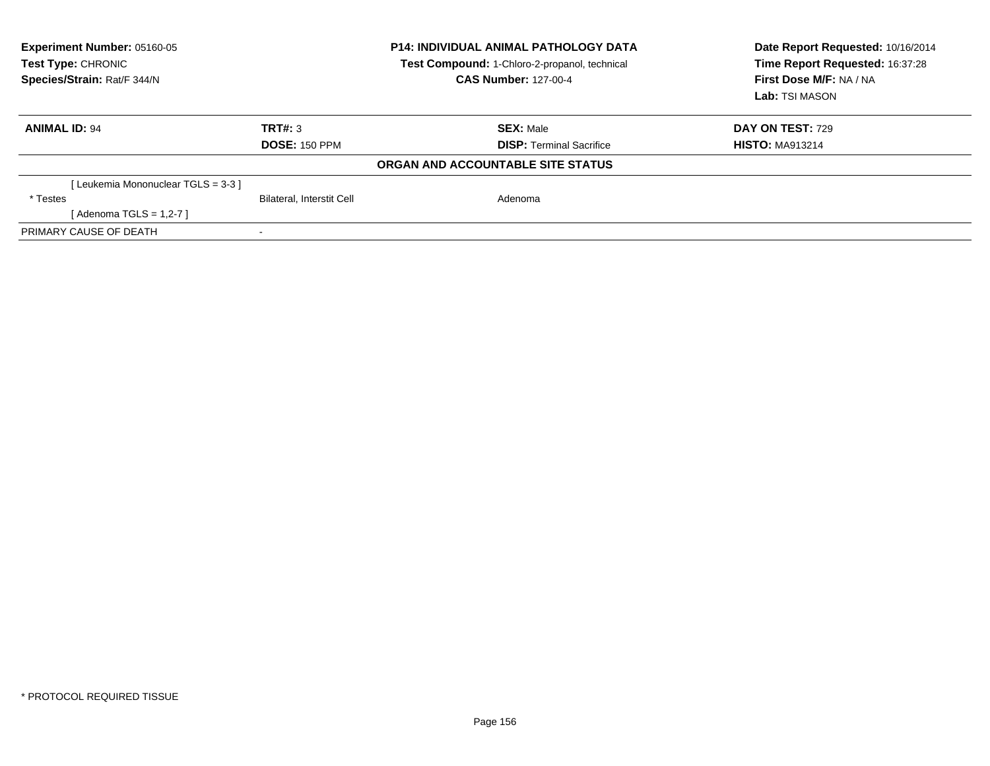| <b>Experiment Number: 05160-05</b><br><b>Test Type: CHRONIC</b><br>Species/Strain: Rat/F 344/N |                                  | <b>P14: INDIVIDUAL ANIMAL PATHOLOGY DATA</b><br>Test Compound: 1-Chloro-2-propanol, technical<br><b>CAS Number: 127-00-4</b> |                                 | Date Report Requested: 10/16/2014<br>Time Report Requested: 16:37:28<br>First Dose M/F: NA / NA<br>Lab: TSI MASON |
|------------------------------------------------------------------------------------------------|----------------------------------|------------------------------------------------------------------------------------------------------------------------------|---------------------------------|-------------------------------------------------------------------------------------------------------------------|
| <b>ANIMAL ID: 94</b>                                                                           | TRT#: 3                          |                                                                                                                              | <b>SEX: Male</b>                | <b>DAY ON TEST: 729</b>                                                                                           |
|                                                                                                | <b>DOSE: 150 PPM</b>             |                                                                                                                              | <b>DISP:</b> Terminal Sacrifice | <b>HISTO: MA913214</b>                                                                                            |
|                                                                                                |                                  | ORGAN AND ACCOUNTABLE SITE STATUS                                                                                            |                                 |                                                                                                                   |
| [Leukemia Mononuclear TGLS = 3-3 ]                                                             |                                  |                                                                                                                              |                                 |                                                                                                                   |
| * Testes                                                                                       | <b>Bilateral, Interstit Cell</b> |                                                                                                                              | Adenoma                         |                                                                                                                   |
| [Adenoma TGLS = $1,2-7$ ]                                                                      |                                  |                                                                                                                              |                                 |                                                                                                                   |
| PRIMARY CAUSE OF DEATH                                                                         |                                  |                                                                                                                              |                                 |                                                                                                                   |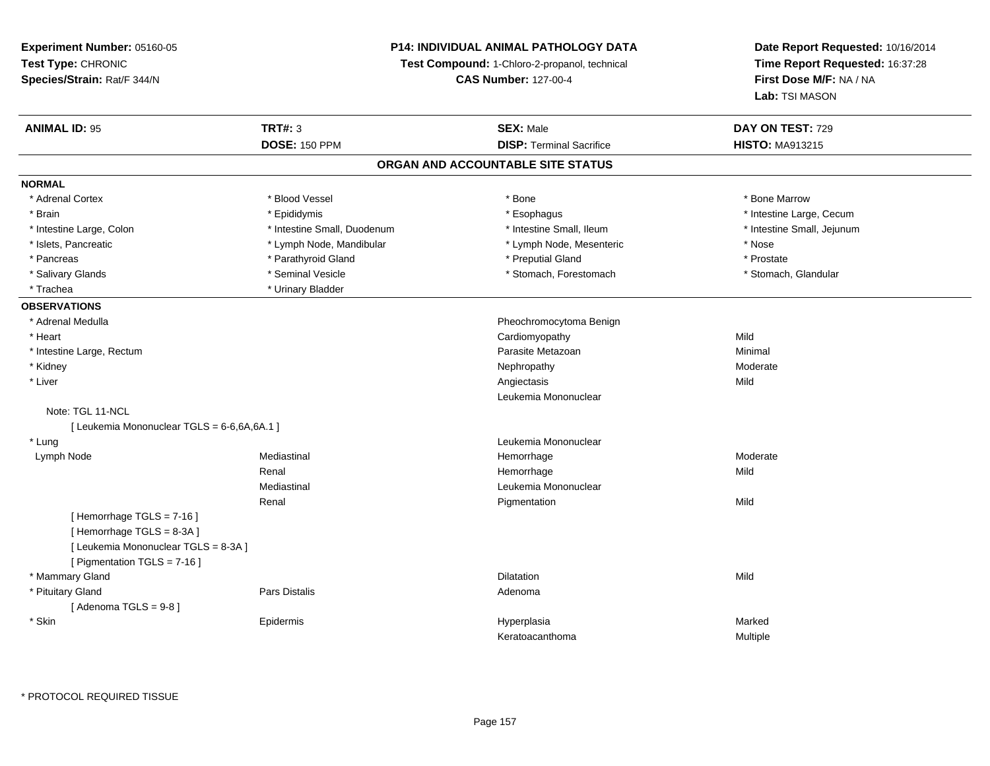## **P14: INDIVIDUAL ANIMAL PATHOLOGY DATA**

**Test Compound:** 1-Chloro-2-propanol, technical

**CAS Number:** 127-00-4

**Date Report Requested:** 10/16/2014**Time Report Requested:** 16:37:28**First Dose M/F:** NA / NA**Lab:** TSI MASON

| <b>ANIMAL ID: 95</b>                        | TRT#: 3                     | <b>SEX: Male</b>                  | DAY ON TEST: 729           |
|---------------------------------------------|-----------------------------|-----------------------------------|----------------------------|
|                                             | <b>DOSE: 150 PPM</b>        | <b>DISP: Terminal Sacrifice</b>   | <b>HISTO: MA913215</b>     |
|                                             |                             | ORGAN AND ACCOUNTABLE SITE STATUS |                            |
| <b>NORMAL</b>                               |                             |                                   |                            |
| * Adrenal Cortex                            | * Blood Vessel              | * Bone                            | * Bone Marrow              |
| * Brain                                     | * Epididymis                | * Esophagus                       | * Intestine Large, Cecum   |
| * Intestine Large, Colon                    | * Intestine Small, Duodenum | * Intestine Small, Ileum          | * Intestine Small, Jejunum |
| * Islets, Pancreatic                        | * Lymph Node, Mandibular    | * Lymph Node, Mesenteric          | * Nose                     |
| * Pancreas                                  | * Parathyroid Gland         | * Preputial Gland                 | * Prostate                 |
| * Salivary Glands                           | * Seminal Vesicle           | * Stomach, Forestomach            | * Stomach, Glandular       |
| * Trachea                                   | * Urinary Bladder           |                                   |                            |
| <b>OBSERVATIONS</b>                         |                             |                                   |                            |
| * Adrenal Medulla                           |                             | Pheochromocytoma Benign           |                            |
| * Heart                                     |                             | Cardiomyopathy                    | Mild                       |
| * Intestine Large, Rectum                   |                             | Parasite Metazoan                 | Minimal                    |
| * Kidney                                    |                             | Nephropathy                       | Moderate                   |
| * Liver                                     |                             | Angiectasis                       | Mild                       |
|                                             |                             | Leukemia Mononuclear              |                            |
| Note: TGL 11-NCL                            |                             |                                   |                            |
| [ Leukemia Mononuclear TGLS = 6-6,6A,6A.1 ] |                             |                                   |                            |
| * Lung                                      |                             | Leukemia Mononuclear              |                            |
| Lymph Node                                  | Mediastinal                 | Hemorrhage                        | Moderate                   |
|                                             | Renal                       | Hemorrhage                        | Mild                       |
|                                             | Mediastinal                 | Leukemia Mononuclear              |                            |
|                                             | Renal                       | Pigmentation                      | Mild                       |
| [Hemorrhage TGLS = 7-16]                    |                             |                                   |                            |
| [Hemorrhage TGLS = 8-3A]                    |                             |                                   |                            |
| [ Leukemia Mononuclear TGLS = 8-3A ]        |                             |                                   |                            |
| [ Pigmentation TGLS = 7-16 ]                |                             |                                   |                            |
| * Mammary Gland                             |                             | <b>Dilatation</b>                 | Mild                       |
| * Pituitary Gland                           | Pars Distalis               | Adenoma                           |                            |
| [Adenoma TGLS = $9-8$ ]                     |                             |                                   |                            |
| * Skin                                      | Epidermis                   | Hyperplasia                       | Marked                     |
|                                             |                             | Keratoacanthoma                   | Multiple                   |

\* PROTOCOL REQUIRED TISSUE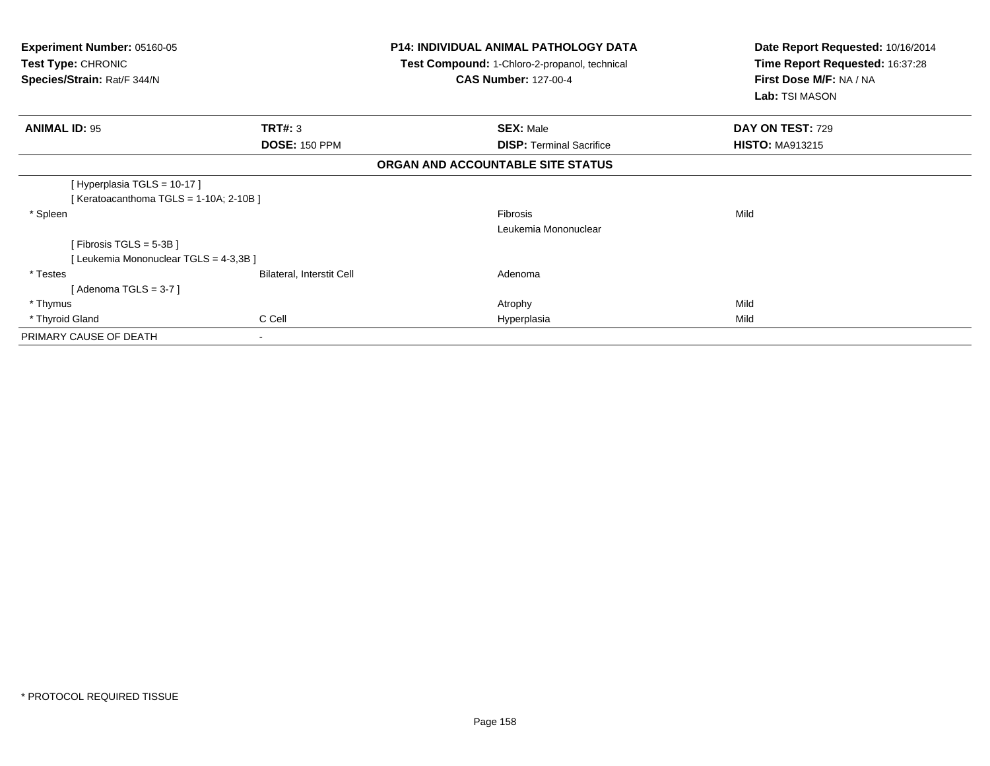| <b>Experiment Number: 05160-05</b><br><b>Test Type: CHRONIC</b><br>Species/Strain: Rat/F 344/N |                                  | P14: INDIVIDUAL ANIMAL PATHOLOGY DATA<br>Test Compound: 1-Chloro-2-propanol, technical<br><b>CAS Number: 127-00-4</b> | Date Report Requested: 10/16/2014<br>Time Report Requested: 16:37:28<br>First Dose M/F: NA / NA<br>Lab: TSI MASON |
|------------------------------------------------------------------------------------------------|----------------------------------|-----------------------------------------------------------------------------------------------------------------------|-------------------------------------------------------------------------------------------------------------------|
| <b>ANIMAL ID: 95</b>                                                                           | TRT#: 3                          | <b>SEX: Male</b>                                                                                                      | DAY ON TEST: 729                                                                                                  |
|                                                                                                | <b>DOSE: 150 PPM</b>             | <b>DISP:</b> Terminal Sacrifice                                                                                       | <b>HISTO: MA913215</b>                                                                                            |
|                                                                                                |                                  | ORGAN AND ACCOUNTABLE SITE STATUS                                                                                     |                                                                                                                   |
| [Hyperplasia TGLS = 10-17]                                                                     |                                  |                                                                                                                       |                                                                                                                   |
| [ Keratoacanthoma TGLS = $1-10A$ ; 2-10B ]                                                     |                                  |                                                                                                                       |                                                                                                                   |
| * Spleen                                                                                       |                                  | <b>Fibrosis</b>                                                                                                       | Mild                                                                                                              |
|                                                                                                |                                  | Leukemia Mononuclear                                                                                                  |                                                                                                                   |
| [Fibrosis TGLS = $5-3B$ ]                                                                      |                                  |                                                                                                                       |                                                                                                                   |
| [Leukemia Mononuclear TGLS = 4-3,3B]                                                           |                                  |                                                                                                                       |                                                                                                                   |
| * Testes                                                                                       | <b>Bilateral, Interstit Cell</b> | Adenoma                                                                                                               |                                                                                                                   |
| [Adenoma TGLS = $3-7$ ]                                                                        |                                  |                                                                                                                       |                                                                                                                   |
| * Thymus                                                                                       |                                  | Atrophy                                                                                                               | Mild                                                                                                              |
| * Thyroid Gland                                                                                | C Cell                           | Hyperplasia                                                                                                           | Mild                                                                                                              |
| PRIMARY CAUSE OF DEATH                                                                         |                                  |                                                                                                                       |                                                                                                                   |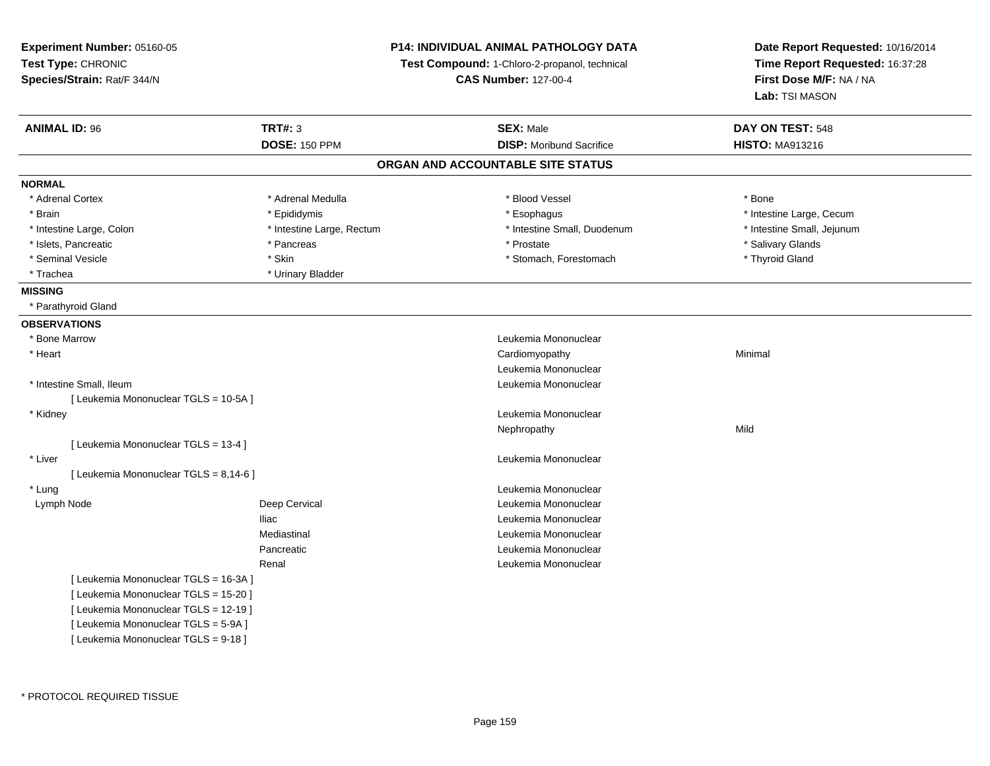| Experiment Number: 05160-05            |                           | P14: INDIVIDUAL ANIMAL PATHOLOGY DATA         | Date Report Requested: 10/16/2014<br>Time Report Requested: 16:37:28 |  |
|----------------------------------------|---------------------------|-----------------------------------------------|----------------------------------------------------------------------|--|
| Test Type: CHRONIC                     |                           | Test Compound: 1-Chloro-2-propanol, technical |                                                                      |  |
| Species/Strain: Rat/F 344/N            |                           | <b>CAS Number: 127-00-4</b>                   | First Dose M/F: NA / NA                                              |  |
|                                        |                           |                                               | Lab: TSI MASON                                                       |  |
| <b>ANIMAL ID: 96</b>                   | <b>TRT#: 3</b>            | <b>SEX: Male</b>                              | DAY ON TEST: 548                                                     |  |
|                                        | <b>DOSE: 150 PPM</b>      | <b>DISP:</b> Moribund Sacrifice               | <b>HISTO: MA913216</b>                                               |  |
|                                        |                           | ORGAN AND ACCOUNTABLE SITE STATUS             |                                                                      |  |
| <b>NORMAL</b>                          |                           |                                               |                                                                      |  |
| * Adrenal Cortex                       | * Adrenal Medulla         | * Blood Vessel                                | * Bone                                                               |  |
| * Brain                                | * Epididymis              | * Esophagus                                   | * Intestine Large, Cecum                                             |  |
| * Intestine Large, Colon               | * Intestine Large, Rectum | * Intestine Small, Duodenum                   | * Intestine Small, Jejunum                                           |  |
| * Islets, Pancreatic                   | * Pancreas                | * Prostate                                    | * Salivary Glands                                                    |  |
| * Seminal Vesicle                      | * Skin                    | * Stomach, Forestomach                        | * Thyroid Gland                                                      |  |
| * Trachea                              | * Urinary Bladder         |                                               |                                                                      |  |
| <b>MISSING</b>                         |                           |                                               |                                                                      |  |
| * Parathyroid Gland                    |                           |                                               |                                                                      |  |
| <b>OBSERVATIONS</b>                    |                           |                                               |                                                                      |  |
| * Bone Marrow                          |                           | Leukemia Mononuclear                          |                                                                      |  |
| * Heart                                |                           | Cardiomyopathy                                | Minimal                                                              |  |
|                                        |                           | Leukemia Mononuclear                          |                                                                      |  |
| * Intestine Small, Ileum               |                           | Leukemia Mononuclear                          |                                                                      |  |
| [ Leukemia Mononuclear TGLS = 10-5A ]  |                           |                                               |                                                                      |  |
| * Kidney                               |                           | Leukemia Mononuclear                          |                                                                      |  |
|                                        |                           | Nephropathy                                   | Mild                                                                 |  |
| [ Leukemia Mononuclear TGLS = 13-4 ]   |                           |                                               |                                                                      |  |
| * Liver                                |                           | Leukemia Mononuclear                          |                                                                      |  |
| [ Leukemia Mononuclear TGLS = 8,14-6 ] |                           |                                               |                                                                      |  |
| * Lung                                 |                           | Leukemia Mononuclear                          |                                                                      |  |
| Lymph Node                             | Deep Cervical             | Leukemia Mononuclear                          |                                                                      |  |
|                                        | <b>Iliac</b>              | Leukemia Mononuclear                          |                                                                      |  |
|                                        | Mediastinal               | Leukemia Mononuclear                          |                                                                      |  |
|                                        | Pancreatic                | Leukemia Mononuclear                          |                                                                      |  |
|                                        | Renal                     | Leukemia Mononuclear                          |                                                                      |  |
| [ Leukemia Mononuclear TGLS = 16-3A ]  |                           |                                               |                                                                      |  |
| [ Leukemia Mononuclear TGLS = 15-20 ]  |                           |                                               |                                                                      |  |
| [ Leukemia Mononuclear TGLS = 12-19 ]  |                           |                                               |                                                                      |  |
| [ Leukemia Mononuclear TGLS = 5-9A ]   |                           |                                               |                                                                      |  |
| [ Leukemia Mononuclear TGLS = 9-18 ]   |                           |                                               |                                                                      |  |
|                                        |                           |                                               |                                                                      |  |

\* PROTOCOL REQUIRED TISSUE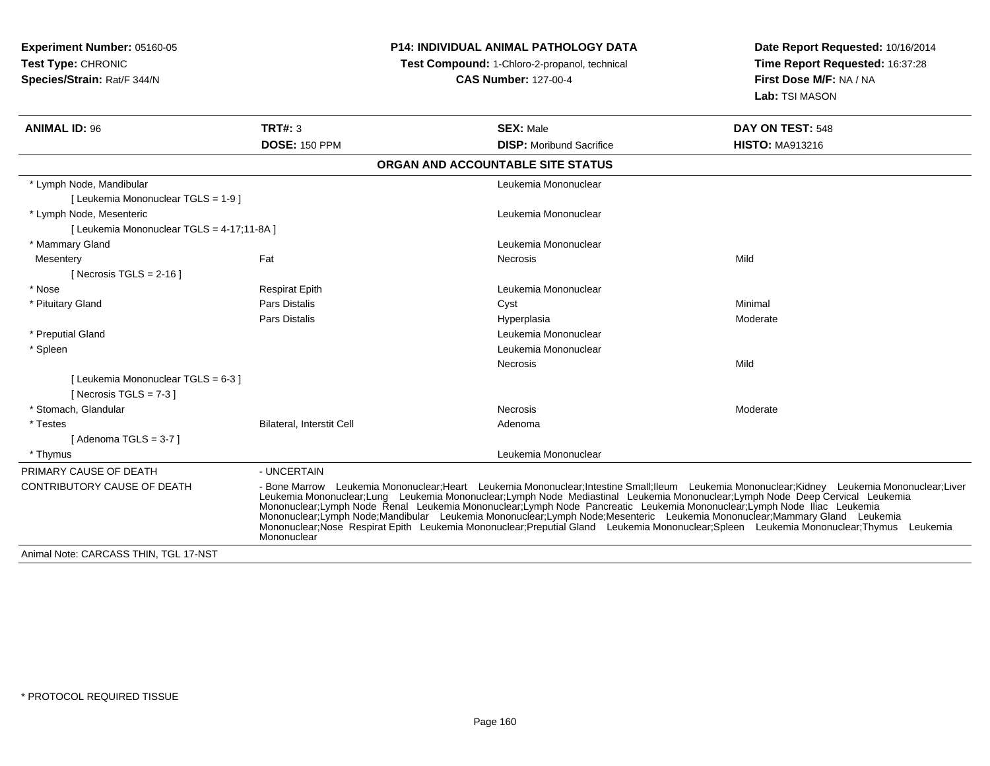## **P14: INDIVIDUAL ANIMAL PATHOLOGY DATA**

**Test Compound:** 1-Chloro-2-propanol, technical

| <b>ANIMAL ID: 96</b>                       | TRT#: 3                   | <b>SEX: Male</b>                                                                                                                                                                                                                                                                                                                                                                       | DAY ON TEST: 548                                                                                                                                                                                                                                                                            |
|--------------------------------------------|---------------------------|----------------------------------------------------------------------------------------------------------------------------------------------------------------------------------------------------------------------------------------------------------------------------------------------------------------------------------------------------------------------------------------|---------------------------------------------------------------------------------------------------------------------------------------------------------------------------------------------------------------------------------------------------------------------------------------------|
|                                            | <b>DOSE: 150 PPM</b>      | <b>DISP:</b> Moribund Sacrifice                                                                                                                                                                                                                                                                                                                                                        | <b>HISTO: MA913216</b>                                                                                                                                                                                                                                                                      |
|                                            |                           | ORGAN AND ACCOUNTABLE SITE STATUS                                                                                                                                                                                                                                                                                                                                                      |                                                                                                                                                                                                                                                                                             |
| * Lymph Node, Mandibular                   |                           | Leukemia Mononuclear                                                                                                                                                                                                                                                                                                                                                                   |                                                                                                                                                                                                                                                                                             |
| [ Leukemia Mononuclear TGLS = 1-9 ]        |                           |                                                                                                                                                                                                                                                                                                                                                                                        |                                                                                                                                                                                                                                                                                             |
| * Lymph Node, Mesenteric                   |                           | Leukemia Mononuclear                                                                                                                                                                                                                                                                                                                                                                   |                                                                                                                                                                                                                                                                                             |
| [ Leukemia Mononuclear TGLS = 4-17;11-8A ] |                           |                                                                                                                                                                                                                                                                                                                                                                                        |                                                                                                                                                                                                                                                                                             |
| * Mammary Gland                            |                           | Leukemia Mononuclear                                                                                                                                                                                                                                                                                                                                                                   |                                                                                                                                                                                                                                                                                             |
| Mesentery                                  | Fat                       | Necrosis                                                                                                                                                                                                                                                                                                                                                                               | Mild                                                                                                                                                                                                                                                                                        |
| [ Necrosis TGLS = $2-16$ ]                 |                           |                                                                                                                                                                                                                                                                                                                                                                                        |                                                                                                                                                                                                                                                                                             |
| * Nose                                     | <b>Respirat Epith</b>     | Leukemia Mononuclear                                                                                                                                                                                                                                                                                                                                                                   |                                                                                                                                                                                                                                                                                             |
| * Pituitary Gland                          | <b>Pars Distalis</b>      | Cyst                                                                                                                                                                                                                                                                                                                                                                                   | Minimal                                                                                                                                                                                                                                                                                     |
|                                            | <b>Pars Distalis</b>      | Hyperplasia                                                                                                                                                                                                                                                                                                                                                                            | Moderate                                                                                                                                                                                                                                                                                    |
| * Preputial Gland                          |                           | Leukemia Mononuclear                                                                                                                                                                                                                                                                                                                                                                   |                                                                                                                                                                                                                                                                                             |
| * Spleen                                   |                           | Leukemia Mononuclear                                                                                                                                                                                                                                                                                                                                                                   |                                                                                                                                                                                                                                                                                             |
|                                            |                           | Necrosis                                                                                                                                                                                                                                                                                                                                                                               | Mild                                                                                                                                                                                                                                                                                        |
| [Leukemia Mononuclear TGLS = 6-3]          |                           |                                                                                                                                                                                                                                                                                                                                                                                        |                                                                                                                                                                                                                                                                                             |
| [ Necrosis TGLS = $7-3$ ]                  |                           |                                                                                                                                                                                                                                                                                                                                                                                        |                                                                                                                                                                                                                                                                                             |
| * Stomach. Glandular                       |                           | Necrosis                                                                                                                                                                                                                                                                                                                                                                               | Moderate                                                                                                                                                                                                                                                                                    |
| * Testes                                   | Bilateral, Interstit Cell | Adenoma                                                                                                                                                                                                                                                                                                                                                                                |                                                                                                                                                                                                                                                                                             |
| [Adenoma TGLS = $3-7$ ]                    |                           |                                                                                                                                                                                                                                                                                                                                                                                        |                                                                                                                                                                                                                                                                                             |
| * Thymus                                   |                           | Leukemia Mononuclear                                                                                                                                                                                                                                                                                                                                                                   |                                                                                                                                                                                                                                                                                             |
| PRIMARY CAUSE OF DEATH                     | - UNCERTAIN               |                                                                                                                                                                                                                                                                                                                                                                                        |                                                                                                                                                                                                                                                                                             |
| CONTRIBUTORY CAUSE OF DEATH                | Mononuclear               | Mononuclear;Lymph Node Renal Leukemia Mononuclear;Lymph Node Pancreatic Leukemia Mononuclear;Lymph Node Iliac Leukemia<br>Mononuclear;Lymph Node;Mandibular Leukemia Mononuclear;Lymph Node;Mesenteric Leukemia Mononuclear;Mammary Gland Leukemia<br>Mononuclear: Nose Respirat Epith Leukemia Mononuclear: Preputial Gland Leukemia Mononuclear: Spleen Leukemia Mononuclear: Thymus | - Bone Marrow Leukemia Mononuclear; Heart Leukemia Mononuclear; Intestine Small; Ileum Leukemia Mononuclear; Kidney Leukemia Mononuclear; Liver<br>Leukemia Mononuclear;Lung Leukemia Mononuclear;Lymph Node Mediastinal Leukemia Mononuclear;Lymph Node Deep Cervical Leukemia<br>Leukemia |
| Animal Note: CARCASS THIN, TGL 17-NST      |                           |                                                                                                                                                                                                                                                                                                                                                                                        |                                                                                                                                                                                                                                                                                             |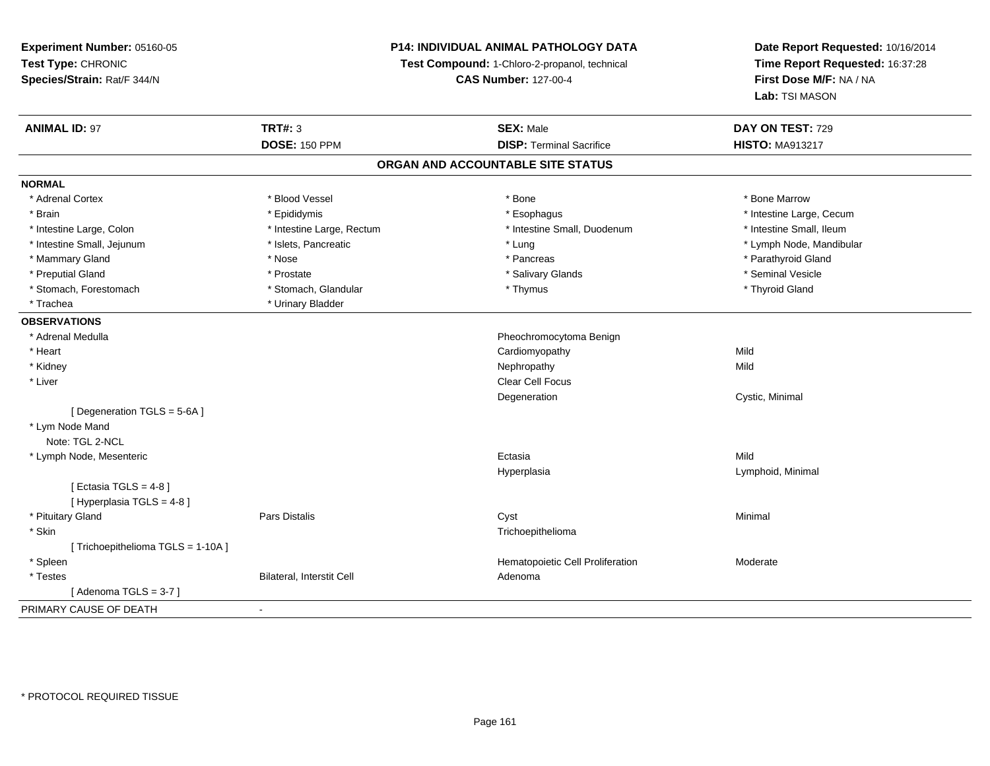## **P14: INDIVIDUAL ANIMAL PATHOLOGY DATA**

**Test Compound:** 1-Chloro-2-propanol, technical

**CAS Number:** 127-00-4

| <b>ANIMAL ID: 97</b>               | <b>TRT#: 3</b>                    | <b>SEX: Male</b>                 | DAY ON TEST: 729         |  |  |  |  |
|------------------------------------|-----------------------------------|----------------------------------|--------------------------|--|--|--|--|
|                                    | <b>DOSE: 150 PPM</b>              | <b>DISP: Terminal Sacrifice</b>  | <b>HISTO: MA913217</b>   |  |  |  |  |
|                                    | ORGAN AND ACCOUNTABLE SITE STATUS |                                  |                          |  |  |  |  |
| <b>NORMAL</b>                      |                                   |                                  |                          |  |  |  |  |
| * Adrenal Cortex                   | * Blood Vessel                    | * Bone                           | * Bone Marrow            |  |  |  |  |
| * Brain                            | * Epididymis                      | * Esophagus                      | * Intestine Large, Cecum |  |  |  |  |
| * Intestine Large, Colon           | * Intestine Large, Rectum         | * Intestine Small, Duodenum      | * Intestine Small, Ileum |  |  |  |  |
| * Intestine Small, Jejunum         | * Islets, Pancreatic              | * Lung                           | * Lymph Node, Mandibular |  |  |  |  |
| * Mammary Gland                    | * Nose                            | * Pancreas                       | * Parathyroid Gland      |  |  |  |  |
| * Preputial Gland                  | * Prostate                        | * Salivary Glands                | * Seminal Vesicle        |  |  |  |  |
| * Stomach, Forestomach             | * Stomach, Glandular              | * Thymus                         | * Thyroid Gland          |  |  |  |  |
| * Trachea                          | * Urinary Bladder                 |                                  |                          |  |  |  |  |
| <b>OBSERVATIONS</b>                |                                   |                                  |                          |  |  |  |  |
| * Adrenal Medulla                  |                                   | Pheochromocytoma Benign          |                          |  |  |  |  |
| * Heart                            |                                   | Cardiomyopathy                   | Mild                     |  |  |  |  |
| * Kidney                           |                                   | Nephropathy                      | Mild                     |  |  |  |  |
| * Liver                            |                                   | Clear Cell Focus                 |                          |  |  |  |  |
|                                    |                                   | Degeneration                     | Cystic, Minimal          |  |  |  |  |
| [Degeneration TGLS = 5-6A]         |                                   |                                  |                          |  |  |  |  |
| * Lym Node Mand                    |                                   |                                  |                          |  |  |  |  |
| Note: TGL 2-NCL                    |                                   |                                  |                          |  |  |  |  |
| * Lymph Node, Mesenteric           |                                   | Ectasia                          | Mild                     |  |  |  |  |
|                                    |                                   | Hyperplasia                      | Lymphoid, Minimal        |  |  |  |  |
| [ Ectasia TGLS = $4-8$ ]           |                                   |                                  |                          |  |  |  |  |
| [ Hyperplasia TGLS = 4-8 ]         |                                   |                                  |                          |  |  |  |  |
| * Pituitary Gland                  | <b>Pars Distalis</b>              | Cyst                             | Minimal                  |  |  |  |  |
| * Skin                             |                                   | Trichoepithelioma                |                          |  |  |  |  |
| [ Trichoepithelioma TGLS = 1-10A ] |                                   |                                  |                          |  |  |  |  |
| * Spleen                           |                                   | Hematopoietic Cell Proliferation | Moderate                 |  |  |  |  |
| * Testes                           | Bilateral, Interstit Cell         | Adenoma                          |                          |  |  |  |  |
| [Adenoma TGLS = $3-7$ ]            |                                   |                                  |                          |  |  |  |  |
| PRIMARY CAUSE OF DEATH             | $\blacksquare$                    |                                  |                          |  |  |  |  |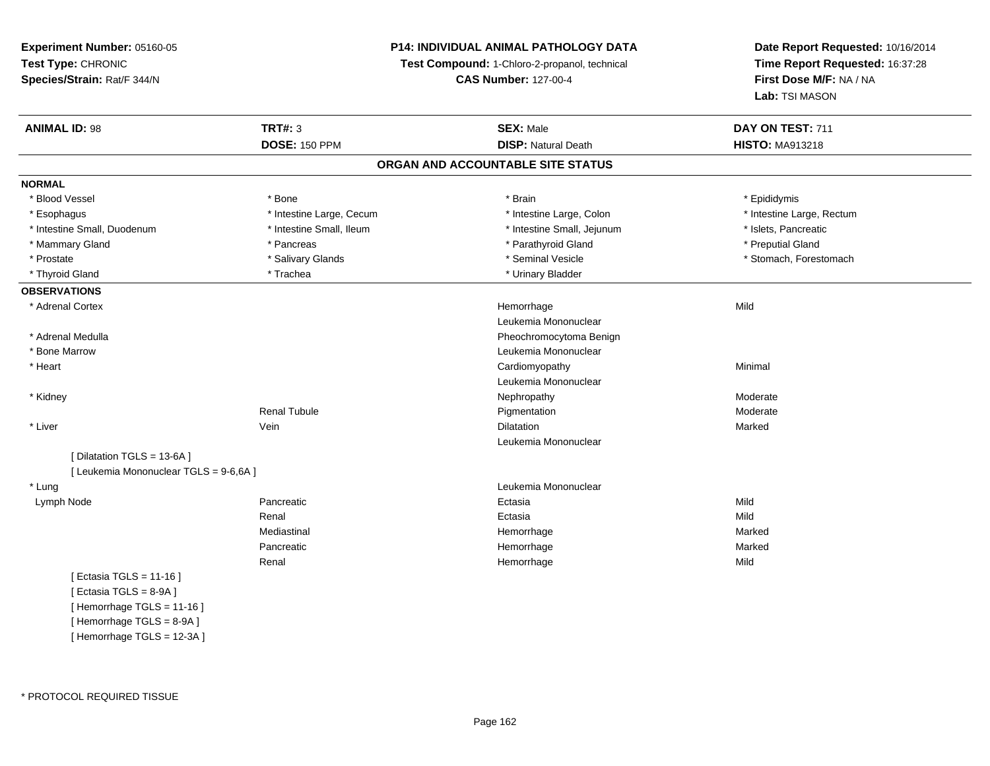## **P14: INDIVIDUAL ANIMAL PATHOLOGY DATA**

**Test Compound:** 1-Chloro-2-propanol, technical

**CAS Number:** 127-00-4

| <b>ANIMAL ID: 98</b>                   | <b>TRT#: 3</b>           | <b>SEX: Male</b>                  | DAY ON TEST: 711          |
|----------------------------------------|--------------------------|-----------------------------------|---------------------------|
|                                        | <b>DOSE: 150 PPM</b>     | <b>DISP: Natural Death</b>        | <b>HISTO: MA913218</b>    |
|                                        |                          | ORGAN AND ACCOUNTABLE SITE STATUS |                           |
| <b>NORMAL</b>                          |                          |                                   |                           |
| * Blood Vessel                         | * Bone                   | * Brain                           | * Epididymis              |
| * Esophagus                            | * Intestine Large, Cecum | * Intestine Large, Colon          | * Intestine Large, Rectum |
| * Intestine Small, Duodenum            | * Intestine Small, Ileum | * Intestine Small, Jejunum        | * Islets, Pancreatic      |
| * Mammary Gland                        | * Pancreas               | * Parathyroid Gland               | * Preputial Gland         |
| * Prostate                             | * Salivary Glands        | * Seminal Vesicle                 | * Stomach, Forestomach    |
| * Thyroid Gland                        | * Trachea                | * Urinary Bladder                 |                           |
| <b>OBSERVATIONS</b>                    |                          |                                   |                           |
| * Adrenal Cortex                       |                          | Hemorrhage                        | Mild                      |
|                                        |                          | Leukemia Mononuclear              |                           |
| * Adrenal Medulla                      |                          | Pheochromocytoma Benign           |                           |
| * Bone Marrow                          |                          | Leukemia Mononuclear              |                           |
| * Heart                                |                          | Cardiomyopathy                    | Minimal                   |
|                                        |                          | Leukemia Mononuclear              |                           |
| * Kidney                               |                          | Nephropathy                       | Moderate                  |
|                                        | <b>Renal Tubule</b>      | Pigmentation                      | Moderate                  |
| * Liver                                | Vein                     | Dilatation                        | Marked                    |
|                                        |                          | Leukemia Mononuclear              |                           |
| [ Dilatation TGLS = 13-6A ]            |                          |                                   |                           |
| [ Leukemia Mononuclear TGLS = 9-6,6A ] |                          |                                   |                           |
| * Lung                                 |                          | Leukemia Mononuclear              |                           |
| Lymph Node                             | Pancreatic               | Ectasia                           | Mild                      |
|                                        | Renal                    | Ectasia                           | Mild                      |
|                                        | Mediastinal              | Hemorrhage                        | Marked                    |
|                                        | Pancreatic               | Hemorrhage                        | Marked                    |
|                                        | Renal                    | Hemorrhage                        | Mild                      |
| [ Ectasia TGLS = 11-16 ]               |                          |                                   |                           |
| [Ectasia TGLS = $8-9A$ ]               |                          |                                   |                           |
| [Hemorrhage TGLS = 11-16]              |                          |                                   |                           |
| [Hemorrhage TGLS = 8-9A]               |                          |                                   |                           |
| [Hemorrhage TGLS = 12-3A]              |                          |                                   |                           |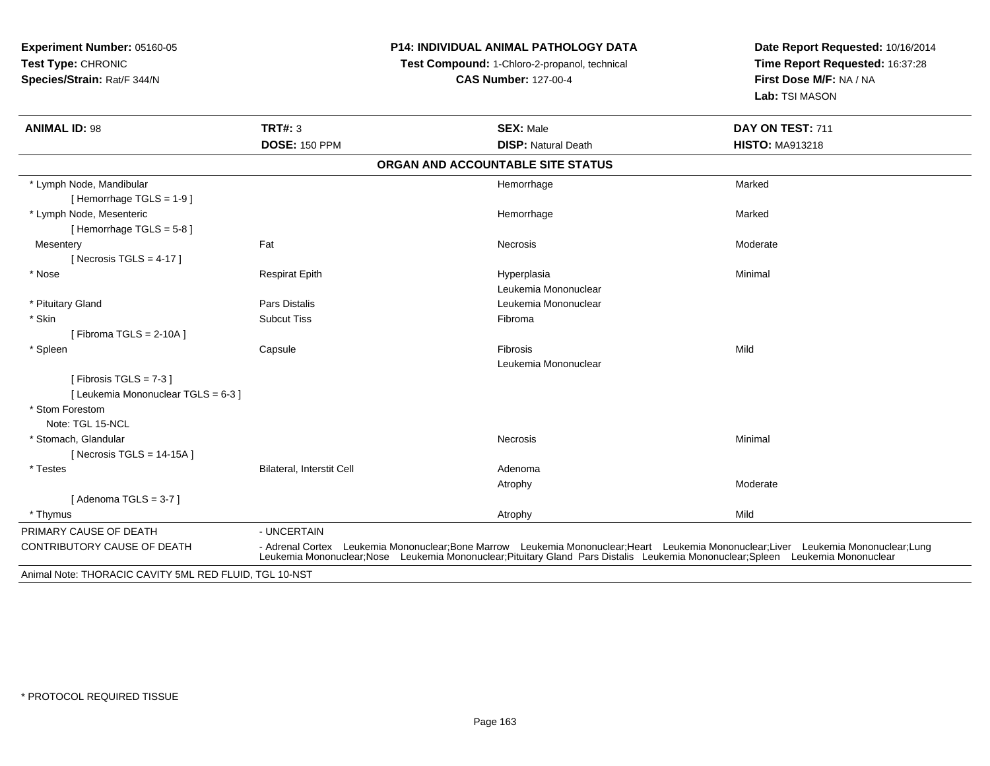## **P14: INDIVIDUAL ANIMAL PATHOLOGY DATA**

**Test Compound:** 1-Chloro-2-propanol, technical

| <b>ANIMAL ID: 98</b>                                   | TRT#: 3<br><b>DOSE: 150 PPM</b>  | <b>SEX: Male</b><br><b>DISP: Natural Death</b>                                                                                                                                                                                                    | DAY ON TEST: 711<br><b>HISTO: MA913218</b> |
|--------------------------------------------------------|----------------------------------|---------------------------------------------------------------------------------------------------------------------------------------------------------------------------------------------------------------------------------------------------|--------------------------------------------|
|                                                        |                                  | ORGAN AND ACCOUNTABLE SITE STATUS                                                                                                                                                                                                                 |                                            |
|                                                        |                                  |                                                                                                                                                                                                                                                   |                                            |
| * Lymph Node, Mandibular                               |                                  | Hemorrhage                                                                                                                                                                                                                                        | Marked                                     |
| [Hemorrhage TGLS = $1-9$ ]                             |                                  |                                                                                                                                                                                                                                                   |                                            |
| * Lymph Node, Mesenteric                               |                                  | Hemorrhage                                                                                                                                                                                                                                        | Marked                                     |
| [Hemorrhage TGLS = $5-8$ ]                             |                                  |                                                                                                                                                                                                                                                   |                                            |
| Mesentery                                              | Fat                              | Necrosis                                                                                                                                                                                                                                          | Moderate                                   |
| [ Necrosis TGLS = $4-17$ ]                             |                                  |                                                                                                                                                                                                                                                   |                                            |
| * Nose                                                 | <b>Respirat Epith</b>            | Hyperplasia                                                                                                                                                                                                                                       | Minimal                                    |
|                                                        |                                  | Leukemia Mononuclear                                                                                                                                                                                                                              |                                            |
| * Pituitary Gland                                      | <b>Pars Distalis</b>             | Leukemia Mononuclear                                                                                                                                                                                                                              |                                            |
| * Skin                                                 | <b>Subcut Tiss</b>               | Fibroma                                                                                                                                                                                                                                           |                                            |
| [Fibroma TGLS = $2-10A$ ]                              |                                  |                                                                                                                                                                                                                                                   |                                            |
| * Spleen                                               | Capsule                          | Fibrosis                                                                                                                                                                                                                                          | Mild                                       |
|                                                        |                                  | Leukemia Mononuclear                                                                                                                                                                                                                              |                                            |
| [Fibrosis TGLS = $7-3$ ]                               |                                  |                                                                                                                                                                                                                                                   |                                            |
| [Leukemia Mononuclear TGLS = 6-3]                      |                                  |                                                                                                                                                                                                                                                   |                                            |
| * Stom Forestom                                        |                                  |                                                                                                                                                                                                                                                   |                                            |
| Note: TGL 15-NCL                                       |                                  |                                                                                                                                                                                                                                                   |                                            |
| * Stomach, Glandular                                   |                                  | Necrosis                                                                                                                                                                                                                                          | Minimal                                    |
| [ Necrosis TGLS = $14-15A$ ]                           |                                  |                                                                                                                                                                                                                                                   |                                            |
| * Testes                                               | <b>Bilateral, Interstit Cell</b> | Adenoma                                                                                                                                                                                                                                           |                                            |
|                                                        |                                  | Atrophy                                                                                                                                                                                                                                           | Moderate                                   |
| [Adenoma TGLS = $3-7$ ]                                |                                  |                                                                                                                                                                                                                                                   |                                            |
| * Thymus                                               |                                  | Atrophy                                                                                                                                                                                                                                           | Mild                                       |
| PRIMARY CAUSE OF DEATH                                 | - UNCERTAIN                      |                                                                                                                                                                                                                                                   |                                            |
| CONTRIBUTORY CAUSE OF DEATH                            | - Adrenal Cortex                 | Leukemia Mononuclear;Bone Marrow Leukemia Mononuclear;Heart Leukemia Mononuclear;Liver Leukemia Mononuclear;Lung<br>Leukemia Mononuclear;Nose Leukemia Mononuclear;Pituitary Gland Pars Distalis Leukemia Mononuclear;Spleen Leukemia Mononuclear |                                            |
| Animal Note: THORACIC CAVITY 5ML RED FLUID, TGL 10-NST |                                  |                                                                                                                                                                                                                                                   |                                            |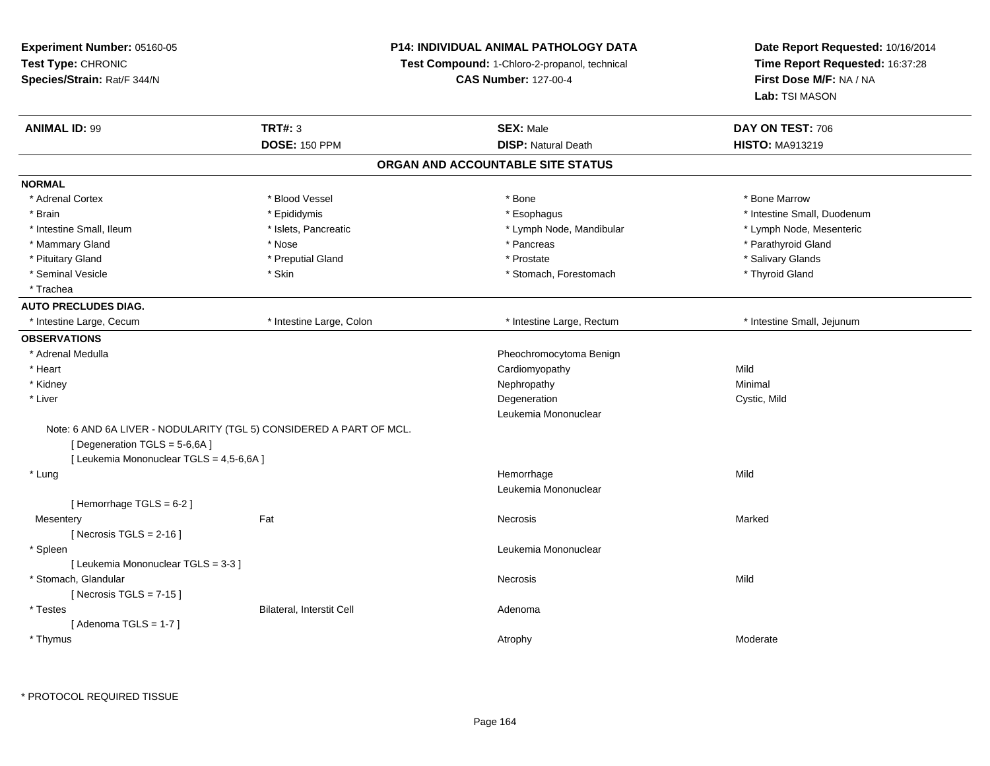| Experiment Number: 05160-05<br>Test Type: CHRONIC<br>Species/Strain: Rat/F 344/N |                                                                     | <b>P14: INDIVIDUAL ANIMAL PATHOLOGY DATA</b><br>Test Compound: 1-Chloro-2-propanol, technical<br><b>CAS Number: 127-00-4</b> | Date Report Requested: 10/16/2014<br>Time Report Requested: 16:37:28<br>First Dose M/F: NA / NA<br>Lab: TSI MASON |
|----------------------------------------------------------------------------------|---------------------------------------------------------------------|------------------------------------------------------------------------------------------------------------------------------|-------------------------------------------------------------------------------------------------------------------|
| <b>ANIMAL ID: 99</b>                                                             | <b>TRT#: 3</b>                                                      | <b>SEX: Male</b>                                                                                                             | DAY ON TEST: 706                                                                                                  |
|                                                                                  | <b>DOSE: 150 PPM</b>                                                | <b>DISP: Natural Death</b>                                                                                                   | <b>HISTO: MA913219</b>                                                                                            |
|                                                                                  |                                                                     | ORGAN AND ACCOUNTABLE SITE STATUS                                                                                            |                                                                                                                   |
| <b>NORMAL</b>                                                                    |                                                                     |                                                                                                                              |                                                                                                                   |
| * Adrenal Cortex                                                                 | * Blood Vessel                                                      | * Bone                                                                                                                       | * Bone Marrow                                                                                                     |
| * Brain                                                                          | * Epididymis                                                        | * Esophagus                                                                                                                  | * Intestine Small, Duodenum                                                                                       |
| * Intestine Small, Ileum                                                         | * Islets, Pancreatic                                                | * Lymph Node, Mandibular                                                                                                     | * Lymph Node, Mesenteric                                                                                          |
| * Mammary Gland                                                                  | * Nose                                                              | * Pancreas                                                                                                                   | * Parathyroid Gland                                                                                               |
| * Pituitary Gland                                                                | * Preputial Gland                                                   | * Prostate                                                                                                                   | * Salivary Glands                                                                                                 |
| * Seminal Vesicle                                                                | * Skin                                                              | * Stomach, Forestomach                                                                                                       | * Thyroid Gland                                                                                                   |
| * Trachea                                                                        |                                                                     |                                                                                                                              |                                                                                                                   |
| <b>AUTO PRECLUDES DIAG.</b>                                                      |                                                                     |                                                                                                                              |                                                                                                                   |
| * Intestine Large, Cecum                                                         | * Intestine Large, Colon                                            | * Intestine Large, Rectum                                                                                                    | * Intestine Small, Jejunum                                                                                        |
| <b>OBSERVATIONS</b>                                                              |                                                                     |                                                                                                                              |                                                                                                                   |
| * Adrenal Medulla                                                                |                                                                     | Pheochromocytoma Benign                                                                                                      |                                                                                                                   |
| * Heart                                                                          |                                                                     | Cardiomyopathy                                                                                                               | Mild                                                                                                              |
| * Kidney                                                                         |                                                                     | Nephropathy                                                                                                                  | Minimal                                                                                                           |
| * Liver                                                                          |                                                                     | Degeneration                                                                                                                 | Cystic, Mild                                                                                                      |
|                                                                                  |                                                                     | Leukemia Mononuclear                                                                                                         |                                                                                                                   |
|                                                                                  | Note: 6 AND 6A LIVER - NODULARITY (TGL 5) CONSIDERED A PART OF MCL. |                                                                                                                              |                                                                                                                   |
| [ Degeneration TGLS = $5-6,6A$ ]                                                 |                                                                     |                                                                                                                              |                                                                                                                   |
| [ Leukemia Mononuclear TGLS = 4,5-6,6A ]                                         |                                                                     |                                                                                                                              |                                                                                                                   |
| * Lung                                                                           |                                                                     | Hemorrhage                                                                                                                   | Mild                                                                                                              |
|                                                                                  |                                                                     | Leukemia Mononuclear                                                                                                         |                                                                                                                   |
| [Hemorrhage TGLS = 6-2]                                                          |                                                                     |                                                                                                                              |                                                                                                                   |
| Mesentery                                                                        | Fat                                                                 | Necrosis                                                                                                                     | Marked                                                                                                            |
| [Necrosis $TGLS = 2-16$ ]                                                        |                                                                     |                                                                                                                              |                                                                                                                   |
| * Spleen                                                                         |                                                                     | Leukemia Mononuclear                                                                                                         |                                                                                                                   |
| [ Leukemia Mononuclear TGLS = 3-3 ]                                              |                                                                     |                                                                                                                              |                                                                                                                   |
| * Stomach, Glandular                                                             |                                                                     | Necrosis                                                                                                                     | Mild                                                                                                              |
| [Necrosis TGLS = $7-15$ ]                                                        |                                                                     |                                                                                                                              |                                                                                                                   |
| * Testes                                                                         | Bilateral, Interstit Cell                                           | Adenoma                                                                                                                      |                                                                                                                   |
| [Adenoma TGLS = $1-7$ ]                                                          |                                                                     |                                                                                                                              |                                                                                                                   |
| * Thymus                                                                         |                                                                     | Atrophy                                                                                                                      | Moderate                                                                                                          |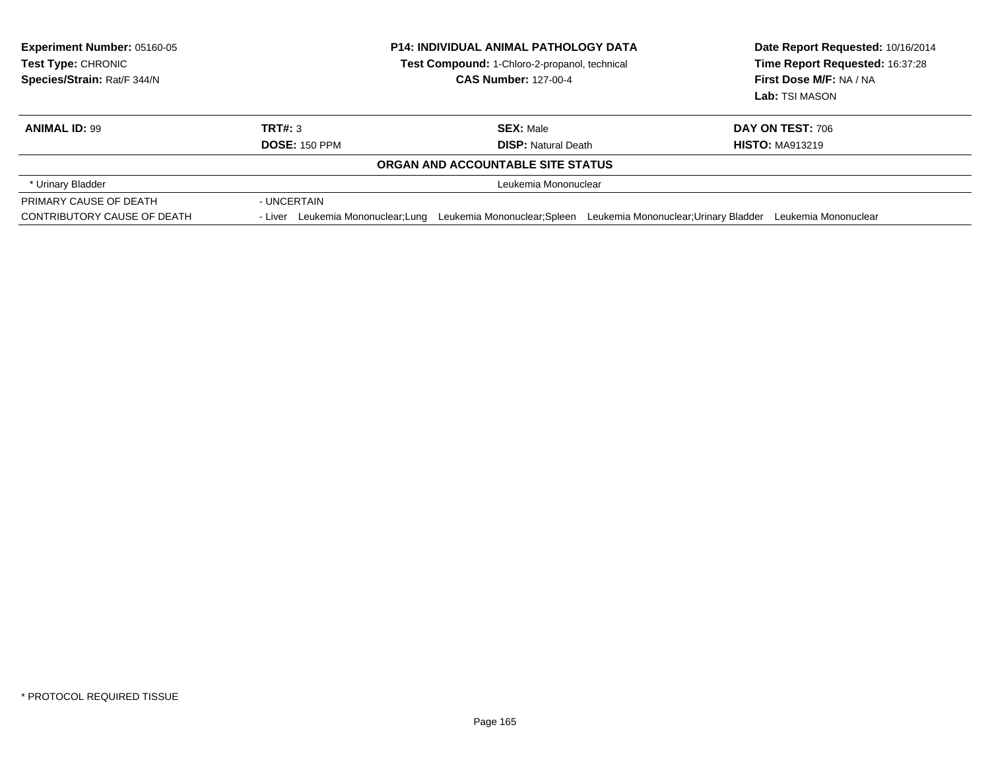| <b>Experiment Number: 05160-05</b><br><b>Test Type: CHRONIC</b><br>Species/Strain: Rat/F 344/N | <b>P14: INDIVIDUAL ANIMAL PATHOLOGY DATA</b><br>Test Compound: 1-Chloro-2-propanol, technical<br><b>CAS Number: 127-00-4</b> |                                                                                         | Date Report Requested: 10/16/2014<br>Time Report Requested: 16:37:28<br>First Dose M/F: NA / NA<br>Lab: TSI MASON |
|------------------------------------------------------------------------------------------------|------------------------------------------------------------------------------------------------------------------------------|-----------------------------------------------------------------------------------------|-------------------------------------------------------------------------------------------------------------------|
| <b>ANIMAL ID: 99</b>                                                                           | TRT#: 3                                                                                                                      | <b>SEX:</b> Male                                                                        | DAY ON TEST: 706                                                                                                  |
|                                                                                                | <b>DOSE: 150 PPM</b>                                                                                                         | <b>DISP:</b> Natural Death                                                              | <b>HISTO: MA913219</b>                                                                                            |
|                                                                                                |                                                                                                                              | ORGAN AND ACCOUNTABLE SITE STATUS                                                       |                                                                                                                   |
| * Urinary Bladder                                                                              |                                                                                                                              | Leukemia Mononuclear                                                                    |                                                                                                                   |
| PRIMARY CAUSE OF DEATH                                                                         | - UNCERTAIN                                                                                                                  |                                                                                         |                                                                                                                   |
| CONTRIBUTORY CAUSE OF DEATH                                                                    | - Liver Leukemia Mononuclear; Lung                                                                                           | Leukemia Mononuclear; Spleen Leukemia Mononuclear; Urinary Bladder Leukemia Mononuclear |                                                                                                                   |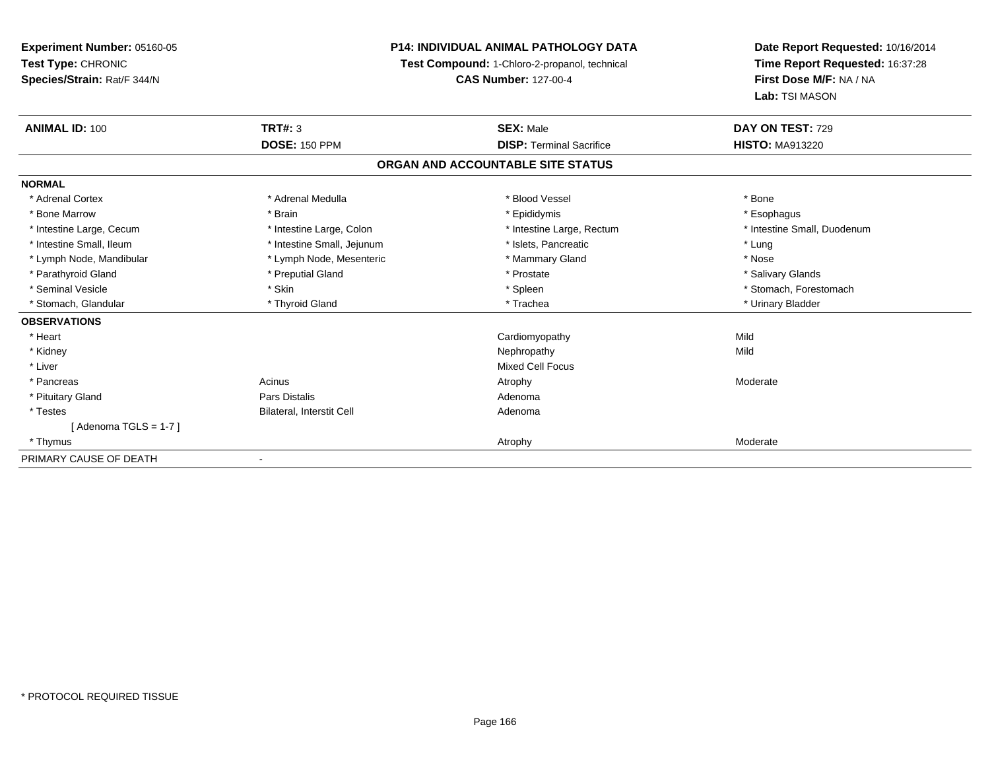## **P14: INDIVIDUAL ANIMAL PATHOLOGY DATA**

**Test Compound:** 1-Chloro-2-propanol, technical

**CAS Number:** 127-00-4

| <b>ANIMAL ID: 100</b>    | <b>TRT#: 3</b>             | <b>SEX: Male</b>                  | DAY ON TEST: 729            |
|--------------------------|----------------------------|-----------------------------------|-----------------------------|
|                          | <b>DOSE: 150 PPM</b>       | <b>DISP: Terminal Sacrifice</b>   | <b>HISTO: MA913220</b>      |
|                          |                            | ORGAN AND ACCOUNTABLE SITE STATUS |                             |
| <b>NORMAL</b>            |                            |                                   |                             |
| * Adrenal Cortex         | * Adrenal Medulla          | * Blood Vessel                    | * Bone                      |
| * Bone Marrow            | * Brain                    | * Epididymis                      | * Esophagus                 |
| * Intestine Large, Cecum | * Intestine Large, Colon   | * Intestine Large, Rectum         | * Intestine Small, Duodenum |
| * Intestine Small, Ileum | * Intestine Small, Jejunum | * Islets, Pancreatic              | * Lung                      |
| * Lymph Node, Mandibular | * Lymph Node, Mesenteric   | * Mammary Gland                   | * Nose                      |
| * Parathyroid Gland      | * Preputial Gland          | * Prostate                        | * Salivary Glands           |
| * Seminal Vesicle        | * Skin                     | * Spleen                          | * Stomach, Forestomach      |
| * Stomach, Glandular     | * Thyroid Gland            | * Trachea                         | * Urinary Bladder           |
| <b>OBSERVATIONS</b>      |                            |                                   |                             |
| * Heart                  |                            | Cardiomyopathy                    | Mild                        |
| * Kidney                 |                            | Nephropathy                       | Mild                        |
| * Liver                  |                            | <b>Mixed Cell Focus</b>           |                             |
| * Pancreas               | Acinus                     | Atrophy                           | Moderate                    |
| * Pituitary Gland        | Pars Distalis              | Adenoma                           |                             |
| * Testes                 | Bilateral, Interstit Cell  | Adenoma                           |                             |
| [Adenoma TGLS = 1-7]     |                            |                                   |                             |
| * Thymus                 |                            | Atrophy                           | Moderate                    |
| PRIMARY CAUSE OF DEATH   | $\blacksquare$             |                                   |                             |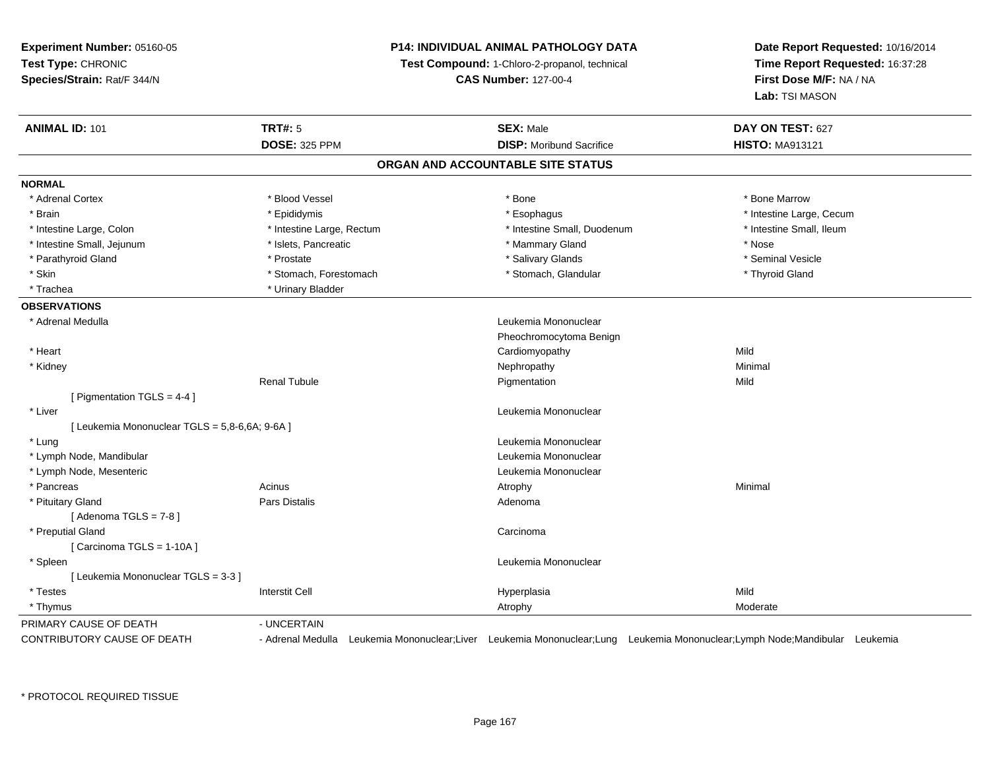## **P14: INDIVIDUAL ANIMAL PATHOLOGY DATA**

**Test Compound:** 1-Chloro-2-propanol, technical

**CAS Number:** 127-00-4

| <b>DOSE: 325 PPM</b><br><b>DISP:</b> Moribund Sacrifice<br><b>HISTO: MA913121</b><br>ORGAN AND ACCOUNTABLE SITE STATUS<br><b>NORMAL</b><br>* Adrenal Cortex<br>* Blood Vessel<br>* Bone Marrow<br>* Bone<br>* Brain<br>* Epididymis<br>* Esophagus<br>* Intestine Large, Cecum<br>* Intestine Large, Rectum<br>* Intestine Small, Duodenum<br>* Intestine Large, Colon<br>* Intestine Small, Ileum<br>* Intestine Small, Jejunum<br>* Islets, Pancreatic<br>* Mammary Gland<br>* Nose<br>* Parathyroid Gland<br>* Salivary Glands<br>* Seminal Vesicle<br>* Prostate<br>* Skin<br>* Stomach, Forestomach<br>* Stomach, Glandular<br>* Thyroid Gland<br>* Trachea<br>* Urinary Bladder<br><b>OBSERVATIONS</b><br>* Adrenal Medulla<br>Leukemia Mononuclear<br>Pheochromocytoma Benign<br>Mild<br>* Heart<br>Cardiomyopathy<br>* Kidney<br>Nephropathy<br>Minimal<br><b>Renal Tubule</b><br>Mild<br>Pigmentation<br>[ Pigmentation TGLS = $4-4$ ]<br>* Liver<br>Leukemia Mononuclear<br>[ Leukemia Mononuclear TGLS = 5,8-6,6A; 9-6A ]<br>Leukemia Mononuclear<br>* Lung<br>* Lymph Node, Mandibular<br>Leukemia Mononuclear<br>* Lymph Node, Mesenteric<br>Leukemia Mononuclear<br>Acinus<br>* Pancreas<br>Minimal<br>Atrophy<br><b>Pars Distalis</b><br>* Pituitary Gland<br>Adenoma<br>[Adenoma TGLS = $7-8$ ]<br>* Preputial Gland<br>Carcinoma<br>[Carcinoma TGLS = 1-10A]<br>Leukemia Mononuclear<br>* Spleen<br>[ Leukemia Mononuclear TGLS = 3-3 ]<br>Mild<br>* Testes<br><b>Interstit Cell</b><br>Hyperplasia<br>* Thymus<br>Moderate<br>Atrophy<br>PRIMARY CAUSE OF DEATH<br>- UNCERTAIN<br>- Adrenal Medulla Leukemia Mononuclear;Liver Leukemia Mononuclear;Lung Leukemia Mononuclear;Lymph Node;Mandibular Leukemia | <b>ANIMAL ID: 101</b>              | <b>TRT#: 5</b> | <b>SEX: Male</b> | DAY ON TEST: 627 |
|--------------------------------------------------------------------------------------------------------------------------------------------------------------------------------------------------------------------------------------------------------------------------------------------------------------------------------------------------------------------------------------------------------------------------------------------------------------------------------------------------------------------------------------------------------------------------------------------------------------------------------------------------------------------------------------------------------------------------------------------------------------------------------------------------------------------------------------------------------------------------------------------------------------------------------------------------------------------------------------------------------------------------------------------------------------------------------------------------------------------------------------------------------------------------------------------------------------------------------------------------------------------------------------------------------------------------------------------------------------------------------------------------------------------------------------------------------------------------------------------------------------------------------------------------------------------------------------------------------------------------------------------------------------------------------------------------------------------------------|------------------------------------|----------------|------------------|------------------|
|                                                                                                                                                                                                                                                                                                                                                                                                                                                                                                                                                                                                                                                                                                                                                                                                                                                                                                                                                                                                                                                                                                                                                                                                                                                                                                                                                                                                                                                                                                                                                                                                                                                                                                                                |                                    |                |                  |                  |
|                                                                                                                                                                                                                                                                                                                                                                                                                                                                                                                                                                                                                                                                                                                                                                                                                                                                                                                                                                                                                                                                                                                                                                                                                                                                                                                                                                                                                                                                                                                                                                                                                                                                                                                                |                                    |                |                  |                  |
|                                                                                                                                                                                                                                                                                                                                                                                                                                                                                                                                                                                                                                                                                                                                                                                                                                                                                                                                                                                                                                                                                                                                                                                                                                                                                                                                                                                                                                                                                                                                                                                                                                                                                                                                |                                    |                |                  |                  |
|                                                                                                                                                                                                                                                                                                                                                                                                                                                                                                                                                                                                                                                                                                                                                                                                                                                                                                                                                                                                                                                                                                                                                                                                                                                                                                                                                                                                                                                                                                                                                                                                                                                                                                                                |                                    |                |                  |                  |
|                                                                                                                                                                                                                                                                                                                                                                                                                                                                                                                                                                                                                                                                                                                                                                                                                                                                                                                                                                                                                                                                                                                                                                                                                                                                                                                                                                                                                                                                                                                                                                                                                                                                                                                                |                                    |                |                  |                  |
|                                                                                                                                                                                                                                                                                                                                                                                                                                                                                                                                                                                                                                                                                                                                                                                                                                                                                                                                                                                                                                                                                                                                                                                                                                                                                                                                                                                                                                                                                                                                                                                                                                                                                                                                |                                    |                |                  |                  |
|                                                                                                                                                                                                                                                                                                                                                                                                                                                                                                                                                                                                                                                                                                                                                                                                                                                                                                                                                                                                                                                                                                                                                                                                                                                                                                                                                                                                                                                                                                                                                                                                                                                                                                                                |                                    |                |                  |                  |
|                                                                                                                                                                                                                                                                                                                                                                                                                                                                                                                                                                                                                                                                                                                                                                                                                                                                                                                                                                                                                                                                                                                                                                                                                                                                                                                                                                                                                                                                                                                                                                                                                                                                                                                                |                                    |                |                  |                  |
|                                                                                                                                                                                                                                                                                                                                                                                                                                                                                                                                                                                                                                                                                                                                                                                                                                                                                                                                                                                                                                                                                                                                                                                                                                                                                                                                                                                                                                                                                                                                                                                                                                                                                                                                |                                    |                |                  |                  |
|                                                                                                                                                                                                                                                                                                                                                                                                                                                                                                                                                                                                                                                                                                                                                                                                                                                                                                                                                                                                                                                                                                                                                                                                                                                                                                                                                                                                                                                                                                                                                                                                                                                                                                                                |                                    |                |                  |                  |
|                                                                                                                                                                                                                                                                                                                                                                                                                                                                                                                                                                                                                                                                                                                                                                                                                                                                                                                                                                                                                                                                                                                                                                                                                                                                                                                                                                                                                                                                                                                                                                                                                                                                                                                                |                                    |                |                  |                  |
|                                                                                                                                                                                                                                                                                                                                                                                                                                                                                                                                                                                                                                                                                                                                                                                                                                                                                                                                                                                                                                                                                                                                                                                                                                                                                                                                                                                                                                                                                                                                                                                                                                                                                                                                |                                    |                |                  |                  |
|                                                                                                                                                                                                                                                                                                                                                                                                                                                                                                                                                                                                                                                                                                                                                                                                                                                                                                                                                                                                                                                                                                                                                                                                                                                                                                                                                                                                                                                                                                                                                                                                                                                                                                                                |                                    |                |                  |                  |
|                                                                                                                                                                                                                                                                                                                                                                                                                                                                                                                                                                                                                                                                                                                                                                                                                                                                                                                                                                                                                                                                                                                                                                                                                                                                                                                                                                                                                                                                                                                                                                                                                                                                                                                                |                                    |                |                  |                  |
|                                                                                                                                                                                                                                                                                                                                                                                                                                                                                                                                                                                                                                                                                                                                                                                                                                                                                                                                                                                                                                                                                                                                                                                                                                                                                                                                                                                                                                                                                                                                                                                                                                                                                                                                |                                    |                |                  |                  |
|                                                                                                                                                                                                                                                                                                                                                                                                                                                                                                                                                                                                                                                                                                                                                                                                                                                                                                                                                                                                                                                                                                                                                                                                                                                                                                                                                                                                                                                                                                                                                                                                                                                                                                                                |                                    |                |                  |                  |
|                                                                                                                                                                                                                                                                                                                                                                                                                                                                                                                                                                                                                                                                                                                                                                                                                                                                                                                                                                                                                                                                                                                                                                                                                                                                                                                                                                                                                                                                                                                                                                                                                                                                                                                                |                                    |                |                  |                  |
|                                                                                                                                                                                                                                                                                                                                                                                                                                                                                                                                                                                                                                                                                                                                                                                                                                                                                                                                                                                                                                                                                                                                                                                                                                                                                                                                                                                                                                                                                                                                                                                                                                                                                                                                |                                    |                |                  |                  |
|                                                                                                                                                                                                                                                                                                                                                                                                                                                                                                                                                                                                                                                                                                                                                                                                                                                                                                                                                                                                                                                                                                                                                                                                                                                                                                                                                                                                                                                                                                                                                                                                                                                                                                                                |                                    |                |                  |                  |
|                                                                                                                                                                                                                                                                                                                                                                                                                                                                                                                                                                                                                                                                                                                                                                                                                                                                                                                                                                                                                                                                                                                                                                                                                                                                                                                                                                                                                                                                                                                                                                                                                                                                                                                                |                                    |                |                  |                  |
|                                                                                                                                                                                                                                                                                                                                                                                                                                                                                                                                                                                                                                                                                                                                                                                                                                                                                                                                                                                                                                                                                                                                                                                                                                                                                                                                                                                                                                                                                                                                                                                                                                                                                                                                |                                    |                |                  |                  |
|                                                                                                                                                                                                                                                                                                                                                                                                                                                                                                                                                                                                                                                                                                                                                                                                                                                                                                                                                                                                                                                                                                                                                                                                                                                                                                                                                                                                                                                                                                                                                                                                                                                                                                                                |                                    |                |                  |                  |
|                                                                                                                                                                                                                                                                                                                                                                                                                                                                                                                                                                                                                                                                                                                                                                                                                                                                                                                                                                                                                                                                                                                                                                                                                                                                                                                                                                                                                                                                                                                                                                                                                                                                                                                                |                                    |                |                  |                  |
|                                                                                                                                                                                                                                                                                                                                                                                                                                                                                                                                                                                                                                                                                                                                                                                                                                                                                                                                                                                                                                                                                                                                                                                                                                                                                                                                                                                                                                                                                                                                                                                                                                                                                                                                |                                    |                |                  |                  |
|                                                                                                                                                                                                                                                                                                                                                                                                                                                                                                                                                                                                                                                                                                                                                                                                                                                                                                                                                                                                                                                                                                                                                                                                                                                                                                                                                                                                                                                                                                                                                                                                                                                                                                                                |                                    |                |                  |                  |
|                                                                                                                                                                                                                                                                                                                                                                                                                                                                                                                                                                                                                                                                                                                                                                                                                                                                                                                                                                                                                                                                                                                                                                                                                                                                                                                                                                                                                                                                                                                                                                                                                                                                                                                                |                                    |                |                  |                  |
|                                                                                                                                                                                                                                                                                                                                                                                                                                                                                                                                                                                                                                                                                                                                                                                                                                                                                                                                                                                                                                                                                                                                                                                                                                                                                                                                                                                                                                                                                                                                                                                                                                                                                                                                |                                    |                |                  |                  |
|                                                                                                                                                                                                                                                                                                                                                                                                                                                                                                                                                                                                                                                                                                                                                                                                                                                                                                                                                                                                                                                                                                                                                                                                                                                                                                                                                                                                                                                                                                                                                                                                                                                                                                                                |                                    |                |                  |                  |
|                                                                                                                                                                                                                                                                                                                                                                                                                                                                                                                                                                                                                                                                                                                                                                                                                                                                                                                                                                                                                                                                                                                                                                                                                                                                                                                                                                                                                                                                                                                                                                                                                                                                                                                                |                                    |                |                  |                  |
|                                                                                                                                                                                                                                                                                                                                                                                                                                                                                                                                                                                                                                                                                                                                                                                                                                                                                                                                                                                                                                                                                                                                                                                                                                                                                                                                                                                                                                                                                                                                                                                                                                                                                                                                |                                    |                |                  |                  |
|                                                                                                                                                                                                                                                                                                                                                                                                                                                                                                                                                                                                                                                                                                                                                                                                                                                                                                                                                                                                                                                                                                                                                                                                                                                                                                                                                                                                                                                                                                                                                                                                                                                                                                                                |                                    |                |                  |                  |
|                                                                                                                                                                                                                                                                                                                                                                                                                                                                                                                                                                                                                                                                                                                                                                                                                                                                                                                                                                                                                                                                                                                                                                                                                                                                                                                                                                                                                                                                                                                                                                                                                                                                                                                                |                                    |                |                  |                  |
|                                                                                                                                                                                                                                                                                                                                                                                                                                                                                                                                                                                                                                                                                                                                                                                                                                                                                                                                                                                                                                                                                                                                                                                                                                                                                                                                                                                                                                                                                                                                                                                                                                                                                                                                | <b>CONTRIBUTORY CAUSE OF DEATH</b> |                |                  |                  |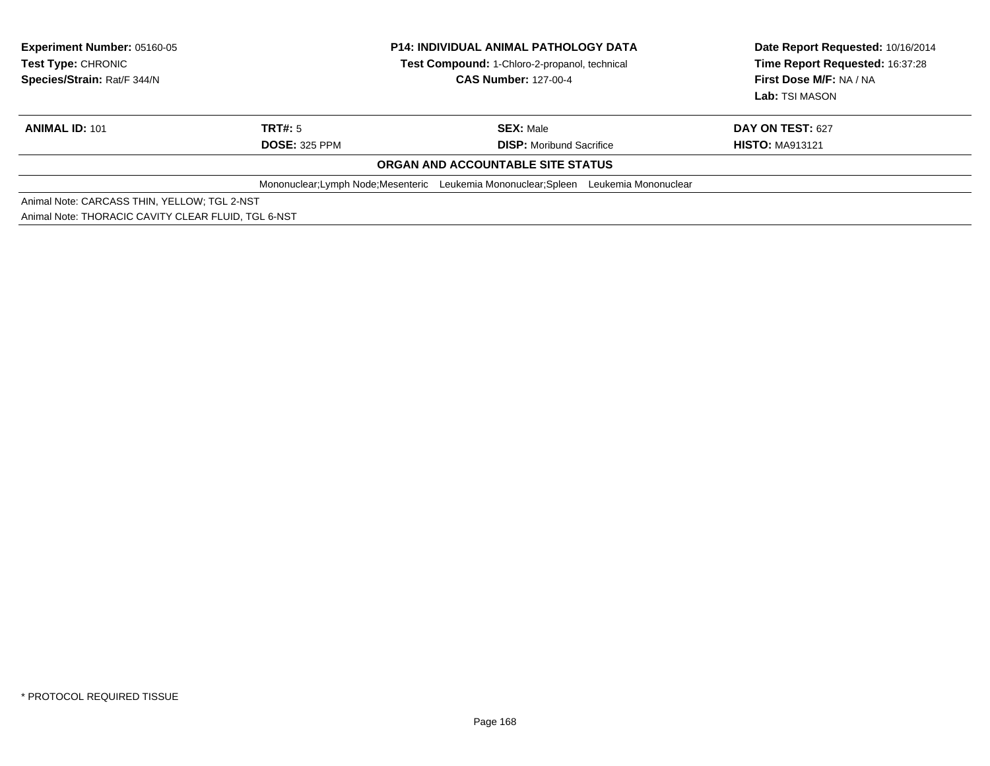| <b>Experiment Number: 05160-05</b><br>Test Type: CHRONIC<br>Species/Strain: Rat/F 344/N | <b>P14: INDIVIDUAL ANIMAL PATHOLOGY DATA</b><br>Test Compound: 1-Chloro-2-propanol, technical<br><b>CAS Number: 127-00-4</b> |                                                                                       | Date Report Requested: 10/16/2014<br>Time Report Requested: 16:37:28<br>First Dose M/F: NA / NA |
|-----------------------------------------------------------------------------------------|------------------------------------------------------------------------------------------------------------------------------|---------------------------------------------------------------------------------------|-------------------------------------------------------------------------------------------------|
|                                                                                         |                                                                                                                              |                                                                                       | Lab: TSI MASON                                                                                  |
| <b>ANIMAL ID: 101</b>                                                                   | TRT#: 5                                                                                                                      | <b>SEX:</b> Male                                                                      | <b>DAY ON TEST: 627</b>                                                                         |
|                                                                                         | <b>DOSE: 325 PPM</b>                                                                                                         | <b>DISP:</b> Moribund Sacrifice                                                       | <b>HISTO: MA913121</b>                                                                          |
|                                                                                         |                                                                                                                              | ORGAN AND ACCOUNTABLE SITE STATUS                                                     |                                                                                                 |
|                                                                                         |                                                                                                                              | Mononuclear: Lymph Node: Mesenteric Leukemia Mononuclear: Spleen Leukemia Mononuclear |                                                                                                 |
| Animal Note: CARCASS THIN, YELLOW; TGL 2-NST                                            |                                                                                                                              |                                                                                       |                                                                                                 |
| Animal Note: THORACIC CAVITY CLEAR FLUID. TGL 6-NST                                     |                                                                                                                              |                                                                                       |                                                                                                 |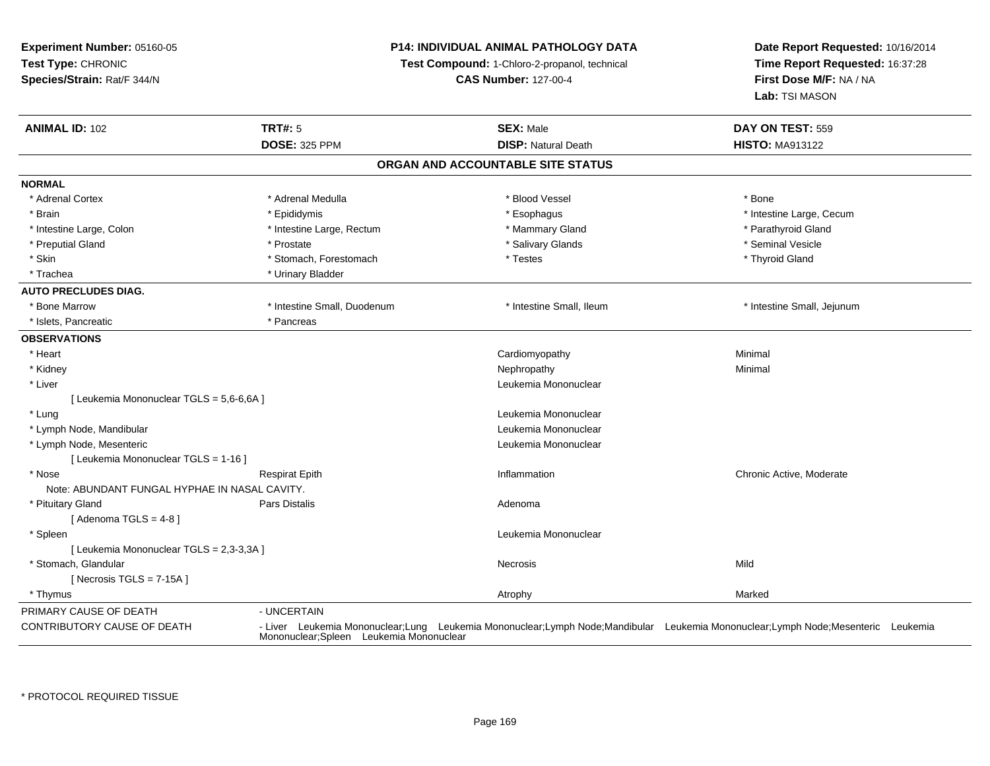**Experiment Number:** 05160-05**Test Type:** CHRONIC **Species/Strain:** Rat/F 344/N**P14: INDIVIDUAL ANIMAL PATHOLOGY DATATest Compound:** 1-Chloro-2-propanol, technical **CAS Number:** 127-00-4**Date Report Requested:** 10/16/2014**Time Report Requested:** 16:37:28**First Dose M/F:** NA / NA**Lab:** TSI MASON**ANIMAL ID:** 102**TRT#:** 5 **SEX:** Male **DAY ON TEST:** 559 **DOSE:** 325 PPM**DISP:** Natural Death **HISTO:** MA913122 **ORGAN AND ACCOUNTABLE SITE STATUSNORMAL**\* Adrenal Cortex \* Adrenal Medulla \* Adrenal Medulla \* Blood Vessel \* Bood Vessel \* Bone \* Bone \* Bone \* Bone \* Bone \* Bone \* Bone \* Bone \* Bone \* Bone \* Bone \* Bone \* Bone \* Bone \* Bone \* Bone \* Bone \* Bone \* Bone \* Bone \* Bone \* Bone \* \* \* Brain \* Esophagus \* Esophagus \* Esophagus \* Esophagus \* Esophagus \* Intestine Large, Cecum \* \* Esophagus \* Intestine Large, Cecum \* Intestine Large, Colon \* Intestine Large, Rectum \* Mammary Gland \* The state of the state of the state of the state of the state of the state of the state of the state of the state of the state of the state of the state \* Preputial Gland \* \* Annual vesicle \* \* Prostate \* \* Salivary Glands \* \* Salivary Glands \* \* Seminal Vesicle \* \* Skin \* Stomach, Forestomach \* Thyroid Gland \* Testes \* Thyroid Gland \* Thyroid Gland \* Trachea \* Urinary Bladder**AUTO PRECLUDES DIAG.** \* Bone Marrow \* Intestine Small, Duodenum \* Intestine Small, Ileum \* Intestine Small, Jejunum\* Islets, Pancreatic \* Pancreas **OBSERVATIONS** \* Heart Cardiomyopathy Minimal \* Kidneyy the control of the control of the control of the control of the control of the control of the control of the control of the control of the control of the control of the control of the control of the control of the contro \* Liver Leukemia Mononuclear [ Leukemia Mononuclear TGLS = 5,6-6,6A ] \* Lungg and the set of the set of the set of the set of the set of the set of the set of the set of the set of the s \* Lymph Node, Mandibular Leukemia Mononuclear \* Lymph Node, Mesenteric Leukemia Mononuclear [ Leukemia Mononuclear TGLS = 1-16 ] \* Nosee inflammation Chronic Active, Moderate Respirat Epith Inflammation Chronic Active, Moderate Chronic Active, Moderate Note: ABUNDANT FUNGAL HYPHAE IN NASAL CAVITY. \* Pituitary Glandd and the set of Pars Distalis and the Second Adenomal Adenomal Second Second Pars Distallis  $[$  Adenoma TGLS = 4-8  $]$  \* Spleenn and the control of the control of the control of the control of the control of the control of the control of the control of the control of the control of the control of the control of the control of the control of the co [ Leukemia Mononuclear TGLS = 2,3-3,3A ] \* Stomach, Glandularr **Necrosis** s and the contract of the Mild  $[$  Necrosis TGLS = 7-15A  $]$  \* Thymuss and the control of the control of the control of the control of the control of the control of the control of the control of the control of the control of the control of the control of the control of the control of the co PRIMARY CAUSE OF DEATH - UNCERTAIN CONTRIBUTORY CAUSE OF DEATH - Liver Leukemia Mononuclear;Lung Leukemia Mononuclear;Lymph Node;Mandibular Leukemia Mononuclear;Lymph Node;Mesenteric Leukemia Mononuclear;Spleen Leukemia Mononuclear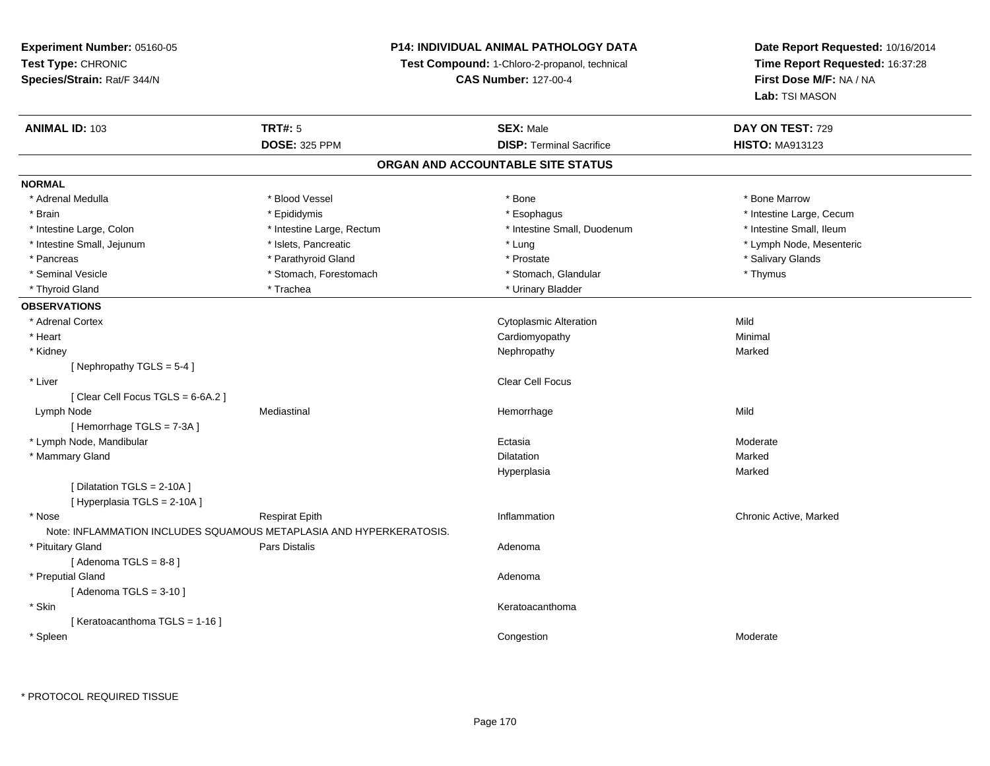## **P14: INDIVIDUAL ANIMAL PATHOLOGY DATA**

**Test Compound:** 1-Chloro-2-propanol, technical

**CAS Number:** 127-00-4

| <b>DOSE: 325 PPM</b><br><b>DISP: Terminal Sacrifice</b><br><b>HISTO: MA913123</b><br>ORGAN AND ACCOUNTABLE SITE STATUS<br>* Adrenal Medulla<br>* Blood Vessel<br>* Bone<br>* Bone Marrow<br>* Epididymis<br>* Brain<br>* Esophagus<br>* Intestine Large, Cecum<br>* Intestine Small, Ileum<br>* Intestine Large, Colon<br>* Intestine Large, Rectum<br>* Intestine Small, Duodenum<br>* Intestine Small, Jejunum<br>* Islets, Pancreatic<br>* Lung<br>* Lymph Node, Mesenteric<br>* Parathyroid Gland<br>* Salivary Glands<br>* Prostate<br>* Pancreas<br>* Seminal Vesicle<br>* Stomach, Forestomach<br>* Stomach, Glandular<br>* Thymus<br>* Thyroid Gland<br>* Trachea<br>* Urinary Bladder<br>Mild<br>* Adrenal Cortex<br><b>Cytoplasmic Alteration</b><br>* Heart<br>Minimal<br>Cardiomyopathy<br>* Kidney<br>Nephropathy<br>Marked<br>[Nephropathy TGLS = $5-4$ ]<br>* Liver<br>Clear Cell Focus<br>[Clear Cell Focus TGLS = 6-6A.2]<br>Mild<br>Mediastinal<br>Lymph Node<br>Hemorrhage<br>[Hemorrhage TGLS = 7-3A]<br>* Lymph Node, Mandibular<br>Ectasia<br>Moderate<br>* Mammary Gland<br>Marked<br><b>Dilatation</b><br>Marked<br>Hyperplasia<br>[ Dilatation TGLS = 2-10A ]<br>[Hyperplasia TGLS = 2-10A]<br>* Nose<br><b>Respirat Epith</b><br>Inflammation<br>Chronic Active, Marked<br>Note: INFLAMMATION INCLUDES SQUAMOUS METAPLASIA AND HYPERKERATOSIS.<br>Pars Distalis<br>* Pituitary Gland<br>Adenoma<br>[Adenoma TGLS = $8-8$ ]<br>* Preputial Gland<br>Adenoma<br>[Adenoma TGLS = $3-10$ ]<br>* Skin<br>Keratoacanthoma<br>[Keratoacanthoma TGLS = 1-16] | <b>ANIMAL ID: 103</b> | <b>TRT#: 5</b> | <b>SEX: Male</b> | DAY ON TEST: 729 |
|--------------------------------------------------------------------------------------------------------------------------------------------------------------------------------------------------------------------------------------------------------------------------------------------------------------------------------------------------------------------------------------------------------------------------------------------------------------------------------------------------------------------------------------------------------------------------------------------------------------------------------------------------------------------------------------------------------------------------------------------------------------------------------------------------------------------------------------------------------------------------------------------------------------------------------------------------------------------------------------------------------------------------------------------------------------------------------------------------------------------------------------------------------------------------------------------------------------------------------------------------------------------------------------------------------------------------------------------------------------------------------------------------------------------------------------------------------------------------------------------------------------------------------------------------------------------------------|-----------------------|----------------|------------------|------------------|
|                                                                                                                                                                                                                                                                                                                                                                                                                                                                                                                                                                                                                                                                                                                                                                                                                                                                                                                                                                                                                                                                                                                                                                                                                                                                                                                                                                                                                                                                                                                                                                                |                       |                |                  |                  |
|                                                                                                                                                                                                                                                                                                                                                                                                                                                                                                                                                                                                                                                                                                                                                                                                                                                                                                                                                                                                                                                                                                                                                                                                                                                                                                                                                                                                                                                                                                                                                                                |                       |                |                  |                  |
|                                                                                                                                                                                                                                                                                                                                                                                                                                                                                                                                                                                                                                                                                                                                                                                                                                                                                                                                                                                                                                                                                                                                                                                                                                                                                                                                                                                                                                                                                                                                                                                | <b>NORMAL</b>         |                |                  |                  |
|                                                                                                                                                                                                                                                                                                                                                                                                                                                                                                                                                                                                                                                                                                                                                                                                                                                                                                                                                                                                                                                                                                                                                                                                                                                                                                                                                                                                                                                                                                                                                                                |                       |                |                  |                  |
|                                                                                                                                                                                                                                                                                                                                                                                                                                                                                                                                                                                                                                                                                                                                                                                                                                                                                                                                                                                                                                                                                                                                                                                                                                                                                                                                                                                                                                                                                                                                                                                |                       |                |                  |                  |
|                                                                                                                                                                                                                                                                                                                                                                                                                                                                                                                                                                                                                                                                                                                                                                                                                                                                                                                                                                                                                                                                                                                                                                                                                                                                                                                                                                                                                                                                                                                                                                                |                       |                |                  |                  |
|                                                                                                                                                                                                                                                                                                                                                                                                                                                                                                                                                                                                                                                                                                                                                                                                                                                                                                                                                                                                                                                                                                                                                                                                                                                                                                                                                                                                                                                                                                                                                                                |                       |                |                  |                  |
|                                                                                                                                                                                                                                                                                                                                                                                                                                                                                                                                                                                                                                                                                                                                                                                                                                                                                                                                                                                                                                                                                                                                                                                                                                                                                                                                                                                                                                                                                                                                                                                |                       |                |                  |                  |
|                                                                                                                                                                                                                                                                                                                                                                                                                                                                                                                                                                                                                                                                                                                                                                                                                                                                                                                                                                                                                                                                                                                                                                                                                                                                                                                                                                                                                                                                                                                                                                                |                       |                |                  |                  |
|                                                                                                                                                                                                                                                                                                                                                                                                                                                                                                                                                                                                                                                                                                                                                                                                                                                                                                                                                                                                                                                                                                                                                                                                                                                                                                                                                                                                                                                                                                                                                                                |                       |                |                  |                  |
|                                                                                                                                                                                                                                                                                                                                                                                                                                                                                                                                                                                                                                                                                                                                                                                                                                                                                                                                                                                                                                                                                                                                                                                                                                                                                                                                                                                                                                                                                                                                                                                | <b>OBSERVATIONS</b>   |                |                  |                  |
|                                                                                                                                                                                                                                                                                                                                                                                                                                                                                                                                                                                                                                                                                                                                                                                                                                                                                                                                                                                                                                                                                                                                                                                                                                                                                                                                                                                                                                                                                                                                                                                |                       |                |                  |                  |
|                                                                                                                                                                                                                                                                                                                                                                                                                                                                                                                                                                                                                                                                                                                                                                                                                                                                                                                                                                                                                                                                                                                                                                                                                                                                                                                                                                                                                                                                                                                                                                                |                       |                |                  |                  |
|                                                                                                                                                                                                                                                                                                                                                                                                                                                                                                                                                                                                                                                                                                                                                                                                                                                                                                                                                                                                                                                                                                                                                                                                                                                                                                                                                                                                                                                                                                                                                                                |                       |                |                  |                  |
|                                                                                                                                                                                                                                                                                                                                                                                                                                                                                                                                                                                                                                                                                                                                                                                                                                                                                                                                                                                                                                                                                                                                                                                                                                                                                                                                                                                                                                                                                                                                                                                |                       |                |                  |                  |
|                                                                                                                                                                                                                                                                                                                                                                                                                                                                                                                                                                                                                                                                                                                                                                                                                                                                                                                                                                                                                                                                                                                                                                                                                                                                                                                                                                                                                                                                                                                                                                                |                       |                |                  |                  |
|                                                                                                                                                                                                                                                                                                                                                                                                                                                                                                                                                                                                                                                                                                                                                                                                                                                                                                                                                                                                                                                                                                                                                                                                                                                                                                                                                                                                                                                                                                                                                                                |                       |                |                  |                  |
|                                                                                                                                                                                                                                                                                                                                                                                                                                                                                                                                                                                                                                                                                                                                                                                                                                                                                                                                                                                                                                                                                                                                                                                                                                                                                                                                                                                                                                                                                                                                                                                |                       |                |                  |                  |
|                                                                                                                                                                                                                                                                                                                                                                                                                                                                                                                                                                                                                                                                                                                                                                                                                                                                                                                                                                                                                                                                                                                                                                                                                                                                                                                                                                                                                                                                                                                                                                                |                       |                |                  |                  |
|                                                                                                                                                                                                                                                                                                                                                                                                                                                                                                                                                                                                                                                                                                                                                                                                                                                                                                                                                                                                                                                                                                                                                                                                                                                                                                                                                                                                                                                                                                                                                                                |                       |                |                  |                  |
|                                                                                                                                                                                                                                                                                                                                                                                                                                                                                                                                                                                                                                                                                                                                                                                                                                                                                                                                                                                                                                                                                                                                                                                                                                                                                                                                                                                                                                                                                                                                                                                |                       |                |                  |                  |
|                                                                                                                                                                                                                                                                                                                                                                                                                                                                                                                                                                                                                                                                                                                                                                                                                                                                                                                                                                                                                                                                                                                                                                                                                                                                                                                                                                                                                                                                                                                                                                                |                       |                |                  |                  |
|                                                                                                                                                                                                                                                                                                                                                                                                                                                                                                                                                                                                                                                                                                                                                                                                                                                                                                                                                                                                                                                                                                                                                                                                                                                                                                                                                                                                                                                                                                                                                                                |                       |                |                  |                  |
|                                                                                                                                                                                                                                                                                                                                                                                                                                                                                                                                                                                                                                                                                                                                                                                                                                                                                                                                                                                                                                                                                                                                                                                                                                                                                                                                                                                                                                                                                                                                                                                |                       |                |                  |                  |
|                                                                                                                                                                                                                                                                                                                                                                                                                                                                                                                                                                                                                                                                                                                                                                                                                                                                                                                                                                                                                                                                                                                                                                                                                                                                                                                                                                                                                                                                                                                                                                                |                       |                |                  |                  |
|                                                                                                                                                                                                                                                                                                                                                                                                                                                                                                                                                                                                                                                                                                                                                                                                                                                                                                                                                                                                                                                                                                                                                                                                                                                                                                                                                                                                                                                                                                                                                                                |                       |                |                  |                  |
|                                                                                                                                                                                                                                                                                                                                                                                                                                                                                                                                                                                                                                                                                                                                                                                                                                                                                                                                                                                                                                                                                                                                                                                                                                                                                                                                                                                                                                                                                                                                                                                |                       |                |                  |                  |
|                                                                                                                                                                                                                                                                                                                                                                                                                                                                                                                                                                                                                                                                                                                                                                                                                                                                                                                                                                                                                                                                                                                                                                                                                                                                                                                                                                                                                                                                                                                                                                                |                       |                |                  |                  |
|                                                                                                                                                                                                                                                                                                                                                                                                                                                                                                                                                                                                                                                                                                                                                                                                                                                                                                                                                                                                                                                                                                                                                                                                                                                                                                                                                                                                                                                                                                                                                                                |                       |                |                  |                  |
|                                                                                                                                                                                                                                                                                                                                                                                                                                                                                                                                                                                                                                                                                                                                                                                                                                                                                                                                                                                                                                                                                                                                                                                                                                                                                                                                                                                                                                                                                                                                                                                |                       |                |                  |                  |
|                                                                                                                                                                                                                                                                                                                                                                                                                                                                                                                                                                                                                                                                                                                                                                                                                                                                                                                                                                                                                                                                                                                                                                                                                                                                                                                                                                                                                                                                                                                                                                                |                       |                |                  |                  |
|                                                                                                                                                                                                                                                                                                                                                                                                                                                                                                                                                                                                                                                                                                                                                                                                                                                                                                                                                                                                                                                                                                                                                                                                                                                                                                                                                                                                                                                                                                                                                                                |                       |                |                  |                  |
|                                                                                                                                                                                                                                                                                                                                                                                                                                                                                                                                                                                                                                                                                                                                                                                                                                                                                                                                                                                                                                                                                                                                                                                                                                                                                                                                                                                                                                                                                                                                                                                | * Spleen              |                | Congestion       | Moderate         |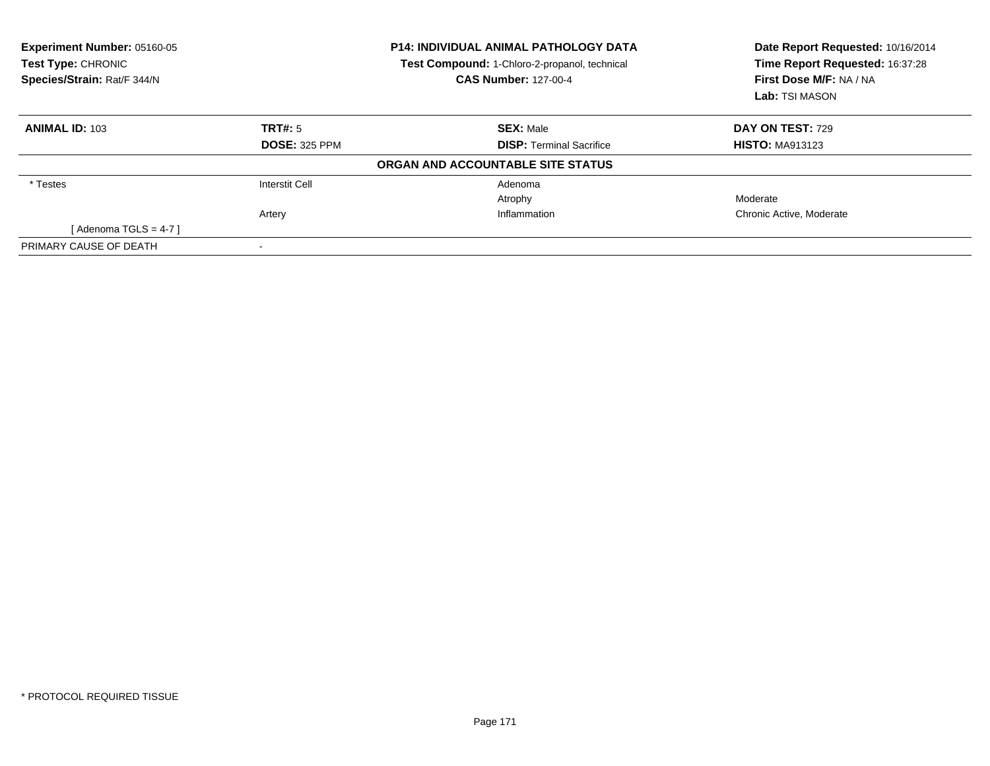| <b>Experiment Number: 05160-05</b><br>Test Type: CHRONIC<br>Species/Strain: Rat/F 344/N |                      | <b>P14: INDIVIDUAL ANIMAL PATHOLOGY DATA</b><br>Test Compound: 1-Chloro-2-propanol, technical<br><b>CAS Number: 127-00-4</b> | Date Report Requested: 10/16/2014<br>Time Report Requested: 16:37:28<br>First Dose M/F: NA / NA<br>Lab: TSI MASON |
|-----------------------------------------------------------------------------------------|----------------------|------------------------------------------------------------------------------------------------------------------------------|-------------------------------------------------------------------------------------------------------------------|
| <b>ANIMAL ID: 103</b>                                                                   | TRT#: 5              | <b>SEX: Male</b>                                                                                                             | <b>DAY ON TEST: 729</b>                                                                                           |
|                                                                                         | <b>DOSE: 325 PPM</b> | <b>DISP: Terminal Sacrifice</b>                                                                                              | <b>HISTO: MA913123</b>                                                                                            |
|                                                                                         |                      | ORGAN AND ACCOUNTABLE SITE STATUS                                                                                            |                                                                                                                   |
| * Testes                                                                                | Interstit Cell       | Adenoma                                                                                                                      |                                                                                                                   |
|                                                                                         |                      | Atrophy                                                                                                                      | Moderate                                                                                                          |
|                                                                                         | Artery               | Inflammation                                                                                                                 | Chronic Active, Moderate                                                                                          |
| [Adenoma TGLS = 4-7 ]                                                                   |                      |                                                                                                                              |                                                                                                                   |
| PRIMARY CAUSE OF DEATH                                                                  |                      |                                                                                                                              |                                                                                                                   |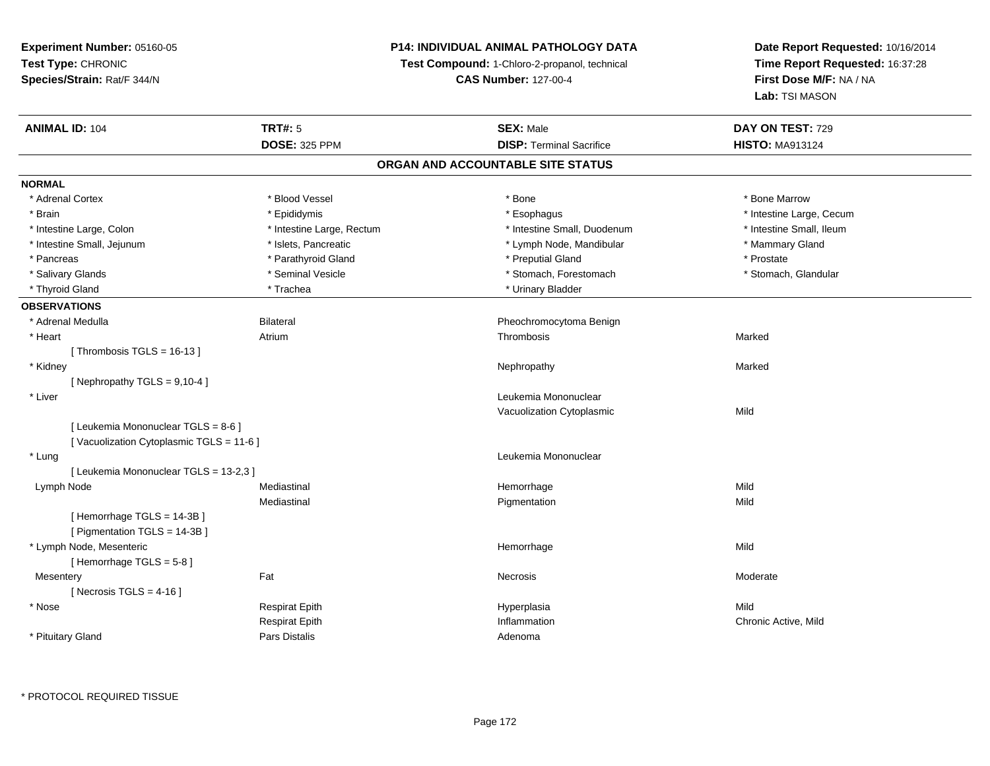## **P14: INDIVIDUAL ANIMAL PATHOLOGY DATA**

**Test Compound:** 1-Chloro-2-propanol, technical

**CAS Number:** 127-00-4

| <b>ANIMAL ID: 104</b>                   | <b>TRT#: 5</b>            | <b>SEX: Male</b>                | DAY ON TEST: 729         |  |  |  |
|-----------------------------------------|---------------------------|---------------------------------|--------------------------|--|--|--|
|                                         | <b>DOSE: 325 PPM</b>      | <b>DISP: Terminal Sacrifice</b> | <b>HISTO: MA913124</b>   |  |  |  |
| ORGAN AND ACCOUNTABLE SITE STATUS       |                           |                                 |                          |  |  |  |
| <b>NORMAL</b>                           |                           |                                 |                          |  |  |  |
| * Adrenal Cortex                        | * Blood Vessel            | * Bone                          | * Bone Marrow            |  |  |  |
| * Brain                                 | * Epididymis              | * Esophagus                     | * Intestine Large, Cecum |  |  |  |
| * Intestine Large, Colon                | * Intestine Large, Rectum | * Intestine Small, Duodenum     | * Intestine Small, Ileum |  |  |  |
| * Intestine Small, Jejunum              | * Islets, Pancreatic      | * Lymph Node, Mandibular        | * Mammary Gland          |  |  |  |
| * Pancreas                              | * Parathyroid Gland       | * Preputial Gland               | * Prostate               |  |  |  |
| * Salivary Glands                       | * Seminal Vesicle         | * Stomach, Forestomach          | * Stomach, Glandular     |  |  |  |
| * Thyroid Gland                         | * Trachea                 | * Urinary Bladder               |                          |  |  |  |
| <b>OBSERVATIONS</b>                     |                           |                                 |                          |  |  |  |
| * Adrenal Medulla                       | <b>Bilateral</b>          | Pheochromocytoma Benign         |                          |  |  |  |
| * Heart                                 | Atrium                    | Thrombosis                      | Marked                   |  |  |  |
| [Thrombosis TGLS = $16-13$ ]            |                           |                                 |                          |  |  |  |
| * Kidney                                |                           | Nephropathy                     | Marked                   |  |  |  |
| [ Nephropathy TGLS = $9,10-4$ ]         |                           |                                 |                          |  |  |  |
| * Liver                                 |                           | Leukemia Mononuclear            |                          |  |  |  |
|                                         |                           | Vacuolization Cytoplasmic       | Mild                     |  |  |  |
| [ Leukemia Mononuclear TGLS = 8-6 ]     |                           |                                 |                          |  |  |  |
| [Vacuolization Cytoplasmic TGLS = 11-6] |                           |                                 |                          |  |  |  |
| * Lung                                  |                           | Leukemia Mononuclear            |                          |  |  |  |
| [ Leukemia Mononuclear TGLS = 13-2,3 ]  |                           |                                 |                          |  |  |  |
| Lymph Node                              | Mediastinal               | Hemorrhage                      | Mild                     |  |  |  |
|                                         | Mediastinal               | Pigmentation                    | Mild                     |  |  |  |
| [Hemorrhage TGLS = 14-3B]               |                           |                                 |                          |  |  |  |
| [ Pigmentation TGLS = 14-3B ]           |                           |                                 |                          |  |  |  |
| * Lymph Node, Mesenteric                |                           | Hemorrhage                      | Mild                     |  |  |  |
| [Hemorrhage TGLS = $5-8$ ]              |                           |                                 |                          |  |  |  |
| Mesentery                               | Fat                       | Necrosis                        | Moderate                 |  |  |  |
| [Necrosis TGLS = $4-16$ ]               |                           |                                 |                          |  |  |  |
| * Nose                                  | <b>Respirat Epith</b>     | Hyperplasia                     | Mild                     |  |  |  |
|                                         | <b>Respirat Epith</b>     | Inflammation                    | Chronic Active, Mild     |  |  |  |
| * Pituitary Gland                       | <b>Pars Distalis</b>      | Adenoma                         |                          |  |  |  |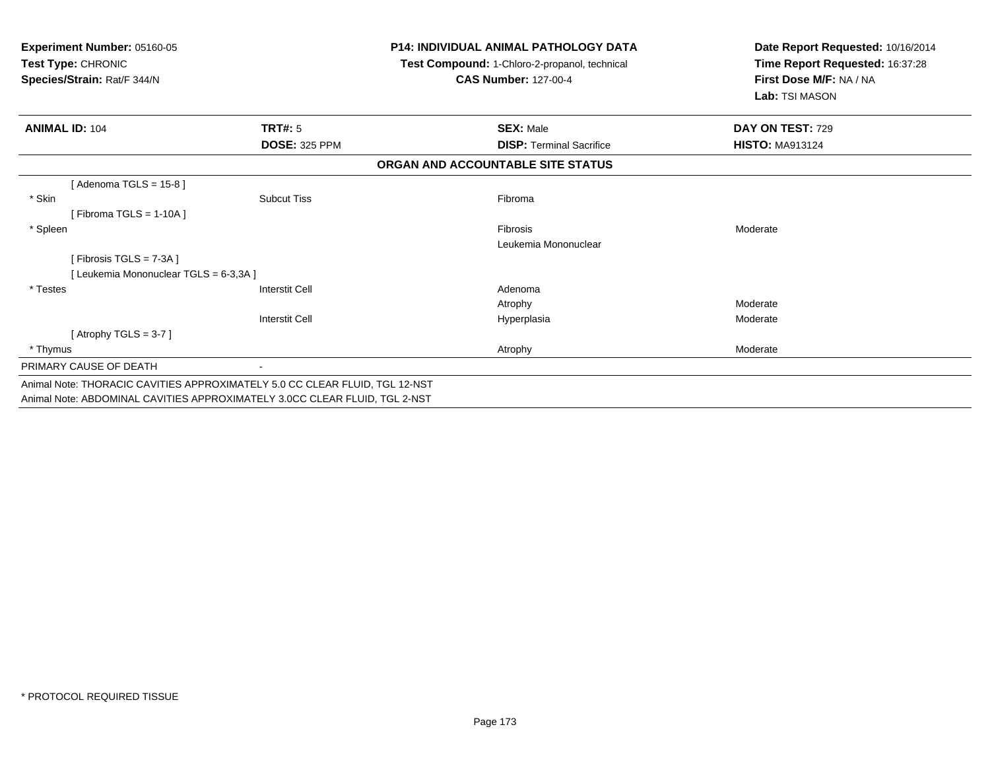| <b>Experiment Number: 05160-05</b><br>Test Type: CHRONIC<br>Species/Strain: Rat/F 344/N |                       | <b>P14: INDIVIDUAL ANIMAL PATHOLOGY DATA</b><br>Test Compound: 1-Chloro-2-propanol, technical<br><b>CAS Number: 127-00-4</b> | Date Report Requested: 10/16/2014<br>Time Report Requested: 16:37:28<br>First Dose M/F: NA / NA<br>Lab: TSI MASON |  |
|-----------------------------------------------------------------------------------------|-----------------------|------------------------------------------------------------------------------------------------------------------------------|-------------------------------------------------------------------------------------------------------------------|--|
| <b>ANIMAL ID: 104</b>                                                                   | <b>TRT#: 5</b>        | <b>SEX: Male</b>                                                                                                             | DAY ON TEST: 729                                                                                                  |  |
|                                                                                         | <b>DOSE: 325 PPM</b>  | <b>DISP: Terminal Sacrifice</b>                                                                                              | <b>HISTO: MA913124</b>                                                                                            |  |
|                                                                                         |                       | ORGAN AND ACCOUNTABLE SITE STATUS                                                                                            |                                                                                                                   |  |
| [Adenoma TGLS = $15-8$ ]                                                                |                       |                                                                                                                              |                                                                                                                   |  |
| * Skin                                                                                  | <b>Subcut Tiss</b>    | Fibroma                                                                                                                      |                                                                                                                   |  |
| [Fibroma TGLS = 1-10A]                                                                  |                       |                                                                                                                              |                                                                                                                   |  |
| * Spleen                                                                                |                       | Fibrosis                                                                                                                     | Moderate                                                                                                          |  |
|                                                                                         |                       | Leukemia Mononuclear                                                                                                         |                                                                                                                   |  |
| [Fibrosis TGLS = 7-3A]                                                                  |                       |                                                                                                                              |                                                                                                                   |  |
| [Leukemia Mononuclear TGLS = 6-3,3A]                                                    |                       |                                                                                                                              |                                                                                                                   |  |
| * Testes                                                                                | <b>Interstit Cell</b> | Adenoma                                                                                                                      |                                                                                                                   |  |
|                                                                                         |                       | Atrophy                                                                                                                      | Moderate                                                                                                          |  |
|                                                                                         | Interstit Cell        | Hyperplasia                                                                                                                  | Moderate                                                                                                          |  |
| [Atrophy $TGLS = 3-7$ ]                                                                 |                       |                                                                                                                              |                                                                                                                   |  |
| * Thymus                                                                                |                       | Atrophy                                                                                                                      | Moderate                                                                                                          |  |
| PRIMARY CAUSE OF DEATH                                                                  |                       |                                                                                                                              |                                                                                                                   |  |
| Animal Note: THORACIC CAVITIES APPROXIMATELY 5.0 CC CLEAR FLUID, TGL 12-NST             |                       |                                                                                                                              |                                                                                                                   |  |
| Animal Note: ABDOMINAL CAVITIES APPROXIMATELY 3.0CC CLEAR FLUID, TGL 2-NST              |                       |                                                                                                                              |                                                                                                                   |  |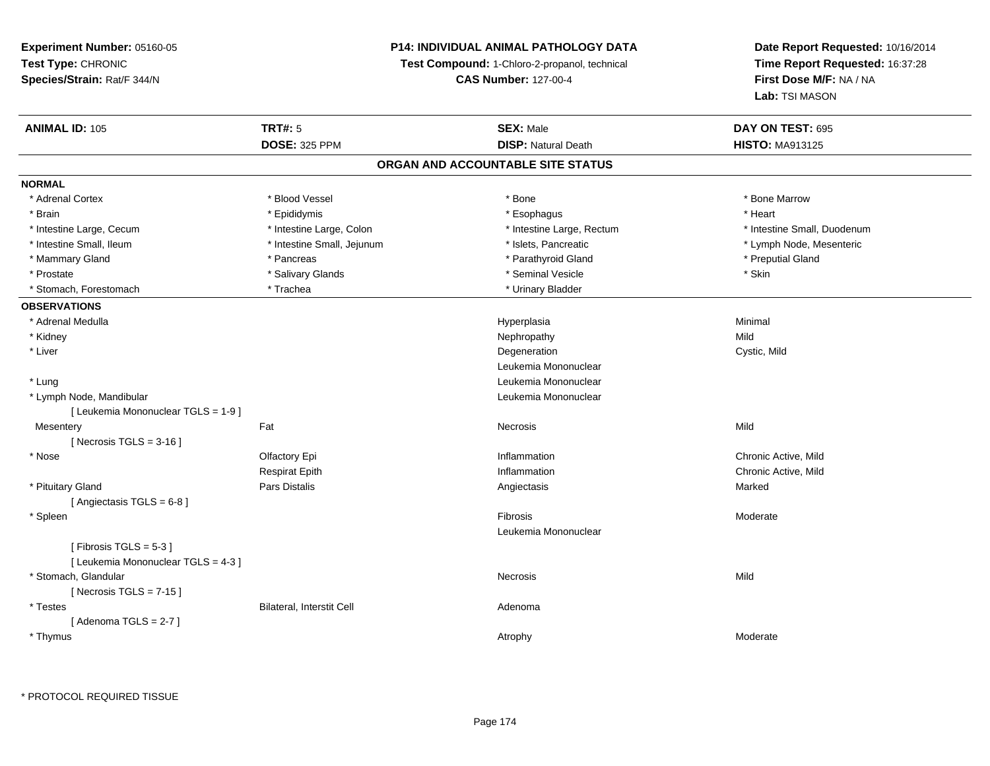## **P14: INDIVIDUAL ANIMAL PATHOLOGY DATA**

**Test Compound:** 1-Chloro-2-propanol, technical

**CAS Number:** 127-00-4

| <b>ANIMAL ID: 105</b>               | <b>TRT#: 5</b>             | <b>SEX: Male</b>           | DAY ON TEST: 695            |  |  |  |  |
|-------------------------------------|----------------------------|----------------------------|-----------------------------|--|--|--|--|
|                                     | <b>DOSE: 325 PPM</b>       | <b>DISP: Natural Death</b> | <b>HISTO: MA913125</b>      |  |  |  |  |
| ORGAN AND ACCOUNTABLE SITE STATUS   |                            |                            |                             |  |  |  |  |
| <b>NORMAL</b>                       |                            |                            |                             |  |  |  |  |
| * Adrenal Cortex                    | * Blood Vessel             | * Bone                     | * Bone Marrow               |  |  |  |  |
| * Brain                             | * Epididymis               | * Esophagus                | * Heart                     |  |  |  |  |
| * Intestine Large, Cecum            | * Intestine Large, Colon   | * Intestine Large, Rectum  | * Intestine Small, Duodenum |  |  |  |  |
| * Intestine Small, Ileum            | * Intestine Small, Jejunum | * Islets, Pancreatic       | * Lymph Node, Mesenteric    |  |  |  |  |
| * Mammary Gland                     | * Pancreas                 | * Parathyroid Gland        | * Preputial Gland           |  |  |  |  |
| * Prostate                          | * Salivary Glands          | * Seminal Vesicle          | * Skin                      |  |  |  |  |
| * Stomach, Forestomach              | * Trachea                  | * Urinary Bladder          |                             |  |  |  |  |
| <b>OBSERVATIONS</b>                 |                            |                            |                             |  |  |  |  |
| * Adrenal Medulla                   |                            | Hyperplasia                | Minimal                     |  |  |  |  |
| * Kidney                            |                            | Nephropathy                | Mild                        |  |  |  |  |
| * Liver                             |                            | Degeneration               | Cystic, Mild                |  |  |  |  |
|                                     |                            | Leukemia Mononuclear       |                             |  |  |  |  |
| * Lung                              |                            | Leukemia Mononuclear       |                             |  |  |  |  |
| * Lymph Node, Mandibular            |                            | Leukemia Mononuclear       |                             |  |  |  |  |
| [ Leukemia Mononuclear TGLS = 1-9 ] |                            |                            |                             |  |  |  |  |
| Mesentery                           | Fat                        | Necrosis                   | Mild                        |  |  |  |  |
| [Necrosis TGLS = $3-16$ ]           |                            |                            |                             |  |  |  |  |
| * Nose                              | Olfactory Epi              | Inflammation               | Chronic Active, Mild        |  |  |  |  |
|                                     | <b>Respirat Epith</b>      | Inflammation               | Chronic Active, Mild        |  |  |  |  |
| * Pituitary Gland                   | Pars Distalis              | Angiectasis                | Marked                      |  |  |  |  |
| [Angiectasis TGLS = 6-8]            |                            |                            |                             |  |  |  |  |
| * Spleen                            |                            | Fibrosis                   | Moderate                    |  |  |  |  |
|                                     |                            | Leukemia Mononuclear       |                             |  |  |  |  |
| [Fibrosis TGLS = $5-3$ ]            |                            |                            |                             |  |  |  |  |
| [ Leukemia Mononuclear TGLS = 4-3 ] |                            |                            |                             |  |  |  |  |
| * Stomach, Glandular                |                            | Necrosis                   | Mild                        |  |  |  |  |
| [Necrosis TGLS = $7-15$ ]           |                            |                            |                             |  |  |  |  |
| * Testes                            | Bilateral, Interstit Cell  | Adenoma                    |                             |  |  |  |  |
| [Adenoma TGLS = $2-7$ ]             |                            |                            |                             |  |  |  |  |
| * Thymus                            |                            | Atrophy                    | Moderate                    |  |  |  |  |
|                                     |                            |                            |                             |  |  |  |  |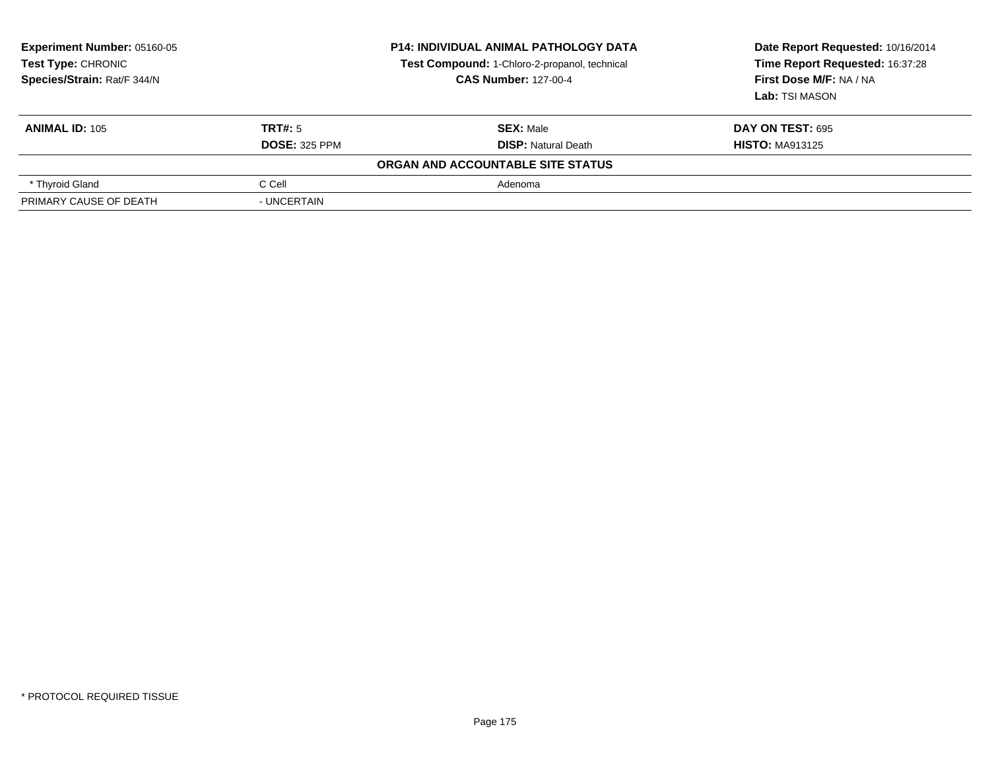| Experiment Number: 05160-05<br><b>Test Type: CHRONIC</b><br>Species/Strain: Rat/F 344/N |                      | <b>P14: INDIVIDUAL ANIMAL PATHOLOGY DATA</b><br>Test Compound: 1-Chloro-2-propanol, technical<br><b>CAS Number: 127-00-4</b> | Date Report Requested: 10/16/2014<br>Time Report Requested: 16:37:28<br>First Dose M/F: NA / NA<br>Lab: TSI MASON |  |
|-----------------------------------------------------------------------------------------|----------------------|------------------------------------------------------------------------------------------------------------------------------|-------------------------------------------------------------------------------------------------------------------|--|
| <b>ANIMAL ID: 105</b>                                                                   | TRT#: 5              | <b>SEX: Male</b>                                                                                                             | <b>DAY ON TEST: 695</b>                                                                                           |  |
|                                                                                         | <b>DOSE: 325 PPM</b> | <b>DISP:</b> Natural Death                                                                                                   | <b>HISTO: MA913125</b>                                                                                            |  |
|                                                                                         |                      | ORGAN AND ACCOUNTABLE SITE STATUS                                                                                            |                                                                                                                   |  |
| * Thyroid Gland                                                                         | C Cell               | Adenoma                                                                                                                      |                                                                                                                   |  |
| PRIMARY CAUSE OF DEATH                                                                  | - UNCERTAIN          |                                                                                                                              |                                                                                                                   |  |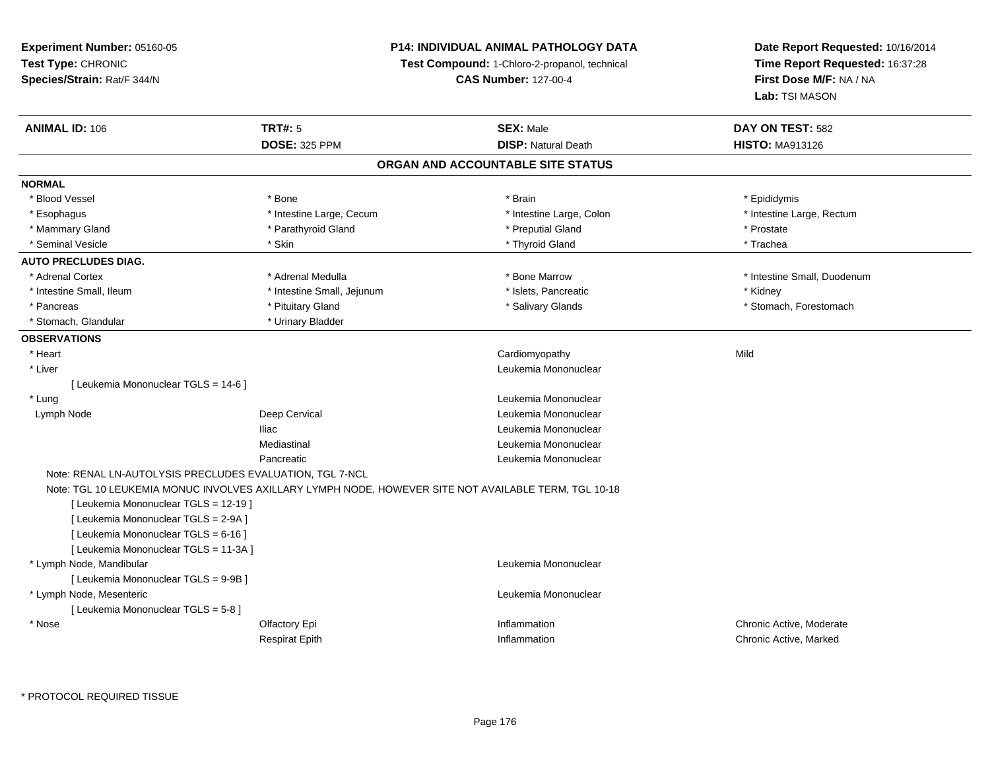## **P14: INDIVIDUAL ANIMAL PATHOLOGY DATA**

**Test Compound:** 1-Chloro-2-propanol, technical

**CAS Number:** 127-00-4

| <b>ANIMAL ID: 106</b>                 | <b>TRT#: 5</b>                                                                                       | <b>SEX: Male</b>                  | DAY ON TEST: 582            |
|---------------------------------------|------------------------------------------------------------------------------------------------------|-----------------------------------|-----------------------------|
|                                       | <b>DOSE: 325 PPM</b>                                                                                 | <b>DISP: Natural Death</b>        | <b>HISTO: MA913126</b>      |
|                                       |                                                                                                      | ORGAN AND ACCOUNTABLE SITE STATUS |                             |
| <b>NORMAL</b>                         |                                                                                                      |                                   |                             |
| * Blood Vessel                        | * Bone                                                                                               | * Brain                           | * Epididymis                |
| * Esophagus                           | * Intestine Large, Cecum                                                                             | * Intestine Large, Colon          | * Intestine Large, Rectum   |
| * Mammary Gland                       | * Parathyroid Gland                                                                                  | * Preputial Gland                 | * Prostate                  |
| * Seminal Vesicle                     | * Skin                                                                                               | * Thyroid Gland                   | * Trachea                   |
| <b>AUTO PRECLUDES DIAG.</b>           |                                                                                                      |                                   |                             |
| * Adrenal Cortex                      | * Adrenal Medulla                                                                                    | * Bone Marrow                     | * Intestine Small, Duodenum |
| * Intestine Small, Ileum              | * Intestine Small, Jejunum                                                                           | * Islets, Pancreatic              | * Kidney                    |
| * Pancreas                            | * Pituitary Gland                                                                                    | * Salivary Glands                 | * Stomach, Forestomach      |
| * Stomach, Glandular                  | * Urinary Bladder                                                                                    |                                   |                             |
| <b>OBSERVATIONS</b>                   |                                                                                                      |                                   |                             |
| * Heart                               |                                                                                                      | Cardiomyopathy                    | Mild                        |
| * Liver                               |                                                                                                      | Leukemia Mononuclear              |                             |
| [ Leukemia Mononuclear TGLS = 14-6 ]  |                                                                                                      |                                   |                             |
| * Lung                                |                                                                                                      | Leukemia Mononuclear              |                             |
| Lymph Node                            | Deep Cervical                                                                                        | Leukemia Mononuclear              |                             |
|                                       | <b>Iliac</b>                                                                                         | Leukemia Mononuclear              |                             |
|                                       | Mediastinal                                                                                          | Leukemia Mononuclear              |                             |
|                                       | Pancreatic                                                                                           | Leukemia Mononuclear              |                             |
|                                       | Note: RENAL LN-AUTOLYSIS PRECLUDES EVALUATION, TGL 7-NCL                                             |                                   |                             |
|                                       | Note: TGL 10 LEUKEMIA MONUC INVOLVES AXILLARY LYMPH NODE, HOWEVER SITE NOT AVAILABLE TERM, TGL 10-18 |                                   |                             |
| [ Leukemia Mononuclear TGLS = 12-19 ] |                                                                                                      |                                   |                             |
| [ Leukemia Mononuclear TGLS = 2-9A ]  |                                                                                                      |                                   |                             |
| [ Leukemia Mononuclear TGLS = 6-16 ]  |                                                                                                      |                                   |                             |
| [ Leukemia Mononuclear TGLS = 11-3A ] |                                                                                                      |                                   |                             |
| * Lymph Node, Mandibular              |                                                                                                      | Leukemia Mononuclear              |                             |
| [ Leukemia Mononuclear TGLS = 9-9B ]  |                                                                                                      |                                   |                             |
| * Lymph Node, Mesenteric              |                                                                                                      | Leukemia Mononuclear              |                             |
| [ Leukemia Mononuclear TGLS = 5-8 ]   |                                                                                                      |                                   |                             |
| * Nose                                | Olfactory Epi                                                                                        | Inflammation                      | Chronic Active, Moderate    |
|                                       | <b>Respirat Epith</b>                                                                                | Inflammation                      | Chronic Active, Marked      |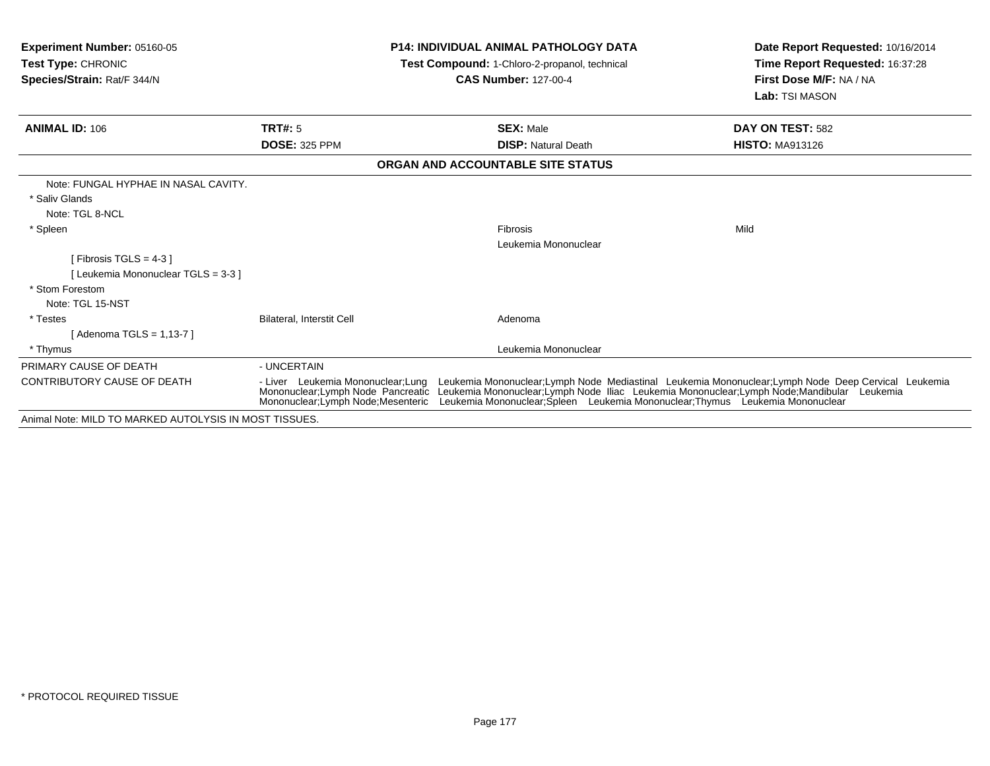| <b>Experiment Number: 05160-05</b><br>Test Type: CHRONIC<br><b>Species/Strain: Rat/F 344/N</b> |                                                                                                                 | <b>P14: INDIVIDUAL ANIMAL PATHOLOGY DATA</b><br>Test Compound: 1-Chloro-2-propanol, technical<br><b>CAS Number: 127-00-4</b> |                                                                                                                                                                    | Date Report Requested: 10/16/2014<br>Time Report Requested: 16:37:28<br>First Dose M/F: NA / NA<br>Lab: TSI MASON |
|------------------------------------------------------------------------------------------------|-----------------------------------------------------------------------------------------------------------------|------------------------------------------------------------------------------------------------------------------------------|--------------------------------------------------------------------------------------------------------------------------------------------------------------------|-------------------------------------------------------------------------------------------------------------------|
| <b>ANIMAL ID: 106</b>                                                                          | TRT#: 5                                                                                                         |                                                                                                                              | <b>SEX: Male</b>                                                                                                                                                   | DAY ON TEST: 582                                                                                                  |
|                                                                                                | <b>DOSE: 325 PPM</b>                                                                                            |                                                                                                                              | <b>DISP:</b> Natural Death                                                                                                                                         | <b>HISTO: MA913126</b>                                                                                            |
|                                                                                                |                                                                                                                 |                                                                                                                              | ORGAN AND ACCOUNTABLE SITE STATUS                                                                                                                                  |                                                                                                                   |
| Note: FUNGAL HYPHAE IN NASAL CAVITY.                                                           |                                                                                                                 |                                                                                                                              |                                                                                                                                                                    |                                                                                                                   |
| * Saliv Glands                                                                                 |                                                                                                                 |                                                                                                                              |                                                                                                                                                                    |                                                                                                                   |
| Note: TGL 8-NCL                                                                                |                                                                                                                 |                                                                                                                              |                                                                                                                                                                    |                                                                                                                   |
| * Spleen                                                                                       |                                                                                                                 |                                                                                                                              | Fibrosis                                                                                                                                                           | Mild                                                                                                              |
|                                                                                                |                                                                                                                 |                                                                                                                              | Leukemia Mononuclear                                                                                                                                               |                                                                                                                   |
| [Fibrosis TGLS = $4-3$ ]                                                                       |                                                                                                                 |                                                                                                                              |                                                                                                                                                                    |                                                                                                                   |
| Leukemia Mononuclear TGLS = 3-3 ]                                                              |                                                                                                                 |                                                                                                                              |                                                                                                                                                                    |                                                                                                                   |
| * Stom Forestom                                                                                |                                                                                                                 |                                                                                                                              |                                                                                                                                                                    |                                                                                                                   |
| Note: TGL 15-NST                                                                               |                                                                                                                 |                                                                                                                              |                                                                                                                                                                    |                                                                                                                   |
| * Testes                                                                                       | Bilateral, Interstit Cell                                                                                       |                                                                                                                              | Adenoma                                                                                                                                                            |                                                                                                                   |
| Adenoma TGLS = 1,13-7 ]                                                                        |                                                                                                                 |                                                                                                                              |                                                                                                                                                                    |                                                                                                                   |
| * Thymus                                                                                       |                                                                                                                 |                                                                                                                              | Leukemia Mononuclear                                                                                                                                               |                                                                                                                   |
| PRIMARY CAUSE OF DEATH                                                                         | - UNCERTAIN                                                                                                     |                                                                                                                              |                                                                                                                                                                    |                                                                                                                   |
| <b>CONTRIBUTORY CAUSE OF DEATH</b>                                                             | - Liver Leukemia Mononuclear; Lung<br>Mononuclear; Lymph Node Pancreatic<br>Mononuclear, Lymph Node, Mesenteric |                                                                                                                              | Leukemia Mononuclear;Lymph Node Iliac Leukemia Mononuclear;Lymph Node;Mandibular<br>Leukemia Mononuclear; Spleen Leukemia Mononuclear; Thymus Leukemia Mononuclear | Leukemia Mononuclear; Lymph Node Mediastinal Leukemia Mononuclear; Lymph Node Deep Cervical Leukemia<br>Leukemia  |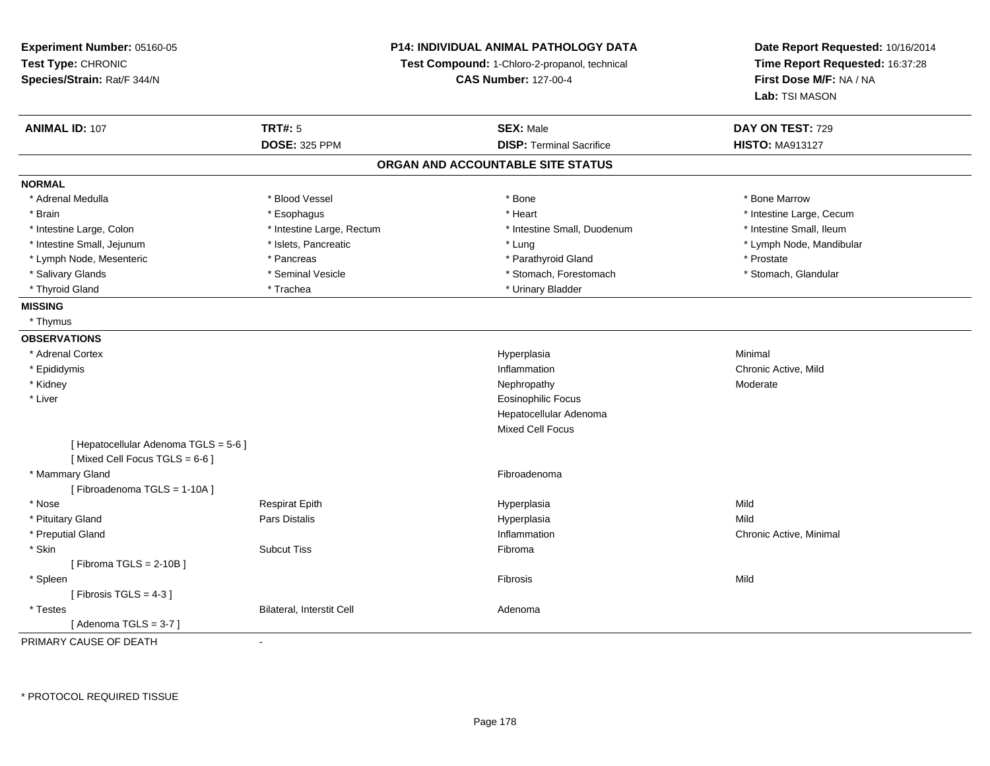| Experiment Number: 05160-05<br>Test Type: CHRONIC<br>Species/Strain: Rat/F 344/N |                           | <b>P14: INDIVIDUAL ANIMAL PATHOLOGY DATA</b><br>Test Compound: 1-Chloro-2-propanol, technical<br><b>CAS Number: 127-00-4</b> | Date Report Requested: 10/16/2014<br>Time Report Requested: 16:37:28<br>First Dose M/F: NA / NA<br>Lab: TSI MASON |
|----------------------------------------------------------------------------------|---------------------------|------------------------------------------------------------------------------------------------------------------------------|-------------------------------------------------------------------------------------------------------------------|
| <b>ANIMAL ID: 107</b>                                                            | <b>TRT#: 5</b>            | <b>SEX: Male</b>                                                                                                             | DAY ON TEST: 729                                                                                                  |
|                                                                                  | <b>DOSE: 325 PPM</b>      | <b>DISP: Terminal Sacrifice</b>                                                                                              | <b>HISTO: MA913127</b>                                                                                            |
|                                                                                  |                           | ORGAN AND ACCOUNTABLE SITE STATUS                                                                                            |                                                                                                                   |
| <b>NORMAL</b>                                                                    |                           |                                                                                                                              |                                                                                                                   |
| * Adrenal Medulla                                                                | * Blood Vessel            | * Bone                                                                                                                       | * Bone Marrow                                                                                                     |
| * Brain                                                                          | * Esophagus               | * Heart                                                                                                                      | * Intestine Large, Cecum                                                                                          |
| * Intestine Large, Colon                                                         | * Intestine Large, Rectum | * Intestine Small, Duodenum                                                                                                  | * Intestine Small, Ileum                                                                                          |
| * Intestine Small, Jejunum                                                       | * Islets, Pancreatic      | * Lung                                                                                                                       | * Lymph Node, Mandibular                                                                                          |
| * Lymph Node, Mesenteric                                                         | * Pancreas                | * Parathyroid Gland                                                                                                          | * Prostate                                                                                                        |
| * Salivary Glands                                                                | * Seminal Vesicle         | * Stomach, Forestomach                                                                                                       | * Stomach, Glandular                                                                                              |
| * Thyroid Gland                                                                  | * Trachea                 | * Urinary Bladder                                                                                                            |                                                                                                                   |
| <b>MISSING</b>                                                                   |                           |                                                                                                                              |                                                                                                                   |
| * Thymus                                                                         |                           |                                                                                                                              |                                                                                                                   |
| <b>OBSERVATIONS</b>                                                              |                           |                                                                                                                              |                                                                                                                   |
| * Adrenal Cortex                                                                 |                           | Hyperplasia                                                                                                                  | Minimal                                                                                                           |
| * Epididymis                                                                     |                           | Inflammation                                                                                                                 | Chronic Active, Mild                                                                                              |
| * Kidney                                                                         |                           | Nephropathy                                                                                                                  | Moderate                                                                                                          |
| * Liver                                                                          |                           | <b>Eosinophilic Focus</b>                                                                                                    |                                                                                                                   |
|                                                                                  |                           | Hepatocellular Adenoma                                                                                                       |                                                                                                                   |
|                                                                                  |                           | <b>Mixed Cell Focus</b>                                                                                                      |                                                                                                                   |
| [ Hepatocellular Adenoma TGLS = 5-6 ]<br>[Mixed Cell Focus TGLS = $6-6$ ]        |                           |                                                                                                                              |                                                                                                                   |
| * Mammary Gland                                                                  |                           | Fibroadenoma                                                                                                                 |                                                                                                                   |
| [Fibroadenoma TGLS = 1-10A]                                                      |                           |                                                                                                                              |                                                                                                                   |
| * Nose                                                                           | <b>Respirat Epith</b>     | Hyperplasia                                                                                                                  | Mild                                                                                                              |
| * Pituitary Gland                                                                | Pars Distalis             | Hyperplasia                                                                                                                  | Mild                                                                                                              |
| * Preputial Gland                                                                |                           | Inflammation                                                                                                                 | Chronic Active, Minimal                                                                                           |
| * Skin                                                                           | <b>Subcut Tiss</b>        | Fibroma                                                                                                                      |                                                                                                                   |
| [Fibroma TGLS = $2-10B$ ]                                                        |                           |                                                                                                                              |                                                                                                                   |
| * Spleen                                                                         |                           | Fibrosis                                                                                                                     | Mild                                                                                                              |
| [Fibrosis TGLS = $4-3$ ]                                                         |                           |                                                                                                                              |                                                                                                                   |
| * Testes                                                                         | Bilateral, Interstit Cell | Adenoma                                                                                                                      |                                                                                                                   |
| [Adenoma TGLS = $3-7$ ]                                                          |                           |                                                                                                                              |                                                                                                                   |

PRIMARY CAUSE OF DEATH-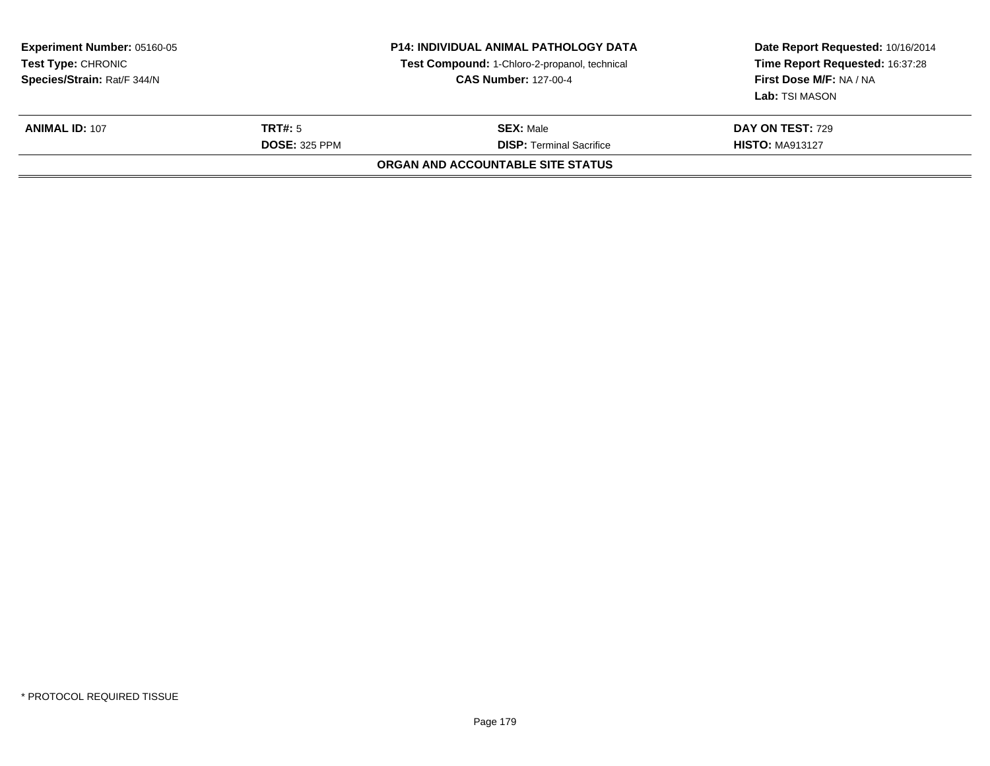| <b>Experiment Number: 05160-05</b><br><b>Test Type: CHRONIC</b><br>Species/Strain: Rat/F 344/N |                      | <b>P14: INDIVIDUAL ANIMAL PATHOLOGY DATA</b><br>Test Compound: 1-Chloro-2-propanol, technical<br><b>CAS Number: 127-00-4</b> | Date Report Requested: 10/16/2014<br>Time Report Requested: 16:37:28<br>First Dose M/F: NA / NA<br>Lab: TSI MASON |
|------------------------------------------------------------------------------------------------|----------------------|------------------------------------------------------------------------------------------------------------------------------|-------------------------------------------------------------------------------------------------------------------|
| <b>ANIMAL ID: 107</b>                                                                          | <b>TRT#:</b> 5       | <b>SEX: Male</b>                                                                                                             | DAY ON TEST: 729                                                                                                  |
|                                                                                                | <b>DOSE: 325 PPM</b> | <b>DISP:</b> Terminal Sacrifice<br>ORGAN AND ACCOUNTABLE SITE STATUS                                                         | <b>HISTO: MA913127</b>                                                                                            |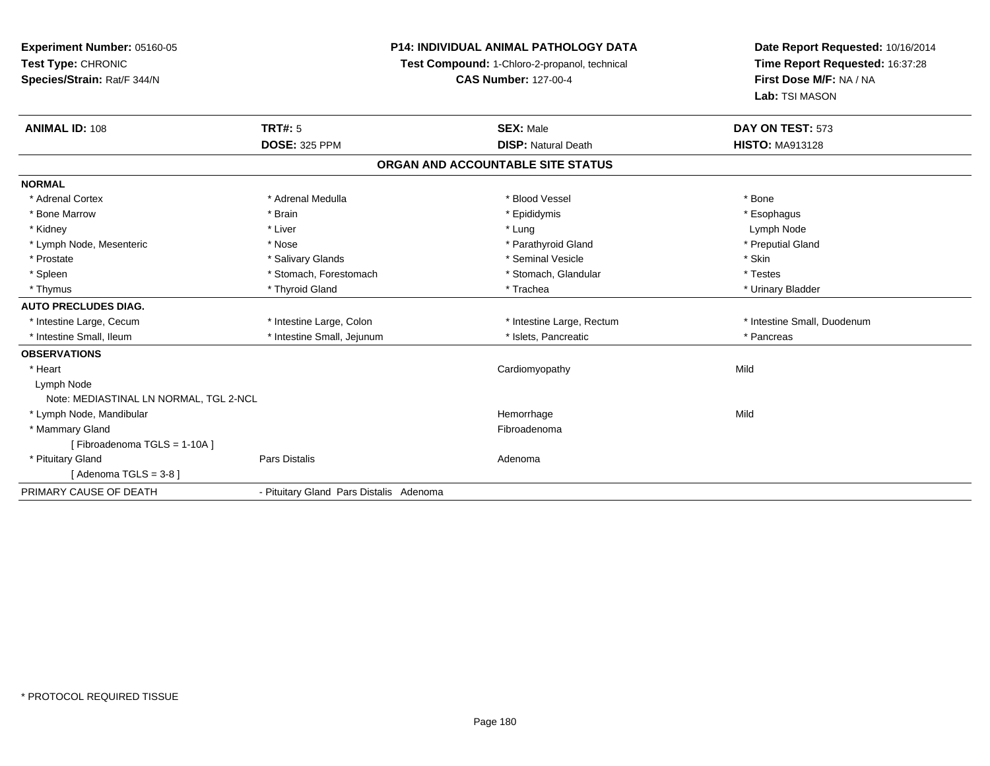## **P14: INDIVIDUAL ANIMAL PATHOLOGY DATA**

**Test Compound:** 1-Chloro-2-propanol, technical

| <b>ANIMAL ID: 108</b>                  | TRT#: 5<br><b>DOSE: 325 PPM</b>         | <b>SEX: Male</b><br><b>DISP: Natural Death</b> | DAY ON TEST: 573<br><b>HISTO: MA913128</b> |
|----------------------------------------|-----------------------------------------|------------------------------------------------|--------------------------------------------|
|                                        |                                         | ORGAN AND ACCOUNTABLE SITE STATUS              |                                            |
| <b>NORMAL</b>                          |                                         |                                                |                                            |
| * Adrenal Cortex                       | * Adrenal Medulla                       | * Blood Vessel                                 | * Bone                                     |
| * Bone Marrow                          | * Brain                                 | * Epididymis                                   | * Esophagus                                |
| * Kidney                               | * Liver                                 | * Lung                                         | Lymph Node                                 |
| * Lymph Node, Mesenteric               | * Nose                                  | * Parathyroid Gland                            | * Preputial Gland                          |
| * Prostate                             | * Salivary Glands                       | * Seminal Vesicle                              | * Skin                                     |
| * Spleen                               | * Stomach, Forestomach                  | * Stomach, Glandular                           | * Testes                                   |
| * Thymus                               | * Thyroid Gland                         | * Trachea                                      | * Urinary Bladder                          |
| <b>AUTO PRECLUDES DIAG.</b>            |                                         |                                                |                                            |
| * Intestine Large, Cecum               | * Intestine Large, Colon                | * Intestine Large, Rectum                      | * Intestine Small, Duodenum                |
| * Intestine Small, Ileum               | * Intestine Small, Jejunum              | * Islets, Pancreatic                           | * Pancreas                                 |
| <b>OBSERVATIONS</b>                    |                                         |                                                |                                            |
| * Heart                                |                                         | Cardiomyopathy                                 | Mild                                       |
| Lymph Node                             |                                         |                                                |                                            |
| Note: MEDIASTINAL LN NORMAL, TGL 2-NCL |                                         |                                                |                                            |
| * Lymph Node, Mandibular               |                                         | Hemorrhage                                     | Mild                                       |
| * Mammary Gland                        |                                         | Fibroadenoma                                   |                                            |
| [Fibroadenoma TGLS = 1-10A]            |                                         |                                                |                                            |
| * Pituitary Gland                      | Pars Distalis                           | Adenoma                                        |                                            |
| [Adenoma TGLS = $3-8$ ]                |                                         |                                                |                                            |
| PRIMARY CAUSE OF DEATH                 | - Pituitary Gland Pars Distalis Adenoma |                                                |                                            |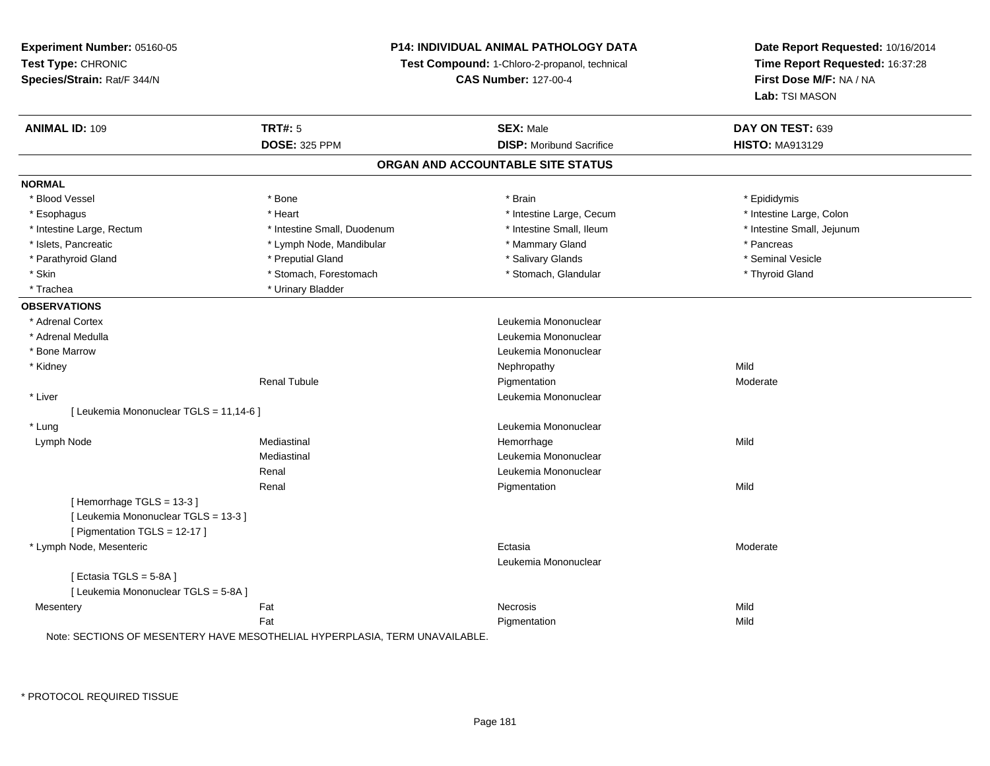## **P14: INDIVIDUAL ANIMAL PATHOLOGY DATA**

**Test Compound:** 1-Chloro-2-propanol, technical

**CAS Number:** 127-00-4

**Date Report Requested:** 10/16/2014**Time Report Requested:** 16:37:28**First Dose M/F:** NA / NA**Lab:** TSI MASON

| <b>ANIMAL ID: 109</b>                   | <b>TRT#: 5</b>                                                            | <b>SEX: Male</b>                  | DAY ON TEST: 639           |  |
|-----------------------------------------|---------------------------------------------------------------------------|-----------------------------------|----------------------------|--|
|                                         | <b>DOSE: 325 PPM</b>                                                      | <b>DISP:</b> Moribund Sacrifice   | <b>HISTO: MA913129</b>     |  |
|                                         |                                                                           | ORGAN AND ACCOUNTABLE SITE STATUS |                            |  |
| <b>NORMAL</b>                           |                                                                           |                                   |                            |  |
| * Blood Vessel                          | * Bone                                                                    | * Brain                           | * Epididymis               |  |
| * Esophagus                             | * Heart                                                                   | * Intestine Large, Cecum          | * Intestine Large, Colon   |  |
| * Intestine Large, Rectum               | * Intestine Small, Duodenum                                               | * Intestine Small, Ileum          | * Intestine Small, Jejunum |  |
| * Islets, Pancreatic                    | * Lymph Node, Mandibular                                                  | * Mammary Gland                   | * Pancreas                 |  |
| * Parathyroid Gland                     | * Preputial Gland                                                         | * Salivary Glands                 | * Seminal Vesicle          |  |
| * Skin                                  | * Stomach, Forestomach                                                    | * Stomach, Glandular              | * Thyroid Gland            |  |
| * Trachea                               | * Urinary Bladder                                                         |                                   |                            |  |
| <b>OBSERVATIONS</b>                     |                                                                           |                                   |                            |  |
| * Adrenal Cortex                        |                                                                           | Leukemia Mononuclear              |                            |  |
| * Adrenal Medulla                       |                                                                           | Leukemia Mononuclear              |                            |  |
| * Bone Marrow                           |                                                                           | Leukemia Mononuclear              |                            |  |
| * Kidney                                |                                                                           | Nephropathy                       | Mild                       |  |
|                                         | <b>Renal Tubule</b>                                                       | Pigmentation                      | Moderate                   |  |
| * Liver                                 |                                                                           | Leukemia Mononuclear              |                            |  |
| [ Leukemia Mononuclear TGLS = 11,14-6 ] |                                                                           |                                   |                            |  |
| * Lung                                  |                                                                           | Leukemia Mononuclear              |                            |  |
| Lymph Node                              | Mediastinal                                                               | Hemorrhage                        | Mild                       |  |
|                                         | Mediastinal                                                               | Leukemia Mononuclear              |                            |  |
|                                         | Renal                                                                     | Leukemia Mononuclear              |                            |  |
|                                         | Renal                                                                     | Pigmentation                      | Mild                       |  |
| [Hemorrhage TGLS = 13-3]                |                                                                           |                                   |                            |  |
| [ Leukemia Mononuclear TGLS = 13-3 ]    |                                                                           |                                   |                            |  |
| [ Pigmentation TGLS = 12-17 ]           |                                                                           |                                   |                            |  |
| * Lymph Node, Mesenteric                |                                                                           | Ectasia                           | Moderate                   |  |
|                                         |                                                                           | Leukemia Mononuclear              |                            |  |
| [Ectasia TGLS = 5-8A]                   |                                                                           |                                   |                            |  |
| [ Leukemia Mononuclear TGLS = 5-8A ]    |                                                                           |                                   |                            |  |
| Mesentery                               | Fat                                                                       | Necrosis                          | Mild                       |  |
|                                         | Fat                                                                       | Pigmentation                      | Mild                       |  |
|                                         | Note: SECTIONS OF MESENTERY HAVE MESOTHELIAL HYPERPLASIA TERM UNAVAILABLE |                                   |                            |  |

IENTERY HAVE MESOTHELIAL HYPERPLASIA, TERM UNAVAILABLE.

\* PROTOCOL REQUIRED TISSUE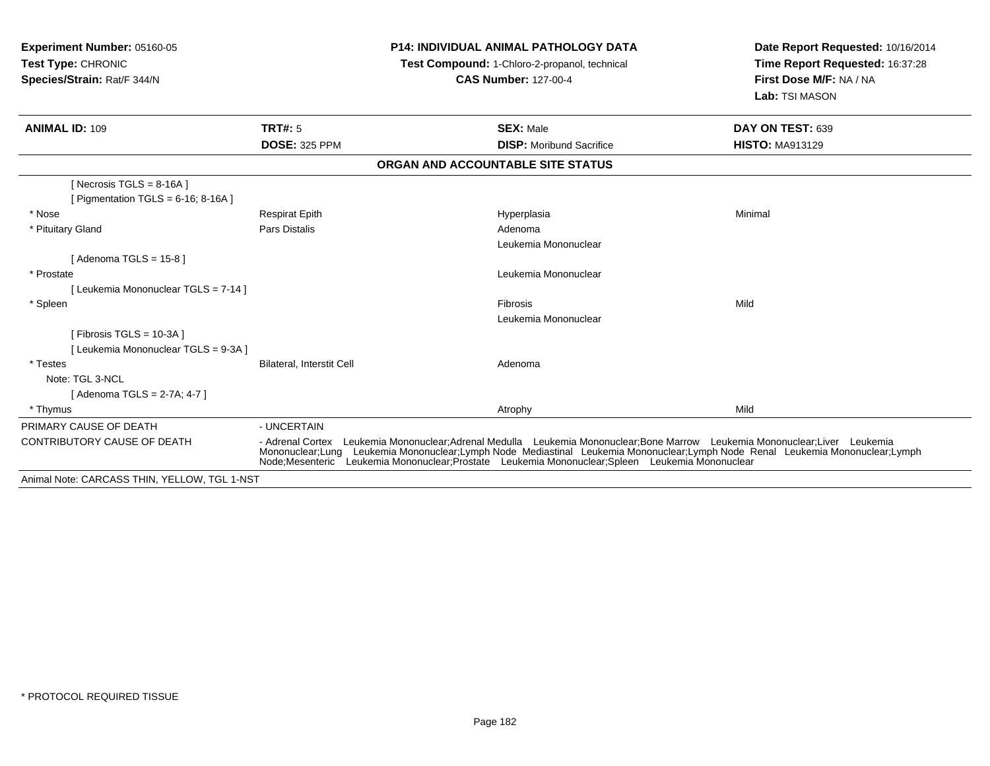| <b>Experiment Number: 05160-05</b><br>Test Type: CHRONIC<br>Species/Strain: Rat/F 344/N | <b>P14: INDIVIDUAL ANIMAL PATHOLOGY DATA</b><br>Test Compound: 1-Chloro-2-propanol, technical<br><b>CAS Number: 127-00-4</b> |                                                                                                                                                                                                                                                                                                                                                                  | Date Report Requested: 10/16/2014<br>Time Report Requested: 16:37:28<br>First Dose M/F: NA / NA<br>Lab: TSI MASON |  |
|-----------------------------------------------------------------------------------------|------------------------------------------------------------------------------------------------------------------------------|------------------------------------------------------------------------------------------------------------------------------------------------------------------------------------------------------------------------------------------------------------------------------------------------------------------------------------------------------------------|-------------------------------------------------------------------------------------------------------------------|--|
| <b>ANIMAL ID: 109</b>                                                                   | <b>TRT#: 5</b>                                                                                                               | <b>SEX: Male</b>                                                                                                                                                                                                                                                                                                                                                 | DAY ON TEST: 639                                                                                                  |  |
|                                                                                         | <b>DOSE: 325 PPM</b>                                                                                                         | <b>DISP:</b> Moribund Sacrifice                                                                                                                                                                                                                                                                                                                                  | <b>HISTO: MA913129</b>                                                                                            |  |
|                                                                                         |                                                                                                                              | ORGAN AND ACCOUNTABLE SITE STATUS                                                                                                                                                                                                                                                                                                                                |                                                                                                                   |  |
| [ Necrosis TGLS = $8-16A$ ]<br>[ Pigmentation TGLS = $6-16$ ; 8-16A ]                   |                                                                                                                              |                                                                                                                                                                                                                                                                                                                                                                  |                                                                                                                   |  |
| * Nose                                                                                  | <b>Respirat Epith</b>                                                                                                        | Hyperplasia                                                                                                                                                                                                                                                                                                                                                      | Minimal                                                                                                           |  |
| * Pituitary Gland                                                                       | Pars Distalis                                                                                                                | Adenoma                                                                                                                                                                                                                                                                                                                                                          |                                                                                                                   |  |
|                                                                                         |                                                                                                                              | Leukemia Mononuclear                                                                                                                                                                                                                                                                                                                                             |                                                                                                                   |  |
| [Adenoma TGLS = $15-8$ ]                                                                |                                                                                                                              |                                                                                                                                                                                                                                                                                                                                                                  |                                                                                                                   |  |
| * Prostate                                                                              |                                                                                                                              | Leukemia Mononuclear                                                                                                                                                                                                                                                                                                                                             |                                                                                                                   |  |
| [Leukemia Mononuclear TGLS = 7-14]                                                      |                                                                                                                              |                                                                                                                                                                                                                                                                                                                                                                  |                                                                                                                   |  |
| * Spleen                                                                                |                                                                                                                              | Fibrosis                                                                                                                                                                                                                                                                                                                                                         | Mild                                                                                                              |  |
|                                                                                         |                                                                                                                              | Leukemia Mononuclear                                                                                                                                                                                                                                                                                                                                             |                                                                                                                   |  |
| [ Fibrosis TGLS = $10-3A$ ]<br>[ Leukemia Mononuclear TGLS = 9-3A ]                     |                                                                                                                              |                                                                                                                                                                                                                                                                                                                                                                  |                                                                                                                   |  |
| * Testes                                                                                | Bilateral, Interstit Cell                                                                                                    | Adenoma                                                                                                                                                                                                                                                                                                                                                          |                                                                                                                   |  |
| Note: TGL 3-NCL                                                                         |                                                                                                                              |                                                                                                                                                                                                                                                                                                                                                                  |                                                                                                                   |  |
| [Adenoma TGLS = 2-7A; 4-7]                                                              |                                                                                                                              |                                                                                                                                                                                                                                                                                                                                                                  |                                                                                                                   |  |
| * Thymus                                                                                |                                                                                                                              | Atrophy                                                                                                                                                                                                                                                                                                                                                          | Mild                                                                                                              |  |
| PRIMARY CAUSE OF DEATH                                                                  | - UNCERTAIN                                                                                                                  |                                                                                                                                                                                                                                                                                                                                                                  |                                                                                                                   |  |
| <b>CONTRIBUTORY CAUSE OF DEATH</b>                                                      |                                                                                                                              | - Adrenal Cortex Leukemia Mononuclear;Adrenal Medulla Leukemia Mononuclear;Bone Marrow Leukemia Mononuclear;Liver Leukemia<br>Mononuclear;Lung Leukemia Mononuclear;Lymph Node Mediastinal Leukemia Mononuclear;Lymph Node Renal Leukemia Mononuclear;Lymph<br>Node; Mesenteric Leukemia Mononuclear; Prostate Leukemia Mononuclear; Spleen Leukemia Mononuclear |                                                                                                                   |  |
| Animal Note: CARCASS THIN, YELLOW, TGL 1-NST                                            |                                                                                                                              |                                                                                                                                                                                                                                                                                                                                                                  |                                                                                                                   |  |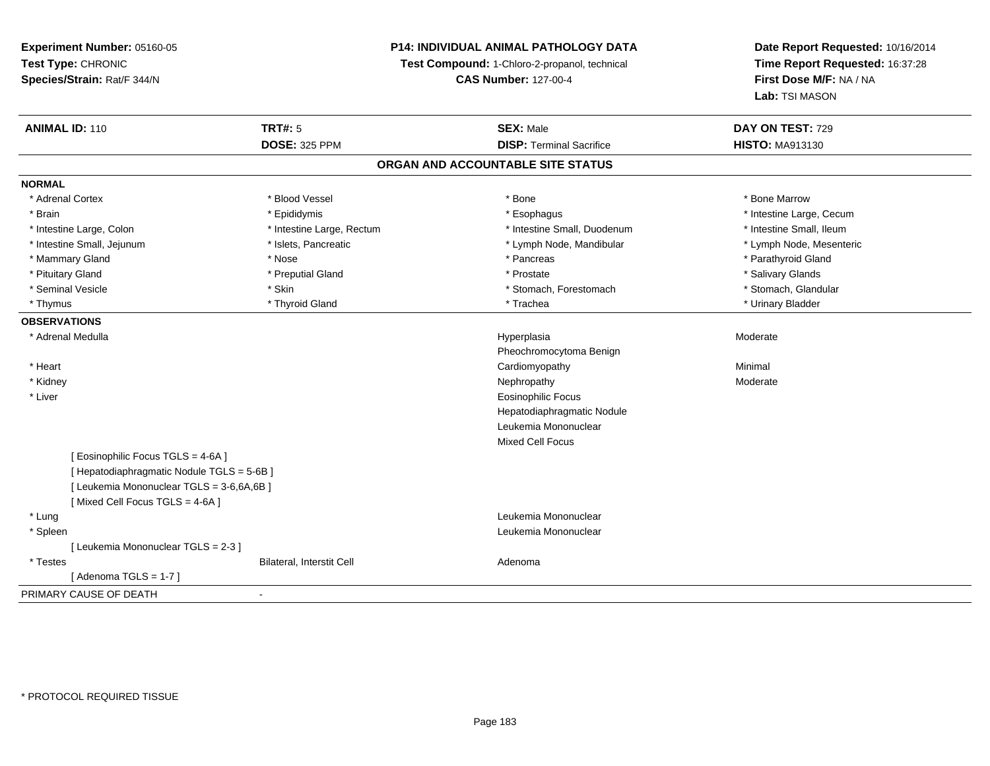## **P14: INDIVIDUAL ANIMAL PATHOLOGY DATA**

**Test Compound:** 1-Chloro-2-propanol, technical

**CAS Number:** 127-00-4

| <b>ANIMAL ID: 110</b>                      | <b>TRT#: 5</b>            | <b>SEX: Male</b>                  | DAY ON TEST: 729         |  |
|--------------------------------------------|---------------------------|-----------------------------------|--------------------------|--|
|                                            | <b>DOSE: 325 PPM</b>      | <b>DISP: Terminal Sacrifice</b>   | <b>HISTO: MA913130</b>   |  |
|                                            |                           | ORGAN AND ACCOUNTABLE SITE STATUS |                          |  |
| <b>NORMAL</b>                              |                           |                                   |                          |  |
| * Adrenal Cortex                           | * Blood Vessel            | * Bone                            | * Bone Marrow            |  |
| * Brain                                    | * Epididymis              | * Esophagus                       | * Intestine Large, Cecum |  |
| * Intestine Large, Colon                   | * Intestine Large, Rectum | * Intestine Small, Duodenum       | * Intestine Small, Ileum |  |
| * Intestine Small, Jejunum                 | * Islets, Pancreatic      | * Lymph Node, Mandibular          | * Lymph Node, Mesenteric |  |
| * Mammary Gland                            | * Nose                    | * Pancreas                        | * Parathyroid Gland      |  |
| * Pituitary Gland                          | * Preputial Gland         | * Prostate                        | * Salivary Glands        |  |
| * Seminal Vesicle                          | * Skin                    | * Stomach, Forestomach            | * Stomach, Glandular     |  |
| * Thymus                                   | * Thyroid Gland           | * Trachea                         | * Urinary Bladder        |  |
| <b>OBSERVATIONS</b>                        |                           |                                   |                          |  |
| * Adrenal Medulla                          |                           | Hyperplasia                       | Moderate                 |  |
|                                            |                           | Pheochromocytoma Benign           |                          |  |
| * Heart                                    |                           | Cardiomyopathy                    | Minimal                  |  |
| * Kidney                                   |                           | Nephropathy                       | Moderate                 |  |
| * Liver                                    |                           | Eosinophilic Focus                |                          |  |
|                                            |                           | Hepatodiaphragmatic Nodule        |                          |  |
|                                            |                           | Leukemia Mononuclear              |                          |  |
|                                            |                           | <b>Mixed Cell Focus</b>           |                          |  |
| [ Eosinophilic Focus TGLS = 4-6A ]         |                           |                                   |                          |  |
| [ Hepatodiaphragmatic Nodule TGLS = 5-6B ] |                           |                                   |                          |  |
| [ Leukemia Mononuclear TGLS = 3-6,6A,6B ]  |                           |                                   |                          |  |
| [Mixed Cell Focus TGLS = 4-6A]             |                           |                                   |                          |  |
| * Lung                                     |                           | Leukemia Mononuclear              |                          |  |
| * Spleen                                   |                           | Leukemia Mononuclear              |                          |  |
| [ Leukemia Mononuclear TGLS = 2-3 ]        |                           |                                   |                          |  |
| * Testes                                   | Bilateral, Interstit Cell | Adenoma                           |                          |  |
| [Adenoma TGLS = $1-7$ ]                    |                           |                                   |                          |  |
| PRIMARY CAUSE OF DEATH                     | $\overline{\phantom{a}}$  |                                   |                          |  |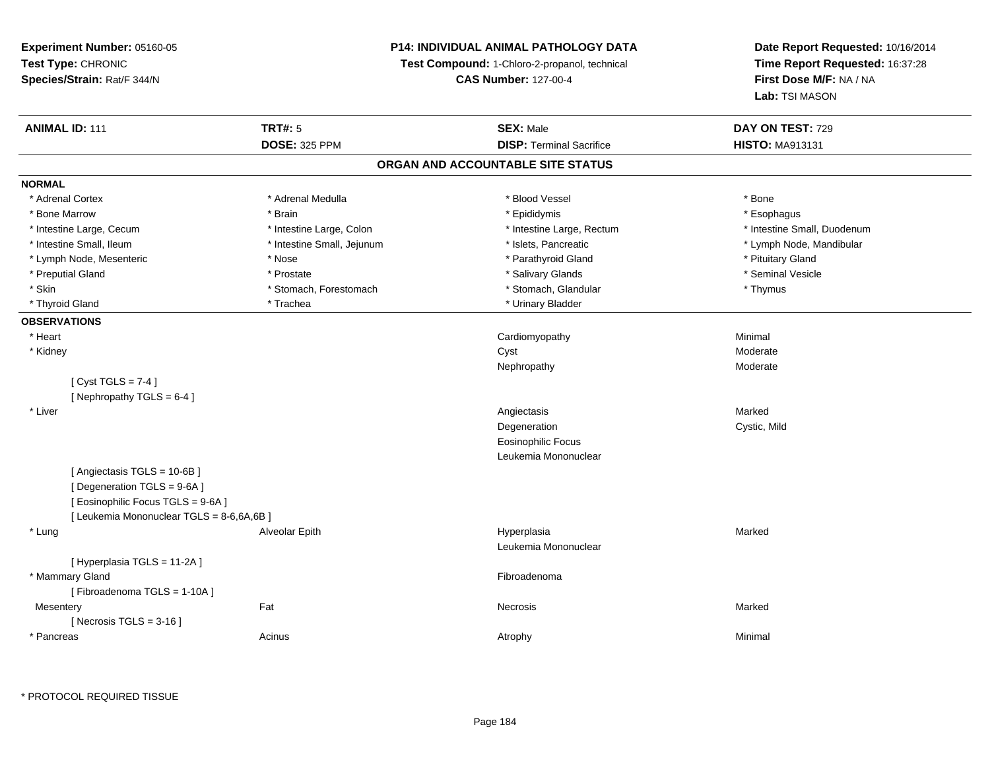## **P14: INDIVIDUAL ANIMAL PATHOLOGY DATA**

**Test Compound:** 1-Chloro-2-propanol, technical

**CAS Number:** 127-00-4

**Date Report Requested:** 10/16/2014**Time Report Requested:** 16:37:28**First Dose M/F:** NA / NA**Lab:** TSI MASON

| <b>ANIMAL ID: 111</b>                     | <b>TRT#: 5</b>             | <b>SEX: Male</b>                  | DAY ON TEST: 729            |  |
|-------------------------------------------|----------------------------|-----------------------------------|-----------------------------|--|
|                                           | <b>DOSE: 325 PPM</b>       | <b>DISP: Terminal Sacrifice</b>   | <b>HISTO: MA913131</b>      |  |
|                                           |                            | ORGAN AND ACCOUNTABLE SITE STATUS |                             |  |
| <b>NORMAL</b>                             |                            |                                   |                             |  |
| * Adrenal Cortex                          | * Adrenal Medulla          | * Blood Vessel                    | * Bone                      |  |
| * Bone Marrow                             | * Brain                    | * Epididymis                      | * Esophagus                 |  |
| * Intestine Large, Cecum                  | * Intestine Large, Colon   | * Intestine Large, Rectum         | * Intestine Small, Duodenum |  |
| * Intestine Small, Ileum                  | * Intestine Small, Jejunum | * Islets, Pancreatic              | * Lymph Node, Mandibular    |  |
| * Lymph Node, Mesenteric                  | * Nose                     | * Parathyroid Gland               | * Pituitary Gland           |  |
| * Preputial Gland                         | * Prostate                 | * Salivary Glands                 | * Seminal Vesicle           |  |
| * Skin                                    | * Stomach, Forestomach     | * Stomach, Glandular              | * Thymus                    |  |
| * Thyroid Gland                           | * Trachea                  | * Urinary Bladder                 |                             |  |
| <b>OBSERVATIONS</b>                       |                            |                                   |                             |  |
| * Heart                                   |                            | Cardiomyopathy                    | Minimal                     |  |
| * Kidney                                  |                            | Cyst                              | Moderate                    |  |
|                                           |                            | Nephropathy                       | Moderate                    |  |
| [Cyst TGLS = $7-4$ ]                      |                            |                                   |                             |  |
| [Nephropathy TGLS = 6-4]                  |                            |                                   |                             |  |
| * Liver                                   |                            | Angiectasis                       | Marked                      |  |
|                                           |                            | Degeneration                      | Cystic, Mild                |  |
|                                           |                            | <b>Eosinophilic Focus</b>         |                             |  |
|                                           |                            | Leukemia Mononuclear              |                             |  |
| [Angiectasis TGLS = 10-6B]                |                            |                                   |                             |  |
| [ Degeneration TGLS = 9-6A ]              |                            |                                   |                             |  |
| [ Eosinophilic Focus TGLS = 9-6A]         |                            |                                   |                             |  |
| [ Leukemia Mononuclear TGLS = 8-6,6A,6B ] |                            |                                   |                             |  |
| * Lung                                    | Alveolar Epith             | Hyperplasia                       | Marked                      |  |
|                                           |                            | Leukemia Mononuclear              |                             |  |
| [ Hyperplasia TGLS = 11-2A ]              |                            |                                   |                             |  |
| * Mammary Gland                           |                            | Fibroadenoma                      |                             |  |
| [Fibroadenoma TGLS = 1-10A]               |                            |                                   |                             |  |
| Mesentery                                 | Fat                        | Necrosis                          | Marked                      |  |
| [Necrosis TGLS = $3-16$ ]                 |                            |                                   |                             |  |
| * Pancreas                                | Acinus                     | Atrophy                           | Minimal                     |  |
|                                           |                            |                                   |                             |  |

\* PROTOCOL REQUIRED TISSUE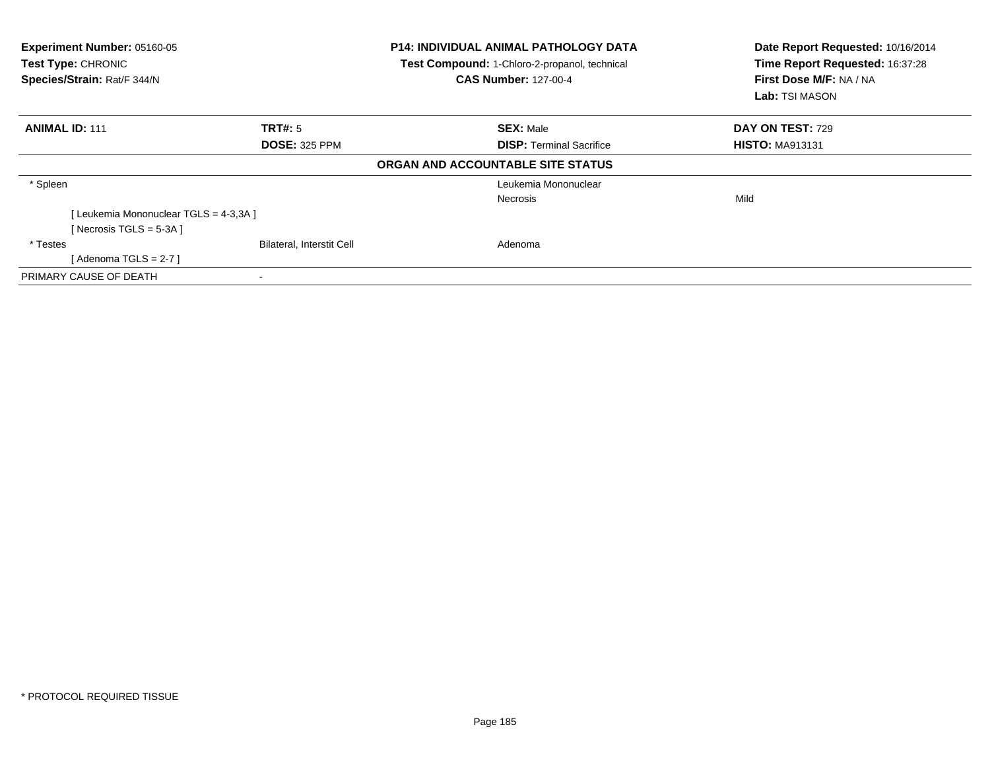| Experiment Number: 05160-05<br>Test Type: CHRONIC<br>Species/Strain: Rat/F 344/N |                                  | <b>P14: INDIVIDUAL ANIMAL PATHOLOGY DATA</b><br>Test Compound: 1-Chloro-2-propanol, technical<br><b>CAS Number: 127-00-4</b> | Date Report Requested: 10/16/2014<br>Time Report Requested: 16:37:28<br>First Dose M/F: NA / NA<br>Lab: TSI MASON |  |
|----------------------------------------------------------------------------------|----------------------------------|------------------------------------------------------------------------------------------------------------------------------|-------------------------------------------------------------------------------------------------------------------|--|
| <b>ANIMAL ID: 111</b>                                                            | TRT#: 5                          | <b>SEX: Male</b>                                                                                                             | DAY ON TEST: 729                                                                                                  |  |
|                                                                                  | <b>DOSE: 325 PPM</b>             | <b>DISP:</b> Terminal Sacrifice                                                                                              | <b>HISTO: MA913131</b>                                                                                            |  |
|                                                                                  |                                  | ORGAN AND ACCOUNTABLE SITE STATUS                                                                                            |                                                                                                                   |  |
| * Spleen                                                                         |                                  | Leukemia Mononuclear                                                                                                         |                                                                                                                   |  |
|                                                                                  |                                  | Necrosis                                                                                                                     | Mild                                                                                                              |  |
| [Leukemia Mononuclear TGLS = 4-3,3A]                                             |                                  |                                                                                                                              |                                                                                                                   |  |
| [Necrosis TGLS = $5-3A$ ]                                                        |                                  |                                                                                                                              |                                                                                                                   |  |
| * Testes                                                                         | <b>Bilateral, Interstit Cell</b> | Adenoma                                                                                                                      |                                                                                                                   |  |
| [Adenoma TGLS = 2-7 ]                                                            |                                  |                                                                                                                              |                                                                                                                   |  |
| PRIMARY CAUSE OF DEATH                                                           |                                  |                                                                                                                              |                                                                                                                   |  |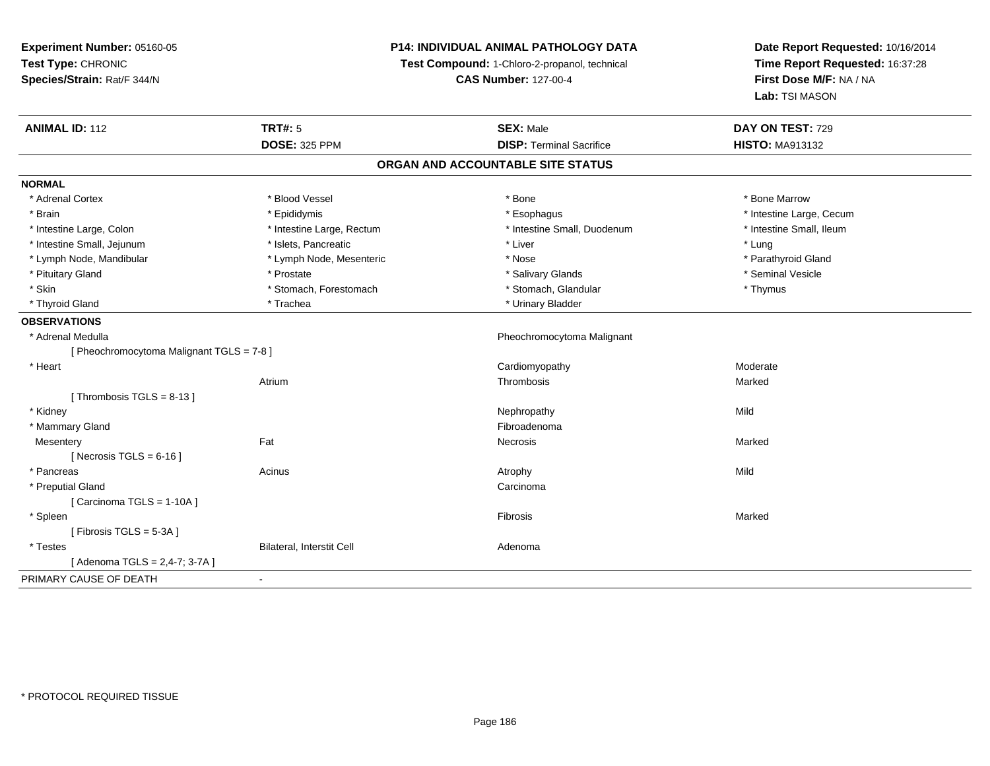**Experiment Number:** 05160-05**Test Type:** CHRONIC **Species/Strain:** Rat/F 344/N**P14: INDIVIDUAL ANIMAL PATHOLOGY DATATest Compound:** 1-Chloro-2-propanol, technical **CAS Number:** 127-00-4**Date Report Requested:** 10/16/2014**Time Report Requested:** 16:37:28**First Dose M/F:** NA / NA**Lab:** TSI MASON**ANIMAL ID:** 112**TRT#:** 5 **SEX:** Male **DAY ON TEST:** 729 **DOSE:** 325 PPM**DISP:** Terminal Sacrifice **HISTO:** MA913132 **ORGAN AND ACCOUNTABLE SITE STATUSNORMAL**\* Adrenal Cortex \* Adrenal Cortex \* \* Attachers \* Blood Vessel \* \* Bone \* \* \* Bone \* \* Bone \* \* Bone \* Bone Marrow \* Bone Marrow \* Brain \* Explorer \* Epididymis \* \* Epididymis \* \* Esophagus \* Esophagus \* \* Esophagus \* Intestine Large, Cecum \* \* Intestine Large, Cecum \* Intestine Small. Ileum \* Intestine Large, Colon \* Intestine Large, Rectum \* Intestine Small, Duodenum \* Intestine Small, Duodenum \* Intestine Small, Jejunum \* 1997 \* The state of the state of the state of the state of the state of the state of the state of the state of the state of the state of the state of the state of the state of the state of the \* Parathyroid Gland \* Lymph Node, Mandibular \* Lymph Node, Mesenteric \* Nose \* Nose \* Pituitary Gland \* \* \* \* Prostate \* \* Prostate \* \* Salivary Glands \* \* Salivary Glands \* \* Seminal Vesicle \* Skin \* Stomach, Forestomach \* Stomach \* Stomach, Glandular \* Thymus \* Thymus \* Thyroid Gland \* Trachea \* Trachea \* Trachea \* Thyroid Gland \* Urinary Bladder **OBSERVATIONS** \* Adrenal Medulla Pheochromocytoma Malignant [ Pheochromocytoma Malignant TGLS = 7-8 ] \* Heart Cardiomyopathy ModerateAtriumm and the controller of the Thrombosis and the controller of the Marked Marked Street and the Marked Street and The Marked Street and the Marked Street and the Marked Street and the Marked Street and the Marked Street and [ Thrombosis  $TGLS = 8-13$  ] \* Kidneyy the control of the control of the control of the control of the control of the control of the control of the control of the control of the control of the control of the control of the control of the control of the contro \* Mammary Glandd **Executive Contract of the Contract Contract Contract Contract Contract Contract Contract Contract Contract Contract Contract Contract Contract Contract Contract Contract Contract Contract Contract Contract Contract Cont Mesentery** y the control of the Marked States of the Marked States of the Marked States of the Marked States of the Marked States of the Marked States of the Marked States of the Marked States of the Marked States of the Marked State  $[$  Necrosis TGLS = 6-16  $]$  \* Pancreass and the contract of the Acinus and Acinus and Acinus and Acinus Atrophy and Acinus and Mild \* Preputial Glandd<sub>d</sub> Carcinoma  $[$  Carcinoma TGLS = 1-10A  $]$  \* Spleenn and the control of the control of the control of the control of the control of the control of the control of the control of the control of the control of the control of the control of the control of the control of the co [ Fibrosis TGLS = 5-3A ] \* TestesBilateral, Interstit Cell **Adenoma** Adenoma [ Adenoma TGLS = 2,4-7; 3-7A ]PRIMARY CAUSE OF DEATH-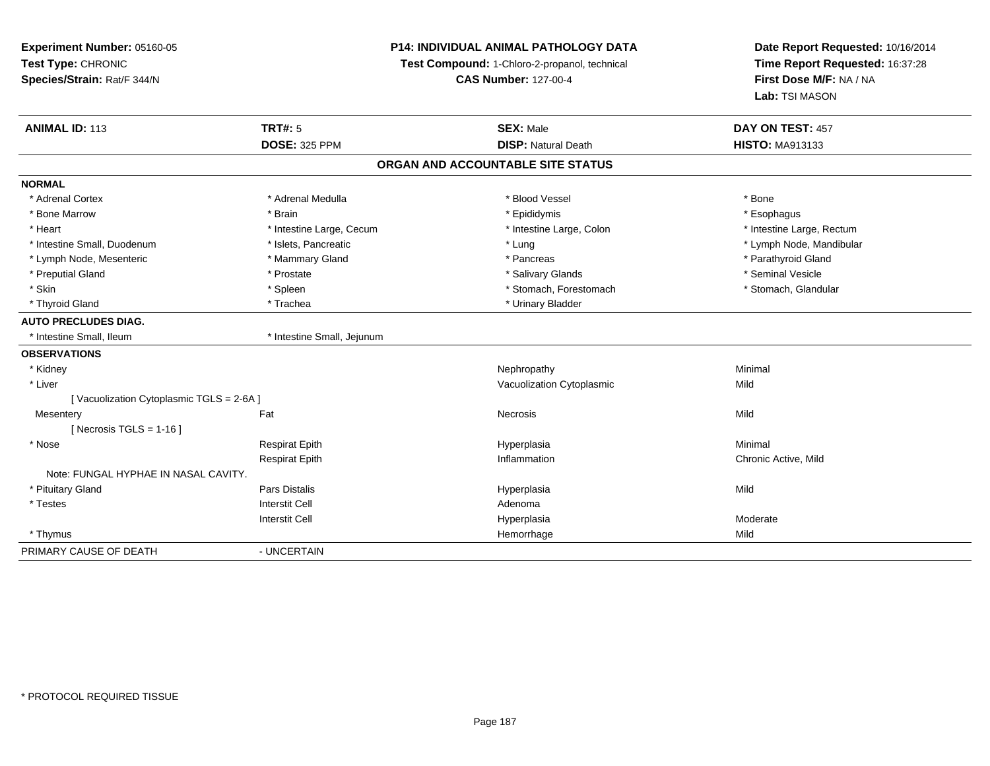## **P14: INDIVIDUAL ANIMAL PATHOLOGY DATA**

**Test Compound:** 1-Chloro-2-propanol, technical

**CAS Number:** 127-00-4

| <b>ANIMAL ID: 113</b>                   | <b>TRT#: 5</b>             | <b>SEX: Male</b>                  | DAY ON TEST: 457          |  |
|-----------------------------------------|----------------------------|-----------------------------------|---------------------------|--|
|                                         | <b>DOSE: 325 PPM</b>       | <b>DISP: Natural Death</b>        | <b>HISTO: MA913133</b>    |  |
|                                         |                            | ORGAN AND ACCOUNTABLE SITE STATUS |                           |  |
| <b>NORMAL</b>                           |                            |                                   |                           |  |
| * Adrenal Cortex                        | * Adrenal Medulla          | * Blood Vessel                    | * Bone                    |  |
| * Bone Marrow                           | * Brain                    | * Epididymis                      | * Esophagus               |  |
| * Heart                                 | * Intestine Large, Cecum   | * Intestine Large, Colon          | * Intestine Large, Rectum |  |
| * Intestine Small, Duodenum             | * Islets, Pancreatic       | * Lung                            | * Lymph Node, Mandibular  |  |
| * Lymph Node, Mesenteric                | * Mammary Gland            | * Pancreas                        | * Parathyroid Gland       |  |
| * Preputial Gland                       | * Prostate                 | * Salivary Glands                 | * Seminal Vesicle         |  |
| * Skin                                  | * Spleen                   | * Stomach, Forestomach            | * Stomach, Glandular      |  |
| * Thyroid Gland                         | * Trachea                  | * Urinary Bladder                 |                           |  |
| <b>AUTO PRECLUDES DIAG.</b>             |                            |                                   |                           |  |
| * Intestine Small, Ileum                | * Intestine Small, Jejunum |                                   |                           |  |
| <b>OBSERVATIONS</b>                     |                            |                                   |                           |  |
| * Kidney                                |                            | Nephropathy                       | Minimal                   |  |
| * Liver                                 |                            | Vacuolization Cytoplasmic         | Mild                      |  |
| [Vacuolization Cytoplasmic TGLS = 2-6A] |                            |                                   |                           |  |
| Mesentery                               | Fat                        | <b>Necrosis</b>                   | Mild                      |  |
| [Necrosis TGLS = $1-16$ ]               |                            |                                   |                           |  |
| * Nose                                  | <b>Respirat Epith</b>      | Hyperplasia                       | Minimal                   |  |
|                                         | <b>Respirat Epith</b>      | Inflammation                      | Chronic Active, Mild      |  |
| Note: FUNGAL HYPHAE IN NASAL CAVITY.    |                            |                                   |                           |  |
| * Pituitary Gland                       | Pars Distalis              | Hyperplasia                       | Mild                      |  |
| * Testes                                | <b>Interstit Cell</b>      | Adenoma                           |                           |  |
|                                         | <b>Interstit Cell</b>      | Hyperplasia                       | Moderate                  |  |
| * Thymus                                |                            | Hemorrhage                        | Mild                      |  |
| PRIMARY CAUSE OF DEATH                  | - UNCERTAIN                |                                   |                           |  |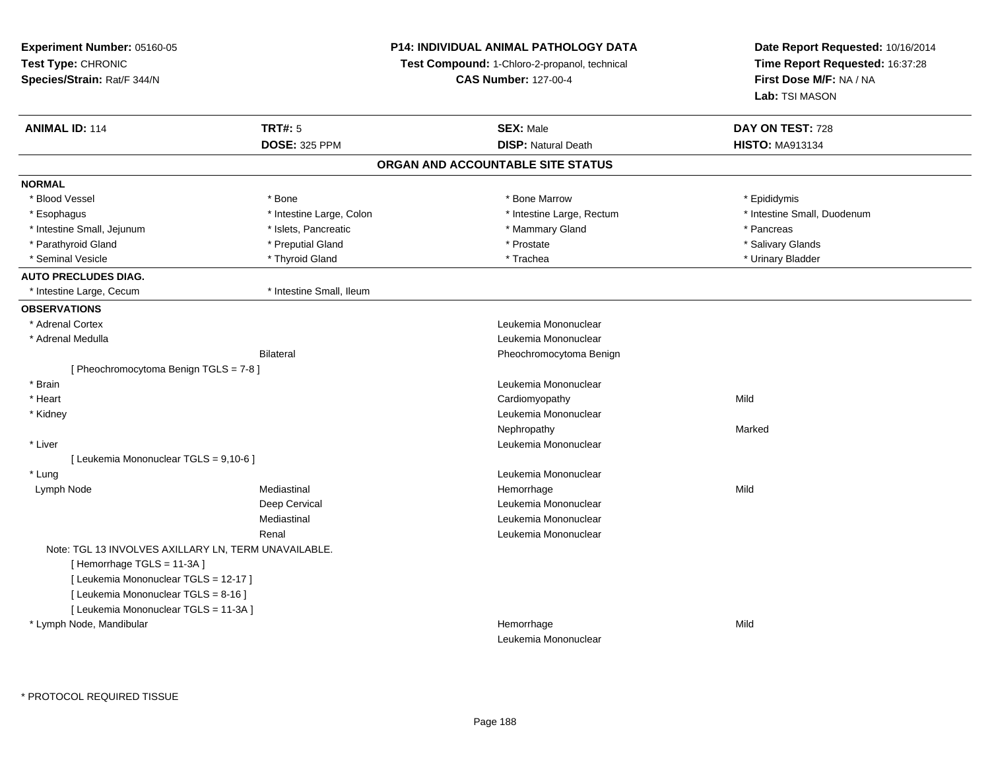**Experiment Number:** 05160-05**Test Type:** CHRONIC **Species/Strain:** Rat/F 344/N**P14: INDIVIDUAL ANIMAL PATHOLOGY DATATest Compound:** 1-Chloro-2-propanol, technical **CAS Number:** 127-00-4**Date Report Requested:** 10/16/2014**Time Report Requested:** 16:37:28**First Dose M/F:** NA / NA**Lab:** TSI MASON**ANIMAL ID:** 114 **TRT#:** <sup>5</sup> **SEX:** Male **DAY ON TEST:** <sup>728</sup> **DOSE:** 325 PPM**DISP:** Natural Death **HISTO:** MA913134 **ORGAN AND ACCOUNTABLE SITE STATUSNORMAL**\* Blood Vessel \* Blood Vessel \* \* Annume \* Bone \* \* Bone \* \* Bone \* \* Bone Marrow \* \* Bone Marrow \* \* Epididymis \* Epididymis \* Esophagus \* Thestine Large, Colon \* 11testine Large, Colon \* Intestine Large, Rectum \* Intestine Small, Duodenum \* Intestine Small, Jejunum \* The metal was a state of the state of the state of the state of the state of the state of the state of the state of the state of the state of the state of the state of the state of the state of \* Salivary Glands \* Parathyroid Gland \* \* \* Preputial Gland \* \* Preputial Gland \* \* Prostate \* \* Salivary Glands \* Salivary Glands \* Urinary Bladder \* Seminal Vesicle \* \* Thyroid Gland \* \* Thyroid Gland \* \* Trachea \* \* Trachea \* \* Urinary Bladder \* \* Urinary Bladder \* \* Urinary Bladder \* \* Urinary Bladder \* \* Urinary Bladder \* \* Urinary Bladder \* \* Urinary Bladder \* \* **AUTO PRECLUDES DIAG.**\* Intestine Large, Cecum \* 117 \* Intestine Small, Ileum **OBSERVATIONS** \* Adrenal Cortex Leukemia Mononuclear \* Adrenal Medulla Leukemia Mononuclear Bilateral Pheochromocytoma Benign[ Pheochromocytoma Benign TGLS = 7-8 ] \* Brain Leukemia Mononuclear \* Heart Cardiomyopathyy Mild \* Kidney Leukemia Mononuclear Nephropathyy and the contract of the Marked \* Liver Leukemia Mononuclear [ Leukemia Mononuclear TGLS = 9,10-6 ] \* LungLeukemia Mononuclear<br>
Hemorrhage<br>
Hemorrhage Lymph Nodee the mediastinal the settlement of the Mild of the Mild of the Mild of the Mild of the Mild of the Mild of the Mild of the Mild of the Mild of the Mild of the Mild of the Mild of the Mild of the Mild of the Mild of the Mi Deep Cervical Leukemia MononuclearMediastinal Leukemia MononuclearRenal Leukemia MononuclearNote: TGL 13 INVOLVES AXILLARY LN, TERM UNAVAILABLE.[ Hemorrhage TGLS = 11-3A ] [ Leukemia Mononuclear TGLS = 12-17 ][ Leukemia Mononuclear TGLS = 8-16 ][ Leukemia Mononuclear TGLS = 11-3A ] \* Lymph Node, Mandibular Hemorrhagee Mild Leukemia Mononuclear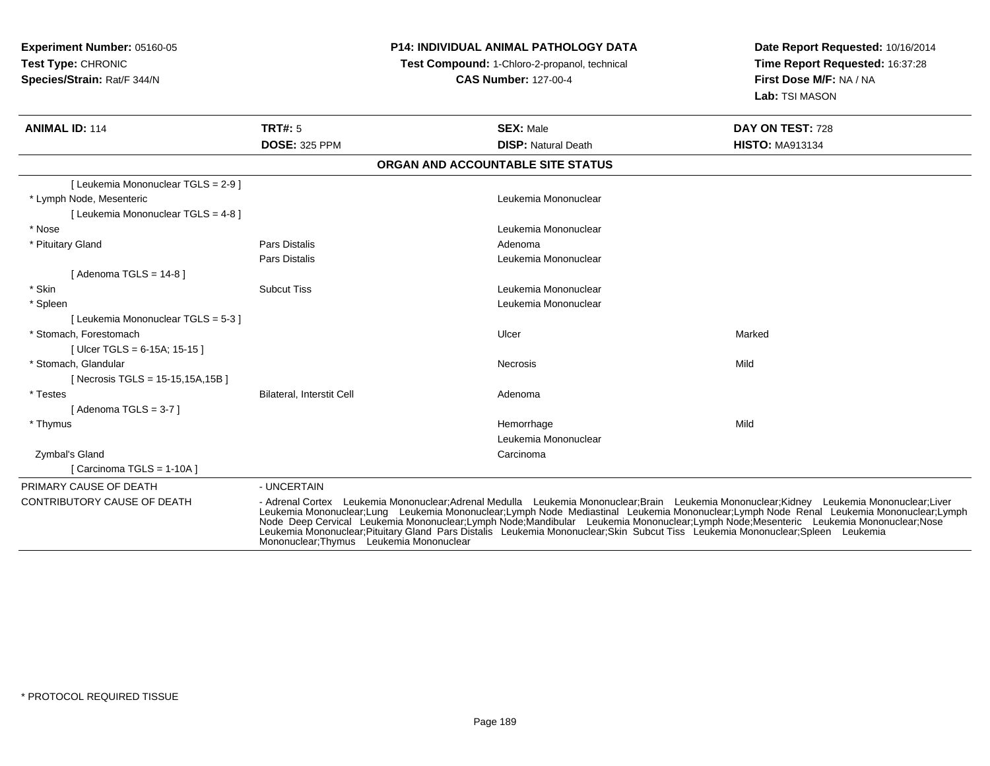# **P14: INDIVIDUAL ANIMAL PATHOLOGY DATA**

**Test Compound:** 1-Chloro-2-propanol, technical

**CAS Number:** 127-00-4

| <b>ANIMAL ID: 114</b>               | <b>TRT#: 5</b>                           | <b>SEX: Male</b>                                                                                                                                                                                                                                                         | DAY ON TEST: 728                                                                                                                                                                                                               |
|-------------------------------------|------------------------------------------|--------------------------------------------------------------------------------------------------------------------------------------------------------------------------------------------------------------------------------------------------------------------------|--------------------------------------------------------------------------------------------------------------------------------------------------------------------------------------------------------------------------------|
|                                     | <b>DOSE: 325 PPM</b>                     | <b>DISP: Natural Death</b>                                                                                                                                                                                                                                               | <b>HISTO: MA913134</b>                                                                                                                                                                                                         |
|                                     |                                          | ORGAN AND ACCOUNTABLE SITE STATUS                                                                                                                                                                                                                                        |                                                                                                                                                                                                                                |
| [Leukemia Mononuclear TGLS = 2-9]   |                                          |                                                                                                                                                                                                                                                                          |                                                                                                                                                                                                                                |
| * Lymph Node, Mesenteric            |                                          | Leukemia Mononuclear                                                                                                                                                                                                                                                     |                                                                                                                                                                                                                                |
| [ Leukemia Mononuclear TGLS = 4-8 ] |                                          |                                                                                                                                                                                                                                                                          |                                                                                                                                                                                                                                |
| * Nose                              |                                          | Leukemia Mononuclear                                                                                                                                                                                                                                                     |                                                                                                                                                                                                                                |
| * Pituitary Gland                   | Pars Distalis                            | Adenoma                                                                                                                                                                                                                                                                  |                                                                                                                                                                                                                                |
|                                     | <b>Pars Distalis</b>                     | Leukemia Mononuclear                                                                                                                                                                                                                                                     |                                                                                                                                                                                                                                |
| [ Adenoma TGLS = 14-8 ]             |                                          |                                                                                                                                                                                                                                                                          |                                                                                                                                                                                                                                |
| * Skin                              | <b>Subcut Tiss</b>                       | Leukemia Mononuclear                                                                                                                                                                                                                                                     |                                                                                                                                                                                                                                |
| * Spleen                            |                                          | Leukemia Mononuclear                                                                                                                                                                                                                                                     |                                                                                                                                                                                                                                |
| [Leukemia Mononuclear TGLS = 5-3 ]  |                                          |                                                                                                                                                                                                                                                                          |                                                                                                                                                                                                                                |
| * Stomach. Forestomach              |                                          | Ulcer                                                                                                                                                                                                                                                                    | Marked                                                                                                                                                                                                                         |
| [ Ulcer TGLS = 6-15A; 15-15 ]       |                                          |                                                                                                                                                                                                                                                                          |                                                                                                                                                                                                                                |
| * Stomach. Glandular                |                                          | Necrosis                                                                                                                                                                                                                                                                 | Mild                                                                                                                                                                                                                           |
| [ Necrosis TGLS = 15-15,15A,15B ]   |                                          |                                                                                                                                                                                                                                                                          |                                                                                                                                                                                                                                |
| * Testes                            | <b>Bilateral, Interstit Cell</b>         | Adenoma                                                                                                                                                                                                                                                                  |                                                                                                                                                                                                                                |
| [Adenoma TGLS = 3-7 ]               |                                          |                                                                                                                                                                                                                                                                          |                                                                                                                                                                                                                                |
| * Thymus                            |                                          | Hemorrhage                                                                                                                                                                                                                                                               | Mild                                                                                                                                                                                                                           |
|                                     |                                          | Leukemia Mononuclear                                                                                                                                                                                                                                                     |                                                                                                                                                                                                                                |
| Zymbal's Gland                      |                                          | Carcinoma                                                                                                                                                                                                                                                                |                                                                                                                                                                                                                                |
| Carcinoma TGLS = 1-10A ]            |                                          |                                                                                                                                                                                                                                                                          |                                                                                                                                                                                                                                |
| PRIMARY CAUSE OF DEATH              | - UNCERTAIN                              |                                                                                                                                                                                                                                                                          |                                                                                                                                                                                                                                |
| CONTRIBUTORY CAUSE OF DEATH         | Mononuclear: Thymus Leukemia Mononuclear | - Adrenal Cortex Leukemia Mononuclear;Adrenal Medulla Leukemia Mononuclear;Brain Leukemia Mononuclear;Kidney Leukemia Mononuclear;Liver<br>Leukemia Mononuclear;Pituitary Gland Pars Distalis Leukemia Mononuclear;Skin Subcut Tiss Leukemia Mononuclear;Spleen Leukemia | Leukemia Mononuclear;Lung Leukemia Mononuclear;Lymph Node Mediastinal Leukemia Mononuclear;Lymph Node Renal Leukemia Mononuclear;Lymph Node Mediastinal Leukemia Mononuclear;Lymph Node Deep Cervical Leukemia Mononuclear;Lym |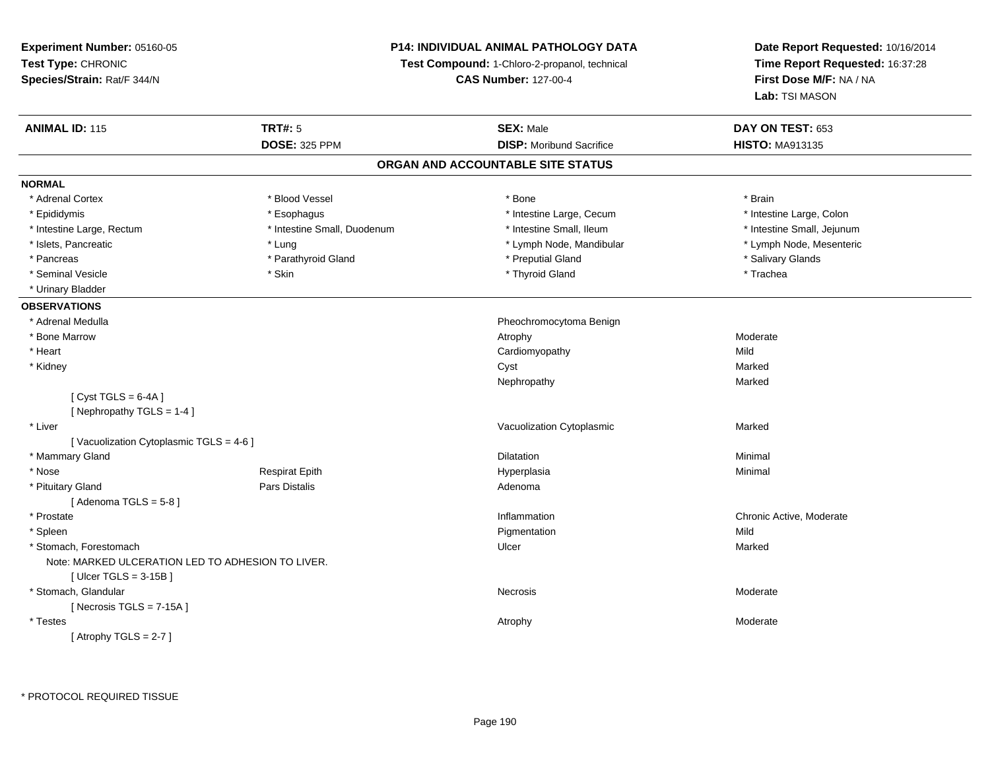## **P14: INDIVIDUAL ANIMAL PATHOLOGY DATA**

**Test Compound:** 1-Chloro-2-propanol, technical

**CAS Number:** 127-00-4

| <b>DOSE: 325 PPM</b><br><b>DISP:</b> Moribund Sacrifice<br><b>HISTO: MA913135</b><br>ORGAN AND ACCOUNTABLE SITE STATUS<br><b>NORMAL</b><br>* Blood Vessel<br>* Adrenal Cortex<br>* Bone<br>* Brain<br>* Intestine Large, Cecum<br>* Epididymis<br>* Esophagus<br>* Intestine Large, Colon<br>* Intestine Small, Ileum<br>* Intestine Small, Jejunum<br>* Intestine Large, Rectum<br>* Intestine Small, Duodenum<br>* Lymph Node, Mesenteric<br>* Islets, Pancreatic<br>* Lymph Node, Mandibular<br>* Lung<br>* Parathyroid Gland<br>* Preputial Gland<br>* Salivary Glands<br>* Pancreas<br>* Thyroid Gland<br>* Seminal Vesicle<br>* Skin<br>* Trachea<br>* Urinary Bladder<br><b>OBSERVATIONS</b><br>* Adrenal Medulla<br>Pheochromocytoma Benign<br>* Bone Marrow<br>Atrophy<br>Moderate<br>* Heart<br>Mild<br>Cardiomyopathy<br>* Kidney<br>Marked<br>Cyst<br>Marked<br>Nephropathy<br>[Cyst TGLS = $6-4A$ ]<br>[Nephropathy TGLS = 1-4]<br>Vacuolization Cytoplasmic<br>* Liver<br>Marked<br>[Vacuolization Cytoplasmic TGLS = 4-6]<br>* Mammary Gland<br>Minimal<br><b>Dilatation</b><br>* Nose<br><b>Respirat Epith</b><br>Hyperplasia<br>Minimal<br>* Pituitary Gland<br>Pars Distalis<br>Adenoma |
|-----------------------------------------------------------------------------------------------------------------------------------------------------------------------------------------------------------------------------------------------------------------------------------------------------------------------------------------------------------------------------------------------------------------------------------------------------------------------------------------------------------------------------------------------------------------------------------------------------------------------------------------------------------------------------------------------------------------------------------------------------------------------------------------------------------------------------------------------------------------------------------------------------------------------------------------------------------------------------------------------------------------------------------------------------------------------------------------------------------------------------------------------------------------------------------------------------------|
|                                                                                                                                                                                                                                                                                                                                                                                                                                                                                                                                                                                                                                                                                                                                                                                                                                                                                                                                                                                                                                                                                                                                                                                                           |
|                                                                                                                                                                                                                                                                                                                                                                                                                                                                                                                                                                                                                                                                                                                                                                                                                                                                                                                                                                                                                                                                                                                                                                                                           |
|                                                                                                                                                                                                                                                                                                                                                                                                                                                                                                                                                                                                                                                                                                                                                                                                                                                                                                                                                                                                                                                                                                                                                                                                           |
|                                                                                                                                                                                                                                                                                                                                                                                                                                                                                                                                                                                                                                                                                                                                                                                                                                                                                                                                                                                                                                                                                                                                                                                                           |
|                                                                                                                                                                                                                                                                                                                                                                                                                                                                                                                                                                                                                                                                                                                                                                                                                                                                                                                                                                                                                                                                                                                                                                                                           |
|                                                                                                                                                                                                                                                                                                                                                                                                                                                                                                                                                                                                                                                                                                                                                                                                                                                                                                                                                                                                                                                                                                                                                                                                           |
|                                                                                                                                                                                                                                                                                                                                                                                                                                                                                                                                                                                                                                                                                                                                                                                                                                                                                                                                                                                                                                                                                                                                                                                                           |
|                                                                                                                                                                                                                                                                                                                                                                                                                                                                                                                                                                                                                                                                                                                                                                                                                                                                                                                                                                                                                                                                                                                                                                                                           |
|                                                                                                                                                                                                                                                                                                                                                                                                                                                                                                                                                                                                                                                                                                                                                                                                                                                                                                                                                                                                                                                                                                                                                                                                           |
|                                                                                                                                                                                                                                                                                                                                                                                                                                                                                                                                                                                                                                                                                                                                                                                                                                                                                                                                                                                                                                                                                                                                                                                                           |
|                                                                                                                                                                                                                                                                                                                                                                                                                                                                                                                                                                                                                                                                                                                                                                                                                                                                                                                                                                                                                                                                                                                                                                                                           |
|                                                                                                                                                                                                                                                                                                                                                                                                                                                                                                                                                                                                                                                                                                                                                                                                                                                                                                                                                                                                                                                                                                                                                                                                           |
|                                                                                                                                                                                                                                                                                                                                                                                                                                                                                                                                                                                                                                                                                                                                                                                                                                                                                                                                                                                                                                                                                                                                                                                                           |
|                                                                                                                                                                                                                                                                                                                                                                                                                                                                                                                                                                                                                                                                                                                                                                                                                                                                                                                                                                                                                                                                                                                                                                                                           |
|                                                                                                                                                                                                                                                                                                                                                                                                                                                                                                                                                                                                                                                                                                                                                                                                                                                                                                                                                                                                                                                                                                                                                                                                           |
|                                                                                                                                                                                                                                                                                                                                                                                                                                                                                                                                                                                                                                                                                                                                                                                                                                                                                                                                                                                                                                                                                                                                                                                                           |
|                                                                                                                                                                                                                                                                                                                                                                                                                                                                                                                                                                                                                                                                                                                                                                                                                                                                                                                                                                                                                                                                                                                                                                                                           |
|                                                                                                                                                                                                                                                                                                                                                                                                                                                                                                                                                                                                                                                                                                                                                                                                                                                                                                                                                                                                                                                                                                                                                                                                           |
|                                                                                                                                                                                                                                                                                                                                                                                                                                                                                                                                                                                                                                                                                                                                                                                                                                                                                                                                                                                                                                                                                                                                                                                                           |
|                                                                                                                                                                                                                                                                                                                                                                                                                                                                                                                                                                                                                                                                                                                                                                                                                                                                                                                                                                                                                                                                                                                                                                                                           |
|                                                                                                                                                                                                                                                                                                                                                                                                                                                                                                                                                                                                                                                                                                                                                                                                                                                                                                                                                                                                                                                                                                                                                                                                           |
|                                                                                                                                                                                                                                                                                                                                                                                                                                                                                                                                                                                                                                                                                                                                                                                                                                                                                                                                                                                                                                                                                                                                                                                                           |
|                                                                                                                                                                                                                                                                                                                                                                                                                                                                                                                                                                                                                                                                                                                                                                                                                                                                                                                                                                                                                                                                                                                                                                                                           |
| [Adenoma TGLS = $5-8$ ]                                                                                                                                                                                                                                                                                                                                                                                                                                                                                                                                                                                                                                                                                                                                                                                                                                                                                                                                                                                                                                                                                                                                                                                   |
| * Prostate<br>Inflammation<br>Chronic Active, Moderate                                                                                                                                                                                                                                                                                                                                                                                                                                                                                                                                                                                                                                                                                                                                                                                                                                                                                                                                                                                                                                                                                                                                                    |
| * Spleen<br>Mild<br>Pigmentation                                                                                                                                                                                                                                                                                                                                                                                                                                                                                                                                                                                                                                                                                                                                                                                                                                                                                                                                                                                                                                                                                                                                                                          |
| * Stomach, Forestomach<br>Ulcer<br>Marked                                                                                                                                                                                                                                                                                                                                                                                                                                                                                                                                                                                                                                                                                                                                                                                                                                                                                                                                                                                                                                                                                                                                                                 |
| Note: MARKED ULCERATION LED TO ADHESION TO LIVER.                                                                                                                                                                                                                                                                                                                                                                                                                                                                                                                                                                                                                                                                                                                                                                                                                                                                                                                                                                                                                                                                                                                                                         |
| [Ulcer TGLS = $3-15B$ ]                                                                                                                                                                                                                                                                                                                                                                                                                                                                                                                                                                                                                                                                                                                                                                                                                                                                                                                                                                                                                                                                                                                                                                                   |
| * Stomach, Glandular<br>Necrosis<br>Moderate                                                                                                                                                                                                                                                                                                                                                                                                                                                                                                                                                                                                                                                                                                                                                                                                                                                                                                                                                                                                                                                                                                                                                              |
| [Necrosis $TGLS = 7-15A$ ]                                                                                                                                                                                                                                                                                                                                                                                                                                                                                                                                                                                                                                                                                                                                                                                                                                                                                                                                                                                                                                                                                                                                                                                |
| * Testes<br>Moderate<br>Atrophy                                                                                                                                                                                                                                                                                                                                                                                                                                                                                                                                                                                                                                                                                                                                                                                                                                                                                                                                                                                                                                                                                                                                                                           |
| [Atrophy TGLS = $2-7$ ]                                                                                                                                                                                                                                                                                                                                                                                                                                                                                                                                                                                                                                                                                                                                                                                                                                                                                                                                                                                                                                                                                                                                                                                   |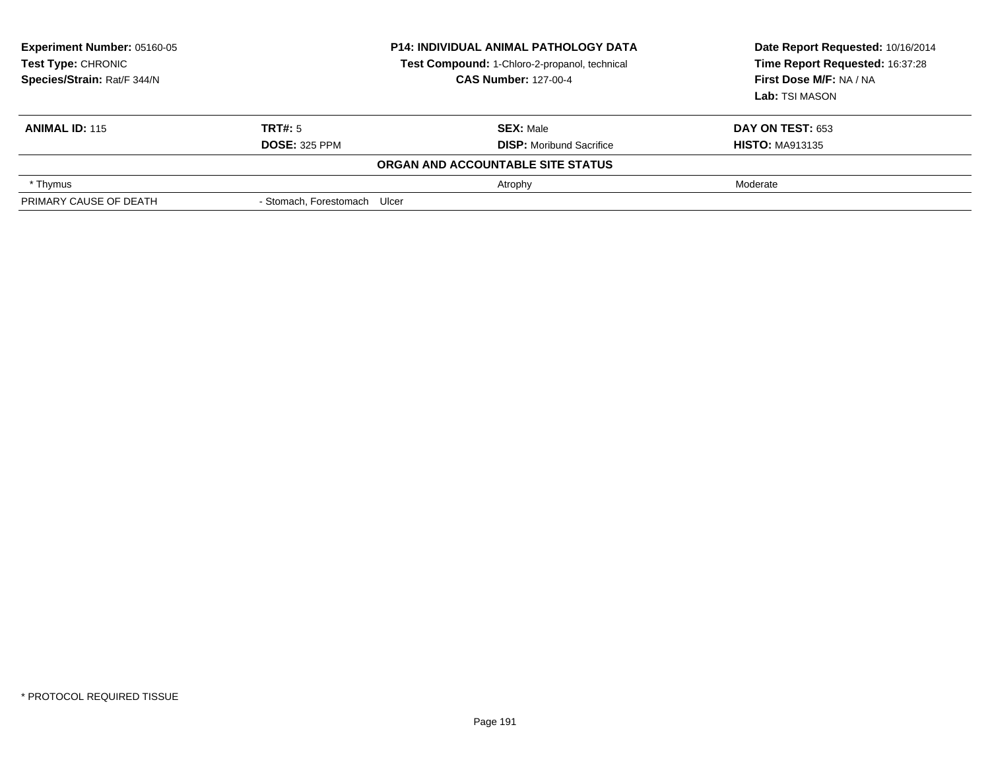| <b>Experiment Number: 05160-05</b><br>Test Type: CHRONIC<br>Species/Strain: Rat/F 344/N |                              | <b>P14: INDIVIDUAL ANIMAL PATHOLOGY DATA</b><br>Test Compound: 1-Chloro-2-propanol, technical<br><b>CAS Number: 127-00-4</b> | Date Report Requested: 10/16/2014<br>Time Report Requested: 16:37:28<br>First Dose M/F: NA / NA<br>Lab: TSI MASON |
|-----------------------------------------------------------------------------------------|------------------------------|------------------------------------------------------------------------------------------------------------------------------|-------------------------------------------------------------------------------------------------------------------|
| <b>ANIMAL ID: 115</b>                                                                   | TRT#: 5                      | <b>SEX: Male</b>                                                                                                             | <b>DAY ON TEST: 653</b>                                                                                           |
|                                                                                         | <b>DOSE: 325 PPM</b>         | <b>DISP:</b> Moribund Sacrifice                                                                                              | <b>HISTO: MA913135</b>                                                                                            |
|                                                                                         |                              | ORGAN AND ACCOUNTABLE SITE STATUS                                                                                            |                                                                                                                   |
| * Thymus                                                                                |                              | Atrophy                                                                                                                      | Moderate                                                                                                          |
| PRIMARY CAUSE OF DEATH                                                                  | - Stomach, Forestomach Ulcer |                                                                                                                              |                                                                                                                   |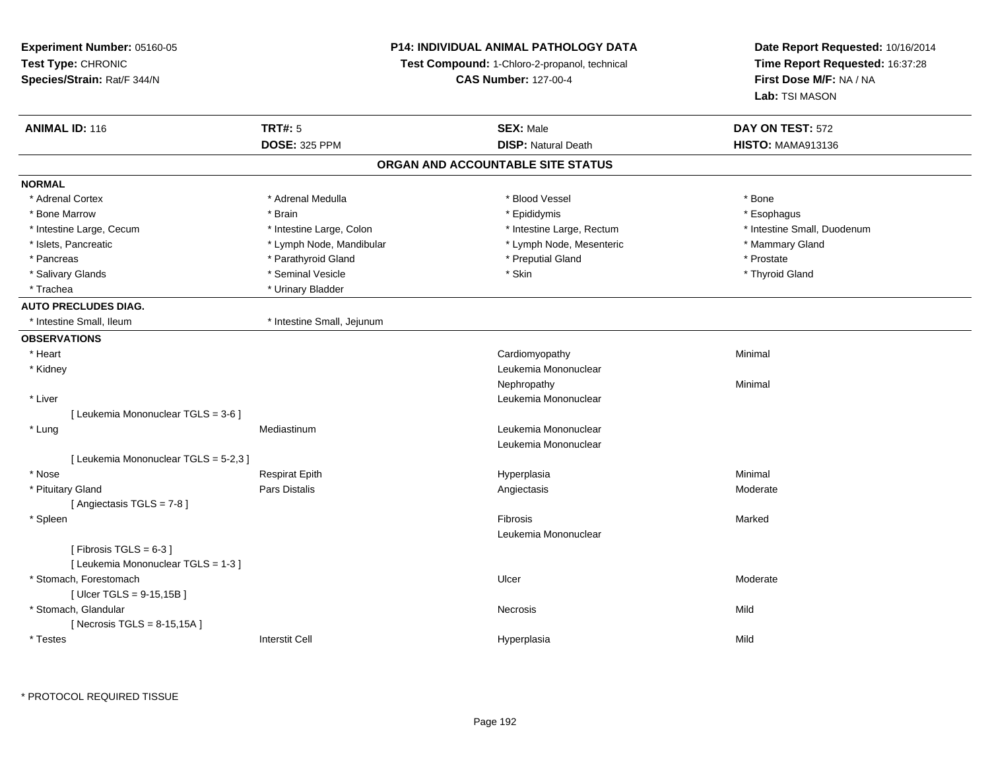**Experiment Number:** 05160-05**Test Type:** CHRONIC **Species/Strain:** Rat/F 344/N**P14: INDIVIDUAL ANIMAL PATHOLOGY DATATest Compound:** 1-Chloro-2-propanol, technical **CAS Number:** 127-00-4**Date Report Requested:** 10/16/2014**Time Report Requested:** 16:37:28**First Dose M/F:** NA / NA**Lab:** TSI MASON**ANIMAL ID:** 116**6 DAY ON TEST:** 572 **DOSE:** 325 PPM**DISP:** Natural Death **HISTO:** MAMA913136 **ORGAN AND ACCOUNTABLE SITE STATUSNORMAL**\* Adrenal Cortex \* Adrenal Cortex \* \* Adrenal Medulla \* \* Adrenal Medulla \* \* Blood Vessel \* \* Brood Vessel \* \* Bone \* Esophagus \* Bone Marrow \* Brain \* Epididymis \* Esophagus \* Intestine Small, Duodenum \* Intestine Large, Cecum \* Intestine Large, Colon \* Intestine Sarge, Rectum \* Intestine Large, Rectum \* Islets, Pancreatic \* The manner of the Lymph Node, Mandibular \* Lymph Node, Mesenteric \* Mammary Gland \* Pancreas \* Parathyroid Gland \* Parathyroid Gland \* Preputial Gland \* Preputial Gland \* Prostate \* Thyroid Gland \* Salivary Glands \* \* Seminal Vesicle \* \* Seminal Yesicle \* \* Skin \* \* Thyroid Gland \* Thyroid Gland \* Thyroid Gland \* Trachea **\*** Urinary Bladder **AUTO PRECLUDES DIAG.**\* Intestine Small, Ileum \* 11testine Small, Jejunum **OBSERVATIONS** \* Heart Cardiomyopathy Minimal \* Kidney Leukemia Mononuclear Nephropathyy the contract of the Minimal Minimal Section 1996 and the contract of the Minimal Section 1997 and the contract of the contract of the contract of the contract of the contract of the contract of the contract of the contra \* Liver Leukemia Mononuclear [ Leukemia Mononuclear TGLS = 3-6 ] \* Lung Mediastinum Leukemia Mononuclear Leukemia Mononuclear[ Leukemia Mononuclear TGLS = 5-2,3 ] \* Nose Respirat Epith Hyperplasia Minimal \* Pituitary Gland Pars Distalis Angiectasis Moderate [ Angiectasis TGLS = 7-8 ] \* Spleenn and the control of the control of the control of the control of the control of the control of the control of the control of the control of the control of the control of the control of the control of the control of the co Leukemia Mononuclear $[$  Fibrosis TGLS = 6-3  $]$ [ Leukemia Mononuclear TGLS = 1-3 ] \* Stomach, Forestomachh and the control of the control of the control of the Ulcer Changes of the Changes of the Moderate of the Moderate  $\sim$  $[$  Ulcer TGLS = 9-15,15B  $]$  \* Stomach, Glandularr **Necrosis** s and the contract of the Mild  $[$  Necrosis TGLS = 8-15,15A  $]$  \* Testess Interstit Cell Hyperplasia a Mild

\* PROTOCOL REQUIRED TISSUE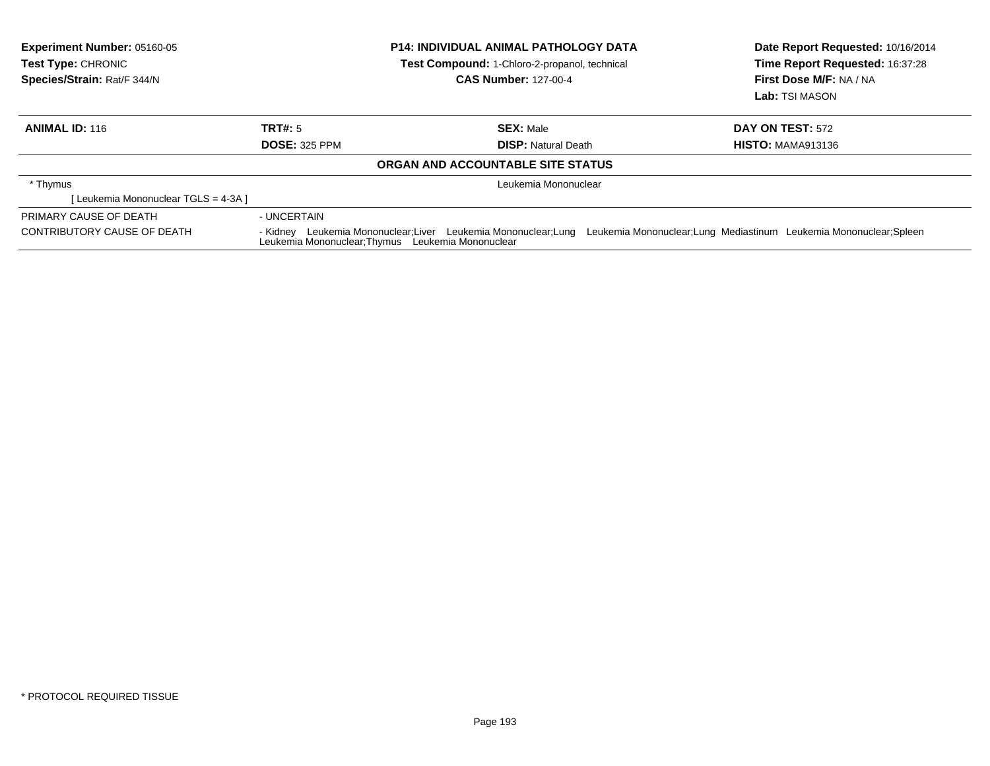| <b>Experiment Number: 05160-05</b><br><b>Test Type: CHRONIC</b><br>Species/Strain: Rat/F 344/N | <b>P14: INDIVIDUAL ANIMAL PATHOLOGY DATA</b><br><b>Test Compound: 1-Chloro-2-propanol, technical</b><br><b>CAS Number: 127-00-4</b> |                                                                 | Date Report Requested: 10/16/2014<br>Time Report Requested: 16:37:28<br>First Dose M/F: NA / NA<br>Lab: TSI MASON |
|------------------------------------------------------------------------------------------------|-------------------------------------------------------------------------------------------------------------------------------------|-----------------------------------------------------------------|-------------------------------------------------------------------------------------------------------------------|
| <b>ANIMAL ID: 116</b>                                                                          | TRT#: 5                                                                                                                             | <b>SEX: Male</b>                                                | <b>DAY ON TEST: 572</b>                                                                                           |
|                                                                                                | <b>DOSE: 325 PPM</b>                                                                                                                | <b>DISP:</b> Natural Death                                      | <b>HISTO: MAMA913136</b>                                                                                          |
|                                                                                                |                                                                                                                                     | ORGAN AND ACCOUNTABLE SITE STATUS                               |                                                                                                                   |
| * Thymus                                                                                       |                                                                                                                                     | Leukemia Mononuclear                                            |                                                                                                                   |
| [ Leukemia Mononuclear TGLS = 4-3A ]                                                           |                                                                                                                                     |                                                                 |                                                                                                                   |
| PRIMARY CAUSE OF DEATH                                                                         | - UNCERTAIN                                                                                                                         |                                                                 |                                                                                                                   |
| CONTRIBUTORY CAUSE OF DEATH                                                                    | Leukemia Mononuclear: Thymus Leukemia Mononuclear                                                                                   | - Kidney Leukemia Mononuclear; Liver Leukemia Mononuclear; Lung | Leukemia Mononuclear; Lung Mediastinum Leukemia Mononuclear; Spleen                                               |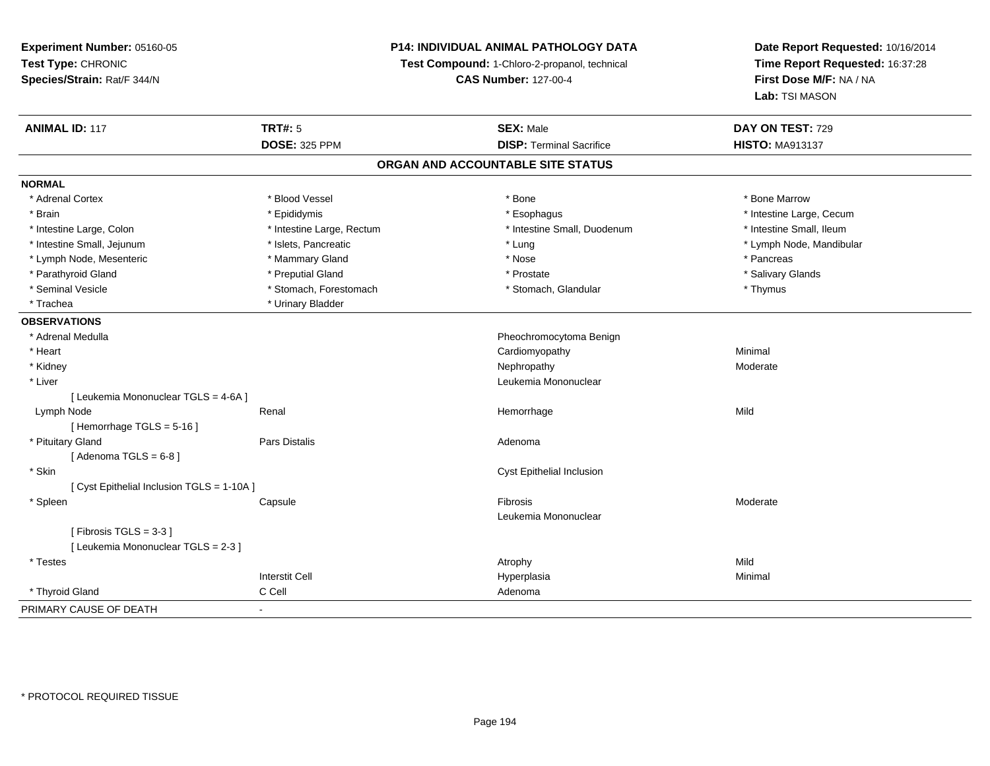## **P14: INDIVIDUAL ANIMAL PATHOLOGY DATA**

**Test Compound:** 1-Chloro-2-propanol, technical

**CAS Number:** 127-00-4

| <b>ANIMAL ID: 117</b>                      | <b>TRT#: 5</b>            | <b>SEX: Male</b>                  | DAY ON TEST: 729         |
|--------------------------------------------|---------------------------|-----------------------------------|--------------------------|
|                                            | <b>DOSE: 325 PPM</b>      | <b>DISP: Terminal Sacrifice</b>   | <b>HISTO: MA913137</b>   |
|                                            |                           | ORGAN AND ACCOUNTABLE SITE STATUS |                          |
| <b>NORMAL</b>                              |                           |                                   |                          |
| * Adrenal Cortex                           | * Blood Vessel            | * Bone                            | * Bone Marrow            |
| * Brain                                    | * Epididymis              | * Esophagus                       | * Intestine Large, Cecum |
| * Intestine Large, Colon                   | * Intestine Large, Rectum | * Intestine Small, Duodenum       | * Intestine Small, Ileum |
| * Intestine Small, Jejunum                 | * Islets, Pancreatic      | * Lung                            | * Lymph Node, Mandibular |
| * Lymph Node, Mesenteric                   | * Mammary Gland           | * Nose                            | * Pancreas               |
| * Parathyroid Gland                        | * Preputial Gland         | * Prostate                        | * Salivary Glands        |
| * Seminal Vesicle                          | * Stomach, Forestomach    | * Stomach, Glandular              | * Thymus                 |
| * Trachea                                  | * Urinary Bladder         |                                   |                          |
| <b>OBSERVATIONS</b>                        |                           |                                   |                          |
| * Adrenal Medulla                          |                           | Pheochromocytoma Benign           |                          |
| * Heart                                    |                           | Cardiomyopathy                    | Minimal                  |
| * Kidney                                   |                           | Nephropathy                       | Moderate                 |
| * Liver                                    |                           | Leukemia Mononuclear              |                          |
| [ Leukemia Mononuclear TGLS = 4-6A ]       |                           |                                   |                          |
| Lymph Node                                 | Renal                     | Hemorrhage                        | Mild                     |
| [Hemorrhage TGLS = $5-16$ ]                |                           |                                   |                          |
| * Pituitary Gland                          | Pars Distalis             | Adenoma                           |                          |
| [Adenoma TGLS = $6-8$ ]                    |                           |                                   |                          |
| * Skin                                     |                           | Cyst Epithelial Inclusion         |                          |
| [ Cyst Epithelial Inclusion TGLS = 1-10A ] |                           |                                   |                          |
| * Spleen                                   | Capsule                   | Fibrosis                          | Moderate                 |
|                                            |                           | Leukemia Mononuclear              |                          |
| [Fibrosis TGLS = $3-3$ ]                   |                           |                                   |                          |
| [ Leukemia Mononuclear TGLS = 2-3 ]        |                           |                                   |                          |
| * Testes                                   |                           | Atrophy                           | Mild                     |
|                                            | <b>Interstit Cell</b>     | Hyperplasia                       | Minimal                  |
| * Thyroid Gland                            | C Cell                    | Adenoma                           |                          |
| PRIMARY CAUSE OF DEATH                     | $\blacksquare$            |                                   |                          |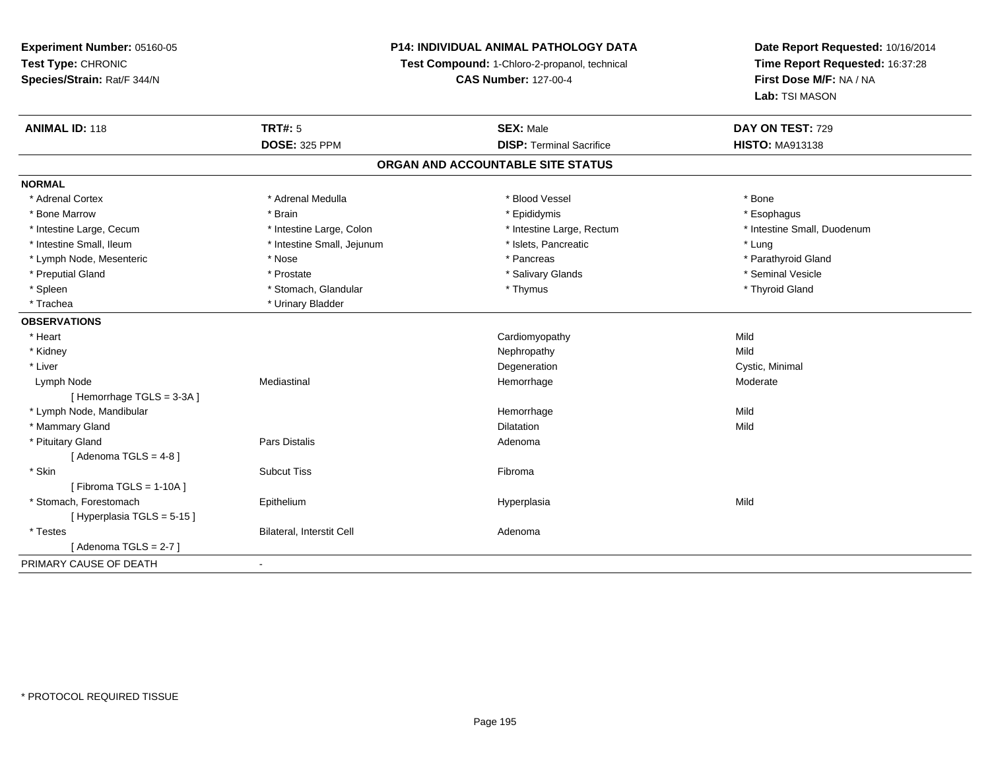## **P14: INDIVIDUAL ANIMAL PATHOLOGY DATA**

**Test Compound:** 1-Chloro-2-propanol, technical

**CAS Number:** 127-00-4

| <b>ANIMAL ID: 118</b>     | <b>TRT#: 5</b>             | <b>SEX: Male</b>                  | DAY ON TEST: 729            |  |
|---------------------------|----------------------------|-----------------------------------|-----------------------------|--|
|                           | <b>DOSE: 325 PPM</b>       | <b>DISP: Terminal Sacrifice</b>   | <b>HISTO: MA913138</b>      |  |
|                           |                            | ORGAN AND ACCOUNTABLE SITE STATUS |                             |  |
| <b>NORMAL</b>             |                            |                                   |                             |  |
| * Adrenal Cortex          | * Adrenal Medulla          | * Blood Vessel                    | * Bone                      |  |
| * Bone Marrow             | * Brain                    | * Epididymis                      | * Esophagus                 |  |
| * Intestine Large, Cecum  | * Intestine Large, Colon   | * Intestine Large, Rectum         | * Intestine Small, Duodenum |  |
| * Intestine Small, Ileum  | * Intestine Small, Jejunum | * Islets, Pancreatic              | * Lung                      |  |
| * Lymph Node, Mesenteric  | * Nose                     | * Pancreas                        | * Parathyroid Gland         |  |
| * Preputial Gland         | * Prostate                 | * Salivary Glands                 | * Seminal Vesicle           |  |
| * Spleen                  | * Stomach, Glandular       | * Thymus                          | * Thyroid Gland             |  |
| * Trachea                 | * Urinary Bladder          |                                   |                             |  |
| <b>OBSERVATIONS</b>       |                            |                                   |                             |  |
| * Heart                   |                            | Cardiomyopathy                    | Mild                        |  |
| * Kidney                  |                            | Nephropathy                       | Mild                        |  |
| * Liver                   |                            | Degeneration                      | Cystic, Minimal             |  |
| Lymph Node                | Mediastinal                | Hemorrhage                        | Moderate                    |  |
| [Hemorrhage TGLS = 3-3A]  |                            |                                   |                             |  |
| * Lymph Node, Mandibular  |                            | Hemorrhage                        | Mild                        |  |
| * Mammary Gland           |                            | <b>Dilatation</b>                 | Mild                        |  |
| * Pituitary Gland         | Pars Distalis              | Adenoma                           |                             |  |
| [Adenoma TGLS = $4-8$ ]   |                            |                                   |                             |  |
| * Skin                    | <b>Subcut Tiss</b>         | Fibroma                           |                             |  |
| [Fibroma TGLS = $1-10A$ ] |                            |                                   |                             |  |
| * Stomach, Forestomach    | Epithelium                 | Hyperplasia                       | Mild                        |  |
| [Hyperplasia TGLS = 5-15] |                            |                                   |                             |  |
| * Testes                  | Bilateral, Interstit Cell  | Adenoma                           |                             |  |
| [Adenoma TGLS = $2-7$ ]   |                            |                                   |                             |  |
| PRIMARY CAUSE OF DEATH    | $\blacksquare$             |                                   |                             |  |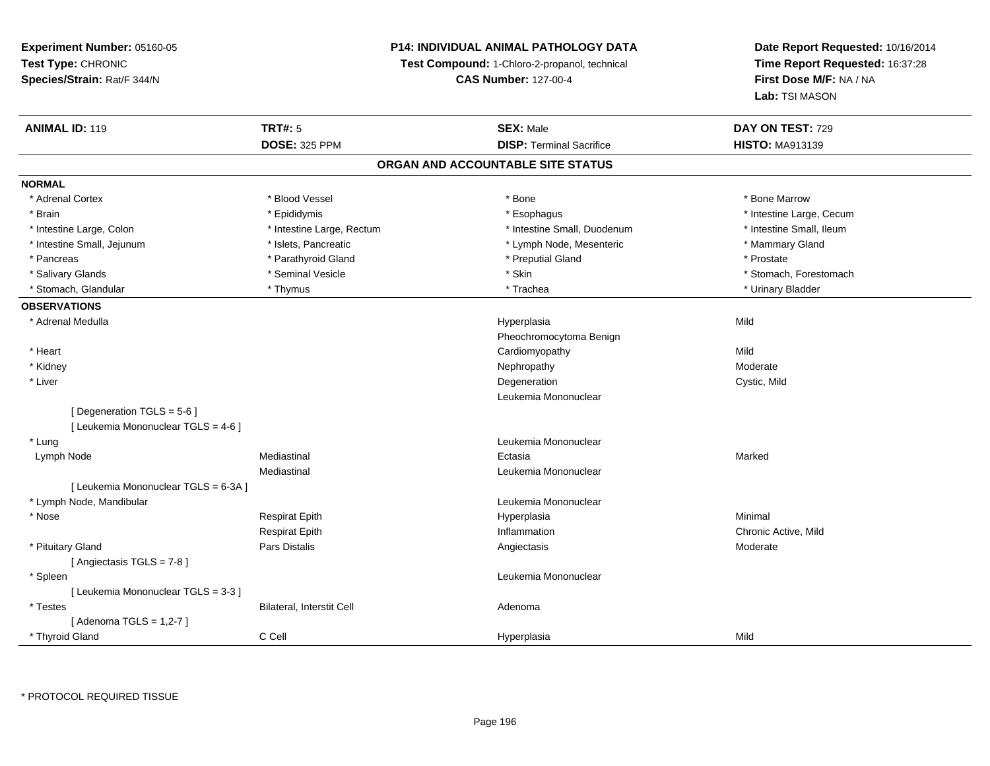## **P14: INDIVIDUAL ANIMAL PATHOLOGY DATA**

**Test Compound:** 1-Chloro-2-propanol, technical

**CAS Number:** 127-00-4

| <b>DOSE: 325 PPM</b><br><b>DISP: Terminal Sacrifice</b><br><b>HISTO: MA913139</b><br>ORGAN AND ACCOUNTABLE SITE STATUS<br><b>NORMAL</b><br>* Adrenal Cortex<br>* Blood Vessel<br>* Bone<br>* Bone Marrow<br>* Brain<br>* Epididymis<br>* Esophagus<br>* Intestine Large, Cecum<br>* Intestine Small, Duodenum<br>* Intestine Small, Ileum<br>* Intestine Large, Colon<br>* Intestine Large, Rectum<br>* Intestine Small, Jejunum<br>* Islets, Pancreatic<br>* Lymph Node, Mesenteric<br>* Mammary Gland<br>* Parathyroid Gland<br>* Preputial Gland<br>* Prostate<br>* Pancreas<br>* Seminal Vesicle<br>* Skin<br>* Salivary Glands<br>* Stomach, Forestomach<br>* Stomach, Glandular<br>* Thymus<br>* Trachea<br>* Urinary Bladder<br><b>OBSERVATIONS</b><br>* Adrenal Medulla<br>Mild<br>Hyperplasia<br>Pheochromocytoma Benign<br>* Heart<br>Cardiomyopathy<br>Mild<br>Nephropathy<br>* Kidney<br>Moderate<br>* Liver<br>Degeneration<br>Cystic, Mild<br>Leukemia Mononuclear<br>[Degeneration TGLS = 5-6]<br>[ Leukemia Mononuclear TGLS = 4-6 ]<br>* Lung<br>Leukemia Mononuclear<br>Mediastinal<br>Ectasia<br>Marked<br>Lymph Node<br>Mediastinal<br>Leukemia Mononuclear<br>[ Leukemia Mononuclear TGLS = 6-3A ]<br>* Lymph Node, Mandibular<br>Leukemia Mononuclear<br>* Nose<br><b>Respirat Epith</b><br>Minimal<br>Hyperplasia<br><b>Respirat Epith</b><br>Inflammation<br>Chronic Active, Mild<br>* Pituitary Gland<br>Pars Distalis<br>Moderate<br>Angiectasis<br>[Angiectasis TGLS = 7-8]<br>* Spleen<br>Leukemia Mononuclear<br>[ Leukemia Mononuclear TGLS = 3-3 ]<br>* Testes<br>Bilateral, Interstit Cell<br>Adenoma<br>[Adenoma TGLS = $1,2-7$ ]<br>C Cell<br>Mild<br>* Thyroid Gland<br>Hyperplasia | <b>ANIMAL ID: 119</b> | <b>TRT#: 5</b> | <b>SEX: Male</b> | DAY ON TEST: 729 |
|------------------------------------------------------------------------------------------------------------------------------------------------------------------------------------------------------------------------------------------------------------------------------------------------------------------------------------------------------------------------------------------------------------------------------------------------------------------------------------------------------------------------------------------------------------------------------------------------------------------------------------------------------------------------------------------------------------------------------------------------------------------------------------------------------------------------------------------------------------------------------------------------------------------------------------------------------------------------------------------------------------------------------------------------------------------------------------------------------------------------------------------------------------------------------------------------------------------------------------------------------------------------------------------------------------------------------------------------------------------------------------------------------------------------------------------------------------------------------------------------------------------------------------------------------------------------------------------------------------------------------------------------------------------------------------------------------------------------|-----------------------|----------------|------------------|------------------|
|                                                                                                                                                                                                                                                                                                                                                                                                                                                                                                                                                                                                                                                                                                                                                                                                                                                                                                                                                                                                                                                                                                                                                                                                                                                                                                                                                                                                                                                                                                                                                                                                                                                                                                                        |                       |                |                  |                  |
|                                                                                                                                                                                                                                                                                                                                                                                                                                                                                                                                                                                                                                                                                                                                                                                                                                                                                                                                                                                                                                                                                                                                                                                                                                                                                                                                                                                                                                                                                                                                                                                                                                                                                                                        |                       |                |                  |                  |
|                                                                                                                                                                                                                                                                                                                                                                                                                                                                                                                                                                                                                                                                                                                                                                                                                                                                                                                                                                                                                                                                                                                                                                                                                                                                                                                                                                                                                                                                                                                                                                                                                                                                                                                        |                       |                |                  |                  |
|                                                                                                                                                                                                                                                                                                                                                                                                                                                                                                                                                                                                                                                                                                                                                                                                                                                                                                                                                                                                                                                                                                                                                                                                                                                                                                                                                                                                                                                                                                                                                                                                                                                                                                                        |                       |                |                  |                  |
|                                                                                                                                                                                                                                                                                                                                                                                                                                                                                                                                                                                                                                                                                                                                                                                                                                                                                                                                                                                                                                                                                                                                                                                                                                                                                                                                                                                                                                                                                                                                                                                                                                                                                                                        |                       |                |                  |                  |
|                                                                                                                                                                                                                                                                                                                                                                                                                                                                                                                                                                                                                                                                                                                                                                                                                                                                                                                                                                                                                                                                                                                                                                                                                                                                                                                                                                                                                                                                                                                                                                                                                                                                                                                        |                       |                |                  |                  |
|                                                                                                                                                                                                                                                                                                                                                                                                                                                                                                                                                                                                                                                                                                                                                                                                                                                                                                                                                                                                                                                                                                                                                                                                                                                                                                                                                                                                                                                                                                                                                                                                                                                                                                                        |                       |                |                  |                  |
|                                                                                                                                                                                                                                                                                                                                                                                                                                                                                                                                                                                                                                                                                                                                                                                                                                                                                                                                                                                                                                                                                                                                                                                                                                                                                                                                                                                                                                                                                                                                                                                                                                                                                                                        |                       |                |                  |                  |
|                                                                                                                                                                                                                                                                                                                                                                                                                                                                                                                                                                                                                                                                                                                                                                                                                                                                                                                                                                                                                                                                                                                                                                                                                                                                                                                                                                                                                                                                                                                                                                                                                                                                                                                        |                       |                |                  |                  |
|                                                                                                                                                                                                                                                                                                                                                                                                                                                                                                                                                                                                                                                                                                                                                                                                                                                                                                                                                                                                                                                                                                                                                                                                                                                                                                                                                                                                                                                                                                                                                                                                                                                                                                                        |                       |                |                  |                  |
|                                                                                                                                                                                                                                                                                                                                                                                                                                                                                                                                                                                                                                                                                                                                                                                                                                                                                                                                                                                                                                                                                                                                                                                                                                                                                                                                                                                                                                                                                                                                                                                                                                                                                                                        |                       |                |                  |                  |
|                                                                                                                                                                                                                                                                                                                                                                                                                                                                                                                                                                                                                                                                                                                                                                                                                                                                                                                                                                                                                                                                                                                                                                                                                                                                                                                                                                                                                                                                                                                                                                                                                                                                                                                        |                       |                |                  |                  |
|                                                                                                                                                                                                                                                                                                                                                                                                                                                                                                                                                                                                                                                                                                                                                                                                                                                                                                                                                                                                                                                                                                                                                                                                                                                                                                                                                                                                                                                                                                                                                                                                                                                                                                                        |                       |                |                  |                  |
|                                                                                                                                                                                                                                                                                                                                                                                                                                                                                                                                                                                                                                                                                                                                                                                                                                                                                                                                                                                                                                                                                                                                                                                                                                                                                                                                                                                                                                                                                                                                                                                                                                                                                                                        |                       |                |                  |                  |
|                                                                                                                                                                                                                                                                                                                                                                                                                                                                                                                                                                                                                                                                                                                                                                                                                                                                                                                                                                                                                                                                                                                                                                                                                                                                                                                                                                                                                                                                                                                                                                                                                                                                                                                        |                       |                |                  |                  |
|                                                                                                                                                                                                                                                                                                                                                                                                                                                                                                                                                                                                                                                                                                                                                                                                                                                                                                                                                                                                                                                                                                                                                                                                                                                                                                                                                                                                                                                                                                                                                                                                                                                                                                                        |                       |                |                  |                  |
|                                                                                                                                                                                                                                                                                                                                                                                                                                                                                                                                                                                                                                                                                                                                                                                                                                                                                                                                                                                                                                                                                                                                                                                                                                                                                                                                                                                                                                                                                                                                                                                                                                                                                                                        |                       |                |                  |                  |
|                                                                                                                                                                                                                                                                                                                                                                                                                                                                                                                                                                                                                                                                                                                                                                                                                                                                                                                                                                                                                                                                                                                                                                                                                                                                                                                                                                                                                                                                                                                                                                                                                                                                                                                        |                       |                |                  |                  |
|                                                                                                                                                                                                                                                                                                                                                                                                                                                                                                                                                                                                                                                                                                                                                                                                                                                                                                                                                                                                                                                                                                                                                                                                                                                                                                                                                                                                                                                                                                                                                                                                                                                                                                                        |                       |                |                  |                  |
|                                                                                                                                                                                                                                                                                                                                                                                                                                                                                                                                                                                                                                                                                                                                                                                                                                                                                                                                                                                                                                                                                                                                                                                                                                                                                                                                                                                                                                                                                                                                                                                                                                                                                                                        |                       |                |                  |                  |
|                                                                                                                                                                                                                                                                                                                                                                                                                                                                                                                                                                                                                                                                                                                                                                                                                                                                                                                                                                                                                                                                                                                                                                                                                                                                                                                                                                                                                                                                                                                                                                                                                                                                                                                        |                       |                |                  |                  |
|                                                                                                                                                                                                                                                                                                                                                                                                                                                                                                                                                                                                                                                                                                                                                                                                                                                                                                                                                                                                                                                                                                                                                                                                                                                                                                                                                                                                                                                                                                                                                                                                                                                                                                                        |                       |                |                  |                  |
|                                                                                                                                                                                                                                                                                                                                                                                                                                                                                                                                                                                                                                                                                                                                                                                                                                                                                                                                                                                                                                                                                                                                                                                                                                                                                                                                                                                                                                                                                                                                                                                                                                                                                                                        |                       |                |                  |                  |
|                                                                                                                                                                                                                                                                                                                                                                                                                                                                                                                                                                                                                                                                                                                                                                                                                                                                                                                                                                                                                                                                                                                                                                                                                                                                                                                                                                                                                                                                                                                                                                                                                                                                                                                        |                       |                |                  |                  |
|                                                                                                                                                                                                                                                                                                                                                                                                                                                                                                                                                                                                                                                                                                                                                                                                                                                                                                                                                                                                                                                                                                                                                                                                                                                                                                                                                                                                                                                                                                                                                                                                                                                                                                                        |                       |                |                  |                  |
|                                                                                                                                                                                                                                                                                                                                                                                                                                                                                                                                                                                                                                                                                                                                                                                                                                                                                                                                                                                                                                                                                                                                                                                                                                                                                                                                                                                                                                                                                                                                                                                                                                                                                                                        |                       |                |                  |                  |
|                                                                                                                                                                                                                                                                                                                                                                                                                                                                                                                                                                                                                                                                                                                                                                                                                                                                                                                                                                                                                                                                                                                                                                                                                                                                                                                                                                                                                                                                                                                                                                                                                                                                                                                        |                       |                |                  |                  |
|                                                                                                                                                                                                                                                                                                                                                                                                                                                                                                                                                                                                                                                                                                                                                                                                                                                                                                                                                                                                                                                                                                                                                                                                                                                                                                                                                                                                                                                                                                                                                                                                                                                                                                                        |                       |                |                  |                  |
|                                                                                                                                                                                                                                                                                                                                                                                                                                                                                                                                                                                                                                                                                                                                                                                                                                                                                                                                                                                                                                                                                                                                                                                                                                                                                                                                                                                                                                                                                                                                                                                                                                                                                                                        |                       |                |                  |                  |
|                                                                                                                                                                                                                                                                                                                                                                                                                                                                                                                                                                                                                                                                                                                                                                                                                                                                                                                                                                                                                                                                                                                                                                                                                                                                                                                                                                                                                                                                                                                                                                                                                                                                                                                        |                       |                |                  |                  |
|                                                                                                                                                                                                                                                                                                                                                                                                                                                                                                                                                                                                                                                                                                                                                                                                                                                                                                                                                                                                                                                                                                                                                                                                                                                                                                                                                                                                                                                                                                                                                                                                                                                                                                                        |                       |                |                  |                  |
|                                                                                                                                                                                                                                                                                                                                                                                                                                                                                                                                                                                                                                                                                                                                                                                                                                                                                                                                                                                                                                                                                                                                                                                                                                                                                                                                                                                                                                                                                                                                                                                                                                                                                                                        |                       |                |                  |                  |
|                                                                                                                                                                                                                                                                                                                                                                                                                                                                                                                                                                                                                                                                                                                                                                                                                                                                                                                                                                                                                                                                                                                                                                                                                                                                                                                                                                                                                                                                                                                                                                                                                                                                                                                        |                       |                |                  |                  |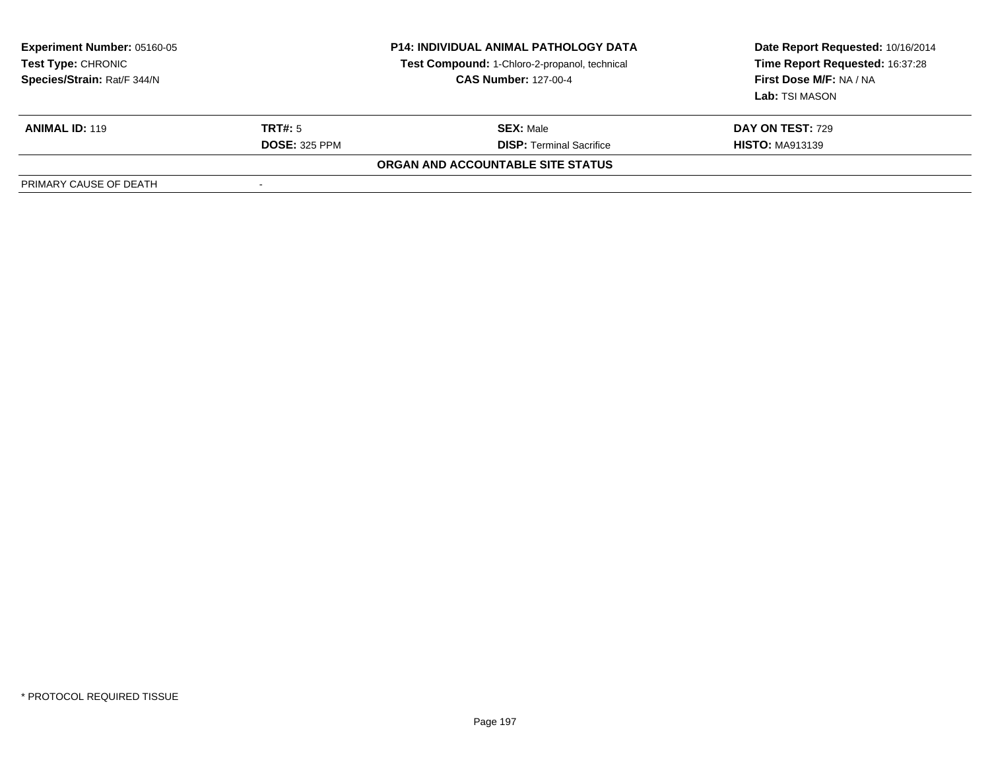| <b>Experiment Number: 05160-05</b><br><b>Test Type: CHRONIC</b><br>Species/Strain: Rat/F 344/N |                      | <b>P14: INDIVIDUAL ANIMAL PATHOLOGY DATA</b><br>Test Compound: 1-Chloro-2-propanol, technical<br><b>CAS Number: 127-00-4</b> | Date Report Requested: 10/16/2014<br>Time Report Requested: 16:37:28<br>First Dose M/F: NA / NA<br>Lab: TSI MASON |
|------------------------------------------------------------------------------------------------|----------------------|------------------------------------------------------------------------------------------------------------------------------|-------------------------------------------------------------------------------------------------------------------|
| <b>ANIMAL ID: 119</b>                                                                          | TRT#: 5              | <b>SEX: Male</b>                                                                                                             | <b>DAY ON TEST: 729</b>                                                                                           |
|                                                                                                | <b>DOSE: 325 PPM</b> | <b>DISP: Terminal Sacrifice</b>                                                                                              | <b>HISTO: MA913139</b>                                                                                            |
|                                                                                                |                      | ORGAN AND ACCOUNTABLE SITE STATUS                                                                                            |                                                                                                                   |
| PRIMARY CAUSE OF DEATH                                                                         |                      |                                                                                                                              |                                                                                                                   |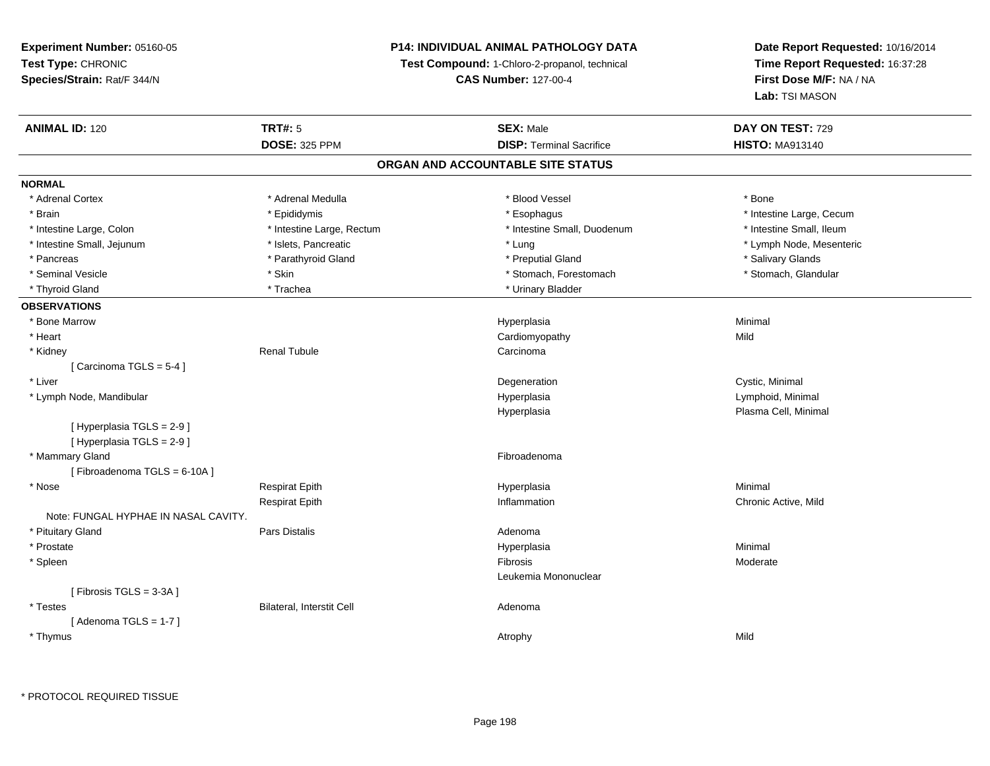## **P14: INDIVIDUAL ANIMAL PATHOLOGY DATA**

**Test Compound:** 1-Chloro-2-propanol, technical

**CAS Number:** 127-00-4

| <b>ANIMAL ID: 120</b>                | <b>TRT#: 5</b>            | <b>SEX: Male</b>                  | DAY ON TEST: 729         |
|--------------------------------------|---------------------------|-----------------------------------|--------------------------|
|                                      | <b>DOSE: 325 PPM</b>      | <b>DISP: Terminal Sacrifice</b>   | <b>HISTO: MA913140</b>   |
|                                      |                           | ORGAN AND ACCOUNTABLE SITE STATUS |                          |
| <b>NORMAL</b>                        |                           |                                   |                          |
| * Adrenal Cortex                     | * Adrenal Medulla         | * Blood Vessel                    | * Bone                   |
| * Brain                              | * Epididymis              | * Esophagus                       | * Intestine Large, Cecum |
| * Intestine Large, Colon             | * Intestine Large, Rectum | * Intestine Small, Duodenum       | * Intestine Small, Ileum |
| * Intestine Small, Jejunum           | * Islets, Pancreatic      | * Lung                            | * Lymph Node, Mesenteric |
| * Pancreas                           | * Parathyroid Gland       | * Preputial Gland                 | * Salivary Glands        |
| * Seminal Vesicle                    | * Skin                    | * Stomach, Forestomach            | * Stomach, Glandular     |
| * Thyroid Gland                      | * Trachea                 | * Urinary Bladder                 |                          |
| <b>OBSERVATIONS</b>                  |                           |                                   |                          |
| * Bone Marrow                        |                           | Hyperplasia                       | Minimal                  |
| * Heart                              |                           | Cardiomyopathy                    | Mild                     |
| * Kidney                             | <b>Renal Tubule</b>       | Carcinoma                         |                          |
| [Carcinoma TGLS = $5-4$ ]            |                           |                                   |                          |
| * Liver                              |                           | Degeneration                      | Cystic, Minimal          |
| * Lymph Node, Mandibular             |                           | Hyperplasia                       | Lymphoid, Minimal        |
|                                      |                           | Hyperplasia                       | Plasma Cell, Minimal     |
| [ Hyperplasia TGLS = 2-9 ]           |                           |                                   |                          |
| [ Hyperplasia TGLS = 2-9 ]           |                           |                                   |                          |
| * Mammary Gland                      |                           | Fibroadenoma                      |                          |
| [Fibroadenoma TGLS = 6-10A]          |                           |                                   |                          |
| * Nose                               | <b>Respirat Epith</b>     | Hyperplasia                       | Minimal                  |
|                                      | <b>Respirat Epith</b>     | Inflammation                      | Chronic Active, Mild     |
| Note: FUNGAL HYPHAE IN NASAL CAVITY. |                           |                                   |                          |
| * Pituitary Gland                    | <b>Pars Distalis</b>      | Adenoma                           |                          |
| * Prostate                           |                           | Hyperplasia                       | Minimal                  |
| * Spleen                             |                           | Fibrosis                          | Moderate                 |
|                                      |                           | Leukemia Mononuclear              |                          |
| [Fibrosis TGLS = 3-3A]               |                           |                                   |                          |
| * Testes                             | Bilateral, Interstit Cell | Adenoma                           |                          |
| [Adenoma TGLS = $1-7$ ]              |                           |                                   |                          |
| * Thymus                             |                           | Atrophy                           | Mild                     |
|                                      |                           |                                   |                          |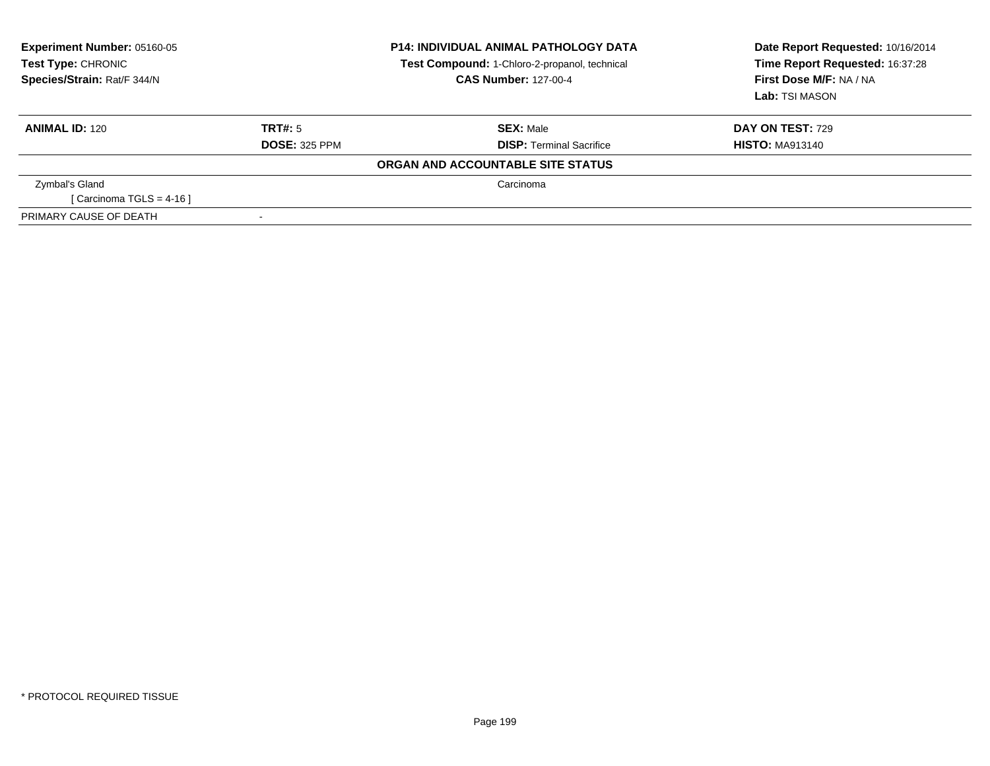| <b>Experiment Number: 05160-05</b><br>Test Type: CHRONIC<br>Species/Strain: Rat/F 344/N | <b>P14: INDIVIDUAL ANIMAL PATHOLOGY DATA</b><br>Test Compound: 1-Chloro-2-propanol, technical<br><b>CAS Number: 127-00-4</b> |                                   | Date Report Requested: 10/16/2014<br>Time Report Requested: 16:37:28<br>First Dose M/F: NA / NA<br>Lab: TSI MASON |
|-----------------------------------------------------------------------------------------|------------------------------------------------------------------------------------------------------------------------------|-----------------------------------|-------------------------------------------------------------------------------------------------------------------|
| <b>ANIMAL ID: 120</b>                                                                   | TRT#: 5                                                                                                                      | <b>SEX: Male</b>                  | <b>DAY ON TEST: 729</b>                                                                                           |
|                                                                                         | <b>DOSE: 325 PPM</b>                                                                                                         | <b>DISP: Terminal Sacrifice</b>   | <b>HISTO: MA913140</b>                                                                                            |
|                                                                                         |                                                                                                                              | ORGAN AND ACCOUNTABLE SITE STATUS |                                                                                                                   |
| Zymbal's Gland                                                                          |                                                                                                                              | Carcinoma                         |                                                                                                                   |
| [Carcinoma TGLS = 4-16]                                                                 |                                                                                                                              |                                   |                                                                                                                   |
| PRIMARY CAUSE OF DEATH                                                                  |                                                                                                                              |                                   |                                                                                                                   |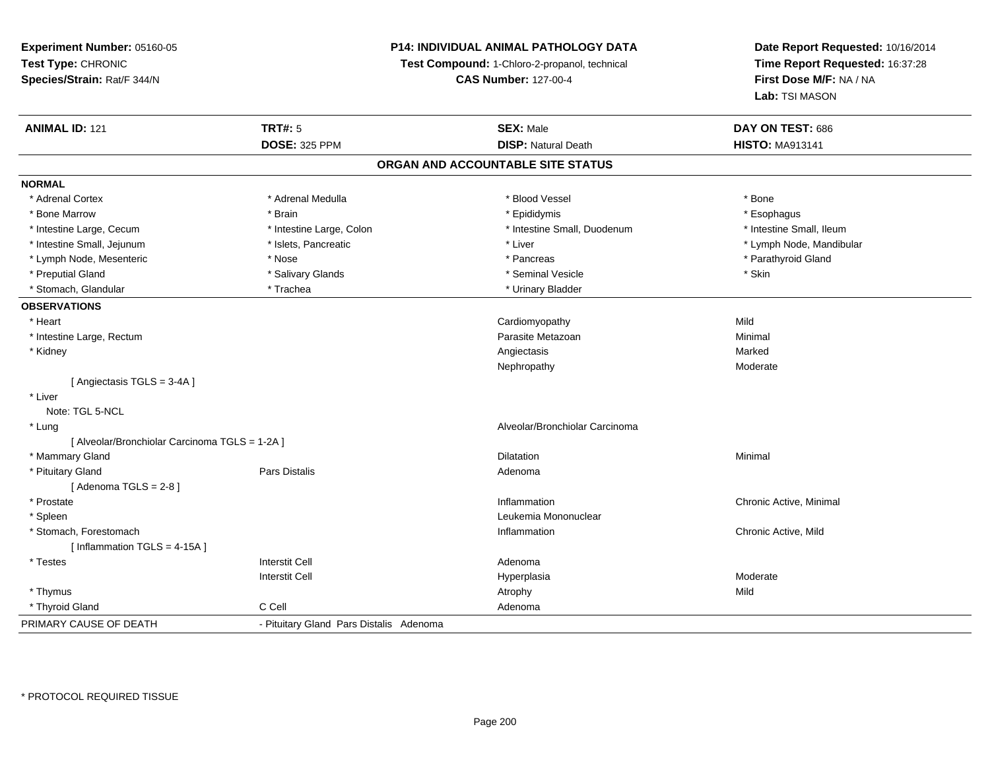## **P14: INDIVIDUAL ANIMAL PATHOLOGY DATA**

**Test Compound:** 1-Chloro-2-propanol, technical

**CAS Number:** 127-00-4

| <b>ANIMAL ID: 121</b>                          | <b>TRT#: 5</b>                          | <b>SEX: Male</b>                  | DAY ON TEST: 686         |  |
|------------------------------------------------|-----------------------------------------|-----------------------------------|--------------------------|--|
|                                                | <b>DOSE: 325 PPM</b>                    | <b>DISP: Natural Death</b>        | <b>HISTO: MA913141</b>   |  |
|                                                |                                         | ORGAN AND ACCOUNTABLE SITE STATUS |                          |  |
| <b>NORMAL</b>                                  |                                         |                                   |                          |  |
| * Adrenal Cortex                               | * Adrenal Medulla                       | * Blood Vessel                    | * Bone                   |  |
| * Bone Marrow                                  | * Brain                                 | * Epididymis                      | * Esophagus              |  |
| * Intestine Large, Cecum                       | * Intestine Large, Colon                | * Intestine Small, Duodenum       | * Intestine Small, Ileum |  |
| * Intestine Small, Jejunum                     | * Islets, Pancreatic                    | * Liver                           | * Lymph Node, Mandibular |  |
| * Lymph Node, Mesenteric                       | * Nose                                  | * Pancreas                        | * Parathyroid Gland      |  |
| * Preputial Gland                              | * Salivary Glands                       | * Seminal Vesicle                 | * Skin                   |  |
| * Stomach, Glandular                           | * Trachea                               | * Urinary Bladder                 |                          |  |
| <b>OBSERVATIONS</b>                            |                                         |                                   |                          |  |
| * Heart                                        |                                         | Cardiomyopathy                    | Mild                     |  |
| * Intestine Large, Rectum                      |                                         | Parasite Metazoan                 | Minimal                  |  |
| * Kidney                                       |                                         | Angiectasis                       | Marked                   |  |
|                                                |                                         | Nephropathy                       | Moderate                 |  |
| [Angiectasis TGLS = 3-4A]                      |                                         |                                   |                          |  |
| * Liver                                        |                                         |                                   |                          |  |
| Note: TGL 5-NCL                                |                                         |                                   |                          |  |
| * Lung                                         |                                         | Alveolar/Bronchiolar Carcinoma    |                          |  |
| [ Alveolar/Bronchiolar Carcinoma TGLS = 1-2A ] |                                         |                                   |                          |  |
| * Mammary Gland                                |                                         | Dilatation                        | Minimal                  |  |
| * Pituitary Gland                              | Pars Distalis                           | Adenoma                           |                          |  |
| [Adenoma TGLS = $2-8$ ]                        |                                         |                                   |                          |  |
| * Prostate                                     |                                         | Inflammation                      | Chronic Active, Minimal  |  |
| * Spleen                                       |                                         | Leukemia Mononuclear              |                          |  |
| * Stomach, Forestomach                         |                                         | Inflammation                      | Chronic Active, Mild     |  |
| [Inflammation $TGLS = 4-15A$ ]                 |                                         |                                   |                          |  |
| * Testes                                       | <b>Interstit Cell</b>                   | Adenoma                           |                          |  |
|                                                | <b>Interstit Cell</b>                   | Hyperplasia                       | Moderate                 |  |
| * Thymus                                       |                                         | Atrophy                           | Mild                     |  |
| * Thyroid Gland                                | C Cell                                  | Adenoma                           |                          |  |
| PRIMARY CAUSE OF DEATH                         | - Pituitary Gland Pars Distalis Adenoma |                                   |                          |  |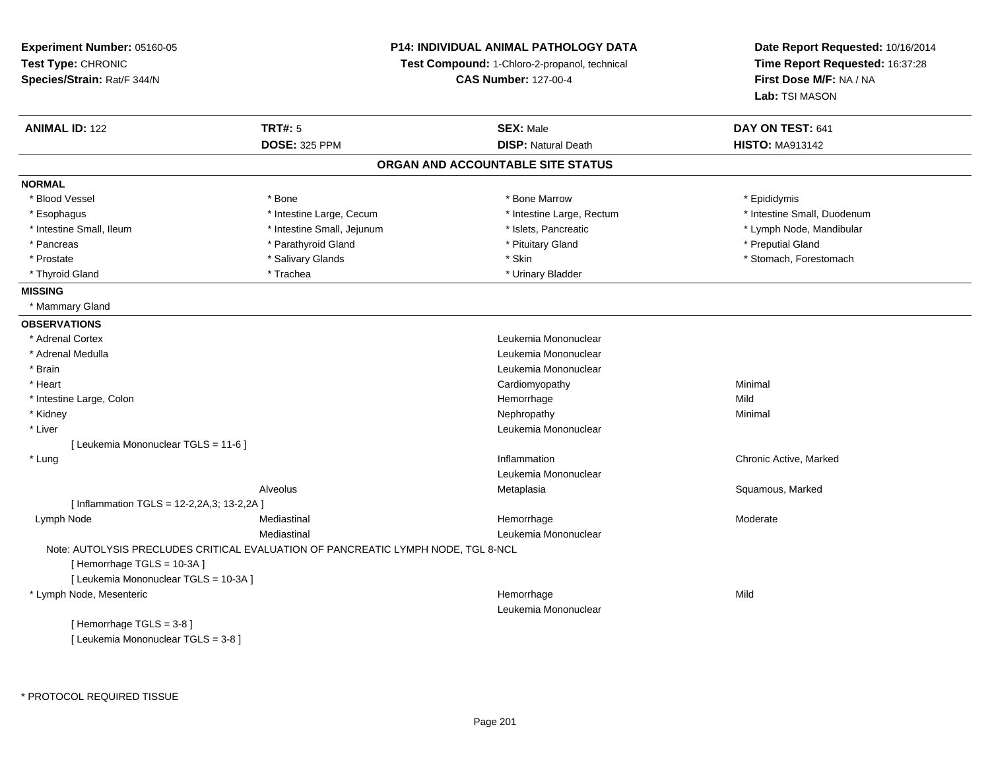**Experiment Number:** 05160-05**Test Type:** CHRONIC **Species/Strain:** Rat/F 344/N**P14: INDIVIDUAL ANIMAL PATHOLOGY DATATest Compound:** 1-Chloro-2-propanol, technical **CAS Number:** 127-00-4**Date Report Requested:** 10/16/2014**Time Report Requested:** 16:37:28**First Dose M/F:** NA / NA**Lab:** TSI MASON**ANIMAL ID:** 122 **TRT#:** <sup>5</sup> **SEX:** Male **DAY ON TEST:** <sup>641</sup> **DOSE:** 325 PPM**DISP:** Natural Death **HISTO:** MA913142 **ORGAN AND ACCOUNTABLE SITE STATUSNORMAL**\* Blood Vessel \* Blood Vessel \* \* Annume \* Bone \* \* Bone \* \* Bone \* \* Bone Marrow \* \* Bone Marrow \* \* Epididymis \* Epididymis \* Esophagus \* Thestine Large, Cecum \* 11testine Large, Thestine Large, Rectum \* Intestine Small, Duodenum \* Intestine Small, Duodenum \* Intestine Small, Ileum \* \* Thestine Small, Jejunum \* \* Sets, Pancreatic \* \* Thestine Small, Nejunum \* Lymph Node, Mandibular \* Pancreas \* \* Parathyroid Gland \* \* Parathyroid Gland \* \* Pituitary Gland \* \* Preputial Gland \* \* Preputial Gland \* Prostate \* The structure \* Salivary Glands \* Skin \* Skin \* Stomach, Forestomach \* Stomach, Forestomach \* Stomach, Forestomach \* Thyroid Gland \* Trachea \* Trachea \* Trachea \* Urinary Bladder **MISSING** \* Mammary Gland**OBSERVATIONS** \* Adrenal Cortex Leukemia Mononuclear \* Adrenal Medulla Leukemia Mononuclear \* Brain Leukemia Mononuclear \* Heart Cardiomyopathy Minimal \* Intestine Large, Colonn and the state of the state of the state of the Hemorrhage and the state of the Mild state of the Mild state o \* Kidneyy the control of the control of the control of the control of the control of the control of the control of the control of the control of the control of the control of the control of the control of the control of the contro \* Liver Leukemia Mononuclear [ Leukemia Mononuclear TGLS = 11-6 ] \* Lung Inflammation Chronic Active, Marked Leukemia MononuclearAlveolus Metaplasia Squamous, Marked [ Inflammation TGLS = 12-2,2A,3; 13-2,2A ] Lymph Node Mediastinal Hemorrhage Moderate Mediastinal Leukemia MononuclearNote: AUTOLYSIS PRECLUDES CRITICAL EVALUATION OF PANCREATIC LYMPH NODE, TGL 8-NCL[ Hemorrhage TGLS = 10-3A ][ Leukemia Mononuclear TGLS = 10-3A ] \* Lymph Node, Mesentericc **Example 2018 Hemorrhage** e Mild Leukemia Mononuclear[ Hemorrhage TGLS = 3-8 ][ Leukemia Mononuclear TGLS = 3-8 ]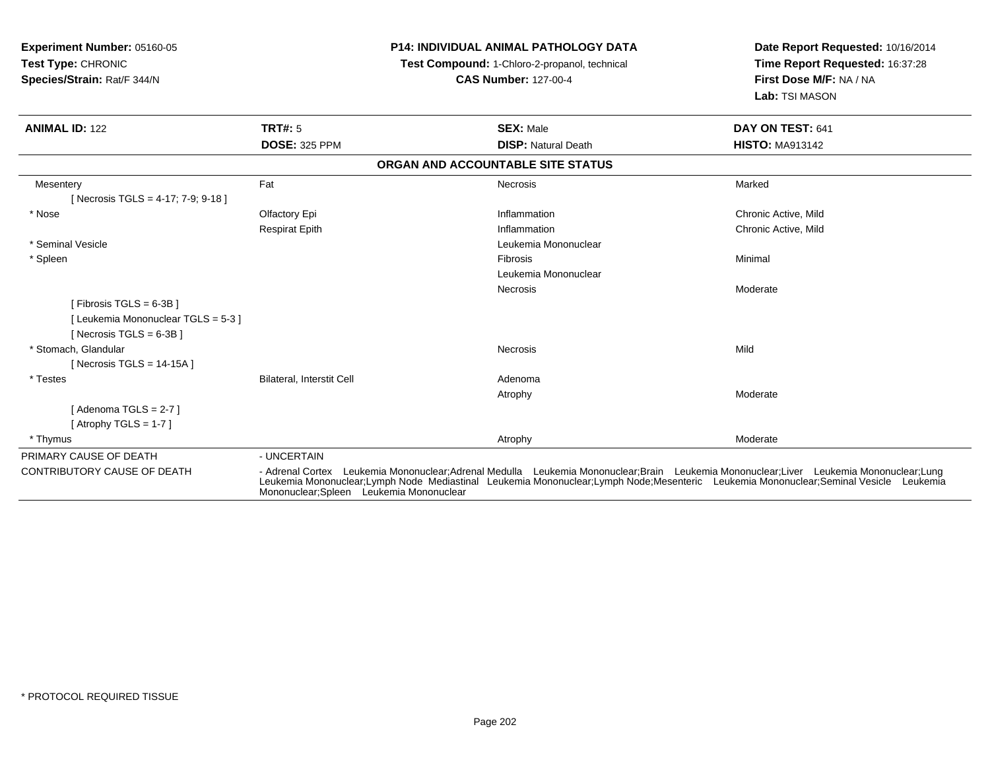| <b>Experiment Number: 05160-05</b><br>Test Type: CHRONIC<br>Species/Strain: Rat/F 344/N       |                                          | <b>P14: INDIVIDUAL ANIMAL PATHOLOGY DATA</b><br>Test Compound: 1-Chloro-2-propanol, technical<br><b>CAS Number: 127-00-4</b>                                                                                                                                                  | Date Report Requested: 10/16/2014<br>Time Report Requested: 16:37:28<br>First Dose M/F: NA / NA<br>Lab: TSI MASON |
|-----------------------------------------------------------------------------------------------|------------------------------------------|-------------------------------------------------------------------------------------------------------------------------------------------------------------------------------------------------------------------------------------------------------------------------------|-------------------------------------------------------------------------------------------------------------------|
| <b>ANIMAL ID: 122</b>                                                                         | <b>TRT#: 5</b>                           | <b>SEX: Male</b>                                                                                                                                                                                                                                                              | DAY ON TEST: 641                                                                                                  |
|                                                                                               | <b>DOSE: 325 PPM</b>                     | <b>DISP: Natural Death</b>                                                                                                                                                                                                                                                    | <b>HISTO: MA913142</b>                                                                                            |
|                                                                                               |                                          | ORGAN AND ACCOUNTABLE SITE STATUS                                                                                                                                                                                                                                             |                                                                                                                   |
| Mesentery<br>[Necrosis TGLS = 4-17; 7-9; 9-18]                                                | Fat                                      | Necrosis                                                                                                                                                                                                                                                                      | Marked                                                                                                            |
| * Nose                                                                                        | Olfactory Epi                            | Inflammation                                                                                                                                                                                                                                                                  | Chronic Active, Mild                                                                                              |
|                                                                                               | <b>Respirat Epith</b>                    | Inflammation                                                                                                                                                                                                                                                                  | Chronic Active, Mild                                                                                              |
| * Seminal Vesicle                                                                             |                                          | Leukemia Mononuclear                                                                                                                                                                                                                                                          |                                                                                                                   |
| * Spleen                                                                                      |                                          | Fibrosis                                                                                                                                                                                                                                                                      | Minimal                                                                                                           |
|                                                                                               |                                          | Leukemia Mononuclear                                                                                                                                                                                                                                                          |                                                                                                                   |
| [ Fibrosis TGLS = $6-3B$ ]<br>[Leukemia Mononuclear TGLS = 5-3]<br>[ Necrosis TGLS = $6-3B$ ] |                                          | Necrosis                                                                                                                                                                                                                                                                      | Moderate                                                                                                          |
| * Stomach, Glandular<br>[Necrosis TGLS = $14-15A$ ]                                           |                                          | Necrosis                                                                                                                                                                                                                                                                      | Mild                                                                                                              |
| * Testes                                                                                      | Bilateral, Interstit Cell                | Adenoma                                                                                                                                                                                                                                                                       |                                                                                                                   |
|                                                                                               |                                          | Atrophy                                                                                                                                                                                                                                                                       | Moderate                                                                                                          |
| [Adenoma TGLS = $2-7$ ]                                                                       |                                          |                                                                                                                                                                                                                                                                               |                                                                                                                   |
| [Atrophy TGLS = $1-7$ ]                                                                       |                                          |                                                                                                                                                                                                                                                                               |                                                                                                                   |
| * Thymus                                                                                      |                                          | Atrophy                                                                                                                                                                                                                                                                       | Moderate                                                                                                          |
| PRIMARY CAUSE OF DEATH                                                                        | - UNCERTAIN                              |                                                                                                                                                                                                                                                                               |                                                                                                                   |
| CONTRIBUTORY CAUSE OF DEATH                                                                   | Mononuclear; Spleen Leukemia Mononuclear | - Adrenal Cortex Leukemia Mononuclear:Adrenal Medulla Leukemia Mononuclear:Brain Leukemia Mononuclear:Liver Leukemia Mononuclear:Lung<br>Leukemia Mononuclear;Lymph Node Mediastinal Leukemia Mononuclear;Lymph Node;Mesenteric Leukemia Mononuclear;Seminal Vesicle Leukemia |                                                                                                                   |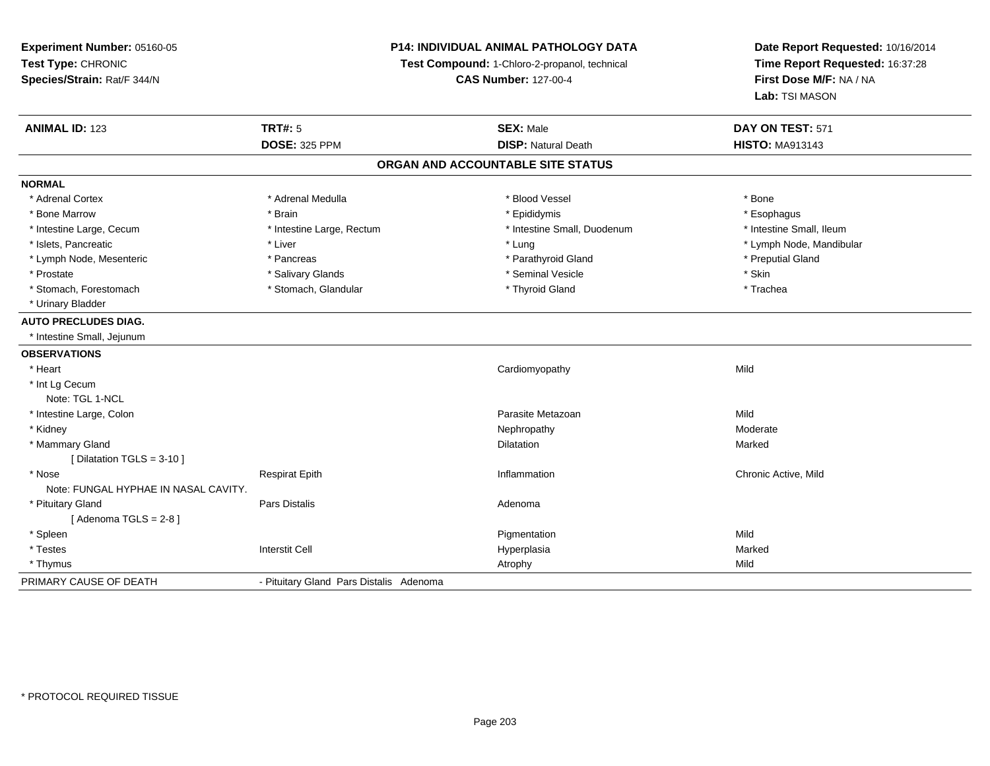**Experiment Number:** 05160-05**Test Type:** CHRONIC **Species/Strain:** Rat/F 344/N**P14: INDIVIDUAL ANIMAL PATHOLOGY DATATest Compound:** 1-Chloro-2-propanol, technical **CAS Number:** 127-00-4**Date Report Requested:** 10/16/2014**Time Report Requested:** 16:37:28**First Dose M/F:** NA / NA**Lab:** TSI MASON**ANIMAL ID:** 123**TRT#:** 5 **SEX:** Male **SEX:** Male **DAY ON TEST:** 571 **DOSE:** 325 PPM**DISP:** Natural Death **HISTO:** MA913143 **ORGAN AND ACCOUNTABLE SITE STATUSNORMAL**\* Adrenal Cortex \* Adrenal Cortex \* \* Adrenal Medulla \* \* Adrenal Medulla \* \* Blood Vessel \* \* Brood Vessel \* \* Bone \* Esophagus \* Bone Marrow \* Brain \* Epididymis \* Esophagus \* Intestine Small. Ileum \* Intestine Large, Cecum \* Intestine Large, Rectum \* Intestine Small, Duodenum \* Intestine Small, Duodenum \* Islets, Pancreatic \* Liver \* Lung \* Lymph Node, Mandibular \* Lymph Node, Mesenteric \* The parameter \* Pancreas \* Parathyroid Gland \* Parathyroid Gland \* \* Preputial Gland \* Prostate \* \* Salivary Glands \* \* Salivary Glands \* \* Seminal Vesicle \* \* \* Seminal Yestrich \* \* Skin \* \* Skin \* Trachea \* Stomach, Forestomach \* The metal \* Stomach, Glandular \* The \* Thyroid Gland \* Thyroid Gland \* Thyroid Gland \* Urinary Bladder**AUTO PRECLUDES DIAG.** \* Intestine Small, Jejunum**OBSERVATIONS** \* Heart Cardiomyopathyy Mild \* Int Lg Cecum Note: TGL 1-NCL \* Intestine Large, Colonn and a state of the control of the control of the control of the control of the control of the control of the control of the control of the control of the control of the control of the control of the control of the contro \* Kidneyy the controller that the controller temperature of  $\lambda$  . Nephropathy the controller temperature  $\lambda$  Moderate \* Mammary Glandd and the control of the control of the control of the control of the control of the control of the control of the control of the control of the control of the control of the control of the control of the control of the co [ Dilatation TGLS = 3-10 ] \* Nosee and the second of the series of the series of the control of the series of the series of the chronic Active, Mild Note: FUNGAL HYPHAE IN NASAL CAVITY. \* Pituitary Glandd and the set of Pars Distalis and the Second Adenomal Adenomal Second Second Pars Distallis  $[$  Adenoma TGLS = 2-8  $]$  \* Spleenn and the control of the control of the control of the control of the control of the control of the control of the control of the control of the control of the control of the control of the control of the control of the co \* Testess Interstit Cell Hyperplasia a **Marked**  \* Thymuss and the control of the control of the control of the control of the control of the control of the control of the control of the control of the control of the control of the control of the control of the control of the co PRIMARY CAUSE OF DEATH- Pituitary Gland Pars Distalis Adenoma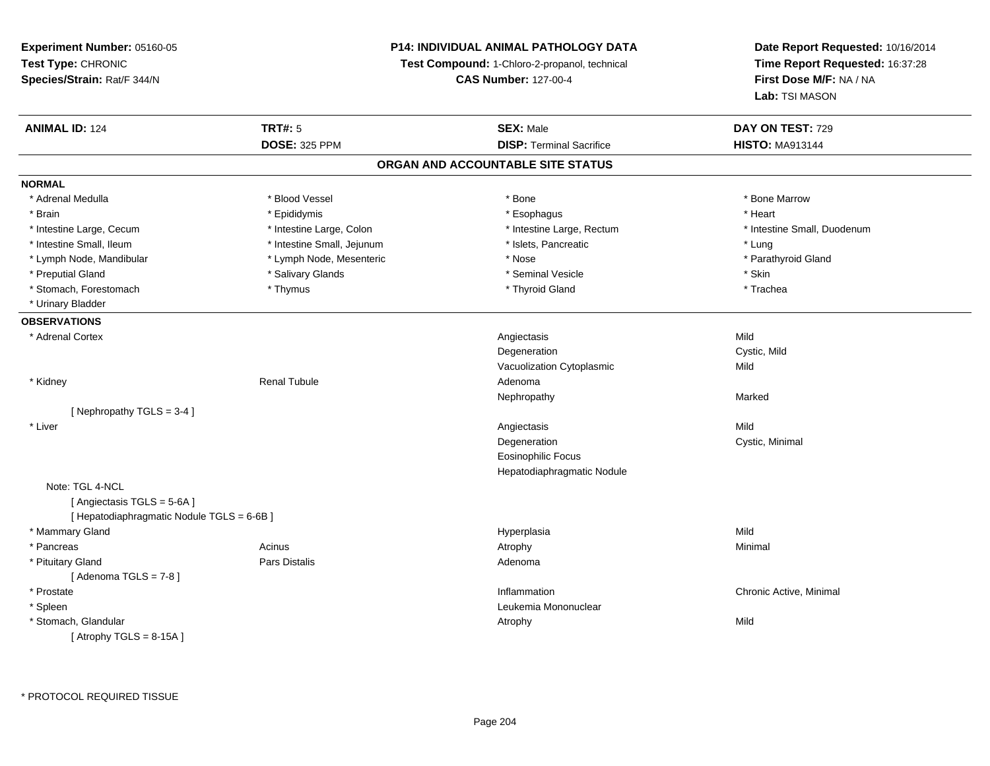**Experiment Number:** 05160-05**Test Type:** CHRONIC **Species/Strain:** Rat/F 344/N**P14: INDIVIDUAL ANIMAL PATHOLOGY DATATest Compound:** 1-Chloro-2-propanol, technical **CAS Number:** 127-00-4**Date Report Requested:** 10/16/2014**Time Report Requested:** 16:37:28**First Dose M/F:** NA / NA**Lab:** TSI MASON**ANIMAL ID:** 124**TRT#:** 5 **SEX:** Male **DAY ON TEST:** 729 **DOSE:** 325 PPM**DISP:** Terminal Sacrifice **HISTO:** MA913144 **ORGAN AND ACCOUNTABLE SITE STATUSNORMAL**\* Adrenal Medulla \* \* \* Blood Vessel \* \* \* Bone Marrow \* \* Bone Marrow \* \* Bone Marrow \* Brain \* \* Esophagus \* \* Esophagus \* \* Esophagus \* \* Esophagus \* \* Esophagus \* Heart \* Heart \* Heart \* Heart \* Intestine Large, Cecum \* Intestine Large, Colon \* Intestine Large, Rectum \* Intestine Small, Duodenum\* Intestine Small, Ileum \* https://www.fatheratic \* Lung \* Intestine Small, Jejunum \* Islets, Pancreatic \* Lung \* Lung \* Parathyroid Gland \* Lymph Node, Mandibular \* **Allen areas \* Lymph Node, Mesenteric** \* \* Nose \* Nose \* Nose \* Parathyroid \* Parathyroid Glanda \* Preputial Gland \* Salivary Glands \* Seminal Vesicle \* Skin\* Trachea \* Stomach, Forestomach \* Thymus \* Thymus \* Thymus \* Thymus \* Thyroid Gland \* Thyroid Gland \* Urinary Bladder**OBSERVATIONS** \* Adrenal Cortexx and the control of the control of the control of the control of the control of the control of the control of the control of the control of the control of the control of the control of the control of the control of the co n Cystic, Mild DegenerationVacuolization Cytoplasmicc Mild \* Kidney Renal Tubule Adenoma Nephropathyy and the contract of the Marked [ Nephropathy TGLS = 3-4 ] \* Liverr and the contract of the contract of the contract of the contract of the contract of the contract of the contract of the contract of the contract of the contract of the contract of the contract of the contract of the cont s Mild n Cystic, Minimal DegenerationEosinophilic Focus Hepatodiaphragmatic NoduleNote: TGL 4-NCL [ Angiectasis TGLS = 5-6A ][ Hepatodiaphragmatic Nodule TGLS = 6-6B ] \* Mammary Glandd and the control of the control of the control of the Hyperplasia and the control of the Mild of the Control o \* Pancreass the control of the control of the control of the control of the control of the control of the control of the control of the control of the control of the control of the control of the control of the control of the contro \* Pituitary Glandd and the contract of Pars Distalis and the contract of Adenoma and Adenoma and the Adenoma and the Adenoma and  $\lambda$  $[$  Adenoma TGLS =  $7-8$   $]$  \* Prostatee the contraction of the chronic Active, Minimal and the chronic Active, Minimal and the chronic Active, Minimal and the chronic Active, Minimal and the chronic Active, Minimal and the chronic Active, Minimal and the chron \* Spleen Leukemia Mononuclear \* Stomach, Glandularr and the control of the control of the control of the control of the control of the control of the control of y Mild  $[$  Atrophy TGLS = 8-15A  $]$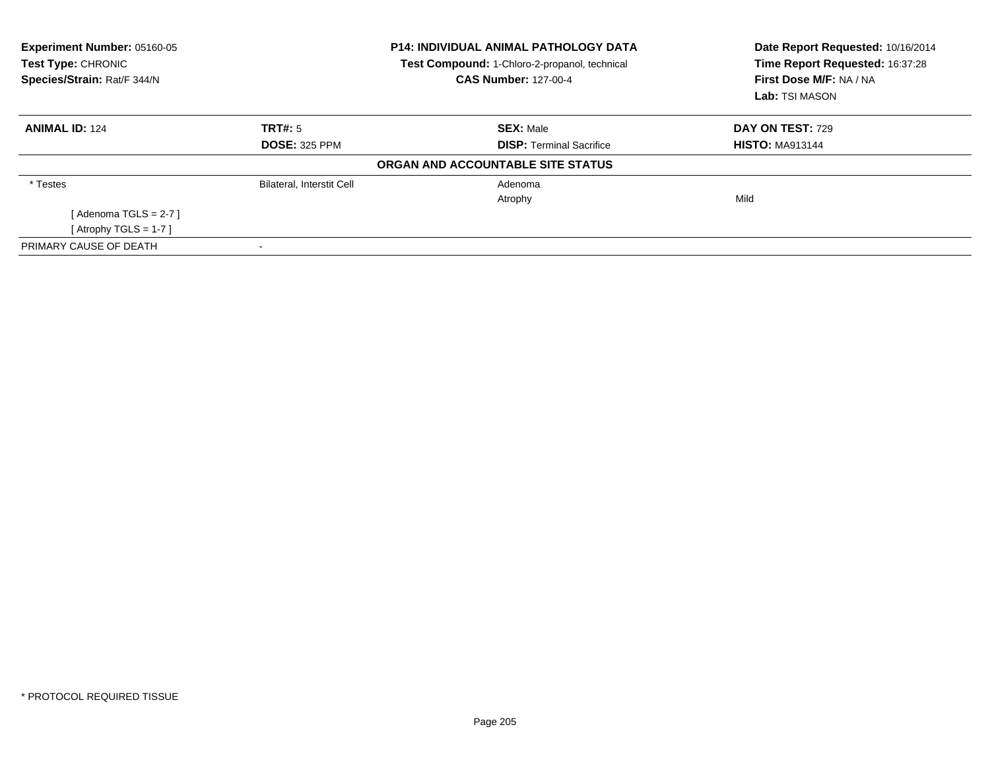| Experiment Number: 05160-05<br>Test Type: CHRONIC<br>Species/Strain: Rat/F 344/N |                                  | <b>P14: INDIVIDUAL ANIMAL PATHOLOGY DATA</b><br>Test Compound: 1-Chloro-2-propanol, technical<br><b>CAS Number: 127-00-4</b> | Date Report Requested: 10/16/2014<br>Time Report Requested: 16:37:28<br>First Dose M/F: NA / NA<br>Lab: TSI MASON |
|----------------------------------------------------------------------------------|----------------------------------|------------------------------------------------------------------------------------------------------------------------------|-------------------------------------------------------------------------------------------------------------------|
| <b>ANIMAL ID: 124</b>                                                            | TRT#: 5                          | <b>SEX: Male</b>                                                                                                             | <b>DAY ON TEST: 729</b>                                                                                           |
|                                                                                  | <b>DOSE: 325 PPM</b>             | <b>DISP:</b> Terminal Sacrifice                                                                                              | <b>HISTO: MA913144</b>                                                                                            |
|                                                                                  |                                  | ORGAN AND ACCOUNTABLE SITE STATUS                                                                                            |                                                                                                                   |
| * Testes                                                                         | <b>Bilateral, Interstit Cell</b> | Adenoma                                                                                                                      |                                                                                                                   |
|                                                                                  |                                  | Atrophy                                                                                                                      | Mild                                                                                                              |
| [Adenoma TGLS = $2-7$ ]                                                          |                                  |                                                                                                                              |                                                                                                                   |
| [Atrophy TGLS = $1-7$ ]                                                          |                                  |                                                                                                                              |                                                                                                                   |
| PRIMARY CAUSE OF DEATH                                                           |                                  |                                                                                                                              |                                                                                                                   |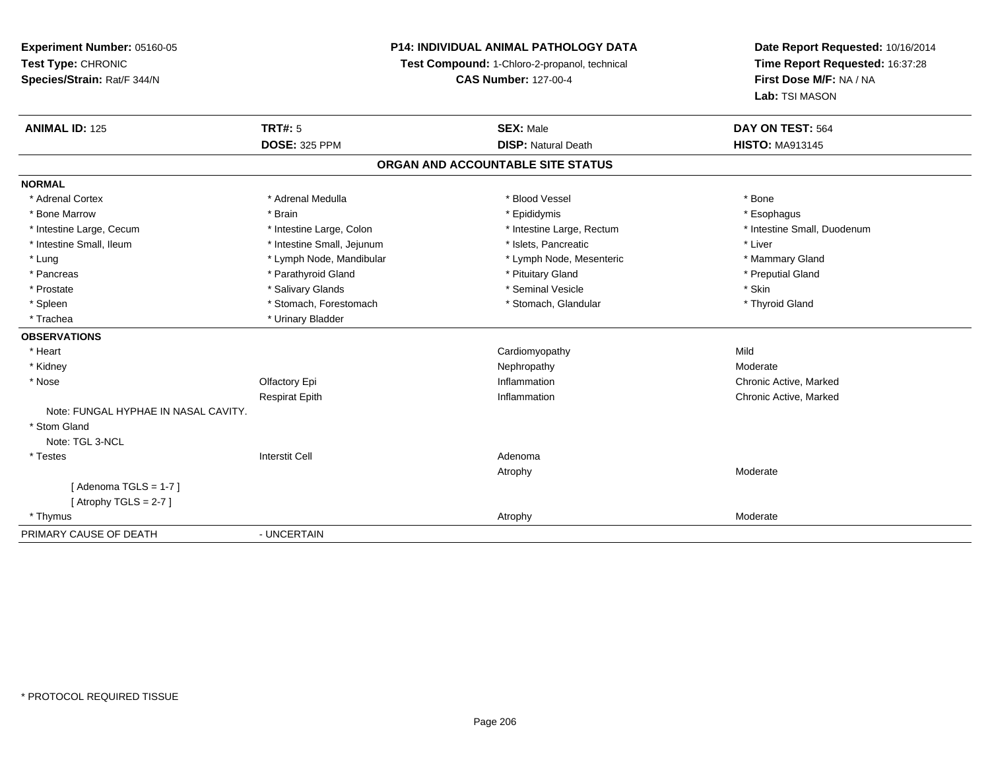## **P14: INDIVIDUAL ANIMAL PATHOLOGY DATA**

**Test Compound:** 1-Chloro-2-propanol, technical

**CAS Number:** 127-00-4

| <b>ANIMAL ID: 125</b>                | <b>TRT#: 5</b>             | <b>SEX: Male</b>           | DAY ON TEST: 564            |  |  |  |
|--------------------------------------|----------------------------|----------------------------|-----------------------------|--|--|--|
|                                      | <b>DOSE: 325 PPM</b>       | <b>DISP: Natural Death</b> | <b>HISTO: MA913145</b>      |  |  |  |
| ORGAN AND ACCOUNTABLE SITE STATUS    |                            |                            |                             |  |  |  |
| <b>NORMAL</b>                        |                            |                            |                             |  |  |  |
| * Adrenal Cortex                     | * Adrenal Medulla          | * Blood Vessel             | * Bone                      |  |  |  |
| * Bone Marrow                        | * Brain                    | * Epididymis               | * Esophagus                 |  |  |  |
| * Intestine Large, Cecum             | * Intestine Large, Colon   | * Intestine Large, Rectum  | * Intestine Small, Duodenum |  |  |  |
| * Intestine Small, Ileum             | * Intestine Small, Jejunum | * Islets. Pancreatic       | * Liver                     |  |  |  |
| * Lung                               | * Lymph Node, Mandibular   | * Lymph Node, Mesenteric   | * Mammary Gland             |  |  |  |
| * Pancreas                           | * Parathyroid Gland        | * Pituitary Gland          | * Preputial Gland           |  |  |  |
| * Prostate                           | * Salivary Glands          | * Seminal Vesicle          | * Skin                      |  |  |  |
| * Spleen                             | * Stomach, Forestomach     | * Stomach, Glandular       | * Thyroid Gland             |  |  |  |
| * Trachea                            | * Urinary Bladder          |                            |                             |  |  |  |
| <b>OBSERVATIONS</b>                  |                            |                            |                             |  |  |  |
| * Heart                              |                            | Cardiomyopathy             | Mild                        |  |  |  |
| * Kidney                             |                            | Nephropathy                | Moderate                    |  |  |  |
| * Nose                               | Olfactory Epi              | Inflammation               | Chronic Active, Marked      |  |  |  |
|                                      | <b>Respirat Epith</b>      | Inflammation               | Chronic Active, Marked      |  |  |  |
| Note: FUNGAL HYPHAE IN NASAL CAVITY. |                            |                            |                             |  |  |  |
| * Stom Gland                         |                            |                            |                             |  |  |  |
| Note: TGL 3-NCL                      |                            |                            |                             |  |  |  |
| * Testes                             | <b>Interstit Cell</b>      | Adenoma                    |                             |  |  |  |
|                                      |                            | Atrophy                    | Moderate                    |  |  |  |
| [ Adenoma TGLS = 1-7 ]               |                            |                            |                             |  |  |  |
| [Atrophy TGLS = 2-7]                 |                            |                            |                             |  |  |  |
| * Thymus                             |                            | Atrophy                    | Moderate                    |  |  |  |
| PRIMARY CAUSE OF DEATH               | - UNCERTAIN                |                            |                             |  |  |  |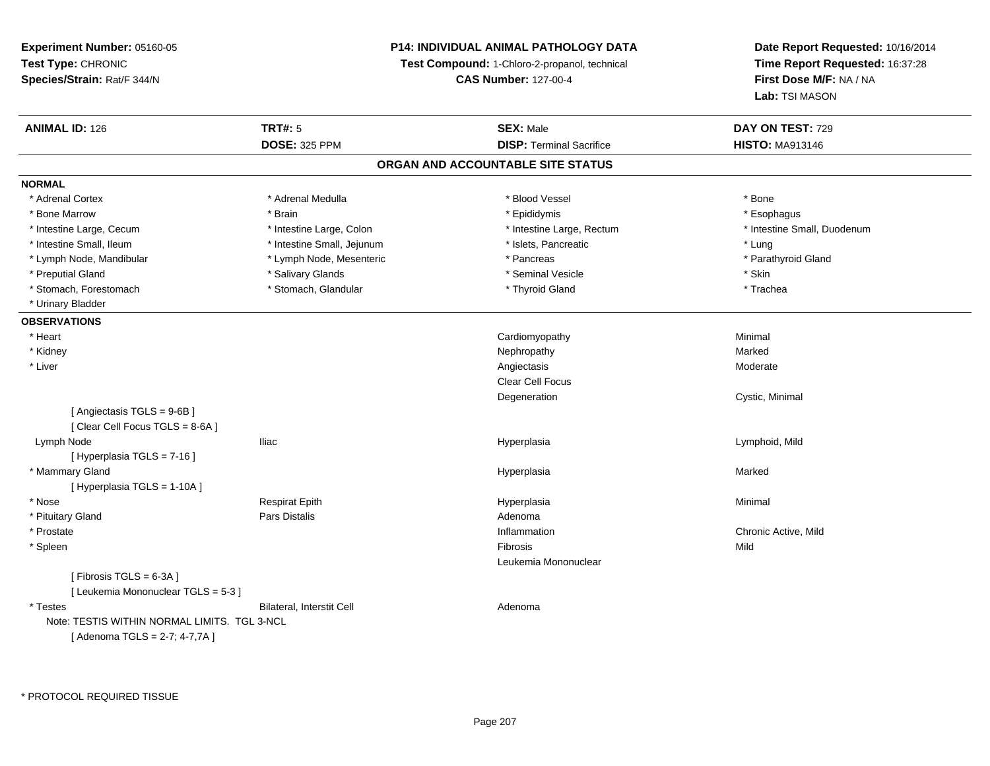## **P14: INDIVIDUAL ANIMAL PATHOLOGY DATA**

**Test Compound:** 1-Chloro-2-propanol, technical

**CAS Number:** 127-00-4

| <b>ANIMAL ID: 126</b>                        | <b>TRT#: 5</b><br><b>DOSE: 325 PPM</b> | <b>SEX: Male</b><br><b>DISP: Terminal Sacrifice</b> | DAY ON TEST: 729<br><b>HISTO: MA913146</b> |
|----------------------------------------------|----------------------------------------|-----------------------------------------------------|--------------------------------------------|
|                                              |                                        | ORGAN AND ACCOUNTABLE SITE STATUS                   |                                            |
|                                              |                                        |                                                     |                                            |
| <b>NORMAL</b>                                |                                        |                                                     |                                            |
| * Adrenal Cortex                             | * Adrenal Medulla                      | * Blood Vessel                                      | * Bone                                     |
| * Bone Marrow                                | * Brain                                | * Epididymis                                        | * Esophagus                                |
| * Intestine Large, Cecum                     | * Intestine Large, Colon               | * Intestine Large, Rectum                           | * Intestine Small, Duodenum                |
| * Intestine Small, Ileum                     | * Intestine Small, Jejunum             | * Islets, Pancreatic                                | * Lung                                     |
| * Lymph Node, Mandibular                     | * Lymph Node, Mesenteric               | * Pancreas                                          | * Parathyroid Gland                        |
| * Preputial Gland                            | * Salivary Glands                      | * Seminal Vesicle                                   | * Skin                                     |
| * Stomach, Forestomach                       | * Stomach, Glandular                   | * Thyroid Gland                                     | * Trachea                                  |
| * Urinary Bladder                            |                                        |                                                     |                                            |
| <b>OBSERVATIONS</b>                          |                                        |                                                     |                                            |
| * Heart                                      |                                        | Cardiomyopathy                                      | Minimal                                    |
| * Kidney                                     |                                        | Nephropathy                                         | Marked                                     |
| * Liver                                      |                                        | Angiectasis                                         | Moderate                                   |
|                                              |                                        | Clear Cell Focus                                    |                                            |
|                                              |                                        | Degeneration                                        | Cystic, Minimal                            |
| [Angiectasis TGLS = 9-6B]                    |                                        |                                                     |                                            |
| [Clear Cell Focus TGLS = 8-6A]               |                                        |                                                     |                                            |
| Lymph Node                                   | <b>Iliac</b>                           | Hyperplasia                                         | Lymphoid, Mild                             |
| [ Hyperplasia TGLS = 7-16 ]                  |                                        |                                                     |                                            |
| * Mammary Gland                              |                                        | Hyperplasia                                         | Marked                                     |
| [ Hyperplasia TGLS = 1-10A]                  |                                        |                                                     |                                            |
| * Nose                                       | <b>Respirat Epith</b>                  | Hyperplasia                                         | Minimal                                    |
| * Pituitary Gland                            | Pars Distalis                          | Adenoma                                             |                                            |
| * Prostate                                   |                                        | Inflammation                                        | Chronic Active, Mild                       |
| * Spleen                                     |                                        | Fibrosis                                            | Mild                                       |
|                                              |                                        | Leukemia Mononuclear                                |                                            |
| [Fibrosis TGLS = 6-3A]                       |                                        |                                                     |                                            |
| [ Leukemia Mononuclear TGLS = 5-3 ]          |                                        |                                                     |                                            |
| * Testes                                     | Bilateral, Interstit Cell              | Adenoma                                             |                                            |
| Note: TESTIS WITHIN NORMAL LIMITS. TGL 3-NCL |                                        |                                                     |                                            |
| [Adenoma TGLS = 2-7; 4-7,7A]                 |                                        |                                                     |                                            |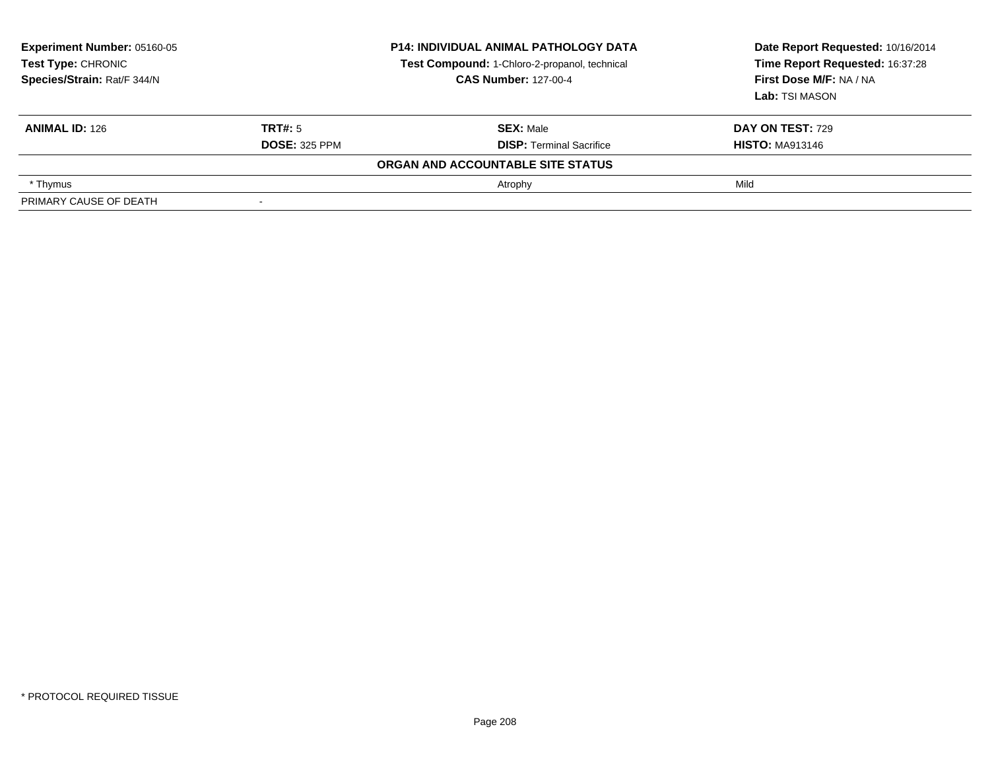| <b>Experiment Number: 05160-05</b><br><b>Test Type: CHRONIC</b><br>Species/Strain: Rat/F 344/N |                      | <b>P14: INDIVIDUAL ANIMAL PATHOLOGY DATA</b><br>Test Compound: 1-Chloro-2-propanol, technical<br><b>CAS Number: 127-00-4</b> | Date Report Requested: 10/16/2014<br>Time Report Requested: 16:37:28<br>First Dose M/F: NA / NA<br>Lab: TSI MASON |
|------------------------------------------------------------------------------------------------|----------------------|------------------------------------------------------------------------------------------------------------------------------|-------------------------------------------------------------------------------------------------------------------|
| <b>ANIMAL ID: 126</b>                                                                          | TRT#: 5              | <b>SEX: Male</b>                                                                                                             | <b>DAY ON TEST: 729</b>                                                                                           |
|                                                                                                | <b>DOSE: 325 PPM</b> | <b>DISP: Terminal Sacrifice</b>                                                                                              | <b>HISTO: MA913146</b>                                                                                            |
|                                                                                                |                      | ORGAN AND ACCOUNTABLE SITE STATUS                                                                                            |                                                                                                                   |
| * Thymus                                                                                       |                      | Atrophy                                                                                                                      | Mild                                                                                                              |
| PRIMARY CAUSE OF DEATH                                                                         |                      |                                                                                                                              |                                                                                                                   |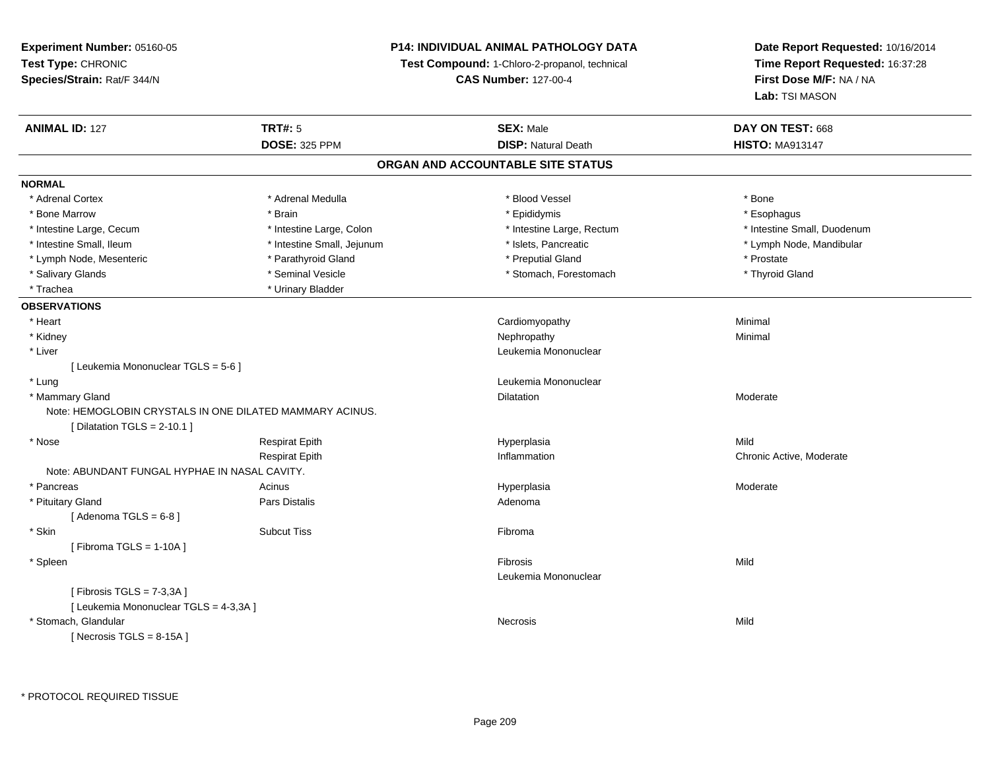## **P14: INDIVIDUAL ANIMAL PATHOLOGY DATA**

**Test Compound:** 1-Chloro-2-propanol, technical

**CAS Number:** 127-00-4

**Date Report Requested:** 10/16/2014**Time Report Requested:** 16:37:28**First Dose M/F:** NA / NA**Lab:** TSI MASON

| <b>ANIMAL ID: 127</b>                         | <b>TRT#: 5</b>                                           | <b>SEX: Male</b>                  | DAY ON TEST: 668            |  |
|-----------------------------------------------|----------------------------------------------------------|-----------------------------------|-----------------------------|--|
|                                               | <b>DOSE: 325 PPM</b>                                     | <b>DISP: Natural Death</b>        | <b>HISTO: MA913147</b>      |  |
|                                               |                                                          | ORGAN AND ACCOUNTABLE SITE STATUS |                             |  |
| <b>NORMAL</b>                                 |                                                          |                                   |                             |  |
| * Adrenal Cortex                              | * Adrenal Medulla                                        | * Blood Vessel                    | * Bone                      |  |
| * Bone Marrow                                 | * Brain                                                  | * Epididymis                      | * Esophagus                 |  |
| * Intestine Large, Cecum                      | * Intestine Large, Colon                                 | * Intestine Large, Rectum         | * Intestine Small, Duodenum |  |
| * Intestine Small, Ileum                      | * Intestine Small, Jejunum                               | * Islets, Pancreatic              | * Lymph Node, Mandibular    |  |
| * Lymph Node, Mesenteric                      | * Parathyroid Gland                                      | * Preputial Gland                 | * Prostate                  |  |
| * Salivary Glands                             | * Seminal Vesicle                                        | * Stomach, Forestomach            | * Thyroid Gland             |  |
| * Trachea                                     | * Urinary Bladder                                        |                                   |                             |  |
| <b>OBSERVATIONS</b>                           |                                                          |                                   |                             |  |
| * Heart                                       |                                                          | Cardiomyopathy                    | Minimal                     |  |
| * Kidney                                      |                                                          | Nephropathy                       | Minimal                     |  |
| * Liver                                       |                                                          | Leukemia Mononuclear              |                             |  |
| [ Leukemia Mononuclear TGLS = 5-6 ]           |                                                          |                                   |                             |  |
| * Lung                                        |                                                          | Leukemia Mononuclear              |                             |  |
| * Mammary Gland                               |                                                          | Dilatation                        | Moderate                    |  |
|                                               | Note: HEMOGLOBIN CRYSTALS IN ONE DILATED MAMMARY ACINUS. |                                   |                             |  |
| [ Dilatation TGLS = $2-10.1$ ]                |                                                          |                                   |                             |  |
| * Nose                                        | <b>Respirat Epith</b>                                    | Hyperplasia                       | Mild                        |  |
|                                               | <b>Respirat Epith</b>                                    | Inflammation                      | Chronic Active, Moderate    |  |
| Note: ABUNDANT FUNGAL HYPHAE IN NASAL CAVITY. |                                                          |                                   |                             |  |
| * Pancreas                                    | Acinus                                                   | Hyperplasia                       | Moderate                    |  |
| * Pituitary Gland                             | <b>Pars Distalis</b>                                     | Adenoma                           |                             |  |
| [Adenoma TGLS = $6-8$ ]                       |                                                          |                                   |                             |  |
| * Skin                                        | <b>Subcut Tiss</b>                                       | Fibroma                           |                             |  |
| [Fibroma TGLS = $1-10A$ ]                     |                                                          |                                   |                             |  |
| * Spleen                                      |                                                          | <b>Fibrosis</b>                   | Mild                        |  |
|                                               |                                                          | Leukemia Mononuclear              |                             |  |
| [Fibrosis TGLS = 7-3,3A]                      |                                                          |                                   |                             |  |
| [ Leukemia Mononuclear TGLS = 4-3,3A ]        |                                                          |                                   |                             |  |
| * Stomach, Glandular                          |                                                          | <b>Necrosis</b>                   | Mild                        |  |
| [Necrosis TGLS = $8-15A$ ]                    |                                                          |                                   |                             |  |

\* PROTOCOL REQUIRED TISSUE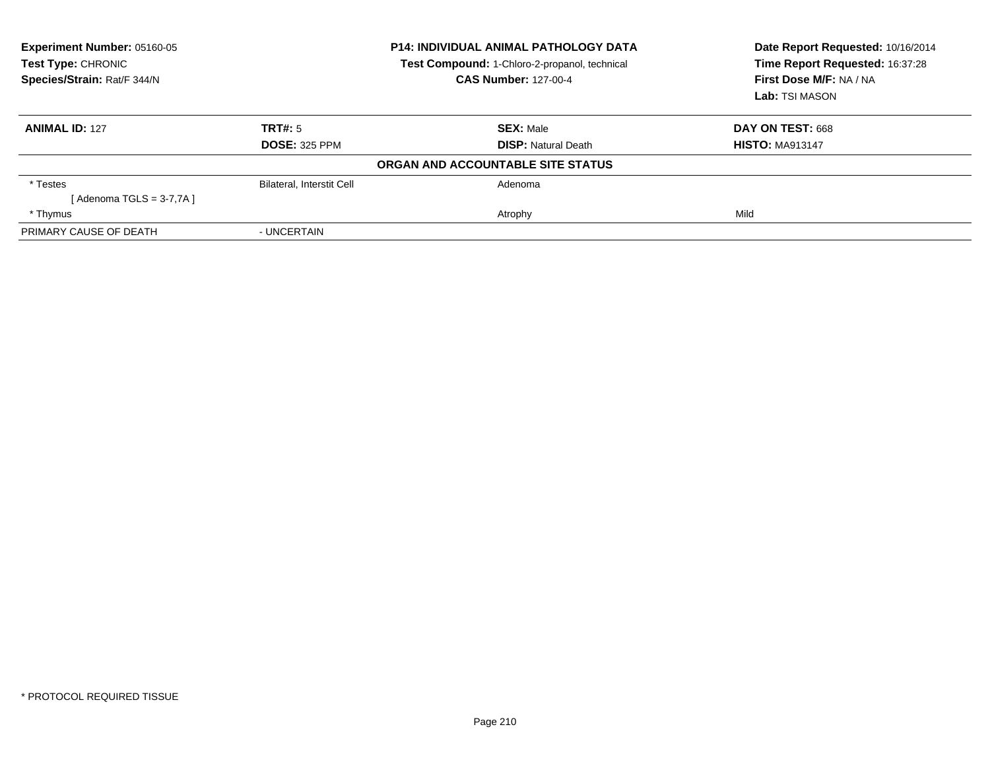| Experiment Number: 05160-05<br>Test Type: CHRONIC<br>Species/Strain: Rat/F 344/N | <b>P14: INDIVIDUAL ANIMAL PATHOLOGY DATA</b><br>Test Compound: 1-Chloro-2-propanol, technical<br><b>CAS Number: 127-00-4</b> |                                   | Date Report Requested: 10/16/2014<br>Time Report Requested: 16:37:28<br>First Dose M/F: NA / NA<br>Lab: TSI MASON |
|----------------------------------------------------------------------------------|------------------------------------------------------------------------------------------------------------------------------|-----------------------------------|-------------------------------------------------------------------------------------------------------------------|
| <b>ANIMAL ID: 127</b>                                                            | TRT#: 5                                                                                                                      | <b>SEX:</b> Male                  | DAY ON TEST: 668                                                                                                  |
|                                                                                  | <b>DOSE: 325 PPM</b>                                                                                                         | <b>DISP:</b> Natural Death        | <b>HISTO: MA913147</b>                                                                                            |
|                                                                                  |                                                                                                                              | ORGAN AND ACCOUNTABLE SITE STATUS |                                                                                                                   |
| * Testes                                                                         | <b>Bilateral, Interstit Cell</b>                                                                                             | Adenoma                           |                                                                                                                   |
| [ Adenoma TGLS = 3-7,7A ]                                                        |                                                                                                                              |                                   |                                                                                                                   |
| * Thymus                                                                         |                                                                                                                              | Atrophy                           | Mild                                                                                                              |
| PRIMARY CAUSE OF DEATH                                                           | - UNCERTAIN                                                                                                                  |                                   |                                                                                                                   |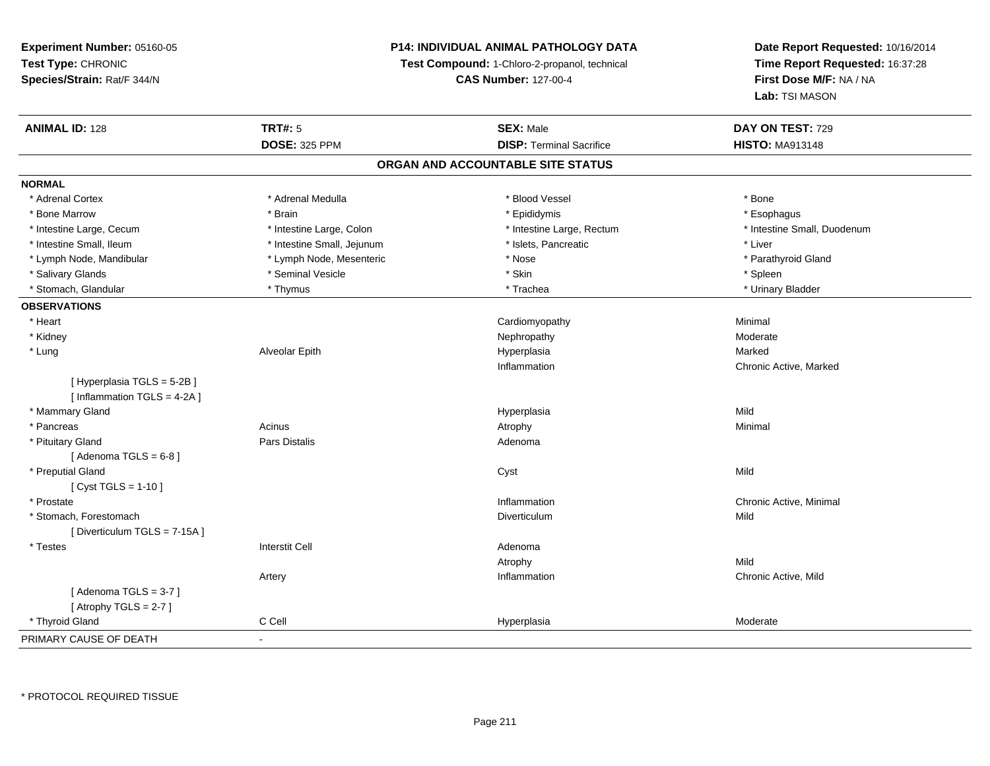## **P14: INDIVIDUAL ANIMAL PATHOLOGY DATA**

**Test Compound:** 1-Chloro-2-propanol, technical

**CAS Number:** 127-00-4

| <b>ANIMAL ID: 128</b>        | <b>TRT#: 5</b>             | <b>SEX: Male</b>                  | DAY ON TEST: 729            |
|------------------------------|----------------------------|-----------------------------------|-----------------------------|
|                              | <b>DOSE: 325 PPM</b>       | <b>DISP: Terminal Sacrifice</b>   | <b>HISTO: MA913148</b>      |
|                              |                            | ORGAN AND ACCOUNTABLE SITE STATUS |                             |
| <b>NORMAL</b>                |                            |                                   |                             |
| * Adrenal Cortex             | * Adrenal Medulla          | * Blood Vessel                    | * Bone                      |
| * Bone Marrow                | * Brain                    | * Epididymis                      | * Esophagus                 |
| * Intestine Large, Cecum     | * Intestine Large, Colon   | * Intestine Large, Rectum         | * Intestine Small, Duodenum |
| * Intestine Small, Ileum     | * Intestine Small, Jejunum | * Islets, Pancreatic              | * Liver                     |
| * Lymph Node, Mandibular     | * Lymph Node, Mesenteric   | * Nose                            | * Parathyroid Gland         |
| * Salivary Glands            | * Seminal Vesicle          | * Skin                            | * Spleen                    |
| * Stomach, Glandular         | * Thymus                   | * Trachea                         | * Urinary Bladder           |
| <b>OBSERVATIONS</b>          |                            |                                   |                             |
| * Heart                      |                            | Cardiomyopathy                    | Minimal                     |
| * Kidney                     |                            | Nephropathy                       | Moderate                    |
| * Lung                       | Alveolar Epith             | Hyperplasia                       | Marked                      |
|                              |                            | Inflammation                      | Chronic Active, Marked      |
| [Hyperplasia TGLS = 5-2B]    |                            |                                   |                             |
| [ Inflammation TGLS = 4-2A ] |                            |                                   |                             |
| * Mammary Gland              |                            | Hyperplasia                       | Mild                        |
| * Pancreas                   | Acinus                     | Atrophy                           | Minimal                     |
| * Pituitary Gland            | Pars Distalis              | Adenoma                           |                             |
| [Adenoma TGLS = $6-8$ ]      |                            |                                   |                             |
| * Preputial Gland            |                            | Cyst                              | Mild                        |
| [ $Cyst TGLS = 1-10$ ]       |                            |                                   |                             |
| * Prostate                   |                            | Inflammation                      | Chronic Active, Minimal     |
| * Stomach, Forestomach       |                            | Diverticulum                      | Mild                        |
| [Diverticulum TGLS = 7-15A]  |                            |                                   |                             |
| * Testes                     | <b>Interstit Cell</b>      | Adenoma                           |                             |
|                              |                            | Atrophy                           | Mild                        |
|                              | Artery                     | Inflammation                      | Chronic Active, Mild        |
| [Adenoma TGLS = $3-7$ ]      |                            |                                   |                             |
| [Atrophy TGLS = $2-7$ ]      |                            |                                   |                             |
| * Thyroid Gland              | C Cell                     | Hyperplasia                       | Moderate                    |
| PRIMARY CAUSE OF DEATH       | $\blacksquare$             |                                   |                             |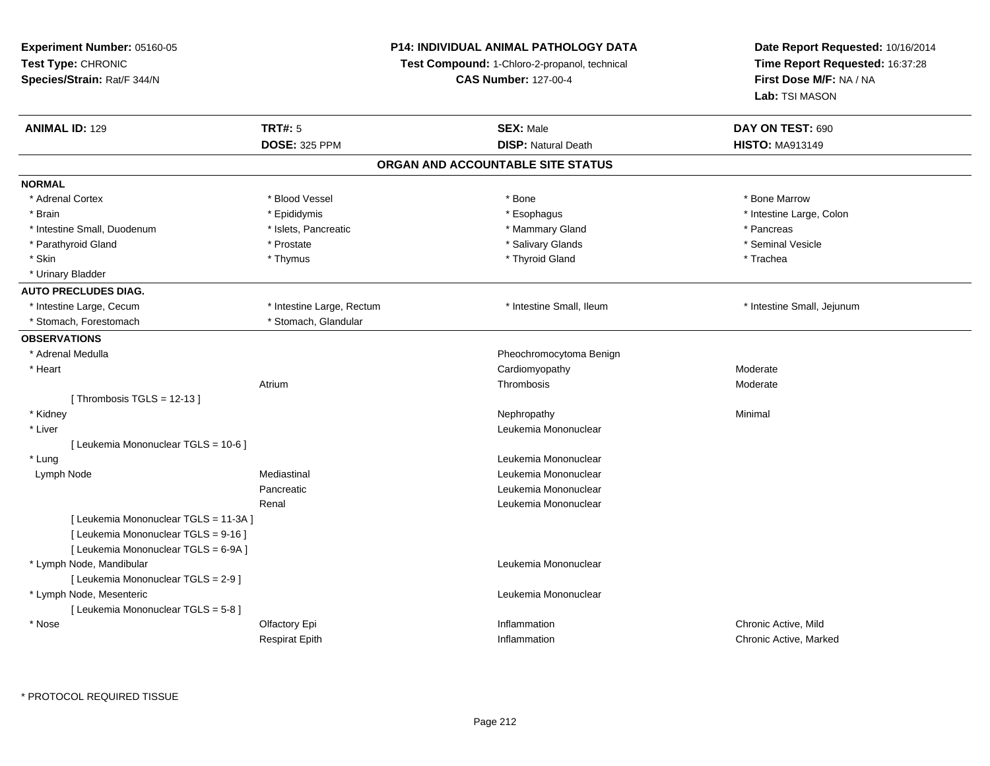**Experiment Number:** 05160-05**Test Type:** CHRONIC **Species/Strain:** Rat/F 344/N**P14: INDIVIDUAL ANIMAL PATHOLOGY DATATest Compound:** 1-Chloro-2-propanol, technical **CAS Number:** 127-00-4**Date Report Requested:** 10/16/2014**Time Report Requested:** 16:37:28**First Dose M/F:** NA / NA**Lab:** TSI MASON**ANIMAL ID:** 129**TRT#:** 5 **SEX:** Male **DAY ON TEST:** 690 **DOSE:** 325 PPM**DISP:** Natural Death **HISTO:** MA913149 **ORGAN AND ACCOUNTABLE SITE STATUSNORMAL**\* Adrenal Cortex \* Adrenal Cortex \* \* Attachers \* Blood Vessel \* \* Bone \* \* \* Bone \* \* Bone \* \* Bone \* Bone Marrow \* Bone Marrow \* Brain \* The the state of the state of the state of the state of the state of the state of the state of the state of the state of the state of the state of the state of the state of the state of the state of the state of \* Intestine Small, Duodenum \* The metal was a structure \* Islets, Pancreatic **\* The metal and \* Pancreas \* Pancreas** \* Pancreas \* Pancreas \* Pancreas \* Pancreas \* Pancreas \* Pancreas \* Pancreas \* Pancreas \* Pancreas \* Panc \* Seminal Vesicle \* Parathyroid Gland \* \* \* Prostate \* \* Prostate \* \* Salivary Glands \* \* Salivary Glands \* \* Seminal Vesicle \* Skin \* \* Thymus \* Thymus \* \* Thymus \* \* Thyroid Gland \* \* Thyroid Thurbury \* Trachea \* Urinary Bladder**AUTO PRECLUDES DIAG.** \* Intestine Large, Cecum \* Intestine Large, Rectum \* Intestine Small, Ileum \* Intestine Small, Jejunum \* Stomach, Forestomach \* Stomach, Glandular**OBSERVATIONS** \* Adrenal Medulla Pheochromocytoma Benign \* Heart Cardiomyopathy ModerateModerate Atriumm and the contract of the Thrombosis and the Moderate of the Moderate of the Moderate of the Moderate of the Mo<br>Separate of the Moderate of the Moderate of the Moderate of the Moderate of the Moderate of the Moderate of th [ Thrombosis TGLS = 12-13 ] \* Kidneyy the control of the control of the control of the control of the control of the control of the control of the control of the control of the control of the control of the control of the control of the control of the contro \* Liver Leukemia Mononuclear [ Leukemia Mononuclear TGLS = 10-6 ] \* LungLeukemia Mononuclear<br>Leukemia Mononuclear<br>Leukemia Mononuclear Lymph NodeLeukemia Mononuclear Pancreatic Leukemia Mononuclear Renal Leukemia Mononuclear[ Leukemia Mononuclear TGLS = 11-3A ][ Leukemia Mononuclear TGLS = 9-16 ][ Leukemia Mononuclear TGLS = 6-9A ] \* Lymph Node, Mandibular Leukemia Mononuclear [ Leukemia Mononuclear TGLS = 2-9 ] \* Lymph Node, Mesenteric Leukemia Mononuclear [ Leukemia Mononuclear TGLS = 5-8 ] \* Nosee and the Colfactory Epi **Inflammation** Chronic Active, Mild and Chronic Active, Mild and Chronic Active, Mild and The Chronic Active, Mild and The Chronic Active, Mild and The Chronic Active, Mild and The Chronic Active, Respirat EpithInflammation Chronic Active, Marked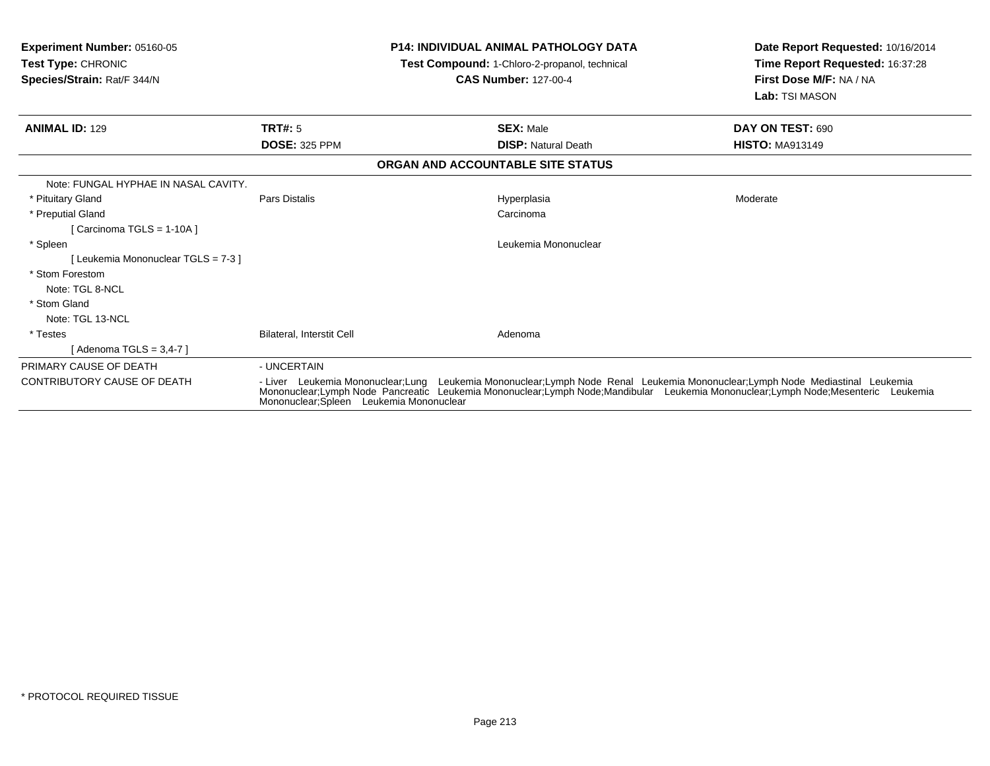| Experiment Number: 05160-05<br>Test Type: CHRONIC<br>Species/Strain: Rat/F 344/N |                                                                                                                                                                                                                                                                                                              |  | <b>P14: INDIVIDUAL ANIMAL PATHOLOGY DATA</b><br>Test Compound: 1-Chloro-2-propanol, technical<br><b>CAS Number: 127-00-4</b> | Date Report Requested: 10/16/2014<br>Time Report Requested: 16:37:28<br>First Dose M/F: NA / NA<br>Lab: TSI MASON |
|----------------------------------------------------------------------------------|--------------------------------------------------------------------------------------------------------------------------------------------------------------------------------------------------------------------------------------------------------------------------------------------------------------|--|------------------------------------------------------------------------------------------------------------------------------|-------------------------------------------------------------------------------------------------------------------|
| <b>ANIMAL ID: 129</b>                                                            | TRT#: 5                                                                                                                                                                                                                                                                                                      |  | <b>SEX: Male</b>                                                                                                             | DAY ON TEST: 690                                                                                                  |
|                                                                                  | <b>DOSE: 325 PPM</b>                                                                                                                                                                                                                                                                                         |  | <b>DISP: Natural Death</b>                                                                                                   | <b>HISTO: MA913149</b>                                                                                            |
|                                                                                  |                                                                                                                                                                                                                                                                                                              |  | ORGAN AND ACCOUNTABLE SITE STATUS                                                                                            |                                                                                                                   |
| Note: FUNGAL HYPHAE IN NASAL CAVITY.                                             |                                                                                                                                                                                                                                                                                                              |  |                                                                                                                              |                                                                                                                   |
| * Pituitary Gland                                                                | Pars Distalis                                                                                                                                                                                                                                                                                                |  | Hyperplasia                                                                                                                  | Moderate                                                                                                          |
| * Preputial Gland                                                                |                                                                                                                                                                                                                                                                                                              |  | Carcinoma                                                                                                                    |                                                                                                                   |
| [ Carcinoma TGLS = $1-10A$ ]                                                     |                                                                                                                                                                                                                                                                                                              |  |                                                                                                                              |                                                                                                                   |
| * Spleen                                                                         |                                                                                                                                                                                                                                                                                                              |  | Leukemia Mononuclear                                                                                                         |                                                                                                                   |
| [ Leukemia Mononuclear TGLS = 7-3 ]                                              |                                                                                                                                                                                                                                                                                                              |  |                                                                                                                              |                                                                                                                   |
| * Stom Forestom                                                                  |                                                                                                                                                                                                                                                                                                              |  |                                                                                                                              |                                                                                                                   |
| Note: TGL 8-NCL                                                                  |                                                                                                                                                                                                                                                                                                              |  |                                                                                                                              |                                                                                                                   |
| * Stom Gland                                                                     |                                                                                                                                                                                                                                                                                                              |  |                                                                                                                              |                                                                                                                   |
| Note: TGL 13-NCL                                                                 |                                                                                                                                                                                                                                                                                                              |  |                                                                                                                              |                                                                                                                   |
| * Testes                                                                         | Bilateral, Interstit Cell                                                                                                                                                                                                                                                                                    |  | Adenoma                                                                                                                      |                                                                                                                   |
| [ Adenoma TGLS = 3,4-7 ]                                                         |                                                                                                                                                                                                                                                                                                              |  |                                                                                                                              |                                                                                                                   |
| PRIMARY CAUSE OF DEATH                                                           | - UNCERTAIN                                                                                                                                                                                                                                                                                                  |  |                                                                                                                              |                                                                                                                   |
| <b>CONTRIBUTORY CAUSE OF DEATH</b>                                               | - Liver Leukemia Mononuclear;Lung Leukemia Mononuclear;Lymph Node Renal Leukemia Mononuclear;Lymph Node Mediastinal Leukemia<br>Mononuclear;Lymph Node Pancreatic Leukemia Mononuclear;Lymph Node;Mandibular Leukemia Mononuclear;Lymph Node;Mesenteric Leukemia<br>Mononuclear; Spleen Leukemia Mononuclear |  |                                                                                                                              |                                                                                                                   |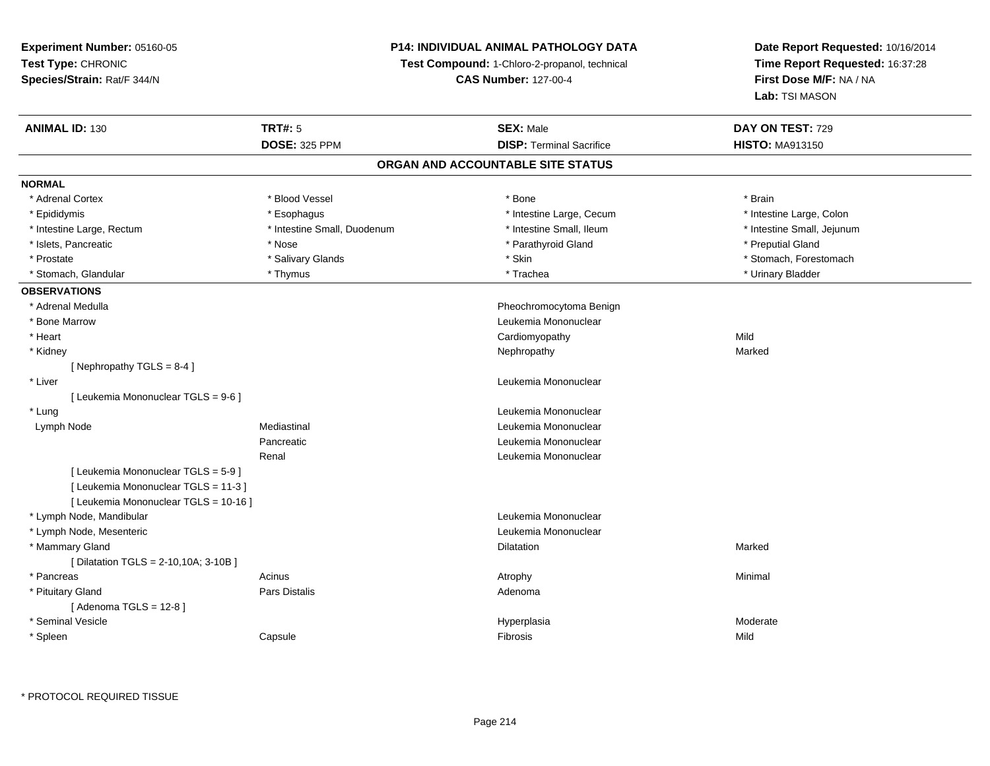## **P14: INDIVIDUAL ANIMAL PATHOLOGY DATA**

**Test Compound:** 1-Chloro-2-propanol, technical

**CAS Number:** 127-00-4

| <b>ANIMAL ID: 130</b>                 | <b>TRT#: 5</b>              | <b>SEX: Male</b>                  | DAY ON TEST: 729           |
|---------------------------------------|-----------------------------|-----------------------------------|----------------------------|
|                                       | <b>DOSE: 325 PPM</b>        | <b>DISP: Terminal Sacrifice</b>   | <b>HISTO: MA913150</b>     |
|                                       |                             | ORGAN AND ACCOUNTABLE SITE STATUS |                            |
| <b>NORMAL</b>                         |                             |                                   |                            |
| * Adrenal Cortex                      | * Blood Vessel              | * Bone                            | * Brain                    |
| * Epididymis                          | * Esophagus                 | * Intestine Large, Cecum          | * Intestine Large, Colon   |
| * Intestine Large, Rectum             | * Intestine Small, Duodenum | * Intestine Small, Ileum          | * Intestine Small, Jejunum |
| * Islets, Pancreatic                  | * Nose                      | * Parathyroid Gland               | * Preputial Gland          |
| * Prostate                            | * Salivary Glands           | * Skin                            | * Stomach, Forestomach     |
| * Stomach, Glandular                  | * Thymus                    | * Trachea                         | * Urinary Bladder          |
| <b>OBSERVATIONS</b>                   |                             |                                   |                            |
| * Adrenal Medulla                     |                             | Pheochromocytoma Benign           |                            |
| * Bone Marrow                         |                             | Leukemia Mononuclear              |                            |
| * Heart                               |                             | Cardiomyopathy                    | Mild                       |
| * Kidney                              |                             | Nephropathy                       | Marked                     |
| [Nephropathy TGLS = $8-4$ ]           |                             |                                   |                            |
| * Liver                               |                             | Leukemia Mononuclear              |                            |
| [ Leukemia Mononuclear TGLS = 9-6 ]   |                             |                                   |                            |
| * Lung                                |                             | Leukemia Mononuclear              |                            |
| Lymph Node                            | Mediastinal                 | Leukemia Mononuclear              |                            |
|                                       | Pancreatic                  | Leukemia Mononuclear              |                            |
|                                       | Renal                       | Leukemia Mononuclear              |                            |
| [ Leukemia Mononuclear TGLS = 5-9 ]   |                             |                                   |                            |
| [ Leukemia Mononuclear TGLS = 11-3 ]  |                             |                                   |                            |
| [ Leukemia Mononuclear TGLS = 10-16 ] |                             |                                   |                            |
| * Lymph Node, Mandibular              |                             | Leukemia Mononuclear              |                            |
| * Lymph Node, Mesenteric              |                             | Leukemia Mononuclear              |                            |
| * Mammary Gland                       |                             | <b>Dilatation</b>                 | Marked                     |
| [ Dilatation TGLS = 2-10,10A; 3-10B ] |                             |                                   |                            |
| * Pancreas                            | Acinus                      | Atrophy                           | Minimal                    |
| * Pituitary Gland                     | <b>Pars Distalis</b>        | Adenoma                           |                            |
| [Adenoma TGLS = $12-8$ ]              |                             |                                   |                            |
| * Seminal Vesicle                     |                             | Hyperplasia                       | Moderate                   |
| * Spleen                              | Capsule                     | Fibrosis                          | Mild                       |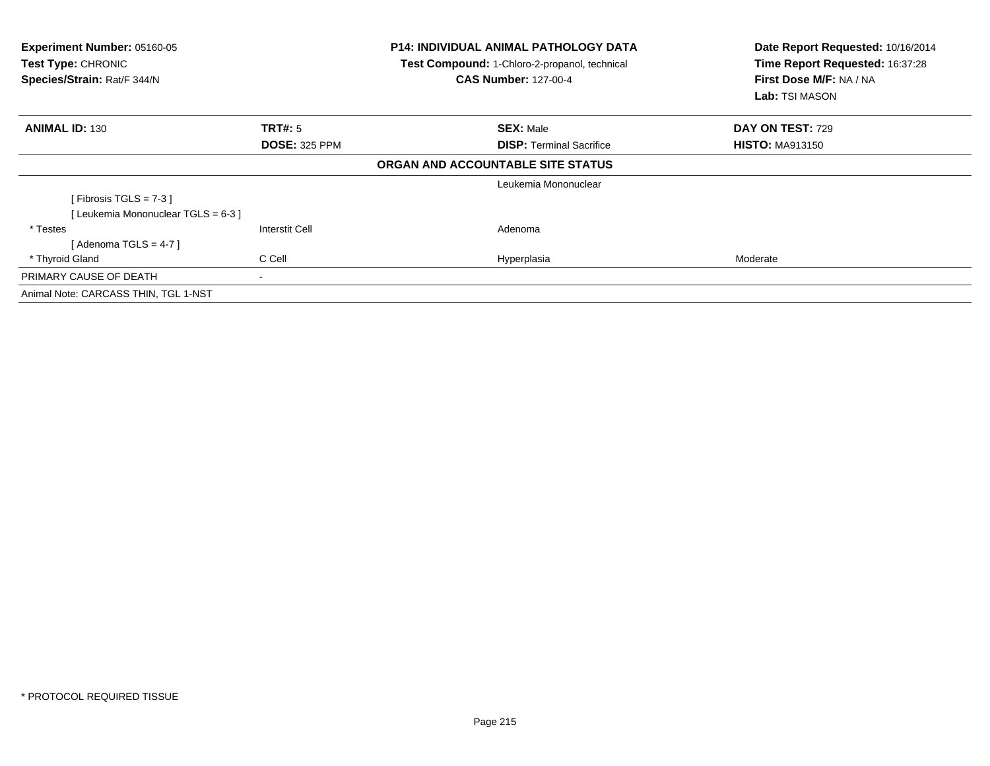| Experiment Number: 05160-05<br>Test Type: CHRONIC<br>Species/Strain: Rat/F 344/N |                       | <b>P14: INDIVIDUAL ANIMAL PATHOLOGY DATA</b><br>Test Compound: 1-Chloro-2-propanol, technical<br><b>CAS Number: 127-00-4</b> | Date Report Requested: 10/16/2014<br>Time Report Requested: 16:37:28<br>First Dose M/F: NA / NA<br><b>Lab:</b> TSI MASON |  |
|----------------------------------------------------------------------------------|-----------------------|------------------------------------------------------------------------------------------------------------------------------|--------------------------------------------------------------------------------------------------------------------------|--|
| <b>ANIMAL ID: 130</b>                                                            | <b>TRT#: 5</b>        | <b>SEX: Male</b>                                                                                                             | DAY ON TEST: 729                                                                                                         |  |
|                                                                                  | <b>DOSE: 325 PPM</b>  | <b>DISP:</b> Terminal Sacrifice                                                                                              | <b>HISTO: MA913150</b>                                                                                                   |  |
|                                                                                  |                       | ORGAN AND ACCOUNTABLE SITE STATUS                                                                                            |                                                                                                                          |  |
|                                                                                  |                       | Leukemia Mononuclear                                                                                                         |                                                                                                                          |  |
| [ Fibrosis TGLS = $7-3$ ]                                                        |                       |                                                                                                                              |                                                                                                                          |  |
| [Leukemia Mononuclear TGLS = 6-3]                                                |                       |                                                                                                                              |                                                                                                                          |  |
| * Testes                                                                         | <b>Interstit Cell</b> | Adenoma                                                                                                                      |                                                                                                                          |  |
| [ Adenoma TGLS = 4-7 ]                                                           |                       |                                                                                                                              |                                                                                                                          |  |
| * Thyroid Gland                                                                  | C Cell                | Hyperplasia                                                                                                                  | Moderate                                                                                                                 |  |
| PRIMARY CAUSE OF DEATH                                                           |                       |                                                                                                                              |                                                                                                                          |  |
| Animal Note: CARCASS THIN, TGL 1-NST                                             |                       |                                                                                                                              |                                                                                                                          |  |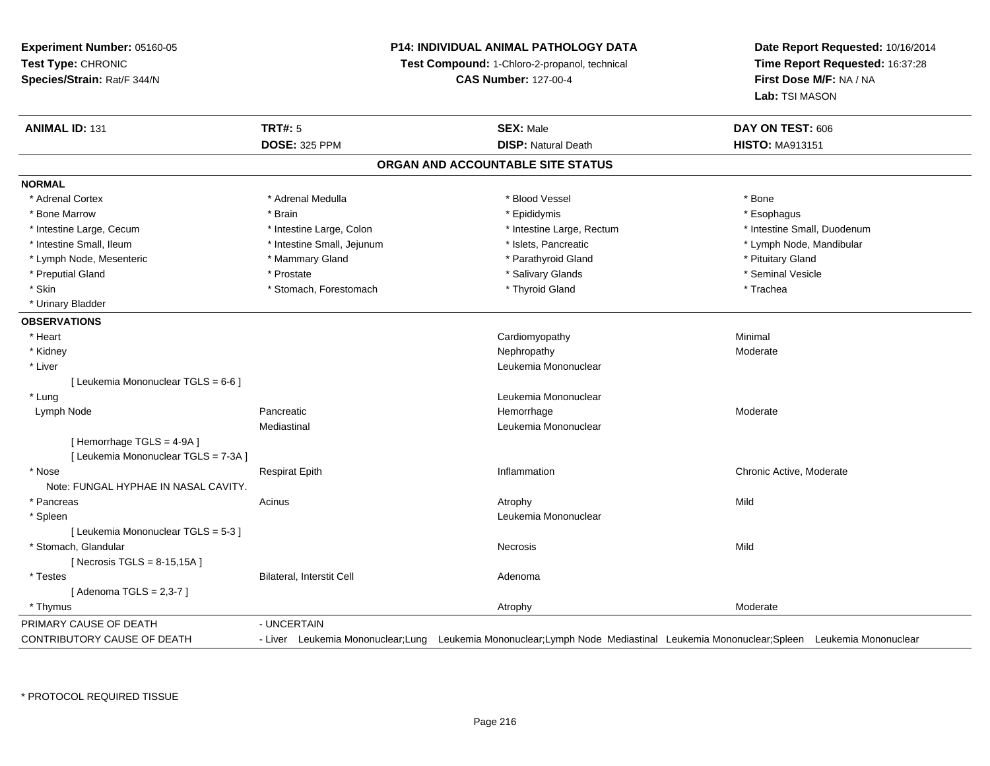## **P14: INDIVIDUAL ANIMAL PATHOLOGY DATA**

**Test Compound:** 1-Chloro-2-propanol, technical

**CAS Number:** 127-00-4

| <b>ANIMAL ID: 131</b>                | <b>TRT#: 5</b>                   | <b>SEX: Male</b>                  | DAY ON TEST: 606                                                                                                               |
|--------------------------------------|----------------------------------|-----------------------------------|--------------------------------------------------------------------------------------------------------------------------------|
|                                      | <b>DOSE: 325 PPM</b>             | <b>DISP: Natural Death</b>        | <b>HISTO: MA913151</b>                                                                                                         |
|                                      |                                  | ORGAN AND ACCOUNTABLE SITE STATUS |                                                                                                                                |
| <b>NORMAL</b>                        |                                  |                                   |                                                                                                                                |
| * Adrenal Cortex                     | * Adrenal Medulla                | * Blood Vessel                    | * Bone                                                                                                                         |
| * Bone Marrow                        | * Brain                          | * Epididymis                      | * Esophagus                                                                                                                    |
| * Intestine Large, Cecum             | * Intestine Large, Colon         | * Intestine Large, Rectum         | * Intestine Small, Duodenum                                                                                                    |
| * Intestine Small, Ileum             | * Intestine Small, Jejunum       | * Islets, Pancreatic              | * Lymph Node, Mandibular                                                                                                       |
| * Lymph Node, Mesenteric             | * Mammary Gland                  | * Parathyroid Gland               | * Pituitary Gland                                                                                                              |
| * Preputial Gland                    | * Prostate                       | * Salivary Glands                 | * Seminal Vesicle                                                                                                              |
| * Skin                               | * Stomach, Forestomach           | * Thyroid Gland                   | * Trachea                                                                                                                      |
| * Urinary Bladder                    |                                  |                                   |                                                                                                                                |
| <b>OBSERVATIONS</b>                  |                                  |                                   |                                                                                                                                |
| * Heart                              |                                  | Cardiomyopathy                    | Minimal                                                                                                                        |
| * Kidney                             |                                  | Nephropathy                       | Moderate                                                                                                                       |
| * Liver                              |                                  | Leukemia Mononuclear              |                                                                                                                                |
| [ Leukemia Mononuclear TGLS = 6-6 ]  |                                  |                                   |                                                                                                                                |
| * Lung                               |                                  | Leukemia Mononuclear              |                                                                                                                                |
| Lymph Node                           | Pancreatic                       | Hemorrhage                        | Moderate                                                                                                                       |
|                                      | Mediastinal                      | Leukemia Mononuclear              |                                                                                                                                |
| [Hemorrhage TGLS = 4-9A]             |                                  |                                   |                                                                                                                                |
| [ Leukemia Mononuclear TGLS = 7-3A ] |                                  |                                   |                                                                                                                                |
| * Nose                               | <b>Respirat Epith</b>            | Inflammation                      | Chronic Active, Moderate                                                                                                       |
| Note: FUNGAL HYPHAE IN NASAL CAVITY. |                                  |                                   |                                                                                                                                |
| * Pancreas                           | Acinus                           | Atrophy                           | Mild                                                                                                                           |
| * Spleen                             |                                  | Leukemia Mononuclear              |                                                                                                                                |
| [ Leukemia Mononuclear TGLS = 5-3 ]  |                                  |                                   |                                                                                                                                |
| * Stomach, Glandular                 |                                  | <b>Necrosis</b>                   | Mild                                                                                                                           |
| [Necrosis TGLS = $8-15,15A$ ]        |                                  |                                   |                                                                                                                                |
| * Testes                             | <b>Bilateral, Interstit Cell</b> | Adenoma                           |                                                                                                                                |
| [Adenoma TGLS = $2,3-7$ ]            |                                  |                                   |                                                                                                                                |
| * Thymus                             |                                  | Atrophy                           | Moderate                                                                                                                       |
| PRIMARY CAUSE OF DEATH               | - UNCERTAIN                      |                                   |                                                                                                                                |
| <b>CONTRIBUTORY CAUSE OF DEATH</b>   |                                  |                                   | - Liver Leukemia Mononuclear;Lung Leukemia Mononuclear;Lymph Node Mediastinal Leukemia Mononuclear;Spleen Leukemia Mononuclear |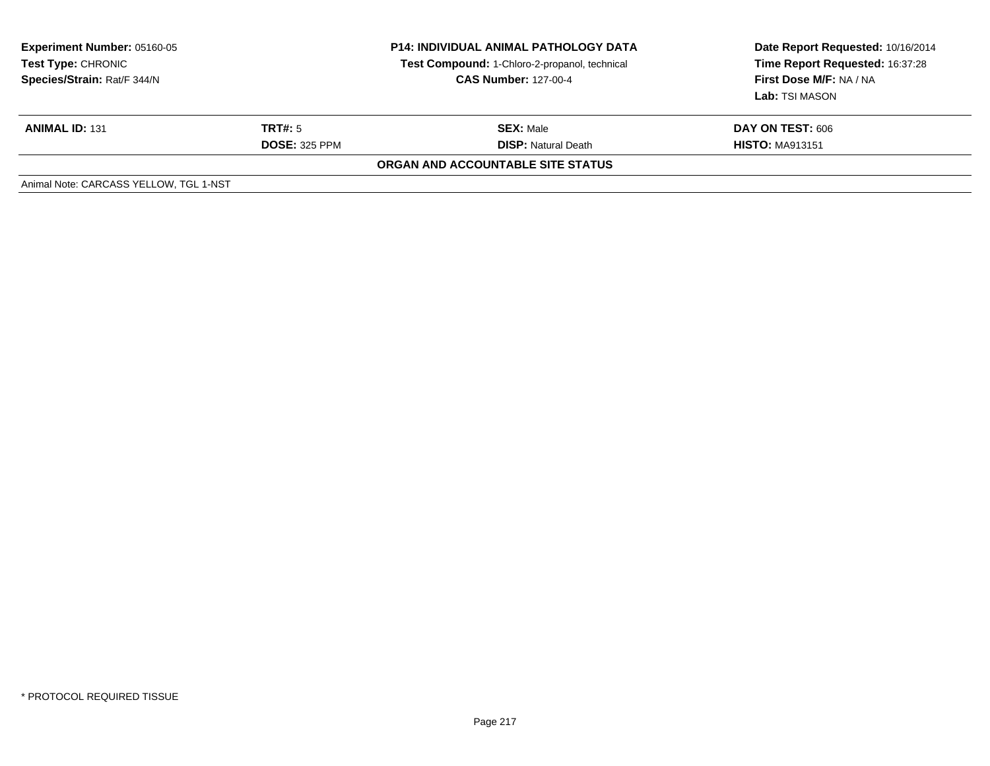| <b>Experiment Number: 05160-05</b><br>Test Type: CHRONIC<br>Species/Strain: Rat/F 344/N |                      | <b>P14: INDIVIDUAL ANIMAL PATHOLOGY DATA</b><br>Test Compound: 1-Chloro-2-propanol, technical<br><b>CAS Number: 127-00-4</b> | Date Report Requested: 10/16/2014<br>Time Report Requested: 16:37:28<br>First Dose M/F: NA / NA<br>Lab: TSI MASON |
|-----------------------------------------------------------------------------------------|----------------------|------------------------------------------------------------------------------------------------------------------------------|-------------------------------------------------------------------------------------------------------------------|
| <b>ANIMAL ID: 131</b>                                                                   | TRT#: 5              | <b>SEX: Male</b>                                                                                                             | DAY ON TEST: 606                                                                                                  |
|                                                                                         | <b>DOSE: 325 PPM</b> | <b>DISP:</b> Natural Death                                                                                                   | <b>HISTO: MA913151</b>                                                                                            |
|                                                                                         |                      | ORGAN AND ACCOUNTABLE SITE STATUS                                                                                            |                                                                                                                   |
| Animal Note: CARCASS YELLOW, TGL 1-NST                                                  |                      |                                                                                                                              |                                                                                                                   |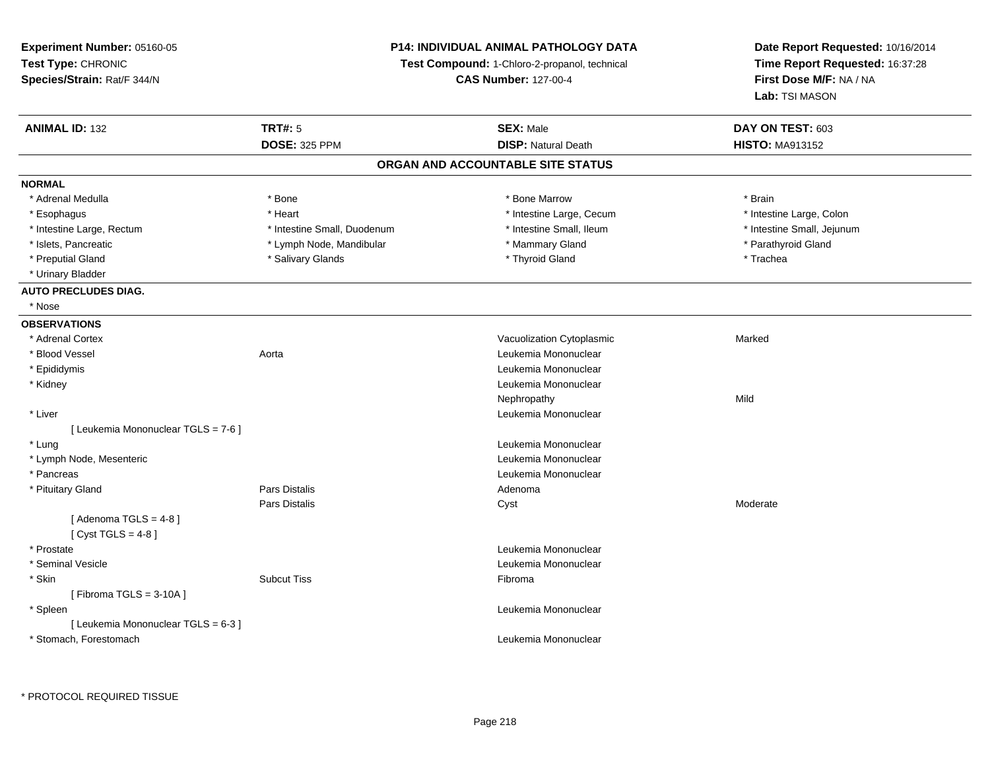**Experiment Number:** 05160-05**Test Type:** CHRONIC **Species/Strain:** Rat/F 344/N**P14: INDIVIDUAL ANIMAL PATHOLOGY DATATest Compound:** 1-Chloro-2-propanol, technical **CAS Number:** 127-00-4**Date Report Requested:** 10/16/2014**Time Report Requested:** 16:37:28**First Dose M/F:** NA / NA**Lab:** TSI MASON**ANIMAL ID:** 132**TRT#:** 5 **SEX:** Male **DAY ON TEST:** 603 **DOSE:** 325 PPM**DISP:** Natural Death **HISTO:** MA913152 **ORGAN AND ACCOUNTABLE SITE STATUSNORMAL**\* Adrenal Medulla \* \* Annual Medulla \* Brain \* Bone \* \* Bone Marrow \* Bone Marrow \* \* Brain \* Brain \* Brain \* Brain \* Brain \* Brain \* Brain \* Brain \* Brain \* Brain \* Brain \* Brain \* Brain \* Brain \* Brain \* Brain \* Brain \* \* Intestine Large, Colon \* Esophagus \* **Heart \* Intestine Large, Cecum \* Intestine Large, Cecum \*** Intestine Large, Cecum \* Intestine Large, Rectum \* Thestine Small, Duodenum \* Number of the small, Ileum \* Intestine Small, Jejunum \* Intestine Small, Jejunum \* Islets, Pancreatic \* The same of the Lymph Node, Mandibular \* Nammary Gland \* Mammary Gland \* Parathyroid Gland \* Preputial Gland \* \* Trachea \* \* Salivary Glands \* \* \* Thyroid Gland \* \* Thomas \* Trachea \* Trachea \* Trachea \* Urinary Bladder**AUTO PRECLUDES DIAG.** \* Nose**OBSERVATIONS** \* Adrenal CortexVacuolization Cytoplasmic **Marked** Marked \* Blood Vessel Aorta Leukemia Mononuclear \* Epididymis Leukemia Mononuclear \* Kidney Leukemia Mononuclear Nephropathyy Mild \* Liver Leukemia Mononuclear [ Leukemia Mononuclear TGLS = 7-6 ] \* Lung Leukemia Mononuclear \* Lymph Node, Mesenteric Leukemia Mononuclear \* Pancreas Leukemia Mononuclear \* Pituitary Glandd and the set of Pars Distalis and the Second Adenomal Adenomal Second Second Pars Distallis Pars Distalis Cyst Moderate $[$  Adenoma TGLS = 4-8  $]$  $[$  Cyst TGLS = 4-8  $]$  \* Prostatee de la controlle de la controlle de la controlle de la controlle de la controlle de la controlle de la controlle de la controlle de la controlle de la controlle de la controlle de la controlle de la controlle de la contro \* Seminal Vesicle Leukemia Mononuclear \* Skinn and the state of the Subcut Tiss and the state of the Subset of the Subset of the Subset of the Subset of the Subset of the Subset of the Subset of the Subset of the Subset of the Subset of the Subset of the Subset of th  $[$  Fibroma TGLS = 3-10A  $]$  \* Spleen Leukemia Mononuclear [ Leukemia Mononuclear TGLS = 6-3 ] \* Stomach, ForestomachLeukemia Mononuclear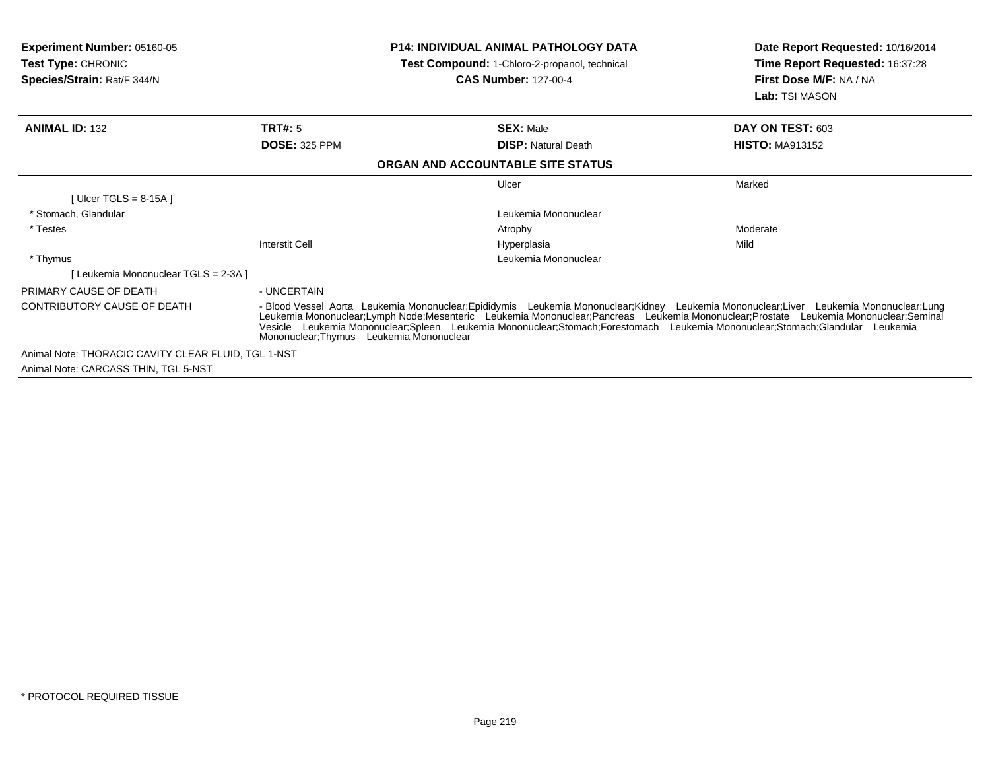| <b>Experiment Number: 05160-05</b><br><b>Test Type: CHRONIC</b><br>Species/Strain: Rat/F 344/N |                                          | <b>P14: INDIVIDUAL ANIMAL PATHOLOGY DATA</b><br>Test Compound: 1-Chloro-2-propanol, technical<br>CAS Number: 127-00-4                                                                                                                                                                                                                                                                                        | Date Report Requested: 10/16/2014<br>Time Report Requested: 16:37:28<br>First Dose M/F: NA / NA<br>Lab: TSI MASON |
|------------------------------------------------------------------------------------------------|------------------------------------------|--------------------------------------------------------------------------------------------------------------------------------------------------------------------------------------------------------------------------------------------------------------------------------------------------------------------------------------------------------------------------------------------------------------|-------------------------------------------------------------------------------------------------------------------|
| <b>ANIMAL ID: 132</b>                                                                          | <b>TRT#: 5</b>                           | <b>SEX: Male</b>                                                                                                                                                                                                                                                                                                                                                                                             | DAY ON TEST: 603                                                                                                  |
|                                                                                                | <b>DOSE: 325 PPM</b>                     | <b>DISP:</b> Natural Death                                                                                                                                                                                                                                                                                                                                                                                   | <b>HISTO: MA913152</b>                                                                                            |
|                                                                                                |                                          | ORGAN AND ACCOUNTABLE SITE STATUS                                                                                                                                                                                                                                                                                                                                                                            |                                                                                                                   |
|                                                                                                |                                          | Ulcer                                                                                                                                                                                                                                                                                                                                                                                                        | Marked                                                                                                            |
| [ Ulcer TGLS = $8-15A$ ]                                                                       |                                          |                                                                                                                                                                                                                                                                                                                                                                                                              |                                                                                                                   |
| * Stomach, Glandular                                                                           |                                          | Leukemia Mononuclear                                                                                                                                                                                                                                                                                                                                                                                         |                                                                                                                   |
| * Testes                                                                                       |                                          | Atrophy                                                                                                                                                                                                                                                                                                                                                                                                      | Moderate                                                                                                          |
|                                                                                                | Interstit Cell                           | Hyperplasia                                                                                                                                                                                                                                                                                                                                                                                                  | Mild                                                                                                              |
| * Thymus                                                                                       |                                          | Leukemia Mononuclear                                                                                                                                                                                                                                                                                                                                                                                         |                                                                                                                   |
| [Leukemia Mononuclear TGLS = 2-3A ]                                                            |                                          |                                                                                                                                                                                                                                                                                                                                                                                                              |                                                                                                                   |
| PRIMARY CAUSE OF DEATH                                                                         | - UNCERTAIN                              |                                                                                                                                                                                                                                                                                                                                                                                                              |                                                                                                                   |
| CONTRIBUTORY CAUSE OF DEATH                                                                    | Mononuclear: Thymus Leukemia Mononuclear | - Blood Vessel Aorta Leukemia Mononuclear;Epididymis Leukemia Mononuclear;Kidney Leukemia Mononuclear;Liver Leukemia Mononuclear;Lung<br>Leukemia Mononuclear;Lymph Node;Mesenteric Leukemia Mononuclear;Pancreas Leukemia Mononuclear;Prostate Leukemia Mononuclear;Seminal<br>Vesicle Leukemia Mononuclear:Spleen Leukemia Mononuclear:Stomach:Forestomach Leukemia Mononuclear:Stomach:Glandular Leukemia |                                                                                                                   |
| Animal Note: THORACIC CAVITY CLEAR FLUID, TGL 1-NST                                            |                                          |                                                                                                                                                                                                                                                                                                                                                                                                              |                                                                                                                   |
| Animal Note: CARCASS THIN, TGL 5-NST                                                           |                                          |                                                                                                                                                                                                                                                                                                                                                                                                              |                                                                                                                   |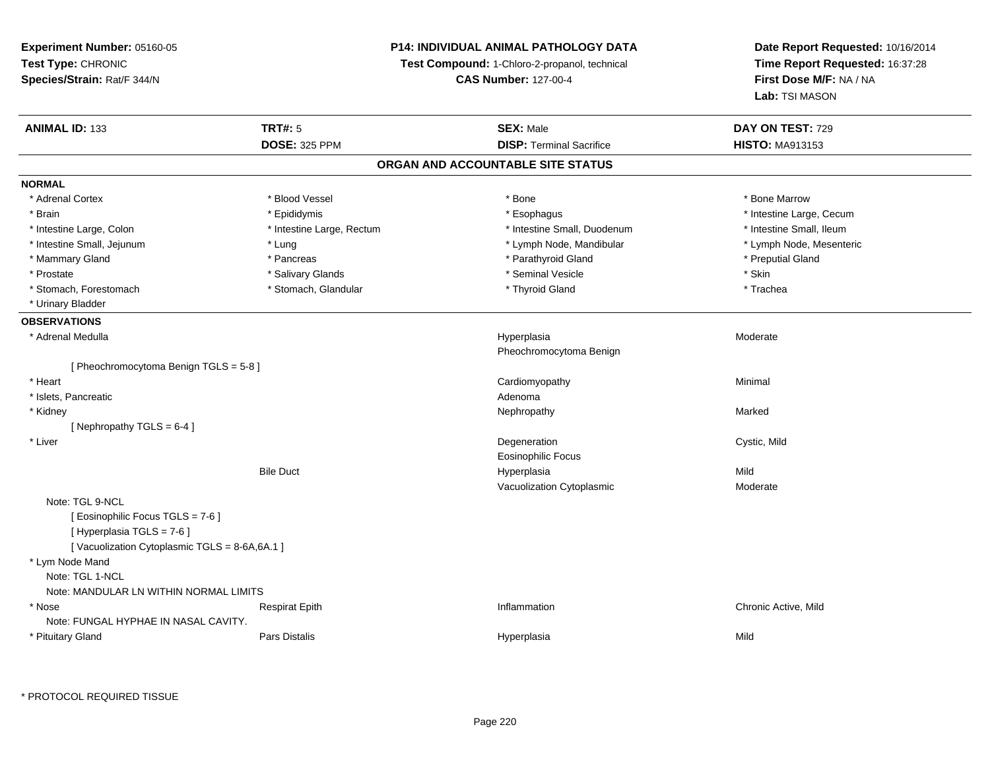### **P14: INDIVIDUAL ANIMAL PATHOLOGY DATA**

**Test Compound:** 1-Chloro-2-propanol, technical

**CAS Number:** 127-00-4

**Date Report Requested:** 10/16/2014**Time Report Requested:** 16:37:28**First Dose M/F:** NA / NA**Lab:** TSI MASON

| <b>ANIMAL ID: 133</b>                        | <b>TRT#: 5</b>            | <b>SEX: Male</b>                  | DAY ON TEST: 729         |
|----------------------------------------------|---------------------------|-----------------------------------|--------------------------|
|                                              | <b>DOSE: 325 PPM</b>      | <b>DISP: Terminal Sacrifice</b>   | <b>HISTO: MA913153</b>   |
|                                              |                           | ORGAN AND ACCOUNTABLE SITE STATUS |                          |
| <b>NORMAL</b>                                |                           |                                   |                          |
| * Adrenal Cortex                             | * Blood Vessel            | * Bone                            | * Bone Marrow            |
| * Brain                                      | * Epididymis              | * Esophagus                       | * Intestine Large, Cecum |
| * Intestine Large, Colon                     | * Intestine Large, Rectum | * Intestine Small, Duodenum       | * Intestine Small, Ileum |
| * Intestine Small, Jejunum                   | * Lung                    | * Lymph Node, Mandibular          | * Lymph Node, Mesenteric |
| * Mammary Gland                              | * Pancreas                | * Parathyroid Gland               | * Preputial Gland        |
| * Prostate                                   | * Salivary Glands         | * Seminal Vesicle                 | * Skin                   |
| * Stomach, Forestomach                       | * Stomach, Glandular      | * Thyroid Gland                   | * Trachea                |
| * Urinary Bladder                            |                           |                                   |                          |
| <b>OBSERVATIONS</b>                          |                           |                                   |                          |
| * Adrenal Medulla                            |                           | Hyperplasia                       | Moderate                 |
|                                              |                           | Pheochromocytoma Benign           |                          |
| [Pheochromocytoma Benign TGLS = 5-8]         |                           |                                   |                          |
| * Heart                                      |                           | Cardiomyopathy                    | Minimal                  |
| * Islets, Pancreatic                         |                           | Adenoma                           |                          |
| * Kidney                                     |                           | Nephropathy                       | Marked                   |
| [Nephropathy TGLS = $6-4$ ]                  |                           |                                   |                          |
| * Liver                                      |                           | Degeneration                      | Cystic, Mild             |
|                                              |                           | <b>Eosinophilic Focus</b>         |                          |
|                                              | <b>Bile Duct</b>          | Hyperplasia                       | Mild                     |
|                                              |                           | Vacuolization Cytoplasmic         | Moderate                 |
| Note: TGL 9-NCL                              |                           |                                   |                          |
| [ Eosinophilic Focus TGLS = 7-6 ]            |                           |                                   |                          |
| [ Hyperplasia TGLS = 7-6 ]                   |                           |                                   |                          |
| [Vacuolization Cytoplasmic TGLS = 8-6A,6A.1] |                           |                                   |                          |
| * Lym Node Mand                              |                           |                                   |                          |
| Note: TGL 1-NCL                              |                           |                                   |                          |
| Note: MANDULAR LN WITHIN NORMAL LIMITS       |                           |                                   |                          |
| * Nose                                       | <b>Respirat Epith</b>     | Inflammation                      | Chronic Active, Mild     |
| Note: FUNGAL HYPHAE IN NASAL CAVITY.         |                           |                                   |                          |
| * Pituitary Gland                            | <b>Pars Distalis</b>      | Hyperplasia                       | Mild                     |
|                                              |                           |                                   |                          |

\* PROTOCOL REQUIRED TISSUE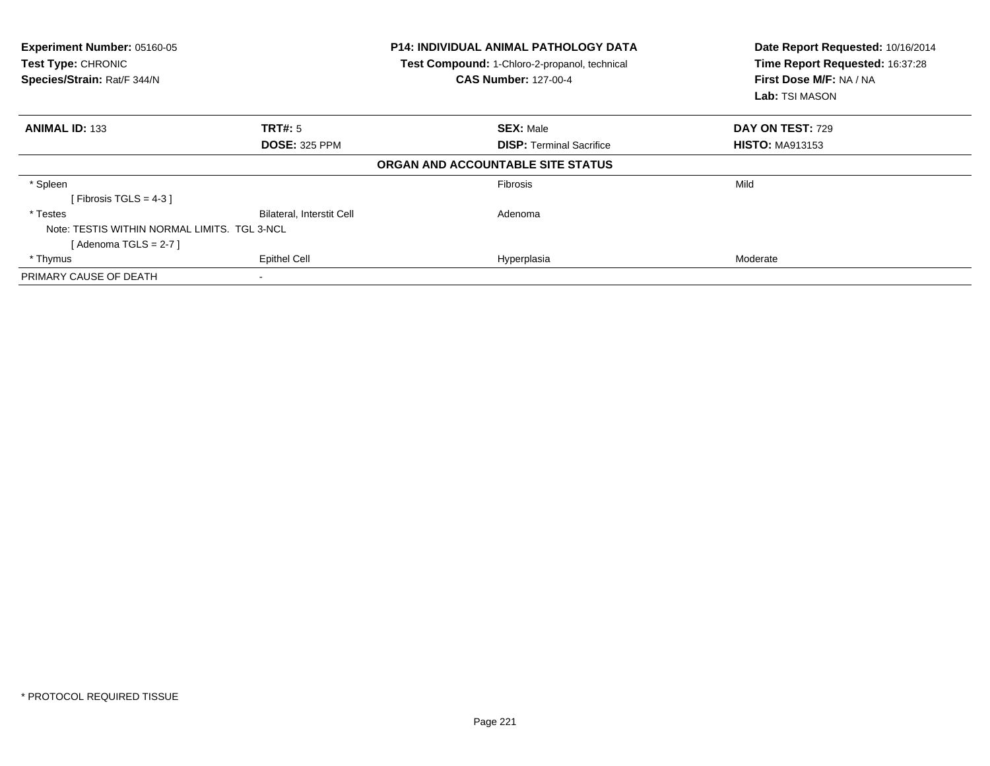| Experiment Number: 05160-05<br>Test Type: CHRONIC<br>Species/Strain: Rat/F 344/N |                                  | <b>P14: INDIVIDUAL ANIMAL PATHOLOGY DATA</b><br>Test Compound: 1-Chloro-2-propanol, technical<br><b>CAS Number: 127-00-4</b> | Date Report Requested: 10/16/2014<br>Time Report Requested: 16:37:28<br>First Dose M/F: NA / NA<br><b>Lab:</b> TSI MASON |
|----------------------------------------------------------------------------------|----------------------------------|------------------------------------------------------------------------------------------------------------------------------|--------------------------------------------------------------------------------------------------------------------------|
| <b>ANIMAL ID: 133</b>                                                            | TRT#: 5                          | <b>SEX: Male</b>                                                                                                             | <b>DAY ON TEST: 729</b>                                                                                                  |
|                                                                                  | <b>DOSE: 325 PPM</b>             | <b>DISP:</b> Terminal Sacrifice                                                                                              | <b>HISTO: MA913153</b>                                                                                                   |
|                                                                                  |                                  | ORGAN AND ACCOUNTABLE SITE STATUS                                                                                            |                                                                                                                          |
| * Spleen                                                                         |                                  | <b>Fibrosis</b>                                                                                                              | Mild                                                                                                                     |
| [Fibrosis TGLS = $4-3$ ]                                                         |                                  |                                                                                                                              |                                                                                                                          |
| * Testes                                                                         | <b>Bilateral, Interstit Cell</b> | Adenoma                                                                                                                      |                                                                                                                          |
| Note: TESTIS WITHIN NORMAL LIMITS. TGL 3-NCL                                     |                                  |                                                                                                                              |                                                                                                                          |
| [ Adenoma TGLS = 2-7 ]                                                           |                                  |                                                                                                                              |                                                                                                                          |
| * Thymus                                                                         | <b>Epithel Cell</b>              | Hyperplasia                                                                                                                  | Moderate                                                                                                                 |
| PRIMARY CAUSE OF DEATH                                                           |                                  |                                                                                                                              |                                                                                                                          |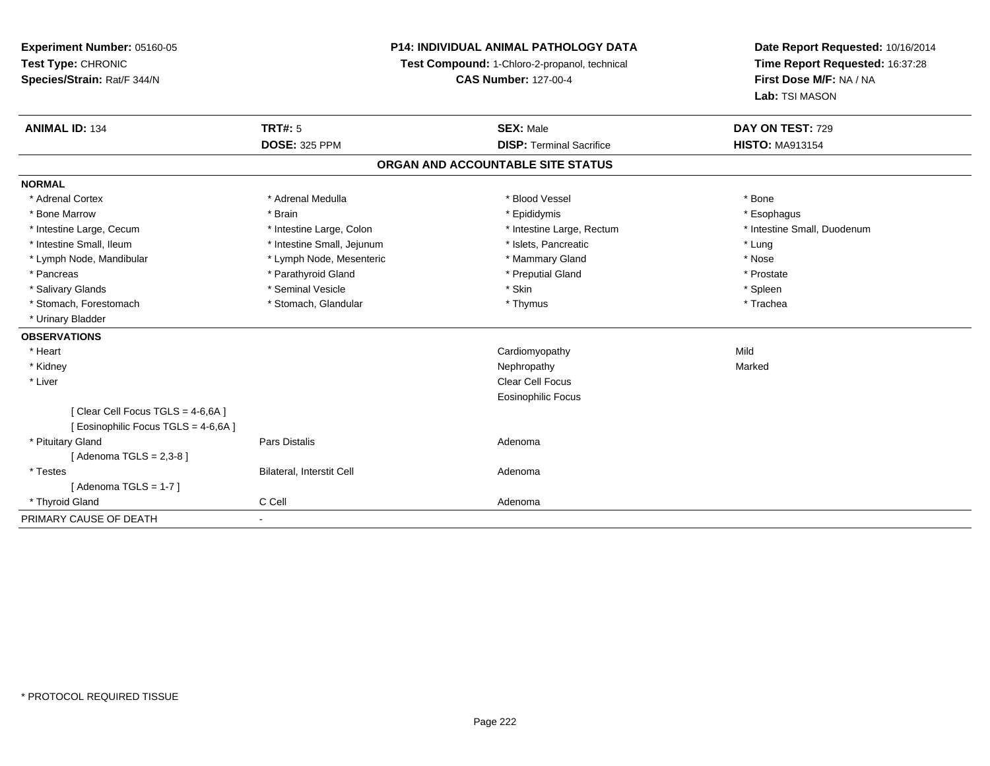### **P14: INDIVIDUAL ANIMAL PATHOLOGY DATA**

**Test Compound:** 1-Chloro-2-propanol, technical

**CAS Number:** 127-00-4

| <b>ANIMAL ID: 134</b>                | <b>TRT#: 5</b>               | <b>SEX: Male</b>                  | DAY ON TEST: 729            |
|--------------------------------------|------------------------------|-----------------------------------|-----------------------------|
|                                      | <b>DOSE: 325 PPM</b>         | <b>DISP: Terminal Sacrifice</b>   | <b>HISTO: MA913154</b>      |
|                                      |                              | ORGAN AND ACCOUNTABLE SITE STATUS |                             |
| <b>NORMAL</b>                        |                              |                                   |                             |
| * Adrenal Cortex                     | * Adrenal Medulla            | * Blood Vessel                    | * Bone                      |
| * Bone Marrow                        | * Brain                      | * Epididymis                      | * Esophagus                 |
| * Intestine Large, Cecum             | * Intestine Large, Colon     | * Intestine Large, Rectum         | * Intestine Small, Duodenum |
| * Intestine Small, Ileum             | * Intestine Small, Jejunum   | * Islets, Pancreatic              | * Lung                      |
| * Lymph Node, Mandibular             | * Lymph Node, Mesenteric     | * Mammary Gland                   | * Nose                      |
| * Pancreas                           | * Parathyroid Gland          | * Preputial Gland                 | * Prostate                  |
| * Salivary Glands                    | * Seminal Vesicle            | * Skin                            | * Spleen                    |
| * Stomach, Forestomach               | * Stomach, Glandular         | * Thymus                          | * Trachea                   |
| * Urinary Bladder                    |                              |                                   |                             |
| <b>OBSERVATIONS</b>                  |                              |                                   |                             |
| * Heart                              |                              | Cardiomyopathy                    | Mild                        |
| * Kidney                             |                              | Nephropathy                       | Marked                      |
| * Liver                              |                              | Clear Cell Focus                  |                             |
|                                      |                              | <b>Eosinophilic Focus</b>         |                             |
| [Clear Cell Focus TGLS = 4-6,6A]     |                              |                                   |                             |
| [ Eosinophilic Focus TGLS = 4-6,6A ] |                              |                                   |                             |
| * Pituitary Gland                    | Pars Distalis                | Adenoma                           |                             |
| [Adenoma TGLS = $2,3-8$ ]            |                              |                                   |                             |
| * Testes                             | Bilateral, Interstit Cell    | Adenoma                           |                             |
| [Adenoma TGLS = $1-7$ ]              |                              |                                   |                             |
| * Thyroid Gland                      | C Cell                       | Adenoma                           |                             |
| PRIMARY CAUSE OF DEATH               | $\qquad \qquad \blacksquare$ |                                   |                             |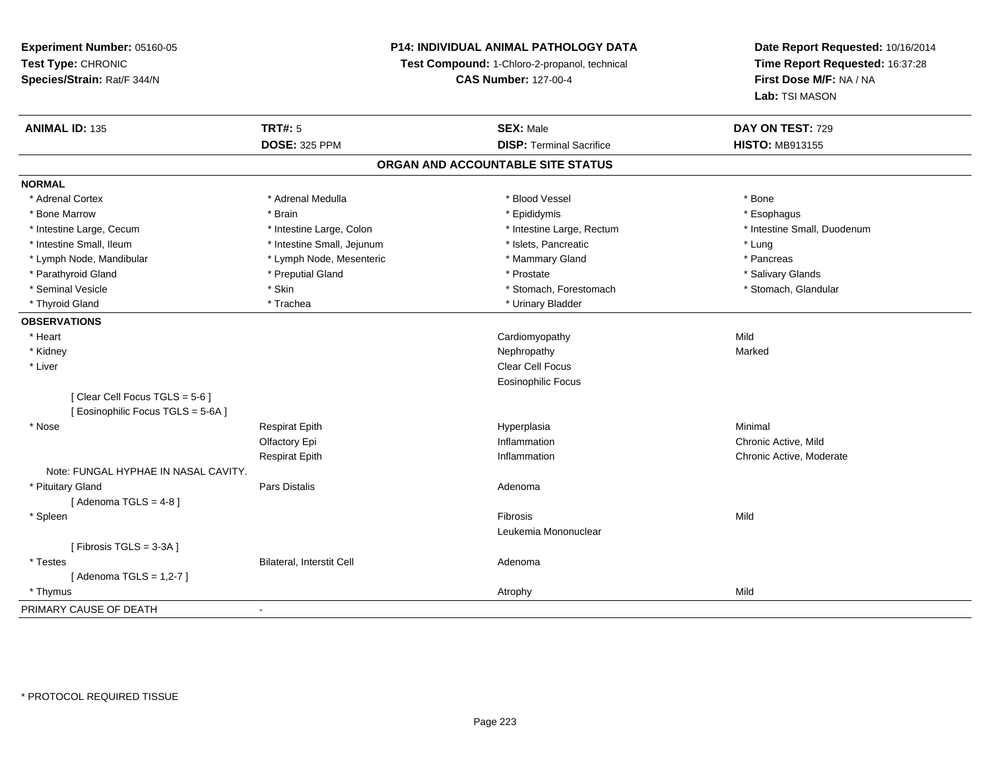### **P14: INDIVIDUAL ANIMAL PATHOLOGY DATA**

**Test Compound:** 1-Chloro-2-propanol, technical

**CAS Number:** 127-00-4

| <b>ANIMAL ID: 135</b>                | <b>TRT#: 5</b>             | <b>SEX: Male</b>                  | DAY ON TEST: 729            |
|--------------------------------------|----------------------------|-----------------------------------|-----------------------------|
|                                      | <b>DOSE: 325 PPM</b>       | <b>DISP: Terminal Sacrifice</b>   | <b>HISTO: MB913155</b>      |
|                                      |                            | ORGAN AND ACCOUNTABLE SITE STATUS |                             |
| <b>NORMAL</b>                        |                            |                                   |                             |
| * Adrenal Cortex                     | * Adrenal Medulla          | * Blood Vessel                    | * Bone                      |
| * Bone Marrow                        | * Brain                    | * Epididymis                      | * Esophagus                 |
| * Intestine Large, Cecum             | * Intestine Large, Colon   | * Intestine Large, Rectum         | * Intestine Small, Duodenum |
| * Intestine Small, Ileum             | * Intestine Small, Jejunum | * Islets, Pancreatic              | * Lung                      |
| * Lymph Node, Mandibular             | * Lymph Node, Mesenteric   | * Mammary Gland                   | * Pancreas                  |
| * Parathyroid Gland                  | * Preputial Gland          | * Prostate                        | * Salivary Glands           |
| * Seminal Vesicle                    | * Skin                     | * Stomach, Forestomach            | * Stomach, Glandular        |
| * Thyroid Gland                      | * Trachea                  | * Urinary Bladder                 |                             |
| <b>OBSERVATIONS</b>                  |                            |                                   |                             |
| * Heart                              |                            | Cardiomyopathy                    | Mild                        |
| * Kidney                             |                            | Nephropathy                       | Marked                      |
| * Liver                              |                            | Clear Cell Focus                  |                             |
|                                      |                            | <b>Eosinophilic Focus</b>         |                             |
| [Clear Cell Focus TGLS = 5-6]        |                            |                                   |                             |
| [ Eosinophilic Focus TGLS = 5-6A]    |                            |                                   |                             |
| * Nose                               | <b>Respirat Epith</b>      | Hyperplasia                       | Minimal                     |
|                                      | Olfactory Epi              | Inflammation                      | Chronic Active, Mild        |
|                                      | <b>Respirat Epith</b>      | Inflammation                      | Chronic Active, Moderate    |
| Note: FUNGAL HYPHAE IN NASAL CAVITY. |                            |                                   |                             |
| * Pituitary Gland                    | Pars Distalis              | Adenoma                           |                             |
| [Adenoma TGLS = $4-8$ ]              |                            |                                   |                             |
| * Spleen                             |                            | Fibrosis                          | Mild                        |
|                                      |                            | Leukemia Mononuclear              |                             |
| [Fibrosis TGLS = 3-3A]               |                            |                                   |                             |
| * Testes                             | Bilateral, Interstit Cell  | Adenoma                           |                             |
| [Adenoma TGLS = $1,2-7$ ]            |                            |                                   |                             |
| * Thymus                             |                            | Atrophy                           | Mild                        |
| PRIMARY CAUSE OF DEATH               |                            |                                   |                             |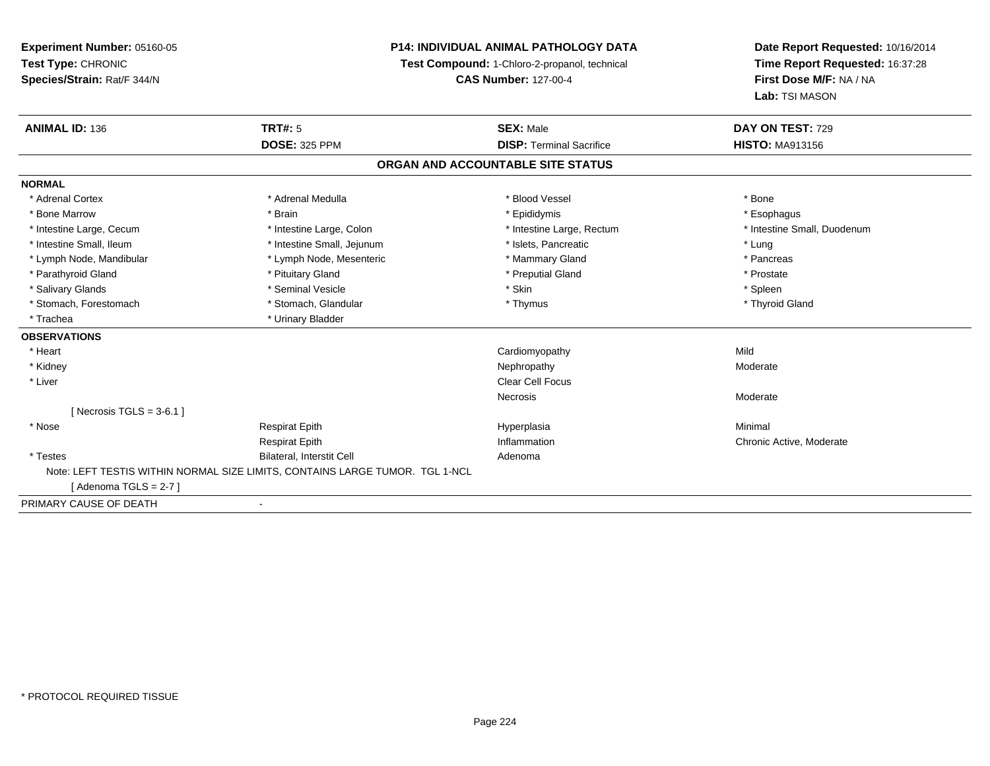### **P14: INDIVIDUAL ANIMAL PATHOLOGY DATA**

**Test Compound:** 1-Chloro-2-propanol, technical

**CAS Number:** 127-00-4

| <b>ANIMAL ID: 136</b>       | <b>TRT#: 5</b>                                                               | <b>SEX: Male</b>                  | DAY ON TEST: 729            |
|-----------------------------|------------------------------------------------------------------------------|-----------------------------------|-----------------------------|
|                             | <b>DOSE: 325 PPM</b>                                                         | <b>DISP: Terminal Sacrifice</b>   | <b>HISTO: MA913156</b>      |
|                             |                                                                              | ORGAN AND ACCOUNTABLE SITE STATUS |                             |
| <b>NORMAL</b>               |                                                                              |                                   |                             |
| * Adrenal Cortex            | * Adrenal Medulla                                                            | * Blood Vessel                    | * Bone                      |
| * Bone Marrow               | * Brain                                                                      | * Epididymis                      | * Esophagus                 |
| * Intestine Large, Cecum    | * Intestine Large, Colon                                                     | * Intestine Large, Rectum         | * Intestine Small, Duodenum |
| * Intestine Small, Ileum    | * Intestine Small, Jejunum                                                   | * Islets, Pancreatic              | * Lung                      |
| * Lymph Node, Mandibular    | * Lymph Node, Mesenteric                                                     | * Mammary Gland                   | * Pancreas                  |
| * Parathyroid Gland         | * Pituitary Gland                                                            | * Preputial Gland                 | * Prostate                  |
| * Salivary Glands           | * Seminal Vesicle                                                            | * Skin                            | * Spleen                    |
| * Stomach, Forestomach      | * Stomach, Glandular                                                         | * Thymus                          | * Thyroid Gland             |
| * Trachea                   | * Urinary Bladder                                                            |                                   |                             |
| <b>OBSERVATIONS</b>         |                                                                              |                                   |                             |
| * Heart                     |                                                                              | Cardiomyopathy                    | Mild                        |
| * Kidney                    |                                                                              | Nephropathy                       | Moderate                    |
| * Liver                     |                                                                              | Clear Cell Focus                  |                             |
|                             |                                                                              | <b>Necrosis</b>                   | Moderate                    |
| [ Necrosis TGLS = $3-6.1$ ] |                                                                              |                                   |                             |
| * Nose                      | <b>Respirat Epith</b>                                                        | Hyperplasia                       | Minimal                     |
|                             | <b>Respirat Epith</b>                                                        | Inflammation                      | Chronic Active, Moderate    |
| * Testes                    | Bilateral, Interstit Cell                                                    | Adenoma                           |                             |
|                             | Note: LEFT TESTIS WITHIN NORMAL SIZE LIMITS, CONTAINS LARGE TUMOR. TGL 1-NCL |                                   |                             |
| [Adenoma TGLS = 2-7]        |                                                                              |                                   |                             |
| PRIMARY CAUSE OF DEATH      |                                                                              |                                   |                             |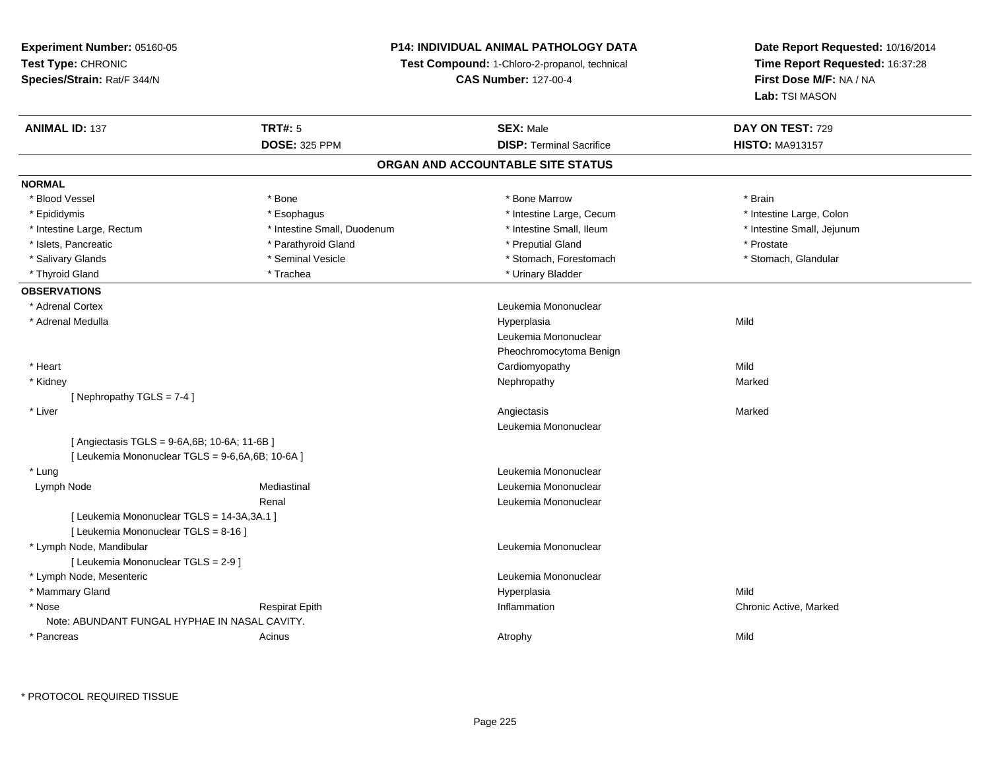### **P14: INDIVIDUAL ANIMAL PATHOLOGY DATA**

**Test Compound:** 1-Chloro-2-propanol, technical

**CAS Number:** 127-00-4

| <b>ANIMAL ID: 137</b>                            | <b>TRT#: 5</b>              | <b>SEX: Male</b>                  | DAY ON TEST: 729           |  |
|--------------------------------------------------|-----------------------------|-----------------------------------|----------------------------|--|
|                                                  | <b>DOSE: 325 PPM</b>        | <b>DISP: Terminal Sacrifice</b>   | <b>HISTO: MA913157</b>     |  |
|                                                  |                             | ORGAN AND ACCOUNTABLE SITE STATUS |                            |  |
| <b>NORMAL</b>                                    |                             |                                   |                            |  |
| * Blood Vessel                                   | * Bone                      | * Bone Marrow                     | * Brain                    |  |
| * Epididymis                                     | * Esophagus                 | * Intestine Large, Cecum          | * Intestine Large, Colon   |  |
| * Intestine Large, Rectum                        | * Intestine Small, Duodenum | * Intestine Small, Ileum          | * Intestine Small, Jejunum |  |
| * Islets, Pancreatic                             | * Parathyroid Gland         | * Preputial Gland                 | * Prostate                 |  |
| * Salivary Glands                                | * Seminal Vesicle           | * Stomach, Forestomach            | * Stomach, Glandular       |  |
| * Thyroid Gland                                  | * Trachea                   | * Urinary Bladder                 |                            |  |
| <b>OBSERVATIONS</b>                              |                             |                                   |                            |  |
| * Adrenal Cortex                                 |                             | Leukemia Mononuclear              |                            |  |
| * Adrenal Medulla                                |                             | Hyperplasia                       | Mild                       |  |
|                                                  |                             | Leukemia Mononuclear              |                            |  |
|                                                  |                             | Pheochromocytoma Benign           |                            |  |
| * Heart                                          |                             | Cardiomyopathy                    | Mild                       |  |
| * Kidney                                         |                             | Nephropathy                       | Marked                     |  |
| [Nephropathy TGLS = 7-4]                         |                             |                                   |                            |  |
| * Liver                                          |                             | Angiectasis                       | Marked                     |  |
|                                                  |                             | Leukemia Mononuclear              |                            |  |
| [Angiectasis TGLS = 9-6A,6B; 10-6A; 11-6B]       |                             |                                   |                            |  |
| [ Leukemia Mononuclear TGLS = 9-6,6A,6B; 10-6A ] |                             |                                   |                            |  |
| * Lung                                           |                             | Leukemia Mononuclear              |                            |  |
| Lymph Node                                       | Mediastinal                 | Leukemia Mononuclear              |                            |  |
|                                                  | Renal                       | Leukemia Mononuclear              |                            |  |
| [ Leukemia Mononuclear TGLS = 14-3A, 3A.1 ]      |                             |                                   |                            |  |
| [ Leukemia Mononuclear TGLS = 8-16 ]             |                             |                                   |                            |  |
| * Lymph Node, Mandibular                         |                             | Leukemia Mononuclear              |                            |  |
| [ Leukemia Mononuclear TGLS = 2-9 ]              |                             |                                   |                            |  |
| * Lymph Node, Mesenteric                         |                             | Leukemia Mononuclear              |                            |  |
| * Mammary Gland                                  |                             | Hyperplasia                       | Mild                       |  |
| * Nose                                           | <b>Respirat Epith</b>       | Inflammation                      | Chronic Active, Marked     |  |
| Note: ABUNDANT FUNGAL HYPHAE IN NASAL CAVITY.    |                             |                                   |                            |  |
| * Pancreas                                       | Acinus                      | Atrophy                           | Mild                       |  |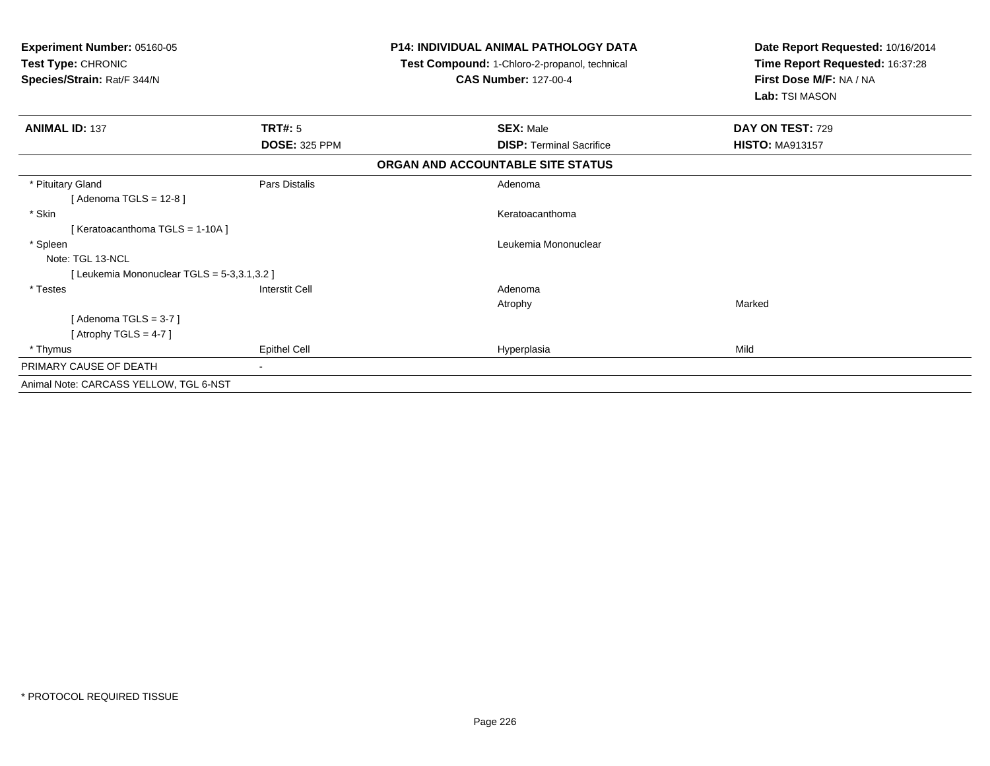| <b>Experiment Number: 05160-05</b><br>Test Type: CHRONIC<br>Species/Strain: Rat/F 344/N |                      | <b>P14: INDIVIDUAL ANIMAL PATHOLOGY DATA</b><br>Test Compound: 1-Chloro-2-propanol, technical<br><b>CAS Number: 127-00-4</b> | Date Report Requested: 10/16/2014<br>Time Report Requested: 16:37:28<br>First Dose M/F: NA / NA<br>Lab: TSI MASON |
|-----------------------------------------------------------------------------------------|----------------------|------------------------------------------------------------------------------------------------------------------------------|-------------------------------------------------------------------------------------------------------------------|
| <b>ANIMAL ID: 137</b>                                                                   | TRT#: 5              | <b>SEX: Male</b>                                                                                                             | DAY ON TEST: 729                                                                                                  |
|                                                                                         | <b>DOSE: 325 PPM</b> | <b>DISP: Terminal Sacrifice</b>                                                                                              | <b>HISTO: MA913157</b>                                                                                            |
|                                                                                         |                      | ORGAN AND ACCOUNTABLE SITE STATUS                                                                                            |                                                                                                                   |
| * Pituitary Gland                                                                       | Pars Distalis        | Adenoma                                                                                                                      |                                                                                                                   |
| [ Adenoma TGLS = 12-8 ]                                                                 |                      |                                                                                                                              |                                                                                                                   |
| * Skin                                                                                  |                      | Keratoacanthoma                                                                                                              |                                                                                                                   |
| [Keratoacanthoma TGLS = 1-10A]                                                          |                      |                                                                                                                              |                                                                                                                   |
| * Spleen                                                                                |                      | Leukemia Mononuclear                                                                                                         |                                                                                                                   |
| Note: TGL 13-NCL                                                                        |                      |                                                                                                                              |                                                                                                                   |
| [Leukemia Mononuclear TGLS = 5-3,3.1,3.2]                                               |                      |                                                                                                                              |                                                                                                                   |
| * Testes                                                                                | Interstit Cell       | Adenoma                                                                                                                      |                                                                                                                   |
|                                                                                         |                      | Atrophy                                                                                                                      | Marked                                                                                                            |
| [Adenoma TGLS = $3-7$ ]                                                                 |                      |                                                                                                                              |                                                                                                                   |
| [Atrophy TGLS = 4-7]                                                                    |                      |                                                                                                                              |                                                                                                                   |
| * Thymus                                                                                | <b>Epithel Cell</b>  | Hyperplasia                                                                                                                  | Mild                                                                                                              |
| PRIMARY CAUSE OF DEATH                                                                  |                      |                                                                                                                              |                                                                                                                   |
| Animal Note: CARCASS YELLOW, TGL 6-NST                                                  |                      |                                                                                                                              |                                                                                                                   |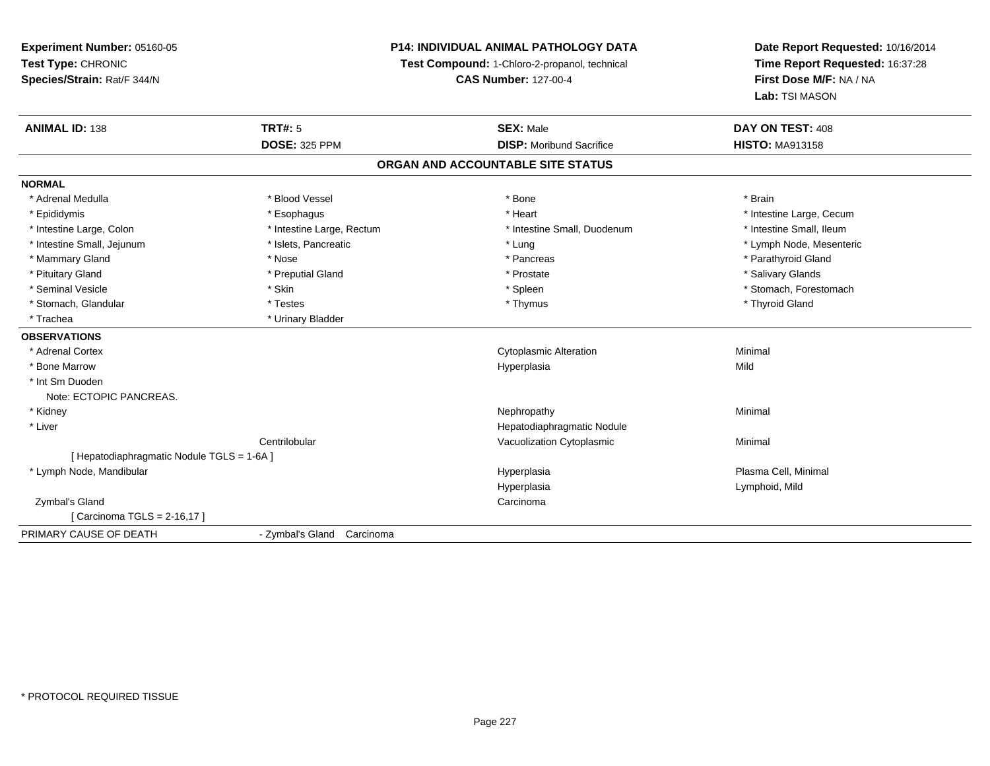### **P14: INDIVIDUAL ANIMAL PATHOLOGY DATA**

**Test Compound:** 1-Chloro-2-propanol, technical

**CAS Number:** 127-00-4

| <b>ANIMAL ID: 138</b>                      | <b>TRT#: 5</b>             | <b>SEX: Male</b>                  | DAY ON TEST: 408         |
|--------------------------------------------|----------------------------|-----------------------------------|--------------------------|
|                                            | <b>DOSE: 325 PPM</b>       | <b>DISP:</b> Moribund Sacrifice   | <b>HISTO: MA913158</b>   |
|                                            |                            | ORGAN AND ACCOUNTABLE SITE STATUS |                          |
| <b>NORMAL</b>                              |                            |                                   |                          |
| * Adrenal Medulla                          | * Blood Vessel             | * Bone                            | * Brain                  |
| * Epididymis                               | * Esophagus                | * Heart                           | * Intestine Large, Cecum |
| * Intestine Large, Colon                   | * Intestine Large, Rectum  | * Intestine Small, Duodenum       | * Intestine Small, Ileum |
| * Intestine Small, Jejunum                 | * Islets, Pancreatic       | * Lung                            | * Lymph Node, Mesenteric |
| * Mammary Gland                            | * Nose                     | * Pancreas                        | * Parathyroid Gland      |
| * Pituitary Gland                          | * Preputial Gland          | * Prostate                        | * Salivary Glands        |
| * Seminal Vesicle                          | * Skin                     | * Spleen                          | * Stomach, Forestomach   |
| * Stomach, Glandular                       | * Testes                   | * Thymus                          | * Thyroid Gland          |
| * Trachea                                  | * Urinary Bladder          |                                   |                          |
| <b>OBSERVATIONS</b>                        |                            |                                   |                          |
| * Adrenal Cortex                           |                            | <b>Cytoplasmic Alteration</b>     | Minimal                  |
| * Bone Marrow                              |                            | Hyperplasia                       | Mild                     |
| * Int Sm Duoden                            |                            |                                   |                          |
| Note: ECTOPIC PANCREAS.                    |                            |                                   |                          |
| * Kidney                                   |                            | Nephropathy                       | Minimal                  |
| * Liver                                    |                            | Hepatodiaphragmatic Nodule        |                          |
|                                            | Centrilobular              | Vacuolization Cytoplasmic         | Minimal                  |
| [ Hepatodiaphragmatic Nodule TGLS = 1-6A ] |                            |                                   |                          |
| * Lymph Node, Mandibular                   |                            | Hyperplasia                       | Plasma Cell, Minimal     |
|                                            |                            | Hyperplasia                       | Lymphoid, Mild           |
| Zymbal's Gland                             |                            | Carcinoma                         |                          |
| [ Carcinoma TGLS = 2-16,17 ]               |                            |                                   |                          |
| PRIMARY CAUSE OF DEATH                     | - Zymbal's Gland Carcinoma |                                   |                          |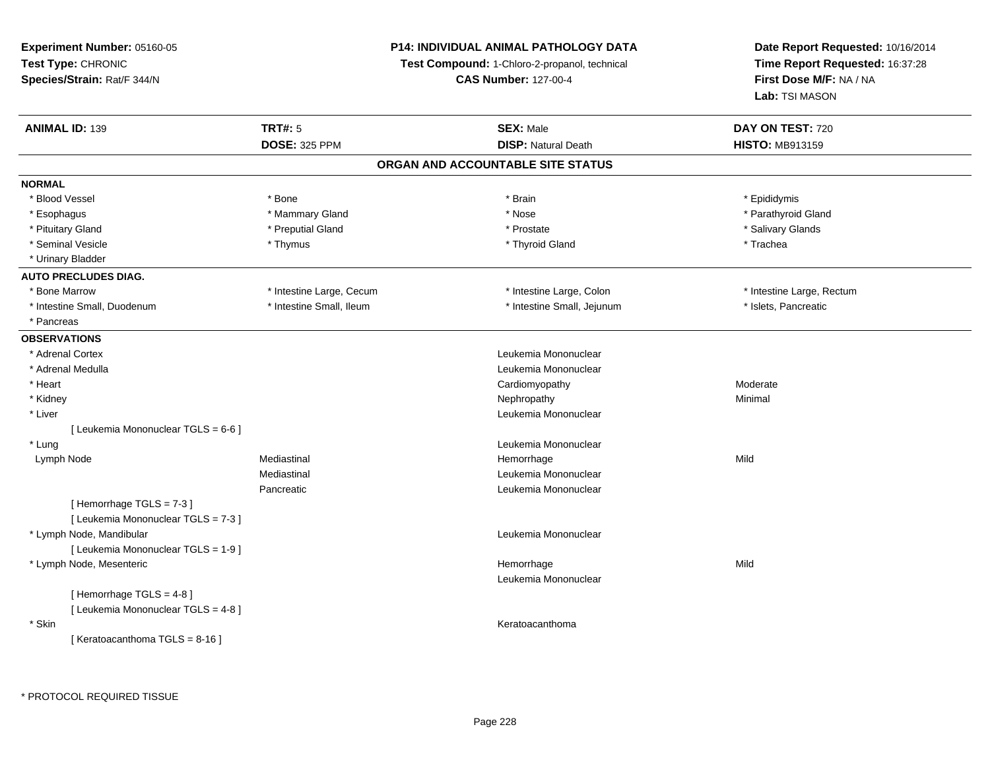**Experiment Number:** 05160-05**Test Type:** CHRONIC **Species/Strain:** Rat/F 344/N**P14: INDIVIDUAL ANIMAL PATHOLOGY DATATest Compound:** 1-Chloro-2-propanol, technical **CAS Number:** 127-00-4**Date Report Requested:** 10/16/2014**Time Report Requested:** 16:37:28**First Dose M/F:** NA / NA**Lab:** TSI MASON**ANIMAL ID:** 139**TRT#:** 5 **SEX:** Male **DAY ON TEST:** 720 **DOSE:** 325 PPM**DISP:** Natural Death **HISTO:** MB913159 **ORGAN AND ACCOUNTABLE SITE STATUSNORMAL**\* Blood Vessel \* Blood Vessel \* Bone \* Brain \* Epididymis\* Parathyroid Gland \* Esophagus \* \* Ammary Gland \* \* Mammary Gland \* \* Nose \* \* Nose \* \* Parathyroid Gland \* \* Parathyroid Gland \* \* Pituitary Gland \* \* Then the state \* Preputial Gland \* Prosection \* Prostate \* \* Salivary Glands \* Salivary Glands \* Salivary Glands \* Salivary Glands \* Salivary Glands \* Salivary Glands \* Salivary Glands \* Salivary Glan \* Seminal Vesicle \* \* \* Trachea \* \* Thymus \* \* Thymus \* \* Thyroid Gland \* \* Thyroid Gland \* \* Trachea \* Urinary Bladder**AUTO PRECLUDES DIAG.**\* Bone Marrow \* Thestine Large, Cecum \* Intestine Large, Cecum \* Intestine Large, Colon \* \* Intestine Large, Rectum \* Intestine Small, Duodenum \* Intestine Small, Ileum \* Intestine Small, Ileum \* Intestine Small, Jejunum \* Islets, Pancreatic \* Pancreas**OBSERVATIONS** \* Adrenal Cortex Leukemia Mononuclear \* Adrenal Medulla Leukemia Mononuclear \* Heart Cardiomyopathyy Moderate \* Kidneyy the control of the control of the control of the control of the control of the control of the control of the control of the control of the control of the control of the control of the control of the control of the contro \* Liver Leukemia Mononuclear [ Leukemia Mononuclear TGLS = 6-6 ] \* LungLeukemia Mononuclear<br>
Hemorrhage<br>
Hemorrhage Lymph Nodee the mediastinal the settlement of the Mild of the Mild of the Mild of the Mild of the Mild of the Mild of the Mild of the Mild of the Mild of the Mild of the Mild of the Mild of the Mild of the Mild of the Mild of the Mi Mediastinal Leukemia MononuclearPancreatic Leukemia Mononuclear [ Hemorrhage TGLS = 7-3 ][ Leukemia Mononuclear TGLS = 7-3 ] \* Lymph Node, Mandibular Leukemia Mononuclear [ Leukemia Mononuclear TGLS = 1-9 ] \* Lymph Node, Mesentericc **Example 2018 Hemorrhage** e Mild Leukemia Mononuclear[ Hemorrhage TGLS = 4-8 ][ Leukemia Mononuclear TGLS = 4-8 ] \* Skinn anns an t-ainmeile anns an t-ainmeile anns an t-ainmeile anns an t-ainmeile anns an t-ainmeile anns an t-ainm  $[$  Keratoacanthoma TGLS = 8-16 ]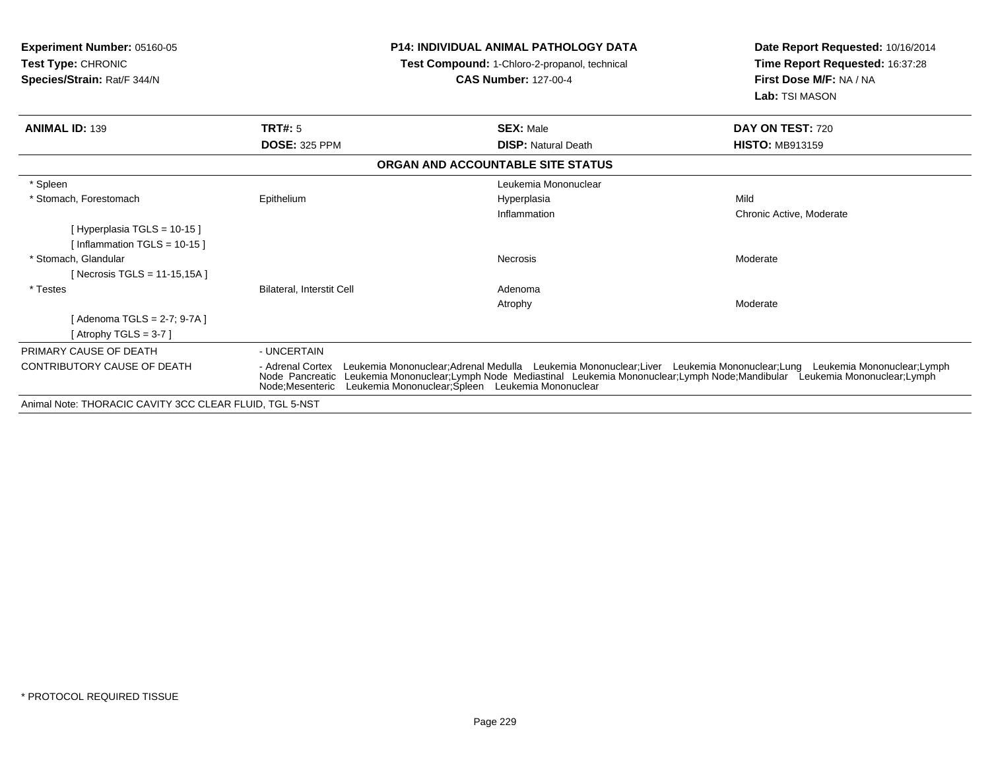| <b>Experiment Number: 05160-05</b><br><b>Test Type: CHRONIC</b><br>Species/Strain: Rat/F 344/N |                                     | <b>P14: INDIVIDUAL ANIMAL PATHOLOGY DATA</b><br>Test Compound: 1-Chloro-2-propanol, technical<br><b>CAS Number: 127-00-4</b>                                                                                                                                                                                  | Date Report Requested: 10/16/2014<br>Time Report Requested: 16:37:28<br>First Dose M/F: NA / NA<br>Lab: TSI MASON |
|------------------------------------------------------------------------------------------------|-------------------------------------|---------------------------------------------------------------------------------------------------------------------------------------------------------------------------------------------------------------------------------------------------------------------------------------------------------------|-------------------------------------------------------------------------------------------------------------------|
| <b>ANIMAL ID: 139</b>                                                                          | TRT#: 5                             | <b>SEX: Male</b>                                                                                                                                                                                                                                                                                              | DAY ON TEST: 720                                                                                                  |
|                                                                                                | <b>DOSE: 325 PPM</b>                | <b>DISP: Natural Death</b>                                                                                                                                                                                                                                                                                    | <b>HISTO: MB913159</b>                                                                                            |
|                                                                                                |                                     | ORGAN AND ACCOUNTABLE SITE STATUS                                                                                                                                                                                                                                                                             |                                                                                                                   |
| * Spleen                                                                                       |                                     | Leukemia Mononuclear                                                                                                                                                                                                                                                                                          |                                                                                                                   |
| * Stomach. Forestomach                                                                         | Epithelium                          | Hyperplasia                                                                                                                                                                                                                                                                                                   | Mild                                                                                                              |
|                                                                                                |                                     | Inflammation                                                                                                                                                                                                                                                                                                  | Chronic Active, Moderate                                                                                          |
| [Hyperplasia TGLS = 10-15]<br>[ Inflammation TGLS = $10-15$ ]                                  |                                     |                                                                                                                                                                                                                                                                                                               |                                                                                                                   |
| * Stomach, Glandular                                                                           |                                     | Necrosis                                                                                                                                                                                                                                                                                                      | Moderate                                                                                                          |
| [Necrosis TGLS = $11-15,15A$ ]                                                                 |                                     |                                                                                                                                                                                                                                                                                                               |                                                                                                                   |
| * Testes                                                                                       | <b>Bilateral, Interstit Cell</b>    | Adenoma                                                                                                                                                                                                                                                                                                       |                                                                                                                   |
|                                                                                                |                                     | Atrophy                                                                                                                                                                                                                                                                                                       | Moderate                                                                                                          |
| [Adenoma TGLS = 2-7; 9-7A]                                                                     |                                     |                                                                                                                                                                                                                                                                                                               |                                                                                                                   |
| [Atrophy TGLS = $3-7$ ]                                                                        |                                     |                                                                                                                                                                                                                                                                                                               |                                                                                                                   |
| PRIMARY CAUSE OF DEATH                                                                         | - UNCERTAIN                         |                                                                                                                                                                                                                                                                                                               |                                                                                                                   |
| <b>CONTRIBUTORY CAUSE OF DEATH</b>                                                             | - Adrenal Cortex<br>Node Pancreatic | Leukemia Mononuclear;Adrenal Medulla Leukemia Mononuclear;Liver Leukemia Mononuclear;Lung Leukemia Mononuclear;Lymph<br>Leukemia Mononuclear;Lymph Node Mediastinal Leukemia Mononuclear;Lymph Node;Mandibular Leukemia Mononuclear;Lymph<br>Node:Mesenteric Leukemia Mononuclear:Spleen Leukemia Mononuclear |                                                                                                                   |
| Animal Note: THORACIC CAVITY 3CC CLEAR FLUID, TGL 5-NST                                        |                                     |                                                                                                                                                                                                                                                                                                               |                                                                                                                   |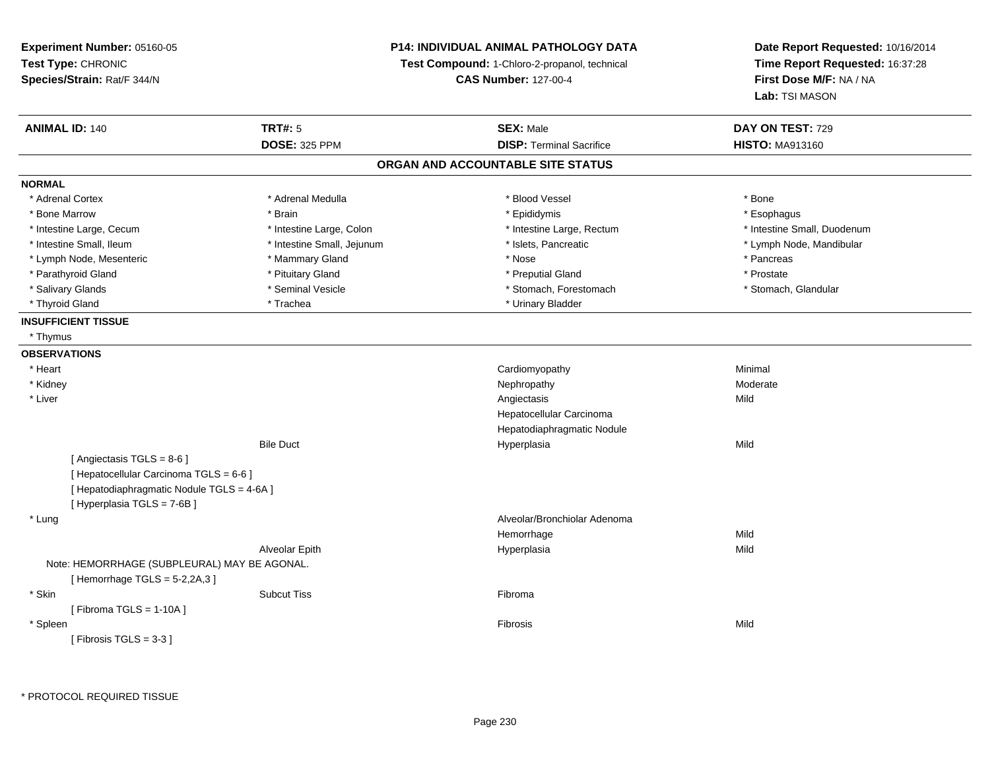**Experiment Number:** 05160-05**Test Type:** CHRONIC **Species/Strain:** Rat/F 344/N**P14: INDIVIDUAL ANIMAL PATHOLOGY DATATest Compound:** 1-Chloro-2-propanol, technical **CAS Number:** 127-00-4**Date Report Requested:** 10/16/2014**Time Report Requested:** 16:37:28**First Dose M/F:** NA / NA**Lab:** TSI MASON**ANIMAL ID:** 140**TRT#:** 5 **SEX:** Male **DAY ON TEST:** 729 **DOSE:** 325 PPM**DISP:** Terminal Sacrifice **HISTO:** MA913160 **ORGAN AND ACCOUNTABLE SITE STATUSNORMAL**\* Adrenal Cortex \* Adrenal Cortex \* \* Adrenal Medulla \* \* Adrenal Medulla \* \* Blood Vessel \* \* Brood Vessel \* \* Bone \* Esophagus \* Bone Marrow \* Brain \* Epididymis \* Esophagus \* Intestine Small, Duodenum \* Intestine Large, Cecum \* Intestine Large, Colon \* Intestine Small, Nutestine Large, Rectum \* Intestine Small, Duodenum \* Intestine Small, Duodenum \* Intestine Small, Duodenum \* Intestine Small, Duodenum \* Intestine Small \* Intestine Small, Ileum \* \* Thestine Small, Jejunum \* \* Sets, Pancreatic \* \* Thestine Small, Nejunum \* Lymph Node, Mandibular \* Lymph Node, Mesenteric \* Mammary Gland \* Nose \* Pancreas\* Prostate \* Parathyroid Gland \* **All and \* Pituitary Gland \* Prostate and \* Preputial Gland** \* Preputial Gland \* Stomach, Glandular \* Salivary Glands \* Seminal Vesicle \* Seminal Vesicle \* \* Stomach, Forestomach \* Thyroid Gland \* Trachea \* Trachea \* Trachea \* Urinary Bladder **INSUFFICIENT TISSUE** \* Thymus**OBSERVATIONS** \* Heart Cardiomyopathy Minimal \* Kidneyy the controller that the controller temperature of  $\lambda$  . Nephropathy the controller temperature  $\lambda$  Moderate \* Liverr and the contract of the contract of the contract of the contract of the contract of the contract of the contract of the contract of the contract of the contract of the contract of the contract of the contract of the cont s Mild Hepatocellular Carcinoma Hepatodiaphragmatic NoduleBile Duct Hyperplasiaa Mild [ Angiectasis TGLS = 8-6 ][ Hepatocellular Carcinoma TGLS = 6-6 ][ Hepatodiaphragmatic Nodule TGLS = 4-6A ][ Hyperplasia TGLS = 7-6B ] \* Lung Alveolar/Bronchiolar Adenoma Hemorrhagee Mild Alveolar Epithh anns an t-India anns an t-India anns an t-India anns an t-India anns an t-India anns an t-India anns an t-In Note: HEMORRHAGE (SUBPLEURAL) MAY BE AGONAL. $[$  Hemorrhage TGLS = 5-2,2A,3  $]$  \* Skinn and the state of the Subcut Tiss and the state of the Subset of the Subset of the Subset of the Subset of the Subset of the Subset of the Subset of the Subset of the Subset of the Subset of the Subset of the Subset of th  $[$  Fibroma TGLS = 1-10A  $]$  \* Spleenn and the control of the control of the control of the control of the control of the control of the control of the control of the control of the control of the control of the control of the control of the control of the co  $[$  Fibrosis TGLS = 3-3  $]$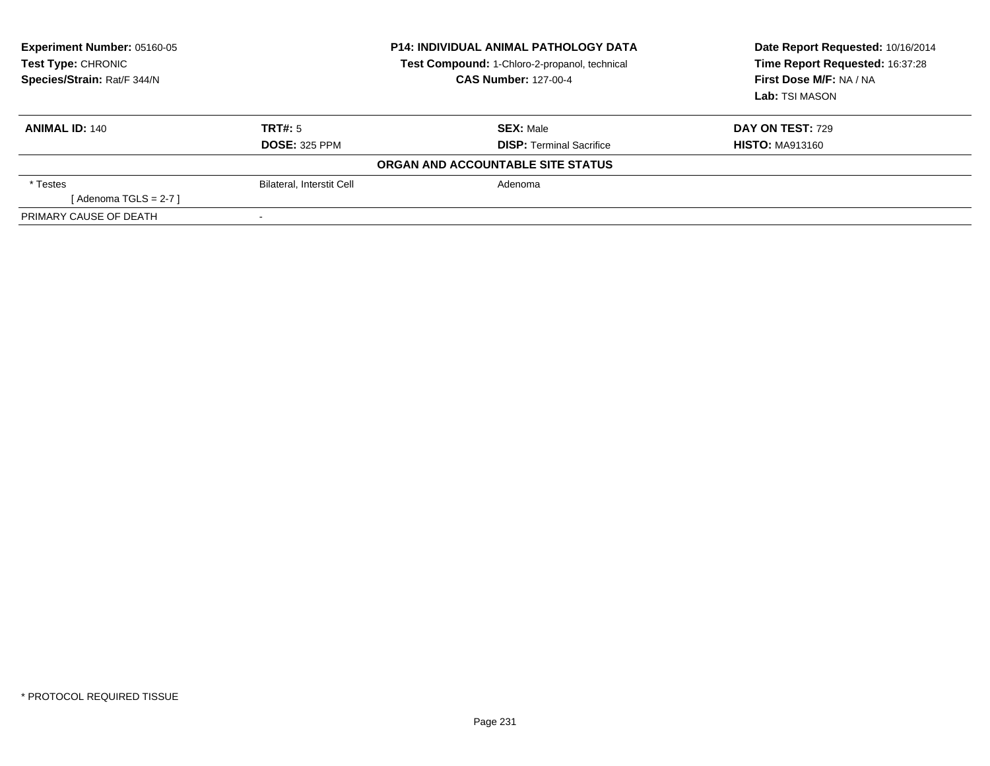| Experiment Number: 05160-05<br>Test Type: CHRONIC<br>Species/Strain: Rat/F 344/N | <b>P14: INDIVIDUAL ANIMAL PATHOLOGY DATA</b><br>Test Compound: 1-Chloro-2-propanol, technical<br><b>CAS Number: 127-00-4</b> |                                   | Date Report Requested: 10/16/2014<br>Time Report Requested: 16:37:28<br>First Dose M/F: NA / NA |
|----------------------------------------------------------------------------------|------------------------------------------------------------------------------------------------------------------------------|-----------------------------------|-------------------------------------------------------------------------------------------------|
|                                                                                  |                                                                                                                              |                                   | Lab: TSI MASON                                                                                  |
| <b>ANIMAL ID: 140</b>                                                            | TRT#: 5                                                                                                                      | <b>SEX: Male</b>                  | <b>DAY ON TEST: 729</b>                                                                         |
|                                                                                  | <b>DOSE: 325 PPM</b>                                                                                                         | <b>DISP: Terminal Sacrifice</b>   | <b>HISTO: MA913160</b>                                                                          |
|                                                                                  |                                                                                                                              | ORGAN AND ACCOUNTABLE SITE STATUS |                                                                                                 |
| * Testes                                                                         | <b>Bilateral, Interstit Cell</b>                                                                                             | Adenoma                           |                                                                                                 |
| [Adenoma TGLS = $2-7$ ]                                                          |                                                                                                                              |                                   |                                                                                                 |
| PRIMARY CAUSE OF DEATH                                                           |                                                                                                                              |                                   |                                                                                                 |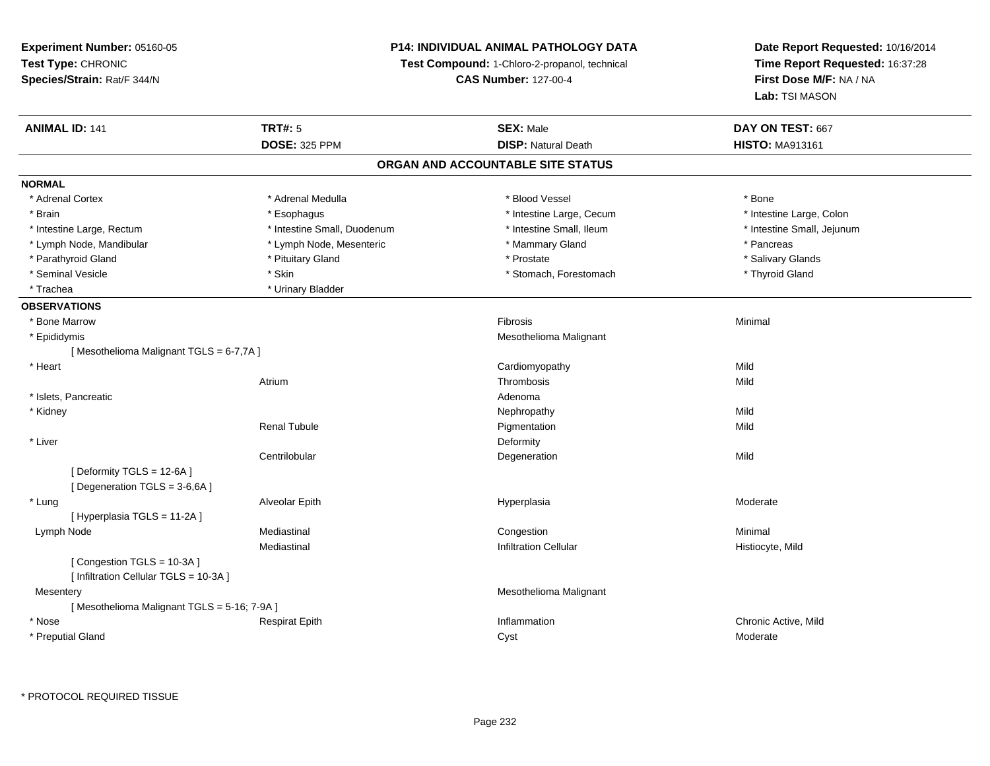### **P14: INDIVIDUAL ANIMAL PATHOLOGY DATA**

**Test Compound:** 1-Chloro-2-propanol, technical

**CAS Number:** 127-00-4

| <b>ANIMAL ID: 141</b>                      | <b>TRT#: 5</b>              | <b>SEX: Male</b>                  | DAY ON TEST: 667           |  |
|--------------------------------------------|-----------------------------|-----------------------------------|----------------------------|--|
|                                            | <b>DOSE: 325 PPM</b>        | <b>DISP: Natural Death</b>        | <b>HISTO: MA913161</b>     |  |
|                                            |                             | ORGAN AND ACCOUNTABLE SITE STATUS |                            |  |
| <b>NORMAL</b>                              |                             |                                   |                            |  |
| * Adrenal Cortex                           | * Adrenal Medulla           | * Blood Vessel                    | * Bone                     |  |
| * Brain                                    | * Esophagus                 | * Intestine Large, Cecum          | * Intestine Large, Colon   |  |
| * Intestine Large, Rectum                  | * Intestine Small, Duodenum | * Intestine Small, Ileum          | * Intestine Small, Jejunum |  |
| * Lymph Node, Mandibular                   | * Lymph Node, Mesenteric    | * Mammary Gland                   | * Pancreas                 |  |
| * Parathyroid Gland                        | * Pituitary Gland           | * Prostate                        | * Salivary Glands          |  |
| * Seminal Vesicle                          | * Skin                      | * Stomach, Forestomach            | * Thyroid Gland            |  |
| * Trachea                                  | * Urinary Bladder           |                                   |                            |  |
| <b>OBSERVATIONS</b>                        |                             |                                   |                            |  |
| * Bone Marrow                              |                             | Fibrosis                          | Minimal                    |  |
| * Epididymis                               |                             | Mesothelioma Malignant            |                            |  |
| [Mesothelioma Malignant TGLS = 6-7,7A]     |                             |                                   |                            |  |
| * Heart                                    |                             | Cardiomyopathy                    | Mild                       |  |
|                                            | Atrium                      | Thrombosis                        | Mild                       |  |
| * Islets, Pancreatic                       |                             | Adenoma                           |                            |  |
| * Kidney                                   |                             | Nephropathy                       | Mild                       |  |
|                                            | <b>Renal Tubule</b>         | Pigmentation                      | Mild                       |  |
| * Liver                                    |                             | Deformity                         |                            |  |
|                                            | Centrilobular               | Degeneration                      | Mild                       |  |
| [Deformity TGLS = 12-6A]                   |                             |                                   |                            |  |
| [Degeneration TGLS = 3-6,6A]               |                             |                                   |                            |  |
| * Lung                                     | Alveolar Epith              | Hyperplasia                       | Moderate                   |  |
| [Hyperplasia TGLS = 11-2A]                 |                             |                                   |                            |  |
| Lymph Node                                 | Mediastinal                 | Congestion                        | Minimal                    |  |
|                                            | Mediastinal                 | <b>Infiltration Cellular</b>      | Histiocyte, Mild           |  |
| [Congestion TGLS = 10-3A]                  |                             |                                   |                            |  |
| [ Infiltration Cellular TGLS = 10-3A ]     |                             |                                   |                            |  |
| Mesentery                                  |                             | Mesothelioma Malignant            |                            |  |
| [Mesothelioma Malignant TGLS = 5-16; 7-9A] |                             |                                   |                            |  |
| * Nose                                     | <b>Respirat Epith</b>       | Inflammation                      | Chronic Active, Mild       |  |
| * Preputial Gland                          |                             | Cyst                              | Moderate                   |  |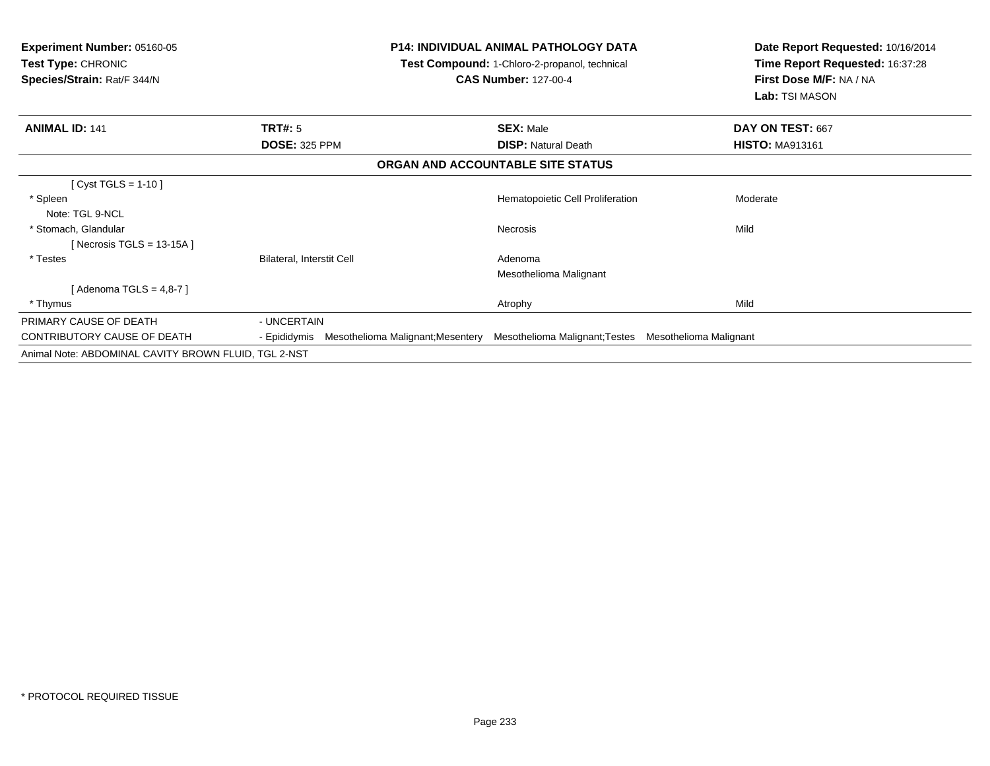| <b>Experiment Number: 05160-05</b><br><b>Test Type: CHRONIC</b><br>Species/Strain: Rat/F 344/N |                                                | <b>P14: INDIVIDUAL ANIMAL PATHOLOGY DATA</b><br>Test Compound: 1-Chloro-2-propanol, technical<br><b>CAS Number: 127-00-4</b> | Date Report Requested: 10/16/2014<br>Time Report Requested: 16:37:28<br>First Dose M/F: NA / NA<br>Lab: TSI MASON |
|------------------------------------------------------------------------------------------------|------------------------------------------------|------------------------------------------------------------------------------------------------------------------------------|-------------------------------------------------------------------------------------------------------------------|
| <b>ANIMAL ID: 141</b>                                                                          | TRT#: 5                                        | <b>SEX: Male</b>                                                                                                             | DAY ON TEST: 667                                                                                                  |
|                                                                                                | <b>DOSE: 325 PPM</b>                           | <b>DISP: Natural Death</b>                                                                                                   | <b>HISTO: MA913161</b>                                                                                            |
|                                                                                                |                                                | ORGAN AND ACCOUNTABLE SITE STATUS                                                                                            |                                                                                                                   |
| [ Cyst TGLS = 1-10 ]                                                                           |                                                |                                                                                                                              |                                                                                                                   |
| * Spleen                                                                                       |                                                | Hematopoietic Cell Proliferation                                                                                             | Moderate                                                                                                          |
| Note: TGL 9-NCL                                                                                |                                                |                                                                                                                              |                                                                                                                   |
| * Stomach, Glandular                                                                           |                                                | <b>Necrosis</b>                                                                                                              | Mild                                                                                                              |
| [Necrosis TGLS = 13-15A]                                                                       |                                                |                                                                                                                              |                                                                                                                   |
| * Testes                                                                                       | Bilateral, Interstit Cell                      | Adenoma                                                                                                                      |                                                                                                                   |
|                                                                                                |                                                | Mesothelioma Malignant                                                                                                       |                                                                                                                   |
| [ Adenoma TGLS = 4,8-7 ]                                                                       |                                                |                                                                                                                              |                                                                                                                   |
| * Thymus                                                                                       |                                                | Atrophy                                                                                                                      | Mild                                                                                                              |
| PRIMARY CAUSE OF DEATH                                                                         | - UNCERTAIN                                    |                                                                                                                              |                                                                                                                   |
| CONTRIBUTORY CAUSE OF DEATH                                                                    | - Epididymis Mesothelioma Malignant; Mesentery | Mesothelioma Malignant; Testes Mesothelioma Malignant                                                                        |                                                                                                                   |
| Animal Note: ABDOMINAL CAVITY BROWN FLUID, TGL 2-NST                                           |                                                |                                                                                                                              |                                                                                                                   |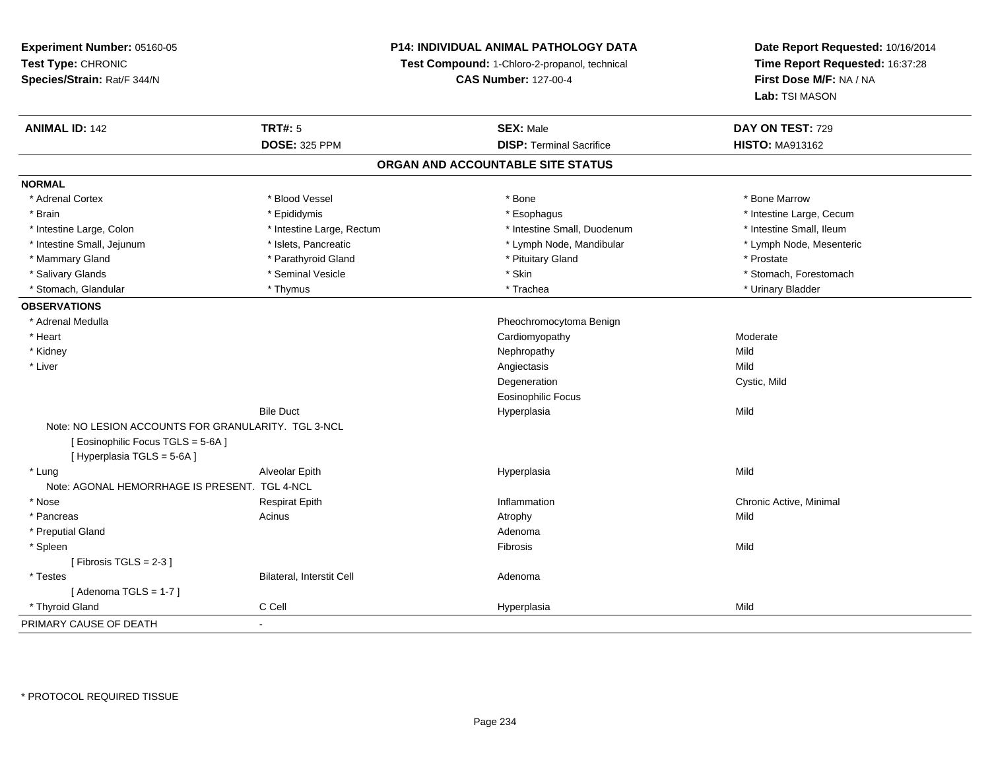### **P14: INDIVIDUAL ANIMAL PATHOLOGY DATA**

**Test Compound:** 1-Chloro-2-propanol, technical

**CAS Number:** 127-00-4

| <b>ANIMAL ID: 142</b>                               | <b>TRT#: 5</b>            | <b>SEX: Male</b>                  | DAY ON TEST: 729         |  |
|-----------------------------------------------------|---------------------------|-----------------------------------|--------------------------|--|
|                                                     | <b>DOSE: 325 PPM</b>      | <b>DISP: Terminal Sacrifice</b>   | <b>HISTO: MA913162</b>   |  |
|                                                     |                           | ORGAN AND ACCOUNTABLE SITE STATUS |                          |  |
| <b>NORMAL</b>                                       |                           |                                   |                          |  |
| * Adrenal Cortex                                    | * Blood Vessel            | $*$ Bone                          | * Bone Marrow            |  |
| * Brain                                             | * Epididymis              | * Esophagus                       | * Intestine Large, Cecum |  |
| * Intestine Large, Colon                            | * Intestine Large, Rectum | * Intestine Small, Duodenum       | * Intestine Small, Ileum |  |
| * Intestine Small, Jejunum                          | * Islets, Pancreatic      | * Lymph Node, Mandibular          | * Lymph Node, Mesenteric |  |
| * Mammary Gland                                     | * Parathyroid Gland       | * Pituitary Gland                 | * Prostate               |  |
| * Salivary Glands                                   | * Seminal Vesicle         | * Skin                            | * Stomach, Forestomach   |  |
| * Stomach, Glandular                                | * Thymus                  | * Trachea                         | * Urinary Bladder        |  |
| <b>OBSERVATIONS</b>                                 |                           |                                   |                          |  |
| * Adrenal Medulla                                   |                           | Pheochromocytoma Benign           |                          |  |
| * Heart                                             |                           | Cardiomyopathy                    | Moderate                 |  |
| * Kidney                                            |                           | Nephropathy                       | Mild                     |  |
| * Liver                                             |                           | Angiectasis                       | Mild                     |  |
|                                                     |                           | Degeneration                      | Cystic, Mild             |  |
|                                                     |                           | Eosinophilic Focus                |                          |  |
|                                                     | <b>Bile Duct</b>          | Hyperplasia                       | Mild                     |  |
| Note: NO LESION ACCOUNTS FOR GRANULARITY. TGL 3-NCL |                           |                                   |                          |  |
| [ Eosinophilic Focus TGLS = 5-6A]                   |                           |                                   |                          |  |
| [ Hyperplasia TGLS = 5-6A]                          |                           |                                   |                          |  |
| * Lung                                              | Alveolar Epith            | Hyperplasia                       | Mild                     |  |
| Note: AGONAL HEMORRHAGE IS PRESENT. TGL 4-NCL       |                           |                                   |                          |  |
| * Nose                                              | <b>Respirat Epith</b>     | Inflammation                      | Chronic Active, Minimal  |  |
| * Pancreas                                          | Acinus                    | Atrophy                           | Mild                     |  |
| * Preputial Gland                                   |                           | Adenoma                           |                          |  |
| * Spleen                                            |                           | Fibrosis                          | Mild                     |  |
| [Fibrosis TGLS = $2-3$ ]                            |                           |                                   |                          |  |
| * Testes                                            | Bilateral, Interstit Cell | Adenoma                           |                          |  |
| [Adenoma TGLS = $1-7$ ]                             |                           |                                   |                          |  |
| * Thyroid Gland                                     | C Cell                    | Hyperplasia                       | Mild                     |  |
| PRIMARY CAUSE OF DEATH                              | $\sim$                    |                                   |                          |  |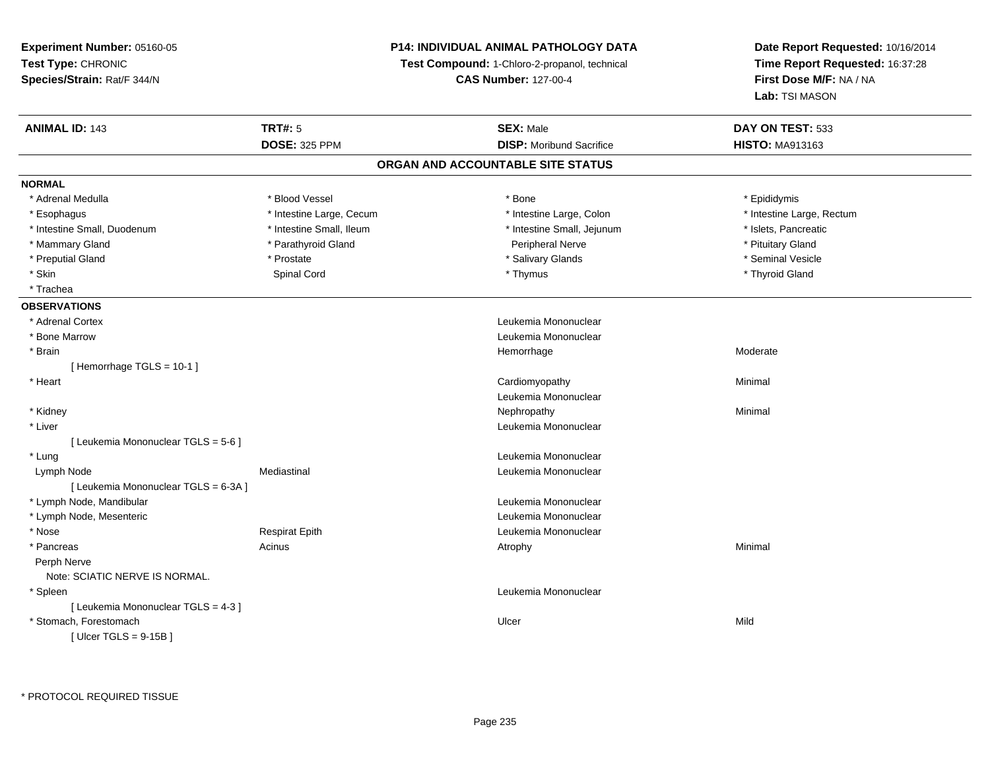**Experiment Number:** 05160-05**Test Type:** CHRONIC **Species/Strain:** Rat/F 344/N**P14: INDIVIDUAL ANIMAL PATHOLOGY DATATest Compound:** 1-Chloro-2-propanol, technical **CAS Number:** 127-00-4**Date Report Requested:** 10/16/2014**Time Report Requested:** 16:37:28**First Dose M/F:** NA / NA**Lab:** TSI MASON**ANIMAL ID:** 143**TRT#:** 5 **SEX:** Male **DAY ON TEST:** 533 **DOSE:** 325 PPM**DISP:** Moribund Sacrifice **HISTO:** MA913163 **ORGAN AND ACCOUNTABLE SITE STATUSNORMAL**\* Adrenal Medulla \* Adrenal Medulla \* Blood Vessel \* Bone \* Epididymis\* Intestine Large, Rectum \* Esophagus \* Intestine Large, Cecum \* Intestine Large, Cecum \* Intestine Large, Colon \* Intestine Small, Duodenum \* Intestine Small, Ileum \* Intestine Small, Jejunum \* Islets, Pancreatic\* Mammary Gland \* Parathyroid Gland \* Parathyroid Gland \* Peripheral Nerve \* Peripheral Nerve \* Pituitary Gland \* Seminal Vesicle \* Preputial Gland \* \* Annual vesicle \* \* Prostate \* \* Salivary Glands \* \* Salivary Glands \* \* Seminal Vesicle \* \* Skin Spinal Cord \* Thymus \* Thyroid Gland \* Trachea**OBSERVATIONS** \* Adrenal Cortex Leukemia Mononuclear \* Bone MarrowLeukemia Mononuclear<br>Hemorrhage \* Brainhemorrhage and the morrhage of the morrhage of the Moderate Moderate  $\sim$  Moderate  $\sim$  Moderate  $\sim$ [ Hemorrhage TGLS = 10-1 ] \* Heart Cardiomyopathy Minimal Leukemia Mononuclear \* Kidneyy the control of the control of the control of the control of the control of the control of the control of the control of the control of the control of the control of the control of the control of the control of the contro \* Liver Leukemia Mononuclear [ Leukemia Mononuclear TGLS = 5-6 ] \* Lung Leukemia Mononuclear Lymph NodeMediastinal **Mediastinal** Mononuclear **Leukemia Mononuclear** [ Leukemia Mononuclear TGLS = 6-3A ] \* Lymph Node, Mandibular Leukemia Mononuclear \* Lymph Node, Mesenteric Leukemia Mononuclear \* NoseRespirat Epith **Leukemia Mononuclear**  \* Pancreass the control of the control of the control of the control of the control of the control of the control of the control of the control of the control of the control of the control of the control of the control of the contro Perph Nerve Note: SCIATIC NERVE IS NORMAL. \* Spleen Leukemia Mononuclear [ Leukemia Mononuclear TGLS = 4-3 ] \* Stomach, Forestomachh ann an t-ìre ann an t-ìre ann an t-ìre ann an t-ìre ann an t-ìre ann an t-ìre ann an Mild [ Ulcer TGLS = 9-15B ]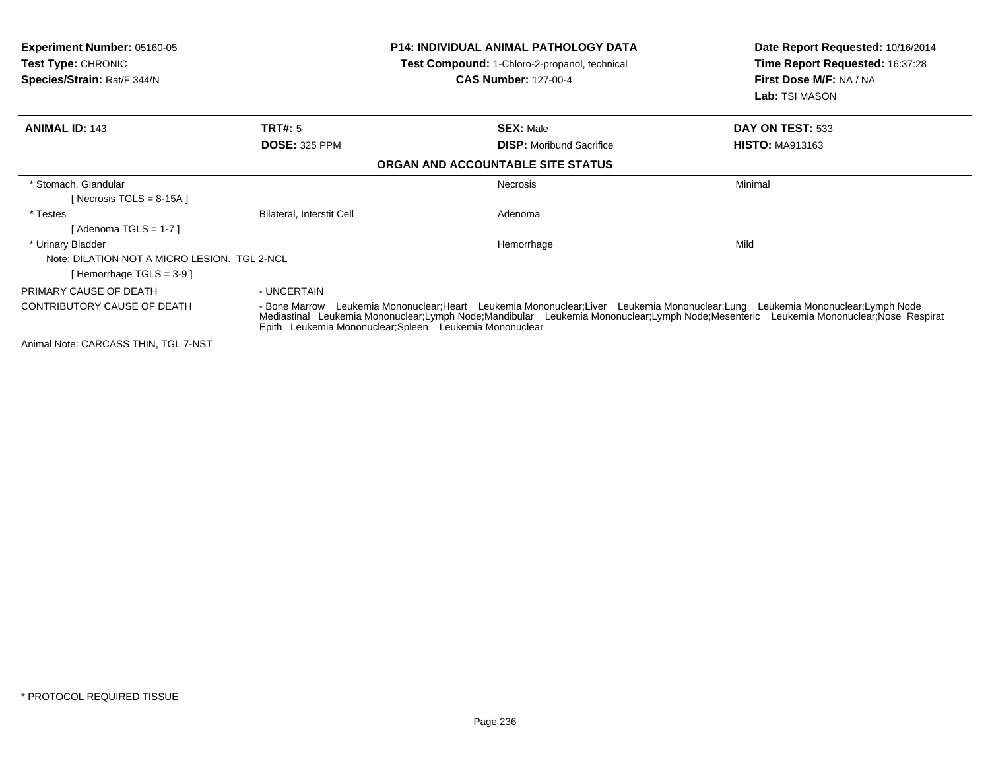| <b>Experiment Number: 05160-05</b><br><b>Test Type: CHRONIC</b><br>Species/Strain: Rat/F 344/N |                                  | <b>P14: INDIVIDUAL ANIMAL PATHOLOGY DATA</b><br>Test Compound: 1-Chloro-2-propanol, technical<br><b>CAS Number: 127-00-4</b>                                                                                                                                                                                                     | Date Report Requested: 10/16/2014<br>Time Report Requested: 16:37:28<br>First Dose M/F: NA / NA<br>Lab: TSI MASON |
|------------------------------------------------------------------------------------------------|----------------------------------|----------------------------------------------------------------------------------------------------------------------------------------------------------------------------------------------------------------------------------------------------------------------------------------------------------------------------------|-------------------------------------------------------------------------------------------------------------------|
| <b>ANIMAL ID: 143</b>                                                                          | <b>TRT#: 5</b>                   | <b>SEX: Male</b>                                                                                                                                                                                                                                                                                                                 | DAY ON TEST: 533                                                                                                  |
|                                                                                                | <b>DOSE: 325 PPM</b>             | <b>DISP:</b> Moribund Sacrifice                                                                                                                                                                                                                                                                                                  | <b>HISTO: MA913163</b>                                                                                            |
|                                                                                                |                                  | ORGAN AND ACCOUNTABLE SITE STATUS                                                                                                                                                                                                                                                                                                |                                                                                                                   |
| * Stomach, Glandular<br>[Necrosis TGLS = 8-15A]                                                |                                  | Necrosis                                                                                                                                                                                                                                                                                                                         | Minimal                                                                                                           |
| * Testes<br>$[$ Adenoma TGLS = 1-7 $]$                                                         | <b>Bilateral, Interstit Cell</b> | Adenoma                                                                                                                                                                                                                                                                                                                          |                                                                                                                   |
| * Urinary Bladder                                                                              |                                  | Hemorrhage                                                                                                                                                                                                                                                                                                                       | Mild                                                                                                              |
| Note: DILATION NOT A MICRO LESION. TGL 2-NCL                                                   |                                  |                                                                                                                                                                                                                                                                                                                                  |                                                                                                                   |
| [Hemorrhage TGLS = $3-9$ ]                                                                     |                                  |                                                                                                                                                                                                                                                                                                                                  |                                                                                                                   |
| PRIMARY CAUSE OF DEATH                                                                         | - UNCERTAIN                      |                                                                                                                                                                                                                                                                                                                                  |                                                                                                                   |
| <b>CONTRIBUTORY CAUSE OF DEATH</b>                                                             |                                  | - Bone Marrow Leukemia Mononuclear;Heart Leukemia Mononuclear;Liver Leukemia Mononuclear;Lung Leukemia Mononuclear;Lymph Node<br>Mediastinal Leukemia Mononuclear;Lymph Node;Mandibular Leukemia Mononuclear;Lymph Node;Mesenteric Leukemia Mononuclear;Nose Respirat<br>Epith Leukemia Mononuclear; Spleen Leukemia Mononuclear |                                                                                                                   |
| Animal Note: CARCASS THIN, TGL 7-NST                                                           |                                  |                                                                                                                                                                                                                                                                                                                                  |                                                                                                                   |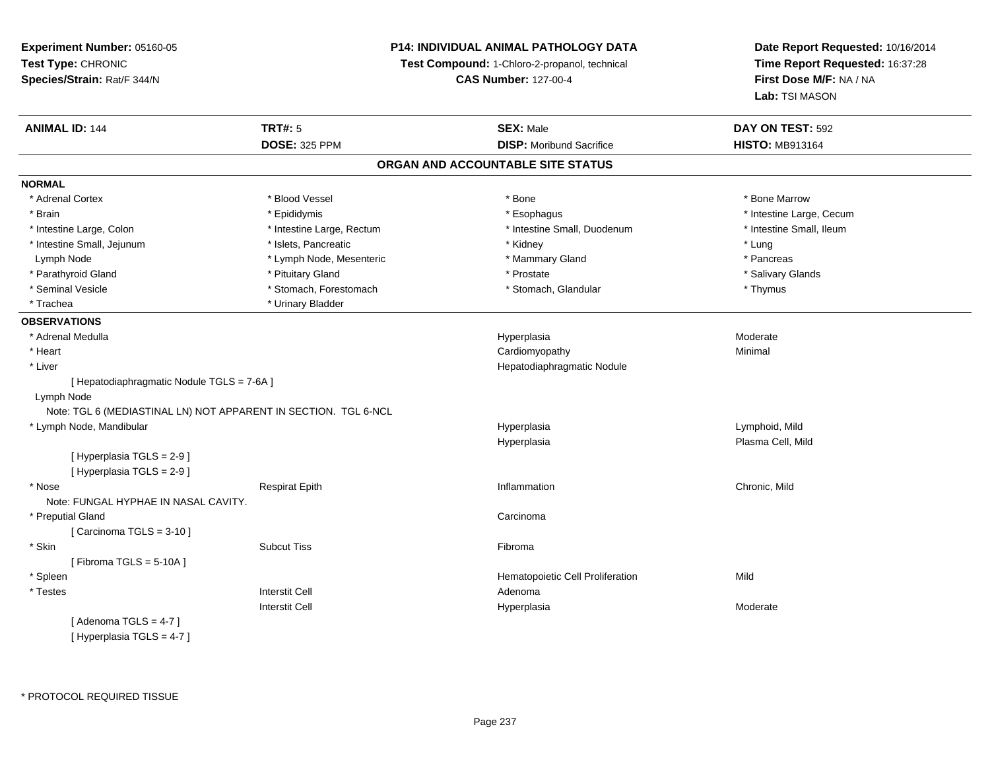### **P14: INDIVIDUAL ANIMAL PATHOLOGY DATA**

**Test Compound:** 1-Chloro-2-propanol, technical

**CAS Number:** 127-00-4

| <b>ANIMAL ID: 144</b>                      | <b>TRT#: 5</b>                                                  | <b>SEX: Male</b>                  | DAY ON TEST: 592         |  |
|--------------------------------------------|-----------------------------------------------------------------|-----------------------------------|--------------------------|--|
|                                            | <b>DOSE: 325 PPM</b>                                            | <b>DISP:</b> Moribund Sacrifice   | <b>HISTO: MB913164</b>   |  |
|                                            |                                                                 | ORGAN AND ACCOUNTABLE SITE STATUS |                          |  |
| <b>NORMAL</b>                              |                                                                 |                                   |                          |  |
| * Adrenal Cortex                           | * Blood Vessel                                                  | * Bone                            | * Bone Marrow            |  |
| * Brain                                    | * Epididymis                                                    | * Esophagus                       | * Intestine Large, Cecum |  |
| * Intestine Large, Colon                   | * Intestine Large, Rectum                                       | * Intestine Small, Duodenum       | * Intestine Small, Ileum |  |
| * Intestine Small, Jejunum                 | * Islets, Pancreatic                                            | * Kidney                          | * Lung                   |  |
| Lymph Node                                 | * Lymph Node, Mesenteric                                        | * Mammary Gland                   | * Pancreas               |  |
| * Parathyroid Gland                        | * Pituitary Gland                                               | * Prostate                        | * Salivary Glands        |  |
| * Seminal Vesicle                          | * Stomach, Forestomach                                          | * Stomach, Glandular              | * Thymus                 |  |
| * Trachea                                  | * Urinary Bladder                                               |                                   |                          |  |
| <b>OBSERVATIONS</b>                        |                                                                 |                                   |                          |  |
| * Adrenal Medulla                          |                                                                 | Hyperplasia                       | Moderate                 |  |
| * Heart                                    |                                                                 | Cardiomyopathy                    | Minimal                  |  |
| * Liver                                    |                                                                 | Hepatodiaphragmatic Nodule        |                          |  |
| [ Hepatodiaphragmatic Nodule TGLS = 7-6A ] |                                                                 |                                   |                          |  |
| Lymph Node                                 |                                                                 |                                   |                          |  |
|                                            | Note: TGL 6 (MEDIASTINAL LN) NOT APPARENT IN SECTION. TGL 6-NCL |                                   |                          |  |
| * Lymph Node, Mandibular                   |                                                                 | Hyperplasia                       | Lymphoid, Mild           |  |
|                                            |                                                                 | Hyperplasia                       | Plasma Cell, Mild        |  |
| [ Hyperplasia TGLS = 2-9]                  |                                                                 |                                   |                          |  |
| [Hyperplasia TGLS = 2-9]                   |                                                                 |                                   |                          |  |
| * Nose                                     | <b>Respirat Epith</b>                                           | Inflammation                      | Chronic, Mild            |  |
| Note: FUNGAL HYPHAE IN NASAL CAVITY.       |                                                                 |                                   |                          |  |
| * Preputial Gland                          |                                                                 | Carcinoma                         |                          |  |
| [Carcinoma TGLS = $3-10$ ]                 |                                                                 |                                   |                          |  |
| * Skin                                     | <b>Subcut Tiss</b>                                              | Fibroma                           |                          |  |
| [Fibroma TGLS = $5-10A$ ]                  |                                                                 |                                   |                          |  |
| * Spleen                                   |                                                                 | Hematopoietic Cell Proliferation  | Mild                     |  |
| * Testes                                   | <b>Interstit Cell</b>                                           | Adenoma                           |                          |  |
|                                            | <b>Interstit Cell</b>                                           | Hyperplasia                       | Moderate                 |  |
| [Adenoma TGLS = $4-7$ ]                    |                                                                 |                                   |                          |  |
| [Hyperplasia TGLS = 4-7]                   |                                                                 |                                   |                          |  |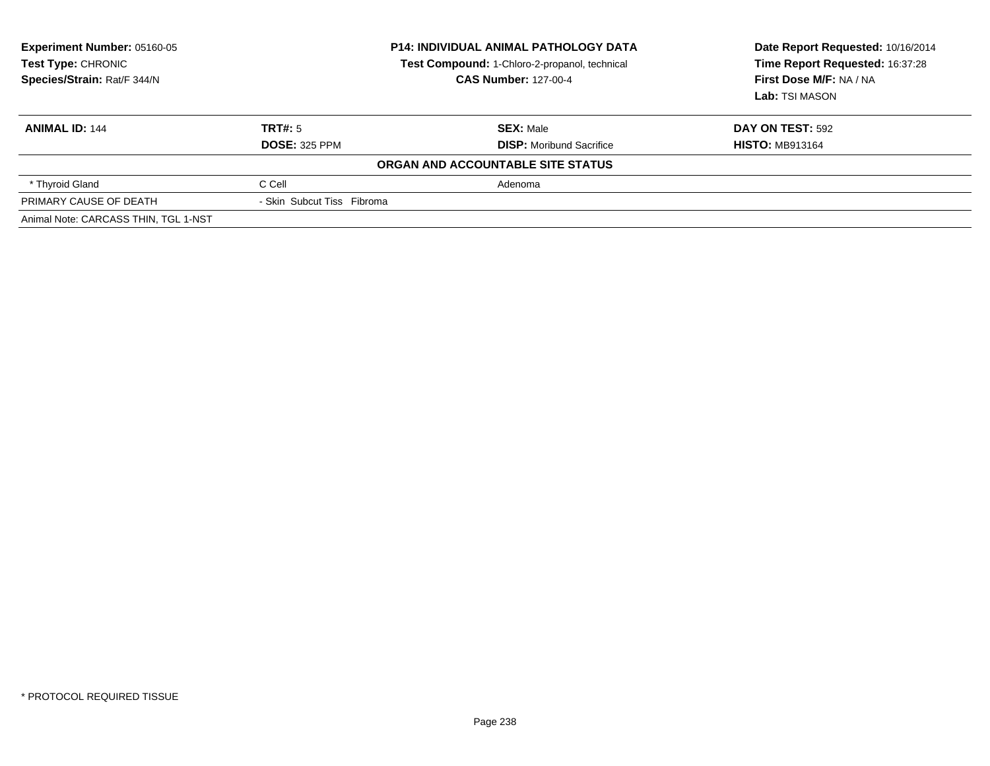| Experiment Number: 05160-05<br>Test Type: CHRONIC<br>Species/Strain: Rat/F 344/N | <b>P14: INDIVIDUAL ANIMAL PATHOLOGY DATA</b><br>Test Compound: 1-Chloro-2-propanol, technical<br><b>CAS Number: 127-00-4</b> |                                                     | Date Report Requested: 10/16/2014<br>Time Report Requested: 16:37:28<br>First Dose M/F: NA / NA<br>Lab: TSI MASON |
|----------------------------------------------------------------------------------|------------------------------------------------------------------------------------------------------------------------------|-----------------------------------------------------|-------------------------------------------------------------------------------------------------------------------|
| <b>ANIMAL ID: 144</b>                                                            | TRT#: 5<br><b>DOSE: 325 PPM</b>                                                                                              | <b>SEX: Male</b><br><b>DISP:</b> Moribund Sacrifice | <b>DAY ON TEST: 592</b><br><b>HISTO: MB913164</b>                                                                 |
|                                                                                  |                                                                                                                              | ORGAN AND ACCOUNTABLE SITE STATUS                   |                                                                                                                   |
| * Thyroid Gland                                                                  | C Cell                                                                                                                       | Adenoma                                             |                                                                                                                   |
| PRIMARY CAUSE OF DEATH                                                           | - Skin Subcut Tiss Fibroma                                                                                                   |                                                     |                                                                                                                   |
| Animal Note: CARCASS THIN, TGL 1-NST                                             |                                                                                                                              |                                                     |                                                                                                                   |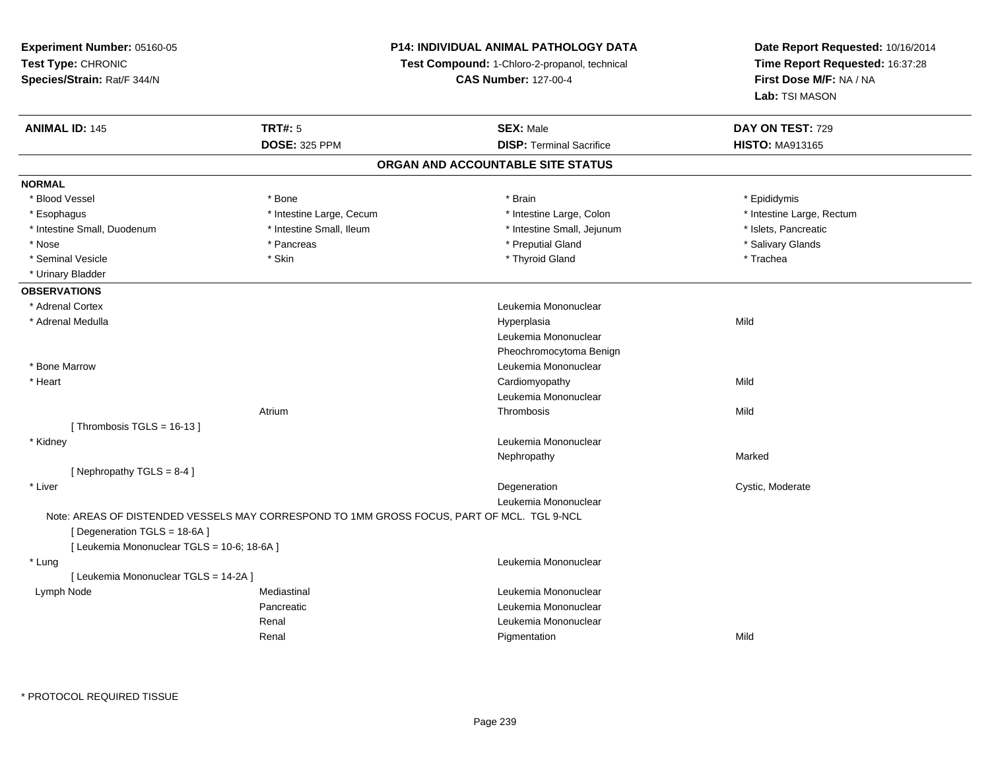**Test Type:** CHRONIC **Species/Strain:** Rat/F 344/N**Test Compound:** 1-Chloro-2-propanol, technical **CAS Number:** 127-00-4**Time Report Requested:** 16:37:28**First Dose M/F:** NA / NA**Lab:** TSI MASON**ANIMAL ID:** 145**TRT#:** 5 **SEX:** Male **DAY ON TEST:** 729 **DOSE:** 325 PPM**DISP:** Terminal Sacrifice **HISTO:** MA913165 **ORGAN AND ACCOUNTABLE SITE STATUSNORMAL**\* Blood Vessel \* Blood Vessel \* Bone \* Brain \* Epididymis\* Intestine Large, Rectum \* Esophagus \* Intestine Large, Cecum \* Intestine Large, Cecum \* Intestine Large, Colon \* Intestine Small, Duodenum \* Intestine Small, Ileum \* Intestine Small, Jejunum \* Islets, Pancreatic\* Salivary Glands \* Nose \* Pancreas \* Preputial Gland \* Salivary Glands \* Seminal Vesicle \* \* \* Stin \* \* Skin \* \* Thyroid Gland \* Thyroid Gland \* Trachea \* Urinary Bladder**OBSERVATIONS** \* Adrenal Cortex Leukemia Mononuclear \* Adrenal Medulla Hyperplasia Mild Leukemia MononuclearPheochromocytoma Benign \* Bone Marrow Leukemia Mononuclear \* Heart Cardiomyopathyy Mild Leukemia MononuclearAtriumm and the control of the Thrombosis and the Control of the Mild of the Mild of the Mild of the Mild of the Mild of the Mild of the Mild of the Mild of the Mild of the Mild of the Mild of the Mild of the Mild of the Mild of  $[$  Thrombosis TGLS = 16-13  $]$  \* Kidney Leukemia Mononuclear Nephropathyy and the contract of the Marked [ Nephropathy TGLS = 8-4 ] \* Liverr and the control of the control of the control of the control of the control of the control of the control of Degeneration Cystic, Moderate Leukemia MononuclearNote: AREAS OF DISTENDED VESSELS MAY CORRESPOND TO 1MM GROSS FOCUS, PART OF MCL. TGL 9-NCL[ Degeneration TGLS = 18-6A ][ Leukemia Mononuclear TGLS = 10-6; 18-6A ] \* Lung Leukemia Mononuclear [ Leukemia Mononuclear TGLS = 14-2A ] Lymph NodeMediastinal **Mediastinal** Mononuclear **Leukemia Mononuclear** Pancreatic Leukemia Mononuclear Renal Leukemia MononuclearRenal Pigmentationn Mild

**P14: INDIVIDUAL ANIMAL PATHOLOGY DATA**

**Date Report Requested:** 10/16/2014

**Experiment Number:** 05160-05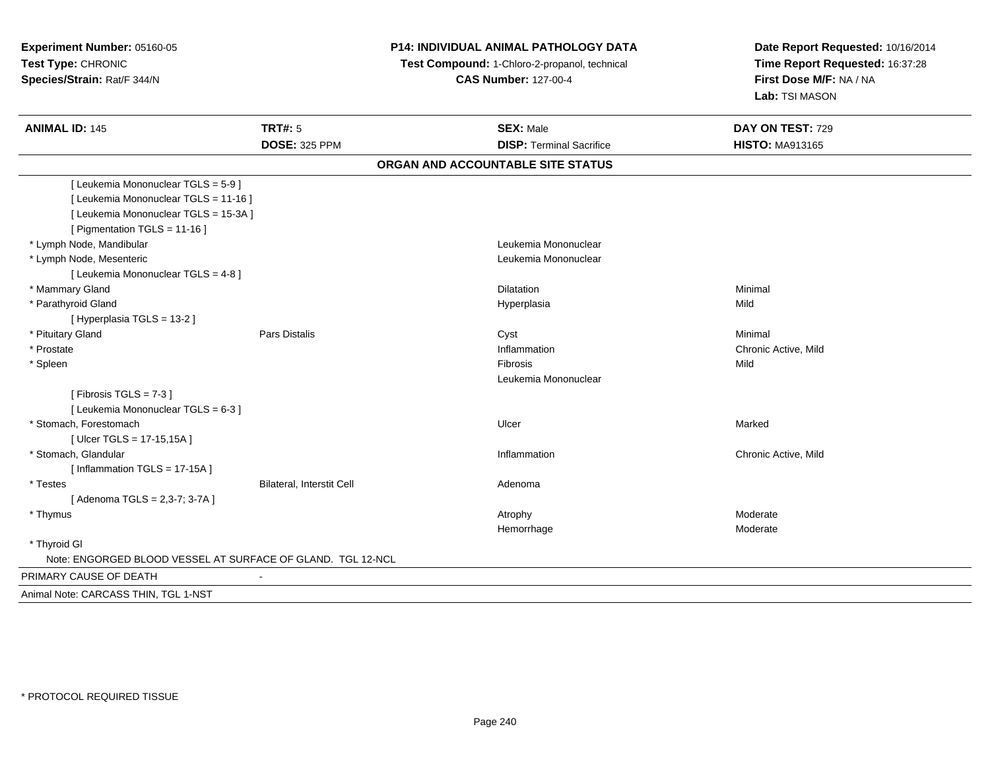## **P14: INDIVIDUAL ANIMAL PATHOLOGY DATA**

 **Test Compound:** 1-Chloro-2-propanol, technical **CAS Number:** 127-00-4

| <b>ANIMAL ID: 145</b>                                       | <b>TRT#: 5</b><br><b>DOSE: 325 PPM</b> | <b>SEX: Male</b><br><b>DISP: Terminal Sacrifice</b> | DAY ON TEST: 729<br><b>HISTO: MA913165</b> |
|-------------------------------------------------------------|----------------------------------------|-----------------------------------------------------|--------------------------------------------|
|                                                             |                                        |                                                     |                                            |
|                                                             |                                        | ORGAN AND ACCOUNTABLE SITE STATUS                   |                                            |
| [Leukemia Mononuclear TGLS = 5-9]                           |                                        |                                                     |                                            |
| [ Leukemia Mononuclear TGLS = 11-16 ]                       |                                        |                                                     |                                            |
| [ Leukemia Mononuclear TGLS = 15-3A ]                       |                                        |                                                     |                                            |
| [ Pigmentation TGLS = 11-16 ]                               |                                        |                                                     |                                            |
| * Lymph Node, Mandibular                                    |                                        | Leukemia Mononuclear                                |                                            |
| * Lymph Node, Mesenteric                                    |                                        | Leukemia Mononuclear                                |                                            |
| [ Leukemia Mononuclear TGLS = 4-8 ]                         |                                        |                                                     |                                            |
| * Mammary Gland                                             |                                        | <b>Dilatation</b>                                   | Minimal                                    |
| * Parathyroid Gland                                         |                                        | Hyperplasia                                         | Mild                                       |
| [ Hyperplasia TGLS = 13-2 ]                                 |                                        |                                                     |                                            |
| * Pituitary Gland                                           | <b>Pars Distalis</b>                   | Cyst                                                | Minimal                                    |
| * Prostate                                                  |                                        | Inflammation                                        | Chronic Active, Mild                       |
| * Spleen                                                    |                                        | Fibrosis                                            | Mild                                       |
|                                                             |                                        | Leukemia Mononuclear                                |                                            |
| [Fibrosis TGLS = $7-3$ ]                                    |                                        |                                                     |                                            |
| [ Leukemia Mononuclear TGLS = 6-3 ]                         |                                        |                                                     |                                            |
| * Stomach, Forestomach                                      |                                        | Ulcer                                               | Marked                                     |
| [ Ulcer TGLS = 17-15,15A ]                                  |                                        |                                                     |                                            |
| * Stomach, Glandular                                        |                                        | Inflammation                                        | Chronic Active, Mild                       |
| [Inflammation TGLS = 17-15A]                                |                                        |                                                     |                                            |
| * Testes                                                    | Bilateral, Interstit Cell              | Adenoma                                             |                                            |
| [Adenoma TGLS = 2,3-7; 3-7A]                                |                                        |                                                     |                                            |
| * Thymus                                                    |                                        | Atrophy                                             | Moderate                                   |
|                                                             |                                        | Hemorrhage                                          | Moderate                                   |
| * Thyroid GI                                                |                                        |                                                     |                                            |
| Note: ENGORGED BLOOD VESSEL AT SURFACE OF GLAND. TGL 12-NCL |                                        |                                                     |                                            |
| PRIMARY CAUSE OF DEATH                                      | $\blacksquare$                         |                                                     |                                            |
| Animal Note: CARCASS THIN, TGL 1-NST                        |                                        |                                                     |                                            |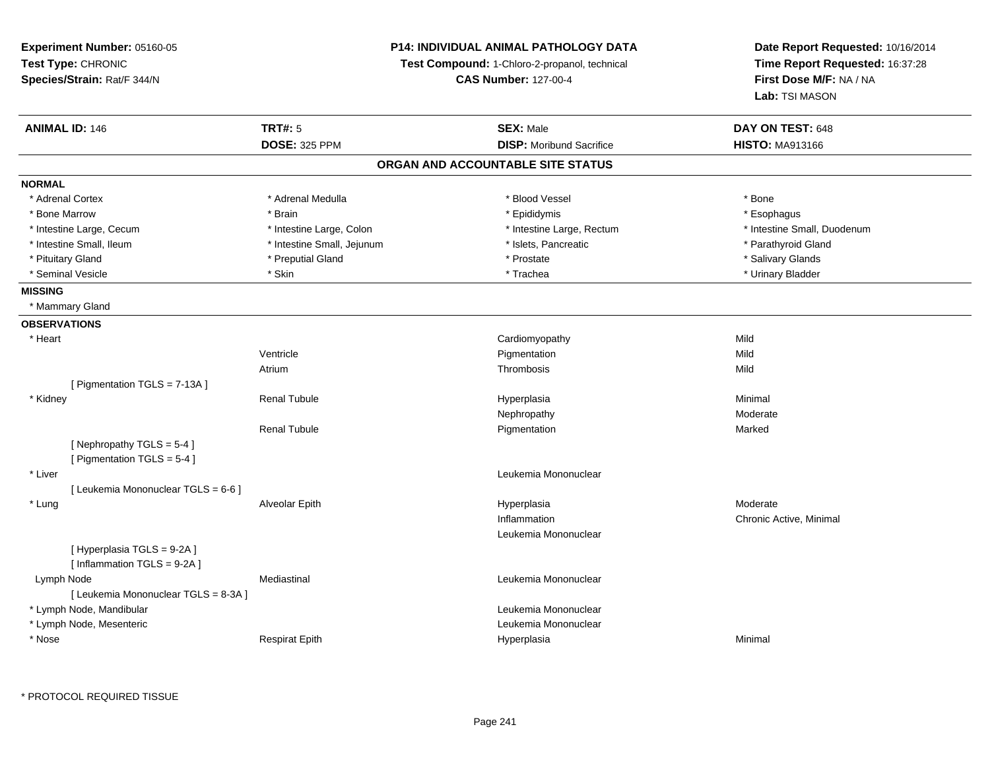### **P14: INDIVIDUAL ANIMAL PATHOLOGY DATA**

**Test Compound:** 1-Chloro-2-propanol, technical

**CAS Number:** 127-00-4

**Date Report Requested:** 10/16/2014**Time Report Requested:** 16:37:28**First Dose M/F:** NA / NA**Lab:** TSI MASON

| <b>ANIMAL ID: 146</b>                | <b>TRT#: 5</b>             | <b>SEX: Male</b>                  | DAY ON TEST: 648            |
|--------------------------------------|----------------------------|-----------------------------------|-----------------------------|
|                                      | <b>DOSE: 325 PPM</b>       | <b>DISP:</b> Moribund Sacrifice   | <b>HISTO: MA913166</b>      |
|                                      |                            | ORGAN AND ACCOUNTABLE SITE STATUS |                             |
| <b>NORMAL</b>                        |                            |                                   |                             |
| * Adrenal Cortex                     | * Adrenal Medulla          | * Blood Vessel                    | * Bone                      |
| * Bone Marrow                        | * Brain                    | * Epididymis                      | * Esophagus                 |
| * Intestine Large, Cecum             | * Intestine Large, Colon   | * Intestine Large, Rectum         | * Intestine Small, Duodenum |
| * Intestine Small, Ileum             | * Intestine Small, Jejunum | * Islets, Pancreatic              | * Parathyroid Gland         |
| * Pituitary Gland                    | * Preputial Gland          | * Prostate                        | * Salivary Glands           |
| * Seminal Vesicle                    | * Skin                     | * Trachea                         | * Urinary Bladder           |
| <b>MISSING</b>                       |                            |                                   |                             |
| * Mammary Gland                      |                            |                                   |                             |
| <b>OBSERVATIONS</b>                  |                            |                                   |                             |
| * Heart                              |                            | Cardiomyopathy                    | Mild                        |
|                                      | Ventricle                  | Pigmentation                      | Mild                        |
|                                      | Atrium                     | Thrombosis                        | Mild                        |
| [ Pigmentation TGLS = 7-13A ]        |                            |                                   |                             |
| * Kidney                             | <b>Renal Tubule</b>        | Hyperplasia                       | Minimal                     |
|                                      |                            | Nephropathy                       | Moderate                    |
|                                      | <b>Renal Tubule</b>        | Pigmentation                      | Marked                      |
| [Nephropathy TGLS = 5-4]             |                            |                                   |                             |
| [ Pigmentation TGLS = 5-4 ]          |                            |                                   |                             |
| * Liver                              |                            | Leukemia Mononuclear              |                             |
| [ Leukemia Mononuclear TGLS = 6-6 ]  |                            |                                   |                             |
| * Lung                               | Alveolar Epith             | Hyperplasia                       | Moderate                    |
|                                      |                            | Inflammation                      | Chronic Active, Minimal     |
|                                      |                            | Leukemia Mononuclear              |                             |
| [Hyperplasia TGLS = 9-2A]            |                            |                                   |                             |
| [Inflammation TGLS = 9-2A]           |                            |                                   |                             |
| Lymph Node                           | Mediastinal                | Leukemia Mononuclear              |                             |
| [ Leukemia Mononuclear TGLS = 8-3A ] |                            |                                   |                             |
| * Lymph Node, Mandibular             |                            | Leukemia Mononuclear              |                             |
| * Lymph Node, Mesenteric             |                            | Leukemia Mononuclear              |                             |
| * Nose                               | <b>Respirat Epith</b>      | Hyperplasia                       | Minimal                     |

\* PROTOCOL REQUIRED TISSUE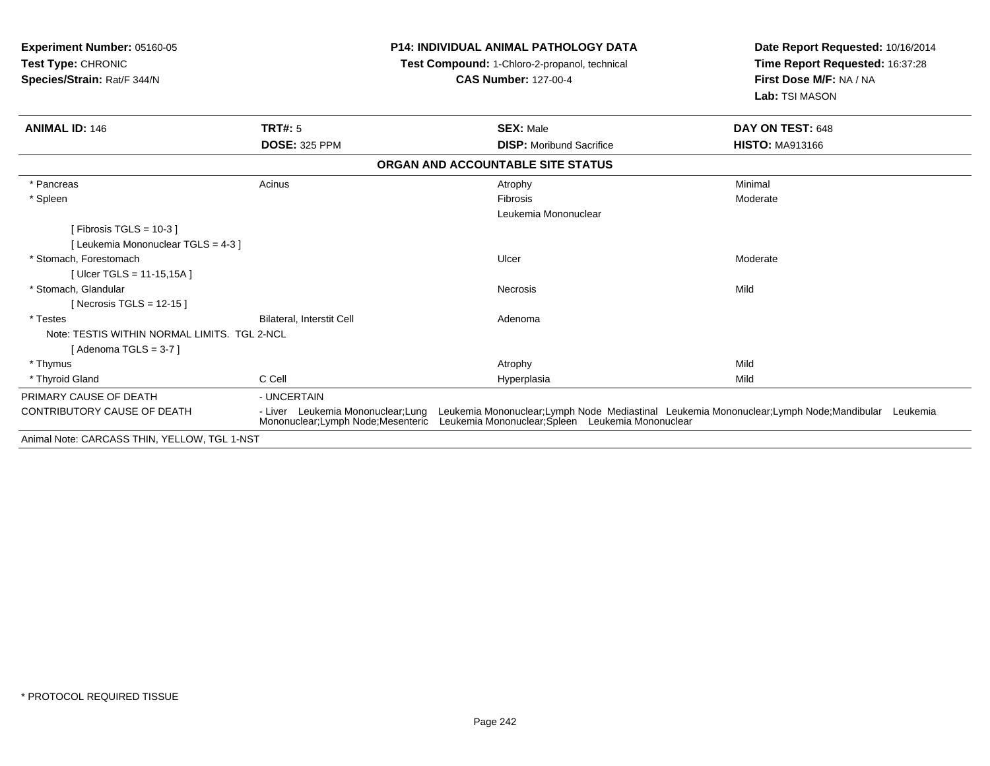| Experiment Number: 05160-05<br><b>Test Type: CHRONIC</b><br>Species/Strain: Rat/F 344/N |                                                                           | <b>P14: INDIVIDUAL ANIMAL PATHOLOGY DATA</b><br>Test Compound: 1-Chloro-2-propanol, technical<br><b>CAS Number: 127-00-4</b> | Date Report Requested: 10/16/2014<br>Time Report Requested: 16:37:28<br>First Dose M/F: NA / NA<br>Lab: TSI MASON |  |
|-----------------------------------------------------------------------------------------|---------------------------------------------------------------------------|------------------------------------------------------------------------------------------------------------------------------|-------------------------------------------------------------------------------------------------------------------|--|
| <b>ANIMAL ID: 146</b>                                                                   | <b>TRT#: 5</b>                                                            | <b>SEX: Male</b>                                                                                                             | DAY ON TEST: 648                                                                                                  |  |
|                                                                                         | <b>DOSE: 325 PPM</b>                                                      | <b>DISP:</b> Moribund Sacrifice                                                                                              | <b>HISTO: MA913166</b>                                                                                            |  |
|                                                                                         |                                                                           | ORGAN AND ACCOUNTABLE SITE STATUS                                                                                            |                                                                                                                   |  |
| * Pancreas                                                                              | Acinus                                                                    | Atrophy                                                                                                                      | Minimal                                                                                                           |  |
| * Spleen                                                                                |                                                                           | Fibrosis                                                                                                                     | Moderate                                                                                                          |  |
|                                                                                         |                                                                           | Leukemia Mononuclear                                                                                                         |                                                                                                                   |  |
| [Fibrosis TGLS = $10-3$ ]                                                               |                                                                           |                                                                                                                              |                                                                                                                   |  |
| [ Leukemia Mononuclear TGLS = 4-3 ]                                                     |                                                                           |                                                                                                                              |                                                                                                                   |  |
| * Stomach. Forestomach                                                                  |                                                                           | Ulcer                                                                                                                        | Moderate                                                                                                          |  |
| [Ulcer TGLS = 11-15,15A]                                                                |                                                                           |                                                                                                                              |                                                                                                                   |  |
| * Stomach, Glandular                                                                    |                                                                           | <b>Necrosis</b>                                                                                                              | Mild                                                                                                              |  |
| [Necrosis TGLS = $12-15$ ]                                                              |                                                                           |                                                                                                                              |                                                                                                                   |  |
| * Testes                                                                                | <b>Bilateral, Interstit Cell</b>                                          | Adenoma                                                                                                                      |                                                                                                                   |  |
| Note: TESTIS WITHIN NORMAL LIMITS. TGL 2-NCL                                            |                                                                           |                                                                                                                              |                                                                                                                   |  |
| [Adenoma TGLS = $3-7$ ]                                                                 |                                                                           |                                                                                                                              |                                                                                                                   |  |
| * Thymus                                                                                |                                                                           | Atrophy                                                                                                                      | Mild                                                                                                              |  |
| * Thyroid Gland                                                                         | C Cell                                                                    | Hyperplasia                                                                                                                  | Mild                                                                                                              |  |
| PRIMARY CAUSE OF DEATH                                                                  | - UNCERTAIN                                                               |                                                                                                                              |                                                                                                                   |  |
| CONTRIBUTORY CAUSE OF DEATH                                                             | - Liver Leukemia Mononuclear; Lung<br>Mononuclear; Lymph Node; Mesenteric | Leukemia Mononuclear; Spleen Leukemia Mononuclear                                                                            | Leukemia Mononuclear; Lymph Node Mediastinal Leukemia Mononuclear; Lymph Node; Mandibular Leukemia                |  |

Animal Note: CARCASS THIN, YELLOW, TGL 1-NST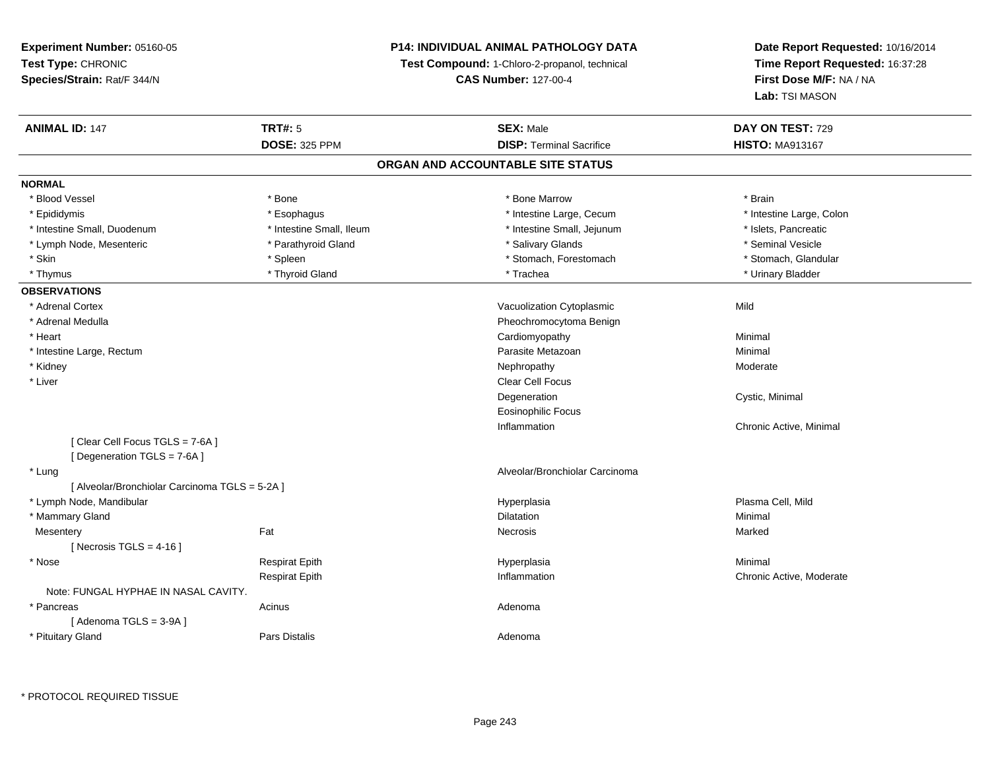### **P14: INDIVIDUAL ANIMAL PATHOLOGY DATA**

**Test Compound:** 1-Chloro-2-propanol, technical

**CAS Number:** 127-00-4

| <b>ANIMAL ID: 147</b>                          | <b>TRT#: 5</b>           | <b>SEX: Male</b>                  | DAY ON TEST: 729         |  |
|------------------------------------------------|--------------------------|-----------------------------------|--------------------------|--|
|                                                | <b>DOSE: 325 PPM</b>     | <b>DISP: Terminal Sacrifice</b>   | <b>HISTO: MA913167</b>   |  |
|                                                |                          | ORGAN AND ACCOUNTABLE SITE STATUS |                          |  |
| <b>NORMAL</b>                                  |                          |                                   |                          |  |
| * Blood Vessel                                 | * Bone                   | * Bone Marrow                     | * Brain                  |  |
| * Epididymis                                   | * Esophagus              | * Intestine Large, Cecum          | * Intestine Large, Colon |  |
| * Intestine Small, Duodenum                    | * Intestine Small, Ileum | * Intestine Small, Jejunum        | * Islets, Pancreatic     |  |
| * Lymph Node, Mesenteric                       | * Parathyroid Gland      | * Salivary Glands                 | * Seminal Vesicle        |  |
| * Skin                                         | * Spleen                 | * Stomach, Forestomach            | * Stomach, Glandular     |  |
| * Thymus                                       | * Thyroid Gland          | * Trachea                         | * Urinary Bladder        |  |
| <b>OBSERVATIONS</b>                            |                          |                                   |                          |  |
| * Adrenal Cortex                               |                          | Vacuolization Cytoplasmic         | Mild                     |  |
| * Adrenal Medulla                              |                          | Pheochromocytoma Benign           |                          |  |
| * Heart                                        |                          | Cardiomyopathy                    | Minimal                  |  |
| * Intestine Large, Rectum                      |                          | Parasite Metazoan                 | Minimal                  |  |
| * Kidney                                       |                          | Nephropathy                       | Moderate                 |  |
| * Liver                                        |                          | Clear Cell Focus                  |                          |  |
|                                                |                          | Degeneration                      | Cystic, Minimal          |  |
|                                                |                          | <b>Eosinophilic Focus</b>         |                          |  |
|                                                |                          | Inflammation                      | Chronic Active, Minimal  |  |
| [Clear Cell Focus TGLS = 7-6A]                 |                          |                                   |                          |  |
| [Degeneration TGLS = 7-6A]                     |                          |                                   |                          |  |
| * Lung                                         |                          | Alveolar/Bronchiolar Carcinoma    |                          |  |
| [ Alveolar/Bronchiolar Carcinoma TGLS = 5-2A ] |                          |                                   |                          |  |
| * Lymph Node, Mandibular                       |                          | Hyperplasia                       | Plasma Cell, Mild        |  |
| * Mammary Gland                                |                          | Dilatation                        | Minimal                  |  |
| Mesentery                                      | Fat                      | <b>Necrosis</b>                   | Marked                   |  |
| [Necrosis TGLS = $4-16$ ]                      |                          |                                   |                          |  |
| * Nose                                         | <b>Respirat Epith</b>    | Hyperplasia                       | Minimal                  |  |
|                                                | <b>Respirat Epith</b>    | Inflammation                      | Chronic Active, Moderate |  |
| Note: FUNGAL HYPHAE IN NASAL CAVITY.           |                          |                                   |                          |  |
| * Pancreas                                     | Acinus                   | Adenoma                           |                          |  |
| [Adenoma TGLS = 3-9A]                          |                          |                                   |                          |  |
| * Pituitary Gland                              | Pars Distalis            | Adenoma                           |                          |  |
|                                                |                          |                                   |                          |  |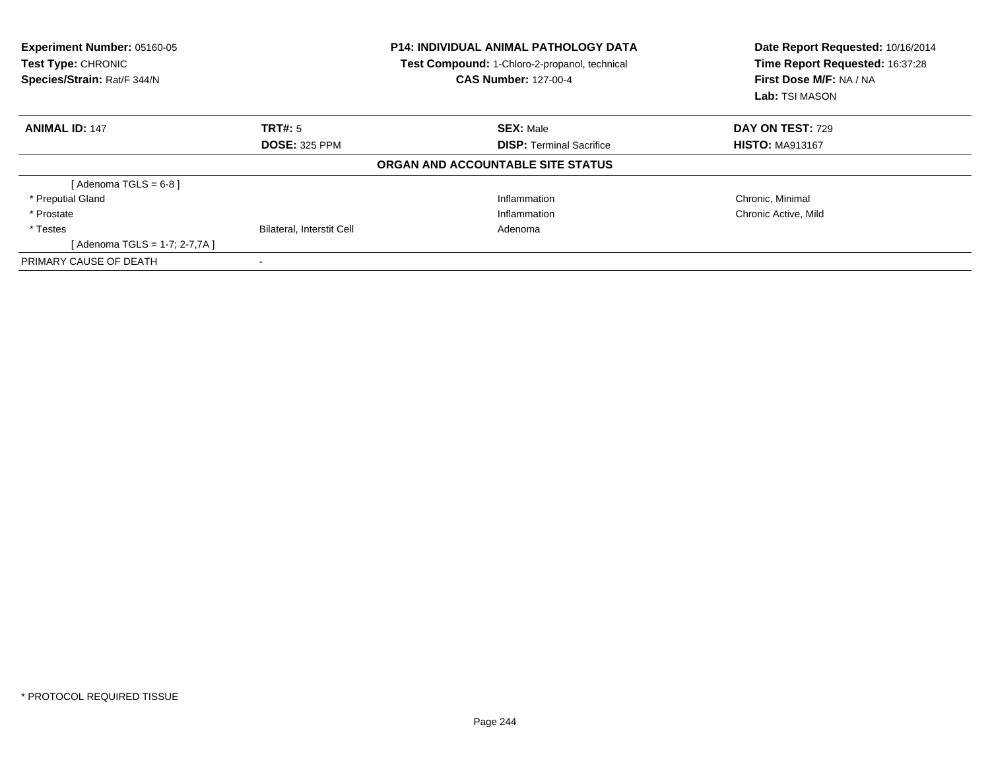| Experiment Number: 05160-05<br>Test Type: CHRONIC<br>Species/Strain: Rat/F 344/N |                                  | <b>P14: INDIVIDUAL ANIMAL PATHOLOGY DATA</b><br>Test Compound: 1-Chloro-2-propanol, technical<br><b>CAS Number: 127-00-4</b> | Date Report Requested: 10/16/2014<br>Time Report Requested: 16:37:28<br>First Dose M/F: NA / NA<br>Lab: TSI MASON |  |
|----------------------------------------------------------------------------------|----------------------------------|------------------------------------------------------------------------------------------------------------------------------|-------------------------------------------------------------------------------------------------------------------|--|
| <b>ANIMAL ID: 147</b>                                                            | TRT#: 5                          | <b>SEX: Male</b>                                                                                                             | DAY ON TEST: 729                                                                                                  |  |
|                                                                                  | <b>DOSE: 325 PPM</b>             | <b>DISP:</b> Terminal Sacrifice                                                                                              | <b>HISTO: MA913167</b>                                                                                            |  |
|                                                                                  |                                  | ORGAN AND ACCOUNTABLE SITE STATUS                                                                                            |                                                                                                                   |  |
| [Adenoma TGLS = $6-8$ ]                                                          |                                  |                                                                                                                              |                                                                                                                   |  |
| * Preputial Gland                                                                |                                  | Inflammation                                                                                                                 | Chronic, Minimal                                                                                                  |  |
| * Prostate                                                                       |                                  | Inflammation                                                                                                                 | Chronic Active, Mild                                                                                              |  |
| * Testes                                                                         | <b>Bilateral, Interstit Cell</b> | Adenoma                                                                                                                      |                                                                                                                   |  |
| [Adenoma TGLS = 1-7; 2-7,7A ]                                                    |                                  |                                                                                                                              |                                                                                                                   |  |
| PRIMARY CAUSE OF DEATH                                                           |                                  |                                                                                                                              |                                                                                                                   |  |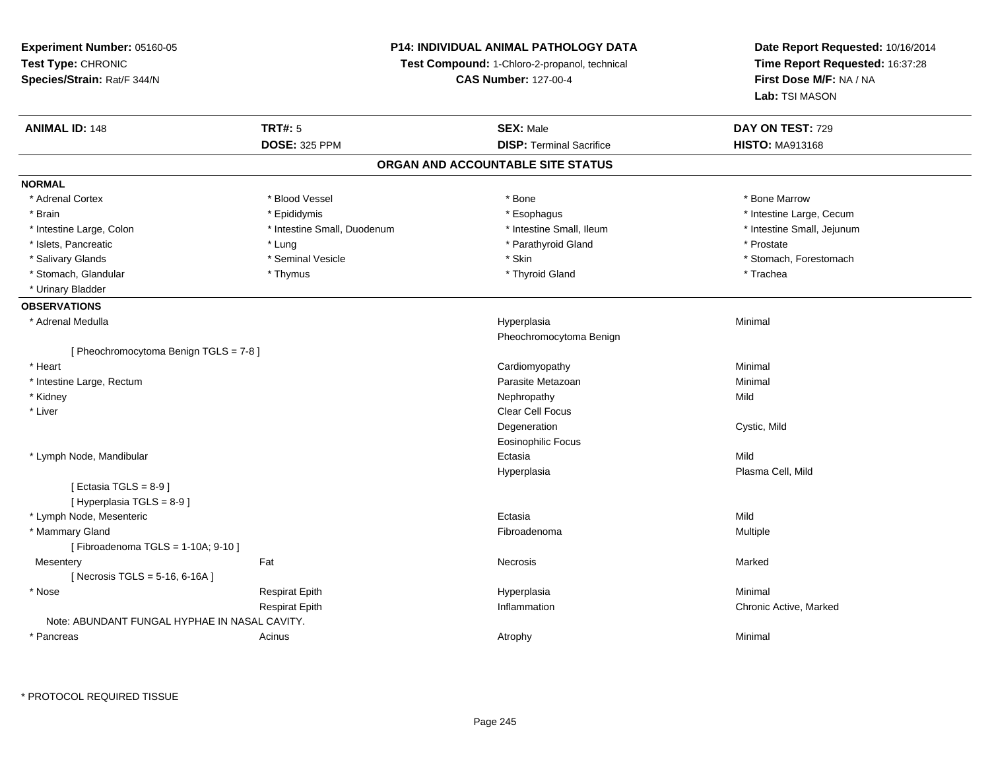**Experiment Number:** 05160-05**Test Type:** CHRONIC **Species/Strain:** Rat/F 344/N**P14: INDIVIDUAL ANIMAL PATHOLOGY DATATest Compound:** 1-Chloro-2-propanol, technical **CAS Number:** 127-00-4**Date Report Requested:** 10/16/2014**Time Report Requested:** 16:37:28**First Dose M/F:** NA / NA**Lab:** TSI MASON**ANIMAL ID:** 148**TRT#:** 5 **SEX:** Male **DAY ON TEST:** 729 **DOSE:** 325 PPM**DISP:** Terminal Sacrifice **HISTO:** MA913168 **ORGAN AND ACCOUNTABLE SITE STATUSNORMAL**\* Adrenal Cortex \* Adrenal Cortex \* \* Attachers \* Blood Vessel \* \* Bone \* \* \* Bone \* \* Bone \* \* Bone \* Bone Marrow \* Bone Marrow \* Brain \* Explorer \* Epididymis \* \* Epididymis \* \* Esophagus \* Esophagus \* \* Esophagus \* Intestine Large, Cecum \* \* Intestine Large, Cecum \* Intestine Large, Colon \* Thestine Small, Duodenum \* \* Intestine Small, Ileum \* \* Intestine Small, Jejunum \* Intestine Small, Jejunum \* Intestine Small, Jejunum \* Islets, Pancreatic \* The state of the state  $*$  Lung \* Prostate \* Prostate \* Prostate \* Prostate \* Prostate \* Salivary Glands \* The state of the seminal Vesicle \* Skin \* Skin \* Skin \* Stomach, Forestomach, Forestomach, Forestomach, Forestomach, Forestomach, Forestomach, Forestomach, Forestomach, Forestomach, Forestomach, Foresto \* Stomach, Glandular \* Thymus \* Thymus \* Thymus \* Thyroid Gland \* Thyroid Gland \* Thachea \* Urinary Bladder**OBSERVATIONS** \* Adrenal Medullaa and the control of the control of the control of the Hyperplasia and the control of the Minimal of the control of the control of the control of the control of the control of the control of the control of the control of t Pheochromocytoma Benign[ Pheochromocytoma Benign TGLS = 7-8 ] \* Heart Cardiomyopathy Minimal \* Intestine Large, Rectumm and the contract of the contract of the contract of the contract of the contract of the contract of the contract of the contract of the contract of the contract of the contract of the contract of the contract of the cont \* Kidneyy the control of the control of the control of the control of the control of the control of the control of the control of the control of the control of the control of the control of the control of the control of the contro \* Liver Clear Cell FocusDegeneration Cystic, Mild Eosinophilic Focus \* Lymph Node, Mandibularr and the contract of the contract of the contract of the contract of the contract of the contract of the contract of the contract of the contract of the contract of the contract of the contract of the contract of the cont a Mild Hyperplasia Plasma Cell, Mild  $[$  Ectasia TGLS = 8-9  $]$ [ Hyperplasia TGLS = 8-9 ] \* Lymph Node, Mesentericc **Ectasia** a Mild \* Mammary Glandd and the state of the state of the state of the state of the state of the state of the state of the state of the state of the state of the state of the state of the state of the state of the state of the state of the stat [ Fibroadenoma TGLS = 1-10A; 9-10 ]**Mesentery** y the control of the Marked States of the Marked States of the Marked States of the Marked States of the Marked States of the Marked States of the Marked States of the Marked States of the Marked States of the Marked State  $[$  Necrosis TGLS = 5-16, 6-16A ] \* Nose Respirat Epith Hyperplasia Minimal Respirat Epith Inflammation Chronic Active, Marked Note: ABUNDANT FUNGAL HYPHAE IN NASAL CAVITY. \* Pancreass the control of the control of the control of the control of the control of the control of the control of the control of the control of the control of the control of the control of the control of the control of the contro

\* PROTOCOL REQUIRED TISSUE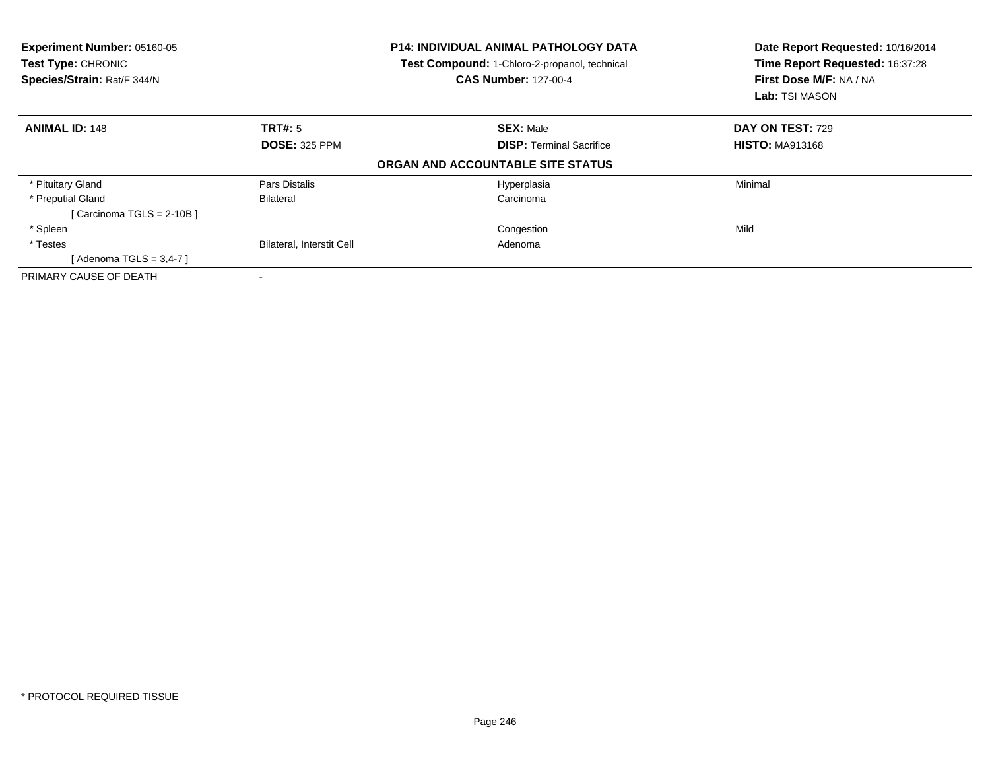| Experiment Number: 05160-05<br>Test Type: CHRONIC<br>Species/Strain: Rat/F 344/N<br><b>CAS Number: 127-00-4</b> |                           | <b>P14: INDIVIDUAL ANIMAL PATHOLOGY DATA</b><br>Test Compound: 1-Chloro-2-propanol, technical | Date Report Requested: 10/16/2014<br>Time Report Requested: 16:37:28<br>First Dose M/F: NA / NA<br>Lab: TSI MASON |
|-----------------------------------------------------------------------------------------------------------------|---------------------------|-----------------------------------------------------------------------------------------------|-------------------------------------------------------------------------------------------------------------------|
| <b>ANIMAL ID: 148</b>                                                                                           | <b>TRT#:</b> 5            | <b>SEX: Male</b>                                                                              | DAY ON TEST: 729                                                                                                  |
|                                                                                                                 | <b>DOSE: 325 PPM</b>      | <b>DISP: Terminal Sacrifice</b>                                                               | <b>HISTO: MA913168</b>                                                                                            |
|                                                                                                                 |                           | ORGAN AND ACCOUNTABLE SITE STATUS                                                             |                                                                                                                   |
| * Pituitary Gland                                                                                               | Pars Distalis             | Hyperplasia                                                                                   | Minimal                                                                                                           |
| * Preputial Gland                                                                                               | Bilateral                 | Carcinoma                                                                                     |                                                                                                                   |
| [Carcinoma TGLS = $2-10B$ ]                                                                                     |                           |                                                                                               |                                                                                                                   |
| * Spleen                                                                                                        |                           | Congestion                                                                                    | Mild                                                                                                              |
| * Testes                                                                                                        | Bilateral, Interstit Cell | Adenoma                                                                                       |                                                                                                                   |
| [Adenoma TGLS = $3,4-7$ ]                                                                                       |                           |                                                                                               |                                                                                                                   |
| PRIMARY CAUSE OF DEATH                                                                                          |                           |                                                                                               |                                                                                                                   |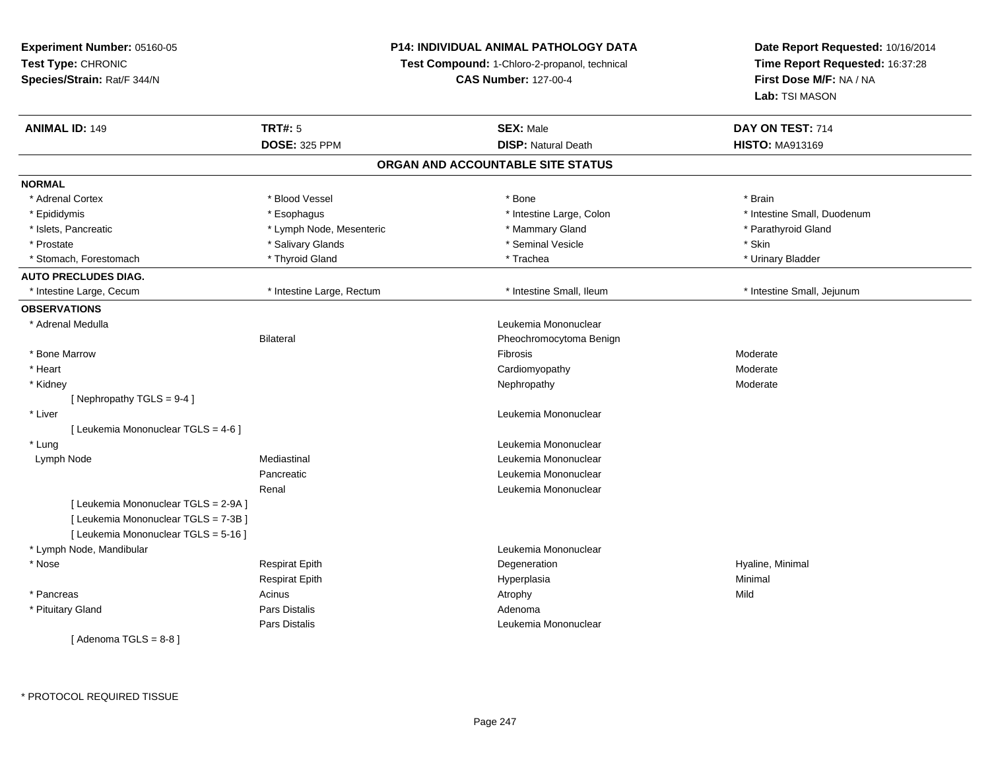### **P14: INDIVIDUAL ANIMAL PATHOLOGY DATA**

**Test Compound:** 1-Chloro-2-propanol, technical

**CAS Number:** 127-00-4

| <b>ANIMAL ID: 149</b>                | <b>TRT#: 5</b>            | <b>SEX: Male</b>                  | DAY ON TEST: 714            |
|--------------------------------------|---------------------------|-----------------------------------|-----------------------------|
|                                      | <b>DOSE: 325 PPM</b>      | <b>DISP: Natural Death</b>        | <b>HISTO: MA913169</b>      |
|                                      |                           | ORGAN AND ACCOUNTABLE SITE STATUS |                             |
| <b>NORMAL</b>                        |                           |                                   |                             |
| * Adrenal Cortex                     | * Blood Vessel            | * Bone                            | * Brain                     |
| * Epididymis                         | * Esophagus               | * Intestine Large, Colon          | * Intestine Small, Duodenum |
| * Islets, Pancreatic                 | * Lymph Node, Mesenteric  | * Mammary Gland                   | * Parathyroid Gland         |
| * Prostate                           | * Salivary Glands         | * Seminal Vesicle                 | * Skin                      |
| * Stomach, Forestomach               | * Thyroid Gland           | * Trachea                         | * Urinary Bladder           |
| <b>AUTO PRECLUDES DIAG.</b>          |                           |                                   |                             |
| * Intestine Large, Cecum             | * Intestine Large, Rectum | * Intestine Small, Ileum          | * Intestine Small, Jejunum  |
| <b>OBSERVATIONS</b>                  |                           |                                   |                             |
| * Adrenal Medulla                    |                           | Leukemia Mononuclear              |                             |
|                                      | Bilateral                 | Pheochromocytoma Benign           |                             |
| * Bone Marrow                        |                           | Fibrosis                          | Moderate                    |
| * Heart                              |                           | Cardiomyopathy                    | Moderate                    |
| * Kidney                             |                           | Nephropathy                       | Moderate                    |
| [ Nephropathy $TGLS = 9-4$ ]         |                           |                                   |                             |
| * Liver                              |                           | Leukemia Mononuclear              |                             |
| [ Leukemia Mononuclear TGLS = 4-6 ]  |                           |                                   |                             |
| * Lung                               |                           | Leukemia Mononuclear              |                             |
| Lymph Node                           | Mediastinal               | Leukemia Mononuclear              |                             |
|                                      | Pancreatic                | Leukemia Mononuclear              |                             |
|                                      | Renal                     | Leukemia Mononuclear              |                             |
| [ Leukemia Mononuclear TGLS = 2-9A ] |                           |                                   |                             |
| [ Leukemia Mononuclear TGLS = 7-3B ] |                           |                                   |                             |
| [ Leukemia Mononuclear TGLS = 5-16 ] |                           |                                   |                             |
| * Lymph Node, Mandibular             |                           | Leukemia Mononuclear              |                             |
| * Nose                               | <b>Respirat Epith</b>     | Degeneration                      | Hyaline, Minimal            |
|                                      | <b>Respirat Epith</b>     | Hyperplasia                       | Minimal                     |
| * Pancreas                           | Acinus                    | Atrophy                           | Mild                        |
| * Pituitary Gland                    | Pars Distalis             | Adenoma                           |                             |
|                                      | Pars Distalis             | Leukemia Mononuclear              |                             |
| [Adenoma TGLS = 8-8]                 |                           |                                   |                             |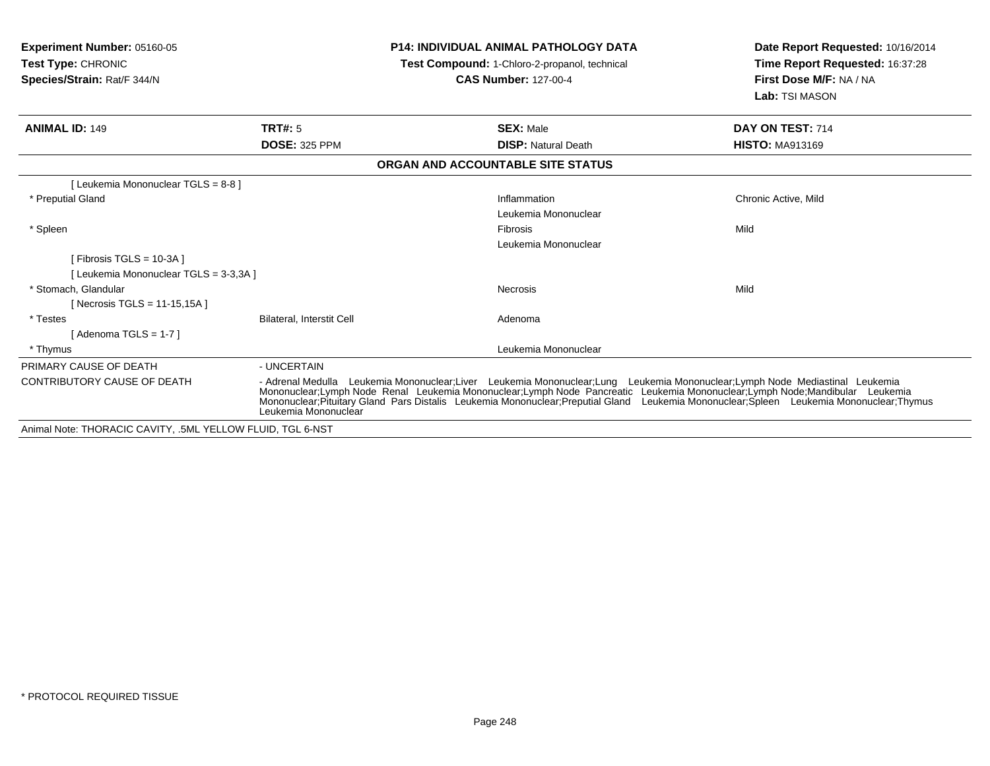| Experiment Number: 05160-05<br><b>Test Type: CHRONIC</b><br>Species/Strain: Rat/F 344/N |                                                                                                                                                                                                                                                                                                                                                                                             | <b>P14: INDIVIDUAL ANIMAL PATHOLOGY DATA</b><br>Test Compound: 1-Chloro-2-propanol, technical<br><b>CAS Number: 127-00-4</b> | Date Report Requested: 10/16/2014<br>Time Report Requested: 16:37:28<br>First Dose M/F: NA / NA<br>Lab: TSI MASON |
|-----------------------------------------------------------------------------------------|---------------------------------------------------------------------------------------------------------------------------------------------------------------------------------------------------------------------------------------------------------------------------------------------------------------------------------------------------------------------------------------------|------------------------------------------------------------------------------------------------------------------------------|-------------------------------------------------------------------------------------------------------------------|
| <b>ANIMAL ID: 149</b>                                                                   | TRT#: 5                                                                                                                                                                                                                                                                                                                                                                                     | <b>SEX: Male</b>                                                                                                             | DAY ON TEST: 714                                                                                                  |
|                                                                                         | <b>DOSE: 325 PPM</b>                                                                                                                                                                                                                                                                                                                                                                        | <b>DISP: Natural Death</b>                                                                                                   | <b>HISTO: MA913169</b>                                                                                            |
|                                                                                         |                                                                                                                                                                                                                                                                                                                                                                                             | ORGAN AND ACCOUNTABLE SITE STATUS                                                                                            |                                                                                                                   |
| [ Leukemia Mononuclear TGLS = 8-8 ]                                                     |                                                                                                                                                                                                                                                                                                                                                                                             |                                                                                                                              |                                                                                                                   |
| * Preputial Gland                                                                       |                                                                                                                                                                                                                                                                                                                                                                                             | Inflammation<br>Leukemia Mononuclear                                                                                         | Chronic Active, Mild                                                                                              |
| * Spleen                                                                                |                                                                                                                                                                                                                                                                                                                                                                                             | Fibrosis<br>Leukemia Mononuclear                                                                                             | Mild                                                                                                              |
| [ Fibrosis TGLS = $10-3A$ ]<br>[Leukemia Mononuclear TGLS = 3-3,3A]                     |                                                                                                                                                                                                                                                                                                                                                                                             |                                                                                                                              |                                                                                                                   |
| * Stomach, Glandular<br>[Necrosis TGLS = 11-15,15A]                                     |                                                                                                                                                                                                                                                                                                                                                                                             | Necrosis                                                                                                                     | Mild                                                                                                              |
| * Testes<br>[Adenoma TGLS = $1-7$ ]                                                     | <b>Bilateral, Interstit Cell</b>                                                                                                                                                                                                                                                                                                                                                            | Adenoma                                                                                                                      |                                                                                                                   |
| * Thymus                                                                                |                                                                                                                                                                                                                                                                                                                                                                                             | Leukemia Mononuclear                                                                                                         |                                                                                                                   |
| PRIMARY CAUSE OF DEATH                                                                  | - UNCERTAIN                                                                                                                                                                                                                                                                                                                                                                                 |                                                                                                                              |                                                                                                                   |
| <b>CONTRIBUTORY CAUSE OF DEATH</b>                                                      | Leukemia Mononuclear;Liver Leukemia Mononuclear;Lung Leukemia Mononuclear;Lymph Node Mediastinal Leukemia<br>- Adrenal Medulla<br>Mononuclear;Lymph Node Renal Leukemia Mononuclear;Lymph Node Pancreatic Leukemia Mononuclear;Lymph Node;Mandibular Leukemia<br>Mononuclear;Pituitary Gland Pars Distalis Leukemia Mononuclear;Preputial Gland Leukemia Mononuclea<br>Leukemia Mononuclear |                                                                                                                              |                                                                                                                   |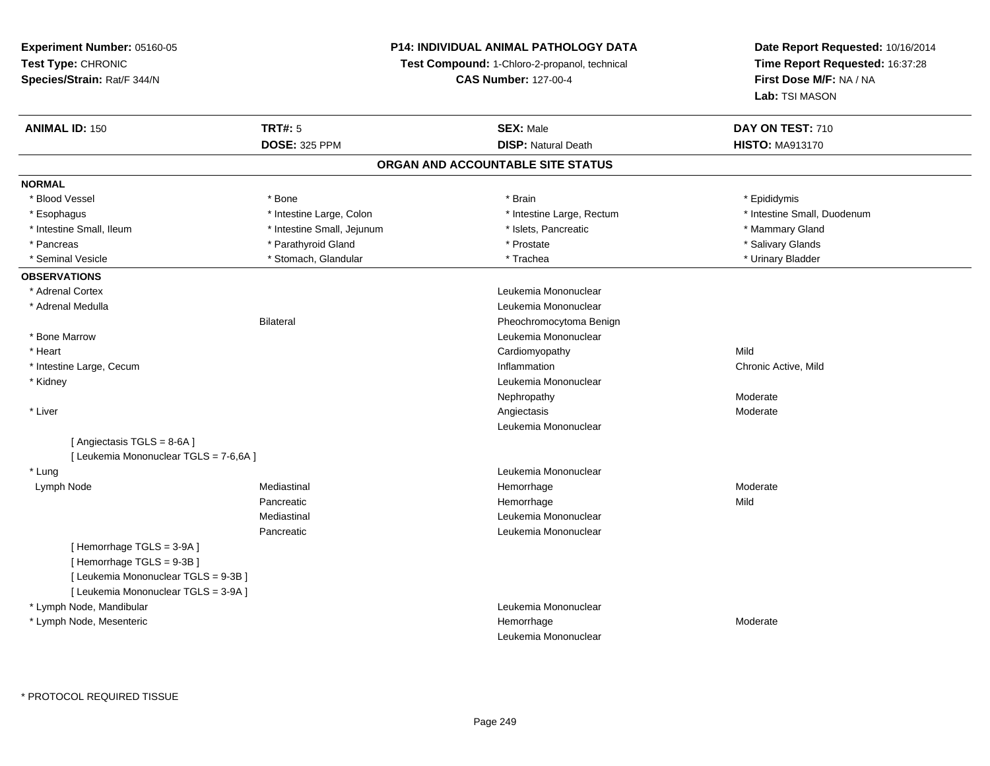### **P14: INDIVIDUAL ANIMAL PATHOLOGY DATA**

**Test Compound:** 1-Chloro-2-propanol, technical

**CAS Number:** 127-00-4

| <b>DOSE: 325 PPM</b><br><b>DISP: Natural Death</b><br><b>HISTO: MA913170</b><br>ORGAN AND ACCOUNTABLE SITE STATUS<br>* Blood Vessel<br>* Brain<br>* Bone<br>* Epididymis<br>* Esophagus<br>* Intestine Large, Colon<br>* Intestine Large, Rectum<br>* Intestine Small, Duodenum<br>* Intestine Small, Ileum<br>* Intestine Small, Jejunum<br>* Islets, Pancreatic<br>* Mammary Gland<br>* Salivary Glands<br>* Pancreas<br>* Parathyroid Gland<br>* Prostate<br>* Seminal Vesicle<br>* Stomach, Glandular<br>* Trachea<br>* Urinary Bladder<br>* Adrenal Cortex<br>Leukemia Mononuclear<br>* Adrenal Medulla<br>Leukemia Mononuclear<br><b>Bilateral</b><br>Pheochromocytoma Benign<br>* Bone Marrow<br>Leukemia Mononuclear<br>* Heart<br>Mild<br>Cardiomyopathy<br>Inflammation<br>* Intestine Large, Cecum<br>Chronic Active, Mild<br>Leukemia Mononuclear<br>* Kidney<br>Nephropathy<br>Moderate<br>* Liver<br>Angiectasis<br>Moderate<br>Leukemia Mononuclear<br>[Angiectasis TGLS = 8-6A]<br>[ Leukemia Mononuclear TGLS = 7-6,6A ]<br>* Lung<br>Leukemia Mononuclear<br>Mediastinal<br>Lymph Node<br>Hemorrhage<br>Moderate<br>Pancreatic<br>Mild<br>Hemorrhage<br>Mediastinal<br>Leukemia Mononuclear<br>Leukemia Mononuclear<br>Pancreatic<br>[Hemorrhage TGLS = 3-9A]<br>[Hemorrhage TGLS = 9-3B]<br>[ Leukemia Mononuclear TGLS = 9-3B ]<br>[ Leukemia Mononuclear TGLS = 3-9A ]<br>* Lymph Node, Mandibular<br>Leukemia Mononuclear<br>* Lymph Node, Mesenteric<br>Hemorrhage<br>Moderate<br>Leukemia Mononuclear | <b>ANIMAL ID: 150</b> | <b>TRT#: 5</b> | <b>SEX: Male</b> | DAY ON TEST: 710 |
|-------------------------------------------------------------------------------------------------------------------------------------------------------------------------------------------------------------------------------------------------------------------------------------------------------------------------------------------------------------------------------------------------------------------------------------------------------------------------------------------------------------------------------------------------------------------------------------------------------------------------------------------------------------------------------------------------------------------------------------------------------------------------------------------------------------------------------------------------------------------------------------------------------------------------------------------------------------------------------------------------------------------------------------------------------------------------------------------------------------------------------------------------------------------------------------------------------------------------------------------------------------------------------------------------------------------------------------------------------------------------------------------------------------------------------------------------------------------------------------------------------------------------------|-----------------------|----------------|------------------|------------------|
|                                                                                                                                                                                                                                                                                                                                                                                                                                                                                                                                                                                                                                                                                                                                                                                                                                                                                                                                                                                                                                                                                                                                                                                                                                                                                                                                                                                                                                                                                                                               |                       |                |                  |                  |
|                                                                                                                                                                                                                                                                                                                                                                                                                                                                                                                                                                                                                                                                                                                                                                                                                                                                                                                                                                                                                                                                                                                                                                                                                                                                                                                                                                                                                                                                                                                               |                       |                |                  |                  |
|                                                                                                                                                                                                                                                                                                                                                                                                                                                                                                                                                                                                                                                                                                                                                                                                                                                                                                                                                                                                                                                                                                                                                                                                                                                                                                                                                                                                                                                                                                                               | <b>NORMAL</b>         |                |                  |                  |
|                                                                                                                                                                                                                                                                                                                                                                                                                                                                                                                                                                                                                                                                                                                                                                                                                                                                                                                                                                                                                                                                                                                                                                                                                                                                                                                                                                                                                                                                                                                               |                       |                |                  |                  |
|                                                                                                                                                                                                                                                                                                                                                                                                                                                                                                                                                                                                                                                                                                                                                                                                                                                                                                                                                                                                                                                                                                                                                                                                                                                                                                                                                                                                                                                                                                                               |                       |                |                  |                  |
|                                                                                                                                                                                                                                                                                                                                                                                                                                                                                                                                                                                                                                                                                                                                                                                                                                                                                                                                                                                                                                                                                                                                                                                                                                                                                                                                                                                                                                                                                                                               |                       |                |                  |                  |
|                                                                                                                                                                                                                                                                                                                                                                                                                                                                                                                                                                                                                                                                                                                                                                                                                                                                                                                                                                                                                                                                                                                                                                                                                                                                                                                                                                                                                                                                                                                               |                       |                |                  |                  |
|                                                                                                                                                                                                                                                                                                                                                                                                                                                                                                                                                                                                                                                                                                                                                                                                                                                                                                                                                                                                                                                                                                                                                                                                                                                                                                                                                                                                                                                                                                                               |                       |                |                  |                  |
|                                                                                                                                                                                                                                                                                                                                                                                                                                                                                                                                                                                                                                                                                                                                                                                                                                                                                                                                                                                                                                                                                                                                                                                                                                                                                                                                                                                                                                                                                                                               | <b>OBSERVATIONS</b>   |                |                  |                  |
|                                                                                                                                                                                                                                                                                                                                                                                                                                                                                                                                                                                                                                                                                                                                                                                                                                                                                                                                                                                                                                                                                                                                                                                                                                                                                                                                                                                                                                                                                                                               |                       |                |                  |                  |
|                                                                                                                                                                                                                                                                                                                                                                                                                                                                                                                                                                                                                                                                                                                                                                                                                                                                                                                                                                                                                                                                                                                                                                                                                                                                                                                                                                                                                                                                                                                               |                       |                |                  |                  |
|                                                                                                                                                                                                                                                                                                                                                                                                                                                                                                                                                                                                                                                                                                                                                                                                                                                                                                                                                                                                                                                                                                                                                                                                                                                                                                                                                                                                                                                                                                                               |                       |                |                  |                  |
|                                                                                                                                                                                                                                                                                                                                                                                                                                                                                                                                                                                                                                                                                                                                                                                                                                                                                                                                                                                                                                                                                                                                                                                                                                                                                                                                                                                                                                                                                                                               |                       |                |                  |                  |
|                                                                                                                                                                                                                                                                                                                                                                                                                                                                                                                                                                                                                                                                                                                                                                                                                                                                                                                                                                                                                                                                                                                                                                                                                                                                                                                                                                                                                                                                                                                               |                       |                |                  |                  |
|                                                                                                                                                                                                                                                                                                                                                                                                                                                                                                                                                                                                                                                                                                                                                                                                                                                                                                                                                                                                                                                                                                                                                                                                                                                                                                                                                                                                                                                                                                                               |                       |                |                  |                  |
|                                                                                                                                                                                                                                                                                                                                                                                                                                                                                                                                                                                                                                                                                                                                                                                                                                                                                                                                                                                                                                                                                                                                                                                                                                                                                                                                                                                                                                                                                                                               |                       |                |                  |                  |
|                                                                                                                                                                                                                                                                                                                                                                                                                                                                                                                                                                                                                                                                                                                                                                                                                                                                                                                                                                                                                                                                                                                                                                                                                                                                                                                                                                                                                                                                                                                               |                       |                |                  |                  |
|                                                                                                                                                                                                                                                                                                                                                                                                                                                                                                                                                                                                                                                                                                                                                                                                                                                                                                                                                                                                                                                                                                                                                                                                                                                                                                                                                                                                                                                                                                                               |                       |                |                  |                  |
|                                                                                                                                                                                                                                                                                                                                                                                                                                                                                                                                                                                                                                                                                                                                                                                                                                                                                                                                                                                                                                                                                                                                                                                                                                                                                                                                                                                                                                                                                                                               |                       |                |                  |                  |
|                                                                                                                                                                                                                                                                                                                                                                                                                                                                                                                                                                                                                                                                                                                                                                                                                                                                                                                                                                                                                                                                                                                                                                                                                                                                                                                                                                                                                                                                                                                               |                       |                |                  |                  |
|                                                                                                                                                                                                                                                                                                                                                                                                                                                                                                                                                                                                                                                                                                                                                                                                                                                                                                                                                                                                                                                                                                                                                                                                                                                                                                                                                                                                                                                                                                                               |                       |                |                  |                  |
|                                                                                                                                                                                                                                                                                                                                                                                                                                                                                                                                                                                                                                                                                                                                                                                                                                                                                                                                                                                                                                                                                                                                                                                                                                                                                                                                                                                                                                                                                                                               |                       |                |                  |                  |
|                                                                                                                                                                                                                                                                                                                                                                                                                                                                                                                                                                                                                                                                                                                                                                                                                                                                                                                                                                                                                                                                                                                                                                                                                                                                                                                                                                                                                                                                                                                               |                       |                |                  |                  |
|                                                                                                                                                                                                                                                                                                                                                                                                                                                                                                                                                                                                                                                                                                                                                                                                                                                                                                                                                                                                                                                                                                                                                                                                                                                                                                                                                                                                                                                                                                                               |                       |                |                  |                  |
|                                                                                                                                                                                                                                                                                                                                                                                                                                                                                                                                                                                                                                                                                                                                                                                                                                                                                                                                                                                                                                                                                                                                                                                                                                                                                                                                                                                                                                                                                                                               |                       |                |                  |                  |
|                                                                                                                                                                                                                                                                                                                                                                                                                                                                                                                                                                                                                                                                                                                                                                                                                                                                                                                                                                                                                                                                                                                                                                                                                                                                                                                                                                                                                                                                                                                               |                       |                |                  |                  |
|                                                                                                                                                                                                                                                                                                                                                                                                                                                                                                                                                                                                                                                                                                                                                                                                                                                                                                                                                                                                                                                                                                                                                                                                                                                                                                                                                                                                                                                                                                                               |                       |                |                  |                  |
|                                                                                                                                                                                                                                                                                                                                                                                                                                                                                                                                                                                                                                                                                                                                                                                                                                                                                                                                                                                                                                                                                                                                                                                                                                                                                                                                                                                                                                                                                                                               |                       |                |                  |                  |
|                                                                                                                                                                                                                                                                                                                                                                                                                                                                                                                                                                                                                                                                                                                                                                                                                                                                                                                                                                                                                                                                                                                                                                                                                                                                                                                                                                                                                                                                                                                               |                       |                |                  |                  |
|                                                                                                                                                                                                                                                                                                                                                                                                                                                                                                                                                                                                                                                                                                                                                                                                                                                                                                                                                                                                                                                                                                                                                                                                                                                                                                                                                                                                                                                                                                                               |                       |                |                  |                  |
|                                                                                                                                                                                                                                                                                                                                                                                                                                                                                                                                                                                                                                                                                                                                                                                                                                                                                                                                                                                                                                                                                                                                                                                                                                                                                                                                                                                                                                                                                                                               |                       |                |                  |                  |
|                                                                                                                                                                                                                                                                                                                                                                                                                                                                                                                                                                                                                                                                                                                                                                                                                                                                                                                                                                                                                                                                                                                                                                                                                                                                                                                                                                                                                                                                                                                               |                       |                |                  |                  |
|                                                                                                                                                                                                                                                                                                                                                                                                                                                                                                                                                                                                                                                                                                                                                                                                                                                                                                                                                                                                                                                                                                                                                                                                                                                                                                                                                                                                                                                                                                                               |                       |                |                  |                  |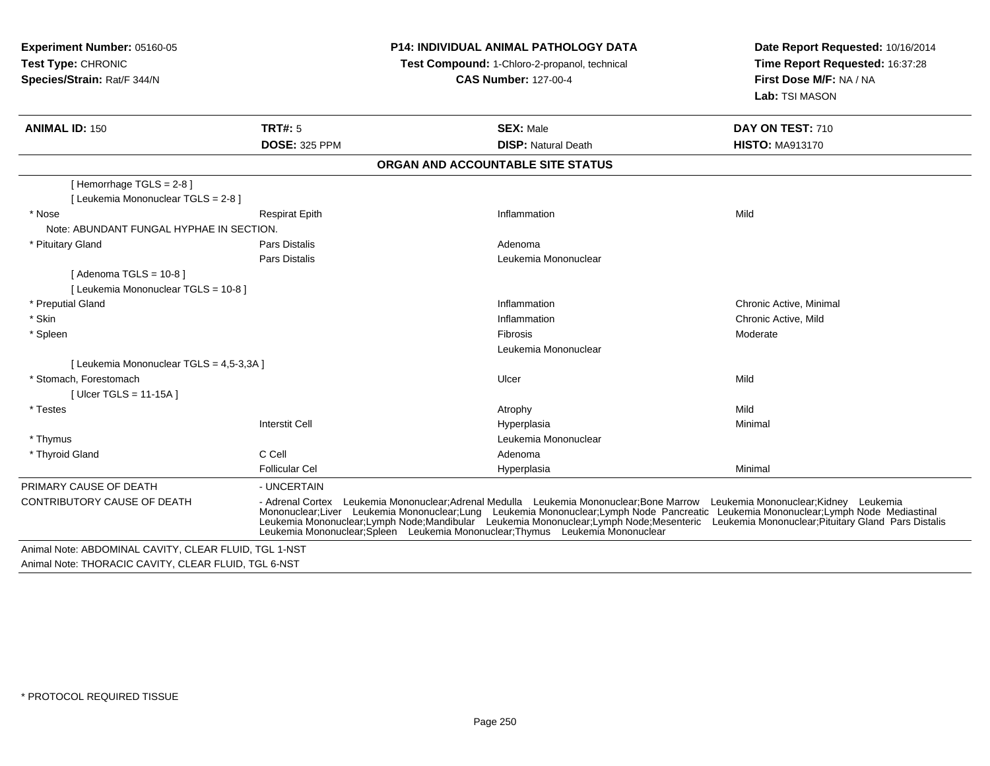**Experiment Number:** 05160-05**Test Type:** CHRONIC **Species/Strain:** Rat/F 344/N**P14: INDIVIDUAL ANIMAL PATHOLOGY DATATest Compound:** 1-Chloro-2-propanol, technical **CAS Number:** 127-00-4**Date Report Requested:** 10/16/2014**Time Report Requested:** 16:37:28**First Dose M/F:** NA / NA**Lab:** TSI MASON**ANIMAL ID:** 150**TRT#:** 5 **SEX:** Male **DAY ON TEST:** 710 **DOSE:** 325 PPM**DISP:** Natural Death **HISTO:** MA913170 **ORGAN AND ACCOUNTABLE SITE STATUS**[ Hemorrhage TGLS = 2-8 ][ Leukemia Mononuclear TGLS = 2-8 ] \* Nose Respirat Epith Inflammation Mild Note: ABUNDANT FUNGAL HYPHAE IN SECTION. \* Pituitary Glandd and the set of Pars Distalis and the Second Adenomal Adenomal Second Second Pars Distallis Pars Distalis Leukemia Mononuclear  $[$  Adenoma TGLS = 10-8  $]$ [ Leukemia Mononuclear TGLS = 10-8 ] \* Preputial Glandd is a controller controller that the controller controller the chronic Active, Minimal on the Chronic Active, Minimal on the chronic Active, Minimal on the chronic Active, Minimal on the chronic Active, Minimal on the chr \* Skin Inflammation Chronic Active, Mild \* Spleenn and the contract of the contract of the contract of the contract of the contract of the contract of the contract of the contract of the contract of the contract of the contract of the contract of the contract of the cont Leukemia Mononuclear[ Leukemia Mononuclear TGLS = 4,5-3,3A ] \* Stomach, Forestomachh ann an t-ìre ann an t-ìre ann an t-ìre ann an Ulcer ann an t-ìre ann an t-ìre ann an Mild [ Ulcer TGLS = 11-15A ] \* Testess the control of the control of the control of the control of the control of the control of the control of the control of the control of the control of the control of the control of the control of the control of the contro Minimal Interstit Cell Hyperplasiaa **Minimal**  \* Thymus Leukemia Mononuclear \* Thyroid Glandd C Cell C Cell C Cell Adenoma Follicular Cel Hyperplasiaa Minimal PRIMARY CAUSE OF DEATH- UNCERTAIN<br>- Adrenal Cortex Leukemia Mononuclear;Adrenal Medulla Leukemia Mononuclear;Bone Marrow Leukemia Mononuclear;Kidney Leukemia CONTRIBUTORY CAUSE OF DEATHH Adrenal Cortex Leukemia Mononuclear;Adrenal Medulla Leukemia Mononuclear;Bone Marrow Leukemia Mononuclear;Kidney Leukemia<br>Mononuclear;Liver Leukemia Mononuclear;Lung Leu Leukemia Mononuclear;Spleen Leukemia Mononuclear;Thymus Leukemia MononuclearAnimal Note: ABDOMINAL CAVITY, CLEAR FLUID, TGL 1-NSTAnimal Note: THORACIC CAVITY, CLEAR FLUID, TGL 6-NST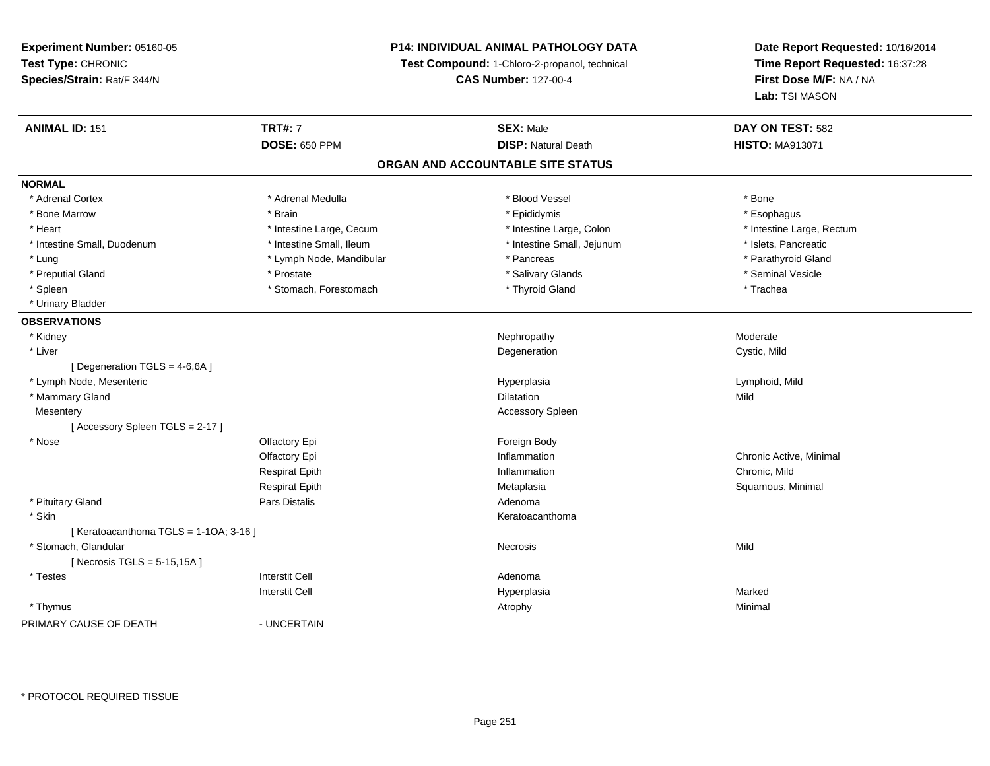### **P14: INDIVIDUAL ANIMAL PATHOLOGY DATA**

**Test Compound:** 1-Chloro-2-propanol, technical

**CAS Number:** 127-00-4

| <b>TRT#: 7</b>                       | <b>SEX: Male</b>           | DAY ON TEST: 582                  |
|--------------------------------------|----------------------------|-----------------------------------|
| <b>DOSE: 650 PPM</b>                 | <b>DISP: Natural Death</b> | <b>HISTO: MA913071</b>            |
|                                      |                            |                                   |
|                                      |                            |                                   |
| * Adrenal Medulla                    | * Blood Vessel             | * Bone                            |
| * Brain                              | * Epididymis               | * Esophagus                       |
| * Intestine Large, Cecum             | * Intestine Large, Colon   | * Intestine Large, Rectum         |
| * Intestine Small, Ileum             | * Intestine Small, Jejunum | * Islets, Pancreatic              |
| * Lymph Node, Mandibular             | * Pancreas                 | * Parathyroid Gland               |
| * Prostate                           | * Salivary Glands          | * Seminal Vesicle                 |
| * Stomach, Forestomach               | * Thyroid Gland            | * Trachea                         |
|                                      |                            |                                   |
|                                      |                            |                                   |
|                                      | Nephropathy                | Moderate                          |
|                                      | Degeneration               | Cystic, Mild                      |
|                                      |                            |                                   |
|                                      | Hyperplasia                | Lymphoid, Mild                    |
|                                      | <b>Dilatation</b>          | Mild                              |
|                                      | Accessory Spleen           |                                   |
|                                      |                            |                                   |
| Olfactory Epi                        | Foreign Body               |                                   |
| Olfactory Epi                        | Inflammation               | Chronic Active, Minimal           |
| <b>Respirat Epith</b>                | Inflammation               | Chronic, Mild                     |
| <b>Respirat Epith</b>                | Metaplasia                 | Squamous, Minimal                 |
| Pars Distalis                        | Adenoma                    |                                   |
|                                      | Keratoacanthoma            |                                   |
| [Keratoacanthoma TGLS = 1-1OA; 3-16] |                            |                                   |
|                                      | Necrosis                   | Mild                              |
|                                      |                            |                                   |
| <b>Interstit Cell</b>                | Adenoma                    |                                   |
| <b>Interstit Cell</b>                | Hyperplasia                | Marked                            |
|                                      | Atrophy                    | Minimal                           |
| - UNCERTAIN                          |                            |                                   |
|                                      |                            | ORGAN AND ACCOUNTABLE SITE STATUS |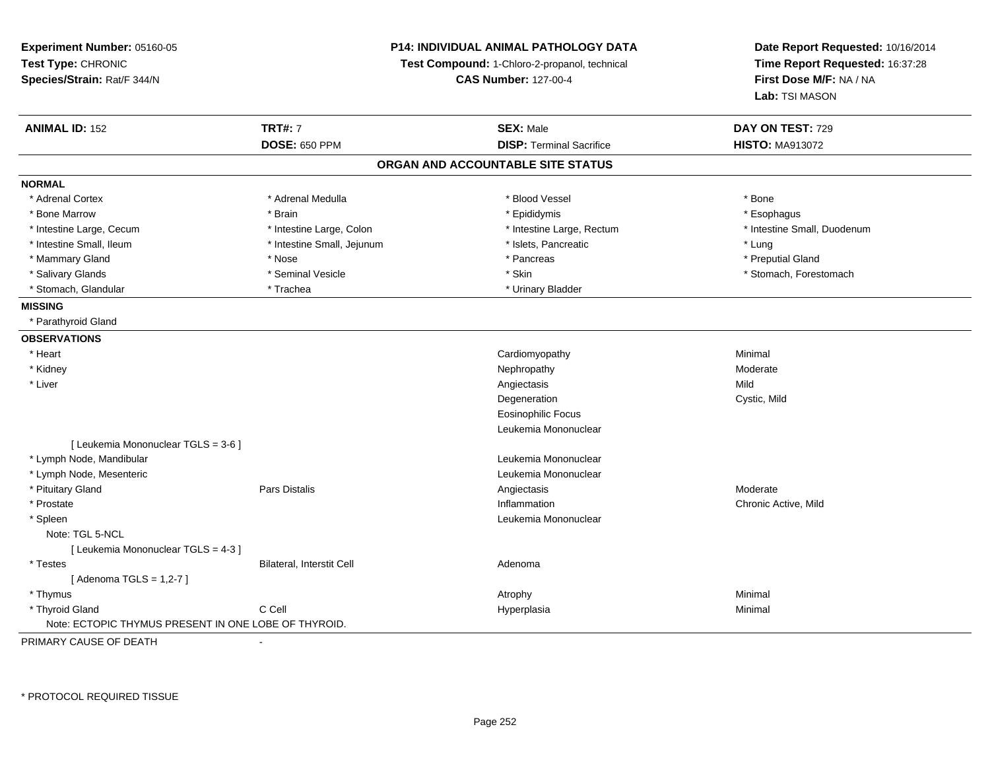| Experiment Number: 05160-05<br>Test Type: CHRONIC<br>Species/Strain: Rat/F 344/N | <b>P14: INDIVIDUAL ANIMAL PATHOLOGY DATA</b><br>Test Compound: 1-Chloro-2-propanol, technical<br><b>CAS Number: 127-00-4</b> |                                   | Date Report Requested: 10/16/2014<br>Time Report Requested: 16:37:28<br>First Dose M/F: NA / NA<br>Lab: TSI MASON |
|----------------------------------------------------------------------------------|------------------------------------------------------------------------------------------------------------------------------|-----------------------------------|-------------------------------------------------------------------------------------------------------------------|
| <b>ANIMAL ID: 152</b>                                                            | <b>TRT#: 7</b>                                                                                                               | <b>SEX: Male</b>                  | DAY ON TEST: 729                                                                                                  |
|                                                                                  | <b>DOSE: 650 PPM</b>                                                                                                         | <b>DISP: Terminal Sacrifice</b>   | <b>HISTO: MA913072</b>                                                                                            |
|                                                                                  |                                                                                                                              | ORGAN AND ACCOUNTABLE SITE STATUS |                                                                                                                   |
| <b>NORMAL</b>                                                                    |                                                                                                                              |                                   |                                                                                                                   |
| * Adrenal Cortex                                                                 | * Adrenal Medulla                                                                                                            | * Blood Vessel                    | * Bone                                                                                                            |
| * Bone Marrow                                                                    | * Brain                                                                                                                      | * Epididymis                      | * Esophagus                                                                                                       |
| * Intestine Large, Cecum                                                         | * Intestine Large, Colon                                                                                                     | * Intestine Large, Rectum         | * Intestine Small, Duodenum                                                                                       |
| * Intestine Small, Ileum                                                         | * Intestine Small, Jejunum                                                                                                   | * Islets, Pancreatic              | * Lung                                                                                                            |
| * Mammary Gland                                                                  | * Nose                                                                                                                       | * Pancreas                        | * Preputial Gland                                                                                                 |
| * Salivary Glands                                                                | * Seminal Vesicle                                                                                                            | * Skin                            | * Stomach, Forestomach                                                                                            |
| * Stomach, Glandular                                                             | * Trachea                                                                                                                    | * Urinary Bladder                 |                                                                                                                   |
| <b>MISSING</b>                                                                   |                                                                                                                              |                                   |                                                                                                                   |
| * Parathyroid Gland                                                              |                                                                                                                              |                                   |                                                                                                                   |
| <b>OBSERVATIONS</b>                                                              |                                                                                                                              |                                   |                                                                                                                   |
| * Heart                                                                          |                                                                                                                              | Cardiomyopathy                    | Minimal                                                                                                           |
| * Kidney                                                                         |                                                                                                                              | Nephropathy                       | Moderate                                                                                                          |
| * Liver                                                                          |                                                                                                                              | Angiectasis                       | Mild                                                                                                              |
|                                                                                  |                                                                                                                              | Degeneration                      | Cystic, Mild                                                                                                      |
|                                                                                  |                                                                                                                              | <b>Eosinophilic Focus</b>         |                                                                                                                   |
|                                                                                  |                                                                                                                              | Leukemia Mononuclear              |                                                                                                                   |
| [ Leukemia Mononuclear TGLS = 3-6 ]                                              |                                                                                                                              |                                   |                                                                                                                   |
| * Lymph Node, Mandibular                                                         |                                                                                                                              | Leukemia Mononuclear              |                                                                                                                   |
| * Lymph Node, Mesenteric                                                         |                                                                                                                              | Leukemia Mononuclear              |                                                                                                                   |
| * Pituitary Gland                                                                | Pars Distalis                                                                                                                | Angiectasis                       | Moderate                                                                                                          |
| * Prostate                                                                       |                                                                                                                              | Inflammation                      | Chronic Active, Mild                                                                                              |
| * Spleen                                                                         |                                                                                                                              | Leukemia Mononuclear              |                                                                                                                   |
| Note: TGL 5-NCL                                                                  |                                                                                                                              |                                   |                                                                                                                   |
| [ Leukemia Mononuclear TGLS = 4-3 ]                                              |                                                                                                                              |                                   |                                                                                                                   |
| * Testes                                                                         | Bilateral, Interstit Cell                                                                                                    | Adenoma                           |                                                                                                                   |
| [ Adenoma TGLS = 1,2-7 ]                                                         |                                                                                                                              |                                   |                                                                                                                   |
| * Thymus                                                                         |                                                                                                                              | Atrophy                           | Minimal                                                                                                           |
| * Thyroid Gland                                                                  | C Cell                                                                                                                       | Hyperplasia                       | Minimal                                                                                                           |
| Note: ECTOPIC THYMUS PRESENT IN ONE LOBE OF THYROID.                             |                                                                                                                              |                                   |                                                                                                                   |

PRIMARY CAUSE OF DEATH-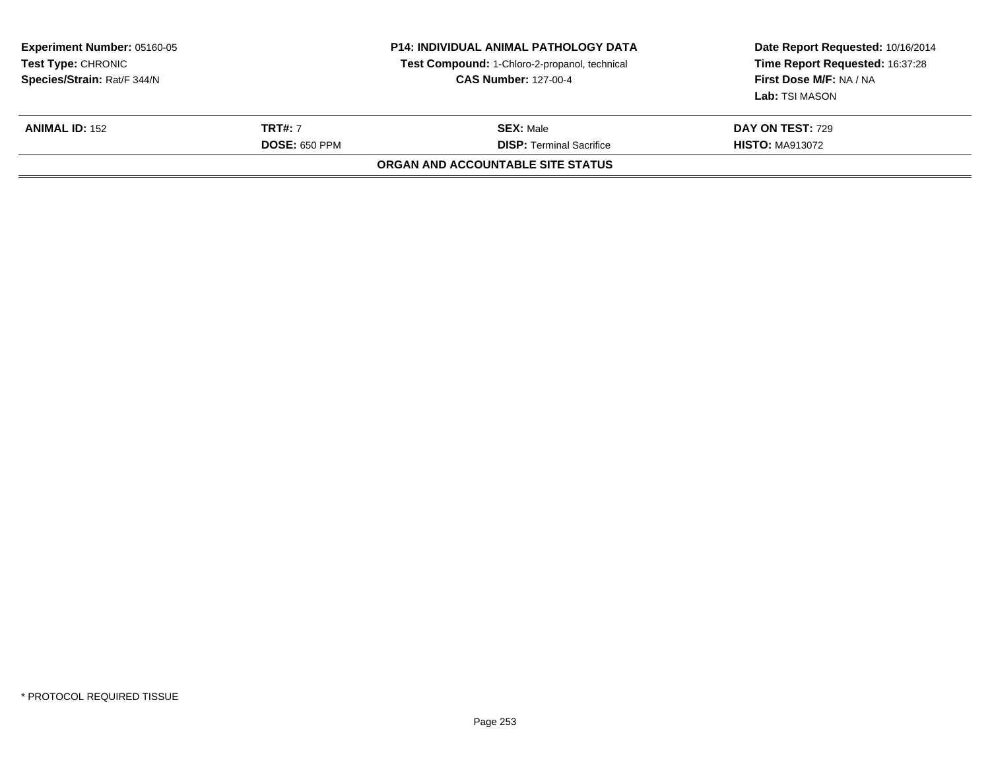| <b>Experiment Number: 05160-05</b><br>Test Type: CHRONIC<br>Species/Strain: Rat/F 344/N |                      | <b>P14: INDIVIDUAL ANIMAL PATHOLOGY DATA</b><br>Test Compound: 1-Chloro-2-propanol, technical<br><b>CAS Number: 127-00-4</b> | Date Report Requested: 10/16/2014<br>Time Report Requested: 16:37:28<br>First Dose M/F: NA / NA<br><b>Lab:</b> TSI MASON |
|-----------------------------------------------------------------------------------------|----------------------|------------------------------------------------------------------------------------------------------------------------------|--------------------------------------------------------------------------------------------------------------------------|
| <b>ANIMAL ID: 152</b>                                                                   | <b>TRT#:</b> 7       | <b>SEX: Male</b>                                                                                                             | DAY ON TEST: 729                                                                                                         |
|                                                                                         | <b>DOSE: 650 PPM</b> | <b>DISP: Terminal Sacrifice</b>                                                                                              | <b>HISTO: MA913072</b>                                                                                                   |
|                                                                                         |                      | <b>ORGAN AND ACCOUNTABLE SITE STATUS</b>                                                                                     |                                                                                                                          |
|                                                                                         |                      |                                                                                                                              |                                                                                                                          |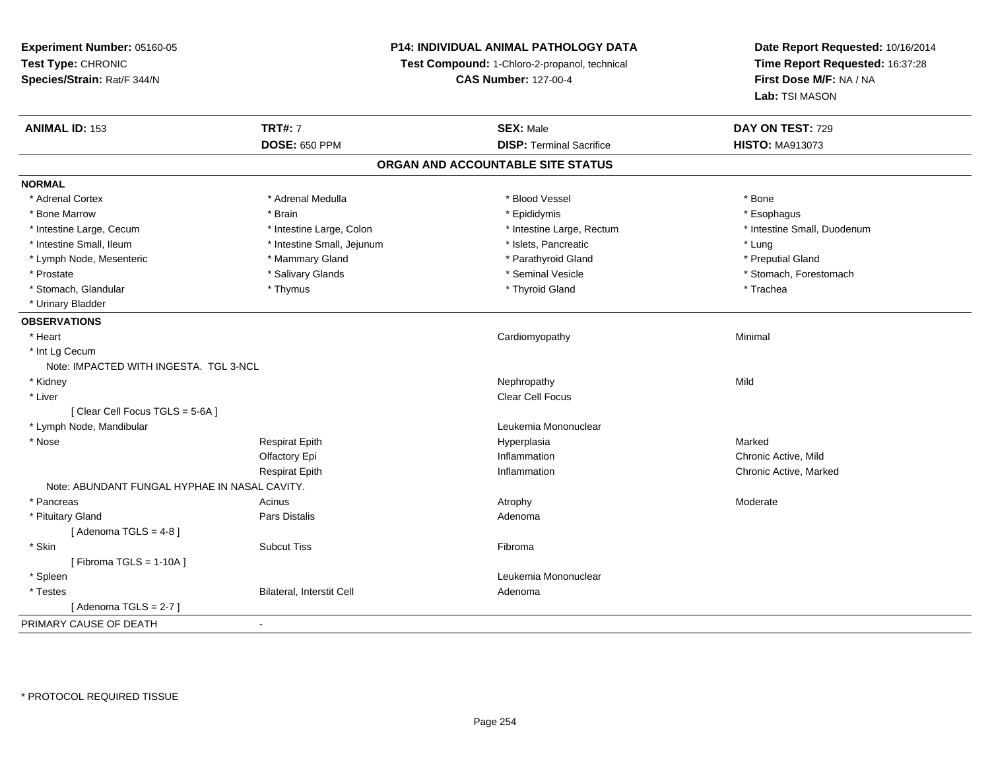## **P14: INDIVIDUAL ANIMAL PATHOLOGY DATA**

**Test Compound:** 1-Chloro-2-propanol, technical

**CAS Number:** 127-00-4

| <b>ANIMAL ID: 153</b>                         | <b>TRT#: 7</b>             | <b>SEX: Male</b>                | DAY ON TEST: 729            |  |  |  |  |
|-----------------------------------------------|----------------------------|---------------------------------|-----------------------------|--|--|--|--|
|                                               | <b>DOSE: 650 PPM</b>       | <b>DISP: Terminal Sacrifice</b> | <b>HISTO: MA913073</b>      |  |  |  |  |
| ORGAN AND ACCOUNTABLE SITE STATUS             |                            |                                 |                             |  |  |  |  |
| <b>NORMAL</b>                                 |                            |                                 |                             |  |  |  |  |
| * Adrenal Cortex                              | * Adrenal Medulla          | * Blood Vessel                  | * Bone                      |  |  |  |  |
| * Bone Marrow                                 | * Brain                    | * Epididymis                    | * Esophagus                 |  |  |  |  |
| * Intestine Large, Cecum                      | * Intestine Large, Colon   | * Intestine Large, Rectum       | * Intestine Small, Duodenum |  |  |  |  |
| * Intestine Small, Ileum                      | * Intestine Small, Jejunum | * Islets, Pancreatic            | * Lung                      |  |  |  |  |
| * Lymph Node, Mesenteric                      | * Mammary Gland            | * Parathyroid Gland             | * Preputial Gland           |  |  |  |  |
| * Prostate                                    | * Salivary Glands          | * Seminal Vesicle               | * Stomach, Forestomach      |  |  |  |  |
| * Stomach, Glandular                          | * Thymus                   | * Thyroid Gland                 | * Trachea                   |  |  |  |  |
| * Urinary Bladder                             |                            |                                 |                             |  |  |  |  |
| <b>OBSERVATIONS</b>                           |                            |                                 |                             |  |  |  |  |
| * Heart                                       |                            | Cardiomyopathy                  | Minimal                     |  |  |  |  |
| * Int Lg Cecum                                |                            |                                 |                             |  |  |  |  |
| Note: IMPACTED WITH INGESTA. TGL 3-NCL        |                            |                                 |                             |  |  |  |  |
| * Kidney                                      |                            | Nephropathy                     | Mild                        |  |  |  |  |
| * Liver                                       |                            | <b>Clear Cell Focus</b>         |                             |  |  |  |  |
| [Clear Cell Focus TGLS = 5-6A]                |                            |                                 |                             |  |  |  |  |
| * Lymph Node, Mandibular                      |                            | Leukemia Mononuclear            |                             |  |  |  |  |
| * Nose                                        | <b>Respirat Epith</b>      | Hyperplasia                     | Marked                      |  |  |  |  |
|                                               | Olfactory Epi              | Inflammation                    | Chronic Active, Mild        |  |  |  |  |
|                                               | <b>Respirat Epith</b>      | Inflammation                    | Chronic Active, Marked      |  |  |  |  |
| Note: ABUNDANT FUNGAL HYPHAE IN NASAL CAVITY. |                            |                                 |                             |  |  |  |  |
| * Pancreas                                    | Acinus                     | Atrophy                         | Moderate                    |  |  |  |  |
| * Pituitary Gland                             | Pars Distalis              | Adenoma                         |                             |  |  |  |  |
| [Adenoma TGLS = $4-8$ ]                       |                            |                                 |                             |  |  |  |  |
| * Skin                                        | <b>Subcut Tiss</b>         | Fibroma                         |                             |  |  |  |  |
| [Fibroma TGLS = $1-10A$ ]                     |                            |                                 |                             |  |  |  |  |
| * Spleen                                      |                            | Leukemia Mononuclear            |                             |  |  |  |  |
| * Testes                                      | Bilateral, Interstit Cell  | Adenoma                         |                             |  |  |  |  |
| [Adenoma TGLS = $2-7$ ]                       |                            |                                 |                             |  |  |  |  |
| PRIMARY CAUSE OF DEATH                        | $\sim$                     |                                 |                             |  |  |  |  |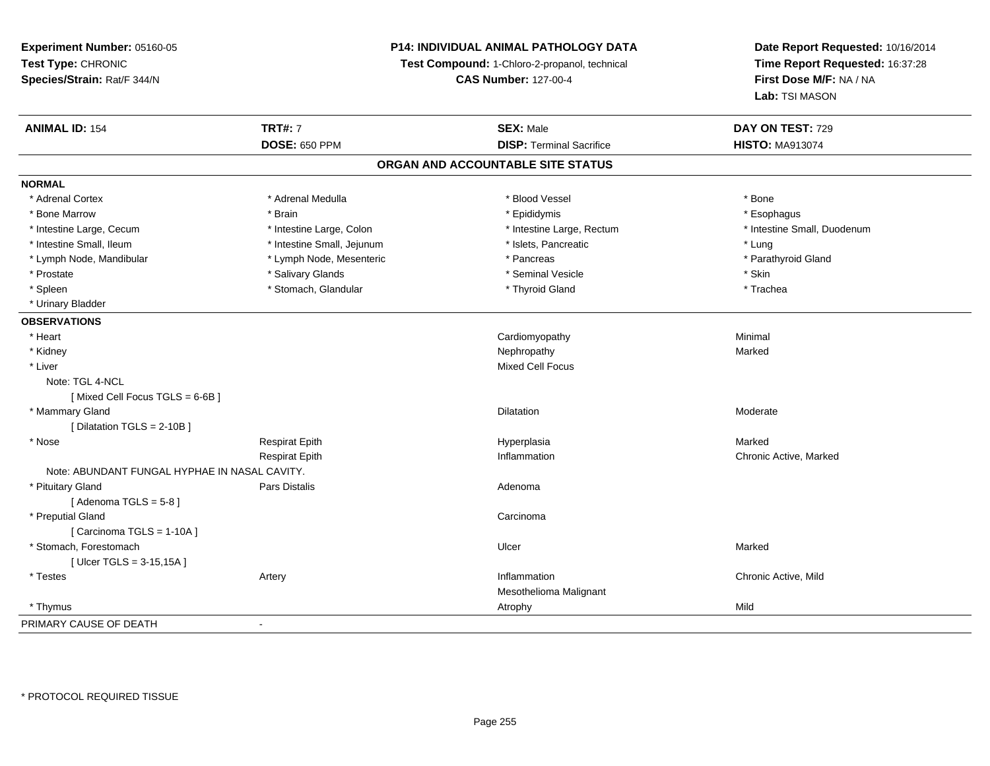### **P14: INDIVIDUAL ANIMAL PATHOLOGY DATA**

**Test Compound:** 1-Chloro-2-propanol, technical

**CAS Number:** 127-00-4

| <b>ANIMAL ID: 154</b>                         | <b>TRT#: 7</b>             | <b>SEX: Male</b>                  | DAY ON TEST: 729            |  |
|-----------------------------------------------|----------------------------|-----------------------------------|-----------------------------|--|
|                                               | <b>DOSE: 650 PPM</b>       | <b>DISP: Terminal Sacrifice</b>   | <b>HISTO: MA913074</b>      |  |
|                                               |                            | ORGAN AND ACCOUNTABLE SITE STATUS |                             |  |
| <b>NORMAL</b>                                 |                            |                                   |                             |  |
| * Adrenal Cortex                              | * Adrenal Medulla          | * Blood Vessel                    | * Bone                      |  |
| * Bone Marrow                                 | * Brain                    | * Epididymis                      | * Esophagus                 |  |
| * Intestine Large, Cecum                      | * Intestine Large, Colon   | * Intestine Large, Rectum         | * Intestine Small, Duodenum |  |
| * Intestine Small, Ileum                      | * Intestine Small, Jejunum | * Islets, Pancreatic              | * Lung                      |  |
| * Lymph Node, Mandibular                      | * Lymph Node, Mesenteric   | * Pancreas                        | * Parathyroid Gland         |  |
| * Prostate                                    | * Salivary Glands          | * Seminal Vesicle                 | * Skin                      |  |
| * Spleen                                      | * Stomach, Glandular       | * Thyroid Gland                   | * Trachea                   |  |
| * Urinary Bladder                             |                            |                                   |                             |  |
| <b>OBSERVATIONS</b>                           |                            |                                   |                             |  |
| * Heart                                       |                            | Cardiomyopathy                    | Minimal                     |  |
| * Kidney                                      |                            | Nephropathy                       | Marked                      |  |
| * Liver                                       |                            | <b>Mixed Cell Focus</b>           |                             |  |
| Note: TGL 4-NCL                               |                            |                                   |                             |  |
| [Mixed Cell Focus TGLS = 6-6B]                |                            |                                   |                             |  |
| * Mammary Gland                               |                            | Dilatation                        | Moderate                    |  |
| [Dilatation TGLS = 2-10B]                     |                            |                                   |                             |  |
| * Nose                                        | <b>Respirat Epith</b>      | Hyperplasia                       | Marked                      |  |
|                                               | <b>Respirat Epith</b>      | Inflammation                      | Chronic Active, Marked      |  |
| Note: ABUNDANT FUNGAL HYPHAE IN NASAL CAVITY. |                            |                                   |                             |  |
| * Pituitary Gland                             | Pars Distalis              | Adenoma                           |                             |  |
| [Adenoma TGLS = $5-8$ ]                       |                            |                                   |                             |  |
| * Preputial Gland                             |                            | Carcinoma                         |                             |  |
| [Carcinoma TGLS = 1-10A]                      |                            |                                   |                             |  |
| * Stomach, Forestomach                        |                            | Ulcer                             | Marked                      |  |
| [ $Ulcer TGLS = 3-15,15A$ ]                   |                            |                                   |                             |  |
| * Testes                                      | Artery                     | Inflammation                      | Chronic Active, Mild        |  |
|                                               |                            | Mesothelioma Malignant            |                             |  |
| * Thymus                                      |                            | Atrophy                           | Mild                        |  |
| PRIMARY CAUSE OF DEATH                        | $\blacksquare$             |                                   |                             |  |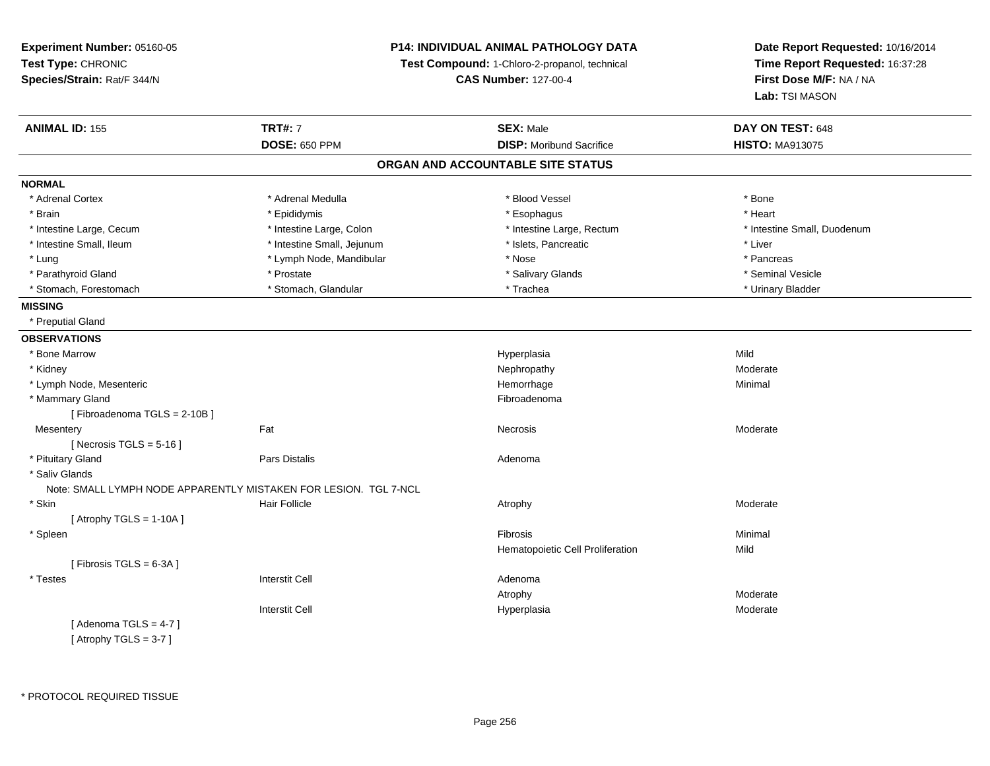| Experiment Number: 05160-05 |                                                                              | <b>P14: INDIVIDUAL ANIMAL PATHOLOGY DATA</b> | Date Report Requested: 10/16/2014                          |  |
|-----------------------------|------------------------------------------------------------------------------|----------------------------------------------|------------------------------------------------------------|--|
| Test Type: CHRONIC          | Test Compound: 1-Chloro-2-propanol, technical<br><b>CAS Number: 127-00-4</b> |                                              | Time Report Requested: 16:37:28<br>First Dose M/F: NA / NA |  |
| Species/Strain: Rat/F 344/N |                                                                              |                                              |                                                            |  |
|                             |                                                                              |                                              | Lab: TSI MASON                                             |  |
| <b>ANIMAL ID: 155</b>       | <b>TRT#: 7</b>                                                               | <b>SEX: Male</b>                             | DAY ON TEST: 648                                           |  |
|                             | <b>DOSE: 650 PPM</b>                                                         | <b>DISP:</b> Moribund Sacrifice              | <b>HISTO: MA913075</b>                                     |  |
|                             |                                                                              | ORGAN AND ACCOUNTABLE SITE STATUS            |                                                            |  |
| <b>NORMAL</b>               |                                                                              |                                              |                                                            |  |
| * Adrenal Cortex            | * Adrenal Medulla                                                            | * Blood Vessel                               | * Bone                                                     |  |
| * Brain                     | * Epididymis                                                                 | * Esophagus                                  | * Heart                                                    |  |
| * Intestine Large, Cecum    | * Intestine Large, Colon                                                     | * Intestine Large, Rectum                    | * Intestine Small, Duodenum                                |  |
| * Intestine Small, Ileum    | * Intestine Small, Jejunum                                                   | * Islets, Pancreatic                         | * Liver                                                    |  |
| * Lung                      | * Lymph Node, Mandibular                                                     | * Nose                                       | * Pancreas                                                 |  |
| * Parathyroid Gland         | * Prostate                                                                   | * Salivary Glands                            | * Seminal Vesicle                                          |  |
| * Stomach, Forestomach      | * Stomach, Glandular                                                         | * Trachea                                    | * Urinary Bladder                                          |  |
| <b>MISSING</b>              |                                                                              |                                              |                                                            |  |
| * Preputial Gland           |                                                                              |                                              |                                                            |  |
| <b>OBSERVATIONS</b>         |                                                                              |                                              |                                                            |  |
| * Bone Marrow               |                                                                              | Hyperplasia                                  | Mild                                                       |  |
| * Kidney                    |                                                                              | Nephropathy                                  | Moderate                                                   |  |
| * Lymph Node, Mesenteric    |                                                                              | Hemorrhage                                   | Minimal                                                    |  |
| * Mammary Gland             |                                                                              | Fibroadenoma                                 |                                                            |  |
| [Fibroadenoma TGLS = 2-10B] |                                                                              |                                              |                                                            |  |
| Mesentery                   | Fat                                                                          | Necrosis                                     | Moderate                                                   |  |
| [Necrosis TGLS = $5-16$ ]   |                                                                              |                                              |                                                            |  |
| * Pituitary Gland           | Pars Distalis                                                                | Adenoma                                      |                                                            |  |
| * Saliv Glands              |                                                                              |                                              |                                                            |  |
|                             | Note: SMALL LYMPH NODE APPARENTLY MISTAKEN FOR LESION. TGL 7-NCL             |                                              |                                                            |  |
| * Skin                      | <b>Hair Follicle</b>                                                         | Atrophy                                      | Moderate                                                   |  |
| [Atrophy TGLS = $1-10A$ ]   |                                                                              |                                              |                                                            |  |
| * Spleen                    |                                                                              | <b>Fibrosis</b>                              | Minimal                                                    |  |
|                             |                                                                              | Hematopoietic Cell Proliferation             | Mild                                                       |  |
| [Fibrosis TGLS = 6-3A]      |                                                                              |                                              |                                                            |  |
| * Testes                    | <b>Interstit Cell</b>                                                        | Adenoma                                      |                                                            |  |
|                             |                                                                              | Atrophy                                      | Moderate                                                   |  |
|                             | <b>Interstit Cell</b>                                                        | Hyperplasia                                  | Moderate                                                   |  |
| [Adenoma TGLS = $4-7$ ]     |                                                                              |                                              |                                                            |  |
|                             |                                                                              |                                              |                                                            |  |

[ Atrophy TGLS = 3-7 ]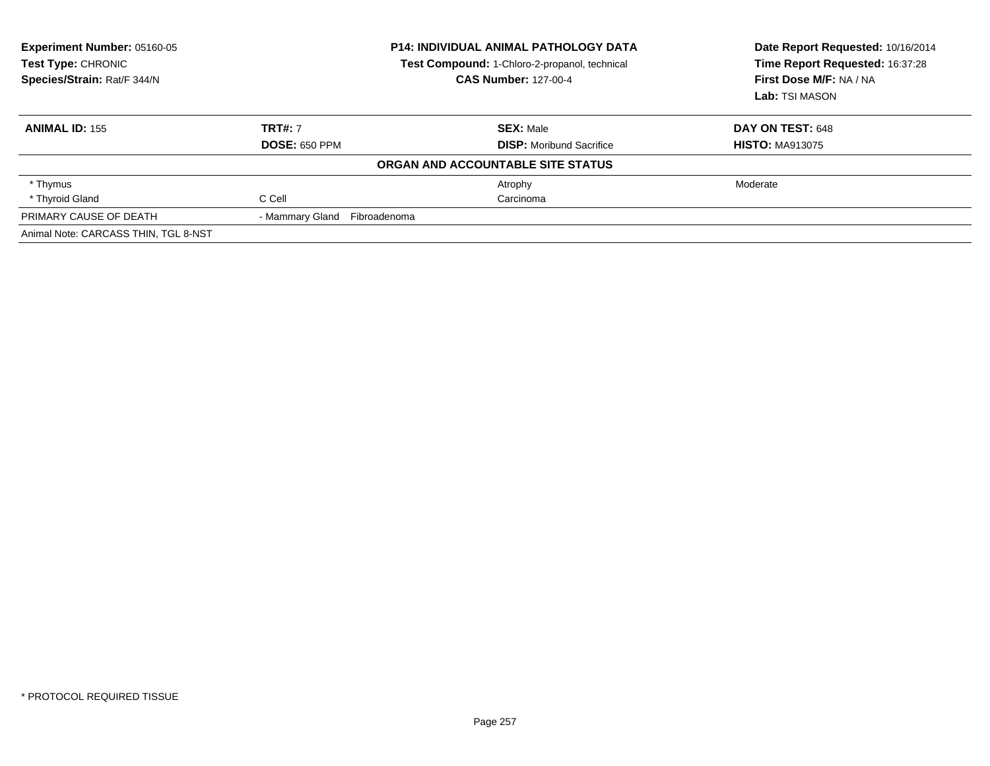| <b>Experiment Number: 05160-05</b><br>Test Type: CHRONIC<br>Species/Strain: Rat/F 344/N | <b>P14: INDIVIDUAL ANIMAL PATHOLOGY DATA</b><br>Test Compound: 1-Chloro-2-propanol, technical<br><b>CAS Number: 127-00-4</b> |                                   | Date Report Requested: 10/16/2014<br>Time Report Requested: 16:37:28<br>First Dose M/F: NA / NA<br>Lab: TSI MASON |
|-----------------------------------------------------------------------------------------|------------------------------------------------------------------------------------------------------------------------------|-----------------------------------|-------------------------------------------------------------------------------------------------------------------|
| <b>ANIMAL ID: 155</b>                                                                   | <b>TRT#: 7</b>                                                                                                               | <b>SEX: Male</b>                  | DAY ON TEST: 648                                                                                                  |
|                                                                                         | <b>DOSE: 650 PPM</b>                                                                                                         | <b>DISP:</b> Moribund Sacrifice   | <b>HISTO: MA913075</b>                                                                                            |
|                                                                                         |                                                                                                                              | ORGAN AND ACCOUNTABLE SITE STATUS |                                                                                                                   |
| * Thymus                                                                                |                                                                                                                              | Atrophy                           | Moderate                                                                                                          |
| * Thyroid Gland                                                                         | C Cell                                                                                                                       | Carcinoma                         |                                                                                                                   |
| PRIMARY CAUSE OF DEATH                                                                  | - Mammary Gland Fibroadenoma                                                                                                 |                                   |                                                                                                                   |
| Animal Note: CARCASS THIN, TGL 8-NST                                                    |                                                                                                                              |                                   |                                                                                                                   |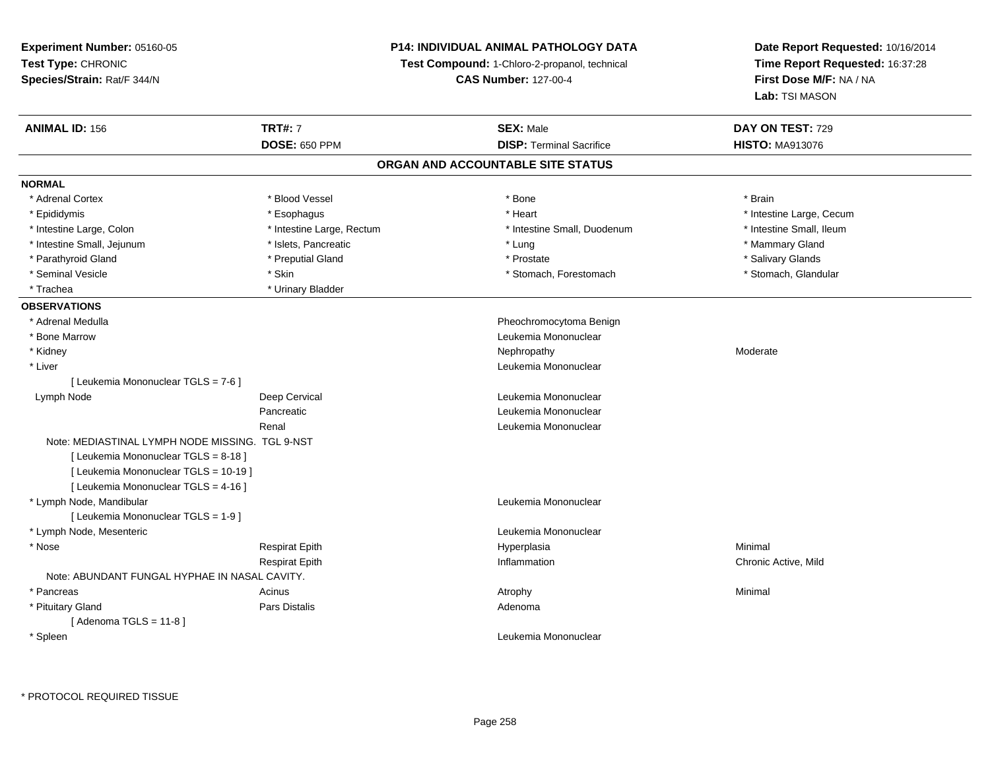**Experiment Number:** 05160-05**Test Type:** CHRONIC **Species/Strain:** Rat/F 344/N**P14: INDIVIDUAL ANIMAL PATHOLOGY DATATest Compound:** 1-Chloro-2-propanol, technical **CAS Number:** 127-00-4**Date Report Requested:** 10/16/2014**Time Report Requested:** 16:37:28**First Dose M/F:** NA / NA**Lab:** TSI MASON**ANIMAL ID:** 156**TRT#:** 7 **SEX:** Male **DAY ON TEST:** 729 **DOSE:** 650 PPM**DISP:** Terminal Sacrifice **HISTO:** MA913076 **ORGAN AND ACCOUNTABLE SITE STATUSNORMAL**\* Adrenal Cortex \* Adrenal Cortex \* Blood Vessel \* Bone \* Brain\* Epididymis **Account 19 and 19 and 19 and 19 and 19 and 19 and 19 and 19 and 19 and 19 and 19 and 19 and 19 and 19 and 19 and 19 and 19 and 19 and 19 and 19 and 19 and 19 and 19 and 19 and 19 and 19 and 19 and 19 and 19 a** \* Intestine Small, Ileum \* Intestine Large, Colon \* Intestine Large, Rectum \* Intestine Small, Duodenum \* Intestine Small, Duodenum \* Intestine Small, Jejunum \* \* The mannery Gland \* \* Islets, Pancreatic \* The mannery Stand \* Lung \* Mammary Gland \* Mammary Gland \* Salivary Glands \* Parathyroid Gland \* \* \* Preputial Gland \* \* Preputial Gland \* \* Prostate \* \* Salivary Glands \* Salivary Glands \* Stomach, Glandular \* Seminal Vesicle \* Stomach, Forestomach \* Skin \* Skin \* Stomach, Forestomach \* Stomach, Forestomach \* Trachea **\*** Urinary Bladder **OBSERVATIONS** \* Adrenal Medulla Pheochromocytoma Benign \* Bone MarrowLeukemia Mononuclear<br>Nephropathy \* Kidneyy which is a state of the control of the Moderate of the Moderate of the Moderate of the Moderate of the Moderate of the Moderate of the Moderate of the Moderate of the Moderate of the Moderate of the Moderate of the Moder \* Liver Leukemia Mononuclear [ Leukemia Mononuclear TGLS = 7-6 ] Lymph NodeDeep Cervical and Deep Cervical contracts of the Leukemia Mononuclear Pancreatic Leukemia Mononuclear Renal Leukemia MononuclearNote: MEDIASTINAL LYMPH NODE MISSING. TGL 9-NST[ Leukemia Mononuclear TGLS = 8-18 ][ Leukemia Mononuclear TGLS = 10-19 ][ Leukemia Mononuclear TGLS = 4-16 ] \* Lymph Node, Mandibular Leukemia Mononuclear [ Leukemia Mononuclear TGLS = 1-9 ] \* Lymph Node, Mesenteric Leukemia Mononuclear \* Nose Respirat Epith Hyperplasia Minimal Respirat Epith Inflammation Chronic Active, Mild Note: ABUNDANT FUNGAL HYPHAE IN NASAL CAVITY. \* Pancreass the control of the control of the control of the control of the control of the control of the control of the control of the control of the control of the control of the control of the control of the control of the contro \* Pituitary Glandd and the contract of Pars Distalis and the contract of Adenoma and Adenoma and the Adenoma and the Adenoma and  $\lambda$  $[$  Adenoma TGLS = 11-8  $]$  \* SpleenLeukemia Mononuclear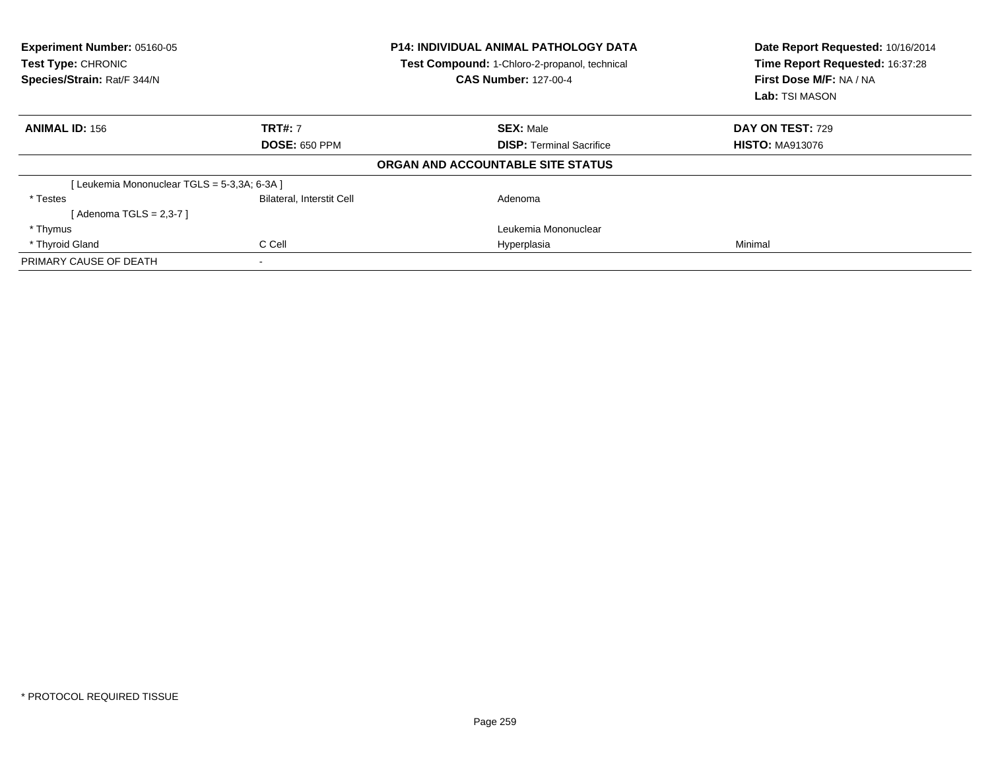| Experiment Number: 05160-05<br>Test Type: CHRONIC<br>Species/Strain: Rat/F 344/N |                                  | <b>P14: INDIVIDUAL ANIMAL PATHOLOGY DATA</b><br>Test Compound: 1-Chloro-2-propanol, technical<br><b>CAS Number: 127-00-4</b> | Date Report Requested: 10/16/2014<br>Time Report Requested: 16:37:28<br>First Dose M/F: NA / NA<br>Lab: TSI MASON |  |
|----------------------------------------------------------------------------------|----------------------------------|------------------------------------------------------------------------------------------------------------------------------|-------------------------------------------------------------------------------------------------------------------|--|
| <b>ANIMAL ID: 156</b>                                                            | <b>TRT#: 7</b>                   | <b>SEX: Male</b>                                                                                                             | <b>DAY ON TEST: 729</b>                                                                                           |  |
|                                                                                  | <b>DOSE: 650 PPM</b>             | <b>DISP:</b> Terminal Sacrifice                                                                                              | <b>HISTO: MA913076</b>                                                                                            |  |
|                                                                                  |                                  | ORGAN AND ACCOUNTABLE SITE STATUS                                                                                            |                                                                                                                   |  |
| [Leukemia Mononuclear TGLS = 5-3,3A; 6-3A ]                                      |                                  |                                                                                                                              |                                                                                                                   |  |
| * Testes                                                                         | <b>Bilateral, Interstit Cell</b> | Adenoma                                                                                                                      |                                                                                                                   |  |
| [Adenoma TGLS = 2,3-7 ]                                                          |                                  |                                                                                                                              |                                                                                                                   |  |
| * Thymus                                                                         |                                  | Leukemia Mononuclear                                                                                                         |                                                                                                                   |  |
| * Thyroid Gland                                                                  | C Cell                           | Hyperplasia                                                                                                                  | Minimal                                                                                                           |  |
| PRIMARY CAUSE OF DEATH                                                           | $\blacksquare$                   |                                                                                                                              |                                                                                                                   |  |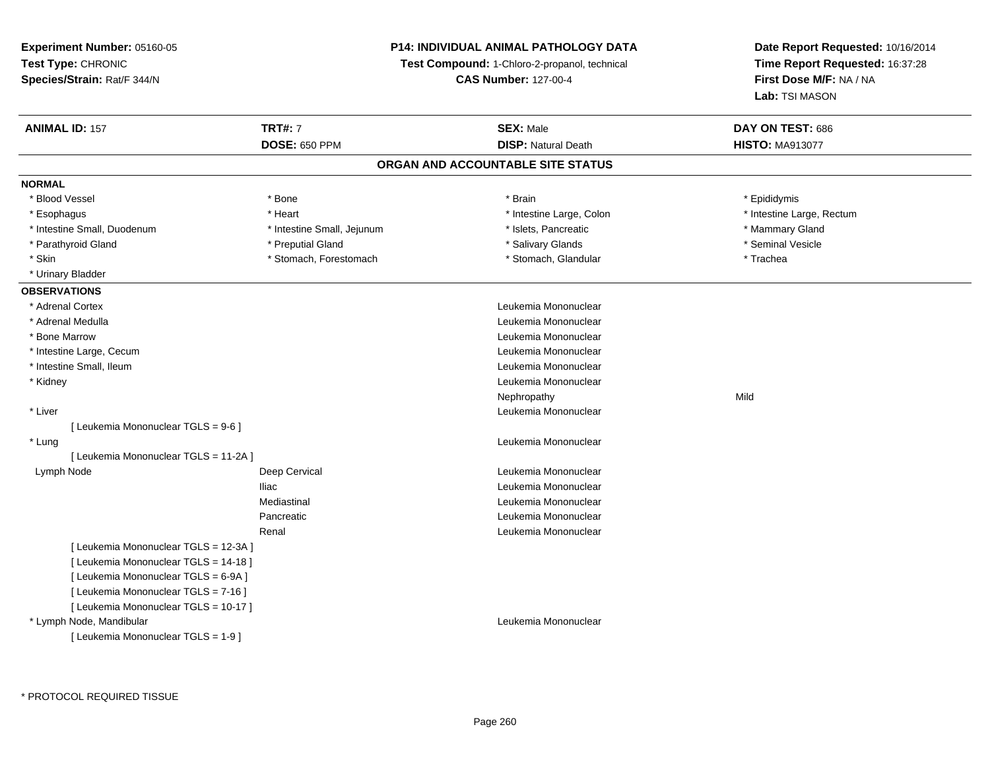### **P14: INDIVIDUAL ANIMAL PATHOLOGY DATA**

**Test Compound:** 1-Chloro-2-propanol, technical

**CAS Number:** 127-00-4

| <b>ANIMAL ID: 157</b>                 | <b>TRT#: 7</b>             | <b>SEX: Male</b>           | DAY ON TEST: 686          |  |  |  |
|---------------------------------------|----------------------------|----------------------------|---------------------------|--|--|--|
|                                       | <b>DOSE: 650 PPM</b>       | <b>DISP: Natural Death</b> | <b>HISTO: MA913077</b>    |  |  |  |
| ORGAN AND ACCOUNTABLE SITE STATUS     |                            |                            |                           |  |  |  |
| <b>NORMAL</b>                         |                            |                            |                           |  |  |  |
| * Blood Vessel                        | * Bone                     | * Brain                    | * Epididymis              |  |  |  |
| * Esophagus                           | * Heart                    | * Intestine Large, Colon   | * Intestine Large, Rectum |  |  |  |
| * Intestine Small, Duodenum           | * Intestine Small, Jejunum | * Islets, Pancreatic       | * Mammary Gland           |  |  |  |
| * Parathyroid Gland                   | * Preputial Gland          | * Salivary Glands          | * Seminal Vesicle         |  |  |  |
| * Skin                                | * Stomach, Forestomach     | * Stomach, Glandular       | * Trachea                 |  |  |  |
| * Urinary Bladder                     |                            |                            |                           |  |  |  |
| <b>OBSERVATIONS</b>                   |                            |                            |                           |  |  |  |
| * Adrenal Cortex                      |                            | Leukemia Mononuclear       |                           |  |  |  |
| * Adrenal Medulla                     |                            | Leukemia Mononuclear       |                           |  |  |  |
| * Bone Marrow                         |                            | Leukemia Mononuclear       |                           |  |  |  |
| * Intestine Large, Cecum              |                            | Leukemia Mononuclear       |                           |  |  |  |
| * Intestine Small, Ileum              |                            | Leukemia Mononuclear       |                           |  |  |  |
| * Kidney                              |                            | Leukemia Mononuclear       |                           |  |  |  |
|                                       |                            | Nephropathy                | Mild                      |  |  |  |
| * Liver                               |                            | Leukemia Mononuclear       |                           |  |  |  |
| [ Leukemia Mononuclear TGLS = 9-6 ]   |                            |                            |                           |  |  |  |
| * Lung                                |                            | Leukemia Mononuclear       |                           |  |  |  |
| [ Leukemia Mononuclear TGLS = 11-2A ] |                            |                            |                           |  |  |  |
| Lymph Node                            | Deep Cervical              | Leukemia Mononuclear       |                           |  |  |  |
|                                       | <b>Iliac</b>               | Leukemia Mononuclear       |                           |  |  |  |
|                                       | Mediastinal                | Leukemia Mononuclear       |                           |  |  |  |
|                                       | Pancreatic                 | Leukemia Mononuclear       |                           |  |  |  |
|                                       | Renal                      | Leukemia Mononuclear       |                           |  |  |  |
| [ Leukemia Mononuclear TGLS = 12-3A ] |                            |                            |                           |  |  |  |
| [ Leukemia Mononuclear TGLS = 14-18 ] |                            |                            |                           |  |  |  |
| [ Leukemia Mononuclear TGLS = 6-9A ]  |                            |                            |                           |  |  |  |
| [ Leukemia Mononuclear TGLS = 7-16 ]  |                            |                            |                           |  |  |  |
| [ Leukemia Mononuclear TGLS = 10-17 ] |                            |                            |                           |  |  |  |
| * Lymph Node, Mandibular              |                            | Leukemia Mononuclear       |                           |  |  |  |
| [ Leukemia Mononuclear TGLS = 1-9 ]   |                            |                            |                           |  |  |  |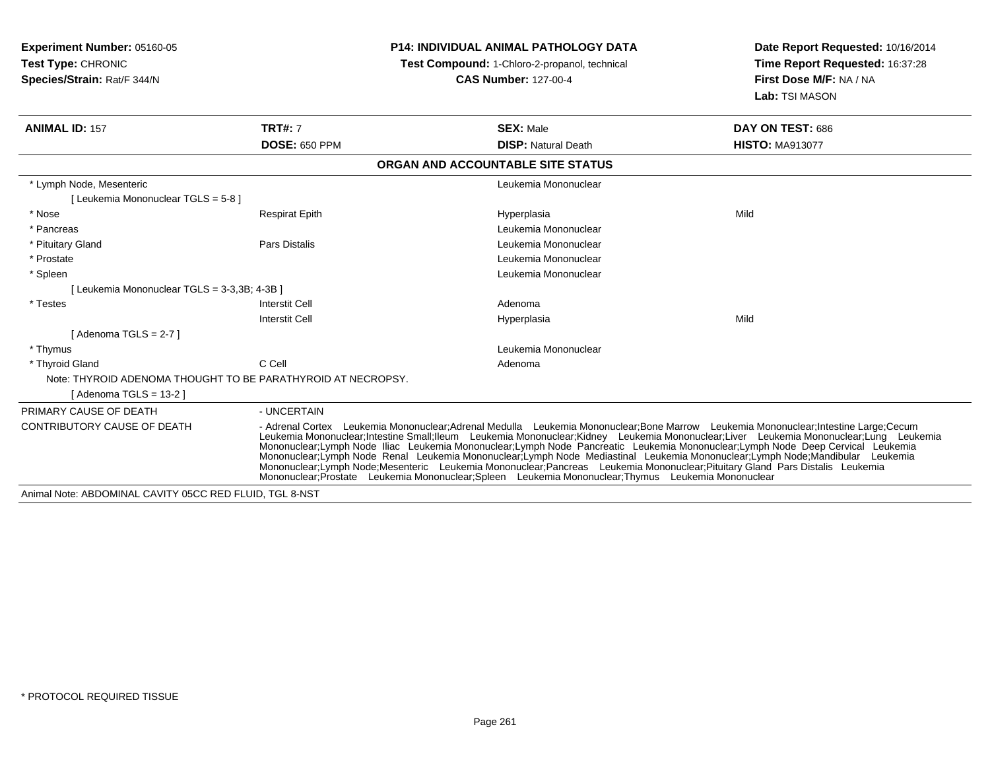| <b>Experiment Number: 05160-05</b><br>Test Type: CHRONIC<br>Species/Strain: Rat/F 344/N |                       | <b>P14: INDIVIDUAL ANIMAL PATHOLOGY DATA</b><br>Test Compound: 1-Chloro-2-propanol, technical<br><b>CAS Number: 127-00-4</b>                                                                                                                                                                                                                                                                                                                                                                                                                                                                                                                                                                                                                                                        | Date Report Requested: 10/16/2014<br>Time Report Requested: 16:37:28<br>First Dose M/F: NA / NA<br>Lab: TSI MASON |  |
|-----------------------------------------------------------------------------------------|-----------------------|-------------------------------------------------------------------------------------------------------------------------------------------------------------------------------------------------------------------------------------------------------------------------------------------------------------------------------------------------------------------------------------------------------------------------------------------------------------------------------------------------------------------------------------------------------------------------------------------------------------------------------------------------------------------------------------------------------------------------------------------------------------------------------------|-------------------------------------------------------------------------------------------------------------------|--|
| <b>ANIMAL ID: 157</b>                                                                   | <b>TRT#: 7</b>        | <b>SEX: Male</b>                                                                                                                                                                                                                                                                                                                                                                                                                                                                                                                                                                                                                                                                                                                                                                    | DAY ON TEST: 686                                                                                                  |  |
|                                                                                         | <b>DOSE: 650 PPM</b>  | <b>DISP: Natural Death</b>                                                                                                                                                                                                                                                                                                                                                                                                                                                                                                                                                                                                                                                                                                                                                          | <b>HISTO: MA913077</b>                                                                                            |  |
|                                                                                         |                       | ORGAN AND ACCOUNTABLE SITE STATUS                                                                                                                                                                                                                                                                                                                                                                                                                                                                                                                                                                                                                                                                                                                                                   |                                                                                                                   |  |
| * Lymph Node, Mesenteric<br>[ Leukemia Mononuclear TGLS = 5-8 ]                         |                       | Leukemia Mononuclear                                                                                                                                                                                                                                                                                                                                                                                                                                                                                                                                                                                                                                                                                                                                                                |                                                                                                                   |  |
| * Nose                                                                                  | <b>Respirat Epith</b> | Hyperplasia                                                                                                                                                                                                                                                                                                                                                                                                                                                                                                                                                                                                                                                                                                                                                                         | Mild                                                                                                              |  |
| * Pancreas                                                                              |                       | Leukemia Mononuclear                                                                                                                                                                                                                                                                                                                                                                                                                                                                                                                                                                                                                                                                                                                                                                |                                                                                                                   |  |
| * Pituitary Gland                                                                       | Pars Distalis         | Leukemia Mononuclear                                                                                                                                                                                                                                                                                                                                                                                                                                                                                                                                                                                                                                                                                                                                                                |                                                                                                                   |  |
| * Prostate                                                                              |                       | Leukemia Mononuclear                                                                                                                                                                                                                                                                                                                                                                                                                                                                                                                                                                                                                                                                                                                                                                |                                                                                                                   |  |
| * Spleen                                                                                |                       | Leukemia Mononuclear                                                                                                                                                                                                                                                                                                                                                                                                                                                                                                                                                                                                                                                                                                                                                                |                                                                                                                   |  |
| Leukemia Mononuclear TGLS = 3-3,3B; 4-3B ]                                              |                       |                                                                                                                                                                                                                                                                                                                                                                                                                                                                                                                                                                                                                                                                                                                                                                                     |                                                                                                                   |  |
| * Testes                                                                                | Interstit Cell        | Adenoma                                                                                                                                                                                                                                                                                                                                                                                                                                                                                                                                                                                                                                                                                                                                                                             |                                                                                                                   |  |
|                                                                                         | <b>Interstit Cell</b> | Hyperplasia                                                                                                                                                                                                                                                                                                                                                                                                                                                                                                                                                                                                                                                                                                                                                                         | Mild                                                                                                              |  |
| [Adenoma TGLS = $2-7$ ]                                                                 |                       |                                                                                                                                                                                                                                                                                                                                                                                                                                                                                                                                                                                                                                                                                                                                                                                     |                                                                                                                   |  |
| * Thymus                                                                                |                       | Leukemia Mononuclear                                                                                                                                                                                                                                                                                                                                                                                                                                                                                                                                                                                                                                                                                                                                                                |                                                                                                                   |  |
| * Thyroid Gland                                                                         | C Cell                | Adenoma                                                                                                                                                                                                                                                                                                                                                                                                                                                                                                                                                                                                                                                                                                                                                                             |                                                                                                                   |  |
| Note: THYROID ADENOMA THOUGHT TO BE PARATHYROID AT NECROPSY.                            |                       |                                                                                                                                                                                                                                                                                                                                                                                                                                                                                                                                                                                                                                                                                                                                                                                     |                                                                                                                   |  |
| [Adenoma TGLS = $13-2$ ]                                                                |                       |                                                                                                                                                                                                                                                                                                                                                                                                                                                                                                                                                                                                                                                                                                                                                                                     |                                                                                                                   |  |
| PRIMARY CAUSE OF DEATH                                                                  | - UNCERTAIN           |                                                                                                                                                                                                                                                                                                                                                                                                                                                                                                                                                                                                                                                                                                                                                                                     |                                                                                                                   |  |
| CONTRIBUTORY CAUSE OF DEATH                                                             |                       | - Adrenal Cortex Leukemia Mononuclear:Adrenal Medulla Leukemia Mononuclear:Bone Marrow Leukemia Mononuclear:Intestine Large:Cecum<br>Leukemia Mononuclear;Intestine Small;Ileum Leukemia Mononuclear;Kidney Leukemia Mononuclear;Liver Leukemia Mononuclear;Lung Leukemia<br>Mononuclear;Lymph Node Iliac Leukemia Mononuclear;Lymph Node Pancreatic Leukemia Mononuclear;Lymph Node Deep Cervical Leukemia<br>Mononuclear;Lymph Node Renal Leukemia Mononuclear;Lymph Node Mediastinal Leukemia Mononuclear;Lymph Node;Mandibular Leukemia<br>Mononuclear: Lymph Node: Mesenteric Leukemia Mononuclear: Pancreas Leukemia Mononuclear: Pituitary Gland Pars Distalis Leukemia<br>Mononuclear:Prostate Leukemia Mononuclear:Spleen Leukemia Mononuclear:Thymus Leukemia Mononuclear |                                                                                                                   |  |
| Animal Note: ABDOMINAL CAVITY 05CC RED FLUID, TGL 8-NST                                 |                       |                                                                                                                                                                                                                                                                                                                                                                                                                                                                                                                                                                                                                                                                                                                                                                                     |                                                                                                                   |  |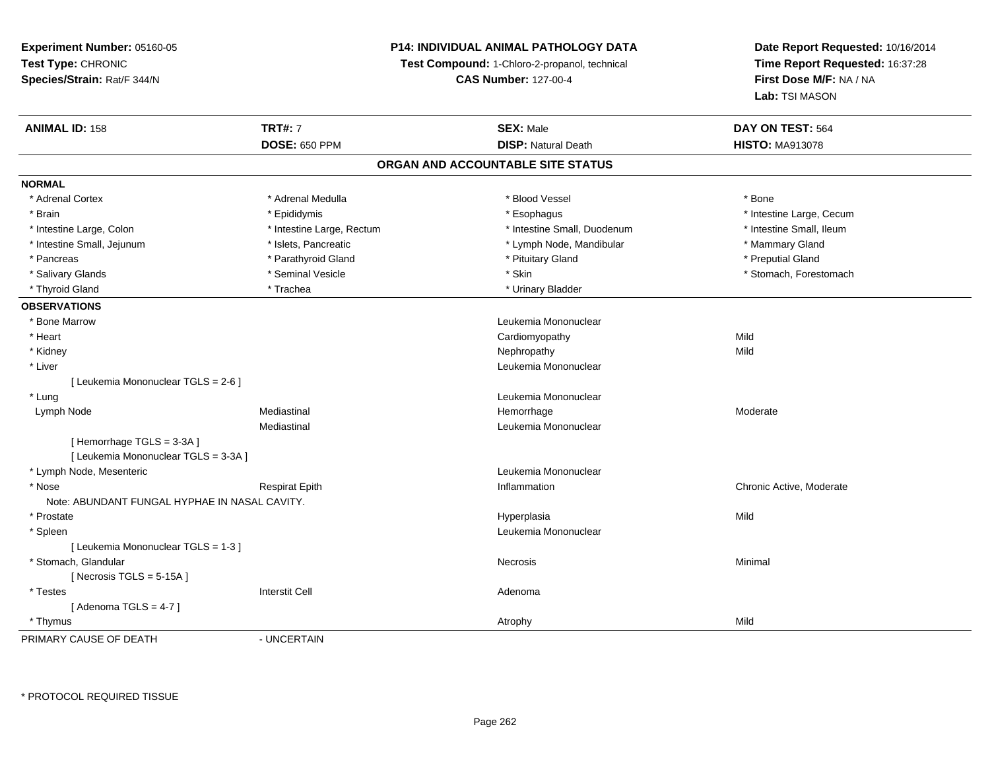### **P14: INDIVIDUAL ANIMAL PATHOLOGY DATA**

**Test Compound:** 1-Chloro-2-propanol, technical

**CAS Number:** 127-00-4

**Date Report Requested:** 10/16/2014**Time Report Requested:** 16:37:28**First Dose M/F:** NA / NA**Lab:** TSI MASON

| <b>ANIMAL ID: 158</b>                         | <b>TRT#: 7</b>            | <b>SEX: Male</b>            | DAY ON TEST: 564         |  |  |  |
|-----------------------------------------------|---------------------------|-----------------------------|--------------------------|--|--|--|
|                                               | <b>DOSE: 650 PPM</b>      | <b>DISP: Natural Death</b>  | <b>HISTO: MA913078</b>   |  |  |  |
| ORGAN AND ACCOUNTABLE SITE STATUS             |                           |                             |                          |  |  |  |
| <b>NORMAL</b>                                 |                           |                             |                          |  |  |  |
| * Adrenal Cortex                              | * Adrenal Medulla         | * Blood Vessel              | * Bone                   |  |  |  |
| * Brain                                       | * Epididymis              | * Esophagus                 | * Intestine Large, Cecum |  |  |  |
| * Intestine Large, Colon                      | * Intestine Large, Rectum | * Intestine Small, Duodenum | * Intestine Small, Ileum |  |  |  |
| * Intestine Small, Jejunum                    | * Islets, Pancreatic      | * Lymph Node, Mandibular    | * Mammary Gland          |  |  |  |
| * Pancreas                                    | * Parathyroid Gland       | * Pituitary Gland           | * Preputial Gland        |  |  |  |
| * Salivary Glands                             | * Seminal Vesicle         | * Skin                      | * Stomach, Forestomach   |  |  |  |
| * Thyroid Gland                               | * Trachea                 | * Urinary Bladder           |                          |  |  |  |
| <b>OBSERVATIONS</b>                           |                           |                             |                          |  |  |  |
| * Bone Marrow                                 |                           | Leukemia Mononuclear        |                          |  |  |  |
| * Heart                                       |                           | Cardiomyopathy              | Mild                     |  |  |  |
| * Kidney                                      |                           | Nephropathy                 | Mild                     |  |  |  |
| * Liver                                       |                           | Leukemia Mononuclear        |                          |  |  |  |
| [ Leukemia Mononuclear TGLS = 2-6 ]           |                           |                             |                          |  |  |  |
| * Lung                                        |                           | Leukemia Mononuclear        |                          |  |  |  |
| Lymph Node                                    | Mediastinal               | Hemorrhage                  | Moderate                 |  |  |  |
|                                               | Mediastinal               | Leukemia Mononuclear        |                          |  |  |  |
| [Hemorrhage TGLS = 3-3A]                      |                           |                             |                          |  |  |  |
| [ Leukemia Mononuclear TGLS = 3-3A ]          |                           |                             |                          |  |  |  |
| * Lymph Node, Mesenteric                      |                           | Leukemia Mononuclear        |                          |  |  |  |
| * Nose                                        | <b>Respirat Epith</b>     | Inflammation                | Chronic Active, Moderate |  |  |  |
| Note: ABUNDANT FUNGAL HYPHAE IN NASAL CAVITY. |                           |                             |                          |  |  |  |
| * Prostate                                    |                           | Hyperplasia                 | Mild                     |  |  |  |
| * Spleen                                      |                           | Leukemia Mononuclear        |                          |  |  |  |
| [ Leukemia Mononuclear TGLS = 1-3 ]           |                           |                             |                          |  |  |  |
| * Stomach, Glandular                          |                           | Necrosis                    | Minimal                  |  |  |  |
| [Necrosis $TGLS = 5-15A$ ]                    |                           |                             |                          |  |  |  |
| * Testes                                      | <b>Interstit Cell</b>     | Adenoma                     |                          |  |  |  |
| [Adenoma TGLS = $4-7$ ]                       |                           |                             |                          |  |  |  |
| * Thymus                                      |                           | Atrophy                     | Mild                     |  |  |  |
| DDIMADV CAUSE OF DEATH                        | <b>IINCEDTAIN</b>         |                             |                          |  |  |  |

PRIMARY CAUSE OF DEATH

- UNCERTAIN

\* PROTOCOL REQUIRED TISSUE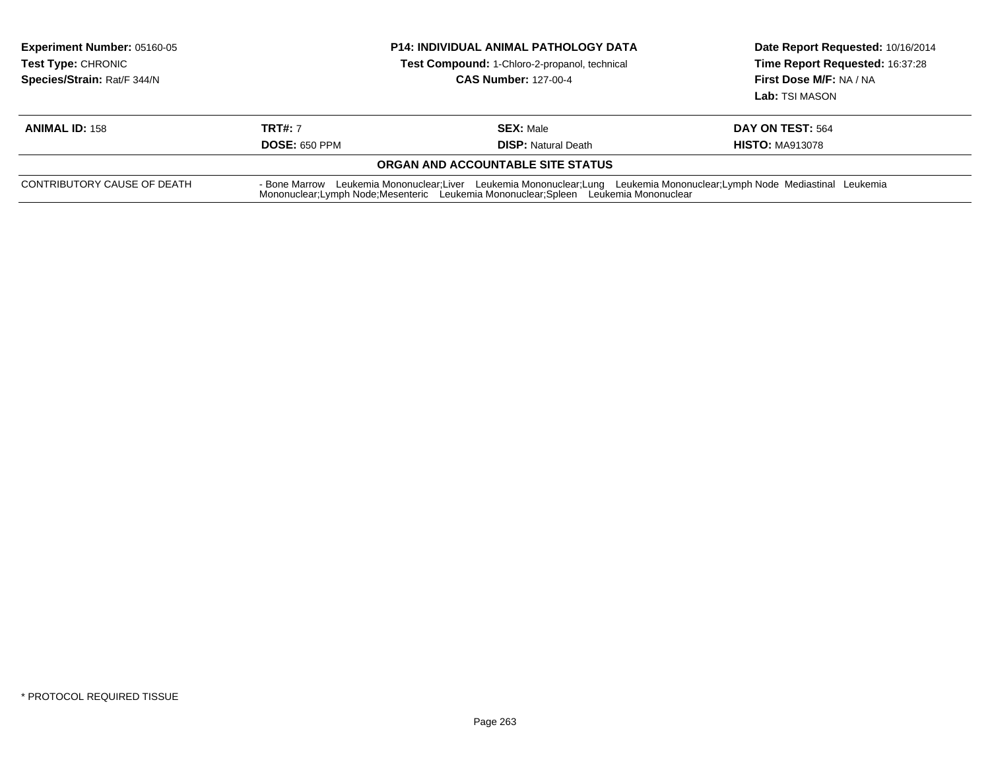| <b>Experiment Number: 05160-05</b><br><b>Test Type: CHRONIC</b><br>Species/Strain: Rat/F 344/N | <b>P14: INDIVIDUAL ANIMAL PATHOLOGY DATA</b><br>Test Compound: 1-Chloro-2-propanol, technical<br><b>CAS Number: 127-00-4</b>                                                                                  |                                   | Date Report Requested: 10/16/2014<br>Time Report Requested: 16:37:28<br>First Dose M/F: NA / NA<br>Lab: TSI MASON |  |
|------------------------------------------------------------------------------------------------|---------------------------------------------------------------------------------------------------------------------------------------------------------------------------------------------------------------|-----------------------------------|-------------------------------------------------------------------------------------------------------------------|--|
| <b>ANIMAL ID: 158</b>                                                                          | <b>TRT#: 7</b>                                                                                                                                                                                                | <b>SEX: Male</b>                  | DAY ON TEST: 564                                                                                                  |  |
|                                                                                                | <b>DOSE: 650 PPM</b>                                                                                                                                                                                          | <b>DISP:</b> Natural Death        | <b>HISTO: MA913078</b>                                                                                            |  |
|                                                                                                |                                                                                                                                                                                                               | ORGAN AND ACCOUNTABLE SITE STATUS |                                                                                                                   |  |
| CONTRIBUTORY CAUSE OF DEATH                                                                    | - Bone Marrow Leukemia Mononuclear;Liver Leukemia Mononuclear;Lung Leukemia Mononuclear;Lymph Node Mediastinal Leukemia<br>Mononuclear;Lymph Node;Mesenteric Leukemia Mononuclear;Spleen Leukemia Mononuclear |                                   |                                                                                                                   |  |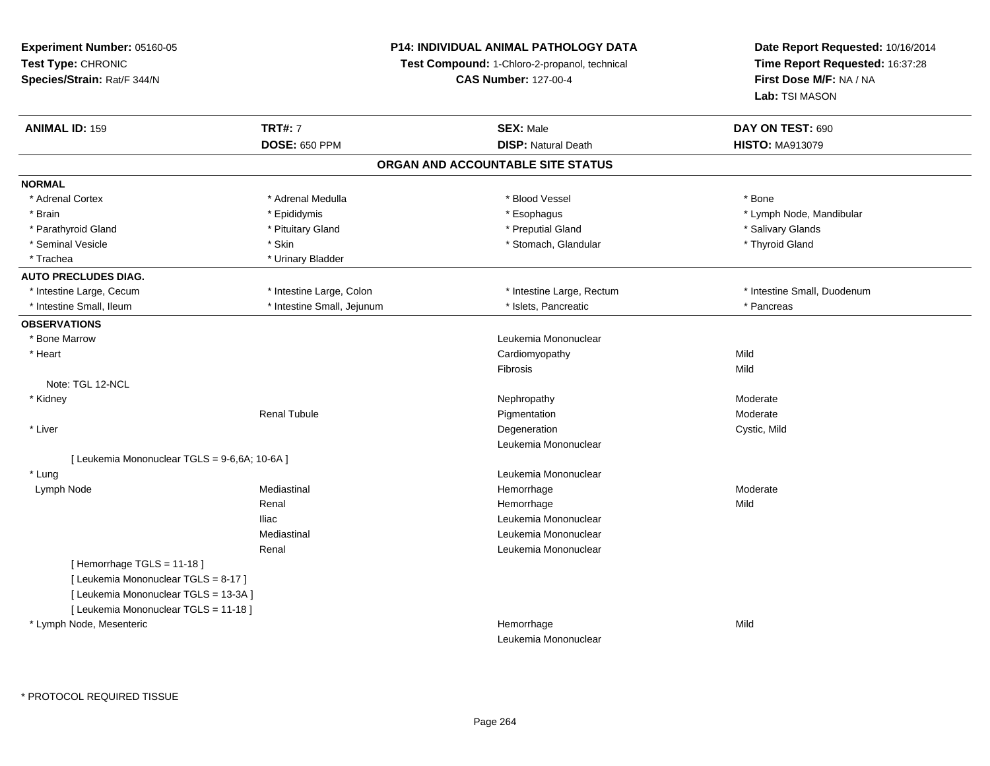### **P14: INDIVIDUAL ANIMAL PATHOLOGY DATA**

**Test Compound:** 1-Chloro-2-propanol, technical

**CAS Number:** 127-00-4

| <b>ANIMAL ID: 159</b>                         | <b>TRT#: 7</b>             | <b>SEX: Male</b>           | DAY ON TEST: 690            |  |  |  |
|-----------------------------------------------|----------------------------|----------------------------|-----------------------------|--|--|--|
|                                               | <b>DOSE: 650 PPM</b>       | <b>DISP: Natural Death</b> | <b>HISTO: MA913079</b>      |  |  |  |
| ORGAN AND ACCOUNTABLE SITE STATUS             |                            |                            |                             |  |  |  |
| <b>NORMAL</b>                                 |                            |                            |                             |  |  |  |
| * Adrenal Cortex                              | * Adrenal Medulla          | * Blood Vessel             | * Bone                      |  |  |  |
| * Brain                                       | * Epididymis               | * Esophagus                | * Lymph Node, Mandibular    |  |  |  |
| * Parathyroid Gland                           | * Pituitary Gland          | * Preputial Gland          | * Salivary Glands           |  |  |  |
| * Seminal Vesicle                             | * Skin                     | * Stomach, Glandular       | * Thyroid Gland             |  |  |  |
| * Trachea                                     | * Urinary Bladder          |                            |                             |  |  |  |
| <b>AUTO PRECLUDES DIAG.</b>                   |                            |                            |                             |  |  |  |
| * Intestine Large, Cecum                      | * Intestine Large, Colon   | * Intestine Large, Rectum  | * Intestine Small, Duodenum |  |  |  |
| * Intestine Small, Ileum                      | * Intestine Small, Jejunum | * Islets, Pancreatic       | * Pancreas                  |  |  |  |
| <b>OBSERVATIONS</b>                           |                            |                            |                             |  |  |  |
| * Bone Marrow                                 |                            | Leukemia Mononuclear       |                             |  |  |  |
| * Heart                                       |                            | Cardiomyopathy             | Mild                        |  |  |  |
|                                               |                            | Fibrosis                   | Mild                        |  |  |  |
| Note: TGL 12-NCL                              |                            |                            |                             |  |  |  |
| * Kidney                                      |                            | Nephropathy                | Moderate                    |  |  |  |
|                                               | <b>Renal Tubule</b>        | Pigmentation               | Moderate                    |  |  |  |
| * Liver                                       |                            | Degeneration               | Cystic, Mild                |  |  |  |
|                                               |                            | Leukemia Mononuclear       |                             |  |  |  |
| [ Leukemia Mononuclear TGLS = 9-6,6A; 10-6A ] |                            |                            |                             |  |  |  |
| * Lung                                        |                            | Leukemia Mononuclear       |                             |  |  |  |
| Lymph Node                                    | Mediastinal                | Hemorrhage                 | Moderate                    |  |  |  |
|                                               | Renal                      | Hemorrhage                 | Mild                        |  |  |  |
|                                               | <b>Iliac</b>               | Leukemia Mononuclear       |                             |  |  |  |
|                                               | Mediastinal                | Leukemia Mononuclear       |                             |  |  |  |
|                                               | Renal                      | Leukemia Mononuclear       |                             |  |  |  |
| [Hemorrhage TGLS = 11-18]                     |                            |                            |                             |  |  |  |
| [ Leukemia Mononuclear TGLS = 8-17 ]          |                            |                            |                             |  |  |  |
| [ Leukemia Mononuclear TGLS = 13-3A ]         |                            |                            |                             |  |  |  |
| [ Leukemia Mononuclear TGLS = 11-18 ]         |                            |                            |                             |  |  |  |
| * Lymph Node, Mesenteric                      |                            | Hemorrhage                 | Mild                        |  |  |  |
|                                               |                            | Leukemia Mononuclear       |                             |  |  |  |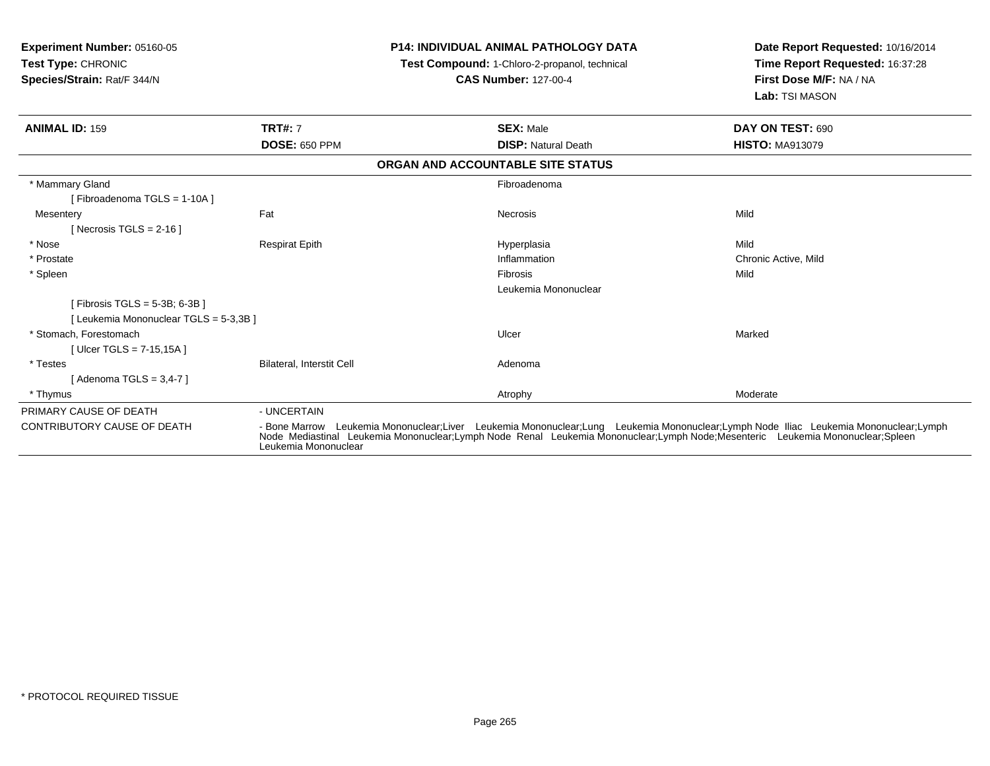| Experiment Number: 05160-05<br><b>Test Type: CHRONIC</b><br>Species/Strain: Rat/F 344/N |                           | <b>P14: INDIVIDUAL ANIMAL PATHOLOGY DATA</b><br>Test Compound: 1-Chloro-2-propanol, technical<br><b>CAS Number: 127-00-4</b>                                                                                                                                         | Date Report Requested: 10/16/2014<br>Time Report Requested: 16:37:28<br>First Dose M/F: NA / NA<br>Lab: TSI MASON |
|-----------------------------------------------------------------------------------------|---------------------------|----------------------------------------------------------------------------------------------------------------------------------------------------------------------------------------------------------------------------------------------------------------------|-------------------------------------------------------------------------------------------------------------------|
| <b>ANIMAL ID: 159</b>                                                                   | <b>TRT#: 7</b>            | <b>SEX: Male</b>                                                                                                                                                                                                                                                     | DAY ON TEST: 690                                                                                                  |
|                                                                                         | <b>DOSE: 650 PPM</b>      | <b>DISP: Natural Death</b>                                                                                                                                                                                                                                           | <b>HISTO: MA913079</b>                                                                                            |
|                                                                                         |                           | ORGAN AND ACCOUNTABLE SITE STATUS                                                                                                                                                                                                                                    |                                                                                                                   |
| * Mammary Gland                                                                         |                           | Fibroadenoma                                                                                                                                                                                                                                                         |                                                                                                                   |
| [Fibroadenoma TGLS = 1-10A]                                                             |                           |                                                                                                                                                                                                                                                                      |                                                                                                                   |
| Mesentery                                                                               | Fat                       | Necrosis                                                                                                                                                                                                                                                             | Mild                                                                                                              |
| [Necrosis TGLS = $2-16$ ]                                                               |                           |                                                                                                                                                                                                                                                                      |                                                                                                                   |
| * Nose                                                                                  | <b>Respirat Epith</b>     | Hyperplasia                                                                                                                                                                                                                                                          | Mild                                                                                                              |
| * Prostate                                                                              |                           | Inflammation                                                                                                                                                                                                                                                         | Chronic Active, Mild                                                                                              |
| * Spleen                                                                                |                           | Fibrosis                                                                                                                                                                                                                                                             | Mild                                                                                                              |
|                                                                                         |                           | Leukemia Mononuclear                                                                                                                                                                                                                                                 |                                                                                                                   |
| [Fibrosis TGLS = 5-3B; 6-3B ]                                                           |                           |                                                                                                                                                                                                                                                                      |                                                                                                                   |
| [ Leukemia Mononuclear TGLS = 5-3,3B ]                                                  |                           |                                                                                                                                                                                                                                                                      |                                                                                                                   |
| * Stomach, Forestomach                                                                  |                           | Ulcer                                                                                                                                                                                                                                                                | Marked                                                                                                            |
| [Ulcer TGLS = $7-15,15A$ ]                                                              |                           |                                                                                                                                                                                                                                                                      |                                                                                                                   |
| * Testes                                                                                | Bilateral, Interstit Cell | Adenoma                                                                                                                                                                                                                                                              |                                                                                                                   |
| [Adenoma TGLS = $3,4-7$ ]                                                               |                           |                                                                                                                                                                                                                                                                      |                                                                                                                   |
| * Thymus                                                                                |                           | Atrophy                                                                                                                                                                                                                                                              | Moderate                                                                                                          |
| PRIMARY CAUSE OF DEATH                                                                  | - UNCERTAIN               |                                                                                                                                                                                                                                                                      |                                                                                                                   |
| <b>CONTRIBUTORY CAUSE OF DEATH</b>                                                      | Leukemia Mononuclear      | - Bone Marrow Leukemia Mononuclear;Liver Leukemia Mononuclear;Lung Leukemia Mononuclear;Lymph Node Iliac Leukemia Mononuclear;Lymph<br>Node Mediastinal Leukemia Mononuclear;Lymph Node Renal Leukemia Mononuclear;Lymph Node;Mesenteric Leukemia Mononuclear;Spleen |                                                                                                                   |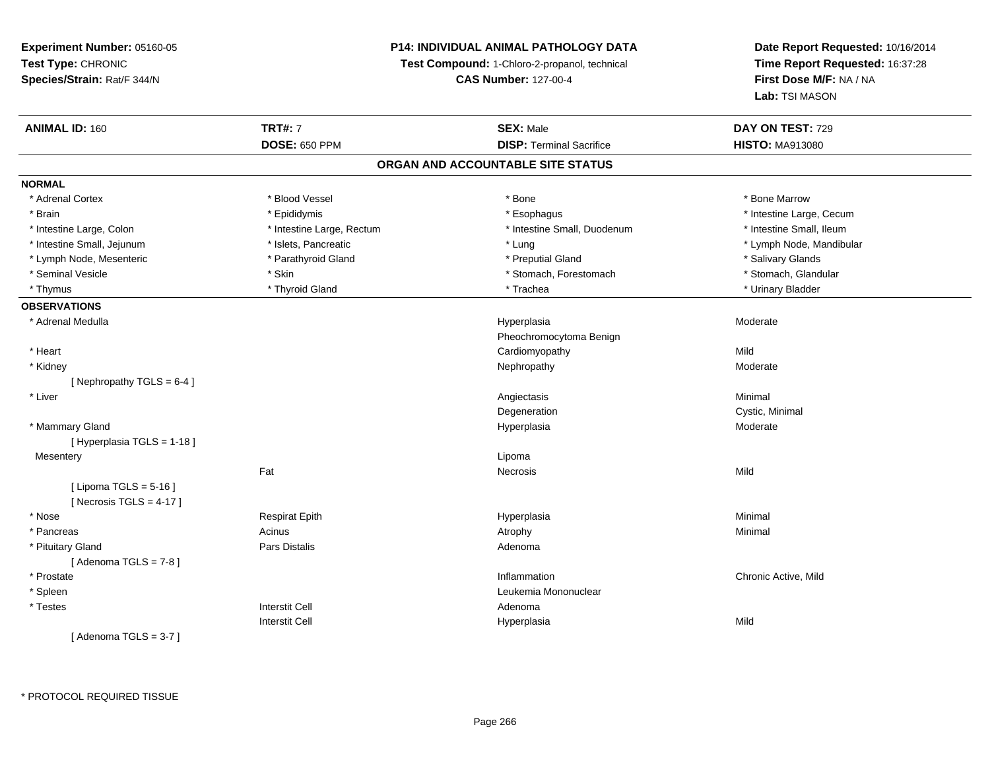### **P14: INDIVIDUAL ANIMAL PATHOLOGY DATA**

**Test Compound:** 1-Chloro-2-propanol, technical

**CAS Number:** 127-00-4

| <b>ANIMAL ID: 160</b>       | <b>TRT#: 7</b>            | <b>SEX: Male</b>                  | DAY ON TEST: 729         |
|-----------------------------|---------------------------|-----------------------------------|--------------------------|
|                             | <b>DOSE: 650 PPM</b>      | <b>DISP: Terminal Sacrifice</b>   | <b>HISTO: MA913080</b>   |
|                             |                           | ORGAN AND ACCOUNTABLE SITE STATUS |                          |
| <b>NORMAL</b>               |                           |                                   |                          |
| * Adrenal Cortex            | * Blood Vessel            | * Bone                            | * Bone Marrow            |
| * Brain                     | * Epididymis              | * Esophagus                       | * Intestine Large, Cecum |
| * Intestine Large, Colon    | * Intestine Large, Rectum | * Intestine Small, Duodenum       | * Intestine Small, Ileum |
| * Intestine Small, Jejunum  | * Islets, Pancreatic      | * Lung                            | * Lymph Node, Mandibular |
| * Lymph Node, Mesenteric    | * Parathyroid Gland       | * Preputial Gland                 | * Salivary Glands        |
| * Seminal Vesicle           | * Skin                    | * Stomach, Forestomach            | * Stomach, Glandular     |
| * Thymus                    | * Thyroid Gland           | * Trachea                         | * Urinary Bladder        |
| <b>OBSERVATIONS</b>         |                           |                                   |                          |
| * Adrenal Medulla           |                           | Hyperplasia                       | Moderate                 |
|                             |                           | Pheochromocytoma Benign           |                          |
| * Heart                     |                           | Cardiomyopathy                    | Mild                     |
| * Kidney                    |                           | Nephropathy                       | Moderate                 |
| [Nephropathy TGLS = $6-4$ ] |                           |                                   |                          |
| * Liver                     |                           | Angiectasis                       | Minimal                  |
|                             |                           | Degeneration                      | Cystic, Minimal          |
| * Mammary Gland             |                           | Hyperplasia                       | Moderate                 |
| [ Hyperplasia TGLS = 1-18 ] |                           |                                   |                          |
| Mesentery                   |                           | Lipoma                            |                          |
|                             | Fat                       | <b>Necrosis</b>                   | Mild                     |
| [ Lipoma TGLS = $5-16$ ]    |                           |                                   |                          |
| [Necrosis TGLS = $4-17$ ]   |                           |                                   |                          |
| * Nose                      | <b>Respirat Epith</b>     | Hyperplasia                       | Minimal                  |
| * Pancreas                  | Acinus                    | Atrophy                           | Minimal                  |
| * Pituitary Gland           | <b>Pars Distalis</b>      | Adenoma                           |                          |
| [Adenoma TGLS = $7-8$ ]     |                           |                                   |                          |
| * Prostate                  |                           | Inflammation                      | Chronic Active, Mild     |
| * Spleen                    |                           | Leukemia Mononuclear              |                          |
| * Testes                    | <b>Interstit Cell</b>     | Adenoma                           |                          |
|                             | <b>Interstit Cell</b>     | Hyperplasia                       | Mild                     |
| [Adenoma TGLS = $3-7$ ]     |                           |                                   |                          |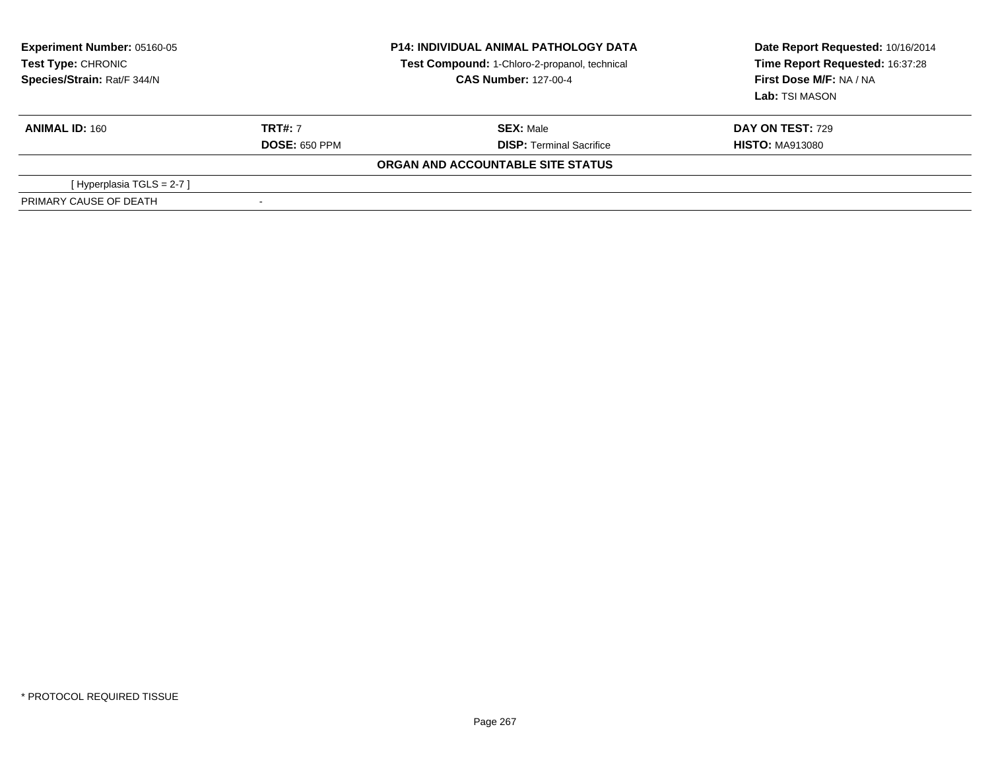| <b>Experiment Number: 05160-05</b><br>Test Type: CHRONIC<br>Species/Strain: Rat/F 344/N | <b>P14: INDIVIDUAL ANIMAL PATHOLOGY DATA</b><br>Test Compound: 1-Chloro-2-propanol, technical<br><b>CAS Number: 127-00-4</b> |                                   | Date Report Requested: 10/16/2014<br>Time Report Requested: 16:37:28<br>First Dose M/F: NA / NA<br>Lab: TSI MASON |  |
|-----------------------------------------------------------------------------------------|------------------------------------------------------------------------------------------------------------------------------|-----------------------------------|-------------------------------------------------------------------------------------------------------------------|--|
| <b>ANIMAL ID: 160</b>                                                                   | <b>TRT#: 7</b>                                                                                                               | <b>SEX: Male</b>                  | <b>DAY ON TEST: 729</b>                                                                                           |  |
|                                                                                         | <b>DOSE: 650 PPM</b>                                                                                                         | <b>DISP:</b> Terminal Sacrifice   | <b>HISTO: MA913080</b>                                                                                            |  |
|                                                                                         |                                                                                                                              | ORGAN AND ACCOUNTABLE SITE STATUS |                                                                                                                   |  |
| [Hyperplasia TGLS = $2-7$ ]                                                             |                                                                                                                              |                                   |                                                                                                                   |  |
| PRIMARY CAUSE OF DEATH                                                                  |                                                                                                                              |                                   |                                                                                                                   |  |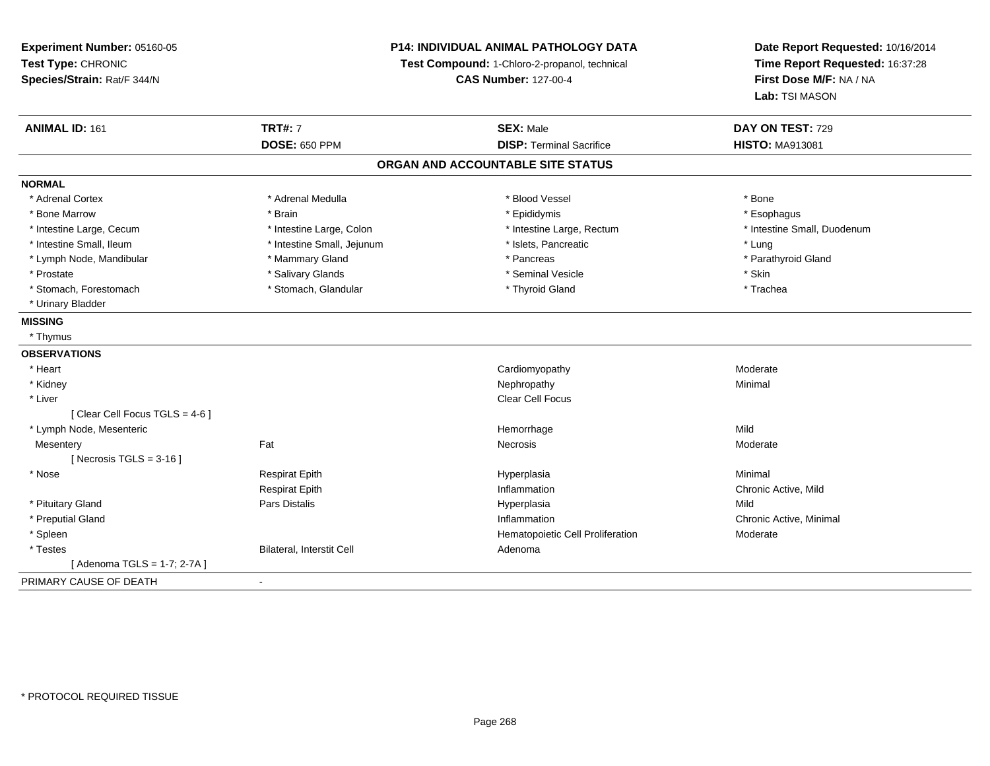**Experiment Number:** 05160-05**Test Type:** CHRONIC **Species/Strain:** Rat/F 344/N**P14: INDIVIDUAL ANIMAL PATHOLOGY DATATest Compound:** 1-Chloro-2-propanol, technical **CAS Number:** 127-00-4**Date Report Requested:** 10/16/2014**Time Report Requested:** 16:37:28**First Dose M/F:** NA / NA**Lab:** TSI MASON**ANIMAL ID:** 161**TRT#:** 7 **SEX:** Male **DAY ON TEST:** 729 **DOSE:** 650 PPM**DISP:** Terminal Sacrifice **HISTO:** MA913081 **ORGAN AND ACCOUNTABLE SITE STATUSNORMAL**\* Adrenal Cortex \* Adrenal Cortex \* \* Adrenal Medulla \* \* Adrenal Medulla \* \* Blood Vessel \* \* Brood Vessel \* \* Bone \* Esophagus \* Bone Marrow \* Brain \* Epididymis \* Esophagus \* Intestine Small, Duodenum \* Intestine Large, Cecum \* Intestine Large, Colon \* Intestine Sarge, Rectum \* Intestine Large, Rectum \* Intestine Small, Ileum \* https://www.fatheratic \* Lung \* Intestine Small, Jejunum \* Islets, Pancreatic \* Lung \* Lung \* Parathyroid Gland \* Lymph Node, Mandibular \* Mammary Gland \* Mammary Gland \* Pancreas \* Pancreas \* \* Prostate \* \* Salivary Glands \* \* Salivary Glands \* \* Seminal Vesicle \* \* \* Seminal Yestrich \* \* Skin \* \* Skin \* Trachea \* Stomach, Forestomach \* The stormach \* Stomach, Glandular \* Thyroid Gland \* Thyroid Gland \* Thyroid Gland \* \* Urinary Bladder**MISSING** \* Thymus **OBSERVATIONS** \* Heart CardiomyopathyModerate<br>Minimal \* Kidneyy the control of the control of the control of the control of the control of the control of the control of the control of the control of the control of the control of the control of the control of the control of the contro \* Liverr and the contract of the contract of the contract of the contract of the contract of the contract of the contract of the contract of the contract of the contract of the contract of the contract of the contract of the cont [ Clear Cell Focus TGLS = 4-6 ] \* Lymph Node, MesentericHemorrhage<br>Necrosis e Mild **Mesentery** y the control of the set of the control of the Moderate of the Moderate of the Moderate of the Moderate of the Moderate of the Moderate of the Moderate of the Moderate of the Moderate of the Moderate of the Moderate of the  $[$  Necrosis TGLS = 3-16  $]$  \* Nose Respirat Epith Hyperplasia Minimal Respirat Epith Inflammation Chronic Active, Mild \* Pituitary Gland Pars Distalis Hyperplasia Mild \* Preputial Glandd the controller of the chronic Active, Minimal and the chronic Active, Minimal and the chronic Active, Minimal and the chronic Active, Minimal and the chronic Active, Minimal and the chronic Active, Minimal and the chroni \* SpleenHematopoietic Cell Proliferation<br>Adenoma \* TestesBilateral, Interstit Cell [ Adenoma TGLS = 1-7; 2-7A ]PRIMARY CAUSE OF DEATH-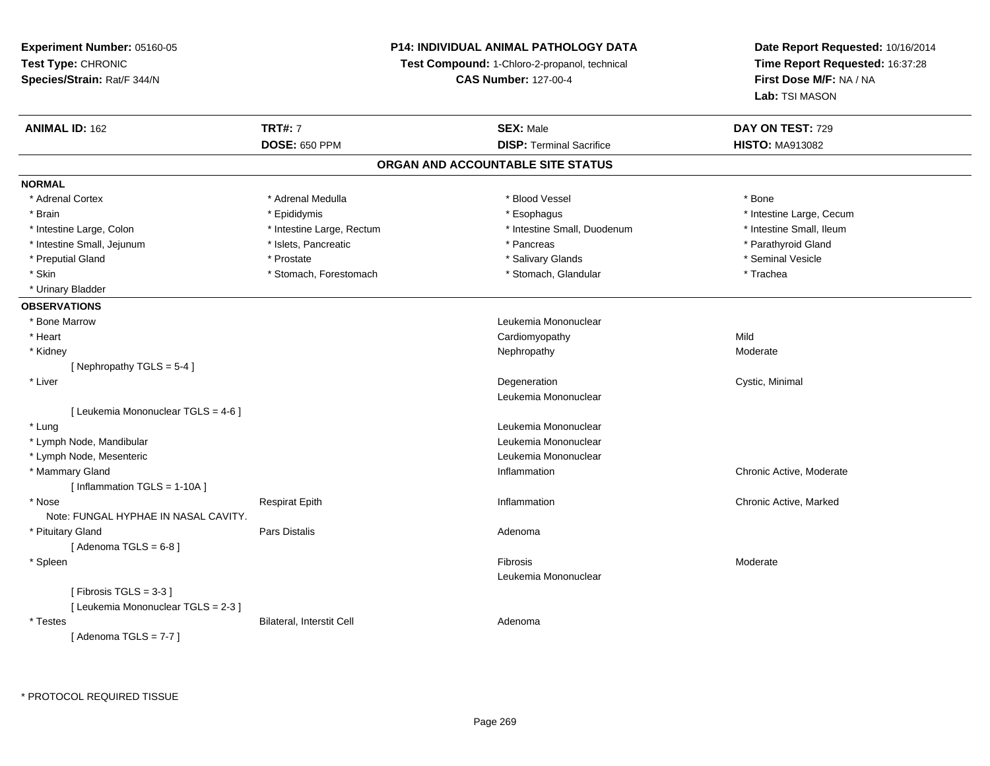**Experiment Number:** 05160-05**Test Type:** CHRONIC **Species/Strain:** Rat/F 344/N**P14: INDIVIDUAL ANIMAL PATHOLOGY DATATest Compound:** 1-Chloro-2-propanol, technical **CAS Number:** 127-00-4**Date Report Requested:** 10/16/2014**Time Report Requested:** 16:37:28**First Dose M/F:** NA / NA**Lab:** TSI MASON**ANIMAL ID:** 162**TRT#:** 7 **SEX:** Male **DAY ON TEST:** 729 **DOSE:** 650 PPM**DISP:** Terminal Sacrifice **HISTO:** MA913082 **ORGAN AND ACCOUNTABLE SITE STATUSNORMAL**\* Adrenal Cortex \* Adrenal Medulla \* Adrenal Medulla \* Blood Vessel \* Bood Vessel \* Bone \* Bone \* Bone \* Bone \* Bone \* Bone \* Bone \* Bone \* Bone \* Bone \* Bone \* Bone \* Bone \* Bone \* Bone \* Bone \* Bone \* Bone \* Bone \* Bone \* Bone \* Bone \* \* \* Brain \* Esophagus \* Esophagus \* Esophagus \* Esophagus \* Esophagus \* Intestine Large, Cecum \* \* Esophagus \* Intestine Large, Cecum \* Intestine Small, Ileum \* Intestine Large, Colon \* Intestine Large, Rectum \* Intestine Small, Duodenum \* Intestine Small, Duodenum \* Intestine Small, Jejunum \* The matches of the state of the state of the state of the state of the state of the state of the state of the state of the state of the state of the state of the state of the state of the state \* Preputial Gland \* \* Annual vesicle \* \* Prostate \* \* Salivary Glands \* \* Salivary Glands \* \* Seminal Vesicle \* \* Skin \* Stomach, Forestomach \* Stomach \* Stomach, Glandular \* Trachea \* Urinary Bladder**OBSERVATIONS** \* Bone Marrow Leukemia Mononuclear \* Heart Cardiomyopathyy Mild Moderate \* Kidneyy which is a state of the control of the Moderate of the Moderate of the Moderate of the Moderate of the Moderate of the Moderate of the Moderate of the Moderate of the Moderate of the Moderate of the Moderate of the Moder [ Nephropathy TGLS = 5-4 ] \* Liverr and the control of the control of the control of the control of the control of the control of the control of Degeneration **Cystic, Minimal** Leukemia Mononuclear[ Leukemia Mononuclear TGLS = 4-6 ] \* Lungg and the set of the set of the set of the set of the set of the set of the set of the set of the set of the set of the set of the set of the set of the set of the set of the set of the set of the set of the set of the set \* Lymph Node, Mandibular Leukemia Mononuclear \* Lymph Node, Mesenteric Leukemia Mononuclear \* Mammary Gland Inflammation Chronic Active, Moderate [ Inflammation TGLS = 1-10A ] \* Nosee who discussed the Respirat Epith Inflammation Chronic Active, Marked and Respirat Epith Inflammation Chronic Active, Marked Note: FUNGAL HYPHAE IN NASAL CAVITY. \* Pituitary Glandd and the contract of Pars Distalis and the contract of Adenoma and Adenoma and the Adenoma and the Adenoma and  $\lambda$  $[$  Adenoma TGLS =  $6-8$ ] \* Spleenn and the state of the state of the state of the state of the state of the state of the state of the state of the state of the state of the state of the state of the state of the state of the state of the state of the stat Leukemia Mononuclear $[$  Fibrosis TGLS = 3-3  $]$ [ Leukemia Mononuclear TGLS = 2-3 ] \* TestesBilateral, Interstit Cell **Adenoma** Adenoma  $[$  Adenoma TGLS =  $7-7$   $]$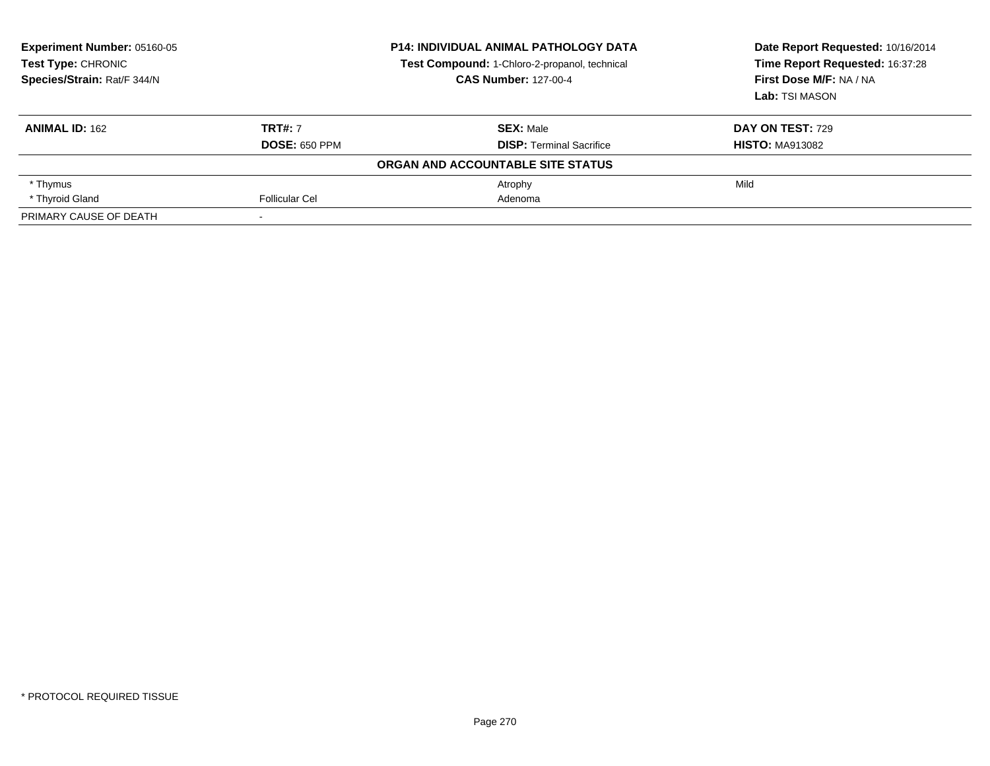| Experiment Number: 05160-05<br>Test Type: CHRONIC<br>Species/Strain: Rat/F 344/N |                      | <b>P14: INDIVIDUAL ANIMAL PATHOLOGY DATA</b><br>Test Compound: 1-Chloro-2-propanol, technical<br><b>CAS Number: 127-00-4</b> | Date Report Requested: 10/16/2014<br>Time Report Requested: 16:37:28<br>First Dose M/F: NA / NA |
|----------------------------------------------------------------------------------|----------------------|------------------------------------------------------------------------------------------------------------------------------|-------------------------------------------------------------------------------------------------|
|                                                                                  |                      |                                                                                                                              | Lab: TSI MASON                                                                                  |
| <b>ANIMAL ID: 162</b>                                                            | <b>TRT#: 7</b>       | <b>SEX: Male</b>                                                                                                             | <b>DAY ON TEST: 729</b>                                                                         |
|                                                                                  | <b>DOSE: 650 PPM</b> | <b>DISP: Terminal Sacrifice</b>                                                                                              | <b>HISTO: MA913082</b>                                                                          |
|                                                                                  |                      | ORGAN AND ACCOUNTABLE SITE STATUS                                                                                            |                                                                                                 |
| * Thymus                                                                         |                      | Atrophy                                                                                                                      | Mild                                                                                            |
| * Thyroid Gland                                                                  | Follicular Cel       | Adenoma                                                                                                                      |                                                                                                 |
| PRIMARY CAUSE OF DEATH                                                           |                      |                                                                                                                              |                                                                                                 |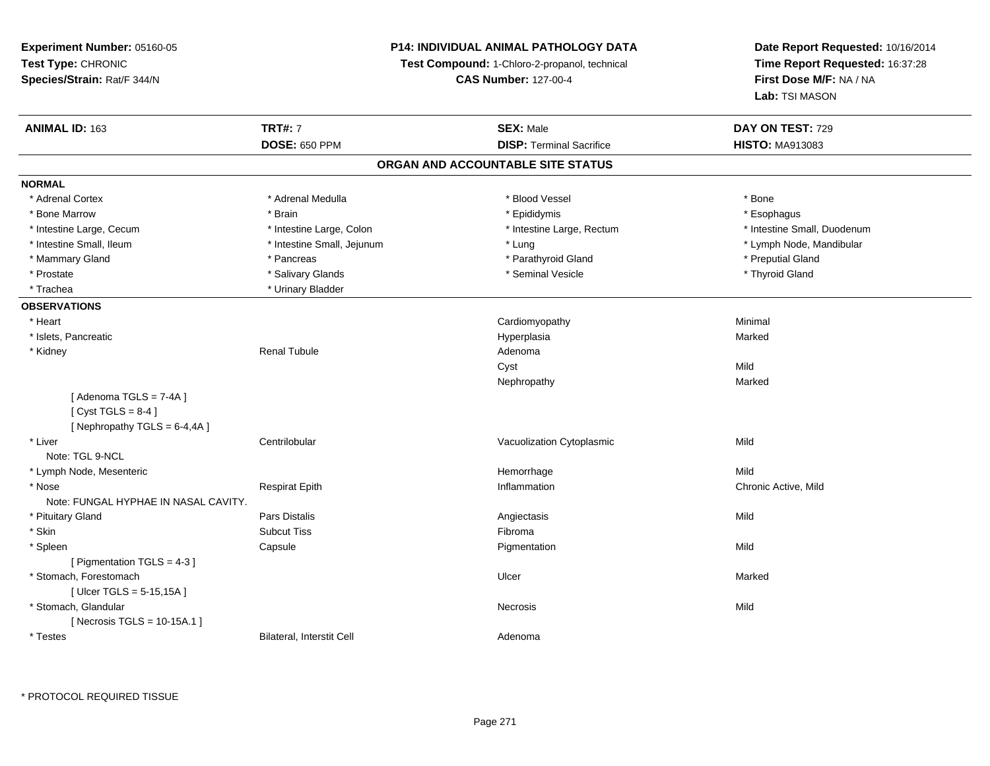### **P14: INDIVIDUAL ANIMAL PATHOLOGY DATA**

**Test Compound:** 1-Chloro-2-propanol, technical

**CAS Number:** 127-00-4

| <b>ANIMAL ID: 163</b>                | <b>TRT#: 7</b>             | <b>SEX: Male</b>                | DAY ON TEST: 729            |  |  |  |  |
|--------------------------------------|----------------------------|---------------------------------|-----------------------------|--|--|--|--|
|                                      | <b>DOSE: 650 PPM</b>       | <b>DISP: Terminal Sacrifice</b> | <b>HISTO: MA913083</b>      |  |  |  |  |
| ORGAN AND ACCOUNTABLE SITE STATUS    |                            |                                 |                             |  |  |  |  |
| <b>NORMAL</b>                        |                            |                                 |                             |  |  |  |  |
| * Adrenal Cortex                     | * Adrenal Medulla          | * Blood Vessel                  | * Bone                      |  |  |  |  |
| * Bone Marrow                        | * Brain                    | * Epididymis                    | * Esophagus                 |  |  |  |  |
| * Intestine Large, Cecum             | * Intestine Large, Colon   | * Intestine Large, Rectum       | * Intestine Small, Duodenum |  |  |  |  |
| * Intestine Small, Ileum             | * Intestine Small, Jejunum | * Lung                          | * Lymph Node, Mandibular    |  |  |  |  |
| * Mammary Gland                      | * Pancreas                 | * Parathyroid Gland             | * Preputial Gland           |  |  |  |  |
| * Prostate                           | * Salivary Glands          | * Seminal Vesicle               | * Thyroid Gland             |  |  |  |  |
| * Trachea                            | * Urinary Bladder          |                                 |                             |  |  |  |  |
| <b>OBSERVATIONS</b>                  |                            |                                 |                             |  |  |  |  |
| * Heart                              |                            | Cardiomyopathy                  | Minimal                     |  |  |  |  |
| * Islets, Pancreatic                 |                            | Hyperplasia                     | Marked                      |  |  |  |  |
| * Kidney                             | <b>Renal Tubule</b>        | Adenoma                         |                             |  |  |  |  |
|                                      |                            | Cyst                            | Mild                        |  |  |  |  |
|                                      |                            | Nephropathy                     | Marked                      |  |  |  |  |
| [Adenoma TGLS = 7-4A]                |                            |                                 |                             |  |  |  |  |
| [Cyst TGLS = $8-4$ ]                 |                            |                                 |                             |  |  |  |  |
| [Nephropathy TGLS = 6-4,4A]          |                            |                                 |                             |  |  |  |  |
| * Liver                              | Centrilobular              | Vacuolization Cytoplasmic       | Mild                        |  |  |  |  |
| Note: TGL 9-NCL                      |                            |                                 |                             |  |  |  |  |
| * Lymph Node, Mesenteric             |                            | Hemorrhage                      | Mild                        |  |  |  |  |
| * Nose                               | <b>Respirat Epith</b>      | Inflammation                    | Chronic Active, Mild        |  |  |  |  |
| Note: FUNGAL HYPHAE IN NASAL CAVITY. |                            |                                 |                             |  |  |  |  |
| * Pituitary Gland                    | <b>Pars Distalis</b>       | Angiectasis                     | Mild                        |  |  |  |  |
| * Skin                               | <b>Subcut Tiss</b>         | Fibroma                         |                             |  |  |  |  |
| * Spleen                             | Capsule                    | Pigmentation                    | Mild                        |  |  |  |  |
| [ Pigmentation TGLS = 4-3 ]          |                            |                                 |                             |  |  |  |  |
| * Stomach, Forestomach               |                            | Ulcer                           | Marked                      |  |  |  |  |
| [ Ulcer TGLS = 5-15,15A ]            |                            |                                 |                             |  |  |  |  |
| * Stomach, Glandular                 |                            | <b>Necrosis</b>                 | Mild                        |  |  |  |  |
| [Necrosis TGLS = $10-15A.1$ ]        |                            |                                 |                             |  |  |  |  |
| * Testes                             | Bilateral, Interstit Cell  | Adenoma                         |                             |  |  |  |  |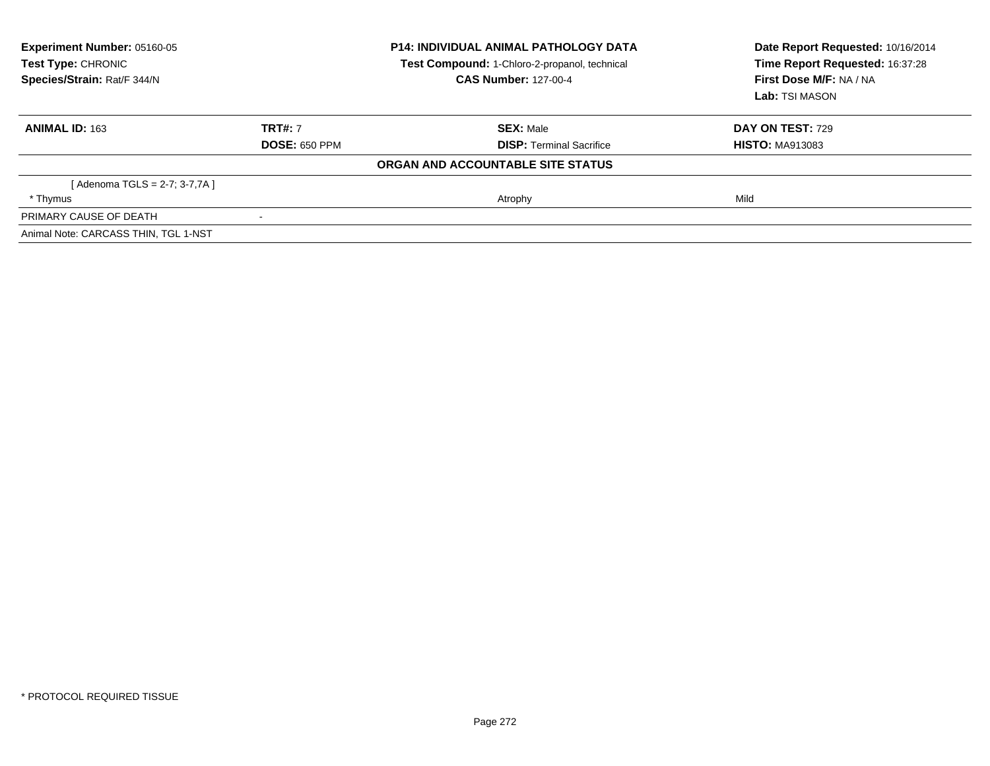| Experiment Number: 05160-05<br><b>Test Type: CHRONIC</b><br>Species/Strain: Rat/F 344/N |                      | <b>P14: INDIVIDUAL ANIMAL PATHOLOGY DATA</b><br>Test Compound: 1-Chloro-2-propanol, technical<br><b>CAS Number: 127-00-4</b> | Date Report Requested: 10/16/2014<br>Time Report Requested: 16:37:28<br>First Dose M/F: NA / NA<br>Lab: TSI MASON |  |
|-----------------------------------------------------------------------------------------|----------------------|------------------------------------------------------------------------------------------------------------------------------|-------------------------------------------------------------------------------------------------------------------|--|
| <b>ANIMAL ID: 163</b>                                                                   | <b>TRT#: 7</b>       | <b>SEX: Male</b>                                                                                                             | <b>DAY ON TEST: 729</b>                                                                                           |  |
|                                                                                         | <b>DOSE: 650 PPM</b> | <b>DISP:</b> Terminal Sacrifice                                                                                              | <b>HISTO: MA913083</b>                                                                                            |  |
|                                                                                         |                      | ORGAN AND ACCOUNTABLE SITE STATUS                                                                                            |                                                                                                                   |  |
| [Adenoma TGLS = 2-7; 3-7,7A ]                                                           |                      |                                                                                                                              |                                                                                                                   |  |
| * Thymus                                                                                |                      | Atrophy                                                                                                                      | Mild                                                                                                              |  |
| PRIMARY CAUSE OF DEATH                                                                  | $\blacksquare$       |                                                                                                                              |                                                                                                                   |  |
| Animal Note: CARCASS THIN, TGL 1-NST                                                    |                      |                                                                                                                              |                                                                                                                   |  |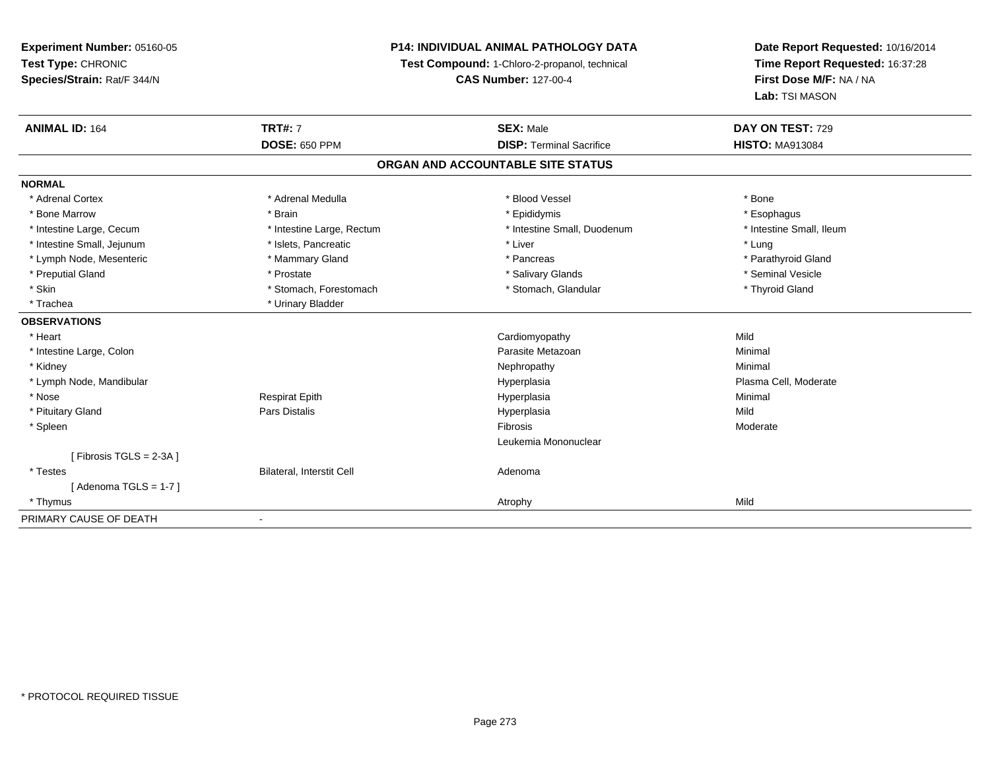### **P14: INDIVIDUAL ANIMAL PATHOLOGY DATA**

**Test Compound:** 1-Chloro-2-propanol, technical

**CAS Number:** 127-00-4

| <b>ANIMAL ID: 164</b>             | <b>TRT#: 7</b>            | <b>SEX: Male</b>                | DAY ON TEST: 729         |  |  |  |
|-----------------------------------|---------------------------|---------------------------------|--------------------------|--|--|--|
|                                   | <b>DOSE: 650 PPM</b>      | <b>DISP: Terminal Sacrifice</b> | <b>HISTO: MA913084</b>   |  |  |  |
| ORGAN AND ACCOUNTABLE SITE STATUS |                           |                                 |                          |  |  |  |
| <b>NORMAL</b>                     |                           |                                 |                          |  |  |  |
| * Adrenal Cortex                  | * Adrenal Medulla         | * Blood Vessel                  | * Bone                   |  |  |  |
| * Bone Marrow                     | * Brain                   | * Epididymis                    | * Esophagus              |  |  |  |
| * Intestine Large, Cecum          | * Intestine Large, Rectum | * Intestine Small, Duodenum     | * Intestine Small, Ileum |  |  |  |
| * Intestine Small, Jejunum        | * Islets, Pancreatic      | * Liver                         | * Lung                   |  |  |  |
| * Lymph Node, Mesenteric          | * Mammary Gland           | * Pancreas                      | * Parathyroid Gland      |  |  |  |
| * Preputial Gland                 | * Prostate                | * Salivary Glands               | * Seminal Vesicle        |  |  |  |
| * Skin                            | * Stomach, Forestomach    | * Stomach, Glandular            | * Thyroid Gland          |  |  |  |
| * Trachea                         | * Urinary Bladder         |                                 |                          |  |  |  |
| <b>OBSERVATIONS</b>               |                           |                                 |                          |  |  |  |
| * Heart                           |                           | Cardiomyopathy                  | Mild                     |  |  |  |
| * Intestine Large, Colon          |                           | Parasite Metazoan               | Minimal                  |  |  |  |
| * Kidney                          |                           | Nephropathy                     | Minimal                  |  |  |  |
| * Lymph Node, Mandibular          |                           | Hyperplasia                     | Plasma Cell, Moderate    |  |  |  |
| * Nose                            | <b>Respirat Epith</b>     | Hyperplasia                     | Minimal                  |  |  |  |
| * Pituitary Gland                 | Pars Distalis             | Hyperplasia                     | Mild                     |  |  |  |
| * Spleen                          |                           | Fibrosis                        | Moderate                 |  |  |  |
|                                   |                           | Leukemia Mononuclear            |                          |  |  |  |
| [Fibrosis TGLS = 2-3A]            |                           |                                 |                          |  |  |  |
| * Testes                          | Bilateral, Interstit Cell | Adenoma                         |                          |  |  |  |
| [Adenoma TGLS = $1-7$ ]           |                           |                                 |                          |  |  |  |
| * Thymus                          |                           | Atrophy                         | Mild                     |  |  |  |
| PRIMARY CAUSE OF DEATH            |                           |                                 |                          |  |  |  |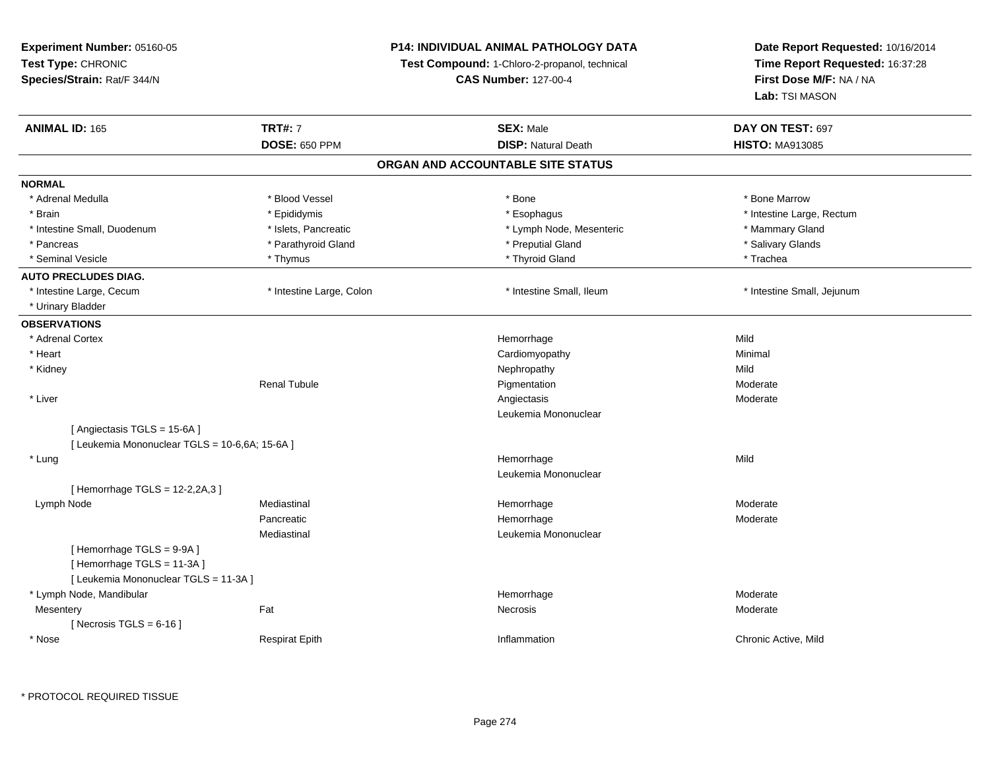### **P14: INDIVIDUAL ANIMAL PATHOLOGY DATA**

**Test Compound:** 1-Chloro-2-propanol, technical

**CAS Number:** 127-00-4

| <b>ANIMAL ID: 165</b>                          | <b>TRT#: 7</b>           | <b>SEX: Male</b>                  | DAY ON TEST: 697           |  |
|------------------------------------------------|--------------------------|-----------------------------------|----------------------------|--|
|                                                | <b>DOSE: 650 PPM</b>     | <b>DISP: Natural Death</b>        | <b>HISTO: MA913085</b>     |  |
|                                                |                          | ORGAN AND ACCOUNTABLE SITE STATUS |                            |  |
| <b>NORMAL</b>                                  |                          |                                   |                            |  |
| * Adrenal Medulla                              | * Blood Vessel           | * Bone                            | * Bone Marrow              |  |
| * Brain                                        | * Epididymis             | * Esophagus                       | * Intestine Large, Rectum  |  |
| * Intestine Small, Duodenum                    | * Islets, Pancreatic     | * Lymph Node, Mesenteric          | * Mammary Gland            |  |
| * Pancreas                                     | * Parathyroid Gland      | * Preputial Gland                 | * Salivary Glands          |  |
| * Seminal Vesicle                              | * Thymus                 | * Thyroid Gland                   | * Trachea                  |  |
| <b>AUTO PRECLUDES DIAG.</b>                    |                          |                                   |                            |  |
| * Intestine Large, Cecum                       | * Intestine Large, Colon | * Intestine Small, Ileum          | * Intestine Small, Jejunum |  |
| * Urinary Bladder                              |                          |                                   |                            |  |
| <b>OBSERVATIONS</b>                            |                          |                                   |                            |  |
| * Adrenal Cortex                               |                          | Hemorrhage                        | Mild                       |  |
| * Heart                                        |                          | Cardiomyopathy                    | Minimal                    |  |
| * Kidney                                       |                          | Nephropathy                       | Mild                       |  |
|                                                | <b>Renal Tubule</b>      | Pigmentation                      | Moderate                   |  |
| * Liver                                        |                          | Angiectasis                       | Moderate                   |  |
|                                                |                          | Leukemia Mononuclear              |                            |  |
| [Angiectasis TGLS = 15-6A]                     |                          |                                   |                            |  |
| [ Leukemia Mononuclear TGLS = 10-6,6A; 15-6A ] |                          |                                   |                            |  |
| * Lung                                         |                          | Hemorrhage                        | Mild                       |  |
|                                                |                          | Leukemia Mononuclear              |                            |  |
| [Hemorrhage TGLS = 12-2,2A,3]                  |                          |                                   |                            |  |
| Lymph Node                                     | Mediastinal              | Hemorrhage                        | Moderate                   |  |
|                                                | Pancreatic               | Hemorrhage                        | Moderate                   |  |
|                                                | Mediastinal              | Leukemia Mononuclear              |                            |  |
| [Hemorrhage TGLS = 9-9A]                       |                          |                                   |                            |  |
| [Hemorrhage TGLS = 11-3A]                      |                          |                                   |                            |  |
| [ Leukemia Mononuclear TGLS = 11-3A ]          |                          |                                   |                            |  |
| * Lymph Node, Mandibular                       |                          | Hemorrhage                        | Moderate                   |  |
| Mesentery                                      | Fat                      | Necrosis                          | Moderate                   |  |
| [Necrosis TGLS = $6-16$ ]                      |                          |                                   |                            |  |
| * Nose                                         | <b>Respirat Epith</b>    | Inflammation                      | Chronic Active, Mild       |  |
|                                                |                          |                                   |                            |  |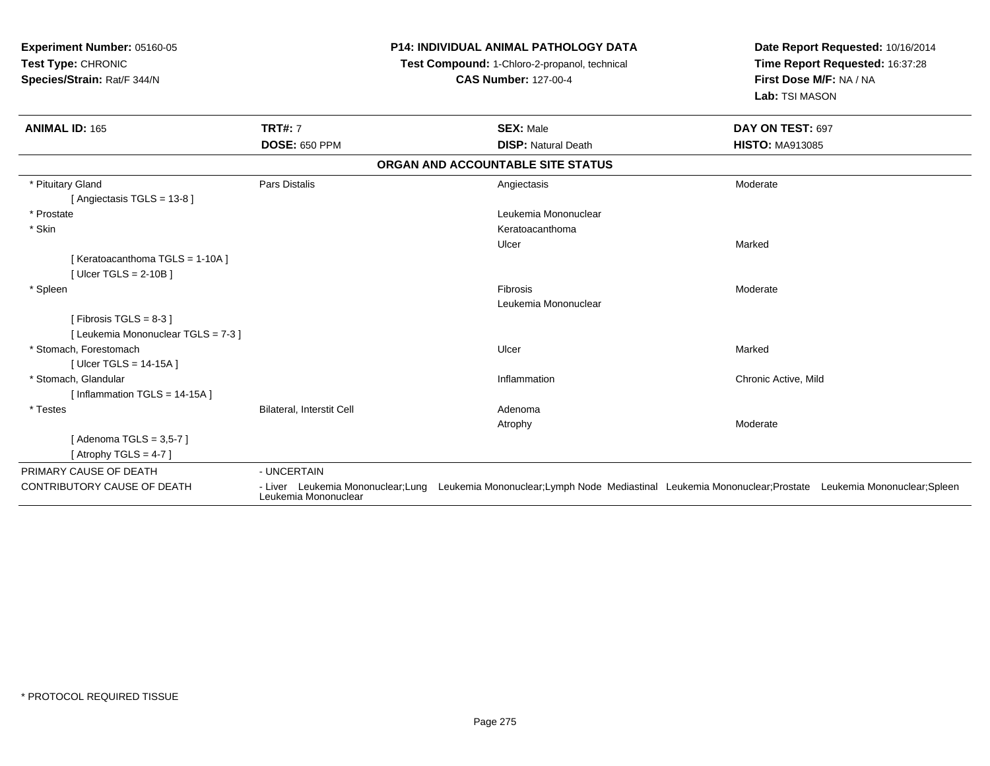| Experiment Number: 05160-05<br>Test Type: CHRONIC<br>Species/Strain: Rat/F 344/N |                           |  | <b>P14: INDIVIDUAL ANIMAL PATHOLOGY DATA</b><br>Test Compound: 1-Chloro-2-propanol, technical<br><b>CAS Number: 127-00-4</b> | Date Report Requested: 10/16/2014<br>Time Report Requested: 16:37:28<br>First Dose M/F: NA / NA<br>Lab: TSI MASON                       |
|----------------------------------------------------------------------------------|---------------------------|--|------------------------------------------------------------------------------------------------------------------------------|-----------------------------------------------------------------------------------------------------------------------------------------|
| <b>ANIMAL ID: 165</b>                                                            | <b>TRT#: 7</b>            |  | <b>SEX: Male</b>                                                                                                             | DAY ON TEST: 697                                                                                                                        |
|                                                                                  | <b>DOSE: 650 PPM</b>      |  | <b>DISP: Natural Death</b>                                                                                                   | <b>HISTO: MA913085</b>                                                                                                                  |
|                                                                                  |                           |  | ORGAN AND ACCOUNTABLE SITE STATUS                                                                                            |                                                                                                                                         |
| * Pituitary Gland                                                                | Pars Distalis             |  | Angiectasis                                                                                                                  | Moderate                                                                                                                                |
| [Angiectasis TGLS = 13-8]                                                        |                           |  |                                                                                                                              |                                                                                                                                         |
| * Prostate                                                                       |                           |  | Leukemia Mononuclear                                                                                                         |                                                                                                                                         |
| * Skin                                                                           |                           |  | Keratoacanthoma                                                                                                              |                                                                                                                                         |
|                                                                                  |                           |  | Ulcer                                                                                                                        | Marked                                                                                                                                  |
| [Keratoacanthoma TGLS = 1-10A]                                                   |                           |  |                                                                                                                              |                                                                                                                                         |
| [ Ulcer TGLS = $2-10B$ ]                                                         |                           |  |                                                                                                                              |                                                                                                                                         |
| * Spleen                                                                         |                           |  | Fibrosis                                                                                                                     | Moderate                                                                                                                                |
|                                                                                  |                           |  | Leukemia Mononuclear                                                                                                         |                                                                                                                                         |
| [Fibrosis TGLS = $8-3$ ]                                                         |                           |  |                                                                                                                              |                                                                                                                                         |
| [ Leukemia Mononuclear TGLS = 7-3 ]                                              |                           |  |                                                                                                                              |                                                                                                                                         |
| * Stomach, Forestomach                                                           |                           |  | Ulcer                                                                                                                        | Marked                                                                                                                                  |
| [ Ulcer TGLS = $14-15A$ ]                                                        |                           |  |                                                                                                                              |                                                                                                                                         |
| * Stomach, Glandular                                                             |                           |  | Inflammation                                                                                                                 | Chronic Active, Mild                                                                                                                    |
| [ Inflammation $TGLS = 14-15A$ ]                                                 |                           |  |                                                                                                                              |                                                                                                                                         |
| * Testes                                                                         | Bilateral, Interstit Cell |  | Adenoma                                                                                                                      |                                                                                                                                         |
|                                                                                  |                           |  | Atrophy                                                                                                                      | Moderate                                                                                                                                |
| [ Adenoma TGLS = 3,5-7 ]                                                         |                           |  |                                                                                                                              |                                                                                                                                         |
| [Atrophy TGLS = 4-7]                                                             |                           |  |                                                                                                                              |                                                                                                                                         |
| PRIMARY CAUSE OF DEATH                                                           | - UNCERTAIN               |  |                                                                                                                              |                                                                                                                                         |
| <b>CONTRIBUTORY CAUSE OF DEATH</b>                                               | Leukemia Mononuclear      |  |                                                                                                                              | - Liver Leukemia Mononuclear;Lung Leukemia Mononuclear;Lymph Node Mediastinal Leukemia Mononuclear;Prostate Leukemia Mononuclear;Spleen |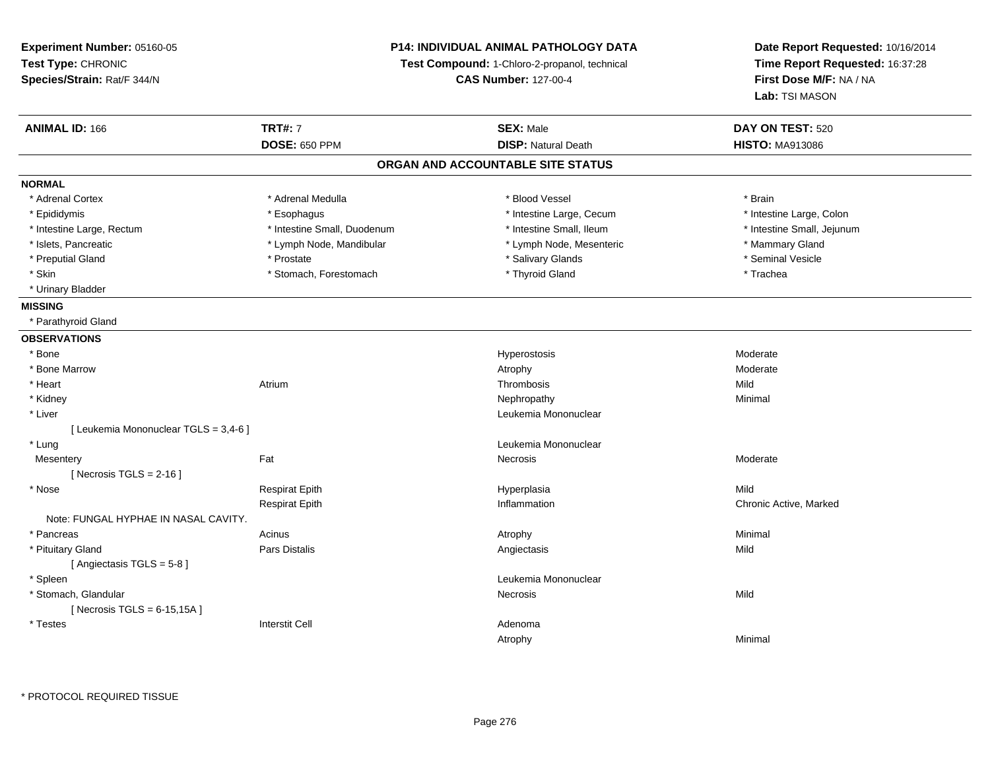### **P14: INDIVIDUAL ANIMAL PATHOLOGY DATA**

**Test Compound:** 1-Chloro-2-propanol, technical

**CAS Number:** 127-00-4

| <b>ANIMAL ID: 166</b>                 | <b>TRT#: 7</b>              | <b>SEX: Male</b>           | DAY ON TEST: 520           |  |  |  |  |
|---------------------------------------|-----------------------------|----------------------------|----------------------------|--|--|--|--|
|                                       | <b>DOSE: 650 PPM</b>        | <b>DISP: Natural Death</b> | <b>HISTO: MA913086</b>     |  |  |  |  |
| ORGAN AND ACCOUNTABLE SITE STATUS     |                             |                            |                            |  |  |  |  |
| <b>NORMAL</b>                         |                             |                            |                            |  |  |  |  |
| * Adrenal Cortex                      | * Adrenal Medulla           | * Blood Vessel             | * Brain                    |  |  |  |  |
| * Epididymis                          | * Esophagus                 | * Intestine Large, Cecum   | * Intestine Large, Colon   |  |  |  |  |
| * Intestine Large, Rectum             | * Intestine Small, Duodenum | * Intestine Small, Ileum   | * Intestine Small, Jejunum |  |  |  |  |
| * Islets, Pancreatic                  | * Lymph Node, Mandibular    | * Lymph Node, Mesenteric   | * Mammary Gland            |  |  |  |  |
| * Preputial Gland                     | * Prostate                  | * Salivary Glands          | * Seminal Vesicle          |  |  |  |  |
| * Skin                                | * Stomach, Forestomach      | * Thyroid Gland            | * Trachea                  |  |  |  |  |
| * Urinary Bladder                     |                             |                            |                            |  |  |  |  |
| <b>MISSING</b>                        |                             |                            |                            |  |  |  |  |
| * Parathyroid Gland                   |                             |                            |                            |  |  |  |  |
| <b>OBSERVATIONS</b>                   |                             |                            |                            |  |  |  |  |
| * Bone                                |                             | Hyperostosis               | Moderate                   |  |  |  |  |
| * Bone Marrow                         |                             | Atrophy                    | Moderate                   |  |  |  |  |
| * Heart                               | Atrium                      | Thrombosis                 | Mild                       |  |  |  |  |
| * Kidney                              |                             | Nephropathy                | Minimal                    |  |  |  |  |
| * Liver                               |                             | Leukemia Mononuclear       |                            |  |  |  |  |
| [ Leukemia Mononuclear TGLS = 3,4-6 ] |                             |                            |                            |  |  |  |  |
| * Lung                                |                             | Leukemia Mononuclear       |                            |  |  |  |  |
| Mesentery                             | Fat                         | Necrosis                   | Moderate                   |  |  |  |  |
| [Necrosis TGLS = $2-16$ ]             |                             |                            |                            |  |  |  |  |
| * Nose                                | <b>Respirat Epith</b>       | Hyperplasia                | Mild                       |  |  |  |  |
|                                       | <b>Respirat Epith</b>       | Inflammation               | Chronic Active, Marked     |  |  |  |  |
| Note: FUNGAL HYPHAE IN NASAL CAVITY.  |                             |                            |                            |  |  |  |  |
| * Pancreas                            | Acinus                      | Atrophy                    | Minimal                    |  |  |  |  |
| * Pituitary Gland                     | <b>Pars Distalis</b>        | Angiectasis                | Mild                       |  |  |  |  |
| [Angiectasis TGLS = 5-8]              |                             |                            |                            |  |  |  |  |
| * Spleen                              |                             | Leukemia Mononuclear       |                            |  |  |  |  |
| * Stomach, Glandular                  |                             | Necrosis                   | Mild                       |  |  |  |  |
| [Necrosis TGLS = $6-15,15A$ ]         |                             |                            |                            |  |  |  |  |
| * Testes                              | <b>Interstit Cell</b>       | Adenoma                    |                            |  |  |  |  |
|                                       |                             | Atrophy                    | Minimal                    |  |  |  |  |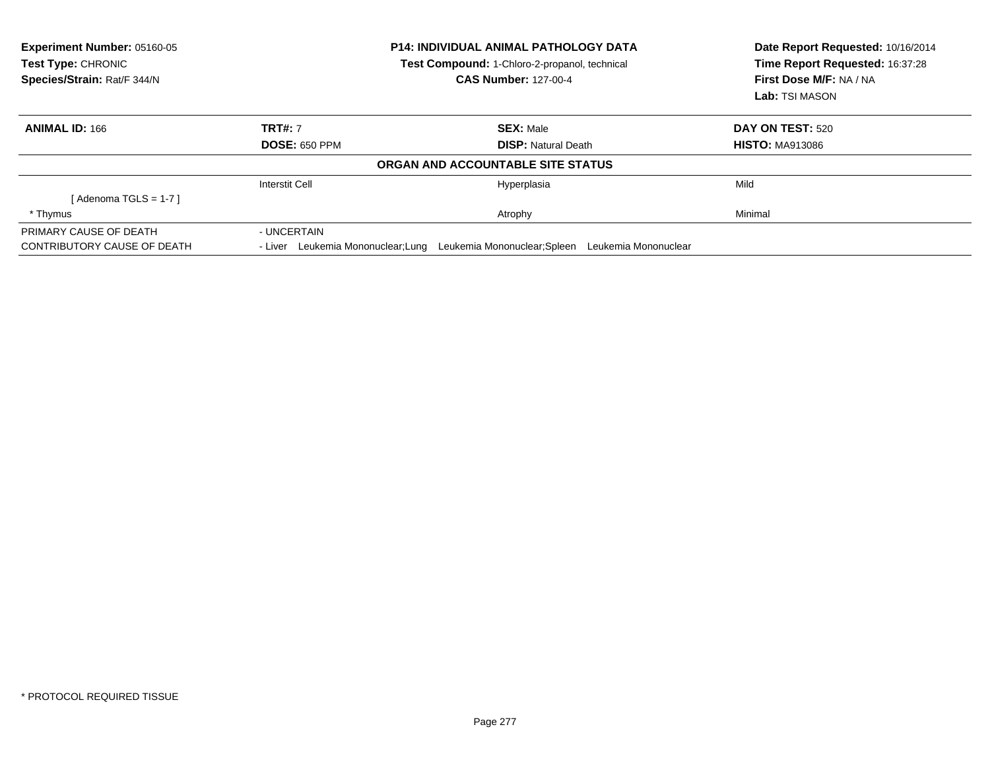| <b>Experiment Number: 05160-05</b><br>Test Type: CHRONIC |                                      | <b>P14: INDIVIDUAL ANIMAL PATHOLOGY DATA</b><br>Test Compound: 1-Chloro-2-propanol, technical | Date Report Requested: 10/16/2014<br>Time Report Requested: 16:37:28 |
|----------------------------------------------------------|--------------------------------------|-----------------------------------------------------------------------------------------------|----------------------------------------------------------------------|
| Species/Strain: Rat/F 344/N                              |                                      | <b>CAS Number: 127-00-4</b>                                                                   | First Dose M/F: NA / NA                                              |
|                                                          |                                      |                                                                                               | Lab: TSI MASON                                                       |
| <b>ANIMAL ID: 166</b>                                    | <b>TRT#: 7</b>                       | <b>SEX: Male</b>                                                                              | DAY ON TEST: 520                                                     |
|                                                          | <b>DOSE: 650 PPM</b>                 | <b>DISP: Natural Death</b>                                                                    | <b>HISTO: MA913086</b>                                               |
|                                                          |                                      | ORGAN AND ACCOUNTABLE SITE STATUS                                                             |                                                                      |
|                                                          | <b>Interstit Cell</b>                | Hyperplasia                                                                                   | Mild                                                                 |
| [ Adenoma TGLS = 1-7 ]                                   |                                      |                                                                                               |                                                                      |
| * Thymus                                                 |                                      | Atrophy                                                                                       | Minimal                                                              |
| PRIMARY CAUSE OF DEATH                                   | - UNCERTAIN                          |                                                                                               |                                                                      |
| CONTRIBUTORY CAUSE OF DEATH                              | Leukemia Mononuclear;Lung<br>- Liver | Leukemia Mononuclear;Spleen                                                                   | Leukemia Mononuclear                                                 |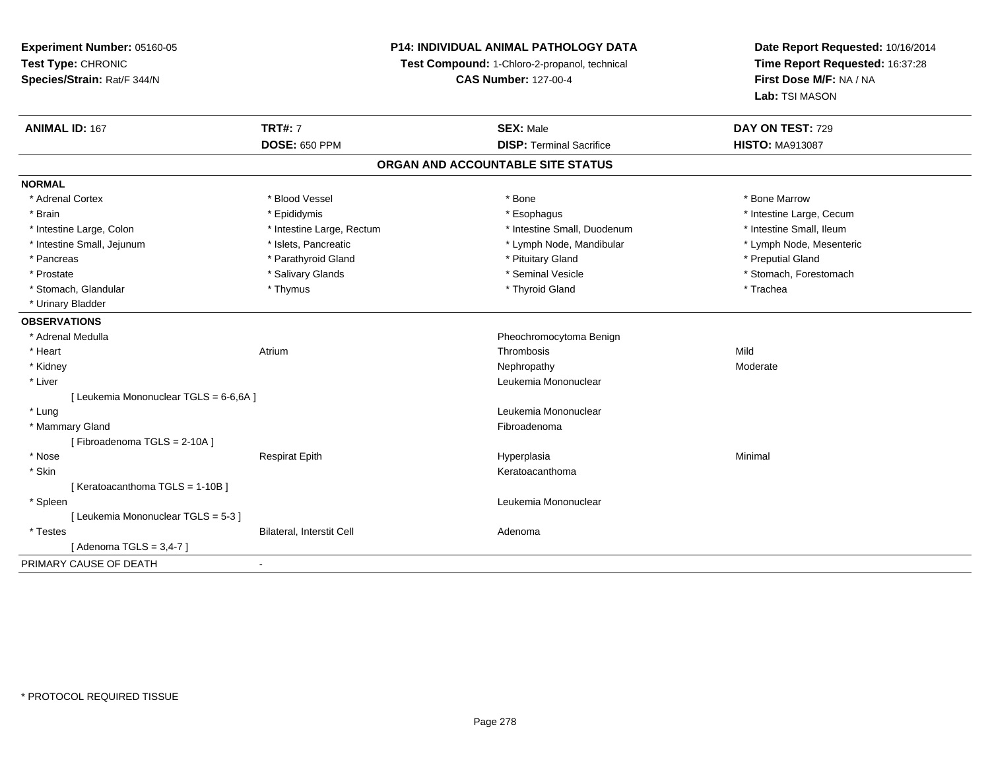### **P14: INDIVIDUAL ANIMAL PATHOLOGY DATA**

**Test Compound:** 1-Chloro-2-propanol, technical

**CAS Number:** 127-00-4

| <b>ANIMAL ID: 167</b>                  | <b>TRT#: 7</b>            | <b>SEX: Male</b>                | DAY ON TEST: 729         |  |  |  |  |
|----------------------------------------|---------------------------|---------------------------------|--------------------------|--|--|--|--|
|                                        | <b>DOSE: 650 PPM</b>      | <b>DISP: Terminal Sacrifice</b> | <b>HISTO: MA913087</b>   |  |  |  |  |
| ORGAN AND ACCOUNTABLE SITE STATUS      |                           |                                 |                          |  |  |  |  |
| <b>NORMAL</b>                          |                           |                                 |                          |  |  |  |  |
| * Adrenal Cortex                       | * Blood Vessel            | * Bone                          | * Bone Marrow            |  |  |  |  |
| * Brain                                | * Epididymis              | * Esophagus                     | * Intestine Large, Cecum |  |  |  |  |
| * Intestine Large, Colon               | * Intestine Large, Rectum | * Intestine Small, Duodenum     | * Intestine Small, Ileum |  |  |  |  |
| * Intestine Small, Jejunum             | * Islets, Pancreatic      | * Lymph Node, Mandibular        | * Lymph Node, Mesenteric |  |  |  |  |
| * Pancreas                             | * Parathyroid Gland       | * Pituitary Gland               | * Preputial Gland        |  |  |  |  |
| * Prostate                             | * Salivary Glands         | * Seminal Vesicle               | * Stomach, Forestomach   |  |  |  |  |
| * Stomach, Glandular                   | * Thymus                  | * Thyroid Gland                 | * Trachea                |  |  |  |  |
| * Urinary Bladder                      |                           |                                 |                          |  |  |  |  |
| <b>OBSERVATIONS</b>                    |                           |                                 |                          |  |  |  |  |
| * Adrenal Medulla                      |                           | Pheochromocytoma Benign         |                          |  |  |  |  |
| * Heart                                | Atrium                    | Thrombosis                      | Mild                     |  |  |  |  |
| * Kidney                               |                           | Nephropathy                     | Moderate                 |  |  |  |  |
| * Liver                                |                           | Leukemia Mononuclear            |                          |  |  |  |  |
| [ Leukemia Mononuclear TGLS = 6-6,6A ] |                           |                                 |                          |  |  |  |  |
| * Lung                                 |                           | Leukemia Mononuclear            |                          |  |  |  |  |
| * Mammary Gland                        |                           | Fibroadenoma                    |                          |  |  |  |  |
| [Fibroadenoma TGLS = 2-10A]            |                           |                                 |                          |  |  |  |  |
| * Nose                                 | <b>Respirat Epith</b>     | Hyperplasia                     | Minimal                  |  |  |  |  |
| * Skin                                 |                           | Keratoacanthoma                 |                          |  |  |  |  |
| [Keratoacanthoma TGLS = 1-10B]         |                           |                                 |                          |  |  |  |  |
| * Spleen                               |                           | Leukemia Mononuclear            |                          |  |  |  |  |
| [ Leukemia Mononuclear TGLS = 5-3 ]    |                           |                                 |                          |  |  |  |  |
| * Testes                               | Bilateral, Interstit Cell | Adenoma                         |                          |  |  |  |  |
| [ Adenoma TGLS = 3,4-7 ]               |                           |                                 |                          |  |  |  |  |
| PRIMARY CAUSE OF DEATH                 | $\blacksquare$            |                                 |                          |  |  |  |  |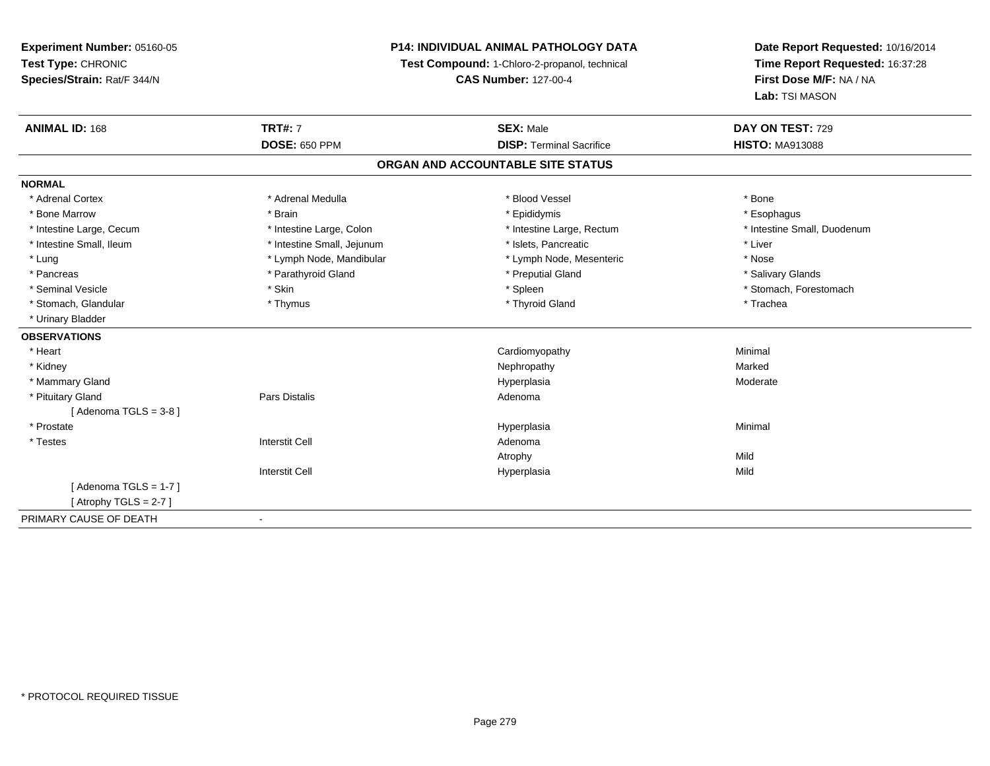### **P14: INDIVIDUAL ANIMAL PATHOLOGY DATA**

**Test Compound:** 1-Chloro-2-propanol, technical

**CAS Number:** 127-00-4

| <b>ANIMAL ID: 168</b>    | <b>TRT#: 7</b>             | <b>SEX: Male</b>                  | DAY ON TEST: 729            |
|--------------------------|----------------------------|-----------------------------------|-----------------------------|
|                          | <b>DOSE: 650 PPM</b>       | <b>DISP: Terminal Sacrifice</b>   | <b>HISTO: MA913088</b>      |
|                          |                            | ORGAN AND ACCOUNTABLE SITE STATUS |                             |
| <b>NORMAL</b>            |                            |                                   |                             |
| * Adrenal Cortex         | * Adrenal Medulla          | * Blood Vessel                    | * Bone                      |
| * Bone Marrow            | * Brain                    | * Epididymis                      | * Esophagus                 |
| * Intestine Large, Cecum | * Intestine Large, Colon   | * Intestine Large, Rectum         | * Intestine Small, Duodenum |
| * Intestine Small, Ileum | * Intestine Small, Jejunum | * Islets, Pancreatic              | * Liver                     |
| * Lung                   | * Lymph Node, Mandibular   | * Lymph Node, Mesenteric          | * Nose                      |
| * Pancreas               | * Parathyroid Gland        | * Preputial Gland                 | * Salivary Glands           |
| * Seminal Vesicle        | * Skin                     | * Spleen                          | * Stomach, Forestomach      |
| * Stomach, Glandular     | * Thymus                   | * Thyroid Gland                   | * Trachea                   |
| * Urinary Bladder        |                            |                                   |                             |
| <b>OBSERVATIONS</b>      |                            |                                   |                             |
| * Heart                  |                            | Cardiomyopathy                    | Minimal                     |
| * Kidney                 |                            | Nephropathy                       | Marked                      |
| * Mammary Gland          |                            | Hyperplasia                       | Moderate                    |
| * Pituitary Gland        | Pars Distalis              | Adenoma                           |                             |
| [Adenoma TGLS = $3-8$ ]  |                            |                                   |                             |
| * Prostate               |                            | Hyperplasia                       | Minimal                     |
| * Testes                 | <b>Interstit Cell</b>      | Adenoma                           |                             |
|                          |                            | Atrophy                           | Mild                        |
|                          | <b>Interstit Cell</b>      | Hyperplasia                       | Mild                        |
| [Adenoma TGLS = $1-7$ ]  |                            |                                   |                             |
| [Atrophy TGLS = $2-7$ ]  |                            |                                   |                             |
| PRIMARY CAUSE OF DEATH   |                            |                                   |                             |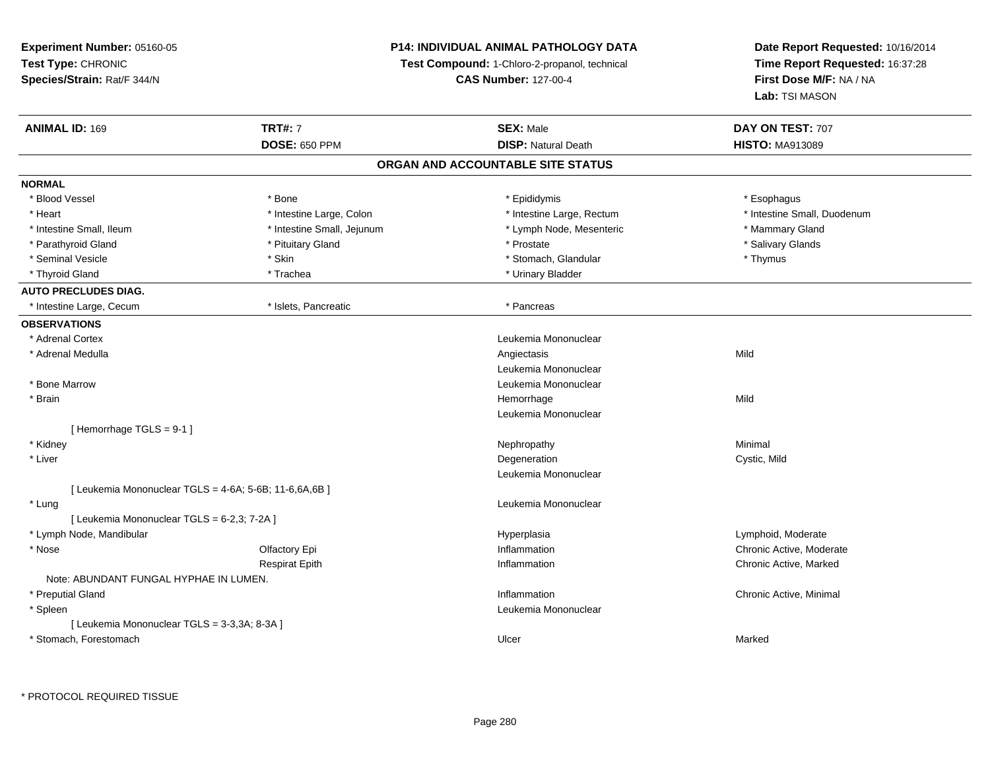### **P14: INDIVIDUAL ANIMAL PATHOLOGY DATA**

**Test Compound:** 1-Chloro-2-propanol, technical

**CAS Number:** 127-00-4

| <b>ANIMAL ID: 169</b>                                  | <b>TRT#: 7</b>             | <b>SEX: Male</b>                  | DAY ON TEST: 707            |  |
|--------------------------------------------------------|----------------------------|-----------------------------------|-----------------------------|--|
|                                                        | <b>DOSE: 650 PPM</b>       | <b>DISP: Natural Death</b>        | <b>HISTO: MA913089</b>      |  |
|                                                        |                            | ORGAN AND ACCOUNTABLE SITE STATUS |                             |  |
| <b>NORMAL</b>                                          |                            |                                   |                             |  |
| * Blood Vessel                                         | * Bone                     | * Epididymis                      | * Esophagus                 |  |
| * Heart                                                | * Intestine Large, Colon   | * Intestine Large, Rectum         | * Intestine Small, Duodenum |  |
| * Intestine Small, Ileum                               | * Intestine Small, Jejunum | * Lymph Node, Mesenteric          | * Mammary Gland             |  |
| * Parathyroid Gland                                    | * Pituitary Gland          | * Prostate                        | * Salivary Glands           |  |
| * Seminal Vesicle                                      | * Skin                     | * Stomach, Glandular              | * Thymus                    |  |
| * Thyroid Gland                                        | * Trachea                  | * Urinary Bladder                 |                             |  |
| <b>AUTO PRECLUDES DIAG.</b>                            |                            |                                   |                             |  |
| * Intestine Large, Cecum                               | * Islets, Pancreatic       | * Pancreas                        |                             |  |
| <b>OBSERVATIONS</b>                                    |                            |                                   |                             |  |
| * Adrenal Cortex                                       |                            | Leukemia Mononuclear              |                             |  |
| * Adrenal Medulla                                      |                            | Angiectasis                       | Mild                        |  |
|                                                        |                            | Leukemia Mononuclear              |                             |  |
| * Bone Marrow                                          |                            | Leukemia Mononuclear              |                             |  |
| * Brain                                                |                            | Hemorrhage                        | Mild                        |  |
|                                                        |                            | Leukemia Mononuclear              |                             |  |
| [Hemorrhage TGLS = 9-1]                                |                            |                                   |                             |  |
| * Kidney                                               |                            | Nephropathy                       | Minimal                     |  |
| * Liver                                                |                            | Degeneration                      | Cystic, Mild                |  |
|                                                        |                            | Leukemia Mononuclear              |                             |  |
| [ Leukemia Mononuclear TGLS = 4-6A; 5-6B; 11-6,6A,6B ] |                            |                                   |                             |  |
| * Lung                                                 |                            | Leukemia Mononuclear              |                             |  |
| [ Leukemia Mononuclear TGLS = 6-2,3; 7-2A ]            |                            |                                   |                             |  |
| * Lymph Node, Mandibular                               |                            | Hyperplasia                       | Lymphoid, Moderate          |  |
| * Nose                                                 | Olfactory Epi              | Inflammation                      | Chronic Active, Moderate    |  |
|                                                        | <b>Respirat Epith</b>      | Inflammation                      | Chronic Active, Marked      |  |
| Note: ABUNDANT FUNGAL HYPHAE IN LUMEN.                 |                            |                                   |                             |  |
| * Preputial Gland                                      |                            | Inflammation                      | Chronic Active, Minimal     |  |
| * Spleen                                               |                            | Leukemia Mononuclear              |                             |  |
| [ Leukemia Mononuclear TGLS = 3-3,3A; 8-3A ]           |                            |                                   |                             |  |
| * Stomach, Forestomach                                 |                            | Ulcer                             | Marked                      |  |
|                                                        |                            |                                   |                             |  |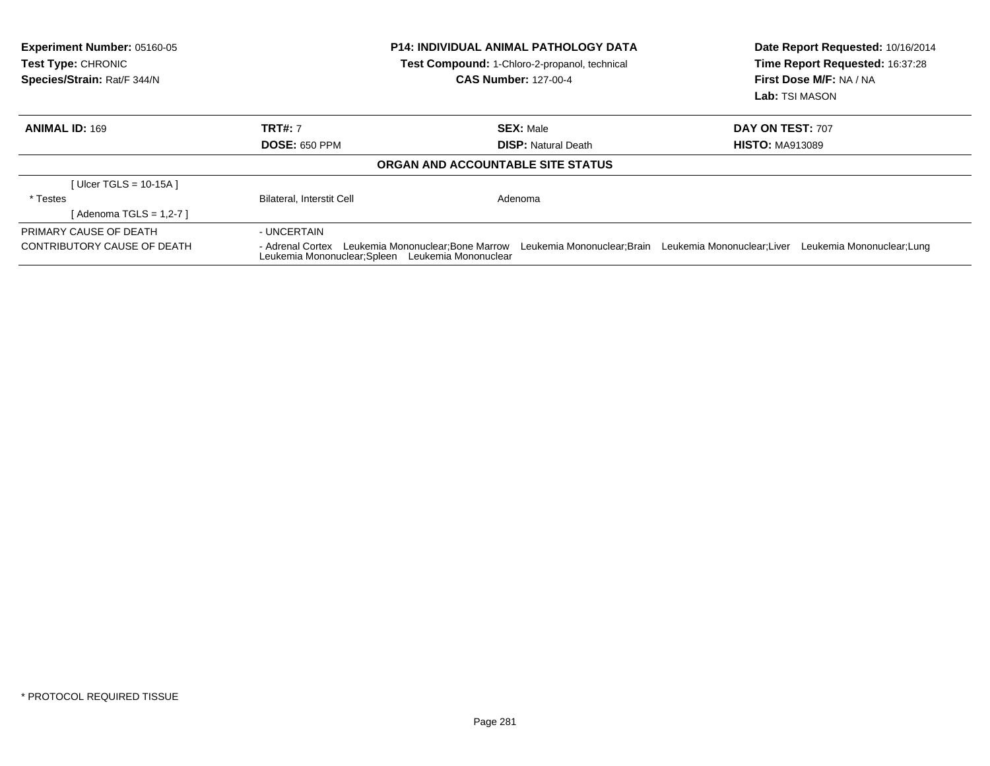| <b>Experiment Number: 05160-05</b><br><b>Test Type: CHRONIC</b><br>Species/Strain: Rat/F 344/N | <b>P14: INDIVIDUAL ANIMAL PATHOLOGY DATA</b><br>Test Compound: 1-Chloro-2-propanol, technical<br><b>CAS Number: 127-00-4</b>                                                                  |                                   | Date Report Requested: 10/16/2014<br>Time Report Requested: 16:37:28<br>First Dose M/F: NA / NA<br>Lab: TSI MASON |  |
|------------------------------------------------------------------------------------------------|-----------------------------------------------------------------------------------------------------------------------------------------------------------------------------------------------|-----------------------------------|-------------------------------------------------------------------------------------------------------------------|--|
| <b>ANIMAL ID: 169</b>                                                                          | <b>TRT#: 7</b>                                                                                                                                                                                | <b>SEX: Male</b>                  | DAY ON TEST: 707                                                                                                  |  |
|                                                                                                | <b>DOSE: 650 PPM</b>                                                                                                                                                                          | <b>DISP:</b> Natural Death        | <b>HISTO: MA913089</b>                                                                                            |  |
|                                                                                                |                                                                                                                                                                                               | ORGAN AND ACCOUNTABLE SITE STATUS |                                                                                                                   |  |
| [ Ulcer TGLS = $10-15A$ ]                                                                      |                                                                                                                                                                                               |                                   |                                                                                                                   |  |
| * Testes                                                                                       | <b>Bilateral, Interstit Cell</b>                                                                                                                                                              | Adenoma                           |                                                                                                                   |  |
| [ Adenoma TGLS = 1,2-7 ]                                                                       |                                                                                                                                                                                               |                                   |                                                                                                                   |  |
| PRIMARY CAUSE OF DEATH                                                                         | - UNCERTAIN                                                                                                                                                                                   |                                   |                                                                                                                   |  |
| CONTRIBUTORY CAUSE OF DEATH                                                                    | - Adrenal Cortex Leukemia Mononuclear; Bone Marrow Leukemia Mononuclear; Brain Leukemia Mononuclear; Liver<br>Leukemia Mononuclear; Lung<br>Leukemia Mononuclear; Spleen Leukemia Mononuclear |                                   |                                                                                                                   |  |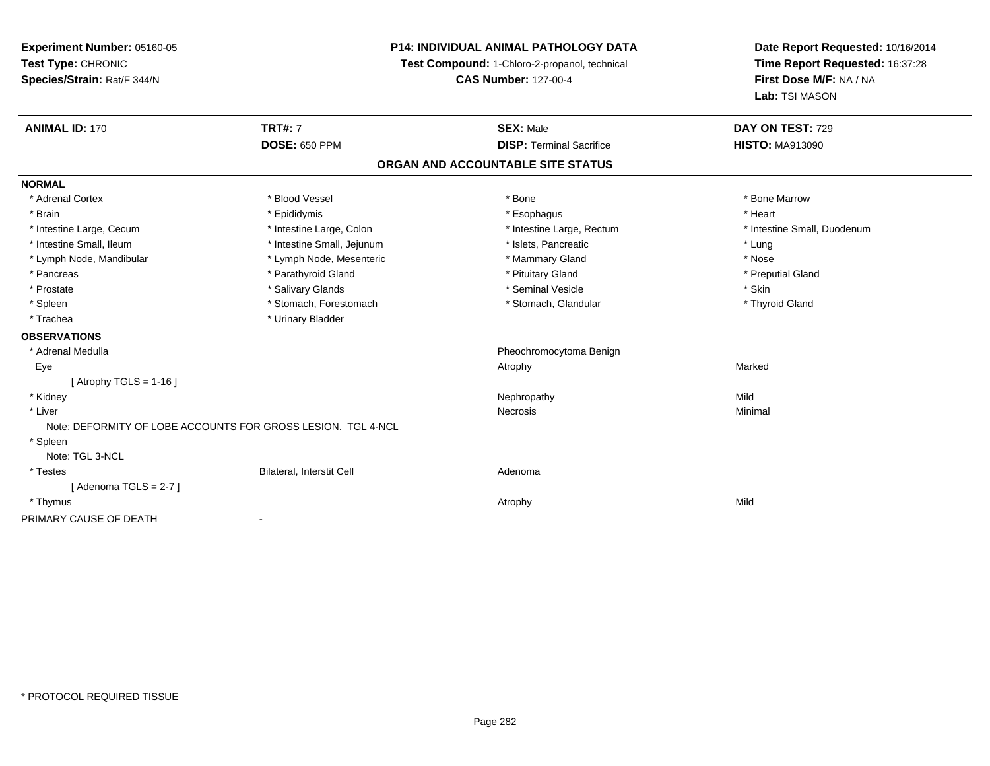**Experiment Number:** 05160-05**Test Type:** CHRONIC **Species/Strain:** Rat/F 344/N**P14: INDIVIDUAL ANIMAL PATHOLOGY DATATest Compound:** 1-Chloro-2-propanol, technical **CAS Number:** 127-00-4**Date Report Requested:** 10/16/2014**Time Report Requested:** 16:37:28**First Dose M/F:** NA / NA**Lab:** TSI MASON**ANIMAL ID:** 170**TRT#:** 7 **SEX:** Male **DAY ON TEST:** 729 **DOSE:** 650 PPM**DISP:** Terminal Sacrifice **HISTO:** MA913090 **ORGAN AND ACCOUNTABLE SITE STATUSNORMAL**\* Adrenal Cortex \* Adrenal Cortex \* \* Attachers \* Blood Vessel \* \* Bone \* \* \* Bone \* \* Bone \* \* Bone \* Bone Marrow \* Bone Marrow \* Brain \* \* Esophagus \* \* Esophagus \* \* Esophagus \* \* Esophagus \* \* Esophagus \* Heart \* Heart \* Heart \* Heart \* Intestine Large, Cecum \* Intestine Large, Colon \* Intestine Large, Rectum \* Intestine Small, Duodenum \* Intestine Small, Ileum \* https://www.fatheratic \* Lung \* Intestine Small, Jejunum \* Islets, Pancreatic \* Lung \* Lung \* Nose \* Lymph Node, Mandibular \* Lymph Node, Mesenteric \* Mammary Gland \* Mammary Gland \* Preputial Gland \* Pancreas \* \* Parathyroid Gland \* \* Parathyroid Gland \* \* Pituitary Gland \* \* Preputial Gland \* \* Preputial Gland \* Prostate \* \* Salivary Glands \* \* Salivary Glands \* \* Seminal Vesicle \* \* \* Seminal Yestrich \* \* Skin \* \* Skin \* Thyroid Gland \* Spleen \* Stomach, Forestomach \* Stomach, Glandular \* Stomach, Glandular \* Stomach, Glandular \* Trachea \* Urinary Bladder**OBSERVATIONS** \* Adrenal Medulla Pheochromocytoma Benign Eyee the controller of the controller of the controller of the controller of the controller of the controller of the controller of the controller of the controller of the controller of the controller of the controller of the  $[$  Atrophy TGLS = 1-16  $]$  \* Kidneyy the control of the control of the control of the control of the control of the control of the control of the control of the control of the control of the control of the control of the control of the control of the contro Minimal \* Liverr and the contract of the contract of the contract of the contract of the contract of the contract of the contract of the contract of the contract of the contract of the contract of the contract of the contract of the cont s and the contract of the Minimal Note: DEFORMITY OF LOBE ACCOUNTS FOR GROSS LESION. TGL 4-NCL \* Spleen Note: TGL 3-NCL \* TestesBilateral, Interstit Cell **Adenoma** Adenoma  $[$  Adenoma TGLS = 2-7  $]$  \* Thymuss and the control of the control of the control of the control of the control of the control of the control of the control of the control of the control of the control of the control of the control of the control of the co PRIMARY CAUSE OF DEATH

-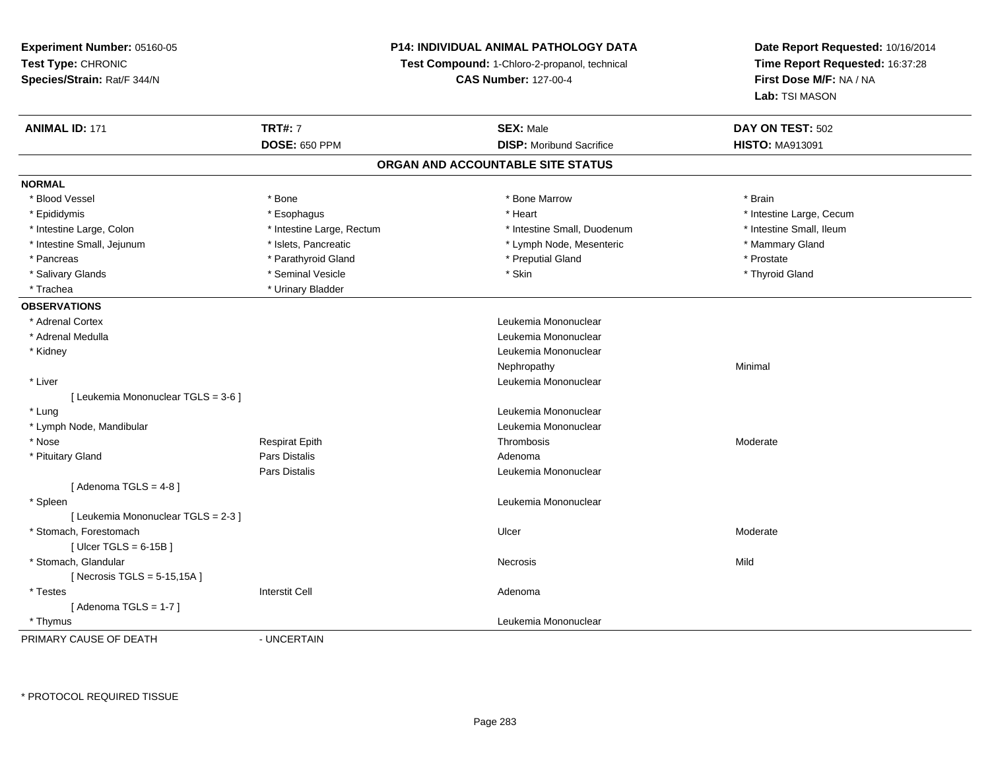### **P14: INDIVIDUAL ANIMAL PATHOLOGY DATA**

**Test Compound:** 1-Chloro-2-propanol, technical

**CAS Number:** 127-00-4

| <b>ANIMAL ID: 171</b>               | <b>TRT#: 7</b>            | <b>SEX: Male</b>                  | DAY ON TEST: 502         |
|-------------------------------------|---------------------------|-----------------------------------|--------------------------|
|                                     | <b>DOSE: 650 PPM</b>      | <b>DISP: Moribund Sacrifice</b>   | <b>HISTO: MA913091</b>   |
|                                     |                           | ORGAN AND ACCOUNTABLE SITE STATUS |                          |
| <b>NORMAL</b>                       |                           |                                   |                          |
| * Blood Vessel                      | * Bone                    | * Bone Marrow                     | * Brain                  |
| * Epididymis                        | * Esophagus               | * Heart                           | * Intestine Large, Cecum |
| * Intestine Large, Colon            | * Intestine Large, Rectum | * Intestine Small, Duodenum       | * Intestine Small, Ileum |
| * Intestine Small, Jejunum          | * Islets, Pancreatic      | * Lymph Node, Mesenteric          | * Mammary Gland          |
| * Pancreas                          | * Parathyroid Gland       | * Preputial Gland                 | * Prostate               |
| * Salivary Glands                   | * Seminal Vesicle         | * Skin                            | * Thyroid Gland          |
| * Trachea                           | * Urinary Bladder         |                                   |                          |
| <b>OBSERVATIONS</b>                 |                           |                                   |                          |
| * Adrenal Cortex                    |                           | Leukemia Mononuclear              |                          |
| * Adrenal Medulla                   |                           | Leukemia Mononuclear              |                          |
| * Kidney                            |                           | Leukemia Mononuclear              |                          |
|                                     |                           | Nephropathy                       | Minimal                  |
| * Liver                             |                           | Leukemia Mononuclear              |                          |
| [ Leukemia Mononuclear TGLS = 3-6 ] |                           |                                   |                          |
| * Lung                              |                           | Leukemia Mononuclear              |                          |
| * Lymph Node, Mandibular            |                           | Leukemia Mononuclear              |                          |
| * Nose                              | <b>Respirat Epith</b>     | Thrombosis                        | Moderate                 |
| * Pituitary Gland                   | <b>Pars Distalis</b>      | Adenoma                           |                          |
|                                     | <b>Pars Distalis</b>      | Leukemia Mononuclear              |                          |
| [Adenoma TGLS = $4-8$ ]             |                           |                                   |                          |
| * Spleen                            |                           | Leukemia Mononuclear              |                          |
| [ Leukemia Mononuclear TGLS = 2-3 ] |                           |                                   |                          |
| * Stomach, Forestomach              |                           | Ulcer                             | Moderate                 |
| [Ulcer TGLS = $6-15B$ ]             |                           |                                   |                          |
| * Stomach, Glandular                |                           | Necrosis                          | Mild                     |
| [Necrosis TGLS = $5-15,15A$ ]       |                           |                                   |                          |
| * Testes                            | <b>Interstit Cell</b>     | Adenoma                           |                          |
| [Adenoma TGLS = $1-7$ ]             |                           |                                   |                          |
| * Thymus                            |                           | Leukemia Mononuclear              |                          |
| PRIMARY CAUSE OF DEATH              | - UNCERTAIN               |                                   |                          |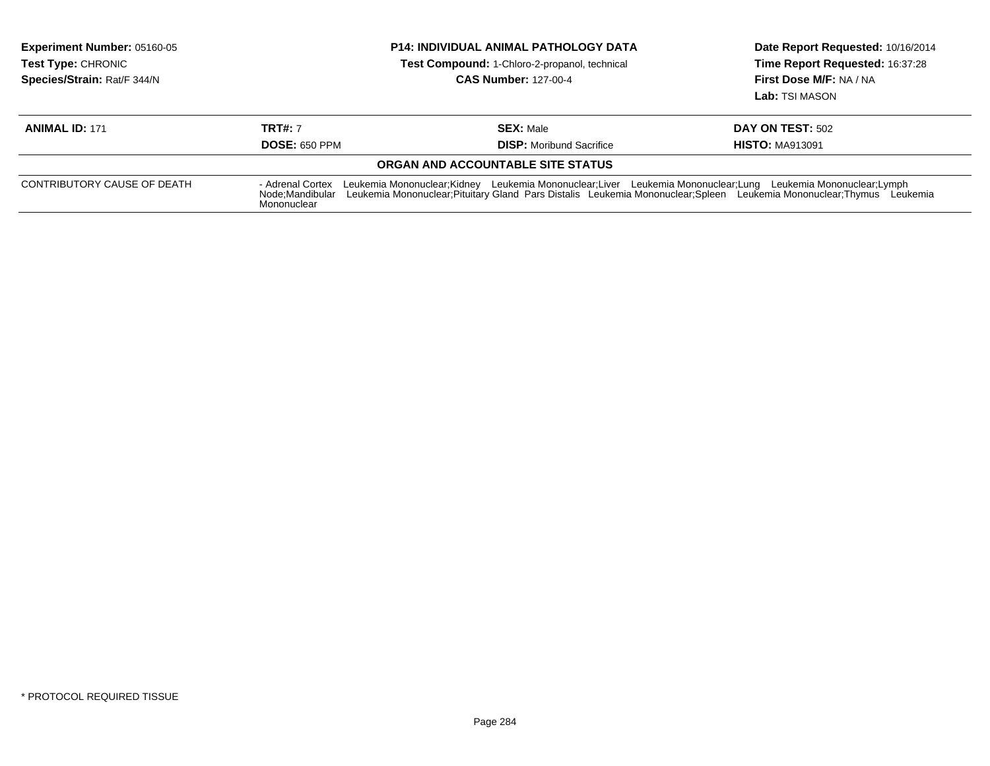| Experiment Number: 05160-05<br><b>Test Type: CHRONIC</b><br>Species/Strain: Rat/F 344/N | <b>P14: INDIVIDUAL ANIMAL PATHOLOGY DATA</b><br><b>Test Compound: 1-Chloro-2-propanol, technical</b><br><b>CAS Number: 127-00-4</b>                                                                                                                                                         |                                                     | Date Report Requested: 10/16/2014<br>Time Report Requested: 16:37:28<br>First Dose M/F: NA / NA<br>Lab: TSI MASON |
|-----------------------------------------------------------------------------------------|---------------------------------------------------------------------------------------------------------------------------------------------------------------------------------------------------------------------------------------------------------------------------------------------|-----------------------------------------------------|-------------------------------------------------------------------------------------------------------------------|
| <b>ANIMAL ID: 171</b>                                                                   | <b>TRT#: 7</b><br><b>DOSE: 650 PPM</b>                                                                                                                                                                                                                                                      | <b>SEX: Male</b><br><b>DISP:</b> Moribund Sacrifice | <b>DAY ON TEST: 502</b><br><b>HISTO: MA913091</b>                                                                 |
|                                                                                         |                                                                                                                                                                                                                                                                                             | <b>ORGAN AND ACCOUNTABLE SITE STATUS</b>            |                                                                                                                   |
| CONTRIBUTORY CAUSE OF DEATH                                                             | - Adrenal Cortex<br>Leukemia Mononuclear;Kidney Leukemia Mononuclear;Liver Leukemia Mononuclear;Lung Leukemia Mononuclear;Lymph<br>Leukemia Mononuclear; Pituitary Gland Pars Distalis Leukemia Mononuclear; Spleen Leukemia Mononuclear; Thymus Leukemia<br>Node:Mandibular<br>Mononuclear |                                                     |                                                                                                                   |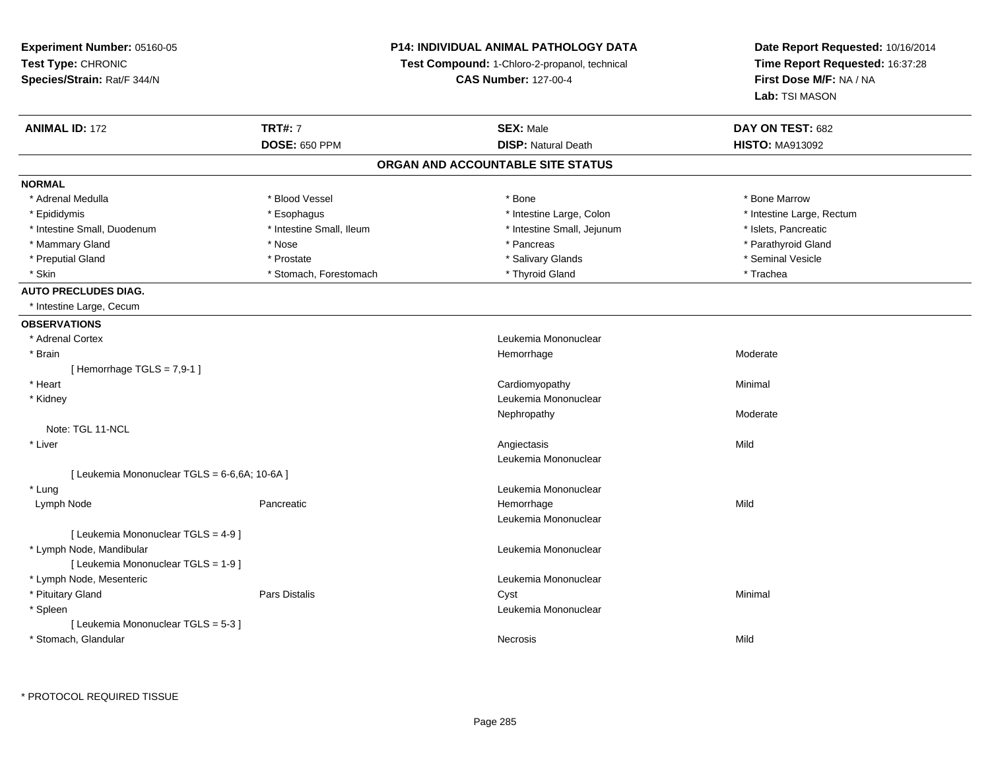**Experiment Number:** 05160-05**Test Type:** CHRONIC **Species/Strain:** Rat/F 344/N**P14: INDIVIDUAL ANIMAL PATHOLOGY DATATest Compound:** 1-Chloro-2-propanol, technical **CAS Number:** 127-00-4**Date Report Requested:** 10/16/2014**Time Report Requested:** 16:37:28**First Dose M/F:** NA / NA**Lab:** TSI MASON**ANIMAL ID:** 172 **TRT#:** <sup>7</sup> **SEX:** Male **DAY ON TEST:** <sup>682</sup> **DOSE:** 650 PPM**DISP:** Natural Death **HISTO:** MA913092 **ORGAN AND ACCOUNTABLE SITE STATUSNORMAL**\* Adrenal Medulla \* \* \* Blood Vessel \* \* \* Bone Marrow \* \* Bone Marrow \* \* Bone Marrow \* Epididymis \* Esophagus \* Intestine Large, Colon \* Intestine Large, Rectum \* Intestine Small, Duodenum \* Intestine Small, Ileum \* Intestine Small, Jejunum \* Islets, Pancreatic\* Parathyroid Gland \* Mammary Gland \* \* Nose \* \* Nose \* \* Pancreas \* Pancreas \* \* Pancreas \* \* Pancreas \* \* Pancreas \* \* Parathyroid Gland \* Preputial Gland \* \* Annual vesicle \* \* Prostate \* \* Salivary Glands \* \* Salivary Glands \* \* Seminal Vesicle \* \* Skin \* Stomach, Forestomach \* Thyroid Gland \* Thomas \* The the stormach \* Trachea **AUTO PRECLUDES DIAG.** \* Intestine Large, Cecum**OBSERVATIONS** \* Adrenal Cortex Leukemia Mononuclear \* Brainn and the most settled and the most settled and the most settled and the Moderate most settled and the Moderate  $[$  Hemorrhage TGLS = 7,9-1  $]$  \* Heart Cardiomyopathy Minimal \* Kidney Leukemia Mononuclear Nephropathyy and the contract of the Moderate Note: TGL 11-NCL \* Liverr and the contract of the contract of the contract of the contract of the contract of the contract of the contract of the contract of the contract of the contract of the contract of the contract of the contract of the cont s Mild Leukemia Mononuclear[ Leukemia Mononuclear TGLS = 6-6,6A; 10-6A ] \* LungLeukemia Mononuclear<br>
Leukemia Mononuclear<br>
Hemorrhage Lymph Nodee the settlement of the Pancreatic the Second Chemorrhage the Hemorrhage of the Mild Mild Second Mild Second M<br>In the Second Chemorrhage of the Second Chemorrhage of the Second Chemorrhage of the Second Mild Second Chemor Leukemia Mononuclear[ Leukemia Mononuclear TGLS = 4-9 ] \* Lymph Node, Mandibular Leukemia Mononuclear [ Leukemia Mononuclear TGLS = 1-9 ] \* Lymph Node, Mesenteric Leukemia Mononuclear \* Pituitary Gland Pars Distalis Cyst Minimal \* Spleen Leukemia Mononuclear [ Leukemia Mononuclear TGLS = 5-3 ] \* Stomach, Glandularr **Necrosis** s and the contract of the Mild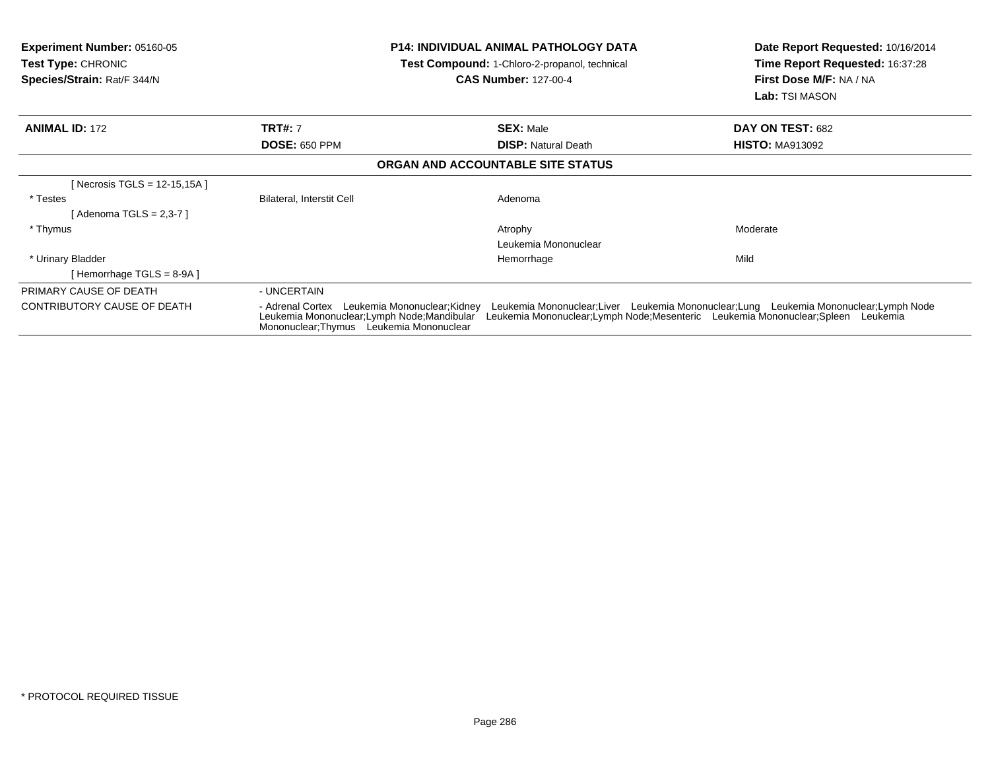| <b>Experiment Number: 05160-05</b><br><b>Test Type:</b> CHRONIC<br>Species/Strain: Rat/F 344/N |                                                                                                                                                                                                                                                                                                                         | <b>P14: INDIVIDUAL ANIMAL PATHOLOGY DATA</b><br><b>Test Compound: 1-Chloro-2-propanol, technical</b><br><b>CAS Number: 127-00-4</b> |                                   | Date Report Requested: 10/16/2014<br>Time Report Requested: 16:37:28<br>First Dose M/F: NA / NA<br><b>Lab:</b> TSI MASON |
|------------------------------------------------------------------------------------------------|-------------------------------------------------------------------------------------------------------------------------------------------------------------------------------------------------------------------------------------------------------------------------------------------------------------------------|-------------------------------------------------------------------------------------------------------------------------------------|-----------------------------------|--------------------------------------------------------------------------------------------------------------------------|
| <b>ANIMAL ID: 172</b>                                                                          | <b>TRT#: 7</b>                                                                                                                                                                                                                                                                                                          |                                                                                                                                     | <b>SEX: Male</b>                  | DAY ON TEST: 682                                                                                                         |
|                                                                                                | <b>DOSE: 650 PPM</b>                                                                                                                                                                                                                                                                                                    |                                                                                                                                     | <b>DISP:</b> Natural Death        | <b>HISTO: MA913092</b>                                                                                                   |
|                                                                                                |                                                                                                                                                                                                                                                                                                                         |                                                                                                                                     | ORGAN AND ACCOUNTABLE SITE STATUS |                                                                                                                          |
| [Necrosis TGLS = 12-15,15A]                                                                    |                                                                                                                                                                                                                                                                                                                         |                                                                                                                                     |                                   |                                                                                                                          |
| * Testes                                                                                       | Bilateral, Interstit Cell                                                                                                                                                                                                                                                                                               |                                                                                                                                     | Adenoma                           |                                                                                                                          |
| [ Adenoma TGLS = 2,3-7 ]                                                                       |                                                                                                                                                                                                                                                                                                                         |                                                                                                                                     |                                   |                                                                                                                          |
| * Thymus                                                                                       |                                                                                                                                                                                                                                                                                                                         |                                                                                                                                     | Atrophy                           | Moderate                                                                                                                 |
|                                                                                                |                                                                                                                                                                                                                                                                                                                         |                                                                                                                                     | Leukemia Mononuclear              |                                                                                                                          |
| * Urinary Bladder                                                                              |                                                                                                                                                                                                                                                                                                                         |                                                                                                                                     | Hemorrhage                        | Mild                                                                                                                     |
| [Hemorrhage TGLS = $8-9A$ ]                                                                    |                                                                                                                                                                                                                                                                                                                         |                                                                                                                                     |                                   |                                                                                                                          |
| PRIMARY CAUSE OF DEATH                                                                         | - UNCERTAIN                                                                                                                                                                                                                                                                                                             |                                                                                                                                     |                                   |                                                                                                                          |
| CONTRIBUTORY CAUSE OF DEATH                                                                    | Leukemia Mononuclear; Liver Leukemia Mononuclear; Lung Leukemia Mononuclear; Lymph Node<br>- Adrenal Cortex Leukemia Mononuclear: Kidney<br>Leukemia Mononuclear;Lymph Node;Mesenteric Leukemia Mononuclear;Spleen Leukemia<br>Leukemia Mononuclear; Lymph Node; Mandibular<br>Mononuclear: Thymus Leukemia Mononuclear |                                                                                                                                     |                                   |                                                                                                                          |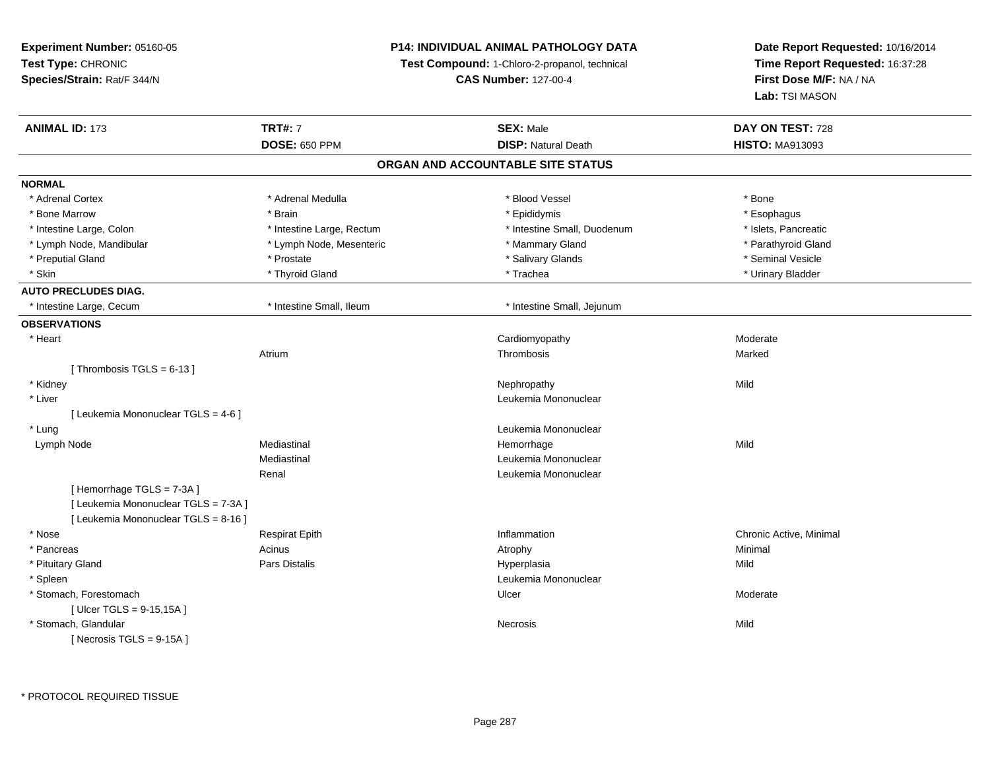### **P14: INDIVIDUAL ANIMAL PATHOLOGY DATA**

**Test Compound:** 1-Chloro-2-propanol, technical

| <b>ANIMAL ID: 173</b>                | <b>TRT#: 7</b>            | <b>SEX: Male</b>                  | DAY ON TEST: 728        |
|--------------------------------------|---------------------------|-----------------------------------|-------------------------|
|                                      | <b>DOSE: 650 PPM</b>      | <b>DISP: Natural Death</b>        | <b>HISTO: MA913093</b>  |
|                                      |                           | ORGAN AND ACCOUNTABLE SITE STATUS |                         |
| <b>NORMAL</b>                        |                           |                                   |                         |
| * Adrenal Cortex                     | * Adrenal Medulla         | * Blood Vessel                    | * Bone                  |
| * Bone Marrow                        | * Brain                   | * Epididymis                      | * Esophagus             |
| * Intestine Large, Colon             | * Intestine Large, Rectum | * Intestine Small, Duodenum       | * Islets, Pancreatic    |
| * Lymph Node, Mandibular             | * Lymph Node, Mesenteric  | * Mammary Gland                   | * Parathyroid Gland     |
| * Preputial Gland                    | * Prostate                | * Salivary Glands                 | * Seminal Vesicle       |
| * Skin                               | * Thyroid Gland           | * Trachea                         | * Urinary Bladder       |
| <b>AUTO PRECLUDES DIAG.</b>          |                           |                                   |                         |
| * Intestine Large, Cecum             | * Intestine Small, Ileum  | * Intestine Small, Jejunum        |                         |
| <b>OBSERVATIONS</b>                  |                           |                                   |                         |
| * Heart                              |                           | Cardiomyopathy                    | Moderate                |
|                                      | Atrium                    | Thrombosis                        | Marked                  |
| [Thrombosis TGLS = $6-13$ ]          |                           |                                   |                         |
| * Kidney                             |                           | Nephropathy                       | Mild                    |
| * Liver                              |                           | Leukemia Mononuclear              |                         |
| [ Leukemia Mononuclear TGLS = 4-6 ]  |                           |                                   |                         |
| * Lung                               |                           | Leukemia Mononuclear              |                         |
| Lymph Node                           | Mediastinal               | Hemorrhage                        | Mild                    |
|                                      | Mediastinal               | Leukemia Mononuclear              |                         |
|                                      | Renal                     | Leukemia Mononuclear              |                         |
| [Hemorrhage TGLS = 7-3A]             |                           |                                   |                         |
| [ Leukemia Mononuclear TGLS = 7-3A ] |                           |                                   |                         |
| [ Leukemia Mononuclear TGLS = 8-16 ] |                           |                                   |                         |
| * Nose                               | <b>Respirat Epith</b>     | Inflammation                      | Chronic Active, Minimal |
| * Pancreas                           | Acinus                    | Atrophy                           | Minimal                 |
| * Pituitary Gland                    | <b>Pars Distalis</b>      | Hyperplasia                       | Mild                    |
| * Spleen                             |                           | Leukemia Mononuclear              |                         |
| * Stomach, Forestomach               |                           | Ulcer                             | Moderate                |
| [ Ulcer TGLS = 9-15,15A ]            |                           |                                   |                         |
| * Stomach, Glandular                 |                           | Necrosis                          | Mild                    |
| [Necrosis TGLS = $9-15A$ ]           |                           |                                   |                         |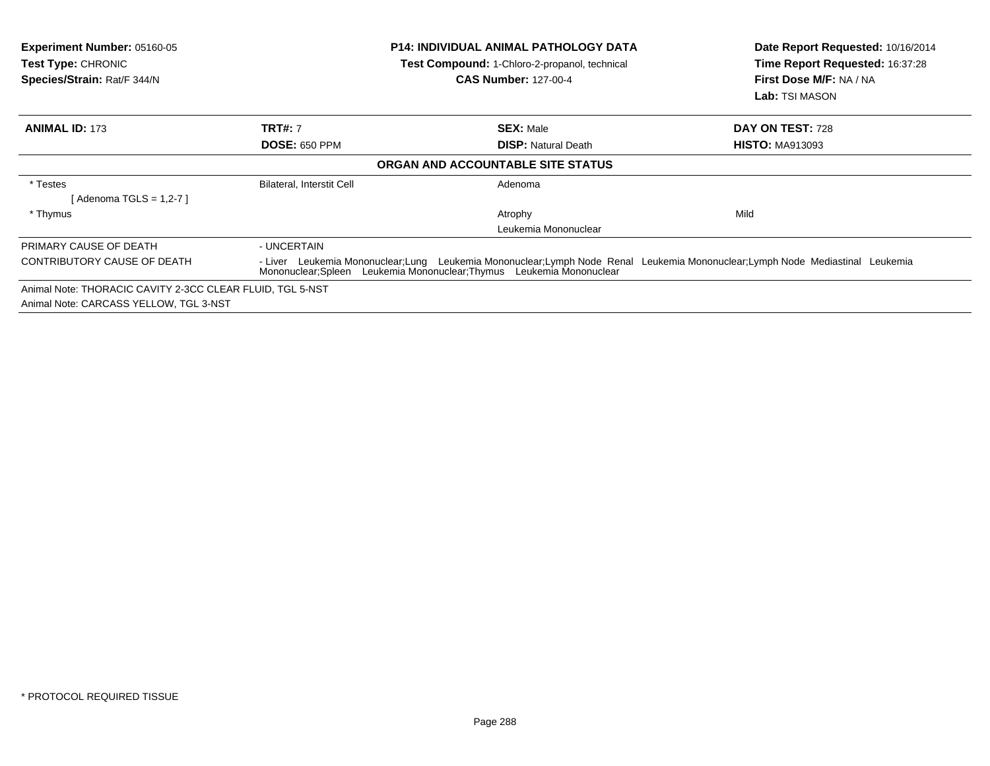| <b>Experiment Number: 05160-05</b><br>Test Type: CHRONIC<br>Species/Strain: Rat/F 344/N |                                                                                                                                                                                                       | <b>P14: INDIVIDUAL ANIMAL PATHOLOGY DATA</b><br>Test Compound: 1-Chloro-2-propanol, technical<br><b>CAS Number: 127-00-4</b> | Date Report Requested: 10/16/2014<br>Time Report Requested: 16:37:28<br>First Dose M/F: NA / NA<br><b>Lab:</b> TSI MASON |
|-----------------------------------------------------------------------------------------|-------------------------------------------------------------------------------------------------------------------------------------------------------------------------------------------------------|------------------------------------------------------------------------------------------------------------------------------|--------------------------------------------------------------------------------------------------------------------------|
| <b>ANIMAL ID: 173</b>                                                                   | <b>TRT#: 7</b>                                                                                                                                                                                        | <b>SEX: Male</b>                                                                                                             | DAY ON TEST: 728                                                                                                         |
|                                                                                         | <b>DOSE: 650 PPM</b>                                                                                                                                                                                  | <b>DISP:</b> Natural Death                                                                                                   | <b>HISTO: MA913093</b>                                                                                                   |
|                                                                                         |                                                                                                                                                                                                       | ORGAN AND ACCOUNTABLE SITE STATUS                                                                                            |                                                                                                                          |
| * Testes                                                                                | Bilateral, Interstit Cell                                                                                                                                                                             | Adenoma                                                                                                                      |                                                                                                                          |
| [Adenoma TGLS = $1,2-7$ ]                                                               |                                                                                                                                                                                                       |                                                                                                                              |                                                                                                                          |
| * Thymus                                                                                |                                                                                                                                                                                                       | Atrophy                                                                                                                      | Mild                                                                                                                     |
|                                                                                         |                                                                                                                                                                                                       | Leukemia Mononuclear                                                                                                         |                                                                                                                          |
| PRIMARY CAUSE OF DEATH                                                                  | - UNCERTAIN                                                                                                                                                                                           |                                                                                                                              |                                                                                                                          |
| CONTRIBUTORY CAUSE OF DEATH                                                             | - Liver Leukemia Mononuclear;Lung Leukemia Mononuclear;Lymph Node Renal Leukemia Mononuclear;Lymph Node Mediastinal Leukemia<br>Mononuclear; Spleen Leukemia Mononuclear; Thymus Leukemia Mononuclear |                                                                                                                              |                                                                                                                          |
| Animal Note: THORACIC CAVITY 2-3CC CLEAR FLUID, TGL 5-NST                               |                                                                                                                                                                                                       |                                                                                                                              |                                                                                                                          |
| Animal Note: CARCASS YELLOW, TGL 3-NST                                                  |                                                                                                                                                                                                       |                                                                                                                              |                                                                                                                          |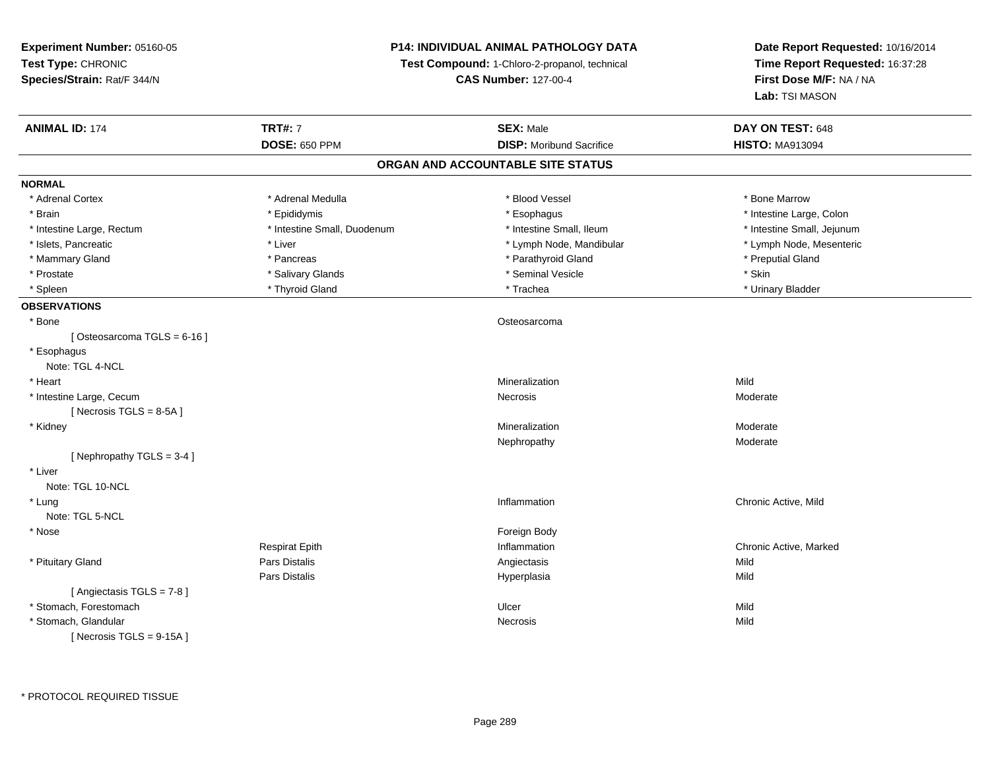**Experiment Number:** 05160-05**Test Type:** CHRONIC **Species/Strain:** Rat/F 344/N**P14: INDIVIDUAL ANIMAL PATHOLOGY DATATest Compound:** 1-Chloro-2-propanol, technical **CAS Number:** 127-00-4**Date Report Requested:** 10/16/2014**Time Report Requested:** 16:37:28**First Dose M/F:** NA / NA**Lab:** TSI MASON**ANIMAL ID:** 174**TRT#:** 7 **SEX:** Male **DAY ON TEST:** 648 **DOSE:** 650 PPM**DISP:** Moribund Sacrifice **HISTO:** MA913094 **ORGAN AND ACCOUNTABLE SITE STATUSNORMAL**\* Adrenal Cortex \* Adrenal Medulla \* Adrenal \* Blood Vessel \* Bood Yessel \* Bone Marrow \* Brain \* The the state of the state of the state of the state of the state of the state of the state of the state of the state of the state of the state of the state of the state of the state of the state of the state of \* Intestine Large, Rectum \* Thestine Small, Duodenum \* Number of the small, Ileum \* Intestine Small, Jejunum \* Intestine Small, Jejunum \* Lymph Node, Mesenteric \* Islets, Pancreatic **\* Liver \* Liver \*** Liver \* Liver \* Lymph Node, Mandibular \* Lymph Node, Mandibular \* Mammary Gland \* \* American \* Pancreas \* Pancreas \* \* Parathyroid Gland \* Parathyroid Gland \* \* Preputial Gland \* \* Preputial Gland \* \* Preputial Gland \* \* Preputial Gland \* \* Preputial Gland \* \* Preputial Gland \* \* Prepu \* Prostate \* \* Salivary Glands \* \* Salivary Glands \* \* Seminal Vesicle \* \* \* Seminal Yestrich \* \* Skin \* \* Skin \* Urinary Bladder \* Spleen \* Thyroid Gland \* \* Thyroid Gland \* \* The the second building to the second building to the second term of the second term of the second term of the second term of the second term of the second term of the second **OBSERVATIONS** \* Bonee de la construction de la construction de la construction de la construction de la construction de la construction<br>La construction de la construction de la construction de la construction de la construction de la construc  $[Osteosarcoma TGLS = 6-16]$  \* Esophagus Note: TGL 4-NCL \* Heartt to the controller of the controller of the controller of the controller of the controller of the controller o n Mild \* Intestine Large, Cecumm<br>Necrosis Recrosis Moderate  $[$  Necrosis TGLS = 8-5A  $]$  \* Kidneyy with the control of the control of the control of the control of the control of the control of the control of the control of the control of the control of the control of the control of the control of the control of the c Mineralization **Moderate** Moderate Nephropathy Moderate[ Nephropathy TGLS = 3-4 ] \* LiverNote: TGL 10-NCL \* Lungg is a controller to the controller of the controller of the controller of the controller of the chronic Active, Mild Note: TGL 5-NCL \* Nosee and the state of the state of the state of the state of the state of the state of the state of the state of the state of the state of the state of the state of the state of the state of the state of the state of the stat Respirat Epith Inflammation Chronic Active, Marked \* Pituitary Gland Pars Distalis Angiectasis Mild Pars Distalis Hyperplasiaa Mild [ Angiectasis TGLS = 7-8 ] \* Stomach, Forestomachh ann an t-ìre ann an t-ìre ann an t-ìre ann an t-ìre ann an t-ìre ann an t-ìre ann an Mild \* Stomach, Glandularr and the contract of the contract of the contract of the contract of the contract of the contract of the contract of the contract of the contract of the contract of the contract of the contract of the contract of the cont s Mild  $[$  Necrosis TGLS = 9-15A  $]$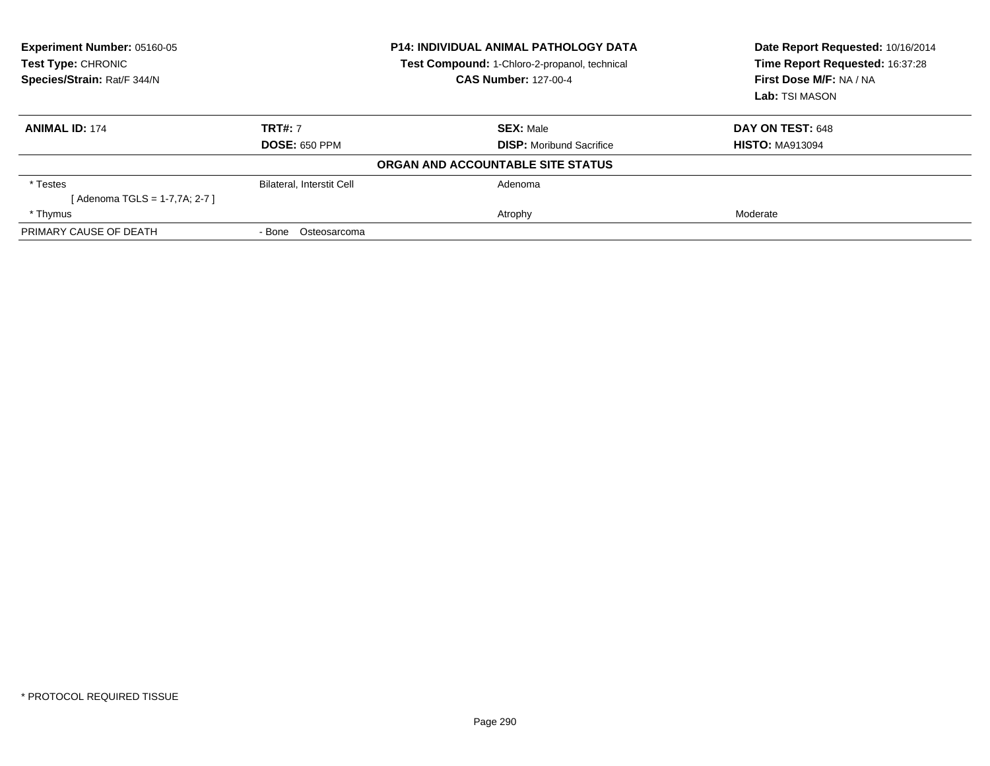| Experiment Number: 05160-05<br>Test Type: CHRONIC<br>Species/Strain: Rat/F 344/N | <b>P14: INDIVIDUAL ANIMAL PATHOLOGY DATA</b><br>Test Compound: 1-Chloro-2-propanol, technical<br><b>CAS Number: 127-00-4</b> |                                   | Date Report Requested: 10/16/2014<br>Time Report Requested: 16:37:28<br>First Dose M/F: NA / NA<br><b>Lab:</b> TSI MASON |  |
|----------------------------------------------------------------------------------|------------------------------------------------------------------------------------------------------------------------------|-----------------------------------|--------------------------------------------------------------------------------------------------------------------------|--|
| <b>ANIMAL ID: 174</b>                                                            | <b>TRT#: 7</b>                                                                                                               | <b>SEX: Male</b>                  | DAY ON TEST: 648                                                                                                         |  |
|                                                                                  | <b>DOSE: 650 PPM</b>                                                                                                         | <b>DISP:</b> Moribund Sacrifice   | <b>HISTO: MA913094</b>                                                                                                   |  |
|                                                                                  |                                                                                                                              | ORGAN AND ACCOUNTABLE SITE STATUS |                                                                                                                          |  |
| * Testes                                                                         | <b>Bilateral, Interstit Cell</b>                                                                                             | Adenoma                           |                                                                                                                          |  |
| [ Adenoma TGLS = 1-7,7A; 2-7 ]                                                   |                                                                                                                              |                                   |                                                                                                                          |  |
| * Thymus                                                                         |                                                                                                                              | Atrophy                           | Moderate                                                                                                                 |  |
| PRIMARY CAUSE OF DEATH                                                           | Osteosarcoma<br>- Bone                                                                                                       |                                   |                                                                                                                          |  |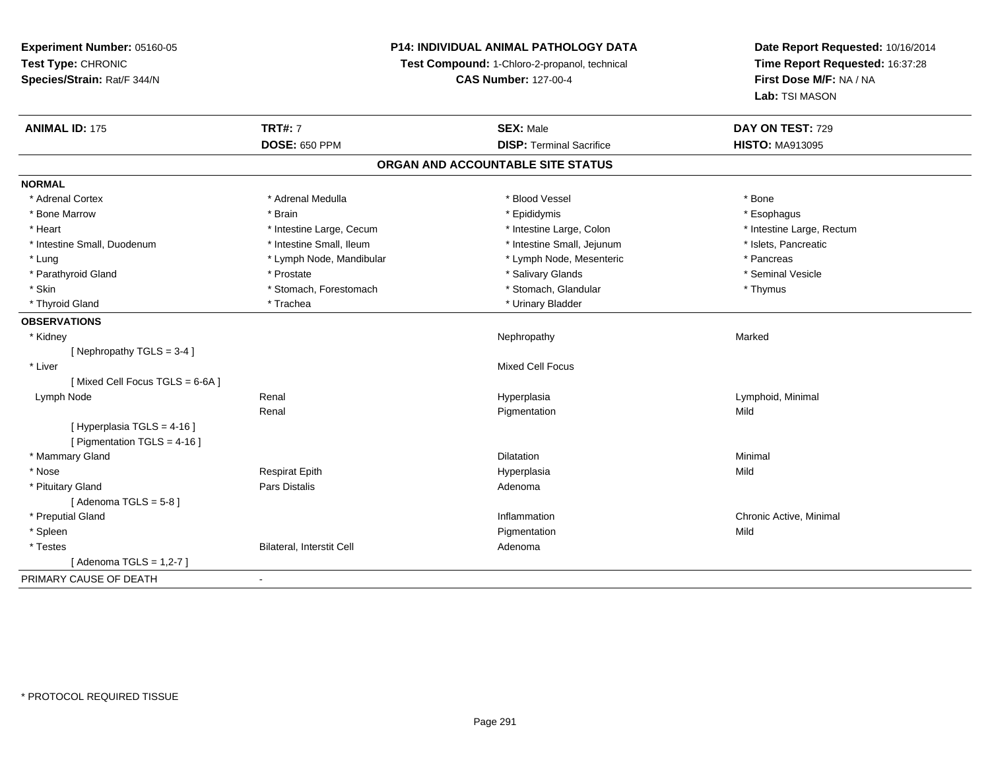### **P14: INDIVIDUAL ANIMAL PATHOLOGY DATA**

**Test Compound:** 1-Chloro-2-propanol, technical

**CAS Number:** 127-00-4

| <b>DOSE: 650 PPM</b>                                    | <b>DISP: Terminal Sacrifice</b>   | <b>HISTO: MA913095</b>    |
|---------------------------------------------------------|-----------------------------------|---------------------------|
|                                                         | ORGAN AND ACCOUNTABLE SITE STATUS |                           |
| <b>NORMAL</b>                                           |                                   |                           |
| * Adrenal Medulla<br>* Adrenal Cortex                   | * Blood Vessel                    | * Bone                    |
| * Bone Marrow<br>* Brain                                | * Epididymis                      | * Esophagus               |
| * Heart<br>* Intestine Large, Cecum                     | * Intestine Large, Colon          | * Intestine Large, Rectum |
| * Intestine Small, Duodenum<br>* Intestine Small, Ileum | * Intestine Small, Jejunum        | * Islets, Pancreatic      |
| * Lung<br>* Lymph Node, Mandibular                      | * Lymph Node, Mesenteric          | * Pancreas                |
| * Parathyroid Gland<br>* Prostate                       | * Salivary Glands                 | * Seminal Vesicle         |
| * Skin<br>* Stomach, Forestomach                        | * Stomach, Glandular              | * Thymus                  |
| * Thyroid Gland<br>* Trachea                            | * Urinary Bladder                 |                           |
| <b>OBSERVATIONS</b>                                     |                                   |                           |
| * Kidney                                                | Nephropathy                       | Marked                    |
| [Nephropathy TGLS = $3-4$ ]                             |                                   |                           |
| * Liver                                                 | <b>Mixed Cell Focus</b>           |                           |
| [Mixed Cell Focus TGLS = 6-6A]                          |                                   |                           |
| Renal<br>Lymph Node                                     | Hyperplasia                       | Lymphoid, Minimal         |
| Renal                                                   | Pigmentation                      | Mild                      |
| [ Hyperplasia TGLS = 4-16 ]                             |                                   |                           |
| [ Pigmentation TGLS = 4-16 ]                            |                                   |                           |
| * Mammary Gland                                         | <b>Dilatation</b>                 | Minimal                   |
| * Nose<br><b>Respirat Epith</b>                         | Hyperplasia                       | Mild                      |
| <b>Pars Distalis</b><br>* Pituitary Gland               | Adenoma                           |                           |
| [Adenoma TGLS = $5-8$ ]                                 |                                   |                           |
| * Preputial Gland                                       | Inflammation                      | Chronic Active, Minimal   |
| * Spleen                                                | Pigmentation                      | Mild                      |
| <b>Bilateral, Interstit Cell</b><br>* Testes            | Adenoma                           |                           |
| [Adenoma TGLS = $1,2-7$ ]                               |                                   |                           |
| PRIMARY CAUSE OF DEATH                                  |                                   |                           |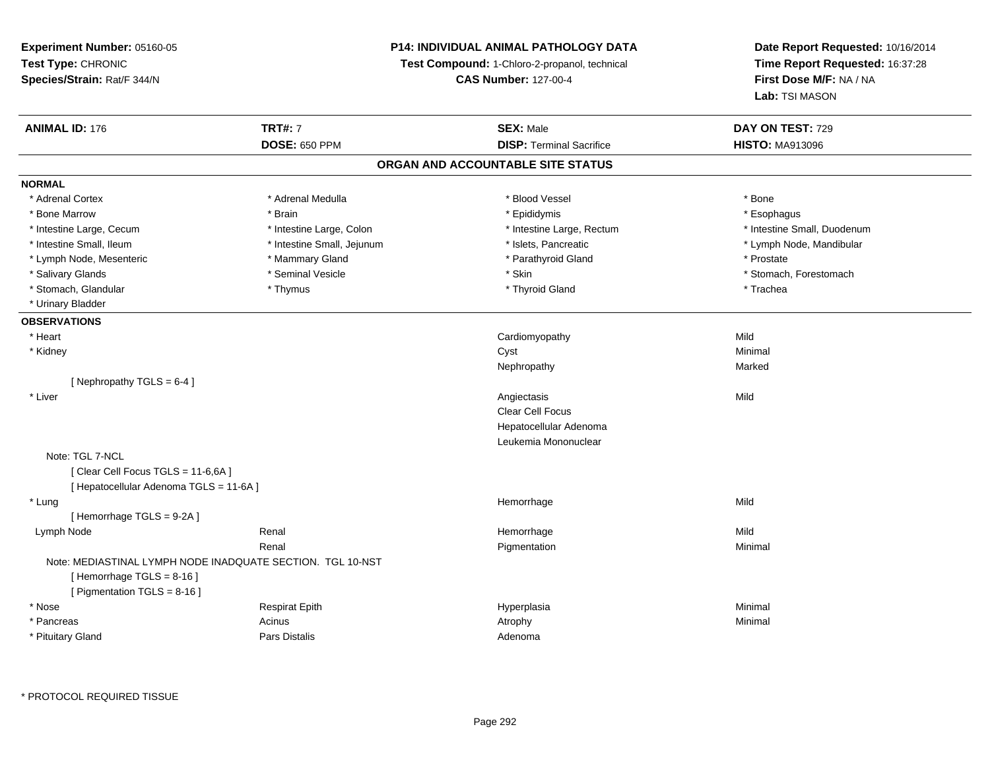### **P14: INDIVIDUAL ANIMAL PATHOLOGY DATA**

**Test Compound:** 1-Chloro-2-propanol, technical

**CAS Number:** 127-00-4

**Date Report Requested:** 10/16/2014**Time Report Requested:** 16:37:28**First Dose M/F:** NA / NA**Lab:** TSI MASON

| <b>ANIMAL ID: 176</b>                   | <b>TRT#: 7</b>                                             | <b>SEX: Male</b>                  | DAY ON TEST: 729            |  |
|-----------------------------------------|------------------------------------------------------------|-----------------------------------|-----------------------------|--|
|                                         | <b>DOSE: 650 PPM</b>                                       | <b>DISP: Terminal Sacrifice</b>   | <b>HISTO: MA913096</b>      |  |
|                                         |                                                            | ORGAN AND ACCOUNTABLE SITE STATUS |                             |  |
| <b>NORMAL</b>                           |                                                            |                                   |                             |  |
| * Adrenal Cortex                        | * Adrenal Medulla                                          | * Blood Vessel                    | * Bone                      |  |
| * Bone Marrow                           | * Brain                                                    | * Epididymis                      | * Esophagus                 |  |
| * Intestine Large, Cecum                | * Intestine Large, Colon                                   | * Intestine Large, Rectum         | * Intestine Small, Duodenum |  |
| * Intestine Small, Ileum                | * Intestine Small, Jejunum                                 | * Islets, Pancreatic              | * Lymph Node, Mandibular    |  |
| * Lymph Node, Mesenteric                | * Mammary Gland                                            | * Parathyroid Gland               | * Prostate                  |  |
| * Salivary Glands                       | * Seminal Vesicle                                          | * Skin                            | * Stomach, Forestomach      |  |
| * Stomach, Glandular                    | * Thymus                                                   | * Thyroid Gland                   | * Trachea                   |  |
| * Urinary Bladder                       |                                                            |                                   |                             |  |
| <b>OBSERVATIONS</b>                     |                                                            |                                   |                             |  |
| * Heart                                 |                                                            | Cardiomyopathy                    | Mild                        |  |
| * Kidney                                |                                                            | Cyst                              | Minimal                     |  |
|                                         |                                                            | Nephropathy                       | Marked                      |  |
| [Nephropathy TGLS = $6-4$ ]             |                                                            |                                   |                             |  |
| * Liver                                 |                                                            | Angiectasis                       | Mild                        |  |
|                                         |                                                            | Clear Cell Focus                  |                             |  |
|                                         |                                                            | Hepatocellular Adenoma            |                             |  |
|                                         |                                                            | Leukemia Mononuclear              |                             |  |
| Note: TGL 7-NCL                         |                                                            |                                   |                             |  |
| [Clear Cell Focus TGLS = 11-6,6A]       |                                                            |                                   |                             |  |
| [ Hepatocellular Adenoma TGLS = 11-6A ] |                                                            |                                   |                             |  |
| * Lung                                  |                                                            | Hemorrhage                        | Mild                        |  |
| [Hemorrhage TGLS = 9-2A]                |                                                            |                                   |                             |  |
| Lymph Node                              | Renal                                                      | Hemorrhage                        | Mild                        |  |
|                                         | Renal                                                      | Pigmentation                      | Minimal                     |  |
|                                         | Note: MEDIASTINAL LYMPH NODE INADQUATE SECTION. TGL 10-NST |                                   |                             |  |
| [Hemorrhage TGLS = $8-16$ ]             |                                                            |                                   |                             |  |
| [ Pigmentation TGLS = 8-16 ]            |                                                            |                                   |                             |  |
| * Nose                                  | <b>Respirat Epith</b>                                      | Hyperplasia                       | Minimal                     |  |
| * Pancreas                              | Acinus                                                     | Atrophy                           | Minimal                     |  |
| * Pituitary Gland                       | Pars Distalis                                              | Adenoma                           |                             |  |
|                                         |                                                            |                                   |                             |  |

\* PROTOCOL REQUIRED TISSUE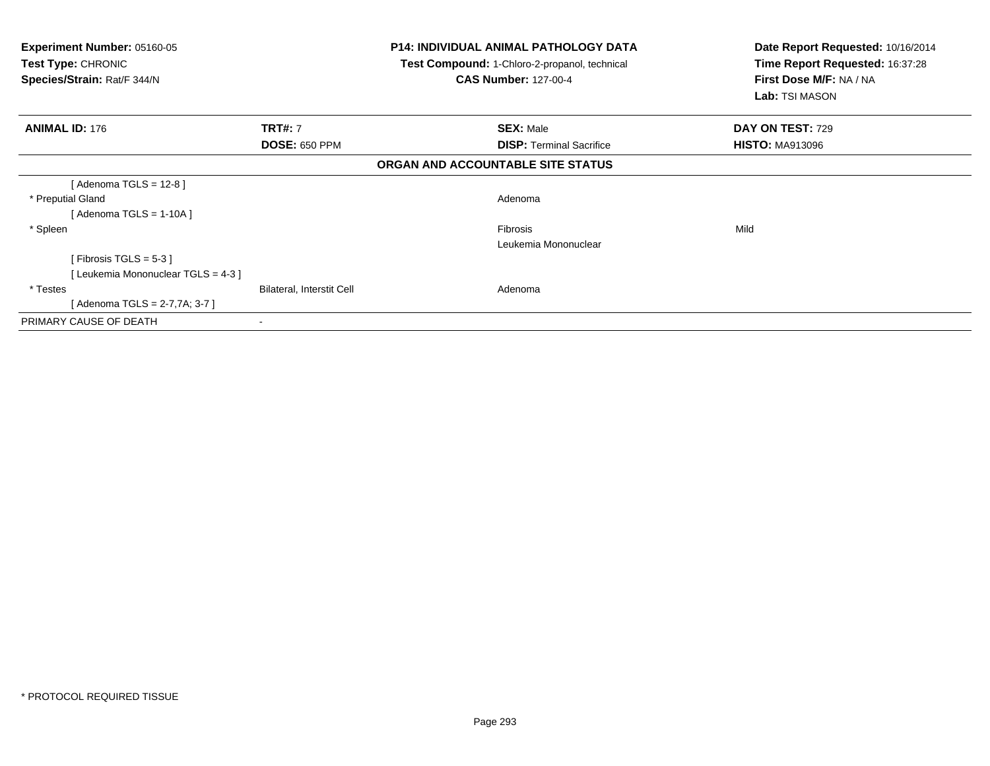| <b>Experiment Number: 05160-05</b><br><b>Test Type: CHRONIC</b><br>Species/Strain: Rat/F 344/N | <b>P14: INDIVIDUAL ANIMAL PATHOLOGY DATA</b><br>Test Compound: 1-Chloro-2-propanol, technical<br><b>CAS Number: 127-00-4</b> |                                   | Date Report Requested: 10/16/2014<br>Time Report Requested: 16:37:28<br>First Dose M/F: NA / NA<br>Lab: TSI MASON |  |
|------------------------------------------------------------------------------------------------|------------------------------------------------------------------------------------------------------------------------------|-----------------------------------|-------------------------------------------------------------------------------------------------------------------|--|
| <b>ANIMAL ID: 176</b>                                                                          | <b>TRT#: 7</b>                                                                                                               | <b>SEX: Male</b>                  | DAY ON TEST: 729                                                                                                  |  |
|                                                                                                | <b>DOSE: 650 PPM</b>                                                                                                         | <b>DISP:</b> Terminal Sacrifice   | <b>HISTO: MA913096</b>                                                                                            |  |
|                                                                                                |                                                                                                                              | ORGAN AND ACCOUNTABLE SITE STATUS |                                                                                                                   |  |
| [Adenoma TGLS = $12-8$ ]                                                                       |                                                                                                                              |                                   |                                                                                                                   |  |
| * Preputial Gland                                                                              |                                                                                                                              | Adenoma                           |                                                                                                                   |  |
| [Adenoma TGLS = $1-10A$ ]                                                                      |                                                                                                                              |                                   |                                                                                                                   |  |
| * Spleen                                                                                       |                                                                                                                              | <b>Fibrosis</b>                   | Mild                                                                                                              |  |
|                                                                                                |                                                                                                                              | Leukemia Mononuclear              |                                                                                                                   |  |
| [Fibrosis TGLS = $5-3$ ]                                                                       |                                                                                                                              |                                   |                                                                                                                   |  |
| [Leukemia Mononuclear TGLS = 4-3]                                                              |                                                                                                                              |                                   |                                                                                                                   |  |
| * Testes                                                                                       | <b>Bilateral, Interstit Cell</b>                                                                                             | Adenoma                           |                                                                                                                   |  |
| [Adenoma TGLS = $2-7,7A$ ; 3-7]                                                                |                                                                                                                              |                                   |                                                                                                                   |  |
| PRIMARY CAUSE OF DEATH                                                                         |                                                                                                                              |                                   |                                                                                                                   |  |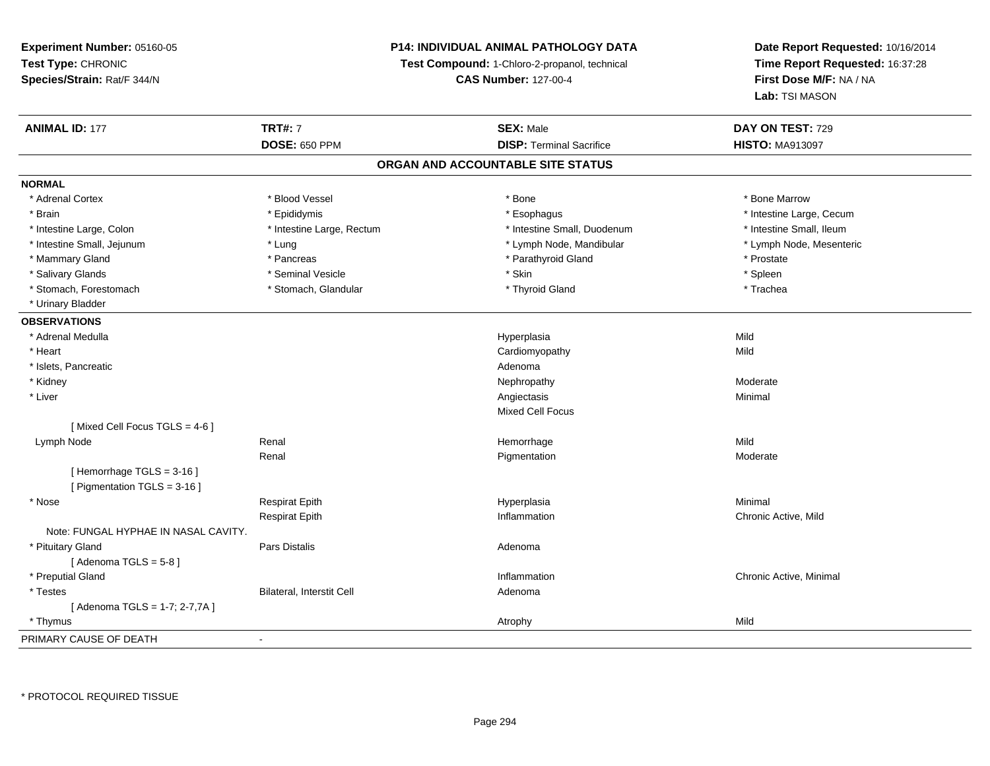### **P14: INDIVIDUAL ANIMAL PATHOLOGY DATA**

**Test Compound:** 1-Chloro-2-propanol, technical

**CAS Number:** 127-00-4

| <b>ANIMAL ID: 177</b>                | <b>TRT#: 7</b>            | <b>SEX: Male</b>                  | DAY ON TEST: 729         |
|--------------------------------------|---------------------------|-----------------------------------|--------------------------|
|                                      | <b>DOSE: 650 PPM</b>      | <b>DISP: Terminal Sacrifice</b>   | <b>HISTO: MA913097</b>   |
|                                      |                           | ORGAN AND ACCOUNTABLE SITE STATUS |                          |
| <b>NORMAL</b>                        |                           |                                   |                          |
| * Adrenal Cortex                     | * Blood Vessel            | * Bone                            | * Bone Marrow            |
| * Brain                              | * Epididymis              | * Esophagus                       | * Intestine Large, Cecum |
| * Intestine Large, Colon             | * Intestine Large, Rectum | * Intestine Small, Duodenum       | * Intestine Small, Ileum |
| * Intestine Small, Jejunum           | * Lung                    | * Lymph Node, Mandibular          | * Lymph Node, Mesenteric |
| * Mammary Gland                      | * Pancreas                | * Parathyroid Gland               | * Prostate               |
| * Salivary Glands                    | * Seminal Vesicle         | * Skin                            | * Spleen                 |
| * Stomach, Forestomach               | * Stomach, Glandular      | * Thyroid Gland                   | * Trachea                |
| * Urinary Bladder                    |                           |                                   |                          |
| <b>OBSERVATIONS</b>                  |                           |                                   |                          |
| * Adrenal Medulla                    |                           | Hyperplasia                       | Mild                     |
| * Heart                              |                           | Cardiomyopathy                    | Mild                     |
| * Islets, Pancreatic                 |                           | Adenoma                           |                          |
| * Kidney                             |                           | Nephropathy                       | Moderate                 |
| * Liver                              |                           | Angiectasis                       | Minimal                  |
|                                      |                           | Mixed Cell Focus                  |                          |
| [Mixed Cell Focus TGLS = 4-6]        |                           |                                   |                          |
| Lymph Node                           | Renal                     | Hemorrhage                        | Mild                     |
|                                      | Renal                     | Pigmentation                      | Moderate                 |
| [Hemorrhage TGLS = 3-16]             |                           |                                   |                          |
| [ Pigmentation TGLS = 3-16 ]         |                           |                                   |                          |
| * Nose                               | Respirat Epith            | Hyperplasia                       | Minimal                  |
|                                      | <b>Respirat Epith</b>     | Inflammation                      | Chronic Active, Mild     |
| Note: FUNGAL HYPHAE IN NASAL CAVITY. |                           |                                   |                          |
| * Pituitary Gland                    | <b>Pars Distalis</b>      | Adenoma                           |                          |
| [Adenoma TGLS = $5-8$ ]              |                           |                                   |                          |
| * Preputial Gland                    |                           | Inflammation                      | Chronic Active, Minimal  |
| * Testes                             | Bilateral, Interstit Cell | Adenoma                           |                          |
| [Adenoma TGLS = 1-7; 2-7,7A]         |                           |                                   |                          |
| * Thymus                             |                           | Atrophy                           | Mild                     |
| PRIMARY CAUSE OF DEATH               | $\blacksquare$            |                                   |                          |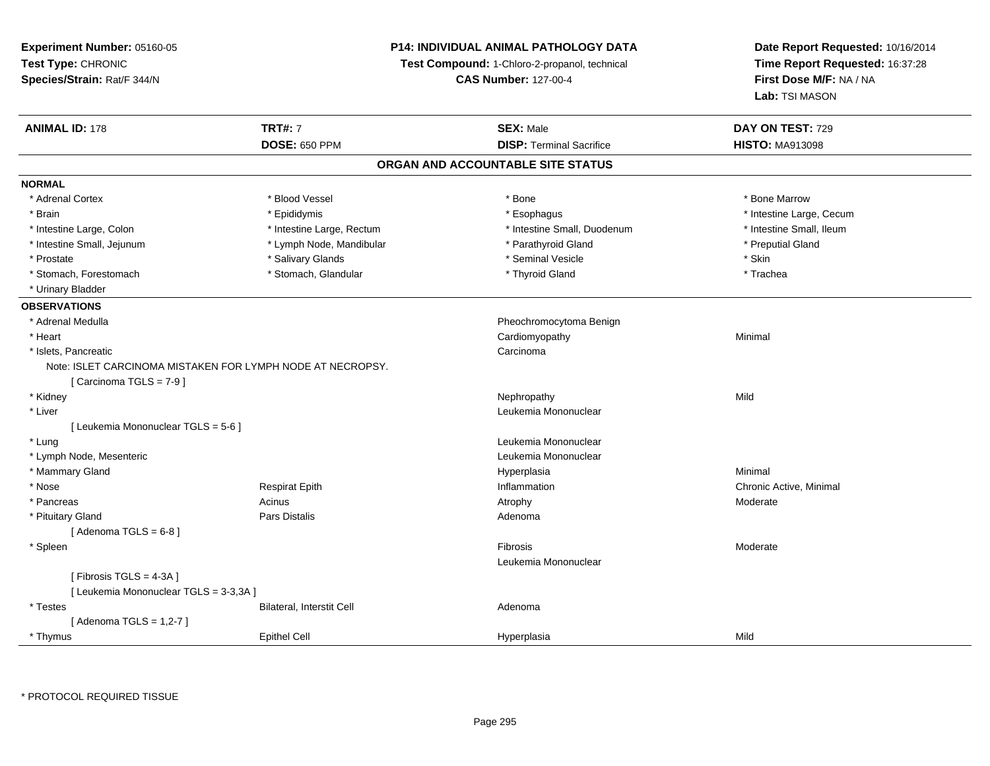**Experiment Number:** 05160-05**Test Type:** CHRONIC **Species/Strain:** Rat/F 344/N**P14: INDIVIDUAL ANIMAL PATHOLOGY DATATest Compound:** 1-Chloro-2-propanol, technical **CAS Number:** 127-00-4**Date Report Requested:** 10/16/2014**Time Report Requested:** 16:37:28**First Dose M/F:** NA / NA**Lab:** TSI MASON**ANIMAL ID:** 178**TRT#:** 7 **SEX:** Male **DAY ON TEST:** 729 **DOSE:** 650 PPM**DISP:** Terminal Sacrifice **HISTO:** MA913098 **ORGAN AND ACCOUNTABLE SITE STATUSNORMAL**\* Adrenal Cortex \* Adrenal Cortex \* \* Attachers \* Blood Vessel \* \* Bone \* \* \* Bone \* \* Bone \* \* Bone \* Bone Marrow \* Bone Marrow \* Brain \* Explorer \* Epididymis \* \* Epididymis \* \* Esophagus \* Esophagus \* \* Esophagus \* Intestine Large, Cecum \* \* Intestine Large, Cecum \* Intestine Small, Ileum \* Intestine Large, Colon \* Intestine Large, Rectum \* Intestine Small, Duodenum \* Intestine Small, Duodenum \* Intestine Small, Jejunum \* Lymph Node, Mandibular \* Parathyroid Gland \* Preputial Gland\* Prostate \* \* Salivary Glands \* \* Salivary Glands \* \* Seminal Vesicle \* \* \* Seminal Yestrich \* \* Skin \* \* Skin \* Trachea \* Stomach, Forestomach \* Thyroid Gland \* Stomach, Glandular \* Thyroid Gland \* Thyroid Gland \* Urinary Bladder**OBSERVATIONS** \* Adrenal Medulla Pheochromocytoma Benign \* Heart Cardiomyopathy Minimal \* Islets, Pancreaticc contract the contract of the contract of the contract of the contract of the contract of the contract of the contract of the contract of the contract of the contract of the contract of the contract of the contract of the Note: ISLET CARCINOMA MISTAKEN FOR LYMPH NODE AT NECROPSY.[ Carcinoma TGLS = 7-9 ] \* Kidneyy the control of the control of the control of the control of the control of the control of the control of the control of the control of the control of the control of the control of the control of the control of the contro \* Liver Leukemia Mononuclear [ Leukemia Mononuclear TGLS = 5-6 ] \* Lung Leukemia Mononuclear \* Lymph Node, Mesenteric Leukemia Mononuclear \* Mammary Glandd and the control of the control of the control of the Hyperplasia and the control of the Minimal of the control of the control of the control of the control of the control of the control of the control of the control of t \* Nose Respirat Epith Inflammation Chronic Active, Minimal \* Pancreass and the contract of the Acinus and the Acinus and the Atrophy and the Moderate Moderate  $\sim$  Moderate  $\sim$  Moderate  $\sim$  Moderate  $\sim$  Moderate  $\sim$  Moderate  $\sim$  Moderate  $\sim$  Moderate  $\sim$  Moderate  $\sim$  Moderate  $\sim$  M \* Pituitary Glandd and the contract of Pars Distalis and the contract of Adenoma and Adenoma and the Adenoma and the Adenoma and  $\lambda$  $[$  Adenoma TGLS =  $6-8$ ] \* Spleenn and the state of the state of the state of the state of the state of the state of the state of the state of the state of the state of the state of the state of the state of the state of the state of the state of the stat Leukemia Mononuclear $[$  Fibrosis TGLS = 4-3A  $]$ [ Leukemia Mononuclear TGLS = 3-3,3A ] \* TestesBilateral, Interstit Cell **Adenoma** Adenoma [ Adenoma TGLS = 1,2-7 ] \* Thymus Epithel Cell Hyperplasiaa Mild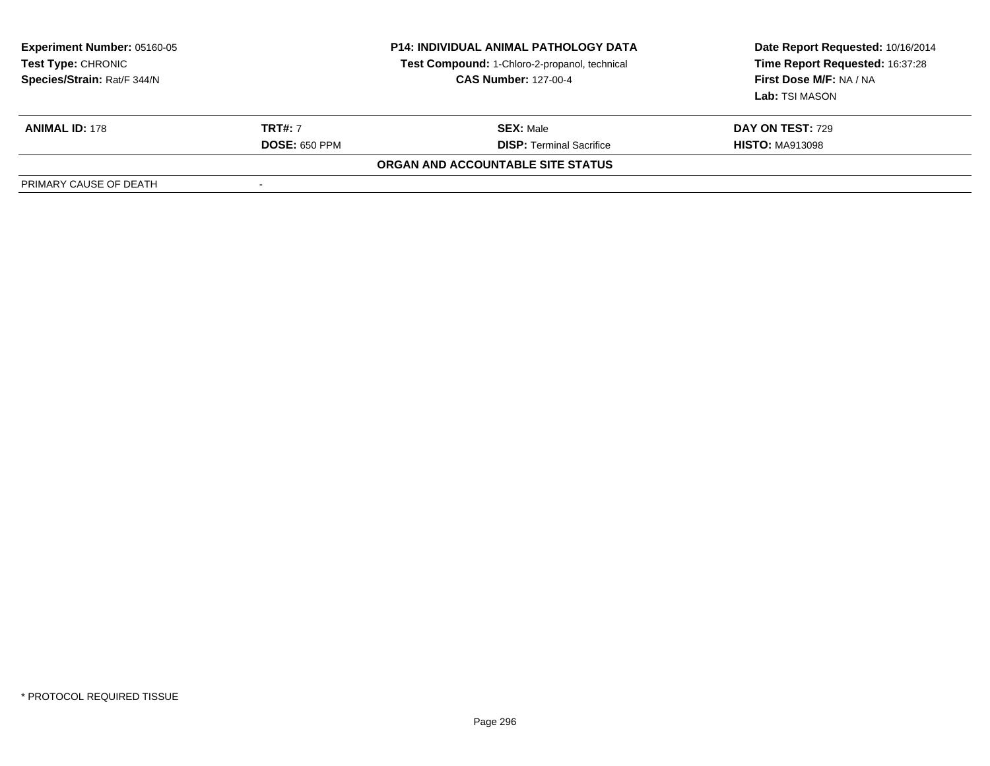| <b>Experiment Number: 05160-05</b><br><b>Test Type: CHRONIC</b><br>Species/Strain: Rat/F 344/N | <b>P14: INDIVIDUAL ANIMAL PATHOLOGY DATA</b><br>Test Compound: 1-Chloro-2-propanol, technical<br><b>CAS Number: 127-00-4</b> |                                   | Date Report Requested: 10/16/2014<br>Time Report Requested: 16:37:28<br>First Dose M/F: NA / NA<br>Lab: TSI MASON |  |
|------------------------------------------------------------------------------------------------|------------------------------------------------------------------------------------------------------------------------------|-----------------------------------|-------------------------------------------------------------------------------------------------------------------|--|
| <b>ANIMAL ID: 178</b>                                                                          | <b>TRT#: 7</b>                                                                                                               | <b>SEX: Male</b>                  | <b>DAY ON TEST: 729</b>                                                                                           |  |
|                                                                                                | <b>DOSE: 650 PPM</b>                                                                                                         | <b>DISP: Terminal Sacrifice</b>   | <b>HISTO: MA913098</b>                                                                                            |  |
|                                                                                                |                                                                                                                              | ORGAN AND ACCOUNTABLE SITE STATUS |                                                                                                                   |  |
| PRIMARY CAUSE OF DEATH                                                                         |                                                                                                                              |                                   |                                                                                                                   |  |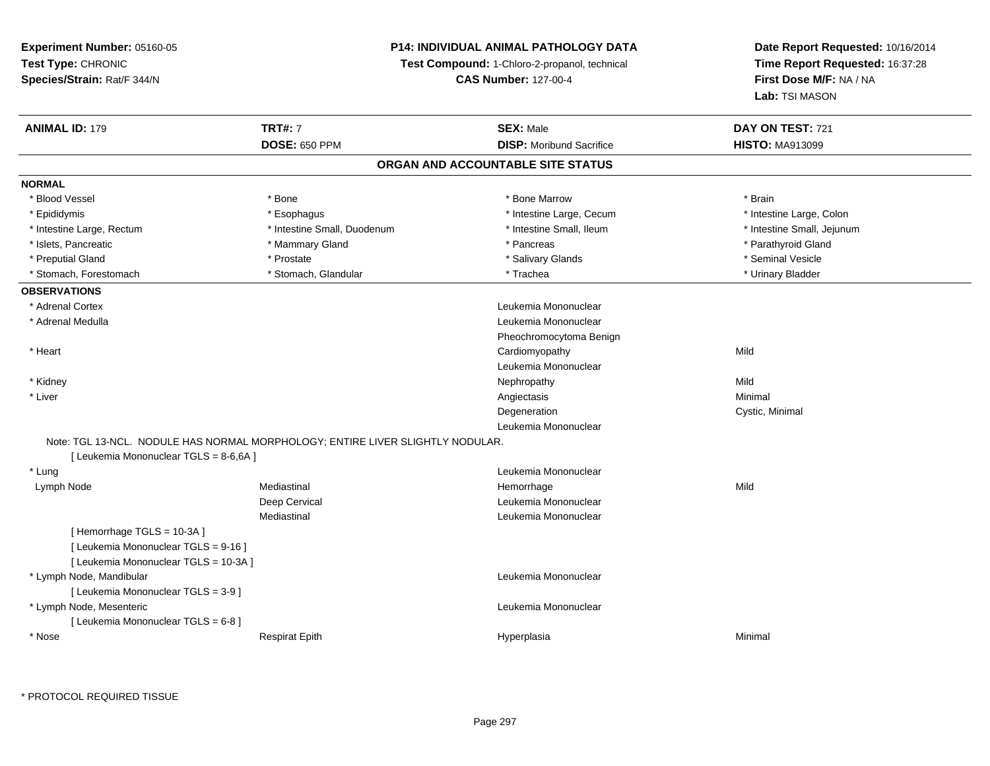### **P14: INDIVIDUAL ANIMAL PATHOLOGY DATA**

**Test Compound:** 1-Chloro-2-propanol, technical

**CAS Number:** 127-00-4

# **Date Report Requested:** 10/16/2014**Time Report Requested:** 16:37:28**First Dose M/F:** NA / NA**Lab:** TSI MASON

| <b>ANIMAL ID: 179</b>                  | <b>TRT#: 7</b>                                                                 | <b>SEX: Male</b>                  | DAY ON TEST: 721           |  |
|----------------------------------------|--------------------------------------------------------------------------------|-----------------------------------|----------------------------|--|
|                                        | <b>DOSE: 650 PPM</b>                                                           | <b>DISP:</b> Moribund Sacrifice   | <b>HISTO: MA913099</b>     |  |
|                                        |                                                                                | ORGAN AND ACCOUNTABLE SITE STATUS |                            |  |
| <b>NORMAL</b>                          |                                                                                |                                   |                            |  |
| * Blood Vessel                         | * Bone                                                                         | * Bone Marrow                     | * Brain                    |  |
| * Epididymis                           | * Esophagus                                                                    | * Intestine Large, Cecum          | * Intestine Large, Colon   |  |
| * Intestine Large, Rectum              | * Intestine Small, Duodenum                                                    | * Intestine Small, Ileum          | * Intestine Small, Jejunum |  |
| * Islets, Pancreatic                   | * Mammary Gland                                                                | * Pancreas                        | * Parathyroid Gland        |  |
| * Preputial Gland                      | * Prostate                                                                     | * Salivary Glands                 | * Seminal Vesicle          |  |
| * Stomach, Forestomach                 | * Stomach, Glandular                                                           | * Trachea                         | * Urinary Bladder          |  |
| <b>OBSERVATIONS</b>                    |                                                                                |                                   |                            |  |
| * Adrenal Cortex                       |                                                                                | Leukemia Mononuclear              |                            |  |
| * Adrenal Medulla                      |                                                                                | Leukemia Mononuclear              |                            |  |
|                                        |                                                                                | Pheochromocytoma Benign           |                            |  |
| * Heart                                |                                                                                | Cardiomyopathy                    | Mild                       |  |
|                                        |                                                                                | Leukemia Mononuclear              |                            |  |
| * Kidney                               |                                                                                | Nephropathy                       | Mild                       |  |
| * Liver                                |                                                                                | Angiectasis                       | Minimal                    |  |
|                                        |                                                                                | Degeneration                      | Cystic, Minimal            |  |
|                                        |                                                                                | Leukemia Mononuclear              |                            |  |
|                                        | Note: TGL 13-NCL. NODULE HAS NORMAL MORPHOLOGY; ENTIRE LIVER SLIGHTLY NODULAR. |                                   |                            |  |
| [ Leukemia Mononuclear TGLS = 8-6,6A ] |                                                                                |                                   |                            |  |
| * Lung                                 |                                                                                | Leukemia Mononuclear              |                            |  |
| Lymph Node                             | Mediastinal                                                                    | Hemorrhage                        | Mild                       |  |
|                                        | Deep Cervical                                                                  | Leukemia Mononuclear              |                            |  |
|                                        | Mediastinal                                                                    | Leukemia Mononuclear              |                            |  |
| [Hemorrhage TGLS = 10-3A]              |                                                                                |                                   |                            |  |
| [ Leukemia Mononuclear TGLS = 9-16 ]   |                                                                                |                                   |                            |  |
| [ Leukemia Mononuclear TGLS = 10-3A ]  |                                                                                |                                   |                            |  |
| * Lymph Node, Mandibular               |                                                                                | Leukemia Mononuclear              |                            |  |
| [ Leukemia Mononuclear TGLS = 3-9 ]    |                                                                                |                                   |                            |  |
| * Lymph Node, Mesenteric               |                                                                                | Leukemia Mononuclear              |                            |  |
| [ Leukemia Mononuclear TGLS = 6-8 ]    |                                                                                |                                   |                            |  |
| * Nose                                 | <b>Respirat Epith</b>                                                          | Hyperplasia                       | Minimal                    |  |

\* PROTOCOL REQUIRED TISSUE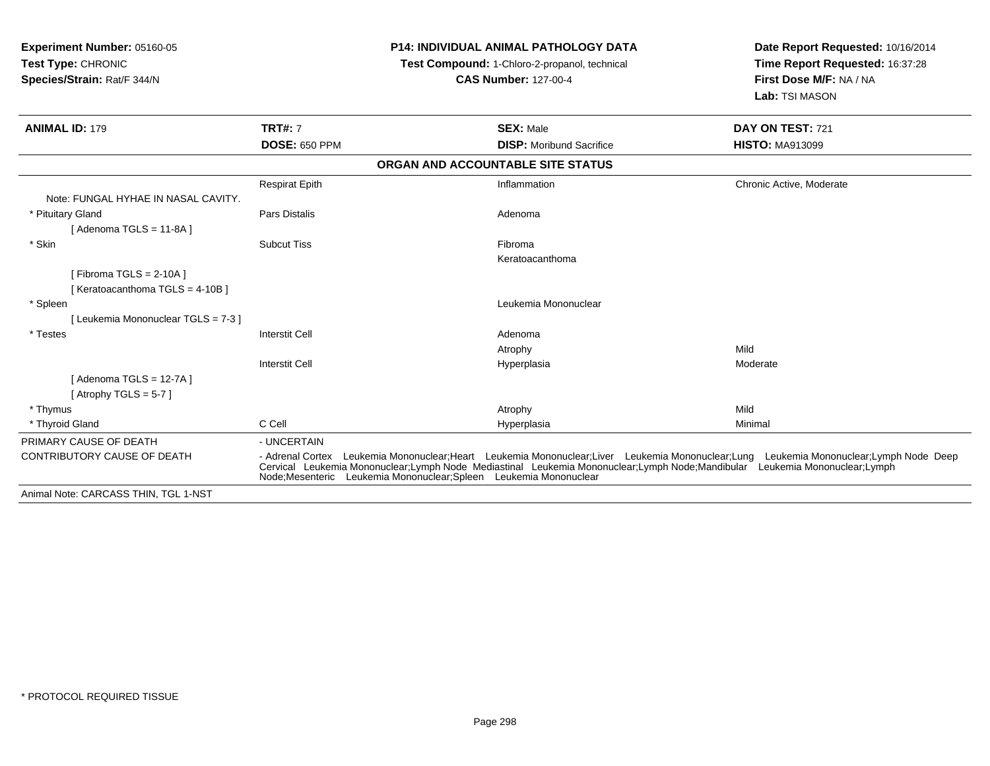| <b>Experiment Number: 05160-05</b><br><b>Test Type: CHRONIC</b><br>Species/Strain: Rat/F 344/N |                       | <b>P14: INDIVIDUAL ANIMAL PATHOLOGY DATA</b><br>Test Compound: 1-Chloro-2-propanol, technical<br><b>CAS Number: 127-00-4</b>                                                                                                                                                                                                            | Date Report Requested: 10/16/2014<br>Time Report Requested: 16:37:28<br>First Dose M/F: NA / NA<br>Lab: TSI MASON |
|------------------------------------------------------------------------------------------------|-----------------------|-----------------------------------------------------------------------------------------------------------------------------------------------------------------------------------------------------------------------------------------------------------------------------------------------------------------------------------------|-------------------------------------------------------------------------------------------------------------------|
| <b>ANIMAL ID: 179</b>                                                                          | <b>TRT#: 7</b>        | <b>SEX: Male</b>                                                                                                                                                                                                                                                                                                                        | DAY ON TEST: 721                                                                                                  |
|                                                                                                | <b>DOSE: 650 PPM</b>  | <b>DISP: Moribund Sacrifice</b>                                                                                                                                                                                                                                                                                                         | <b>HISTO: MA913099</b>                                                                                            |
|                                                                                                |                       | ORGAN AND ACCOUNTABLE SITE STATUS                                                                                                                                                                                                                                                                                                       |                                                                                                                   |
|                                                                                                | <b>Respirat Epith</b> | Inflammation                                                                                                                                                                                                                                                                                                                            | Chronic Active, Moderate                                                                                          |
| Note: FUNGAL HYHAE IN NASAL CAVITY.                                                            |                       |                                                                                                                                                                                                                                                                                                                                         |                                                                                                                   |
| * Pituitary Gland                                                                              | <b>Pars Distalis</b>  | Adenoma                                                                                                                                                                                                                                                                                                                                 |                                                                                                                   |
| [Adenoma TGLS = 11-8A]                                                                         |                       |                                                                                                                                                                                                                                                                                                                                         |                                                                                                                   |
| * Skin                                                                                         | <b>Subcut Tiss</b>    | Fibroma                                                                                                                                                                                                                                                                                                                                 |                                                                                                                   |
|                                                                                                |                       | Keratoacanthoma                                                                                                                                                                                                                                                                                                                         |                                                                                                                   |
| [Fibroma TGLS = $2-10A$ ]                                                                      |                       |                                                                                                                                                                                                                                                                                                                                         |                                                                                                                   |
| [Keratoacanthoma TGLS = 4-10B ]                                                                |                       |                                                                                                                                                                                                                                                                                                                                         |                                                                                                                   |
| * Spleen                                                                                       |                       | Leukemia Mononuclear                                                                                                                                                                                                                                                                                                                    |                                                                                                                   |
| [Leukemia Mononuclear TGLS = 7-3]                                                              | <b>Interstit Cell</b> |                                                                                                                                                                                                                                                                                                                                         |                                                                                                                   |
| * Testes                                                                                       |                       | Adenoma<br>Atrophy                                                                                                                                                                                                                                                                                                                      | Mild                                                                                                              |
|                                                                                                | <b>Interstit Cell</b> | Hyperplasia                                                                                                                                                                                                                                                                                                                             | Moderate                                                                                                          |
| [Adenoma TGLS = 12-7A]                                                                         |                       |                                                                                                                                                                                                                                                                                                                                         |                                                                                                                   |
| [Atrophy TGLS = $5-7$ ]                                                                        |                       |                                                                                                                                                                                                                                                                                                                                         |                                                                                                                   |
| * Thymus                                                                                       |                       | Atrophy                                                                                                                                                                                                                                                                                                                                 | Mild                                                                                                              |
| * Thyroid Gland                                                                                | C Cell                | Hyperplasia                                                                                                                                                                                                                                                                                                                             | Minimal                                                                                                           |
| PRIMARY CAUSE OF DEATH                                                                         | - UNCERTAIN           |                                                                                                                                                                                                                                                                                                                                         |                                                                                                                   |
| CONTRIBUTORY CAUSE OF DEATH                                                                    |                       | - Adrenal Cortex Leukemia Mononuclear;Heart Leukemia Mononuclear;Liver Leukemia Mononuclear;Lung Leukemia Mononuclear;Lymph Node Deep<br>Cervical Leukemia Mononuclear;Lymph Node Mediastinal Leukemia Mononuclear;Lymph Node;Mandibular Leukemia Mononuclear;Lymph<br>Node:Mesenteric Leukemia Mononuclear:Spleen Leukemia Mononuclear |                                                                                                                   |
| Animal Note: CARCASS THIN, TGL 1-NST                                                           |                       |                                                                                                                                                                                                                                                                                                                                         |                                                                                                                   |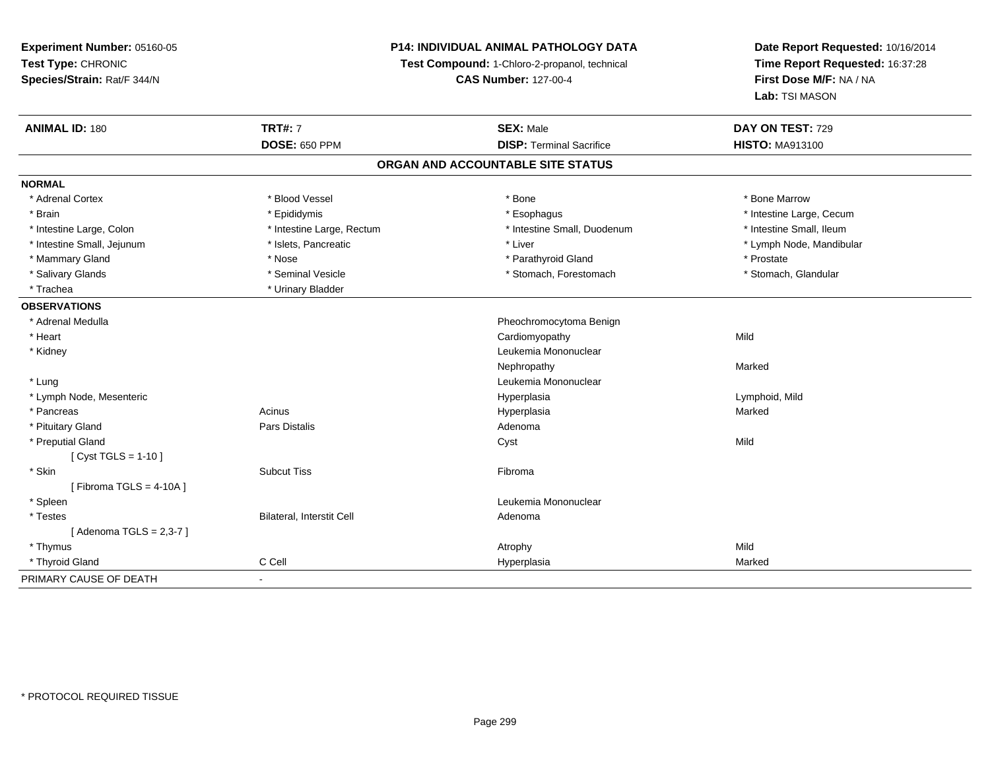### **P14: INDIVIDUAL ANIMAL PATHOLOGY DATA**

**Test Compound:** 1-Chloro-2-propanol, technical

**CAS Number:** 127-00-4

| <b>ANIMAL ID: 180</b>      | <b>TRT#: 7</b>            | <b>SEX: Male</b>                  | DAY ON TEST: 729         |  |
|----------------------------|---------------------------|-----------------------------------|--------------------------|--|
|                            | <b>DOSE: 650 PPM</b>      | <b>DISP: Terminal Sacrifice</b>   | <b>HISTO: MA913100</b>   |  |
|                            |                           | ORGAN AND ACCOUNTABLE SITE STATUS |                          |  |
| <b>NORMAL</b>              |                           |                                   |                          |  |
| * Adrenal Cortex           | * Blood Vessel            | * Bone                            | * Bone Marrow            |  |
| * Brain                    | * Epididymis              | * Esophagus                       | * Intestine Large, Cecum |  |
| * Intestine Large, Colon   | * Intestine Large, Rectum | * Intestine Small, Duodenum       | * Intestine Small, Ileum |  |
| * Intestine Small, Jejunum | * Islets, Pancreatic      | * Liver                           | * Lymph Node, Mandibular |  |
| * Mammary Gland            | * Nose                    | * Parathyroid Gland               | * Prostate               |  |
| * Salivary Glands          | * Seminal Vesicle         | * Stomach, Forestomach            | * Stomach, Glandular     |  |
| * Trachea                  | * Urinary Bladder         |                                   |                          |  |
| <b>OBSERVATIONS</b>        |                           |                                   |                          |  |
| * Adrenal Medulla          |                           | Pheochromocytoma Benign           |                          |  |
| * Heart                    |                           | Cardiomyopathy                    | Mild                     |  |
| * Kidney                   |                           | Leukemia Mononuclear              |                          |  |
|                            |                           | Nephropathy                       | Marked                   |  |
| * Lung                     |                           | Leukemia Mononuclear              |                          |  |
| * Lymph Node, Mesenteric   |                           | Hyperplasia                       | Lymphoid, Mild           |  |
| * Pancreas                 | Acinus                    | Hyperplasia                       | Marked                   |  |
| * Pituitary Gland          | Pars Distalis             | Adenoma                           |                          |  |
| * Preputial Gland          |                           | Cyst                              | Mild                     |  |
| [ Cyst TGLS = $1-10$ ]     |                           |                                   |                          |  |
| * Skin                     | <b>Subcut Tiss</b>        | Fibroma                           |                          |  |
| [Fibroma TGLS = $4-10A$ ]  |                           |                                   |                          |  |
| * Spleen                   |                           | Leukemia Mononuclear              |                          |  |
| * Testes                   | Bilateral, Interstit Cell | Adenoma                           |                          |  |
| [Adenoma TGLS = $2,3-7$ ]  |                           |                                   |                          |  |
| * Thymus                   |                           | Atrophy                           | Mild                     |  |
| * Thyroid Gland            | C Cell                    | Hyperplasia                       | Marked                   |  |
| PRIMARY CAUSE OF DEATH     | $\blacksquare$            |                                   |                          |  |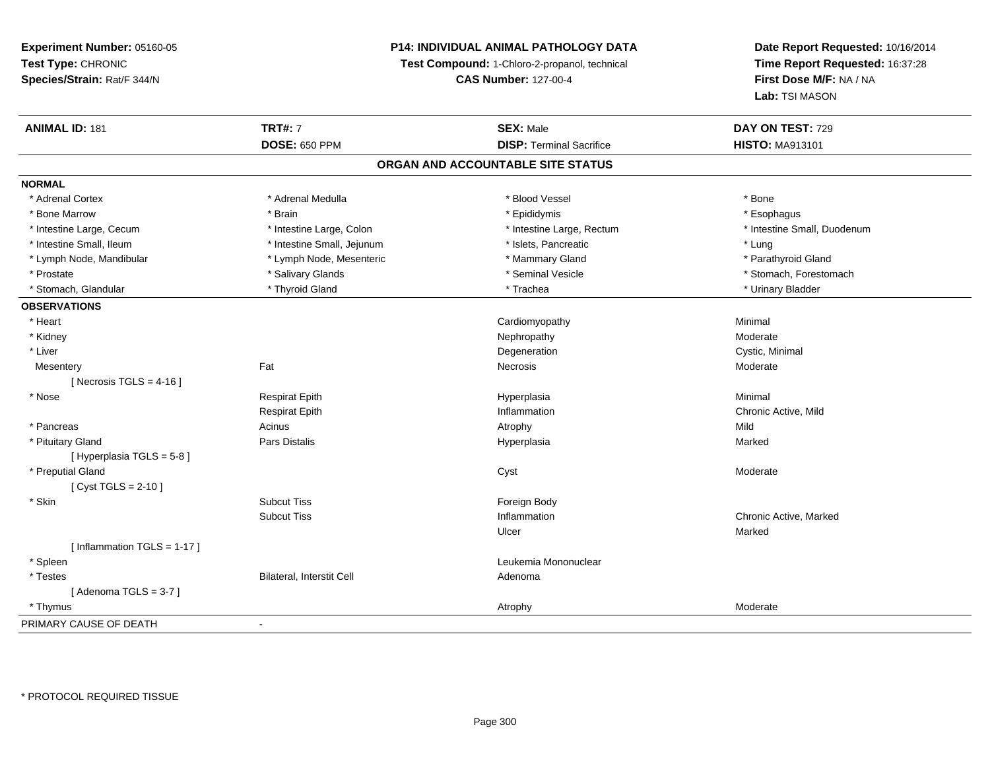### **P14: INDIVIDUAL ANIMAL PATHOLOGY DATA**

**Test Compound:** 1-Chloro-2-propanol, technical

**CAS Number:** 127-00-4

| <b>ANIMAL ID: 181</b>         | <b>TRT#: 7</b>             | <b>SEX: Male</b>                  | DAY ON TEST: 729            |
|-------------------------------|----------------------------|-----------------------------------|-----------------------------|
|                               | <b>DOSE: 650 PPM</b>       | <b>DISP: Terminal Sacrifice</b>   | <b>HISTO: MA913101</b>      |
|                               |                            | ORGAN AND ACCOUNTABLE SITE STATUS |                             |
| <b>NORMAL</b>                 |                            |                                   |                             |
| * Adrenal Cortex              | * Adrenal Medulla          | * Blood Vessel                    | * Bone                      |
| * Bone Marrow                 | * Brain                    | * Epididymis                      | * Esophagus                 |
| * Intestine Large, Cecum      | * Intestine Large, Colon   | * Intestine Large, Rectum         | * Intestine Small, Duodenum |
| * Intestine Small, Ileum      | * Intestine Small, Jejunum | * Islets, Pancreatic              | * Lung                      |
| * Lymph Node, Mandibular      | * Lymph Node, Mesenteric   | * Mammary Gland                   | * Parathyroid Gland         |
| * Prostate                    | * Salivary Glands          | * Seminal Vesicle                 | * Stomach, Forestomach      |
| * Stomach, Glandular          | * Thyroid Gland            | * Trachea                         | * Urinary Bladder           |
| <b>OBSERVATIONS</b>           |                            |                                   |                             |
| * Heart                       |                            | Cardiomyopathy                    | Minimal                     |
| * Kidney                      |                            | Nephropathy                       | Moderate                    |
| * Liver                       |                            | Degeneration                      | Cystic, Minimal             |
| Mesentery                     | Fat                        | Necrosis                          | Moderate                    |
| [Necrosis TGLS = $4-16$ ]     |                            |                                   |                             |
| * Nose                        | <b>Respirat Epith</b>      | Hyperplasia                       | Minimal                     |
|                               | <b>Respirat Epith</b>      | Inflammation                      | Chronic Active, Mild        |
| * Pancreas                    | Acinus                     | Atrophy                           | Mild                        |
| * Pituitary Gland             | Pars Distalis              | Hyperplasia                       | Marked                      |
| [ Hyperplasia TGLS = 5-8 ]    |                            |                                   |                             |
| * Preputial Gland             |                            | Cyst                              | Moderate                    |
| [ $Cyst TGLS = 2-10$ ]        |                            |                                   |                             |
| * Skin                        | <b>Subcut Tiss</b>         | Foreign Body                      |                             |
|                               | <b>Subcut Tiss</b>         | Inflammation                      | Chronic Active, Marked      |
|                               |                            | Ulcer                             | Marked                      |
| [Inflammation TGLS = $1-17$ ] |                            |                                   |                             |
| * Spleen                      |                            | Leukemia Mononuclear              |                             |
| * Testes                      | Bilateral, Interstit Cell  | Adenoma                           |                             |
| [Adenoma TGLS = $3-7$ ]       |                            |                                   |                             |
| * Thymus                      |                            | Atrophy                           | Moderate                    |
| PRIMARY CAUSE OF DEATH        | $\blacksquare$             |                                   |                             |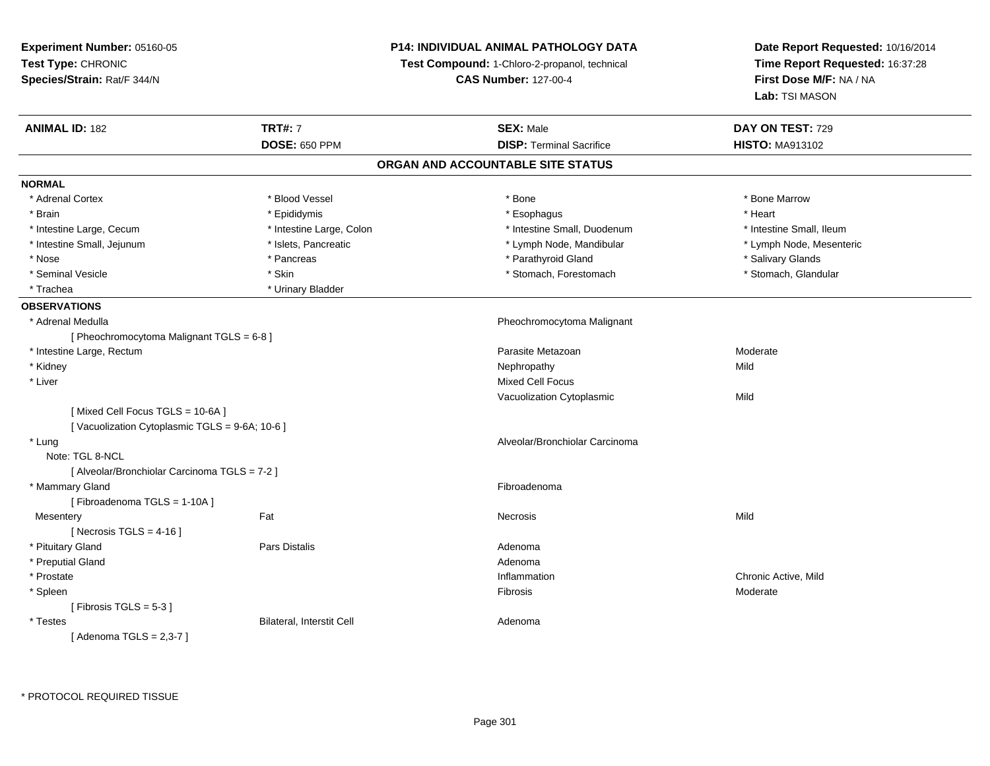**Experiment Number:** 05160-05**Test Type:** CHRONIC **Species/Strain:** Rat/F 344/N**P14: INDIVIDUAL ANIMAL PATHOLOGY DATATest Compound:** 1-Chloro-2-propanol, technical **CAS Number:** 127-00-4**Date Report Requested:** 10/16/2014**Time Report Requested:** 16:37:28**First Dose M/F:** NA / NA**Lab:** TSI MASON**ANIMAL ID:** 182**TRT#:** 7 **SEX:** Male **DAY ON TEST:** 729 **DOSE:** 650 PPM**DISP:** Terminal Sacrifice **HISTO:** MA913102 **ORGAN AND ACCOUNTABLE SITE STATUSNORMAL**\* Adrenal Cortex \* Adrenal Cortex \* \* Attachers \* Blood Vessel \* \* Bone \* \* \* Bone \* \* Bone \* \* Bone \* Bone Marrow \* Bone Marrow \* Brain \* \* Esophagus \* \* Esophagus \* \* Esophagus \* \* Esophagus \* \* Esophagus \* Heart \* Heart \* Heart \* Heart \* Intestine Large, Cecum \* Intestine Large, Colon \* Intestine Small, Duodenum \* Intestine Small, Ileum \* Intestine Small, Ileum \* Lymph Node, Mesenteric \* Intestine Small, Jejunum \* Mandibular \* Islets, Pancreatic \* Mandibular \* Lymph Node, Mandibular \* Nose \* Pancreas \* Parathyroid Gland \* Salivary Glands \* Stomach, Glandular \* Seminal Vesicle \* Stomach, Forestomach \* Skin \* Skin \* Stomach, Forestomach \* Stomach, Forestomach \* Trachea **\*** Urinary Bladder **OBSERVATIONS** \* Adrenal Medulla Pheochromocytoma Malignant [ Pheochromocytoma Malignant TGLS = 6-8 ] \* Intestine Large, Rectumm and the contract of the contract of the contract of the contract of the contract of the contract of the contract of the contract of the contract of the contract of the contract of the contract of the contract of the cont \* Kidneyy the control of the control of the control of the control of the control of the control of the control of the control of the control of the control of the control of the control of the control of the control of the contro \* Liver Mixed Cell Focus Vacuolization Cytoplasmicc Mild [ Mixed Cell Focus TGLS = 10-6A ][ Vacuolization Cytoplasmic TGLS = 9-6A; 10-6 ] \* Lung Alveolar/Bronchiolar Carcinoma Note: TGL 8-NCL [ Alveolar/Bronchiolar Carcinoma TGLS = 7-2 ] \* Mammary Glandd **Executive Contract of the Contract Contract Contract Contract Contract Contract Contract Contract Contract Contract Contract Contract Contract Contract Contract Contract Contract Contract Contract Contract Contract Cont** [ Fibroadenoma TGLS = 1-10A ]**Mesentery** y the contract of the contract of the contract of the contract of the contract of the contract of the contract of the contract of the contract of the contract of the contract of the contract of the contract of the contract  $[$  Necrosis TGLS = 4-16  $]$  \* Pituitary Glandd and the contract of Pars Distalis and the contract of Adenoma and Adenoma and the Adenoma and the Adenoma and  $\lambda$  \* Preputial Glandd and a state of the control of the control of the control of the control of the control of the control of the control of the control of the control of the control of the control of the control of the control of the contro \* Prostatee the contractive of the contraction of the contraction of the contractive of the chronic Active, Mild and the contractive, Mild and the contractive of the contractive of the contractive of the contractive of the contracti \* Spleenn and the state of the state of the state of the state of the state of the state of the state of the state of the state of the state of the state of the state of the state of the state of the state of the state of the stat  $[$  Fibrosis TGLS = 5-3  $]$  \* TestesBilateral, Interstit Cell **Adenoma** Adenoma [ Adenoma TGLS = 2,3-7 ]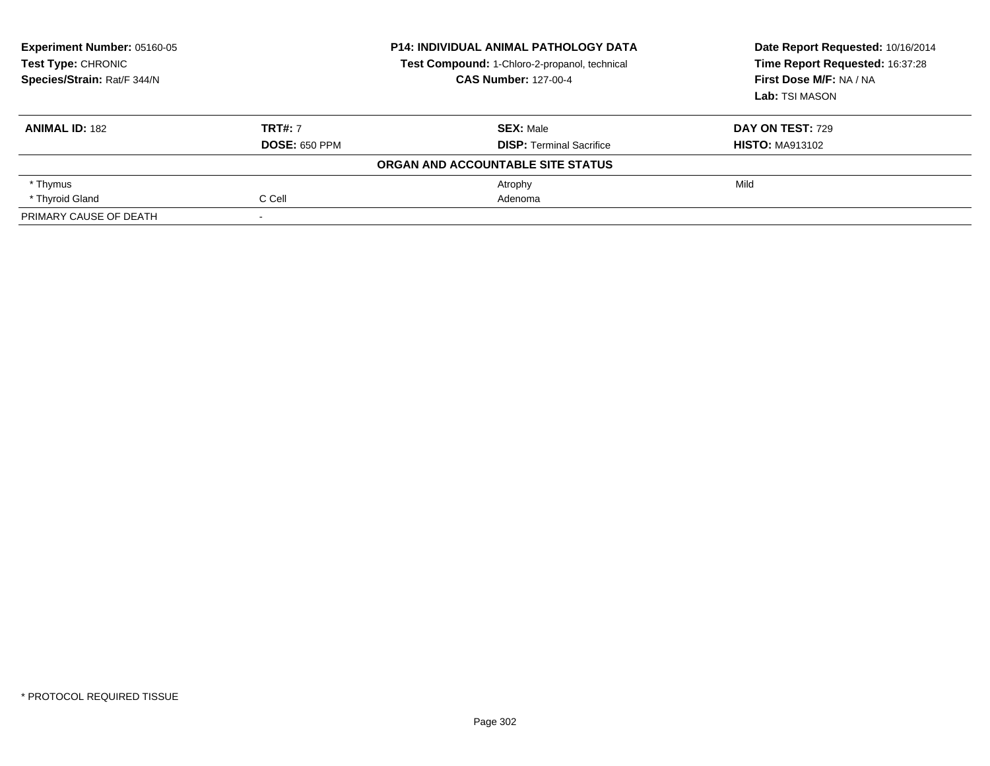| Experiment Number: 05160-05<br><b>P14: INDIVIDUAL ANIMAL PATHOLOGY DATA</b><br>Test Type: CHRONIC<br>Test Compound: 1-Chloro-2-propanol, technical<br>Species/Strain: Rat/F 344/N<br><b>CAS Number: 127-00-4</b> |                      | Date Report Requested: 10/16/2014<br>Time Report Requested: 16:37:28<br>First Dose M/F: NA / NA<br>Lab: TSI MASON |                         |
|------------------------------------------------------------------------------------------------------------------------------------------------------------------------------------------------------------------|----------------------|-------------------------------------------------------------------------------------------------------------------|-------------------------|
|                                                                                                                                                                                                                  |                      |                                                                                                                   |                         |
| <b>ANIMAL ID: 182</b>                                                                                                                                                                                            | <b>TRT#: 7</b>       | <b>SEX: Male</b>                                                                                                  | <b>DAY ON TEST: 729</b> |
|                                                                                                                                                                                                                  | <b>DOSE: 650 PPM</b> | <b>DISP: Terminal Sacrifice</b>                                                                                   | <b>HISTO: MA913102</b>  |
|                                                                                                                                                                                                                  |                      | ORGAN AND ACCOUNTABLE SITE STATUS                                                                                 |                         |
| * Thymus                                                                                                                                                                                                         |                      | Atrophy                                                                                                           | Mild                    |
| * Thyroid Gland                                                                                                                                                                                                  | C Cell               | Adenoma                                                                                                           |                         |
| PRIMARY CAUSE OF DEATH                                                                                                                                                                                           |                      |                                                                                                                   |                         |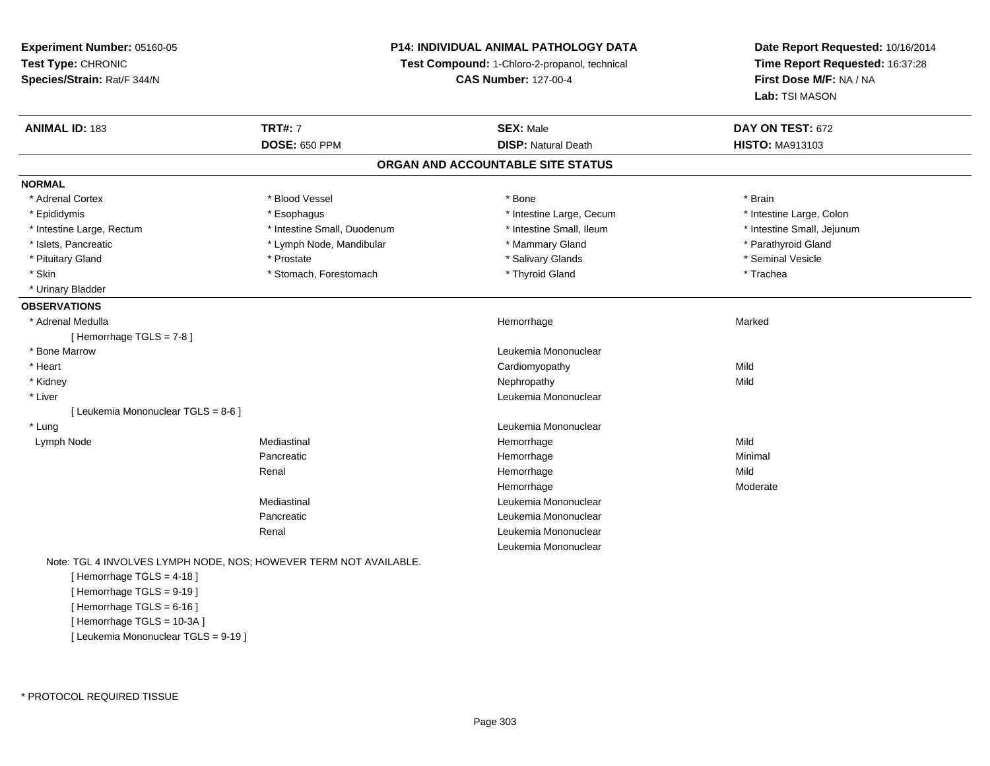#### **P14: INDIVIDUAL ANIMAL PATHOLOGY DATA**

**Test Compound:** 1-Chloro-2-propanol, technical

**CAS Number:** 127-00-4

**Date Report Requested:** 10/16/2014**Time Report Requested:** 16:37:28**First Dose M/F:** NA / NA**Lab:** TSI MASON

| <b>ANIMAL ID: 183</b>             | <b>TRT#: 7</b>              | <b>SEX: Male</b>                  | DAY ON TEST: 672           |
|-----------------------------------|-----------------------------|-----------------------------------|----------------------------|
|                                   | <b>DOSE: 650 PPM</b>        | <b>DISP: Natural Death</b>        | <b>HISTO: MA913103</b>     |
|                                   |                             | ORGAN AND ACCOUNTABLE SITE STATUS |                            |
| <b>NORMAL</b>                     |                             |                                   |                            |
| * Adrenal Cortex                  | * Blood Vessel              | * Bone                            | * Brain                    |
| * Epididymis                      | * Esophagus                 | * Intestine Large, Cecum          | * Intestine Large, Colon   |
| * Intestine Large, Rectum         | * Intestine Small, Duodenum | * Intestine Small, Ileum          | * Intestine Small, Jejunum |
| * Islets, Pancreatic              | * Lymph Node, Mandibular    | * Mammary Gland                   | * Parathyroid Gland        |
| * Pituitary Gland                 | * Prostate                  | * Salivary Glands                 | * Seminal Vesicle          |
| * Skin                            | * Stomach, Forestomach      | * Thyroid Gland                   | * Trachea                  |
| * Urinary Bladder                 |                             |                                   |                            |
| <b>OBSERVATIONS</b>               |                             |                                   |                            |
| * Adrenal Medulla                 |                             | Hemorrhage                        | Marked                     |
| [Hemorrhage TGLS = $7-8$ ]        |                             |                                   |                            |
| * Bone Marrow                     |                             | Leukemia Mononuclear              |                            |
| * Heart                           |                             | Cardiomyopathy                    | Mild                       |
| * Kidney                          |                             | Nephropathy                       | Mild                       |
| * Liver                           |                             | Leukemia Mononuclear              |                            |
| [Leukemia Mononuclear TGLS = 8-6] |                             |                                   |                            |
| * Lung                            |                             | Leukemia Mononuclear              |                            |
| Lymph Node                        | Mediastinal                 | Hemorrhage                        | Mild                       |
|                                   | Pancreatic                  | Hemorrhage                        | Minimal                    |
|                                   | Renal                       | Hemorrhage                        | Mild                       |
|                                   |                             | Hemorrhage                        | Moderate                   |
|                                   | Mediastinal                 | Leukemia Mononuclear              |                            |
|                                   | Pancreatic                  | Leukemia Mononuclear              |                            |
|                                   | Renal                       | Leukemia Mononuclear              |                            |
|                                   |                             | Leukemia Mononuclear              |                            |

Note: TGL 4 INVOLVES LYMPH NODE, NOS; HOWEVER TERM NOT AVAILABLE.

[ Hemorrhage TGLS = 4-18 ][ Hemorrhage TGLS = 9-19 ][ Hemorrhage TGLS = 6-16 ] [ Hemorrhage TGLS = 10-3A ][ Leukemia Mononuclear TGLS = 9-19 ]

\* PROTOCOL REQUIRED TISSUE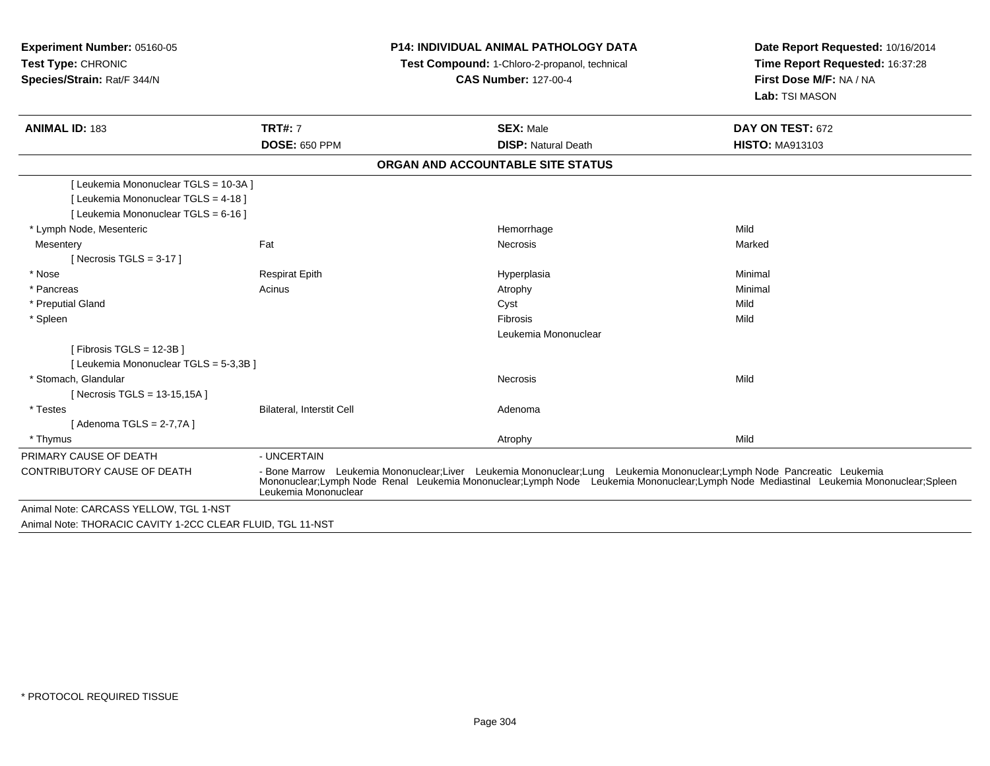**Experiment Number:** 05160-05**Test Type:** CHRONIC **Species/Strain:** Rat/F 344/N**P14: INDIVIDUAL ANIMAL PATHOLOGY DATATest Compound:** 1-Chloro-2-propanol, technical **CAS Number:** 127-00-4**Date Report Requested:** 10/16/2014**Time Report Requested:** 16:37:28**First Dose M/F:** NA / NA**Lab:** TSI MASON**ANIMAL ID:** 183**TRT#:** 7 **SEX:** Male **DAY ON TEST:** 672 **DOSE:** 650 PPM**DISP:** Natural Death **HISTO:** MA913103 **ORGAN AND ACCOUNTABLE SITE STATUS**[ Leukemia Mononuclear TGLS = 10-3A ][ Leukemia Mononuclear TGLS = 4-18 ][ Leukemia Mononuclear TGLS = 6-16 ] \* Lymph Node, Mesentericc **Example 2018 Hemorrhage** e Mild **Mesentery** y the controller of the state of the controller of the Marked State of the Marked State of the Marked State of  $[$  Necrosis TGLS = 3-17  $]$  \* Nose Respirat Epith Hyperplasia Minimal \* Pancreass the control of the control of the control of the control of the control of the control of the control of the control of the control of the control of the control of the control of the control of the control of the contro \* Preputial Glandd and the control of the control of the control of the control of the control of the control of the control of the control of the control of the control of the control of the control of the control of the control of the co \* Spleenn and the control of the control of the control of the control of the control of the control of the control of the control of the control of the control of the control of the control of the control of the control of the co Leukemia Mononuclear[ Fibrosis TGLS = 12-3B ][ Leukemia Mononuclear TGLS = 5-3,3B ] \* Stomach, Glandularr **Necrosis** s and the contract of the Mild [ Necrosis TGLS = 13-15,15A ] \* TestesBilateral, Interstit Cell **Adenoma**  $[$  Adenoma TGLS = 2-7,7A  $]$  \* Thymuss the control of the control of the control of the control of the control of the control of the control of the control of the control of the control of the control of the control of the control of the control of the contro PRIMARY CAUSE OF DEATH - UNCERTAIN CONTRIBUTORY CAUSE OF DEATHH Bone Marrow Leukemia Mononuclear;Liver Leukemia Mononuclear;Lung Leukemia Mononuclear;Lymph Node Pancreatic Leukemia<br>Mononuclear;Lymph Node Renal Leukemia Mononuclear;Ly Leukemia Mononuclear Animal Note: CARCASS YELLOW, TGL 1-NSTAnimal Note: THORACIC CAVITY 1-2CC CLEAR FLUID, TGL 11-NST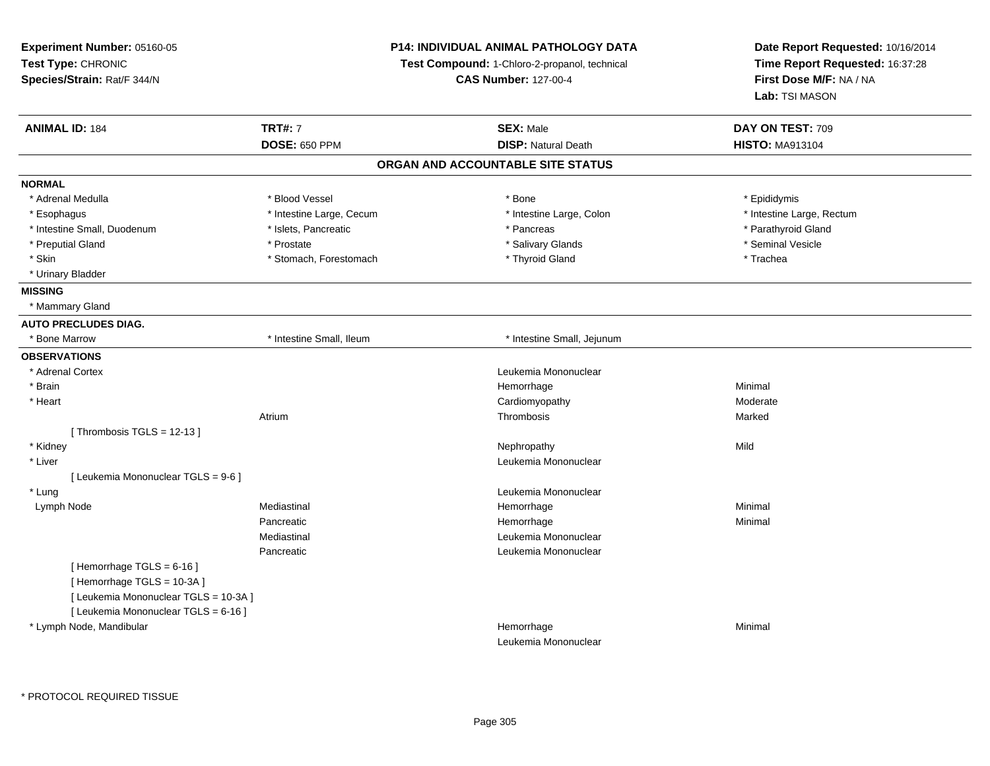| Experiment Number: 05160-05           |                             | <b>P14: INDIVIDUAL ANIMAL PATHOLOGY DATA</b>  | Date Report Requested: 10/16/2014 |  |
|---------------------------------------|-----------------------------|-----------------------------------------------|-----------------------------------|--|
| Test Type: CHRONIC                    |                             | Test Compound: 1-Chloro-2-propanol, technical | Time Report Requested: 16:37:28   |  |
| Species/Strain: Rat/F 344/N           | <b>CAS Number: 127-00-4</b> |                                               | First Dose M/F: NA / NA           |  |
|                                       |                             |                                               | Lab: TSI MASON                    |  |
| <b>ANIMAL ID: 184</b>                 | <b>TRT#: 7</b>              | <b>SEX: Male</b>                              | DAY ON TEST: 709                  |  |
|                                       | <b>DOSE: 650 PPM</b>        | <b>DISP: Natural Death</b>                    | <b>HISTO: MA913104</b>            |  |
|                                       |                             | ORGAN AND ACCOUNTABLE SITE STATUS             |                                   |  |
| <b>NORMAL</b>                         |                             |                                               |                                   |  |
| * Adrenal Medulla                     | * Blood Vessel              | * Bone                                        | * Epididymis                      |  |
| * Esophagus                           | * Intestine Large, Cecum    | * Intestine Large, Colon                      | * Intestine Large, Rectum         |  |
| * Intestine Small, Duodenum           | * Islets, Pancreatic        | * Pancreas                                    | * Parathyroid Gland               |  |
| * Preputial Gland                     | * Prostate                  | * Salivary Glands                             | * Seminal Vesicle                 |  |
| * Skin                                | * Stomach, Forestomach      | * Thyroid Gland                               | * Trachea                         |  |
| * Urinary Bladder                     |                             |                                               |                                   |  |
| <b>MISSING</b>                        |                             |                                               |                                   |  |
| * Mammary Gland                       |                             |                                               |                                   |  |
| <b>AUTO PRECLUDES DIAG.</b>           |                             |                                               |                                   |  |
| * Bone Marrow                         | * Intestine Small, Ileum    | * Intestine Small, Jejunum                    |                                   |  |
| <b>OBSERVATIONS</b>                   |                             |                                               |                                   |  |
| * Adrenal Cortex                      |                             | Leukemia Mononuclear                          |                                   |  |
| * Brain                               |                             | Hemorrhage                                    | Minimal                           |  |
| * Heart                               |                             | Cardiomyopathy                                | Moderate                          |  |
|                                       | Atrium                      | Thrombosis                                    | Marked                            |  |
| [Thrombosis TGLS = $12-13$ ]          |                             |                                               |                                   |  |
| * Kidney                              |                             | Nephropathy                                   | Mild                              |  |
| * Liver                               |                             | Leukemia Mononuclear                          |                                   |  |
| [ Leukemia Mononuclear TGLS = 9-6 ]   |                             |                                               |                                   |  |
| * Lung                                |                             | Leukemia Mononuclear                          |                                   |  |
| Lymph Node                            | Mediastinal                 | Hemorrhage                                    | Minimal                           |  |
|                                       | Pancreatic                  | Hemorrhage                                    | Minimal                           |  |
|                                       | Mediastinal                 | Leukemia Mononuclear                          |                                   |  |
|                                       | Pancreatic                  | Leukemia Mononuclear                          |                                   |  |
| [Hemorrhage TGLS = $6-16$ ]           |                             |                                               |                                   |  |
| [Hemorrhage TGLS = 10-3A]             |                             |                                               |                                   |  |
| [ Leukemia Mononuclear TGLS = 10-3A ] |                             |                                               |                                   |  |
| [ Leukemia Mononuclear TGLS = 6-16 ]  |                             |                                               |                                   |  |
| * Lymph Node, Mandibular              |                             | Hemorrhage                                    | Minimal                           |  |
|                                       |                             | Leukemia Mononuclear                          |                                   |  |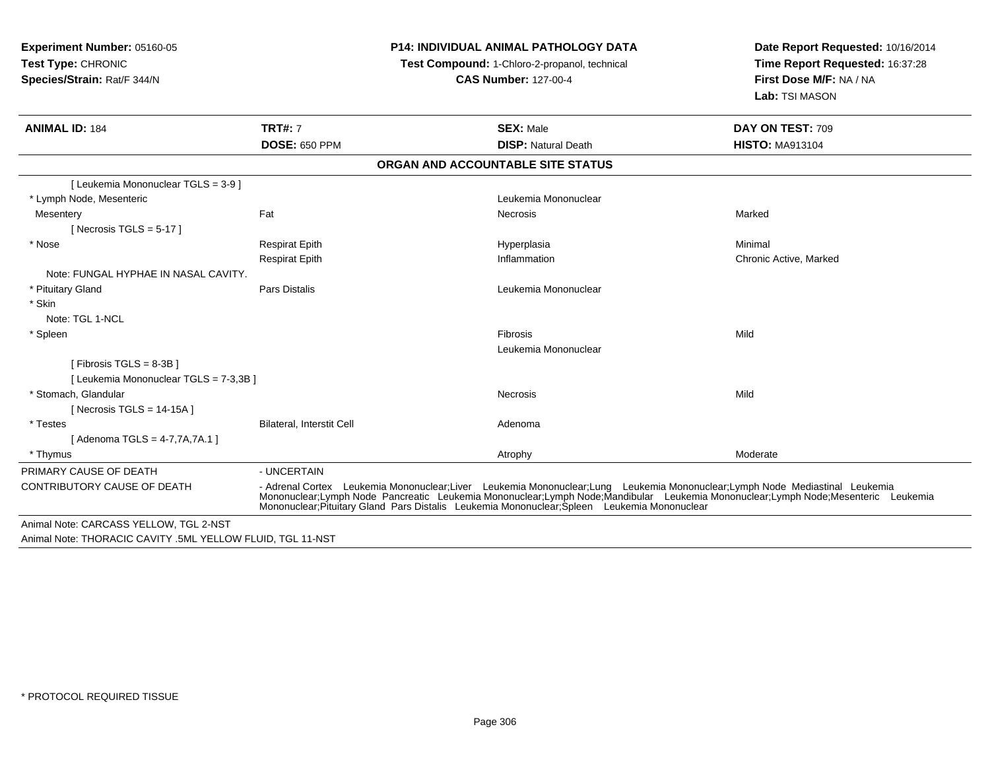**Experiment Number:** 05160-05**Test Type:** CHRONIC **Species/Strain:** Rat/F 344/N**P14: INDIVIDUAL ANIMAL PATHOLOGY DATATest Compound:** 1-Chloro-2-propanol, technical **CAS Number:** 127-00-4**Date Report Requested:** 10/16/2014**Time Report Requested:** 16:37:28**First Dose M/F:** NA / NA**Lab:** TSI MASON**ANIMAL ID:** 184**TRT#:** 7 **SEX:** Male **DAY ON TEST:** 709 **DOSE:** 650 PPM**DISP:** Natural Death **HISTO:** MA913104 **ORGAN AND ACCOUNTABLE SITE STATUS**[ Leukemia Mononuclear TGLS = 3-9 ] \* Lymph Node, Mesenteric Leukemia Mononuclear **Mesentery** y the controller of the state of the controller of the Marked State of the Marked State of the Marked State of  $[$  Necrosis TGLS = 5-17  $]$  \* Nose Respirat Epith Hyperplasia Minimal Respirat Epith Inflammation Chronic Active, Marked Note: FUNGAL HYPHAE IN NASAL CAVITY. \* Pituitary GlandPars Distalis **Leukemia Mononuclear Leukemia Mononuclear**  \* Skin Note: TGL 1-NCL \* Spleenn and the control of the control of the control of the control of the control of the control of the control of the control of the control of the control of the control of the control of the control of the control of the co Leukemia Mononuclear[ Fibrosis TGLS = 8-3B ][ Leukemia Mononuclear TGLS = 7-3,3B ] \* Stomach, Glandularr **Necrosis** s and the contract of the Mild  $[$  Necrosis TGLS = 14-15A  $]$  \* TestesBilateral, Interstit Cell **Adenoma** Adenoma [ Adenoma TGLS = 4-7,7A,7A.1 ] \* Thymuss and the control of the control of the control of the control of the control of the control of the control of the control of the control of the control of the control of the control of the control of the control of the co PRIMARY CAUSE OF DEATH - UNCERTAIN CONTRIBUTORY CAUSE OF DEATH - Adrenal Cortex Leukemia Mononuclear;Liver Leukemia Mononuclear;Lung Leukemia Mononuclear;Lymph Node Mediastinal Leukemia Mononuclear;Lymph Node Pancreatic Leukemia Mononuclear;Lymph Node;Mandibular Leukemia Mononuclear;Lymph Node;Mesenteric LeukemiaMononuclear;Pituitary Gland Pars Distalis Leukemia Mononuclear;Spleen Leukemia MononuclearAnimal Note: CARCASS YELLOW, TGL 2-NSTAnimal Note: THORACIC CAVITY .5ML YELLOW FLUID, TGL 11-NST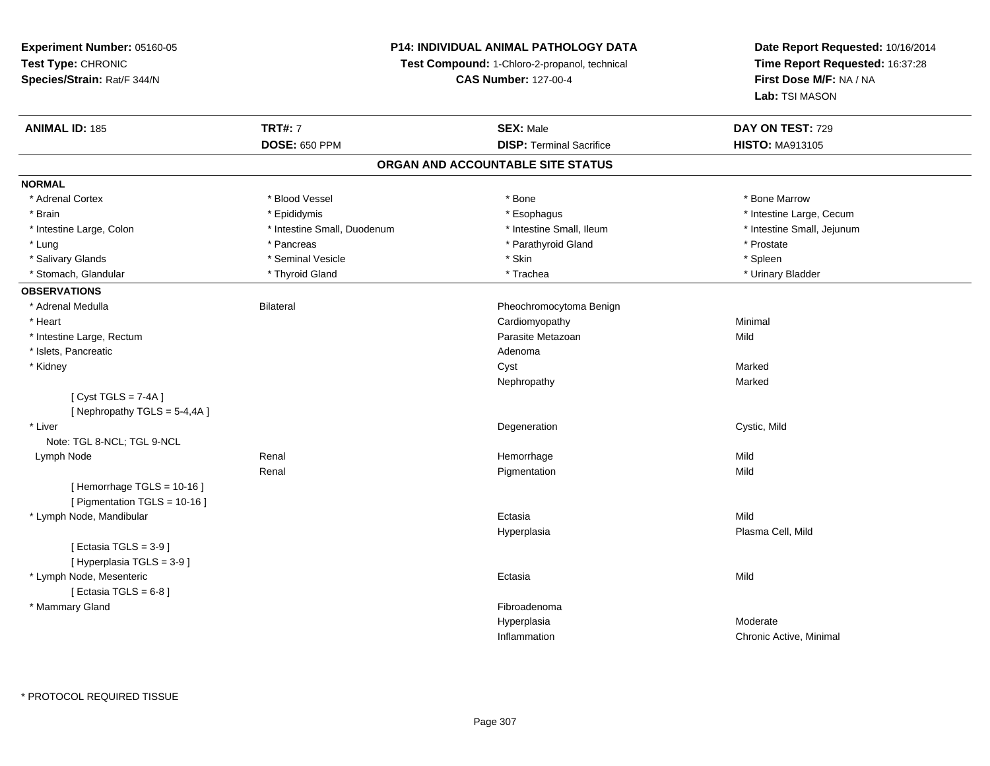### **P14: INDIVIDUAL ANIMAL PATHOLOGY DATA**

**Test Compound:** 1-Chloro-2-propanol, technical

**CAS Number:** 127-00-4

| <b>ANIMAL ID: 185</b>          | <b>TRT#: 7</b>              | <b>SEX: Male</b>                  | DAY ON TEST: 729           |
|--------------------------------|-----------------------------|-----------------------------------|----------------------------|
|                                | <b>DOSE: 650 PPM</b>        | <b>DISP: Terminal Sacrifice</b>   | <b>HISTO: MA913105</b>     |
|                                |                             | ORGAN AND ACCOUNTABLE SITE STATUS |                            |
| <b>NORMAL</b>                  |                             |                                   |                            |
| * Adrenal Cortex               | * Blood Vessel              | * Bone                            | * Bone Marrow              |
| * Brain                        | * Epididymis                | * Esophagus                       | * Intestine Large, Cecum   |
| * Intestine Large, Colon       | * Intestine Small, Duodenum | * Intestine Small, Ileum          | * Intestine Small, Jejunum |
| * Lung                         | * Pancreas                  | * Parathyroid Gland               | * Prostate                 |
| * Salivary Glands              | * Seminal Vesicle           | * Skin                            | * Spleen                   |
| * Stomach, Glandular           | * Thyroid Gland             | * Trachea                         | * Urinary Bladder          |
| <b>OBSERVATIONS</b>            |                             |                                   |                            |
| * Adrenal Medulla              | <b>Bilateral</b>            | Pheochromocytoma Benign           |                            |
| * Heart                        |                             | Cardiomyopathy                    | Minimal                    |
| * Intestine Large, Rectum      |                             | Parasite Metazoan                 | Mild                       |
| * Islets, Pancreatic           |                             | Adenoma                           |                            |
| * Kidney                       |                             | Cyst                              | Marked                     |
|                                |                             | Nephropathy                       | Marked                     |
| [Cyst TGLS = $7-4A$ ]          |                             |                                   |                            |
| [Nephropathy TGLS = $5-4,4A$ ] |                             |                                   |                            |
| * Liver                        |                             | Degeneration                      | Cystic, Mild               |
| Note: TGL 8-NCL; TGL 9-NCL     |                             |                                   |                            |
| Lymph Node                     | Renal                       | Hemorrhage                        | Mild                       |
|                                | Renal                       | Pigmentation                      | Mild                       |
| [Hemorrhage TGLS = 10-16]      |                             |                                   |                            |
| [ Pigmentation TGLS = 10-16 ]  |                             |                                   |                            |
| * Lymph Node, Mandibular       |                             | Ectasia                           | Mild                       |
|                                |                             | Hyperplasia                       | Plasma Cell, Mild          |
| [ Ectasia TGLS = $3-9$ ]       |                             |                                   |                            |
| [ Hyperplasia TGLS = 3-9 ]     |                             |                                   |                            |
| * Lymph Node, Mesenteric       |                             | Ectasia                           | Mild                       |
| [ Ectasia TGLS = $6-8$ ]       |                             |                                   |                            |
| * Mammary Gland                |                             | Fibroadenoma                      |                            |
|                                |                             | Hyperplasia                       | Moderate                   |
|                                |                             | Inflammation                      | Chronic Active, Minimal    |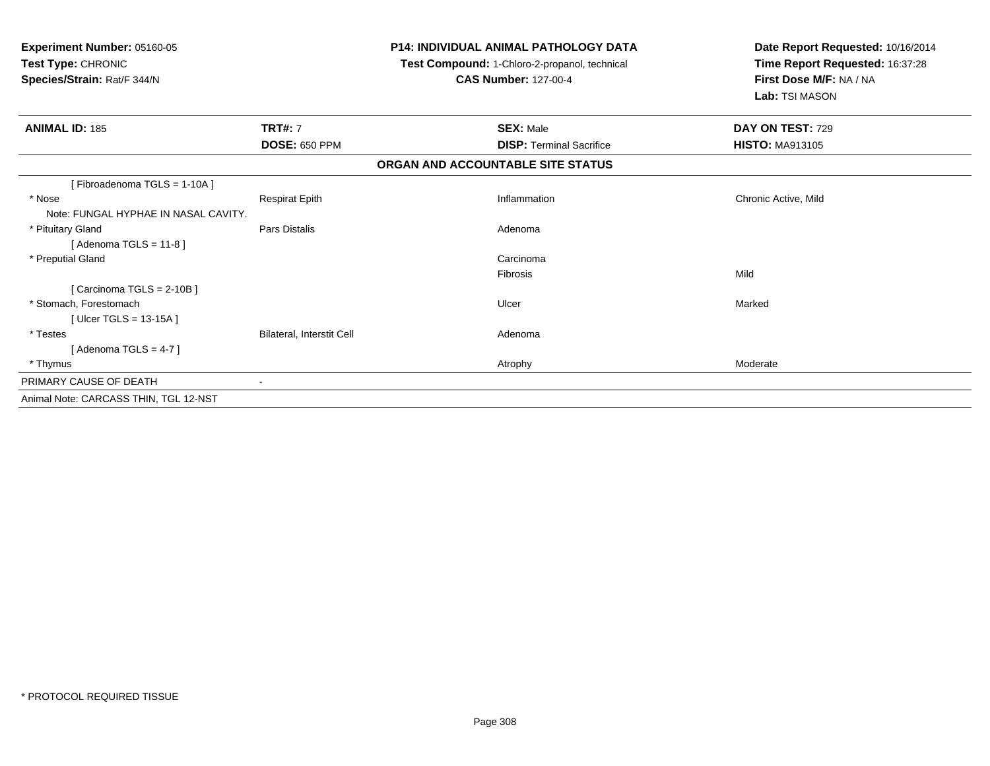| Experiment Number: 05160-05<br>Test Type: CHRONIC<br>Species/Strain: Rat/F 344/N |                           |                                   | <b>P14: INDIVIDUAL ANIMAL PATHOLOGY DATA</b><br>Test Compound: 1-Chloro-2-propanol, technical<br><b>CAS Number: 127-00-4</b> | Date Report Requested: 10/16/2014<br>Time Report Requested: 16:37:28<br>First Dose M/F: NA / NA<br>Lab: TSI MASON |
|----------------------------------------------------------------------------------|---------------------------|-----------------------------------|------------------------------------------------------------------------------------------------------------------------------|-------------------------------------------------------------------------------------------------------------------|
| <b>ANIMAL ID: 185</b>                                                            | <b>TRT#: 7</b>            |                                   | <b>SEX: Male</b>                                                                                                             | DAY ON TEST: 729                                                                                                  |
|                                                                                  | <b>DOSE: 650 PPM</b>      |                                   | <b>DISP: Terminal Sacrifice</b>                                                                                              | <b>HISTO: MA913105</b>                                                                                            |
|                                                                                  |                           | ORGAN AND ACCOUNTABLE SITE STATUS |                                                                                                                              |                                                                                                                   |
| [Fibroadenoma TGLS = 1-10A]                                                      |                           |                                   |                                                                                                                              |                                                                                                                   |
| * Nose                                                                           | <b>Respirat Epith</b>     |                                   | Inflammation                                                                                                                 | Chronic Active, Mild                                                                                              |
| Note: FUNGAL HYPHAE IN NASAL CAVITY.                                             |                           |                                   |                                                                                                                              |                                                                                                                   |
| * Pituitary Gland                                                                | Pars Distalis             |                                   | Adenoma                                                                                                                      |                                                                                                                   |
| [Adenoma TGLS = $11-8$ ]                                                         |                           |                                   |                                                                                                                              |                                                                                                                   |
| * Preputial Gland                                                                |                           |                                   | Carcinoma                                                                                                                    |                                                                                                                   |
|                                                                                  |                           |                                   | <b>Fibrosis</b>                                                                                                              | Mild                                                                                                              |
| [Carcinoma TGLS = $2-10B$ ]                                                      |                           |                                   |                                                                                                                              |                                                                                                                   |
| * Stomach. Forestomach                                                           |                           |                                   | Ulcer                                                                                                                        | Marked                                                                                                            |
| [Ulcer TGLS = $13-15A$ ]                                                         |                           |                                   |                                                                                                                              |                                                                                                                   |
| * Testes                                                                         | Bilateral, Interstit Cell |                                   | Adenoma                                                                                                                      |                                                                                                                   |
| [Adenoma TGLS = $4-7$ ]                                                          |                           |                                   |                                                                                                                              |                                                                                                                   |
| * Thymus                                                                         |                           |                                   | Atrophy                                                                                                                      | Moderate                                                                                                          |
| PRIMARY CAUSE OF DEATH                                                           |                           |                                   |                                                                                                                              |                                                                                                                   |
| Animal Note: CARCASS THIN, TGL 12-NST                                            |                           |                                   |                                                                                                                              |                                                                                                                   |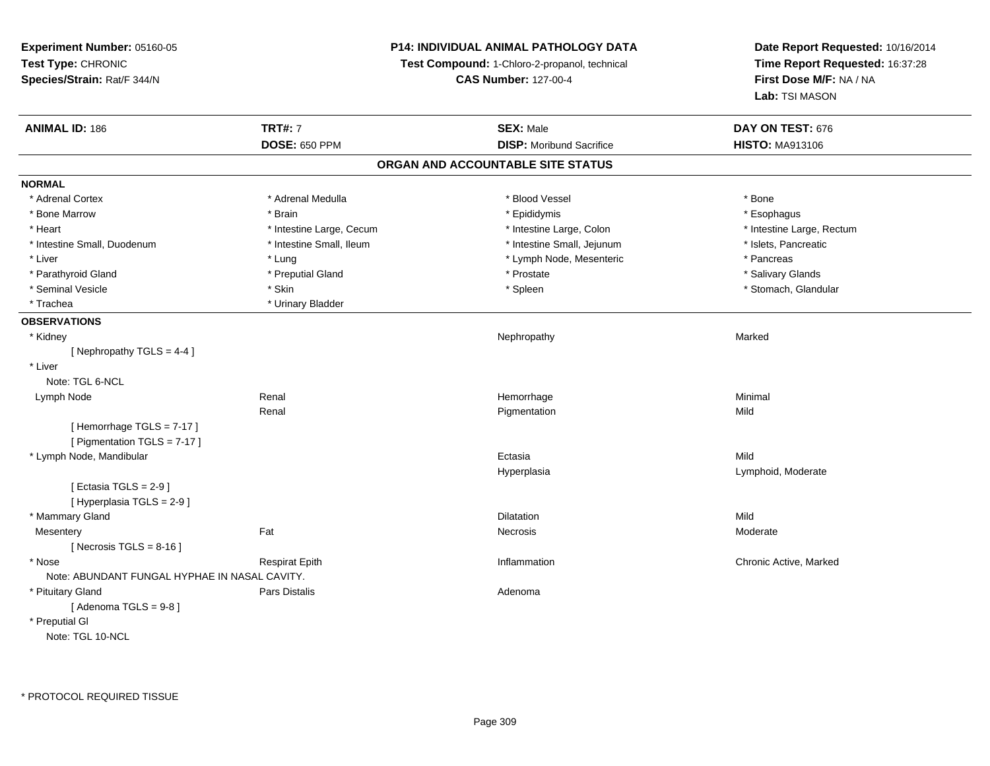### **P14: INDIVIDUAL ANIMAL PATHOLOGY DATA**

**Test Compound:** 1-Chloro-2-propanol, technical

**CAS Number:** 127-00-4

| <b>ANIMAL ID: 186</b>                         | <b>TRT#: 7</b>           | <b>SEX: Male</b>                  | DAY ON TEST: 676          |  |
|-----------------------------------------------|--------------------------|-----------------------------------|---------------------------|--|
|                                               | <b>DOSE: 650 PPM</b>     | <b>DISP: Moribund Sacrifice</b>   | <b>HISTO: MA913106</b>    |  |
|                                               |                          | ORGAN AND ACCOUNTABLE SITE STATUS |                           |  |
| <b>NORMAL</b>                                 |                          |                                   |                           |  |
| * Adrenal Cortex                              | * Adrenal Medulla        | * Blood Vessel                    | * Bone                    |  |
| * Bone Marrow                                 | * Brain                  | * Epididymis                      | * Esophagus               |  |
| * Heart                                       | * Intestine Large, Cecum | * Intestine Large, Colon          | * Intestine Large, Rectum |  |
| * Intestine Small, Duodenum                   | * Intestine Small, Ileum | * Intestine Small, Jejunum        | * Islets, Pancreatic      |  |
| * Liver                                       | * Lung                   | * Lymph Node, Mesenteric          | * Pancreas                |  |
| * Parathyroid Gland                           | * Preputial Gland        | * Prostate                        | * Salivary Glands         |  |
| * Seminal Vesicle                             | * Skin                   | * Spleen                          | * Stomach, Glandular      |  |
| * Trachea                                     | * Urinary Bladder        |                                   |                           |  |
| <b>OBSERVATIONS</b>                           |                          |                                   |                           |  |
| * Kidney                                      |                          | Nephropathy                       | Marked                    |  |
| [Nephropathy TGLS = 4-4]                      |                          |                                   |                           |  |
| * Liver                                       |                          |                                   |                           |  |
| Note: TGL 6-NCL                               |                          |                                   |                           |  |
| Lymph Node                                    | Renal                    | Hemorrhage                        | Minimal                   |  |
|                                               | Renal                    | Pigmentation                      | Mild                      |  |
| [Hemorrhage TGLS = 7-17]                      |                          |                                   |                           |  |
| [ Pigmentation TGLS = 7-17 ]                  |                          |                                   |                           |  |
| * Lymph Node, Mandibular                      |                          | Ectasia                           | Mild                      |  |
|                                               |                          | Hyperplasia                       | Lymphoid, Moderate        |  |
| [ Ectasia TGLS = $2-9$ ]                      |                          |                                   |                           |  |
| [ Hyperplasia TGLS = 2-9 ]                    |                          |                                   |                           |  |
| * Mammary Gland                               |                          | <b>Dilatation</b>                 | Mild                      |  |
| Mesentery                                     | Fat                      | Necrosis                          | Moderate                  |  |
| [ Necrosis TGLS = $8-16$ ]                    |                          |                                   |                           |  |
| * Nose                                        | <b>Respirat Epith</b>    | Inflammation                      | Chronic Active, Marked    |  |
| Note: ABUNDANT FUNGAL HYPHAE IN NASAL CAVITY. |                          |                                   |                           |  |
| * Pituitary Gland                             | <b>Pars Distalis</b>     | Adenoma                           |                           |  |
| [Adenoma TGLS = $9-8$ ]                       |                          |                                   |                           |  |
| * Preputial GI                                |                          |                                   |                           |  |
| Note: TGL 10-NCL                              |                          |                                   |                           |  |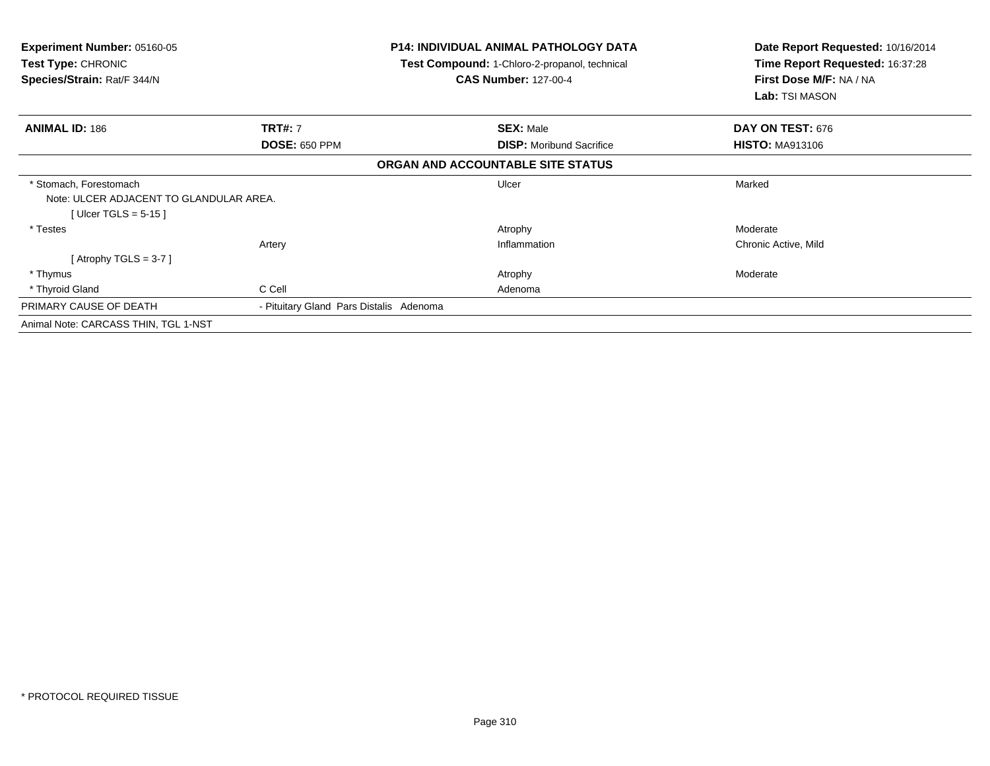| <b>Experiment Number: 05160-05</b><br><b>Test Type: CHRONIC</b><br>Species/Strain: Rat/F 344/N |                                         | <b>P14: INDIVIDUAL ANIMAL PATHOLOGY DATA</b><br>Test Compound: 1-Chloro-2-propanol, technical<br><b>CAS Number: 127-00-4</b> | Date Report Requested: 10/16/2014<br>Time Report Requested: 16:37:28<br>First Dose M/F: NA / NA<br>Lab: TSI MASON |  |
|------------------------------------------------------------------------------------------------|-----------------------------------------|------------------------------------------------------------------------------------------------------------------------------|-------------------------------------------------------------------------------------------------------------------|--|
| <b>ANIMAL ID: 186</b>                                                                          | <b>TRT#: 7</b>                          | <b>SEX: Male</b>                                                                                                             | <b>DAY ON TEST: 676</b>                                                                                           |  |
|                                                                                                | <b>DOSE: 650 PPM</b>                    | <b>DISP:</b> Moribund Sacrifice                                                                                              | <b>HISTO: MA913106</b>                                                                                            |  |
|                                                                                                |                                         | ORGAN AND ACCOUNTABLE SITE STATUS                                                                                            |                                                                                                                   |  |
| * Stomach, Forestomach<br>Note: ULCER ADJACENT TO GLANDULAR AREA.<br>[Ulcer TGLS = $5-15$ ]    |                                         | Ulcer                                                                                                                        | Marked                                                                                                            |  |
| * Testes                                                                                       |                                         | Atrophy                                                                                                                      | Moderate                                                                                                          |  |
|                                                                                                | Artery                                  | Inflammation                                                                                                                 | Chronic Active, Mild                                                                                              |  |
| [Atrophy TGLS = 3-7]                                                                           |                                         |                                                                                                                              |                                                                                                                   |  |
| * Thymus                                                                                       |                                         | Atrophy                                                                                                                      | Moderate                                                                                                          |  |
| * Thyroid Gland                                                                                | C Cell                                  | Adenoma                                                                                                                      |                                                                                                                   |  |
| PRIMARY CAUSE OF DEATH                                                                         | - Pituitary Gland Pars Distalis Adenoma |                                                                                                                              |                                                                                                                   |  |
| Animal Note: CARCASS THIN, TGL 1-NST                                                           |                                         |                                                                                                                              |                                                                                                                   |  |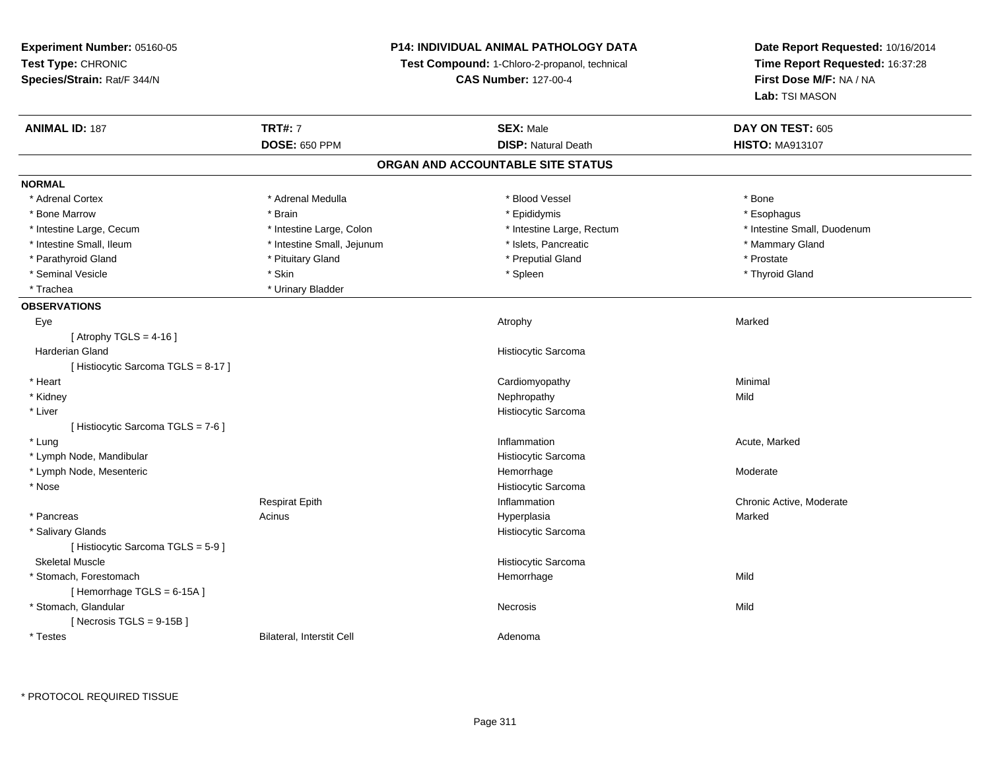### **P14: INDIVIDUAL ANIMAL PATHOLOGY DATA**

**Test Compound:** 1-Chloro-2-propanol, technical

**CAS Number:** 127-00-4

| <b>ANIMAL ID: 187</b>              | <b>TRT#: 7</b>             | <b>SEX: Male</b>                  | DAY ON TEST: 605            |
|------------------------------------|----------------------------|-----------------------------------|-----------------------------|
|                                    | <b>DOSE: 650 PPM</b>       | <b>DISP: Natural Death</b>        | <b>HISTO: MA913107</b>      |
|                                    |                            | ORGAN AND ACCOUNTABLE SITE STATUS |                             |
| <b>NORMAL</b>                      |                            |                                   |                             |
| * Adrenal Cortex                   | * Adrenal Medulla          | * Blood Vessel                    | * Bone                      |
| * Bone Marrow                      | * Brain                    | * Epididymis                      | * Esophagus                 |
| * Intestine Large, Cecum           | * Intestine Large, Colon   | * Intestine Large, Rectum         | * Intestine Small, Duodenum |
| * Intestine Small, Ileum           | * Intestine Small, Jejunum | * Islets, Pancreatic              | * Mammary Gland             |
| * Parathyroid Gland                | * Pituitary Gland          | * Preputial Gland                 | * Prostate                  |
| * Seminal Vesicle                  | * Skin                     | * Spleen                          | * Thyroid Gland             |
| * Trachea                          | * Urinary Bladder          |                                   |                             |
| <b>OBSERVATIONS</b>                |                            |                                   |                             |
| Eye                                |                            | Atrophy                           | Marked                      |
| [Atrophy TGLS = $4-16$ ]           |                            |                                   |                             |
| Harderian Gland                    |                            | Histiocytic Sarcoma               |                             |
| [Histiocytic Sarcoma TGLS = 8-17]  |                            |                                   |                             |
| * Heart                            |                            | Cardiomyopathy                    | Minimal                     |
| * Kidney                           |                            | Nephropathy                       | Mild                        |
| * Liver                            |                            | Histiocytic Sarcoma               |                             |
| [ Histiocytic Sarcoma TGLS = 7-6 ] |                            |                                   |                             |
| * Lung                             |                            | Inflammation                      | Acute, Marked               |
| * Lymph Node, Mandibular           |                            | Histiocytic Sarcoma               |                             |
| * Lymph Node, Mesenteric           |                            | Hemorrhage                        | Moderate                    |
| * Nose                             |                            | Histiocytic Sarcoma               |                             |
|                                    | <b>Respirat Epith</b>      | Inflammation                      | Chronic Active, Moderate    |
| * Pancreas                         | Acinus                     | Hyperplasia                       | Marked                      |
| * Salivary Glands                  |                            | Histiocytic Sarcoma               |                             |
| [Histiocytic Sarcoma TGLS = 5-9]   |                            |                                   |                             |
| <b>Skeletal Muscle</b>             |                            | Histiocytic Sarcoma               |                             |
| * Stomach, Forestomach             |                            | Hemorrhage                        | Mild                        |
| [Hemorrhage TGLS = 6-15A]          |                            |                                   |                             |
| * Stomach, Glandular               |                            | Necrosis                          | Mild                        |
| [Necrosis TGLS = $9-15B$ ]         |                            |                                   |                             |
| * Testes                           | Bilateral, Interstit Cell  | Adenoma                           |                             |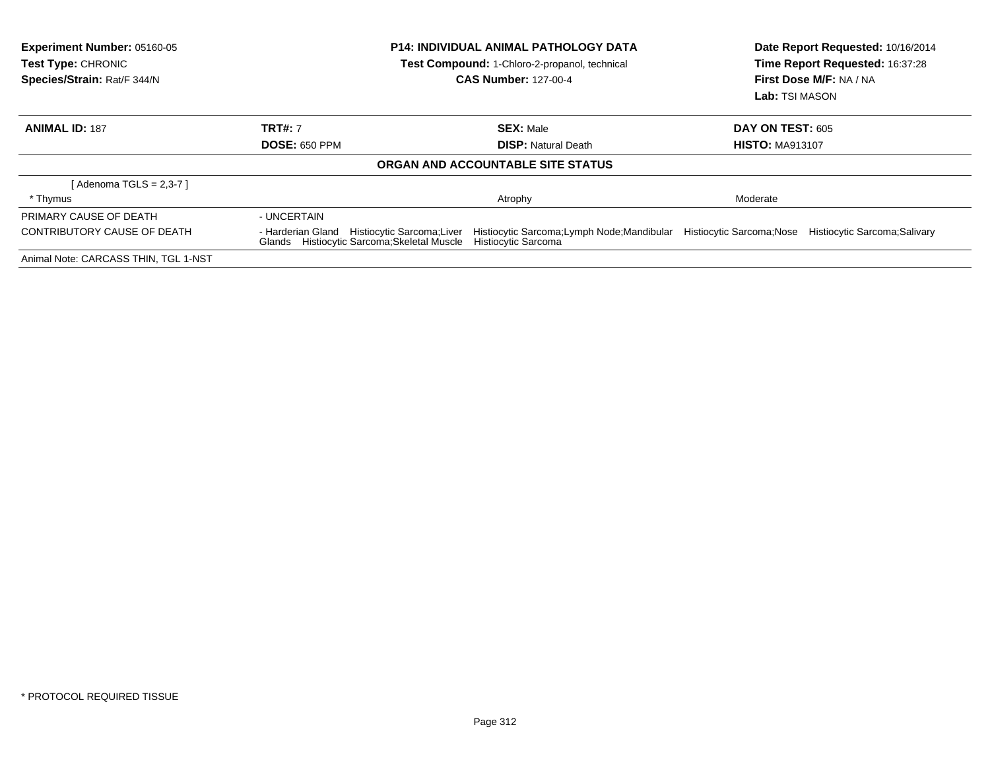| <b>Experiment Number: 05160-05</b><br><b>Test Type: CHRONIC</b><br>Species/Strain: Rat/F 344/N |                                                                                               | <b>P14: INDIVIDUAL ANIMAL PATHOLOGY DATA</b><br><b>Test Compound: 1-Chloro-2-propanol, technical</b><br><b>CAS Number: 127-00-4</b> | Date Report Requested: 10/16/2014<br>Time Report Requested: 16:37:28<br>First Dose M/F: NA / NA<br><b>Lab:</b> TSI MASON |                               |
|------------------------------------------------------------------------------------------------|-----------------------------------------------------------------------------------------------|-------------------------------------------------------------------------------------------------------------------------------------|--------------------------------------------------------------------------------------------------------------------------|-------------------------------|
| <b>ANIMAL ID: 187</b>                                                                          | <b>TRT#: 7</b>                                                                                | <b>SEX: Male</b>                                                                                                                    | <b>DAY ON TEST: 605</b>                                                                                                  |                               |
|                                                                                                | <b>DOSE: 650 PPM</b>                                                                          | <b>DISP:</b> Natural Death                                                                                                          | <b>HISTO: MA913107</b>                                                                                                   |                               |
|                                                                                                |                                                                                               | ORGAN AND ACCOUNTABLE SITE STATUS                                                                                                   |                                                                                                                          |                               |
| [ Adenoma TGLS = 2,3-7 ]                                                                       |                                                                                               |                                                                                                                                     |                                                                                                                          |                               |
| * Thymus                                                                                       |                                                                                               | Atrophy                                                                                                                             | Moderate                                                                                                                 |                               |
| PRIMARY CAUSE OF DEATH                                                                         | - UNCERTAIN                                                                                   |                                                                                                                                     |                                                                                                                          |                               |
| CONTRIBUTORY CAUSE OF DEATH                                                                    | Histiocytic Sarcoma;Liver<br>- Harderian Gland<br>Glands Histiocytic Sarcoma; Skeletal Muscle | Histiocytic Sarcoma;Lymph Node;Mandibular Histiocytic Sarcoma;Nose<br>Histiocytic Sarcoma                                           |                                                                                                                          | Histiocytic Sarcoma; Salivary |
| Animal Note: CARCASS THIN, TGL 1-NST                                                           |                                                                                               |                                                                                                                                     |                                                                                                                          |                               |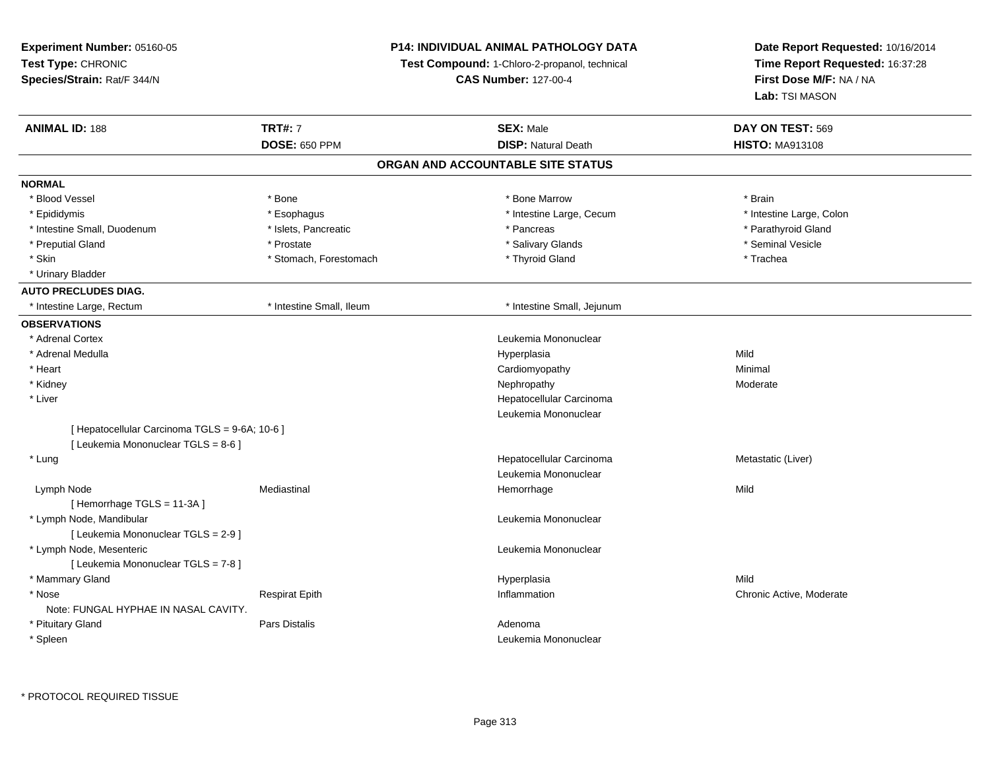**Experiment Number:** 05160-05**Test Type:** CHRONIC **Species/Strain:** Rat/F 344/N**P14: INDIVIDUAL ANIMAL PATHOLOGY DATATest Compound:** 1-Chloro-2-propanol, technical **CAS Number:** 127-00-4**Date Report Requested:** 10/16/2014**Time Report Requested:** 16:37:28**First Dose M/F:** NA / NA**Lab:** TSI MASON**ANIMAL ID:** 188**TRT#:** 7 **SEX:** Male **DAY ON TEST:** 569 **DOSE:** 650 PPM**DISP:** Natural Death **HISTO:** MA913108 **ORGAN AND ACCOUNTABLE SITE STATUSNORMAL**\* Blood Vessel \* Blood Vessel \* \* Annual \* Bone \* \* Bone \* \* Bone \* \* Bone Marrow \* \* Bone Marrow \* \* Brain \* Brain \* Brain \* \* Intestine Large, Colon \* Epididymis \* Intestine Large, Cecum \* Esophagus \* Intestine Large, Cecum \* Intestine Large, Cecum \* Intestine Small, Duodenum \* The state of the state of the state of the state of the state of the state of the state of the state of the state of the state of the state of the state of the state of the state of the state \* Preputial Gland \* \* Annual vesicle \* \* Prostate \* \* Salivary Glands \* \* Salivary Glands \* \* Seminal Vesicle \* \* Skin \* Stomach, Forestomach \* Thyroid Gland \* Thomas \* The the stormach \* Trachea \* Urinary Bladder**AUTO PRECLUDES DIAG.** \* Intestine Large, Rectum \* Intestine Small, Ileum \* Intestine Small, Jejunum**OBSERVATIONS** \* Adrenal Cortex Leukemia Mononuclear \* Adrenal Medullaa and the control of the control of the control of the Hyperplasia and the control of the Mild of the control o \* Heart Cardiomyopathy Minimal \* Kidneyy the controller that the controller temperature of  $\lambda$  . Nephropathy the controller temperature  $\lambda$  Moderate \* Liver Hepatocellular CarcinomaLeukemia Mononuclear[ Hepatocellular Carcinoma TGLS = 9-6A; 10-6 ][ Leukemia Mononuclear TGLS = 8-6 ] \* Lungg and the state of the state of the state of the state of the Hepatocellular Carcinoma and the Metastatic (Liver) Leukemia Mononuclear Lymph Nodee the mediastinal the settlement of the Mild of the Mild of the Mild of the Mild of the Mild of the Mild of the Mild of the Mild of the Mild of the Mild of the Mild of the Mild of the Mild of the Mild of the Mild of the Mi [ Hemorrhage TGLS = 11-3A ] \* Lymph Node, Mandibular Leukemia Mononuclear [ Leukemia Mononuclear TGLS = 2-9 ] \* Lymph Node, Mesenteric Leukemia Mononuclear [ Leukemia Mononuclear TGLS = 7-8 ] \* Mammary Glandd and the control of the control of the control of the Hyperplasia and the control of the control of the control of the control of the control of the control of the control of the control of the control of the control of t \* Nosee inflammation Chronic Active, Moderate Respirat Epith Inflammation Chronic Active, Moderate Chronic Active, Moderate Note: FUNGAL HYPHAE IN NASAL CAVITY. \* Pituitary Glandd and the set of Pars Distalis and the Second Adenomal Adenomal Second Second Pars Distallis \* Spleenn and the control of the control of the control of the control of the control of the control of the control of the control of the control of the control of the control of the control of the control of the control of the co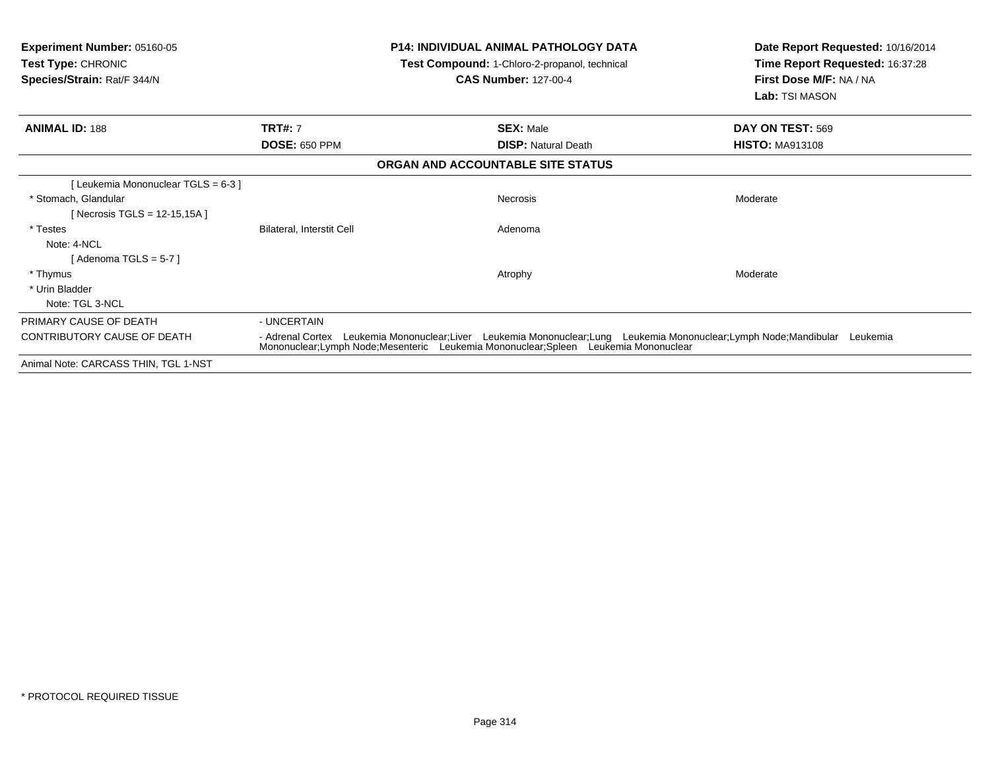|                                        |                                                | Lab: TSI MASON                                                                                                                                                                                                     |
|----------------------------------------|------------------------------------------------|--------------------------------------------------------------------------------------------------------------------------------------------------------------------------------------------------------------------|
| <b>TRT#: 7</b><br><b>DOSE: 650 PPM</b> | <b>SEX: Male</b><br><b>DISP: Natural Death</b> | DAY ON TEST: 569<br><b>HISTO: MA913108</b>                                                                                                                                                                         |
|                                        | ORGAN AND ACCOUNTABLE SITE STATUS              |                                                                                                                                                                                                                    |
| Bilateral, Interstit Cell              | <b>Necrosis</b><br>Adenoma                     | Moderate                                                                                                                                                                                                           |
|                                        | Atrophy                                        | Moderate                                                                                                                                                                                                           |
| - UNCERTAIN                            |                                                |                                                                                                                                                                                                                    |
|                                        |                                                | - Adrenal Cortex Leukemia Mononuclear;Liver Leukemia Mononuclear;Lung Leukemia Mononuclear;Lymph Node;Mandibular Leukemia<br>Mononuclear; Lymph Node; Mesenteric Leukemia Mononuclear; Spleen Leukemia Mononuclear |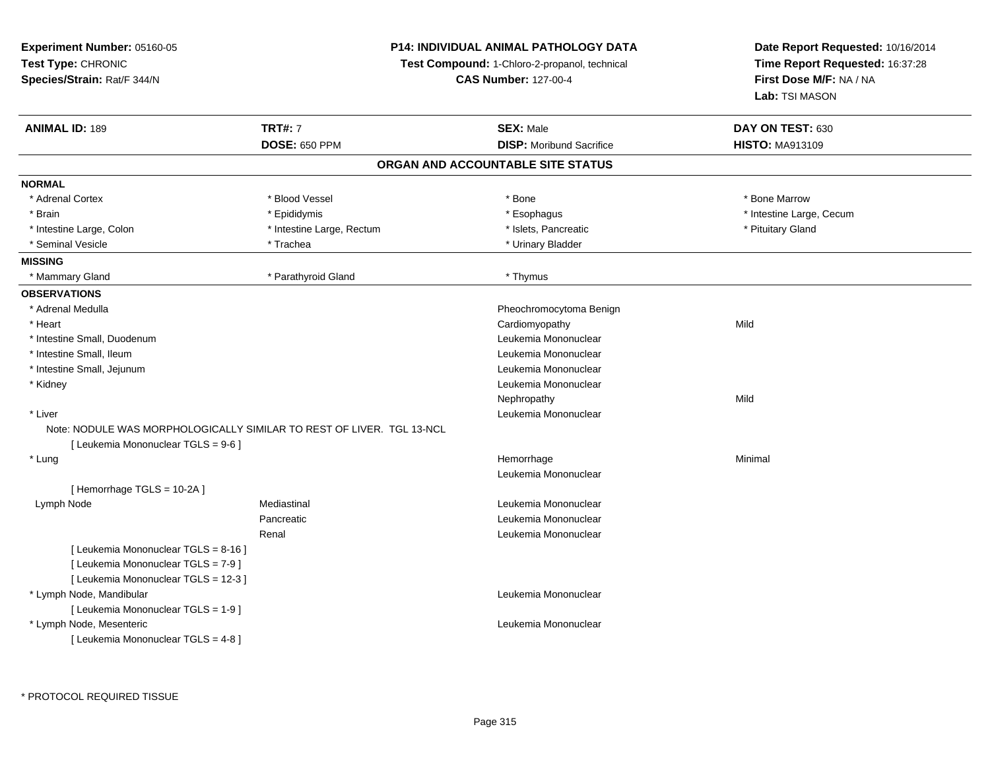**Experiment Number:** 05160-05**Test Type:** CHRONIC **Species/Strain:** Rat/F 344/N**P14: INDIVIDUAL ANIMAL PATHOLOGY DATATest Compound:** 1-Chloro-2-propanol, technical **CAS Number:** 127-00-4**Date Report Requested:** 10/16/2014**Time Report Requested:** 16:37:28**First Dose M/F:** NA / NA**Lab:** TSI MASON**ANIMAL ID:** 189**TRT#:** 7 **SEX:** Male **DAY ON TEST:** 630 **DOSE:** 650 PPM**DISP:** Moribund Sacrifice **HISTO:** MA913109 **ORGAN AND ACCOUNTABLE SITE STATUSNORMAL**\* Adrenal Cortex \* Adrenal Cortex \* \* Attachers \* Blood Vessel \* \* Bone \* \* \* Bone \* \* Bone \* \* Bone \* Bone Marrow \* Bone Marrow \* Brain \* Explorer \* Epididymis \* \* Epididymis \* \* Esophagus \* Esophagus \* \* Esophagus \* Intestine Large, Cecum \* \* Intestine Large, Cecum \* Intestine Large, Colon \* Intestine Large, Rectum \* Islets, Pancreatic \* Pituitary Gland \* Pituitary Gland \* Seminal Vesicle \* Trachea \* Trachea \* Trachea \* Trachea \* Urinary Bladder **MISSING**\* Mammary Gland \* Parathyroid Gland \* Thymus **OBSERVATIONS** \* Adrenal Medulla Pheochromocytoma Benign \* Heart Cardiomyopathyy Mild \* Intestine Small, DuodenumLeukemia Mononuclear<br>Leukemia Mononuclear \* Intestine Small, Ileum Leukemia Mononuclear \* Intestine Small, Jejunum Leukemia Mononuclear \* Kidney Leukemia Mononuclear Nephropathyy Mild \* Liver Leukemia Mononuclear Note: NODULE WAS MORPHOLOGICALLY SIMILAR TO REST OF LIVER. TGL 13-NCL[ Leukemia Mononuclear TGLS = 9-6 ] \* Lungg and the state of the state of the state of the state of the Hemorrhage and the state of the Minimal State of Leukemia Mononuclear[ Hemorrhage TGLS = 10-2A ] Lymph Node Mediastinal Leukemia Mononuclear Pancreatic Leukemia Mononuclear Renal Leukemia Mononuclear[ Leukemia Mononuclear TGLS = 8-16 ][ Leukemia Mononuclear TGLS = 7-9 ][ Leukemia Mononuclear TGLS = 12-3 ] \* Lymph Node, Mandibular Leukemia Mononuclear [ Leukemia Mononuclear TGLS = 1-9 ] \* Lymph Node, Mesenteric Leukemia Mononuclear [ Leukemia Mononuclear TGLS = 4-8 ]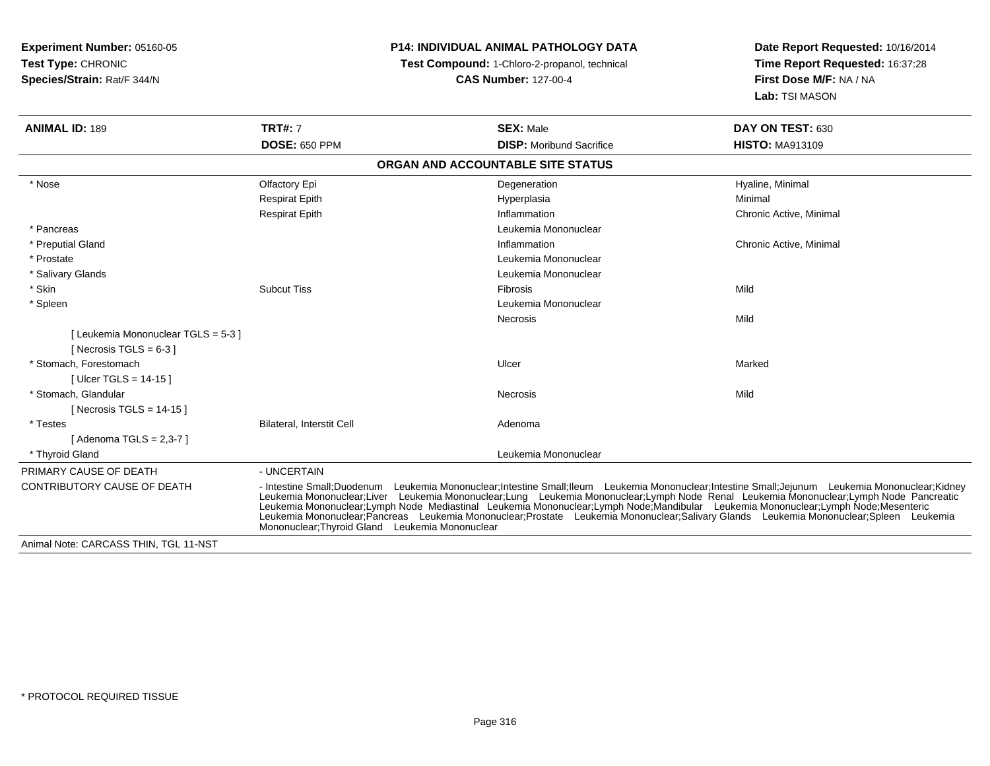| <b>Experiment Number: 05160-05</b>    |                                                                                                                                                                                                                                                                                                                                                                                                                                                                                                                                                                                 | <b>P14: INDIVIDUAL ANIMAL PATHOLOGY DATA</b>  | Date Report Requested: 10/16/2014 |  |
|---------------------------------------|---------------------------------------------------------------------------------------------------------------------------------------------------------------------------------------------------------------------------------------------------------------------------------------------------------------------------------------------------------------------------------------------------------------------------------------------------------------------------------------------------------------------------------------------------------------------------------|-----------------------------------------------|-----------------------------------|--|
| <b>Test Type: CHRONIC</b>             |                                                                                                                                                                                                                                                                                                                                                                                                                                                                                                                                                                                 | Test Compound: 1-Chloro-2-propanol, technical | Time Report Requested: 16:37:28   |  |
| Species/Strain: Rat/F 344/N           | <b>CAS Number: 127-00-4</b>                                                                                                                                                                                                                                                                                                                                                                                                                                                                                                                                                     |                                               | First Dose M/F: NA / NA           |  |
|                                       |                                                                                                                                                                                                                                                                                                                                                                                                                                                                                                                                                                                 |                                               | Lab: TSI MASON                    |  |
| <b>ANIMAL ID: 189</b>                 | <b>TRT#: 7</b>                                                                                                                                                                                                                                                                                                                                                                                                                                                                                                                                                                  | <b>SEX: Male</b>                              | DAY ON TEST: 630                  |  |
|                                       | <b>DOSE: 650 PPM</b>                                                                                                                                                                                                                                                                                                                                                                                                                                                                                                                                                            | <b>DISP: Moribund Sacrifice</b>               | <b>HISTO: MA913109</b>            |  |
|                                       |                                                                                                                                                                                                                                                                                                                                                                                                                                                                                                                                                                                 | ORGAN AND ACCOUNTABLE SITE STATUS             |                                   |  |
| * Nose                                | Olfactory Epi                                                                                                                                                                                                                                                                                                                                                                                                                                                                                                                                                                   | Degeneration                                  | Hyaline, Minimal                  |  |
|                                       | <b>Respirat Epith</b>                                                                                                                                                                                                                                                                                                                                                                                                                                                                                                                                                           | Hyperplasia                                   | Minimal                           |  |
|                                       | <b>Respirat Epith</b>                                                                                                                                                                                                                                                                                                                                                                                                                                                                                                                                                           | Inflammation                                  | Chronic Active, Minimal           |  |
| * Pancreas                            |                                                                                                                                                                                                                                                                                                                                                                                                                                                                                                                                                                                 | Leukemia Mononuclear                          |                                   |  |
| * Preputial Gland                     |                                                                                                                                                                                                                                                                                                                                                                                                                                                                                                                                                                                 | Inflammation                                  | Chronic Active, Minimal           |  |
| * Prostate                            |                                                                                                                                                                                                                                                                                                                                                                                                                                                                                                                                                                                 | Leukemia Mononuclear                          |                                   |  |
| * Salivary Glands                     |                                                                                                                                                                                                                                                                                                                                                                                                                                                                                                                                                                                 | Leukemia Mononuclear                          |                                   |  |
| * Skin                                | <b>Subcut Tiss</b>                                                                                                                                                                                                                                                                                                                                                                                                                                                                                                                                                              | <b>Fibrosis</b>                               | Mild                              |  |
| * Spleen                              |                                                                                                                                                                                                                                                                                                                                                                                                                                                                                                                                                                                 | Leukemia Mononuclear                          |                                   |  |
|                                       |                                                                                                                                                                                                                                                                                                                                                                                                                                                                                                                                                                                 | Necrosis                                      | Mild                              |  |
| [Leukemia Mononuclear TGLS = 5-3]     |                                                                                                                                                                                                                                                                                                                                                                                                                                                                                                                                                                                 |                                               |                                   |  |
| [Necrosis TGLS = $6-3$ ]              |                                                                                                                                                                                                                                                                                                                                                                                                                                                                                                                                                                                 |                                               |                                   |  |
| * Stomach. Forestomach                |                                                                                                                                                                                                                                                                                                                                                                                                                                                                                                                                                                                 | Ulcer                                         | Marked                            |  |
| [ Ulcer TGLS = $14-15$ ]              |                                                                                                                                                                                                                                                                                                                                                                                                                                                                                                                                                                                 |                                               |                                   |  |
| * Stomach, Glandular                  |                                                                                                                                                                                                                                                                                                                                                                                                                                                                                                                                                                                 | <b>Necrosis</b>                               | Mild                              |  |
| [Necrosis TGLS = $14-15$ ]            |                                                                                                                                                                                                                                                                                                                                                                                                                                                                                                                                                                                 |                                               |                                   |  |
| * Testes                              | Bilateral, Interstit Cell                                                                                                                                                                                                                                                                                                                                                                                                                                                                                                                                                       | Adenoma                                       |                                   |  |
| [Adenoma TGLS = $2,3-7$ ]             |                                                                                                                                                                                                                                                                                                                                                                                                                                                                                                                                                                                 |                                               |                                   |  |
| * Thyroid Gland                       |                                                                                                                                                                                                                                                                                                                                                                                                                                                                                                                                                                                 | Leukemia Mononuclear                          |                                   |  |
| PRIMARY CAUSE OF DEATH                | - UNCERTAIN                                                                                                                                                                                                                                                                                                                                                                                                                                                                                                                                                                     |                                               |                                   |  |
| <b>CONTRIBUTORY CAUSE OF DEATH</b>    | - Intestine Small:Duodenum Leukemia Mononuclear:Intestine Small:Ileum Leukemia Mononuclear:Intestine Small:Jejunum Leukemia Mononuclear:Kidney<br>Leukemia Mononuclear;Liver Leukemia Mononuclear;Lung Leukemia Mononuclear;Lymph Node Renal Leukemia Mononuclear;Lymph Node Pancreatic<br>Leukemia Mononuclear;Lymph Node Mediastinal Leukemia Mononuclear;Lymph Node;Mandibular L<br>Leukemia Mononuclear;Pancreas Leukemia Mononuclear;Prostate Leukemia Mononuclear;Salivary Glands Leukemia Mononuclear;Spleen Leukemia<br>Mononuclear; Thyroid Gland Leukemia Mononuclear |                                               |                                   |  |
| Animal Note: CARCASS THIN, TGL 11-NST |                                                                                                                                                                                                                                                                                                                                                                                                                                                                                                                                                                                 |                                               |                                   |  |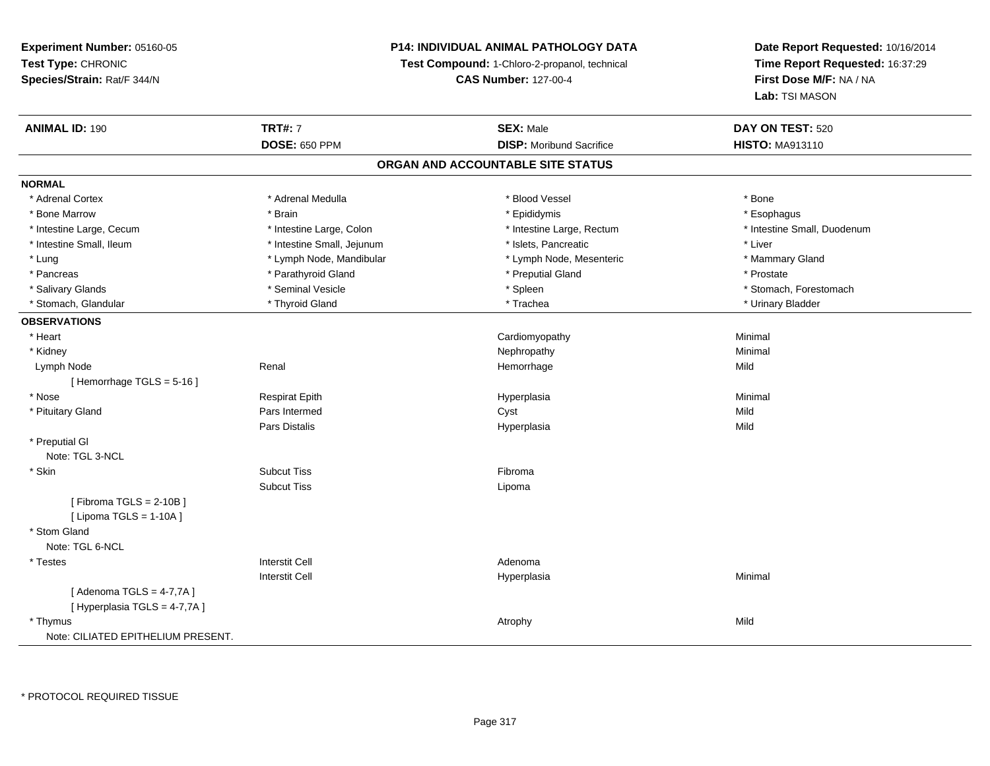### **P14: INDIVIDUAL ANIMAL PATHOLOGY DATA**

**Test Compound:** 1-Chloro-2-propanol, technical

**CAS Number:** 127-00-4

| <b>ANIMAL ID: 190</b>              | <b>TRT#: 7</b>             | <b>SEX: Male</b>                  | DAY ON TEST: 520            |
|------------------------------------|----------------------------|-----------------------------------|-----------------------------|
|                                    | <b>DOSE: 650 PPM</b>       | <b>DISP:</b> Moribund Sacrifice   | <b>HISTO: MA913110</b>      |
|                                    |                            | ORGAN AND ACCOUNTABLE SITE STATUS |                             |
| <b>NORMAL</b>                      |                            |                                   |                             |
| * Adrenal Cortex                   | * Adrenal Medulla          | * Blood Vessel                    | * Bone                      |
| * Bone Marrow                      | * Brain                    | * Epididymis                      | * Esophagus                 |
| * Intestine Large, Cecum           | * Intestine Large, Colon   | * Intestine Large, Rectum         | * Intestine Small, Duodenum |
| * Intestine Small, Ileum           | * Intestine Small, Jejunum | * Islets, Pancreatic              | * Liver                     |
| * Lung                             | * Lymph Node, Mandibular   | * Lymph Node, Mesenteric          | * Mammary Gland             |
| * Pancreas                         | * Parathyroid Gland        | * Preputial Gland                 | * Prostate                  |
| * Salivary Glands                  | * Seminal Vesicle          | * Spleen                          | * Stomach, Forestomach      |
| * Stomach, Glandular               | * Thyroid Gland            | * Trachea                         | * Urinary Bladder           |
| <b>OBSERVATIONS</b>                |                            |                                   |                             |
| * Heart                            |                            | Cardiomyopathy                    | Minimal                     |
| * Kidney                           |                            | Nephropathy                       | Minimal                     |
| Lymph Node                         | Renal                      | Hemorrhage                        | Mild                        |
| [Hemorrhage TGLS = 5-16]           |                            |                                   |                             |
| * Nose                             | <b>Respirat Epith</b>      | Hyperplasia                       | Minimal                     |
| * Pituitary Gland                  | Pars Intermed              | Cyst                              | Mild                        |
|                                    | Pars Distalis              | Hyperplasia                       | Mild                        |
| * Preputial GI                     |                            |                                   |                             |
| Note: TGL 3-NCL                    |                            |                                   |                             |
| * Skin                             | <b>Subcut Tiss</b>         | Fibroma                           |                             |
|                                    | <b>Subcut Tiss</b>         | Lipoma                            |                             |
| [Fibroma TGLS = $2-10B$ ]          |                            |                                   |                             |
| [ Lipoma TGLS = $1-10A$ ]          |                            |                                   |                             |
| * Stom Gland                       |                            |                                   |                             |
| Note: TGL 6-NCL                    |                            |                                   |                             |
| * Testes                           | <b>Interstit Cell</b>      | Adenoma                           |                             |
|                                    | <b>Interstit Cell</b>      | Hyperplasia                       | Minimal                     |
| [Adenoma TGLS = $4-7,7A$ ]         |                            |                                   |                             |
| [Hyperplasia TGLS = 4-7,7A]        |                            |                                   |                             |
| * Thymus                           |                            | Atrophy                           | Mild                        |
| Note: CILIATED EPITHELIUM PRESENT. |                            |                                   |                             |
|                                    |                            |                                   |                             |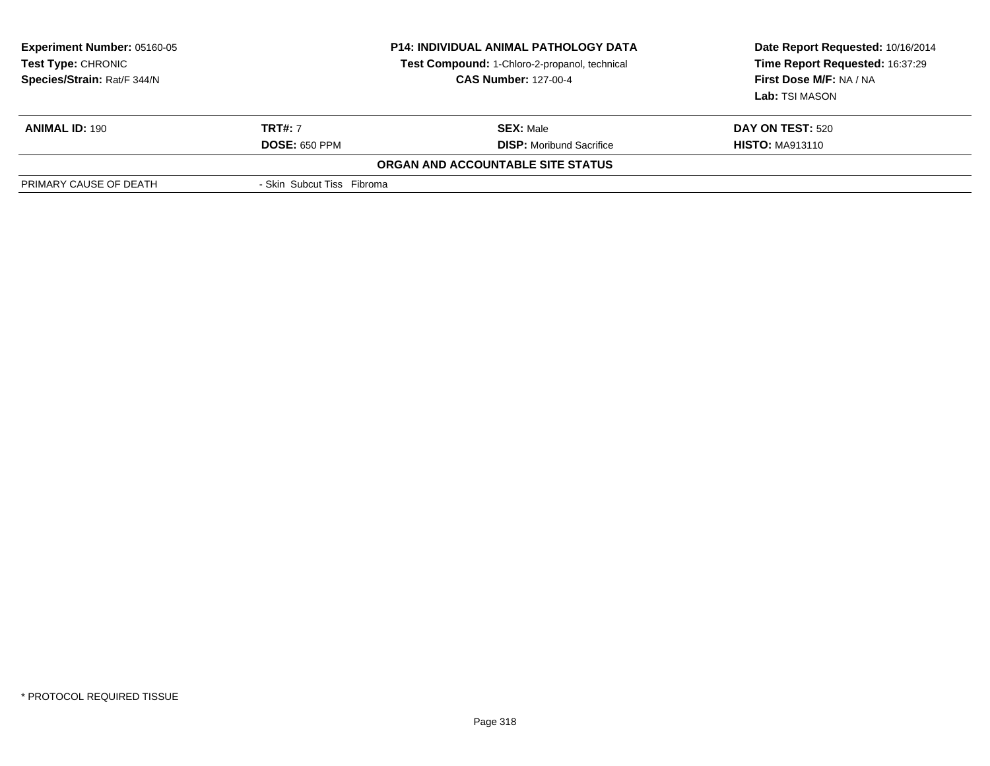| <b>Experiment Number: 05160-05</b><br><b>Test Type: CHRONIC</b><br>Species/Strain: Rat/F 344/N |                            | <b>P14: INDIVIDUAL ANIMAL PATHOLOGY DATA</b><br>Test Compound: 1-Chloro-2-propanol, technical<br><b>CAS Number: 127-00-4</b> | Date Report Requested: 10/16/2014<br>Time Report Requested: 16:37:29<br>First Dose M/F: NA / NA<br>Lab: TSI MASON |  |
|------------------------------------------------------------------------------------------------|----------------------------|------------------------------------------------------------------------------------------------------------------------------|-------------------------------------------------------------------------------------------------------------------|--|
| <b>ANIMAL ID: 190</b>                                                                          | <b>TRT#: 7</b>             | <b>SEX: Male</b>                                                                                                             | <b>DAY ON TEST: 520</b>                                                                                           |  |
|                                                                                                | <b>DOSE: 650 PPM</b>       | <b>DISP:</b> Moribund Sacrifice                                                                                              | <b>HISTO: MA913110</b>                                                                                            |  |
|                                                                                                |                            | ORGAN AND ACCOUNTABLE SITE STATUS                                                                                            |                                                                                                                   |  |
| PRIMARY CAUSE OF DEATH                                                                         | - Skin Subcut Tiss Fibroma |                                                                                                                              |                                                                                                                   |  |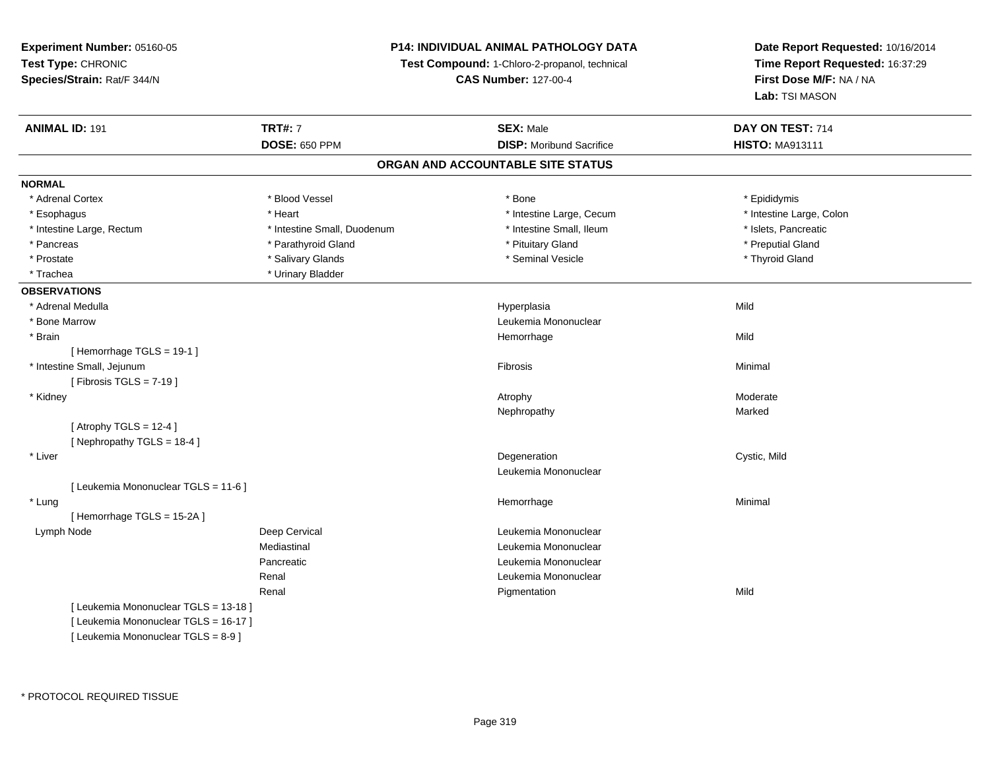### **P14: INDIVIDUAL ANIMAL PATHOLOGY DATA**

**Test Compound:** 1-Chloro-2-propanol, technical

**CAS Number:** 127-00-4

| <b>ANIMAL ID: 191</b>                 | <b>TRT#: 7</b>              | <b>SEX: Male</b>                  | DAY ON TEST: 714         |  |
|---------------------------------------|-----------------------------|-----------------------------------|--------------------------|--|
|                                       | <b>DOSE: 650 PPM</b>        | <b>DISP: Moribund Sacrifice</b>   | <b>HISTO: MA913111</b>   |  |
|                                       |                             | ORGAN AND ACCOUNTABLE SITE STATUS |                          |  |
| <b>NORMAL</b>                         |                             |                                   |                          |  |
| * Adrenal Cortex                      | * Blood Vessel              | * Bone                            | * Epididymis             |  |
| * Esophagus                           | * Heart                     | * Intestine Large, Cecum          | * Intestine Large, Colon |  |
| * Intestine Large, Rectum             | * Intestine Small, Duodenum | * Intestine Small, Ileum          | * Islets, Pancreatic     |  |
| * Pancreas                            | * Parathyroid Gland         | * Pituitary Gland                 | * Preputial Gland        |  |
| * Prostate                            | * Salivary Glands           | * Seminal Vesicle                 | * Thyroid Gland          |  |
| * Trachea                             | * Urinary Bladder           |                                   |                          |  |
| <b>OBSERVATIONS</b>                   |                             |                                   |                          |  |
| * Adrenal Medulla                     |                             | Hyperplasia                       | Mild                     |  |
| * Bone Marrow                         |                             | Leukemia Mononuclear              |                          |  |
| * Brain                               |                             | Hemorrhage                        | Mild                     |  |
| [Hemorrhage TGLS = 19-1]              |                             |                                   |                          |  |
| * Intestine Small, Jejunum            |                             | Fibrosis                          | Minimal                  |  |
| [ Fibrosis TGLS = $7-19$ ]            |                             |                                   |                          |  |
| * Kidney                              |                             | Atrophy                           | Moderate                 |  |
|                                       |                             | Nephropathy                       | Marked                   |  |
| [Atrophy TGLS = $12-4$ ]              |                             |                                   |                          |  |
| [Nephropathy TGLS = 18-4]             |                             |                                   |                          |  |
| * Liver                               |                             | Degeneration                      | Cystic, Mild             |  |
|                                       |                             | Leukemia Mononuclear              |                          |  |
| [ Leukemia Mononuclear TGLS = 11-6 ]  |                             |                                   |                          |  |
| * Lung                                |                             | Hemorrhage                        | Minimal                  |  |
| [Hemorrhage TGLS = 15-2A]             |                             |                                   |                          |  |
| Lymph Node                            | Deep Cervical               | Leukemia Mononuclear              |                          |  |
|                                       | Mediastinal                 | Leukemia Mononuclear              |                          |  |
|                                       | Pancreatic                  | Leukemia Mononuclear              |                          |  |
|                                       | Renal                       | Leukemia Mononuclear              |                          |  |
|                                       | Renal                       | Pigmentation                      | Mild                     |  |
| [ Leukemia Mononuclear TGLS = 13-18 ] |                             |                                   |                          |  |
| [ Leukemia Mononuclear TGLS = 16-17 ] |                             |                                   |                          |  |
| [ Leukemia Mononuclear TGLS = 8-9 ]   |                             |                                   |                          |  |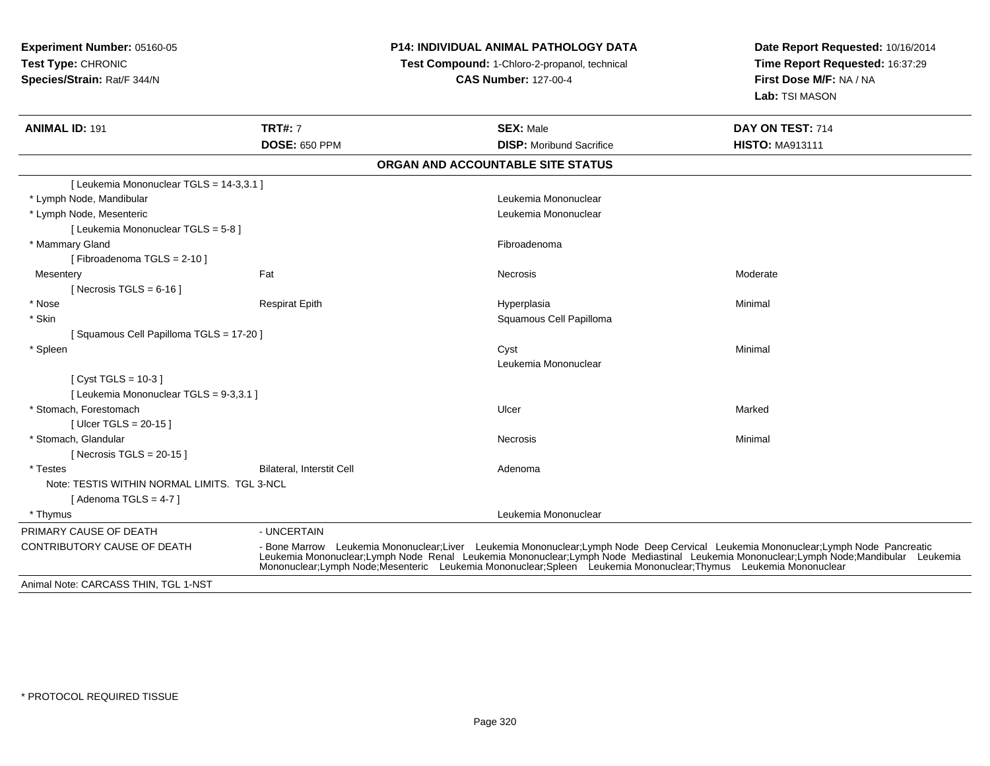## **P14: INDIVIDUAL ANIMAL PATHOLOGY DATA**

**Test Compound:** 1-Chloro-2-propanol, technical

**CAS Number:** 127-00-4

| <b>ANIMAL ID: 191</b>                        | <b>TRT#: 7</b><br><b>DOSE: 650 PPM</b> | <b>SEX: Male</b><br><b>DISP:</b> Moribund Sacrifice                                                                                                                                                                                                                                                                                                                                          | DAY ON TEST: 714<br><b>HISTO: MA913111</b> |  |  |  |  |
|----------------------------------------------|----------------------------------------|----------------------------------------------------------------------------------------------------------------------------------------------------------------------------------------------------------------------------------------------------------------------------------------------------------------------------------------------------------------------------------------------|--------------------------------------------|--|--|--|--|
| ORGAN AND ACCOUNTABLE SITE STATUS            |                                        |                                                                                                                                                                                                                                                                                                                                                                                              |                                            |  |  |  |  |
| [ Leukemia Mononuclear TGLS = 14-3,3.1 ]     |                                        |                                                                                                                                                                                                                                                                                                                                                                                              |                                            |  |  |  |  |
| * Lymph Node, Mandibular                     |                                        | Leukemia Mononuclear                                                                                                                                                                                                                                                                                                                                                                         |                                            |  |  |  |  |
| * Lymph Node, Mesenteric                     |                                        | Leukemia Mononuclear                                                                                                                                                                                                                                                                                                                                                                         |                                            |  |  |  |  |
| [ Leukemia Mononuclear TGLS = 5-8 ]          |                                        |                                                                                                                                                                                                                                                                                                                                                                                              |                                            |  |  |  |  |
| * Mammary Gland                              |                                        | Fibroadenoma                                                                                                                                                                                                                                                                                                                                                                                 |                                            |  |  |  |  |
| [Fibroadenoma TGLS = 2-10]                   |                                        |                                                                                                                                                                                                                                                                                                                                                                                              |                                            |  |  |  |  |
| Mesentery                                    | Fat                                    | Necrosis                                                                                                                                                                                                                                                                                                                                                                                     | Moderate                                   |  |  |  |  |
| [ Necrosis TGLS = $6-16$ ]                   |                                        |                                                                                                                                                                                                                                                                                                                                                                                              |                                            |  |  |  |  |
| * Nose                                       | <b>Respirat Epith</b>                  | Hyperplasia                                                                                                                                                                                                                                                                                                                                                                                  | Minimal                                    |  |  |  |  |
| * Skin                                       |                                        | Squamous Cell Papilloma                                                                                                                                                                                                                                                                                                                                                                      |                                            |  |  |  |  |
| [Squamous Cell Papilloma TGLS = 17-20]       |                                        |                                                                                                                                                                                                                                                                                                                                                                                              |                                            |  |  |  |  |
| * Spleen                                     |                                        | Cyst                                                                                                                                                                                                                                                                                                                                                                                         | Minimal                                    |  |  |  |  |
|                                              |                                        | Leukemia Mononuclear                                                                                                                                                                                                                                                                                                                                                                         |                                            |  |  |  |  |
| [ $Cyst TGLS = 10-3$ ]                       |                                        |                                                                                                                                                                                                                                                                                                                                                                                              |                                            |  |  |  |  |
| [ Leukemia Mononuclear TGLS = 9-3,3.1 ]      |                                        |                                                                                                                                                                                                                                                                                                                                                                                              |                                            |  |  |  |  |
| * Stomach. Forestomach                       |                                        | Ulcer                                                                                                                                                                                                                                                                                                                                                                                        | Marked                                     |  |  |  |  |
| [ Ulcer TGLS = $20-15$ ]                     |                                        |                                                                                                                                                                                                                                                                                                                                                                                              |                                            |  |  |  |  |
| * Stomach, Glandular                         |                                        | Necrosis                                                                                                                                                                                                                                                                                                                                                                                     | Minimal                                    |  |  |  |  |
| [ Necrosis TGLS = $20-15$ ]                  |                                        |                                                                                                                                                                                                                                                                                                                                                                                              |                                            |  |  |  |  |
| * Testes                                     | Bilateral, Interstit Cell              | Adenoma                                                                                                                                                                                                                                                                                                                                                                                      |                                            |  |  |  |  |
| Note: TESTIS WITHIN NORMAL LIMITS. TGL 3-NCL |                                        |                                                                                                                                                                                                                                                                                                                                                                                              |                                            |  |  |  |  |
| [Adenoma TGLS = $4-7$ ]                      |                                        |                                                                                                                                                                                                                                                                                                                                                                                              |                                            |  |  |  |  |
| * Thymus                                     |                                        | Leukemia Mononuclear                                                                                                                                                                                                                                                                                                                                                                         |                                            |  |  |  |  |
| PRIMARY CAUSE OF DEATH                       | - UNCERTAIN                            |                                                                                                                                                                                                                                                                                                                                                                                              |                                            |  |  |  |  |
| CONTRIBUTORY CAUSE OF DEATH                  |                                        | - Bone Marrow Leukemia Mononuclear;Liver Leukemia Mononuclear;Lymph Node Deep Cervical Leukemia Mononuclear;Lymph Node Pancreatic<br>Leukemia Mononuclear;Lymph Node Renal Leukemia Mononuclear;Lymph Node Mediastinal Leukemia Mononuclear;Lymph Node;Mandibular Leukemia<br>Mononuclear:Lymph Node:Mesenteric Leukemia Mononuclear:Spleen Leukemia Mononuclear:Thymus Leukemia Mononuclear |                                            |  |  |  |  |
| Animal Note: CARCASS THIN, TGL 1-NST         |                                        |                                                                                                                                                                                                                                                                                                                                                                                              |                                            |  |  |  |  |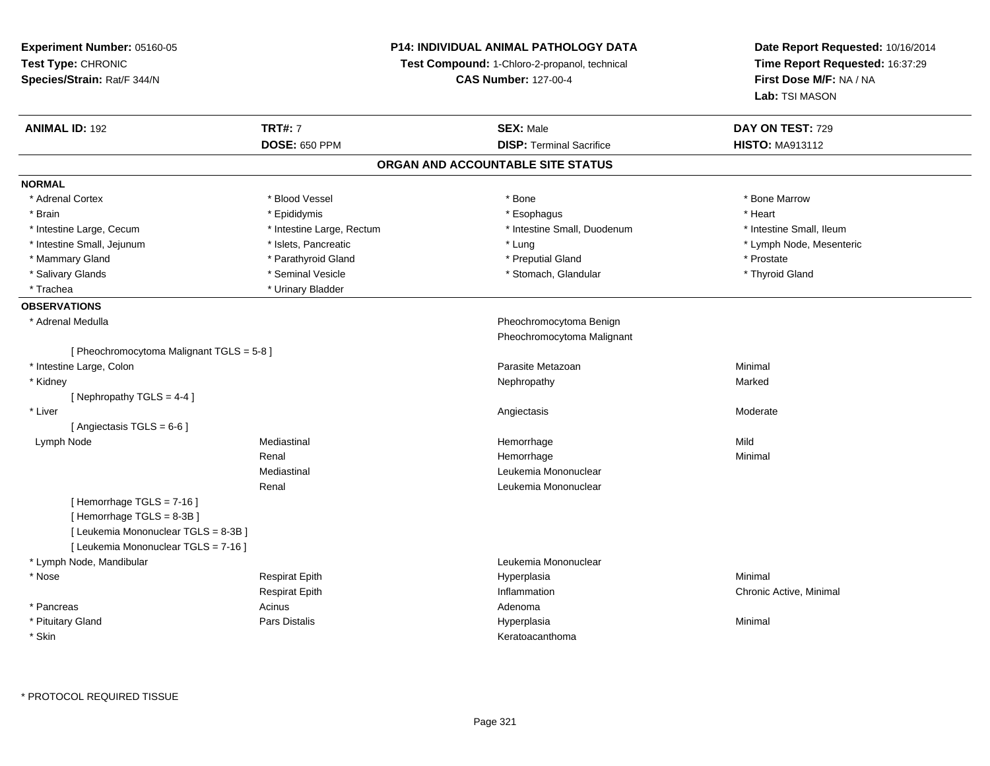**Experiment Number:** 05160-05**Test Type:** CHRONIC **Species/Strain:** Rat/F 344/N**P14: INDIVIDUAL ANIMAL PATHOLOGY DATATest Compound:** 1-Chloro-2-propanol, technical **CAS Number:** 127-00-4**Date Report Requested:** 10/16/2014**Time Report Requested:** 16:37:29**First Dose M/F:** NA / NA**Lab:** TSI MASON**ANIMAL ID:** 192**TRT#:** 7 **SEX:** Male **DAY ON TEST:** 729 **DOSE:** 650 PPM**DISP:** Terminal Sacrifice **HISTO:** MA913112 **ORGAN AND ACCOUNTABLE SITE STATUSNORMAL**\* Adrenal Cortex \* Adrenal Cortex \* \* Attachers \* Blood Vessel \* \* Bone \* \* \* Bone \* \* Bone \* \* Bone \* Bone Marrow \* Bone Marrow \* Brain \* \* Esophagus \* \* Esophagus \* \* Esophagus \* \* Esophagus \* \* Esophagus \* Heart \* Heart \* Heart \* Heart \* Intestine Large, Cecum \* Intestine Large, Rectum \* Intestine Small, Duodenum \* Intestine Small, Ileum\* Intestine Small, Jejunum \* \* \* https://www.fat.com/state/setter/educitory/magnetic formulations and the state of the state of the state of the state of the state of the state of the state of the state of the state of the \* Mammary Gland \* Prostate \* Parathyroid Gland \* \* Preputial Gland \* Preputial Gland \* Prostate \* Thyroid Gland \* Salivary Glands \* Seminal Vesicle \* Seminal Vesicle \* Stomach, Glandular \* Stomach, Glandular \* Trachea **\*** Urinary Bladder **OBSERVATIONS** \* Adrenal Medulla Pheochromocytoma Benign Pheochromocytoma Malignant[ Pheochromocytoma Malignant TGLS = 5-8 ] \* Intestine Large, Colonn and a state of the control of the control of the control of the Parasite Metazoan and the control of Minimal \* Kidneyy the control of the control of the control of the control of the control of the control of the control of the control of the control of the control of the control of the control of the control of the control of the contro [ Nephropathy TGLS = 4-4 ] \* Liverr and the contract of the contract of the contract of the contract of the contract of the contract of the contract of the contract of the contract of the contract of the contract of the contract of the contract of the cont s Moderate [ Angiectasis TGLS = 6-6 ] Lymph Nodee the mediastinal the settlement of the Mild of the Mild of the Mild of the Mild of the Mild of the Mild of the Mild of the Mild of the Mild of the Mild of the Mild of the Mild of the Mild of the Mild of the Mild of the Mi Renal Hemorrhagee Minimal Mediastinal Leukemia MononuclearRenal Leukemia Mononuclear[ Hemorrhage TGLS = 7-16 ][ Hemorrhage TGLS = 8-3B ][ Leukemia Mononuclear TGLS = 8-3B ][ Leukemia Mononuclear TGLS = 7-16 ] \* Lymph Node, Mandibular Leukemia Mononuclear \* Nose Respirat Epith Hyperplasia Minimal Respirat Epith Inflammation Chronic Active, Minimal \* Pancreas Acinus AdenomaHyperplasia \* Pituitary Gland Pars Distalis Hyperplasia Minimal \* Skinn anns an t-ainmeile anns an t-ainmeile anns an t-ainmeile anns an t-ainmeile anns an t-ainmeile anns an t-ainm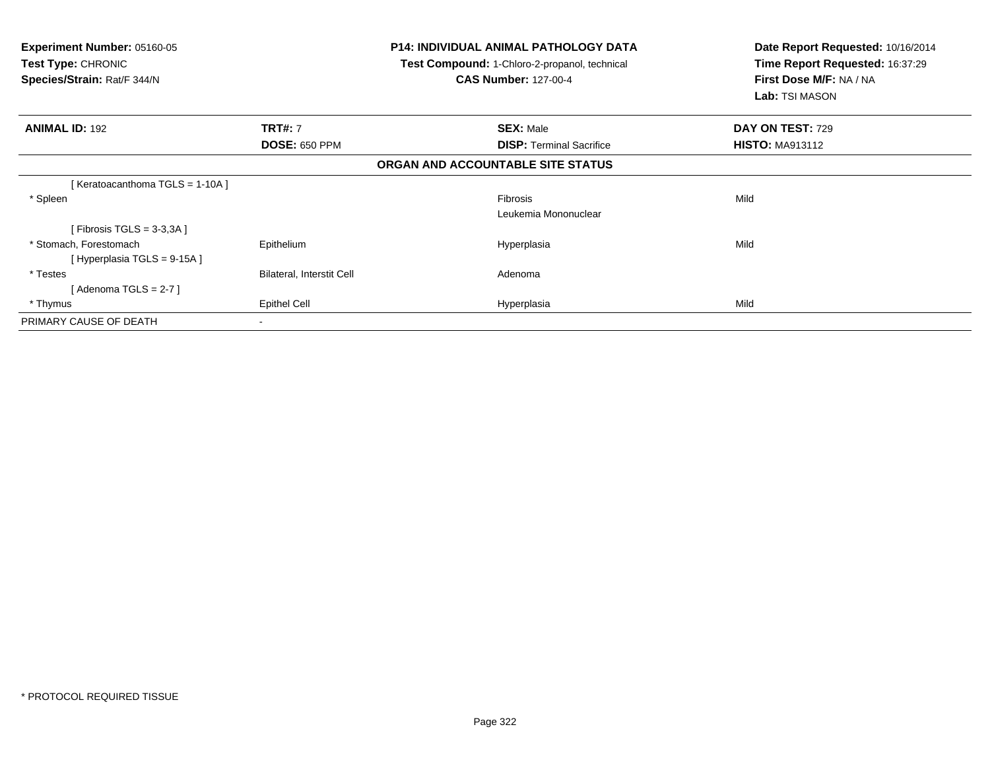| Experiment Number: 05160-05<br><b>Test Type: CHRONIC</b><br>Species/Strain: Rat/F 344/N |                                  | <b>P14: INDIVIDUAL ANIMAL PATHOLOGY DATA</b><br><b>Test Compound: 1-Chloro-2-propanol, technical</b><br><b>CAS Number: 127-00-4</b> | Date Report Requested: 10/16/2014<br>Time Report Requested: 16:37:29<br>First Dose M/F: NA / NA<br>Lab: TSI MASON |
|-----------------------------------------------------------------------------------------|----------------------------------|-------------------------------------------------------------------------------------------------------------------------------------|-------------------------------------------------------------------------------------------------------------------|
| <b>ANIMAL ID: 192</b>                                                                   | <b>TRT#: 7</b>                   | <b>SEX: Male</b>                                                                                                                    | DAY ON TEST: 729                                                                                                  |
|                                                                                         | <b>DOSE: 650 PPM</b>             | <b>DISP:</b> Terminal Sacrifice                                                                                                     | <b>HISTO: MA913112</b>                                                                                            |
|                                                                                         |                                  | ORGAN AND ACCOUNTABLE SITE STATUS                                                                                                   |                                                                                                                   |
| [Keratoacanthoma TGLS = 1-10A]                                                          |                                  |                                                                                                                                     |                                                                                                                   |
| * Spleen                                                                                |                                  | <b>Fibrosis</b>                                                                                                                     | Mild                                                                                                              |
|                                                                                         |                                  | Leukemia Mononuclear                                                                                                                |                                                                                                                   |
| [Fibrosis TGLS = $3-3,3A$ ]                                                             |                                  |                                                                                                                                     |                                                                                                                   |
| * Stomach, Forestomach                                                                  | Epithelium                       | Hyperplasia                                                                                                                         | Mild                                                                                                              |
| [Hyperplasia TGLS = 9-15A]                                                              |                                  |                                                                                                                                     |                                                                                                                   |
| * Testes                                                                                | <b>Bilateral, Interstit Cell</b> | Adenoma                                                                                                                             |                                                                                                                   |
| [Adenoma TGLS = 2-7 ]                                                                   |                                  |                                                                                                                                     |                                                                                                                   |
| * Thymus                                                                                | <b>Epithel Cell</b>              | Hyperplasia                                                                                                                         | Mild                                                                                                              |
| PRIMARY CAUSE OF DEATH                                                                  | $\sim$                           |                                                                                                                                     |                                                                                                                   |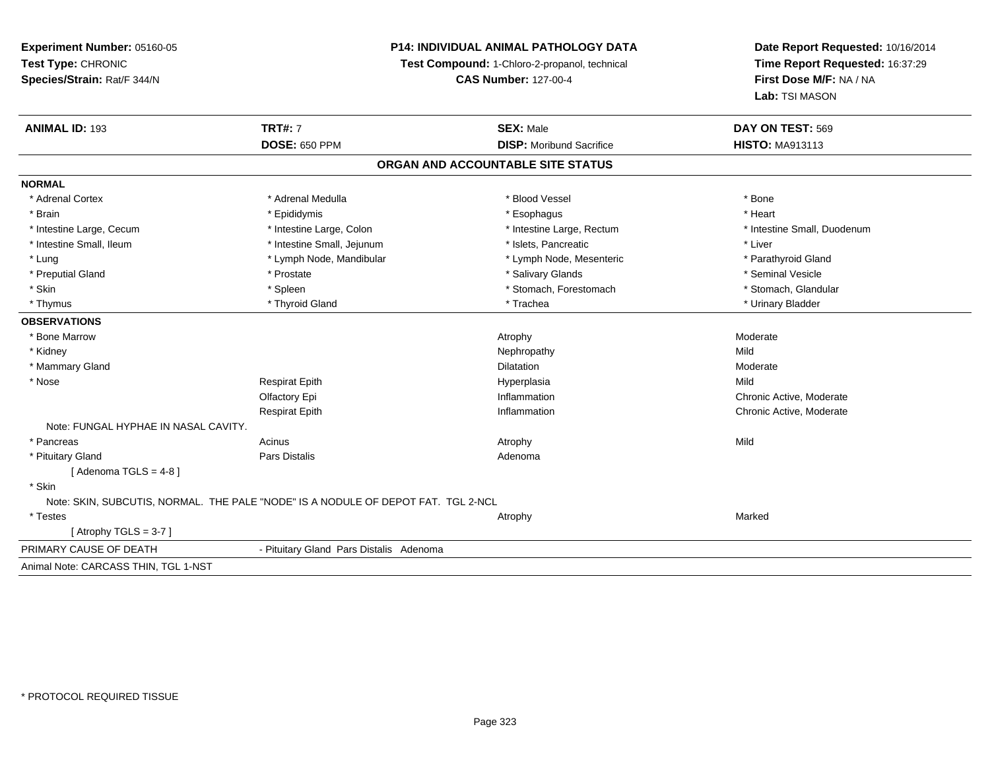### **P14: INDIVIDUAL ANIMAL PATHOLOGY DATA**

**Test Compound:** 1-Chloro-2-propanol, technical

**CAS Number:** 127-00-4

| <b>ANIMAL ID: 193</b>                | <b>TRT#: 7</b>                                                                    | <b>SEX: Male</b>                  | DAY ON TEST: 569            |
|--------------------------------------|-----------------------------------------------------------------------------------|-----------------------------------|-----------------------------|
|                                      | <b>DOSE: 650 PPM</b>                                                              | <b>DISP:</b> Moribund Sacrifice   | <b>HISTO: MA913113</b>      |
|                                      |                                                                                   | ORGAN AND ACCOUNTABLE SITE STATUS |                             |
| <b>NORMAL</b>                        |                                                                                   |                                   |                             |
| * Adrenal Cortex                     | * Adrenal Medulla                                                                 | * Blood Vessel                    | * Bone                      |
| * Brain                              | * Epididymis                                                                      | * Esophagus                       | * Heart                     |
| * Intestine Large, Cecum             | * Intestine Large, Colon                                                          | * Intestine Large, Rectum         | * Intestine Small, Duodenum |
| * Intestine Small, Ileum             | * Intestine Small, Jejunum                                                        | * Islets, Pancreatic              | * Liver                     |
| * Lung                               | * Lymph Node, Mandibular                                                          | * Lymph Node, Mesenteric          | * Parathyroid Gland         |
| * Preputial Gland                    | * Prostate                                                                        | * Salivary Glands                 | * Seminal Vesicle           |
| * Skin                               | * Spleen                                                                          | * Stomach, Forestomach            | * Stomach, Glandular        |
| * Thymus                             | * Thyroid Gland                                                                   | * Trachea                         | * Urinary Bladder           |
| <b>OBSERVATIONS</b>                  |                                                                                   |                                   |                             |
| * Bone Marrow                        |                                                                                   | Atrophy                           | Moderate                    |
| * Kidney                             |                                                                                   | Nephropathy                       | Mild                        |
| * Mammary Gland                      |                                                                                   | <b>Dilatation</b>                 | Moderate                    |
| * Nose                               | <b>Respirat Epith</b>                                                             | Hyperplasia                       | Mild                        |
|                                      | Olfactory Epi                                                                     | Inflammation                      | Chronic Active, Moderate    |
|                                      | <b>Respirat Epith</b>                                                             | Inflammation                      | Chronic Active, Moderate    |
| Note: FUNGAL HYPHAE IN NASAL CAVITY. |                                                                                   |                                   |                             |
| * Pancreas                           | Acinus                                                                            | Atrophy                           | Mild                        |
| * Pituitary Gland                    | Pars Distalis                                                                     | Adenoma                           |                             |
| [Adenoma TGLS = $4-8$ ]              |                                                                                   |                                   |                             |
| * Skin                               |                                                                                   |                                   |                             |
|                                      | Note: SKIN, SUBCUTIS, NORMAL. THE PALE "NODE" IS A NODULE OF DEPOT FAT. TGL 2-NCL |                                   |                             |
| $*$ Testes                           |                                                                                   | Atrophy                           | Marked                      |
| [Atrophy TGLS = 3-7]                 |                                                                                   |                                   |                             |
| PRIMARY CAUSE OF DEATH               | - Pituitary Gland Pars Distalis Adenoma                                           |                                   |                             |
| Animal Note: CARCASS THIN, TGL 1-NST |                                                                                   |                                   |                             |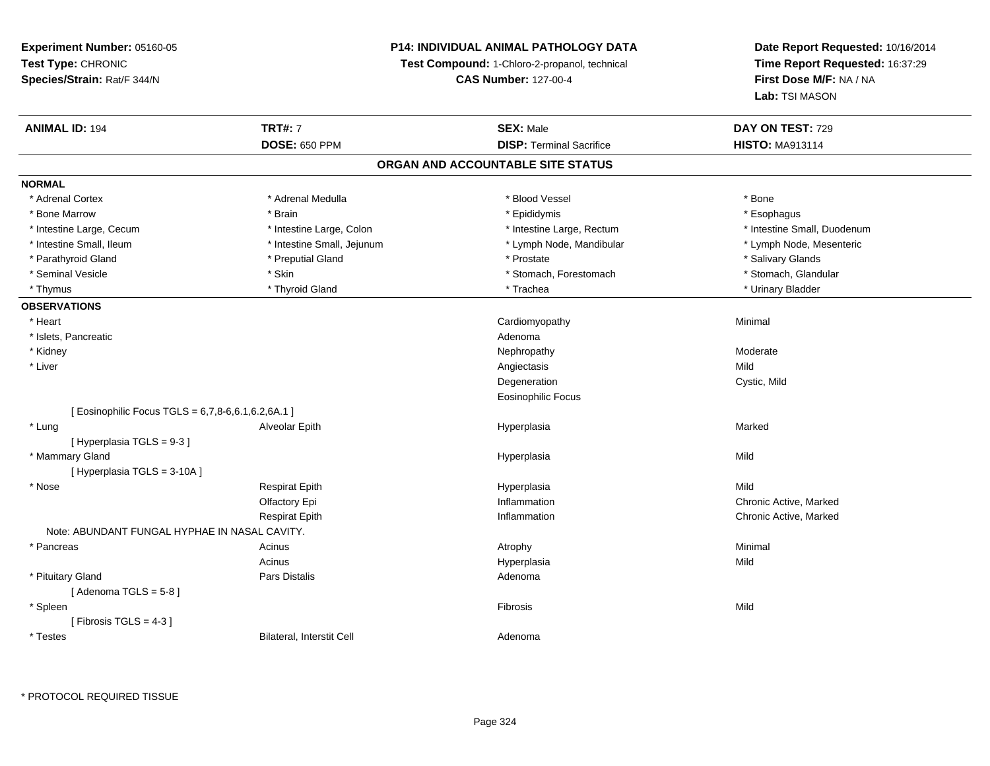### **P14: INDIVIDUAL ANIMAL PATHOLOGY DATA**

**Test Compound:** 1-Chloro-2-propanol, technical

**CAS Number:** 127-00-4

**Date Report Requested:** 10/16/2014**Time Report Requested:** 16:37:29**First Dose M/F:** NA / NA**Lab:** TSI MASON

| <b>ANIMAL ID: 194</b>                              | <b>TRT#: 7</b>             | <b>SEX: Male</b>                  | DAY ON TEST: 729            |  |
|----------------------------------------------------|----------------------------|-----------------------------------|-----------------------------|--|
|                                                    | <b>DOSE: 650 PPM</b>       | <b>DISP: Terminal Sacrifice</b>   | <b>HISTO: MA913114</b>      |  |
|                                                    |                            | ORGAN AND ACCOUNTABLE SITE STATUS |                             |  |
| <b>NORMAL</b>                                      |                            |                                   |                             |  |
| * Adrenal Cortex                                   | * Adrenal Medulla          | * Blood Vessel                    | * Bone                      |  |
| * Bone Marrow                                      | * Brain                    | * Epididymis                      | * Esophagus                 |  |
| * Intestine Large, Cecum                           | * Intestine Large, Colon   | * Intestine Large, Rectum         | * Intestine Small, Duodenum |  |
| * Intestine Small, Ileum                           | * Intestine Small, Jejunum | * Lymph Node, Mandibular          | * Lymph Node, Mesenteric    |  |
| * Parathyroid Gland                                | * Preputial Gland          | * Prostate                        | * Salivary Glands           |  |
| * Seminal Vesicle                                  | * Skin                     | * Stomach, Forestomach            | * Stomach, Glandular        |  |
| * Thymus                                           | * Thyroid Gland            | * Trachea                         | * Urinary Bladder           |  |
| <b>OBSERVATIONS</b>                                |                            |                                   |                             |  |
| * Heart                                            |                            | Cardiomyopathy                    | Minimal                     |  |
| * Islets, Pancreatic                               |                            | Adenoma                           |                             |  |
| * Kidney                                           |                            | Nephropathy                       | Moderate                    |  |
| * Liver                                            |                            | Angiectasis                       | Mild                        |  |
|                                                    |                            | Degeneration                      | Cystic, Mild                |  |
|                                                    |                            | Eosinophilic Focus                |                             |  |
| [ Eosinophilic Focus TGLS = 6,7,8-6,6.1,6.2,6A.1 ] |                            |                                   |                             |  |
| * Lung                                             | Alveolar Epith             | Hyperplasia                       | Marked                      |  |
| [Hyperplasia TGLS = 9-3]                           |                            |                                   |                             |  |
| * Mammary Gland                                    |                            | Hyperplasia                       | Mild                        |  |
| [Hyperplasia TGLS = 3-10A]                         |                            |                                   |                             |  |
| * Nose                                             | <b>Respirat Epith</b>      | Hyperplasia                       | Mild                        |  |
|                                                    | Olfactory Epi              | Inflammation                      | Chronic Active, Marked      |  |
|                                                    | <b>Respirat Epith</b>      | Inflammation                      | Chronic Active, Marked      |  |
| Note: ABUNDANT FUNGAL HYPHAE IN NASAL CAVITY.      |                            |                                   |                             |  |
| * Pancreas                                         | Acinus                     | Atrophy                           | Minimal                     |  |
|                                                    | Acinus                     | Hyperplasia                       | Mild                        |  |
| * Pituitary Gland                                  | Pars Distalis              | Adenoma                           |                             |  |
| [Adenoma TGLS = $5-8$ ]                            |                            |                                   |                             |  |
| * Spleen                                           |                            | Fibrosis                          | Mild                        |  |
| [Fibrosis TGLS = $4-3$ ]                           |                            |                                   |                             |  |
| * Testes                                           | Bilateral, Interstit Cell  | Adenoma                           |                             |  |

\* PROTOCOL REQUIRED TISSUE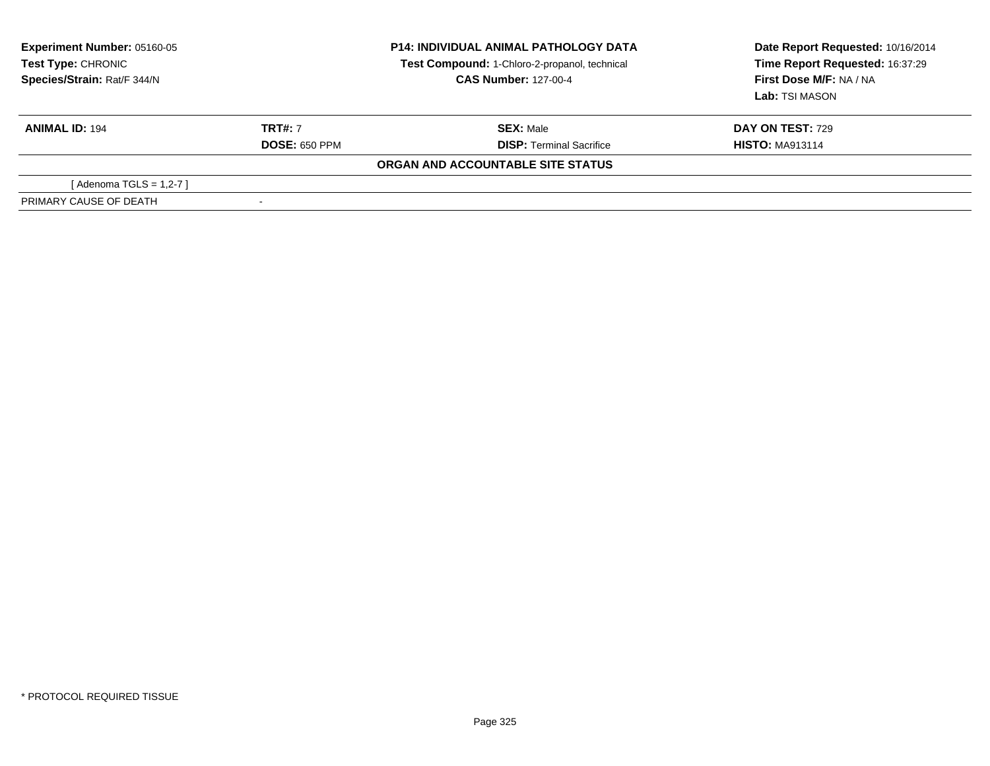| <b>Experiment Number: 05160-05</b><br>Test Type: CHRONIC<br>Species/Strain: Rat/F 344/N |                      | <b>P14: INDIVIDUAL ANIMAL PATHOLOGY DATA</b><br>Test Compound: 1-Chloro-2-propanol, technical<br><b>CAS Number: 127-00-4</b> | Date Report Requested: 10/16/2014<br>Time Report Requested: 16:37:29<br>First Dose M/F: NA / NA<br>Lab: TSI MASON |  |
|-----------------------------------------------------------------------------------------|----------------------|------------------------------------------------------------------------------------------------------------------------------|-------------------------------------------------------------------------------------------------------------------|--|
| <b>ANIMAL ID: 194</b>                                                                   | <b>TRT#: 7</b>       | <b>SEX: Male</b>                                                                                                             | <b>DAY ON TEST: 729</b>                                                                                           |  |
|                                                                                         | <b>DOSE: 650 PPM</b> | <b>DISP: Terminal Sacrifice</b>                                                                                              | <b>HISTO: MA913114</b>                                                                                            |  |
|                                                                                         |                      | ORGAN AND ACCOUNTABLE SITE STATUS                                                                                            |                                                                                                                   |  |
| [ Adenoma TGLS = 1,2-7 ]                                                                |                      |                                                                                                                              |                                                                                                                   |  |
| PRIMARY CAUSE OF DEATH                                                                  |                      |                                                                                                                              |                                                                                                                   |  |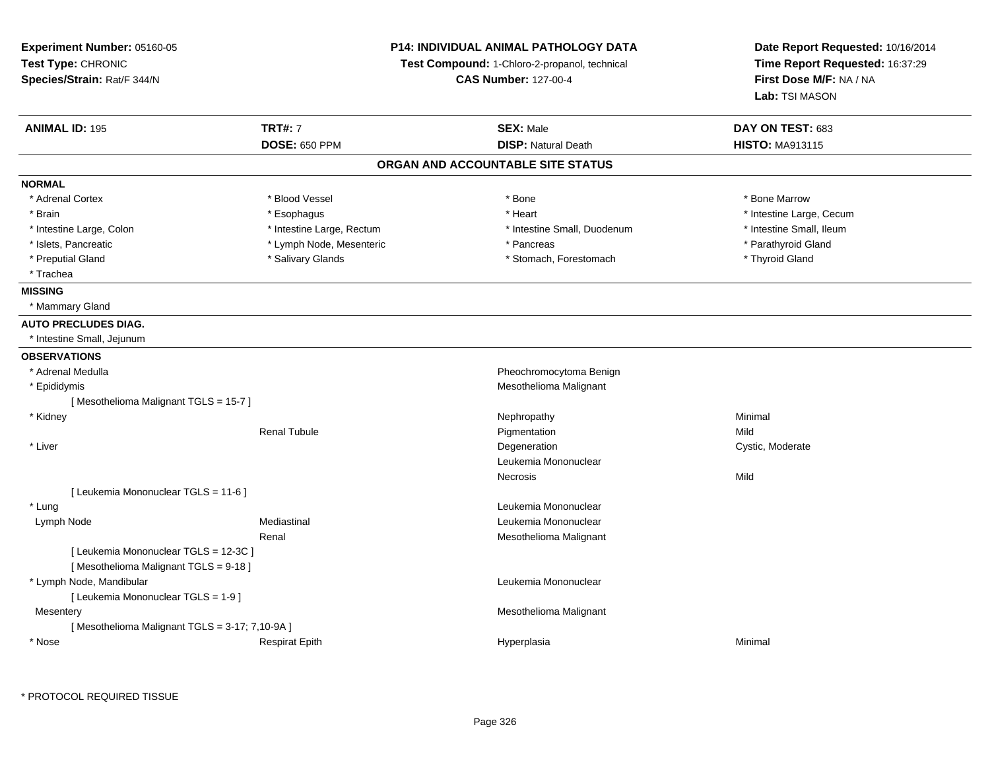| <b>Experiment Number: 05160-05</b><br>Test Type: CHRONIC<br>Species/Strain: Rat/F 344/N |                           | <b>P14: INDIVIDUAL ANIMAL PATHOLOGY DATA</b><br>Test Compound: 1-Chloro-2-propanol, technical<br><b>CAS Number: 127-00-4</b> | Date Report Requested: 10/16/2014<br>Time Report Requested: 16:37:29<br>First Dose M/F: NA / NA |  |
|-----------------------------------------------------------------------------------------|---------------------------|------------------------------------------------------------------------------------------------------------------------------|-------------------------------------------------------------------------------------------------|--|
|                                                                                         |                           |                                                                                                                              | Lab: TSI MASON                                                                                  |  |
| <b>ANIMAL ID: 195</b>                                                                   | <b>TRT#: 7</b>            | <b>SEX: Male</b>                                                                                                             | DAY ON TEST: 683                                                                                |  |
|                                                                                         | <b>DOSE: 650 PPM</b>      | <b>DISP: Natural Death</b>                                                                                                   | <b>HISTO: MA913115</b>                                                                          |  |
|                                                                                         |                           | ORGAN AND ACCOUNTABLE SITE STATUS                                                                                            |                                                                                                 |  |
| <b>NORMAL</b>                                                                           |                           |                                                                                                                              |                                                                                                 |  |
| * Adrenal Cortex                                                                        | * Blood Vessel            | * Bone                                                                                                                       | * Bone Marrow                                                                                   |  |
| * Brain                                                                                 | * Esophagus               | * Heart                                                                                                                      | * Intestine Large, Cecum                                                                        |  |
| * Intestine Large, Colon                                                                | * Intestine Large, Rectum | * Intestine Small, Duodenum                                                                                                  | * Intestine Small, Ileum                                                                        |  |
| * Islets, Pancreatic                                                                    | * Lymph Node, Mesenteric  | * Pancreas                                                                                                                   | * Parathyroid Gland                                                                             |  |
| * Preputial Gland                                                                       | * Salivary Glands         | * Stomach, Forestomach                                                                                                       | * Thyroid Gland                                                                                 |  |
| * Trachea                                                                               |                           |                                                                                                                              |                                                                                                 |  |
| <b>MISSING</b>                                                                          |                           |                                                                                                                              |                                                                                                 |  |
| * Mammary Gland                                                                         |                           |                                                                                                                              |                                                                                                 |  |
| <b>AUTO PRECLUDES DIAG.</b>                                                             |                           |                                                                                                                              |                                                                                                 |  |
| * Intestine Small, Jejunum                                                              |                           |                                                                                                                              |                                                                                                 |  |
| <b>OBSERVATIONS</b>                                                                     |                           |                                                                                                                              |                                                                                                 |  |
| * Adrenal Medulla                                                                       |                           | Pheochromocytoma Benign                                                                                                      |                                                                                                 |  |
| * Epididymis                                                                            |                           | Mesothelioma Malignant                                                                                                       |                                                                                                 |  |
| [Mesothelioma Malignant TGLS = 15-7]                                                    |                           |                                                                                                                              |                                                                                                 |  |
| * Kidney                                                                                |                           | Nephropathy                                                                                                                  | Minimal                                                                                         |  |
|                                                                                         | <b>Renal Tubule</b>       | Pigmentation                                                                                                                 | Mild                                                                                            |  |
| * Liver                                                                                 |                           | Degeneration                                                                                                                 | Cystic, Moderate                                                                                |  |
|                                                                                         |                           | Leukemia Mononuclear                                                                                                         |                                                                                                 |  |
|                                                                                         |                           | Necrosis                                                                                                                     | Mild                                                                                            |  |
| [ Leukemia Mononuclear TGLS = 11-6 ]                                                    |                           |                                                                                                                              |                                                                                                 |  |
| * Lung                                                                                  |                           | Leukemia Mononuclear                                                                                                         |                                                                                                 |  |
| Lymph Node                                                                              | Mediastinal               | Leukemia Mononuclear                                                                                                         |                                                                                                 |  |
|                                                                                         | Renal                     | Mesothelioma Malignant                                                                                                       |                                                                                                 |  |
| [ Leukemia Mononuclear TGLS = 12-3C ]                                                   |                           |                                                                                                                              |                                                                                                 |  |
| [Mesothelioma Malignant TGLS = 9-18]                                                    |                           |                                                                                                                              |                                                                                                 |  |
| * Lymph Node, Mandibular                                                                |                           | Leukemia Mononuclear                                                                                                         |                                                                                                 |  |
| [ Leukemia Mononuclear TGLS = 1-9 ]                                                     |                           |                                                                                                                              |                                                                                                 |  |
| Mesentery                                                                               |                           | Mesothelioma Malignant                                                                                                       |                                                                                                 |  |
| [Mesothelioma Malignant TGLS = 3-17; 7,10-9A]                                           |                           |                                                                                                                              |                                                                                                 |  |
| * Nose                                                                                  | <b>Respirat Epith</b>     | Hyperplasia                                                                                                                  | Minimal                                                                                         |  |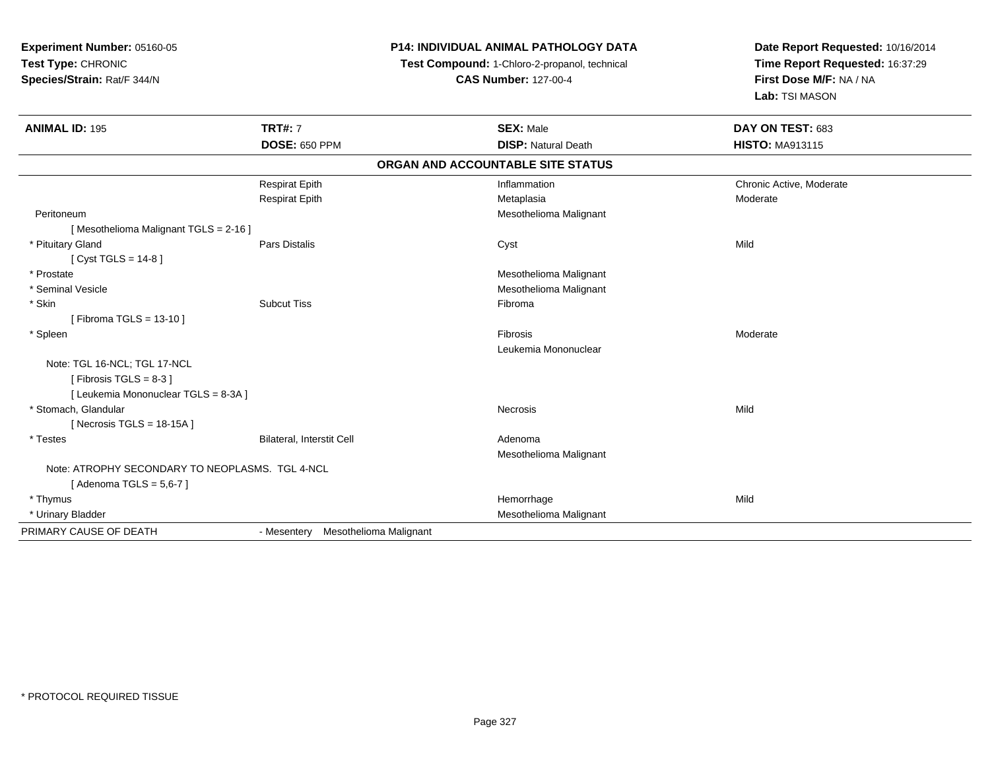**Experiment Number:** 05160-05**Test Type:** CHRONIC **Species/Strain:** Rat/F 344/N**P14: INDIVIDUAL ANIMAL PATHOLOGY DATATest Compound:** 1-Chloro-2-propanol, technical **CAS Number:** 127-00-4**Date Report Requested:** 10/16/2014**Time Report Requested:** 16:37:29**First Dose M/F:** NA / NA**Lab:** TSI MASON**ANIMAL ID:** 195**TRT#:** 7 **SEX:** Male **DAY ON TEST:** 683 **DOSE:** 650 PPM**DISP:** Natural Death **HISTO:** MA913115 **ORGAN AND ACCOUNTABLE SITE STATUS**Respirat Epith Inflammation Chronic Active, Moderate Respirat Epithh ann an Chrìobhachasa Metaplasia ann an Chrìobhachasa ann an Chrìobhachasa ann an Moderate ann an Aonaichte a Peritoneum Mesothelioma Malignant [ Mesothelioma Malignant TGLS = 2-16 ] \* Pituitary Gland Pars Distalis Cyst Mild [ Cyst TGLS = 14-8 ] \* Prostate Mesothelioma Malignant \* Seminal VesicleMesothelioma Malignant<br>
Subcut Tiss<br>
Fibroma \* Skinn and the subcut Tiss the set of the Subcut Tiss of the Subcut Tiss of the Subcut Tiss of the Subcut Tiss of the Subcut Tiss of the Subcut Tiss of the Subcut Tiss of the Subcut Tiss of the Subcut Tiss of the Subcut Tiss of [ Fibroma TGLS = 13-10 ] \* Spleenn and the contract of the contract of the contract of the contract of the contract of the contract of the contract of the contract of the contract of the contract of the contract of the contract of the contract of the cont Leukemia MononuclearNote: TGL 16-NCL; TGL 17-NCL $[$  Fibrosis TGLS = 8-3  $]$ [ Leukemia Mononuclear TGLS = 8-3A ] \* Stomach, Glandularr **Necrosis** s and the contract of the Mild [ Necrosis TGLS = 18-15A ] \* TestesBilateral, Interstit Cell **Adenoma** Adenoma Mesothelioma MalignantNote: ATROPHY SECONDARY TO NEOPLASMS. TGL 4-NCL[ Adenoma TGLS = 5,6-7 ] \* Thymuss and the control of the control of the control of the control of the control of the control of the control of the control of the control of the control of the control of the control of the control of the control of the co e Mild \* Urinary Bladder Mesothelioma Malignant PRIMARY CAUSE OF DEATH- Mesentery Mesothelioma Malignant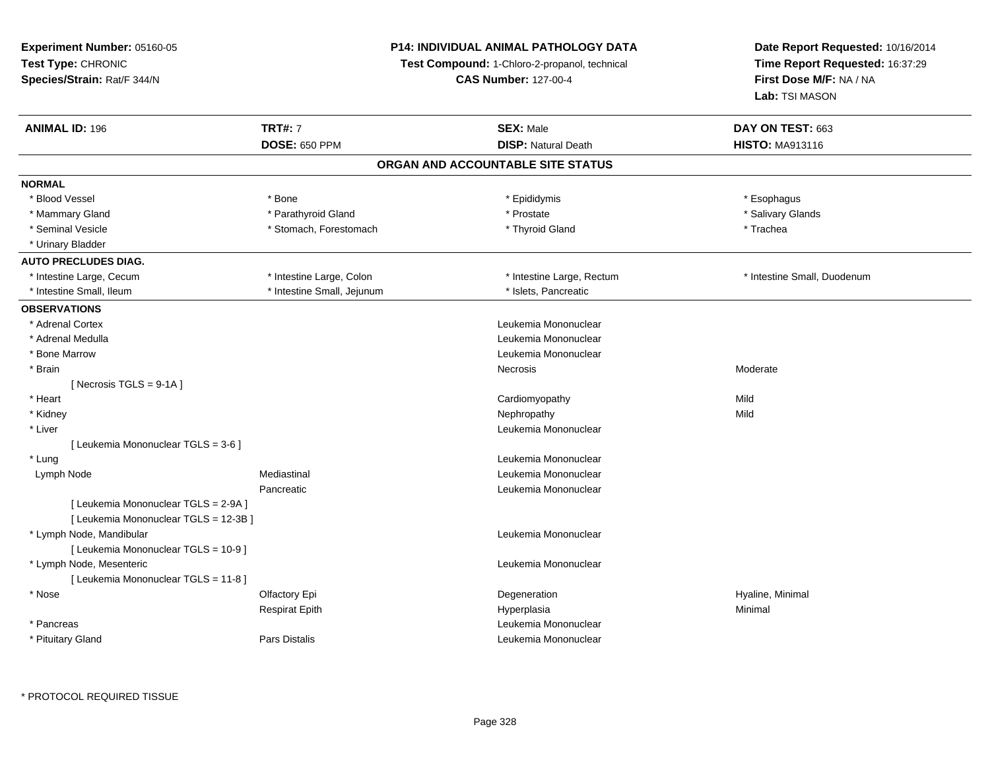# **P14: INDIVIDUAL ANIMAL PATHOLOGY DATA**

**Test Compound:** 1-Chloro-2-propanol, technical

**CAS Number:** 127-00-4

| <b>ANIMAL ID: 196</b>                 | <b>TRT#: 7</b>             | <b>SEX: Male</b>                  | DAY ON TEST: 663            |
|---------------------------------------|----------------------------|-----------------------------------|-----------------------------|
|                                       | <b>DOSE: 650 PPM</b>       | <b>DISP: Natural Death</b>        | <b>HISTO: MA913116</b>      |
|                                       |                            | ORGAN AND ACCOUNTABLE SITE STATUS |                             |
| <b>NORMAL</b>                         |                            |                                   |                             |
| * Blood Vessel                        | * Bone                     | * Epididymis                      | * Esophagus                 |
| * Mammary Gland                       | * Parathyroid Gland        | * Prostate                        | * Salivary Glands           |
| * Seminal Vesicle                     | * Stomach, Forestomach     | * Thyroid Gland                   | * Trachea                   |
| * Urinary Bladder                     |                            |                                   |                             |
| <b>AUTO PRECLUDES DIAG.</b>           |                            |                                   |                             |
| * Intestine Large, Cecum              | * Intestine Large, Colon   | * Intestine Large, Rectum         | * Intestine Small, Duodenum |
| * Intestine Small, Ileum              | * Intestine Small, Jejunum | * Islets, Pancreatic              |                             |
| <b>OBSERVATIONS</b>                   |                            |                                   |                             |
| * Adrenal Cortex                      |                            | Leukemia Mononuclear              |                             |
| * Adrenal Medulla                     |                            | Leukemia Mononuclear              |                             |
| * Bone Marrow                         |                            | Leukemia Mononuclear              |                             |
| * Brain                               |                            | Necrosis                          | Moderate                    |
| [ Necrosis $TGLS = 9-1A$ ]            |                            |                                   |                             |
| * Heart                               |                            | Cardiomyopathy                    | Mild                        |
| * Kidney                              |                            | Nephropathy                       | Mild                        |
| * Liver                               |                            | Leukemia Mononuclear              |                             |
| [ Leukemia Mononuclear TGLS = 3-6 ]   |                            |                                   |                             |
| * Lung                                |                            | Leukemia Mononuclear              |                             |
| Lymph Node                            | Mediastinal                | Leukemia Mononuclear              |                             |
|                                       | Pancreatic                 | Leukemia Mononuclear              |                             |
| [ Leukemia Mononuclear TGLS = 2-9A ]  |                            |                                   |                             |
| [ Leukemia Mononuclear TGLS = 12-3B ] |                            |                                   |                             |
| * Lymph Node, Mandibular              |                            | Leukemia Mononuclear              |                             |
| [ Leukemia Mononuclear TGLS = 10-9 ]  |                            |                                   |                             |
| * Lymph Node, Mesenteric              |                            | Leukemia Mononuclear              |                             |
| [ Leukemia Mononuclear TGLS = 11-8 ]  |                            |                                   |                             |
| $*$ Nose                              | Olfactory Epi              | Degeneration                      | Hyaline, Minimal            |
|                                       | <b>Respirat Epith</b>      | Hyperplasia                       | Minimal                     |
| * Pancreas                            |                            | Leukemia Mononuclear              |                             |
| * Pituitary Gland                     | <b>Pars Distalis</b>       | Leukemia Mononuclear              |                             |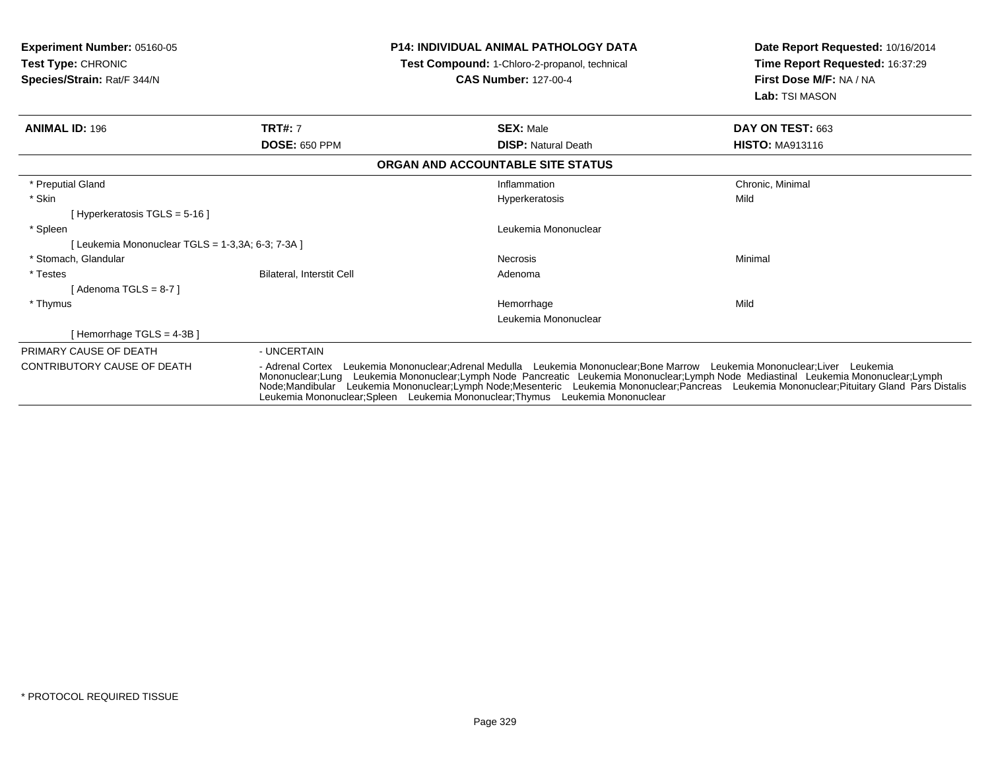| <b>Experiment Number: 05160-05</b><br><b>Test Type: CHRONIC</b><br>Species/Strain: Rat/F 344/N | <b>P14: INDIVIDUAL ANIMAL PATHOLOGY DATA</b><br>Test Compound: 1-Chloro-2-propanol, technical<br><b>CAS Number: 127-00-4</b>                                                                                                                                                                                                                                                                                                                                                                       |                                   | Date Report Requested: 10/16/2014<br>Time Report Requested: 16:37:29<br>First Dose M/F: NA / NA<br>Lab: TSI MASON |  |
|------------------------------------------------------------------------------------------------|----------------------------------------------------------------------------------------------------------------------------------------------------------------------------------------------------------------------------------------------------------------------------------------------------------------------------------------------------------------------------------------------------------------------------------------------------------------------------------------------------|-----------------------------------|-------------------------------------------------------------------------------------------------------------------|--|
| <b>ANIMAL ID: 196</b>                                                                          | <b>TRT#: 7</b>                                                                                                                                                                                                                                                                                                                                                                                                                                                                                     | <b>SEX: Male</b>                  | DAY ON TEST: 663                                                                                                  |  |
|                                                                                                | <b>DOSE: 650 PPM</b>                                                                                                                                                                                                                                                                                                                                                                                                                                                                               | <b>DISP: Natural Death</b>        | <b>HISTO: MA913116</b>                                                                                            |  |
|                                                                                                |                                                                                                                                                                                                                                                                                                                                                                                                                                                                                                    | ORGAN AND ACCOUNTABLE SITE STATUS |                                                                                                                   |  |
| * Preputial Gland                                                                              |                                                                                                                                                                                                                                                                                                                                                                                                                                                                                                    | Inflammation                      | Chronic, Minimal                                                                                                  |  |
| * Skin                                                                                         |                                                                                                                                                                                                                                                                                                                                                                                                                                                                                                    | <b>Hyperkeratosis</b>             | Mild                                                                                                              |  |
| [Hyperkeratosis TGLS = 5-16 ]                                                                  |                                                                                                                                                                                                                                                                                                                                                                                                                                                                                                    |                                   |                                                                                                                   |  |
| * Spleen                                                                                       |                                                                                                                                                                                                                                                                                                                                                                                                                                                                                                    | Leukemia Mononuclear              |                                                                                                                   |  |
| Leukemia Mononuclear TGLS = 1-3,3A; 6-3; 7-3A ]                                                |                                                                                                                                                                                                                                                                                                                                                                                                                                                                                                    |                                   |                                                                                                                   |  |
| * Stomach, Glandular                                                                           |                                                                                                                                                                                                                                                                                                                                                                                                                                                                                                    | Necrosis                          | Minimal                                                                                                           |  |
| * Testes                                                                                       | Bilateral, Interstit Cell                                                                                                                                                                                                                                                                                                                                                                                                                                                                          | Adenoma                           |                                                                                                                   |  |
| Adenoma TGLS = 8-7 1                                                                           |                                                                                                                                                                                                                                                                                                                                                                                                                                                                                                    |                                   |                                                                                                                   |  |
| * Thymus                                                                                       |                                                                                                                                                                                                                                                                                                                                                                                                                                                                                                    | Hemorrhage                        | Mild                                                                                                              |  |
|                                                                                                |                                                                                                                                                                                                                                                                                                                                                                                                                                                                                                    | Leukemia Mononuclear              |                                                                                                                   |  |
| Hemorrhage TGLS = 4-3B ]                                                                       |                                                                                                                                                                                                                                                                                                                                                                                                                                                                                                    |                                   |                                                                                                                   |  |
| PRIMARY CAUSE OF DEATH                                                                         | - UNCERTAIN                                                                                                                                                                                                                                                                                                                                                                                                                                                                                        |                                   |                                                                                                                   |  |
| <b>CONTRIBUTORY CAUSE OF DEATH</b>                                                             | Leukemia Mononuclear;Adrenal Medulla Leukemia Mononuclear;Bone Marrow Leukemia Mononuclear;Liver Leukemia<br>- Adrenal Cortex<br>Mononuclear;Lung Leukemia Mononuclear;Lymph Node Pancreatic Leukemia Mononuclear;Lymph Node Mediastinal Leukemia Mononuclear;Lymph<br>Node;Mandibular Leukemia Mononuclear;Lymph Node;Mesenteric Leukemia Mononuclear;Pancreas Leukemia Mononuclear;Pituitary Gland Pars Distalis<br>Leukemia Mononuclear;Spleen Leukemia Mononuclear;Thymus Leukemia Mononuclear |                                   |                                                                                                                   |  |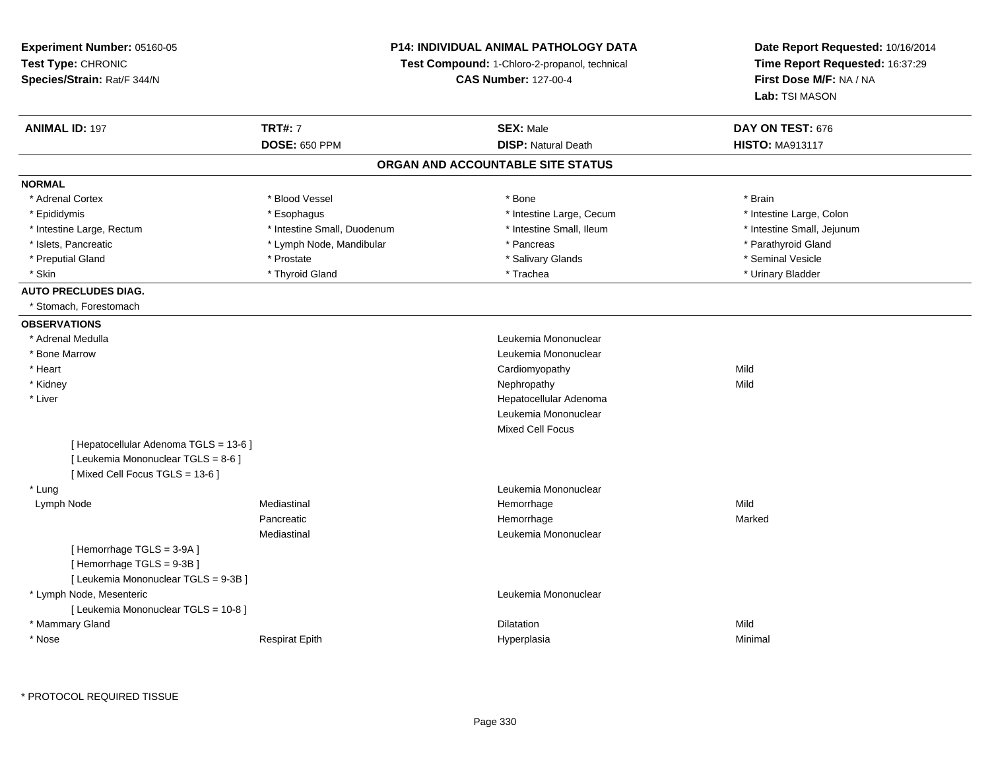**Experiment Number:** 05160-05**Test Type:** CHRONIC **Species/Strain:** Rat/F 344/N**P14: INDIVIDUAL ANIMAL PATHOLOGY DATATest Compound:** 1-Chloro-2-propanol, technical **CAS Number:** 127-00-4**Date Report Requested:** 10/16/2014**Time Report Requested:** 16:37:29**First Dose M/F:** NA / NA**Lab:** TSI MASON**ANIMAL ID:** 197**TRT#:** 7 **SEX:** Male **DAY ON TEST:** 676 **DOSE:** 650 PPM**DISP:** Natural Death **HISTO:** MA913117 **ORGAN AND ACCOUNTABLE SITE STATUSNORMAL**\* Adrenal Cortex \* Adrenal Cortex \* Blood Vessel \* Bone \* Brain\* Epididymis **\* Execution Contract Contract Constructs** \* Intestine Large, Cecum \* Intestine Large, Colon \* Intestine Large, Colon \* Intestine Large, Rectum \* Thestine Small, Duodenum \* Number of the small, Ileum \* Intestine Small, Jejunum \* Intestine Small, Jejunum \* Islets, Pancreatic \* The same of the Lymph Node, Mandibular \* Pancreas \* Pancreas \* Pancreas \* Parathyroid Gland \* Preputial Gland \* \* Annual vesicle \* \* Prostate \* \* Salivary Glands \* \* Salivary Glands \* \* Seminal Vesicle \* \* Urinary Bladder \* Skin \* \* Thyroid Gland \* \* Thyroid Gland \* \* Trachea \* \* Trachea \* \* Urinary Bladder \* Urinary Bladder \* \* Urinary Bladder \* \* Urinary Bladder \* \* Urinary Bladder \* \* Urinary Bladder \* \* Urinary Bladder \* \* Urinary Bladd **AUTO PRECLUDES DIAG.** \* Stomach, Forestomach**OBSERVATIONS** \* Adrenal MedullaLeukemia Mononuclear<br>Leukemia Mononuclear \* Bone Marrow Leukemia Mononuclear \* Heart Cardiomyopathyy Mild **Mild**  \* Kidneyy the controller of the controller of the controller of the controller of the controller of the controller of the controller of the controller of the controller of the controller of the controller of the controller of the \* Liver Hepatocellular Adenoma Leukemia MononuclearMixed Cell Focus[ Hepatocellular Adenoma TGLS = 13-6 ][ Leukemia Mononuclear TGLS = 8-6 ][ Mixed Cell Focus TGLS = 13-6 ] \* LungLeukemia Mononuclear<br>
Hemorrhage<br>
Hemorrhage Lymph Nodee the mediastinal the settlement of the Mild of the Mild of the Mild of the Mild of the Mild of the Mild of the Mild of the Mild of the Mild of the Mild of the Mild of the Mild of the Mild of the Mild of the Mild of the Mi Pancreatic Hemorrhagee Marked Marked Mediastinal Leukemia Mononuclear[ Hemorrhage TGLS = 3-9A ][ Hemorrhage TGLS = 9-3B ][ Leukemia Mononuclear TGLS = 9-3B ] \* Lymph Node, Mesenteric Leukemia Mononuclear [ Leukemia Mononuclear TGLS = 10-8 ] \* Mammary Glandd and the control of the control of the control of the control of the control of the control of the control of the control of the control of the control of the control of the control of the control of the control of the co \* NoseRespirat Epith Hyperplasia Minimal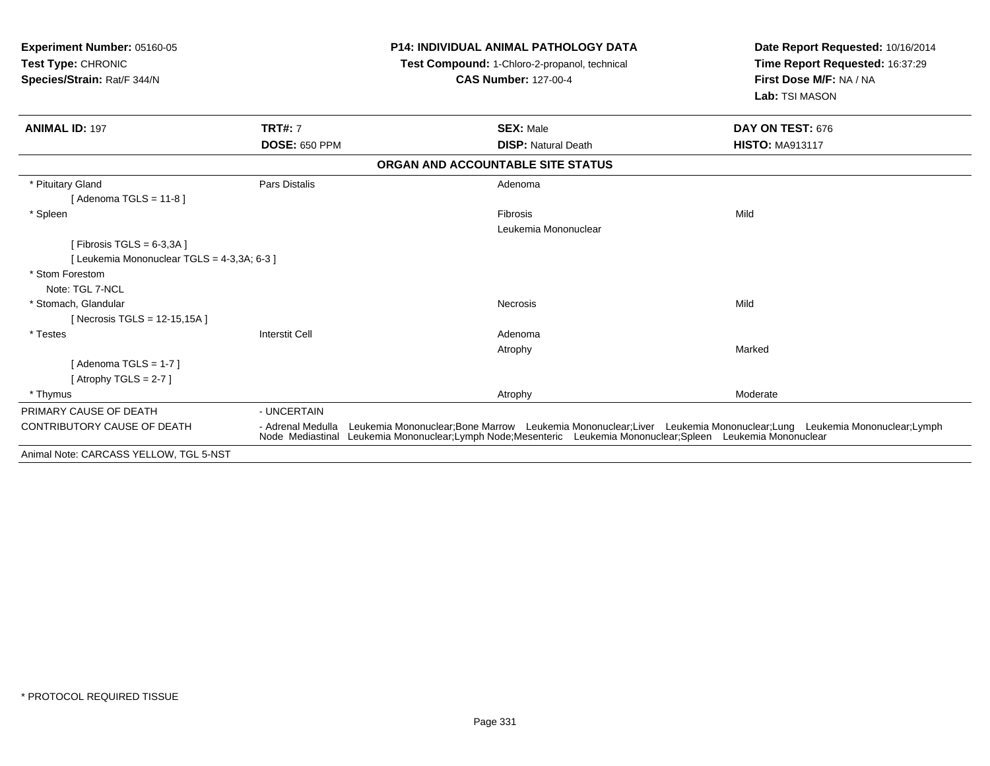| Experiment Number: 05160-05<br><b>Test Type: CHRONIC</b><br>Species/Strain: Rat/F 344/N |                                       | <b>P14: INDIVIDUAL ANIMAL PATHOLOGY DATA</b><br>Test Compound: 1-Chloro-2-propanol, technical<br><b>CAS Number: 127-00-4</b>                                                                                       | Date Report Requested: 10/16/2014<br>Time Report Requested: 16:37:29<br>First Dose M/F: NA / NA<br>Lab: TSI MASON |
|-----------------------------------------------------------------------------------------|---------------------------------------|--------------------------------------------------------------------------------------------------------------------------------------------------------------------------------------------------------------------|-------------------------------------------------------------------------------------------------------------------|
| <b>ANIMAL ID: 197</b>                                                                   | <b>TRT#: 7</b>                        | <b>SEX: Male</b>                                                                                                                                                                                                   | DAY ON TEST: 676                                                                                                  |
|                                                                                         | <b>DOSE: 650 PPM</b>                  | <b>DISP: Natural Death</b>                                                                                                                                                                                         | <b>HISTO: MA913117</b>                                                                                            |
|                                                                                         |                                       | ORGAN AND ACCOUNTABLE SITE STATUS                                                                                                                                                                                  |                                                                                                                   |
| * Pituitary Gland                                                                       | <b>Pars Distalis</b>                  | Adenoma                                                                                                                                                                                                            |                                                                                                                   |
| [Adenoma TGLS = $11-8$ ]                                                                |                                       |                                                                                                                                                                                                                    |                                                                                                                   |
| * Spleen                                                                                |                                       | Fibrosis                                                                                                                                                                                                           | Mild                                                                                                              |
|                                                                                         |                                       | Leukemia Mononuclear                                                                                                                                                                                               |                                                                                                                   |
| [Fibrosis TGLS = $6-3,3A$ ]                                                             |                                       |                                                                                                                                                                                                                    |                                                                                                                   |
| [Leukemia Mononuclear TGLS = 4-3,3A; 6-3 ]                                              |                                       |                                                                                                                                                                                                                    |                                                                                                                   |
| * Stom Forestom                                                                         |                                       |                                                                                                                                                                                                                    |                                                                                                                   |
| Note: TGL 7-NCL                                                                         |                                       |                                                                                                                                                                                                                    |                                                                                                                   |
| * Stomach, Glandular                                                                    |                                       | Necrosis                                                                                                                                                                                                           | Mild                                                                                                              |
| [Necrosis TGLS = 12-15,15A]                                                             |                                       |                                                                                                                                                                                                                    |                                                                                                                   |
| * Testes                                                                                | <b>Interstit Cell</b>                 | Adenoma                                                                                                                                                                                                            |                                                                                                                   |
|                                                                                         |                                       | Atrophy                                                                                                                                                                                                            | Marked                                                                                                            |
| [ Adenoma TGLS = 1-7 ]                                                                  |                                       |                                                                                                                                                                                                                    |                                                                                                                   |
| [Atrophy TGLS = 2-7]                                                                    |                                       |                                                                                                                                                                                                                    |                                                                                                                   |
| * Thymus                                                                                |                                       | Atrophy                                                                                                                                                                                                            | Moderate                                                                                                          |
| PRIMARY CAUSE OF DEATH                                                                  | - UNCERTAIN                           |                                                                                                                                                                                                                    |                                                                                                                   |
| <b>CONTRIBUTORY CAUSE OF DEATH</b>                                                      | - Adrenal Medulla<br>Node Mediastinal | Leukemia Mononuclear;Bone Marrow Leukemia Mononuclear;Liver Leukemia Mononuclear;Lung Leukemia Mononuclear;Lymph<br>Leukemia Mononuclear; Lymph Node; Mesenteric Leukemia Mononuclear; Spleen Leukemia Mononuclear |                                                                                                                   |
| Animal Note: CARCASS YELLOW, TGL 5-NST                                                  |                                       |                                                                                                                                                                                                                    |                                                                                                                   |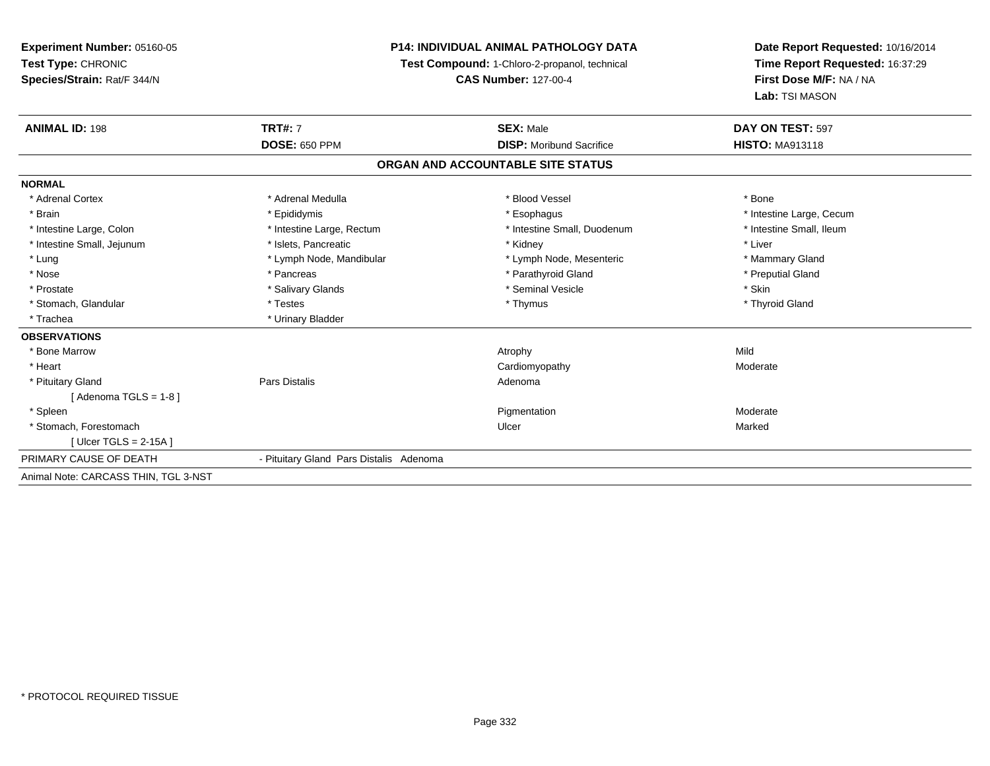# **P14: INDIVIDUAL ANIMAL PATHOLOGY DATA**

**Test Compound:** 1-Chloro-2-propanol, technical

**CAS Number:** 127-00-4

| <b>ANIMAL ID: 198</b>                | <b>TRT#: 7</b>                          | <b>SEX: Male</b>                  | DAY ON TEST: 597         |
|--------------------------------------|-----------------------------------------|-----------------------------------|--------------------------|
|                                      | <b>DOSE: 650 PPM</b>                    | <b>DISP:</b> Moribund Sacrifice   | <b>HISTO: MA913118</b>   |
|                                      |                                         | ORGAN AND ACCOUNTABLE SITE STATUS |                          |
| <b>NORMAL</b>                        |                                         |                                   |                          |
| * Adrenal Cortex                     | * Adrenal Medulla                       | * Blood Vessel                    | * Bone                   |
| * Brain                              | * Epididymis                            | * Esophagus                       | * Intestine Large, Cecum |
| * Intestine Large, Colon             | * Intestine Large, Rectum               | * Intestine Small, Duodenum       | * Intestine Small, Ileum |
| * Intestine Small, Jejunum           | * Islets, Pancreatic                    | * Kidney                          | * Liver                  |
| * Lung                               | * Lymph Node, Mandibular                | * Lymph Node, Mesenteric          | * Mammary Gland          |
| * Nose                               | * Pancreas                              | * Parathyroid Gland               | * Preputial Gland        |
| * Prostate                           | * Salivary Glands                       | * Seminal Vesicle                 | * Skin                   |
| * Stomach, Glandular                 | * Testes                                | * Thymus                          | * Thyroid Gland          |
| * Trachea                            | * Urinary Bladder                       |                                   |                          |
| <b>OBSERVATIONS</b>                  |                                         |                                   |                          |
| * Bone Marrow                        |                                         | Atrophy                           | Mild                     |
| * Heart                              |                                         | Cardiomyopathy                    | Moderate                 |
| * Pituitary Gland                    | Pars Distalis                           | Adenoma                           |                          |
| [Adenoma TGLS = $1-8$ ]              |                                         |                                   |                          |
| * Spleen                             |                                         | Pigmentation                      | Moderate                 |
| * Stomach, Forestomach               |                                         | Ulcer                             | Marked                   |
| [ Ulcer TGLS = $2-15A$ ]             |                                         |                                   |                          |
| PRIMARY CAUSE OF DEATH               | - Pituitary Gland Pars Distalis Adenoma |                                   |                          |
| Animal Note: CARCASS THIN, TGL 3-NST |                                         |                                   |                          |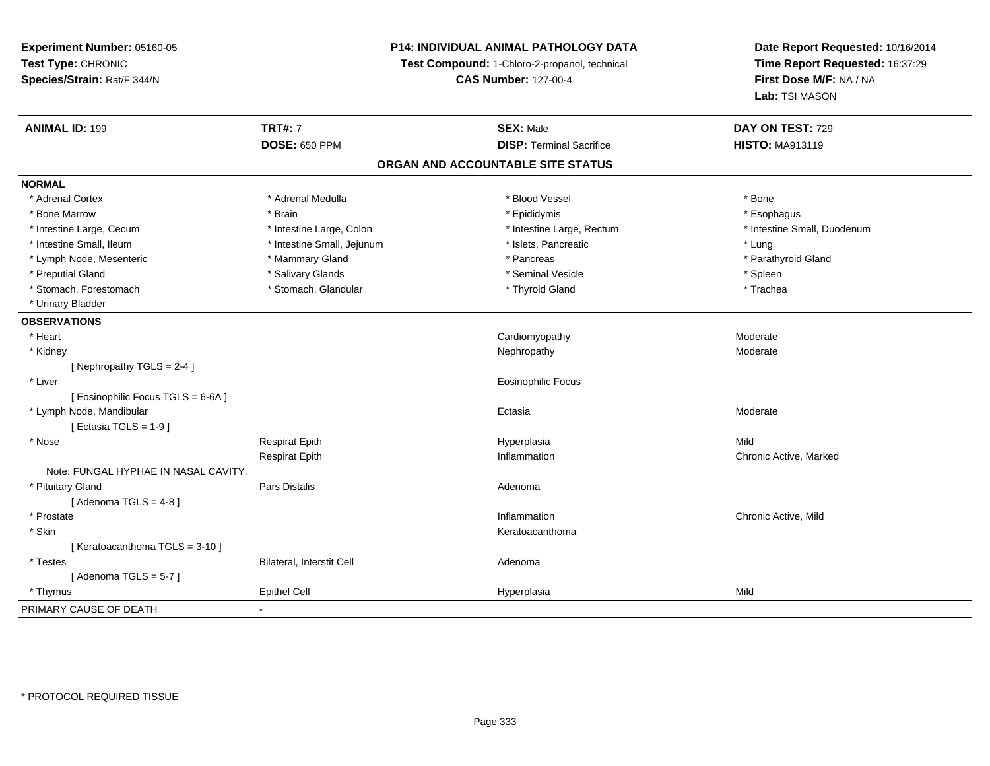# **P14: INDIVIDUAL ANIMAL PATHOLOGY DATA**

**Test Compound:** 1-Chloro-2-propanol, technical

**CAS Number:** 127-00-4

| <b>ANIMAL ID: 199</b>                | <b>TRT#: 7</b>             | <b>SEX: Male</b>                  | DAY ON TEST: 729            |
|--------------------------------------|----------------------------|-----------------------------------|-----------------------------|
|                                      | <b>DOSE: 650 PPM</b>       | <b>DISP: Terminal Sacrifice</b>   | <b>HISTO: MA913119</b>      |
|                                      |                            | ORGAN AND ACCOUNTABLE SITE STATUS |                             |
| <b>NORMAL</b>                        |                            |                                   |                             |
| * Adrenal Cortex                     | * Adrenal Medulla          | * Blood Vessel                    | * Bone                      |
| * Bone Marrow                        | * Brain                    | * Epididymis                      | * Esophagus                 |
| * Intestine Large, Cecum             | * Intestine Large, Colon   | * Intestine Large, Rectum         | * Intestine Small, Duodenum |
| * Intestine Small, Ileum             | * Intestine Small, Jejunum | * Islets, Pancreatic              | * Lung                      |
| * Lymph Node, Mesenteric             | * Mammary Gland            | * Pancreas                        | * Parathyroid Gland         |
| * Preputial Gland                    | * Salivary Glands          | * Seminal Vesicle                 | * Spleen                    |
| * Stomach, Forestomach               | * Stomach, Glandular       | * Thyroid Gland                   | * Trachea                   |
| * Urinary Bladder                    |                            |                                   |                             |
| <b>OBSERVATIONS</b>                  |                            |                                   |                             |
| * Heart                              |                            | Cardiomyopathy                    | Moderate                    |
| * Kidney                             |                            | Nephropathy                       | Moderate                    |
| [Nephropathy TGLS = 2-4]             |                            |                                   |                             |
| * Liver                              |                            | Eosinophilic Focus                |                             |
| [ Eosinophilic Focus TGLS = 6-6A ]   |                            |                                   |                             |
| * Lymph Node, Mandibular             |                            | Ectasia                           | Moderate                    |
| Ectasia TGLS = $1-9$ ]               |                            |                                   |                             |
| * Nose                               | <b>Respirat Epith</b>      | Hyperplasia                       | Mild                        |
|                                      | <b>Respirat Epith</b>      | Inflammation                      | Chronic Active, Marked      |
| Note: FUNGAL HYPHAE IN NASAL CAVITY. |                            |                                   |                             |
| * Pituitary Gland                    | Pars Distalis              | Adenoma                           |                             |
| [Adenoma TGLS = $4-8$ ]              |                            |                                   |                             |
| * Prostate                           |                            | Inflammation                      | Chronic Active, Mild        |
| * Skin                               |                            | Keratoacanthoma                   |                             |
| [Keratoacanthoma TGLS = 3-10]        |                            |                                   |                             |
| * Testes                             | Bilateral, Interstit Cell  | Adenoma                           |                             |
| [Adenoma TGLS = $5-7$ ]              |                            |                                   |                             |
| * Thymus                             | <b>Epithel Cell</b>        | Hyperplasia                       | Mild                        |
| PRIMARY CAUSE OF DEATH               | $\blacksquare$             |                                   |                             |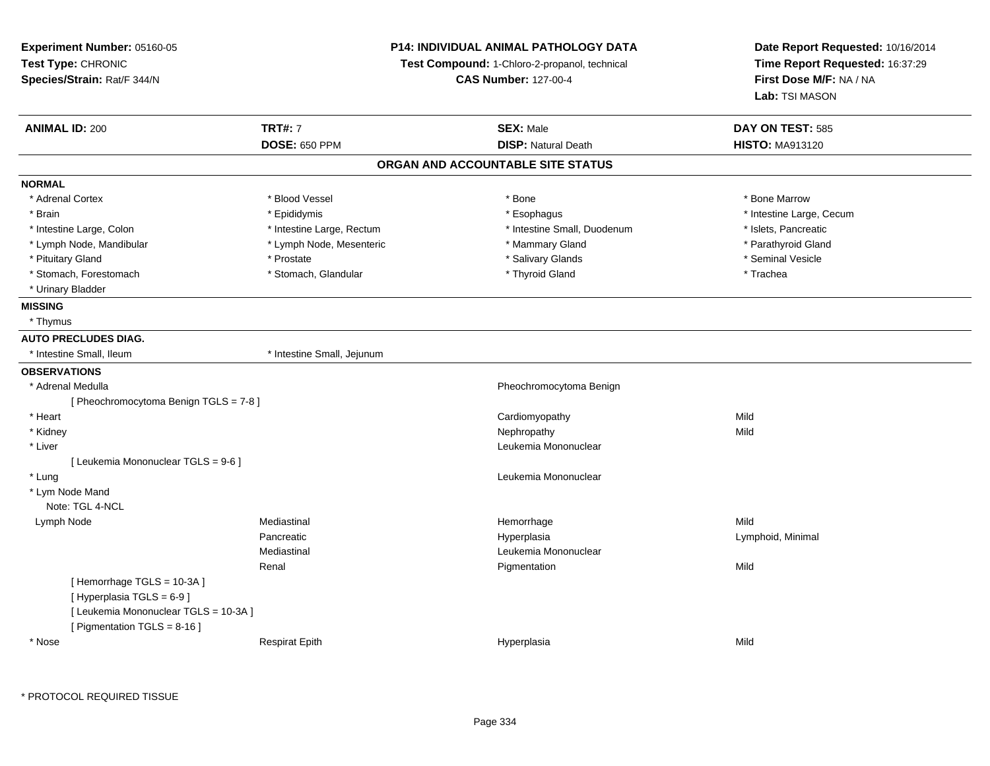| Experiment Number: 05160-05            |                             | <b>P14: INDIVIDUAL ANIMAL PATHOLOGY DATA</b>  | Date Report Requested: 10/16/2014<br>Time Report Requested: 16:37:29 |  |
|----------------------------------------|-----------------------------|-----------------------------------------------|----------------------------------------------------------------------|--|
| Test Type: CHRONIC                     |                             | Test Compound: 1-Chloro-2-propanol, technical |                                                                      |  |
| Species/Strain: Rat/F 344/N            | <b>CAS Number: 127-00-4</b> |                                               | First Dose M/F: NA / NA                                              |  |
|                                        |                             |                                               | Lab: TSI MASON                                                       |  |
| <b>ANIMAL ID: 200</b>                  | <b>TRT#: 7</b>              | <b>SEX: Male</b>                              | DAY ON TEST: 585                                                     |  |
|                                        | <b>DOSE: 650 PPM</b>        | <b>DISP: Natural Death</b>                    | <b>HISTO: MA913120</b>                                               |  |
|                                        |                             | ORGAN AND ACCOUNTABLE SITE STATUS             |                                                                      |  |
| <b>NORMAL</b>                          |                             |                                               |                                                                      |  |
| * Adrenal Cortex                       | * Blood Vessel              | * Bone                                        | * Bone Marrow                                                        |  |
| * Brain                                | * Epididymis                | * Esophagus                                   | * Intestine Large, Cecum                                             |  |
| * Intestine Large, Colon               | * Intestine Large, Rectum   | * Intestine Small, Duodenum                   | * Islets, Pancreatic                                                 |  |
| * Lymph Node, Mandibular               | * Lymph Node, Mesenteric    | * Mammary Gland                               | * Parathyroid Gland                                                  |  |
| * Pituitary Gland                      | * Prostate                  | * Salivary Glands                             | * Seminal Vesicle                                                    |  |
| * Stomach, Forestomach                 | * Stomach, Glandular        | * Thyroid Gland                               | * Trachea                                                            |  |
| * Urinary Bladder                      |                             |                                               |                                                                      |  |
| <b>MISSING</b>                         |                             |                                               |                                                                      |  |
| * Thymus                               |                             |                                               |                                                                      |  |
| <b>AUTO PRECLUDES DIAG.</b>            |                             |                                               |                                                                      |  |
| * Intestine Small, Ileum               | * Intestine Small, Jejunum  |                                               |                                                                      |  |
| <b>OBSERVATIONS</b>                    |                             |                                               |                                                                      |  |
| * Adrenal Medulla                      |                             | Pheochromocytoma Benign                       |                                                                      |  |
| [ Pheochromocytoma Benign TGLS = 7-8 ] |                             |                                               |                                                                      |  |
| * Heart                                |                             | Cardiomyopathy                                | Mild                                                                 |  |
| * Kidney                               |                             | Nephropathy                                   | Mild                                                                 |  |
| * Liver                                |                             | Leukemia Mononuclear                          |                                                                      |  |
| [ Leukemia Mononuclear TGLS = 9-6 ]    |                             |                                               |                                                                      |  |
| * Lung                                 |                             | Leukemia Mononuclear                          |                                                                      |  |
| * Lym Node Mand                        |                             |                                               |                                                                      |  |
| Note: TGL 4-NCL                        |                             |                                               |                                                                      |  |
| Lymph Node                             | Mediastinal                 | Hemorrhage                                    | Mild                                                                 |  |
|                                        | Pancreatic                  | Hyperplasia                                   | Lymphoid, Minimal                                                    |  |
|                                        | Mediastinal                 | Leukemia Mononuclear                          |                                                                      |  |
|                                        | Renal                       | Pigmentation                                  | Mild                                                                 |  |
| [Hemorrhage TGLS = 10-3A]              |                             |                                               |                                                                      |  |
| [ Hyperplasia TGLS = 6-9]              |                             |                                               |                                                                      |  |
| [ Leukemia Mononuclear TGLS = 10-3A ]  |                             |                                               |                                                                      |  |
| [ Pigmentation TGLS = 8-16 ]           |                             |                                               |                                                                      |  |
| * Nose                                 | <b>Respirat Epith</b>       | Hyperplasia                                   | Mild                                                                 |  |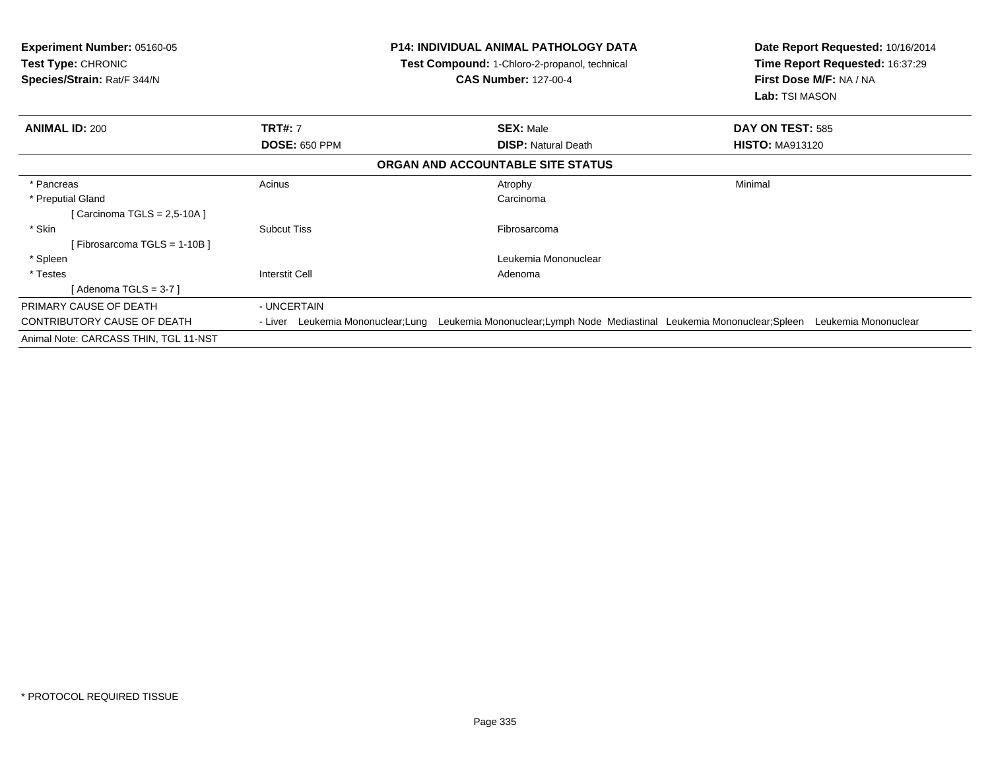| <b>Experiment Number: 05160-05</b><br>Test Type: CHRONIC<br>Species/Strain: Rat/F 344/N |                                    | <b>P14: INDIVIDUAL ANIMAL PATHOLOGY DATA</b><br>Test Compound: 1-Chloro-2-propanol, technical<br><b>CAS Number: 127-00-4</b> | Date Report Requested: 10/16/2014<br>Time Report Requested: 16:37:29<br>First Dose M/F: NA / NA<br>Lab: TSI MASON |  |
|-----------------------------------------------------------------------------------------|------------------------------------|------------------------------------------------------------------------------------------------------------------------------|-------------------------------------------------------------------------------------------------------------------|--|
| <b>ANIMAL ID: 200</b>                                                                   | <b>TRT#: 7</b>                     | <b>SEX: Male</b>                                                                                                             | DAY ON TEST: 585                                                                                                  |  |
|                                                                                         | <b>DOSE: 650 PPM</b>               | <b>DISP: Natural Death</b>                                                                                                   | <b>HISTO: MA913120</b>                                                                                            |  |
|                                                                                         |                                    | ORGAN AND ACCOUNTABLE SITE STATUS                                                                                            |                                                                                                                   |  |
| * Pancreas                                                                              | Acinus                             | Atrophy                                                                                                                      | Minimal                                                                                                           |  |
| * Preputial Gland                                                                       |                                    | Carcinoma                                                                                                                    |                                                                                                                   |  |
| [Carcinoma TGLS = $2,5-10A$ ]                                                           |                                    |                                                                                                                              |                                                                                                                   |  |
| * Skin                                                                                  | <b>Subcut Tiss</b>                 | Fibrosarcoma                                                                                                                 |                                                                                                                   |  |
| [Fibrosarcoma TGLS = 1-10B ]                                                            |                                    |                                                                                                                              |                                                                                                                   |  |
| * Spleen                                                                                |                                    | Leukemia Mononuclear                                                                                                         |                                                                                                                   |  |
| * Testes                                                                                | Interstit Cell                     | Adenoma                                                                                                                      |                                                                                                                   |  |
| [ Adenoma TGLS = 3-7 ]                                                                  |                                    |                                                                                                                              |                                                                                                                   |  |
| PRIMARY CAUSE OF DEATH                                                                  | - UNCERTAIN                        |                                                                                                                              |                                                                                                                   |  |
| CONTRIBUTORY CAUSE OF DEATH                                                             | - Liver Leukemia Mononuclear; Lung | Leukemia Mononuclear;Lymph Node Mediastinal Leukemia Mononuclear;Spleen                                                      | Leukemia Mononuclear                                                                                              |  |
| Animal Note: CARCASS THIN, TGL 11-NST                                                   |                                    |                                                                                                                              |                                                                                                                   |  |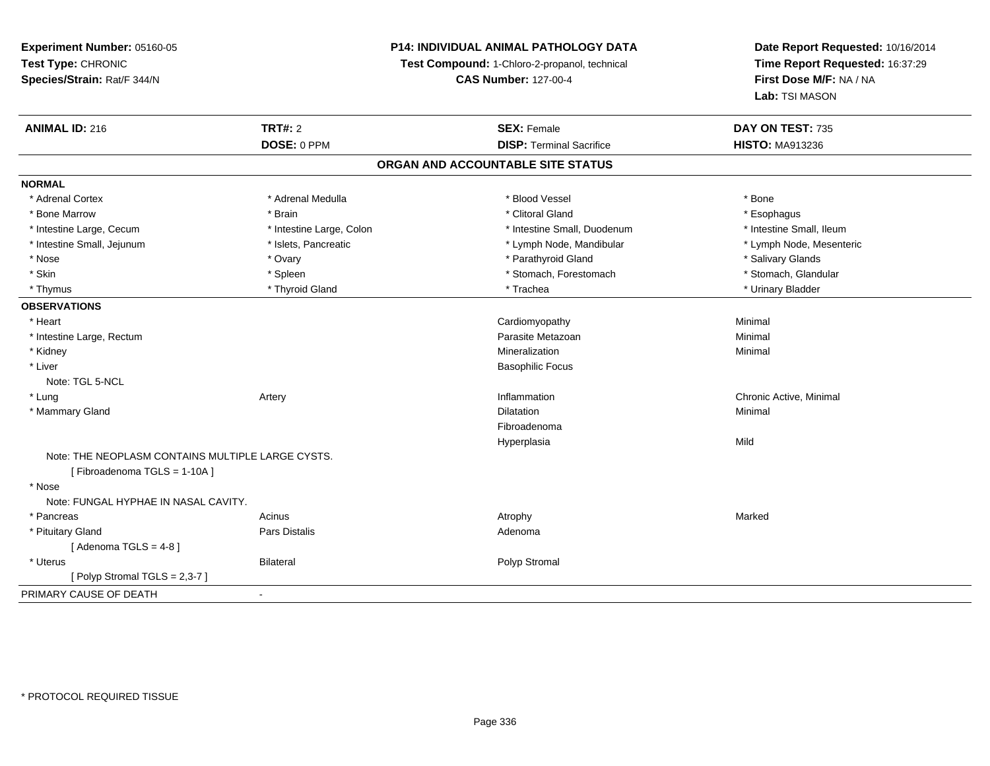# **P14: INDIVIDUAL ANIMAL PATHOLOGY DATA**

**Test Compound:** 1-Chloro-2-propanol, technical

**CAS Number:** 127-00-4

| <b>ANIMAL ID: 216</b>                                                            | <b>TRT#: 2</b>           | <b>SEX: Female</b>                | DAY ON TEST: 735         |  |
|----------------------------------------------------------------------------------|--------------------------|-----------------------------------|--------------------------|--|
|                                                                                  | DOSE: 0 PPM              | <b>DISP: Terminal Sacrifice</b>   | <b>HISTO: MA913236</b>   |  |
|                                                                                  |                          | ORGAN AND ACCOUNTABLE SITE STATUS |                          |  |
| <b>NORMAL</b>                                                                    |                          |                                   |                          |  |
| * Adrenal Cortex                                                                 | * Adrenal Medulla        | * Blood Vessel                    | * Bone                   |  |
| * Bone Marrow                                                                    | * Brain                  | * Clitoral Gland                  | * Esophagus              |  |
| * Intestine Large, Cecum                                                         | * Intestine Large, Colon | * Intestine Small, Duodenum       | * Intestine Small, Ileum |  |
| * Intestine Small, Jejunum                                                       | * Islets, Pancreatic     | * Lymph Node, Mandibular          | * Lymph Node, Mesenteric |  |
| * Nose                                                                           | * Ovary                  | * Parathyroid Gland               | * Salivary Glands        |  |
| * Skin                                                                           | * Spleen                 | * Stomach, Forestomach            | * Stomach, Glandular     |  |
| * Thymus                                                                         | * Thyroid Gland          | * Trachea                         | * Urinary Bladder        |  |
| <b>OBSERVATIONS</b>                                                              |                          |                                   |                          |  |
| * Heart                                                                          |                          | Cardiomyopathy                    | Minimal                  |  |
| * Intestine Large, Rectum                                                        |                          | Parasite Metazoan                 | Minimal                  |  |
| * Kidney                                                                         |                          | Mineralization                    | Minimal                  |  |
| * Liver                                                                          |                          | <b>Basophilic Focus</b>           |                          |  |
| Note: TGL 5-NCL                                                                  |                          |                                   |                          |  |
| * Lung                                                                           | Artery                   | Inflammation                      | Chronic Active, Minimal  |  |
| * Mammary Gland                                                                  |                          | <b>Dilatation</b>                 | Minimal                  |  |
|                                                                                  |                          | Fibroadenoma                      |                          |  |
|                                                                                  |                          | Hyperplasia                       | Mild                     |  |
| Note: THE NEOPLASM CONTAINS MULTIPLE LARGE CYSTS.<br>[Fibroadenoma TGLS = 1-10A] |                          |                                   |                          |  |
| * Nose                                                                           |                          |                                   |                          |  |
| Note: FUNGAL HYPHAE IN NASAL CAVITY.                                             |                          |                                   |                          |  |
| * Pancreas                                                                       | Acinus                   | Atrophy                           | Marked                   |  |
| * Pituitary Gland                                                                | <b>Pars Distalis</b>     | Adenoma                           |                          |  |
| [Adenoma TGLS = $4-8$ ]                                                          |                          |                                   |                          |  |
| * Uterus                                                                         | <b>Bilateral</b>         | Polyp Stromal                     |                          |  |
| [Polyp Stromal TGLS = 2,3-7]                                                     |                          |                                   |                          |  |
| PRIMARY CAUSE OF DEATH                                                           |                          |                                   |                          |  |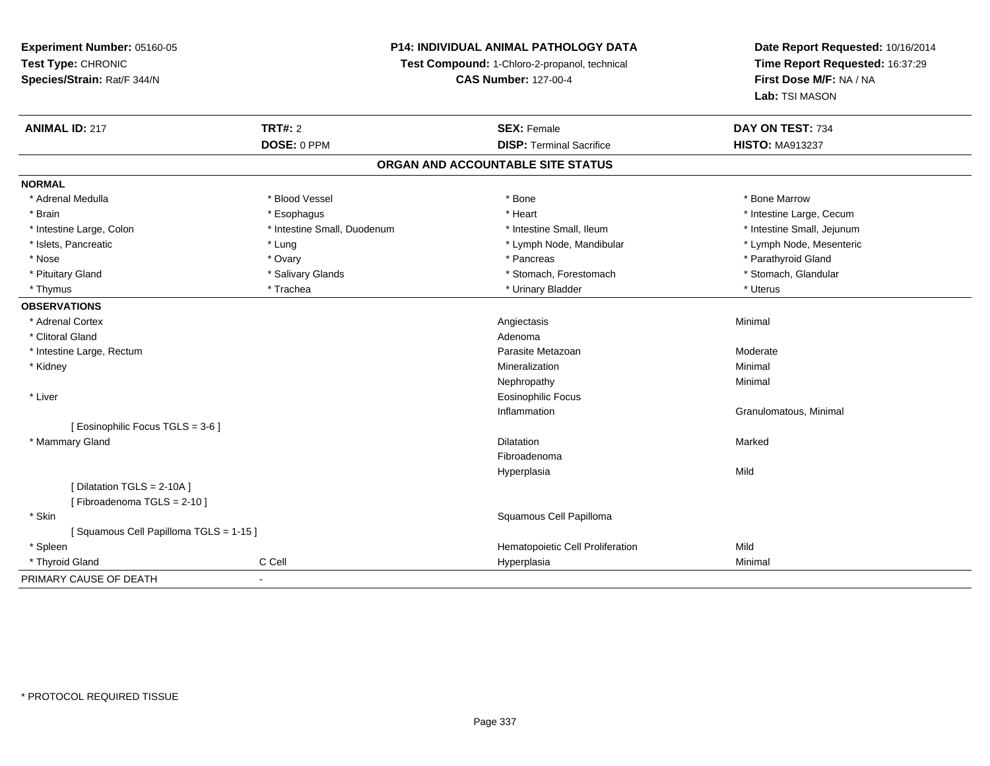# **P14: INDIVIDUAL ANIMAL PATHOLOGY DATA**

**Test Compound:** 1-Chloro-2-propanol, technical

**CAS Number:** 127-00-4

| <b>ANIMAL ID: 217</b>                 | <b>TRT#: 2</b>              | <b>SEX: Female</b>               | DAY ON TEST: 734           |  |  |  |
|---------------------------------------|-----------------------------|----------------------------------|----------------------------|--|--|--|
|                                       | DOSE: 0 PPM                 | <b>DISP: Terminal Sacrifice</b>  | <b>HISTO: MA913237</b>     |  |  |  |
| ORGAN AND ACCOUNTABLE SITE STATUS     |                             |                                  |                            |  |  |  |
| <b>NORMAL</b>                         |                             |                                  |                            |  |  |  |
| * Adrenal Medulla                     | * Blood Vessel              | * Bone                           | * Bone Marrow              |  |  |  |
| * Brain                               | * Esophagus                 | * Heart                          | * Intestine Large, Cecum   |  |  |  |
| * Intestine Large, Colon              | * Intestine Small, Duodenum | * Intestine Small, Ileum         | * Intestine Small, Jejunum |  |  |  |
| * Islets, Pancreatic                  | * Lung                      | * Lymph Node, Mandibular         | * Lymph Node, Mesenteric   |  |  |  |
| * Nose                                | * Ovary                     | * Pancreas                       | * Parathyroid Gland        |  |  |  |
| * Pituitary Gland                     | * Salivary Glands           | * Stomach, Forestomach           | * Stomach, Glandular       |  |  |  |
| * Thymus                              | * Trachea                   | * Urinary Bladder                | * Uterus                   |  |  |  |
| <b>OBSERVATIONS</b>                   |                             |                                  |                            |  |  |  |
| * Adrenal Cortex                      |                             | Angiectasis                      | Minimal                    |  |  |  |
| * Clitoral Gland                      |                             | Adenoma                          |                            |  |  |  |
| * Intestine Large, Rectum             |                             | Parasite Metazoan                | Moderate                   |  |  |  |
| * Kidney                              |                             | Mineralization                   | Minimal                    |  |  |  |
|                                       |                             | Nephropathy                      | Minimal                    |  |  |  |
| * Liver                               |                             | <b>Eosinophilic Focus</b>        |                            |  |  |  |
|                                       |                             | Inflammation                     | Granulomatous, Minimal     |  |  |  |
| [ Eosinophilic Focus TGLS = 3-6 ]     |                             |                                  |                            |  |  |  |
| * Mammary Gland                       |                             | Dilatation                       | Marked                     |  |  |  |
|                                       |                             | Fibroadenoma                     |                            |  |  |  |
|                                       |                             | Hyperplasia                      | Mild                       |  |  |  |
| [Dilatation TGLS = 2-10A]             |                             |                                  |                            |  |  |  |
| [Fibroadenoma TGLS = 2-10]            |                             |                                  |                            |  |  |  |
| * Skin                                |                             | Squamous Cell Papilloma          |                            |  |  |  |
| [Squamous Cell Papilloma TGLS = 1-15] |                             |                                  |                            |  |  |  |
| * Spleen                              |                             | Hematopoietic Cell Proliferation | Mild                       |  |  |  |
| * Thyroid Gland                       | C Cell                      | Hyperplasia                      | Minimal                    |  |  |  |
| PRIMARY CAUSE OF DEATH                | $\blacksquare$              |                                  |                            |  |  |  |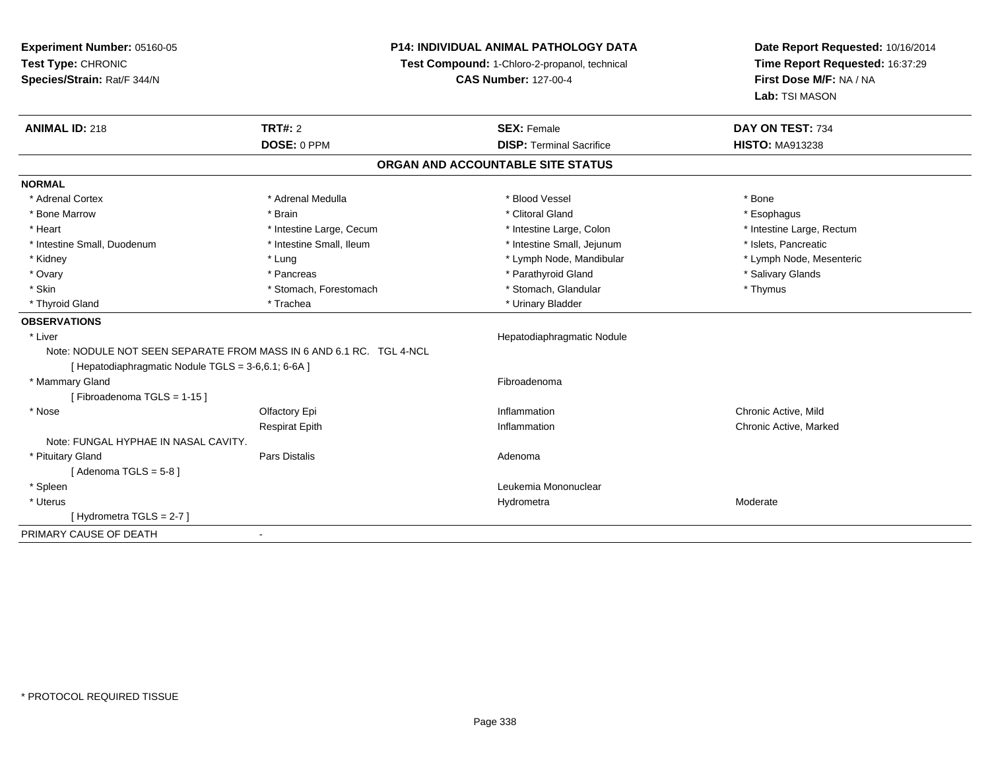**Experiment Number:** 05160-05**Test Type:** CHRONIC **Species/Strain:** Rat/F 344/N**P14: INDIVIDUAL ANIMAL PATHOLOGY DATATest Compound:** 1-Chloro-2-propanol, technical **CAS Number:** 127-00-4**Date Report Requested:** 10/16/2014**Time Report Requested:** 16:37:29**First Dose M/F:** NA / NA**Lab:** TSI MASON**ANIMAL ID:** 218**TRT#:** 2 **SEX:** Female **DAY ON TEST:** 734 **DOSE:** 0 PPM**DISP:** Terminal Sacrifice **HISTO:** MA913238 **ORGAN AND ACCOUNTABLE SITE STATUSNORMAL**\* Adrenal Cortex \* Adrenal Medulla \* Adrenal Medulla \* Blood Vessel \* Bood Vessel \* Bone \* Bone \* Bone \* Bone \* Bone \* Bone \* Bone \* Bone \* Bone \* Bone \* Bone \* Bone \* Bone \* Bone \* Bone \* Bone \* Bone \* Bone \* Bone \* Bone \* Bone \* Bone \* \* \* Esophagus \* Bone Marrow \* \* Android \* Brain \* Brain \* Clitoral Gland \* Clitoral Gland \* Esophagus \* Esophagus \* Esophagus \* Intestine Large, Rectum \* Heart **\*** Intestine Large, Cecum \* Intestine Large, Cecum \* Intestine Large, Colon \* Intestine Small, Duodenum \* Intestine Small, Ileum \* Intestine Small, Intestine Small, Jejunum \* Islets, Pancreatic \* Lymph Node, Mesenteric \* Kidney \* Lung \* Lung \* Lung \* Lung \* Lower \* Lymph Node, Mandibular \* Lymph Node, Mandibular \* Ovary \* \* Pancreas \* \* Pancreas \* \* Pancreas \* \* Parathyroid Gland \* \* Salivary Glands \* Salivary Glands \* Salivary Glands \* Salivary Glands \* Salivary Glands \* Salivary Glands \* Salivary Glands \* \* Salivary Glands \* \* S \* Skin \* Stomach, Forestomach \* Stomach \* Stomach, Glandular \* Thymus \* Thymus \* Thyroid Gland \* Trachea \* Trachea \* Trachea \* Thyroid Gland \* Urinary Bladder **OBSERVATIONS** \* Liver Hepatodiaphragmatic NoduleNote: NODULE NOT SEEN SEPARATE FROM MASS IN 6 AND 6.1 RC. TGL 4-NCL[ Hepatodiaphragmatic Nodule TGLS = 3-6,6.1; 6-6A ] \* Mammary Glandd **Executive Contract of the Contract Contract Contract Contract Contract Contract Contract Contract Contract Contract Contract Contract Contract Contract Contract Contract Contract Contract Contract Contract Contract Cont** [ Fibroadenoma TGLS = 1-15 ] \* Nosee and the Chronic Active, Mild Chronic Active, Mild Chronic Active, Mild Chronic Active, Mild Chronic Active, Mild Chronic Active, Mild Chronic Active, Mild Chronic Active, Mild Chronic Active, Mild Chronic Active, Mild Ch Respirat Epith Inflammation Chronic Active, Marked Note: FUNGAL HYPHAE IN NASAL CAVITY. \* Pituitary Glandd and the contract of Pars Distalis and the contract of Adenoma and Adenoma and the Adenoma and the Adenoma and  $\lambda$ [ Adenoma  $TGLS = 5-8$  ] \* Spleen Leukemia Mononuclear \* Uteruss and the contract of the contract of the contract of the contract of the contract of the contract of the contract of the contract of the contract of the contract of the contract of the contract of the contract of the cont Hydrometra Moderate [ Hydrometra TGLS = 2-7 ]PRIMARY CAUSE OF DEATH-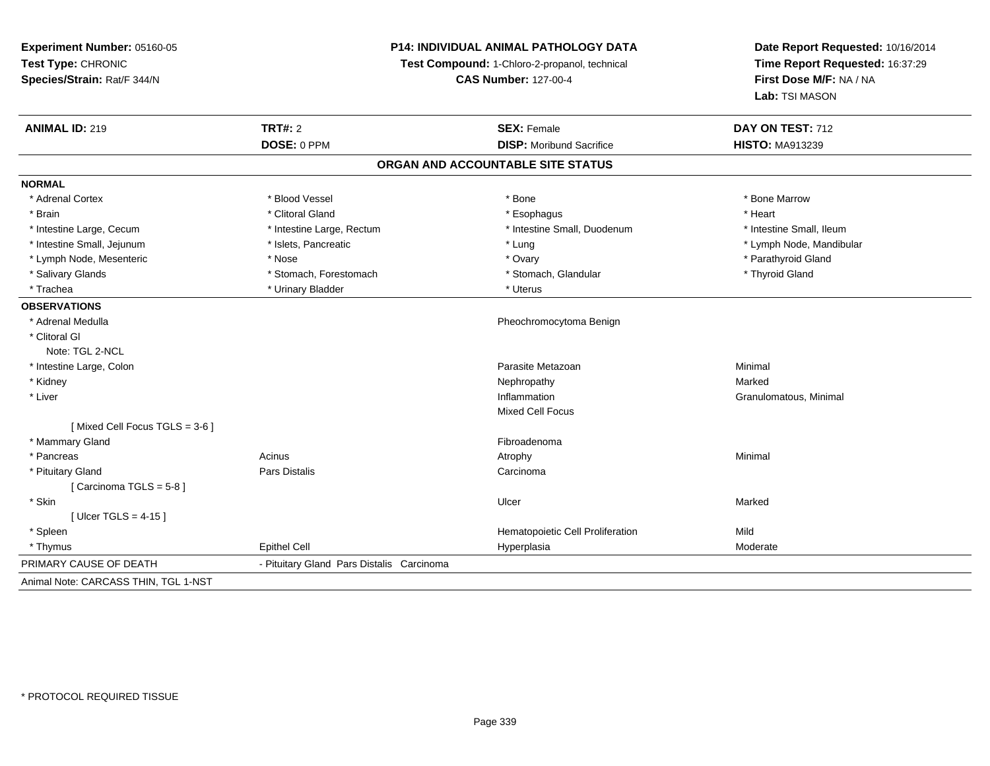| Experiment Number: 05160-05          | P14: INDIVIDUAL ANIMAL PATHOLOGY DATA<br>Test Compound: 1-Chloro-2-propanol, technical<br><b>CAS Number: 127-00-4</b> |                                   | Date Report Requested: 10/16/2014                          |
|--------------------------------------|-----------------------------------------------------------------------------------------------------------------------|-----------------------------------|------------------------------------------------------------|
| Test Type: CHRONIC                   |                                                                                                                       |                                   | Time Report Requested: 16:37:29<br>First Dose M/F: NA / NA |
| Species/Strain: Rat/F 344/N          |                                                                                                                       |                                   |                                                            |
|                                      |                                                                                                                       |                                   | Lab: TSI MASON                                             |
| <b>ANIMAL ID: 219</b>                | <b>TRT#: 2</b>                                                                                                        | <b>SEX: Female</b>                | DAY ON TEST: 712                                           |
|                                      | DOSE: 0 PPM                                                                                                           | <b>DISP:</b> Moribund Sacrifice   | <b>HISTO: MA913239</b>                                     |
|                                      |                                                                                                                       | ORGAN AND ACCOUNTABLE SITE STATUS |                                                            |
| <b>NORMAL</b>                        |                                                                                                                       |                                   |                                                            |
| * Adrenal Cortex                     | * Blood Vessel                                                                                                        | * Bone                            | * Bone Marrow                                              |
| * Brain                              | * Clitoral Gland                                                                                                      | * Esophagus                       | * Heart                                                    |
| * Intestine Large, Cecum             | * Intestine Large, Rectum                                                                                             | * Intestine Small, Duodenum       | * Intestine Small, Ileum                                   |
| * Intestine Small, Jejunum           | * Islets, Pancreatic                                                                                                  | * Lung                            | * Lymph Node, Mandibular                                   |
| * Lymph Node, Mesenteric             | * Nose                                                                                                                | * Ovary                           | * Parathyroid Gland                                        |
| * Salivary Glands                    | * Stomach, Forestomach                                                                                                | * Stomach, Glandular              | * Thyroid Gland                                            |
| * Trachea                            | * Urinary Bladder                                                                                                     | * Uterus                          |                                                            |
| <b>OBSERVATIONS</b>                  |                                                                                                                       |                                   |                                                            |
| * Adrenal Medulla                    |                                                                                                                       | Pheochromocytoma Benign           |                                                            |
| * Clitoral GI                        |                                                                                                                       |                                   |                                                            |
| Note: TGL 2-NCL                      |                                                                                                                       |                                   |                                                            |
| * Intestine Large, Colon             |                                                                                                                       | Parasite Metazoan                 | Minimal                                                    |
| * Kidney                             |                                                                                                                       | Nephropathy                       | Marked                                                     |
| * Liver                              |                                                                                                                       | Inflammation                      | Granulomatous, Minimal                                     |
|                                      |                                                                                                                       | <b>Mixed Cell Focus</b>           |                                                            |
| [Mixed Cell Focus TGLS = 3-6]        |                                                                                                                       |                                   |                                                            |
| * Mammary Gland                      |                                                                                                                       | Fibroadenoma                      |                                                            |
| * Pancreas                           | Acinus                                                                                                                | Atrophy                           | Minimal                                                    |
| * Pituitary Gland                    | Pars Distalis                                                                                                         | Carcinoma                         |                                                            |
| [Carcinoma TGLS = $5-8$ ]            |                                                                                                                       |                                   |                                                            |
| * Skin                               |                                                                                                                       | Ulcer                             | Marked                                                     |
| [ Ulcer TGLS = $4-15$ ]              |                                                                                                                       |                                   |                                                            |
| * Spleen                             |                                                                                                                       | Hematopoietic Cell Proliferation  | Mild                                                       |
| * Thymus                             | <b>Epithel Cell</b>                                                                                                   | Hyperplasia                       | Moderate                                                   |
| PRIMARY CAUSE OF DEATH               | - Pituitary Gland Pars Distalis Carcinoma                                                                             |                                   |                                                            |
| Animal Note: CARCASS THIN, TGL 1-NST |                                                                                                                       |                                   |                                                            |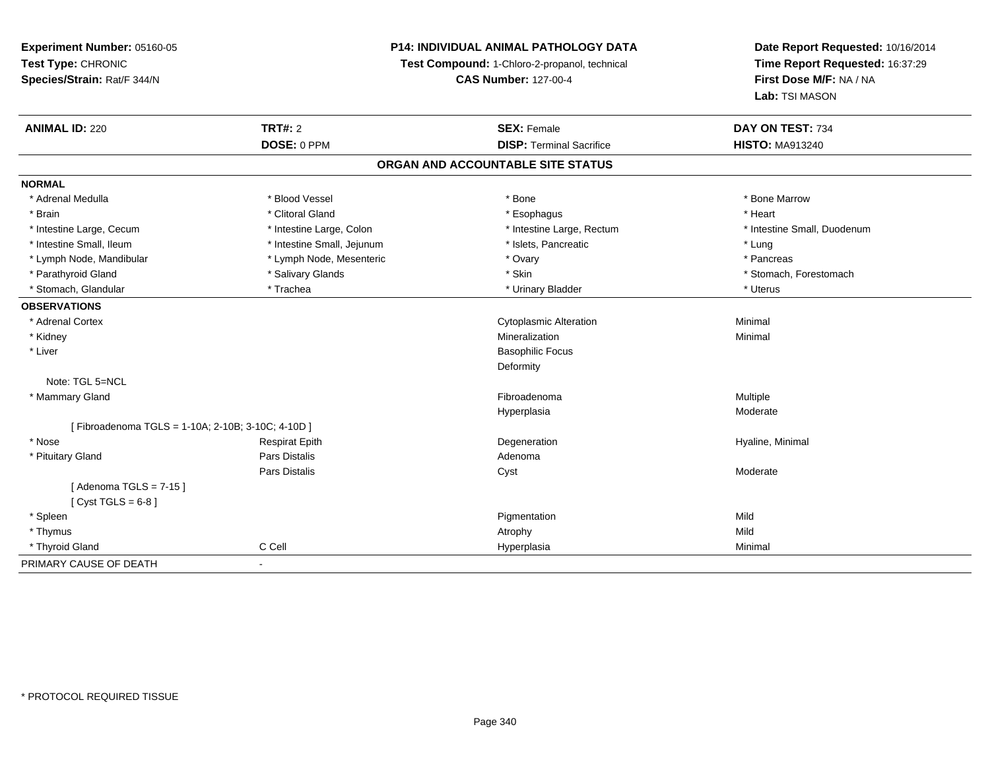**Experiment Number:** 05160-05**Test Type:** CHRONIC **Species/Strain:** Rat/F 344/N**P14: INDIVIDUAL ANIMAL PATHOLOGY DATATest Compound:** 1-Chloro-2-propanol, technical **CAS Number:** 127-00-4**Date Report Requested:** 10/16/2014**Time Report Requested:** 16:37:29**First Dose M/F:** NA / NA**Lab:** TSI MASON**ANIMAL ID:** 220**C TRT#:** 2 **SEX:** Female **DAY ON TEST:** 734 **DOSE:** 0 PPM**DISP:** Terminal Sacrifice **HISTO:** MA913240 **ORGAN AND ACCOUNTABLE SITE STATUSNORMAL**\* Adrenal Medulla \* \* \* Blood Vessel \* \* \* Bone Marrow \* \* Bone Marrow \* \* Bone Marrow \* Brain \* Alternative of the state of the state of the state of the state of the state of the state of the state of the state of the state of the state of the state of the state of the state of the state of the state of th \* Intestine Large, Cecum \* Intestine Large, Colon \* Intestine Large, Rectum \* Intestine Small, Duodenum\* Intestine Small, Ileum \* https://www.fatheratic \* Lung \* Intestine Small, Jejunum \* Islets, Pancreatic \* Lung \* Lung \* Pancreas \* Lymph Node, Mandibular \* Manus \* Lymph Node, Mesenteric \* The metal \* Ovary \* Ovary \* Parathyroid Gland \* \* Salivary Glands \* Salivary Glands \* Skin \* \* Skin \* \* Stomach, Forestomach, Forestomach \* Stomach, Glandular \* Trachea \* Trachea \* Trachea \* Urinary Bladder \* Trachea \* Urinary Bladder \* \* Uterus **OBSERVATIONS** \* Adrenal Cortex Cytoplasmic Alterationn Minimal \* Kidneyy with the control of the control of the control of the control of the control of the control of the control of the control of the control of the control of the control of the control of the control of the control of the c n Minimal \* Liver Basophilic FocusDeformityNote: TGL 5=NCL \* Mammary Glandd and the state of the state of the state of the state of the state of the state of the state of the state of the state of the state of the state of the state of the state of the state of the state of the state of the stat Hyperplasia Moderate [ Fibroadenoma TGLS = 1-10A; 2-10B; 3-10C; 4-10D ] \* Nose Respirat Epith Degeneration Hyaline, Minimal \* Pituitary Glandd and the contract of Pars Distalis and the contract of Adenoma and Adenoma and the Adenoma and the Adenoma and  $\lambda$ Pars Distalis Cyst Moderate $[$  Adenoma TGLS = 7-15  $]$  $[$  Cyst TGLS = 6-8  $]$  \* Spleenn and the control of the control of the control of the control of the control of the control of the control of the control of the control of the control of the control of the control of the control of the control of the co \* Thymuss and the control of the control of the control of the control of the control of the control of the control of the control of the control of the control of the control of the control of the control of the control of the co Minimal \* Thyroid Gland C Cell Hyperplasia Minimal PRIMARY CAUSE OF DEATH-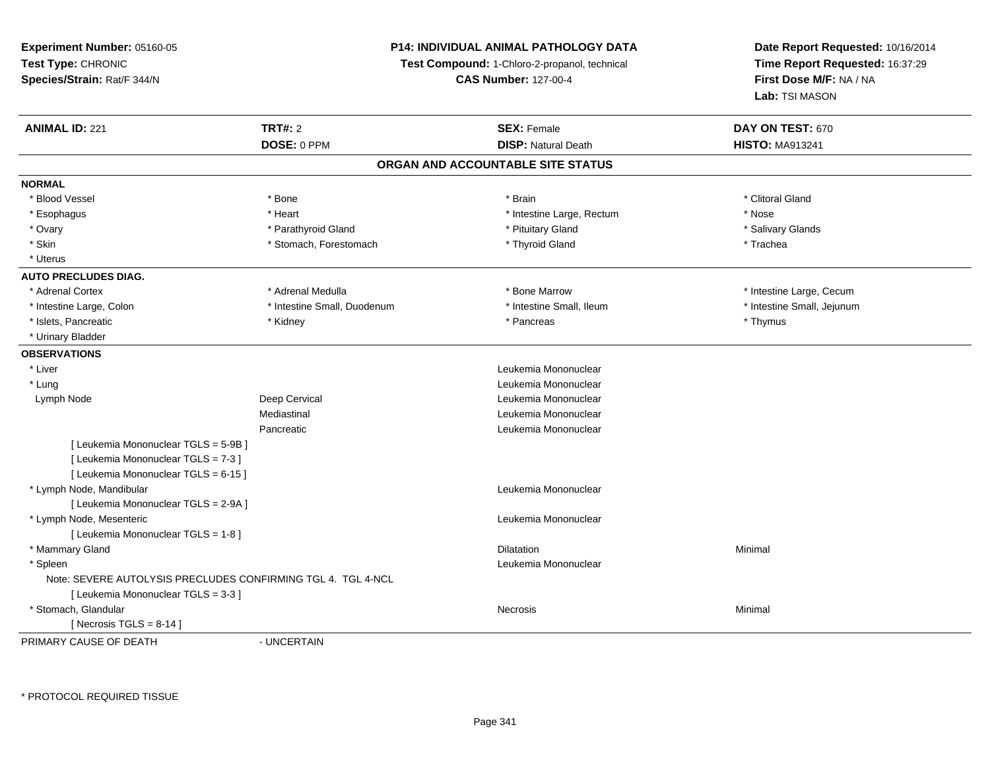# **P14: INDIVIDUAL ANIMAL PATHOLOGY DATA**

**Test Compound:** 1-Chloro-2-propanol, technical

**CAS Number:** 127-00-4

**Date Report Requested:** 10/16/2014**Time Report Requested:** 16:37:29**First Dose M/F:** NA / NA**Lab:** TSI MASON

| <b>ANIMAL ID: 221</b>                                        | <b>TRT#: 2</b>              | <b>SEX: Female</b>                | DAY ON TEST: 670           |
|--------------------------------------------------------------|-----------------------------|-----------------------------------|----------------------------|
|                                                              | DOSE: 0 PPM                 | <b>DISP: Natural Death</b>        | <b>HISTO: MA913241</b>     |
|                                                              |                             | ORGAN AND ACCOUNTABLE SITE STATUS |                            |
| <b>NORMAL</b>                                                |                             |                                   |                            |
| * Blood Vessel                                               | * Bone                      | * Brain                           | * Clitoral Gland           |
| * Esophagus                                                  | * Heart                     | * Intestine Large, Rectum         | * Nose                     |
| * Ovary                                                      | * Parathyroid Gland         | * Pituitary Gland                 | * Salivary Glands          |
| * Skin                                                       | * Stomach, Forestomach      | * Thyroid Gland                   | * Trachea                  |
| * Uterus                                                     |                             |                                   |                            |
| <b>AUTO PRECLUDES DIAG.</b>                                  |                             |                                   |                            |
| * Adrenal Cortex                                             | * Adrenal Medulla           | * Bone Marrow                     | * Intestine Large, Cecum   |
| * Intestine Large, Colon                                     | * Intestine Small, Duodenum | * Intestine Small, Ileum          | * Intestine Small, Jejunum |
| * Islets, Pancreatic                                         | * Kidney                    | * Pancreas                        | * Thymus                   |
| * Urinary Bladder                                            |                             |                                   |                            |
| <b>OBSERVATIONS</b>                                          |                             |                                   |                            |
| * Liver                                                      |                             | Leukemia Mononuclear              |                            |
| * Lung                                                       |                             | Leukemia Mononuclear              |                            |
| Lymph Node                                                   | Deep Cervical               | Leukemia Mononuclear              |                            |
|                                                              | Mediastinal                 | Leukemia Mononuclear              |                            |
|                                                              | Pancreatic                  | Leukemia Mononuclear              |                            |
| [ Leukemia Mononuclear TGLS = 5-9B ]                         |                             |                                   |                            |
| [ Leukemia Mononuclear TGLS = 7-3 ]                          |                             |                                   |                            |
| [ Leukemia Mononuclear TGLS = 6-15 ]                         |                             |                                   |                            |
| * Lymph Node, Mandibular                                     |                             | Leukemia Mononuclear              |                            |
| [ Leukemia Mononuclear TGLS = 2-9A ]                         |                             |                                   |                            |
| * Lymph Node, Mesenteric                                     |                             | Leukemia Mononuclear              |                            |
| [ Leukemia Mononuclear TGLS = 1-8 ]                          |                             |                                   |                            |
| * Mammary Gland                                              |                             | <b>Dilatation</b>                 | Minimal                    |
| * Spleen                                                     |                             | Leukemia Mononuclear              |                            |
| Note: SEVERE AUTOLYSIS PRECLUDES CONFIRMING TGL 4. TGL 4-NCL |                             |                                   |                            |
| [Leukemia Mononuclear TGLS = 3-3]                            |                             |                                   |                            |
| * Stomach, Glandular                                         |                             | <b>Necrosis</b>                   | Minimal                    |
| [Necrosis TGLS = $8-14$ ]                                    |                             |                                   |                            |
| PRIMARY CALISE OF DEATH                                      | <b>IINCERTAIN</b>           |                                   |                            |

PRIMARY CAUSE OF DEATH

- UNCERTAIN

\* PROTOCOL REQUIRED TISSUE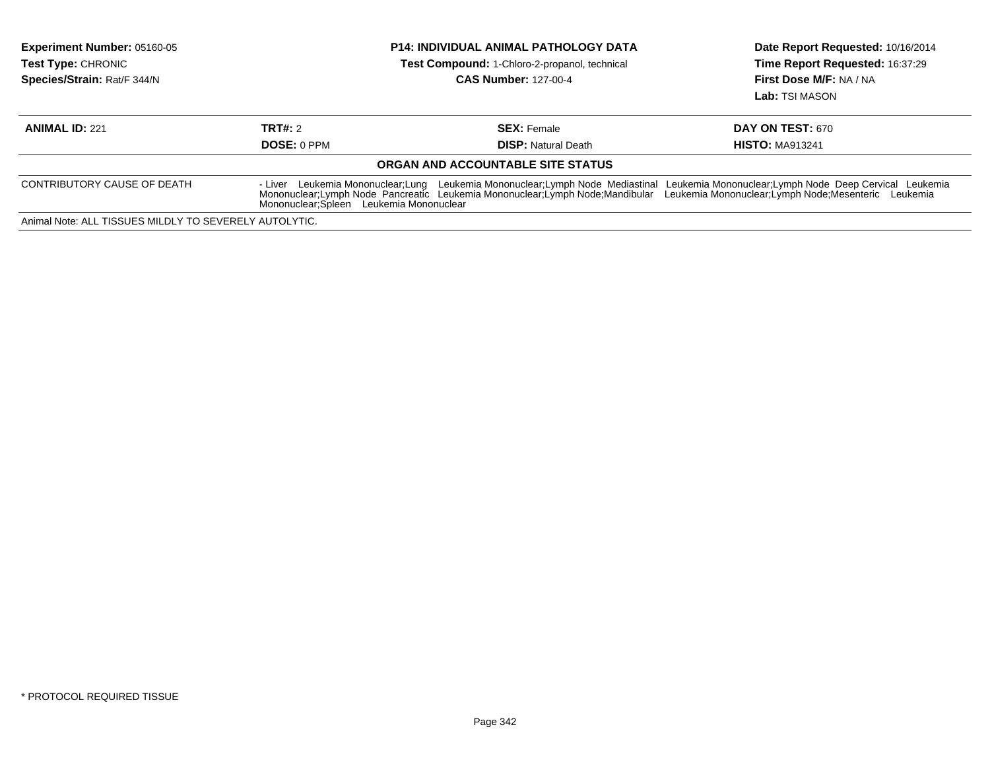| <b>Experiment Number: 05160-05</b><br><b>Test Type: CHRONIC</b><br>Species/Strain: Rat/F 344/N | <b>P14: INDIVIDUAL ANIMAL PATHOLOGY DATA</b><br>Test Compound: 1-Chloro-2-propanol, technical<br><b>CAS Number: 127-00-4</b> |                                                  | Date Report Requested: 10/16/2014<br>Time Report Requested: 16:37:29<br>First Dose M/F: NA / NA<br>Lab: TSI MASON                                                                                                                                                                            |
|------------------------------------------------------------------------------------------------|------------------------------------------------------------------------------------------------------------------------------|--------------------------------------------------|----------------------------------------------------------------------------------------------------------------------------------------------------------------------------------------------------------------------------------------------------------------------------------------------|
| <b>ANIMAL ID: 221</b>                                                                          | TRT#: 2<br><b>DOSE: 0 PPM</b>                                                                                                | <b>SEX: Female</b><br><b>DISP:</b> Natural Death | <b>DAY ON TEST: 670</b><br><b>HISTO: MA913241</b>                                                                                                                                                                                                                                            |
|                                                                                                |                                                                                                                              | ORGAN AND ACCOUNTABLE SITE STATUS                |                                                                                                                                                                                                                                                                                              |
| CONTRIBUTORY CAUSE OF DEATH                                                                    | Mononuclear; Spleen Leukemia Mononuclear                                                                                     |                                                  | Leukemia Mononuclear; Lymph Node Deep Cervical Leukemia<br>- Liver Leukemia Mononuclear;Lung Leukemia Mononuclear;Lymph Node Mediastinal Leukemia Mononuclear;Lymph Node Deep Cervical Leuker<br>Mononuclear;Lymph Node Pancreatic Leukemia Mononuclear;Lymph Node;Mandibular Leukemia Monon |
| Animal Note: ALL TISSUES MILDLY TO SEVERELY AUTOLYTIC.                                         |                                                                                                                              |                                                  |                                                                                                                                                                                                                                                                                              |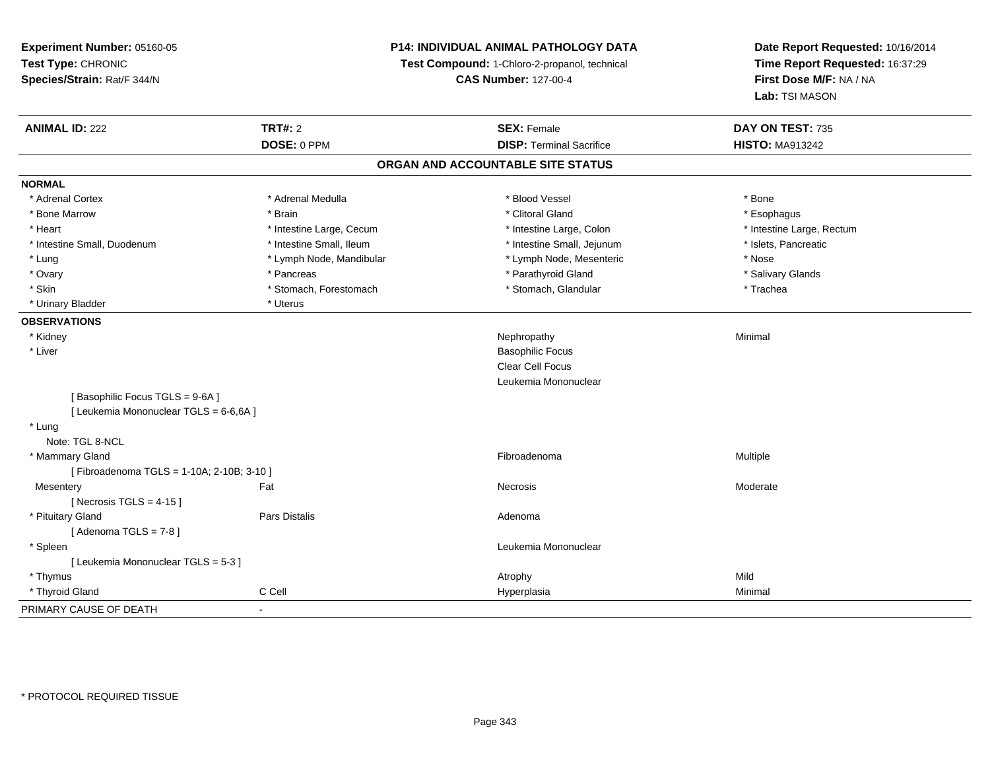**Experiment Number:** 05160-05**Test Type:** CHRONIC **Species/Strain:** Rat/F 344/N**P14: INDIVIDUAL ANIMAL PATHOLOGY DATATest Compound:** 1-Chloro-2-propanol, technical **CAS Number:** 127-00-4**Date Report Requested:** 10/16/2014**Time Report Requested:** 16:37:29**First Dose M/F:** NA / NA**Lab:** TSI MASON**ANIMAL ID:** 222**TRT#:** 2 **SEX:** Female **DAY ON TEST:** 735 **DOSE:** 0 PPM**DISP:** Terminal Sacrifice **HISTO:** MA913242 **ORGAN AND ACCOUNTABLE SITE STATUSNORMAL**\* Adrenal Cortex \* Adrenal Medulla \* Adrenal Medulla \* Blood Vessel \* Bood Vessel \* Bone \* Bone \* Bone \* Bone \* Bone \* Bone \* Bone \* Bone \* Bone \* Bone \* Bone \* Bone \* Bone \* Bone \* Bone \* Bone \* Bone \* Bone \* Bone \* Bone \* Bone \* Bone \* \* \* Esophagus \* Bone Marrow \* \* Android \* Brain \* Brain \* Clitoral Gland \* Clitoral Gland \* Esophagus \* Esophagus \* Esophagus \* Intestine Large, Rectum \* Heart \* Intestine Large, Cecum \* Intestine Large, Cecum \* Intestine Large, Colon \* Intestine Small, Duodenum \* Intestine Small, Ileum \* Intestine Small, Intestine Small, Jejunum \* Islets, Pancreatic \* Lung \* Lymph Node, Mandibular \* Nose \* Lymph Node, Mesenteric \* Nose \* Nose \* Salivary Glands \* Ovary \* \* Pancreas \* \* Pancreas \* \* Pancreas \* \* Parathyroid Gland \* \* Salivary Glands \* Salivary Glands \* Salivary Glands \* Salivary Glands \* Salivary Glands \* Salivary Glands \* Salivary Glands \* \* Salivary Glands \* \* S \* Skin \* Stomach, Forestomach \* Stomach \* Stomach, Glandular \* Stomach, Glandular \* Trachea \* Urinary Bladder \* Uterus **OBSERVATIONS** \* Kidneyy the control of the control of the control of the control of the control of the control of the control of the control of the control of the control of the control of the control of the control of the control of the contro \* Liver Basophilic Focus Clear Cell Focus Leukemia Mononuclear[ Basophilic Focus TGLS = 9-6A ][ Leukemia Mononuclear TGLS = 6-6,6A ] \* Lung Note: TGL 8-NCL \* Mammary Glandd and the state of the state of the state of the state of the state of the state of the state of the state of the state of the state of the state of the state of the state of the state of the state of the state of the stat [ Fibroadenoma TGLS = 1-10A; 2-10B; 3-10 ]**Mesentery** y the control of the set of the control of the Moderate of the Moderate of the Moderate of the Moderate of the Moderate of the Moderate of the Moderate of the Moderate of the Moderate of the Moderate of the Moderate of the  $[$  Necrosis TGLS = 4-15  $]$  \* Pituitary Glandd and the contract of Pars Distalis and the contract of Adenoma and Adenoma and the Adenoma and the Adenoma and  $\lambda$  $[$  Adenoma TGLS =  $7-8$   $]$  \* Spleen Leukemia Mononuclear [ Leukemia Mononuclear TGLS = 5-3 ] \* Thymuss and the control of the control of the control of the control of the control of the control of the control of the control of the control of the control of the control of the control of the control of the control of the co Minimal \* Thyroid Gland C Cell Hyperplasia Minimal PRIMARY CAUSE OF DEATH-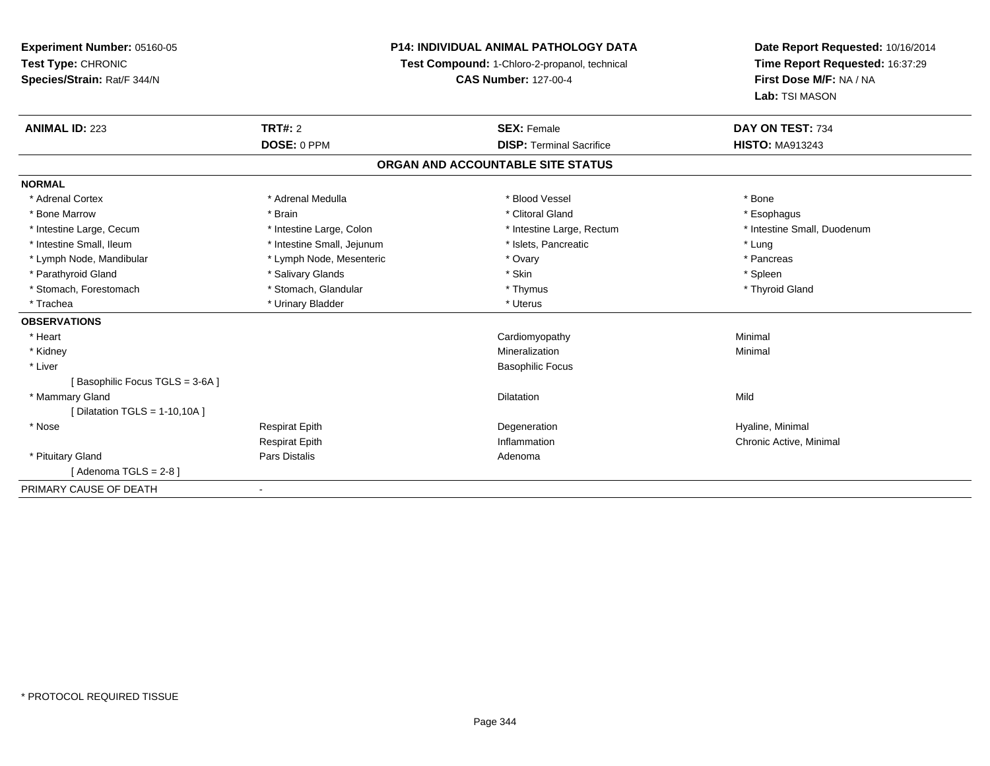**Experiment Number:** 05160-05**Test Type:** CHRONIC **Species/Strain:** Rat/F 344/N**P14: INDIVIDUAL ANIMAL PATHOLOGY DATATest Compound:** 1-Chloro-2-propanol, technical **CAS Number:** 127-00-4**Date Report Requested:** 10/16/2014**Time Report Requested:** 16:37:29**First Dose M/F:** NA / NA**Lab:** TSI MASON**ANIMAL ID:** 223**TRT#:** 2 **SEX:** Female **DAY ON TEST:** 734 **DOSE:** 0 PPM**DISP:** Terminal Sacrifice **HISTO:** MA913243 **ORGAN AND ACCOUNTABLE SITE STATUSNORMAL**\* Adrenal Cortex \* Adrenal Medulla \* Adrenal Medulla \* Blood Vessel \* Bood Vessel \* Bone \* Bone \* Bone \* Bone \* Bone \* Bone \* Bone \* Bone \* Bone \* Bone \* Bone \* Bone \* Bone \* Bone \* Bone \* Bone \* Bone \* Bone \* Bone \* Bone \* Bone \* Bone \* \* \* Esophagus \* Bone Marrow \* \* Android \* Brain \* Brain \* Clitoral Gland \* Clitoral Gland \* Esophagus \* Esophagus \* Esophagus \* Intestine Small, Duodenum \* Intestine Large, Cecum \* Intestine Large, Colon \* Intestine Sarge, Rectum \* Intestine Large, Rectum \* Intestine Small, Ileum \* Intestine Small, Jejunum \* Number of the Small and the Small of the Small and the Small and the Small and the Small and the Small and the Lung \* Pancreas \* Lymph Node, Mandibular \* Lymph Node, Mesenteric \* The management of the Mesenteric \* Ovary \* Parathyroid Gland \* \* Salivary Glands \* Salivary Glands \* Skin \* Skin \* State \* Spleen \* Spleen \* Spleen \* Spleen \* Thyroid Gland \* Stomach, Forestomach \* Thymus \* Stomach, Glandular \* Thymus \* Thymus \* Thymus \* Thymus \* Thymus \* Thymus \* Thymus \* Thymus \* Thymus \* Thymus \* Thymus \* Thymus \* Thymus \* Thymus \* Thymus \* Thymus \* Thymus \* Thymus \* Thymu \* Trachea \* Urinary Bladder \* Urinary Bladder \* Urinary Bladder \* Uterus **OBSERVATIONS** \* Heart Cardiomyopathy Minimal \* Kidneyy with the control of the control of the control of the control of the control of the control of the control of the control of the control of the control of the control of the control of the control of the control of the c n Minimal \* Liver Basophilic Focus[ Basophilic Focus TGLS = 3-6A ] \* Mammary Glandd and the control of the control of the control of the control of the control of the control of the control of the control of the control of the control of the control of the control of the control of the control of the co  $[$  Dilatation TGLS = 1-10,10A  $]$  \* Nose Respirat Epith Degeneration Hyaline, Minimal Respirat Epith Inflammation Chronic Active, Minimal \* Pituitary Glandd and the contract of Pars Distalis and the contract of Adenoma and Adenoma and the Adenoma and the Adenoma and  $\alpha$  $[$  Adenoma TGLS = 2-8  $]$ PRIMARY CAUSE OF DEATH-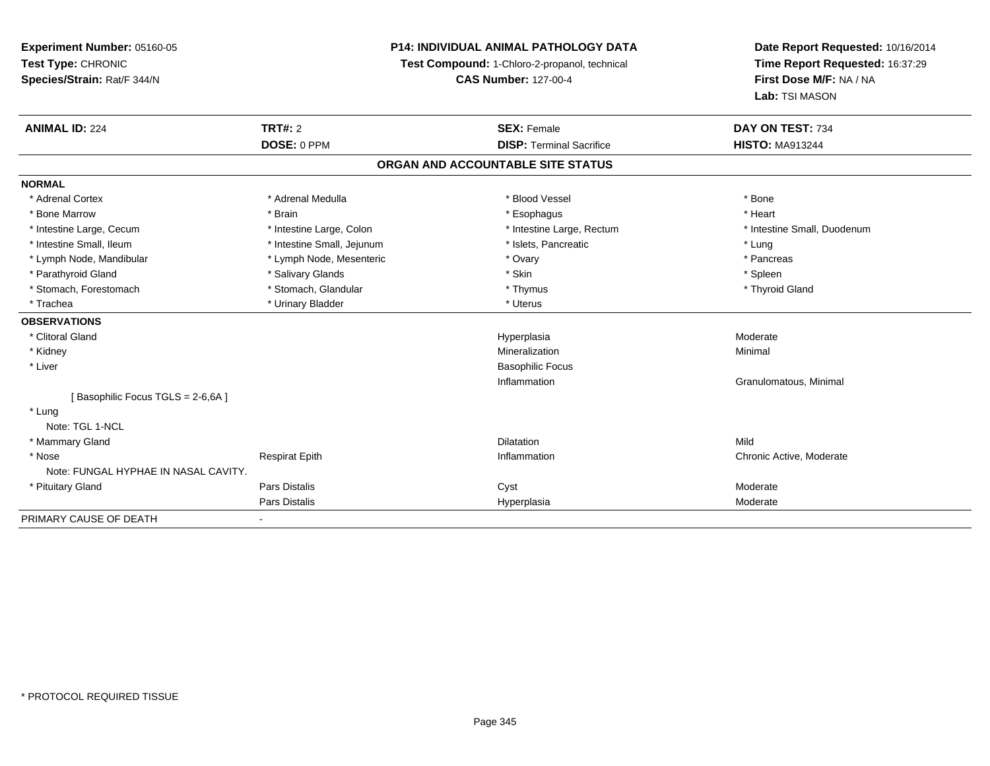**Experiment Number:** 05160-05**Test Type:** CHRONIC **Species/Strain:** Rat/F 344/N**P14: INDIVIDUAL ANIMAL PATHOLOGY DATATest Compound:** 1-Chloro-2-propanol, technical **CAS Number:** 127-00-4**Date Report Requested:** 10/16/2014**Time Report Requested:** 16:37:29**First Dose M/F:** NA / NA**Lab:** TSI MASON**ANIMAL ID:** 224**TRT#:** 2 **SEX:** Female **DAY ON TEST:** 734 **DOSE:** 0 PPM**DISP:** Terminal Sacrifice **HISTO:** MA913244 **ORGAN AND ACCOUNTABLE SITE STATUSNORMAL**\* Adrenal Cortex \* Adrenal Medulla \* Adrenal Medulla \* Blood Vessel \* Bood Vessel \* Bone \* Bone \* Bone \* Bone \* Bone \* Bone \* Bone \* Bone \* Bone \* Bone \* Bone \* Bone \* Bone \* Bone \* Bone \* Bone \* Bone \* Bone \* Bone \* Bone \* Bone \* Bone \* \* \* Heart \* Bone Marrow \* Brain \* Esophagus \* Heart \* Intestine Large, Cecum \* Intestine Large, Colon \* Intestine Large, Rectum \* Intestine Small, Duodenum\* Intestine Small, Ileum \* https://www.fatheratic \* Lung \* Intestine Small, Jejunum \* Islets, Pancreatic \* Lung \* Lung \* Pancreas \* Lymph Node, Mandibular \* Manus \* Lymph Node, Mesenteric \* The \* Ovary \* Ovary \* Parathyroid Gland \* \* Salivary Glands \* Salivary Glands \* Skin \* Skin \* State \* Spleen \* Spleen \* Spleen \* Spleen \* Thyroid Gland \* Stomach, Forestomach \* Thymus \* Stomach, Glandular \* Thymus \* Thymus \* Thymus \* Thymus \* Thymus \* Thymus \* Thymus \* Thymus \* Thymus \* Thymus \* Thymus \* Thymus \* Thymus \* Thymus \* Thymus \* Thymus \* Thymus \* Thymus \* Thymu \* Trachea \* Urinary Bladder \* Urinary Bladder \* Urinary Bladder \* Uterus **OBSERVATIONS** \* Clitoral Glandd and the controller of the controller of the controller of the Hyperplasia controller of the Moderate of the Moderate of the controller of the controller of the controller of the controller of the controller of the contro \* Kidneyy with the control of the control of the control of the control of the control of the control of the control of the control of the control of the control of the control of the control of the control of the control of the c n Minimal \* Liver Basophilic FocusInflammation Granulomatous, Minimal [ Basophilic Focus TGLS = 2-6,6A ] \* Lung Note: TGL 1-NCL \* Mammary Glandd and the control of the control of the control of the control of the control of the control of the control of the control of the control of the control of the control of the control of the control of the control of the co \* NoseRespirat Epith **Inflammation** Inflammation **Chronic Active, Moderate** Chronic Active, Moderate Note: FUNGAL HYPHAE IN NASAL CAVITY. \* Pituitary Gland Pars Distalis Cyst Moderate Pars Distalis Hyperplasia Moderate PRIMARY CAUSE OF DEATH-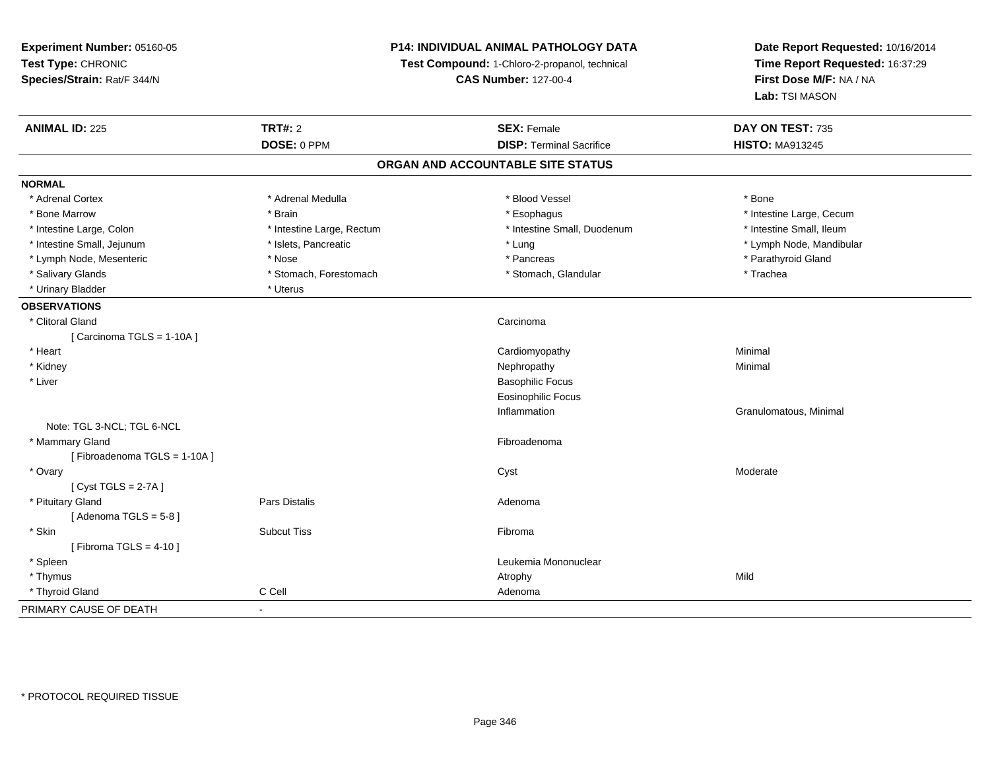| Experiment Number: 05160-05 |                           | <b>P14: INDIVIDUAL ANIMAL PATHOLOGY DATA</b>  | Date Report Requested: 10/16/2014<br>Time Report Requested: 16:37:29<br>First Dose M/F: NA / NA<br>Lab: TSI MASON |  |
|-----------------------------|---------------------------|-----------------------------------------------|-------------------------------------------------------------------------------------------------------------------|--|
| Test Type: CHRONIC          |                           | Test Compound: 1-Chloro-2-propanol, technical |                                                                                                                   |  |
| Species/Strain: Rat/F 344/N |                           | <b>CAS Number: 127-00-4</b>                   |                                                                                                                   |  |
|                             |                           |                                               |                                                                                                                   |  |
| <b>ANIMAL ID: 225</b>       | <b>TRT#: 2</b>            | <b>SEX: Female</b>                            | DAY ON TEST: 735                                                                                                  |  |
|                             | DOSE: 0 PPM               | <b>DISP: Terminal Sacrifice</b>               | <b>HISTO: MA913245</b>                                                                                            |  |
|                             |                           | ORGAN AND ACCOUNTABLE SITE STATUS             |                                                                                                                   |  |
| <b>NORMAL</b>               |                           |                                               |                                                                                                                   |  |
| * Adrenal Cortex            | * Adrenal Medulla         | * Blood Vessel                                | * Bone                                                                                                            |  |
| * Bone Marrow               | * Brain                   | * Esophagus                                   | * Intestine Large, Cecum                                                                                          |  |
| * Intestine Large, Colon    | * Intestine Large, Rectum | * Intestine Small, Duodenum                   | * Intestine Small, Ileum                                                                                          |  |
| * Intestine Small, Jejunum  | * Islets, Pancreatic      | * Lung                                        | * Lymph Node, Mandibular                                                                                          |  |
| * Lymph Node, Mesenteric    | * Nose                    | * Pancreas                                    | * Parathyroid Gland                                                                                               |  |
| * Salivary Glands           | * Stomach, Forestomach    | * Stomach, Glandular                          | * Trachea                                                                                                         |  |
| * Urinary Bladder           | * Uterus                  |                                               |                                                                                                                   |  |
| <b>OBSERVATIONS</b>         |                           |                                               |                                                                                                                   |  |
| * Clitoral Gland            |                           | Carcinoma                                     |                                                                                                                   |  |
| [Carcinoma TGLS = 1-10A]    |                           |                                               |                                                                                                                   |  |
| * Heart                     |                           | Cardiomyopathy                                | Minimal                                                                                                           |  |
| * Kidney                    |                           | Nephropathy                                   | Minimal                                                                                                           |  |
| * Liver                     |                           | <b>Basophilic Focus</b>                       |                                                                                                                   |  |
|                             |                           | <b>Eosinophilic Focus</b>                     |                                                                                                                   |  |
|                             |                           | Inflammation                                  | Granulomatous, Minimal                                                                                            |  |
| Note: TGL 3-NCL; TGL 6-NCL  |                           |                                               |                                                                                                                   |  |
| * Mammary Gland             |                           | Fibroadenoma                                  |                                                                                                                   |  |
| [Fibroadenoma TGLS = 1-10A] |                           |                                               |                                                                                                                   |  |
| * Ovary                     |                           | Cyst                                          | Moderate                                                                                                          |  |
| [Cyst TGLS = $2-7A$ ]       |                           |                                               |                                                                                                                   |  |
| * Pituitary Gland           | Pars Distalis             | Adenoma                                       |                                                                                                                   |  |
| [Adenoma TGLS = $5-8$ ]     |                           |                                               |                                                                                                                   |  |
| * Skin                      | <b>Subcut Tiss</b>        | Fibroma                                       |                                                                                                                   |  |
| [Fibroma TGLS = $4-10$ ]    |                           |                                               |                                                                                                                   |  |
| * Spleen                    |                           | Leukemia Mononuclear                          |                                                                                                                   |  |
| * Thymus                    |                           | Atrophy                                       | Mild                                                                                                              |  |
| * Thyroid Gland             | C Cell                    | Adenoma                                       |                                                                                                                   |  |
| PRIMARY CAUSE OF DEATH      | $\blacksquare$            |                                               |                                                                                                                   |  |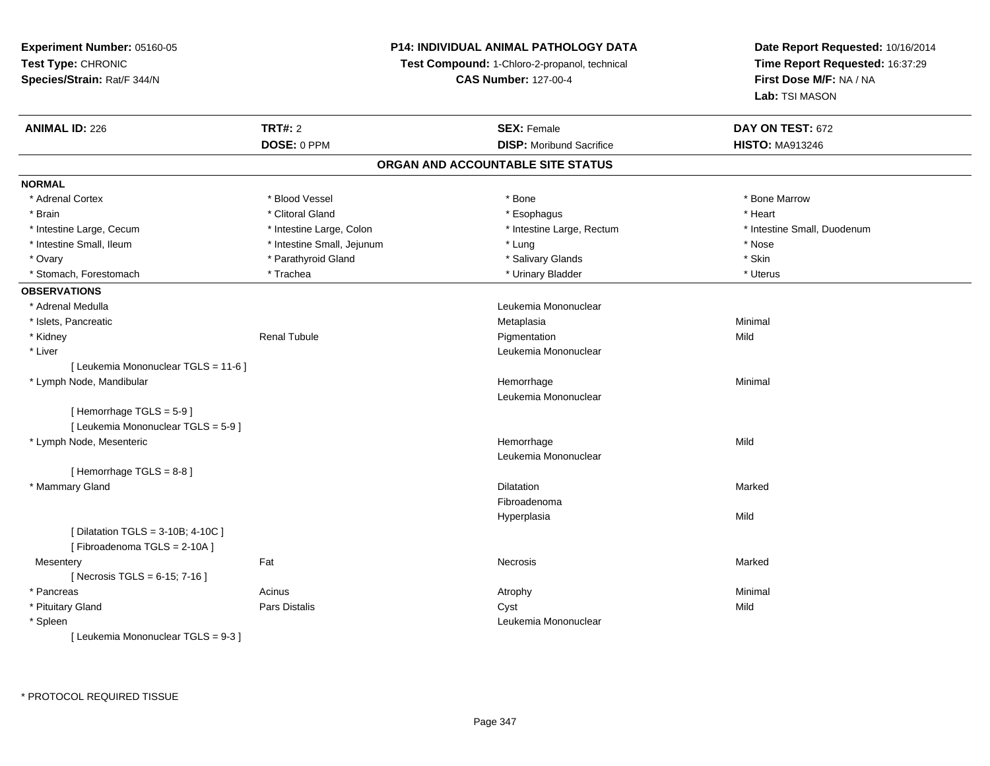# **P14: INDIVIDUAL ANIMAL PATHOLOGY DATA**

**Test Compound:** 1-Chloro-2-propanol, technical

**CAS Number:** 127-00-4

| <b>ANIMAL ID: 226</b>                | <b>TRT#: 2</b>             | <b>SEX: Female</b>                | DAY ON TEST: 672            |  |
|--------------------------------------|----------------------------|-----------------------------------|-----------------------------|--|
|                                      | DOSE: 0 PPM                | <b>DISP:</b> Moribund Sacrifice   | <b>HISTO: MA913246</b>      |  |
|                                      |                            | ORGAN AND ACCOUNTABLE SITE STATUS |                             |  |
| <b>NORMAL</b>                        |                            |                                   |                             |  |
| * Adrenal Cortex                     | * Blood Vessel             | * Bone                            | * Bone Marrow               |  |
| * Brain                              | * Clitoral Gland           | * Esophagus                       | * Heart                     |  |
| * Intestine Large, Cecum             | * Intestine Large, Colon   | * Intestine Large, Rectum         | * Intestine Small, Duodenum |  |
| * Intestine Small, Ileum             | * Intestine Small, Jejunum | * Lung                            | * Nose                      |  |
| * Ovary                              | * Parathyroid Gland        | * Salivary Glands                 | * Skin                      |  |
| * Stomach, Forestomach               | * Trachea                  | * Urinary Bladder                 | * Uterus                    |  |
| <b>OBSERVATIONS</b>                  |                            |                                   |                             |  |
| * Adrenal Medulla                    |                            | Leukemia Mononuclear              |                             |  |
| * Islets, Pancreatic                 |                            | Metaplasia                        | Minimal                     |  |
| * Kidney                             | <b>Renal Tubule</b>        | Pigmentation                      | Mild                        |  |
| * Liver                              |                            | Leukemia Mononuclear              |                             |  |
| [ Leukemia Mononuclear TGLS = 11-6 ] |                            |                                   |                             |  |
| * Lymph Node, Mandibular             |                            | Hemorrhage                        | Minimal                     |  |
|                                      |                            | Leukemia Mononuclear              |                             |  |
| [Hemorrhage TGLS = $5-9$ ]           |                            |                                   |                             |  |
| [ Leukemia Mononuclear TGLS = 5-9 ]  |                            |                                   |                             |  |
| * Lymph Node, Mesenteric             |                            | Hemorrhage                        | Mild                        |  |
|                                      |                            | Leukemia Mononuclear              |                             |  |
| [Hemorrhage TGLS = 8-8]              |                            |                                   |                             |  |
| * Mammary Gland                      |                            | Dilatation                        | Marked                      |  |
|                                      |                            | Fibroadenoma                      |                             |  |
|                                      |                            | Hyperplasia                       | Mild                        |  |
| [ Dilatation TGLS = 3-10B; 4-10C ]   |                            |                                   |                             |  |
| [Fibroadenoma TGLS = 2-10A]          |                            |                                   |                             |  |
| Mesentery                            | Fat                        | Necrosis                          | Marked                      |  |
| [Necrosis TGLS = $6-15$ ; 7-16]      |                            |                                   |                             |  |
| * Pancreas                           | Acinus                     | Atrophy                           | Minimal                     |  |
| * Pituitary Gland                    | Pars Distalis              | Cyst                              | Mild                        |  |
| * Spleen                             |                            | Leukemia Mononuclear              |                             |  |
| [ Leukemia Mononuclear TGLS = 9-3 ]  |                            |                                   |                             |  |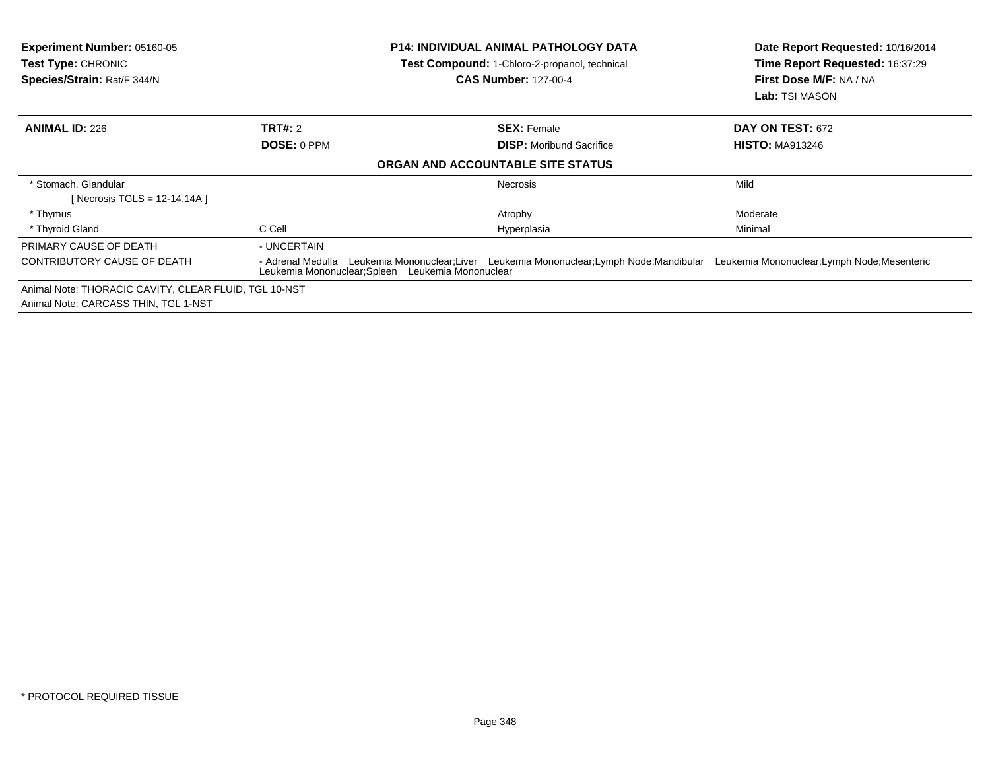| <b>Experiment Number: 05160-05</b><br>Test Type: CHRONIC<br>Species/Strain: Rat/F 344/N | <b>P14: INDIVIDUAL ANIMAL PATHOLOGY DATA</b><br>Test Compound: 1-Chloro-2-propanol, technical<br><b>CAS Number: 127-00-4</b> |                                                                                                                                                                       | Date Report Requested: 10/16/2014<br>Time Report Requested: 16:37:29<br>First Dose M/F: NA / NA<br><b>Lab:</b> TSI MASON |  |
|-----------------------------------------------------------------------------------------|------------------------------------------------------------------------------------------------------------------------------|-----------------------------------------------------------------------------------------------------------------------------------------------------------------------|--------------------------------------------------------------------------------------------------------------------------|--|
| <b>ANIMAL ID: 226</b>                                                                   | <b>TRT#: 2</b>                                                                                                               | <b>SEX: Female</b>                                                                                                                                                    | DAY ON TEST: 672                                                                                                         |  |
|                                                                                         | DOSE: 0 PPM                                                                                                                  | <b>DISP:</b> Moribund Sacrifice                                                                                                                                       | <b>HISTO: MA913246</b>                                                                                                   |  |
|                                                                                         |                                                                                                                              | ORGAN AND ACCOUNTABLE SITE STATUS                                                                                                                                     |                                                                                                                          |  |
| * Stomach, Glandular<br>[Necrosis TGLS = $12-14,14A$ ]                                  |                                                                                                                              | Necrosis                                                                                                                                                              | Mild                                                                                                                     |  |
| * Thymus                                                                                |                                                                                                                              | Atrophy                                                                                                                                                               | Moderate                                                                                                                 |  |
| * Thyroid Gland                                                                         | C Cell                                                                                                                       | Hyperplasia                                                                                                                                                           | Minimal                                                                                                                  |  |
| PRIMARY CAUSE OF DEATH                                                                  | - UNCERTAIN                                                                                                                  |                                                                                                                                                                       |                                                                                                                          |  |
| CONTRIBUTORY CAUSE OF DEATH                                                             | - Adrenal Medulla                                                                                                            | Leukemia Mononuclear;Liver Leukemia Mononuclear;Lymph Node;Mandibular Leukemia Mononuclear;Lymph Node;Mesenteric<br>Leukemia Mononuclear; Spleen Leukemia Mononuclear |                                                                                                                          |  |
| Animal Note: THORACIC CAVITY, CLEAR FLUID, TGL 10-NST                                   |                                                                                                                              |                                                                                                                                                                       |                                                                                                                          |  |
| Animal Note: CARCASS THIN, TGL 1-NST                                                    |                                                                                                                              |                                                                                                                                                                       |                                                                                                                          |  |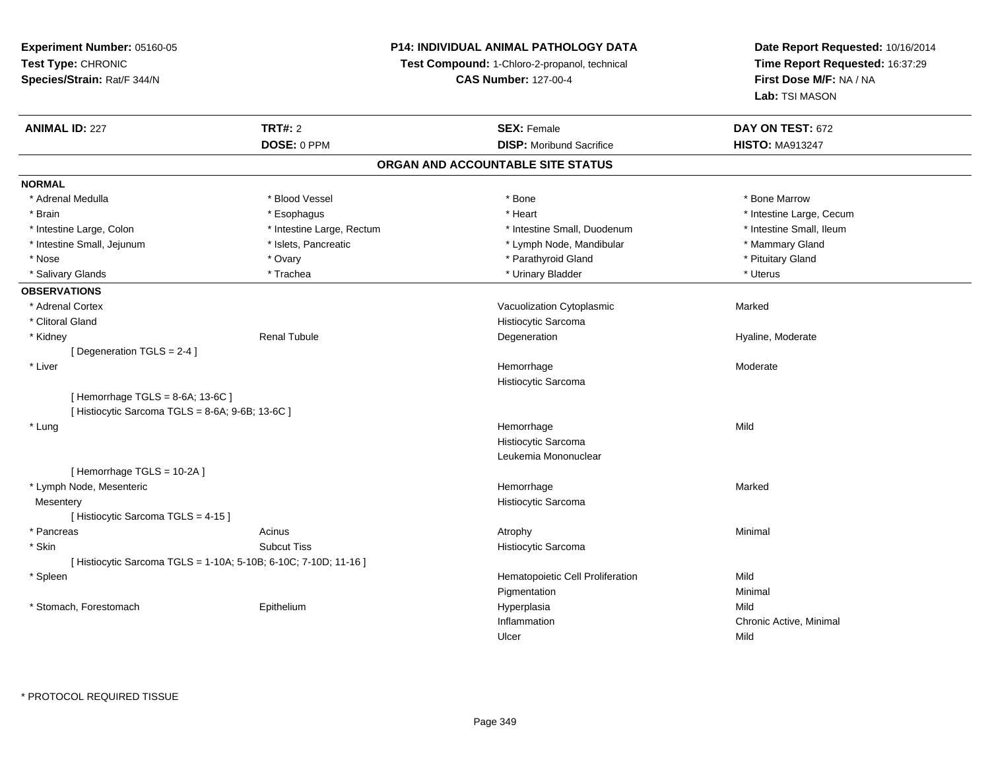# **P14: INDIVIDUAL ANIMAL PATHOLOGY DATA**

**Test Compound:** 1-Chloro-2-propanol, technical

**CAS Number:** 127-00-4

| <b>ANIMAL ID: 227</b>                                          | <b>TRT#: 2</b><br>DOSE: 0 PPM     | <b>SEX: Female</b><br><b>DISP:</b> Moribund Sacrifice | DAY ON TEST: 672<br><b>HISTO: MA913247</b> |  |  |  |  |  |
|----------------------------------------------------------------|-----------------------------------|-------------------------------------------------------|--------------------------------------------|--|--|--|--|--|
|                                                                | ORGAN AND ACCOUNTABLE SITE STATUS |                                                       |                                            |  |  |  |  |  |
| <b>NORMAL</b>                                                  |                                   |                                                       |                                            |  |  |  |  |  |
| * Adrenal Medulla                                              | * Blood Vessel                    | * Bone                                                | * Bone Marrow                              |  |  |  |  |  |
| * Brain                                                        | * Esophagus                       | * Heart                                               | * Intestine Large, Cecum                   |  |  |  |  |  |
| * Intestine Large, Colon                                       | * Intestine Large, Rectum         | * Intestine Small, Duodenum                           | * Intestine Small, Ileum                   |  |  |  |  |  |
| * Intestine Small, Jejunum                                     | * Islets, Pancreatic              | * Lymph Node, Mandibular                              | * Mammary Gland                            |  |  |  |  |  |
| * Nose                                                         | * Ovary                           | * Parathyroid Gland                                   | * Pituitary Gland                          |  |  |  |  |  |
|                                                                | * Trachea                         | * Urinary Bladder                                     | * Uterus                                   |  |  |  |  |  |
| * Salivary Glands                                              |                                   |                                                       |                                            |  |  |  |  |  |
| <b>OBSERVATIONS</b>                                            |                                   |                                                       |                                            |  |  |  |  |  |
| * Adrenal Cortex                                               |                                   | Vacuolization Cytoplasmic                             | Marked                                     |  |  |  |  |  |
| * Clitoral Gland                                               |                                   | Histiocytic Sarcoma                                   |                                            |  |  |  |  |  |
| * Kidney                                                       | <b>Renal Tubule</b>               | Degeneration                                          | Hyaline, Moderate                          |  |  |  |  |  |
| [Degeneration TGLS = 2-4]                                      |                                   |                                                       |                                            |  |  |  |  |  |
| * Liver                                                        |                                   | Hemorrhage                                            | Moderate                                   |  |  |  |  |  |
|                                                                |                                   | Histiocytic Sarcoma                                   |                                            |  |  |  |  |  |
| [Hemorrhage TGLS = 8-6A; 13-6C]                                |                                   |                                                       |                                            |  |  |  |  |  |
| [Histiocytic Sarcoma TGLS = 8-6A; 9-6B; 13-6C]                 |                                   |                                                       |                                            |  |  |  |  |  |
| * Lung                                                         |                                   | Hemorrhage                                            | Mild                                       |  |  |  |  |  |
|                                                                |                                   | Histiocytic Sarcoma                                   |                                            |  |  |  |  |  |
|                                                                |                                   | Leukemia Mononuclear                                  |                                            |  |  |  |  |  |
| [Hemorrhage TGLS = 10-2A]                                      |                                   |                                                       |                                            |  |  |  |  |  |
| * Lymph Node, Mesenteric                                       |                                   | Hemorrhage                                            | Marked                                     |  |  |  |  |  |
| Mesentery                                                      |                                   | Histiocytic Sarcoma                                   |                                            |  |  |  |  |  |
| [Histiocytic Sarcoma TGLS = 4-15]                              |                                   |                                                       |                                            |  |  |  |  |  |
| * Pancreas                                                     | Acinus                            | Atrophy                                               | Minimal                                    |  |  |  |  |  |
| * Skin                                                         | <b>Subcut Tiss</b>                | Histiocytic Sarcoma                                   |                                            |  |  |  |  |  |
| [Histiocytic Sarcoma TGLS = 1-10A; 5-10B; 6-10C; 7-10D; 11-16] |                                   |                                                       |                                            |  |  |  |  |  |
| * Spleen                                                       |                                   | Hematopoietic Cell Proliferation                      | Mild                                       |  |  |  |  |  |
|                                                                |                                   | Pigmentation                                          | Minimal                                    |  |  |  |  |  |
| * Stomach, Forestomach                                         | Epithelium                        | Hyperplasia                                           | Mild                                       |  |  |  |  |  |
|                                                                |                                   | Inflammation                                          | Chronic Active, Minimal                    |  |  |  |  |  |
|                                                                |                                   | Ulcer                                                 | Mild                                       |  |  |  |  |  |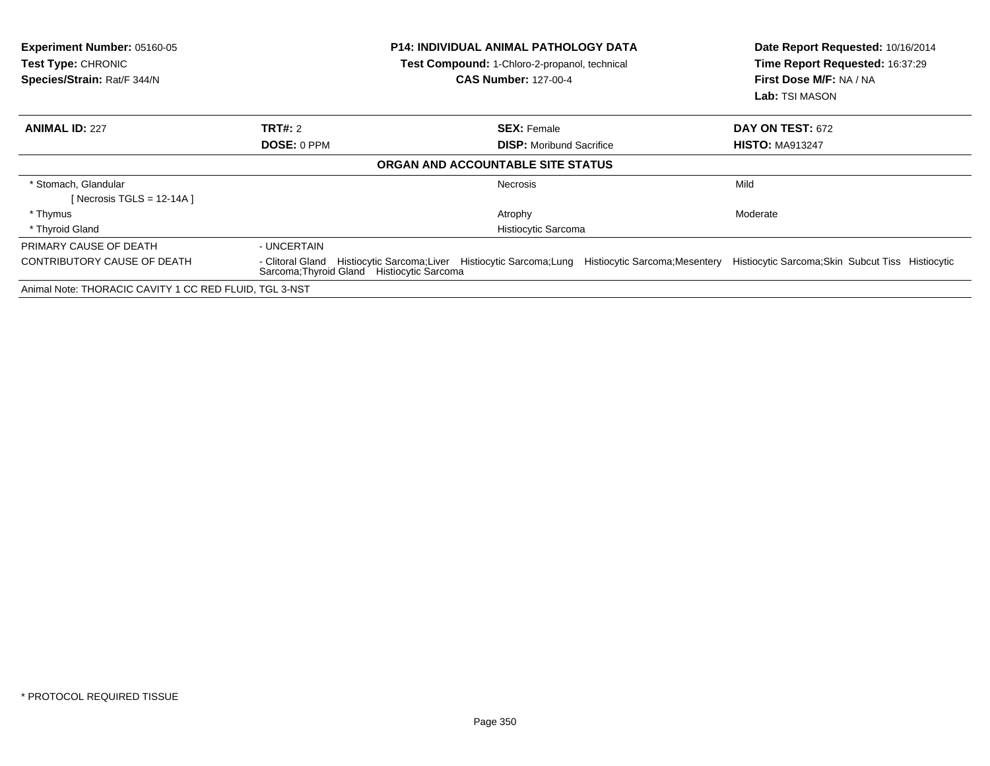| <b>Experiment Number: 05160-05</b><br><b>Test Type: CHRONIC</b><br>Species/Strain: Rat/F 344/N |                                            | <b>P14: INDIVIDUAL ANIMAL PATHOLOGY DATA</b><br>Test Compound: 1-Chloro-2-propanol, technical<br><b>CAS Number: 127-00-4</b> | Date Report Requested: 10/16/2014<br>Time Report Requested: 16:37:29<br>First Dose M/F: NA / NA<br><b>Lab:</b> TSI MASON |  |
|------------------------------------------------------------------------------------------------|--------------------------------------------|------------------------------------------------------------------------------------------------------------------------------|--------------------------------------------------------------------------------------------------------------------------|--|
| <b>ANIMAL ID: 227</b>                                                                          | <b>TRT#: 2</b>                             | <b>SEX: Female</b>                                                                                                           | <b>DAY ON TEST: 672</b>                                                                                                  |  |
|                                                                                                | DOSE: 0 PPM                                | <b>DISP:</b> Moribund Sacrifice                                                                                              | <b>HISTO: MA913247</b>                                                                                                   |  |
|                                                                                                |                                            | ORGAN AND ACCOUNTABLE SITE STATUS                                                                                            |                                                                                                                          |  |
| * Stomach, Glandular<br>[Necrosis TGLS = 12-14A]                                               |                                            | <b>Necrosis</b>                                                                                                              | Mild                                                                                                                     |  |
| * Thymus                                                                                       |                                            | Atrophy                                                                                                                      | Moderate                                                                                                                 |  |
| * Thyroid Gland                                                                                | Histiocytic Sarcoma                        |                                                                                                                              |                                                                                                                          |  |
| PRIMARY CAUSE OF DEATH                                                                         | - UNCERTAIN                                |                                                                                                                              |                                                                                                                          |  |
| CONTRIBUTORY CAUSE OF DEATH                                                                    | Sarcoma: Thyroid Gland Histiocytic Sarcoma | - Clitoral Gland Histiocytic Sarcoma;Liver Histiocytic Sarcoma;Lung Histiocytic Sarcoma;Mesentery                            | Histiocytic Sarcoma; Skin Subcut Tiss Histiocytic                                                                        |  |
| Animal Note: THORACIC CAVITY 1 CC RED FLUID, TGL 3-NST                                         |                                            |                                                                                                                              |                                                                                                                          |  |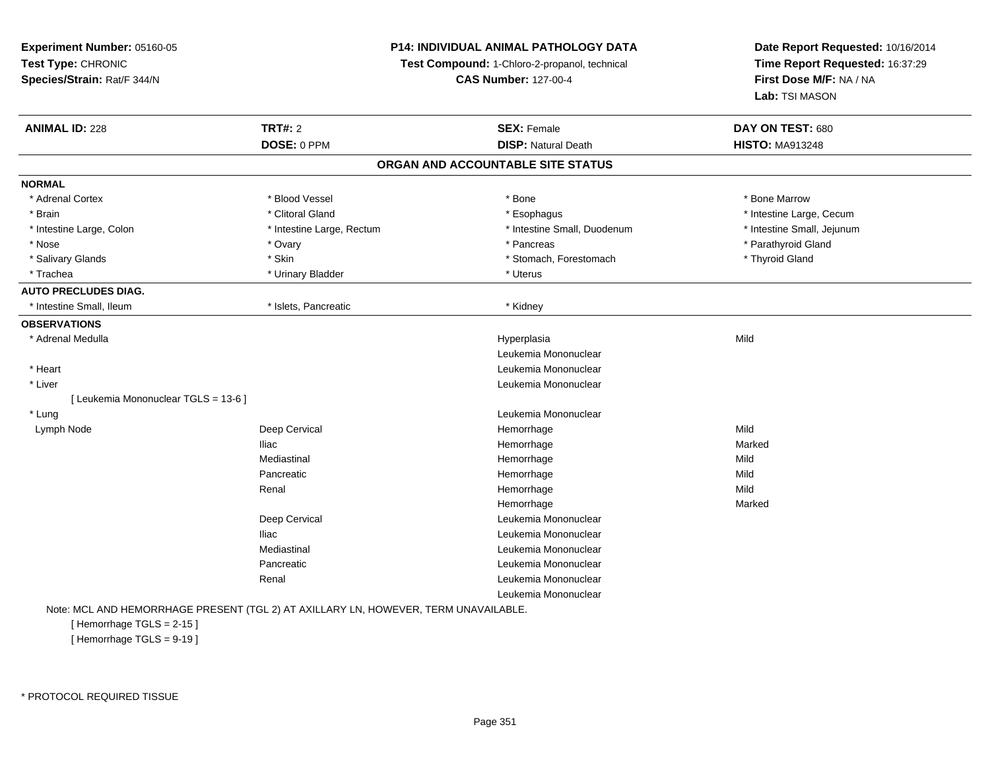**Experiment Number:** 05160-05**Test Type:** CHRONIC **Species/Strain:** Rat/F 344/N**P14: INDIVIDUAL ANIMAL PATHOLOGY DATATest Compound:** 1-Chloro-2-propanol, technical **CAS Number:** 127-00-4**Date Report Requested:** 10/16/2014**Time Report Requested:** 16:37:29**First Dose M/F:** NA / NA**Lab:** TSI MASON**ANIMAL ID:** 228**TRT#:** 2 **SEX:** Female **DAY ON TEST:** 680 **DOSE:** 0 PPM**DISP:** Natural Death **HISTO:** MA913248 **ORGAN AND ACCOUNTABLE SITE STATUSNORMAL**\* Adrenal Cortex \* Adrenal Cortex \* \* Attachers \* Blood Vessel \* \* Bone \* \* \* Bone \* \* Bone \* \* Bone \* Bone Marrow \* Bone Marrow \* Brain \* Alternation of the state of the state of the state of the state of the state of the state of the state of the state of the state of the state of the state of the state of the state of the state of the state of th \* Intestine Large, Colon \* Intestine Large, Rectum \* Intestine Small, Duodenum \* Intestine Small, Jejunum\* Nose \* Ovary \* Pancreas \* Parathyroid Gland \* Salivary Glands \* Thyroid Gland \* Skin \* Skin \* Stomach \* Stomach, Forestomach \* Thyroid Gland \* Thyroid Gland \* Trachea \* Urinary Bladder \* Urinary Bladder \* Urinary Bladder \* Urinary Bladder \* Uterus **AUTO PRECLUDES DIAG.**\* Intestine Small, Ileum \* \* **intervalled as a structure of the structure of the structure of the structure and test in the structure of the structure of the structure of the structure of the structure of the structure of OBSERVATIONS** \* Adrenal Medullaa and the control of the control of the control of the Hyperplasia and the control of the Mild of the control o Leukemia Mononuclear Leukemia Mononuclear \* Heart**Leukemia Mononuclear**  \* Liver[ Leukemia Mononuclear TGLS = 13-6 ] \* Lungg and the set of the set of the set of the set of the set of the set of the set of the set of the set of the s Lymph Nodee the control of the Cervical terms of the control of the Hemorrhage terms of the Mild Mild of the Mild of the Mild of the Mild of the Mild of the Mild of the Mild of the Mild of the Mild of the Mild of the Mild of the Mil Iliac Hemorrhagee Marked Marked Mediastinal Hemorrhagee Mild Pancreatic Hemorrhagee Mild Renal Hemorrhagee Mild Hemorrhagee Marked Marked Deep Cervical Leukemia MononuclearIliac Leukemia Mononuclear Mediastinal Leukemia MononuclearPancreatic Leukemia Mononuclear Renal Leukemia MononuclearLeukemia Mononuclear

Note: MCL AND HEMORRHAGE PRESENT (TGL 2) AT AXILLARY LN, HOWEVER, TERM UNAVAILABLE.

[ Hemorrhage TGLS = 2-15 ][ Hemorrhage TGLS = 9-19 ]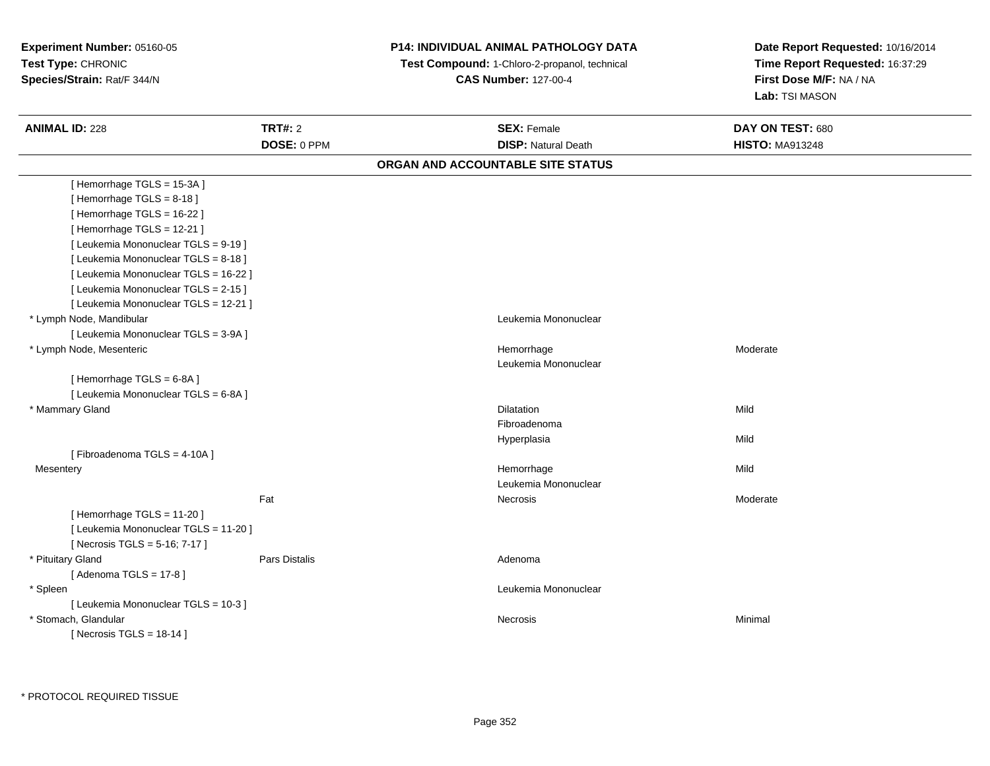| Experiment Number: 05160-05<br>Test Type: CHRONIC<br>Species/Strain: Rat/F 344/N |                      | P14: INDIVIDUAL ANIMAL PATHOLOGY DATA<br>Test Compound: 1-Chloro-2-propanol, technical<br><b>CAS Number: 127-00-4</b> |                                   | Date Report Requested: 10/16/2014<br>Time Report Requested: 16:37:29<br>First Dose M/F: NA / NA<br>Lab: TSI MASON |
|----------------------------------------------------------------------------------|----------------------|-----------------------------------------------------------------------------------------------------------------------|-----------------------------------|-------------------------------------------------------------------------------------------------------------------|
| <b>ANIMAL ID: 228</b>                                                            | <b>TRT#: 2</b>       |                                                                                                                       | <b>SEX: Female</b>                | DAY ON TEST: 680                                                                                                  |
|                                                                                  | DOSE: 0 PPM          |                                                                                                                       | <b>DISP: Natural Death</b>        | <b>HISTO: MA913248</b>                                                                                            |
|                                                                                  |                      |                                                                                                                       | ORGAN AND ACCOUNTABLE SITE STATUS |                                                                                                                   |
| [Hemorrhage TGLS = 15-3A]                                                        |                      |                                                                                                                       |                                   |                                                                                                                   |
| [Hemorrhage TGLS = $8-18$ ]                                                      |                      |                                                                                                                       |                                   |                                                                                                                   |
| [Hemorrhage TGLS = 16-22]                                                        |                      |                                                                                                                       |                                   |                                                                                                                   |
| [Hemorrhage TGLS = 12-21]                                                        |                      |                                                                                                                       |                                   |                                                                                                                   |
| [ Leukemia Mononuclear TGLS = 9-19 ]                                             |                      |                                                                                                                       |                                   |                                                                                                                   |
| [ Leukemia Mononuclear TGLS = 8-18 ]                                             |                      |                                                                                                                       |                                   |                                                                                                                   |
| [ Leukemia Mononuclear TGLS = 16-22 ]                                            |                      |                                                                                                                       |                                   |                                                                                                                   |
| [ Leukemia Mononuclear TGLS = 2-15 ]                                             |                      |                                                                                                                       |                                   |                                                                                                                   |
| [ Leukemia Mononuclear TGLS = 12-21 ]                                            |                      |                                                                                                                       |                                   |                                                                                                                   |
| * Lymph Node, Mandibular                                                         |                      |                                                                                                                       | Leukemia Mononuclear              |                                                                                                                   |
| [ Leukemia Mononuclear TGLS = 3-9A ]                                             |                      |                                                                                                                       |                                   |                                                                                                                   |
| * Lymph Node, Mesenteric                                                         |                      |                                                                                                                       | Hemorrhage                        | Moderate                                                                                                          |
|                                                                                  |                      |                                                                                                                       | Leukemia Mononuclear              |                                                                                                                   |
| [Hemorrhage TGLS = 6-8A]                                                         |                      |                                                                                                                       |                                   |                                                                                                                   |
| [ Leukemia Mononuclear TGLS = 6-8A ]                                             |                      |                                                                                                                       |                                   |                                                                                                                   |
| * Mammary Gland                                                                  |                      |                                                                                                                       | <b>Dilatation</b>                 | Mild                                                                                                              |
|                                                                                  |                      |                                                                                                                       | Fibroadenoma                      |                                                                                                                   |
|                                                                                  |                      |                                                                                                                       | Hyperplasia                       | Mild                                                                                                              |
| [Fibroadenoma TGLS = 4-10A]                                                      |                      |                                                                                                                       |                                   |                                                                                                                   |
| Mesentery                                                                        |                      |                                                                                                                       | Hemorrhage                        | Mild                                                                                                              |
|                                                                                  |                      |                                                                                                                       | Leukemia Mononuclear              |                                                                                                                   |
|                                                                                  | Fat                  |                                                                                                                       | Necrosis                          | Moderate                                                                                                          |
| [Hemorrhage TGLS = 11-20]                                                        |                      |                                                                                                                       |                                   |                                                                                                                   |
| [ Leukemia Mononuclear TGLS = 11-20 ]                                            |                      |                                                                                                                       |                                   |                                                                                                                   |
| [Necrosis TGLS = 5-16; 7-17]                                                     |                      |                                                                                                                       |                                   |                                                                                                                   |
| * Pituitary Gland                                                                | <b>Pars Distalis</b> |                                                                                                                       | Adenoma                           |                                                                                                                   |
| [Adenoma TGLS = $17-8$ ]                                                         |                      |                                                                                                                       |                                   |                                                                                                                   |
| * Spleen                                                                         |                      |                                                                                                                       | Leukemia Mononuclear              |                                                                                                                   |
| [ Leukemia Mononuclear TGLS = 10-3 ]                                             |                      |                                                                                                                       |                                   |                                                                                                                   |
| * Stomach, Glandular                                                             |                      |                                                                                                                       | Necrosis                          | Minimal                                                                                                           |
| [Necrosis TGLS = $18-14$ ]                                                       |                      |                                                                                                                       |                                   |                                                                                                                   |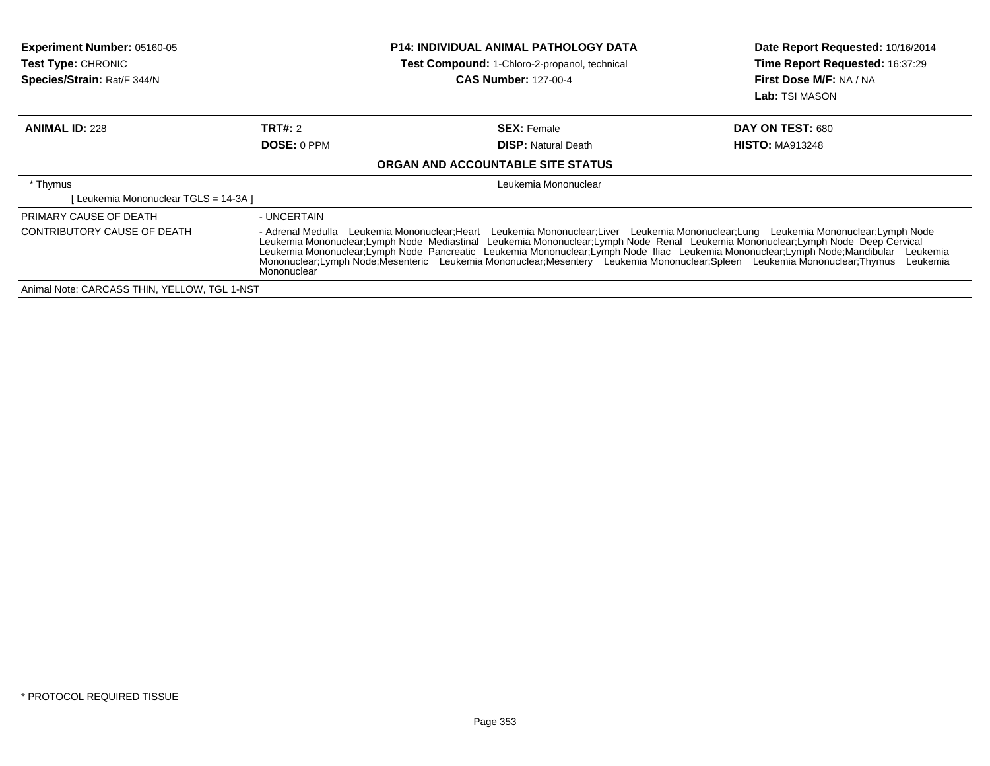| <b>Experiment Number: 05160-05</b><br><b>Test Type: CHRONIC</b><br>Species/Strain: Rat/F 344/N |                                                                                                                                                                                                                                                                                                                                                                                                                                                                                                                                                                         | <b>P14: INDIVIDUAL ANIMAL PATHOLOGY DATA</b><br>Test Compound: 1-Chloro-2-propanol, technical<br><b>CAS Number: 127-00-4</b> | Date Report Requested: 10/16/2014<br>Time Report Requested: 16:37:29<br>First Dose M/F: NA / NA<br><b>Lab:</b> TSI MASON |  |
|------------------------------------------------------------------------------------------------|-------------------------------------------------------------------------------------------------------------------------------------------------------------------------------------------------------------------------------------------------------------------------------------------------------------------------------------------------------------------------------------------------------------------------------------------------------------------------------------------------------------------------------------------------------------------------|------------------------------------------------------------------------------------------------------------------------------|--------------------------------------------------------------------------------------------------------------------------|--|
| <b>ANIMAL ID: 228</b>                                                                          | <b>TRT#: 2</b>                                                                                                                                                                                                                                                                                                                                                                                                                                                                                                                                                          | <b>SEX: Female</b>                                                                                                           | DAY ON TEST: 680                                                                                                         |  |
|                                                                                                | <b>DOSE: 0 PPM</b>                                                                                                                                                                                                                                                                                                                                                                                                                                                                                                                                                      | <b>DISP: Natural Death</b>                                                                                                   | <b>HISTO: MA913248</b>                                                                                                   |  |
|                                                                                                |                                                                                                                                                                                                                                                                                                                                                                                                                                                                                                                                                                         | ORGAN AND ACCOUNTABLE SITE STATUS                                                                                            |                                                                                                                          |  |
| * Thymus                                                                                       | Leukemia Mononuclear                                                                                                                                                                                                                                                                                                                                                                                                                                                                                                                                                    |                                                                                                                              |                                                                                                                          |  |
| [ Leukemia Mononuclear TGLS = 14-3A ]                                                          |                                                                                                                                                                                                                                                                                                                                                                                                                                                                                                                                                                         |                                                                                                                              |                                                                                                                          |  |
| PRIMARY CAUSE OF DEATH                                                                         | - UNCERTAIN                                                                                                                                                                                                                                                                                                                                                                                                                                                                                                                                                             |                                                                                                                              |                                                                                                                          |  |
| CONTRIBUTORY CAUSE OF DEATH                                                                    | - Adrenal Medulla Leukemia Mononuclear; Heart Leukemia Mononuclear; Liver Leukemia Mononuclear; Lung Leukemia Mononuclear; Lymph Node<br>Leukemia Mononuclear;Lymph Node Mediastinal Leukemia Mononuclear;Lymph Node Renal Leukemia Mononuclear;Lymph Node Deep Cervical<br>Leukemia Mononuclear;Lymph Node Pancreatic Leukemia Mononuclear;Lymph Node Iliac Leukemia Mononuclear;Lymph Node;Mandibular Leukemia<br>Mononuclear;Lymph Node;Mesenteric Leukemia Mononuclear;Mesentery Leukemia Mononuclear;Spleen Leukemia Mononuclear;Thymus<br>Leukemia<br>Mononuclear |                                                                                                                              |                                                                                                                          |  |
| Animal Note: CARCASS THIN, YELLOW, TGL 1-NST                                                   |                                                                                                                                                                                                                                                                                                                                                                                                                                                                                                                                                                         |                                                                                                                              |                                                                                                                          |  |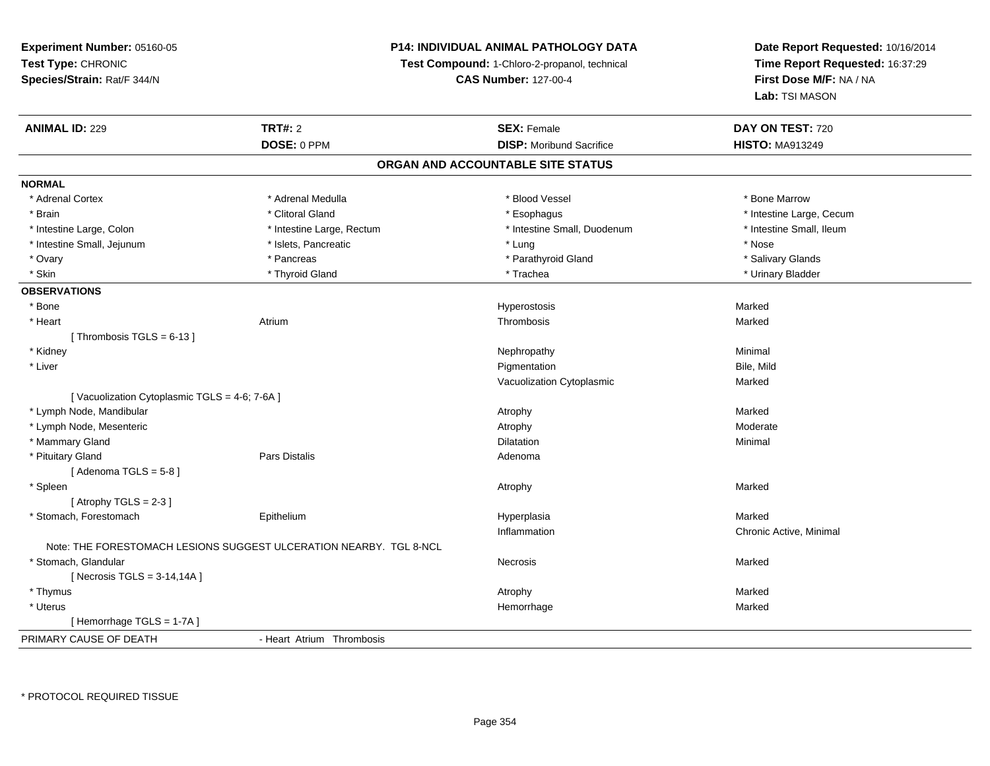# **P14: INDIVIDUAL ANIMAL PATHOLOGY DATA**

**Test Compound:** 1-Chloro-2-propanol, technical

**CAS Number:** 127-00-4

| <b>ANIMAL ID: 229</b>                         | <b>TRT#: 2</b>                                                     | <b>SEX: Female</b>                | DAY ON TEST: 720         |  |
|-----------------------------------------------|--------------------------------------------------------------------|-----------------------------------|--------------------------|--|
|                                               | DOSE: 0 PPM                                                        | <b>DISP:</b> Moribund Sacrifice   | <b>HISTO: MA913249</b>   |  |
|                                               |                                                                    | ORGAN AND ACCOUNTABLE SITE STATUS |                          |  |
| <b>NORMAL</b>                                 |                                                                    |                                   |                          |  |
| * Adrenal Cortex                              | * Adrenal Medulla                                                  | * Blood Vessel                    | * Bone Marrow            |  |
| * Brain                                       | * Clitoral Gland                                                   | * Esophagus                       | * Intestine Large, Cecum |  |
| * Intestine Large, Colon                      | * Intestine Large, Rectum                                          | * Intestine Small, Duodenum       | * Intestine Small, Ileum |  |
| * Intestine Small, Jejunum                    | * Islets, Pancreatic                                               | * Lung                            | * Nose                   |  |
| * Ovary                                       | * Pancreas                                                         | * Parathyroid Gland               | * Salivary Glands        |  |
| * Skin                                        | * Thyroid Gland                                                    | * Trachea                         | * Urinary Bladder        |  |
| <b>OBSERVATIONS</b>                           |                                                                    |                                   |                          |  |
| * Bone                                        |                                                                    | Hyperostosis                      | Marked                   |  |
| * Heart                                       | Atrium                                                             | Thrombosis                        | Marked                   |  |
| [Thrombosis TGLS = $6-13$ ]                   |                                                                    |                                   |                          |  |
| * Kidney                                      |                                                                    | Nephropathy                       | Minimal                  |  |
| * Liver                                       |                                                                    | Pigmentation                      | Bile, Mild               |  |
|                                               |                                                                    | Vacuolization Cytoplasmic         | Marked                   |  |
| [Vacuolization Cytoplasmic TGLS = 4-6; 7-6A ] |                                                                    |                                   |                          |  |
| * Lymph Node, Mandibular                      |                                                                    | Atrophy                           | Marked                   |  |
| * Lymph Node, Mesenteric                      |                                                                    | Atrophy                           | Moderate                 |  |
| * Mammary Gland                               |                                                                    | Dilatation                        | Minimal                  |  |
| * Pituitary Gland                             | <b>Pars Distalis</b>                                               | Adenoma                           |                          |  |
| [Adenoma TGLS = $5-8$ ]                       |                                                                    |                                   |                          |  |
| * Spleen                                      |                                                                    | Atrophy                           | Marked                   |  |
| [Atrophy TGLS = $2-3$ ]                       |                                                                    |                                   |                          |  |
| * Stomach, Forestomach                        | Epithelium                                                         | Hyperplasia                       | Marked                   |  |
|                                               |                                                                    | Inflammation                      | Chronic Active, Minimal  |  |
|                                               | Note: THE FORESTOMACH LESIONS SUGGEST ULCERATION NEARBY. TGL 8-NCL |                                   |                          |  |
| * Stomach, Glandular                          |                                                                    | Necrosis                          | Marked                   |  |
| [Necrosis TGLS = $3-14,14A$ ]                 |                                                                    |                                   |                          |  |
| * Thymus                                      |                                                                    | Atrophy                           | Marked                   |  |
| * Uterus                                      |                                                                    | Hemorrhage                        | Marked                   |  |
| [Hemorrhage TGLS = 1-7A]                      |                                                                    |                                   |                          |  |
| PRIMARY CAUSE OF DEATH                        | - Heart Atrium Thrombosis                                          |                                   |                          |  |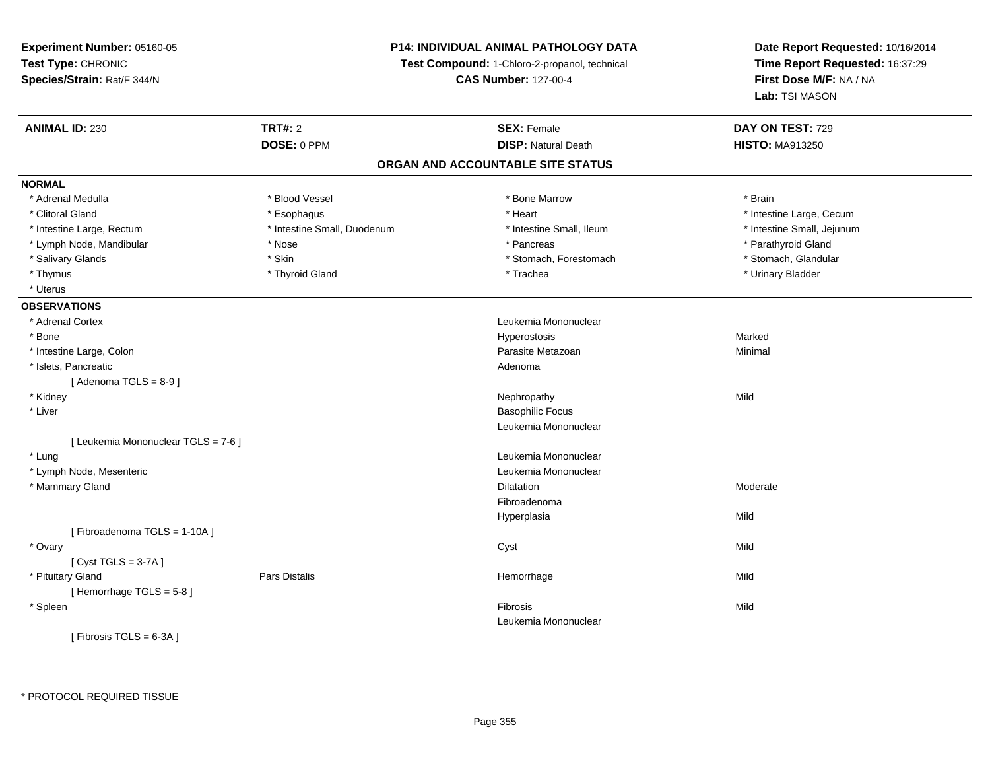**Experiment Number:** 05160-05**Test Type:** CHRONIC **Species/Strain:** Rat/F 344/N**P14: INDIVIDUAL ANIMAL PATHOLOGY DATATest Compound:** 1-Chloro-2-propanol, technical **CAS Number:** 127-00-4**Date Report Requested:** 10/16/2014**Time Report Requested:** 16:37:29**First Dose M/F:** NA / NA**Lab:** TSI MASON**ANIMAL ID:** 230**CONSEX:** Female **DAY ON TEST:** 729 **DOSE:** 0 PPM**DISP:** Natural Death **HISTO:** MA913250 **ORGAN AND ACCOUNTABLE SITE STATUSNORMAL**\* Adrenal Medulla \* \* Bood Vessel \* Bood Vessel \* Bood Yessel \* Bone Marrow \* Bone Marrow \* \* \* \* \* \* \* \* \* \* Brain \* Clitoral Gland \* \* exphagus \* Esophagus \* \* Heart \* Heart \* Intestine Large, Cecum \* Intestine Large, Rectum \* Thestine Small, Duodenum \* \* Intestine Small, Ileum \* \* Intestine Small, Jejunum \* Intestine Small, Jejunum \* Lymph Node, Mandibular \* The state of the state of the state of the state of the state of the state of the state of the state of the state of the state of the state of the state of the state of the state of the state of \* Stomach, Glandular \* Salivary Glands \* Stomach, Forestomach \* Skin \* Skin \* Stomach, Forestomach \* Stomach, Forestomach \* Thymus \* Thyroid Gland \* Trachea \* Urinary Bladder \* \* Uterus**OBSERVATIONS** \* Adrenal Cortex Leukemia Mononuclear \* Bone Hyperostosis Marked \* Intestine Large, Colonn and a state of the control of the control of the control of the Parasite Metazoan and the control of Minimal \* Islets, Pancreaticc and the contract of the contract of the contract of the contract of the contract of the contract of the contract of the contract of the contract of the contract of the contract of the contract of the contract of the cont  $[$  Adenoma TGLS = 8-9 $]$  \* Kidneyy the control of the control of the control of the control of the control of the control of the control of the control of the control of the control of the control of the control of the control of the control of the contro \* Liver Basophilic Focus Leukemia Mononuclear[ Leukemia Mononuclear TGLS = 7-6 ] \* Lung Leukemia Mononuclear \* Lymph Node, Mesenteric Leukemia Mononuclear \* Mammary Glandd and the control of the control of the control of the Dilatation and the control of the Moderate of the control of the control of the control of the control of the control of the control of the control of the control of t FibroadenomaHyperplasiaa Mild [ Fibroadenoma TGLS = 1-10A ] \* Ovaryy and the control of the control of the control of the control of the control of the control of the control of the control of the control of the control of the control of the control of the control of the control of the co [ Cyst TGLS = 3-7A ] \* Pituitary Gland Pars Distalis Hemorrhage Mild [ Hemorrhage TGLS = 5-8 ] \* Spleenn and the control of the control of the control of the control of the control of the control of the control of the control of the control of the control of the control of the control of the control of the control of the co Leukemia Mononuclear $[$  Fibrosis TGLS = 6-3A  $]$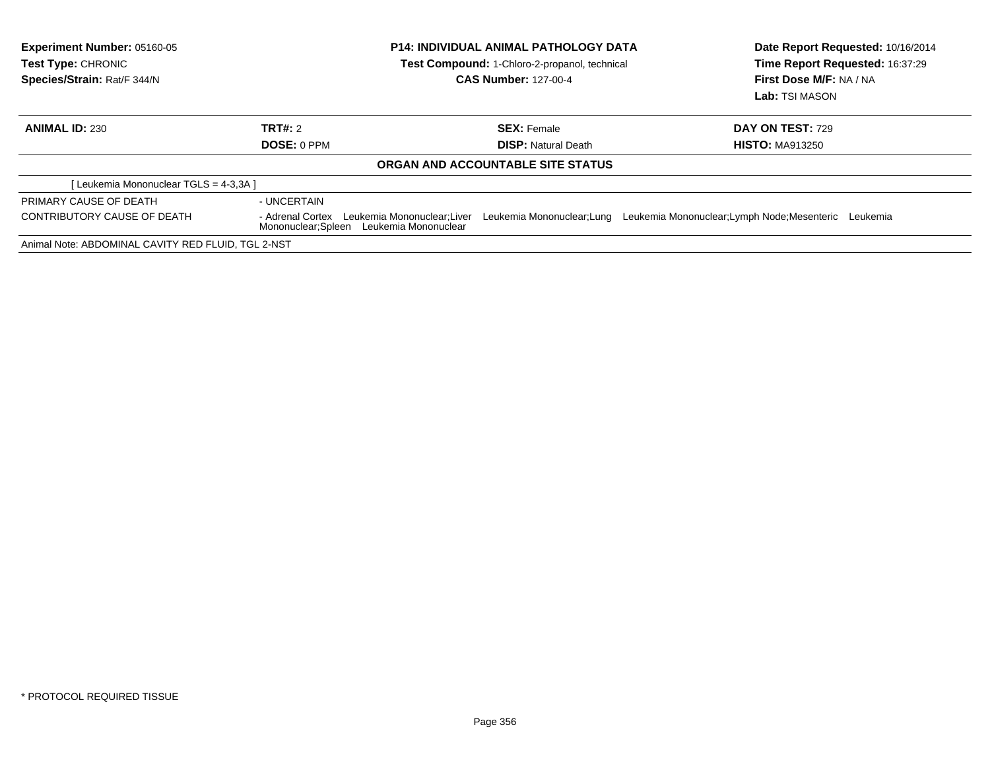| <b>Experiment Number: 05160-05</b><br>Test Type: CHRONIC<br>Species/Strain: Rat/F 344/N | <b>P14: INDIVIDUAL ANIMAL PATHOLOGY DATA</b><br><b>Test Compound: 1-Chloro-2-propanol, technical</b><br><b>CAS Number: 127-00-4</b> |                                   | Date Report Requested: 10/16/2014<br>Time Report Requested: 16:37:29<br>First Dose M/F: NA / NA<br>Lab: TSI MASON |  |
|-----------------------------------------------------------------------------------------|-------------------------------------------------------------------------------------------------------------------------------------|-----------------------------------|-------------------------------------------------------------------------------------------------------------------|--|
| <b>ANIMAL ID: 230</b>                                                                   | TRT#: 2                                                                                                                             | <b>SEX: Female</b>                | <b>DAY ON TEST: 729</b>                                                                                           |  |
|                                                                                         | DOSE: 0 PPM                                                                                                                         | <b>DISP:</b> Natural Death        | <b>HISTO: MA913250</b>                                                                                            |  |
|                                                                                         |                                                                                                                                     | ORGAN AND ACCOUNTABLE SITE STATUS |                                                                                                                   |  |
| [Leukemia Mononuclear TGLS = 4-3,3A]                                                    |                                                                                                                                     |                                   |                                                                                                                   |  |
| PRIMARY CAUSE OF DEATH                                                                  | - UNCERTAIN                                                                                                                         |                                   |                                                                                                                   |  |
| <b>CONTRIBUTORY CAUSE OF DEATH</b>                                                      | Leukemia Mononuclear;Lung<br>- Adrenal Cortex Leukemia Mononuclear:Liver<br>Mononuclear; Spleen Leukemia Mononuclear                |                                   | Leukemia Mononuclear; Lymph Node; Mesenteric Leukemia                                                             |  |
| Animal Note: ABDOMINAL CAVITY RED FLUID, TGL 2-NST                                      |                                                                                                                                     |                                   |                                                                                                                   |  |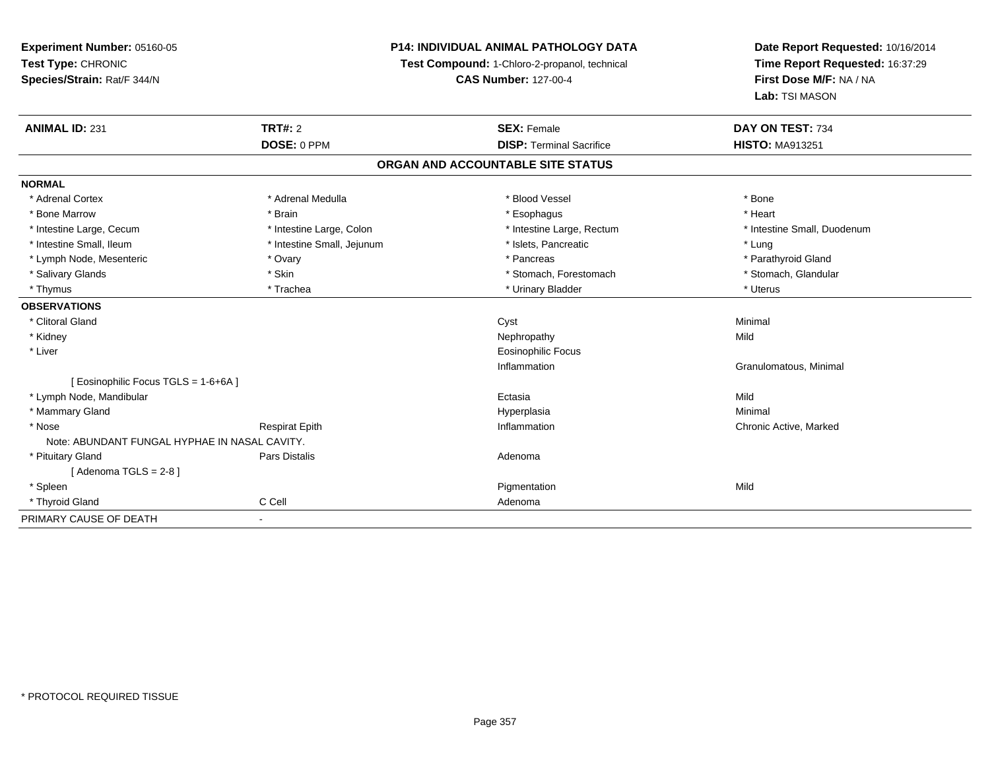**Experiment Number:** 05160-05**Test Type:** CHRONIC **Species/Strain:** Rat/F 344/N**P14: INDIVIDUAL ANIMAL PATHOLOGY DATATest Compound:** 1-Chloro-2-propanol, technical **CAS Number:** 127-00-4**Date Report Requested:** 10/16/2014**Time Report Requested:** 16:37:29**First Dose M/F:** NA / NA**Lab:** TSI MASON**ANIMAL ID:** 231**TRT#:** 2 **SEX:** Female **DAY ON TEST:** 734 **DOSE:** 0 PPM**DISP:** Terminal Sacrifice **HISTO:** MA913251 **ORGAN AND ACCOUNTABLE SITE STATUSNORMAL**\* Adrenal Cortex \* Adrenal Medulla \* Adrenal Medulla \* Blood Vessel \* Bood Vessel \* Bone \* Bone \* Bone \* Bone \* Bone \* Bone \* Bone \* Bone \* Bone \* Bone \* Bone \* Bone \* Bone \* Bone \* Bone \* Bone \* Bone \* Bone \* Bone \* Bone \* Bone \* Bone \* \* \* Heart \* Bone Marrow \* Brain \* Esophagus \* Heart \* Intestine Large, Cecum \* Intestine Large, Colon \* Intestine Large, Rectum \* Intestine Small, Duodenum \* Intestine Small, Ileum \* https://www.fatheratic \* Lung \* Intestine Small, Jejunum \* Islets, Pancreatic \* Lung \* Lung \* Parathyroid Gland \* Lymph Node, Mesenteric \* The matter \* Ovary \* Ovary \* Pancreas \* Pancreas \* Pancreas \* Pancreas \* Pancreas \* Pancreas \* Contract \* Pancreas \* Pancreas \* Pancreas \* Contract \* Pancreas \* Pancreas \* Pancreas \* Pancreas \* P \* Stomach, Glandular \* Salivary Glands \* Stomach, Forestomach \* Skin \* Skin \* Stomach, Forestomach \* Stomach, Forestomach \* Thymus \* Trachea \* Trachea \* Trachea \* Urinary Bladder \* \* Urinary Bladder \* \* Uterus \* Uterus \* Uterus \* Uterus **OBSERVATIONS** \* Clitoral Glandd and the control of the control of the control of the control of the control of the control of the control of the control of the control of the control of the control of the control of the control of the control of the co \* Kidneyy the control of the control of the control of the control of the control of the control of the control of the control of the control of the control of the control of the control of the control of the control of the contro \* Liver Eosinophilic FocusInflammation Granulomatous, Minimal [ Eosinophilic Focus TGLS = 1-6+6A ] \* Lymph Node, Mandibularr and the contract of the contract of the contract of the contract of the contract of the contract of the contract of the contract of the contract of the contract of the contract of the contract of the contract of the cont a Mild \* Mammary Glandd and the control of the control of the control of the Hyperplasia and the control of the Minimal of the control of the control of the control of the control of the control of the control of the control of the control of t \* Nosee who discussed the Respirat Epith Inflammation Chronic Active, Marked and Respirat Epith Inflammation Chronic Active, Marked Note: ABUNDANT FUNGAL HYPHAE IN NASAL CAVITY. \* Pituitary Glandd and the contract of Pars Distalis and the contract of Adenoma and Adenoma and the Adenoma and the Adenoma and  $\alpha$  $[$  Adenoma TGLS = 2-8  $]$  \* Spleenn and the control of the control of the control of the control of the control of the control of the control of the control of the control of the control of the control of the control of the control of the control of the co \* Thyroid Glandd C Cell C Cell Adenoma PRIMARY CAUSE OF DEATH-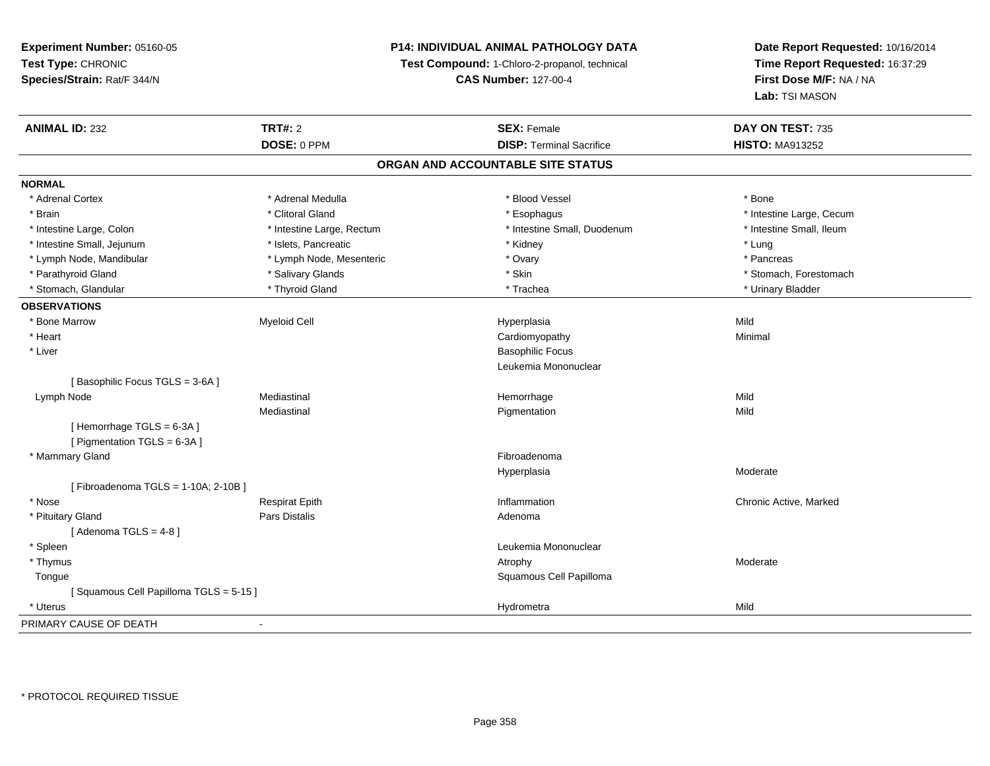# **P14: INDIVIDUAL ANIMAL PATHOLOGY DATA**

**Test Compound:** 1-Chloro-2-propanol, technical

**CAS Number:** 127-00-4

| <b>ANIMAL ID: 232</b>                 | <b>TRT#: 2</b>            | <b>SEX: Female</b>              | DAY ON TEST: 735         |  |  |  |
|---------------------------------------|---------------------------|---------------------------------|--------------------------|--|--|--|
|                                       | DOSE: 0 PPM               | <b>DISP: Terminal Sacrifice</b> | <b>HISTO: MA913252</b>   |  |  |  |
| ORGAN AND ACCOUNTABLE SITE STATUS     |                           |                                 |                          |  |  |  |
| <b>NORMAL</b>                         |                           |                                 |                          |  |  |  |
| * Adrenal Cortex                      | * Adrenal Medulla         | * Blood Vessel                  | * Bone                   |  |  |  |
| * Brain                               | * Clitoral Gland          | * Esophagus                     | * Intestine Large, Cecum |  |  |  |
| * Intestine Large, Colon              | * Intestine Large, Rectum | * Intestine Small, Duodenum     | * Intestine Small, Ileum |  |  |  |
| * Intestine Small, Jejunum            | * Islets, Pancreatic      | * Kidney                        | * Lung                   |  |  |  |
| * Lymph Node, Mandibular              | * Lymph Node, Mesenteric  | * Ovary                         | * Pancreas               |  |  |  |
| * Parathyroid Gland                   | * Salivary Glands         | * Skin                          | * Stomach, Forestomach   |  |  |  |
| * Stomach, Glandular                  | * Thyroid Gland           | * Trachea                       | * Urinary Bladder        |  |  |  |
| <b>OBSERVATIONS</b>                   |                           |                                 |                          |  |  |  |
| * Bone Marrow                         | <b>Myeloid Cell</b>       | Hyperplasia                     | Mild                     |  |  |  |
| * Heart                               |                           | Cardiomyopathy                  | Minimal                  |  |  |  |
| * Liver                               |                           | <b>Basophilic Focus</b>         |                          |  |  |  |
|                                       |                           | Leukemia Mononuclear            |                          |  |  |  |
| [Basophilic Focus TGLS = 3-6A]        |                           |                                 |                          |  |  |  |
| Lymph Node                            | Mediastinal               | Hemorrhage                      | Mild                     |  |  |  |
|                                       | Mediastinal               | Pigmentation                    | Mild                     |  |  |  |
| [Hemorrhage TGLS = 6-3A]              |                           |                                 |                          |  |  |  |
| [ Pigmentation TGLS = 6-3A ]          |                           |                                 |                          |  |  |  |
| * Mammary Gland                       |                           | Fibroadenoma                    |                          |  |  |  |
|                                       |                           | Hyperplasia                     | Moderate                 |  |  |  |
| [Fibroadenoma TGLS = 1-10A; 2-10B]    |                           |                                 |                          |  |  |  |
| * Nose                                | <b>Respirat Epith</b>     | Inflammation                    | Chronic Active, Marked   |  |  |  |
| * Pituitary Gland                     | <b>Pars Distalis</b>      | Adenoma                         |                          |  |  |  |
| [Adenoma TGLS = 4-8]                  |                           |                                 |                          |  |  |  |
| * Spleen                              |                           | Leukemia Mononuclear            |                          |  |  |  |
| * Thymus                              |                           | Atrophy                         | Moderate                 |  |  |  |
| Tongue                                |                           | Squamous Cell Papilloma         |                          |  |  |  |
| [Squamous Cell Papilloma TGLS = 5-15] |                           |                                 |                          |  |  |  |
| * Uterus                              |                           | Hydrometra                      | Mild                     |  |  |  |
| PRIMARY CAUSE OF DEATH                | $\blacksquare$            |                                 |                          |  |  |  |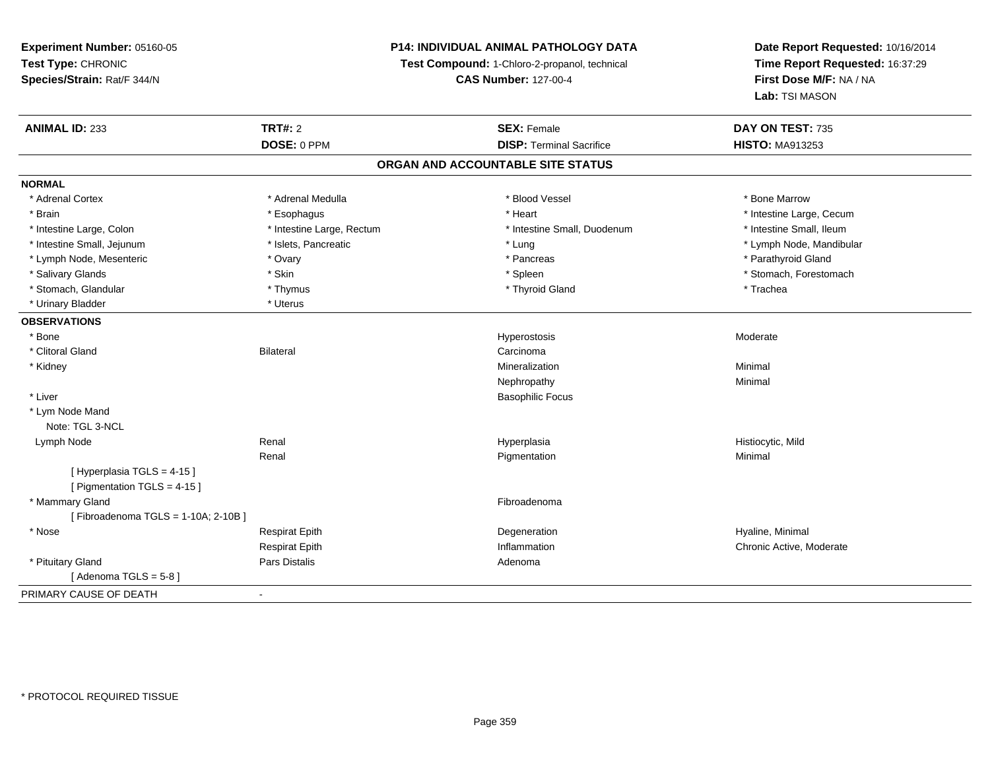# **P14: INDIVIDUAL ANIMAL PATHOLOGY DATA**

**Test Compound:** 1-Chloro-2-propanol, technical

**CAS Number:** 127-00-4

| <b>ANIMAL ID: 233</b>              | <b>TRT#: 2</b>            | <b>SEX: Female</b>              | DAY ON TEST: 735         |  |  |  |
|------------------------------------|---------------------------|---------------------------------|--------------------------|--|--|--|
|                                    | DOSE: 0 PPM               | <b>DISP: Terminal Sacrifice</b> | <b>HISTO: MA913253</b>   |  |  |  |
| ORGAN AND ACCOUNTABLE SITE STATUS  |                           |                                 |                          |  |  |  |
| <b>NORMAL</b>                      |                           |                                 |                          |  |  |  |
| * Adrenal Cortex                   | * Adrenal Medulla         | * Blood Vessel                  | * Bone Marrow            |  |  |  |
| * Brain                            | * Esophagus               | * Heart                         | * Intestine Large, Cecum |  |  |  |
| * Intestine Large, Colon           | * Intestine Large, Rectum | * Intestine Small, Duodenum     | * Intestine Small, Ileum |  |  |  |
| * Intestine Small, Jejunum         | * Islets, Pancreatic      | * Lung                          | * Lymph Node, Mandibular |  |  |  |
| * Lymph Node, Mesenteric           | * Ovary                   | * Pancreas                      | * Parathyroid Gland      |  |  |  |
| * Salivary Glands                  | * Skin                    | * Spleen                        | * Stomach, Forestomach   |  |  |  |
| * Stomach, Glandular               | * Thymus                  | * Thyroid Gland                 | * Trachea                |  |  |  |
| * Urinary Bladder                  | * Uterus                  |                                 |                          |  |  |  |
| <b>OBSERVATIONS</b>                |                           |                                 |                          |  |  |  |
| * Bone                             |                           | Hyperostosis                    | Moderate                 |  |  |  |
| * Clitoral Gland                   | <b>Bilateral</b>          | Carcinoma                       |                          |  |  |  |
| * Kidney                           |                           | Mineralization                  | Minimal                  |  |  |  |
|                                    |                           | Nephropathy                     | Minimal                  |  |  |  |
| * Liver                            |                           | <b>Basophilic Focus</b>         |                          |  |  |  |
| * Lym Node Mand                    |                           |                                 |                          |  |  |  |
| Note: TGL 3-NCL                    |                           |                                 |                          |  |  |  |
| Lymph Node                         | Renal                     | Hyperplasia                     | Histiocytic, Mild        |  |  |  |
|                                    | Renal                     | Pigmentation                    | Minimal                  |  |  |  |
| [ Hyperplasia TGLS = 4-15 ]        |                           |                                 |                          |  |  |  |
| [ Pigmentation TGLS = 4-15 ]       |                           |                                 |                          |  |  |  |
| * Mammary Gland                    |                           | Fibroadenoma                    |                          |  |  |  |
| [Fibroadenoma TGLS = 1-10A; 2-10B] |                           |                                 |                          |  |  |  |
| * Nose                             | <b>Respirat Epith</b>     | Degeneration                    | Hyaline, Minimal         |  |  |  |
|                                    | <b>Respirat Epith</b>     | Inflammation                    | Chronic Active, Moderate |  |  |  |
| * Pituitary Gland                  | Pars Distalis             | Adenoma                         |                          |  |  |  |
| [Adenoma TGLS = $5-8$ ]            |                           |                                 |                          |  |  |  |
| PRIMARY CAUSE OF DEATH             | $\blacksquare$            |                                 |                          |  |  |  |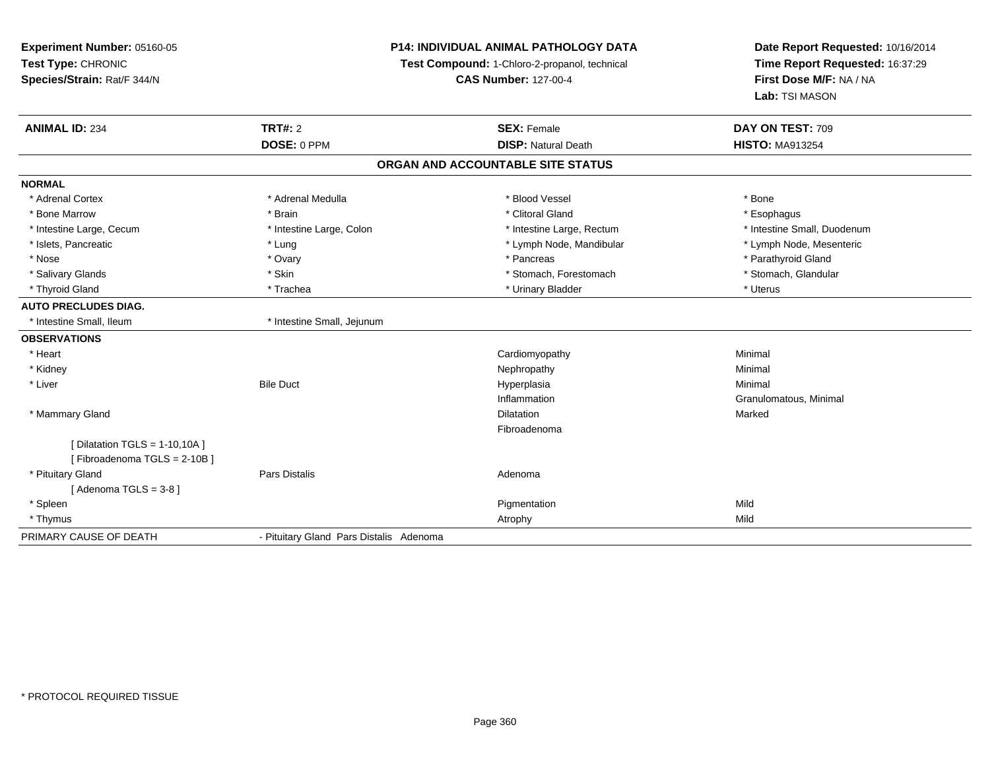| Experiment Number: 05160-05<br>Test Type: CHRONIC<br>Species/Strain: Rat/F 344/N | <b>P14: INDIVIDUAL ANIMAL PATHOLOGY DATA</b><br>Test Compound: 1-Chloro-2-propanol, technical<br><b>CAS Number: 127-00-4</b> |                                                  | Date Report Requested: 10/16/2014<br>Time Report Requested: 16:37:29<br>First Dose M/F: NA / NA<br>Lab: TSI MASON |
|----------------------------------------------------------------------------------|------------------------------------------------------------------------------------------------------------------------------|--------------------------------------------------|-------------------------------------------------------------------------------------------------------------------|
| <b>ANIMAL ID: 234</b>                                                            | <b>TRT#: 2</b><br>DOSE: 0 PPM                                                                                                | <b>SEX: Female</b><br><b>DISP: Natural Death</b> | DAY ON TEST: 709<br><b>HISTO: MA913254</b>                                                                        |
|                                                                                  |                                                                                                                              |                                                  |                                                                                                                   |
|                                                                                  |                                                                                                                              | ORGAN AND ACCOUNTABLE SITE STATUS                |                                                                                                                   |
| <b>NORMAL</b>                                                                    |                                                                                                                              |                                                  |                                                                                                                   |
| * Adrenal Cortex                                                                 | * Adrenal Medulla                                                                                                            | * Blood Vessel                                   | * Bone                                                                                                            |
| * Bone Marrow                                                                    | * Brain                                                                                                                      | * Clitoral Gland                                 | * Esophagus                                                                                                       |
| * Intestine Large, Cecum                                                         | * Intestine Large, Colon                                                                                                     | * Intestine Large, Rectum                        | * Intestine Small, Duodenum                                                                                       |
| * Islets, Pancreatic                                                             | * Lung                                                                                                                       | * Lymph Node, Mandibular                         | * Lymph Node, Mesenteric                                                                                          |
| * Nose                                                                           | * Ovary                                                                                                                      | * Pancreas                                       | * Parathyroid Gland                                                                                               |
| * Salivary Glands                                                                | * Skin                                                                                                                       | * Stomach, Forestomach                           | * Stomach, Glandular                                                                                              |
| * Thyroid Gland                                                                  | * Trachea                                                                                                                    | * Urinary Bladder                                | * Uterus                                                                                                          |
| <b>AUTO PRECLUDES DIAG.</b>                                                      |                                                                                                                              |                                                  |                                                                                                                   |
| * Intestine Small, Ileum                                                         | * Intestine Small, Jejunum                                                                                                   |                                                  |                                                                                                                   |
| <b>OBSERVATIONS</b>                                                              |                                                                                                                              |                                                  |                                                                                                                   |
| * Heart                                                                          |                                                                                                                              | Cardiomyopathy                                   | Minimal                                                                                                           |
| * Kidney                                                                         |                                                                                                                              | Nephropathy                                      | Minimal                                                                                                           |
| * Liver                                                                          | <b>Bile Duct</b>                                                                                                             | Hyperplasia                                      | Minimal                                                                                                           |
|                                                                                  |                                                                                                                              | Inflammation                                     | Granulomatous, Minimal                                                                                            |
| * Mammary Gland                                                                  |                                                                                                                              | Dilatation                                       | Marked                                                                                                            |
|                                                                                  |                                                                                                                              | Fibroadenoma                                     |                                                                                                                   |
| [Dilatation TGLS = $1-10,10A$ ]<br>[Fibroadenoma TGLS = 2-10B]                   |                                                                                                                              |                                                  |                                                                                                                   |
| * Pituitary Gland                                                                | Pars Distalis                                                                                                                | Adenoma                                          |                                                                                                                   |
| [Adenoma TGLS = $3-8$ ]                                                          |                                                                                                                              |                                                  |                                                                                                                   |
| * Spleen                                                                         |                                                                                                                              | Pigmentation                                     | Mild                                                                                                              |
| * Thymus                                                                         |                                                                                                                              | Atrophy                                          | Mild                                                                                                              |
| PRIMARY CAUSE OF DEATH                                                           | - Pituitary Gland Pars Distalis Adenoma                                                                                      |                                                  |                                                                                                                   |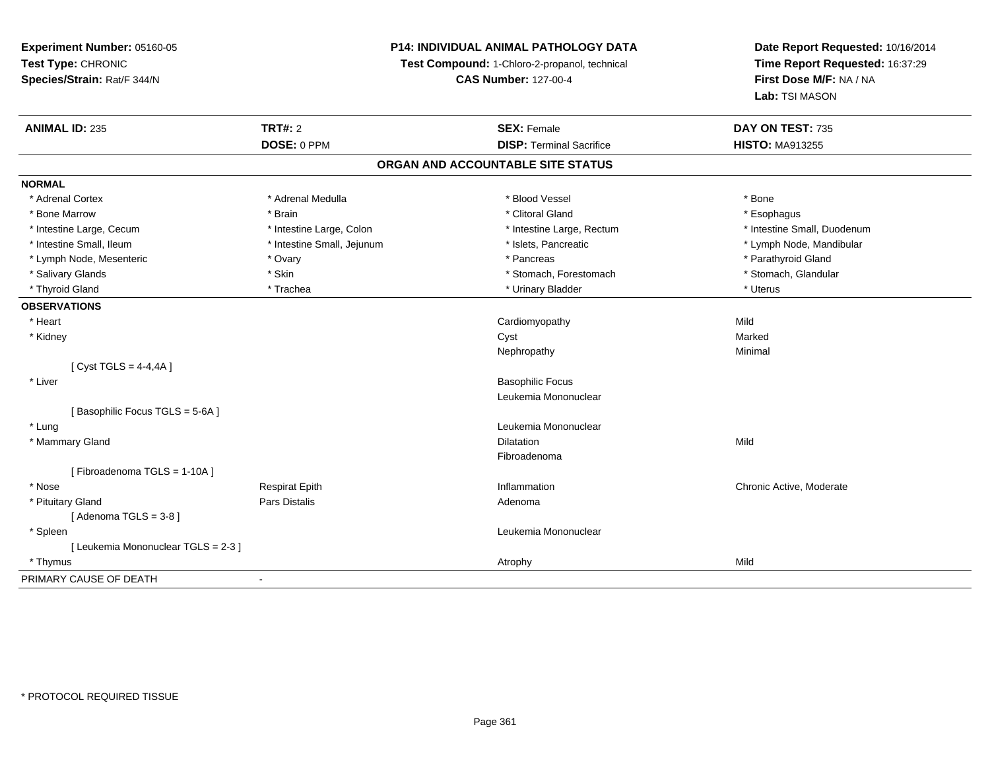**Experiment Number:** 05160-05**Test Type:** CHRONIC **Species/Strain:** Rat/F 344/N**P14: INDIVIDUAL ANIMAL PATHOLOGY DATATest Compound:** 1-Chloro-2-propanol, technical **CAS Number:** 127-00-4**Date Report Requested:** 10/16/2014**Time Report Requested:** 16:37:29**First Dose M/F:** NA / NA**Lab:** TSI MASON**ANIMAL ID:** 235**TRT#:** 2 **SEX:** Female **DAY ON TEST:** 735 **DOSE:** 0 PPM**DISP:** Terminal Sacrifice **HISTO:** MA913255 **ORGAN AND ACCOUNTABLE SITE STATUSNORMAL**\* Adrenal Cortex \* Adrenal Medulla \* Adrenal Medulla \* Blood Vessel \* Bood Vessel \* Bone \* Bone \* Bone \* Bone \* Bone \* Bone \* Bone \* Bone \* Bone \* Bone \* Bone \* Bone \* Bone \* Bone \* Bone \* Bone \* Bone \* Bone \* Bone \* Bone \* Bone \* Bone \* \* \* Esophagus \* Bone Marrow \* \* Android \* Brain \* Brain \* Clitoral Gland \* Clitoral Gland \* Esophagus \* Esophagus \* Esophagus \* Intestine Small, Duodenum \* Intestine Large, Cecum \* Intestine Large, Colon \* Intestine Small, Number 2014, Number 2016, Number 2016, Number 2016 \* Intestine Small, Ileum \* \* Thestine Small, Jejunum \* \* Sets, Pancreatic \* \* Thestine Small, Nejunum \* Lymph Node, Mandibular \* Lymph Node, Mesenteric \* Ovary \* Pancreas \* Parathyroid Gland\* Stomach, Glandular \* Salivary Glands \* Stomach, Forestomach \* Skin \* Skin \* Stomach, Forestomach \* Stomach, Forestomach \* Thyroid Gland \* Trachea \* Trachea \* Trachea \* Ninary Bladder \* Thyroid Gland \* Uterus \* Uterus **OBSERVATIONS** \* Heart Cardiomyopathyy Mild Marked \* Kidneyy and the control of the control of the control of the control of the control of the control of the control of the control of the control of the control of the control of the control of the control of the control of the co Minimal Nephropathyy the contract of the Minimal Minimal Section 1996 and the contract of the Minimal Section 1997 and the contract of the contract of the contract of the contract of the contract of the contract of the contract of the contra  $[$  Cyst TGLS = 4-4,4A  $]$  \* Liver Basophilic Focus Leukemia Mononuclear[ Basophilic Focus TGLS = 5-6A ] \* LungLeukemia Mononuclear<br>Dilatation \* Mammary Glandd and the control of the control of the control of the control of the control of the control of the control of the control of the control of the control of the control of the control of the control of the control of the co Fibroadenoma[ Fibroadenoma TGLS = 1-10A ] \* Nosee is a constructed that the Respirat Epith Inflammation Chronic Active, Moderate is a construction of the Respirat Epith Inflammation in the Inflammation of the Chronic Active, Moderate \* Pituitary Glandd and the contract of Pars Distalis and the contract of Adenoma and Adenoma and the Adenoma and the Adenoma and  $\lambda$  $[$  Adenoma TGLS = 3-8  $]$  \* Spleen Leukemia Mononuclear [ Leukemia Mononuclear TGLS = 2-3 ] \* Thymuss and the control of the control of the control of the control of the control of the control of the control of the control of the control of the control of the control of the control of the control of the control of the co PRIMARY CAUSE OF DEATH-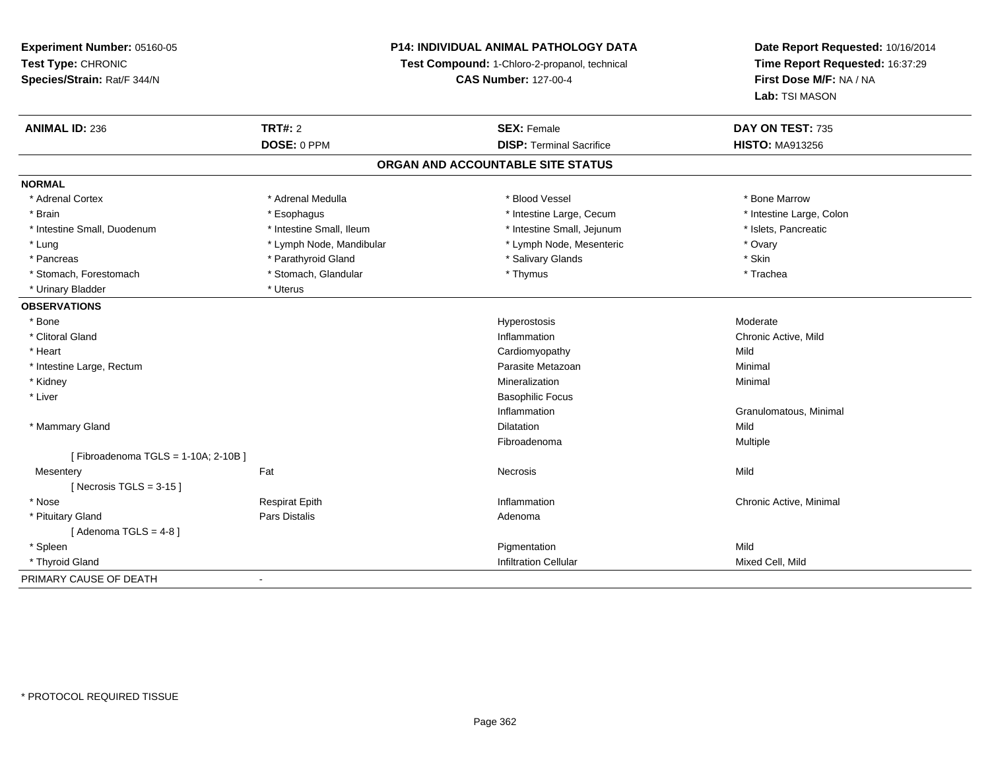## **P14: INDIVIDUAL ANIMAL PATHOLOGY DATA**

**Test Compound:** 1-Chloro-2-propanol, technical

**CAS Number:** 127-00-4

| <b>ANIMAL ID: 236</b>              | TRT#: 2                  | <b>SEX: Female</b>                | DAY ON TEST: 735         |
|------------------------------------|--------------------------|-----------------------------------|--------------------------|
|                                    | DOSE: 0 PPM              | <b>DISP: Terminal Sacrifice</b>   | <b>HISTO: MA913256</b>   |
|                                    |                          | ORGAN AND ACCOUNTABLE SITE STATUS |                          |
| <b>NORMAL</b>                      |                          |                                   |                          |
| * Adrenal Cortex                   | * Adrenal Medulla        | * Blood Vessel                    | * Bone Marrow            |
| * Brain                            | * Esophagus              | * Intestine Large, Cecum          | * Intestine Large, Colon |
| * Intestine Small, Duodenum        | * Intestine Small, Ileum | * Intestine Small, Jejunum        | * Islets, Pancreatic     |
| * Lung                             | * Lymph Node, Mandibular | * Lymph Node, Mesenteric          | * Ovary                  |
| * Pancreas                         | * Parathyroid Gland      | * Salivary Glands                 | * Skin                   |
| * Stomach, Forestomach             | * Stomach, Glandular     | * Thymus                          | * Trachea                |
| * Urinary Bladder                  | * Uterus                 |                                   |                          |
| <b>OBSERVATIONS</b>                |                          |                                   |                          |
| * Bone                             |                          | Hyperostosis                      | Moderate                 |
| * Clitoral Gland                   |                          | Inflammation                      | Chronic Active, Mild     |
| * Heart                            |                          | Cardiomyopathy                    | Mild                     |
| * Intestine Large, Rectum          |                          | Parasite Metazoan                 | Minimal                  |
| * Kidney                           |                          | Mineralization                    | Minimal                  |
| * Liver                            |                          | <b>Basophilic Focus</b>           |                          |
|                                    |                          | Inflammation                      | Granulomatous, Minimal   |
| * Mammary Gland                    |                          | Dilatation                        | Mild                     |
|                                    |                          | Fibroadenoma                      | Multiple                 |
| [Fibroadenoma TGLS = 1-10A; 2-10B] |                          |                                   |                          |
| Mesentery                          | Fat                      | Necrosis                          | Mild                     |
| [Necrosis TGLS = $3-15$ ]          |                          |                                   |                          |
| * Nose                             | <b>Respirat Epith</b>    | Inflammation                      | Chronic Active, Minimal  |
| * Pituitary Gland                  | Pars Distalis            | Adenoma                           |                          |
| [Adenoma TGLS = 4-8]               |                          |                                   |                          |
| * Spleen                           |                          | Pigmentation                      | Mild                     |
| * Thyroid Gland                    |                          | <b>Infiltration Cellular</b>      | Mixed Cell, Mild         |
| PRIMARY CAUSE OF DEATH             | $\overline{\phantom{a}}$ |                                   |                          |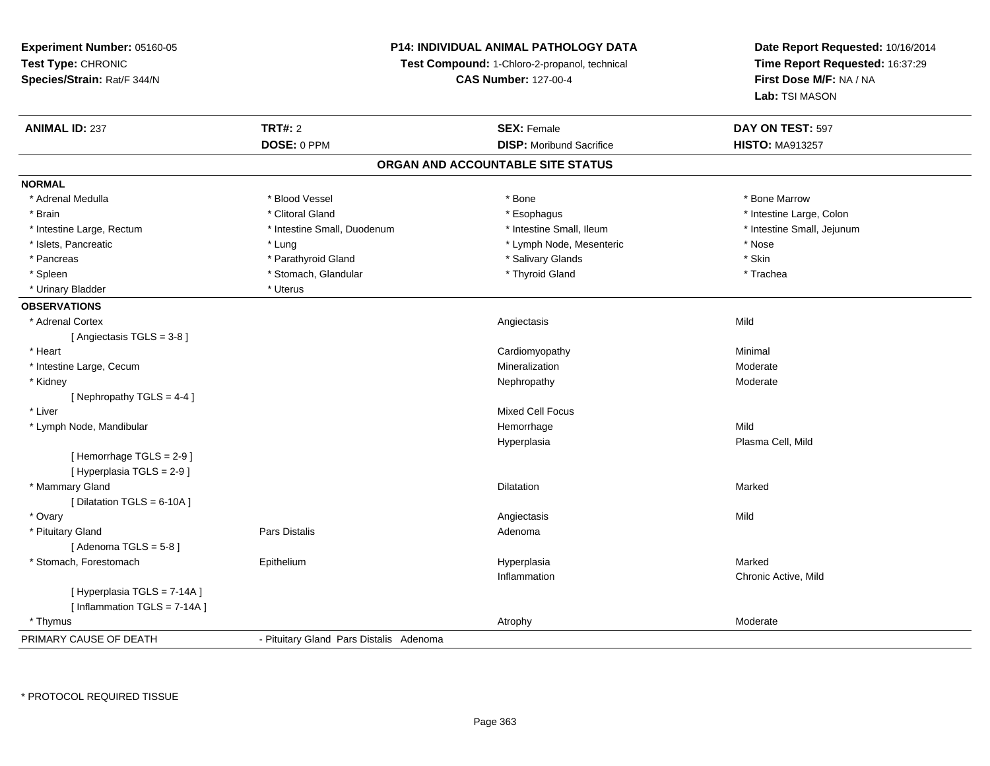**Experiment Number:** 05160-05**Test Type:** CHRONIC **Species/Strain:** Rat/F 344/N**P14: INDIVIDUAL ANIMAL PATHOLOGY DATATest Compound:** 1-Chloro-2-propanol, technical **CAS Number:** 127-00-4**Date Report Requested:** 10/16/2014**Time Report Requested:** 16:37:29**First Dose M/F:** NA / NA**Lab:** TSI MASON**ANIMAL ID:** 237**TRT#:** 2 **SEX:** Female **DAY ON TEST:** 597 **DOSE:** 0 PPM**DISP:** Moribund Sacrifice **HISTO:** MA913257 **ORGAN AND ACCOUNTABLE SITE STATUSNORMAL**\* Adrenal Medulla \* \* \* Blood Vessel \* \* \* Bone Marrow \* \* Bone Marrow \* \* Bone Marrow \* Brain \* Alternative of the state of the state of the state of the state of the state of the state of the state of the state of the state of the state of the state of the state of the state of the state of the state of th \* Intestine Small, Jejunum \* Intestine Large, Rectum \* Intestine Small, Duodenum \* Intestine Small, Duodenum \* Intestine Small, Ileum \* Islets, Pancreatic \* The second term is the second term in the second term in the second term is the second term in the second term in the second term is the second term in the second term in the second term is the secon \* Skin \* Pancreas \* Pancreas \* Pancreas \* Pancreas \* Pancreas \* Salivary Glands \* Salivary Glands \* Salivary Glands \* \* Trachea \* Spleen \* Stomach, Glandular \* Stomach, Glandular \* Thyroid Gland \* Thyroid Gland \* Urinary Bladder \* Uterus **OBSERVATIONS** \* Adrenal Cortexx and the control of the control of the control of the control of the control of the control of the control of the control of the control of the control of the control of the control of the control of the control of the co [ Angiectasis TGLS = 3-8 ] \* Heart Cardiomyopathy Minimal \* Intestine Large, Cecumm and the contract of the contract of the Mineralization and the Moderate of the Moderate of the Moderate of the Moderate of the contract of the contract of the contract of the contract of the contract of the contract of t \* Kidneyy which is a state of the control of the Moderate of the Moderate of the Moderate of the Moderate of the Moderate of the Moderate of the Moderate of the Moderate of the Moderate of the Moderate of the Moderate of the Moder [ Nephropathy TGLS = 4-4 ] \* Liver Mixed Cell Focus \* Lymph Node, Mandibular Hemorrhagee Mild Hyperplasia Plasma Cell, Mild [ Hemorrhage TGLS = 2-9 ][ Hyperplasia TGLS = 2-9 ] \* Mammary Glandd and the control of the control of the control of the control of the control of the control of the control of the control of the control of the control of the control of the control of the control of the control of the co  $[$  Dilatation TGLS = 6-10A  $]$  \* Ovaryy and the control of the control of the control of the control of the control of the control of the control of the control of the control of the control of the control of the control of the control of the control of the co \* Pituitary Glandd and the contract of Pars Distalis and the contract of Adenoma and Adenoma and the Adenoma and the Adenoma and  $\lambda$ [ Adenoma  $TGLS = 5-8$  ] \* Stomach, Forestomach Epithelium Hyperplasia Marked Inflammation Chronic Active, Mild [ Hyperplasia TGLS = 7-14A ][ Inflammation TGLS = 7-14A ] \* Thymuss and the contract of the contract of the contract of the contract of the contract of the contract of the contract of the contract of the contract of the contract of the contract of the contract of the contract of the cont PRIMARY CAUSE OF DEATH- Pituitary Gland Pars Distalis Adenoma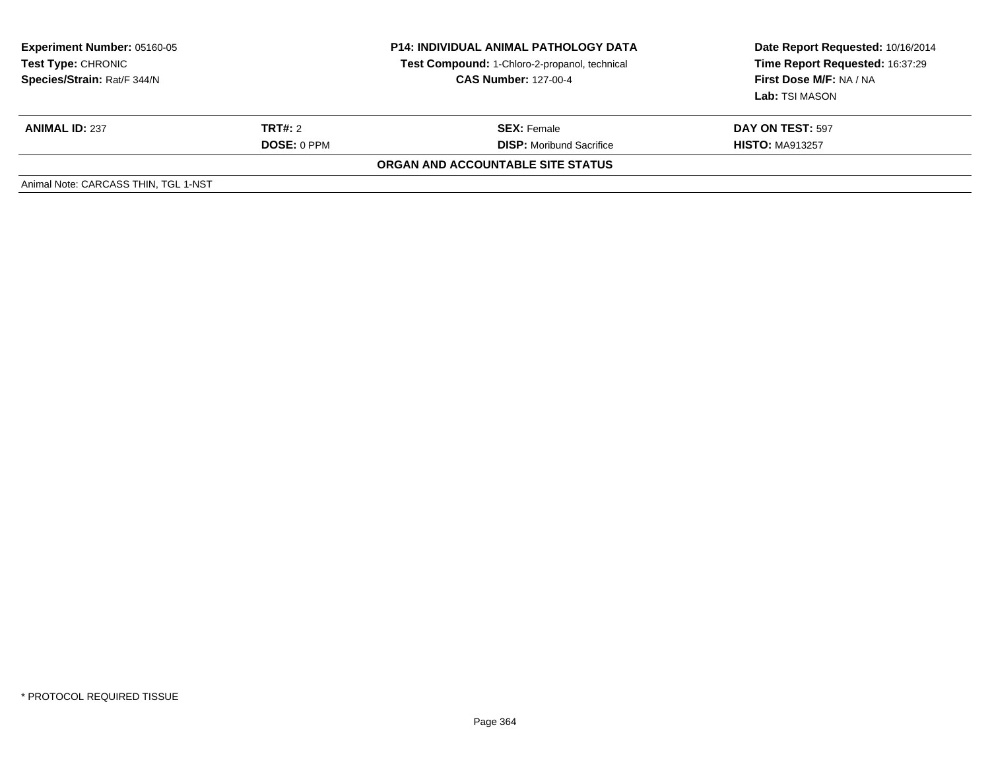| <b>Experiment Number: 05160-05</b><br>Test Type: CHRONIC<br>Species/Strain: Rat/F 344/N |                    | <b>P14: INDIVIDUAL ANIMAL PATHOLOGY DATA</b><br>Test Compound: 1-Chloro-2-propanol, technical<br><b>CAS Number: 127-00-4</b> | Date Report Requested: 10/16/2014<br>Time Report Requested: 16:37:29<br>First Dose M/F: NA / NA<br>Lab: TSI MASON |
|-----------------------------------------------------------------------------------------|--------------------|------------------------------------------------------------------------------------------------------------------------------|-------------------------------------------------------------------------------------------------------------------|
| <b>ANIMAL ID: 237</b>                                                                   | TRT#: 2            | <b>SEX: Female</b>                                                                                                           | <b>DAY ON TEST: 597</b>                                                                                           |
|                                                                                         | <b>DOSE: 0 PPM</b> | <b>DISP:</b> Moribund Sacrifice                                                                                              | <b>HISTO: MA913257</b>                                                                                            |
|                                                                                         |                    | ORGAN AND ACCOUNTABLE SITE STATUS                                                                                            |                                                                                                                   |
| Animal Note: CARCASS THIN, TGL 1-NST                                                    |                    |                                                                                                                              |                                                                                                                   |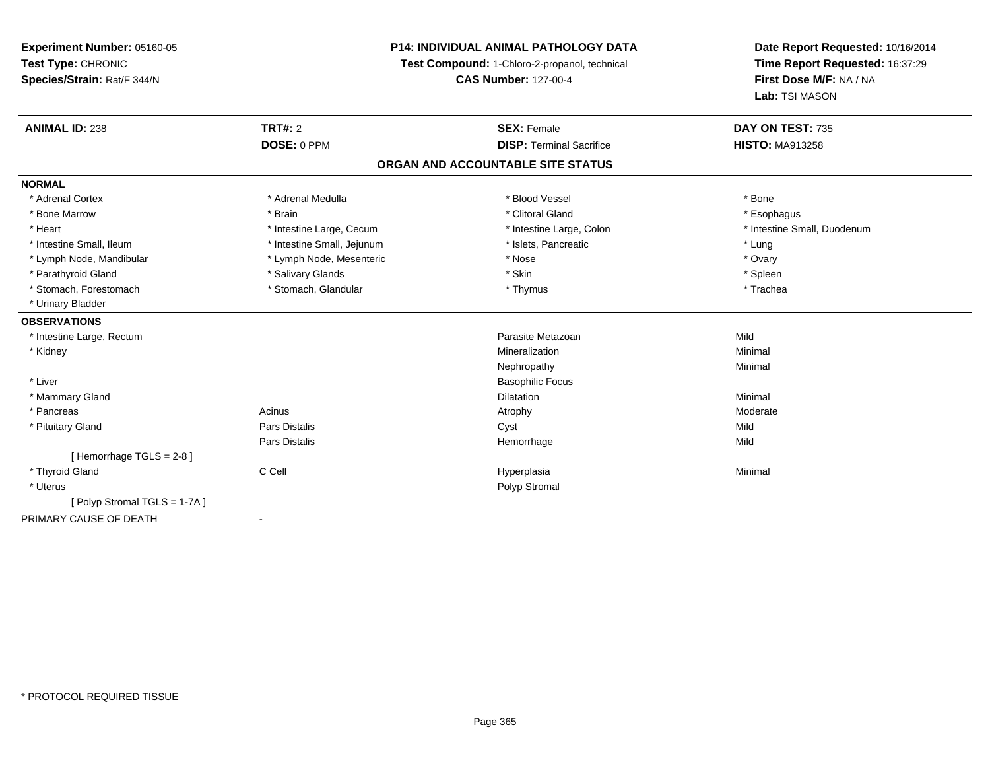**Experiment Number:** 05160-05**Test Type:** CHRONIC **Species/Strain:** Rat/F 344/N**P14: INDIVIDUAL ANIMAL PATHOLOGY DATATest Compound:** 1-Chloro-2-propanol, technical **CAS Number:** 127-00-4**Date Report Requested:** 10/16/2014**Time Report Requested:** 16:37:29**First Dose M/F:** NA / NA**Lab:** TSI MASON**ANIMAL ID:** 238**TRT#:** 2 **SEX:** Female **DAY ON TEST:** 735 **DOSE:** 0 PPM**DISP:** Terminal Sacrifice **HISTO:** MA913258 **ORGAN AND ACCOUNTABLE SITE STATUSNORMAL**\* Adrenal Cortex \* Adrenal Medulla \* Adrenal Medulla \* Blood Vessel \* Bood Vessel \* Bone \* Bone \* Bone \* Bone \* Bone \* Bone \* Bone \* Bone \* Bone \* Bone \* Bone \* Bone \* Bone \* Bone \* Bone \* Bone \* Bone \* Bone \* Bone \* Bone \* Bone \* Bone \* \* \* Esophagus \* Bone Marrow \* \* Android \* Brain \* Brain \* Clitoral Gland \* Clitoral Gland \* Esophagus \* Esophagus \* Esophagus \* Intestine Small, Duodenum \* Heart \* Intestine Large, Cecum \* Intestine Large, Cecum \* Intestine Large, Colon \* Intestine Small, Ileum \* Intestine Small, Jejunum \* Number of the Small and the Small and the Small and the Small and the Small and the Small and the Small and the Lung \* Ovary \* Lymph Node, Mandibular \* Mose \* Lymph Node, Mesenteric \* Nose \* Nose \* Nose \* Spleen \* Parathyroid Gland \* The state of the second term in the second state of the second state of the second \* Skin \* Skin \* Skin \* Skin \* Skin \* Skin \* Skin \* Skin \* Skin \* Skin \* Skin \* Skin \* Skin \* Skin \* Skin \* Skin \* Ski \* Trachea \* Stomach, Forestomach \* Thymus \* Stomach, Glandular \* Thymus \* Thymus \* Thymus \* Thymus \* Thymus \* Thymus \* Thymus \* Thymus \* Thymus \* Thymus \* Thymus \* Thymus \* Thymus \* Thymus \* Thymus \* Thymus \* Thymus \* Thymus \* Thymu \* Urinary Bladder**OBSERVATIONS** \* Intestine Large, Rectumm and the contract of the contract of the contract of the contract of the contract of the contract of the contract of the contract of the contract of the contract of the contract of the contract of the contract of the cont \* Kidneyy with the control of the control of the control of the control of the control of the control of the control of the control of the control of the control of the control of the control of the control of the control of the c n Minimal Nephropathyy the contract of the Minimal Minimal Section 1996 and the contract of the Minimal Section 1997 and the contract of the contract of the contract of the contract of the contract of the contract of the contract of the contra \* Liver Basophilic Focus \* Mammary Glandd and the control of the control of the control of the control of the control of the control of the control of the control of the control of the control of the control of the control of the control of the control of the co \* Pancreass and the contract of the Acinus and the Acinus and the Atrophy and the Moderate Moderate  $\sim$  Moderate  $\sim$  Moderate  $\sim$  Moderate  $\sim$  Moderate  $\sim$  Moderate  $\sim$  Moderate  $\sim$  Moderate  $\sim$  Moderate  $\sim$  Moderate  $\sim$  M \* Pituitary Gland Pars Distalis Cyst Mild Pars Distalis Hemorrhagee Mild  $[$  Hemorrhage TGLS = 2-8  $]$  \* Thyroid Gland C Cell Hyperplasia Minimal \* Uteruss and the contract of the contract of the contract of the contract of the contract of the contract of the contract of the contract of the contract of the contract of the contract of the contract of the contract of the cont [ Polyp Stromal TGLS = 1-7A ]PRIMARY CAUSE OF DEATH-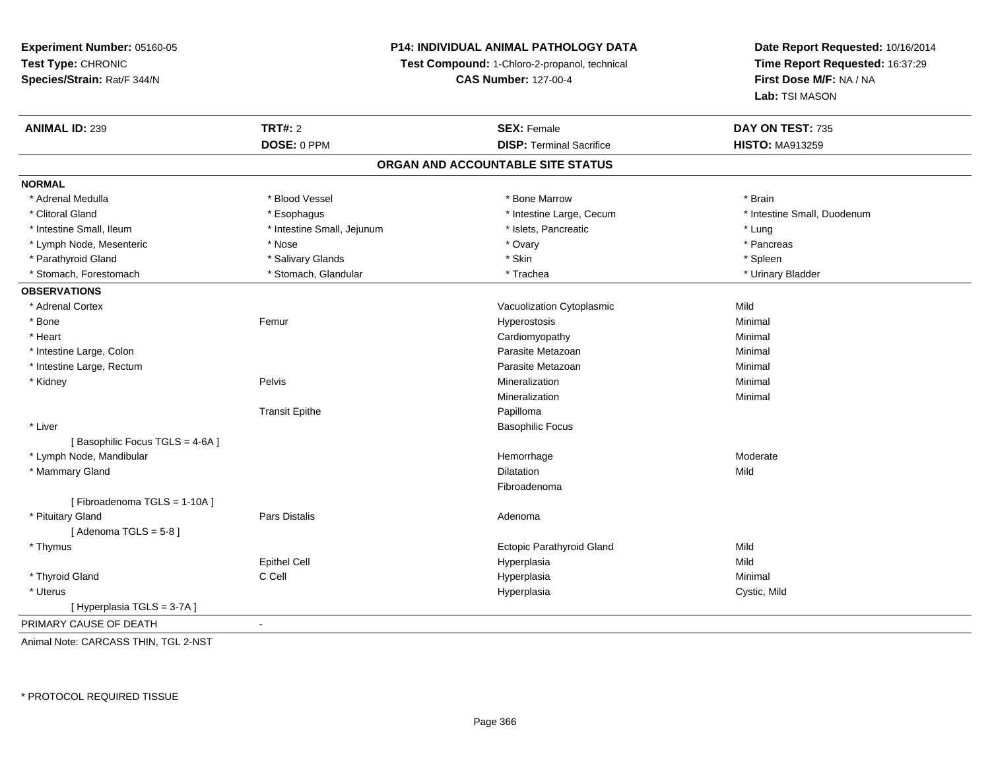## **P14: INDIVIDUAL ANIMAL PATHOLOGY DATA**

**Test Compound:** 1-Chloro-2-propanol, technical

**CAS Number:** 127-00-4

**Date Report Requested:** 10/16/2014**Time Report Requested:** 16:37:29**First Dose M/F:** NA / NA**Lab:** TSI MASON

| <b>ANIMAL ID: 239</b>             | <b>TRT#: 2</b>             | <b>SEX: Female</b>              | DAY ON TEST: 735            |  |  |  |
|-----------------------------------|----------------------------|---------------------------------|-----------------------------|--|--|--|
|                                   | DOSE: 0 PPM                | <b>DISP: Terminal Sacrifice</b> | <b>HISTO: MA913259</b>      |  |  |  |
| ORGAN AND ACCOUNTABLE SITE STATUS |                            |                                 |                             |  |  |  |
| <b>NORMAL</b>                     |                            |                                 |                             |  |  |  |
| * Adrenal Medulla                 | * Blood Vessel             | * Bone Marrow                   | * Brain                     |  |  |  |
| * Clitoral Gland                  | * Esophagus                | * Intestine Large, Cecum        | * Intestine Small, Duodenum |  |  |  |
| * Intestine Small, Ileum          | * Intestine Small, Jejunum | * Islets, Pancreatic            | * Lung                      |  |  |  |
| * Lymph Node, Mesenteric          | * Nose                     | * Ovary                         | * Pancreas                  |  |  |  |
| * Parathyroid Gland               | * Salivary Glands          | * Skin                          | * Spleen                    |  |  |  |
| * Stomach, Forestomach            | * Stomach, Glandular       | * Trachea                       | * Urinary Bladder           |  |  |  |
| <b>OBSERVATIONS</b>               |                            |                                 |                             |  |  |  |
| * Adrenal Cortex                  |                            | Vacuolization Cytoplasmic       | Mild                        |  |  |  |
| * Bone                            | Femur                      | Hyperostosis                    | Minimal                     |  |  |  |
| * Heart                           |                            | Cardiomyopathy                  | Minimal                     |  |  |  |
| * Intestine Large, Colon          |                            | Parasite Metazoan               | Minimal                     |  |  |  |
| * Intestine Large, Rectum         |                            | Parasite Metazoan               | Minimal                     |  |  |  |
| * Kidney                          | Pelvis                     | Mineralization                  | Minimal                     |  |  |  |
|                                   |                            | Mineralization                  | Minimal                     |  |  |  |
|                                   | <b>Transit Epithe</b>      | Papilloma                       |                             |  |  |  |
| * Liver                           |                            | <b>Basophilic Focus</b>         |                             |  |  |  |
| [Basophilic Focus TGLS = 4-6A]    |                            |                                 |                             |  |  |  |
| * Lymph Node, Mandibular          |                            | Hemorrhage                      | Moderate                    |  |  |  |
| * Mammary Gland                   |                            | Dilatation                      | Mild                        |  |  |  |
|                                   |                            | Fibroadenoma                    |                             |  |  |  |
| [Fibroadenoma TGLS = 1-10A]       |                            |                                 |                             |  |  |  |
| * Pituitary Gland                 | Pars Distalis              | Adenoma                         |                             |  |  |  |
| [Adenoma TGLS = $5-8$ ]           |                            |                                 |                             |  |  |  |
| * Thymus                          |                            | Ectopic Parathyroid Gland       | Mild                        |  |  |  |
|                                   | <b>Epithel Cell</b>        | Hyperplasia                     | Mild                        |  |  |  |
| * Thyroid Gland                   | C Cell                     | Hyperplasia                     | Minimal                     |  |  |  |
| * Uterus                          |                            | Hyperplasia                     | Cystic, Mild                |  |  |  |
| [Hyperplasia TGLS = 3-7A]         |                            |                                 |                             |  |  |  |
| PRIMARY CAUSE OF DEATH            | $\blacksquare$             |                                 |                             |  |  |  |

Animal Note: CARCASS THIN, TGL 2-NST

\* PROTOCOL REQUIRED TISSUE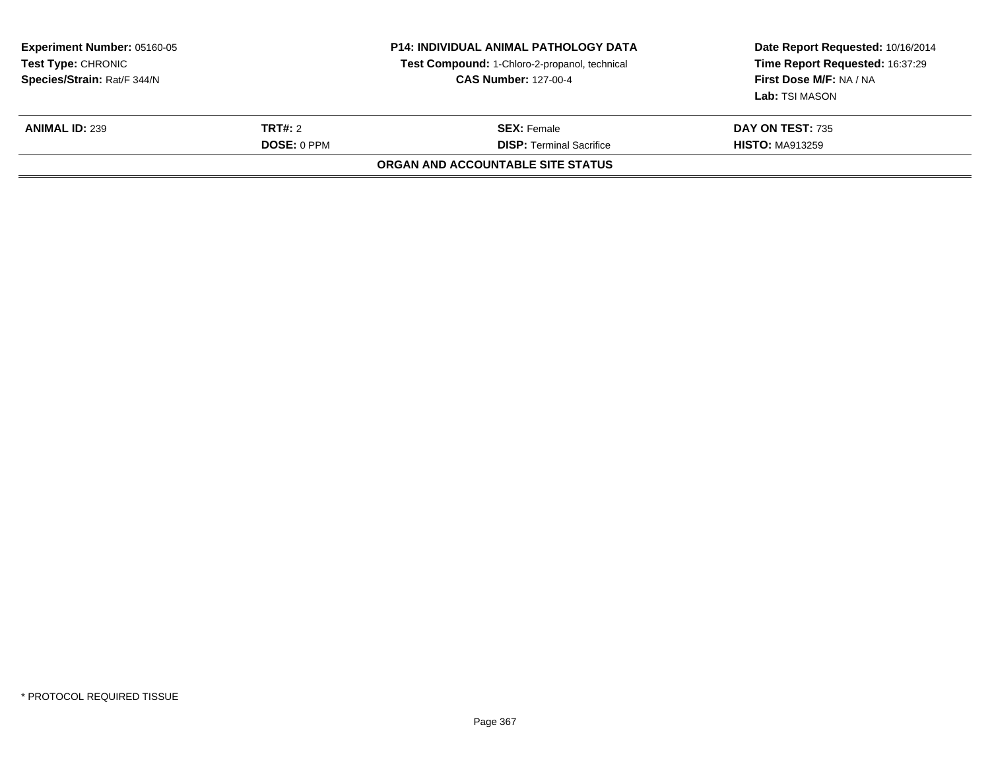|                | Test Compound: 1-Chloro-2-propanol, technical<br><b>CAS Number: 127-00-4</b> | Date Report Requested: 10/16/2014<br>Time Report Requested: 16:37:29<br>First Dose M/F: NA / NA<br><b>Lab:</b> TSI MASON |
|----------------|------------------------------------------------------------------------------|--------------------------------------------------------------------------------------------------------------------------|
| <b>TRT#:</b> 2 | <b>SEX: Female</b>                                                           | DAY ON TEST: 735                                                                                                         |
|                |                                                                              | <b>HISTO: MA913259</b>                                                                                                   |
|                | <b>DOSE: 0 PPM</b>                                                           | <b>DISP: Terminal Sacrifice</b><br>ORGAN AND ACCOUNTABLE SITE STATUS                                                     |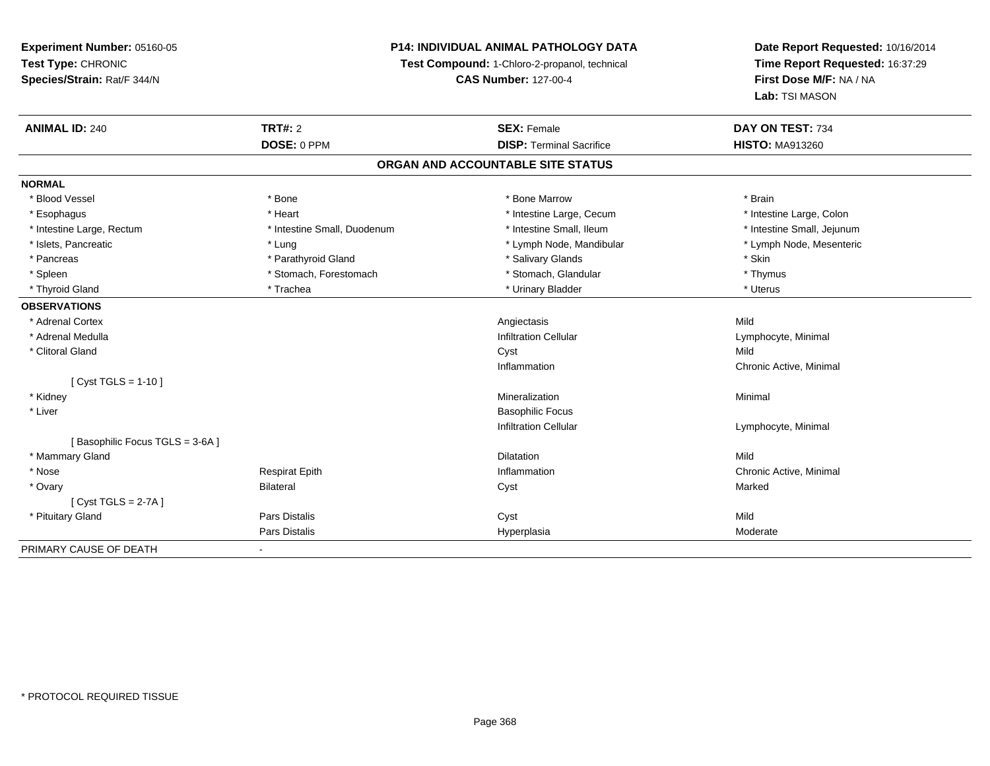## **P14: INDIVIDUAL ANIMAL PATHOLOGY DATA**

**Test Compound:** 1-Chloro-2-propanol, technical

**CAS Number:** 127-00-4

| <b>ANIMAL ID: 240</b>          | <b>TRT#: 2</b>              | <b>SEX: Female</b>                | DAY ON TEST: 734           |
|--------------------------------|-----------------------------|-----------------------------------|----------------------------|
|                                | DOSE: 0 PPM                 | <b>DISP: Terminal Sacrifice</b>   | <b>HISTO: MA913260</b>     |
|                                |                             | ORGAN AND ACCOUNTABLE SITE STATUS |                            |
| <b>NORMAL</b>                  |                             |                                   |                            |
| * Blood Vessel                 | * Bone                      | * Bone Marrow                     | * Brain                    |
| * Esophagus                    | * Heart                     | * Intestine Large, Cecum          | * Intestine Large, Colon   |
| * Intestine Large, Rectum      | * Intestine Small, Duodenum | * Intestine Small, Ileum          | * Intestine Small, Jejunum |
| * Islets, Pancreatic           | * Lung                      | * Lymph Node, Mandibular          | * Lymph Node, Mesenteric   |
| * Pancreas                     | * Parathyroid Gland         | * Salivary Glands                 | * Skin                     |
| * Spleen                       | * Stomach, Forestomach      | * Stomach, Glandular              | * Thymus                   |
| * Thyroid Gland                | * Trachea                   | * Urinary Bladder                 | * Uterus                   |
| <b>OBSERVATIONS</b>            |                             |                                   |                            |
| * Adrenal Cortex               |                             | Angiectasis                       | Mild                       |
| * Adrenal Medulla              |                             | <b>Infiltration Cellular</b>      | Lymphocyte, Minimal        |
| * Clitoral Gland               |                             | Cyst                              | Mild                       |
|                                |                             | Inflammation                      | Chronic Active, Minimal    |
| [ $Cyst TGLS = 1-10$ ]         |                             |                                   |                            |
| * Kidney                       |                             | Mineralization                    | Minimal                    |
| * Liver                        |                             | <b>Basophilic Focus</b>           |                            |
|                                |                             | <b>Infiltration Cellular</b>      | Lymphocyte, Minimal        |
| [Basophilic Focus TGLS = 3-6A] |                             |                                   |                            |
| * Mammary Gland                |                             | <b>Dilatation</b>                 | Mild                       |
| * Nose                         | <b>Respirat Epith</b>       | Inflammation                      | Chronic Active, Minimal    |
| * Ovary                        | <b>Bilateral</b>            | Cyst                              | Marked                     |
| [Cyst TGLS = $2-7A$ ]          |                             |                                   |                            |
| * Pituitary Gland              | <b>Pars Distalis</b>        | Cyst                              | Mild                       |
|                                | <b>Pars Distalis</b>        | Hyperplasia                       | Moderate                   |
| PRIMARY CAUSE OF DEATH         |                             |                                   |                            |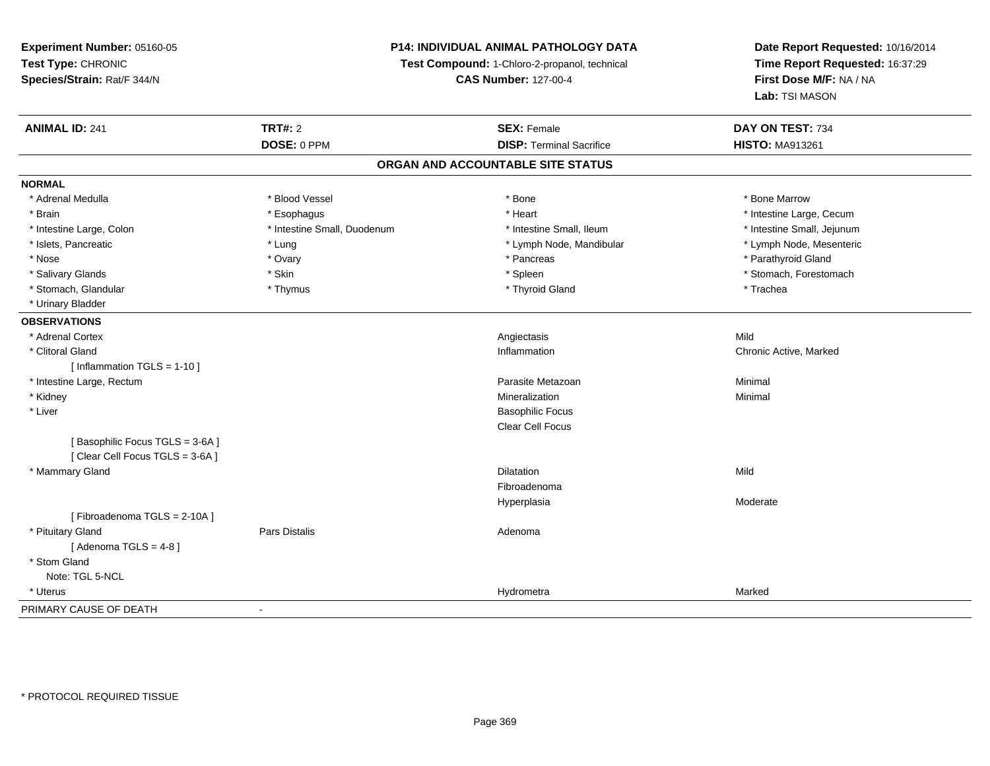**Experiment Number:** 05160-05**Test Type:** CHRONIC **Species/Strain:** Rat/F 344/N**P14: INDIVIDUAL ANIMAL PATHOLOGY DATATest Compound:** 1-Chloro-2-propanol, technical **CAS Number:** 127-00-4**Date Report Requested:** 10/16/2014**Time Report Requested:** 16:37:29**First Dose M/F:** NA / NA**Lab:** TSI MASON**ANIMAL ID:** 241**TRT#:** 2 **SEX:** Female **DAY ON TEST:** 734 **DOSE:** 0 PPM**DISP:** Terminal Sacrifice **HISTO:** MA913261 **ORGAN AND ACCOUNTABLE SITE STATUSNORMAL**\* Adrenal Medulla \* \* \* Blood Vessel \* \* \* Bone Marrow \* \* Bone Marrow \* \* Bone Marrow \* Brain \* Alternative \* Esophagus \* \* Esophagus \* \* Heart \* Heart \* Intestine Large, Cecum \* Intestine Large, Cecum \* Intestine Large, Cecum \* Large \* Intestine Large \* Large \* Large \* Large \* Large \* Large \* Large \* Large \* Intestine Small, Jejunum \* Intestine Large, Colon \* Intestine Small, Duodenum \* Intestine Small, Duodenum \* \* Intestine Small, Ileum \* Lymph Node, Mesenteric \* Islets, Pancreatic **\* Lung \* Lung \* Lung \* Lymph Node, Mandibular \*** Lymph Node, Mandibular \* Nose \* Ovary \* Pancreas \* Parathyroid Gland \* Salivary Glands \* The stomach \* Skin \* Spleen \* Spleen \* Stomach, Forestomach \* Stomach, Forestomach \* Stomach, Forestomach \* Stomach, Glandular \* Thymus \* Thymus \* Thymus \* Thyroid Gland \* Thyroid Gland \* Trachea \* Urinary Bladder**OBSERVATIONS** \* Adrenal Cortexx and the control of the control of the control of the control of the control of the control of the control of the control of the control of the control of the control of the control of the control of the control of the co Chronic Active, Marked \* Clitoral Glandd the controller controller controller that the controller controller controller controller controller controller controller controller controller controller controller controller controller controller controller controlle [ Inflammation TGLS = 1-10 ] \* Intestine Large, Rectumm and the contract of the contract of the contract of the contract of the contract of the contract of the contract of the contract of the contract of the contract of the contract of the contract of the contract of the cont \* Kidneyy with the control of the control of the control of the control of the control of the control of the control of the control of the control of the control of the control of the control of the control of the control of the c n Minimal \* Liver Basophilic Focus Clear Cell Focus[ Basophilic Focus TGLS = 3-6A ][ Clear Cell Focus TGLS = 3-6A ] \* Mammary Glandd and the control of the control of the control of the control of the control of the control of the control of the control of the control of the control of the control of the control of the control of the control of the co FibroadenomaHyperplasia Moderate [ Fibroadenoma TGLS = 2-10A ] \* Pituitary Glandd and the contract of Pars Distalis and the contract of Adenoma and Adenoma and the Adenoma and the Adenoma and  $\lambda$  $[$  Adenoma TGLS = 4-8  $]$  \* Stom Gland Note: TGL 5-NCL \* Uteruss and the contract of the contract of the contract of the contract of the contract of the contract of the contract of the contract of the contract of the contract of the contract of the contract of the contract of the cont a Marked PRIMARY CAUSE OF DEATH-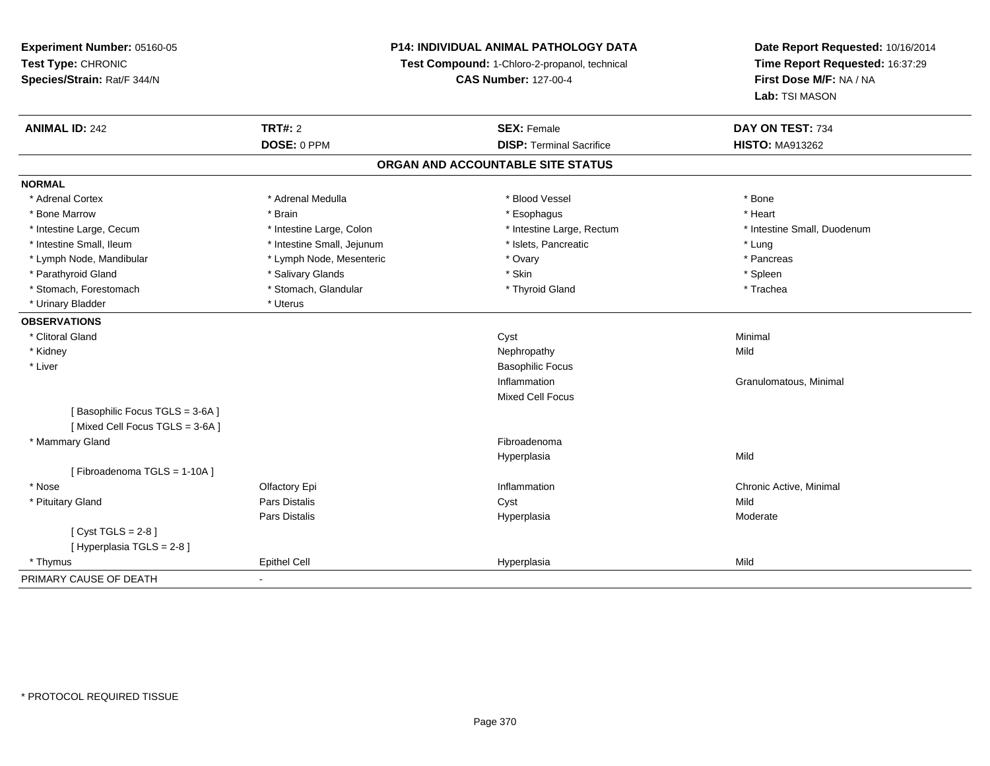**Experiment Number:** 05160-05**Test Type:** CHRONIC **Species/Strain:** Rat/F 344/N**P14: INDIVIDUAL ANIMAL PATHOLOGY DATATest Compound:** 1-Chloro-2-propanol, technical **CAS Number:** 127-00-4**Date Report Requested:** 10/16/2014**Time Report Requested:** 16:37:29**First Dose M/F:** NA / NA**Lab:** TSI MASON**ANIMAL ID:** 242**TRT#:** 2 **SEX:** Female **DAY ON TEST:** 734 **DOSE:** 0 PPM**DISP:** Terminal Sacrifice **HISTO:** MA913262 **ORGAN AND ACCOUNTABLE SITE STATUSNORMAL**\* Adrenal Cortex \* Adrenal Medulla \* Adrenal Medulla \* Blood Vessel \* Bood Vessel \* Bone \* Bone \* Bone \* Bone \* Bone \* Bone \* Bone \* Bone \* Bone \* Bone \* Bone \* Bone \* Bone \* Bone \* Bone \* Bone \* Bone \* Bone \* Bone \* Bone \* Bone \* Bone \* \* \* Heart \* Bone Marrow \* Brain \* Esophagus \* Heart \* Intestine Large, Cecum \* Intestine Large, Colon \* Intestine Large, Rectum \* Intestine Small, Duodenum\* Intestine Small, Ileum \* https://www.fatheratic \* Lung \* Intestine Small, Jejunum \* Islets, Pancreatic \* Lung \* Lung \* Pancreas \* Lymph Node, Mandibular \* Lymph Node, Mesenteric \* Pancreas \* Ovary \* Ovary \* Parathyroid Gland \* \* Salivary Glands \* Salivary Glands \* Skin \* Skin \* State \* Spleen \* Spleen \* Spleen \* Spleen \* Trachea \* Stomach, Forestomach \* The stormach \* Stomach, Glandular \* Thyroid Gland \* Thyroid Gland \* \* Urinary Bladder \* Uterus **OBSERVATIONS** \* Clitoral Glandd and the control of the control of the control of the control of the control of the control of the control of the control of the control of the control of the control of the control of the control of the control of the co \* Kidneyy the control of the control of the control of the control of the control of the control of the control of the control of the control of the control of the control of the control of the control of the control of the contro \* Liver Basophilic FocusInflammation Granulomatous, Minimal Mixed Cell Focus[ Basophilic Focus TGLS = 3-6A ][ Mixed Cell Focus TGLS = 3-6A ] \* Mammary Glandd **Executive Contract of the Contract Contract Contract Contract Contract Contract Contract Contract Contract Contract Contract Contract Contract Contract Contract Contract Contract Contract Contract Contract Contract Cont** Hyperplasiaa Mild [ Fibroadenoma TGLS = 1-10A ] \* Nosee and the Colfactory Epi Inflammation Chronic Active, Minimal Chronic Active, Minimal Chronic Active, Minimal Chronic Active, Minimal Chronic Active, Minimal Chronic Active, Minimal Chronic Active, Minimal Chronic Active, \* Pituitary Gland Pars Distalis Cyst Mild Pars Distalis Hyperplasia Moderate  $[$  Cyst TGLS = 2-8  $]$ [ Hyperplasia TGLS = 2-8 ] \* Thymus Epithel Cell Hyperplasiaa Mild PRIMARY CAUSE OF DEATH-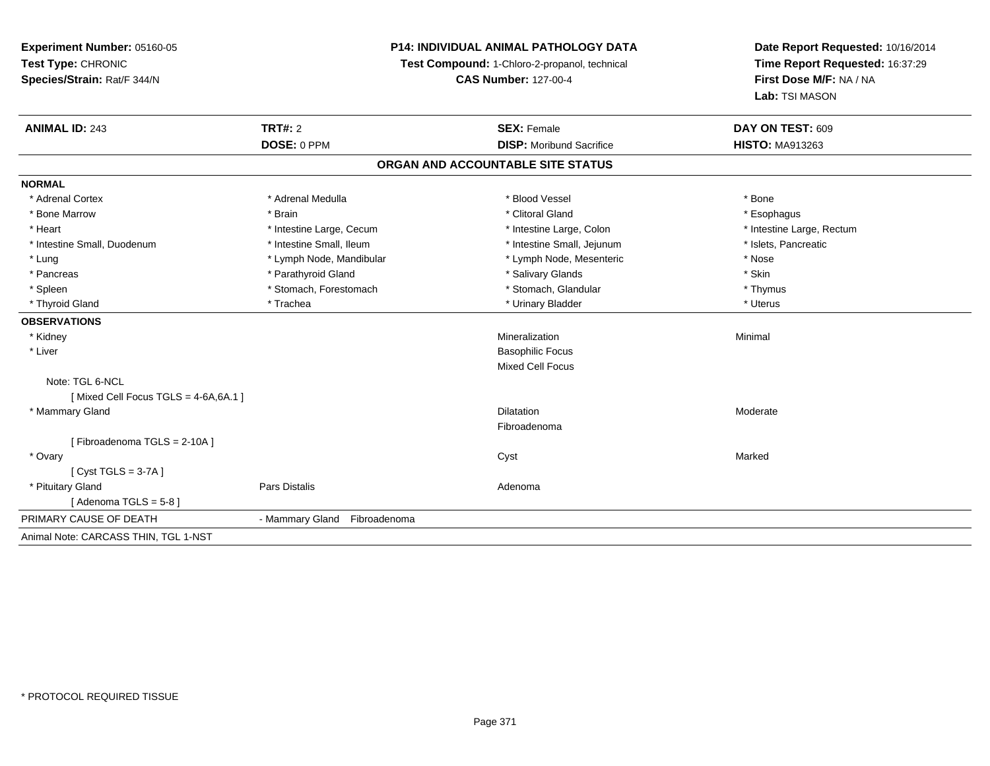# **P14: INDIVIDUAL ANIMAL PATHOLOGY DATA**

**Test Compound:** 1-Chloro-2-propanol, technical

**CAS Number:** 127-00-4

| <b>ANIMAL ID: 243</b>                   | TRT#: 2                      | <b>SEX: Female</b>                | DAY ON TEST: 609          |
|-----------------------------------------|------------------------------|-----------------------------------|---------------------------|
|                                         | DOSE: 0 PPM                  | <b>DISP:</b> Moribund Sacrifice   | <b>HISTO: MA913263</b>    |
|                                         |                              | ORGAN AND ACCOUNTABLE SITE STATUS |                           |
| <b>NORMAL</b>                           |                              |                                   |                           |
| * Adrenal Cortex                        | * Adrenal Medulla            | * Blood Vessel                    | * Bone                    |
| * Bone Marrow                           | * Brain                      | * Clitoral Gland                  | * Esophagus               |
| * Heart                                 | * Intestine Large, Cecum     | * Intestine Large, Colon          | * Intestine Large, Rectum |
| * Intestine Small, Duodenum             | * Intestine Small, Ileum     | * Intestine Small, Jejunum        | * Islets, Pancreatic      |
| * Lung                                  | * Lymph Node, Mandibular     | * Lymph Node, Mesenteric          | * Nose                    |
| * Pancreas                              | * Parathyroid Gland          | * Salivary Glands                 | * Skin                    |
| * Spleen                                | * Stomach, Forestomach       | * Stomach, Glandular              | * Thymus                  |
| * Thyroid Gland                         | * Trachea                    | * Urinary Bladder                 | * Uterus                  |
| <b>OBSERVATIONS</b>                     |                              |                                   |                           |
| * Kidney                                |                              | Mineralization                    | Minimal                   |
| * Liver                                 |                              | <b>Basophilic Focus</b>           |                           |
|                                         |                              | Mixed Cell Focus                  |                           |
| Note: TGL 6-NCL                         |                              |                                   |                           |
| [Mixed Cell Focus TGLS = $4-6A, 6A.1$ ] |                              |                                   |                           |
| * Mammary Gland                         |                              | <b>Dilatation</b>                 | Moderate                  |
|                                         |                              | Fibroadenoma                      |                           |
| [Fibroadenoma TGLS = 2-10A]             |                              |                                   |                           |
| * Ovary                                 |                              | Cyst                              | Marked                    |
| [Cyst TGLS = $3-7A$ ]                   |                              |                                   |                           |
| * Pituitary Gland                       | <b>Pars Distalis</b>         | Adenoma                           |                           |
| [Adenoma TGLS = 5-8]                    |                              |                                   |                           |
| PRIMARY CAUSE OF DEATH                  | - Mammary Gland Fibroadenoma |                                   |                           |
| Animal Note: CARCASS THIN, TGL 1-NST    |                              |                                   |                           |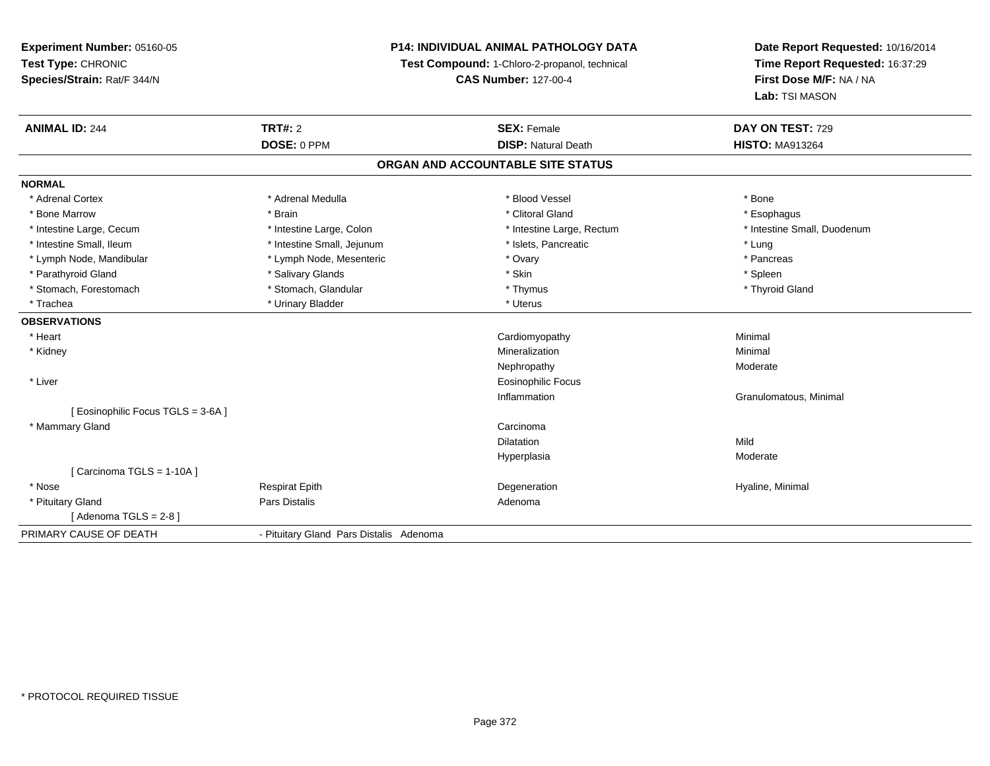## **P14: INDIVIDUAL ANIMAL PATHOLOGY DATA**

**Test Compound:** 1-Chloro-2-propanol, technical

**CAS Number:** 127-00-4

| <b>ANIMAL ID: 244</b>              | <b>TRT#: 2</b>                          | <b>SEX: Female</b>                | DAY ON TEST: 729            |
|------------------------------------|-----------------------------------------|-----------------------------------|-----------------------------|
|                                    | DOSE: 0 PPM                             | <b>DISP: Natural Death</b>        | <b>HISTO: MA913264</b>      |
|                                    |                                         | ORGAN AND ACCOUNTABLE SITE STATUS |                             |
| <b>NORMAL</b>                      |                                         |                                   |                             |
| * Adrenal Cortex                   | * Adrenal Medulla                       | * Blood Vessel                    | * Bone                      |
| * Bone Marrow                      | * Brain                                 | * Clitoral Gland                  | * Esophagus                 |
| * Intestine Large, Cecum           | * Intestine Large, Colon                | * Intestine Large, Rectum         | * Intestine Small, Duodenum |
| * Intestine Small. Ileum           | * Intestine Small, Jejunum              | * Islets. Pancreatic              | * Lung                      |
| * Lymph Node, Mandibular           | * Lymph Node, Mesenteric                | * Ovary                           | * Pancreas                  |
| * Parathyroid Gland                | * Salivary Glands                       | * Skin                            | * Spleen                    |
| * Stomach, Forestomach             | * Stomach, Glandular                    | * Thymus                          | * Thyroid Gland             |
| * Trachea                          | * Urinary Bladder                       | * Uterus                          |                             |
| <b>OBSERVATIONS</b>                |                                         |                                   |                             |
| * Heart                            |                                         | Cardiomyopathy                    | Minimal                     |
| * Kidney                           |                                         | Mineralization                    | Minimal                     |
|                                    |                                         | Nephropathy                       | Moderate                    |
| * Liver                            |                                         | <b>Eosinophilic Focus</b>         |                             |
|                                    |                                         | Inflammation                      | Granulomatous, Minimal      |
| [ Eosinophilic Focus TGLS = 3-6A ] |                                         |                                   |                             |
| * Mammary Gland                    |                                         | Carcinoma                         |                             |
|                                    |                                         | Dilatation                        | Mild                        |
|                                    |                                         | Hyperplasia                       | Moderate                    |
| [ Carcinoma TGLS = 1-10A ]         |                                         |                                   |                             |
| * Nose                             | <b>Respirat Epith</b>                   | Degeneration                      | Hyaline, Minimal            |
| * Pituitary Gland                  | Pars Distalis                           | Adenoma                           |                             |
| [Adenoma TGLS = $2-8$ ]            |                                         |                                   |                             |
| PRIMARY CAUSE OF DEATH             | - Pituitary Gland Pars Distalis Adenoma |                                   |                             |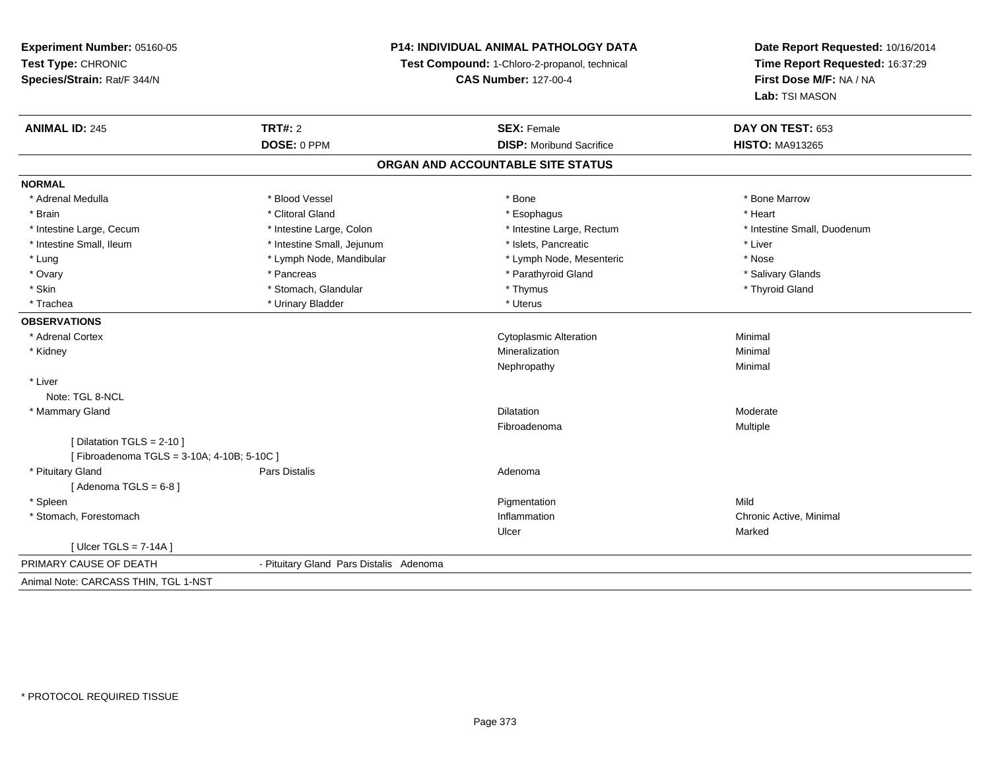**Experiment Number:** 05160-05**Test Type:** CHRONIC **Species/Strain:** Rat/F 344/N**P14: INDIVIDUAL ANIMAL PATHOLOGY DATATest Compound:** 1-Chloro-2-propanol, technical **CAS Number:** 127-00-4**Date Report Requested:** 10/16/2014**Time Report Requested:** 16:37:29**First Dose M/F:** NA / NA**Lab:** TSI MASON**ANIMAL ID:** 245**TRT#:** 2 **SEX:** Female **DAY ON TEST:** 653 **DOSE:** 0 PPM**DISP:** Moribund Sacrifice **HISTO:** MA913265 **ORGAN AND ACCOUNTABLE SITE STATUSNORMAL**\* Adrenal Medulla \* \* \* Blood Vessel \* \* \* Bone Marrow \* \* Bone Marrow \* \* Bone Marrow \* Brain \* Alternative of the state of the state of the state of the state of the state of the state of the state of the state of the state of the state of the state of the state of the state of the state of the state of th \* Intestine Large, Cecum \* Intestine Large, Colon \* Intestine Large, Rectum \* Intestine Small, Duodenum \* Intestine Small, Ileum \* Intestine Small, Jejunum \* Islets, Pancreatic \* Liver\* Lung \* Lymph Node, Mandibular \* Nose \* Lymph Node, Mesenteric \* Nose \* Nose \* Salivary Glands \* Ovary \* \* Pancreas \* \* Pancreas \* \* Pancreas \* \* Parathyroid Gland \* \* Salivary Glands \* Salivary Glands \* Salivary Glands \* Salivary Glands \* Salivary Glands \* Salivary Glands \* Salivary Glands \* \* Salivary Glands \* \* S \* Skin \* Stomach, Glandular \* \* Stomach, Glandular \* Thymus \* Thymus \* The \* Thyroid Gland \* Thyroid Gland \* \* Thyroid Gland \* \* Thyroid Gland \* \* Thyroid Gland \* \* Thyroid Gland \* \* Thyroid Gland \* \* \* \* \* \* \* \* \* \* \* \* \* \* Trachea \* Urinary Bladder \* Urinary Bladder \* Urinary Bladder \* Urinary Bladder \* Urinary Bladder **OBSERVATIONS** \* Adrenal Cortex Cytoplasmic AlterationMinimal<br>Minimal \* Kidneyy with the control of the control of the control of the control of the control of the control of the control of the control of the control of the control of the control of the control of the control of the control of the c n Minimal Nephropathyy the contract of the Minimal Minimal Section 1996 and the contract of the Minimal Section 1997 and the contract of the contract of the contract of the contract of the contract of the contract of the contract of the contra \* LiverNote: TGL 8-NCL \* Mammary Glandd and the control of the control of the control of the Dilatation and the control of the Moderate of the control of the control of the control of the control of the control of the control of the control of the control of t Fibroadenoma Multiple  $[$  Dilatation TGLS = 2-10  $]$ [ Fibroadenoma TGLS = 3-10A; 4-10B; 5-10C ] \* Pituitary Glandd and the contract of Pars Distalis and the contract of Adenoma and Adenoma and the Adenoma and the Adenoma and  $\lambda$  $[$  Adenoma TGLS =  $6-8$ ] \* Spleenn and the control of the control of the control of the control of the control of the control of the control of the control of the control of the control of the control of the control of the control of the control of the co \* Stomach, Forestomachh ann an t-ìre ann an t-ìre ann an t-ìre ann an t-ìre ann an t-ìre ann an t-ìre ann an t-ìre ann an t-ìre ann a<br>Inflammation Ulcerr **Marked** [ Ulcer TGLS = 7-14A ]PRIMARY CAUSE OF DEATH - Pituitary Gland Pars Distalis Adenoma Animal Note: CARCASS THIN, TGL 1-NST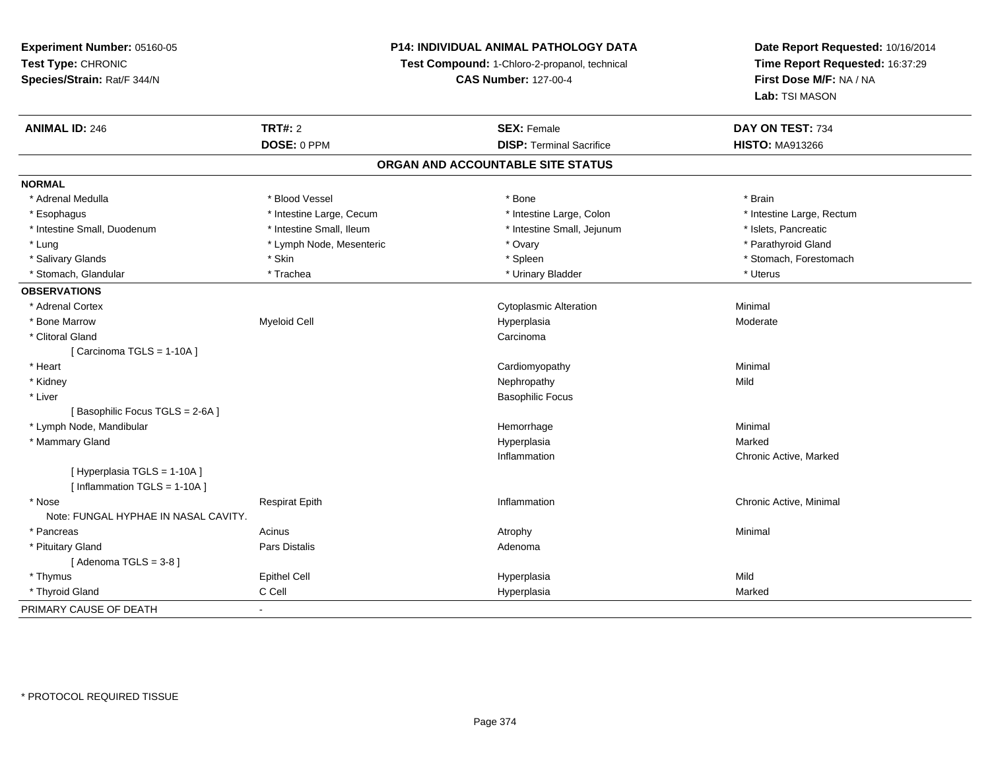## **P14: INDIVIDUAL ANIMAL PATHOLOGY DATA**

**Test Compound:** 1-Chloro-2-propanol, technical

**CAS Number:** 127-00-4

| <b>ANIMAL ID: 246</b>                | <b>TRT#: 2</b>                    | <b>SEX: Female</b>              | DAY ON TEST: 734          |  |  |  |  |
|--------------------------------------|-----------------------------------|---------------------------------|---------------------------|--|--|--|--|
|                                      | DOSE: 0 PPM                       | <b>DISP: Terminal Sacrifice</b> | <b>HISTO: MA913266</b>    |  |  |  |  |
|                                      | ORGAN AND ACCOUNTABLE SITE STATUS |                                 |                           |  |  |  |  |
| <b>NORMAL</b>                        |                                   |                                 |                           |  |  |  |  |
| * Adrenal Medulla                    | * Blood Vessel                    | * Bone                          | * Brain                   |  |  |  |  |
| * Esophagus                          | * Intestine Large, Cecum          | * Intestine Large, Colon        | * Intestine Large, Rectum |  |  |  |  |
| * Intestine Small, Duodenum          | * Intestine Small, Ileum          | * Intestine Small, Jejunum      | * Islets, Pancreatic      |  |  |  |  |
| * Lung                               | * Lymph Node, Mesenteric          | * Ovary                         | * Parathyroid Gland       |  |  |  |  |
| * Salivary Glands                    | * Skin                            | * Spleen                        | * Stomach, Forestomach    |  |  |  |  |
| * Stomach, Glandular                 | * Trachea                         | * Urinary Bladder               | * Uterus                  |  |  |  |  |
| <b>OBSERVATIONS</b>                  |                                   |                                 |                           |  |  |  |  |
| * Adrenal Cortex                     |                                   | Cytoplasmic Alteration          | Minimal                   |  |  |  |  |
| * Bone Marrow                        | <b>Myeloid Cell</b>               | Hyperplasia                     | Moderate                  |  |  |  |  |
| * Clitoral Gland                     |                                   | Carcinoma                       |                           |  |  |  |  |
| [ Carcinoma TGLS = 1-10A ]           |                                   |                                 |                           |  |  |  |  |
| * Heart                              |                                   | Cardiomyopathy                  | Minimal                   |  |  |  |  |
| * Kidney                             |                                   | Nephropathy                     | Mild                      |  |  |  |  |
| * Liver                              |                                   | <b>Basophilic Focus</b>         |                           |  |  |  |  |
| [Basophilic Focus TGLS = 2-6A]       |                                   |                                 |                           |  |  |  |  |
| * Lymph Node, Mandibular             |                                   | Hemorrhage                      | Minimal                   |  |  |  |  |
| * Mammary Gland                      |                                   | Hyperplasia                     | Marked                    |  |  |  |  |
|                                      |                                   | Inflammation                    | Chronic Active, Marked    |  |  |  |  |
| [Hyperplasia TGLS = 1-10A]           |                                   |                                 |                           |  |  |  |  |
| [Inflammation TGLS = $1-10A$ ]       |                                   |                                 |                           |  |  |  |  |
| * Nose                               | <b>Respirat Epith</b>             | Inflammation                    | Chronic Active, Minimal   |  |  |  |  |
| Note: FUNGAL HYPHAE IN NASAL CAVITY. |                                   |                                 |                           |  |  |  |  |
| * Pancreas                           | Acinus                            | Atrophy                         | Minimal                   |  |  |  |  |
| * Pituitary Gland                    | Pars Distalis                     | Adenoma                         |                           |  |  |  |  |
| [Adenoma TGLS = $3-8$ ]              |                                   |                                 |                           |  |  |  |  |
| * Thymus                             | <b>Epithel Cell</b>               | Hyperplasia                     | Mild                      |  |  |  |  |
| * Thyroid Gland                      | C Cell                            | Hyperplasia                     | Marked                    |  |  |  |  |
| PRIMARY CAUSE OF DEATH               | $\blacksquare$                    |                                 |                           |  |  |  |  |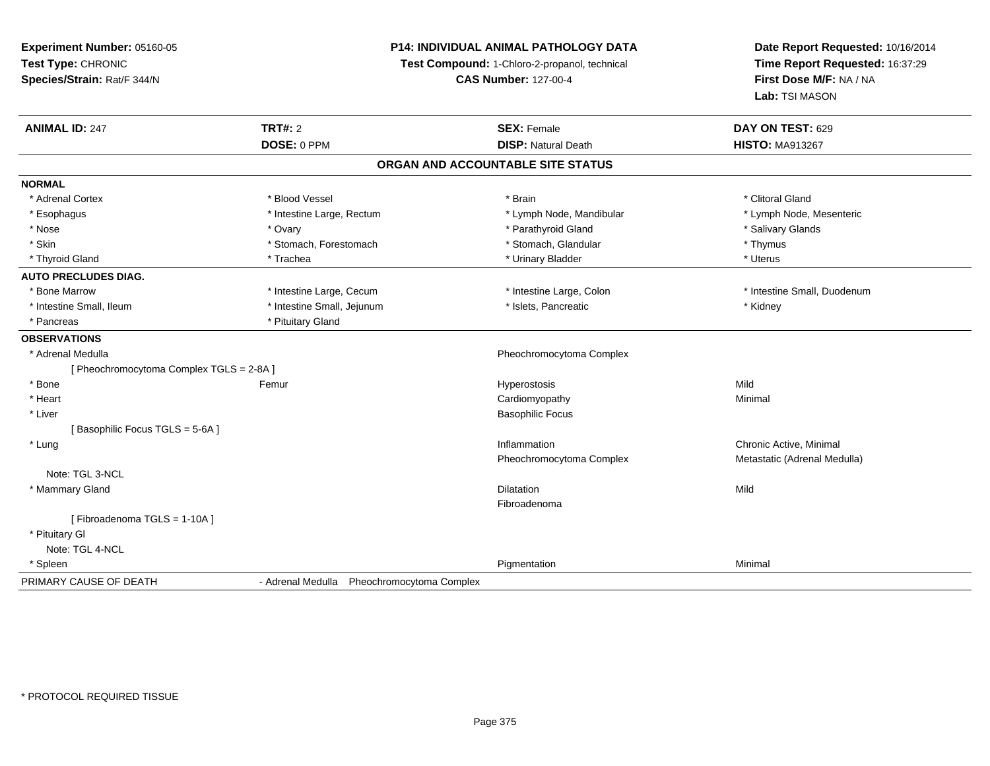## **P14: INDIVIDUAL ANIMAL PATHOLOGY DATA**

**Test Compound:** 1-Chloro-2-propanol, technical

**CAS Number:** 127-00-4

| <b>ANIMAL ID: 247</b>                    | <b>TRT#: 2</b>                             | <b>SEX: Female</b>                | DAY ON TEST: 629             |
|------------------------------------------|--------------------------------------------|-----------------------------------|------------------------------|
|                                          | DOSE: 0 PPM                                | <b>DISP: Natural Death</b>        | <b>HISTO: MA913267</b>       |
|                                          |                                            | ORGAN AND ACCOUNTABLE SITE STATUS |                              |
| <b>NORMAL</b>                            |                                            |                                   |                              |
| * Adrenal Cortex                         | * Blood Vessel                             | * Brain                           | * Clitoral Gland             |
| * Esophagus                              | * Intestine Large, Rectum                  | * Lymph Node, Mandibular          | * Lymph Node, Mesenteric     |
| * Nose                                   | * Ovary                                    | * Parathyroid Gland               | * Salivary Glands            |
| * Skin                                   | * Stomach, Forestomach                     | * Stomach, Glandular              | * Thymus                     |
| * Thyroid Gland                          | * Trachea                                  | * Urinary Bladder                 | * Uterus                     |
| <b>AUTO PRECLUDES DIAG.</b>              |                                            |                                   |                              |
| * Bone Marrow                            | * Intestine Large, Cecum                   | * Intestine Large, Colon          | * Intestine Small, Duodenum  |
| * Intestine Small, Ileum                 | * Intestine Small, Jejunum                 | * Islets, Pancreatic              | * Kidney                     |
| * Pancreas                               | * Pituitary Gland                          |                                   |                              |
| <b>OBSERVATIONS</b>                      |                                            |                                   |                              |
| * Adrenal Medulla                        |                                            | Pheochromocytoma Complex          |                              |
| [ Pheochromocytoma Complex TGLS = 2-8A ] |                                            |                                   |                              |
| * Bone                                   | Femur                                      | Hyperostosis                      | Mild                         |
| * Heart                                  |                                            | Cardiomyopathy                    | Minimal                      |
| * Liver                                  |                                            | <b>Basophilic Focus</b>           |                              |
| [Basophilic Focus TGLS = 5-6A]           |                                            |                                   |                              |
| * Lung                                   |                                            | Inflammation                      | Chronic Active, Minimal      |
|                                          |                                            | Pheochromocytoma Complex          | Metastatic (Adrenal Medulla) |
| Note: TGL 3-NCL                          |                                            |                                   |                              |
| * Mammary Gland                          |                                            | <b>Dilatation</b>                 | Mild                         |
|                                          |                                            | Fibroadenoma                      |                              |
| [Fibroadenoma TGLS = 1-10A]              |                                            |                                   |                              |
| * Pituitary Gl                           |                                            |                                   |                              |
| Note: TGL 4-NCL                          |                                            |                                   |                              |
| * Spleen                                 |                                            | Pigmentation                      | Minimal                      |
| PRIMARY CAUSE OF DEATH                   | - Adrenal Medulla Pheochromocytoma Complex |                                   |                              |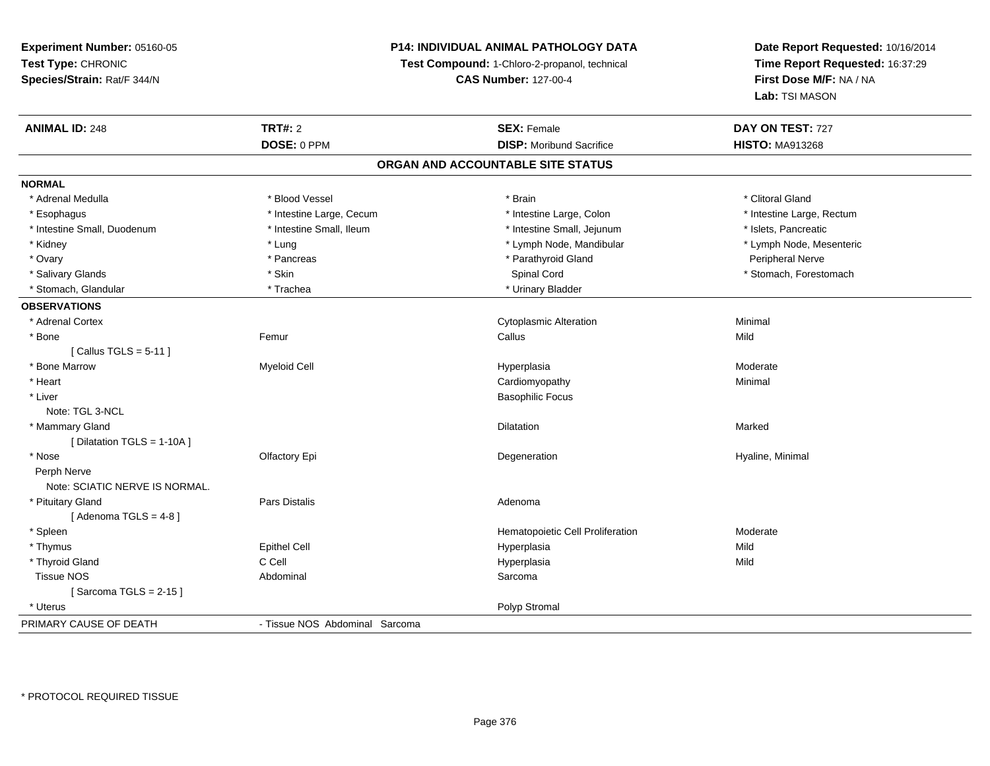## **P14: INDIVIDUAL ANIMAL PATHOLOGY DATA**

**Test Compound:** 1-Chloro-2-propanol, technical

**CAS Number:** 127-00-4

| <b>ANIMAL ID: 248</b>          | <b>TRT#: 2</b>                 | <b>SEX: Female</b>                | DAY ON TEST: 727          |
|--------------------------------|--------------------------------|-----------------------------------|---------------------------|
|                                | DOSE: 0 PPM                    | <b>DISP:</b> Moribund Sacrifice   | <b>HISTO: MA913268</b>    |
|                                |                                | ORGAN AND ACCOUNTABLE SITE STATUS |                           |
| <b>NORMAL</b>                  |                                |                                   |                           |
| * Adrenal Medulla              | * Blood Vessel                 | * Brain                           | * Clitoral Gland          |
| * Esophagus                    | * Intestine Large, Cecum       | * Intestine Large, Colon          | * Intestine Large, Rectum |
| * Intestine Small, Duodenum    | * Intestine Small, Ileum       | * Intestine Small, Jejunum        | * Islets, Pancreatic      |
| * Kidney                       | * Lung                         | * Lymph Node, Mandibular          | * Lymph Node, Mesenteric  |
| * Ovary                        | * Pancreas                     | * Parathyroid Gland               | Peripheral Nerve          |
| * Salivary Glands              | * Skin                         | Spinal Cord                       | * Stomach, Forestomach    |
| * Stomach, Glandular           | * Trachea                      | * Urinary Bladder                 |                           |
| <b>OBSERVATIONS</b>            |                                |                                   |                           |
| * Adrenal Cortex               |                                | <b>Cytoplasmic Alteration</b>     | Minimal                   |
| * Bone                         | Femur                          | Callus                            | Mild                      |
| [Callus TGLS = $5-11$ ]        |                                |                                   |                           |
| * Bone Marrow                  | <b>Myeloid Cell</b>            | Hyperplasia                       | Moderate                  |
| * Heart                        |                                | Cardiomyopathy                    | Minimal                   |
| * Liver                        |                                | <b>Basophilic Focus</b>           |                           |
| Note: TGL 3-NCL                |                                |                                   |                           |
| * Mammary Gland                |                                | Dilatation                        | Marked                    |
| [ Dilatation TGLS = 1-10A ]    |                                |                                   |                           |
| * Nose                         | Olfactory Epi                  | Degeneration                      | Hyaline, Minimal          |
| Perph Nerve                    |                                |                                   |                           |
| Note: SCIATIC NERVE IS NORMAL. |                                |                                   |                           |
| * Pituitary Gland              | Pars Distalis                  | Adenoma                           |                           |
| [Adenoma TGLS = $4-8$ ]        |                                |                                   |                           |
| * Spleen                       |                                | Hematopoietic Cell Proliferation  | Moderate                  |
| * Thymus                       | Epithel Cell                   | Hyperplasia                       | Mild                      |
| * Thyroid Gland                | C Cell                         | Hyperplasia                       | Mild                      |
| <b>Tissue NOS</b>              | Abdominal                      | Sarcoma                           |                           |
| [Sarcoma TGLS = $2-15$ ]       |                                |                                   |                           |
| * Uterus                       |                                | Polyp Stromal                     |                           |
| PRIMARY CAUSE OF DEATH         | - Tissue NOS Abdominal Sarcoma |                                   |                           |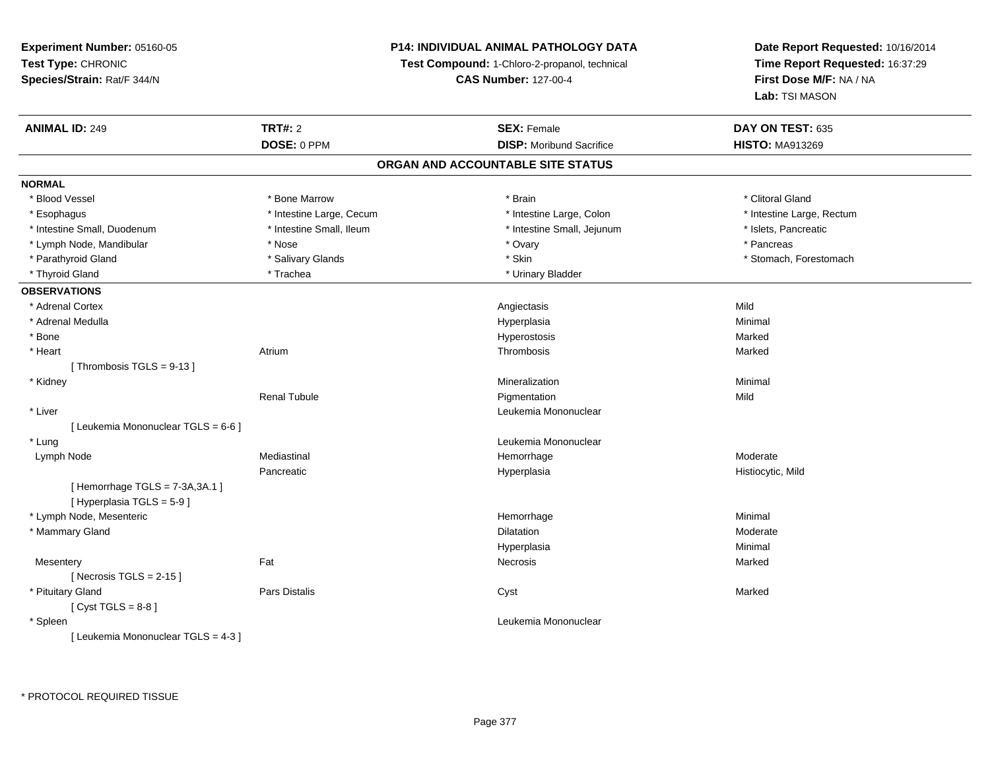## **P14: INDIVIDUAL ANIMAL PATHOLOGY DATA**

**Test Compound:** 1-Chloro-2-propanol, technical

**CAS Number:** 127-00-4

| <b>ANIMAL ID: 249</b>               | <b>TRT#: 2</b>           | <b>SEX: Female</b>                | DAY ON TEST: 635          |
|-------------------------------------|--------------------------|-----------------------------------|---------------------------|
|                                     | DOSE: 0 PPM              | <b>DISP:</b> Moribund Sacrifice   | <b>HISTO: MA913269</b>    |
|                                     |                          | ORGAN AND ACCOUNTABLE SITE STATUS |                           |
| <b>NORMAL</b>                       |                          |                                   |                           |
| * Blood Vessel                      | * Bone Marrow            | * Brain                           | * Clitoral Gland          |
| * Esophagus                         | * Intestine Large, Cecum | * Intestine Large, Colon          | * Intestine Large, Rectum |
| * Intestine Small, Duodenum         | * Intestine Small, Ileum | * Intestine Small, Jejunum        | * Islets, Pancreatic      |
| * Lymph Node, Mandibular            | * Nose                   | * Ovary                           | * Pancreas                |
| * Parathyroid Gland                 | * Salivary Glands        | * Skin                            | * Stomach, Forestomach    |
| * Thyroid Gland                     | * Trachea                | * Urinary Bladder                 |                           |
| <b>OBSERVATIONS</b>                 |                          |                                   |                           |
| * Adrenal Cortex                    |                          | Angiectasis                       | Mild                      |
| * Adrenal Medulla                   |                          | Hyperplasia                       | Minimal                   |
| * Bone                              |                          | Hyperostosis                      | Marked                    |
| * Heart                             | Atrium                   | Thrombosis                        | Marked                    |
| [Thrombosis TGLS = $9-13$ ]         |                          |                                   |                           |
| * Kidney                            |                          | Mineralization                    | Minimal                   |
|                                     | <b>Renal Tubule</b>      | Pigmentation                      | Mild                      |
| * Liver                             |                          | Leukemia Mononuclear              |                           |
| [ Leukemia Mononuclear TGLS = 6-6 ] |                          |                                   |                           |
| * Lung                              |                          | Leukemia Mononuclear              |                           |
| Lymph Node                          | Mediastinal              | Hemorrhage                        | Moderate                  |
|                                     | Pancreatic               | Hyperplasia                       | Histiocytic, Mild         |
| [Hemorrhage $TGLS = 7-3A, 3A.1$ ]   |                          |                                   |                           |
| [ Hyperplasia TGLS = 5-9]           |                          |                                   |                           |
| * Lymph Node, Mesenteric            |                          | Hemorrhage                        | Minimal                   |
| * Mammary Gland                     |                          | Dilatation                        | Moderate                  |
|                                     |                          | Hyperplasia                       | Minimal                   |
| Mesentery                           | Fat                      | Necrosis                          | Marked                    |
| [Necrosis TGLS = $2-15$ ]           |                          |                                   |                           |
| * Pituitary Gland                   | Pars Distalis            | Cyst                              | Marked                    |
| [Cyst TGLS = $8-8$ ]                |                          |                                   |                           |
| * Spleen                            |                          | Leukemia Mononuclear              |                           |
| [ Leukemia Mononuclear TGLS = 4-3 ] |                          |                                   |                           |
|                                     |                          |                                   |                           |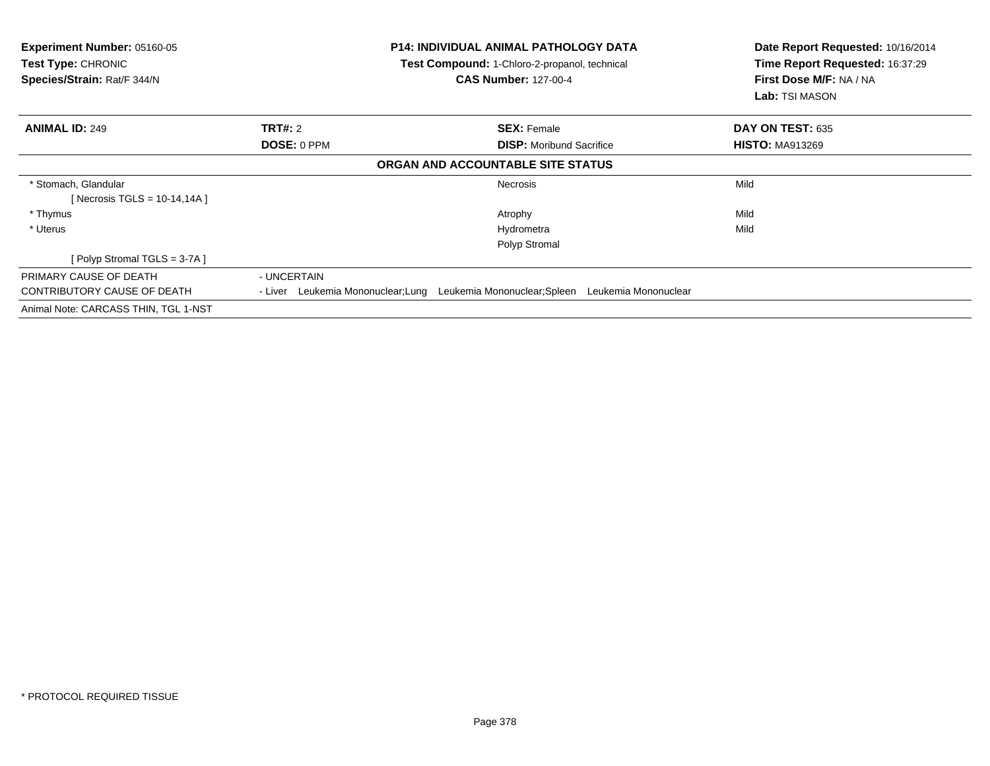| <b>Experiment Number: 05160-05</b><br>Test Type: CHRONIC<br>Species/Strain: Rat/F 344/N |                                    | <b>P14: INDIVIDUAL ANIMAL PATHOLOGY DATA</b><br>Test Compound: 1-Chloro-2-propanol, technical<br><b>CAS Number: 127-00-4</b> | Date Report Requested: 10/16/2014<br>Time Report Requested: 16:37:29<br>First Dose M/F: NA / NA<br><b>Lab:</b> TSI MASON |
|-----------------------------------------------------------------------------------------|------------------------------------|------------------------------------------------------------------------------------------------------------------------------|--------------------------------------------------------------------------------------------------------------------------|
| <b>ANIMAL ID: 249</b>                                                                   | <b>TRT#: 2</b>                     | <b>SEX: Female</b>                                                                                                           | DAY ON TEST: 635                                                                                                         |
|                                                                                         | DOSE: 0 PPM                        | <b>DISP:</b> Moribund Sacrifice                                                                                              | <b>HISTO: MA913269</b>                                                                                                   |
|                                                                                         |                                    | ORGAN AND ACCOUNTABLE SITE STATUS                                                                                            |                                                                                                                          |
| * Stomach, Glandular<br>[Necrosis TGLS = $10-14,14A$ ]                                  |                                    | <b>Necrosis</b>                                                                                                              | Mild                                                                                                                     |
| * Thymus                                                                                |                                    | Atrophy                                                                                                                      | Mild                                                                                                                     |
| * Uterus                                                                                |                                    | Hydrometra                                                                                                                   | Mild                                                                                                                     |
|                                                                                         |                                    | Polyp Stromal                                                                                                                |                                                                                                                          |
| [Polyp Stromal TGLS = 3-7A]                                                             |                                    |                                                                                                                              |                                                                                                                          |
| PRIMARY CAUSE OF DEATH                                                                  | - UNCERTAIN                        |                                                                                                                              |                                                                                                                          |
| CONTRIBUTORY CAUSE OF DEATH                                                             | - Liver Leukemia Mononuclear; Lung | Leukemia Mononuclear; Spleen Leukemia Mononuclear                                                                            |                                                                                                                          |
| Animal Note: CARCASS THIN, TGL 1-NST                                                    |                                    |                                                                                                                              |                                                                                                                          |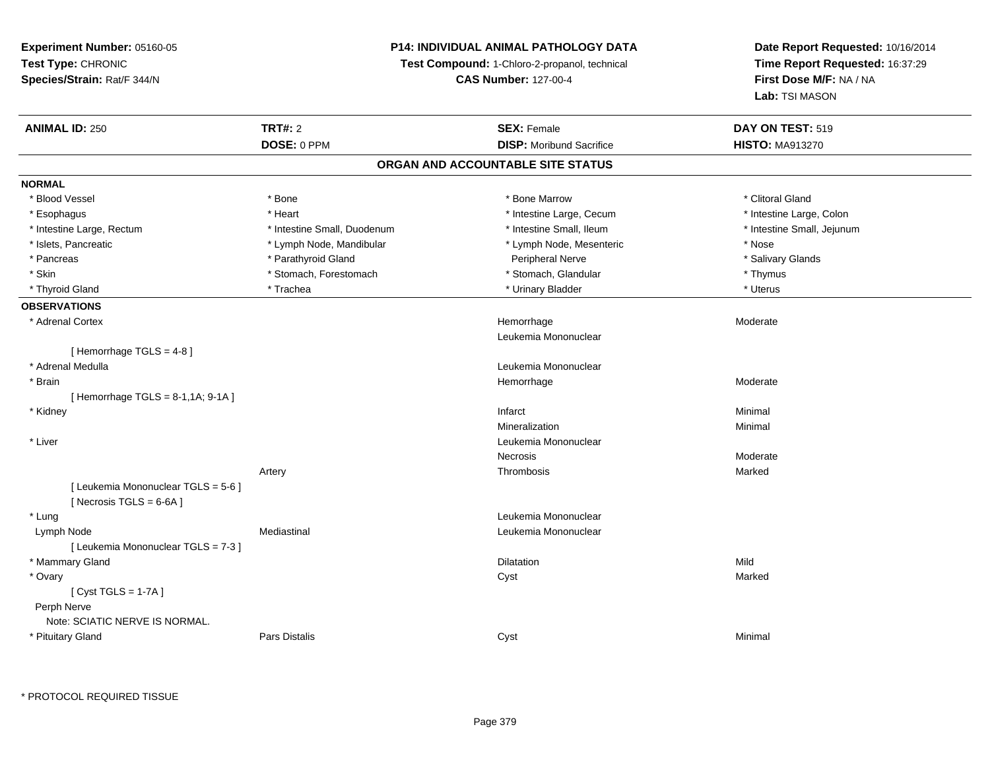## **P14: INDIVIDUAL ANIMAL PATHOLOGY DATA**

**Test Compound:** 1-Chloro-2-propanol, technical

**CAS Number:** 127-00-4

**Date Report Requested:** 10/16/2014**Time Report Requested:** 16:37:29**First Dose M/F:** NA / NA**Lab:** TSI MASON

| <b>ANIMAL ID: 250</b>                                         | <b>TRT#: 2</b>              | <b>SEX: Female</b>                | DAY ON TEST: 519           |
|---------------------------------------------------------------|-----------------------------|-----------------------------------|----------------------------|
|                                                               | DOSE: 0 PPM                 | <b>DISP:</b> Moribund Sacrifice   | <b>HISTO: MA913270</b>     |
|                                                               |                             | ORGAN AND ACCOUNTABLE SITE STATUS |                            |
| <b>NORMAL</b>                                                 |                             |                                   |                            |
| * Blood Vessel                                                | * Bone                      | * Bone Marrow                     | * Clitoral Gland           |
| * Esophagus                                                   | * Heart                     | * Intestine Large, Cecum          | * Intestine Large, Colon   |
| * Intestine Large, Rectum                                     | * Intestine Small, Duodenum | * Intestine Small, Ileum          | * Intestine Small, Jejunum |
| * Islets, Pancreatic                                          | * Lymph Node, Mandibular    | * Lymph Node, Mesenteric          | * Nose                     |
| * Pancreas                                                    | * Parathyroid Gland         | Peripheral Nerve                  | * Salivary Glands          |
| * Skin                                                        | * Stomach, Forestomach      | * Stomach, Glandular              | * Thymus                   |
| * Thyroid Gland                                               | * Trachea                   | * Urinary Bladder                 | * Uterus                   |
| <b>OBSERVATIONS</b>                                           |                             |                                   |                            |
| * Adrenal Cortex                                              |                             | Hemorrhage                        | Moderate                   |
|                                                               |                             | Leukemia Mononuclear              |                            |
| [Hemorrhage TGLS = $4-8$ ]                                    |                             |                                   |                            |
| * Adrenal Medulla                                             |                             | Leukemia Mononuclear              |                            |
| * Brain                                                       |                             | Hemorrhage                        | Moderate                   |
| [ Hemorrhage TGLS = 8-1,1A; 9-1A ]                            |                             |                                   |                            |
| * Kidney                                                      |                             | Infarct                           | Minimal                    |
|                                                               |                             | Mineralization                    | Minimal                    |
| * Liver                                                       |                             | Leukemia Mononuclear              |                            |
|                                                               |                             | <b>Necrosis</b>                   | Moderate                   |
|                                                               | Artery                      | Thrombosis                        | Marked                     |
| [ Leukemia Mononuclear TGLS = 5-6 ]<br>[Necrosis TGLS = 6-6A] |                             |                                   |                            |
| * Lung                                                        |                             | Leukemia Mononuclear              |                            |
| Lymph Node                                                    | Mediastinal                 | Leukemia Mononuclear              |                            |
| [Leukemia Mononuclear TGLS = 7-3]                             |                             |                                   |                            |
| * Mammary Gland                                               |                             | <b>Dilatation</b>                 | Mild                       |
| * Ovary                                                       |                             | Cyst                              | Marked                     |
| [Cyst TGLS = $1-7A$ ]                                         |                             |                                   |                            |
| Perph Nerve                                                   |                             |                                   |                            |
| Note: SCIATIC NERVE IS NORMAL.                                |                             |                                   |                            |
| * Pituitary Gland                                             | Pars Distalis               | Cyst                              | Minimal                    |

\* PROTOCOL REQUIRED TISSUE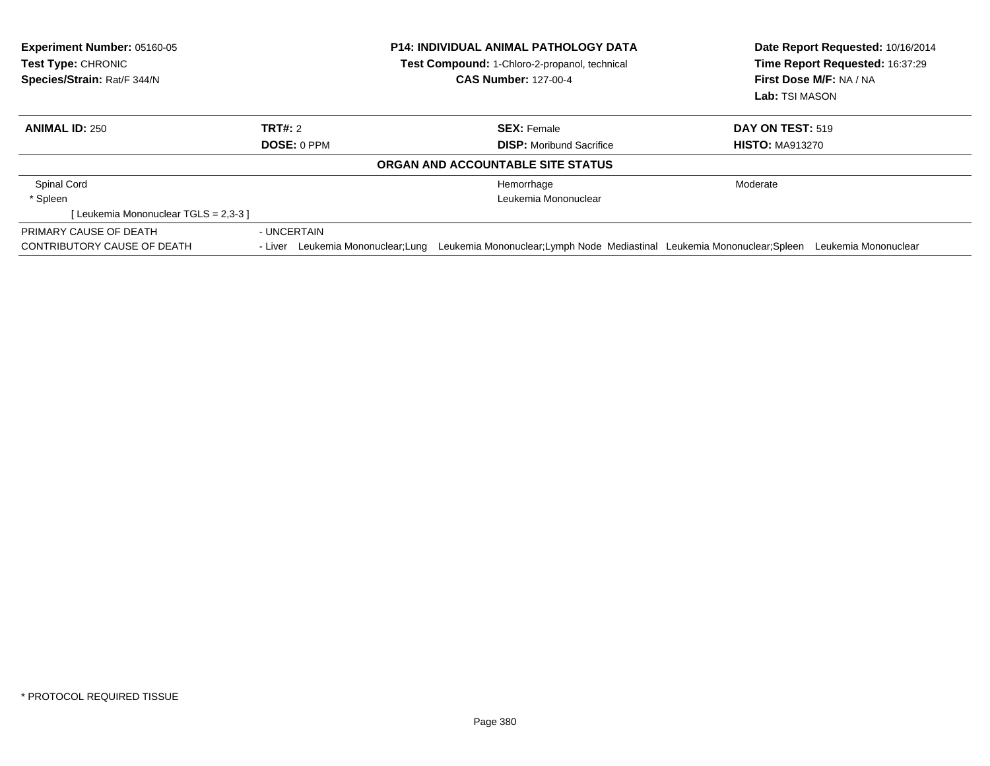| <b>Experiment Number: 05160-05</b><br><b>Test Type: CHRONIC</b><br>Species/Strain: Rat/F 344/N |                                    | <b>P14: INDIVIDUAL ANIMAL PATHOLOGY DATA</b><br><b>Test Compound: 1-Chloro-2-propanol, technical</b> | Date Report Requested: 10/16/2014<br>Time Report Requested: 16:37:29<br>First Dose M/F: NA / NA<br>Lab: TSI MASON |                      |
|------------------------------------------------------------------------------------------------|------------------------------------|------------------------------------------------------------------------------------------------------|-------------------------------------------------------------------------------------------------------------------|----------------------|
|                                                                                                |                                    | <b>CAS Number: 127-00-4</b>                                                                          |                                                                                                                   |                      |
|                                                                                                |                                    |                                                                                                      |                                                                                                                   |                      |
| <b>ANIMAL ID: 250</b>                                                                          | TRT#: 2                            | <b>SEX: Female</b>                                                                                   | <b>DAY ON TEST: 519</b>                                                                                           |                      |
|                                                                                                | <b>DOSE: 0 PPM</b>                 | <b>DISP:</b> Moribund Sacrifice                                                                      | <b>HISTO: MA913270</b>                                                                                            |                      |
|                                                                                                |                                    | ORGAN AND ACCOUNTABLE SITE STATUS                                                                    |                                                                                                                   |                      |
| Spinal Cord                                                                                    |                                    | Hemorrhage                                                                                           | Moderate                                                                                                          |                      |
| * Spleen                                                                                       |                                    | Leukemia Mononuclear                                                                                 |                                                                                                                   |                      |
| [Leukemia Mononuclear TGLS = 2,3-3]                                                            |                                    |                                                                                                      |                                                                                                                   |                      |
| PRIMARY CAUSE OF DEATH                                                                         | - UNCERTAIN                        |                                                                                                      |                                                                                                                   |                      |
| CONTRIBUTORY CAUSE OF DEATH                                                                    | - Liver Leukemia Mononuclear; Lung | Leukemia Mononuclear: Lymph Node Mediastinal Leukemia Mononuclear: Spleen                            |                                                                                                                   | Leukemia Mononuclear |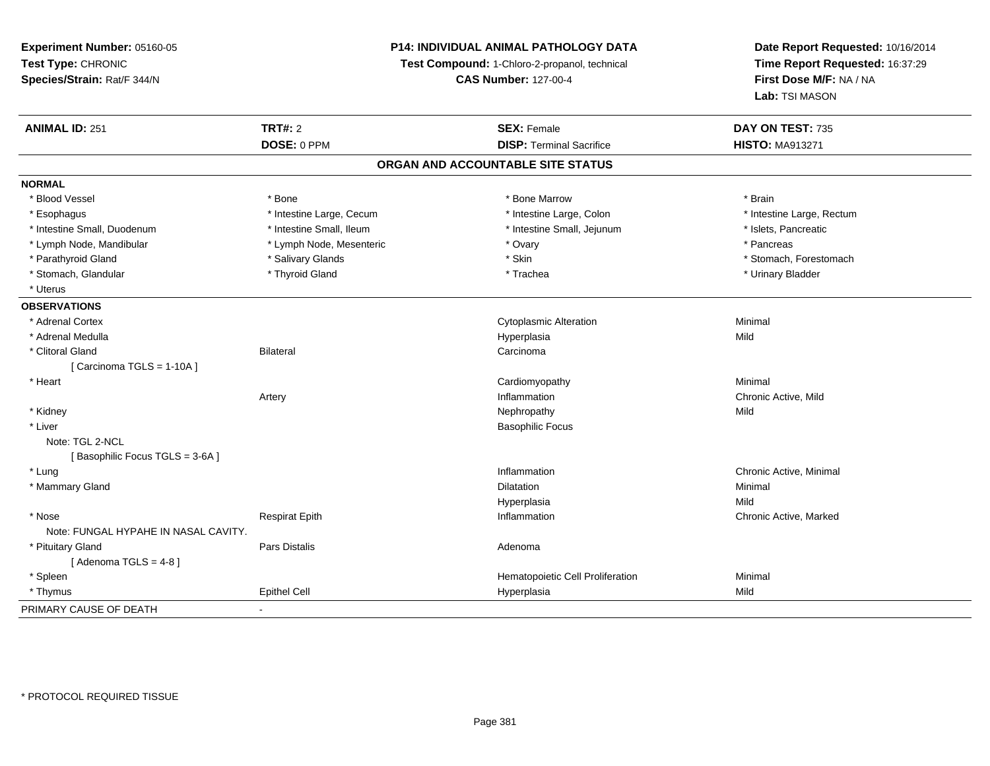**Experiment Number:** 05160-05**Test Type:** CHRONIC **Species/Strain:** Rat/F 344/N**P14: INDIVIDUAL ANIMAL PATHOLOGY DATATest Compound:** 1-Chloro-2-propanol, technical **CAS Number:** 127-00-4**Date Report Requested:** 10/16/2014**Time Report Requested:** 16:37:29**First Dose M/F:** NA / NA**Lab:** TSI MASON**ANIMAL ID:** 251**TRT#:** 2 **SEX:** Female **DAY ON TEST:** 735 **DOSE:** 0 PPM **DISP:** Terminal Sacrifice **HISTO:** MA913271 **ORGAN AND ACCOUNTABLE SITE STATUSNORMAL**\* Blood Vessel \* Blood Vessel \* \* Annual \* Bone \* \* Bone \* \* Bone \* \* Bone Marrow \* \* Bone Marrow \* \* Brain \* Brain \* Brain \* \* Esophagus \* Thestine Large, Cecum \* Intestine Large, Cecum \* Intestine Large, Colon \* Intestine Large, Rectum \* Intestine Small, Duodenum \* Intestine Small, Ileum \* Intestine Small, Jejunum \* Islets, Pancreatic\* Lymph Node, Mandibular \* The same of the Lymph Node, Mesenteric \* The same \* Ovary \* The same \* Pancreas \* Pancreas \* Parathyroid Gland \* \* Salivary Glands \* Salivary Glands \* Skin \* \* Skin \* \* Stomach, Forestomach, Forestomach \* Stomach, Glandular \* Thyroid Gland \* Thyroid Gland \* Trachea \* Trachea \* Trachea \* Urinary Bladder \* Uterus**OBSERVATIONS** \* Adrenal Cortex Cytoplasmic Alterationn Minimal \* Adrenal Medulla Hyperplasia Mild \* Clitoral Glandd Carcinoma Bilateral Carcinoma Carcinoma Carcinoma Carcinoma Carcinoma Carcinoma Carcinoma Carcinoma Carcinoma Carcinoma Carcinoma Carcinoma Carcinoma Carcinoma Carcinoma Carcinoma Carcinoma Carcinoma Carcinoma Carcinoma  $[$  Carcinoma TGLS = 1-10A  $]$  \* Heart Cardiomyopathy Minimal Artery Inflammation Chronic Active, Mild \* Kidneyy the control of the control of the control of the control of the control of the control of the control of the control of the control of the control of the control of the control of the control of the control of the contro \* Liver Basophilic FocusNote: TGL 2-NCL[Basophilic Focus TGLS = 3-6A] \* Lungg is a controller to the controller of the controller of the chronic Active, Minimal of the chronic Active, Minimal of the chronic Active, Minimal of the chronic Active, Minimal of the chronic Active, Minimal of the chroni \* Mammary Glandd and the control of the control of the control of the control of the control of the control of the control of the control of the control of the control of the control of the control of the control of the control of the co Hyperplasiaa Mild \* Nosee who discussed the Respirat Epith Inflammation Chronic Active, Marked and Respirat Epith Inflammation Chronic Active, Marked Note: FUNGAL HYPAHE IN NASAL CAVITY. \* Pituitary Glandd and the contract of Pars Distalis and the contract of Adenoma and Adenoma and the Adenoma and the Adenoma and  $\lambda$  $[$  Adenoma TGLS = 4-8  $]$  \* SpleenHematopoietic Cell Proliferation **Minimal**  \* Thymus Epithel Cell Hyperplasiaa Mild PRIMARY CAUSE OF DEATH-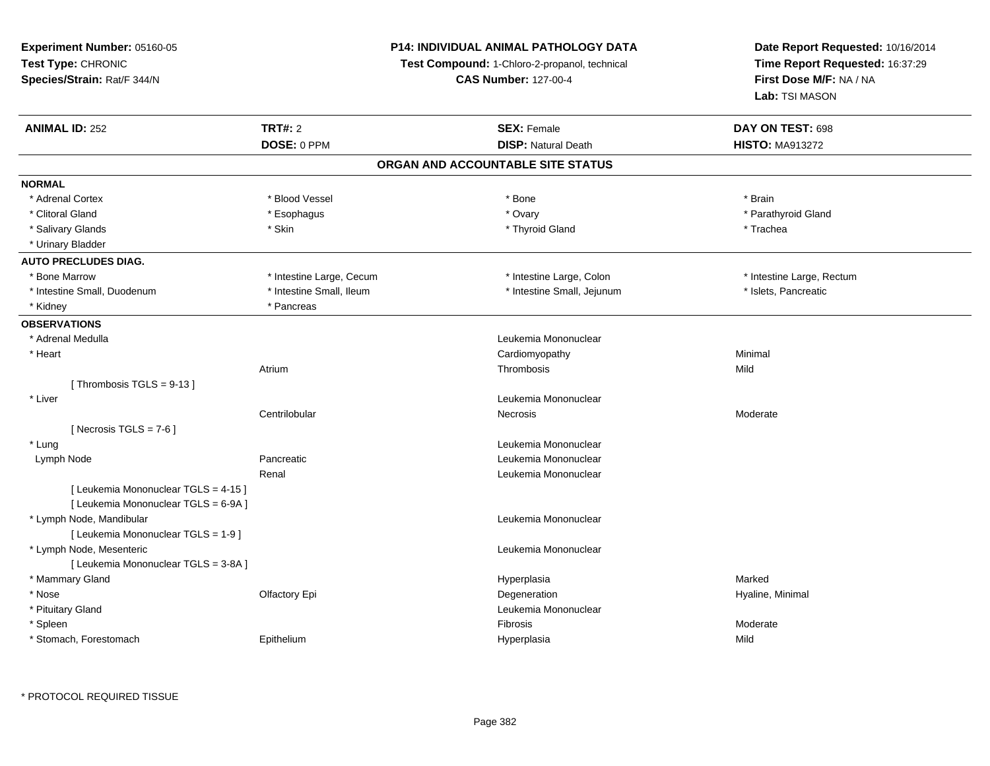## **P14: INDIVIDUAL ANIMAL PATHOLOGY DATA**

**Test Compound:** 1-Chloro-2-propanol, technical

**CAS Number:** 127-00-4

| <b>ANIMAL ID: 252</b>                | <b>TRT#: 2</b>           | <b>SEX: Female</b>                | DAY ON TEST: 698          |
|--------------------------------------|--------------------------|-----------------------------------|---------------------------|
|                                      | DOSE: 0 PPM              | <b>DISP: Natural Death</b>        | <b>HISTO: MA913272</b>    |
|                                      |                          | ORGAN AND ACCOUNTABLE SITE STATUS |                           |
| <b>NORMAL</b>                        |                          |                                   |                           |
| * Adrenal Cortex                     | * Blood Vessel           | * Bone                            | * Brain                   |
| * Clitoral Gland                     | * Esophagus              | * Ovary                           | * Parathyroid Gland       |
| * Salivary Glands                    | * Skin                   | * Thyroid Gland                   | * Trachea                 |
| * Urinary Bladder                    |                          |                                   |                           |
| <b>AUTO PRECLUDES DIAG.</b>          |                          |                                   |                           |
| * Bone Marrow                        | * Intestine Large, Cecum | * Intestine Large, Colon          | * Intestine Large, Rectum |
| * Intestine Small, Duodenum          | * Intestine Small, Ileum | * Intestine Small, Jejunum        | * Islets, Pancreatic      |
| * Kidney                             | * Pancreas               |                                   |                           |
| <b>OBSERVATIONS</b>                  |                          |                                   |                           |
| * Adrenal Medulla                    |                          | Leukemia Mononuclear              |                           |
| * Heart                              |                          | Cardiomyopathy                    | Minimal                   |
|                                      | Atrium                   | Thrombosis                        | Mild                      |
| [Thrombosis TGLS = $9-13$ ]          |                          |                                   |                           |
| * Liver                              |                          | Leukemia Mononuclear              |                           |
|                                      | Centrilobular            | <b>Necrosis</b>                   | Moderate                  |
| [ Necrosis TGLS = $7-6$ ]            |                          |                                   |                           |
| * Lung                               |                          | Leukemia Mononuclear              |                           |
| Lymph Node                           | Pancreatic               | Leukemia Mononuclear              |                           |
|                                      | Renal                    | Leukemia Mononuclear              |                           |
| [ Leukemia Mononuclear TGLS = 4-15 ] |                          |                                   |                           |
| [ Leukemia Mononuclear TGLS = 6-9A ] |                          |                                   |                           |
| * Lymph Node, Mandibular             |                          | Leukemia Mononuclear              |                           |
| [ Leukemia Mononuclear TGLS = 1-9 ]  |                          |                                   |                           |
| * Lymph Node, Mesenteric             |                          | Leukemia Mononuclear              |                           |
| [ Leukemia Mononuclear TGLS = 3-8A ] |                          |                                   |                           |
| * Mammary Gland                      |                          | Hyperplasia                       | Marked                    |
| * Nose                               | Olfactory Epi            | Degeneration                      | Hyaline, Minimal          |
| * Pituitary Gland                    |                          | Leukemia Mononuclear              |                           |
| * Spleen                             |                          | Fibrosis                          | Moderate                  |
| * Stomach, Forestomach               | Epithelium               | Hyperplasia                       | Mild                      |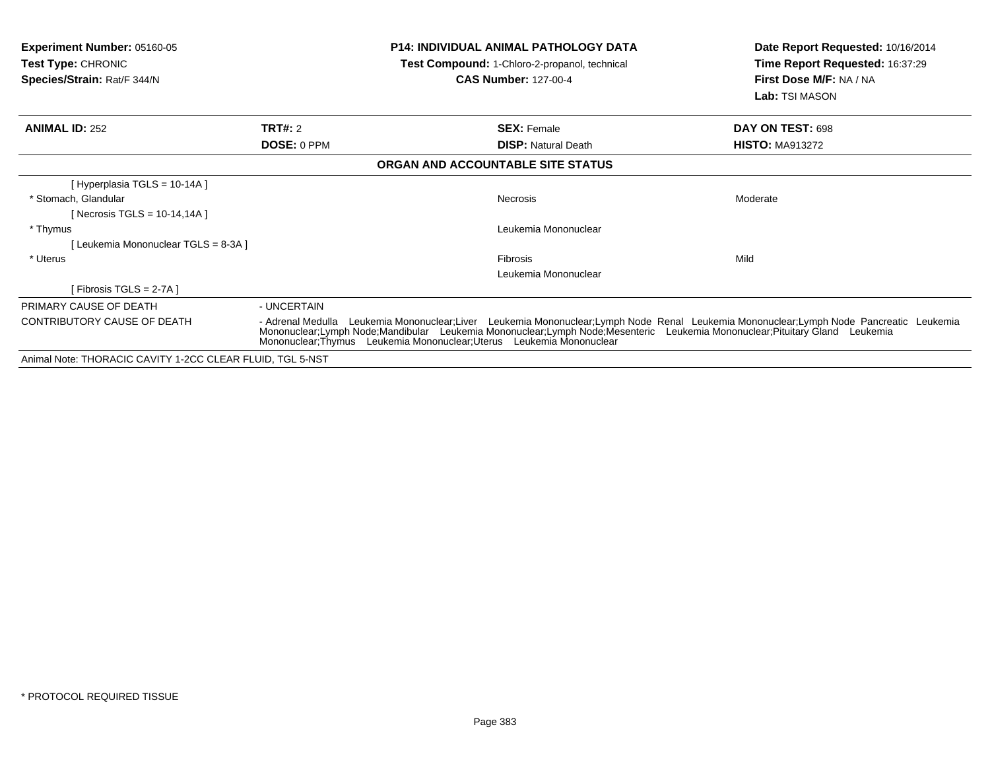| <b>Experiment Number: 05160-05</b><br><b>Test Type: CHRONIC</b><br>Species/Strain: Rat/F 344/N |                                                                                                                                                                                                                                                                                                                                                  | <b>P14: INDIVIDUAL ANIMAL PATHOLOGY DATA</b><br>Test Compound: 1-Chloro-2-propanol, technical<br><b>CAS Number: 127-00-4</b> | Date Report Requested: 10/16/2014<br>Time Report Requested: 16:37:29<br>First Dose M/F: NA / NA<br>Lab: TSI MASON |
|------------------------------------------------------------------------------------------------|--------------------------------------------------------------------------------------------------------------------------------------------------------------------------------------------------------------------------------------------------------------------------------------------------------------------------------------------------|------------------------------------------------------------------------------------------------------------------------------|-------------------------------------------------------------------------------------------------------------------|
| <b>ANIMAL ID: 252</b>                                                                          | <b>TRT#: 2</b><br>DOSE: 0 PPM                                                                                                                                                                                                                                                                                                                    | <b>SEX: Female</b><br><b>DISP:</b> Natural Death                                                                             | DAY ON TEST: 698<br><b>HISTO: MA913272</b>                                                                        |
|                                                                                                |                                                                                                                                                                                                                                                                                                                                                  | ORGAN AND ACCOUNTABLE SITE STATUS                                                                                            |                                                                                                                   |
| [Hyperplasia TGLS = 10-14A]                                                                    |                                                                                                                                                                                                                                                                                                                                                  |                                                                                                                              |                                                                                                                   |
| * Stomach, Glandular<br>[ Necrosis TGLS = 10-14,14A ]                                          |                                                                                                                                                                                                                                                                                                                                                  | Necrosis                                                                                                                     | Moderate                                                                                                          |
| * Thymus<br>[Leukemia Mononuclear TGLS = 8-3A]                                                 |                                                                                                                                                                                                                                                                                                                                                  | Leukemia Mononuclear                                                                                                         |                                                                                                                   |
| * Uterus                                                                                       |                                                                                                                                                                                                                                                                                                                                                  | <b>Fibrosis</b><br>Leukemia Mononuclear                                                                                      | Mild                                                                                                              |
| [Fibrosis TGLS = 2-7A]                                                                         |                                                                                                                                                                                                                                                                                                                                                  |                                                                                                                              |                                                                                                                   |
| PRIMARY CAUSE OF DEATH                                                                         | - UNCERTAIN                                                                                                                                                                                                                                                                                                                                      |                                                                                                                              |                                                                                                                   |
| CONTRIBUTORY CAUSE OF DEATH                                                                    | Leukemia Mononuclear;Liver Leukemia Mononuclear;Lymph Node Renal Leukemia Mononuclear;Lymph Node Pancreatic Leukemia<br>- Adrenal Medulla<br>Mononuclear;Lymph Node;Mandibular Leukemia Mononuclear;Lymph Node;Mesenteric Leukemia Mononuclear;Pituitary Gland Leukemia<br>Mononuclear; Thymus Leukemia Mononuclear; Uterus Leukemia Mononuclear |                                                                                                                              |                                                                                                                   |
| Animal Note: THORACIC CAVITY 1-2CC CLEAR FLUID, TGL 5-NST                                      |                                                                                                                                                                                                                                                                                                                                                  |                                                                                                                              |                                                                                                                   |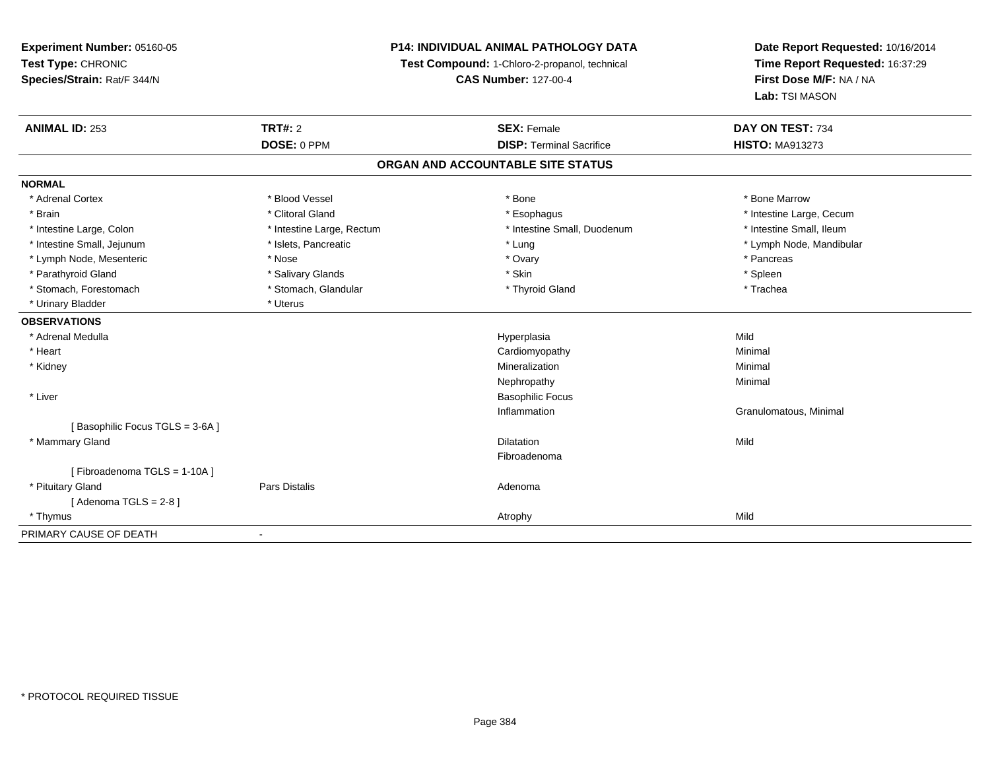**Experiment Number:** 05160-05**Test Type:** CHRONIC **Species/Strain:** Rat/F 344/N**P14: INDIVIDUAL ANIMAL PATHOLOGY DATATest Compound:** 1-Chloro-2-propanol, technical **CAS Number:** 127-00-4**Date Report Requested:** 10/16/2014**Time Report Requested:** 16:37:29**First Dose M/F:** NA / NA**Lab:** TSI MASON**ANIMAL ID:** 253**TRT#:** 2 **SEX:** Female **DAY ON TEST:** 734 **DOSE:** 0 PPM**DISP:** Terminal Sacrifice **HISTO:** MA913273 **ORGAN AND ACCOUNTABLE SITE STATUSNORMAL**\* Adrenal Cortex \* Adrenal Cortex \* \* Attachers \* Blood Vessel \* \* Bone \* \* \* Bone \* \* Bone \* \* Bone \* Bone Marrow \* Bone Marrow \* Brain \* Alternation of the state of the state of the state of the state of the state of the state of the state of the state of the state of the state of the state of the state of the state of the state of the state of th \* Intestine Small, Ileum \* Intestine Large, Colon \* Intestine Large, Rectum \* Intestine Small, Duodenum \* Intestine Small, Duodenum \* Intestine Small, Jejunum \* \* \* https://www.fat.com/setter/educition/setter/filesophysics.com/setter/filesophysics.com/setter/filesophysics.com/setter/filesophysics.com/setter/filesophysics.com/setter/filesophysics.com/se \* Lymph Node, Mesenteric \* The matrix of the term in the term in the term in the term in the term in the term in the term in the term in the term in the term in the term in the term in the term in the term in the term in t \* Parathyroid Gland \* \* Salivary Glands \* Salivary Glands \* Skin \* Skin \* State \* Spleen \* Spleen \* Spleen \* Spleen \* Trachea \* Stomach, Forestomach \* The stormach \* Stomach, Glandular \* Thyroid Gland \* Thyroid Gland \* \* Urinary Bladder \* Uterus **OBSERVATIONS** \* Adrenal Medulla Hyperplasia Mild \* Heart Cardiomyopathy Minimal \* Kidneyy with the control of the control of the control of the control of the control of the control of the control of the control of the control of the control of the control of the control of the control of the control of the c n Minimal Nephropathyy the contract of the Minimal Minimal Section 1996 and the contract of the Minimal Section 1997 and the contract of the contract of the contract of the contract of the contract of the contract of the contract of the contra \* Liver Basophilic FocusInflammation Granulomatous, Minimal [ Basophilic Focus TGLS = 3-6A ] \* Mammary Glandd and the control of the control of the control of the control of the control of the control of the control of the control of the control of the control of the control of the control of the control of the control of the co Fibroadenoma[ Fibroadenoma TGLS = 1-10A ] \* Pituitary Glandd and the contract of Pars Distalis and the contract of Adenoma and Adenoma and the Adenoma and the Adenoma and  $\lambda$  $[$  Adenoma TGLS = 2-8  $]$  \* Thymuss and the control of the control of the control of the control of the control of the control of the control of the control of the control of the control of the control of the control of the control of the control of the co PRIMARY CAUSE OF DEATH-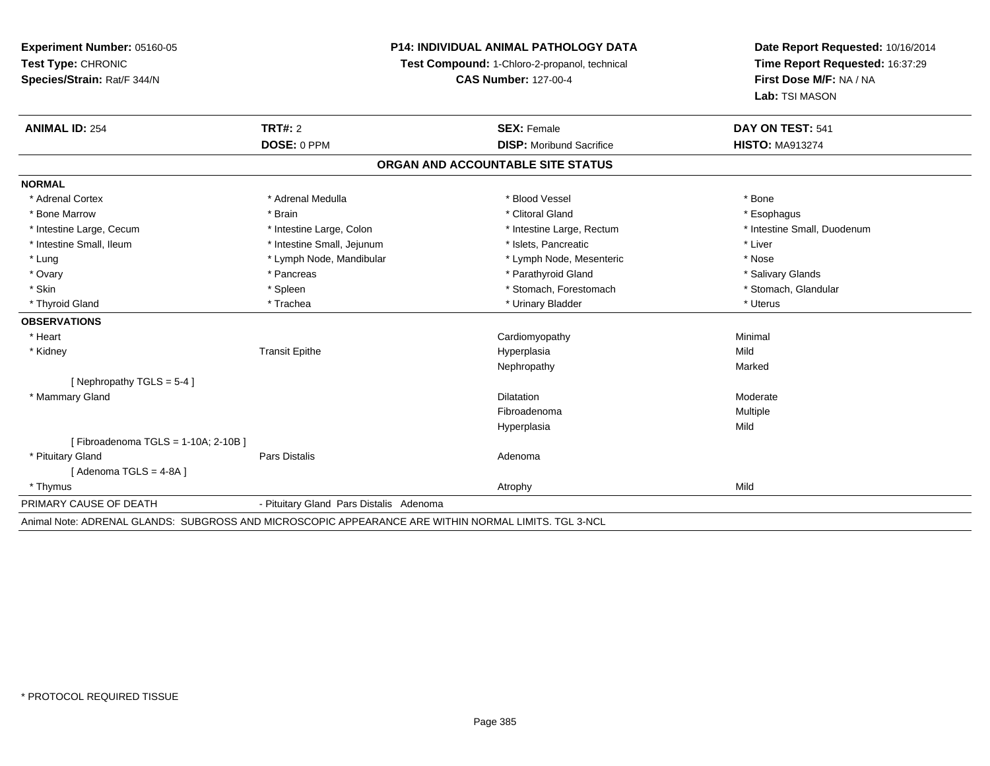## **P14: INDIVIDUAL ANIMAL PATHOLOGY DATA**

**Test Compound:** 1-Chloro-2-propanol, technical

**CAS Number:** 127-00-4

| <b>ANIMAL ID: 254</b>                 | <b>TRT#: 2</b>                                                                                       | <b>SEX: Female</b>                | DAY ON TEST: 541            |
|---------------------------------------|------------------------------------------------------------------------------------------------------|-----------------------------------|-----------------------------|
|                                       | DOSE: 0 PPM                                                                                          | <b>DISP:</b> Moribund Sacrifice   | <b>HISTO: MA913274</b>      |
|                                       |                                                                                                      | ORGAN AND ACCOUNTABLE SITE STATUS |                             |
| <b>NORMAL</b>                         |                                                                                                      |                                   |                             |
| * Adrenal Cortex                      | * Adrenal Medulla                                                                                    | * Blood Vessel                    | * Bone                      |
| * Bone Marrow                         | * Brain                                                                                              | * Clitoral Gland                  | * Esophagus                 |
| * Intestine Large, Cecum              | * Intestine Large, Colon                                                                             | * Intestine Large, Rectum         | * Intestine Small, Duodenum |
| * Intestine Small, Ileum              | * Intestine Small, Jejunum                                                                           | * Islets, Pancreatic              | * Liver                     |
| * Lung                                | * Lymph Node, Mandibular                                                                             | * Lymph Node, Mesenteric          | * Nose                      |
| * Ovary                               | * Pancreas                                                                                           | * Parathyroid Gland               | * Salivary Glands           |
| * Skin                                | * Spleen                                                                                             | * Stomach, Forestomach            | * Stomach, Glandular        |
| * Thyroid Gland                       | * Trachea                                                                                            | * Urinary Bladder                 | * Uterus                    |
| <b>OBSERVATIONS</b>                   |                                                                                                      |                                   |                             |
| * Heart                               |                                                                                                      | Cardiomyopathy                    | Minimal                     |
| * Kidney                              | <b>Transit Epithe</b>                                                                                | Hyperplasia                       | Mild                        |
|                                       |                                                                                                      | Nephropathy                       | Marked                      |
| [ Nephropathy $TGLS = 5-4$ ]          |                                                                                                      |                                   |                             |
| * Mammary Gland                       |                                                                                                      | <b>Dilatation</b>                 | Moderate                    |
|                                       |                                                                                                      | Fibroadenoma                      | Multiple                    |
|                                       |                                                                                                      | Hyperplasia                       | Mild                        |
| [Fibroadenoma TGLS = $1-10A$ ; 2-10B] |                                                                                                      |                                   |                             |
| * Pituitary Gland                     | Pars Distalis                                                                                        | Adenoma                           |                             |
| [Adenoma TGLS = 4-8A]                 |                                                                                                      |                                   |                             |
| * Thymus                              |                                                                                                      | Atrophy                           | Mild                        |
| PRIMARY CAUSE OF DEATH                | - Pituitary Gland Pars Distalis Adenoma                                                              |                                   |                             |
|                                       | Animal Note: ADRENAL GLANDS: SUBGROSS AND MICROSCOPIC APPEARANCE ARE WITHIN NORMAL LIMITS, TGL 3-NCL |                                   |                             |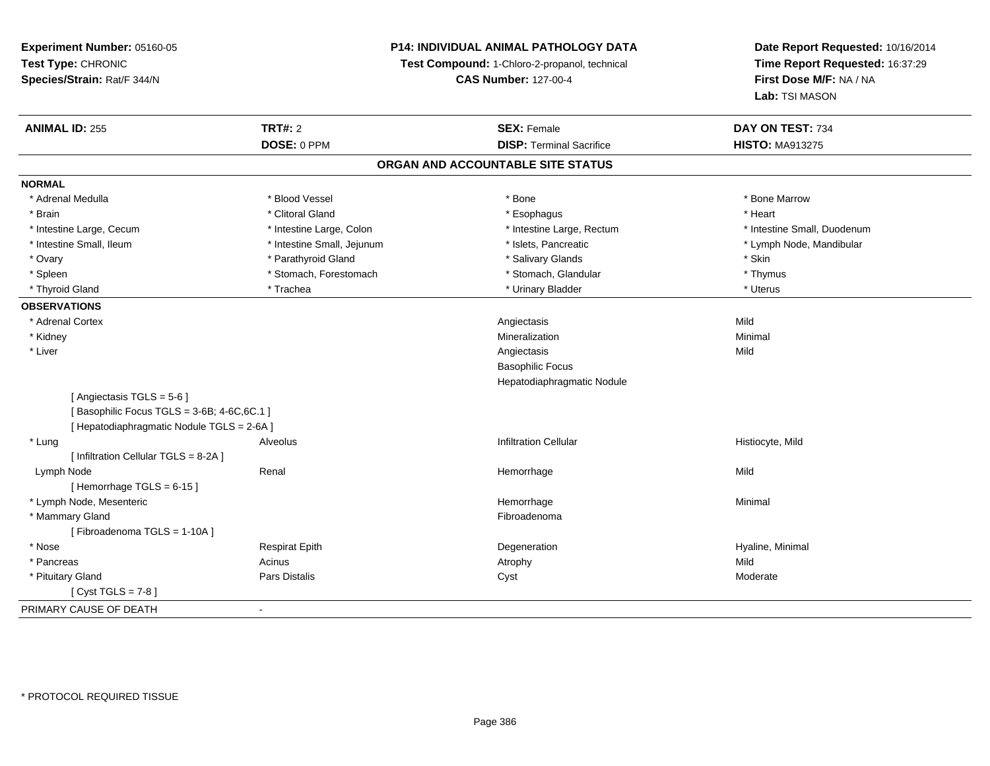**Experiment Number:** 05160-05**Test Type:** CHRONIC **Species/Strain:** Rat/F 344/N**P14: INDIVIDUAL ANIMAL PATHOLOGY DATATest Compound:** 1-Chloro-2-propanol, technical **CAS Number:** 127-00-4**Date Report Requested:** 10/16/2014**Time Report Requested:** 16:37:29**First Dose M/F:** NA / NA**Lab:** TSI MASON**ANIMAL ID:** 255**TRT#:** 2 **SEX:** Female **DAY ON TEST:** 734 **DOSE:** 0 PPM**DISP:** Terminal Sacrifice **HISTO:** MA913275 **ORGAN AND ACCOUNTABLE SITE STATUSNORMAL**\* Adrenal Medulla \* \* \* Blood Vessel \* \* \* Bone Marrow \* \* Bone Marrow \* \* Bone Marrow \* Brain \* Alternative of the state of the state of the state of the state of the state of the state of the state of the state of the state of the state of the state of the state of the state of the state of the state of th \* Intestine Large, Cecum \* Intestine Large, Colon \* Intestine Large, Rectum \* Intestine Small, Duodenum\* Intestine Small, Ileum \* \* Thestine Small, Jejunum \* \* Sets, Pancreatic \* \* Thestine Small, Nejunum \* Lymph Node, Mandibular \* Ovary \* The state of the state of the state of the state of the state of the state of the state of the state \* Skin \* Skin \* Skin \* Skin \* Skin \* Skin \* Skin \* Skin \* Skin \* Skin \* Skin \* Skin \* Skin \* Skin \* Skin \* Skin \* Thymus \* Spleen \* Stomach, Forestomach \* Stomach, Spleen \* Stomach, Glandular \* Stomach, Glandular \* Uterus \* Thyroid Gland \* \* Trachea \* \* Trachea \* Trachea \* \* Urinary Bladder \* \* Urinary Bladder \* \* Uterus \* Uterus **OBSERVATIONS** \* Adrenal Cortexx and the control of the control of the control of the control of the control of the control of the control of the control of the control of the control of the control of the control of the control of the control of the co Minimal \* Kidneyy with the control of the control of the control of the control of the control of the control of the control of the control of the control of the control of the control of the control of the control of the control of the c n Minimal \* Liverr and the contract of the contract of the contract of the contract of the contract of the contract of the contract of the contract of the contract of the contract of the contract of the contract of the contract of the cont s Mild Basophilic Focus Hepatodiaphragmatic Nodule[ Angiectasis TGLS = 5-6 ][ Basophilic Focus TGLS =  $3-6B$ ;  $4-6C$ ,  $6C.1$  ] [ Hepatodiaphragmatic Nodule TGLS = 2-6A ] \* Lung Alveolus Infiltration Cellular Histiocyte, Mild [ Infiltration Cellular TGLS = 8-2A ] Lymph Nodee the second terms of the Renal and the Mild of the Hemorrhage terms of the Mild of Mild of the Mild of the Mild of the Mild of the Mild of the Mild of the Mild of the Mild of the Mild of the Mild of the Mild of the Mild o  $[$  Hemorrhage TGLS = 6-15  $]$  \* Lymph Node, Mesentericc and the contract of the contract of the contract of the contract of the contract of the contract of the contract of the contract of the contract of the contract of the contract of the contract of the contract of the cont e Minimal \* Mammary Glandd **Executive Contract of the Contract Contract Contract Contract Contract Contract Contract Contract Contract Contract Contract Contract Contract Contract Contract Contract Contract Contract Contract Contract Contract Cont** [ Fibroadenoma TGLS = 1-10A ] \* Nose Respirat Epith Degeneration Hyaline, Minimal \* Pancreass and the contract of the Acinus and Acinus and Acinus and Acinus Atrophy and Acinus and Mild Moderate \* Pituitary Gland Pars Distalis Cyst Moderate [ Cyst TGLS = 7-8 ]PRIMARY CAUSE OF DEATH-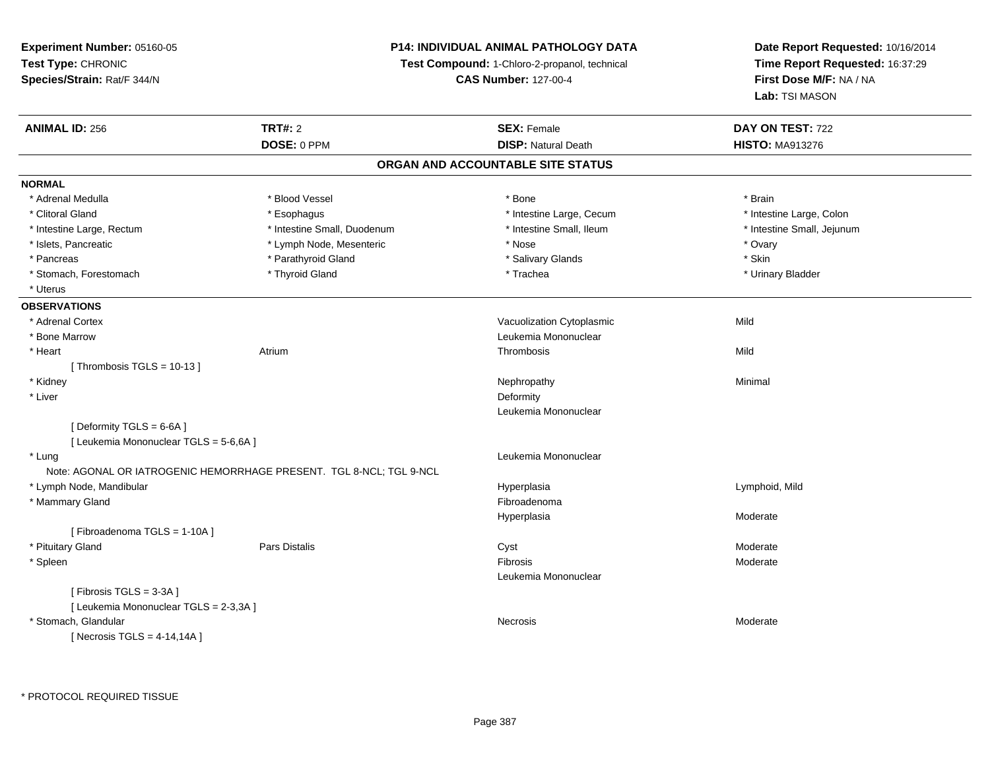**Experiment Number:** 05160-05**Test Type:** CHRONIC **Species/Strain:** Rat/F 344/N**P14: INDIVIDUAL ANIMAL PATHOLOGY DATATest Compound:** 1-Chloro-2-propanol, technical **CAS Number:** 127-00-4**Date Report Requested:** 10/16/2014**Time Report Requested:** 16:37:29**First Dose M/F:** NA / NA**Lab:** TSI MASON**ANIMAL ID:** 256 **TRT#:** <sup>2</sup> **SEX:** Female **DAY ON TEST:** <sup>722</sup> **DOSE:** 0 PPM**DISP:** Natural Death **HISTO:** MA913276 **ORGAN AND ACCOUNTABLE SITE STATUSNORMAL** \* Adrenal Medulla \* Blood Vessel \* Bone \* Brain\* Intestine Large, Colon \* Clitoral Gland \* **Esophagus** \* Esophagus \* **All 2008** \* Intestine Large, Cecum \* 1 \* Intestine Large, Rectum \* Thestine Small, Duodenum \* Number of the small, Ileum \* Intestine Small, Jejunum \* Intestine Small, Jejunum \* Islets, Pancreatic \* The matches of the Lymph Node, Mesenteric \* Nose \* Nose \* Nose \* Ovary \* Ovary \* Skin \* Pancreas \* Pancreas \* Pancreas \* Pancreas \* Pancreas \* Salivary Glands \* Salivary Glands \* Salivary Glands \* \* Urinary Bladder \* Stomach, Forestomach \* Thyroid Gland \* Thyroid Gland \* Trachea \* Uterus**OBSERVATIONS** \* Adrenal CortexVacuolization Cytoplasmic **Mild**  \* Bone Marrow Leukemia Mononuclear \* Heartt **Atrium** m and the control of the Thrombosis and the Control of the Mild of the Mild of the Mild of the Mild of the Mild of the Mild of the Mild of the Mild of the Mild of the Mild of the Mild of the Mild of the Mild of the Mild of  $[$  Thrombosis TGLS = 10-13  $]$  \* Kidneyy the control of the control of the control of the control of the control of the control of the control of the control of the control of the control of the control of the control of the control of the control of the contro \* Liver**Deformity** and the contract of the contract of the contract of the contract of the contract of the contract of the contract of the contract of the contract of the contract of the contract of the contract of the contract o Leukemia Mononuclear[ Deformity TGLS = 6-6A ][ Leukemia Mononuclear TGLS = 5-6,6A ] \* Lung Leukemia Mononuclear Note: AGONAL OR IATROGENIC HEMORRHAGE PRESENT. TGL 8-NCL; TGL 9-NCL \* Lymph Node, Mandibular Hyperplasia Lymphoid, Mild \* Mammary Glandd **Executive Contract of the Contract Contract Contract Contract Contract Contract Contract Contract Contract Contract Contract Contract Contract Contract Contract Contract Contract Contract Contract Contract Contract Cont** Hyperplasia Moderate [ Fibroadenoma TGLS = 1-10A ] \* Pituitary Gland Pars Distalis Cyst Moderate \* Spleenn and the state of the state of the state of the state of the state of the state of the state of the state of the state of the state of the state of the state of the state of the state of the state of the state of the stat Leukemia Mononuclear[ Fibrosis TGLS = 3-3A ][ Leukemia Mononuclear TGLS = 2-3,3A ] \* Stomach, Glandularr and the contract of the contract of the contract of the contract of the contract of the contract of the contract of the contract of the contract of the contract of the contract of the contract of the contract of the cont Necrosis Moderate  $[$  Necrosis TGLS = 4-14,14A  $]$ 

\* PROTOCOL REQUIRED TISSUE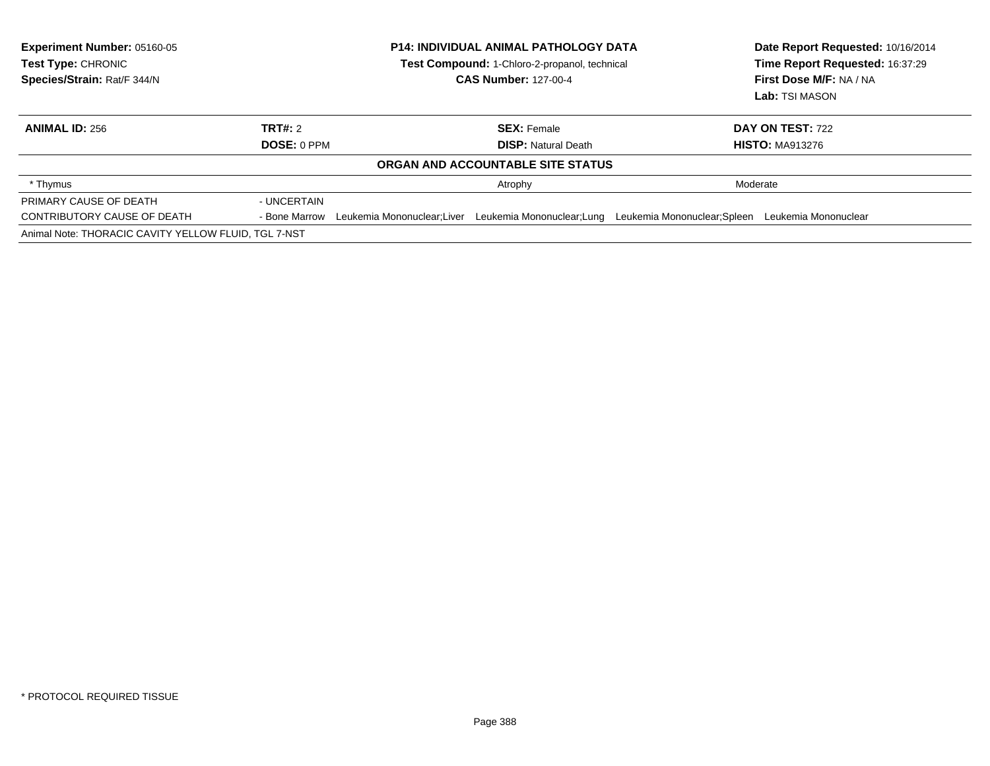| <b>Experiment Number: 05160-05</b><br><b>Test Type: CHRONIC</b><br>Species/Strain: Rat/F 344/N | <b>P14: INDIVIDUAL ANIMAL PATHOLOGY DATA</b><br>Test Compound: 1-Chloro-2-propanol, technical<br><b>CAS Number: 127-00-4</b> |                                                  |                                                   | Date Report Requested: 10/16/2014<br>Time Report Requested: 16:37:29<br><b>First Dose M/F: NA / NA</b><br>Lab: TSI MASON |
|------------------------------------------------------------------------------------------------|------------------------------------------------------------------------------------------------------------------------------|--------------------------------------------------|---------------------------------------------------|--------------------------------------------------------------------------------------------------------------------------|
| <b>ANIMAL ID: 256</b>                                                                          | TRT#: 2<br>DOSE: 0 PPM                                                                                                       | <b>SEX: Female</b><br><b>DISP:</b> Natural Death |                                                   | DAY ON TEST: 722<br><b>HISTO: MA913276</b>                                                                               |
|                                                                                                |                                                                                                                              | ORGAN AND ACCOUNTABLE SITE STATUS                |                                                   |                                                                                                                          |
| * Thymus                                                                                       |                                                                                                                              | Atrophy                                          | Moderate                                          |                                                                                                                          |
| PRIMARY CAUSE OF DEATH                                                                         | - UNCERTAIN                                                                                                                  |                                                  |                                                   |                                                                                                                          |
| CONTRIBUTORY CAUSE OF DEATH                                                                    | Leukemia Mononuclear:Liver<br>- Bone Marrow                                                                                  | Leukemia Mononuclear;Lung                        | Leukemia Mononuclear; Spleen Leukemia Mononuclear |                                                                                                                          |
| Animal Note: THORACIC CAVITY YELLOW FLUID, TGL 7-NST                                           |                                                                                                                              |                                                  |                                                   |                                                                                                                          |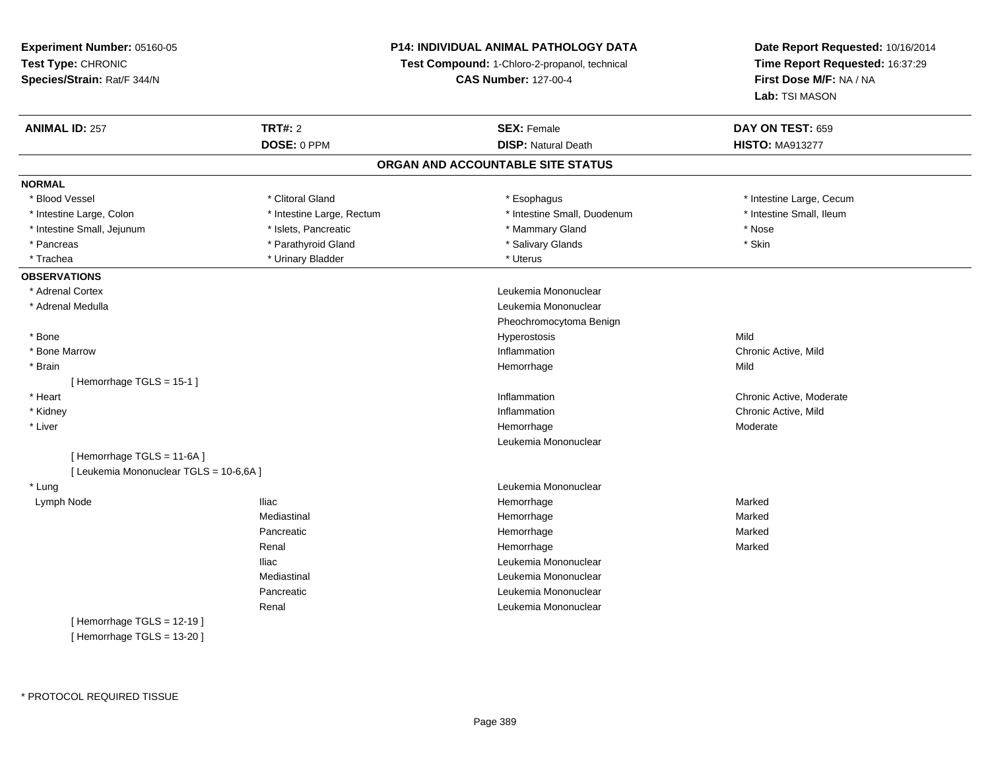## **P14: INDIVIDUAL ANIMAL PATHOLOGY DATA**

**Test Compound:** 1-Chloro-2-propanol, technical

**CAS Number:** 127-00-4

| <b>ANIMAL ID: 257</b>                   | <b>TRT#: 2</b>            | <b>SEX: Female</b>                | DAY ON TEST: 659         |
|-----------------------------------------|---------------------------|-----------------------------------|--------------------------|
|                                         | DOSE: 0 PPM               | <b>DISP: Natural Death</b>        | <b>HISTO: MA913277</b>   |
|                                         |                           | ORGAN AND ACCOUNTABLE SITE STATUS |                          |
| <b>NORMAL</b>                           |                           |                                   |                          |
| * Blood Vessel                          | * Clitoral Gland          | * Esophagus                       | * Intestine Large, Cecum |
| * Intestine Large, Colon                | * Intestine Large, Rectum | * Intestine Small, Duodenum       | * Intestine Small, Ileum |
| * Intestine Small, Jejunum              | * Islets, Pancreatic      | * Mammary Gland                   | * Nose                   |
| * Pancreas                              | * Parathyroid Gland       | * Salivary Glands                 | * Skin                   |
| * Trachea                               | * Urinary Bladder         | * Uterus                          |                          |
| <b>OBSERVATIONS</b>                     |                           |                                   |                          |
| * Adrenal Cortex                        |                           | Leukemia Mononuclear              |                          |
| * Adrenal Medulla                       |                           | Leukemia Mononuclear              |                          |
|                                         |                           | Pheochromocytoma Benign           |                          |
| * Bone                                  |                           | Hyperostosis                      | Mild                     |
| * Bone Marrow                           |                           | Inflammation                      | Chronic Active, Mild     |
| * Brain                                 |                           | Hemorrhage                        | Mild                     |
| [Hemorrhage TGLS = 15-1]                |                           |                                   |                          |
| * Heart                                 |                           | Inflammation                      | Chronic Active, Moderate |
| * Kidney                                |                           | Inflammation                      | Chronic Active, Mild     |
| * Liver                                 |                           | Hemorrhage                        | Moderate                 |
|                                         |                           | Leukemia Mononuclear              |                          |
| [Hemorrhage TGLS = 11-6A]               |                           |                                   |                          |
| [ Leukemia Mononuclear TGLS = 10-6,6A ] |                           |                                   |                          |
| * Lung                                  |                           | Leukemia Mononuclear              |                          |
| Lymph Node                              | <b>Iliac</b>              | Hemorrhage                        | Marked                   |
|                                         | Mediastinal               | Hemorrhage                        | Marked                   |
|                                         | Pancreatic                | Hemorrhage                        | Marked                   |
|                                         | Renal                     | Hemorrhage                        | Marked                   |
|                                         | <b>Iliac</b>              | Leukemia Mononuclear              |                          |
|                                         | Mediastinal               | Leukemia Mononuclear              |                          |
|                                         | Pancreatic                | Leukemia Mononuclear              |                          |
|                                         | Renal                     | Leukemia Mononuclear              |                          |
| [Hemorrhage TGLS = $12-19$ ]            |                           |                                   |                          |
| [Hemorrhage TGLS = 13-20]               |                           |                                   |                          |
|                                         |                           |                                   |                          |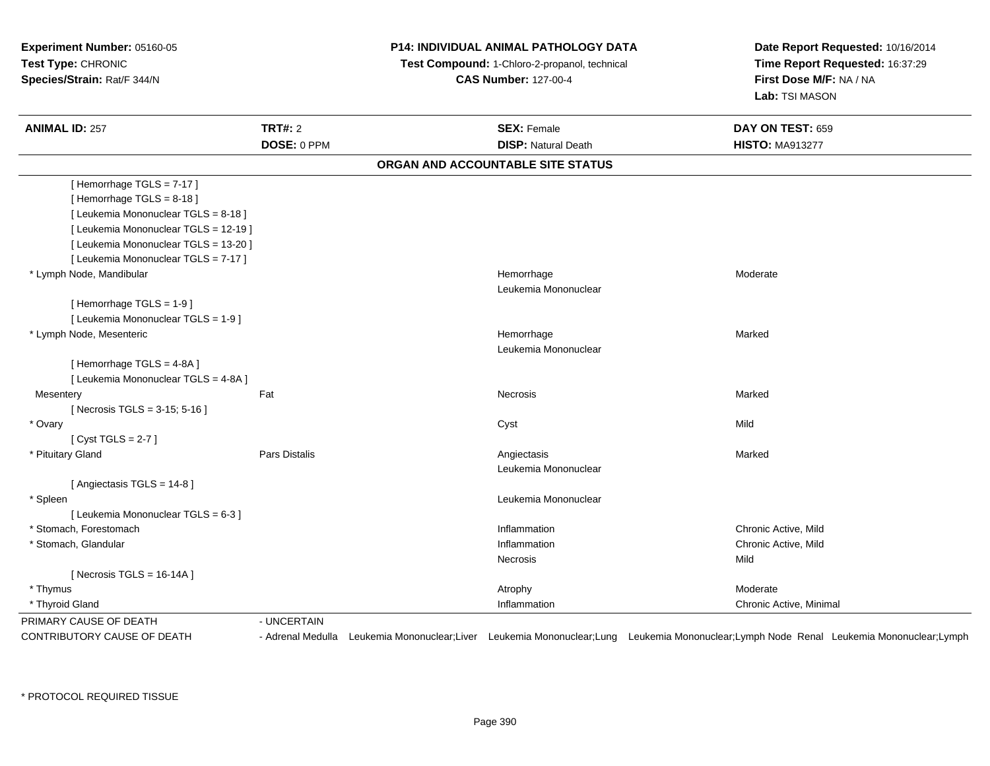**Experiment Number:** 05160-05**Test Type:** CHRONIC **Species/Strain:** Rat/F 344/N**P14: INDIVIDUAL ANIMAL PATHOLOGY DATATest Compound:** 1-Chloro-2-propanol, technical **CAS Number:** 127-00-4**Date Report Requested:** 10/16/2014**Time Report Requested:** 16:37:29**First Dose M/F:** NA / NA**Lab:** TSI MASON**ANIMAL ID:** 257**TRT#:** 2 **SEX:** Female **DAY ON TEST:** 659 **DOSE:** 0 PPM**DISP:** Natural Death **HISTO:** MA913277 **ORGAN AND ACCOUNTABLE SITE STATUS**[ Hemorrhage TGLS = 7-17 ][ Hemorrhage TGLS = 8-18 ][ Leukemia Mononuclear TGLS = 8-18 ][ Leukemia Mononuclear TGLS = 12-19 ][ Leukemia Mononuclear TGLS = 13-20 ][ Leukemia Mononuclear TGLS = 7-17 ] \* Lymph Node, Mandibular Hemorrhage Moderate Leukemia Mononuclear[ Hemorrhage TGLS = 1-9 ][ Leukemia Mononuclear TGLS = 1-9 ] \* Lymph Node, Mesentericc **Example 2018 Hemorrhage** e Marked Leukemia Mononuclear[ Hemorrhage TGLS = 4-8A ][ Leukemia Mononuclear TGLS = 4-8A ]**Mesentery** y the controller of the state of the controller of the Marked State of the Marked State of the Marked State of [ Necrosis TGLS = 3-15; 5-16 ] \* Ovaryy and the control of the control of the control of the control of the control of the control of the control of the control of the control of the control of the control of the control of the control of the control of the co  $[$  Cyst TGLS = 2-7  $]$  \* Pituitary Gland Pars Distalis Angiectasis Marked Leukemia Mononuclear[ Angiectasis TGLS = 14-8 ] \* Spleen Leukemia Mononuclear [ Leukemia Mononuclear TGLS = 6-3 ] \* Stomach, Forestomachh ann an t-ìre ann an t-ìre ann an t-ìre ann an t-ìre ann an t-ìre ann an t-ìre ann an t-ìre ann an t-ìre ann an t-ìre ann an t-ìre ann an t-ìre ann an t-ìre ann an t-ìre ann an t-ìre ann an t-ìre ann an t-ìre ann an t-ìre \* Stomach, Glandular**Inflammation Inflammation**  Chronic Active, Mild Necrosiss and the contract of the Mild [ Necrosis TGLS = 16-14A ] \* Thymuss and the control of the control of the control of the control of the control of the control of the control of the control of the control of the control of the control of the control of the control of the control of the co Chronic Active, Minimal \* Thyroid Glandd and the control of the control of the control of the control of the chronic Active, Minimal of the control of the control of the control of the control of the control of the control of the control of the control of the c PRIMARY CAUSE OF DEATH - UNCERTAIN CONTRIBUTORY CAUSE OF DEATH- Adrenal Medulla Leukemia Mononuclear;Liver Leukemia Mononuclear;Lung Leukemia Mononuclear;Lymph Node Renal Leukemia Mononuclear;Lymph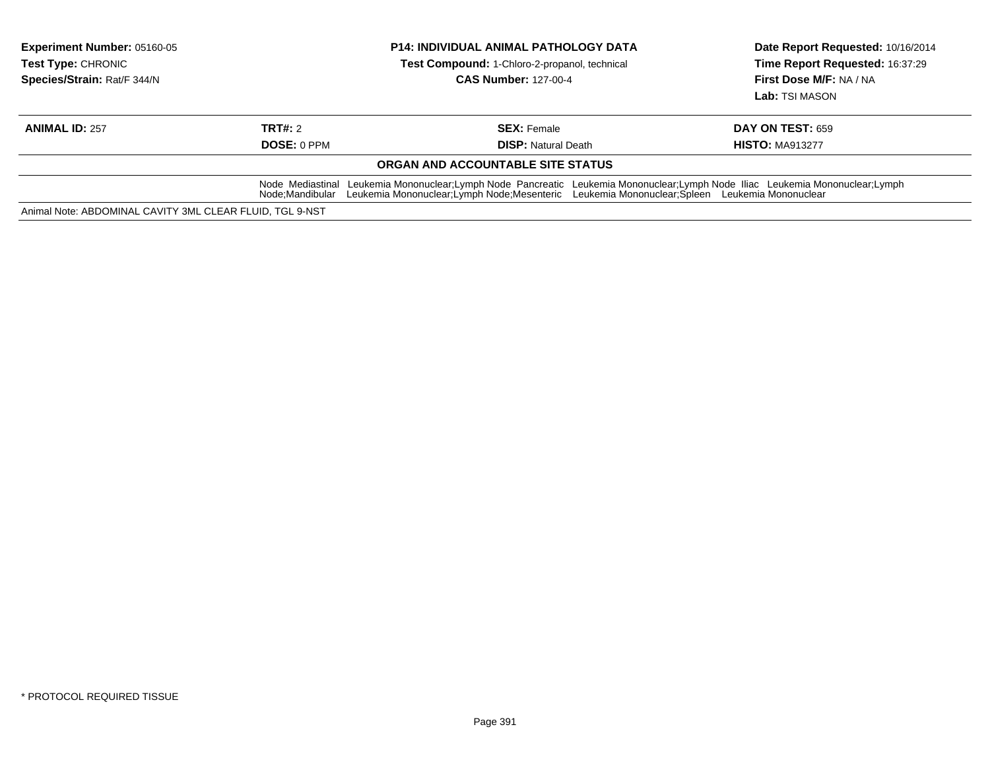| <b>Experiment Number: 05160-05</b><br><b>Test Type: CHRONIC</b><br>Species/Strain: Rat/F 344/N |                                                                                                                                                                                                                                                   | <b>P14: INDIVIDUAL ANIMAL PATHOLOGY DATA</b><br>Test Compound: 1-Chloro-2-propanol, technical<br><b>CAS Number: 127-00-4</b> | Date Report Requested: 10/16/2014<br>Time Report Requested: 16:37:29<br>First Dose M/F: NA / NA<br>Lab: TSI MASON |  |  |
|------------------------------------------------------------------------------------------------|---------------------------------------------------------------------------------------------------------------------------------------------------------------------------------------------------------------------------------------------------|------------------------------------------------------------------------------------------------------------------------------|-------------------------------------------------------------------------------------------------------------------|--|--|
| <b>ANIMAL ID: 257</b>                                                                          | TRT#: 2                                                                                                                                                                                                                                           | <b>SEX:</b> Female                                                                                                           | <b>DAY ON TEST: 659</b>                                                                                           |  |  |
|                                                                                                | <b>DOSE: 0 PPM</b>                                                                                                                                                                                                                                | <b>DISP:</b> Natural Death                                                                                                   | <b>HISTO: MA913277</b>                                                                                            |  |  |
|                                                                                                |                                                                                                                                                                                                                                                   | ORGAN AND ACCOUNTABLE SITE STATUS                                                                                            |                                                                                                                   |  |  |
|                                                                                                | Leukemia Mononuclear;Lymph Node Pancreatic Leukemia Mononuclear;Lymph Node Iliac Leukemia Mononuclear;Lymph<br>Node Mediastinal<br>Leukemia Mononuclear;Lýmph Node;Mesenteric Leukemia Mononuclear;Spleen Leukemia Mononuclear<br>Node:Mandibular |                                                                                                                              |                                                                                                                   |  |  |
| Animal Note: ABDOMINAL CAVITY 3ML CLEAR FLUID, TGL 9-NST                                       |                                                                                                                                                                                                                                                   |                                                                                                                              |                                                                                                                   |  |  |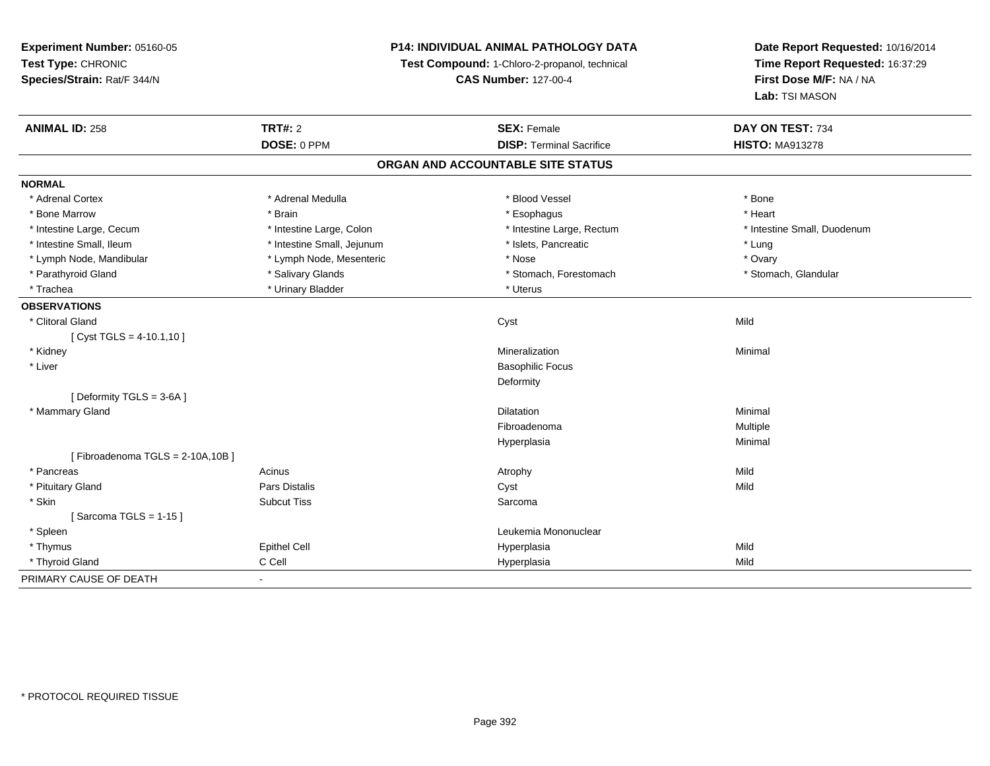**Experiment Number:** 05160-05**Test Type:** CHRONIC **Species/Strain:** Rat/F 344/N**P14: INDIVIDUAL ANIMAL PATHOLOGY DATATest Compound:** 1-Chloro-2-propanol, technical **CAS Number:** 127-00-4**Date Report Requested:** 10/16/2014**Time Report Requested:** 16:37:29**First Dose M/F:** NA / NA**Lab:** TSI MASON**ANIMAL ID:** 258**TRT#:** 2 **SEX:** Female **DAY ON TEST:** 734 **DOSE:** 0 PPM**DISP:** Terminal Sacrifice **HISTO:** MA913278 **ORGAN AND ACCOUNTABLE SITE STATUSNORMAL**\* Adrenal Cortex \* Adrenal Medulla \* Adrenal Medulla \* Blood Vessel \* Bood Vessel \* Bone \* Bone \* Bone \* Bone \* Bone \* Bone \* Bone \* Bone \* Bone \* Bone \* Bone \* Bone \* Bone \* Bone \* Bone \* Bone \* Bone \* Bone \* Bone \* Bone \* Bone \* Bone \* \* \* Heart \* Bone Marrow \* Brain \* Esophagus \* Heart \* Intestine Large, Cecum \* Intestine Large, Colon \* Intestine Large, Rectum \* Intestine Small, Duodenum\* Intestine Small, Ileum \* https://www.fatheratic \* Lung \* Intestine Small, Jejunum \* Islets, Pancreatic \* Lung \* Lung \* Ovary \* Lymph Node, Mandibular \* Nose \* Lymph Node, Mesenteric \* Nose \* Nose \* Nose \* Stomach, Glandular \* Parathyroid Gland \* The store of the state of the state of the State of the State of the State of the State of the State of the State of the State of the State of the State of the State of the State of the State of the S \* Trachea \* Urinary Bladder \* Urinary Bladder \* Urinary Bladder \* Uterus **OBSERVATIONS** \* Clitoral Glandd and the control of the control of the control of the control of the control of the control of the control of the control of the control of the control of the control of the control of the control of the control of the co  $[$  Cyst TGLS = 4-10.1,10  $]$  \* Kidneyy with the control of the control of the control of the control of the control of the control of the control of the control of the control of the control of the control of the control of the control of the control of the c n Minimal \* Liver Basophilic Focus**Deformity** [ Deformity TGLS = 3-6A ] \* Mammary Glandd and the control of the control of the control of the control of the control of the control of the control of the control of the control of the control of the control of the control of the control of the control of the co Fibroadenoma Multiple Hyperplasiaa and a studies of the studies of the Minimal  $[$  Fibroadenoma TGLS = 2-10A,10B  $]$  \* Pancreass and the contract of the Acinus and Acinus and Acinus and Acinus Atrophy and Acinus and Mild Mild \* Pituitary Gland Pars Distalis Cyst Mild \* Skinn and the subcut Tiss of the Subcut Tiss and the Sarcoma state of the Sarcoma state of the Sarcoma state of the Sarcoma state of the Sarcoma state of the Sarcoma state of the Sarcoma state of the Sarcoma state of the Sarco [ Sarcoma TGLS = 1-15 ] \* Spleen Leukemia Mononuclear \* Thymuss Epithel Cell Hyperplasia a Mild \* Thyroid Gland C Cell Hyperplasia Mild PRIMARY CAUSE OF DEATH-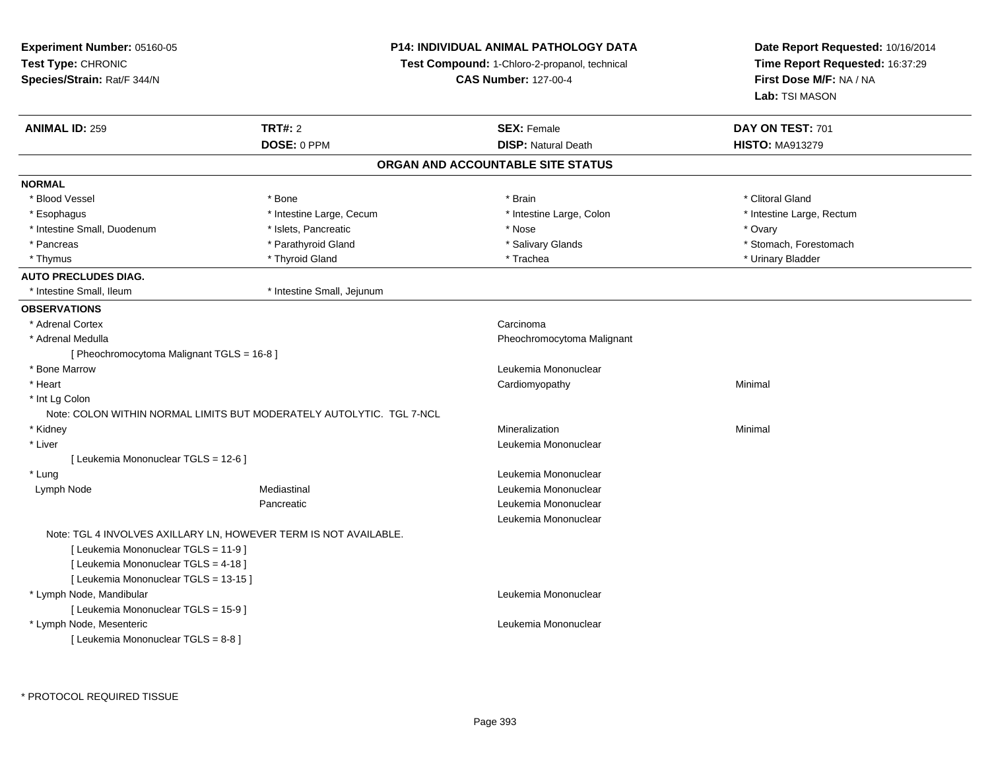| Experiment Number: 05160-05                |                                                                      | <b>P14: INDIVIDUAL ANIMAL PATHOLOGY DATA</b>         | Date Report Requested: 10/16/2014 |  |
|--------------------------------------------|----------------------------------------------------------------------|------------------------------------------------------|-----------------------------------|--|
| Test Type: CHRONIC                         |                                                                      | <b>Test Compound:</b> 1-Chloro-2-propanol, technical | Time Report Requested: 16:37:29   |  |
| Species/Strain: Rat/F 344/N                |                                                                      | <b>CAS Number: 127-00-4</b>                          | First Dose M/F: NA / NA           |  |
|                                            |                                                                      |                                                      | Lab: TSI MASON                    |  |
| <b>ANIMAL ID: 259</b>                      | <b>TRT#: 2</b>                                                       | <b>SEX: Female</b>                                   | DAY ON TEST: 701                  |  |
|                                            | DOSE: 0 PPM                                                          | <b>DISP: Natural Death</b>                           | <b>HISTO: MA913279</b>            |  |
|                                            |                                                                      | ORGAN AND ACCOUNTABLE SITE STATUS                    |                                   |  |
| <b>NORMAL</b>                              |                                                                      |                                                      |                                   |  |
| * Blood Vessel                             | * Bone                                                               | * Brain                                              | * Clitoral Gland                  |  |
| * Esophagus                                | * Intestine Large, Cecum                                             | * Intestine Large, Colon                             | * Intestine Large, Rectum         |  |
| * Intestine Small, Duodenum                | * Islets, Pancreatic                                                 | * Nose                                               | * Ovary                           |  |
| * Pancreas                                 | * Parathyroid Gland                                                  | * Salivary Glands                                    | * Stomach, Forestomach            |  |
| * Thymus                                   | * Thyroid Gland                                                      | * Trachea                                            | * Urinary Bladder                 |  |
| <b>AUTO PRECLUDES DIAG.</b>                |                                                                      |                                                      |                                   |  |
| * Intestine Small, Ileum                   | * Intestine Small, Jejunum                                           |                                                      |                                   |  |
| <b>OBSERVATIONS</b>                        |                                                                      |                                                      |                                   |  |
| * Adrenal Cortex                           |                                                                      | Carcinoma                                            |                                   |  |
| * Adrenal Medulla                          |                                                                      | Pheochromocytoma Malignant                           |                                   |  |
| [ Pheochromocytoma Malignant TGLS = 16-8 ] |                                                                      |                                                      |                                   |  |
| * Bone Marrow                              |                                                                      | Leukemia Mononuclear                                 |                                   |  |
| * Heart                                    |                                                                      | Cardiomyopathy                                       | Minimal                           |  |
| * Int Lg Colon                             |                                                                      |                                                      |                                   |  |
|                                            | Note: COLON WITHIN NORMAL LIMITS BUT MODERATELY AUTOLYTIC. TGL 7-NCL |                                                      |                                   |  |
| * Kidney                                   |                                                                      | Mineralization                                       | Minimal                           |  |
| * Liver                                    |                                                                      | Leukemia Mononuclear                                 |                                   |  |
| [ Leukemia Mononuclear TGLS = 12-6 ]       |                                                                      |                                                      |                                   |  |
| * Lung                                     |                                                                      | Leukemia Mononuclear                                 |                                   |  |
| Lymph Node                                 | Mediastinal                                                          | Leukemia Mononuclear                                 |                                   |  |
|                                            | Pancreatic                                                           | Leukemia Mononuclear                                 |                                   |  |
|                                            |                                                                      | Leukemia Mononuclear                                 |                                   |  |
|                                            | Note: TGL 4 INVOLVES AXILLARY LN, HOWEVER TERM IS NOT AVAILABLE.     |                                                      |                                   |  |
| [ Leukemia Mononuclear TGLS = 11-9 ]       |                                                                      |                                                      |                                   |  |
| [ Leukemia Mononuclear TGLS = 4-18 ]       |                                                                      |                                                      |                                   |  |
| [ Leukemia Mononuclear TGLS = 13-15 ]      |                                                                      |                                                      |                                   |  |
| * Lymph Node, Mandibular                   |                                                                      | Leukemia Mononuclear                                 |                                   |  |
| [ Leukemia Mononuclear TGLS = 15-9 ]       |                                                                      |                                                      |                                   |  |
| * Lymph Node, Mesenteric                   |                                                                      | Leukemia Mononuclear                                 |                                   |  |
| [ Leukemia Mononuclear TGLS = 8-8 ]        |                                                                      |                                                      |                                   |  |
|                                            |                                                                      |                                                      |                                   |  |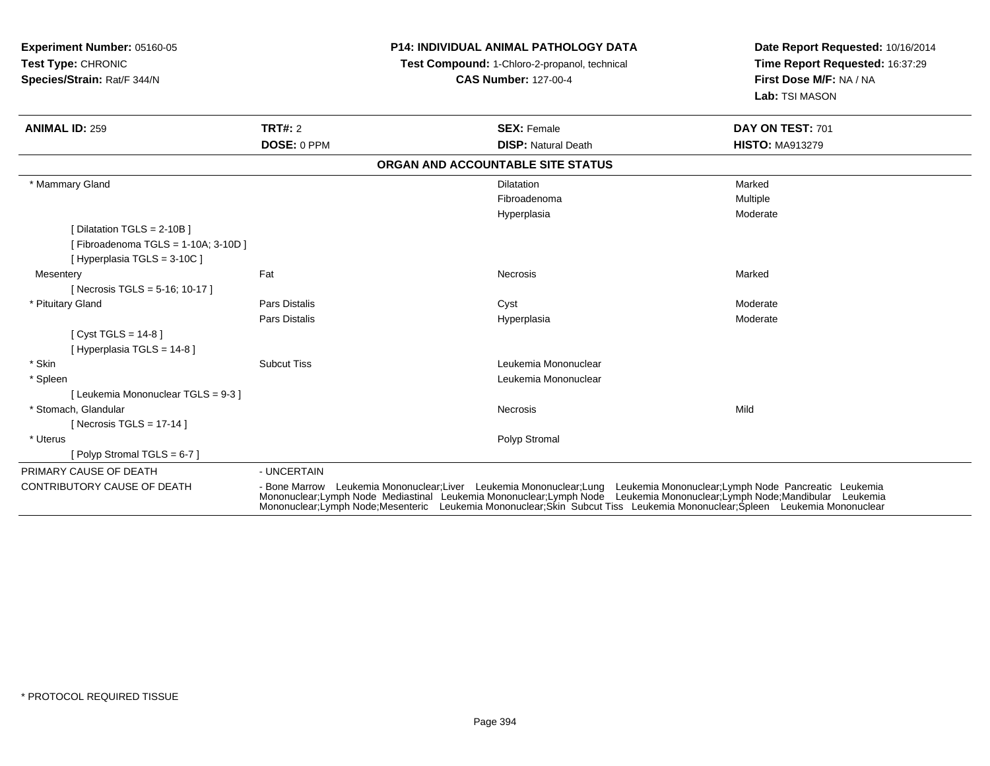| <b>Experiment Number: 05160-05</b><br>Test Type: CHRONIC<br>Species/Strain: Rat/F 344/N |                                                                                                                                                                                                                                                                                                                                                                              | <b>P14: INDIVIDUAL ANIMAL PATHOLOGY DATA</b><br>Test Compound: 1-Chloro-2-propanol, technical<br><b>CAS Number: 127-00-4</b> |                                   | Date Report Requested: 10/16/2014<br>Time Report Requested: 16:37:29<br>First Dose M/F: NA / NA<br>Lab: TSI MASON |
|-----------------------------------------------------------------------------------------|------------------------------------------------------------------------------------------------------------------------------------------------------------------------------------------------------------------------------------------------------------------------------------------------------------------------------------------------------------------------------|------------------------------------------------------------------------------------------------------------------------------|-----------------------------------|-------------------------------------------------------------------------------------------------------------------|
| <b>ANIMAL ID: 259</b>                                                                   | <b>TRT#: 2</b>                                                                                                                                                                                                                                                                                                                                                               |                                                                                                                              | <b>SEX: Female</b>                | DAY ON TEST: 701                                                                                                  |
|                                                                                         | DOSE: 0 PPM                                                                                                                                                                                                                                                                                                                                                                  |                                                                                                                              | <b>DISP: Natural Death</b>        | <b>HISTO: MA913279</b>                                                                                            |
|                                                                                         |                                                                                                                                                                                                                                                                                                                                                                              |                                                                                                                              | ORGAN AND ACCOUNTABLE SITE STATUS |                                                                                                                   |
| * Mammary Gland                                                                         |                                                                                                                                                                                                                                                                                                                                                                              |                                                                                                                              | <b>Dilatation</b>                 | Marked                                                                                                            |
|                                                                                         |                                                                                                                                                                                                                                                                                                                                                                              |                                                                                                                              | Fibroadenoma                      | Multiple                                                                                                          |
|                                                                                         |                                                                                                                                                                                                                                                                                                                                                                              |                                                                                                                              | Hyperplasia                       | Moderate                                                                                                          |
| [Dilatation TGLS = 2-10B]                                                               |                                                                                                                                                                                                                                                                                                                                                                              |                                                                                                                              |                                   |                                                                                                                   |
| [Fibroadenoma TGLS = 1-10A; 3-10D]                                                      |                                                                                                                                                                                                                                                                                                                                                                              |                                                                                                                              |                                   |                                                                                                                   |
| [Hyperplasia TGLS = $3-10C$ ]                                                           |                                                                                                                                                                                                                                                                                                                                                                              |                                                                                                                              |                                   |                                                                                                                   |
| Mesentery                                                                               | Fat                                                                                                                                                                                                                                                                                                                                                                          |                                                                                                                              | <b>Necrosis</b>                   | Marked                                                                                                            |
| [ Necrosis TGLS = $5-16$ ; 10-17 ]                                                      |                                                                                                                                                                                                                                                                                                                                                                              |                                                                                                                              |                                   |                                                                                                                   |
| * Pituitary Gland                                                                       | Pars Distalis                                                                                                                                                                                                                                                                                                                                                                |                                                                                                                              | Cyst                              | Moderate                                                                                                          |
|                                                                                         | Pars Distalis                                                                                                                                                                                                                                                                                                                                                                |                                                                                                                              | Hyperplasia                       | Moderate                                                                                                          |
| [ Cyst TGLS = $14-8$ ]                                                                  |                                                                                                                                                                                                                                                                                                                                                                              |                                                                                                                              |                                   |                                                                                                                   |
| [Hyperplasia TGLS = 14-8]                                                               |                                                                                                                                                                                                                                                                                                                                                                              |                                                                                                                              |                                   |                                                                                                                   |
| * Skin                                                                                  | <b>Subcut Tiss</b>                                                                                                                                                                                                                                                                                                                                                           |                                                                                                                              | Leukemia Mononuclear              |                                                                                                                   |
| * Spleen                                                                                |                                                                                                                                                                                                                                                                                                                                                                              |                                                                                                                              | Leukemia Mononuclear              |                                                                                                                   |
| [ Leukemia Mononuclear TGLS = 9-3 ]                                                     |                                                                                                                                                                                                                                                                                                                                                                              |                                                                                                                              |                                   |                                                                                                                   |
| * Stomach, Glandular                                                                    |                                                                                                                                                                                                                                                                                                                                                                              |                                                                                                                              | Necrosis                          | Mild                                                                                                              |
| [ Necrosis TGLS = $17-14$ ]                                                             |                                                                                                                                                                                                                                                                                                                                                                              |                                                                                                                              |                                   |                                                                                                                   |
| * Uterus                                                                                |                                                                                                                                                                                                                                                                                                                                                                              |                                                                                                                              | Polyp Stromal                     |                                                                                                                   |
| [ Polyp Stromal TGLS = 6-7 ]                                                            |                                                                                                                                                                                                                                                                                                                                                                              |                                                                                                                              |                                   |                                                                                                                   |
| PRIMARY CAUSE OF DEATH                                                                  | - UNCERTAIN                                                                                                                                                                                                                                                                                                                                                                  |                                                                                                                              |                                   |                                                                                                                   |
| <b>CONTRIBUTORY CAUSE OF DEATH</b>                                                      | - Bone Marrow Leukemia Mononuclear;Liver Leukemia Mononuclear;Lung Leukemia Mononuclear;Lymph Node Pancreatic Leukemia<br>Mononuclear;Lymph Node Mediastinal Leukemia Mononuclear;Lymph Node Leukemia Mononuclear;Lymph Node;Mandibular Leukemia<br>Mononuclear:Lymph Node:Mesenteric Leukemia Mononuclear:Skin Subcut Tiss Leukemia Mononuclear:Spleen Leukemia Mononuclear |                                                                                                                              |                                   |                                                                                                                   |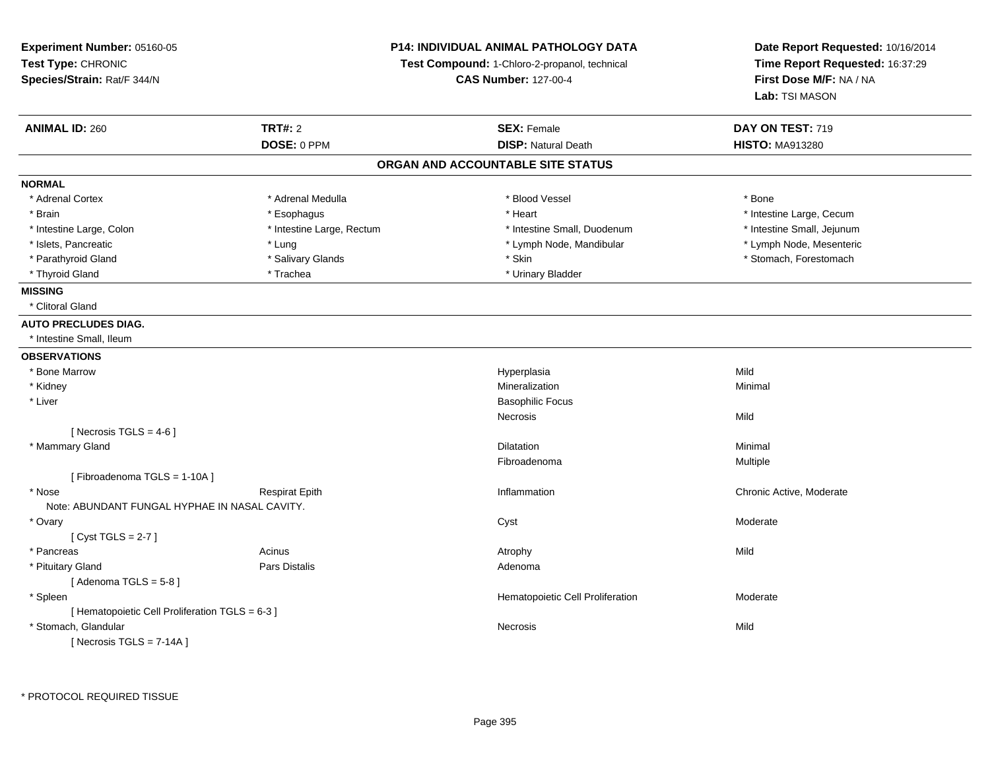| P14: INDIVIDUAL ANIMAL PATHOLOGY DATA<br>Experiment Number: 05160-05<br>Test Type: CHRONIC<br>Test Compound: 1-Chloro-2-propanol, technical<br>Species/Strain: Rat/F 344/N<br><b>CAS Number: 127-00-4</b> |                           |                                   | Date Report Requested: 10/16/2014<br>Time Report Requested: 16:37:29<br>First Dose M/F: NA / NA<br>Lab: TSI MASON |
|-----------------------------------------------------------------------------------------------------------------------------------------------------------------------------------------------------------|---------------------------|-----------------------------------|-------------------------------------------------------------------------------------------------------------------|
| <b>ANIMAL ID: 260</b>                                                                                                                                                                                     | <b>TRT#: 2</b>            | <b>SEX: Female</b>                | DAY ON TEST: 719                                                                                                  |
|                                                                                                                                                                                                           | DOSE: 0 PPM               | <b>DISP: Natural Death</b>        | <b>HISTO: MA913280</b>                                                                                            |
|                                                                                                                                                                                                           |                           | ORGAN AND ACCOUNTABLE SITE STATUS |                                                                                                                   |
| <b>NORMAL</b>                                                                                                                                                                                             |                           |                                   |                                                                                                                   |
| * Adrenal Cortex                                                                                                                                                                                          | * Adrenal Medulla         | * Blood Vessel                    | * Bone                                                                                                            |
| * Brain                                                                                                                                                                                                   | * Esophagus               | * Heart                           | * Intestine Large, Cecum                                                                                          |
| * Intestine Large, Colon                                                                                                                                                                                  | * Intestine Large, Rectum | * Intestine Small, Duodenum       | * Intestine Small, Jejunum                                                                                        |
| * Islets, Pancreatic                                                                                                                                                                                      | * Lung                    | * Lymph Node, Mandibular          | * Lymph Node, Mesenteric                                                                                          |
| * Parathyroid Gland                                                                                                                                                                                       | * Salivary Glands         | * Skin                            | * Stomach, Forestomach                                                                                            |
| * Thyroid Gland                                                                                                                                                                                           | * Trachea                 | * Urinary Bladder                 |                                                                                                                   |
| <b>MISSING</b>                                                                                                                                                                                            |                           |                                   |                                                                                                                   |
| * Clitoral Gland                                                                                                                                                                                          |                           |                                   |                                                                                                                   |
| <b>AUTO PRECLUDES DIAG.</b>                                                                                                                                                                               |                           |                                   |                                                                                                                   |
| * Intestine Small, Ileum                                                                                                                                                                                  |                           |                                   |                                                                                                                   |
| <b>OBSERVATIONS</b>                                                                                                                                                                                       |                           |                                   |                                                                                                                   |
| * Bone Marrow                                                                                                                                                                                             |                           | Hyperplasia                       | Mild                                                                                                              |
| * Kidney                                                                                                                                                                                                  |                           | Mineralization                    | Minimal                                                                                                           |
| * Liver                                                                                                                                                                                                   |                           | <b>Basophilic Focus</b>           |                                                                                                                   |
|                                                                                                                                                                                                           |                           | Necrosis                          | Mild                                                                                                              |
| [Necrosis TGLS = $4-6$ ]                                                                                                                                                                                  |                           |                                   |                                                                                                                   |
| * Mammary Gland                                                                                                                                                                                           |                           | Dilatation                        | Minimal                                                                                                           |
|                                                                                                                                                                                                           |                           | Fibroadenoma                      | <b>Multiple</b>                                                                                                   |
| [Fibroadenoma TGLS = 1-10A]                                                                                                                                                                               |                           |                                   |                                                                                                                   |
| * Nose                                                                                                                                                                                                    | <b>Respirat Epith</b>     | Inflammation                      | Chronic Active, Moderate                                                                                          |
| Note: ABUNDANT FUNGAL HYPHAE IN NASAL CAVITY.                                                                                                                                                             |                           |                                   |                                                                                                                   |
| * Ovary                                                                                                                                                                                                   |                           | Cyst                              | Moderate                                                                                                          |
| [Cyst TGLS = $2-7$ ]                                                                                                                                                                                      |                           |                                   |                                                                                                                   |
| * Pancreas                                                                                                                                                                                                | Acinus                    | Atrophy                           | Mild                                                                                                              |
| * Pituitary Gland                                                                                                                                                                                         | Pars Distalis             | Adenoma                           |                                                                                                                   |
| [Adenoma TGLS = $5-8$ ]                                                                                                                                                                                   |                           |                                   |                                                                                                                   |
| * Spleen                                                                                                                                                                                                  |                           | Hematopoietic Cell Proliferation  | Moderate                                                                                                          |
| [ Hematopoietic Cell Proliferation TGLS = 6-3 ]                                                                                                                                                           |                           |                                   |                                                                                                                   |
| * Stomach, Glandular                                                                                                                                                                                      |                           | Necrosis                          | Mild                                                                                                              |
| [ Necrosis TGLS = $7-14A$ ]                                                                                                                                                                               |                           |                                   |                                                                                                                   |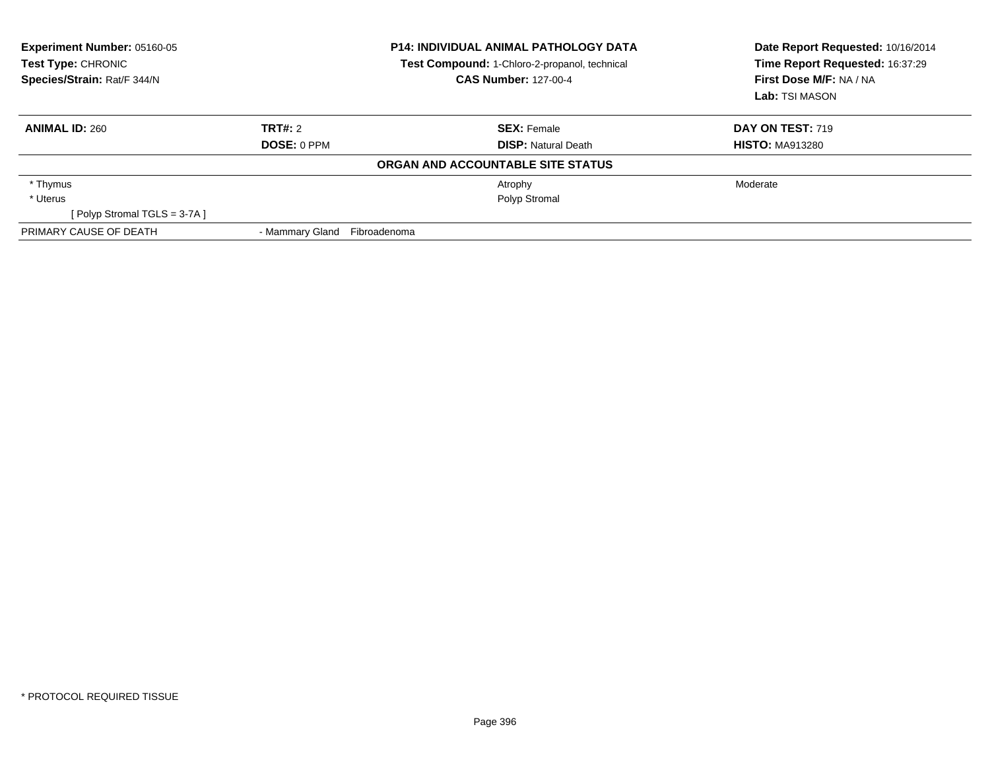| Experiment Number: 05160-05<br>Test Type: CHRONIC<br>Species/Strain: Rat/F 344/N |                 | <b>P14: INDIVIDUAL ANIMAL PATHOLOGY DATA</b><br>Test Compound: 1-Chloro-2-propanol, technical<br><b>CAS Number: 127-00-4</b> |                                   | Date Report Requested: 10/16/2014<br>Time Report Requested: 16:37:29<br>First Dose M/F: NA / NA<br>Lab: TSI MASON |
|----------------------------------------------------------------------------------|-----------------|------------------------------------------------------------------------------------------------------------------------------|-----------------------------------|-------------------------------------------------------------------------------------------------------------------|
| <b>ANIMAL ID: 260</b>                                                            | TRT#: 2         |                                                                                                                              | <b>SEX:</b> Female                | <b>DAY ON TEST: 719</b>                                                                                           |
|                                                                                  | DOSE: 0 PPM     |                                                                                                                              | <b>DISP:</b> Natural Death        | <b>HISTO: MA913280</b>                                                                                            |
|                                                                                  |                 |                                                                                                                              | ORGAN AND ACCOUNTABLE SITE STATUS |                                                                                                                   |
| * Thymus                                                                         |                 |                                                                                                                              | Atrophy                           | Moderate                                                                                                          |
| * Uterus                                                                         |                 |                                                                                                                              | Polyp Stromal                     |                                                                                                                   |
| [Polyp Stromal TGLS = 3-7A]                                                      |                 |                                                                                                                              |                                   |                                                                                                                   |
| PRIMARY CAUSE OF DEATH                                                           | - Mammary Gland | Fibroadenoma                                                                                                                 |                                   |                                                                                                                   |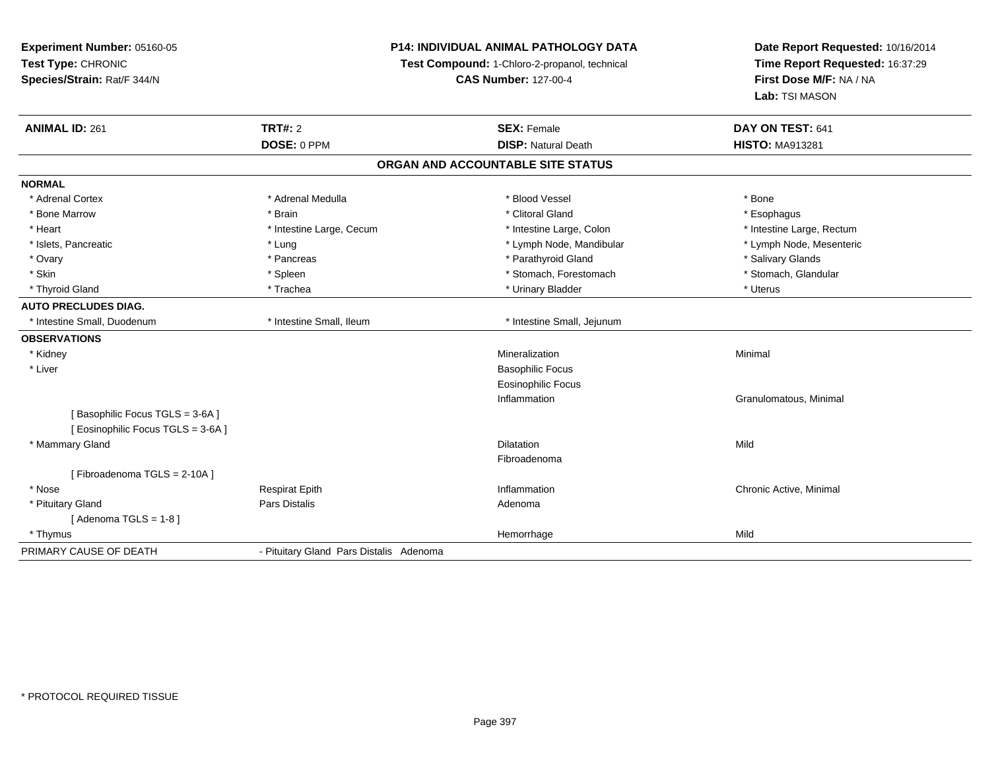**Experiment Number:** 05160-05**Test Type:** CHRONIC **Species/Strain:** Rat/F 344/N**P14: INDIVIDUAL ANIMAL PATHOLOGY DATATest Compound:** 1-Chloro-2-propanol, technical **CAS Number:** 127-00-4**Date Report Requested:** 10/16/2014**Time Report Requested:** 16:37:29**First Dose M/F:** NA / NA**Lab:** TSI MASON**ANIMAL ID:** 261**TRT#:** 2 **SEX:** Female **DAY ON TEST:** 641 **DOSE:** 0 PPM**DISP:** Natural Death **HISTO:** MA913281 **ORGAN AND ACCOUNTABLE SITE STATUSNORMAL**\* Adrenal Cortex \* Adrenal Medulla \* Adrenal Medulla \* Blood Vessel \* Bood Vessel \* Bone \* Bone \* Bone \* Bone \* Bone \* Bone \* Bone \* Bone \* Bone \* Bone \* Bone \* Bone \* Bone \* Bone \* Bone \* Bone \* Bone \* Bone \* Bone \* Bone \* Bone \* Bone \* \* \* Esophagus \* Bone Marrow \* \* Android \* Brain \* Brain \* Clitoral Gland \* Clitoral Gland \* Esophagus \* Esophagus \* Esophagus \* Heart Thestine Large, Cecum Thestine Large, Cecum Assessment Carge, Colon Thestine Large, Rectum \* Intestine Large, Rectum \* Intestine Large, Rectum \* Lymph Node, Mesenteric \* Islets, Pancreatic **\* Lung \* Lung \* Lung \* Lymph Node, Mandibular \*** Lymph Node, Mandibular \* Ovary \* \* Pancreas \* \* Pancreas \* \* Pancreas \* \* Parathyroid Gland \* \* Salivary Glands \* Salivary Glands \* Salivary Glands \* Salivary Glands \* Salivary Glands \* Salivary Glands \* Salivary Glands \* \* Salivary Glands \* \* S \* Stomach, Glandular \* Skin \* Spleen \* Spleen \* Spleen \* Stomach, Forestomach \* Stomach, Forestomach \* Thyroid Gland \* \* Trachea \* \* Trachea \* Trachea \* \* Urinary Bladder \* \* Urinary Bladder \* \* Uterus \* Uterus **AUTO PRECLUDES DIAG.** \* Intestine Small, Duodenum \* Intestine Small, Ileum \* Intestine Small, Jejunum**OBSERVATIONS** \* Kidneyy with the control of the control of the control of the control of the control of the control of the control of the control of the control of the control of the control of the control of the control of the control of the c n Minimal \* Liver Basophilic Focus Eosinophilic FocusInflammation Granulomatous, Minimal [ Basophilic Focus TGLS = 3-6A ][ Eosinophilic Focus TGLS = 3-6A ] \* Mammary Glandd and the control of the control of the control of the control of the control of the control of the control of the control of the control of the control of the control of the control of the control of the control of the co Fibroadenoma[ Fibroadenoma TGLS = 2-10A ] \* Nosee inflammation inflammation Chronic Active, Minimal Respirat Epith Inflammation inflammation Chronic Active, Minimal \* Pituitary Glandd and the set of Pars Distalis and the Second Adenomal Adenomal Second Second Pars Distallis  $[$  Adenoma TGLS = 1-8  $]$  \* Thymuss and the control of the control of the control of the control of the control of the control of the control of the control of the control of the control of the control of the control of the control of the control of the co e Mild PRIMARY CAUSE OF DEATH- Pituitary Gland Pars Distalis Adenoma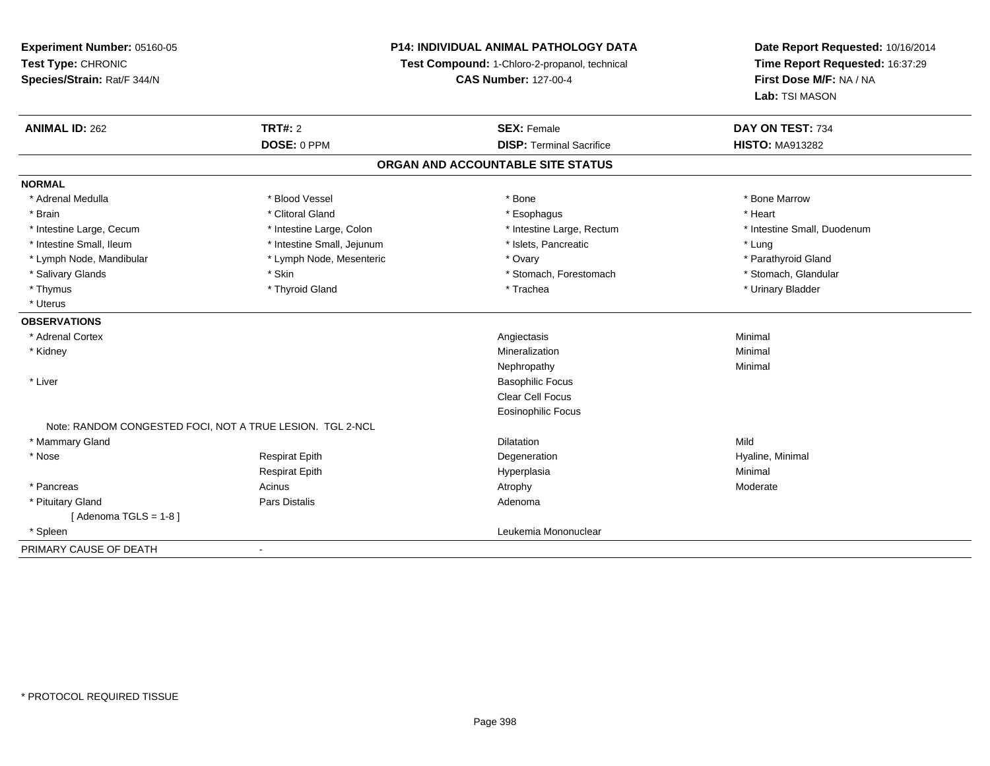| Experiment Number: 05160-05                               | <b>P14: INDIVIDUAL ANIMAL PATHOLOGY DATA</b> |                                               | Date Report Requested: 10/16/2014 |  |
|-----------------------------------------------------------|----------------------------------------------|-----------------------------------------------|-----------------------------------|--|
| Test Type: CHRONIC                                        |                                              | Test Compound: 1-Chloro-2-propanol, technical | Time Report Requested: 16:37:29   |  |
| Species/Strain: Rat/F 344/N                               | <b>CAS Number: 127-00-4</b>                  |                                               | First Dose M/F: NA / NA           |  |
|                                                           |                                              |                                               | Lab: TSI MASON                    |  |
| <b>TRT#: 2</b><br><b>ANIMAL ID: 262</b>                   |                                              | <b>SEX: Female</b>                            | DAY ON TEST: 734                  |  |
|                                                           | DOSE: 0 PPM                                  | <b>DISP: Terminal Sacrifice</b>               | <b>HISTO: MA913282</b>            |  |
|                                                           |                                              | ORGAN AND ACCOUNTABLE SITE STATUS             |                                   |  |
| <b>NORMAL</b>                                             |                                              |                                               |                                   |  |
| * Adrenal Medulla                                         | * Blood Vessel                               | * Bone                                        | * Bone Marrow                     |  |
| * Brain                                                   | * Clitoral Gland                             | * Esophagus                                   | * Heart                           |  |
| * Intestine Large, Cecum                                  | * Intestine Large, Colon                     | * Intestine Large, Rectum                     | * Intestine Small, Duodenum       |  |
| * Intestine Small, Ileum                                  | * Intestine Small, Jejunum                   | * Islets, Pancreatic                          | * Lung                            |  |
| * Lymph Node, Mandibular                                  | * Lymph Node, Mesenteric                     | * Ovary                                       | * Parathyroid Gland               |  |
| * Salivary Glands<br>* Skin                               |                                              | * Stomach, Forestomach                        | * Stomach, Glandular              |  |
| * Thymus                                                  | * Thyroid Gland                              | * Trachea                                     | * Urinary Bladder                 |  |
| * Uterus                                                  |                                              |                                               |                                   |  |
| <b>OBSERVATIONS</b>                                       |                                              |                                               |                                   |  |
| * Adrenal Cortex                                          |                                              | Angiectasis                                   | Minimal                           |  |
| * Kidney                                                  |                                              | Mineralization                                | Minimal                           |  |
|                                                           |                                              | Nephropathy                                   | Minimal                           |  |
| * Liver                                                   |                                              | <b>Basophilic Focus</b>                       |                                   |  |
|                                                           |                                              | <b>Clear Cell Focus</b>                       |                                   |  |
|                                                           |                                              | <b>Eosinophilic Focus</b>                     |                                   |  |
| Note: RANDOM CONGESTED FOCI, NOT A TRUE LESION. TGL 2-NCL |                                              |                                               |                                   |  |
| * Mammary Gland                                           |                                              | <b>Dilatation</b>                             | Mild                              |  |
| * Nose<br><b>Respirat Epith</b>                           |                                              | Degeneration                                  | Hyaline, Minimal                  |  |
| <b>Respirat Epith</b>                                     |                                              | Hyperplasia                                   | Minimal                           |  |
| * Pancreas<br>Acinus                                      |                                              | Atrophy                                       | Moderate                          |  |
| Pars Distalis<br>* Pituitary Gland                        |                                              | Adenoma                                       |                                   |  |
| [Adenoma TGLS = $1-8$ ]                                   |                                              |                                               |                                   |  |
| * Spleen                                                  |                                              | Leukemia Mononuclear                          |                                   |  |
| PRIMARY CAUSE OF DEATH<br>$\blacksquare$                  |                                              |                                               |                                   |  |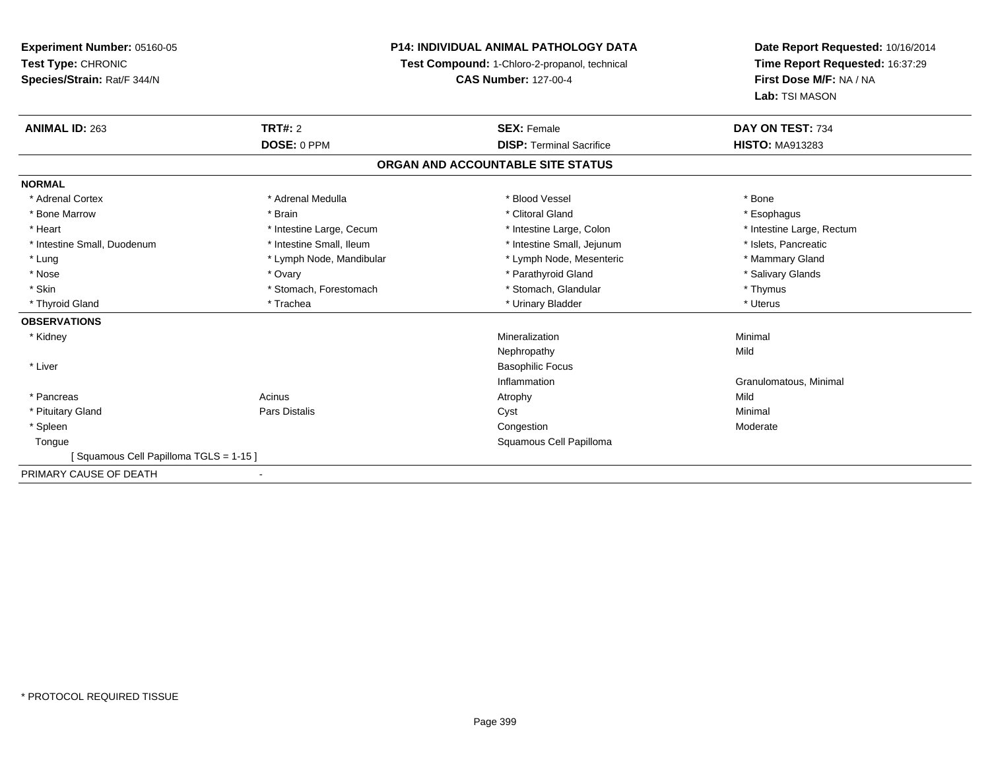## **P14: INDIVIDUAL ANIMAL PATHOLOGY DATA**

**Test Compound:** 1-Chloro-2-propanol, technical

**CAS Number:** 127-00-4

| <b>ANIMAL ID: 263</b>                 | <b>TRT#: 2</b>           | <b>SEX: Female</b>                | DAY ON TEST: 734          |
|---------------------------------------|--------------------------|-----------------------------------|---------------------------|
|                                       | DOSE: 0 PPM              | <b>DISP: Terminal Sacrifice</b>   | <b>HISTO: MA913283</b>    |
|                                       |                          | ORGAN AND ACCOUNTABLE SITE STATUS |                           |
| <b>NORMAL</b>                         |                          |                                   |                           |
| * Adrenal Cortex                      | * Adrenal Medulla        | * Blood Vessel                    | * Bone                    |
| * Bone Marrow                         | * Brain                  | * Clitoral Gland                  | * Esophagus               |
| * Heart                               | * Intestine Large, Cecum | * Intestine Large, Colon          | * Intestine Large, Rectum |
| * Intestine Small, Duodenum           | * Intestine Small, Ileum | * Intestine Small, Jejunum        | * Islets, Pancreatic      |
| * Lung                                | * Lymph Node, Mandibular | * Lymph Node, Mesenteric          | * Mammary Gland           |
| * Nose                                | * Ovary                  | * Parathyroid Gland               | * Salivary Glands         |
| * Skin                                | * Stomach, Forestomach   | * Stomach, Glandular              | * Thymus                  |
| * Thyroid Gland                       | * Trachea                | * Urinary Bladder                 | * Uterus                  |
| <b>OBSERVATIONS</b>                   |                          |                                   |                           |
| * Kidney                              |                          | Mineralization                    | Minimal                   |
|                                       |                          | Nephropathy                       | Mild                      |
| * Liver                               |                          | <b>Basophilic Focus</b>           |                           |
|                                       |                          | Inflammation                      | Granulomatous, Minimal    |
| * Pancreas                            | Acinus                   | Atrophy                           | Mild                      |
| * Pituitary Gland                     | <b>Pars Distalis</b>     | Cyst                              | Minimal                   |
| * Spleen                              |                          | Congestion                        | Moderate                  |
| Tongue                                |                          | Squamous Cell Papilloma           |                           |
| [Squamous Cell Papilloma TGLS = 1-15] |                          |                                   |                           |
| PRIMARY CAUSE OF DEATH                |                          |                                   |                           |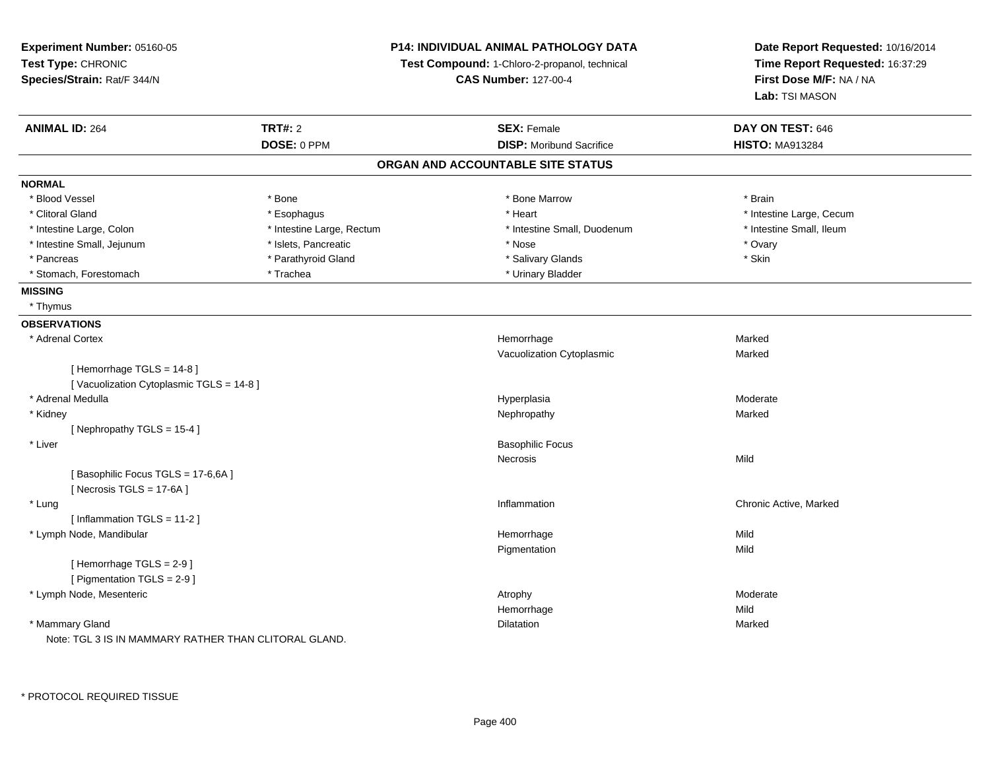| Experiment Number: 05160-05<br>Test Type: CHRONIC<br>Species/Strain: Rat/F 344/N |                           | P14: INDIVIDUAL ANIMAL PATHOLOGY DATA<br>Test Compound: 1-Chloro-2-propanol, technical<br><b>CAS Number: 127-00-4</b> | Date Report Requested: 10/16/2014<br>Time Report Requested: 16:37:29<br>First Dose M/F: NA / NA<br>Lab: TSI MASON |
|----------------------------------------------------------------------------------|---------------------------|-----------------------------------------------------------------------------------------------------------------------|-------------------------------------------------------------------------------------------------------------------|
| <b>ANIMAL ID: 264</b>                                                            | <b>TRT#: 2</b>            | <b>SEX: Female</b>                                                                                                    | DAY ON TEST: 646                                                                                                  |
|                                                                                  | DOSE: 0 PPM               | <b>DISP:</b> Moribund Sacrifice                                                                                       | <b>HISTO: MA913284</b>                                                                                            |
|                                                                                  |                           | ORGAN AND ACCOUNTABLE SITE STATUS                                                                                     |                                                                                                                   |
| <b>NORMAL</b>                                                                    |                           |                                                                                                                       |                                                                                                                   |
| * Blood Vessel                                                                   | * Bone                    | * Bone Marrow                                                                                                         | * Brain                                                                                                           |
| * Clitoral Gland                                                                 | * Esophagus               | * Heart                                                                                                               | * Intestine Large, Cecum                                                                                          |
| * Intestine Large, Colon                                                         | * Intestine Large, Rectum | * Intestine Small, Duodenum                                                                                           | * Intestine Small, Ileum                                                                                          |
| * Intestine Small, Jejunum                                                       | * Islets, Pancreatic      | * Nose                                                                                                                | * Ovary                                                                                                           |
| * Pancreas                                                                       | * Parathyroid Gland       | * Salivary Glands                                                                                                     | * Skin                                                                                                            |
| * Stomach, Forestomach                                                           | * Trachea                 | * Urinary Bladder                                                                                                     |                                                                                                                   |
| <b>MISSING</b>                                                                   |                           |                                                                                                                       |                                                                                                                   |
| * Thymus                                                                         |                           |                                                                                                                       |                                                                                                                   |
| <b>OBSERVATIONS</b>                                                              |                           |                                                                                                                       |                                                                                                                   |
| * Adrenal Cortex                                                                 |                           | Hemorrhage                                                                                                            | Marked                                                                                                            |
|                                                                                  |                           | Vacuolization Cytoplasmic                                                                                             | Marked                                                                                                            |
| [Hemorrhage TGLS = 14-8]                                                         |                           |                                                                                                                       |                                                                                                                   |
| [Vacuolization Cytoplasmic TGLS = 14-8]                                          |                           |                                                                                                                       |                                                                                                                   |
| * Adrenal Medulla                                                                |                           | Hyperplasia                                                                                                           | Moderate                                                                                                          |
| * Kidney                                                                         |                           | Nephropathy                                                                                                           | Marked                                                                                                            |
| [Nephropathy TGLS = 15-4]                                                        |                           |                                                                                                                       |                                                                                                                   |
| * Liver                                                                          |                           | <b>Basophilic Focus</b>                                                                                               |                                                                                                                   |
|                                                                                  |                           | <b>Necrosis</b>                                                                                                       | Mild                                                                                                              |
| [Basophilic Focus TGLS = 17-6,6A]                                                |                           |                                                                                                                       |                                                                                                                   |
| [Necrosis TGLS = 17-6A]                                                          |                           |                                                                                                                       |                                                                                                                   |
| * Lung                                                                           |                           | Inflammation                                                                                                          | Chronic Active, Marked                                                                                            |
| [Inflammation TGLS = 11-2]                                                       |                           |                                                                                                                       |                                                                                                                   |
| * Lymph Node, Mandibular                                                         |                           | Hemorrhage                                                                                                            | Mild                                                                                                              |
|                                                                                  |                           | Pigmentation                                                                                                          | Mild                                                                                                              |
| [Hemorrhage TGLS = 2-9]                                                          |                           |                                                                                                                       |                                                                                                                   |
| [ Pigmentation TGLS = 2-9 ]                                                      |                           |                                                                                                                       |                                                                                                                   |
| * Lymph Node, Mesenteric                                                         |                           | Atrophy                                                                                                               | Moderate                                                                                                          |
|                                                                                  |                           | Hemorrhage                                                                                                            | Mild                                                                                                              |
| * Mammary Gland                                                                  |                           | Dilatation                                                                                                            | Marked                                                                                                            |
| Note: TGL 3 IS IN MAMMARY RATHER THAN CLITORAL GLAND.                            |                           |                                                                                                                       |                                                                                                                   |

\* PROTOCOL REQUIRED TISSUE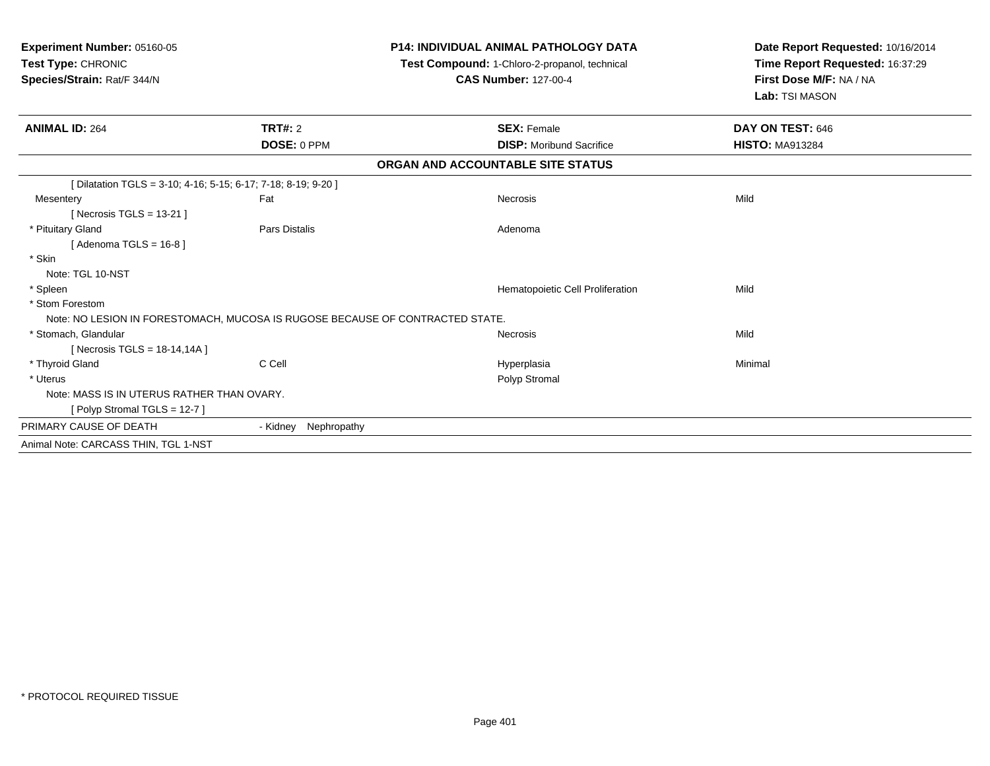| Experiment Number: 05160-05<br>Test Type: CHRONIC<br>Species/Strain: Rat/F 344/N |                                                                               | <b>P14: INDIVIDUAL ANIMAL PATHOLOGY DATA</b><br>Test Compound: 1-Chloro-2-propanol, technical<br><b>CAS Number: 127-00-4</b> | Date Report Requested: 10/16/2014<br>Time Report Requested: 16:37:29<br>First Dose M/F: NA / NA<br>Lab: TSI MASON |
|----------------------------------------------------------------------------------|-------------------------------------------------------------------------------|------------------------------------------------------------------------------------------------------------------------------|-------------------------------------------------------------------------------------------------------------------|
| <b>ANIMAL ID: 264</b>                                                            | <b>TRT#: 2</b>                                                                | <b>SEX: Female</b>                                                                                                           | DAY ON TEST: 646                                                                                                  |
|                                                                                  | DOSE: 0 PPM                                                                   | <b>DISP:</b> Moribund Sacrifice                                                                                              | <b>HISTO: MA913284</b>                                                                                            |
|                                                                                  |                                                                               | ORGAN AND ACCOUNTABLE SITE STATUS                                                                                            |                                                                                                                   |
| [Dilatation TGLS = 3-10; 4-16; 5-15; 6-17; 7-18; 8-19; 9-20]                     |                                                                               |                                                                                                                              |                                                                                                                   |
| Mesentery                                                                        | Fat                                                                           | <b>Necrosis</b>                                                                                                              | Mild                                                                                                              |
| [ Necrosis TGLS = $13-21$ ]                                                      |                                                                               |                                                                                                                              |                                                                                                                   |
| * Pituitary Gland                                                                | Pars Distalis                                                                 | Adenoma                                                                                                                      |                                                                                                                   |
| [Adenoma TGLS = $16-8$ ]                                                         |                                                                               |                                                                                                                              |                                                                                                                   |
| * Skin                                                                           |                                                                               |                                                                                                                              |                                                                                                                   |
| Note: TGL 10-NST                                                                 |                                                                               |                                                                                                                              |                                                                                                                   |
| * Spleen                                                                         |                                                                               | Hematopoietic Cell Proliferation                                                                                             | Mild                                                                                                              |
| * Stom Forestom                                                                  |                                                                               |                                                                                                                              |                                                                                                                   |
|                                                                                  | Note: NO LESION IN FORESTOMACH, MUCOSA IS RUGOSE BECAUSE OF CONTRACTED STATE. |                                                                                                                              |                                                                                                                   |
| * Stomach, Glandular                                                             |                                                                               | <b>Necrosis</b>                                                                                                              | Mild                                                                                                              |
| [Necrosis TGLS = $18-14,14A$ ]                                                   |                                                                               |                                                                                                                              |                                                                                                                   |
| * Thyroid Gland                                                                  | C Cell                                                                        | Hyperplasia                                                                                                                  | Minimal                                                                                                           |
| * Uterus                                                                         |                                                                               | Polyp Stromal                                                                                                                |                                                                                                                   |
| Note: MASS IS IN UTERUS RATHER THAN OVARY.                                       |                                                                               |                                                                                                                              |                                                                                                                   |
| [Polyp Stromal TGLS = 12-7]                                                      |                                                                               |                                                                                                                              |                                                                                                                   |
| PRIMARY CAUSE OF DEATH                                                           | Nephropathy<br>- Kidnev                                                       |                                                                                                                              |                                                                                                                   |
| Animal Note: CARCASS THIN, TGL 1-NST                                             |                                                                               |                                                                                                                              |                                                                                                                   |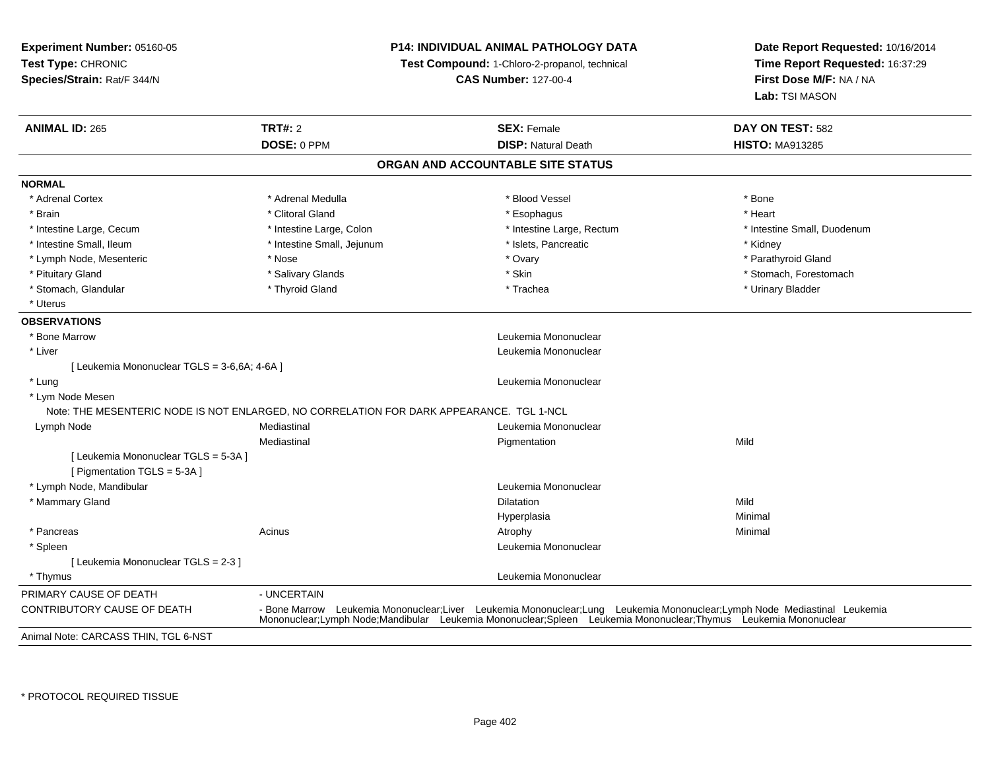**Experiment Number:** 05160-05**Test Type:** CHRONIC **Species/Strain:** Rat/F 344/N**P14: INDIVIDUAL ANIMAL PATHOLOGY DATATest Compound:** 1-Chloro-2-propanol, technical **CAS Number:** 127-00-4**Date Report Requested:** 10/16/2014**Time Report Requested:** 16:37:29**First Dose M/F:** NA / NA**Lab:** TSI MASON**ANIMAL ID:** 265 **TRT#:** <sup>2</sup> **SEX:** Female **DAY ON TEST:** <sup>582</sup> **DOSE:** 0 PPM**DISP:** Natural Death **HISTO:** MA913285 **ORGAN AND ACCOUNTABLE SITE STATUSNORMAL**\* Adrenal Cortex \* Adrenal Medulla \* Adrenal Medulla \* Blood Vessel \* Bood Vessel \* Bone \* Bone \* Bone \* Bone \* Bone \* Bone \* Bone \* Bone \* Bone \* Bone \* Bone \* Bone \* Bone \* Bone \* Bone \* Bone \* Bone \* Bone \* Bone \* Bone \* Bone \* Bone \* \* \* Heart \* Brain \* Alternative of the state of the state of the state of the state of the state of the state of the state of the state of the state of the state of the state of the state of the state of the state of the state of th \* Intestine Large, Cecum \* Intestine Large, Colon \* Intestine Large, Rectum \* Intestine Small, Duodenum\* Intestine Small, Ileum \* Thestine Small, Jejunum \* Islets, Pancreatic \* \* Kidney \* Kidney \* Kidney \* Parathyroid Gland \* Lymph Node, Mesenteric \* Nose \* Nose \* Nose \* Nose \* Ovary \* Ovary \* Ovary \* Ovary \* Ovary \* Ovary \* Change for the Clandes \* Ovary \* Ovary \* Ovary \* Ovary \* Ovary \* Ovary \* Ovary \* Ovary \* Ovary \* Ovary \* Ovary \* Ovary \* Pituitary Gland \* \* Salivary Glands \* Salivary Glands \* Skin \* \* Skin \* \* Stomach, Forestomach \* Stomach, Glandular \* Thyroid Gland \* Thyroid Gland \* Trachea \* Trachea \* Trachea \* Urinary Bladder \* Uterus**OBSERVATIONS** \* Bone Marrow Leukemia Mononuclear \* Liver Leukemia Mononuclear [ Leukemia Mononuclear TGLS = 3-6,6A; 4-6A ] \* Lung Leukemia Mononuclear \* Lym Node Mesen Note: THE MESENTERIC NODE IS NOT ENLARGED, NO CORRELATION FOR DARK APPEARANCE. TGL 1-NCLe and the mediastinal development of the Mediastinal Controller and the Monomuclear controller and the Mediastinal Monomuclear and the Mediastinal of the Mediastinal of the Mediastinal of the Mediastinal of the Mediastinal Lymph NodeMediastinal**Pigmentation** n Mild [ Leukemia Mononuclear TGLS = 5-3A ][ Pigmentation TGLS = 5-3A ] \* Lymph Node, Mandibular Leukemia Mononuclear \* Mammary Glandd and the control of the control of the control of the control of the control of the control of the control of the control of the control of the control of the control of the control of the control of the control of the co Hyperplasiaa and a studies of the studies of the Minimal \* Pancreass the control of the control of the control of the control of the control of the control of the control of the control of the control of the control of the control of the control of the control of the control of the contro \* Spleen Leukemia Mononuclear [ Leukemia Mononuclear TGLS = 2-3 ] \* Thymus Leukemia Mononuclear PRIMARY CAUSE OF DEATH - UNCERTAIN CONTRIBUTORY CAUSE OF DEATH - Bone Marrow Leukemia Mononuclear;Liver Leukemia Mononuclear;Lung Leukemia Mononuclear;Lymph Node Mediastinal Leukemia Mononuclear;Lymph Node;Mandibular Leukemia Mononuclear;Spleen Leukemia Mononuclear;Thymus Leukemia MononuclearAnimal Note: CARCASS THIN, TGL 6-NST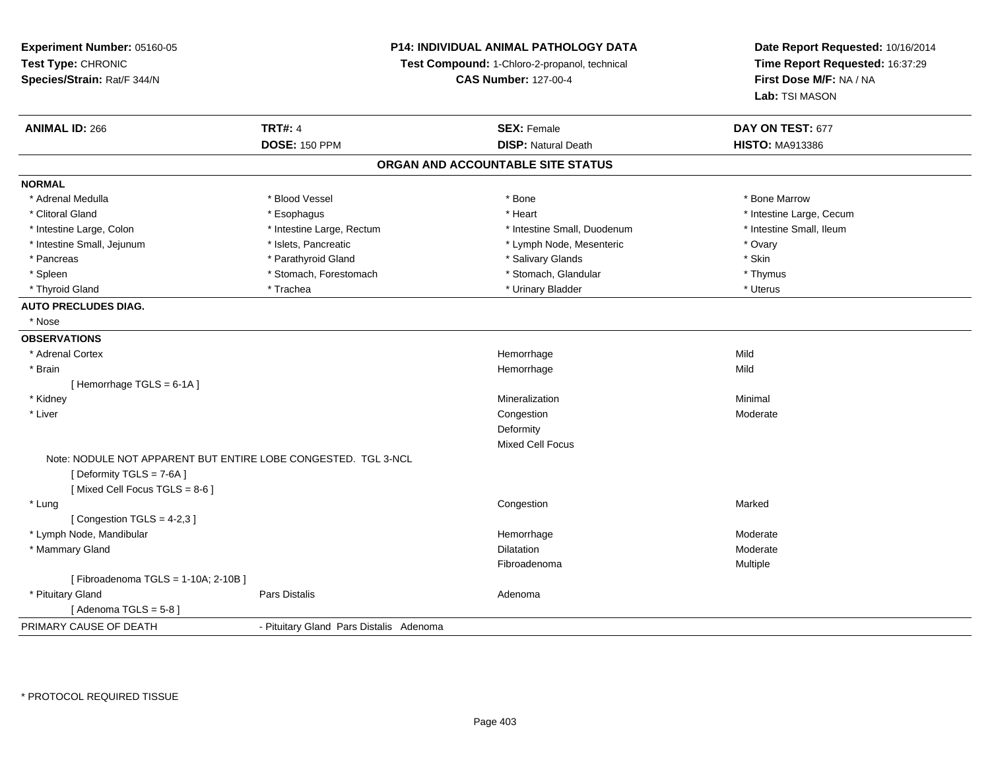**Experiment Number:** 05160-05**Test Type:** CHRONIC **Species/Strain:** Rat/F 344/N**P14: INDIVIDUAL ANIMAL PATHOLOGY DATATest Compound:** 1-Chloro-2-propanol, technical **CAS Number:** 127-00-4**Date Report Requested:** 10/16/2014**Time Report Requested:** 16:37:29**First Dose M/F:** NA / NA**Lab:** TSI MASON**ANIMAL ID:** 266**6 DAY ON TEST:** 677 **DOSE:** 150 PPM**DISP:** Natural Death **HISTO:** MA913386 **ORGAN AND ACCOUNTABLE SITE STATUSNORMAL**\* Adrenal Medulla \* \* \* Blood Vessel \* \* \* Bone Marrow \* \* Bone Marrow \* \* Bone Marrow \* Clitoral Gland \* \* exphagus \* Esophagus \* \* Heart \* Heart \* Heart \* Intestine Large, Cecum \* Intestine Large + \* L \* Intestine Small. Ileum \* Intestine Large, Colon \* Intestine Large, Rectum \* Intestine Small, Duodenum \* Intestine Small, Duodenum \* Intestine Small, Jejunum \* The matches of the state of the state of the state of the state of the state of the state of the state of the state of the state of the state of the state of the state of the state of the state \* Skin \* Pancreas \* Pancreas \* Pancreas \* Pancreas \* Pancreas \* Salivary Glands \* Salivary Glands \* Salivary Glands \* \* Thymus \* Spleen \* Stomach, Forestomach \* Stomach, Forestomach \* Stomach, Slandular \* Stomach, Glandular \* Uterus \* Thyroid Gland \* \* Trachea \* \* Trachea \* Trachea \* \* Urinary Bladder \* \* Urinary Bladder \* \* Uterus \* Uterus **AUTO PRECLUDES DIAG.** \* Nose**OBSERVATIONS** \* Adrenal Cortex**x Hemorrhage** e Mild \* Brainn and the state of the state of the state of the state of the Middle State of the Middle State of the Middle St [ Hemorrhage TGLS = 6-1A ] \* Kidneyy with the control of the control of the control of the control of the control of the control of the control of the control of the control of the control of the control of the control of the control of the control of the c n Minimal \* Liver**Congestion (2008)** and the contract of the contract of the congestion of the congestion of the congestion of the congestion of the congestion of the congestion of the congestion of the congestion of the congestion of the n Moderate Deformity Mixed Cell FocusNote: NODULE NOT APPARENT BUT ENTIRE LOBE CONGESTED. TGL 3-NCL[ Deformity TGLS = 7-6A ] [ Mixed Cell Focus TGLS = 8-6 ] \* Lungg and the control of the control of the control of the control of the control of the control of the control of the control of the control of the control of the control of the control of the control of the control of the co  $[$  Congestion TGLS = 4-2,3  $]$  \* Lymph Node, Mandibular Hemorrhagee Moderate \* Mammary Glandd and the control of the control of the control of the Dilatation and the control of the Moderate of the control of the control of the control of the control of the control of the control of the control of the control of t Fibroadenomaa **Multiple** [ Fibroadenoma TGLS = 1-10A; 2-10B ] \* Pituitary Glandd and the set of Pars Distalis and the Second Adenomal Adenomal Second Second Pars Distallis  $[$  Adenoma TGLS = 5-8  $]$ PRIMARY CAUSE OF DEATH- Pituitary Gland Pars Distalis Adenoma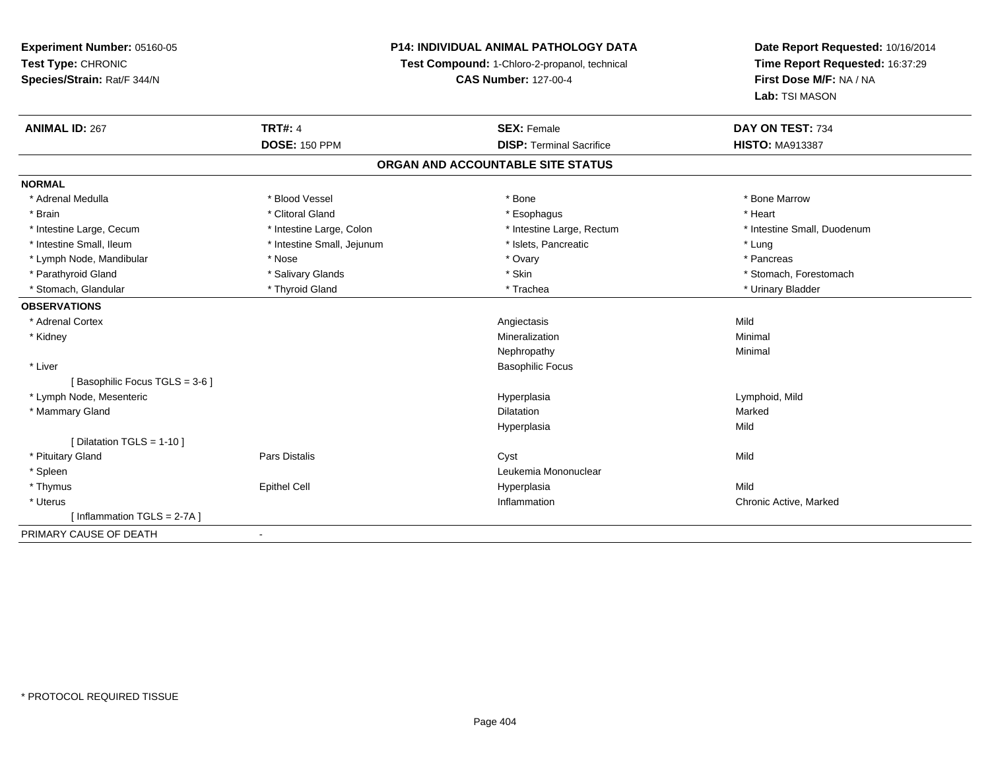## **P14: INDIVIDUAL ANIMAL PATHOLOGY DATA**

**Test Compound:** 1-Chloro-2-propanol, technical

**CAS Number:** 127-00-4

| <b>ANIMAL ID: 267</b>         | <b>TRT#: 4</b>             | <b>SEX: Female</b>                | DAY ON TEST: 734            |
|-------------------------------|----------------------------|-----------------------------------|-----------------------------|
|                               | <b>DOSE: 150 PPM</b>       | <b>DISP: Terminal Sacrifice</b>   | <b>HISTO: MA913387</b>      |
|                               |                            | ORGAN AND ACCOUNTABLE SITE STATUS |                             |
| <b>NORMAL</b>                 |                            |                                   |                             |
| * Adrenal Medulla             | * Blood Vessel             | * Bone                            | * Bone Marrow               |
| * Brain                       | * Clitoral Gland           | * Esophagus                       | * Heart                     |
| * Intestine Large, Cecum      | * Intestine Large, Colon   | * Intestine Large, Rectum         | * Intestine Small, Duodenum |
| * Intestine Small, Ileum      | * Intestine Small, Jejunum | * Islets, Pancreatic              | * Lung                      |
| * Lymph Node, Mandibular      | * Nose                     | * Ovary                           | * Pancreas                  |
| * Parathyroid Gland           | * Salivary Glands          | * Skin                            | * Stomach, Forestomach      |
| * Stomach, Glandular          | * Thyroid Gland            | * Trachea                         | * Urinary Bladder           |
| <b>OBSERVATIONS</b>           |                            |                                   |                             |
| * Adrenal Cortex              |                            | Angiectasis                       | Mild                        |
| * Kidney                      |                            | Mineralization                    | Minimal                     |
|                               |                            | Nephropathy                       | Minimal                     |
| * Liver                       |                            | <b>Basophilic Focus</b>           |                             |
| [Basophilic Focus TGLS = 3-6] |                            |                                   |                             |
| * Lymph Node, Mesenteric      |                            | Hyperplasia                       | Lymphoid, Mild              |
| * Mammary Gland               |                            | <b>Dilatation</b>                 | Marked                      |
|                               |                            | Hyperplasia                       | Mild                        |
| [ Dilatation TGLS = $1-10$ ]  |                            |                                   |                             |
| * Pituitary Gland             | Pars Distalis              | Cyst                              | Mild                        |
| * Spleen                      |                            | Leukemia Mononuclear              |                             |
| * Thymus                      | <b>Epithel Cell</b>        | Hyperplasia                       | Mild                        |
| * Uterus                      |                            | Inflammation                      | Chronic Active, Marked      |
| [Inflammation TGLS = 2-7A]    |                            |                                   |                             |
| PRIMARY CAUSE OF DEATH        | $\blacksquare$             |                                   |                             |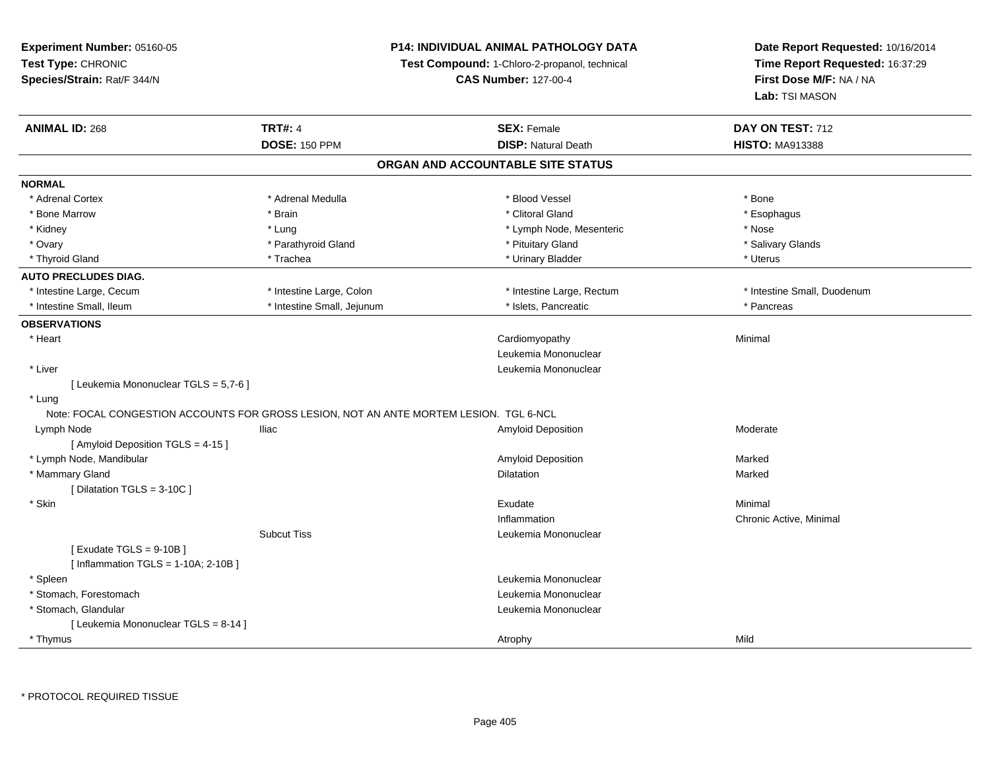## **P14: INDIVIDUAL ANIMAL PATHOLOGY DATA**

**Test Compound:** 1-Chloro-2-propanol, technical

| <b>ANIMAL ID: 268</b>                                                                  | <b>TRT#: 4</b>             | <b>SEX: Female</b>                | DAY ON TEST: 712            |
|----------------------------------------------------------------------------------------|----------------------------|-----------------------------------|-----------------------------|
|                                                                                        | <b>DOSE: 150 PPM</b>       | <b>DISP: Natural Death</b>        | <b>HISTO: MA913388</b>      |
|                                                                                        |                            | ORGAN AND ACCOUNTABLE SITE STATUS |                             |
| <b>NORMAL</b>                                                                          |                            |                                   |                             |
| * Adrenal Cortex                                                                       | * Adrenal Medulla          | * Blood Vessel                    | * Bone                      |
| * Bone Marrow                                                                          | * Brain                    | * Clitoral Gland                  | * Esophagus                 |
| * Kidney                                                                               | * Lung                     | * Lymph Node, Mesenteric          | * Nose                      |
| * Ovary                                                                                | * Parathyroid Gland        | * Pituitary Gland                 | * Salivary Glands           |
| * Thyroid Gland                                                                        | * Trachea                  | * Urinary Bladder                 | * Uterus                    |
| <b>AUTO PRECLUDES DIAG.</b>                                                            |                            |                                   |                             |
| * Intestine Large, Cecum                                                               | * Intestine Large, Colon   | * Intestine Large, Rectum         | * Intestine Small, Duodenum |
| * Intestine Small, Ileum                                                               | * Intestine Small, Jejunum | * Islets, Pancreatic              | * Pancreas                  |
| <b>OBSERVATIONS</b>                                                                    |                            |                                   |                             |
| * Heart                                                                                |                            | Cardiomyopathy                    | Minimal                     |
|                                                                                        |                            | Leukemia Mononuclear              |                             |
| * Liver                                                                                |                            | Leukemia Mononuclear              |                             |
| [ Leukemia Mononuclear TGLS = 5,7-6 ]                                                  |                            |                                   |                             |
| * Lung                                                                                 |                            |                                   |                             |
| Note: FOCAL CONGESTION ACCOUNTS FOR GROSS LESION, NOT AN ANTE MORTEM LESION. TGL 6-NCL |                            |                                   |                             |
| Lymph Node                                                                             | lliac                      | Amyloid Deposition                | Moderate                    |
| [ Amyloid Deposition TGLS = 4-15 ]                                                     |                            |                                   |                             |
| * Lymph Node, Mandibular                                                               |                            | Amyloid Deposition                | Marked                      |
| * Mammary Gland                                                                        |                            | Dilatation                        | Marked                      |
| [ Dilatation TGLS = 3-10C ]                                                            |                            |                                   |                             |
| * Skin                                                                                 |                            | Exudate                           | Minimal                     |
|                                                                                        |                            | Inflammation                      | Chronic Active, Minimal     |
|                                                                                        | <b>Subcut Tiss</b>         | Leukemia Mononuclear              |                             |
| [Exudate TGLS = $9-10B$ ]                                                              |                            |                                   |                             |
| [Inflammation TGLS = $1-10A$ ; 2-10B]                                                  |                            |                                   |                             |
| * Spleen                                                                               |                            | Leukemia Mononuclear              |                             |
| * Stomach, Forestomach                                                                 |                            | Leukemia Mononuclear              |                             |
| * Stomach, Glandular                                                                   |                            | Leukemia Mononuclear              |                             |
| [ Leukemia Mononuclear TGLS = 8-14 ]                                                   |                            |                                   |                             |
| * Thymus                                                                               |                            | Atrophy                           | Mild                        |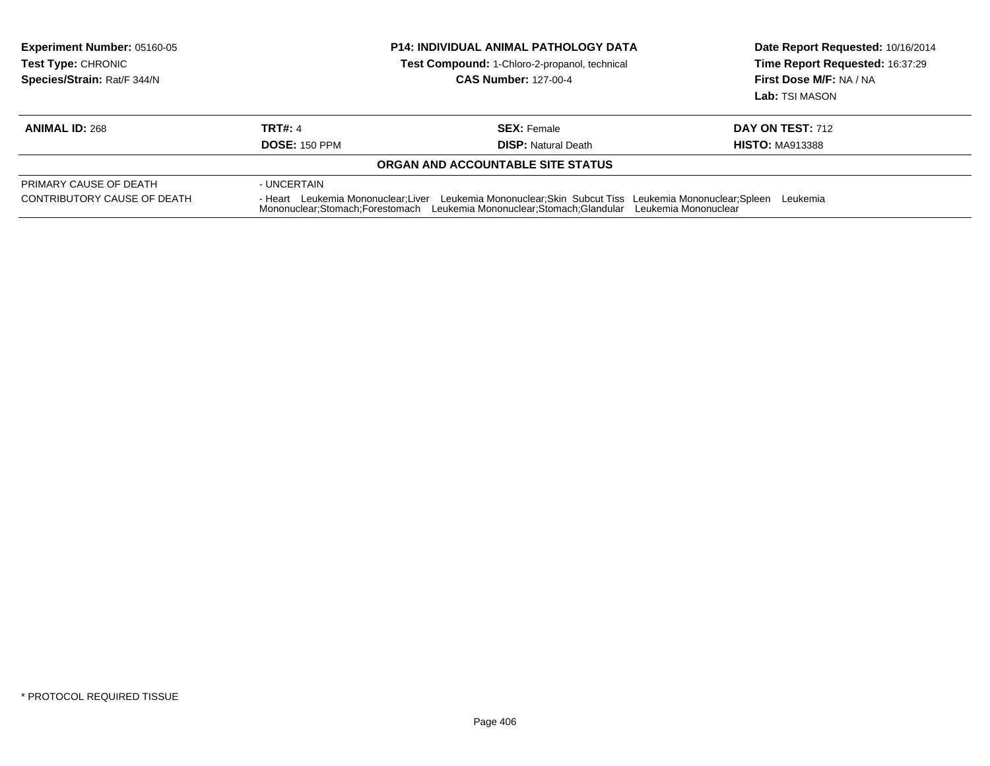| <b>Experiment Number: 05160-05</b><br><b>Test Type: CHRONIC</b><br>Species/Strain: Rat/F 344/N | <b>P14: INDIVIDUAL ANIMAL PATHOLOGY DATA</b><br>Test Compound: 1-Chloro-2-propanol, technical<br><b>CAS Number: 127-00-4</b><br><b>TRT#: 4</b><br><b>SEX: Female</b><br><b>DOSE: 150 PPM</b><br><b>DISP:</b> Natural Death           |                                   | Date Report Requested: 10/16/2014<br>Time Report Requested: 16:37:29<br>First Dose M/F: NA / NA<br>Lab: TSI MASON |  |
|------------------------------------------------------------------------------------------------|--------------------------------------------------------------------------------------------------------------------------------------------------------------------------------------------------------------------------------------|-----------------------------------|-------------------------------------------------------------------------------------------------------------------|--|
| <b>ANIMAL ID: 268</b>                                                                          |                                                                                                                                                                                                                                      |                                   | <b>DAY ON TEST: 712</b><br><b>HISTO: MA913388</b>                                                                 |  |
|                                                                                                |                                                                                                                                                                                                                                      | ORGAN AND ACCOUNTABLE SITE STATUS |                                                                                                                   |  |
| PRIMARY CAUSE OF DEATH<br>CONTRIBUTORY CAUSE OF DEATH                                          | - UNCERTAIN<br>Leukemia Mononuclear; Skin Subcut Tiss Leukemia Mononuclear; Spleen<br>- Heart Leukemia Mononuclear; Liver<br>Leukemia<br>Mononuclear;Stomach;Forestomach Leukemia Mononuclear;Stomach;Glandular Leukemia Mononuclear |                                   |                                                                                                                   |  |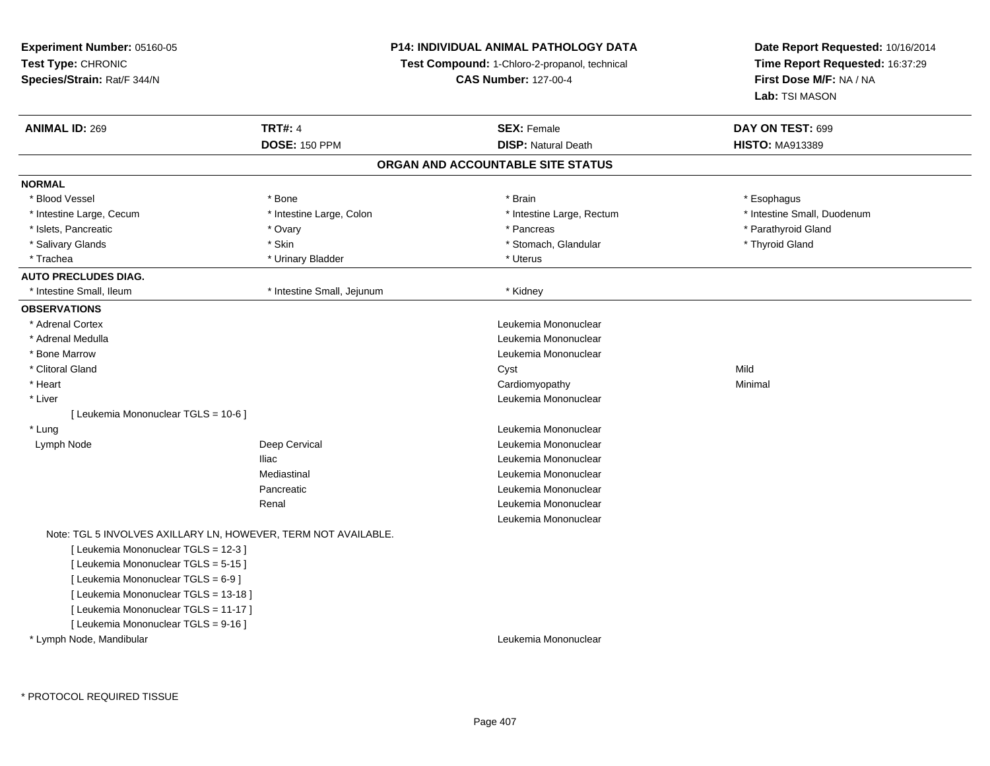## **P14: INDIVIDUAL ANIMAL PATHOLOGY DATA**

**Test Compound:** 1-Chloro-2-propanol, technical

**CAS Number:** 127-00-4

| <b>ANIMAL ID: 269</b>                 | <b>TRT#: 4</b>                                                 | <b>SEX: Female</b>         | DAY ON TEST: 699            |  |  |  |  |
|---------------------------------------|----------------------------------------------------------------|----------------------------|-----------------------------|--|--|--|--|
|                                       | <b>DOSE: 150 PPM</b>                                           | <b>DISP: Natural Death</b> | <b>HISTO: MA913389</b>      |  |  |  |  |
| ORGAN AND ACCOUNTABLE SITE STATUS     |                                                                |                            |                             |  |  |  |  |
| <b>NORMAL</b>                         |                                                                |                            |                             |  |  |  |  |
| * Blood Vessel                        | * Bone                                                         | * Brain                    | * Esophagus                 |  |  |  |  |
| * Intestine Large, Cecum              | * Intestine Large, Colon                                       | * Intestine Large, Rectum  | * Intestine Small, Duodenum |  |  |  |  |
| * Islets, Pancreatic                  | * Ovary                                                        | * Pancreas                 | * Parathyroid Gland         |  |  |  |  |
| * Salivary Glands                     | * Skin                                                         | * Stomach, Glandular       | * Thyroid Gland             |  |  |  |  |
| * Trachea                             | * Urinary Bladder                                              | * Uterus                   |                             |  |  |  |  |
| <b>AUTO PRECLUDES DIAG.</b>           |                                                                |                            |                             |  |  |  |  |
| * Intestine Small, Ileum              | * Intestine Small, Jejunum                                     | * Kidney                   |                             |  |  |  |  |
| <b>OBSERVATIONS</b>                   |                                                                |                            |                             |  |  |  |  |
| * Adrenal Cortex                      |                                                                | Leukemia Mononuclear       |                             |  |  |  |  |
| * Adrenal Medulla                     |                                                                | Leukemia Mononuclear       |                             |  |  |  |  |
| * Bone Marrow                         |                                                                | Leukemia Mononuclear       |                             |  |  |  |  |
| * Clitoral Gland                      |                                                                | Cyst                       | Mild                        |  |  |  |  |
| * Heart                               |                                                                | Cardiomyopathy             | Minimal                     |  |  |  |  |
| * Liver                               |                                                                | Leukemia Mononuclear       |                             |  |  |  |  |
| [ Leukemia Mononuclear TGLS = 10-6 ]  |                                                                |                            |                             |  |  |  |  |
| * Lung                                |                                                                | Leukemia Mononuclear       |                             |  |  |  |  |
| Lymph Node                            | Deep Cervical                                                  | Leukemia Mononuclear       |                             |  |  |  |  |
|                                       | <b>Iliac</b>                                                   | Leukemia Mononuclear       |                             |  |  |  |  |
|                                       | Mediastinal                                                    | Leukemia Mononuclear       |                             |  |  |  |  |
|                                       | Pancreatic                                                     | Leukemia Mononuclear       |                             |  |  |  |  |
|                                       | Renal                                                          | Leukemia Mononuclear       |                             |  |  |  |  |
|                                       |                                                                | Leukemia Mononuclear       |                             |  |  |  |  |
|                                       | Note: TGL 5 INVOLVES AXILLARY LN, HOWEVER, TERM NOT AVAILABLE. |                            |                             |  |  |  |  |
| [ Leukemia Mononuclear TGLS = 12-3 ]  |                                                                |                            |                             |  |  |  |  |
| [ Leukemia Mononuclear TGLS = 5-15 ]  |                                                                |                            |                             |  |  |  |  |
| [ Leukemia Mononuclear TGLS = 6-9 ]   |                                                                |                            |                             |  |  |  |  |
| [ Leukemia Mononuclear TGLS = 13-18 ] |                                                                |                            |                             |  |  |  |  |
| [ Leukemia Mononuclear TGLS = 11-17 ] |                                                                |                            |                             |  |  |  |  |
| [ Leukemia Mononuclear TGLS = 9-16 ]  |                                                                |                            |                             |  |  |  |  |
| * Lymph Node, Mandibular              |                                                                | Leukemia Mononuclear       |                             |  |  |  |  |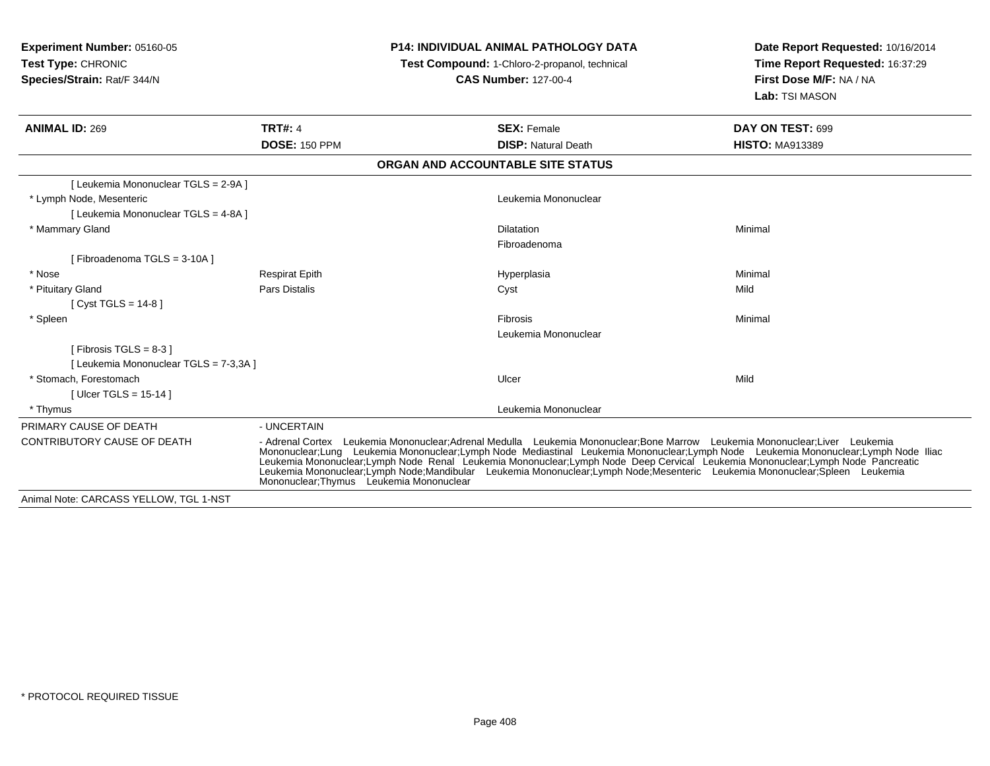**Experiment Number:** 05160-05**Test Type:** CHRONIC **Species/Strain:** Rat/F 344/N**P14: INDIVIDUAL ANIMAL PATHOLOGY DATATest Compound:** 1-Chloro-2-propanol, technical **CAS Number:** 127-00-4**Date Report Requested:** 10/16/2014**Time Report Requested:** 16:37:29**First Dose M/F:** NA / NA**Lab:** TSI MASON**ANIMAL ID:** 269**TRT#:** 4 **SEX:** Female **SEX: Female DAY ON TEST:** 699 **DOSE:** 150 PPM**DISP:** Natural Death **HISTO:** MA913389 **ORGAN AND ACCOUNTABLE SITE STATUS**[ Leukemia Mononuclear TGLS = 2-9A ] \* Lymph Node, Mesenteric Leukemia Mononuclear [ Leukemia Mononuclear TGLS = 4-8A ] \* Mammary Glandd and the control of the control of the control of the control of the control of the control of the control of the control of the control of the control of the control of the control of the control of the control of the co Fibroadenoma[ Fibroadenoma TGLS = 3-10A ] \* Nose Respirat Epith Hyperplasia Minimal \* Pituitary Gland Pars Distalis Cyst Mild [ Cyst TGLS = 14-8 ] \* Spleenn and the control of the control of the control of the control of the control of the control of the control of the control of the control of the control of the control of the control of the control of the control of the co Leukemia Mononuclear[ Fibrosis TGLS = 8-3 ][ Leukemia Mononuclear TGLS = 7-3,3A ] \* Stomach, Forestomachh ann an t-Iomraid ann an t-Iomraid ann an t-Iomraid ann an t-Iomraid ann an t-Iomraid ann an t-Iomraid ann an<br>Iomraid an t-Iomraid ann an t-Iomraid ann an t-Iomraid ann an t-Iomraid ann an t-Iomraid ann an t-Iomraid ann [ Ulcer TGLS = 15-14 ] \* Thymus Leukemia Mononuclear PRIMARY CAUSE OF DEATH - UNCERTAIN CONTRIBUTORY CAUSE OF DEATH - Adrenal Cortex Leukemia Mononuclear;Adrenal Medulla Leukemia Mononuclear;Bone Marrow Leukemia Mononuclear;Liver Leukemia Mononuclear;Lung Leukemia Mononuclear;Lymph Node Mediastinal Leukemia Mononuclear;Lymph Node Leukemia Mononuclear;Lymph Node IliacLeukemia Mononuclear;Lymph Node Renal Leukemia Mononuclear;Lymph Node Deep Cervical Leukemia Mononuclear;Lymph Node Pancreatic Leukemia Mononuclear;Lymph Node;Mandibular Leukemia Mononuclear;Lymph Node;Mesenteric Leukemia Mononuclear;Spleen Leukemia Mononuclear;Thymus Leukemia MononuclearAnimal Note: CARCASS YELLOW, TGL 1-NST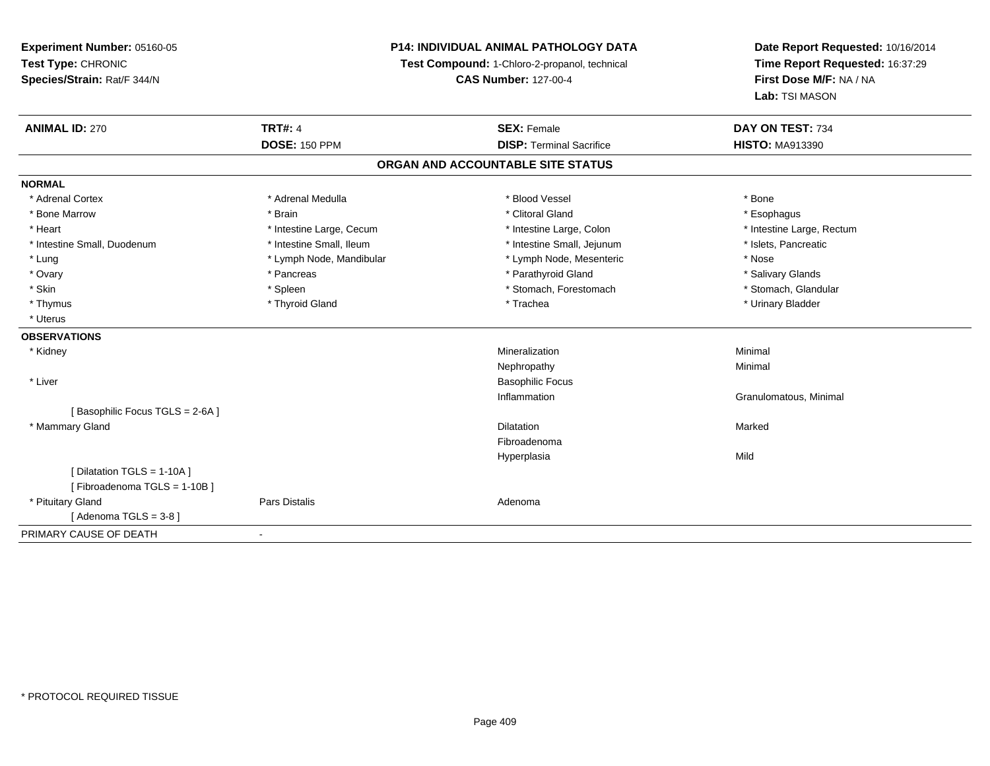## **P14: INDIVIDUAL ANIMAL PATHOLOGY DATA**

**Test Compound:** 1-Chloro-2-propanol, technical

**CAS Number:** 127-00-4

| <b>ANIMAL ID: 270</b>          | <b>TRT#: 4</b>           | <b>SEX: Female</b>                | DAY ON TEST: 734          |
|--------------------------------|--------------------------|-----------------------------------|---------------------------|
|                                | <b>DOSE: 150 PPM</b>     | <b>DISP: Terminal Sacrifice</b>   | <b>HISTO: MA913390</b>    |
|                                |                          | ORGAN AND ACCOUNTABLE SITE STATUS |                           |
| <b>NORMAL</b>                  |                          |                                   |                           |
| * Adrenal Cortex               | * Adrenal Medulla        | * Blood Vessel                    | * Bone                    |
| * Bone Marrow                  | * Brain                  | * Clitoral Gland                  | * Esophagus               |
| * Heart                        | * Intestine Large, Cecum | * Intestine Large, Colon          | * Intestine Large, Rectum |
| * Intestine Small, Duodenum    | * Intestine Small, Ileum | * Intestine Small, Jejunum        | * Islets, Pancreatic      |
| * Lung                         | * Lymph Node, Mandibular | * Lymph Node, Mesenteric          | * Nose                    |
| * Ovary                        | * Pancreas               | * Parathyroid Gland               | * Salivary Glands         |
| * Skin                         | * Spleen                 | * Stomach, Forestomach            | * Stomach, Glandular      |
| * Thymus                       | * Thyroid Gland          | * Trachea                         | * Urinary Bladder         |
| * Uterus                       |                          |                                   |                           |
| <b>OBSERVATIONS</b>            |                          |                                   |                           |
| * Kidney                       |                          | Mineralization                    | Minimal                   |
|                                |                          | Nephropathy                       | Minimal                   |
| * Liver                        |                          | <b>Basophilic Focus</b>           |                           |
|                                |                          | Inflammation                      | Granulomatous, Minimal    |
| [Basophilic Focus TGLS = 2-6A] |                          |                                   |                           |
| * Mammary Gland                |                          | <b>Dilatation</b>                 | Marked                    |
|                                |                          | Fibroadenoma                      |                           |
|                                |                          | Hyperplasia                       | Mild                      |
| [ Dilatation TGLS = 1-10A ]    |                          |                                   |                           |
| [Fibroadenoma TGLS = 1-10B]    |                          |                                   |                           |
| * Pituitary Gland              | Pars Distalis            | Adenoma                           |                           |
| [Adenoma TGLS = $3-8$ ]        |                          |                                   |                           |
| PRIMARY CAUSE OF DEATH         |                          |                                   |                           |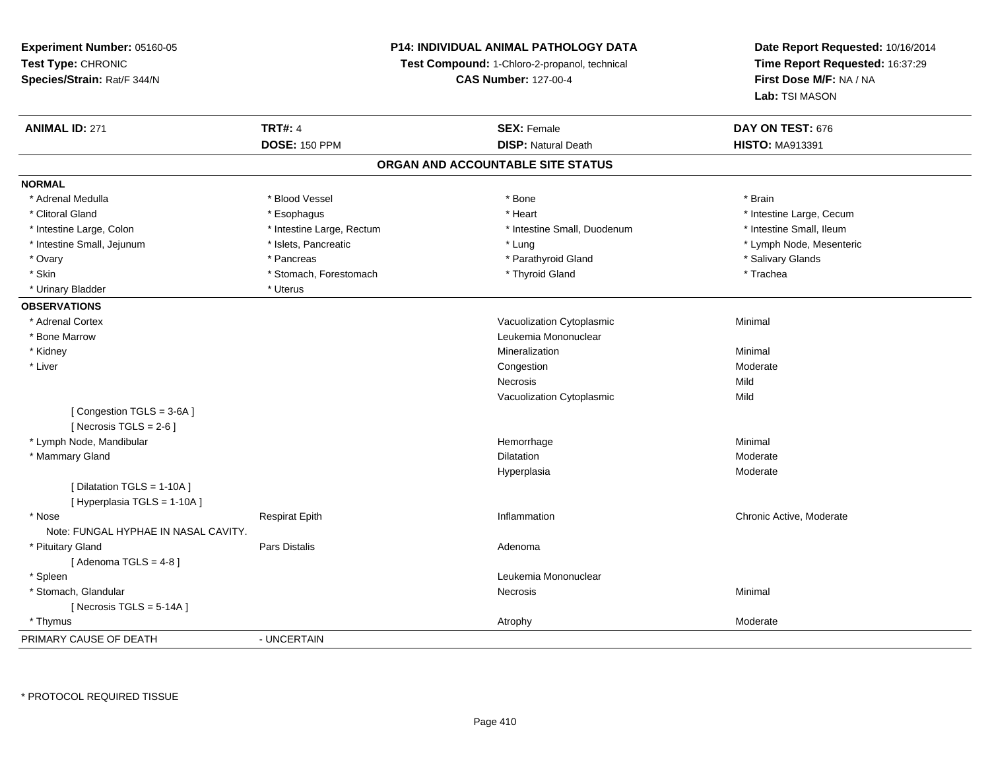## **P14: INDIVIDUAL ANIMAL PATHOLOGY DATA**

**Test Compound:** 1-Chloro-2-propanol, technical

**CAS Number:** 127-00-4

| <b>ANIMAL ID: 271</b>                | <b>TRT#: 4</b>            | <b>SEX: Female</b>                | DAY ON TEST: 676         |  |
|--------------------------------------|---------------------------|-----------------------------------|--------------------------|--|
|                                      | <b>DOSE: 150 PPM</b>      | <b>DISP: Natural Death</b>        | <b>HISTO: MA913391</b>   |  |
|                                      |                           | ORGAN AND ACCOUNTABLE SITE STATUS |                          |  |
| <b>NORMAL</b>                        |                           |                                   |                          |  |
| * Adrenal Medulla                    | * Blood Vessel            | * Bone                            | * Brain                  |  |
| * Clitoral Gland                     | * Esophagus               | * Heart                           | * Intestine Large, Cecum |  |
| * Intestine Large, Colon             | * Intestine Large, Rectum | * Intestine Small, Duodenum       | * Intestine Small, Ileum |  |
| * Intestine Small, Jejunum           | * Islets, Pancreatic      | * Lung                            | * Lymph Node, Mesenteric |  |
| * Ovary                              | * Pancreas                | * Parathyroid Gland               | * Salivary Glands        |  |
| * Skin                               | * Stomach, Forestomach    | * Thyroid Gland                   | * Trachea                |  |
| * Urinary Bladder                    | * Uterus                  |                                   |                          |  |
| <b>OBSERVATIONS</b>                  |                           |                                   |                          |  |
| * Adrenal Cortex                     |                           | Vacuolization Cytoplasmic         | Minimal                  |  |
| * Bone Marrow                        |                           | Leukemia Mononuclear              |                          |  |
| * Kidney                             |                           | Mineralization                    | Minimal                  |  |
| * Liver                              |                           | Congestion                        | Moderate                 |  |
|                                      |                           | Necrosis                          | Mild                     |  |
|                                      |                           | Vacuolization Cytoplasmic         | Mild                     |  |
| [Congestion TGLS = 3-6A]             |                           |                                   |                          |  |
| [Necrosis TGLS = $2-6$ ]             |                           |                                   |                          |  |
| * Lymph Node, Mandibular             |                           | Hemorrhage                        | Minimal                  |  |
| * Mammary Gland                      |                           | <b>Dilatation</b>                 | Moderate                 |  |
|                                      |                           | Hyperplasia                       | Moderate                 |  |
| [Dilatation TGLS = 1-10A]            |                           |                                   |                          |  |
| [Hyperplasia TGLS = 1-10A]           |                           |                                   |                          |  |
| * Nose                               | <b>Respirat Epith</b>     | Inflammation                      | Chronic Active, Moderate |  |
| Note: FUNGAL HYPHAE IN NASAL CAVITY. |                           |                                   |                          |  |
| * Pituitary Gland                    | <b>Pars Distalis</b>      | Adenoma                           |                          |  |
| [Adenoma TGLS = $4-8$ ]              |                           |                                   |                          |  |
| * Spleen                             |                           | Leukemia Mononuclear              |                          |  |
| * Stomach, Glandular                 |                           | Necrosis                          | Minimal                  |  |
| [Necrosis $TGLS = 5-14A$ ]           |                           |                                   |                          |  |
| * Thymus                             |                           | Atrophy                           | Moderate                 |  |
| PRIMARY CAUSE OF DEATH               | - UNCERTAIN               |                                   |                          |  |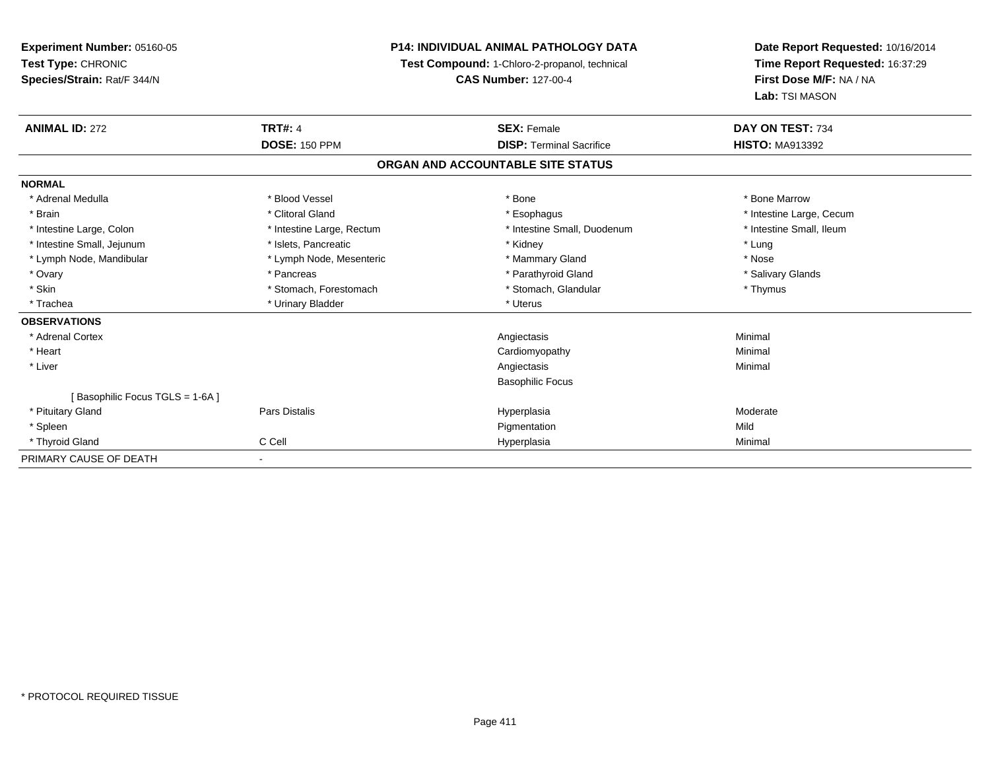**Experiment Number:** 05160-05**Test Type:** CHRONIC **Species/Strain:** Rat/F 344/N**P14: INDIVIDUAL ANIMAL PATHOLOGY DATATest Compound:** 1-Chloro-2-propanol, technical **CAS Number:** 127-00-4**Date Report Requested:** 10/16/2014**Time Report Requested:** 16:37:29**First Dose M/F:** NA / NA**Lab:** TSI MASON**ANIMAL ID:** 272**TRT#:** 4 **SEX:** Female **SEX: Female DAY ON TEST:** 734 **DOSE:** 150 PPM**DISP:** Terminal Sacrifice **HISTO:** MA913392 **ORGAN AND ACCOUNTABLE SITE STATUSNORMAL**\* Adrenal Medulla \* \* \* Blood Vessel \* \* \* Bone Marrow \* \* Bone Marrow \* \* Bone Marrow \* Brain \* Alternation of the state of the state of the state of the state of the state of the state of the state of the state of the state of the state of the state of the state of the state of the state of the state of th \* Intestine Small, Ileum \* Intestine Large, Colon \* Intestine Large, Rectum \* Intestine Small, Duodenum \* Intestine Small, Duodenum \* Intestine Small, Jejunum \* The metal was a structure of the structure of the structure of the structure of the structure of the structure of the structure of the structure of the structure of the structure of the structu \* Nose \* Lymph Node, Mandibular \* Lymph Node, Mesenteric \* Mammary Gland \* Mammary Gland \* Salivary Glands \* Ovary \* \* Pancreas \* \* Pancreas \* \* Pancreas \* \* Parathyroid Gland \* \* Salivary Glands \* Salivary Glands \* Salivary Glands \* Salivary Glands \* Salivary Glands \* Salivary Glands \* Salivary Glands \* \* Salivary Glands \* \* S \* Skin \* Stomach, Forestomach \* Stomach \* Stomach, Glandular \* Thymus \* Thymus \* Trachea \* Urinary Bladder \* Urinary Bladder \* Urinary Bladder \* Urinary Bladder \* Urinary Bladder **OBSERVATIONS** \* Adrenal Cortex Angiectasis Minimal \* Heart Cardiomyopathy Minimal \* Liverr and the contract of the contract of the contract of the contract of the contract of the contract of the contract of the contract of the contract of the contract of the contract of the contract of the contract of the cont Minimal Basophilic Focus[ Basophilic Focus TGLS = 1-6A ] \* Pituitary Gland Pars Distalis Hyperplasia Moderate \* Spleenn and the control of the control of the control of the control of the control of the control of the control of the control of the control of the control of the control of the control of the control of the control of the co \* Thyroid Gland C Cell Hyperplasia Minimal PRIMARY CAUSE OF DEATH-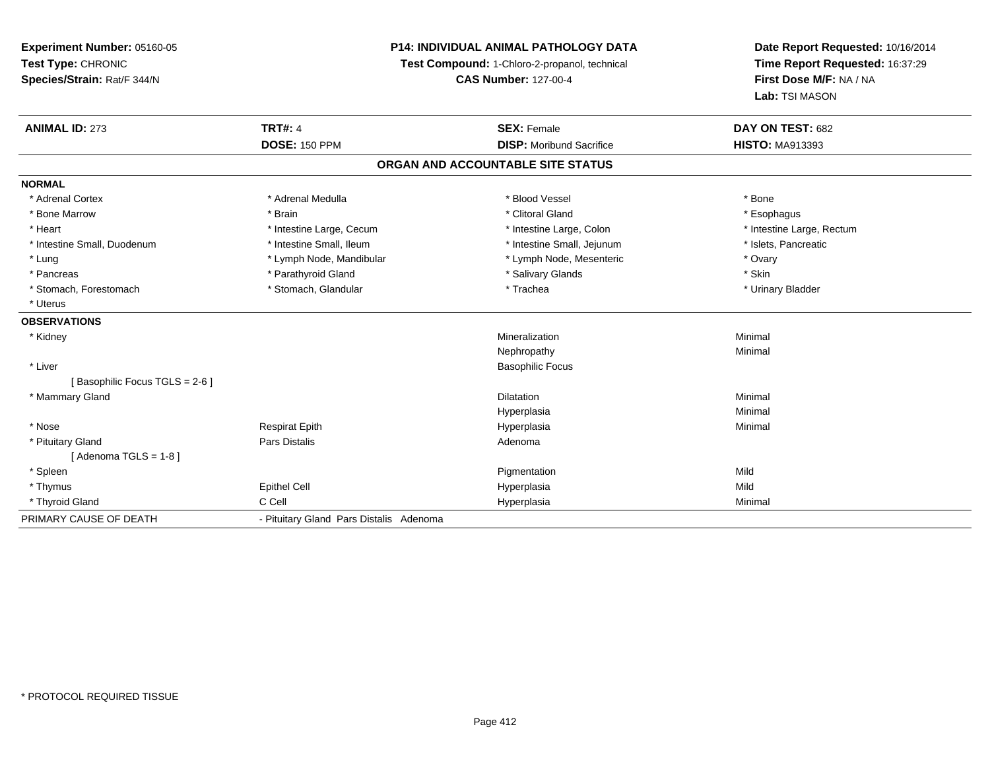## **P14: INDIVIDUAL ANIMAL PATHOLOGY DATA**

**Test Compound:** 1-Chloro-2-propanol, technical

**CAS Number:** 127-00-4

| <b>ANIMAL ID: 273</b>         | <b>TRT#: 4</b>                          | <b>SEX: Female</b>                | DAY ON TEST: 682          |
|-------------------------------|-----------------------------------------|-----------------------------------|---------------------------|
|                               | <b>DOSE: 150 PPM</b>                    | <b>DISP:</b> Moribund Sacrifice   | <b>HISTO: MA913393</b>    |
|                               |                                         | ORGAN AND ACCOUNTABLE SITE STATUS |                           |
| <b>NORMAL</b>                 |                                         |                                   |                           |
| * Adrenal Cortex              | * Adrenal Medulla                       | * Blood Vessel                    | * Bone                    |
| * Bone Marrow                 | * Brain                                 | * Clitoral Gland                  | * Esophagus               |
| * Heart                       | * Intestine Large, Cecum                | * Intestine Large, Colon          | * Intestine Large, Rectum |
| * Intestine Small, Duodenum   | * Intestine Small, Ileum                | * Intestine Small, Jejunum        | * Islets, Pancreatic      |
| * Lung                        | * Lymph Node, Mandibular                | * Lymph Node, Mesenteric          | * Ovary                   |
| * Pancreas                    | * Parathyroid Gland                     | * Salivary Glands                 | * Skin                    |
| * Stomach, Forestomach        | * Stomach, Glandular                    | * Trachea                         | * Urinary Bladder         |
| * Uterus                      |                                         |                                   |                           |
| <b>OBSERVATIONS</b>           |                                         |                                   |                           |
| * Kidney                      |                                         | Mineralization                    | Minimal                   |
|                               |                                         | Nephropathy                       | Minimal                   |
| * Liver                       |                                         | <b>Basophilic Focus</b>           |                           |
| [Basophilic Focus TGLS = 2-6] |                                         |                                   |                           |
| * Mammary Gland               |                                         | <b>Dilatation</b>                 | Minimal                   |
|                               |                                         | Hyperplasia                       | Minimal                   |
| * Nose                        | <b>Respirat Epith</b>                   | Hyperplasia                       | Minimal                   |
| * Pituitary Gland             | <b>Pars Distalis</b>                    | Adenoma                           |                           |
| [Adenoma TGLS = 1-8]          |                                         |                                   |                           |
| * Spleen                      |                                         | Pigmentation                      | Mild                      |
| * Thymus                      | Epithel Cell                            | Hyperplasia                       | Mild                      |
| * Thyroid Gland               | C Cell                                  | Hyperplasia                       | Minimal                   |
| PRIMARY CAUSE OF DEATH        | - Pituitary Gland Pars Distalis Adenoma |                                   |                           |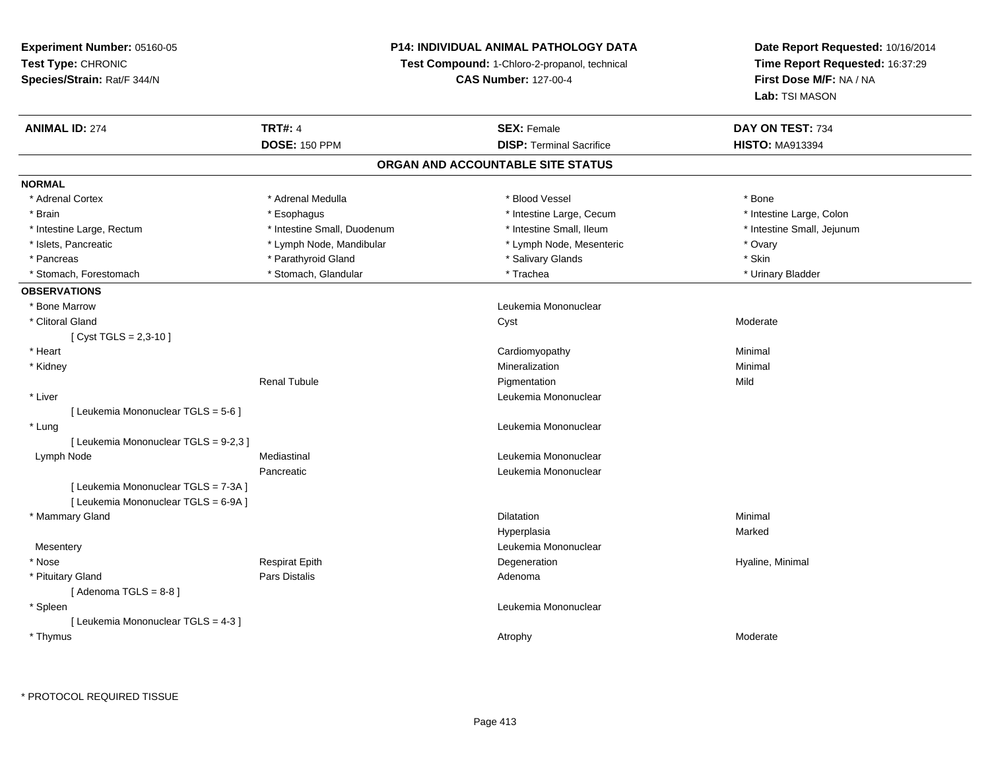## **P14: INDIVIDUAL ANIMAL PATHOLOGY DATA**

**Test Compound:** 1-Chloro-2-propanol, technical

**CAS Number:** 127-00-4

| <b>ANIMAL ID: 274</b>                 | <b>TRT#: 4</b>              | <b>SEX: Female</b>                | DAY ON TEST: 734           |
|---------------------------------------|-----------------------------|-----------------------------------|----------------------------|
|                                       | <b>DOSE: 150 PPM</b>        | <b>DISP: Terminal Sacrifice</b>   | <b>HISTO: MA913394</b>     |
|                                       |                             | ORGAN AND ACCOUNTABLE SITE STATUS |                            |
| <b>NORMAL</b>                         |                             |                                   |                            |
| * Adrenal Cortex                      | * Adrenal Medulla           | * Blood Vessel                    | * Bone                     |
| * Brain                               | * Esophagus                 | * Intestine Large, Cecum          | * Intestine Large, Colon   |
| * Intestine Large, Rectum             | * Intestine Small, Duodenum | * Intestine Small, Ileum          | * Intestine Small, Jejunum |
| * Islets, Pancreatic                  | * Lymph Node, Mandibular    | * Lymph Node, Mesenteric          | * Ovary                    |
| * Pancreas                            | * Parathyroid Gland         | * Salivary Glands                 | * Skin                     |
| * Stomach, Forestomach                | * Stomach, Glandular        | * Trachea                         | * Urinary Bladder          |
| <b>OBSERVATIONS</b>                   |                             |                                   |                            |
| * Bone Marrow                         |                             | Leukemia Mononuclear              |                            |
| * Clitoral Gland                      |                             | Cyst                              | Moderate                   |
| [Cyst TGLS = $2,3-10$ ]               |                             |                                   |                            |
| * Heart                               |                             | Cardiomyopathy                    | Minimal                    |
| * Kidney                              |                             | Mineralization                    | Minimal                    |
|                                       | <b>Renal Tubule</b>         | Pigmentation                      | Mild                       |
| * Liver                               |                             | Leukemia Mononuclear              |                            |
| [ Leukemia Mononuclear TGLS = 5-6 ]   |                             |                                   |                            |
| * Lung                                |                             | Leukemia Mononuclear              |                            |
| [ Leukemia Mononuclear TGLS = 9-2,3 ] |                             |                                   |                            |
| Lymph Node                            | Mediastinal                 | Leukemia Mononuclear              |                            |
|                                       | Pancreatic                  | Leukemia Mononuclear              |                            |
| [ Leukemia Mononuclear TGLS = 7-3A ]  |                             |                                   |                            |
| [ Leukemia Mononuclear TGLS = 6-9A ]  |                             |                                   |                            |
| * Mammary Gland                       |                             | <b>Dilatation</b>                 | Minimal                    |
|                                       |                             | Hyperplasia                       | Marked                     |
| Mesentery                             |                             | Leukemia Mononuclear              |                            |
| * Nose                                | <b>Respirat Epith</b>       | Degeneration                      | Hyaline, Minimal           |
| * Pituitary Gland                     | Pars Distalis               | Adenoma                           |                            |
| [Adenoma TGLS = $8-8$ ]               |                             |                                   |                            |
| * Spleen                              |                             | Leukemia Mononuclear              |                            |
| [ Leukemia Mononuclear TGLS = 4-3 ]   |                             |                                   |                            |
| * Thymus                              |                             | Atrophy                           | Moderate                   |
|                                       |                             |                                   |                            |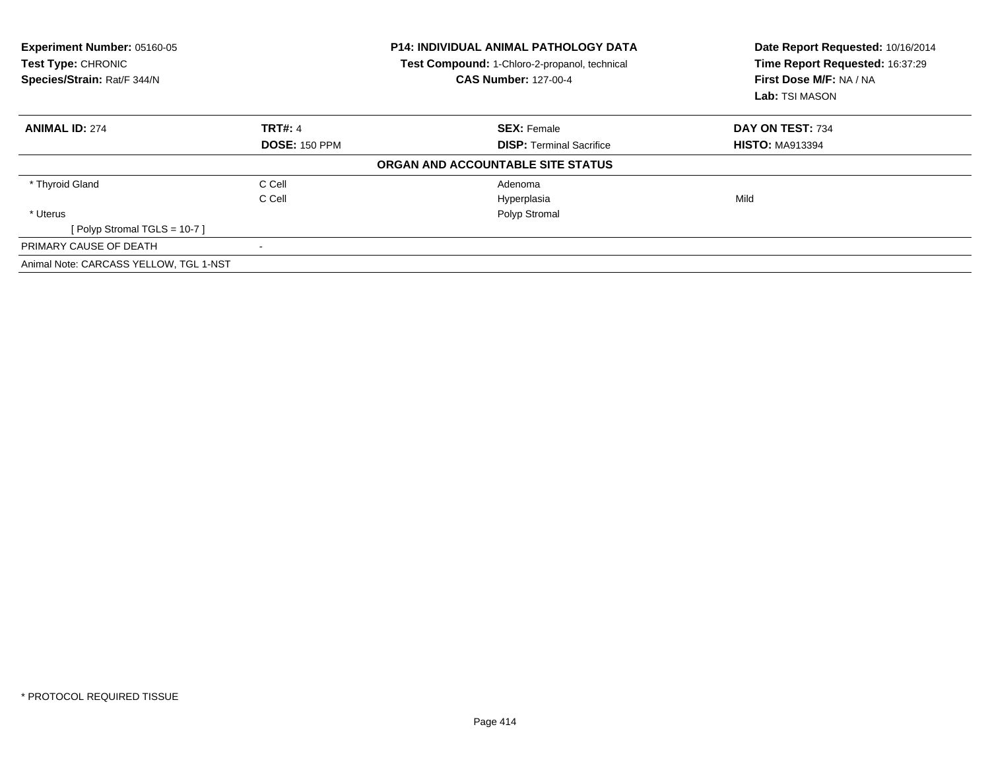| Experiment Number: 05160-05<br>Test Type: CHRONIC<br>Species/Strain: Rat/F 344/N |                      | <b>P14: INDIVIDUAL ANIMAL PATHOLOGY DATA</b><br>Test Compound: 1-Chloro-2-propanol, technical<br><b>CAS Number: 127-00-4</b> | Date Report Requested: 10/16/2014<br>Time Report Requested: 16:37:29<br>First Dose M/F: NA / NA<br>Lab: TSI MASON |  |
|----------------------------------------------------------------------------------|----------------------|------------------------------------------------------------------------------------------------------------------------------|-------------------------------------------------------------------------------------------------------------------|--|
| <b>ANIMAL ID: 274</b>                                                            | <b>TRT#: 4</b>       | <b>SEX: Female</b>                                                                                                           | DAY ON TEST: 734                                                                                                  |  |
|                                                                                  | <b>DOSE: 150 PPM</b> | <b>DISP: Terminal Sacrifice</b>                                                                                              | <b>HISTO: MA913394</b>                                                                                            |  |
|                                                                                  |                      | ORGAN AND ACCOUNTABLE SITE STATUS                                                                                            |                                                                                                                   |  |
| * Thyroid Gland                                                                  | C Cell               | Adenoma                                                                                                                      |                                                                                                                   |  |
|                                                                                  | C Cell               | Hyperplasia                                                                                                                  | Mild                                                                                                              |  |
| * Uterus                                                                         |                      | Polyp Stromal                                                                                                                |                                                                                                                   |  |
| [Polyp Stromal TGLS = 10-7]                                                      |                      |                                                                                                                              |                                                                                                                   |  |
| PRIMARY CAUSE OF DEATH                                                           |                      |                                                                                                                              |                                                                                                                   |  |
| Animal Note: CARCASS YELLOW, TGL 1-NST                                           |                      |                                                                                                                              |                                                                                                                   |  |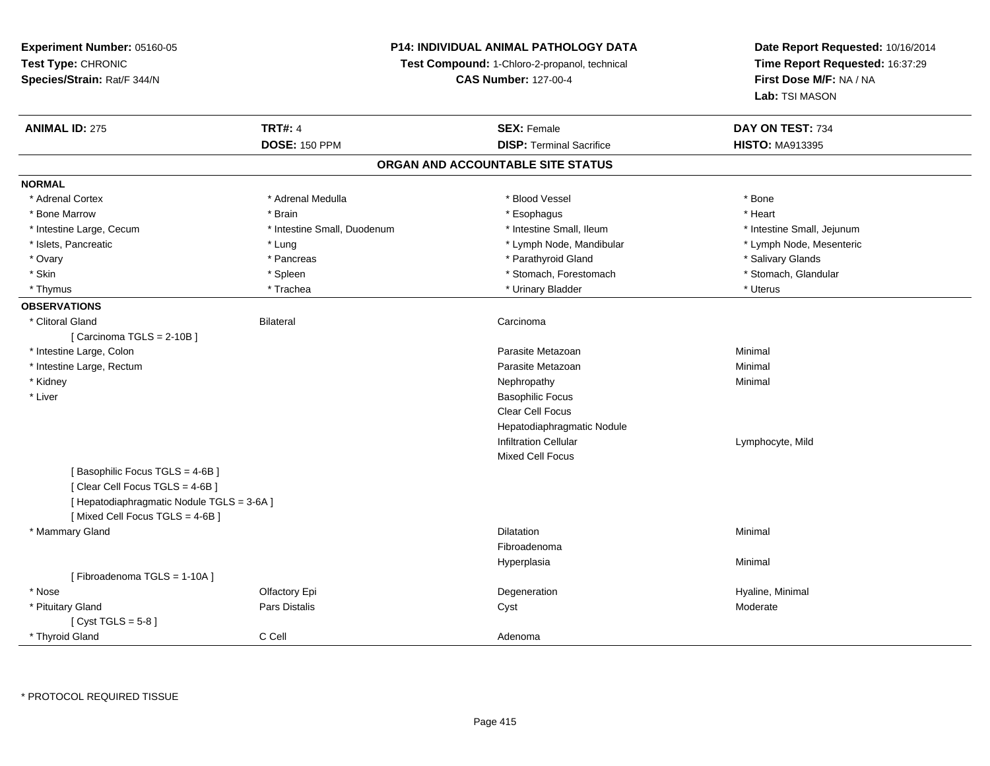**Experiment Number:** 05160-05**Test Type:** CHRONIC **Species/Strain:** Rat/F 344/N**P14: INDIVIDUAL ANIMAL PATHOLOGY DATATest Compound:** 1-Chloro-2-propanol, technical **CAS Number:** 127-00-4**Date Report Requested:** 10/16/2014**Time Report Requested:** 16:37:29**First Dose M/F:** NA / NA**Lab:** TSI MASON**ANIMAL ID:** 275**TRT#:** 4 **SEX:** Female **SEX: Female DAY ON TEST:** 734 **DOSE:** 150 PPM**DISP:** Terminal Sacrifice **HISTO:** MA913395 **ORGAN AND ACCOUNTABLE SITE STATUSNORMAL**\* Adrenal Cortex \* Adrenal Cortex \* \* Adrenal Medulla \* \* Adrenal Medulla \* \* Blood Vessel \* \* Brood Vessel \* \* Bone \* Heart \* Bone Marrow \* Brain \* Esophagus \* Heart \* Intestine Large, Cecum \* Intestine Small, Duodenum \* Intestine Small, Ileum \* Intestine Small, Jejunum\* Lymph Node, Mesenteric \* Islets, Pancreatic **\* Lung \* Lung \* Lung \* Lymph Node, Mandibular \*** Lymph Node, Mandibular \* Ovary \* \* Pancreas \* \* Pancreas \* \* Pancreas \* \* Parathyroid Gland \* \* Salivary Glands \* Salivary Glands \* Salivary Glands \* Salivary Glands \* Salivary Glands \* Salivary Glands \* Salivary Glands \* \* Salivary Glands \* \* S \* Stomach, Glandular \* Skin \* Spleen \* Spleen \* Spleen \* Stomach, Forestomach \* Stomach, Forestomach \* Thymus \* Trachea \* Urinary Bladder \* Uterus **OBSERVATIONS** \* Clitoral Glandd Carcinoma Bilateral Carcinoma Carcinoma Carcinoma Carcinoma Carcinoma Carcinoma Carcinoma Carcinoma Carcinoma Carcinoma Carcinoma Carcinoma Carcinoma Carcinoma Carcinoma Carcinoma Carcinoma Carcinoma Carcinoma Carcinoma  $[$  Carcinoma TGLS = 2-10B  $]$  \* Intestine Large, Colonn and a state of the control of the control of the control of the Parasite Metazoan and the control of Minimal \* Intestine Large, Rectumm and the contract of the contract of the contract of the contract of the contract of the contract of the contract of the contract of the contract of the contract of the contract of the contract of the contract of the cont \* Kidneyy the control of the control of the control of the control of the control of the control of the control of the control of the control of the control of the control of the control of the control of the control of the contro \* Liver Basophilic Focus Clear Cell Focus Hepatodiaphragmatic NoduleInfiltration Cellular Lymphocyte, MildMixed Cell Focus[ Basophilic Focus TGLS = 4-6B ][ Clear Cell Focus TGLS = 4-6B ][ Hepatodiaphragmatic Nodule TGLS = 3-6A ][ Mixed Cell Focus TGLS = 4-6B ] \* Mammary Glandd and the control of the control of the control of the control of the control of the control of the control of the control of the control of the control of the control of the control of the control of the control of the co FibroadenomaHyperplasiaa and a studies of the studies of the Minimal [ Fibroadenoma TGLS = 1-10A ] \* Nosee and the Cole of Equation of the Cole of the Cole of the Cole of the Cole of the Cole of the Cole of the Cole <br>Begeneration to the Cole of the Cole of the Cole of the Cole of the Cole of the Cole of the Cole of the Cole o \* Pituitary Gland Pars Distalis Cyst Moderate [ Cyst TGLS = 5-8 ] \* Thyroid Glandd C Cell C Cell Adenoma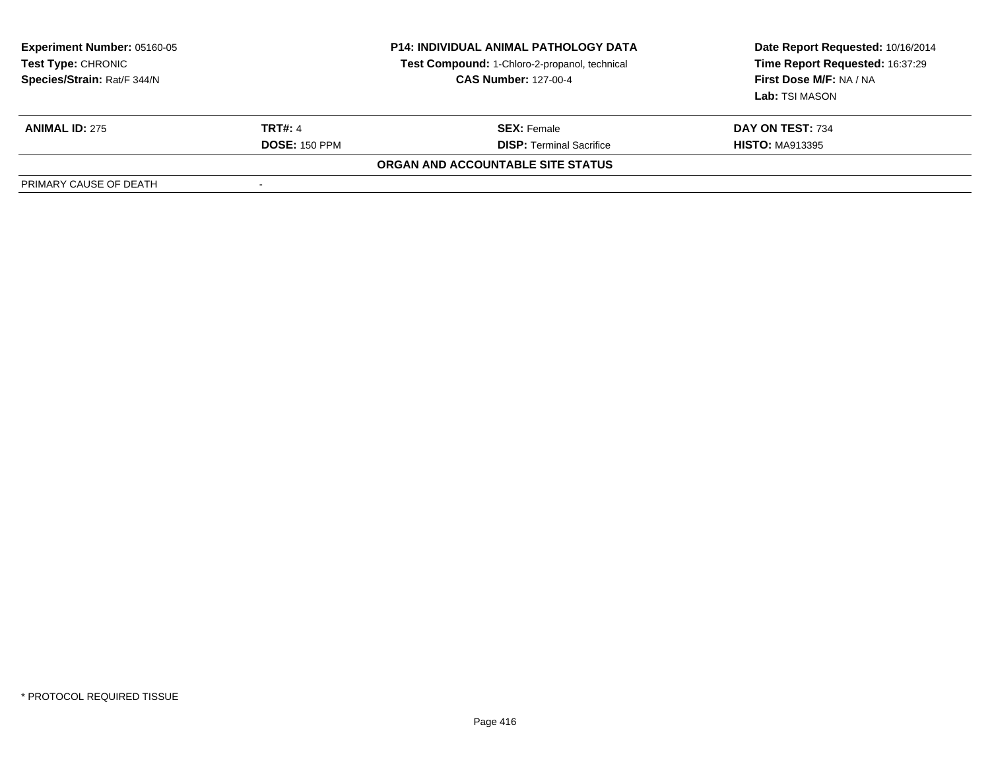| <b>Experiment Number: 05160-05</b><br>Test Type: CHRONIC<br>Species/Strain: Rat/F 344/N |                      | <b>P14: INDIVIDUAL ANIMAL PATHOLOGY DATA</b><br>Test Compound: 1-Chloro-2-propanol, technical<br><b>CAS Number: 127-00-4</b> | Date Report Requested: 10/16/2014<br>Time Report Requested: 16:37:29<br>First Dose M/F: NA / NA<br>Lab: TSI MASON |
|-----------------------------------------------------------------------------------------|----------------------|------------------------------------------------------------------------------------------------------------------------------|-------------------------------------------------------------------------------------------------------------------|
| <b>ANIMAL ID: 275</b>                                                                   | <b>TRT#: 4</b>       | <b>SEX:</b> Female                                                                                                           | DAY ON TEST: 734                                                                                                  |
|                                                                                         | <b>DOSE: 150 PPM</b> | <b>DISP:</b> Terminal Sacrifice                                                                                              | <b>HISTO: MA913395</b>                                                                                            |
|                                                                                         |                      | ORGAN AND ACCOUNTABLE SITE STATUS                                                                                            |                                                                                                                   |
| PRIMARY CAUSE OF DEATH                                                                  |                      |                                                                                                                              |                                                                                                                   |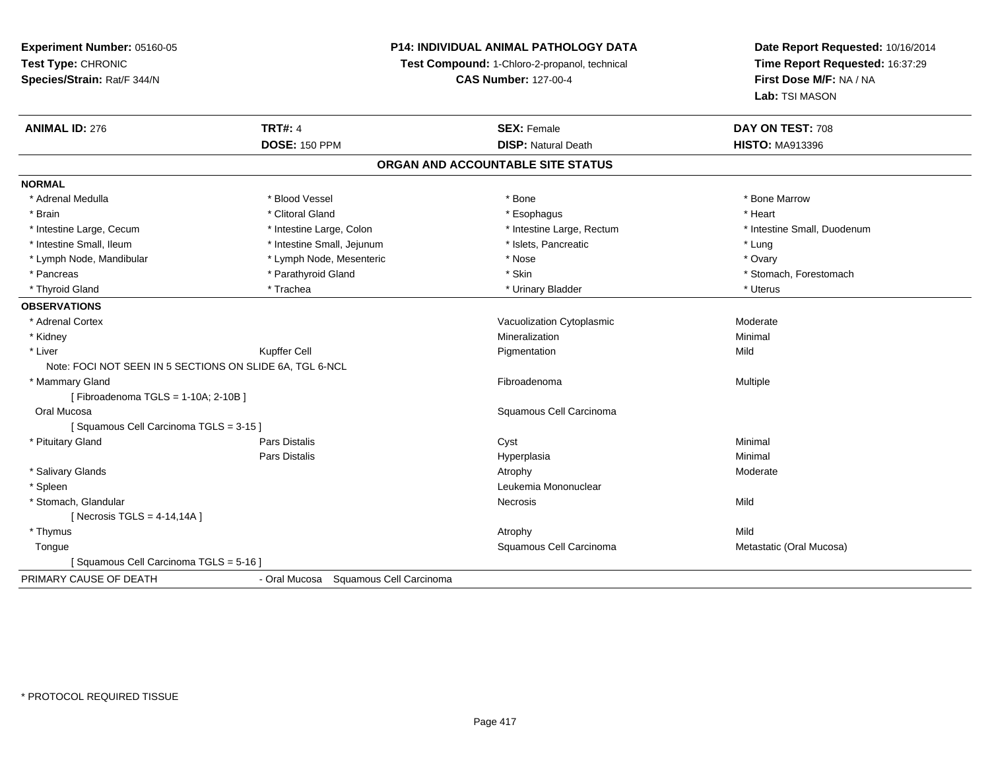## **P14: INDIVIDUAL ANIMAL PATHOLOGY DATA**

**Test Compound:** 1-Chloro-2-propanol, technical

**CAS Number:** 127-00-4

| <b>ANIMAL ID: 276</b>                                    | <b>TRT#: 4</b>                           | <b>SEX: Female</b>                | DAY ON TEST: 708            |
|----------------------------------------------------------|------------------------------------------|-----------------------------------|-----------------------------|
|                                                          | <b>DOSE: 150 PPM</b>                     | <b>DISP: Natural Death</b>        | <b>HISTO: MA913396</b>      |
|                                                          |                                          | ORGAN AND ACCOUNTABLE SITE STATUS |                             |
| <b>NORMAL</b>                                            |                                          |                                   |                             |
| * Adrenal Medulla                                        | * Blood Vessel                           | * Bone                            | * Bone Marrow               |
| * Brain                                                  | * Clitoral Gland                         | * Esophagus                       | * Heart                     |
| * Intestine Large, Cecum                                 | * Intestine Large, Colon                 | * Intestine Large, Rectum         | * Intestine Small, Duodenum |
| * Intestine Small, Ileum                                 | * Intestine Small, Jejunum               | * Islets, Pancreatic              | * Lung                      |
| * Lymph Node, Mandibular                                 | * Lymph Node, Mesenteric                 | * Nose                            | * Ovary                     |
| * Pancreas                                               | * Parathyroid Gland                      | * Skin                            | * Stomach, Forestomach      |
| * Thyroid Gland                                          | * Trachea                                | * Urinary Bladder                 | * Uterus                    |
| <b>OBSERVATIONS</b>                                      |                                          |                                   |                             |
| * Adrenal Cortex                                         |                                          | Vacuolization Cytoplasmic         | Moderate                    |
| * Kidney                                                 |                                          | Mineralization                    | Minimal                     |
| * Liver                                                  | <b>Kupffer Cell</b>                      | Pigmentation                      | Mild                        |
| Note: FOCI NOT SEEN IN 5 SECTIONS ON SLIDE 6A, TGL 6-NCL |                                          |                                   |                             |
| * Mammary Gland                                          |                                          | Fibroadenoma                      | Multiple                    |
| [Fibroadenoma TGLS = 1-10A; 2-10B]                       |                                          |                                   |                             |
| Oral Mucosa                                              |                                          | Squamous Cell Carcinoma           |                             |
| [Squamous Cell Carcinoma TGLS = 3-15]                    |                                          |                                   |                             |
| * Pituitary Gland                                        | Pars Distalis                            | Cyst                              | Minimal                     |
|                                                          | Pars Distalis                            | Hyperplasia                       | Minimal                     |
| * Salivary Glands                                        |                                          | Atrophy                           | Moderate                    |
| * Spleen                                                 |                                          | Leukemia Mononuclear              |                             |
| * Stomach, Glandular                                     |                                          | Necrosis                          | Mild                        |
| [Necrosis TGLS = $4-14,14A$ ]                            |                                          |                                   |                             |
| * Thymus                                                 |                                          | Atrophy                           | Mild                        |
| Tongue                                                   |                                          | Squamous Cell Carcinoma           | Metastatic (Oral Mucosa)    |
| [Squamous Cell Carcinoma TGLS = 5-16]                    |                                          |                                   |                             |
| PRIMARY CAUSE OF DEATH                                   | - Oral Mucosa<br>Squamous Cell Carcinoma |                                   |                             |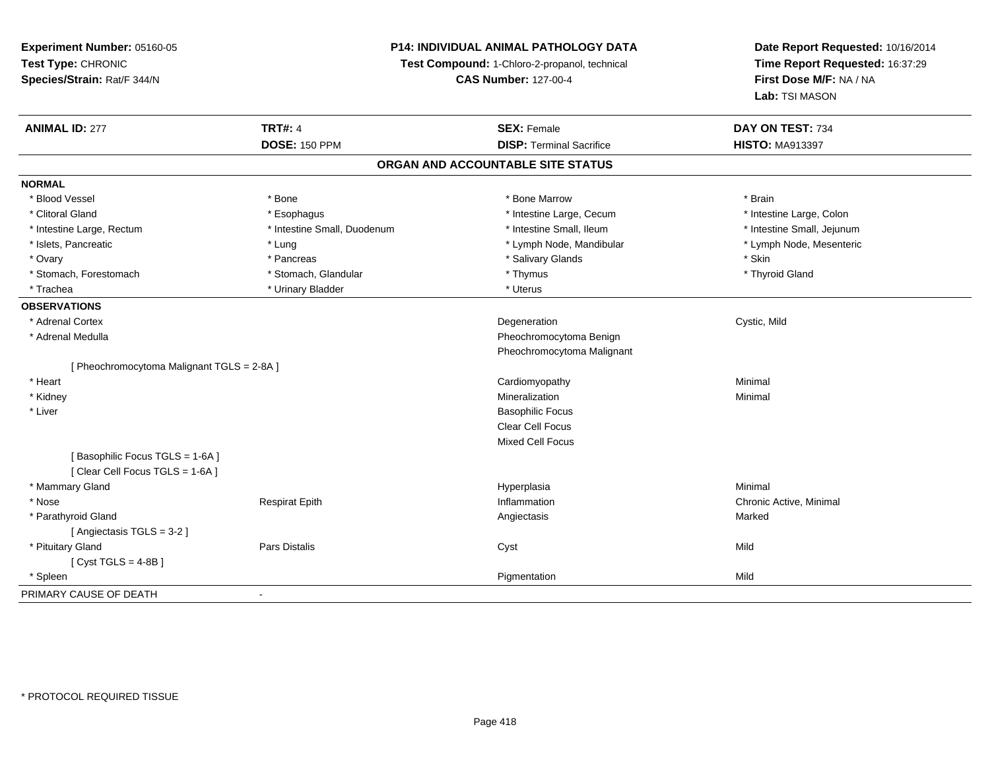## **P14: INDIVIDUAL ANIMAL PATHOLOGY DATA**

**Test Compound:** 1-Chloro-2-propanol, technical

**CAS Number:** 127-00-4

| <b>ANIMAL ID: 277</b>                      | <b>TRT#: 4</b>              | <b>SEX: Female</b>                | DAY ON TEST: 734           |
|--------------------------------------------|-----------------------------|-----------------------------------|----------------------------|
|                                            | <b>DOSE: 150 PPM</b>        | <b>DISP: Terminal Sacrifice</b>   | <b>HISTO: MA913397</b>     |
|                                            |                             | ORGAN AND ACCOUNTABLE SITE STATUS |                            |
| <b>NORMAL</b>                              |                             |                                   |                            |
| * Blood Vessel                             | * Bone                      | * Bone Marrow                     | * Brain                    |
| * Clitoral Gland                           | * Esophagus                 | * Intestine Large, Cecum          | * Intestine Large, Colon   |
| * Intestine Large, Rectum                  | * Intestine Small, Duodenum | * Intestine Small, Ileum          | * Intestine Small, Jejunum |
| * Islets, Pancreatic                       | * Lung                      | * Lymph Node, Mandibular          | * Lymph Node, Mesenteric   |
| * Ovary                                    | * Pancreas                  | * Salivary Glands                 | * Skin                     |
| * Stomach, Forestomach                     | * Stomach, Glandular        | * Thymus                          | * Thyroid Gland            |
| * Trachea                                  | * Urinary Bladder           | * Uterus                          |                            |
| <b>OBSERVATIONS</b>                        |                             |                                   |                            |
| * Adrenal Cortex                           |                             | Degeneration                      | Cystic, Mild               |
| * Adrenal Medulla                          |                             | Pheochromocytoma Benign           |                            |
|                                            |                             | Pheochromocytoma Malignant        |                            |
| [ Pheochromocytoma Malignant TGLS = 2-8A ] |                             |                                   |                            |
| * Heart                                    |                             | Cardiomyopathy                    | Minimal                    |
| * Kidney                                   |                             | Mineralization                    | Minimal                    |
| * Liver                                    |                             | <b>Basophilic Focus</b>           |                            |
|                                            |                             | Clear Cell Focus                  |                            |
|                                            |                             | Mixed Cell Focus                  |                            |
| [Basophilic Focus TGLS = 1-6A]             |                             |                                   |                            |
| [ Clear Cell Focus TGLS = 1-6A ]           |                             |                                   |                            |
| * Mammary Gland                            |                             | Hyperplasia                       | Minimal                    |
| * Nose                                     | <b>Respirat Epith</b>       | Inflammation                      | Chronic Active, Minimal    |
| * Parathyroid Gland                        |                             | Angiectasis                       | Marked                     |
| [ Angiectasis TGLS = 3-2 ]                 |                             |                                   |                            |
| * Pituitary Gland                          | Pars Distalis               | Cyst                              | Mild                       |
| [ Cyst TGLS = $4-8B$ ]                     |                             |                                   |                            |
| * Spleen                                   |                             | Pigmentation                      | Mild                       |
| PRIMARY CAUSE OF DEATH                     |                             |                                   |                            |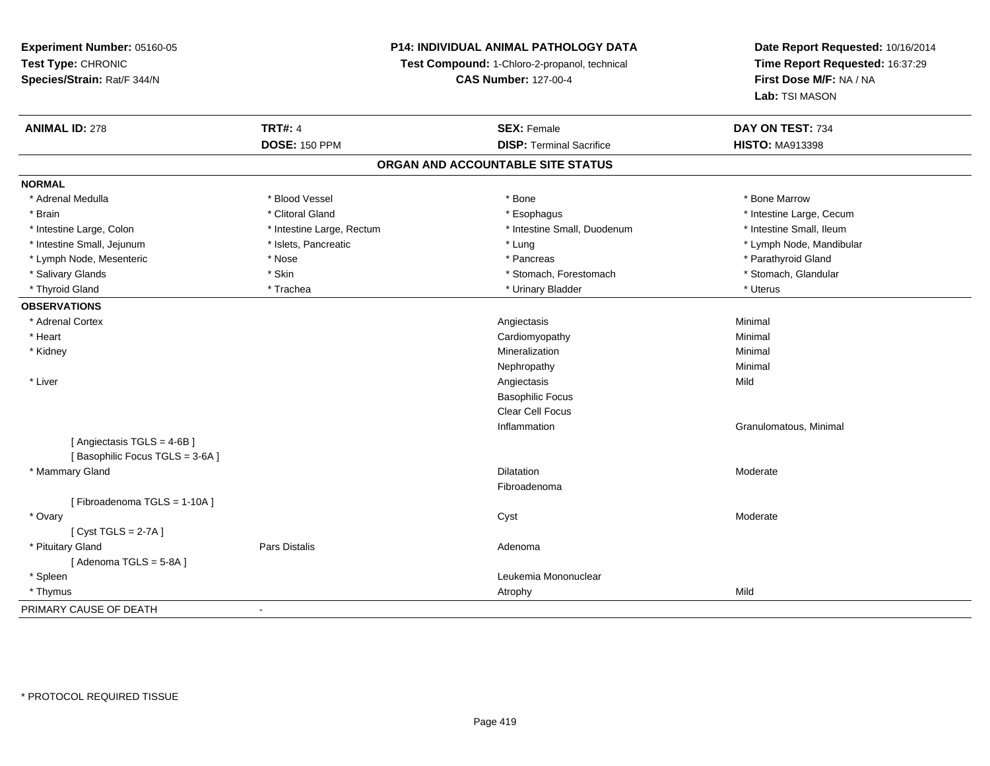## **P14: INDIVIDUAL ANIMAL PATHOLOGY DATA**

**Test Compound:** 1-Chloro-2-propanol, technical

**CAS Number:** 127-00-4

| <b>ANIMAL ID: 278</b>          | <b>TRT#: 4</b>            | <b>SEX: Female</b>                | DAY ON TEST: 734         |
|--------------------------------|---------------------------|-----------------------------------|--------------------------|
|                                | <b>DOSE: 150 PPM</b>      | <b>DISP: Terminal Sacrifice</b>   | <b>HISTO: MA913398</b>   |
|                                |                           | ORGAN AND ACCOUNTABLE SITE STATUS |                          |
| <b>NORMAL</b>                  |                           |                                   |                          |
| * Adrenal Medulla              | * Blood Vessel            | * Bone                            | * Bone Marrow            |
| * Brain                        | * Clitoral Gland          | * Esophagus                       | * Intestine Large, Cecum |
| * Intestine Large, Colon       | * Intestine Large, Rectum | * Intestine Small, Duodenum       | * Intestine Small, Ileum |
| * Intestine Small, Jejunum     | * Islets, Pancreatic      | * Lung                            | * Lymph Node, Mandibular |
| * Lymph Node, Mesenteric       | * Nose                    | * Pancreas                        | * Parathyroid Gland      |
| * Salivary Glands              | * Skin                    | * Stomach, Forestomach            | * Stomach, Glandular     |
| * Thyroid Gland                | * Trachea                 | * Urinary Bladder                 | * Uterus                 |
| <b>OBSERVATIONS</b>            |                           |                                   |                          |
| * Adrenal Cortex               |                           | Angiectasis                       | Minimal                  |
| * Heart                        |                           | Cardiomyopathy                    | Minimal                  |
| * Kidney                       |                           | Mineralization                    | Minimal                  |
|                                |                           | Nephropathy                       | Minimal                  |
| * Liver                        |                           | Angiectasis                       | Mild                     |
|                                |                           | <b>Basophilic Focus</b>           |                          |
|                                |                           | <b>Clear Cell Focus</b>           |                          |
|                                |                           | Inflammation                      | Granulomatous, Minimal   |
| [Angiectasis TGLS = 4-6B]      |                           |                                   |                          |
| [Basophilic Focus TGLS = 3-6A] |                           |                                   |                          |
| * Mammary Gland                |                           | Dilatation                        | Moderate                 |
|                                |                           | Fibroadenoma                      |                          |
| [Fibroadenoma TGLS = 1-10A]    |                           |                                   |                          |
| * Ovary                        |                           | Cyst                              | Moderate                 |
| [Cyst TGLS = $2-7A$ ]          |                           |                                   |                          |
| * Pituitary Gland              | Pars Distalis             | Adenoma                           |                          |
| [Adenoma TGLS = 5-8A]          |                           |                                   |                          |
| * Spleen                       |                           | Leukemia Mononuclear              |                          |
| * Thymus                       |                           | Atrophy                           | Mild                     |
| PRIMARY CAUSE OF DEATH         | $\blacksquare$            |                                   |                          |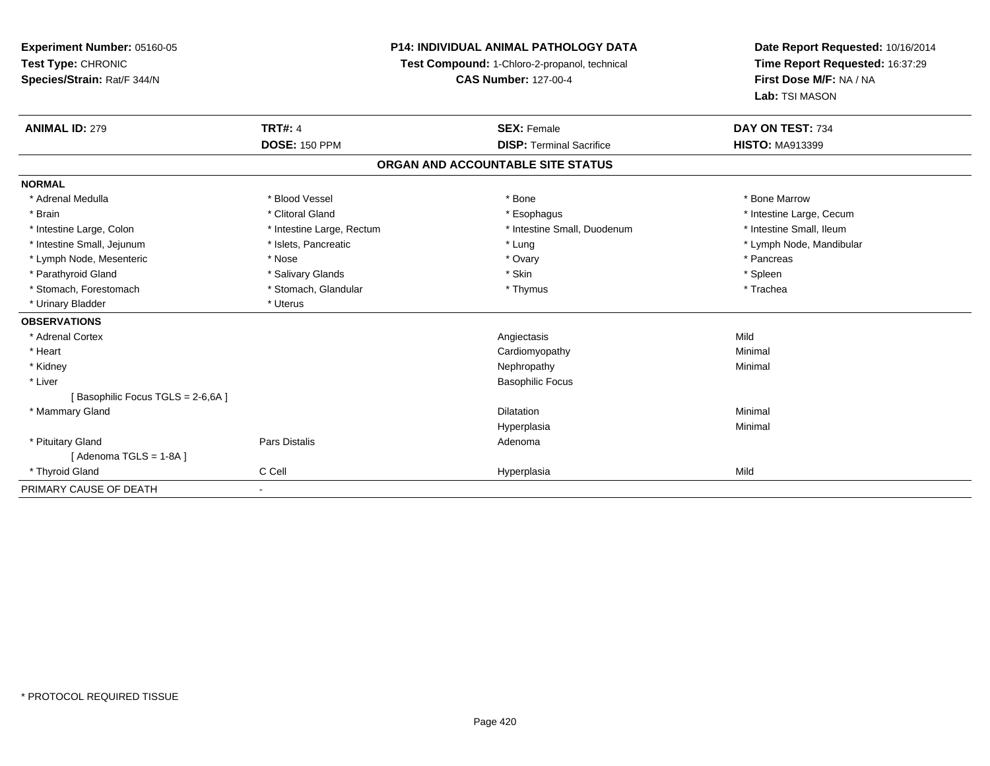**Experiment Number:** 05160-05**Test Type:** CHRONIC **Species/Strain:** Rat/F 344/N**P14: INDIVIDUAL ANIMAL PATHOLOGY DATATest Compound:** 1-Chloro-2-propanol, technical **CAS Number:** 127-00-4**Date Report Requested:** 10/16/2014**Time Report Requested:** 16:37:29**First Dose M/F:** NA / NA**Lab:** TSI MASON**ANIMAL ID:** 279**TRT#:** 4 **SEX:** Female **SEX: Female DAY ON TEST:** 734 **DOSE:** 150 PPM**DISP:** Terminal Sacrifice **HISTO:** MA913399 **ORGAN AND ACCOUNTABLE SITE STATUSNORMAL**\* Adrenal Medulla \* \* \* Blood Vessel \* \* \* Bone Marrow \* \* Bone Marrow \* \* Bone Marrow \* Brain \* Alternation of the state of the state of the state of the state of the state of the state of the state of the state of the state of the state of the state of the state of the state of the state of the state of th \* Intestine Small, Ileum \* Intestine Large, Colon \* Intestine Large, Rectum \* Intestine Small, Duodenum \* Intestine Small, Duodenum \* Intestine Small, Jejunum \* \* \* https://www.fat.com/setter/educition/setter/filesophysics.com/setter/filesophysics.com/setter/filesophysics.com/setter/filesophysics.com/setter/filesophysics.com/setter/filesophysics.com/se \* Lymph Node, Mesenteric \* The matrix of the term in the term in the term in the term in the term in the term in the term in the term in the term in the term in the term in the term in the term in the term in the term in t \* Parathyroid Gland \* \* Salivary Glands \* Salivary Glands \* Skin \* Skin \* State \* Spleen \* Spleen \* Spleen \* Spleen \* Trachea \* Stomach, Forestomach \* Thymus \* Stomach, Glandular \* Thymus \* Thymus \* Thymus \* Thymus \* Thymus \* Thymus \* Thymus \* Thymus \* Thymus \* Thymus \* Thymus \* Thymus \* Thymus \* Thymus \* Thymus \* Thymus \* Thymus \* Thymus \* Thymu \* Urinary Bladder \* Uterus **OBSERVATIONS** \* Adrenal Cortexx and the control of the control of the control of the control of the control of the control of the control of the control of the control of the control of the control of the control of the control of the control of the co y Minimal \* Heart Cardiomyopathy \* Kidneyy the control of the control of the control of the control of the control of the control of the control of the control of the control of the control of the control of the control of the control of the control of the contro \* Liver Basophilic Focus[ Basophilic Focus TGLS = 2-6,6A ] \* Mammary Glandd and the control of the control of the control of the control of the control of the control of the control of the control of the control of the control of the control of the control of the control of the control of the co Hyperplasiaa and a studies of the studies of the Minimal \* Pituitary Glandd and the contract of Pars Distalis and the contract of Adenoma and Adenoma and the Adenoma and the Adenoma and  $\lambda$  $[$  Adenoma TGLS = 1-8A  $]$  \* Thyroid Gland C Cell Hyperplasia Mild PRIMARY CAUSE OF DEATH-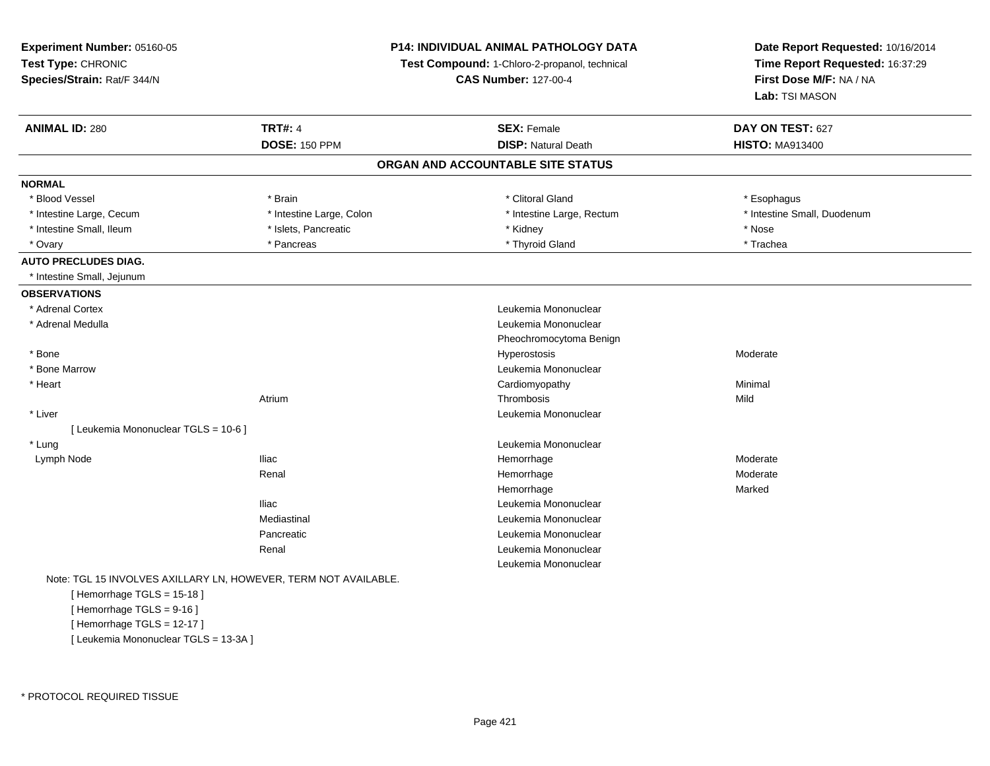**Experiment Number:** 05160-05**Test Type:** CHRONIC **Species/Strain:** Rat/F 344/N**P14: INDIVIDUAL ANIMAL PATHOLOGY DATATest Compound:** 1-Chloro-2-propanol, technical **CAS Number:** 127-00-4**Date Report Requested:** 10/16/2014**Time Report Requested:** 16:37:29**First Dose M/F:** NA / NA**Lab:** TSI MASON**ANIMAL ID:** 280**CONSEX:** Female **DAY ON TEST:** 627 **DOSE:** 150 PPM**DISP:** Natural Death **HISTO:** MA913400 **ORGAN AND ACCOUNTABLE SITE STATUSNORMAL**\* Blood Vessel \* Blood Vessel \* Brain \* Clitoral Gland \* Esophagus \* Intestine Large, Cecum \* \* Intestine Large, Colon \* Mestine Large, Rectum \* Intestine Large, Rectum \* Intestine Small, Duodenum \* Intestine Small, Ileum \* \* The matter of the state of the state of the state of the state of the state of the state of the state of the state of the state of the state of the state of the state of the state of the state \* Trachea \* Ovary \* The matter of the state of the state of the state of the state of the state of the state of the state of the state of the state of the state of the state of the state of the state of the state of the state of the **AUTO PRECLUDES DIAG.** \* Intestine Small, Jejunum**OBSERVATIONS** \* Adrenal Cortex Leukemia Mononuclear \* Adrenal Medulla Leukemia Mononuclear Pheochromocytoma Benign \* Bonee de la controllation de la controllation de la controllation de la controllation de la controllation de la controllation de la controllation de la controllation de la controllation de la controllation de la controllation \* Bone Marrow Leukemia Mononuclear \* Heart Cardiomyopathy Minimal Atriumm Thrombosis and Thrombosis the Mild \* Liver Leukemia Mononuclear [ Leukemia Mononuclear TGLS = 10-6 ] \* Lung Leukemia Mononuclear Lymph Nodee the second term of the second term of the Hemorrhage term of the Moderate Moderate  $\sim$  Moderate  $\sim$ Renal HemorrhageModerate<br>Marked Hemorrhagee Marked Iliac Leukemia Mononuclear Mediastinal Leukemia MononuclearPancreatic Leukemia Mononuclear Renal Leukemia MononuclearLeukemia MononuclearNote: TGL 15 INVOLVES AXILLARY LN, HOWEVER, TERM NOT AVAILABLE.[ Hemorrhage TGLS = 15-18 ][ Hemorrhage TGLS = 9-16 ]

[ Hemorrhage TGLS = 12-17 ][ Leukemia Mononuclear TGLS = 13-3A ]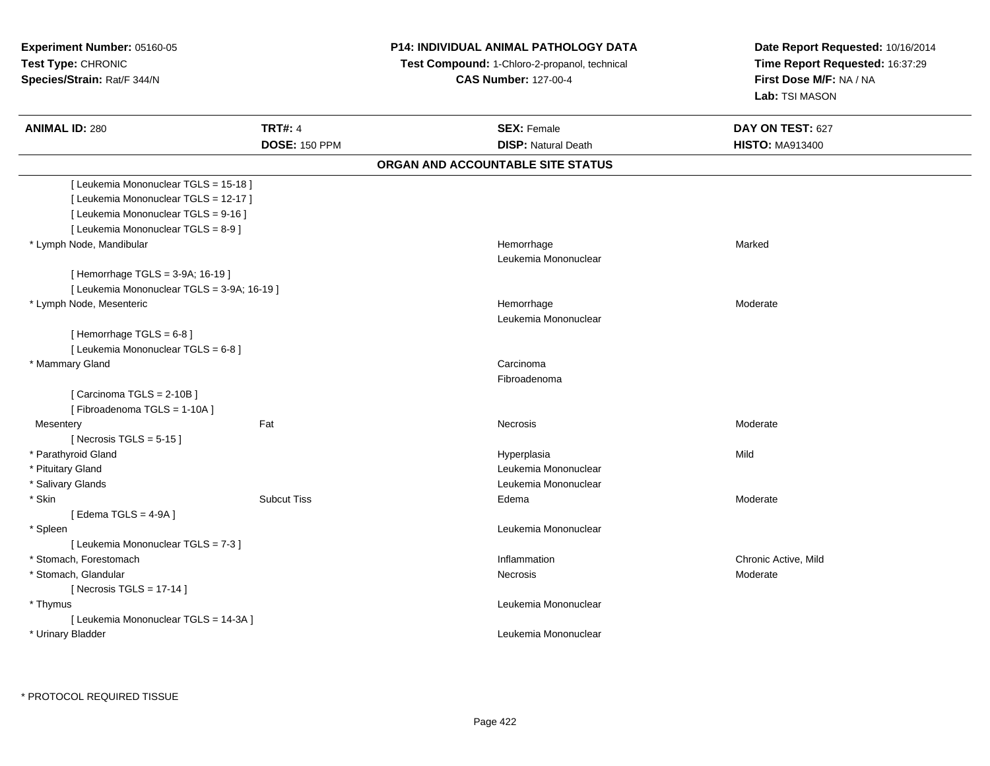# **P14: INDIVIDUAL ANIMAL PATHOLOGY DATA**

 **Test Compound:** 1-Chloro-2-propanol, technical **CAS Number:** 127-00-4

| <b>ANIMAL ID: 280</b>                       | <b>TRT#: 4</b><br><b>DOSE: 150 PPM</b> | <b>SEX: Female</b><br><b>DISP: Natural Death</b> | DAY ON TEST: 627<br><b>HISTO: MA913400</b> |
|---------------------------------------------|----------------------------------------|--------------------------------------------------|--------------------------------------------|
|                                             |                                        | ORGAN AND ACCOUNTABLE SITE STATUS                |                                            |
| [ Leukemia Mononuclear TGLS = 15-18 ]       |                                        |                                                  |                                            |
| [Leukemia Mononuclear TGLS = 12-17]         |                                        |                                                  |                                            |
| [ Leukemia Mononuclear TGLS = 9-16 ]        |                                        |                                                  |                                            |
| [ Leukemia Mononuclear TGLS = 8-9 ]         |                                        |                                                  |                                            |
| * Lymph Node, Mandibular                    |                                        | Hemorrhage                                       | Marked                                     |
|                                             |                                        | Leukemia Mononuclear                             |                                            |
| [Hemorrhage TGLS = 3-9A; 16-19]             |                                        |                                                  |                                            |
| [ Leukemia Mononuclear TGLS = 3-9A; 16-19 ] |                                        |                                                  |                                            |
| * Lymph Node, Mesenteric                    |                                        | Hemorrhage                                       | Moderate                                   |
|                                             |                                        | Leukemia Mononuclear                             |                                            |
| [Hemorrhage TGLS = $6-8$ ]                  |                                        |                                                  |                                            |
| [ Leukemia Mononuclear TGLS = 6-8 ]         |                                        |                                                  |                                            |
| * Mammary Gland                             |                                        | Carcinoma                                        |                                            |
|                                             |                                        | Fibroadenoma                                     |                                            |
| [Carcinoma TGLS = 2-10B]                    |                                        |                                                  |                                            |
| [Fibroadenoma TGLS = 1-10A]                 |                                        |                                                  |                                            |
| Mesentery                                   | Fat                                    | Necrosis                                         | Moderate                                   |
| [Necrosis TGLS = $5-15$ ]                   |                                        |                                                  |                                            |
| * Parathyroid Gland                         |                                        | Hyperplasia                                      | Mild                                       |
| * Pituitary Gland                           |                                        | Leukemia Mononuclear                             |                                            |
| * Salivary Glands                           |                                        | Leukemia Mononuclear                             |                                            |
| * Skin                                      | <b>Subcut Tiss</b>                     | Edema                                            | Moderate                                   |
| [ Edema TGLS = 4-9A ]                       |                                        |                                                  |                                            |
| * Spleen                                    |                                        | Leukemia Mononuclear                             |                                            |
| [ Leukemia Mononuclear TGLS = 7-3 ]         |                                        |                                                  |                                            |
| * Stomach, Forestomach                      |                                        | Inflammation                                     | Chronic Active, Mild                       |
| * Stomach, Glandular                        |                                        | Necrosis                                         | Moderate                                   |
| [Necrosis TGLS = $17-14$ ]                  |                                        |                                                  |                                            |
| * Thymus                                    |                                        | Leukemia Mononuclear                             |                                            |
| [ Leukemia Mononuclear TGLS = 14-3A ]       |                                        |                                                  |                                            |
| * Urinary Bladder                           |                                        | Leukemia Mononuclear                             |                                            |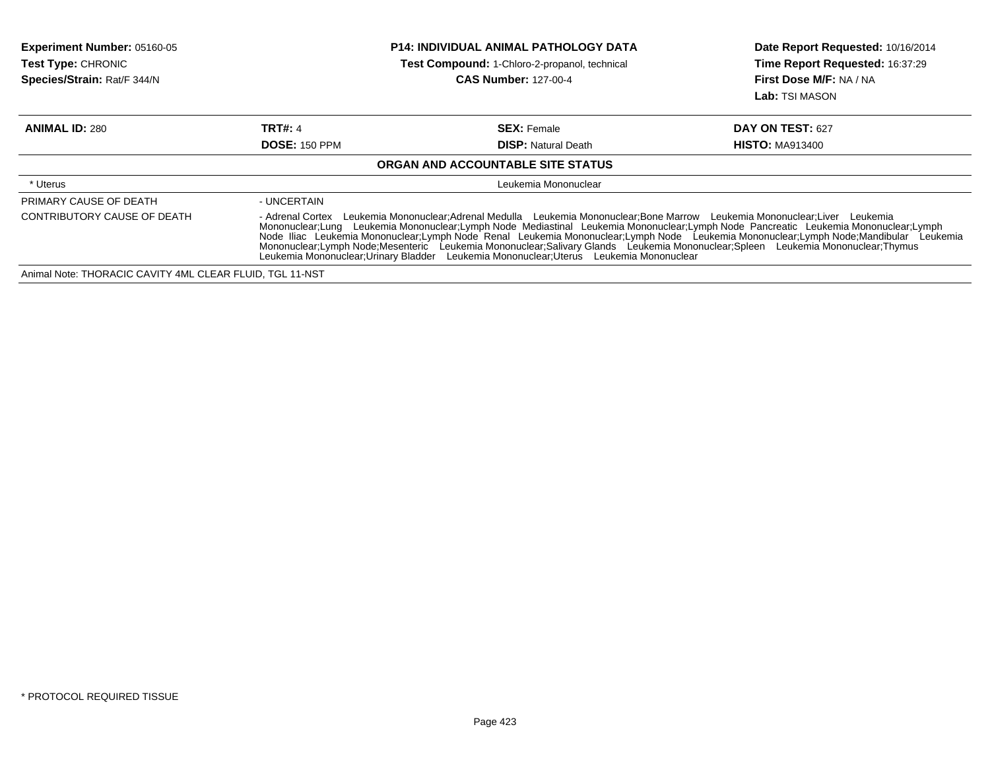| Experiment Number: 05160-05<br>Test Type: CHRONIC<br>Species/Strain: Rat/F 344/N | <b>P14: INDIVIDUAL ANIMAL PATHOLOGY DATA</b><br><b>Test Compound: 1-Chloro-2-propanol, technical</b><br><b>CAS Number: 127-00-4</b>                                                                                                                                                                                                                                                                                                                                                                                                                                                                                                      |                                   | Date Report Requested: 10/16/2014<br>Time Report Requested: 16:37:29<br>First Dose M/F: NA / NA<br>Lab: TSI MASON |
|----------------------------------------------------------------------------------|------------------------------------------------------------------------------------------------------------------------------------------------------------------------------------------------------------------------------------------------------------------------------------------------------------------------------------------------------------------------------------------------------------------------------------------------------------------------------------------------------------------------------------------------------------------------------------------------------------------------------------------|-----------------------------------|-------------------------------------------------------------------------------------------------------------------|
| <b>ANIMAL ID: 280</b>                                                            | TRT#: 4                                                                                                                                                                                                                                                                                                                                                                                                                                                                                                                                                                                                                                  | <b>SEX: Female</b>                | DAY ON TEST: 627                                                                                                  |
|                                                                                  | <b>DOSE: 150 PPM</b>                                                                                                                                                                                                                                                                                                                                                                                                                                                                                                                                                                                                                     | <b>DISP:</b> Natural Death        | <b>HISTO: MA913400</b>                                                                                            |
|                                                                                  |                                                                                                                                                                                                                                                                                                                                                                                                                                                                                                                                                                                                                                          | ORGAN AND ACCOUNTABLE SITE STATUS |                                                                                                                   |
| * Uterus                                                                         | Leukemia Mononuclear                                                                                                                                                                                                                                                                                                                                                                                                                                                                                                                                                                                                                     |                                   |                                                                                                                   |
| PRIMARY CAUSE OF DEATH                                                           | - UNCERTAIN                                                                                                                                                                                                                                                                                                                                                                                                                                                                                                                                                                                                                              |                                   |                                                                                                                   |
| CONTRIBUTORY CAUSE OF DEATH                                                      | - Adrenal Cortex Leukemia Mononuclear; Adrenal Medulla Leukemia Mononuclear; Bone Marrow Leukemia Mononuclear; Liver Leukemia<br>Mononuclear;Lung Leukemia Mononuclear;Lymph Node Mediastinal Leukemia Mononuclear;Lymph Node Pancreatic Leukemia Mononuclear;Lymph<br>Node Iliac Leukemia Mononuclear;Lymph Node Renal Leukemia Mononuclear;Lymph Node Leukemia Mononuclear;Lymph Node;Mandibular Leukemia<br>Mononuclear:Lymph Node:Mesenteric Leukemia Mononuclear:Salivary Glands Leukemia Mononuclear:Spleen Leukemia Mononuclear:Thymus<br>Leukemia Mononuclear: Urinary Bladder Leukemia Mononuclear: Uterus Leukemia Mononuclear |                                   |                                                                                                                   |
| Animal Note: THORACIC CAVITY 4ML CLEAR FLUID, TGL 11-NST                         |                                                                                                                                                                                                                                                                                                                                                                                                                                                                                                                                                                                                                                          |                                   |                                                                                                                   |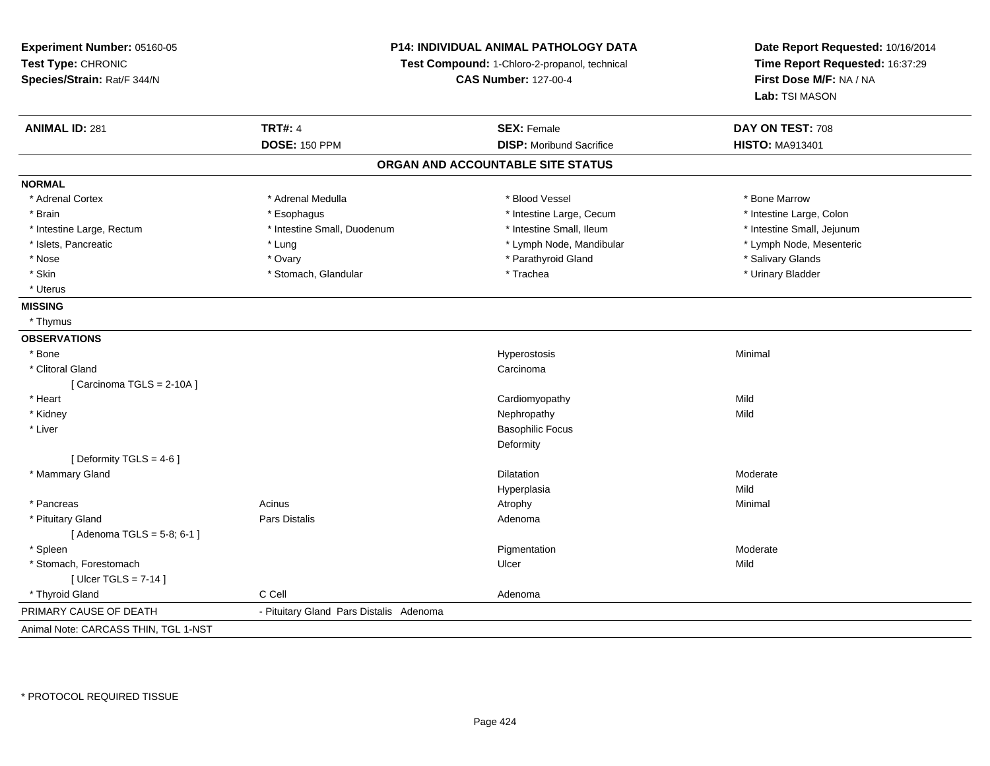**Experiment Number:** 05160-05**Test Type:** CHRONIC **Species/Strain:** Rat/F 344/N**P14: INDIVIDUAL ANIMAL PATHOLOGY DATATest Compound:** 1-Chloro-2-propanol, technical **CAS Number:** 127-00-4**Date Report Requested:** 10/16/2014**Time Report Requested:** 16:37:29**First Dose M/F:** NA / NA**Lab:** TSI MASON**ANIMAL ID:** 281**TRT#:** 4 **SEX:** Female **SEX: Female DAY ON TEST:** 708 **DOSE:** 150 PPM **DISP:** Moribund Sacrifice **HISTO:** MA913401 **ORGAN AND ACCOUNTABLE SITE STATUSNORMAL**\* Adrenal Cortex \* Adrenal Medulla \* Adrenal Medulla \* Blood Vessel \* Bone Marrow \* Bone Marrow \* Intestine Large, Colon \* Brain \* Esophagus \* Esophagus \* Esophagus \* 11testine Large, Cecum \* \* Intestine Large, Rectum \* Thestine Small, Duodenum \* Number of the small, Ileum \* Intestine Small, Jejunum \* Intestine Small, Jejunum \* Lymph Node, Mesenteric \* Islets, Pancreatic **\* Lung \* Lung \* Lung \* Lymph Node, Mandibular \*** Lymph Node, Mandibular \* Nose \* Ovary \* Parathyroid Gland \* Salivary Glands \* Urinary Bladder \* Skin \* Stomach, Glandular \* Trachea \* Trachea \* Urinary Blandular \* Urinary Bladder \* Trachea \* Uterus**MISSING** \* Thymus**OBSERVATIONS** \* Bonee substitution of the control of the control of the control of the Hyperostosis of the control of the control of the control of the control of the control of the control of the control of the control of the control of the \* Clitoral Glandd<sub>d</sub> Carcinoma [ Carcinoma TGLS = 2-10A ] \* Heart Cardiomyopathyy Mild **Mild**  \* Kidneyy the controller of the controller of the controller of the controller of the controller of the controller of the controller of the controller of the controller of the controller of the controller of the controller of the \* Liver Basophilic FocusDeformity[ Deformity TGLS = 4-6 ] \* Mammary Glandd and the control of the control of the control of the Dilatation and the control of the Moderate of the control of the control of the control of the control of the control of the control of the control of the control of t Hyperplasiaa Mild \* Pancreass the control of the control of the control of the control of the control of the control of the control of the control of the control of the control of the control of the control of the control of the control of the contro \* Pituitary Glandd and the set of Pars Distalis and the Second Adenomal Adenomal Second Second Pars Distallis  $[$  Adenoma TGLS = 5-8; 6-1  $]$  \* Spleenn and the control of the control of the control of the control of the control of the control of the control of the control of the control of the control of the control of the control of the control of the control of the co \* Stomach, Forestomachh ann an t-Iomraid ann an t-Iomraid ann an t-Iomraid ann an t-Iomraid ann an t-Iomraid ann an t-Iomraid ann an<br>Iomraid an t-Iomraid ann an t-Iomraid ann an t-Iomraid ann an t-Iomraid ann an t-Iomraid ann an t-Iomraid ann  $[$  Ulcer TGLS = 7-14  $]$  \* Thyroid Glandd C Cell C Cell Adenoma PRIMARY CAUSE OF DEATH - Pituitary Gland Pars Distalis Adenoma Animal Note: CARCASS THIN, TGL 1-NST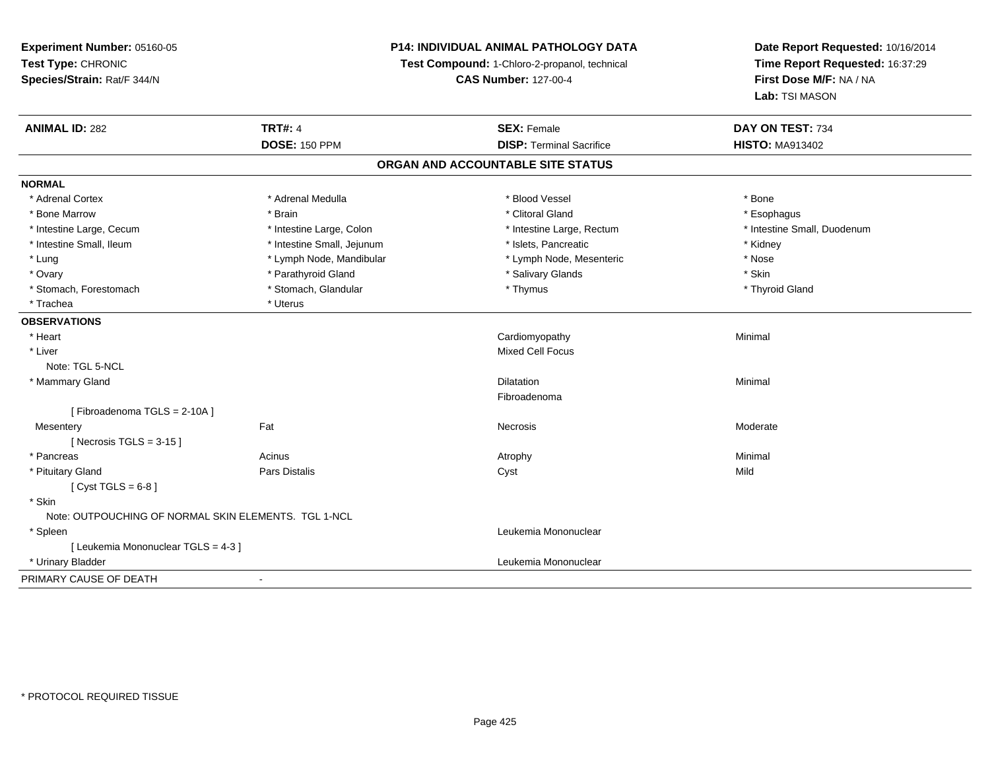**Experiment Number:** 05160-05**Test Type:** CHRONIC **Species/Strain:** Rat/F 344/N**P14: INDIVIDUAL ANIMAL PATHOLOGY DATATest Compound:** 1-Chloro-2-propanol, technical **CAS Number:** 127-00-4**Date Report Requested:** 10/16/2014**Time Report Requested:** 16:37:29**First Dose M/F:** NA / NA**Lab:** TSI MASON**ANIMAL ID:** 282**TRT#:** 4 **SEX:** Female **SEX: Female DAY ON TEST:** 734 **DOSE:** 150 PPM**DISP:** Terminal Sacrifice **HISTO:** MA913402 **ORGAN AND ACCOUNTABLE SITE STATUSNORMAL**\* Adrenal Cortex \* Adrenal Medulla \* Adrenal Medulla \* Blood Vessel \* Bood Vessel \* Bone \* Bone \* Bone \* Bone \* Bone \* Bone \* Bone \* Bone \* Bone \* Bone \* Bone \* Bone \* Bone \* Bone \* Bone \* Bone \* Bone \* Bone \* Bone \* Bone \* Bone \* Bone \* \* \* Esophagus \* Bone Marrow \* \* Android \* Brain \* Brain \* Clitoral Gland \* Clitoral Gland \* Esophagus \* Esophagus \* Esophagus \* Intestine Small, Duodenum \* Intestine Large, Cecum \* Intestine Large, Colon \* Intestine Sarge, Rectum \* Intestine Large, Rectum \* Intestine Small, Ileum \* Thestine Small, Jejunum \* 1998, Pancreatic \* Kidney \* Kidney \* Kidney \* Kidney \* Lung \* Lymph Node, Mandibular \* Nose \* Lymph Node, Mesenteric \* Nose \* Nose \* Skin \* Ovary \* Natural \* Parathyroid Gland \* The state of the set of the Salivary Glands \* Salivary Glands \* \* Thyroid Gland \* Stomach, Forestomach \* Thymus \* Stomach, Glandular \* Thymus \* Thymus \* Thymus \* Thymus \* Thymus \* Thymus \* Thymus \* Thymus \* Thymus \* Thymus \* Thymus \* Thymus \* Thymus \* Thymus \* Thymus \* Thymus \* Thymus \* Thymus \* Thymu \* Trachea \* 1988 \* Uterus **OBSERVATIONS** \* Heart Cardiomyopathy Minimal \* Liver Mixed Cell FocusNote: TGL 5-NCL \* Mammary Glandd and the control of the control of the control of the control of the control of the control of the control of the control of the control of the control of the control of the control of the control of the control of the co Fibroadenoma[ Fibroadenoma TGLS = 2-10A ]**Mesentery** y the control of the set of the control of the Moderate of the Moderate of the Moderate of the Moderate of the Moderate of the Moderate of the Moderate of the Moderate of the Moderate of the Moderate of the Moderate of the  $[$  Necrosis TGLS = 3-15  $]$  \* Pancreass the control of the control of the control of the control of the control of the control of the control of the control of the control of the control of the control of the control of the control of the control of the contro \* Pituitary Gland Pars Distalis Cyst Mild  $[$  Cyst TGLS = 6-8  $]$  \* Skin Note: OUTPOUCHING OF NORMAL SKIN ELEMENTS. TGL 1-NCL \* Spleen Leukemia Mononuclear [ Leukemia Mononuclear TGLS = 4-3 ] \* Urinary Bladder Leukemia Mononuclear PRIMARY CAUSE OF DEATH-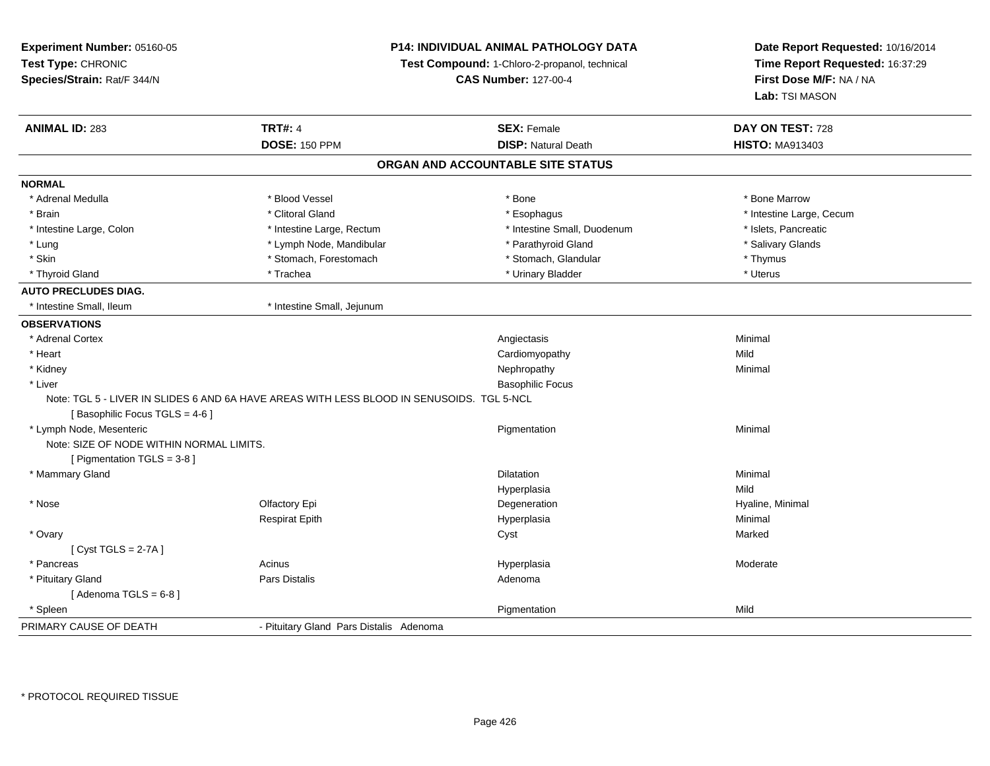| Experiment Number: 05160-05              |                                                                                           | P14: INDIVIDUAL ANIMAL PATHOLOGY DATA         | Date Report Requested: 10/16/2014<br>Time Report Requested: 16:37:29<br>First Dose M/F: NA / NA |  |
|------------------------------------------|-------------------------------------------------------------------------------------------|-----------------------------------------------|-------------------------------------------------------------------------------------------------|--|
| Test Type: CHRONIC                       |                                                                                           | Test Compound: 1-Chloro-2-propanol, technical |                                                                                                 |  |
| Species/Strain: Rat/F 344/N              |                                                                                           | <b>CAS Number: 127-00-4</b>                   |                                                                                                 |  |
|                                          |                                                                                           |                                               | Lab: TSI MASON                                                                                  |  |
| <b>ANIMAL ID: 283</b>                    | <b>TRT#: 4</b>                                                                            | <b>SEX: Female</b>                            | DAY ON TEST: 728                                                                                |  |
|                                          | <b>DOSE: 150 PPM</b>                                                                      | <b>DISP: Natural Death</b>                    | <b>HISTO: MA913403</b>                                                                          |  |
|                                          |                                                                                           | ORGAN AND ACCOUNTABLE SITE STATUS             |                                                                                                 |  |
| <b>NORMAL</b>                            |                                                                                           |                                               |                                                                                                 |  |
| * Adrenal Medulla                        | * Blood Vessel                                                                            | * Bone                                        | * Bone Marrow                                                                                   |  |
| * Brain                                  | * Clitoral Gland                                                                          | * Esophagus                                   | * Intestine Large, Cecum                                                                        |  |
| * Intestine Large, Colon                 | * Intestine Large, Rectum                                                                 | * Intestine Small, Duodenum                   | * Islets, Pancreatic                                                                            |  |
| $*$ Lung                                 | * Lymph Node, Mandibular                                                                  | * Parathyroid Gland                           | * Salivary Glands                                                                               |  |
| * Skin                                   | * Stomach, Forestomach                                                                    | * Stomach, Glandular                          | * Thymus                                                                                        |  |
| * Thyroid Gland                          | * Trachea                                                                                 | * Urinary Bladder                             | * Uterus                                                                                        |  |
| <b>AUTO PRECLUDES DIAG.</b>              |                                                                                           |                                               |                                                                                                 |  |
| * Intestine Small, Ileum                 | * Intestine Small, Jejunum                                                                |                                               |                                                                                                 |  |
| <b>OBSERVATIONS</b>                      |                                                                                           |                                               |                                                                                                 |  |
| * Adrenal Cortex                         |                                                                                           | Angiectasis                                   | Minimal                                                                                         |  |
| * Heart                                  |                                                                                           | Cardiomyopathy                                | Mild                                                                                            |  |
| * Kidney                                 |                                                                                           | Nephropathy                                   | Minimal                                                                                         |  |
| * Liver                                  |                                                                                           | <b>Basophilic Focus</b>                       |                                                                                                 |  |
|                                          | Note: TGL 5 - LIVER IN SLIDES 6 AND 6A HAVE AREAS WITH LESS BLOOD IN SENUSOIDS. TGL 5-NCL |                                               |                                                                                                 |  |
| [Basophilic Focus TGLS = 4-6]            |                                                                                           |                                               |                                                                                                 |  |
| * Lymph Node, Mesenteric                 |                                                                                           | Pigmentation                                  | Minimal                                                                                         |  |
| Note: SIZE OF NODE WITHIN NORMAL LIMITS. |                                                                                           |                                               |                                                                                                 |  |
| [ Pigmentation TGLS = 3-8 ]              |                                                                                           |                                               |                                                                                                 |  |
| * Mammary Gland                          |                                                                                           | <b>Dilatation</b>                             | Minimal                                                                                         |  |
|                                          |                                                                                           | Hyperplasia                                   | Mild                                                                                            |  |
| * Nose                                   | Olfactory Epi                                                                             | Degeneration                                  | Hyaline, Minimal                                                                                |  |
|                                          | <b>Respirat Epith</b>                                                                     | Hyperplasia                                   | Minimal                                                                                         |  |
| * Ovary                                  |                                                                                           | Cyst                                          | Marked                                                                                          |  |
| [Cyst TGLS = $2-7A$ ]                    |                                                                                           |                                               |                                                                                                 |  |
| * Pancreas                               | Acinus                                                                                    | Hyperplasia                                   | Moderate                                                                                        |  |
| * Pituitary Gland                        | Pars Distalis                                                                             | Adenoma                                       |                                                                                                 |  |
| [Adenoma TGLS = $6-8$ ]                  |                                                                                           |                                               |                                                                                                 |  |
| * Spleen                                 |                                                                                           | Pigmentation                                  | Mild                                                                                            |  |
| PRIMARY CAUSE OF DEATH                   | - Pituitary Gland Pars Distalis Adenoma                                                   |                                               |                                                                                                 |  |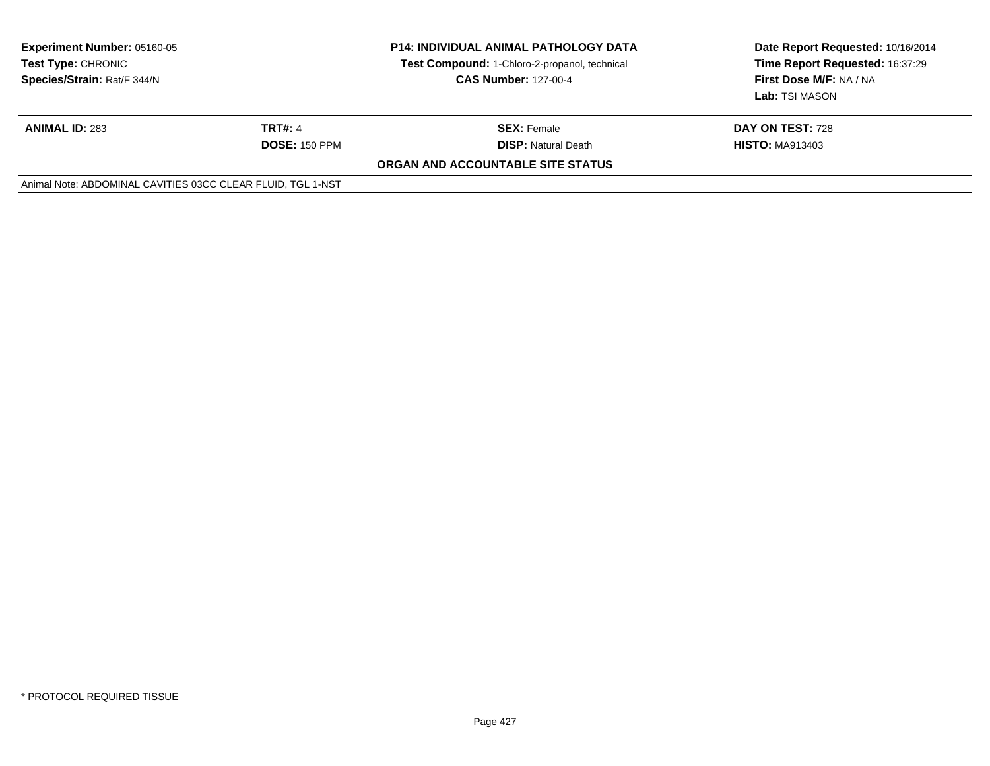| <b>Experiment Number: 05160-05</b><br><b>Test Type: CHRONIC</b><br>Species/Strain: Rat/F 344/N | <b>P14: INDIVIDUAL ANIMAL PATHOLOGY DATA</b><br>Test Compound: 1-Chloro-2-propanol, technical<br><b>CAS Number: 127-00-4</b> |                                   | Date Report Requested: 10/16/2014<br>Time Report Requested: 16:37:29<br>First Dose M/F: NA / NA<br>Lab: TSI MASON |
|------------------------------------------------------------------------------------------------|------------------------------------------------------------------------------------------------------------------------------|-----------------------------------|-------------------------------------------------------------------------------------------------------------------|
| <b>ANIMAL ID: 283</b>                                                                          | <b>TRT#: 4</b>                                                                                                               | <b>SEX: Female</b>                | DAY ON TEST: 728                                                                                                  |
|                                                                                                | <b>DOSE: 150 PPM</b>                                                                                                         | <b>DISP: Natural Death</b>        | <b>HISTO: MA913403</b>                                                                                            |
|                                                                                                |                                                                                                                              | ORGAN AND ACCOUNTABLE SITE STATUS |                                                                                                                   |
| Animal Note: ABDOMINAL CAVITIES 03CC CLEAR FLUID, TGL 1-NST                                    |                                                                                                                              |                                   |                                                                                                                   |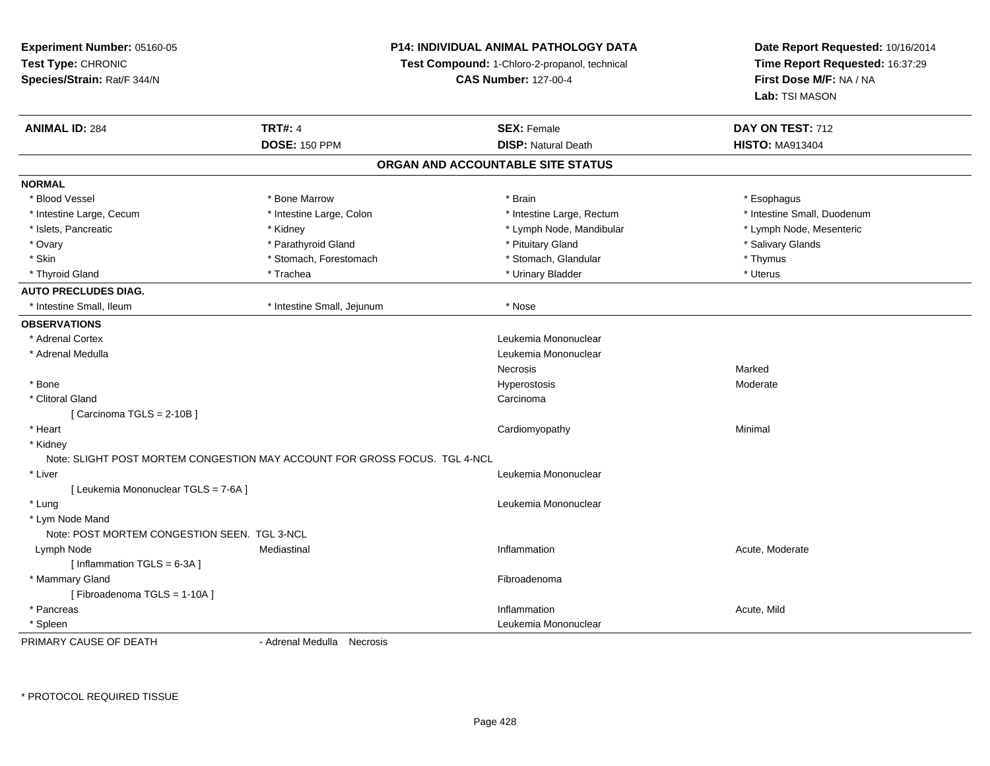**Experiment Number:** 05160-05**Test Type:** CHRONIC **Species/Strain:** Rat/F 344/N**P14: INDIVIDUAL ANIMAL PATHOLOGY DATATest Compound:** 1-Chloro-2-propanol, technical **CAS Number:** 127-00-4**Date Report Requested:** 10/16/2014**Time Report Requested:** 16:37:29**First Dose M/F:** NA / NA**Lab:** TSI MASON**ANIMAL ID:** 284**TRT#:** 4 **SEX:** Female **SEX: Female DAY ON TEST:** 712 **DOSE:** 150 PPM**DISP:** Natural Death **HISTO:** MA913404 **ORGAN AND ACCOUNTABLE SITE STATUSNORMAL**\* Blood Vessel \* Blood Vessel \* \* About the bood water what we have a series to be a series of the bood versel and the substitution of the substitution of the substitution of the substitution of the substitution of the substitution of th \* Intestine Small, Duodenum \* Intestine Large, Cecum \* Intestine Large, Colon \* Intestine Sarge, Rectum \* Intestine Large, Rectum \* Lymph Node, Mesenteric \* Islets, Pancreatic **\* Kidney \* Kidney \* Community 1998** \* Lymph Node, Mandibular \* Lymph Node, Mandibular \* Ovary \* \* Parathyroid Gland \* \* Parathyroid Gland \* \* Parathyroid Gland \* \* Parathyroid Gland \* \* Salivary Glands \* Salivary Glands \* \* Salivary Glands \* \* Salivary Glands \* \* Salivary Glands \* \* Salivary Glands \* \* Sali \* Skin \* Stomach, Forestomach \* Stomach \* Stomach, Glandular \* Thymus \* Thymus \* Uterus \* Thyroid Gland \* \* Trachea \* \* Trachea \* Trachea \* \* Urinary Bladder \* \* Urinary Bladder \* \* Uterus \* Uterus **AUTO PRECLUDES DIAG.** \* Intestine Small, Ileum \* Intestine Small, Jejunum \* Nose**OBSERVATIONS** \* Adrenal Cortex Leukemia Mononuclear \* Adrenal Medulla Leukemia Mononuclear Necrosiss and the contract of the Marked Moderate \* Bonee de la controllation de la controllation de la controllation de la controllation de la controllation de la controllation de la controllation de la controllation de la controllation de la controllation de la controllation \* Clitoral Glandd<sub>d</sub> Carcinoma [ Carcinoma TGLS = 2-10B ] \* Heart Cardiomyopathy Minimal \* Kidney Note: SLIGHT POST MORTEM CONGESTION MAY ACCOUNT FOR GROSS FOCUS. TGL 4-NCL \* Liver Leukemia Mononuclear [ Leukemia Mononuclear TGLS = 7-6A ] \* Lungg and the set of the set of the set of the set of the set of the set of the set of the set of the set of the s \* Lym Node Mand Note: POST MORTEM CONGESTION SEEN. TGL 3-NCLMediastinal Lymph Node Mediastinal Inflammation Acute, Moderate  $[$  Inflammation TGLS = 6-3A  $]$  \* Mammary Glandd **Executive Contract of Contract Contract Contract Contract Contract Contract Contract Contract Contract Contract Contract Contract Contract Contract Contract Contract Contract Contract Contract Contract Contract Contract** [ Fibroadenoma TGLS = 1-10A ] \* Pancreass the control of the control of the control of the control of the control of the control of the control of the control of the control of the control of the control of the control of the control of the control of the contro Inflammation **Acute**, Mild \* SpleenLeukemia Mononuclear

PRIMARY CAUSE OF DEATH

- Adrenal Medulla Necrosis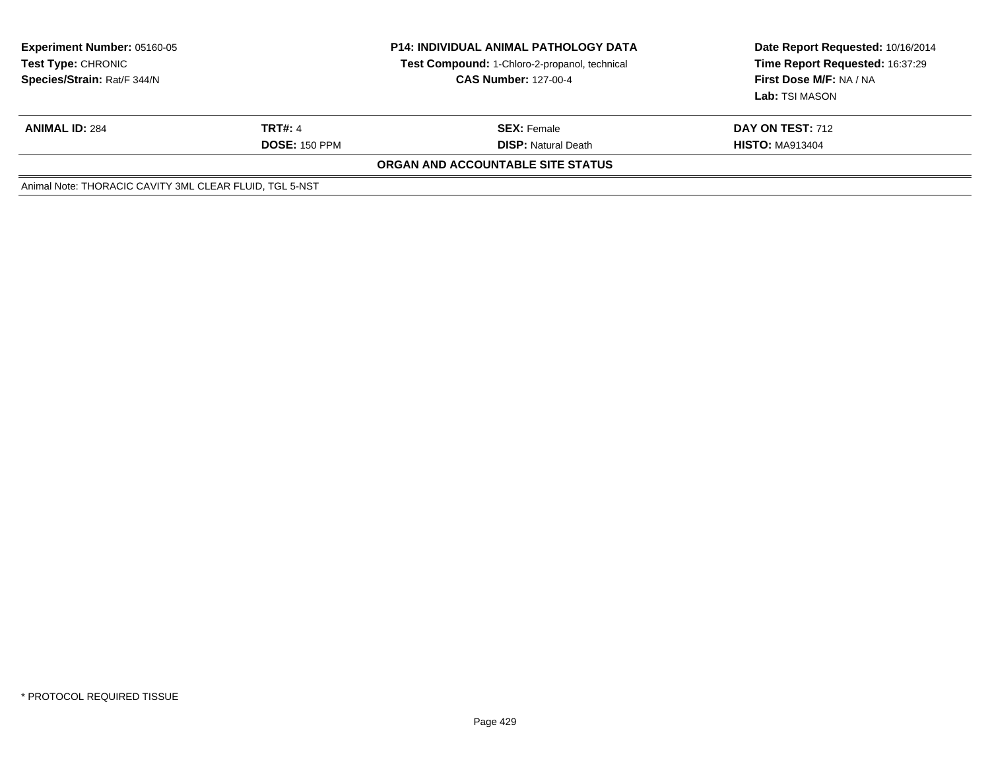| <b>Experiment Number: 05160-05</b><br><b>Test Type: CHRONIC</b><br>Species/Strain: Rat/F 344/N |                      | <b>P14: INDIVIDUAL ANIMAL PATHOLOGY DATA</b><br><b>Test Compound: 1-Chloro-2-propanol, technical</b><br><b>CAS Number: 127-00-4</b> | Date Report Requested: 10/16/2014<br>Time Report Requested: 16:37:29<br>First Dose M/F: NA / NA<br><b>Lab:</b> TSI MASON |
|------------------------------------------------------------------------------------------------|----------------------|-------------------------------------------------------------------------------------------------------------------------------------|--------------------------------------------------------------------------------------------------------------------------|
| <b>ANIMAL ID: 284</b>                                                                          | TRT#: 4              | <b>SEX:</b> Female                                                                                                                  | <b>DAY ON TEST: 712</b>                                                                                                  |
|                                                                                                | <b>DOSE: 150 PPM</b> | <b>DISP:</b> Natural Death                                                                                                          | <b>HISTO: MA913404</b>                                                                                                   |
|                                                                                                |                      | ORGAN AND ACCOUNTABLE SITE STATUS                                                                                                   |                                                                                                                          |
| Animal Note: THORACIC CAVITY 3ML CLEAR FLUID, TGL 5-NST                                        |                      |                                                                                                                                     |                                                                                                                          |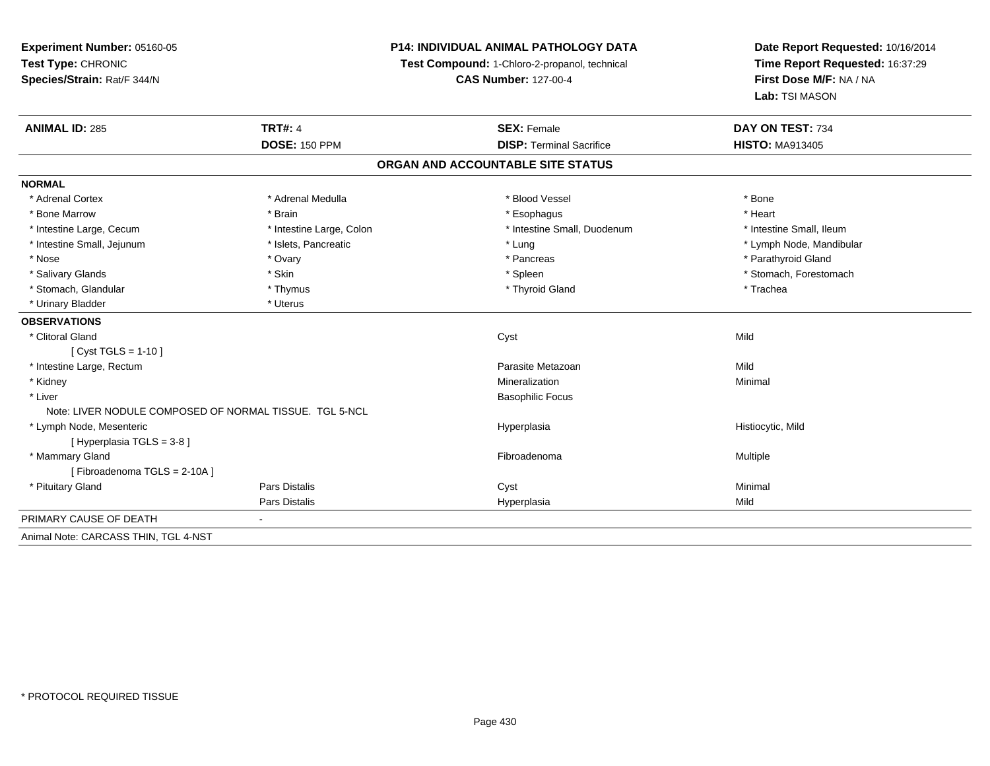**Experiment Number:** 05160-05**Test Type:** CHRONIC **Species/Strain:** Rat/F 344/N**P14: INDIVIDUAL ANIMAL PATHOLOGY DATATest Compound:** 1-Chloro-2-propanol, technical **CAS Number:** 127-00-4**Date Report Requested:** 10/16/2014**Time Report Requested:** 16:37:29**First Dose M/F:** NA / NA**Lab:** TSI MASON**ANIMAL ID:** 285**TRT#:** 4 **SEX:** Female **SEX: Female DAY ON TEST:** 734 **DOSE:** 150 PPM**DISP:** Terminal Sacrifice **HISTO:** MA913405 **ORGAN AND ACCOUNTABLE SITE STATUSNORMAL**\* Adrenal Cortex \* Adrenal Medulla \* Adrenal Medulla \* Blood Vessel \* Bood Vessel \* Bone \* Bone \* Bone \* Bone \* Bone \* Bone \* Bone \* Bone \* Bone \* Bone \* Bone \* Bone \* Bone \* Bone \* Bone \* Bone \* Bone \* Bone \* Bone \* Bone \* Bone \* Bone \* \* \* Heart \* Bone Marrow \* Brain \* Esophagus \* Heart \* Intestine Large, Cecum \* Intestine Large, Colon \* Intestine Small, Duodenum \* Intestine Small, Ileum \* Lymph Node, Mandibular \* Intestine Small, Jejunum \* Mandibular \* Islets, Pancreatic \* Mandibular \* Lung \* Lung \* Node, Mandibular \* Mandibular \* Mandibular \* Mandibular \* Mandibular \* Mandibular \* Mandibular \* Mandibular \* Mandibular \* Mandibula \* Nose \* Ovary \* Pancreas \* Parathyroid Gland \* Salivary Glands \* The stomach \* Skin \* Spleen \* Spleen \* Stomach, Forestomach \* Stomach, Forestomach \* Stomach, Forestomach \* Stomach, Glandular \* Thymus \* Thymus \* Thymus \* Thyroid Gland \* Thyroid Gland \* Trachea \* Urinary Bladder \* Uterus **OBSERVATIONS** \* Clitoral Glandd and the control of the control of the control of the control of the control of the control of the control of the control of the control of the control of the control of the control of the control of the control of the co [ Cyst TGLS = 1-10 ] \* Intestine Large, Rectumm and the contract of the contract of the contract of the contract of the contract of the contract of the contract of the contract of the contract of the contract of the contract of the contract of the contract of the cont \* Kidneyy with the control of the control of the control of the control of the control of the control of the control of the control of the control of the control of the control of the control of the control of the control of the c n Minimal \* Liver Basophilic FocusNote: LIVER NODULE COMPOSED OF NORMAL TISSUE. TGL 5-NCL \* Lymph Node, Mesenteric Hyperplasia Histiocytic, Mild [ Hyperplasia TGLS = 3-8 ] \* Mammary Glandd and the state of the state of the state of the state of the state of the state of the state of the state of the state of the state of the state of the state of the state of the state of the state of the state of the stat [ Fibroadenoma TGLS = 2-10A ] \* Pituitary Gland Pars Distalis Cyst Minimal Pars Distalis Hyperplasiaa Mild PRIMARY CAUSE OF DEATH - Animal Note: CARCASS THIN, TGL 4-NST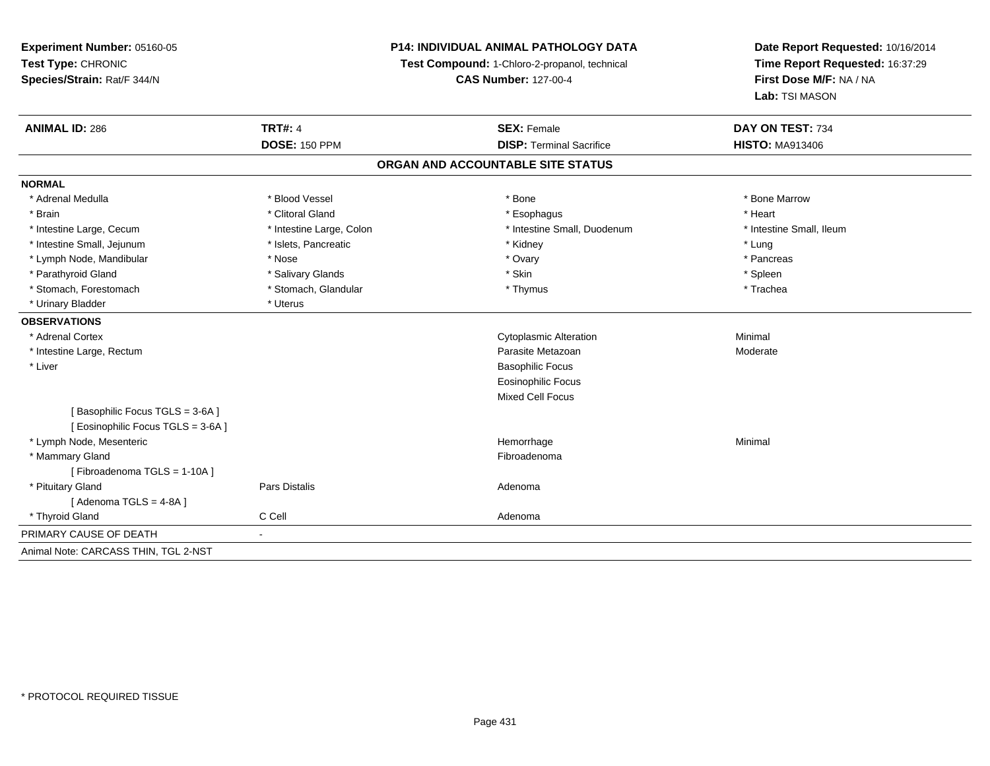**Experiment Number:** 05160-05**Test Type:** CHRONIC **Species/Strain:** Rat/F 344/N**P14: INDIVIDUAL ANIMAL PATHOLOGY DATATest Compound:** 1-Chloro-2-propanol, technical **CAS Number:** 127-00-4**Date Report Requested:** 10/16/2014**Time Report Requested:** 16:37:29**First Dose M/F:** NA / NA**Lab:** TSI MASON**ANIMAL ID:** 286**6 DAY ON TEST:** 734 **DOSE:** 150 PPM**DISP:** Terminal Sacrifice **HISTO:** MA913406 **ORGAN AND ACCOUNTABLE SITE STATUSNORMAL**\* Adrenal Medulla \* \* \* Blood Vessel \* \* \* Bone Marrow \* \* Bone Marrow \* \* Bone Marrow \* Brain \* Alternative of the state of the state of the state of the state of the state of the state of the state of the state of the state of the state of the state of the state of the state of the state of the state of th \* Intestine Large, Cecum \* Intestine Large, Cecum \* Intestine Large, Colon \* Intestine Small, Duodenum \* Intestine Small, Ileum \* Intestine Small, Jejunum \* \* 19ets, Pancreatic \* \* Kidney \* Kidney \* Lung \* Lung \* Lung \* Lung \* Lung \* Lung \* Lung \* Lung \* Lung \* Lung \* Lung \* Lung \* Lung \* Lung \* Lung \* Lung \* Lung \* Lung \* Lung \* Lung \* Lung \* Lung \* Pancreas \* Lymph Node, Mandibular \* Nose \* Nose \* Nose \* Ovary \* Ovary \* Ovary \* Ovary \* Ovary \* Ovary \* Ovary \* Pancreas \* Pancreas \* Pancreas \* Pancreas \* Pancreas \* Ovary \* Ovary \* Ovary \* Ovary \* Ovary \* Ovary \* Ovary \* Ovary \* \* Parathyroid Gland \* \* Salivary Glands \* Salivary Glands \* Skin \* Skin \* State \* Spleen \* Spleen \* Spleen \* Spleen \* Trachea \* Stomach, Forestomach \* Thymus \* Stomach, Glandular \* Thymus \* Thymus \* Thymus \* Thymus \* Thymus \* Thymus \* Thymus \* Thymus \* Thymus \* Thymus \* Thymus \* Thymus \* Thymus \* Thymus \* Thymus \* Thymus \* Thymus \* Thymus \* Thymu \* Urinary Bladder \* Uterus **OBSERVATIONS** \* Adrenal Cortex Cytoplasmic AlterationMinimal<br>Moderate \* Intestine Large, Rectum Parasite Metazoan Moderate \* Liver Basophilic Focus Eosinophilic FocusMixed Cell Focus[ Basophilic Focus TGLS = 3-6A ][ Eosinophilic Focus TGLS = 3-6A ] \* Lymph Node, Mesentericc and the contract of the contract of the contract of the contract of the contract of the contract of the contract of the contract of the contract of the contract of the contract of the contract of the contract of the cont e Minimal \* Mammary Glandd **Executive Contract of the Contract Contract Contract Contract Contract Contract Contract Contract Contract Contract Contract Contract Contract Contract Contract Contract Contract Contract Contract Contract Contract Cont** [ Fibroadenoma TGLS = 1-10A ] \* Pituitary Glandd and the contract of Pars Distalis and the contract of Adenoma and Adenoma and the Adenoma and the Adenoma and  $\lambda$  $[$  Adenoma TGLS = 4-8A  $]$  \* Thyroid Glandd C Cell C Cell Adenoma PRIMARY CAUSE OF DEATH - Animal Note: CARCASS THIN, TGL 2-NST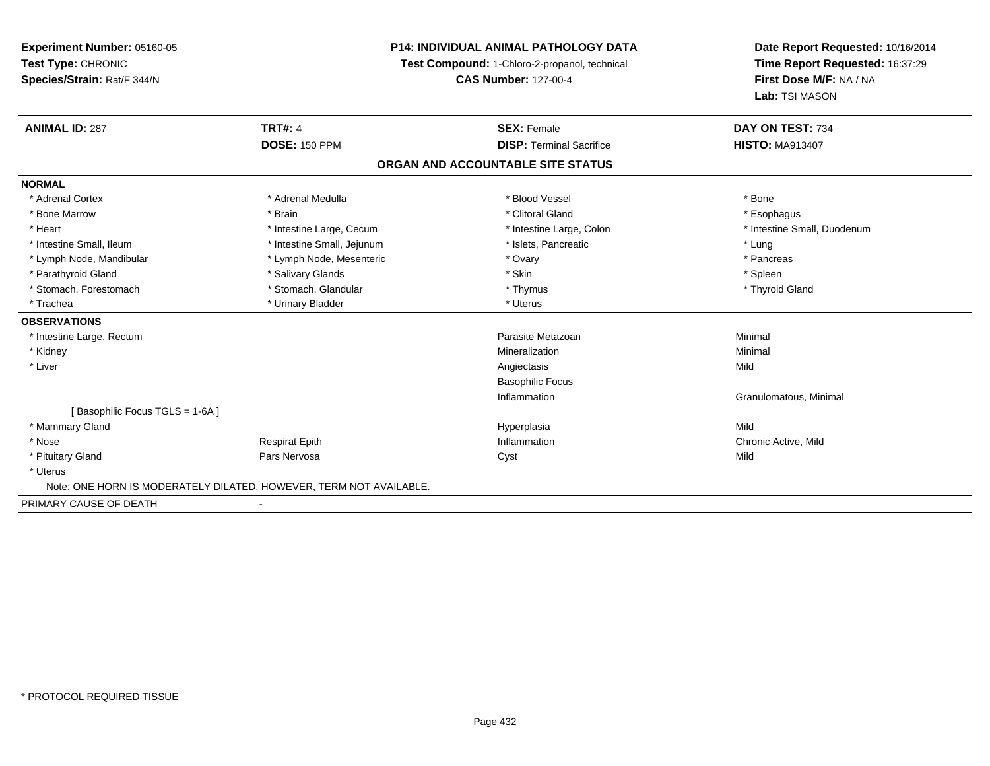**Experiment Number:** 05160-05**Test Type:** CHRONIC **Species/Strain:** Rat/F 344/N**P14: INDIVIDUAL ANIMAL PATHOLOGY DATATest Compound:** 1-Chloro-2-propanol, technical **CAS Number:** 127-00-4**Date Report Requested:** 10/16/2014**Time Report Requested:** 16:37:29**First Dose M/F:** NA / NA**Lab:** TSI MASON**ANIMAL ID:** 287**TRT#:** 4 **SEX:** Female **SEX: Female DAY ON TEST:** 734 **DOSE:** 150 PPM**DISP:** Terminal Sacrifice **HISTO:** MA913407 **ORGAN AND ACCOUNTABLE SITE STATUSNORMAL**\* Adrenal Cortex \* Adrenal Medulla \* Adrenal Medulla \* Blood Vessel \* Bood Vessel \* Bone \* Bone \* Bone \* Bone \* Bone \* Bone \* Bone \* Bone \* Bone \* Bone \* Bone \* Bone \* Bone \* Bone \* Bone \* Bone \* Bone \* Bone \* Bone \* Bone \* Bone \* Bone \* \* \* Esophagus \* Bone Marrow \* \* Android \* Brain \* Brain \* Clitoral Gland \* Clitoral Gland \* Esophagus \* Esophagus \* Esophagus \* Intestine Small, Duodenum \* Heart \* Intestine Large, Cecum \* Intestine Large, Cecum \* Intestine Large, Colon \* Intestine Small, Ileum \* Intestine Small, Jejunum \* Number of the Small and the Small and the Small and the Small and the Small and the Small and the Small and the Lung \* Pancreas \* Lymph Node, Mandibular \* Lymph Node, Mesenteric \* The management of the Mesenteric \* Ovary \* Parathyroid Gland \* \* Salivary Glands \* Salivary Glands \* Skin \* Skin \* State \* Spleen \* Spleen \* Spleen \* Spleen \* Thyroid Gland \* Stomach, Forestomach \* Thymus \* Stomach, Glandular \* Thymus \* Thymus \* Thymus \* Thymus \* Thymus \* Thymus \* Thymus \* Thymus \* Thymus \* Thymus \* Thymus \* Thymus \* Thymus \* Thymus \* Thymus \* Thymus \* Thymus \* Thymus \* Thymu \* Trachea \* Urinary Bladder \* Urinary Bladder \* Urinary Bladder \* Uterus **OBSERVATIONS** \* Intestine Large, Rectumm and the contract of the contract of the contract of the contract of the contract of the contract of the contract of the contract of the contract of the contract of the contract of the contract of the contract of the cont \* Kidneyy with the control of the control of the control of the control of the control of the control of the control of the control of the control of the control of the control of the control of the control of the control of the c n Minimal \* Liverr and the contract of the contract of the contract of the contract of the contract of the contract of the contract of the contract of the contract of the contract of the contract of the contract of the contract of the cont s Mild Basophilic FocusInflammation Granulomatous, Minimal [ Basophilic Focus TGLS = 1-6A ] \* Mammary Glandd and the control of the control of the control of the Hyperplasia and the control of the Mild of the Control o \* Nose Respirat Epith Inflammation Chronic Active, Mild \* Pituitary Gland Pars Nervosa Cyst Mild \* Uterus Note: ONE HORN IS MODERATELY DILATED, HOWEVER, TERM NOT AVAILABLE.PRIMARY CAUSE OF DEATH-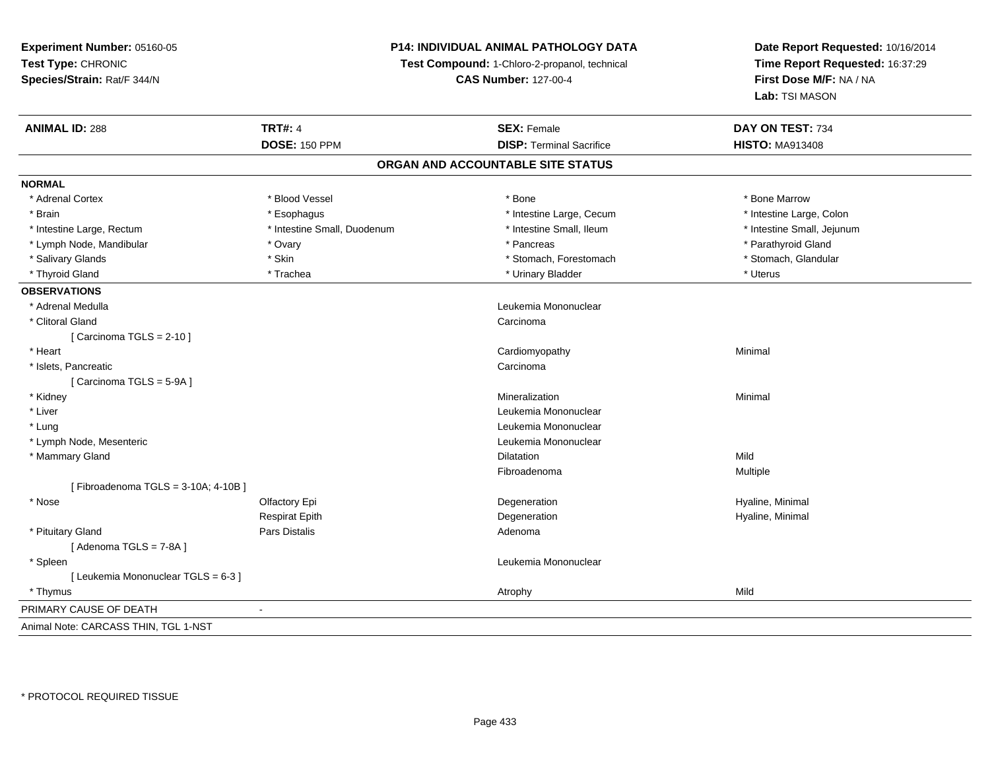# **P14: INDIVIDUAL ANIMAL PATHOLOGY DATA**

**Test Compound:** 1-Chloro-2-propanol, technical

**CAS Number:** 127-00-4

| <b>ANIMAL ID: 288</b>                | <b>TRT#: 4</b>              | <b>SEX: Female</b>                | DAY ON TEST: 734           |
|--------------------------------------|-----------------------------|-----------------------------------|----------------------------|
|                                      | <b>DOSE: 150 PPM</b>        | <b>DISP: Terminal Sacrifice</b>   | <b>HISTO: MA913408</b>     |
|                                      |                             | ORGAN AND ACCOUNTABLE SITE STATUS |                            |
| <b>NORMAL</b>                        |                             |                                   |                            |
| * Adrenal Cortex                     | * Blood Vessel              | * Bone                            | * Bone Marrow              |
| * Brain                              | * Esophagus                 | * Intestine Large, Cecum          | * Intestine Large, Colon   |
| * Intestine Large, Rectum            | * Intestine Small, Duodenum | * Intestine Small, Ileum          | * Intestine Small, Jejunum |
| * Lymph Node, Mandibular             | * Ovary                     | * Pancreas                        | * Parathyroid Gland        |
| * Salivary Glands                    | * Skin                      | * Stomach, Forestomach            | * Stomach, Glandular       |
| * Thyroid Gland                      | * Trachea                   | * Urinary Bladder                 | * Uterus                   |
| <b>OBSERVATIONS</b>                  |                             |                                   |                            |
| * Adrenal Medulla                    |                             | Leukemia Mononuclear              |                            |
| * Clitoral Gland                     |                             | Carcinoma                         |                            |
| [Carcinoma TGLS = $2-10$ ]           |                             |                                   |                            |
| * Heart                              |                             | Cardiomyopathy                    | Minimal                    |
| * Islets, Pancreatic                 |                             | Carcinoma                         |                            |
| [Carcinoma TGLS = 5-9A]              |                             |                                   |                            |
| * Kidney                             |                             | Mineralization                    | Minimal                    |
| * Liver                              |                             | Leukemia Mononuclear              |                            |
| * Lung                               |                             | Leukemia Mononuclear              |                            |
| * Lymph Node, Mesenteric             |                             | Leukemia Mononuclear              |                            |
| * Mammary Gland                      |                             | <b>Dilatation</b>                 | Mild                       |
|                                      |                             | Fibroadenoma                      | Multiple                   |
| [Fibroadenoma TGLS = 3-10A; 4-10B]   |                             |                                   |                            |
| * Nose                               | Olfactory Epi               | Degeneration                      | Hyaline, Minimal           |
|                                      | <b>Respirat Epith</b>       | Degeneration                      | Hyaline, Minimal           |
| * Pituitary Gland                    | Pars Distalis               | Adenoma                           |                            |
| [Adenoma TGLS = 7-8A]                |                             |                                   |                            |
| * Spleen                             |                             | Leukemia Mononuclear              |                            |
| [ Leukemia Mononuclear TGLS = 6-3 ]  |                             |                                   |                            |
| * Thymus                             |                             | Atrophy                           | Mild                       |
| PRIMARY CAUSE OF DEATH               |                             |                                   |                            |
| Animal Note: CARCASS THIN, TGL 1-NST |                             |                                   |                            |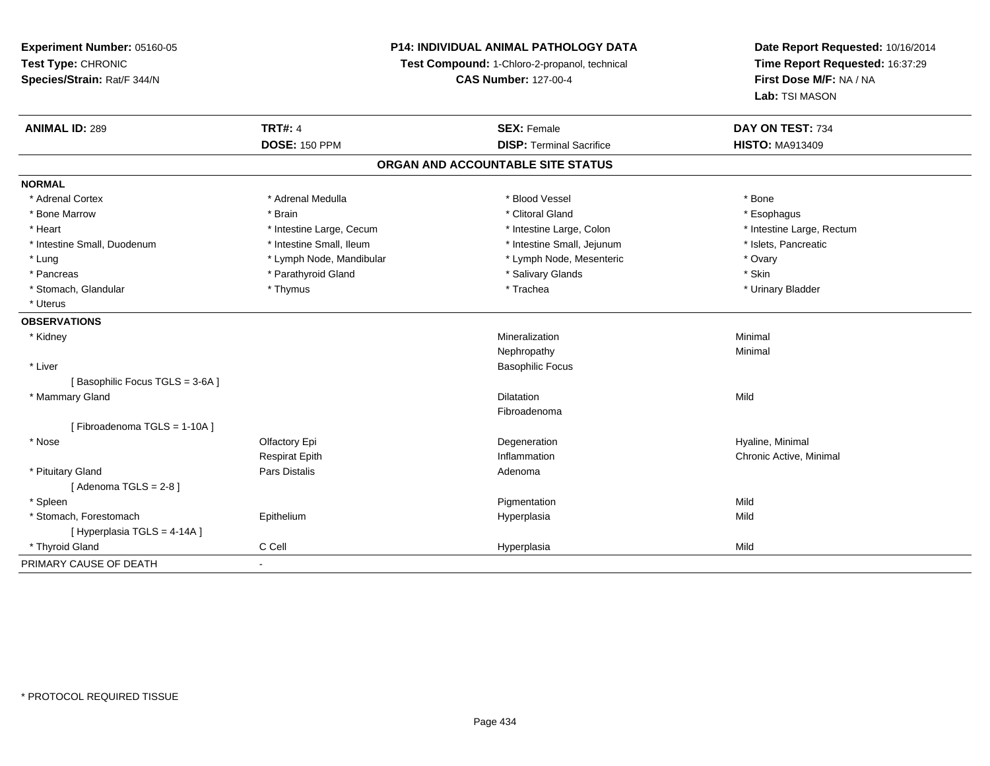# **P14: INDIVIDUAL ANIMAL PATHOLOGY DATA**

**Test Compound:** 1-Chloro-2-propanol, technical

**CAS Number:** 127-00-4

| <b>ANIMAL ID: 289</b>             | <b>TRT#: 4</b>           | <b>SEX: Female</b>              | DAY ON TEST: 734          |  |  |  |  |
|-----------------------------------|--------------------------|---------------------------------|---------------------------|--|--|--|--|
|                                   | <b>DOSE: 150 PPM</b>     | <b>DISP: Terminal Sacrifice</b> | <b>HISTO: MA913409</b>    |  |  |  |  |
| ORGAN AND ACCOUNTABLE SITE STATUS |                          |                                 |                           |  |  |  |  |
| <b>NORMAL</b>                     |                          |                                 |                           |  |  |  |  |
| * Adrenal Cortex                  | * Adrenal Medulla        | * Blood Vessel                  | * Bone                    |  |  |  |  |
| * Bone Marrow                     | * Brain                  | * Clitoral Gland                | * Esophagus               |  |  |  |  |
| * Heart                           | * Intestine Large, Cecum | * Intestine Large, Colon        | * Intestine Large, Rectum |  |  |  |  |
| * Intestine Small, Duodenum       | * Intestine Small, Ileum | * Intestine Small, Jejunum      | * Islets, Pancreatic      |  |  |  |  |
| * Lung                            | * Lymph Node, Mandibular | * Lymph Node, Mesenteric        | * Ovary                   |  |  |  |  |
| * Pancreas                        | * Parathyroid Gland      | * Salivary Glands               | * Skin                    |  |  |  |  |
| * Stomach, Glandular              | * Thymus                 | * Trachea                       | * Urinary Bladder         |  |  |  |  |
| * Uterus                          |                          |                                 |                           |  |  |  |  |
| <b>OBSERVATIONS</b>               |                          |                                 |                           |  |  |  |  |
| * Kidney                          |                          | Mineralization                  | Minimal                   |  |  |  |  |
|                                   |                          | Nephropathy                     | Minimal                   |  |  |  |  |
| * Liver                           |                          | <b>Basophilic Focus</b>         |                           |  |  |  |  |
| [Basophilic Focus TGLS = 3-6A]    |                          |                                 |                           |  |  |  |  |
| * Mammary Gland                   |                          | <b>Dilatation</b>               | Mild                      |  |  |  |  |
|                                   |                          | Fibroadenoma                    |                           |  |  |  |  |
| [Fibroadenoma TGLS = 1-10A]       |                          |                                 |                           |  |  |  |  |
| * Nose                            | Olfactory Epi            | Degeneration                    | Hyaline, Minimal          |  |  |  |  |
|                                   | <b>Respirat Epith</b>    | Inflammation                    | Chronic Active, Minimal   |  |  |  |  |
| * Pituitary Gland                 | Pars Distalis            | Adenoma                         |                           |  |  |  |  |
| [Adenoma TGLS = $2-8$ ]           |                          |                                 |                           |  |  |  |  |
| * Spleen                          |                          | Pigmentation                    | Mild                      |  |  |  |  |
| * Stomach, Forestomach            | Epithelium               | Hyperplasia                     | Mild                      |  |  |  |  |
| [Hyperplasia TGLS = 4-14A]        |                          |                                 |                           |  |  |  |  |
| * Thyroid Gland                   | C Cell                   | Hyperplasia                     | Mild                      |  |  |  |  |
| PRIMARY CAUSE OF DEATH            | $\blacksquare$           |                                 |                           |  |  |  |  |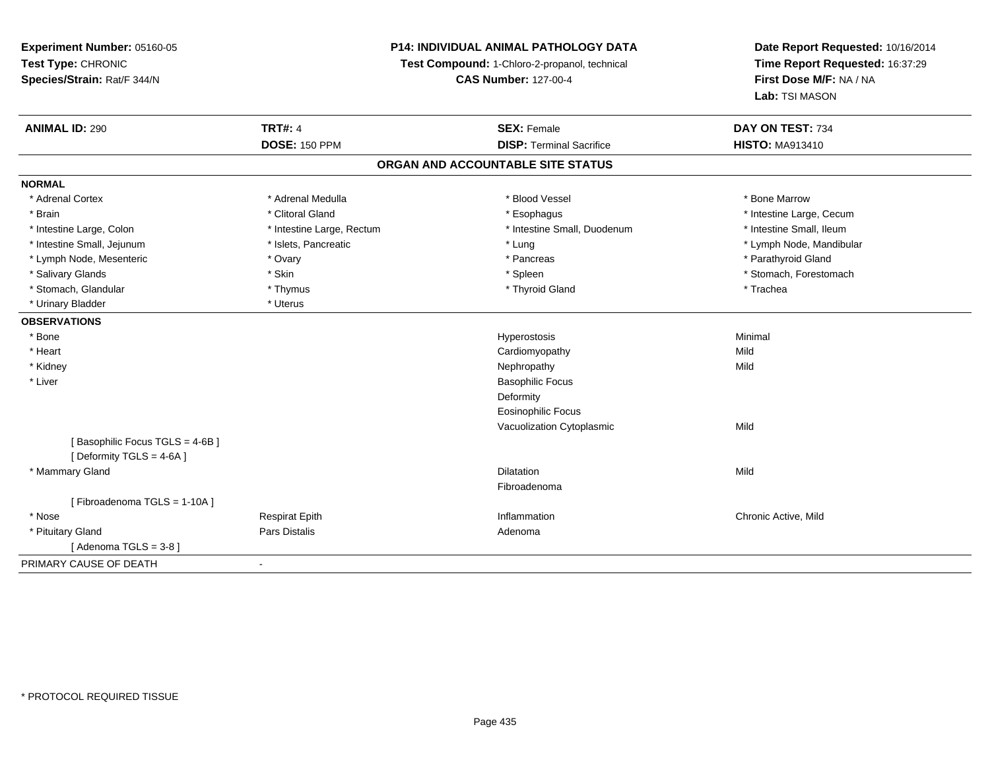# **P14: INDIVIDUAL ANIMAL PATHOLOGY DATA**

**Test Compound:** 1-Chloro-2-propanol, technical

**CAS Number:** 127-00-4

| <b>ANIMAL ID: 290</b>          | <b>TRT#: 4</b>            | <b>SEX: Female</b>                | DAY ON TEST: 734         |
|--------------------------------|---------------------------|-----------------------------------|--------------------------|
|                                | <b>DOSE: 150 PPM</b>      | <b>DISP: Terminal Sacrifice</b>   | <b>HISTO: MA913410</b>   |
|                                |                           | ORGAN AND ACCOUNTABLE SITE STATUS |                          |
| <b>NORMAL</b>                  |                           |                                   |                          |
| * Adrenal Cortex               | * Adrenal Medulla         | * Blood Vessel                    | * Bone Marrow            |
| * Brain                        | * Clitoral Gland          | * Esophagus                       | * Intestine Large, Cecum |
| * Intestine Large, Colon       | * Intestine Large, Rectum | * Intestine Small, Duodenum       | * Intestine Small, Ileum |
| * Intestine Small, Jejunum     | * Islets, Pancreatic      | * Lung                            | * Lymph Node, Mandibular |
| * Lymph Node, Mesenteric       | * Ovary                   | * Pancreas                        | * Parathyroid Gland      |
| * Salivary Glands              | * Skin                    | * Spleen                          | * Stomach, Forestomach   |
| * Stomach, Glandular           | * Thymus                  | * Thyroid Gland                   | * Trachea                |
| * Urinary Bladder              | * Uterus                  |                                   |                          |
| <b>OBSERVATIONS</b>            |                           |                                   |                          |
| * Bone                         |                           | Hyperostosis                      | Minimal                  |
| * Heart                        |                           | Cardiomyopathy                    | Mild                     |
| * Kidney                       |                           | Nephropathy                       | Mild                     |
| * Liver                        |                           | <b>Basophilic Focus</b>           |                          |
|                                |                           | Deformity                         |                          |
|                                |                           | <b>Eosinophilic Focus</b>         |                          |
|                                |                           | Vacuolization Cytoplasmic         | Mild                     |
| [Basophilic Focus TGLS = 4-6B] |                           |                                   |                          |
| [Deformity TGLS = 4-6A]        |                           |                                   |                          |
| * Mammary Gland                |                           | <b>Dilatation</b>                 | Mild                     |
|                                |                           | Fibroadenoma                      |                          |
| [Fibroadenoma TGLS = 1-10A]    |                           |                                   |                          |
| * Nose                         | <b>Respirat Epith</b>     | Inflammation                      | Chronic Active, Mild     |
| * Pituitary Gland              | <b>Pars Distalis</b>      | Adenoma                           |                          |
| [Adenoma TGLS = $3-8$ ]        |                           |                                   |                          |
| PRIMARY CAUSE OF DEATH         | $\blacksquare$            |                                   |                          |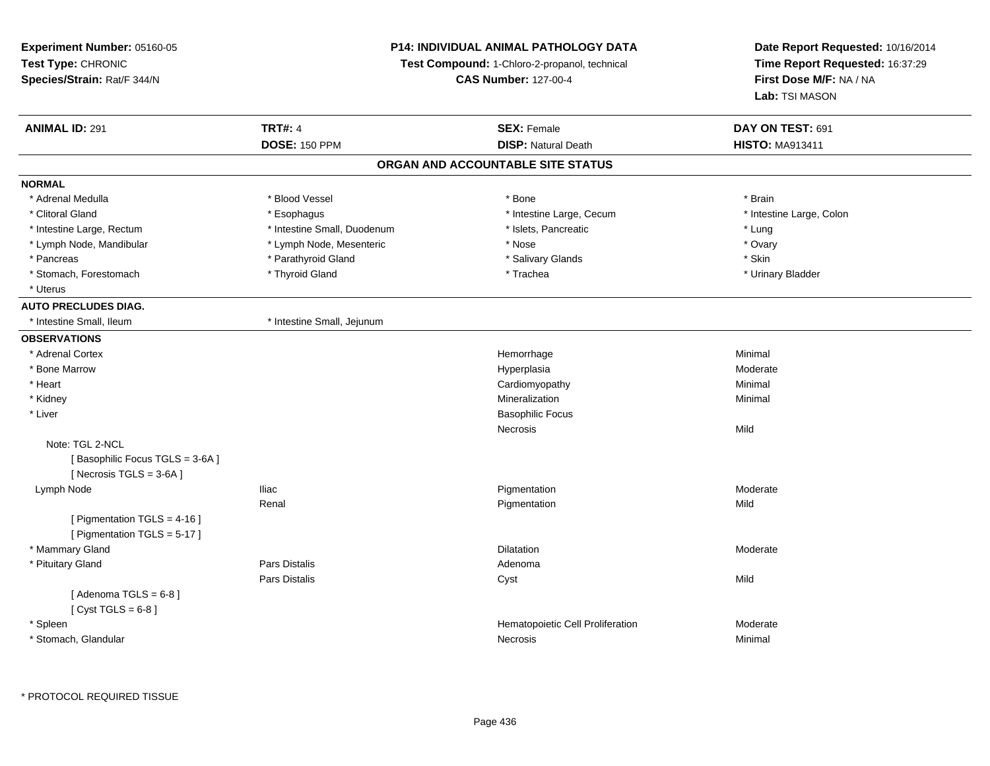| Experiment Number: 05160-05                                                    | <b>P14: INDIVIDUAL ANIMAL PATHOLOGY DATA</b>  |                                   | Date Report Requested: 10/16/2014         |
|--------------------------------------------------------------------------------|-----------------------------------------------|-----------------------------------|-------------------------------------------|
| Test Type: CHRONIC                                                             | Test Compound: 1-Chloro-2-propanol, technical |                                   | Time Report Requested: 16:37:29           |
| Species/Strain: Rat/F 344/N                                                    |                                               | <b>CAS Number: 127-00-4</b>       | First Dose M/F: NA / NA<br>Lab: TSI MASON |
| <b>ANIMAL ID: 291</b>                                                          | <b>TRT#: 4</b>                                | <b>SEX: Female</b>                | DAY ON TEST: 691                          |
|                                                                                | <b>DOSE: 150 PPM</b>                          | <b>DISP: Natural Death</b>        | <b>HISTO: MA913411</b>                    |
|                                                                                |                                               | ORGAN AND ACCOUNTABLE SITE STATUS |                                           |
| <b>NORMAL</b>                                                                  |                                               |                                   |                                           |
| * Adrenal Medulla                                                              | * Blood Vessel                                | * Bone                            | * Brain                                   |
| * Clitoral Gland                                                               | * Esophagus                                   | * Intestine Large, Cecum          | * Intestine Large, Colon                  |
| * Intestine Large, Rectum                                                      | * Intestine Small, Duodenum                   | * Islets, Pancreatic              | * Lung                                    |
| * Lymph Node, Mandibular                                                       | * Lymph Node, Mesenteric                      | * Nose                            | * Ovary                                   |
| * Pancreas                                                                     | * Parathyroid Gland                           | * Salivary Glands                 | * Skin                                    |
| * Stomach, Forestomach                                                         | * Thyroid Gland                               | * Trachea                         | * Urinary Bladder                         |
| * Uterus                                                                       |                                               |                                   |                                           |
| <b>AUTO PRECLUDES DIAG.</b>                                                    |                                               |                                   |                                           |
| * Intestine Small, Ileum                                                       | * Intestine Small, Jejunum                    |                                   |                                           |
| <b>OBSERVATIONS</b>                                                            |                                               |                                   |                                           |
| * Adrenal Cortex                                                               |                                               | Hemorrhage                        | Minimal                                   |
| * Bone Marrow                                                                  |                                               | Hyperplasia                       | Moderate                                  |
| * Heart                                                                        |                                               | Cardiomyopathy                    | Minimal                                   |
| * Kidney                                                                       |                                               | Mineralization                    | Minimal                                   |
| * Liver                                                                        |                                               | <b>Basophilic Focus</b>           |                                           |
|                                                                                |                                               | Necrosis                          | Mild                                      |
| Note: TGL 2-NCL<br>[Basophilic Focus TGLS = 3-6A]<br>[Necrosis $TGLS = 3-6A$ ] |                                               |                                   |                                           |
| Lymph Node                                                                     | <b>Iliac</b>                                  | Pigmentation                      | Moderate                                  |
|                                                                                | Renal                                         | Pigmentation                      | Mild                                      |
| [ Pigmentation TGLS = $4-16$ ]<br>[ Pigmentation TGLS = 5-17 ]                 |                                               |                                   |                                           |
| * Mammary Gland                                                                |                                               | Dilatation                        | Moderate                                  |
| * Pituitary Gland                                                              | Pars Distalis                                 | Adenoma                           |                                           |
|                                                                                | Pars Distalis                                 | Cyst                              | Mild                                      |
| [Adenoma TGLS = $6-8$ ]<br>[Cyst TGLS = $6-8$ ]                                |                                               |                                   |                                           |
| * Spleen                                                                       |                                               | Hematopoietic Cell Proliferation  | Moderate                                  |
| * Stomach, Glandular                                                           |                                               | Necrosis                          | Minimal                                   |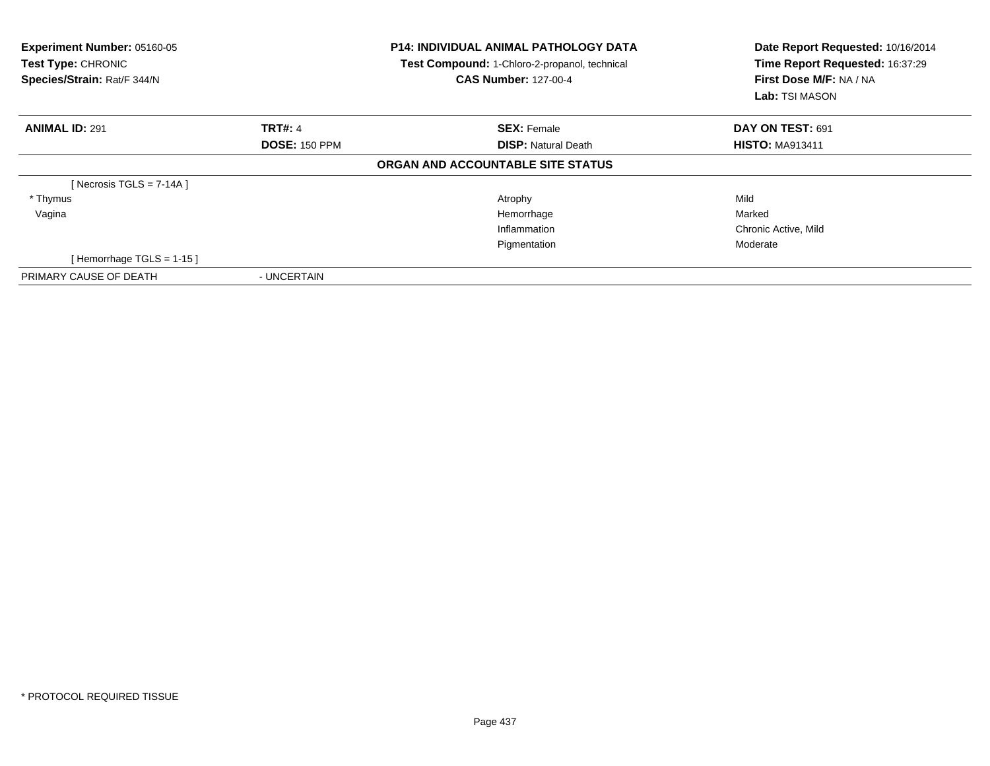| Experiment Number: 05160-05<br><b>Test Type: CHRONIC</b><br>Species/Strain: Rat/F 344/N |                      | <b>P14: INDIVIDUAL ANIMAL PATHOLOGY DATA</b><br>Test Compound: 1-Chloro-2-propanol, technical<br><b>CAS Number: 127-00-4</b> | Date Report Requested: 10/16/2014<br>Time Report Requested: 16:37:29<br>First Dose M/F: NA / NA<br>Lab: TSI MASON |
|-----------------------------------------------------------------------------------------|----------------------|------------------------------------------------------------------------------------------------------------------------------|-------------------------------------------------------------------------------------------------------------------|
| <b>ANIMAL ID: 291</b>                                                                   | <b>TRT#: 4</b>       | <b>SEX: Female</b>                                                                                                           | DAY ON TEST: 691                                                                                                  |
|                                                                                         | <b>DOSE: 150 PPM</b> | <b>DISP:</b> Natural Death                                                                                                   | <b>HISTO: MA913411</b>                                                                                            |
|                                                                                         |                      | ORGAN AND ACCOUNTABLE SITE STATUS                                                                                            |                                                                                                                   |
| [Necrosis TGLS = $7-14A$ ]                                                              |                      |                                                                                                                              |                                                                                                                   |
| * Thymus                                                                                |                      | Atrophy                                                                                                                      | Mild                                                                                                              |
| Vagina                                                                                  |                      | Hemorrhage                                                                                                                   | Marked                                                                                                            |
|                                                                                         |                      | Inflammation                                                                                                                 | Chronic Active, Mild                                                                                              |
|                                                                                         |                      | Pigmentation                                                                                                                 | Moderate                                                                                                          |
| [Hemorrhage TGLS = 1-15]                                                                |                      |                                                                                                                              |                                                                                                                   |
| PRIMARY CAUSE OF DEATH                                                                  | - UNCERTAIN          |                                                                                                                              |                                                                                                                   |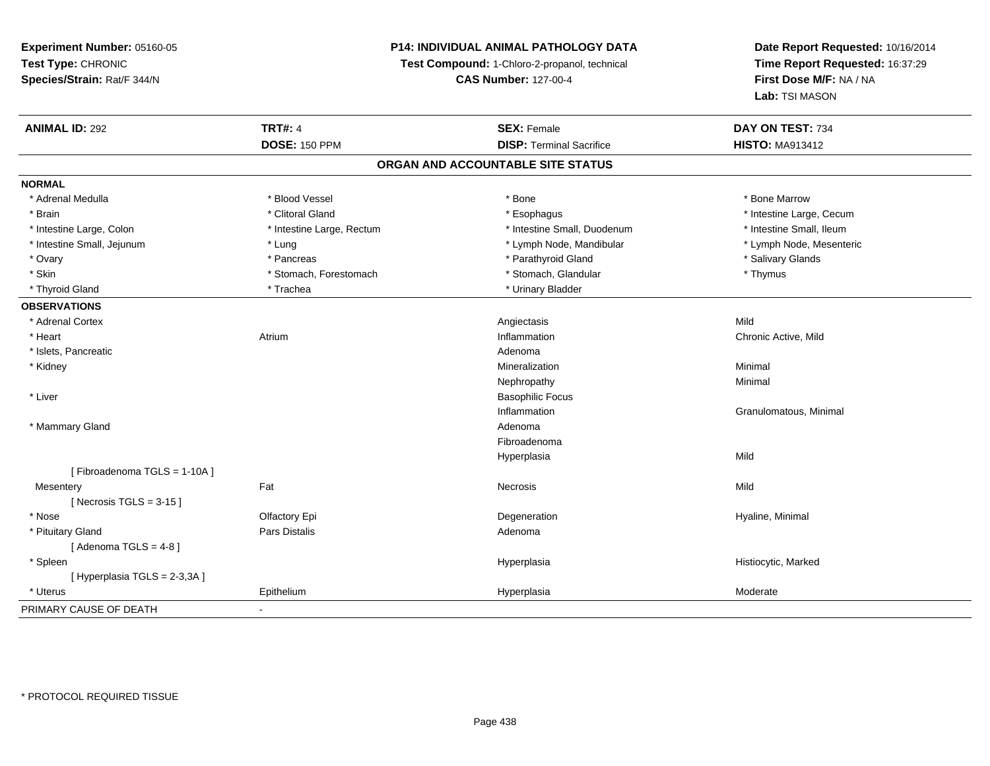# **P14: INDIVIDUAL ANIMAL PATHOLOGY DATA**

**Test Compound:** 1-Chloro-2-propanol, technical

**CAS Number:** 127-00-4

| <b>ANIMAL ID: 292</b>       | <b>TRT#: 4</b>            | <b>SEX: Female</b>                | DAY ON TEST: 734         |
|-----------------------------|---------------------------|-----------------------------------|--------------------------|
|                             | <b>DOSE: 150 PPM</b>      | <b>DISP: Terminal Sacrifice</b>   | <b>HISTO: MA913412</b>   |
|                             |                           | ORGAN AND ACCOUNTABLE SITE STATUS |                          |
| <b>NORMAL</b>               |                           |                                   |                          |
| * Adrenal Medulla           | * Blood Vessel            | * Bone                            | * Bone Marrow            |
| * Brain                     | * Clitoral Gland          | * Esophagus                       | * Intestine Large, Cecum |
| * Intestine Large, Colon    | * Intestine Large, Rectum | * Intestine Small, Duodenum       | * Intestine Small, Ileum |
| * Intestine Small, Jejunum  | * Lung                    | * Lymph Node, Mandibular          | * Lymph Node, Mesenteric |
| * Ovary                     | * Pancreas                | * Parathyroid Gland               | * Salivary Glands        |
| * Skin                      | * Stomach, Forestomach    | * Stomach, Glandular              | * Thymus                 |
| * Thyroid Gland             | * Trachea                 | * Urinary Bladder                 |                          |
| <b>OBSERVATIONS</b>         |                           |                                   |                          |
| * Adrenal Cortex            |                           | Angiectasis                       | Mild                     |
| * Heart                     | Atrium                    | Inflammation                      | Chronic Active, Mild     |
| * Islets, Pancreatic        |                           | Adenoma                           |                          |
| * Kidney                    |                           | Mineralization                    | Minimal                  |
|                             |                           | Nephropathy                       | Minimal                  |
| * Liver                     |                           | <b>Basophilic Focus</b>           |                          |
|                             |                           | Inflammation                      | Granulomatous, Minimal   |
| * Mammary Gland             |                           | Adenoma                           |                          |
|                             |                           | Fibroadenoma                      |                          |
|                             |                           | Hyperplasia                       | Mild                     |
| [Fibroadenoma TGLS = 1-10A] |                           |                                   |                          |
| Mesentery                   | Fat                       | Necrosis                          | Mild                     |
| [Necrosis TGLS = $3-15$ ]   |                           |                                   |                          |
| * Nose                      | Olfactory Epi             | Degeneration                      | Hyaline, Minimal         |
| * Pituitary Gland           | Pars Distalis             | Adenoma                           |                          |
| [Adenoma TGLS = $4-8$ ]     |                           |                                   |                          |
| * Spleen                    |                           | Hyperplasia                       | Histiocytic, Marked      |
| [Hyperplasia TGLS = 2-3,3A] |                           |                                   |                          |
| * Uterus                    | Epithelium                | Hyperplasia                       | Moderate                 |
| PRIMARY CAUSE OF DEATH      | $\blacksquare$            |                                   |                          |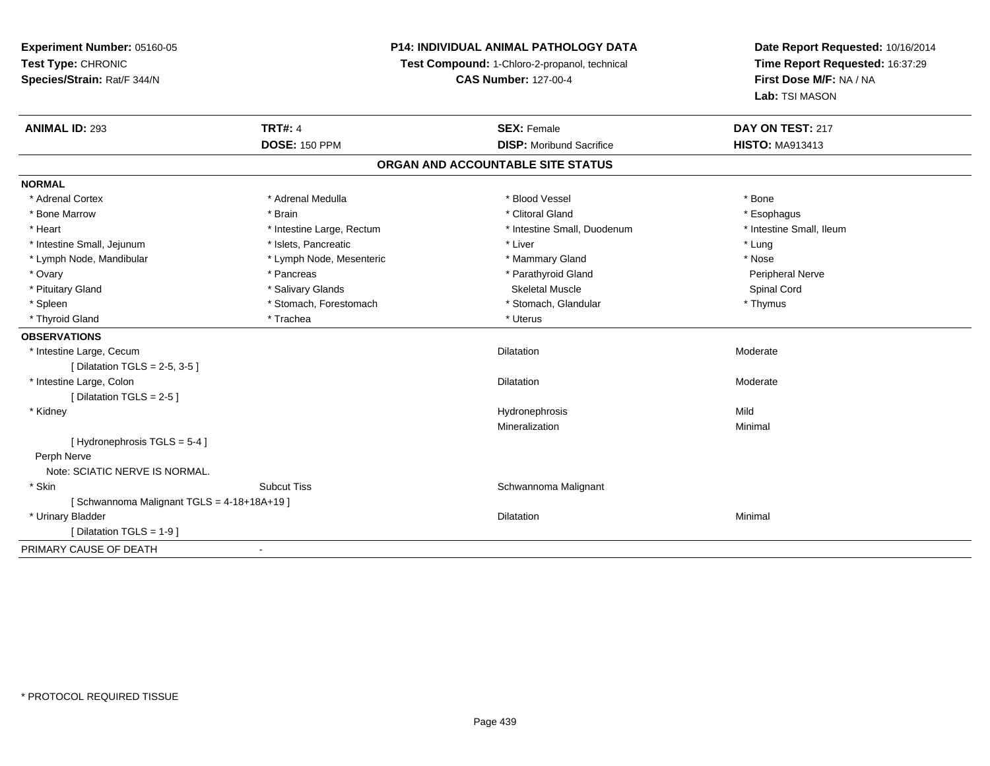# **P14: INDIVIDUAL ANIMAL PATHOLOGY DATA**

**Test Compound:** 1-Chloro-2-propanol, technical

**CAS Number:** 127-00-4

| <b>ANIMAL ID: 293</b>                     | <b>TRT#: 4</b>            | <b>SEX: Female</b>                | DAY ON TEST: 217         |  |
|-------------------------------------------|---------------------------|-----------------------------------|--------------------------|--|
|                                           | <b>DOSE: 150 PPM</b>      | <b>DISP:</b> Moribund Sacrifice   | <b>HISTO: MA913413</b>   |  |
|                                           |                           | ORGAN AND ACCOUNTABLE SITE STATUS |                          |  |
| <b>NORMAL</b>                             |                           |                                   |                          |  |
| * Adrenal Cortex                          | * Adrenal Medulla         | * Blood Vessel                    | * Bone                   |  |
| * Bone Marrow                             | * Brain                   | * Clitoral Gland                  | * Esophagus              |  |
| * Heart                                   | * Intestine Large, Rectum | * Intestine Small, Duodenum       | * Intestine Small, Ileum |  |
| * Intestine Small, Jejunum                | * Islets, Pancreatic      | * Liver                           | * Lung                   |  |
| * Lymph Node, Mandibular                  | * Lymph Node, Mesenteric  | * Mammary Gland                   | * Nose                   |  |
| * Ovary                                   | * Pancreas                | * Parathyroid Gland               | Peripheral Nerve         |  |
| * Pituitary Gland                         | * Salivary Glands         | <b>Skeletal Muscle</b>            | Spinal Cord              |  |
| * Spleen                                  | * Stomach, Forestomach    | * Stomach, Glandular              | * Thymus                 |  |
| * Thyroid Gland                           | * Trachea                 | * Uterus                          |                          |  |
| <b>OBSERVATIONS</b>                       |                           |                                   |                          |  |
| * Intestine Large, Cecum                  |                           | <b>Dilatation</b>                 | Moderate                 |  |
| [ Dilatation TGLS = $2-5$ , $3-5$ ]       |                           |                                   |                          |  |
| * Intestine Large, Colon                  |                           | Dilatation                        | Moderate                 |  |
| [ Dilatation TGLS = $2-5$ ]               |                           |                                   |                          |  |
| * Kidney                                  |                           | Hydronephrosis                    | Mild                     |  |
|                                           |                           | Mineralization                    | Minimal                  |  |
| [Hydronephrosis TGLS = 5-4]               |                           |                                   |                          |  |
| Perph Nerve                               |                           |                                   |                          |  |
| Note: SCIATIC NERVE IS NORMAL.            |                           |                                   |                          |  |
| * Skin                                    | <b>Subcut Tiss</b>        | Schwannoma Malignant              |                          |  |
| [Schwannoma Malignant TGLS = 4-18+18A+19] |                           |                                   |                          |  |
| * Urinary Bladder                         |                           | <b>Dilatation</b>                 | Minimal                  |  |
| [ Dilatation TGLS = 1-9 ]                 |                           |                                   |                          |  |
| PRIMARY CAUSE OF DEATH                    |                           |                                   |                          |  |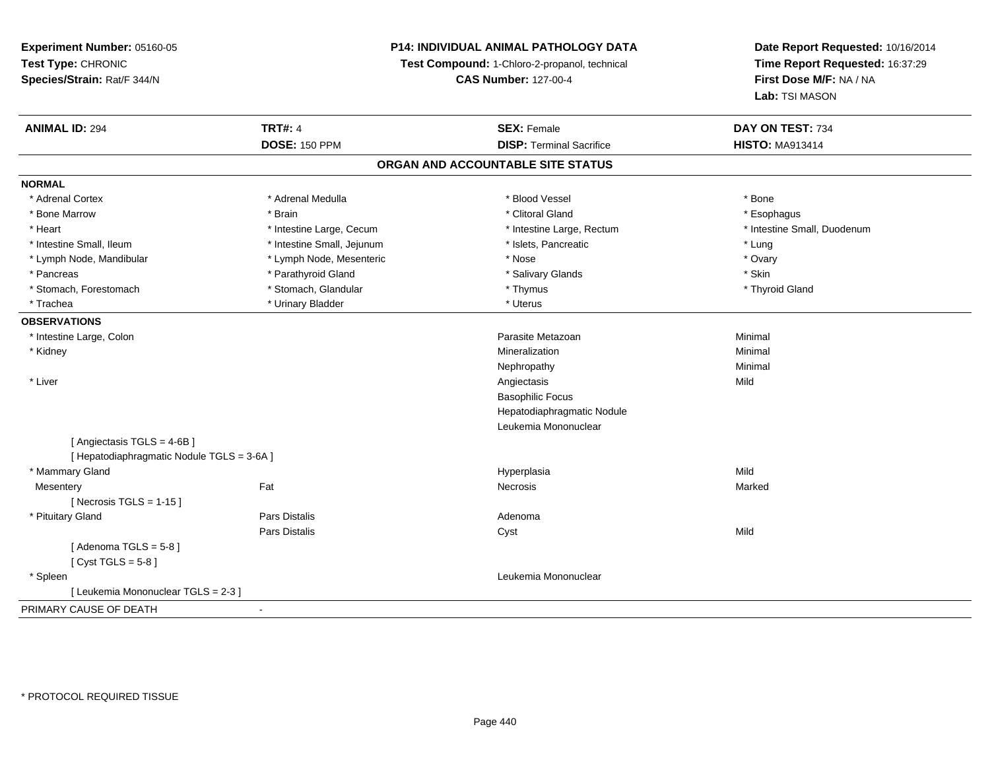# **P14: INDIVIDUAL ANIMAL PATHOLOGY DATA**

**Test Compound:** 1-Chloro-2-propanol, technical

**CAS Number:** 127-00-4

| <b>ANIMAL ID: 294</b>                      | <b>TRT#: 4</b>             | <b>SEX: Female</b>                | DAY ON TEST: 734            |  |
|--------------------------------------------|----------------------------|-----------------------------------|-----------------------------|--|
|                                            | <b>DOSE: 150 PPM</b>       | <b>DISP: Terminal Sacrifice</b>   | <b>HISTO: MA913414</b>      |  |
|                                            |                            | ORGAN AND ACCOUNTABLE SITE STATUS |                             |  |
| <b>NORMAL</b>                              |                            |                                   |                             |  |
| * Adrenal Cortex                           | * Adrenal Medulla          | * Blood Vessel                    | * Bone                      |  |
| * Bone Marrow                              | * Brain                    | * Clitoral Gland                  | * Esophagus                 |  |
| * Heart                                    | * Intestine Large, Cecum   | * Intestine Large, Rectum         | * Intestine Small, Duodenum |  |
| * Intestine Small, Ileum                   | * Intestine Small, Jejunum | * Islets, Pancreatic              | * Lung                      |  |
| * Lymph Node, Mandibular                   | * Lymph Node, Mesenteric   | * Nose                            | * Ovary                     |  |
| * Pancreas                                 | * Parathyroid Gland        | * Salivary Glands                 | * Skin                      |  |
| * Stomach, Forestomach                     | * Stomach, Glandular       | * Thymus                          | * Thyroid Gland             |  |
| * Trachea                                  | * Urinary Bladder          | * Uterus                          |                             |  |
| <b>OBSERVATIONS</b>                        |                            |                                   |                             |  |
| * Intestine Large, Colon                   |                            | Parasite Metazoan                 | Minimal                     |  |
| * Kidney                                   |                            | Mineralization                    | Minimal                     |  |
|                                            |                            | Nephropathy                       | Minimal                     |  |
| * Liver                                    |                            | Angiectasis                       | Mild                        |  |
|                                            |                            | <b>Basophilic Focus</b>           |                             |  |
|                                            |                            | Hepatodiaphragmatic Nodule        |                             |  |
|                                            |                            | Leukemia Mononuclear              |                             |  |
| [Angiectasis TGLS = 4-6B]                  |                            |                                   |                             |  |
| [ Hepatodiaphragmatic Nodule TGLS = 3-6A ] |                            |                                   |                             |  |
| * Mammary Gland                            |                            | Hyperplasia                       | Mild                        |  |
| Mesentery                                  | Fat                        | Necrosis                          | Marked                      |  |
| [Necrosis TGLS = $1-15$ ]                  |                            |                                   |                             |  |
| * Pituitary Gland                          | <b>Pars Distalis</b>       | Adenoma                           |                             |  |
|                                            | <b>Pars Distalis</b>       | Cyst                              | Mild                        |  |
| [Adenoma TGLS = $5-8$ ]                    |                            |                                   |                             |  |
| [Cyst TGLS = $5-8$ ]                       |                            |                                   |                             |  |
| * Spleen                                   |                            | Leukemia Mononuclear              |                             |  |
| [ Leukemia Mononuclear TGLS = 2-3 ]        |                            |                                   |                             |  |
| PRIMARY CAUSE OF DEATH                     |                            |                                   |                             |  |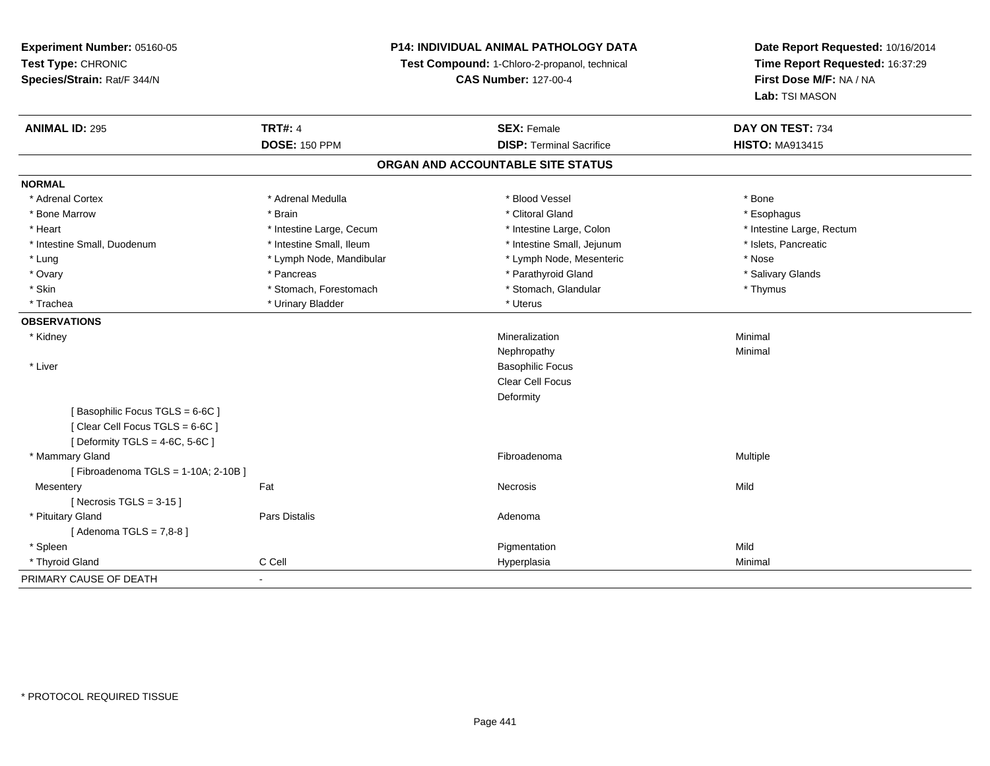**Experiment Number:** 05160-05**Test Type:** CHRONIC **Species/Strain:** Rat/F 344/N**P14: INDIVIDUAL ANIMAL PATHOLOGY DATATest Compound:** 1-Chloro-2-propanol, technical **CAS Number:** 127-00-4**Date Report Requested:** 10/16/2014**Time Report Requested:** 16:37:29**First Dose M/F:** NA / NA**Lab:** TSI MASON**ANIMAL ID:** 295**TRT#:** 4 **SEX:** Female **SEX: Female DAY ON TEST:** 734 **DOSE:** 150 PPM**DISP:** Terminal Sacrifice **HISTO:** MA913415 **ORGAN AND ACCOUNTABLE SITE STATUSNORMAL**\* Adrenal Cortex \* Adrenal Medulla \* Adrenal Medulla \* Blood Vessel \* Bood Vessel \* Bone \* Bone \* Bone \* Bone \* Bone \* Bone \* Bone \* Bone \* Bone \* Bone \* Bone \* Bone \* Bone \* Bone \* Bone \* Bone \* Bone \* Bone \* Bone \* Bone \* Bone \* Bone \* \* \* Esophagus \* Bone Marrow \* \* Android \* Brain \* Brain \* Clitoral Gland \* Clitoral Gland \* Esophagus \* Esophagus \* Esophagus \* Intestine Large, Rectum \* Heart \* Intestine Large, Cecum \* Intestine Large, Cecum \* Intestine Large, Colon \* Intestine Small, Duodenum \* Intestine Small, Ileum \* Intestine Small, Intestine Small, Jejunum \* Islets, Pancreatic \* Lung \* Lymph Node, Mandibular \* Nose \* Lymph Node, Mesenteric \* Nose \* Nose \* Salivary Glands \* Ovary \* Parathyroid Gland \* Pancreas \* Pancreas \* The state of the state of the state of the state of the state of the state of the state of the state of the state of the state of the state of the state of the state of t \* Skin \* Stomach, Forestomach \* Stomach \* Stomach, Glandular \* Stomach, Glandular \* Thymus \* Trachea \* Urinary Bladder \* Urinary Bladder \* Urinary Bladder \* Uterus **OBSERVATIONS** \* Kidneyy with the control of the control of the control of the control of the control of the control of the control of the control of the control of the control of the control of the control of the control of the control of the c n Minimal Nephropathyy the contract of the Minimal Minimal Section 1996 and the contract of the Minimal Section 1997 and the contract of the contract of the contract of the contract of the contract of the contract of the contract of the contra \* Liver Basophilic Focus Clear Cell FocusDeformity[ Basophilic Focus TGLS = 6-6C ][ Clear Cell Focus TGLS = 6-6C ] $[$  Deformity TGLS = 4-6C, 5-6C  $]$  \* Mammary Glandd and the state of the state of the state of the state of the state of the state of the state of the state of the state of the state of the state of the state of the state of the state of the state of the state of the stat [ Fibroadenoma TGLS = 1-10A; 2-10B ]**Mesentery** y the contract of the contract of the contract of the contract of the contract of the contract of the contract of the contract of the contract of the contract of the contract of the contract of the contract of the contract  $[$  Necrosis TGLS = 3-15  $]$  \* Pituitary Glandd and the contract of Pars Distalis and the contract of Adenoma and Adenoma and the Adenoma and the Adenoma and  $\lambda$  $[$  Adenoma TGLS = 7,8-8  $]$  \* Spleenn and the control of the control of the control of the control of the control of the control of the control of the control of the control of the control of the control of the control of the control of the control of the co \* Thyroid Gland C Cell Hyperplasia Minimal PRIMARY CAUSE OF DEATH-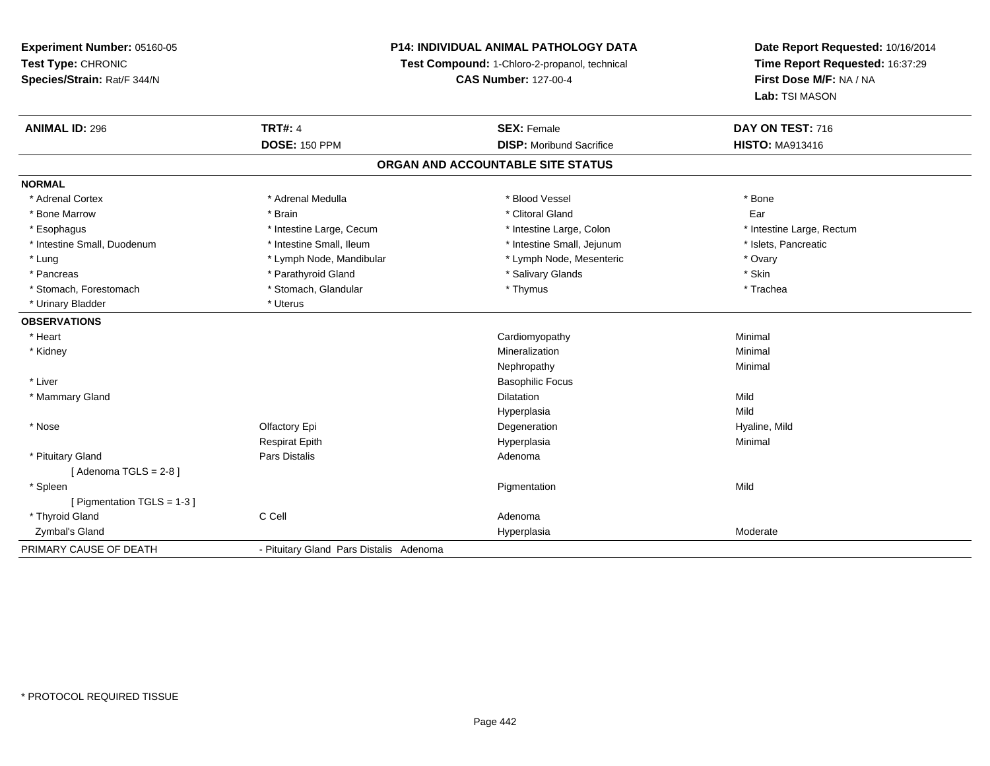# **P14: INDIVIDUAL ANIMAL PATHOLOGY DATA**

**Test Compound:** 1-Chloro-2-propanol, technical

**CAS Number:** 127-00-4

| <b>ANIMAL ID: 296</b>       | <b>TRT#: 4</b>                          | <b>SEX: Female</b>                | DAY ON TEST: 716          |
|-----------------------------|-----------------------------------------|-----------------------------------|---------------------------|
|                             | <b>DOSE: 150 PPM</b>                    | <b>DISP: Moribund Sacrifice</b>   | <b>HISTO: MA913416</b>    |
|                             |                                         | ORGAN AND ACCOUNTABLE SITE STATUS |                           |
| <b>NORMAL</b>               |                                         |                                   |                           |
| * Adrenal Cortex            | * Adrenal Medulla                       | * Blood Vessel                    | * Bone                    |
| * Bone Marrow               | * Brain                                 | * Clitoral Gland                  | Ear                       |
| * Esophagus                 | * Intestine Large, Cecum                | * Intestine Large, Colon          | * Intestine Large, Rectum |
| * Intestine Small, Duodenum | * Intestine Small, Ileum                | * Intestine Small, Jejunum        | * Islets, Pancreatic      |
| * Lung                      | * Lymph Node, Mandibular                | * Lymph Node, Mesenteric          | * Ovary                   |
| * Pancreas                  | * Parathyroid Gland                     | * Salivary Glands                 | * Skin                    |
| * Stomach, Forestomach      | * Stomach, Glandular                    | * Thymus                          | * Trachea                 |
| * Urinary Bladder           | * Uterus                                |                                   |                           |
| <b>OBSERVATIONS</b>         |                                         |                                   |                           |
| * Heart                     |                                         | Cardiomyopathy                    | Minimal                   |
| * Kidney                    |                                         | Mineralization                    | Minimal                   |
|                             |                                         | Nephropathy                       | Minimal                   |
| * Liver                     |                                         | <b>Basophilic Focus</b>           |                           |
| * Mammary Gland             |                                         | <b>Dilatation</b>                 | Mild                      |
|                             |                                         | Hyperplasia                       | Mild                      |
| * Nose                      | Olfactory Epi                           | Degeneration                      | Hyaline, Mild             |
|                             | <b>Respirat Epith</b>                   | Hyperplasia                       | Minimal                   |
| * Pituitary Gland           | Pars Distalis                           | Adenoma                           |                           |
| [Adenoma TGLS = $2-8$ ]     |                                         |                                   |                           |
| * Spleen                    |                                         | Pigmentation                      | Mild                      |
| [ Pigmentation TGLS = 1-3 ] |                                         |                                   |                           |
| * Thyroid Gland             | C Cell                                  | Adenoma                           |                           |
| Zymbal's Gland              |                                         | Hyperplasia                       | Moderate                  |
| PRIMARY CAUSE OF DEATH      | - Pituitary Gland Pars Distalis Adenoma |                                   |                           |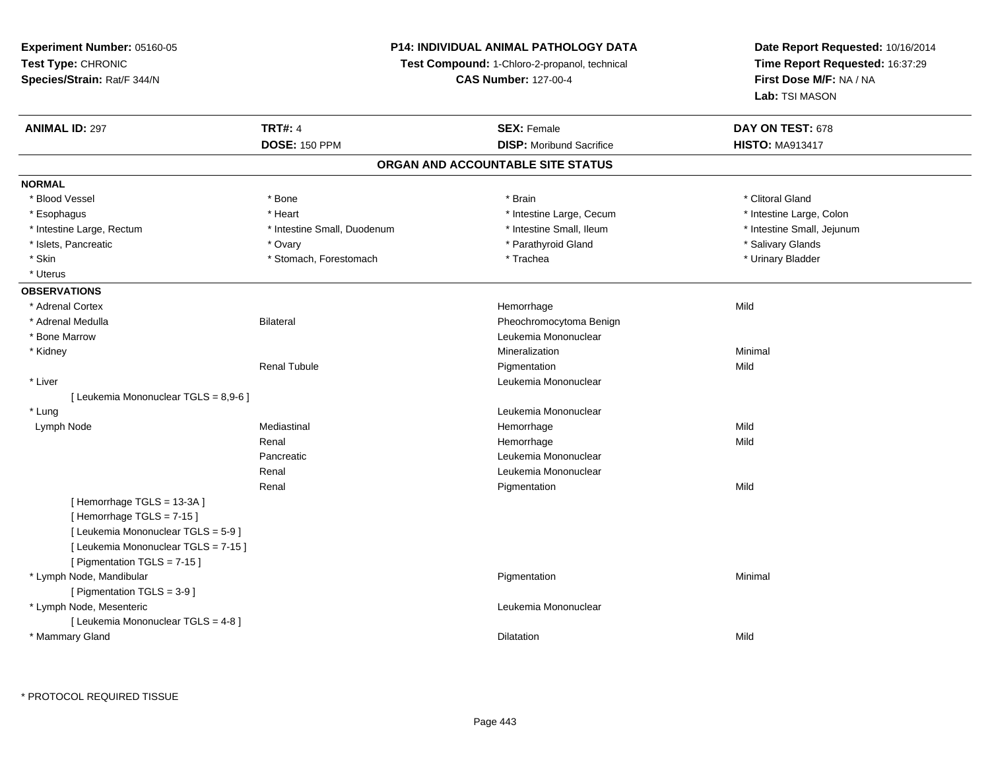# **P14: INDIVIDUAL ANIMAL PATHOLOGY DATA**

**Test Compound:** 1-Chloro-2-propanol, technical

**CAS Number:** 127-00-4

| <b>ANIMAL ID: 297</b>                 | <b>TRT#: 4</b>              | <b>SEX: Female</b>                | DAY ON TEST: 678           |
|---------------------------------------|-----------------------------|-----------------------------------|----------------------------|
|                                       | <b>DOSE: 150 PPM</b>        | <b>DISP:</b> Moribund Sacrifice   | <b>HISTO: MA913417</b>     |
|                                       |                             | ORGAN AND ACCOUNTABLE SITE STATUS |                            |
| <b>NORMAL</b>                         |                             |                                   |                            |
| * Blood Vessel                        | * Bone                      | * Brain                           | * Clitoral Gland           |
| * Esophagus                           | * Heart                     | * Intestine Large, Cecum          | * Intestine Large, Colon   |
| * Intestine Large, Rectum             | * Intestine Small, Duodenum | * Intestine Small, Ileum          | * Intestine Small, Jejunum |
| * Islets, Pancreatic                  | * Ovary                     | * Parathyroid Gland               | * Salivary Glands          |
| * Skin                                | * Stomach, Forestomach      | * Trachea                         | * Urinary Bladder          |
| * Uterus                              |                             |                                   |                            |
| <b>OBSERVATIONS</b>                   |                             |                                   |                            |
| * Adrenal Cortex                      |                             | Hemorrhage                        | Mild                       |
| * Adrenal Medulla                     | <b>Bilateral</b>            | Pheochromocytoma Benign           |                            |
| * Bone Marrow                         |                             | Leukemia Mononuclear              |                            |
| * Kidney                              |                             | Mineralization                    | Minimal                    |
|                                       | <b>Renal Tubule</b>         | Pigmentation                      | Mild                       |
| * Liver                               |                             | Leukemia Mononuclear              |                            |
| [ Leukemia Mononuclear TGLS = 8,9-6 ] |                             |                                   |                            |
| * Lung                                |                             | Leukemia Mononuclear              |                            |
| Lymph Node                            | Mediastinal                 | Hemorrhage                        | Mild                       |
|                                       | Renal                       | Hemorrhage                        | Mild                       |
|                                       | Pancreatic                  | Leukemia Mononuclear              |                            |
|                                       | Renal                       | Leukemia Mononuclear              |                            |
|                                       | Renal                       | Pigmentation                      | Mild                       |
| [Hemorrhage TGLS = 13-3A]             |                             |                                   |                            |
| [Hemorrhage TGLS = 7-15]              |                             |                                   |                            |
| [ Leukemia Mononuclear TGLS = 5-9 ]   |                             |                                   |                            |
| [ Leukemia Mononuclear TGLS = 7-15 ]  |                             |                                   |                            |
| [ Pigmentation TGLS = 7-15 ]          |                             |                                   |                            |
| * Lymph Node, Mandibular              |                             | Pigmentation                      | Minimal                    |
| [ Pigmentation TGLS = 3-9 ]           |                             |                                   |                            |
| * Lymph Node, Mesenteric              |                             | Leukemia Mononuclear              |                            |
| [ Leukemia Mononuclear TGLS = 4-8 ]   |                             |                                   |                            |
| * Mammary Gland                       |                             | Dilatation                        | Mild                       |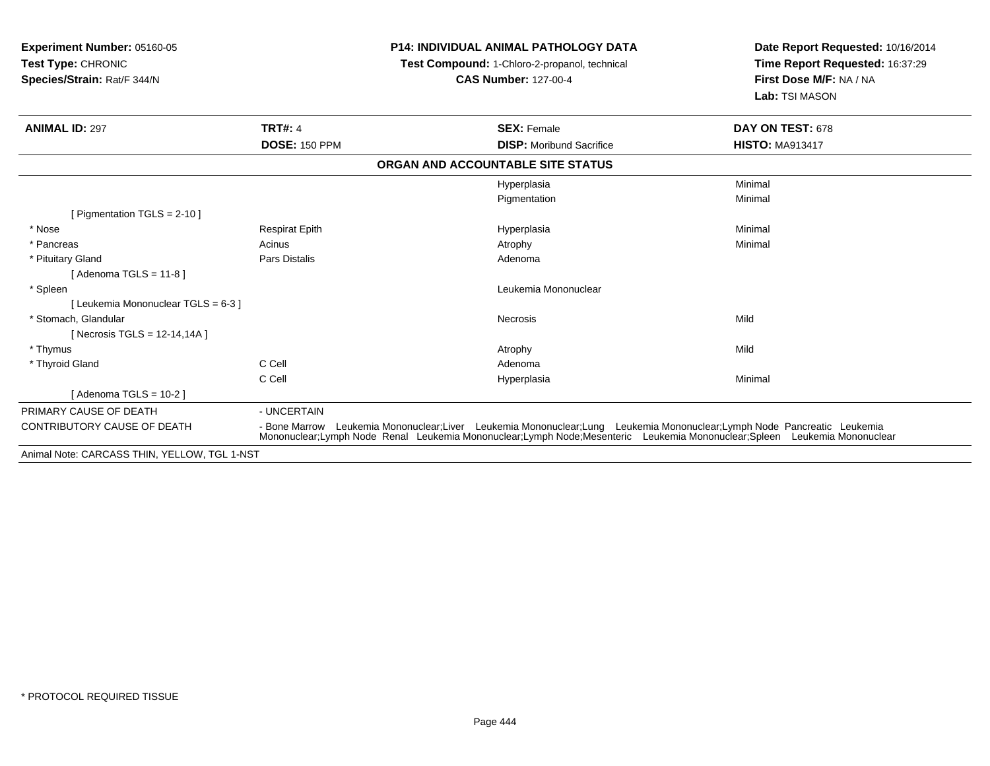| Experiment Number: 05160-05<br><b>Test Type: CHRONIC</b><br>Species/Strain: Rat/F 344/N |                                                                                                                                                                                                                                                    | <b>P14: INDIVIDUAL ANIMAL PATHOLOGY DATA</b><br>Test Compound: 1-Chloro-2-propanol, technical<br><b>CAS Number: 127-00-4</b> | Date Report Requested: 10/16/2014<br>Time Report Requested: 16:37:29<br>First Dose M/F: NA / NA<br>Lab: TSI MASON |
|-----------------------------------------------------------------------------------------|----------------------------------------------------------------------------------------------------------------------------------------------------------------------------------------------------------------------------------------------------|------------------------------------------------------------------------------------------------------------------------------|-------------------------------------------------------------------------------------------------------------------|
| <b>ANIMAL ID: 297</b>                                                                   | <b>TRT#: 4</b>                                                                                                                                                                                                                                     | <b>SEX: Female</b>                                                                                                           | DAY ON TEST: 678                                                                                                  |
|                                                                                         | <b>DOSE: 150 PPM</b>                                                                                                                                                                                                                               | <b>DISP:</b> Moribund Sacrifice                                                                                              | <b>HISTO: MA913417</b>                                                                                            |
|                                                                                         |                                                                                                                                                                                                                                                    | ORGAN AND ACCOUNTABLE SITE STATUS                                                                                            |                                                                                                                   |
|                                                                                         |                                                                                                                                                                                                                                                    | Hyperplasia                                                                                                                  | Minimal                                                                                                           |
|                                                                                         |                                                                                                                                                                                                                                                    | Pigmentation                                                                                                                 | Minimal                                                                                                           |
| [ Pigmentation TGLS = $2-10$ ]                                                          |                                                                                                                                                                                                                                                    |                                                                                                                              |                                                                                                                   |
| * Nose                                                                                  | <b>Respirat Epith</b>                                                                                                                                                                                                                              | Hyperplasia                                                                                                                  | Minimal                                                                                                           |
| * Pancreas                                                                              | Acinus                                                                                                                                                                                                                                             | Atrophy                                                                                                                      | Minimal                                                                                                           |
| * Pituitary Gland                                                                       | Pars Distalis                                                                                                                                                                                                                                      | Adenoma                                                                                                                      |                                                                                                                   |
| [ Adenoma TGLS = 11-8 ]                                                                 |                                                                                                                                                                                                                                                    |                                                                                                                              |                                                                                                                   |
| * Spleen                                                                                |                                                                                                                                                                                                                                                    | Leukemia Mononuclear                                                                                                         |                                                                                                                   |
| [ Leukemia Mononuclear TGLS = 6-3 ]                                                     |                                                                                                                                                                                                                                                    |                                                                                                                              |                                                                                                                   |
| * Stomach, Glandular                                                                    |                                                                                                                                                                                                                                                    | Necrosis                                                                                                                     | Mild                                                                                                              |
| [ Necrosis TGLS = $12-14,14A$ ]                                                         |                                                                                                                                                                                                                                                    |                                                                                                                              |                                                                                                                   |
| * Thymus                                                                                |                                                                                                                                                                                                                                                    | Atrophy                                                                                                                      | Mild                                                                                                              |
| * Thyroid Gland                                                                         | C Cell                                                                                                                                                                                                                                             | Adenoma                                                                                                                      |                                                                                                                   |
|                                                                                         | C Cell                                                                                                                                                                                                                                             | Hyperplasia                                                                                                                  | Minimal                                                                                                           |
| [Adenoma TGLS = $10-2$ ]                                                                |                                                                                                                                                                                                                                                    |                                                                                                                              |                                                                                                                   |
| PRIMARY CAUSE OF DEATH                                                                  | - UNCERTAIN                                                                                                                                                                                                                                        |                                                                                                                              |                                                                                                                   |
| <b>CONTRIBUTORY CAUSE OF DEATH</b>                                                      | - Bone Marrow Leukemia Mononuclear;Liver Leukemia Mononuclear;Lung Leukemia Mononuclear;Lymph Node Pancreatic Leukemia<br>Mononuclear;Lymph Node Renal Leukemia Mononuclear;Lymph Node;Mesenteric Leukemia Mononuclear;Spleen Leukemia Mononuclear |                                                                                                                              |                                                                                                                   |

Animal Note: CARCASS THIN, YELLOW, TGL 1-NST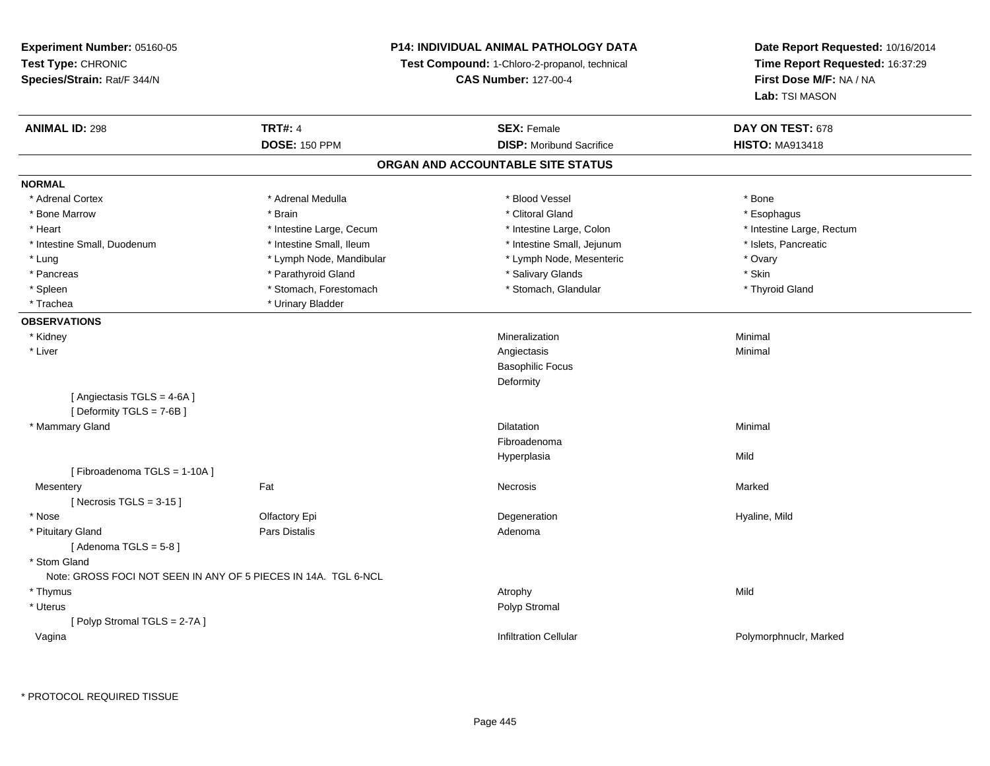# **P14: INDIVIDUAL ANIMAL PATHOLOGY DATA**

**Test Compound:** 1-Chloro-2-propanol, technical

**CAS Number:** 127-00-4

| <b>ANIMAL ID: 298</b>                                          | <b>TRT#: 4</b>           | <b>SEX: Female</b>                | DAY ON TEST: 678          |
|----------------------------------------------------------------|--------------------------|-----------------------------------|---------------------------|
|                                                                | <b>DOSE: 150 PPM</b>     | <b>DISP:</b> Moribund Sacrifice   | <b>HISTO: MA913418</b>    |
|                                                                |                          | ORGAN AND ACCOUNTABLE SITE STATUS |                           |
| <b>NORMAL</b>                                                  |                          |                                   |                           |
| * Adrenal Cortex                                               | * Adrenal Medulla        | * Blood Vessel                    | * Bone                    |
| * Bone Marrow                                                  | * Brain                  | * Clitoral Gland                  | * Esophagus               |
| * Heart                                                        | * Intestine Large, Cecum | * Intestine Large, Colon          | * Intestine Large, Rectum |
| * Intestine Small, Duodenum                                    | * Intestine Small, Ileum | * Intestine Small, Jejunum        | * Islets, Pancreatic      |
| * Lung                                                         | * Lymph Node, Mandibular | * Lymph Node, Mesenteric          | * Ovary                   |
| * Pancreas                                                     | * Parathyroid Gland      | * Salivary Glands                 | * Skin                    |
| * Spleen                                                       | * Stomach, Forestomach   | * Stomach, Glandular              | * Thyroid Gland           |
| * Trachea                                                      | * Urinary Bladder        |                                   |                           |
| <b>OBSERVATIONS</b>                                            |                          |                                   |                           |
| * Kidney                                                       |                          | Mineralization                    | Minimal                   |
| * Liver                                                        |                          | Angiectasis                       | Minimal                   |
|                                                                |                          | <b>Basophilic Focus</b>           |                           |
|                                                                |                          | Deformity                         |                           |
| [Angiectasis TGLS = 4-6A]<br>[Deformity TGLS = 7-6B]           |                          |                                   |                           |
| * Mammary Gland                                                |                          | <b>Dilatation</b>                 | Minimal                   |
|                                                                |                          | Fibroadenoma                      |                           |
|                                                                |                          |                                   |                           |
|                                                                |                          | Hyperplasia                       | Mild                      |
| [Fibroadenoma TGLS = 1-10A]                                    |                          |                                   |                           |
| Mesentery                                                      | Fat                      | Necrosis                          | Marked                    |
| [Necrosis TGLS = $3-15$ ]                                      |                          |                                   |                           |
| * Nose                                                         | Olfactory Epi            | Degeneration                      | Hyaline, Mild             |
| * Pituitary Gland                                              | <b>Pars Distalis</b>     | Adenoma                           |                           |
| [Adenoma TGLS = $5-8$ ]                                        |                          |                                   |                           |
| * Stom Gland                                                   |                          |                                   |                           |
| Note: GROSS FOCI NOT SEEN IN ANY OF 5 PIECES IN 14A. TGL 6-NCL |                          |                                   |                           |
| * Thymus                                                       |                          | Atrophy                           | Mild                      |
| * Uterus                                                       |                          | Polyp Stromal                     |                           |
| [Polyp Stromal TGLS = 2-7A]                                    |                          |                                   |                           |
| Vagina                                                         |                          | <b>Infiltration Cellular</b>      | Polymorphnuclr, Marked    |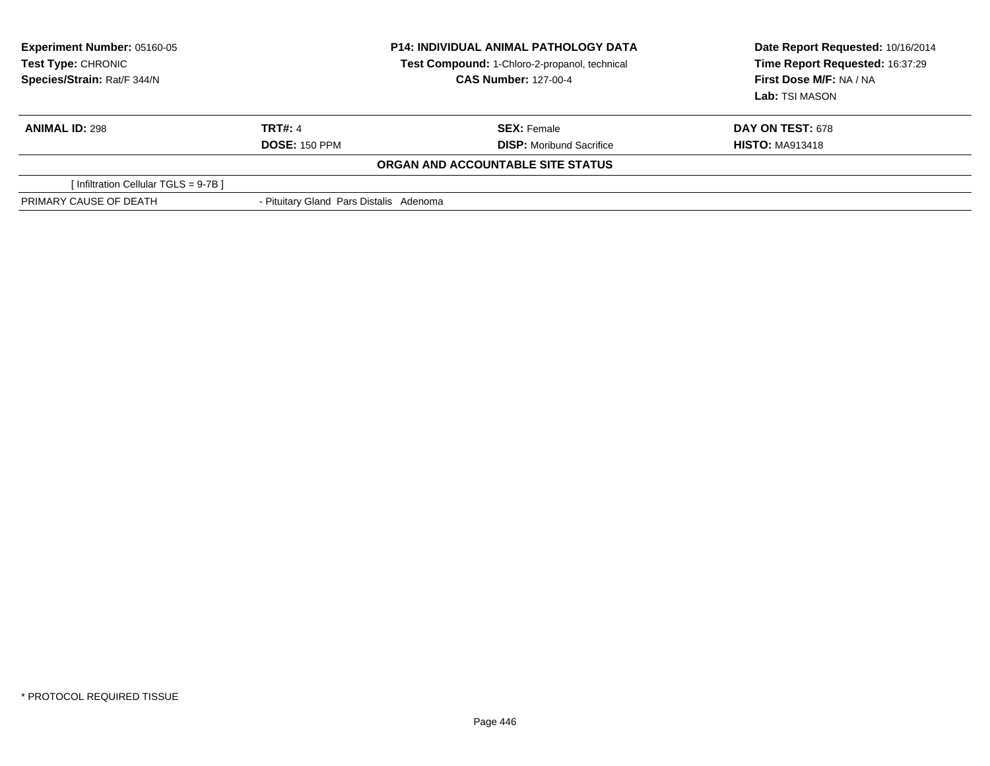| <b>Experiment Number: 05160-05</b><br>Test Type: CHRONIC<br>Species/Strain: Rat/F 344/N |                                         | <b>P14: INDIVIDUAL ANIMAL PATHOLOGY DATA</b><br>Test Compound: 1-Chloro-2-propanol, technical<br><b>CAS Number: 127-00-4</b> | Date Report Requested: 10/16/2014<br>Time Report Requested: 16:37:29<br>First Dose M/F: NA / NA<br>Lab: TSI MASON |
|-----------------------------------------------------------------------------------------|-----------------------------------------|------------------------------------------------------------------------------------------------------------------------------|-------------------------------------------------------------------------------------------------------------------|
| <b>ANIMAL ID: 298</b>                                                                   | <b>TRT#: 4</b>                          | <b>SEX: Female</b>                                                                                                           | <b>DAY ON TEST: 678</b>                                                                                           |
|                                                                                         | <b>DOSE: 150 PPM</b>                    | <b>DISP:</b> Moribund Sacrifice                                                                                              | <b>HISTO: MA913418</b>                                                                                            |
|                                                                                         |                                         | ORGAN AND ACCOUNTABLE SITE STATUS                                                                                            |                                                                                                                   |
| [Infiltration Cellular TGLS = 9-7B]                                                     |                                         |                                                                                                                              |                                                                                                                   |
| PRIMARY CAUSE OF DEATH                                                                  | - Pituitary Gland Pars Distalis Adenoma |                                                                                                                              |                                                                                                                   |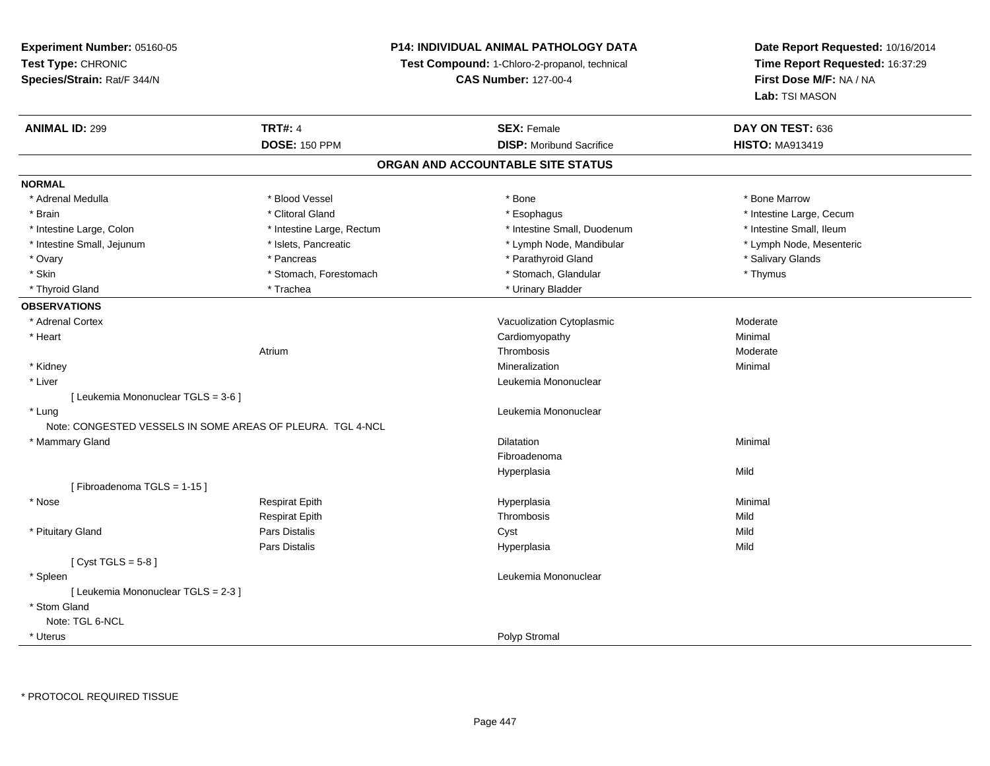# **P14: INDIVIDUAL ANIMAL PATHOLOGY DATA**

**Test Compound:** 1-Chloro-2-propanol, technical

**CAS Number:** 127-00-4

| <b>ANIMAL ID: 299</b>               | <b>TRT#: 4</b>                                             | <b>SEX: Female</b>                | DAY ON TEST: 636         |
|-------------------------------------|------------------------------------------------------------|-----------------------------------|--------------------------|
|                                     | <b>DOSE: 150 PPM</b>                                       | <b>DISP:</b> Moribund Sacrifice   | <b>HISTO: MA913419</b>   |
|                                     |                                                            | ORGAN AND ACCOUNTABLE SITE STATUS |                          |
| <b>NORMAL</b>                       |                                                            |                                   |                          |
| * Adrenal Medulla                   | * Blood Vessel                                             | * Bone                            | * Bone Marrow            |
| * Brain                             | * Clitoral Gland                                           | * Esophagus                       | * Intestine Large, Cecum |
| * Intestine Large, Colon            | * Intestine Large, Rectum                                  | * Intestine Small, Duodenum       | * Intestine Small, Ileum |
| * Intestine Small, Jejunum          | * Islets, Pancreatic                                       | * Lymph Node, Mandibular          | * Lymph Node, Mesenteric |
| * Ovary                             | * Pancreas                                                 | * Parathyroid Gland               | * Salivary Glands        |
| * Skin                              | * Stomach, Forestomach                                     | * Stomach, Glandular              | * Thymus                 |
| * Thyroid Gland                     | * Trachea                                                  | * Urinary Bladder                 |                          |
| <b>OBSERVATIONS</b>                 |                                                            |                                   |                          |
| * Adrenal Cortex                    |                                                            | Vacuolization Cytoplasmic         | Moderate                 |
| * Heart                             |                                                            | Cardiomyopathy                    | Minimal                  |
|                                     | Atrium                                                     | Thrombosis                        | Moderate                 |
| * Kidney                            |                                                            | Mineralization                    | Minimal                  |
| * Liver                             |                                                            | Leukemia Mononuclear              |                          |
| [ Leukemia Mononuclear TGLS = 3-6 ] |                                                            |                                   |                          |
| * Lung                              |                                                            | Leukemia Mononuclear              |                          |
|                                     | Note: CONGESTED VESSELS IN SOME AREAS OF PLEURA. TGL 4-NCL |                                   |                          |
| * Mammary Gland                     |                                                            | Dilatation                        | Minimal                  |
|                                     |                                                            | Fibroadenoma                      |                          |
|                                     |                                                            | Hyperplasia                       | Mild                     |
| [Fibroadenoma TGLS = 1-15]          |                                                            |                                   |                          |
| * Nose                              | <b>Respirat Epith</b>                                      | Hyperplasia                       | Minimal                  |
|                                     | <b>Respirat Epith</b>                                      | Thrombosis                        | Mild                     |
| * Pituitary Gland                   | Pars Distalis                                              | Cyst                              | Mild                     |
|                                     | <b>Pars Distalis</b>                                       | Hyperplasia                       | Mild                     |
| [Cyst TGLS = $5-8$ ]                |                                                            |                                   |                          |
| * Spleen                            |                                                            | Leukemia Mononuclear              |                          |
| [ Leukemia Mononuclear TGLS = 2-3 ] |                                                            |                                   |                          |
| * Stom Gland                        |                                                            |                                   |                          |
| Note: TGL 6-NCL                     |                                                            |                                   |                          |
| * Uterus                            |                                                            | Polyp Stromal                     |                          |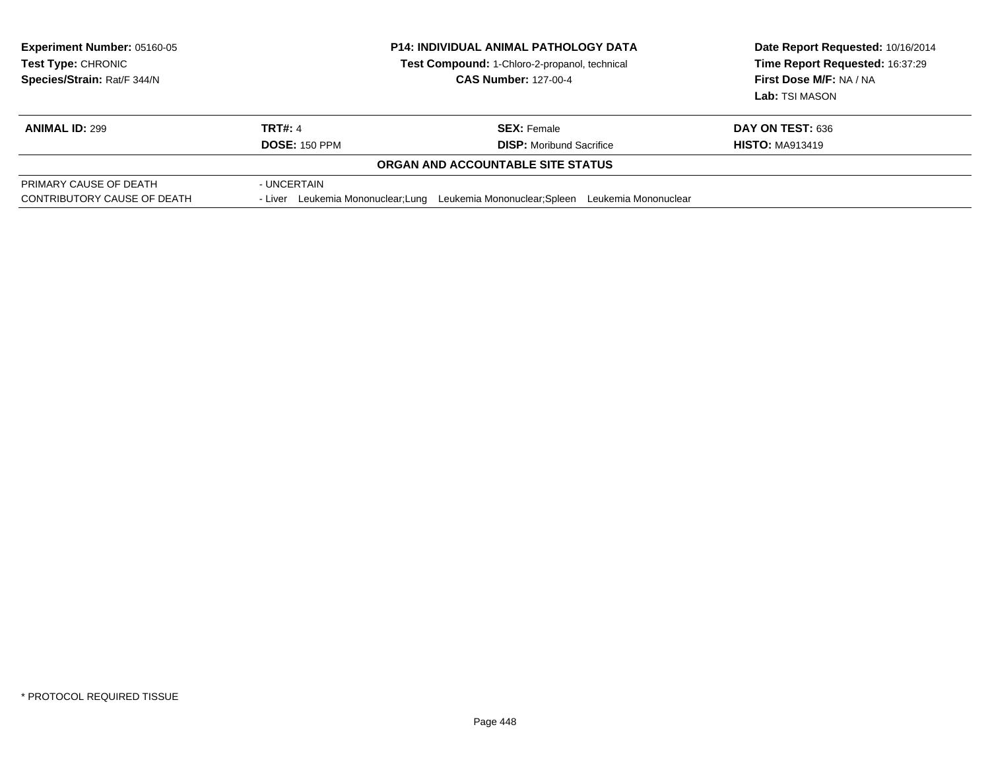| <b>Experiment Number: 05160-05</b><br><b>Test Type: CHRONIC</b><br>Species/Strain: Rat/F 344/N |                      | <b>P14: INDIVIDUAL ANIMAL PATHOLOGY DATA</b><br>Test Compound: 1-Chloro-2-propanol, technical<br><b>CAS Number: 127-00-4</b> | Date Report Requested: 10/16/2014<br>Time Report Requested: 16:37:29<br>First Dose M/F: NA / NA<br>Lab: TSI MASON |
|------------------------------------------------------------------------------------------------|----------------------|------------------------------------------------------------------------------------------------------------------------------|-------------------------------------------------------------------------------------------------------------------|
| <b>ANIMAL ID: 299</b>                                                                          | TRT#: 4              | <b>SEX: Female</b>                                                                                                           | DAY ON TEST: 636                                                                                                  |
|                                                                                                | <b>DOSE: 150 PPM</b> | <b>DISP:</b> Moribund Sacrifice                                                                                              | <b>HISTO: MA913419</b>                                                                                            |
|                                                                                                |                      | <b>ORGAN AND ACCOUNTABLE SITE STATUS</b>                                                                                     |                                                                                                                   |
| PRIMARY CAUSE OF DEATH<br>CONTRIBUTORY CAUSE OF DEATH                                          | - UNCERTAIN          | - Liver Leukemia Mononuclear: Lung Leukemia Mononuclear: Spleen Leukemia Mononuclear                                         |                                                                                                                   |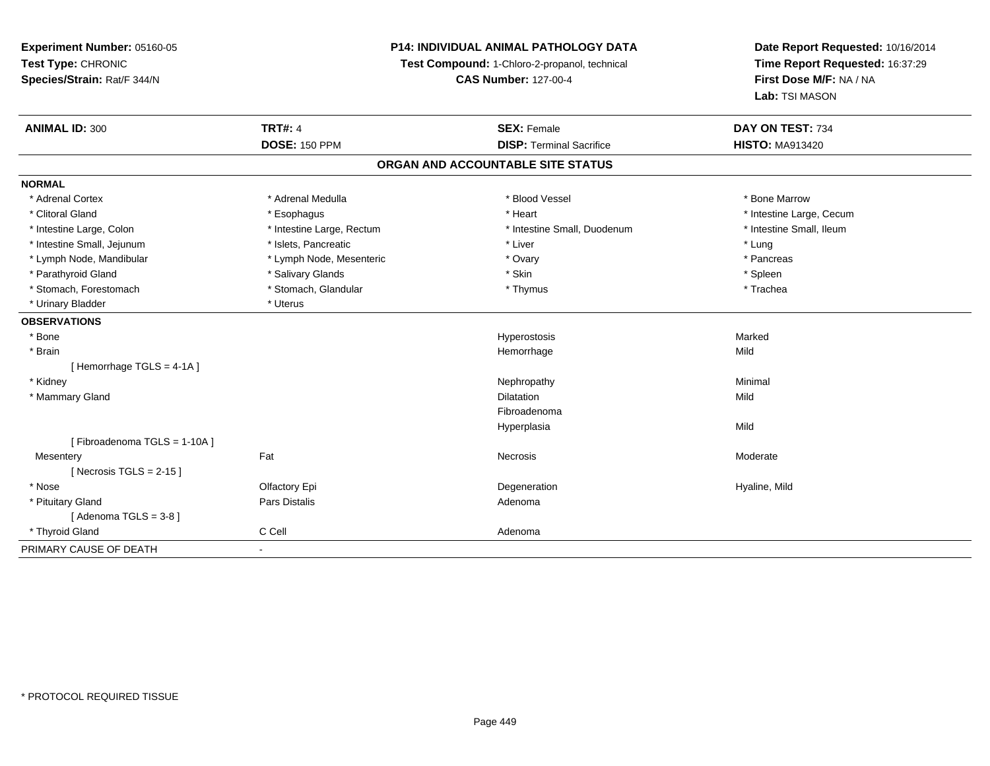# **P14: INDIVIDUAL ANIMAL PATHOLOGY DATA**

**Test Compound:** 1-Chloro-2-propanol, technical

**CAS Number:** 127-00-4

| <b>ANIMAL ID: 300</b>       | <b>TRT#: 4</b>            | <b>SEX: Female</b>                | DAY ON TEST: 734         |
|-----------------------------|---------------------------|-----------------------------------|--------------------------|
|                             | <b>DOSE: 150 PPM</b>      | <b>DISP: Terminal Sacrifice</b>   | <b>HISTO: MA913420</b>   |
|                             |                           | ORGAN AND ACCOUNTABLE SITE STATUS |                          |
| <b>NORMAL</b>               |                           |                                   |                          |
| * Adrenal Cortex            | * Adrenal Medulla         | * Blood Vessel                    | * Bone Marrow            |
| * Clitoral Gland            | * Esophagus               | * Heart                           | * Intestine Large, Cecum |
| * Intestine Large, Colon    | * Intestine Large, Rectum | * Intestine Small, Duodenum       | * Intestine Small, Ileum |
| * Intestine Small, Jejunum  | * Islets, Pancreatic      | * Liver                           | * Lung                   |
| * Lymph Node, Mandibular    | * Lymph Node, Mesenteric  | * Ovary                           | * Pancreas               |
| * Parathyroid Gland         | * Salivary Glands         | * Skin                            | * Spleen                 |
| * Stomach, Forestomach      | * Stomach, Glandular      | * Thymus                          | * Trachea                |
| * Urinary Bladder           | * Uterus                  |                                   |                          |
| <b>OBSERVATIONS</b>         |                           |                                   |                          |
| * Bone                      |                           | Hyperostosis                      | Marked                   |
| * Brain                     |                           | Hemorrhage                        | Mild                     |
| [Hemorrhage TGLS = $4-1A$ ] |                           |                                   |                          |
| * Kidney                    |                           | Nephropathy                       | Minimal                  |
| * Mammary Gland             |                           | <b>Dilatation</b>                 | Mild                     |
|                             |                           | Fibroadenoma                      |                          |
|                             |                           | Hyperplasia                       | Mild                     |
| [Fibroadenoma TGLS = 1-10A] |                           |                                   |                          |
| Mesentery                   | Fat                       | <b>Necrosis</b>                   | Moderate                 |
| [Necrosis TGLS = $2-15$ ]   |                           |                                   |                          |
| * Nose                      | Olfactory Epi             | Degeneration                      | Hyaline, Mild            |
| * Pituitary Gland           | Pars Distalis             | Adenoma                           |                          |
| [Adenoma TGLS = $3-8$ ]     |                           |                                   |                          |
| * Thyroid Gland             | C Cell                    | Adenoma                           |                          |
| PRIMARY CAUSE OF DEATH      |                           |                                   |                          |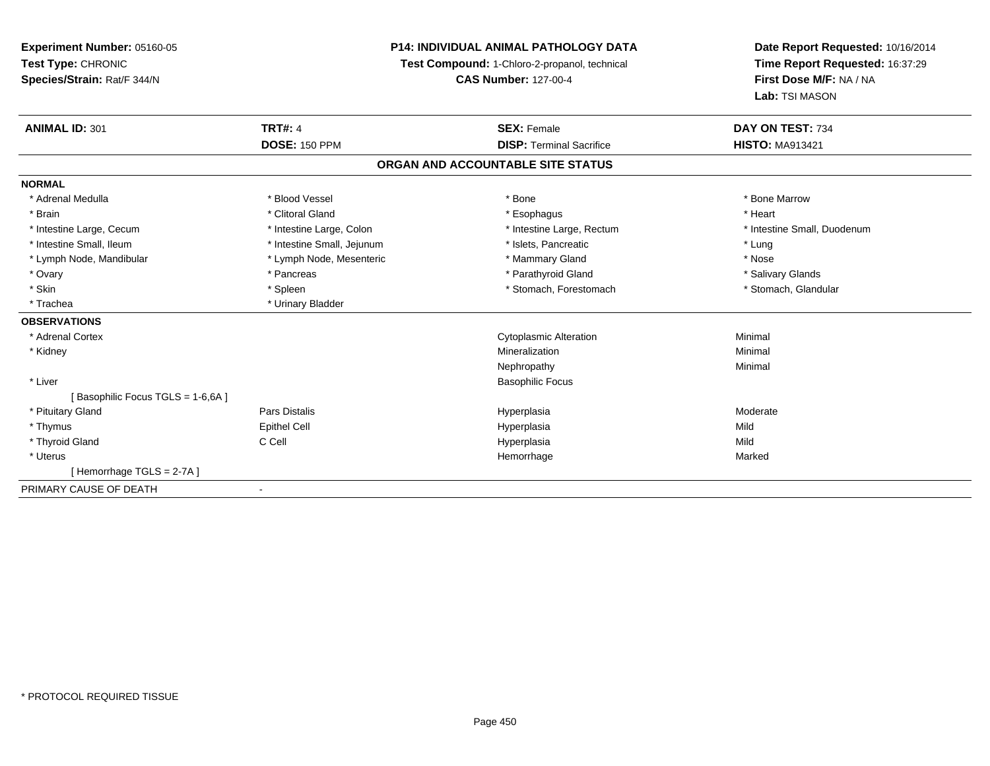| Experiment Number: 05160-05      | <b>P14: INDIVIDUAL ANIMAL PATHOLOGY DATA</b><br>Test Compound: 1-Chloro-2-propanol, technical |                                   | Date Report Requested: 10/16/2014 |
|----------------------------------|-----------------------------------------------------------------------------------------------|-----------------------------------|-----------------------------------|
| Test Type: CHRONIC               |                                                                                               |                                   | Time Report Requested: 16:37:29   |
| Species/Strain: Rat/F 344/N      |                                                                                               | <b>CAS Number: 127-00-4</b>       | First Dose M/F: NA / NA           |
|                                  |                                                                                               |                                   | Lab: TSI MASON                    |
| <b>ANIMAL ID: 301</b>            | <b>TRT#: 4</b>                                                                                | <b>SEX: Female</b>                | DAY ON TEST: 734                  |
|                                  | <b>DOSE: 150 PPM</b>                                                                          | <b>DISP: Terminal Sacrifice</b>   | <b>HISTO: MA913421</b>            |
|                                  |                                                                                               | ORGAN AND ACCOUNTABLE SITE STATUS |                                   |
| <b>NORMAL</b>                    |                                                                                               |                                   |                                   |
| * Adrenal Medulla                | * Blood Vessel                                                                                | * Bone                            | * Bone Marrow                     |
| * Brain                          | * Clitoral Gland                                                                              | * Esophagus                       | * Heart                           |
| * Intestine Large, Cecum         | * Intestine Large, Colon                                                                      | * Intestine Large, Rectum         | * Intestine Small, Duodenum       |
| * Intestine Small, Ileum         | * Intestine Small, Jejunum                                                                    | * Islets, Pancreatic              | * Lung                            |
| * Lymph Node, Mandibular         | * Lymph Node, Mesenteric                                                                      | * Mammary Gland                   | * Nose                            |
| * Ovary                          | * Pancreas                                                                                    | * Parathyroid Gland               | * Salivary Glands                 |
| * Skin                           | * Spleen                                                                                      | * Stomach, Forestomach            | * Stomach, Glandular              |
| * Trachea                        | * Urinary Bladder                                                                             |                                   |                                   |
| <b>OBSERVATIONS</b>              |                                                                                               |                                   |                                   |
| * Adrenal Cortex                 |                                                                                               | <b>Cytoplasmic Alteration</b>     | Minimal                           |
| * Kidney                         |                                                                                               | Mineralization                    | Minimal                           |
|                                  |                                                                                               | Nephropathy                       | Minimal                           |
| * Liver                          |                                                                                               | <b>Basophilic Focus</b>           |                                   |
| [Basophilic Focus TGLS = 1-6,6A] |                                                                                               |                                   |                                   |
| * Pituitary Gland                | <b>Pars Distalis</b>                                                                          | Hyperplasia                       | Moderate                          |
| * Thymus                         | <b>Epithel Cell</b>                                                                           | Hyperplasia                       | Mild                              |
| * Thyroid Gland                  | C Cell                                                                                        | Hyperplasia                       | Mild                              |
| * Uterus                         |                                                                                               | Hemorrhage                        | Marked                            |
| [Hemorrhage TGLS = 2-7A]         |                                                                                               |                                   |                                   |
| PRIMARY CAUSE OF DEATH           | $\blacksquare$                                                                                |                                   |                                   |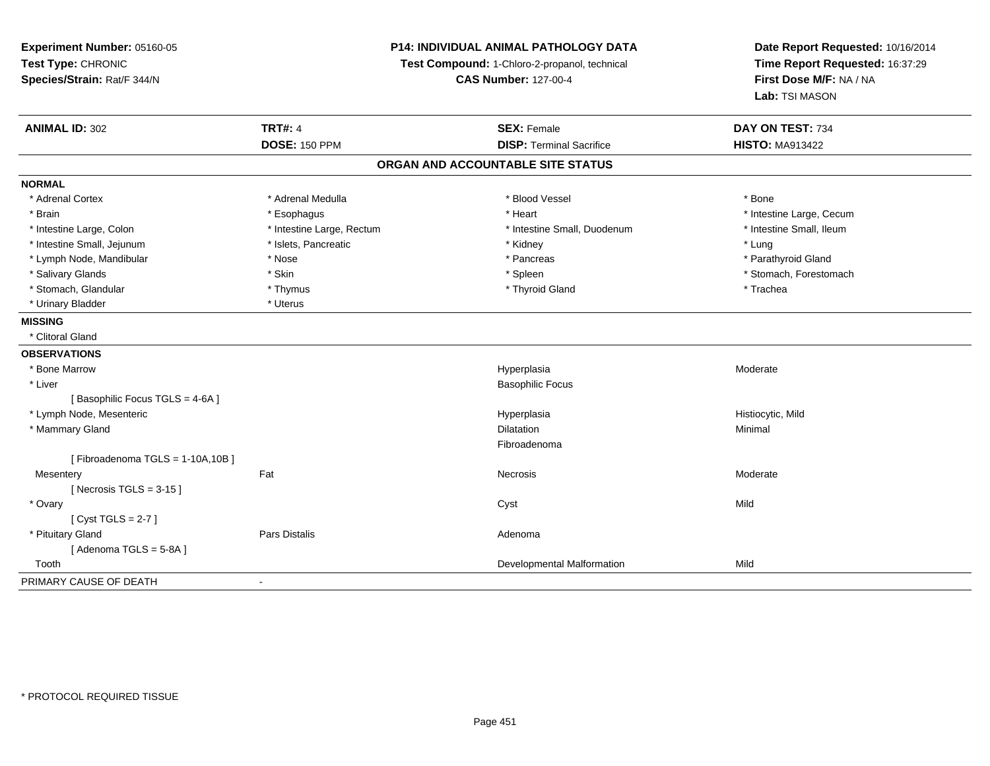| Experiment Number: 05160-05     | P14: INDIVIDUAL ANIMAL PATHOLOGY DATA<br>Test Compound: 1-Chloro-2-propanol, technical |                                   | Date Report Requested: 10/16/2014 |  |
|---------------------------------|----------------------------------------------------------------------------------------|-----------------------------------|-----------------------------------|--|
| Test Type: CHRONIC              |                                                                                        |                                   | Time Report Requested: 16:37:29   |  |
| Species/Strain: Rat/F 344/N     |                                                                                        | <b>CAS Number: 127-00-4</b>       | First Dose M/F: NA / NA           |  |
|                                 |                                                                                        |                                   | Lab: TSI MASON                    |  |
| <b>ANIMAL ID: 302</b>           | <b>TRT#: 4</b>                                                                         | <b>SEX: Female</b>                | DAY ON TEST: 734                  |  |
|                                 | <b>DOSE: 150 PPM</b>                                                                   | <b>DISP: Terminal Sacrifice</b>   | <b>HISTO: MA913422</b>            |  |
|                                 |                                                                                        | ORGAN AND ACCOUNTABLE SITE STATUS |                                   |  |
| <b>NORMAL</b>                   |                                                                                        |                                   |                                   |  |
| * Adrenal Cortex                | * Adrenal Medulla                                                                      | * Blood Vessel                    | * Bone                            |  |
| * Brain                         | * Esophagus                                                                            | * Heart                           | * Intestine Large, Cecum          |  |
| * Intestine Large, Colon        | * Intestine Large, Rectum                                                              | * Intestine Small, Duodenum       | * Intestine Small, Ileum          |  |
| * Intestine Small, Jejunum      | * Islets, Pancreatic                                                                   | * Kidney                          | * Lung                            |  |
| * Lymph Node, Mandibular        | * Nose                                                                                 | * Pancreas                        | * Parathyroid Gland               |  |
| * Salivary Glands               | * Skin                                                                                 | * Spleen                          | * Stomach, Forestomach            |  |
| * Stomach, Glandular            | * Thymus                                                                               | * Thyroid Gland                   | * Trachea                         |  |
| * Urinary Bladder               | * Uterus                                                                               |                                   |                                   |  |
| <b>MISSING</b>                  |                                                                                        |                                   |                                   |  |
| * Clitoral Gland                |                                                                                        |                                   |                                   |  |
| <b>OBSERVATIONS</b>             |                                                                                        |                                   |                                   |  |
| * Bone Marrow                   |                                                                                        | Hyperplasia                       | Moderate                          |  |
| * Liver                         |                                                                                        | <b>Basophilic Focus</b>           |                                   |  |
| [Basophilic Focus TGLS = 4-6A]  |                                                                                        |                                   |                                   |  |
| * Lymph Node, Mesenteric        |                                                                                        | Hyperplasia                       | Histiocytic, Mild                 |  |
| * Mammary Gland                 |                                                                                        | Dilatation                        | Minimal                           |  |
|                                 |                                                                                        | Fibroadenoma                      |                                   |  |
| [Fibroadenoma TGLS = 1-10A,10B] |                                                                                        |                                   |                                   |  |
| Mesentery                       | Fat                                                                                    | <b>Necrosis</b>                   | Moderate                          |  |
| [Necrosis TGLS = $3-15$ ]       |                                                                                        |                                   |                                   |  |
| * Ovary                         |                                                                                        | Cyst                              | Mild                              |  |
| [Cyst TGLS = $2-7$ ]            |                                                                                        |                                   |                                   |  |
| * Pituitary Gland               | <b>Pars Distalis</b>                                                                   | Adenoma                           |                                   |  |
| [Adenoma TGLS = 5-8A]           |                                                                                        |                                   |                                   |  |
| Tooth                           |                                                                                        | Developmental Malformation        | Mild                              |  |
| PRIMARY CAUSE OF DEATH          | $\blacksquare$                                                                         |                                   |                                   |  |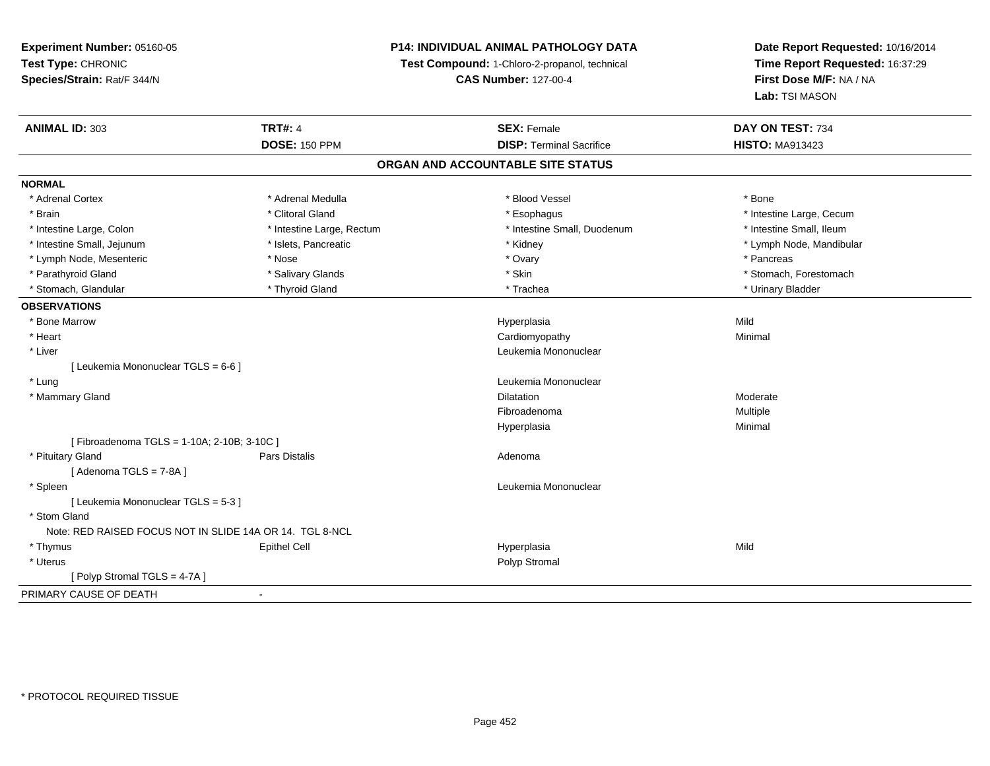# **P14: INDIVIDUAL ANIMAL PATHOLOGY DATA**

**Test Compound:** 1-Chloro-2-propanol, technical

**CAS Number:** 127-00-4

| <b>ANIMAL ID: 303</b>                                    | <b>TRT#: 4</b>            | <b>SEX: Female</b>                | DAY ON TEST: 734         |
|----------------------------------------------------------|---------------------------|-----------------------------------|--------------------------|
|                                                          | <b>DOSE: 150 PPM</b>      | <b>DISP: Terminal Sacrifice</b>   | <b>HISTO: MA913423</b>   |
|                                                          |                           | ORGAN AND ACCOUNTABLE SITE STATUS |                          |
| <b>NORMAL</b>                                            |                           |                                   |                          |
| * Adrenal Cortex                                         | * Adrenal Medulla         | * Blood Vessel                    | * Bone                   |
| * Brain                                                  | * Clitoral Gland          | * Esophagus                       | * Intestine Large, Cecum |
| * Intestine Large, Colon                                 | * Intestine Large, Rectum | * Intestine Small, Duodenum       | * Intestine Small, Ileum |
| * Intestine Small, Jejunum                               | * Islets, Pancreatic      | * Kidney                          | * Lymph Node, Mandibular |
| * Lymph Node, Mesenteric                                 | * Nose                    | * Ovary                           | * Pancreas               |
| * Parathyroid Gland                                      | * Salivary Glands         | * Skin                            | * Stomach, Forestomach   |
| * Stomach, Glandular                                     | * Thyroid Gland           | * Trachea                         | * Urinary Bladder        |
| <b>OBSERVATIONS</b>                                      |                           |                                   |                          |
| * Bone Marrow                                            |                           | Hyperplasia                       | Mild                     |
| * Heart                                                  |                           | Cardiomyopathy                    | Minimal                  |
| * Liver                                                  |                           | Leukemia Mononuclear              |                          |
| [ Leukemia Mononuclear TGLS = 6-6 ]                      |                           |                                   |                          |
| * Lung                                                   |                           | Leukemia Mononuclear              |                          |
| * Mammary Gland                                          |                           | <b>Dilatation</b>                 | Moderate                 |
|                                                          |                           | Fibroadenoma                      | Multiple                 |
|                                                          |                           | Hyperplasia                       | Minimal                  |
| [Fibroadenoma TGLS = 1-10A; 2-10B; 3-10C]                |                           |                                   |                          |
| * Pituitary Gland                                        | Pars Distalis             | Adenoma                           |                          |
| [Adenoma TGLS = $7-8A$ ]                                 |                           |                                   |                          |
| * Spleen                                                 |                           | Leukemia Mononuclear              |                          |
| [ Leukemia Mononuclear TGLS = 5-3 ]                      |                           |                                   |                          |
| * Stom Gland                                             |                           |                                   |                          |
| Note: RED RAISED FOCUS NOT IN SLIDE 14A OR 14. TGL 8-NCL |                           |                                   |                          |
| * Thymus                                                 | <b>Epithel Cell</b>       | Hyperplasia                       | Mild                     |
| * Uterus                                                 |                           | Polyp Stromal                     |                          |
| [Polyp Stromal TGLS = 4-7A]                              |                           |                                   |                          |
| PRIMARY CAUSE OF DEATH                                   |                           |                                   |                          |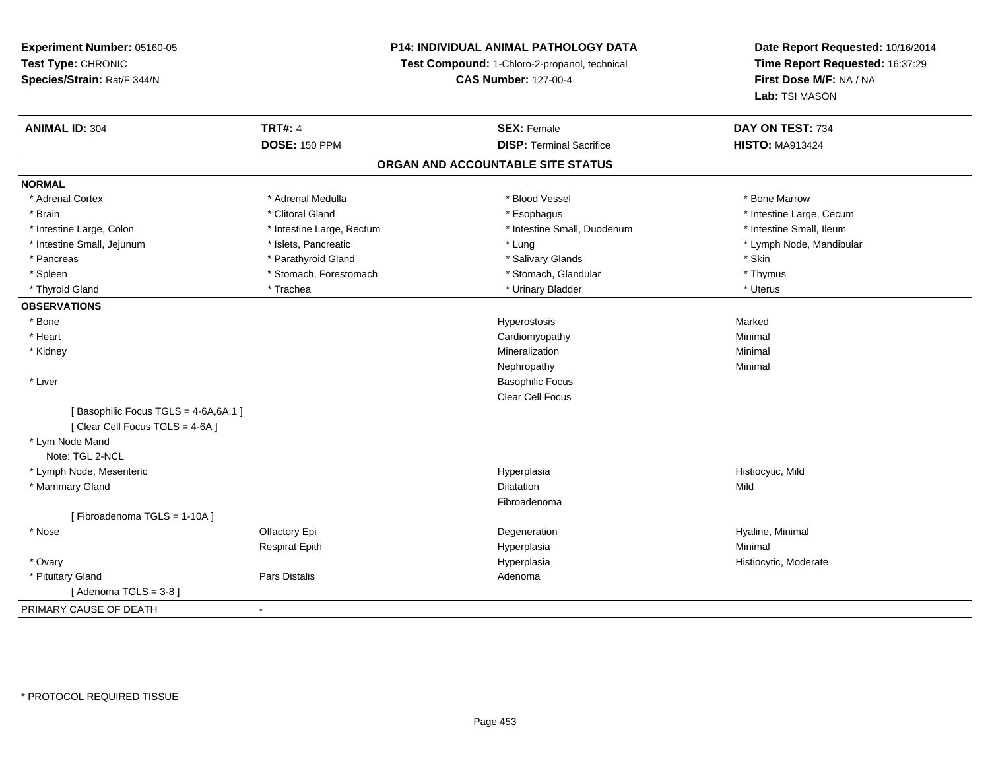# **P14: INDIVIDUAL ANIMAL PATHOLOGY DATA**

**Test Compound:** 1-Chloro-2-propanol, technical

**CAS Number:** 127-00-4

| <b>ANIMAL ID: 304</b>               | <b>TRT#: 4</b>            | <b>SEX: Female</b>                | DAY ON TEST: 734         |
|-------------------------------------|---------------------------|-----------------------------------|--------------------------|
|                                     | <b>DOSE: 150 PPM</b>      | <b>DISP: Terminal Sacrifice</b>   | <b>HISTO: MA913424</b>   |
|                                     |                           | ORGAN AND ACCOUNTABLE SITE STATUS |                          |
| <b>NORMAL</b>                       |                           |                                   |                          |
| * Adrenal Cortex                    | * Adrenal Medulla         | * Blood Vessel                    | * Bone Marrow            |
| * Brain                             | * Clitoral Gland          | * Esophagus                       | * Intestine Large, Cecum |
| * Intestine Large, Colon            | * Intestine Large, Rectum | * Intestine Small, Duodenum       | * Intestine Small, Ileum |
| * Intestine Small, Jejunum          | * Islets, Pancreatic      | * Lung                            | * Lymph Node, Mandibular |
| * Pancreas                          | * Parathyroid Gland       | * Salivary Glands                 | * Skin                   |
| * Spleen                            | * Stomach, Forestomach    | * Stomach, Glandular              | * Thymus                 |
| * Thyroid Gland                     | * Trachea                 | * Urinary Bladder                 | * Uterus                 |
| <b>OBSERVATIONS</b>                 |                           |                                   |                          |
| * Bone                              |                           | Hyperostosis                      | Marked                   |
| * Heart                             |                           | Cardiomyopathy                    | Minimal                  |
| * Kidney                            |                           | Mineralization                    | Minimal                  |
|                                     |                           | Nephropathy                       | Minimal                  |
| * Liver                             |                           | <b>Basophilic Focus</b>           |                          |
|                                     |                           | Clear Cell Focus                  |                          |
| [Basophilic Focus TGLS = 4-6A,6A.1] |                           |                                   |                          |
| [ Clear Cell Focus TGLS = 4-6A ]    |                           |                                   |                          |
| * Lym Node Mand                     |                           |                                   |                          |
| Note: TGL 2-NCL                     |                           |                                   |                          |
| * Lymph Node, Mesenteric            |                           | Hyperplasia                       | Histiocytic, Mild        |
| * Mammary Gland                     |                           | <b>Dilatation</b>                 | Mild                     |
|                                     |                           | Fibroadenoma                      |                          |
| [Fibroadenoma TGLS = 1-10A]         |                           |                                   |                          |
| * Nose                              | Olfactory Epi             | Degeneration                      | Hyaline, Minimal         |
|                                     | <b>Respirat Epith</b>     | Hyperplasia                       | Minimal                  |
| * Ovary                             |                           | Hyperplasia                       | Histiocytic, Moderate    |
| * Pituitary Gland                   | Pars Distalis             | Adenoma                           |                          |
| [Adenoma TGLS = $3-8$ ]             |                           |                                   |                          |
| PRIMARY CAUSE OF DEATH              | $\blacksquare$            |                                   |                          |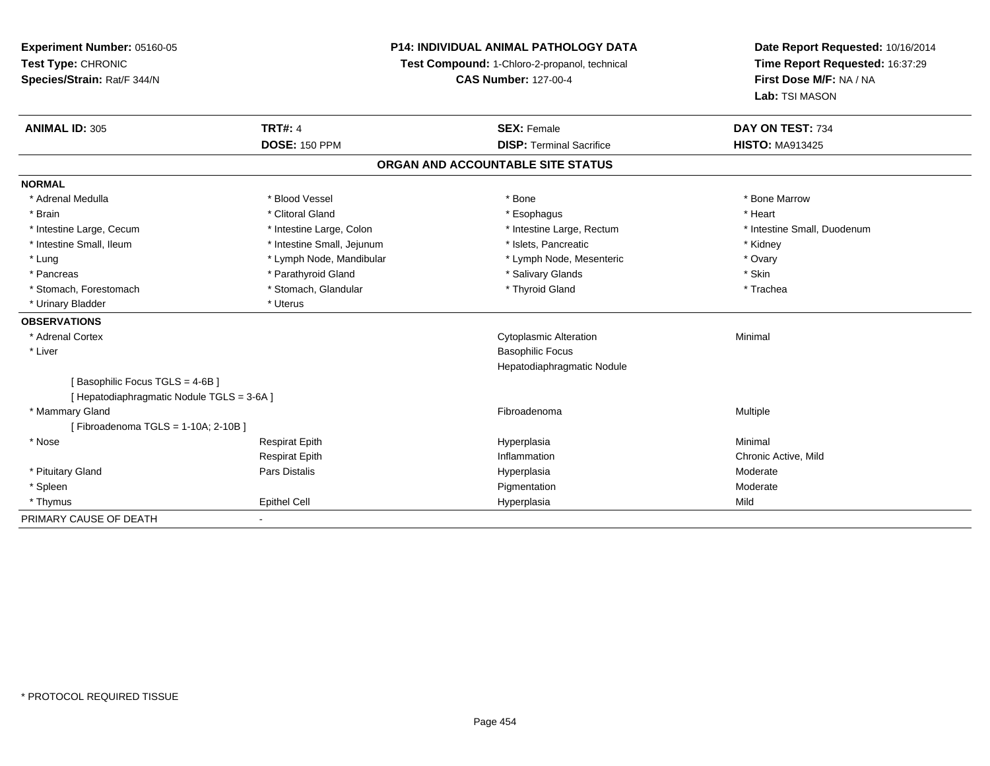**Experiment Number:** 05160-05**Test Type:** CHRONIC **Species/Strain:** Rat/F 344/N**P14: INDIVIDUAL ANIMAL PATHOLOGY DATATest Compound:** 1-Chloro-2-propanol, technical **CAS Number:** 127-00-4**Date Report Requested:** 10/16/2014**Time Report Requested:** 16:37:29**First Dose M/F:** NA / NA**Lab:** TSI MASON**ANIMAL ID:** 305**TRT#:** 4 **SEX:** Female **SEX: Female DAY ON TEST:** 734 **DOSE:** 150 PPM**DISP:** Terminal Sacrifice **HISTO:** MA913425 **ORGAN AND ACCOUNTABLE SITE STATUSNORMAL**\* Adrenal Medulla \* \* \* Blood Vessel \* \* \* Bone Marrow \* \* Bone Marrow \* \* Bone Marrow \* Brain \* Alternative of the state of the state of the state of the state of the state of the state of the state of the state of the state of the state of the state of the state of the state of the state of the state of th \* Intestine Large, Cecum \* Intestine Large, Colon \* Intestine Large, Thestine Large, Rectum \* Intestine Small, Duodenum \* Intestine Small, Ileum \* Thestine Small, Jejunum \* 1998, Pancreatic \* Kidney \* Kidney \* Kidney \* Kidney \* Ovary \* Lung \* Lymph Node, Mandibular \* Mandibular \* Lymph Node, Mesenteric \* Ovary \* Ovary \* Ovary \* Ovary \* Ovary \* Ovary \* Ovary \* Ovary \* Ovary \* Ovary \* Ovary \* Ovary \* Ovary \* Ovary \* Ovary \* Ovary \* Ovary \* Ovary \* Ovary \* Skin \* Pancreas \* Pancreas \* Parathyroid Gland \* The state of the set of the set of the set of the set of the set of the set of the set of the set of the set of the set of the set of the set of the set of the set of the set of \* Trachea \* Stomach, Forestomach \* The stormach \* Stomach, Glandular \* Thyroid Gland \* Thyroid Gland \* Thyroid Gland \* \* Urinary Bladder \* Uterus **OBSERVATIONS** \* Adrenal Cortex Cytoplasmic Alteration Minimal \* Liver Basophilic Focus Hepatodiaphragmatic Nodule[ Basophilic Focus TGLS = 4-6B ][ Hepatodiaphragmatic Nodule TGLS = 3-6A ] \* Mammary Glandd and the state of the state of the state of the state of the state of the state of the state of the state of the state of the state of the state of the state of the state of the state of the state of the state of the stat [ Fibroadenoma TGLS = 1-10A; 2-10B ] \* Nose Respirat Epith Hyperplasia Minimal Respirat Epithh **Inflammation** Chronic Active, Mild and The Inflammation Chronic Active, Mild and The Inflammation Chronic Active, Mild and The Inflammation Chronic Active, Mild and The Inflammation Chronic Active, Mild and The Inflamma \* Pituitary Gland Pars Distalis Hyperplasia Moderate \* Spleenn and the control of the control of the control of the control of the control of the control of the control of the control of the control of the control of the control of the control of the control of the control of the co \* Thymus Epithel Cell Hyperplasiaa Mild PRIMARY CAUSE OF DEATH-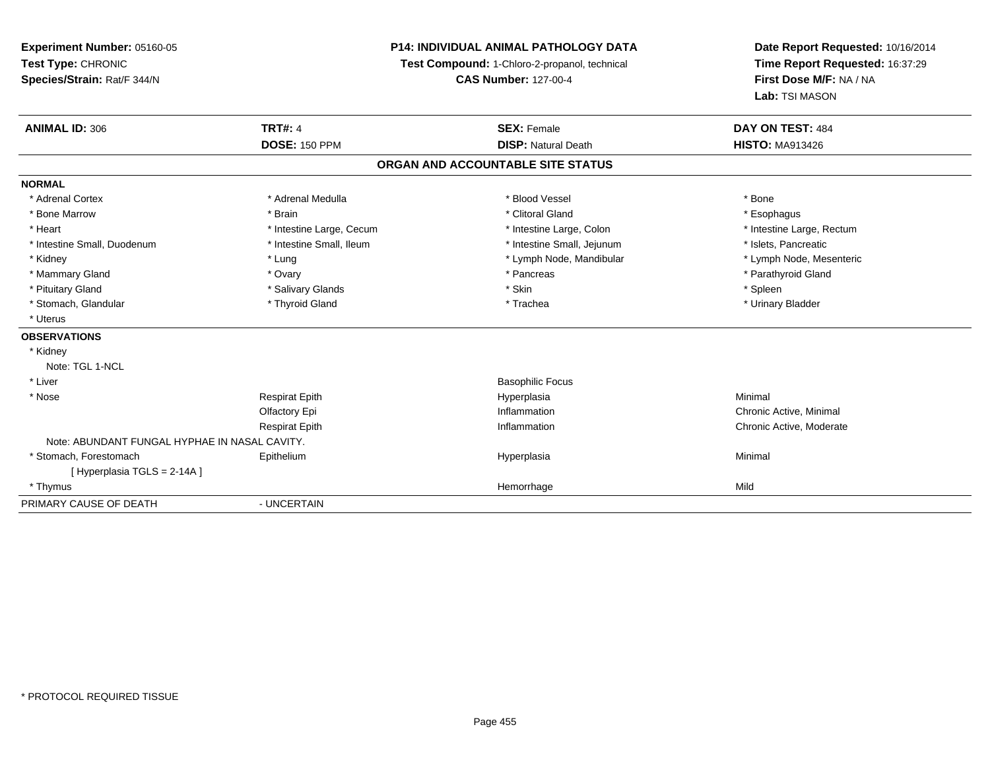# **P14: INDIVIDUAL ANIMAL PATHOLOGY DATA**

**Test Compound:** 1-Chloro-2-propanol, technical

**CAS Number:** 127-00-4

| <b>ANIMAL ID: 306</b>                         | <b>TRT#: 4</b>           | <b>SEX: Female</b>                | DAY ON TEST: 484          |
|-----------------------------------------------|--------------------------|-----------------------------------|---------------------------|
|                                               | <b>DOSE: 150 PPM</b>     | <b>DISP: Natural Death</b>        | <b>HISTO: MA913426</b>    |
|                                               |                          | ORGAN AND ACCOUNTABLE SITE STATUS |                           |
| <b>NORMAL</b>                                 |                          |                                   |                           |
| * Adrenal Cortex                              | * Adrenal Medulla        | * Blood Vessel                    | * Bone                    |
| * Bone Marrow                                 | * Brain                  | * Clitoral Gland                  | * Esophagus               |
| * Heart                                       | * Intestine Large, Cecum | * Intestine Large, Colon          | * Intestine Large, Rectum |
| * Intestine Small, Duodenum                   | * Intestine Small, Ileum | * Intestine Small, Jejunum        | * Islets, Pancreatic      |
| * Kidney                                      | * Lung                   | * Lymph Node, Mandibular          | * Lymph Node, Mesenteric  |
| * Mammary Gland                               | * Ovary                  | * Pancreas                        | * Parathyroid Gland       |
| * Pituitary Gland                             | * Salivary Glands        | * Skin                            | * Spleen                  |
| * Stomach, Glandular                          | * Thyroid Gland          | * Trachea                         | * Urinary Bladder         |
| * Uterus                                      |                          |                                   |                           |
| <b>OBSERVATIONS</b>                           |                          |                                   |                           |
| * Kidney                                      |                          |                                   |                           |
| Note: TGL 1-NCL                               |                          |                                   |                           |
| * Liver                                       |                          | <b>Basophilic Focus</b>           |                           |
| * Nose                                        | <b>Respirat Epith</b>    | Hyperplasia                       | Minimal                   |
|                                               | Olfactory Epi            | Inflammation                      | Chronic Active, Minimal   |
|                                               | <b>Respirat Epith</b>    | Inflammation                      | Chronic Active, Moderate  |
| Note: ABUNDANT FUNGAL HYPHAE IN NASAL CAVITY. |                          |                                   |                           |
| * Stomach, Forestomach                        | Epithelium               | Hyperplasia                       | Minimal                   |
| [Hyperplasia TGLS = 2-14A]                    |                          |                                   |                           |
| * Thymus                                      |                          | Hemorrhage                        | Mild                      |
| PRIMARY CAUSE OF DEATH                        | - UNCERTAIN              |                                   |                           |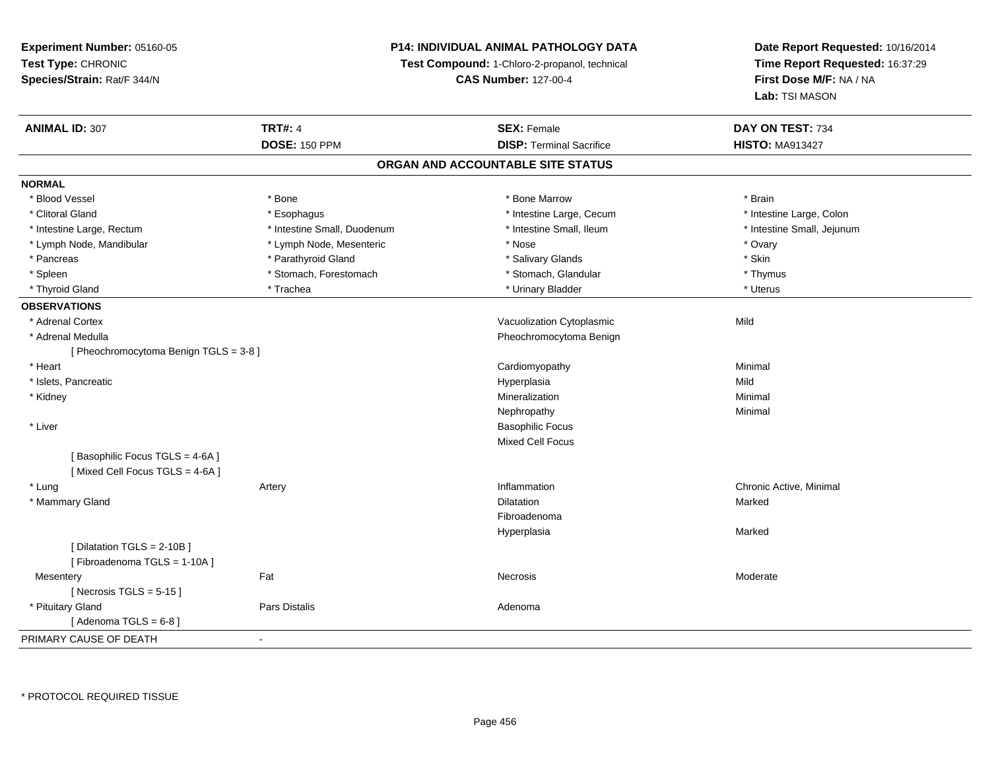# **P14: INDIVIDUAL ANIMAL PATHOLOGY DATA**

**Test Compound:** 1-Chloro-2-propanol, technical

**CAS Number:** 127-00-4

| <b>ANIMAL ID: 307</b>                  | <b>TRT#: 4</b>              | <b>SEX: Female</b>                | DAY ON TEST: 734           |
|----------------------------------------|-----------------------------|-----------------------------------|----------------------------|
|                                        | <b>DOSE: 150 PPM</b>        | <b>DISP: Terminal Sacrifice</b>   | <b>HISTO: MA913427</b>     |
|                                        |                             | ORGAN AND ACCOUNTABLE SITE STATUS |                            |
| <b>NORMAL</b>                          |                             |                                   |                            |
| * Blood Vessel                         | * Bone                      | * Bone Marrow                     | * Brain                    |
| * Clitoral Gland                       | * Esophagus                 | * Intestine Large, Cecum          | * Intestine Large, Colon   |
| * Intestine Large, Rectum              | * Intestine Small, Duodenum | * Intestine Small, Ileum          | * Intestine Small, Jejunum |
| * Lymph Node, Mandibular               | * Lymph Node, Mesenteric    | * Nose                            | * Ovary                    |
| * Pancreas                             | * Parathyroid Gland         | * Salivary Glands                 | * Skin                     |
| * Spleen                               | * Stomach, Forestomach      | * Stomach, Glandular              | * Thymus                   |
| * Thyroid Gland                        | * Trachea                   | * Urinary Bladder                 | * Uterus                   |
| <b>OBSERVATIONS</b>                    |                             |                                   |                            |
| * Adrenal Cortex                       |                             | Vacuolization Cytoplasmic         | Mild                       |
| * Adrenal Medulla                      |                             | Pheochromocytoma Benign           |                            |
| [ Pheochromocytoma Benign TGLS = 3-8 ] |                             |                                   |                            |
| * Heart                                |                             | Cardiomyopathy                    | Minimal                    |
| * Islets, Pancreatic                   |                             | Hyperplasia                       | Mild                       |
| * Kidney                               |                             | Mineralization                    | Minimal                    |
|                                        |                             | Nephropathy                       | Minimal                    |
| * Liver                                |                             | <b>Basophilic Focus</b>           |                            |
|                                        |                             | <b>Mixed Cell Focus</b>           |                            |
| [Basophilic Focus TGLS = 4-6A]         |                             |                                   |                            |
| [Mixed Cell Focus TGLS = 4-6A]         |                             |                                   |                            |
| * Lung                                 | Artery                      | Inflammation                      | Chronic Active, Minimal    |
| * Mammary Gland                        |                             | Dilatation                        | Marked                     |
|                                        |                             | Fibroadenoma                      |                            |
|                                        |                             | Hyperplasia                       | Marked                     |
| [Dilatation TGLS = 2-10B]              |                             |                                   |                            |
| [Fibroadenoma TGLS = 1-10A]            |                             |                                   |                            |
| Mesentery                              | Fat                         | Necrosis                          | Moderate                   |
| [Necrosis TGLS = $5-15$ ]              |                             |                                   |                            |
| * Pituitary Gland                      | Pars Distalis               | Adenoma                           |                            |
| [Adenoma TGLS = $6-8$ ]                |                             |                                   |                            |
| PRIMARY CAUSE OF DEATH                 | $\blacksquare$              |                                   |                            |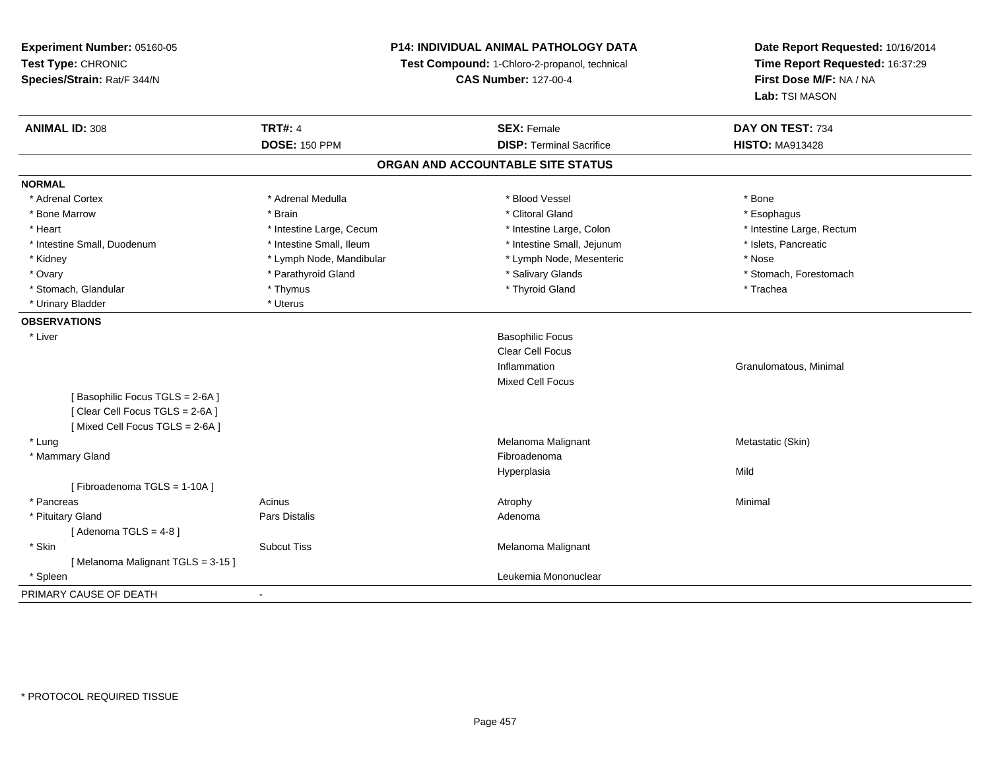**Experiment Number:** 05160-05**Test Type:** CHRONIC **Species/Strain:** Rat/F 344/N**P14: INDIVIDUAL ANIMAL PATHOLOGY DATATest Compound:** 1-Chloro-2-propanol, technical **CAS Number:** 127-00-4**Date Report Requested:** 10/16/2014**Time Report Requested:** 16:37:29**First Dose M/F:** NA / NA**Lab:** TSI MASON**ANIMAL ID:** 308**TRT#:** 4 **SEX:** Female **SEX: Female DAY ON TEST:** 734 **DOSE:** 150 PPM**DISP:** Terminal Sacrifice **HISTO:** MA913428 **ORGAN AND ACCOUNTABLE SITE STATUSNORMAL**\* Adrenal Cortex \* Adrenal Medulla \* Adrenal Medulla \* Blood Vessel \* Bood Vessel \* Bone \* Bone \* Bone \* Bone \* Bone \* Bone \* Bone \* Bone \* Bone \* Bone \* Bone \* Bone \* Bone \* Bone \* Bone \* Bone \* Bone \* Bone \* Bone \* Bone \* Bone \* Bone \* \* \* Esophagus \* Bone Marrow \* \* Android \* Brain \* Brain \* Clitoral Gland \* Clitoral Gland \* Esophagus \* Esophagus \* Esophagus \* Intestine Large, Rectum \* Heart **\*** Intestine Large, Cecum \* Intestine Large, Cecum \* Intestine Large, Colon \* Intestine Small, Duodenum \* Intestine Small, Ileum \* Intestine Small, Intestine Small, Jejunum \* Islets, Pancreatic \* Kidney **\* Lymph Node, Mandibular \*** Lymph Note, Mesenteric \* Nose \* Nose \* Nose \* Ovary **\* Example 19 Accord 19 Accord 19 Accord 19 Accord 19 Accord 19 Accord 19 Accord 19 Accord 19 Accord 19 Accord 19 Accord 19 Accord 19 Accord 19 Accord 19 Accord 19 Accord 19 Accord 19 Accord 19 Accord 19 Accord 19**  \* Stomach, Glandular \* Thymus \* Thyroid Gland \* Trachea\* Urinary Bladder \* Uterus **OBSERVATIONS** \* Liver Basophilic Focus Clear Cell FocusInflammation Granulomatous, Minimal Mixed Cell Focus[ Basophilic Focus TGLS = 2-6A ][ Clear Cell Focus TGLS = 2-6A ][ Mixed Cell Focus TGLS = 2-6A ] \* Lungg and the matter of the matter of the matter of the Melanoma Malignant and Melanoma Melanoma Melanoma Melanoma Melanoma Melanoma Melanoma Melanoma Melanoma Melanoma Melanoma Melanoma Melanoma Melanoma Melanoma Melanoma Mel \* Mammary Glandd **Exercía de Santo Constituída e a constituída e a constituída e a constituída e a constituída e a constituída**<br>Exercípcio Hyperplasiaa Mild [ Fibroadenoma TGLS = 1-10A ] \* Pancreass the control of the control of the control of the control of the control of the control of the control of the control of the control of the control of the control of the control of the control of the control of the contro \* Pituitary Glandd and the contract of Pars Distalis and the contract of Adenoma and Adenoma and the Adenoma and the Adenoma and  $\lambda$  $[$  Adenoma TGLS = 4-8  $]$  \* SkinSubcut Tiss **Melanoma Malignant** Melanoma Malignant [ Melanoma Malignant TGLS = 3-15 ] \* Spleen Leukemia Mononuclear PRIMARY CAUSE OF DEATH-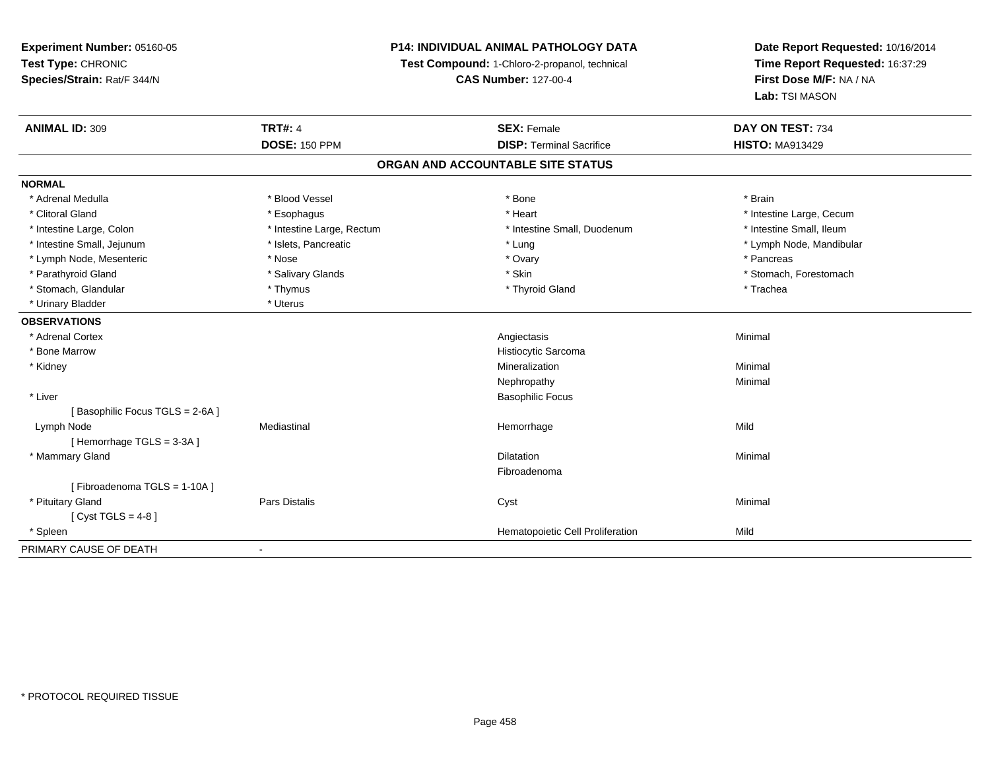**Experiment Number:** 05160-05**Test Type:** CHRONIC **Species/Strain:** Rat/F 344/N**P14: INDIVIDUAL ANIMAL PATHOLOGY DATATest Compound:** 1-Chloro-2-propanol, technical **CAS Number:** 127-00-4**Date Report Requested:** 10/16/2014**Time Report Requested:** 16:37:29**First Dose M/F:** NA / NA**Lab:** TSI MASON**ANIMAL ID:** 309**TRT#:** 4 **SEX:** Female **SEX: Female DAY ON TEST:** 734 **DOSE:** 150 PPM**DISP:** Terminal Sacrifice **HISTO:** MA913429 **ORGAN AND ACCOUNTABLE SITE STATUSNORMAL** \* Adrenal Medulla \* Blood Vessel \* Bone \* Brain\* Clitoral Gland \* \* exphagus \* Esophagus \* \* Heart \* Heart \* Intestine Large, Cecum \* Intestine Small, Ileum \* Intestine Large, Colon \* Intestine Large, Rectum \* Intestine Small, Duodenum \* Intestine Small, Duodenum \* Intestine Small, Jejunum \* \* \* https://www.fat.com/setter/educition/setter/filesophysics.com/setter/filesophysics.com/setter/filesophysics.com/setter/filesophysics.com/setter/filesophysics.com/setter/filesophysics.com/se \* Lymph Node, Mesenteric \* The state of the state of the Nose \* Ovary \* Ovary \* Pancreas \* Pancreas \* Pancreas \* Parathyroid Gland \* \* Salivary Glands \* Salivary Glands \* Skin \* \* Skin \* \* Stomach, Forestomach, Forestomach \* Stomach, Glandular \* Thymus \* Thymus \* Thymus \* Thyroid Gland \* Thyroid Gland \* Trachea \* Urinary Bladder \* Uterus **OBSERVATIONS** \* Adrenal Cortex Angiectasis Minimal \* Bone MarrowHistiocytic Sarcoma<br>Mineralization \* Kidneyy with the control of the control of the control of the control of the control of the control of the control of the control of the control of the control of the control of the control of the control of the control of the c n Minimal Nephropathyy the contract of the Minimal Minimal Section 1996 and the contract of the Minimal Section 1997 and the contract of the contract of the contract of the contract of the contract of the contract of the contract of the contra \* Liver Basophilic Focus[ Basophilic Focus TGLS = 2-6A ] Lymph Nodee the mediastinal the settlement of the Mild of the Mild of the Mild of the Mild of the Mild of the Mild of the Mild of the Mild of the Mild of the Mild of the Mild of the Mild of the Mild of the Mild of the Mild of the Mi [ Hemorrhage TGLS = 3-3A ] \* Mammary Glandd and the control of the control of the control of the control of the control of the control of the control of the control of the control of the control of the control of the control of the control of the control of the co Fibroadenoma[ Fibroadenoma TGLS = 1-10A ] \* Pituitary Gland Pars Distalis Cyst Minimal  $[$  Cyst TGLS = 4-8  $]$  \* SpleenHematopoietic Cell Proliferation Mild PRIMARY CAUSE OF DEATH-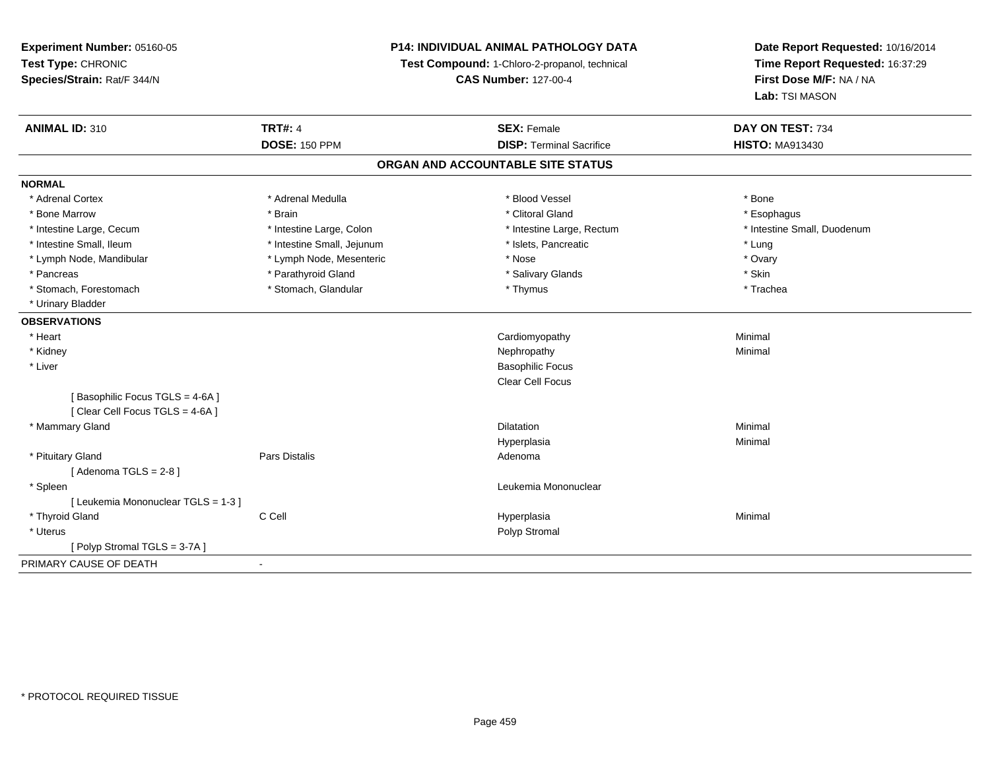**Experiment Number:** 05160-05**Test Type:** CHRONIC **Species/Strain:** Rat/F 344/N**P14: INDIVIDUAL ANIMAL PATHOLOGY DATATest Compound:** 1-Chloro-2-propanol, technical **CAS Number:** 127-00-4**Date Report Requested:** 10/16/2014**Time Report Requested:** 16:37:29**First Dose M/F:** NA / NA**Lab:** TSI MASON**ANIMAL ID:** 310**C TRT#:** 4 **SEX:** Female **SEX: Female DAY ON TEST:** 734 **DOSE:** 150 PPM**DISP:** Terminal Sacrifice **HISTO:** MA913430 **ORGAN AND ACCOUNTABLE SITE STATUSNORMAL**\* Adrenal Cortex \* Adrenal Medulla \* Adrenal Medulla \* Blood Vessel \* Bood Vessel \* Bone \* Bone \* Bone \* Bone \* Bone \* Bone \* Bone \* Bone \* Bone \* Bone \* Bone \* Bone \* Bone \* Bone \* Bone \* Bone \* Bone \* Bone \* Bone \* Bone \* Bone \* Bone \* \* \* Esophagus \* Bone Marrow \* \* Android \* Brain \* Brain \* Clitoral Gland \* Clitoral Gland \* Esophagus \* Esophagus \* Esophagus \* Intestine Small, Duodenum \* Intestine Large, Cecum \* Intestine Large, Colon \* Intestine Small, Number 2014, Number 2016, Number 2016, Number 2016 \* Intestine Small, Ileum \* https://www.fatheratic \* Lung \* Intestine Small, Jejunum \* Islets, Pancreatic \* Lung \* Lung \* Ovary \* Lymph Node, Mandibular \* Nose \* Lymph Node, Mesenteric \* Nose \* Nose \* Nose \* Skin \* Pancreas \* Pancreas \* Parathyroid Gland \* The state of the set of the set of the set of the set of the set of the set of the set of the set of the set of the set of the set of the set of the set of the set of the set of \* Trachea \* Stomach, Forestomach \* Thymus \* Stomach, Glandular \* Thymus \* Thymus \* Thymus \* Thymus \* Thymus \* Thymus \* Thymus \* Thymus \* Thymus \* Thymus \* Thymus \* Thymus \* Thymus \* Thymus \* Thymus \* Thymus \* Thymus \* Thymus \* Thymu \* Urinary Bladder**OBSERVATIONS** \* Heart Cardiomyopathy Minimal \* Kidneyy the control of the control of the control of the control of the control of the control of the control of the control of the control of the control of the control of the control of the control of the control of the contro \* Liver Basophilic Focus Clear Cell Focus[ Basophilic Focus TGLS = 4-6A ][ Clear Cell Focus TGLS = 4-6A ] \* Mammary Glandd and the control of the control of the control of the control of the control of the control of the control of the control of the control of the control of the control of the control of the control of the control of the co Hyperplasiaa and a studies of the studies of the Minimal \* Pituitary Glandd and the contract of Pars Distalis and the contract of Adenoma and Adenoma and the Adenoma and the Adenoma and  $\lambda$  $[$  Adenoma TGLS = 2-8  $]$  \* Spleen Leukemia Mononuclear [ Leukemia Mononuclear TGLS = 1-3 ] \* Thyroid Gland C Cell Hyperplasia Minimal \* Uteruss and the control of the control of the control of the control of the control of the control of the control of the control of the control of the control of the control of the control of the control of the control of the co [ Polyp Stromal TGLS = 3-7A ]PRIMARY CAUSE OF DEATH-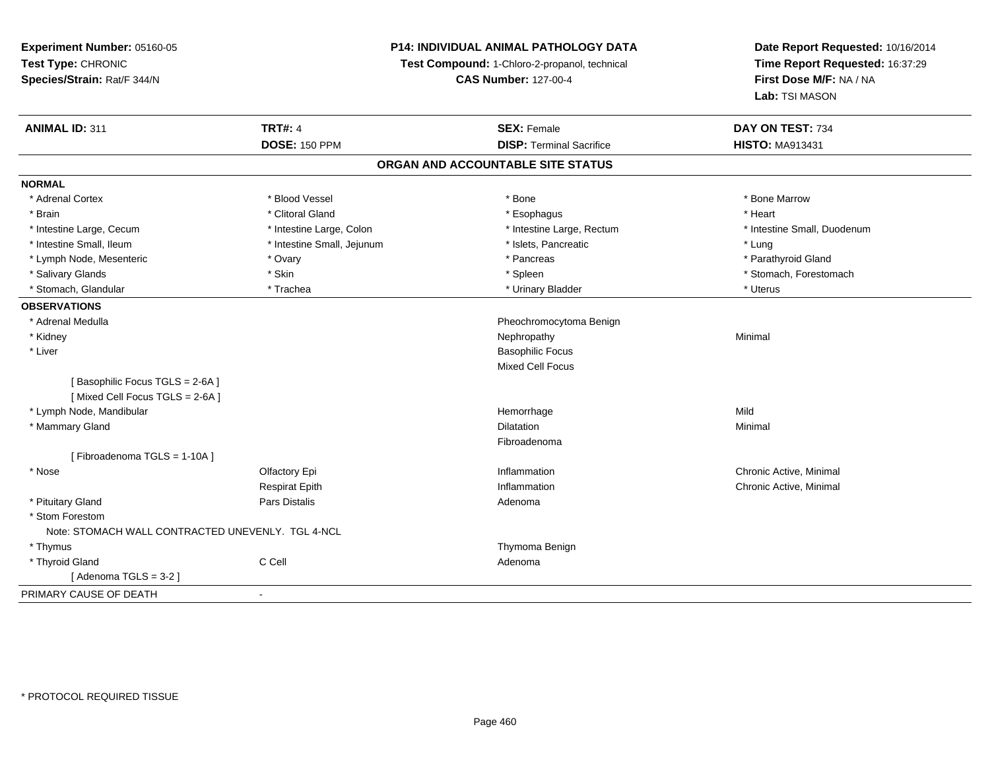**Experiment Number:** 05160-05**Test Type:** CHRONIC **Species/Strain:** Rat/F 344/N**P14: INDIVIDUAL ANIMAL PATHOLOGY DATATest Compound:** 1-Chloro-2-propanol, technical **CAS Number:** 127-00-4**Date Report Requested:** 10/16/2014**Time Report Requested:** 16:37:29**First Dose M/F:** NA / NA**Lab:** TSI MASON**ANIMAL ID:** 311**TRT#:** 4 **SEX:** Female **SEX: Female DAY ON TEST:** 734 **DOSE:** 150 PPM**DISP:** Terminal Sacrifice **HISTO:** MA913431 **ORGAN AND ACCOUNTABLE SITE STATUSNORMAL**\* Adrenal Cortex \* Adrenal Cortex \* \* Attachers \* Blood Vessel \* \* Bone \* \* \* Bone \* \* Bone \* \* Bone \* Bone Marrow \* Bone Marrow \* Brain \* Alternative of the state of the state of the state of the state of the state of the state of the state of the state of the state of the state of the state of the state of the state of the state of the state of th \* Intestine Large, Cecum \* Intestine Large, Colon \* Intestine Large, Rectum \* Intestine Small, Duodenum\* Intestine Small, Ileum \* https://www.fatheratic \* Lung \* Intestine Small, Jejunum \* Islets, Pancreatic \* Lung \* Lung \* Parathyroid Gland \* Lymph Node, Mesenteric \* The matter of the state of the Second American state of the Second American state of the Second American state of the Second American state of the Second American state of the Second American sta \* Salivary Glands \* The stomach \* Skin \* Spleen \* Spleen \* Stomach, Forestomach \* Stomach, Forestomach \* Stomach, Forestomach \* Stomach, Glandular \* Trachea \* Trachea \* Trachea \* Urinary Bladder \* Urinary Bladder \* \* Uterus **OBSERVATIONS** \* Adrenal Medulla Pheochromocytoma Benign \* Kidneyy the control of the control of the control of the control of the control of the control of the control of the control of the control of the control of the control of the control of the control of the control of the contro \* Liver Basophilic Focus Mixed Cell Focus[ Basophilic Focus TGLS = 2-6A ][ Mixed Cell Focus TGLS = 2-6A ] \* Lymph Node, Mandibular Hemorrhagee Mild \* Mammary Glandd and the control of the control of the control of the control of the control of the control of the control of the control of the control of the control of the control of the control of the control of the control of the co Fibroadenoma[ Fibroadenoma TGLS = 1-10A ] \* Nosee and the Colfactory Epi Inflammation Chronic Active, Minimal Chronic Active, Minimal Chronic Active, Minimal Chronic Active, Minimal Chronic Active, Minimal Chronic Active, Minimal Chronic Active, Minimal Chronic Active, Respirat Epith Inflammation Chronic Active, Minimal \* Pituitary Glandd and the contract of Pars Distalis and the contract of Adenoma and Adenoma and the Adenoma and the Adenoma and  $\lambda$  \* Stom Forestom Note: STOMACH WALL CONTRACTED UNEVENLY. TGL 4-NCL \* Thymus Thymoma Benign \* Thyroid Glandd C Cell C Cell C Cell Adenoma  $[$  Adenoma TGLS = 3-2  $]$ PRIMARY CAUSE OF DEATH-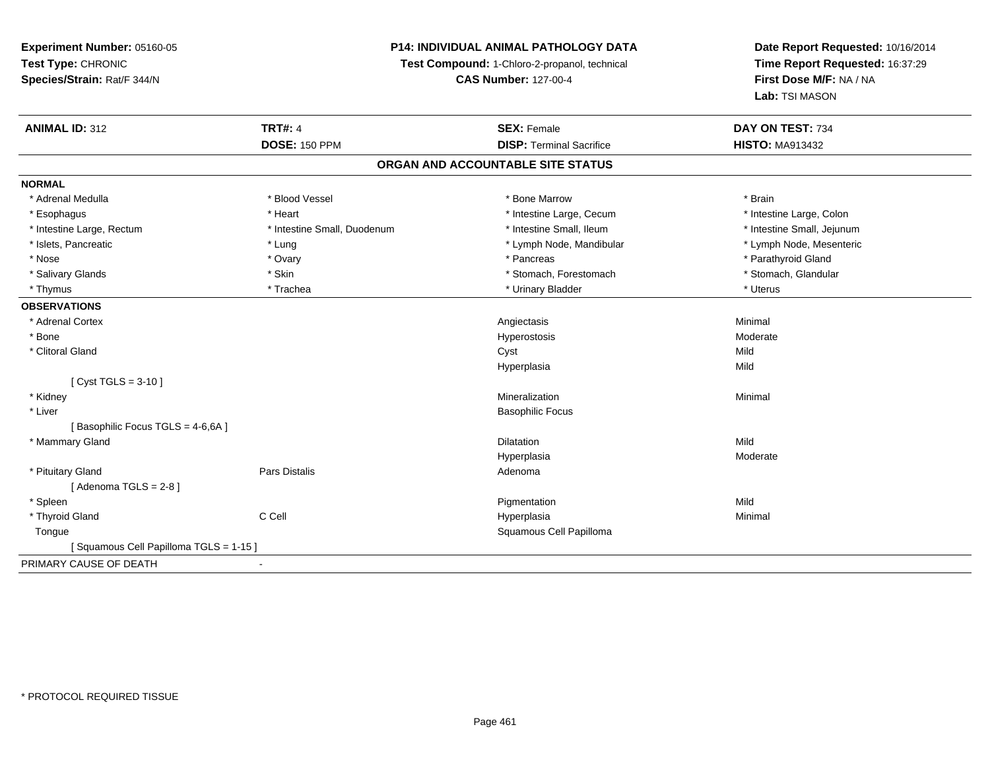# **P14: INDIVIDUAL ANIMAL PATHOLOGY DATA**

**Test Compound:** 1-Chloro-2-propanol, technical

**CAS Number:** 127-00-4

| <b>ANIMAL ID: 312</b>                 | <b>TRT#: 4</b>              | <b>SEX: Female</b>                | DAY ON TEST: 734           |
|---------------------------------------|-----------------------------|-----------------------------------|----------------------------|
|                                       | <b>DOSE: 150 PPM</b>        | <b>DISP: Terminal Sacrifice</b>   | <b>HISTO: MA913432</b>     |
|                                       |                             | ORGAN AND ACCOUNTABLE SITE STATUS |                            |
| <b>NORMAL</b>                         |                             |                                   |                            |
| * Adrenal Medulla                     | * Blood Vessel              | * Bone Marrow                     | * Brain                    |
| * Esophagus                           | * Heart                     | * Intestine Large, Cecum          | * Intestine Large, Colon   |
| * Intestine Large, Rectum             | * Intestine Small, Duodenum | * Intestine Small, Ileum          | * Intestine Small, Jejunum |
| * Islets, Pancreatic                  | * Lung                      | * Lymph Node, Mandibular          | * Lymph Node, Mesenteric   |
| * Nose                                | * Ovary                     | * Pancreas                        | * Parathyroid Gland        |
| * Salivary Glands                     | * Skin                      | * Stomach, Forestomach            | * Stomach, Glandular       |
| * Thymus                              | * Trachea                   | * Urinary Bladder                 | * Uterus                   |
| <b>OBSERVATIONS</b>                   |                             |                                   |                            |
| * Adrenal Cortex                      |                             | Angiectasis                       | Minimal                    |
| * Bone                                |                             | Hyperostosis                      | Moderate                   |
| * Clitoral Gland                      |                             | Cyst                              | Mild                       |
|                                       |                             | Hyperplasia                       | Mild                       |
| [ $Cyst TGLS = 3-10$ ]                |                             |                                   |                            |
| * Kidney                              |                             | Mineralization                    | Minimal                    |
| * Liver                               |                             | <b>Basophilic Focus</b>           |                            |
| [Basophilic Focus TGLS = 4-6,6A]      |                             |                                   |                            |
| * Mammary Gland                       |                             | <b>Dilatation</b>                 | Mild                       |
|                                       |                             | Hyperplasia                       | Moderate                   |
| * Pituitary Gland                     | Pars Distalis               | Adenoma                           |                            |
| [Adenoma TGLS = $2-8$ ]               |                             |                                   |                            |
| * Spleen                              |                             | Pigmentation                      | Mild                       |
| * Thyroid Gland                       | C Cell                      | Hyperplasia                       | Minimal                    |
| Tongue                                |                             | Squamous Cell Papilloma           |                            |
| [Squamous Cell Papilloma TGLS = 1-15] |                             |                                   |                            |
| PRIMARY CAUSE OF DEATH                |                             |                                   |                            |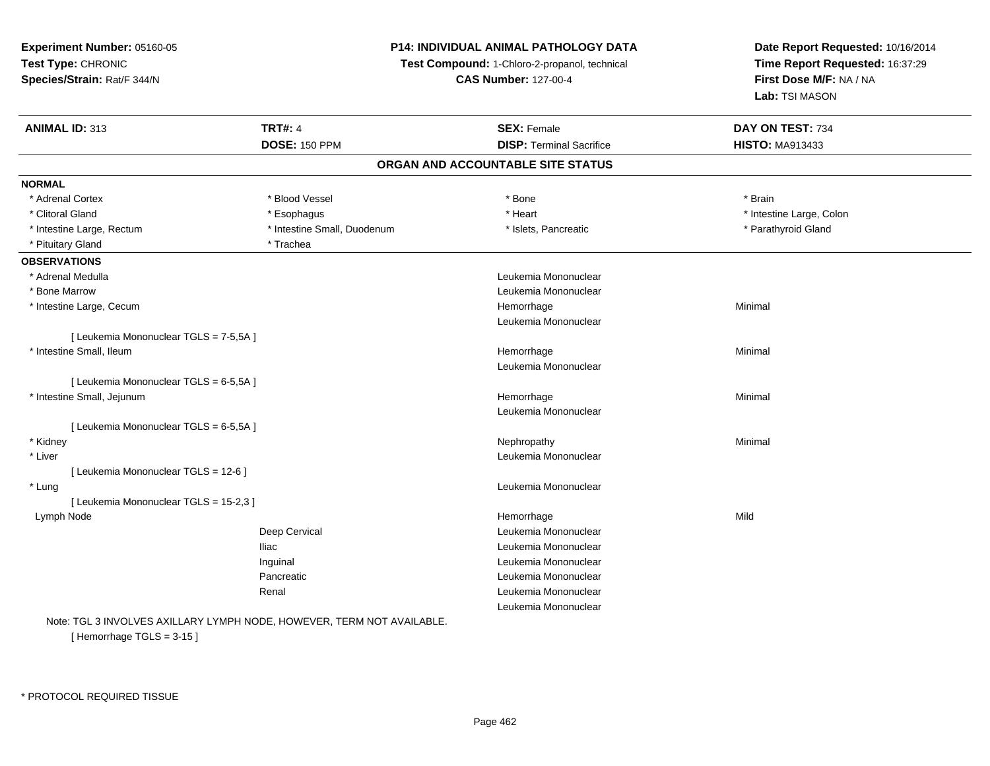**Experiment Number:** 05160-05**Test Type:** CHRONIC **Species/Strain:** Rat/F 344/N**P14: INDIVIDUAL ANIMAL PATHOLOGY DATATest Compound:** 1-Chloro-2-propanol, technical **CAS Number:** 127-00-4**Date Report Requested:** 10/16/2014**Time Report Requested:** 16:37:29**First Dose M/F:** NA / NA**Lab:** TSI MASON**ANIMAL ID:** 313**TRT#:** 4 **SEX:** Female **SEX: Female DAY ON TEST:** 734 **DOSE:** 150 PPM**DISP:** Terminal Sacrifice **HISTO:** MA913433 **ORGAN AND ACCOUNTABLE SITE STATUSNORMAL**\* Adrenal Cortex \* Adrenal Cortex \* Blood Vessel \* Bone \* Brain\* Clitoral Gland \* The match that the substitution of the state of the state of the state of the state of the state of the state of the state of the state of the state of the state of the state of the state of the state of \* Intestine Large, Rectum \* Thestine Small, Duodenum \* \* Islets, Pancreatic \* Parathyroid Gland \* Parathyroid Gland \* Pituitary Gland \* Trachea **OBSERVATIONS** \* Adrenal Medulla Leukemia Mononuclear \* Bone Marrow Leukemia Mononuclear \* Intestine Large, Cecumm and the contract of the contract of the Hemorrhage Minimal Minimal Section 1, 1996, 1997, 1998, 1999, 1999, 1<br>The contract of the contract of the contract of the contract of the contract of the contract of the contract o Leukemia Mononuclear[ Leukemia Mononuclear TGLS = 7-5,5A ] \* Intestine Small, Ileumm and the contract of the contract of the Hemorrhage Minimal Minimal School and the Minimal School and the Minimal School and the contract of the contract of the contract of the contract of the contract of the contract of Leukemia Mononuclear[ Leukemia Mononuclear TGLS = 6-5,5A ] \* Intestine Small, Jejunumm and the contract of the contract of the Hemorrhage Minimal Minimal School and the Minimal School and the Minimal School and the contract of the contract of the contract of the contract of the contract of the contract of Leukemia Mononuclear[ Leukemia Mononuclear TGLS = 6-5,5A ] \* Kidneyy the control of the control of the control of the control of the control of the control of the control of the control of the control of the control of the control of the control of the control of the control of the contro \* Liver Leukemia Mononuclear [ Leukemia Mononuclear TGLS = 12-6 ] \* Lung Leukemia Mononuclear [ Leukemia Mononuclear TGLS = 15-2,3 ] Lymph Nodee and the state of the state of the state of the Mild and the Mild and the Mild and the Mild and the Mild and the Mild and the Mild and the Mild and the Mild and the Mild and the Mild and the Mild and the Mild and the Mild Deep Cervical Leukemia MononuclearIliac Leukemia Mononuclear Inguinal Leukemia MononuclearPancreatic Leukemia Mononuclear Renal Leukemia MononuclearLeukemia Mononuclear

Note: TGL 3 INVOLVES AXILLARY LYMPH NODE, HOWEVER, TERM NOT AVAILABLE.[ Hemorrhage TGLS = 3-15 ]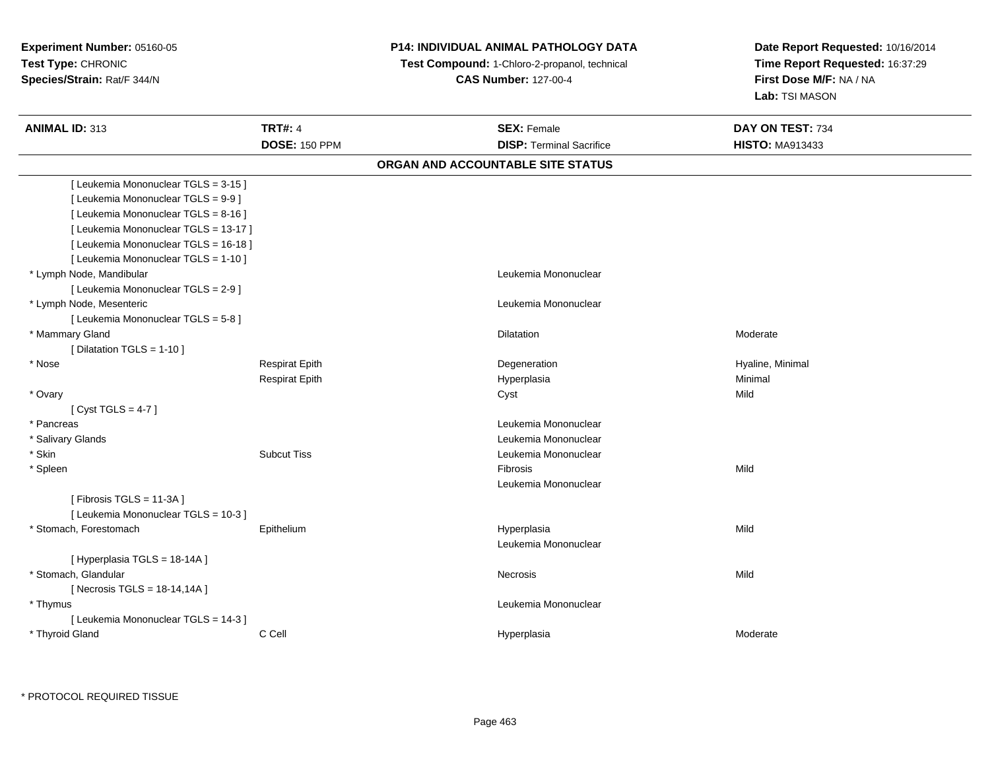# **P14: INDIVIDUAL ANIMAL PATHOLOGY DATA**

 **Test Compound:** 1-Chloro-2-propanol, technical **CAS Number:** 127-00-4

| <b>ANIMAL ID: 313</b>                 | <b>TRT#: 4</b>        | <b>SEX: Female</b>                | DAY ON TEST: 734       |  |
|---------------------------------------|-----------------------|-----------------------------------|------------------------|--|
|                                       | <b>DOSE: 150 PPM</b>  | <b>DISP: Terminal Sacrifice</b>   | <b>HISTO: MA913433</b> |  |
|                                       |                       | ORGAN AND ACCOUNTABLE SITE STATUS |                        |  |
| [ Leukemia Mononuclear TGLS = 3-15 ]  |                       |                                   |                        |  |
| [ Leukemia Mononuclear TGLS = 9-9 ]   |                       |                                   |                        |  |
| [ Leukemia Mononuclear TGLS = 8-16 ]  |                       |                                   |                        |  |
| [ Leukemia Mononuclear TGLS = 13-17 ] |                       |                                   |                        |  |
| [ Leukemia Mononuclear TGLS = 16-18 ] |                       |                                   |                        |  |
| [ Leukemia Mononuclear TGLS = 1-10 ]  |                       |                                   |                        |  |
| * Lymph Node, Mandibular              |                       | Leukemia Mononuclear              |                        |  |
| [ Leukemia Mononuclear TGLS = 2-9 ]   |                       |                                   |                        |  |
| * Lymph Node, Mesenteric              |                       | Leukemia Mononuclear              |                        |  |
| [ Leukemia Mononuclear TGLS = 5-8 ]   |                       |                                   |                        |  |
| * Mammary Gland                       |                       | Dilatation                        | Moderate               |  |
| [ Dilatation TGLS = 1-10 ]            |                       |                                   |                        |  |
| * Nose                                | <b>Respirat Epith</b> | Degeneration                      | Hyaline, Minimal       |  |
|                                       | <b>Respirat Epith</b> | Hyperplasia                       | Minimal                |  |
| * Ovary                               |                       | Cyst                              | Mild                   |  |
| [Cyst TGLS = $4-7$ ]                  |                       |                                   |                        |  |
| * Pancreas                            |                       | Leukemia Mononuclear              |                        |  |
| * Salivary Glands                     |                       | Leukemia Mononuclear              |                        |  |
| * Skin                                | <b>Subcut Tiss</b>    | Leukemia Mononuclear              |                        |  |
| * Spleen                              |                       | Fibrosis                          | Mild                   |  |
|                                       |                       | Leukemia Mononuclear              |                        |  |
| [Fibrosis TGLS = 11-3A]               |                       |                                   |                        |  |
| [ Leukemia Mononuclear TGLS = 10-3 ]  |                       |                                   |                        |  |
| * Stomach, Forestomach                | Epithelium            | Hyperplasia                       | Mild                   |  |
|                                       |                       | Leukemia Mononuclear              |                        |  |
| [Hyperplasia TGLS = 18-14A]           |                       |                                   |                        |  |
| * Stomach, Glandular                  |                       | Necrosis                          | Mild                   |  |
| [Necrosis TGLS = $18-14,14A$ ]        |                       |                                   |                        |  |
| * Thymus                              |                       | Leukemia Mononuclear              |                        |  |
| [ Leukemia Mononuclear TGLS = 14-3 ]  |                       |                                   |                        |  |
| * Thyroid Gland                       | C Cell                | Hyperplasia                       | Moderate               |  |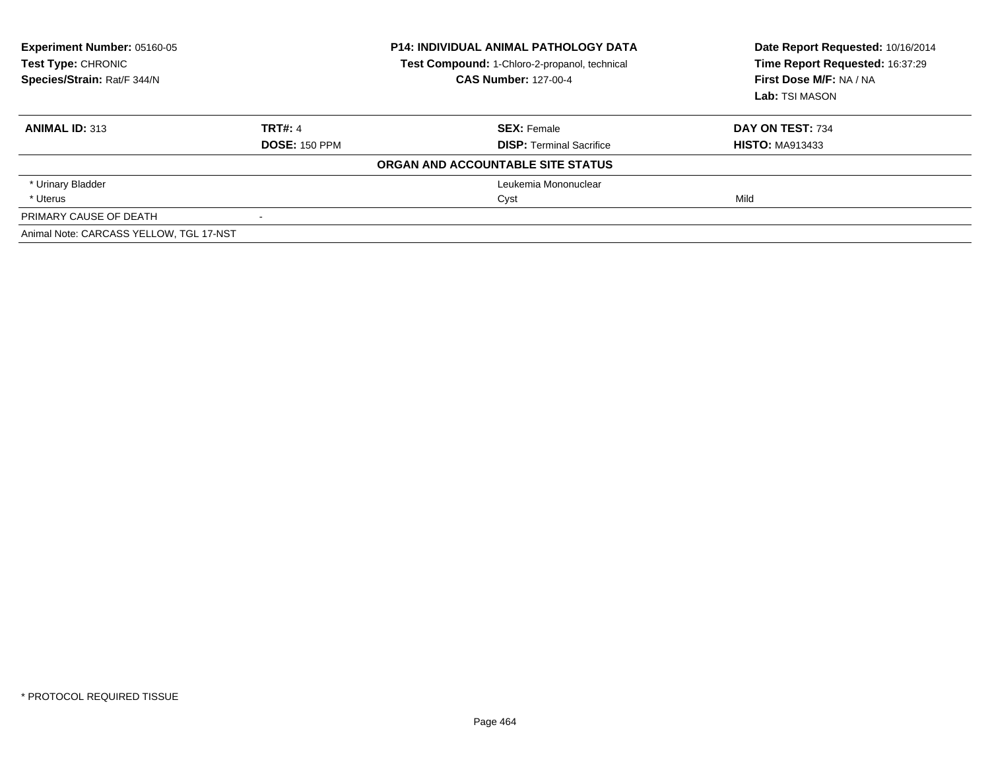| <b>Experiment Number: 05160-05</b><br><b>Test Type: CHRONIC</b><br>Species/Strain: Rat/F 344/N |                      | <b>P14: INDIVIDUAL ANIMAL PATHOLOGY DATA</b><br>Test Compound: 1-Chloro-2-propanol, technical<br><b>CAS Number: 127-00-4</b> | Date Report Requested: 10/16/2014<br>Time Report Requested: 16:37:29<br>First Dose M/F: NA / NA<br>Lab: TSI MASON |
|------------------------------------------------------------------------------------------------|----------------------|------------------------------------------------------------------------------------------------------------------------------|-------------------------------------------------------------------------------------------------------------------|
| <b>ANIMAL ID: 313</b>                                                                          | <b>TRT#: 4</b>       | <b>SEX: Female</b>                                                                                                           | DAY ON TEST: 734                                                                                                  |
|                                                                                                | <b>DOSE: 150 PPM</b> | <b>DISP:</b> Terminal Sacrifice                                                                                              | <b>HISTO: MA913433</b>                                                                                            |
|                                                                                                |                      | ORGAN AND ACCOUNTABLE SITE STATUS                                                                                            |                                                                                                                   |
| * Urinary Bladder                                                                              |                      | Leukemia Mononuclear                                                                                                         |                                                                                                                   |
| * Uterus                                                                                       |                      | Cyst                                                                                                                         | Mild                                                                                                              |
| PRIMARY CAUSE OF DEATH                                                                         |                      |                                                                                                                              |                                                                                                                   |
| Animal Note: CARCASS YELLOW, TGL 17-NST                                                        |                      |                                                                                                                              |                                                                                                                   |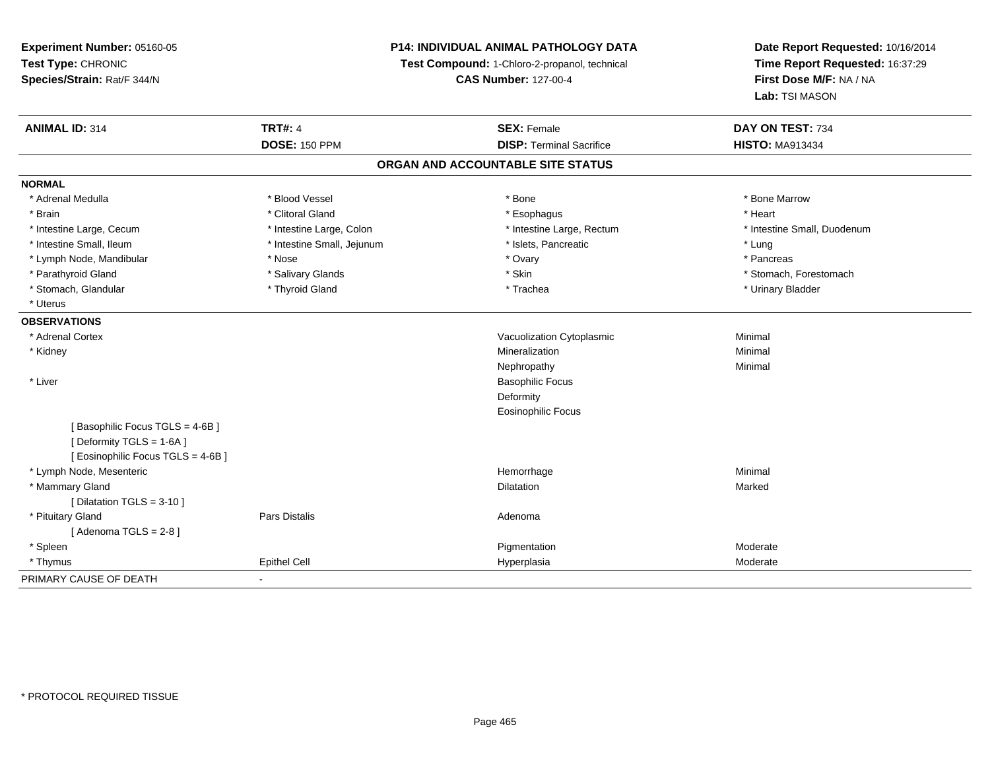**Experiment Number:** 05160-05**Test Type:** CHRONIC **Species/Strain:** Rat/F 344/N**P14: INDIVIDUAL ANIMAL PATHOLOGY DATATest Compound:** 1-Chloro-2-propanol, technical **CAS Number:** 127-00-4**Date Report Requested:** 10/16/2014**Time Report Requested:** 16:37:29**First Dose M/F:** NA / NA**Lab:** TSI MASON**ANIMAL ID:** 314**TRT#:** 4 **SEX:** Female **SEX: Female DAY ON TEST:** 734 **DOSE:** 150 PPM**DISP:** Terminal Sacrifice **HISTO:** MA913434 **ORGAN AND ACCOUNTABLE SITE STATUSNORMAL**\* Adrenal Medulla \* \* \* Blood Vessel \* \* \* Bone Marrow \* \* Bone Marrow \* \* Bone Marrow \* Brain \* Alternative of the state of the state of the state of the state of the state of the state of the state of the state of the state of the state of the state of the state of the state of the state of the state of th \* Intestine Large, Cecum \* Intestine Large, Colon \* Intestine Large, Rectum \* Intestine Small, Duodenum\* Intestine Small, Ileum \* https://www.fatheratic \* Lung \* Intestine Small, Jejunum \* Islets, Pancreatic \* Lung \* Lung \* Pancreas \* Lymph Node, Mandibular \* Nose \* Nose \* Nose \* Ovary \* Ovary \* Ovary \* Ovary \* Ovary \* Ovary \* Ovary \* Pancreas \* Pancreas \* Pancreas \* Ovary \* Ovary \* Ovary \* Ovary \* Ovary \* Ovary \* Ovary \* Ovary \* Ovary \* Ovary \* Ovary \* Parathyroid Gland \* \* Salivary Glands \* Salivary Glands \* Skin \* \* Skin \* \* Stomach, Forestomach, Forestomach \* Stomach, Glandular \* Thyroid Gland \* Thyroid Gland \* Trachea \* Trachea \* Trachea \* Urinary Bladder \* Uterus**OBSERVATIONS** \* Adrenal CortexVacuolization Cytoplasmic **Minimal**  \* Kidneyy with the control of the control of the control of the control of the control of the control of the control of the control of the control of the control of the control of the control of the control of the control of the c n Minimal Nephropathyy the contract of the Minimal Minimal Section 1996 and the contract of the Minimal Section 1997 and the contract of the contract of the contract of the contract of the contract of the contract of the contract of the contra \* Liver Basophilic Focus**Deformity**  Eosinophilic Focus[ Basophilic Focus TGLS = 4-6B ][ Deformity TGLS = 1-6A ][ Eosinophilic Focus TGLS = 4-6B ] \* Lymph Node, Mesentericc and the contract of the contract of the contract of the contract of the contract of the contract of the contract of the contract of the contract of the contract of the contract of the contract of the contract of the cont e Minimal \* Mammary Glandd and the control of the control of the control of the control of the control of the control of the control of the control of the control of the control of the control of the control of the control of the control of the co [ Dilatation TGLS = 3-10 ] \* Pituitary Glandd and the contract of Pars Distalis and the contract of Adenoma and Adenoma and the Adenoma and the Adenoma and  $\lambda$  $[$  Adenoma TGLS = 2-8  $]$  \* Spleenn and the control of the control of the control of the control of the control of the control of the control of the control of the control of the control of the control of the control of the control of the control of the co \* Thymus Epithel Cell HyperplasiaHyperplasia eta alderate eta alderate eta alderate eta alderate eta alderate eta alderate eta alderate PRIMARY CAUSE OF DEATH-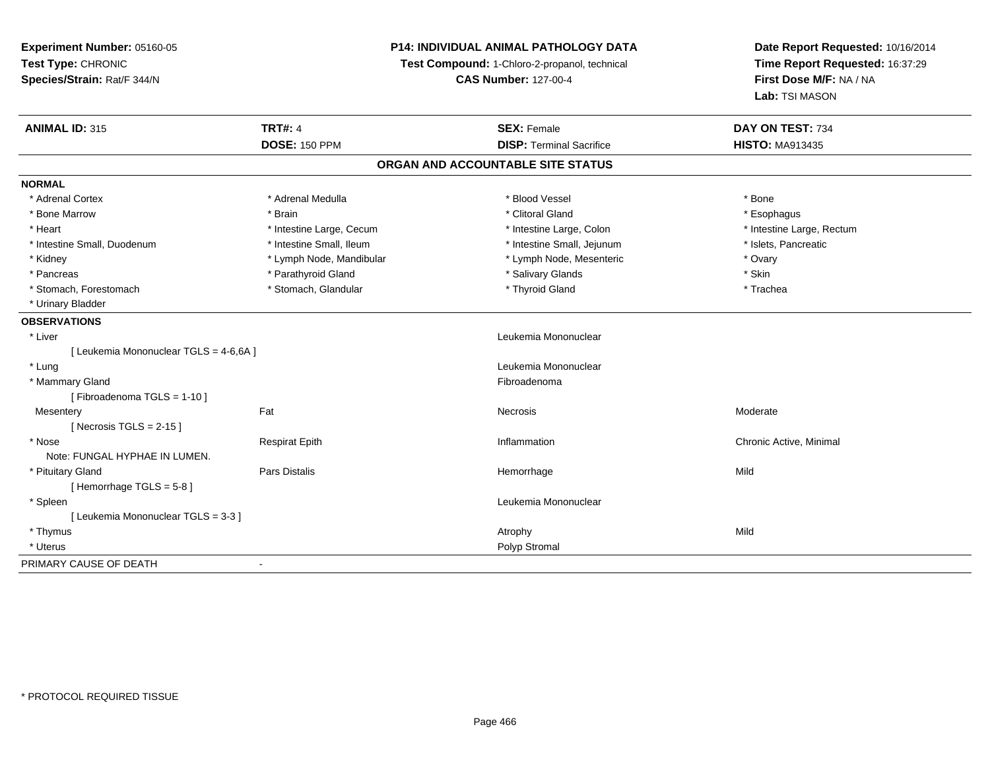**Experiment Number:** 05160-05**Test Type:** CHRONIC **Species/Strain:** Rat/F 344/N**P14: INDIVIDUAL ANIMAL PATHOLOGY DATATest Compound:** 1-Chloro-2-propanol, technical **CAS Number:** 127-00-4**Date Report Requested:** 10/16/2014**Time Report Requested:** 16:37:29**First Dose M/F:** NA / NA**Lab:** TSI MASON**ANIMAL ID:** 315**TRT#:** 4 **SEX:** Female **SEX: Female DAY ON TEST:** 734 **DOSE:** 150 PPM**DISP:** Terminal Sacrifice **HISTO:** MA913435 **ORGAN AND ACCOUNTABLE SITE STATUSNORMAL**\* Adrenal Cortex \* Adrenal Medulla \* Adrenal Medulla \* Blood Vessel \* Bood Vessel \* Bone \* Bone \* Bone \* Bone \* Bone \* Bone \* Bone \* Bone \* Bone \* Bone \* Bone \* Bone \* Bone \* Bone \* Bone \* Bone \* Bone \* Bone \* Bone \* Bone \* Bone \* Bone \* \* \* Esophagus \* Bone Marrow \* \* Android \* Brain \* Brain \* Clitoral Gland \* Clitoral Gland \* Esophagus \* Esophagus \* Esophagus \* Intestine Large, Rectum \* Heart **\*** Intestine Large, Cecum \* Intestine Large, Cecum \* Intestine Large, Colon \* Intestine Small, Duodenum \* Intestine Small, Ileum \* Intestine Small, Intestine Small, Jejunum \* Islets, Pancreatic \* Kidney **\* Lymph Node, Mandibular \*** Lymph Node, Mesenteric \* Ovary \* Ovary \* Ovary \* Skin \* Pancreas \* Pancreas \* Parathyroid Gland \* The state of the set of the set of the set of the set of the set of the set of the set of the set of the set of the set of the set of the set of the set of the set of the set of \* Trachea \* Stomach, Forestomach \* Thyroid Gland \* Stomach, Glandular \* Thyroid Gland \* Thyroid Gland \* Urinary Bladder**OBSERVATIONS** \* Liver Leukemia Mononuclear [ Leukemia Mononuclear TGLS = 4-6,6A ] \* LungLeukemia Mononuclear<br>Fibroadenoma \* Mammary Glandd **Exercía de Santo Constituída e a constituída e a constituída e a constituída e a constituída e a constituída**<br>Exercípcio [ Fibroadenoma TGLS = 1-10 ]**Mesentery** y the control of the control of the control of the control of the control of the control of the control of the control of the control of the control of the control of the control of the control of the control of the contro  $[$  Necrosis TGLS = 2-15  $]$  \* Nose Respirat Epith Inflammation Chronic Active, Minimal Note: FUNGAL HYPHAE IN LUMEN. \* Pituitary Gland Pars Distalis Hemorrhage Mild  $[$  Hemorrhage TGLS = 5-8  $]$  \* Spleen Leukemia Mononuclear [ Leukemia Mononuclear TGLS = 3-3 ] \* Thymuss and the control of the control of the control of the control of the control of the control of the control of the control of the control of the control of the control of the control of the control of the control of the co \* Uteruss and the contract of the contract of the contract of the contract of the contract of the contract of the contract of the contract of the contract of the contract of the contract of the contract of the contract of the cont PRIMARY CAUSE OF DEATH-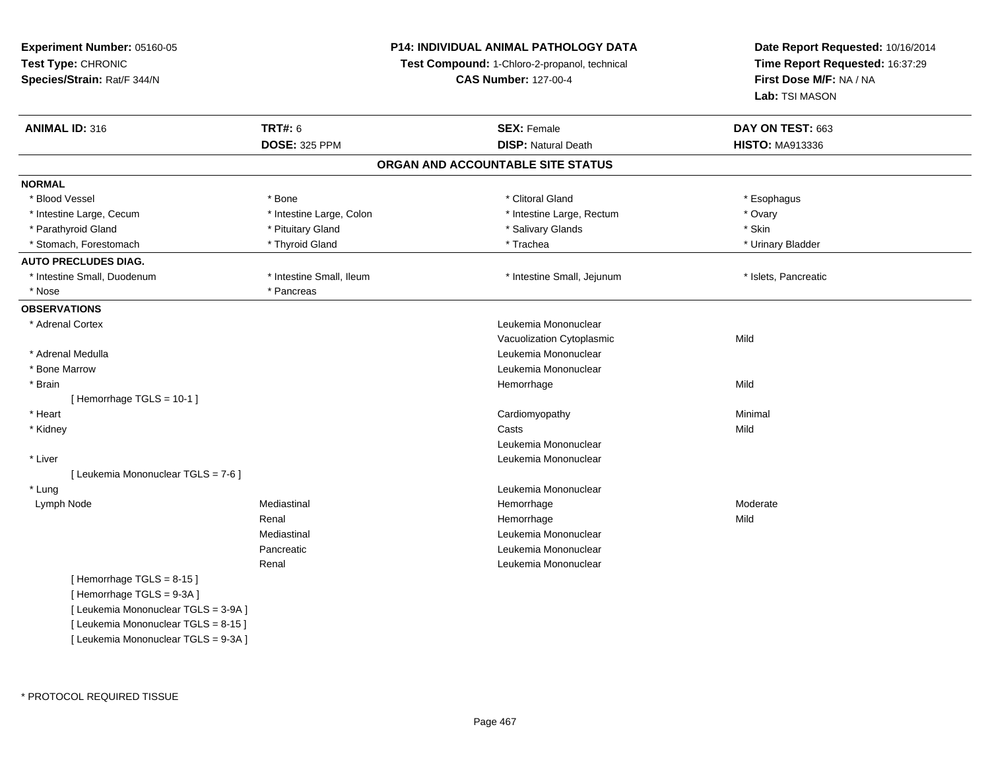**Experiment Number:** 05160-05**Test Type:** CHRONIC **Species/Strain:** Rat/F 344/N**P14: INDIVIDUAL ANIMAL PATHOLOGY DATATest Compound:** 1-Chloro-2-propanol, technical **CAS Number:** 127-00-4**Date Report Requested:** 10/16/2014**Time Report Requested:** 16:37:29**First Dose M/F:** NA / NA**Lab:** TSI MASON**ANIMAL ID:** 316**6 DAY ON TEST:** 663 **DOSE:** 325 PPM**DISP:** Natural Death **HISTO:** MA913336 **ORGAN AND ACCOUNTABLE SITE STATUSNORMAL**\* Blood Vessel \* Blood Vessel \* \* Allowstram \* Esophagus \* Allowstram \* Clitoral Gland \* Clitoral Gland \* Esophagus \* Esophagus \* Esophagus \* Bone \* \* Allowstram \* Esophagus \* Esophagus \* Bone \* \* Esophagus \* \* Esophagus \* \* Esophagus \* \* Intestine Large, Cecum \* Intestine Large, Colon \* Intestine Large, Rectum \* Ovary \* Ovary \* Skin \* Parathyroid Gland \* **All and \* Pituitary Gland \* Pituitary Gland \* Salivary Glands** \* Salivary Glands \* Urinary Bladder \* Stomach, Forestomach \* Thyroid Gland \* Thyroid Gland \* Trachea **AUTO PRECLUDES DIAG.** \* Intestine Small, Duodenum \* Intestine Small, Ileum \* Intestine Small, Jejunum \* Islets, Pancreatic\* Nose \* Pancreas **OBSERVATIONS** \* Adrenal Cortex Leukemia Mononuclear Vacuolization Cytoplasmicc Mild \* Adrenal MedullaLeukemia Mononuclear<br>Leukemia Mononuclear \* Bone Marrow Leukemia Mononuclear \* Brainn and the state of the state of the state of the state of the Middle Middle of the State of the Middle of the Middle of the Middle of the State of the Middle of the Middle of the State of the State of the State of the Stat [ Hemorrhage TGLS = 10-1 ] \* Heart Cardiomyopathy Minimal \* Kidneyy and the control of the control of the control of the control of the control of the control of the control of the control of the control of the control of the control of the control of the control of the control of the co Leukemia Mononuclear \* Liver Leukemia Mononuclear [ Leukemia Mononuclear TGLS = 7-6 ] \* LungLeukemia Mononuclear<br>
Hemorrhage<br>
Hemorrhage Lymph Node Mediastinal Hemorrhage Moderate Renal Hemorrhagee Mild Mediastinal Leukemia MononuclearPancreatic Leukemia Mononuclear Renal Leukemia Mononuclear $[$  Hemorrhage TGLS = 8-15  $]$ [ Hemorrhage TGLS = 9-3A ][ Leukemia Mononuclear TGLS = 3-9A ][ Leukemia Mononuclear TGLS = 8-15 ][ Leukemia Mononuclear TGLS = 9-3A ]

\* PROTOCOL REQUIRED TISSUE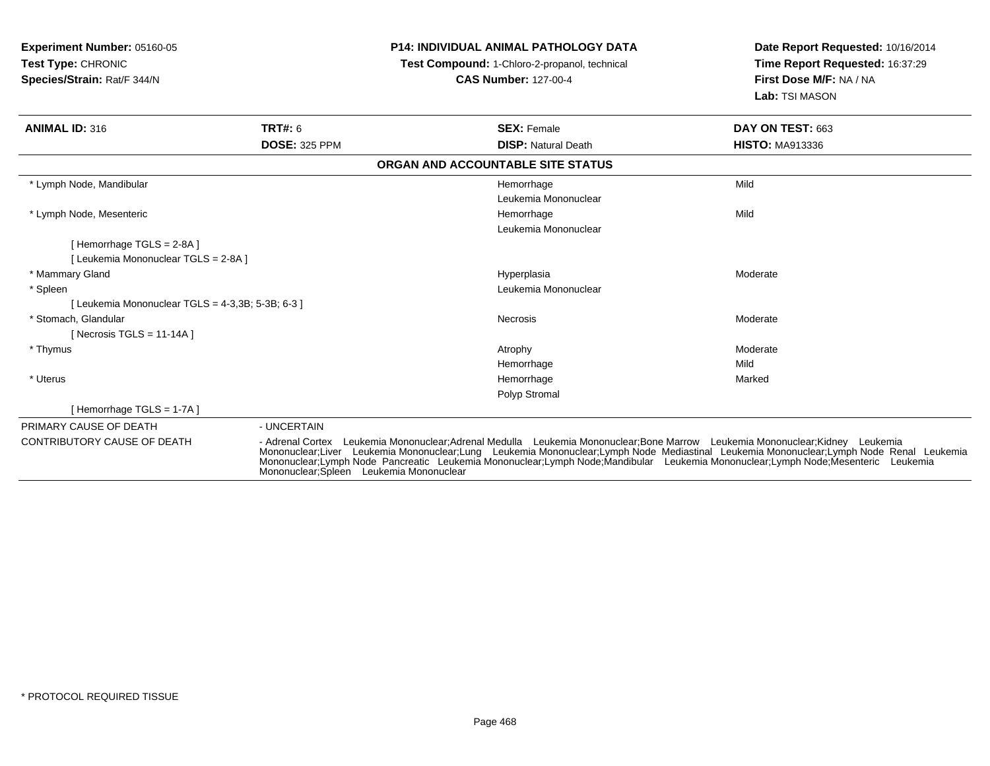| <b>Experiment Number: 05160-05</b><br>Test Type: CHRONIC<br>Species/Strain: Rat/F 344/N |                                          | <b>P14: INDIVIDUAL ANIMAL PATHOLOGY DATA</b><br>Test Compound: 1-Chloro-2-propanol, technical<br><b>CAS Number: 127-00-4</b>                                                                                                                                                                                                                                                                                 | Date Report Requested: 10/16/2014<br>Time Report Requested: 16:37:29<br>First Dose M/F: NA / NA<br>Lab: TSI MASON |
|-----------------------------------------------------------------------------------------|------------------------------------------|--------------------------------------------------------------------------------------------------------------------------------------------------------------------------------------------------------------------------------------------------------------------------------------------------------------------------------------------------------------------------------------------------------------|-------------------------------------------------------------------------------------------------------------------|
| <b>ANIMAL ID: 316</b>                                                                   | TRT#: 6                                  | <b>SEX: Female</b>                                                                                                                                                                                                                                                                                                                                                                                           | DAY ON TEST: 663                                                                                                  |
|                                                                                         | <b>DOSE: 325 PPM</b>                     | <b>DISP: Natural Death</b>                                                                                                                                                                                                                                                                                                                                                                                   | <b>HISTO: MA913336</b>                                                                                            |
|                                                                                         |                                          | ORGAN AND ACCOUNTABLE SITE STATUS                                                                                                                                                                                                                                                                                                                                                                            |                                                                                                                   |
| * Lymph Node, Mandibular                                                                |                                          | Hemorrhage                                                                                                                                                                                                                                                                                                                                                                                                   | Mild                                                                                                              |
|                                                                                         |                                          | Leukemia Mononuclear                                                                                                                                                                                                                                                                                                                                                                                         |                                                                                                                   |
| * Lymph Node, Mesenteric                                                                |                                          | Hemorrhage                                                                                                                                                                                                                                                                                                                                                                                                   | Mild                                                                                                              |
|                                                                                         |                                          | Leukemia Mononuclear                                                                                                                                                                                                                                                                                                                                                                                         |                                                                                                                   |
| [Hemorrhage TGLS = $2-8A$ ]                                                             |                                          |                                                                                                                                                                                                                                                                                                                                                                                                              |                                                                                                                   |
| [ Leukemia Mononuclear TGLS = 2-8A ]                                                    |                                          |                                                                                                                                                                                                                                                                                                                                                                                                              |                                                                                                                   |
| * Mammary Gland                                                                         |                                          | Hyperplasia                                                                                                                                                                                                                                                                                                                                                                                                  | Moderate                                                                                                          |
| * Spleen                                                                                |                                          | Leukemia Mononuclear                                                                                                                                                                                                                                                                                                                                                                                         |                                                                                                                   |
| [Leukemia Mononuclear TGLS = 4-3,3B; 5-3B; 6-3 ]                                        |                                          |                                                                                                                                                                                                                                                                                                                                                                                                              |                                                                                                                   |
| * Stomach, Glandular                                                                    |                                          | <b>Necrosis</b>                                                                                                                                                                                                                                                                                                                                                                                              | Moderate                                                                                                          |
| [ Necrosis TGLS = $11-14A$ ]                                                            |                                          |                                                                                                                                                                                                                                                                                                                                                                                                              |                                                                                                                   |
| * Thymus                                                                                |                                          | Atrophy                                                                                                                                                                                                                                                                                                                                                                                                      | Moderate                                                                                                          |
|                                                                                         |                                          | Hemorrhage                                                                                                                                                                                                                                                                                                                                                                                                   | Mild                                                                                                              |
| * Uterus                                                                                |                                          | Hemorrhage                                                                                                                                                                                                                                                                                                                                                                                                   | Marked                                                                                                            |
|                                                                                         |                                          | Polyp Stromal                                                                                                                                                                                                                                                                                                                                                                                                |                                                                                                                   |
| [Hemorrhage TGLS = $1-7A$ ]                                                             |                                          |                                                                                                                                                                                                                                                                                                                                                                                                              |                                                                                                                   |
| PRIMARY CAUSE OF DEATH                                                                  | - UNCERTAIN                              |                                                                                                                                                                                                                                                                                                                                                                                                              |                                                                                                                   |
| <b>CONTRIBUTORY CAUSE OF DEATH</b>                                                      | Mononuclear; Spleen Leukemia Mononuclear | - Adrenal Cortex Leukemia Mononuclear: Adrenal Medulla Leukemia Mononuclear: Bone Marrow Leukemia Mononuclear: Kidney Leukemia<br>Mononuclear;Liver Leukemia Mononuclear;Lung Leukemia Mononuclear;Lymph Node Mediastinal Leukemia Mononuclear;Lymph Node Renal Leukemia<br>Mononuclear;Lymph Node Pancreatic Leukemia Mononuclear;Lymph Node;Mandibular Leukemia Mononuclear;Lymph Node;Mesenteric Leukemia |                                                                                                                   |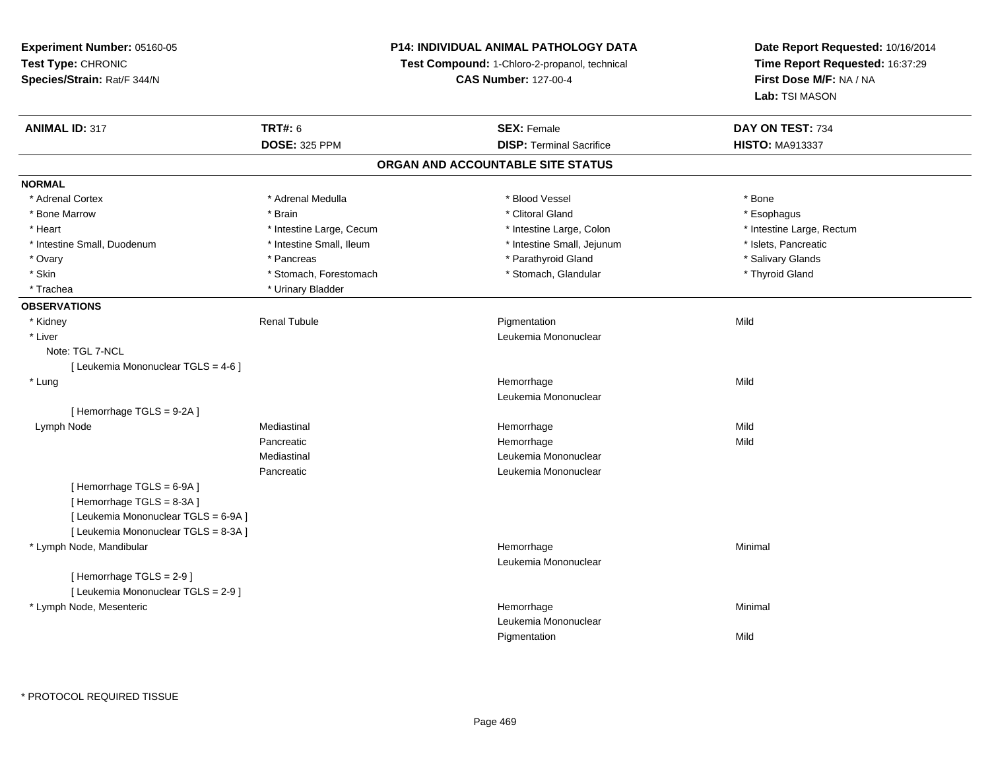**Experiment Number:** 05160-05**Test Type:** CHRONIC **Species/Strain:** Rat/F 344/N**P14: INDIVIDUAL ANIMAL PATHOLOGY DATATest Compound:** 1-Chloro-2-propanol, technical **CAS Number:** 127-00-4**Date Report Requested:** 10/16/2014**Time Report Requested:** 16:37:29**First Dose M/F:** NA / NA**Lab:** TSI MASON**ANIMAL ID:** 317**TRT#:** 6 **SEX:** Female **SEX: Female DAY ON TEST:** 734 **DOSE:** 325 PPM**DISP:** Terminal Sacrifice **HISTO:** MA913337 **ORGAN AND ACCOUNTABLE SITE STATUSNORMAL**\* Adrenal Cortex \* Adrenal Medulla \* Adrenal Medulla \* Blood Vessel \* Bood Vessel \* Bone \* Bone \* Bone \* Bone \* Bone \* Bone \* Bone \* Bone \* Bone \* Bone \* Bone \* Bone \* Bone \* Bone \* Bone \* Bone \* Bone \* Bone \* Bone \* Bone \* Bone \* Bone \* \* \* Esophagus \* Bone Marrow \* \* Android \* Brain \* Brain \* Clitoral Gland \* Clitoral Gland \* Esophagus \* Esophagus \* Esophagus \* Intestine Large, Rectum \* Heart **\*** Intestine Large, Cecum \* Intestine Large, Cecum \* Intestine Large, Colon \* Intestine Small, Duodenum \* Intestine Small, Ileum \* Intestine Small, Intestine Small, Jejunum \* Islets, Pancreatic \* Salivary Glands \* Ovary \* \* Pancreas \* \* Pancreas \* \* Pancreas \* \* Parathyroid Gland \* \* Salivary Glands \* Salivary Glands \* Salivary Glands \* Salivary Glands \* Salivary Glands \* Salivary Glands \* Salivary Glands \* \* Salivary Glands \* \* S \* Skin \* Stomach, Forestomach \* Stomach \* Stomach, Glandular \* Thyroid Gland \* Trachea **\*** Urinary Bladder **OBSERVATIONS** \* Kidney Renal Tubulee and the Pigmentation of the Mild \* Liver Leukemia Mononuclear Note: TGL 7-NCL [ Leukemia Mononuclear TGLS = 4-6 ] \* Lungg and the state of the state of the state of the state of the Hemorrhage state of the Mild state of the Mild state of the State of the State of the State of the State of the State of the State of the State of the State of Leukemia Mononuclear[ Hemorrhage TGLS = 9-2A ] Lymph Nodee the mediastinal the settlement of the Mild and Mild and Mild and Mild and Mild and Mild and Mild and Mild an<br>Hemorrhage Mild and Mild and Mild and Mild and Mild and Mild and Mild and Mild and Mild and Mild and Mild and Pancreatic Hemorrhagee Mild Mediastinal Leukemia MononuclearPancreatic Leukemia Mononuclear [ Hemorrhage TGLS = 6-9A ][ Hemorrhage TGLS = 8-3A ][ Leukemia Mononuclear TGLS = 6-9A ][ Leukemia Mononuclear TGLS = 8-3A ] \* Lymph Node, Mandibular Hemorrhagee Minimal Leukemia Mononuclear[ Hemorrhage TGLS = 2-9 ][ Leukemia Mononuclear TGLS = 2-9 ] \* Lymph Node, Mesentericc and the contract of the contract of the contract of the contract of the contract of the contract of the contract of the contract of the contract of the contract of the contract of the contract of the contract of the cont e Minimal Leukemia MononuclearPigmentationn Mild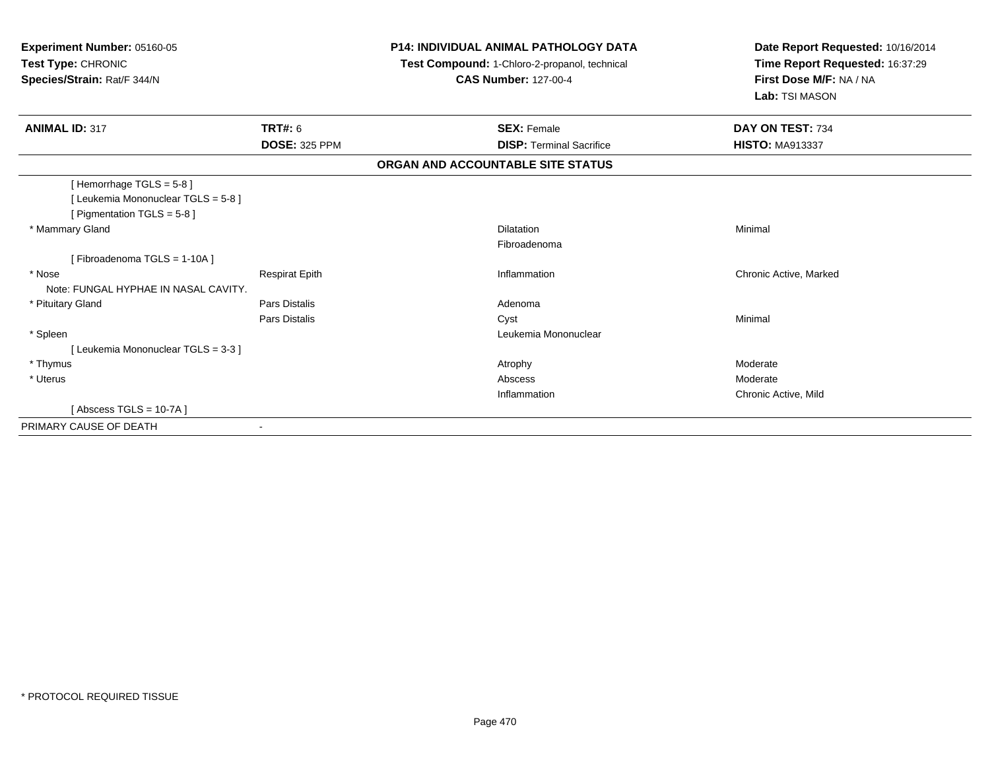| Experiment Number: 05160-05<br>Test Type: CHRONIC<br>Species/Strain: Rat/F 344/N |                       | <b>P14: INDIVIDUAL ANIMAL PATHOLOGY DATA</b><br>Test Compound: 1-Chloro-2-propanol, technical<br><b>CAS Number: 127-00-4</b> | Date Report Requested: 10/16/2014<br>Time Report Requested: 16:37:29<br>First Dose M/F: NA / NA<br>Lab: TSI MASON |
|----------------------------------------------------------------------------------|-----------------------|------------------------------------------------------------------------------------------------------------------------------|-------------------------------------------------------------------------------------------------------------------|
| <b>ANIMAL ID: 317</b>                                                            | <b>TRT#: 6</b>        | <b>SEX: Female</b>                                                                                                           | DAY ON TEST: 734                                                                                                  |
|                                                                                  | <b>DOSE: 325 PPM</b>  | <b>DISP: Terminal Sacrifice</b>                                                                                              | <b>HISTO: MA913337</b>                                                                                            |
|                                                                                  |                       | ORGAN AND ACCOUNTABLE SITE STATUS                                                                                            |                                                                                                                   |
| [Hemorrhage TGLS = 5-8]                                                          |                       |                                                                                                                              |                                                                                                                   |
| [Leukemia Mononuclear TGLS = 5-8]                                                |                       |                                                                                                                              |                                                                                                                   |
| [ Pigmentation TGLS = 5-8 ]                                                      |                       |                                                                                                                              |                                                                                                                   |
| * Mammary Gland                                                                  |                       | <b>Dilatation</b>                                                                                                            | Minimal                                                                                                           |
|                                                                                  |                       | Fibroadenoma                                                                                                                 |                                                                                                                   |
| [Fibroadenoma TGLS = 1-10A]                                                      |                       |                                                                                                                              |                                                                                                                   |
| * Nose                                                                           | <b>Respirat Epith</b> | Inflammation                                                                                                                 | Chronic Active, Marked                                                                                            |
| Note: FUNGAL HYPHAE IN NASAL CAVITY.                                             |                       |                                                                                                                              |                                                                                                                   |
| * Pituitary Gland                                                                | Pars Distalis         | Adenoma                                                                                                                      |                                                                                                                   |
|                                                                                  | Pars Distalis         | Cyst                                                                                                                         | Minimal                                                                                                           |
| * Spleen                                                                         |                       | Leukemia Mononuclear                                                                                                         |                                                                                                                   |
| [Leukemia Mononuclear TGLS = 3-3]                                                |                       |                                                                                                                              |                                                                                                                   |
| * Thymus                                                                         |                       | Atrophy                                                                                                                      | Moderate                                                                                                          |
| * Uterus                                                                         |                       | Abscess                                                                                                                      | Moderate                                                                                                          |
|                                                                                  |                       | Inflammation                                                                                                                 | Chronic Active, Mild                                                                                              |
| [Abscess TGLS = $10-7A$ ]                                                        |                       |                                                                                                                              |                                                                                                                   |
| PRIMARY CAUSE OF DEATH                                                           |                       |                                                                                                                              |                                                                                                                   |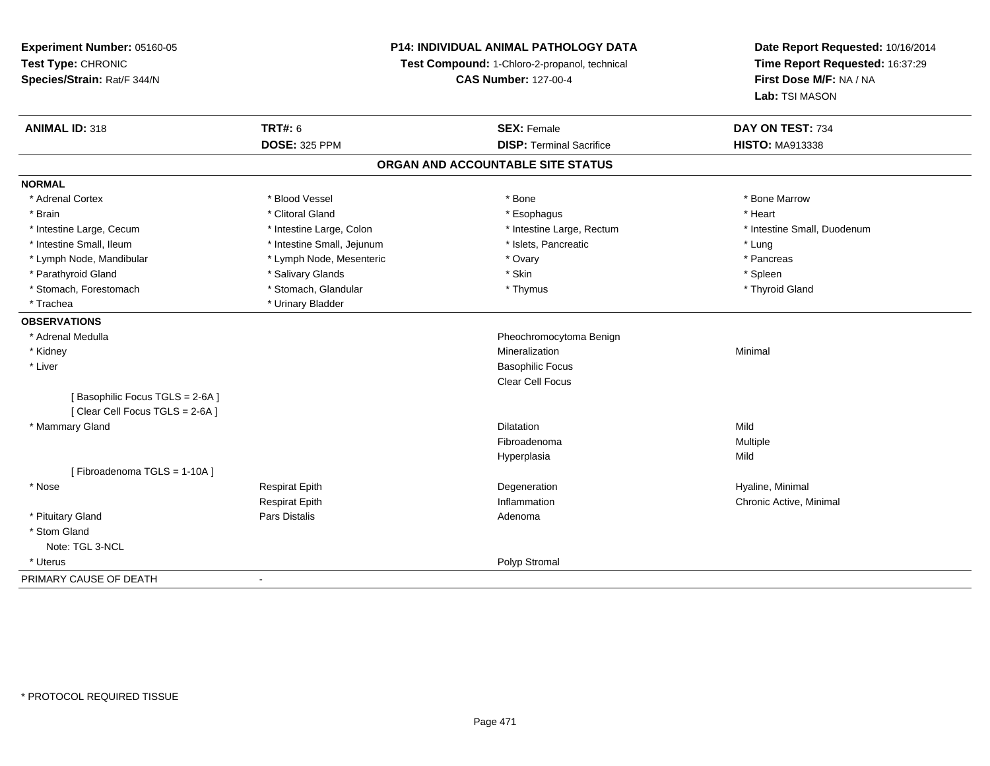**Experiment Number:** 05160-05**Test Type:** CHRONIC **Species/Strain:** Rat/F 344/N**P14: INDIVIDUAL ANIMAL PATHOLOGY DATATest Compound:** 1-Chloro-2-propanol, technical **CAS Number:** 127-00-4**Date Report Requested:** 10/16/2014**Time Report Requested:** 16:37:29**First Dose M/F:** NA / NA**Lab:** TSI MASON**ANIMAL ID:** 318**TRT#:** 6 **SEX:** Female **SEX: Female DAY ON TEST:** 734 **DOSE:** 325 PPM**DISP:** Terminal Sacrifice **HISTO:** MA913338 **ORGAN AND ACCOUNTABLE SITE STATUSNORMAL**\* Adrenal Cortex \* Adrenal Cortex \* \* Attachers \* Blood Vessel \* \* Bone \* \* \* Bone \* \* Bone \* \* Bone \* Bone Marrow \* Bone Marrow \* Brain \* Alternative of the state of the state of the state of the state of the state of the state of the state of the state of the state of the state of the state of the state of the state of the state of the state of th \* Intestine Large, Cecum \* Intestine Large, Colon \* Intestine Large, Rectum \* Intestine Small, Duodenum\* Intestine Small, Ileum \* https://www.fatheratic \* Lung \* Intestine Small, Jejunum \* Islets, Pancreatic \* Lung \* Lung \* Pancreas \* Lymph Node, Mandibular \* Manus \* Lymph Node, Mesenteric \* The manus \* Ovary \* Ovary \* Parathyroid Gland \* \* Salivary Glands \* Salivary Glands \* Skin \* Skin \* State \* Spleen \* Spleen \* Spleen \* Spleen \* Thyroid Gland \* Stomach, Forestomach \* Thymus \* Stomach, Glandular \* Thymus \* Thymus \* Thymus \* Thymus \* Thymus \* Thymus \* Thymus \* Thymus \* Thymus \* Thymus \* Thymus \* Thymus \* Thymus \* Thymus \* Thymus \* Thymus \* Thymus \* Thymus \* Thymu \* Trachea \* Urinary Bladder**OBSERVATIONS** \* Adrenal Medulla Pheochromocytoma Benign \* Kidneyy with the control of the control of the control of the control of the control of the control of the control of the control of the control of the control of the control of the control of the control of the control of the c n Minimal \* Liver Basophilic Focus Clear Cell Focus[ Basophilic Focus TGLS = 2-6A ][ Clear Cell Focus TGLS = 2-6A ] \* Mammary Glandd and the control of the control of the control of the control of the control of the control of the control of the control of the control of the control of the control of the control of the control of the control of the co Fibroadenoma Multiple Hyperplasiaa Mild [ Fibroadenoma TGLS = 1-10A ] \* Nose Respirat Epith Degeneration Hyaline, Minimal Respirat Epith Inflammation Chronic Active, Minimal \* Pituitary Glandd and the contract of Pars Distalis and the contract of Adenoma and Adenoma and the Adenoma and the Adenoma and  $\lambda$  \* Stom Gland Note: TGL 3-NCL \* Uteruss and the contract of the contract of the contract of the contract of the contract of the contract of the contract of the contract of the contract of the contract of the contract of the contract of the contract of the cont PRIMARY CAUSE OF DEATH-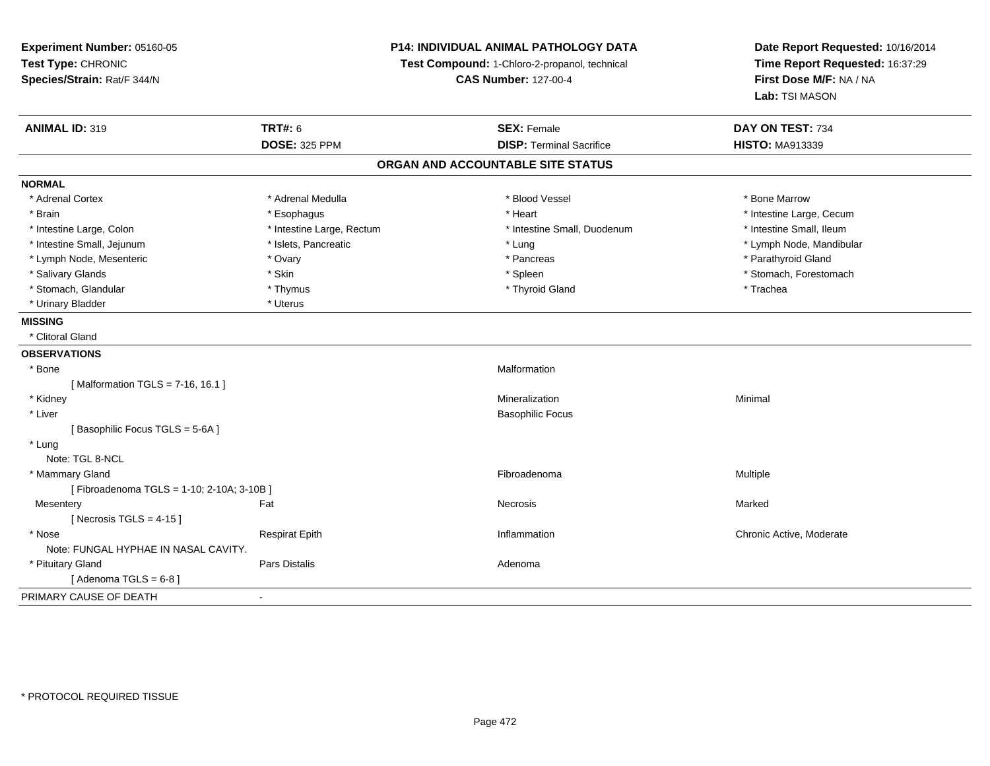**Experiment Number:** 05160-05**Test Type:** CHRONIC **Species/Strain:** Rat/F 344/N**P14: INDIVIDUAL ANIMAL PATHOLOGY DATATest Compound:** 1-Chloro-2-propanol, technical **CAS Number:** 127-00-4**Date Report Requested:** 10/16/2014**Time Report Requested:** 16:37:29**First Dose M/F:** NA / NA**Lab:** TSI MASON**ANIMAL ID:** 319**TRT#:** 6 **SEX:** Female **SEX: Female DAY ON TEST:** 734 **DOSE:** 325 PPM**DISP:** Terminal Sacrifice **HISTO:** MA913339 **ORGAN AND ACCOUNTABLE SITE STATUSNORMAL**\* Adrenal Cortex \* Adrenal Medulla \* Adrenal Medulla \* Blood Vessel \* Bone Marrow \* Bone Marrow \* Brain \* Alternative \* Esophagus \* \* Esophagus \* \* Heart \* Heart \* Intestine Large, Cecum \* Intestine Large, Cecum \* Intestine Large, Cecum \* Large \* Intestine Large \* Large \* Large \* Large \* Large \* Large \* Large \* Large \* Intestine Small, Ileum \* Intestine Large, Colon \* Intestine Large, Rectum \* Intestine Small, Duodenum \* Intestine Small, Duodenum \* Intestine Small, Jejunum \* \* \* https://www.fat.com/setter/educition/setter/filesophysics.com/setter/filesophysics.com/setter/filesophysics.com/setter/filesophysics.com/setter/filesophysics.com/setter/filesophysics.com/se \* Lymph Node, Mesenteric \* Ovary \* Pancreas \* Parathyroid Gland\* Salivary Glands \* The stomach \* Skin \* Spleen \* Spleen \* Stomach, Forestomach \* Stomach, Forestomach \* Stomach, Forestomach \* Stomach, Glandular \* Thymus \* Thymus \* Thymus \* Thyroid Gland \* Thyroid Gland \* Trachea \* Urinary Bladder \* Uterus **MISSING** \* Clitoral Gland**OBSERVATIONS** \* Bonee and the contract of the contract of the contract of the contract of the contract of the contract of the contract of the contract of the contract of the contract of the contract of the contract of the contract of the cont  $[$  Malformation TGLS = 7-16, 16.1 ] \* Kidneyy with the control of the control of the control of the control of the control of the control of the control of the control of the control of the control of the control of the control of the control of the control of the c n Minimal \* Liver Basophilic Focus[ Basophilic Focus TGLS = 5-6A ] \* Lung Note: TGL 8-NCL \* Mammary Glandd and the state of the state of the state of the state of the state of the state of the state of the state of the state of the state of the state of the state of the state of the state of the state of the state of the stat [ Fibroadenoma TGLS = 1-10; 2-10A; 3-10B ]**Mesentery** y the control of the set of the control of the control of the Marked Marked of the Marked of the Marked of the Marked of the Marked of the Marked of the Marked of the Marked of the Marked of the Marked of the Marked of the  $[$  Necrosis TGLS = 4-15  $]$  \* Nosee inflammation Chronic Active, Moderate Respirat Epith Inflammation Chronic Active, Moderate Chronic Active, Moderate Note: FUNGAL HYPHAE IN NASAL CAVITY. \* Pituitary Glandd and the set of Pars Distalis and the Second Adenomal Adenomal Second Second Pars Distallis  $[$  Adenoma TGLS =  $6-8$   $]$ PRIMARY CAUSE OF DEATH-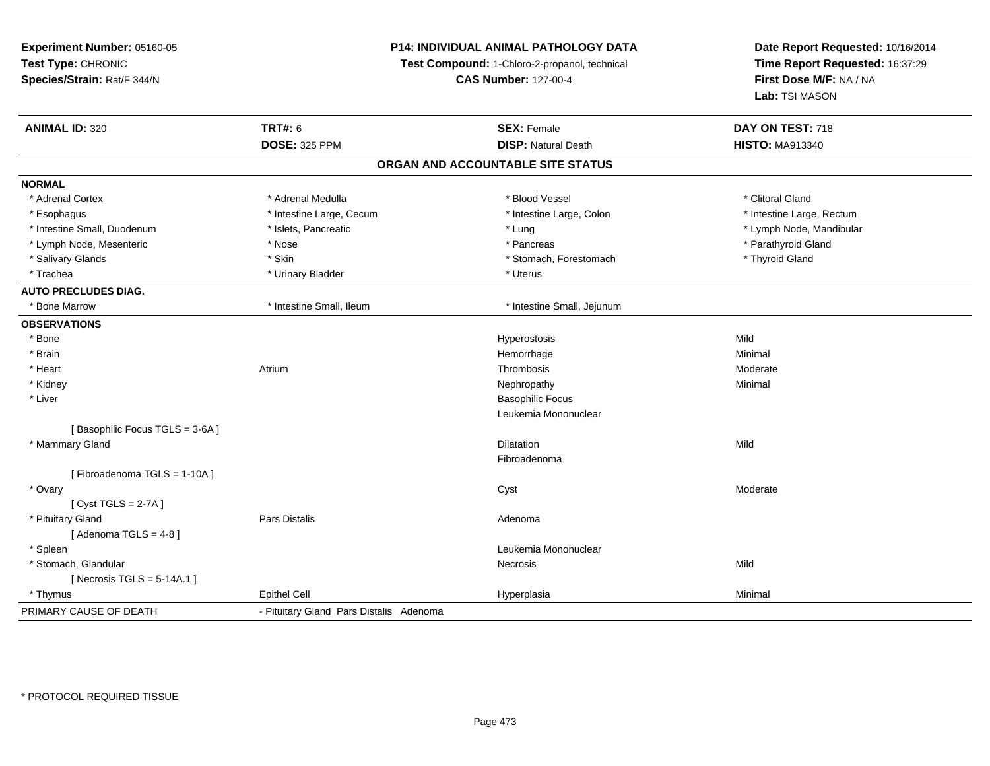**Experiment Number:** 05160-05**Test Type:** CHRONIC **Species/Strain:** Rat/F 344/N**P14: INDIVIDUAL ANIMAL PATHOLOGY DATATest Compound:** 1-Chloro-2-propanol, technical **CAS Number:** 127-00-4**Date Report Requested:** 10/16/2014**Time Report Requested:** 16:37:29**First Dose M/F:** NA / NA**Lab:** TSI MASON**ANIMAL ID:** 320**C TRT#:** 6 **SEX:** Female **SEX: Female DAY ON TEST:** 718 **DOSE:** 325 PPM**DISP:** Natural Death **HISTO:** MA913340 **ORGAN AND ACCOUNTABLE SITE STATUSNORMAL**\* Adrenal Cortex \* Adrenal Medulla \* Adrenal Medulla \* Adrenal \* Blood Vessel \* Northwestern the state of the state \* Clitoral Gland \* Esophagus \* Thestine Large, Cecum \* Intestine Large, Cecum \* Intestine Large, Colon \* Intestine Large, Rectum \* Intestine Small, Duodenum \* \* external \* Islets, Pancreatic \* \* The manuscular \* Lung \* Lung \* Lung \* Lung \* Lung \* Lung \* Lung \* Lung \* Lung \* Lung \* Lung \* Lung \* Lung \* Lung \* Lung \* Lung \* Lung \* Lung \* Lung \* Lung \* \* Lymph Node, Mesenteric \* The state of the state of the state of the state of the state of the state of the state of the state of the state of the state of the state of the state of the state of the state of the state of \* Salivary Glands \* Thyroid Gland \* Skin \* Skin \* Stomach \* Stomach, Forestomach \* Thyroid Gland \* Thyroid Gland \* Trachea \* Urinary Bladder \* Urinary Bladder \* Urinary Bladder \* Uterus **AUTO PRECLUDES DIAG.** \* Bone Marrow \* Intestine Small, Ileum \* Intestine Small, Jejunum**OBSERVATIONS** \* Bone Hyperostosis Mild \* Brainn and the state of the state of the state of the state of the Minimal Control of the Minimal Control of the Minimal Control of the Minimal Control of the State of the State of the State of the State of the State of the Sta \* Heartt **the contract of the contract of the contract of the contract of the contract of the contract of the contract of the contract of the contract of the contract of the contract of the contract of the contract of the contrac** m and the methods of the Thrombosis and the Moderate Moderate Moderate and the Moderate Moderate of the Moderate of the Moderate of the Moderate of the Moderate of the Moderate of the Moderate of the Moderate of the Modera \* Kidneyy the control of the control of the control of the control of the control of the control of the control of the control of the control of the control of the control of the control of the control of the control of the contro \* Liver Basophilic Focus Leukemia Mononuclear[ Basophilic Focus TGLS = 3-6A ] \* Mammary Glandd and the control of the control of the control of the control of the control of the control of the control of the control of the control of the control of the control of the control of the control of the control of the co Fibroadenoma[ Fibroadenoma TGLS = 1-10A ] \* Ovaryy the control of the control of the control of the control of the control of the control of the control of the control of the control of the control of the control of the control of the control of the control of the contro [ Cyst TGLS = 2-7A ] \* Pituitary Glandd and the set of Pars Distalis and the Second Adenomal Adenomal Second Second Pars Distallis  $[$  Adenoma TGLS = 4-8  $]$  \* Spleenn and the control of the control of the control of the control of the control of the control of the control of the control of the control of the control of the control of the control of the control of the control of the co \* Stomach, Glandularr **Necrosis** s and the contract of the Mild  $[$  Necrosis TGLS = 5-14A.1  $]$  \* Thymus Epithel Cell Hyperplasiaa Minimal PRIMARY CAUSE OF DEATH- Pituitary Gland Pars Distalis Adenoma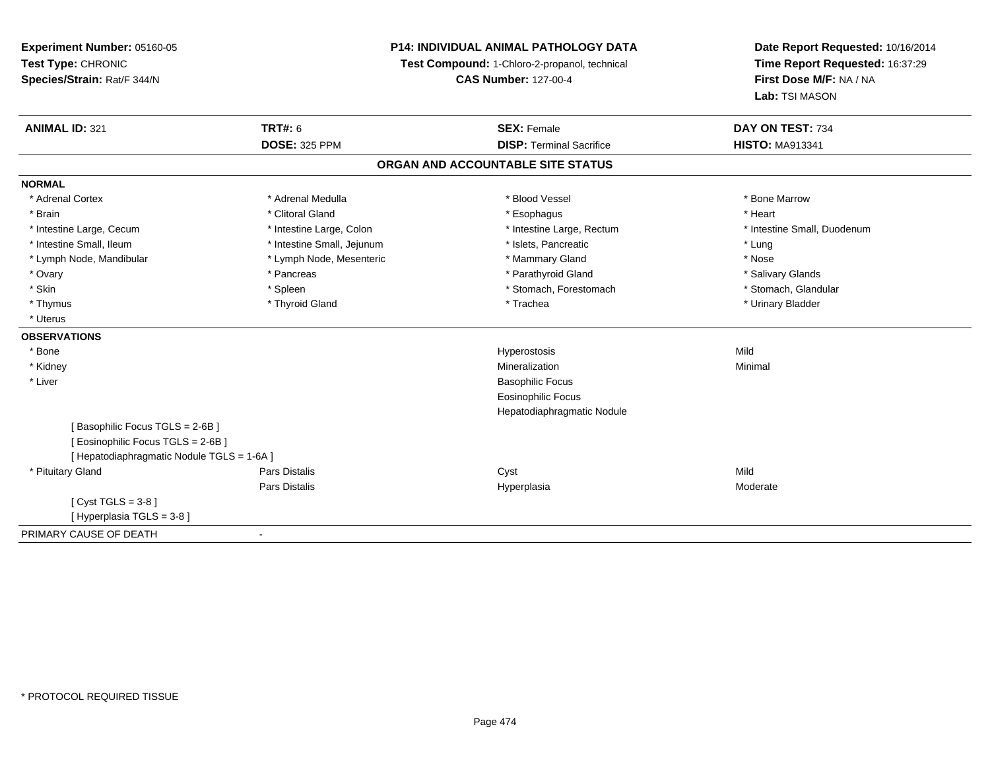**Experiment Number:** 05160-05**Test Type:** CHRONIC **Species/Strain:** Rat/F 344/N**P14: INDIVIDUAL ANIMAL PATHOLOGY DATATest Compound:** 1-Chloro-2-propanol, technical **CAS Number:** 127-00-4**Date Report Requested:** 10/16/2014**Time Report Requested:** 16:37:29**First Dose M/F:** NA / NA**Lab:** TSI MASON**ANIMAL ID:** 321**TRT#:** 6 **SEX:** Female **SEX: Female DAY ON TEST:** 734 **DOSE:** 325 PPM**DISP:** Terminal Sacrifice **HISTO:** MA913341 **ORGAN AND ACCOUNTABLE SITE STATUSNORMAL**\* Adrenal Cortex \* Adrenal Medulla \* Adrenal Medulla \* Blood Vessel \* Bone Marrow \* Bone Marrow \* Brain \* Alternative of the state of the state of the state of the state of the state of the state of the state of the state of the state of the state of the state of the state of the state of the state of the state of th \* Intestine Large, Cecum \* Intestine Large, Colon \* Intestine Large, Rectum \* Intestine Small, Duodenum \* Intestine Small, Ileum \* Intestine Small, Jejunum \* Number of the Small and the Small and the Small and the Small and the Small and the Small and the Small and the Lung \* Nose \* Lymph Node, Mandibular \* Lymph Node, Mesenteric \* Mammary Gland \* Mammary Gland \* Salivary Glands \* Ovary \* \* Pancreas \* \* Pancreas \* \* Pancreas \* \* Parathyroid Gland \* \* Salivary Glands \* Salivary Glands \* Salivary Glands \* Salivary Glands \* Salivary Glands \* Salivary Glands \* Salivary Glands \* \* Salivary Glands \* \* S \* Stomach. Glandular \* Skin \* Spleen \* Spleen \* Spleen \* Stomach, Forestomach \* Stomach, Forestomach \* Thymus \* Thyroid Gland \* Trachea \* Urinary Bladder \* \* Uterus**OBSERVATIONS** \* Bone Hyperostosis Mild \* Kidneyy with the control of the control of the control of the control of the control of the control of the control of the control of the control of the control of the control of the control of the control of the control of the c n Minimal \* Liver Basophilic Focus Eosinophilic Focus Hepatodiaphragmatic Nodule[ Basophilic Focus TGLS = 2-6B ][ Eosinophilic Focus TGLS = 2-6B ][ Hepatodiaphragmatic Nodule TGLS = 1-6A ] \* Pituitary Gland Pars Distalis Cyst Mild Pars Distalis Hyperplasia Moderate  $[$  Cyst TGLS = 3-8  $]$ [ Hyperplasia TGLS = 3-8 ]PRIMARY CAUSE OF DEATH-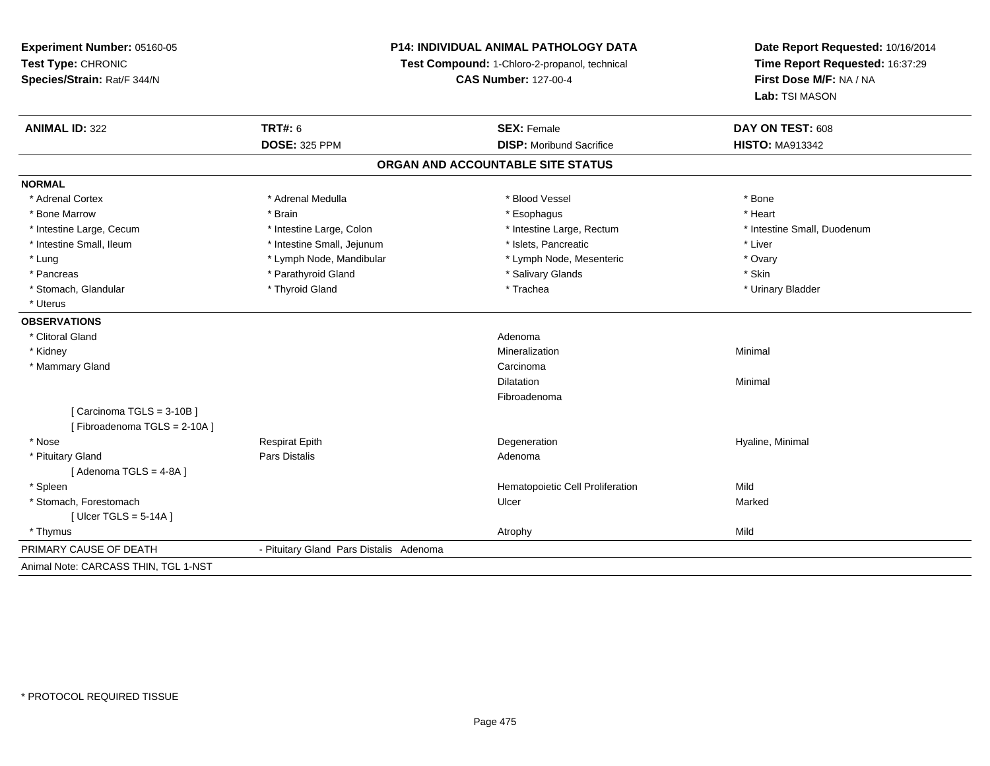**Experiment Number:** 05160-05**Test Type:** CHRONIC **Species/Strain:** Rat/F 344/N**P14: INDIVIDUAL ANIMAL PATHOLOGY DATATest Compound:** 1-Chloro-2-propanol, technical **CAS Number:** 127-00-4**Date Report Requested:** 10/16/2014**Time Report Requested:** 16:37:29**First Dose M/F:** NA / NA**Lab:** TSI MASON**ANIMAL ID:** 322**TRT#:** 6 **SEX:** Female **SEX: Female DAY ON TEST:** 608 **DOSE:** 325 PPM**DISP:** Moribund Sacrifice **HISTO:** MA913342 **ORGAN AND ACCOUNTABLE SITE STATUSNORMAL**\* Adrenal Cortex \* Adrenal Medulla \* Adrenal Medulla \* Blood Vessel \* Bood Vessel \* Bone \* Bone \* Bone \* Bone \* Bone \* Bone \* Bone \* Bone \* Bone \* Bone \* Bone \* Bone \* Bone \* Bone \* Bone \* Bone \* Bone \* Bone \* Bone \* Bone \* Bone \* Bone \* \* \* Heart \* Bone Marrow \* Brain \* Esophagus \* Heart \* Intestine Large, Cecum \* Intestine Large, Colon \* Intestine Large, Rectum \* Intestine Small, Duodenum \* Intestine Small, Ileum \* Intestine Small, Jejunum \* Islets, Pancreatic \* Liver\* Lung \* Lymph Node, Mandibular \* The mandibular \* Lymph Node, Mesenteric \* Ovary \* Ovary \* Skin \* Pancreas \* Pancreas \* Parathyroid Gland \* The state of the set of the set of the set of the set of the set of the set of the set of the set of the set of the set of the set of the set of the set of the set of the set of \* Urinary Bladder \* Stomach, Glandular \* Thyroid Gland \* Thyroid Gland \* Trachea \* Uterus**OBSERVATIONS** \* Clitoral Glandd and the contract of the contract of the contract of the contract of the contract of the contract of the contract of the contract of the contract of the contract of the contract of the contract of the contract of the cont \* Kidneyy with the control of the control of the control of the control of the control of the control of the control of the control of the control of the control of the control of the control of the control of the control of the c n Minimal \* Mammary Glandd<sub>d</sub> Carcinoma Dilatationn and a basic control of the Minimal Minimal Section 1, 1976. The Minimal Section 1, 1976, 1977, 1978. The Minimal Section 1, 1979, 1979, 1979, 1979, 1979, 1979, 1979, 1979, 1979, 1979, 1979, 1979, 1979, 1979, 1979, 1979, Fibroadenoma[ Carcinoma TGLS = 3-10B ][ Fibroadenoma TGLS = 2-10A ] \* Nose Respirat Epith Degeneration Hyaline, Minimal \* Pituitary Glandd and the contract of Pars Distalis and the contract of Adenoma and Adenoma and the Adenoma and the Adenoma and  $\lambda$  $[$  Adenoma TGLS = 4-8A  $]$  \* SpleenHematopoietic Cell Proliferation Mild \* Stomach, Forestomachh anns an t-ainmeile anns an t-ainmeile anns an t-ainmeile anns an t-ainmeile an t-ainmeile an t-ainmeile an t- $[$  Ulcer TGLS = 5-14A  $]$  \* Thymuss and the contract of the contract of the contract of the contract of the contract of the contract of the contract of the contract of the contract of the contract of the contract of the contract of the contract of the cont PRIMARY CAUSE OF DEATH - Pituitary Gland Pars Distalis Adenoma Animal Note: CARCASS THIN, TGL 1-NST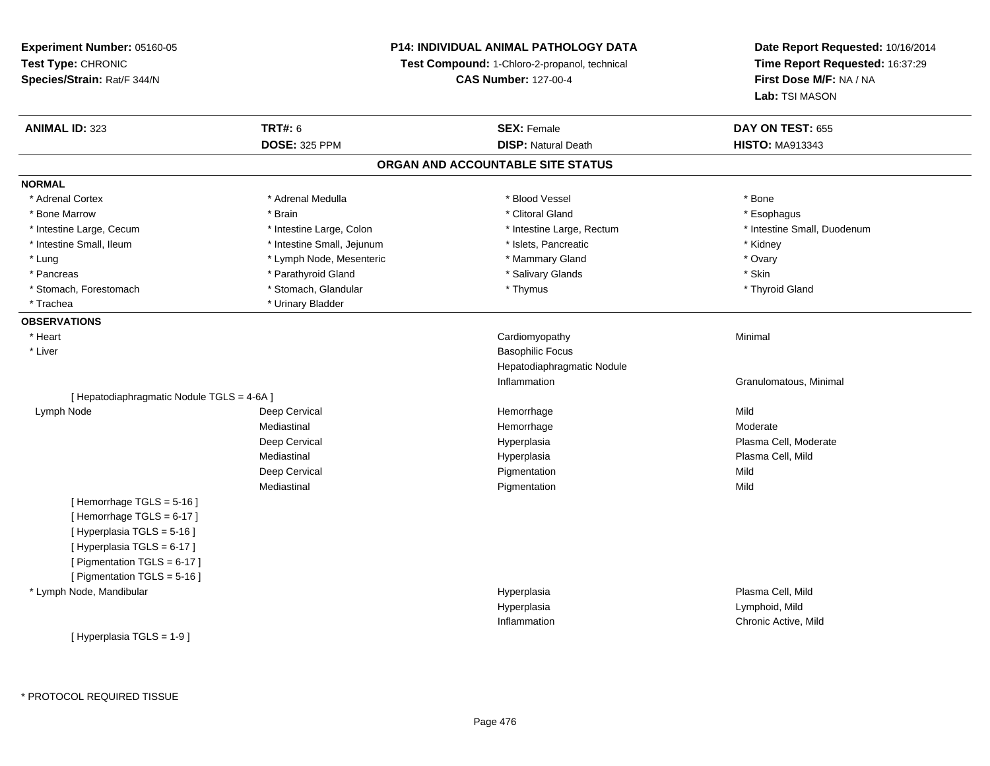# **P14: INDIVIDUAL ANIMAL PATHOLOGY DATA**

**Test Compound:** 1-Chloro-2-propanol, technical

**CAS Number:** 127-00-4

| <b>ANIMAL ID: 323</b>                      | <b>TRT#: 6</b>             | <b>SEX: Female</b>                | DAY ON TEST: 655            |
|--------------------------------------------|----------------------------|-----------------------------------|-----------------------------|
|                                            | <b>DOSE: 325 PPM</b>       | <b>DISP: Natural Death</b>        | <b>HISTO: MA913343</b>      |
|                                            |                            | ORGAN AND ACCOUNTABLE SITE STATUS |                             |
| <b>NORMAL</b>                              |                            |                                   |                             |
| * Adrenal Cortex                           | * Adrenal Medulla          | * Blood Vessel                    | * Bone                      |
| * Bone Marrow                              | * Brain                    | * Clitoral Gland                  | * Esophagus                 |
| * Intestine Large, Cecum                   | * Intestine Large, Colon   | * Intestine Large, Rectum         | * Intestine Small, Duodenum |
| * Intestine Small, Ileum                   | * Intestine Small, Jejunum | * Islets, Pancreatic              | * Kidney                    |
| * Lung                                     | * Lymph Node, Mesenteric   | * Mammary Gland                   | * Ovary                     |
| * Pancreas                                 | * Parathyroid Gland        | * Salivary Glands                 | * Skin                      |
| * Stomach, Forestomach                     | * Stomach, Glandular       | * Thymus                          | * Thyroid Gland             |
| * Trachea                                  | * Urinary Bladder          |                                   |                             |
| <b>OBSERVATIONS</b>                        |                            |                                   |                             |
| * Heart                                    |                            | Cardiomyopathy                    | Minimal                     |
| * Liver                                    |                            | <b>Basophilic Focus</b>           |                             |
|                                            |                            | Hepatodiaphragmatic Nodule        |                             |
|                                            |                            | Inflammation                      | Granulomatous, Minimal      |
| [ Hepatodiaphragmatic Nodule TGLS = 4-6A ] |                            |                                   |                             |
| Lymph Node                                 | Deep Cervical              | Hemorrhage                        | Mild                        |
|                                            | Mediastinal                | Hemorrhage                        | Moderate                    |
|                                            | Deep Cervical              | Hyperplasia                       | Plasma Cell, Moderate       |
|                                            | Mediastinal                | Hyperplasia                       | Plasma Cell, Mild           |
|                                            | Deep Cervical              | Pigmentation                      | Mild                        |
|                                            | Mediastinal                | Pigmentation                      | Mild                        |
| [Hemorrhage TGLS = 5-16]                   |                            |                                   |                             |
| [Hemorrhage TGLS = 6-17]                   |                            |                                   |                             |
| [ Hyperplasia TGLS = 5-16 ]                |                            |                                   |                             |
| [ Hyperplasia TGLS = 6-17 ]                |                            |                                   |                             |
| [ Pigmentation TGLS = 6-17 ]               |                            |                                   |                             |
| [ Pigmentation TGLS = 5-16 ]               |                            |                                   |                             |
| * Lymph Node, Mandibular                   |                            | Hyperplasia                       | Plasma Cell, Mild           |
|                                            |                            | Hyperplasia                       | Lymphoid, Mild              |
|                                            |                            | Inflammation                      | Chronic Active, Mild        |
| [ Hyperplasia TGLS = 1-9 ]                 |                            |                                   |                             |
|                                            |                            |                                   |                             |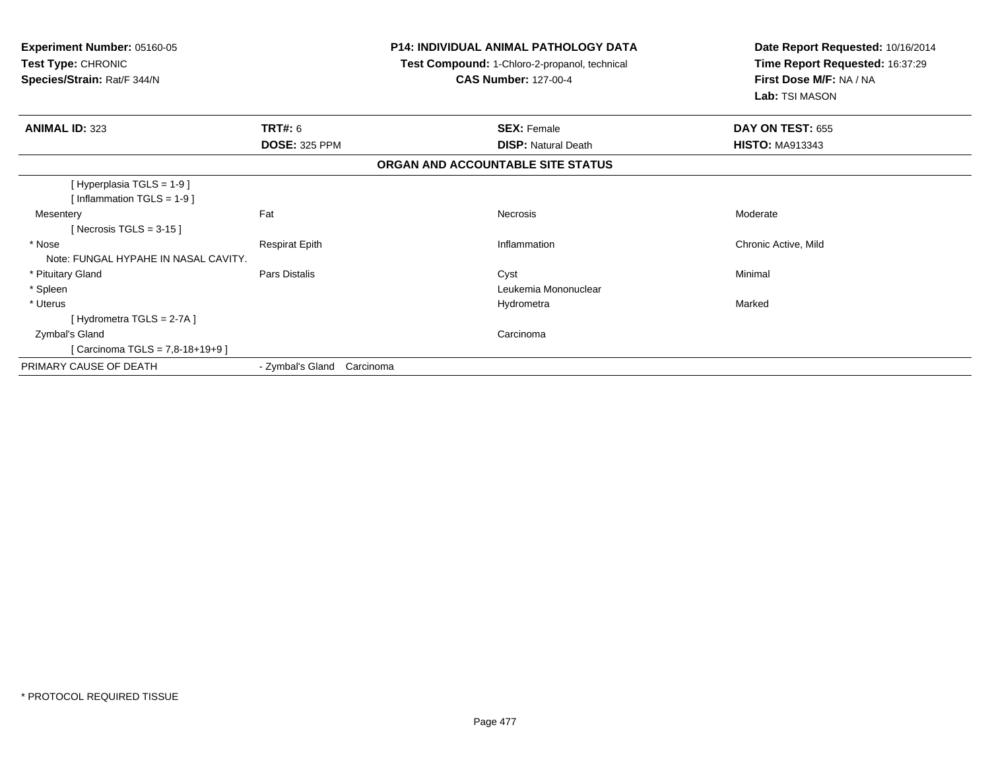| Experiment Number: 05160-05<br>Test Type: CHRONIC<br>Species/Strain: Rat/F 344/N |                            | <b>P14: INDIVIDUAL ANIMAL PATHOLOGY DATA</b><br>Test Compound: 1-Chloro-2-propanol, technical<br><b>CAS Number: 127-00-4</b> | Date Report Requested: 10/16/2014<br>Time Report Requested: 16:37:29<br>First Dose M/F: NA / NA<br>Lab: TSI MASON |
|----------------------------------------------------------------------------------|----------------------------|------------------------------------------------------------------------------------------------------------------------------|-------------------------------------------------------------------------------------------------------------------|
| <b>ANIMAL ID: 323</b>                                                            | TRT#: 6                    | <b>SEX: Female</b>                                                                                                           | DAY ON TEST: 655                                                                                                  |
|                                                                                  | <b>DOSE: 325 PPM</b>       | <b>DISP:</b> Natural Death                                                                                                   | <b>HISTO: MA913343</b>                                                                                            |
|                                                                                  |                            | ORGAN AND ACCOUNTABLE SITE STATUS                                                                                            |                                                                                                                   |
| [Hyperplasia TGLS = 1-9]<br>[Inflammation TGLS = $1-9$ ]                         |                            |                                                                                                                              |                                                                                                                   |
| Mesentery<br>[Necrosis TGLS = $3-15$ ]                                           | Fat                        | <b>Necrosis</b>                                                                                                              | Moderate                                                                                                          |
| * Nose<br>Note: FUNGAL HYPAHE IN NASAL CAVITY.                                   | <b>Respirat Epith</b>      | Inflammation                                                                                                                 | Chronic Active, Mild                                                                                              |
| * Pituitary Gland                                                                | Pars Distalis              | Cyst                                                                                                                         | Minimal                                                                                                           |
| * Spleen                                                                         |                            | Leukemia Mononuclear                                                                                                         |                                                                                                                   |
| * Uterus                                                                         |                            | Hydrometra                                                                                                                   | Marked                                                                                                            |
| [Hydrometra TGLS = 2-7A]                                                         |                            |                                                                                                                              |                                                                                                                   |
| Zymbal's Gland                                                                   |                            | Carcinoma                                                                                                                    |                                                                                                                   |
| [Carcinoma TGLS = 7,8-18+19+9]                                                   |                            |                                                                                                                              |                                                                                                                   |
| PRIMARY CAUSE OF DEATH                                                           | - Zymbal's Gland Carcinoma |                                                                                                                              |                                                                                                                   |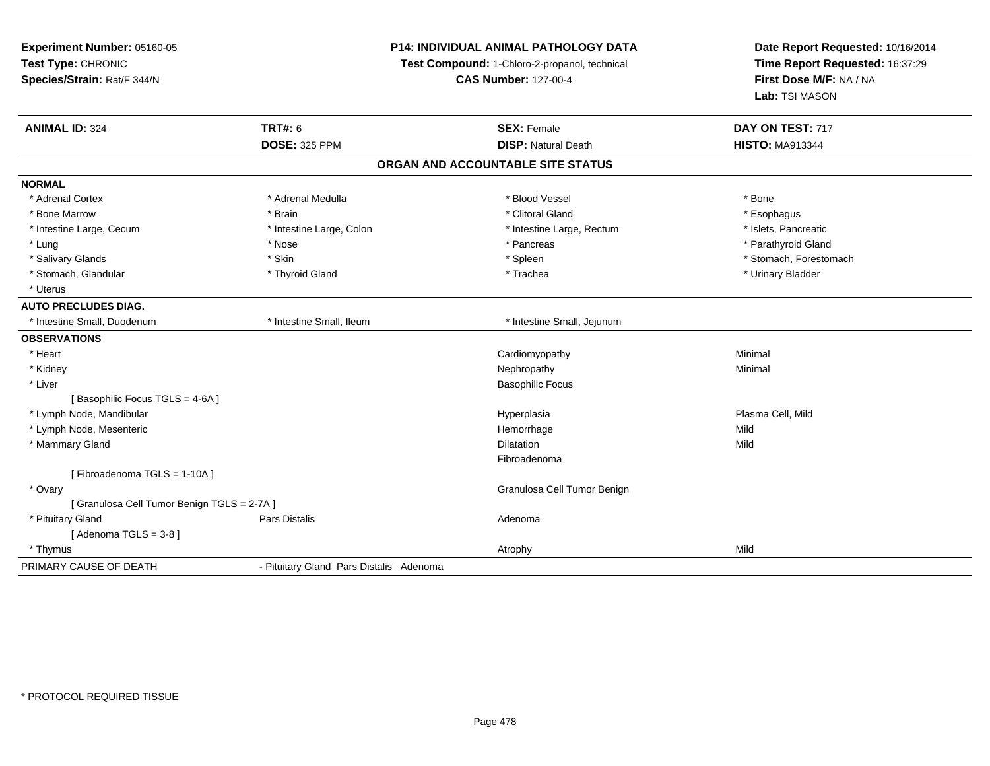| Experiment Number: 05160-05               |                                         | P14: INDIVIDUAL ANIMAL PATHOLOGY DATA         | Date Report Requested: 10/16/2014<br>Time Report Requested: 16:37:29 |
|-------------------------------------------|-----------------------------------------|-----------------------------------------------|----------------------------------------------------------------------|
| Test Type: CHRONIC                        |                                         | Test Compound: 1-Chloro-2-propanol, technical |                                                                      |
| Species/Strain: Rat/F 344/N               |                                         | <b>CAS Number: 127-00-4</b>                   | First Dose M/F: NA / NA                                              |
|                                           |                                         |                                               | Lab: TSI MASON                                                       |
| <b>ANIMAL ID: 324</b>                     | <b>TRT#: 6</b>                          | <b>SEX: Female</b>                            | DAY ON TEST: 717                                                     |
|                                           | <b>DOSE: 325 PPM</b>                    | <b>DISP: Natural Death</b>                    | <b>HISTO: MA913344</b>                                               |
|                                           |                                         | ORGAN AND ACCOUNTABLE SITE STATUS             |                                                                      |
| <b>NORMAL</b>                             |                                         |                                               |                                                                      |
| * Adrenal Cortex                          | * Adrenal Medulla                       | * Blood Vessel                                | * Bone                                                               |
| * Bone Marrow                             | * Brain                                 | * Clitoral Gland                              | * Esophagus                                                          |
| * Intestine Large, Cecum                  | * Intestine Large, Colon                | * Intestine Large, Rectum                     | * Islets, Pancreatic                                                 |
| * Lung                                    | * Nose                                  | * Pancreas                                    | * Parathyroid Gland                                                  |
| * Salivary Glands                         | * Skin                                  | * Spleen                                      | * Stomach, Forestomach                                               |
| * Stomach, Glandular                      | * Thyroid Gland                         | * Trachea                                     | * Urinary Bladder                                                    |
| * Uterus                                  |                                         |                                               |                                                                      |
| <b>AUTO PRECLUDES DIAG.</b>               |                                         |                                               |                                                                      |
| * Intestine Small, Duodenum               | * Intestine Small, Ileum                | * Intestine Small, Jejunum                    |                                                                      |
| <b>OBSERVATIONS</b>                       |                                         |                                               |                                                                      |
| * Heart                                   |                                         | Cardiomyopathy                                | Minimal                                                              |
| * Kidney                                  |                                         | Nephropathy                                   | Minimal                                                              |
| * Liver                                   |                                         | <b>Basophilic Focus</b>                       |                                                                      |
| [Basophilic Focus TGLS = 4-6A]            |                                         |                                               |                                                                      |
| * Lymph Node, Mandibular                  |                                         | Hyperplasia                                   | Plasma Cell, Mild                                                    |
| * Lymph Node, Mesenteric                  |                                         | Hemorrhage                                    | Mild                                                                 |
| * Mammary Gland                           |                                         | Dilatation                                    | Mild                                                                 |
|                                           |                                         | Fibroadenoma                                  |                                                                      |
| [Fibroadenoma TGLS = 1-10A]               |                                         |                                               |                                                                      |
| * Ovary                                   |                                         | Granulosa Cell Tumor Benign                   |                                                                      |
| [Granulosa Cell Tumor Benign TGLS = 2-7A] |                                         |                                               |                                                                      |
| * Pituitary Gland                         | <b>Pars Distalis</b>                    | Adenoma                                       |                                                                      |
| [Adenoma TGLS = $3-8$ ]                   |                                         |                                               |                                                                      |
| * Thymus                                  |                                         | Atrophy                                       | Mild                                                                 |
| PRIMARY CAUSE OF DEATH                    | - Pituitary Gland Pars Distalis Adenoma |                                               |                                                                      |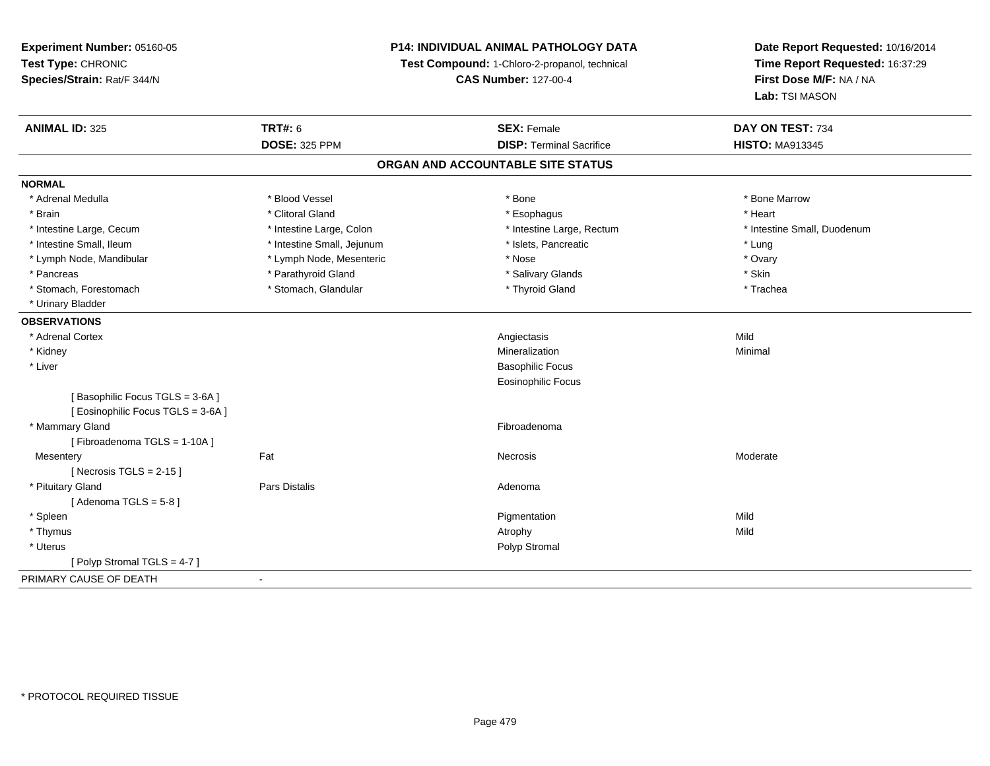**Experiment Number:** 05160-05**Test Type:** CHRONIC **Species/Strain:** Rat/F 344/N**P14: INDIVIDUAL ANIMAL PATHOLOGY DATATest Compound:** 1-Chloro-2-propanol, technical **CAS Number:** 127-00-4**Date Report Requested:** 10/16/2014**Time Report Requested:** 16:37:29**First Dose M/F:** NA / NA**Lab:** TSI MASON**ANIMAL ID:** 325**TRT#:** 6 **SEX:** Female **SEX: Female DAY ON TEST:** 734 **DOSE:** 325 PPM**DISP:** Terminal Sacrifice **HISTO:** MA913345 **ORGAN AND ACCOUNTABLE SITE STATUSNORMAL**\* Adrenal Medulla \* \* \* Blood Vessel \* \* \* Bone Marrow \* \* Bone Marrow \* \* Bone Marrow \* Brain \* Alternative of the state of the state of the state of the state of the state of the state of the state of the state of the state of the state of the state of the state of the state of the state of the state of th \* Intestine Large, Cecum \* Intestine Large, Colon \* Intestine Large, Thestine Large, Rectum \* Intestine Small, Duodenum \* Intestine Small, Ileum \* https://www.fatheratic \* Lung \* Intestine Small, Jejunum \* Islets, Pancreatic \* Lung \* Lung \* Ovary \* Lymph Node, Mandibular \* Mose \* Lymph Node, Mesenteric \* Nose \* Nose \* Nose \* Skin \* Pancreas \* Pancreas \* Parathyroid Gland \* The state of the set of the set of the set of the set of the set of the set of the set of the set of the set of the set of the set of the set of the set of the set of the set of \* Trachea \* Stomach, Forestomach \* The stormach \* Stomach, Glandular \* The \* Thyroid Gland \* Thyroid Gland \* \* Urinary Bladder**OBSERVATIONS** \* Adrenal Cortexx and the control of the control of the control of the control of the control of the control of the control of the control of the control of the control of the control of the control of the control of the control of the co Minimal \* Kidneyy with the control of the control of the control of the control of the control of the control of the control of the control of the control of the control of the control of the control of the control of the control of the c n Minimal \* Liver Basophilic Focus Eosinophilic Focus[ Basophilic Focus TGLS = 3-6A ][ Eosinophilic Focus TGLS = 3-6A ] \* Mammary Glandd **Executive Contract of the Contract Contract Contract Contract Contract Contract Contract Contract Contract Contract Contract Contract Contract Contract Contract Contract Contract Contract Contract Contract Contract Cont** [ Fibroadenoma TGLS = 1-10A ]**Mesentery** y the control of the control of the control of the control of the control of the control of the control of the control of the control of the control of the control of the control of the control of the control of the contro  $[$  Necrosis TGLS = 2-15  $]$  \* Pituitary Glandd and the contract of Pars Distalis and the contract of Adenoma and Adenoma and the Adenoma and the Adenoma and  $\lambda$ [ Adenoma  $TGLS = 5-8$  ] \* Spleenn and the control of the control of the control of the control of the control of the control of the control of the control of the control of the control of the control of the control of the control of the control of the co \* Thymuss and the control of the control of the control of the control of the control of the control of the control of the control of the control of the control of the control of the control of the control of the control of the co \* Uteruss and the contract of the contract of the contract of the contract of the contract of the contract of the contract of the contract of the contract of the contract of the contract of the contract of the contract of the cont [ Polyp Stromal TGLS = 4-7 ]PRIMARY CAUSE OF DEATH-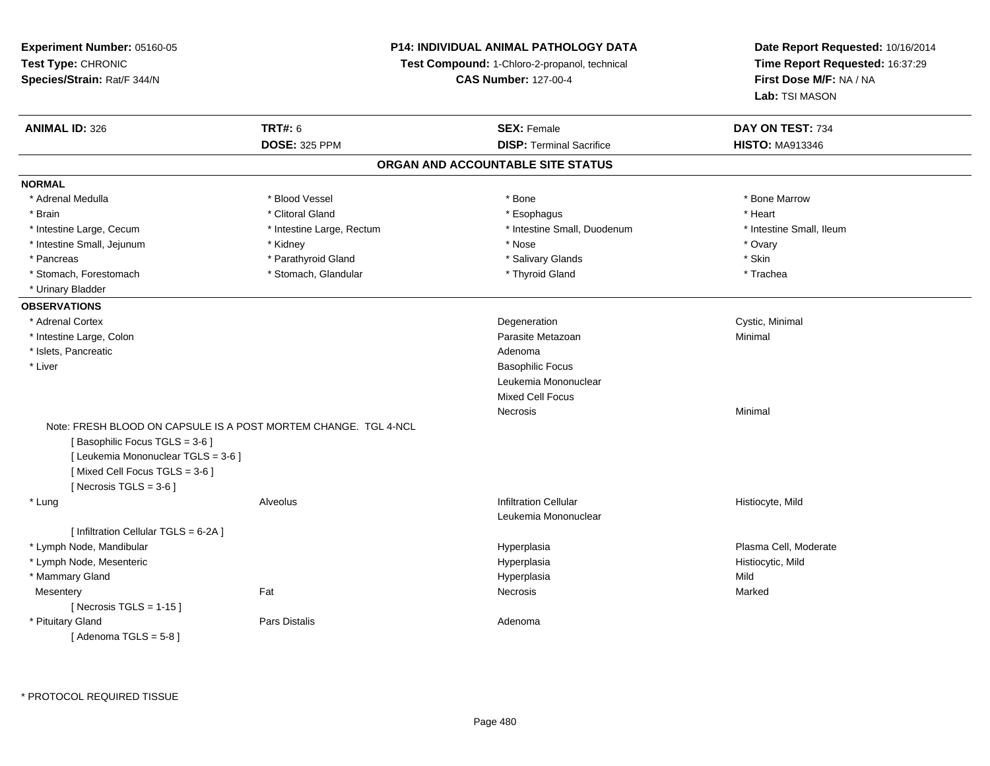**Experiment Number:** 05160-05**Test Type:** CHRONIC **Species/Strain:** Rat/F 344/N**P14: INDIVIDUAL ANIMAL PATHOLOGY DATATest Compound:** 1-Chloro-2-propanol, technical **CAS Number:** 127-00-4**Date Report Requested:** 10/16/2014**Time Report Requested:** 16:37:29**First Dose M/F:** NA / NA**Lab:** TSI MASON**ANIMAL ID:** 326**6 DAY ON TEST:** 734 **DOSE:** 325 PPM**DISP:** Terminal Sacrifice **HISTO:** MA913346 **ORGAN AND ACCOUNTABLE SITE STATUSNORMAL**\* Adrenal Medulla \* \* \* Blood Vessel \* \* \* Bone Marrow \* \* Bone Marrow \* \* Bone Marrow \* Brain \* Alternative of the state of the state of the state of the state of the state of the state of the state of the state of the state of the state of the state of the state of the state of the state of the state of th \* Intestine Large, Cecum \* Intestine Large, Rectum \* Intestine Small, Duodenum \* Intestine Small, Ileum\* Intestine Small, Jejunum \* \* Nose \* Ovary \* Nose \* Ovary \* Ovary \* Nose \* Ovary \* Ovary \* Ovary \* Ovary \* Ovary \* Skin \* Pancreas \* Pancreas \* Parathyroid Gland \* The state of the set of the set of the set of the set of the set of the set of the set of the set of the set of the set of the set of the set of the set of the set of the set of \* Trachea \* Stomach, Forestomach \* Thyroid Gland \* Stomach, Glandular \* Thyroid Gland \* Thyroid Gland \* Urinary Bladder**OBSERVATIONS** \* Adrenal Cortex**x** Degeneration Degeneration **Cystic, Minimal**<br>
Parasite Metazoan **Case and Cystic, Minimal**  \* Intestine Large, Colonn and a state of the control of the control of the control of the Parasite Metazoan and the control of Minimal \* Islets, Pancreaticc and the contract of the contract of the contract of the contract of the contract of the contract of the contract of the contract of the contract of the contract of the contract of the contract of the contract of the cont **Basophilic Focus (1996)** (1996) (1997) (1997) (1997) (1998) (1998) (1998) (1998) (1998) (1998) (1998) (1999) (1999) \* Liver Leukemia MononuclearMixed Cell FocusNecrosiss and the contract of the Minimal Note: FRESH BLOOD ON CAPSULE IS A POST MORTEM CHANGE. TGL 4-NCL[ Basophilic Focus TGLS = 3-6 ][ Leukemia Mononuclear TGLS = 3-6 ][ Mixed Cell Focus TGLS = 3-6 ] $[$  Necrosis TGLS = 3-6  $]$  \* Lung Alveolus Infiltration Cellular Histiocyte, Mild Leukemia Mononuclear[ Infiltration Cellular TGLS = 6-2A ] \* Lymph Node, Mandibular Hyperplasia Plasma Cell, Moderate \* Lymph Node, Mesenteric Hyperplasia Histiocytic, Mild \* Mammary Glandd and the control of the control of the control of the Hyperplasia and the control of the Mild of the Control of the Control of the Control of the Control of the Control of the Control of the Control of the Control of the **Mesentery** y the control of the Marked States of the Marked States of the Marked States of the Marked States of the Marked States of the Marked States of the Marked States of the Marked States of the Marked States of the Marked State  $[$  Necrosis TGLS = 1-15  $]$  \* Pituitary Glandd and the contract of Pars Distalis and the contract of Adenoma and Adenoma and the Adenoma and the Adenoma and  $\lambda$  $[$  Adenoma TGLS =  $5-8$   $]$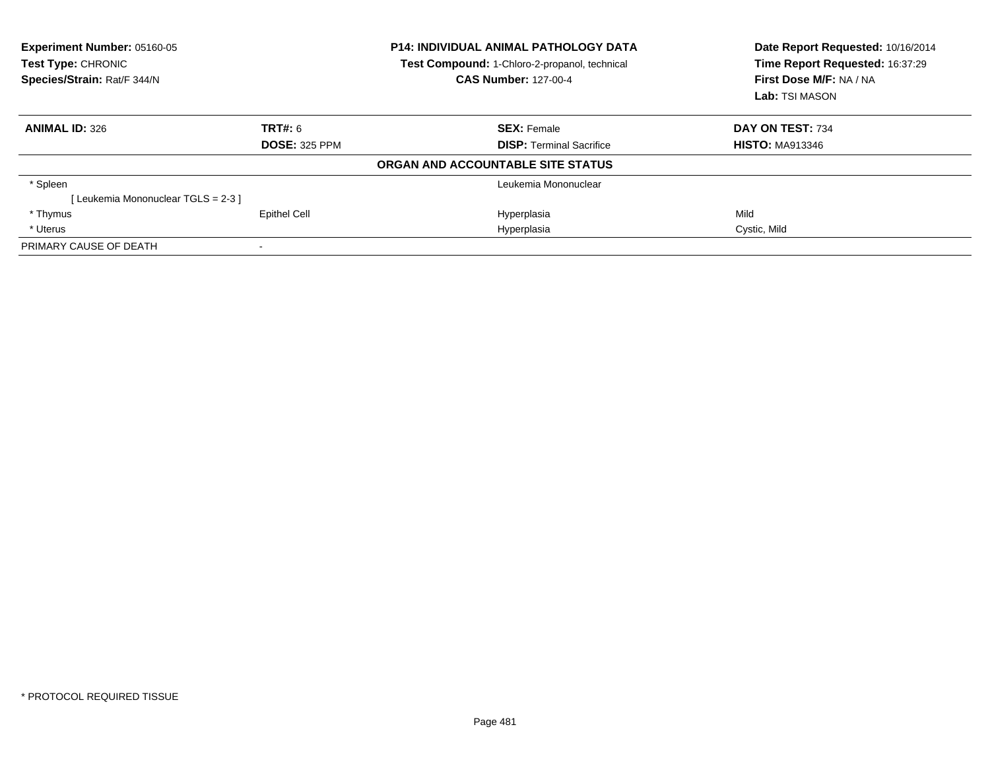| Experiment Number: 05160-05<br>Test Type: CHRONIC<br>Species/Strain: Rat/F 344/N |                      | <b>P14: INDIVIDUAL ANIMAL PATHOLOGY DATA</b><br>Test Compound: 1-Chloro-2-propanol, technical<br><b>CAS Number: 127-00-4</b> | Date Report Requested: 10/16/2014<br>Time Report Requested: 16:37:29<br>First Dose M/F: NA / NA<br>Lab: TSI MASON |
|----------------------------------------------------------------------------------|----------------------|------------------------------------------------------------------------------------------------------------------------------|-------------------------------------------------------------------------------------------------------------------|
| <b>ANIMAL ID: 326</b>                                                            | <b>TRT#: 6</b>       | <b>SEX: Female</b>                                                                                                           | DAY ON TEST: 734                                                                                                  |
|                                                                                  | <b>DOSE: 325 PPM</b> | <b>DISP:</b> Terminal Sacrifice                                                                                              | <b>HISTO: MA913346</b>                                                                                            |
|                                                                                  |                      | ORGAN AND ACCOUNTABLE SITE STATUS                                                                                            |                                                                                                                   |
| * Spleen                                                                         |                      | Leukemia Mononuclear                                                                                                         |                                                                                                                   |
| [Leukemia Mononuclear TGLS = 2-3 ]                                               |                      |                                                                                                                              |                                                                                                                   |
| * Thymus                                                                         | <b>Epithel Cell</b>  | Hyperplasia                                                                                                                  | Mild                                                                                                              |
| * Uterus                                                                         |                      | Hyperplasia                                                                                                                  | Cystic, Mild                                                                                                      |
| PRIMARY CAUSE OF DEATH                                                           |                      |                                                                                                                              |                                                                                                                   |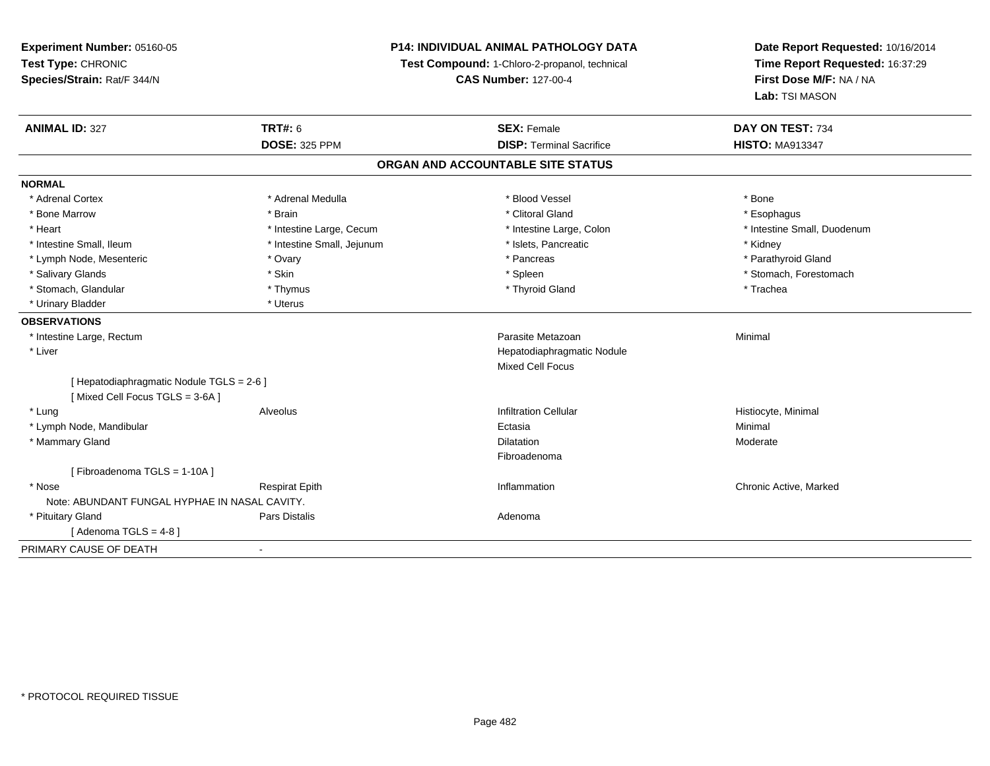**Experiment Number:** 05160-05**Test Type:** CHRONIC **Species/Strain:** Rat/F 344/N**P14: INDIVIDUAL ANIMAL PATHOLOGY DATATest Compound:** 1-Chloro-2-propanol, technical **CAS Number:** 127-00-4**Date Report Requested:** 10/16/2014**Time Report Requested:** 16:37:29**First Dose M/F:** NA / NA**Lab:** TSI MASON**ANIMAL ID:** 327**TRT#:** 6 **SEX:** Female **SEX: Female DAY ON TEST:** 734 **DOSE:** 325 PPM**DISP:** Terminal Sacrifice **HISTO:** MA913347 **ORGAN AND ACCOUNTABLE SITE STATUSNORMAL**\* Adrenal Cortex \* Adrenal Medulla \* Adrenal Medulla \* Blood Vessel \* Bood Vessel \* Bone \* Bone \* Bone \* Bone \* Bone \* Bone \* Bone \* Bone \* Bone \* Bone \* Bone \* Bone \* Bone \* Bone \* Bone \* Bone \* Bone \* Bone \* Bone \* Bone \* Bone \* Bone \* \* \* Esophagus \* Bone Marrow \* \* Android \* Brain \* Brain \* Clitoral Gland \* Clitoral Gland \* Esophagus \* Esophagus \* Esophagus \* Intestine Small, Duodenum \* Heart \* Intestine Large, Cecum \* Intestine Large, Cecum \* Intestine Large, Colon \* Intestine Small, Ileum \* **Alleman \* Intestine Small, Jejunum** \* The \* Islets, Pancreatic \* \* Kidney \* Kidney \* Parathyroid Gland \* Lymph Node, Mesenteric \* The matter \* Ovary \* Ovary \* Pancreas \* Pancreas \* Pancreas \* Pancreas \* Pancreas \* Pancreas \* Pancreas \* Pancreas \* Pancreas \* Pancreas \* Pancreas \* Pancreas \* Pancreas \* Pancreas \* Pancreas \* P \* Salivary Glands \* The stomach \* Skin \* Spleen \* Spleen \* Stomach, Forestomach \* Stomach, Forestomach \* Stomach, Forestomach \* Stomach, Glandular \* Thymus \* Thymus \* Thymus \* Thyroid Gland \* Thyroid Gland \* Trachea \* Urinary Bladder \* Uterus **OBSERVATIONS** \* Intestine Large, Rectumm and the contract of the contract of the contract of the contract of the contract of the contract of the contract of the contract of the contract of the contract of the contract of the contract of the contract of the cont \* Liver Hepatodiaphragmatic NoduleMixed Cell Focus[ Hepatodiaphragmatic Nodule TGLS = 2-6 ][ Mixed Cell Focus TGLS = 3-6A ] \* Lung Alveolus Infiltration Cellular Histiocyte, Minimal \* Lymph Node, Mandibularr and the contract of the contract of the contract of the contract of the contract of the contract of the contract of the contract of the contract of the contract of the contract of the contract of the contract of the cont a and a study of the study of the Minimal \* Mammary Glandd and the control of the control of the control of the Dilatation and the control of the Moderate of the control of the control of the control of the control of the control of the control of the control of the control of t Fibroadenoma[ Fibroadenoma TGLS = 1-10A ] \* Nosee who discussed the Respirat Epith Inflammation Chronic Active, Marked and Respirat Epith Inflammation Chronic Active, Marked Note: ABUNDANT FUNGAL HYPHAE IN NASAL CAVITY. \* Pituitary Glandd and the contract of Pars Distalis and the contract of Adenoma and Adenoma and the Adenoma and the Adenoma and  $\lambda$  $[$  Adenoma TGLS = 4-8  $]$ PRIMARY CAUSE OF DEATH-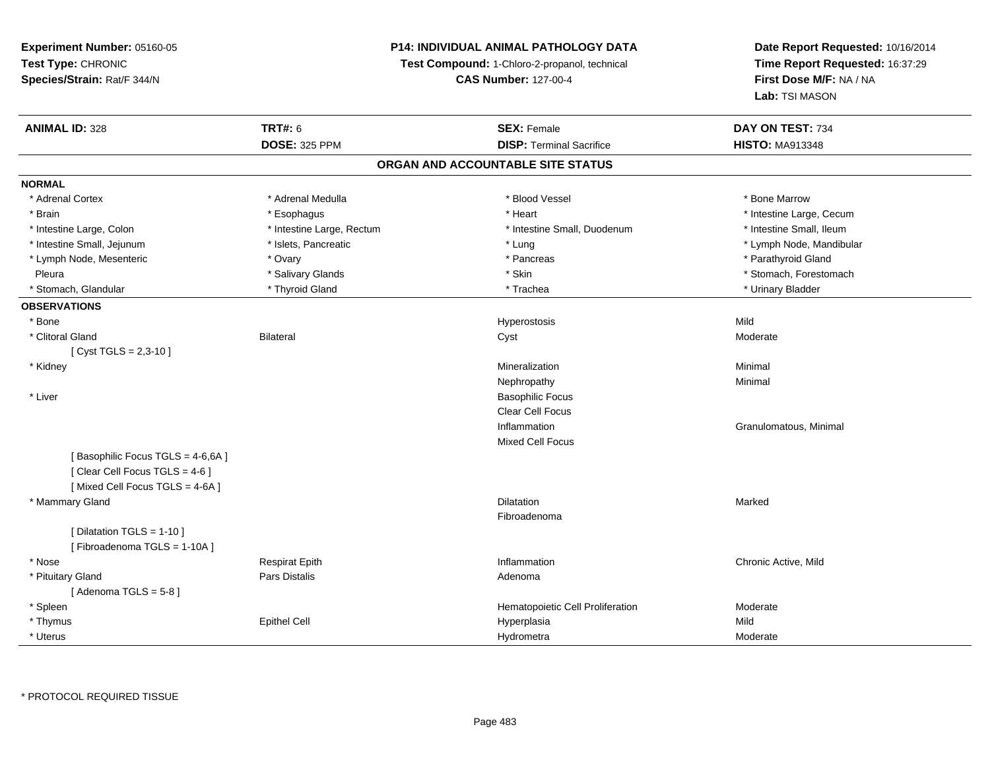# **P14: INDIVIDUAL ANIMAL PATHOLOGY DATA**

**Test Compound:** 1-Chloro-2-propanol, technical

**CAS Number:** 127-00-4

| <b>ANIMAL ID: 328</b>            | <b>TRT#: 6</b>            | <b>SEX: Female</b>                | DAY ON TEST: 734         |
|----------------------------------|---------------------------|-----------------------------------|--------------------------|
|                                  | <b>DOSE: 325 PPM</b>      | <b>DISP: Terminal Sacrifice</b>   | <b>HISTO: MA913348</b>   |
|                                  |                           | ORGAN AND ACCOUNTABLE SITE STATUS |                          |
| <b>NORMAL</b>                    |                           |                                   |                          |
| * Adrenal Cortex                 | * Adrenal Medulla         | * Blood Vessel                    | * Bone Marrow            |
| * Brain                          | * Esophagus               | * Heart                           | * Intestine Large, Cecum |
| * Intestine Large, Colon         | * Intestine Large, Rectum | * Intestine Small, Duodenum       | * Intestine Small, Ileum |
| * Intestine Small, Jejunum       | * Islets, Pancreatic      | * Lung                            | * Lymph Node, Mandibular |
| * Lymph Node, Mesenteric         | * Ovary                   | * Pancreas                        | * Parathyroid Gland      |
| Pleura                           | * Salivary Glands         | * Skin                            | * Stomach, Forestomach   |
| * Stomach, Glandular             | * Thyroid Gland           | * Trachea                         | * Urinary Bladder        |
| <b>OBSERVATIONS</b>              |                           |                                   |                          |
| * Bone                           |                           | Hyperostosis                      | Mild                     |
| * Clitoral Gland                 | <b>Bilateral</b>          | Cyst                              | Moderate                 |
| [ Cyst TGLS = $2,3-10$ ]         |                           |                                   |                          |
| * Kidney                         |                           | Mineralization                    | Minimal                  |
|                                  |                           | Nephropathy                       | Minimal                  |
| * Liver                          |                           | <b>Basophilic Focus</b>           |                          |
|                                  |                           | Clear Cell Focus                  |                          |
|                                  |                           | Inflammation                      | Granulomatous, Minimal   |
|                                  |                           | <b>Mixed Cell Focus</b>           |                          |
| [Basophilic Focus TGLS = 4-6,6A] |                           |                                   |                          |
| [Clear Cell Focus TGLS = 4-6]    |                           |                                   |                          |
| [Mixed Cell Focus TGLS = 4-6A ]  |                           |                                   |                          |
| * Mammary Gland                  |                           | Dilatation                        | Marked                   |
|                                  |                           | Fibroadenoma                      |                          |
| [ Dilatation TGLS = 1-10 ]       |                           |                                   |                          |
| [Fibroadenoma TGLS = 1-10A]      |                           |                                   |                          |
| * Nose                           | <b>Respirat Epith</b>     | Inflammation                      | Chronic Active, Mild     |
| * Pituitary Gland                | Pars Distalis             | Adenoma                           |                          |
| [Adenoma TGLS = $5-8$ ]          |                           |                                   |                          |
| * Spleen                         |                           | Hematopoietic Cell Proliferation  | Moderate                 |
| * Thymus                         | <b>Epithel Cell</b>       | Hyperplasia                       | Mild                     |
| * Uterus                         |                           | Hydrometra                        | Moderate                 |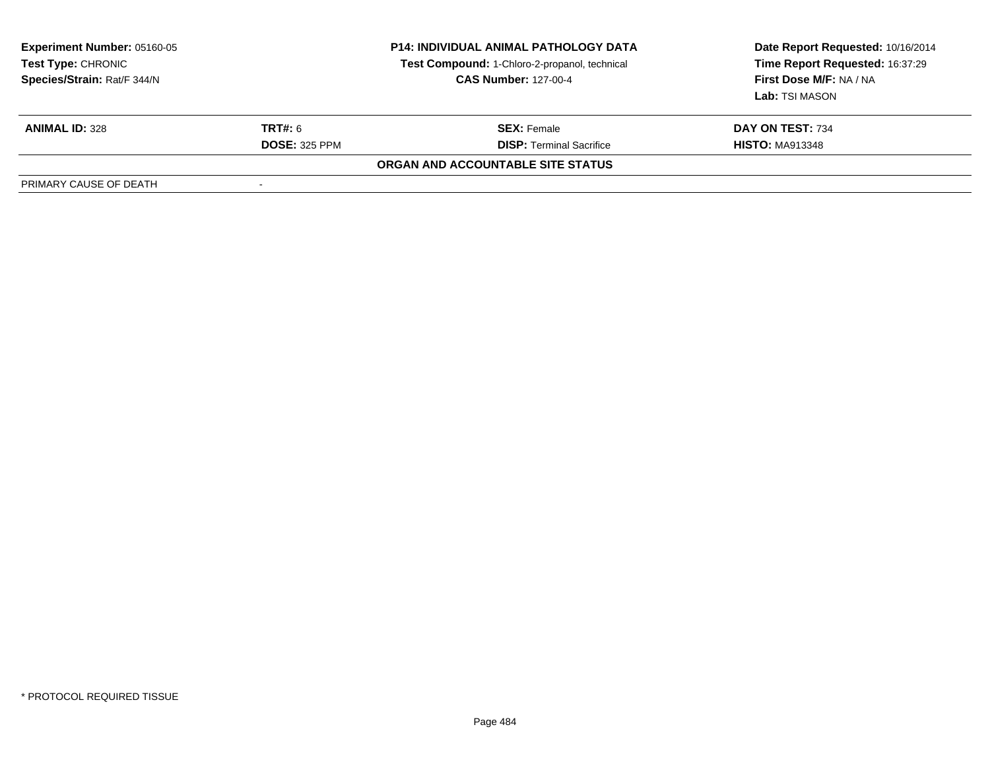| <b>Experiment Number: 05160-05</b><br>Test Type: CHRONIC<br>Species/Strain: Rat/F 344/N | <b>P14: INDIVIDUAL ANIMAL PATHOLOGY DATA</b><br>Test Compound: 1-Chloro-2-propanol, technical<br><b>CAS Number: 127-00-4</b> |                                   | Date Report Requested: 10/16/2014<br>Time Report Requested: 16:37:29<br>First Dose M/F: NA / NA<br>Lab: TSI MASON |
|-----------------------------------------------------------------------------------------|------------------------------------------------------------------------------------------------------------------------------|-----------------------------------|-------------------------------------------------------------------------------------------------------------------|
| <b>ANIMAL ID: 328</b>                                                                   | <b>TRT#: 6</b>                                                                                                               | <b>SEX: Female</b>                | DAY ON TEST: 734                                                                                                  |
|                                                                                         | <b>DOSE: 325 PPM</b>                                                                                                         | <b>DISP:</b> Terminal Sacrifice   | <b>HISTO: MA913348</b>                                                                                            |
|                                                                                         |                                                                                                                              | ORGAN AND ACCOUNTABLE SITE STATUS |                                                                                                                   |
| PRIMARY CAUSE OF DEATH                                                                  |                                                                                                                              |                                   |                                                                                                                   |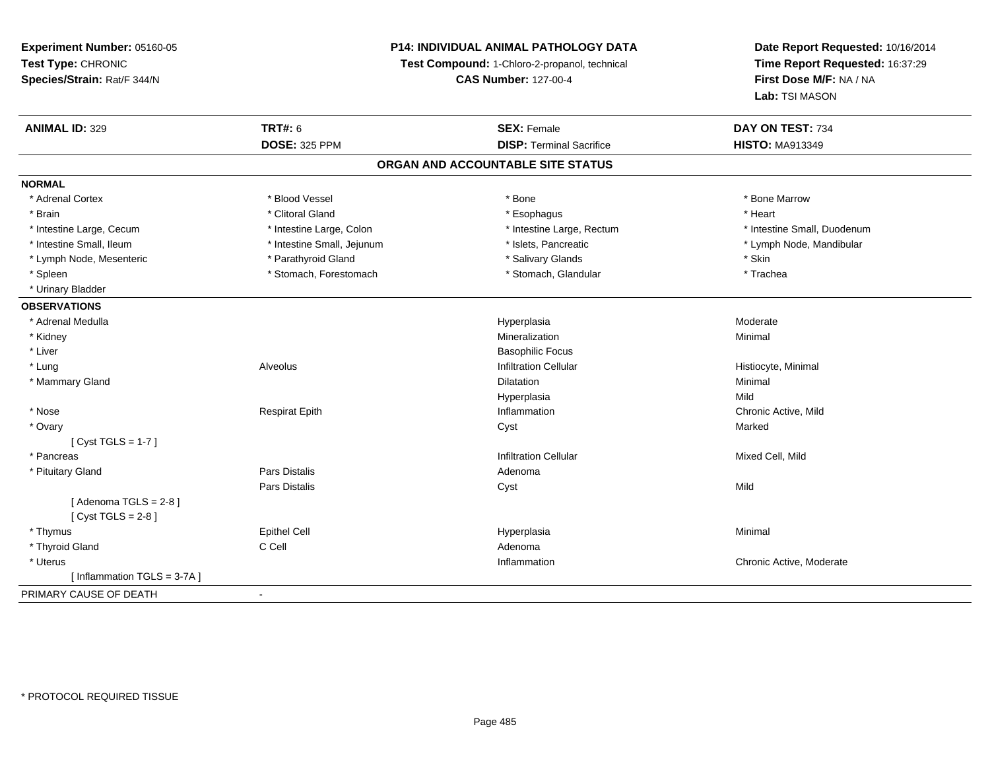**Experiment Number:** 05160-05**Test Type:** CHRONIC **Species/Strain:** Rat/F 344/N**P14: INDIVIDUAL ANIMAL PATHOLOGY DATATest Compound:** 1-Chloro-2-propanol, technical **CAS Number:** 127-00-4**Date Report Requested:** 10/16/2014**Time Report Requested:** 16:37:29**First Dose M/F:** NA / NA**Lab:** TSI MASON**ANIMAL ID:** 329**TRT#:** 6 **SEX:** Female **SEX: Female DAY ON TEST:** 734 **DOSE:** 325 PPM**DISP:** Terminal Sacrifice **HISTO:** MA913349 **ORGAN AND ACCOUNTABLE SITE STATUSNORMAL**\* Adrenal Cortex \* Adrenal Cortex \* \* Attachers \* Blood Vessel \* \* Bone \* \* \* Bone \* \* Bone \* \* Bone \* Bone Marrow \* Bone Marrow \* Brain \* Alternative of the state of the state of the state of the state of the state of the state of the state of the state of the state of the state of the state of the state of the state of the state of the state of th \* Intestine Large, Cecum \* Intestine Large, Colon \* Intestine Large, Rectum \* Intestine Small, Duodenum\* Lymph Node, Mandibular \* Intestine Small, Ileum \* 100 mm \* Intestine Small, Jejunum \* Intestine Small, Mandibular \* Islets, Pancreatic \* Lymph Node, Mesenteric \* The state of the Parathyroid Gland \* The state of the state of the state of the state \* Skin \* Trachea \* Spleen \* Stomach, Forestomach \* Stomach, Spleen \* Stomach, Glandular \* Trachean \* Stomach, Glandular \* Urinary Bladder**OBSERVATIONS** \* Adrenal Medullaa and the contract of the contract of the contract of the Hyperplasia and the Moderate Moderate of the Moderate  $\sim$  \* Kidneyy with the control of the control of the control of the control of the control of the control of the control of the control of the control of the control of the control of the control of the control of the control of the c n Minimal \* Liver Basophilic Focus**Infiltration Cellular**  \* Lung Alveolus Infiltration Cellular Histiocyte, Minimal \* Mammary Glandd and the control of the control of the control of the control of the control of the control of the control of the control of the control of the control of the control of the control of the control of the control of the co Hyperplasiaa Mild \* Nose Respirat Epith Inflammation Chronic Active, Mild \* Ovaryy and the control of the control of the control of the control of the control of the control of the control of the control of the control of the control of the control of the control of the control of the control of the co [ Cyst TGLS = 1-7 ] \* Pancreass and the contract of the contract of the contract of the contract of the contract of the contract of the contract of the contract of the contract of the contract of the contract of the contract of the contract of the cont \* Pituitary Glandd and the contract of Pars Distalis and the contract of Adenoma and Adenoma and the Adenoma and the Adenoma and  $\lambda$ Pars Distaliss Cyst Cyst Constants and Cyst Mild  $[$  Adenoma TGLS = 2-8  $]$  $[$  Cyst TGLS = 2-8  $]$  \* Thymuss Epithel Cell Hyperplasia a and a studies of the studies of the Minimal \* Thyroid Glandd C Cell C Cell C Cell Adenoma \* Uteruss the control of the control of the control of the control of the control of the control of the control of the control of the control of the control of the control of the control of the control of the control of the contro Inflammation **Chronic Active, Moderate** [ Inflammation TGLS = 3-7A ]PRIMARY CAUSE OF DEATH-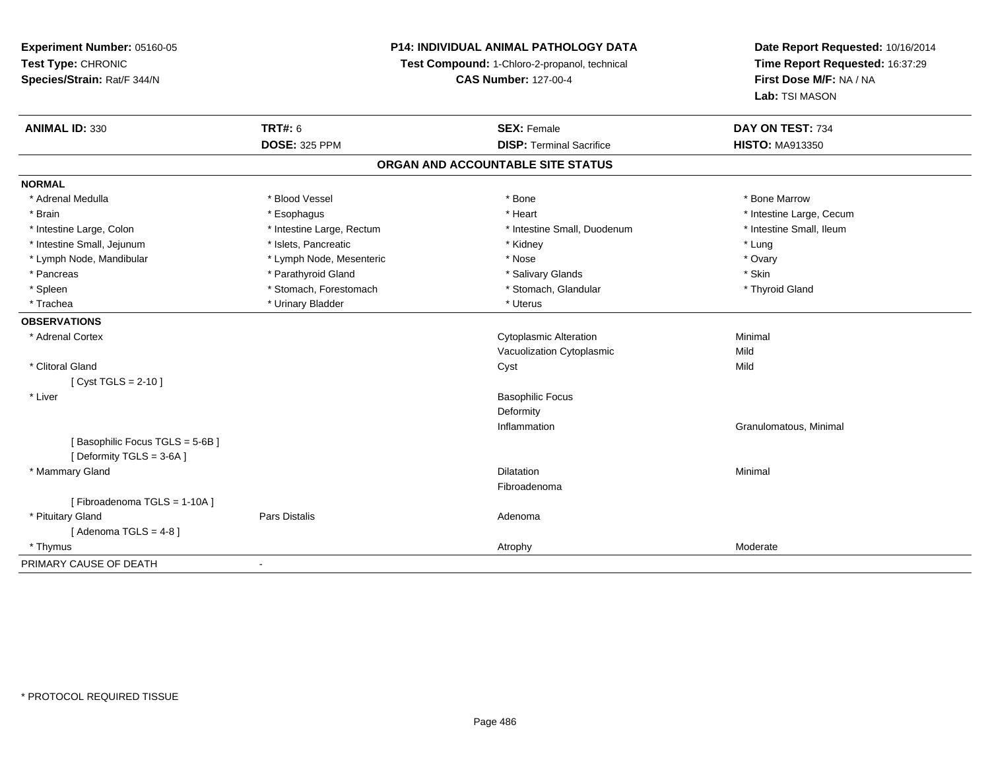**Experiment Number:** 05160-05**Test Type:** CHRONIC **Species/Strain:** Rat/F 344/N**P14: INDIVIDUAL ANIMAL PATHOLOGY DATATest Compound:** 1-Chloro-2-propanol, technical **CAS Number:** 127-00-4**Date Report Requested:** 10/16/2014**Time Report Requested:** 16:37:29**First Dose M/F:** NA / NA**Lab:** TSI MASON**ANIMAL ID:** 330**C TRT#:** 6 **SEX:** Female **SEX: Female DAY ON TEST:** 734 **DOSE:** 325 PPM**DISP:** Terminal Sacrifice **HISTO:** MA913350 **ORGAN AND ACCOUNTABLE SITE STATUSNORMAL**\* Adrenal Medulla \* \* \* Blood Vessel \* \* \* Bone Marrow \* \* Bone Marrow \* \* Bone Marrow \* Brain \* Alternative \* Esophagus \* \* Esophagus \* \* Heart \* Heart \* Intestine Large, Cecum \* Intestine Large, Cecum \* Intestine Large, Cecum \* Large \* Intestine Large \* Large \* Large \* Large \* Large \* Large \* Large \* Large \* Intestine Small, Ileum \* Intestine Large, Colon \* Intestine Large, Rectum \* Intestine Small, Duodenum \* Intestine Small, Duodenum \* Intestine Small, Jejunum \* \* https://www.fat.com/marticle/marticle/marticle/marticle/marticle/marticle/marticle/marticle/marticle/marticle/marticle/marticle/marticle/marticle/marticle/marticle/marticle/marticle/marticle/ \* Ovary \* Lymph Node, Mandibular \* Lymph Node, Mesenteric \* Nose \* Nose \* Skin \* Pancreas \* Pancreas \* Parathyroid Gland \* The state of the set of the set of the set of the set of the set of the set of the set of the set of the set of the set of the set of the set of the set of the set of the set of \* Thyroid Gland \* Spleen \* Stomach, Forestomach \* Stomach \* Stomach \* Stomach, Glandular \* Glandular \* Trachea \* Urinary Bladder \* Urinary Bladder \* Urinary Bladder \* Urinary Bladder \* Urinary Bladder **OBSERVATIONS** \* Adrenal Cortex Cytoplasmic AlterationMinimal<br>Mild Vacuolization Cytoplasmicc Mild Mild \* Clitoral Glandd and the control of the control of the control of the control of the control of the control of the control of the control of the control of the control of the control of the control of the control of the control of the co [ Cyst TGLS = 2-10 ] \* Liver Basophilic FocusDeformity Inflammation Granulomatous, Minimal [ Basophilic Focus TGLS = 5-6B ][ Deformity TGLS = 3-6A ] \* Mammary Glandd and the control of the control of the control of the control of the control of the control of the control of the control of the control of the control of the control of the control of the control of the control of the co Fibroadenoma[ Fibroadenoma TGLS = 1-10A ] \* Pituitary Glandd and the contract of Pars Distalis and the contract of Adenoma and Adenoma and the Adenoma and the Adenoma and  $\lambda$  $[$  Adenoma TGLS = 4-8  $]$  \* Thymuss and the contract of the contract of the contract of the contract of the contract of the contract of the contract of the contract of the contract of the contract of the contract of the contract of the contract of the cont PRIMARY CAUSE OF DEATH-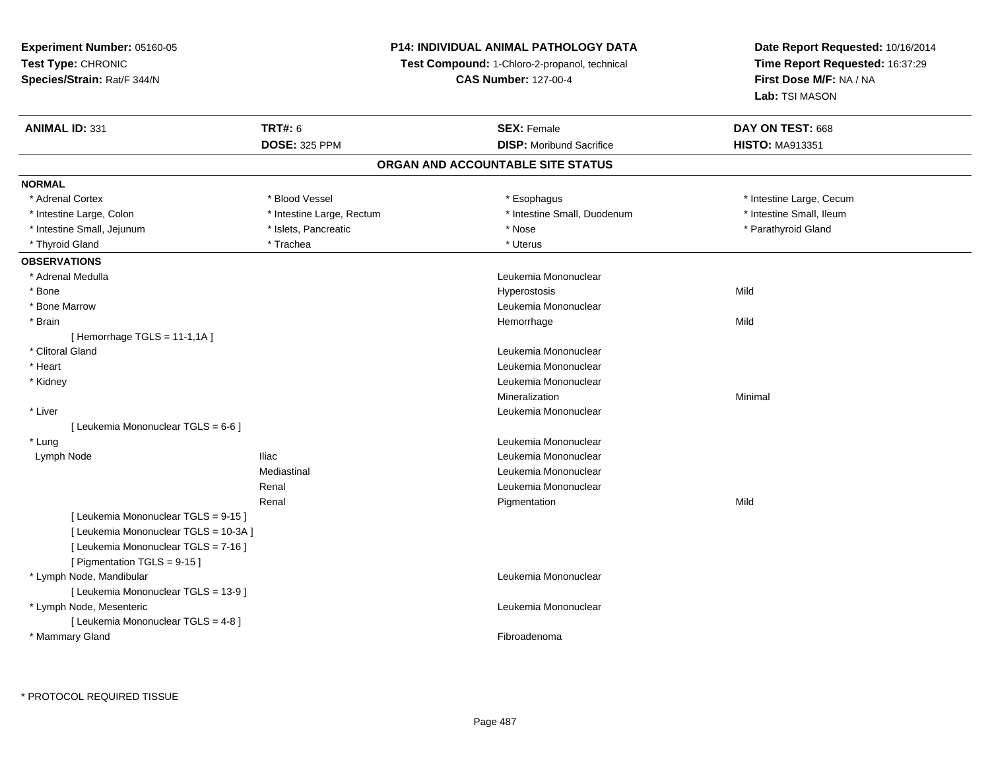# **P14: INDIVIDUAL ANIMAL PATHOLOGY DATA**

**Test Compound:** 1-Chloro-2-propanol, technical

**CAS Number:** 127-00-4

| <b>ANIMAL ID: 331</b>                 | <b>TRT#: 6</b>            | <b>SEX: Female</b>                | DAY ON TEST: 668         |
|---------------------------------------|---------------------------|-----------------------------------|--------------------------|
|                                       | <b>DOSE: 325 PPM</b>      | <b>DISP:</b> Moribund Sacrifice   | <b>HISTO: MA913351</b>   |
|                                       |                           | ORGAN AND ACCOUNTABLE SITE STATUS |                          |
| <b>NORMAL</b>                         |                           |                                   |                          |
| * Adrenal Cortex                      | * Blood Vessel            | * Esophagus                       | * Intestine Large, Cecum |
| * Intestine Large, Colon              | * Intestine Large, Rectum | * Intestine Small, Duodenum       | * Intestine Small, Ileum |
| * Intestine Small, Jejunum            | * Islets, Pancreatic      | * Nose                            | * Parathyroid Gland      |
| * Thyroid Gland                       | * Trachea                 | * Uterus                          |                          |
| <b>OBSERVATIONS</b>                   |                           |                                   |                          |
| * Adrenal Medulla                     |                           | Leukemia Mononuclear              |                          |
| * Bone                                |                           | Hyperostosis                      | Mild                     |
| * Bone Marrow                         |                           | Leukemia Mononuclear              |                          |
| * Brain                               |                           | Hemorrhage                        | Mild                     |
| [Hemorrhage TGLS = $11-1,1A$ ]        |                           |                                   |                          |
| * Clitoral Gland                      |                           | Leukemia Mononuclear              |                          |
| * Heart                               |                           | Leukemia Mononuclear              |                          |
| * Kidney                              |                           | Leukemia Mononuclear              |                          |
|                                       |                           | Mineralization                    | Minimal                  |
| * Liver                               |                           | Leukemia Mononuclear              |                          |
| [ Leukemia Mononuclear TGLS = 6-6 ]   |                           |                                   |                          |
| * Lung                                |                           | Leukemia Mononuclear              |                          |
| Lymph Node                            | <b>Iliac</b>              | Leukemia Mononuclear              |                          |
|                                       | Mediastinal               | Leukemia Mononuclear              |                          |
|                                       | Renal                     | Leukemia Mononuclear              |                          |
|                                       | Renal                     | Pigmentation                      | Mild                     |
| [ Leukemia Mononuclear TGLS = 9-15 ]  |                           |                                   |                          |
| [ Leukemia Mononuclear TGLS = 10-3A ] |                           |                                   |                          |
| [ Leukemia Mononuclear TGLS = 7-16 ]  |                           |                                   |                          |
| [ Pigmentation TGLS = 9-15 ]          |                           |                                   |                          |
| * Lymph Node, Mandibular              |                           | Leukemia Mononuclear              |                          |
| [ Leukemia Mononuclear TGLS = 13-9 ]  |                           |                                   |                          |
| * Lymph Node, Mesenteric              |                           | Leukemia Mononuclear              |                          |
| [ Leukemia Mononuclear TGLS = 4-8 ]   |                           |                                   |                          |
| * Mammary Gland                       |                           | Fibroadenoma                      |                          |
|                                       |                           |                                   |                          |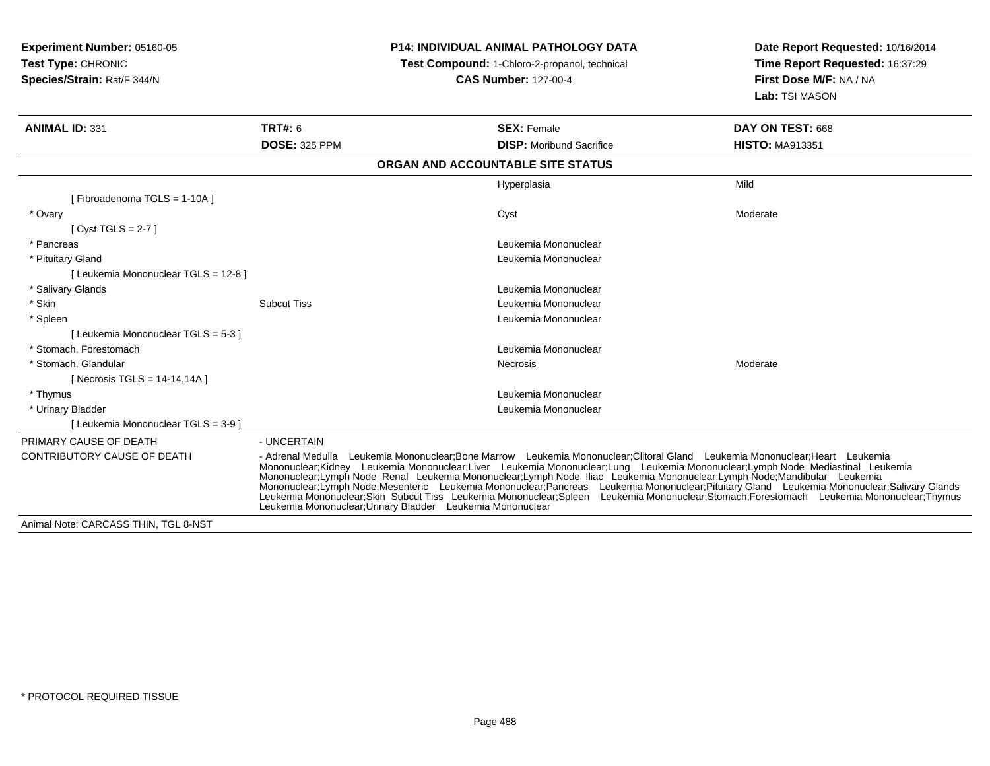| Experiment Number: 05160-05<br>Test Type: CHRONIC<br>Species/Strain: Rat/F 344/N | <b>P14: INDIVIDUAL ANIMAL PATHOLOGY DATA</b><br>Test Compound: 1-Chloro-2-propanol, technical<br><b>CAS Number: 127-00-4</b>                                                                                                                                                                                                                                                                                                                                                                                                                                                                                                                                                                                         |                                   | Date Report Requested: 10/16/2014<br>Time Report Requested: 16:37:29<br>First Dose M/F: NA / NA<br>Lab: TSI MASON |
|----------------------------------------------------------------------------------|----------------------------------------------------------------------------------------------------------------------------------------------------------------------------------------------------------------------------------------------------------------------------------------------------------------------------------------------------------------------------------------------------------------------------------------------------------------------------------------------------------------------------------------------------------------------------------------------------------------------------------------------------------------------------------------------------------------------|-----------------------------------|-------------------------------------------------------------------------------------------------------------------|
| <b>ANIMAL ID: 331</b>                                                            | <b>TRT#: 6</b>                                                                                                                                                                                                                                                                                                                                                                                                                                                                                                                                                                                                                                                                                                       | <b>SEX: Female</b>                | DAY ON TEST: 668                                                                                                  |
|                                                                                  | <b>DOSE: 325 PPM</b>                                                                                                                                                                                                                                                                                                                                                                                                                                                                                                                                                                                                                                                                                                 | <b>DISP:</b> Moribund Sacrifice   | <b>HISTO: MA913351</b>                                                                                            |
|                                                                                  |                                                                                                                                                                                                                                                                                                                                                                                                                                                                                                                                                                                                                                                                                                                      | ORGAN AND ACCOUNTABLE SITE STATUS |                                                                                                                   |
|                                                                                  |                                                                                                                                                                                                                                                                                                                                                                                                                                                                                                                                                                                                                                                                                                                      | Hyperplasia                       | Mild                                                                                                              |
| [Fibroadenoma TGLS = 1-10A]                                                      |                                                                                                                                                                                                                                                                                                                                                                                                                                                                                                                                                                                                                                                                                                                      |                                   |                                                                                                                   |
| * Ovary                                                                          |                                                                                                                                                                                                                                                                                                                                                                                                                                                                                                                                                                                                                                                                                                                      | Cyst                              | Moderate                                                                                                          |
| [Cyst TGLS = $2-7$ ]                                                             |                                                                                                                                                                                                                                                                                                                                                                                                                                                                                                                                                                                                                                                                                                                      |                                   |                                                                                                                   |
| * Pancreas                                                                       |                                                                                                                                                                                                                                                                                                                                                                                                                                                                                                                                                                                                                                                                                                                      | Leukemia Mononuclear              |                                                                                                                   |
| * Pituitary Gland                                                                |                                                                                                                                                                                                                                                                                                                                                                                                                                                                                                                                                                                                                                                                                                                      | Leukemia Mononuclear              |                                                                                                                   |
| [ Leukemia Mononuclear TGLS = 12-8 ]                                             |                                                                                                                                                                                                                                                                                                                                                                                                                                                                                                                                                                                                                                                                                                                      |                                   |                                                                                                                   |
| * Salivary Glands                                                                |                                                                                                                                                                                                                                                                                                                                                                                                                                                                                                                                                                                                                                                                                                                      | Leukemia Mononuclear              |                                                                                                                   |
| * Skin                                                                           | <b>Subcut Tiss</b>                                                                                                                                                                                                                                                                                                                                                                                                                                                                                                                                                                                                                                                                                                   | Leukemia Mononuclear              |                                                                                                                   |
| * Spleen                                                                         |                                                                                                                                                                                                                                                                                                                                                                                                                                                                                                                                                                                                                                                                                                                      | Leukemia Mononuclear              |                                                                                                                   |
| [ Leukemia Mononuclear TGLS = 5-3 ]                                              |                                                                                                                                                                                                                                                                                                                                                                                                                                                                                                                                                                                                                                                                                                                      |                                   |                                                                                                                   |
| * Stomach. Forestomach                                                           |                                                                                                                                                                                                                                                                                                                                                                                                                                                                                                                                                                                                                                                                                                                      | Leukemia Mononuclear              |                                                                                                                   |
| * Stomach, Glandular                                                             |                                                                                                                                                                                                                                                                                                                                                                                                                                                                                                                                                                                                                                                                                                                      | Necrosis                          | Moderate                                                                                                          |
| [ Necrosis TGLS = $14-14,14A$ ]                                                  |                                                                                                                                                                                                                                                                                                                                                                                                                                                                                                                                                                                                                                                                                                                      |                                   |                                                                                                                   |
| * Thymus                                                                         |                                                                                                                                                                                                                                                                                                                                                                                                                                                                                                                                                                                                                                                                                                                      | Leukemia Mononuclear              |                                                                                                                   |
| * Urinary Bladder                                                                |                                                                                                                                                                                                                                                                                                                                                                                                                                                                                                                                                                                                                                                                                                                      | Leukemia Mononuclear              |                                                                                                                   |
| [ Leukemia Mononuclear TGLS = 3-9 ]                                              |                                                                                                                                                                                                                                                                                                                                                                                                                                                                                                                                                                                                                                                                                                                      |                                   |                                                                                                                   |
| PRIMARY CAUSE OF DEATH                                                           | - UNCERTAIN                                                                                                                                                                                                                                                                                                                                                                                                                                                                                                                                                                                                                                                                                                          |                                   |                                                                                                                   |
| CONTRIBUTORY CAUSE OF DEATH                                                      | - Adrenal Medulla Leukemia Mononuclear:Bone Marrow Leukemia Mononuclear:Clitoral Gland Leukemia Mononuclear:Heart Leukemia<br>Mononuclear;Kidney Leukemia Mononuclear;Liver Leukemia Mononuclear;Lung Leukemia Mononuclear;Lymph Node Mediastinal Leukemia<br>Mononuclear;Lymph Node Renal Leukemia Mononuclear;Lymph Node Iliac Leukemia Mononuclear;Lymph Nod<br>Mononuclear;Lymph Node;Mesenteric Leukemia Mononuclear;Pancreas Leukemia Mononuclear;Pituitary Gland Leukemia Mononuclear;Salivary Glands<br>Leukemia Mononuclear;Skin Subcut Tiss Leukemia Mononuclear;Spleen Leukemia Mononuclear;Stomach;Forestomach Leukemia Mononuclear;Thymus<br>Leukemia Mononuclear: Urinary Bladder Leukemia Mononuclear |                                   |                                                                                                                   |
| Animal Note: CARCASS THIN, TGL 8-NST                                             |                                                                                                                                                                                                                                                                                                                                                                                                                                                                                                                                                                                                                                                                                                                      |                                   |                                                                                                                   |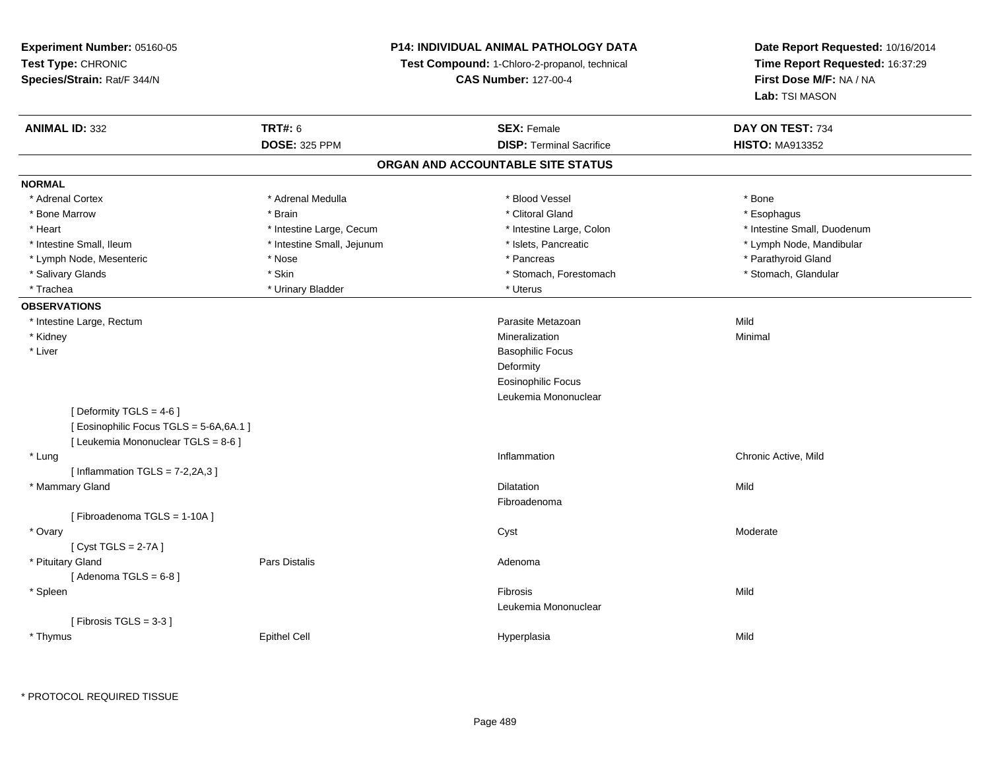**Experiment Number:** 05160-05**Test Type:** CHRONIC **Species/Strain:** Rat/F 344/N**P14: INDIVIDUAL ANIMAL PATHOLOGY DATATest Compound:** 1-Chloro-2-propanol, technical **CAS Number:** 127-00-4**Date Report Requested:** 10/16/2014**Time Report Requested:** 16:37:29**First Dose M/F:** NA / NA**Lab:** TSI MASON**ANIMAL ID:** 332**TRT#:** 6 **SEX:** Female **SEX: Female DAY ON TEST:** 734 **DOSE:** 325 PPM**DISP:** Terminal Sacrifice **HISTO:** MA913352 **ORGAN AND ACCOUNTABLE SITE STATUSNORMAL**\* Adrenal Cortex \* Adrenal Medulla \* Adrenal Medulla \* Blood Vessel \* Bood Vessel \* Bone \* Bone \* Bone \* Bone \* Bone \* Bone \* Bone \* Bone \* Bone \* Bone \* Bone \* Bone \* Bone \* Bone \* Bone \* Bone \* Bone \* Bone \* Bone \* Bone \* Bone \* Bone \* \* \* Esophagus \* Bone Marrow \* \* Android \* Brain \* Brain \* Clitoral Gland \* Clitoral Gland \* Esophagus \* Esophagus \* Esophagus \* Intestine Small. Duodenum \* Heart \* Intestine Large, Cecum \* Intestine Large, Cecum \* Intestine Large, Colon \* Intestine Small, Ileum \* \* Thestine Small, Jejunum \* \* Sets, Pancreatic \* \* Thestine Small, Nejunum \* Lymph Node, Mandibular \* Lymph Node, Mesenteric \* The state of the state of the state of the state of the state of the state of the state of the state of the state of the state of the state of the state of the state of the state of the state of \* Stomach, Glandular \* Salivary Glands \* Stomach, Forestomach \* Skin \* Skin \* Stomach, Forestomach \* Stomach, Forestomach \* Trachea \* Urinary Bladder \* Urinary Bladder \* Urinary Bladder \* Uterus **OBSERVATIONS** \* Intestine Large, Rectumm and the contract of the contract of the contract of the contract of the contract of the contract of the contract of the contract of the contract of the contract of the contract of the contract of the contract of the cont \* Kidneyy with the control of the control of the control of the control of the control of the control of the control of the control of the control of the control of the control of the control of the control of the control of the c n Minimal \* Liver Basophilic Focus**Deformity**  Eosinophilic Focus Leukemia Mononuclear $[$  Deformity TGLS = 4-6  $]$ [ Eosinophilic Focus TGLS = 5-6A,6A.1 ][ Leukemia Mononuclear TGLS = 8-6 ] \* Lungg is a controller to the controller of the controller of the controller of the controller of the chronic Active, Mild  $[$  Inflammation TGLS =  $7-2,2A,3]$  \* Mammary Glandd and the control of the control of the control of the control of the control of the control of the control of the control of the control of the control of the control of the control of the control of the control of the co Fibroadenoma[ Fibroadenoma TGLS = 1-10A ] \* Ovaryy the control of the control of the control of the control of the control of the control of the control of the control of the control of the control of the control of the control of the control of the control of the contro [ Cyst TGLS = 2-7A ] \* Pituitary Glandd and the contract of Pars Distalis and the contract of Adenoma and Adenoma and the Adenoma and the Adenoma and  $\lambda$  $[$  Adenoma TGLS =  $6-8$ ] \* Spleenn and the control of the control of the control of the control of the control of the control of the control of the control of the control of the control of the control of the control of the control of the control of the co Leukemia Mononuclear $[$  Fibrosis TGLS = 3-3  $]$  \* Thymuss Epithel Cell Hyperplasia a Mild

\* PROTOCOL REQUIRED TISSUE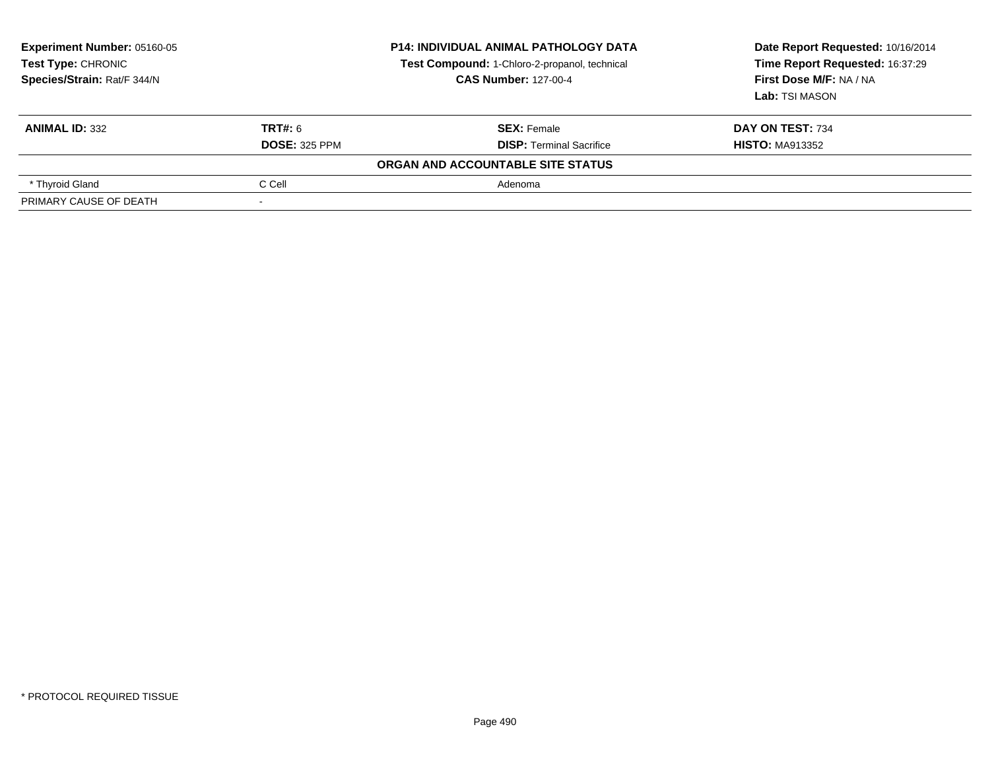| Experiment Number: 05160-05<br><b>Test Type: CHRONIC</b><br>Species/Strain: Rat/F 344/N |                      | <b>P14: INDIVIDUAL ANIMAL PATHOLOGY DATA</b><br>Test Compound: 1-Chloro-2-propanol, technical<br><b>CAS Number: 127-00-4</b> | Date Report Requested: 10/16/2014<br>Time Report Requested: 16:37:29<br>First Dose M/F: NA / NA<br>Lab: TSI MASON |
|-----------------------------------------------------------------------------------------|----------------------|------------------------------------------------------------------------------------------------------------------------------|-------------------------------------------------------------------------------------------------------------------|
| <b>ANIMAL ID: 332</b>                                                                   | <b>TRT#: 6</b>       | <b>SEX: Female</b>                                                                                                           | DAY ON TEST: 734                                                                                                  |
|                                                                                         | <b>DOSE: 325 PPM</b> | <b>DISP: Terminal Sacrifice</b>                                                                                              | <b>HISTO: MA913352</b>                                                                                            |
|                                                                                         |                      | ORGAN AND ACCOUNTABLE SITE STATUS                                                                                            |                                                                                                                   |
| * Thyroid Gland                                                                         | C Cell               | Adenoma                                                                                                                      |                                                                                                                   |
| PRIMARY CAUSE OF DEATH                                                                  |                      |                                                                                                                              |                                                                                                                   |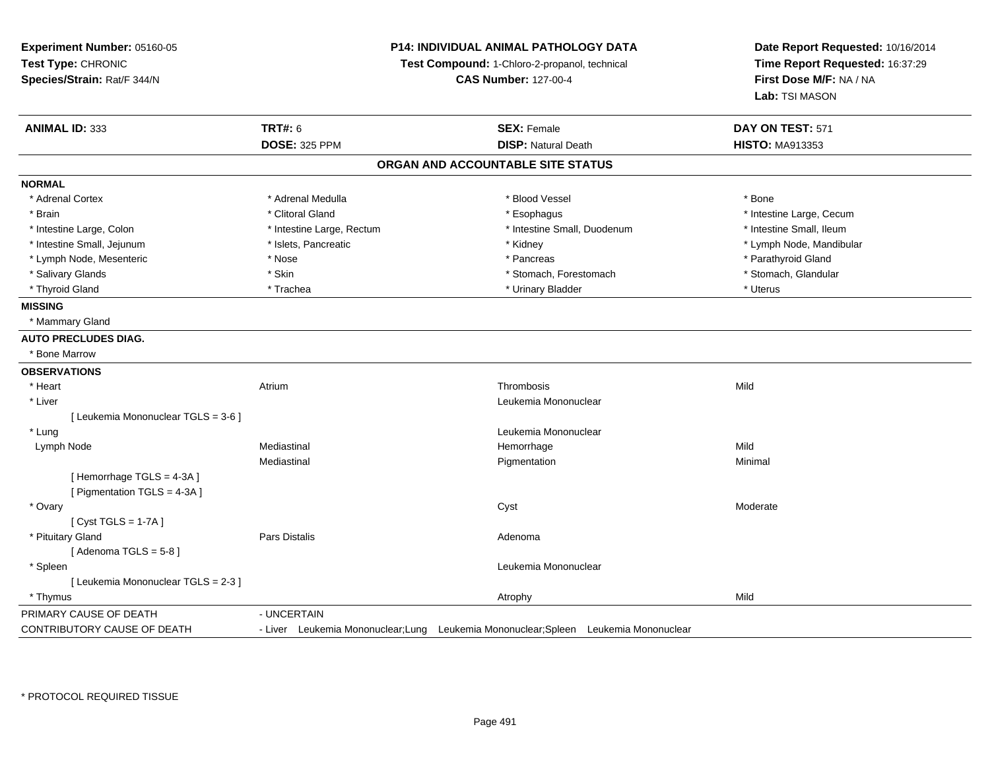| Experiment Number: 05160-05         |                                               | <b>P14: INDIVIDUAL ANIMAL PATHOLOGY DATA</b>                                         | Date Report Requested: 10/16/2014 |
|-------------------------------------|-----------------------------------------------|--------------------------------------------------------------------------------------|-----------------------------------|
| Test Type: CHRONIC                  | Test Compound: 1-Chloro-2-propanol, technical |                                                                                      | Time Report Requested: 16:37:29   |
| Species/Strain: Rat/F 344/N         |                                               | <b>CAS Number: 127-00-4</b>                                                          | First Dose M/F: NA / NA           |
|                                     |                                               |                                                                                      | Lab: TSI MASON                    |
| <b>ANIMAL ID: 333</b>               | <b>TRT#: 6</b>                                | <b>SEX: Female</b>                                                                   | DAY ON TEST: 571                  |
|                                     | <b>DOSE: 325 PPM</b>                          | <b>DISP: Natural Death</b>                                                           | <b>HISTO: MA913353</b>            |
|                                     |                                               | ORGAN AND ACCOUNTABLE SITE STATUS                                                    |                                   |
| <b>NORMAL</b>                       |                                               |                                                                                      |                                   |
| * Adrenal Cortex                    | * Adrenal Medulla                             | * Blood Vessel                                                                       | * Bone                            |
| * Brain                             | * Clitoral Gland                              | * Esophagus                                                                          | * Intestine Large, Cecum          |
| * Intestine Large, Colon            | * Intestine Large, Rectum                     | * Intestine Small, Duodenum                                                          | * Intestine Small, Ileum          |
| * Intestine Small, Jejunum          | * Islets, Pancreatic                          | * Kidney                                                                             | * Lymph Node, Mandibular          |
| * Lymph Node, Mesenteric            | * Nose                                        | * Pancreas                                                                           | * Parathyroid Gland               |
| * Salivary Glands                   | * Skin                                        | * Stomach, Forestomach                                                               | * Stomach, Glandular              |
| * Thyroid Gland                     | * Trachea                                     | * Urinary Bladder                                                                    | * Uterus                          |
| <b>MISSING</b>                      |                                               |                                                                                      |                                   |
| * Mammary Gland                     |                                               |                                                                                      |                                   |
| <b>AUTO PRECLUDES DIAG.</b>         |                                               |                                                                                      |                                   |
| * Bone Marrow                       |                                               |                                                                                      |                                   |
| <b>OBSERVATIONS</b>                 |                                               |                                                                                      |                                   |
| * Heart                             | Atrium                                        | Thrombosis                                                                           | Mild                              |
| * Liver                             |                                               | Leukemia Mononuclear                                                                 |                                   |
| [ Leukemia Mononuclear TGLS = 3-6 ] |                                               |                                                                                      |                                   |
| * Lung                              |                                               | Leukemia Mononuclear                                                                 |                                   |
| Lymph Node                          | Mediastinal                                   | Hemorrhage                                                                           | Mild                              |
|                                     | Mediastinal                                   | Pigmentation                                                                         | Minimal                           |
| [Hemorrhage TGLS = 4-3A]            |                                               |                                                                                      |                                   |
| [ Pigmentation TGLS = 4-3A ]        |                                               |                                                                                      |                                   |
| * Ovary                             |                                               | Cyst                                                                                 | Moderate                          |
| [Cyst TGLS = $1-7A$ ]               |                                               |                                                                                      |                                   |
| * Pituitary Gland                   | Pars Distalis                                 | Adenoma                                                                              |                                   |
| [Adenoma TGLS = $5-8$ ]             |                                               |                                                                                      |                                   |
| * Spleen                            |                                               | Leukemia Mononuclear                                                                 |                                   |
| [ Leukemia Mononuclear TGLS = 2-3 ] |                                               |                                                                                      |                                   |
| * Thymus                            |                                               | Atrophy                                                                              | Mild                              |
| PRIMARY CAUSE OF DEATH              | - UNCERTAIN                                   |                                                                                      |                                   |
| CONTRIBUTORY CAUSE OF DEATH         |                                               | - Liver Leukemia Mononuclear; Lung Leukemia Mononuclear; Spleen Leukemia Mononuclear |                                   |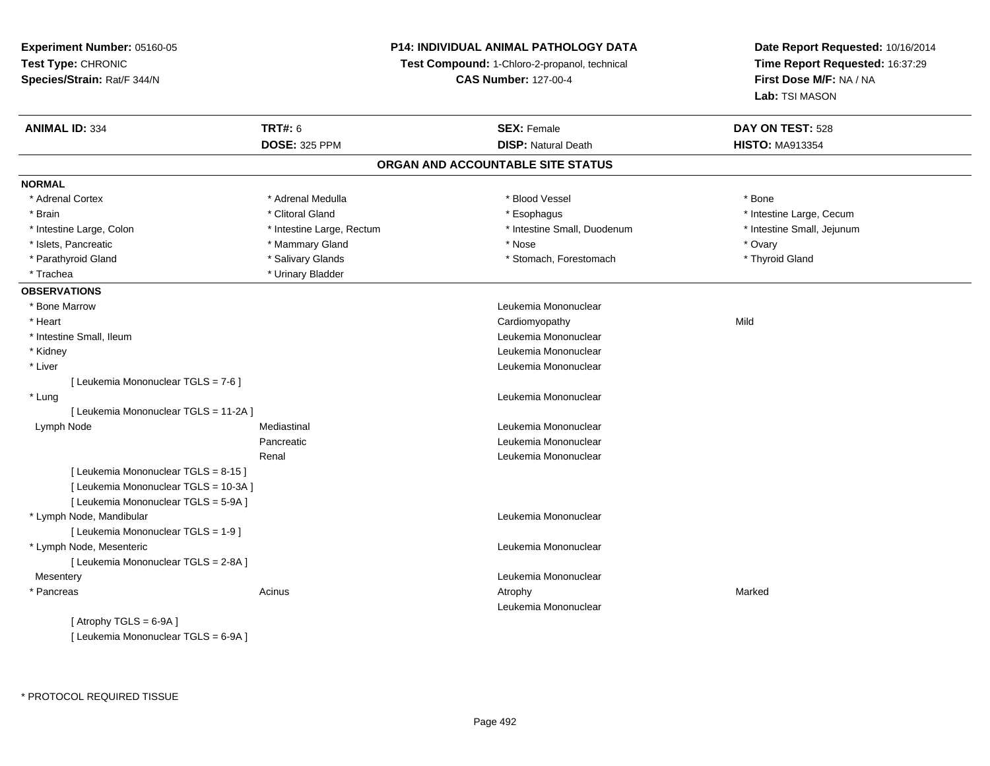**Experiment Number:** 05160-05**Test Type:** CHRONIC **Species/Strain:** Rat/F 344/N**P14: INDIVIDUAL ANIMAL PATHOLOGY DATATest Compound:** 1-Chloro-2-propanol, technical **CAS Number:** 127-00-4**Date Report Requested:** 10/16/2014**Time Report Requested:** 16:37:29**First Dose M/F:** NA / NA**Lab:** TSI MASON**ANIMAL ID:** 334 **TRT#:** <sup>6</sup> **SEX:** Female **DAY ON TEST:** <sup>528</sup> **DOSE:** 325 PPM**DISP:** Natural Death **HISTO:** MA913354 **ORGAN AND ACCOUNTABLE SITE STATUSNORMAL**\* Adrenal Cortex \* Adrenal Medulla \* Adrenal Medulla \* Blood Vessel \* Bood Vessel \* Bone \* Bone \* Bone \* Bone \* Bone \* Bone \* Bone \* Bone \* Bone \* Bone \* Bone \* Bone \* Bone \* Bone \* Bone \* Bone \* Bone \* Bone \* Bone \* Bone \* Bone \* Bone \* \* \* Brain \* The state of the state of the state of the state of the state of the state of the state of the state of the state of the state of the state of the state of the state of the state of the state of the state of the \* Intestine Small, Jejunum \* Intestine Large, Colon \* Intestine Large, Rectum \* Intestine Small, Duodenum \* 1 \* Islets, Pancreatic \* Mammary Gland \* Nose \* Ovary\* Thyroid Gland \* Parathyroid Gland \* Salivary Glands \* Salivary Glands \* Stomach, Forestomach \* Stomach, Forestomach \* \* Trachea \* Urinary Bladder**OBSERVATIONS** \* Bone Marrow Leukemia Mononuclear \* Heart Cardiomyopathyy Mild \* Intestine Small, Ileum Leukemia Mononuclear \* Kidney Leukemia Mononuclear \* Liver Leukemia Mononuclear [ Leukemia Mononuclear TGLS = 7-6 ] \* Lung Leukemia Mononuclear [ Leukemia Mononuclear TGLS = 11-2A ] Lymph NodeMediastinal **Mediastinal** Mononuclear **Leukemia Mononuclear Pancreatic**  Leukemia Mononuclear Renal Leukemia Mononuclear[ Leukemia Mononuclear TGLS = 8-15 ][ Leukemia Mononuclear TGLS = 10-3A ][ Leukemia Mononuclear TGLS = 5-9A ] \* Lymph Node, Mandibular Leukemia Mononuclear [ Leukemia Mononuclear TGLS = 1-9 ] \* Lymph Node, Mesenteric Leukemia Mononuclear [ Leukemia Mononuclear TGLS = 2-8A ] Mesentery Leukemia Mononuclear \* Pancreass the control of the control of the control of the control of the control of the control of the control of the control of the control of the control of the control of the control of the control of the control of the contro Leukemia Mononuclear $[$  Atrophy TGLS = 6-9A  $]$ 

[ Leukemia Mononuclear TGLS = 6-9A ]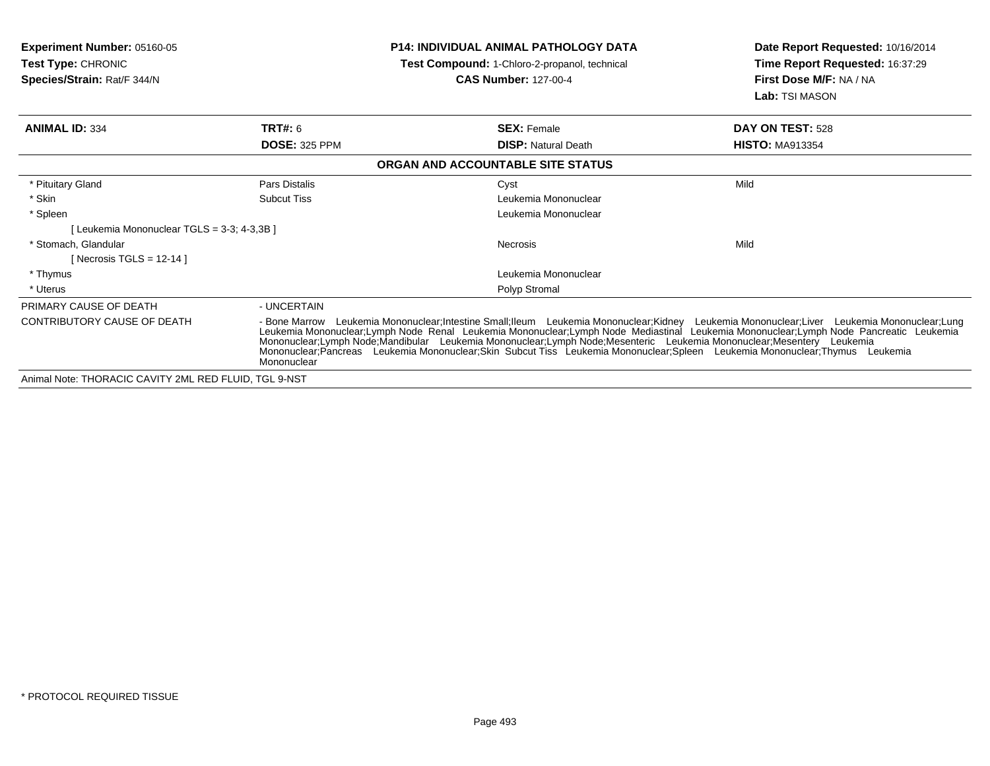| <b>Experiment Number: 05160-05</b><br><b>Test Type: CHRONIC</b><br>Species/Strain: Rat/F 344/N |                      | <b>P14: INDIVIDUAL ANIMAL PATHOLOGY DATA</b><br>Test Compound: 1-Chloro-2-propanol, technical<br><b>CAS Number: 127-00-4</b>                                                                                                                                                                                                                                                   | Date Report Requested: 10/16/2014<br>Time Report Requested: 16:37:29<br>First Dose M/F: NA / NA<br>Lab: TSI MASON |
|------------------------------------------------------------------------------------------------|----------------------|--------------------------------------------------------------------------------------------------------------------------------------------------------------------------------------------------------------------------------------------------------------------------------------------------------------------------------------------------------------------------------|-------------------------------------------------------------------------------------------------------------------|
| <b>ANIMAL ID: 334</b>                                                                          | TRT#: 6              | <b>SEX: Female</b>                                                                                                                                                                                                                                                                                                                                                             | DAY ON TEST: 528                                                                                                  |
|                                                                                                | <b>DOSE: 325 PPM</b> | <b>DISP:</b> Natural Death                                                                                                                                                                                                                                                                                                                                                     | <b>HISTO: MA913354</b>                                                                                            |
|                                                                                                |                      | ORGAN AND ACCOUNTABLE SITE STATUS                                                                                                                                                                                                                                                                                                                                              |                                                                                                                   |
| * Pituitary Gland                                                                              | Pars Distalis        | Cyst                                                                                                                                                                                                                                                                                                                                                                           | Mild                                                                                                              |
| * Skin                                                                                         | <b>Subcut Tiss</b>   | Leukemia Mononuclear                                                                                                                                                                                                                                                                                                                                                           |                                                                                                                   |
| * Spleen                                                                                       |                      | Leukemia Mononuclear                                                                                                                                                                                                                                                                                                                                                           |                                                                                                                   |
| [Leukemia Mononuclear TGLS = 3-3; 4-3,3B]                                                      |                      |                                                                                                                                                                                                                                                                                                                                                                                |                                                                                                                   |
| * Stomach. Glandular                                                                           |                      | Necrosis                                                                                                                                                                                                                                                                                                                                                                       | Mild                                                                                                              |
| [ Necrosis TGLS = $12-14$ ]                                                                    |                      |                                                                                                                                                                                                                                                                                                                                                                                |                                                                                                                   |
| * Thymus                                                                                       |                      | Leukemia Mononuclear                                                                                                                                                                                                                                                                                                                                                           |                                                                                                                   |
| * Uterus                                                                                       |                      | Polyp Stromal                                                                                                                                                                                                                                                                                                                                                                  |                                                                                                                   |
| PRIMARY CAUSE OF DEATH                                                                         | - UNCERTAIN          |                                                                                                                                                                                                                                                                                                                                                                                |                                                                                                                   |
| <b>CONTRIBUTORY CAUSE OF DEATH</b>                                                             | Mononuclear          | - Bone Marrow Leukemia Mononuclear;Intestine Small;Ileum Leukemia Mononuclear;Kidney Leukemia Mononuclear;Liver Leukemia Mononuclear;Lung<br>Leukemia Mononuclear;Lymph Node Renal Leukemia Mononuclear;Lymph Node Mediastinal Leukemia Mononuclear;Lymph Node Pancreatic Leukemia<br>Mononuclear;Lymph Node;Mandibular Leukemia Mononuclear;Lymph Node;Mesenteric Leukemia Mo |                                                                                                                   |
| Animal Note: THORACIC CAVITY 2ML RED FLUID. TGL 9-NST                                          |                      |                                                                                                                                                                                                                                                                                                                                                                                |                                                                                                                   |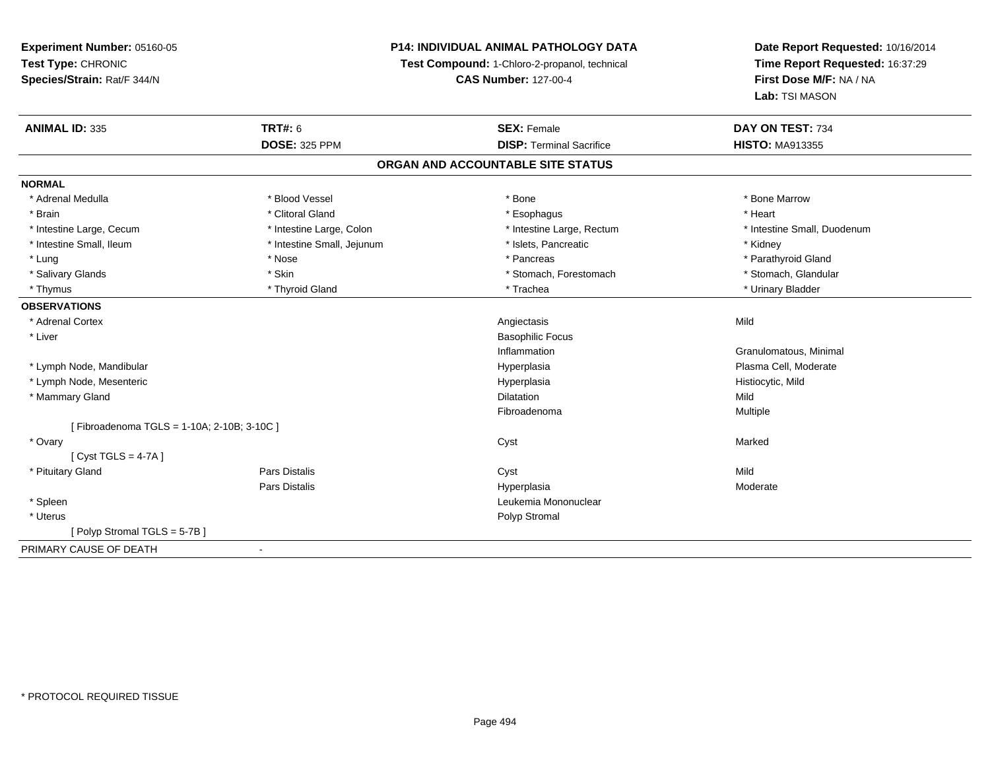**Experiment Number:** 05160-05**Test Type:** CHRONIC **Species/Strain:** Rat/F 344/N**P14: INDIVIDUAL ANIMAL PATHOLOGY DATATest Compound:** 1-Chloro-2-propanol, technical **CAS Number:** 127-00-4**Date Report Requested:** 10/16/2014**Time Report Requested:** 16:37:29**First Dose M/F:** NA / NA**Lab:** TSI MASON**ANIMAL ID:** 335**TRT#:** 6 **SEX:** Female **SEX: Female DAY ON TEST:** 734 **DOSE:** 325 PPM**DISP:** Terminal Sacrifice **HISTO:** MA913355 **ORGAN AND ACCOUNTABLE SITE STATUSNORMAL**\* Adrenal Medulla \* \* \* Blood Vessel \* \* \* Bone Marrow \* \* Bone Marrow \* \* Bone Marrow \* Brain \* Alternative of the state of the state of the state of the state of the state of the state of the state of the state of the state of the state of the state of the state of the state of the state of the state of th \* Intestine Large, Cecum \* Intestine Large, Colon \* Intestine Large, Rectum \* Intestine Small, Duodenum \* Intestine Small, Ileum \* **Alleman \* Intestine Small, Jejunum** \* The \* Islets, Pancreatic \* \* \* Kidney \* Kidney \* Parathyroid Gland \* Lung \* \* Pancreas \* \* Pancreas \* Pancreas \* Pancreas \* Pancreas \* Pancreas \* Parathyroid Gland \* Parathyroid Gland \* Parathyroid Gland \* Parathyroid Gland \* Parathyroid Gland \* Parathyroid Gland \* Parathyroid Gland \* Par \* Stomach, Glandular \* Salivary Glands \* Stomach, Forestomach \* Skin \* Skin \* Stomach, Forestomach \* Stomach, Forestomach \* Thymus \* Thyroid Gland \* Trachea \* Urinary Bladder \* **OBSERVATIONS** \* Adrenal Cortexx and the control of the control of the control of the control of the control of the control of the control of the control of the control of the control of the control of the control of the control of the control of the co \* Liver Basophilic FocusInflammation Granulomatous, Minimal \* Lymph Node, Mandibular Hyperplasia Plasma Cell, Moderate \* Lymph Node, Mesentericc in the contract of the contract of the contract of the contract of the contract of the contract of the contract of the contract of the contract of the contract of the contract of the contract of the contract of the contr Hyperplasia **Histiocytic**, Mild \* Mammary Glandd and the control of the control of the control of the control of the control of the control of the control of the control of the control of the control of the control of the control of the control of the control of the co Fibroadenoma Multiple [ Fibroadenoma TGLS = 1-10A; 2-10B; 3-10C ] \* Ovaryy and the control of the control of the control of the control of the control of the control of the control of the control of the control of the control of the control of the control of the control of the control of the co [ Cyst TGLS = 4-7A ] \* Pituitary Gland Pars Distalis Cyst Mild Pars Distalis Hyperplasia Moderate \* Spleen Leukemia Mononuclear \* Uteruss and the contract of the contract of the contract of the contract of the contract of the contract of the contract of the contract of the contract of the contract of the contract of the contract of the contract of the cont [ Polyp Stromal TGLS = 5-7B ]PRIMARY CAUSE OF DEATH-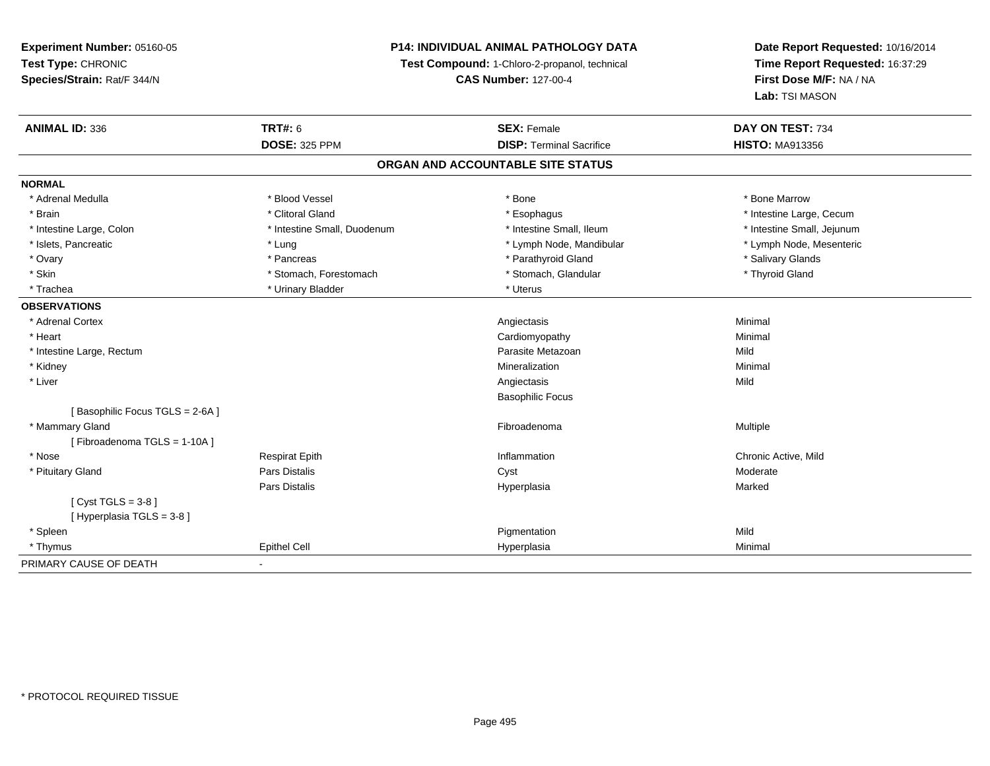# **P14: INDIVIDUAL ANIMAL PATHOLOGY DATA**

**Test Compound:** 1-Chloro-2-propanol, technical

**CAS Number:** 127-00-4

| <b>ANIMAL ID: 336</b>          | <b>TRT#: 6</b>              | <b>SEX: Female</b>                | DAY ON TEST: 734           |  |
|--------------------------------|-----------------------------|-----------------------------------|----------------------------|--|
|                                | <b>DOSE: 325 PPM</b>        | <b>DISP: Terminal Sacrifice</b>   | <b>HISTO: MA913356</b>     |  |
|                                |                             | ORGAN AND ACCOUNTABLE SITE STATUS |                            |  |
| <b>NORMAL</b>                  |                             |                                   |                            |  |
| * Adrenal Medulla              | * Blood Vessel              | * Bone                            | * Bone Marrow              |  |
| * Brain                        | * Clitoral Gland            | * Esophagus                       | * Intestine Large, Cecum   |  |
| * Intestine Large, Colon       | * Intestine Small, Duodenum | * Intestine Small, Ileum          | * Intestine Small, Jejunum |  |
| * Islets, Pancreatic           | * Lung                      | * Lymph Node, Mandibular          | * Lymph Node, Mesenteric   |  |
| * Ovary                        | * Pancreas                  | * Parathyroid Gland               | * Salivary Glands          |  |
| * Skin                         | * Stomach, Forestomach      | * Stomach, Glandular              | * Thyroid Gland            |  |
| * Trachea                      | * Urinary Bladder           | * Uterus                          |                            |  |
| <b>OBSERVATIONS</b>            |                             |                                   |                            |  |
| * Adrenal Cortex               |                             | Angiectasis                       | Minimal                    |  |
| * Heart                        |                             | Cardiomyopathy                    | Minimal                    |  |
| * Intestine Large, Rectum      |                             | Parasite Metazoan                 | Mild                       |  |
| * Kidney                       |                             | Mineralization                    | Minimal                    |  |
| * Liver                        |                             | Angiectasis                       | Mild                       |  |
|                                |                             | <b>Basophilic Focus</b>           |                            |  |
| [Basophilic Focus TGLS = 2-6A] |                             |                                   |                            |  |
| * Mammary Gland                |                             | Fibroadenoma                      | Multiple                   |  |
| [Fibroadenoma TGLS = 1-10A]    |                             |                                   |                            |  |
| * Nose                         | <b>Respirat Epith</b>       | Inflammation                      | Chronic Active, Mild       |  |
| * Pituitary Gland              | <b>Pars Distalis</b>        | Cyst                              | Moderate                   |  |
|                                | <b>Pars Distalis</b>        | Hyperplasia                       | Marked                     |  |
| [Cyst TGLS = $3-8$ ]           |                             |                                   |                            |  |
| [Hyperplasia TGLS = 3-8]       |                             |                                   |                            |  |
| * Spleen                       |                             | Pigmentation                      | Mild                       |  |
| * Thymus                       | <b>Epithel Cell</b>         | Hyperplasia                       | Minimal                    |  |
| PRIMARY CAUSE OF DEATH         | $\blacksquare$              |                                   |                            |  |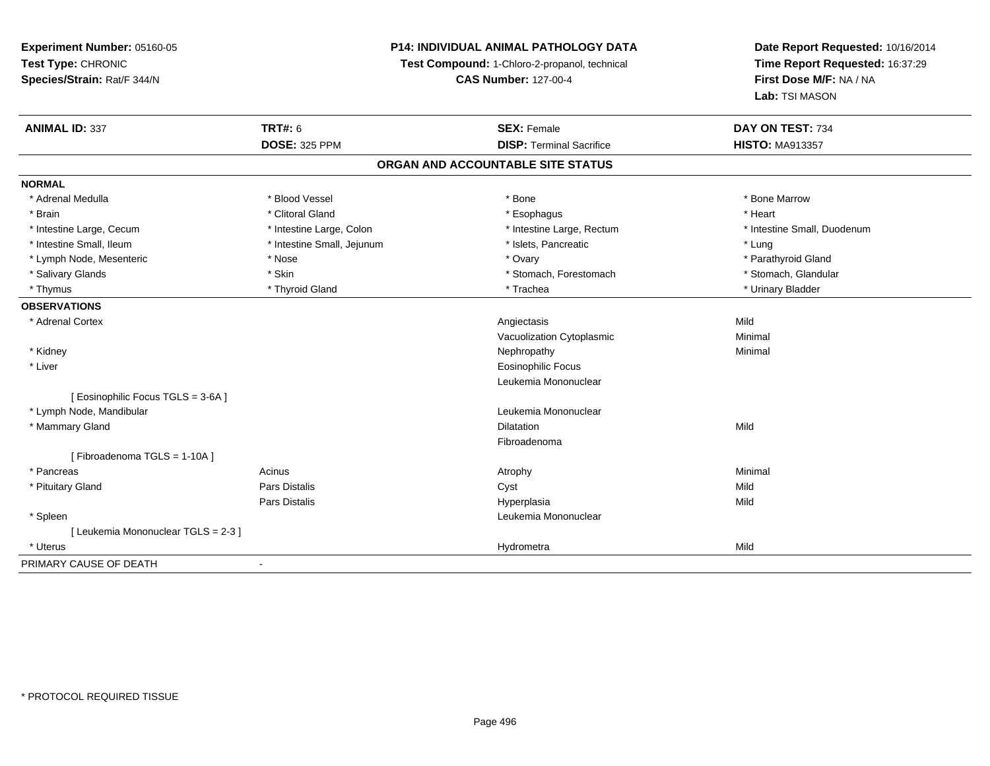**P14: INDIVIDUAL ANIMAL PATHOLOGY DATA**

**Test Compound:** 1-Chloro-2-propanol, technical

**CAS Number:** 127-00-4

| <b>ANIMAL ID: 337</b>               | <b>TRT#: 6</b>                    | <b>SEX: Female</b>              | DAY ON TEST: 734            |  |  |
|-------------------------------------|-----------------------------------|---------------------------------|-----------------------------|--|--|
|                                     | <b>DOSE: 325 PPM</b>              | <b>DISP: Terminal Sacrifice</b> | <b>HISTO: MA913357</b>      |  |  |
|                                     | ORGAN AND ACCOUNTABLE SITE STATUS |                                 |                             |  |  |
| <b>NORMAL</b>                       |                                   |                                 |                             |  |  |
| * Adrenal Medulla                   | * Blood Vessel                    | * Bone                          | * Bone Marrow               |  |  |
| * Brain                             | * Clitoral Gland                  | * Esophagus                     | * Heart                     |  |  |
| * Intestine Large, Cecum            | * Intestine Large, Colon          | * Intestine Large, Rectum       | * Intestine Small, Duodenum |  |  |
| * Intestine Small, Ileum            | * Intestine Small, Jejunum        | * Islets, Pancreatic            | * Lung                      |  |  |
| * Lymph Node, Mesenteric            | * Nose                            | * Ovary                         | * Parathyroid Gland         |  |  |
| * Salivary Glands                   | * Skin                            | * Stomach, Forestomach          | * Stomach, Glandular        |  |  |
| * Thymus                            | * Thyroid Gland                   | * Trachea                       | * Urinary Bladder           |  |  |
| <b>OBSERVATIONS</b>                 |                                   |                                 |                             |  |  |
| * Adrenal Cortex                    |                                   | Angiectasis                     | Mild                        |  |  |
|                                     |                                   | Vacuolization Cytoplasmic       | Minimal                     |  |  |
| * Kidney                            |                                   | Nephropathy                     | Minimal                     |  |  |
| * Liver                             |                                   | <b>Eosinophilic Focus</b>       |                             |  |  |
|                                     |                                   | Leukemia Mononuclear            |                             |  |  |
| [ Eosinophilic Focus TGLS = 3-6A]   |                                   |                                 |                             |  |  |
| * Lymph Node, Mandibular            |                                   | Leukemia Mononuclear            |                             |  |  |
| * Mammary Gland                     |                                   | <b>Dilatation</b>               | Mild                        |  |  |
|                                     |                                   | Fibroadenoma                    |                             |  |  |
| [Fibroadenoma TGLS = 1-10A]         |                                   |                                 |                             |  |  |
| * Pancreas                          | Acinus                            | Atrophy                         | Minimal                     |  |  |
| * Pituitary Gland                   | <b>Pars Distalis</b>              | Cyst                            | Mild                        |  |  |
|                                     | <b>Pars Distalis</b>              | Hyperplasia                     | Mild                        |  |  |
| * Spleen                            |                                   | Leukemia Mononuclear            |                             |  |  |
| [ Leukemia Mononuclear TGLS = 2-3 ] |                                   |                                 |                             |  |  |
| * Uterus                            |                                   | Hydrometra                      | Mild                        |  |  |
| PRIMARY CAUSE OF DEATH              |                                   |                                 |                             |  |  |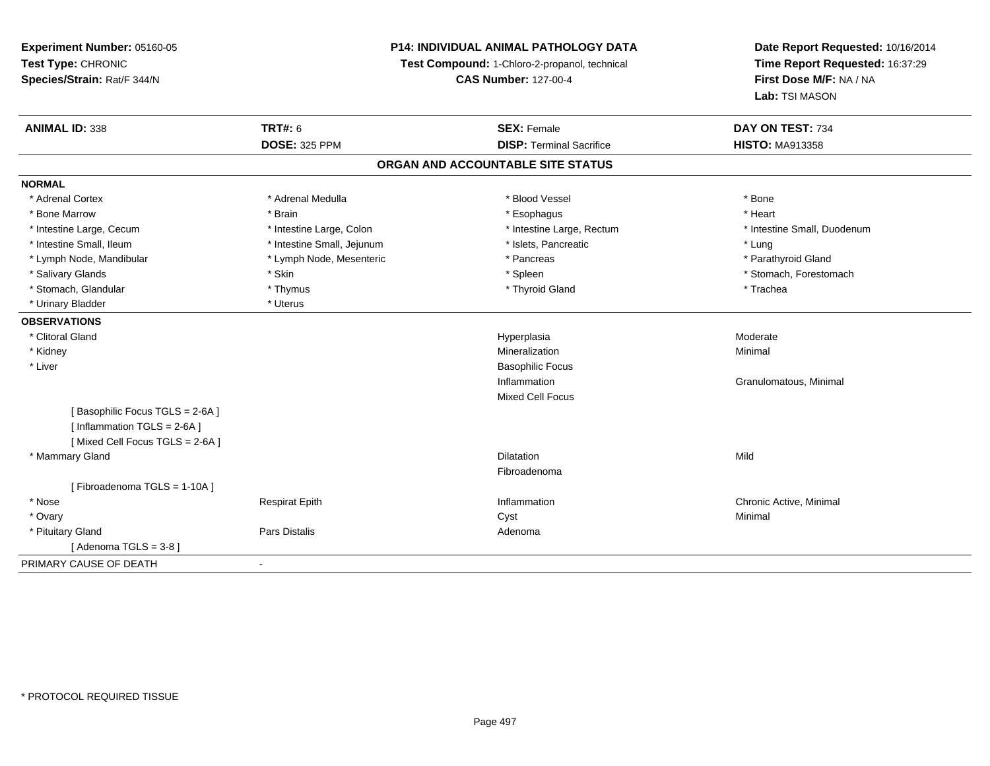**Experiment Number:** 05160-05**Test Type:** CHRONIC **Species/Strain:** Rat/F 344/N**P14: INDIVIDUAL ANIMAL PATHOLOGY DATATest Compound:** 1-Chloro-2-propanol, technical **CAS Number:** 127-00-4**Date Report Requested:** 10/16/2014**Time Report Requested:** 16:37:29**First Dose M/F:** NA / NA**Lab:** TSI MASON**ANIMAL ID:** 338**TRT#:** 6 **SEX:** Female **SEX: Female DAY ON TEST:** 734 **DOSE:** 325 PPM**DISP:** Terminal Sacrifice **HISTO:** MA913358 **ORGAN AND ACCOUNTABLE SITE STATUSNORMAL**\* Adrenal Cortex \* Adrenal Medulla \* Adrenal Medulla \* Blood Vessel \* Bood Vessel \* Bone \* Bone \* Bone \* Bone \* Bone \* Bone \* Bone \* Bone \* Bone \* Bone \* Bone \* Bone \* Bone \* Bone \* Bone \* Bone \* Bone \* Bone \* Bone \* Bone \* Bone \* Bone \* \* \* Heart \* Bone Marrow \* Brain \* Esophagus \* Heart \* Intestine Large, Cecum \* Intestine Large, Colon \* Intestine Large, Thestine Large, Rectum \* Intestine Small, Duodenum \* Intestine Small, Ileum \* https://www.fatheratic \* Lung \* Intestine Small, Jejunum \* Islets, Pancreatic \* Lung \* Lung \* Parathyroid Gland \* Lymph Node, Mandibular \* Lymph Node, Mesenteric \* Pancreas \* Pancreas \* Pancreas \* Pancreas \* Pancreas \* Pancreas \* Pancreas \* Pancreas \* Pancreas \* Pancreas \* Pancreas \* Pancreas \* Pancreas \* Pancreas \* Pancreas \* Pancr \* Salivary Glands \* The stomach \* Skin \* Spleen \* Spleen \* Stomach, Forestomach \* Stomach, Forestomach \* Stomach, Forestomach \* Stomach, Glandular \* Thymus \* Thymus \* Thymus \* Thyroid Gland \* Thyroid Gland \* Trachea \* Urinary Bladder \* Uterus **OBSERVATIONS** \* Clitoral Glandd and the controller of the controller of the controller of the Hyperplasia controller of the Moderate of the Moderate of the controller of the controller of the controller of the controller of the controller of the contro \* Kidneyy with the control of the control of the control of the control of the control of the control of the control of the control of the control of the control of the control of the control of the control of the control of the c n Minimal \* Liver Basophilic FocusInflammation Granulomatous, Minimal Mixed Cell Focus[ Basophilic Focus TGLS = 2-6A ][ Inflammation TGLS = 2-6A ][ Mixed Cell Focus TGLS = 2-6A ] \* Mammary Glandd and the control of the control of the control of the control of the control of the control of the control of the control of the control of the control of the control of the control of the control of the control of the co Fibroadenoma[ Fibroadenoma TGLS = 1-10A ] \* Nose Respirat Epith Inflammation Chronic Active, Minimal \* Ovaryy the control of the control of the control of the control of the control of the control of the control of the control of the control of the control of the control of the control of the control of the control of the contro \* Pituitary Glandd and the contract of Pars Distalis and the contract of Adenoma and Adenoma and the Adenoma and the Adenoma and  $\lambda$  $[$  Adenoma TGLS = 3-8  $]$ PRIMARY CAUSE OF DEATH-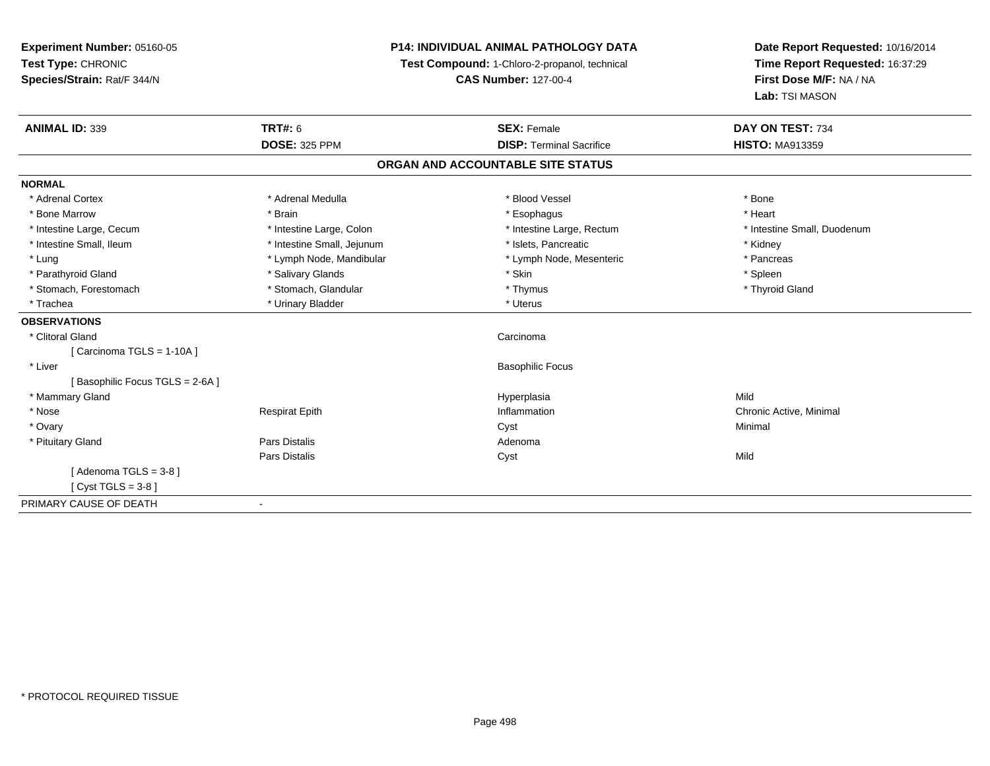**Experiment Number:** 05160-05**Test Type:** CHRONIC **Species/Strain:** Rat/F 344/N**P14: INDIVIDUAL ANIMAL PATHOLOGY DATATest Compound:** 1-Chloro-2-propanol, technical **CAS Number:** 127-00-4**Date Report Requested:** 10/16/2014**Time Report Requested:** 16:37:29**First Dose M/F:** NA / NA**Lab:** TSI MASON**ANIMAL ID:** 339**TRT#:** 6 **SEX:** Female **SEX: Female DAY ON TEST:** 734 **DOSE:** 325 PPM**DISP:** Terminal Sacrifice **HISTO:** MA913359 **ORGAN AND ACCOUNTABLE SITE STATUSNORMAL**\* Adrenal Cortex \* Adrenal Medulla \* Adrenal Medulla \* Blood Vessel \* Bood Vessel \* Bone \* Bone \* Bone \* Bone \* Bone \* Bone \* Bone \* Bone \* Bone \* Bone \* Bone \* Bone \* Bone \* Bone \* Bone \* Bone \* Bone \* Bone \* Bone \* Bone \* Bone \* Bone \* \* \* Heart \* Bone Marrow \* Brain \* Esophagus \* Heart \* Intestine Large, Cecum \* Intestine Large, Colon \* Intestine Large, Thestine Large, Rectum \* Intestine Small, Duodenum \* Intestine Small, Ileum \* **Alleman \* Intestine Small, Jejunum** \* The \* Islets, Pancreatic \* \* \* Kidney \* Kidney \* Pancreas \* Lung \* Lymph Node, Mandibular \* Pancrease \* Pancrease \* Pancrease \* Pancrease \* Pancrease \* Pancrease \* Pancrease \* Pancrease \* Pancrease \* Pancrease \* Pancrease \* Pancrease \* Pancrease \* Pancrease \* Pancrease \* Pancreas \* Parathyroid Gland \* \* Salivary Glands \* Salivary Glands \* Skin \* Skin \* State \* Spleen \* Spleen \* Spleen \* Spleen \* Thyroid Gland \* Stomach, Forestomach \* Thymus \* Stomach, Glandular \* Thymus \* Thymus \* Thymus \* Thymus \* Thymus \* Thymus \* Thymus \* Thymus \* Thymus \* Thymus \* Thymus \* Thymus \* Thymus \* Thymus \* Thymus \* Thymus \* Thymus \* Thymus \* Thymu \* Trachea \* Urinary Bladder \* Urinary Bladder \* Urinary Bladder \* Uterus **OBSERVATIONS** \* Clitoral Glandd<sub>d</sub> Carcinoma [ Carcinoma TGLS = 1-10A ] \* Liver Basophilic Focus[ Basophilic Focus TGLS = 2-6A ] \* Mammary Glandd and the control of the control of the control of the Hyperplasia and the control of the Mild of the Control of the Control of the Control of the Control of the Control of the Control of the Control of the Control of the \* Nose Respirat Epith Inflammation Chronic Active, Minimal \* Ovaryy the control of the control of the control of the control of the control of the control of the control of the control of the control of the control of the control of the control of the control of the control of the contro \* Pituitary Glandd and the contract of Pars Distalis and the contract of Adenoma and Adenoma and the Adenoma and the Adenoma and  $\lambda$ Pars Distaliss Cyst Cyst Constants and Cyst Mild  $[$  Adenoma TGLS = 3-8  $]$  $[$  Cyst TGLS = 3-8  $]$ PRIMARY CAUSE OF DEATH-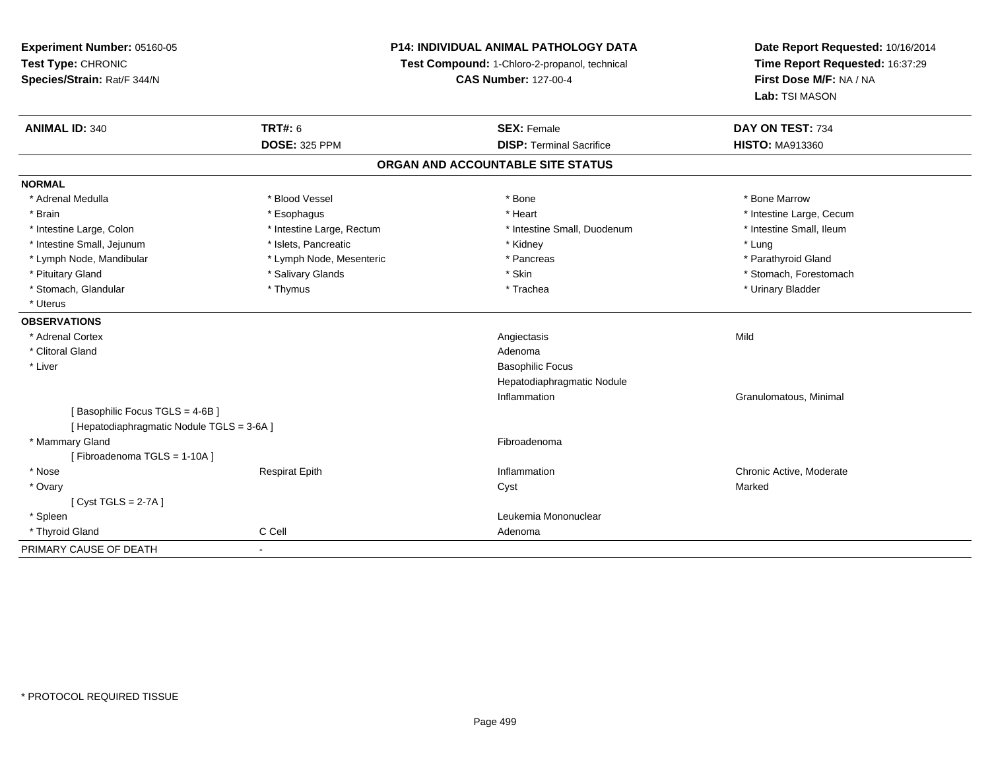| Experiment Number: 05160-05                |                           | <b>P14: INDIVIDUAL ANIMAL PATHOLOGY DATA</b>  | Date Report Requested: 10/16/2014                          |  |
|--------------------------------------------|---------------------------|-----------------------------------------------|------------------------------------------------------------|--|
| Test Type: CHRONIC                         |                           | Test Compound: 1-Chloro-2-propanol, technical | Time Report Requested: 16:37:29<br>First Dose M/F: NA / NA |  |
| Species/Strain: Rat/F 344/N                |                           | <b>CAS Number: 127-00-4</b>                   |                                                            |  |
|                                            |                           |                                               | Lab: TSI MASON                                             |  |
| <b>ANIMAL ID: 340</b>                      | <b>TRT#: 6</b>            | <b>SEX: Female</b>                            | DAY ON TEST: 734                                           |  |
|                                            | <b>DOSE: 325 PPM</b>      | <b>DISP: Terminal Sacrifice</b>               | <b>HISTO: MA913360</b>                                     |  |
|                                            |                           | ORGAN AND ACCOUNTABLE SITE STATUS             |                                                            |  |
| <b>NORMAL</b>                              |                           |                                               |                                                            |  |
| * Adrenal Medulla                          | * Blood Vessel            | * Bone                                        | * Bone Marrow                                              |  |
| * Brain                                    | * Esophagus               | * Heart                                       | * Intestine Large, Cecum                                   |  |
| * Intestine Large, Colon                   | * Intestine Large, Rectum | * Intestine Small, Duodenum                   | * Intestine Small, Ileum                                   |  |
| * Intestine Small, Jejunum                 | * Islets, Pancreatic      | * Kidney                                      | * Lung                                                     |  |
| * Lymph Node, Mandibular                   | * Lymph Node, Mesenteric  | * Pancreas                                    | * Parathyroid Gland                                        |  |
| * Pituitary Gland                          | * Salivary Glands         | * Skin                                        | * Stomach, Forestomach                                     |  |
| * Stomach, Glandular                       | * Thymus                  | * Trachea                                     | * Urinary Bladder                                          |  |
| * Uterus                                   |                           |                                               |                                                            |  |
| <b>OBSERVATIONS</b>                        |                           |                                               |                                                            |  |
| * Adrenal Cortex                           |                           | Angiectasis                                   | Mild                                                       |  |
| * Clitoral Gland                           |                           | Adenoma                                       |                                                            |  |
| * Liver                                    |                           | <b>Basophilic Focus</b>                       |                                                            |  |
|                                            |                           | Hepatodiaphragmatic Nodule                    |                                                            |  |
|                                            |                           | Inflammation                                  | Granulomatous, Minimal                                     |  |
| [Basophilic Focus TGLS = 4-6B]             |                           |                                               |                                                            |  |
| [ Hepatodiaphragmatic Nodule TGLS = 3-6A ] |                           |                                               |                                                            |  |
| * Mammary Gland                            |                           | Fibroadenoma                                  |                                                            |  |
| [Fibroadenoma TGLS = 1-10A]                |                           |                                               |                                                            |  |
| * Nose                                     | <b>Respirat Epith</b>     | Inflammation                                  | Chronic Active, Moderate                                   |  |
| * Ovary                                    |                           | Cyst                                          | Marked                                                     |  |
| [Cyst TGLS = $2-7A$ ]                      |                           |                                               |                                                            |  |
| * Spleen                                   |                           | Leukemia Mononuclear                          |                                                            |  |
| * Thyroid Gland                            | C Cell                    | Adenoma                                       |                                                            |  |
| PRIMARY CAUSE OF DEATH                     | $\blacksquare$            |                                               |                                                            |  |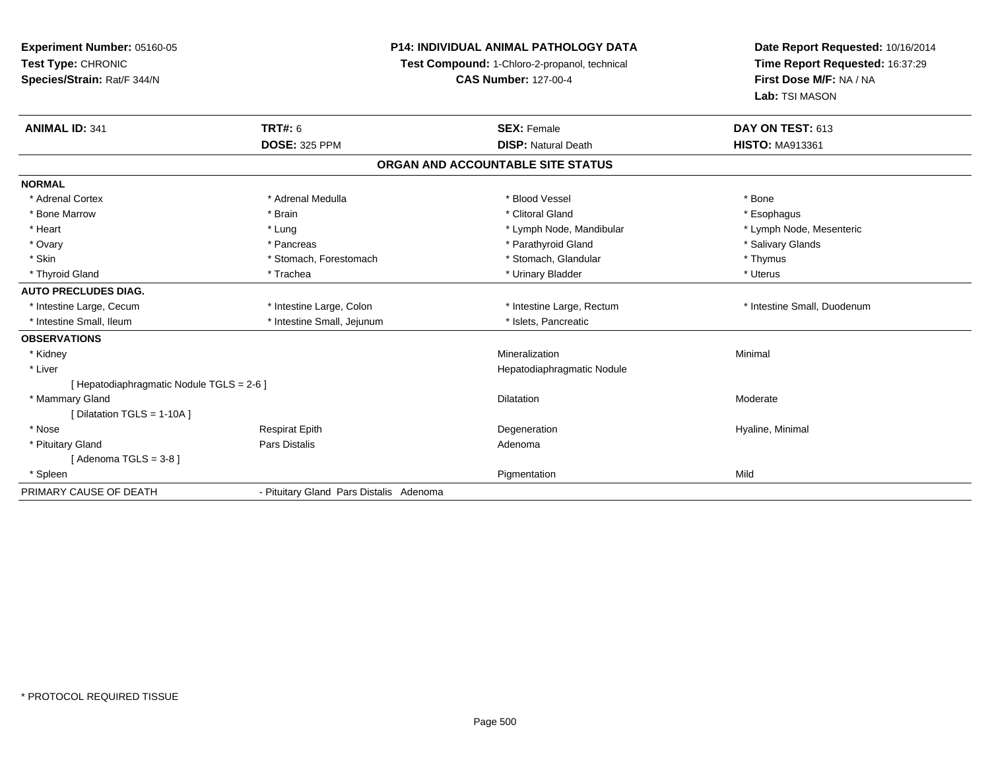# **P14: INDIVIDUAL ANIMAL PATHOLOGY DATA**

**Test Compound:** 1-Chloro-2-propanol, technical

| <b>ANIMAL ID: 341</b>                     | TRT#: 6                                 | <b>SEX: Female</b>                | DAY ON TEST: 613            |
|-------------------------------------------|-----------------------------------------|-----------------------------------|-----------------------------|
|                                           | <b>DOSE: 325 PPM</b>                    | <b>DISP:</b> Natural Death        | <b>HISTO: MA913361</b>      |
|                                           |                                         | ORGAN AND ACCOUNTABLE SITE STATUS |                             |
| <b>NORMAL</b>                             |                                         |                                   |                             |
| * Adrenal Cortex                          | * Adrenal Medulla                       | * Blood Vessel                    | * Bone                      |
| * Bone Marrow                             | * Brain                                 | * Clitoral Gland                  | * Esophagus                 |
| * Heart                                   | * Lung                                  | * Lymph Node, Mandibular          | * Lymph Node, Mesenteric    |
| * Ovary                                   | * Pancreas                              | * Parathyroid Gland               | * Salivary Glands           |
| * Skin                                    | * Stomach, Forestomach                  | * Stomach, Glandular              | * Thymus                    |
| * Thyroid Gland                           | * Trachea                               | * Urinary Bladder                 | * Uterus                    |
| <b>AUTO PRECLUDES DIAG.</b>               |                                         |                                   |                             |
| * Intestine Large, Cecum                  | * Intestine Large, Colon                | * Intestine Large, Rectum         | * Intestine Small, Duodenum |
| * Intestine Small, Ileum                  | * Intestine Small, Jejunum              | * Islets, Pancreatic              |                             |
| <b>OBSERVATIONS</b>                       |                                         |                                   |                             |
| * Kidney                                  |                                         | Mineralization                    | Minimal                     |
| * Liver                                   |                                         | Hepatodiaphragmatic Nodule        |                             |
| [ Hepatodiaphragmatic Nodule TGLS = 2-6 ] |                                         |                                   |                             |
| * Mammary Gland                           |                                         | <b>Dilatation</b>                 | Moderate                    |
| [Dilatation TGLS = 1-10A]                 |                                         |                                   |                             |
| * Nose                                    | <b>Respirat Epith</b>                   | Degeneration                      | Hyaline, Minimal            |
| * Pituitary Gland                         | Pars Distalis                           | Adenoma                           |                             |
| [Adenoma TGLS = $3-8$ ]                   |                                         |                                   |                             |
| * Spleen                                  |                                         | Pigmentation                      | Mild                        |
| PRIMARY CAUSE OF DEATH                    | - Pituitary Gland Pars Distalis Adenoma |                                   |                             |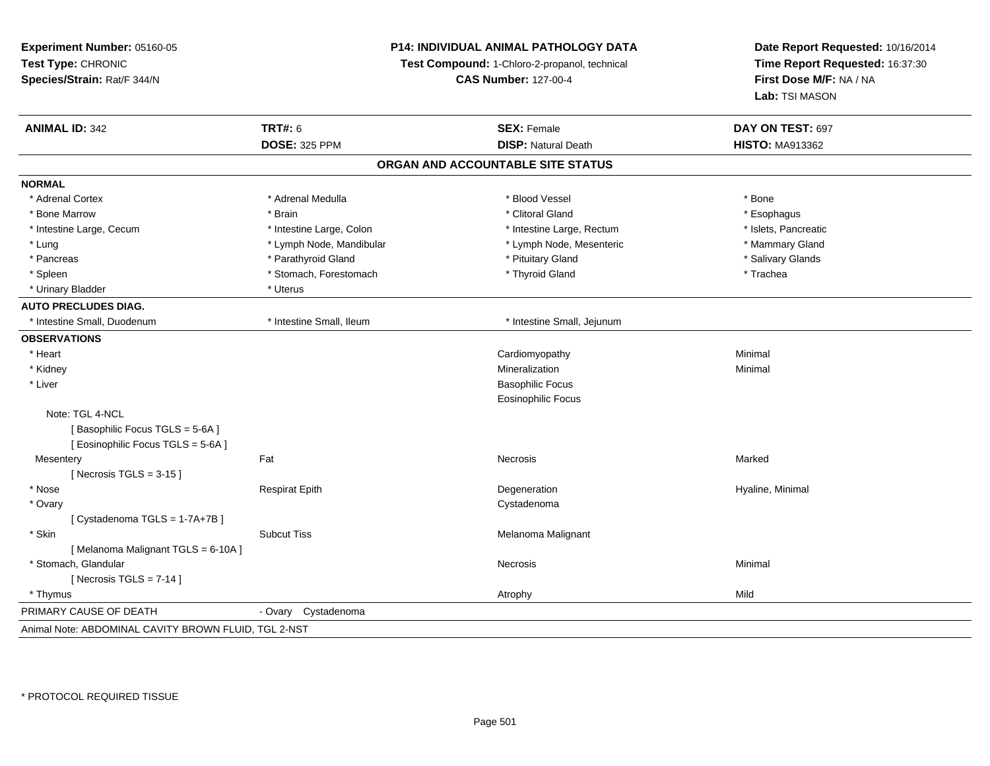**Experiment Number:** 05160-05**Test Type:** CHRONIC **Species/Strain:** Rat/F 344/N**P14: INDIVIDUAL ANIMAL PATHOLOGY DATATest Compound:** 1-Chloro-2-propanol, technical **CAS Number:** 127-00-4**Date Report Requested:** 10/16/2014**Time Report Requested:** 16:37:30**First Dose M/F:** NA / NA**Lab:** TSI MASON**ANIMAL ID:** 342**TRT#:** 6 **SEX:** Female **SEX: Female DAY ON TEST:** 697 **DOSE:** 325 PPM**DISP:** Natural Death **HISTO:** MA913362 **ORGAN AND ACCOUNTABLE SITE STATUSNORMAL**\* Adrenal Cortex \* Adrenal Medulla \* Adrenal Medulla \* Blood Vessel \* Bood Vessel \* Bone \* Bone \* Bone \* Bone \* Bone \* Bone \* Bone \* Bone \* Bone \* Bone \* Bone \* Bone \* Bone \* Bone \* Bone \* Bone \* Bone \* Bone \* Bone \* Bone \* Bone \* Bone \* \* \* Esophagus \* Bone Marrow \* \* Android \* Brain \* Brain \* Clitoral Gland \* Clitoral Gland \* Esophagus \* Esophagus \* Esophagus \* Islets. Pancreatic \* Intestine Large, Cecum \* Intestine Large, Colon \* Intestine Large, Pectum \* Intestine Large, Rectum \* Mammary Gland \* Lung \* Lymph Node, Mandibular \* Mammary \* Lymph Node, Mesenteric \* Mammary Glands \* Mammary Glands \* Mammary G \* Salivary Glands \* Pancreas \* And the section of the section of the section of the section of the section of the section of the section of the section of the section of the section of the section of the section of the section of the sectio \* Spleen \* Stomach, Forestomach \* Thyroid Gland \* Thyroid Stand \* Trachea \* Urinary Bladder \* Uterus **AUTO PRECLUDES DIAG.** \* Intestine Small, Duodenum \* Intestine Small, Ileum \* Intestine Small, Jejunum**OBSERVATIONS** \* Heart Cardiomyopathy Minimal \* Kidneyy with the control of the control of the control of the control of the control of the control of the control of the control of the control of the control of the control of the control of the control of the control of the c n Minimal \* Liver Basophilic Focus Eosinophilic FocusNote: TGL 4-NCL[Basophilic Focus TGLS = 5-6A] [ Eosinophilic Focus TGLS = 5-6A ]**Mesentery** y the control of the set of the control of the control of the Marked Marked of the Marked of the Marked of the Marked of the Marked of the Marked of the Marked of the Marked of the Marked of the Marked of the Marked of the  $[$  Necrosis TGLS = 3-15  $]$  \* Nose Respirat Epith Degeneration Hyaline, Minimal \* Ovaryy the control of the control of the control of the control of the control of the control of the control of the control of the control of the control of the control of the control of the control of the control of the contro [ Cystadenoma TGLS = 1-7A+7B ] \* SkinSubcut Tiss **Melanoma Malignant** Melanoma Malignant [ Melanoma Malignant TGLS = 6-10A ] \* Stomach, Glandularr **Necrosis**  Minimal  $[$  Necrosis TGLS = 7-14  $]$  \* Thymuss and the control of the control of the control of the control of the control of the control of the control of the control of the control of the control of the control of the control of the control of the control of the co PRIMARY CAUSE OF DEATH - Ovary Cystadenoma Animal Note: ABDOMINAL CAVITY BROWN FLUID, TGL 2-NST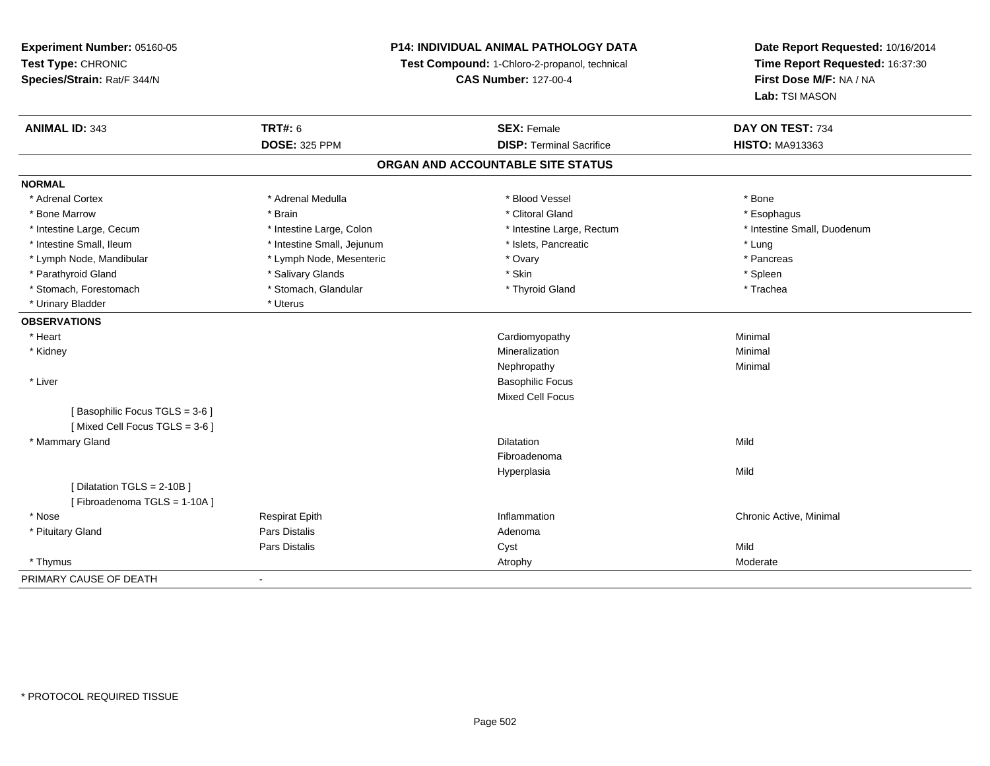**Experiment Number:** 05160-05**Test Type:** CHRONIC **Species/Strain:** Rat/F 344/N**P14: INDIVIDUAL ANIMAL PATHOLOGY DATATest Compound:** 1-Chloro-2-propanol, technical **CAS Number:** 127-00-4**Date Report Requested:** 10/16/2014**Time Report Requested:** 16:37:30**First Dose M/F:** NA / NA**Lab:** TSI MASON**ANIMAL ID:** 343**TRT#:** 6 **SEX:** Female **SEX: Female DAY ON TEST:** 734 **DOSE:** 325 PPM**DISP:** Terminal Sacrifice **HISTO:** MA913363 **ORGAN AND ACCOUNTABLE SITE STATUSNORMAL**\* Adrenal Cortex \* Adrenal Medulla \* Adrenal Medulla \* Blood Vessel \* Bood Vessel \* Bone \* Bone \* Bone \* Bone \* Bone \* Bone \* Bone \* Bone \* Bone \* Bone \* Bone \* Bone \* Bone \* Bone \* Bone \* Bone \* Bone \* Bone \* Bone \* Bone \* Bone \* Bone \* \* \* Esophagus \* Bone Marrow \* \* Android \* Brain \* Brain \* Clitoral Gland \* Clitoral Gland \* Esophagus \* Esophagus \* Esophagus \* Intestine Small, Duodenum \* Intestine Large, Cecum \* Intestine Large, Colon \* Intestine Small, Number 2014, Number 2016, Number 2016, Number 2016 \* Intestine Small, Ileum \* https://www.fatheratic \* Lung \* Intestine Small, Jejunum \* Islets, Pancreatic \* Lung \* Lung \* Pancreas \* Lymph Node, Mandibular \* Manus \* Lymph Node, Mesenteric \* The \* Ovary \* Ovary \* Parathyroid Gland \* \* Salivary Glands \* Salivary Glands \* Skin \* Skin \* State \* Spleen \* Spleen \* Spleen \* Spleen \* Trachea \* Stomach, Forestomach \* The stormach \* Stomach, Glandular \* The \* Thyroid Gland \* Thyroid Gland \* \* Urinary Bladder \* Uterus **OBSERVATIONS** \* Heart Cardiomyopathy Minimal \* Kidneyy with the control of the control of the control of the control of the control of the control of the control of the control of the control of the control of the control of the control of the control of the control of the c n Minimal Nephropathyy the contract of the Minimal Minimal Section 1996 and the contract of the Minimal Section 1997 and the contract of the contract of the contract of the contract of the contract of the contract of the contract of the contra \* Liver Basophilic Focus Mixed Cell Focus[ Basophilic Focus TGLS = 3-6 ][ Mixed Cell Focus TGLS = 3-6 ] \* Mammary Glandd and the control of the control of the control of the control of the control of the control of the control of the control of the control of the control of the control of the control of the control of the control of the co FibroadenomaHyperplasiaa Mild [ Dilatation TGLS = 2-10B ][ Fibroadenoma TGLS = 1-10A ] \* Nose Respirat Epith Inflammation Chronic Active, Minimal \* Pituitary Glandd and the contract of Pars Distalis and the contract of Adenoma and Adenoma and the Adenoma and the Adenoma and  $\lambda$ Pars Distaliss Cyst Cyst Constants and Cyst Mild Moderate \* Thymuss and the contract of the contract of the contract of the contract of the contract of the contract of the contract of the contract of the contract of the contract of the contract of the contract of the contract of the cont PRIMARY CAUSE OF DEATH-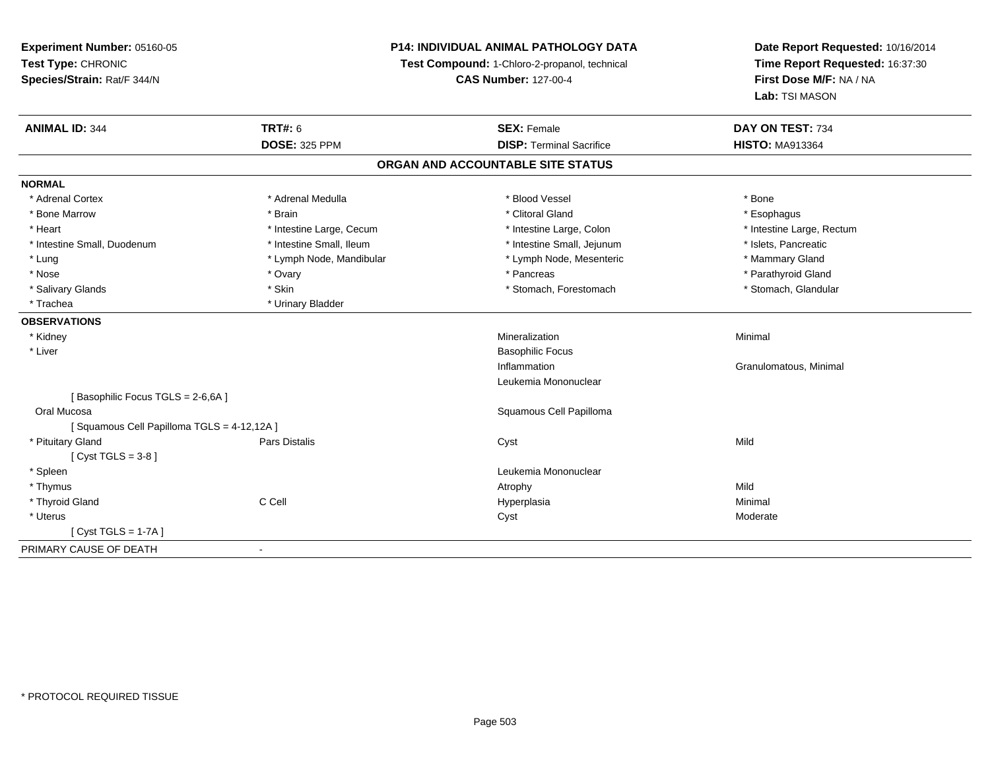**Experiment Number:** 05160-05**Test Type:** CHRONIC **Species/Strain:** Rat/F 344/N**P14: INDIVIDUAL ANIMAL PATHOLOGY DATATest Compound:** 1-Chloro-2-propanol, technical **CAS Number:** 127-00-4**Date Report Requested:** 10/16/2014**Time Report Requested:** 16:37:30**First Dose M/F:** NA / NA**Lab:** TSI MASON**ANIMAL ID:** 344**TRT#:** 6 **SEX:** Female **SEX: Female DAY ON TEST:** 734 **DOSE:** 325 PPM**DISP:** Terminal Sacrifice **HISTO:** MA913364 **ORGAN AND ACCOUNTABLE SITE STATUSNORMAL**\* Adrenal Cortex \* Adrenal Medulla \* Adrenal Medulla \* Blood Vessel \* Bood Vessel \* Bone \* Bone \* Bone \* Bone \* Bone \* Bone \* Bone \* Bone \* Bone \* Bone \* Bone \* Bone \* Bone \* Bone \* Bone \* Bone \* Bone \* Bone \* Bone \* Bone \* Bone \* Bone \* \* \* Esophagus \* Bone Marrow \* \* Android \* Brain \* Brain \* Clitoral Gland \* Clitoral Gland \* Esophagus \* Esophagus \* Esophagus \* Intestine Large, Rectum \* Heart \* Intestine Large, Cecum \* Intestine Large, Cecum \* Intestine Large, Colon \* Intestine Small, Duodenum \* Intestine Small, Ileum \* Intestine Small, Intestine Small, Jejunum \* Islets, Pancreatic \* Mammary Gland \* Lung \* Lymph Node, Mandibular \* Mammary Americ \* Lymph Node, Mesenteric \* Mammary Glandibular \* Mammary Glandian \* Mammary Glandian \* Mammary Glandian \* Mammary Glandian \* Lymph Node, Mesenteric \* Mammary Glandian \* Lymp \* Parathyroid Gland \* Nose \* Ovary \* Pancreas \* Parathyroid Gland \* Stomach, Glandular \* Salivary Glands \* Stomach, Forestomach \* Stomach, Forestomach \* Stomach, Forestomach \* Stomach, Forestomach \* Trachea \* Urinary Bladder**OBSERVATIONS** \* Kidneyy with the control of the control of the control of the control of the control of the control of the control of the control of the control of the control of the control of the control of the control of the control of the c n Minimal \* Liver Basophilic FocusInflammation Granulomatous, Minimal Leukemia Mononuclear[ Basophilic Focus TGLS = 2-6,6A ] Oral Mucosa Squamous Cell Papilloma [ Squamous Cell Papilloma TGLS = 4-12,12A ] \* Pituitary Gland Pars Distalis Cyst Mild [ Cyst TGLS = 3-8 ] \* Spleen Leukemia Mononuclear \* Thymuss and the control of the control of the control of the control of the control of the control of the control of the control of the control of the control of the control of the control of the control of the control of the co Minimal \* Thyroid Gland C Cell Hyperplasia Minimal \* Uteruss the control of the control of the control of the control of the control of the control of the control of the control of the control of the control of the control of the control of the control of the control of the contro [ Cyst TGLS = 1-7A ]PRIMARY CAUSE OF DEATH-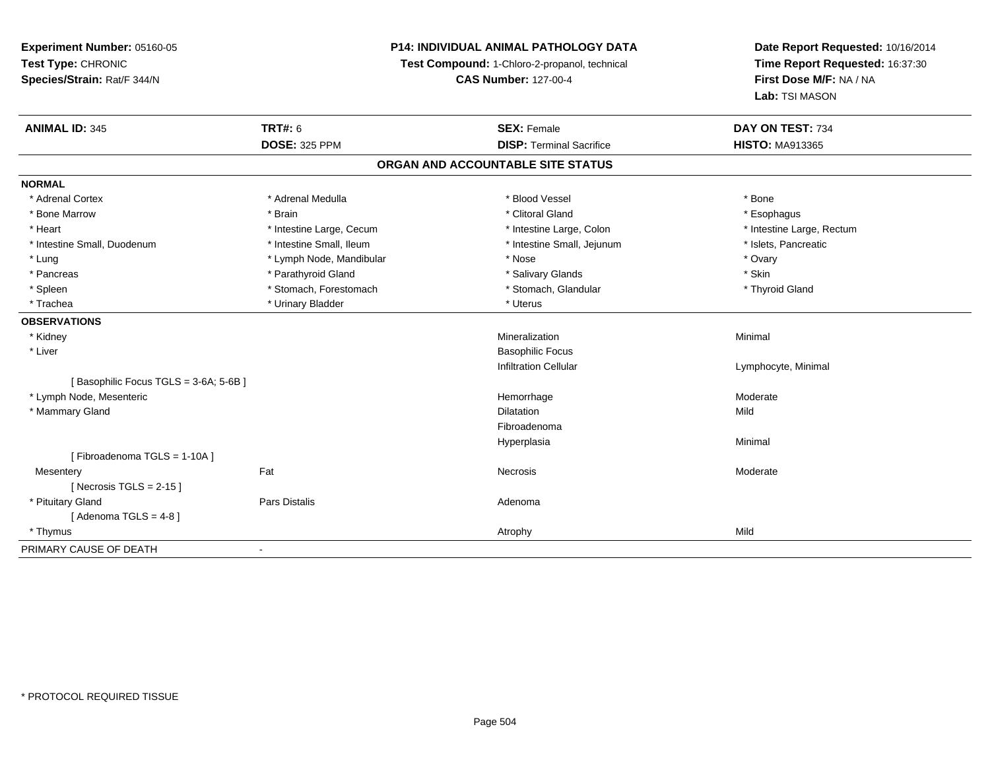# **P14: INDIVIDUAL ANIMAL PATHOLOGY DATA**

**Test Compound:** 1-Chloro-2-propanol, technical

**CAS Number:** 127-00-4

| <b>ANIMAL ID: 345</b>                | <b>TRT#: 6</b>           | <b>SEX: Female</b>                | DAY ON TEST: 734          |
|--------------------------------------|--------------------------|-----------------------------------|---------------------------|
|                                      | <b>DOSE: 325 PPM</b>     | <b>DISP: Terminal Sacrifice</b>   | <b>HISTO: MA913365</b>    |
|                                      |                          | ORGAN AND ACCOUNTABLE SITE STATUS |                           |
| <b>NORMAL</b>                        |                          |                                   |                           |
| * Adrenal Cortex                     | * Adrenal Medulla        | * Blood Vessel                    | * Bone                    |
| * Bone Marrow                        | * Brain                  | * Clitoral Gland                  | * Esophagus               |
| * Heart                              | * Intestine Large, Cecum | * Intestine Large, Colon          | * Intestine Large, Rectum |
| * Intestine Small, Duodenum          | * Intestine Small, Ileum | * Intestine Small, Jejunum        | * Islets, Pancreatic      |
| * Lung                               | * Lymph Node, Mandibular | * Nose                            | * Ovary                   |
| * Pancreas                           | * Parathyroid Gland      | * Salivary Glands                 | * Skin                    |
| * Spleen                             | * Stomach, Forestomach   | * Stomach, Glandular              | * Thyroid Gland           |
| * Trachea                            | * Urinary Bladder        | * Uterus                          |                           |
| <b>OBSERVATIONS</b>                  |                          |                                   |                           |
| * Kidney                             |                          | Mineralization                    | Minimal                   |
| * Liver                              |                          | <b>Basophilic Focus</b>           |                           |
|                                      |                          | <b>Infiltration Cellular</b>      | Lymphocyte, Minimal       |
| [Basophilic Focus TGLS = 3-6A; 5-6B] |                          |                                   |                           |
| * Lymph Node, Mesenteric             |                          | Hemorrhage                        | Moderate                  |
| * Mammary Gland                      |                          | <b>Dilatation</b>                 | Mild                      |
|                                      |                          | Fibroadenoma                      |                           |
|                                      |                          | Hyperplasia                       | Minimal                   |
| [Fibroadenoma TGLS = 1-10A]          |                          |                                   |                           |
| Mesentery                            | Fat                      | Necrosis                          | Moderate                  |
| [Necrosis TGLS = $2-15$ ]            |                          |                                   |                           |
| * Pituitary Gland                    | <b>Pars Distalis</b>     | Adenoma                           |                           |
| [Adenoma TGLS = $4-8$ ]              |                          |                                   |                           |
| * Thymus                             |                          | Atrophy                           | Mild                      |
| PRIMARY CAUSE OF DEATH               |                          |                                   |                           |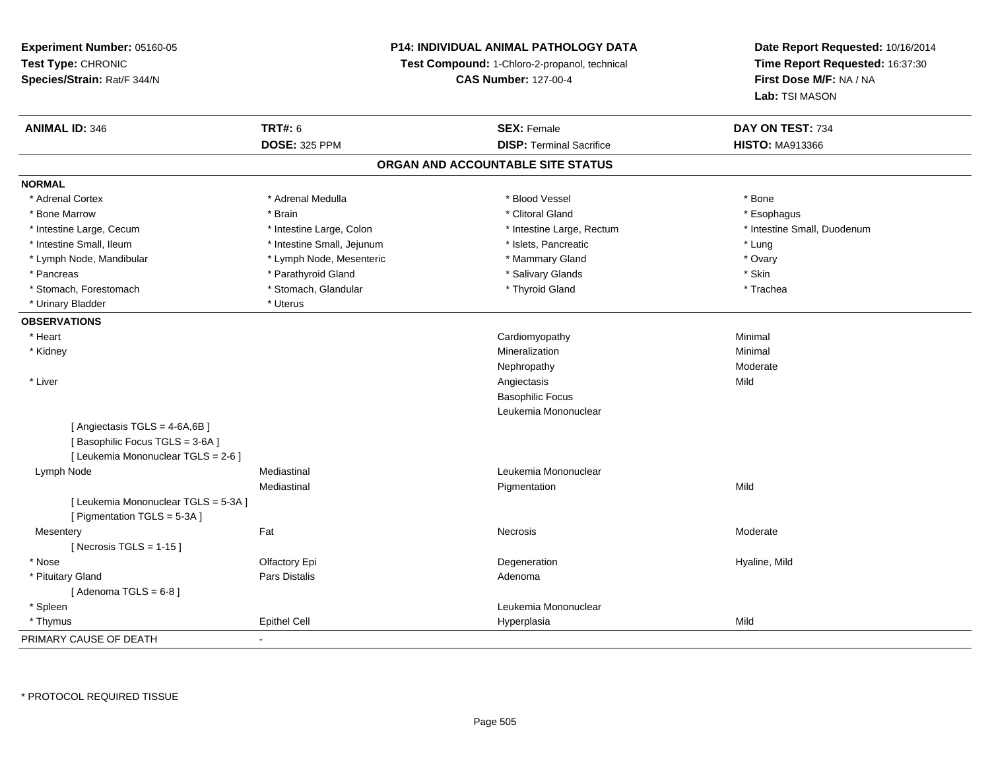## **P14: INDIVIDUAL ANIMAL PATHOLOGY DATA**

**Test Compound:** 1-Chloro-2-propanol, technical

**CAS Number:** 127-00-4

**Date Report Requested:** 10/16/2014**Time Report Requested:** 16:37:30**First Dose M/F:** NA / NA**Lab:** TSI MASON

| <b>ANIMAL ID: 346</b>                | <b>TRT#: 6</b>             | <b>SEX: Female</b>                | DAY ON TEST: 734            |
|--------------------------------------|----------------------------|-----------------------------------|-----------------------------|
|                                      | <b>DOSE: 325 PPM</b>       | <b>DISP: Terminal Sacrifice</b>   | <b>HISTO: MA913366</b>      |
|                                      |                            | ORGAN AND ACCOUNTABLE SITE STATUS |                             |
| <b>NORMAL</b>                        |                            |                                   |                             |
| * Adrenal Cortex                     | * Adrenal Medulla          | * Blood Vessel                    | * Bone                      |
| * Bone Marrow                        | * Brain                    | * Clitoral Gland                  | * Esophagus                 |
| * Intestine Large, Cecum             | * Intestine Large, Colon   | * Intestine Large, Rectum         | * Intestine Small, Duodenum |
| * Intestine Small, Ileum             | * Intestine Small, Jejunum | * Islets, Pancreatic              | * Lung                      |
| * Lymph Node, Mandibular             | * Lymph Node, Mesenteric   | * Mammary Gland                   | * Ovary                     |
| * Pancreas                           | * Parathyroid Gland        | * Salivary Glands                 | * Skin                      |
| * Stomach, Forestomach               | * Stomach, Glandular       | * Thyroid Gland                   | * Trachea                   |
| * Urinary Bladder                    | * Uterus                   |                                   |                             |
| <b>OBSERVATIONS</b>                  |                            |                                   |                             |
| * Heart                              |                            | Cardiomyopathy                    | Minimal                     |
| * Kidney                             |                            | Mineralization                    | Minimal                     |
|                                      |                            | Nephropathy                       | Moderate                    |
| * Liver                              |                            | Angiectasis                       | Mild                        |
|                                      |                            | <b>Basophilic Focus</b>           |                             |
|                                      |                            | Leukemia Mononuclear              |                             |
| [Angiectasis TGLS = $4-6A,6B$ ]      |                            |                                   |                             |
| [Basophilic Focus TGLS = 3-6A]       |                            |                                   |                             |
| [ Leukemia Mononuclear TGLS = 2-6 ]  |                            |                                   |                             |
| Lymph Node                           | Mediastinal                | Leukemia Mononuclear              |                             |
|                                      | Mediastinal                | Pigmentation                      | Mild                        |
| [ Leukemia Mononuclear TGLS = 5-3A ] |                            |                                   |                             |
| [ Pigmentation TGLS = 5-3A ]         |                            |                                   |                             |
| Mesentery                            | Fat                        | Necrosis                          | Moderate                    |
| [Necrosis TGLS = $1-15$ ]            |                            |                                   |                             |
| * Nose                               | Olfactory Epi              | Degeneration                      | Hyaline, Mild               |
| * Pituitary Gland                    | Pars Distalis              | Adenoma                           |                             |
| [Adenoma TGLS = $6-8$ ]              |                            |                                   |                             |
| * Spleen                             |                            | Leukemia Mononuclear              |                             |
| * Thymus                             | <b>Epithel Cell</b>        | Hyperplasia                       | Mild                        |
| PRIMARY CAUSE OF DEATH               | $\sim$                     |                                   |                             |

\* PROTOCOL REQUIRED TISSUE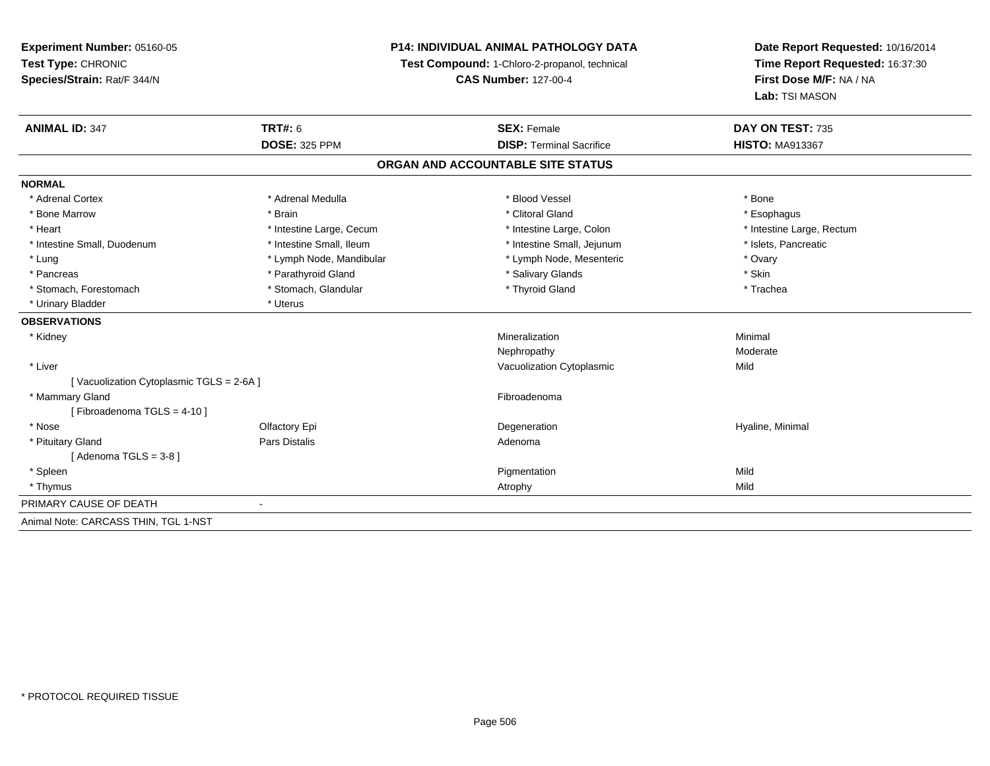**Experiment Number:** 05160-05**Test Type:** CHRONIC **Species/Strain:** Rat/F 344/N**P14: INDIVIDUAL ANIMAL PATHOLOGY DATATest Compound:** 1-Chloro-2-propanol, technical **CAS Number:** 127-00-4**Date Report Requested:** 10/16/2014**Time Report Requested:** 16:37:30**First Dose M/F:** NA / NA**Lab:** TSI MASON**ANIMAL ID:** 347**TRT#:** 6 **SEX:** Female **SEX: Female DAY ON TEST:** 735 **DOSE:** 325 PPM**DISP:** Terminal Sacrifice **HISTO:** MA913367 **ORGAN AND ACCOUNTABLE SITE STATUSNORMAL**\* Adrenal Cortex \* Adrenal Medulla \* Adrenal Medulla \* Blood Vessel \* Bood Vessel \* Bone \* Bone \* Bone \* Bone \* Bone \* Bone \* Bone \* Bone \* Bone \* Bone \* Bone \* Bone \* Bone \* Bone \* Bone \* Bone \* Bone \* Bone \* Bone \* Bone \* Bone \* Bone \* \* \* Esophagus \* Bone Marrow \* \* Android \* Brain \* Brain \* Clitoral Gland \* Clitoral Gland \* Esophagus \* Esophagus \* Esophagus \* Heart Thestine Large, Cecum Thestine Large, Cecum Assessment Carge, Colon Thestine Large, Rectum \* Intestine Large, Rectum \* Intestine Large, Rectum \* Intestine Small, Duodenum \* Intestine Small, Ileum \* Intestine Small, Intestine Small, Jejunum \* Islets, Pancreatic \* Lung \* Lymph Node, Mandibular \* Mandibular \* Lymph Node, Mesenteric \* Ovary \* Ovary \* Skin \* Pancreas \* Pancreas \* Parathyroid Gland \* The state of the set of the set of the set of the set of the set of the set of the set of the set of the set of the set of the set of the set of the set of the set of the set of \* Trachea \* Stomach, Forestomach \* Thyroid Gland \* Stomach, Glandular \* Thyroid Gland \* Thyroid Gland \* Urinary Bladder \* Uterus **OBSERVATIONS** \* Kidneyy with the control of the control of the control of the control of the control of the control of the control of the control of the control of the control of the control of the control of the control of the control of the c n Minimal Nephropathy Moderate \* Liver Vacuolization Cytoplasmicc Mild [ Vacuolization Cytoplasmic TGLS = 2-6A ] \* Mammary Glandd **Executive Contract of the Contract Contract Contract Contract Contract Contract Contract Contract Contract Contract Contract Contract Contract Contract Contract Contract Contract Contract Contract Contract Contract Cont** [ Fibroadenoma TGLS = 4-10 ] \* Nosee and the Cole of Equation of the Cole of the Cole of the Cole of the Cole of the Cole of the Cole of the Cole <br>Begeneration to the Cole of the Cole of the Cole of the Cole of the Cole of the Cole of the Cole of the Cole o \* Pituitary Glandd and the contract of Pars Distalis and the contract of Adenoma and Adenoma and the Adenoma and the Adenoma and  $\lambda$  $[$  Adenoma TGLS = 3-8  $]$ 

 \* Spleenn and the control of the control of the control of the control of the control of the control of the control of the control of the control of the control of the control of the control of the control of the control of the co

 \* Thymuss and the control of the control of the control of the control of the control of the control of the control of the control of the control of the control of the control of the control of the control of the control of the co

PRIMARY CAUSE OF DEATH-

Animal Note: CARCASS THIN, TGL 1-NST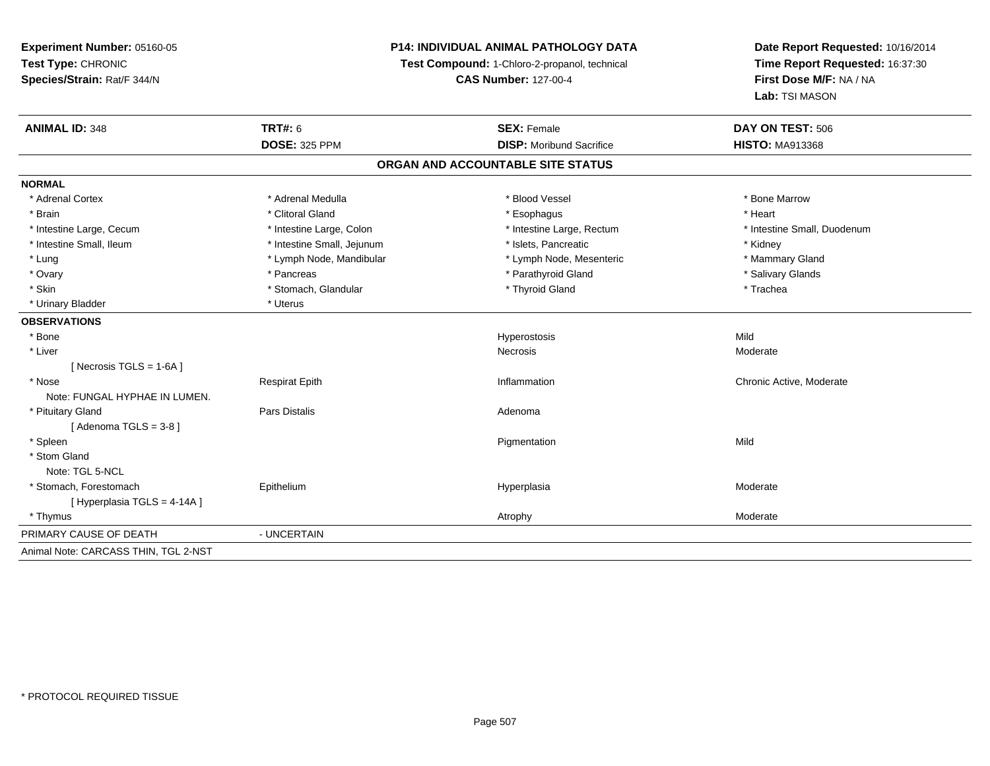## **P14: INDIVIDUAL ANIMAL PATHOLOGY DATA**

**Test Compound:** 1-Chloro-2-propanol, technical

**CAS Number:** 127-00-4

| <b>ANIMAL ID: 348</b>                | TRT#: 6                    | <b>SEX: Female</b>              | DAY ON TEST: 506            |  |  |  |  |
|--------------------------------------|----------------------------|---------------------------------|-----------------------------|--|--|--|--|
|                                      | <b>DOSE: 325 PPM</b>       | <b>DISP:</b> Moribund Sacrifice | <b>HISTO: MA913368</b>      |  |  |  |  |
| ORGAN AND ACCOUNTABLE SITE STATUS    |                            |                                 |                             |  |  |  |  |
| <b>NORMAL</b>                        |                            |                                 |                             |  |  |  |  |
| * Adrenal Cortex                     | * Adrenal Medulla          | * Blood Vessel                  | * Bone Marrow               |  |  |  |  |
| * Brain                              | * Clitoral Gland           | * Esophagus                     | * Heart                     |  |  |  |  |
| * Intestine Large, Cecum             | * Intestine Large, Colon   | * Intestine Large, Rectum       | * Intestine Small, Duodenum |  |  |  |  |
| * Intestine Small, Ileum             | * Intestine Small, Jejunum | * Islets, Pancreatic            | * Kidney                    |  |  |  |  |
| * Lung                               | * Lymph Node, Mandibular   | * Lymph Node, Mesenteric        | * Mammary Gland             |  |  |  |  |
| * Ovary                              | * Pancreas                 | * Parathyroid Gland             | * Salivary Glands           |  |  |  |  |
| * Skin                               | * Stomach, Glandular       | * Thyroid Gland                 | * Trachea                   |  |  |  |  |
| * Urinary Bladder                    | * Uterus                   |                                 |                             |  |  |  |  |
| <b>OBSERVATIONS</b>                  |                            |                                 |                             |  |  |  |  |
| * Bone                               |                            | Hyperostosis                    | Mild                        |  |  |  |  |
| * Liver                              |                            | <b>Necrosis</b>                 | Moderate                    |  |  |  |  |
| [ Necrosis $TGLS = 1-6A$ ]           |                            |                                 |                             |  |  |  |  |
| * Nose                               | <b>Respirat Epith</b>      | Inflammation                    | Chronic Active, Moderate    |  |  |  |  |
| Note: FUNGAL HYPHAE IN LUMEN.        |                            |                                 |                             |  |  |  |  |
| * Pituitary Gland                    | <b>Pars Distalis</b>       | Adenoma                         |                             |  |  |  |  |
| [Adenoma TGLS = $3-8$ ]              |                            |                                 |                             |  |  |  |  |
| * Spleen                             |                            | Pigmentation                    | Mild                        |  |  |  |  |
| * Stom Gland                         |                            |                                 |                             |  |  |  |  |
| Note: TGL 5-NCL                      |                            |                                 |                             |  |  |  |  |
| * Stomach, Forestomach               | Epithelium                 | Hyperplasia                     | Moderate                    |  |  |  |  |
| [Hyperplasia TGLS = 4-14A]           |                            |                                 |                             |  |  |  |  |
| * Thymus                             |                            | Atrophy                         | Moderate                    |  |  |  |  |
| PRIMARY CAUSE OF DEATH               | - UNCERTAIN                |                                 |                             |  |  |  |  |
| Animal Note: CARCASS THIN, TGL 2-NST |                            |                                 |                             |  |  |  |  |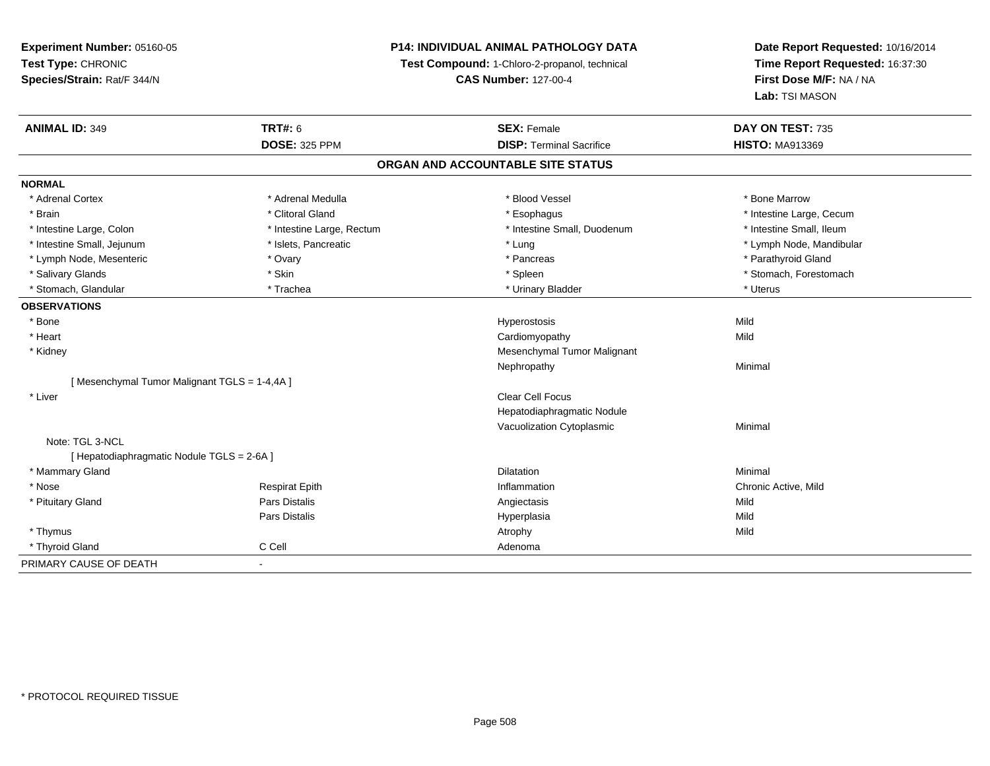## **P14: INDIVIDUAL ANIMAL PATHOLOGY DATA**

**Test Compound:** 1-Chloro-2-propanol, technical

**CAS Number:** 127-00-4

| <b>ANIMAL ID: 349</b>                       | <b>TRT#: 6</b>            | <b>SEX: Female</b>                | DAY ON TEST: 735         |  |
|---------------------------------------------|---------------------------|-----------------------------------|--------------------------|--|
|                                             | <b>DOSE: 325 PPM</b>      | <b>DISP: Terminal Sacrifice</b>   | <b>HISTO: MA913369</b>   |  |
|                                             |                           | ORGAN AND ACCOUNTABLE SITE STATUS |                          |  |
| <b>NORMAL</b>                               |                           |                                   |                          |  |
| * Adrenal Cortex                            | * Adrenal Medulla         | * Blood Vessel                    | * Bone Marrow            |  |
| * Brain                                     | * Clitoral Gland          | * Esophagus                       | * Intestine Large, Cecum |  |
| * Intestine Large, Colon                    | * Intestine Large, Rectum | * Intestine Small, Duodenum       | * Intestine Small, Ileum |  |
| * Intestine Small, Jejunum                  | * Islets, Pancreatic      | * Lung                            | * Lymph Node, Mandibular |  |
| * Lymph Node, Mesenteric                    | * Ovary                   | * Pancreas                        | * Parathyroid Gland      |  |
| * Salivary Glands                           | * Skin                    | * Spleen                          | * Stomach, Forestomach   |  |
| * Stomach, Glandular                        | * Trachea                 | * Urinary Bladder                 | * Uterus                 |  |
| <b>OBSERVATIONS</b>                         |                           |                                   |                          |  |
| * Bone                                      |                           | Hyperostosis                      | Mild                     |  |
| * Heart                                     |                           | Cardiomyopathy                    | Mild                     |  |
| * Kidney                                    |                           | Mesenchymal Tumor Malignant       |                          |  |
|                                             |                           | Nephropathy                       | Minimal                  |  |
| [Mesenchymal Tumor Malignant TGLS = 1-4,4A] |                           |                                   |                          |  |
| * Liver                                     |                           | <b>Clear Cell Focus</b>           |                          |  |
|                                             |                           | Hepatodiaphragmatic Nodule        |                          |  |
|                                             |                           | Vacuolization Cytoplasmic         | Minimal                  |  |
| Note: TGL 3-NCL                             |                           |                                   |                          |  |
| [ Hepatodiaphragmatic Nodule TGLS = 2-6A ]  |                           |                                   |                          |  |
| * Mammary Gland                             |                           | <b>Dilatation</b>                 | Minimal                  |  |
| * Nose                                      | <b>Respirat Epith</b>     | Inflammation                      | Chronic Active, Mild     |  |
| * Pituitary Gland                           | Pars Distalis             | Angiectasis                       | Mild                     |  |
|                                             | Pars Distalis             | Hyperplasia                       | Mild                     |  |
| * Thymus                                    |                           | Atrophy                           | Mild                     |  |
| * Thyroid Gland                             | C Cell                    | Adenoma                           |                          |  |
| PRIMARY CAUSE OF DEATH                      | $\sim$                    |                                   |                          |  |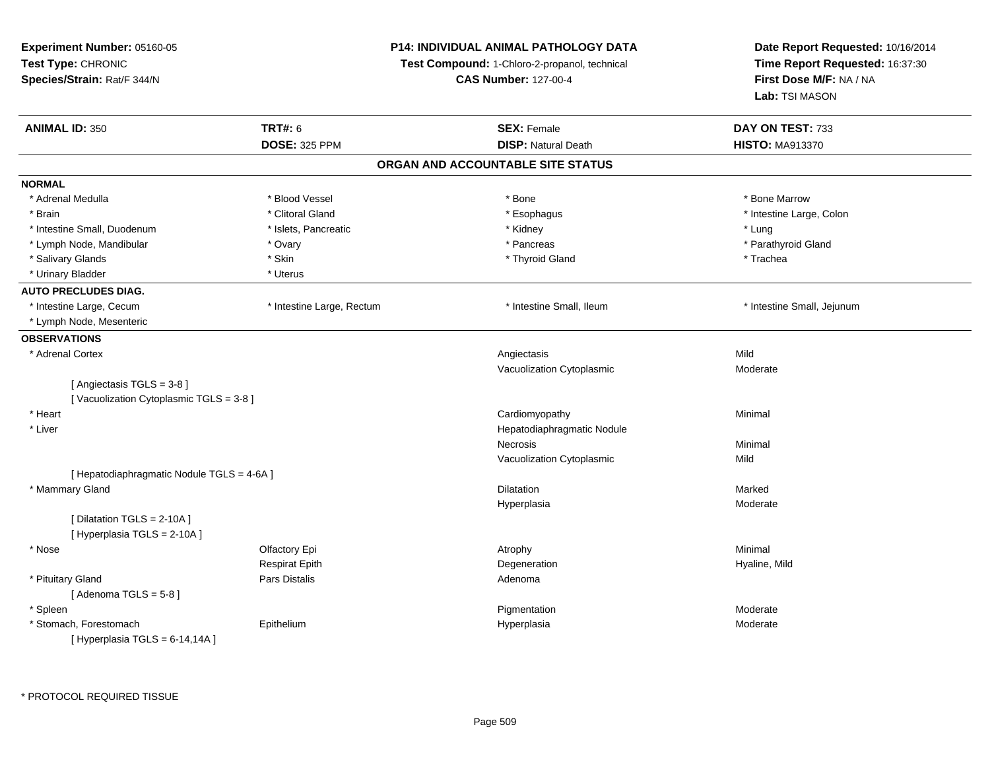| Experiment Number: 05160-05                               |                                               | <b>P14: INDIVIDUAL ANIMAL PATHOLOGY DATA</b> | Date Report Requested: 10/16/2014 |
|-----------------------------------------------------------|-----------------------------------------------|----------------------------------------------|-----------------------------------|
| Test Type: CHRONIC                                        | Test Compound: 1-Chloro-2-propanol, technical |                                              | Time Report Requested: 16:37:30   |
| Species/Strain: Rat/F 344/N                               |                                               | <b>CAS Number: 127-00-4</b>                  | First Dose M/F: NA / NA           |
|                                                           |                                               |                                              | Lab: TSI MASON                    |
| <b>ANIMAL ID: 350</b>                                     | <b>TRT#: 6</b>                                | <b>SEX: Female</b>                           | DAY ON TEST: 733                  |
|                                                           | <b>DOSE: 325 PPM</b>                          | <b>DISP: Natural Death</b>                   | <b>HISTO: MA913370</b>            |
|                                                           |                                               | ORGAN AND ACCOUNTABLE SITE STATUS            |                                   |
| <b>NORMAL</b>                                             |                                               |                                              |                                   |
| * Adrenal Medulla                                         | * Blood Vessel                                | * Bone                                       | * Bone Marrow                     |
| * Brain                                                   | * Clitoral Gland                              | * Esophagus                                  | * Intestine Large, Colon          |
| * Intestine Small, Duodenum                               | * Islets, Pancreatic                          | * Kidney                                     | * Lung                            |
| * Lymph Node, Mandibular                                  | * Ovary                                       | * Pancreas                                   | * Parathyroid Gland               |
| * Salivary Glands                                         | * Skin                                        | * Thyroid Gland                              | * Trachea                         |
| * Urinary Bladder                                         | * Uterus                                      |                                              |                                   |
| <b>AUTO PRECLUDES DIAG.</b>                               |                                               |                                              |                                   |
| * Intestine Large, Cecum                                  | * Intestine Large, Rectum                     | * Intestine Small, Ileum                     | * Intestine Small, Jejunum        |
| * Lymph Node, Mesenteric                                  |                                               |                                              |                                   |
| <b>OBSERVATIONS</b>                                       |                                               |                                              |                                   |
| * Adrenal Cortex                                          |                                               | Angiectasis                                  | Mild                              |
|                                                           |                                               | Vacuolization Cytoplasmic                    | Moderate                          |
| [Angiectasis TGLS = 3-8]                                  |                                               |                                              |                                   |
| [Vacuolization Cytoplasmic TGLS = 3-8]                    |                                               |                                              |                                   |
| * Heart                                                   |                                               | Cardiomyopathy                               | Minimal                           |
| * Liver                                                   |                                               | Hepatodiaphragmatic Nodule                   |                                   |
|                                                           |                                               | Necrosis                                     | Minimal                           |
|                                                           |                                               | Vacuolization Cytoplasmic                    | Mild                              |
| [ Hepatodiaphragmatic Nodule TGLS = 4-6A ]                |                                               |                                              |                                   |
| * Mammary Gland                                           |                                               | <b>Dilatation</b>                            | Marked                            |
|                                                           |                                               | Hyperplasia                                  | Moderate                          |
| [Dilatation TGLS = 2-10A]                                 |                                               |                                              |                                   |
| [ Hyperplasia TGLS = 2-10A]                               |                                               |                                              |                                   |
| * Nose                                                    | Olfactory Epi                                 | Atrophy                                      | Minimal                           |
|                                                           | <b>Respirat Epith</b>                         | Degeneration                                 | Hyaline, Mild                     |
| * Pituitary Gland                                         | Pars Distalis                                 | Adenoma                                      |                                   |
| [Adenoma TGLS = $5-8$ ]                                   |                                               |                                              |                                   |
| * Spleen                                                  |                                               | Pigmentation                                 | Moderate                          |
| * Stomach, Forestomach<br>[ Hyperplasia TGLS = 6-14,14A ] | Epithelium                                    | Hyperplasia                                  | Moderate                          |
|                                                           |                                               |                                              |                                   |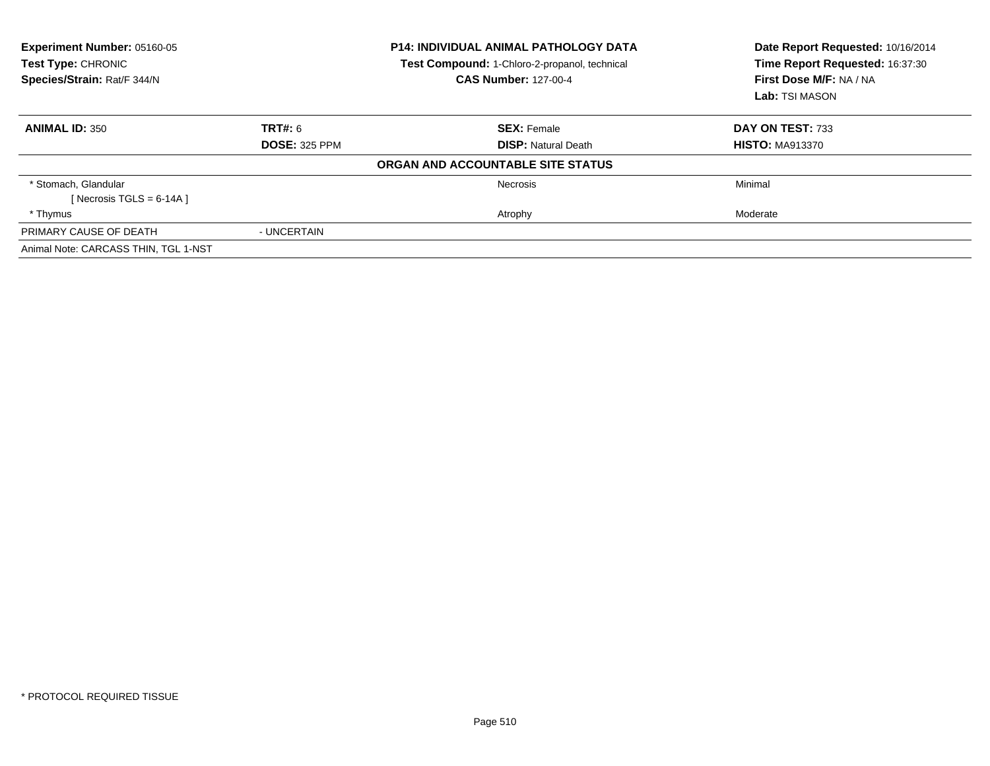| Experiment Number: 05160-05<br>Test Type: CHRONIC<br>Species/Strain: Rat/F 344/N | <b>P14: INDIVIDUAL ANIMAL PATHOLOGY DATA</b><br>Test Compound: 1-Chloro-2-propanol, technical<br><b>CAS Number: 127-00-4</b> |                                   | Date Report Requested: 10/16/2014<br>Time Report Requested: 16:37:30<br>First Dose M/F: NA / NA<br>Lab: TSI MASON |
|----------------------------------------------------------------------------------|------------------------------------------------------------------------------------------------------------------------------|-----------------------------------|-------------------------------------------------------------------------------------------------------------------|
| <b>ANIMAL ID: 350</b>                                                            | <b>TRT#: 6</b>                                                                                                               | <b>SEX: Female</b>                | DAY ON TEST: 733                                                                                                  |
|                                                                                  | <b>DOSE: 325 PPM</b>                                                                                                         | <b>DISP:</b> Natural Death        | <b>HISTO: MA913370</b>                                                                                            |
|                                                                                  |                                                                                                                              | ORGAN AND ACCOUNTABLE SITE STATUS |                                                                                                                   |
| * Stomach, Glandular                                                             |                                                                                                                              | Necrosis                          | Minimal                                                                                                           |
| [Necrosis TGLS = $6-14A$ ]                                                       |                                                                                                                              |                                   |                                                                                                                   |
| * Thymus                                                                         |                                                                                                                              | Atrophy                           | Moderate                                                                                                          |
| PRIMARY CAUSE OF DEATH                                                           | - UNCERTAIN                                                                                                                  |                                   |                                                                                                                   |
| Animal Note: CARCASS THIN, TGL 1-NST                                             |                                                                                                                              |                                   |                                                                                                                   |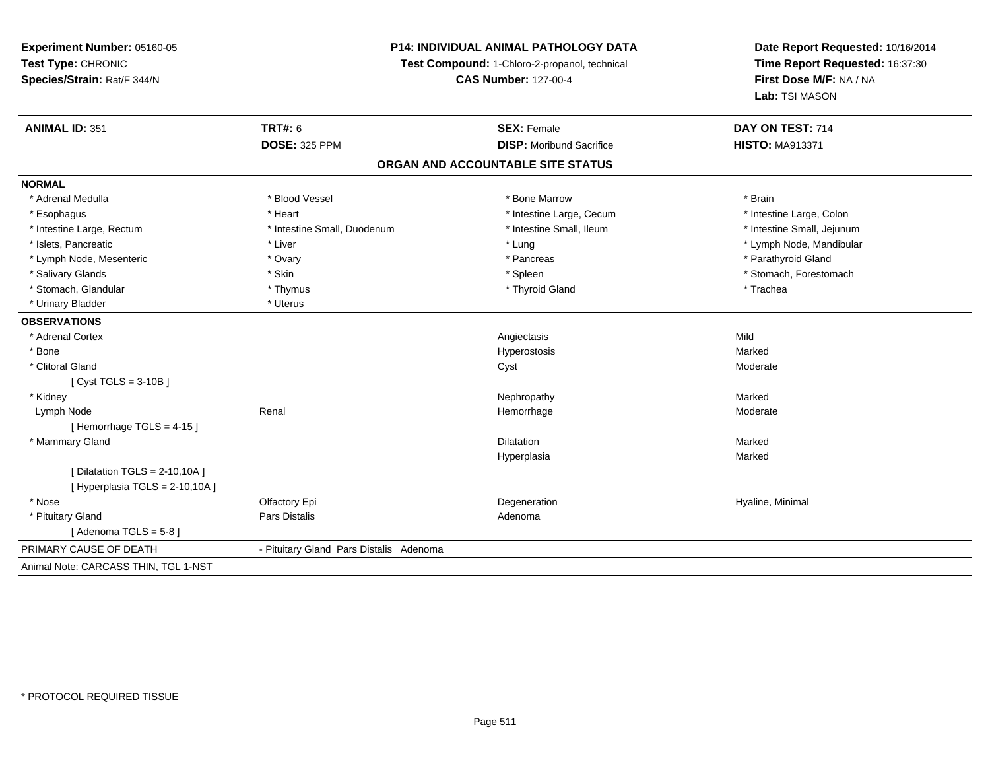## **P14: INDIVIDUAL ANIMAL PATHOLOGY DATA**

**Test Compound:** 1-Chloro-2-propanol, technical

**CAS Number:** 127-00-4

| <b>ANIMAL ID: 351</b>                | <b>TRT#: 6</b>                          | <b>SEX: Female</b>                | DAY ON TEST: 714           |
|--------------------------------------|-----------------------------------------|-----------------------------------|----------------------------|
|                                      | <b>DOSE: 325 PPM</b>                    | <b>DISP:</b> Moribund Sacrifice   | <b>HISTO: MA913371</b>     |
|                                      |                                         | ORGAN AND ACCOUNTABLE SITE STATUS |                            |
| <b>NORMAL</b>                        |                                         |                                   |                            |
| * Adrenal Medulla                    | * Blood Vessel                          | * Bone Marrow                     | * Brain                    |
| * Esophagus                          | * Heart                                 | * Intestine Large, Cecum          | * Intestine Large, Colon   |
| * Intestine Large, Rectum            | * Intestine Small, Duodenum             | * Intestine Small, Ileum          | * Intestine Small, Jejunum |
| * Islets, Pancreatic                 | * Liver                                 | * Lung                            | * Lymph Node, Mandibular   |
| * Lymph Node, Mesenteric             | * Ovary                                 | * Pancreas                        | * Parathyroid Gland        |
| * Salivary Glands                    | * Skin                                  | * Spleen                          | * Stomach, Forestomach     |
| * Stomach, Glandular                 | * Thymus                                | * Thyroid Gland                   | * Trachea                  |
| * Urinary Bladder                    | * Uterus                                |                                   |                            |
| <b>OBSERVATIONS</b>                  |                                         |                                   |                            |
| * Adrenal Cortex                     |                                         | Angiectasis                       | Mild                       |
| * Bone                               |                                         | Hyperostosis                      | Marked                     |
| * Clitoral Gland                     |                                         | Cyst                              | Moderate                   |
| [Cyst TGLS = $3-10B$ ]               |                                         |                                   |                            |
| * Kidney                             |                                         | Nephropathy                       | Marked                     |
| Lymph Node                           | Renal                                   | Hemorrhage                        | Moderate                   |
| [Hemorrhage TGLS = $4-15$ ]          |                                         |                                   |                            |
| * Mammary Gland                      |                                         | Dilatation                        | Marked                     |
|                                      |                                         | Hyperplasia                       | Marked                     |
| [ Dilatation TGLS = $2-10,10A$ ]     |                                         |                                   |                            |
| [Hyperplasia TGLS = 2-10,10A]        |                                         |                                   |                            |
| * Nose                               | Olfactory Epi                           | Degeneration                      | Hyaline, Minimal           |
| * Pituitary Gland                    | Pars Distalis                           | Adenoma                           |                            |
| [Adenoma TGLS = $5-8$ ]              |                                         |                                   |                            |
| PRIMARY CAUSE OF DEATH               | - Pituitary Gland Pars Distalis Adenoma |                                   |                            |
| Animal Note: CARCASS THIN, TGL 1-NST |                                         |                                   |                            |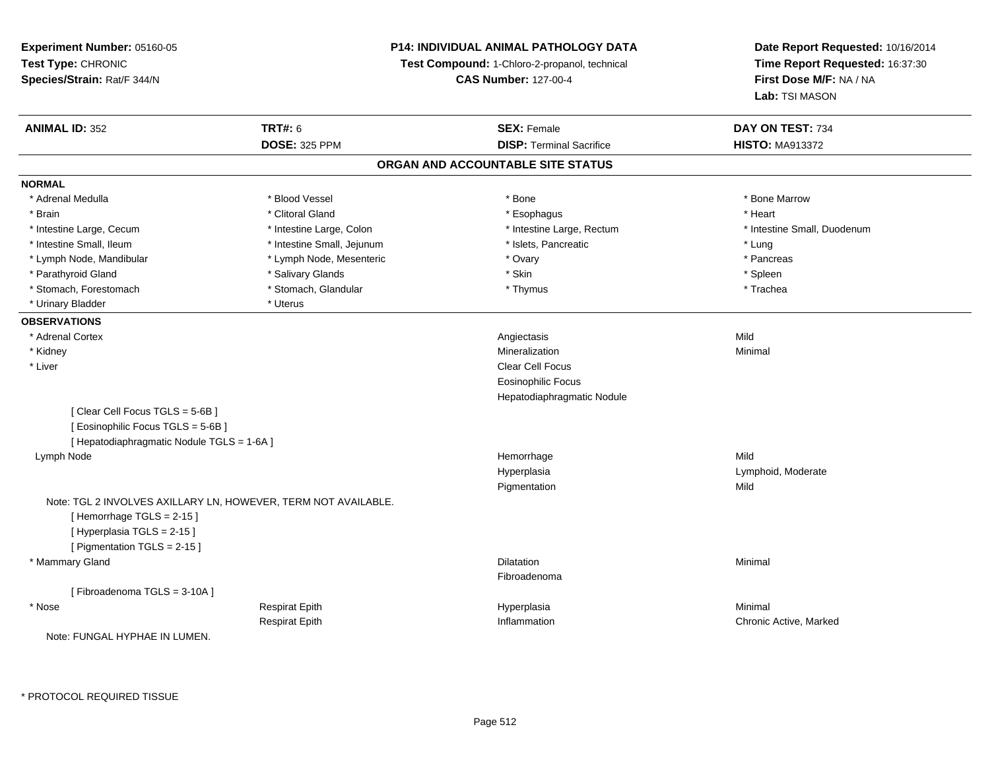**Experiment Number:** 05160-05**Test Type:** CHRONIC **Species/Strain:** Rat/F 344/N**P14: INDIVIDUAL ANIMAL PATHOLOGY DATATest Compound:** 1-Chloro-2-propanol, technical **CAS Number:** 127-00-4**Date Report Requested:** 10/16/2014**Time Report Requested:** 16:37:30**First Dose M/F:** NA / NA**Lab:** TSI MASON**ANIMAL ID:** 352**TRT#:** 6 **SEX:** Female **SEX: Female DAY ON TEST:** 734 **DOSE:** 325 PPM**DISP:** Terminal Sacrifice **HISTO:** MA913372 **ORGAN AND ACCOUNTABLE SITE STATUSNORMAL**\* Adrenal Medulla \* \* \* Blood Vessel \* \* \* Bone Marrow \* \* Bone Marrow \* \* Bone Marrow \* Brain \* Alternative of the state of the state of the state of the state of the state of the state of the state of the state of the state of the state of the state of the state of the state of the state of the state of th \* Intestine Large, Cecum \* Intestine Large, Colon \* Intestine Large, Rectum \* Intestine Small, Duodenum\* Intestine Small, Ileum \* https://www.fatheratic \* Lung \* Intestine Small, Jejunum \* Islets, Pancreatic \* Lung \* Lung \* Pancreas \* Lymph Node, Mandibular \* Lymph Node, Mesenteric \* Ovary \* Ovary \* Ovary \* Parathyroid Gland \* \* Salivary Glands \* Salivary Glands \* Skin \* Skin \* State \* Spleen \* Spleen \* Spleen \* Spleen \* Trachea \* Stomach, Forestomach \* Thymus \* Stomach, Glandular \* Thymus \* Thymus \* Thymus \* Thymus \* Thymus \* Thymus \* Thymus \* Thymus \* Thymus \* Thymus \* Thymus \* Thymus \* Thymus \* Thymus \* Thymus \* Thymus \* Thymus \* Thymus \* Thymu \* Urinary Bladder \* Uterus **OBSERVATIONS** \* Adrenal Cortexx and the control of the control of the control of the control of the control of the control of the control of the control of the control of the control of the control of the control of the control of the control of the co Minimal \* Kidneyy with the control of the control of the control of the control of the control of the control of the control of the control of the control of the control of the control of the control of the control of the control of the c n Minimal \* Liver Clear Cell Focus Eosinophilic Focus Hepatodiaphragmatic Nodule[ Clear Cell Focus TGLS = 5-6B ][ Eosinophilic Focus TGLS = 5-6B ][ Hepatodiaphragmatic Nodule TGLS = 1-6A ] Lymph Nodee and the state of the state of the state of the Mild and the Mild and the Mild and the Mild and the Mild and the Mild and the Mild and the Mild and the Mild and the Mild and the Mild and the Mild and the Mild and the Mild Hyperplasia Lymphoid, Moderate Pigmentationn Mild Note: TGL 2 INVOLVES AXILLARY LN, HOWEVER, TERM NOT AVAILABLE.[ Hemorrhage TGLS = 2-15 ][ Hyperplasia TGLS = 2-15 ][ Pigmentation TGLS = 2-15 ] \* Mammary Glandd and the control of the control of the control of the control of the control of the control of the control of the control of the control of the control of the control of the control of the control of the control of the co Fibroadenoma[ Fibroadenoma TGLS = 3-10A ] \* Nose Respirat Epith Hyperplasia Minimal Respirat Epith Inflammation Chronic Active, Marked Note: FUNGAL HYPHAE IN LUMEN.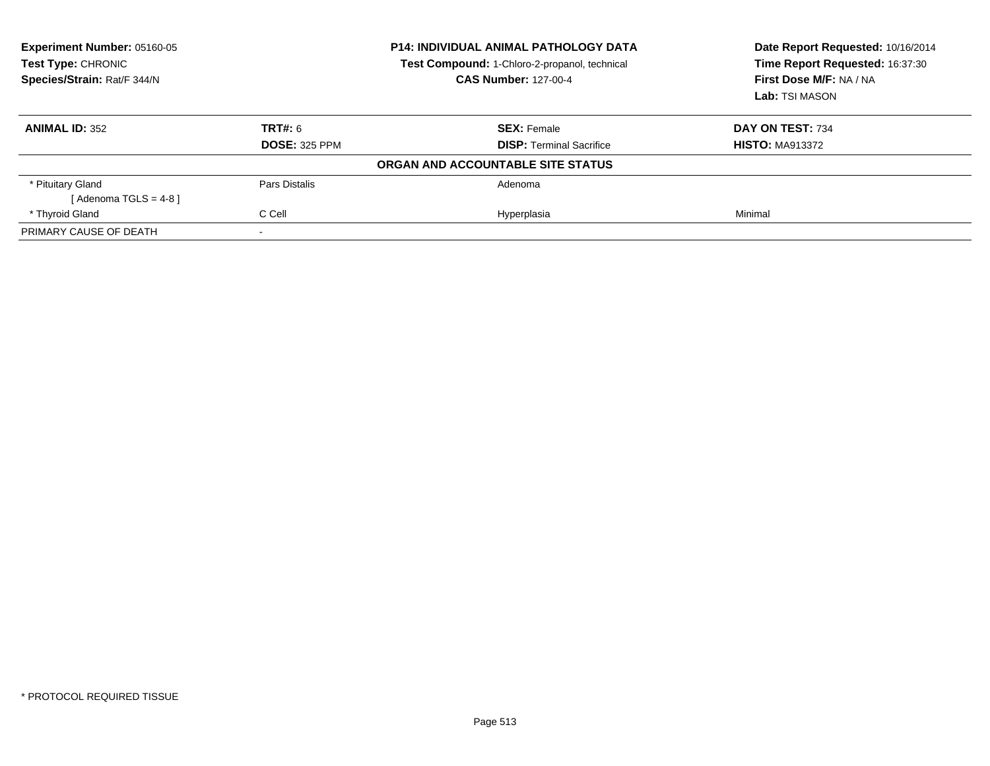| Experiment Number: 05160-05<br>Test Type: CHRONIC<br>Species/Strain: Rat/F 344/N | <b>P14: INDIVIDUAL ANIMAL PATHOLOGY DATA</b><br>Test Compound: 1-Chloro-2-propanol, technical<br><b>CAS Number: 127-00-4</b> |                                   | Date Report Requested: 10/16/2014<br>Time Report Requested: 16:37:30<br>First Dose M/F: NA / NA<br>Lab: TSI MASON |
|----------------------------------------------------------------------------------|------------------------------------------------------------------------------------------------------------------------------|-----------------------------------|-------------------------------------------------------------------------------------------------------------------|
| <b>ANIMAL ID: 352</b>                                                            | TRT#: 6                                                                                                                      | <b>SEX: Female</b>                | DAY ON TEST: 734                                                                                                  |
|                                                                                  | <b>DOSE: 325 PPM</b>                                                                                                         | <b>DISP:</b> Terminal Sacrifice   | <b>HISTO: MA913372</b>                                                                                            |
|                                                                                  |                                                                                                                              | ORGAN AND ACCOUNTABLE SITE STATUS |                                                                                                                   |
| * Pituitary Gland                                                                | Pars Distalis                                                                                                                | Adenoma                           |                                                                                                                   |
| [ Adenoma TGLS = 4-8 ]                                                           |                                                                                                                              |                                   |                                                                                                                   |
| * Thyroid Gland                                                                  | C Cell                                                                                                                       | Hyperplasia                       | Minimal                                                                                                           |
| PRIMARY CAUSE OF DEATH                                                           |                                                                                                                              |                                   |                                                                                                                   |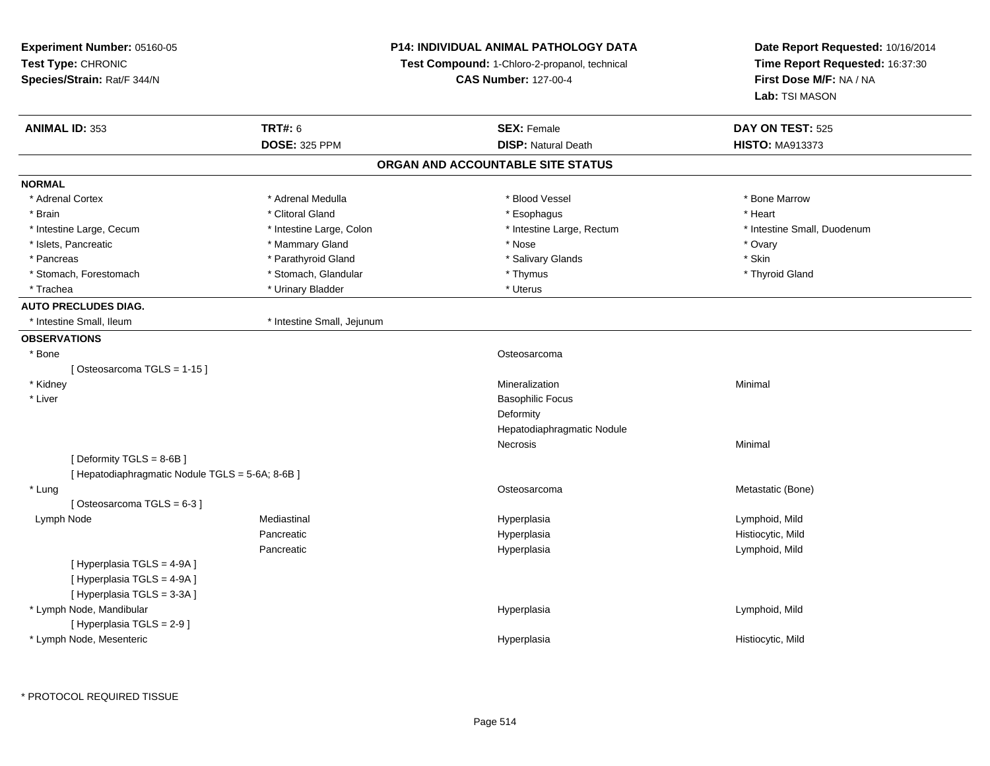| Experiment Number: 05160-05                                |                            | <b>P14: INDIVIDUAL ANIMAL PATHOLOGY DATA</b>  | Date Report Requested: 10/16/2014<br>Time Report Requested: 16:37:30 |
|------------------------------------------------------------|----------------------------|-----------------------------------------------|----------------------------------------------------------------------|
| Test Type: CHRONIC                                         |                            | Test Compound: 1-Chloro-2-propanol, technical |                                                                      |
| Species/Strain: Rat/F 344/N                                |                            | <b>CAS Number: 127-00-4</b>                   | First Dose M/F: NA / NA                                              |
|                                                            |                            |                                               | Lab: TSI MASON                                                       |
| <b>ANIMAL ID: 353</b>                                      | <b>TRT#: 6</b>             | <b>SEX: Female</b>                            | DAY ON TEST: 525                                                     |
|                                                            | <b>DOSE: 325 PPM</b>       | <b>DISP: Natural Death</b>                    | <b>HISTO: MA913373</b>                                               |
|                                                            |                            | ORGAN AND ACCOUNTABLE SITE STATUS             |                                                                      |
| <b>NORMAL</b>                                              |                            |                                               |                                                                      |
| * Adrenal Cortex                                           | * Adrenal Medulla          | * Blood Vessel                                | * Bone Marrow                                                        |
| * Brain                                                    | * Clitoral Gland           | * Esophagus                                   | * Heart                                                              |
| * Intestine Large, Cecum                                   | * Intestine Large, Colon   | * Intestine Large, Rectum                     | * Intestine Small, Duodenum                                          |
| * Islets, Pancreatic                                       | * Mammary Gland            | * Nose                                        | * Ovary                                                              |
| * Pancreas                                                 | * Parathyroid Gland        | * Salivary Glands                             | * Skin                                                               |
| * Stomach, Forestomach                                     | * Stomach, Glandular       | * Thymus                                      | * Thyroid Gland                                                      |
| * Trachea                                                  | * Urinary Bladder          | * Uterus                                      |                                                                      |
| <b>AUTO PRECLUDES DIAG.</b>                                |                            |                                               |                                                                      |
| * Intestine Small, Ileum                                   | * Intestine Small, Jejunum |                                               |                                                                      |
| <b>OBSERVATIONS</b>                                        |                            |                                               |                                                                      |
| * Bone                                                     |                            | Osteosarcoma                                  |                                                                      |
| [Osteosarcoma TGLS = 1-15]                                 |                            |                                               |                                                                      |
| * Kidney                                                   |                            | Mineralization                                | Minimal                                                              |
| * Liver                                                    |                            | <b>Basophilic Focus</b>                       |                                                                      |
|                                                            |                            | Deformity                                     |                                                                      |
|                                                            |                            | Hepatodiaphragmatic Nodule                    |                                                                      |
|                                                            |                            | Necrosis                                      | Minimal                                                              |
| [Deformity TGLS = 8-6B]                                    |                            |                                               |                                                                      |
| [ Hepatodiaphragmatic Nodule TGLS = 5-6A; 8-6B ]           |                            |                                               |                                                                      |
| * Lung                                                     |                            | Osteosarcoma                                  | Metastatic (Bone)                                                    |
| [Osteosarcoma TGLS = 6-3]                                  |                            |                                               |                                                                      |
| Lymph Node                                                 | Mediastinal                | Hyperplasia                                   | Lymphoid, Mild                                                       |
|                                                            | Pancreatic                 | Hyperplasia                                   | Histiocytic, Mild                                                    |
|                                                            | Pancreatic                 | Hyperplasia                                   | Lymphoid, Mild                                                       |
| [ Hyperplasia TGLS = 4-9A ]<br>[ Hyperplasia TGLS = 4-9A ] |                            |                                               |                                                                      |
| [Hyperplasia TGLS = 3-3A]                                  |                            |                                               |                                                                      |
| * Lymph Node, Mandibular                                   |                            | Hyperplasia                                   | Lymphoid, Mild                                                       |
| [ Hyperplasia TGLS = 2-9 ]                                 |                            |                                               |                                                                      |
| * Lymph Node, Mesenteric                                   |                            | Hyperplasia                                   | Histiocytic, Mild                                                    |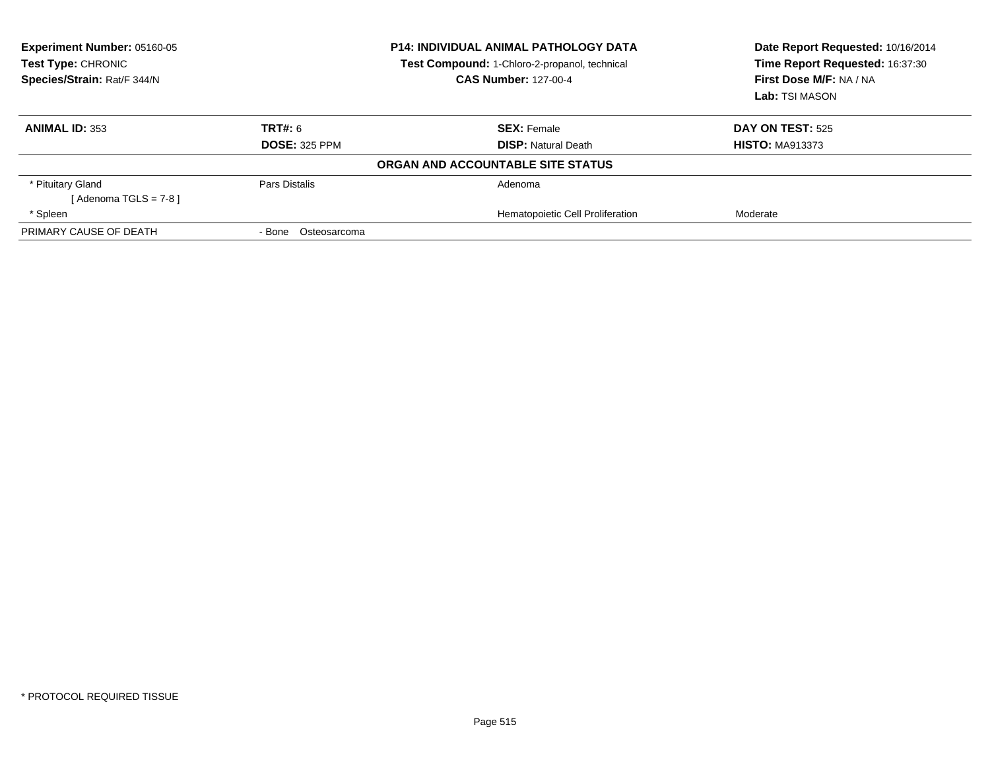| Experiment Number: 05160-05<br>Test Type: CHRONIC<br>Species/Strain: Rat/F 344/N | <b>P14: INDIVIDUAL ANIMAL PATHOLOGY DATA</b><br>Test Compound: 1-Chloro-2-propanol, technical<br><b>CAS Number: 127-00-4</b> |                                   | Date Report Requested: 10/16/2014<br>Time Report Requested: 16:37:30<br>First Dose M/F: NA / NA<br>Lab: TSI MASON |
|----------------------------------------------------------------------------------|------------------------------------------------------------------------------------------------------------------------------|-----------------------------------|-------------------------------------------------------------------------------------------------------------------|
| <b>ANIMAL ID: 353</b>                                                            | <b>TRT#: 6</b>                                                                                                               | <b>SEX: Female</b>                | <b>DAY ON TEST: 525</b>                                                                                           |
|                                                                                  | <b>DOSE: 325 PPM</b>                                                                                                         | <b>DISP:</b> Natural Death        | <b>HISTO: MA913373</b>                                                                                            |
|                                                                                  |                                                                                                                              | ORGAN AND ACCOUNTABLE SITE STATUS |                                                                                                                   |
| * Pituitary Gland<br>[Adenoma TGLS = $7-8$ ]                                     | Pars Distalis                                                                                                                | Adenoma                           |                                                                                                                   |
| * Spleen                                                                         |                                                                                                                              | Hematopoietic Cell Proliferation  | Moderate                                                                                                          |
| PRIMARY CAUSE OF DEATH                                                           | Osteosarcoma<br>- Bone                                                                                                       |                                   |                                                                                                                   |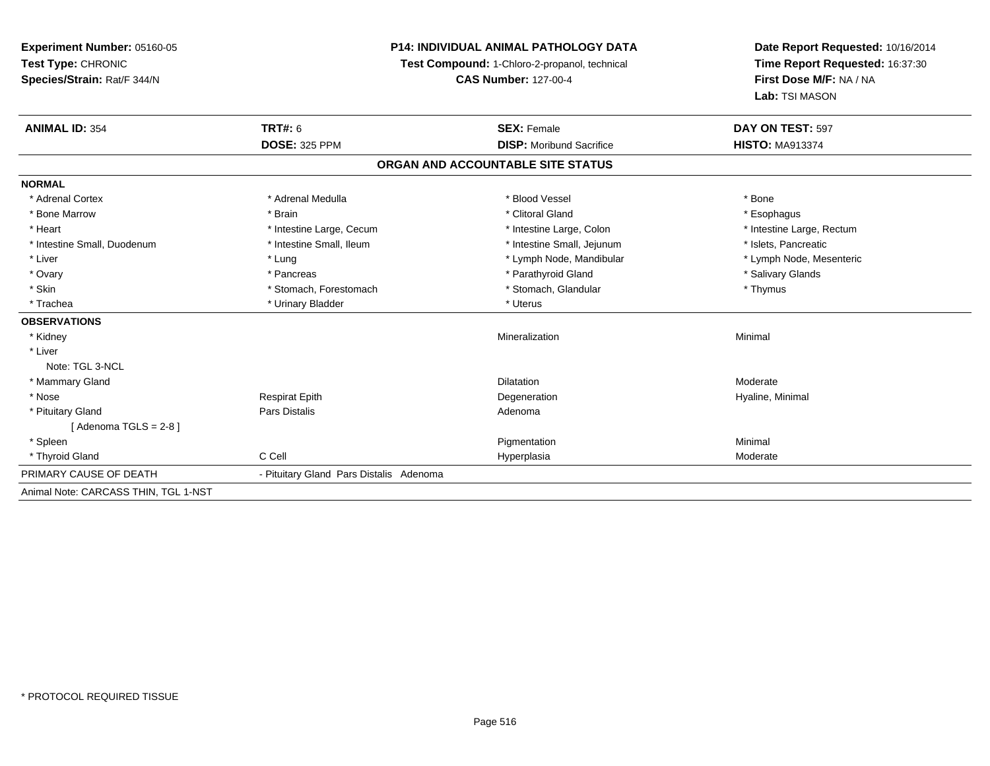**Experiment Number:** 05160-05**Test Type:** CHRONIC **Species/Strain:** Rat/F 344/N**P14: INDIVIDUAL ANIMAL PATHOLOGY DATATest Compound:** 1-Chloro-2-propanol, technical **CAS Number:** 127-00-4**Date Report Requested:** 10/16/2014**Time Report Requested:** 16:37:30**First Dose M/F:** NA / NA**Lab:** TSI MASON**ANIMAL ID:** 354**TRT#:** 6 **SEX:** Female **SEX: Female DAY ON TEST:** 597 **DOSE:** 325 PPM**DISP:** Moribund Sacrifice **HISTO:** MA913374 **ORGAN AND ACCOUNTABLE SITE STATUSNORMAL**\* Adrenal Cortex \* Adrenal Medulla \* Adrenal Medulla \* Blood Vessel \* Bood Vessel \* Bone \* Bone \* Bone \* Bone \* Bone \* Bone \* Bone \* Bone \* Bone \* Bone \* Bone \* Bone \* Bone \* Bone \* Bone \* Bone \* Bone \* Bone \* Bone \* Bone \* Bone \* Bone \* \* \* Esophagus \* Bone Marrow \* \* Android \* Brain \* Brain \* Clitoral Gland \* Clitoral Gland \* Esophagus \* Esophagus \* Esophagus \* Heart Thestine Large, Cecum Thestine Large, Cecum Assessment Carge, Colon Thestine Large, Rectum \* Intestine Large, Rectum \* Intestine Large, Rectum \* Intestine Small, Duodenum \* Intestine Small, Ileum \* Intestine Small, Intestine Small, Jejunum \* Islets, Pancreatic \* Lymph Node, Mesenteric \* Liver \* Lung \* Lung \* Lung \* Lung \* Lymph Node, Mandibular \* Lymph Node, Mandibular \* Ovary \* The state of the state of the state of the state of the state of the state of the state of the state of the state of the state of the state of the state of the state of the state of the state of the state of the \* Skin \* Stomach, Forestomach \* Stomach \* Stomach, Glandular \* Thymus \* Thymus \* Trachea \* Urinary Bladder \* Urinary Bladder \* Urinary Bladder \* Uterus **OBSERVATIONS** \* Kidneyy with the control of the control of the control of the control of the control of the control of the control of the control of the control of the control of the control of the control of the control of the control of the c n Minimal \* LiverNote: TGL 3-NCL \* Mammary Glandd and the control of the control of the control of the Dilatation and the control of the Moderate of the control of the control of the control of the control of the control of the control of the control of the control of t \* Nose Respirat Epith Degeneration Hyaline, Minimal \* Pituitary Glandd and the contract of Pars Distalis and the contract of Adenoma and Adenoma and the Adenoma and the Adenoma and  $\lambda$  $[$  Adenoma TGLS = 2-8  $]$  \* Spleenn and the control of the control of the control of the control of the control of the control of the control of the control of the control of the control of the control of the control of the control of the control of the co \* Thyroid Glandd and the CCell CCell Constants of the Hyperplasia Moderate Moderate Moderate of the Moderate of the Moderate  $\sim$ PRIMARY CAUSE OF DEATH - Pituitary Gland Pars Distalis Adenoma Animal Note: CARCASS THIN, TGL 1-NST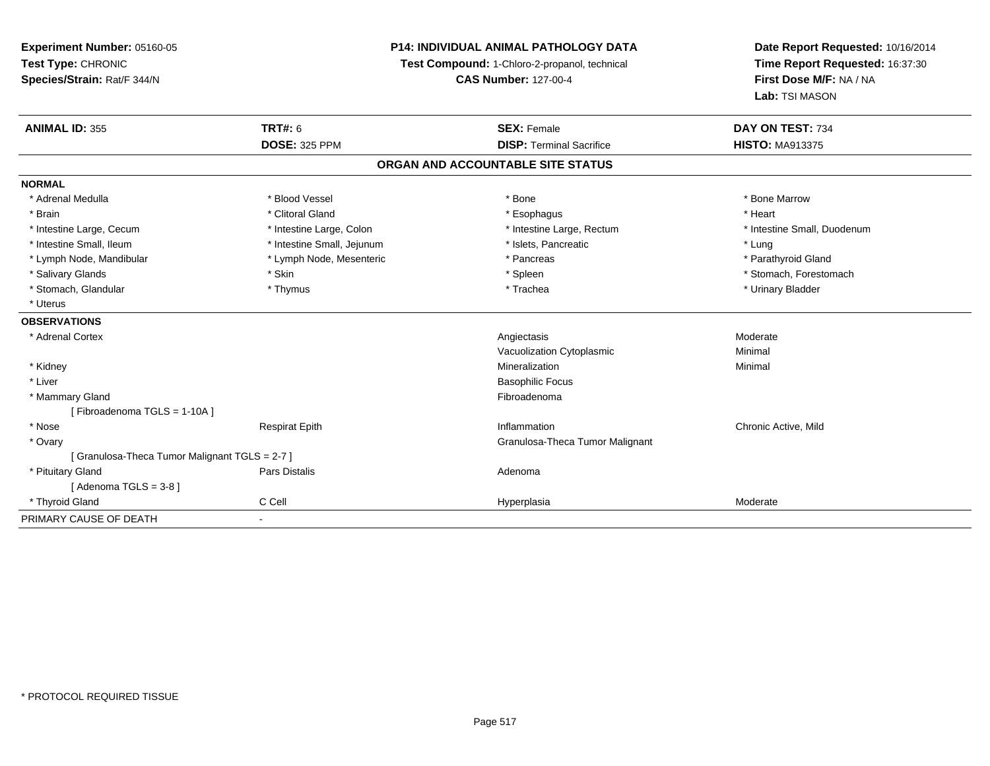| Experiment Number: 05160-05                  | <b>P14: INDIVIDUAL ANIMAL PATHOLOGY DATA</b> |                                               | Date Report Requested: 10/16/2014 |
|----------------------------------------------|----------------------------------------------|-----------------------------------------------|-----------------------------------|
| Test Type: CHRONIC                           |                                              | Test Compound: 1-Chloro-2-propanol, technical | Time Report Requested: 16:37:30   |
| Species/Strain: Rat/F 344/N                  |                                              | <b>CAS Number: 127-00-4</b>                   | First Dose M/F: NA / NA           |
|                                              |                                              |                                               | Lab: TSI MASON                    |
| <b>ANIMAL ID: 355</b>                        | <b>TRT#: 6</b>                               | <b>SEX: Female</b>                            | DAY ON TEST: 734                  |
|                                              | <b>DOSE: 325 PPM</b>                         | <b>DISP: Terminal Sacrifice</b>               | <b>HISTO: MA913375</b>            |
|                                              |                                              | ORGAN AND ACCOUNTABLE SITE STATUS             |                                   |
| <b>NORMAL</b>                                |                                              |                                               |                                   |
| * Adrenal Medulla                            | * Blood Vessel                               | * Bone                                        | * Bone Marrow                     |
| * Brain                                      | * Clitoral Gland                             | * Esophagus                                   | * Heart                           |
| * Intestine Large, Cecum                     | * Intestine Large, Colon                     | * Intestine Large, Rectum                     | * Intestine Small, Duodenum       |
| * Intestine Small, Ileum                     | * Intestine Small, Jejunum                   | * Islets, Pancreatic                          | * Lung                            |
| * Lymph Node, Mandibular                     | * Lymph Node, Mesenteric                     | * Pancreas                                    | * Parathyroid Gland               |
| * Salivary Glands                            | * Skin                                       | * Spleen                                      | * Stomach, Forestomach            |
| * Stomach, Glandular                         | * Thymus                                     | * Trachea                                     | * Urinary Bladder                 |
| * Uterus                                     |                                              |                                               |                                   |
| <b>OBSERVATIONS</b>                          |                                              |                                               |                                   |
| * Adrenal Cortex                             |                                              | Angiectasis                                   | Moderate                          |
|                                              |                                              | Vacuolization Cytoplasmic                     | Minimal                           |
| * Kidney                                     |                                              | Mineralization                                | Minimal                           |
| * Liver                                      |                                              | <b>Basophilic Focus</b>                       |                                   |
| * Mammary Gland                              |                                              | Fibroadenoma                                  |                                   |
| [Fibroadenoma TGLS = 1-10A]                  |                                              |                                               |                                   |
| * Nose                                       | <b>Respirat Epith</b>                        | Inflammation                                  | Chronic Active, Mild              |
| * Ovary                                      |                                              | Granulosa-Theca Tumor Malignant               |                                   |
| [Granulosa-Theca Tumor Malignant TGLS = 2-7] |                                              |                                               |                                   |
| * Pituitary Gland                            | Pars Distalis                                | Adenoma                                       |                                   |
| [Adenoma TGLS = $3-8$ ]                      |                                              |                                               |                                   |
| * Thyroid Gland                              | C Cell                                       | Hyperplasia                                   | Moderate                          |
| PRIMARY CAUSE OF DEATH                       | $\blacksquare$                               |                                               |                                   |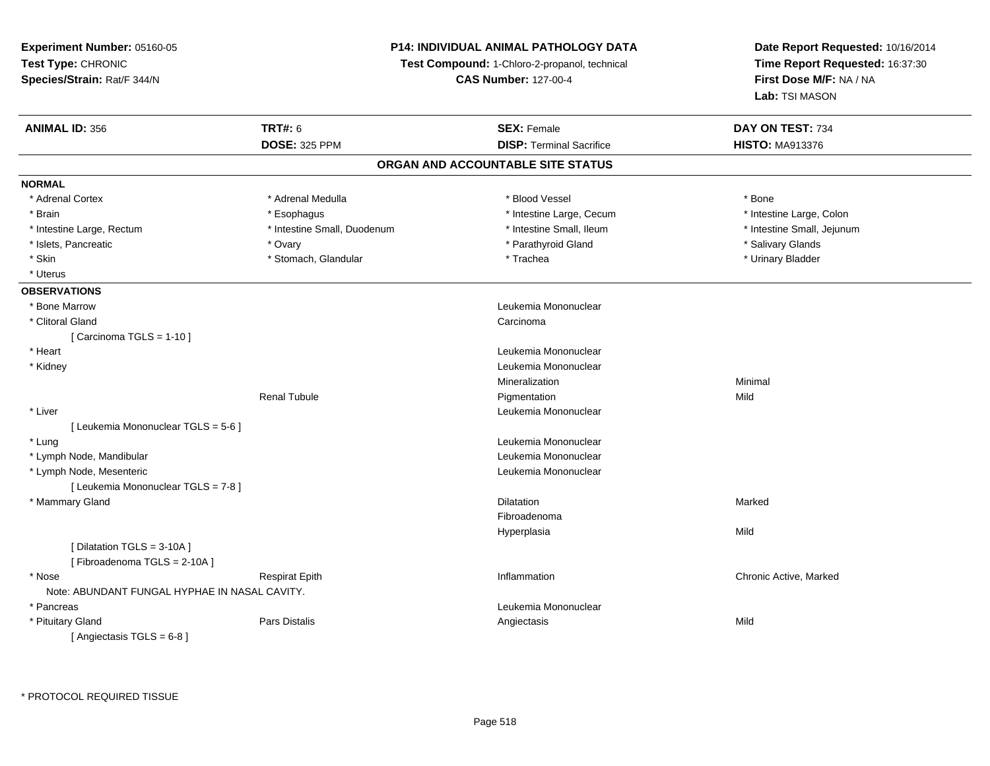**Experiment Number:** 05160-05**Test Type:** CHRONIC **Species/Strain:** Rat/F 344/N**P14: INDIVIDUAL ANIMAL PATHOLOGY DATATest Compound:** 1-Chloro-2-propanol, technical **CAS Number:** 127-00-4**Date Report Requested:** 10/16/2014**Time Report Requested:** 16:37:30**First Dose M/F:** NA / NA**Lab:** TSI MASON**ANIMAL ID:** 356**6 DAY ON TEST:** 734 **DOSE:** 325 PPM**DISP:** Terminal Sacrifice **HISTO:** MA913376 **ORGAN AND ACCOUNTABLE SITE STATUSNORMAL**\* Adrenal Cortex \* Adrenal Medulla \* Adrenal Medulla \* Blood Vessel \* Bood Vessel \* Bone \* Bone \* Bone \* Bone \* Bone \* Bone \* Bone \* Bone \* Bone \* Bone \* Bone \* Bone \* Bone \* Bone \* Bone \* Bone \* Bone \* Bone \* Bone \* Bone \* Bone \* Bone \* \* \* Intestine Large, Colon \* Brain \* Esophagus \* Esophagus \* Esophagus \* 11testine Large, Cecum \* \* Intestine Large, Rectum \* Thestine Small, Duodenum \* Number of the small, Ileum \* Intestine Small, Jejunum \* Intestine Small, Jejunum \* Islets, Pancreatic \* \* The matter of the state of the state of the state of the state of the state of the state of the state of the state of the state of the state of the state of the state of the state of the state of t \* Urinary Bladder \* Skin \* Stomach, Glandular \* Trachea \* Trachea \* Urinary Blandular \* Urinary Bladder \* Trachea \* Uterus**OBSERVATIONS** \* Bone MarrowLeukemia Mononuclear<br>Carcinoma \* Clitoral Glandd<sub>d</sub> Carcinoma  $[$  Carcinoma TGLS = 1-10  $]$  \* Heart Leukemia Mononuclear \* Kidney Leukemia Mononuclear Mineralizationn Minimal Renal Tubulee and the Pigmentation of the Mild \* Liver Leukemia Mononuclear [ Leukemia Mononuclear TGLS = 5-6 ] \* Lungg and the set of the set of the set of the set of the set of the set of the set of the set of the set of the set of the set of the set of the set of the set of the set of the set of the set of the set of the set of the set \* Lymph Node, Mandibular Leukemia Mononuclear \* Lymph Node, Mesenteric Leukemia Mononuclear [ Leukemia Mononuclear TGLS = 7-8 ] \* Mammary Glandd and the control of the control of the control of the control of the control of the control of the control of the control of the control of the control of the control of the control of the control of the control of the co FibroadenomaHyperplasiaa Mild [ Dilatation TGLS = 3-10A ][ Fibroadenoma TGLS = 2-10A ] \* Nosee who discussed the Respirat Epith Inflammation Chronic Active, Marked and Respirat Epith Inflammation Chronic Active, Marked Note: ABUNDANT FUNGAL HYPHAE IN NASAL CAVITY. \* Pancreas Leukemia Mononuclear \* Pituitary Gland Pars Distalis Angiectasis Mild [ Angiectasis TGLS = 6-8 ]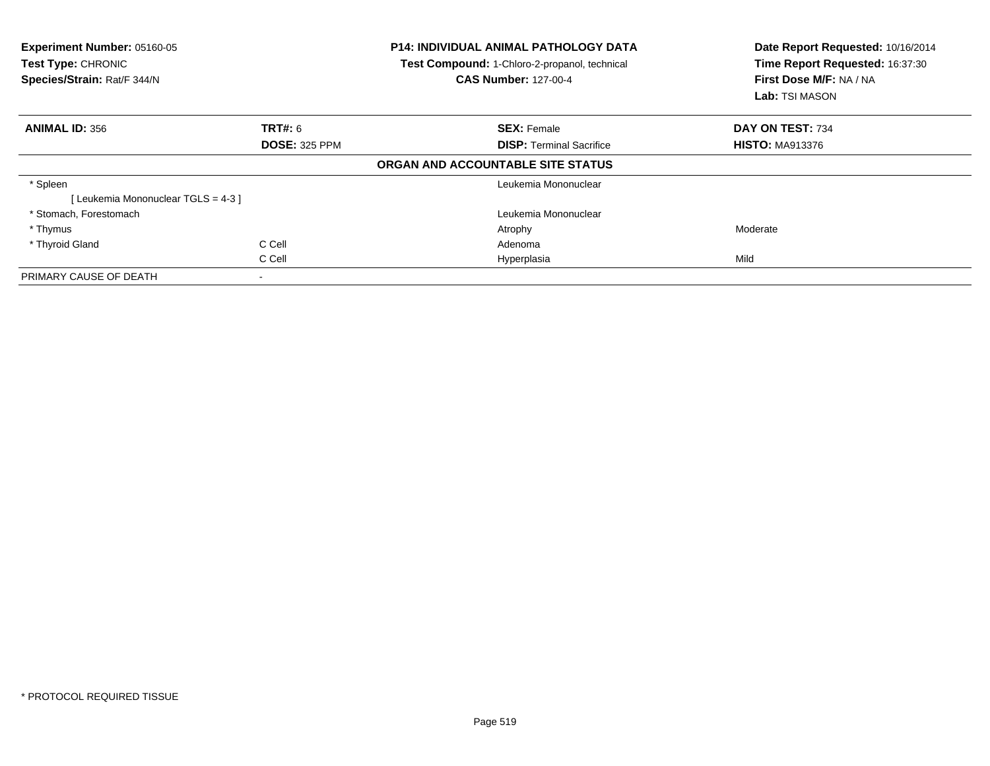| Experiment Number: 05160-05<br><b>Test Type: CHRONIC</b><br>Species/Strain: Rat/F 344/N |                      | <b>P14: INDIVIDUAL ANIMAL PATHOLOGY DATA</b><br>Test Compound: 1-Chloro-2-propanol, technical<br><b>CAS Number: 127-00-4</b> | Date Report Requested: 10/16/2014<br>Time Report Requested: 16:37:30<br>First Dose M/F: NA / NA<br><b>Lab:</b> TSI MASON |
|-----------------------------------------------------------------------------------------|----------------------|------------------------------------------------------------------------------------------------------------------------------|--------------------------------------------------------------------------------------------------------------------------|
| <b>ANIMAL ID: 356</b>                                                                   | TRT#: 6              | <b>SEX: Female</b>                                                                                                           | DAY ON TEST: 734                                                                                                         |
|                                                                                         | <b>DOSE: 325 PPM</b> | <b>DISP:</b> Terminal Sacrifice                                                                                              | <b>HISTO: MA913376</b>                                                                                                   |
|                                                                                         |                      | ORGAN AND ACCOUNTABLE SITE STATUS                                                                                            |                                                                                                                          |
| * Spleen                                                                                |                      | Leukemia Mononuclear                                                                                                         |                                                                                                                          |
| [Leukemia Mononuclear TGLS = 4-3]                                                       |                      |                                                                                                                              |                                                                                                                          |
| * Stomach, Forestomach                                                                  |                      | Leukemia Mononuclear                                                                                                         |                                                                                                                          |
| * Thymus                                                                                |                      | Atrophy                                                                                                                      | Moderate                                                                                                                 |
| * Thyroid Gland                                                                         | C Cell               | Adenoma                                                                                                                      |                                                                                                                          |
|                                                                                         | C Cell               | Hyperplasia                                                                                                                  | Mild                                                                                                                     |
| PRIMARY CAUSE OF DEATH                                                                  |                      |                                                                                                                              |                                                                                                                          |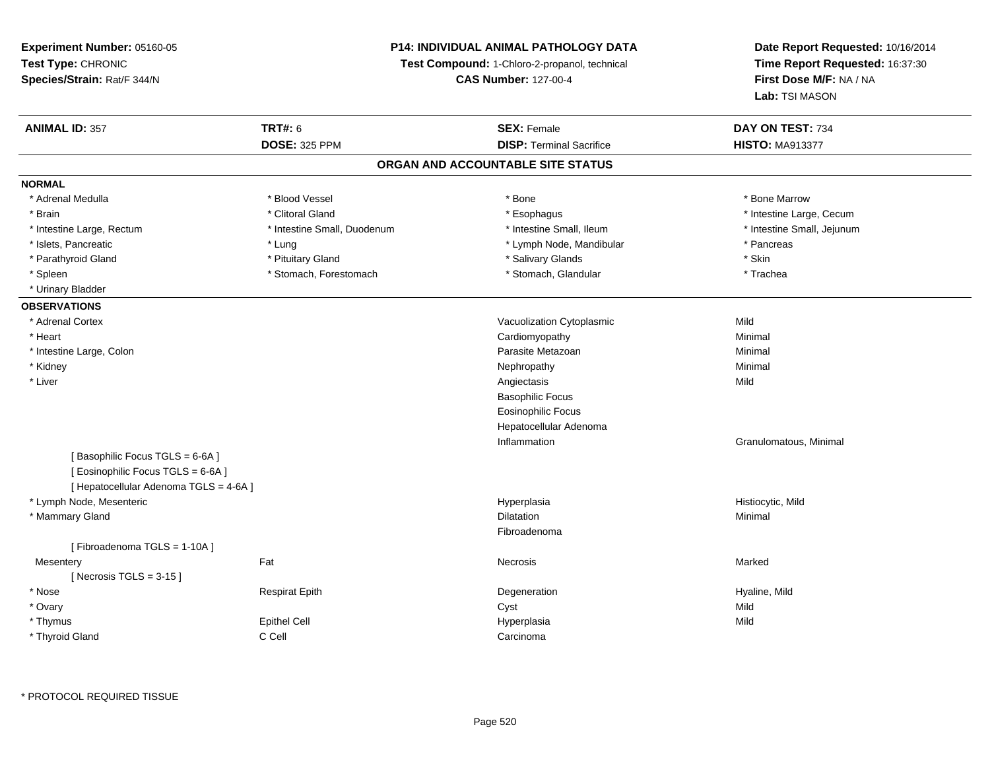**Experiment Number:** 05160-05**Test Type:** CHRONIC **Species/Strain:** Rat/F 344/N**P14: INDIVIDUAL ANIMAL PATHOLOGY DATATest Compound:** 1-Chloro-2-propanol, technical **CAS Number:** 127-00-4**Date Report Requested:** 10/16/2014**Time Report Requested:** 16:37:30**First Dose M/F:** NA / NA**Lab:** TSI MASON**ANIMAL ID:** 357**TRT#:** 6 **SEX:** Female **SEX: Female DAY ON TEST:** 734 **DOSE:** 325 PPM**DISP:** Terminal Sacrifice **HISTO:** MA913377 **ORGAN AND ACCOUNTABLE SITE STATUSNORMAL**\* Adrenal Medulla \* \* \* Blood Vessel \* \* \* Bone Marrow \* \* Bone Marrow \* \* Bone Marrow \* Brain \* Alternation of the state of the state of the state of the state of the state of the state of the state of the state of the state of the state of the state of the state of the state of the state of the state of th \* Intestine Large, Rectum \* Thestine Small, Duodenum \* \* Intestine Small, Ileum \* \* Intestine Small, Jejunum \* Intestine Small, Jejunum \* Islets, Pancreatic \* The same of the Lung \* Lung \* Lymph Node, Mandibular \* Pancreas \* Pancreas \* Pancreas \* Parathyroid Gland \* **All and \* Example 1** \* Pituitary Gland \* The state and \* Salivary Glands \* Skin \* Skin \* Trachea \* Spleen \* Stomach, Forestomach \* Stomach, Spleen \* Stomach, Glandular \* Trachean \* Stomach, Glandular \* Urinary Bladder**OBSERVATIONS** \* Adrenal CortexVacuolization Cytoplasmic **Mild** y Minimal \* Heart Cardiomyopathy \* Intestine Large, Colonn and a state of the control of the control of the control of the Parasite Metazoan and the control of Minimal \* Kidneyy the control of the control of the control of the control of the control of the control of the control of the control of the control of the control of the control of the control of the control of the control of the contro \* Liverr and the contract of the contract of the contract of the contract of the contract of the contract of the contract of the contract of the contract of the contract of the contract of the contract of the contract of the cont s Mild Basophilic Focus Eosinophilic Focus Hepatocellular AdenomaInflammation Granulomatous, Minimal [ Basophilic Focus TGLS = 6-6A ][ Eosinophilic Focus TGLS = 6-6A ][ Hepatocellular Adenoma TGLS = 4-6A ] \* Lymph Node, Mesentericc in the contract of the contract of the contract of the contract of the contract of the contract of the contract of the contract of the contract of the contract of the contract of the contract of the contract of the contr Hyperplasia **Histiocytic**, Mild \* Mammary Glandd and the control of the control of the control of the control of the control of the control of the control of the control of the control of the control of the control of the control of the control of the control of the co Fibroadenoma[ Fibroadenoma TGLS = 1-10A ]**Mesentery** y the control of the Marked States of the Marked States of the Marked States of the Marked States of the Marked States of the Marked States of the Marked States of the Marked States of the Marked States of the Marked State  $[$  Necrosis TGLS = 3-15  $]$  \* Nose Respirat Epith Degeneration Hyaline, Mild \* Ovaryy and the control of the control of the control of the control of the control of the control of the control of the control of the control of the control of the control of the control of the control of the control of the co Mild \* Thymuss Epithel Cell Hyperplasia a Mild \* Thyroid Glandd C Cell Carcinoma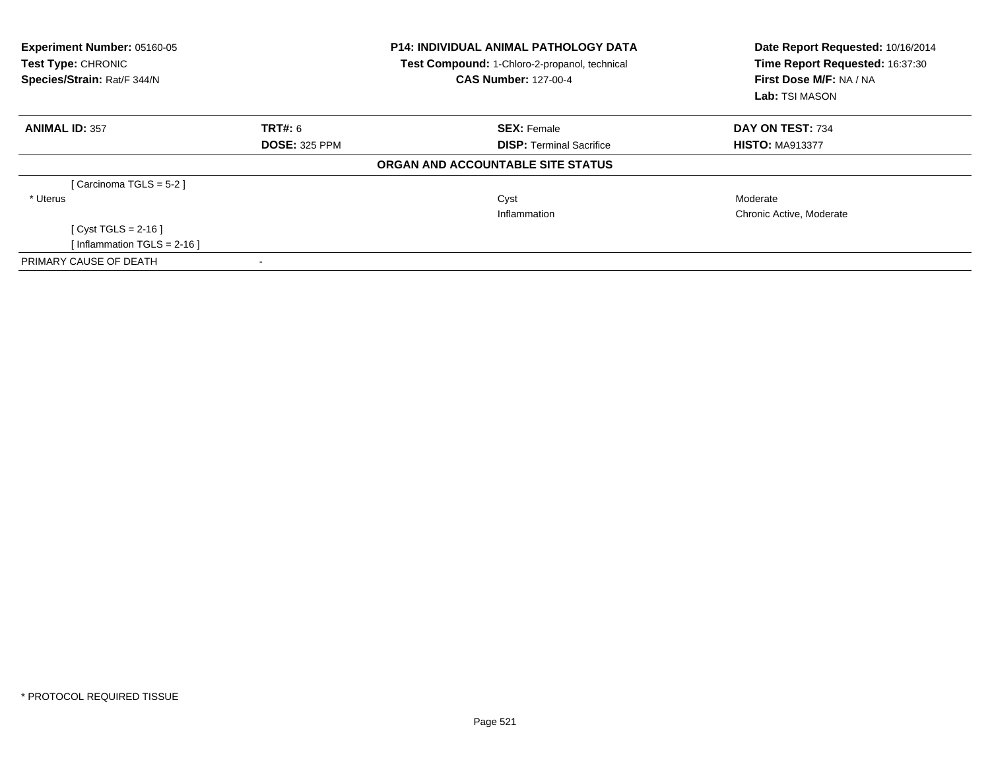| Experiment Number: 05160-05<br><b>Test Type: CHRONIC</b><br>Species/Strain: Rat/F 344/N |                      | <b>P14: INDIVIDUAL ANIMAL PATHOLOGY DATA</b><br><b>Test Compound: 1-Chloro-2-propanol, technical</b><br><b>CAS Number: 127-00-4</b> | Date Report Requested: 10/16/2014<br>Time Report Requested: 16:37:30<br>First Dose M/F: NA / NA<br>Lab: TSI MASON |  |
|-----------------------------------------------------------------------------------------|----------------------|-------------------------------------------------------------------------------------------------------------------------------------|-------------------------------------------------------------------------------------------------------------------|--|
| <b>ANIMAL ID: 357</b>                                                                   | TRT#: 6              | <b>SEX: Female</b>                                                                                                                  | DAY ON TEST: 734                                                                                                  |  |
|                                                                                         | <b>DOSE: 325 PPM</b> | <b>DISP: Terminal Sacrifice</b>                                                                                                     | <b>HISTO: MA913377</b>                                                                                            |  |
|                                                                                         |                      | ORGAN AND ACCOUNTABLE SITE STATUS                                                                                                   |                                                                                                                   |  |
| [Carcinoma TGLS = 5-2]                                                                  |                      |                                                                                                                                     |                                                                                                                   |  |
| * Uterus                                                                                |                      | Cyst                                                                                                                                | Moderate                                                                                                          |  |
|                                                                                         |                      | Inflammation                                                                                                                        | Chronic Active, Moderate                                                                                          |  |
| [ $Cyst TGLS = 2-16$ ]                                                                  |                      |                                                                                                                                     |                                                                                                                   |  |
| [Inflammation TGLS = $2-16$ ]                                                           |                      |                                                                                                                                     |                                                                                                                   |  |
| PRIMARY CAUSE OF DEATH                                                                  |                      |                                                                                                                                     |                                                                                                                   |  |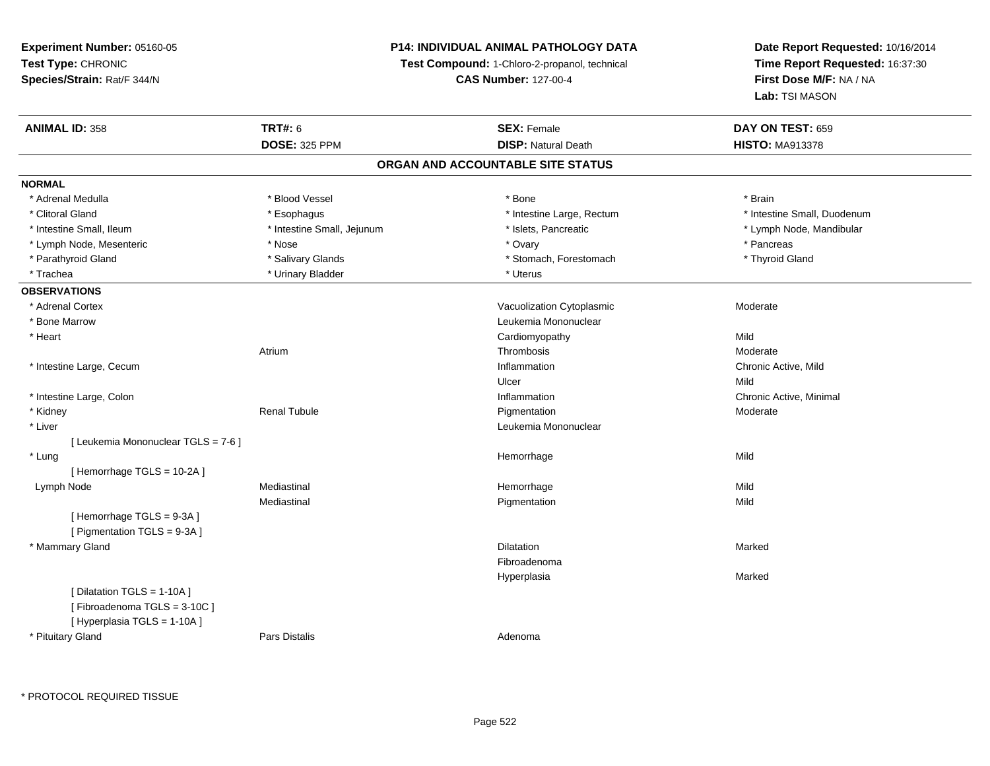## **P14: INDIVIDUAL ANIMAL PATHOLOGY DATA**

**Test Compound:** 1-Chloro-2-propanol, technical

**CAS Number:** 127-00-4

| <b>ANIMAL ID: 358</b>               | <b>TRT#: 6</b>             | <b>SEX: Female</b>                | DAY ON TEST: 659            |
|-------------------------------------|----------------------------|-----------------------------------|-----------------------------|
|                                     | <b>DOSE: 325 PPM</b>       | <b>DISP: Natural Death</b>        | <b>HISTO: MA913378</b>      |
|                                     |                            | ORGAN AND ACCOUNTABLE SITE STATUS |                             |
| <b>NORMAL</b>                       |                            |                                   |                             |
| * Adrenal Medulla                   | * Blood Vessel             | * Bone                            | * Brain                     |
| * Clitoral Gland                    | * Esophagus                | * Intestine Large, Rectum         | * Intestine Small, Duodenum |
| * Intestine Small, Ileum            | * Intestine Small, Jejunum | * Islets, Pancreatic              | * Lymph Node, Mandibular    |
| * Lymph Node, Mesenteric            | * Nose                     | * Ovary                           | * Pancreas                  |
| * Parathyroid Gland                 | * Salivary Glands          | * Stomach, Forestomach            | * Thyroid Gland             |
| * Trachea                           | * Urinary Bladder          | * Uterus                          |                             |
| <b>OBSERVATIONS</b>                 |                            |                                   |                             |
| * Adrenal Cortex                    |                            | Vacuolization Cytoplasmic         | Moderate                    |
| * Bone Marrow                       |                            | Leukemia Mononuclear              |                             |
| * Heart                             |                            | Cardiomyopathy                    | Mild                        |
|                                     | Atrium                     | Thrombosis                        | Moderate                    |
| * Intestine Large, Cecum            |                            | Inflammation                      | Chronic Active, Mild        |
|                                     |                            | Ulcer                             | Mild                        |
| * Intestine Large, Colon            |                            | Inflammation                      | Chronic Active, Minimal     |
| * Kidney                            | <b>Renal Tubule</b>        | Pigmentation                      | Moderate                    |
| * Liver                             |                            | Leukemia Mononuclear              |                             |
| [ Leukemia Mononuclear TGLS = 7-6 ] |                            |                                   |                             |
| * Lung                              |                            | Hemorrhage                        | Mild                        |
| [Hemorrhage TGLS = 10-2A]           |                            |                                   |                             |
| Lymph Node                          | Mediastinal                | Hemorrhage                        | Mild                        |
|                                     | Mediastinal                | Pigmentation                      | Mild                        |
| [Hemorrhage TGLS = 9-3A]            |                            |                                   |                             |
| [ Pigmentation TGLS = 9-3A ]        |                            |                                   |                             |
| * Mammary Gland                     |                            | <b>Dilatation</b>                 | Marked                      |
|                                     |                            | Fibroadenoma                      |                             |
|                                     |                            | Hyperplasia                       | Marked                      |
| [ Dilatation TGLS = 1-10A ]         |                            |                                   |                             |
| [Fibroadenoma TGLS = 3-10C]         |                            |                                   |                             |
| [ Hyperplasia TGLS = 1-10A ]        |                            |                                   |                             |
| * Pituitary Gland                   | Pars Distalis              | Adenoma                           |                             |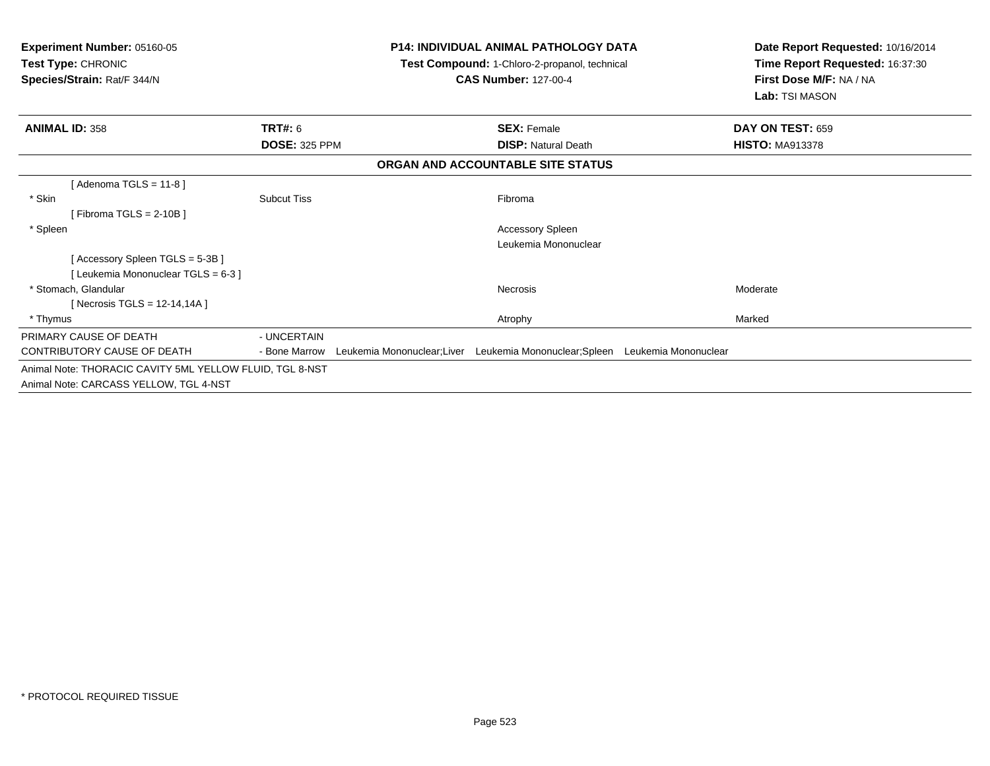| <b>Experiment Number: 05160-05</b><br>Test Type: CHRONIC<br>Species/Strain: Rat/F 344/N |                      |                            | <b>P14: INDIVIDUAL ANIMAL PATHOLOGY DATA</b><br>Test Compound: 1-Chloro-2-propanol, technical<br><b>CAS Number: 127-00-4</b> | Date Report Requested: 10/16/2014<br>Time Report Requested: 16:37:30<br>First Dose M/F: NA / NA<br>Lab: TSI MASON |
|-----------------------------------------------------------------------------------------|----------------------|----------------------------|------------------------------------------------------------------------------------------------------------------------------|-------------------------------------------------------------------------------------------------------------------|
| <b>ANIMAL ID: 358</b>                                                                   | TRT#: 6              |                            | <b>SEX: Female</b>                                                                                                           | DAY ON TEST: 659                                                                                                  |
|                                                                                         | <b>DOSE: 325 PPM</b> |                            | <b>DISP: Natural Death</b>                                                                                                   | <b>HISTO: MA913378</b>                                                                                            |
|                                                                                         |                      |                            | ORGAN AND ACCOUNTABLE SITE STATUS                                                                                            |                                                                                                                   |
| [Adenoma TGLS = $11-8$ ]                                                                |                      |                            |                                                                                                                              |                                                                                                                   |
| * Skin                                                                                  | <b>Subcut Tiss</b>   |                            | Fibroma                                                                                                                      |                                                                                                                   |
| [Fibroma TGLS = $2-10B$ ]                                                               |                      |                            |                                                                                                                              |                                                                                                                   |
| * Spleen                                                                                |                      |                            | Accessory Spleen                                                                                                             |                                                                                                                   |
|                                                                                         |                      |                            | Leukemia Mononuclear                                                                                                         |                                                                                                                   |
| [Accessory Spleen TGLS = 5-3B]                                                          |                      |                            |                                                                                                                              |                                                                                                                   |
| [ Leukemia Mononuclear TGLS = 6-3 ]                                                     |                      |                            |                                                                                                                              |                                                                                                                   |
| * Stomach, Glandular                                                                    |                      |                            | <b>Necrosis</b>                                                                                                              | Moderate                                                                                                          |
| [ Necrosis TGLS = $12-14,14A$ ]                                                         |                      |                            |                                                                                                                              |                                                                                                                   |
| * Thymus                                                                                |                      |                            | Atrophy                                                                                                                      | Marked                                                                                                            |
| PRIMARY CAUSE OF DEATH                                                                  | - UNCERTAIN          |                            |                                                                                                                              |                                                                                                                   |
| CONTRIBUTORY CAUSE OF DEATH                                                             | - Bone Marrow        | Leukemia Mononuclear;Liver | Leukemia Mononuclear; Spleen Leukemia Mononuclear                                                                            |                                                                                                                   |
| Animal Note: THORACIC CAVITY 5ML YELLOW FLUID, TGL 8-NST                                |                      |                            |                                                                                                                              |                                                                                                                   |
| Animal Note: CARCASS YELLOW, TGL 4-NST                                                  |                      |                            |                                                                                                                              |                                                                                                                   |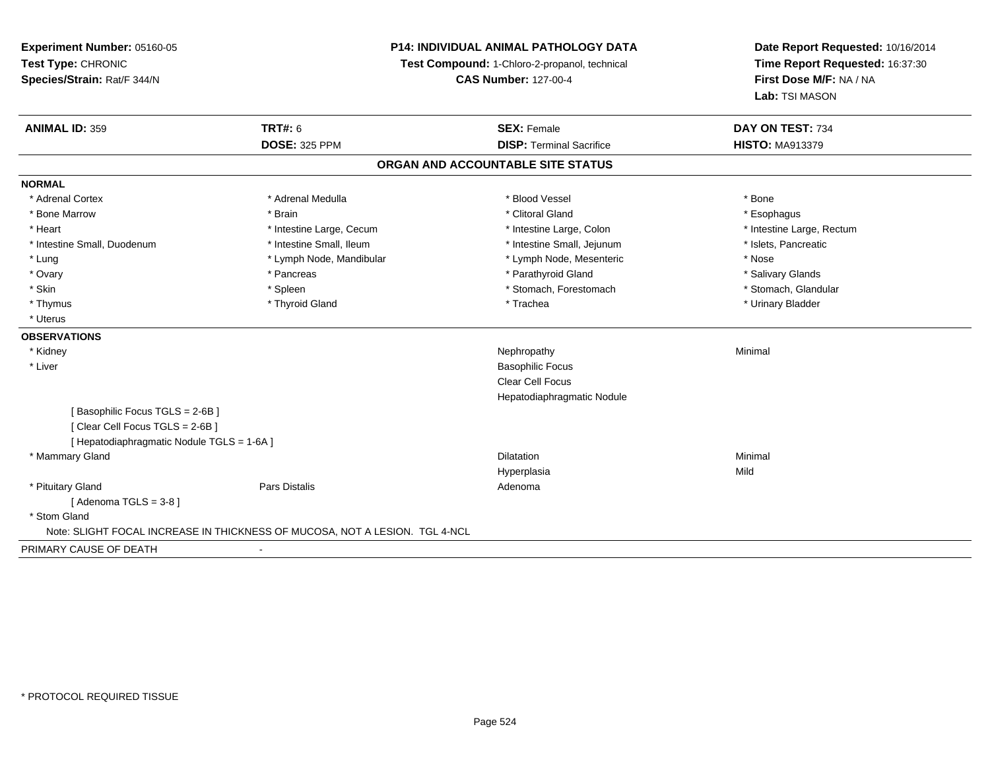**Experiment Number:** 05160-05**Test Type:** CHRONIC **Species/Strain:** Rat/F 344/N**P14: INDIVIDUAL ANIMAL PATHOLOGY DATATest Compound:** 1-Chloro-2-propanol, technical **CAS Number:** 127-00-4**Date Report Requested:** 10/16/2014**Time Report Requested:** 16:37:30**First Dose M/F:** NA / NA**Lab:** TSI MASON**ANIMAL ID:** 359**TRT#:** 6 **SEX:** Female **SEX: Female DAY ON TEST:** 734 **DOSE:** 325 PPM**DISP:** Terminal Sacrifice **HISTO:** MA913379 **ORGAN AND ACCOUNTABLE SITE STATUSNORMAL**\* Adrenal Cortex \* Adrenal Medulla \* Adrenal Medulla \* Blood Vessel \* Bood Vessel \* Bone \* Bone \* Bone \* Bone \* Bone \* Bone \* Bone \* Bone \* Bone \* Bone \* Bone \* Bone \* Bone \* Bone \* Bone \* Bone \* Bone \* Bone \* Bone \* Bone \* Bone \* Bone \* \* \* Esophagus \* Bone Marrow \* \* Android \* Brain \* Brain \* Clitoral Gland \* Clitoral Gland \* Esophagus \* Esophagus \* Esophagus \* Intestine Large, Rectum \* Heart \* Intestine Large, Cecum \* Intestine Large, Cecum \* Intestine Large, Colon \* Intestine Small, Duodenum \* Intestine Small, Ileum \* Intestine Small, Intestine Small, Jejunum \* Islets, Pancreatic \* Lung \* Lymph Node, Mandibular \* Nose \* Lymph Node, Mesenteric \* Nose \* Nose \* Salivary Glands \* Ovary \* \* Pancreas \* \* Pancreas \* \* Pancreas \* \* Parathyroid Gland \* \* Salivary Glands \* Salivary Glands \* Salivary Glands \* Salivary Glands \* Salivary Glands \* Salivary Glands \* Salivary Glands \* \* Salivary Glands \* \* S \* Stomach. Glandular \* Skin \* Stomach, Forestomach \* Spleen \* Stomach, Forestomach \* Stomach, Forestomach \* Thymus \* Thyroid Gland \* Trachea \* Urinary Bladder \* \* Uterus**OBSERVATIONS** \* Kidneyy the control of the control of the control of the control of the control of the control of the control of the control of the control of the control of the control of the control of the control of the control of the contro \* Liver Basophilic Focus Clear Cell Focus Hepatodiaphragmatic Nodule[ Basophilic Focus TGLS = 2-6B ][ Clear Cell Focus TGLS = 2-6B ][ Hepatodiaphragmatic Nodule TGLS = 1-6A ] \* Mammary Glandd and the control of the control of the control of the control of the control of the control of the control of the control of the control of the control of the control of the control of the control of the control of the co Hyperplasiaa Mild \* Pituitary Glandd and the contract of Pars Distalis and the contract of Adenoma and Adenoma and the Adenoma and the Adenoma and  $\lambda$  $[$  Adenoma TGLS = 3-8  $]$  \* Stom Gland Note: SLIGHT FOCAL INCREASE IN THICKNESS OF MUCOSA, NOT A LESION. TGL 4-NCLPRIMARY CAUSE OF DEATH-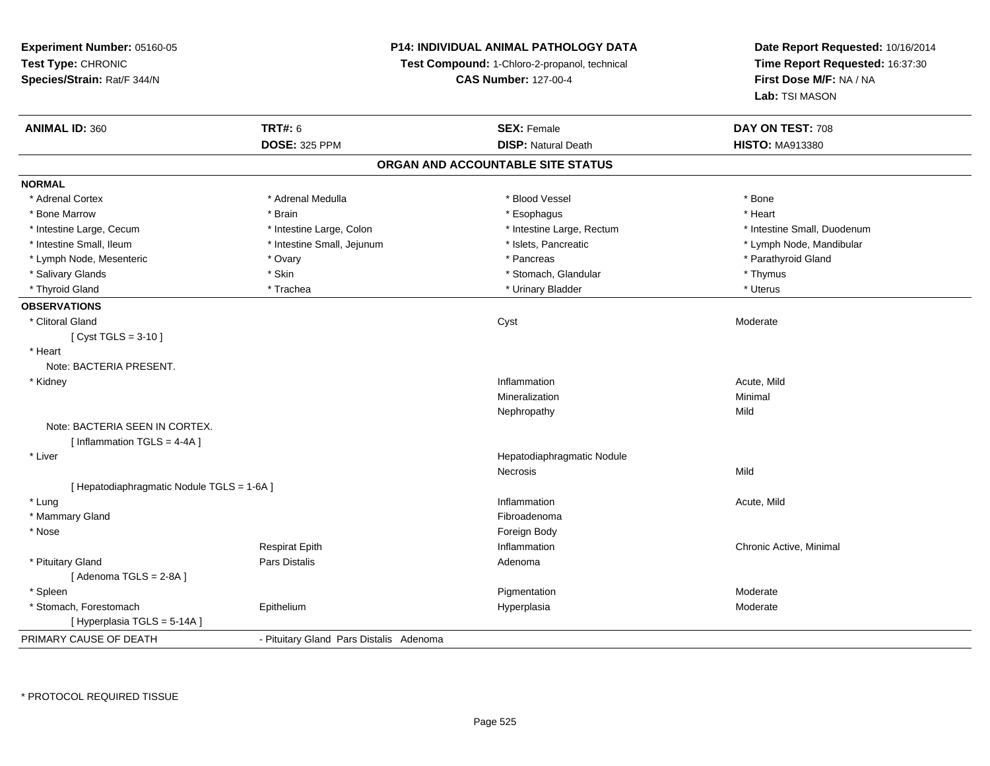**Experiment Number:** 05160-05**Test Type:** CHRONIC **Species/Strain:** Rat/F 344/N**P14: INDIVIDUAL ANIMAL PATHOLOGY DATATest Compound:** 1-Chloro-2-propanol, technical **CAS Number:** 127-00-4**Date Report Requested:** 10/16/2014**Time Report Requested:** 16:37:30**First Dose M/F:** NA / NA**Lab:** TSI MASON**ANIMAL ID:** 360**TRT#:** 6 **SEX:** Female **SEX: Female DAY ON TEST:** 708 **DOSE:** 325 PPM**DISP:** Natural Death **HISTO:** MA913380 **ORGAN AND ACCOUNTABLE SITE STATUSNORMAL**\* Adrenal Cortex \* Adrenal Cortex \* \* Adrenal Medulla \* \* Adrenal Medulla \* \* Blood Vessel \* \* Brood Vessel \* \* Bone \* Heart \* Bone Marrow \* Brain \* Esophagus \* Heart \* Intestine Large, Cecum \* Intestine Large, Colon \* Intestine Large, Rectum \* Intestine Small, Duodenum\* Intestine Small, Ileum \* \* Thestine Small, Jejunum \* \* Sets, Pancreatic \* \* Thestine Small, Nejunum \* Lymph Node, Mandibular \* Lymph Node, Mesenteric \* Ovary \* Pancreas \* Parathyroid Gland\* Salivary Glands \* Thymus \* Skin \* Skin \* \* Stomach, Glandular \* Stomach, Glandular \* Thymus \* Thymus \* Uterus \* Thyroid Gland \* \* Trachea \* \* Trachea \* Trachea \* \* Urinary Bladder \* \* Urinary Bladder \* \* Uterus \* Uterus **OBSERVATIONS** \* Clitoral Glandd and the control of the control of the control of the control of the control of the control of the control of the control of the control of the control of the control of the control of the control of the control of the co [ Cyst TGLS = 3-10 ] \* HeartNote: BACTERIA PRESENT. \* Kidneyy the control of the control of the control of the control of the control of the control of the control of the control of the control of the control of the control of the control of the control of the control of the contro Inflammation **Acute**, Mild Mineralizationn Minimal Nephropathyy Mild Note: BACTERIA SEEN IN CORTEX.[ Inflammation TGLS = 4-4A ] \* Liver Hepatodiaphragmatic NoduleNecrosiss Mild [ Hepatodiaphragmatic Nodule TGLS = 1-6A ] \* Lungg and the set of the set of the set of the set of the set of the set of the set of the set of the set of the set of the set of the set of the set of the set of the set of the set of the set of the set of the set of the set \* Mammary Glandd **Executive Contract of the Contract Contract Contract Contract Contract Contract Contract Contract Contract Contract Contract Contract Contract Contract Contract Contract Contract Contract Contract Contract Contract Cont**  \* Nosee and the state of the state of the state of the state of the state of the state of the state of the state of the state of the state of the state of the state of the state of the state of the state of the state of the stat Respirat Epith Inflammation Chronic Active, Minimal \* Pituitary Glandd and the contract of Pars Distalis and the contract of Adenoma and Adenoma and the Adenoma and the Adenoma and  $\lambda$  $[$  Adenoma TGLS = 2-8A  $]$  \* Spleenn and the control of the control of the control of the control of the control of the control of the control of the control of the control of the control of the control of the control of the control of the control of the co \* Stomach, Forestomach Epitheliumm and the Hyperplasia Moderate Moderate Share is a moderate of the Moderate of the Moderate of the Moderate of  $\mathsf{M}$ [ Hyperplasia TGLS = 5-14A ]PRIMARY CAUSE OF DEATH- Pituitary Gland Pars Distalis Adenoma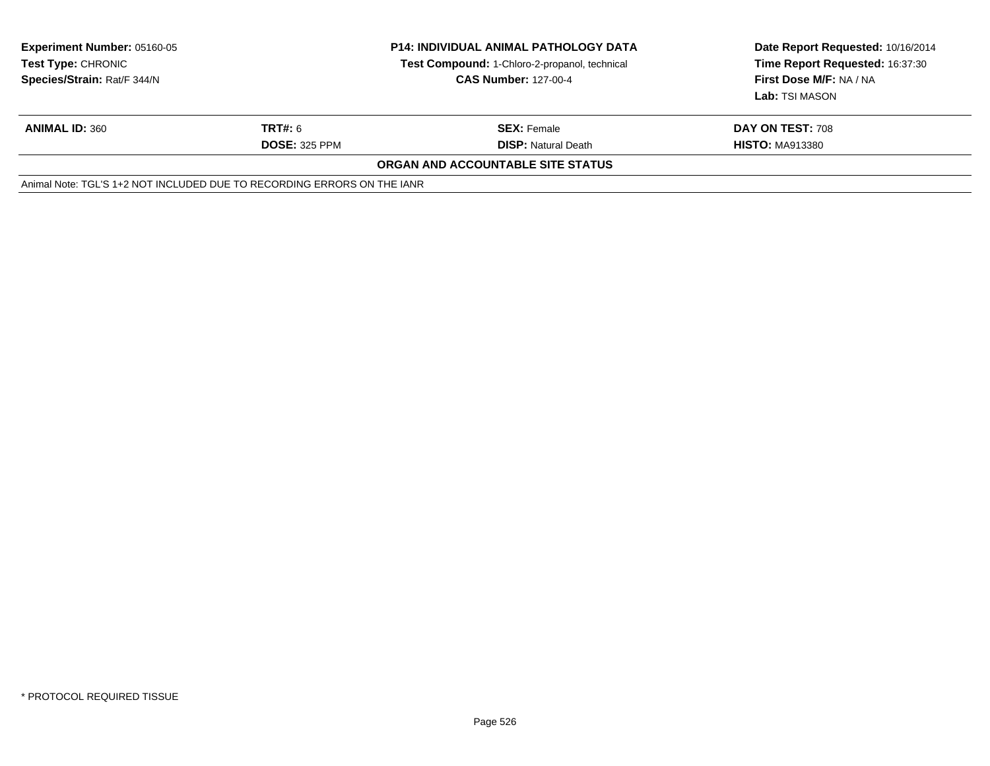| <b>Experiment Number: 05160-05</b><br><b>Test Type: CHRONIC</b><br>Species/Strain: Rat/F 344/N | <b>P14: INDIVIDUAL ANIMAL PATHOLOGY DATA</b><br>Test Compound: 1-Chloro-2-propanol, technical<br><b>CAS Number: 127-00-4</b> |                                   | Date Report Requested: 10/16/2014<br>Time Report Requested: 16:37:30<br>First Dose M/F: NA / NA<br>Lab: TSI MASON |
|------------------------------------------------------------------------------------------------|------------------------------------------------------------------------------------------------------------------------------|-----------------------------------|-------------------------------------------------------------------------------------------------------------------|
| <b>ANIMAL ID: 360</b>                                                                          | TRT#: 6                                                                                                                      | <b>SEX: Female</b>                | DAY ON TEST: 708                                                                                                  |
|                                                                                                | <b>DOSE: 325 PPM</b>                                                                                                         | <b>DISP:</b> Natural Death        | <b>HISTO: MA913380</b>                                                                                            |
|                                                                                                |                                                                                                                              | ORGAN AND ACCOUNTABLE SITE STATUS |                                                                                                                   |
| Animal Note: TGL'S 1+2 NOT INCLUDED DUE TO RECORDING ERRORS ON THE IANR                        |                                                                                                                              |                                   |                                                                                                                   |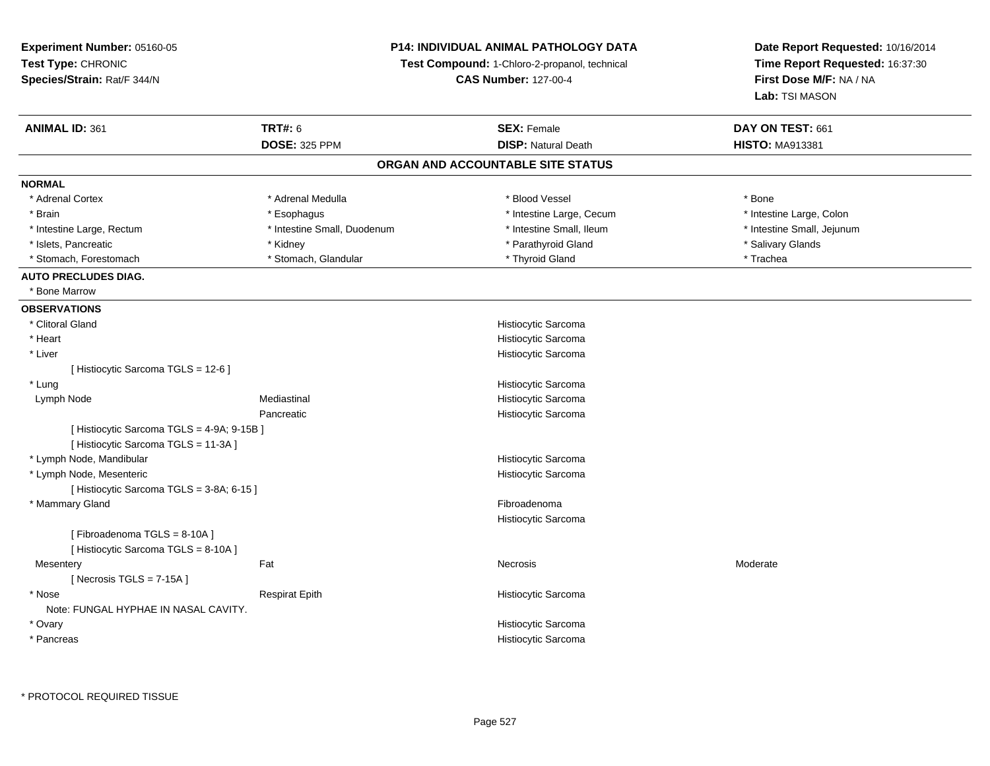**Experiment Number:** 05160-05**Test Type:** CHRONIC **Species/Strain:** Rat/F 344/N**P14: INDIVIDUAL ANIMAL PATHOLOGY DATATest Compound:** 1-Chloro-2-propanol, technical **CAS Number:** 127-00-4**Date Report Requested:** 10/16/2014**Time Report Requested:** 16:37:30**First Dose M/F:** NA / NA**Lab:** TSI MASON**ANIMAL ID:** 361**TRT#:** 6 **SEX:** Female **SEX: Female DAY ON TEST:** 661 **DOSE:** 325 PPM**DISP:** Natural Death **HISTO:** MA913381 **ORGAN AND ACCOUNTABLE SITE STATUSNORMAL**\* Adrenal Cortex \* Adrenal Medulla \* Adrenal Medulla \* Blood Vessel \* Bood Vessel \* Bone \* Bone \* Bone \* Bone \* Bone \* Bone \* Bone \* Bone \* Bone \* Bone \* Bone \* Bone \* Bone \* Bone \* Bone \* Bone \* Bone \* Bone \* Bone \* Bone \* Bone \* Bone \* \* \* Intestine Large, Colon \* Brain \* Esophagus \* Esophagus \* Esophagus \* 11testine Large, Cecum \* \* Intestine Small, Jejunum \* Intestine Large, Rectum \* Intestine Small, Duodenum \* Intestine Small, Duodenum \* \* Intestine Small, Ileum \* Islets, Pancreatic \* \* \* Andrew \* Kidney \* \* Andrew \* Parathyroid Gland \* \* Parathyroid Gland \* \* Salivary Glands \* Salivary Glands \* Salivary Glands \* Salivary Glands \* Salivary Glands \* Salivary Glands \* Salivary Gland \* Stomach, Forestomach \* Trachea \* Stomach, Glandular \* Thyroid Gland \* Thyroid Gland \* Trachea \* Trachea **AUTO PRECLUDES DIAG.** \* Bone Marrow **OBSERVATIONS** \* Clitoral Gland Histiocytic Sarcoma \* Heart Histiocytic Sarcoma Histiocytic Sarcoma \* Liver[ Histiocytic Sarcoma TGLS = 12-6 ] \* LungHistiocytic Sarcoma<br>Mediastinal Mediastinal Histiocytic Sarcoma Lymph NodeHistiocytic Sarcoma Pancreatic Histiocytic Sarcoma[ Histiocytic Sarcoma TGLS = 4-9A; 9-15B ][ Histiocytic Sarcoma TGLS = 11-3A ] \* Lymph Node, Mandibular Histiocytic Sarcoma Histiocytic Sarcoma \* Lymph Node, Mesenteric[ Histiocytic Sarcoma TGLS = 3-8A; 6-15 ] \* Mammary Glandd **Executive Contract of Contract Contract Contract Contract Contract Contract Contract Contract Contract Contract Contract Contract Contract Contract Contract Contract Contract Contract Contract Contract Contract Contract** Histiocytic Sarcoma[ Fibroadenoma TGLS = 8-10A ][ Histiocytic Sarcoma TGLS = 8-10A ]**Mesentery** y the control of the set of the control of the Moderate of the Moderate of the Moderate of the Moderate of the Moderate of the Moderate of the Moderate of the Moderate of the Moderate of the Moderate of the Moderate of the  $[$  Necrosis TGLS = 7-15A  $]$  \* NoseRespirat Epith **Histiocytic Sarcoma** Note: FUNGAL HYPHAE IN NASAL CAVITY. \* Ovary Histiocytic Sarcomas and the state of the state of the state of the state of the Histiocytic Sarcoma \* Pancreas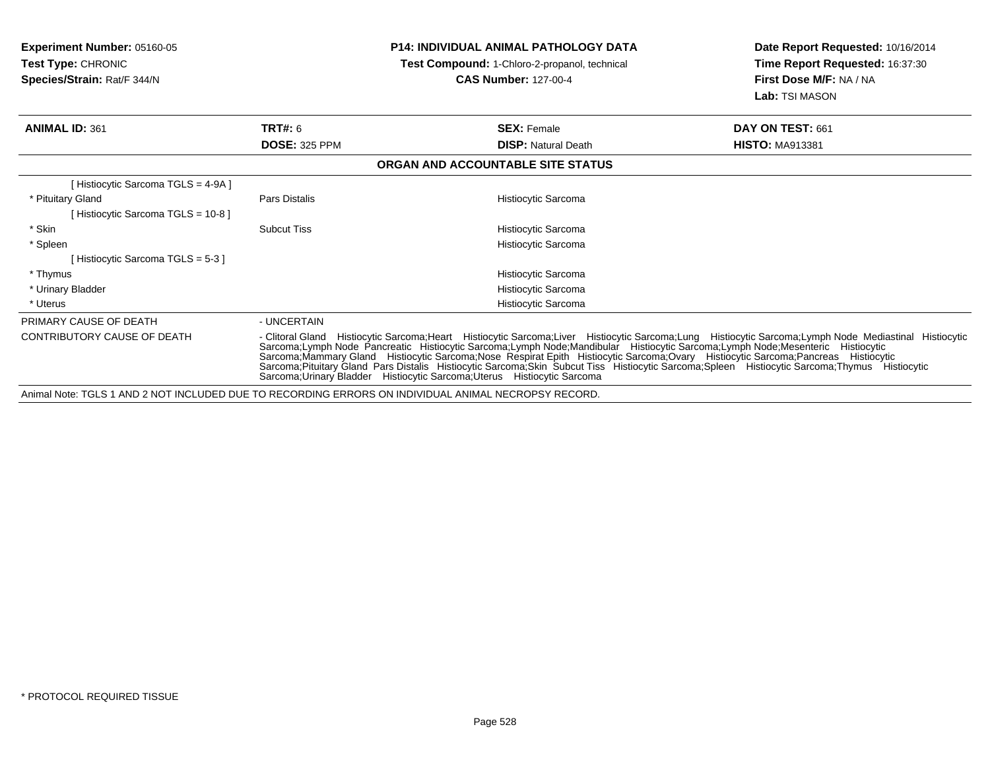**Experiment Number:** 05160-05**Test Type:** CHRONIC **Species/Strain:** Rat/F 344/N**P14: INDIVIDUAL ANIMAL PATHOLOGY DATATest Compound:** 1-Chloro-2-propanol, technical **CAS Number:** 127-00-4**Date Report Requested:** 10/16/2014**Time Report Requested:** 16:37:30**First Dose M/F:** NA / NA**Lab:** TSI MASON**ANIMAL ID:** 361**TRT#:** 6 **SEX:** Female **SEX: Female DAY ON TEST:** 661 **DOSE:** 325 PPM**DISP:** Natural Death **HISTO:** MA913381 **ORGAN AND ACCOUNTABLE SITE STATUS**[ Histiocytic Sarcoma TGLS = 4-9A ] \* Pituitary GlandPars Distalis **Histiocytic Sarcoma** [ Histiocytic Sarcoma TGLS = 10-8 ] \* SkinSubcut Tiss Histiocytic Sarcoma \* Spleen Histiocytic Sarcoma [ Histiocytic Sarcoma TGLS = 5-3 ] \* Thymus Histiocytic Sarcoma Histiocytic Sarcoma \* Urinary Bladders and the state of the state of the state of the state of the Histiocytic Sarcoma \* UterusPRIMARY CAUSE OF DEATH - UNCERTAIN CONTRIBUTORY CAUSE OF DEATH- Clitoral Gland Histiocytic Sarcoma;Heart Histiocytic Sarcoma;Liver Histiocytic Sarcoma;Lung Histiocytic Sarcoma;Lymph Node Mediastinal Histiocytic<br>Sarcoma;Lymph Node Pancreatic Histiocytic Sarcoma;Lymph Node Sarcoma;Urinary Bladder Histiocytic Sarcoma;Uterus Histiocytic SarcomaAnimal Note: TGLS 1 AND 2 NOT INCLUDED DUE TO RECORDING ERRORS ON INDIVIDUAL ANIMAL NECROPSY RECORD.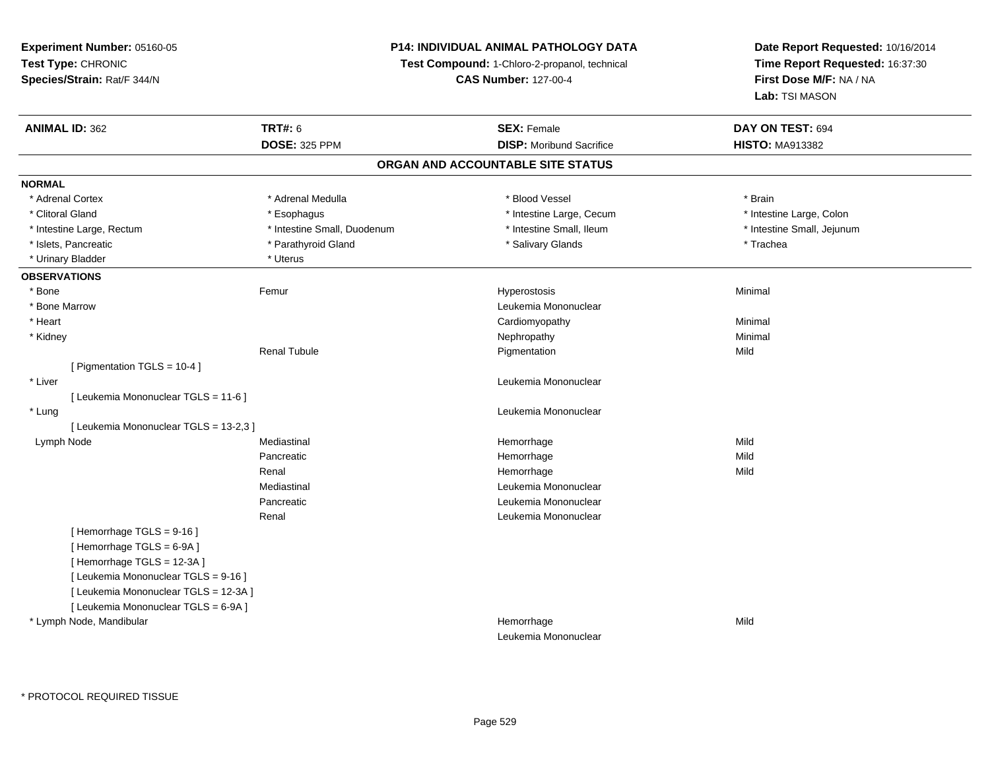## **P14: INDIVIDUAL ANIMAL PATHOLOGY DATA**

**Test Compound:** 1-Chloro-2-propanol, technical

**CAS Number:** 127-00-4

| <b>ANIMAL ID: 362</b>                  | <b>TRT#: 6</b>              | <b>SEX: Female</b>                | DAY ON TEST: 694           |  |
|----------------------------------------|-----------------------------|-----------------------------------|----------------------------|--|
|                                        | <b>DOSE: 325 PPM</b>        | <b>DISP:</b> Moribund Sacrifice   | <b>HISTO: MA913382</b>     |  |
|                                        |                             | ORGAN AND ACCOUNTABLE SITE STATUS |                            |  |
| <b>NORMAL</b>                          |                             |                                   |                            |  |
| * Adrenal Cortex                       | * Adrenal Medulla           | * Blood Vessel                    | * Brain                    |  |
| * Clitoral Gland                       | * Esophagus                 | * Intestine Large, Cecum          | * Intestine Large, Colon   |  |
| * Intestine Large, Rectum              | * Intestine Small, Duodenum | * Intestine Small, Ileum          | * Intestine Small, Jejunum |  |
| * Islets, Pancreatic                   | * Parathyroid Gland         | * Salivary Glands                 | * Trachea                  |  |
| * Urinary Bladder                      | * Uterus                    |                                   |                            |  |
| <b>OBSERVATIONS</b>                    |                             |                                   |                            |  |
| * Bone                                 | Femur                       | Hyperostosis                      | Minimal                    |  |
| * Bone Marrow                          |                             | Leukemia Mononuclear              |                            |  |
| * Heart                                |                             | Cardiomyopathy                    | Minimal                    |  |
| * Kidney                               |                             | Nephropathy                       | Minimal                    |  |
|                                        | <b>Renal Tubule</b>         | Pigmentation                      | Mild                       |  |
| [ Pigmentation TGLS = 10-4 ]           |                             |                                   |                            |  |
| * Liver                                |                             | Leukemia Mononuclear              |                            |  |
| [ Leukemia Mononuclear TGLS = 11-6 ]   |                             |                                   |                            |  |
| * Lung                                 |                             | Leukemia Mononuclear              |                            |  |
| [ Leukemia Mononuclear TGLS = 13-2,3 ] |                             |                                   |                            |  |
| Lymph Node                             | Mediastinal                 | Hemorrhage                        | Mild                       |  |
|                                        | Pancreatic                  | Hemorrhage                        | Mild                       |  |
|                                        | Renal                       | Hemorrhage                        | Mild                       |  |
|                                        | Mediastinal                 | Leukemia Mononuclear              |                            |  |
|                                        | Pancreatic                  | Leukemia Mononuclear              |                            |  |
|                                        | Renal                       | Leukemia Mononuclear              |                            |  |
| [Hemorrhage TGLS = 9-16]               |                             |                                   |                            |  |
| [Hemorrhage TGLS = 6-9A]               |                             |                                   |                            |  |
| [Hemorrhage TGLS = 12-3A]              |                             |                                   |                            |  |
| [ Leukemia Mononuclear TGLS = 9-16 ]   |                             |                                   |                            |  |
| [ Leukemia Mononuclear TGLS = 12-3A ]  |                             |                                   |                            |  |
| [ Leukemia Mononuclear TGLS = 6-9A ]   |                             |                                   |                            |  |
| * Lymph Node, Mandibular               |                             | Hemorrhage                        | Mild                       |  |
|                                        |                             | Leukemia Mononuclear              |                            |  |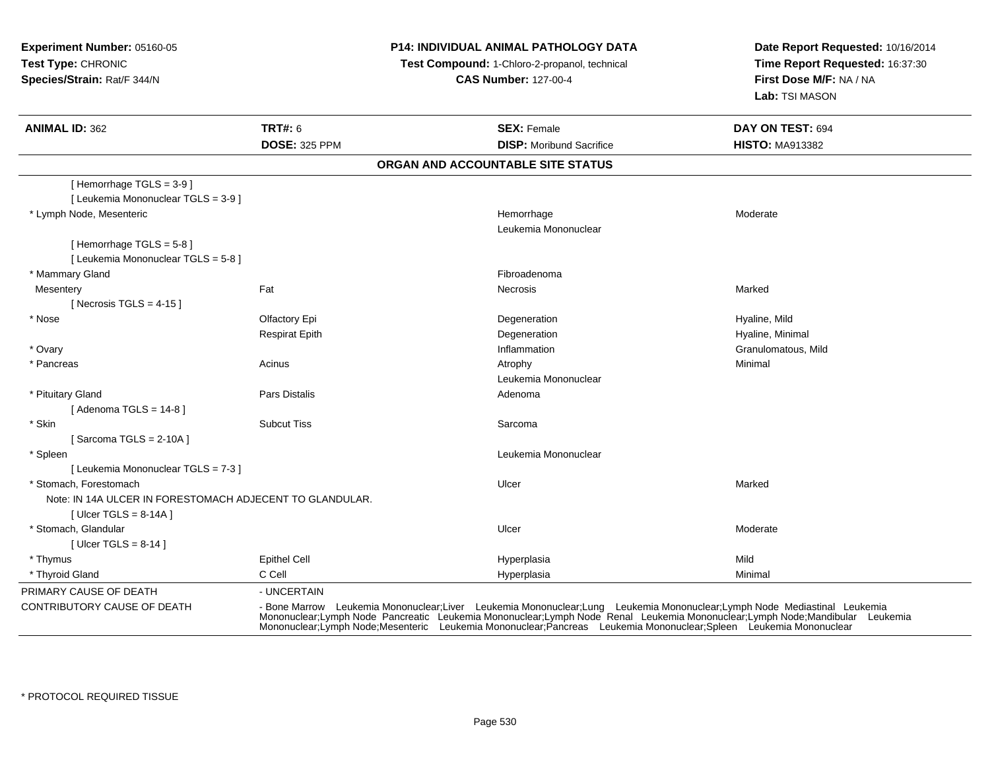## **P14: INDIVIDUAL ANIMAL PATHOLOGY DATA**

**Test Compound:** 1-Chloro-2-propanol, technical

**CAS Number:** 127-00-4

| <b>ANIMAL ID: 362</b>                                             | <b>TRT#: 6</b><br><b>DOSE: 325 PPM</b> | <b>SEX: Female</b><br><b>DISP:</b> Moribund Sacrifice                                                                                                                                                                                                                                                                                                 | DAY ON TEST: 694<br><b>HISTO: MA913382</b> |
|-------------------------------------------------------------------|----------------------------------------|-------------------------------------------------------------------------------------------------------------------------------------------------------------------------------------------------------------------------------------------------------------------------------------------------------------------------------------------------------|--------------------------------------------|
|                                                                   |                                        | ORGAN AND ACCOUNTABLE SITE STATUS                                                                                                                                                                                                                                                                                                                     |                                            |
| [Hemorrhage TGLS = $3-9$ ]<br>[ Leukemia Mononuclear TGLS = 3-9 ] |                                        |                                                                                                                                                                                                                                                                                                                                                       |                                            |
| * Lymph Node, Mesenteric                                          |                                        | Hemorrhage<br>Leukemia Mononuclear                                                                                                                                                                                                                                                                                                                    | Moderate                                   |
| [Hemorrhage TGLS = $5-8$ ]<br>[ Leukemia Mononuclear TGLS = 5-8 ] |                                        |                                                                                                                                                                                                                                                                                                                                                       |                                            |
| * Mammary Gland                                                   |                                        | Fibroadenoma                                                                                                                                                                                                                                                                                                                                          |                                            |
| Mesentery<br>[ Necrosis TGLS = $4-15$ ]                           | Fat                                    | <b>Necrosis</b>                                                                                                                                                                                                                                                                                                                                       | Marked                                     |
| * Nose                                                            | Olfactory Epi                          | Degeneration                                                                                                                                                                                                                                                                                                                                          | Hyaline, Mild                              |
|                                                                   | <b>Respirat Epith</b>                  | Degeneration                                                                                                                                                                                                                                                                                                                                          | Hyaline, Minimal                           |
| * Ovary                                                           |                                        | Inflammation                                                                                                                                                                                                                                                                                                                                          | Granulomatous, Mild                        |
| * Pancreas                                                        | Acinus                                 | Atrophy                                                                                                                                                                                                                                                                                                                                               | Minimal                                    |
|                                                                   |                                        | Leukemia Mononuclear                                                                                                                                                                                                                                                                                                                                  |                                            |
| * Pituitary Gland                                                 | <b>Pars Distalis</b>                   | Adenoma                                                                                                                                                                                                                                                                                                                                               |                                            |
| [Adenoma TGLS = $14-8$ ]                                          |                                        |                                                                                                                                                                                                                                                                                                                                                       |                                            |
| * Skin                                                            | <b>Subcut Tiss</b>                     | Sarcoma                                                                                                                                                                                                                                                                                                                                               |                                            |
| [Sarcoma TGLS = $2-10A$ ]                                         |                                        |                                                                                                                                                                                                                                                                                                                                                       |                                            |
| * Spleen                                                          |                                        | Leukemia Mononuclear                                                                                                                                                                                                                                                                                                                                  |                                            |
| [ Leukemia Mononuclear TGLS = 7-3 ]                               |                                        |                                                                                                                                                                                                                                                                                                                                                       |                                            |
| * Stomach, Forestomach                                            |                                        | Ulcer                                                                                                                                                                                                                                                                                                                                                 | Marked                                     |
| Note: IN 14A ULCER IN FORESTOMACH ADJECENT TO GLANDULAR.          |                                        |                                                                                                                                                                                                                                                                                                                                                       |                                            |
| [ Ulcer TGLS = $8-14A$ ]                                          |                                        |                                                                                                                                                                                                                                                                                                                                                       |                                            |
| * Stomach, Glandular                                              |                                        | Ulcer                                                                                                                                                                                                                                                                                                                                                 | Moderate                                   |
| [ Ulcer TGLS = $8-14$ ]                                           |                                        |                                                                                                                                                                                                                                                                                                                                                       |                                            |
| * Thymus                                                          | <b>Epithel Cell</b>                    | Hyperplasia                                                                                                                                                                                                                                                                                                                                           | Mild                                       |
| * Thyroid Gland                                                   | C Cell                                 | Hyperplasia                                                                                                                                                                                                                                                                                                                                           | Minimal                                    |
| PRIMARY CAUSE OF DEATH                                            | - UNCERTAIN                            |                                                                                                                                                                                                                                                                                                                                                       |                                            |
| CONTRIBUTORY CAUSE OF DEATH                                       |                                        | - Bone Marrow Leukemia Mononuclear;Liver Leukemia Mononuclear;Lung Leukemia Mononuclear;Lymph Node Mediastinal Leukemia<br>Mononuclear;Lymph Node Pancreatic Leukemia Mononuclear;Lymph Node Renal Leukemia Mononuclear;Lymph Nod<br>Mononuclear;Lymph Node;Mesenteric Leukemia Mononuclear;Pancreas Leukemia Mononuclear;Spleen Leukemia Mononuclear |                                            |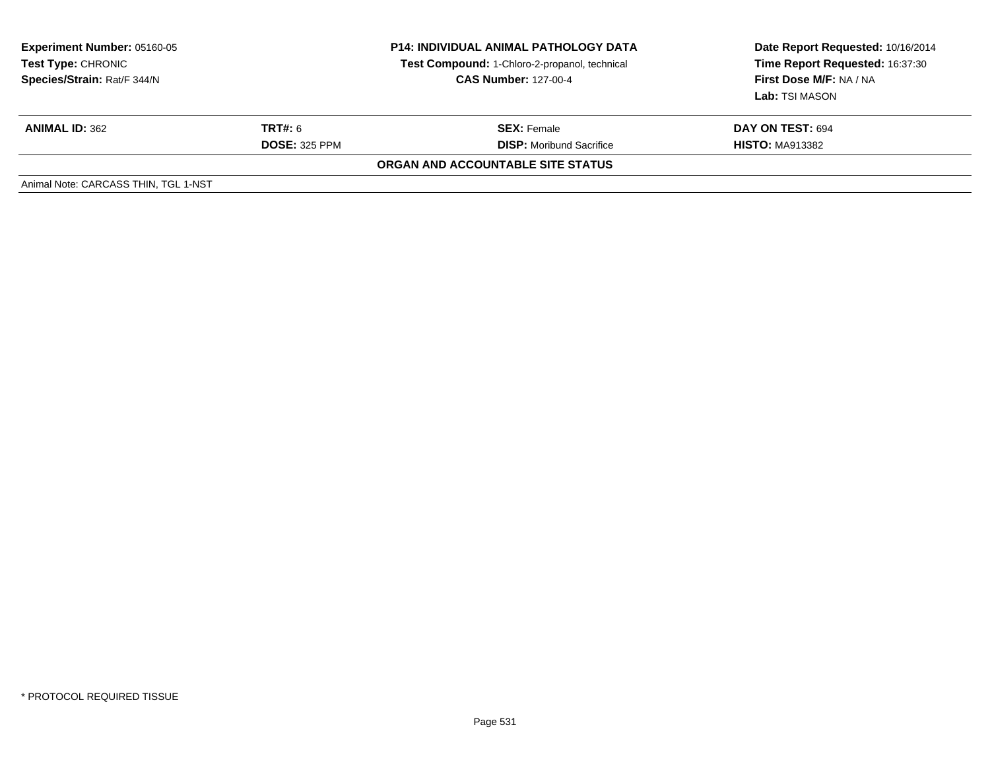| <b>Experiment Number: 05160-05</b><br><b>Test Type: CHRONIC</b><br>Species/Strain: Rat/F 344/N | <b>P14: INDIVIDUAL ANIMAL PATHOLOGY DATA</b><br>Test Compound: 1-Chloro-2-propanol, technical<br><b>CAS Number: 127-00-4</b> |                                   | Date Report Requested: 10/16/2014<br>Time Report Requested: 16:37:30<br>First Dose M/F: NA / NA<br>Lab: TSI MASON |
|------------------------------------------------------------------------------------------------|------------------------------------------------------------------------------------------------------------------------------|-----------------------------------|-------------------------------------------------------------------------------------------------------------------|
| <b>ANIMAL ID: 362</b>                                                                          | <b>TRT#:</b> 6                                                                                                               | <b>SEX: Female</b>                | DAY ON TEST: 694                                                                                                  |
|                                                                                                | <b>DOSE: 325 PPM</b>                                                                                                         | <b>DISP:</b> Moribund Sacrifice   | <b>HISTO: MA913382</b>                                                                                            |
|                                                                                                |                                                                                                                              | ORGAN AND ACCOUNTABLE SITE STATUS |                                                                                                                   |
| Animal Note: CARCASS THIN, TGL 1-NST                                                           |                                                                                                                              |                                   |                                                                                                                   |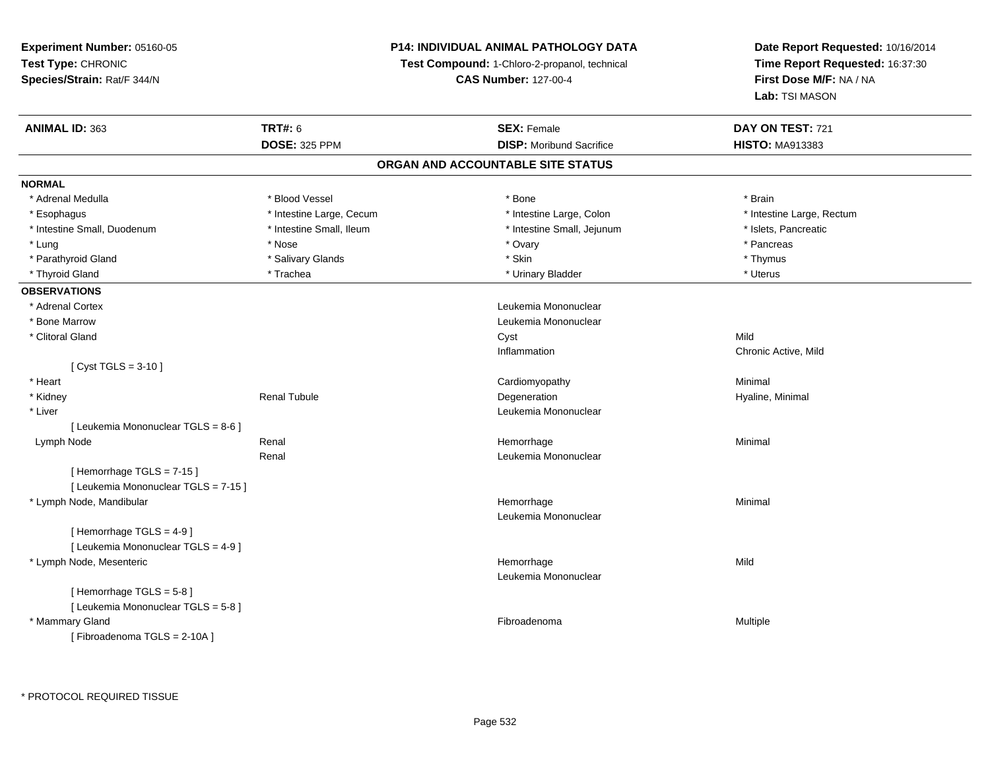## **P14: INDIVIDUAL ANIMAL PATHOLOGY DATA**

**Test Compound:** 1-Chloro-2-propanol, technical

**CAS Number:** 127-00-4

**Date Report Requested:** 10/16/2014**Time Report Requested:** 16:37:30**First Dose M/F:** NA / NA**Lab:** TSI MASON

| ANIMAL ID: 363                       | <b>TRT#: 6</b>           | <b>SEX: Female</b>              | DAY ON TEST: 721          |  |  |  |
|--------------------------------------|--------------------------|---------------------------------|---------------------------|--|--|--|
|                                      | <b>DOSE: 325 PPM</b>     | <b>DISP: Moribund Sacrifice</b> | <b>HISTO: MA913383</b>    |  |  |  |
| ORGAN AND ACCOUNTABLE SITE STATUS    |                          |                                 |                           |  |  |  |
| <b>NORMAL</b>                        |                          |                                 |                           |  |  |  |
| * Adrenal Medulla                    | * Blood Vessel           | * Bone                          | * Brain                   |  |  |  |
| * Esophagus                          | * Intestine Large, Cecum | * Intestine Large, Colon        | * Intestine Large, Rectum |  |  |  |
| * Intestine Small, Duodenum          | * Intestine Small, Ileum | * Intestine Small, Jejunum      | * Islets, Pancreatic      |  |  |  |
| * Lung                               | * Nose                   | * Ovary                         | * Pancreas                |  |  |  |
| * Parathyroid Gland                  | * Salivary Glands        | * Skin                          | * Thymus                  |  |  |  |
| * Thyroid Gland                      | * Trachea                | * Urinary Bladder               | * Uterus                  |  |  |  |
| <b>OBSERVATIONS</b>                  |                          |                                 |                           |  |  |  |
| * Adrenal Cortex                     |                          | Leukemia Mononuclear            |                           |  |  |  |
| * Bone Marrow                        |                          | Leukemia Mononuclear            |                           |  |  |  |
| * Clitoral Gland                     |                          | Cyst                            | Mild                      |  |  |  |
|                                      |                          | Inflammation                    | Chronic Active, Mild      |  |  |  |
| [ $Cyst TGLS = 3-10$ ]               |                          |                                 |                           |  |  |  |
| * Heart                              |                          | Cardiomyopathy                  | Minimal                   |  |  |  |
| * Kidney                             | <b>Renal Tubule</b>      | Degeneration                    | Hyaline, Minimal          |  |  |  |
| * Liver                              |                          | Leukemia Mononuclear            |                           |  |  |  |
| [ Leukemia Mononuclear TGLS = 8-6 ]  |                          |                                 |                           |  |  |  |
| Lymph Node                           | Renal                    | Hemorrhage                      | Minimal                   |  |  |  |
|                                      | Renal                    | Leukemia Mononuclear            |                           |  |  |  |
| [Hemorrhage TGLS = 7-15]             |                          |                                 |                           |  |  |  |
| [ Leukemia Mononuclear TGLS = 7-15 ] |                          |                                 |                           |  |  |  |
| * Lymph Node, Mandibular             |                          | Hemorrhage                      | Minimal                   |  |  |  |
|                                      |                          | Leukemia Mononuclear            |                           |  |  |  |
| [Hemorrhage TGLS = 4-9]              |                          |                                 |                           |  |  |  |
| [ Leukemia Mononuclear TGLS = 4-9 ]  |                          |                                 |                           |  |  |  |
| * Lymph Node, Mesenteric             |                          | Hemorrhage                      | Mild                      |  |  |  |
|                                      |                          | Leukemia Mononuclear            |                           |  |  |  |
| [Hemorrhage TGLS = 5-8]              |                          |                                 |                           |  |  |  |
| [ Leukemia Mononuclear TGLS = 5-8 ]  |                          |                                 |                           |  |  |  |
| * Mammary Gland                      |                          | Fibroadenoma                    | Multiple                  |  |  |  |
| [Fibroadenoma TGLS = 2-10A]          |                          |                                 |                           |  |  |  |

\* PROTOCOL REQUIRED TISSUE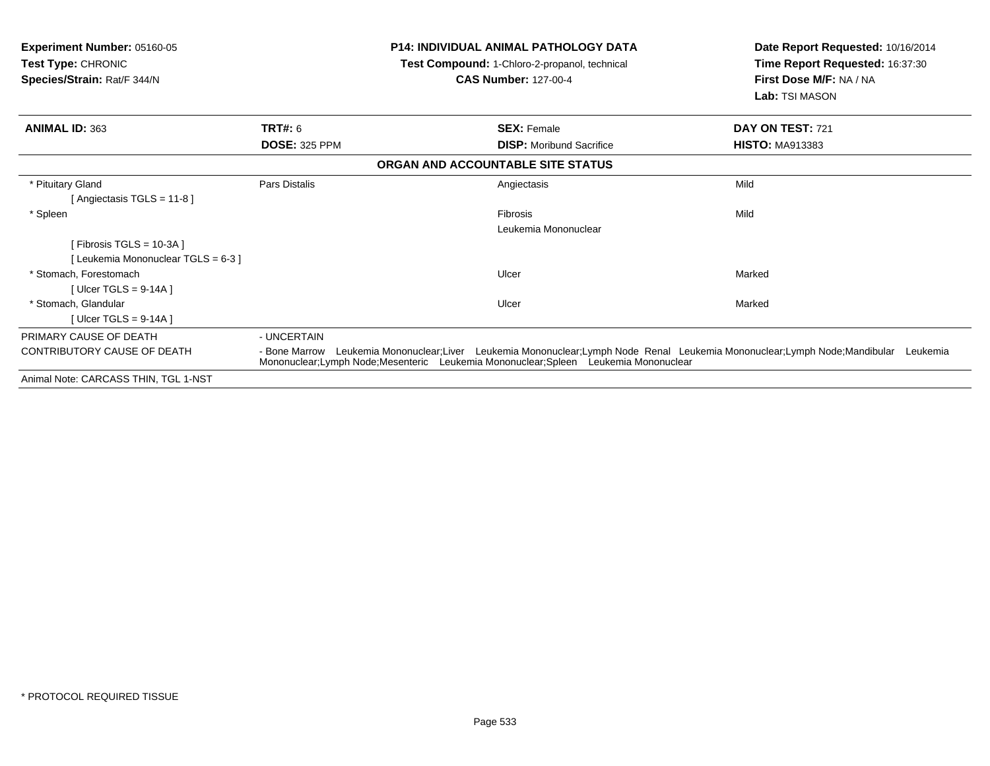| <b>Experiment Number: 05160-05</b><br><b>Test Type: CHRONIC</b><br>Species/Strain: Rat/F 344/N |                      | <b>P14: INDIVIDUAL ANIMAL PATHOLOGY DATA</b><br><b>Test Compound: 1-Chloro-2-propanol, technical</b><br><b>CAS Number: 127-00-4</b>                                                                                         | Date Report Requested: 10/16/2014<br><b>Time Report Requested: 16:37:30</b><br>First Dose M/F: NA / NA<br>Lab: TSI MASON |
|------------------------------------------------------------------------------------------------|----------------------|-----------------------------------------------------------------------------------------------------------------------------------------------------------------------------------------------------------------------------|--------------------------------------------------------------------------------------------------------------------------|
| <b>ANIMAL ID: 363</b>                                                                          | <b>TRT#: 6</b>       | <b>SEX: Female</b>                                                                                                                                                                                                          | DAY ON TEST: 721                                                                                                         |
|                                                                                                | <b>DOSE: 325 PPM</b> | <b>DISP:</b> Moribund Sacrifice                                                                                                                                                                                             | <b>HISTO: MA913383</b>                                                                                                   |
|                                                                                                |                      | ORGAN AND ACCOUNTABLE SITE STATUS                                                                                                                                                                                           |                                                                                                                          |
| * Pituitary Gland                                                                              | Pars Distalis        | Angiectasis                                                                                                                                                                                                                 | Mild                                                                                                                     |
| [Angiectasis TGLS = 11-8]                                                                      |                      |                                                                                                                                                                                                                             |                                                                                                                          |
| * Spleen                                                                                       |                      | Fibrosis                                                                                                                                                                                                                    | Mild                                                                                                                     |
|                                                                                                |                      | Leukemia Mononuclear                                                                                                                                                                                                        |                                                                                                                          |
| [Fibrosis TGLS = $10-3A$ ]                                                                     |                      |                                                                                                                                                                                                                             |                                                                                                                          |
| [Leukemia Mononuclear TGLS = 6-3]                                                              |                      |                                                                                                                                                                                                                             |                                                                                                                          |
| * Stomach, Forestomach                                                                         |                      | Ulcer                                                                                                                                                                                                                       | Marked                                                                                                                   |
| [ Ulcer TGLS = $9-14A$ ]                                                                       |                      |                                                                                                                                                                                                                             |                                                                                                                          |
| * Stomach, Glandular                                                                           |                      | Ulcer                                                                                                                                                                                                                       | Marked                                                                                                                   |
| [ Ulcer TGLS = $9-14A$ ]                                                                       |                      |                                                                                                                                                                                                                             |                                                                                                                          |
| PRIMARY CAUSE OF DEATH                                                                         | - UNCERTAIN          |                                                                                                                                                                                                                             |                                                                                                                          |
| <b>CONTRIBUTORY CAUSE OF DEATH</b>                                                             |                      | - Bone Marrow Leukemia Mononuclear;Liver Leukemia Mononuclear;Lymph Node Renal Leukemia Mononuclear;Lymph Node;Mandibular Leukemia<br>Mononuclear; Lymph Node; Mesenteric Leukemia Mononuclear; Spleen Leukemia Mononuclear |                                                                                                                          |
| Animal Note: CARCASS THIN, TGL 1-NST                                                           |                      |                                                                                                                                                                                                                             |                                                                                                                          |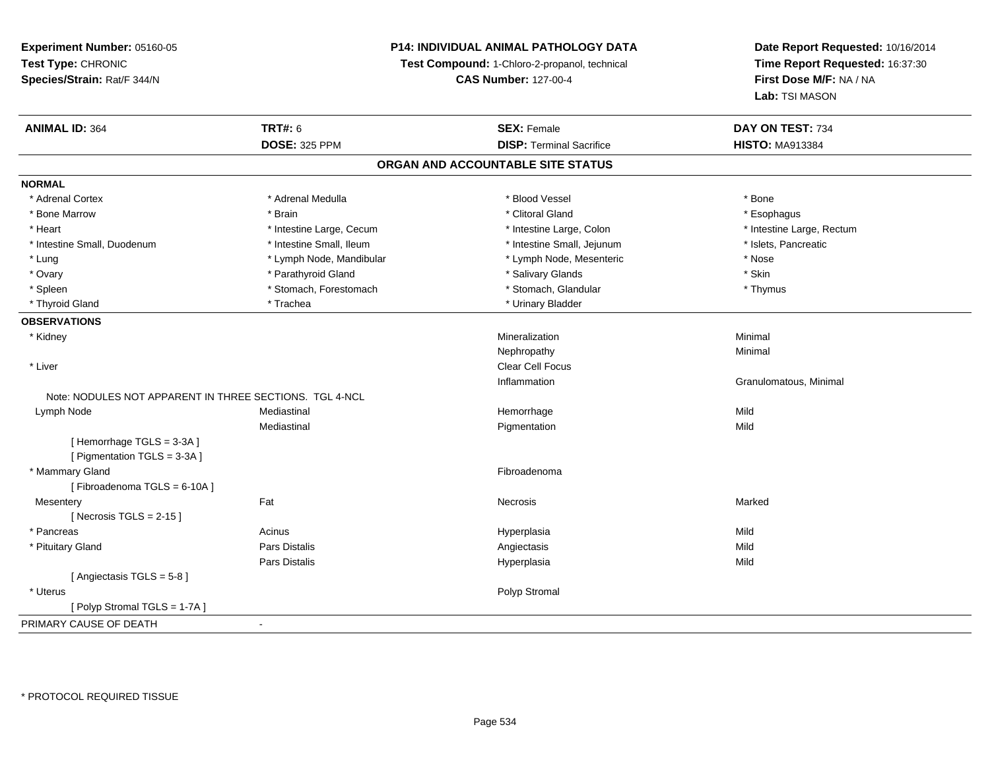## **P14: INDIVIDUAL ANIMAL PATHOLOGY DATA**

**Test Compound:** 1-Chloro-2-propanol, technical

**CAS Number:** 127-00-4

| <b>ANIMAL ID: 364</b>                                   | <b>TRT#: 6</b>           | <b>SEX: Female</b>              | DAY ON TEST: 734          |  |  |
|---------------------------------------------------------|--------------------------|---------------------------------|---------------------------|--|--|
|                                                         | <b>DOSE: 325 PPM</b>     | <b>DISP: Terminal Sacrifice</b> | <b>HISTO: MA913384</b>    |  |  |
| ORGAN AND ACCOUNTABLE SITE STATUS                       |                          |                                 |                           |  |  |
| <b>NORMAL</b>                                           |                          |                                 |                           |  |  |
| * Adrenal Cortex                                        | * Adrenal Medulla        | * Blood Vessel                  | * Bone                    |  |  |
| * Bone Marrow                                           | * Brain                  | * Clitoral Gland                | * Esophagus               |  |  |
| * Heart                                                 | * Intestine Large, Cecum | * Intestine Large, Colon        | * Intestine Large, Rectum |  |  |
| * Intestine Small, Duodenum                             | * Intestine Small, Ileum | * Intestine Small, Jejunum      | * Islets, Pancreatic      |  |  |
| * Lung                                                  | * Lymph Node, Mandibular | * Lymph Node, Mesenteric        | * Nose                    |  |  |
| * Ovary                                                 | * Parathyroid Gland      | * Salivary Glands               | * Skin                    |  |  |
| * Spleen                                                | * Stomach, Forestomach   | * Stomach, Glandular            | * Thymus                  |  |  |
| * Thyroid Gland                                         | * Trachea                | * Urinary Bladder               |                           |  |  |
| <b>OBSERVATIONS</b>                                     |                          |                                 |                           |  |  |
| * Kidney                                                |                          | Mineralization                  | Minimal                   |  |  |
|                                                         |                          | Nephropathy                     | Minimal                   |  |  |
| * Liver                                                 |                          | <b>Clear Cell Focus</b>         |                           |  |  |
|                                                         |                          | Inflammation                    | Granulomatous, Minimal    |  |  |
| Note: NODULES NOT APPARENT IN THREE SECTIONS. TGL 4-NCL |                          |                                 |                           |  |  |
| Lymph Node                                              | Mediastinal              | Hemorrhage                      | Mild                      |  |  |
|                                                         | Mediastinal              | Pigmentation                    | Mild                      |  |  |
| [Hemorrhage TGLS = 3-3A]                                |                          |                                 |                           |  |  |
| [ Pigmentation TGLS = 3-3A ]                            |                          |                                 |                           |  |  |
| * Mammary Gland                                         |                          | Fibroadenoma                    |                           |  |  |
| [Fibroadenoma TGLS = 6-10A]                             |                          |                                 |                           |  |  |
| Mesentery                                               | Fat                      | <b>Necrosis</b>                 | Marked                    |  |  |
| [Necrosis TGLS = $2-15$ ]                               |                          |                                 |                           |  |  |
| * Pancreas                                              | Acinus                   | Hyperplasia                     | Mild                      |  |  |
| * Pituitary Gland                                       | <b>Pars Distalis</b>     | Angiectasis                     | Mild                      |  |  |
|                                                         | Pars Distalis            | Hyperplasia                     | Mild                      |  |  |
| [Angiectasis TGLS = 5-8]                                |                          |                                 |                           |  |  |
| * Uterus                                                |                          | Polyp Stromal                   |                           |  |  |
| [Polyp Stromal TGLS = 1-7A]                             |                          |                                 |                           |  |  |
| PRIMARY CAUSE OF DEATH                                  | $\sim$                   |                                 |                           |  |  |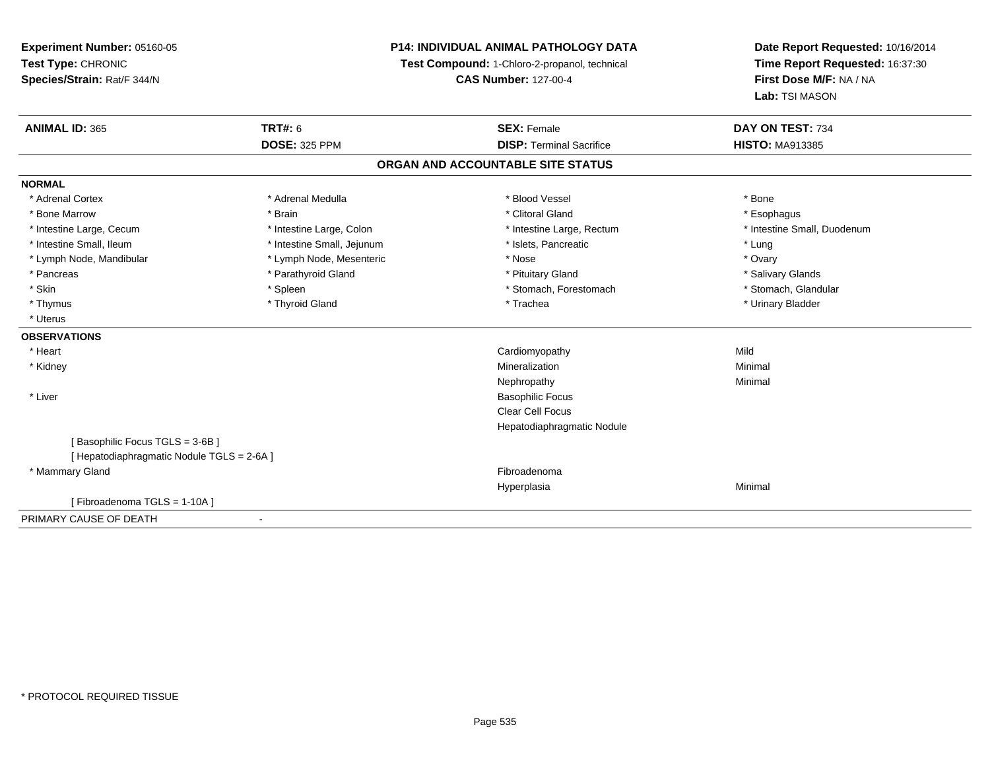**Experiment Number:** 05160-05**Test Type:** CHRONIC **Species/Strain:** Rat/F 344/N**P14: INDIVIDUAL ANIMAL PATHOLOGY DATATest Compound:** 1-Chloro-2-propanol, technical **CAS Number:** 127-00-4**Date Report Requested:** 10/16/2014**Time Report Requested:** 16:37:30**First Dose M/F:** NA / NA**Lab:** TSI MASON**ANIMAL ID:** 365**TRT#:** 6 **SEX:** Female **SEX: Female DAY ON TEST:** 734 **DOSE:** 325 PPM**DISP:** Terminal Sacrifice **HISTO:** MA913385 **ORGAN AND ACCOUNTABLE SITE STATUSNORMAL**\* Adrenal Cortex \* Adrenal Medulla \* Adrenal Medulla \* Blood Vessel \* Bood Vessel \* Bone \* Bone \* Bone \* Bone \* Bone \* Bone \* Bone \* Bone \* Bone \* Bone \* Bone \* Bone \* Bone \* Bone \* Bone \* Bone \* Bone \* Bone \* Bone \* Bone \* Bone \* Bone \* \* \* Esophagus \* Bone Marrow \* \* Android \* Brain \* Brain \* Clitoral Gland \* Clitoral Gland \* Esophagus \* Esophagus \* Esophagus \* Intestine Small, Duodenum \* Intestine Large, Cecum \* Intestine Large, Colon \* Intestine Sarge, Rectum \* Intestine Large, Rectum \* Intestine Small, Ileum \* Intestine Small, Jejunum \* Number of the Small and the Small and the Small and the Small and the Small and the Small and the Small and the Lung \* Ovary \* Lymph Node, Mandibular \* Lymph Node, Mesenteric \* Nose \* Nose \* Salivary Glands \* Pancreas \* And the section of the section of the section of the section of the section of the section of the section of the section of the section of the section of the section of the section of the section of the sectio \* Stomach. Glandular \* Skin \* Spleen \* Spleen \* Spleen \* Stomach, Forestomach \* Stomach, Forestomach \* Thymus \* Thyroid Gland \* Trachea \* Urinary Bladder \* \* Uterus**OBSERVATIONS** \* Heart Cardiomyopathyy Mild Minimal \* Kidneyy with the control of the control of the control of the control of the control of the control of the control of the control of the control of the control of the control of the control of the control of the control of the c n Minimal Nephropathyy the contract of the Minimal Minimal Section 1996 and the contract of the Minimal Section 1997 and the contract of the contract of the contract of the contract of the contract of the contract of the contract of the contra \* Liver Basophilic Focus Clear Cell Focus Hepatodiaphragmatic Nodule[ Basophilic Focus TGLS = 3-6B ][ Hepatodiaphragmatic Nodule TGLS = 2-6A ] \* Mammary Glandd **Exercía de Santo Constituída e a constituída e a constituída e a constituída e a constituída e a constituída**<br>Exercípcio Hyperplasiaa and a studies of the studies of the Minimal [ Fibroadenoma TGLS = 1-10A ]PRIMARY CAUSE OF DEATH-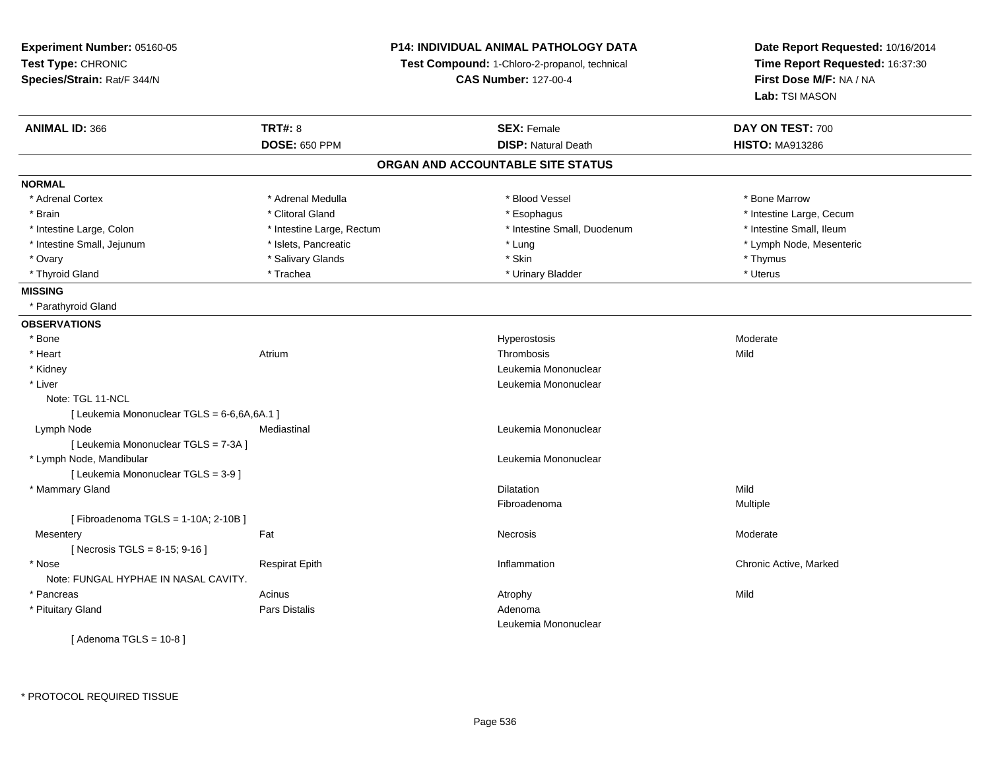**Experiment Number:** 05160-05**Test Type:** CHRONIC **Species/Strain:** Rat/F 344/N**P14: INDIVIDUAL ANIMAL PATHOLOGY DATATest Compound:** 1-Chloro-2-propanol, technical **CAS Number:** 127-00-4**Date Report Requested:** 10/16/2014**Time Report Requested:** 16:37:30**First Dose M/F:** NA / NA**Lab:** TSI MASON**ANIMAL ID:** 366**TRT#:** 8 **SEX:** Female **DAY ON TEST:** 700 **DOSE:** 650 PPM**DISP:** Natural Death **HISTO:** MA913286 **ORGAN AND ACCOUNTABLE SITE STATUSNORMAL**\* Adrenal Cortex \* Adrenal Medulla \* Adrenal \* Blood Vessel \* Bood Yessel \* Bone Marrow \* Brain \* Alternation of the state of the state of the state of the state of the state of the state of the state of the state of the state of the state of the state of the state of the state of the state of the state of th \* Intestine Small. Ileum \* Intestine Large, Colon \* Intestine Large, Rectum \* Intestine Small, Duodenum \* Intestine Small, Duodenum \* Lymph Node, Mesenteric \* Intestine Small, Jejunum \* Mesenteric \* Islets, Pancreatic \* Mesenteric \* Lung \* Lung \* Node, Mesenteric \* Mesenteric \* Mesenteric \* Mesenteric \* Mesenteric \* Mesenteric \* Mesenteric \* Mesenteric \* Mesenteric \* Mesenteri \* Ovary \* Salivary Glands \* Skin \* Thymus\* Uterus \* Thyroid Gland \* \* Trachea \* \* Trachea \* Trachea \* \* Urinary Bladder \* \* Urinary Bladder \* \* Uterus \* Uterus **MISSING** \* Parathyroid Gland**OBSERVATIONS** \* Bonee de la controllation de la controllation de la controllation de la controllation de la controllation de la controllation de la controllation de la controllation de la controllation de la controllation de la controllation \* Heartt **the contract of the contract of the contract of the contract of the contract of the contract of the contract of the contract of the contract of the contract of the contract of the contract of the contract of the contrac** m Thrombosis and Thrombosis the Mild \* Kidney Leukemia Mononuclear \* Liver Leukemia Mononuclear Note: TGL 11-NCL [ Leukemia Mononuclear TGLS = 6-6,6A,6A.1 ] Lymph Node Mediastinal Leukemia Mononuclear [ Leukemia Mononuclear TGLS = 7-3A ] \* Lymph Node, Mandibular Leukemia Mononuclear [ Leukemia Mononuclear TGLS = 3-9 ] \* Mammary Glandd and the control of the control of the control of the control of the control of the control of the control of the control of the control of the control of the control of the control of the control of the control of the co Fibroadenoma Multiple [ Fibroadenoma TGLS = 1-10A; 2-10B ]**Mesentery** y the control of the set of the control of the Moderate of the Moderate of the Moderate of the Moderate of the Moderate of the Moderate of the Moderate of the Moderate of the Moderate of the Moderate of the Moderate of the  $[$  Necrosis TGLS = 8-15; 9-16 ] \* Nosee and the second of the series of the series of the control of the series of the chronic Active, Marked and the Respirat Epith Inflammation Chronic Active, Marked and the series of the series of the series of the series of Note: FUNGAL HYPHAE IN NASAL CAVITY. \* Pancreass the contract of the contract of the contract of the contract of the contract of the contract of the contract of the contract of the contract of the contract of the contract of the contract of the contract of the contract \* Pituitary Glandd and the set of Pars Distalis and the Second Adenomal Adenomal Second Second Pars Distallis Leukemia Mononuclear

 $[$  Adenoma TGLS = 10-8  $]$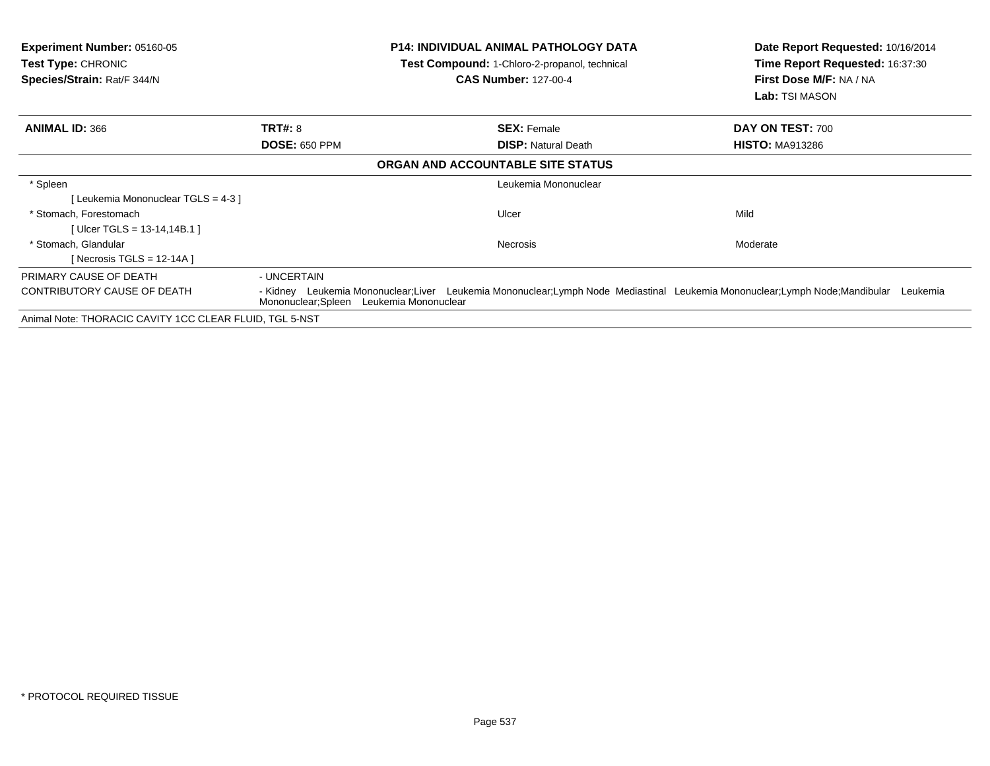| <b>Experiment Number: 05160-05</b><br><b>Test Type: CHRONIC</b><br>Species/Strain: Rat/F 344/N | <b>P14: INDIVIDUAL ANIMAL PATHOLOGY DATA</b><br>Test Compound: 1-Chloro-2-propanol, technical<br><b>CAS Number: 127-00-4</b> |                                                                                                                            | Date Report Requested: 10/16/2014<br>Time Report Requested: 16:37:30<br>First Dose M/F: NA / NA<br>Lab: TSI MASON |
|------------------------------------------------------------------------------------------------|------------------------------------------------------------------------------------------------------------------------------|----------------------------------------------------------------------------------------------------------------------------|-------------------------------------------------------------------------------------------------------------------|
| <b>ANIMAL ID: 366</b>                                                                          | <b>TRT#: 8</b>                                                                                                               | <b>SEX: Female</b>                                                                                                         | DAY ON TEST: 700                                                                                                  |
|                                                                                                | <b>DOSE: 650 PPM</b>                                                                                                         | <b>DISP:</b> Natural Death                                                                                                 | <b>HISTO: MA913286</b>                                                                                            |
|                                                                                                |                                                                                                                              | ORGAN AND ACCOUNTABLE SITE STATUS                                                                                          |                                                                                                                   |
| * Spleen                                                                                       |                                                                                                                              | Leukemia Mononuclear                                                                                                       |                                                                                                                   |
| Leukemia Mononuclear TGLS = 4-3 ]                                                              |                                                                                                                              |                                                                                                                            |                                                                                                                   |
| * Stomach. Forestomach                                                                         |                                                                                                                              | Ulcer                                                                                                                      | Mild                                                                                                              |
| [Ulcer TGLS = 13-14,14B.1]                                                                     |                                                                                                                              |                                                                                                                            |                                                                                                                   |
| * Stomach, Glandular                                                                           |                                                                                                                              | Necrosis                                                                                                                   | Moderate                                                                                                          |
| [ Necrosis TGLS = 12-14A ]                                                                     |                                                                                                                              |                                                                                                                            |                                                                                                                   |
| PRIMARY CAUSE OF DEATH                                                                         | - UNCERTAIN                                                                                                                  |                                                                                                                            |                                                                                                                   |
| CONTRIBUTORY CAUSE OF DEATH                                                                    | Mononuclear; Spleen Leukemia Mononuclear                                                                                     | - Kidney Leukemia Mononuclear;Liver Leukemia Mononuclear;Lymph Node Mediastinal Leukemia Mononuclear;Lymph Node;Mandibular | Leukemia                                                                                                          |
| Animal Note: THORACIC CAVITY 1CC CLEAR FLUID, TGL 5-NST                                        |                                                                                                                              |                                                                                                                            |                                                                                                                   |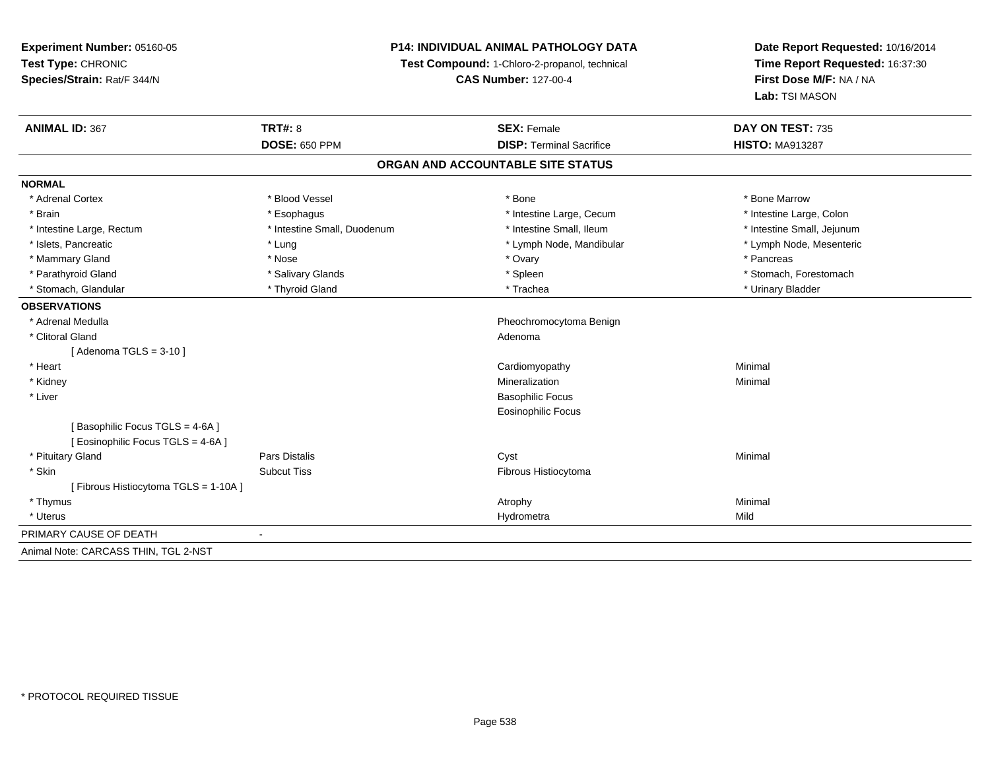**Experiment Number:** 05160-05**Test Type:** CHRONIC **Species/Strain:** Rat/F 344/N**P14: INDIVIDUAL ANIMAL PATHOLOGY DATATest Compound:** 1-Chloro-2-propanol, technical **CAS Number:** 127-00-4**Date Report Requested:** 10/16/2014**Time Report Requested:** 16:37:30**First Dose M/F:** NA / NA**Lab:** TSI MASON**ANIMAL ID:** 367**TRT#:** 8 **SEX:** Female **SEX: Female DAY ON TEST:** 735 **DOSE:** 650 PPM**DISP:** Terminal Sacrifice **HISTO:** MA913287 **ORGAN AND ACCOUNTABLE SITE STATUSNORMAL**\* Adrenal Cortex \* Adrenal Cortex \* \* Attachers \* Blood Vessel \* \* Bone \* \* \* Bone \* \* Bone \* \* Bone \* Bone Marrow \* Bone Marrow \* Intestine Large, Colon \* Brain \* Esophagus \* Esophagus \* Esophagus \* 11testine Large, Cecum \* \* Intestine Large, Rectum \* Thestine Small, Duodenum \* Number of the small, Ileum \* Intestine Small, Jejunum \* Intestine Small, Jejunum \* Lymph Node, Mesenteric \* Islets, Pancreatic **\* Lung \* Lung \* Lung \* Lymph Node, Mandibular \*** Lymph Node, Mandibular \* Mammary Gland \* \* Andrew \* Nose \* \* Nose \* \* Ovary \* Ovary \* Ovary \* \* Ovary \* \* Pancreas \* \* Pancreas \* \* Pancreas \* \* Pancreas \* \* Pancreas \* \* Pancreas \* \* Pancreas \* \* Pancreas \* \* Pancreas \* \* Pancreas \* \* Pancreas \* Parathyroid Gland \* \* Salivary Glands \* Salivary Glands \* Spleen \* Stomach, Forestomach \* Stomach, Glandular \* \* Thyroid Gland \* \* Thyroid Gland \* \* Trachea \* \* Trachea \* \* Urinary Bladder \* \* Urinary Bladder \* \* Urinary Bladder \* \* Urinary Bladder \* \* Urinary Bladder \* \* Urinary Bladder \* \* Urinary Bladder \* **OBSERVATIONS** \* Adrenal Medulla Pheochromocytoma Benign \* Clitoral Glandd and a state of the control of the control of the control of the control of the control of the control of the control of the control of the control of the control of the control of the control of the control of the contro [ Adenoma TGLS = 3-10 ] \* Heart Cardiomyopathy Minimal \* Kidneyy with the control of the control of the control of the control of the control of the control of the control of the control of the control of the control of the control of the control of the control of the control of the c n Minimal \* Liver Basophilic Focus Eosinophilic Focus[ Basophilic Focus TGLS = 4-6A ][ Eosinophilic Focus TGLS = 4-6A ] \* Pituitary Gland Pars Distalis Cyst Minimal \* SkinSubcut Tiss **Fibrous Histiocytoma** [ Fibrous Histiocytoma TGLS = 1-10A ] \* Thymuss the control of the control of the control of the control of the control of the control of the control of the control of the control of the control of the control of the control of the control of the control of the contro \* Uteruss and the contract of the contract of the contract of the contract of the contract of the contract of the contract of the contract of the contract of the contract of the contract of the contract of the contract of the cont a Mild PRIMARY CAUSE OF DEATH - Animal Note: CARCASS THIN, TGL 2-NST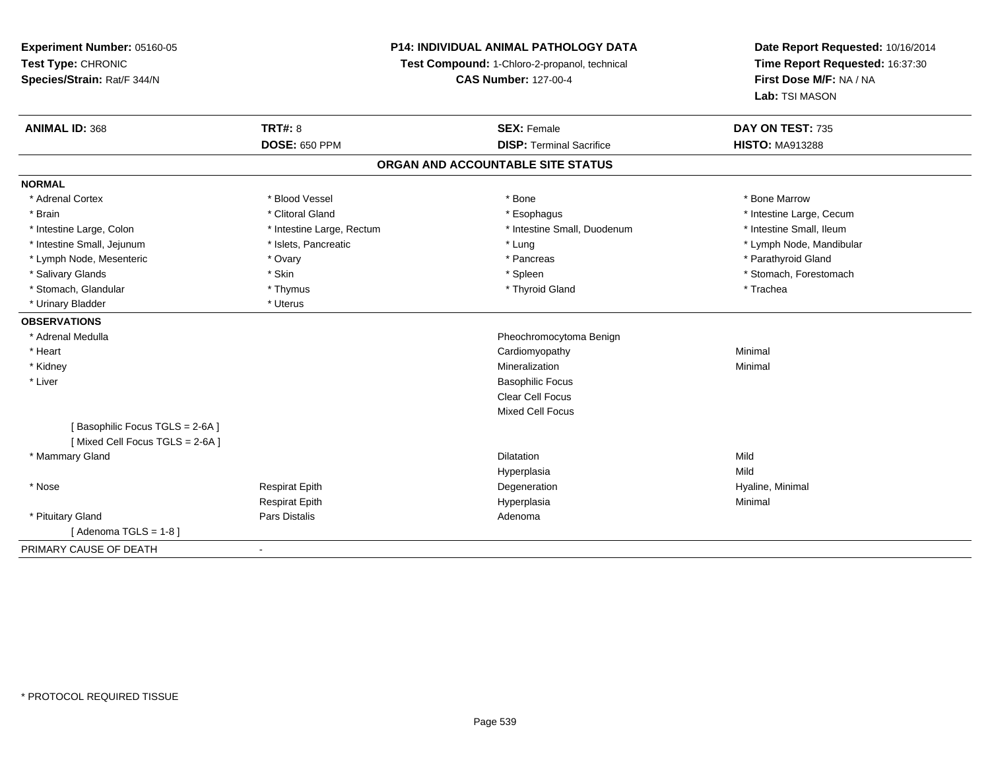**Experiment Number:** 05160-05**Test Type:** CHRONIC **Species/Strain:** Rat/F 344/N**P14: INDIVIDUAL ANIMAL PATHOLOGY DATATest Compound:** 1-Chloro-2-propanol, technical **CAS Number:** 127-00-4**Date Report Requested:** 10/16/2014**Time Report Requested:** 16:37:30**First Dose M/F:** NA / NA**Lab:** TSI MASON**ANIMAL ID:** 368**TRT#:** 8 **SEX:** Female **DAY ON TEST:** 735 **DOSE:** 650 PPM**DISP:** Terminal Sacrifice **HISTO:** MA913288 **ORGAN AND ACCOUNTABLE SITE STATUSNORMAL**\* Adrenal Cortex \* Adrenal Cortex \* \* Attachers \* Blood Vessel \* \* Bone \* \* \* Bone \* \* Bone \* \* Bone \* Bone Marrow \* Bone Marrow \* Brain \* Alternation of the state of the state of the state of the state of the state of the state of the state of the state of the state of the state of the state of the state of the state of the state of the state of th \* Intestine Small, Ileum \* Intestine Large, Colon \* Intestine Large, Rectum \* Intestine Small, Duodenum \* Intestine Small, Duodenum \* Intestine Small, Jejunum \* \* \* https://www.fat.com/setter/educition/setter/filesophysics.com/setter/filesophysics.com/setter/filesophysics.com/setter/filesophysics.com/setter/filesophysics.com/setter/filesophysics.com/se \* Lymph Node, Mesenteric \* Ovary \* Pancreas \* Parathyroid Gland\* Salivary Glands \* The stomach \* Skin \* Spleen \* Spleen \* Stomach, Forestomach \* Stomach, Forestomach \* Stomach, Forestomach \* Stomach, Glandular \* Thymus \* Thymus \* Thymus \* Thyroid Gland \* Thyroid Gland \* Trachea \* Urinary Bladder \* Uterus **OBSERVATIONS** \* Adrenal Medulla Pheochromocytoma Benign \* Heart Cardiomyopathy Minimal \* Kidneyy with the control of the control of the control of the control of the control of the control of the control of the control of the control of the control of the control of the control of the control of the control of the c n Minimal \* Liver Basophilic Focus Clear Cell Focus Mixed Cell Focus[ Basophilic Focus TGLS = 2-6A ][ Mixed Cell Focus TGLS = 2-6A ] \* Mammary Glandd and the control of the control of the control of the control of the control of the control of the control of the control of the control of the control of the control of the control of the control of the control of the co Hyperplasiaa Mild \* Nose Respirat Epith Degeneration Hyaline, Minimal Respirat Epithh anns an t-Imperplasia anns an t-Imperplasia anns an t-Imperplasia anns an t-Imperplasia anns an t-Imperplasi<br>Iomraidhean \* Pituitary Glandd and the contract of Pars Distalis and the contract of Adenoma and Adenoma and the Adenoma and the Adenoma and  $\lambda$  $[$  Adenoma TGLS = 1-8  $]$ PRIMARY CAUSE OF DEATH-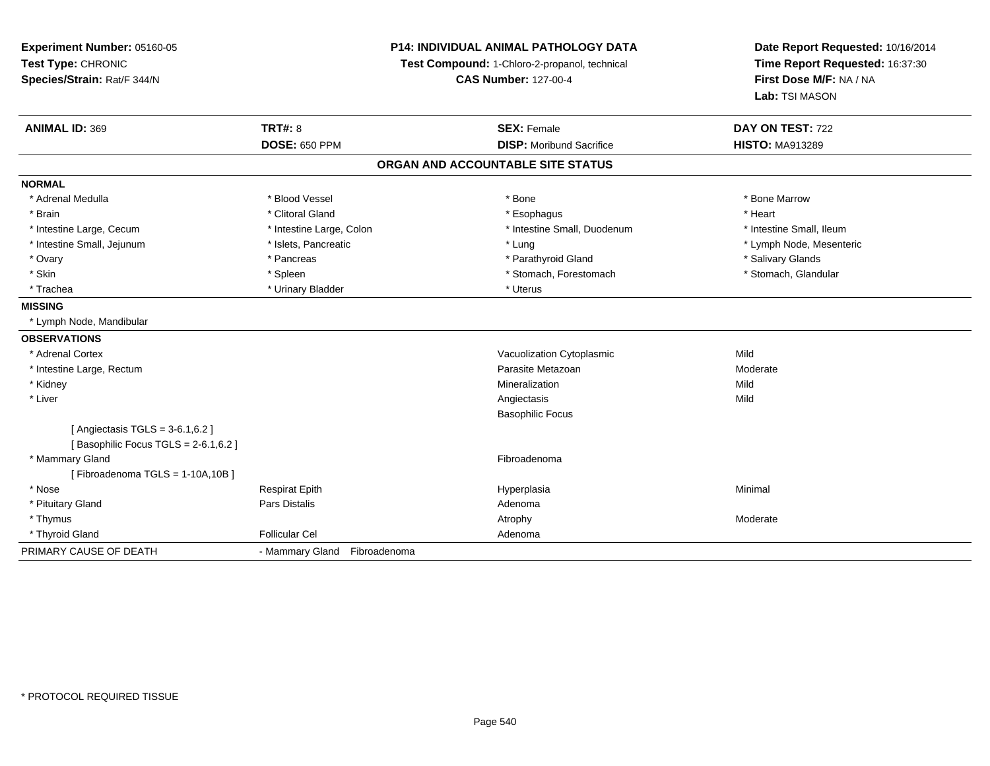| Experiment Number: 05160-05<br>Test Type: CHRONIC<br>Species/Strain: Rat/F 344/N | <b>P14: INDIVIDUAL ANIMAL PATHOLOGY DATA</b><br>Test Compound: 1-Chloro-2-propanol, technical<br><b>CAS Number: 127-00-4</b> |                                   | Date Report Requested: 10/16/2014<br>Time Report Requested: 16:37:30<br>First Dose M/F: NA / NA<br>Lab: TSI MASON |
|----------------------------------------------------------------------------------|------------------------------------------------------------------------------------------------------------------------------|-----------------------------------|-------------------------------------------------------------------------------------------------------------------|
| <b>ANIMAL ID: 369</b>                                                            | <b>TRT#: 8</b>                                                                                                               | <b>SEX: Female</b>                | DAY ON TEST: 722                                                                                                  |
|                                                                                  | <b>DOSE: 650 PPM</b>                                                                                                         | <b>DISP:</b> Moribund Sacrifice   | <b>HISTO: MA913289</b>                                                                                            |
|                                                                                  |                                                                                                                              | ORGAN AND ACCOUNTABLE SITE STATUS |                                                                                                                   |
| <b>NORMAL</b>                                                                    |                                                                                                                              |                                   |                                                                                                                   |
| * Adrenal Medulla                                                                | * Blood Vessel                                                                                                               | * Bone                            | * Bone Marrow                                                                                                     |
| * Brain                                                                          | * Clitoral Gland                                                                                                             | * Esophagus                       | * Heart                                                                                                           |
| * Intestine Large, Cecum                                                         | * Intestine Large, Colon                                                                                                     | * Intestine Small, Duodenum       | * Intestine Small, Ileum                                                                                          |
| * Intestine Small, Jejunum                                                       | * Islets, Pancreatic                                                                                                         | * Lung                            | * Lymph Node, Mesenteric                                                                                          |
| * Ovary                                                                          | * Pancreas                                                                                                                   | * Parathyroid Gland               | * Salivary Glands                                                                                                 |
| * Skin                                                                           | * Spleen                                                                                                                     | * Stomach, Forestomach            | * Stomach, Glandular                                                                                              |
| * Trachea                                                                        | * Urinary Bladder                                                                                                            | * Uterus                          |                                                                                                                   |
| <b>MISSING</b>                                                                   |                                                                                                                              |                                   |                                                                                                                   |
| * Lymph Node, Mandibular                                                         |                                                                                                                              |                                   |                                                                                                                   |
| <b>OBSERVATIONS</b>                                                              |                                                                                                                              |                                   |                                                                                                                   |
| * Adrenal Cortex                                                                 |                                                                                                                              | Vacuolization Cytoplasmic         | Mild                                                                                                              |
| * Intestine Large, Rectum                                                        |                                                                                                                              | Parasite Metazoan                 | Moderate                                                                                                          |
| * Kidney                                                                         |                                                                                                                              | Mineralization                    | Mild                                                                                                              |
| * Liver                                                                          |                                                                                                                              | Angiectasis                       | Mild                                                                                                              |
|                                                                                  |                                                                                                                              | <b>Basophilic Focus</b>           |                                                                                                                   |
| [Angiectasis TGLS = $3-6.1,6.2$ ]                                                |                                                                                                                              |                                   |                                                                                                                   |
| [Basophilic Focus TGLS = 2-6.1,6.2]                                              |                                                                                                                              |                                   |                                                                                                                   |
| * Mammary Gland                                                                  |                                                                                                                              | Fibroadenoma                      |                                                                                                                   |
| [Fibroadenoma TGLS = 1-10A,10B]                                                  |                                                                                                                              |                                   |                                                                                                                   |
| * Nose                                                                           | <b>Respirat Epith</b>                                                                                                        | Hyperplasia                       | Minimal                                                                                                           |
| * Pituitary Gland                                                                | <b>Pars Distalis</b>                                                                                                         | Adenoma                           |                                                                                                                   |
| * Thymus                                                                         |                                                                                                                              | Atrophy                           | Moderate                                                                                                          |
| * Thyroid Gland                                                                  | <b>Follicular Cel</b>                                                                                                        | Adenoma                           |                                                                                                                   |
| PRIMARY CAUSE OF DEATH                                                           | - Mammary Gland Fibroadenoma                                                                                                 |                                   |                                                                                                                   |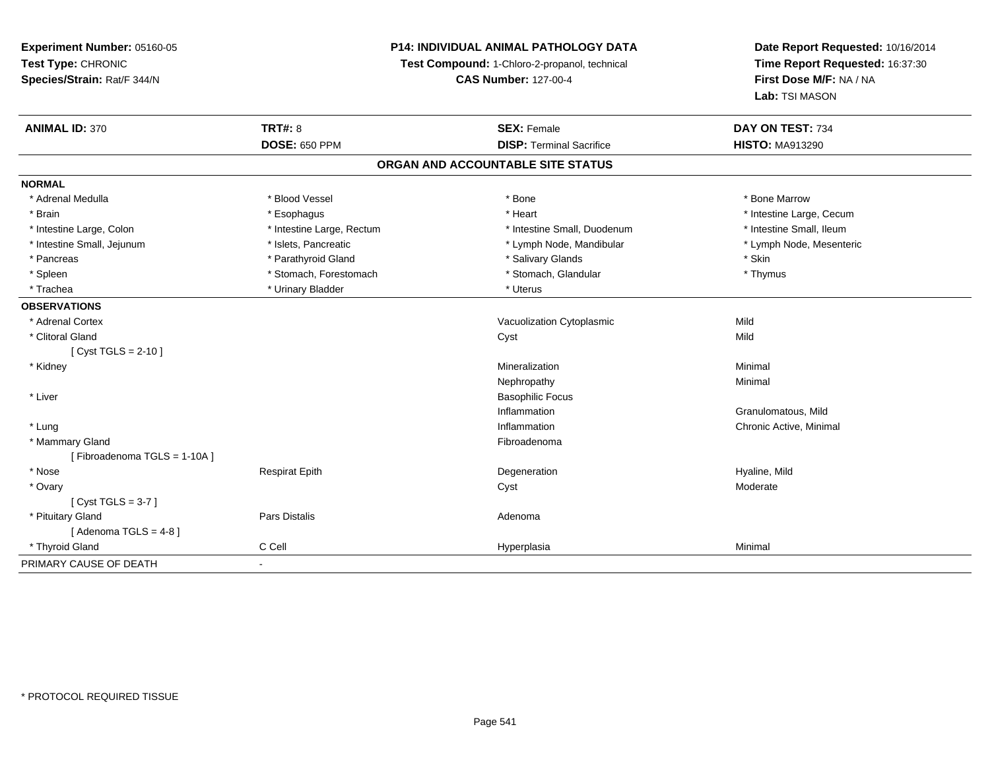**Experiment Number:** 05160-05**Test Type:** CHRONIC **Species/Strain:** Rat/F 344/N**P14: INDIVIDUAL ANIMAL PATHOLOGY DATATest Compound:** 1-Chloro-2-propanol, technical **CAS Number:** 127-00-4**Date Report Requested:** 10/16/2014**Time Report Requested:** 16:37:30**First Dose M/F:** NA / NA**Lab:** TSI MASON**ANIMAL ID:** 370**C TRT#:** 8 **SEX:** Female **DAY ON TEST:** 734 **DOSE:** 650 PPM**DISP:** Terminal Sacrifice **HISTO:** MA913290 **ORGAN AND ACCOUNTABLE SITE STATUSNORMAL**\* Adrenal Medulla \* \* \* Blood Vessel \* \* \* Bone Marrow \* \* Bone Marrow \* \* Bone Marrow \* Brain \* Alternative \* Esophagus \* \* Esophagus \* \* Heart \* Heart \* Intestine Large, Cecum \* Intestine Large, Cecum \* Intestine Large, Cecum \* Large \* Intestine Large \* Large \* Large \* Large \* Large \* Large \* Large \* Large \* Intestine Small. Ileum \* Intestine Large, Colon \* Intestine Large, Rectum \* Intestine Small, Duodenum \* Intestine Small, Duodenum \* Lymph Node, Mesenteric \* Intestine Small, Jejunum \* Mandibular \* Islets, Pancreatic \* Mandibular \* Lymph Node, Mandibular \* Pancreas \* **Example 3** \* Parathyroid Gland \* The state of the state of the state of the state of the state \* Skin \* Thymus \* Spleen \* Stomach, Forestomach \* Stomach, Forestomach \* Stomach, Slandular \* Stomach, Glandular \* Trachea \* Urinary Bladder \* Urinary Bladder \* Urinary Bladder \* Uterus **OBSERVATIONS** \* Adrenal CortexVacuolization Cytoplasmic **Mild** Mild \* Clitoral Glandd and the control of the control of the control of the control of the control of the control of the control of the control of the control of the control of the control of the control of the control of the control of the co [ Cyst TGLS = 2-10 ] \* Kidneyy with the control of the control of the control of the control of the control of the control of the control of the control of the control of the control of the control of the control of the control of the control of the c n Minimal Nephropathyy the contract of the Minimal Minimal Section 1996 and the contract of the Minimal Section 1997 and the contract of the contract of the contract of the contract of the contract of the contract of the contract of the contra \* Liver Basophilic FocusInflammation Granulomatous, Mild \* Lungg is a controller to the controller of the controller of the chronic Active, Minimal of the chronic Active, Minimal of the chronic Active, Minimal of the chronic Active, Minimal of the chronic Active, Minimal of the chroni \* Mammary Glandd **Executive Contract of the Contract Contract Contract Contract Contract Contract Contract Contract Contract Contract Contract Contract Contract Contract Contract Contract Contract Contract Contract Contract Contract Cont** [ Fibroadenoma TGLS = 1-10A ] \* Nose Respirat Epith Degeneration Hyaline, Mild \* Ovaryy the control of the control of the control of the control of the control of the control of the control of the control of the control of the control of the control of the control of the control of the control of the contro [ Cyst TGLS = 3-7 ] \* Pituitary Glandd and the contract of Pars Distalis and the contract of Adenoma and Adenoma and the Adenoma and the Adenoma and  $\lambda$  $[$  Adenoma TGLS = 4-8  $]$  \* Thyroid Gland C Cell Hyperplasia Minimal PRIMARY CAUSE OF DEATH-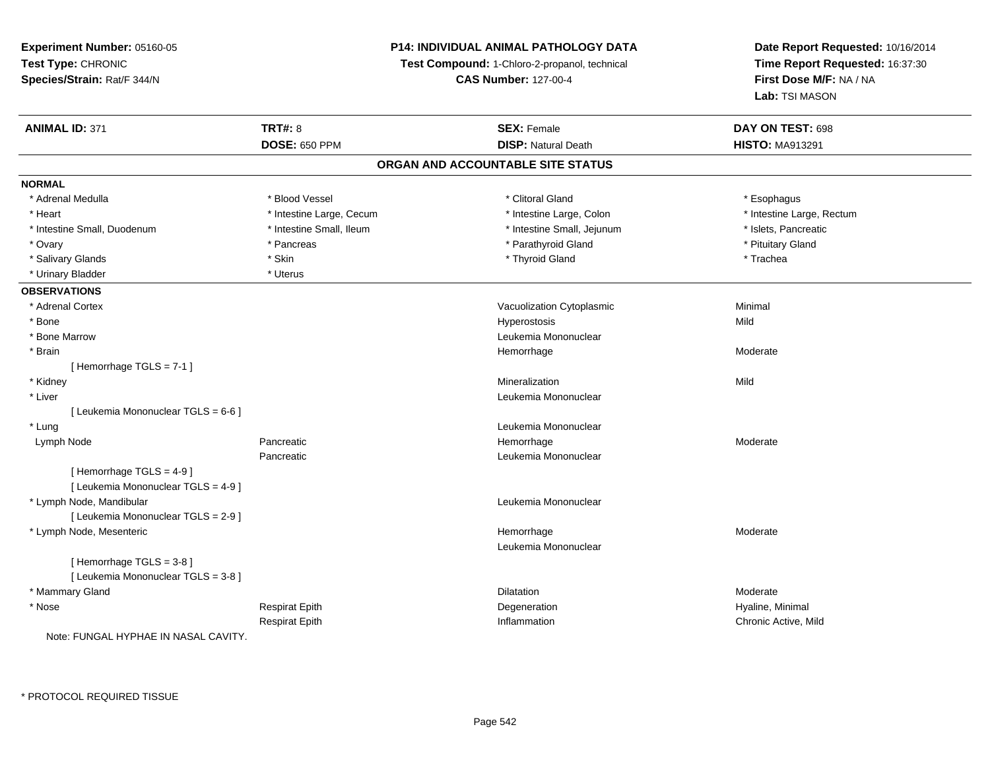# **P14: INDIVIDUAL ANIMAL PATHOLOGY DATA**

**Test Compound:** 1-Chloro-2-propanol, technical

**CAS Number:** 127-00-4

| <b>ANIMAL ID: 371</b>                | <b>TRT#: 8</b>           | <b>SEX: Female</b>                | DAY ON TEST: 698          |  |
|--------------------------------------|--------------------------|-----------------------------------|---------------------------|--|
|                                      | <b>DOSE: 650 PPM</b>     | <b>DISP: Natural Death</b>        | <b>HISTO: MA913291</b>    |  |
|                                      |                          | ORGAN AND ACCOUNTABLE SITE STATUS |                           |  |
| <b>NORMAL</b>                        |                          |                                   |                           |  |
| * Adrenal Medulla                    | * Blood Vessel           | * Clitoral Gland                  | * Esophagus               |  |
| * Heart                              | * Intestine Large, Cecum | * Intestine Large, Colon          | * Intestine Large, Rectum |  |
| * Intestine Small, Duodenum          | * Intestine Small, Ileum | * Intestine Small, Jejunum        | * Islets, Pancreatic      |  |
| * Ovary                              | * Pancreas               | * Parathyroid Gland               | * Pituitary Gland         |  |
| * Salivary Glands                    | * Skin                   | * Thyroid Gland                   | * Trachea                 |  |
| * Urinary Bladder                    | * Uterus                 |                                   |                           |  |
| <b>OBSERVATIONS</b>                  |                          |                                   |                           |  |
| * Adrenal Cortex                     |                          | Vacuolization Cytoplasmic         | Minimal                   |  |
| * Bone                               |                          | Hyperostosis                      | Mild                      |  |
| * Bone Marrow                        |                          | Leukemia Mononuclear              |                           |  |
| * Brain                              |                          | Hemorrhage                        | Moderate                  |  |
| [Hemorrhage TGLS = 7-1]              |                          |                                   |                           |  |
| * Kidney                             |                          | Mineralization                    | Mild                      |  |
| * Liver                              |                          | Leukemia Mononuclear              |                           |  |
| [ Leukemia Mononuclear TGLS = 6-6 ]  |                          |                                   |                           |  |
| * Lung                               |                          | Leukemia Mononuclear              |                           |  |
| Lymph Node                           | Pancreatic               | Hemorrhage                        | Moderate                  |  |
|                                      | Pancreatic               | Leukemia Mononuclear              |                           |  |
| [Hemorrhage TGLS = 4-9]              |                          |                                   |                           |  |
| [ Leukemia Mononuclear TGLS = 4-9 ]  |                          |                                   |                           |  |
| * Lymph Node, Mandibular             |                          | Leukemia Mononuclear              |                           |  |
| [ Leukemia Mononuclear TGLS = 2-9 ]  |                          |                                   |                           |  |
| * Lymph Node, Mesenteric             |                          | Hemorrhage                        | Moderate                  |  |
|                                      |                          | Leukemia Mononuclear              |                           |  |
| [Hemorrhage TGLS = 3-8]              |                          |                                   |                           |  |
| [ Leukemia Mononuclear TGLS = 3-8 ]  |                          |                                   |                           |  |
| * Mammary Gland                      |                          | <b>Dilatation</b>                 | Moderate                  |  |
| * Nose                               | <b>Respirat Epith</b>    | Degeneration                      | Hyaline, Minimal          |  |
|                                      | <b>Respirat Epith</b>    | Inflammation                      | Chronic Active, Mild      |  |
| Note: FUNGAL HYPHAE IN NASAL CAVITY. |                          |                                   |                           |  |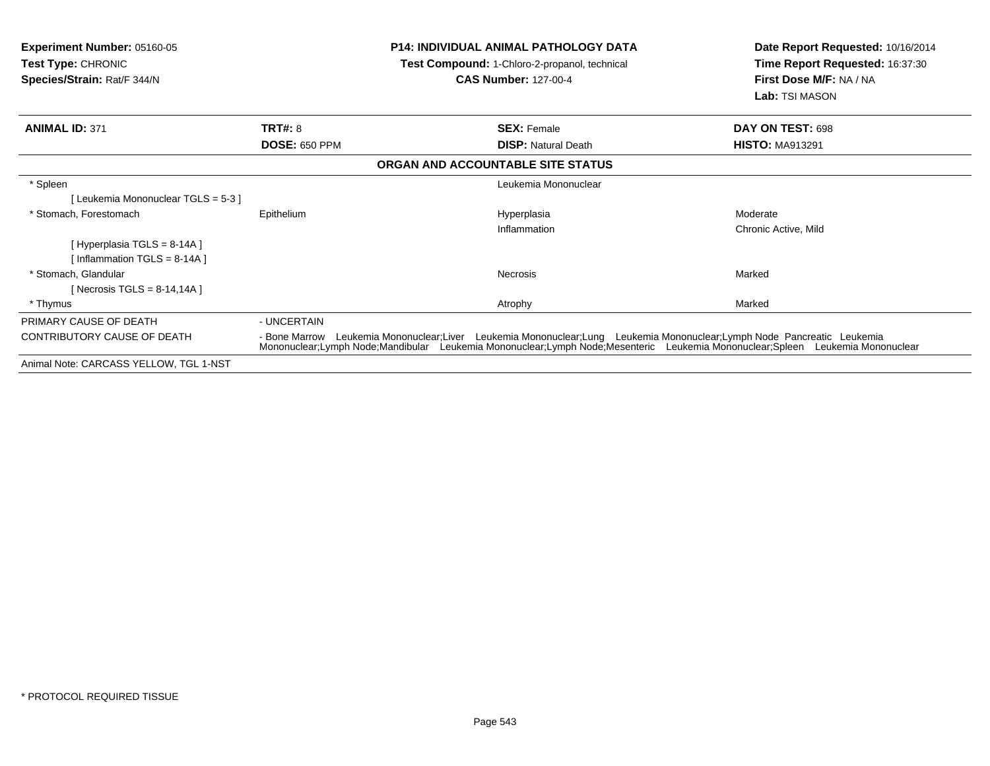| <b>Experiment Number: 05160-05</b><br><b>Test Type: CHRONIC</b><br>Species/Strain: Rat/F 344/N |                      | P14: INDIVIDUAL ANIMAL PATHOLOGY DATA<br>Test Compound: 1-Chloro-2-propanol, technical<br><b>CAS Number: 127-00-4</b>                                                                                                                     | Date Report Requested: 10/16/2014<br>Time Report Requested: 16:37:30<br>First Dose M/F: NA / NA<br>Lab: TSI MASON |
|------------------------------------------------------------------------------------------------|----------------------|-------------------------------------------------------------------------------------------------------------------------------------------------------------------------------------------------------------------------------------------|-------------------------------------------------------------------------------------------------------------------|
| <b>ANIMAL ID: 371</b>                                                                          | <b>TRT#: 8</b>       | <b>SEX: Female</b>                                                                                                                                                                                                                        | DAY ON TEST: 698                                                                                                  |
|                                                                                                | <b>DOSE: 650 PPM</b> | <b>DISP: Natural Death</b>                                                                                                                                                                                                                | <b>HISTO: MA913291</b>                                                                                            |
|                                                                                                |                      | ORGAN AND ACCOUNTABLE SITE STATUS                                                                                                                                                                                                         |                                                                                                                   |
| * Spleen                                                                                       |                      | Leukemia Mononuclear                                                                                                                                                                                                                      |                                                                                                                   |
| [ Leukemia Mononuclear TGLS = 5-3 ]                                                            |                      |                                                                                                                                                                                                                                           |                                                                                                                   |
| * Stomach, Forestomach                                                                         | Epithelium           | Hyperplasia                                                                                                                                                                                                                               | Moderate                                                                                                          |
|                                                                                                |                      | Inflammation                                                                                                                                                                                                                              | Chronic Active, Mild                                                                                              |
| [Hyperplasia TGLS = $8-14A$ ]                                                                  |                      |                                                                                                                                                                                                                                           |                                                                                                                   |
| [Inflammation TGLS = $8-14A$ ]                                                                 |                      |                                                                                                                                                                                                                                           |                                                                                                                   |
| * Stomach. Glandular                                                                           |                      | Necrosis                                                                                                                                                                                                                                  | Marked                                                                                                            |
| [ Necrosis TGLS = $8-14,14A$ ]                                                                 |                      |                                                                                                                                                                                                                                           |                                                                                                                   |
| * Thymus                                                                                       |                      | Atrophy                                                                                                                                                                                                                                   | Marked                                                                                                            |
| PRIMARY CAUSE OF DEATH                                                                         | - UNCERTAIN          |                                                                                                                                                                                                                                           |                                                                                                                   |
| CONTRIBUTORY CAUSE OF DEATH                                                                    | - Bone Marrow        | Leukemia Mononuclear;Liver Leukemia Mononuclear;Lung Leukemia Mononuclear;Lymph Node Pancreatic Leukemia<br>Mononuclear;Lymph Node;Mandibular Leukemia Mononuclear;Lymph Node;Mesenteric Leukemia Mononuclear;Spleen Leukemia Mononuclear |                                                                                                                   |
| Animal Note: CARCASS YELLOW, TGL 1-NST                                                         |                      |                                                                                                                                                                                                                                           |                                                                                                                   |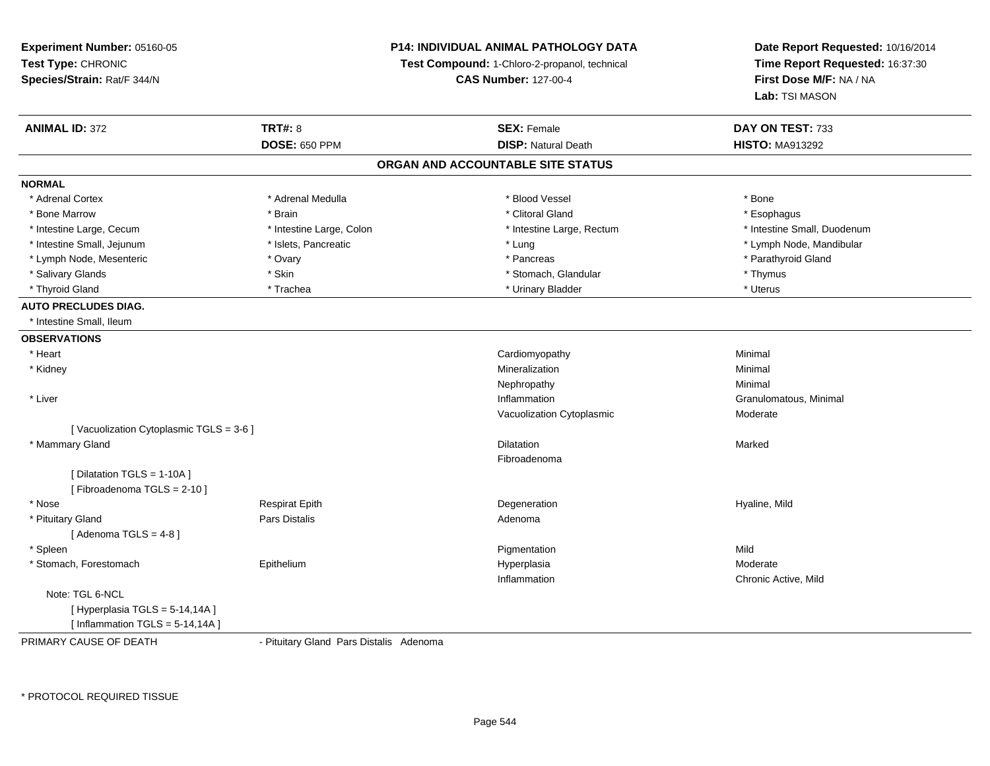**Experiment Number:** 05160-05**Test Type:** CHRONIC **Species/Strain:** Rat/F 344/N**P14: INDIVIDUAL ANIMAL PATHOLOGY DATATest Compound:** 1-Chloro-2-propanol, technical **CAS Number:** 127-00-4**Date Report Requested:** 10/16/2014**Time Report Requested:** 16:37:30**First Dose M/F:** NA / NA**Lab:** TSI MASON**ANIMAL ID:** 372**TRT#:** 8 **SEX:** Female **DAY ON TEST:** 733 **DOSE:** 650 PPM**DISP:** Natural Death **HISTO:** MA913292 **ORGAN AND ACCOUNTABLE SITE STATUSNORMAL**\* Adrenal Cortex \* Adrenal Cortex \* \* Adrenal Medulla \* \* Adrenal Medulla \* \* Blood Vessel \* \* Brood Vessel \* \* Bone \* Esophagus \* Bone Marrow \* \* Android \* Brain \* Brain \* Clitoral Gland \* Clitoral Gland \* Esophagus \* Esophagus \* Esophagus \* Intestine Small. Duodenum \* Intestine Large, Cecum \* Intestine Large, Colon \* Intestine Sarge, Rectum \* Intestine Large, Rectum \* Lymph Node, Mandibular \* Intestine Small, Jejunum \* Mandibular \* Islets, Pancreatic \* Mandibular \* Lung \* Lung \* Node, Mandibular \* Mandibular \* Mandibular \* Mandibular \* Mandibular \* Mandibular \* Mandibular \* Mandibular \* Mandibular \* Mandibula \* Lymph Node, Mesenteric \* Ovary \* Pancreas \* Parathyroid Gland\* Salivary Glands \* Skin \* Stomach, Glandular \* Thymus \* Uterus \* Thyroid Gland \* Trachea \* Trachea \* Trachea \* Urinary Bladder \* Urinary Bladder **AUTO PRECLUDES DIAG.** \* Intestine Small, Ileum**OBSERVATIONS** \* Heart Cardiomyopathy Minimal \* Kidneyy with the control of the control of the control of the control of the control of the control of the control of the control of the control of the control of the control of the control of the control of the control of the c n Minimal Nephropathyy the contract of the Minimal Minimal Section 1996 and the contract of the Minimal Section 1997 and the contract of the contract of the contract of the contract of the contract of the contract of the contract of the contra \* Liver**Inflammation Inflammation** Inflammation **Example 2018** Cranulomatous, Minimal Vacuolization Cytoplasmic Moderate[ Vacuolization Cytoplasmic TGLS = 3-6 ] \* Mammary Glandd and the control of the control of the control of the control of the control of the control of the control of the control of the control of the control of the control of the control of the control of the control of the co Fibroadenoma[ Dilatation TGLS = 1-10A ][ Fibroadenoma TGLS = 2-10 ] \* Nose Respirat Epith Degeneration Hyaline, Mild \* Pituitary Glandd and the set of Pars Distalis and the Second Adenomal Adenomal Second Second Pars Distallis  $[$  Adenoma TGLS = 4-8  $]$  \* Spleenn and the control of the control of the control of the control of the control of the control of the control of the control of the control of the control of the control of the control of the control of the control of the co \* Stomach, Forestomach Epitheliumm and the Hyperplasia methods of the Moderate Moderate and the Moderate of the Moderate of the Moderate of the Moderate of the Moderate of the Moderate of the Moderate of the Moderate of the Moderate of the Moderate of the Inflammation Chronic Active, Mild Note: TGL 6-NCL[Hyperplasia  $TGLS = 5-14, 14A$ ]  $[$  Inflammation TGLS = 5-14,14A  $]$ 

PRIMARY CAUSE OF DEATH

- Pituitary Gland Pars Distalis Adenoma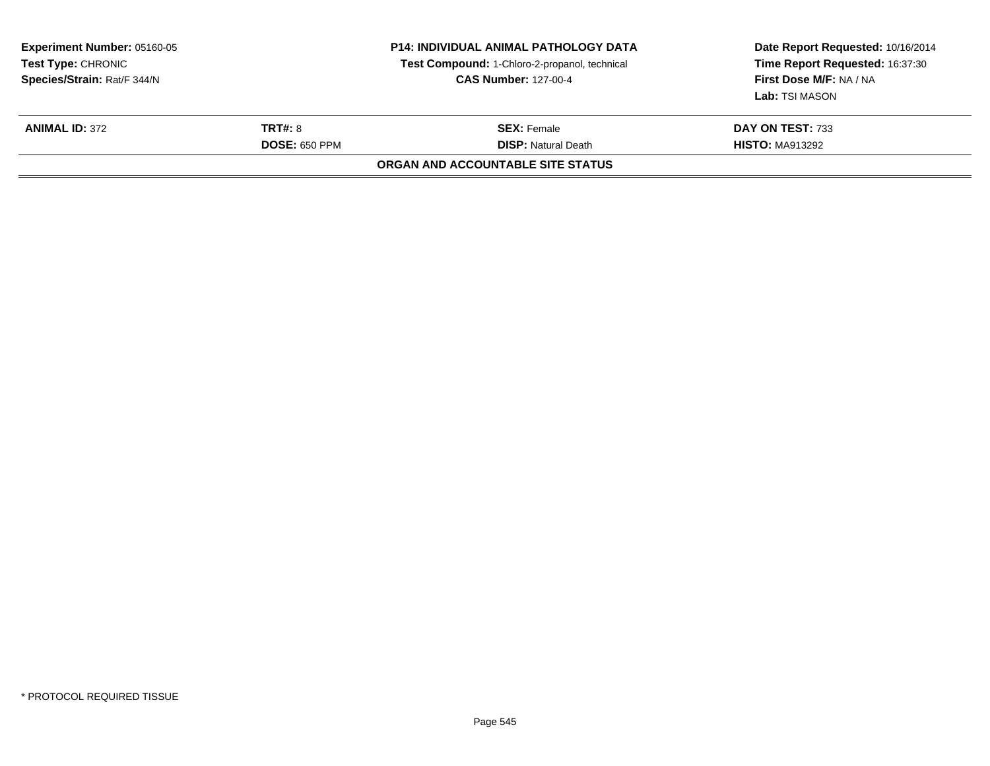| <b>Experiment Number: 05160-05</b><br><b>Test Type: CHRONIC</b><br>Species/Strain: Rat/F 344/N<br><b>TRT#: 8</b><br><b>ANIMAL ID: 372</b><br><b>DOSE: 650 PPM</b> |  | <b>P14: INDIVIDUAL ANIMAL PATHOLOGY DATA</b><br>Test Compound: 1-Chloro-2-propanol, technical<br><b>CAS Number: 127-00-4</b> | Date Report Requested: 10/16/2014<br>Time Report Requested: 16:37:30<br>First Dose M/F: NA / NA<br><b>Lab:</b> TSI MASON<br>DAY ON TEST: 733<br><b>HISTO: MA913292</b> |
|-------------------------------------------------------------------------------------------------------------------------------------------------------------------|--|------------------------------------------------------------------------------------------------------------------------------|------------------------------------------------------------------------------------------------------------------------------------------------------------------------|
|                                                                                                                                                                   |  | <b>SEX:</b> Female<br><b>DISP:</b> Natural Death                                                                             |                                                                                                                                                                        |
|                                                                                                                                                                   |  | <b>ORGAN AND ACCOUNTABLE SITE STATUS</b>                                                                                     |                                                                                                                                                                        |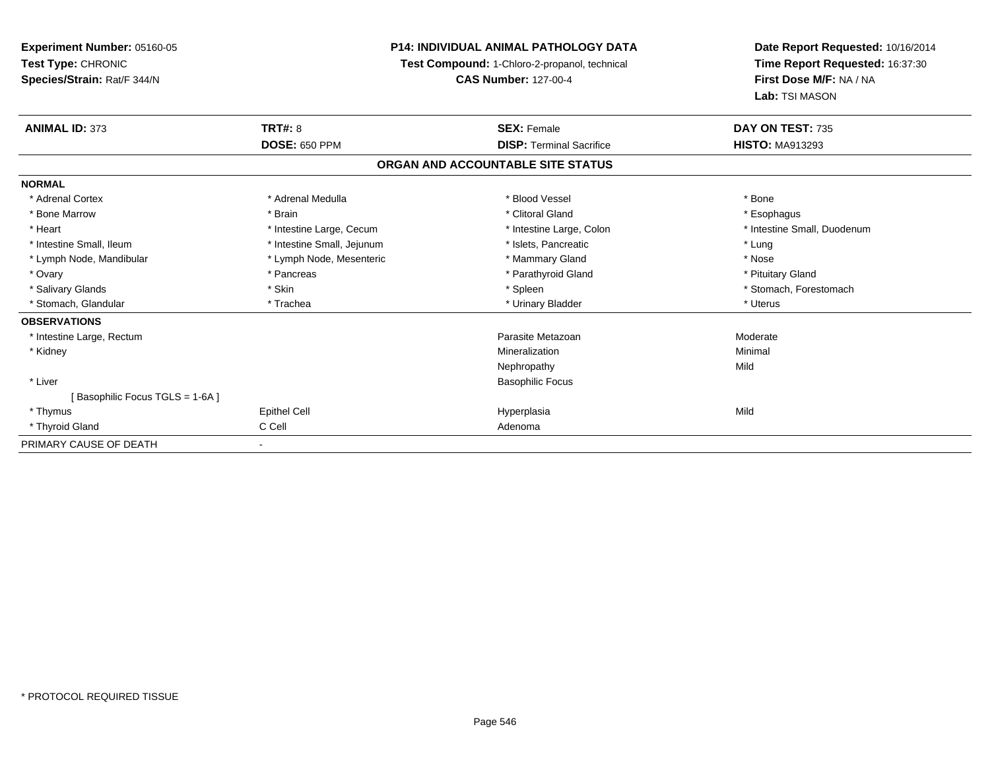**Experiment Number:** 05160-05**Test Type:** CHRONIC **Species/Strain:** Rat/F 344/N**P14: INDIVIDUAL ANIMAL PATHOLOGY DATATest Compound:** 1-Chloro-2-propanol, technical **CAS Number:** 127-00-4**Date Report Requested:** 10/16/2014**Time Report Requested:** 16:37:30**First Dose M/F:** NA / NA**Lab:** TSI MASON**ANIMAL ID:** 373**TRT#:** 8 **SEX:** Female **SEX: Female DAY ON TEST:** 735 **DOSE:** 650 PPM**DISP:** Terminal Sacrifice **HISTO:** MA913293 **ORGAN AND ACCOUNTABLE SITE STATUSNORMAL**\* Adrenal Cortex \* Adrenal Medulla \* Adrenal Medulla \* Blood Vessel \* Bood Vessel \* Bone \* Bone \* Bone \* Bone \* Bone \* Bone \* Bone \* Bone \* Bone \* Bone \* Bone \* Bone \* Bone \* Bone \* Bone \* Bone \* Bone \* Bone \* Bone \* Bone \* Bone \* Bone \* \* \* Esophagus \* Bone Marrow \* \* Android \* Brain \* Brain \* Clitoral Gland \* Clitoral Gland \* Esophagus \* Esophagus \* Esophagus \* Intestine Small, Duodenum \* Heart \* Intestine Large, Cecum \* Intestine Large, Cecum \* Intestine Large, Colon \* Intestine Small, Ileum \* Intestine Small, Jejunum \* Number of the Small and the Small of the Small and the Small and the Small and the Small and the Small and the Lung \* Nose \* Lymph Node, Mandibular \* Lymph Node, Mesenteric \* Mammary Gland \* Mammary Gland \* Pituitary Gland \* Ovary \* Pancreas \* Pancreas \* Pancreas \* Parathyroid Gland \* Parathyroid Gland \* Salivary Glands \* The stomach \* Skin \* Spleen \* Spleen \* Stomach, Forestomach \* Stomach, Forestomach \* Stomach, Forestomach \* Stomach, Glandular \* Trachea \* Trachea \* Trachea \* Urinary Bladder \* Urinary Bladder \* Trachea \* Uterus **OBSERVATIONS** \* Intestine Large, Rectumm and the contract of the contract of the contract of the contract of the contract of the contract of the contract of the contract of the contract of the contract of the contract of the contract of the contract of the cont \* Kidneyy with the control of the control of the control of the control of the control of the control of the control of the control of the control of the control of the control of the control of the control of the control of the c n Minimal Nephropathyy Mild \* Liver Basophilic Focus[ Basophilic Focus TGLS = 1-6A ] \* Thymuss Epithel Cell Hyperplasia a Mild \* Thyroid Glandd C Cell C Cell Adenoma PRIMARY CAUSE OF DEATH-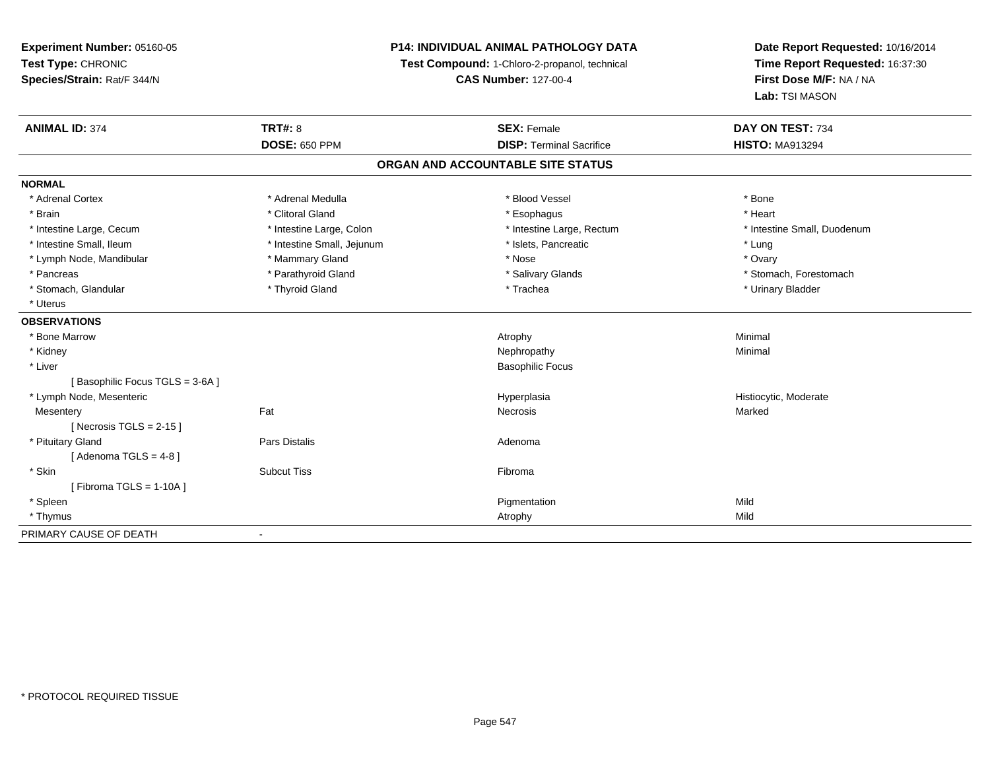**Experiment Number:** 05160-05**Test Type:** CHRONIC **Species/Strain:** Rat/F 344/N**P14: INDIVIDUAL ANIMAL PATHOLOGY DATATest Compound:** 1-Chloro-2-propanol, technical **CAS Number:** 127-00-4**Date Report Requested:** 10/16/2014**Time Report Requested:** 16:37:30**First Dose M/F:** NA / NA**Lab:** TSI MASON**ANIMAL ID:** 374**TRT#:** 8 **SEX:** Female **DAY ON TEST:** 734 **DOSE:** 650 PPM**DISP:** Terminal Sacrifice **HISTO:** MA913294 **ORGAN AND ACCOUNTABLE SITE STATUSNORMAL**\* Adrenal Cortex \* Adrenal Medulla \* Adrenal Medulla \* Blood Vessel \* Bood Vessel \* Bone \* Bone \* Bone \* Bone \* Bone \* Bone \* Bone \* Bone \* Bone \* Bone \* Bone \* Bone \* Bone \* Bone \* Bone \* Bone \* Bone \* Bone \* Bone \* Bone \* Bone \* Bone \* \* \* Heart \* Brain \* Alternative of the state of the state of the state of the state of the state of the state of the state of the state of the state of the state of the state of the state of the state of the state of the state of th \* Intestine Large, Cecum \* Intestine Large, Colon \* Intestine Large, Thestine Large, Rectum \* Intestine Small, Duodenum \* Intestine Small, Ileum \* https://www.fatheratic \* Lung \* Intestine Small, Jejunum \* Islets, Pancreatic \* Lung \* Lung \* Ovary \* Lymph Node, Mandibular \* Nose \* Mammary Gland \* Nose \* Nose \* Nose \* Pancreas \* The stomach \* Parathyroid Gland \* \* Salivary Glands \* Salivary Glands \* Stomach, Forestomach \* Stomach, Forestomach \* Parathyroid Gland \* Stomach, Glandular \* \* Thyroid Gland \* \* Thyroid Gland \* \* Trachea \* \* Trachea \* \* Urinary Bladder \* \* Urinary Bladder \* \* Urinary Bladder \* \* Urinary Bladder \* \* Urinary Bladder \* \* Urinary Bladder \* \* Urinary Bladder \* \* Uterus**OBSERVATIONS** \* Bone Marroww the contract of the contract of the contract of the contract of the contract of the contract of the contract of the contract of the contract of the contract of the contract of the contract of the contract of the contract \* Kidneyy the control of the control of the control of the control of the control of the control of the control of the control of the control of the control of the control of the control of the control of the control of the contro \* Liver Basophilic Focus[ Basophilic Focus TGLS = 3-6A ] \* Lymph Node, Mesentericc in the contract of the contract of the contract of the contract of the contract of the contract of the contract of the contract of the contract of the contract of the contract of the contract of the contract of the contr Hyperplasia **Histiocytic**, Moderate **Mesentery** y the control of the Marked States of the Marked States of the Marked States of the Marked States of the Marked States of the Marked States of the Marked States of the Marked States of the Marked States of the Marked State  $[$  Necrosis TGLS = 2-15  $]$  \* Pituitary Glandd and the contract of Pars Distalis and the contract of Adenoma and Adenoma and the Adenoma and the Adenoma and  $\lambda$  $[$  Adenoma TGLS = 4-8  $]$  \* Skinn and the subset of the Subcut Tiss of the Subset of the Subset of the Subset of the Subset of the Subset of t  $[$  Fibroma TGLS = 1-10A  $]$  \* Spleenn and the control of the control of the control of the control of the control of the control of the control of the control of the control of the control of the control of the control of the control of the control of the co \* Thymuss and the control of the control of the control of the control of the control of the control of the control of the control of the control of the control of the control of the control of the control of the control of the co PRIMARY CAUSE OF DEATH-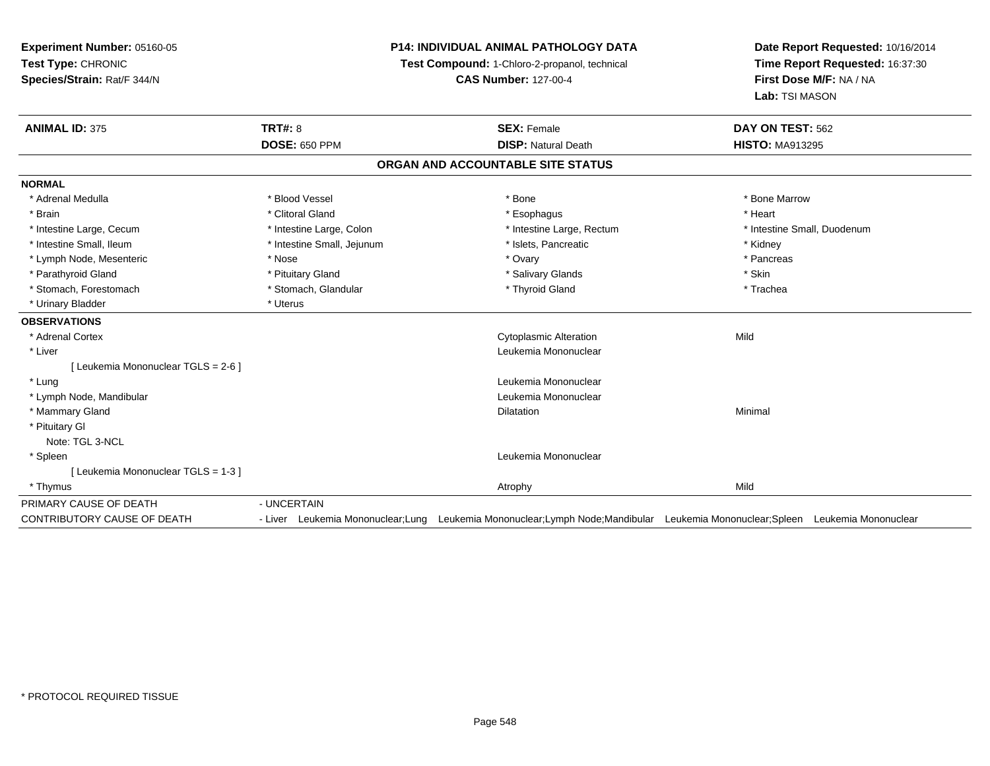**Experiment Number:** 05160-05**Test Type:** CHRONIC **Species/Strain:** Rat/F 344/N**P14: INDIVIDUAL ANIMAL PATHOLOGY DATATest Compound:** 1-Chloro-2-propanol, technical **CAS Number:** 127-00-4**Date Report Requested:** 10/16/2014**Time Report Requested:** 16:37:30**First Dose M/F:** NA / NA**Lab:** TSI MASON**ANIMAL ID:** 375**TRT#:** 8 **SEX:** Female **SEX: Female DAY ON TEST:** 562 **DOSE:** 650 PPM**DISP:** Natural Death **HISTO:** MA913295 **ORGAN AND ACCOUNTABLE SITE STATUSNORMAL**\* Adrenal Medulla \* \* \* Blood Vessel \* \* \* Bone Marrow \* \* Bone Marrow \* \* Bone Marrow \* Brain \* Alternative of the state of the state of the state of the state of the state of the state of the state of the state of the state of the state of the state of the state of the state of the state of the state of th \* Intestine Large, Cecum \* Intestine Large, Colon \* Intestine Large, Rectum \* Intestine Small, Duodenum\* Intestine Small, Ileum \* **Alleman \* Intestine Small, Jejunum \***  \* Islets, Pancreatic \* \* \* Kidney \* Kidney \* Pancreas \* Lymph Node, Mesenteric \* Nose \* Nose \* Nose \* Nose \* Ovary \* Ovary \* Ovary \* Ovary \* Ovary \* Ovary \* Pancreas \* Pancreas \* Pancreas \* Pancreas \* Pancreas \* Pancreas \* Pancreas \* Pancreas \* Pancreas \* Pancreas \* Pancreas \* Parathyroid Gland \* \* Pituitary Gland \* Thuitary Gland \* Salivary Glands \* Stin \* Skin \* Skin \* Skin \* Skin \* Skin \* Skin \* Skin \* Skin \* Skin \* Skin \* Skin \* Skin \* Skin \* Skin \* Skin \* Skin \* Skin \* Skin \* Skin \* Skin \* Trachea \* Stomach, Forestomach \* The stormach \* Stomach, Glandular \* The \* Thyroid Gland \* Thyroid Gland \* \* Urinary Bladder \* Uterus **OBSERVATIONS** \* Adrenal Cortex Cytoplasmic Alterationn Mild \* Liver Leukemia Mononuclear [ Leukemia Mononuclear TGLS = 2-6 ] \* Lung Leukemia Mononuclear \* Lymph Node, Mandibular Leukemia Mononuclear \* Mammary Glandd and the control of the control of the control of the control of the control of the control of the control of the control of the control of the control of the control of the control of the control of the control of the co \* Pituitary GlNote: TGL 3-NCL \* Spleen Leukemia Mononuclear [ Leukemia Mononuclear TGLS = 1-3 ] \* Thymuss and the control of the control of the control of the control of the control of the control of the control of the control of the control of the control of the control of the control of the control of the control of the co PRIMARY CAUSE OF DEATH- UNCERTAIN<br>- Liver Leukemia Mononuclear;Lung CONTRIBUTORY CAUSE OF DEATHLeukemia Mononuclear;Lymph Node;Mandibular Leukemia Mononuclear;Spleen Leukemia Mononuclear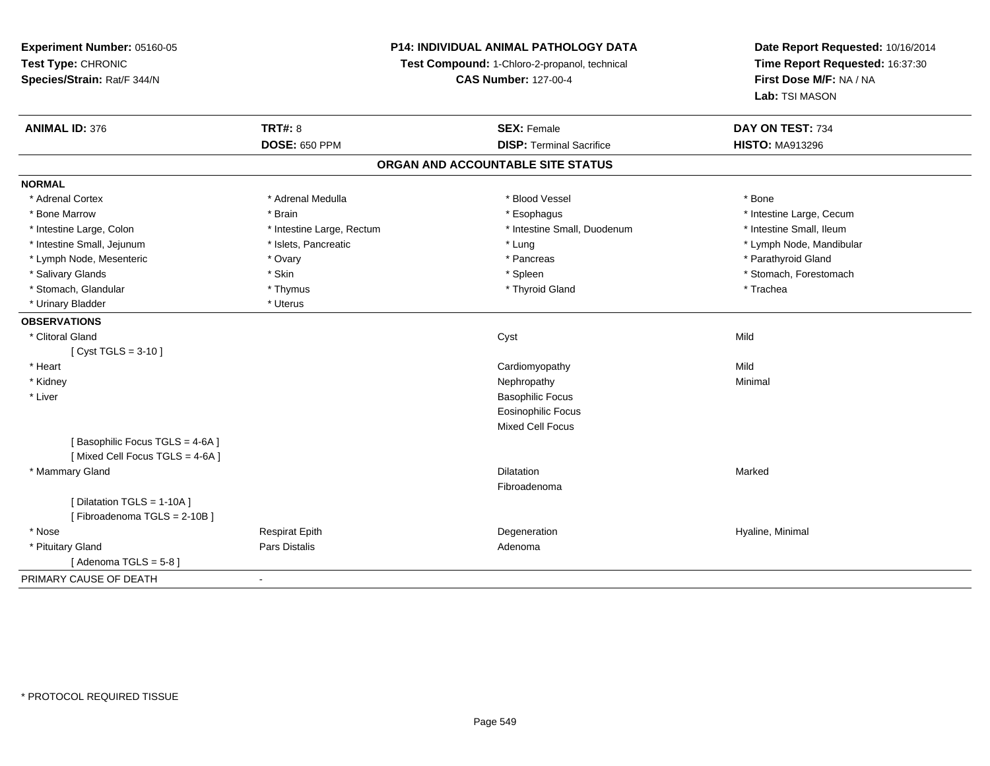**Experiment Number:** 05160-05**Test Type:** CHRONIC **Species/Strain:** Rat/F 344/N**P14: INDIVIDUAL ANIMAL PATHOLOGY DATATest Compound:** 1-Chloro-2-propanol, technical **CAS Number:** 127-00-4**Date Report Requested:** 10/16/2014**Time Report Requested:** 16:37:30**First Dose M/F:** NA / NA**Lab:** TSI MASON**ANIMAL ID:** 376**6 DAY ON TEST:** 734 **DOSE:** 650 PPM**DISP:** Terminal Sacrifice **HISTO:** MA913296 **ORGAN AND ACCOUNTABLE SITE STATUSNORMAL**\* Adrenal Cortex \* Adrenal Medulla \* Adrenal Medulla \* Blood Vessel \* Bood Vessel \* Bone \* Bone \* Bone \* Bone \* Bone \* Bone \* Bone \* Bone \* Bone \* Bone \* Bone \* Bone \* Bone \* Bone \* Bone \* Bone \* Bone \* Bone \* Bone \* Bone \* Bone \* Bone \* \* \* Bone Marrow \* The Large, Cecum \* Brain \* Esophagus \* Esophagus \* Esophagus \* Intestine Large, Cecum \* Intestine Large, Cecum \* Intestine Small, Ileum \* Intestine Large, Colon \* Intestine Large, Rectum \* Intestine Small, Duodenum \* Intestine Small, Duodenum \* Intestine Small, Jejunum \* \* \* https://www.fat.com/setter/educition/setter/filesophysics.com/setter/filesophysics.com/setter/filesophysics.com/setter/filesophysics.com/setter/filesophysics.com/setter/filesophysics.com/se \* Lymph Node, Mesenteric \* Ovary \* Pancreas \* Parathyroid Gland\* Salivary Glands \* The stomach \* Skin \* Spleen \* Spleen \* Stomach, Forestomach \* Stomach, Forestomach \* Stomach, Forestomach \* Stomach, Glandular \* Thymus \* Thymus \* Thymus \* Thyroid Gland \* Thyroid Gland \* Trachea \* Urinary Bladder \* Uterus **OBSERVATIONS** \* Clitoral Glandd and the control of the control of the control of the control of the control of the control of the control of the control of the control of the control of the control of the control of the control of the control of the co [ Cyst TGLS = 3-10 ] \* Heart Cardiomyopathyy Mild Minimal \* Kidneyy the control of the control of the control of the control of the control of the control of the control of the control of the control of the control of the control of the control of the control of the control of the contro \* Liver Basophilic Focus Eosinophilic FocusMixed Cell Focus[ Basophilic Focus TGLS = 4-6A ][ Mixed Cell Focus TGLS = 4-6A ] \* Mammary Glandd and the control of the control of the control of the control of the control of the control of the control of the control of the control of the control of the control of the control of the control of the control of the co Fibroadenoma[ Dilatation TGLS = 1-10A ][ Fibroadenoma TGLS = 2-10B ] \* Nose Respirat Epith Degeneration Hyaline, Minimal \* Pituitary Glandd and the contract of Pars Distalis and the contract of Adenoma and Adenoma and the Adenoma and the Adenoma and  $\lambda$ [ Adenoma  $TGLS = 5-8$  ] PRIMARY CAUSE OF DEATH-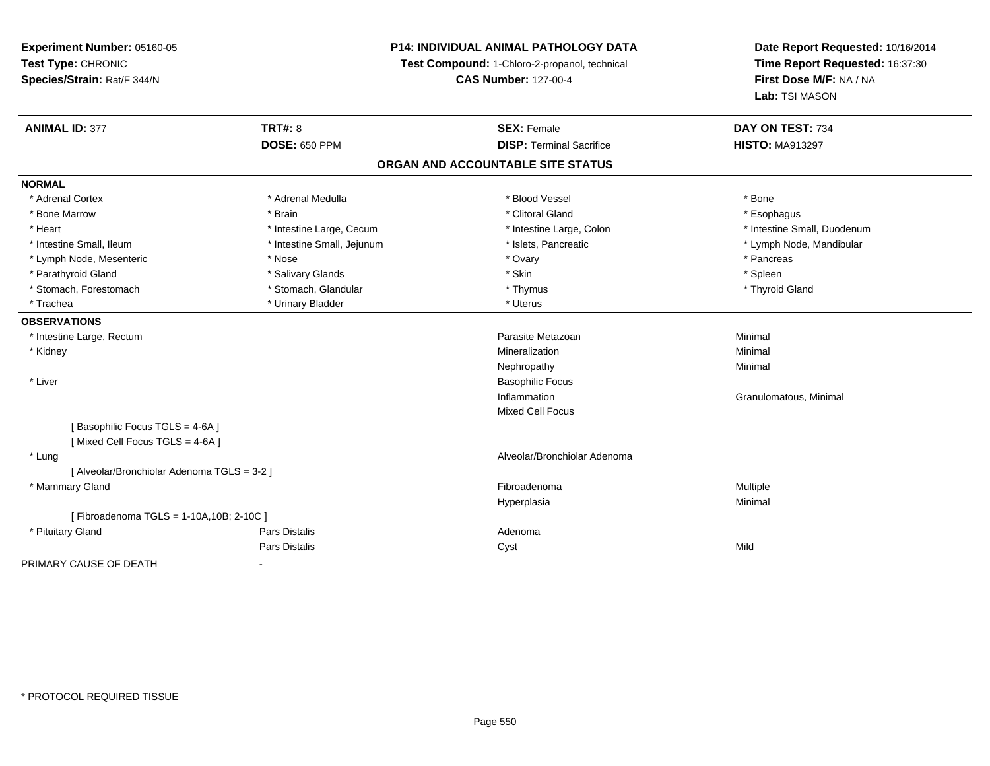# **P14: INDIVIDUAL ANIMAL PATHOLOGY DATA**

**Test Compound:** 1-Chloro-2-propanol, technical

**CAS Number:** 127-00-4

| <b>ANIMAL ID: 377</b>                       | <b>TRT#: 8</b>             | <b>SEX: Female</b>                | DAY ON TEST: 734            |  |
|---------------------------------------------|----------------------------|-----------------------------------|-----------------------------|--|
|                                             | <b>DOSE: 650 PPM</b>       | <b>DISP: Terminal Sacrifice</b>   | <b>HISTO: MA913297</b>      |  |
|                                             |                            | ORGAN AND ACCOUNTABLE SITE STATUS |                             |  |
| <b>NORMAL</b>                               |                            |                                   |                             |  |
| * Adrenal Cortex                            | * Adrenal Medulla          | * Blood Vessel                    | * Bone                      |  |
| * Bone Marrow                               | * Brain                    | * Clitoral Gland                  | * Esophagus                 |  |
| * Heart                                     | * Intestine Large, Cecum   | * Intestine Large, Colon          | * Intestine Small, Duodenum |  |
| * Intestine Small, Ileum                    | * Intestine Small, Jejunum | * Islets, Pancreatic              | * Lymph Node, Mandibular    |  |
| * Lymph Node, Mesenteric                    | * Nose                     | * Ovary                           | * Pancreas                  |  |
| * Parathyroid Gland                         | * Salivary Glands          | * Skin                            | * Spleen                    |  |
| * Stomach, Forestomach                      | * Stomach, Glandular       | * Thymus                          | * Thyroid Gland             |  |
| * Trachea                                   | * Urinary Bladder          | * Uterus                          |                             |  |
| <b>OBSERVATIONS</b>                         |                            |                                   |                             |  |
| * Intestine Large, Rectum                   |                            | Parasite Metazoan                 | Minimal                     |  |
| * Kidney                                    |                            | Mineralization                    | Minimal                     |  |
|                                             |                            | Nephropathy                       | Minimal                     |  |
| * Liver                                     |                            | <b>Basophilic Focus</b>           |                             |  |
|                                             |                            | Inflammation                      | Granulomatous, Minimal      |  |
|                                             |                            | <b>Mixed Cell Focus</b>           |                             |  |
| [Basophilic Focus TGLS = 4-6A]              |                            |                                   |                             |  |
| [Mixed Cell Focus TGLS = 4-6A]              |                            |                                   |                             |  |
| * Lung                                      |                            | Alveolar/Bronchiolar Adenoma      |                             |  |
| [ Alveolar/Bronchiolar Adenoma TGLS = 3-2 ] |                            |                                   |                             |  |
| * Mammary Gland                             |                            | Fibroadenoma                      | Multiple                    |  |
|                                             |                            | Hyperplasia                       | Minimal                     |  |
| [Fibroadenoma TGLS = 1-10A, 10B; 2-10C ]    |                            |                                   |                             |  |
| * Pituitary Gland                           | <b>Pars Distalis</b>       | Adenoma                           |                             |  |
|                                             | Pars Distalis              | Cyst                              | Mild                        |  |
| PRIMARY CAUSE OF DEATH                      | $\blacksquare$             |                                   |                             |  |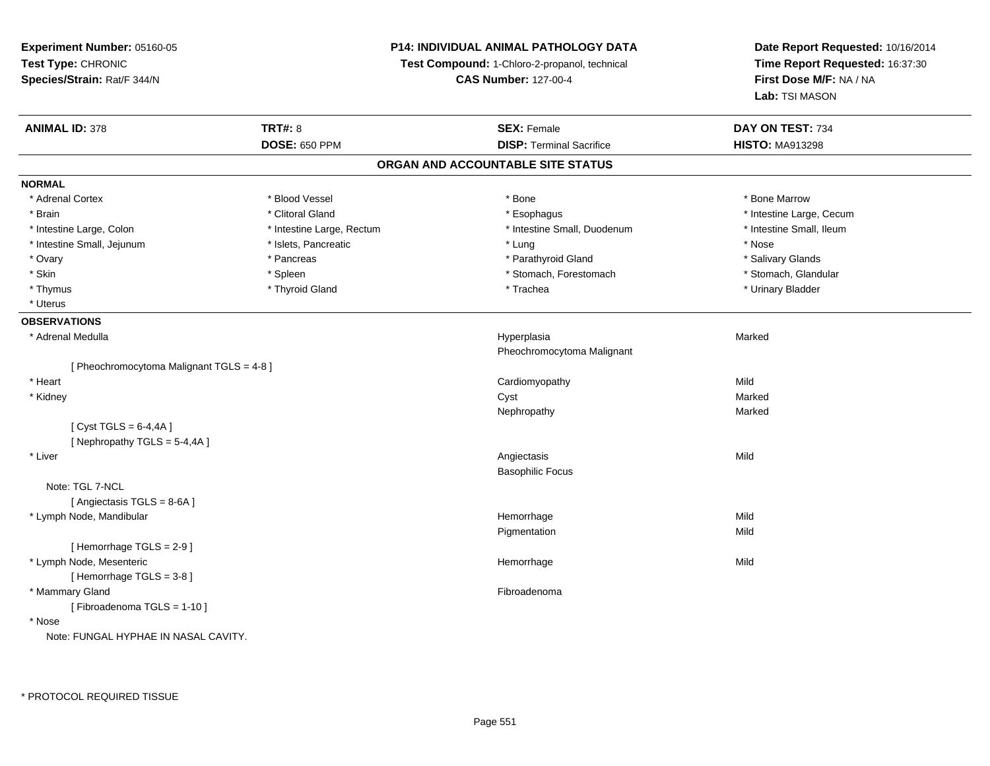**Experiment Number:** 05160-05**Test Type:** CHRONIC **Species/Strain:** Rat/F 344/N**P14: INDIVIDUAL ANIMAL PATHOLOGY DATATest Compound:** 1-Chloro-2-propanol, technical **CAS Number:** 127-00-4**Date Report Requested:** 10/16/2014**Time Report Requested:** 16:37:30**First Dose M/F:** NA / NA**Lab:** TSI MASON**ANIMAL ID:** 378**EX:** Female **DAY ON TEST:** 734 **DOSE:** 650 PPM**DISP:** Terminal Sacrifice **HISTO:** MA913298 **ORGAN AND ACCOUNTABLE SITE STATUSNORMAL**\* Adrenal Cortex \* Adrenal Cortex \* \* Attachers \* Blood Vessel \* \* Bone \* \* \* Bone \* \* Bone \* \* Bone \* Bone Marrow \* Bone Marrow \* Brain \* Alternation of the state of the state of the state of the state of the state of the state of the state of the state of the state of the state of the state of the state of the state of the state of the state of th \* Intestine Small. Ileum \* Intestine Large, Colon \* Intestine Large, Rectum \* Intestine Small, Duodenum \* Intestine Small, Duodenum \* Intestine Small, Jejunum \* The metal was a structure of the structure of the structure of the structure of the structure of the structure of the structure of the structure of the structure of the structure of the structu \* Salivary Glands \* Ovary \* \* Pancreas \* \* Pancreas \* \* Pancreas \* \* Parathyroid Gland \* \* Salivary Glands \* Salivary Glands \* Salivary Glands \* Salivary Glands \* Salivary Glands \* Salivary Glands \* Salivary Glands \* \* Salivary Glands \* \* S \* Stomach, Glandular \* Skin \* Spleen \* Spleen \* Spleen \* Stomach, Forestomach \* Stomach, Forestomach \* Thymus \* Thyroid Gland \* Trachea \* Urinary Bladder \* \* Uterus**OBSERVATIONS** \* Adrenal Medullaa and the state of the state of the state of the state of the Hyperplasia and the Marked Marked of the State o Pheochromocytoma Malignant[ Pheochromocytoma Malignant TGLS = 4-8 ] \* Heart Cardiomyopathyy Mild Marked \* Kidneyy and the control of the control of the control of the control of the control of the control of the control of the control of the control of the control of the control of the control of the control of the control of the co Marked Nephropathyy and the control of the Marked Marked  $[$  Cyst TGLS = 6-4,4A  $]$  $[$  Nephropathy TGLS = 5-4,4A  $]$  \* Liverr and the contract of the contract of the contract of the contract of the contract of the contract of the contract of the contract of the contract of the contract of the contract of the contract of the contract of the cont s Mild Basophilic FocusNote: TGL 7-NCL [ Angiectasis TGLS = 8-6A ] \* Lymph Node, Mandibular Hemorrhagee Mild Pigmentationn Mild [ Hemorrhage TGLS = 2-9 ] \* Lymph Node, Mesentericc and the contract of the contract of the contract of the contract of the contract of the contract of the contract of the contract of the contract of the contract of the contract of the contract of the contract of the cont e Mild [ Hemorrhage TGLS = 3-8 ] \* Mammary Glandd **Executive Contract of the Contract Contract Contract Contract Contract Contract Contract Contract Contract Contract Contract Contract Contract Contract Contract Contract Contract Contract Contract Contract Contract Cont** [ Fibroadenoma TGLS = 1-10 ] \* NoseNote: FUNGAL HYPHAE IN NASAL CAVITY.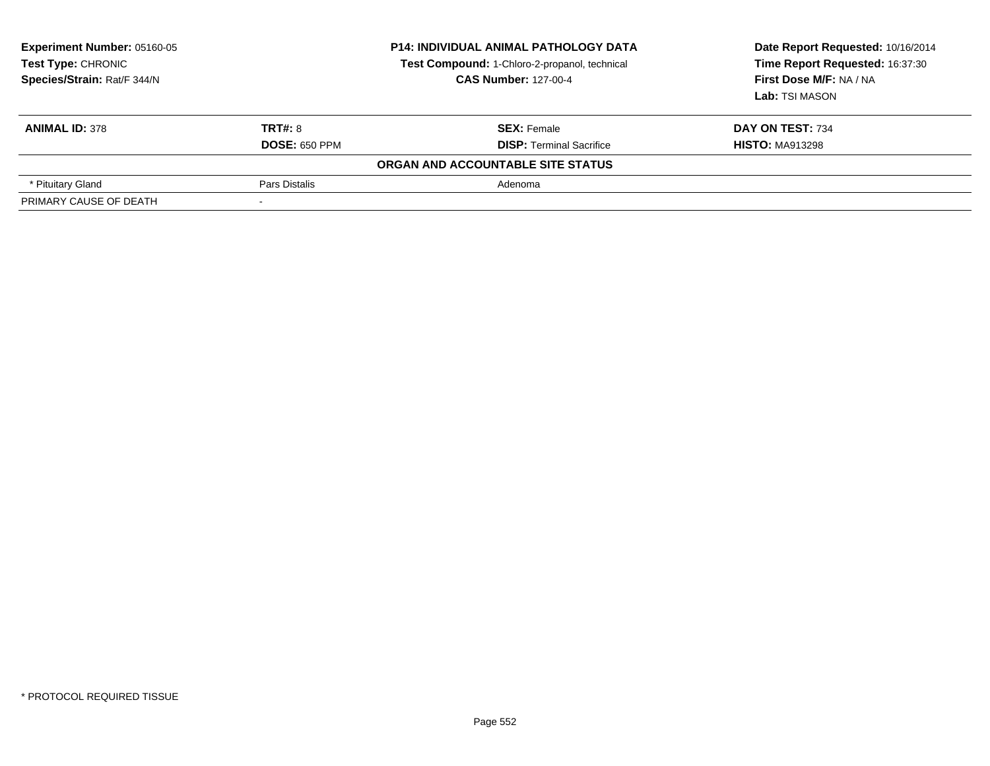| <b>Experiment Number: 05160-05</b><br>Test Type: CHRONIC<br>Species/Strain: Rat/F 344/N | <b>P14: INDIVIDUAL ANIMAL PATHOLOGY DATA</b><br>Test Compound: 1-Chloro-2-propanol, technical<br><b>CAS Number: 127-00-4</b> |                                   | Date Report Requested: 10/16/2014<br>Time Report Requested: 16:37:30<br>First Dose M/F: NA / NA<br>Lab: TSI MASON |  |
|-----------------------------------------------------------------------------------------|------------------------------------------------------------------------------------------------------------------------------|-----------------------------------|-------------------------------------------------------------------------------------------------------------------|--|
| <b>ANIMAL ID: 378</b>                                                                   | TRT#: 8                                                                                                                      | <b>SEX: Female</b>                | DAY ON TEST: 734                                                                                                  |  |
|                                                                                         | <b>DOSE: 650 PPM</b>                                                                                                         | <b>DISP:</b> Terminal Sacrifice   | <b>HISTO: MA913298</b>                                                                                            |  |
|                                                                                         |                                                                                                                              | ORGAN AND ACCOUNTABLE SITE STATUS |                                                                                                                   |  |
| * Pituitary Gland                                                                       | Pars Distalis                                                                                                                | Adenoma                           |                                                                                                                   |  |
| PRIMARY CAUSE OF DEATH                                                                  |                                                                                                                              |                                   |                                                                                                                   |  |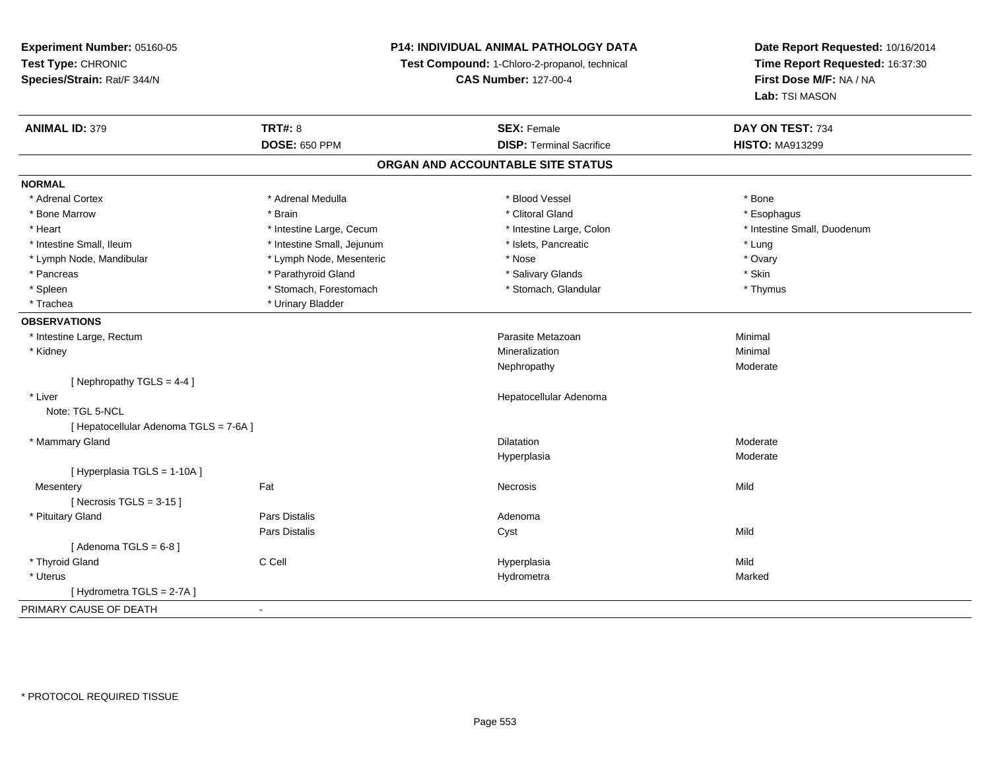# **P14: INDIVIDUAL ANIMAL PATHOLOGY DATA**

**Test Compound:** 1-Chloro-2-propanol, technical

**CAS Number:** 127-00-4

| <b>ANIMAL ID: 379</b>                  | <b>TRT#: 8</b>             | <b>SEX: Female</b>                | DAY ON TEST: 734            |
|----------------------------------------|----------------------------|-----------------------------------|-----------------------------|
|                                        | <b>DOSE: 650 PPM</b>       | <b>DISP: Terminal Sacrifice</b>   | <b>HISTO: MA913299</b>      |
|                                        |                            | ORGAN AND ACCOUNTABLE SITE STATUS |                             |
| <b>NORMAL</b>                          |                            |                                   |                             |
| * Adrenal Cortex                       | * Adrenal Medulla          | * Blood Vessel                    | * Bone                      |
| * Bone Marrow                          | * Brain                    | * Clitoral Gland                  | * Esophagus                 |
| * Heart                                | * Intestine Large, Cecum   | * Intestine Large, Colon          | * Intestine Small, Duodenum |
| * Intestine Small, Ileum               | * Intestine Small, Jejunum | * Islets, Pancreatic              | * Lung                      |
| * Lymph Node, Mandibular               | * Lymph Node, Mesenteric   | * Nose                            | * Ovary                     |
| * Pancreas                             | * Parathyroid Gland        | * Salivary Glands                 | * Skin                      |
| * Spleen                               | * Stomach, Forestomach     | * Stomach, Glandular              | * Thymus                    |
| * Trachea                              | * Urinary Bladder          |                                   |                             |
| <b>OBSERVATIONS</b>                    |                            |                                   |                             |
| * Intestine Large, Rectum              |                            | Parasite Metazoan                 | Minimal                     |
| * Kidney                               |                            | Mineralization                    | Minimal                     |
|                                        |                            | Nephropathy                       | Moderate                    |
| [Nephropathy TGLS = 4-4]               |                            |                                   |                             |
| * Liver                                |                            | Hepatocellular Adenoma            |                             |
| Note: TGL 5-NCL                        |                            |                                   |                             |
| [ Hepatocellular Adenoma TGLS = 7-6A ] |                            |                                   |                             |
| * Mammary Gland                        |                            | <b>Dilatation</b>                 | Moderate                    |
|                                        |                            | Hyperplasia                       | Moderate                    |
| [ Hyperplasia TGLS = 1-10A]            |                            |                                   |                             |
| Mesentery                              | Fat                        | Necrosis                          | Mild                        |
| [Necrosis TGLS = $3-15$ ]              |                            |                                   |                             |
| * Pituitary Gland                      | Pars Distalis              | Adenoma                           |                             |
|                                        | <b>Pars Distalis</b>       | Cyst                              | Mild                        |
| [Adenoma TGLS = $6-8$ ]                |                            |                                   |                             |
| * Thyroid Gland                        | C Cell                     | Hyperplasia                       | Mild                        |
| * Uterus                               |                            | Hydrometra                        | Marked                      |
| [Hydrometra TGLS = 2-7A]               |                            |                                   |                             |
| PRIMARY CAUSE OF DEATH                 | $\blacksquare$             |                                   |                             |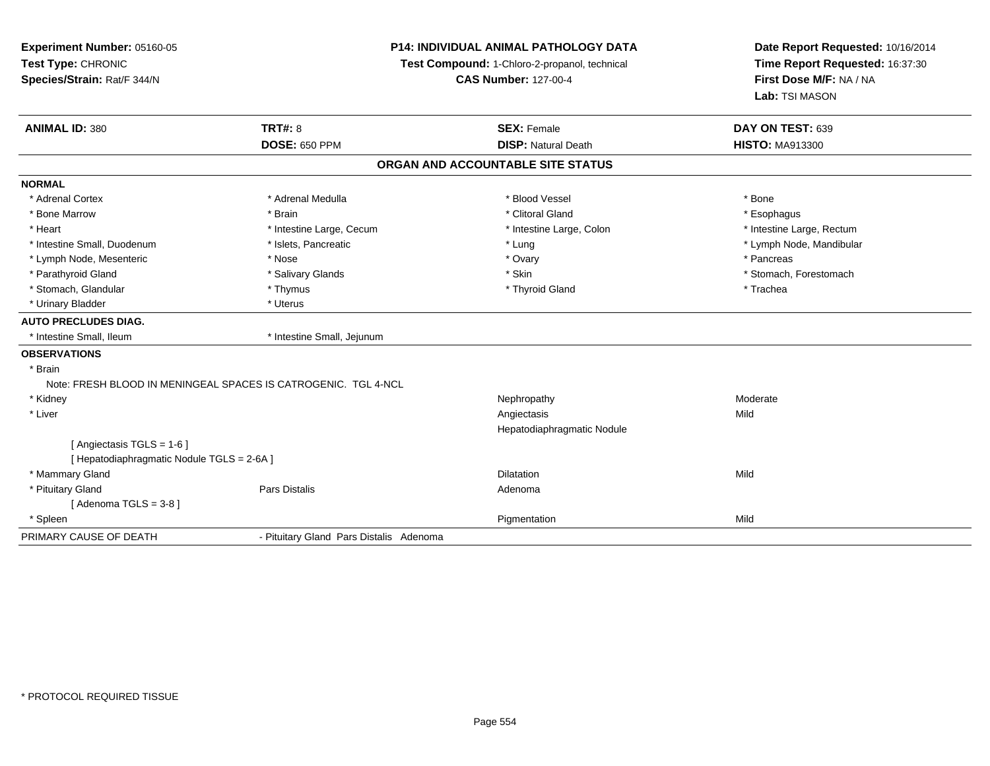| Experiment Number: 05160-05<br>Test Type: CHRONIC<br>Species/Strain: Rat/F 344/N |                                                                | P14: INDIVIDUAL ANIMAL PATHOLOGY DATA<br>Test Compound: 1-Chloro-2-propanol, technical<br><b>CAS Number: 127-00-4</b> | Date Report Requested: 10/16/2014<br>Time Report Requested: 16:37:30<br>First Dose M/F: NA / NA<br>Lab: TSI MASON |
|----------------------------------------------------------------------------------|----------------------------------------------------------------|-----------------------------------------------------------------------------------------------------------------------|-------------------------------------------------------------------------------------------------------------------|
| <b>ANIMAL ID: 380</b>                                                            | <b>TRT#: 8</b>                                                 | <b>SEX: Female</b>                                                                                                    | DAY ON TEST: 639                                                                                                  |
|                                                                                  | <b>DOSE: 650 PPM</b>                                           | <b>DISP: Natural Death</b>                                                                                            | <b>HISTO: MA913300</b>                                                                                            |
|                                                                                  |                                                                | ORGAN AND ACCOUNTABLE SITE STATUS                                                                                     |                                                                                                                   |
| <b>NORMAL</b>                                                                    |                                                                |                                                                                                                       |                                                                                                                   |
| * Adrenal Cortex                                                                 | * Adrenal Medulla                                              | * Blood Vessel                                                                                                        | * Bone                                                                                                            |
| * Bone Marrow                                                                    | * Brain                                                        | * Clitoral Gland                                                                                                      | * Esophagus                                                                                                       |
| * Heart                                                                          | * Intestine Large, Cecum                                       | * Intestine Large, Colon                                                                                              | * Intestine Large, Rectum                                                                                         |
| * Intestine Small, Duodenum                                                      | * Islets, Pancreatic                                           | * Lung                                                                                                                | * Lymph Node, Mandibular                                                                                          |
| * Lymph Node, Mesenteric                                                         | * Nose                                                         | * Ovary                                                                                                               | * Pancreas                                                                                                        |
| * Parathyroid Gland                                                              | * Salivary Glands                                              | * Skin                                                                                                                | * Stomach, Forestomach                                                                                            |
| * Stomach, Glandular                                                             | * Thymus                                                       | * Thyroid Gland                                                                                                       | * Trachea                                                                                                         |
| * Urinary Bladder                                                                | * Uterus                                                       |                                                                                                                       |                                                                                                                   |
| <b>AUTO PRECLUDES DIAG.</b>                                                      |                                                                |                                                                                                                       |                                                                                                                   |
| * Intestine Small, Ileum                                                         | * Intestine Small, Jejunum                                     |                                                                                                                       |                                                                                                                   |
| <b>OBSERVATIONS</b>                                                              |                                                                |                                                                                                                       |                                                                                                                   |
| * Brain                                                                          |                                                                |                                                                                                                       |                                                                                                                   |
|                                                                                  | Note: FRESH BLOOD IN MENINGEAL SPACES IS CATROGENIC. TGL 4-NCL |                                                                                                                       |                                                                                                                   |
| * Kidney                                                                         |                                                                | Nephropathy                                                                                                           | Moderate                                                                                                          |
| * Liver                                                                          |                                                                | Angiectasis                                                                                                           | Mild                                                                                                              |
|                                                                                  |                                                                | Hepatodiaphragmatic Nodule                                                                                            |                                                                                                                   |
| [Angiectasis TGLS = 1-6]                                                         |                                                                |                                                                                                                       |                                                                                                                   |
| [ Hepatodiaphragmatic Nodule TGLS = 2-6A ]                                       |                                                                |                                                                                                                       |                                                                                                                   |
| * Mammary Gland                                                                  |                                                                | <b>Dilatation</b>                                                                                                     | Mild                                                                                                              |
| * Pituitary Gland                                                                | Pars Distalis                                                  | Adenoma                                                                                                               |                                                                                                                   |
| [Adenoma TGLS = $3-8$ ]                                                          |                                                                |                                                                                                                       |                                                                                                                   |
| * Spleen                                                                         |                                                                | Pigmentation                                                                                                          | Mild                                                                                                              |
| PRIMARY CAUSE OF DEATH                                                           | - Pituitary Gland Pars Distalis Adenoma                        |                                                                                                                       |                                                                                                                   |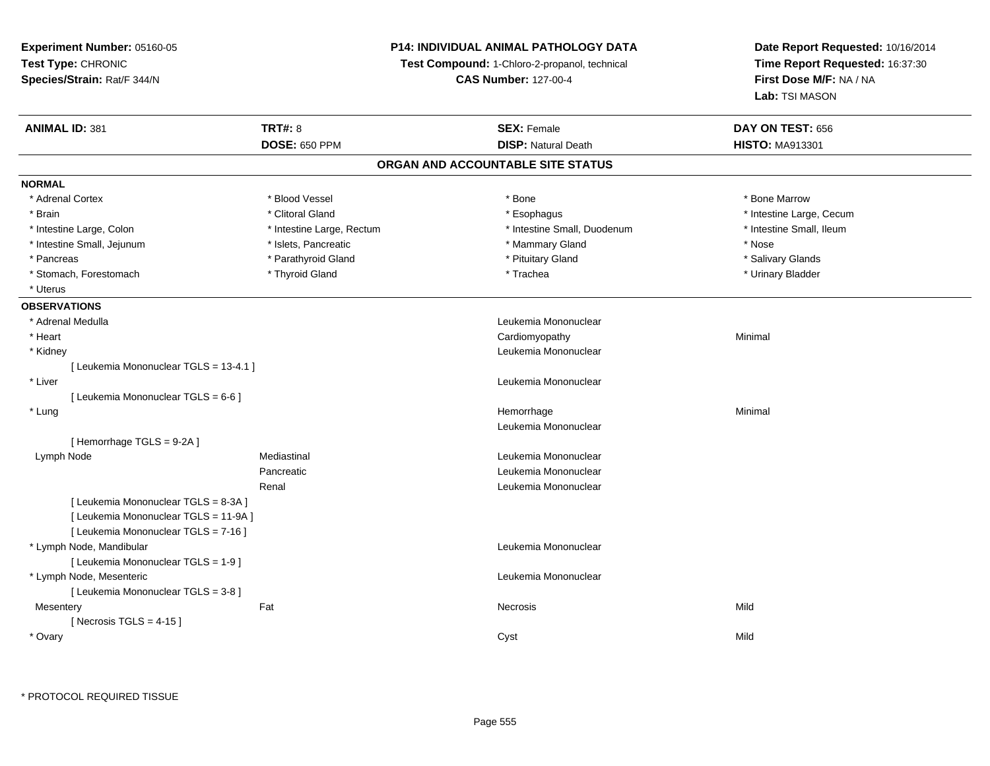# **P14: INDIVIDUAL ANIMAL PATHOLOGY DATA**

**Test Compound:** 1-Chloro-2-propanol, technical

**CAS Number:** 127-00-4

|                                        | <b>TRT#: 8</b>            | <b>SEX: Female</b>                | DAY ON TEST: 656         |  |
|----------------------------------------|---------------------------|-----------------------------------|--------------------------|--|
|                                        | <b>DOSE: 650 PPM</b>      | <b>DISP: Natural Death</b>        | <b>HISTO: MA913301</b>   |  |
|                                        |                           | ORGAN AND ACCOUNTABLE SITE STATUS |                          |  |
| <b>NORMAL</b>                          |                           |                                   |                          |  |
| * Adrenal Cortex                       | * Blood Vessel            | * Bone                            | * Bone Marrow            |  |
| * Brain                                | * Clitoral Gland          | * Esophagus                       | * Intestine Large, Cecum |  |
| * Intestine Large, Colon               | * Intestine Large, Rectum | * Intestine Small, Duodenum       | * Intestine Small, Ileum |  |
| * Intestine Small, Jejunum             | * Islets, Pancreatic      | * Mammary Gland                   | * Nose                   |  |
| * Pancreas                             | * Parathyroid Gland       | * Pituitary Gland                 | * Salivary Glands        |  |
| * Stomach, Forestomach                 | * Thyroid Gland           | * Trachea                         | * Urinary Bladder        |  |
| * Uterus                               |                           |                                   |                          |  |
| <b>OBSERVATIONS</b>                    |                           |                                   |                          |  |
| * Adrenal Medulla                      |                           | Leukemia Mononuclear              |                          |  |
| * Heart                                |                           | Cardiomyopathy                    | Minimal                  |  |
| * Kidney                               |                           | Leukemia Mononuclear              |                          |  |
| [ Leukemia Mononuclear TGLS = 13-4.1 ] |                           |                                   |                          |  |
| * Liver                                |                           | Leukemia Mononuclear              |                          |  |
| [ Leukemia Mononuclear TGLS = 6-6 ]    |                           |                                   |                          |  |
| * Lung                                 |                           | Hemorrhage                        | Minimal                  |  |
|                                        |                           | Leukemia Mononuclear              |                          |  |
| [Hemorrhage TGLS = 9-2A]               |                           |                                   |                          |  |
| Lymph Node                             | Mediastinal               | Leukemia Mononuclear              |                          |  |
|                                        | Pancreatic                | Leukemia Mononuclear              |                          |  |
|                                        | Renal                     | Leukemia Mononuclear              |                          |  |
| [ Leukemia Mononuclear TGLS = 8-3A ]   |                           |                                   |                          |  |
| [ Leukemia Mononuclear TGLS = 11-9A ]  |                           |                                   |                          |  |
| [ Leukemia Mononuclear TGLS = 7-16 ]   |                           |                                   |                          |  |
| * Lymph Node, Mandibular               |                           | Leukemia Mononuclear              |                          |  |
| [ Leukemia Mononuclear TGLS = 1-9 ]    |                           |                                   |                          |  |
| * Lymph Node, Mesenteric               |                           | Leukemia Mononuclear              |                          |  |
| [ Leukemia Mononuclear TGLS = 3-8 ]    |                           |                                   |                          |  |
| Mesentery                              | Fat                       | Necrosis                          | Mild                     |  |
| [Necrosis TGLS = $4-15$ ]              |                           |                                   |                          |  |
| * Ovary                                |                           | Cyst                              | Mild                     |  |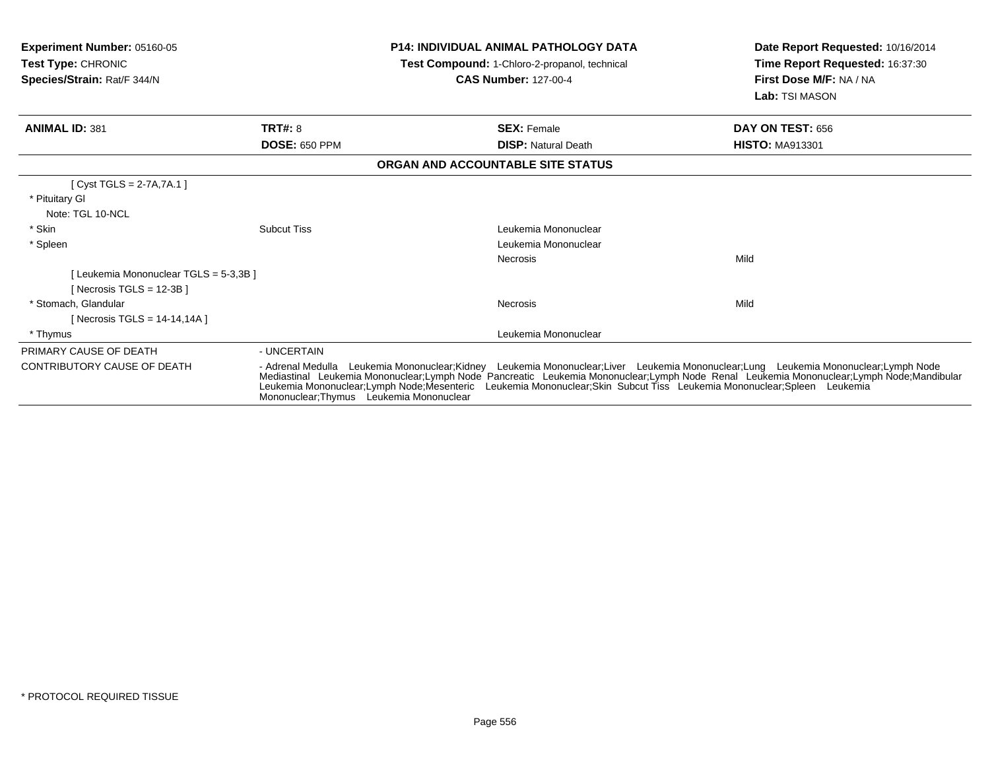| <b>Experiment Number: 05160-05</b><br><b>Test Type: CHRONIC</b><br>Species/Strain: Rat/F 344/N |                                          | <b>P14: INDIVIDUAL ANIMAL PATHOLOGY DATA</b><br>Test Compound: 1-Chloro-2-propanol, technical<br><b>CAS Number: 127-00-4</b>                                                                                                                                                                                                                                                                                | Date Report Requested: 10/16/2014<br>Time Report Requested: 16:37:30<br>First Dose M/F: NA / NA<br>Lab: TSI MASON |
|------------------------------------------------------------------------------------------------|------------------------------------------|-------------------------------------------------------------------------------------------------------------------------------------------------------------------------------------------------------------------------------------------------------------------------------------------------------------------------------------------------------------------------------------------------------------|-------------------------------------------------------------------------------------------------------------------|
| <b>ANIMAL ID: 381</b>                                                                          | <b>TRT#: 8</b>                           | <b>SEX: Female</b>                                                                                                                                                                                                                                                                                                                                                                                          | DAY ON TEST: 656                                                                                                  |
|                                                                                                | <b>DOSE: 650 PPM</b>                     | <b>DISP:</b> Natural Death                                                                                                                                                                                                                                                                                                                                                                                  | <b>HISTO: MA913301</b>                                                                                            |
|                                                                                                |                                          | ORGAN AND ACCOUNTABLE SITE STATUS                                                                                                                                                                                                                                                                                                                                                                           |                                                                                                                   |
| [ $Cyst TGLS = 2-7A, 7A.1$ ]<br>* Pituitary Gl<br>Note: TGL 10-NCL                             |                                          |                                                                                                                                                                                                                                                                                                                                                                                                             |                                                                                                                   |
| * Skin                                                                                         | <b>Subcut Tiss</b>                       | Leukemia Mononuclear                                                                                                                                                                                                                                                                                                                                                                                        |                                                                                                                   |
| * Spleen                                                                                       |                                          | Leukemia Mononuclear                                                                                                                                                                                                                                                                                                                                                                                        |                                                                                                                   |
|                                                                                                |                                          | Necrosis                                                                                                                                                                                                                                                                                                                                                                                                    | Mild                                                                                                              |
| [Leukemia Mononuclear TGLS = 5-3,3B]<br>[Necrosis TGLS = $12-3B$ ]                             |                                          |                                                                                                                                                                                                                                                                                                                                                                                                             |                                                                                                                   |
| * Stomach, Glandular<br>[ Necrosis TGLS = 14-14,14A ]                                          |                                          | <b>Necrosis</b>                                                                                                                                                                                                                                                                                                                                                                                             | Mild                                                                                                              |
| * Thymus                                                                                       |                                          | Leukemia Mononuclear                                                                                                                                                                                                                                                                                                                                                                                        |                                                                                                                   |
| PRIMARY CAUSE OF DEATH                                                                         | - UNCERTAIN                              |                                                                                                                                                                                                                                                                                                                                                                                                             |                                                                                                                   |
| <b>CONTRIBUTORY CAUSE OF DEATH</b>                                                             | Mononuclear: Thymus Leukemia Mononuclear | - Adrenal Medulla Leukemia Mononuclear;Kidney Leukemia Mononuclear;Liver Leukemia Mononuclear;Lung Leukemia Mononuclear;Lymph Node<br>Mediastinal Leukemia Mononuclear;Lymph Node Pancreatic Leukemia Mononuclear;Lymph Node Renal Leukemia Mononuclear;Lymph Node;Mandibular<br>Leukemia Mononuclear; Lymph Node; Mesenteric<br>Leukemia Mononuclear;Skin Subcut Tiss Leukemia Mononuclear;Spleen Leukemia |                                                                                                                   |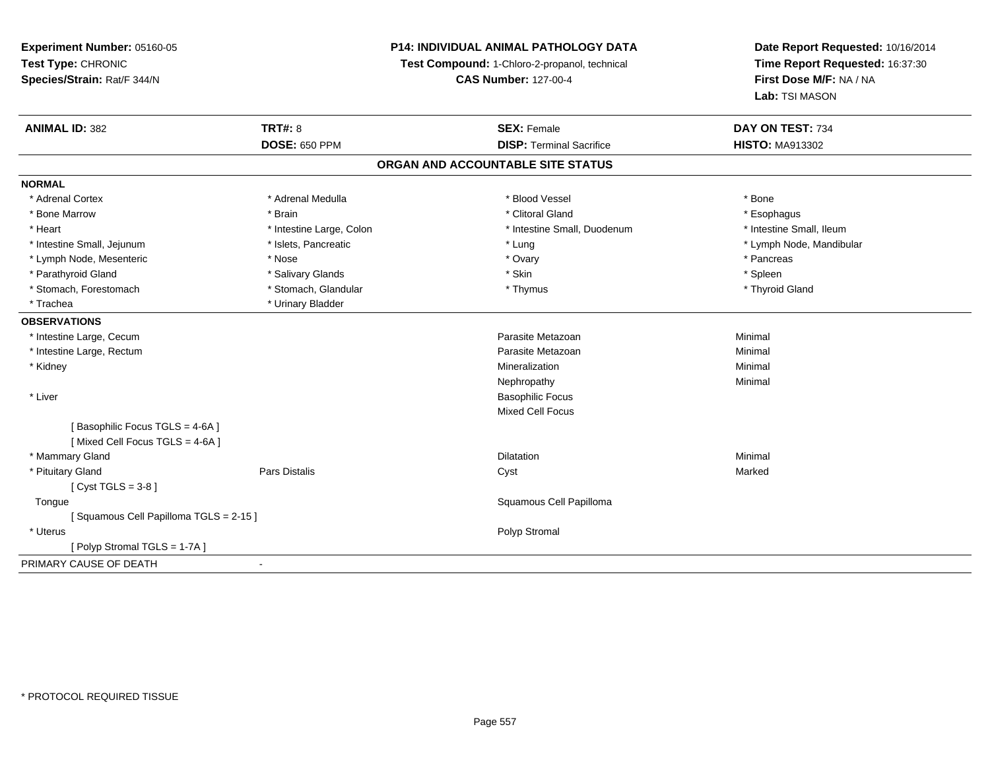# **P14: INDIVIDUAL ANIMAL PATHOLOGY DATA**

**Test Compound:** 1-Chloro-2-propanol, technical

**CAS Number:** 127-00-4

| <b>ANIMAL ID: 382</b>                 | <b>TRT#: 8</b>           | <b>SEX: Female</b>                | DAY ON TEST: 734         |
|---------------------------------------|--------------------------|-----------------------------------|--------------------------|
|                                       | <b>DOSE: 650 PPM</b>     | <b>DISP: Terminal Sacrifice</b>   | <b>HISTO: MA913302</b>   |
|                                       |                          | ORGAN AND ACCOUNTABLE SITE STATUS |                          |
| <b>NORMAL</b>                         |                          |                                   |                          |
| * Adrenal Cortex                      | * Adrenal Medulla        | * Blood Vessel                    | * Bone                   |
| * Bone Marrow                         | * Brain                  | * Clitoral Gland                  | * Esophagus              |
| * Heart                               | * Intestine Large, Colon | * Intestine Small, Duodenum       | * Intestine Small, Ileum |
| * Intestine Small, Jejunum            | * Islets, Pancreatic     | * Lung                            | * Lymph Node, Mandibular |
| * Lymph Node, Mesenteric              | * Nose                   | * Ovary                           | * Pancreas               |
| * Parathyroid Gland                   | * Salivary Glands        | * Skin                            | * Spleen                 |
| * Stomach, Forestomach                | * Stomach, Glandular     | * Thymus                          | * Thyroid Gland          |
| * Trachea                             | * Urinary Bladder        |                                   |                          |
| <b>OBSERVATIONS</b>                   |                          |                                   |                          |
| * Intestine Large, Cecum              |                          | Parasite Metazoan                 | Minimal                  |
| * Intestine Large, Rectum             |                          | Parasite Metazoan                 | Minimal                  |
| * Kidney                              |                          | Mineralization                    | Minimal                  |
|                                       |                          | Nephropathy                       | Minimal                  |
| * Liver                               |                          | <b>Basophilic Focus</b>           |                          |
|                                       |                          | <b>Mixed Cell Focus</b>           |                          |
| [Basophilic Focus TGLS = 4-6A]        |                          |                                   |                          |
| [Mixed Cell Focus TGLS = 4-6A]        |                          |                                   |                          |
| * Mammary Gland                       |                          | <b>Dilatation</b>                 | Minimal                  |
| * Pituitary Gland                     | <b>Pars Distalis</b>     | Cyst                              | Marked                   |
| [Cyst TGLS = $3-8$ ]                  |                          |                                   |                          |
| Tongue                                |                          | Squamous Cell Papilloma           |                          |
| [Squamous Cell Papilloma TGLS = 2-15] |                          |                                   |                          |
| * Uterus                              |                          | Polyp Stromal                     |                          |
| [Polyp Stromal TGLS = 1-7A]           |                          |                                   |                          |
| PRIMARY CAUSE OF DEATH                | $\blacksquare$           |                                   |                          |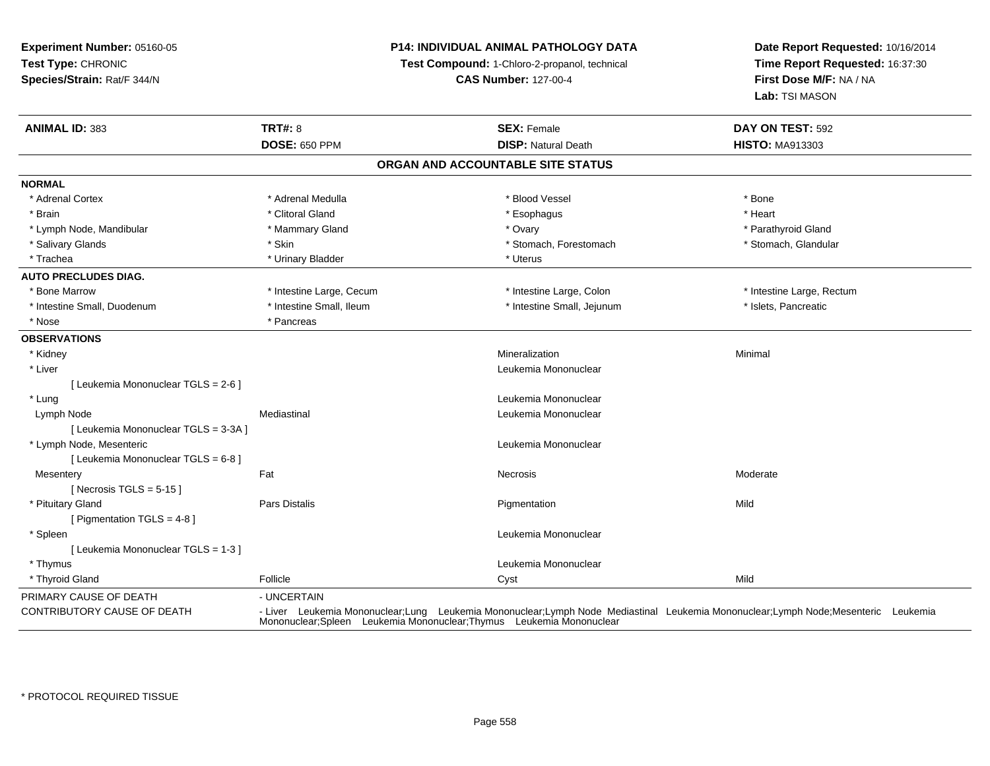# **P14: INDIVIDUAL ANIMAL PATHOLOGY DATA**

**Test Compound:** 1-Chloro-2-propanol, technical

**CAS Number:** 127-00-4

| <b>ANIMAL ID: 383</b>                | <b>TRT#: 8</b>           | <b>SEX: Female</b>                | DAY ON TEST: 592                                                                                                                                                                                         |
|--------------------------------------|--------------------------|-----------------------------------|----------------------------------------------------------------------------------------------------------------------------------------------------------------------------------------------------------|
|                                      | <b>DOSE: 650 PPM</b>     | <b>DISP: Natural Death</b>        | <b>HISTO: MA913303</b>                                                                                                                                                                                   |
|                                      |                          | ORGAN AND ACCOUNTABLE SITE STATUS |                                                                                                                                                                                                          |
| <b>NORMAL</b>                        |                          |                                   |                                                                                                                                                                                                          |
| * Adrenal Cortex                     | * Adrenal Medulla        | * Blood Vessel                    | * Bone                                                                                                                                                                                                   |
| * Brain                              | * Clitoral Gland         | * Esophagus                       | * Heart                                                                                                                                                                                                  |
| * Lymph Node, Mandibular             | * Mammary Gland          | * Ovary                           | * Parathyroid Gland                                                                                                                                                                                      |
| * Salivary Glands                    | * Skin                   | * Stomach, Forestomach            | * Stomach, Glandular                                                                                                                                                                                     |
| * Trachea                            | * Urinary Bladder        | * Uterus                          |                                                                                                                                                                                                          |
| <b>AUTO PRECLUDES DIAG.</b>          |                          |                                   |                                                                                                                                                                                                          |
| * Bone Marrow                        | * Intestine Large, Cecum | * Intestine Large, Colon          | * Intestine Large, Rectum                                                                                                                                                                                |
| * Intestine Small, Duodenum          | * Intestine Small, Ileum | * Intestine Small, Jejunum        | * Islets, Pancreatic                                                                                                                                                                                     |
| * Nose                               | * Pancreas               |                                   |                                                                                                                                                                                                          |
| <b>OBSERVATIONS</b>                  |                          |                                   |                                                                                                                                                                                                          |
| * Kidney                             |                          | Mineralization                    | Minimal                                                                                                                                                                                                  |
| * Liver                              |                          | Leukemia Mononuclear              |                                                                                                                                                                                                          |
| [ Leukemia Mononuclear TGLS = 2-6 ]  |                          |                                   |                                                                                                                                                                                                          |
| * Lung                               |                          | Leukemia Mononuclear              |                                                                                                                                                                                                          |
| Lymph Node                           | Mediastinal              | Leukemia Mononuclear              |                                                                                                                                                                                                          |
| [ Leukemia Mononuclear TGLS = 3-3A ] |                          |                                   |                                                                                                                                                                                                          |
| * Lymph Node, Mesenteric             |                          | Leukemia Mononuclear              |                                                                                                                                                                                                          |
| [ Leukemia Mononuclear TGLS = 6-8 ]  |                          |                                   |                                                                                                                                                                                                          |
| Mesentery                            | Fat                      | <b>Necrosis</b>                   | Moderate                                                                                                                                                                                                 |
| [Necrosis TGLS = $5-15$ ]            |                          |                                   |                                                                                                                                                                                                          |
| * Pituitary Gland                    | Pars Distalis            | Pigmentation                      | Mild                                                                                                                                                                                                     |
| [ Pigmentation TGLS = 4-8 ]          |                          |                                   |                                                                                                                                                                                                          |
| * Spleen                             |                          | Leukemia Mononuclear              |                                                                                                                                                                                                          |
| [ Leukemia Mononuclear TGLS = 1-3 ]  |                          |                                   |                                                                                                                                                                                                          |
| * Thymus                             |                          | Leukemia Mononuclear              |                                                                                                                                                                                                          |
| * Thyroid Gland                      | Follicle                 | Cyst                              | Mild                                                                                                                                                                                                     |
| PRIMARY CAUSE OF DEATH               | - UNCERTAIN              |                                   |                                                                                                                                                                                                          |
| CONTRIBUTORY CAUSE OF DEATH          |                          |                                   | - Liver Leukemia Mononuclear;Lung Leukemia Mononuclear;Lymph Node Mediastinal Leukemia Mononuclear;Lymph Node;Mesenteric Leukemia<br>Mononuclear;Spleen Leukemia Mononuclear;Thymus Leukemia Mononuclear |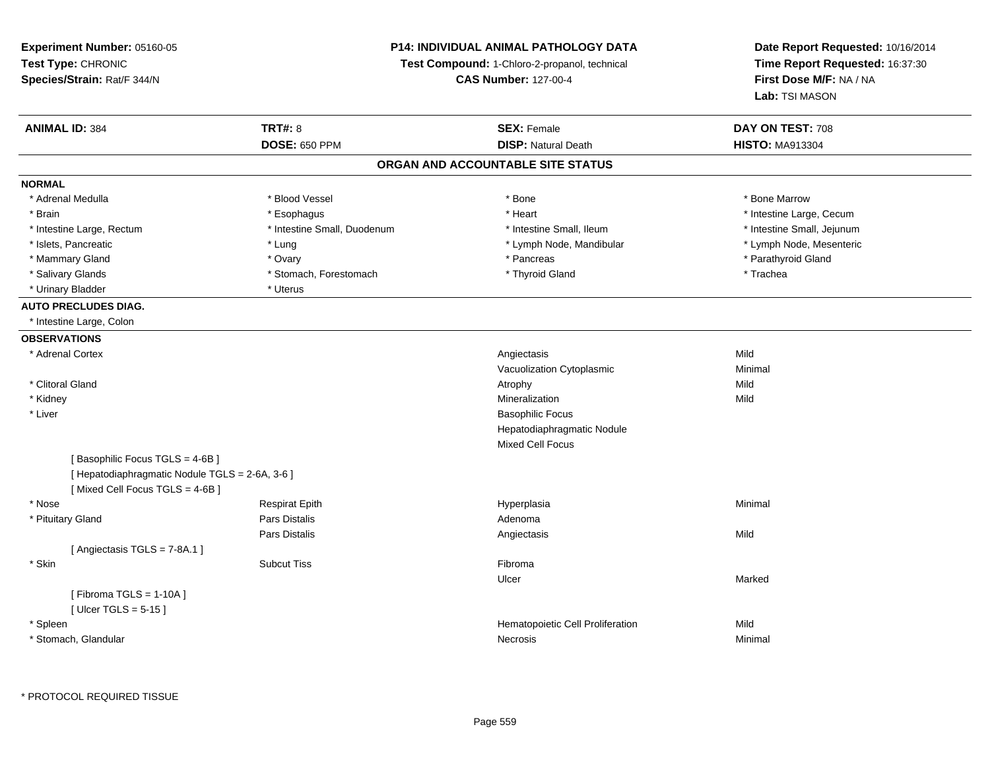**Experiment Number:** 05160-05**Test Type:** CHRONIC **Species/Strain:** Rat/F 344/N**P14: INDIVIDUAL ANIMAL PATHOLOGY DATATest Compound:** 1-Chloro-2-propanol, technical **CAS Number:** 127-00-4**Date Report Requested:** 10/16/2014**Time Report Requested:** 16:37:30**First Dose M/F:** NA / NA**Lab:** TSI MASON**ANIMAL ID:** 384**TRT#:** 8 **SEX:** Female **DAY ON TEST:** 708 **DOSE:** 650 PPM**DISP:** Natural Death **HISTO:** MA913304 **ORGAN AND ACCOUNTABLE SITE STATUSNORMAL**\* Adrenal Medulla \* \* \* Blood Vessel \* \* \* Bone Marrow \* \* Bone Marrow \* \* Bone Marrow \* Brain \* Alternative \* Esophagus \* \* Esophagus \* \* Heart \* Heart \* Intestine Large, Cecum \* Intestine Large, Cecum \* Intestine Large, Cecum \* Large \* Intestine Large \* Large \* Large \* Large \* Large \* Large \* Large \* Large \* Intestine Large, Rectum \* Thestine Small, Duodenum \* \* Intestine Small, Ileum \* \* Intestine Small, Jejunum \* Intestine Small, Jejunum \* Lymph Node, Mesenteric \* Islets, Pancreatic **\* Lung \* Lung \* Lung \* Lymph Node, Mandibular \*** Lymph Node, Mandibular \* Mammary Gland \* \* Andrew \* Ovary \* Andrew \* Ovary \* Pancreas \* Pancreas \* \* Pancreas \* \* Pancreas \* \* Pancreas \* \* Pancreas \* \* Pancreas \* \* Pancreas \* \* Pancreas \* \* Pancreas \* \* Pancreas \* \* Pancreas \* \* Pancreas \* \* P \* Salivary Glands \* Trachea \* Stomach, Forestomach \* Thyroid Gland \* The man \* Trachea \* Trachea \* Urinary Bladder \* Uterus **AUTO PRECLUDES DIAG.** \* Intestine Large, Colon**OBSERVATIONS** \* Adrenal Cortexx and the control of the control of the control of the control of the control of the control of the control of the control of the control of the control of the control of the control of the control of the control of the co c **Minimal** Vacuolization Cytoplasmic \* Clitoral Glandd and the control of the control of the control of the control of the control of the control of the control of the control of the control of the control of the control of the control of the control of the control of the co \* Kidneyy with the control of the control of the control of the control of the control of the control of the control of the control of the control of the control of the control of the control of the control of the control of the c n Mild \* Liver Basophilic Focus Hepatodiaphragmatic NoduleMixed Cell Focus[ Basophilic Focus TGLS = 4-6B ][ Hepatodiaphragmatic Nodule TGLS =  $2-6A$ ,  $3-6$  ] [ Mixed Cell Focus TGLS = 4-6B ] \* Nose Respirat Epith Hyperplasia Minimal \* Pituitary Glandd and the set of Pars Distalis and the Second Adenomal Adenomal Second Second Pars Distallis Pars Distaliss and the contract of the Angiectasis of the contract of the Mild [ Angiectasis TGLS = 7-8A.1 ] \* Skinn and the state of the Subcut Tiss and the state of the Subset of the Subset of the Subset of the Subset of the Subset of the Subset of the Subset of the Subset of the Subset of the Subset of the Subset of the Subset of th Ulcerr **Marked**  $[$  Fibroma TGLS = 1-10A  $]$  $[$  Ulcer TGLS = 5-15  $]$  \* SpleenHematopoietic Cell Proliferation<br>
Necrosis Minimal \* Stomach, Glandularr **Necrosis** Minimal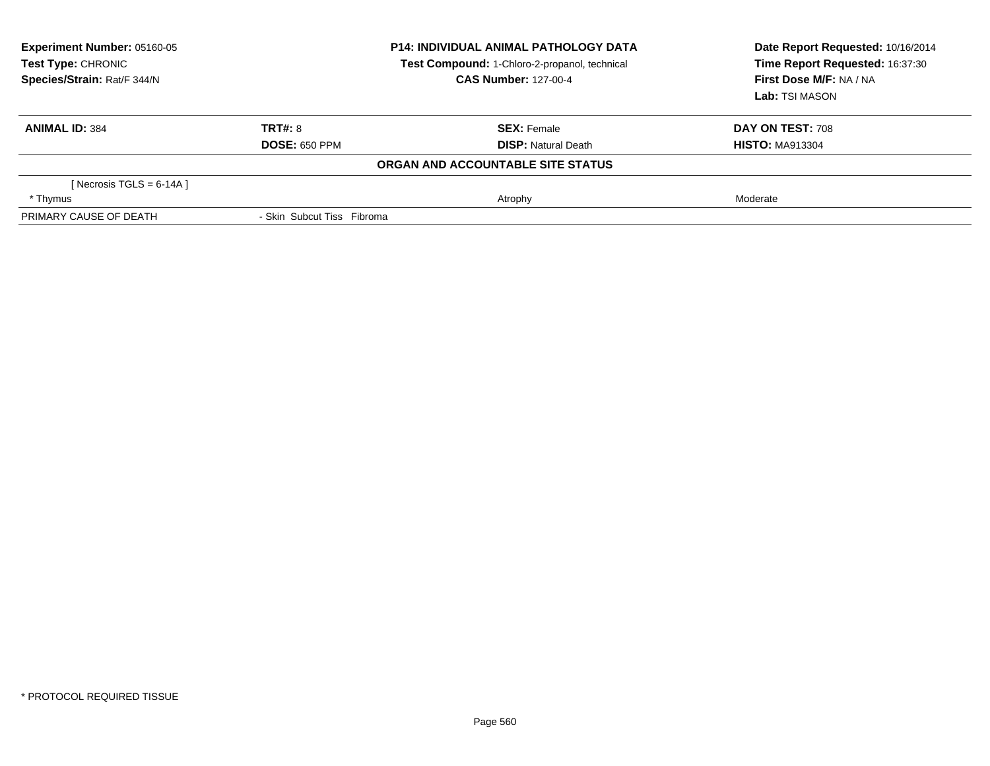| Experiment Number: 05160-05<br>Test Type: CHRONIC<br>Species/Strain: Rat/F 344/N |                            | <b>P14: INDIVIDUAL ANIMAL PATHOLOGY DATA</b><br>Test Compound: 1-Chloro-2-propanol, technical<br><b>CAS Number: 127-00-4</b> | Date Report Requested: 10/16/2014<br>Time Report Requested: 16:37:30<br>First Dose M/F: NA / NA<br>Lab: TSI MASON |  |
|----------------------------------------------------------------------------------|----------------------------|------------------------------------------------------------------------------------------------------------------------------|-------------------------------------------------------------------------------------------------------------------|--|
| <b>ANIMAL ID: 384</b>                                                            | <b>TRT#: 8</b>             | <b>SEX: Female</b>                                                                                                           | DAY ON TEST: 708                                                                                                  |  |
|                                                                                  | <b>DOSE: 650 PPM</b>       | <b>DISP:</b> Natural Death                                                                                                   | <b>HISTO: MA913304</b>                                                                                            |  |
|                                                                                  |                            | ORGAN AND ACCOUNTABLE SITE STATUS                                                                                            |                                                                                                                   |  |
| [ Necrosis TGLS = $6-14A$ ]                                                      |                            |                                                                                                                              |                                                                                                                   |  |
| * Thymus                                                                         |                            | Atrophy                                                                                                                      | Moderate                                                                                                          |  |
| PRIMARY CAUSE OF DEATH                                                           | - Skin Subcut Tiss Fibroma |                                                                                                                              |                                                                                                                   |  |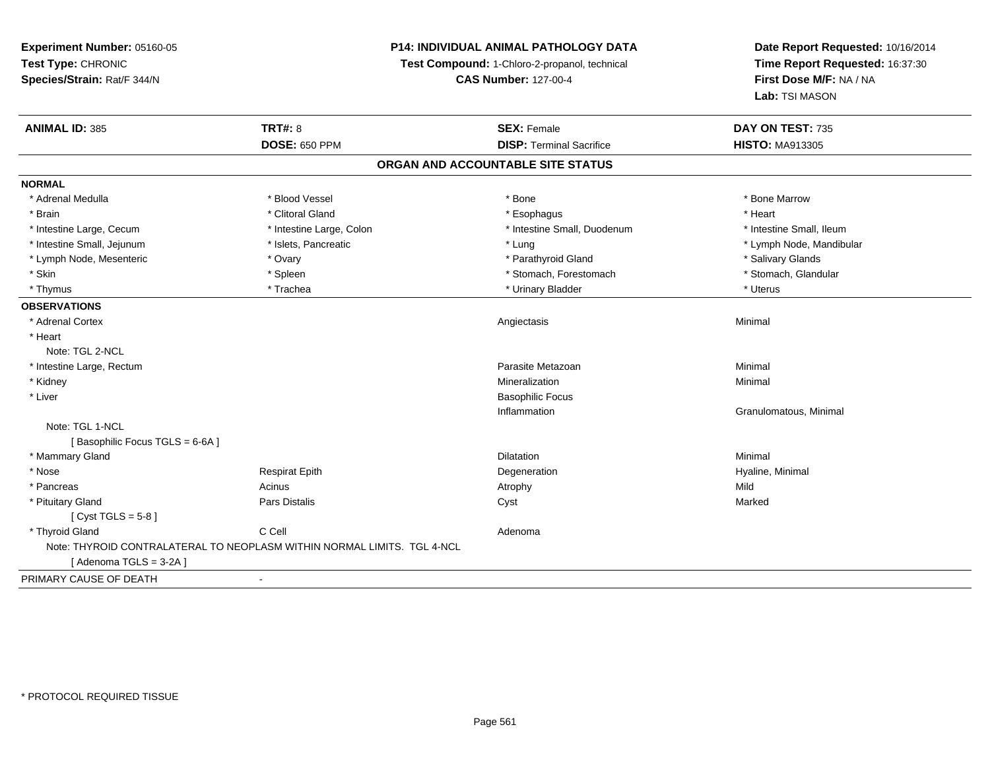**Experiment Number:** 05160-05**Test Type:** CHRONIC **Species/Strain:** Rat/F 344/N**P14: INDIVIDUAL ANIMAL PATHOLOGY DATATest Compound:** 1-Chloro-2-propanol, technical **CAS Number:** 127-00-4**Date Report Requested:** 10/16/2014**Time Report Requested:** 16:37:30**First Dose M/F:** NA / NA**Lab:** TSI MASON**ANIMAL ID:** 385**TRT#:** 8 **SEX:** Female **SEX: Female DAY ON TEST:** 735 **DOSE:** 650 PPM**DISP:** Terminal Sacrifice **HISTO:** MA913305 **ORGAN AND ACCOUNTABLE SITE STATUSNORMAL**\* Adrenal Medulla \* \* \* Blood Vessel \* \* \* Bone Marrow \* \* Bone Marrow \* \* Bone Marrow \* Brain \* Alternative of the state of the state of the state of the state of the state of the state of the state of the state of the state of the state of the state of the state of the state of the state of the state of th \* Intestine Large, Cecum \* Intestine Large, Colon \* Intestine Small, Duodenum \* Intestine Small, Ileum\* Intestine Small, Jejunum \* \* \* https://www.fat.com/setter/educition/setter/filesophysics.com/setter/filesophysics.com/setter/filesophysics.com/setter/filesophysics.com/setter/filesophysics.com/setter/filesophysics.com/se \* Lymph Node, Mesenteric \* The match of the state of the Salivary Gland \* Parathyroid Gland \* Salivary Glands \* Salivary Glands \* Stomach, Glandular \* Skin \* Spleen \* Spleen \* Spleen \* Stomach, Forestomach \* Stomach, Forestomach \* Thymus \* Trachea \* Urinary Bladder \* Uterus **OBSERVATIONS** \* Adrenal Cortex Angiectasis Minimal \* HeartNote: TGL 2-NCL \* Intestine Large, Rectumm and the contract of the contract of the contract of the contract of the contract of the contract of the contract of the contract of the contract of the contract of the contract of the contract of the contract of the cont \* Kidneyy with the control of the control of the control of the control of the control of the control of the control of the control of the control of the control of the control of the control of the control of the control of the c n Minimal \* Liver Basophilic FocusInflammation Granulomatous, Minimal Note: TGL 1-NCL[Basophilic Focus TGLS = 6-6A] \* Mammary Glandd and the control of the control of the control of the control of the control of the control of the control of the control of the control of the control of the control of the control of the control of the control of the co \* Nose Respirat Epith Degeneration Hyaline, Minimal \* Pancreass and the contract of the Acinus and Acinus and Acinus and Acinus Atrophy and Acinus and Mild Marked \* Pituitary Gland Pars Distalis Cyst Marked [ Cyst TGLS = 5-8 ] \* Thyroid Glandd C Cell C Cell C Cell Adenoma Note: THYROID CONTRALATERAL TO NEOPLASM WITHIN NORMAL LIMITS. TGL 4-NCL $[$  Adenoma TGLS = 3-2A  $]$ PRIMARY CAUSE OF DEATH-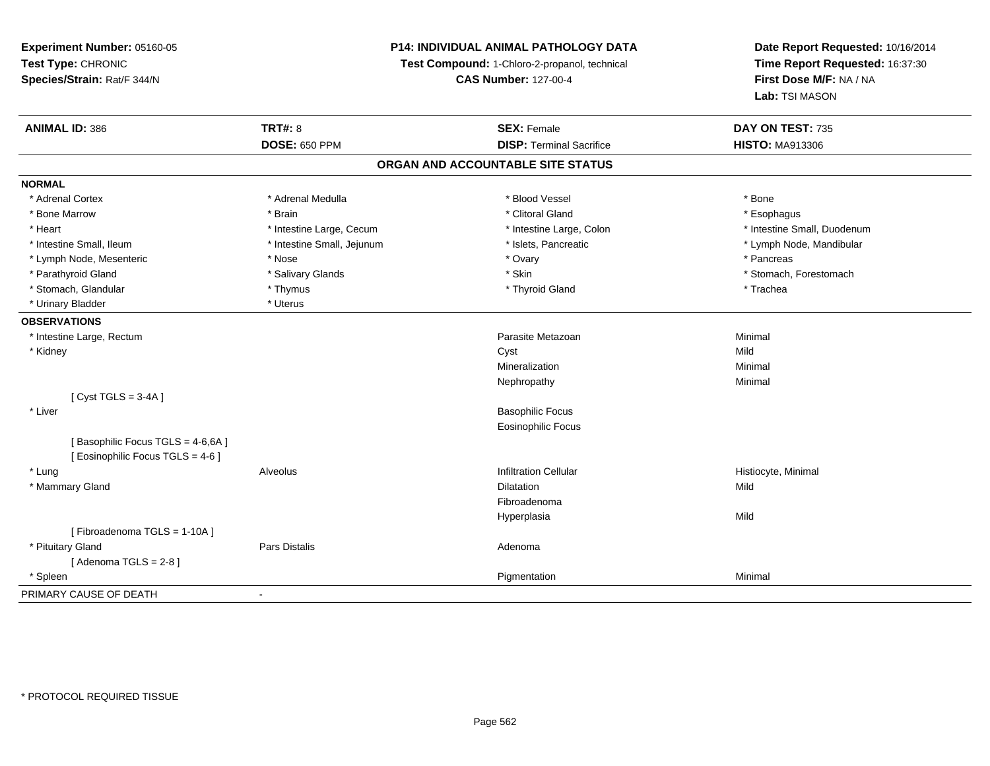# **P14: INDIVIDUAL ANIMAL PATHOLOGY DATA**

**Test Compound:** 1-Chloro-2-propanol, technical

**CAS Number:** 127-00-4

| <b>ANIMAL ID: 386</b>             | <b>TRT#: 8</b>             | <b>SEX: Female</b>                | DAY ON TEST: 735            |
|-----------------------------------|----------------------------|-----------------------------------|-----------------------------|
|                                   | <b>DOSE: 650 PPM</b>       | <b>DISP: Terminal Sacrifice</b>   | <b>HISTO: MA913306</b>      |
|                                   |                            | ORGAN AND ACCOUNTABLE SITE STATUS |                             |
| <b>NORMAL</b>                     |                            |                                   |                             |
| * Adrenal Cortex                  | * Adrenal Medulla          | * Blood Vessel                    | * Bone                      |
| * Bone Marrow                     | * Brain                    | * Clitoral Gland                  | * Esophagus                 |
| * Heart                           | * Intestine Large, Cecum   | * Intestine Large, Colon          | * Intestine Small, Duodenum |
| * Intestine Small, Ileum          | * Intestine Small, Jejunum | * Islets, Pancreatic              | * Lymph Node, Mandibular    |
| * Lymph Node, Mesenteric          | * Nose                     | * Ovary                           | * Pancreas                  |
| * Parathyroid Gland               | * Salivary Glands          | * Skin                            | * Stomach, Forestomach      |
| * Stomach, Glandular              | * Thymus                   | * Thyroid Gland                   | * Trachea                   |
| * Urinary Bladder                 | * Uterus                   |                                   |                             |
| <b>OBSERVATIONS</b>               |                            |                                   |                             |
| * Intestine Large, Rectum         |                            | Parasite Metazoan                 | Minimal                     |
| * Kidney                          |                            | Cyst                              | Mild                        |
|                                   |                            | Mineralization                    | Minimal                     |
|                                   |                            | Nephropathy                       | Minimal                     |
| [Cyst TGLS = $3-4A$ ]             |                            |                                   |                             |
| * Liver                           |                            | <b>Basophilic Focus</b>           |                             |
|                                   |                            | <b>Eosinophilic Focus</b>         |                             |
| [Basophilic Focus TGLS = 4-6,6A]  |                            |                                   |                             |
| [ Eosinophilic Focus TGLS = 4-6 ] |                            |                                   |                             |
| * Lung                            | Alveolus                   | <b>Infiltration Cellular</b>      | Histiocyte, Minimal         |
| * Mammary Gland                   |                            | <b>Dilatation</b>                 | Mild                        |
|                                   |                            | Fibroadenoma                      |                             |
|                                   |                            | Hyperplasia                       | Mild                        |
| [Fibroadenoma TGLS = 1-10A]       |                            |                                   |                             |
| * Pituitary Gland                 | <b>Pars Distalis</b>       | Adenoma                           |                             |
| [Adenoma TGLS = $2-8$ ]           |                            |                                   |                             |
| * Spleen                          |                            | Pigmentation                      | Minimal                     |
| PRIMARY CAUSE OF DEATH            |                            |                                   |                             |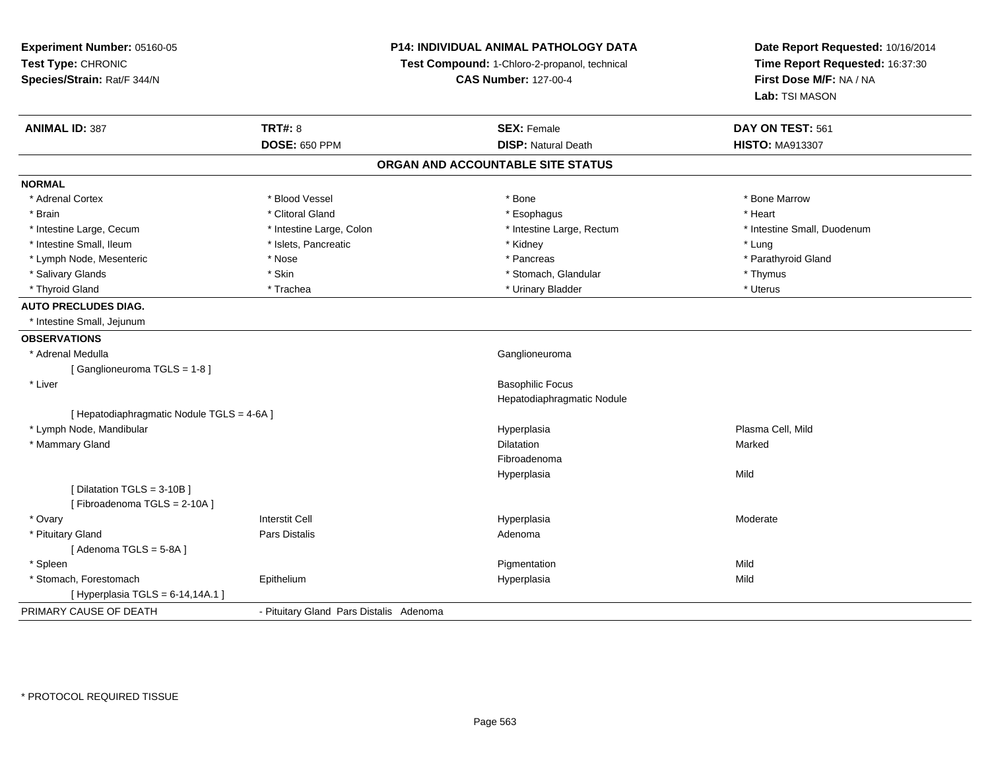| Experiment Number: 05160-05                | P14: INDIVIDUAL ANIMAL PATHOLOGY DATA<br>Test Compound: 1-Chloro-2-propanol, technical |                                   | Date Report Requested: 10/16/2014<br>Time Report Requested: 16:37:30 |  |
|--------------------------------------------|----------------------------------------------------------------------------------------|-----------------------------------|----------------------------------------------------------------------|--|
| Test Type: CHRONIC                         |                                                                                        |                                   |                                                                      |  |
| Species/Strain: Rat/F 344/N                |                                                                                        | <b>CAS Number: 127-00-4</b>       | First Dose M/F: NA / NA                                              |  |
|                                            |                                                                                        |                                   | Lab: TSI MASON                                                       |  |
| <b>ANIMAL ID: 387</b>                      | <b>TRT#: 8</b>                                                                         | <b>SEX: Female</b>                | DAY ON TEST: 561                                                     |  |
|                                            | <b>DOSE: 650 PPM</b>                                                                   | <b>DISP: Natural Death</b>        | <b>HISTO: MA913307</b>                                               |  |
|                                            |                                                                                        | ORGAN AND ACCOUNTABLE SITE STATUS |                                                                      |  |
| <b>NORMAL</b>                              |                                                                                        |                                   |                                                                      |  |
| * Adrenal Cortex                           | * Blood Vessel                                                                         | * Bone                            | * Bone Marrow                                                        |  |
| * Brain                                    | * Clitoral Gland                                                                       | * Esophagus                       | * Heart                                                              |  |
| * Intestine Large, Cecum                   | * Intestine Large, Colon                                                               | * Intestine Large, Rectum         | * Intestine Small, Duodenum                                          |  |
| * Intestine Small, Ileum                   | * Islets, Pancreatic                                                                   | * Kidney                          | * Lung                                                               |  |
| * Lymph Node, Mesenteric                   | * Nose                                                                                 | * Pancreas                        | * Parathyroid Gland                                                  |  |
| * Salivary Glands                          | * Skin                                                                                 | * Stomach, Glandular              | * Thymus                                                             |  |
| * Thyroid Gland                            | * Trachea                                                                              | * Urinary Bladder                 | * Uterus                                                             |  |
| <b>AUTO PRECLUDES DIAG.</b>                |                                                                                        |                                   |                                                                      |  |
| * Intestine Small, Jejunum                 |                                                                                        |                                   |                                                                      |  |
| <b>OBSERVATIONS</b>                        |                                                                                        |                                   |                                                                      |  |
| * Adrenal Medulla                          |                                                                                        | Ganglioneuroma                    |                                                                      |  |
| [Ganglioneuroma TGLS = 1-8]                |                                                                                        |                                   |                                                                      |  |
| * Liver                                    |                                                                                        | <b>Basophilic Focus</b>           |                                                                      |  |
|                                            |                                                                                        | Hepatodiaphragmatic Nodule        |                                                                      |  |
| [ Hepatodiaphragmatic Nodule TGLS = 4-6A ] |                                                                                        |                                   |                                                                      |  |
| * Lymph Node, Mandibular                   |                                                                                        | Hyperplasia                       | Plasma Cell, Mild                                                    |  |
| * Mammary Gland                            |                                                                                        | <b>Dilatation</b>                 | Marked                                                               |  |
|                                            |                                                                                        | Fibroadenoma                      |                                                                      |  |
|                                            |                                                                                        | Hyperplasia                       | Mild                                                                 |  |
| [ Dilatation TGLS = 3-10B ]                |                                                                                        |                                   |                                                                      |  |
| [Fibroadenoma TGLS = 2-10A]                |                                                                                        |                                   |                                                                      |  |
| * Ovary                                    | <b>Interstit Cell</b>                                                                  | Hyperplasia                       | Moderate                                                             |  |
| * Pituitary Gland                          | Pars Distalis                                                                          | Adenoma                           |                                                                      |  |
| [Adenoma TGLS = $5-8A$ ]                   |                                                                                        |                                   |                                                                      |  |
| * Spleen                                   |                                                                                        | Pigmentation                      | Mild                                                                 |  |
| * Stomach, Forestomach                     | Epithelium                                                                             | Hyperplasia                       | Mild                                                                 |  |
| [ Hyperplasia TGLS = 6-14,14A.1 ]          |                                                                                        |                                   |                                                                      |  |
| PRIMARY CAUSE OF DEATH                     | - Pituitary Gland Pars Distalis Adenoma                                                |                                   |                                                                      |  |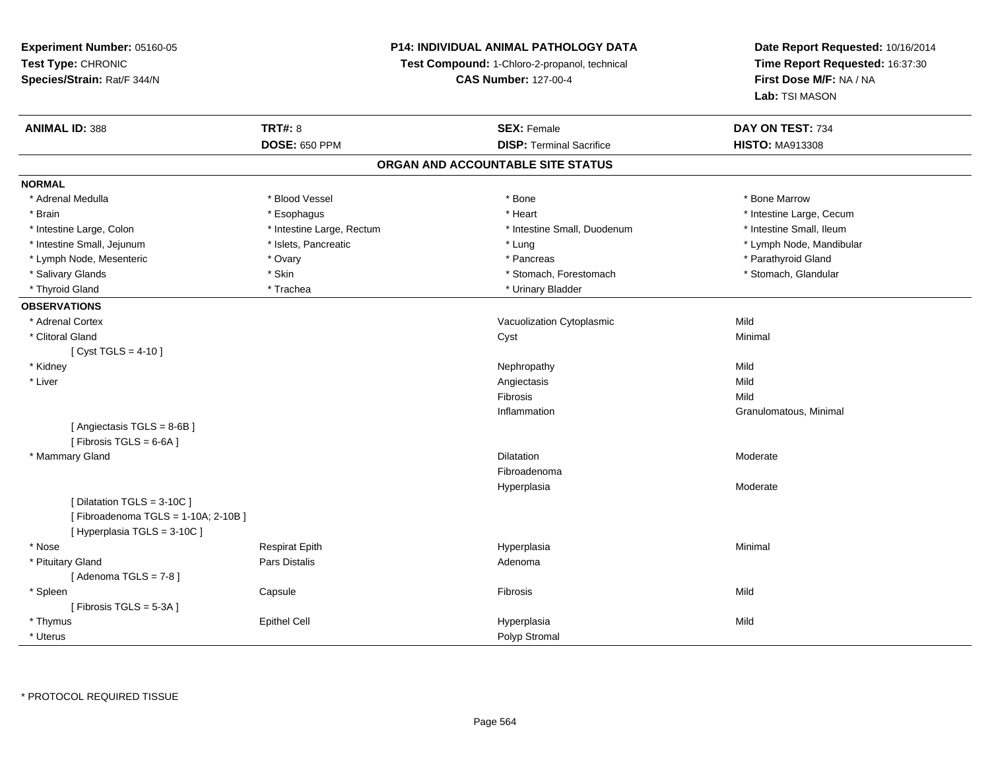**Experiment Number:** 05160-05**Test Type:** CHRONIC **Species/Strain:** Rat/F 344/N**P14: INDIVIDUAL ANIMAL PATHOLOGY DATATest Compound:** 1-Chloro-2-propanol, technical **CAS Number:** 127-00-4**Date Report Requested:** 10/16/2014**Time Report Requested:** 16:37:30**First Dose M/F:** NA / NA**Lab:** TSI MASON**ANIMAL ID:** 388**EX:** Female **DAY ON TEST:** 734 **DOSE:** 650 PPM**DISP:** Terminal Sacrifice **HISTO:** MA913308 **ORGAN AND ACCOUNTABLE SITE STATUSNORMAL**\* Adrenal Medulla \* \* \* Blood Vessel \* \* \* Bone Marrow \* \* Bone Marrow \* \* Bone Marrow \* Brain \* Alternative \* Esophagus \* \* Esophagus \* \* Heart \* Heart \* Intestine Large, Cecum \* Intestine Large, Cecum \* Intestine Large, Cecum \* Large \* Intestine Large \* Large \* Large \* Large \* Large \* Large \* Large \* Large \* Intestine Small. Ileum \* Intestine Large, Colon \* Intestine Large, Rectum \* Intestine Small, Duodenum \* Intestine Small, Duodenum \* Intestine Small, Jejunum \* \* \* https://www.fat.com/setter/educition/setter/filesophysics.com/setter/filesophysics.com/setter/filesophysics.com/setter/filesophysics.com/setter/filesophysics.com/setter/filesophysics.com/se \* Lymph Node, Mesenteric \* Ovary \* Pancreas \* Parathyroid Gland\* Stomach, Glandular \* Salivary Glands \* Stomach, Forestomach \* Skin \* Skin \* Stomach, Forestomach \* Stomach, Forestomach \* Thyroid Gland \* Trachea \* Trachea \* Trachea \* Thyroid Gland \* Urinary Bladder **OBSERVATIONS** \* Adrenal CortexVacuolization Cytoplasmic **Mild** Minimal \* Clitoral Glandd and the control of the control of the control of the control of the control of the control of the control of the control of the control of the control of the control of the control of the control of the control of the co  $[$  Cyst TGLS = 4-10  $]$  \* Kidneyy the control of the control of the control of the control of the control of the control of the control of the control of the control of the control of the control of the control of the control of the control of the contro Mild \* Liverr and the contract of the contract of the contract of the contract of the contract of the contract of the contract of the contract of the contract of the contract of the contract of the contract of the contract of the cont s Mild Mild Fibrosiss Mild n **Granulomatous, Minimal** Inflammation[ Angiectasis TGLS = 8-6B ] $[$  Fibrosis TGLS = 6-6A  $]$  \* Mammary Glandd and the control of the control of the control of the Dilatation and the control of the Moderate of the control of the control of the control of the control of the control of the control of the control of the control of t FibroadenomaHyperplasia Moderate [ Dilatation TGLS = 3-10C ][ Fibroadenoma TGLS = 1-10A; 2-10B ][ Hyperplasia TGLS = 3-10C ] \* Nose Respirat Epith Hyperplasia Minimal \* Pituitary Glandd and the contract of Pars Distalis and the contract of Adenoma and Adenoma and the Adenoma and the Adenoma and  $\lambda$  $[$  Adenoma TGLS = 7-8  $]$  \* Spleenn and the Capsule Constant of the Constant of the Constant of the Constant of the Constant of the Constant of Mild [ Fibrosis TGLS = 5-3A ] \* Thymuss Epithel Cell Hyperplasia a Mild \* Uteruss and the contract of the contract of the contract of the contract of the contract of the contract of the contract of the contract of the contract of the contract of the contract of the contract of the contract of the cont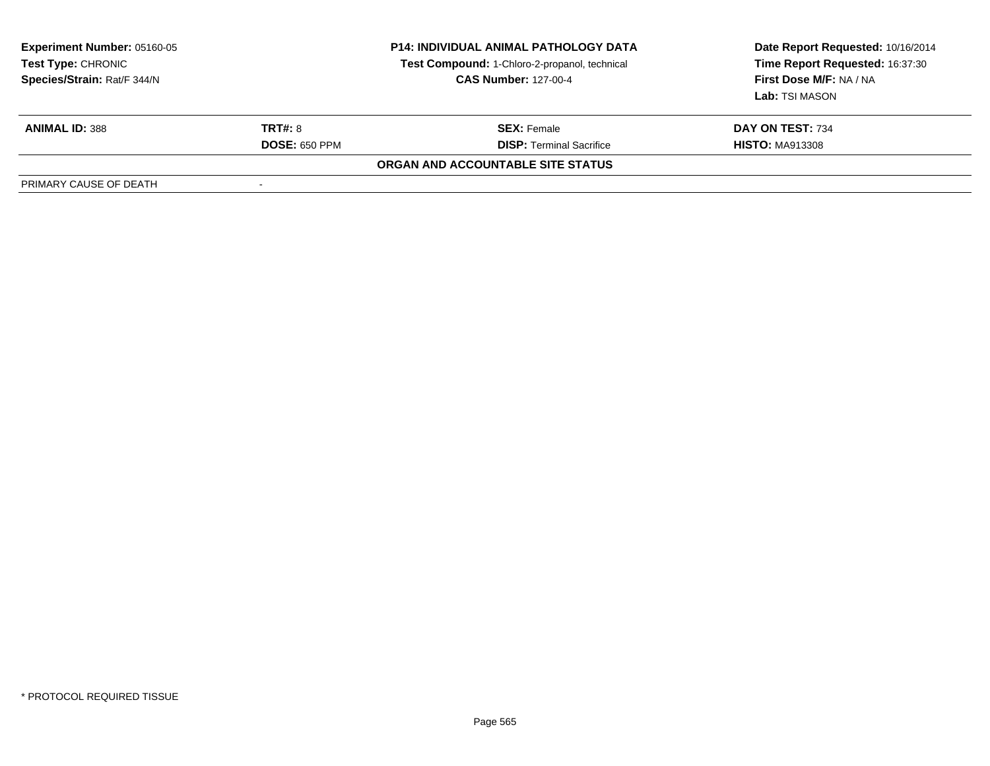| <b>Experiment Number: 05160-05</b><br><b>Test Type: CHRONIC</b><br>Species/Strain: Rat/F 344/N |                      | <b>P14: INDIVIDUAL ANIMAL PATHOLOGY DATA</b><br>Test Compound: 1-Chloro-2-propanol, technical<br><b>CAS Number: 127-00-4</b> | Date Report Requested: 10/16/2014<br>Time Report Requested: 16:37:30<br>First Dose M/F: NA / NA<br>Lab: TSI MASON |
|------------------------------------------------------------------------------------------------|----------------------|------------------------------------------------------------------------------------------------------------------------------|-------------------------------------------------------------------------------------------------------------------|
| <b>ANIMAL ID: 388</b>                                                                          | TRT#: 8              | <b>SEX: Female</b>                                                                                                           | DAY ON TEST: 734                                                                                                  |
|                                                                                                | <b>DOSE: 650 PPM</b> | <b>DISP: Terminal Sacrifice</b>                                                                                              | <b>HISTO: MA913308</b>                                                                                            |
|                                                                                                |                      | ORGAN AND ACCOUNTABLE SITE STATUS                                                                                            |                                                                                                                   |
| PRIMARY CAUSE OF DEATH                                                                         |                      |                                                                                                                              |                                                                                                                   |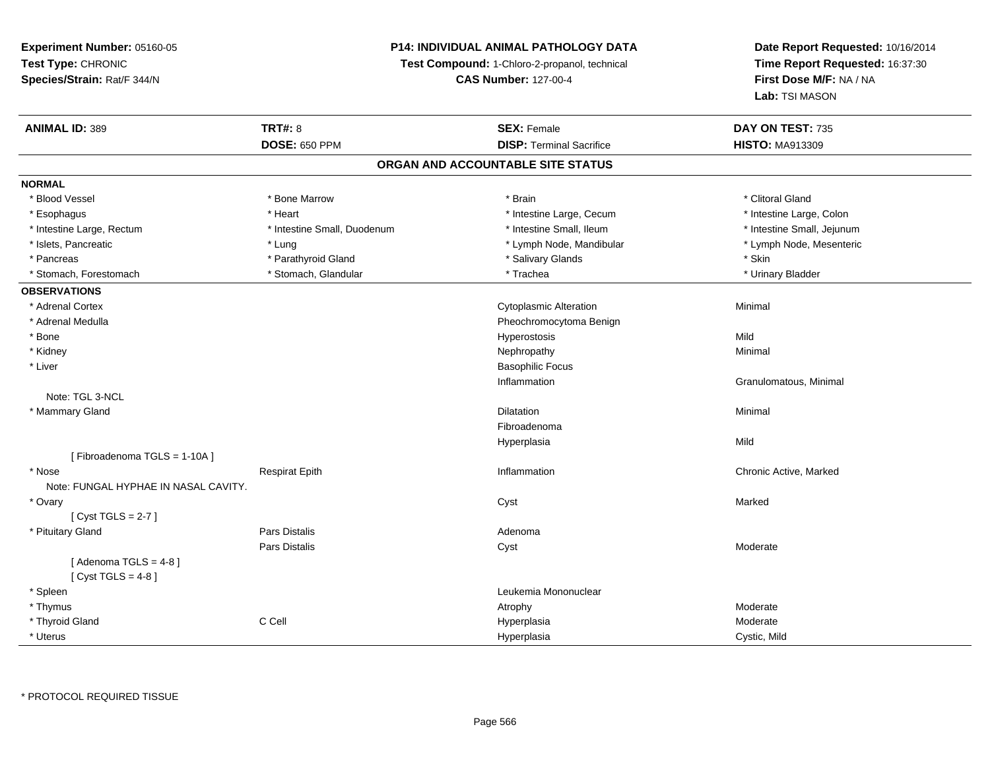# **P14: INDIVIDUAL ANIMAL PATHOLOGY DATA**

**Test Compound:** 1-Chloro-2-propanol, technical

**CAS Number:** 127-00-4

| <b>ANIMAL ID: 389</b>                | <b>TRT#: 8</b>              | <b>SEX: Female</b>              | DAY ON TEST: 735           |  |  |  |
|--------------------------------------|-----------------------------|---------------------------------|----------------------------|--|--|--|
|                                      | <b>DOSE: 650 PPM</b>        | <b>DISP: Terminal Sacrifice</b> | <b>HISTO: MA913309</b>     |  |  |  |
| ORGAN AND ACCOUNTABLE SITE STATUS    |                             |                                 |                            |  |  |  |
| <b>NORMAL</b>                        |                             |                                 |                            |  |  |  |
| * Blood Vessel                       | * Bone Marrow               | * Brain                         | * Clitoral Gland           |  |  |  |
| * Esophagus                          | * Heart                     | * Intestine Large, Cecum        | * Intestine Large, Colon   |  |  |  |
| * Intestine Large, Rectum            | * Intestine Small, Duodenum | * Intestine Small, Ileum        | * Intestine Small, Jejunum |  |  |  |
| * Islets, Pancreatic                 | * Lung                      | * Lymph Node, Mandibular        | * Lymph Node, Mesenteric   |  |  |  |
| * Pancreas                           | * Parathyroid Gland         | * Salivary Glands               | * Skin                     |  |  |  |
| * Stomach, Forestomach               | * Stomach, Glandular        | * Trachea                       | * Urinary Bladder          |  |  |  |
| <b>OBSERVATIONS</b>                  |                             |                                 |                            |  |  |  |
| * Adrenal Cortex                     |                             | <b>Cytoplasmic Alteration</b>   | Minimal                    |  |  |  |
| * Adrenal Medulla                    |                             | Pheochromocytoma Benign         |                            |  |  |  |
| * Bone                               |                             | Hyperostosis                    | Mild                       |  |  |  |
| * Kidney                             |                             | Nephropathy                     | Minimal                    |  |  |  |
| * Liver                              |                             | <b>Basophilic Focus</b>         |                            |  |  |  |
|                                      |                             | Inflammation                    | Granulomatous, Minimal     |  |  |  |
| Note: TGL 3-NCL                      |                             |                                 |                            |  |  |  |
| * Mammary Gland                      |                             | <b>Dilatation</b>               | Minimal                    |  |  |  |
|                                      |                             | Fibroadenoma                    |                            |  |  |  |
|                                      |                             | Hyperplasia                     | Mild                       |  |  |  |
| [Fibroadenoma TGLS = 1-10A]          |                             |                                 |                            |  |  |  |
| * Nose                               | <b>Respirat Epith</b>       | Inflammation                    | Chronic Active, Marked     |  |  |  |
| Note: FUNGAL HYPHAE IN NASAL CAVITY. |                             |                                 |                            |  |  |  |
| * Ovary                              |                             | Cyst                            | Marked                     |  |  |  |
| [Cyst TGLS = $2-7$ ]                 |                             |                                 |                            |  |  |  |
| * Pituitary Gland                    | <b>Pars Distalis</b>        | Adenoma                         |                            |  |  |  |
|                                      | <b>Pars Distalis</b>        | Cyst                            | Moderate                   |  |  |  |
| [Adenoma TGLS = $4-8$ ]              |                             |                                 |                            |  |  |  |
| [Cyst TGLS = $4-8$ ]                 |                             |                                 |                            |  |  |  |
| * Spleen                             |                             | Leukemia Mononuclear            |                            |  |  |  |
| * Thymus                             |                             | Atrophy                         | Moderate                   |  |  |  |
| * Thyroid Gland                      | C Cell                      | Hyperplasia                     | Moderate                   |  |  |  |
| * Uterus                             |                             | Hyperplasia                     | Cystic, Mild               |  |  |  |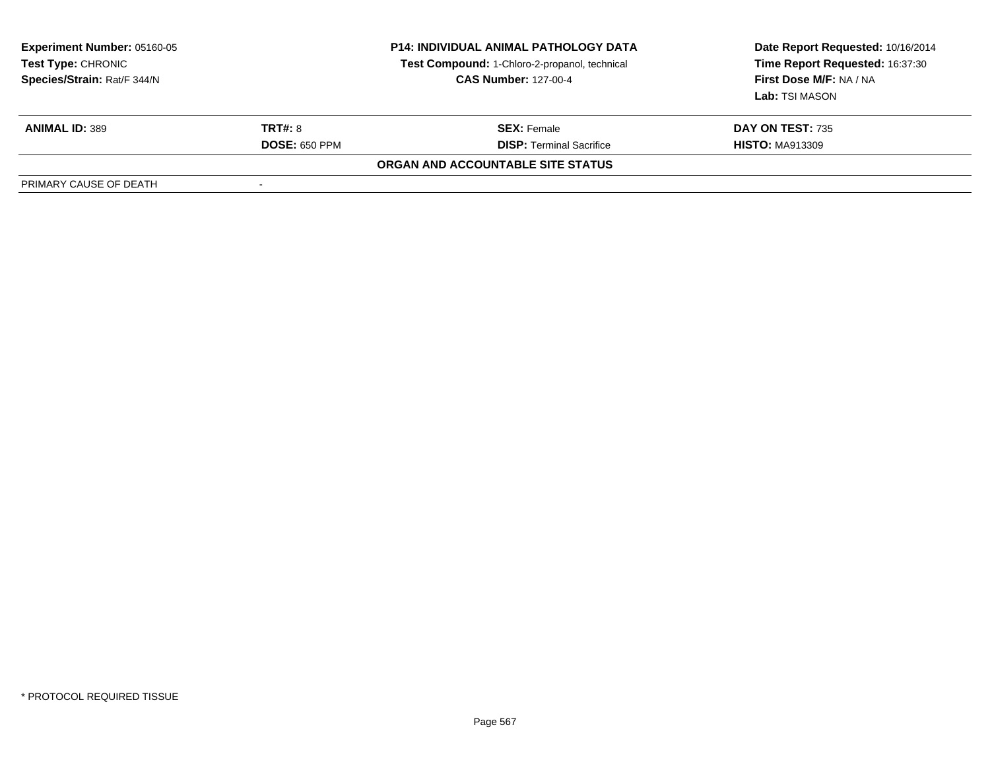| <b>Experiment Number: 05160-05</b><br><b>Test Type: CHRONIC</b><br>Species/Strain: Rat/F 344/N |                      | <b>P14: INDIVIDUAL ANIMAL PATHOLOGY DATA</b><br>Test Compound: 1-Chloro-2-propanol, technical<br><b>CAS Number: 127-00-4</b> | Date Report Requested: 10/16/2014<br>Time Report Requested: 16:37:30<br>First Dose M/F: NA / NA<br>Lab: TSI MASON |
|------------------------------------------------------------------------------------------------|----------------------|------------------------------------------------------------------------------------------------------------------------------|-------------------------------------------------------------------------------------------------------------------|
| <b>ANIMAL ID: 389</b>                                                                          | <b>TRT#: 8</b>       | <b>SEX: Female</b>                                                                                                           | <b>DAY ON TEST: 735</b>                                                                                           |
|                                                                                                | <b>DOSE: 650 PPM</b> | <b>DISP: Terminal Sacrifice</b>                                                                                              | <b>HISTO: MA913309</b>                                                                                            |
|                                                                                                |                      | ORGAN AND ACCOUNTABLE SITE STATUS                                                                                            |                                                                                                                   |
| PRIMARY CAUSE OF DEATH                                                                         |                      |                                                                                                                              |                                                                                                                   |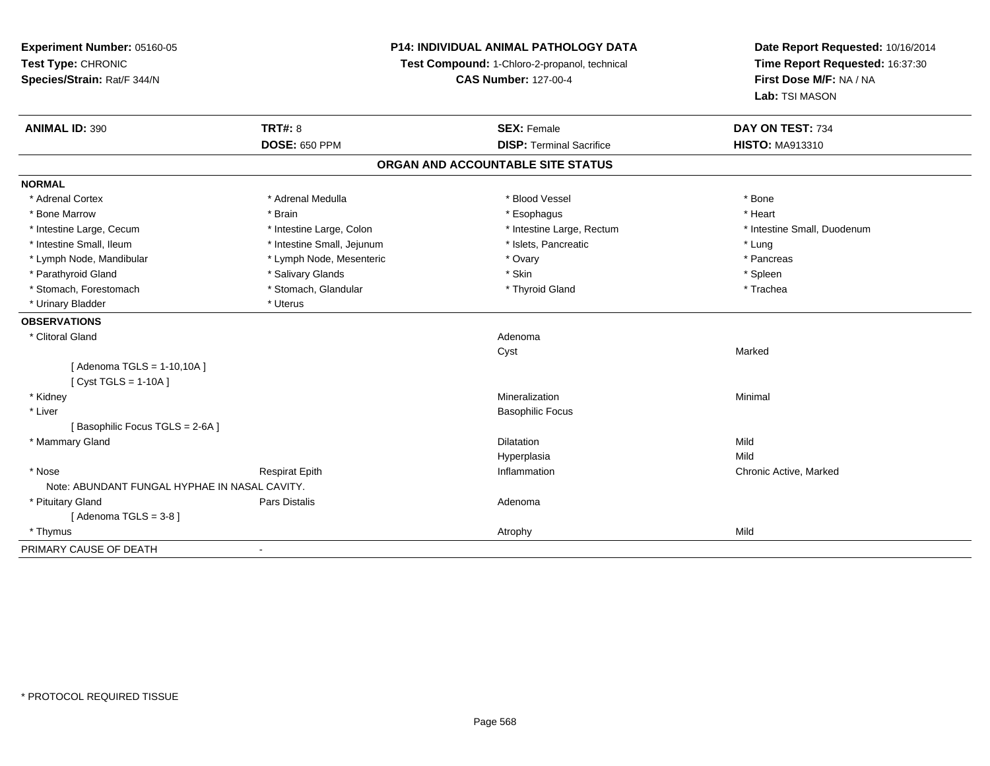**Experiment Number:** 05160-05**Test Type:** CHRONIC **Species/Strain:** Rat/F 344/N**P14: INDIVIDUAL ANIMAL PATHOLOGY DATATest Compound:** 1-Chloro-2-propanol, technical **CAS Number:** 127-00-4**Date Report Requested:** 10/16/2014**Time Report Requested:** 16:37:30**First Dose M/F:** NA / NA**Lab:** TSI MASON**ANIMAL ID:** 390**C TRT#:** 8 **SEX:** Female **DAY ON TEST:** 734 **DOSE:** 650 PPM**DISP:** Terminal Sacrifice **HISTO:** MA913310 **ORGAN AND ACCOUNTABLE SITE STATUSNORMAL**\* Adrenal Cortex \* Adrenal Medulla \* Adrenal Medulla \* Blood Vessel \* Bood Vessel \* Bone \* Bone \* Bone \* Bone \* Bone \* Bone \* Bone \* Bone \* Bone \* Bone \* Bone \* Bone \* Bone \* Bone \* Bone \* Bone \* Bone \* Bone \* Bone \* Bone \* Bone \* Bone \* \* \* Heart \* Bone Marrow \* Brain \* Esophagus \* Heart \* Intestine Large, Cecum \* Intestine Large, Colon \* Intestine Large, Rectum \* Intestine Small, Duodenum\* Intestine Small, Ileum \* https://www.fatheratic \* Lung \* Intestine Small, Jejunum \* Islets, Pancreatic \* Lung \* Lung \* Pancreas \* Lymph Node, Mandibular \* Manus \* Lymph Node, Mesenteric \* The \* Ovary \* Ovary \* Parathyroid Gland \* \* Salivary Glands \* Salivary Glands \* Skin \* Skin \* State \* Spleen \* Spleen \* Spleen \* Spleen \* Trachea \* Stomach, Forestomach \* The metal \* Stomach, Glandular \* The \* Thyroid Gland \* Thyroid Gland \* Thyroid Gland \* Urinary Bladder \* Uterus **OBSERVATIONS** \* Clitoral Glandd and a state of the control of the control of the control of the control of the control of the control of the control of the control of the control of the control of the control of the control of the control of the contro Cyst Marked[ Adenoma TGLS = 1-10,10A ][ Cyst TGLS = 1-10A ] \* Kidneyy with the control of the control of the control of the control of the control of the control of the control of the control of the control of the control of the control of the control of the control of the control of the c n Minimal \* Liver Basophilic Focus[ Basophilic Focus TGLS = 2-6A ] \* Mammary Glandd and the control of the control of the control of the control of the control of the control of the control of the control of the control of the control of the control of the control of the control of the control of the co Hyperplasiaa Mild \* Nosee who discussed the Respirat Epith Inflammation Chronic Active, Marked and Respirat Epith Inflammation Chronic Active, Marked Note: ABUNDANT FUNGAL HYPHAE IN NASAL CAVITY. \* Pituitary Glandd and the contract of Pars Distalis and the contract of Adenoma and Adenoma and the Adenoma and the Adenoma and  $\lambda$  $[$  Adenoma TGLS = 3-8  $]$  \* Thymuss and the control of the control of the control of the control of the control of the control of the control of the control of the control of the control of the control of the control of the control of the control of the co PRIMARY CAUSE OF DEATH-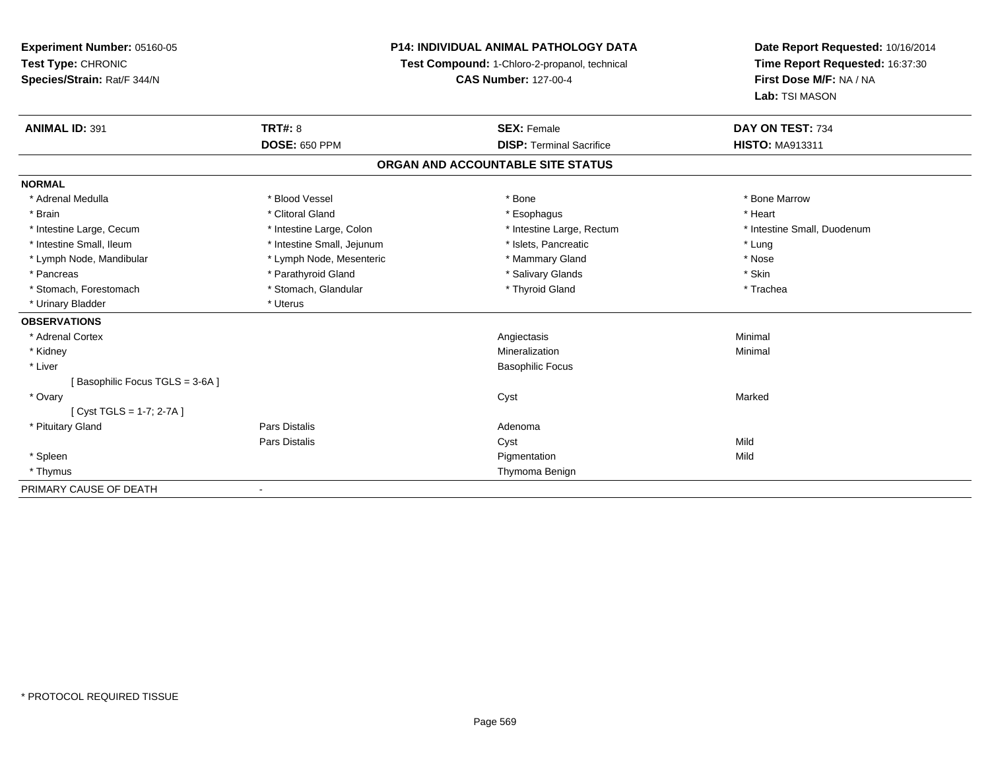**Experiment Number:** 05160-05**Test Type:** CHRONIC **Species/Strain:** Rat/F 344/N**P14: INDIVIDUAL ANIMAL PATHOLOGY DATATest Compound:** 1-Chloro-2-propanol, technical **CAS Number:** 127-00-4**Date Report Requested:** 10/16/2014**Time Report Requested:** 16:37:30**First Dose M/F:** NA / NA**Lab:** TSI MASON**ANIMAL ID:** 391**TRT#:** 8 **SEX:** Female **SEX: Female DAY ON TEST:** 734 **DOSE:** 650 PPM**DISP:** Terminal Sacrifice **HISTO:** MA913311 **ORGAN AND ACCOUNTABLE SITE STATUSNORMAL**\* Adrenal Medulla \* \* \* Blood Vessel \* \* \* Bone Marrow \* \* Bone Marrow \* \* Bone Marrow \* Brain \* Alternative of the state of the state of the state of the state of the state of the state of the state of the state of the state of the state of the state of the state of the state of the state of the state of th \* Intestine Large, Cecum \* Intestine Large, Colon \* Intestine Large, Rectum \* Intestine Small, Duodenum \* Intestine Small, Ileum \* https://www.fatheratic \* Lung \* Intestine Small, Jejunum \* Islets, Pancreatic \* Lung \* Lung \* Nose \* Lymph Node, Mandibular \* Lymph Node, Mesenteric \* Mammary Gland \* Mammary Gland \* Skin \* Pancreas \* Pancreas \* Parathyroid Gland \* The state of the set of the set of the set of the set of the set of the set of the set of the set of the set of the set of the set of the set of the set of the set of the set of \* Trachea \* Stomach, Forestomach \* Thyroid Gland \* Stomach, Glandular \* Thyroid Gland \* Thyroid Gland \* Urinary Bladder \* Uterus **OBSERVATIONS** \* Adrenal Cortex Angiectasis Minimal \* Kidneyy with the control of the control of the control of the control of the control of the control of the control of the control of the control of the control of the control of the control of the control of the control of the c n Minimal \* Liver Basophilic Focus[ Basophilic Focus TGLS = 3-6A ] \* Ovaryy and the control of the control of the control of the control of the control of the control of the control of the control of the control of the control of the control of the control of the control of the control of the co [ Cyst TGLS = 1-7; 2-7A ] \* Pituitary Glandd and the contract of Pars Distalis and the contract of Adenoma and Adenoma and the Adenoma and the Adenoma and  $\lambda$ Pars Distaliss Cyst Cyst Constants and Cyst Mild Mild \* Spleenn and the control of the control of the control of the control of the control of the control of the control of the control of the control of the control of the control of the control of the control of the control of the co \* Thymus Thymoma BenignPRIMARY CAUSE OF DEATH-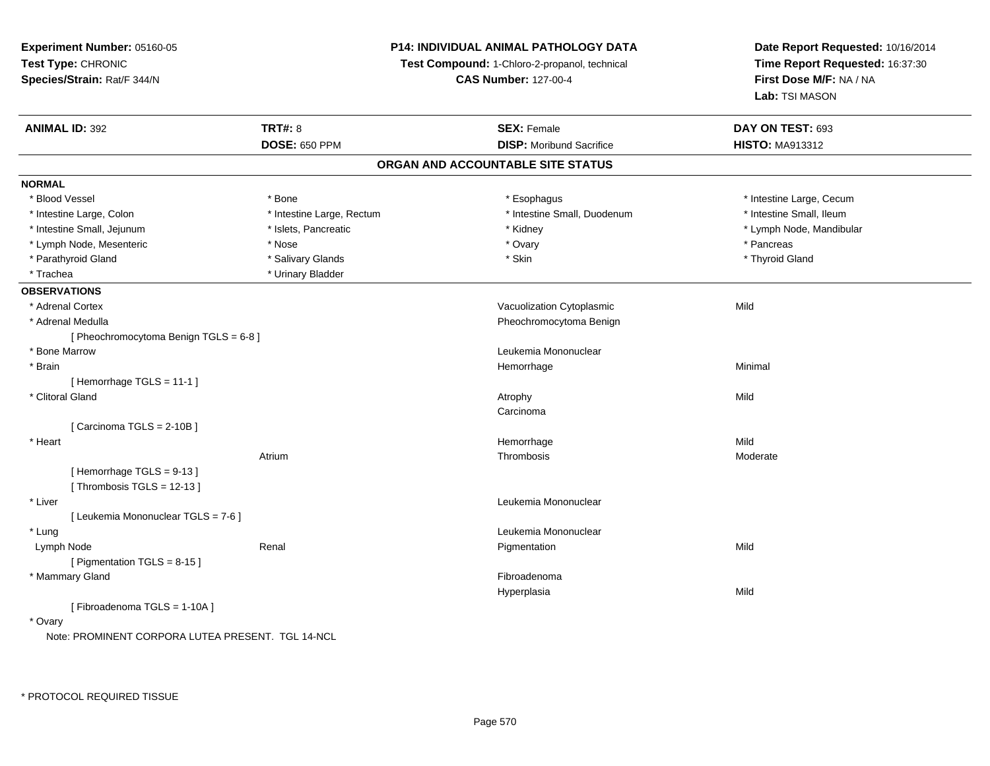**Experiment Number:** 05160-05**Test Type:** CHRONIC **Species/Strain:** Rat/F 344/N**P14: INDIVIDUAL ANIMAL PATHOLOGY DATATest Compound:** 1-Chloro-2-propanol, technical **CAS Number:** 127-00-4**Date Report Requested:** 10/16/2014**Time Report Requested:** 16:37:30**First Dose M/F:** NA / NA**Lab:** TSI MASON**ANIMAL ID:** 392**TRT#:** 8 **SEX:** Female **SEX: Female DAY ON TEST:** 693 **DOSE:** 650 PPM**DISP:** Moribund Sacrifice **HISTO:** MA913312 **ORGAN AND ACCOUNTABLE SITE STATUSNORMAL**\* Blood Vessel \* Bone \* Esophagus \* Esophagus \* The strain \* Intestine Large, Cecum \* Intestine Small, Ileum \* Intestine Large, Colon \* Intestine Large, Rectum \* Intestine Small, Duodenum \* Intestine Small, Duodenum \* Intestine Small, Jejunum \* \* \* https://www.fat.com/setter/educitions/mandibular \* Kidney \* Mandibular \* Lymph Node, Mandibular \* Lymph Node, Mandibular \* Lymph Node, Mandibular \* Lymph Node, Mesenteric \* The state of the state of the Nose \* Ovary \* Ovary \* Pancreas \* Pancreas \* Pancreas \* Thyroid Gland \* Parathyroid Gland \* The state of the state of the state of the state of the state of the state of the state of the state of the state of the state of the state of the state of the state of the state of the state of the s \* Trachea \* Urinary Bladder**OBSERVATIONS** \* Adrenal CortexVacuolization Cytoplasmic Mild \* Adrenal Medulla Pheochromocytoma Benign [ Pheochromocytoma Benign TGLS = 6-8 ] \* Bone MarrowLeukemia Mononuclear<br>Hemorrhage \* Brainn and the state of the state of the state of the state of the Minimal Control of the Minimal Control of the Minimal Control of the Minimal Control of the State of the State of the State of the State of the State of the Sta [ Hemorrhage TGLS = 11-1 ] \* Clitoral Glandd and the control of the control of the control of the control of the control of the control of the control of the control of the control of the control of the control of the control of the control of the control of the co Carcinoma[ Carcinoma TGLS = 2-10B ] \* Heartt de la communicación de la communicación de la communicación de la communicación de la communicación de la co e Mild Atriumm and the contract of the Thrombosis and the Moderate of the Moderate of the Moderate of the Moderate of the Mo<br>Separate of the Moderate of the Moderate of the Moderate of the Moderate of the Moderate of the Moderate of th [ Hemorrhage TGLS = 9-13 ] $[$  Thrombosis TGLS = 12-13  $]$  \* Liver Leukemia Mononuclear [ Leukemia Mononuclear TGLS = 7-6 ] \* Lung Leukemia Mononuclear Lymph Node Renal Pigmentation Mild [ Pigmentation TGLS = 8-15 ] \* Mammary Glandd **Executive Contract of the Contract Contract Contract Contract Contract Contract Contract Contract Contract Contract Contract Contract Contract Contract Contract Contract Contract Contract Contract Contract Contract Cont** Hyperplasiaa Mild [ Fibroadenoma TGLS = 1-10A ] \* OvaryNote: PROMINENT CORPORA LUTEA PRESENT. TGL 14-NCL

\* PROTOCOL REQUIRED TISSUE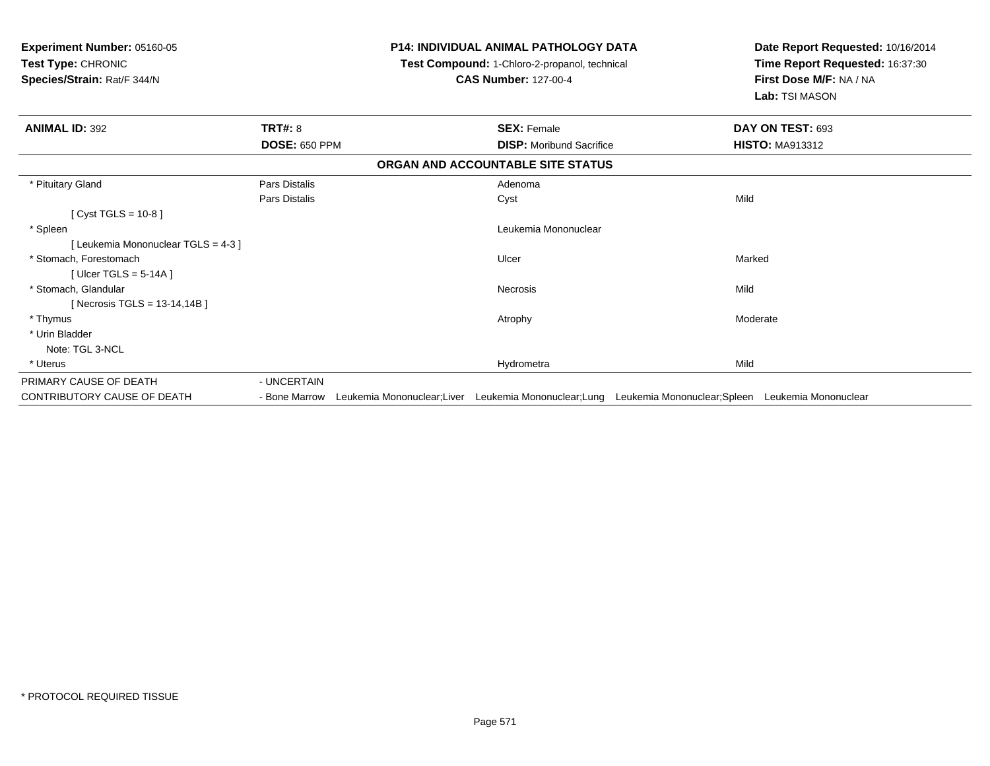| Experiment Number: 05160-05<br>Test Type: CHRONIC<br>Species/Strain: Rat/F 344/N |                      |                            | <b>P14: INDIVIDUAL ANIMAL PATHOLOGY DATA</b><br>Test Compound: 1-Chloro-2-propanol, technical<br><b>CAS Number: 127-00-4</b> |                                                                            | Date Report Requested: 10/16/2014<br>Time Report Requested: 16:37:30<br>First Dose M/F: NA / NA<br>Lab: TSI MASON |
|----------------------------------------------------------------------------------|----------------------|----------------------------|------------------------------------------------------------------------------------------------------------------------------|----------------------------------------------------------------------------|-------------------------------------------------------------------------------------------------------------------|
| <b>ANIMAL ID: 392</b>                                                            | <b>TRT#: 8</b>       |                            | <b>SEX: Female</b>                                                                                                           |                                                                            | DAY ON TEST: 693                                                                                                  |
|                                                                                  | <b>DOSE: 650 PPM</b> |                            | <b>DISP:</b> Moribund Sacrifice                                                                                              |                                                                            | <b>HISTO: MA913312</b>                                                                                            |
|                                                                                  |                      |                            | ORGAN AND ACCOUNTABLE SITE STATUS                                                                                            |                                                                            |                                                                                                                   |
| * Pituitary Gland                                                                | Pars Distalis        |                            | Adenoma                                                                                                                      |                                                                            |                                                                                                                   |
|                                                                                  | Pars Distalis        |                            | Cyst                                                                                                                         | Mild                                                                       |                                                                                                                   |
| [ $Cyst TGLS = 10-8$ ]                                                           |                      |                            |                                                                                                                              |                                                                            |                                                                                                                   |
| * Spleen                                                                         |                      |                            | Leukemia Mononuclear                                                                                                         |                                                                            |                                                                                                                   |
| [Leukemia Mononuclear TGLS = 4-3]                                                |                      |                            |                                                                                                                              |                                                                            |                                                                                                                   |
| * Stomach, Forestomach                                                           |                      |                            | Ulcer                                                                                                                        | Marked                                                                     |                                                                                                                   |
| [ Ulcer TGLS = $5-14A$ ]                                                         |                      |                            |                                                                                                                              |                                                                            |                                                                                                                   |
| * Stomach, Glandular                                                             |                      |                            | <b>Necrosis</b>                                                                                                              | Mild                                                                       |                                                                                                                   |
| [Necrosis TGLS = $13-14,14B$ ]                                                   |                      |                            |                                                                                                                              |                                                                            |                                                                                                                   |
| * Thymus                                                                         |                      |                            | Atrophy                                                                                                                      |                                                                            | Moderate                                                                                                          |
| * Urin Bladder                                                                   |                      |                            |                                                                                                                              |                                                                            |                                                                                                                   |
| Note: TGL 3-NCL                                                                  |                      |                            |                                                                                                                              |                                                                            |                                                                                                                   |
| * Uterus                                                                         |                      |                            | Hydrometra                                                                                                                   | Mild                                                                       |                                                                                                                   |
| PRIMARY CAUSE OF DEATH                                                           | - UNCERTAIN          |                            |                                                                                                                              |                                                                            |                                                                                                                   |
| CONTRIBUTORY CAUSE OF DEATH                                                      | - Bone Marrow        | Leukemia Mononuclear;Liver |                                                                                                                              | Leukemia Mononuclear;Lung Leukemia Mononuclear;Spleen Leukemia Mononuclear |                                                                                                                   |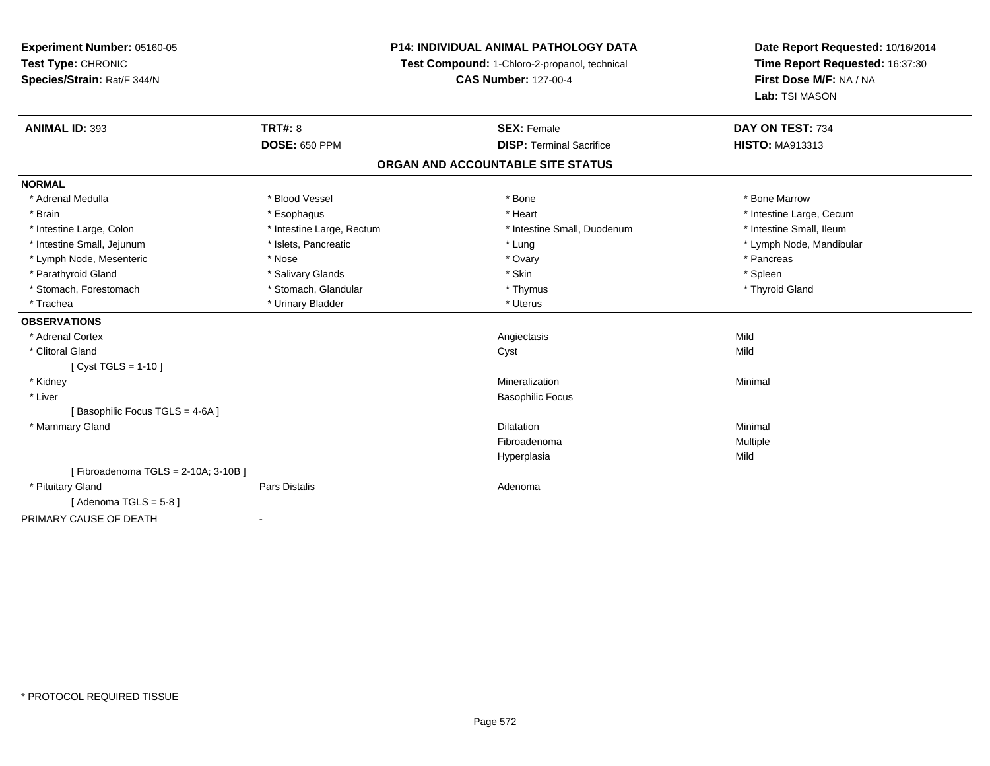**Experiment Number:** 05160-05**Test Type:** CHRONIC **Species/Strain:** Rat/F 344/N**P14: INDIVIDUAL ANIMAL PATHOLOGY DATATest Compound:** 1-Chloro-2-propanol, technical **CAS Number:** 127-00-4**Date Report Requested:** 10/16/2014**Time Report Requested:** 16:37:30**First Dose M/F:** NA / NA**Lab:** TSI MASON**ANIMAL ID:** 393**TRT#:** 8 **SEX:** Female **SEX: Female DAY ON TEST:** 734 **DOSE:** 650 PPM**DISP:** Terminal Sacrifice **HISTO:** MA913313 **ORGAN AND ACCOUNTABLE SITE STATUSNORMAL**\* Adrenal Medulla \* \* \* Blood Vessel \* \* \* Bone Marrow \* \* Bone Marrow \* \* Bone Marrow \* Brain \* Alternative \* Esophagus \* \* Esophagus \* \* Heart \* Heart \* Intestine Large, Cecum \* Intestine Large, Cecum \* Intestine Large, Cecum \* Large \* Intestine Large \* Large \* Large \* Large \* Large \* Large \* Large \* Large \* Intestine Small, Ileum \* Intestine Large, Colon \* Intestine Large, Rectum \* Intestine Small, Duodenum \* Intestine Small, Duodenum \* Intestine Small, Jejunum \* \* \* https://www.fat.com/setter/educition/setter/filesophysics.com/setter/filesophysics.com/setter/filesophysics.com/setter/filesophysics.com/setter/filesophysics.com/setter/filesophysics.com/se \* Lymph Node, Mesenteric \* The material \* Nose \* Nose \* Nose \* Ovary \* Ovary \* Pancreas \* Pancreas \* Pancreas \* Parathyroid Gland \* \* Salivary Glands \* Salivary Glands \* Skin \* Skin \* State \* Spleen \* Spleen \* Spleen \* Spleen \* Thyroid Gland \* Stomach, Forestomach \* Thymus \* Stomach, Glandular \* Thymus \* Thymus \* Thymus \* Thymus \* Thymus \* Thymus \* Thymus \* Thymus \* Thymus \* Thymus \* Thymus \* Thymus \* Thymus \* Thymus \* Thymus \* Thymus \* Thymus \* Thymus \* Thymu \* Trachea \* Urinary Bladder \* Urinary Bladder \* Urinary Bladder \* Uterus **OBSERVATIONS** \* Adrenal Cortexx and the control of the control of the control of the control of the control of the control of the control of the control of the control of the control of the control of the control of the control of the control of the co Mild \* Clitoral Glandd and the control of the control of the control of the control of the control of the control of the control of the control of the control of the control of the control of the control of the control of the control of the co [ Cyst TGLS = 1-10 ] \* Kidneyy with the control of the control of the control of the control of the control of the control of the control of the control of the control of the control of the control of the control of the control of the control of the c n Minimal \* Liver Basophilic Focus[ Basophilic Focus TGLS = 4-6A ] \* Mammary Glandd and the control of the control of the control of the control of the control of the control of the control of the control of the control of the control of the control of the control of the control of the control of the co Fibroadenoma Multiple Hyperplasiaa Mild [ Fibroadenoma TGLS = 2-10A; 3-10B ] \* Pituitary Glandd and the contract of Pars Distalis and the contract of Adenoma and Adenoma and the Adenoma and the Adenoma and  $\lambda$ [ Adenoma  $TGLS = 5-8$  ] PRIMARY CAUSE OF DEATH-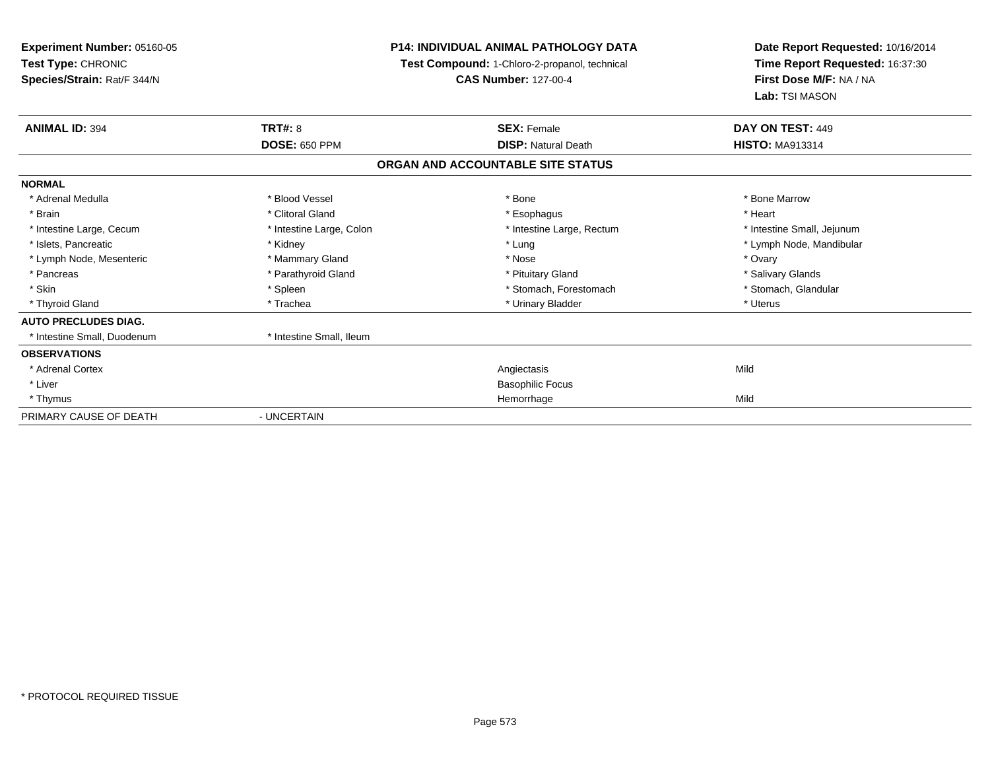| <b>Experiment Number: 05160-05</b><br>Test Type: CHRONIC<br>Species/Strain: Rat/F 344/N |                          | <b>P14: INDIVIDUAL ANIMAL PATHOLOGY DATA</b><br>Test Compound: 1-Chloro-2-propanol, technical<br><b>CAS Number: 127-00-4</b> | Date Report Requested: 10/16/2014<br>Time Report Requested: 16:37:30<br>First Dose M/F: NA / NA<br>Lab: TSI MASON |  |
|-----------------------------------------------------------------------------------------|--------------------------|------------------------------------------------------------------------------------------------------------------------------|-------------------------------------------------------------------------------------------------------------------|--|
| <b>ANIMAL ID: 394</b>                                                                   | <b>TRT#: 8</b>           | <b>SEX: Female</b>                                                                                                           | DAY ON TEST: 449                                                                                                  |  |
|                                                                                         | <b>DOSE: 650 PPM</b>     | <b>DISP: Natural Death</b>                                                                                                   | <b>HISTO: MA913314</b>                                                                                            |  |
|                                                                                         |                          | ORGAN AND ACCOUNTABLE SITE STATUS                                                                                            |                                                                                                                   |  |
| <b>NORMAL</b>                                                                           |                          |                                                                                                                              |                                                                                                                   |  |
| * Adrenal Medulla                                                                       | * Blood Vessel           | * Bone                                                                                                                       | * Bone Marrow                                                                                                     |  |
| * Brain                                                                                 | * Clitoral Gland         | * Esophagus                                                                                                                  | * Heart                                                                                                           |  |
| * Intestine Large, Cecum                                                                | * Intestine Large, Colon | * Intestine Large, Rectum                                                                                                    | * Intestine Small, Jejunum                                                                                        |  |
| * Islets. Pancreatic                                                                    | * Kidney                 | * Lung                                                                                                                       | * Lymph Node, Mandibular                                                                                          |  |
| * Lymph Node, Mesenteric                                                                | * Mammary Gland          | * Nose                                                                                                                       | * Ovary                                                                                                           |  |
| * Pancreas                                                                              | * Parathyroid Gland      | * Pituitary Gland                                                                                                            | * Salivary Glands                                                                                                 |  |
| * Skin                                                                                  | * Spleen                 | * Stomach, Forestomach                                                                                                       | * Stomach, Glandular                                                                                              |  |
| * Thyroid Gland                                                                         | * Trachea                | * Urinary Bladder                                                                                                            | * Uterus                                                                                                          |  |
| <b>AUTO PRECLUDES DIAG.</b>                                                             |                          |                                                                                                                              |                                                                                                                   |  |
| * Intestine Small, Duodenum                                                             | * Intestine Small, Ileum |                                                                                                                              |                                                                                                                   |  |
| <b>OBSERVATIONS</b>                                                                     |                          |                                                                                                                              |                                                                                                                   |  |
| * Adrenal Cortex                                                                        |                          | Angiectasis                                                                                                                  | Mild                                                                                                              |  |
| * Liver                                                                                 |                          | <b>Basophilic Focus</b>                                                                                                      |                                                                                                                   |  |
| * Thymus                                                                                |                          | Hemorrhage                                                                                                                   | Mild                                                                                                              |  |
| PRIMARY CAUSE OF DEATH                                                                  | - UNCERTAIN              |                                                                                                                              |                                                                                                                   |  |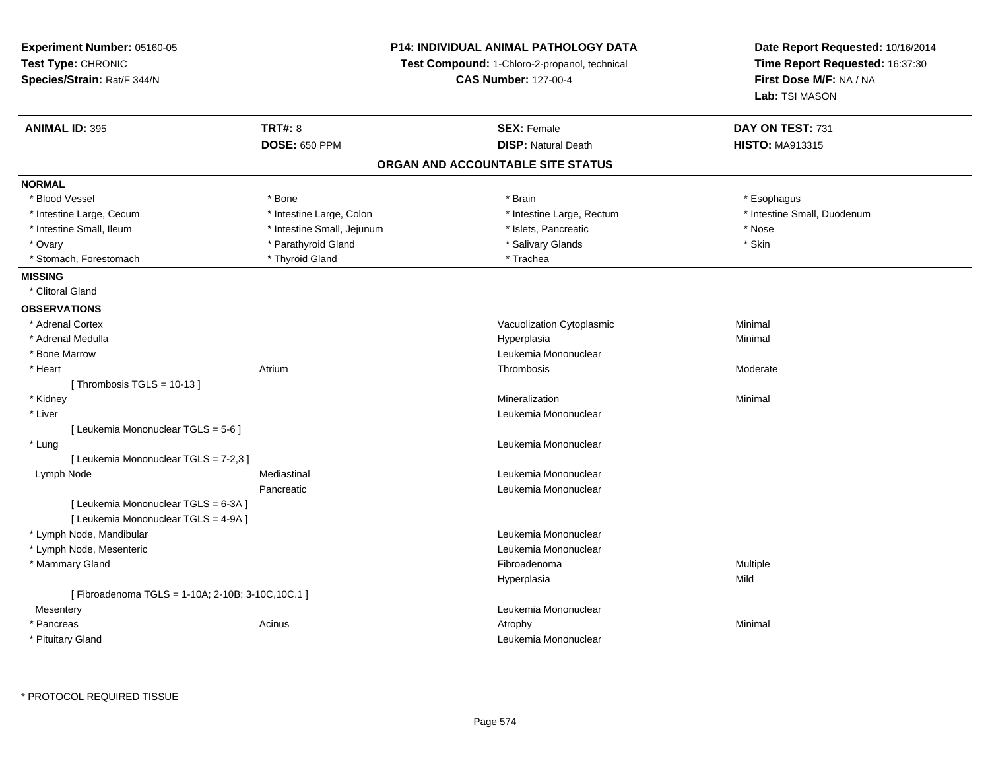**Experiment Number:** 05160-05**Test Type:** CHRONIC **Species/Strain:** Rat/F 344/N**P14: INDIVIDUAL ANIMAL PATHOLOGY DATATest Compound:** 1-Chloro-2-propanol, technical **CAS Number:** 127-00-4**Date Report Requested:** 10/16/2014**Time Report Requested:** 16:37:30**First Dose M/F:** NA / NA**Lab:** TSI MASON**ANIMAL ID:** 395**TRT#:** 8 **SEX:** Female **SEX: Female DAY ON TEST:** 731 **DOSE:** 650 PPM**DISP:** Natural Death **HISTO:** MA913315 **ORGAN AND ACCOUNTABLE SITE STATUSNORMAL**\* Blood Vessel \* Blood Vessel \* \* Bone \* \* Bone \* \* Brain \* Brain \* Brain \* Brain \* Brain \* Esophagus \* Esophagus \* Esophagus \* Intestine Large, Cecum \* \* Intestine Large, Colon \* Mestine Large, Rectum \* Intestine Large, Rectum \* Intestine Small, Duodenum \* Intestine Small, Ileum \* Thestine Small, Jejunum \* Nose \* Nose \* Nose \* Nose \* Nose \* Nose \* Nose \* Nose \* Nose \* Skin \* Ovary \* Natural Text \* Parathyroid Gland \* Natural Text \* Salivary Glands \* Salivary Glands \* Stevens \* Stevens \* Skinner \* Skinner \* Skinner \* Skinner \* Skinner \* Skinner \* Skinner \* Skinner \* Skinner \* Skinner \* Skinne \* Stomach, Forestomach \* Thyroid Gland \* Thyroid Gland \* Trachea **MISSING** \* Clitoral Gland**OBSERVATIONS** \* Adrenal CortexVacuolization Cytoplasmic **Minimal**  \* Adrenal Medullaa and the control of the control of the control of the Hyperplasia and the control of the control of the control of the control of the control of the control of the control of the control of the control of the control of t \* Bone MarrowLeukemia Mononuclear<br>
Thrombosis<br>
Thrombosis \* Heartt **the contract of the contract of the contract of the contract of the contract of the contract of the contract of the contract of the contract of the contract of the contract of the contract of the contract of the contrac** m and the contract of the Thrombosis and the Moderate of the Moderate of the Moderate of the Moderate of the Mo<br>Separate of the Moderate of the Moderate of the Moderate of the Moderate of the Moderate of the Moderate of th [ Thrombosis TGLS = 10-13 ] \* Kidneyy with the control of the control of the control of the control of the control of the control of the control of the control of the control of the control of the control of the control of the control of the control of the c n Minimal \* Liver Leukemia Mononuclear [ Leukemia Mononuclear TGLS = 5-6 ] \* Lung Leukemia Mononuclear [ Leukemia Mononuclear TGLS = 7-2,3 ] Lymph Node Mediastinal Leukemia Mononuclear Pancreatic Leukemia Mononuclear [ Leukemia Mononuclear TGLS = 6-3A ][ Leukemia Mononuclear TGLS = 4-9A ] \* Lymph Node, Mandibular Leukemia Mononuclear \* Lymph Node, Mesenteric Leukemia Mononuclear \* Mammary Glandd and the state of the state of the state of the state of the state of the state of the state of the state of the state of the state of the state of the state of the state of the state of the state of the state of the stat Hyperplasiaa Mild [ Fibroadenoma TGLS = 1-10A; 2-10B; 3-10C,10C.1 ]**Mesentery**  Leukemia Mononuclear \* Pancreass the control of the control of the control of the control of the control of the control of the control of the control of the control of the control of the control of the control of the control of the control of the contro \* Pituitary GlandLeukemia Mononuclear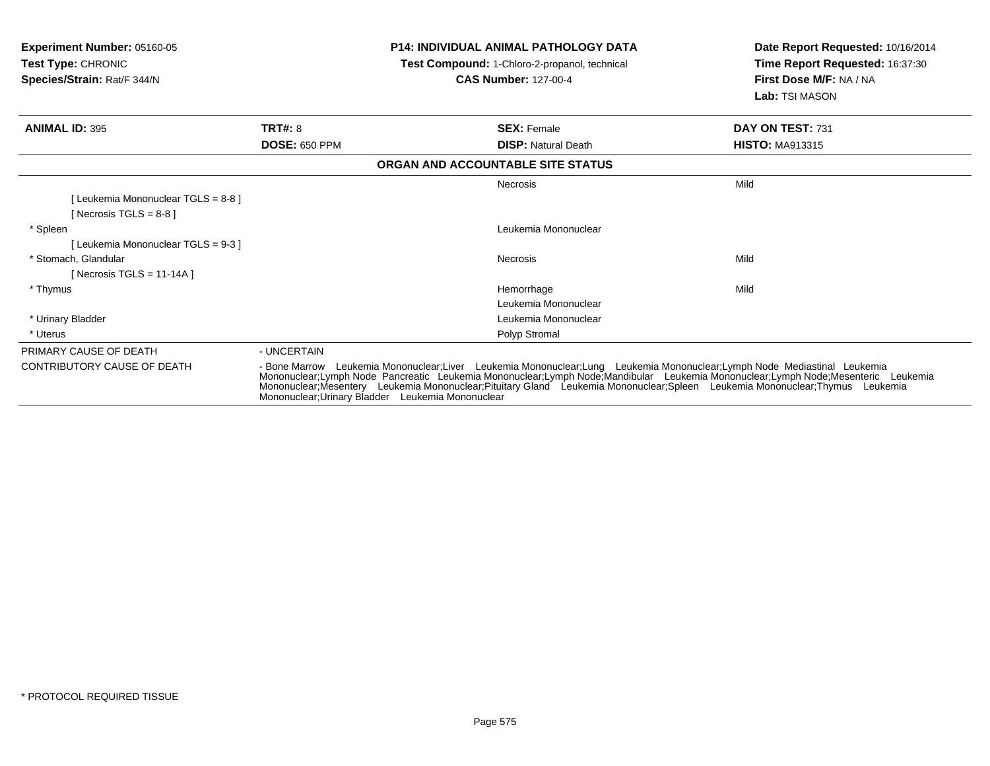| <b>Experiment Number: 05160-05</b><br>Test Type: CHRONIC<br>Species/Strain: Rat/F 344/N |                      | <b>P14: INDIVIDUAL ANIMAL PATHOLOGY DATA</b><br>Test Compound: 1-Chloro-2-propanol, technical<br><b>CAS Number: 127-00-4</b>                                                                                                                                                                                                                                                                                                                    | Date Report Requested: 10/16/2014<br>Time Report Requested: 16:37:30<br>First Dose M/F: NA / NA<br>Lab: TSI MASON |  |
|-----------------------------------------------------------------------------------------|----------------------|-------------------------------------------------------------------------------------------------------------------------------------------------------------------------------------------------------------------------------------------------------------------------------------------------------------------------------------------------------------------------------------------------------------------------------------------------|-------------------------------------------------------------------------------------------------------------------|--|
| <b>ANIMAL ID: 395</b>                                                                   | <b>TRT#: 8</b>       | <b>SEX: Female</b>                                                                                                                                                                                                                                                                                                                                                                                                                              | DAY ON TEST: 731                                                                                                  |  |
|                                                                                         | <b>DOSE: 650 PPM</b> | <b>DISP: Natural Death</b>                                                                                                                                                                                                                                                                                                                                                                                                                      | <b>HISTO: MA913315</b>                                                                                            |  |
|                                                                                         |                      | ORGAN AND ACCOUNTABLE SITE STATUS                                                                                                                                                                                                                                                                                                                                                                                                               |                                                                                                                   |  |
|                                                                                         |                      | <b>Necrosis</b>                                                                                                                                                                                                                                                                                                                                                                                                                                 | Mild                                                                                                              |  |
| [ Leukemia Mononuclear TGLS = 8-8 ]<br>[Necrosis TGLS = $8-8$ ]                         |                      |                                                                                                                                                                                                                                                                                                                                                                                                                                                 |                                                                                                                   |  |
| * Spleen                                                                                |                      | Leukemia Mononuclear                                                                                                                                                                                                                                                                                                                                                                                                                            |                                                                                                                   |  |
| [Leukemia Mononuclear TGLS = 9-3]                                                       |                      |                                                                                                                                                                                                                                                                                                                                                                                                                                                 |                                                                                                                   |  |
| * Stomach, Glandular                                                                    |                      | <b>Necrosis</b>                                                                                                                                                                                                                                                                                                                                                                                                                                 | Mild                                                                                                              |  |
| [Necrosis TGLS = $11-14A$ ]                                                             |                      |                                                                                                                                                                                                                                                                                                                                                                                                                                                 |                                                                                                                   |  |
| * Thymus                                                                                |                      | Hemorrhage                                                                                                                                                                                                                                                                                                                                                                                                                                      | Mild                                                                                                              |  |
|                                                                                         |                      | Leukemia Mononuclear                                                                                                                                                                                                                                                                                                                                                                                                                            |                                                                                                                   |  |
| * Urinary Bladder                                                                       |                      | Leukemia Mononuclear                                                                                                                                                                                                                                                                                                                                                                                                                            |                                                                                                                   |  |
| * Uterus                                                                                |                      | Polyp Stromal                                                                                                                                                                                                                                                                                                                                                                                                                                   |                                                                                                                   |  |
| PRIMARY CAUSE OF DEATH                                                                  | - UNCERTAIN          |                                                                                                                                                                                                                                                                                                                                                                                                                                                 |                                                                                                                   |  |
| <b>CONTRIBUTORY CAUSE OF DEATH</b>                                                      |                      | - Bone Marrow Leukemia Mononuclear;Liver Leukemia Mononuclear;Lung Leukemia Mononuclear;Lymph Node Mediastinal Leukemia<br>Mononuclear;Lymph Node Pancreatic Leukemia Mononuclear;Lymph Node;Mandibular Leukemia Mononuclear;Lymph Node;Mesenteric Leukemia<br>Mononuclear;Mesentery Leukemia Mononuclear;Pituitary Gland Leukemia Mononuclear;Spleen Leukemia Mononuclear;Thymus Leukemia<br>Mononuclear; Urinary Bladder Leukemia Mononuclear |                                                                                                                   |  |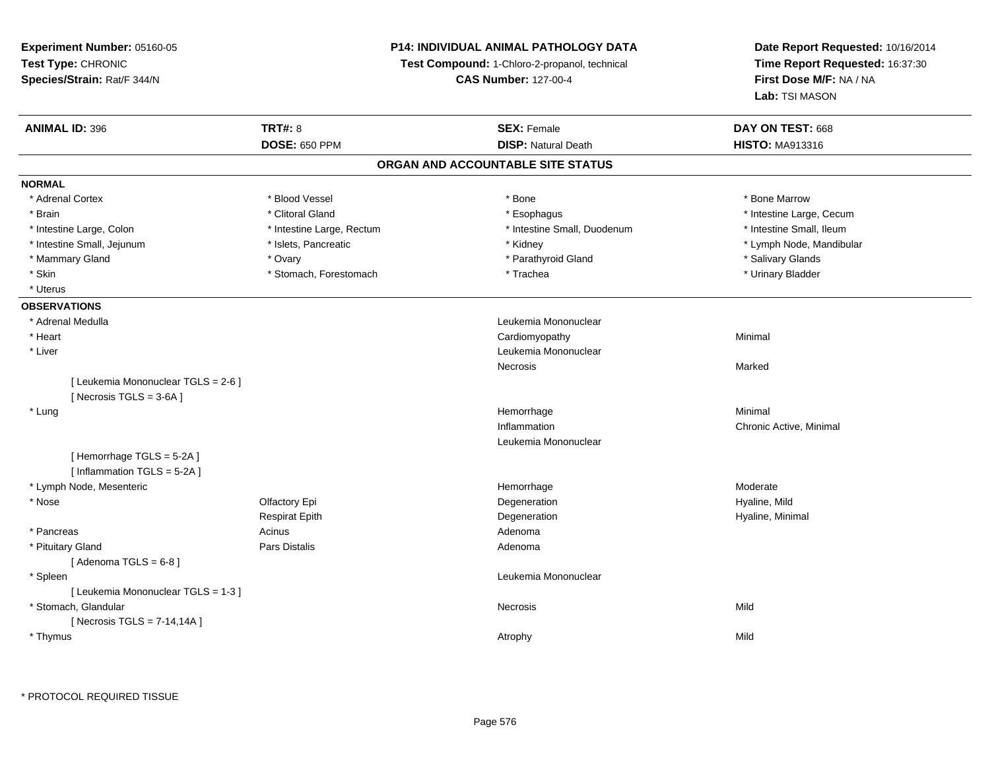**Experiment Number:** 05160-05**Test Type:** CHRONIC **Species/Strain:** Rat/F 344/N**P14: INDIVIDUAL ANIMAL PATHOLOGY DATATest Compound:** 1-Chloro-2-propanol, technical **CAS Number:** 127-00-4**Date Report Requested:** 10/16/2014**Time Report Requested:** 16:37:30**First Dose M/F:** NA / NA**Lab:** TSI MASON**ANIMAL ID:** 396**TRT#:** 8 **SEX:** Female **DAY ON TEST:** 668 **DOSE:** 650 PPM**DISP:** Natural Death **HISTO:** MA913316 **ORGAN AND ACCOUNTABLE SITE STATUSNORMAL**\* Adrenal Cortex \* Adrenal Cortex \* \* Attachers \* Blood Vessel \* \* Bone \* \* \* Bone \* \* Bone \* \* Bone \* Bone Marrow \* Bone Marrow \* Brain \* Alternation of the state of the state of the state of the state of the state of the state of the state of the state of the state of the state of the state of the state of the state of the state of the state of th \* Intestine Small. Ileum \* Intestine Large, Colon \* Intestine Large, Rectum \* Intestine Small, Duodenum \* Intestine Small, Duodenum \* Lymph Node, Mandibular \* Intestine Small, Jejunum \* **And intervalled and intervalled and intervalled and intervalled and intervalled and intervalled and intervalled and intervalled and intervalled and intervalled and intervalled and intervalled** \* Mammary Gland \* \* Android Marketin \* Ovary \* Android \* Parathyroid Gland \* \* Salivary Glands \* Salivary Glands \* Salivary Glands \* Salivary Glands \* Salivary Glands \* Salivary Glands \* Salivary Glands \* Salivary Glands \* \* Urinary Bladder \* Skin \* Skin \* Stomach, Forestomach \* 1988 \* Trachea \* Trachea \* Uterus**OBSERVATIONS** \* Adrenal Medulla Leukemia Mononuclear \* Heart Cardiomyopathy Minimal \* Liver Leukemia Mononuclear Necrosiss and the contract of the Marked [ Leukemia Mononuclear TGLS = 2-6 ] $[$  Necrosis TGLS = 3-6A  $]$  \* Lungg and the state of the state of the state of the state of the Minimal Section 1, the state of the state of the Minimal Section 1, the state of the state of the state of the state of the state of the state of the state of t Inflammation Chronic Active, Minimal Leukemia Mononuclear[ Hemorrhage TGLS = 5-2A ][ Inflammation TGLS = 5-2A ] \* Lymph Node, Mesentericc and the contract of the contract of the contract of the contract of the contract of the contract of the contract of the contract of the contract of the contract of the contract of the contract of the contract of the cont Hemorrhage Moderate \* Nosee and the Computer Controller Epi and the Computer of the Computer Computer of the Computer of the Computer of Hyaline, Mild and the Computer of the Computer of the Computer of the Computer of the Computer of the Computer Respirat Epithh and the Degeneration description of the Hyaline, Minimal and the Degeneration of the Hyaline, Minimal and the Minimal and the Degeneration of the Minimal and the Minimal and the Minimal and the Minimal and the Minimal an \* Pancreas Acinus AdenomaAdenoma \* Pituitary Glandd and the contract of Pars Distalis and the contract of Adenoma and Adenoma and the Adenoma and the Adenoma and  $\lambda$  $[$  Adenoma TGLS =  $6-8$   $]$  \* Spleen Leukemia Mononuclear [ Leukemia Mononuclear TGLS = 1-3 ] \* Stomach, Glandularr and the contract of the contract of the contract of the contract of the contract of the contract of the contract of the contract of the contract of the contract of the contract of the contract of the contract of the cont s Mild [ Necrosis TGLS = 7-14,14A ] \* Thymuss and the control of the control of the control of the control of the control of the control of the control of the control of the control of the control of the control of the control of the control of the control of the co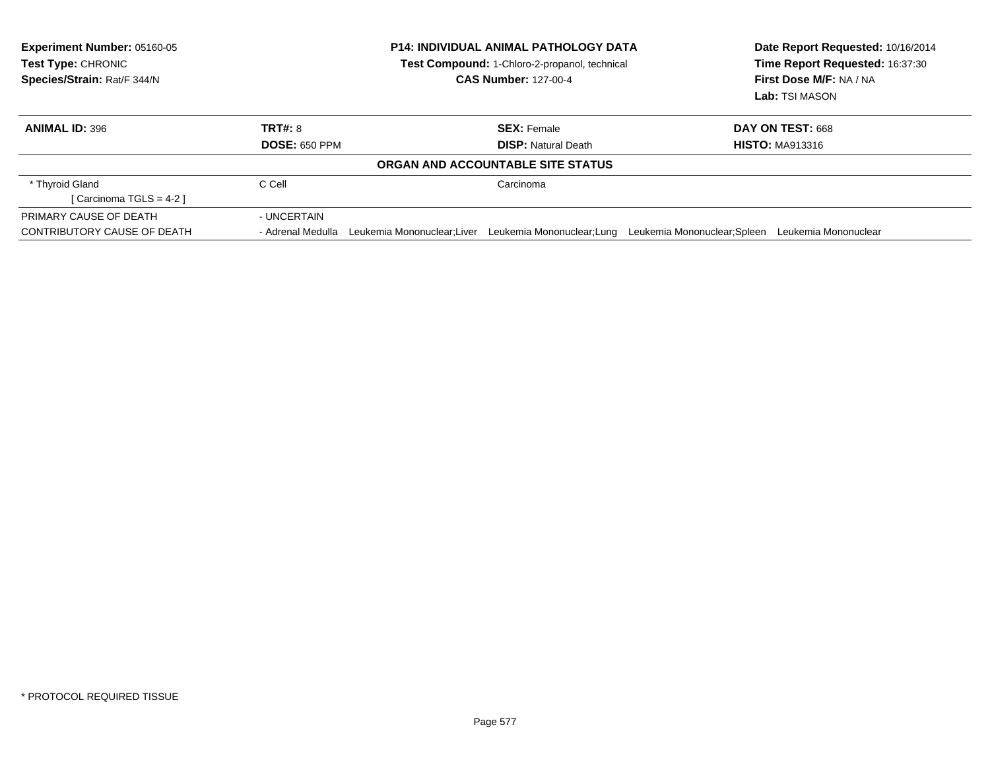| <b>Experiment Number: 05160-05</b><br>Test Type: CHRONIC<br>Species/Strain: Rat/F 344/N |                      | <b>P14: INDIVIDUAL ANIMAL PATHOLOGY DATA</b><br>Test Compound: 1-Chloro-2-propanol, technical<br><b>CAS Number: 127-00-4</b> |                                   |                             | Date Report Requested: 10/16/2014<br>Time Report Requested: 16:37:30<br>First Dose M/F: NA / NA<br>Lab: TSI MASON |
|-----------------------------------------------------------------------------------------|----------------------|------------------------------------------------------------------------------------------------------------------------------|-----------------------------------|-----------------------------|-------------------------------------------------------------------------------------------------------------------|
| <b>ANIMAL ID: 396</b>                                                                   | <b>TRT#: 8</b>       |                                                                                                                              | <b>SEX: Female</b>                |                             | DAY ON TEST: 668                                                                                                  |
|                                                                                         | <b>DOSE: 650 PPM</b> |                                                                                                                              | <b>DISP:</b> Natural Death        |                             | <b>HISTO: MA913316</b>                                                                                            |
|                                                                                         |                      |                                                                                                                              | ORGAN AND ACCOUNTABLE SITE STATUS |                             |                                                                                                                   |
| * Thyroid Gland                                                                         | C Cell               |                                                                                                                              | Carcinoma                         |                             |                                                                                                                   |
| [Carcinoma TGLS = $4-2$ ]                                                               |                      |                                                                                                                              |                                   |                             |                                                                                                                   |
| PRIMARY CAUSE OF DEATH                                                                  | - UNCERTAIN          |                                                                                                                              |                                   |                             |                                                                                                                   |
| CONTRIBUTORY CAUSE OF DEATH                                                             | - Adrenal Medulla    | Leukemia Mononuclear:Liver                                                                                                   | Leukemia Mononuclear;Lung         | Leukemia Mononuclear;Spleen | Leukemia Mononuclear                                                                                              |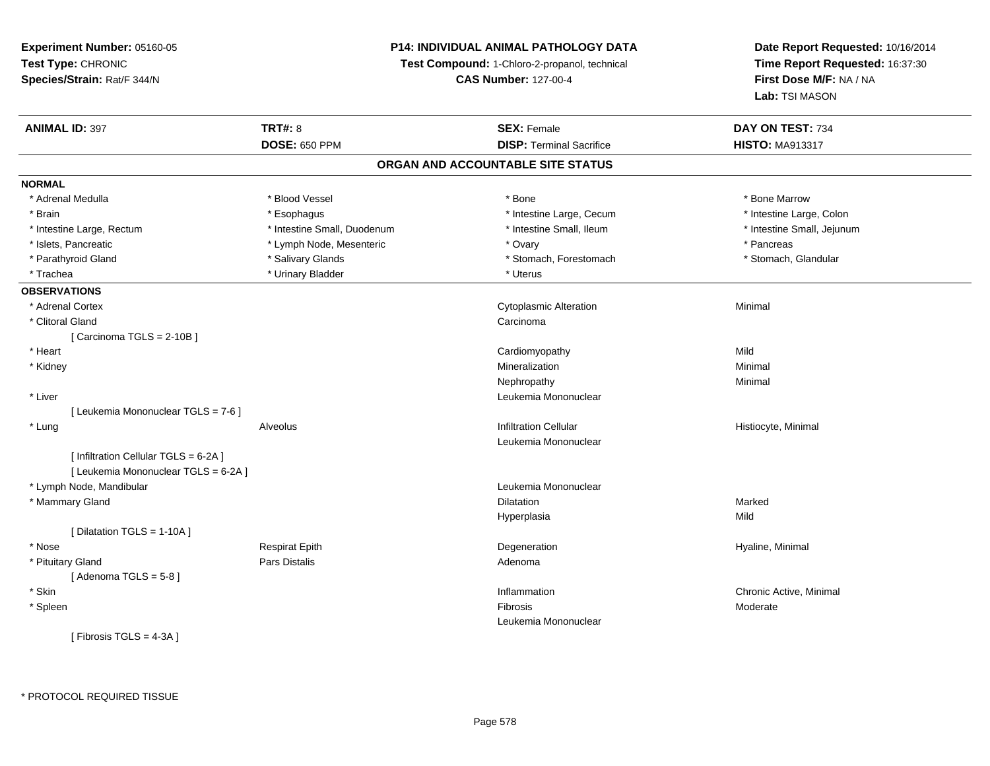## **P14: INDIVIDUAL ANIMAL PATHOLOGY DATA**

**Test Compound:** 1-Chloro-2-propanol, technical

**CAS Number:** 127-00-4

| <b>ANIMAL ID: 397</b>                 | <b>TRT#: 8</b>              | <b>SEX: Female</b>                | DAY ON TEST: 734           |
|---------------------------------------|-----------------------------|-----------------------------------|----------------------------|
|                                       | <b>DOSE: 650 PPM</b>        | <b>DISP: Terminal Sacrifice</b>   | <b>HISTO: MA913317</b>     |
|                                       |                             | ORGAN AND ACCOUNTABLE SITE STATUS |                            |
| <b>NORMAL</b>                         |                             |                                   |                            |
| * Adrenal Medulla                     | * Blood Vessel              | * Bone                            | * Bone Marrow              |
| * Brain                               | * Esophagus                 | * Intestine Large, Cecum          | * Intestine Large, Colon   |
| * Intestine Large, Rectum             | * Intestine Small, Duodenum | * Intestine Small, Ileum          | * Intestine Small, Jejunum |
| * Islets, Pancreatic                  | * Lymph Node, Mesenteric    | * Ovary                           | * Pancreas                 |
| * Parathyroid Gland                   | * Salivary Glands           | * Stomach, Forestomach            | * Stomach, Glandular       |
| * Trachea                             | * Urinary Bladder           | * Uterus                          |                            |
| <b>OBSERVATIONS</b>                   |                             |                                   |                            |
| * Adrenal Cortex                      |                             | <b>Cytoplasmic Alteration</b>     | Minimal                    |
| * Clitoral Gland                      |                             | Carcinoma                         |                            |
| [Carcinoma TGLS = 2-10B]              |                             |                                   |                            |
| * Heart                               |                             | Cardiomyopathy                    | Mild                       |
| * Kidney                              |                             | Mineralization                    | Minimal                    |
|                                       |                             | Nephropathy                       | Minimal                    |
| * Liver                               |                             | Leukemia Mononuclear              |                            |
| [ Leukemia Mononuclear TGLS = 7-6 ]   |                             |                                   |                            |
| * Lung                                | Alveolus                    | <b>Infiltration Cellular</b>      | Histiocyte, Minimal        |
|                                       |                             | Leukemia Mononuclear              |                            |
| [ Infiltration Cellular TGLS = 6-2A ] |                             |                                   |                            |
| [ Leukemia Mononuclear TGLS = 6-2A ]  |                             |                                   |                            |
| * Lymph Node, Mandibular              |                             | Leukemia Mononuclear              |                            |
| * Mammary Gland                       |                             | Dilatation                        | Marked                     |
|                                       |                             | Hyperplasia                       | Mild                       |
| [ Dilatation TGLS = 1-10A ]           |                             |                                   |                            |
| * Nose                                | <b>Respirat Epith</b>       | Degeneration                      | Hyaline, Minimal           |
| * Pituitary Gland                     | <b>Pars Distalis</b>        | Adenoma                           |                            |
| [Adenoma TGLS = $5-8$ ]               |                             |                                   |                            |
| * Skin                                |                             | Inflammation                      | Chronic Active, Minimal    |
| * Spleen                              |                             | Fibrosis                          | Moderate                   |
|                                       |                             | Leukemia Mononuclear              |                            |
| [Fibrosis TGLS = 4-3A]                |                             |                                   |                            |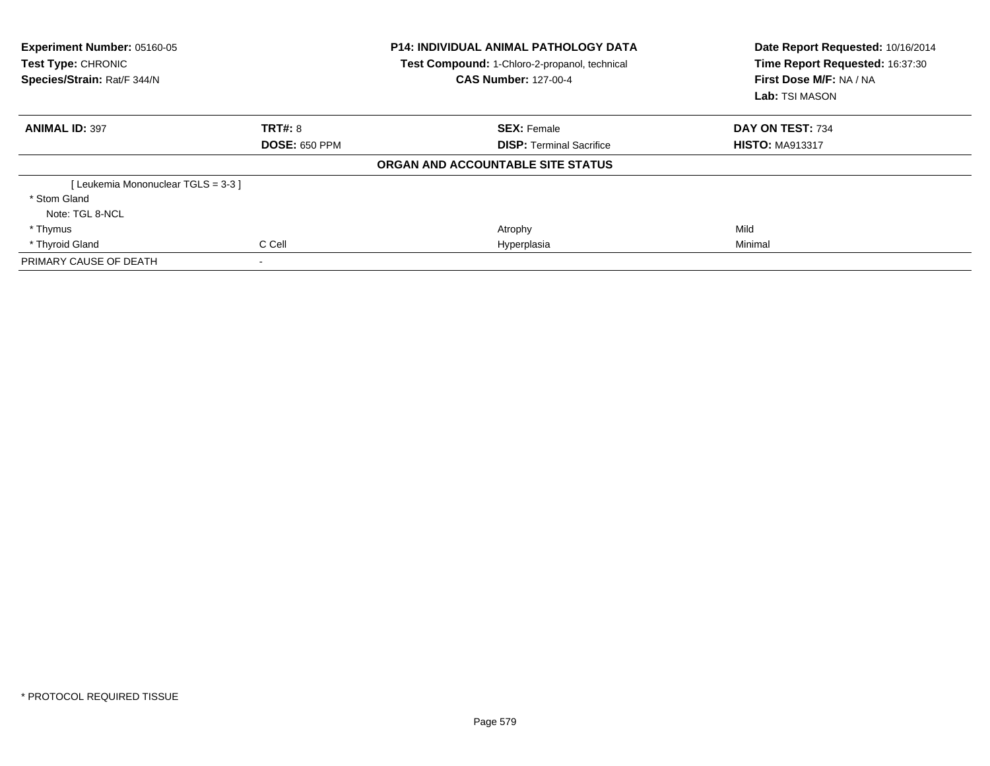| Experiment Number: 05160-05<br><b>Test Type: CHRONIC</b><br>Species/Strain: Rat/F 344/N |                      | <b>P14: INDIVIDUAL ANIMAL PATHOLOGY DATA</b><br>Test Compound: 1-Chloro-2-propanol, technical<br><b>CAS Number: 127-00-4</b> | Date Report Requested: 10/16/2014<br>Time Report Requested: 16:37:30<br>First Dose M/F: NA / NA<br>Lab: TSI MASON |
|-----------------------------------------------------------------------------------------|----------------------|------------------------------------------------------------------------------------------------------------------------------|-------------------------------------------------------------------------------------------------------------------|
| <b>ANIMAL ID: 397</b>                                                                   | TRT#: 8              | <b>SEX: Female</b>                                                                                                           | DAY ON TEST: 734                                                                                                  |
|                                                                                         | <b>DOSE: 650 PPM</b> | <b>DISP:</b> Terminal Sacrifice                                                                                              | <b>HISTO: MA913317</b>                                                                                            |
|                                                                                         |                      | ORGAN AND ACCOUNTABLE SITE STATUS                                                                                            |                                                                                                                   |
| [Leukemia Mononuclear TGLS = 3-3]                                                       |                      |                                                                                                                              |                                                                                                                   |
| * Stom Gland                                                                            |                      |                                                                                                                              |                                                                                                                   |
| Note: TGL 8-NCL                                                                         |                      |                                                                                                                              |                                                                                                                   |
| * Thymus                                                                                |                      | Atrophy                                                                                                                      | Mild                                                                                                              |
| * Thyroid Gland                                                                         | C Cell               | Hyperplasia                                                                                                                  | Minimal                                                                                                           |
| PRIMARY CAUSE OF DEATH                                                                  |                      |                                                                                                                              |                                                                                                                   |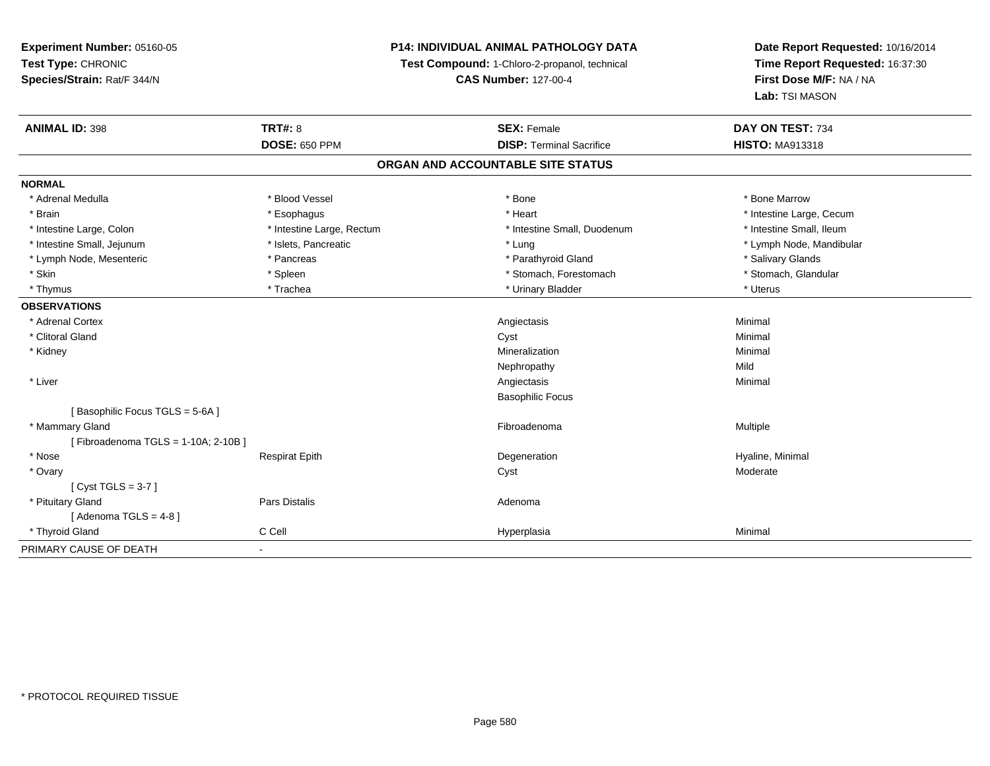# **P14: INDIVIDUAL ANIMAL PATHOLOGY DATA**

**Test Compound:** 1-Chloro-2-propanol, technical

**CAS Number:** 127-00-4

| <b>ANIMAL ID: 398</b>              | <b>TRT#: 8</b>            | <b>SEX: Female</b>              | DAY ON TEST: 734         |  |  |  |
|------------------------------------|---------------------------|---------------------------------|--------------------------|--|--|--|
|                                    | <b>DOSE: 650 PPM</b>      | <b>DISP: Terminal Sacrifice</b> | <b>HISTO: MA913318</b>   |  |  |  |
| ORGAN AND ACCOUNTABLE SITE STATUS  |                           |                                 |                          |  |  |  |
| <b>NORMAL</b>                      |                           |                                 |                          |  |  |  |
| * Adrenal Medulla                  | * Blood Vessel            | * Bone                          | * Bone Marrow            |  |  |  |
| * Brain                            | * Esophagus               | * Heart                         | * Intestine Large, Cecum |  |  |  |
| * Intestine Large, Colon           | * Intestine Large, Rectum | * Intestine Small, Duodenum     | * Intestine Small, Ileum |  |  |  |
| * Intestine Small, Jejunum         | * Islets, Pancreatic      | * Lung                          | * Lymph Node, Mandibular |  |  |  |
| * Lymph Node, Mesenteric           | * Pancreas                | * Parathyroid Gland             | * Salivary Glands        |  |  |  |
| * Skin                             | * Spleen                  | * Stomach, Forestomach          | * Stomach, Glandular     |  |  |  |
| * Thymus                           | * Trachea                 | * Urinary Bladder               | * Uterus                 |  |  |  |
| <b>OBSERVATIONS</b>                |                           |                                 |                          |  |  |  |
| * Adrenal Cortex                   |                           | Angiectasis                     | Minimal                  |  |  |  |
| * Clitoral Gland                   |                           | Cyst                            | Minimal                  |  |  |  |
| * Kidney                           |                           | Mineralization                  | Minimal                  |  |  |  |
|                                    |                           | Nephropathy                     | Mild                     |  |  |  |
| * Liver                            |                           | Angiectasis                     | Minimal                  |  |  |  |
|                                    |                           | <b>Basophilic Focus</b>         |                          |  |  |  |
| [Basophilic Focus TGLS = 5-6A]     |                           |                                 |                          |  |  |  |
| * Mammary Gland                    |                           | Fibroadenoma                    | Multiple                 |  |  |  |
| [Fibroadenoma TGLS = 1-10A; 2-10B] |                           |                                 |                          |  |  |  |
| * Nose                             | <b>Respirat Epith</b>     | Degeneration                    | Hyaline, Minimal         |  |  |  |
| * Ovary                            |                           | Cyst                            | Moderate                 |  |  |  |
| [Cyst TGLS = $3-7$ ]               |                           |                                 |                          |  |  |  |
| * Pituitary Gland                  | Pars Distalis             | Adenoma                         |                          |  |  |  |
| [Adenoma TGLS = $4-8$ ]            |                           |                                 |                          |  |  |  |
| * Thyroid Gland                    | C Cell                    | Hyperplasia                     | Minimal                  |  |  |  |
| PRIMARY CAUSE OF DEATH             | $\blacksquare$            |                                 |                          |  |  |  |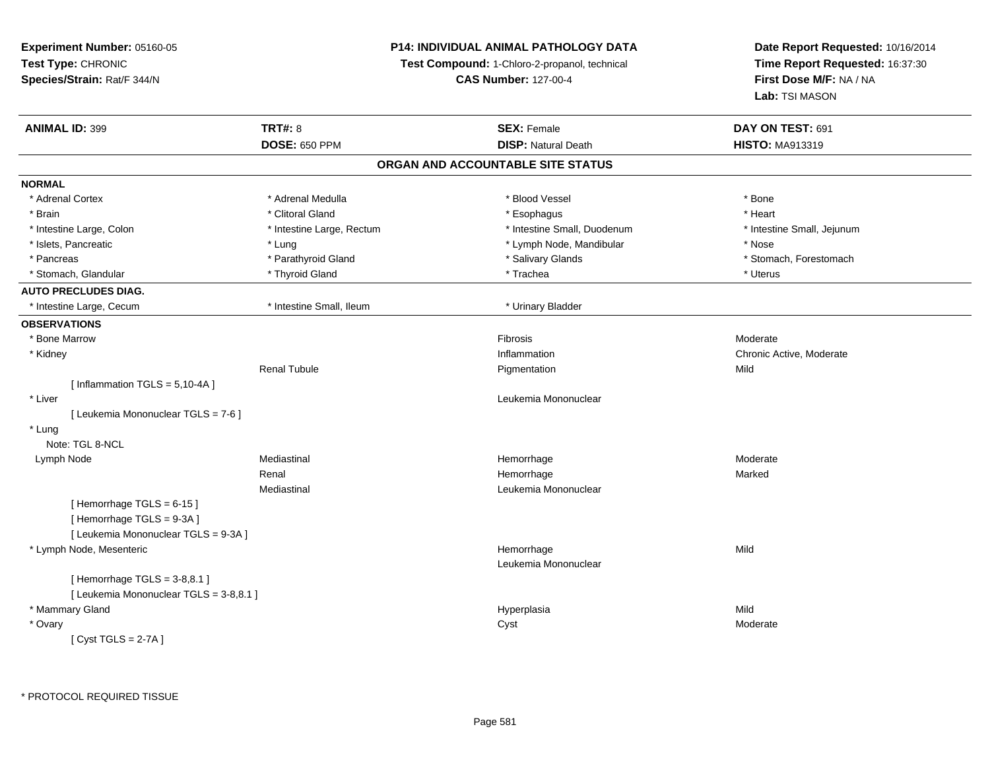**Experiment Number:** 05160-05**Test Type:** CHRONIC **Species/Strain:** Rat/F 344/N**P14: INDIVIDUAL ANIMAL PATHOLOGY DATATest Compound:** 1-Chloro-2-propanol, technical **CAS Number:** 127-00-4**Date Report Requested:** 10/16/2014**Time Report Requested:** 16:37:30**First Dose M/F:** NA / NA**Lab:** TSI MASON**ANIMAL ID:** 399 **TRT#:** <sup>8</sup> **SEX:** Female **DAY ON TEST:** <sup>691</sup> **DOSE:** 650 PPM**DISP:** Natural Death **HISTO:** MA913319 **ORGAN AND ACCOUNTABLE SITE STATUSNORMAL**\* Adrenal Cortex \* Adrenal Medulla \* Adrenal Medulla \* Blood Vessel \* Bood Vessel \* Bone \* Bone \* Bone \* Bone \* Bone \* Bone \* Bone \* Bone \* Bone \* Bone \* Bone \* Bone \* Bone \* Bone \* Bone \* Bone \* Bone \* Bone \* Bone \* Bone \* Bone \* Bone \* \* \* Heart \* Brain \* Alternative of the state of the state of the state of the state of the state of the state of the state of the state of the state of the state of the state of the state of the state of the state of the state of th \* Intestine Large, Colon \* Intestine Large, Rectum \* Intestine Small, Duodenum \* Intestine Small, Jejunum\* Islets, Pancreatic \* The same \* Lung \* Lung \* Lung \* Lung \* Lymph Node, Mandibular \* The same \* Nose \* Pancreas \* The storm of the state of the state of the state of the state of the state of the state of the stomach, Forestomach \* Stomach, Forestomach \* Stomach, Glandular \* The metal \* Thyroid Gland \* The metal \* Trachea \* Trachea \* Trachea \* Uterus **AUTO PRECLUDES DIAG.** \* Intestine Large, Cecum \* Intestine Small, Ileum \* Urinary Bladder**OBSERVATIONS** \* Bone Marroww weblached the contract of the contract of the contract of the contract of the moderate moderate  $M$  \* Kidneyy the control of the control of the control of the control of the control of the control of the control of the control of the control of the control of the control of the control of the control of the control of the contro Inflammation Chronic Active, Moderate<br>
Pigmentation Mild Renal Tubulee **Executive Executive Contraction** Pigmentation **Mild**  $[$  Inflammation TGLS = 5,10-4A  $]$  \* Liver Leukemia Mononuclear [ Leukemia Mononuclear TGLS = 7-6 ] \* Lung Note: TGL 8-NCL Lymph Node Mediastinal Hemorrhage Moderate Renal Hemorrhagee Marked Mediastinal Leukemia Mononuclear $[$  Hemorrhage TGLS = 6-15  $]$ [ Hemorrhage TGLS = 9-3A ] [ Leukemia Mononuclear TGLS = 9-3A ] \* Lymph Node, Mesentericc **Example 2018 Hemorrhage** e Mild Leukemia Mononuclear $[$  Hemorrhage TGLS = 3-8,8.1  $]$ [ Leukemia Mononuclear TGLS = 3-8,8.1 ] \* Mammary Glandd and the state of the state of the state of the Hyperplasia and the Mild of the Mild of the Mild of the State of the Mild of the State of the State of the State of the State of the State of the State of the State of the S \* Ovaryy the control of the control of the control of the control of the control of the control of the control of the control of the control of the control of the control of the control of the control of the control of the contro  $[$  Cyst TGLS = 2-7A  $]$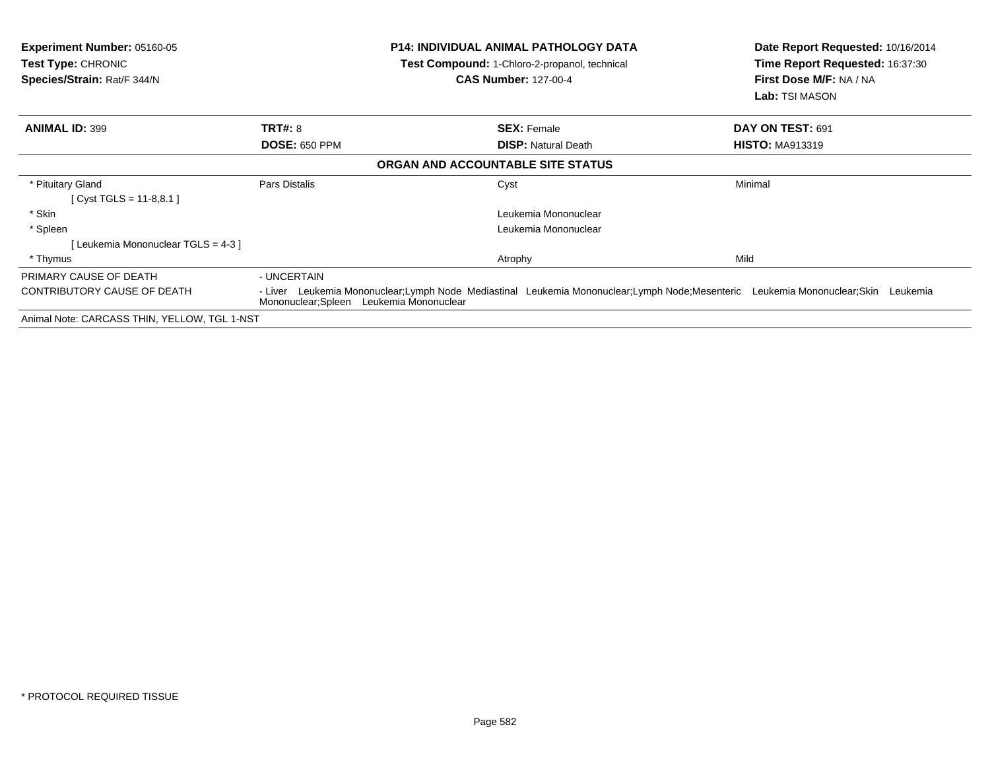| <b>Experiment Number: 05160-05</b><br><b>Test Type: CHRONIC</b><br>Species/Strain: Rat/F 344/N |                                          | <b>P14: INDIVIDUAL ANIMAL PATHOLOGY DATA</b><br>Test Compound: 1-Chloro-2-propanol, technical<br><b>CAS Number: 127-00-4</b>      | Date Report Requested: 10/16/2014<br>Time Report Requested: 16:37:30<br>First Dose M/F: NA / NA<br>Lab: TSI MASON |  |
|------------------------------------------------------------------------------------------------|------------------------------------------|-----------------------------------------------------------------------------------------------------------------------------------|-------------------------------------------------------------------------------------------------------------------|--|
| <b>ANIMAL ID: 399</b>                                                                          | <b>TRT#: 8</b>                           | <b>SEX: Female</b>                                                                                                                | DAY ON TEST: 691                                                                                                  |  |
|                                                                                                | <b>DOSE: 650 PPM</b>                     | <b>DISP: Natural Death</b>                                                                                                        | <b>HISTO: MA913319</b>                                                                                            |  |
|                                                                                                |                                          | ORGAN AND ACCOUNTABLE SITE STATUS                                                                                                 |                                                                                                                   |  |
| * Pituitary Gland                                                                              | Pars Distalis                            | Cyst                                                                                                                              | Minimal                                                                                                           |  |
| [ Cyst TGLS = $11-8,8.1$ ]                                                                     |                                          |                                                                                                                                   |                                                                                                                   |  |
| * Skin                                                                                         |                                          | Leukemia Mononuclear                                                                                                              |                                                                                                                   |  |
| * Spleen                                                                                       |                                          | Leukemia Mononuclear                                                                                                              |                                                                                                                   |  |
| [Leukemia Mononuclear TGLS = 4-3 ]                                                             |                                          |                                                                                                                                   |                                                                                                                   |  |
| * Thymus                                                                                       |                                          | Atrophy                                                                                                                           | Mild                                                                                                              |  |
| PRIMARY CAUSE OF DEATH                                                                         | - UNCERTAIN                              |                                                                                                                                   |                                                                                                                   |  |
| CONTRIBUTORY CAUSE OF DEATH                                                                    | Mononuclear; Spleen Leukemia Mononuclear | - Liver Leukemia Mononuclear;Lymph Node Mediastinal Leukemia Mononuclear;Lymph Node;Mesenteric Leukemia Mononuclear;Skin Leukemia |                                                                                                                   |  |
| Animal Note: CARCASS THIN, YELLOW, TGL 1-NST                                                   |                                          |                                                                                                                                   |                                                                                                                   |  |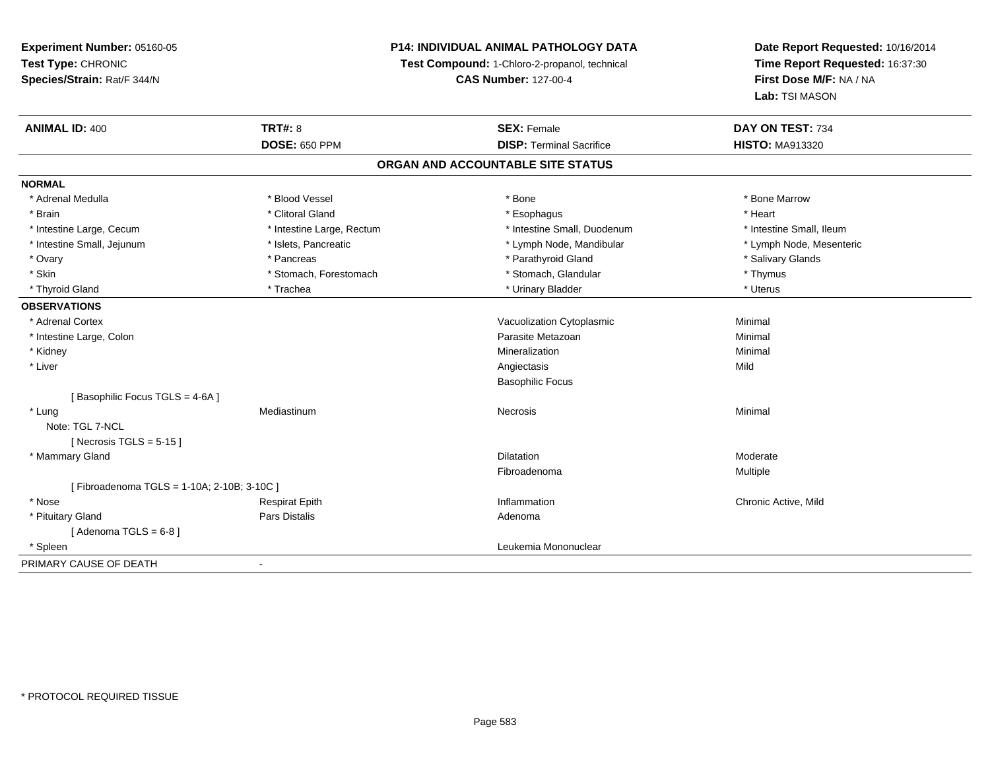## **P14: INDIVIDUAL ANIMAL PATHOLOGY DATA**

**Test Compound:** 1-Chloro-2-propanol, technical

**CAS Number:** 127-00-4

| <b>ANIMAL ID: 400</b>                     | <b>TRT#: 8</b>            | <b>SEX: Female</b>              | DAY ON TEST: 734         |  |  |  |
|-------------------------------------------|---------------------------|---------------------------------|--------------------------|--|--|--|
|                                           | <b>DOSE: 650 PPM</b>      | <b>DISP: Terminal Sacrifice</b> | <b>HISTO: MA913320</b>   |  |  |  |
| ORGAN AND ACCOUNTABLE SITE STATUS         |                           |                                 |                          |  |  |  |
| <b>NORMAL</b>                             |                           |                                 |                          |  |  |  |
| * Adrenal Medulla                         | * Blood Vessel            | * Bone                          | * Bone Marrow            |  |  |  |
| * Brain                                   | * Clitoral Gland          | * Esophagus                     | * Heart                  |  |  |  |
| * Intestine Large, Cecum                  | * Intestine Large, Rectum | * Intestine Small, Duodenum     | * Intestine Small, Ileum |  |  |  |
| * Intestine Small, Jejunum                | * Islets, Pancreatic      | * Lymph Node, Mandibular        | * Lymph Node, Mesenteric |  |  |  |
| * Ovary                                   | * Pancreas                | * Parathyroid Gland             | * Salivary Glands        |  |  |  |
| * Skin                                    | * Stomach, Forestomach    | * Stomach, Glandular            | * Thymus                 |  |  |  |
| * Thyroid Gland                           | * Trachea                 | * Urinary Bladder               | * Uterus                 |  |  |  |
| <b>OBSERVATIONS</b>                       |                           |                                 |                          |  |  |  |
| * Adrenal Cortex                          |                           | Vacuolization Cytoplasmic       | Minimal                  |  |  |  |
| * Intestine Large, Colon                  |                           | Parasite Metazoan               | Minimal                  |  |  |  |
| * Kidney                                  |                           | Mineralization                  | Minimal                  |  |  |  |
| * Liver                                   |                           | Angiectasis                     | Mild                     |  |  |  |
|                                           |                           | <b>Basophilic Focus</b>         |                          |  |  |  |
| [Basophilic Focus TGLS = 4-6A]            |                           |                                 |                          |  |  |  |
| * Lung                                    | Mediastinum               | Necrosis                        | Minimal                  |  |  |  |
| Note: TGL 7-NCL                           |                           |                                 |                          |  |  |  |
| [ Necrosis TGLS = $5-15$ ]                |                           |                                 |                          |  |  |  |
| * Mammary Gland                           |                           | <b>Dilatation</b>               | Moderate                 |  |  |  |
|                                           |                           | Fibroadenoma                    | Multiple                 |  |  |  |
| [Fibroadenoma TGLS = 1-10A; 2-10B; 3-10C] |                           |                                 |                          |  |  |  |
| * Nose                                    | <b>Respirat Epith</b>     | Inflammation                    | Chronic Active, Mild     |  |  |  |
| * Pituitary Gland                         | Pars Distalis             | Adenoma                         |                          |  |  |  |
| [Adenoma TGLS = $6-8$ ]                   |                           |                                 |                          |  |  |  |
| * Spleen                                  |                           | Leukemia Mononuclear            |                          |  |  |  |
| PRIMARY CAUSE OF DEATH                    | $\blacksquare$            |                                 |                          |  |  |  |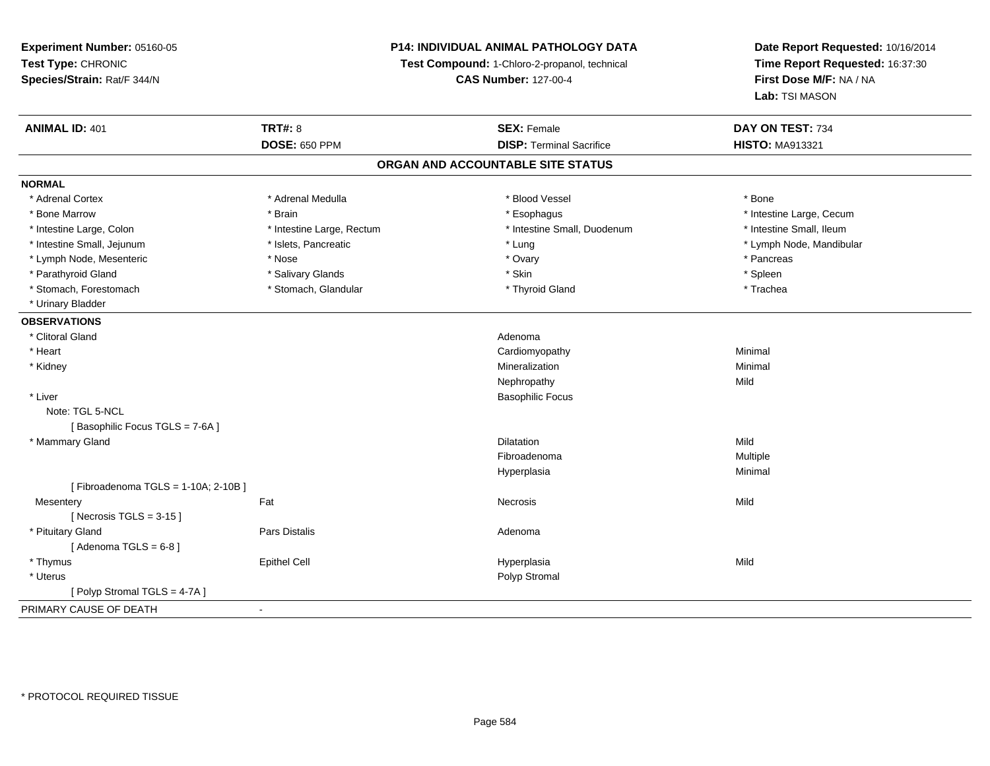# **P14: INDIVIDUAL ANIMAL PATHOLOGY DATA**

**Test Compound:** 1-Chloro-2-propanol, technical

**CAS Number:** 127-00-4

| <b>ANIMAL ID: 401</b>              | <b>TRT#: 8</b>            | <b>SEX: Female</b>                | DAY ON TEST: 734         |  |
|------------------------------------|---------------------------|-----------------------------------|--------------------------|--|
|                                    | <b>DOSE: 650 PPM</b>      | <b>DISP: Terminal Sacrifice</b>   | <b>HISTO: MA913321</b>   |  |
|                                    |                           | ORGAN AND ACCOUNTABLE SITE STATUS |                          |  |
| <b>NORMAL</b>                      |                           |                                   |                          |  |
| * Adrenal Cortex                   | * Adrenal Medulla         | * Blood Vessel                    | * Bone                   |  |
| * Bone Marrow                      | * Brain                   | * Esophagus                       | * Intestine Large, Cecum |  |
| * Intestine Large, Colon           | * Intestine Large, Rectum | * Intestine Small, Duodenum       | * Intestine Small, Ileum |  |
| * Intestine Small, Jejunum         | * Islets, Pancreatic      | * Lung                            | * Lymph Node, Mandibular |  |
| * Lymph Node, Mesenteric           | * Nose                    | * Ovary                           | * Pancreas               |  |
| * Parathyroid Gland                | * Salivary Glands         | * Skin                            | * Spleen                 |  |
| * Stomach, Forestomach             | * Stomach, Glandular      | * Thyroid Gland                   | * Trachea                |  |
| * Urinary Bladder                  |                           |                                   |                          |  |
| <b>OBSERVATIONS</b>                |                           |                                   |                          |  |
| * Clitoral Gland                   |                           | Adenoma                           |                          |  |
| * Heart                            |                           | Cardiomyopathy                    | Minimal                  |  |
| * Kidney                           |                           | Mineralization                    | Minimal                  |  |
|                                    |                           | Nephropathy                       | Mild                     |  |
| * Liver                            |                           | <b>Basophilic Focus</b>           |                          |  |
| Note: TGL 5-NCL                    |                           |                                   |                          |  |
| [Basophilic Focus TGLS = 7-6A]     |                           |                                   |                          |  |
| * Mammary Gland                    |                           | <b>Dilatation</b>                 | Mild                     |  |
|                                    |                           | Fibroadenoma                      | <b>Multiple</b>          |  |
|                                    |                           | Hyperplasia                       | Minimal                  |  |
| [Fibroadenoma TGLS = 1-10A; 2-10B] |                           |                                   |                          |  |
| Mesentery                          | Fat                       | Necrosis                          | Mild                     |  |
| [Necrosis TGLS = $3-15$ ]          |                           |                                   |                          |  |
| * Pituitary Gland                  | Pars Distalis             | Adenoma                           |                          |  |
| [Adenoma TGLS = $6-8$ ]            |                           |                                   |                          |  |
| * Thymus                           | <b>Epithel Cell</b>       | Hyperplasia                       | Mild                     |  |
| * Uterus                           |                           | Polyp Stromal                     |                          |  |
| [Polyp Stromal TGLS = 4-7A]        |                           |                                   |                          |  |
| PRIMARY CAUSE OF DEATH             | $\overline{\phantom{a}}$  |                                   |                          |  |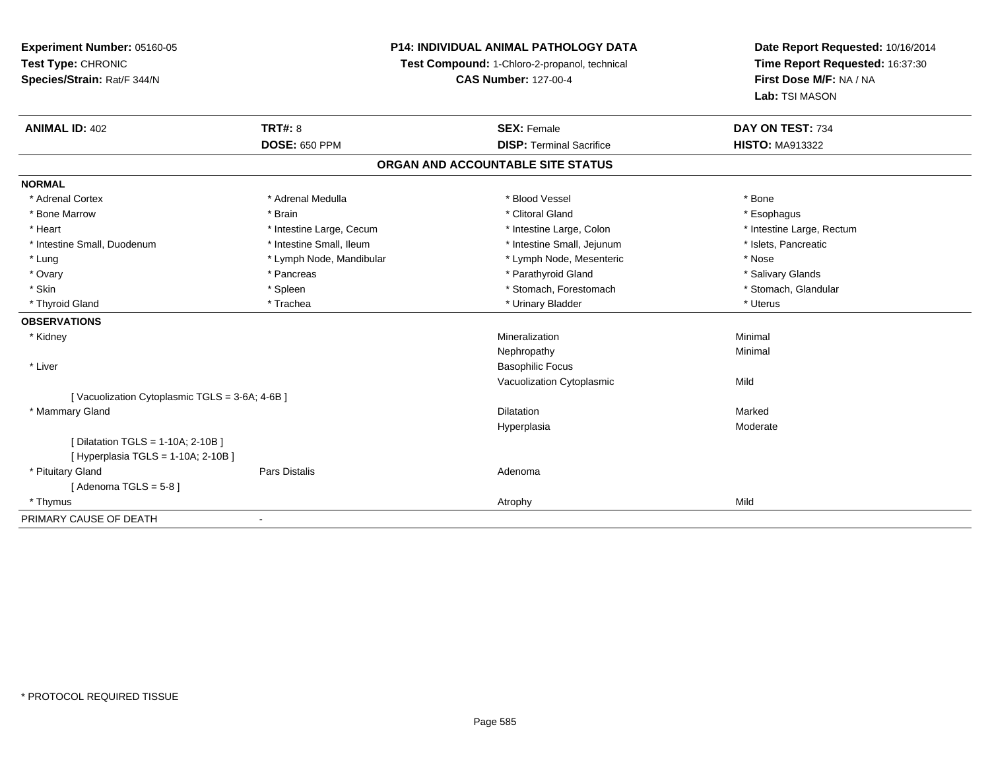## **P14: INDIVIDUAL ANIMAL PATHOLOGY DATA**

**Test Compound:** 1-Chloro-2-propanol, technical

**CAS Number:** 127-00-4

| <b>ANIMAL ID: 402</b>                         | <b>TRT#: 8</b>           | <b>SEX: Female</b>                | DAY ON TEST: 734          |  |
|-----------------------------------------------|--------------------------|-----------------------------------|---------------------------|--|
|                                               | <b>DOSE: 650 PPM</b>     | <b>DISP: Terminal Sacrifice</b>   | <b>HISTO: MA913322</b>    |  |
|                                               |                          | ORGAN AND ACCOUNTABLE SITE STATUS |                           |  |
| <b>NORMAL</b>                                 |                          |                                   |                           |  |
| * Adrenal Cortex                              | * Adrenal Medulla        | * Blood Vessel                    | * Bone                    |  |
| * Bone Marrow                                 | * Brain                  | * Clitoral Gland                  | * Esophagus               |  |
| * Heart                                       | * Intestine Large, Cecum | * Intestine Large, Colon          | * Intestine Large, Rectum |  |
| * Intestine Small, Duodenum                   | * Intestine Small, Ileum | * Intestine Small, Jejunum        | * Islets, Pancreatic      |  |
| * Lung                                        | * Lymph Node, Mandibular | * Lymph Node, Mesenteric          | * Nose                    |  |
| * Ovary                                       | * Pancreas               | * Parathyroid Gland               | * Salivary Glands         |  |
| * Skin                                        | * Spleen                 | * Stomach, Forestomach            | * Stomach, Glandular      |  |
| * Thyroid Gland                               | * Trachea                | * Urinary Bladder                 | * Uterus                  |  |
| <b>OBSERVATIONS</b>                           |                          |                                   |                           |  |
| * Kidney                                      |                          | Mineralization                    | Minimal                   |  |
|                                               |                          | Nephropathy                       | Minimal                   |  |
| * Liver                                       |                          | <b>Basophilic Focus</b>           |                           |  |
|                                               |                          | Vacuolization Cytoplasmic         | Mild                      |  |
| [Vacuolization Cytoplasmic TGLS = 3-6A; 4-6B] |                          |                                   |                           |  |
| * Mammary Gland                               |                          | <b>Dilatation</b>                 | Marked                    |  |
|                                               |                          | Hyperplasia                       | Moderate                  |  |
| [ Dilatation TGLS = 1-10A; 2-10B ]            |                          |                                   |                           |  |
| [ Hyperplasia TGLS = 1-10A; 2-10B ]           |                          |                                   |                           |  |
| * Pituitary Gland                             | <b>Pars Distalis</b>     | Adenoma                           |                           |  |
| [Adenoma TGLS = $5-8$ ]                       |                          |                                   |                           |  |
| * Thymus                                      |                          | Atrophy                           | Mild                      |  |
| PRIMARY CAUSE OF DEATH                        |                          |                                   |                           |  |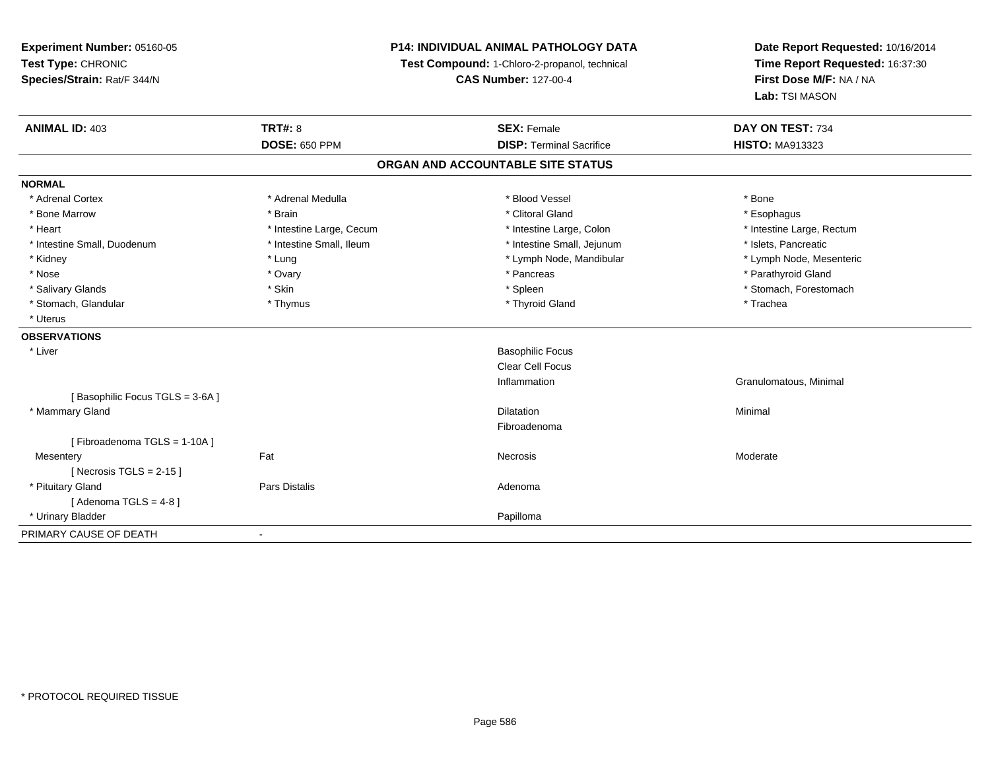**Experiment Number:** 05160-05**Test Type:** CHRONIC **Species/Strain:** Rat/F 344/N**P14: INDIVIDUAL ANIMAL PATHOLOGY DATATest Compound:** 1-Chloro-2-propanol, technical **CAS Number:** 127-00-4**Date Report Requested:** 10/16/2014**Time Report Requested:** 16:37:30**First Dose M/F:** NA / NA**Lab:** TSI MASON**ANIMAL ID:** 403**TRT#:** 8 **SEX:** Female **SEX: Female DAY ON TEST:** 734 **DOSE:** 650 PPM**DISP:** Terminal Sacrifice **HISTO:** MA913323 **ORGAN AND ACCOUNTABLE SITE STATUSNORMAL**\* Adrenal Cortex \* Adrenal Medulla \* Adrenal Medulla \* Blood Vessel \* Bood Vessel \* Bone \* Bone \* Bone \* Bone \* Bone \* Bone \* Bone \* Bone \* Bone \* Bone \* Bone \* Bone \* Bone \* Bone \* Bone \* Bone \* Bone \* Bone \* Bone \* Bone \* Bone \* Bone \* \* \* Esophagus \* Bone Marrow \* \* Android \* Brain \* Brain \* Clitoral Gland \* Clitoral Gland \* Esophagus \* Esophagus \* Esophagus \* Intestine Large, Rectum \* Heart \* Intestine Large, Cecum \* Intestine Large, Cecum \* Intestine Large, Colon \* Intestine Small, Duodenum \* Intestine Small, Ileum \* Intestine Small, Intestine Small, Jejunum \* Islets, Pancreatic \* Lymph Node, Mesenteric \* Kidney \* Lung \* Lung \* Lung \* Lung \* Lower \* Lymph Node, Mandibular \* Lymph Node, Mandibular \* Nose \* Ovary \* Pancreas \* Parathyroid Gland \* Salivary Glands \* The stomach \* Skin \* Spleen \* Spleen \* Stomach, Forestomach \* Stomach, Forestomach \* Stomach, Forestomach \* Stomach, Glandular \* Thymus \* Thymus \* Thymus \* Thyroid Gland \* Thyroid Gland \* Thachea \* Uterus**OBSERVATIONS** \* Liver Basophilic Focus Clear Cell FocusInflammation Granulomatous, Minimal [ Basophilic Focus TGLS = 3-6A ] \* Mammary Glandd and the control of the control of the control of the control of the control of the control of the control of the control of the control of the control of the control of the control of the control of the control of the co Fibroadenoma[ Fibroadenoma TGLS = 1-10A ]**Mesentery** y the control of the set of the control of the Moderate of the Moderate of the Moderate of the Moderate of the Moderate of the Moderate of the Moderate of the Moderate of the Moderate of the Moderate of the Moderate of the  $[$  Necrosis TGLS = 2-15  $]$  \* Pituitary Glandd and the contract of Pars Distalis and the contract of Adenoma and Adenoma and the Adenoma and the Adenoma and  $\lambda$  $[$  Adenoma TGLS = 4-8  $]$  \* Urinary Bladderr and the control of the control of the control of the control of the control of the control of the control of PRIMARY CAUSE OF DEATH-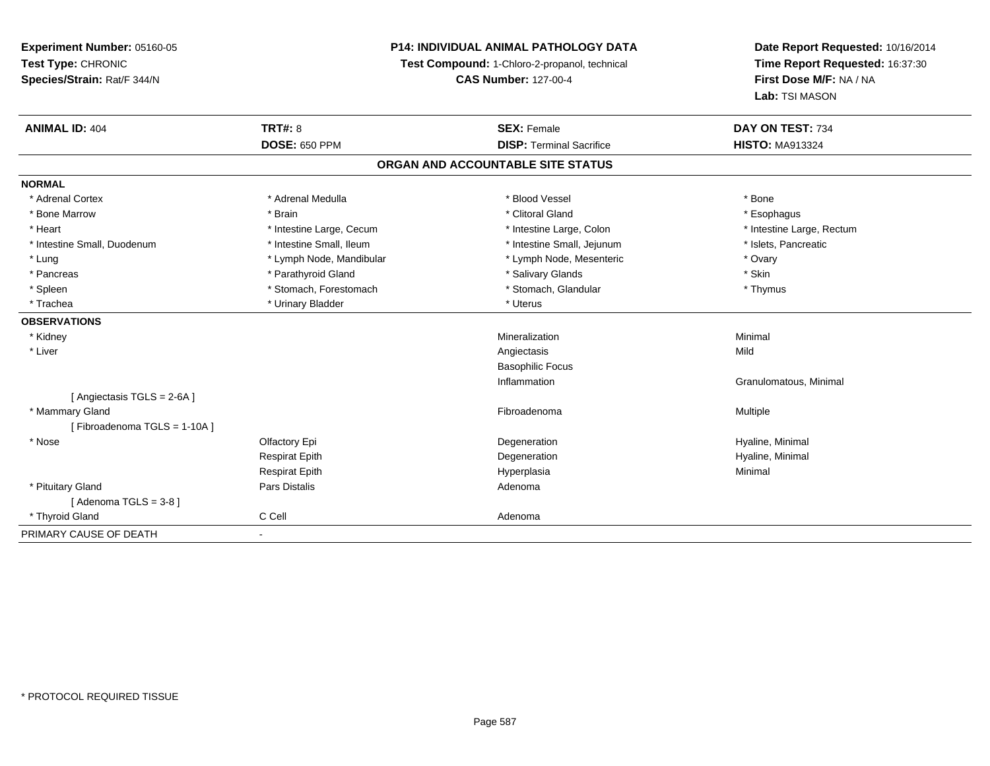## **P14: INDIVIDUAL ANIMAL PATHOLOGY DATA**

**Test Compound:** 1-Chloro-2-propanol, technical

**CAS Number:** 127-00-4

| <b>ANIMAL ID: 404</b>             | <b>TRT#: 8</b>           | <b>SEX: Female</b>              | DAY ON TEST: 734          |  |  |  |
|-----------------------------------|--------------------------|---------------------------------|---------------------------|--|--|--|
|                                   | <b>DOSE: 650 PPM</b>     | <b>DISP: Terminal Sacrifice</b> | <b>HISTO: MA913324</b>    |  |  |  |
| ORGAN AND ACCOUNTABLE SITE STATUS |                          |                                 |                           |  |  |  |
| <b>NORMAL</b>                     |                          |                                 |                           |  |  |  |
| * Adrenal Cortex                  | * Adrenal Medulla        | * Blood Vessel                  | * Bone                    |  |  |  |
| * Bone Marrow                     | * Brain                  | * Clitoral Gland                | * Esophagus               |  |  |  |
| * Heart                           | * Intestine Large, Cecum | * Intestine Large, Colon        | * Intestine Large, Rectum |  |  |  |
| * Intestine Small, Duodenum       | * Intestine Small, Ileum | * Intestine Small, Jejunum      | * Islets, Pancreatic      |  |  |  |
| * Lung                            | * Lymph Node, Mandibular | * Lymph Node, Mesenteric        | * Ovary                   |  |  |  |
| * Pancreas                        | * Parathyroid Gland      | * Salivary Glands               | * Skin                    |  |  |  |
| * Spleen                          | * Stomach, Forestomach   | * Stomach, Glandular            | * Thymus                  |  |  |  |
| * Trachea                         | * Urinary Bladder        | * Uterus                        |                           |  |  |  |
| <b>OBSERVATIONS</b>               |                          |                                 |                           |  |  |  |
| * Kidney                          |                          | Mineralization                  | Minimal                   |  |  |  |
| * Liver                           |                          | Angiectasis                     | Mild                      |  |  |  |
|                                   |                          | <b>Basophilic Focus</b>         |                           |  |  |  |
|                                   |                          | Inflammation                    | Granulomatous, Minimal    |  |  |  |
| [ Angiectasis TGLS = 2-6A ]       |                          |                                 |                           |  |  |  |
| * Mammary Gland                   |                          | Fibroadenoma                    | <b>Multiple</b>           |  |  |  |
| [Fibroadenoma TGLS = 1-10A]       |                          |                                 |                           |  |  |  |
| * Nose                            | Olfactory Epi            | Degeneration                    | Hyaline, Minimal          |  |  |  |
|                                   | <b>Respirat Epith</b>    | Degeneration                    | Hyaline, Minimal          |  |  |  |
|                                   | <b>Respirat Epith</b>    | Hyperplasia                     | Minimal                   |  |  |  |
| * Pituitary Gland                 | Pars Distalis            | Adenoma                         |                           |  |  |  |
| [Adenoma TGLS = 3-8]              |                          |                                 |                           |  |  |  |
| * Thyroid Gland                   | C Cell                   | Adenoma                         |                           |  |  |  |
| PRIMARY CAUSE OF DEATH            |                          |                                 |                           |  |  |  |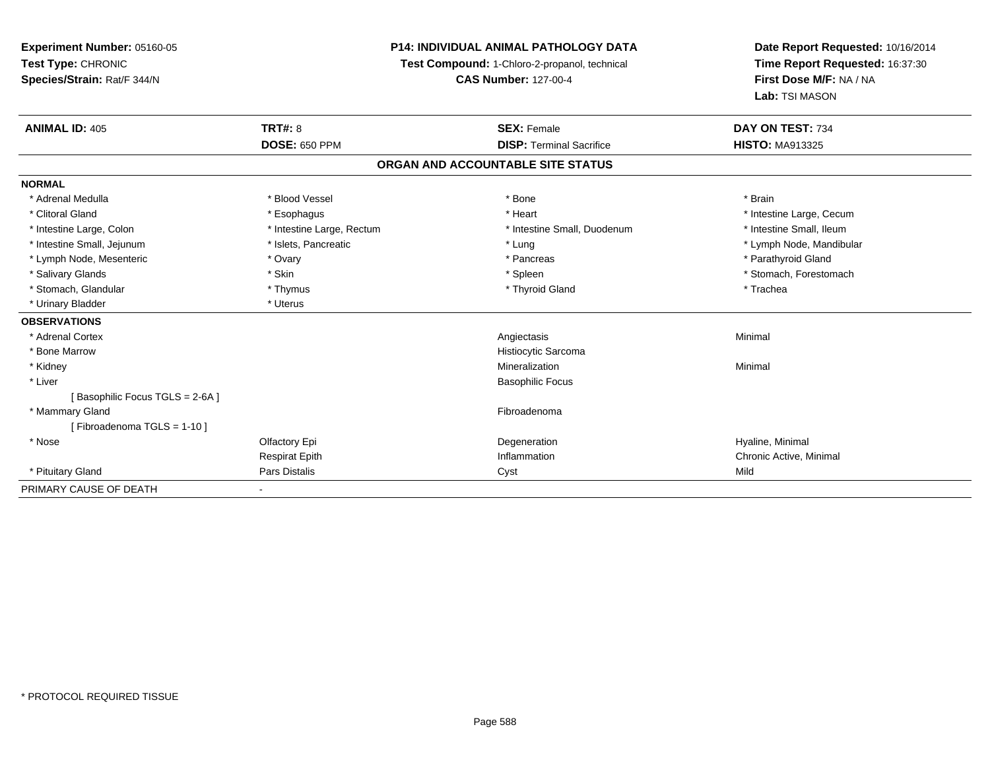**Experiment Number:** 05160-05**Test Type:** CHRONIC **Species/Strain:** Rat/F 344/N**P14: INDIVIDUAL ANIMAL PATHOLOGY DATATest Compound:** 1-Chloro-2-propanol, technical **CAS Number:** 127-00-4**Date Report Requested:** 10/16/2014**Time Report Requested:** 16:37:30**First Dose M/F:** NA / NA**Lab:** TSI MASON**ANIMAL ID:** 405**TRT#:** 8 **SEX:** Female **SEX: Female DAY ON TEST:** 734 **DOSE:** 650 PPM**DISP:** Terminal Sacrifice **HISTO:** MA913325 **ORGAN AND ACCOUNTABLE SITE STATUSNORMAL** \* Adrenal Medulla \* Blood Vessel \* Bone \* Brain\* Clitoral Gland \* \* exphagus \* Esophagus \* \* Heart \* Heart \* Intestine Large, Cecum \* Intestine Small, Ileum \* Intestine Large, Colon \* Intestine Large, Rectum \* Intestine Small, Duodenum \* Intestine Small, Duodenum \* Intestine Small, Jejunum \* \* \* https://www.fat.com/setter/educition/setter/filesophysics.com/setter/filesophysics.com/setter/filesophysics.com/setter/filesophysics.com/setter/filesophysics.com/setter/filesophysics.com/se \* Lymph Node, Mesenteric \* Ovary \* Pancreas \* Parathyroid Gland\* Salivary Glands \* The stomach \* Skin \* Spleen \* Spleen \* Stomach, Forestomach \* Stomach, Forestomach \* Stomach, Forestomach \* Stomach, Glandular \* Thymus \* Thymus \* Thymus \* Thyroid Gland \* Thyroid Gland \* Trachea \* Urinary Bladder \* Uterus **OBSERVATIONS** \* Adrenal Cortex Angiectasis Minimal \* Bone MarrowHistiocytic Sarcoma<br>Mineralization \* Kidneyy with the control of the control of the control of the control of the control of the control of the control of the control of the control of the control of the control of the control of the control of the control of the c n Minimal \* Liver Basophilic Focus[ Basophilic Focus TGLS = 2-6A ] \* Mammary Glandd **Executive Contract of the Contract Contract Contract Contract Contract Contract Contract Contract Contract Contract Contract Contract Contract Contract Contract Contract Contract Contract Contract Contract Contract Cont** [ Fibroadenoma TGLS = 1-10 ] \* Nosee and the Cole of Equation of the Cole of the Cole of the Cole of the Cole of the Cole of the Cole of the Cole <br>Begeneration to the Cole of the Cole of the Cole of the Cole of the Cole of the Cole of the Cole of the Cole o Respirat EpithInflammation **Inflammation** Chronic Active, Minimal Cyst \* Pituitary Gland Pars Distalis Cyst Mild PRIMARY CAUSE OF DEATH-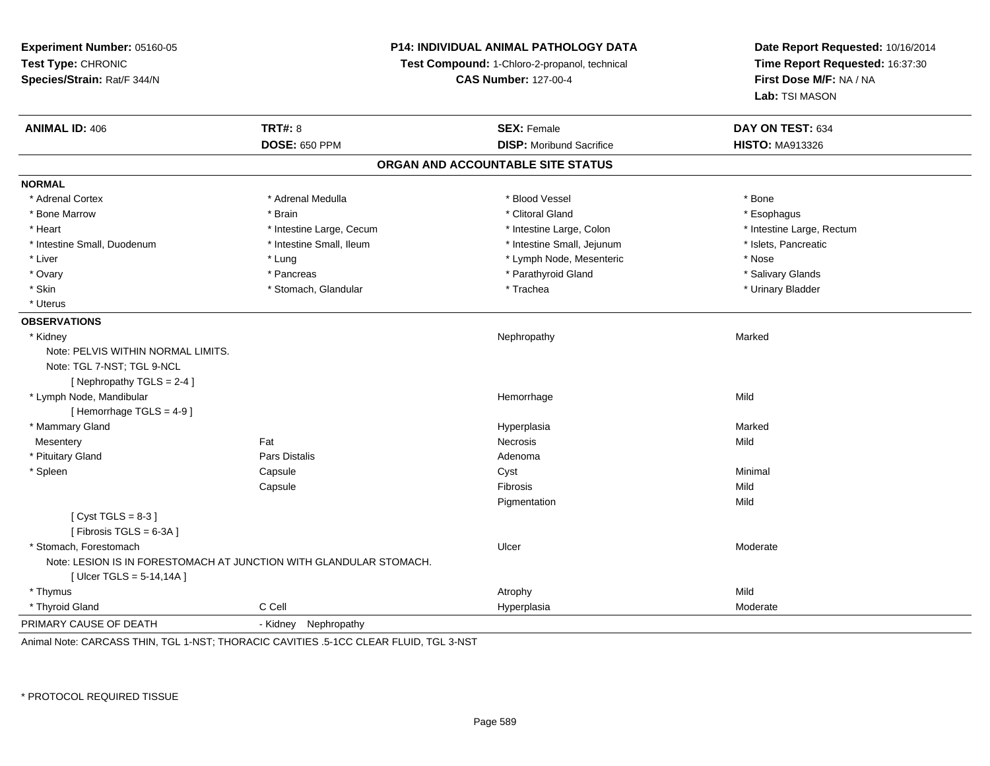**Experiment Number:** 05160-05**Test Type:** CHRONIC **Species/Strain:** Rat/F 344/N**P14: INDIVIDUAL ANIMAL PATHOLOGY DATATest Compound:** 1-Chloro-2-propanol, technical **CAS Number:** 127-00-4**Date Report Requested:** 10/16/2014**Time Report Requested:** 16:37:30**First Dose M/F:** NA / NA**Lab:** TSI MASON**ANIMAL ID:** 406**6 DAY ON TEST:** 634 **DOSE:** 650 PPM**DISP:** Moribund Sacrifice **HISTO:** MA913326 **ORGAN AND ACCOUNTABLE SITE STATUSNORMAL**\* Adrenal Cortex \* Adrenal Cortex \* \* Adrenal Medulla \* \* Adrenal Medulla \* \* Blood Vessel \* \* Brood Vessel \* \* Bone \* Esophagus \* Bone Marrow \* \* Android \* Brain \* Brain \* Clitoral Gland \* Clitoral Gland \* Esophagus \* Esophagus \* Esophagus \* Heart Thestine Large, Cecum Thestine Large, Cecum Assessment Carge, Colon Thestine Large, Rectum \* Intestine Large, Rectum \* Intestine Large, Rectum \* Intestine Small, Duodenum \* Intestine Small, Ileum \* Intestine Small, Intestine Small, Jejunum \* Islets, Pancreatic \* Liver \* Liver \* Lung \* Lung \* Lung \* Lung \* Lymph Node, Mesenteric \* \* Nose \* Salivary Glands \* Ovary \* \* Pancreas \* \* Pancreas \* \* Pancreas \* \* Parathyroid Gland \* \* Salivary Glands \* Salivary Glands \* Salivary Glands \* Salivary Glands \* Salivary Glands \* Salivary Glands \* Salivary Glands \* \* Salivary Glands \* \* S \* Urinary Bladder \* Skin \* Stomach, Glandular \* Trachea \* Trachea \* Urinary Bladder \* Urinary Bladder \* Urinary Bladder \* Urinary Bladder \* Uterus**OBSERVATIONS** \* Kidneyy the control of the control of the control of the control of the control of the control of the control of the control of the control of the control of the control of the control of the control of the control of the contro Note: PELVIS WITHIN NORMAL LIMITS.Note: TGL 7-NST; TGL 9-NCL [ Nephropathy TGLS = 2-4 ] \* Lymph Node, Mandibular Hemorrhagee Mild  $[$  Hemorrhage TGLS = 4-9  $]$  \* Mammary Glandd and the control of the control of the control of the Hyperplasia and the control of the control of the control of the control of the control of the control of the control of the control of the control of the control of t **Mesentery** y the contract of the contract of the contract of the contract of the contract of the contract of the contract of the contract of the contract of the contract of the contract of the contract of the contract of the contract \* Pituitary Glandd and the contract of Pars Distalis and the contract of Adenoma and Adenoma and the Adenoma and the Adenoma and  $\lambda$  \* Spleenn and the Capsule Capsule Constants of Cyst Constants of Constants of Minimal Section 1, 1976, 1976, 1977, 197 Capsulee entry of the state of the state of the state of the state of the state of the state of the state of the state of the state of the state of the state of the state of the state of the state of the state of the state of the Pigmentationn Mild  $[$  Cyst TGLS = 8-3  $]$  $[$  Fibrosis TGLS = 6-3A  $]$  \* Stomach, Forestomachh and the control of the control of the control of the Ulcer Changes of the Moderate Moderate of the Moderate  $\sim$ Note: LESION IS IN FORESTOMACH AT JUNCTION WITH GLANDULAR STOMACH. $[$  Ulcer TGLS = 5-14,14A  $]$  \* Thymuss and the control of the control of the control of the control of the control of the control of the control of the control of the control of the control of the control of the control of the control of the control of the co Moderate \* Thyroid Glandd and the CCell CCell Constants of the Hyperplasia Moderate Moderate Moderate of the Moderate of the Moderate  $\sim$ PRIMARY CAUSE OF DEATH- Kidney Nephropathy

Animal Note: CARCASS THIN, TGL 1-NST; THORACIC CAVITIES .5-1CC CLEAR FLUID, TGL 3-NST

\* PROTOCOL REQUIRED TISSUE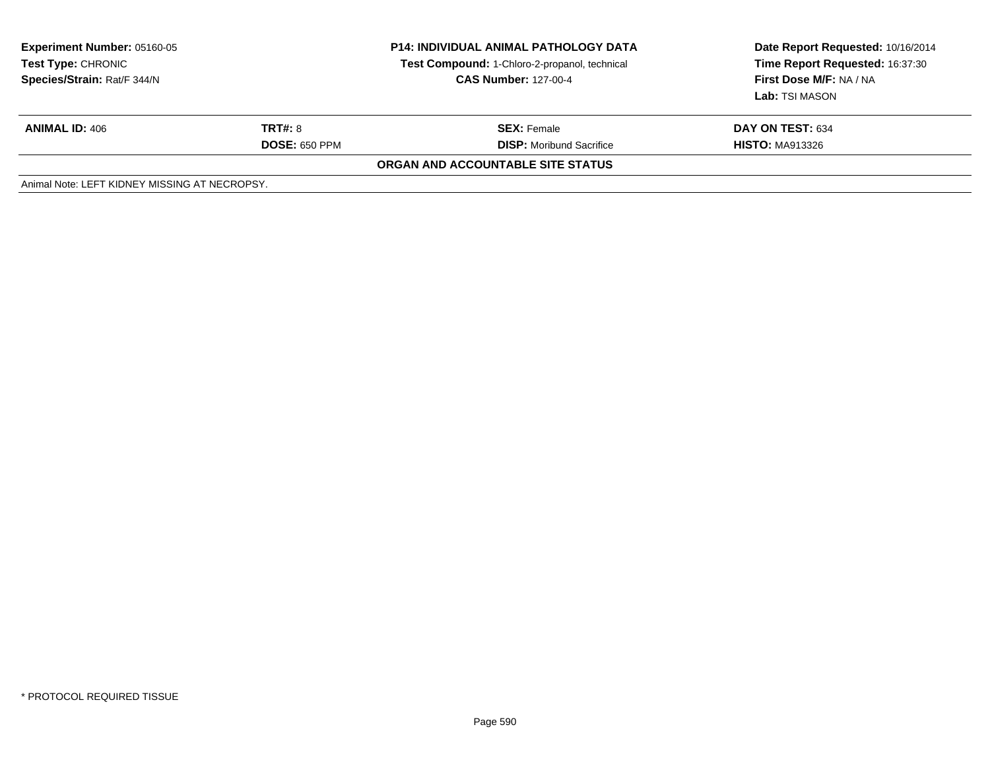| <b>Experiment Number: 05160-05</b><br><b>Test Type: CHRONIC</b><br>Species/Strain: Rat/F 344/N | <b>P14: INDIVIDUAL ANIMAL PATHOLOGY DATA</b><br>Test Compound: 1-Chloro-2-propanol, technical<br><b>CAS Number: 127-00-4</b> |                                   | Date Report Requested: 10/16/2014<br>Time Report Requested: 16:37:30<br>First Dose M/F: NA / NA<br>Lab: TSI MASON |  |
|------------------------------------------------------------------------------------------------|------------------------------------------------------------------------------------------------------------------------------|-----------------------------------|-------------------------------------------------------------------------------------------------------------------|--|
| <b>ANIMAL ID: 406</b>                                                                          | <b>TRT#:</b> 8                                                                                                               | <b>SEX:</b> Female                | DAY ON TEST: 634                                                                                                  |  |
|                                                                                                | <b>DOSE: 650 PPM</b>                                                                                                         | <b>DISP:</b> Moribund Sacrifice   | <b>HISTO: MA913326</b>                                                                                            |  |
|                                                                                                |                                                                                                                              | ORGAN AND ACCOUNTABLE SITE STATUS |                                                                                                                   |  |
| Animal Note: LEFT KIDNEY MISSING AT NECROPSY.                                                  |                                                                                                                              |                                   |                                                                                                                   |  |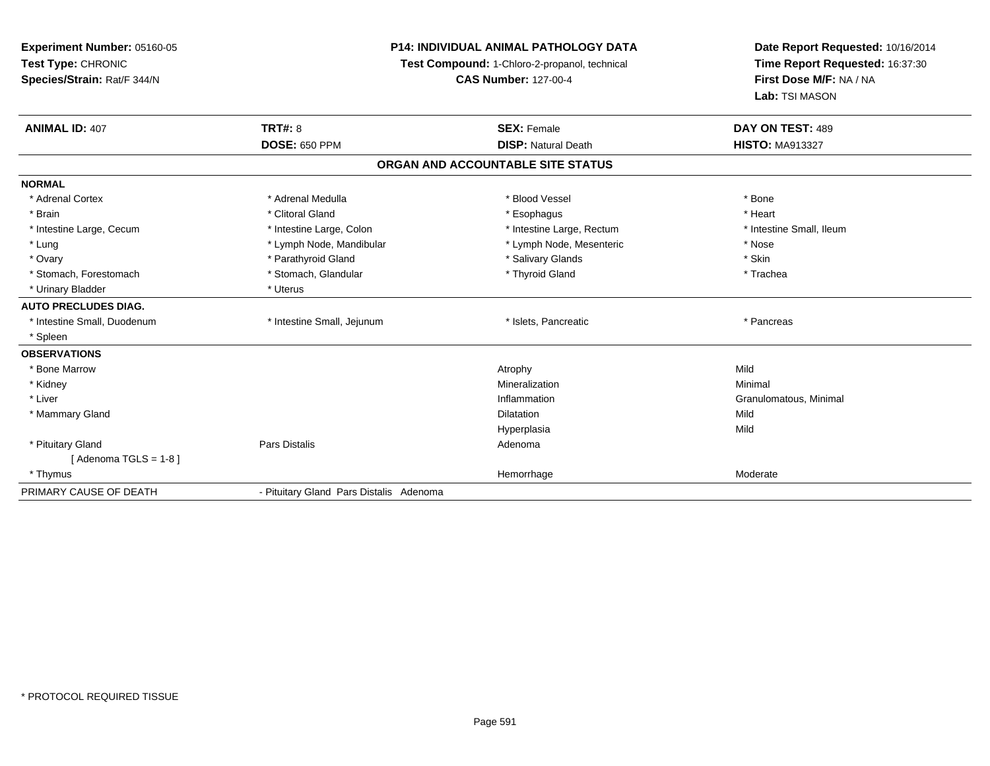| Experiment Number: 05160-05 |                                         | <b>P14: INDIVIDUAL ANIMAL PATHOLOGY DATA</b>  | Date Report Requested: 10/16/2014 |  |
|-----------------------------|-----------------------------------------|-----------------------------------------------|-----------------------------------|--|
| Test Type: CHRONIC          |                                         | Test Compound: 1-Chloro-2-propanol, technical | Time Report Requested: 16:37:30   |  |
| Species/Strain: Rat/F 344/N |                                         | <b>CAS Number: 127-00-4</b>                   | First Dose M/F: NA / NA           |  |
|                             |                                         |                                               | Lab: TSI MASON                    |  |
| <b>ANIMAL ID: 407</b>       | <b>TRT#: 8</b>                          | <b>SEX: Female</b>                            | DAY ON TEST: 489                  |  |
|                             | <b>DOSE: 650 PPM</b>                    | <b>DISP: Natural Death</b>                    | <b>HISTO: MA913327</b>            |  |
|                             |                                         | ORGAN AND ACCOUNTABLE SITE STATUS             |                                   |  |
| <b>NORMAL</b>               |                                         |                                               |                                   |  |
| * Adrenal Cortex            | * Adrenal Medulla                       | * Blood Vessel                                | * Bone                            |  |
| * Brain                     | * Clitoral Gland                        | * Esophagus                                   | * Heart                           |  |
| * Intestine Large, Cecum    | * Intestine Large, Colon                | * Intestine Large, Rectum                     | * Intestine Small, Ileum          |  |
| * Lung                      | * Lymph Node, Mandibular                | * Lymph Node, Mesenteric                      | * Nose                            |  |
| * Ovary                     | * Parathyroid Gland                     | * Salivary Glands                             | * Skin                            |  |
| * Stomach, Forestomach      | * Stomach, Glandular                    | * Thyroid Gland                               | * Trachea                         |  |
| * Urinary Bladder           | * Uterus                                |                                               |                                   |  |
| <b>AUTO PRECLUDES DIAG.</b> |                                         |                                               |                                   |  |
| * Intestine Small, Duodenum | * Intestine Small, Jejunum              | * Islets, Pancreatic                          | * Pancreas                        |  |
| * Spleen                    |                                         |                                               |                                   |  |
| <b>OBSERVATIONS</b>         |                                         |                                               |                                   |  |
| * Bone Marrow               |                                         | Atrophy                                       | Mild                              |  |
| * Kidney                    |                                         | Mineralization                                | Minimal                           |  |
| * Liver                     |                                         | Inflammation                                  | Granulomatous, Minimal            |  |
| * Mammary Gland             |                                         | Dilatation                                    | Mild                              |  |
|                             |                                         | Hyperplasia                                   | Mild                              |  |
| * Pituitary Gland           | <b>Pars Distalis</b>                    | Adenoma                                       |                                   |  |
| [Adenoma TGLS = $1-8$ ]     |                                         |                                               |                                   |  |
| * Thymus                    |                                         | Hemorrhage                                    | Moderate                          |  |
| PRIMARY CAUSE OF DEATH      | - Pituitary Gland Pars Distalis Adenoma |                                               |                                   |  |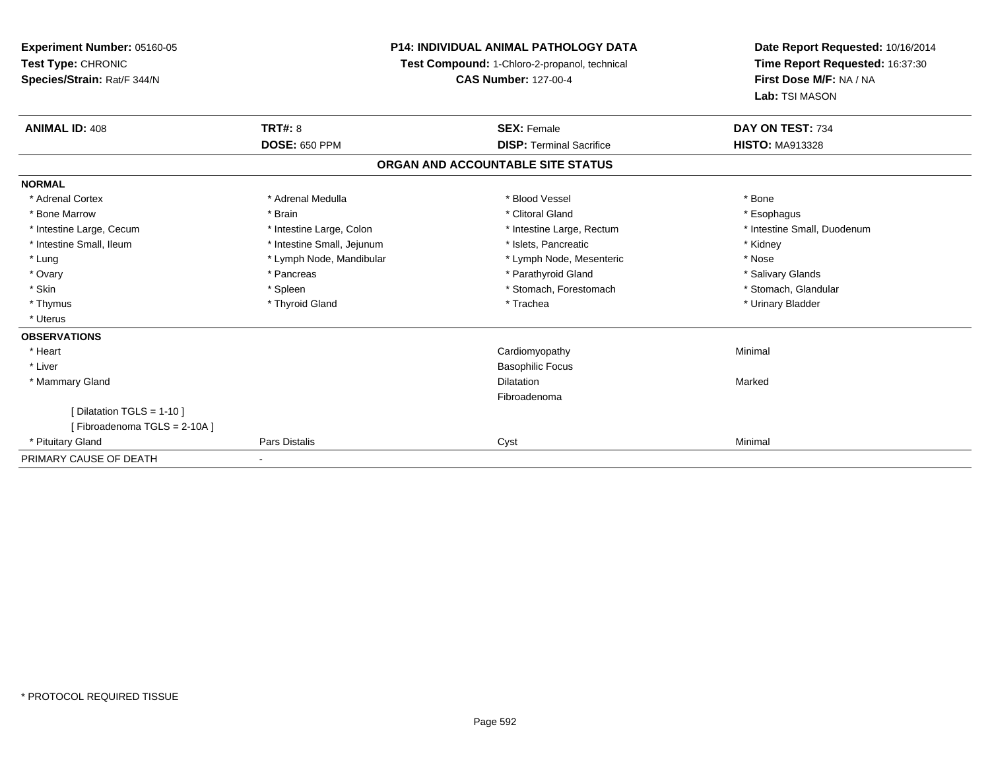**Experiment Number:** 05160-05**Test Type:** CHRONIC **Species/Strain:** Rat/F 344/N**P14: INDIVIDUAL ANIMAL PATHOLOGY DATA Test Compound:** 1-Chloro-2-propanol, technical **CAS Number:** 127-00-4**Date Report Requested:** 10/16/2014**Time Report Requested:** 16:37:30**First Dose M/F:** NA / NA**Lab:** TSI MASON**ANIMAL ID:** 408**EX:** Female **DAY ON TEST:** 734 **DOSE:** 650 PPM**DISP:** Terminal Sacrifice **HISTO:** MA913328 **ORGAN AND ACCOUNTABLE SITE STATUSNORMAL**\* Adrenal Cortex \* Adrenal Medulla \* Adrenal Medulla \* Blood Vessel \* Bood Vessel \* Bone \* Bone \* Bone \* Bone \* Bone \* Bone \* Bone \* Bone \* Bone \* Bone \* Bone \* Bone \* Bone \* Bone \* Bone \* Bone \* Bone \* Bone \* Bone \* Bone \* Bone \* Bone \* \* \* Esophagus \* Bone Marrow \* \* Android \* Brain \* Brain \* Clitoral Gland \* Clitoral Gland \* Esophagus \* Esophagus \* Esophagus \* Intestine Small, Duodenum \* Intestine Large, Cecum \* Intestine Large, Colon \* Intestine Sarge, Rectum \* Intestine Large, Rectum \* Intestine Small, Ileum \* **Alleman \* Intestine Small, Jejunum** \* The \* Islets, Pancreatic \* \* \* Kidney \* Kidney \* Lung \* Lymph Node, Mandibular \* Nose \* Lymph Node, Mesenteric \* Nose \* Nose \* Salivary Glands \* Ovary \* \* Pancreas \* \* Pancreas \* \* Pancreas \* \* Parathyroid Gland \* \* Salivary Glands \* Salivary Glands \* Salivary Glands \* Salivary Glands \* Salivary Glands \* Salivary Glands \* Salivary Glands \* \* Salivary Glands \* \* S \* Stomach. Glandular \* Skin \* Stomach, Forestomach \* Spleen \* Stomach, Forestomach \* Stomach, Forestomach \* Thymus \* Thyroid Gland \* Trachea \* Urinary Bladder \* \* Uterus**OBSERVATIONS** \* Heart Cardiomyopathy Minimal \* Liver Basophilic Focus \* Mammary Glandd and the control of the control of the control of the control of the control of the control of the control of the control of the control of the control of the control of the control of the control of the control of the co Fibroadenoma[ Dilatation TGLS = 1-10 ][ Fibroadenoma TGLS = 2-10A ] \* Pituitary Gland Pars Distalis Cyst Minimal PRIMARY CAUSE OF DEATH-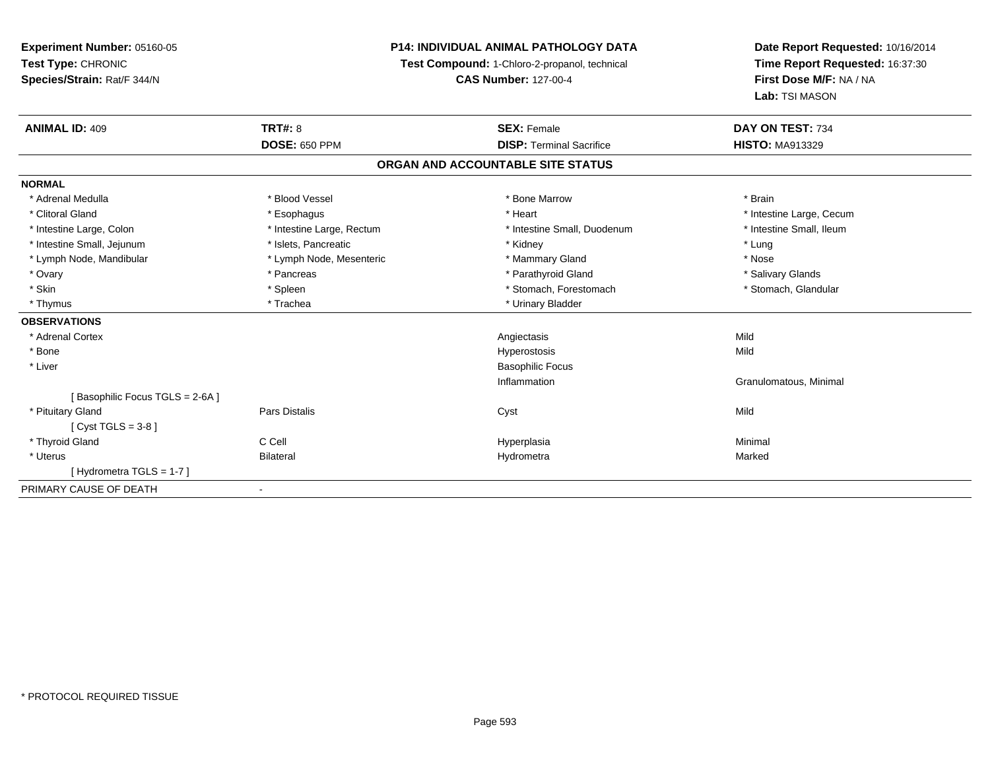**Experiment Number:** 05160-05**Test Type:** CHRONIC **Species/Strain:** Rat/F 344/N**P14: INDIVIDUAL ANIMAL PATHOLOGY DATATest Compound:** 1-Chloro-2-propanol, technical **CAS Number:** 127-00-4**Date Report Requested:** 10/16/2014**Time Report Requested:** 16:37:30**First Dose M/F:** NA / NA**Lab:** TSI MASON**ANIMAL ID:** 409**9 TRT#:** 8 **TRT#:** 8 **SEX:** Female **SEX: Female DAY ON TEST:** 734 **DOSE:** 650 PPM**DISP:** Terminal Sacrifice **HISTO:** MA913329 **ORGAN AND ACCOUNTABLE SITE STATUSNORMAL**\* Adrenal Medulla \* \* Bood Vessel \* Bood Vessel \* Bood Yessel \* Bone Marrow \* Bone Marrow \* \* \* \* \* \* \* \* \* \* Brain \* Clitoral Gland \* \* exphagus \* Esophagus \* \* Heart \* Heart \* Intestine Large, Cecum \* Intestine Small, Ileum \* Intestine Large, Colon \* Intestine Large, Rectum \* Intestine Small, Duodenum \* Intestine Small, Duodenum \* Intestine Small, Jejunum \* The matches of the state of the state of the state of the state of the state of the state of the state of the state of the state of the state of the state of the state of the state of the state \* Nose \* Lymph Node, Mandibular \* Lymph Node, Mesenteric \* Mammary Gland \* Mammary Gland \* Salivary Glands \* Ovary \* \* Pancreas \* \* Pancreas \* \* Pancreas \* \* Parathyroid Gland \* \* Salivary Glands \* Salivary Glands \* Salivary Glands \* Salivary Glands \* Salivary Glands \* Salivary Glands \* Salivary Glands \* \* Salivary Glands \* \* S \* Stomach, Glandular \* Skin \* Spleen \* Spleen \* Spleen \* Stomach, Forestomach \* Stomach, Forestomach \* Thymus \* Trachea \* Trachea \* Urinary Bladder **OBSERVATIONS** \* Adrenal Cortexx and the control of the control of the control of the control of the control of the control of the control of the control of the control of the control of the control of the control of the control of the control of the co Mild \* Bone Hyperostosis Mild \* Liver Basophilic FocusInflammation Granulomatous, Minimal [ Basophilic Focus TGLS = 2-6A ] \* Pituitary Gland Pars Distalis Cyst Mild [ Cyst TGLS = 3-8 ] \* Thyroid Gland C Cell Hyperplasia Minimal \* Uteruss in the Bilateral Georgia and Bilateral Construction and the Hydrometral Hydrometra a and a study of the state of the Marked [ Hydrometra TGLS = 1-7 ]PRIMARY CAUSE OF DEATH-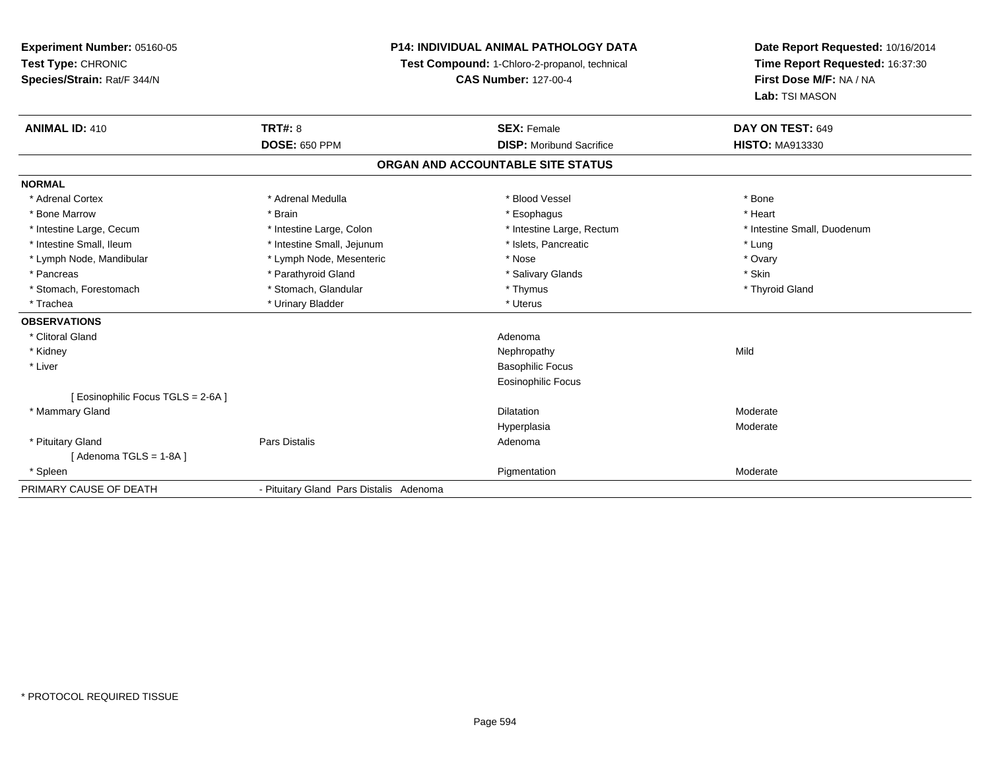**Experiment Number:** 05160-05**Test Type:** CHRONIC **Species/Strain:** Rat/F 344/N**P14: INDIVIDUAL ANIMAL PATHOLOGY DATATest Compound:** 1-Chloro-2-propanol, technical **CAS Number:** 127-00-4**Date Report Requested:** 10/16/2014**Time Report Requested:** 16:37:30**First Dose M/F:** NA / NA**Lab:** TSI MASON**ANIMAL ID:** 410**C TRT#:** 8 **SEX:** Female **DAY ON TEST:** 649 **DOSE:** 650 PPM**DISP:** Moribund Sacrifice **HISTO:** MA913330 **ORGAN AND ACCOUNTABLE SITE STATUSNORMAL**\* Adrenal Cortex \* Adrenal Medulla \* Adrenal Medulla \* Blood Vessel \* Bood Vessel \* Bone \* Bone \* Bone \* Bone \* Bone \* Bone \* Bone \* Bone \* Bone \* Bone \* Bone \* Bone \* Bone \* Bone \* Bone \* Bone \* Bone \* Bone \* Bone \* Bone \* Bone \* Bone \* \* \* Heart \* Bone Marrow \* Brain \* Esophagus \* Heart \* Intestine Large, Cecum \* Intestine Large, Colon \* Intestine Large, Thestine Large, Rectum \* Intestine Small, Duodenum \* Intestine Small, Ileum \* https://www.fatheratic \* Lung \* Intestine Small, Jejunum \* Islets, Pancreatic \* Lung \* Lung \* Ovary \* Lymph Node, Mandibular \* Mose \* Lymph Node, Mesenteric \* Nose \* Nose \* Nose \* Skin \* Pancreas \* Pancreas \* Parathyroid Gland \* The state of the set of the set of the set of the set of the set of the set of the set of the set of the set of the set of the set of the set of the set of the set of the set of \* Thyroid Gland \* Stomach, Forestomach \* Thymus \* Stomach, Glandular \* Thymus \* Thymus \* Thymus \* Thymus \* Thymus \* Thymus \* Thymus \* Thymus \* Thymus \* Thymus \* Thymus \* Thymus \* Thymus \* Thymus \* Thymus \* Thymus \* Thymus \* Thymus \* Thymu \* Trachea \* Urinary Bladder \* Urinary Bladder \* Urinary Bladder \* Urinary Bladder \* Urinary Bladder **OBSERVATIONS** \* Clitoral Glandd and a state of the control of the control of the control of the control of the control of the control of the control of the control of the control of the control of the control of the control of the control of the contro \* Kidneyy the control of the control of the control of the control of the control of the control of the control of the control of the control of the control of the control of the control of the control of the control of the contro \* Liver Basophilic Focus Eosinophilic Focus[ Eosinophilic Focus TGLS = 2-6A ] \* Mammary Glandd and the control of the control of the control of the Dilatation and the control of the Moderate of the control of the control of the control of the control of the control of the control of the control of the control of t Hyperplasiaa **Moderate**  \* Pituitary Glandd and the contract of Pars Distalis and the contract of Adenoma and Adenoma and the Adenoma and the Adenoma and  $\lambda$  $[$  Adenoma TGLS = 1-8A  $]$  \* Spleenn and the control of the control of the control of the control of the control of the control of the control of the control of the control of the control of the control of the control of the control of the control of the co PRIMARY CAUSE OF DEATH- Pituitary Gland Pars Distalis Adenoma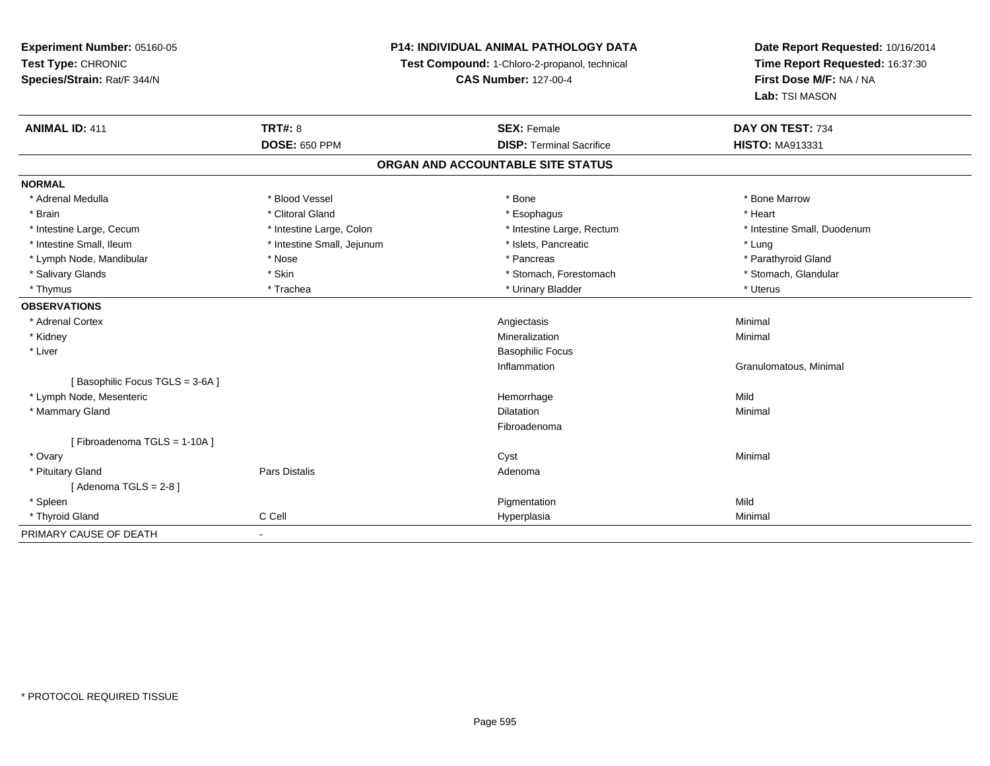**Experiment Number:** 05160-05**Test Type:** CHRONIC **Species/Strain:** Rat/F 344/N**P14: INDIVIDUAL ANIMAL PATHOLOGY DATATest Compound:** 1-Chloro-2-propanol, technical **CAS Number:** 127-00-4**Date Report Requested:** 10/16/2014**Time Report Requested:** 16:37:30**First Dose M/F:** NA / NA**Lab:** TSI MASON**ANIMAL ID:** 411**TRT#:** 8 **SEX:** Female **SEX: Female DAY ON TEST:** 734 **DOSE:** 650 PPM**DISP:** Terminal Sacrifice **HISTO:** MA913331 **ORGAN AND ACCOUNTABLE SITE STATUSNORMAL**\* Adrenal Medulla \* \* \* Blood Vessel \* \* \* Bone Marrow \* \* Bone Marrow \* \* Bone Marrow \* Brain \* Alternative of the state of the state of the state of the state of the state of the state of the state of the state of the state of the state of the state of the state of the state of the state of the state of th \* Intestine Large, Cecum \* Intestine Large, Colon \* Intestine Large, Rectum \* Intestine Small, Duodenum \* Intestine Small, Ileum \* https://www.fatheratic \* Lung \* Intestine Small, Jejunum \* Islets, Pancreatic \* Lung \* Lung \* Parathyroid Gland \* Lymph Node, Mandibular \* Nose \* Nose \* Pancreas \* Pancreas \* Pancreas \* Pancreas \* Pancreas \* Pancreas \* Pancreas \* Pancreas \* Pancreas \* Pancreas \* Pancreas \* Pancreas \* Pancreas \* Pancreas \* Pancreas \* Pancreas \* Pancr \* Stomach, Glandular \* Salivary Glands \* Stomach, Forestomach \* Skin \* Skin \* Stomach, Forestomach \* Stomach, Forestomach \* Thymus \* Trachea \* Trachea \* Trachea \* Urinary Bladder \* \* Urinary Bladder \* \* Uterus \* Uterus \* Uterus \* Uterus **OBSERVATIONS** \* Adrenal Cortex Angiectasis Minimal \* Kidneyy with the control of the control of the control of the control of the control of the control of the control of the control of the control of the control of the control of the control of the control of the control of the c n Minimal \* Liver Basophilic FocusInflammation Granulomatous, Minimal [ Basophilic Focus TGLS = 3-6A ] \* Lymph Node, Mesentericc and the contract of the contract of the contract of the contract of the contract of the contract of the contract of the contract of the contract of the contract of the contract of the contract of the contract of the cont e Mild \* Mammary Glandd and the control of the control of the control of the control of the control of the control of the control of the control of the control of the control of the control of the control of the control of the control of the co Fibroadenoma[ Fibroadenoma TGLS = 1-10A ] \* Ovaryy the control of the control of the control of the control of the control of the control of the control of the control of the control of the control of the control of the control of the control of the control of the contro \* Pituitary Glandd and the contract of Pars Distalis and the contract of Adenoma and Adenoma and the Adenoma and the Adenoma and  $\lambda$  $[$  Adenoma TGLS = 2-8  $]$  \* Spleenn and the control of the control of the control of the control of the control of the control of the control of the control of the control of the control of the control of the control of the control of the control of the co \* Thyroid Gland C Cell Hyperplasia Minimal PRIMARY CAUSE OF DEATH-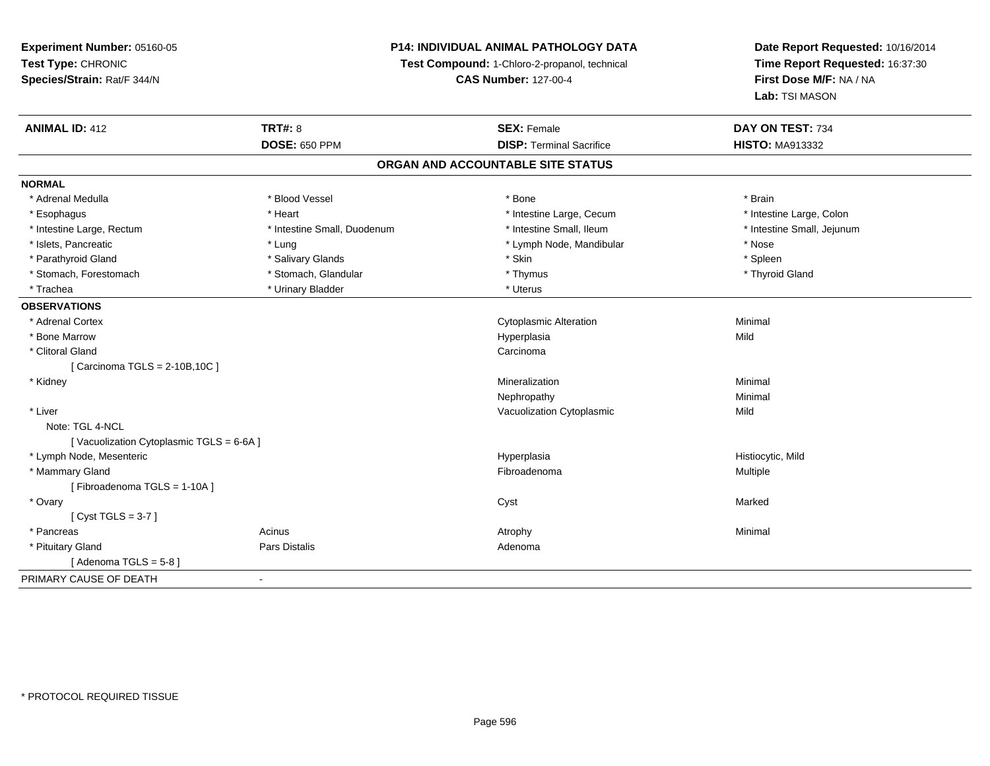**Experiment Number:** 05160-05**Test Type:** CHRONIC **Species/Strain:** Rat/F 344/N**P14: INDIVIDUAL ANIMAL PATHOLOGY DATATest Compound:** 1-Chloro-2-propanol, technical **CAS Number:** 127-00-4**Date Report Requested:** 10/16/2014**Time Report Requested:** 16:37:30**First Dose M/F:** NA / NA**Lab:** TSI MASON**ANIMAL ID:** 412**TRT#:** 8 **SEX:** Female **DAY ON TEST:** 734 **DOSE:** 650 PPM**DISP:** Terminal Sacrifice **HISTO:** MA913332 **ORGAN AND ACCOUNTABLE SITE STATUSNORMAL** \* Adrenal Medulla \* Blood Vessel \* Bone \* Brain\* Intestine Large, Colon \* Esophagus \* **Heart \* Intestine Large, Cecum \* Intestine Large, Cecum \*** Intestine Large, Cecum \* Intestine Large, Rectum \* Thestine Small, Duodenum \* Number of the small, Ileum \* Intestine Small, Jejunum \* Intestine Small, Jejunum \* Islets, Pancreatic \* The same \* Lung \* Lung \* Lung \* Lung \* Lymph Node, Mandibular \* The same \* Nose \* Spleen \* Parathyroid Gland \* The state of the second term in the second state of the second state of the second \* Skin \* Skin \* Skin \* Skin \* Skin \* Skin \* Skin \* Skin \* Skin \* Skin \* Skin \* Skin \* Skin \* Skin \* Skin \* Skin \* Ski \* Thyroid Gland \* Stomach, Forestomach \* Thymus \* Stomach, Glandular \* Thymus \* Thymus \* Thymus \* Thymus \* Thymus \* Thymus \* Thymus \* Thymus \* Thymus \* Thymus \* Thymus \* Thymus \* Thymus \* Thymus \* Thymus \* Thymus \* Thymus \* Thymus \* Thymu \* Trachea \* Urinary Bladder \* Urinary Bladder \* Urinary Bladder \* Uterus **OBSERVATIONS** \* Adrenal Cortex Cytoplasmic Alterationn Minimal \* Bone Marroww which is a controller to the Hyperplasia controller that  $\mathsf{Mild}$  \* Clitoral Glandd<sub>d</sub> Carcinoma [ Carcinoma TGLS = 2-10B,10C ] \* Kidneyy with the control of the control of the control of the control of the control of the control of the control of the control of the control of the control of the control of the control of the control of the control of the c n Minimal Nephropathy Minimal \* Liver Vacuolization Cytoplasmicc Mild Note: TGL 4-NCL[ Vacuolization Cytoplasmic TGLS = 6-6A ] \* Lymph Node, Mesentericc in the contract of the contract of the contract of the contract of the contract of the contract of the contract of the contract of the contract of the contract of the contract of the contract of the contract of the contr Hyperplasia entries and the material of Histiocytic, Mild<br>
Fibroadenoma entries and the Multiple Multiple \* Mammary Glandd and the state of the state of the state of the state of the state of the state of the state of the state of the state of the state of the state of the state of the state of the state of the state of the state of the stat [ Fibroadenoma TGLS = 1-10A ] \* Ovaryy and the control of the control of the control of the control of the control of the control of the control of the control of the control of the control of the control of the control of the control of the control of the co [ Cyst TGLS = 3-7 ] \* Pancreass the control of the control of the control of the control of the control of the control of the control of the control of the control of the control of the control of the control of the control of the control of the contro \* Pituitary Glandd and the contract of Pars Distalis and the contract of Adenoma and Adenoma and the Adenoma and the Adenoma and  $\lambda$ [ Adenoma  $TGLS = 5-8$  ] PRIMARY CAUSE OF DEATH-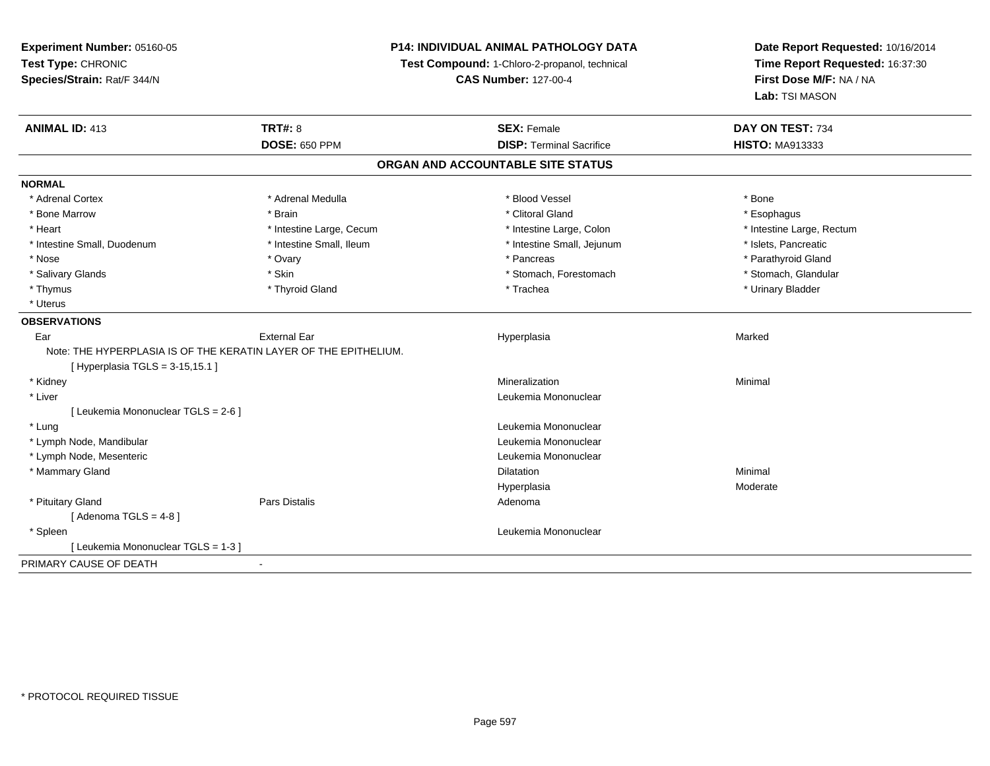**Experiment Number:** 05160-05**Test Type:** CHRONIC **Species/Strain:** Rat/F 344/N**P14: INDIVIDUAL ANIMAL PATHOLOGY DATATest Compound:** 1-Chloro-2-propanol, technical **CAS Number:** 127-00-4**Date Report Requested:** 10/16/2014**Time Report Requested:** 16:37:30**First Dose M/F:** NA / NA**Lab:** TSI MASON**ANIMAL ID:** 413**TRT#:** 8 **SEX:** Female **SEX: Female DAY ON TEST:** 734 **DOSE:** 650 PPM**DISP:** Terminal Sacrifice **HISTO:** MA913333 **ORGAN AND ACCOUNTABLE SITE STATUSNORMAL**\* Adrenal Cortex \* Adrenal Medulla \* Adrenal Medulla \* Blood Vessel \* Bood Vessel \* Bone \* Bone \* Bone \* Bone \* Bone \* Bone \* Bone \* Bone \* Bone \* Bone \* Bone \* Bone \* Bone \* Bone \* Bone \* Bone \* Bone \* Bone \* Bone \* Bone \* Bone \* Bone \* \* \* Esophagus \* Bone Marrow \* \* Android \* Brain \* Brain \* Clitoral Gland \* Clitoral Gland \* Esophagus \* Esophagus \* Esophagus \* Intestine Large, Rectum \* Heart **\*** Intestine Large, Cecum \* Intestine Large, Cecum \* Intestine Large, Colon \* Intestine Small, Duodenum \* Intestine Small, Ileum \* Intestine Small, Intestine Small, Jejunum \* Islets, Pancreatic \* Parathyroid Gland \* Nose \* Ovary \* Pancreas \* Parathyroid Gland \* Stomach, Glandular \* Salivary Glands \* Stomach, Forestomach \* Skin \* Skin \* Stomach, Forestomach \* Stomach, Forestomach \* Thymus \* Thyroid Gland \* Trachea \* Urinary Bladder \* \* Uterus**OBSERVATIONS** Earr External Ear Hyperplasia a and a study of the state of the Marked Note: THE HYPERPLASIA IS OF THE KERATIN LAYER OF THE EPITHELIUM.[ Hyperplasia TGLS = 3-15,15.1 ] \* Kidneyy with the control of the control of the control of the control of the control of the control of the control of the control of the control of the control of the control of the control of the control of the control of the c n Minimal \* Liver Leukemia Mononuclear [ Leukemia Mononuclear TGLS = 2-6 ] \* Lung Leukemia Mononuclear \* Lymph Node, Mandibular Leukemia Mononuclear \* Lymph Node, Mesenteric Leukemia Mononuclear \* Mammary Glandd and the control of the control of the control of the control of the control of the control of the control of the control of the control of the control of the control of the control of the control of the control of the co Hyperplasia Moderate \* Pituitary Glandd and the contract of Pars Distalis and the contract of Adenoma and Adenoma and the Adenoma and the Adenoma and  $\lambda$  $[$  Adenoma TGLS = 4-8  $]$  \* Spleen Leukemia Mononuclear [ Leukemia Mononuclear TGLS = 1-3 ]PRIMARY CAUSE OF DEATH-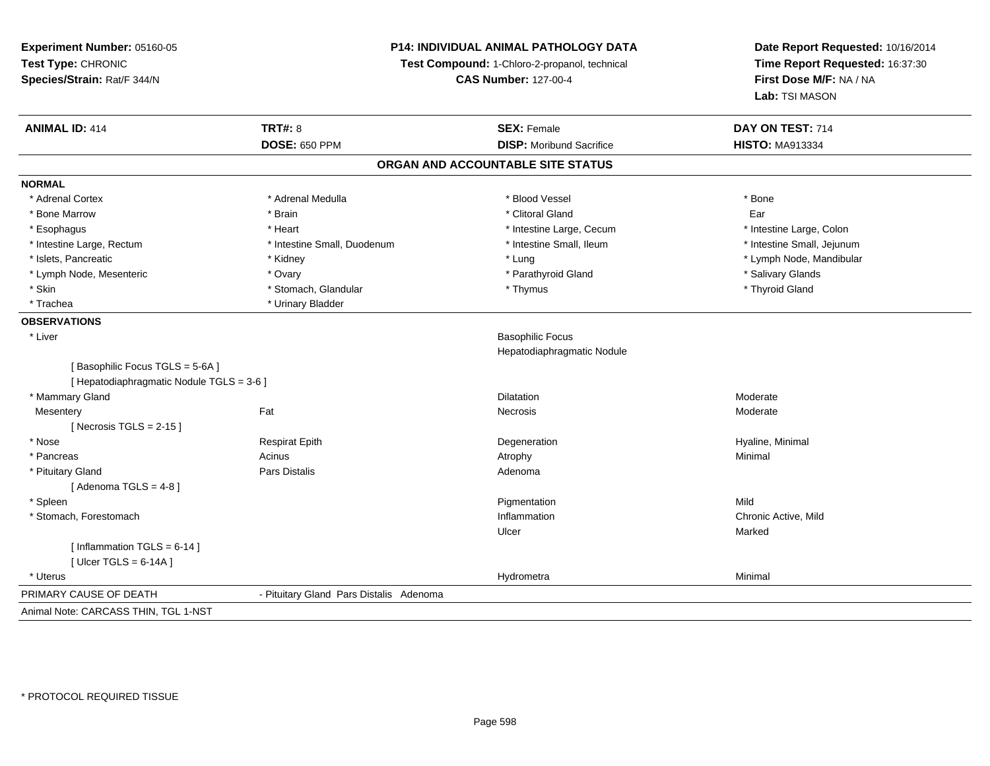**Experiment Number:** 05160-05**Test Type:** CHRONIC **Species/Strain:** Rat/F 344/N**P14: INDIVIDUAL ANIMAL PATHOLOGY DATATest Compound:** 1-Chloro-2-propanol, technical **CAS Number:** 127-00-4**Date Report Requested:** 10/16/2014**Time Report Requested:** 16:37:30**First Dose M/F:** NA / NA**Lab:** TSI MASON**ANIMAL ID:** 414**TRT#:** 8 **SEX:** Female **DAY ON TEST:** 714 **DOSE:** 650 PPM**DISP:** Moribund Sacrifice **HISTO:** MA913334 **ORGAN AND ACCOUNTABLE SITE STATUSNORMAL**\* Adrenal Cortex \* Adrenal Cortex \* \* Adrenal Medulla \* \* Adrenal Medulla \* \* Blood Vessel \* \* Brood Vessel \* \* Bone \* Bone Marrow \* \* Android \* Bone Marrow \* Clitoral Gland \* Clitoral Gland \* Clitoral Gland \* Clitoral Gland \* C \* Esophagus \* Thestine Large, Thestine Large, Cecum \* Intestine Large, Cecum \* Intestine Large, Cecum \* Intestine Large, Colon \* Intestine Small, Jejunum \* Intestine Large, Rectum \* Intestine Small, Duodenum \* Intestine Small, Duodenum \* 1ntestine Small, Ileum \* Islets, Pancreatic \* Kidney \* Lung \* Lymph Node, Mandibular \* Lymph Node, Mesenteric \* The match of the state of the overall the state of the state of the state of the state of the state of the state of the state of the state of the state of the state of the state of the state of t \* Skin \* Stomach, Glandular \* \* Stomach, Glandular \* Thymus \* Thymus \* The \* Thyroid Gland \* Thyroid Gland \* \* Thyroid Gland \* \* Thyroid Gland \* \* Thyroid Gland \* \* Thyroid Gland \* \* Thyroid Gland \* \* \* \* \* \* \* \* \* \* \* \* \* \* Trachea \* Urinary Bladder**OBSERVATIONS** \* Liver Basophilic Focus Hepatodiaphragmatic Nodule[ Basophilic Focus TGLS = 5-6A ][ Hepatodiaphragmatic Nodule TGLS = 3-6 ] \* Mammary Glandd and the control of the control of the control of the Dilatation and the control of the Moderate of the control of the control of the control of the control of the control of the control of the control of the control of t **Mesentery** y the control of the set of the control of the Moderate of the Moderate of the Moderate of the Moderate of the Moderate of the Moderate of the Moderate of the Moderate of the Moderate of the Moderate of the Moderate of the  $[$  Necrosis TGLS = 2-15  $]$  \* Nose Respirat Epith Degeneration Hyaline, Minimal \* Pancreass the control of the control of the control of the control of the control of the control of the control of the control of the control of the control of the control of the control of the control of the control of the contro \* Pituitary Glandd and the contract of Pars Distalis and the contract of Adenoma and Adenoma and the Adenoma and the Adenoma and  $\lambda$  $[$  Adenoma TGLS = 4-8  $]$  \* Spleenn and the control of the control of the control of the control of the control of the control of the control of the control of the control of the control of the control of the control of the control of the control of the co \* Stomach, Forestomachh and the control of the control of the control of the control of the control of the chronic Active, Mild and the control of the control of the control of the control of the control of the control of the control of the con Ulcerr **Marked**  $[$  Inflammation TGLS = 6-14 ] [ Ulcer TGLS = 6-14A ] \* Uteruss and the contract of the contract of the contract of the contract of the contract of the contract of the contract of the contract of the contract of the contract of the contract of the contract of the contract of the cont a Minimal PRIMARY CAUSE OF DEATH - Pituitary Gland Pars Distalis Adenoma Animal Note: CARCASS THIN, TGL 1-NST